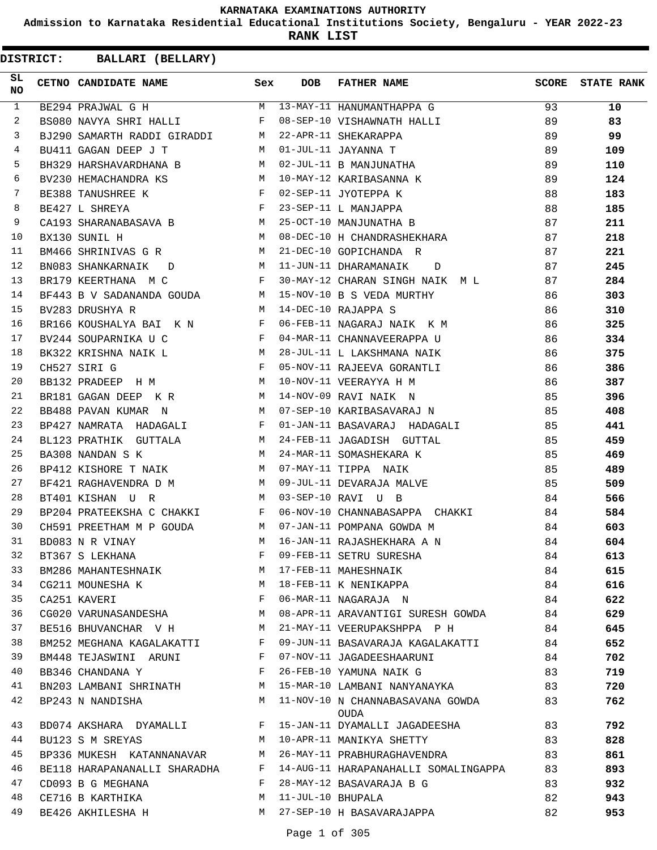**Admission to Karnataka Residential Educational Institutions Society, Bengaluru - YEAR 2022-23**

**RANK LIST**

| SL<br><b>NO</b> | CETNO CANDIDATE NAME Sex                    |              | DOB | FATHER NAME                                                                                                          |         | SCORE STATE RANK |
|-----------------|---------------------------------------------|--------------|-----|----------------------------------------------------------------------------------------------------------------------|---------|------------------|
| $\mathbf{1}$    |                                             |              |     | BE294 PRAJWAL G H M 13-MAY-11 HANUMANTHAPPA G 93                                                                     |         | 10               |
| $\overline{2}$  |                                             |              |     | BS080 NAVYA SHRI HALLI F 08-SEP-10 VISHAWNATH HALLI 89                                                               |         | 83               |
| 3               |                                             |              |     |                                                                                                                      |         | 99               |
| $\overline{4}$  |                                             |              |     |                                                                                                                      |         | 109              |
| 5               |                                             |              |     |                                                                                                                      |         | 110              |
| 6               |                                             |              |     | BV230 HEMACHANDRA KS M 10-MAY-12 KARIBASANNA K 89                                                                    |         | 124              |
| 7               | BE388 TANUSHREE K<br>F 02-SEP-11 JYOTEPPA K |              |     |                                                                                                                      |         | 183              |
| 8               | BE427 L SHREYA                              |              |     | $\begin{array}{c} 88 \\ 88 \end{array}$<br>F 23-SEP-11 L MANJAPPA                                                    |         | 185              |
| 9               |                                             |              |     | CA193 SHARANABASAVA B M 25-OCT-10 MANJUNATHA B 37                                                                    |         | 211              |
| 10              |                                             |              |     | BX130 SUNIL H $M$ 08-DEC-10 H CHANDRASHEKHARA 87                                                                     |         | 218              |
| 11              |                                             |              |     | BM466 SHRINIVAS G R M 21-DEC-10 GOPICHANDA R 87                                                                      |         | 221              |
| 12              |                                             |              |     | BN083 SHANKARNAIK D M 11-JUN-11 DHARAMANAIK D                                                                        | 87      | 245              |
| 13              |                                             |              |     | BR179 KEERTHANA M C $F$ 30-MAY-12 CHARAN SINGH NAIK M L $B$ 7                                                        |         | 284              |
| 14              |                                             |              |     | BF443 B V SADANANDA GOUDA M 15-NOV-10 B S VEDA MURTHY 86                                                             |         | 303              |
| 15              | M 14-DEC-10 RAJAPPA S<br>BV283 DRUSHYA R    |              |     |                                                                                                                      | 86      | 310              |
| 16              |                                             |              |     | BR166 KOUSHALYA BAI K N F 06-FEB-11 NAGARAJ NAIK K M                                                                 | 86      | 325              |
| 17              |                                             |              |     | BV244 SOUPARNIKA U C $F \qquad 04-MAR-11 \quad CHANNAVEERAPPA \quad U \qquad 86$                                     |         | 334              |
| 18              |                                             |              |     | BK322 KRISHNA NAIK L M 28-JUL-11 L LAKSHMANA NAIK 66                                                                 |         | 375              |
| 19              | CH527 SIRI G                                |              |     | F 05-NOV-11 RAJEEVA GORANTLI<br>10 MARIE 11 MARIE 11 MARIE 11 MARIE                                                  | 86 - 10 | 386              |
| 20              |                                             |              |     |                                                                                                                      | 86      | 387              |
| 21              |                                             |              |     | BB132 PRADEEP H M<br>BR181 GAGAN DEEP K R M 10-NOV-11 VEERAYYA H M<br>BR181 GAGAN DEEP K R M 14-NOV-09 RAVI NAIK N M |         | 396              |
| 22              |                                             |              |     | BB488 PAVAN KUMAR N M 07-SEP-10 KARIBASAVARAJ N 35                                                                   |         | 408              |
| 23              |                                             |              |     | BP427 NAMRATA HADAGALI F 01-JAN-11 BASAVARAJ HADAGALI 85                                                             |         | 441              |
| 24              |                                             |              |     | BL123 PRATHIK GUTTALA M 24-FEB-11 JAGADISH GUTTAL                                                                    | 85      | 459              |
| 25              |                                             |              |     | BA308 NANDAN S K M 24-MAR-11 SOMASHEKARA K 85                                                                        |         | 469              |
| 26              | BP412 KISHORE T NAIK M 07-MAY-11 TIPPA NAIK |              |     | 85                                                                                                                   |         | 489              |
| 27              |                                             |              |     |                                                                                                                      | 85      | 509              |
| 28              |                                             |              |     | $M$ 03-SEP-10 RAVI U B                                                                                               | 84      | 566              |
| 29              |                                             |              |     | BP204 PRATEEKSHA C CHAKKI F 06-NOV-10 CHANNABASAPPA CHAKKI 84                                                        |         | 584              |
| 30              |                                             |              |     | CH591 PREETHAM M P GOUDA M 07-JAN-11 POMPANA GOWDA M 84                                                              |         | 603              |
| 31              | BD083 N R VINAY                             |              |     | M 16-JAN-11 RAJASHEKHARA A N                                                                                         | 84      | 604              |
| 32              | BT367 S LEKHANA                             | F            |     | 09-FEB-11 SETRU SURESHA                                                                                              | 84      | 613              |
| 33              | BM286 MAHANTESHNAIK M 17-FEB-11 MAHESHNAIK  |              |     |                                                                                                                      | 84      | 615              |
| 34              | CG211 MOUNESHA K M M 18-FEB-11 K NENIKAPPA  |              |     |                                                                                                                      | 84      | 616              |
| 35              | $\mathbf{F}$<br>CA251 KAVERI                |              |     | 06-MAR-11 NAGARAJA N                                                                                                 | 84      | 622              |
| 36              |                                             |              |     | CG020 VARUNASANDESHA M 08-APR-11 ARAVANTIGI SURESH GOWDA 84                                                          |         | 629              |
| 37              |                                             |              |     | BE516 BHUVANCHAR V H M 21-MAY-11 VEERUPAKSHPPA P H 84                                                                |         | 645              |
| 38              | BM252 MEGHANA KAGALAKATTI F                 |              |     | 09-JUN-11 BASAVARAJA KAGALAKATTI 64                                                                                  |         | 652              |
| 39              | BM448 TEJASWINI ARUNI F                     |              |     | 07-NOV-11 JAGADEESHAARUNI                                                                                            | 84      | 702              |
| 40              | BB346 CHANDANA Y                            | $\mathbf{F}$ |     | 26-FEB-10 YAMUNA NAIK G                                                                                              | 83      | 719              |
| 41              |                                             |              |     | BN203 LAMBANI SHRINATH M 15-MAR-10 LAMBANI NANYANAYKA 83                                                             |         | 720              |
| 42              | BP243 N NANDISHA                            |              |     | M 11-NOV-10 N CHANNABASAVANA GOWDA 83<br>OUDA                                                                        |         | 762              |
| 43              |                                             |              |     | BD074 AKSHARA DYAMALLI F 15-JAN-11 DYAMALLI JAGADEESHA 83                                                            |         | 792              |
| 44              | BU123 S M SREYAS                            |              |     | M 10-APR-11 MANIKYA SHETTY<br>83                                                                                     |         | 828              |
| 45              |                                             |              |     | BP336 MUKESH KATANNANAVAR M 26-MAY-11 PRABHURAGHAVENDRA                                                              | 83      | 861              |
| 46              |                                             |              |     | BE118 HARAPANANALLI SHARADHA F 14-AUG-11 HARAPANAHALLI SOMALINGAPPA 83                                               |         | 893              |
| 47              | CD093 B G MEGHANA                           |              |     | F 28-MAY-12 BASAVARAJA B G                                                                                           | 83      | 932              |
| 48              | $M_{\odot}$<br>CE716 B KARTHIKA             |              |     | 11-JUL-10 BHUPALA                                                                                                    | 82      | 943              |
| 49              | BE426 AKHILESHA H                           |              |     | M 27-SEP-10 H BASAVARAJAPPA                                                                                          | 82      | 953              |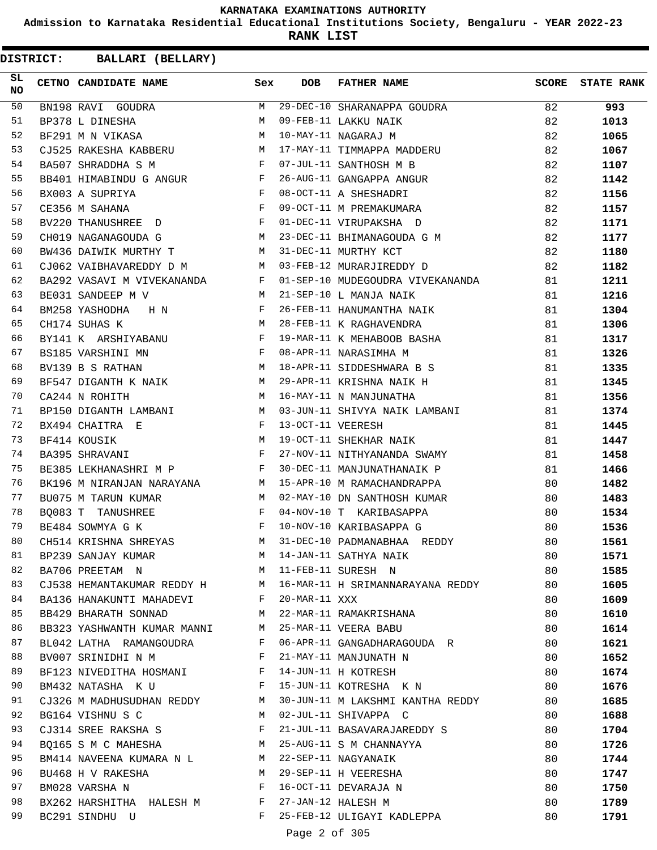**Admission to Karnataka Residential Educational Institutions Society, Bengaluru - YEAR 2022-23**

**RANK LIST**

**DISTRICT:** CC **BALLARI (BELLARY)**

| SL<br>NO. | CETNO CANDIDATE NAME                                                                                                                                                                                                                                          | Sex          | <b>DOB</b>        | <b>FATHER NAME</b>                                            | <b>SCORE</b> | <b>STATE RANK</b> |
|-----------|---------------------------------------------------------------------------------------------------------------------------------------------------------------------------------------------------------------------------------------------------------------|--------------|-------------------|---------------------------------------------------------------|--------------|-------------------|
| 50        | BN198 RAVI GOUDRA                                                                                                                                                                                                                                             |              |                   | M 29-DEC-10 SHARANAPPA GOUDRA                                 | 82           | 993               |
| 51        | BP378 L DINESHA                                                                                                                                                                                                                                               | M            |                   | 09-FEB-11 LAKKU NAIK                                          | 82           | 1013              |
| 52        | BF291 M N VIKASA M                                                                                                                                                                                                                                            |              |                   | 10-MAY-11 NAGARAJ M                                           | 82           | 1065              |
| 53        | $M_{\rm H}$<br>CJ525 RAKESHA KABBERU                                                                                                                                                                                                                          |              |                   | 17-MAY-11 TIMMAPPA MADDERU                                    | 82           | 1067              |
| 54        | $\mathbb{F}^{\mathbb{Z}}$ . The set of the set of the set of the set of the set of the set of the set of the set of the set of the set of the set of the set of the set of the set of the set of the set of the set of the set of the s<br>BA507 SHRADDHA S M |              |                   | 07-JUL-11 SANTHOSH M B                                        | 82           | 1107              |
| 55        | BB401 HIMABINDU G ANGUR F                                                                                                                                                                                                                                     |              |                   | 26-AUG-11 GANGAPPA ANGUR                                      | 82           | 1142              |
| 56        | <b>Example 20</b><br>BX003 A SUPRIYA                                                                                                                                                                                                                          |              |                   | 08-OCT-11 A SHESHADRI                                         | 82           | 1156              |
| 57        | $\mathbf{F}$<br>CE356 M SAHANA                                                                                                                                                                                                                                |              |                   | 09-OCT-11 M PREMAKUMARA                                       | 82           | 1157              |
| 58        | BV220 THANUSHREE D                                                                                                                                                                                                                                            | F            |                   | 01-DEC-11 VIRUPAKSHA D                                        | 82           | 1171              |
| 59        | CH019 NAGANAGOUDA G<br>$\mathbb{M}$ and $\mathbb{M}$                                                                                                                                                                                                          |              |                   | 23-DEC-11 BHIMANAGOUDA G M 82                                 |              | 1177              |
| 60        | BW436 DAIWIK MURTHY T M                                                                                                                                                                                                                                       |              |                   | 31-DEC-11 MURTHY KCT                                          | 82           | 1180              |
| 61        | CJ062 VAIBHAVAREDDY D M M 03-FEB-12 MURARJIREDDY D                                                                                                                                                                                                            |              |                   |                                                               | 82           | 1182              |
| 62        | BA292 VASAVI M VIVEKANANDA                                                                                                                                                                                                                                    |              |                   | F 01-SEP-10 MUDEGOUDRA VIVEKANANDA                            | 81           | 1211              |
| 63        | BE031 SANDEEP M V                                                                                                                                                                                                                                             | <b>M</b>     |                   | 21-SEP-10 L MANJA NAIK                                        | 81           | 1216              |
| 64        | $\mathbf{F}$ and $\mathbf{F}$ and $\mathbf{F}$<br>BM258 YASHODHA H N                                                                                                                                                                                          |              |                   | 26-FEB-11 HANUMANTHA NAIK                                     | 81           | 1304              |
| 65        | CH174 SUHAS K                                                                                                                                                                                                                                                 | M            |                   | 28-FEB-11 K RAGHAVENDRA                                       | 81           | 1306              |
| 66        | $\mathbf{F}$ and $\mathbf{F}$ are $\mathbf{F}$ .<br>BY141 K ARSHIYABANU                                                                                                                                                                                       |              |                   | 19-MAR-11 K MEHABOOB BASHA                                    | 81           | 1317              |
| 67        | BS185 VARSHINI MN<br>and the state of the state of the Party                                                                                                                                                                                                  |              |                   | 08-APR-11 NARASIMHA M                                         | 81           | 1326              |
| 68        | $M_{\rm H}$ and $M_{\rm H}$<br>BV139 B S RATHAN                                                                                                                                                                                                               |              |                   | 18-APR-11 SIDDESHWARA B S                                     | 81           | 1335              |
| 69        | BF547 DIGANTH K NAIK M                                                                                                                                                                                                                                        |              |                   | 29-APR-11 KRISHNA NAIK H                                      | 81           | 1345              |
| 70        | <b>M</b><br>CA244 N ROHITH                                                                                                                                                                                                                                    |              |                   | 16-MAY-11 N MANJUNATHA                                        | 81           | 1356              |
| 71        |                                                                                                                                                                                                                                                               |              |                   | BP150 DIGANTH LAMBANI M 03-JUN-11 SHIVYA NAIK LAMBANI         | 81           | 1374              |
| 72        | $\mathbf{F}$ and $\mathbf{F}$ and $\mathbf{F}$<br>BX494 CHAITRA E                                                                                                                                                                                             |              | 13-OCT-11 VEERESH |                                                               | 81           | 1445              |
| 73        | M<br>BF414 KOUSIK                                                                                                                                                                                                                                             |              |                   | 19-OCT-11 SHEKHAR NAIK                                        | 81           | 1447              |
| 74        | BA395 SHRAVANI                                                                                                                                                                                                                                                | $\mathbf{F}$ |                   | 27-NOV-11 NITHYANANDA SWAMY                                   | 81           | 1458              |
| 75        | BE385 LEKHANASHRI M P F F                                                                                                                                                                                                                                     |              |                   | 30-DEC-11 MANJUNATHANAIK P                                    | 81           | 1466              |
| 76        | BK196 M NIRANJAN NARAYANA M                                                                                                                                                                                                                                   |              |                   | 15-APR-10 M RAMACHANDRAPPA                                    | 80           | 1482              |
| 77        | BU075 M TARUN KUMAR                                                                                                                                                                                                                                           | M            |                   | 02-MAY-10 DN SANTHOSH KUMAR                                   | 80           | 1483              |
| 78        | BO083 T TANUSHREE                                                                                                                                                                                                                                             | F            |                   | 04-NOV-10 T KARIBASAPPA                                       | 80           | 1534              |
| 79        | $\mathbf{F}$<br>BE484 SOWMYA G K                                                                                                                                                                                                                              |              |                   | 10-NOV-10 KARIBASAPPA G                                       | 80           | 1536              |
| 80        | CH514 KRISHNA SHREYAS                                                                                                                                                                                                                                         |              |                   | M 31-DEC-10 PADMANABHAA REDDY                                 | 80           | 1561              |
| 81        | BP239 SANJAY KUMAR                                                                                                                                                                                                                                            |              |                   | M 14-JAN-11 SATHYA NAIK                                       | 80           | 1571              |
| 82        | BA706 PREETAM N                                                                                                                                                                                                                                               |              |                   |                                                               | 80           | 1585              |
| 83        | M 11-FEB-11 SURESH N                                                                                                                                                                                                                                          |              |                   | CJ538 HEMANTAKUMAR REDDY H M 16-MAR-11 H SRIMANNARAYANA REDDY | 80           |                   |
| 84        |                                                                                                                                                                                                                                                               |              | 20-MAR-11 XXX     |                                                               |              | 1605              |
| 85        | BA136 HANAKUNTI MAHADEVI F                                                                                                                                                                                                                                    |              |                   | M 22-MAR-11 RAMAKRISHANA                                      | 80           | 1609              |
|           | BB429 BHARATH SONNAD                                                                                                                                                                                                                                          |              |                   |                                                               | 80           | 1610              |
| 86        | BB323 YASHWANTH KUMAR MANNI M 25-MAR-11 VEERA BABU                                                                                                                                                                                                            |              |                   |                                                               | 80           | 1614              |
| 87        | BL042 LATHA RAMANGOUDRA                                                                                                                                                                                                                                       | F            |                   | 06-APR-11 GANGADHARAGOUDA R                                   | 80           | 1621              |
| 88        | BV007 SRINIDHI N M F                                                                                                                                                                                                                                          |              |                   | 21-MAY-11 MANJUNATH N                                         | 80           | 1652              |
| 89        | BF123 NIVEDITHA HOSMANI F                                                                                                                                                                                                                                     |              |                   | 14-JUN-11 H KOTRESH                                           | 80           | 1674              |
| 90        | $\mathbf{F}$ and the state of $\mathbf{F}$<br>BM432 NATASHA KU                                                                                                                                                                                                |              |                   | 15-JUN-11 KOTRESHA K N                                        | 80           | 1676              |
| 91        | CJ326 M MADHUSUDHAN REDDY M                                                                                                                                                                                                                                   |              |                   | 30-JUN-11 M LAKSHMI KANTHA REDDY 80                           |              | 1685              |
| 92        | BG164 VISHNU S C<br>$M_{\rm H}$                                                                                                                                                                                                                               |              |                   | 02-JUL-11 SHIVAPPA C                                          | 80           | 1688              |
| 93        | CJ314 SREE RAKSHA S                                                                                                                                                                                                                                           | $\mathbb F$  |                   | 21-JUL-11 BASAVARAJAREDDY S                                   | 80           | 1704              |
| 94        |                                                                                                                                                                                                                                                               |              |                   | BQ165 S M C MAHESHA M 25-AUG-11 S M CHANNAYYA                 | 80           | 1726              |
| 95        | BM414 NAVEENA KUMARA N L M 22-SEP-11 NAGYANAIK                                                                                                                                                                                                                |              |                   |                                                               | 80           | 1744              |
| 96        | <b>M</b><br>BU468 H V RAKESHA                                                                                                                                                                                                                                 |              |                   | 29-SEP-11 H VEERESHA                                          | 80           | 1747              |
| 97        | BM028 VARSHA N                                                                                                                                                                                                                                                | F            |                   | 16-OCT-11 DEVARAJA N                                          | 80           | 1750              |
| 98        | BX262 HARSHITHA HALESH M F 27-JAN-12 HALESH M                                                                                                                                                                                                                 |              |                   |                                                               | 80           | 1789              |
| 99        | BC291 SINDHU U                                                                                                                                                                                                                                                |              |                   | F 25-FEB-12 ULIGAYI KADLEPPA<br>$\sim$ $\sim$ $\sim$          | 80           | 1791              |

Page 2 of 305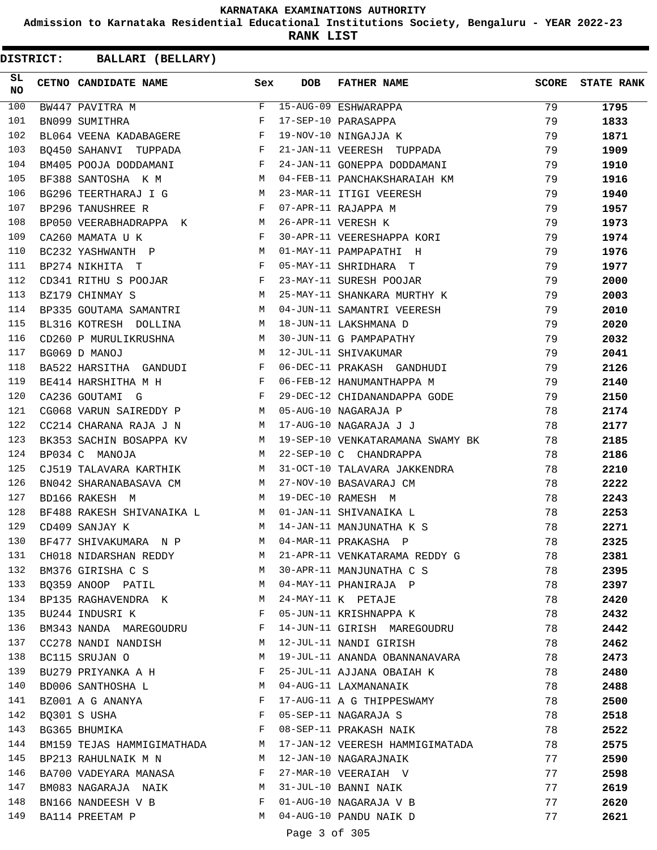**Admission to Karnataka Residential Educational Institutions Society, Bengaluru - YEAR 2022-23**

**RANK LIST**

| SL<br><b>NO</b> | CETNO CANDIDATE NAME                                                             | Sex | <b>DOB</b>    | <b>FATHER NAME</b>                                   | SCORE | <b>STATE RANK</b> |
|-----------------|----------------------------------------------------------------------------------|-----|---------------|------------------------------------------------------|-------|-------------------|
| 100             |                                                                                  |     |               |                                                      | 79    | 1795              |
| 101             |                                                                                  |     |               |                                                      | 79    | 1833              |
| 102             | BL064 VEENA KADABAGERE F                                                         |     |               | 19-NOV-10 NINGAJJA K                                 | 79    | 1871              |
| 103             | BQ450 SAHANVI TUPPADA F                                                          |     |               | 21-JAN-11 VEERESH TUPPADA                            | 79    | 1909              |
| 104             | BM405 POOJA DODDAMANI F                                                          |     |               | 24-JAN-11 GONEPPA DODDAMANI                          | 79    | 1910              |
| 105             | M <sub>N</sub><br>BF388 SANTOSHA K M                                             |     |               | 04-FEB-11 PANCHAKSHARAIAH KM                         | 79    | 1916              |
| 106             | BG296 TEERTHARAJ I G M                                                           |     |               | 23-MAR-11 ITIGI VEERESH                              | 79    | 1940              |
| 107             | $\mathbf{F}$<br>BP296 TANUSHREE R                                                |     |               | 07-APR-11 RAJAPPA M                                  | 79    | 1957              |
| 108             | BP050 VEERABHADRAPPA K M                                                         |     |               | 26-APR-11 VERESH K                                   | 79    | 1973              |
| 109             | CA260 MAMATA U K<br>$\mathbf{F}$ and $\mathbf{F}$ and $\mathbf{F}$               |     |               | 30-APR-11 VEERESHAPPA KORI                           | 79    | 1974              |
| 110             | BC232 YASHWANTH P M                                                              |     |               | 01-MAY-11 PAMPAPATHI H                               | 79    | 1976              |
| 111             | $\mathbf{F}$<br>BP274 NIKHITA T                                                  |     |               | 05-MAY-11 SHRIDHARA T                                | 79    | 1977              |
| 112             | CD341 RITHU S POOJAR F<br>BZ179 CHINMAY S M                                      |     |               | 23-MAY-11 SURESH POOJAR                              | 79    | 2000              |
| 113             |                                                                                  |     |               | 25-MAY-11 SHANKARA MURTHY K                          | 79    | 2003              |
| 114             | BP335 GOUTAMA SAMANTRI M                                                         |     |               | 04-JUN-11 SAMANTRI VEERESH                           | 79    | 2010              |
| 115             | BL316 KOTRESH DOLLINA M                                                          |     |               | 18-JUN-11 LAKSHMANA D<br>30-JUN-11 G PAMPAPATHY      | 79    | 2020              |
| 116             | CD260 P MURULIKRUSHNA M                                                          |     |               |                                                      | 79    | 2032              |
| 117             | M <sub>N</sub><br>BG069 D MANOJ                                                  |     |               | 12-JUL-11 SHIVAKUMAR                                 | 79    | 2041              |
| 118             | BA522 HARSITHA GANDUDI F                                                         |     |               | 06-DEC-11 PRAKASH GANDHUDI                           | 79    | 2126              |
| 119             | $\mathbb{R}^n$ . The set of the set of the $\mathbb{R}^n$<br>BE414 HARSHITHA M H |     |               | 06-FEB-12 HANUMANTHAPPA M                            | 79    | 2140              |
| 120             | $\mathbf{F}$<br>CA236 GOUTAMI G                                                  |     |               |                                                      | 79    | 2150              |
| 121             | CG068 VARUN SAIREDDY P M                                                         |     |               | 29-DEC-12 CHIDANANDAPPA GODE<br>05-AUG-10 NAGARAJA P | 78    | 2174              |
| 122             | CC214 CHARANA RAJA J N M                                                         |     |               | 17-AUG-10 NAGARAJA J J                               | 78    | 2177              |
| 123             | BK353 SACHIN BOSAPPA KV M                                                        |     |               | 19-SEP-10 VENKATARAMANA SWAMY BK                     | 78    | 2185              |
| 124             | BP034 C MANOJA                                                                   | M   |               | 22-SEP-10 C CHANDRAPPA                               | 78    | 2186              |
| 125             | CJ519 TALAVARA KARTHIK M                                                         |     |               | 31-OCT-10 TALAVARA JAKKENDRA                         | 78    | 2210              |
| 126             | BN042 SHARANABASAVA CM M                                                         |     |               | 27-NOV-10 BASAVARAJ CM                               | 78    | 2222              |
| 127             | M<br>BD166 RAKESH M                                                              |     |               | 19-DEC-10 RAMESH M                                   | 78    | 2243              |
| 128             | BF488 RAKESH SHIVANAIKA L M 01-JAN-11 SHIVANAIKA L                               |     |               |                                                      | 78    | 2253              |
| 129             | CD409 SANJAY K<br>M                                                              |     |               | 14-JAN-11 MANJUNATHA K S                             | 78    | 2271              |
| 130             | BF477 SHIVAKUMARA N P                                                            | M   |               | 04-MAR-11 PRAKASHA P                                 | 78    | 2325              |
| 131             | CH018 NIDARSHAN REDDY                                                            | M   |               | 21-APR-11 VENKATARAMA REDDY G                        | 78    | 2381              |
| 132             | BM376 GIRISHA C S                                                                | M   |               | 30-APR-11 MANJUNATHA C S                             | 78    | 2395              |
| 133             | BQ359 ANOOP PATIL                                                                | M   |               | 04-MAY-11 PHANIRAJA P                                | 78    | 2397              |
| 134             | BP135 RAGHAVENDRA K                                                              | M   |               | 24-MAY-11 K PETAJE                                   | 78    | 2420              |
| 135             | BU244 INDUSRI K                                                                  | F   |               | 05-JUN-11 KRISHNAPPA K                               | 78    | 2432              |
| 136             | BM343 NANDA MAREGOUDRU                                                           | F   |               | 14-JUN-11 GIRISH MAREGOUDRU                          | 78    | 2442              |
| 137             | CC278 NANDI NANDISH                                                              | M   |               | 12-JUL-11 NANDI GIRISH                               | 78    | 2462              |
| 138             | BC115 SRUJAN O                                                                   | M   |               | 19-JUL-11 ANANDA OBANNANAVARA                        | 78    | 2473              |
| 139             | BU279 PRIYANKA A H                                                               | F   |               | 25-JUL-11 AJJANA OBAIAH K                            | 78    | 2480              |
| 140             | BD006 SANTHOSHA L                                                                | М   |               | 04-AUG-11 LAXMANANAIK                                | 78    | 2488              |
| 141             | BZ001 A G ANANYA                                                                 | F   |               | 17-AUG-11 A G THIPPESWAMY                            | 78    | 2500              |
| 142             | BQ301 S USHA                                                                     | F   |               | 05-SEP-11 NAGARAJA S                                 | 78    | 2518              |
| 143             | BG365 BHUMIKA                                                                    | F   |               | 08-SEP-11 PRAKASH NAIK                               | 78    | 2522              |
| 144             | BM159 TEJAS HAMMIGIMATHADA                                                       | M   |               | 17-JAN-12 VEERESH HAMMIGIMATADA                      | 78    | 2575              |
| 145             | BP213 RAHULNAIK M N                                                              | M   |               | 12-JAN-10 NAGARAJNAIK                                | 77    | 2590              |
| 146             | BA700 VADEYARA MANASA                                                            | F   |               | 27-MAR-10 VEERAIAH V                                 | 77    | 2598              |
| 147             | BM083 NAGARAJA NAIK                                                              | M   |               | 31-JUL-10 BANNI NAIK                                 | 77    | 2619              |
| 148             | BN166 NANDEESH V B                                                               | F   |               | 01-AUG-10 NAGARAJA V B                               | 77    | 2620              |
| 149             | BA114 PREETAM P                                                                  | М   |               | 04-AUG-10 PANDU NAIK D                               | 77    | 2621              |
|                 |                                                                                  |     | Page 3 of 305 |                                                      |       |                   |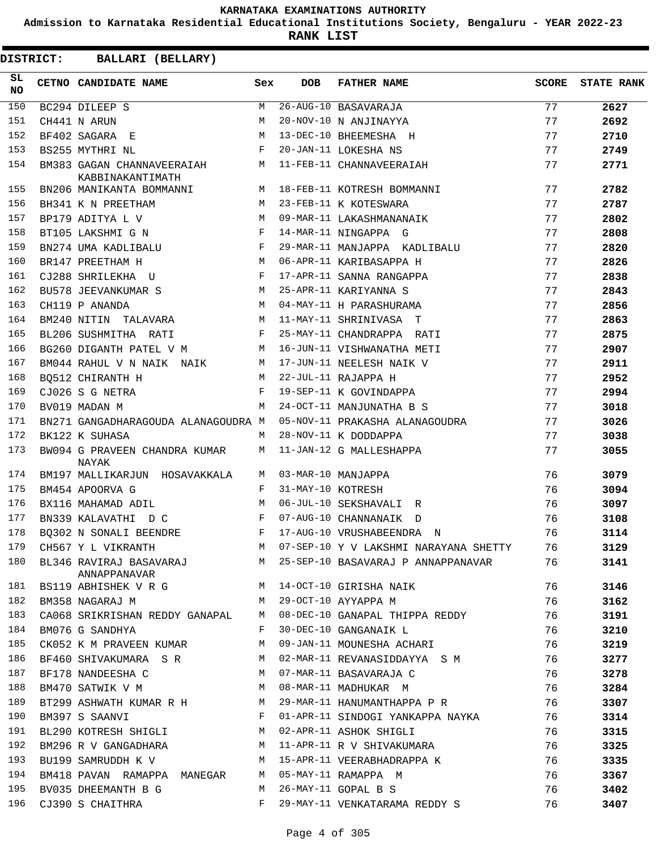**Admission to Karnataka Residential Educational Institutions Society, Bengaluru - YEAR 2022-23**

**RANK LIST**

| SL<br><b>NO</b> | CETNO CANDIDATE NAME                                                        | Sex          | <b>DOB</b>        | <b>FATHER NAME</b>                                                 | SCORE | <b>STATE RANK</b> |
|-----------------|-----------------------------------------------------------------------------|--------------|-------------------|--------------------------------------------------------------------|-------|-------------------|
| 150             | BC294 DILEEP S<br>CH441 N ARUN<br>DI466 S A                                 | M            |                   | 26-AUG-10 BASAVARAJA                                               | 77    | 2627              |
| 151             |                                                                             | M            |                   | 20-NOV-10 N ANJINAYYA                                              | 77    | 2692              |
| 152             | BF402 SAGARA E                                                              | M            |                   | 13-DEC-10 BHEEMESHA H                                              | 77    | 2710              |
| 153             | $\mathbf{F}$ and $\mathbf{F}$ and $\mathbf{F}$<br>BS255 MYTHRI NL           |              |                   | 20-JAN-11 LOKESHA NS                                               | 77    | 2749              |
| 154             | KABBINAKANTIMATH                                                            |              |                   | BM383 GAGAN CHANNAVEERAIAH M 11-FEB-11 CHANNAVEERAIAH              | 77    | 2771              |
| 155             | BN206 MANIKANTA BOMMANNI $M$ 18-FEB-11 KOTRESH BOMMANNI                     |              |                   |                                                                    | 77    | 2782              |
| 156             | BH341 K N PREETHAM                                                          | M            |                   | 23-FEB-11 K KOTESWARA                                              | 77    | 2787              |
| 157             | M <sub>N</sub><br>BP179 ADITYA L V                                          |              |                   | 09-MAR-11 LAKASHMANANAIK                                           | 77    | 2802              |
| 158             | BT105 LAKSHMI G N F                                                         |              |                   | 14-MAR-11 NINGAPPA G                                               | 77    | 2808              |
| 159             | $BN274$ UMA KADLIBALU F                                                     |              |                   | 29-MAR-11 MANJAPPA KADLIBALU                                       | 77    | 2820              |
| 160             | BR147 PREETHAM H                                                            |              |                   | M 06-APR-11 KARIBASAPPA H                                          | 77    | 2826              |
| 161             | CJ288 SHRILEKHA U F                                                         |              |                   | 17-APR-11 SANNA RANGAPPA                                           | 77    | 2838              |
| 162             | BU578 JEEVANKUMAR S M                                                       |              |                   | 25-APR-11 KARIYANNA S                                              | 77    | 2843              |
| 163             | M<br>CH119 P ANANDA                                                         |              |                   | 04-MAY-11 H PARASHURAMA                                            | 77    | 2856              |
| 164             | BM240 NITIN TALAVARA M                                                      |              |                   | 11-MAY-11 SHRINIVASA T                                             | 77    | 2863              |
| 165             | BL206 SUSHMITHA RATI<br>$\mathbf{F}$ and the set of the set of $\mathbf{F}$ |              |                   | 25-MAY-11 CHANDRAPPA RATI                                          | 77    | 2875              |
| 166             |                                                                             |              |                   | BG260 DIGANTH PATEL V M M 16-JUN-11 VISHWANATHA METI               | 77    | 2907              |
| 167             | BM044 RAHUL V N NAIK NAIK M 17-JUN-11 NEELESH NAIK V                        |              |                   |                                                                    | 77    | 2911              |
| 168             | BO512 CHIRANTH H                                                            |              |                   | M 22-JUL-11 RAJAPPA H                                              | 77    | 2952              |
| 169             | CJ026 S G NETRA                                                             |              |                   | F 19-SEP-11 K GOVINDAPPA                                           | 77    | 2994              |
| 170             | BV019 MADAN M                                                               | M            |                   | 24-OCT-11 MANJUNATHA B S                                           | 77    | 3018              |
| 171             | BN271 GANGADHARAGOUDA ALANAGOUDRA M                                         |              |                   | 05-NOV-11 PRAKASHA ALANAGOUDRA                                     | 77    | 3026              |
| 172             | BK122 K SUHASA                                                              | M            |                   | 28-NOV-11 K DODDAPPA                                               | 77    | 3038              |
| 173             | BW094 G PRAVEEN CHANDRA KUMAR M 11-JAN-12 G MALLESHAPPA<br>NAYAK            |              |                   |                                                                    | 77    | 3055              |
| 174             | BM197 MALLIKARJUN HOSAVAKKALA                                               |              |                   | M 03-MAR-10 MANJAPPA                                               | 76    | 3079              |
| 175             | BM454 APOORVA G                                                             | F            | 31-MAY-10 KOTRESH |                                                                    | 76    | 3094              |
| 176             | BX116 MAHAMAD ADIL                                                          | M            |                   | 06-JUL-10 SEKSHAVALI R                                             | 76    | 3097              |
| 177             | BN339 KALAVATHI D C                                                         | $\mathbf{F}$ |                   | 07-AUG-10 CHANNANAIK D                                             | 76    | 3108              |
| 178             | BO302 N SONALI BEENDRE                                                      |              |                   | F 17-AUG-10 VRUSHABEENDRA N                                        | 76    | 3114              |
| 179             | CH567 Y L VIKRANTH                                                          | M            |                   | 07-SEP-10 Y V LAKSHMI NARAYANA SHETTY                              | 76    | 3129              |
| 180             | ANNAPPANAVAR                                                                |              |                   | BL346 RAVIRAJ BASAVARAJ M 25-SEP-10 BASAVARAJ P ANNAPPANAVAR 76    |       | 3141              |
| 181             | BS119 ABHISHEK V R G M 14-OCT-10 GIRISHA NAIK                               |              |                   |                                                                    | 76    | 3146              |
| 182             | M 29-OCT-10 AYYAPPA M<br>BM358 NAGARAJ M                                    |              |                   |                                                                    | 76    | 3162              |
| 183             |                                                                             |              |                   | CA068 SRIKRISHAN REDDY GANAPAL M 08-DEC-10 GANAPAL THIPPA REDDY 76 |       | 3191              |
| 184             | BM076 G SANDHYA                                                             |              |                   | F 30-DEC-10 GANGANAIK L<br>76                                      |       | 3210              |
| 185             |                                                                             |              |                   | CK052 K M PRAVEEN KUMAR M 09-JAN-11 MOUNESHA ACHARI                | 76    | 3219              |
| 186             |                                                                             |              |                   | BF460 SHIVAKUMARA SR M 02-MAR-11 REVANASIDDAYYA SM 76              |       | 3277              |
| 187             |                                                                             |              |                   |                                                                    |       | 3278              |
| 188             |                                                                             |              |                   | $\frac{76}{76}$                                                    |       | 3284              |
| 189             |                                                                             |              |                   | BT299 ASHWATH KUMAR R H M 29-MAR-11 HANUMANTHAPPA P R 76           |       | 3307              |
| 190             | BM397 S SAANVI                                                              |              |                   | F 01-APR-11 SINDOGI YANKAPPA NAYKA 76                              |       | 3314              |
| 191             | BL290 KOTRESH SHIGLI M 02-APR-11 ASHOK SHIGLI                               |              |                   |                                                                    | 76    | 3315              |
| 192             |                                                                             |              |                   | BM296 R V GANGADHARA M 11-APR-11 R V SHIVAKUMARA                   | 76    | 3325              |
| 193             |                                                                             |              |                   |                                                                    | 76    | 3335              |
| 194             | BM418 PAVAN RAMAPPA MANEGAR M 05-MAY-11 RAMAPPA M                           |              |                   |                                                                    | 76    | 3367              |
| 195             | BV035 DHEEMANTH B G                                                         |              |                   | M 26-MAY-11 GOPAL B S                                              | 76    | 3402              |
| 196             | CJ390 S CHAITHRA                                                            |              |                   | F 29-MAY-11 VENKATARAMA REDDY S                                    | 76    | 3407              |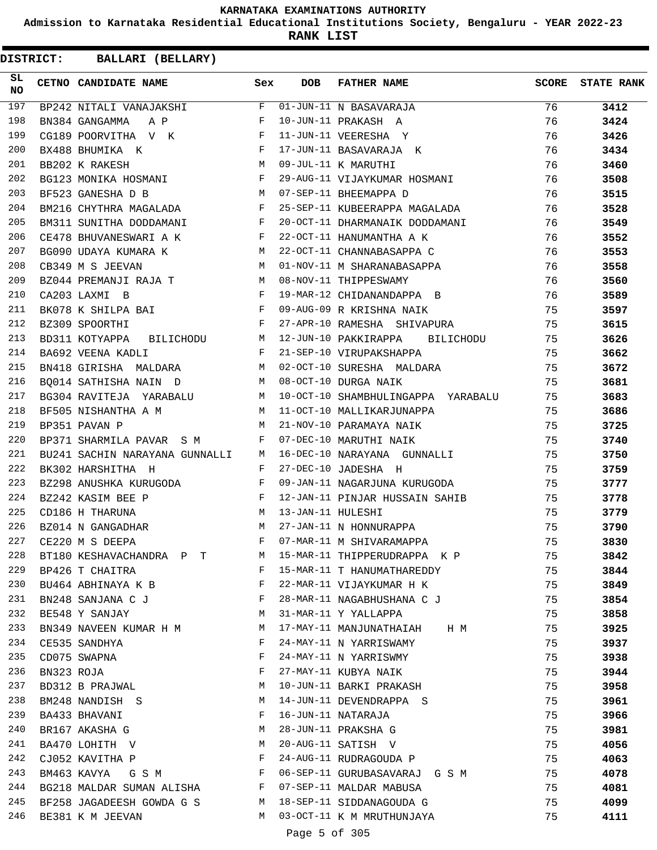**Admission to Karnataka Residential Educational Institutions Society, Bengaluru - YEAR 2022-23**

**RANK LIST**

| SL<br><b>NO</b> |            | CETNO CANDIDATE NAME                                                         | Sex          | DOB           | <b>FATHER NAME</b>                                           | <b>SCORE</b> | <b>STATE RANK</b> |
|-----------------|------------|------------------------------------------------------------------------------|--------------|---------------|--------------------------------------------------------------|--------------|-------------------|
| 197             |            | $BP242$ NITALI VANAJAKSHI $F$ 01-JUN-11 N BASAVARAJA                         |              |               |                                                              | 76           | 3412              |
| 198             |            | $\mathbf{F}$ and the set of $\mathbf{F}$ .<br>BN384 GANGAMMA A P             |              |               | 10-JUN-11 PRAKASH A                                          | 76           | 3424              |
| 199             |            | $\mathbf{F}$<br>CG189 POORVITHA V K                                          |              |               | 11-JUN-11 VEERESHA Y                                         | 76           | 3426              |
| 200             |            | F 17-JUN-11 BASAVARAJ <i>I</i><br>M 09-JUL-11 K MARUTHI<br>BX488 BHUMIKA K   |              |               | 17-JUN-11 BASAVARAJA K                                       | 76           | 3434              |
| 201             |            | BB202 K RAKESH                                                               |              |               |                                                              | 76           | 3460              |
| 202             |            | BG123 MONIKA HOSMANI F                                                       |              |               | 29-AUG-11 VIJAYKUMAR HOSMANI                                 | 76           | 3508              |
| 203             |            | BF523 GANESHA D B                                                            |              |               | M 07-SEP-11 BHEEMAPPA D                                      | 76           | 3515              |
| 204             |            | BM216 CHYTHRA MAGALADA F                                                     |              |               | 25-SEP-11 KUBEERAPPA MAGALADA                                | 76           | 3528              |
| 205             |            |                                                                              |              |               | BM311 SUNITHA DODDAMANI F 20-OCT-11 DHARMANAIK DODDAMANI     | 76           | 3549              |
| 206             |            | CE478 BHUVANESWARI A K<br>F                                                  |              |               | 22-OCT-11 HANUMANTHA A K                                     | 76           | 3552              |
| 207             |            | BG090 UDAYA KUMARA K<br>M                                                    |              |               | 22-OCT-11 CHANNABASAPPA C                                    | 76           | 3553              |
| 208             |            | CB349 M S JEEVAN                                                             |              |               | M 01-NOV-11 M SHARANABASAPPA                                 | 76           | 3558              |
| 209             |            | BZ044 PREMANJI RAJA T M 08-NOV-11 THIPPESWAMY                                |              |               |                                                              | 76           | 3560              |
| 210             |            | CA203 LAXMI B                                                                |              |               | F 19-MAR-12 CHIDANANDAPPA B                                  | 76           | 3589              |
| 211             |            | BK078 K SHILPA BAI                       F  09-AUG-09 R KRISHNA NAIK         |              |               |                                                              | 75           | 3597              |
| 212             |            | BZ309 SPOORTHI                                                               | $\mathbf{F}$ |               | 27-APR-10 RAMESHA SHIVAPURA                                  | 75           | 3615              |
| 213             |            |                                                                              |              |               | BD311 KOTYAPPA BILICHODU M 12-JUN-10 PAKKIRAPPA BILICHODU    | 75           | 3626              |
| 214             |            |                                                                              |              |               | BA692 VEENA KADLI TARAH SEREP-10 VIRUPAKSHAPPA               | 75           | 3662              |
| 215             |            |                                                                              |              |               | BN418 GIRISHA MALDARA MAN MACOCT-10 SURESHA MALDARA          | 75           | 3672              |
| 216             |            | BQ014 SATHISHA NAIN D $M$ 08-OCT-10 DURGA NAIK                               |              |               |                                                              | 75           | 3681              |
| 217             |            |                                                                              |              |               | BG304 RAVITEJA YARABALU M 10-OCT-10 SHAMBHULINGAPPA YARABALU | 75           | 3683              |
| 218             |            | BF505 NISHANTHA A M                                                          |              |               | M 11-OCT-10 MALLIKARJUNAPPA                                  | 75           | 3686              |
| 219             |            | BP351 PAVAN P                                                                |              |               | M 21-NOV-10 PARAMAYA NAIK                                    | 75           | 3725              |
| 220             |            | BP371 SHARMILA PAVAR S M F 07-DEC-10 MARUTHI NAIK                            |              |               |                                                              | 75           | 3740              |
| 221             |            |                                                                              |              |               | BU241 SACHIN NARAYANA GUNNALLI M 16-DEC-10 NARAYANA GUNNALLI | 75           | 3750              |
| 222             |            | $\mathbf{F}$ and the set of the set of the $\mathbf{F}$<br>BK302 HARSHITHA H |              |               | 27-DEC-10 JADESHA H                                          | 75           | 3759              |
| 223             |            | BZ298 ANUSHKA KURUGODA F                                                     |              |               | 09-JAN-11 NAGARJUNA KURUGODA                                 | 75           | 3777              |
| 224             |            | $\mathbf{F}^{\top}$<br>BZ242 KASIM BEE P                                     |              |               | 12-JAN-11 PINJAR HUSSAIN SAHIB                               | 75           | 3778              |
| 225             |            | M 13-JAN-11 HULESHI<br>CD186 H THARUNA                                       |              |               |                                                              | 75           | 3779              |
| 226             |            |                                                                              |              |               | BZ014 N GANGADHAR M 27-JAN-11 N HONNURAPPA                   | 75           | 3790              |
| 227             |            | CE220 M S DEEPA                                                              |              |               | F 07-MAR-11 M SHIVARAMAPPA                                   | 75           | 3830              |
| 228             |            | BT180 KESHAVACHANDRA P T                                                     | M            |               | 15-MAR-11 THIPPERUDRAPPA K P                                 | 75           | 3842              |
| 229             |            | BP426 T CHAITRA                                                              | F            |               | 15-MAR-11 T HANUMATHAREDDY                                   | 75           | 3844              |
| 230             |            | BU464 ABHINAYA K B                                                           | F            |               | 22-MAR-11 VIJAYKUMAR H K                                     | 75           | 3849              |
| 231             |            | BN248 SANJANA C J                                                            | F            |               | 28-MAR-11 NAGABHUSHANA C J                                   | 75           | 3854              |
| 232             |            | BE548 Y SANJAY                                                               | M            |               | 31-MAR-11 Y YALLAPPA                                         | 75           | 3858              |
| 233             |            | BN349 NAVEEN KUMAR H M                                                       | M            |               | 17-MAY-11 MANJUNATHAIAH H M                                  | 75           | 3925              |
| 234             |            | CE535 SANDHYA                                                                | F            |               | 24-MAY-11 N YARRISWAMY                                       | 75           | 3937              |
| 235             |            | CD075 SWAPNA                                                                 | F            |               | 24-MAY-11 N YARRISWMY                                        | 75           | 3938              |
| 236             | BN323 ROJA |                                                                              | F            |               | 27-MAY-11 KUBYA NAIK                                         | 75           | 3944              |
| 237             |            | BD312 B PRAJWAL                                                              | М            |               | 10-JUN-11 BARKI PRAKASH                                      | 75           | 3958              |
| 238             |            | BM248 NANDISH S                                                              | M            |               | 14-JUN-11 DEVENDRAPPA S                                      | 75           | 3961              |
| 239             |            | BA433 BHAVANI                                                                | F            |               | 16-JUN-11 NATARAJA                                           | 75           | 3966              |
| 240             |            | BR167 AKASHA G                                                               | M            |               | 28-JUN-11 PRAKSHA G                                          | 75           | 3981              |
| 241             |            | BA470 LOHITH V                                                               | M            |               | 20-AUG-11 SATISH V                                           | 75           | 4056              |
| 242             |            | CJ052 KAVITHA P                                                              | F            |               | 24-AUG-11 RUDRAGOUDA P                                       | 75           | 4063              |
| 243             |            | BM463 KAVYA GSM                                                              | F            |               | 06-SEP-11 GURUBASAVARAJ G S M                                | 75           | 4078              |
| 244             |            | BG218 MALDAR SUMAN ALISHA                                                    | F            |               | 07-SEP-11 MALDAR MABUSA                                      | 75           | 4081              |
| 245             |            | BF258 JAGADEESH GOWDA G S                                                    | M            |               | 18-SEP-11 SIDDANAGOUDA G                                     | 75           | 4099              |
| 246             |            | BE381 K M JEEVAN                                                             | M            |               | 03-OCT-11 K M MRUTHUNJAYA                                    | 75           | 4111              |
|                 |            |                                                                              |              | Page 5 of 305 |                                                              |              |                   |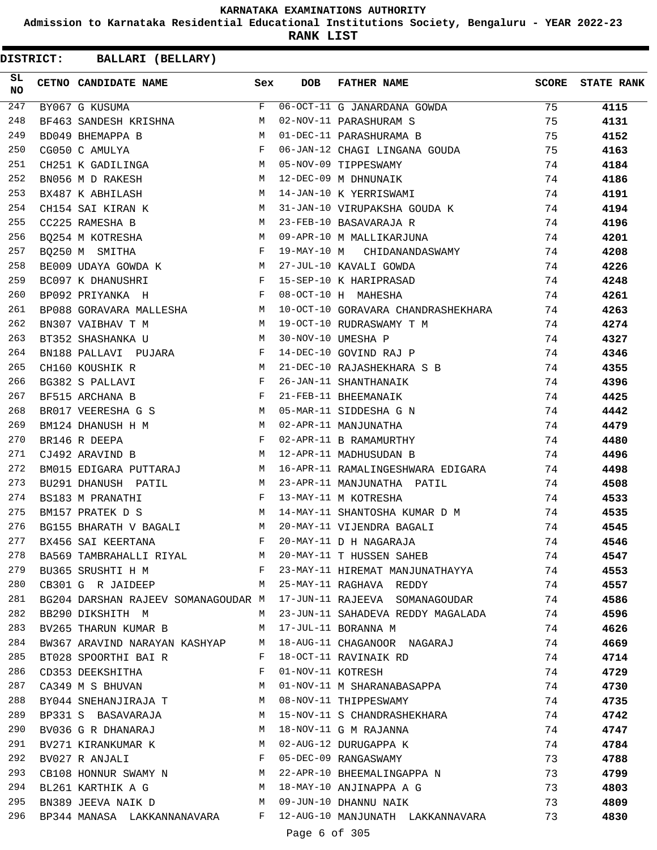**Admission to Karnataka Residential Educational Institutions Society, Bengaluru - YEAR 2022-23**

**RANK LIST**

**DISTRICT:** CC **BALLARI (BELLARY)**

| SL.<br><b>NO</b> | CETNO CANDIDATE NAME Sex                                                                                                                |              | DOB               | FATHER NAME                                                              | SCORE          | <b>STATE RANK</b> |
|------------------|-----------------------------------------------------------------------------------------------------------------------------------------|--------------|-------------------|--------------------------------------------------------------------------|----------------|-------------------|
| 247              | BY067 G KUSUMA                                                                                                                          |              |                   | F 06-OCT-11 G JANARDANA GOWDA                                            | $\frac{1}{75}$ | 4115              |
| 248              | BF463 SANDESH KRISHNA M                                                                                                                 |              |                   | 02-NOV-11 PARASHURAM S                                                   | 75             | 4131              |
| 249              | $M_{\rm H}$<br>BD049 BHEMAPPA B                                                                                                         |              |                   | 01-DEC-11 PARASHURAMA B                                                  | 75             | 4152              |
| 250              | $\mathbf{F}^{\mathcal{A}}_{\mathcal{A}}=\mathbf{F}^{\mathcal{A}}_{\mathcal{A}}\mathbf{F}^{\mathcal{A}}_{\mathcal{A}}$<br>CG050 C AMULYA |              |                   | 06-JAN-12 CHAGI LINGANA GOUDA                                            | 75             | 4163              |
| 251              | CH251 K GADILINGA M 05-NOV-09 TIPPESWAMY                                                                                                |              |                   |                                                                          | 74             | 4184              |
| 252              | BN056 M D RAKESH                                                                                                                        |              |                   | M 12-DEC-09 M DHNUNAIK                                                   | 74             | 4186              |
| 253              | BX487 K ABHILASH M 14-JAN-10 K YERRISWAMI                                                                                               |              |                   |                                                                          | 74             | 4191              |
| 254              | CH154 SAI KIRAN K                                                                                                                       |              |                   | M 31-JAN-10 VIRUPAKSHA GOUDA K                                           | 74             | 4194              |
| 255              | CC225 RAMESHA B                                                                                                                         |              |                   | M 23-FEB-10 BASAVARAJA R                                                 | 74             | 4196              |
| 256              |                                                                                                                                         |              |                   | BQ254 M KOTRESHA M M 09-APR-10 M MALLIKARJUNA                            | 74             | 4201              |
| 257              | BQ250 M SMITHA F                                                                                                                        |              |                   | 19-MAY-10 M CHIDANANDASWAMY 74                                           |                | 4208              |
| 258              | BE009 UDAYA GOWDA K M 27-JUL-10 KAVALI GOWDA                                                                                            |              |                   |                                                                          | 74             | 4226              |
| 259              | BC097 K DHANUSHRI                                                                                                                       |              |                   | AN ANGLERIC COMPANY COMPANY COMPANY FOR SEP-10 K HARIPRASAD              | 74             | 4248              |
| 260              | BP092 PRIYANKA H                                                                                                                        |              |                   | 74                                                                       |                | 4261              |
| 261              |                                                                                                                                         |              |                   | BP088 GORAVARA MALLESHA MONITAL MANIPACCT-10 GORAVARA CHANDRASHEKHARA 74 |                | 4263              |
| 262              | BN307 VAIBHAV T M                                                                                                                       |              |                   | M 19-OCT-10 RUDRASWAMY T M                                               | 74             | 4274              |
| 263              | M 30-NOV-10 UMESHA P<br>BT352 SHASHANKA U                                                                                               |              |                   |                                                                          | 74             | 4327              |
| 264              | BN188 PALLAVI PUJARA F                                                                                                                  |              |                   | 14-DEC-10 GOVIND RAJ P                                                   | 74             | 4346              |
| 265              | M<br>CH160 KOUSHIK R                                                                                                                    |              |                   | 21-DEC-10 RAJASHEKHARA S B                                               | 74             | 4355              |
| 266              | $\mathbf{F}$<br>BG382 S PALLAVI                                                                                                         |              |                   | 26-JAN-11 SHANTHANAIK                                                    | 74             | 4396              |
| 267              | BF515 ARCHANA B                                                                                                                         | $\mathbf{F}$ |                   | 21-FEB-11 BHEEMANAIK                                                     | 74             | 4425              |
| 268              |                                                                                                                                         |              |                   | BR017 VEERESHA G S M 05-MAR-11 SIDDESHA G N                              | 74             | 4442              |
| 269              |                                                                                                                                         |              |                   |                                                                          | 74             | 4479              |
| 270              | $\mathbf{F}$ . The set of $\mathbf{F}$<br>BR146 R DEEPA                                                                                 |              |                   | 02-APR-11 B RAMAMURTHY                                                   | 74             | 4480              |
| 271              | CJ492 ARAVIND B                                                                                                                         |              |                   | M 12-APR-11 MADHUSUDAN B                                                 | 74             | 4496              |
| 272              |                                                                                                                                         |              |                   | BM015 EDIGARA PUTTARAJ M 16-APR-11 RAMALINGESHWARA EDIGARA 74            |                | 4498              |
| 273              |                                                                                                                                         |              |                   | BU291 DHANUSH PATIL MAN M 23-APR-11 MANJUNATHA PATIL                     | 74             | 4508              |
| 274              | $\mathbf{F}$<br>BS183 M PRANATHI                                                                                                        |              |                   | 13-MAY-11 M KOTRESHA                                                     | 74             | 4533              |
| 275              | BM157 PRATEK D S                                                                                                                        |              |                   | M 14-MAY-11 SHANTOSHA KUMAR D M 74                                       |                | 4535              |
| 276              | BG155 BHARATH V BAGALI M 20-MAY-11 VIJENDRA BAGALI                                                                                      |              |                   |                                                                          | 74             | 4545              |
| 277              | BX456 SAI KEERTANA                                                                                                                      | F            |                   | 20-MAY-11 D H NAGARAJA                                                   | 74             | 4546              |
| 278              |                                                                                                                                         |              |                   | BA569 TAMBRAHALLI RIYAL M 20-MAY-11 T HUSSEN SAHEB                       | 74             | 4547              |
| 279              | BU365 SRUSHTI H M                                                                                                                       |              |                   | F 23-MAY-11 HIREMAT MANJUNATHAYYA                                        | 74             | 4553              |
| 280              | CB301 G R JAIDEEP M M 25-MAY-11 RAGHAVA REDDY                                                                                           |              |                   |                                                                          | 74             | 4557              |
| 281              | BG204 DARSHAN RAJEEV SOMANAGOUDAR M                                                                                                     |              |                   | 17-JUN-11 RAJEEVA SOMANAGOUDAR                                           | 74             | 4586              |
| 282              | BB290 DIKSHITH M                                                                                                                        |              |                   | M 23-JUN-11 SAHADEVA REDDY MAGALADA                                      | 74             | 4596              |
| 283              | BV265 THARUN KUMAR B                                                                                                                    |              |                   | M 17-JUL-11 BORANNA M                                                    | 74             | 4626              |
| 284              | BW367 ARAVIND NARAYAN KASHYAP M                                                                                                         |              |                   | 18-AUG-11 CHAGANOOR NAGARAJ                                              | 74             | 4669              |
| 285              | BT028 SPOORTHI BAI R                                                                                                                    | F            |                   | 18-OCT-11 RAVINAIK RD                                                    | 74             | 4714              |
| 286              | CD353 DEEKSHITHA                                                                                                                        | $\mathbf{F}$ | 01-NOV-11 KOTRESH |                                                                          | 74             | 4729              |
| 287              | CA349 M S BHUVAN                                                                                                                        | M            |                   | 01-NOV-11 M SHARANABASAPPA                                               | 74             | 4730              |
| 288              | BY044 SNEHANJIRAJA T M                                                                                                                  |              |                   | 08-NOV-11 THIPPESWAMY                                                    | 74             | 4735              |
| 289              | BP331 S BASAVARAJA<br>$\mathbf{M}$                                                                                                      |              |                   | 15-NOV-11 S CHANDRASHEKHARA                                              | 74             | 4742              |
| 290              | BV036 G R DHANARAJ                                                                                                                      | M            |                   | 18-NOV-11 G M RAJANNA                                                    | 74             | 4747              |
| 291              | BV271 KIRANKUMAR K                                                                                                                      | M            |                   | 02-AUG-12 DURUGAPPA K                                                    | 74             | 4784              |
| 292              | BV027 R ANJALI                                                                                                                          | F            |                   | 05-DEC-09 RANGASWAMY                                                     | 73             | 4788              |
| 293              | CB108 HONNUR SWAMY N M                                                                                                                  |              |                   | 22-APR-10 BHEEMALINGAPPA N                                               | 73             | 4799              |
| 294              | M <sub>N</sub><br>BL261 KARTHIK A G                                                                                                     |              |                   | 18-MAY-10 ANJINAPPA A G                                                  | 73             | 4803              |
| 295              | BN389 JEEVA NAIK D                                                                                                                      |              |                   | M 09-JUN-10 DHANNU NAIK                                                  | 73             | 4809              |
| 296              |                                                                                                                                         |              |                   | BP344 MANASA LAKKANNANAVARA F 12-AUG-10 MANJUNATH LAKKANNAVARA           | 73             | 4830              |

Page 6 of 305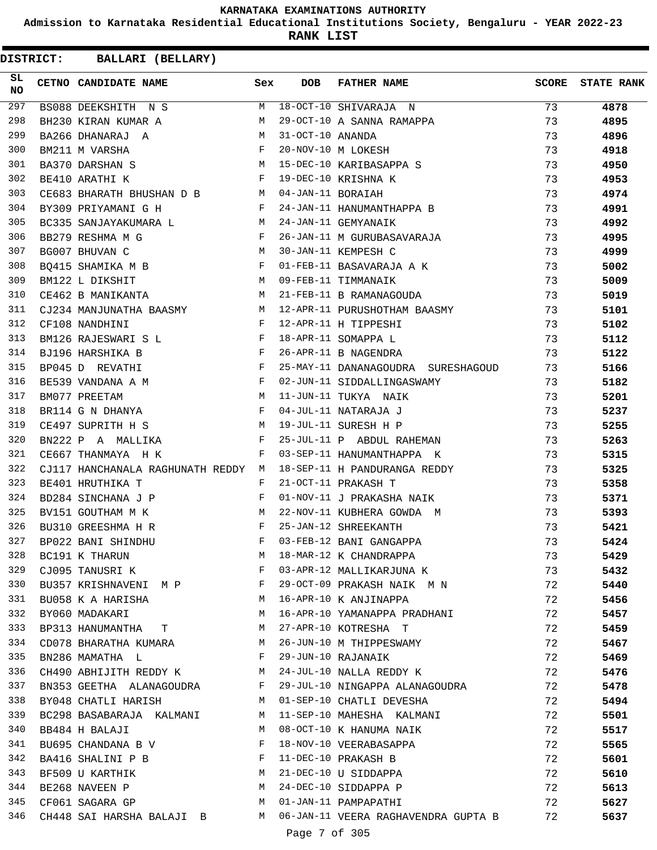**Admission to Karnataka Residential Educational Institutions Society, Bengaluru - YEAR 2022-23**

**RANK LIST**

| SL<br><b>NO</b> | CETNO CANDIDATE NAME                                                                                                                                          | Sex | DOB              | FATHER NAME                                                                                    | <b>SCORE</b> | <b>STATE RANK</b> |
|-----------------|---------------------------------------------------------------------------------------------------------------------------------------------------------------|-----|------------------|------------------------------------------------------------------------------------------------|--------------|-------------------|
| 297             |                                                                                                                                                               |     |                  | BSO88 DEEKSHITH N S M 18-OCT-10 SHIVARAJA N<br>BH230 KIRAN KUMAR A M 29-OCT-10 A SANNA RAMAPPA | 73           | 4878              |
| 298             |                                                                                                                                                               |     |                  |                                                                                                | 73           | 4895              |
| 299             | BA266 DHANARAJ A M                                                                                                                                            |     | 31-OCT-10 ANANDA |                                                                                                | 73           | 4896              |
| 300             | $\mathbf{F}$ . The set of $\mathbf{F}$<br>BM211 M VARSHA                                                                                                      |     |                  | 20-NOV-10 M LOKESH                                                                             | 73           | 4918              |
| 301             | $\begin{aligned} \mathbb{M} \\ \mathbb{F} \end{aligned}$<br>BA370 DARSHAN S                                                                                   |     |                  | 15-DEC-10 KARIBASAPPA S<br>19-DEC-10 KRISHNA K<br>04-JAN-11 BORAIAH                            | 73           | 4950              |
| 302             | BE410 ARATHI K                                                                                                                                                |     |                  |                                                                                                | 73           | 4953              |
| 303             | CE683 BHARATH BHUSHAN D B M 04-JAN-11 BORAIAH                                                                                                                 |     |                  |                                                                                                | 73           | 4974              |
| 304             | $\mathbb F$ . The set of $\mathbb F$<br>BY309 PRIYAMANI G H                                                                                                   |     |                  | 24-JAN-11 HANUMANTHAPPA B                                                                      | 73           | 4991              |
| 305             | BC335 SANJAYAKUMARA L $$\tt{M}$$ 24-JAN-11 GEMYANAIK                                                                                                          |     |                  | 24-JAN-11 GEMYANAIK<br>26-JAN-11 M GURUBASAVARAJA                                              | 73           | 4992              |
| 306             | $\mathbf{F}$ and $\mathbf{F}$<br>BB279 RESHMA M G                                                                                                             |     |                  |                                                                                                | 73           | 4995              |
| 307             | <b>M</b><br>BG007 BHUVAN C                                                                                                                                    |     |                  | 30-JAN-11 KEMPESH C                                                                            | 73           | 4999              |
| 308             | $BQ415$ SHAMIKA M B $F$                                                                                                                                       |     |                  | 01-FEB-11 BASAVARAJA A K<br>00 EEB-11 EELBALLE                                                 | 73           | 5002              |
| 309             | M 09-FEB-11 TIMMANAIK<br>M 21-FEB-11 B RAMANAGOUDA<br>BM122 L DIKSHIT                                                                                         |     |                  |                                                                                                | 73           | 5009              |
| 310             | CE462 B MANIKANTA                                                                                                                                             |     |                  |                                                                                                | 73           | 5019              |
| 311             |                                                                                                                                                               |     |                  | CJ234 MANJUNATHA BAASMY M 12-APR-11 PURUSHOTHAM BAASMY                                         | 73           | 5101              |
| 312             | $\mathbf{F}$<br>CF108 NANDHINI                                                                                                                                |     |                  | 12-APR-11 H TIPPESHI                                                                           | 73           | 5102              |
| 313             | BM126 RAJESWARI S L F                                                                                                                                         |     |                  | 18-APR-11 SOMAPPA L                                                                            | 73           | 5112              |
| 314             | BJ196 HARSHIKA B F                                                                                                                                            |     |                  | 26-APR-11 B NAGENDRA                                                                           | 73           | 5122              |
| 315             | BP045 D REVATHI F                                                                                                                                             |     |                  | 25-MAY-11 DANANAGOUDRA SURESHAGOUD 73                                                          |              | 5166              |
| 316             | BE539 VANDANA A M<br>PNATH PRETILE:                                                                                                                           |     |                  | 02-JUN-11 SIDDALLINGASWAMY                                                                     | 73           | 5182              |
| 317             | $\begin{array}{llllll} \texttt{BM077} & \texttt{PREFIAM} & \texttt{M} \\ \texttt{BR114} & \texttt{G} & \texttt{N} & \texttt{DHAVYA} & \texttt{F} \end{array}$ |     |                  | 11-JUN-11 TUKYA NAIK                                                                           | 73           | 5201              |
| 318             |                                                                                                                                                               |     |                  | 04-JUL-11 NATARAJA J                                                                           | 73           | 5237              |
| 319             | <b>M</b><br>CE497 SUPRITH H S                                                                                                                                 |     |                  | 19-JUL-11 SURESH H P                                                                           | 73           | 5255              |
| 320             | <b>Example 19</b><br>BN222 P A MALLIKA                                                                                                                        |     |                  | 25-JUL-11 P ABDUL RAHEMAN                                                                      | 73           | 5263              |
| 321             | $\mathbf{F}$ and $\mathbf{F}$<br>CE667 THANMAYA H K                                                                                                           |     |                  | 03-SEP-11 HANUMANTHAPPA K                                                                      | 73           | 5315              |
| 322             |                                                                                                                                                               |     |                  | CJ117 HANCHANALA RAGHUNATH REDDY M 18-SEP-11 H PANDURANGA REDDY                                | 73           | 5325              |
| 323             | BE401 HRUTHIKA T                                                                                                                                              | F   |                  | 21-OCT-11 PRAKASH T                                                                            | 73           | 5358              |
| 324             | BD284 SINCHANA J P F                                                                                                                                          |     |                  | 01-NOV-11 J PRAKASHA NAIK                                                                      | 73           | 5371              |
| 325             |                                                                                                                                                               |     |                  |                                                                                                | 73           | 5393              |
| 326             |                                                                                                                                                               |     |                  | 22-NOV-11 KUBHERA GOWDA M<br>25-JAN-12 SHREEKANTH                                              | 73           | 5421              |
| 327             | BP022 BANI SHINDHU                                                                                                                                            | F   |                  | 03-FEB-12 BANI GANGAPPA                                                                        | 73           | 5424              |
| 328             | BC191 K THARUN                                                                                                                                                | М   |                  | 18-MAR-12 K CHANDRAPPA                                                                         | 73           | 5429              |
| 329             | CJ095 TANUSRI K                                                                                                                                               | F   |                  | 03-APR-12 MALLIKARJUNA K                                                                       | 73           | 5432              |
| 330             | BU357 KRISHNAVENI M P                                                                                                                                         | F   |                  | 29-OCT-09 PRAKASH NAIK M N                                                                     | 72           | 5440              |
| 331             | BU058 K A HARISHA                                                                                                                                             | M   |                  | 16-APR-10 K ANJINAPPA                                                                          | 72           | 5456              |
| 332             | BY060 MADAKARI                                                                                                                                                | M   |                  | 16-APR-10 YAMANAPPA PRADHANI                                                                   | 72           | 5457              |
| 333             | BP313 HANUMANTHA T                                                                                                                                            | M   |                  | 27-APR-10 KOTRESHA T                                                                           | 72           | 5459              |
| 334             | CD078 BHARATHA KUMARA                                                                                                                                         | M   |                  | 26-JUN-10 M THIPPESWAMY                                                                        | 72           | 5467              |
| 335             | BN286 MAMATHA L                                                                                                                                               | F   |                  | 29-JUN-10 RAJANAIK                                                                             | 72           | 5469              |
| 336             | CH490 ABHIJITH REDDY K                                                                                                                                        | M   |                  | 24-JUL-10 NALLA REDDY K                                                                        | 72           | 5476              |
| 337             | BN353 GEETHA ALANAGOUDRA                                                                                                                                      | F   |                  | 29-JUL-10 NINGAPPA ALANAGOUDRA                                                                 | 72           | 5478              |
| 338             | BY048 CHATLI HARISH                                                                                                                                           | M   |                  | 01-SEP-10 CHATLI DEVESHA                                                                       | 72           | 5494              |
| 339             | BC298 BASABARAJA KALMANI                                                                                                                                      | M   |                  | 11-SEP-10 MAHESHA KALMANI                                                                      | 72           | 5501              |
| 340             | BB484 H BALAJI                                                                                                                                                | M   |                  | 08-OCT-10 K HANUMA NAIK                                                                        | 72           | 5517              |
| 341             | BU695 CHANDANA B V                                                                                                                                            | F   |                  | 18-NOV-10 VEERABASAPPA                                                                         | 72           | 5565              |
| 342             | BA416 SHALINI P B                                                                                                                                             | F   |                  | 11-DEC-10 PRAKASH B                                                                            | 72           | 5601              |
| 343             | BF509 U KARTHIK                                                                                                                                               | M   |                  | 21-DEC-10 U SIDDAPPA                                                                           | 72           | 5610              |
| 344             | BE268 NAVEEN P                                                                                                                                                | M   |                  | 24-DEC-10 SIDDAPPA P                                                                           | 72           | 5613              |
| 345             | CF061 SAGARA GP                                                                                                                                               | M   |                  | 01-JAN-11 PAMPAPATHI                                                                           | 72           | 5627              |
| 346             | CH448 SAI HARSHA BALAJI B                                                                                                                                     | M   |                  | 06-JAN-11 VEERA RAGHAVENDRA GUPTA B                                                            | 72           | 5637              |
|                 |                                                                                                                                                               |     |                  |                                                                                                |              |                   |
|                 |                                                                                                                                                               |     | Page 7 of 305    |                                                                                                |              |                   |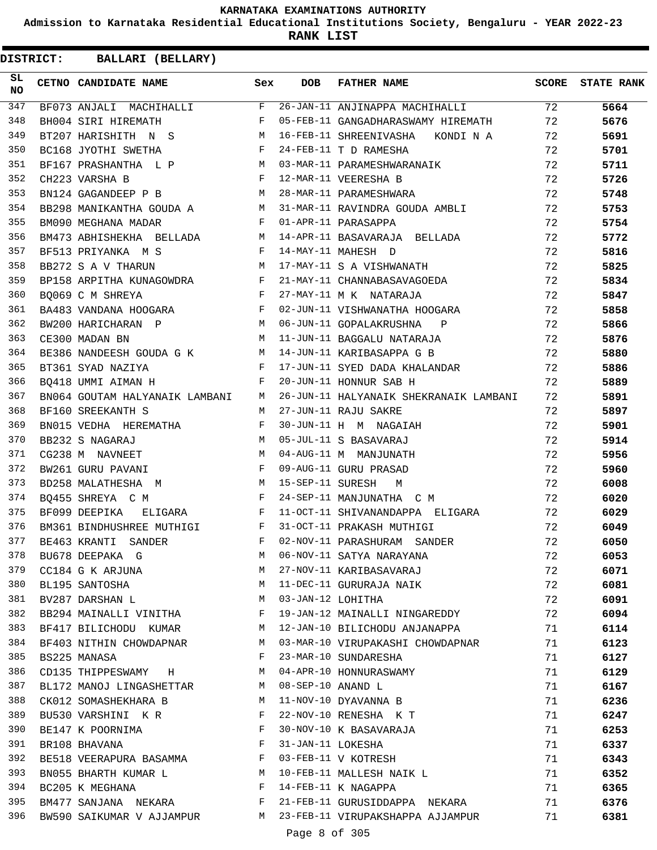**Admission to Karnataka Residential Educational Institutions Society, Bengaluru - YEAR 2022-23**

**RANK LIST**

| SL<br><b>NO</b> | CETNO CANDIDATE NAME                                                                     | Sex | <b>DOB</b>        | <b>FATHER NAME</b>                                        |    | SCORE STATE RANK |
|-----------------|------------------------------------------------------------------------------------------|-----|-------------------|-----------------------------------------------------------|----|------------------|
| 347             | $BF073$ ANJALI MACHIHALLI F                                                              |     |                   | 26-JAN-11 ANJINAPPA MACHIHALLI 72                         |    | 5664             |
| 348             | $\mathbf{F}$ and $\mathbf{F}$ . The set of $\mathbf{F}$<br>BH004 SIRI HIREMATH           |     |                   | 05-FEB-11 GANGADHARASWAMY HIREMATH                        | 72 | 5676             |
| 349             | BT207 HARISHITH N S M                                                                    |     |                   | 16-FEB-11 SHREENIVASHA KONDI N A                          | 72 | 5691             |
| 350             | $\mathbf{F}$<br>BC168 JYOTHI SWETHA                                                      |     |                   | 24-FEB-11 T D RAMESHA                                     | 72 | 5701             |
| 351             |                                                                                          |     |                   | BF167 PRASHANTHA L P M 03-MAR-11 PARAMESHWARANAIK         | 72 | 5711             |
| 352             | $\mathbf{F}$ and $\mathbf{F}$ and $\mathbf{F}$<br>CH223 VARSHA B                         |     |                   | 12-MAR-11 VEERESHA B                                      | 72 | 5726             |
| 353             | BN124 GAGANDEEP P B M                                                                    |     |                   | 28-MAR-11 PARAMESHWARA                                    | 72 | 5748             |
| 354             |                                                                                          |     |                   | BB298 MANIKANTHA GOUDA A M 31-MAR-11 RAVINDRA GOUDA AMBLI | 72 | 5753             |
| 355             | BM090 MEGHANA MADAR                                                                      |     |                   | F 01-APR-11 PARASAPPA                                     | 72 | 5754             |
| 356             |                                                                                          |     |                   | BM473 ABHISHEKHA BELLADA M 14-APR-11 BASAVARAJA BELLADA   | 72 | 5772             |
| 357             | <b>Example 20</b> Service Service Service Service<br>BF513 PRIYANKA M S                  |     |                   | 14-MAY-11 MAHESH D                                        | 72 | 5816             |
| 358             | <b>M</b><br>BB272 S A V THARUN                                                           |     |                   | 17-MAY-11 S A VISHWANATH                                  | 72 | 5825             |
| 359             | BP158 ARPITHA KUNAGOWDRA F                                                               |     |                   | 21-MAY-11 CHANNABASAVAGOEDA                               | 72 | 5834             |
| 360             | $\mathbf{F}$ and $\mathbf{F}$ are $\mathbf{F}$ . In the $\mathbf{F}$<br>BO069 C M SHREYA |     |                   | 27-MAY-11 M K NATARAJA                                    | 72 | 5847             |
| 361             | BA483 VANDANA HOOGARA F                                                                  |     |                   | 02-JUN-11 VISHWANATHA HOOGARA                             | 72 | 5858             |
| 362             | BW200 HARICHARAN P                                                                       |     |                   | M 06-JUN-11 GOPALAKRUSHNA P                               | 72 | 5866             |
| 363             | CE300 MADAN BN                                                                           | M   |                   | 11-JUN-11 BAGGALU NATARAJA                                | 72 | 5876             |
| 364             |                                                                                          |     |                   | BE386 NANDEESH GOUDA G K M 14-JUN-11 KARIBASAPPA G B      | 72 | 5880             |
| 365             | $\mathbf{F}$ . The contract of the contract of $\mathbf{F}$<br>BT361 SYAD NAZIYA         |     |                   | 17-JUN-11 SYED DADA KHALANDAR                             | 72 | 5886             |
| 366             | $\mathbf{F}$<br>BO418 UMMI AIMAN H                                                       |     |                   | 20-JUN-11 HONNUR SAB H                                    | 72 | 5889             |
| 367             | BN064 GOUTAM HALYANAIK LAMBANI M                                                         |     |                   | 26-JUN-11 HALYANAIK SHEKRANAIK LAMBANI                    | 72 | 5891             |
| 368             | BF160 SREEKANTH S<br><b>M</b>                                                            |     |                   | 27-JUN-11 RAJU SAKRE                                      | 72 | 5897             |
| 369             | BN015 VEDHA HEREMATHA F                                                                  |     |                   | 30-JUN-11 H M NAGAIAH                                     | 72 | 5901             |
| 370             | M<br>BB232 S NAGARAJ                                                                     |     |                   | 05-JUL-11 S BASAVARAJ                                     | 72 | 5914             |
| 371             | CG238 M NAVNEET                                                                          | M   |                   | 04-AUG-11 M MANJUNATH                                     | 72 | 5956             |
| 372             | $\mathbf{F}$ and $\mathbf{F}$ are the set of $\mathbf{F}$                                |     |                   | 09-AUG-11 GURU PRASAD                                     | 72 |                  |
| 373             | BW261 GURU PAVANI<br>BD258 MALATHESHA M                                                  |     |                   | 15-SEP-11 SURESH M                                        | 72 | 5960             |
| 374             | $\mathbf{F}$ and $\mathbf{F}$ . The set of $\mathbf{F}$                                  |     |                   |                                                           | 72 | 6008             |
| 375             | BQ455 SHREYA C M                                                                         |     |                   | 24-SEP-11 MANJUNATHA C M                                  |    | 6020             |
| 376             | BF099 DEEPIKA ELIGARA F                                                                  |     |                   | 11-OCT-11 SHIVANANDAPPA ELIGARA                           | 72 | 6029             |
|                 | BM361 BINDHUSHREE MUTHIGI F                                                              |     |                   | 31-OCT-11 PRAKASH MUTHIGI                                 | 72 | 6049             |
| 377             | BE463 KRANTI SANDER                                                                      | F   |                   | 02-NOV-11 PARASHURAM SANDER                               | 72 | 6050             |
| 378             | BU678 DEEPAKA G                                                                          | M   |                   | 06-NOV-11 SATYA NARAYANA                                  | 72 | 6053             |
| 379             | CC184 G K ARJUNA                                                                         | M   |                   | 27-NOV-11 KARIBASAVARAJ                                   | 72 | 6071             |
| 380             | BL195 SANTOSHA                                                                           | M   |                   | 11-DEC-11 GURURAJA NAIK                                   | 72 | 6081             |
| 381             | BV287 DARSHAN L                                                                          | M   | 03-JAN-12 LOHITHA |                                                           | 72 | 6091             |
| 382             | BB294 MAINALLI VINITHA                                                                   | F   |                   | 19-JAN-12 MAINALLI NINGAREDDY                             | 72 | 6094             |
| 383             | BF417 BILICHODU KUMAR                                                                    | M   |                   | 12-JAN-10 BILICHODU ANJANAPPA                             | 71 | 6114             |
| 384             | BF403 NITHIN CHOWDAPNAR                                                                  | M   |                   | 03-MAR-10 VIRUPAKASHI CHOWDAPNAR                          | 71 | 6123             |
| 385             | BS225 MANASA                                                                             | F   |                   | 23-MAR-10 SUNDARESHA                                      | 71 | 6127             |
| 386             | CD135 THIPPESWAMY H                                                                      | M   |                   | 04-APR-10 HONNURASWAMY                                    | 71 | 6129             |
| 387             | BL172 MANOJ LINGASHETTAR                                                                 | M   | 08-SEP-10 ANAND L |                                                           | 71 | 6167             |
| 388             | CK012 SOMASHEKHARA B                                                                     | М   |                   | 11-NOV-10 DYAVANNA B                                      | 71 | 6236             |
| 389             | BU530 VARSHINI KR                                                                        | F   |                   | 22-NOV-10 RENESHA K T                                     | 71 | 6247             |
| 390             | BE147 K POORNIMA                                                                         | F   |                   | 30-NOV-10 K BASAVARAJA                                    | 71 | 6253             |
| 391             | BR108 BHAVANA                                                                            | F   | 31-JAN-11 LOKESHA |                                                           | 71 | 6337             |
| 392             | BE518 VEERAPURA BASAMMA                                                                  | F   |                   | 03-FEB-11 V KOTRESH                                       | 71 | 6343             |
| 393             | BN055 BHARTH KUMAR L                                                                     | М   |                   | 10-FEB-11 MALLESH NAIK L                                  | 71 | 6352             |
| 394             | BC205 K MEGHANA                                                                          | F   |                   | 14-FEB-11 K NAGAPPA                                       | 71 | 6365             |
| 395             | BM477 SANJANA NEKARA                                                                     | F   |                   | 21-FEB-11 GURUSIDDAPPA NEKARA                             | 71 | 6376             |
| 396             | BW590 SAIKUMAR V AJJAMPUR                                                                | M   |                   | 23-FEB-11 VIRUPAKSHAPPA AJJAMPUR                          | 71 | 6381             |
|                 |                                                                                          |     | Page 8 of 305     |                                                           |    |                  |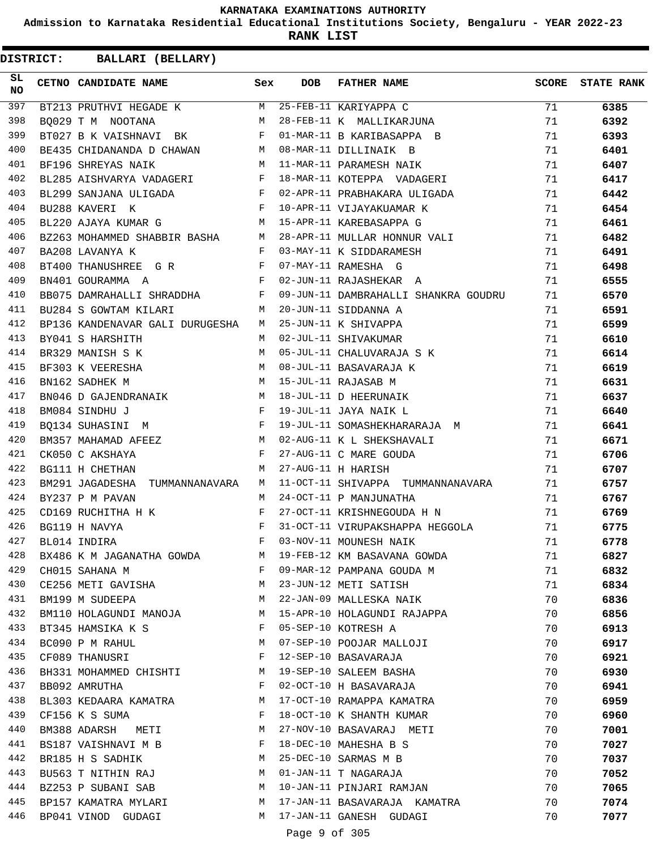**Admission to Karnataka Residential Educational Institutions Society, Bengaluru - YEAR 2022-23**

**RANK LIST**

| BT213 PRUTHVI HEGADE K M 25-FEB-11 KARIYAPPA C<br>397<br>71<br>6385<br>398<br>BQ029 T M NOOTANA M 28-FEB-11 K MALLIKARJUNA<br>71<br>6392<br>399<br>BT027 B K VAISHNAVI BK F 01-MAR-11 B KARIBASAPPA B<br>71<br>6393<br>BE435 CHIDANANDA D CHAWAN M 08-MAR-11 DILLINAIK B<br>400<br>71<br>6401<br>M 11-MAR-11 PARAMESH NAIK<br>401<br>BF196 SHREYAS NAIK<br>71<br>6407<br>BL285 AISHVARYA VADAGERI F 18-MAR-11 KOTEPPA VADAGERI<br>402<br>71<br>6417<br>BL299 SANJANA ULIGADA F 02-APR-11 PRABHAKARA ULIGADA<br>403<br>71<br>6442<br>F 10-APR-11 VIJAYAKUAMAR K<br>404<br>BU288 KAVERI K<br>71<br>6454<br>BL220 AJAYA KUMAR G M 15-APR-11 KAREBASAPPA G<br>405<br>71<br>6461<br>BZ263 MOHAMMED SHABBIR BASHA M 28-APR-11 MULLAR HONNUR VALI<br>406<br>71<br>6482<br>F 03-MAY-11 K SIDDARAMESH<br>407<br>BA208 LAVANYA K<br>71<br>6491<br>408<br>71<br>6498<br>409<br>71<br>6555<br>410<br>BB075 DAMRAHALLI SHRADDHA F 09-JUN-11 DAMBRAHALLI SHANKRA GOUDRU<br>71<br>6570<br>M 20-JUN-11 SIDDANNA A<br>411<br>BU284 S GOWTAM KILARI<br>71<br>6591<br>BP136 KANDENAVAR GALI DURUGESHA M 25-JUN-11 K SHIVAPPA<br>412<br>71<br>6599<br>413<br>M 02-JUL-11 SHIVAKUMAR<br>71<br>6610<br>BY041 S HARSHITH<br>414<br>M 05-JUL-11 CHALUVARAJA S K<br>71<br>BR329 MANISH S K<br>6614<br>BF303 K VEERESHA M 08-JUL-11 BASAVARAJA K<br>415<br>71<br>6619<br>M 15-JUL-11 RAJASAB M<br>416<br>BN162 SADHEK M<br>71<br>6631<br>BN046 D GAJENDRANAIK M 18-JUL-11 D HEERUNAIK<br>417<br>71<br>6637<br>418<br>F 19-JUL-11 JAYA NAIK L<br>BM084 SINDHU J<br>71<br>6640<br>BQ134 SUHASINI M F 19-JUL-11 SOMASHEKHARARAJA M<br>419<br>71<br>6641<br>M 02-AUG-11 K L SHEKSHAVALI<br>420<br>BM357 MAHAMAD AFEEZ<br>71<br>6671<br>421<br>F 27-AUG-11 C MARE GOUDA<br>CK050 C AKSHAYA<br>71<br>6706<br>422<br>BG111 H CHETHAN<br><b>Example 20</b> Manufacturers and Manufacturers and Manufacturers and Manufacturers and Manufacturers and Manufacturers and Manufacturers and Manufacturers and Manufacturers and Manufacturers and Manufacturers and Manufacture<br>27-AUG-11 H HARISH<br>71<br>6707<br>423<br>BM291 JAGADESHA TUMMANNANAVARA M 11-OCT-11 SHIVAPPA TUMMANNANAVARA<br>71<br>6757<br>424<br>BY237 P M PAVAN<br>M<br>24-OCT-11 P MANJUNATHA<br>71<br>6767<br>425<br>CD169 RUCHITHA H K<br>F<br>27-OCT-11 KRISHNEGOUDA H N<br>71<br>6769<br>426<br>$\begin{aligned} \mathbf{F} \\ \mathbf{F} \end{aligned}$<br>BG119 H NAVYA<br>31-OCT-11 VIRUPAKSHAPPA HEGGOLA<br>71<br>6775<br>427<br>$F$ and $F$<br>03-NOV-11 MOUNESH NAIK<br>BL014 INDIRA<br>71<br>6778<br>428<br>BX486 K M JAGANATHA GOWDA<br>19-FEB-12 KM BASAVANA GOWDA<br>71<br>6827<br>M<br>429<br>F<br>09-MAR-12 PAMPANA GOUDA M<br>71<br>6832<br>CH015 SAHANA M<br>430<br>CE256 METI GAVISHA M<br>23-JUN-12 METI SATISH<br>71<br>6834<br>431<br>22-JAN-09 MALLESKA NAIK<br>BM199 M SUDEEPA<br>M<br>70<br>6836<br>432<br>M<br>15-APR-10 HOLAGUNDI RAJAPPA<br>70<br>BM110 HOLAGUNDI MANOJA<br>6856<br>433<br>BT345 HAMSIKA K S<br>F<br>05-SEP-10 KOTRESH A<br>70<br>6913<br>434<br>07-SEP-10 POOJAR MALLOJI<br>М<br>70<br>BC090 P M RAHUL<br>6917<br>435<br>12-SEP-10 BASAVARAJA<br>CF089 THANUSRI<br>F<br>70<br>6921<br>436<br>19-SEP-10 SALEEM BASHA<br>M<br>70<br>6930<br>BH331 MOHAMMED CHISHTI<br>437<br>$\mathbf{F}$<br>02-OCT-10 H BASAVARAJA<br>70<br>6941<br>BB092 AMRUTHA<br>438<br>M<br>17-OCT-10 RAMAPPA KAMATRA<br>70<br>6959<br>BL303 KEDAARA KAMATRA<br>439<br>CF156 K S SUMA<br>$\mathbf{F}$<br>18-OCT-10 K SHANTH KUMAR<br>70<br>6960<br>440<br>М<br>27-NOV-10 BASAVARAJ METI<br>70<br>BM388 ADARSH METI<br>7001<br>441<br>$\mathbf{F}$<br>18-DEC-10 MAHESHA B S<br>70<br>BS187 VAISHNAVI M B<br>7027<br>442<br>25-DEC-10 SARMAS M B<br>BR185 H S SADHIK<br>М<br>70<br>7037<br>443<br>01-JAN-11 T NAGARAJA<br>70<br>7052<br>BU563 T NITHIN RAJ<br>M<br>444<br>М<br>10-JAN-11 PINJARI RAMJAN<br>70<br>7065<br>BZ253 P SUBANI SAB<br>445<br>17-JAN-11 BASAVARAJA KAMATRA<br>7074<br>BP157 KAMATRA MYLARI<br>M<br>70<br>446<br>17-JAN-11 GANESH GUDAGI<br>70<br>BP041 VINOD GUDAGI<br>M<br>7077<br>Page 9 of 305 | SL<br><b>NO</b> | CETNO CANDIDATE NAME | Sex | <b>DOB</b> | <b>FATHER NAME</b> | SCORE STATE RANK |
|-------------------------------------------------------------------------------------------------------------------------------------------------------------------------------------------------------------------------------------------------------------------------------------------------------------------------------------------------------------------------------------------------------------------------------------------------------------------------------------------------------------------------------------------------------------------------------------------------------------------------------------------------------------------------------------------------------------------------------------------------------------------------------------------------------------------------------------------------------------------------------------------------------------------------------------------------------------------------------------------------------------------------------------------------------------------------------------------------------------------------------------------------------------------------------------------------------------------------------------------------------------------------------------------------------------------------------------------------------------------------------------------------------------------------------------------------------------------------------------------------------------------------------------------------------------------------------------------------------------------------------------------------------------------------------------------------------------------------------------------------------------------------------------------------------------------------------------------------------------------------------------------------------------------------------------------------------------------------------------------------------------------------------------------------------------------------------------------------------------------------------------------------------------------------------------------------------------------------------------------------------------------------------------------------------------------------------------------------------------------------------------------------------------------------------------------------------------------------------------------------------------------------------------------------------------------------------------------------------------------------------------------------------------------------------------------------------------------------------------------------------------------------------------------------------------------------------------------------------------------------------------------------------------------------------------------------------------------------------------------------------------------------------------------------------------------------------------------------------------------------------------------------------------------------------------------------------------------------------------------------------------------------------------------------------------------------------------------------------------------------------------------------------------------------------------------------------------------------------------------------------------------------------------------------------------------------------------------------------------------------------------------------------------------------------------------------------------------------------------------------------------------------------------------------------------------------------------------------------------------------------------------------------------------------------------------------------------------------------------------------------------------------------------------------------------------------------|-----------------|----------------------|-----|------------|--------------------|------------------|
|                                                                                                                                                                                                                                                                                                                                                                                                                                                                                                                                                                                                                                                                                                                                                                                                                                                                                                                                                                                                                                                                                                                                                                                                                                                                                                                                                                                                                                                                                                                                                                                                                                                                                                                                                                                                                                                                                                                                                                                                                                                                                                                                                                                                                                                                                                                                                                                                                                                                                                                                                                                                                                                                                                                                                                                                                                                                                                                                                                                                                                                                                                                                                                                                                                                                                                                                                                                                                                                                                                                                                                                                                                                                                                                                                                                                                                                                                                                                                                                                                                                                               |                 |                      |     |            |                    |                  |
|                                                                                                                                                                                                                                                                                                                                                                                                                                                                                                                                                                                                                                                                                                                                                                                                                                                                                                                                                                                                                                                                                                                                                                                                                                                                                                                                                                                                                                                                                                                                                                                                                                                                                                                                                                                                                                                                                                                                                                                                                                                                                                                                                                                                                                                                                                                                                                                                                                                                                                                                                                                                                                                                                                                                                                                                                                                                                                                                                                                                                                                                                                                                                                                                                                                                                                                                                                                                                                                                                                                                                                                                                                                                                                                                                                                                                                                                                                                                                                                                                                                                               |                 |                      |     |            |                    |                  |
|                                                                                                                                                                                                                                                                                                                                                                                                                                                                                                                                                                                                                                                                                                                                                                                                                                                                                                                                                                                                                                                                                                                                                                                                                                                                                                                                                                                                                                                                                                                                                                                                                                                                                                                                                                                                                                                                                                                                                                                                                                                                                                                                                                                                                                                                                                                                                                                                                                                                                                                                                                                                                                                                                                                                                                                                                                                                                                                                                                                                                                                                                                                                                                                                                                                                                                                                                                                                                                                                                                                                                                                                                                                                                                                                                                                                                                                                                                                                                                                                                                                                               |                 |                      |     |            |                    |                  |
|                                                                                                                                                                                                                                                                                                                                                                                                                                                                                                                                                                                                                                                                                                                                                                                                                                                                                                                                                                                                                                                                                                                                                                                                                                                                                                                                                                                                                                                                                                                                                                                                                                                                                                                                                                                                                                                                                                                                                                                                                                                                                                                                                                                                                                                                                                                                                                                                                                                                                                                                                                                                                                                                                                                                                                                                                                                                                                                                                                                                                                                                                                                                                                                                                                                                                                                                                                                                                                                                                                                                                                                                                                                                                                                                                                                                                                                                                                                                                                                                                                                                               |                 |                      |     |            |                    |                  |
|                                                                                                                                                                                                                                                                                                                                                                                                                                                                                                                                                                                                                                                                                                                                                                                                                                                                                                                                                                                                                                                                                                                                                                                                                                                                                                                                                                                                                                                                                                                                                                                                                                                                                                                                                                                                                                                                                                                                                                                                                                                                                                                                                                                                                                                                                                                                                                                                                                                                                                                                                                                                                                                                                                                                                                                                                                                                                                                                                                                                                                                                                                                                                                                                                                                                                                                                                                                                                                                                                                                                                                                                                                                                                                                                                                                                                                                                                                                                                                                                                                                                               |                 |                      |     |            |                    |                  |
|                                                                                                                                                                                                                                                                                                                                                                                                                                                                                                                                                                                                                                                                                                                                                                                                                                                                                                                                                                                                                                                                                                                                                                                                                                                                                                                                                                                                                                                                                                                                                                                                                                                                                                                                                                                                                                                                                                                                                                                                                                                                                                                                                                                                                                                                                                                                                                                                                                                                                                                                                                                                                                                                                                                                                                                                                                                                                                                                                                                                                                                                                                                                                                                                                                                                                                                                                                                                                                                                                                                                                                                                                                                                                                                                                                                                                                                                                                                                                                                                                                                                               |                 |                      |     |            |                    |                  |
|                                                                                                                                                                                                                                                                                                                                                                                                                                                                                                                                                                                                                                                                                                                                                                                                                                                                                                                                                                                                                                                                                                                                                                                                                                                                                                                                                                                                                                                                                                                                                                                                                                                                                                                                                                                                                                                                                                                                                                                                                                                                                                                                                                                                                                                                                                                                                                                                                                                                                                                                                                                                                                                                                                                                                                                                                                                                                                                                                                                                                                                                                                                                                                                                                                                                                                                                                                                                                                                                                                                                                                                                                                                                                                                                                                                                                                                                                                                                                                                                                                                                               |                 |                      |     |            |                    |                  |
|                                                                                                                                                                                                                                                                                                                                                                                                                                                                                                                                                                                                                                                                                                                                                                                                                                                                                                                                                                                                                                                                                                                                                                                                                                                                                                                                                                                                                                                                                                                                                                                                                                                                                                                                                                                                                                                                                                                                                                                                                                                                                                                                                                                                                                                                                                                                                                                                                                                                                                                                                                                                                                                                                                                                                                                                                                                                                                                                                                                                                                                                                                                                                                                                                                                                                                                                                                                                                                                                                                                                                                                                                                                                                                                                                                                                                                                                                                                                                                                                                                                                               |                 |                      |     |            |                    |                  |
|                                                                                                                                                                                                                                                                                                                                                                                                                                                                                                                                                                                                                                                                                                                                                                                                                                                                                                                                                                                                                                                                                                                                                                                                                                                                                                                                                                                                                                                                                                                                                                                                                                                                                                                                                                                                                                                                                                                                                                                                                                                                                                                                                                                                                                                                                                                                                                                                                                                                                                                                                                                                                                                                                                                                                                                                                                                                                                                                                                                                                                                                                                                                                                                                                                                                                                                                                                                                                                                                                                                                                                                                                                                                                                                                                                                                                                                                                                                                                                                                                                                                               |                 |                      |     |            |                    |                  |
|                                                                                                                                                                                                                                                                                                                                                                                                                                                                                                                                                                                                                                                                                                                                                                                                                                                                                                                                                                                                                                                                                                                                                                                                                                                                                                                                                                                                                                                                                                                                                                                                                                                                                                                                                                                                                                                                                                                                                                                                                                                                                                                                                                                                                                                                                                                                                                                                                                                                                                                                                                                                                                                                                                                                                                                                                                                                                                                                                                                                                                                                                                                                                                                                                                                                                                                                                                                                                                                                                                                                                                                                                                                                                                                                                                                                                                                                                                                                                                                                                                                                               |                 |                      |     |            |                    |                  |
|                                                                                                                                                                                                                                                                                                                                                                                                                                                                                                                                                                                                                                                                                                                                                                                                                                                                                                                                                                                                                                                                                                                                                                                                                                                                                                                                                                                                                                                                                                                                                                                                                                                                                                                                                                                                                                                                                                                                                                                                                                                                                                                                                                                                                                                                                                                                                                                                                                                                                                                                                                                                                                                                                                                                                                                                                                                                                                                                                                                                                                                                                                                                                                                                                                                                                                                                                                                                                                                                                                                                                                                                                                                                                                                                                                                                                                                                                                                                                                                                                                                                               |                 |                      |     |            |                    |                  |
|                                                                                                                                                                                                                                                                                                                                                                                                                                                                                                                                                                                                                                                                                                                                                                                                                                                                                                                                                                                                                                                                                                                                                                                                                                                                                                                                                                                                                                                                                                                                                                                                                                                                                                                                                                                                                                                                                                                                                                                                                                                                                                                                                                                                                                                                                                                                                                                                                                                                                                                                                                                                                                                                                                                                                                                                                                                                                                                                                                                                                                                                                                                                                                                                                                                                                                                                                                                                                                                                                                                                                                                                                                                                                                                                                                                                                                                                                                                                                                                                                                                                               |                 |                      |     |            |                    |                  |
|                                                                                                                                                                                                                                                                                                                                                                                                                                                                                                                                                                                                                                                                                                                                                                                                                                                                                                                                                                                                                                                                                                                                                                                                                                                                                                                                                                                                                                                                                                                                                                                                                                                                                                                                                                                                                                                                                                                                                                                                                                                                                                                                                                                                                                                                                                                                                                                                                                                                                                                                                                                                                                                                                                                                                                                                                                                                                                                                                                                                                                                                                                                                                                                                                                                                                                                                                                                                                                                                                                                                                                                                                                                                                                                                                                                                                                                                                                                                                                                                                                                                               |                 |                      |     |            |                    |                  |
|                                                                                                                                                                                                                                                                                                                                                                                                                                                                                                                                                                                                                                                                                                                                                                                                                                                                                                                                                                                                                                                                                                                                                                                                                                                                                                                                                                                                                                                                                                                                                                                                                                                                                                                                                                                                                                                                                                                                                                                                                                                                                                                                                                                                                                                                                                                                                                                                                                                                                                                                                                                                                                                                                                                                                                                                                                                                                                                                                                                                                                                                                                                                                                                                                                                                                                                                                                                                                                                                                                                                                                                                                                                                                                                                                                                                                                                                                                                                                                                                                                                                               |                 |                      |     |            |                    |                  |
|                                                                                                                                                                                                                                                                                                                                                                                                                                                                                                                                                                                                                                                                                                                                                                                                                                                                                                                                                                                                                                                                                                                                                                                                                                                                                                                                                                                                                                                                                                                                                                                                                                                                                                                                                                                                                                                                                                                                                                                                                                                                                                                                                                                                                                                                                                                                                                                                                                                                                                                                                                                                                                                                                                                                                                                                                                                                                                                                                                                                                                                                                                                                                                                                                                                                                                                                                                                                                                                                                                                                                                                                                                                                                                                                                                                                                                                                                                                                                                                                                                                                               |                 |                      |     |            |                    |                  |
|                                                                                                                                                                                                                                                                                                                                                                                                                                                                                                                                                                                                                                                                                                                                                                                                                                                                                                                                                                                                                                                                                                                                                                                                                                                                                                                                                                                                                                                                                                                                                                                                                                                                                                                                                                                                                                                                                                                                                                                                                                                                                                                                                                                                                                                                                                                                                                                                                                                                                                                                                                                                                                                                                                                                                                                                                                                                                                                                                                                                                                                                                                                                                                                                                                                                                                                                                                                                                                                                                                                                                                                                                                                                                                                                                                                                                                                                                                                                                                                                                                                                               |                 |                      |     |            |                    |                  |
|                                                                                                                                                                                                                                                                                                                                                                                                                                                                                                                                                                                                                                                                                                                                                                                                                                                                                                                                                                                                                                                                                                                                                                                                                                                                                                                                                                                                                                                                                                                                                                                                                                                                                                                                                                                                                                                                                                                                                                                                                                                                                                                                                                                                                                                                                                                                                                                                                                                                                                                                                                                                                                                                                                                                                                                                                                                                                                                                                                                                                                                                                                                                                                                                                                                                                                                                                                                                                                                                                                                                                                                                                                                                                                                                                                                                                                                                                                                                                                                                                                                                               |                 |                      |     |            |                    |                  |
|                                                                                                                                                                                                                                                                                                                                                                                                                                                                                                                                                                                                                                                                                                                                                                                                                                                                                                                                                                                                                                                                                                                                                                                                                                                                                                                                                                                                                                                                                                                                                                                                                                                                                                                                                                                                                                                                                                                                                                                                                                                                                                                                                                                                                                                                                                                                                                                                                                                                                                                                                                                                                                                                                                                                                                                                                                                                                                                                                                                                                                                                                                                                                                                                                                                                                                                                                                                                                                                                                                                                                                                                                                                                                                                                                                                                                                                                                                                                                                                                                                                                               |                 |                      |     |            |                    |                  |
|                                                                                                                                                                                                                                                                                                                                                                                                                                                                                                                                                                                                                                                                                                                                                                                                                                                                                                                                                                                                                                                                                                                                                                                                                                                                                                                                                                                                                                                                                                                                                                                                                                                                                                                                                                                                                                                                                                                                                                                                                                                                                                                                                                                                                                                                                                                                                                                                                                                                                                                                                                                                                                                                                                                                                                                                                                                                                                                                                                                                                                                                                                                                                                                                                                                                                                                                                                                                                                                                                                                                                                                                                                                                                                                                                                                                                                                                                                                                                                                                                                                                               |                 |                      |     |            |                    |                  |
|                                                                                                                                                                                                                                                                                                                                                                                                                                                                                                                                                                                                                                                                                                                                                                                                                                                                                                                                                                                                                                                                                                                                                                                                                                                                                                                                                                                                                                                                                                                                                                                                                                                                                                                                                                                                                                                                                                                                                                                                                                                                                                                                                                                                                                                                                                                                                                                                                                                                                                                                                                                                                                                                                                                                                                                                                                                                                                                                                                                                                                                                                                                                                                                                                                                                                                                                                                                                                                                                                                                                                                                                                                                                                                                                                                                                                                                                                                                                                                                                                                                                               |                 |                      |     |            |                    |                  |
|                                                                                                                                                                                                                                                                                                                                                                                                                                                                                                                                                                                                                                                                                                                                                                                                                                                                                                                                                                                                                                                                                                                                                                                                                                                                                                                                                                                                                                                                                                                                                                                                                                                                                                                                                                                                                                                                                                                                                                                                                                                                                                                                                                                                                                                                                                                                                                                                                                                                                                                                                                                                                                                                                                                                                                                                                                                                                                                                                                                                                                                                                                                                                                                                                                                                                                                                                                                                                                                                                                                                                                                                                                                                                                                                                                                                                                                                                                                                                                                                                                                                               |                 |                      |     |            |                    |                  |
|                                                                                                                                                                                                                                                                                                                                                                                                                                                                                                                                                                                                                                                                                                                                                                                                                                                                                                                                                                                                                                                                                                                                                                                                                                                                                                                                                                                                                                                                                                                                                                                                                                                                                                                                                                                                                                                                                                                                                                                                                                                                                                                                                                                                                                                                                                                                                                                                                                                                                                                                                                                                                                                                                                                                                                                                                                                                                                                                                                                                                                                                                                                                                                                                                                                                                                                                                                                                                                                                                                                                                                                                                                                                                                                                                                                                                                                                                                                                                                                                                                                                               |                 |                      |     |            |                    |                  |
|                                                                                                                                                                                                                                                                                                                                                                                                                                                                                                                                                                                                                                                                                                                                                                                                                                                                                                                                                                                                                                                                                                                                                                                                                                                                                                                                                                                                                                                                                                                                                                                                                                                                                                                                                                                                                                                                                                                                                                                                                                                                                                                                                                                                                                                                                                                                                                                                                                                                                                                                                                                                                                                                                                                                                                                                                                                                                                                                                                                                                                                                                                                                                                                                                                                                                                                                                                                                                                                                                                                                                                                                                                                                                                                                                                                                                                                                                                                                                                                                                                                                               |                 |                      |     |            |                    |                  |
|                                                                                                                                                                                                                                                                                                                                                                                                                                                                                                                                                                                                                                                                                                                                                                                                                                                                                                                                                                                                                                                                                                                                                                                                                                                                                                                                                                                                                                                                                                                                                                                                                                                                                                                                                                                                                                                                                                                                                                                                                                                                                                                                                                                                                                                                                                                                                                                                                                                                                                                                                                                                                                                                                                                                                                                                                                                                                                                                                                                                                                                                                                                                                                                                                                                                                                                                                                                                                                                                                                                                                                                                                                                                                                                                                                                                                                                                                                                                                                                                                                                                               |                 |                      |     |            |                    |                  |
|                                                                                                                                                                                                                                                                                                                                                                                                                                                                                                                                                                                                                                                                                                                                                                                                                                                                                                                                                                                                                                                                                                                                                                                                                                                                                                                                                                                                                                                                                                                                                                                                                                                                                                                                                                                                                                                                                                                                                                                                                                                                                                                                                                                                                                                                                                                                                                                                                                                                                                                                                                                                                                                                                                                                                                                                                                                                                                                                                                                                                                                                                                                                                                                                                                                                                                                                                                                                                                                                                                                                                                                                                                                                                                                                                                                                                                                                                                                                                                                                                                                                               |                 |                      |     |            |                    |                  |
|                                                                                                                                                                                                                                                                                                                                                                                                                                                                                                                                                                                                                                                                                                                                                                                                                                                                                                                                                                                                                                                                                                                                                                                                                                                                                                                                                                                                                                                                                                                                                                                                                                                                                                                                                                                                                                                                                                                                                                                                                                                                                                                                                                                                                                                                                                                                                                                                                                                                                                                                                                                                                                                                                                                                                                                                                                                                                                                                                                                                                                                                                                                                                                                                                                                                                                                                                                                                                                                                                                                                                                                                                                                                                                                                                                                                                                                                                                                                                                                                                                                                               |                 |                      |     |            |                    |                  |
|                                                                                                                                                                                                                                                                                                                                                                                                                                                                                                                                                                                                                                                                                                                                                                                                                                                                                                                                                                                                                                                                                                                                                                                                                                                                                                                                                                                                                                                                                                                                                                                                                                                                                                                                                                                                                                                                                                                                                                                                                                                                                                                                                                                                                                                                                                                                                                                                                                                                                                                                                                                                                                                                                                                                                                                                                                                                                                                                                                                                                                                                                                                                                                                                                                                                                                                                                                                                                                                                                                                                                                                                                                                                                                                                                                                                                                                                                                                                                                                                                                                                               |                 |                      |     |            |                    |                  |
|                                                                                                                                                                                                                                                                                                                                                                                                                                                                                                                                                                                                                                                                                                                                                                                                                                                                                                                                                                                                                                                                                                                                                                                                                                                                                                                                                                                                                                                                                                                                                                                                                                                                                                                                                                                                                                                                                                                                                                                                                                                                                                                                                                                                                                                                                                                                                                                                                                                                                                                                                                                                                                                                                                                                                                                                                                                                                                                                                                                                                                                                                                                                                                                                                                                                                                                                                                                                                                                                                                                                                                                                                                                                                                                                                                                                                                                                                                                                                                                                                                                                               |                 |                      |     |            |                    |                  |
|                                                                                                                                                                                                                                                                                                                                                                                                                                                                                                                                                                                                                                                                                                                                                                                                                                                                                                                                                                                                                                                                                                                                                                                                                                                                                                                                                                                                                                                                                                                                                                                                                                                                                                                                                                                                                                                                                                                                                                                                                                                                                                                                                                                                                                                                                                                                                                                                                                                                                                                                                                                                                                                                                                                                                                                                                                                                                                                                                                                                                                                                                                                                                                                                                                                                                                                                                                                                                                                                                                                                                                                                                                                                                                                                                                                                                                                                                                                                                                                                                                                                               |                 |                      |     |            |                    |                  |
|                                                                                                                                                                                                                                                                                                                                                                                                                                                                                                                                                                                                                                                                                                                                                                                                                                                                                                                                                                                                                                                                                                                                                                                                                                                                                                                                                                                                                                                                                                                                                                                                                                                                                                                                                                                                                                                                                                                                                                                                                                                                                                                                                                                                                                                                                                                                                                                                                                                                                                                                                                                                                                                                                                                                                                                                                                                                                                                                                                                                                                                                                                                                                                                                                                                                                                                                                                                                                                                                                                                                                                                                                                                                                                                                                                                                                                                                                                                                                                                                                                                                               |                 |                      |     |            |                    |                  |
|                                                                                                                                                                                                                                                                                                                                                                                                                                                                                                                                                                                                                                                                                                                                                                                                                                                                                                                                                                                                                                                                                                                                                                                                                                                                                                                                                                                                                                                                                                                                                                                                                                                                                                                                                                                                                                                                                                                                                                                                                                                                                                                                                                                                                                                                                                                                                                                                                                                                                                                                                                                                                                                                                                                                                                                                                                                                                                                                                                                                                                                                                                                                                                                                                                                                                                                                                                                                                                                                                                                                                                                                                                                                                                                                                                                                                                                                                                                                                                                                                                                                               |                 |                      |     |            |                    |                  |
|                                                                                                                                                                                                                                                                                                                                                                                                                                                                                                                                                                                                                                                                                                                                                                                                                                                                                                                                                                                                                                                                                                                                                                                                                                                                                                                                                                                                                                                                                                                                                                                                                                                                                                                                                                                                                                                                                                                                                                                                                                                                                                                                                                                                                                                                                                                                                                                                                                                                                                                                                                                                                                                                                                                                                                                                                                                                                                                                                                                                                                                                                                                                                                                                                                                                                                                                                                                                                                                                                                                                                                                                                                                                                                                                                                                                                                                                                                                                                                                                                                                                               |                 |                      |     |            |                    |                  |
|                                                                                                                                                                                                                                                                                                                                                                                                                                                                                                                                                                                                                                                                                                                                                                                                                                                                                                                                                                                                                                                                                                                                                                                                                                                                                                                                                                                                                                                                                                                                                                                                                                                                                                                                                                                                                                                                                                                                                                                                                                                                                                                                                                                                                                                                                                                                                                                                                                                                                                                                                                                                                                                                                                                                                                                                                                                                                                                                                                                                                                                                                                                                                                                                                                                                                                                                                                                                                                                                                                                                                                                                                                                                                                                                                                                                                                                                                                                                                                                                                                                                               |                 |                      |     |            |                    |                  |
|                                                                                                                                                                                                                                                                                                                                                                                                                                                                                                                                                                                                                                                                                                                                                                                                                                                                                                                                                                                                                                                                                                                                                                                                                                                                                                                                                                                                                                                                                                                                                                                                                                                                                                                                                                                                                                                                                                                                                                                                                                                                                                                                                                                                                                                                                                                                                                                                                                                                                                                                                                                                                                                                                                                                                                                                                                                                                                                                                                                                                                                                                                                                                                                                                                                                                                                                                                                                                                                                                                                                                                                                                                                                                                                                                                                                                                                                                                                                                                                                                                                                               |                 |                      |     |            |                    |                  |
|                                                                                                                                                                                                                                                                                                                                                                                                                                                                                                                                                                                                                                                                                                                                                                                                                                                                                                                                                                                                                                                                                                                                                                                                                                                                                                                                                                                                                                                                                                                                                                                                                                                                                                                                                                                                                                                                                                                                                                                                                                                                                                                                                                                                                                                                                                                                                                                                                                                                                                                                                                                                                                                                                                                                                                                                                                                                                                                                                                                                                                                                                                                                                                                                                                                                                                                                                                                                                                                                                                                                                                                                                                                                                                                                                                                                                                                                                                                                                                                                                                                                               |                 |                      |     |            |                    |                  |
|                                                                                                                                                                                                                                                                                                                                                                                                                                                                                                                                                                                                                                                                                                                                                                                                                                                                                                                                                                                                                                                                                                                                                                                                                                                                                                                                                                                                                                                                                                                                                                                                                                                                                                                                                                                                                                                                                                                                                                                                                                                                                                                                                                                                                                                                                                                                                                                                                                                                                                                                                                                                                                                                                                                                                                                                                                                                                                                                                                                                                                                                                                                                                                                                                                                                                                                                                                                                                                                                                                                                                                                                                                                                                                                                                                                                                                                                                                                                                                                                                                                                               |                 |                      |     |            |                    |                  |
|                                                                                                                                                                                                                                                                                                                                                                                                                                                                                                                                                                                                                                                                                                                                                                                                                                                                                                                                                                                                                                                                                                                                                                                                                                                                                                                                                                                                                                                                                                                                                                                                                                                                                                                                                                                                                                                                                                                                                                                                                                                                                                                                                                                                                                                                                                                                                                                                                                                                                                                                                                                                                                                                                                                                                                                                                                                                                                                                                                                                                                                                                                                                                                                                                                                                                                                                                                                                                                                                                                                                                                                                                                                                                                                                                                                                                                                                                                                                                                                                                                                                               |                 |                      |     |            |                    |                  |
|                                                                                                                                                                                                                                                                                                                                                                                                                                                                                                                                                                                                                                                                                                                                                                                                                                                                                                                                                                                                                                                                                                                                                                                                                                                                                                                                                                                                                                                                                                                                                                                                                                                                                                                                                                                                                                                                                                                                                                                                                                                                                                                                                                                                                                                                                                                                                                                                                                                                                                                                                                                                                                                                                                                                                                                                                                                                                                                                                                                                                                                                                                                                                                                                                                                                                                                                                                                                                                                                                                                                                                                                                                                                                                                                                                                                                                                                                                                                                                                                                                                                               |                 |                      |     |            |                    |                  |
|                                                                                                                                                                                                                                                                                                                                                                                                                                                                                                                                                                                                                                                                                                                                                                                                                                                                                                                                                                                                                                                                                                                                                                                                                                                                                                                                                                                                                                                                                                                                                                                                                                                                                                                                                                                                                                                                                                                                                                                                                                                                                                                                                                                                                                                                                                                                                                                                                                                                                                                                                                                                                                                                                                                                                                                                                                                                                                                                                                                                                                                                                                                                                                                                                                                                                                                                                                                                                                                                                                                                                                                                                                                                                                                                                                                                                                                                                                                                                                                                                                                                               |                 |                      |     |            |                    |                  |
|                                                                                                                                                                                                                                                                                                                                                                                                                                                                                                                                                                                                                                                                                                                                                                                                                                                                                                                                                                                                                                                                                                                                                                                                                                                                                                                                                                                                                                                                                                                                                                                                                                                                                                                                                                                                                                                                                                                                                                                                                                                                                                                                                                                                                                                                                                                                                                                                                                                                                                                                                                                                                                                                                                                                                                                                                                                                                                                                                                                                                                                                                                                                                                                                                                                                                                                                                                                                                                                                                                                                                                                                                                                                                                                                                                                                                                                                                                                                                                                                                                                                               |                 |                      |     |            |                    |                  |
|                                                                                                                                                                                                                                                                                                                                                                                                                                                                                                                                                                                                                                                                                                                                                                                                                                                                                                                                                                                                                                                                                                                                                                                                                                                                                                                                                                                                                                                                                                                                                                                                                                                                                                                                                                                                                                                                                                                                                                                                                                                                                                                                                                                                                                                                                                                                                                                                                                                                                                                                                                                                                                                                                                                                                                                                                                                                                                                                                                                                                                                                                                                                                                                                                                                                                                                                                                                                                                                                                                                                                                                                                                                                                                                                                                                                                                                                                                                                                                                                                                                                               |                 |                      |     |            |                    |                  |
|                                                                                                                                                                                                                                                                                                                                                                                                                                                                                                                                                                                                                                                                                                                                                                                                                                                                                                                                                                                                                                                                                                                                                                                                                                                                                                                                                                                                                                                                                                                                                                                                                                                                                                                                                                                                                                                                                                                                                                                                                                                                                                                                                                                                                                                                                                                                                                                                                                                                                                                                                                                                                                                                                                                                                                                                                                                                                                                                                                                                                                                                                                                                                                                                                                                                                                                                                                                                                                                                                                                                                                                                                                                                                                                                                                                                                                                                                                                                                                                                                                                                               |                 |                      |     |            |                    |                  |
|                                                                                                                                                                                                                                                                                                                                                                                                                                                                                                                                                                                                                                                                                                                                                                                                                                                                                                                                                                                                                                                                                                                                                                                                                                                                                                                                                                                                                                                                                                                                                                                                                                                                                                                                                                                                                                                                                                                                                                                                                                                                                                                                                                                                                                                                                                                                                                                                                                                                                                                                                                                                                                                                                                                                                                                                                                                                                                                                                                                                                                                                                                                                                                                                                                                                                                                                                                                                                                                                                                                                                                                                                                                                                                                                                                                                                                                                                                                                                                                                                                                                               |                 |                      |     |            |                    |                  |
|                                                                                                                                                                                                                                                                                                                                                                                                                                                                                                                                                                                                                                                                                                                                                                                                                                                                                                                                                                                                                                                                                                                                                                                                                                                                                                                                                                                                                                                                                                                                                                                                                                                                                                                                                                                                                                                                                                                                                                                                                                                                                                                                                                                                                                                                                                                                                                                                                                                                                                                                                                                                                                                                                                                                                                                                                                                                                                                                                                                                                                                                                                                                                                                                                                                                                                                                                                                                                                                                                                                                                                                                                                                                                                                                                                                                                                                                                                                                                                                                                                                                               |                 |                      |     |            |                    |                  |
|                                                                                                                                                                                                                                                                                                                                                                                                                                                                                                                                                                                                                                                                                                                                                                                                                                                                                                                                                                                                                                                                                                                                                                                                                                                                                                                                                                                                                                                                                                                                                                                                                                                                                                                                                                                                                                                                                                                                                                                                                                                                                                                                                                                                                                                                                                                                                                                                                                                                                                                                                                                                                                                                                                                                                                                                                                                                                                                                                                                                                                                                                                                                                                                                                                                                                                                                                                                                                                                                                                                                                                                                                                                                                                                                                                                                                                                                                                                                                                                                                                                                               |                 |                      |     |            |                    |                  |
|                                                                                                                                                                                                                                                                                                                                                                                                                                                                                                                                                                                                                                                                                                                                                                                                                                                                                                                                                                                                                                                                                                                                                                                                                                                                                                                                                                                                                                                                                                                                                                                                                                                                                                                                                                                                                                                                                                                                                                                                                                                                                                                                                                                                                                                                                                                                                                                                                                                                                                                                                                                                                                                                                                                                                                                                                                                                                                                                                                                                                                                                                                                                                                                                                                                                                                                                                                                                                                                                                                                                                                                                                                                                                                                                                                                                                                                                                                                                                                                                                                                                               |                 |                      |     |            |                    |                  |
|                                                                                                                                                                                                                                                                                                                                                                                                                                                                                                                                                                                                                                                                                                                                                                                                                                                                                                                                                                                                                                                                                                                                                                                                                                                                                                                                                                                                                                                                                                                                                                                                                                                                                                                                                                                                                                                                                                                                                                                                                                                                                                                                                                                                                                                                                                                                                                                                                                                                                                                                                                                                                                                                                                                                                                                                                                                                                                                                                                                                                                                                                                                                                                                                                                                                                                                                                                                                                                                                                                                                                                                                                                                                                                                                                                                                                                                                                                                                                                                                                                                                               |                 |                      |     |            |                    |                  |
|                                                                                                                                                                                                                                                                                                                                                                                                                                                                                                                                                                                                                                                                                                                                                                                                                                                                                                                                                                                                                                                                                                                                                                                                                                                                                                                                                                                                                                                                                                                                                                                                                                                                                                                                                                                                                                                                                                                                                                                                                                                                                                                                                                                                                                                                                                                                                                                                                                                                                                                                                                                                                                                                                                                                                                                                                                                                                                                                                                                                                                                                                                                                                                                                                                                                                                                                                                                                                                                                                                                                                                                                                                                                                                                                                                                                                                                                                                                                                                                                                                                                               |                 |                      |     |            |                    |                  |
|                                                                                                                                                                                                                                                                                                                                                                                                                                                                                                                                                                                                                                                                                                                                                                                                                                                                                                                                                                                                                                                                                                                                                                                                                                                                                                                                                                                                                                                                                                                                                                                                                                                                                                                                                                                                                                                                                                                                                                                                                                                                                                                                                                                                                                                                                                                                                                                                                                                                                                                                                                                                                                                                                                                                                                                                                                                                                                                                                                                                                                                                                                                                                                                                                                                                                                                                                                                                                                                                                                                                                                                                                                                                                                                                                                                                                                                                                                                                                                                                                                                                               |                 |                      |     |            |                    |                  |
|                                                                                                                                                                                                                                                                                                                                                                                                                                                                                                                                                                                                                                                                                                                                                                                                                                                                                                                                                                                                                                                                                                                                                                                                                                                                                                                                                                                                                                                                                                                                                                                                                                                                                                                                                                                                                                                                                                                                                                                                                                                                                                                                                                                                                                                                                                                                                                                                                                                                                                                                                                                                                                                                                                                                                                                                                                                                                                                                                                                                                                                                                                                                                                                                                                                                                                                                                                                                                                                                                                                                                                                                                                                                                                                                                                                                                                                                                                                                                                                                                                                                               |                 |                      |     |            |                    |                  |
|                                                                                                                                                                                                                                                                                                                                                                                                                                                                                                                                                                                                                                                                                                                                                                                                                                                                                                                                                                                                                                                                                                                                                                                                                                                                                                                                                                                                                                                                                                                                                                                                                                                                                                                                                                                                                                                                                                                                                                                                                                                                                                                                                                                                                                                                                                                                                                                                                                                                                                                                                                                                                                                                                                                                                                                                                                                                                                                                                                                                                                                                                                                                                                                                                                                                                                                                                                                                                                                                                                                                                                                                                                                                                                                                                                                                                                                                                                                                                                                                                                                                               |                 |                      |     |            |                    |                  |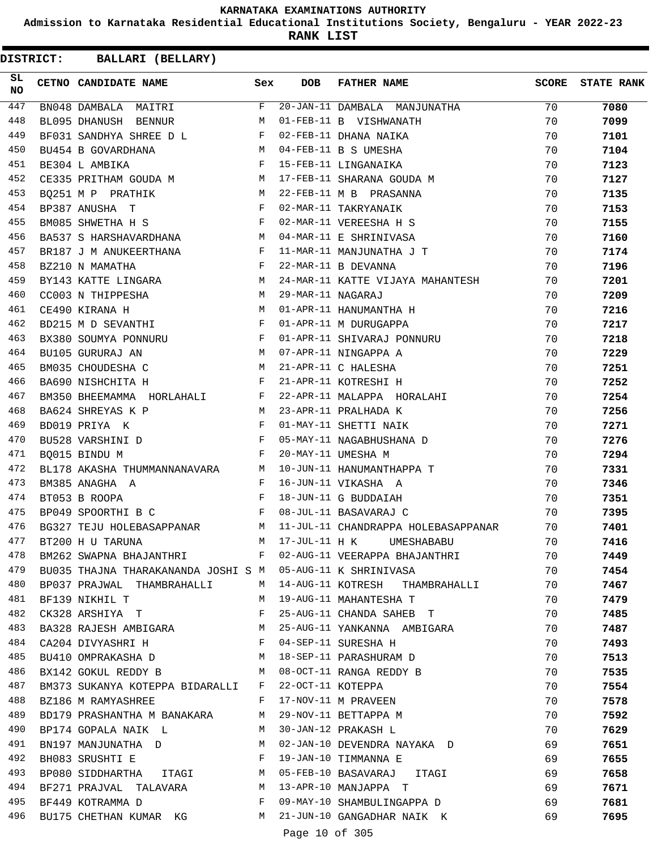**Admission to Karnataka Residential Educational Institutions Society, Bengaluru - YEAR 2022-23**

**RANK LIST**

**DISTRICT:** CC **BALLARI (BELLARY)**

| SL<br><b>NO</b> | CETNO CANDIDATE NAME                                                                            | Sex          | <b>DOB</b>        | <b>FATHER NAME</b>                                                                                            |    | SCORE STATE RANK |
|-----------------|-------------------------------------------------------------------------------------------------|--------------|-------------------|---------------------------------------------------------------------------------------------------------------|----|------------------|
| 447             | $\overline{\mathbf{F}}$<br>BN048 DAMBALA MAITRI                                                 |              |                   | 20-JAN-11 DAMBALA MANJUNATHA                                                                                  | 70 | 7080             |
| 448             | BL095 DHANUSH BENNUR M                                                                          |              |                   | 01-FEB-11 B VISHWANATH                                                                                        | 70 | 7099             |
| 449             | BF031 SANDHYA SHREE D L F                                                                       |              |                   | 02-FEB-11 DHANA NAIKA                                                                                         | 70 | 7101             |
| 450             |                                                                                                 |              |                   |                                                                                                               | 70 | 7104             |
| 451             |                                                                                                 |              |                   | BF031 SANDHYA SHREE D L<br>BU454 B GOVARDHANA M 04-FEB-11 B S UMESHA<br>PF304 L AMRIKA F 15-FEB-11 LINGANAIKA | 70 | 7123             |
| 452             |                                                                                                 |              |                   | CE335 PRITHAM GOUDA M M 17-FEB-11 SHARANA GOUDA M                                                             | 70 | 7127             |
| 453             | <b>M</b><br>BQ251 M P PRATHIK                                                                   |              |                   | 22-FEB-11 M B PRASANNA                                                                                        | 70 | 7135             |
| 454             | $\mathbf{F}$<br>BP387 ANUSHA T                                                                  |              |                   | 02-MAR-11 TAKRYANAIK                                                                                          | 70 | 7153             |
| 455             | BM085 SHWETHA H S F                                                                             |              |                   | 02-MAR-11 VEREESHA H S                                                                                        | 70 | 7155             |
| 456             | BA537 S HARSHAVARDHANA M                                                                        |              |                   | 04-MAR-11 E SHRINIVASA                                                                                        | 70 | 7160             |
| 457             | BR187 J M ANUKEERTHANA F                                                                        |              |                   | 11-MAR-11 MANJUNATHA J T                                                                                      | 70 | 7174             |
| 458             | $\mathbf{F}$<br>BZ210 N MAMATHA                                                                 |              |                   | 22-MAR-11 B DEVANNA                                                                                           | 70 | 7196             |
| 459             | BY143 KATTE LINGARA M                                                                           |              |                   | 24-MAR-11 KATTE VIJAYA MAHANTESH                                                                              | 70 | 7201             |
| 460             | CC003 N THIPPESHA M                                                                             |              | 29-MAR-11 NAGARAJ |                                                                                                               | 70 | 7209             |
| 461             | CE490 KIRANA H                                                                                  |              |                   | M 01-APR-11 HANUMANTHA H                                                                                      | 70 | 7216             |
| 462             | BD215 M D SEVANTHI F                                                                            |              |                   | 01-APR-11 M DURUGAPPA                                                                                         | 70 | 7217             |
| 463             |                                                                                                 |              |                   | BX380 SOUMYA PONNURU F 01-APR-11 SHIVARAJ PONNURU                                                             | 70 | 7218             |
| 464             | M 07-APR-11 NINGAPPA A<br>BU105 GURURAJ AN                                                      |              |                   |                                                                                                               | 70 | 7229             |
| 465             | BM035 CHOUDESHA C<br>$\mathbf M$                                                                |              |                   | 21-APR-11 C HALESHA                                                                                           | 70 | 7251             |
| 466             | $\mathbf{F}$ . The $\mathbf{F}$<br>BA690 NISHCHITA H                                            |              |                   | 21-APR-11 KOTRESHI H                                                                                          | 70 | 7252             |
| 467             |                                                                                                 |              |                   | BM350 BHEEMAMMA HORLAHALI F 22-APR-11 MALAPPA HORALAHI                                                        | 70 | 7254             |
| 468             | BA624 SHREYAS K P<br>M 23-APR-11 PRALHADA K                                                     |              |                   |                                                                                                               | 70 | 7256             |
| 469             | $\mathbf{F}$ . The contract of the contract of $\mathbf{F}$ , and $\mathbf{F}$<br>BD019 PRIYA K |              |                   | 01-MAY-11 SHETTI NAIK                                                                                         | 70 | 7271             |
| 470             | BU528 VARSHINI D F 05-MAY-11 NAGABHUSHANA D                                                     |              |                   |                                                                                                               | 70 | 7276             |
| 471             | BQ015 BINDU M                                                                                   | $\mathbb{F}$ |                   | 20-MAY-11 UMESHA M                                                                                            | 70 | 7294             |
| 472             |                                                                                                 |              |                   | BL178 AKASHA THUMMANNANAVARA M 10-JUN-11 HANUMANTHAPPA T                                                      | 70 | 7331             |
| 473             | BM385 ANAGHA A                                                                                  |              |                   | F 16-JUN-11 VIKASHA A                                                                                         | 70 | 7346             |
| 474             | $\mathbf{F}$ and $\mathbf{F}$<br>BT053 B ROOPA                                                  |              |                   | 18-JUN-11 G BUDDAIAH                                                                                          | 70 | 7351             |
| 475             | BP049 SPOORTHI B C                                                                              |              |                   | F 08-JUL-11 BASAVARAJ C                                                                                       | 70 | 7395             |
| 476             |                                                                                                 |              |                   | BG327 TEJU HOLEBASAPPANAR M 11-JUL-11 CHANDRAPPA HOLEBASAPPANAR                                               | 70 | 7401             |
| 477             | BT200 H U TARUNA                                                                                |              |                   | M 17-JUL-11 H K UMESHABABU                                                                                    | 70 | 7416             |
| 478             | BM262 SWAPNA BHAJANTHRI F                                                                       |              |                   |                                                                                                               | 70 | 7449             |
| 479             |                                                                                                 |              |                   | 02-AUG-11 VEERAPPA BHAJANTHRI                                                                                 |    |                  |
| 480             | BU035 THAJNA THARAKANANDA JOSHI S M 05-AUG-11 K SHRINIVASA                                      |              |                   |                                                                                                               | 70 | 7454             |
|                 | BP037 PRAJWAL THAMBRAHALLI                                                                      |              |                   | M 14-AUG-11 KOTRESH THAMBRAHALLI                                                                              | 70 | 7467             |
| 481             | BF139 NIKHIL T                                                                                  | M            |                   | 19-AUG-11 MAHANTESHA T                                                                                        | 70 | 7479             |
| 482             | CK328 ARSHIYA T                                                                                 | F            |                   | 25-AUG-11 CHANDA SAHEB T                                                                                      | 70 | 7485             |
| 483             | BA328 RAJESH AMBIGARA M                                                                         |              |                   | 25-AUG-11 YANKANNA AMBIGARA                                                                                   | 70 | 7487             |
| 484             | CA204 DIVYASHRI H                                                                               |              |                   | 04-SEP-11 SURESHA H                                                                                           | 70 | 7493             |
| 485             | BU410 OMPRAKASHA D M                                                                            |              |                   | 18-SEP-11 PARASHURAM D                                                                                        | 70 | 7513             |
| 486             | BX142 GOKUL REDDY B                                                                             | M            |                   | 08-OCT-11 RANGA REDDY B                                                                                       | 70 | 7535             |
| 487             | BM373 SUKANYA KOTEPPA BIDARALLI                                                                 | $\mathbf{F}$ | 22-OCT-11 KOTEPPA |                                                                                                               | 70 | 7554             |
| 488             | BZ186 M RAMYASHREE                                                                              | F            |                   | 17-NOV-11 M PRAVEEN                                                                                           | 70 | 7578             |
| 489             | BD179 PRASHANTHA M BANAKARA M                                                                   |              |                   | 29-NOV-11 BETTAPPA M                                                                                          | 70 | 7592             |
| 490             | BP174 GOPALA NAIK L                                                                             | M            |                   | 30-JAN-12 PRAKASH L                                                                                           | 70 | 7629             |
| 491             | BN197 MANJUNATHA D                                                                              | M            |                   | 02-JAN-10 DEVENDRA NAYAKA D                                                                                   | 69 | 7651             |
| 492             | BH083 SRUSHTI E                                                                                 | F            |                   | 19-JAN-10 TIMMANNA E                                                                                          | 69 | 7655             |
| 493             | BP080 SIDDHARTHA ITAGI M                                                                        |              |                   | 05-FEB-10 BASAVARAJ ITAGI                                                                                     | 69 | 7658             |
| 494             | BF271 PRAJVAL TALAVARA M                                                                        |              |                   | 13-APR-10 MANJAPPA T                                                                                          | 69 | 7671             |
| 495             | BF449 KOTRAMMA D                                                                                | $\mathbf{F}$ |                   | 09-MAY-10 SHAMBULINGAPPA D                                                                                    | 69 | 7681             |
| 496             | BU175 CHETHAN KUMAR KG M                                                                        |              |                   | 21-JUN-10 GANGADHAR NAIK K                                                                                    | 69 | 7695             |

Page 10 of 305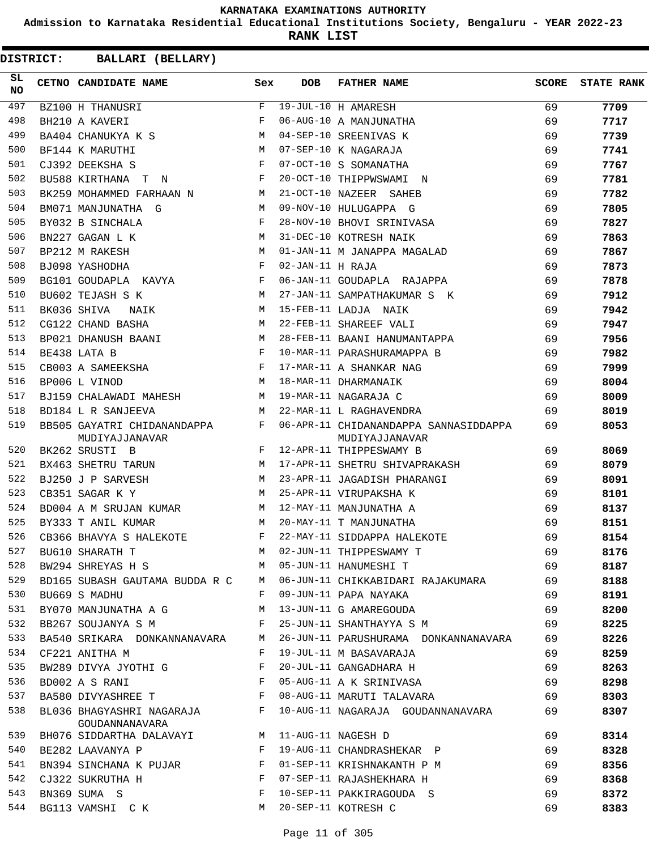**Admission to Karnataka Residential Educational Institutions Society, Bengaluru - YEAR 2022-23**

**RANK LIST**

| SL<br><b>NO</b> | CETNO CANDIDATE NAME                          | Sex          | <b>DOB</b>       | <b>FATHER NAME</b>                                      | <b>SCORE</b> | <b>STATE RANK</b> |
|-----------------|-----------------------------------------------|--------------|------------------|---------------------------------------------------------|--------------|-------------------|
| 497             | BZ100 H THANUSRI                              | F            |                  | 19-JUL-10 H AMARESH                                     | 69           | 7709              |
| 498             | BH210 A KAVERI                                | F            |                  | 06-AUG-10 A MANJUNATHA                                  | 69           | 7717              |
| 499             | BA404 CHANUKYA K S M                          |              |                  | 04-SEP-10 SREENIVAS K                                   | 69           | 7739              |
| 500             | M<br>BF144 K MARUTHI                          |              |                  | 07-SEP-10 K NAGARAJA                                    | 69           | 7741              |
| 501             | CJ392 DEEKSHA S                               | F            |                  | 07-OCT-10 S SOMANATHA                                   | 69           | 7767              |
| 502             | BU588 KIRTHANA T N                            | $\mathbf{F}$ |                  | 20-OCT-10 THIPPWSWAMI N                                 | 69           | 7781              |
| 503             | BK259 MOHAMMED FARHAAN N<br>$\mathbb{M}$      |              |                  | 21-OCT-10 NAZEER SAHEB                                  | 69           | 7782              |
| 504             | BM071 MANJUNATHA G                            | M            |                  | 09-NOV-10 HULUGAPPA G                                   | 69           | 7805              |
| 505             | BY032 B SINCHALA                              | F            |                  | 28-NOV-10 BHOVI SRINIVASA                               | 69           | 7827              |
| 506             | M <sub>1</sub><br>BN227 GAGAN L K             |              |                  | 31-DEC-10 KOTRESH NAIK                                  | 69           | 7863              |
| 507             | $M_{\rm H}$<br>BP212 M RAKESH                 |              |                  | 01-JAN-11 M JANAPPA MAGALAD                             | 69           | 7867              |
| 508             | $\mathbf{F}$<br>BJ098 YASHODHA                |              | 02-JAN-11 H RAJA |                                                         | 69           | 7873              |
| 509             | BG101 GOUDAPLA KAVYA                          | $\mathbf{F}$ |                  | 06-JAN-11 GOUDAPLA RAJAPPA                              | 69           | 7878              |
| 510             | BU602 TEJASH S K<br><b>M</b>                  |              |                  | 27-JAN-11 SAMPATHAKUMAR S K                             | 69           | 7912              |
| 511             | BK036 SHIVA<br>NAIK                           | M            |                  | 15-FEB-11 LADJA NAIK                                    | 69           | 7942              |
| 512             | <b>M</b><br>CG122 CHAND BASHA                 |              |                  | 22-FEB-11 SHAREEF VALI                                  | 69           | 7947              |
| 513             | BP021 DHANUSH BAANI                           | M            |                  | 28-FEB-11 BAANI HANUMANTAPPA                            | 69           | 7956              |
| 514             | $\mathbf{F}$ and $\mathbf{F}$<br>BE438 LATA B |              |                  | 10-MAR-11 PARASHURAMAPPA B                              | 69           | 7982              |
| 515             | CB003 A SAMEEKSHA F                           |              |                  | 17-MAR-11 A SHANKAR NAG                                 | 69           | 7999              |
| 516             | M<br>BP006 L VINOD                            |              |                  | 18-MAR-11 DHARMANAIK                                    | 69           | 8004              |
| 517             | BJ159 CHALAWADI MAHESH M                      |              |                  | 19-MAR-11 NAGARAJA C                                    | 69           | 8009              |
| 518             | BD184 L R SANJEEVA                            | M            |                  | 22-MAR-11 L RAGHAVENDRA                                 | 69           | 8019              |
| 519             | BB505 GAYATRI CHIDANANDAPPA<br>MUDIYAJJANAVAR | F            |                  | 06-APR-11 CHIDANANDAPPA SANNASIDDAPPA<br>MUDIYAJJANAVAR | 69           | 8053              |
| 520             | BK262 SRUSTI B                                | F            |                  | 12-APR-11 THIPPESWAMY B                                 | 69           | 8069              |
| 521             | BX463 SHETRU TARUN M                          |              |                  | 17-APR-11 SHETRU SHIVAPRAKASH                           | 69           | 8079              |
| 522             | M<br>BJ250 J P SARVESH                        |              |                  | 23-APR-11 JAGADISH PHARANGI                             | 69           | 8091              |
| 523             | CB351 SAGAR K Y                               | M            |                  | 25-APR-11 VIRUPAKSHA K                                  | 69           | 8101              |
| 524             | BD004 A M SRUJAN KUMAR M                      |              |                  | 12-MAY-11 MANJUNATHA A                                  | 69           | 8137              |
| 525             | BY333 T ANIL KUMAR<br>$M_{\rm}$               |              |                  | 20-MAY-11 T MANJUNATHA                                  | 69           | 8151              |
| 526             | $\mathbf{F}$<br>CB366 BHAVYA S HALEKOTE       |              |                  | 22-MAY-11 SIDDAPPA HALEKOTE                             | 69           | 8154              |
| 527             | BU610 SHARATH T                               |              |                  | M 02-JUN-11 THIPPESWAMY T                               | 69           | 8176              |
| 528             | BW294 SHREYAS H S                             | M            |                  | 05-JUN-11 HANUMESHI T                                   | 69           | 8187              |
| 529             | BD165 SUBASH GAUTAMA BUDDA R C                | M            |                  | 06-JUN-11 CHIKKABIDARI RAJAKUMARA                       | 69           | 8188              |
| 530             | BU669 S MADHU                                 | F            |                  | 09-JUN-11 PAPA NAYAKA                                   | 69           | 8191              |
| 531             | BY070 MANJUNATHA A G                          | М            |                  | 13-JUN-11 G AMAREGOUDA                                  | 69           | 8200              |
| 532             | BB267 SOUJANYA S M                            | F            |                  | 25-JUN-11 SHANTHAYYA S M                                | 69           | 8225              |
| 533             | BA540 SRIKARA DONKANNANAVARA                  | M            |                  | 26-JUN-11 PARUSHURAMA DONKANNANAVARA                    | 69           | 8226              |
| 534             | CF221 ANITHA M                                | F            |                  | 19-JUL-11 M BASAVARAJA                                  | 69           | 8259              |
| 535             | BW289 DIVYA JYOTHI G                          | F            |                  | 20-JUL-11 GANGADHARA H                                  | 69           | 8263              |
| 536             | BD002 A S RANI                                | F            |                  | 05-AUG-11 A K SRINIVASA                                 | 69           | 8298              |
| 537             | BA580 DIVYASHREE T F                          |              |                  | 08-AUG-11 MARUTI TALAVARA                               | 69           | 8303              |
| 538             | BL036 BHAGYASHRI NAGARAJA F<br>GOUDANNANAVARA |              |                  | 10-AUG-11 NAGARAJA GOUDANNANAVARA                       | 69           | 8307              |
| 539             | BH076 SIDDARTHA DALAVAYI M                    |              |                  | 11-AUG-11 NAGESH D                                      | 69           | 8314              |
| 540             | BE282 LAAVANYA P                              | F            |                  | 19-AUG-11 CHANDRASHEKAR P                               | 69           | 8328              |
| 541             | BN394 SINCHANA K PUJAR                        | F            |                  | 01-SEP-11 KRISHNAKANTH P M                              | 69           | 8356              |
| 542             | CJ322 SUKRUTHA H                              | F            |                  | 07-SEP-11 RAJASHEKHARA H                                | 69           | 8368              |
| 543             | BN369 SUMA S                                  | F            |                  | 10-SEP-11 PAKKIRAGOUDA S                                | 69           | 8372              |
| 544             | BG113 VAMSHI C K                              | M            |                  | 20-SEP-11 KOTRESH C                                     | 69           | 8383              |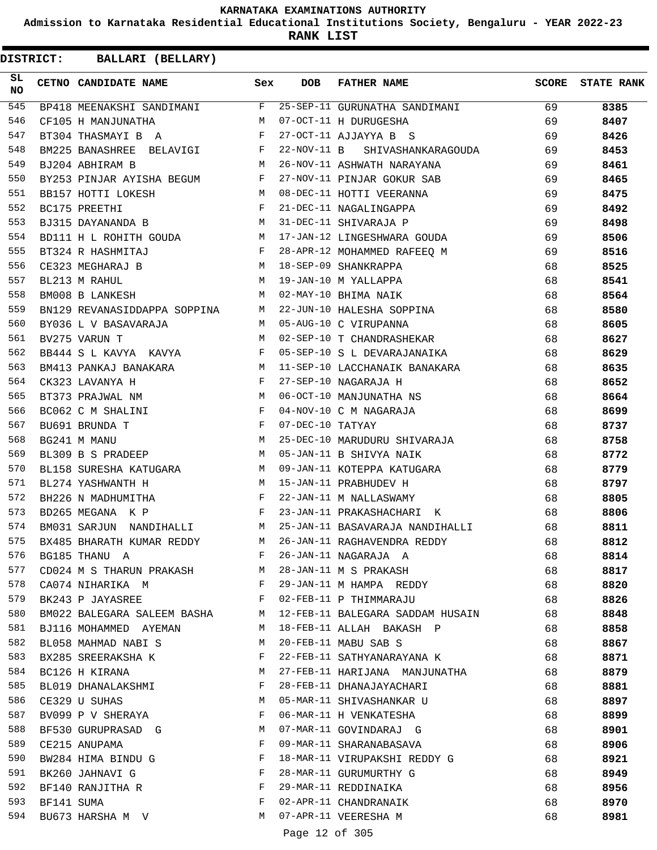**Admission to Karnataka Residential Educational Institutions Society, Bengaluru - YEAR 2022-23**

**RANK LIST**

| SL<br><b>NO</b> |            | CETNO CANDIDATE NAME                                                            | Sex          | DOB              | <b>FATHER NAME</b>                                                              | SCORE | <b>STATE RANK</b> |
|-----------------|------------|---------------------------------------------------------------------------------|--------------|------------------|---------------------------------------------------------------------------------|-------|-------------------|
| 545             |            |                                                                                 |              |                  | BP418 MEENAKSHI SANDIMANI F 25-SEP-11 GURUNATHA SANDIMANI 69                    |       | 8385              |
| 546             |            | CF105 H MANJUNATHA M 07-OCT-11 H DURUGESHA                                      |              |                  |                                                                                 | 69    | 8407              |
| 547             |            | BT304 THASMAYI B A F                                                            |              |                  | 27-OCT-11 AJJAYYA B S                                                           | 69    | 8426              |
| 548             |            | BM225 BANASHREE BELAVIGI F                                                      |              |                  | 22-NOV-11 B SHIVASHANKARAGOUDA                                                  | 69    | 8453              |
| 549             |            | BJ204 ABHIRAM B                                                                 | M            |                  | 26-NOV-11 ASHWATH NARAYANA                                                      | 69    | 8461              |
| 550             |            |                                                                                 |              |                  | BY253 PINJAR AYISHA BEGUM F 27-NOV-11 PINJAR GOKUR SAB                          | 69    | 8465              |
| 551             |            | BB157 HOTTI LOKESH                                                              |              |                  | M 08-DEC-11 HOTTI VEERANNA                                                      | 69    | 8475              |
| 552             |            | $\mathbf{F}$ and $\mathbf{F}$<br>BC175 PREETHI                                  |              |                  | 21-DEC-11 NAGALINGAPPA                                                          | 69    | 8492              |
| 553             |            | BJ315 DAYANANDA B M 31-DEC-11 SHIVARAJA P                                       |              |                  |                                                                                 | 69    | 8498              |
| 554             |            |                                                                                 |              |                  | BD111 H L ROHITH GOUDA M 17-JAN-12 LINGESHWARA GOUDA                            | 69    | 8506              |
| 555             |            | $\mathbf{F}$ and the contract of the contract $\mathbf{F}$<br>BT324 R HASHMITAJ |              |                  | 28-APR-12 MOHAMMED RAFEEQ M                                                     | 69    | 8516              |
| 556             |            | CE323 MEGHARAJ B                                                                |              |                  | B<br>M 18-SEP-09 SHANKRAPPA<br>M 19-JAN-10 M YALLAPPA<br>M 02-MAY-10 BHIMA NAIK | 68    | 8525              |
| 557             |            | BL213 M RAHUL                                                                   |              |                  |                                                                                 | 68    | 8541              |
| 558             |            | BM008 B LANKESH                                                                 |              |                  |                                                                                 | 68    | 8564              |
| 559             |            |                                                                                 |              |                  | BN129 REVANASIDDAPPA SOPPINA M 22-JUN-10 HALESHA SOPPINA                        | 68    | 8580              |
| 560             |            |                                                                                 |              |                  | BY036 L V BASAVARAJA M 05-AUG-10 C VIRUPANNA                                    | 68    | 8605              |
| 561             |            | BV275 VARUN T                                                                   |              |                  | M 02-SEP-10 T CHANDRASHEKAR                                                     | 68    | 8627              |
| 562             |            |                                                                                 |              |                  | BB444 S L KAVYA KAVYA $F$ 05-SEP-10 S L DEVARAJANAIKA                           | 68    | 8629              |
| 563             |            |                                                                                 |              |                  | BM413 PANKAJ BANAKARA M 11-SEP-10 LACCHANAIK BANAKARA                           | 68    | 8635              |
| 564             |            | $\mathbf{F}$<br>CK323 LAVANYA H                                                 |              |                  | 27-SEP-10 NAGARAJA H                                                            | 68    | 8652              |
| 565             |            | M<br>BT373 PRAJWAL NM                                                           |              |                  | 06-OCT-10 MANJUNATHA NS<br>04-NOV-10 C M NAGARAJA                               | 68    | 8664              |
| 566             |            | $\mathbf{F}$ . The set of $\mathbf{F}$<br>BC062 C M SHALINI                     |              |                  |                                                                                 | 68    | 8699              |
| 567             |            | BU691 BRUNDA T                                                                  |              | 07-DEC-10 TATYAY |                                                                                 | 68    | 8737              |
| 568             |            | $\begin{array}{c} \n\text{F} \\ \text{M}\n\end{array}$<br>BG241 M MANU          |              |                  | 25-DEC-10 MARUDURU SHIVARAJA                                                    | 68    | 8758              |
| 569             |            | BL309 B S PRADEEP                                                               |              |                  | M 05-JAN-11 B SHIVYA NAIK                                                       | 68    | 8772              |
| 570             |            |                                                                                 |              |                  | BL158 SURESHA KATUGARA M 09-JAN-11 KOTEPPA KATUGARA                             | 68    | 8779              |
| 571             |            | BL274 YASHWANTH H                                                               |              |                  | M 15-JAN-11 PRABHUDEV H                                                         | 68    | 8797              |
| 572             |            | BH226 N MADHUMITHA F                                                            |              |                  | 22-JAN-11 M NALLASWAMY                                                          | 68    | 8805              |
| 573             |            | $\mathbf{F}$<br>BD265 MEGANA K P                                                |              |                  | 23-JAN-11 PRAKASHACHARI K                                                       | 68    | 8806              |
| 574             |            |                                                                                 |              |                  | BM031 SARJUN NANDIHALLI M 25-JAN-11 BASAVARAJA NANDIHALLI                       | 68    | 8811              |
| 575             |            | BX485 BHARATH KUMAR REDDY                                                       |              |                  | M 26-JAN-11 RAGHAVENDRA REDDY                                                   | 68    | 8812              |
| 576             |            | BG185 THANU A                                                                   | F            |                  | 26-JAN-11 NAGARAJA A                                                            | 68    | 8814              |
| 577             |            | CD024 M S THARUN PRAKASH                                                        | M            |                  | 28-JAN-11 M S PRAKASH                                                           | 68    | 8817              |
| 578             |            | CA074 NIHARIKA M                                                                | F            |                  | 29-JAN-11 M HAMPA REDDY                                                         | 68    | 8820              |
| 579             |            | BK243 P JAYASREE                                                                | $\mathbf{F}$ |                  | 02-FEB-11 P THIMMARAJU                                                          | 68    | 8826              |
| 580             |            | BM022 BALEGARA SALEEM BASHA                                                     | M            |                  | 12-FEB-11 BALEGARA SADDAM HUSAIN                                                | 68    | 8848              |
| 581             |            | BJ116 MOHAMMED AYEMAN                                                           | M            |                  | 18-FEB-11 ALLAH BAKASH P                                                        | 68    | 8858              |
| 582             |            | BL058 MAHMAD NABI S                                                             | М            |                  | 20-FEB-11 MABU SAB S                                                            | 68    | 8867              |
| 583             |            | BX285 SREERAKSHA K                                                              | F            |                  | 22-FEB-11 SATHYANARAYANA K                                                      | 68    | 8871              |
| 584             |            | BC126 H KIRANA                                                                  | М            |                  | 27-FEB-11 HARIJANA MANJUNATHA                                                   | 68    | 8879              |
| 585             |            | BL019 DHANALAKSHMI                                                              | F            |                  | 28-FEB-11 DHANAJAYACHARI                                                        | 68    | 8881              |
| 586             |            | CE329 U SUHAS                                                                   | М            |                  | 05-MAR-11 SHIVASHANKAR U                                                        | 68    | 8897              |
| 587             |            | BV099 P V SHERAYA                                                               | F            |                  | 06-MAR-11 H VENKATESHA                                                          | 68    | 8899              |
| 588             |            | BF530 GURUPRASAD G                                                              | М            |                  | 07-MAR-11 GOVINDARAJ G                                                          | 68    | 8901              |
| 589             |            | CE215 ANUPAMA                                                                   | F            |                  | 09-MAR-11 SHARANABASAVA                                                         | 68    | 8906              |
| 590             |            | BW284 HIMA BINDU G                                                              | F            |                  | 18-MAR-11 VIRUPAKSHI REDDY G                                                    | 68    | 8921              |
| 591             |            | BK260 JAHNAVI G                                                                 | F            |                  | 28-MAR-11 GURUMURTHY G                                                          | 68    | 8949              |
| 592             |            | BF140 RANJITHA R                                                                | F            |                  | 29-MAR-11 REDDINAIKA                                                            | 68    | 8956              |
| 593             | BF141 SUMA |                                                                                 | F            |                  | 02-APR-11 CHANDRANAIK                                                           | 68    | 8970              |
| 594             |            | BU673 HARSHA M V                                                                | М            |                  | 07-APR-11 VEERESHA M                                                            | 68    | 8981              |
|                 |            |                                                                                 |              |                  |                                                                                 |       |                   |
|                 |            |                                                                                 |              | Page 12 of 305   |                                                                                 |       |                   |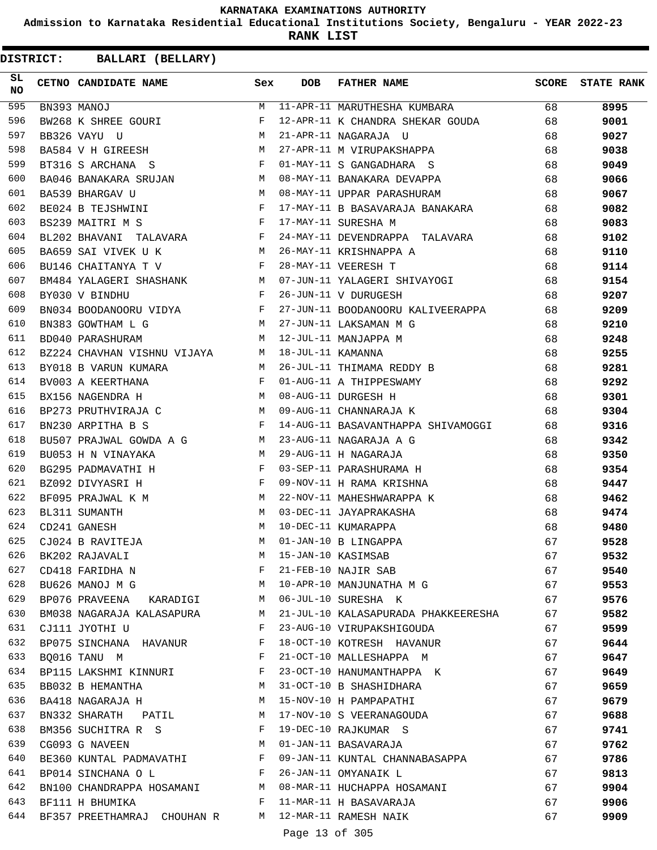**Admission to Karnataka Residential Educational Institutions Society, Bengaluru - YEAR 2022-23**

**RANK LIST**

| SL<br><b>NO</b> | CETNO CANDIDATE NAME                                                                                                                                                                                                                                   | Sex | <b>DOB</b>     | <b>FATHER NAME</b>                                                                          | SCORE    | <b>STATE RANK</b> |
|-----------------|--------------------------------------------------------------------------------------------------------------------------------------------------------------------------------------------------------------------------------------------------------|-----|----------------|---------------------------------------------------------------------------------------------|----------|-------------------|
| 595             | BN393 MANOJ                                                                                                                                                                                                                                            |     |                | M 11-APR-11 MARUTHESHA KUMBARA 68                                                           |          | 8995              |
| 596             | BW268 K SHREE GOURI                                                                                                                                                                                                                                    | F   |                | 12-APR-11 K CHANDRA SHEKAR GOUDA 68                                                         |          | 9001              |
| 597             | M <sub>N</sub><br>BB326 VAYU U                                                                                                                                                                                                                         |     |                | 68<br>21-APR-11 NAGARAJA U                                                                  |          | 9027              |
| 598             | BA584 V H GIREESH M                                                                                                                                                                                                                                    |     |                | 27-APR-11 M VIRUPAKSHAPPA                                                                   | 68       | 9038              |
| 599             |                                                                                                                                                                                                                                                        |     |                | BT316 S ARCHANA S F 01-MAY-11 S GANGADHARA S                                                | 68       | 9049              |
| 600             |                                                                                                                                                                                                                                                        |     |                | BA046 BANAKARA SRUJAN M 08-MAY-11 BANAKARA DEVAPPA                                          | 68       | 9066              |
| 601             | BA539 BHARGAV U                                                                                                                                                                                                                                        |     |                | M 08-MAY-11 UPPAR PARASHURAM                                                                | 68       | 9067              |
| 602             | BE024 B TEJSHWINI F                                                                                                                                                                                                                                    |     |                | 17-MAY-11 B BASAVARAJA BANAKARA 68                                                          |          | 9082              |
| 603             | BS239 MAITRI M S                                                                                                                                                                                                                                       |     |                | F 17-MAY-11 SURESHA M                                                                       | 68       | 9083              |
| 604             |                                                                                                                                                                                                                                                        |     |                | BL202 BHAVANI TALAVARA F 24-MAY-11 DEVENDRAPPA TALAVARA 68                                  |          | 9102              |
| 605             | BA659 SAI VIVEK U K<br>$\mathbf M$                                                                                                                                                                                                                     |     |                | 26-MAY-11 KRISHNAPPA A<br>68                                                                |          | 9110              |
| 606             | $\mathbf{F}$ and $\mathbf{F}$<br>BU146 CHAITANYA T V                                                                                                                                                                                                   |     |                | 28-MAY-11 VEERESH T                                                                         | 68       | 9114              |
| 607             |                                                                                                                                                                                                                                                        |     |                |                                                                                             | 68       | 9154              |
| 608             |                                                                                                                                                                                                                                                        |     |                | BM484 YALAGERI SHASHANK MO7-JUN-11 YALAGERI SHIVAYOGI BYO30 V BINDHU F 26-JUN-11 V DURUGESH | 68       | 9207              |
| 609             |                                                                                                                                                                                                                                                        |     |                | BN034 BOODANOORU VIDYA $F$ 27-JUN-11 BOODANOORU KALIVEERAPPA 68                             |          | 9209              |
| 610             | BN383 GOWTHAM L G                                                                                                                                                                                                                                      |     |                | M 27-JUN-11 LAKSAMAN M G                                                                    | 68       | 9210              |
| 611             | BD040 PARASHURAM                                                                                                                                                                                                                                       |     |                | M 12-JUL-11 MANJAPPA M                                                                      | 68       | 9248              |
| 612             | BZ224 CHAVHAN VISHNU VIJAYA M 18-JUL-11 KAMANNA                                                                                                                                                                                                        |     |                |                                                                                             | 68       | 9255              |
| 613             | BY018 B VARUN KUMARA                                                                                                                                                                                                                                   |     |                | M 26-JUL-11 THIMAMA REDDY B                                                                 | 68       | 9281              |
| 614             | $\mathbb{R}^n$ . The set of $\mathbb{R}^n$<br>BV003 A KEERTHANA                                                                                                                                                                                        |     |                | 01-AUG-11 A THIPPESWAMY                                                                     |          | 9292              |
| 615             | M 08-AUG-11 DURGESH H<br>BX156 NAGENDRA H                                                                                                                                                                                                              |     |                | AMY 68<br>68                                                                                |          | 9301              |
| 616             | BP273 PRUTHVIRAJA C M 09-AUG-11 CHANNARAJA K                                                                                                                                                                                                           |     |                |                                                                                             | 68       | 9304              |
| 617             | $\mathbf{F}$ and the set of the set of the set of the set of the set of the set of the set of the set of the set of the set of the set of the set of the set of the set of the set of the set of the set of the set of the set of<br>BN230 ARPITHA B S |     |                | 14-AUG-11 BASAVANTHAPPA SHIVAMOGGI 68                                                       |          | 9316              |
| 618             | BU507 PRAJWAL GOWDA A G M 23-AUG-11 NAGARAJA A G                                                                                                                                                                                                       |     |                |                                                                                             | 68       | 9342              |
| 619             | BU053 H N VINAYAKA                                                                                                                                                                                                                                     |     |                | M 29-AUG-11 H NAGARAJA                                                                      | 68       | 9350              |
| 620             |                                                                                                                                                                                                                                                        |     |                | BG295 PADMAVATHI H F 03-SEP-11 PARASHURAMA H                                                | 68       | 9354              |
| 621             | $\mathbf{F}$<br>BZ092 DIVYASRI H                                                                                                                                                                                                                       |     |                | 09-NOV-11 H RAMA KRISHNA                                                                    | 68       | 9447              |
| 622             | M<br>BF095 PRAJWAL K M                                                                                                                                                                                                                                 |     |                | 22-NOV-11 MAHESHWARAPPA K                                                                   | 68       | 9462              |
| 623             | BL311 SUMANTH                                                                                                                                                                                                                                          |     |                | M 03-DEC-11 JAYAPRAKASHA                                                                    | 68       | 9474              |
| 624             | CD241 GANESH                                                                                                                                                                                                                                           | M   |                | 10-DEC-11 KUMARAPPA                                                                         | 68       | 9480              |
| 625             | CJ024 B RAVITEJA                                                                                                                                                                                                                                       |     |                | M 01-JAN-10 B LINGAPPA                                                                      | 67       | 9528              |
| 626             | BK202 RAJAVALI                                                                                                                                                                                                                                         | М   |                | 15-JAN-10 KASIMSAB                                                                          | 67       | 9532              |
| 627             | CD418 FARIDHA N                                                                                                                                                                                                                                        | F   |                | 21-FEB-10 NAJIR SAB                                                                         | 67       | 9540              |
| 628             | BU626 MANOJ M G                                                                                                                                                                                                                                        | М   |                | 10-APR-10 MANJUNATHA M G                                                                    | 67       | 9553              |
| 629             | BP076 PRAVEENA<br>KARADIGI                                                                                                                                                                                                                             | M   |                | 06-JUL-10 SURESHA K                                                                         | 67       | 9576              |
| 630             | BM038 NAGARAJA KALASAPURA                                                                                                                                                                                                                              | M   |                | 21-JUL-10 KALASAPURADA PHAKKEERESHA                                                         | 67       | 9582              |
| 631             | CJ111 JYOTHI U                                                                                                                                                                                                                                         | F   |                | 23-AUG-10 VIRUPAKSHIGOUDA                                                                   | 67       | 9599              |
| 632             | BP075 SINCHANA HAVANUR                                                                                                                                                                                                                                 | F   |                | 18-OCT-10 KOTRESH HAVANUR                                                                   | 67       | 9644              |
| 633             | BQ016 TANU M                                                                                                                                                                                                                                           | F   |                | 21-OCT-10 MALLESHAPPA M                                                                     | 67       | 9647              |
| 634             | BP115 LAKSHMI KINNURI                                                                                                                                                                                                                                  | F   |                | 23-OCT-10 HANUMANTHAPPA K                                                                   | 67       | 9649              |
| 635             | BB032 B HEMANTHA                                                                                                                                                                                                                                       | M   |                | 31-OCT-10 B SHASHIDHARA                                                                     | 67       | 9659              |
| 636             | BA418 NAGARAJA H                                                                                                                                                                                                                                       | M   |                | 15-NOV-10 H PAMPAPATHI                                                                      | 67       | 9679              |
| 637             | BN332 SHARATH PATIL                                                                                                                                                                                                                                    | M   |                | 17-NOV-10 S VEERANAGOUDA                                                                    | 67       | 9688              |
| 638             |                                                                                                                                                                                                                                                        | F   |                | 19-DEC-10 RAJKUMAR S                                                                        |          |                   |
| 639             | BM356 SUCHITRA R S                                                                                                                                                                                                                                     | M   |                | 01-JAN-11 BASAVARAJA                                                                        | 67<br>67 | 9741              |
| 640             | CG093 G NAVEEN                                                                                                                                                                                                                                         | F   |                |                                                                                             |          | 9762              |
| 641             | BE360 KUNTAL PADMAVATHI                                                                                                                                                                                                                                | F   |                | 09-JAN-11 KUNTAL CHANNABASAPPA<br>26-JAN-11 OMYANAIK L                                      | 67       | 9786              |
| 642             | BP014 SINCHANA O L                                                                                                                                                                                                                                     |     |                |                                                                                             | 67       | 9813              |
|                 | BN100 CHANDRAPPA HOSAMANI                                                                                                                                                                                                                              | M   |                | 08-MAR-11 HUCHAPPA HOSAMANI                                                                 | 67       | 9904              |
| 643             | BF111 H BHUMIKA                                                                                                                                                                                                                                        | F   |                | 11-MAR-11 H BASAVARAJA                                                                      | 67       | 9906              |
| 644             | BF357 PREETHAMRAJ CHOUHAN R                                                                                                                                                                                                                            | M   |                | 12-MAR-11 RAMESH NAIK                                                                       | 67       | 9909              |
|                 |                                                                                                                                                                                                                                                        |     | Page 13 of 305 |                                                                                             |          |                   |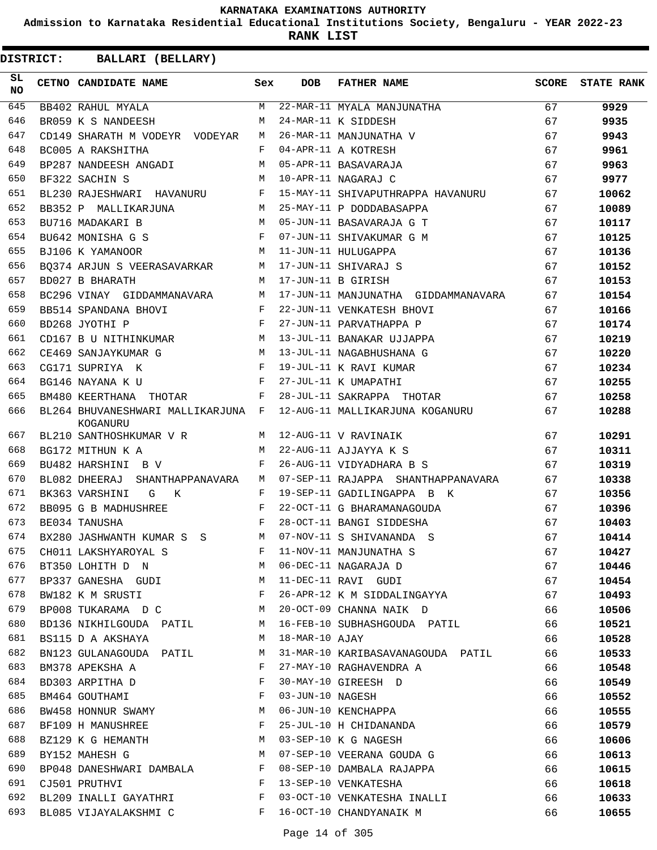**Admission to Karnataka Residential Educational Institutions Society, Bengaluru - YEAR 2022-23**

**RANK LIST**

| SL.<br><b>NO</b> | <b>CETNO CANDIDATE NAME</b>                                                                                                                                                                                                                            | Sex | <b>DOB</b>          | <b>FATHER NAME</b>                  | SCORE | <b>STATE RANK</b> |
|------------------|--------------------------------------------------------------------------------------------------------------------------------------------------------------------------------------------------------------------------------------------------------|-----|---------------------|-------------------------------------|-------|-------------------|
| 645              | BB402 RAHUL MYALA                                                                                                                                                                                                                                      | M   |                     | 22-MAR-11 MYALA MANJUNATHA          | 67    | 9929              |
| 646              | BR059 K S NANDEESH                                                                                                                                                                                                                                     | М   |                     | 24-MAR-11 K SIDDESH                 | 67    | 9935              |
| 647              | CD149 SHARATH M VODEYR VODEYAR                                                                                                                                                                                                                         | M   |                     | 26-MAR-11 MANJUNATHA V              | 67    | 9943              |
| 648              | BC005 A RAKSHITHA                                                                                                                                                                                                                                      | F   |                     | 04-APR-11 A KOTRESH                 | 67    | 9961              |
| 649              | BP287 NANDEESH ANGADI                                                                                                                                                                                                                                  | M   |                     | 05-APR-11 BASAVARAJA                | 67    | 9963              |
| 650              | BF322 SACHIN S<br><b>M</b>                                                                                                                                                                                                                             |     |                     | 10-APR-11 NAGARAJ C                 | 67    | 9977              |
| 651              | BL230 RAJESHWARI HAVANURU                                                                                                                                                                                                                              | F   |                     | 15-MAY-11 SHIVAPUTHRAPPA HAVANURU   | 67    | 10062             |
| 652              | BB352 P MALLIKARJUNA<br><b>Example 19</b> M                                                                                                                                                                                                            |     |                     | 25-MAY-11 P DODDABASAPPA            | 67    | 10089             |
| 653              | BU716 MADAKARI B                                                                                                                                                                                                                                       | M   |                     | 05-JUN-11 BASAVARAJA G T            | 67    | 10117             |
| 654              | $\mathbf{F}$ and the set of the set of the set of the set of the set of the set of the set of the set of the set of the set of the set of the set of the set of the set of the set of the set of the set of the set of the set of<br>BU642 MONISHA G S |     |                     | 07-JUN-11 SHIVAKUMAR G M            | 67    | 10125             |
| 655              | <b>M</b><br>BJ106 K YAMANOOR                                                                                                                                                                                                                           |     |                     | 11-JUN-11 HULUGAPPA                 | 67    | 10136             |
| 656              | BQ374 ARJUN S VEERASAVARKAR M                                                                                                                                                                                                                          |     |                     | 17-JUN-11 SHIVARAJ S                | 67    | 10152             |
| 657              | BD027 B BHARATH                                                                                                                                                                                                                                        | M   |                     | 17-JUN-11 B GIRISH                  | 67    | 10153             |
| 658              | BC296 VINAY GIDDAMMANAVARA                                                                                                                                                                                                                             | M   |                     | 17-JUN-11 MANJUNATHA GIDDAMMANAVARA | 67    | 10154             |
| 659              | BB514 SPANDANA BHOVI                                                                                                                                                                                                                                   | F   |                     | 22-JUN-11 VENKATESH BHOVI           | 67    | 10166             |
| 660              | $\mathbf{F}$<br>BD268 JYOTHI P                                                                                                                                                                                                                         |     |                     | 27-JUN-11 PARVATHAPPA P             | 67    | 10174             |
| 661              | M <sub>1</sub><br>CD167 B U NITHINKUMAR                                                                                                                                                                                                                |     |                     | 13-JUL-11 BANAKAR UJJAPPA           | 67    | 10219             |
| 662              | CE469 SANJAYKUMAR G<br>M <sub>1</sub>                                                                                                                                                                                                                  |     |                     | 13-JUL-11 NAGABHUSHANA G            | 67    | 10220             |
| 663              | $\mathbf{F}$ and the contract of the contract of $\mathbf{F}$<br>CG171 SUPRIYA K                                                                                                                                                                       |     |                     | 19-JUL-11 K RAVI KUMAR              | 67    | 10234             |
| 664              | $\mathbf{F}$<br>BG146 NAYANA K U                                                                                                                                                                                                                       |     |                     | 27-JUL-11 K UMAPATHI                | 67    | 10255             |
| 665              | <b>Expanding Property</b><br>BM480 KEERTHANA THOTAR                                                                                                                                                                                                    |     |                     | 28-JUL-11 SAKRAPPA THOTAR           | 67    | 10258             |
| 666              | BL264 BHUVANESHWARI MALLIKARJUNA F<br>KOGANURU                                                                                                                                                                                                         |     |                     | 12-AUG-11 MALLIKARJUNA KOGANURU     | 67    | 10288             |
| 667              | BL210 SANTHOSHKUMAR V R M                                                                                                                                                                                                                              |     |                     | 12-AUG-11 V RAVINAIK                | 67    | 10291             |
| 668              | BG172 MITHUN K A                                                                                                                                                                                                                                       | M   |                     | 22-AUG-11 AJJAYYA K S               | 67    | 10311             |
| 669              | BU482 HARSHINI B V                                                                                                                                                                                                                                     | F   |                     | 26-AUG-11 VIDYADHARA B S            | 67    | 10319             |
| 670              | BL082 DHEERAJ SHANTHAPPANAVARA                                                                                                                                                                                                                         | M   |                     | 07-SEP-11 RAJAPPA SHANTHAPPANAVARA  | 67    | 10338             |
| 671              | BK363 VARSHINI<br>G K                                                                                                                                                                                                                                  | F   |                     | 19-SEP-11 GADILINGAPPA B K          | 67    | 10356             |
| 672              | BB095 G B MADHUSHREE                                                                                                                                                                                                                                   | F   |                     | 22-OCT-11 G BHARAMANAGOUDA          | 67    | 10396             |
| 673              | BE034 TANUSHA                                                                                                                                                                                                                                          | F   |                     | 28-OCT-11 BANGI SIDDESHA            | 67    | 10403             |
| 674              | BX280 JASHWANTH KUMAR S S M                                                                                                                                                                                                                            |     |                     | 07-NOV-11 S SHIVANANDA S            | 67    | 10414             |
| 675              | CH011 LAKSHYAROYAL S                                                                                                                                                                                                                                   |     |                     | F 11-NOV-11 MANJUNATHA S            | 67    | 10427             |
| 676              | BT350 LOHITH D N                                                                                                                                                                                                                                       | M   |                     | 06-DEC-11 NAGARAJA D                | 67    | 10446             |
| 677              | <b>M</b><br>BP337 GANESHA GUDI                                                                                                                                                                                                                         |     |                     | 11-DEC-11 RAVI GUDI                 | 67    | 10454             |
| 678              | BW182 K M SRUSTI                                                                                                                                                                                                                                       | F   |                     | 26-APR-12 K M SIDDALINGAYYA         | 67    | 10493             |
| 679              | M <sub>N</sub><br>BP008 TUKARAMA D C                                                                                                                                                                                                                   |     |                     | 20-OCT-09 CHANNA NAIK D             | 66    | 10506             |
| 680              | BD136 NIKHILGOUDA PATIL M                                                                                                                                                                                                                              |     |                     | 16-FEB-10 SUBHASHGOUDA PATIL        | 66    | 10521             |
| 681              | BS115 D A AKSHAYA                                                                                                                                                                                                                                      | M   | $18$ -MAR-10 $AJAY$ |                                     | 66    | 10528             |
| 682              | BN123 GULANAGOUDA PATIL                                                                                                                                                                                                                                | M   |                     | 31-MAR-10 KARIBASAVANAGOUDA PATIL   | 66    | 10533             |
| 683              | BM378 APEKSHA A                                                                                                                                                                                                                                        | F   |                     | 27-MAY-10 RAGHAVENDRA A             | 66    | 10548             |
| 684              | BD303 ARPITHA D                                                                                                                                                                                                                                        | F   |                     | 30-MAY-10 GIREESH D                 | 66    | 10549             |
| 685              | BM464 GOUTHAMI                                                                                                                                                                                                                                         | F   |                     | 03-JUN-10 NAGESH                    | 66    |                   |
| 686              | BW458 HONNUR SWAMY                                                                                                                                                                                                                                     | M   |                     | 06-JUN-10 KENCHAPPA                 | 66    | 10552<br>10555    |
| 687              |                                                                                                                                                                                                                                                        | F   |                     |                                     | 66    | 10579             |
|                  | BF109 H MANUSHREE                                                                                                                                                                                                                                      |     |                     | 25-JUL-10 H CHIDANANDA              |       |                   |
| 688              | BZ129 K G HEMANTH M                                                                                                                                                                                                                                    |     |                     | 03-SEP-10 K G NAGESH                | 66    | 10606             |
| 689              | BY152 MAHESH G<br><b>M</b>                                                                                                                                                                                                                             |     |                     | 07-SEP-10 VEERANA GOUDA G           | 66    | 10613             |
| 690              | BP048 DANESHWARI DAMBALA F                                                                                                                                                                                                                             |     |                     | 08-SEP-10 DAMBALA RAJAPPA           | 66    | 10615             |
| 691              | CJ501 PRUTHVI                                                                                                                                                                                                                                          | F   |                     | 13-SEP-10 VENKATESHA                | 66    | 10618             |
| 692              | BL209 INALLI GAYATHRI                                                                                                                                                                                                                                  | F   |                     | 03-OCT-10 VENKATESHA INALLI         | 66    | 10633             |
| 693              | BL085 VIJAYALAKSHMI C                                                                                                                                                                                                                                  | F   |                     | 16-OCT-10 CHANDYANAIK M             | 66    | 10655             |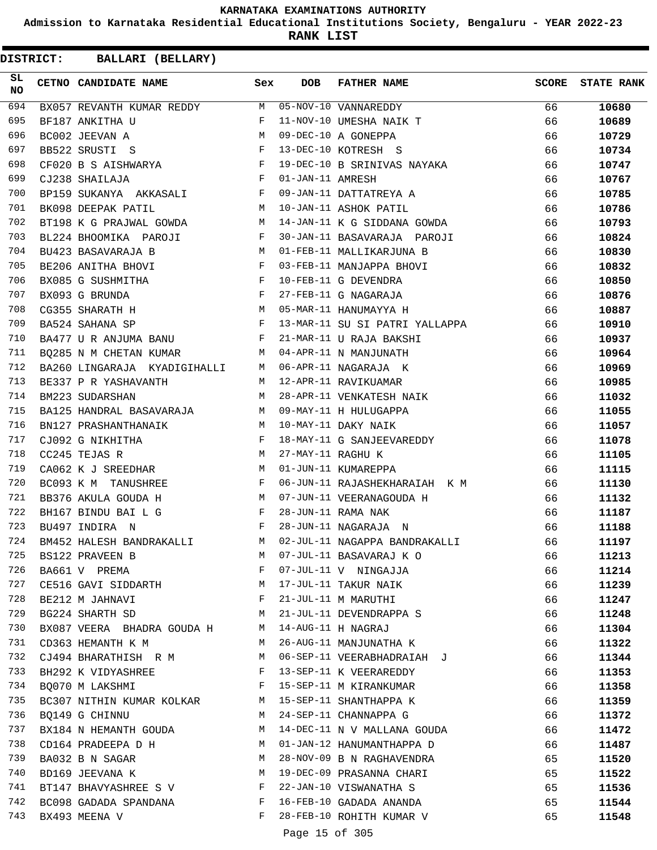**Admission to Karnataka Residential Educational Institutions Society, Bengaluru - YEAR 2022-23**

**RANK LIST**

| SL<br><b>NO</b> | CETNO CANDIDATE NAME                                                                                                                                                    | Sex | <b>DOB</b>        | <b>FATHER NAME</b>                                                                           | <b>SCORE</b> | <b>STATE RANK</b> |
|-----------------|-------------------------------------------------------------------------------------------------------------------------------------------------------------------------|-----|-------------------|----------------------------------------------------------------------------------------------|--------------|-------------------|
| 694             |                                                                                                                                                                         |     |                   | BX057 REVANTH KUMAR REDDY MO5-NOV-10 VANNAREDDY<br>BF187 ANKITHA U F 11-NOV-10 UMESHA NAIK T | 66           | 10680             |
| 695             |                                                                                                                                                                         |     |                   |                                                                                              | 66           | 10689             |
| 696             | $\mathbf M$<br>BC002 JEEVAN A                                                                                                                                           |     |                   | 09-DEC-10 A GONEPPA                                                                          | 66           | 10729             |
| 697             | $\mathbf{F}$<br>BB522 SRUSTI S                                                                                                                                          |     |                   | 13-DEC-10 KOTRESH S                                                                          | 66           | 10734             |
| 698             | $\begin{array}{lllllll} \texttt{CF020} & \texttt{B} & \texttt{S} & \texttt{AISHWARYA} & \texttt{F}\\ \texttt{CJ238} & \texttt{SHAILAJA} & & & & \texttt{F} \end{array}$ |     |                   | 19-DEC-10 B SRINIVAS NAYAKA                                                                  | 66           | 10747             |
| 699             |                                                                                                                                                                         |     | 01-JAN-11 AMRESH  |                                                                                              | 66           | 10767             |
| 700             | BP159 SUKANYA AKKASALI F                                                                                                                                                |     |                   | 09-JAN-11 DATTATREYA A                                                                       | 66           | 10785             |
| 701             | M<br>BK098 DEEPAK PATIL                                                                                                                                                 |     |                   | 10-JAN-11 ASHOK PATIL                                                                        | 66           | 10786             |
| 702             | BT198 K G PRAJWAL GOWDA M                                                                                                                                               |     |                   | 14-JAN-11 K G SIDDANA GOWDA                                                                  | 66           | 10793             |
| 703             | BL224 BHOOMIKA PAROJI                                                                                                                                                   | F   |                   | 30-JAN-11 BASAVARAJA PAROJI                                                                  | 66           | 10824             |
| 704             | BU423 BASAVARAJA B M                                                                                                                                                    |     |                   | 01-FEB-11 MALLIKARJUNA B                                                                     | 66           | 10830             |
| 705             | $\mathbf{F}$ and $\mathbf{F}$ and $\mathbf{F}$<br>BE206 ANITHA BHOVI                                                                                                    |     |                   | 03-FEB-11 MANJAPPA BHOVI                                                                     | 66           | 10832             |
| 706             | BX085 G SUSHMITHA F<br>BX093 G BRUNDA F                                                                                                                                 |     |                   | 10-FEB-11 G DEVENDRA                                                                         | 66           | 10850             |
| 707             |                                                                                                                                                                         |     |                   | 27-FEB-11 G NAGARAJA                                                                         | 66           | 10876             |
| 708             | CG355 SHARATH H                                                                                                                                                         |     |                   | 05-MAR-11 HANUMAYYA H                                                                        | 66           | 10887             |
| 709             | $\mathbf{F}$<br>BA524 SAHANA SP                                                                                                                                         |     |                   | 13-MAR-11 SU SI PATRI YALLAPPA                                                               | 66           | 10910             |
| 710             | BA477 U R ANJUMA BANU                                                                                                                                                   | F   |                   | 21-MAR-11 U RAJA BAKSHI                                                                      | 66           | 10937             |
| 711             | BQ285 N M CHETAN KUMAR M 04-APR-11 N MANJUNATH                                                                                                                          |     |                   |                                                                                              | 66           | 10964             |
| 712             | BA260 LINGARAJA KYADIGIHALLI M                                                                                                                                          |     |                   | 06-APR-11 NAGARAJA K                                                                         | 66           | 10969             |
| 713             | BE337 P R YASHAVANTH M                                                                                                                                                  |     |                   | 12-APR-11 RAVIKUAMAR                                                                         | 66           | 10985             |
| 714             | BM223 SUDARSHAN                                                                                                                                                         | M   |                   | 28-APR-11 VENKATESH NAIK                                                                     | 66           | 11032             |
| 715             | BA125 HANDRAL BASAVARAJA M 09-MAY-11 H HULUGAPPA                                                                                                                        |     |                   |                                                                                              | 66           | 11055             |
| 716             | BN127 PRASHANTHANAIK M                                                                                                                                                  |     |                   | 10-MAY-11 DAKY NAIK                                                                          | 66           | 11057             |
| 717             | $\mathbf{F}$ . The set of $\mathbf{F}$<br>CJ092 G NIKHITHA                                                                                                              |     |                   | 18-MAY-11 G SANJEEVAREDDY                                                                    | 66           | 11078             |
| 718             | CC245 TEJAS R                                                                                                                                                           | M   | 27-MAY-11 RAGHU K |                                                                                              | 66           | 11105             |
| 719             | CA062 K J SREEDHAR M                                                                                                                                                    |     |                   | 01-JUN-11 KUMAREPPA                                                                          | 66           | 11115             |
| 720             | BC093 K M TANUSHREE F                                                                                                                                                   |     |                   | 06-JUN-11 RAJASHEKHARAIAH K M                                                                | 66           | 11130             |
| 721             | <b>M</b><br>BB376 AKULA GOUDA H                                                                                                                                         |     |                   | 07-JUN-11 VEERANAGOUDA H                                                                     | 66           | 11132             |
| 722             | BH167 BINDU BAI L G                                                                                                                                                     | F   |                   | 28-JUN-11 RAMA NAK                                                                           | 66           | 11187             |
| 723             | $\mathbb F$ . If $\mathbb F$<br>BU497 INDIRA N                                                                                                                          |     |                   | 28-JUN-11 NAGARAJA N                                                                         | 66           | 11188             |
| 724             |                                                                                                                                                                         |     |                   | BM452 HALESH BANDRAKALLI M 02-JUL-11 NAGAPPA BANDRAKALLI                                     | 66           | 11197             |
| 725             | BS122 PRAVEEN B                                                                                                                                                         | М   |                   | 07-JUL-11 BASAVARAJ K O                                                                      | 66           | 11213             |
| 726             | BA661 V PREMA                                                                                                                                                           | F   |                   | 07-JUL-11 V NINGAJJA                                                                         | 66           | 11214             |
| 727             | CE516 GAVI SIDDARTH                                                                                                                                                     | М   |                   | 17-JUL-11 TAKUR NAIK                                                                         | 66           | 11239             |
| 728             | BE212 M JAHNAVI                                                                                                                                                         | F   |                   | 21-JUL-11 M MARUTHI                                                                          | 66           | 11247             |
| 729             | BG224 SHARTH SD                                                                                                                                                         | M   |                   | 21-JUL-11 DEVENDRAPPA S                                                                      | 66           | 11248             |
| 730             | BX087 VEERA BHADRA GOUDA H                                                                                                                                              | M   |                   | 14-AUG-11 H NAGRAJ                                                                           | 66           | 11304             |
| 731             | CD363 HEMANTH K M                                                                                                                                                       | M   |                   | 26-AUG-11 MANJUNATHA K                                                                       | 66           | 11322             |
| 732             | CJ494 BHARATHISH R M                                                                                                                                                    | M   |                   | 06-SEP-11 VEERABHADRAIAH J                                                                   | 66           | 11344             |
| 733             | BH292 K VIDYASHREE                                                                                                                                                      | F   |                   | 13-SEP-11 K VEERAREDDY                                                                       | 66           | 11353             |
| 734             | BO070 M LAKSHMI                                                                                                                                                         | F   |                   | 15-SEP-11 M KIRANKUMAR                                                                       | 66           | 11358             |
| 735             | BC307 NITHIN KUMAR KOLKAR                                                                                                                                               | M   |                   | 15-SEP-11 SHANTHAPPA K                                                                       | 66           | 11359             |
| 736             | BQ149 G CHINNU                                                                                                                                                          | M   |                   | 24-SEP-11 CHANNAPPA G                                                                        | 66           | 11372             |
| 737             | BX184 N HEMANTH GOUDA                                                                                                                                                   | M   |                   | 14-DEC-11 N V MALLANA GOUDA                                                                  | 66           | 11472             |
| 738             | CD164 PRADEEPA D H                                                                                                                                                      | M   |                   | 01-JAN-12 HANUMANTHAPPA D                                                                    | 66           | 11487             |
| 739             | BA032 B N SAGAR                                                                                                                                                         | M   |                   | 28-NOV-09 B N RAGHAVENDRA                                                                    | 65           | 11520             |
| 740             | BD169 JEEVANA K                                                                                                                                                         | M   |                   | 19-DEC-09 PRASANNA CHARI                                                                     | 65           | 11522             |
| 741             | BT147 BHAVYASHREE S V                                                                                                                                                   | F   |                   | 22-JAN-10 VISWANATHA S                                                                       | 65           | 11536             |
| 742             | BC098 GADADA SPANDANA                                                                                                                                                   | F   |                   | 16-FEB-10 GADADA ANANDA                                                                      | 65           | 11544             |
| 743             | BX493 MEENA V                                                                                                                                                           | F   |                   | 28-FEB-10 ROHITH KUMAR V                                                                     | 65           | 11548             |
|                 |                                                                                                                                                                         |     |                   |                                                                                              |              |                   |
|                 |                                                                                                                                                                         |     | Page 15 of 305    |                                                                                              |              |                   |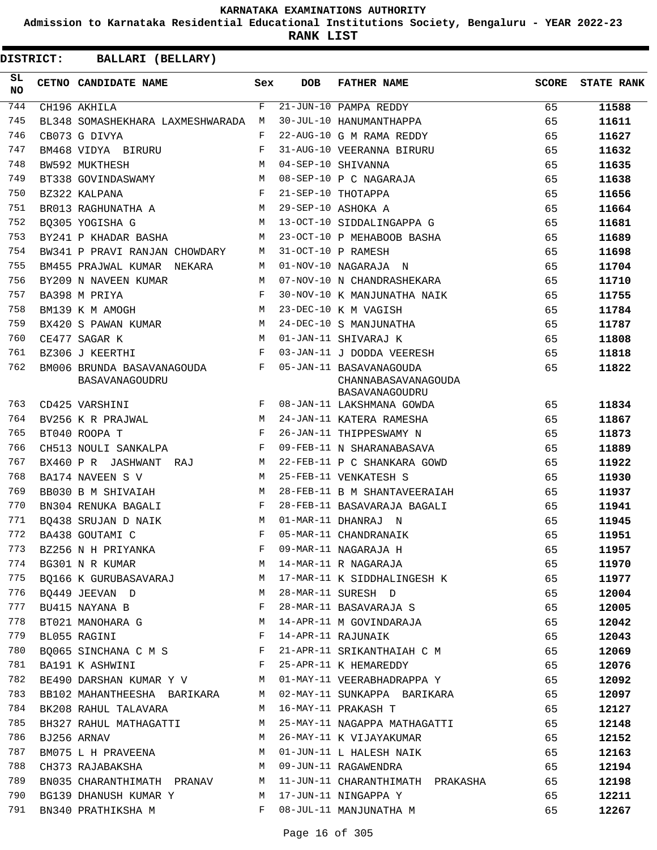**Admission to Karnataka Residential Educational Institutions Society, Bengaluru - YEAR 2022-23**

**RANK LIST**

| SL<br><b>NO</b> | CETNO CANDIDATE NAME                                              | Sex | DOB | <b>FATHER NAME</b>                                               | <b>SCORE</b> | <b>STATE RANK</b> |
|-----------------|-------------------------------------------------------------------|-----|-----|------------------------------------------------------------------|--------------|-------------------|
| 744             | CH196 AKHILA                                                      | F   |     | 21-JUN-10 PAMPA REDDY                                            | 65           | 11588             |
| 745             | BL348 SOMASHEKHARA LAXMESHWARADA                                  | М   |     | 30-JUL-10 HANUMANTHAPPA                                          | 65           | 11611             |
| 746             | CB073 G DIVYA                                                     | F   |     | 22-AUG-10 G M RAMA REDDY                                         | 65           | 11627             |
| 747             | BM468 VIDYA BIRURU                                                | F   |     | 31-AUG-10 VEERANNA BIRURU                                        | 65           | 11632             |
| 748             | BW592 MUKTHESH                                                    | M   |     | 04-SEP-10 SHIVANNA                                               | 65           | 11635             |
| 749             | BT338 GOVINDASWAMY                                                | М   |     | 08-SEP-10 P C NAGARAJA                                           | 65           | 11638             |
| 750             | BZ322 KALPANA                                                     | F   |     | 21-SEP-10 THOTAPPA                                               | 65           | 11656             |
| 751             | BR013 RAGHUNATHA A                                                | M   |     | 29-SEP-10 ASHOKA A                                               | 65           | 11664             |
| 752             | B0305 YOGISHA G                                                   | M   |     | 13-OCT-10 SIDDALINGAPPA G                                        | 65           | 11681             |
| 753             | BY241 P KHADAR BASHA                                              | M   |     | 23-OCT-10 P MEHABOOB BASHA                                       | 65           | 11689             |
| 754             | BW341 P PRAVI RANJAN CHOWDARY                                     | М   |     | 31-OCT-10 P RAMESH                                               | 65           | 11698             |
| 755             | BM455 PRAJWAL KUMAR NEKARA                                        | М   |     | 01-NOV-10 NAGARAJA N                                             | 65           | 11704             |
| 756             | BY209 N NAVEEN KUMAR                                              | M   |     | 07-NOV-10 N CHANDRASHEKARA                                       | 65           | 11710             |
| 757             | BA398 M PRIYA                                                     | F   |     | 30-NOV-10 K MANJUNATHA NAIK                                      | 65           | 11755             |
| 758             | BM139 K M AMOGH                                                   | M   |     | 23-DEC-10 K M VAGISH                                             | 65           | 11784             |
| 759             | BX420 S PAWAN KUMAR                                               | М   |     | 24-DEC-10 S MANJUNATHA                                           | 65           | 11787             |
| 760             | CE477 SAGAR K                                                     | M   |     | 01-JAN-11 SHIVARAJ K                                             | 65           | 11808             |
| 761             | BZ306 J KEERTHI                                                   | F   |     | 03-JAN-11 J DODDA VEERESH                                        | 65           | 11818             |
| 762             | BM006 BRUNDA BASAVANAGOUDA<br>BASAVANAGOUDRU                      | F   |     | 05-JAN-11 BASAVANAGOUDA<br>CHANNABASAVANAGOUDA<br>BASAVANAGOUDRU | 65           | 11822             |
| 763             | CD425 VARSHINI                                                    | F   |     | 08-JAN-11 LAKSHMANA GOWDA                                        | 65           | 11834             |
| 764             | BV256 K R PRAJWAL                                                 | M   |     | 24-JAN-11 KATERA RAMESHA                                         | 65           | 11867             |
| 765             | BT040 ROOPA T                                                     | F   |     | 26-JAN-11 THIPPESWAMY N                                          | 65           | 11873             |
| 766             | CH513 NOULI SANKALPA                                              | F   |     | 09-FEB-11 N SHARANABASAVA                                        | 65           | 11889             |
| 767             | BX460 P R JASHWANT<br>RAJ                                         | М   |     | 22-FEB-11 P C SHANKARA GOWD                                      | 65           | 11922             |
| 768             | BA174 NAVEEN S V                                                  | M   |     | 25-FEB-11 VENKATESH S                                            | 65           | 11930             |
| 769             | BB030 B M SHIVAIAH                                                | M   |     | 28-FEB-11 B M SHANTAVEERAIAH                                     | 65           | 11937             |
| 770             | BN304 RENUKA BAGALI                                               | F   |     | 28-FEB-11 BASAVARAJA BAGALI                                      | 65           | 11941             |
| 771             | BO438 SRUJAN D NAIK                                               | M   |     | 01-MAR-11 DHANRAJ N                                              | 65           | 11945             |
| 772             | BA438 GOUTAMI C                                                   | F   |     | 05-MAR-11 CHANDRANAIK                                            | 65           | 11951             |
| 773             | BZ256 N H PRIYANKA                                                | F   |     | 09-MAR-11 NAGARAJA H                                             | 65           | 11957             |
| 774             | BG301 N R KUMAR                                                   |     |     | M 14-MAR-11 R NAGARAJA                                           | 65           | 11970             |
| 775             |                                                                   |     |     | BQ166 K GURUBASAVARAJ M 17-MAR-11 K SIDDHALINGESH K              | 65           | 11977             |
| 776             | BQ449 JEEVAN D M                                                  |     |     | 28-MAR-11 SURESH D                                               | 65           | 12004             |
| 777             | BU415 NAYANA B                                                    | F   |     | 28-MAR-11 BASAVARAJA S                                           | 65           | 12005             |
| 778             | BT021 MANOHARA G                                                  | M   |     | 14-APR-11 M GOVINDARAJA                                          | 65           | 12042             |
| 779             | $\mathbb F$ . The set of $\mathbb F$<br>BL055 RAGINI              |     |     | 14-APR-11 RAJUNAIK                                               | 65           | 12043             |
| 780             | BQ065 SINCHANA C M S F                                            |     |     | 21-APR-11 SRIKANTHAIAH C M                                       | 65           | 12069             |
| 781             | $\mathbf{F}$ and $\mathbf{F}$ and $\mathbf{F}$<br>BA191 K ASHWINI |     |     | 25-APR-11 K HEMAREDDY                                            | 65           | 12076             |
| 782             | BE490 DARSHAN KUMAR Y V M 01-MAY-11 VEERABHADRAPPA Y              |     |     |                                                                  | 65           | 12092             |
| 783             |                                                                   |     |     | BB102 MAHANTHEESHA BARIKARA M 02-MAY-11 SUNKAPPA BARIKARA        | 65           | 12097             |
| 784             | BK208 RAHUL TALAVARA                                              | M   |     | 16-MAY-11 PRAKASH T                                              | 65           | 12127             |
| 785             | BH327 RAHUL MATHAGATTI                                            | M   |     | 25-MAY-11 NAGAPPA MATHAGATTI                                     | 65           | 12148             |
| 786             | BJ256 ARNAV                                                       | M   |     | 26-MAY-11 K VIJAYAKUMAR                                          | 65           | 12152             |
| 787             | BM075 L H PRAVEENA M                                              |     |     | 01-JUN-11 L HALESH NAIK                                          | 65           | 12163             |
| 788             | <b>M</b><br>CH373 RAJABAKSHA                                      |     |     | 09-JUN-11 RAGAWENDRA                                             | 65           | 12194             |
| 789             |                                                                   |     |     | BN035 CHARANTHIMATH PRANAV M 11-JUN-11 CHARANTHIMATH PRAKASHA    | 65           | 12198             |
| 790             | BG139 DHANUSH KUMAR Y                                             |     |     | M 17-JUN-11 NINGAPPA Y                                           | 65           | 12211             |
| 791             | BN340 PRATHIKSHA M                                                |     |     | F 08-JUL-11 MANJUNATHA M                                         | 65           | 12267             |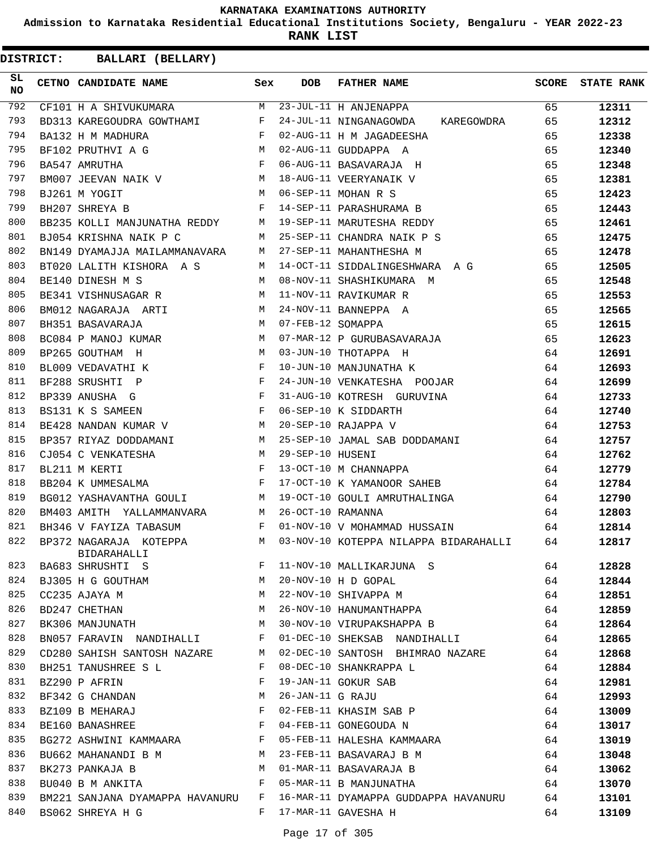**Admission to Karnataka Residential Educational Institutions Society, Bengaluru - YEAR 2022-23**

**RANK LIST**

| SL<br>NO. | CETNO CANDIDATE NAME                                                         | Sex          | <b>DOB</b>        | <b>FATHER NAME</b>                    | <b>SCORE</b> | <b>STATE RANK</b> |
|-----------|------------------------------------------------------------------------------|--------------|-------------------|---------------------------------------|--------------|-------------------|
| 792       | CF101 H A SHIVUKUMARA                                                        | M            |                   | $\overline{23}$ -JUL-11 H ANJENAPPA   | 65           | 12311             |
| 793       | BD313 KAREGOUDRA GOWTHAMI                                                    | F            |                   | 24-JUL-11 NINGANAGOWDA KAREGOWDRA     | 65           | 12312             |
| 794       | $\mathbf{F}$ and $\mathbf{F}$ . The set of $\mathbf{F}$<br>BA132 H M MADHURA |              |                   | 02-AUG-11 H M JAGADEESHA              | 65           | 12338             |
| 795       | M<br>BF102 PRUTHVI A G                                                       |              |                   | 02-AUG-11 GUDDAPPA A                  | 65           | 12340             |
| 796       | $\mathbf{F}^{\top}$<br>BA547 AMRUTHA                                         |              |                   | 06-AUG-11 BASAVARAJA H                | 65           | 12348             |
| 797       | BM007 JEEVAN NAIK V M                                                        |              |                   | 18-AUG-11 VEERYANAIK V                | 65           | 12381             |
| 798       | <b>Market</b><br>BJ261 M YOGIT                                               |              |                   | 06-SEP-11 MOHAN R S                   | 65           | 12423             |
| 799       | BH207 SHREYA B                                                               | $\mathbf{F}$ |                   | 14-SEP-11 PARASHURAMA B               | 65           | 12443             |
| 800       | BB235 KOLLI MANJUNATHA REDDY M                                               |              |                   | 19-SEP-11 MARUTESHA REDDY             | 65           | 12461             |
| 801       | BJ054 KRISHNA NAIK P C                                                       | M            |                   | 25-SEP-11 CHANDRA NAIK P S            | 65           | 12475             |
| 802       | BN149 DYAMAJJA MAILAMMANAVARA                                                | M            |                   | 27-SEP-11 MAHANTHESHA M               | 65           | 12478             |
| 803       | BT020 LALITH KISHORA A S                                                     | M            |                   | 14-OCT-11 SIDDALINGESHWARA A G        | 65           | 12505             |
| 804       | BE140 DINESH M S                                                             | M            |                   | 08-NOV-11 SHASHIKUMARA M              | 65           | 12548             |
| 805       | BE341 VISHNUSAGAR R                                                          | M            |                   | 11-NOV-11 RAVIKUMAR R                 | 65           | 12553             |
| 806       | BM012 NAGARAJA ARTI                                                          | M            |                   | 24-NOV-11 BANNEPPA A                  | 65           | 12565             |
| 807       | BH351 BASAVARAJA                                                             | M            | 07-FEB-12 SOMAPPA |                                       | 65           | 12615             |
| 808       | BC084 P MANOJ KUMAR                                                          | M            |                   | 07-MAR-12 P GURUBASAVARAJA            | 65           | 12623             |
| 809       | BP265 GOUTHAM H                                                              | M            |                   | 03-JUN-10 THOTAPPA H                  | 64           | 12691             |
| 810       | BL009 VEDAVATHI K                                                            | F            |                   | 10-JUN-10 MANJUNATHA K                | 64           | 12693             |
| 811       | BF288 SRUSHTI P                                                              | $\mathbf{F}$ |                   | 24-JUN-10 VENKATESHA POOJAR           | 64           | 12699             |
| 812       | BP339 ANUSHA G                                                               | $\mathbf{F}$ |                   | 31-AUG-10 KOTRESH GURUVINA            | 64           | 12733             |
| 813       | BS131 K S SAMEEN                                                             | $_{\rm F}$   |                   | 06-SEP-10 K SIDDARTH                  | 64           | 12740             |
| 814       | BE428 NANDAN KUMAR V M                                                       |              |                   | 20-SEP-10 RAJAPPA V                   | 64           | 12753             |
| 815       | BP357 RIYAZ DODDAMANI                                                        | M            |                   | 25-SEP-10 JAMAL SAB DODDAMANI         | 64           | 12757             |
| 816       | CJ054 C VENKATESHA                                                           | M            | 29-SEP-10 HUSENI  |                                       | 64           | 12762             |
| 817       | BL211 M KERTI                                                                | F            |                   | 13-OCT-10 M CHANNAPPA                 | 64           | 12779             |
| 818       | $\mathbf{F}$ and $\mathbf{F}$ and $\mathbf{F}$<br>BB204 K UMMESALMA          |              |                   | 17-OCT-10 K YAMANOOR SAHEB            | 64           | 12784             |
| 819       | BG012 YASHAVANTHA GOULI                                                      | M            |                   | 19-OCT-10 GOULI AMRUTHALINGA          | 64           | 12790             |
| 820       | BM403 AMITH YALLAMMANVARA                                                    | M            | 26-OCT-10 RAMANNA |                                       | 64           | 12803             |
| 821       | BH346 V FAYIZA TABASUM                                                       | F            |                   | 01-NOV-10 V MOHAMMAD HUSSAIN          | 64           | 12814             |
| 822       | BP372 NAGARAJA KOTEPPA<br>BIDARAHALLI                                        | M            |                   | 03-NOV-10 KOTEPPA NILAPPA BIDARAHALLI | 64           | 12817             |
| 823       | BA683 SHRUSHTI S                                                             | F            |                   | 11-NOV-10 MALLIKARJUNA S              | 64           | 12828             |
| 824       | BJ305 H G GOUTHAM                                                            | M            |                   | 20-NOV-10 H D GOPAL                   | 64           | 12844             |
| 825       | CC235 AJAYA M                                                                | М            |                   | 22-NOV-10 SHIVAPPA M                  | 64           | 12851             |
| 826       | BD247 CHETHAN                                                                | М            |                   | 26-NOV-10 HANUMANTHAPPA               | 64           | 12859             |
| 827       | BK306 MANJUNATH                                                              | М            |                   | 30-NOV-10 VIRUPAKSHAPPA B             | 64           | 12864             |
| 828       | BN057 FARAVIN NANDIHALLI                                                     | F            |                   | 01-DEC-10 SHEKSAB NANDIHALLI          | 64           | 12865             |
| 829       | CD280 SAHISH SANTOSH NAZARE                                                  | M            |                   | 02-DEC-10 SANTOSH BHIMRAO NAZARE      | 64           | 12868             |
| 830       | BH251 TANUSHREE S L                                                          | F            |                   | 08-DEC-10 SHANKRAPPA L                | 64           | 12884             |
| 831       | BZ290 P AFRIN                                                                | F            |                   | 19-JAN-11 GOKUR SAB                   | 64           | 12981             |
| 832       | BF342 G CHANDAN                                                              | М            | 26-JAN-11 G RAJU  |                                       | 64           | 12993             |
| 833       | BZ109 B MEHARAJ                                                              | F            |                   | 02-FEB-11 KHASIM SAB P                | 64           | 13009             |
| 834       | BE160 BANASHREE                                                              | F            |                   | 04-FEB-11 GONEGOUDA N                 | 64           | 13017             |
| 835       | BG272 ASHWINI KAMMAARA                                                       | F            |                   | 05-FEB-11 HALESHA KAMMAARA            | 64           | 13019             |
| 836       | BU662 MAHANANDI B M                                                          | М            |                   | 23-FEB-11 BASAVARAJ B M               | 64           | 13048             |
| 837       | BK273 PANKAJA B                                                              | M            |                   | 01-MAR-11 BASAVARAJA B                | 64           | 13062             |
| 838       | BU040 B M ANKITA                                                             | F            |                   | 05-MAR-11 B MANJUNATHA                | 64           | 13070             |
| 839       | BM221 SANJANA DYAMAPPA HAVANURU                                              | F            |                   | 16-MAR-11 DYAMAPPA GUDDAPPA HAVANURU  | 64           | 13101             |
| 840       | BS062 SHREYA H G                                                             | F            |                   | 17-MAR-11 GAVESHA H                   | 64           | 13109             |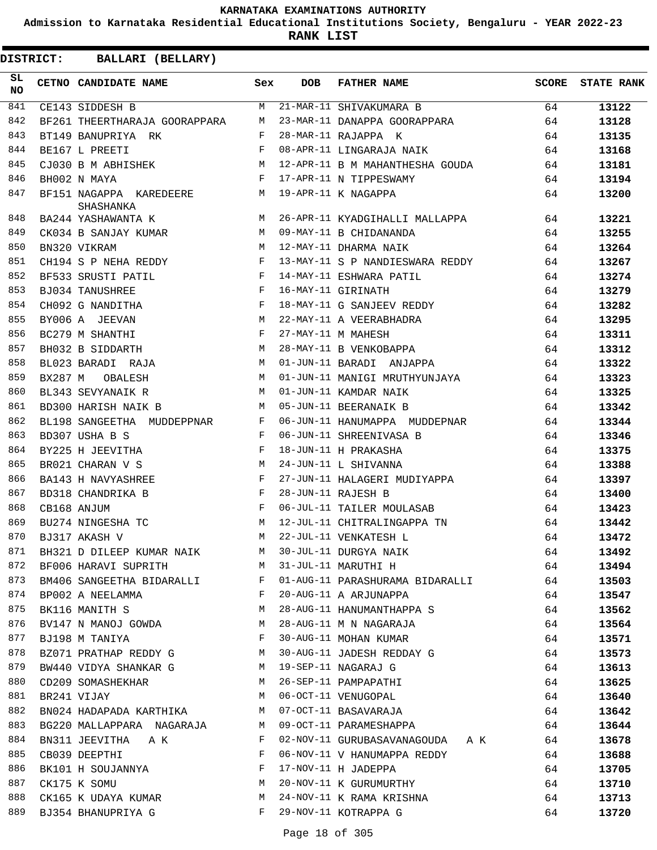**Admission to Karnataka Residential Educational Institutions Society, Bengaluru - YEAR 2022-23**

**RANK LIST**

| SL<br><b>NO</b> |         | CETNO CANDIDATE NAME                                                            | Sex          | <b>DOB</b> | <b>FATHER NAME</b>                                          |    | SCORE STATE RANK |
|-----------------|---------|---------------------------------------------------------------------------------|--------------|------------|-------------------------------------------------------------|----|------------------|
| 841             |         | CE143 SIDDESH B                                                                 | M            |            | 21-MAR-11 SHIVAKUMARA B                                     | 64 | 13122            |
| 842             |         | BF261 THEERTHARAJA GOORAPPARA                                                   | M            |            | 23-MAR-11 DANAPPA GOORAPPARA                                | 64 | 13128            |
| 843             |         | BT149 BANUPRIYA RK                                                              | F            |            | 28-MAR-11 RAJAPPA K                                         | 64 | 13135            |
| 844             |         | BE167 L PREETI                                                                  | F            |            | 08-APR-11 LINGARAJA NAIK                                    | 64 | 13168            |
| 845             |         | CJ030 B M ABHISHEK M                                                            |              |            | 12-APR-11 B M MAHANTHESHA GOUDA                             | 64 | 13181            |
| 846             |         | $\mathbf{F}$<br>BH002 N MAYA                                                    |              |            | 17-APR-11 N TIPPESWAMY                                      | 64 | 13194            |
| 847             |         | BF151 NAGAPPA KAREDEERE M<br>SHASHANKA                                          |              |            | 19-APR-11 K NAGAPPA                                         | 64 | 13200            |
| 848             |         | BA244 YASHAWANTA K $$\tt{M}$$                                                   |              |            | 26-APR-11 KYADGIHALLI MALLAPPA                              | 64 | 13221            |
| 849             |         | CK034 B SANJAY KUMAR                                                            | M            |            | 09-MAY-11 B CHIDANANDA                                      | 64 | 13255            |
| 850             |         | BN320 VIKRAM                                                                    | M            |            | 12-MAY-11 DHARMA NAIK                                       | 64 | 13264            |
| 851             |         | CH194 S P NEHA REDDY F                                                          |              |            | 13-MAY-11 S P NANDIESWARA REDDY                             | 64 | 13267            |
| 852             |         | BF533 SRUSTI PATIL                                                              | $\mathbb F$  |            | 14-MAY-11 ESHWARA PATIL                                     | 64 | 13274            |
| 853             |         | BJ034 TANUSHREE                                                                 | $\mathbf{F}$ |            | 16-MAY-11 GIRINATH                                          | 64 | 13279            |
| 854             |         | $\mathbf{F}$ and $\mathbf{F}$ and $\mathbf{F}$<br>CH092 G NANDITHA              |              |            | 18-MAY-11 G SANJEEV REDDY                                   | 64 | 13282            |
| 855             |         | M<br>BY006 A JEEVAN                                                             |              |            |                                                             | 64 | 13295            |
| 856             |         | BC279 M SHANTHI                                                                 | F            |            | 22-MAY-11 A VEERABHADRA<br>27-MAY-11 M MAHESH               | 64 | 13311            |
| 857             |         | BH032 B SIDDARTH                                                                | M            |            | 28-MAY-11 B VENKOBAPPA                                      | 64 | 13312            |
| 858             |         | BL023 BARADI RAJA M                                                             |              |            | 01-JUN-11 BARADI ANJAPPA                                    | 64 | 13322            |
| 859             | BX287 M | M<br>OBALESH                                                                    |              |            | 01-JUN-11 MANIGI MRUTHYUNJAYA                               | 64 | 13323            |
| 860             |         | BL343 SEVYANAIK R                                                               | M            |            | 01-JUN-11 KAMDAR NAIK                                       | 64 | 13325            |
| 861             |         | BD300 HARISH NAIK B                                                             | M            |            | 05-JUN-11 BEERANAIK B                                       | 64 | 13342            |
| 862             |         | BL198 SANGEETHA MUDDEPPNAR                                                      | $\mathbf{F}$ |            | 06-JUN-11 HANUMAPPA MUDDEPNAR                               | 64 | 13344            |
| 863             |         | BD307 USHA B S                                                                  | $\mathbf{F}$ |            | 06-JUN-11 SHREENIVASA B                                     | 64 | 13346            |
| 864             |         | BY225 H JEEVITHA                                                                | F            |            | 18-JUN-11 H PRAKASHA                                        | 64 | 13375            |
| 865             |         | <b>M</b><br>BR021 CHARAN V S                                                    |              |            | 24-JUN-11 L SHIVANNA                                        | 64 | 13388            |
| 866             |         | BA143 H NAVYASHREE                                                              | $\mathbf{F}$ |            | 27-JUN-11 HALAGERI MUDIYAPPA                                | 64 | 13397            |
| 867             |         | BD318 CHANDRIKA B                                                               | $\mathbf{F}$ |            | 28-JUN-11 RAJESH B                                          | 64 | 13400            |
| 868             |         | CB168 ANJUM                                                                     | $\mathbf{F}$ |            | 06-JUL-11 TAILER MOULASAB                                   | 64 | 13423            |
| 869             |         | BU274 NINGESHA TC<br>M <sub>N</sub>                                             |              |            | 12-JUL-11 CHITRALINGAPPA TN                                 | 64 | 13442            |
| 870             |         | BJ317 AKASH V                                                                   | M            |            | 22-JUL-11 VENKATESH L                                       | 64 | 13472            |
| 871             |         |                                                                                 |              |            | BH321 D DILEEP KUMAR NAIK M 30-JUL-11 DURGYA NAIK           | 64 | 13492            |
| 872             |         | BF006 HARAVI SUPRITH M M 31-JUL-11 MARUTHI H                                    |              |            |                                                             | 64 | 13494            |
| 873             |         |                                                                                 |              |            | BM406 SANGEETHA BIDARALLI F 01-AUG-11 PARASHURAMA BIDARALLI | 64 | 13503            |
| 874             |         | BP002 A NEELAMMA<br>and the state of the state of the Party                     |              |            | 20-AUG-11 A ARJUNAPPA                                       | 64 | 13547            |
| 875             |         | BK116 MANITH S                                                                  | M            |            | 28-AUG-11 HANUMANTHAPPA S                                   | 64 | 13562            |
| 876             |         | BV147 N MANOJ GOWDA M                                                           |              |            | 28-AUG-11 M N NAGARAJA                                      | 64 | 13564            |
| 877             |         | $\mathbf{F}$ and the contract of the contract of $\mathbf{F}$<br>BJ198 M TANIYA |              |            | 30-AUG-11 MOHAN KUMAR                                       | 64 | 13571            |
| 878             |         | BZ071 PRATHAP REDDY G M                                                         |              |            | 30-AUG-11 JADESH REDDAY G                                   | 64 | 13573            |
| 879             |         | BW440 VIDYA SHANKAR G M                                                         |              |            | 19-SEP-11 NAGARAJ G                                         | 64 | 13613            |
| 880             |         | CD209 SOMASHEKHAR                                                               |              |            | M 26-SEP-11 PAMPAPATHI                                      | 64 | 13625            |
| 881             |         | BR241 VIJAY<br>M <sub>1</sub>                                                   |              |            | 06-OCT-11 VENUGOPAL                                         | 64 | 13640            |
| 882             |         | BN024 HADAPADA KARTHIKA                                                         | M            |            | 07-OCT-11 BASAVARAJA                                        | 64 | 13642            |
| 883             |         |                                                                                 |              |            | 09-OCT-11 PARAMESHAPPA                                      |    |                  |
| 884             |         | BG220 MALLAPPARA NAGARAJA                                                       | M<br>F       |            |                                                             | 64 | 13644            |
| 885             |         | BN311 JEEVITHA A K                                                              | F            |            | 02-NOV-11 GURUBASAVANAGOUDA A K                             | 64 | 13678            |
| 886             |         | CB039 DEEPTHI<br>$\mathbf{F}$ and $\mathbf{F}$ and $\mathbf{F}$                 |              |            | 06-NOV-11 V HANUMAPPA REDDY                                 | 64 | 13688            |
|                 |         | BK101 H SOUJANNYA<br>M                                                          |              |            | 17-NOV-11 H JADEPPA                                         | 64 | 13705            |
| 887             |         | CK175 K SOMU                                                                    |              |            | 20-NOV-11 K GURUMURTHY                                      | 64 | 13710            |
| 888             |         | CK165 K UDAYA KUMAR                                                             | M            |            | 24-NOV-11 K RAMA KRISHNA                                    | 64 | 13713            |
| 889             |         | BJ354 BHANUPRIYA G                                                              | F            |            | 29-NOV-11 KOTRAPPA G                                        | 64 | 13720            |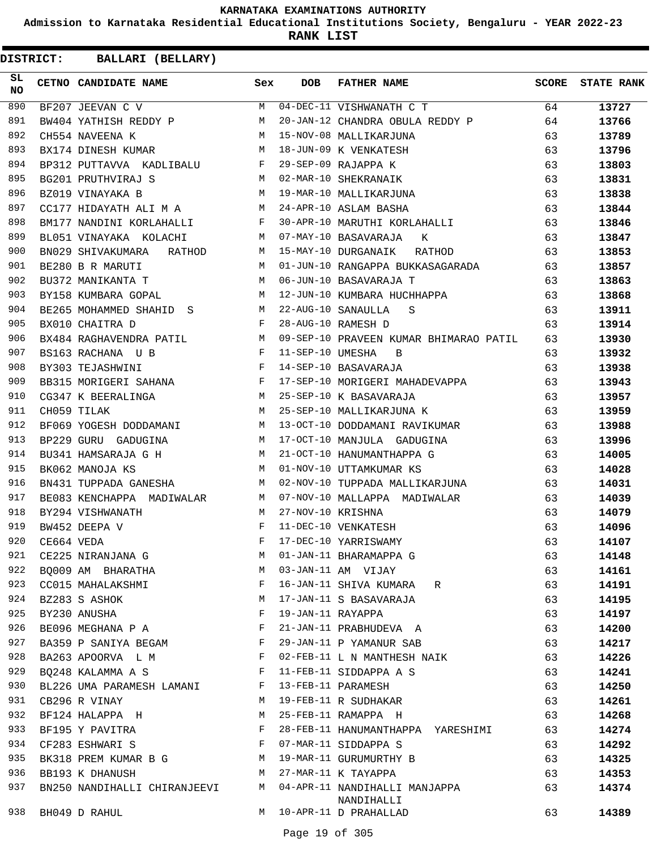**Admission to Karnataka Residential Educational Institutions Society, Bengaluru - YEAR 2022-23**

**RANK LIST**

| SL<br><b>NO</b> |            | CETNO CANDIDATE NAME         | Sex          | <b>DOB</b>        | <b>FATHER NAME</b>                          | SCORE | <b>STATE RANK</b> |
|-----------------|------------|------------------------------|--------------|-------------------|---------------------------------------------|-------|-------------------|
| 890             |            | BF207 JEEVAN C V             | M            |                   | 04-DEC-11 VISHWANATH C T                    | 64    | 13727             |
| 891             |            | BW404 YATHISH REDDY P        | M            |                   | 20-JAN-12 CHANDRA OBULA REDDY P             | 64    | 13766             |
| 892             |            | CH554 NAVEENA K              | М            |                   | 15-NOV-08 MALLIKARJUNA                      | 63    | 13789             |
| 893             |            | BX174 DINESH KUMAR           | M            |                   | 18-JUN-09 K VENKATESH                       | 63    | 13796             |
| 894             |            | BP312 PUTTAVVA KADLIBALU     | F            |                   | 29-SEP-09 RAJAPPA K                         | 63    | 13803             |
| 895             |            | BG201 PRUTHVIRAJ S           | M            |                   | 02-MAR-10 SHEKRANAIK                        | 63    | 13831             |
| 896             |            | BZ019 VINAYAKA B             | M            |                   | 19-MAR-10 MALLIKARJUNA                      | 63    | 13838             |
| 897             |            | CC177 HIDAYATH ALI M A       | M            |                   | 24-APR-10 ASLAM BASHA                       | 63    | 13844             |
| 898             |            | BM177 NANDINI KORLAHALLI     | F            |                   | 30-APR-10 MARUTHI KORLAHALLI                | 63    | 13846             |
| 899             |            | BL051 VINAYAKA KOLACHI       | M            |                   | 07-MAY-10 BASAVARAJA K                      | 63    | 13847             |
| 900             |            | BN029 SHIVAKUMARA<br>RATHOD  | М            |                   | 15-MAY-10 DURGANAIK<br>RATHOD               | 63    | 13853             |
| 901             |            | BE280 B R MARUTI             | M            |                   | 01-JUN-10 RANGAPPA BUKKASAGARADA            | 63    | 13857             |
| 902             |            | BU372 MANIKANTA T            | M            |                   | 06-JUN-10 BASAVARAJA T                      | 63    | 13863             |
| 903             |            | BY158 KUMBARA GOPAL          | M            |                   | 12-JUN-10 KUMBARA HUCHHAPPA                 | 63    | 13868             |
| 904             |            | BE265 MOHAMMED SHAHID S      | M            |                   | 22-AUG-10 SANAULLA<br>S                     | 63    | 13911             |
| 905             |            | BX010 CHAITRA D              | F            |                   | 28-AUG-10 RAMESH D                          | 63    | 13914             |
| 906             |            | BX484 RAGHAVENDRA PATIL      | M            |                   | 09-SEP-10 PRAVEEN KUMAR BHIMARAO PATIL      | 63    | 13930             |
| 907             |            | BS163 RACHANA U B            | F            | 11-SEP-10 UMESHA  | B                                           | 63    | 13932             |
| 908             |            | BY303 TEJASHWINI             | F            |                   | 14-SEP-10 BASAVARAJA                        | 63    | 13938             |
| 909             |            | BB315 MORIGERI SAHANA        | F            |                   | 17-SEP-10 MORIGERI MAHADEVAPPA              | 63    | 13943             |
| 910             |            | CG347 K BEERALINGA           | M            |                   | 25-SEP-10 K BASAVARAJA                      | 63    | 13957             |
| 911             |            | CH059 TILAK                  | M            |                   | 25-SEP-10 MALLIKARJUNA K                    | 63    | 13959             |
| 912             |            | BF069 YOGESH DODDAMANI       | M            |                   | 13-OCT-10 DODDAMANI RAVIKUMAR               | 63    | 13988             |
| 913             |            | BP229 GURU GADUGINA          | М            |                   | 17-OCT-10 MANJULA GADUGINA                  | 63    | 13996             |
| 914             |            | BU341 HAMSARAJA G H          | M            |                   | 21-OCT-10 HANUMANTHAPPA G                   | 63    | 14005             |
| 915             |            | BK062 MANOJA KS              | M            |                   | 01-NOV-10 UTTAMKUMAR KS                     | 63    | 14028             |
| 916             |            | BN431 TUPPADA GANESHA        | M            |                   | 02-NOV-10 TUPPADA MALLIKARJUNA              | 63    | 14031             |
| 917             |            | BE083 KENCHAPPA MADIWALAR    | M            |                   | 07-NOV-10 MALLAPPA MADIWALAR                | 63    | 14039             |
| 918             |            | BY294 VISHWANATH             | M            | 27-NOV-10 KRISHNA |                                             | 63    | 14079             |
| 919             |            | BW452 DEEPA V                | F            |                   | 11-DEC-10 VENKATESH                         | 63    | 14096             |
| 920             | CE664 VEDA |                              | F            |                   | 17-DEC-10 YARRISWAMY                        | 63    | 14107             |
| 921             |            | CE225 NIRANJANA G            | М            |                   | 01-JAN-11 BHARAMAPPA G                      | 63    | 14148             |
| 922             |            | BO009 AM BHARATHA            | M            |                   | 03-JAN-11 AM VIJAY                          | 63    | 14161             |
| 923             |            | CC015 MAHALAKSHMI            | F            |                   | 16-JAN-11 SHIVA KUMARA R                    | 63    | 14191             |
| 924             |            | BZ283 S ASHOK                | М            |                   | 17-JAN-11 S BASAVARAJA                      | 63    | 14195             |
| 925             |            | BY230 ANUSHA                 | F            | 19-JAN-11 RAYAPPA |                                             | 63    | 14197             |
| 926             |            | BE096 MEGHANA P A            | $\mathbf{F}$ |                   | 21-JAN-11 PRABHUDEVA A                      | 63    | 14200             |
| 927             |            | BA359 P SANIYA BEGAM         | F            |                   | 29-JAN-11 P YAMANUR SAB                     | 63    | 14217             |
| 928             |            | BA263 APOORVA L M            | F            |                   | 02-FEB-11 L N MANTHESH NAIK                 | 63    | 14226             |
| 929             |            | BO248 KALAMMA A S            | F            |                   | 11-FEB-11 SIDDAPPA A S                      | 63    | 14241             |
| 930             |            | BL226 UMA PARAMESH LAMANI    | F            |                   | 13-FEB-11 PARAMESH                          | 63    | 14250             |
| 931             |            | CB296 R VINAY                | М            |                   | 19-FEB-11 R SUDHAKAR                        | 63    | 14261             |
| 932             |            | BF124 HALAPPA H              | М            |                   | 25-FEB-11 RAMAPPA H                         | 63    | 14268             |
| 933             |            | BF195 Y PAVITRA              | F            |                   | 28-FEB-11 HANUMANTHAPPA YARESHIMI           | 63    | 14274             |
| 934             |            | CF283 ESHWARI S              | $\mathbf{F}$ |                   | 07-MAR-11 SIDDAPPA S                        | 63    | 14292             |
| 935             |            | BK318 PREM KUMAR B G         | M            |                   | 19-MAR-11 GURUMURTHY B                      | 63    | 14325             |
| 936             |            | BB193 K DHANUSH              | M            |                   | 27-MAR-11 K TAYAPPA                         | 63    | 14353             |
| 937             |            | BN250 NANDIHALLI CHIRANJEEVI | M            |                   | 04-APR-11 NANDIHALLI MANJAPPA<br>NANDIHALLI | 63    | 14374             |
| 938             |            | BH049 D RAHUL                | M            |                   | 10-APR-11 D PRAHALLAD                       | 63    | 14389             |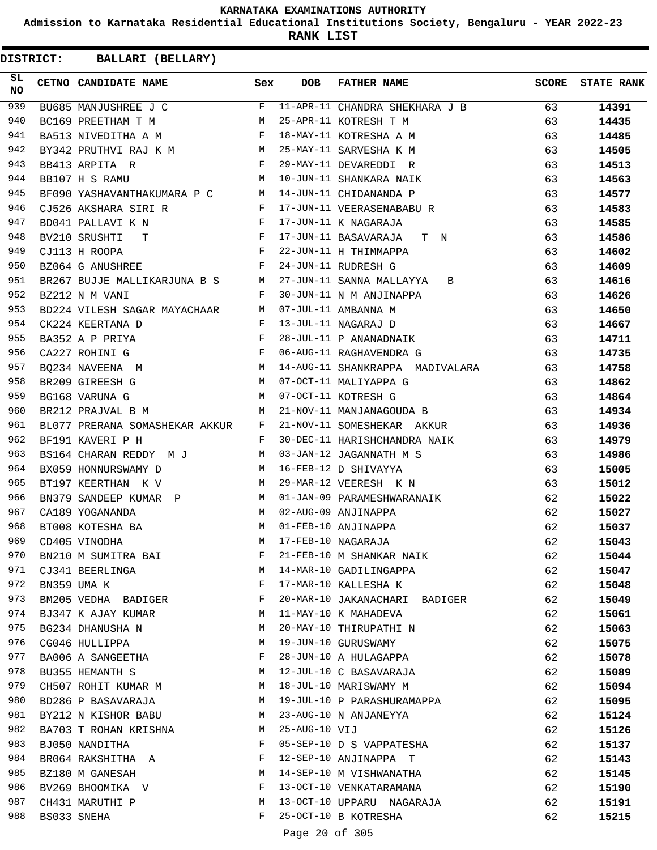**Admission to Karnataka Residential Educational Institutions Society, Bengaluru - YEAR 2022-23**

**RANK LIST**

**DISTRICT:** CC **BALLARI (BELLARY)**

| SL<br><b>NO</b> | CETNO CANDIDATE NAME                                                       | Sex          | <b>DOB</b>    | <b>FATHER NAME</b>                                | <b>SCORE</b> | <b>STATE RANK</b> |
|-----------------|----------------------------------------------------------------------------|--------------|---------------|---------------------------------------------------|--------------|-------------------|
| 939             | BU685 MANJUSHREE J C                                                       |              |               | F 11-APR-11 CHANDRA SHEKHARA J B                  | 63           | 14391             |
| 940             | BC169 PREETHAM T M                                                         | M            |               | 25-APR-11 KOTRESH T M                             | 63           | 14435             |
| 941             | BA513 NIVEDITHA A M                                                        |              |               | 18-MAY-11 KOTRESHA A M                            | 63           | 14485             |
| 942             | BY342 PRUTHVI RAJ K M M                                                    |              |               | 25-MAY-11 SARVESHA K M                            | 63           | 14505             |
| 943             | $\mathbf F$<br>BB413 ARPITA R                                              |              |               | 29-MAY-11 DEVAREDDI R                             | 63           | 14513             |
| 944             | M <sub>N</sub><br>BB107 H S RAMU                                           |              |               | 10-JUN-11 SHANKARA NAIK                           | 63           | 14563             |
| 945             | BF090 YASHAVANTHAKUMARA P C M                                              |              |               | 14-JUN-11 CHIDANANDA P                            | 63           | 14577             |
| 946             | CJ526 AKSHARA SIRI R                                                       | F            |               | 17-JUN-11 VEERASENABABU R                         | 63           | 14583             |
| 947             | BD041 PALLAVI K N<br>$\mathbf{F}$                                          |              |               | 17-JUN-11 K NAGARAJA                              | 63           | 14585             |
| 948             | BV210 SRUSHTI T                                                            |              |               | 17-JUN-11 BASAVARAJA T N                          | 63           | 14586             |
| 949             | $\mathbf{F}$ and $\mathbf{F}$<br>CJ113 H ROOPA                             |              |               | 22-JUN-11 H THIMMAPPA                             | 63           | 14602             |
| 950             | $\mathbf{F}$<br>BZ064 G ANUSHREE                                           |              |               | 24-JUN-11 RUDRESH G                               | 63           | 14609             |
| 951             | BR267 BUJJE MALLIKARJUNA B S M                                             |              |               | 27-JUN-11 SANNA MALLAYYA B                        | 63           | 14616             |
| 952             | BZ212 N M VANI                                                             | F            |               | 30-JUN-11 N M ANJINAPPA                           | 63           | 14626             |
| 953             | BD224 VILESH SAGAR MAYACHAAR M                                             |              |               | 07-JUL-11 AMBANNA M                               | 63           | 14650             |
| 954             | CK224 KEERTANA D                                                           | $\mathbb F$  |               | 13-JUL-11 NAGARAJ D                               | 63           | 14667             |
| 955             | BA352 A P PRIYA                                                            | F            |               | 28-JUL-11 P ANANADNAIK                            | 63           | 14711             |
| 956             | $\mathbf F$ . The set of $\mathbf F$<br>CA227 ROHINI G                     |              |               | 06-AUG-11 RAGHAVENDRA G                           | 63           | 14735             |
| 957             | M<br>BQ234 NAVEENA M                                                       |              |               | 14-AUG-11 SHANKRAPPA MADIVALARA                   | 63           | 14758             |
| 958             | BR209 GIREESH G                                                            |              |               | 07-OCT-11 MALIYAPPA G                             | 63           | 14862             |
| 959             | $\begin{aligned} \mathbb{M} \\ \mathbb{M} \end{aligned}$<br>BG168 VARUNA G |              |               | 07-OCT-11 KOTRESH G                               | 63           | 14864             |
| 960             | <b>M</b><br>BR212 PRAJVAL B M                                              |              |               | 21-NOV-11 MANJANAGOUDA B                          | 63           | 14934             |
| 961             | BL077 PRERANA SOMASHEKAR AKKUR F                                           |              |               | 21-NOV-11 SOMESHEKAR AKKUR                        | 63           | 14936             |
| 962             | BF191 KAVERI P H                                                           | $\mathbf{F}$ |               | 30-DEC-11 HARISHCHANDRA NAIK                      | 63           | 14979             |
| 963             | BS164 CHARAN REDDY M J M                                                   |              |               | 03-JAN-12 JAGANNATH M S                           | 63           | 14986             |
| 964             | BX059 HONNURSWAMY D                                                        | M            |               | 16-FEB-12 D SHIVAYYA                              | 63           | 15005             |
| 965             | BT197 KEERTHAN K V                                                         | M            |               | 29-MAR-12 VEERESH K N                             | 63           | 15012             |
| 966             | BN379 SANDEEP KUMAR P M                                                    |              |               | 01-JAN-09 PARAMESHWARANAIK                        | 62           | 15022             |
| 967             | CA189 YOGANANDA                                                            | M            |               | 02-AUG-09 ANJINAPPA                               | 62           | 15027             |
| 968             | BT008 KOTESHA BA                                                           | M            |               | 01-FEB-10 ANJINAPPA                               | 62           | 15037             |
| 969             | CD405 VINODHA                                                              | M            |               | 17-FEB-10 NAGARAJA                                | 62           | 15043             |
| 970             | BN210 M SUMITRA BAI                                                        | F            |               | 21-FEB-10 M SHANKAR NAIK                          | 62           | 15044             |
| 971             | CJ341 BEERLINGA                                                            | M            |               | 14-MAR-10 GADILINGAPPA                            | 62           | 15047             |
| 972             | BN359 UMA K                                                                | F            |               | 17-MAR-10 KALLESHA K                              | 62           | 15048             |
| 973             | BM205 VEDHA BADIGER                                                        | F            |               | 20-MAR-10 JAKANACHARI BADIGER                     | 62           | 15049             |
| 974             | BJ347 K AJAY KUMAR                                                         | М            |               | 11-MAY-10 K MAHADEVA                              | 62           | 15061             |
| 975             | BG234 DHANUSHA N                                                           | М            |               | 20-MAY-10 THIRUPATHI N                            | 62           | 15063             |
| 976             | CG046 HULLIPPA                                                             | М            |               | 19-JUN-10 GURUSWAMY                               | 62           | 15075             |
| 977             | BA006 A SANGEETHA                                                          | F            |               | 28-JUN-10 A HULAGAPPA                             | 62           | 15078             |
| 978             | BU355 HEMANTH S                                                            | М            |               | 12-JUL-10 C BASAVARAJA                            | 62           | 15089             |
| 979             | CH507 ROHIT KUMAR M                                                        | М            |               | 18-JUL-10 MARISWAMY M                             | 62           | 15094             |
| 980             | BD286 P BASAVARAJA                                                         | М            |               | 19-JUL-10 P PARASHURAMAPPA                        | 62           | 15095             |
| 981             | BY212 N KISHOR BABU                                                        | M            |               | 23-AUG-10 N ANJANEYYA                             | 62           |                   |
| 982             | BA703 T ROHAN KRISHNA                                                      | M            | 25-AUG-10 VIJ |                                                   | 62           | 15124<br>15126    |
| 983             |                                                                            | F            |               | 05-SEP-10 D S VAPPATESHA                          | 62           |                   |
| 984             | BJ050 NANDITHA<br>BR064 RAKSHITHA A                                        | F            |               | 12-SEP-10 ANJINAPPA T                             | 62           | 15137             |
| 985             | BZ180 M GANESAH                                                            | М            |               | 14-SEP-10 M VISHWANATHA                           | 62           | 15143             |
| 986             |                                                                            | F            |               | 13-OCT-10 VENKATARAMANA                           |              | 15145             |
| 987             | BV269 BHOOMIKA V                                                           |              |               |                                                   | 62           | 15190             |
| 988             | CH431 MARUTHI P                                                            | М<br>F       |               | 13-OCT-10 UPPARU NAGARAJA<br>25-OCT-10 B KOTRESHA | 62           | 15191             |
|                 | BS033 SNEHA                                                                |              |               |                                                   | 62           | 15215             |

Page 20 of 305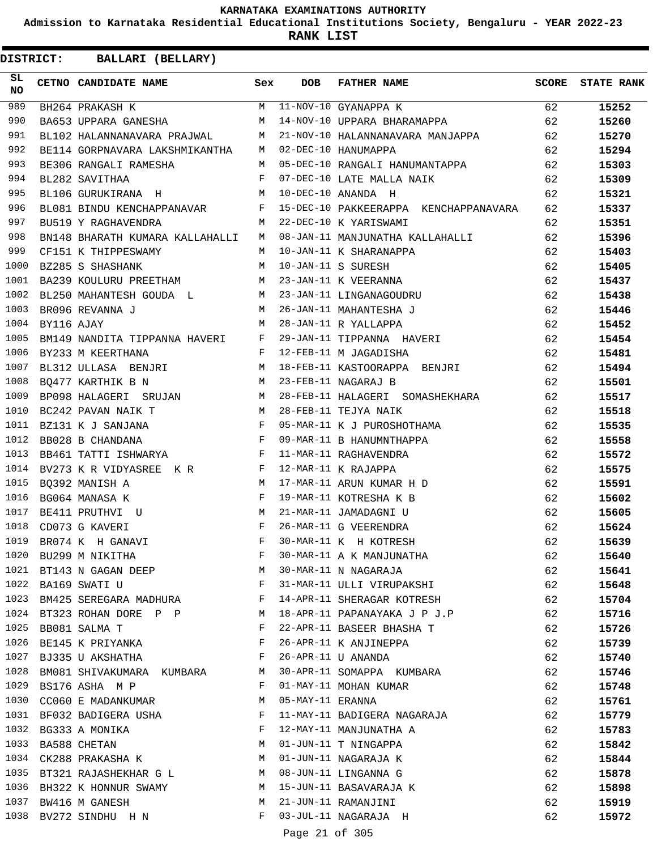**Admission to Karnataka Residential Educational Institutions Society, Bengaluru - YEAR 2022-23**

**RANK LIST**

**DISTRICT:** CC **BALLARI (BELLARY)**

| SL<br><b>NO</b> |            | CETNO CANDIDATE NAME                                                           | Sex          | DOB                 | <b>FATHER NAME</b>                                                                            |    | <b>SCORE</b> STATE RANK |
|-----------------|------------|--------------------------------------------------------------------------------|--------------|---------------------|-----------------------------------------------------------------------------------------------|----|-------------------------|
| 989             |            | BH264 PRAKASH K                                                                |              |                     | M 11-NOV-10 GYANAPPA K                                                                        | 62 | 15252                   |
| 990             |            | BA653 UPPARA GANESHA                                                           |              |                     | M 14-NOV-10 UPPARA BHARAMAPPA                                                                 | 62 | 15260                   |
| 991             |            | BL102 HALANNANAVARA PRAJWAL M                                                  |              |                     | 21-NOV-10 HALANNANAVARA MANJAPPA                                                              | 62 | 15270                   |
| 992             |            | BE114 GORPNAVARA LAKSHMIKANTHA M                                               |              |                     | 02-DEC-10 HANUMAPPA                                                                           | 62 | 15294                   |
| 993             |            | BE306 RANGALI RAMESHA                                                          |              |                     | M 05-DEC-10 RANGALI HANUMANTAPPA                                                              | 62 | 15303                   |
| 994             |            | $\mathbf{F}$ and $\mathbf{F}$ and $\mathbf{F}$<br>BL282 SAVITHAA               |              |                     | 07-DEC-10 LATE MALLA NAIK                                                                     | 62 | 15309                   |
| 995             |            | BL106 GURUKIRANA H M 10-DEC-10 ANANDA H                                        |              |                     |                                                                                               | 62 | 15321                   |
| 996             |            |                                                                                |              |                     | BL081 BINDU KENCHAPPANAVAR F 15-DEC-10 PAKKEERAPPA KENCHAPPANAVARA 62                         |    | 15337                   |
| 997             |            | BU519 Y RAGHAVENDRA                                                            |              |                     | M 22-DEC-10 K YARISWAMI                                                                       | 62 | 15351                   |
| 998             |            | BN148 BHARATH KUMARA KALLAHALLI M                                              |              |                     | 08-JAN-11 MANJUNATHA KALLAHALLI                                                               | 62 | 15396                   |
| 999             |            | CF151 K THIPPESWAMY                                                            | M            |                     | 10-JAN-11 K SHARANAPPA                                                                        | 62 | 15403                   |
| 1000            |            | M<br>BZ285 S SHASHANK                                                          |              |                     | 10-JAN-11 S SURESH                                                                            | 62 | 15405                   |
| 1001            |            | BA239 KOULURU PREETHAM M 23-JAN-11 K VEERANNA                                  |              |                     |                                                                                               | 62 | 15437                   |
| 1002            |            |                                                                                |              |                     | BL250 MAHANTESH GOUDA L M 23-JAN-11 LINGANAGOUDRU<br>BR096 REVANNA J M 26-JAN-11 MAHANTESHA J | 62 | 15438                   |
| 1003            |            |                                                                                |              |                     |                                                                                               | 62 | 15446                   |
| 1004            | BY116 AJAY |                                                                                |              |                     | M 28-JAN-11 R YALLAPPA                                                                        | 62 | 15452                   |
| 1005            |            |                                                                                |              |                     | BM149 NANDITA TIPPANNA HAVERI F 29-JAN-11 TIPPANNA HAVERI                                     | 62 | 15454                   |
| 1006            |            | $\mathbf{F}$ and $\mathbf{F}$ are the set of $\mathbf{F}$<br>BY233 M KEERTHANA |              |                     | 12-FEB-11 M JAGADISHA                                                                         | 62 | 15481                   |
| 1007            |            | BL312 ULLASA BENJRI M                                                          |              |                     | 18-FEB-11 KASTOORAPPA BENJRI<br>23-FEB-11 NAGARAJ B                                           | 62 | 15494                   |
| 1008            |            | M<br>BQ477 KARTHIK B N                                                         |              |                     |                                                                                               | 62 | 15501                   |
| 1009            |            |                                                                                |              |                     | BP098 HALAGERI SRUJAN M 28-FEB-11 HALAGERI SOMASHEKHARA                                       | 62 | 15517                   |
| 1010            |            | M 28-FEB-11 TEJYA NAIK<br>BC242 PAVAN NAIK T                                   |              |                     |                                                                                               | 62 | 15518                   |
| 1011            |            | BZ131 K J SANJANA F                                                            |              |                     | 05-MAR-11 K J PUROSHOTHAMA                                                                    | 62 | 15535                   |
| 1012            |            | $\mathbf{F}^{\top}$<br>BB028 B CHANDANA                                        |              |                     | 09-MAR-11 B HANUMNTHAPPA                                                                      | 62 | 15558                   |
| 1013            |            | BB461 TATTI ISHWARYA F                                                         |              |                     | 11-MAR-11 RAGHAVENDRA                                                                         | 62 | 15572                   |
| 1014            |            | BV273 K R VIDYASREE K R F                                                      |              |                     | 12-MAR-11 K RAJAPPA                                                                           | 62 | 15575                   |
| 1015            |            | BQ392 MANISH A                                                                 |              |                     | 17-MAR-11 ARUN KUMAR H D                                                                      | 62 | 15591                   |
| 1016            |            | $\begin{aligned} \mathbb{M} \\ \mathbb{F} \end{aligned}$<br>BG064 MANASA K     |              |                     | 19-MAR-11 KOTRESHA K B                                                                        | 62 | 15602                   |
| 1017            |            | BE411 PRUTHVI U                                                                | M            |                     | 21-MAR-11 JAMADAGNI U                                                                         | 62 | 15605                   |
| 1018            |            | CD073 G KAVERI                                                                 | $\mathbf{F}$ |                     | 26-MAR-11 G VEERENDRA                                                                         | 62 | 15624                   |
| 1019            |            | BR074 K H GANAVI                                                               | F            |                     | 30-MAR-11 K H KOTRESH                                                                         | 62 | 15639                   |
| 1020            |            | BU299 M NIKITHA                                                                | F            |                     | 30-MAR-11 A K MANJUNATHA                                                                      | 62 | 15640                   |
|                 |            | 1021 BT143 N GAGAN DEEP                                                        | M            |                     | 30-MAR-11 N NAGARAJA                                                                          | 62 | 15641                   |
| 1022            |            | BA169 SWATI U                                                                  | F            |                     | 31-MAR-11 ULLI VIRUPAKSHI                                                                     | 62 | 15648                   |
| 1023            |            | BM425 SEREGARA MADHURA                                                         | F            |                     | 14-APR-11 SHERAGAR KOTRESH                                                                    | 62 | 15704                   |
|                 |            | 1024 BT323 ROHAN DORE P P                                                      | M            |                     | 18-APR-11 PAPANAYAKA J P J.P                                                                  | 62 | 15716                   |
| 1025            |            | BB081 SALMA T                                                                  | F            |                     | 22-APR-11 BASEER BHASHA T                                                                     | 62 | 15726                   |
| 1026            |            | BE145 K PRIYANKA                                                               | F            |                     | 26-APR-11 K ANJINEPPA                                                                         | 62 | 15739                   |
| 1027            |            | BJ335 U AKSHATHA                                                               | F            |                     | 26-APR-11 U ANANDA                                                                            | 62 | 15740                   |
| 1028            |            | BM081 SHIVAKUMARA KUMBARA                                                      | M            |                     | 30-APR-11 SOMAPPA KUMBARA                                                                     | 62 | 15746                   |
|                 |            | 1029 BS176 ASHA M P                                                            | F            |                     | 01-MAY-11 MOHAN KUMAR                                                                         | 62 | 15748                   |
| 1030            |            | CC060 E MADANKUMAR                                                             | M            | 05-MAY-11 ERANNA    |                                                                                               | 62 | 15761                   |
| 1031            |            | BF032 BADIGERA USHA                                                            | F            |                     | 11-MAY-11 BADIGERA NAGARAJA                                                                   | 62 | 15779                   |
| 1032            |            | BG333 A MONIKA                                                                 | F            |                     | 12-MAY-11 MANJUNATHA A                                                                        | 62 | 15783                   |
| 1033            |            | BA588 CHETAN                                                                   | M            |                     | 01-JUN-11 T NINGAPPA                                                                          | 62 | 15842                   |
| 1034            |            | CK288 PRAKASHA K                                                               | М            |                     | 01-JUN-11 NAGARAJA K                                                                          | 62 | 15844                   |
| 1035            |            | BT321 RAJASHEKHAR G L                                                          | M            |                     | 08-JUN-11 LINGANNA G                                                                          | 62 | 15878                   |
|                 |            | 1036 BH322 K HONNUR SWAMY                                                      | M            |                     | 15-JUN-11 BASAVARAJA K                                                                        | 62 | 15898                   |
|                 |            | 1037 BW416 M GANESH                                                            | M            |                     | 21-JUN-11 RAMANJINI                                                                           | 62 | 15919                   |
|                 |            | 1038 BV272 SINDHU H N                                                          | F            |                     | 03-JUL-11 NAGARAJA H                                                                          | 62 | 15972                   |
|                 |            |                                                                                |              | $D = 0.2$ $D = 0.1$ |                                                                                               |    |                         |

Page 21 of 305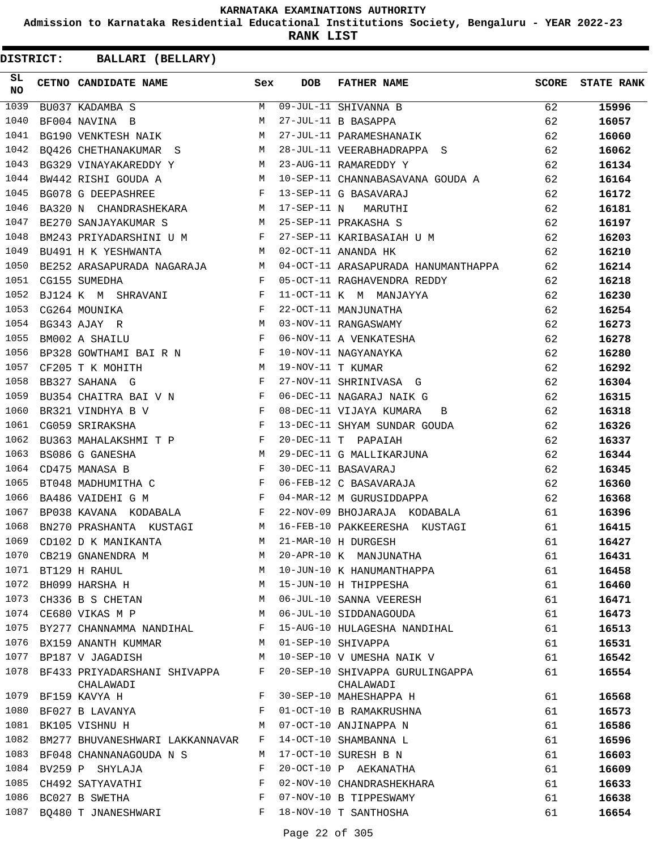**Admission to Karnataka Residential Educational Institutions Society, Bengaluru - YEAR 2022-23**

**RANK LIST**

| SL<br>NO | CETNO CANDIDATE NAME Sex                                                                                                                                                                                                                                |   | <b>DOB</b>        | <b>FATHER NAME</b>                                                     | <b>SCORE</b> | <b>STATE RANK</b> |
|----------|---------------------------------------------------------------------------------------------------------------------------------------------------------------------------------------------------------------------------------------------------------|---|-------------------|------------------------------------------------------------------------|--------------|-------------------|
| 1039     | BU037 KADAMBA S                                                                                                                                                                                                                                         | M |                   | 09-JUL-11 SHIVANNA B<br>27-JUL-11 R RASAPPA                            | 62           | 15996             |
| 1040     | BF004 NAVINA B                                                                                                                                                                                                                                          | M |                   |                                                                        | 62           | 16057             |
| 1041     | BG190 VENKTESH NAIK M                                                                                                                                                                                                                                   |   |                   | 27-JUL-11 PARAMESHANAIK                                                | 62           | 16060             |
| 1042     | BQ426 CHETHANAKUMAR S $$\tt{M}$$                                                                                                                                                                                                                        |   |                   | 28-JUL-11 VEERABHADRAPPA S                                             | 62           | 16062             |
| 1043     | BG329 VINAYAKAREDDY Y M 23-AUG-11 RAMAREDDY Y                                                                                                                                                                                                           |   |                   |                                                                        | 62           | 16134             |
| 1044     | BW442 RISHI GOUDA A                                                                                                                                                                                                                                     |   |                   | M 10-SEP-11 CHANNABASAVANA GOUDA A 62                                  |              | 16164             |
| 1045     | F 13-SEP-11 G BASAVARAJ<br>BG078 G DEEPASHREE                                                                                                                                                                                                           |   |                   |                                                                        | 62           | 16172             |
| 1046     | BA320 N CHANDRASHEKARA M 17-SEP-11 N MARUTHI                                                                                                                                                                                                            |   |                   |                                                                        | 62           | 16181             |
| 1047     | M 25-SEP-11 PRAKASHA S<br>BE270 SANJAYAKUMAR S                                                                                                                                                                                                          |   |                   |                                                                        | 62           | 16197             |
| 1048     | BM243 PRIYADARSHINI U M                                                                                                                                                                                                                                 |   |                   | 27-SEP-11 KARIBASAIAH U M 62                                           |              | 16203             |
| 1049     | $M_{\rm H}$<br>BU491 H K YESHWANTA                                                                                                                                                                                                                      |   |                   | 62<br>02-OCT-11 ANANDA HK                                              |              | 16210             |
| 1050     | BE252 ARASAPURADA NAGARAJA M                                                                                                                                                                                                                            |   |                   | 04-OCT-11 ARASAPURADA HANUMANTHAPPA 62                                 |              | 16214             |
| 1051     | $\mathbf{F}$<br>CG155 SUMEDHA                                                                                                                                                                                                                           |   |                   | 05-OCT-11 RAGHAVENDRA REDDY                                            | 62           | 16218             |
| 1052     | BJ124 K M SHRAVANI F                                                                                                                                                                                                                                    |   |                   | 11-OCT-11 K M MANJAYYA                                                 | 62           | 16230             |
| 1053     | CG264 MOUNIKA                                                                                                                                                                                                                                           |   |                   | 22-OCT-11 MANJUNATHA<br>03-NOV-11 RANGASWAMY<br>06-NOV-11 A VENKATESHA | 62           | 16254             |
| 1054     | $\begin{aligned} \mathbf{F} \\ \mathbf{M} \\ \mathbf{F} \end{aligned}$<br>BG343 AJAY R                                                                                                                                                                  |   |                   |                                                                        | 62           | 16273             |
| 1055     | BM002 A SHAILU                                                                                                                                                                                                                                          |   |                   |                                                                        | 62           | 16278             |
| 1056     | BP328 GOWTHAMI BAIRN N                                                                                                                                                                                                                                  |   |                   | 10-NOV-11 NAGYANAYKA                                                   | 62           | 16280             |
| 1057     | M<br>CF205 T K MOHITH                                                                                                                                                                                                                                   |   | 19-NOV-11 T KUMAR |                                                                        | 62           | 16292             |
| 1058     | $\mathbf{F}$<br>BB327 SAHANA G                                                                                                                                                                                                                          |   |                   | 27-NOV-11 SHRINIVASA G                                                 | 62           | 16304             |
| 1059     | BU354 CHAITRA BAI V N F                                                                                                                                                                                                                                 |   |                   | 06-DEC-11 NAGARAJ NAIK G                                               | 62           | 16315             |
| 1060     | $\mathbb F$ . The set of the set of the set of the set of the set of the set of the set of the set of the set of the set of the set of the set of the set of the set of the set of the set of the set of the set of the set of the<br>BR321 VINDHYA B V |   |                   | 08-DEC-11 VIJAYA KUMARA<br>$\mathbf{B}$                                | 62           | 16318             |
| 1061     | $\mathbf{F}$<br>CG059 SRIRAKSHA                                                                                                                                                                                                                         |   |                   | 13-DEC-11 SHYAM SUNDAR GOUDA                                           | 62           | 16326             |
| 1062     | BU363 MAHALAKSHMI T P F                                                                                                                                                                                                                                 |   |                   | 20-DEC-11 T PAPAIAH                                                    | 62           | 16337             |
| 1063     | M <sub>N</sub><br>BS086 G GANESHA                                                                                                                                                                                                                       |   |                   | 29-DEC-11 G MALLIKARJUNA                                               | 62           | 16344             |
| 1064     | $\mathbf{F}$ and $\mathbf{F}$ are the set of $\mathbf{F}$<br>CD475 MANASA B                                                                                                                                                                             |   |                   | 30-DEC-11 BASAVARAJ                                                    | 62           | 16345             |
| 1065     | BT048 MADHUMITHA C $$\rm F$$                                                                                                                                                                                                                            |   |                   | 06-FEB-12 C BASAVARAJA                                                 | 62           | 16360             |
| 1066     | $\mathbf{F}$<br>BA486 VAIDEHI G M                                                                                                                                                                                                                       |   |                   | 04-MAR-12 M GURUSIDDAPPA                                               | 62           | 16368             |
| 1067     | BP038 KAVANA KODABALA F                                                                                                                                                                                                                                 |   |                   | 22-NOV-09 BHOJARAJA KODABALA                                           | 61           | 16396             |
| 1068     | BN270 PRASHANTA KUSTAGI M                                                                                                                                                                                                                               |   |                   | 16-FEB-10 PAKKEERESHA KUSTAGI                                          | 61           | 16415             |
| 1069     | CD102 D K MANIKANTA                                                                                                                                                                                                                                     |   |                   | M 21-MAR-10 H DURGESH                                                  | 61           | 16427             |
| 1070     | CB219 GNANENDRA M                                                                                                                                                                                                                                       | М |                   | 20-APR-10 K MANJUNATHA                                                 | 61           | 16431             |
|          | 1071 BT129 H RAHUL                                                                                                                                                                                                                                      | M |                   | 10-JUN-10 K HANUMANTHAPPA                                              | 61           | 16458             |
| 1072     | BH099 HARSHA H                                                                                                                                                                                                                                          | М |                   | 15-JUN-10 H THIPPESHA                                                  | 61           | 16460             |
| 1073     | CH336 B S CHETAN                                                                                                                                                                                                                                        | M |                   | 06-JUL-10 SANNA VEERESH                                                | 61           | 16471             |
|          | 1074 CE680 VIKAS M P                                                                                                                                                                                                                                    | М |                   | 06-JUL-10 SIDDANAGOUDA                                                 | 61           | 16473             |
| 1075     | BY277 CHANNAMMA NANDIHAL                                                                                                                                                                                                                                | F |                   | 15-AUG-10 HULAGESHA NANDIHAL                                           | 61           | 16513             |
| 1076     | BX159 ANANTH KUMMAR                                                                                                                                                                                                                                     | M |                   | 01-SEP-10 SHIVAPPA                                                     | 61           | 16531             |
| 1077     | BP187 V JAGADISH                                                                                                                                                                                                                                        | М |                   | 10-SEP-10 V UMESHA NAIK V                                              | 61           | 16542             |
|          | 1078 BF433 PRIYADARSHANI SHIVAPPA                                                                                                                                                                                                                       | F |                   | 20-SEP-10 SHIVAPPA GURULINGAPPA                                        | 61           | 16554             |
| 1079     | CHALAWADI                                                                                                                                                                                                                                               | F |                   | CHALAWADI<br>30-SEP-10 MAHESHAPPA H                                    |              | 16568             |
|          | BF159 KAVYA H                                                                                                                                                                                                                                           |   |                   |                                                                        | 61           |                   |
| 1080     | BF027 B LAVANYA                                                                                                                                                                                                                                         | F |                   | 01-OCT-10 B RAMAKRUSHNA                                                | 61           | 16573             |
| 1081     | BK105 VISHNU H                                                                                                                                                                                                                                          | M |                   | 07-OCT-10 ANJINAPPA N                                                  | 61           | 16586             |
| 1082     | BM277 BHUVANESHWARI LAKKANNAVAR                                                                                                                                                                                                                         | F |                   | 14-OCT-10 SHAMBANNA L                                                  | 61           | 16596             |
| 1083     | BF048 CHANNANAGOUDA N S                                                                                                                                                                                                                                 | M |                   | 17-OCT-10 SURESH B N                                                   | 61           | 16603             |
| 1084     | BV259 P SHYLAJA                                                                                                                                                                                                                                         | F |                   | 20-OCT-10 P AEKANATHA                                                  | 61           | 16609             |
| 1085     | CH492 SATYAVATHI                                                                                                                                                                                                                                        | F |                   | 02-NOV-10 CHANDRASHEKHARA                                              | 61           | 16633             |
| 1086     | BC027 B SWETHA                                                                                                                                                                                                                                          | F |                   | 07-NOV-10 B TIPPESWAMY                                                 | 61           | 16638             |
| 1087     | BQ480 T JNANESHWARI                                                                                                                                                                                                                                     | F |                   | 18-NOV-10 T SANTHOSHA                                                  | 61           | 16654             |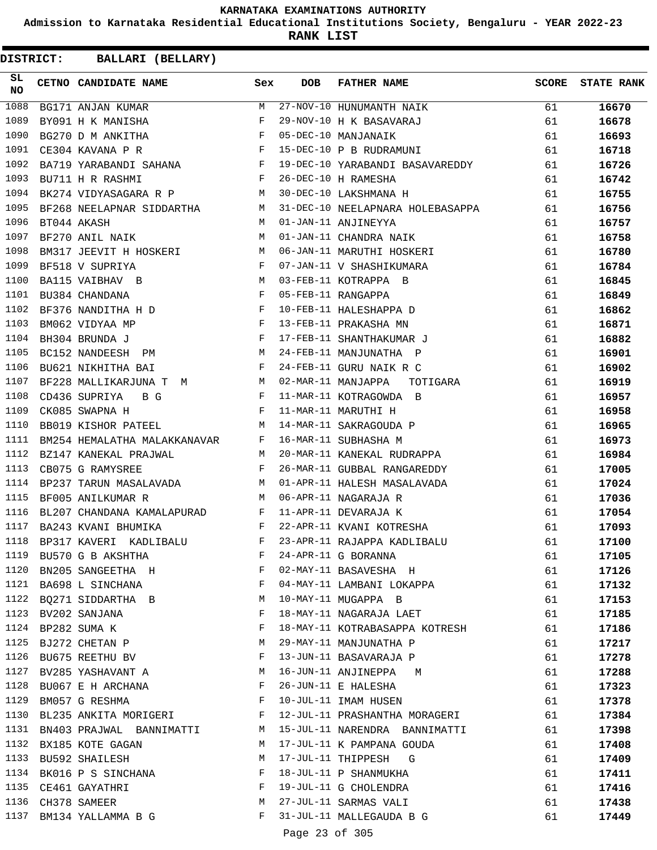**Admission to Karnataka Residential Educational Institutions Society, Bengaluru - YEAR 2022-23**

**RANK LIST**

| SL<br>NO | CETNO CANDIDATE NAME                                                                                                                                                                                                                                       | Sex          | <b>DOB</b>     | <b>FATHER NAME</b>                                                                          | <b>SCORE</b> | <b>STATE RANK</b> |
|----------|------------------------------------------------------------------------------------------------------------------------------------------------------------------------------------------------------------------------------------------------------------|--------------|----------------|---------------------------------------------------------------------------------------------|--------------|-------------------|
| 1088     | BG171 ANJAN KUMAR                                                                                                                                                                                                                                          | M            |                | 27-NOV-10 HUNUMANTH NAIK<br>29-NOV-10 H K BASAVARAJ<br>05-DEC-10 MANJANAIK<br>15 DEC 19 - - | 61           | 16670             |
| 1089     | $\begin{array}{c} \mathbb{N} \\ \mathbb{F} \\ \mathbb{F} \end{array}$<br>BY091 H K MANISHA                                                                                                                                                                 |              |                |                                                                                             | 61           | 16678             |
| 1090     | BG270 D M ANKITHA                                                                                                                                                                                                                                          |              |                |                                                                                             | 61           | 16693             |
| 1091     | $\mathbf{F}$ . The contract of the contract of $\mathbf{F}$<br>CE304 KAVANA P R                                                                                                                                                                            |              |                | 15-DEC-10 P B RUDRAMUNI                                                                     | 61           | 16718             |
| 1092     | BA719 YARABANDI SAHANA F                                                                                                                                                                                                                                   |              |                | 19-DEC-10 YARABANDI BASAVAREDDY                                                             | 61           | 16726             |
| 1093     | $\mathbb F$<br>BU711 H R RASHMI                                                                                                                                                                                                                            |              |                | 26-DEC-10 H RAMESHA                                                                         | 61           | 16742             |
| 1094     | M <sub>1</sub><br>BK274 VIDYASAGARA R P                                                                                                                                                                                                                    |              |                | 30-DEC-10 LAKSHMANA H                                                                       | 61           | 16755             |
| 1095     | BF268 NEELAPNAR SIDDARTHA                                                                                                                                                                                                                                  | M            |                | 31-DEC-10 NEELAPNARA HOLEBASAPPA                                                            | 61           | 16756             |
| 1096     | BT044 AKASH                                                                                                                                                                                                                                                | M            |                | 01-JAN-11 ANJINEYYA                                                                         | 61           | 16757             |
| 1097     | BF270 ANIL NAIK                                                                                                                                                                                                                                            | M            |                | 01-JAN-11 CHANDRA NAIK                                                                      | 61           | 16758             |
| 1098     | BM317 JEEVIT H HOSKERI                                                                                                                                                                                                                                     | M            |                | 06-JAN-11 MARUTHI HOSKERI                                                                   | 61           | 16780             |
| 1099     | BF518 V SUPRIYA                                                                                                                                                                                                                                            | F            |                | 07-JAN-11 V SHASHIKUMARA                                                                    | 61           | 16784             |
| 1100     | M <sub>N</sub><br>BA115 VAIBHAV B                                                                                                                                                                                                                          |              |                | 03-FEB-11 KOTRAPPA B                                                                        | 61           | 16845             |
| 1101     | $\mathbf{F}$<br>BU384 CHANDANA                                                                                                                                                                                                                             |              |                | 05-FEB-11 RANGAPPA                                                                          | 61           | 16849             |
| 1102     | BF376 NANDITHA H D $$\rm F$$                                                                                                                                                                                                                               |              |                | 10-FEB-11 HALESHAPPA D                                                                      | 61           | 16862             |
| 1103     | $\mathbb{F}^{\mathbb{Z}}$ . The set of the set of the set of the set of the set of the set of the set of the set of the set of the set of the set of the set of the set of the set of the set of the set of the set of the set of the s<br>BM062 VIDYAA MP |              |                | 13-FEB-11 PRAKASHA MN                                                                       | 61           | 16871             |
| 1104     | $\mathbb{F}$<br>BH304 BRUNDA J                                                                                                                                                                                                                             |              |                | 17-FEB-11 SHANTHAKUMAR J                                                                    | 61           | 16882             |
| 1105     | BC152 NANDEESH<br>PM                                                                                                                                                                                                                                       | M            |                | 24-FEB-11 MANJUNATHA P                                                                      | 61           | 16901             |
| 1106     | BU621 NIKHITHA BAI                                                                                                                                                                                                                                         | F            |                | 24-FEB-11 GURU NAIK R C                                                                     | 61           | 16902             |
| 1107     | BF228 MALLIKARJUNA T M                                                                                                                                                                                                                                     | M            |                | 02-MAR-11 MANJAPPA<br>TOTIGARA                                                              | 61           | 16919             |
| 1108     | $\mathbb F$ . The set of $\mathbb F$<br>CD436 SUPRIYA<br>B G                                                                                                                                                                                               |              |                | 11-MAR-11 KOTRAGOWDA B                                                                      | 61           | 16957             |
| 1109     | CK085 SWAPNA H                                                                                                                                                                                                                                             | F            |                | 11-MAR-11 MARUTHI H                                                                         | 61           | 16958             |
| 1110     | BB019 KISHOR PATEEL                                                                                                                                                                                                                                        | M            |                | 14-MAR-11 SAKRAGOUDA P                                                                      | 61           | 16965             |
| 1111     | BM254 HEMALATHA MALAKKANAVAR                                                                                                                                                                                                                               | F            |                | 16-MAR-11 SUBHASHA M                                                                        | 61           | 16973             |
| 1112     | BZ147 KANEKAL PRAJWAL                                                                                                                                                                                                                                      | M            |                | 20-MAR-11 KANEKAL RUDRAPPA                                                                  | 61           | 16984             |
| 1113     | CB075 G RAMYSREE                                                                                                                                                                                                                                           | F            |                | 26-MAR-11 GUBBAL RANGAREDDY                                                                 | 61           | 17005             |
| 1114     | BP237 TARUN MASALAVADA                                                                                                                                                                                                                                     | M            |                | 01-APR-11 HALESH MASALAVADA                                                                 | 61           | 17024             |
| 1115     | BF005 ANILKUMAR R<br>$M_{\rm H}$ and $M_{\rm H}$                                                                                                                                                                                                           |              |                | 06-APR-11 NAGARAJA R                                                                        | 61           | 17036             |
| 1116     | $\texttt{BL207}$ CHANDANA KAMALAPURAD $$\rm F$$                                                                                                                                                                                                            |              |                | 11-APR-11 DEVARAJA K                                                                        | 61           | 17054             |
| 1117     | BA243 KVANI BHUMIKA                                                                                                                                                                                                                                        | $\mathbf{F}$ |                |                                                                                             | 61           | 17093             |
| 1118     |                                                                                                                                                                                                                                                            |              |                | 22-APR-11 KVANI KOTRESHA                                                                    | 61           | 17100             |
| 1119     | BP317 KAVERI KADLIBALU F<br>BU570 G B AKSHTHA                                                                                                                                                                                                              | F            |                | 23-APR-11 RAJAPPA KADLIBALU                                                                 |              |                   |
| 1120     |                                                                                                                                                                                                                                                            | F            |                | 24-APR-11 G BORANNA                                                                         | 61           | 17105             |
|          | BN205 SANGEETHA H                                                                                                                                                                                                                                          | F            |                | 02-MAY-11 BASAVESHA H                                                                       | 61           | 17126             |
|          | 1121 BA698 L SINCHANA                                                                                                                                                                                                                                      |              |                | 04-MAY-11 LAMBANI LOKAPPA                                                                   | 61           | 17132             |
| 1122     | BQ271 SIDDARTHA B                                                                                                                                                                                                                                          | М            |                | 10-MAY-11 MUGAPPA B                                                                         | 61           | 17153             |
| 1123     | BV202 SANJANA                                                                                                                                                                                                                                              | F            |                | 18-MAY-11 NAGARAJA LAET                                                                     | 61           | 17185             |
| 1124     | BP282 SUMA K                                                                                                                                                                                                                                               | F            |                | 18-MAY-11 KOTRABASAPPA KOTRESH                                                              | 61           | 17186             |
| 1125     | BJ272 CHETAN P                                                                                                                                                                                                                                             | М            |                | 29-MAY-11 MANJUNATHA P                                                                      | 61           | 17217             |
| 1126     | BU675 REETHU BV                                                                                                                                                                                                                                            | F            |                | 13-JUN-11 BASAVARAJA P                                                                      | 61           | 17278             |
| 1127     | BV285 YASHAVANT A                                                                                                                                                                                                                                          | М            |                | 16-JUN-11 ANJINEPPA M                                                                       | 61           | 17288             |
| 1128     | BU067 E H ARCHANA                                                                                                                                                                                                                                          | F            |                | 26-JUN-11 E HALESHA                                                                         | 61           | 17323             |
| 1129     | BM057 G RESHMA                                                                                                                                                                                                                                             | F            |                | 10-JUL-11 IMAM HUSEN                                                                        | 61           | 17378             |
| 1130     | BL235 ANKITA MORIGERI                                                                                                                                                                                                                                      | F            |                | 12-JUL-11 PRASHANTHA MORAGERI                                                               | 61           | 17384             |
| 1131     | BN403 PRAJWAL BANNIMATTI                                                                                                                                                                                                                                   | M            |                | 15-JUL-11 NARENDRA BANNIMATTI                                                               | 61           | 17398             |
| 1132     | BX185 KOTE GAGAN                                                                                                                                                                                                                                           | М            |                | 17-JUL-11 K PAMPANA GOUDA                                                                   | 61           | 17408             |
| 1133     | BU592 SHAILESH                                                                                                                                                                                                                                             | M            |                | 17-JUL-11 THIPPESH G                                                                        | 61           | 17409             |
| 1134     | BK016 P S SINCHANA                                                                                                                                                                                                                                         | F            |                | 18-JUL-11 P SHANMUKHA                                                                       | 61           | 17411             |
| 1135     | CE461 GAYATHRI                                                                                                                                                                                                                                             | F            |                | 19-JUL-11 G CHOLENDRA                                                                       | 61           | 17416             |
| 1136     | CH378 SAMEER                                                                                                                                                                                                                                               | М            |                | 27-JUL-11 SARMAS VALI                                                                       | 61           | 17438             |
| 1137     | BM134 YALLAMMA B G                                                                                                                                                                                                                                         | F            |                | 31-JUL-11 MALLEGAUDA B G                                                                    | 61           | 17449             |
|          |                                                                                                                                                                                                                                                            |              | Page 23 of 305 |                                                                                             |              |                   |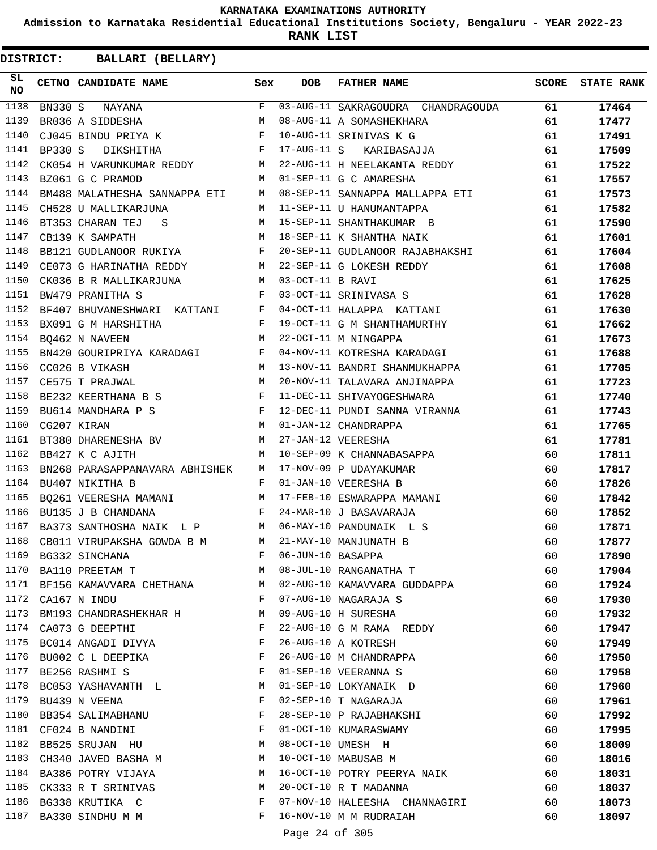**Admission to Karnataka Residential Educational Institutions Society, Bengaluru - YEAR 2022-23**

**RANK LIST**

| SL<br>NO     | CETNO CANDIDATE NAME                                                                               | Sex         | DOB               | <b>FATHER NAME</b>                                                                                   | SCORE    | <b>STATE RANK</b> |
|--------------|----------------------------------------------------------------------------------------------------|-------------|-------------------|------------------------------------------------------------------------------------------------------|----------|-------------------|
| 1138         |                                                                                                    |             |                   |                                                                                                      | 61 — 10  | 17464             |
| 1139         |                                                                                                    |             |                   | 08-AUG-11 A SOMASHEKHARA                                                                             | 61       | 17477             |
| 1140         | CJ045 BINDU PRIYA K F                                                                              |             |                   | 10-AUG-11 SRINIVAS K G                                                                               | 61       | 17491             |
| 1141         | BP330 S DIKSHITHA F                                                                                |             |                   | 17-AUG-11 S KARIBASAJJA                                                                              | 61       | 17509             |
| 1142         |                                                                                                    |             |                   | CK054 H VARUNKUMAR REDDY M 22-AUG-11 H NEELAKANTA REDDY<br>BZ061 G C PRAMOD M 01-SEP-11 G C AMARESHA | 61       | 17522             |
| 1143         |                                                                                                    |             |                   |                                                                                                      | 61       | 17557             |
| 1144         |                                                                                                    |             |                   | BM488 MALATHESHA SANNAPPA ETI M 08-SEP-11 SANNAPPA MALLAPPA ETI                                      | 61       | 17573             |
| 1145         | CH528 U MALLIKARJUNA                                                                               |             |                   |                                                                                                      | 61       | 17582             |
| 1146         | BT353 CHARAN TEJ S                                                                                 |             |                   | -- --- -1 U HANUMANTAPPA<br>M 15-SEP-11 SHANTHAKUMAR B<br>M 18-SEP-11 K CUANTILAR NI ---             | 61       | 17590             |
| 1147         | CB139 K SAMPATH                                                                                    |             |                   | 18-SEP-11 K SHANTHA NAIK                                                                             | 61       | 17601             |
| 1148         | BB121 GUDLANOOR RUKIYA F                                                                           |             |                   | 20-SEP-11 GUDLANOOR RAJABHAKSHI                                                                      | 61       | 17604             |
| 1149         | CE073 G HARINATHA REDDY M                                                                          |             |                   | 22-SEP-11 G LOKESH REDDY                                                                             | 61       | 17608             |
| 1150         | CK036 B R MALLIKARJUNA M 03-OCT-11 B RAVI                                                          |             |                   |                                                                                                      | 61       | 17625             |
| 1151         | $\mathbf{F}$ and $\mathbf{F}$ and $\mathbf{F}$ and $\mathbf{F}$<br>BW479 PRANITHA S                |             |                   | 03-OCT-11 SRINIVASA S                                                                                | 61       | 17628             |
| 1152         | BF407 BHUVANESHWARI KATTANI F                                                                      |             |                   | 04-OCT-11 HALAPPA KATTANI                                                                            | 61       | 17630             |
| 1153         | $\mathbf{F}$ and $\mathbf{F}$ are $\mathbf{F}$ . In the set of $\mathbf{F}$<br>BX091 G M HARSHITHA |             |                   | 19-OCT-11 G M SHANTHAMURTHY                                                                          | 61       | 17662             |
| 1154         | BQ462 N NAVEEN                                                                                     | M           |                   | 22-OCT-11 M NINGAPPA                                                                                 | 61       | 17673             |
| 1155         | BN420 GOURIPRIYA KARADAGI F                                                                        |             |                   | 04-NOV-11 KOTRESHA KARADAGI                                                                          | 61       | 17688             |
| 1156         | M<br>CC026 B VIKASH                                                                                |             |                   | 13-NOV-11 BANDRI SHANMUKHAPPA                                                                        | 61       | 17705             |
| 1157         | M <sub>1</sub><br>CE575 T PRAJWAL                                                                  |             |                   | 20-NOV-11 TALAVARA ANJINAPPA                                                                         | 61       | 17723             |
| 1158         |                                                                                                    |             |                   | 11-DEC-11 SHIVAYOGESHWARA                                                                            | 61       | 17740             |
| 1159         |                                                                                                    |             |                   | 12-DEC-11 PUNDI SANNA VIRANNA                                                                        | 61       | 17743             |
| 1160         | BE232 KEERTHANA B S<br>BU614 MANDHARA P S F<br>CG207 KIRAN M                                       |             |                   | 01-JAN-12 CHANDRAPPA                                                                                 | 61       | 17765             |
| 1161         | BT380 DHARENESHA BV M                                                                              |             |                   | 27-JAN-12 VEERESHA                                                                                   | 61       | 17781             |
| 1162         | BB427 K C AJITH                                                                                    |             |                   | M 10-SEP-09 K CHANNABASAPPA                                                                          | 60       | 17811             |
| 1163         |                                                                                                    |             |                   | BN268 PARASAPPANAVARA ABHISHEK M 17-NOV-09 P UDAYAKUMAR                                              | 60       | 17817             |
| 1164         | BU407 NIKITHA B                                                                                    | $F$ and $F$ |                   | 01-JAN-10 VEERESHA B                                                                                 | 60       | 17826             |
| 1165         |                                                                                                    |             |                   | BQ261 VEERESHA MAMANI MARAMANI MARAMANI MASHARADPA MAMANI                                            | 60       | 17842             |
| 1166         | $\mathbb F$<br>BU135 J B CHANDANA                                                                  |             |                   | 24-MAR-10 J BASAVARAJA                                                                               | 60       | 17852             |
| 1167         | BA373 SANTHOSHA NAIK L P M 06-MAY-10 PANDUNAIK L S                                                 |             |                   |                                                                                                      | 60       | 17871             |
| 1168         | CB011 VIRUPAKSHA GOWDA B M M 21-MAY-10 MANJUNATH B                                                 |             |                   |                                                                                                      | 60       | 17877             |
| 1169         | BG332 SINCHANA                                                                                     | F           | 06-JUN-10 BASAPPA |                                                                                                      | 60       | 17890             |
| 1170         | BA110 PREETAM T                                                                                    | М           |                   | 08-JUL-10 RANGANATHA T                                                                               | 60       | 17904             |
| 1171         | BF156 KAMAVVARA CHETHANA                                                                           | М           |                   | 02-AUG-10 KAMAVVARA GUDDAPPA                                                                         | 60       | 17924             |
| 1172         | CA167 N INDU                                                                                       | F           |                   | 07-AUG-10 NAGARAJA S                                                                                 | 60       | 17930             |
| 1173         | BM193 CHANDRASHEKHAR H                                                                             | M           |                   | 09-AUG-10 H SURESHA                                                                                  | 60       | 17932             |
|              | 1174 CA073 G DEEPTHI                                                                               | F           |                   | 22-AUG-10 G M RAMA REDDY                                                                             | 60       | 17947             |
| 1175         | BC014 ANGADI DIVYA                                                                                 | F           |                   | 26-AUG-10 A KOTRESH                                                                                  | 60       | 17949             |
| 1176         | BU002 C L DEEPIKA                                                                                  | F           |                   | 26-AUG-10 M CHANDRAPPA                                                                               | 60       | 17950             |
| 1177         | BE256 RASHMI S                                                                                     | F           |                   | 01-SEP-10 VEERANNA S                                                                                 | 60       | 17958             |
| 1178         | BC053 YASHAVANTH L                                                                                 | M           |                   | 01-SEP-10 LOKYANAIK D                                                                                | 60       | 17960             |
| 1179         | BU439 N VEENA                                                                                      | F           |                   | 02-SEP-10 T NAGARAJA                                                                                 | 60       | 17961             |
| 1180         | BB354 SALIMABHANU                                                                                  | F           |                   | 28-SEP-10 P RAJABHAKSHI                                                                              | 60       | 17992             |
| 1181         |                                                                                                    | F           |                   | 01-OCT-10 KUMARASWAMY                                                                                |          |                   |
| 1182         | CF024 B NANDINI                                                                                    | М           |                   | 08-OCT-10 UMESH H                                                                                    | 60<br>60 | 17995             |
| 1183         | BB525 SRUJAN HU<br>CH340 JAVED BASHA M                                                             | М           |                   | 10-OCT-10 MABUSAB M                                                                                  |          | 18009             |
| 1184         |                                                                                                    |             |                   |                                                                                                      | 60       | 18016             |
|              | BA386 POTRY VIJAYA                                                                                 | М           |                   | 16-OCT-10 POTRY PEERYA NAIK                                                                          | 60       | 18031             |
| 1185<br>1186 | CK333 R T SRINIVAS                                                                                 | М           |                   | 20-OCT-10 R T MADANNA                                                                                | 60       | 18037             |
|              | BG338 KRUTIKA C                                                                                    | F           |                   | 07-NOV-10 HALEESHA CHANNAGIRI                                                                        | 60       | 18073             |
| 1187         | BA330 SINDHU M M                                                                                   | F           |                   | 16-NOV-10 M M RUDRAIAH                                                                               | 60       | 18097             |
|              |                                                                                                    |             | Page 24 of 305    |                                                                                                      |          |                   |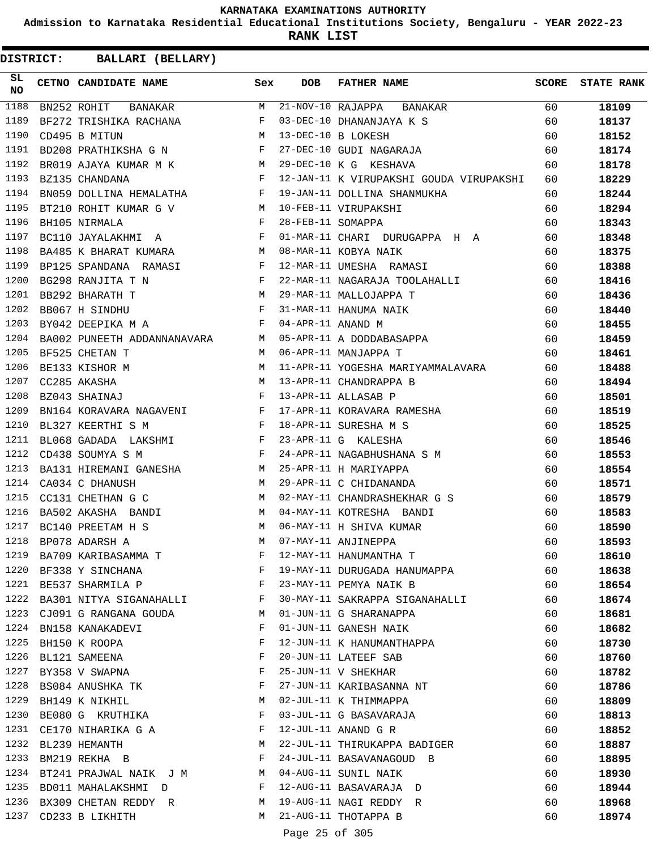**Admission to Karnataka Residential Educational Institutions Society, Bengaluru - YEAR 2022-23**

**RANK LIST**

**DISTRICT:** CC **BALLARI (BELLARY)**

| SL.<br>NO | <b>CETNO CANDIDATE NAME</b>                                                                                                                                                           | Sex | <b>DOB</b>              | <b>FATHER NAME</b>                                                                                                                                                                                                                     | SCORE | <b>STATE RANK</b> |
|-----------|---------------------------------------------------------------------------------------------------------------------------------------------------------------------------------------|-----|-------------------------|----------------------------------------------------------------------------------------------------------------------------------------------------------------------------------------------------------------------------------------|-------|-------------------|
| 1188      | BN252 ROHIT BANAKAR                                                                                                                                                                   |     |                         | M 21-NOV-10 RAJAPPA BANAKAR<br>F 03-DEC-10 DHANANJAYA K S                                                                                                                                                                              | 60    | 18109             |
| 1189      |                                                                                                                                                                                       |     |                         |                                                                                                                                                                                                                                        | 60    | 18137             |
| 1190      | BN252 ROLLI BANARAR M 21 NOV 10 RAJAPPA BANAR<br>BF272 TRISHIKA RACHANA F 03-DEC-10 DHANANJAYA K S<br>CD495 B MITUN M 13-DEC-10 B LOKESH                                              |     |                         | $13-\text{DEC}-10 \text{ B}$ LOKESH 60<br>$27-\text{DEC}-10$ GUDI NAGARAJA 60                                                                                                                                                          |       | 18152             |
| 1191      | BD208 PRATHIKSHA G N F                                                                                                                                                                |     |                         |                                                                                                                                                                                                                                        |       | 18174             |
| 1192      |                                                                                                                                                                                       |     |                         |                                                                                                                                                                                                                                        | - 60  | 18178             |
| 1193      |                                                                                                                                                                                       |     |                         |                                                                                                                                                                                                                                        | 60    | 18229             |
| 1194      | BN059 DOLLINA HEMALATHA F 19-JAN-11 DOLLINA SHANMUKHA                                                                                                                                 |     |                         |                                                                                                                                                                                                                                        | 60    | 18244             |
| 1195      | BT210 ROHIT KUMAR G V M 10-FEB-11 VIRUPAKSHI                                                                                                                                          |     |                         |                                                                                                                                                                                                                                        | 60    | 18294             |
| 1196      |                                                                                                                                                                                       |     |                         |                                                                                                                                                                                                                                        |       | 18343             |
| 1197      |                                                                                                                                                                                       |     |                         |                                                                                                                                                                                                                                        |       | 18348             |
| 1198      | BA485 K BHARAT KUMARA M                                                                                                                                                               |     |                         | 08-MAR-11 KOBYA NAIK                                                                                                                                                                                                                   | 60    | 18375             |
| 1199      | BP125 SPANDANA RAMASI F                                                                                                                                                               |     |                         | 12-MAR-11 UMESHA RAMASI                                                                                                                                                                                                                | 60    | 18388             |
| 1200      | BG298 RANJITA T N<br>BB292 BHARATH T<br>BB292 BHARATH T<br>BB067 H SINDHU<br>BB067 H SINDHU<br>BB067 H SINDHU<br>BB067 H SINDHU<br>BB067 H SINDHU<br>BB067 H SINDHU<br>BB067 H SINDHU |     |                         | BG298 RANJITA T N F 22-MAR-11 NAGARAJA TOOLAHALLI 60<br>BB292 BHARATH T M 29-MAR-11 MALLOJAPPA T 60<br>BB067 H SINDHU F 31-MAR-11 HANUMA NAIK 60<br>BY042 DEEPIKA M A F 04-APR-11 ANAND M 60<br>BA002 PUNEETH ADDANNANAVARA M 05-APR-1 |       | 18416             |
| 1201      |                                                                                                                                                                                       |     |                         |                                                                                                                                                                                                                                        |       | 18436             |
| 1202      |                                                                                                                                                                                       |     |                         |                                                                                                                                                                                                                                        |       | 18440             |
| 1203      |                                                                                                                                                                                       |     |                         |                                                                                                                                                                                                                                        |       | 18455             |
| 1204      |                                                                                                                                                                                       |     |                         |                                                                                                                                                                                                                                        |       | 18459             |
| 1205      | BF525 CHETAN T                                                                                                                                                                        |     |                         | Francisco (1999)<br>The Contract of Contract (1999)                                                                                                                                                                                    | 60    | 18461             |
| 1206      | M 06-APR-11 MANJAPPA T<br>M 11-APR-11 YOGESHA MAR<br>M 13-APR-11 CHANDRAPPA<br>F 13-APR-11 ALLASAB P<br>BE133 KISHOR M                                                                |     |                         | 11-APR-11 YOGESHA MARIYAMMALAVARA 60                                                                                                                                                                                                   |       | 18488             |
| 1207      | CC285 AKASHA                                                                                                                                                                          |     |                         | 13-APR-11 CHANDRAPPA B                                                                                                                                                                                                                 | 60    | 18494             |
| 1208      | BZ043 SHAINAJ                                                                                                                                                                         |     |                         |                                                                                                                                                                                                                                        | 60    | 18501             |
| 1209      |                                                                                                                                                                                       |     |                         |                                                                                                                                                                                                                                        | 60    | 18519             |
| 1210      |                                                                                                                                                                                       |     |                         | BN164 KORAVARA NAGAVENI F 17-APR-11 KORAVARA RAMESHA<br>BL327 KEERTHI S M F 18-APR-11 SURESHA M S<br>BL068 GADADA LAKSHMI F 23-APR-11 G KALESHA                                                                                        | 60    | 18525             |
| 1211      |                                                                                                                                                                                       |     |                         |                                                                                                                                                                                                                                        | 60    | 18546             |
| 1212      | $\mathbf{F}^{\top}$                                                                                                                                                                   |     |                         | CD438 SOUMYA S M<br>BA131 HIREMANI GANESHA M 25-APR-11 H MARIYAPPA                                                                                                                                                                     | 60    | 18553             |
| 1213      |                                                                                                                                                                                       |     |                         |                                                                                                                                                                                                                                        | 60    | 18554             |
| 1214      | <b>M</b><br>CA034 C DHANUSH                                                                                                                                                           |     |                         | 29-APR-11 C CHIDANANDA                                                                                                                                                                                                                 | 60    | 18571             |
| 1215      | CC131 CHETHAN G C                                                                                                                                                                     |     |                         | M 02-MAY-11 CHANDRASHEKHAR G S                                                                                                                                                                                                         | 60    | 18579             |
| 1216      | BA502 AKASHA BANDI M 04-MAY-11 KOTRESHA BANDI                                                                                                                                         |     |                         |                                                                                                                                                                                                                                        | 60    | 18583             |
| 1217      | BC140 PREETAM H S                                                                                                                                                                     | M   |                         | 06-MAY-11 H SHIVA KUMAR                                                                                                                                                                                                                | 60    | 18590             |
| 1218      | $\mathbf S$<br>BP078 ADARSH A                                                                                                                                                         |     |                         | M 07-MAY-11 ANJINEPPA                                                                                                                                                                                                                  | 60    | 18593             |
| 1219      | BA709 KARIBASAMMA T                                                                                                                                                                   | F   |                         | 12-MAY-11 HANUMANTHA T                                                                                                                                                                                                                 | 60    | 18610             |
| 1220      | BF338 Y SINCHANA                                                                                                                                                                      | F   |                         | 19-MAY-11 DURUGADA HANUMAPPA                                                                                                                                                                                                           | 60    | 18638             |
| 1221      | BE537 SHARMILA P                                                                                                                                                                      | F   |                         | 23-MAY-11 PEMYA NAIK B                                                                                                                                                                                                                 | 60    | 18654             |
| 1222      | BA301 NITYA SIGANAHALLI                                                                                                                                                               | F   |                         | 30-MAY-11 SAKRAPPA SIGANAHALLI                                                                                                                                                                                                         | 60    | 18674             |
| 1223      | CJ091 G RANGANA GOUDA                                                                                                                                                                 | M   |                         | 01-JUN-11 G SHARANAPPA                                                                                                                                                                                                                 | 60    | 18681             |
| 1224      | BN158 KANAKADEVI                                                                                                                                                                      | F   |                         | 01-JUN-11 GANESH NAIK                                                                                                                                                                                                                  | 60    | 18682             |
| 1225      | BH150 K ROOPA                                                                                                                                                                         | F   |                         | 12-JUN-11 K HANUMANTHAPPA                                                                                                                                                                                                              | 60    | 18730             |
| 1226      | BL121 SAMEENA                                                                                                                                                                         | F   |                         | 20-JUN-11 LATEEF SAB                                                                                                                                                                                                                   | 60    | 18760             |
| 1227      | BY358 V SWAPNA                                                                                                                                                                        | F   |                         | 25-JUN-11 V SHEKHAR                                                                                                                                                                                                                    | 60    | 18782             |
| 1228      | BS084 ANUSHKA TK                                                                                                                                                                      | F   |                         | 27-JUN-11 KARIBASANNA NT                                                                                                                                                                                                               | 60    | 18786             |
| 1229      | BH149 K NIKHIL                                                                                                                                                                        | М   |                         | 02-JUL-11 K THIMMAPPA                                                                                                                                                                                                                  | 60    | 18809             |
| 1230      | BE080 G KRUTHIKA                                                                                                                                                                      | F   |                         | 03-JUL-11 G BASAVARAJA                                                                                                                                                                                                                 | 60    | 18813             |
| 1231      | CE170 NIHARIKA G A                                                                                                                                                                    | F   |                         | 12-JUL-11 ANAND G R                                                                                                                                                                                                                    | 60    | 18852             |
| 1232      | BL239 HEMANTH                                                                                                                                                                         | М   |                         | 22-JUL-11 THIRUKAPPA BADIGER                                                                                                                                                                                                           | 60    | 18887             |
| 1233      | BM219 REKHA B                                                                                                                                                                         | F   |                         | 24-JUL-11 BASAVANAGOUD B                                                                                                                                                                                                               | 60    | 18895             |
| 1234      | BT241 PRAJWAL NAIK J M                                                                                                                                                                | M   |                         | 04-AUG-11 SUNIL NAIK                                                                                                                                                                                                                   | 60    | 18930             |
| 1235      |                                                                                                                                                                                       | F   |                         | 12-AUG-11 BASAVARAJA D                                                                                                                                                                                                                 | 60    |                   |
| 1236      | BD011 MAHALAKSHMI D                                                                                                                                                                   | M   |                         | 19-AUG-11 NAGI REDDY R                                                                                                                                                                                                                 | 60    | 18944             |
| 1237      | BX309 CHETAN REDDY R<br>CD233 B LIKHITH                                                                                                                                               | M   |                         | 21-AUG-11 THOTAPPA B                                                                                                                                                                                                                   | 60    | 18968<br>18974    |
|           |                                                                                                                                                                                       |     | $D_{200}$ $25$ of $205$ |                                                                                                                                                                                                                                        |       |                   |

Page 25 of 305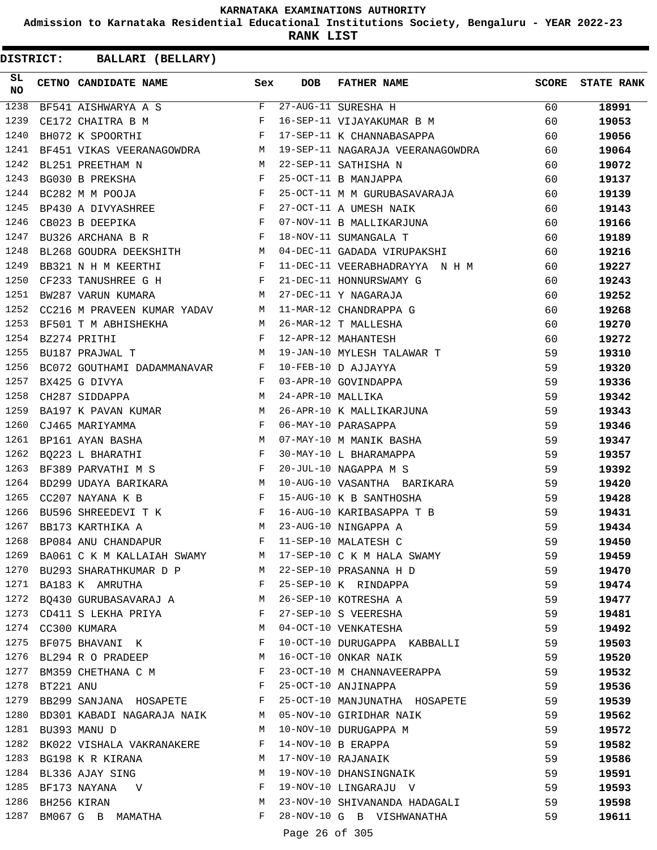**Admission to Karnataka Residential Educational Institutions Society, Bengaluru - YEAR 2022-23**

**RANK LIST**

| SL<br><b>NO</b> |                | CETNO CANDIDATE NAME Sex                                                                                                                 |              | DOB            | <b>FATHER NAME</b>                                                              |          | <b>SCORE</b> STATE RANK |
|-----------------|----------------|------------------------------------------------------------------------------------------------------------------------------------------|--------------|----------------|---------------------------------------------------------------------------------|----------|-------------------------|
| 1238            |                |                                                                                                                                          |              |                | BF541 AISHWARYA A S<br>The 27-AUG-11 SURESHA H<br>The 16-SEP-11 VIJAYAKUMAR B M | 60       | 18991                   |
| 1239            |                |                                                                                                                                          |              |                |                                                                                 | 60       | 19053                   |
| 1240            |                | $\mathbf{F}$ and $\mathbf{F}$ and $\mathbf{F}$<br>BH072 K SPOORTHI                                                                       |              |                | 17-SEP-11 K CHANNABASAPPA                                                       | 60       | 19056                   |
| 1241            |                | BF451 VIKAS VEERANAGOWDRA M                                                                                                              |              |                | 19-SEP-11 NAGARAJA VEERANAGOWDRA 60                                             |          | 19064                   |
| 1242            |                | M <sub>N</sub><br>BL251 PREETHAM N                                                                                                       |              |                | 22-SEP-11 SATHISHA N                                                            | 60       | 19072                   |
| 1243            |                | $\mathbf{F}^{\mathcal{A}}_{\mathcal{A}}=\mathbf{F}^{\mathcal{A}}_{\mathcal{A}}\mathbf{F}^{\mathcal{A}}_{\mathcal{A}}$<br>BG030 B PREKSHA |              |                | 25-OCT-11 B MANJAPPA                                                            | 60       | 19137                   |
| 1244            |                | $\mathbf{F} = \mathbf{F} \times \mathbf{F}$<br>BC282 M M POOJA                                                                           |              |                | 25-OCT-11 M M GURUBASAVARAJA                                                    | 60       | 19139                   |
| 1245            |                | BP430 A DIVYASHREE F                                                                                                                     |              |                |                                                                                 | 60       | 19143                   |
| 1246            |                | CB023 B DEEPIKA $F$                                                                                                                      |              |                | 27-OCT-11 A UMESH NAIK<br>07-NOV-11 B MALLIKARJUNA                              | 60       | 19166                   |
| 1247            |                | BU326 ARCHANA B R F                                                                                                                      |              |                | 18-NOV-11 SUMANGALA T                                                           | 60       | 19189                   |
| 1248            |                | BL268 GOUDRA DEEKSHITH M                                                                                                                 |              |                | 04-DEC-11 GADADA VIRUPAKSHI                                                     | 60       | 19216                   |
| 1249            |                | $\mathbf{F}$ and $\mathbf{F}$ are $\mathbf{F}$                                                                                           |              |                | 11-DEC-11 VEERABHADRAYYA N H M                                                  | 60       | 19227                   |
| 1250            |                |                                                                                                                                          |              |                |                                                                                 | 60       | 19243                   |
| 1251            |                |                                                                                                                                          |              |                |                                                                                 | 60       | 19252                   |
| 1252            |                |                                                                                                                                          |              |                |                                                                                 | 60       | 19268                   |
| 1253            |                |                                                                                                                                          |              |                |                                                                                 | 60       | 19270                   |
| 1254            |                |                                                                                                                                          |              |                |                                                                                 | 60       | 19272                   |
| 1255            |                | $M_{\odot}$<br>BU187 PRAJWAL T                                                                                                           |              |                | 19-JAN-10 MYLESH TALAWAR T                                                      | 59       | 19310                   |
| 1256            |                | BC072 GOUTHAMI DADAMMANAVAR F                                                                                                            |              |                | 10-FEB-10 D AJJAYYA                                                             | 59       | 19320                   |
| 1257            |                | BX425 G DIVYA                                                                                                                            | $\mathbf{F}$ |                |                                                                                 | 59       | 19336                   |
| 1258            |                | CH287 SIDDAPPA                                                                                                                           | M            |                | 03-APR-10 GOVINDAPPA<br>24-APR-10 MALLIKA                                       | 59       | 19342                   |
| 1259            |                | BA197 K PAVAN KUMAR M                                                                                                                    |              |                | 26-APR-10 K MALLIKARJUNA                                                        | 59       | 19343                   |
| 1260            |                | $\mathbf{F}^{\mathcal{A}}_{\mathcal{A}}=\mathbf{F}^{\mathcal{A}}_{\mathcal{A}}\mathbf{F}^{\mathcal{A}}_{\mathcal{A}}$<br>CJ465 MARIYAMMA |              |                |                                                                                 | 59       | 19346                   |
| 1261            |                | BP161 AYAN BASHA M                                                                                                                       |              |                |                                                                                 | 59       | 19347                   |
| 1262            |                | BQ223 L BHARATHI F                                                                                                                       |              |                |                                                                                 | 59       | 19357                   |
| 1263            |                | BF389 PARVATHI M S F                                                                                                                     |              |                | 20-JUL-10 NAGAPPA M S                                                           | 59       | 19392                   |
| 1264            |                | BD299 UDAYA BARIKARA M                                                                                                                   |              |                | 10-AUG-10 VASANTHA BARIKARA                                                     | 59       | 19420                   |
| 1265            |                | CC207 NAYANA K B                                                                                                                         | F            |                | 15-AUG-10 K B SANTHOSHA                                                         | 59       | 19428                   |
| 1266            |                | BU596 SHREEDEVI T K F                                                                                                                    |              |                | 16-AUG-10 KARIBASAPPA T B                                                       | 59       | 19431                   |
| 1267            |                | BB173 KARTHIKA A<br>M <sub>N</sub>                                                                                                       |              |                | 23-AUG-10 NINGAPPA A                                                            | 59       | 19434                   |
| 1268            |                | BP084 ANU CHANDAPUR                                                                                                                      | F            |                | 11-SEP-10 MALATESH C                                                            | 59       | 19450                   |
| 1269            |                |                                                                                                                                          |              |                | BA061 C K M KALLAIAH SWAMY M 17-SEP-10 C K M HALA SWAMY                         | 59       | 19459                   |
|                 |                | 1270 BU293 SHARATHKUMAR D P M 22-SEP-10 PRASANNA H D                                                                                     |              |                |                                                                                 | 59       | 19470                   |
|                 |                | 1271 BA183 K AMRUTHA                                                                                                                     | $F$ and      |                | 25-SEP-10 K RINDAPPA                                                            | 59       | 19474                   |
|                 |                | 1272 BQ430 GURUBASAVARAJ A M                                                                                                             |              |                | 26-SEP-10 KOTRESHA A                                                            | 59       | 19477                   |
|                 |                | 1273 CD411 S LEKHA PRIYA                                                                                                                 | F            |                | 27-SEP-10 S VEERESHA                                                            | 59       | 19481                   |
|                 |                | 1274 CC300 KUMARA                                                                                                                        | M            |                | 04-OCT-10 VENKATESHA                                                            | 59       | 19492                   |
| 1275            |                | BF075 BHAVANI K                                                                                                                          | F            |                | 10-OCT-10 DURUGAPPA KABBALLI                                                    | 59       | 19503                   |
|                 |                | 1276 BL294 R O PRADEEP                                                                                                                   | M            |                | 16-OCT-10 ONKAR NAIK                                                            | 59       | 19520                   |
|                 |                | 1277 BM359 CHETHANA C M F                                                                                                                |              |                | 23-OCT-10 M CHANNAVEERAPPA                                                      | 59       | 19532                   |
|                 | 1278 BT221 ANU |                                                                                                                                          | F            |                | 25-OCT-10 ANJINAPPA                                                             | 59       | 19536                   |
|                 |                | 1279 BB299 SANJANA HOSAPETE                                                                                                              | F            |                | 25-OCT-10 MANJUNATHA HOSAPETE                                                   | 59       |                         |
|                 |                | 1280 BD301 KABADI NAGARAJA NAIK                                                                                                          | M            |                | 05-NOV-10 GIRIDHAR NAIK                                                         | 59       | 19539                   |
|                 |                | 1281 BU393 MANU D                                                                                                                        | М            |                |                                                                                 |          | 19562                   |
|                 |                | 1282 BK022 VISHALA VAKRANAKERE                                                                                                           | F            |                | 10-NOV-10 DURUGAPPA M<br>14-NOV-10 B ERAPPA                                     | 59<br>59 | 19572                   |
| 1283            |                |                                                                                                                                          | М            |                |                                                                                 |          | 19582                   |
|                 |                | BG198 K R KIRANA                                                                                                                         |              |                | 17-NOV-10 RAJANAIK                                                              | 59       | 19586                   |
| 1284            |                | BL336 AJAY SING                                                                                                                          | M<br>F       |                | 19-NOV-10 DHANSINGNAIK                                                          | 59       | 19591                   |
|                 |                | 1285 BF173 NAYANA V                                                                                                                      |              |                | 19-NOV-10 LINGARAJU V                                                           | 59       | 19593                   |
|                 |                | 1286 BH256 KIRAN                                                                                                                         | М            |                | 23-NOV-10 SHIVANANDA HADAGALI                                                   | 59       | 19598                   |
| 1287            |                | BM067 G B MAMATHA                                                                                                                        | F            |                | 28-NOV-10 G B VISHWANATHA                                                       | 59       | 19611                   |
|                 |                |                                                                                                                                          |              | Page 26 of 305 |                                                                                 |          |                         |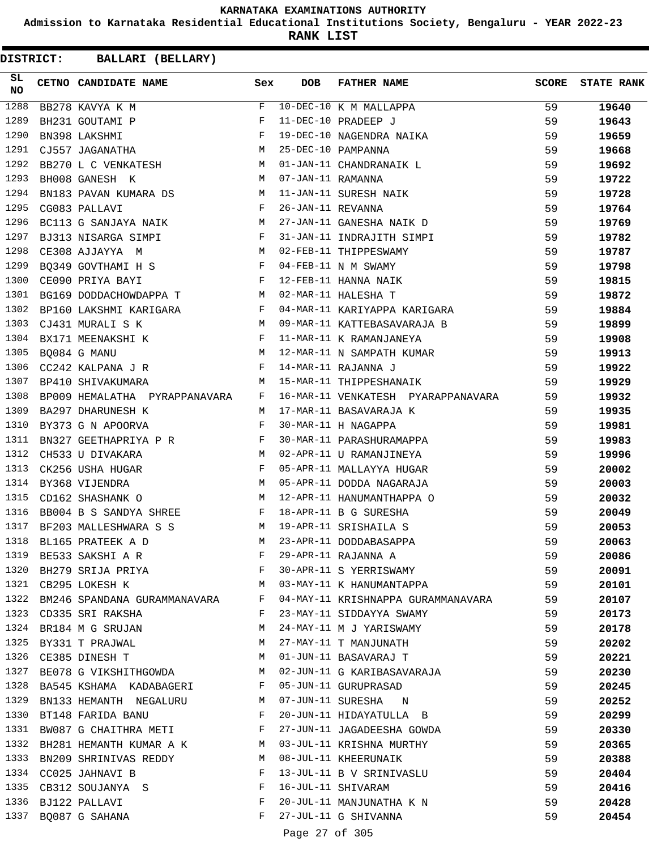**Admission to Karnataka Residential Educational Institutions Society, Bengaluru - YEAR 2022-23**

**RANK LIST**

| SL<br><b>NO</b> | CETNO CANDIDATE NAME Sex                                                                                                                                                                                                                                                                                                                                        |   | DOB            | FATHER NAME                                                                                             | <b>SCORE</b> | <b>STATE RANK</b> |
|-----------------|-----------------------------------------------------------------------------------------------------------------------------------------------------------------------------------------------------------------------------------------------------------------------------------------------------------------------------------------------------------------|---|----------------|---------------------------------------------------------------------------------------------------------|--------------|-------------------|
| 1288            | BB278 KAVYA K M<br>$\begin{picture}(130,10) \put(0,0){\line(1,0){150}} \put(15,0){\line(1,0){150}} \put(15,0){\line(1,0){150}} \put(15,0){\line(1,0){150}} \put(15,0){\line(1,0){150}} \put(15,0){\line(1,0){150}} \put(15,0){\line(1,0){150}} \put(15,0){\line(1,0){150}} \put(15,0){\line(1,0){150}} \put(15,0){\line(1,0){150}} \put(15,0){\line(1,0){150}}$ |   |                | F 10-DEC-10 K M MALLAPPA<br>F 11-DEC-10 PRADEEP J<br>F 19-DEC-10 NAGENDRA NAIKA<br>M 25-DEC-10 PAMPANNA | 59           | 19640             |
| 1289            | BH231 GOUTAMI P                                                                                                                                                                                                                                                                                                                                                 |   |                |                                                                                                         | 59           | 19643             |
| 1290            | BN398 LAKSHMI                                                                                                                                                                                                                                                                                                                                                   |   |                |                                                                                                         | 59           | 19659             |
| 1291            | CJ557 JAGANATHA                                                                                                                                                                                                                                                                                                                                                 |   |                |                                                                                                         | 59           | 19668             |
| 1292            | BB270 L C VENKATESH M 01-JAN-11 CHANDRANAIK L                                                                                                                                                                                                                                                                                                                   |   |                |                                                                                                         | 59           | 19692             |
| 1293            | M<br>BH008 GANESH K                                                                                                                                                                                                                                                                                                                                             |   |                | 01 01 - CHEROLES<br>07-JAN-11 RAMANNA<br>11-JAN-11 SURESH NAIK<br>26-JAN-11 REVANNA                     | 59           | 19722             |
| 1294            | BN183 PAVAN KUMARA DS $$\tt{M}$$                                                                                                                                                                                                                                                                                                                                |   |                |                                                                                                         | 59           | 19728             |
| 1295            | $\mathbb F$<br>CG083 PALLAVI                                                                                                                                                                                                                                                                                                                                    |   |                |                                                                                                         | 59           | 19764             |
| 1296            | BC113 G SANJAYA NAIK M                                                                                                                                                                                                                                                                                                                                          |   |                | 27-JAN-11 GANESHA NAIK D                                                                                | 59           | 19769             |
| 1297            | BJ313 NISARGA SIMPI F                                                                                                                                                                                                                                                                                                                                           |   |                | 31-JAN-11 INDRAJITH SIMPI                                                                               | 59           | 19782             |
| 1298            | CE308 AJJAYYA M<br>BQ349 GOVTHAMI H S<br>BQ349 GOVTHAMI H S<br>E C TT 11 N M SWAMY                                                                                                                                                                                                                                                                              |   |                | 02-FEB-11 THIPPESWAMY                                                                                   | 59           | 19787             |
| 1299            |                                                                                                                                                                                                                                                                                                                                                                 |   |                |                                                                                                         | 59           | 19798             |
| 1300            | $\mathbb F$<br>CE090 PRIYA BAYI                                                                                                                                                                                                                                                                                                                                 |   |                | 12-FEB-11 HANNA NAIK                                                                                    | 59           | 19815             |
| 1301            | BG169 DODDACHOWDAPPA T M 02-MAR-11 HALESHA T                                                                                                                                                                                                                                                                                                                    |   |                |                                                                                                         | 59           | 19872             |
| 1302            | BP160 LAKSHMI KARIGARA F                                                                                                                                                                                                                                                                                                                                        |   |                | 04-MAR-11 KARIYAPPA KARIGARA                                                                            | 59           | 19884             |
| 1303            | M<br>CJ431 MURALI S K                                                                                                                                                                                                                                                                                                                                           |   |                | 09-MAR-11 KATTEBASAVARAJA B                                                                             | 59           | 19899             |
| 1304            | $\mathbf{F}$ and $\mathbf{F}$ are $\mathbf{F}$<br>BX171 MEENAKSHI K                                                                                                                                                                                                                                                                                             |   |                | 11-MAR-11 K RAMANJANEYA                                                                                 | 59           | 19908             |
| 1305            | M<br>BQ084 G MANU                                                                                                                                                                                                                                                                                                                                               |   |                |                                                                                                         | 59           | 19913             |
| 1306            | $CC242$ KALPANA J R $F$                                                                                                                                                                                                                                                                                                                                         |   |                | 12-MAR-11 N SAMPATH KUMAR<br>14-MAR-11 RAJANNA J                                                        | 59           | 19922             |
| 1307            | BP410 SHIVAKUMARA<br><b>Example 19</b> M                                                                                                                                                                                                                                                                                                                        |   |                | 15-MAR-11 THIPPESHANAIK                                                                                 | 59           | 19929             |
| 1308            | BP009 HEMALATHA PYRAPPANAVARA F                                                                                                                                                                                                                                                                                                                                 |   |                | 16-MAR-11 VENKATESH PYARAPPANAVARA 59                                                                   |              | 19932             |
| 1309            | BA297 DHARUNESH K                                                                                                                                                                                                                                                                                                                                               |   |                | M 17-MAR-11 BASAVARAJA K                                                                                | 59           | 19935             |
| 1310            | $\mathbb F$ . The set of $\mathbb F$<br>BY373 G N APOORVA                                                                                                                                                                                                                                                                                                       |   |                | 17-MAR-11 BASAVARAJA K<br>30-MAR-11 H NAGAPPA<br>30-MAR-11 PARASHURAMAPPA                               | 59           | 19981             |
| 1311            | BN327 GEETHAPRIYA P R F                                                                                                                                                                                                                                                                                                                                         |   |                |                                                                                                         | 59           | 19983             |
| 1312            | <b>M</b><br>CH533 U DIVAKARA                                                                                                                                                                                                                                                                                                                                    |   |                | 02-APR-11 U RAMANJINEYA                                                                                 | 59           | 19996             |
| 1313            | $\mathbb{R}^n$ . The set of the set of the set of the set of the set of the set of the set of the set of the set of the set of the set of the set of the set of the set of the set of the set of the set of the set of the set of<br>CK256 USHA HUGAR                                                                                                           |   |                | 05-APR-11 MALLAYYA HUGAR                                                                                | 59           | 20002             |
| 1314            | M<br>BY368 VIJENDRA                                                                                                                                                                                                                                                                                                                                             |   |                | 05-APR-11 DODDA NAGARAJA                                                                                | 59           | 20003             |
| 1315            | CD162 SHASHANK O                                                                                                                                                                                                                                                                                                                                                |   |                | M 12-APR-11 HANUMANTHAPPA O                                                                             | 59           | 20032             |
| 1316            | BB004 B S SANDYA SHREE F 18-APR-11 B G SURESHA                                                                                                                                                                                                                                                                                                                  |   |                |                                                                                                         | 59           | 20049             |
| 1317            | BF203 MALLESHWARA S S M 19-APR-11 SRISHAILA S                                                                                                                                                                                                                                                                                                                   |   |                |                                                                                                         | 59           | 20053             |
| 1318            | BL165 PRATEEK A D                                                                                                                                                                                                                                                                                                                                               | M |                | 23-APR-11 DODDABASAPPA                                                                                  | 59           | 20063             |
| 1319            | BE533 SAKSHI A R                                                                                                                                                                                                                                                                                                                                                | F |                | 29-APR-11 RAJANNA A                                                                                     | 59           | 20086             |
| 1320            | BH279 SRIJA PRIYA F                                                                                                                                                                                                                                                                                                                                             |   |                | 30-APR-11 S YERRISWAMY                                                                                  | 59           | 20091             |
|                 | $M_{\odot}$<br>1321 CB295 LOKESH K                                                                                                                                                                                                                                                                                                                              |   |                | 03-MAY-11 K HANUMANTAPPA                                                                                | 59           | 20101             |
|                 | 1322 BM246 SPANDANA GURAMMANAVARA F                                                                                                                                                                                                                                                                                                                             |   |                | 04-MAY-11 KRISHNAPPA GURAMMANAVARA                                                                      | 59           | 20107             |
|                 | 1323 CD335 SRI RAKSHA                                                                                                                                                                                                                                                                                                                                           | F |                | 23-MAY-11 SIDDAYYA SWAMY                                                                                | 59           | 20173             |
| 1324            | BR184 M G SRUJAN                                                                                                                                                                                                                                                                                                                                                | M |                | 24-MAY-11 M J YARISWAMY                                                                                 | 59           | 20178             |
| 1325            | BY331 T PRAJWAL                                                                                                                                                                                                                                                                                                                                                 | M |                | 27-MAY-11 T MANJUNATH                                                                                   | 59           | 20202             |
| 1326            | CE385 DINESH T                                                                                                                                                                                                                                                                                                                                                  | M |                | 01-JUN-11 BASAVARAJ T                                                                                   | 59           | 20221             |
|                 | 1327 BE078 G VIKSHITHGOWDA M                                                                                                                                                                                                                                                                                                                                    |   |                | 02-JUN-11 G KARIBASAVARAJA                                                                              | 59           |                   |
| 1328            | BA545 KSHAMA KADABAGERI                                                                                                                                                                                                                                                                                                                                         | F |                | 05-JUN-11 GURUPRASAD                                                                                    | 59           | 20230             |
| 1329            | BN133 HEMANTH NEGALURU                                                                                                                                                                                                                                                                                                                                          | M |                | 07-JUN-11 SURESHA N                                                                                     | 59           | 20245             |
|                 |                                                                                                                                                                                                                                                                                                                                                                 |   |                |                                                                                                         |              | 20252             |
|                 | 1330 BT148 FARIDA BANU                                                                                                                                                                                                                                                                                                                                          | F |                | 20-JUN-11 HIDAYATULLA B                                                                                 | 59           | 20299             |
| 1331            | BW087 G CHAITHRA METI                                                                                                                                                                                                                                                                                                                                           | F |                | 27-JUN-11 JAGADEESHA GOWDA                                                                              | 59           | 20330             |
| 1332            | BH281 HEMANTH KUMAR A K                                                                                                                                                                                                                                                                                                                                         | M |                | 03-JUL-11 KRISHNA MURTHY                                                                                | 59           | 20365             |
| 1333            | BN209 SHRINIVAS REDDY                                                                                                                                                                                                                                                                                                                                           | M |                | 08-JUL-11 KHEERUNAIK                                                                                    | 59           | 20388             |
|                 | 1334 CC025 JAHNAVI B                                                                                                                                                                                                                                                                                                                                            | F |                | 13-JUL-11 B V SRINIVASLU                                                                                | 59           | 20404             |
|                 | 1335 CB312 SOUJANYA S                                                                                                                                                                                                                                                                                                                                           | F |                | 16-JUL-11 SHIVARAM                                                                                      | 59           | 20416             |
|                 | 1336 BJ122 PALLAVI                                                                                                                                                                                                                                                                                                                                              | F |                | 20-JUL-11 MANJUNATHA K N                                                                                | 59           | 20428             |
| 1337            | BQ087 G SAHANA                                                                                                                                                                                                                                                                                                                                                  | F |                | 27-JUL-11 G SHIVANNA                                                                                    | 59           | 20454             |
|                 |                                                                                                                                                                                                                                                                                                                                                                 |   | Page 27 of 305 |                                                                                                         |              |                   |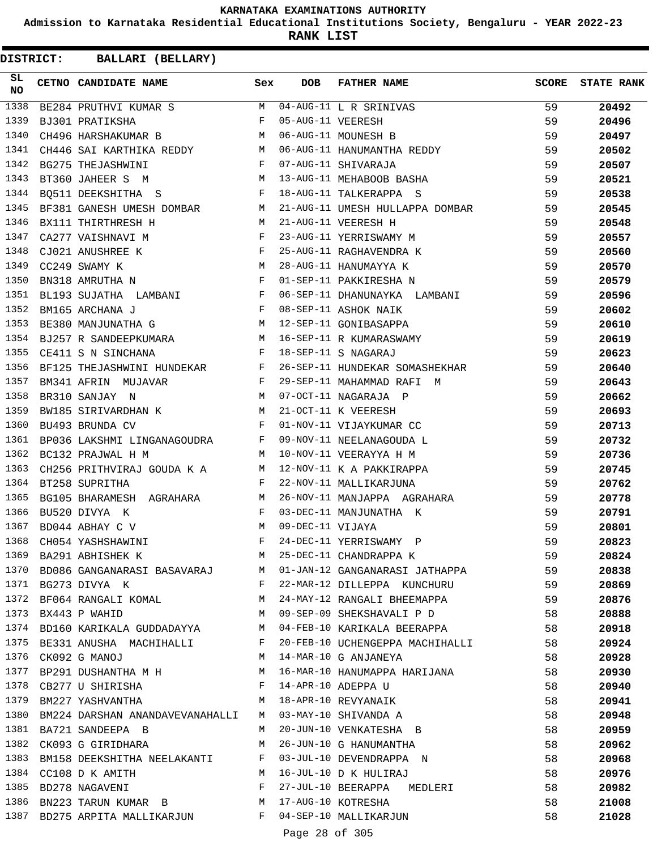**Admission to Karnataka Residential Educational Institutions Society, Bengaluru - YEAR 2022-23**

**RANK LIST**

| SL<br>NO | CETNO CANDIDATE NAME Sex                                                                                                                     |   | <b>DOB</b>     | FATHER NAME<br>EETNO CANDIDAIR MARTENT MONOGOTHUI I R SRINIVAS<br>BE284 PRUTHVI KUMAR S MONOGOTHUI I R SRINIVAS<br>BJ301 PRATIKSHA F 05-AUG-11 VEERESH MONOGOTHUI MOUNESH B | <b>SCORE</b> | <b>STATE RANK</b> |
|----------|----------------------------------------------------------------------------------------------------------------------------------------------|---|----------------|-----------------------------------------------------------------------------------------------------------------------------------------------------------------------------|--------------|-------------------|
| 1338     |                                                                                                                                              |   |                |                                                                                                                                                                             | 59           | 20492             |
| 1339     |                                                                                                                                              |   |                |                                                                                                                                                                             | 59           | 20496             |
| 1340     |                                                                                                                                              |   |                |                                                                                                                                                                             | 59           | 20497             |
| 1341     |                                                                                                                                              |   |                | CH446 SAI KARTHIKA REDDY MO6-AUG-11 HANUMANTHA REDDY<br>BG275 THEJASHWINI F 07-AUG-11 SHIVARAJA<br>PT260 JAUTIP G V                                                         | 59           | 20502             |
| 1342     |                                                                                                                                              |   |                |                                                                                                                                                                             | 59           | 20507             |
| 1343     | BT360 JAHEER S M                                                                                                                             |   |                | M 13-AUG-11 MEHABOOB BASHA                                                                                                                                                  | 59           | 20521             |
| 1344     | $\mathbf{F}$ and $\mathbf{F}$ are $\mathbf{F}$<br>BQ511 DEEKSHITHA S                                                                         |   |                | 18-AUG-11 TALKERAPPA S                                                                                                                                                      | 59           | 20538             |
| 1345     |                                                                                                                                              |   |                | BF381 GANESH UMESH DOMBAR M 21-AUG-11 UMESH HULLAPPA DOMBAR                                                                                                                 | 59           | 20545             |
| 1346     | BX111 THIRTHRESH H<br>M 21-AUG-11 VEERESH H                                                                                                  |   |                |                                                                                                                                                                             | 59           | 20548             |
| 1347     | CA277 VAISHNAVI M                                                                                                                            |   |                | 23-AUG-11 YERRISWAMY M                                                                                                                                                      | 59           | 20557             |
| 1348     | CJ021 ANUSHREE K $\begin{array}{lll}\n\text{C2249 SWAMY K} & & \text{M} \\ \text{BN318 AMRUTHA} & & & \text{F}\n\end{array}$                 |   |                | 25-AUG-11 RAGHAVENDRA K<br>28-AUG-11 HANUMAYYA K<br>01-SEP-11 PAKKIRESHA N                                                                                                  | 59           | 20560             |
| 1349     |                                                                                                                                              |   |                |                                                                                                                                                                             | 59           | 20570             |
| 1350     |                                                                                                                                              |   |                |                                                                                                                                                                             | 59           | 20579             |
| 1351     | BL193 SUJATHA LAMBANI F                                                                                                                      |   |                | 06-SEP-11 DHANUNAYKA LAMBANI                                                                                                                                                | 59           | 20596             |
| 1352     |                                                                                                                                              |   |                |                                                                                                                                                                             | 59           | 20602             |
| 1353     |                                                                                                                                              |   |                |                                                                                                                                                                             | 59           | 20610             |
| 1354     |                                                                                                                                              |   |                | BE380 MANJUNATHA G<br>BJ257 R SANDEEPKUMARA<br>CE411 S N SINCHANA<br>CE411 S N SINCHANA<br>PRISE                                                                            | 59           | 20619             |
| 1355     |                                                                                                                                              |   |                |                                                                                                                                                                             | 59           | 20623             |
| 1356     | BF125 THEJASHWINI HUNDEKAR F                                                                                                                 |   |                | 26-SEP-11 HUNDEKAR SOMASHEKHAR                                                                                                                                              | 59           | 20640             |
| 1357     | $\mathbf{F}^{\mathcal{A}}_{\mathcal{A}}=\mathbf{F}^{\mathcal{A}}_{\mathcal{A}}\mathbf{F}^{\mathcal{A}}_{\mathcal{A}}$<br>BM341 AFRIN MUJAVAR |   |                |                                                                                                                                                                             | 59           | 20643             |
| 1358     | M 07-OCT-11 NAGARAJA P<br>BR310 SANJAY N                                                                                                     |   |                |                                                                                                                                                                             | 59           | 20662             |
| 1359     | BW185 SIRIVARDHAN K M                                                                                                                        |   |                | 21-OCT-11 K VEERESH                                                                                                                                                         | 59           | 20693             |
| 1360     | $\mathbb{F}^{\mathbb{Z}}$ . The state of the state $\mathbb{F}^{\mathbb{Z}}$<br>BU493 BRUNDA CV                                              |   |                | 01-NOV-11 VIJAYKUMAR CC                                                                                                                                                     | 59           | 20713             |
| 1361     | BP036 LAKSHMI LINGANAGOUDRA F                                                                                                                |   |                | 09-NOV-11 NEELANAGOUDA L                                                                                                                                                    | 59           | 20732             |
| 1362     | <b>M</b><br>BC132 PRAJWAL H M                                                                                                                |   |                | 10-NOV-11 VEERAYYA H M                                                                                                                                                      | 59           | 20736             |
| 1363     | CH256 PRITHVIRAJ GOUDA K A M                                                                                                                 |   |                | 12-NOV-11 K A PAKKIRAPPA                                                                                                                                                    | 59           | 20745             |
| 1364     | $\mathbf{F}$ . The $\mathbf{F}$<br>BT258 SUPRITHA                                                                                            |   |                | 22-NOV-11 MALLIKARJUNA                                                                                                                                                      | 59           | 20762             |
| 1365     | BG105 BHARAMESH AGRAHARA M                                                                                                                   |   |                | 26-NOV-11 MANJAPPA AGRAHARA                                                                                                                                                 | 59           | 20778             |
| 1366     | $\mathbf{F}$ . The set of $\mathbf{F}$<br>BU520 DIVYA K                                                                                      |   |                | 03-DEC-11 MANJUNATHA K                                                                                                                                                      | 59           | 20791             |
| 1367     | M <sub>N</sub><br>BD044 ABHAY C V                                                                                                            |   |                | 09-DEC-11 VIJAYA                                                                                                                                                            | 59           | 20801             |
| 1368     | $\mathbb{F}^{\mathbb{Z}}$ . The state $\mathbb{F}^{\mathbb{Z}}$<br>CH054 YASHSHAWINI                                                         |   |                | 24-DEC-11 YERRISWAMY P                                                                                                                                                      | 59           | 20823             |
| 1369     | BA291 ABHISHEK K                                                                                                                             | M |                | 25-DEC-11 CHANDRAPPA K                                                                                                                                                      | 59           | 20824             |
| 1370     | BD086 GANGANARASI BASAVARAJ M                                                                                                                |   |                | 01-JAN-12 GANGANARASI JATHAPPA                                                                                                                                              | 59           | 20838             |
| 1371     | BG273 DIVYA K                                                                                                                                | F |                | 22-MAR-12 DILLEPPA KUNCHURU                                                                                                                                                 | 59           | 20869             |
| 1372     | BF064 RANGALI KOMAL                                                                                                                          | M |                | 24-MAY-12 RANGALI BHEEMAPPA                                                                                                                                                 | 59           | 20876             |
| 1373     | BX443 P WAHID                                                                                                                                | M |                | 09-SEP-09 SHEKSHAVALI P D                                                                                                                                                   | 58           | 20888             |
| 1374     | BD160 KARIKALA GUDDADAYYA                                                                                                                    | M |                | 04-FEB-10 KARIKALA BEERAPPA                                                                                                                                                 | 58           | 20918             |
| 1375     | BE331 ANUSHA MACHIHALLI                                                                                                                      | F |                | 20-FEB-10 UCHENGEPPA MACHIHALLI                                                                                                                                             | 58           | 20924             |
| 1376     | CK092 G MANOJ                                                                                                                                | М |                | 14-MAR-10 G ANJANEYA                                                                                                                                                        | 58           | 20928             |
| 1377     | BP291 DUSHANTHA M H                                                                                                                          | M |                | 16-MAR-10 HANUMAPPA HARIJANA                                                                                                                                                | 58           | 20930             |
| 1378     | CB277 U SHIRISHA                                                                                                                             | F |                | 14-APR-10 ADEPPA U                                                                                                                                                          | 58           | 20940             |
| 1379     | BM227 YASHVANTHA                                                                                                                             | M |                | 18-APR-10 REVYANAIK                                                                                                                                                         | 58           | 20941             |
| 1380     | BM224 DARSHAN ANANDAVEVANAHALLI                                                                                                              | M |                | 03-MAY-10 SHIVANDA A                                                                                                                                                        | 58           | 20948             |
| 1381     | BA721 SANDEEPA B                                                                                                                             | M |                | 20-JUN-10 VENKATESHA B                                                                                                                                                      | 58           | 20959             |
| 1382     | CK093 G GIRIDHARA                                                                                                                            | М |                | 26-JUN-10 G HANUMANTHA                                                                                                                                                      | 58           | 20962             |
| 1383     | BM158 DEEKSHITHA NEELAKANTI                                                                                                                  | F |                | 03-JUL-10 DEVENDRAPPA N                                                                                                                                                     | 58           | 20968             |
| 1384     | CC108 D K AMITH                                                                                                                              | М |                | 16-JUL-10 D K HULIRAJ                                                                                                                                                       | 58           | 20976             |
| 1385     | BD278 NAGAVENI                                                                                                                               | F |                | 27-JUL-10 BEERAPPA MEDLERI                                                                                                                                                  | 58           | 20982             |
| 1386     | BN223 TARUN KUMAR B M                                                                                                                        |   |                | 17-AUG-10 KOTRESHA                                                                                                                                                          | 58           | 21008             |
| 1387     | BD275 ARPITA MALLIKARJUN F                                                                                                                   |   |                | 04-SEP-10 MALLIKARJUN                                                                                                                                                       | 58           | 21028             |
|          |                                                                                                                                              |   | Page 28 of 305 |                                                                                                                                                                             |              |                   |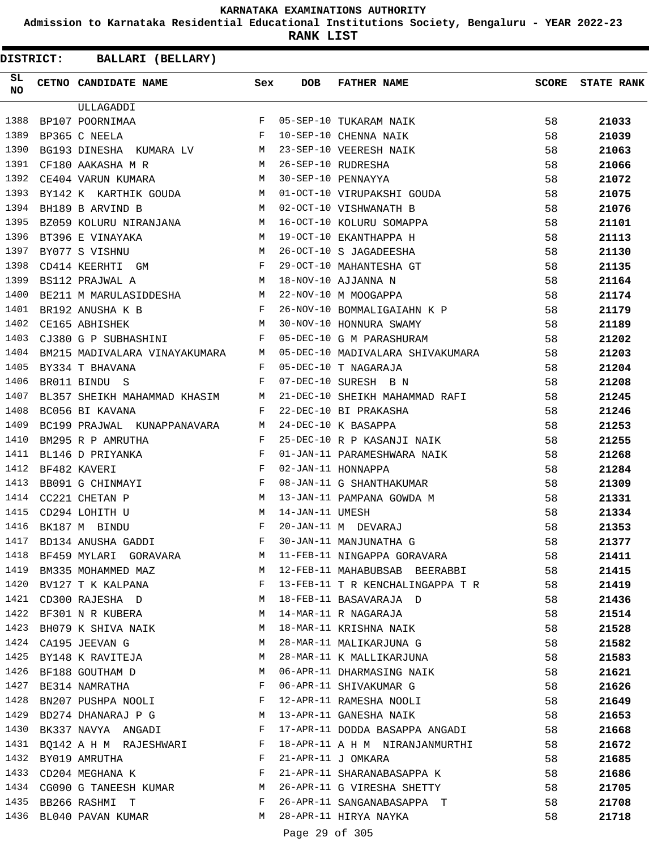**Admission to Karnataka Residential Educational Institutions Society, Bengaluru - YEAR 2022-23**

**RANK LIST**

| SL<br><b>NO</b> | CETNO CANDIDATE NAME Sex                                                                                                                                                                                                                              |              | <b>DOB</b>      | FATHER NAME                                              | SCORE | <b>STATE RANK</b> |
|-----------------|-------------------------------------------------------------------------------------------------------------------------------------------------------------------------------------------------------------------------------------------------------|--------------|-----------------|----------------------------------------------------------|-------|-------------------|
|                 | ULLAGADDI                                                                                                                                                                                                                                             |              |                 |                                                          |       |                   |
| 1388            | $\begin{aligned} \mathbf{F} \\ \mathbf{F} \end{aligned}$<br>BP107 POORNIMAA                                                                                                                                                                           |              |                 | 05-SEP-10 TUKARAM NAIK                                   | 58    | 21033             |
| 1389            | BP365 C NEELA                                                                                                                                                                                                                                         |              |                 | 10-SEP-10 CHENNA NAIK                                    | 58    | 21039             |
| 1390            | BG193 DINESHA KUMARA LV M                                                                                                                                                                                                                             |              |                 | 23-SEP-10 VEERESH NAIK                                   | 58    | 21063             |
| 1391            | <b>Example 19</b> M<br>CF180 AAKASHA M R                                                                                                                                                                                                              |              |                 | 26-SEP-10 RUDRESHA                                       | 58    | 21066             |
| 1392            | M<br>CE404 VARUN KUMARA                                                                                                                                                                                                                               |              |                 | 30-SEP-10 PENNAYYA                                       | 58    | 21072             |
| 1393            | BY142 K KARTHIK GOUDA M                                                                                                                                                                                                                               |              |                 | 01-OCT-10 VIRUPAKSHI GOUDA                               | 58    | 21075             |
| 1394            | M <sub>1</sub><br>BH189 B ARVIND B                                                                                                                                                                                                                    |              |                 | 02-OCT-10 VISHWANATH B                                   | 58    | 21076             |
| 1395            | BZ059 KOLURU NIRANJANA M                                                                                                                                                                                                                              |              |                 | 16-OCT-10 KOLURU SOMAPPA                                 | 58    | 21101             |
| 1396            | $\begin{aligned} \mathbf{M} \\ \mathbf{M} \\ \mathbf{F} \end{aligned}$<br>BT396 E VINAYAKA                                                                                                                                                            |              |                 | 19-OCT-10 EKANTHAPPA H                                   | 58    | 21113             |
| 1397            | BY077 S VISHNU                                                                                                                                                                                                                                        |              |                 | 26-OCT-10 S JAGADEESHA                                   | 58    | 21130             |
| 1398            | CD414 KEERHTI GM                                                                                                                                                                                                                                      |              |                 | 29-OCT-10 MAHANTESHA GT                                  | 58    | 21135             |
| 1399            | M<br>BS112 PRAJWAL A                                                                                                                                                                                                                                  |              |                 | 18-NOV-10 AJJANNA N                                      | 58    | 21164             |
| 1400            | BE211 M MARULASIDDESHA M                                                                                                                                                                                                                              |              |                 | 22-NOV-10 M MOOGAPPA                                     | 58    | 21174             |
| 1401            | $\frac{1}{\sqrt{2}}$<br>BR192 ANUSHA K B                                                                                                                                                                                                              |              |                 | 26-NOV-10 BOMMALIGAIAHN K P                              | 58    | 21179             |
| 1402            | M <sub>N</sub><br>CE165 ABHISHEK                                                                                                                                                                                                                      |              |                 | 30-NOV-10 HONNURA SWAMY                                  | 58    | 21189             |
| 1403            | CJ380 G P SUBHASHINI                                                                                                                                                                                                                                  | F            |                 | 05-DEC-10 G M PARASHURAM                                 | 58    | 21202             |
| 1404            | BM215 MADIVALARA VINAYAKUMARA M                                                                                                                                                                                                                       |              |                 |                                                          | 58    | 21203             |
| 1405            | BY334 T BHAVANA                                                                                                                                                                                                                                       | F            |                 | 05-DEC-10 MADIVALARA SHIVAKUMARA<br>05-DEC-10 T NAGARAJA | 58    | 21204             |
| 1406            | BR011 BINDU S                                                                                                                                                                                                                                         | F            |                 | 07-DEC-10 SURESH B N                                     | 58    | 21208             |
| 1407            | BL357 SHEIKH MAHAMMAD KHASIM M                                                                                                                                                                                                                        |              |                 | 21-DEC-10 SHEIKH MAHAMMAD RAFI                           | 58    | 21245             |
| 1408            | BC056 BI KAVANA                                                                                                                                                                                                                                       | $\mathbf{F}$ |                 | 22-DEC-10 BI PRAKASHA                                    | 58    | 21246             |
| 1409            | BC199 PRAJWAL KUNAPPANAVARA M                                                                                                                                                                                                                         |              |                 | 24-DEC-10 K BASAPPA                                      | 58    | 21253             |
| 1410            | BM295 R P AMRUTHA                                                                                                                                                                                                                                     | F            |                 | 25-DEC-10 R P KASANJI NAIK                               | 58    | 21255             |
| 1411            | $\mathbb{R}^n$ . The set of the set of the set of the set of the set of the set of the set of the set of the set of the set of the set of the set of the set of the set of the set of the set of the set of the set of the set of<br>BL146 D PRIYANKA |              |                 | 01-JAN-11 PARAMESHWARA NAIK                              | 58    | 21268             |
| 1412            | $\mathbb{F}^{\mathbb{Z}}$ . The state $\mathbb{F}^{\mathbb{Z}}$<br>BF482 KAVERI                                                                                                                                                                       |              |                 | 02-JAN-11 HONNAPPA                                       | 58    | 21284             |
| 1413            | BB091 G CHINMAYI                                                                                                                                                                                                                                      | $\mathbf{F}$ |                 | 02-JAN-11 HONNAPPA<br>08-JAN-11 G SHANTHAKUMAR           | 58    | 21309             |
| 1414            | CC221 CHETAN P                                                                                                                                                                                                                                        |              |                 | 13-JAN-11 PAMPANA GOWDA M                                | 58    | 21331             |
| 1415            | $\begin{aligned} \mathbb{M} \\ \mathbb{M} \end{aligned}$<br>CD294 LOHITH U                                                                                                                                                                            |              | 14-JAN-11 UMESH |                                                          | 58    | 21334             |
| 1416            | BK187 M BINDU                                                                                                                                                                                                                                         |              |                 | 20-JAN-11 M DEVARAJ                                      | 58    | 21353             |
| 1417            | $\begin{array}{ccccc}\n & & & & \mathbf{F} & \\  & & & & & \mathbf{F} & \\  & & & & & \mathbf{F} & \\ \end{array}$<br>BD134 ANUSHA GADDI                                                                                                              |              |                 | 30-JAN-11 MANJUNATHA G                                   | 58    | 21377             |
| 1418            | BF459 MYLARI GORAVARA                                                                                                                                                                                                                                 | M            |                 | 11-FEB-11 NINGAPPA GORAVARA                              | 58    | 21411             |
| 1419            | BM335 MOHAMMED MAZ                                                                                                                                                                                                                                    |              |                 | M 12-FEB-11 MAHABUBSAB BEERABBI 58                       |       | 21415             |
| 1420            | BV127 T K KALPANA $F$                                                                                                                                                                                                                                 |              |                 | 13-FEB-11 T R KENCHALINGAPPA T R 58                      |       | 21419             |
|                 | 1421 CD300 RAJESHA D<br>1426                                                                                                                                                                                                                          |              |                 | 18-FEB-11 BASAVARAJA D                                   | 58    | 21436             |
|                 | 1422 BF301 N R KUBERA M                                                                                                                                                                                                                               |              |                 | 14-MAR-11 R NAGARAJA                                     | 58    | 21514             |
| 1423            | BH079 K SHIVA NAIK M                                                                                                                                                                                                                                  |              |                 | 18-MAR-11 KRISHNA NAIK                                   | 58    | 21528             |
| 1424            | CA195 JEEVAN G                                                                                                                                                                                                                                        | M            |                 | 28-MAR-11 MALIKARJUNA G                                  | 58    | 21582             |
|                 | 1425 BY148 K RAVITEJA                                                                                                                                                                                                                                 | M            |                 | 28-MAR-11 K MALLIKARJUNA                                 | 58    | 21583             |
| 1426            | BF188 GOUTHAM D<br>$\mathbf M$                                                                                                                                                                                                                        |              |                 | 06-APR-11 DHARMASING NAIK                                | 58    | 21621             |
| 1427            | <b>Example 200</b> in the second state of the second state of the second state $\mathbf{F}$<br>BE314 NAMRATHA                                                                                                                                         |              |                 | 06-APR-11 SHIVAKUMAR G                                   | 58    | 21626             |
| 1428            | BN207 PUSHPA NOOLI $\mathbb F$                                                                                                                                                                                                                        |              |                 | 12-APR-11 RAMESHA NOOLI                                  | 58    | 21649             |
|                 | M<br>1429 BD274 DHANARAJ P G                                                                                                                                                                                                                          |              |                 | 13-APR-11 GANESHA NAIK                                   | 58    | 21653             |
| 1430            | BK337 NAVYA ANGADI F                                                                                                                                                                                                                                  |              |                 | 17-APR-11 DODDA BASAPPA ANGADI                           | 58    | 21668             |
| 1431            | BQ142 A H M RAJESHWARI F                                                                                                                                                                                                                              |              |                 | 18-APR-11 A H M NIRANJANMURTHI                           | 58    | 21672             |
| 1432            | BY019 AMRUTHA                                                                                                                                                                                                                                         | $\mathbf{F}$ |                 | 21-APR-11 J OMKARA                                       | 58    | 21685             |
| 1433            | CD204 MEGHANA K                                                                                                                                                                                                                                       | $\mathbf{F}$ |                 | 21-APR-11 SHARANABASAPPA K                               | 58    | 21686             |
|                 | 1434 CG090 G TANEESH KUMAR M                                                                                                                                                                                                                          |              |                 | 26-APR-11 G VIRESHA SHETTY                               | 58    | 21705             |
|                 | 1435 BB266 RASHMI T<br>$\mathbf{F}$ . The contract of the contract of $\mathbf{F}$ ,                                                                                                                                                                  |              |                 | 26-APR-11 SANGANABASAPPA T                               | 58    | 21708             |
| 1436            | BL040 PAVAN KUMAR                                                                                                                                                                                                                                     | M            |                 | 28-APR-11 HIRYA NAYKA                                    | 58    | 21718             |
|                 |                                                                                                                                                                                                                                                       |              |                 |                                                          |       |                   |
|                 |                                                                                                                                                                                                                                                       |              | Page 29 of 305  |                                                          |       |                   |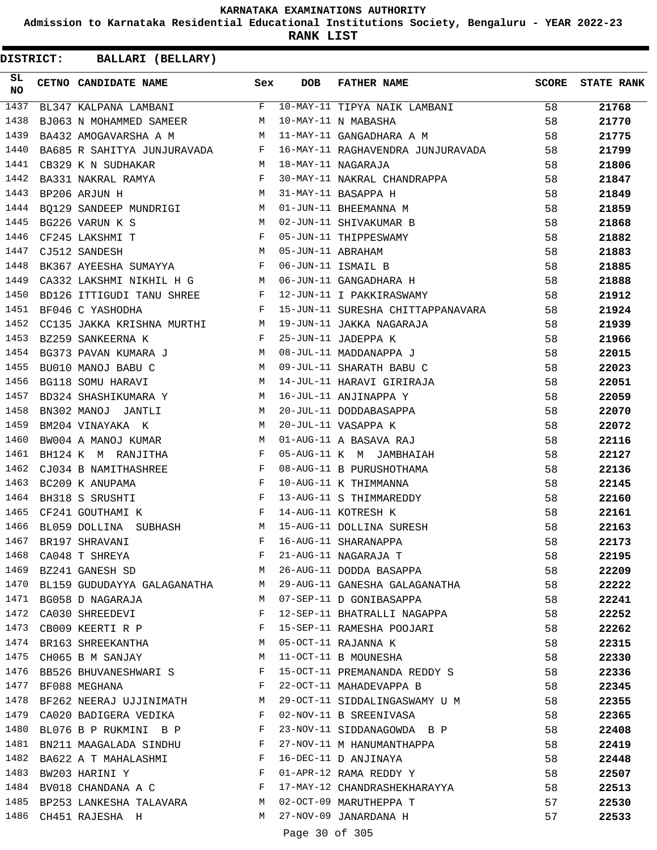**Admission to Karnataka Residential Educational Institutions Society, Bengaluru - YEAR 2022-23**

**RANK LIST**

**DISTRICT:** CC **BALLARI (BELLARY)**

| SL.<br><b>NO</b> | CETNO CANDIDATE NAME Sex                                                            |              | <b>DOB</b>                                                                                                                                                                                                                                                                                                                                                                           | FATHER NAME                                                                                                                                                                                                                                                                                                                                                                                                                                                                                 | SCORE | <b>STATE RANK</b> |
|------------------|-------------------------------------------------------------------------------------|--------------|--------------------------------------------------------------------------------------------------------------------------------------------------------------------------------------------------------------------------------------------------------------------------------------------------------------------------------------------------------------------------------------|---------------------------------------------------------------------------------------------------------------------------------------------------------------------------------------------------------------------------------------------------------------------------------------------------------------------------------------------------------------------------------------------------------------------------------------------------------------------------------------------|-------|-------------------|
| 1437             |                                                                                     |              |                                                                                                                                                                                                                                                                                                                                                                                      | BL347 KALPANA LAMBANI F 10-MAY-11 TIPYA NAIK LAMBANI                                                                                                                                                                                                                                                                                                                                                                                                                                        | 58    | 21768             |
| 1438             | BJ063 N MOHAMMED SAMEER M                                                           |              |                                                                                                                                                                                                                                                                                                                                                                                      | 10-MAY-11 N MABASHA                                                                                                                                                                                                                                                                                                                                                                                                                                                                         | 58    | 21770             |
| 1439             |                                                                                     |              |                                                                                                                                                                                                                                                                                                                                                                                      | BA432 AMOGAVARSHA A M<br>M 11-MAY-11 GANGADHARA A M                                                                                                                                                                                                                                                                                                                                                                                                                                         | 58    | 21775             |
| 1440             |                                                                                     |              |                                                                                                                                                                                                                                                                                                                                                                                      | BA685 R SAHITYA JUNJURAVADA F 16-MAY-11 RAGHAVENDRA JUNJURAVADA 58                                                                                                                                                                                                                                                                                                                                                                                                                          |       | 21799             |
| 1441             | M 18-MAY-11 NAGARAJA<br>CB329 K N SUDHAKAR                                          |              |                                                                                                                                                                                                                                                                                                                                                                                      |                                                                                                                                                                                                                                                                                                                                                                                                                                                                                             | 58    | 21806             |
| 1442             | BA331 NAKRAL RAMYA F                                                                |              |                                                                                                                                                                                                                                                                                                                                                                                      | 30-MAY-11 NAKRAL CHANDRAPPA                                                                                                                                                                                                                                                                                                                                                                                                                                                                 | 58    | 21847             |
| 1443             |                                                                                     |              |                                                                                                                                                                                                                                                                                                                                                                                      | $\begin{array}{ccccccccccccc} \multicolumn{4}{c}{\multicolumn{4}{c}{\multicolumn{4}{c}{\multicolumn{4}{c}{\multicolumn{4}{c}{\multicolumn{4}{c}{\multicolumn{4}{c}{\multicolumn{4}{c}{\multicolumn{4}{c}{\multicolumn{4}{c}{\multicolumn{4}{c}{\multicolumn{4}{c}{\multicolumn{4}{c}{\multicolumn{4}{c}{\multicolumn{4}{c}{\multicolumn{4}{c}{\multicolumn{4}{c}{\multicolumn{4}{c}{\multicolumn{4}{c}{\multicolumn{4}{c}{\multicolumn{4}{c}{\multicolumn{4}{c}{\multicolumn{4}{c}{\multic$ | 58    | 21849             |
| 1444             |                                                                                     |              |                                                                                                                                                                                                                                                                                                                                                                                      |                                                                                                                                                                                                                                                                                                                                                                                                                                                                                             | 58    | 21859             |
| 1445             |                                                                                     |              |                                                                                                                                                                                                                                                                                                                                                                                      |                                                                                                                                                                                                                                                                                                                                                                                                                                                                                             | 58    | 21868             |
| 1446             |                                                                                     |              |                                                                                                                                                                                                                                                                                                                                                                                      |                                                                                                                                                                                                                                                                                                                                                                                                                                                                                             | 58    | 21882             |
| 1447             | CF233 BANDESH<br>CJ512 SANDESH<br>BK367 AYEESHA SUMAYYA F                           |              |                                                                                                                                                                                                                                                                                                                                                                                      |                                                                                                                                                                                                                                                                                                                                                                                                                                                                                             | 58    | 21883             |
| 1448             |                                                                                     |              |                                                                                                                                                                                                                                                                                                                                                                                      |                                                                                                                                                                                                                                                                                                                                                                                                                                                                                             | 58    | 21885             |
| 1449             |                                                                                     |              |                                                                                                                                                                                                                                                                                                                                                                                      |                                                                                                                                                                                                                                                                                                                                                                                                                                                                                             | 58    | 21888             |
| 1450             | BD126 ITTIGUDI TANU SHREE F                                                         |              |                                                                                                                                                                                                                                                                                                                                                                                      | 12-JUN-11 I PAKKIRASWAMY                                                                                                                                                                                                                                                                                                                                                                                                                                                                    | 58    | 21912             |
| 1451             | BF046 C YASHODHA                                                                    | $\mathbf{F}$ |                                                                                                                                                                                                                                                                                                                                                                                      | 15-JUN-11 SURESHA CHITTAPPANAVARA 58                                                                                                                                                                                                                                                                                                                                                                                                                                                        |       | 21924             |
| 1452             |                                                                                     |              |                                                                                                                                                                                                                                                                                                                                                                                      | CC135 JAKKA KRISHNA MURTHI MARTI MARTI MAKA NAGARAJA                                                                                                                                                                                                                                                                                                                                                                                                                                        | 58    | 21939             |
| 1453             | BZ259 SANKEERNA K<br>$\mathbf{F}$ and the state of the state $\mathbf{F}$           |              |                                                                                                                                                                                                                                                                                                                                                                                      | 25-JUN-11 JADEPPA K                                                                                                                                                                                                                                                                                                                                                                                                                                                                         | 58    | 21966             |
| 1454             | BG373 PAVAN KUMARA J M                                                              |              |                                                                                                                                                                                                                                                                                                                                                                                      | 08-JUL-11 MADDANAPPA J                                                                                                                                                                                                                                                                                                                                                                                                                                                                      | 58    | 22015             |
| 1455             | $\begin{array}{ccccc} & & M \\ & & M \\ & & M \\ \end{array}$<br>BU010 MANOJ BABU C |              |                                                                                                                                                                                                                                                                                                                                                                                      | 09-JUL-11 SHARATH BABU C                                                                                                                                                                                                                                                                                                                                                                                                                                                                    | 58    | 22023             |
| 1456             | BG118 SOMU HARAVI                                                                   |              |                                                                                                                                                                                                                                                                                                                                                                                      | 14-JUL-11 HARAVI GIRIRAJA                                                                                                                                                                                                                                                                                                                                                                                                                                                                   | 58    | 22051             |
| 1457             | BD324 SHASHIKUMARA Y M 16-JUL-11 ANJINAPPA Y                                        |              |                                                                                                                                                                                                                                                                                                                                                                                      |                                                                                                                                                                                                                                                                                                                                                                                                                                                                                             | 58    | 22059             |
| 1458             | BN302 MANOJ JANTLI M                                                                |              |                                                                                                                                                                                                                                                                                                                                                                                      | 16-JUL-11 ANJINAPPA Y<br>20-JUL-11 DODDABASAPPA                                                                                                                                                                                                                                                                                                                                                                                                                                             | 58    | 22070             |
| 1459             |                                                                                     |              |                                                                                                                                                                                                                                                                                                                                                                                      | $20 - JUL - 11$ VASAPPA K                                                                                                                                                                                                                                                                                                                                                                                                                                                                   | 58    | 22072             |
| 1460             | BM204 VINAYAKA K<br>BW004 A MANOJ KUMAR M                                           |              |                                                                                                                                                                                                                                                                                                                                                                                      | 20-JUL-11 VASAPPA K<br>01-AUG-11 A BASAVA RAJ                                                                                                                                                                                                                                                                                                                                                                                                                                               | 58    | 22116             |
| 1461             | BH124 K M RANJITHA F                                                                |              |                                                                                                                                                                                                                                                                                                                                                                                      | 05-AUG-11 K M JAMBHAIAH                                                                                                                                                                                                                                                                                                                                                                                                                                                                     | 58    | 22127             |
| 1462             | CJ034 B NAMITHASHREE F                                                              |              |                                                                                                                                                                                                                                                                                                                                                                                      | 08-AUG-11 B PURUSHOTHAMA                                                                                                                                                                                                                                                                                                                                                                                                                                                                    | 58    | 22136             |
| 1463             | BC209 K ANUPAMA                                                                     |              |                                                                                                                                                                                                                                                                                                                                                                                      | 10-AUG-11 K THIMMANNA                                                                                                                                                                                                                                                                                                                                                                                                                                                                       | 58    | 22145             |
| 1464             | $\begin{aligned} \mathbf{F} \\ \mathbf{F} \end{aligned}$<br>BH318 S SRUSHTI         |              |                                                                                                                                                                                                                                                                                                                                                                                      | 13-AUG-11 S THIMMAREDDY                                                                                                                                                                                                                                                                                                                                                                                                                                                                     | 58    | 22160             |
| 1465             | CF241 GOUTHAMI K<br>$\mathbf{F}$ . The contract of the contract of $\mathbf{F}$ .   |              |                                                                                                                                                                                                                                                                                                                                                                                      | 14-AUG-11 KOTRESH K                                                                                                                                                                                                                                                                                                                                                                                                                                                                         | 58    | 22161             |
| 1466             | BL059 DOLLINA SUBHASH M                                                             |              |                                                                                                                                                                                                                                                                                                                                                                                      | 15-AUG-11 DOLLINA SURESH                                                                                                                                                                                                                                                                                                                                                                                                                                                                    | 58    | 22163             |
| 1467             | BR197 SHRAVANI                                                                      | F            |                                                                                                                                                                                                                                                                                                                                                                                      | 16-AUG-11 SHARANAPPA                                                                                                                                                                                                                                                                                                                                                                                                                                                                        | 58    | 22173             |
|                  | 1468 CA048 T SHREYA                                                                 | $F$ –        |                                                                                                                                                                                                                                                                                                                                                                                      | 21-AUG-11 NAGARAJA T                                                                                                                                                                                                                                                                                                                                                                                                                                                                        | 58    | 22195             |
|                  |                                                                                     |              |                                                                                                                                                                                                                                                                                                                                                                                      | 1469 BZ241 GANESH SD M 26-AUG-11 DODDA BASAPPA                                                                                                                                                                                                                                                                                                                                                                                                                                              | 58    | 22209             |
|                  |                                                                                     |              |                                                                                                                                                                                                                                                                                                                                                                                      | 1470 BL159 GUDUDAYYA GALAGANATHA M 29-AUG-11 GANESHA GALAGANATHA 58                                                                                                                                                                                                                                                                                                                                                                                                                         |       | 22222             |
|                  | 1471 BG058 D NAGARAJA                                                               |              |                                                                                                                                                                                                                                                                                                                                                                                      | M 07-SEP-11 D GONIBASAPPA                                                                                                                                                                                                                                                                                                                                                                                                                                                                   | 58    | 22241             |
|                  | 1472 CA030 SHREEDEVI                                                                |              |                                                                                                                                                                                                                                                                                                                                                                                      | F 12-SEP-11 BHATRALLI NAGAPPA 58                                                                                                                                                                                                                                                                                                                                                                                                                                                            |       | 22252             |
|                  |                                                                                     |              |                                                                                                                                                                                                                                                                                                                                                                                      | 1473 CB009 KEERTI R P F 15-SEP-11 RAMESHA POOJARI                                                                                                                                                                                                                                                                                                                                                                                                                                           | 58    | 22262             |
|                  | 1474 BR163 SHREEKANTHA M 05-OCT-11 RAJANNA K                                        |              |                                                                                                                                                                                                                                                                                                                                                                                      |                                                                                                                                                                                                                                                                                                                                                                                                                                                                                             | 58    | 22315             |
|                  | 1475 CH065 B M SANJAY M                                                             |              |                                                                                                                                                                                                                                                                                                                                                                                      | 11-OCT-11 B MOUNESHA                                                                                                                                                                                                                                                                                                                                                                                                                                                                        | 58    | 22330             |
|                  |                                                                                     |              |                                                                                                                                                                                                                                                                                                                                                                                      | 1476 BB526 BHUVANESHWARI S F 15-OCT-11 PREMANANDA REDDY S 58                                                                                                                                                                                                                                                                                                                                                                                                                                |       | 22336             |
|                  | 1477 BF088 MEGHANA                                                                  |              |                                                                                                                                                                                                                                                                                                                                                                                      | F 22-OCT-11 MAHADEVAPPA B                                                                                                                                                                                                                                                                                                                                                                                                                                                                   | 58    | 22345             |
|                  |                                                                                     |              |                                                                                                                                                                                                                                                                                                                                                                                      | 1478 BF262 NEERAJ UJJINIMATH M 29-OCT-11 SIDDALINGASWAMY U M 58                                                                                                                                                                                                                                                                                                                                                                                                                             |       | 22355             |
|                  | 1479 CA020 BADIGERA VEDIKA BEDERE BEDERE BEDERE THE SREENIVASA                      |              |                                                                                                                                                                                                                                                                                                                                                                                      |                                                                                                                                                                                                                                                                                                                                                                                                                                                                                             | 58    | 22365             |
|                  | 1480 BL076 B P RUKMINI B P F                                                        |              |                                                                                                                                                                                                                                                                                                                                                                                      | 23-NOV-11 SIDDANAGOWDA B P 58                                                                                                                                                                                                                                                                                                                                                                                                                                                               |       | 22408             |
| 1481             | BN211 MAAGALADA SINDHU F                                                            |              |                                                                                                                                                                                                                                                                                                                                                                                      | 27-NOV-11 M HANUMANTHAPPA                                                                                                                                                                                                                                                                                                                                                                                                                                                                   | 58    | 22419             |
| 1482             | BA622 A T MAHALASHMI F                                                              |              |                                                                                                                                                                                                                                                                                                                                                                                      | 16-DEC-11 D ANJINAYA                                                                                                                                                                                                                                                                                                                                                                                                                                                                        | 58    | 22448             |
|                  | $\mathbf{F}$<br>1483 BW203 HARINI Y                                                 |              |                                                                                                                                                                                                                                                                                                                                                                                      | 01-APR-12 RAMA REDDY Y                                                                                                                                                                                                                                                                                                                                                                                                                                                                      | 58    | 22507             |
|                  |                                                                                     |              |                                                                                                                                                                                                                                                                                                                                                                                      | 1484 BV018 CHANDANA A C $F$ 17-MAY-12 CHANDRASHEKHARAYYA 58                                                                                                                                                                                                                                                                                                                                                                                                                                 |       | 22513             |
|                  |                                                                                     |              |                                                                                                                                                                                                                                                                                                                                                                                      | 1485 BP253 LANKESHA TALAVARA M 02-OCT-09 MARUTHEPPA T                                                                                                                                                                                                                                                                                                                                                                                                                                       | 57    | 22530             |
|                  | 1486 CH451 RAJESHA H                                                                |              |                                                                                                                                                                                                                                                                                                                                                                                      | M 27-NOV-09 JANARDANA H                                                                                                                                                                                                                                                                                                                                                                                                                                                                     | 57    | 22533             |
|                  |                                                                                     |              | $\overline{a}$ $\overline{a}$ $\overline{a}$ $\overline{a}$ $\overline{a}$ $\overline{a}$ $\overline{a}$ $\overline{a}$ $\overline{a}$ $\overline{a}$ $\overline{a}$ $\overline{a}$ $\overline{a}$ $\overline{a}$ $\overline{a}$ $\overline{a}$ $\overline{a}$ $\overline{a}$ $\overline{a}$ $\overline{a}$ $\overline{a}$ $\overline{a}$ $\overline{a}$ $\overline{a}$ $\overline{$ |                                                                                                                                                                                                                                                                                                                                                                                                                                                                                             |       |                   |

Page 30 of 305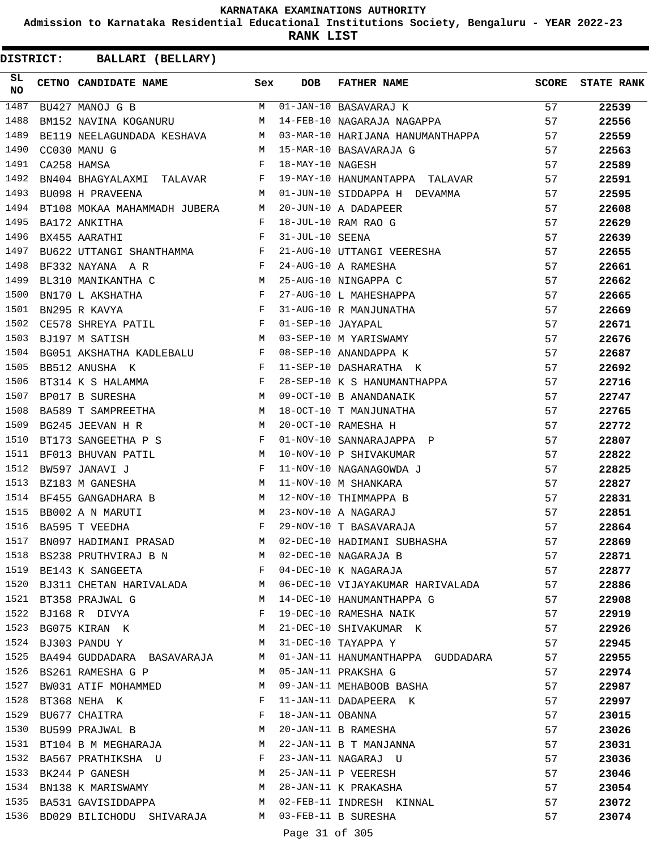**Admission to Karnataka Residential Educational Institutions Society, Bengaluru - YEAR 2022-23**

**RANK LIST**

| SL<br><b>NO</b> | CETNO CANDIDATE NAME Sex                                                                                                                                                                                                                            |              | <b>DOB</b>       | FATHER NAME                                                                                                                                                                                                                   | <b>SCORE</b> | <b>STATE RANK</b> |
|-----------------|-----------------------------------------------------------------------------------------------------------------------------------------------------------------------------------------------------------------------------------------------------|--------------|------------------|-------------------------------------------------------------------------------------------------------------------------------------------------------------------------------------------------------------------------------|--------------|-------------------|
| 1487            | BU427 MANOJ G B                                                                                                                                                                                                                                     |              |                  | M 01-JAN-10 BASAVARAJ K                                                                                                                                                                                                       | 57           | 22539             |
| 1488            | BM152 NAVINA KOGANURU M                                                                                                                                                                                                                             |              |                  | 14-FEB-10 NAGARAJA NAGAPPA                                                                                                                                                                                                    | 57           | 22556             |
| 1489            |                                                                                                                                                                                                                                                     |              |                  | BE119 NEELAGUNDADA KESHAVA M 03-MAR-10 HARIJANA HANUMANTHAPPA                                                                                                                                                                 | 57           | 22559             |
| 1490            | CC030 MANU G                                                                                                                                                                                                                                        | M            |                  | 15-MAR-10 BASAVARAJA G                                                                                                                                                                                                        | 57           | 22563             |
| 1491            | CA258 HAMSA                                                                                                                                                                                                                                         | $\mathbf{F}$ | 18-MAY-10 NAGESH |                                                                                                                                                                                                                               | 57           | 22589             |
| 1492            | BN404 BHAGYALAXMI TALAVAR F                                                                                                                                                                                                                         |              |                  | 19-MAY-10 HANUMANTAPPA TALAVAR 57                                                                                                                                                                                             |              | 22591             |
| 1493            | BU098 H PRAVEENA<br><b>M</b>                                                                                                                                                                                                                        |              |                  | 01-JUN-10 SIDDAPPA H DEVAMMA                                                                                                                                                                                                  | 57           | 22595             |
| 1494            | BT108 MOKAA MAHAMMADH JUBERA M                                                                                                                                                                                                                      |              |                  |                                                                                                                                                                                                                               | 57           | 22608             |
| 1495            | $\mathbf{F}$ . The set of $\mathbf{F}$<br>BA172 ANKITHA                                                                                                                                                                                             |              |                  | 20-JUN-10 A DADAPEER<br>18-JUL-10 RAM RAO G<br>31-JUL-10 SEENA<br>21-AUG-10 YEENA                                                                                                                                             | 57           | 22629             |
| 1496            | $\mathbb F$ . The set of $\mathbb F$<br>BX455 AARATHI                                                                                                                                                                                               |              |                  |                                                                                                                                                                                                                               | 57           | 22639             |
| 1497            | BU622 UTTANGI SHANTHAMMA F                                                                                                                                                                                                                          |              |                  | 21-AUG-10 UTTANGI VEERESHA<br>24-AUG-10 A RAMESHA<br>25-AUG-10 A RAMESHA<br>27-AUG-10 L MAHESHAPPA<br>31-AUG-10 R MANJUNATHA<br>01-SEP-10 R MANJUNATHA<br>03-SEP-10 JAYAPAL<br>03-SEP-10 M YARISWAMY<br>08-SEP-10 M YARISWAMY | 57           | 22655             |
| 1498            | $\mathbf{F}^{\mathcal{A}}_{\mathcal{A}}=\mathbf{F}^{\mathcal{A}}_{\mathcal{A}}\mathbf{F}^{\mathcal{A}}_{\mathcal{A}}$<br>BF332 NAYANA A R                                                                                                           |              |                  |                                                                                                                                                                                                                               | 57           | 22661             |
| 1499            | BL310 MANIKANTHA C M                                                                                                                                                                                                                                |              |                  |                                                                                                                                                                                                                               | 57           | 22662             |
| 1500            |                                                                                                                                                                                                                                                     |              |                  |                                                                                                                                                                                                                               | 57           | 22665             |
| 1501            |                                                                                                                                                                                                                                                     |              |                  |                                                                                                                                                                                                                               | 57           | 22669             |
| 1502            |                                                                                                                                                                                                                                                     |              |                  |                                                                                                                                                                                                                               | 57           | 22671             |
| 1503            | M<br>BJ197 M SATISH                                                                                                                                                                                                                                 |              |                  |                                                                                                                                                                                                                               | 57           | 22676             |
| 1504            | BG051 AKSHATHA KADLEBALU F                                                                                                                                                                                                                          |              |                  |                                                                                                                                                                                                                               | 57           | 22687             |
| 1505            | $\mathbb{R}^n$ . The set of the set of the set of the set of the set of the set of the set of the set of the set of the set of the set of the set of the set of the set of the set of the set of the set of the set of the set of<br>BB512 ANUSHA K |              |                  | 11-SEP-10 DASHARATHA K                                                                                                                                                                                                        | 57           | 22692             |
| 1506            |                                                                                                                                                                                                                                                     |              |                  |                                                                                                                                                                                                                               | 57           | 22716             |
| 1507            | BT314 K S HALAMMA F<br>BP017 B SURESHA M                                                                                                                                                                                                            |              |                  | 28-SEP-10 K S HANUMANTHAPPA<br>09-OCT-10 B ANANDANAIK<br>09-OCT-10 B ANANDANAIK                                                                                                                                               | 57           | 22747             |
| 1508            | BA589 T SAMPREETHA M                                                                                                                                                                                                                                |              |                  |                                                                                                                                                                                                                               | 57           | 22765             |
| 1509            | M<br>BG245 JEEVAN H R                                                                                                                                                                                                                               |              |                  | 18-OCT-10 T MANJUNATHA<br>20-OCT-10 RAMESHA H<br>20-OCT-10 RAMESHA H                                                                                                                                                          | 57           | 22772             |
| 1510            | BT173 SANGEETHA P S F                                                                                                                                                                                                                               |              |                  | 01-NOV-10 SANNARAJAPPA P                                                                                                                                                                                                      | 57           | 22807             |
| 1511            | M <sub>N</sub><br>BF013 BHUVAN PATIL                                                                                                                                                                                                                |              |                  | 10-NOV-10 P SHIVAKUMAR                                                                                                                                                                                                        | 57           | 22822             |
| 1512            | $\mathbb{R}^n$ . The contract of the state $\mathbb{R}^n$<br>BW597 JANAVI J                                                                                                                                                                         |              |                  | 11-NOV-10 NAGANAGOWDA J                                                                                                                                                                                                       | 57           | 22825             |
| 1513            | $M_{\odot}$<br>BZ183 M GANESHA                                                                                                                                                                                                                      |              |                  |                                                                                                                                                                                                                               | 57           | 22827             |
| 1514            |                                                                                                                                                                                                                                                     | M            |                  | 11-NOV-10 M SHANKARA<br>12-NOV-10 THIMMAPPA B<br>23-NOV-10 A NAGARAJ<br>29-NOV-10 T BASAVARAJA                                                                                                                                | 57           | 22831             |
| 1515            | BF455 GANGADHARA B<br>BB002 A N MARUTI<br>PAFS5 T WITTI                                                                                                                                                                                             | M            |                  |                                                                                                                                                                                                                               | 57           | 22851             |
| 1516            | $\mathbf{F}$ and $\mathbf{F}$ are the set of $\mathbf{F}$<br>BA595 T VEEDHA                                                                                                                                                                         |              |                  |                                                                                                                                                                                                                               | 57           | 22864             |
| 1517            | BN097 HADIMANI PRASAD M                                                                                                                                                                                                                             |              |                  | 02-DEC-10 HADIMANI SUBHASHA                                                                                                                                                                                                   | 57           | 22869             |
| 1518            |                                                                                                                                                                                                                                                     |              |                  | M 02-DEC-10 NAGARAJA B                                                                                                                                                                                                        | 57           | 22871             |
| 1519            | BS238 PRUTHVIRAJ B N                                                                                                                                                                                                                                |              |                  | 04-DEC-10 K NAGARAJA                                                                                                                                                                                                          | 57           |                   |
| 1520            | $\mathbf{F}$ and $\mathbf{F}$ are $\mathbf{F}$<br>BE143 K SANGEETA                                                                                                                                                                                  |              |                  |                                                                                                                                                                                                                               |              | 22877             |
|                 | BJ311 CHETAN HARIVALADA M<br>$M_{\rm}$                                                                                                                                                                                                              |              |                  | 06-DEC-10 VIJAYAKUMAR HARIVALADA                                                                                                                                                                                              | 57           | 22886             |
| 1522            | 1521 BT358 PRAJWAL G                                                                                                                                                                                                                                | F            |                  | 14-DEC-10 HANUMANTHAPPA G                                                                                                                                                                                                     | 57           | 22908             |
| 1523            | BJ168 R DIVYA                                                                                                                                                                                                                                       | M            |                  | 19-DEC-10 RAMESHA NAIK                                                                                                                                                                                                        | 57           | 22919             |
|                 | BG075 KIRAN K                                                                                                                                                                                                                                       |              |                  | 21-DEC-10 SHIVAKUMAR K                                                                                                                                                                                                        | 57           | 22926             |
| 1524            | BJ303 PANDU Y                                                                                                                                                                                                                                       | М            |                  | 31-DEC-10 TAYAPPA Y                                                                                                                                                                                                           | 57           | 22945             |
| 1525            | BA494 GUDDADARA BASAVARAJA                                                                                                                                                                                                                          | M            |                  | 01-JAN-11 HANUMANTHAPPA GUDDADARA                                                                                                                                                                                             | 57           | 22955             |
|                 | 1526 BS261 RAMESHA G P                                                                                                                                                                                                                              | M            |                  | 05-JAN-11 PRAKSHA G                                                                                                                                                                                                           | 57           | 22974             |
| 1527            | BW031 ATIF MOHAMMED                                                                                                                                                                                                                                 | M            |                  | 09-JAN-11 MEHABOOB BASHA                                                                                                                                                                                                      | 57           | 22987             |
| 1528            | BT368 NEHA K                                                                                                                                                                                                                                        | F            |                  | 11-JAN-11 DADAPEERA K                                                                                                                                                                                                         | 57           | 22997             |
| 1529            | BU677 CHAITRA                                                                                                                                                                                                                                       | F            | 18-JAN-11 OBANNA |                                                                                                                                                                                                                               | 57           | 23015             |
| 1530            | BU599 PRAJWAL B                                                                                                                                                                                                                                     | M            |                  | 20-JAN-11 B RAMESHA                                                                                                                                                                                                           | 57           | 23026             |
| 1531            | BT104 B M MEGHARAJA                                                                                                                                                                                                                                 | М            |                  | 22-JAN-11 B T MANJANNA                                                                                                                                                                                                        | 57           | 23031             |
| 1532            | BA567 PRATHIKSHA U                                                                                                                                                                                                                                  | F            |                  | 23-JAN-11 NAGARAJ U                                                                                                                                                                                                           | 57           | 23036             |
| 1533            | BK244 P GANESH                                                                                                                                                                                                                                      | M            |                  | 25-JAN-11 P VEERESH                                                                                                                                                                                                           | 57           | 23046             |
|                 | 1534 BN138 K MARISWAMY                                                                                                                                                                                                                              | M            |                  | 28-JAN-11 K PRAKASHA                                                                                                                                                                                                          | 57           | 23054             |
|                 | 1535 BA531 GAVISIDDAPPA                                                                                                                                                                                                                             | M            |                  | 02-FEB-11 INDRESH KINNAL                                                                                                                                                                                                      | 57           | 23072             |
|                 | 1536 BD029 BILICHODU SHIVARAJA M 03-FEB-11 B SURESHA                                                                                                                                                                                                |              |                  |                                                                                                                                                                                                                               | 57           | 23074             |
|                 |                                                                                                                                                                                                                                                     |              | Page 31 of 305   |                                                                                                                                                                                                                               |              |                   |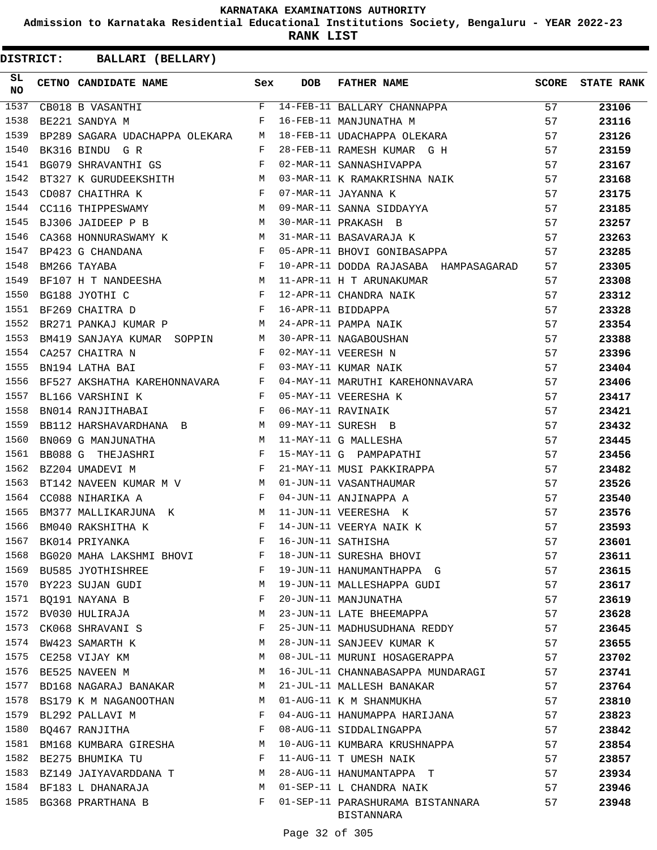**Admission to Karnataka Residential Educational Institutions Society, Bengaluru - YEAR 2022-23**

**RANK LIST**

| SL<br>NO | CETNO CANDIDATE NAME Sex                                                                                                                                                                                                                               |   | DOB | FATHER NAME                                                                                                                                                                                                                                                                                                                                                                                                                                        | SCORE | <b>STATE RANK</b> |
|----------|--------------------------------------------------------------------------------------------------------------------------------------------------------------------------------------------------------------------------------------------------------|---|-----|----------------------------------------------------------------------------------------------------------------------------------------------------------------------------------------------------------------------------------------------------------------------------------------------------------------------------------------------------------------------------------------------------------------------------------------------------|-------|-------------------|
| 1537     |                                                                                                                                                                                                                                                        |   |     | $\begin{tabular}{lllllllllll} \multicolumn{2}{c }{\textbf{CB018 B VASANTHI}} & & & \multicolumn{2}{c }{\textbf{F}} & 14-\textbf{FEB}-11 & \textbf{BALLARY CHANNAPPA}} & & & \multicolumn{2}{c }{\textbf{57}} \\ \multicolumn{2}{c }{\textbf{BE221 SANDYA M}} & & & \multicolumn{2}{c }{\textbf{F}} & 16-\textbf{FEB}-11 & \textbf{MANJUNATHA M}} & & & \multicolumn{2}{c }{\textbf{57}} \\ \multicolumn{2}{c }{\textbf{B} & 57} & & \multicolumn{$ |       | 23106             |
| 1538     |                                                                                                                                                                                                                                                        |   |     |                                                                                                                                                                                                                                                                                                                                                                                                                                                    |       | 23116             |
| 1539     | BP289 SAGARA UDACHAPPA OLEKARA M                                                                                                                                                                                                                       |   |     | 18-FEB-11 UDACHAPPA OLEKARA                                                                                                                                                                                                                                                                                                                                                                                                                        | 57    | 23126             |
| 1540     | BK316 BINDU GR<br>BG079 SHRAVANTHI GS<br>F                                                                                                                                                                                                             |   |     | 28-FEB-11 RAMESH KUMAR G H<br>02-MAR-11 SANNASHIVAPPA                                                                                                                                                                                                                                                                                                                                                                                              | 57    | 23159             |
| 1541     |                                                                                                                                                                                                                                                        |   |     |                                                                                                                                                                                                                                                                                                                                                                                                                                                    | 57    | 23167             |
| 1542     | BT327 K GURUDEEKSHITH M                                                                                                                                                                                                                                |   |     | 03-MAR-11 K RAMAKRISHNA NAIK                                                                                                                                                                                                                                                                                                                                                                                                                       | 57    | 23168             |
| 1543     | $\mathbf{F}$ and $\mathbf{F}$ and $\mathbf{F}$ and $\mathbf{F}$<br>CD087 CHAITHRA K                                                                                                                                                                    |   |     |                                                                                                                                                                                                                                                                                                                                                                                                                                                    |       | 23175             |
| 1544     | CC116 THIPPESWAMY M                                                                                                                                                                                                                                    |   |     | 07-WAR-11 JAYANNA K<br>09-MAR-11 SANNA SIDDAYYA<br>30-MAR-11 PRAKASH B<br>31-MAR-11 BASAVARAJA K<br>57<br>05 APR 11 F.                                                                                                                                                                                                                                                                                                                             |       | 23185             |
| 1545     | M<br>BJ306 JAIDEEP P B                                                                                                                                                                                                                                 |   |     |                                                                                                                                                                                                                                                                                                                                                                                                                                                    |       | 23257             |
| 1546     | CA368 HONNURASWAMY K M                                                                                                                                                                                                                                 |   |     |                                                                                                                                                                                                                                                                                                                                                                                                                                                    |       | 23263             |
| 1547     | $\mathbf{F}^{\mathcal{A}}_{\mathcal{A}}=\mathbf{F}^{\mathcal{A}}_{\mathcal{A}}\mathbf{F}^{\mathcal{A}}_{\mathcal{A}}$<br>BP423 G CHANDANA                                                                                                              |   |     | 05-APR-11 BHOVI GONIBASAPPA                                                                                                                                                                                                                                                                                                                                                                                                                        | 57    | 23285             |
| 1548     | $\frac{E}{E}$<br>BM266 TAYABA                                                                                                                                                                                                                          |   |     | 10-APR-11 DODDA RAJASABA HAMPASAGARAD                                                                                                                                                                                                                                                                                                                                                                                                              | 57    | 23305             |
| 1549     |                                                                                                                                                                                                                                                        |   |     |                                                                                                                                                                                                                                                                                                                                                                                                                                                    | 57    | 23308             |
| 1550     |                                                                                                                                                                                                                                                        |   |     |                                                                                                                                                                                                                                                                                                                                                                                                                                                    |       | 23312             |
| 1551     |                                                                                                                                                                                                                                                        |   |     |                                                                                                                                                                                                                                                                                                                                                                                                                                                    |       | 23328             |
| 1552     |                                                                                                                                                                                                                                                        |   |     |                                                                                                                                                                                                                                                                                                                                                                                                                                                    |       | 23354             |
| 1553     |                                                                                                                                                                                                                                                        |   |     | BEIGANT CRISS OF THE MANUSES ON THE MANUSES ON THE MANUSES ON THE MANUSE ON THE MANUSE OF THE MANUSE OF THE MANUSE OF THE MANUSE OF THE MANUSE OF THE MANUSE OF THE MANUSE OF THE MANUSE OF THE MANUSE OF THE MANUSE OF THE MA                                                                                                                                                                                                                     |       | 23388             |
| 1554     |                                                                                                                                                                                                                                                        |   |     |                                                                                                                                                                                                                                                                                                                                                                                                                                                    |       | 23396             |
| 1555     |                                                                                                                                                                                                                                                        |   |     |                                                                                                                                                                                                                                                                                                                                                                                                                                                    |       | 23404             |
| 1556     | BF527 AKSHATHA KAREHONNAVARA F                                                                                                                                                                                                                         |   |     |                                                                                                                                                                                                                                                                                                                                                                                                                                                    |       | 23406             |
| 1557     | $\mathbf{F}^{\mathcal{A}}_{\mathcal{A}}=\mathbf{F}^{\mathcal{A}}_{\mathcal{A}}\mathbf{F}^{\mathcal{A}}_{\mathcal{A}}$<br>BL166 VARSHINI K                                                                                                              |   |     | 04-MAY-11 MARUTHI KAREHONNAVARA 57<br>05-MAY-11 VEERESHA K<br>05-MAY-11 VEERESHA K                                                                                                                                                                                                                                                                                                                                                                 |       | 23417             |
| 1558     | $\mathbf{F}$ and the set of the set of the set of the set of the set of the set of the set of the set of the set of the set of the set of the set of the set of the set of the set of the set of the set of the set of the set of<br>BN014 RANJITHABAI |   |     |                                                                                                                                                                                                                                                                                                                                                                                                                                                    | 57    | 23421             |
| 1559     | BB112 HARSHAVARDHANA B M 09-MAY-11 SURESH B                                                                                                                                                                                                            |   |     |                                                                                                                                                                                                                                                                                                                                                                                                                                                    | 57    | 23432             |
| 1560     | BN069 G MANJUNATHA M                                                                                                                                                                                                                                   |   |     |                                                                                                                                                                                                                                                                                                                                                                                                                                                    | 57    | 23445             |
| 1561     | BB088 G THEJASHRI F                                                                                                                                                                                                                                    |   |     | 06-MAY-11 RAVINAIK<br>09-MAY-11 SURESH B<br>11-MAY-11 G MALLESHA<br>15-MAY-11 G PAMPAPATHI                                                                                                                                                                                                                                                                                                                                                         | 57    | 23456             |
| 1562     | $\mathbf{F}$ and $\mathbf{F}$ and $\mathbf{F}$<br>BZ204 UMADEVI M                                                                                                                                                                                      |   |     | 21-MAY-11 MUSI PAKKIRAPPA                                                                                                                                                                                                                                                                                                                                                                                                                          | 57    | 23482             |
| 1563     | BT142 NAVEEN KUMAR M V M                                                                                                                                                                                                                               |   |     | 01-JUN-11 VASANTHAUMAR<br>04-JUN-11 ANJINAPPA A<br>11-JUN-11 VEERESHA K<br>14-JUN-11 VEERYA NAIK K<br>16-JUN-11 SATHISHA                                                                                                                                                                                                                                                                                                                           | 57    | 23526             |
| 1564     | $\mathbf{F}$<br>CC088 NIHARIKA A                                                                                                                                                                                                                       |   |     |                                                                                                                                                                                                                                                                                                                                                                                                                                                    | 57    | 23540             |
| 1565     | BM377 MALLIKARJUNA K M                                                                                                                                                                                                                                 |   |     | 11-JUN-11 VEERESHA K                                                                                                                                                                                                                                                                                                                                                                                                                               | 57    | 23576             |
| 1566     | $\mathbf{F}$ and $\mathbf{F}$ are $\mathbf{F}$<br>BM040 RAKSHITHA K                                                                                                                                                                                    |   |     |                                                                                                                                                                                                                                                                                                                                                                                                                                                    | 57    | 23593             |
| 1567     | BK014 PRIYANKA                                                                                                                                                                                                                                         | F |     |                                                                                                                                                                                                                                                                                                                                                                                                                                                    | 57    | 23601             |
| 1568     | BG020 MAHA LAKSHMI BHOVI                                                                                                                                                                                                                               | F |     | 18-JUN-11 SURESHA BHOVI                                                                                                                                                                                                                                                                                                                                                                                                                            | 57    | 23611             |
| 1569     | BU585 JYOTHISHREE                                                                                                                                                                                                                                      | F |     | 19-JUN-11 HANUMANTHAPPA G                                                                                                                                                                                                                                                                                                                                                                                                                          | 57    | 23615             |
| 1570     | BY223 SUJAN GUDI                                                                                                                                                                                                                                       | М |     | 19-JUN-11 MALLESHAPPA GUDI                                                                                                                                                                                                                                                                                                                                                                                                                         | 57    | 23617             |
| 1571     | BQ191 NAYANA B                                                                                                                                                                                                                                         | F |     | 20-JUN-11 MANJUNATHA                                                                                                                                                                                                                                                                                                                                                                                                                               | 57    | 23619             |
| 1572     | BV030 HULIRAJA                                                                                                                                                                                                                                         | М |     | 23-JUN-11 LATE BHEEMAPPA                                                                                                                                                                                                                                                                                                                                                                                                                           | 57    | 23628             |
| 1573     | CK068 SHRAVANI S                                                                                                                                                                                                                                       | F |     | 25-JUN-11 MADHUSUDHANA REDDY                                                                                                                                                                                                                                                                                                                                                                                                                       | 57    | 23645             |
| 1574     | BW423 SAMARTH K                                                                                                                                                                                                                                        | М |     | 28-JUN-11 SANJEEV KUMAR K                                                                                                                                                                                                                                                                                                                                                                                                                          | 57    | 23655             |
| 1575     | CE258 VIJAY KM                                                                                                                                                                                                                                         | М |     | 08-JUL-11 MURUNI HOSAGERAPPA                                                                                                                                                                                                                                                                                                                                                                                                                       | 57    | 23702             |
| 1576     | BE525 NAVEEN M                                                                                                                                                                                                                                         | М |     | 16-JUL-11 CHANNABASAPPA MUNDARAGI                                                                                                                                                                                                                                                                                                                                                                                                                  | 57    | 23741             |
| 1577     | BD168 NAGARAJ BANAKAR                                                                                                                                                                                                                                  | М |     | 21-JUL-11 MALLESH BANAKAR                                                                                                                                                                                                                                                                                                                                                                                                                          | 57    | 23764             |
| 1578     | BS179 K M NAGANOOTHAN                                                                                                                                                                                                                                  | M |     | 01-AUG-11 K M SHANMUKHA                                                                                                                                                                                                                                                                                                                                                                                                                            | 57    | 23810             |
| 1579     | BL292 PALLAVI M                                                                                                                                                                                                                                        | F |     | 04-AUG-11 HANUMAPPA HARIJANA                                                                                                                                                                                                                                                                                                                                                                                                                       | 57    | 23823             |
| 1580     | BQ467 RANJITHA                                                                                                                                                                                                                                         | F |     | 08-AUG-11 SIDDALINGAPPA                                                                                                                                                                                                                                                                                                                                                                                                                            | 57    | 23842             |
| 1581     | BM168 KUMBARA GIRESHA                                                                                                                                                                                                                                  | М |     | 10-AUG-11 KUMBARA KRUSHNAPPA                                                                                                                                                                                                                                                                                                                                                                                                                       | 57    | 23854             |
| 1582     | BE275 BHUMIKA TU                                                                                                                                                                                                                                       | F |     | 11-AUG-11 T UMESH NAIK                                                                                                                                                                                                                                                                                                                                                                                                                             | 57    | 23857             |
| 1583     | BZ149 JAIYAVARDDANA T                                                                                                                                                                                                                                  | М |     | 28-AUG-11 HANUMANTAPPA T                                                                                                                                                                                                                                                                                                                                                                                                                           | 57    | 23934             |
|          | 1584 BF183 L DHANARAJA                                                                                                                                                                                                                                 | M |     | 01-SEP-11 L CHANDRA NAIK                                                                                                                                                                                                                                                                                                                                                                                                                           | 57    | 23946             |
| 1585     | BG368 PRARTHANA B                                                                                                                                                                                                                                      | F |     | 01-SEP-11 PARASHURAMA BISTANNARA<br>BISTANNARA                                                                                                                                                                                                                                                                                                                                                                                                     | 57    | 23948             |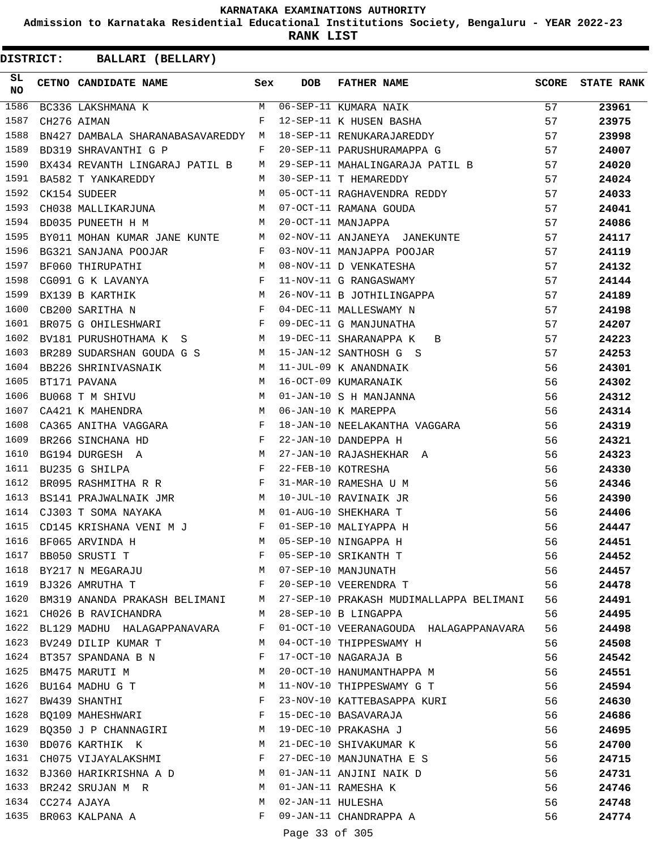**Admission to Karnataka Residential Educational Institutions Society, Bengaluru - YEAR 2022-23**

**RANK LIST**

| SL<br><b>NO</b> |                  | CETNO CANDIDATE NAME Sex                                                             |              | DOB               | <b>FATHER NAME</b>                                                                                                                                                     | SCORE | <b>STATE RANK</b> |
|-----------------|------------------|--------------------------------------------------------------------------------------|--------------|-------------------|------------------------------------------------------------------------------------------------------------------------------------------------------------------------|-------|-------------------|
| 1586            |                  |                                                                                      |              |                   | $\begin{array}{ccccccccc}\n\multicolumn{2}{c }{\textbf{BC336 LAKSHMANA K}} & & \multicolumn{2}{c }{\textbf{M}} & 06-\text{SEP-11 KUMARA NAIK}\n\end{array}$            | 57    | 23961             |
| 1587            |                  |                                                                                      |              |                   |                                                                                                                                                                        | 57    | 23975             |
| 1588            |                  | BN427 DAMBALA SHARANABASAVAREDDY M                                                   |              |                   | 18-SEP-11 RENUKARAJAREDDY                                                                                                                                              | 57    | 23998             |
| 1589            |                  | BD319 SHRAVANTHI G P                                                                 | $\mathbf{F}$ |                   | 20-SEP-11 PARUSHURAMAPPA G                                                                                                                                             | 57    | 24007             |
| 1590            |                  | BX434 REVANTH LINGARAJ PATIL B M                                                     |              |                   | 29-SEP-11 MAHALINGARAJA PATIL B                                                                                                                                        | 57    | 24020             |
| 1591            |                  | BA582 T YANKAREDDY                                                                   | M            |                   | 30-SEP-11 T HEMAREDDY                                                                                                                                                  | 57    | 24024             |
| 1592            |                  |                                                                                      |              |                   | BA582 T YANKAREDDI<br>CK154 SUDEER M 05-OCT-11 RAGHAVENDRA REDDY<br>CH038 MALLIKARJUNA M 07-OCT-11 RAMANA GOUDA<br>M 20-OCT-11 MANJAPPA<br>05-OCT-11 RAGHAVENDRA REDDY | 57    | 24033             |
| 1593            |                  |                                                                                      |              |                   |                                                                                                                                                                        | 57    | 24041             |
| 1594            |                  |                                                                                      |              |                   |                                                                                                                                                                        | 57    | 24086             |
| 1595            |                  |                                                                                      |              |                   | BY011 MOHAN KUMAR JANE KUNTE M 02-NOV-11 ANJANEYA JANEKUNTE                                                                                                            | 57    | 24117             |
| 1596            |                  | BG321 SANJANA POOJAR F                                                               |              |                   | 03-NOV-11 MANJAPPA POOJAR                                                                                                                                              | 57    | 24119             |
| 1597            |                  | BF060 THIRUPATHI M<br>CG091 G K LAVANYA F<br>BX139 B KARTHIK M<br>CB200 SARITHA N F  |              |                   | 08-NOV-11 D VENKATESHA<br>11-NOV-11 G RANGASWAMY                                                                                                                       | 57    | 24132             |
| 1598            |                  |                                                                                      |              |                   |                                                                                                                                                                        | 57    | 24144             |
| 1599            |                  |                                                                                      |              |                   | 26-NOV-11 B JOTHILINGAPPA                                                                                                                                              | 57    | 24189             |
| 1600            |                  |                                                                                      |              |                   | 04-DEC-11 MALLESWAMY N                                                                                                                                                 | 57    | 24198             |
| 1601            |                  | BR075 G OHILESHWARI F                                                                |              |                   | 09-DEC-11 G MANJUNATHA                                                                                                                                                 | 57    | 24207             |
| 1602            |                  | BV181 PURUSHOTHAMA K S M 19-DEC-11 SHARANAPPA K                                      |              |                   | $\mathbf{B}$                                                                                                                                                           | 57    | 24223             |
| 1603            |                  | BR289 SUDARSHAN GOUDA G S M 15-JAN-12 SANTHOSH G S                                   |              |                   |                                                                                                                                                                        | 57    | 24253             |
| 1604            |                  | BB226 SHRINIVASNAIK M                                                                |              |                   |                                                                                                                                                                        | 56    | 24301             |
| 1605            |                  | "<br>BUO68 T M SHIVU M<br>CA421 K MAHFNUD M                                          |              |                   | 11-JUL-09 K ANANDNAIK<br>16-OCT-09 KUMARANAIK<br>01-JAN-10 S H MANJANNA<br>06-JAN-10 K MAREPPA                                                                         | 56    | 24302             |
| 1606            |                  |                                                                                      |              |                   |                                                                                                                                                                        | 56    | 24312             |
| 1607            |                  | $\mathbb M$<br>CA421 K MAHENDRA                                                      |              |                   |                                                                                                                                                                        | 56    | 24314             |
| 1608            |                  | CA365 ANITHA VAGGARA F                                                               |              |                   | 18-JAN-10 NEELAKANTHA VAGGARA                                                                                                                                          | 56    | 24319             |
| 1609            |                  |                                                                                      |              |                   | 22-JAN-10 DANDEPPA H                                                                                                                                                   | 56    | 24321             |
| 1610            |                  | BR266 SINCHANA HD F<br>BG194 DURGESH A M                                             |              |                   | 27-JAN-10 RAJASHEKHAR A                                                                                                                                                | 56    | 24323             |
| 1611            |                  | $\mathbf{F}$<br>BU235 G SHILPA                                                       |              |                   | 22-FEB-10 KOTRESHA                                                                                                                                                     | 56    | 24330             |
| 1612            |                  | BR095 RASHMITHA R R F                                                                |              |                   | 31-MAR-10 RAMESHA U M                                                                                                                                                  | 56    | 24346             |
| 1613            |                  | BS141 PRAJWALNAIK JMR M                                                              |              |                   | 10-JUL-10 RAVINAIK JR                                                                                                                                                  | 56    | 24390             |
| 1614            |                  | CJ303 T SOMA NAYAKA                                                                  |              |                   | M 01-AUG-10 SHEKHARA T                                                                                                                                                 | 56    | 24406             |
| 1615            |                  | CD145 KRISHANA VENI M J F                                                            |              |                   | 01-SEP-10 MALIYAPPA H                                                                                                                                                  | 56    | 24447             |
| 1616            |                  | BF065 ARVINDA H                                                                      | M            |                   | 05-SEP-10 NINGAPPA H                                                                                                                                                   | 56    | 24451             |
|                 |                  | 1617 BB050 SRUSTI T                                                                  | F            |                   | 05-SEP-10 SRIKANTH T                                                                                                                                                   | 56    | 24452             |
|                 |                  | 1618 BY217 N MEGARAJU                                                                | M            |                   | 07-SEP-10 MANJUNATH                                                                                                                                                    | 56    | 24457             |
|                 |                  | 1619 BJ326 AMRUTHA T<br>$\mathbf{F}$ and the contract of the contract $\mathbf{F}$ . |              |                   | 20-SEP-10 VEERENDRA T                                                                                                                                                  | 56    | 24478             |
|                 |                  |                                                                                      |              |                   | 1620 BM319 ANANDA PRAKASH BELIMANI M 27-SEP-10 PRAKASH MUDIMALLAPPA BELIMANI                                                                                           | 56    | 24491             |
|                 |                  | 1621 CH026 B RAVICHANDRA                                                             | M            |                   | 28-SEP-10 B LINGAPPA                                                                                                                                                   | 56    | 24495             |
|                 |                  |                                                                                      |              |                   | 1622 BL129 MADHU HALAGAPPANAVARA F 01-OCT-10 VEERANAGOUDA HALAGAPPANAVARA                                                                                              | 56    |                   |
|                 |                  | 1623 BV249 DILIP KUMAR T<br>M <sub>1</sub>                                           |              |                   | 04-OCT-10 THIPPESWAMY H                                                                                                                                                | 56    | 24498<br>24508    |
| 1624            |                  | BT357 SPANDANA B N                                                                   | F            |                   | 17-OCT-10 NAGARAJA B                                                                                                                                                   | 56    | 24542             |
|                 |                  | 1625 BM475 MARUTI M                                                                  | M            |                   | 20-OCT-10 HANUMANTHAPPA M                                                                                                                                              | 56    |                   |
|                 |                  |                                                                                      | М            |                   | 11-NOV-10 THIPPESWAMY G T                                                                                                                                              |       | 24551             |
|                 |                  | 1626 BU164 MADHU G T                                                                 |              |                   |                                                                                                                                                                        | 56    | 24594             |
| 1627            |                  | BW439 SHANTHI                                                                        | F            |                   | 23-NOV-10 KATTEBASAPPA KURI                                                                                                                                            | 56    | 24630             |
|                 |                  | 1628 BQ109 MAHESHWARI F                                                              |              |                   | 15-DEC-10 BASAVARAJA                                                                                                                                                   | 56    | 24686             |
|                 |                  | 1629 BQ350 J P CHANNAGIRI M 19-DEC-10 PRAKASHA J                                     |              |                   |                                                                                                                                                                        | 56    | 24695             |
|                 |                  | 1630 BD076 KARTHIK K                                                                 | M            |                   | 21-DEC-10 SHIVAKUMAR K                                                                                                                                                 | 56    | 24700             |
|                 |                  | 1631 CH075 VIJAYALAKSHMI F                                                           |              |                   | 27-DEC-10 MANJUNATHA E S                                                                                                                                               | 56    | 24715             |
|                 |                  | 1632 BJ360 HARIKRISHNA A D M                                                         |              |                   | 01-JAN-11 ANJINI NAIK D                                                                                                                                                | 56    | 24731             |
|                 |                  | 1633 BR242 SRUJAN M R                                                                | M            |                   | 01-JAN-11 RAMESHA K                                                                                                                                                    | 56    | 24746             |
|                 | 1634 CC274 AJAYA |                                                                                      | M            | 02-JAN-11 HULESHA |                                                                                                                                                                        | 56    | 24748             |
|                 |                  | 1635 BR063 KALPANA A                                                                 | F            |                   | 09-JAN-11 CHANDRAPPA A                                                                                                                                                 | 56    | 24774             |
|                 |                  |                                                                                      |              | Page 33 of 305    |                                                                                                                                                                        |       |                   |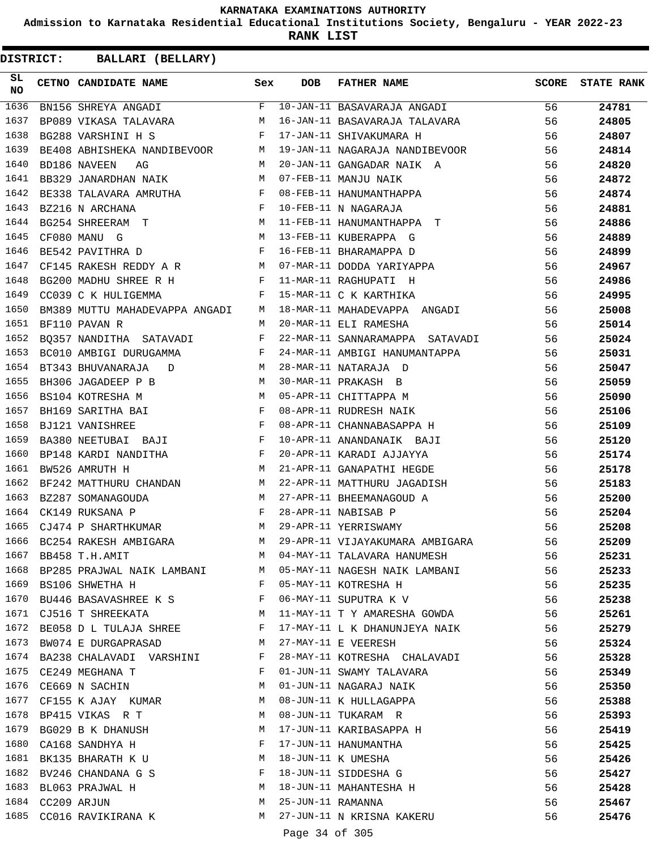**Admission to Karnataka Residential Educational Institutions Society, Bengaluru - YEAR 2022-23**

**RANK LIST**

| SL<br>NO     |                  | CETNO CANDIDATE NAME Sex                                                                                                                                                                                                      |         | <b>DOB</b>        | FATHER NAME                                        | SCORE | <b>STATE RANK</b> |
|--------------|------------------|-------------------------------------------------------------------------------------------------------------------------------------------------------------------------------------------------------------------------------|---------|-------------------|----------------------------------------------------|-------|-------------------|
| 1636         |                  | BN156 SHREYA ANGADI                                                                                                                                                                                                           | $F$ and |                   | 10-JAN-11 BASAVARAJA ANGADI                        | 56    | 24781             |
| 1637         |                  | BP089 VIKASA TALAVARA M                                                                                                                                                                                                       |         |                   | 16-JAN-11 BASAVARAJA TALAVARA                      | 56    | 24805             |
| 1638         |                  | $\mathbf{F}$ and $\mathbf{F}$ and $\mathbf{F}$<br>BG288 VARSHINI H S                                                                                                                                                          |         |                   | 17-JAN-11 SHIVAKUMARA H                            | 56    | 24807             |
| 1639         |                  | BE408 ABHISHEKA NANDIBEVOOR M                                                                                                                                                                                                 |         |                   | 19-JAN-11 NAGARAJA NANDIBEVOOR                     | 56    | 24814             |
| 1640         |                  | M<br>BD186 NAVEEN<br>AG                                                                                                                                                                                                       |         |                   | 20-JAN-11 GANGADAR NAIK A                          | 56    | 24820             |
| 1641         |                  | BB329 JANARDHAN NAIK M                                                                                                                                                                                                        |         |                   | 07-FEB-11 MANJU NAIK                               | 56    | 24872             |
| 1642         |                  | BE338 TALAVARA AMRUTHA F                                                                                                                                                                                                      |         |                   | 08-FEB-11 HANUMANTHAPPA                            | 56    | 24874             |
| 1643         |                  | $\begin{tabular}{lllllllll} \multicolumn{2}{c}{\texttt{BZ216}} & $\texttt{N}\;\; \texttt{ARCHANA}$ & $\texttt{F}$ \\ \multicolumn{2}{c}{\texttt{BG254}} & $\texttt{SHREERAM}$ & $\texttt{T}$ & $\texttt{M}$ \\ \end{tabular}$ |         |                   | 10-FEB-11 N NAGARAJA                               | 56    | 24881             |
| 1644         |                  |                                                                                                                                                                                                                               |         |                   | 11-FEB-11 HANUMANTHAPPA T                          | 56    | 24886             |
| 1645         |                  | M <sub>N</sub><br>CF080 MANU G                                                                                                                                                                                                |         |                   | 13-FEB-11 KUBERAPPA G                              | 56    | 24889             |
| 1646         |                  | $\mathbf{F}$ and $\mathbf{F}$ and $\mathbf{F}$<br>BE542 PAVITHRA D                                                                                                                                                            |         |                   | 16-FEB-11 BHARAMAPPA D                             | 56    | 24899             |
| 1647         |                  | CF145 RAKESH REDDY A R M                                                                                                                                                                                                      |         |                   |                                                    | 56    | 24967             |
| 1648         |                  | BG200 MADHU SHREE R H F                                                                                                                                                                                                       |         |                   | 07-MAR-11 DODDA YARIYAPPA<br>11-MAR-11 RAGHUPATI H | 56    | 24986             |
| 1649         |                  | $\mathbf{F}$ and $\mathbf{F}$ and $\mathbf{F}$<br>CC039 C K HULIGEMMA                                                                                                                                                         |         |                   | 15-MAR-11 C K KARTHIKA                             | 56    | 24995             |
| 1650         |                  | BM389 MUTTU MAHADEVAPPA ANGADI M                                                                                                                                                                                              |         |                   | 18-MAR-11 MAHADEVAPPA ANGADI                       | 56    | 25008             |
| 1651         |                  | BF110 PAVAN R                                                                                                                                                                                                                 | M       |                   | 20-MAR-11 ELI RAMESHA                              | 56    | 25014             |
| 1652         |                  | BQ357 NANDITHA SATAVADI F                                                                                                                                                                                                     |         |                   | 22-MAR-11 SANNARAMAPPA SATAVADI                    | 56    | 25024             |
| 1653         |                  | BC010 AMBIGI DURUGAMMA<br>$\mathbf{F}$ and $\mathbf{F}$ and $\mathbf{F}$                                                                                                                                                      |         |                   | 24-MAR-11 AMBIGI HANUMANTAPPA                      | 56    | 25031             |
| 1654         |                  | BT343 BHUVANARAJA D M                                                                                                                                                                                                         |         |                   | 28-MAR-11 NATARAJA D                               | 56    | 25047             |
| 1655         |                  | BH306 JAGADEEP P B<br>BS104 KOTRESHA M M<br>BH169 SARITHA BAI F                                                                                                                                                               |         |                   | 30-MAR-11 PRAKASH B                                | 56    | 25059             |
| 1656         |                  |                                                                                                                                                                                                                               |         |                   | 05-APR-11 CHITTAPPA M                              | 56    | 25090             |
| 1657         |                  |                                                                                                                                                                                                                               |         |                   | 08-APR-11 RUDRESH NAIK                             | 56    | 25106             |
| 1658         |                  | $\mathbb{F}^{\mathbb{Z}}$ . The state $\mathbb{F}^{\mathbb{Z}}$<br>BJ121 VANISHREE                                                                                                                                            |         |                   | 08-APR-11 CHANNABASAPPA H                          | 56    | 25109             |
| 1659         |                  | BA380 NEETUBAI BAJI F                                                                                                                                                                                                         |         |                   | 10-APR-11 ANANDANAIK BAJI                          | 56    | 25120             |
| 1660         |                  | BP148 KARDI NANDITHA F                                                                                                                                                                                                        |         |                   | 20-APR-11 KARADI AJJAYYA                           | 56    | 25174             |
| 1661         |                  | $M_{\odot}$ and $M_{\odot}$ and $M_{\odot}$<br>BW526 AMRUTH H                                                                                                                                                                 |         |                   | 21-APR-11 GANAPATHI HEGDE                          | 56    | 25178             |
| 1662         |                  | BF242 MATTHURU CHANDAN M                                                                                                                                                                                                      |         |                   | 22-APR-11 MATTHURU JAGADISH                        | 56    | 25183             |
| 1663         |                  |                                                                                                                                                                                                                               |         |                   | 27-APR-11 BHEEMANAGOUD A                           | 56    | 25200             |
| 1664         |                  | BZ287 SOMANAGOUDA M<br>CK149 RUKSANA P F                                                                                                                                                                                      |         |                   | 28-APR-11 NABISAB P                                | 56    | 25204             |
| 1665         |                  | CJ474 P SHARTHKUMAR M                                                                                                                                                                                                         |         |                   | 29-APR-11 YERRISWAMY                               | 56    | 25208             |
| 1666         |                  | BC254 RAKESH AMBIGARA                                                                                                                                                                                                         | M       |                   | 29-APR-11 VIJAYAKUMARA AMBIGARA                    | 56    | 25209             |
| 1667         |                  | BB458 T.H.AMIT                                                                                                                                                                                                                | М       |                   | 04-MAY-11 TALAVARA HANUMESH                        | 56    | 25231             |
| 1668         |                  | BP285 PRAJWAL NAIK LAMBANI                                                                                                                                                                                                    | M       |                   | 05-MAY-11 NAGESH NAIK LAMBANI                      | 56    | 25233             |
| 1669         |                  | BS106 SHWETHA H                                                                                                                                                                                                               | F       |                   | 05-MAY-11 KOTRESHA H                               | 56    | 25235             |
| 1670         |                  | BU446 BASAVASHREE K S                                                                                                                                                                                                         | F       |                   | 06-MAY-11 SUPUTRA K V                              | 56    | 25238             |
|              |                  | 1671 CJ516 T SHREEKATA                                                                                                                                                                                                        | М       |                   | 11-MAY-11 T Y AMARESHA GOWDA                       | 56    | 25261             |
| 1672         |                  | BE058 D L TULAJA SHREE                                                                                                                                                                                                        | F       |                   | 17-MAY-11 L K DHANUNJEYA NAIK                      | 56    | 25279             |
| 1673         |                  | BW074 E DURGAPRASAD                                                                                                                                                                                                           | M       |                   | 27-MAY-11 E VEERESH                                | 56    | 25324             |
| 1674         |                  | BA238 CHALAVADI VARSHINI                                                                                                                                                                                                      | F       |                   | 28-MAY-11 KOTRESHA CHALAVADI                       | 56    | 25328             |
| 1675         |                  | CE249 MEGHANA T                                                                                                                                                                                                               | F       |                   | 01-JUN-11 SWAMY TALAVARA                           | 56    | 25349             |
| 1676         |                  | CE669 N SACHIN                                                                                                                                                                                                                | М       |                   | 01-JUN-11 NAGARAJ NAIK                             | 56    | 25350             |
| 1677         |                  |                                                                                                                                                                                                                               | M       |                   | 08-JUN-11 K HULLAGAPPA                             | 56    |                   |
|              |                  | CF155 K AJAY KUMAR                                                                                                                                                                                                            |         |                   |                                                    |       | 25388             |
| 1678<br>1679 |                  | BP415 VIKAS R T                                                                                                                                                                                                               | M<br>M  |                   | 08-JUN-11 TUKARAM R                                | 56    | 25393             |
| 1680         |                  | BG029 B K DHANUSH                                                                                                                                                                                                             | F       |                   | 17-JUN-11 KARIBASAPPA H                            | 56    | 25419             |
|              |                  | CA168 SANDHYA H                                                                                                                                                                                                               |         |                   | 17-JUN-11 HANUMANTHA                               | 56    | 25425             |
| 1681         |                  | BK135 BHARATH K U                                                                                                                                                                                                             | M       |                   | 18-JUN-11 K UMESHA                                 | 56    | 25426             |
| 1682         |                  | BV246 CHANDANA G S                                                                                                                                                                                                            | F       |                   | 18-JUN-11 SIDDESHA G                               | 56    | 25427             |
| 1683         |                  | BL063 PRAJWAL H                                                                                                                                                                                                               | М       |                   | 18-JUN-11 MAHANTESHA H                             | 56    | 25428             |
|              | 1684 CC209 ARJUN |                                                                                                                                                                                                                               | М       | 25-JUN-11 RAMANNA |                                                    | 56    | 25467             |
|              |                  | 1685 CC016 RAVIKIRANA K                                                                                                                                                                                                       | M       |                   | 27-JUN-11 N KRISNA KAKERU                          | 56    | 25476             |
|              |                  |                                                                                                                                                                                                                               |         | Page 34 of 305    |                                                    |       |                   |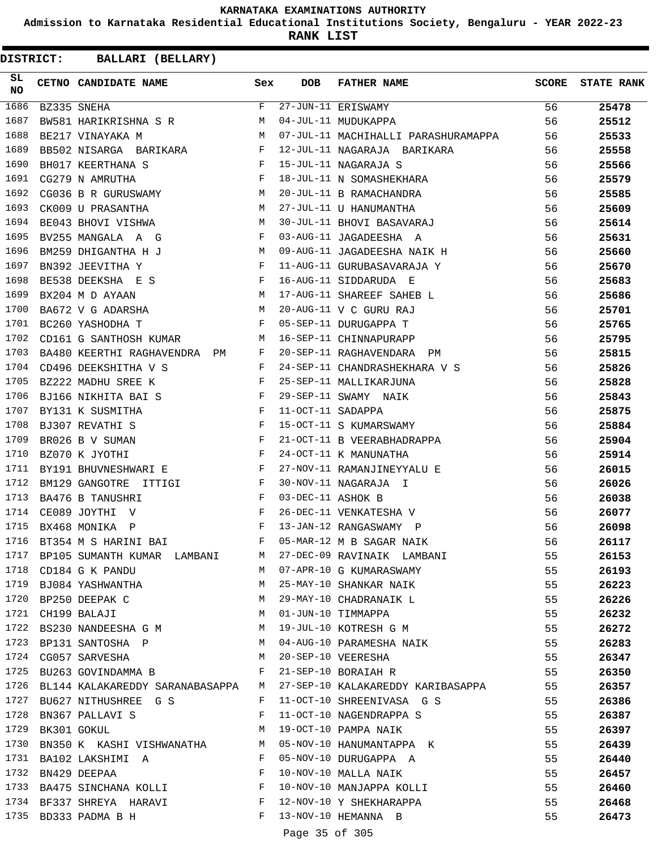**Admission to Karnataka Residential Educational Institutions Society, Bengaluru - YEAR 2022-23**

**RANK LIST**

**DISTRICT:** CC **BALLARI (BELLARY)**

| SL<br>NO |                  | CETNO CANDIDATE NAME Sex                                                                                                                                                                                                                                       |              | <b>DOB</b>        | FATHER NAME                                                                                                           | <b>SCORE</b> | <b>STATE RANK</b> |
|----------|------------------|----------------------------------------------------------------------------------------------------------------------------------------------------------------------------------------------------------------------------------------------------------------|--------------|-------------------|-----------------------------------------------------------------------------------------------------------------------|--------------|-------------------|
| 1686     |                  | BZ335 SNEHA                                                                                                                                                                                                                                                    | $F$ and      |                   | 27-JUN-11 ERISWAMY                                                                                                    | 56           | 25478             |
| 1687     |                  | BW581 HARIKRISHNA S R                                                                                                                                                                                                                                          | M            |                   | 04-JUL-11 MUDUKAPPA                                                                                                   | 56           | 25512             |
| 1688     |                  | M<br>BE217 VINAYAKA M                                                                                                                                                                                                                                          |              |                   | 07-JUL-11 MACHIHALLI PARASHURAMAPPA                                                                                   | 56           | 25533             |
| 1689     |                  | BB502 NISARGA BARIKARA F                                                                                                                                                                                                                                       |              |                   | 12-JUL-11 NAGARAJA BARIKARA                                                                                           | 56           | 25558             |
| 1690     |                  | $\mathbb{F}^{\mathbb{Z}}$ . The set of $\mathbb{F}^{\mathbb{Z}}$<br>BH017 KEERTHANA S                                                                                                                                                                          |              |                   | 15-JUL-11 NAGARAJA S                                                                                                  | 56           | 25566             |
| 1691     |                  | $\mathbf{F}$ and $\mathbf{F}$ and $\mathbf{F}$<br>CG279 N AMRUTHA                                                                                                                                                                                              |              |                   | 18-JUL-11 N SOMASHEKHARA                                                                                              | 56           | 25579             |
| 1692     |                  | CG036 B R GURUSWAMY M                                                                                                                                                                                                                                          |              |                   | 20-JUL-11 B RAMACHANDRA                                                                                               | 56           | 25585             |
| 1693     |                  | CK009 U PRASANTHA<br>BE043 BHOVI VISHWA M                                                                                                                                                                                                                      |              |                   | 20-000-11 D RAPANUMANTHA                                                                                              | 56           | 25609             |
| 1694     |                  |                                                                                                                                                                                                                                                                |              |                   | 30-JUL-11 BHOVI BASAVARAJ                                                                                             | 56           | 25614             |
| 1695     |                  | BV255 MANGALA A G<br>$\mathbf{F}$ . The contract of the contract of $\mathbf{F}$                                                                                                                                                                               |              |                   | 03-AUG-11 JAGADEESHA A                                                                                                | 56           | 25631             |
| 1696     |                  | M<br>BM259 DHIGANTHA H J                                                                                                                                                                                                                                       |              |                   | 09-AUG-11 JAGADEESHA NAIK H                                                                                           | 56           | 25660             |
| 1697     |                  | BN392 JEEVITHA Y                                                                                                                                                                                                                                               | $\mathbb{F}$ |                   | 11-AUG-11 GURUBASAVARAJA Y                                                                                            | 56           | 25670             |
| 1698     |                  | BE538 DEEKSHA E S F                                                                                                                                                                                                                                            |              |                   | 16-AUG-11 SIDDARUDA E                                                                                                 | 56           | 25683             |
| 1699     |                  | M<br>BX204 M D AYAAN                                                                                                                                                                                                                                           |              |                   | 17-AUG-11 SHAREEF SAHEB L                                                                                             | 56           | 25686             |
| 1700     |                  | BA672 V G ADARSHA M                                                                                                                                                                                                                                            |              |                   | 20-AUG-11 V C GURU RAJ                                                                                                | 56           | 25701             |
| 1701     |                  | BC260 YASHODHA T                                                                                                                                                                                                                                               | $\mathbf{F}$ |                   | 05-SEP-11 DURUGAPPA T                                                                                                 | 56           | 25765             |
| 1702     |                  | CD161 G SANTHOSH KUMAR                                                                                                                                                                                                                                         | M            |                   | 16-SEP-11 CHINNAPURAPP                                                                                                | 56           | 25795             |
| 1703     |                  | BA480 KEERTHI RAGHAVENDRA PM                                                                                                                                                                                                                                   | F            |                   | 20-SEP-11 RAGHAVENDARA PM                                                                                             | 56           | 25815             |
| 1704     |                  | $\mathbb{R}^n$ . The set of $\mathbb{R}^n$<br>CD496 DEEKSHITHA V S                                                                                                                                                                                             |              |                   | 24-SEP-11 CHANDRASHEKHARA V S                                                                                         | 56           | 25826             |
| 1705     |                  | BZ222 MADHU SREE K                                                                                                                                                                                                                                             | $\mathbf{F}$ |                   | 25-SEP-11 MALLIKARJUNA                                                                                                | 56           | 25828             |
| 1706     |                  | $\mathbb{F}^{\mathbb{Z}}$ . The set of the set of the set of the set of the set of the set of the set of the set of the set of the set of the set of the set of the set of the set of the set of the set of the set of the set of the s<br>BJ166 NIKHITA BAI S |              |                   | 29-SEP-11 SWAMY NAIK                                                                                                  | 56           | 25843             |
| 1707     |                  | $\mathbf{F}$ and $\mathbf{F}$ and $\mathbf{F}$<br>BY131 K SUSMITHA                                                                                                                                                                                             |              | 11-OCT-11 SADAPPA |                                                                                                                       | 56           | 25875             |
| 1708     |                  | $\mathbf{F}$<br>BJ307 REVATHI S                                                                                                                                                                                                                                |              |                   | 15-OCT-11 S KUMARSWAMY                                                                                                | 56           | 25884             |
| 1709     |                  | BR026 B V SUMAN                                                                                                                                                                                                                                                |              |                   | 21-OCT-11 B VEERABHADRAPPA                                                                                            | 56           | 25904             |
| 1710     |                  | $\begin{array}{c}\n\text{F} \\ \text{F}\n\end{array}$<br>BZ070 K JYOTHI                                                                                                                                                                                        |              |                   | 24-OCT-11 K MANUNATHA                                                                                                 | 56           | 25914             |
| 1711     |                  | BY191 BHUVNESHWARI E<br><b>Experimental Experimental Experimental Experimental Experimental Experimental Experimental Experimental Experimental Experimental Experimental Experimental Experimental Experimental Experimental Experimental Experimental </b>   |              |                   | 27-NOV-11 RAMANJINEYYALU E                                                                                            | 56           | 26015             |
| 1712     |                  | BM129 GANGOTRE ITTIGI F                                                                                                                                                                                                                                        |              |                   | 30-NOV-11 NAGARAJA I                                                                                                  | 56           | 26026             |
| 1713     |                  | $\frac{1}{F}$<br>BA476 B TANUSHRI                                                                                                                                                                                                                              |              | 03-DEC-11 ASHOK B |                                                                                                                       | 56           | 26038             |
| 1714     |                  | $\mathbb{F}_p$ . The set of the set of the set of the set of the set of the set of the set of the set of the set of the set of the set of the set of the set of the set of the set of the set of the set of the set of the set of<br>CE089 JOYTHI V            |              |                   | 26-DEC-11 VENKATESHA V                                                                                                | 56           | 26077             |
| 1715     |                  | $\mathbf{F}$ and $\mathbf{F}$ and $\mathbf{F}$<br>BX468 MONIKA P                                                                                                                                                                                               |              |                   | 13-JAN-12 RANGASWAMY P                                                                                                | 56           | 26098             |
| 1716     |                  | BT354 M S HARINI BAI                                                                                                                                                                                                                                           | F            |                   | 05-MAR-12 M B SAGAR NAIK                                                                                              | 56           | 26117             |
|          |                  |                                                                                                                                                                                                                                                                |              |                   | 1717 BP105 SUMANTH KUMAR LAMBANI M 27-DEC-09 RAVINAIK LAMBANI                                                         | 55           | 26153             |
|          |                  | 1718 CD184 G K PANDU                                                                                                                                                                                                                                           |              |                   | M 07-APR-10 G KUMARASWAMY                                                                                             | 55           | 26193             |
|          |                  |                                                                                                                                                                                                                                                                |              |                   | 1719 BJ084 YASHWANTHA M 25-MAY-10 SHANKAR NAIK                                                                        | 55           | 26223             |
|          |                  | 1720 BP250 DEEPAK C                                                                                                                                                                                                                                            |              |                   | M 29-MAY-10 CHADRANAIK L                                                                                              | 55           | 26226             |
|          |                  | 1721 CH199 BALAJI<br>1722 - 2006                                                                                                                                                                                                                               |              |                   |                                                                                                                       | 55           | 26232             |
|          |                  |                                                                                                                                                                                                                                                                |              |                   |                                                                                                                       | 55           | 26272             |
|          |                  |                                                                                                                                                                                                                                                                |              |                   | 1723 BP131 SANTOSHA P M 04-AUG-10 PARAMESHA NAIK                                                                      | 55           | 26283             |
|          |                  |                                                                                                                                                                                                                                                                |              |                   |                                                                                                                       | 55           | 26347             |
|          |                  |                                                                                                                                                                                                                                                                |              |                   | $1725$ BU263 GOVINDAMMA B<br>$F$ 21-SEP-10 BORAIAH R<br>1726 RIJ144 KALAKARENDY CARALLER CORNER F 21-SEP-10 BORAIAH R | 55           | 26350             |
|          |                  |                                                                                                                                                                                                                                                                |              |                   | 1726 BL144 KALAKAREDDY SARANABASAPPA M 27-SEP-10 KALAKAREDDY KARIBASAPPA                                              | 55           | 26357             |
|          |                  | 1727 BU627 NITHUSHREE G S F 11-OCT-10 SHREENIVASA G S                                                                                                                                                                                                          |              |                   |                                                                                                                       | 55           | 26386             |
|          |                  | 1728 BN367 PALLAVI S<br>$\mathbf{F}$ and $\mathbf{F}$ and $\mathbf{F}$                                                                                                                                                                                         |              |                   | 11-OCT-10 NAGENDRAPPA S                                                                                               | 55           | 26387             |
|          | 1729 BK301 GOKUL |                                                                                                                                                                                                                                                                |              |                   | M 19-OCT-10 PAMPA NAIK                                                                                                | 55           | 26397             |
| 1730     |                  |                                                                                                                                                                                                                                                                |              |                   | BK301 GOKUL M 19-OCT-10 PAMPA NAIK<br>BN350 K KASHI VISHWANATHA M 05-NOV-10 HANUMANTAPPA K                            | 55           | 26439             |
| 1731     |                  | BA102 LAKSHIMI A F                                                                                                                                                                                                                                             |              |                   | 05-NOV-10 DURUGAPPA A                                                                                                 | 55           | 26440             |
|          |                  | $\mathbf{F}$<br>1732 BN429 DEEPAA                                                                                                                                                                                                                              |              |                   | 10-NOV-10 MALLA NAIK                                                                                                  | 55           | 26457             |
|          |                  |                                                                                                                                                                                                                                                                |              |                   |                                                                                                                       | 55           | 26460             |
|          |                  |                                                                                                                                                                                                                                                                |              |                   |                                                                                                                       | 55           | 26468             |
|          |                  | F 13-NOV-10 HEMANNA B<br>1735 BD333 PADMA B H                                                                                                                                                                                                                  |              |                   |                                                                                                                       | 55           | 26473             |
|          |                  |                                                                                                                                                                                                                                                                |              |                   |                                                                                                                       |              |                   |

Page 35 of 305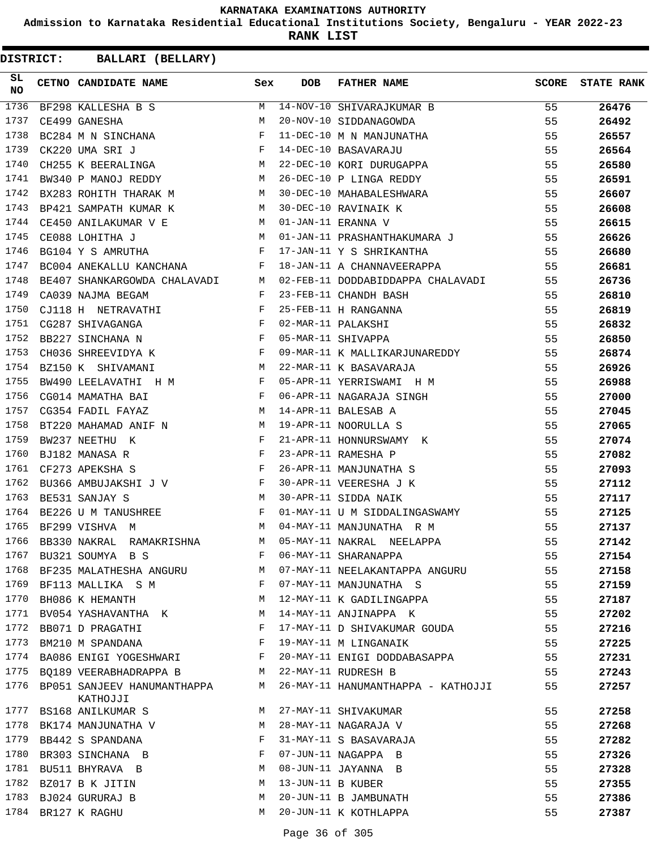**Admission to Karnataka Residential Educational Institutions Society, Bengaluru - YEAR 2022-23**

**RANK LIST**

| SL<br>NO | CETNO CANDIDATE NAME Sex                                                                                                                                                                                                                               |   | <b>DOB</b>        | FATHER NAME                                                            | <b>SCORE</b> | <b>STATE RANK</b> |
|----------|--------------------------------------------------------------------------------------------------------------------------------------------------------------------------------------------------------------------------------------------------------|---|-------------------|------------------------------------------------------------------------|--------------|-------------------|
| 1736     |                                                                                                                                                                                                                                                        |   |                   | BF298 KALLESHA B S M 14-NOV-10 SHIVARAJKUMAR B                         | 55           | 26476             |
| 1737     | M<br>CE499 GANESHA                                                                                                                                                                                                                                     |   |                   | 20-NOV-10 SIDDANAGOWDA                                                 | 55           | 26492             |
| 1738     | BC284 M N SINCHANA $F$                                                                                                                                                                                                                                 |   |                   | 11-DEC-10 M N MANJUNATHA<br>14-DEC-10 BASAVARAJU                       | 55           | 26557             |
| 1739     | CK220 UMA SRI J<br>CH255 K BEERALINGA M                                                                                                                                                                                                                |   |                   |                                                                        | 55           | 26564             |
| 1740     |                                                                                                                                                                                                                                                        |   |                   | 22-DEC-10 KORI DURUGAPPA                                               | 55           | 26580             |
| 1741     | BW340 P MANOJ REDDY M                                                                                                                                                                                                                                  |   |                   | 26-DEC-10 P LINGA REDDY                                                | 55           | 26591             |
| 1742     | BX283 ROHITH THARAK M                                                                                                                                                                                                                                  |   |                   | 30-DEC-10 MAHABALESHWARA<br>30-DEC-10 RAVINAIK K<br>01-JAN-11 ERANNA V | 55           | 26607             |
| 1743     | BP421 SAMPATH KUMAR K M 30-DEC-10 RAVINAIK K                                                                                                                                                                                                           |   |                   |                                                                        | 55           | 26608             |
| 1744     | CE450 ANILAKUMAR V E M                                                                                                                                                                                                                                 |   |                   | 01-JAN-11 ERANNA V                                                     | 55           | 26615             |
| 1745     | <b>M</b><br>CE088 LOHITHA J                                                                                                                                                                                                                            |   |                   | 01-JAN-11 PRASHANTHAKUMARA J 55                                        |              | 26626             |
| 1746     | BG104 Y S AMRUTHA F                                                                                                                                                                                                                                    |   |                   | 17-JAN-11 Y S SHRIKANTHA                                               | 55           | 26680             |
| 1747     | $\texttt{BC004} \texttt{ANEKALLU} \texttt{KANCHANA} \hspace{20pt} \texttt{F}$                                                                                                                                                                          |   |                   | 18-JAN-11 A CHANNAVEERAPPA                                             | 55           | 26681             |
| 1748     |                                                                                                                                                                                                                                                        |   |                   | BE407 SHANKARGOWDA CHALAVADI M 02-FEB-11 DODDABIDDAPPA CHALAVADI 55    |              | 26736             |
| 1749     | $\mathbf{F}$ and $\mathbf{F}$ and $\mathbf{F}$<br>CA039 NAJMA BEGAM                                                                                                                                                                                    |   |                   | 23-FEB-11 CHANDH BASH                                                  | 55           | 26810             |
| 1750     | CJ118 H NETRAVATHI $F$                                                                                                                                                                                                                                 |   |                   | SH<br> A<br> <br>25-FEB-11 H RANGANNA                                  | 55           | 26819             |
| 1751     |                                                                                                                                                                                                                                                        |   |                   | 02-MAR-11 PALAKSHI                                                     | 55           | 26832             |
| 1752     |                                                                                                                                                                                                                                                        |   |                   | 05-MAR-11 SHIVAPPA                                                     | 55           | 26850             |
| 1753     | CH036 SHREEVIDYA K F                                                                                                                                                                                                                                   |   |                   | 09-MAR-11 K MALLIKARJUNAREDDY 55                                       |              | 26874             |
| 1754     | M<br>BZ150 K SHIVAMANI                                                                                                                                                                                                                                 |   |                   | 22-MAR-11 K BASAVARAJA                                                 | 55           | 26926             |
| 1755     | BW490 LEELAVATHI H M F                                                                                                                                                                                                                                 |   |                   | 05-APR-11 YERRISWAMI H M                                               | 55           | 26988             |
| 1756     | $\mathbf{F}$ . The set of the set of the set of the set of the set of the set of the set of the set of the set of the set of the set of the set of the set of the set of the set of the set of the set of the set of the set of t<br>CG014 MAMATHA BAI |   |                   |                                                                        | 55           | 27000             |
| 1757     | <b>M</b><br>CG354 FADIL FAYAZ                                                                                                                                                                                                                          |   |                   | 06-APR-11 NAGARAJA SINGH<br>14-APR-11 BALESAB A                        | 55           | 27045             |
| 1758     | BT220 MAHAMAD ANIF N M                                                                                                                                                                                                                                 |   |                   | 19-APR-11 NOORULLA S                                                   | 55           | 27065             |
| 1759     | BW237 NEETHU K                                                                                                                                                                                                                                         |   |                   | 21-APR-11 HONNURSWAMY K                                                | 55           | 27074             |
| 1760     | $\begin{array}{c}\n\text{F} \\ \text{F}\n\end{array}$<br>BJ182 MANASA R                                                                                                                                                                                |   |                   | 23-APR-11 RAMESHA P                                                    | 55           | 27082             |
| 1761     | $\mathbf{F}$ and the contract of the contract of $\mathbf{F}$<br>CF273 APEKSHA S                                                                                                                                                                       |   |                   | 26-APR-11 MANJUNATHA S                                                 | 55           | 27093             |
| 1762     | BU366 AMBUJAKSHI J V F F TREST ANII Y C                                                                                                                                                                                                                |   |                   | 30-APR-11 VEERESHA J K                                                 | 55           | 27112             |
| 1763     | M<br>BE531 SANJAY S                                                                                                                                                                                                                                    |   |                   | 30-APR-11 SIDDA NAIK                                                   | 55           | 27117             |
| 1764     | BE226 U M TANUSHREE F                                                                                                                                                                                                                                  |   |                   | 01-MAY-11 U M SIDDALINGASWAMY                                          | 55           | 27125             |
| 1765     | <b>M</b><br>BF299 VISHVA M                                                                                                                                                                                                                             |   |                   | 04-MAY-11 MANJUNATHA R M                                               | 55           | 27137             |
| 1766     | BB330 NAKRAL RAMAKRISHNA M                                                                                                                                                                                                                             |   |                   | 05-MAY-11 NAKRAL NEELAPPA                                              | 55           | 27142             |
| 1767     | BU321 SOUMYA B S                                                                                                                                                                                                                                       | F |                   | 06-MAY-11 SHARANAPPA                                                   | 55           | 27154             |
| 1768     | BF235 MALATHESHA ANGURU                                                                                                                                                                                                                                | M |                   | 07-MAY-11 NEELAKANTAPPA ANGURU                                         | 55           | 27158             |
| 1769     | BF113 MALLIKA S M                                                                                                                                                                                                                                      | F |                   | 07-MAY-11 MANJUNATHA S                                                 | 55           | 27159             |
| 1770     | BH086 K HEMANTH                                                                                                                                                                                                                                        | M |                   | 12-MAY-11 K GADILINGAPPA                                               | 55           | 27187             |
| 1771     | BV054 YASHAVANTHA K                                                                                                                                                                                                                                    | M |                   | 14-MAY-11 ANJINAPPA K                                                  | 55           | 27202             |
| 1772     | BB071 D PRAGATHI                                                                                                                                                                                                                                       | F |                   | 17-MAY-11 D SHIVAKUMAR GOUDA                                           | 55           | 27216             |
| 1773     | BM210 M SPANDANA                                                                                                                                                                                                                                       | F |                   | 19-MAY-11 M LINGANAIK                                                  | 55           | 27225             |
| 1774     | BA086 ENIGI YOGESHWARI                                                                                                                                                                                                                                 | F |                   | 20-MAY-11 ENIGI DODDABASAPPA                                           | 55           | 27231             |
| 1775     | BQ189 VEERABHADRAPPA B                                                                                                                                                                                                                                 | M |                   | 22-MAY-11 RUDRESH B                                                    | 55           | 27243             |
| 1776     | BP051 SANJEEV HANUMANTHAPPA<br>KATHOJJI                                                                                                                                                                                                                | M |                   | 26-MAY-11 HANUMANTHAPPA - KATHOJJI                                     | 55           | 27257             |
| 1777     | BS168 ANILKUMAR S                                                                                                                                                                                                                                      | M |                   | 27-MAY-11 SHIVAKUMAR                                                   | 55           | 27258             |
| 1778     | BK174 MANJUNATHA V                                                                                                                                                                                                                                     | М |                   | 28-MAY-11 NAGARAJA V                                                   | 55           | 27268             |
| 1779     | BB442 S SPANDANA                                                                                                                                                                                                                                       | F |                   | 31-MAY-11 S BASAVARAJA                                                 | 55           | 27282             |
| 1780     | BR303 SINCHANA B                                                                                                                                                                                                                                       | F |                   | 07-JUN-11 NAGAPPA B                                                    | 55           | 27326             |
| 1781     | BU511 BHYRAVA B                                                                                                                                                                                                                                        | M |                   | 08-JUN-11 JAYANNA B                                                    | 55           | 27328             |
| 1782     | BZ017 B K JITIN                                                                                                                                                                                                                                        | М | 13-JUN-11 B KUBER |                                                                        | 55           | 27355             |
| 1783     | BJ024 GURURAJ B                                                                                                                                                                                                                                        | М |                   | 20-JUN-11 B JAMBUNATH                                                  | 55           | 27386             |
|          | 1784 BR127 K RAGHU                                                                                                                                                                                                                                     | М |                   | 20-JUN-11 K KOTHLAPPA                                                  | 55           | 27387             |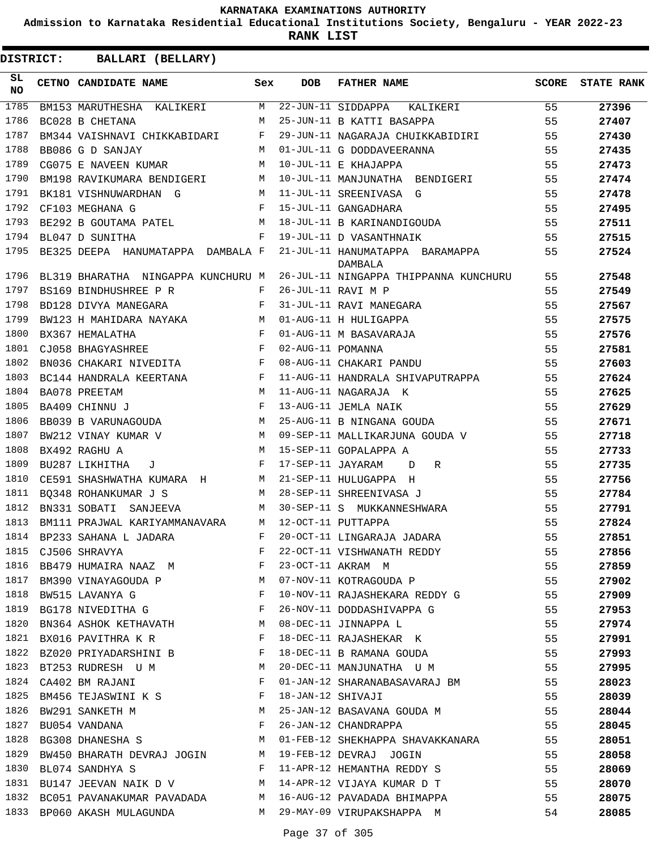**Admission to Karnataka Residential Educational Institutions Society, Bengaluru - YEAR 2022-23**

**RANK LIST**

| SL<br><b>NO</b> | CETNO CANDIDATE NAME                                              | Sex | <b>DOB</b>        | <b>FATHER NAME</b>                         | SCORE | <b>STATE RANK</b> |
|-----------------|-------------------------------------------------------------------|-----|-------------------|--------------------------------------------|-------|-------------------|
| 1785            | BM153 MARUTHESHA KALIKERI                                         | M   |                   | 22-JUN-11 SIDDAPPA KALIKERI                | 55    | 27396             |
| 1786            | BC028 B CHETANA                                                   | M   |                   | 25-JUN-11 B KATTI BASAPPA                  | 55    | 27407             |
| 1787            | BM344 VAISHNAVI CHIKKABIDARI F                                    |     |                   | 29-JUN-11 NAGARAJA CHUIKKABIDIRI           | 55    | 27430             |
| 1788            | BB086 G D SANJAY                                                  | M   |                   | 01-JUL-11 G DODDAVEERANNA                  | 55    | 27435             |
| 1789            | CG075 E NAVEEN KUMAR                                              | M   |                   | 10-JUL-11 E KHAJAPPA                       | 55    | 27473             |
| 1790            | BM198 RAVIKUMARA BENDIGERI                                        | М   |                   | 10-JUL-11 MANJUNATHA BENDIGERI             | 55    | 27474             |
| 1791            | BK181 VISHNUWARDHAN G                                             | M   |                   | 11-JUL-11 SREENIVASA G                     | 55    | 27478             |
| 1792            | CF103 MEGHANA G                                                   | F   |                   | 15-JUL-11 GANGADHARA                       | 55    | 27495             |
| 1793            | BE292 B GOUTAMA PATEL                                             | М   |                   | 18-JUL-11 B KARINANDIGOUDA                 | 55    | 27511             |
| 1794            | BL047 D SUNITHA                                                   | F   |                   | 19-JUL-11 D VASANTHNAIK                    | 55    | 27515             |
| 1795            | BE325 DEEPA HANUMATAPPA DAMBALA F                                 |     |                   | 21-JUL-11 HANUMATAPPA BARAMAPPA<br>DAMBALA | 55    | 27524             |
| 1796            | BL319 BHARATHA NINGAPPA KUNCHURU M                                |     |                   | 26-JUL-11 NINGAPPA THIPPANNA KUNCHURU      | 55    | 27548             |
| 1797            | BS169 BINDHUSHREE P R F                                           |     |                   | 26-JUL-11 RAVI M P                         | 55    | 27549             |
| 1798            | $\mathbf{F}$<br>BD128 DIVYA MANEGARA                              |     |                   | 31-JUL-11 RAVI MANEGARA                    | 55    | 27567             |
| 1799            | BW123 H MAHIDARA NAYAKA M                                         |     |                   | 01-AUG-11 H HULIGAPPA                      | 55    | 27575             |
| 1800            | $\mathbf{F}$ and $\mathbf{F}$ and $\mathbf{F}$<br>BX367 HEMALATHA |     |                   | 01-AUG-11 M BASAVARAJA                     | 55    | 27576             |
| 1801            | $\mathbf{F}$<br>CJ058 BHAGYASHREE                                 |     | 02-AUG-11 POMANNA |                                            | 55    | 27581             |
| 1802            | BN036 CHAKARI NIVEDITA F                                          |     |                   | 08-AUG-11 CHAKARI PANDU                    | 55    | 27603             |
| 1803            | $\mathbf{F}$ and $\mathbf{F}$<br>BC144 HANDRALA KEERTANA          |     |                   | 11-AUG-11 HANDRALA SHIVAPUTRAPPA           | 55    | 27624             |
| 1804            | BA078 PREETAM                                                     | M   |                   | 11-AUG-11 NAGARAJA K                       | 55    | 27625             |
| 1805            | BA409 CHINNU J                                                    | F   |                   | 13-AUG-11 JEMLA NAIK                       | 55    | 27629             |
| 1806            | BB039 B VARUNAGOUDA                                               | M   |                   | 25-AUG-11 B NINGANA GOUDA                  | 55    | 27671             |
| 1807            | BW212 VINAY KUMAR V                                               | M   |                   | 09-SEP-11 MALLIKARJUNA GOUDA V             | 55    | 27718             |
| 1808            | BX492 RAGHU A                                                     | M   |                   | 15-SEP-11 GOPALAPPA A                      | 55    | 27733             |
| 1809            | BU287 LIKHITHA<br>J                                               | F   | 17-SEP-11 JAYARAM | R<br>D                                     | 55    | 27735             |
| 1810            | CE591 SHASHWATHA KUMARA H                                         | M   |                   | 21-SEP-11 HULUGAPPA H                      | 55    | 27756             |
| 1811            | BO348 ROHANKUMAR J S                                              | M   |                   | 28-SEP-11 SHREENIVASA J                    | 55    | 27784             |
| 1812            | BN331 SOBATI<br>SANJEEVA                                          | M   |                   | 30-SEP-11 S MUKKANNESHWARA                 | 55    | 27791             |
| 1813            | BM111 PRAJWAL KARIYAMMANAVARA                                     | M   |                   | 12-OCT-11 PUTTAPPA                         | 55    | 27824             |
| 1814            | BP233 SAHANA L JADARA                                             | F   |                   | 20-OCT-11 LINGARAJA JADARA                 | 55    | 27851             |
| 1815            | CJ506 SHRAVYA                                                     |     |                   | F 22-OCT-11 VISHWANATH REDDY               | 55    | 27856             |
| 1816            | BB479 HUMAIRA NAAZ M                                              | F   |                   | 23-OCT-11 AKRAM M                          | 55    | 27859             |
| 1817            | BM390 VINAYAGOUDA P                                               | М   |                   | 07-NOV-11 KOTRAGOUDA P                     | 55    | 27902             |
| 1818            | BW515 LAVANYA G                                                   | F   |                   | 10-NOV-11 RAJASHEKARA REDDY G              | 55    | 27909             |
| 1819            | BG178 NIVEDITHA G                                                 | F   |                   | 26-NOV-11 DODDASHIVAPPA G                  | 55    | 27953             |
| 1820            | BN364 ASHOK KETHAVATH                                             | M   |                   | 08-DEC-11 JINNAPPA L                       | 55    | 27974             |
| 1821            | BX016 PAVITHRA K R                                                | F   |                   | 18-DEC-11 RAJASHEKAR K                     | 55    | 27991             |
| 1822            | BZ020 PRIYADARSHINI B                                             | F   |                   | 18-DEC-11 B RAMANA GOUDA                   | 55    | 27993             |
| 1823            | BT253 RUDRESH U M                                                 | M   |                   | 20-DEC-11 MANJUNATHA U M                   | 55    | 27995             |
| 1824            | CA402 BM RAJANI                                                   | F   |                   | 01-JAN-12 SHARANABASAVARAJ BM              | 55    | 28023             |
| 1825            | BM456 TEJASWINI K S                                               | F   | 18-JAN-12 SHIVAJI |                                            | 55    | 28039             |
| 1826            | BW291 SANKETH M                                                   | М   |                   | 25-JAN-12 BASAVANA GOUDA M                 | 55    | 28044             |
| 1827            | BU054 VANDANA                                                     | F   |                   | 26-JAN-12 CHANDRAPPA                       | 55    | 28045             |
| 1828            | BG308 DHANESHA S                                                  | M   |                   | 01-FEB-12 SHEKHAPPA SHAVAKKANARA           | 55    | 28051             |
| 1829            | BW450 BHARATH DEVRAJ JOGIN                                        | M   |                   | 19-FEB-12 DEVRAJ JOGIN                     | 55    | 28058             |
| 1830            | BL074 SANDHYA S                                                   | F   |                   | 11-APR-12 HEMANTHA REDDY S                 | 55    | 28069             |
| 1831            | BU147 JEEVAN NAIK D V                                             | M   |                   | 14-APR-12 VIJAYA KUMAR D T                 | 55    | 28070             |
| 1832            | BC051 PAVANAKUMAR PAVADADA                                        | M   |                   | 16-AUG-12 PAVADADA BHIMAPPA                | 55    | 28075             |
| 1833            | BP060 AKASH MULAGUNDA                                             | M   |                   | 29-MAY-09 VIRUPAKSHAPPA M                  | 54    | 28085             |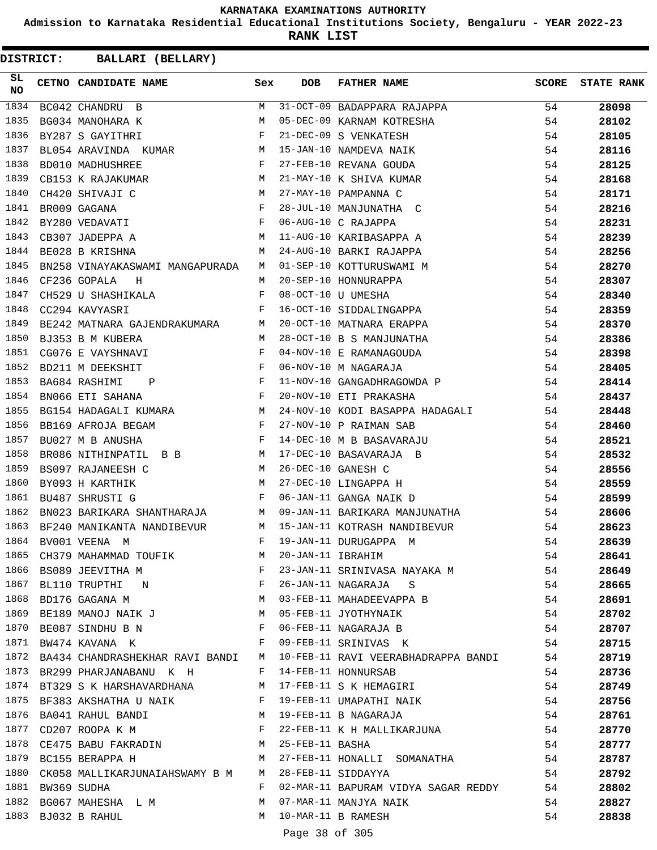**Admission to Karnataka Residential Educational Institutions Society, Bengaluru - YEAR 2022-23**

**RANK LIST**

| <b>DISTRICT:</b> |                  | BALLARI (BELLARY)                                                                                                                                                                                                                                          |              |                   |                                            |       |                   |
|------------------|------------------|------------------------------------------------------------------------------------------------------------------------------------------------------------------------------------------------------------------------------------------------------------|--------------|-------------------|--------------------------------------------|-------|-------------------|
| SL<br><b>NO</b>  |                  | CETNO CANDIDATE NAME                                                                                                                                                                                                                                       | Sex          | <b>DOB</b>        | <b>FATHER NAME</b>                         | SCORE | <b>STATE RANK</b> |
| 1834             |                  | BC042 CHANDRU B                                                                                                                                                                                                                                            | M            |                   | 31-OCT-09 BADAPPARA RAJAPPA                | 54    | 28098             |
| 1835             |                  | BG034 MANOHARA K                                                                                                                                                                                                                                           | M            |                   | 05-DEC-09 KARNAM KOTRESHA                  | 54    | 28102             |
| 1836             |                  | BY287 S GAYITHRI                                                                                                                                                                                                                                           | F            |                   | 21-DEC-09 S VENKATESH                      | 54    | 28105             |
| 1837             |                  | BL054 ARAVINDA KUMAR<br>M <sub>1</sub>                                                                                                                                                                                                                     |              |                   | 15-JAN-10 NAMDEVA NAIK                     | 54    | 28116             |
| 1838             |                  | <b>BD010 MADHUSHREE</b><br><b>Example 20</b>                                                                                                                                                                                                               |              |                   | 27-FEB-10 REVANA GOUDA                     | 54    | 28125             |
| 1839             |                  | <b>M</b><br>CB153 K RAJAKUMAR                                                                                                                                                                                                                              |              |                   | 21-MAY-10 K SHIVA KUMAR                    | 54    | 28168             |
| 1840             |                  | CH420 SHIVAJI C                                                                                                                                                                                                                                            | M            |                   | 27-MAY-10 PAMPANNA C                       | 54    | 28171             |
| 1841             |                  | BR009 GAGANA                                                                                                                                                                                                                                               | F            |                   | 28-JUL-10 MANJUNATHA C                     | 54    | 28216             |
| 1842             |                  | BY280 VEDAVATI                                                                                                                                                                                                                                             | F            |                   | 06-AUG-10 C RAJAPPA                        | 54    | 28231             |
| 1843             |                  | CB307 JADEPPA A<br><b>Example 19</b>                                                                                                                                                                                                                       |              |                   | 11-AUG-10 KARIBASAPPA A                    | 54    | 28239             |
| 1844             |                  | BE028 B KRISHNA                                                                                                                                                                                                                                            | М            |                   | 24-AUG-10 BARKI RAJAPPA                    | 54    | 28256             |
| 1845             |                  | BN258 VINAYAKASWAMI MANGAPURADA                                                                                                                                                                                                                            | M            |                   | 01-SEP-10 KOTTURUSWAMI M                   | 54    | 28270             |
| 1846             |                  | CF236 GOPALA<br>Н                                                                                                                                                                                                                                          | M            |                   | 20-SEP-10 HONNURAPPA                       | 54    | 28307             |
| 1847             |                  | CH529 U SHASHIKALA                                                                                                                                                                                                                                         | F            |                   | 08-OCT-10 U UMESHA                         | 54    | 28340             |
| 1848             |                  | CC294 KAVYASRI                                                                                                                                                                                                                                             | F            |                   | 16-OCT-10 SIDDALINGAPPA                    | 54    | 28359             |
| 1849             |                  | BE242 MATNARA GAJENDRAKUMARA M                                                                                                                                                                                                                             |              |                   | 20-OCT-10 MATNARA ERAPPA                   | 54    | 28370             |
| 1850             |                  | BJ353 B M KUBERA                                                                                                                                                                                                                                           | M            |                   | 28-OCT-10 B S MANJUNATHA                   | 54    | 28386             |
| 1851             |                  | CG076 E VAYSHNAVI                                                                                                                                                                                                                                          | F            |                   | 04-NOV-10 E RAMANAGOUDA                    | 54    | 28398             |
| 1852             |                  | BD211 M DEEKSHIT                                                                                                                                                                                                                                           | $\mathbf{F}$ |                   | 06-NOV-10 M NAGARAJA                       | 54    | 28405             |
| 1853             |                  | BA684 RASHIMI<br>Ρ                                                                                                                                                                                                                                         | F            |                   | 11-NOV-10 GANGADHRAGOWDA P                 | 54    | 28414             |
| 1854             |                  | BN066 ETI SAHANA<br><b>Example 20</b>                                                                                                                                                                                                                      |              |                   | 20-NOV-10 ETI PRAKASHA                     | 54    | 28437             |
| 1855             |                  | BG154 HADAGALI KUMARA<br>$\mathbb{M}$ and $\mathbb{M}$                                                                                                                                                                                                     |              |                   | 24-NOV-10 KODI BASAPPA HADAGALI            | 54    | 28448             |
| 1856             |                  | BB169 AFROJA BEGAM                                                                                                                                                                                                                                         | $\mathbf{F}$ |                   | 27-NOV-10 P RAIMAN SAB                     | 54    | 28460             |
| 1857             |                  | BU027 M B ANUSHA                                                                                                                                                                                                                                           | F            |                   | 14-DEC-10 M B BASAVARAJU                   | 54    | 28521             |
| 1858             |                  | BR086 NITHINPATIL B B<br>$\mathbf{M}$                                                                                                                                                                                                                      |              |                   | 17-DEC-10 BASAVARAJA B                     | 54    | 28532             |
| 1859             |                  | BS097 RAJANEESH C                                                                                                                                                                                                                                          | M            |                   | 26-DEC-10 GANESH C                         | 54    | 28556             |
| 1860             |                  | BY093 H KARTHIK                                                                                                                                                                                                                                            | M            |                   | 27-DEC-10 LINGAPPA H                       | 54    | 28559             |
| 1861             |                  | BU487 SHRUSTI G                                                                                                                                                                                                                                            | F            |                   | 06-JAN-11 GANGA NAIK D                     | 54    | 28599             |
| 1862             |                  | BN023 BARIKARA SHANTHARAJA                                                                                                                                                                                                                                 | M            |                   | 09-JAN-11 BARIKARA MANJUNATHA              | 54    | 28606             |
| 1863             |                  | BF240 MANIKANTA NANDIBEVUR                                                                                                                                                                                                                                 | M            |                   | 15-JAN-11 KOTRASH NANDIBEVUR               | 54    | 28623             |
|                  |                  | 1864 BV001 VEENA M                                                                                                                                                                                                                                         | F            |                   |                                            | 54    | 28639             |
|                  |                  | 1865 CH379 MAHAMMAD TOUFIK M                                                                                                                                                                                                                               |              | 20-JAN-11 IBRAHIM | 19-JAN-11 DURUGAPPA M<br>20-JAN-11 IBRAHIM | 54    | 28641             |
|                  |                  | 1866 BS089 JEEVITHA M<br>$\mathbf{F}$ and the set of the set of the set of the set of the set of the set of the set of the set of the set of the set of the set of the set of the set of the set of the set of the set of the set of the set of the set of |              |                   | 23-JAN-11 SRINIVASA NAYAKA M               | 54    | 28649             |
| 1867             |                  | BL110 TRUPTHI N F                                                                                                                                                                                                                                          |              |                   | 26-JAN-11 NAGARAJA S                       | 54    | 28665             |
|                  |                  |                                                                                                                                                                                                                                                            |              |                   | M 03-FEB-11 MAHADEEVAPPA B                 | 54    | 28691             |
|                  |                  | 1868 BD176 GAGANA M<br>1869 BE189 MANOJ NAIK J                                                                                                                                                                                                             |              |                   | M 05-FEB-11 JYOTHYNAIK                     | 54    | 28702             |
| 1870             |                  | BE087 SINDHU B N<br>$\mathbf{F}$ . The contract of the contract of $\mathbf{F}$                                                                                                                                                                            |              |                   | 06-FEB-11 NAGARAJA B                       | 54    | 28707             |
| 1871             |                  | $\mathbf{F}$ and the contract of the contract of $\mathbf{F}$<br>BW474 KAVANA K                                                                                                                                                                            |              |                   | 09-FEB-11 SRINIVAS K                       | 54    | 28715             |
|                  |                  | 1872 BA434 CHANDRASHEKHAR RAVI BANDI M                                                                                                                                                                                                                     |              |                   | 10-FEB-11 RAVI VEERABHADRAPPA BANDI 54     |       | 28719             |
|                  |                  | 1873 BR299 PHARJANABANU K H                                                                                                                                                                                                                                |              |                   | F 14-FEB-11 HONNURSAB                      | 54    | 28736             |
|                  |                  | 1874 BT329 S K HARSHAVARDHANA M 17-FEB-11 S K HEMAGIRI                                                                                                                                                                                                     |              |                   |                                            | 54    | 28749             |
| 1875             |                  | BF383 AKSHATHA U NAIK F                                                                                                                                                                                                                                    |              |                   | 19-FEB-11 UMAPATHI NAIK                    | 54    | 28756             |
|                  |                  |                                                                                                                                                                                                                                                            |              |                   |                                            | 54    | 28761             |
|                  |                  | 1876 BA041 RAHUL BANDI M 19-FEB-11 B NAGARAJA<br>1877 CD207 ROOPA K M N F 22-FEB-11 K H MALLIKARJUNA                                                                                                                                                       |              |                   | F 22-FEB-11 K H MALLIKARJUNA               | 54    | 28770             |
| 1878             |                  | CE475 BABU FAKRADIN M                                                                                                                                                                                                                                      |              |                   | 25-FEB-11 BASHA                            | 54    | 28777             |
| 1879             |                  | BC155 BERAPPA H                                                                                                                                                                                                                                            |              |                   | 27-FEB-11 HONALLI SOMANATHA 54             |       | 28787             |
|                  |                  | 1880 CK058 MALLIKARJUNAIAHSWAMY B M M                                                                                                                                                                                                                      |              |                   | 28-FEB-11 SIDDAYYA                         | 54    | 28792             |
|                  | 1881 BW369 SUDHA |                                                                                                                                                                                                                                                            | F            |                   | 02-MAR-11 BAPURAM VIDYA SAGAR REDDY 54     |       | 28802             |
| 1882             |                  | BG067 MAHESHA L M                                                                                                                                                                                                                                          | <b>M</b>     |                   | 07-MAR-11 MANJYA NAIK                      | 54    | 28827             |
|                  |                  | 1883 BJ032 B RAHUL                                                                                                                                                                                                                                         | M            |                   | 10-MAR-11 B RAMESH                         | 54    | 28838             |
|                  |                  |                                                                                                                                                                                                                                                            |              | Page 38 of 305    |                                            |       |                   |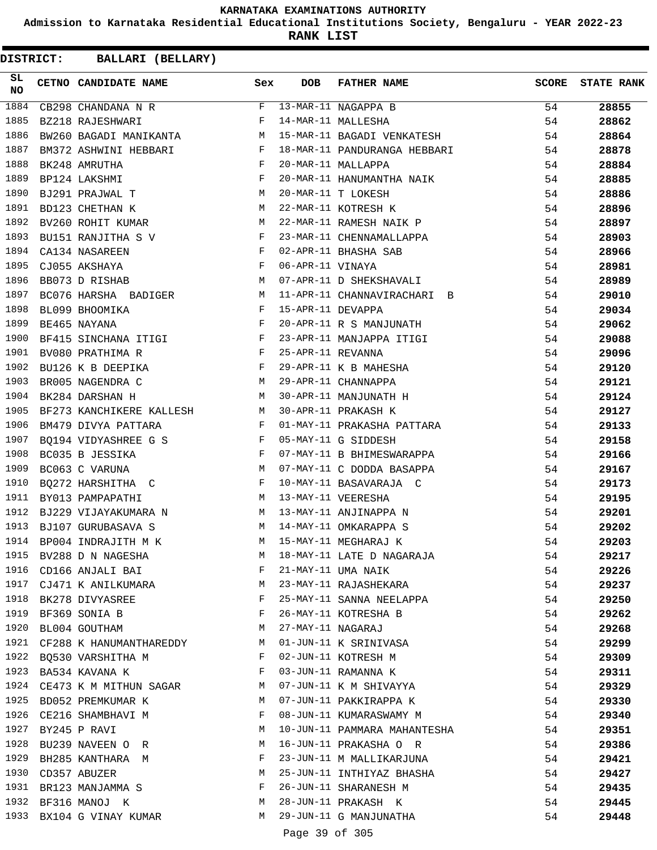**Admission to Karnataka Residential Educational Institutions Society, Bengaluru - YEAR 2022-23**

**RANK LIST**

| SL<br><b>NO</b> | CETNO CANDIDATE NAME Sex                                                                         |        | DOB               | FATHER NAME                                  | SCORE | <b>STATE RANK</b> |
|-----------------|--------------------------------------------------------------------------------------------------|--------|-------------------|----------------------------------------------|-------|-------------------|
| 1884            | CB298 CHANDANA N R                                                                               |        |                   | F 13-MAR-11 NAGAPPA B                        | 54    | 28855             |
| 1885            | BZ218 RAJESHWARI F                                                                               |        |                   | 14-MAR-11 MALLESHA                           | 54    | 28862             |
| 1886            | BW260 BAGADI MANIKANTA M                                                                         |        |                   | 15-MAR-11 BAGADI VENKATESH                   | 54    | 28864             |
| 1887            | BM372 ASHWINI HEBBARI F                                                                          |        |                   | 18-MAR-11 PANDURANGA HEBBARI                 | 54    | 28878             |
| 1888            | $\mathbf{F}$<br>BK248 AMRUTHA                                                                    |        |                   | 20-MAR-11 MALLAPPA                           | 54    | 28884             |
| 1889            | $\mathbf{F}$<br>BP124 LAKSHMI                                                                    |        |                   | 20-MAR-11 HANUMANTHA NAIK                    | 54    | 28885             |
| 1890            | M<br>BJ291 PRAJWAL T                                                                             |        |                   | 20-MAR-11 T LOKESH                           | 54    | 28886             |
| 1891            | BD123 CHETHAN K                                                                                  | M      |                   | 20-MAR-11 T LOKESH<br>22-MAR-11 KOTRESH K    | 54    | 28896             |
| 1892            | BV260 ROHIT KUMAR M                                                                              |        |                   | 22-MAR-11 RAMESH NAIK P                      | 54    | 28897             |
| 1893            | BU151 RANJITHA S V F                                                                             |        |                   | 23-MAR-11 CHENNAMALLAPPA                     | 54    | 28903             |
| 1894            | $\begin{aligned} \mathbf{F} \\ \mathbf{F} \\ \mathbf{M} \end{aligned}$<br>CA134 NASAREEN         |        |                   | 02-APR-11 BHASHA SAB                         | 54    | 28966             |
| 1895            | CJ055 AKSHAYA                                                                                    |        | 06-APR-11 VINAYA  |                                              | 54    | 28981             |
| 1896            | BB073 D RISHAB                                                                                   |        |                   | 07-APR-11 D SHEKSHAVALI                      | 54    | 28989             |
| 1897            | BC076 HARSHA BADIGER M                                                                           |        |                   | 11-APR-11 CHANNAVIRACHARI B                  | 54    | 29010             |
| 1898            | BL099 BHOOMIKA                                                                                   |        | 15-APR-11 DEVAPPA |                                              | 54    | 29034             |
| 1899            | $F$ $F$<br>BE465 NAYANA                                                                          |        |                   | 20-APR-11 R S MANJUNATH                      | 54    | 29062             |
| 1900            | BF415 SINCHANA ITIGI F                                                                           |        |                   | 23-APR-11 MANJAPPA ITIGI                     | 54    | 29088             |
| 1901            | $\mathbb{F}^{\mathbb{Z}}$ . The state of the state $\mathbb{F}^{\mathbb{Z}}$<br>BV080 PRATHIMA R |        | 25-APR-11 REVANNA |                                              | 54    | 29096             |
| 1902            | BU126 K B DEEPIKA F                                                                              |        |                   |                                              | 54    | 29120             |
| 1903            | M<br>BR005 NAGENDRA C                                                                            |        |                   | 29-APR-11 K B MAHESHA<br>29-APR-11 CHANNAPPA | 54    | 29121             |
| 1904            | M <sub>1</sub><br>BK284 DARSHAN H                                                                |        |                   | 30-APR-11 MANJUNATH H                        | 54    | 29124             |
| 1905            | BF273 KANCHIKERE KALLESH M                                                                       |        |                   | 30-APR-11 PRAKASH K                          | 54    | 29127             |
| 1906            | $\mathbb{F}^{\mathbb{Z}}$ . The set of $\mathbb{F}^{\mathbb{Z}}$<br>BM479 DIVYA PATTARA          |        |                   | 01-MAY-11 PRAKASHA PATTARA                   | 54    | 29133             |
| 1907            | BQ194 VIDYASHREE G S F 05-MAY-11 G SIDDESH                                                       |        |                   |                                              | 54    | 29158             |
| 1908            | $\mathbf{F}$ and the state of the state $\mathbf{F}$<br>BC035 B JESSIKA                          |        |                   | 07-MAY-11 B BHIMESWARAPPA                    | 54    | 29166             |
| 1909            | $\mathbf M$<br>BC063 C VARUNA                                                                    |        |                   | 07-MAY-11 C DODDA BASAPPA                    | 54    | 29167             |
| 1910            | BQ272 HARSHITHA $C$ F                                                                            |        |                   | 10-MAY-11 BASAVARAJA C                       | 54    | 29173             |
| 1911            | BY013 PAMPAPATHI                                                                                 |        |                   | M 13-MAY-11 VEERESHA                         | 54    | 29195             |
| 1912            | BJ229 VIJAYAKUMARA N M 13-MAY-11 ANJINAPPA N                                                     |        |                   |                                              | 54    | 29201             |
| 1913            | BJ107 GURUBASAVA S M 14-MAY-11 OMKARAPPA S                                                       |        |                   |                                              | 54    | 29202             |
| 1914            | BP004 INDRAJITH M K                                                                              | M      |                   | 15-MAY-11 MEGHARAJ K                         | 54    | 29203             |
| 1915            | BV288 D N NAGESHA                                                                                | M      |                   | 18-MAY-11 LATE D NAGARAJA                    | 54    | 29217             |
| 1916            | CD166 ANJALI BAI                                                                                 | F      |                   | 21-MAY-11 UMA NAIK                           | 54    | 29226             |
|                 | 1917 CJ471 K ANILKUMARA                                                                          | M      |                   | 23-MAY-11 RAJASHEKARA                        | 54    | 29237             |
|                 | 1918 BK278 DIVYASREE                                                                             | F      |                   | 25-MAY-11 SANNA NEELAPPA                     | 54    | 29250             |
|                 | 1919 BF369 SONIA B                                                                               | F      |                   | 26-MAY-11 KOTRESHA B                         | 54    | 29262             |
| 1920            | BL004 GOUTHAM                                                                                    | M      | 27-MAY-11 NAGARAJ |                                              | 54    | 29268             |
| 1921            | CF288 K HANUMANTHAREDDY                                                                          | M      |                   | 01-JUN-11 K SRINIVASA                        | 54    | 29299             |
|                 | 1922 BQ530 VARSHITHA M                                                                           | F      |                   | 02-JUN-11 KOTRESH M                          | 54    | 29309             |
|                 | 1923 BA534 KAVANA K                                                                              | F      |                   | 03-JUN-11 RAMANNA K                          | 54    | 29311             |
|                 | 1924 CE473 K M MITHUN SAGAR                                                                      | M      |                   | 07-JUN-11 K M SHIVAYYA                       | 54    |                   |
| 1925            |                                                                                                  | M      |                   |                                              |       | 29329             |
|                 | BD052 PREMKUMAR K                                                                                |        |                   | 07-JUN-11 PAKKIRAPPA K                       | 54    | 29330             |
|                 | 1926 CE216 SHAMBHAVI M                                                                           | F<br>M |                   | 08-JUN-11 KUMARASWAMY M                      | 54    | 29340             |
|                 | 1927 BY245 P RAVI                                                                                |        |                   | 10-JUN-11 PAMMARA MAHANTESHA                 | 54    | 29351             |
| 1928            | BU239 NAVEEN OR                                                                                  | M      |                   | 16-JUN-11 PRAKASHA O R                       | 54    | 29386             |
| 1929            | BH285 KANTHARA M                                                                                 | F      |                   | 23-JUN-11 M MALLIKARJUNA                     | 54    | 29421             |
|                 | 1930 CD357 ABUZER                                                                                | M      |                   | 25-JUN-11 INTHIYAZ BHASHA                    | 54    | 29427             |
|                 | 1931 BR123 MANJAMMA S                                                                            | F      |                   | 26-JUN-11 SHARANESH M                        | 54    | 29435             |
|                 | 1932 BF316 MANOJ K                                                                               | M      |                   | 28-JUN-11 PRAKASH K                          | 54    | 29445             |
|                 | 1933 BX104 G VINAY KUMAR                                                                         | M      |                   | 29-JUN-11 G MANJUNATHA                       | 54    | 29448             |
|                 |                                                                                                  |        | Page 39 of 305    |                                              |       |                   |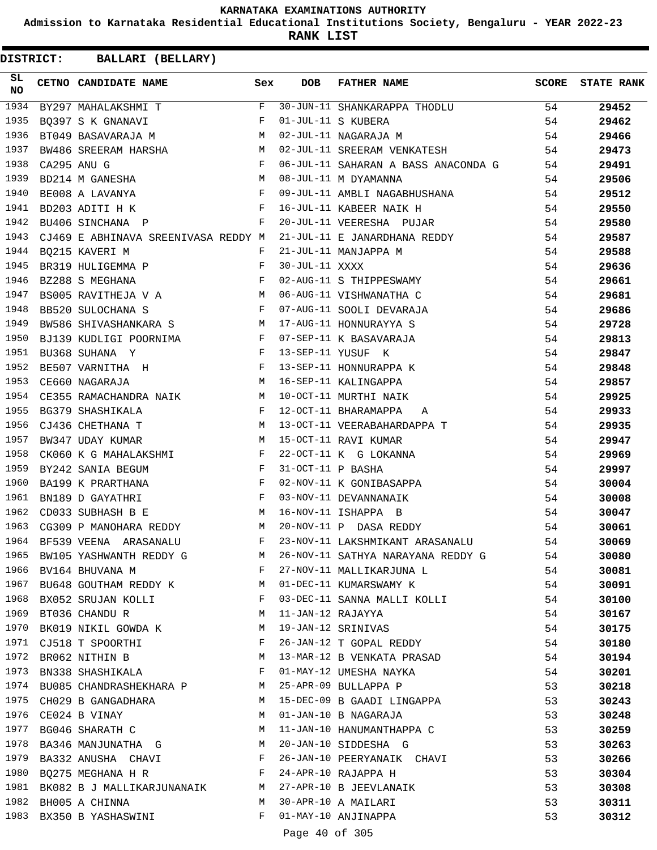**Admission to Karnataka Residential Educational Institutions Society, Bengaluru - YEAR 2022-23**

**RANK LIST**

|                  | DISTRICT: BALLARI (BELLARY)                                      |              |                   |                                     |       |                   |
|------------------|------------------------------------------------------------------|--------------|-------------------|-------------------------------------|-------|-------------------|
| SL.<br><b>NO</b> | CETNO CANDIDATE NAME                                             | Sex          | <b>DOB</b>        | FATHER NAME                         | SCORE | <b>STATE RANK</b> |
| 1934             | BY297 MAHALAKSHMI T                                              | F            |                   | 30-JUN-11 SHANKARAPPA THODLU        | 54    | 29452             |
| 1935             | BQ397 S K GNANAVI                                                | F            |                   | 01-JUL-11 S KUBERA                  | 54    | 29462             |
| 1936             | BT049 BASAVARAJA M                                               | M            |                   | 02-JUL-11 NAGARAJA M                | 54    | 29466             |
| 1937             | BW486 SREERAM HARSHA M                                           |              |                   | 02-JUL-11 SREERAM VENKATESH         | 54    | 29473             |
| 1938             | CA295 ANU G                                                      | F            |                   | 06-JUL-11 SAHARAN A BASS ANACONDA G | 54    | 29491             |
| 1939             | BD214 M GANESHA M                                                |              |                   | 08-JUL-11 M DYAMANNA                | 54    | 29506             |
| 1940             | $\mathbf{F}$<br>BE008 A LAVANYA                                  |              |                   | 09-JUL-11 AMBLI NAGABHUSHANA        | 54    | 29512             |
| 1941             | BD203 ADITI H K                                                  | $\mathbf{F}$ |                   | 16-JUL-11 KABEER NAIK H             | 54    | 29550             |
| 1942             | BU406 SINCHANA P                                                 | F            |                   | 20-JUL-11 VEERESHA PUJAR            | 54    | 29580             |
| 1943             | CJ469 E ABHINAVA SREENIVASA REDDY M                              |              |                   | 21-JUL-11 E JANARDHANA REDDY        | 54    | 29587             |
| 1944             | BQ215 KAVERI M                                                   | F            |                   | 21-JUL-11 MANJAPPA M                | 54    | 29588             |
| 1945             | BR319 HULIGEMMA P                                                | F            | 30-JUL-11 XXXX    |                                     | 54    | 29636             |
| 1946             | BZ288 S MEGHANA                                                  | F            |                   | 02-AUG-11 S THIPPESWAMY             | 54    | 29661             |
| 1947             | BS005 RAVITHEJA V A M                                            |              |                   | 06-AUG-11 VISHWANATHA C             | 54    | 29681             |
| 1948             | $\mathbf{F}$<br>BB520 SULOCHANA S                                |              |                   | 07-AUG-11 SOOLI DEVARAJA            | 54    | 29686             |
| 1949             | M <sub>N</sub><br>BW586 SHIVASHANKARA S                          |              |                   | 17-AUG-11 HONNURAYYA S              | 54    | 29728             |
| 1950             | BJ139 KUDLIGI POORNIMA F                                         |              |                   | 07-SEP-11 K BASAVARAJA              | 54    | 29813             |
| 1951             | $\mathbf{F}$ and $\mathbf{F}$ and $\mathbf{F}$<br>BU368 SUHANA Y |              |                   | 13-SEP-11 YUSUF K                   | 54    | 29847             |
| 1952             | BE507 VARNITHA H F                                               |              |                   | 13-SEP-11 HONNURAPPA K              | 54    | 29848             |
| 1953             | M<br>CE660 NAGARAJA                                              |              |                   | 16-SEP-11 KALINGAPPA                | 54    | 29857             |
| 1954             | CE355 RAMACHANDRA NAIK                                           | M            |                   | 10-OCT-11 MURTHI NAIK               | 54    | 29925             |
| 1955             | BG379 SHASHIKALA                                                 | $\mathbf{F}$ |                   | 12-OCT-11 BHARAMAPPA<br>Α           | 54    | 29933             |
| 1956             | M<br>CJ436 CHETHANA T                                            |              |                   | 13-OCT-11 VEERABAHARDAPPA T         | 54    | 29935             |
| 1957             | BW347 UDAY KUMAR                                                 | М            |                   | 15-OCT-11 RAVI KUMAR                | 54    | 29947             |
| 1958             | CK060 K G MAHALAKSHMI                                            | F            |                   | 22-OCT-11 K G LOKANNA               | 54    | 29969             |
| 1959             | and the state of the state of the Party<br>BY242 SANIA BEGUM     |              | 31-OCT-11 P BASHA |                                     | 54    | 29997             |
| 1960             | BA199 K PRARTHANA                                                | $\mathbf{F}$ |                   | 02-NOV-11 K GONIBASAPPA             | 54    | 30004             |
| 1961             | BN189 D GAYATHRI                                                 | F            |                   | 03-NOV-11 DEVANNANAIK               | 54    | 30008             |
| 1962             | CD033 SUBHASH B E                                                | M            |                   | 16-NOV-11 ISHAPPA B                 | 54    | 30047             |
| 1963             | CG309 P MANOHARA REDDY                                           | M            |                   | 20-NOV-11 P DASA REDDY              | 54    | 30061             |
|                  | 1964 BF539 VEENA ARASANALU                                       | F            |                   | 23-NOV-11 LAKSHMIKANT ARASANALU     | 54    | 30069             |
| 1965             | BW105 YASHWANTH REDDY G M                                        |              |                   | 26-NOV-11 SATHYA NARAYANA REDDY G   | 54    | 30080             |
| 1966             | BV164 BHUVANA M                                                  | F            |                   | 27-NOV-11 MALLIKARJUNA L            | 54    | 30081             |
| 1967             | BU648 GOUTHAM REDDY K                                            | M            |                   | 01-DEC-11 KUMARSWAMY K              | 54    | 30091             |
|                  | 1968 BX052 SRUJAN KOLLI                                          | $\mathbf{F}$ |                   | 03-DEC-11 SANNA MALLI KOLLI         | 54    | 30100             |
| 1969             | BT036 CHANDU R                                                   | M            | 11-JAN-12 RAJAYYA |                                     | 54    | 30167             |
| 1970             | BK019 NIKIL GOWDA K                                              | M            |                   | 19-JAN-12 SRINIVAS                  | 54    | 30175             |
| 1971             | CJ518 T SPOORTHI                                                 | F            |                   | 26-JAN-12 T GOPAL REDDY             | 54    | 30180             |
| 1972             | BR062 NITHIN B                                                   | М            |                   | 13-MAR-12 B VENKATA PRASAD          | 54    | 30194             |
| 1973             | BN338 SHASHIKALA                                                 | F            |                   | 01-MAY-12 UMESHA NAYKA              | 54    | 30201             |
| 1974             | BU085 CHANDRASHEKHARA P                                          | M            |                   | 25-APR-09 BULLAPPA P                | 53    | 30218             |
| 1975             | CH029 B GANGADHARA                                               | M            |                   | 15-DEC-09 B GAADI LINGAPPA          | 53    | 30243             |
|                  | 1976 CE024 B VINAY                                               | М            |                   | 01-JAN-10 B NAGARAJA                | 53    | 30248             |
| 1977             | BG046 SHARATH C                                                  | M            |                   | 11-JAN-10 HANUMANTHAPPA C           | 53    | 30259             |
| 1978             | BA346 MANJUNATHA G                                               | M            |                   | 20-JAN-10 SIDDESHA G                | 53    | 30263             |
| 1979             | BA332 ANUSHA CHAVI                                               | F            |                   | 26-JAN-10 PEERYANAIK CHAVI          | 53    | 30266             |
| 1980             | BQ275 MEGHANA H R                                                | F            |                   | 24-APR-10 RAJAPPA H                 | 53    | 30304             |
| 1981             | BK082 B J MALLIKARJUNANAIK M                                     |              |                   | 27-APR-10 B JEEVLANAIK              | 53    | 30308             |
| 1982             | BH005 A CHINNA                                                   | М            |                   | 30-APR-10 A MAILARI                 | 53    | 30311             |
| 1983             | BX350 B YASHASWINI                                               | F            |                   | 01-MAY-10 ANJINAPPA                 | 53    | 30312             |
|                  |                                                                  |              | Page 40 of 305    |                                     |       |                   |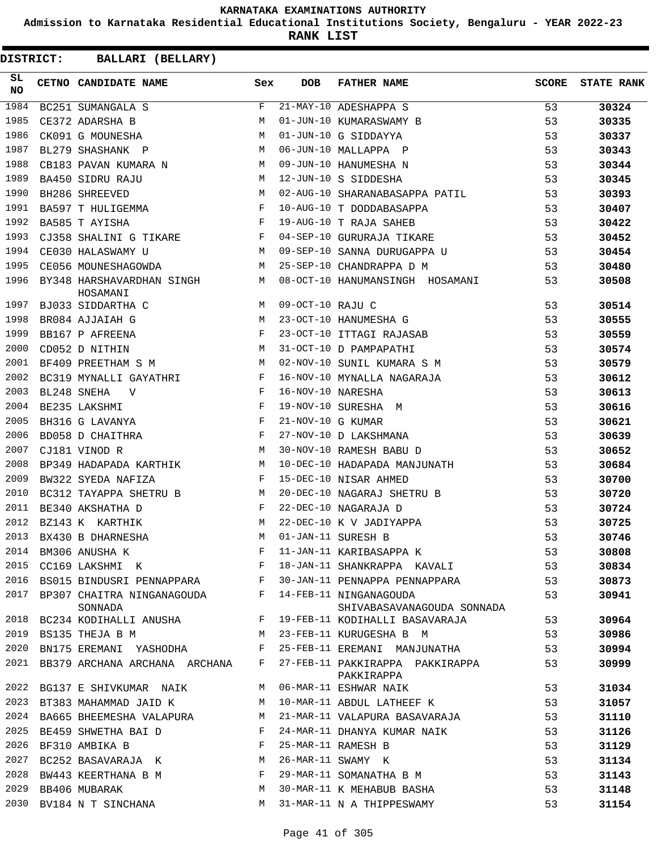**Admission to Karnataka Residential Educational Institutions Society, Bengaluru - YEAR 2022-23**

**RANK LIST**

| SL<br><b>NO</b> | CETNO CANDIDATE NAME                                                                                                                                                                                                                                  | Sex          | <b>DOB</b>         | <b>FATHER NAME</b>                                   | SCORE | <b>STATE RANK</b> |
|-----------------|-------------------------------------------------------------------------------------------------------------------------------------------------------------------------------------------------------------------------------------------------------|--------------|--------------------|------------------------------------------------------|-------|-------------------|
| 1984            | BC251 SUMANGALA S                                                                                                                                                                                                                                     | F            |                    | 21-MAY-10 ADESHAPPA S                                | 53    | 30324             |
| 1985            | CE372 ADARSHA B                                                                                                                                                                                                                                       | M            |                    | 01-JUN-10 KUMARASWAMY B                              | 53    | 30335             |
| 1986            | CK091 G MOUNESHA                                                                                                                                                                                                                                      | M            |                    | 01-JUN-10 G SIDDAYYA                                 | 53    | 30337             |
| 1987            | BL279 SHASHANK P                                                                                                                                                                                                                                      | M            |                    | 06-JUN-10 MALLAPPA P                                 | 53    | 30343             |
| 1988            | CB183 PAVAN KUMARA N                                                                                                                                                                                                                                  | M            |                    | 09-JUN-10 HANUMESHA N                                | 53    | 30344             |
| 1989            | BA450 SIDRU RAJU                                                                                                                                                                                                                                      | M            |                    | 12-JUN-10 S SIDDESHA                                 | 53    | 30345             |
| 1990            | <b>M</b><br>BH286 SHREEVED                                                                                                                                                                                                                            |              |                    | 02-AUG-10 SHARANABASAPPA PATIL                       | 53    | 30393             |
| 1991            | BA597 T HULIGEMMA F                                                                                                                                                                                                                                   |              |                    | 10-AUG-10 T DODDABASAPPA                             | 53    | 30407             |
| 1992            | $\mathbf{F}$ and $\mathbf{F}$ are $\mathbf{F}$<br>BA585 T AYISHA                                                                                                                                                                                      |              |                    | 19-AUG-10 T RAJA SAHEB                               | 53    | 30422             |
| 1993            | CJ358 SHALINI G TIKARE F                                                                                                                                                                                                                              |              |                    | 04-SEP-10 GURURAJA TIKARE                            | 53    | 30452             |
| 1994            | M<br>CE030 HALASWAMY U                                                                                                                                                                                                                                |              |                    | 09-SEP-10 SANNA DURUGAPPA U                          | 53    | 30454             |
| 1995            | CE056 MOUNESHAGOWDA                                                                                                                                                                                                                                   | M            |                    | 25-SEP-10 CHANDRAPPA D M                             | 53    | 30480             |
| 1996            | BY348 HARSHAVARDHAN SINGH<br>HOSAMANI                                                                                                                                                                                                                 | M            |                    | 08-OCT-10 HANUMANSINGH HOSAMANI                      | 53    | 30508             |
| 1997            | M<br>BJ033 SIDDARTHA C                                                                                                                                                                                                                                |              | 09-OCT-10 RAJU C   |                                                      | 53    | 30514             |
| 1998            | M <sub>N</sub><br>BR084 AJJAIAH G                                                                                                                                                                                                                     |              |                    | 23-OCT-10 HANUMESHA G                                | 53    | 30555             |
| 1999            | BB167 P AFREENA                                                                                                                                                                                                                                       | $\mathbf{F}$ |                    | 23-OCT-10 ITTAGI RAJASAB                             | 53    | 30559             |
| 2000            | M<br>CD052 D NITHIN                                                                                                                                                                                                                                   |              |                    | 31-OCT-10 D PAMPAPATHI                               | 53    | 30574             |
| 2001            | BF409 PREETHAM S M                                                                                                                                                                                                                                    | M            |                    | 02-NOV-10 SUNIL KUMARA S M                           | 53    | 30579             |
| 2002            | BC319 MYNALLI GAYATHRI F                                                                                                                                                                                                                              |              |                    | 16-NOV-10 MYNALLA NAGARAJA                           | 53    | 30612             |
| 2003            | $\mathbf{F}$ and $\mathbf{F}$<br>BL248 SNEHA<br>$\mathbf{V}$                                                                                                                                                                                          |              | 16-NOV-10 NARESHA  |                                                      | 53    | 30613             |
| 2004            | $\mathbf{F}$<br>BE235 LAKSHMI                                                                                                                                                                                                                         |              |                    | 19-NOV-10 SURESHA M                                  | 53    | 30616             |
| 2005            | $\mathbf{F}^{\mathbf{r}}$<br>BH316 G LAVANYA                                                                                                                                                                                                          |              | 21-NOV-10 G KUMAR  |                                                      | 53    | 30621             |
| 2006            | $\mathbb{P}^1$ . The set of the set of the set of the set of the set of the set of the set of the set of the set of the set of the set of the set of the set of the set of the set of the set of the set of the set of the set of<br>BD058 D CHAITHRA |              |                    | 27-NOV-10 D LAKSHMANA                                | 53    | 30639             |
| 2007            | <b>M</b><br>CJ181 VINOD R                                                                                                                                                                                                                             |              |                    | 30-NOV-10 RAMESH BABU D                              | 53    | 30652             |
| 2008            | BP349 HADAPADA KARTHIK M                                                                                                                                                                                                                              |              |                    | 10-DEC-10 HADAPADA MANJUNATH                         | 53    | 30684             |
| 2009            | BW322 SYEDA NAFIZA                                                                                                                                                                                                                                    | F            |                    | 15-DEC-10 NISAR AHMED                                | 53    | 30700             |
| 2010            | BC312 TAYAPPA SHETRU B<br><b>M</b>                                                                                                                                                                                                                    |              |                    | 20-DEC-10 NAGARAJ SHETRU B                           | 53    | 30720             |
| 2011            | BE340 AKSHATHA D                                                                                                                                                                                                                                      | $\mathbf{F}$ |                    | 22-DEC-10 NAGARAJA D                                 | 53    | 30724             |
| 2012            | BZ143 K KARTHIK                                                                                                                                                                                                                                       | M            |                    | 22-DEC-10 K V JADIYAPPA                              | 53    | 30725             |
| 2013            | BX430 B DHARNESHA                                                                                                                                                                                                                                     | M            | 01-JAN-11 SURESH B |                                                      | 53    | 30746             |
| 2014            | BM306 ANUSHA K                                                                                                                                                                                                                                        |              |                    | F 11-JAN-11 KARIBASAPPA K                            | 53    | 30808             |
| 2015            | CC169 LAKSHMI K                                                                                                                                                                                                                                       | F            |                    | 18-JAN-11 SHANKRAPPA KAVALI                          | 53    | 30834             |
| 2016            | BS015 BINDUSRI PENNAPPARA                                                                                                                                                                                                                             | F            |                    | 30-JAN-11 PENNAPPA PENNAPPARA                        | 53    | 30873             |
| 2017            | BP307 CHAITRA NINGANAGOUDA<br>SONNADA                                                                                                                                                                                                                 | F            |                    | 14-FEB-11 NINGANAGOUDA<br>SHIVABASAVANAGOUDA SONNADA | 53    | 30941             |
| 2018            | BC234 KODIHALLI ANUSHA                                                                                                                                                                                                                                | F            |                    | 19-FEB-11 KODIHALLI BASAVARAJA                       | 53    | 30964             |
| 2019            | BS135 THEJA B M                                                                                                                                                                                                                                       | М            |                    | 23-FEB-11 KURUGESHA B M                              | 53    | 30986             |
| 2020            | BN175 EREMANI YASHODHA                                                                                                                                                                                                                                | F            |                    | 25-FEB-11 EREMANI MANJUNATHA                         | 53    | 30994             |
| 2021            | BB379 ARCHANA ARCHANA ARCHANA                                                                                                                                                                                                                         | F            |                    | 27-FEB-11 PAKKIRAPPA PAKKIRAPPA<br>PAKKIRAPPA        | 53    | 30999             |
| 2022            | BG137 E SHIVKUMAR NAIK                                                                                                                                                                                                                                | M            |                    | 06-MAR-11 ESHWAR NAIK                                | 53    | 31034             |
| 2023            | BT383 MAHAMMAD JAID K                                                                                                                                                                                                                                 | M            |                    | 10-MAR-11 ABDUL LATHEEF K                            | 53    | 31057             |
| 2024            | BA665 BHEEMESHA VALAPURA                                                                                                                                                                                                                              | M            |                    | 21-MAR-11 VALAPURA BASAVARAJA                        | 53    | 31110             |
| 2025            | BE459 SHWETHA BAI D                                                                                                                                                                                                                                   | F            |                    | 24-MAR-11 DHANYA KUMAR NAIK                          | 53    | 31126             |
| 2026            | BF310 AMBIKA B                                                                                                                                                                                                                                        | F            |                    | 25-MAR-11 RAMESH B                                   | 53    | 31129             |
| 2027            | BC252 BASAVARAJA K                                                                                                                                                                                                                                    | М            |                    | 26-MAR-11 SWAMY K                                    | 53    | 31134             |
| 2028            | BW443 KEERTHANA B M                                                                                                                                                                                                                                   | F            |                    | 29-MAR-11 SOMANATHA B M                              | 53    | 31143             |
| 2029            | BB406 MUBARAK                                                                                                                                                                                                                                         | M            |                    | 30-MAR-11 K MEHABUB BASHA                            | 53    | 31148             |
| 2030            | BV184 N T SINCHANA                                                                                                                                                                                                                                    | М            |                    | 31-MAR-11 N A THIPPESWAMY                            | 53    | 31154             |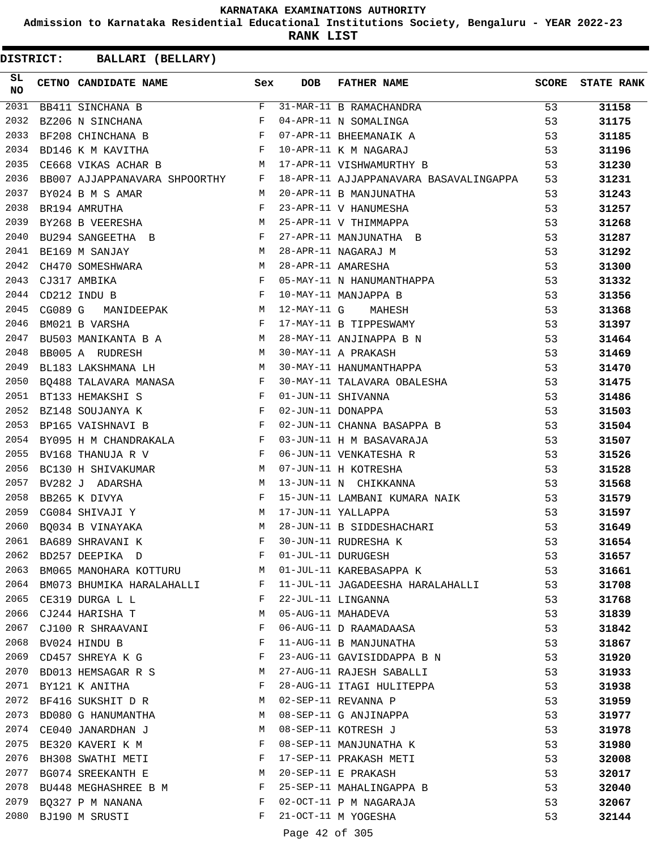**Admission to Karnataka Residential Educational Institutions Society, Bengaluru - YEAR 2022-23**

**RANK LIST**

| SL<br>NO | CETNO CANDIDATE NAME Sex                                                                                                                                                                                                                                                                                                                                                                                                                                                        |              | DOB               | FATHER NAME                                                             | SCORE | <b>STATE RANK</b> |
|----------|---------------------------------------------------------------------------------------------------------------------------------------------------------------------------------------------------------------------------------------------------------------------------------------------------------------------------------------------------------------------------------------------------------------------------------------------------------------------------------|--------------|-------------------|-------------------------------------------------------------------------|-------|-------------------|
| 2031     | $\begin{tabular}{lcccccc} \multicolumn{2}{c}{\textbf{BB411}} & \multicolumn{2}{c}{\textbf{SINCHANA}} & \multicolumn{2}{c}{\textbf{B}} \\ \multicolumn{2}{c}{\textbf{BB411}} & \multicolumn{2}{c}{\textbf{SINCHANA}} & \multicolumn{2}{c}{\textbf{B}} \\ \multicolumn{2}{c}{\textbf{B}} & \multicolumn{2}{c}{\textbf{S}} & \multicolumn{2}{c}{\textbf{S}} \\ \multicolumn{2}{c}{\textbf{B}} & \multicolumn{2}{c}{\textbf{S}} & \multicolumn{2}{c}{\textbf{S}} \\ \multicolumn{2$ |              |                   | 31-MAR-11 B RAMACHANDRA                                                 | 53    | 31158             |
| 2032     | $\mathbf{F}$ and $\mathbf{F}$ and $\mathbf{F}$<br>BZ206 N SINCHANA                                                                                                                                                                                                                                                                                                                                                                                                              |              |                   | 04-APR-11 N SOMALINGA                                                   | 53    | 31175             |
| 2033     | $\mathbf{F}$ . The set of the set of the set of the set of the set of the set of the set of the set of the set of the set of the set of the set of the set of the set of the set of the set of the set of the set of the set of t<br>BF208 CHINCHANA B                                                                                                                                                                                                                          |              |                   | 07-APR-11 BHEEMANAIK A                                                  | 53    | 31185             |
| 2034     | $\mathbf{F}$<br>BD146 K M KAVITHA                                                                                                                                                                                                                                                                                                                                                                                                                                               |              |                   | 10-APR-11 K M NAGARAJ                                                   | 53    | 31196             |
| 2035     | CE668 VIKAS ACHAR B                                                                                                                                                                                                                                                                                                                                                                                                                                                             |              |                   | M 17-APR-11 VISHWAMURTHY B                                              | 53    | 31230             |
| 2036     | BB007 AJJAPPANAVARA SHPOORTHY F                                                                                                                                                                                                                                                                                                                                                                                                                                                 |              |                   | 18-APR-11 AJJAPPANAVARA BASAVALINGAPPA 53                               |       | 31231             |
| 2037     | M<br>BY024 B M S AMAR                                                                                                                                                                                                                                                                                                                                                                                                                                                           |              |                   | 20-APR-11 B MANJUNATHA                                                  | 53    | 31243             |
| 2038     | BR194 AMRUTHA                                                                                                                                                                                                                                                                                                                                                                                                                                                                   | $\mathbf{F}$ |                   | 20-APR-11 B MANUMESHA<br>23-APR-11 V HANUMESHA<br>25-APR-11 V THIMMAPPA | 53    | 31257             |
| 2039     | BY268 B VEERESHA M                                                                                                                                                                                                                                                                                                                                                                                                                                                              |              |                   |                                                                         | 53    | 31268             |
| 2040     | BU294 SANGEETHA B F                                                                                                                                                                                                                                                                                                                                                                                                                                                             |              |                   | 27-APR-11 MANJUNATHA B                                                  | 53    | 31287             |
| 2041     | $\mathbb{M}$<br>BE169 M SANJAY                                                                                                                                                                                                                                                                                                                                                                                                                                                  |              |                   | 28-APR-11 NAGARAJ M                                                     | 53    | 31292             |
| 2042     |                                                                                                                                                                                                                                                                                                                                                                                                                                                                                 |              |                   | 28-APR-11 AMARESHA                                                      | 53    | 31300             |
| 2043     | CH470 SOMESHWARA M<br>CJ317 AMBIKA F<br>CD212 INDU B                                                                                                                                                                                                                                                                                                                                                                                                                            |              |                   | 05-MAY-11 N HANUMANTHAPPA                                               | 53    | 31332             |
| 2044     |                                                                                                                                                                                                                                                                                                                                                                                                                                                                                 |              |                   | 10-MAY-11 MANJAPPA B                                                    | 53    | 31356             |
| 2045     | CG089 G MANIDEEPAK M                                                                                                                                                                                                                                                                                                                                                                                                                                                            |              |                   | 12-MAY-11 G MAHESH                                                      | 53    | 31368             |
| 2046     | $\mathbf{F}$<br>BM021 B VARSHA                                                                                                                                                                                                                                                                                                                                                                                                                                                  |              |                   | 17-MAY-11 B TIPPESWAMY                                                  | 53    | 31397             |
| 2047     | BU503 MANIKANTA B A M 28-MAY-11 ANJINAPPA B N                                                                                                                                                                                                                                                                                                                                                                                                                                   |              |                   |                                                                         | 53    | 31464             |
| 2048     | BB005 A RUDRESH M                                                                                                                                                                                                                                                                                                                                                                                                                                                               |              |                   | 30-MAY-11 A PRAKASH                                                     | 53    | 31469             |
| 2049     | M<br>BL183 LAKSHMANA LH                                                                                                                                                                                                                                                                                                                                                                                                                                                         |              |                   | 30-MAY-11 HANUMANTHAPPA                                                 | 53    | 31470             |
| 2050     | BQ488 TALAVARA MANASA $F$                                                                                                                                                                                                                                                                                                                                                                                                                                                       |              |                   | 30-MAY-11 TALAVARA OBALESHA                                             | 53    | 31475             |
| 2051     | $\mathbf{F}$ and $\mathbf{F}$ and $\mathbf{F}$<br>BT133 HEMAKSHI S                                                                                                                                                                                                                                                                                                                                                                                                              |              |                   | 01-JUN-11 SHIVANNA                                                      | 53    | 31486             |
| 2052     | $\mathbf{F}$ and the contract of the contract $\mathbf{F}$ .<br>BZ148 SOUJANYA K                                                                                                                                                                                                                                                                                                                                                                                                |              | 02-JUN-11 DONAPPA |                                                                         | 53    | 31503             |
| 2053     | $\mathbf F$<br>BP165 VAISHNAVI B                                                                                                                                                                                                                                                                                                                                                                                                                                                |              |                   | 02-JUN-11 CHANNA BASAPPA B                                              | 53    | 31504             |
| 2054     | BY095 H M CHANDRAKALA F                                                                                                                                                                                                                                                                                                                                                                                                                                                         |              |                   | 03-JUN-11 H M BASAVARAJA                                                | 53    |                   |
| 2055     | $\mathbf{F}$ . The set of the set of the set of the set of the set of the set of the set of the set of the set of the set of the set of the set of the set of the set of the set of the set of the set of the set of the set of t                                                                                                                                                                                                                                               |              |                   |                                                                         |       | 31507             |
| 2056     | BV168 THANUJA R V                                                                                                                                                                                                                                                                                                                                                                                                                                                               |              |                   | 06-JUN-11 VENKATESHA R                                                  | 53    | 31526             |
| 2057     | BC130 H SHIVAKUMAR M<br>M                                                                                                                                                                                                                                                                                                                                                                                                                                                       |              |                   | 07-JUN-11 H KOTRESHA                                                    | 53    | 31528             |
| 2058     | BV282 J ADARSHA                                                                                                                                                                                                                                                                                                                                                                                                                                                                 |              |                   | 13-JUN-11 N CHIKKANNA                                                   | 53    | 31568             |
|          | BB265 K DIVYA<br>CG084 SHIVAJI Y M                                                                                                                                                                                                                                                                                                                                                                                                                                              |              |                   | 15-JUN-11 LAMBANI KUMARA NAIK                                           | 53    | 31579             |
| 2059     |                                                                                                                                                                                                                                                                                                                                                                                                                                                                                 |              |                   | 17-JUN-11 YALLAPPA                                                      | 53    | 31597             |
| 2060     | <b>M</b><br>BQ034 B VINAYAKA                                                                                                                                                                                                                                                                                                                                                                                                                                                    |              |                   | 28-JUN-11 B SIDDESHACHARI                                               | 53    | 31649             |
|          | 2061 BA689 SHRAVANI K                                                                                                                                                                                                                                                                                                                                                                                                                                                           | F            |                   | 30-JUN-11 RUDRESHA K                                                    | 53    | 31654             |
| 2062     | BD257 DEEPIKA D                                                                                                                                                                                                                                                                                                                                                                                                                                                                 | F            |                   | 01-JUL-11 DURUGESH                                                      | 53    | 31657             |
| 2063     | BM065 MANOHARA KOTTURU                                                                                                                                                                                                                                                                                                                                                                                                                                                          | M            |                   | 01-JUL-11 KAREBASAPPA K                                                 | 53    | 31661             |
| 2064     | BM073 BHUMIKA HARALAHALLI                                                                                                                                                                                                                                                                                                                                                                                                                                                       | F            |                   | 11-JUL-11 JAGADEESHA HARALAHALLI                                        | 53    | 31708             |
| 2065     | CE319 DURGA L L                                                                                                                                                                                                                                                                                                                                                                                                                                                                 | F            |                   | 22-JUL-11 LINGANNA                                                      | 53    | 31768             |
| 2066     | CJ244 HARISHA T                                                                                                                                                                                                                                                                                                                                                                                                                                                                 | М            |                   | 05-AUG-11 MAHADEVA                                                      | 53    | 31839             |
| 2067     | CJ100 R SHRAAVANI                                                                                                                                                                                                                                                                                                                                                                                                                                                               | F            |                   | 06-AUG-11 D RAAMADAASA                                                  | 53    | 31842             |
| 2068     | BV024 HINDU B                                                                                                                                                                                                                                                                                                                                                                                                                                                                   | F            |                   | 11-AUG-11 B MANJUNATHA                                                  | 53    | 31867             |
| 2069     | CD457 SHREYA K G                                                                                                                                                                                                                                                                                                                                                                                                                                                                | F            |                   | 23-AUG-11 GAVISIDDAPPA B N                                              | 53    | 31920             |
| 2070     | BD013 HEMSAGAR R S                                                                                                                                                                                                                                                                                                                                                                                                                                                              | М            |                   | 27-AUG-11 RAJESH SABALLI                                                | 53    | 31933             |
| 2071     | BY121 K ANITHA                                                                                                                                                                                                                                                                                                                                                                                                                                                                  | F            |                   | 28-AUG-11 ITAGI HULITEPPA                                               | 53    | 31938             |
| 2072     | BF416 SUKSHIT D R                                                                                                                                                                                                                                                                                                                                                                                                                                                               | M            |                   | 02-SEP-11 REVANNA P                                                     | 53    | 31959             |
| 2073     | BD080 G HANUMANTHA                                                                                                                                                                                                                                                                                                                                                                                                                                                              | M            |                   | 08-SEP-11 G ANJINAPPA                                                   | 53    | 31977             |
| 2074     | CE040 JANARDHAN J                                                                                                                                                                                                                                                                                                                                                                                                                                                               | M            |                   | 08-SEP-11 KOTRESH J                                                     | 53    | 31978             |
| 2075     | BE320 KAVERI K M                                                                                                                                                                                                                                                                                                                                                                                                                                                                | F            |                   | 08-SEP-11 MANJUNATHA K                                                  | 53    | 31980             |
| 2076     | BH308 SWATHI METI                                                                                                                                                                                                                                                                                                                                                                                                                                                               | F            |                   | 17-SEP-11 PRAKASH METI                                                  | 53    | 32008             |
| 2077     | BG074 SREEKANTH E                                                                                                                                                                                                                                                                                                                                                                                                                                                               | M            |                   | 20-SEP-11 E PRAKASH                                                     | 53    | 32017             |
| 2078     | BU448 MEGHASHREE B M                                                                                                                                                                                                                                                                                                                                                                                                                                                            | F            |                   | 25-SEP-11 MAHALINGAPPA B                                                | 53    | 32040             |
| 2079     | BQ327 P M NANANA                                                                                                                                                                                                                                                                                                                                                                                                                                                                | F            |                   | 02-OCT-11 P M NAGARAJA                                                  | 53    | 32067             |
| 2080     | BJ190 M SRUSTI                                                                                                                                                                                                                                                                                                                                                                                                                                                                  | F            |                   | 21-OCT-11 M YOGESHA                                                     | 53    | 32144             |
|          |                                                                                                                                                                                                                                                                                                                                                                                                                                                                                 |              | Page 42 of 305    |                                                                         |       |                   |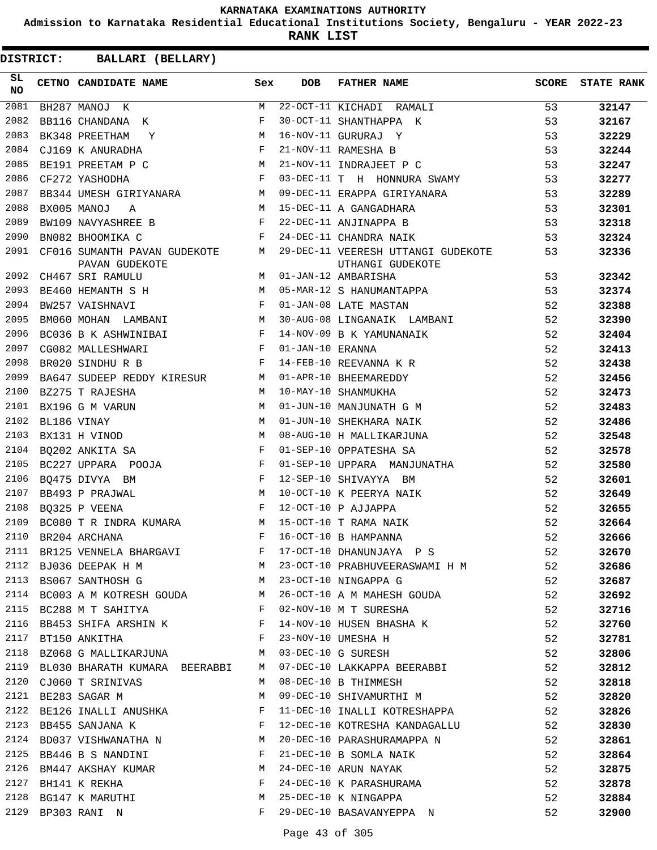**Admission to Karnataka Residential Educational Institutions Society, Bengaluru - YEAR 2022-23**

**RANK LIST**

| SL<br>NO | CETNO CANDIDATE NAME                                                     | Sex          | DOB              | FATHER NAME                                              | <b>SCORE</b> | <b>STATE RANK</b> |
|----------|--------------------------------------------------------------------------|--------------|------------------|----------------------------------------------------------|--------------|-------------------|
| 2081     | M<br>BH287 MANOJ K                                                       |              |                  | 22-OCT-11 KICHADI RAMALI                                 | 53           | 32147             |
| 2082     | BB116 CHANDANA K                                                         | F            |                  | 30-OCT-11 SHANTHAPPA K                                   | 53           | 32167             |
| 2083     | <b>M</b><br>BK348 PREETHAM<br>$\mathbf Y$                                |              |                  | 16-NOV-11 GURURAJ Y                                      | 53           | 32229             |
| 2084     | $\mathbf{F}$ and $\mathbf{F}$ and $\mathbf{F}$<br>CJ169 K ANURADHA       |              |                  | 21-NOV-11 RAMESHA B                                      | 53           | 32244             |
| 2085     | BE191 PREETAM P C M<br>CF272 YASHODHA F                                  |              |                  | 21-NOV-11 INDRAJEET P C                                  | 53           | 32247             |
| 2086     |                                                                          |              |                  | 03-DEC-11 T H HONNURA SWAMY                              | 53           | 32277             |
| 2087     | BB344 UMESH GIRIYANARA M                                                 |              |                  | 09-DEC-11 ERAPPA GIRIYANARA                              | 53           | 32289             |
| 2088     | M<br>BX005 MANOJ<br>A                                                    |              |                  | 15-DEC-11 A GANGADHARA                                   | 53           | 32301             |
| 2089     | BW109 NAVYASHREE B                                                       | $-F$         |                  | 15-DEC-11 A GANGADHARA<br>22-DEC-11 ANJINAPPA B          | 53           | 32318             |
| 2090     | BN082 BHOOMIKA C                                                         | F            |                  | 24-DEC-11 CHANDRA NAIK                                   | 53           | 32324             |
| 2091     | CF016 SUMANTH PAVAN GUDEKOTE M<br>PAVAN GUDEKOTE                         |              |                  | 29-DEC-11 VEERESH UTTANGI GUDEKOTE<br>UTHANGI GUDEKOTE   | 53           | 32336             |
| 2092     | M<br>CH467 SRI RAMULU                                                    |              |                  | 01-JAN-12 AMBARISHA                                      | 53           | 32342             |
| 2093     | BE460 HEMANTH S H                                                        |              |                  | 05-MAR-12 S HANUMANTAPPA                                 | 53           | 32374             |
| 2094     | $\mathbf{F}$ and $\mathbf{F}$ and $\mathbf{F}$<br>BW257 VAISHNAVI        |              |                  | 01-JAN-08 LATE MASTAN                                    | 52           | 32388             |
| 2095     | BM060 MOHAN LAMBANI M                                                    |              |                  | 30-AUG-08 LINGANAIK LAMBANI                              | 52           | 32390             |
| 2096     | BC036 B K ASHWINIBAI F                                                   |              |                  | 14-NOV-09 B K YAMUNANAIK                                 | 52           | 32404             |
| 2097     | <b>Experimental Service State</b><br>CG082 MALLESHWARI                   |              | 01-JAN-10 ERANNA |                                                          | 52           | 32413             |
| 2098     | BR020 SINDHUR B                                                          | $\mathbf{F}$ |                  | 14-FEB-10 REEVANNA K R                                   | 52           | 32438             |
| 2099     | BA647 SUDEEP REDDY KIRESUR M                                             |              |                  | 01-APR-10 BHEEMAREDDY                                    | 52           | 32456             |
| 2100     | BZ275 T RAJESHA                                                          | M            |                  | 10-MAY-10 SHANMUKHA                                      | 52           | 32473             |
| 2101     | BX196 G M VARUN                                                          | М            |                  | 01-JUN-10 MANJUNATH G M                                  | 52           | 32483             |
| 2102     | $\begin{aligned} M \\ M \end{aligned}$<br>BL186 VINAY                    |              |                  | 01-JUN-10 SHEKHARA NAIK                                  | 52           | 32486             |
| 2103     | BX131 H VINOD                                                            |              |                  | 08-AUG-10 H MALLIKARJUNA                                 | 52           | 32548             |
| 2104     | $\mathbf{F}$<br>BQ202 ANKITA SA                                          |              |                  | 01-SEP-10 OPPATESHA SA                                   | 52           | 32578             |
| 2105     | BC227 UPPARA POOJA F                                                     |              |                  | 01-SEP-10 UPPARA MANJUNATHA                              | 52           | 32580             |
| 2106     | $\mathbf{F}$<br>BO475 DIVYA BM                                           |              |                  | 12-SEP-10 SHIVAYYA BM                                    | 52           | 32601             |
| 2107     | BB493 P PRAJWAL                                                          | M            |                  | 10-OCT-10 K PEERYA NAIK                                  | 52           | 32649             |
| 2108     | $\mathbf{F}$<br>BO325 P VEENA                                            |              |                  | 12-OCT-10 P AJJAPPA                                      | 52           | 32655             |
| 2109     | BC080 T R INDRA KUMARA M                                                 |              |                  | 15-OCT-10 T RAMA NAIK                                    | 52           | 32664             |
| 2110     | $\mathbf{F}$ and $\mathbf{F}$<br>BR204 ARCHANA                           |              |                  | 16-OCT-10 B HAMPANNA                                     | 52           | 32666             |
|          |                                                                          |              |                  | 2111 BR125 VENNELA BHARGAVI F 17-OCT-10 DHANUNJAYA P S   | 52           | 32670             |
|          |                                                                          |              |                  | 2112 BJ036 DEEPAK H M M M 23-OCT-10 PRABHUVEERASWAMI H M | 52           | 32686             |
|          | 2113 BS067 SANTHOSH G M                                                  |              |                  | 23-OCT-10 NINGAPPA G                                     | 52           | 32687             |
|          | 2114 BC003 A M KOTRESH GOUDA M                                           |              |                  | 26-OCT-10 A M MAHESH GOUDA                               | 52           | 32692             |
|          | 2115 BC288 M T SAHITYA F                                                 |              |                  | 02-NOV-10 M T SURESHA                                    | 52           | 32716             |
| 2116     | BB453 SHIFA ARSHIN K F                                                   |              |                  | 14-NOV-10 HUSEN BHASHA K                                 | 52           | 32760             |
| 2117     | $\mathbf{F}$ and $\mathbf{F}$ and $\mathbf{F}$<br>BT150 ANKITHA          |              |                  | 23-NOV-10 UMESHA H                                       | 52           | 32781             |
|          | 2118 BZ068 G MALLIKARJUNA M                                              |              |                  | 03-DEC-10 G SURESH                                       | 52           | 32806             |
|          | 2119 BL030 BHARATH KUMARA BEERABBI M                                     |              |                  | 07-DEC-10 LAKKAPPA BEERABBI                              | 52           | 32812             |
| 2120     | CJ060 T SRINIVAS                                                         | M            |                  | 08-DEC-10 B THIMMESH                                     | 52           | 32818             |
| 2121     | BE283 SAGAR M                                                            | М            |                  | 09-DEC-10 SHIVAMURTHI M                                  | 52           | 32820             |
|          | 2122 BE126 INALLI ANUSHKA                                                | $\mathbf{F}$ |                  | 11-DEC-10 INALLI KOTRESHAPPA                             | 52           | 32826             |
| 2123     | BB455 SANJANA K                                                          | $\mathbf{F}$ |                  | 12-DEC-10 KOTRESHA KANDAGALLU                            | 52           | 32830             |
|          | 2124 BD037 VISHWANATHA N M                                               |              |                  | 20-DEC-10 PARASHURAMAPPA N                               | 52           | 32861             |
|          | $\mathbf{F}$ and $\mathbf{F}$ and $\mathbf{F}$<br>2125 BB446 B S NANDINI |              |                  | 21-DEC-10 B SOMLA NAIK                                   | 52           | 32864             |
|          | 2126 BM447 AKSHAY KUMAR $M$                                              |              |                  |                                                          | 52           | 32875             |
|          | 2127 BH141 K REKHA                                                       | F            |                  | 24-DEC-10 ARUN NAYAK<br>24-DEC-10 K PARASHURAMA          | 52           | 32878             |
| 2128     | BG147 K MARUTHI<br><b>M</b>                                              |              |                  | 25-DEC-10 K NINGAPPA                                     | 52           | 32884             |
|          | 2129 BP303 RANI N                                                        | F            |                  | 29-DEC-10 BASAVANYEPPA N                                 | 52           | 32900             |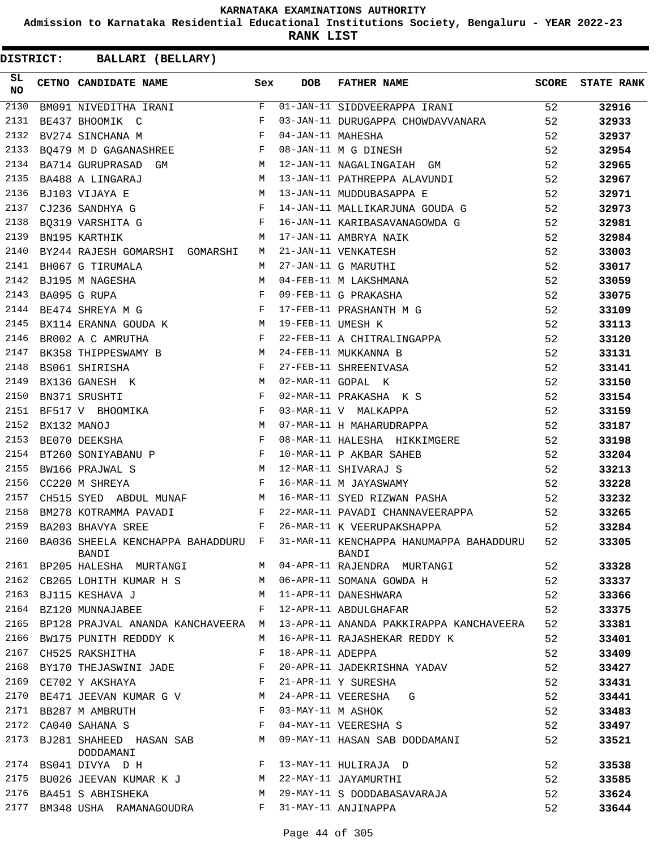**Admission to Karnataka Residential Educational Institutions Society, Bengaluru - YEAR 2022-23**

**RANK LIST**

| SL<br><b>NO</b> | CETNO CANDIDATE NAME Sex                                                                                                                                                                                                                                   |   | <b>DOB</b>        | FATHER NAME                                                                                 | SCORE | <b>STATE RANK</b> |
|-----------------|------------------------------------------------------------------------------------------------------------------------------------------------------------------------------------------------------------------------------------------------------------|---|-------------------|---------------------------------------------------------------------------------------------|-------|-------------------|
| 2130            | BM091 NIVEDITHA IRANI                                                                                                                                                                                                                                      | F |                   | 01-JAN-11 SIDDVEERAPPA IRANI                                                                | 52    | 32916             |
| 2131            | $\mathbf{F}$ and $\mathbf{F}$ and $\mathbf{F}$<br>BE437 BHOOMIK C                                                                                                                                                                                          |   |                   | 03-JAN-11 DURUGAPPA CHOWDAVVANARA                                                           | 52    | 32933             |
| 2132            | $\mathbf{F}$<br>BV274 SINCHANA M                                                                                                                                                                                                                           |   |                   | --- -- MAHESHA<br>08-JAN-11 M G DINESH<br>12-JAN-11 NAGALINGATAH OM                         | 52    | 32937             |
| 2133            | BQ479 M D GAGANASHREE F                                                                                                                                                                                                                                    |   |                   |                                                                                             | 52    | 32954             |
| 2134            | BA714 GURUPRASAD GM M                                                                                                                                                                                                                                      |   |                   | 12-JAN-11 NAGALINGAIAH GM                                                                   | 52    | 32965             |
| 2135            | M <sub>1</sub><br>BA488 A LINGARAJ                                                                                                                                                                                                                         |   |                   | 13-JAN-11 PATHREPPA ALAVUNDI                                                                | 52    | 32967             |
| 2136            |                                                                                                                                                                                                                                                            |   |                   | 13-JAN-11 MUDDUBASAPPA E                                                                    | 52    | 32971             |
| 2137            | BJ103 VIJAYA E<br>CJ236 SANDHYA G<br>PO312 VIRGUST – H                                                                                                                                                                                                     |   |                   | 14-JAN-11 MALLIKARJUNA GOUDA G                                                              | 52    | 32973             |
| 2138            | BQ319 VARSHITA G F                                                                                                                                                                                                                                         |   |                   | 16-JAN-11 KARIBASAVANAGOWDA G                                                               | 52    | 32981             |
| 2139            | <b>M</b><br>BN195 KARTHIK                                                                                                                                                                                                                                  |   |                   | 17-JAN-11 AMBRYA NAIK                                                                       | 52    | 32984             |
| 2140            | BY244 RAJESH GOMARSHI GOMARSHI M                                                                                                                                                                                                                           |   |                   | 21-JAN-11 VENKATESH<br>27-JAN-11 G MARUTHI<br>04-FEB-11 M LAKSHMANA<br>09-FEB-11 G PRAKASHA | 52    | 33003             |
| 2141            | BH067 G TIRUMALA                                                                                                                                                                                                                                           | M |                   |                                                                                             | 52    | 33017             |
| 2142            | BJ195 M NAGESHA                                                                                                                                                                                                                                            |   |                   |                                                                                             | 52    | 33059             |
| 2143            | $$\cal M$$ $$\cal H$$ $$\cal H$$<br>BA095 G RUPA                                                                                                                                                                                                           |   |                   |                                                                                             | 52    | 33075             |
| 2144            | BE474 SHREYA M G $$\rm{F}$$                                                                                                                                                                                                                                |   |                   | 09-FEB-11 G PRAKASHA<br>17-FEB-11 PRASHANTH M G<br>19-FFB-11 IIMESH K                       | 52    | 33109             |
| 2145            | BX114 ERANNA GOUDA K M                                                                                                                                                                                                                                     |   |                   |                                                                                             | 52    | 33113             |
| 2146            | $\mathbf{F}$ and $\mathbf{F}$ are the set of $\mathbf{F}$<br>BR002 A C AMRUTHA                                                                                                                                                                             |   |                   | 22-FEB-11 A CHITRALINGAPPA                                                                  | 52    | 33120             |
| 2147            | BK358 THIPPESWAMY B M                                                                                                                                                                                                                                      |   |                   | 24-FEB-11 MUKKANNA B                                                                        | 52    | 33131             |
| 2148            | $\begin{array}{cc} & & \\ \text{F} & \\ & \text{M} \\ & & \text{F} \end{array}$<br>BS061 SHIRISHA                                                                                                                                                          |   |                   |                                                                                             | 52    | 33141             |
| 2149            | BX136 GANESH K                                                                                                                                                                                                                                             |   |                   | 27-FEB-11 SHREENIVASA<br>02-MAR-11 GOPAL K                                                  | 52    | 33150             |
| 2150            | BN371 SRUSHTI                                                                                                                                                                                                                                              |   |                   |                                                                                             | 52    | 33154             |
| 2151            |                                                                                                                                                                                                                                                            |   |                   | 02-MAR-11 PRAKASHA K S<br>03-MAR-11 V MALKAPPA                                              | 52    | 33159             |
| 2152            |                                                                                                                                                                                                                                                            |   |                   | 07-MAR-11 H MAHARUDRAPPA                                                                    | 52    | 33187             |
| 2153            | BF517 V BHOOMIKA F<br>BX132 MANOJ M<br>BE070 DEEKSHA F                                                                                                                                                                                                     |   |                   | 08-MAR-11 HALESHA HIKKIMGERE                                                                | 52    | 33198             |
| 2154            | BT260 SONIYABANU P $$\rm F$$                                                                                                                                                                                                                               |   |                   | 10-MAR-11 P AKBAR SAHEB                                                                     | 52    | 33204             |
| 2155            | $M_{\odot}$<br>BW166 PRAJWAL S                                                                                                                                                                                                                             |   |                   |                                                                                             | 52    | 33213             |
| 2156            | $\mathbf{F}$<br>CC220 M SHREYA                                                                                                                                                                                                                             |   |                   | 12-MAR-11 SHIVARAJ S<br>16-MAR-11 M JAYASWAMY                                               | 52    | 33228             |
| 2157            | CH515 SYED ABDUL MUNAF M                                                                                                                                                                                                                                   |   |                   | 16-MAR-11 SYED RIZWAN PASHA                                                                 | 52    | 33232             |
| 2158            | BM278 KOTRAMMA PAVADI F                                                                                                                                                                                                                                    |   |                   | 22-MAR-11 PAVADI CHANNAVEERAPPA 52                                                          |       | 33265             |
| 2159            | $\mathbb{F}^{\times}$ . The set of the set of the set of the set of the set of the set of the set of the set of the set of the set of the set of the set of the set of the set of the set of the set of the set of the set of the set<br>BA203 BHAVYA SREE |   |                   | 26-MAR-11 K VEERUPAKSHAPPA                                                                  | 52    | 33284             |
| 2160            | BA036 SHEELA KENCHAPPA BAHADDURU F<br>BANDI                                                                                                                                                                                                                |   |                   | 31-MAR-11 KENCHAPPA HANUMAPPA BAHADDURU<br>BANDI                                            | 52    | 33305             |
| 2161            | BP205 HALESHA MURTANGI                                                                                                                                                                                                                                     | M |                   | 04-APR-11 RAJENDRA MURTANGI                                                                 | 52    | 33328             |
| 2162            | CB265 LOHITH KUMAR H S                                                                                                                                                                                                                                     | M |                   | 06-APR-11 SOMANA GOWDA H                                                                    | 52    | 33337             |
| 2163            | BJ115 KESHAVA J                                                                                                                                                                                                                                            | M |                   | 11-APR-11 DANESHWARA                                                                        | 52    | 33366             |
| 2164            | BZ120 MUNNAJABEE                                                                                                                                                                                                                                           | F |                   | 12-APR-11 ABDULGHAFAR                                                                       | 52    | 33375             |
| 2165            | BP128 PRAJVAL ANANDA KANCHAVEERA M                                                                                                                                                                                                                         |   |                   | 13-APR-11 ANANDA PAKKIRAPPA KANCHAVEERA                                                     | 52    | 33381             |
| 2166            | BW175 PUNITH REDDDY K                                                                                                                                                                                                                                      | М |                   | 16-APR-11 RAJASHEKAR REDDY K                                                                | 52    | 33401             |
| 2167            | CH525 RAKSHITHA                                                                                                                                                                                                                                            | F | 18-APR-11 ADEPPA  |                                                                                             | 52    | 33409             |
| 2168            | BY170 THEJASWINI JADE                                                                                                                                                                                                                                      | F |                   | 20-APR-11 JADEKRISHNA YADAV                                                                 | 52    | 33427             |
| 2169            | CE702 Y AKSHAYA                                                                                                                                                                                                                                            | F |                   | 21-APR-11 Y SURESHA                                                                         | 52    | 33431             |
| 2170            | BE471 JEEVAN KUMAR G V                                                                                                                                                                                                                                     | M |                   | 24-APR-11 VEERESHA<br>G                                                                     | 52    | 33441             |
|                 | 2171 BB287 M AMBRUTH                                                                                                                                                                                                                                       | F | 03-MAY-11 M ASHOK |                                                                                             | 52    | 33483             |
| 2172            | CA040 SAHANA S                                                                                                                                                                                                                                             | F |                   | 04-MAY-11 VEERESHA S                                                                        | 52    | 33497             |
| 2173            | BJ281 SHAHEED HASAN SAB<br>DODDAMANI                                                                                                                                                                                                                       | М |                   | 09-MAY-11 HASAN SAB DODDAMANI                                                               | 52    | 33521             |
| 2174            | BS041 DIVYA D H                                                                                                                                                                                                                                            | F |                   | 13-MAY-11 HULIRAJA D                                                                        | 52    | 33538             |
| 2175            | BU026 JEEVAN KUMAR K J M                                                                                                                                                                                                                                   |   |                   | 22-MAY-11 JAYAMURTHI                                                                        | 52    | 33585             |
|                 | 2176 BA451 S ABHISHEKA                                                                                                                                                                                                                                     | M |                   | 29-MAY-11 S DODDABASAVARAJA                                                                 | 52    | 33624             |
| 2177            | BM348 USHA RAMANAGOUDRA                                                                                                                                                                                                                                    | F |                   | 31-MAY-11 ANJINAPPA                                                                         | 52    | 33644             |
|                 |                                                                                                                                                                                                                                                            |   |                   |                                                                                             |       |                   |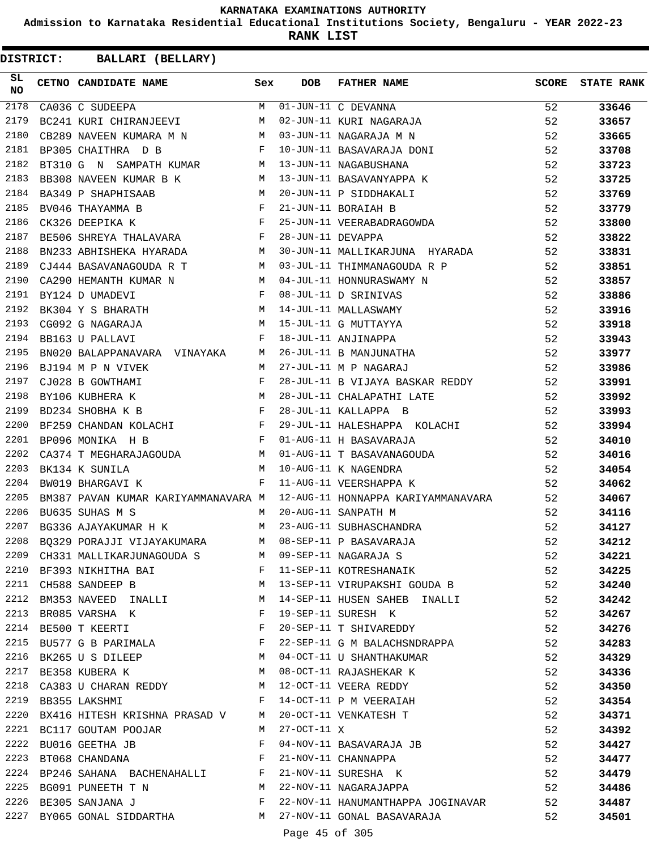**Admission to Karnataka Residential Educational Institutions Society, Bengaluru - YEAR 2022-23**

**RANK LIST**

**DISTRICT:** CC **BALLARI (BELLARY)**

| SL<br><b>NO</b> | CETNO CANDIDATE NAME Sex                                                            |              | DOB               | FATHER NAME                                                                                                                                                                                                                                                                                                                                  | SCORE | <b>STATE RANK</b> |
|-----------------|-------------------------------------------------------------------------------------|--------------|-------------------|----------------------------------------------------------------------------------------------------------------------------------------------------------------------------------------------------------------------------------------------------------------------------------------------------------------------------------------------|-------|-------------------|
| 2178            | CA036 C SUDEEPA                                                                     |              |                   | M 01-JUN-11 C DEVANNA                                                                                                                                                                                                                                                                                                                        | 52    | 33646             |
| 2179            | BC241 KURI CHIRANJEEVI M                                                            |              |                   | 02-JUN-11 KURI NAGARAJA                                                                                                                                                                                                                                                                                                                      | 52    | 33657             |
| 2180            | CB289 NAVEEN KUMARA M N $M$ 03-JUN-11 NAGARAJA M N BP305 CHAITHRA D B               |              |                   |                                                                                                                                                                                                                                                                                                                                              | 52    | 33665             |
| 2181            |                                                                                     |              |                   | 10-JUN-11 BASAVARAJA DONI                                                                                                                                                                                                                                                                                                                    | 52    | 33708             |
| 2182            | BT310 G N SAMPATH KUMAR M 13-JUN-11 NAGABUSHANA                                     |              |                   |                                                                                                                                                                                                                                                                                                                                              | 52    | 33723             |
| 2183            | BB308 NAVEEN KUMAR B K                                                              |              |                   | M 13-JUN-11 BASAVANYAPPA K                                                                                                                                                                                                                                                                                                                   | 52    | 33725             |
| 2184            | M<br>BA349 P SHAPHISAAB                                                             |              |                   | 20-JUN-11 P SIDDHAKALI                                                                                                                                                                                                                                                                                                                       | 52    | 33769             |
| 2185            | $\overline{F}$<br>BV046 THAYAMMA B                                                  |              |                   | 21-JUN-11 BORAIAH B                                                                                                                                                                                                                                                                                                                          | 52    | 33779             |
| 2186            | $\mathbf{F}^{\mathcal{A}}$<br>CK326 DEEPIKA K                                       |              |                   | 25-JUN-11 VEERABADRAGOWDA                                                                                                                                                                                                                                                                                                                    | 52    | 33800             |
| 2187            | BE506 SHREYA THALAVARA F                                                            |              | 28-JUN-11 DEVAPPA |                                                                                                                                                                                                                                                                                                                                              | 52    | 33822             |
| 2188            | BN233 ABHISHEKA HYARADA M                                                           |              |                   | 30-JUN-11 MALLIKARJUNA HYARADA                                                                                                                                                                                                                                                                                                               | 52    | 33831             |
| 2189            | $CJ444$ BASAVANAGOUDA R T M                                                         |              |                   | 03-JUL-11 THIMMANAGOUDA R P                                                                                                                                                                                                                                                                                                                  | 52    | 33851             |
| 2190            | CA290 HEMANTH KUMAR N $M$ 04-JUL-11 HONNURASWAMY N                                  |              |                   |                                                                                                                                                                                                                                                                                                                                              | 52    | 33857             |
| 2191            | $\mathbf{F}$ and $\mathbf{F}$ and $\mathbf{F}$<br>BY124 D UMADEVI                   |              |                   | 08-JUL-11 D SRINIVAS                                                                                                                                                                                                                                                                                                                         | 52    | 33886             |
| 2192            | BK304 Y S BHARATH $M$                                                               |              |                   | 14-JUL-11 MALLASWAMY<br>15-JUL-11 G MUTTAYYA<br>18-JUL-11 ANJINAPPA<br>14-JUL-11 MALLASWAMY                                                                                                                                                                                                                                                  | 52    | 33916             |
| 2193            | CG092 G NAGARAJA                                                                    | M            |                   | 15-JUL-11 G MUTTAYYA                                                                                                                                                                                                                                                                                                                         | 52    | 33918             |
| 2194            | $\mathbf{F}$ and the contract of the contract of $\mathbf{F}$<br>BB163 U PALLAVI    |              |                   |                                                                                                                                                                                                                                                                                                                                              | 52    | 33943             |
| 2195            | BN020 BALAPPANAVARA VINAYAKA M                                                      |              |                   | 26-JUL-11 B MANJUNATHA                                                                                                                                                                                                                                                                                                                       | 52    | 33977             |
| 2196            | M<br>BJ194 M P N VIVEK                                                              |              |                   | 27-JUL-11 M P NAGARAJ                                                                                                                                                                                                                                                                                                                        | 52    | 33986             |
| 2197            | $\begin{aligned} \mathbf{F} \\ \mathbf{M} \end{aligned}$<br>CJ028 B GOWTHAMI        |              |                   | 28-JUL-11 B VIJAYA BASKAR REDDY                                                                                                                                                                                                                                                                                                              | 52    | 33991             |
| 2198            | BY106 KUBHERA K                                                                     |              |                   | 28-JUL-11 CHALAPATHI LATE                                                                                                                                                                                                                                                                                                                    | 52    | 33992             |
| 2199            | $\mathbf{F}$ and $\mathbf{F}$ and $\mathbf{F}$ and $\mathbf{F}$<br>BD234 SHOBHA K B |              |                   | 28-JUL-11 KALLAPPA B                                                                                                                                                                                                                                                                                                                         | 52    | 33993             |
| 2200            | BF259 CHANDAN KOLACHI F                                                             |              |                   | 29-JUL-11 HALESHAPPA KOLACHI                                                                                                                                                                                                                                                                                                                 | 52    | 33994             |
| 2201            | $\mathbb F$<br>BP096 MONIKA H B                                                     |              |                   | 01-AUG-11 H BASAVARAJA                                                                                                                                                                                                                                                                                                                       | 52    | 34010             |
| 2202            | CA374 T MEGHARAJAGOUDA M                                                            |              |                   | 01-AUG-11 T BASAVANAGOUDA                                                                                                                                                                                                                                                                                                                    | 52    | 34016             |
| 2203            | M<br>BK134 K SUNILA                                                                 |              |                   | 10-AUG-11 K NAGENDRA                                                                                                                                                                                                                                                                                                                         | 52    | 34054             |
| 2204            | BW019 BHARGAVI K                                                                    | $\mathbf{F}$ |                   | 11-AUG-11 VEERSHAPPA K                                                                                                                                                                                                                                                                                                                       | 52    | 34062             |
| 2205            | BM387 PAVAN KUMAR KARIYAMMANAVARA M                                                 |              |                   | 12-AUG-11 HONNAPPA KARIYAMMANAVARA                                                                                                                                                                                                                                                                                                           | 52    | 34067             |
| 2206            | BU635 SUHAS M S                                                                     | M            |                   | 20-AUG-11 SANPATH M                                                                                                                                                                                                                                                                                                                          | 52    | 34116             |
| 2207            | BG336 AJAYAKUMAR H K M                                                              |              |                   | 23-AUG-11 SUBHASCHANDRA                                                                                                                                                                                                                                                                                                                      | 52    | 34127             |
| 2208            | BQ329 PORAJJI VIJAYAKUMARA M 08-SEP-11 P BASAVARAJA                                 |              |                   |                                                                                                                                                                                                                                                                                                                                              | 52    | 34212             |
|                 |                                                                                     |              |                   |                                                                                                                                                                                                                                                                                                                                              | 52    | 34221             |
|                 |                                                                                     |              |                   | 2209 CH331 MALLIKARJUNAGOUDA S M 09-SEP-11 NAGARAJA S<br>2210 BF393 NIKHITHA BAI R TII-SEP-11 KOTRESHANAIK                                                                                                                                                                                                                                   | 52    | 34225             |
|                 | 2211 CH588 SANDEEP B                                                                |              |                   | M 13-SEP-11 VIRUPAKSHI GOUDA B 52                                                                                                                                                                                                                                                                                                            |       | 34240             |
|                 |                                                                                     |              |                   | 2212 BM353 NAVEED INALLI M 14-SEP-11 HUSEN SAHEB INALLI                                                                                                                                                                                                                                                                                      | 52    | 34242             |
|                 | 2213 BR085 VARSHA K                                                                 |              |                   | F 19-SEP-11 SURESH K                                                                                                                                                                                                                                                                                                                         | 52    | 34267             |
| 2214            | BE500 T KEERTI F                                                                    |              |                   | 20-SEP-11 T SHIVAREDDY 52                                                                                                                                                                                                                                                                                                                    |       | 34276             |
| 2215            | BU577 G B PARIMALA F                                                                |              |                   | 22-SEP-11 G M BALACHSNDRAPPA 52                                                                                                                                                                                                                                                                                                              |       | 34283             |
|                 |                                                                                     |              |                   | 2216 BK265 U S DILEEP M 04-OCT-11 U SHANTHAKUMAR<br>2217 BE358 KUBERA K M M 08-OCT-11 RAJASHEKAR K<br>04-OCT-11 U SHANTHAKUMAR                                                                                                                                                                                                               | 52    | 34329             |
|                 |                                                                                     |              |                   |                                                                                                                                                                                                                                                                                                                                              | 52    | 34336             |
|                 |                                                                                     |              |                   | 2218 CA383 U CHARAN REDDY M 12-OCT-11 VEERA REDDY                                                                                                                                                                                                                                                                                            | 52    | 34350             |
|                 | 2219 BB355 LAKSHMI                                                                  |              |                   | F 14-OCT-11 P M VEERAIAH                                                                                                                                                                                                                                                                                                                     | 52    | 34354             |
|                 | 2220 BX416 HITESH KRISHNA PRASAD V M 20-OCT-11 VENKATESH T                          |              |                   |                                                                                                                                                                                                                                                                                                                                              | 52    | 34371             |
|                 | 2221 BC117 GOUTAM POOJAR M 27-OCT-11 X                                              |              |                   |                                                                                                                                                                                                                                                                                                                                              | 52    | 34392             |
| 2222            | BU016 GEETHA JB F                                                                   |              |                   | 04-NOV-11 BASAVARAJA JB                                                                                                                                                                                                                                                                                                                      | 52    | 34427             |
|                 |                                                                                     |              |                   |                                                                                                                                                                                                                                                                                                                                              | 52    | 34477             |
|                 |                                                                                     |              |                   |                                                                                                                                                                                                                                                                                                                                              | 52    | 34479             |
|                 |                                                                                     |              |                   | $\begin{array}{lllllll} \texttt{2223} & \texttt{BT068 CHANDANA} & \texttt{F} & \texttt{21-NOV-11 CHANNAPPA} \\ \texttt{2224} & \texttt{BP246 SAHANA} & \texttt{BACHENAHALLI} & \texttt{F} & \texttt{21-NOV-11 SURESHA} & \texttt{K} \\ \texttt{2225} & \texttt{BG091 FUNEETH T N} & \texttt{M} & \texttt{22-NOV-11 NAGARAJAPPA} \end{array}$ | 52    | 34486             |
|                 |                                                                                     |              |                   | 2226 BE305 SANJANA J $F$ 22-NOV-11 HANUMANTHAPPA JOGINAVAR 52                                                                                                                                                                                                                                                                                |       | 34487             |
|                 | 2227 BY065 GONAL SIDDARTHA M 27-NOV-11 GONAL BASAVARAJA                             |              |                   |                                                                                                                                                                                                                                                                                                                                              | 52    | 34501             |
|                 |                                                                                     |              |                   |                                                                                                                                                                                                                                                                                                                                              |       |                   |

Page 45 of 305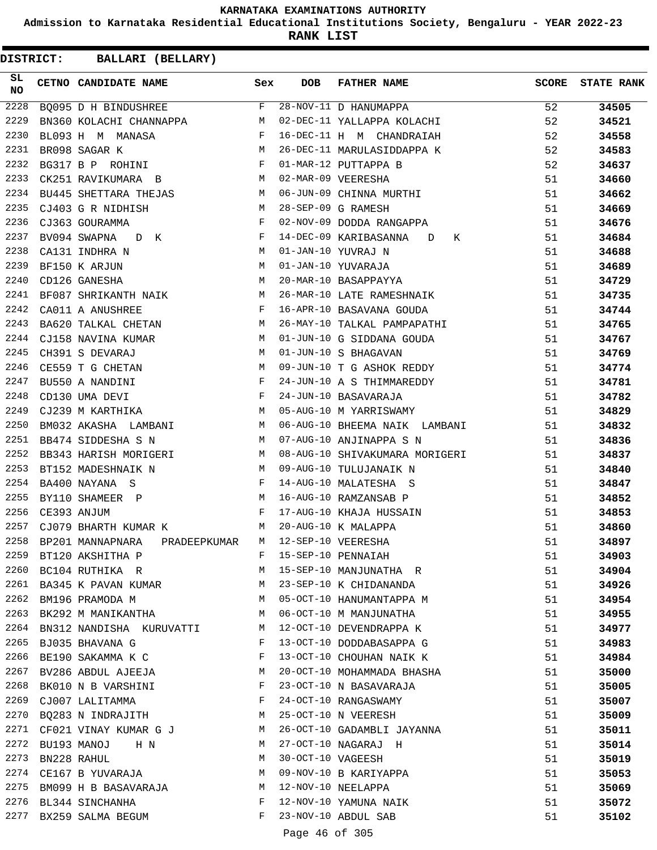**Admission to Karnataka Residential Educational Institutions Society, Bengaluru - YEAR 2022-23**

**RANK LIST**

| SL.<br>NO | CETNO CANDIDATE NAME Sex                                                       |              | <b>DOB</b>        | FATHER NAME                                         | SCORE | <b>STATE RANK</b> |
|-----------|--------------------------------------------------------------------------------|--------------|-------------------|-----------------------------------------------------|-------|-------------------|
| 2228      | BQ095 D H BINDUSHREE F                                                         |              |                   |                                                     | 52    | 34505             |
| 2229      | BN360 KOLACHI CHANNAPPA M                                                      |              |                   | 28-NOV-11 D HANUMAPPA<br>02-DEC-11 YALLAPPA KOLACHI | 52    | 34521             |
| 2230      | BL093 H M MANASA F                                                             |              |                   | 16-DEC-11 H M CHANDRAIAH                            | 52    | 34558             |
| 2231      | M<br>BR098 SAGAR K                                                             |              |                   | 26-DEC-11 MARULASIDDAPPA K                          | 52    | 34583             |
| 2232      | BG317 B P ROHINI $F$                                                           |              |                   | 01-MAR-12 PUTTAPPA B                                | 52    | 34637             |
| 2233      | CK251 RAVIKUMARA B M                                                           |              |                   | 02-MAR-09 VEERESHA                                  | 51    | 34660             |
| 2234      | BU445 SHETTARA THEJAS M                                                        |              |                   | 06-JUN-09 CHINNA MURTHI                             | 51    | 34662             |
| 2235      | M<br>CJ403 G R NIDHISH                                                         |              |                   | 28-SEP-09 G RAMESH                                  | 51    | 34669             |
| 2236      | $\frac{1}{\text{F}}$<br>CJ363 GOURAMMA                                         |              |                   | 02-NOV-09 DODDA RANGAPPA                            | 51    | 34676             |
| 2237      | BV094 SWAPNA D K F                                                             |              |                   | 14-DEC-09 KARIBASANNA D K                           | 51    | 34684             |
| 2238      | <b>M</b><br>CA131 INDHRA N                                                     |              |                   | 01-JAN-10 YUVRAJ N                                  | 51    | 34688             |
| 2239      | M<br>BF150 K ARJUN                                                             |              |                   | 01-JAN-10 YUVARAJA                                  | 51    | 34689             |
| 2240      | CD126 GANESHA                                                                  | M            |                   | 20-MAR-10 BASAPPAYYA                                | 51    | 34729             |
| 2241      | BF087 SHRIKANTH NAIK M                                                         |              |                   | 26-MAR-10 LATE RAMESHNAIK                           | 51    | 34735             |
| 2242      | $\mathbf{F}$ and the contract of the contract $\mathbf{F}$<br>CA011 A ANUSHREE |              |                   | 16-APR-10 BASAVANA GOUDA                            | 51    | 34744             |
| 2243      | BA620 TALKAL CHETAN M                                                          |              |                   | 26-MAY-10 TALKAL PAMPAPATHI                         | 51    | 34765             |
| 2244      | CJ158 NAVINA KUMAR $M$                                                         |              |                   | 01-JUN-10 G SIDDANA GOUDA                           | 51    | 34767             |
| 2245      | CH391 S DEVARAJ                                                                | M            |                   | 01-JUN-10 S BHAGAVAN                                | 51    | 34769             |
| 2246      | CE559 T G CHETAN                                                               | M            |                   | 09-JUN-10 T G ASHOK REDDY                           | 51    | 34774             |
| 2247      | BU550 A NANDINI                                                                |              |                   |                                                     | 51    | 34781             |
| 2248      | $\begin{array}{c} \mathbf{F} \\ \mathbf{F} \end{array}$<br>CD130 UMA DEVI      |              |                   | 24-JUN-10 A S THIMMAREDDY<br>24-JUN-10 BASAVARAJA   | 51    | 34782             |
| 2249      | M <sub>N</sub><br>CJ239 M KARTHIKA                                             |              |                   | 05-AUG-10 M YARRISWAMY                              | 51    | 34829             |
| 2250      | BM032 AKASHA LAMBANI M                                                         |              |                   | 06-AUG-10 BHEEMA NAIK LAMBANI                       | 51    | 34832             |
| 2251      | M<br>BB474 SIDDESHA S N                                                        |              |                   | 07-AUG-10 ANJINAPPA S N                             | 51    | 34836             |
| 2252      | BB343 HARISH MORIGERI M                                                        |              |                   | 08-AUG-10 SHIVAKUMARA MORIGERI                      | 51    | 34837             |
| 2253      | M 09-AUG-10 TULUJANAIK N<br>BT152 MADESHNAIK N                                 |              |                   |                                                     | 51    | 34840             |
| 2254      | BA400 NAYANA S                                                                 | $\mathbf{F}$ |                   | 14-AUG-10 MALATESHA S                               | 51    | 34847             |
| 2255      |                                                                                |              |                   | 16-AUG-10 RAMZANSAB P                               | 51    | 34852             |
| 2256      | BY110 SHAMEER P<br>CE393 ANJUM F                                               |              |                   | 17-AUG-10 KHAJA HUSSAIN                             | 51    | 34853             |
| 2257      | CJ079 BHARTH KUMAR K M                                                         |              |                   | 20-AUG-10 K MALAPPA                                 | 51    | 34860             |
| 2258      | BP201 MANNAPNARA<br>PRADEEPKUMAR                                               |              |                   | M 12-SEP-10 VEERESHA                                | 51    | 34897             |
| 2259      | BT120 AKSHITHA P                                                               | F            |                   | 15-SEP-10 PENNAIAH                                  | 51    | 34903             |
| 2260      | BC104 RUTHIKA R                                                                | M            |                   | 15-SEP-10 MANJUNATHA R                              | 51    | 34904             |
| 2261      | BA345 K PAVAN KUMAR                                                            | M            |                   | 23-SEP-10 K CHIDANANDA                              | 51    | 34926             |
| 2262      | BM196 PRAMODA M                                                                | M            |                   | 05-OCT-10 HANUMANTAPPA M                            | 51    | 34954             |
| 2263      | BK292 M MANIKANTHA                                                             | M            |                   | 06-OCT-10 M MANJUNATHA                              | 51    | 34955             |
| 2264      | BN312 NANDISHA KURUVATTI                                                       | M            |                   | 12-OCT-10 DEVENDRAPPA K                             | 51    | 34977             |
| 2265      | BJ035 BHAVANA G                                                                | F            |                   | 13-OCT-10 DODDABASAPPA G                            | 51    | 34983             |
| 2266      | BE190 SAKAMMA K C                                                              | F            |                   | 13-OCT-10 CHOUHAN NAIK K                            | 51    | 34984             |
| 2267      | BV286 ABDUL AJEEJA                                                             | M            |                   | 20-OCT-10 MOHAMMADA BHASHA                          | 51    | 35000             |
| 2268      | BK010 N B VARSHINI                                                             | F            |                   | 23-OCT-10 N BASAVARAJA                              | 51    | 35005             |
| 2269      | CJ007 LALITAMMA                                                                | F            |                   | 24-OCT-10 RANGASWAMY                                | 51    | 35007             |
| 2270      | BQ283 N INDRAJITH                                                              | M            |                   | 25-OCT-10 N VEERESH                                 | 51    | 35009             |
| 2271      | CF021 VINAY KUMAR G J                                                          | M            |                   | 26-OCT-10 GADAMBLI JAYANNA                          | 51    | 35011             |
| 2272      | BU193 MANOJ<br>H N                                                             | M            |                   | 27-OCT-10 NAGARAJ H                                 | 51    | 35014             |
| 2273      | BN228 RAHUL                                                                    | М            | 30-OCT-10 VAGEESH |                                                     | 51    | 35019             |
| 2274      | CE167 B YUVARAJA                                                               | M            |                   | 09-NOV-10 B KARIYAPPA                               | 51    | 35053             |
| 2275      | BM099 H B BASAVARAJA                                                           | M            |                   | 12-NOV-10 NEELAPPA                                  | 51    | 35069             |
|           | 2276 BL344 SINCHANHA                                                           | F            |                   | 12-NOV-10 YAMUNA NAIK                               | 51    | 35072             |
| 2277      | BX259 SALMA BEGUM                                                              | F            |                   | 23-NOV-10 ABDUL SAB                                 | 51    | 35102             |
|           |                                                                                |              | Page 46 of 305    |                                                     |       |                   |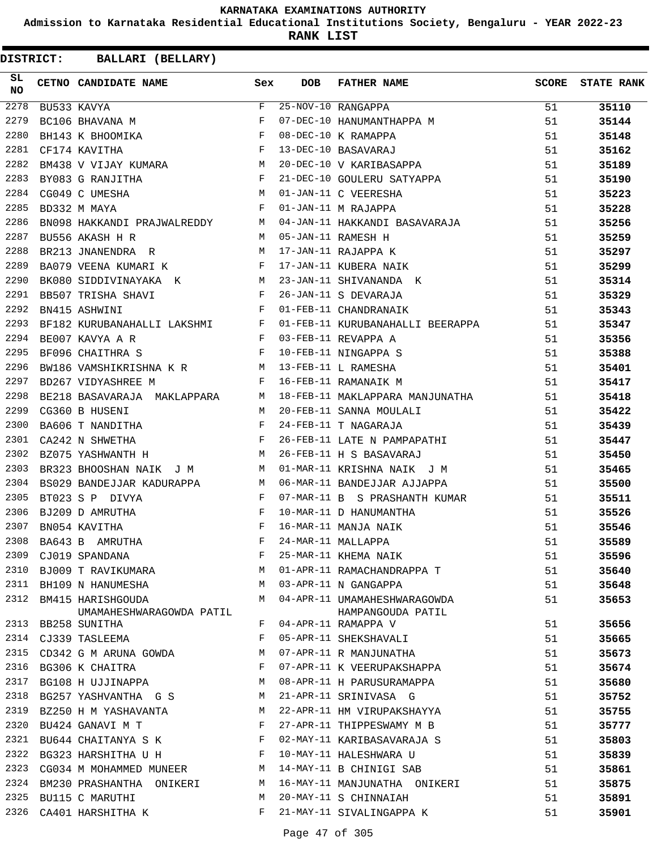**Admission to Karnataka Residential Educational Institutions Society, Bengaluru - YEAR 2022-23**

**RANK LIST**

| SL<br><b>NO</b> | CETNO CANDIDATE NAME Sex                                                                                                                                                                                                                                                |   | DOB | FATHER NAME<br>BU533 KAVYA<br>BU533 KAVYA<br>BC106 BHAVANA M<br>BH143 K BHOOMIKA<br>F 07-DEC-10 HANUMANTHAPPA M<br>F 08-DEC-10 K RAMAPPA<br>F 08-DEC-10 K RAMAPPA                                                                      | SCORE | <b>STATE RANK</b> |
|-----------------|-------------------------------------------------------------------------------------------------------------------------------------------------------------------------------------------------------------------------------------------------------------------------|---|-----|----------------------------------------------------------------------------------------------------------------------------------------------------------------------------------------------------------------------------------------|-------|-------------------|
| 2278            |                                                                                                                                                                                                                                                                         |   |     |                                                                                                                                                                                                                                        | 51 7  | 35110             |
| 2279            |                                                                                                                                                                                                                                                                         |   |     |                                                                                                                                                                                                                                        | 51    | 35144             |
| 2280            |                                                                                                                                                                                                                                                                         |   |     |                                                                                                                                                                                                                                        | 51    | 35148             |
| 2281            | $\mathbf{F}^{\mathcal{A}}_{\mathcal{A}}=\mathbf{F}^{\mathcal{A}}_{\mathcal{A}}\mathbf{F}^{\mathcal{A}}_{\mathcal{A}}$<br>CF174 KAVITHA                                                                                                                                  |   |     | 08-DEC-10 K RAMAPPA<br>13-DEC-10 BASAVARAJ<br>20-DEC-10 V KARIBASAPPA                                                                                                                                                                  | 51    | 35162             |
| 2282            | BM438 V VIJAY KUMARA M M M M M M M M M M M M M M M (CG049 C UMESHA M M (BD332 M MAYA F (                                                                                                                                                                                |   |     |                                                                                                                                                                                                                                        | 51    | 35189             |
| 2283            |                                                                                                                                                                                                                                                                         |   |     | 21-DEC-10 GOULERU SATYAPPA<br>01-JAN-11 C VEERESHA<br>01-JAN-11 M RAJAPPA                                                                                                                                                              | 51    | 35190             |
| 2284            |                                                                                                                                                                                                                                                                         |   |     |                                                                                                                                                                                                                                        | 51    | 35223             |
| 2285            |                                                                                                                                                                                                                                                                         |   |     |                                                                                                                                                                                                                                        | 51    | 35228             |
| 2286            |                                                                                                                                                                                                                                                                         |   |     | BN098 HAKKANDI PRAJWALREDDY M 04-JAN-11 HAKKANDI BASAVARAJA                                                                                                                                                                            | 51    | 35256             |
| 2287            |                                                                                                                                                                                                                                                                         |   |     | BNOSO INDUSTRIES<br>BU556 AKASH H R M 05-JAN-11 RAMESH H<br>BR213 JNANENDRA R M 17-JAN-11 RJAPPA K<br>BA079 VEENA KUMARI K F 17-JAN-11 KUBERA NAIK<br>BK080 SIDDIVINAYAKA K M 23-JAN-11 SHIVANANDA K<br>BB507 TRISHA SHAVI F 26-JAN-11 | 51    | 35259             |
| 2288            |                                                                                                                                                                                                                                                                         |   |     |                                                                                                                                                                                                                                        | 51    | 35297             |
| 2289            |                                                                                                                                                                                                                                                                         |   |     |                                                                                                                                                                                                                                        | 51    | 35299             |
| 2290            |                                                                                                                                                                                                                                                                         |   |     |                                                                                                                                                                                                                                        | 51    | 35314             |
| 2291            |                                                                                                                                                                                                                                                                         |   |     |                                                                                                                                                                                                                                        | 51    | 35329             |
| 2292            |                                                                                                                                                                                                                                                                         |   |     |                                                                                                                                                                                                                                        | 51    | 35343             |
| 2293            |                                                                                                                                                                                                                                                                         |   |     | BF182 KURUBANAHALLI LAKSHMI F 01-FEB-11 KURUBANAHALLI BEERAPPA                                                                                                                                                                         | 51    | 35347             |
| 2294            | $\begin{array}{ccccccccc} \texttt{BE007 KAVYA} & \texttt{R} & & & & & & \texttt{F} & 03-\texttt{FEB-11} & \texttt{REVAPPA} & \texttt{A} \\ \texttt{BF096 CHAITHRA} & \texttt{S} & & & & & \texttt{F} & 10-\texttt{FEB-11} & \texttt{NINGAPPA} & \texttt{S} \end{array}$ |   |     |                                                                                                                                                                                                                                        | 51    | 35356             |
| 2295            |                                                                                                                                                                                                                                                                         |   |     |                                                                                                                                                                                                                                        | 51    | 35388             |
| 2296            | BW186 VAMSHIKRISHNA K R M 13-FEB-11 L RAMESHA                                                                                                                                                                                                                           |   |     |                                                                                                                                                                                                                                        | 51    | 35401             |
| 2297            | $\mathbf{F}$<br>BD267 VIDYASHREE M                                                                                                                                                                                                                                      |   |     | 16-FEB-11 RAMANAIK M                                                                                                                                                                                                                   | 51    | 35417             |
| 2298            |                                                                                                                                                                                                                                                                         |   |     | BE218 BASAVARAJA MAKLAPPARA M 18-FEB-11 MAKLAPPARA MANJUNATHA                                                                                                                                                                          | 51    | 35418             |
| 2299            | CG360 B HUSENI<br>M 20-FEB-11 SANNA MOULALI                                                                                                                                                                                                                             |   |     |                                                                                                                                                                                                                                        | 51    | 35422             |
| 2300            |                                                                                                                                                                                                                                                                         |   |     | 24-FEB-11 T NAGARAJA                                                                                                                                                                                                                   | 51    | 35439             |
| 2301            | BA606 T NANDITHA F<br>CA242 N SHWETHA F                                                                                                                                                                                                                                 |   |     | 26-FEB-11 LATE N PAMPAPATHI                                                                                                                                                                                                            | 51    | 35447             |
| 2302            | $\mathbf M$<br>BZ075 YASHWANTH H                                                                                                                                                                                                                                        |   |     | 26-FEB-11 H S BASAVARAJ                                                                                                                                                                                                                | 51    | 35450             |
| 2303            |                                                                                                                                                                                                                                                                         |   |     | BR323 BHOOSHAN NAIK J M M 01-MAR-11 KRISHNA NAIK J M                                                                                                                                                                                   | 51    | 35465             |
| 2304            | BS029 BANDEJJAR KADURAPPA M                                                                                                                                                                                                                                             |   |     | 06-MAR-11 BANDEJJAR AJJAPPA                                                                                                                                                                                                            | 51    | 35500             |
| 2305            | BT023 S P DIVYA                                                                                                                                                                                                                                                         |   |     |                                                                                                                                                                                                                                        | 51    | 35511             |
| 2306            | BJ209 D AMRUTHA                                                                                                                                                                                                                                                         |   |     | 07-MAR-11 B S PRASHANTH KUMAR<br>10-MAR-11 D HANUMANTHA<br>16-MAR-11 MANJA NAIK<br>24-MAR-11 MALLAPPA                                                                                                                                  | 51    | 35526             |
| 2307            | BN054 KAVITHA                                                                                                                                                                                                                                                           |   |     |                                                                                                                                                                                                                                        | 51    | 35546             |
| 2308            | BA643 B AMRUTHA                                                                                                                                                                                                                                                         |   |     |                                                                                                                                                                                                                                        | 51    | 35589             |
| 2309            | CJ019 SPANDANA                                                                                                                                                                                                                                                          | F |     | 25-MAR-11 KHEMA NAIK                                                                                                                                                                                                                   | 51    | 35596             |
|                 | 2310 BJ009 T RAVIKUMARA                                                                                                                                                                                                                                                 | M |     | 01-APR-11 RAMACHANDRAPPA T                                                                                                                                                                                                             | 51    | 35640             |
|                 | 2311 BH109 N HANUMESHA                                                                                                                                                                                                                                                  | М |     | 03-APR-11 N GANGAPPA                                                                                                                                                                                                                   | 51    | 35648             |
| 2312            | BM415 HARISHGOUDA                                                                                                                                                                                                                                                       | M |     | 04-APR-11 UMAMAHESHWARAGOWDA                                                                                                                                                                                                           | 51    | 35653             |
|                 | UMAMAHESHWARAGOWDA PATIL                                                                                                                                                                                                                                                |   |     | HAMPANGOUDA PATIL                                                                                                                                                                                                                      |       |                   |
| 2313            | BB258 SUNITHA                                                                                                                                                                                                                                                           | F |     | 04-APR-11 RAMAPPA V                                                                                                                                                                                                                    | 51    | 35656             |
| 2314            | CJ339 TASLEEMA                                                                                                                                                                                                                                                          | F |     | 05-APR-11 SHEKSHAVALI                                                                                                                                                                                                                  | 51    | 35665             |
| 2315            | CD342 G M ARUNA GOWDA                                                                                                                                                                                                                                                   | М |     | 07-APR-11 R MANJUNATHA                                                                                                                                                                                                                 | 51    | 35673             |
| 2316            | BG306 K CHAITRA                                                                                                                                                                                                                                                         | F |     | 07-APR-11 K VEERUPAKSHAPPA                                                                                                                                                                                                             | 51    | 35674             |
| 2317            | BG108 H UJJINAPPA                                                                                                                                                                                                                                                       | М |     | 08-APR-11 H PARUSURAMAPPA                                                                                                                                                                                                              | 51    | 35680             |
| 2318            | BG257 YASHVANTHA G S                                                                                                                                                                                                                                                    | М |     | 21-APR-11 SRINIVASA G                                                                                                                                                                                                                  | 51    | 35752             |
| 2319            | BZ250 H M YASHAVANTA                                                                                                                                                                                                                                                    | М |     | 22-APR-11 HM VIRUPAKSHAYYA                                                                                                                                                                                                             | 51    | 35755             |
| 2320            | BU424 GANAVI M T                                                                                                                                                                                                                                                        | F |     | 27-APR-11 THIPPESWAMY M B                                                                                                                                                                                                              | 51    | 35777             |
| 2321            | BU644 CHAITANYA S K                                                                                                                                                                                                                                                     | F |     | 02-MAY-11 KARIBASAVARAJA S                                                                                                                                                                                                             | 51    | 35803             |
| 2322            | BG323 HARSHITHA U H                                                                                                                                                                                                                                                     | F |     | 10-MAY-11 HALESHWARA U                                                                                                                                                                                                                 | 51    | 35839             |
| 2323            | CG034 M MOHAMMED MUNEER                                                                                                                                                                                                                                                 | M |     | 14-MAY-11 B CHINIGI SAB                                                                                                                                                                                                                | 51    | 35861             |
| 2324            | BM230 PRASHANTHA ONIKERI                                                                                                                                                                                                                                                | М |     | 16-MAY-11 MANJUNATHA ONIKERI                                                                                                                                                                                                           | 51    | 35875             |
| 2325            | BU115 C MARUTHI                                                                                                                                                                                                                                                         | M |     | 20-MAY-11 S CHINNAIAH                                                                                                                                                                                                                  | 51    | 35891             |
| 2326            | CA401 HARSHITHA K                                                                                                                                                                                                                                                       | F |     | 21-MAY-11 SIVALINGAPPA K                                                                                                                                                                                                               | 51    | 35901             |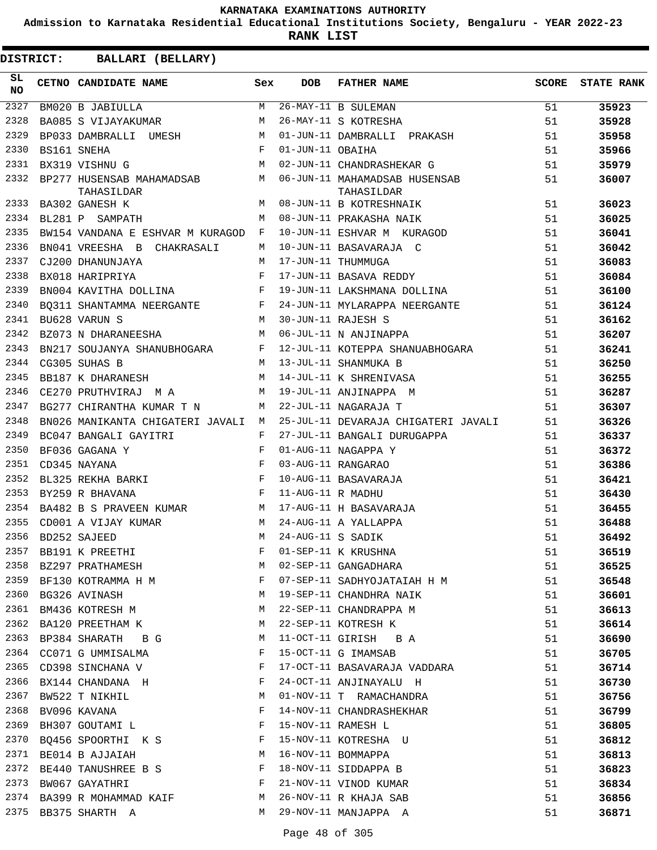**Admission to Karnataka Residential Educational Institutions Society, Bengaluru - YEAR 2022-23**

**RANK LIST**

| SL<br>NO | CETNO CANDIDATE NAME                                                                                                                                                                                                                                                                                                                                                                                                                                                                                                                                          | Sex | <b>DOB</b>        | FATHER NAME                                 | SCORE | <b>STATE RANK</b> |
|----------|---------------------------------------------------------------------------------------------------------------------------------------------------------------------------------------------------------------------------------------------------------------------------------------------------------------------------------------------------------------------------------------------------------------------------------------------------------------------------------------------------------------------------------------------------------------|-----|-------------------|---------------------------------------------|-------|-------------------|
| 2327     | BM020 B JABIULLA                                                                                                                                                                                                                                                                                                                                                                                                                                                                                                                                              | M   |                   | 26-MAY-11 B SULEMAN                         | 51    | 35923             |
| 2328     | BA085 S VIJAYAKUMAR                                                                                                                                                                                                                                                                                                                                                                                                                                                                                                                                           | M   |                   | 26-MAY-11 S KOTRESHA                        | 51    | 35928             |
| 2329     | BP033 DAMBRALLI UMESH M                                                                                                                                                                                                                                                                                                                                                                                                                                                                                                                                       |     |                   | 01-JUN-11 DAMBRALLI PRAKASH                 | 51    | 35958             |
| 2330     | $\mathbf F$<br>BS161 SNEHA                                                                                                                                                                                                                                                                                                                                                                                                                                                                                                                                    |     | 01-JUN-11 OBAIHA  |                                             | 51    | 35966             |
| 2331     | $\mathbf M$<br>BX319 VISHNU G                                                                                                                                                                                                                                                                                                                                                                                                                                                                                                                                 |     |                   | 02-JUN-11 CHANDRASHEKAR G                   | 51    | 35979             |
| 2332     | BP277 HUSENSAB MAHAMADSAB M<br>TAHASILDAR                                                                                                                                                                                                                                                                                                                                                                                                                                                                                                                     |     |                   | 06-JUN-11 MAHAMADSAB HUSENSAB<br>TAHASILDAR | 51    | 36007             |
| 2333     | BA302 GANESH K                                                                                                                                                                                                                                                                                                                                                                                                                                                                                                                                                | M   |                   | 08-JUN-11 B KOTRESHNAIK                     | 51    | 36023             |
| 2334     | BL281 P SAMPATH                                                                                                                                                                                                                                                                                                                                                                                                                                                                                                                                               | M   |                   | 08-JUN-11 PRAKASHA NAIK                     | 51    | 36025             |
| 2335     | BW154 VANDANA E ESHVAR M KURAGOD F                                                                                                                                                                                                                                                                                                                                                                                                                                                                                                                            |     |                   | 10-JUN-11 ESHVAR M KURAGOD                  | 51    | 36041             |
| 2336     | BN041 VREESHA B CHAKRASALI                                                                                                                                                                                                                                                                                                                                                                                                                                                                                                                                    | M   |                   | 10-JUN-11 BASAVARAJA C                      | 51    | 36042             |
| 2337     | CJ200 DHANUNJAYA                                                                                                                                                                                                                                                                                                                                                                                                                                                                                                                                              | М   |                   | 17-JUN-11 THUMMUGA                          | 51    | 36083             |
| 2338     | BX018 HARIPRIYA                                                                                                                                                                                                                                                                                                                                                                                                                                                                                                                                               | F   |                   | 17-JUN-11 BASAVA REDDY                      | 51    | 36084             |
| 2339     | $\begin{minipage}{.4\linewidth} \texttt{BNO04 KAVITHA DOLLINA} \end{minipage} \begin{minipage}{.4\linewidth} \begin{minipage}{.4\linewidth} \begin{minipage}{.4\linewidth} \begin{minipage}{.4\linewidth} \begin{minipage}{.4\linewidth} \end{minipage} \begin{minipage}{.4\linewidth} \begin{minipage}{.4\linewidth} \begin{minipage}{.4\linewidth} \end{minipage} \begin{minipage}{.4\linewidth} \end{minipage} \begin{minipage}{.4\linewidth} \begin{minipage}{.4\linewidth} \begin{minipage}{.4\linewidth} \end{minipage} \begin{minipage}{.4\linewidth}$ |     |                   | 19-JUN-11 LAKSHMANA DOLLINA                 | 51    | 36100             |
| 2340     | BQ311 SHANTAMMA NEERGANTE F                                                                                                                                                                                                                                                                                                                                                                                                                                                                                                                                   |     |                   | 24-JUN-11 MYLARAPPA NEERGANTE               | 51    | 36124             |
| 2341     | M <sub>1</sub><br>BU628 VARUN S                                                                                                                                                                                                                                                                                                                                                                                                                                                                                                                               |     |                   | 30-JUN-11 RAJESH S                          | 51    | 36162             |
| 2342     | M<br>BZ073 N DHARANEESHA                                                                                                                                                                                                                                                                                                                                                                                                                                                                                                                                      |     |                   | 06-JUL-11 N ANJINAPPA                       | 51    | 36207             |
| 2343     | BN217 SOUJANYA SHANUBHOGARA F                                                                                                                                                                                                                                                                                                                                                                                                                                                                                                                                 |     |                   | 12-JUL-11 KOTEPPA SHANUABHOGARA             | 51    | 36241             |
| 2344     | CG305 SUHAS B                                                                                                                                                                                                                                                                                                                                                                                                                                                                                                                                                 | M   |                   | 13-JUL-11 SHANMUKA B                        | 51    | 36250             |
| 2345     | BB187 K DHARANESH                                                                                                                                                                                                                                                                                                                                                                                                                                                                                                                                             | М   |                   | 14-JUL-11 K SHRENIVASA                      | 51    | 36255             |
| 2346     | CE270 PRUTHVIRAJ M A                                                                                                                                                                                                                                                                                                                                                                                                                                                                                                                                          | M   |                   | 19-JUL-11 ANJINAPPA M                       | 51    | 36287             |
| 2347     | BG277 CHIRANTHA KUMAR T N                                                                                                                                                                                                                                                                                                                                                                                                                                                                                                                                     | M   |                   | 22-JUL-11 NAGARAJA T                        | 51    | 36307             |
| 2348     | BN026 MANIKANTA CHIGATERI JAVALI M                                                                                                                                                                                                                                                                                                                                                                                                                                                                                                                            |     |                   | 25-JUL-11 DEVARAJA CHIGATERI JAVALI         | 51    | 36326             |
| 2349     | BC047 BANGALI GAYITRI                                                                                                                                                                                                                                                                                                                                                                                                                                                                                                                                         | F   |                   | 27-JUL-11 BANGALI DURUGAPPA                 | 51    | 36337             |
| 2350     | BF036 GAGANA Y                                                                                                                                                                                                                                                                                                                                                                                                                                                                                                                                                | F   |                   | 01-AUG-11 NAGAPPA Y                         | 51    | 36372             |
| 2351     | CD345 NAYANA<br>BL325 REKHA BARKI F                                                                                                                                                                                                                                                                                                                                                                                                                                                                                                                           |     |                   | 03-AUG-11 RANGARAO                          | 51    | 36386             |
| 2352     |                                                                                                                                                                                                                                                                                                                                                                                                                                                                                                                                                               |     |                   | 10-AUG-11 BASAVARAJA                        | 51    | 36421             |
| 2353     | $\mathbf{F}$ and the contract of the contract of $\mathbf{F}$<br>BY259 R BHAVANA                                                                                                                                                                                                                                                                                                                                                                                                                                                                              |     | 11-AUG-11 R MADHU |                                             | 51    | 36430             |
| 2354     | BA482 B S PRAVEEN KUMAR M                                                                                                                                                                                                                                                                                                                                                                                                                                                                                                                                     |     |                   | 17-AUG-11 H BASAVARAJA                      | 51    | 36455             |
| 2355     | M<br>CD001 A VIJAY KUMAR                                                                                                                                                                                                                                                                                                                                                                                                                                                                                                                                      |     |                   | 24-AUG-11 A YALLAPPA                        | 51    | 36488             |
| 2356     | BD252 SAJEED                                                                                                                                                                                                                                                                                                                                                                                                                                                                                                                                                  | M   | 24-AUG-11 S SADIK |                                             | 51    | 36492             |
| 2357     | BB191 K PREETHI                                                                                                                                                                                                                                                                                                                                                                                                                                                                                                                                               |     |                   | F 01-SEP-11 K KRUSHNA                       | 51    | 36519             |
| 2358     | BZ297 PRATHAMESH                                                                                                                                                                                                                                                                                                                                                                                                                                                                                                                                              | М   |                   | 02-SEP-11 GANGADHARA                        | 51    | 36525             |
| 2359     | BF130 KOTRAMMA H M                                                                                                                                                                                                                                                                                                                                                                                                                                                                                                                                            | F   |                   | 07-SEP-11 SADHYOJATAIAH H M                 | 51    | 36548             |
| 2360     | BG326 AVINASH                                                                                                                                                                                                                                                                                                                                                                                                                                                                                                                                                 | М   |                   | 19-SEP-11 CHANDHRA NAIK                     | 51    | 36601             |
| 2361     | BM436 KOTRESH M                                                                                                                                                                                                                                                                                                                                                                                                                                                                                                                                               | M   |                   | 22-SEP-11 CHANDRAPPA M                      | 51    | 36613             |
| 2362     | BA120 PREETHAM K                                                                                                                                                                                                                                                                                                                                                                                                                                                                                                                                              | M   |                   | 22-SEP-11 KOTRESH K                         | 51    | 36614             |
| 2363     | BP384 SHARATH BG                                                                                                                                                                                                                                                                                                                                                                                                                                                                                                                                              | M   |                   | 11-OCT-11 GIRISH B A                        | 51    | 36690             |
| 2364     | CC071 G UMMISALMA                                                                                                                                                                                                                                                                                                                                                                                                                                                                                                                                             | F   |                   | 15-OCT-11 G IMAMSAB                         | 51    | 36705             |
| 2365     | CD398 SINCHANA V                                                                                                                                                                                                                                                                                                                                                                                                                                                                                                                                              | F   |                   | 17-OCT-11 BASAVARAJA VADDARA                | 51    | 36714             |
| 2366     | BX144 CHANDANA H                                                                                                                                                                                                                                                                                                                                                                                                                                                                                                                                              | F   |                   | 24-OCT-11 ANJINAYALU H                      | 51    | 36730             |
| 2367     | BW522 T NIKHIL                                                                                                                                                                                                                                                                                                                                                                                                                                                                                                                                                | М   |                   | 01-NOV-11 T RAMACHANDRA                     | 51    | 36756             |
| 2368     | BV096 KAVANA                                                                                                                                                                                                                                                                                                                                                                                                                                                                                                                                                  | F   |                   | 14-NOV-11 CHANDRASHEKHAR                    | 51    | 36799             |
| 2369     | BH307 GOUTAMI L                                                                                                                                                                                                                                                                                                                                                                                                                                                                                                                                               | F   |                   | 15-NOV-11 RAMESH L                          | 51    | 36805             |
| 2370     | BQ456 SPOORTHI K S                                                                                                                                                                                                                                                                                                                                                                                                                                                                                                                                            | F   |                   | 15-NOV-11 KOTRESHA U                        | 51    | 36812             |
| 2371     | BE014 B AJJAIAH                                                                                                                                                                                                                                                                                                                                                                                                                                                                                                                                               | M   |                   | 16-NOV-11 BOMMAPPA                          | 51    | 36813             |
| 2372     | BE440 TANUSHREE B S                                                                                                                                                                                                                                                                                                                                                                                                                                                                                                                                           | F   |                   | 18-NOV-11 SIDDAPPA B                        | 51    | 36823             |
| 2373     | BW067 GAYATHRI                                                                                                                                                                                                                                                                                                                                                                                                                                                                                                                                                | F   |                   | 21-NOV-11 VINOD KUMAR                       | 51    | 36834             |
| 2374     | BA399 R MOHAMMAD KAIF                                                                                                                                                                                                                                                                                                                                                                                                                                                                                                                                         | М   |                   | 26-NOV-11 R KHAJA SAB                       | 51    | 36856             |
|          | 2375 BB375 SHARTH A                                                                                                                                                                                                                                                                                                                                                                                                                                                                                                                                           | M   |                   | 29-NOV-11 MANJAPPA A                        | 51    | 36871             |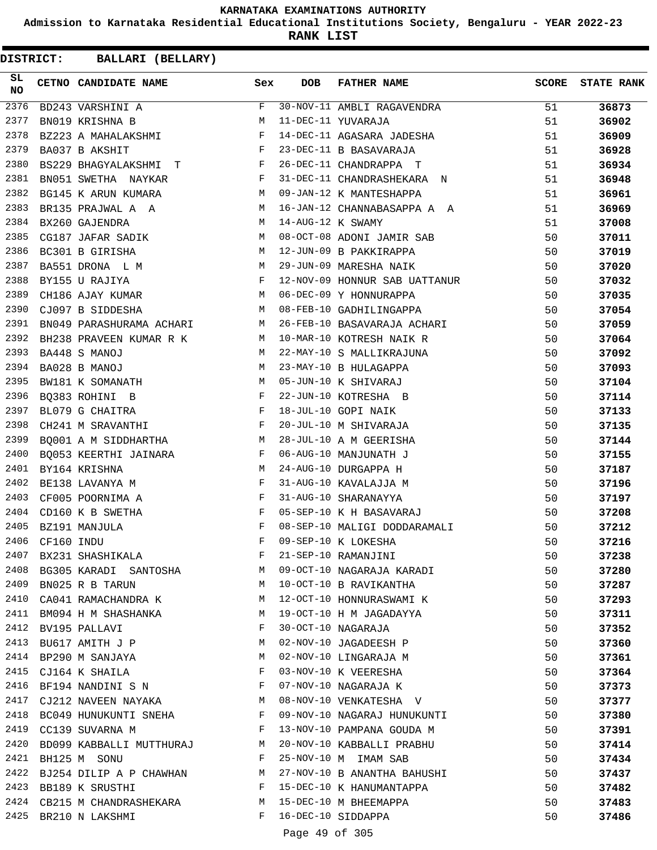**Admission to Karnataka Residential Educational Institutions Society, Bengaluru - YEAR 2022-23**

**RANK LIST**

| SL<br><b>NO</b> |            | CETNO CANDIDATE NAME                                                                                                                                                                                                                                      | Sex          | <b>DOB</b>        | FATHER NAME                   | <b>SCORE</b> | <b>STATE RANK</b> |
|-----------------|------------|-----------------------------------------------------------------------------------------------------------------------------------------------------------------------------------------------------------------------------------------------------------|--------------|-------------------|-------------------------------|--------------|-------------------|
| 2376            |            | BD243 VARSHINI A                                                                                                                                                                                                                                          | F            |                   | 30-NOV-11 AMBLI RAGAVENDRA    | 51           | 36873             |
| 2377            |            | BN019 KRISHNA B                                                                                                                                                                                                                                           | M            |                   | 11-DEC-11 YUVARAJA            | 51           | 36902             |
| 2378            |            | $\mathbb F$ . The set of the set of the set of the set of the set of the set of the set of the set of the set of the set of the set of the set of the set of the set of the set of the set of the set of the set of the set of the<br>BZ223 A MAHALAKSHMI |              |                   | 14-DEC-11 AGASARA JADESHA     | 51           | 36909             |
| 2379            |            | BA037 B AKSHIT                                                                                                                                                                                                                                            | F            |                   | 23-DEC-11 B BASAVARAJA        | 51           | 36928             |
| 2380            |            | BS229 BHAGYALAKSHMI T F                                                                                                                                                                                                                                   |              |                   | 26-DEC-11 CHANDRAPPA T        | 51           | 36934             |
| 2381            |            | $\mathbf{F}$ and $\mathbf{F}$ and $\mathbf{F}$<br>BN051 SWETHA NAYKAR                                                                                                                                                                                     |              |                   | 31-DEC-11 CHANDRASHEKARA N    | 51           | 36948             |
| 2382            |            | M <sub>1</sub><br>BG145 K ARUN KUMARA                                                                                                                                                                                                                     |              |                   | 09-JAN-12 K MANTESHAPPA       | 51           | 36961             |
| 2383            |            | BR135 PRAJWAL A A                                                                                                                                                                                                                                         | M            |                   | 16-JAN-12 CHANNABASAPPA A A   | 51           | 36969             |
| 2384            |            | BX260 GAJENDRA                                                                                                                                                                                                                                            | M            | 14-AUG-12 K SWAMY |                               | 51           | 37008             |
| 2385            |            | CG187 JAFAR SADIK                                                                                                                                                                                                                                         | M            |                   | 08-OCT-08 ADONI JAMIR SAB     | 50           | 37011             |
| 2386            |            | BC301 B GIRISHA                                                                                                                                                                                                                                           | M            |                   | 12-JUN-09 B PAKKIRAPPA        | 50           | 37019             |
| 2387            |            | BA551 DRONA L M                                                                                                                                                                                                                                           | <b>M</b>     |                   | 29-JUN-09 MARESHA NAIK        | 50           | 37020             |
| 2388            |            | $\begin{aligned} \mathbb{M} \\ \mathbb{F} \end{aligned}$<br>BY155 U RAJIYA                                                                                                                                                                                |              |                   | 12-NOV-09 HONNUR SAB UATTANUR | 50           | 37032             |
| 2389            |            | <b>M</b><br>CH186 AJAY KUMAR                                                                                                                                                                                                                              |              |                   | 06-DEC-09 Y HONNURAPPA        | 50           | 37035             |
| 2390            |            | M<br>CJ097 B SIDDESHA                                                                                                                                                                                                                                     |              |                   | 08-FEB-10 GADHILINGAPPA       | 50           | 37054             |
| 2391            |            | M<br>BN049 PARASHURAMA ACHARI                                                                                                                                                                                                                             |              |                   | 26-FEB-10 BASAVARAJA ACHARI   | 50           | 37059             |
| 2392            |            | BH238 PRAVEEN KUMAR R K M                                                                                                                                                                                                                                 |              |                   | 10-MAR-10 KOTRESH NAIK R      | 50           | 37064             |
| 2393            |            | BA448 S MANOJ                                                                                                                                                                                                                                             | M            |                   | 22-MAY-10 S MALLIKRAJUNA      | 50           | 37092             |
| 2394            |            | BA028 B MANOJ                                                                                                                                                                                                                                             | M            |                   | 23-MAY-10 B HULAGAPPA         | 50           | 37093             |
| 2395            |            | BW181 K SOMANATH                                                                                                                                                                                                                                          | M            |                   | 05-JUN-10 K SHIVARAJ          | 50           | 37104             |
| 2396            |            | $\mathbf{F} = \mathbf{F} \times \mathbf{F}$<br>BQ383 ROHINI B                                                                                                                                                                                             |              |                   | 22-JUN-10 KOTRESHA B          | 50           | 37114             |
| 2397            |            | $\mathbf{F}$<br>BL079 G CHAITRA                                                                                                                                                                                                                           |              |                   | 18-JUL-10 GOPI NAIK           | 50           | 37133             |
| 2398            |            | $\mathbf{F}$<br>CH241 M SRAVANTHI                                                                                                                                                                                                                         |              |                   | 20-JUL-10 M SHIVARAJA         | 50           | 37135             |
| 2399            |            | $\mathbf{M}$<br>BO001 A M SIDDHARTHA                                                                                                                                                                                                                      |              |                   | 28-JUL-10 A M GEERISHA        | 50           | 37144             |
| 2400            |            | BQ053 KEERTHI JAINARA F                                                                                                                                                                                                                                   |              |                   | 06-AUG-10 MANJUNATH J         | 50           | 37155             |
| 2401            |            | BY164 KRISHNA                                                                                                                                                                                                                                             | M            |                   | 24-AUG-10 DURGAPPA H          | 50           | 37187             |
| 2402            |            | $\mathbf{F}$ and $\mathbf{F}$ and $\mathbf{F}$<br>BE138 LAVANYA M                                                                                                                                                                                         |              |                   | 31-AUG-10 KAVALAJJA M         | 50           | 37196             |
| 2403            |            | CF005 POORNIMA A                                                                                                                                                                                                                                          | $\mathbf{F}$ |                   | 31-AUG-10 SHARANAYYA          | 50           | 37197             |
| 2404            |            | CD160 K B SWETHA                                                                                                                                                                                                                                          | F            |                   | 05-SEP-10 K H BASAVARAJ       | 50           | 37208             |
| 2405            |            | BZ191 MANJULA                                                                                                                                                                                                                                             | F            |                   | 08-SEP-10 MALIGI DODDARAMALI  | 50           | 37212             |
| 2406            | CF160 INDU |                                                                                                                                                                                                                                                           | F            |                   | 09-SEP-10 K LOKESHA           | 50           | 37216             |
| 2407            |            | BX231 SHASHIKALA                                                                                                                                                                                                                                          | F            |                   | 21-SEP-10 RAMANJINI           | 50           | 37238             |
| 2408            |            | BG305 KARADI SANTOSHA                                                                                                                                                                                                                                     | M            |                   | 09-OCT-10 NAGARAJA KARADI     | 50           | 37280             |
| 2409            |            | BN025 R B TARUN                                                                                                                                                                                                                                           | М            |                   | 10-OCT-10 B RAVIKANTHA        | 50           | 37287             |
| 2410            |            | CA041 RAMACHANDRA K                                                                                                                                                                                                                                       | M            |                   | 12-OCT-10 HONNURASWAMI K      | 50           | 37293             |
| 2411            |            | BM094 H M SHASHANKA                                                                                                                                                                                                                                       | M            |                   | 19-OCT-10 H M JAGADAYYA       | 50           | 37311             |
| 2412            |            | BV195 PALLAVI                                                                                                                                                                                                                                             | F            |                   | 30-OCT-10 NAGARAJA            | 50           | 37352             |
| 2413            |            | BU617 AMITH J P                                                                                                                                                                                                                                           | М            |                   | 02-NOV-10 JAGADEESH P         | 50           | 37360             |
| 2414            |            | BP290 M SANJAYA                                                                                                                                                                                                                                           | М            |                   | 02-NOV-10 LINGARAJA M         | 50           | 37361             |
| 2415            |            | CJ164 K SHAILA                                                                                                                                                                                                                                            | F            |                   | 03-NOV-10 K VEERESHA          | 50           | 37364             |
| 2416            |            | BF194 NANDINI S N                                                                                                                                                                                                                                         | F            |                   | 07-NOV-10 NAGARAJA K          | 50           | 37373             |
| 2417            |            | CJ212 NAVEEN NAYAKA                                                                                                                                                                                                                                       | M            |                   | 08-NOV-10 VENKATESHA V        | 50           | 37377             |
| 2418            |            | BC049 HUNUKUNTI SNEHA                                                                                                                                                                                                                                     | F            |                   | 09-NOV-10 NAGARAJ HUNUKUNTI   | 50           | 37380             |
| 2419            |            | CC139 SUVARNA M                                                                                                                                                                                                                                           | F            |                   | 13-NOV-10 PAMPANA GOUDA M     | 50           | 37391             |
| 2420            |            | BD099 KABBALLI MUTTHURAJ                                                                                                                                                                                                                                  | M            |                   | 20-NOV-10 KABBALLI PRABHU     | 50           | 37414             |
| 2421            |            | BH125 M SONU                                                                                                                                                                                                                                              | F            |                   | 25-NOV-10 M IMAM SAB          | 50           | 37434             |
| 2422            |            | BJ254 DILIP A P CHAWHAN                                                                                                                                                                                                                                   | М            |                   | 27-NOV-10 B ANANTHA BAHUSHI   | 50           | 37437             |
|                 |            | 2423 BB189 K SRUSTHI                                                                                                                                                                                                                                      | F            |                   | 15-DEC-10 K HANUMANTAPPA      | 50           | 37482             |
| 2424            |            | CB215 M CHANDRASHEKARA                                                                                                                                                                                                                                    | M            |                   | 15-DEC-10 M BHEEMAPPA         | 50           | 37483             |
| 2425            |            | BR210 N LAKSHMI                                                                                                                                                                                                                                           | F            |                   | 16-DEC-10 SIDDAPPA            | 50           | 37486             |
|                 |            |                                                                                                                                                                                                                                                           |              |                   |                               |              |                   |
|                 |            |                                                                                                                                                                                                                                                           |              | Page 49 of 305    |                               |              |                   |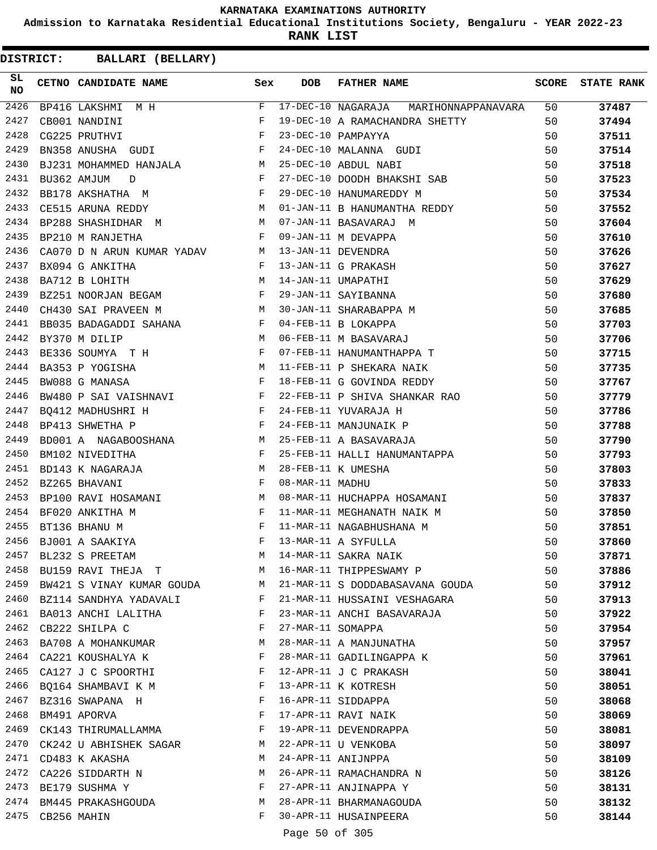**Admission to Karnataka Residential Educational Institutions Society, Bengaluru - YEAR 2022-23**

**RANK LIST**

**DISTRICT:** CC **BALLARI (BELLARY)**

| $\begin{array}{ccccc} \texttt{M} & \texttt{H} & & & \texttt{F} \\ & & \texttt{F} & & \texttt{F} \\ & & \texttt{F} & & \texttt{F} \\ & & \texttt{F} & & \end{array}$<br>2426<br>17-DEC-10 NAGARAJA MARIHONNAPPANAVARA 50<br>BP416 LAKSHMI M H<br>2427<br>19-DEC-10 A RAMACHANDRA SHETTY<br>CB001 NANDINI<br>2428<br>CG225 PRUTHVI<br>23-DEC-10 PAMPAYYA<br>BN358 ANUSHA GUDI F<br>24-DEC-10 MALANNA GUDI<br>2429<br>2430<br>25-DEC-10 ABDUL NABI | 50<br>50<br>50<br>50<br>50<br>37523<br>50<br>50 | 37487<br>37494<br>37511<br>37514<br>37518 |
|-------------------------------------------------------------------------------------------------------------------------------------------------------------------------------------------------------------------------------------------------------------------------------------------------------------------------------------------------------------------------------------------------------------------------------------------------|-------------------------------------------------|-------------------------------------------|
|                                                                                                                                                                                                                                                                                                                                                                                                                                                 |                                                 |                                           |
|                                                                                                                                                                                                                                                                                                                                                                                                                                                 |                                                 |                                           |
|                                                                                                                                                                                                                                                                                                                                                                                                                                                 |                                                 |                                           |
|                                                                                                                                                                                                                                                                                                                                                                                                                                                 |                                                 |                                           |
|                                                                                                                                                                                                                                                                                                                                                                                                                                                 |                                                 |                                           |
| BJ231 MOHAMMED HANJALA M<br>BU362 AMJUM D F<br>27-DEC-10 DOODH BHAKSHI SAB<br>2431                                                                                                                                                                                                                                                                                                                                                              |                                                 |                                           |
| $\mathbf{F}$<br>2432<br>29-DEC-10 HANUMAREDDY M<br>BB178 AKSHATHA M                                                                                                                                                                                                                                                                                                                                                                             |                                                 | 37534                                     |
| $\mathbb{M}$<br>01-JAN-11 B HANUMANTHA REDDY<br>2433<br>CE515 ARUNA REDDY                                                                                                                                                                                                                                                                                                                                                                       |                                                 | 37552                                     |
| BP288 SHASHIDHAR M<br>01-JAN-11 B HANUMANTHA REDDY<br>07-JAN-11 BASAVARAJ M<br>09-JAN-11 DEVAPPA<br>13-JAN-11 G PRAKASH<br>14-JAN-11 UMAPATHI<br>29-JAN-11 SAYIBANNA<br>30-JAN-11 SHARABAPPA M<br>04-FEB-11 B LOKAPPA<br>06-FEB-11 M BASAVARAJ<br>2434<br>M 07-JAN-11 BASAVARAJ M                                                                                                                                                               | 50                                              | 37604                                     |
| 2435<br>BP210 M RANJETHA<br>$\mathbf{F}$ and $\mathbf{F}$ and $\mathbf{F}$                                                                                                                                                                                                                                                                                                                                                                      | 50                                              | 37610                                     |
| 2436<br>CA070 D N ARUN KUMAR YADAV M                                                                                                                                                                                                                                                                                                                                                                                                            | 50                                              | 37626                                     |
| $\mathbb F$ . The set of $\mathbb F$<br>2437<br>BX094 G ANKITHA                                                                                                                                                                                                                                                                                                                                                                                 | 50                                              | 37627                                     |
| BA712 B LOHITH M<br>BZ251 NOORJAN BEGAM F<br>2438                                                                                                                                                                                                                                                                                                                                                                                               | 50                                              | 37629                                     |
| 2439                                                                                                                                                                                                                                                                                                                                                                                                                                            | 50                                              | 37680                                     |
| <b>M</b><br>2440<br>CH430 SAI PRAVEEN M                                                                                                                                                                                                                                                                                                                                                                                                         | 50                                              | 37685                                     |
| 2441                                                                                                                                                                                                                                                                                                                                                                                                                                            | 50                                              | 37703                                     |
| BB035 BADAGADDI SAHANA F<br>BY370 M DILIP M<br>2442                                                                                                                                                                                                                                                                                                                                                                                             | 50                                              | 37706                                     |
| BE336 SOUMYA T H<br>07-FEB-11 HANUMANTHAPPA T<br>2443                                                                                                                                                                                                                                                                                                                                                                                           | 50                                              | 37715                                     |
| M <sub>N</sub><br>2444<br>11-FEB-11 P SHEKARA NAIK<br>BA353 P YOGISHA                                                                                                                                                                                                                                                                                                                                                                           | 50                                              | 37735                                     |
| $\mathbf{F}$<br>18-FEB-11 G GOVINDA REDDY<br>2445<br>BW088 G MANASA                                                                                                                                                                                                                                                                                                                                                                             | 50                                              | 37767                                     |
| 2446<br>22-FEB-11 P SHIVA SHANKAR RAO                                                                                                                                                                                                                                                                                                                                                                                                           | 50                                              | 37779                                     |
| BW480 P SAI VAISHNAVI F<br>BQ412 MADHUSHRI H F F<br>2447                                                                                                                                                                                                                                                                                                                                                                                        | 50                                              | 37786                                     |
| 24-FEB-11 YUVARAJA H<br>24-FEB-11 MANJUNAIK P<br>$\mathbf{F}$<br>2448<br>BP413 SHWETHA P                                                                                                                                                                                                                                                                                                                                                        | 50                                              | 37788                                     |
| 25-FEB-11 A BASAVARAJA<br>2449                                                                                                                                                                                                                                                                                                                                                                                                                  | 50                                              | 37790                                     |
| $\begin{tabular}{lllllll} \multicolumn{2}{l}{{\bf B}D001 & A & NAGABOOSHANA} & & & & {\bf M} \\ & & & & {\bf B}M102 & NIVEDITHA & & & {\bf F} \\ \end{tabular}$<br>25-FEB-11 HALLI HANUMANTAPPA<br>2450                                                                                                                                                                                                                                         | 50                                              | 37793                                     |
| BD143 K NAGARAJA M<br>2451<br>28-FEB-11 K UMESHA                                                                                                                                                                                                                                                                                                                                                                                                | 50                                              | 37803                                     |
| $\mathbf{F}$ and $\mathbf{F}$ and $\mathbf{F}$<br>2452<br>08-MAR-11 MADHU<br>BZ265 BHAVANI                                                                                                                                                                                                                                                                                                                                                      | 50                                              | 37833                                     |
| BP100 RAVI HOSAMANI M<br>08-MAR-11 HUCHAPPA HOSAMANI<br>2453                                                                                                                                                                                                                                                                                                                                                                                    | 50                                              | 37837                                     |
| $\begin{array}{ccc} & & & \cdot & \cdot \\ & & & \mathbf{F} \\ & & & \mathbf{F} \\ & & & \mathbf{F} \end{array}$<br>2454<br>BF020 ANKITHA M                                                                                                                                                                                                                                                                                                     | 50                                              | 37850                                     |
| 11-MAR-11 MEGHANATH NAIK M<br>2455<br>BT136 BHANU M<br>11-MAR-11 NAGABHUSHANA M                                                                                                                                                                                                                                                                                                                                                                 | 50                                              | 37851                                     |
| 2456<br>13-MAR-11 A SYFULLA<br>BJ001 A SAAKIYA                                                                                                                                                                                                                                                                                                                                                                                                  | 50                                              | 37860                                     |
| 2457<br>14-MAR-11 SAKRA NAIK<br>BL232 S PREETAM<br>М                                                                                                                                                                                                                                                                                                                                                                                            | 50                                              | 37871                                     |
| 2458<br>16-MAR-11 THIPPESWAMY P<br>BU159 RAVI THEJA T<br>M                                                                                                                                                                                                                                                                                                                                                                                      | 50                                              | 37886                                     |
| 2459<br>21-MAR-11 S DODDABASAVANA GOUDA<br>BW421 S VINAY KUMAR GOUDA<br>M                                                                                                                                                                                                                                                                                                                                                                       | 50                                              | 37912                                     |
| 2460<br>BZ114 SANDHYA YADAVALI<br>21-MAR-11 HUSSAINI VESHAGARA<br>F                                                                                                                                                                                                                                                                                                                                                                             | 50                                              | 37913                                     |
| 2461<br>BA013 ANCHI LALITHA<br>23-MAR-11 ANCHI BASAVARAJA<br>F                                                                                                                                                                                                                                                                                                                                                                                  | 50                                              |                                           |
| 2462<br>F<br>27-MAR-11 SOMAPPA<br>CB222 SHILPA C                                                                                                                                                                                                                                                                                                                                                                                                |                                                 | 37922                                     |
| 2463<br>BA708 A MOHANKUMAR<br>28-MAR-11 A MANJUNATHA<br>M                                                                                                                                                                                                                                                                                                                                                                                       | 50<br>50                                        | 37954                                     |
| 2464<br>CA221 KOUSHALYA K<br>F<br>28-MAR-11 GADILINGAPPA K                                                                                                                                                                                                                                                                                                                                                                                      | 50                                              | 37957                                     |
| 2465<br>12-APR-11 J C PRAKASH<br>F                                                                                                                                                                                                                                                                                                                                                                                                              |                                                 | 37961                                     |
| CA127 J C SPOORTHI<br>2466<br>F<br>13-APR-11 K KOTRESH                                                                                                                                                                                                                                                                                                                                                                                          | 50                                              | 38041                                     |
| BQ164 SHAMBAVI K M                                                                                                                                                                                                                                                                                                                                                                                                                              | 50                                              | 38051                                     |
| 2467<br>16-APR-11 SIDDAPPA<br>BZ316 SWAPANA H<br>F<br>F                                                                                                                                                                                                                                                                                                                                                                                         | 50                                              | 38068                                     |
| 2468<br>17-APR-11 RAVI NAIK<br>BM491 APORVA                                                                                                                                                                                                                                                                                                                                                                                                     | 50                                              | 38069                                     |
| 2469<br>19-APR-11 DEVENDRAPPA<br>F<br>CK143 THIRUMALLAMMA                                                                                                                                                                                                                                                                                                                                                                                       | 50                                              | 38081                                     |
| 2470<br>22-APR-11 U VENKOBA<br>CK242 U ABHISHEK SAGAR<br>M                                                                                                                                                                                                                                                                                                                                                                                      | 50                                              | 38097                                     |
| 2471<br>24-APR-11 ANIJNPPA<br>CD483 K AKASHA<br>M                                                                                                                                                                                                                                                                                                                                                                                               | 50                                              | 38109                                     |
| 2472<br>26-APR-11 RAMACHANDRA N<br>CA226 SIDDARTH N<br>M                                                                                                                                                                                                                                                                                                                                                                                        | 50                                              | 38126                                     |
| 2473<br>27-APR-11 ANJINAPPA Y<br>BE179 SUSHMA Y<br>F                                                                                                                                                                                                                                                                                                                                                                                            | 50                                              | 38131                                     |
| 2474 BM445 PRAKASHGOUDA<br>28-APR-11 BHARMANAGOUDA<br>M                                                                                                                                                                                                                                                                                                                                                                                         | 50                                              | 38132                                     |
| 2475<br>30-APR-11 HUSAINPEERA<br>CB256 MAHIN<br>F<br>$\overline{a}$ $\overline{a}$ $\overline{a}$ $\overline{a}$ $\overline{a}$ $\overline{a}$ $\overline{a}$ $\overline{a}$ $\overline{a}$ $\overline{a}$ $\overline{a}$ $\overline{a}$ $\overline{a}$ $\overline{a}$ $\overline{a}$ $\overline{a}$ $\overline{a}$ $\overline{a}$ $\overline{a}$ $\overline{a}$ $\overline{a}$ $\overline{a}$ $\overline{a}$ $\overline{a}$ $\overline{$       | 50                                              | 38144                                     |

Page 50 of 305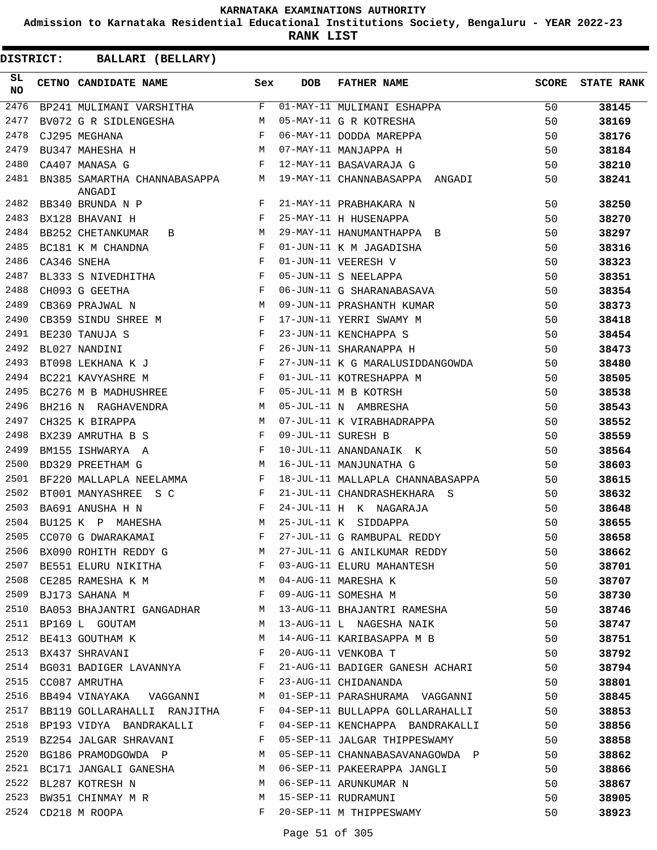**Admission to Karnataka Residential Educational Institutions Society, Bengaluru - YEAR 2022-23**

**RANK LIST**

| SL<br><b>NO</b> | CETNO CANDIDATE NAME Sex                                                                                                                                                                                                                               |              | <b>DOB</b> | <b>FATHER NAME</b>               | SCORE | <b>STATE RANK</b> |
|-----------------|--------------------------------------------------------------------------------------------------------------------------------------------------------------------------------------------------------------------------------------------------------|--------------|------------|----------------------------------|-------|-------------------|
| 2476            | $\texttt{BP241 } \texttt{MULTMANI} \texttt{ VARSHITHA} \texttt{F}$                                                                                                                                                                                     |              |            | 01-MAY-11 MULIMANI ESHAPPA       | 50    | 38145             |
| 2477            | BV072 G R SIDLENGESHA M                                                                                                                                                                                                                                |              |            | 05-MAY-11 G R KOTRESHA           | 50    | 38169             |
| 2478            | $\mathbb F$ . The set of $\mathbb F$<br>CJ295 MEGHANA                                                                                                                                                                                                  |              |            | 06-MAY-11 DODDA MAREPPA          | 50    | 38176             |
| 2479            | M<br>BU347 MAHESHA H                                                                                                                                                                                                                                   |              |            | 07-MAY-11 MANJAPPA H             | 50    | 38184             |
| 2480            | $\mathbf{F}$ and $\mathbf{F}$ and $\mathbf{F}$<br>CA407 MANASA G                                                                                                                                                                                       |              |            | 12-MAY-11 BASAVARAJA G           | 50    | 38210             |
| 2481            | BN385 SAMARTHA CHANNABASAPPA M<br>ANGADI                                                                                                                                                                                                               |              |            | 19-MAY-11 CHANNABASAPPA ANGADI   | 50    | 38241             |
| 2482            | BB340 BRUNDA N P                                                                                                                                                                                                                                       | F            |            | 21-MAY-11 PRABHAKARA N           | 50    | 38250             |
| 2483            | <b>Example 2005</b> For the Second Street<br>BX128 BHAVANI H                                                                                                                                                                                           |              |            | 25-MAY-11 H HUSENAPPA            | 50    | 38270             |
| 2484            | M<br><b>BB252 CHETANKUMAR</b><br>B                                                                                                                                                                                                                     |              |            | 29-MAY-11 HANUMANTHAPPA B        | 50    | 38297             |
| 2485            | $\mathbf{F}$ and $\mathbf{F}$<br>BC181 K M CHANDNA                                                                                                                                                                                                     |              |            | 01-JUN-11 K M JAGADISHA          | 50    | 38316             |
| 2486            | <b>Example 2</b> F<br>CA346 SNEHA                                                                                                                                                                                                                      |              |            | 01-JUN-11 VEERESH V              | 50    | 38323             |
| 2487            | BL333 S NIVEDHITHA F                                                                                                                                                                                                                                   |              |            | 05-JUN-11 S NEELAPPA             | 50    | 38351             |
| 2488            | $\mathbb{F}$<br>CH093 G GEETHA                                                                                                                                                                                                                         |              |            | 06-JUN-11 G SHARANABASAVA        | 50    | 38354             |
| 2489            | M<br>CB369 PRAJWAL N                                                                                                                                                                                                                                   |              |            | 09-JUN-11 PRASHANTH KUMAR        | 50    | 38373             |
| 2490            | $\mathbf{F}$ and $\mathbf{F}$ are $\mathbf{F}$<br>CB359 SINDU SHREE M                                                                                                                                                                                  |              |            | 17-JUN-11 YERRI SWAMY M          | 50    | 38418             |
| 2491            | $\mathbb{R}^n$ . The set of the $\mathbb{R}^n$<br>BE230 TANUJA S                                                                                                                                                                                       |              |            | 23-JUN-11 KENCHAPPA S            | 50    | 38454             |
| 2492            | $\mathbf{F}$<br>BL027 NANDINI                                                                                                                                                                                                                          |              |            | 26-JUN-11 SHARANAPPA H           | 50    | 38473             |
| 2493            | $\mathbf{F}$<br>BT098 LEKHANA K J                                                                                                                                                                                                                      |              |            | 27-JUN-11 K G MARALUSIDDANGOWDA  | 50    | 38480             |
| 2494            | $\mathbf{F}$ and the set of the set of the set of the set of the set of the set of the set of the set of the set of the set of the set of the set of the set of the set of the set of the set of the set of the set of the set of<br>BC221 KAVYASHRE M |              |            | 01-JUL-11 KOTRESHAPPA M          | 50    | 38505             |
| 2495            | BC276 M B MADHUSHREE F                                                                                                                                                                                                                                 |              |            | 05-JUL-11 M B KOTRSH             | 50    | 38538             |
| 2496            | M<br>BH216 N RAGHAVENDRA                                                                                                                                                                                                                               |              |            | 05-JUL-11 N AMBRESHA             | 50    | 38543             |
| 2497            | CH325 K BIRAPPA<br>M <sub>1</sub>                                                                                                                                                                                                                      |              |            | 07-JUL-11 K VIRABHADRAPPA        | 50    | 38552             |
| 2498            | $\mathbf{F}$ and the state of the state $\mathbf{F}$<br>BX239 AMRUTHA B S                                                                                                                                                                              |              |            | 09-JUL-11 SURESH B               | 50    | 38559             |
| 2499            | $\mathbf{F}$ and $\mathbf{F}$ and $\mathbf{F}$<br>BM155 ISHWARYA A                                                                                                                                                                                     |              |            | 10-JUL-11 ANANDANAIK K           | 50    | 38564             |
| 2500            | BD329 PREETHAM G                                                                                                                                                                                                                                       | M            |            | 16-JUL-11 MANJUNATHA G           | 50    | 38603             |
| 2501            | BF220 MALLAPLA NEELAMMA<br>$\mathbf{F}$ and $\mathbf{F}$                                                                                                                                                                                               |              |            | 18-JUL-11 MALLAPLA CHANNABASAPPA | 50    | 38615             |
| 2502            | BT001 MANYASHREE S C<br>$\mathbf{F}$ and $\mathbf{F}$ . The set of $\mathbf{F}$                                                                                                                                                                        |              |            | 21-JUL-11 CHANDRASHEKHARA S      | 50    | 38632             |
| 2503            | $\mathbf{F}$<br>BA691 ANUSHA H N                                                                                                                                                                                                                       |              |            | 24-JUL-11 H K NAGARAJA           | 50    | 38648             |
| 2504            | BU125 K P MAHESHA                                                                                                                                                                                                                                      | M            |            | 25-JUL-11 K SIDDAPPA             | 50    | 38655             |
| 2505            | CC070 G DWARAKAMAI                                                                                                                                                                                                                                     | F            |            | 27-JUL-11 G RAMBUPAL REDDY       | 50    | 38658             |
| 2506            | BX090 ROHITH REDDY G                                                                                                                                                                                                                                   | М            |            | 27-JUL-11 G ANILKUMAR REDDY      | 50    | 38662             |
| 2507            | BE551 ELURU NIKITHA F                                                                                                                                                                                                                                  |              |            | 03-AUG-11 ELURU MAHANTESH        | 50    | 38701             |
| 2508            | CE285 RAMESHA K M<br>BJ173 SAHANA M                                                                                                                                                                                                                    |              |            | 04-AUG-11 MARESHA K              | 50    | 38707             |
| 2509            |                                                                                                                                                                                                                                                        |              |            | 09-AUG-11 SOMESHA M              | 50    | 38730             |
| 2510            | BA053 BHAJANTRI GANGADHAR M                                                                                                                                                                                                                            |              |            | 13-AUG-11 BHAJANTRI RAMESHA      | 50    | 38746             |
| 2511            | <b>M</b><br>BP169 L GOUTAM                                                                                                                                                                                                                             |              |            | 13-AUG-11 L NAGESHA NAIK         | 50    | 38747             |
| 2512            | BE413 GOUTHAM K                                                                                                                                                                                                                                        | M            |            | 14-AUG-11 KARIBASAPPA M B        | 50    | 38751             |
| 2513            | BX437 SHRAVANI                                                                                                                                                                                                                                         | $\mathbf{F}$ |            | 20-AUG-11 VENKOBA T              | 50    | 38792             |
| 2514            | BG031 BADIGER LAVANNYA                                                                                                                                                                                                                                 | $\mathbf{F}$ |            | 21-AUG-11 BADIGER GANESH ACHARI  | 50    | 38794             |
| 2515            | CC087 AMRUTHA                                                                                                                                                                                                                                          | F            |            | 23-AUG-11 CHIDANANDA             | 50    | 38801             |
| 2516            | BB494 VINAYAKA   VAGGANNI                                                                                                                                                                                                                              | М            |            | 01-SEP-11 PARASHURAMA VAGGANNI   | 50    | 38845             |
| 2517            | BB119 GOLLARAHALLI RANJITHA                                                                                                                                                                                                                            | F            |            | 04-SEP-11 BULLAPPA GOLLARAHALLI  | 50    | 38853             |
| 2518            | BP193 VIDYA BANDRAKALLI                                                                                                                                                                                                                                | F            |            | 04-SEP-11 KENCHAPPA BANDRAKALLI  | 50    | 38856             |
| 2519            | BZ254 JALGAR SHRAVANI                                                                                                                                                                                                                                  | F            |            | 05-SEP-11 JALGAR THIPPESWAMY     | 50    | 38858             |
| 2520            | BG186 PRAMODGOWDA P                                                                                                                                                                                                                                    | M            |            | 05-SEP-11 CHANNABASAVANAGOWDA P  | 50    | 38862             |
| 2521            | BC171 JANGALI GANESHA                                                                                                                                                                                                                                  | M            |            | 06-SEP-11 PAKEERAPPA JANGLI      | 50    | 38866             |
| 2522            | BL287 KOTRESH N                                                                                                                                                                                                                                        | М            |            | 06-SEP-11 ARUNKUMAR N            | 50    | 38867             |
| 2523            | BW351 CHINMAY M R                                                                                                                                                                                                                                      | M            |            | 15-SEP-11 RUDRAMUNI              | 50    | 38905             |
|                 | 2524 CD218 M ROOPA                                                                                                                                                                                                                                     | F            |            | 20-SEP-11 M THIPPESWAMY          | 50    | 38923             |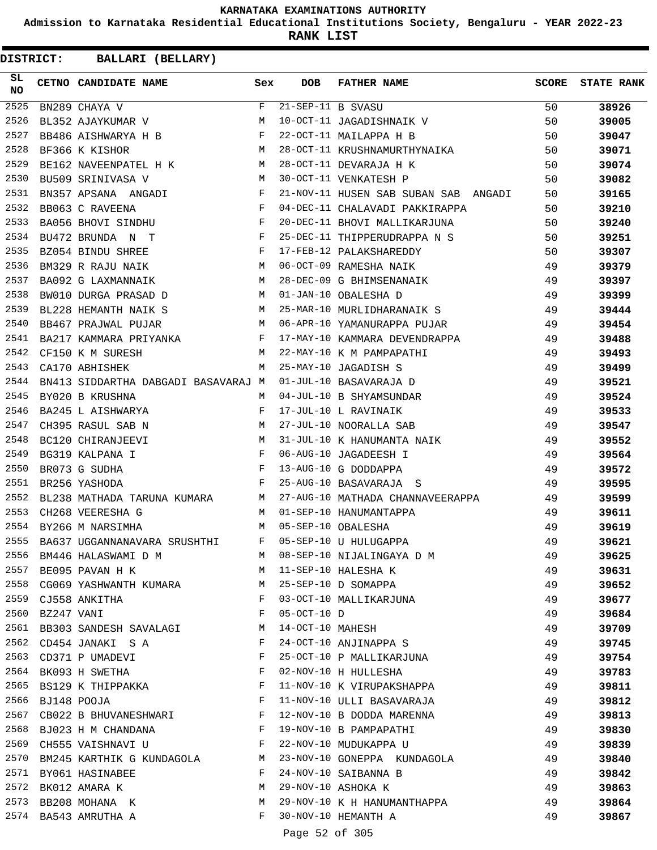**Admission to Karnataka Residential Educational Institutions Society, Bengaluru - YEAR 2022-23**

**RANK LIST**

**DISTRICT:** CC **BALLARI (BELLARY)**

| SL<br>NO |                 | CETNO CANDIDATE NAME Sex                                                                                    |              | <b>DOB</b>    | FATHER NAME                                                       | SCORE    | <b>STATE RANK</b> |
|----------|-----------------|-------------------------------------------------------------------------------------------------------------|--------------|---------------|-------------------------------------------------------------------|----------|-------------------|
| 2525     |                 | $BN289$ CHAYA V                                                                                             | $F$ and $F$  |               | 21-SEP-11 B SVASU<br>10-OCT-11 JAGADISHNAIK V                     | 50       | 38926             |
| 2526     |                 | BL352 AJAYKUMAR V M                                                                                         |              |               |                                                                   | 50       | 39005             |
| 2527     |                 | BB486 AISHWARYA H B F                                                                                       |              |               | 22-OCT-11 MAILAPPA H B                                            | 50       | 39047             |
| 2528     |                 | M<br>BF366 K KISHOR                                                                                         |              |               | 28-OCT-11 KRUSHNAMURTHYNAIKA<br>28-OCT-11 DEVARAJA H K            | 50       | 39071             |
| 2529     |                 | BE162 NAVEENPATEL H K M                                                                                     |              |               |                                                                   | 50       | 39074             |
| 2530     |                 | <b>M</b><br>BU509 SRINIVASA V                                                                               |              |               | 30-OCT-11 VENKATESH P                                             | 50       | 39082             |
| 2531     |                 | BN357 APSANA ANGADI $$\rm F$$                                                                               |              |               | 21-NOV-11 HUSEN SAB SUBAN SAB ANGADI                              | 50       | 39165             |
| 2532     |                 | $\begin{array}{ccccc} & & & & \text{F} & \\ \text{HU} & & & & \text{F} & \\ \end{array}$<br>BB063 C RAVEENA |              |               | 04-DEC-11 CHALAVADI PAKKIRAPPA                                    | 50       | 39210             |
| 2533     |                 | BA056 BHOVI SINDHU                                                                                          |              |               | 20-DEC-11 BHOVI MALLIKARJUNA                                      | 50       | 39240             |
| 2534     |                 | $\mathbf{F}$ and $\mathbf{F}$ are $\mathbf{F}$ . In the set of $\mathbf{F}$<br>BU472 BRUNDA N T             |              |               | 25-DEC-11 THIPPERUDRAPPA N S                                      | 50       | 39251             |
| 2535     |                 | $\mathbb F$<br>BZ054 BINDU SHREE                                                                            |              |               | 17-FEB-12 PALAKSHAREDDY<br>06-OCT-09 RAMESHA NAIK                 | 50       | 39307             |
| 2536     |                 | M<br>BM329 R RAJU NAIK                                                                                      |              |               |                                                                   | 49       | 39379             |
| 2537     |                 | BA092 G LAXMANNAIK M                                                                                        |              |               |                                                                   |          | 39397             |
| 2538     |                 | BW010 DURGA PRASAD D M                                                                                      |              |               | 28-DEC-09 G BHIMSENANAIK 49<br>01-JAN-10 OBALESHA D 49            |          | 39399             |
| 2539     |                 | BL228 HEMANTH NAIK S M                                                                                      |              |               | 25-MAR-10 MURLIDHARANAIK S 49                                     |          | 39444             |
| 2540     |                 | BB467 PRAJWAL PUJAR                                                                                         |              |               | M 06-APR-10 YAMANURAPPA PUJAR                                     | 49       | 39454             |
| 2541     |                 |                                                                                                             |              |               | BA217 KAMMARA PRIYANKA $F$ 17-MAY-10 KAMMARA DEVENDRAPPA 49       |          | 39488             |
| 2542     |                 | M <sub>1</sub><br>CF150 K M SURESH                                                                          |              |               | 22-MAY-10 K M PAMPAPATHI 49                                       |          | 39493             |
| 2543     |                 | M<br>CA170 ABHISHEK                                                                                         |              |               |                                                                   | 49       | 39499             |
| 2544     |                 | BN413 SIDDARTHA DABGADI BASAVARAJ M                                                                         |              |               | 25-MAY-10 JAGADISH S<br>01-JUL-10 BASAVARAJA D                    | 49       | 39521             |
| 2545     |                 | BY020 B KRUSHNA                                                                                             | M            |               | 04-JUL-10 B SHYAMSUNDAR                                           | 49       | 39524             |
| 2546     |                 | BA245 L AISHWARYA F                                                                                         |              |               | 17-JUL-10 L RAVINAIK                                              | 49       | 39533             |
| 2547     |                 | CH395 RASUL SAB N M                                                                                         |              |               | 27-JUL-10 NOORALLA SAB                                            | 49       | 39547             |
| 2548     |                 |                                                                                                             |              |               | M 31-JUL-10 K HANUMANTA NAIK                                      | 49       | 39552             |
| 2549     |                 | BC120 CHIRANJEEVI M<br>BG319 KALPANA I F                                                                    |              |               | 06-AUG-10 JAGADEESH I                                             | 49       | 39564             |
| 2550     |                 | BR073 G SUDHA                                                                                               |              |               | 13-AUG-10 G DODDAPPA                                              | 49       | 39572             |
| 2551     |                 | $\begin{array}{c}\n\text{F} \\ \text{F}\n\end{array}$<br>BR256 YASHODA                                      |              |               | 49<br>25-AUG-10 BASAVARAJA S                                      |          | 39595             |
| 2552     |                 |                                                                                                             |              |               | BL238 MATHADA TARUNA KUMARA M 27-AUG-10 MATHADA CHANNAVEERAPPA 49 |          | 39599             |
| 2553     |                 | M 01-SEP-10 HANUMANTAPPA<br>CH268 VEERESHA G                                                                |              |               |                                                                   | 49       | 39611             |
| 2554     |                 | M 05-SEP-10 OBALESHA<br>BY266 M NARSIMHA                                                                    |              |               |                                                                   | 49       | 39619             |
| 2555     |                 | $\mathbf{F}$ . The $\mathbf{F}$<br>BA637 UGGANNANAVARA SRUSHTHI                                             |              |               | 05-SEP-10 U HULUGAPPA                                             | 49       | 39621             |
| 2556     |                 | BM446 HALASWAMI D M                                                                                         | M            |               | 08-SEP-10 NIJALINGAYA D M                                         | 49       | 39625             |
| 2557     |                 | BE095 PAVAN H K<br><b>M</b>                                                                                 |              |               | 11-SEP-10 HALESHA K                                               | 49       | 39631             |
| 2558     |                 | CG069 YASHWANTH KUMARA M                                                                                    |              |               | 25-SEP-10 D SOMAPPA                                               | 49       | 39652             |
| 2559     |                 | CJ558 ANKITHA                                                                                               | F            |               | 03-OCT-10 MALLIKARJUNA                                            | 49       | 39677             |
|          | 2560 BZ247 VANI |                                                                                                             | F            | $05-0CT-10$ D |                                                                   | 49       | 39684             |
| 2561     |                 | BB303 SANDESH SAVALAGI                                                                                      | M            |               | 14-OCT-10 MAHESH                                                  | 49       |                   |
| 2562     |                 | CD454 JANAKI S A                                                                                            | F            |               | 24-OCT-10 ANJINAPPA S                                             | 49       | 39709             |
| 2563     |                 |                                                                                                             | F            |               | 25-OCT-10 P MALLIKARJUNA                                          | 49       | 39745             |
|          |                 | CD371 P UMADEVI<br>2564 BK093 H SWETHA                                                                      | F            |               | 02-NOV-10 H HULLESHA                                              |          | 39754             |
|          |                 |                                                                                                             | F            |               |                                                                   | 49<br>49 | 39783             |
|          |                 | 2565 BS129 K THIPPAKKA                                                                                      |              |               | 11-NOV-10 K VIRUPAKSHAPPA                                         |          | 39811             |
| 2566     |                 | BJ148 POOJA                                                                                                 | F            |               | 11-NOV-10 ULLI BASAVARAJA                                         | 49       | 39812             |
| 2567     |                 | CB022 B BHUVANESHWARI F                                                                                     |              |               | 12-NOV-10 B DODDA MARENNA                                         | 49       | 39813             |
|          |                 | 2568 BJ023 H M CHANDANA                                                                                     | F            |               | 19-NOV-10 B PAMPAPATHI                                            | 49       | 39830             |
| 2569     |                 | CH555 VAISHNAVI U                                                                                           | $\mathbf{F}$ |               | 22-NOV-10 MUDUKAPPA U                                             | 49       | 39839             |
| 2570     |                 | BM245 KARTHIK G KUNDAGOLA                                                                                   | M            |               | 23-NOV-10 GONEPPA KUNDAGOLA                                       | 49       | 39840             |
| 2571     |                 | BY061 HASINABEE                                                                                             | F            |               | 24-NOV-10 SAIBANNA B                                              | 49       | 39842             |
|          |                 | 2572 BK012 AMARA K                                                                                          | М            |               | 29-NOV-10 ASHOKA K                                                | 49       | 39863             |
|          |                 | 2573 BB208 MOHANA K                                                                                         | M            |               | 29-NOV-10 K H HANUMANTHAPPA                                       | 49       | 39864             |
|          |                 | 2574 BA543 AMRUTHA A                                                                                        | F            |               | 30-NOV-10 HEMANTH A                                               | 49       | 39867             |

Page 52 of 305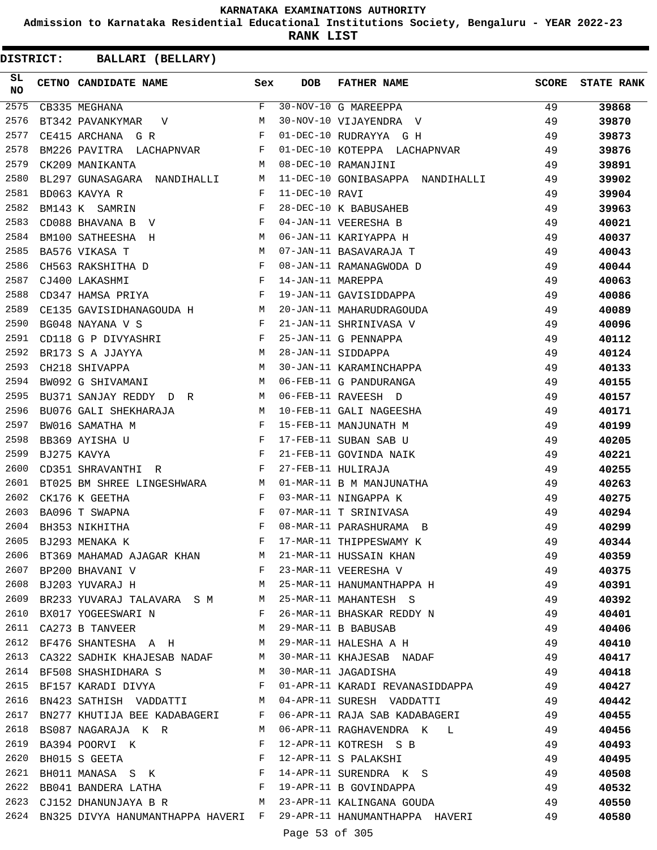**Admission to Karnataka Residential Educational Institutions Society, Bengaluru - YEAR 2022-23**

**RANK LIST**

| SL<br>NO | CETNO CANDIDATE NAME Sex                                                         |                | <b>DOB</b>        | <b>FATHER NAME</b>                                    | SCORE | <b>STATE RANK</b> |
|----------|----------------------------------------------------------------------------------|----------------|-------------------|-------------------------------------------------------|-------|-------------------|
| 2575     | CB335 MEGHANA                                                                    | F              |                   | 30-NOV-10 G MAREEPPA<br>30-NOV-10 VIJAYENDRA V        | 49    | 39868             |
| 2576     | BT342 PAVANKYMAR V                                                               | M              |                   |                                                       | 49    | 39870             |
| 2577     | $\mathbf{F}$ . The contract of the contract of $\mathbf{F}$<br>CE415 ARCHANA G R |                |                   | 01-DEC-10 RUDRAYYA G H                                | 49    | 39873             |
| 2578     | BM226 PAVITRA LACHAPNVAR F                                                       |                |                   | 01-DEC-10 KOTEPPA LACHAPNVAR                          | - 49  | 39876             |
| 2579     | CK209 MANIKANTA                                                                  | <b>M</b>       |                   | 08-DEC-10 RAMANJINI                                   | -49   | 39891             |
| 2580     | BL297 GUNASAGARA NANDIHALLI M                                                    |                |                   | 11-DEC-10 GONIBASAPPA NANDIHALLI 49                   |       | 39902             |
| 2581     | BD063 KAVYA R                                                                    | $\mathbf{F}$   | 11-DEC-10 RAVI    |                                                       | 49    | 39904             |
| 2582     | BM143 K SAMRIN                                                                   | $\mathbf{F}$   |                   | 28-DEC-10 K BABUSAHEB                                 | 49    | 39963             |
| 2583     | CD088 BHAVANA B V                                                                | F              |                   | 04-JAN-11 VEERESHA B                                  | 49    | 40021             |
| 2584     | BM100 SATHEESHA H<br><b>Example 19</b> M                                         |                |                   | 06-JAN-11 KARIYAPPA H                                 | 49    | 40037             |
| 2585     | BA576 VIKASA T                                                                   | M              |                   | 07-JAN-11 BASAVARAJA T                                | 49    | 40043             |
| 2586     | CH563 RAKSHITHA D<br>CJ400 LAKASHMI F                                            |                |                   | 08-JAN-11 RAMANAGWODA D                               | 49    | 40044             |
| 2587     |                                                                                  |                | 14-JAN-11 MAREPPA |                                                       | 49    | 40063             |
| 2588     | $\mathbf{F}$ and $\mathbf{F}$ are the set of $\mathbf{F}$<br>CD347 HAMSA PRIYA   |                |                   | 19-JAN-11 GAVISIDDAPPA                                | 49    | 40086             |
| 2589     | CE135 GAVISIDHANAGOUDA H M                                                       |                |                   | 20-JAN-11 MAHARUDRAGOUDA                              | 49    | 40089             |
| 2590     | $\mathbf{F}$<br>BG048 NAYANA V S                                                 |                |                   | 21-JAN-11 SHRINIVASA V                                | 49    | 40096             |
| 2591     | CD118 G P DIVYASHRI F                                                            |                |                   | 25-JAN-11 G PENNAPPA                                  | 49    | 40112             |
| 2592     | BR173 S A JJAYYA<br>$M_{\odot}$                                                  |                |                   | 28-JAN-11 SIDDAPPA                                    | 49    | 40124             |
| 2593     | CH218 SHIVAPPA                                                                   | M              |                   | 30-JAN-11 KARAMINCHAPPA                               | 49    | 40133             |
| 2594     | $M_{\rm H}$ and $M_{\rm H}$<br>BW092 G SHIVAMANI                                 |                |                   | 06-FEB-11 G PANDURANGA                                | 49    | 40155             |
| 2595     | BU371 SANJAY REDDY DR M                                                          |                |                   | 06-FEB-11 RAVEESH D                                   | 49    | 40157             |
| 2596     | BU076 GALI SHEKHARAJA M                                                          |                |                   | 10-FEB-11 GALI NAGEESHA                               | 49    | 40171             |
| 2597     | $\mathbf{F}$ and $\mathbf{F}$ and $\mathbf{F}$<br>BW016 SAMATHA M                |                |                   | 15-FEB-11 MANJUNATH M                                 | 49    | 40199             |
| 2598     | BB369 AYISHA U                                                                   |                |                   | 17-FEB-11 SUBAN SAB U                                 | 49    | 40205             |
| 2599     | BJ275 KAVYA                                                                      | $\mathbf{F}$   |                   | 21-FEB-11 GOVINDA NAIK                                | 49    | 40221             |
| 2600     | $\mathbf{F}$ and the state of the state $\mathbf{F}$<br>CD351 SHRAVANTHI R       |                |                   | 27-FEB-11 HULIRAJA                                    | 49    | 40255             |
| 2601     | BT025 BM SHREE LINGESHWARA M                                                     |                |                   | 01-MAR-11 B M MANJUNATHA                              | 49    | 40263             |
| 2602     | CK176 K GEETHA                                                                   | $\mathbf{F}$   |                   | 03-MAR-11 NINGAPPA K                                  | 49    | 40275             |
| 2603     | BA096 T SWAPNA                                                                   | F              |                   | 07-MAR-11 T SRINIVASA                                 | 49    | 40294             |
| 2604     | BH353 NIKHITHA                                                                   | F              |                   | 08-MAR-11 PARASHURAMA B                               | 49    | 40299             |
| 2605     | BJ293 MENAKA K                                                                   | F              |                   | 17-MAR-11 THIPPESWAMY K                               | 49    | 40344             |
|          | 2606 BT369 MAHAMAD AJAGAR KHAN M                                                 |                |                   | 21-MAR-11 HUSSAIN KHAN                                | 49    | 40359             |
|          | 2607 BP200 BHAVANI V                                                             | $\mathbf{F}$   |                   | 23-MAR-11 VEERESHA V                                  | 49    | 40375             |
| 2608     | <b>M</b><br>BJ203 YUVARAJ H                                                      |                |                   | 25-MAR-11 HANUMANTHAPPA H                             | 49    | 40391             |
| 2609     | BR233 YUVARAJ TALAVARA S M M                                                     |                |                   | 25-MAR-11 MAHANTESH S                                 | 49    | 40392             |
|          | 2610 BX017 YOGEESWARI N                                                          | F              |                   | 26-MAR-11 BHASKAR REDDY N                             | 49    | 40401             |
|          | 2611 CA273 B TANVEER                                                             | M              |                   | 29-MAR-11 B BABUSAB                                   | 49    | 40406             |
| 2612     | BF476 SHANTESHA A H                                                              | M              |                   | 29-MAR-11 HALESHA A H<br>49                           |       | 40410             |
| 2613     | CA322 SADHIK KHAJESAB NADAF                                                      | M              |                   | 30-MAR-11 KHAJESAB NADAF 49                           |       | 40417             |
|          | 2614 BF508 SHASHIDHARA S                                                         | M              |                   | 30-MAR-11 JAGADISHA                                   | - 49  | 40418             |
|          | 2615 BF157 KARADI DIVYA                                                          | $\mathbb{F}$ . |                   | 01-APR-11 KARADI REVANASIDDAPPA 49                    |       | 40427             |
| 2616     | BN423 SATHISH VADDATTI M 04-APR-11 SURESH VADDATTI                               |                |                   | 49                                                    |       | 40442             |
| 2617     | BN277 KHUTIJA BEE KADABAGERI F                                                   |                |                   | 06-APR-11 RAJA SAB KADABAGERI                         | - 49  | 40455             |
|          | 2618 BS087 NAGARAJA K R                                                          | M              |                   | 06-APR-11 RAGHAVENDRA K L                             | 49    | 40456             |
|          | 2619 BA394 POORVI K                                                              | $\mathbf{F}$   |                   | 12-APR-11 KOTRESH S B                                 | 49    | 40493             |
| 2620     | BH015 S GEETA<br>$\mathbf{F}$ and $\mathbf{F}$                                   |                |                   | 12-APR-11 S PALAKSHI<br>49                            |       | 40495             |
| 2621     | BH011 MANASA S K $$\rm F$$                                                       |                |                   | 14-APR-11 SURENDRA K S 49                             |       | 40508             |
|          | 2622 BB041 BANDERA LATHA F                                                       |                |                   | 19-APR-11 B GOVINDAPPA                                | 49    | 40532             |
|          |                                                                                  |                |                   | 2623 CJ152 DHANUNJAYA B R M 23-APR-11 KALINGANA GOUDA | 49    | 40550             |
|          | 2624 BN325 DIVYA HANUMANTHAPPA HAVERI F                                          |                |                   | 29-APR-11 HANUMANTHAPPA HAVERI 49                     |       | 40580             |
|          |                                                                                  |                | Page 53 of 305    |                                                       |       |                   |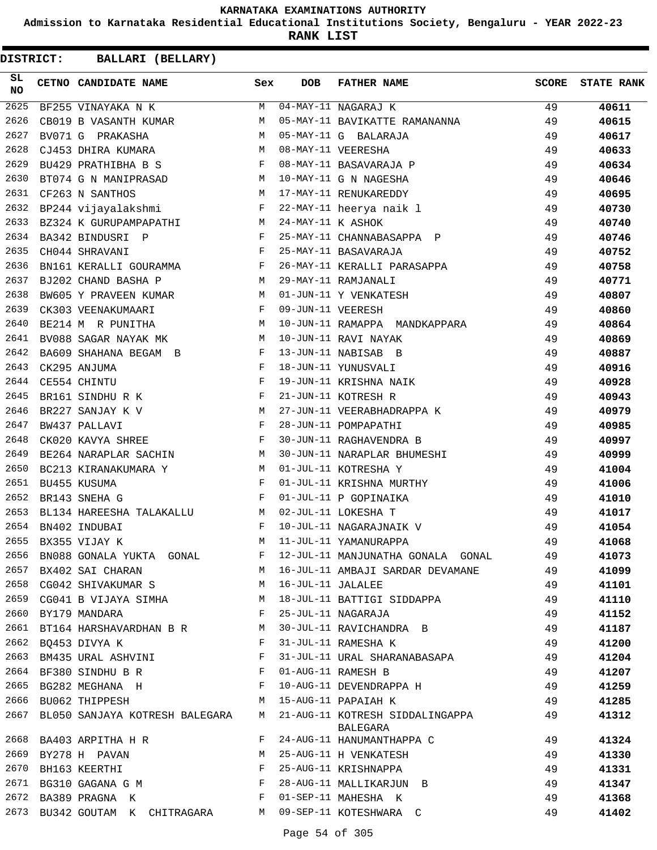**Admission to Karnataka Residential Educational Institutions Society, Bengaluru - YEAR 2022-23**

**RANK LIST**

| SL<br>NO | CETNO CANDIDATE NAME                                                                                                                                                                                                                                  | Sex          | <b>DOB</b>        | FATHER NAME                       | <b>SCORE</b> | <b>STATE RANK</b> |
|----------|-------------------------------------------------------------------------------------------------------------------------------------------------------------------------------------------------------------------------------------------------------|--------------|-------------------|-----------------------------------|--------------|-------------------|
| 2625     | BF255 VINAYAKA N K                                                                                                                                                                                                                                    | M            |                   | 04-MAY-11 NAGARAJ K               | 49           | 40611             |
| 2626     | CB019 B VASANTH KUMAR                                                                                                                                                                                                                                 | M            |                   | 05-MAY-11 BAVIKATTE RAMANANNA     | 49           | 40615             |
| 2627     | BV071 G PRAKASHA                                                                                                                                                                                                                                      | M            |                   | 05-MAY-11 G BALARAJA              | 49           | 40617             |
| 2628     | CJ453 DHIRA KUMARA                                                                                                                                                                                                                                    | M            |                   | 08-MAY-11 VEERESHA                | 49           | 40633             |
| 2629     | BU429 PRATHIBHA B S F                                                                                                                                                                                                                                 |              |                   | 08-MAY-11 BASAVARAJA P            | 49           | 40634             |
| 2630     | BT074 G N MANIPRASAD M                                                                                                                                                                                                                                |              |                   | 10-MAY-11 G N NAGESHA             | 49           | 40646             |
| 2631     | CF263 N SANTHOS                                                                                                                                                                                                                                       |              |                   | M 17-MAY-11 RENUKAREDDY           | 49           | 40695             |
| 2632     | BP244 vijayalakshmi Kanada F 22-MAY-11 heerya naik l                                                                                                                                                                                                  |              |                   |                                   | 49           | 40730             |
| 2633     | BZ324 K GURUPAMPAPATHI M 24-MAY-11 K ASHOK                                                                                                                                                                                                            |              |                   |                                   | 49           | 40740             |
| 2634     | BA342 BINDUSRI P<br>$\mathbf{F}$ and the set of the set of the set of the set of the set of the set of the set of the set of the set of the set of the set of the set of the set of the set of the set of the set of the set of the set of the set of |              |                   | 25-MAY-11 CHANNABASAPPA P         | 49           | 40746             |
| 2635     | $\mathbf{F}$<br>CH044 SHRAVANI                                                                                                                                                                                                                        |              |                   | 25-MAY-11 BASAVARAJA              | 49           | 40752             |
| 2636     | BN161 KERALLI GOURAMMA F                                                                                                                                                                                                                              |              |                   | 26-MAY-11 KERALLI PARASAPPA       | 49           | 40758             |
| 2637     | M <sub>1</sub><br>BJ202 CHAND BASHA P                                                                                                                                                                                                                 |              |                   | 29-MAY-11 RAMJANALI               | 49           | 40771             |
| 2638     | BW605 Y PRAVEEN KUMAR M                                                                                                                                                                                                                               |              |                   | 01-JUN-11 Y VENKATESH             | 49           | 40807             |
| 2639     | $\mathbf{F}$ and $\mathbf{F}$ and $\mathbf{F}$<br>CK303 VEENAKUMAARI                                                                                                                                                                                  |              | 09-JUN-11 VEERESH |                                   | 49           | 40860             |
| 2640     | M<br>BE214 M R PUNITHA                                                                                                                                                                                                                                |              |                   | 10-JUN-11 RAMAPPA MANDKAPPARA     | 49           | 40864             |
| 2641     | BV088 SAGAR NAYAK MK                                                                                                                                                                                                                                  | M            |                   | 10-JUN-11 RAVI NAYAK              | 49           | 40869             |
| 2642     | BA609 SHAHANA BEGAM B                                                                                                                                                                                                                                 | F            |                   | 13-JUN-11 NABISAB B               | 49           | 40887             |
| 2643     | CK295 ANJUMA                                                                                                                                                                                                                                          | F            |                   | 18-JUN-11 YUNUSVALI               | 49           | 40916             |
| 2644     | CE554 CHINTU                                                                                                                                                                                                                                          | F            |                   | 19-JUN-11 KRISHNA NAIK            | 49           | 40928             |
| 2645     | $\mathbf{F}$ and $\mathbf{F}$ and $\mathbf{F}$<br>BR161 SINDHU R K                                                                                                                                                                                    |              |                   | 21-JUN-11 KOTRESH R               | 49           | 40943             |
| 2646     | BR227 SANJAY K V<br><b>Example 20</b> M                                                                                                                                                                                                               |              |                   | 27-JUN-11 VEERABHADRAPPA K        | 49           | 40979             |
| 2647     | $\mathbf{F}$ and $\mathbf{F}$<br>BW437 PALLAVI                                                                                                                                                                                                        |              |                   | 28-JUN-11 POMPAPATHI              | 49           | 40985             |
| 2648     | CK020 KAVYA SHREE                                                                                                                                                                                                                                     | F            |                   | 30-JUN-11 RAGHAVENDRA B           | 49           | 40997             |
| 2649     | BE264 NARAPLAR SACHIN                                                                                                                                                                                                                                 | M            |                   | 30-JUN-11 NARAPLAR BHUMESHI       | 49           | 40999             |
| 2650     | BC213 KIRANAKUMARA Y                                                                                                                                                                                                                                  | M            |                   | 01-JUL-11 KOTRESHA Y              | 49           | 41004             |
| 2651     | BU455 KUSUMA                                                                                                                                                                                                                                          | F            |                   | 01-JUL-11 KRISHNA MURTHY          | 49           | 41006             |
| 2652     | BR143 SNEHA G                                                                                                                                                                                                                                         | F            |                   | 01-JUL-11 P GOPINAIKA             | 49           | 41010             |
| 2653     | M <sub>1</sub><br>BL134 HAREESHA TALAKALLU                                                                                                                                                                                                            |              |                   | 02-JUL-11 LOKESHA T               | 49           | 41017             |
| 2654     | BN402 INDUBAI                                                                                                                                                                                                                                         | F            |                   | 10-JUL-11 NAGARAJNAIK V           | 49           | 41054             |
| 2655     | BX355 VIJAY K                                                                                                                                                                                                                                         | М            |                   | 11-JUL-11 YAMANURAPPA             | 49           | 41068             |
| 2656     | BN088 GONALA YUKTA GONAL                                                                                                                                                                                                                              | F            |                   | 12-JUL-11 MANJUNATHA GONALA GONAL | 49           | 41073             |
| 2657     | BX402 SAI CHARAN                                                                                                                                                                                                                                      | M            |                   | 16-JUL-11 AMBAJI SARDAR DEVAMANE  | 49           | 41099             |
| 2658     | CG042 SHIVAKUMAR S                                                                                                                                                                                                                                    | M            | 16-JUL-11 JALALEE |                                   | 49           | 41101             |
| 2659     | CG041 B VIJAYA SIMHA                                                                                                                                                                                                                                  | M            |                   | 18-JUL-11 BATTIGI SIDDAPPA        | 49           | 41110             |
|          | 2660 BY179 MANDARA                                                                                                                                                                                                                                    | F            |                   | 25-JUL-11 NAGARAJA                | 49           | 41152             |
| 2661     | BT164 HARSHAVARDHAN B R                                                                                                                                                                                                                               | М            |                   | 30-JUL-11 RAVICHANDRA B           | 49           | 41187             |
| 2662     | BQ453 DIVYA K                                                                                                                                                                                                                                         | F            |                   | 31-JUL-11 RAMESHA K               | 49           | 41200             |
| 2663     | BM435 URAL ASHVINI                                                                                                                                                                                                                                    | F            |                   | 31-JUL-11 URAL SHARANABASAPA      | 49           | 41204             |
|          | 2664 BF380 SINDHU B R                                                                                                                                                                                                                                 | $\mathbf{F}$ |                   | 01-AUG-11 RAMESH B                | 49           | 41207             |
| 2665     | BG282 MEGHANA H                                                                                                                                                                                                                                       | F            |                   | 10-AUG-11 DEVENDRAPPA H           | 49           | 41259             |
| 2666     | BU062 THIPPESH                                                                                                                                                                                                                                        | M            |                   | 15-AUG-11 PAPAIAH K               | 49           | 41285             |
| 2667     | BL050 SANJAYA KOTRESH BALEGARA                                                                                                                                                                                                                        | M            |                   | 21-AUG-11 KOTRESH SIDDALINGAPPA   | 49           | 41312             |
|          |                                                                                                                                                                                                                                                       |              |                   | BALEGARA                          |              |                   |
| 2668     | BA403 ARPITHA H R                                                                                                                                                                                                                                     | F            |                   | 24-AUG-11 HANUMANTHAPPA C         | 49           | 41324             |
| 2669     | BY278 H PAVAN                                                                                                                                                                                                                                         | M            |                   | 25-AUG-11 H VENKATESH             | 49           | 41330             |
| 2670     | BH163 KEERTHI                                                                                                                                                                                                                                         | F            |                   | 25-AUG-11 KRISHNAPPA              | 49           | 41331             |
| 2671     | BG310 GAGANA G M                                                                                                                                                                                                                                      | $\mathbf{F}$ |                   | 28-AUG-11 MALLIKARJUN B           | 49           | 41347             |
| 2672     | BA389 PRAGNA K                                                                                                                                                                                                                                        | F            |                   | 01-SEP-11 MAHESHA K               | 49           | 41368             |
| 2673     | BU342 GOUTAM K CHITRAGARA                                                                                                                                                                                                                             | M            |                   | 09-SEP-11 KOTESHWARA C            | 49           | 41402             |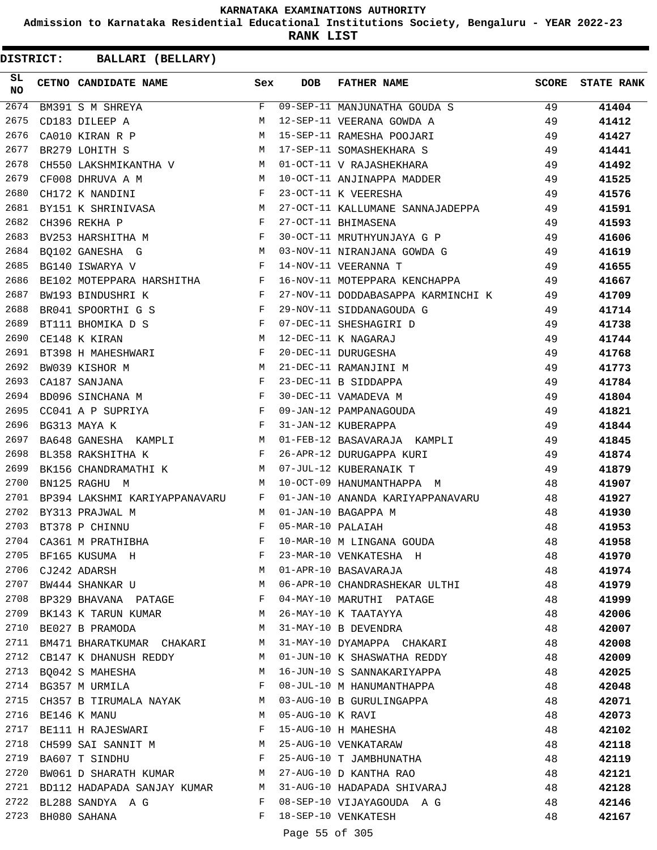**Admission to Karnataka Residential Educational Institutions Society, Bengaluru - YEAR 2022-23**

**RANK LIST**

**DISTRICT:** CC **BALLARI (BELLARY)**

| SL<br><b>NO</b> | CETNO CANDIDATE NAME Sex                                                                                                                                                                                               |   | <b>DOB</b>        | FATHER NAME                                                                          | <b>SCORE</b> | <b>STATE RANK</b> |
|-----------------|------------------------------------------------------------------------------------------------------------------------------------------------------------------------------------------------------------------------|---|-------------------|--------------------------------------------------------------------------------------|--------------|-------------------|
| 2674            | BM391 S M SHREYA                                                                                                                                                                                                       | F |                   | 09-SEP-11 MANJUNATHA GOUDA S 49                                                      |              | 41404             |
| 2675            | CD183 DILEEP A                                                                                                                                                                                                         | M |                   | 49<br>12-SEP-11 VEERANA GOWDA A                                                      |              | 41412             |
| 2676            | M<br>CA010 KIRAN R P                                                                                                                                                                                                   |   |                   | 15-SEP-11 RAMESHA POOJARI                                                            | 49           | 41427             |
| 2677            | M<br>BR279 LOHITH S                                                                                                                                                                                                    |   |                   | 15 SEP 11 NATIONAL LOCOTICAL<br>17-SEP-11 SOMASHEKHARA S<br>01-OCT-11 V RAJASHEKHARA | 49           | 41441             |
| 2678            | CH550 LAKSHMIKANTHA V M                                                                                                                                                                                                |   |                   |                                                                                      | 49           | 41492             |
| 2679            | <b>M</b><br>CF008 DHRUVA A M                                                                                                                                                                                           |   |                   | 10-OCT-11 ANJINAPPA MADDER 49                                                        |              | 41525             |
| 2680            | $\mathbf{F}$<br>CH172 K NANDINI                                                                                                                                                                                        |   |                   | 49<br>23-OCT-11 K VEERESHA                                                           |              | 41576             |
| 2681            | BY151 K SHRINIVASA M                                                                                                                                                                                                   |   |                   | 27-OCT-11 KALLUMANE SANNAJADEPPA 49                                                  |              | 41591             |
| 2682            | $\frac{M}{F}$<br>$\label{eq:1}$<br>$\frac{1}{F}$<br>CH396 REKHA P                                                                                                                                                      |   |                   | 27-OCT-11 BHIMASENA                                                                  | 49           | 41593             |
| 2683            | BV253 HARSHITHA M                                                                                                                                                                                                      |   |                   | 30-OCT-11 MRUTHYUNJAYA G P 49                                                        |              | 41606             |
| 2684            | M<br>BQ102 GANESHA G                                                                                                                                                                                                   |   |                   | 03-NOV-11 NIRANJANA GOWDA G $49$ 14-NOV-11 VEERANNA T $49$                           |              | 41619             |
| 2685            | $\mathbf{F}$<br>BG140 ISWARYA V                                                                                                                                                                                        |   |                   | 14-NOV-11 VEERANNA T                                                                 |              | 41655             |
| 2686            | BE102 MOTEPPARA HARSHITHA F                                                                                                                                                                                            |   |                   | 16-NOV-11 MOTEPPARA KENCHAPPA                                                        | 49           | 41667             |
| 2687            | $\mathbb F$ . The set of $\mathbb F$<br>BW193 BINDUSHRI K                                                                                                                                                              |   |                   | 27-NOV-11 DODDABASAPPA KARMINCHI K 49                                                |              | 41709             |
| 2688            | BR041 SPOORTHI G S F                                                                                                                                                                                                   |   |                   | 29-NOV-11 SIDDANAGOUDA G                                                             | 49           | 41714             |
| 2689            | BT111 BHOMIKA D S F<br>CE148 K KIRAN M                                                                                                                                                                                 |   |                   | 07-DEC-11 SHESHAGIRI D                                                               | 49           | 41738             |
| 2690            |                                                                                                                                                                                                                        |   |                   | 12-DEC-11 K NAGARAJ                                                                  | 49           | 41744             |
| 2691            | BT398 H MAHESHWARI F                                                                                                                                                                                                   |   |                   | 20-DEC-11 DURUGESHA                                                                  | 49           | 41768             |
| 2692            |                                                                                                                                                                                                                        |   |                   | 21-DEC-11 RAMANJINI M                                                                | 49           | 41773             |
| 2693            | $\begin{array}{lllllllllllll} \texttt{BW039 KISHOR} & \texttt{M} & \texttt{M} & \texttt{M} \\ \texttt{CA187 SANJANA} & & \texttt{F} & \texttt{F} \\ \texttt{BD096 SINCHANA} & \texttt{M} & & \texttt{F} & \end{array}$ |   |                   | 23-DEC-11 B SIDDAPPA                                                                 | 49           | 41784             |
| 2694            |                                                                                                                                                                                                                        |   |                   | 30-DEC-11 VAMADEVA M                                                                 | 49           | 41804             |
| 2695            | CC041 A P SUPRIYA $F$                                                                                                                                                                                                  |   |                   | 09-JAN-12 PAMPANAGOUDA                                                               | 49           | 41821             |
| 2696            | $\mathbf{F}$ and $\mathbf{F}$ and $\mathbf{F}$<br>BG313 MAYA K                                                                                                                                                         |   |                   | 31-JAN-12 KUBERAPPA                                                                  | 49           | 41844             |
| 2697            | BA648 GANESHA KAMPLI M                                                                                                                                                                                                 |   |                   | 01-FEB-12 BASAVARAJA KAMPLI                                                          | - 49         | 41845             |
| 2698            | $\mathbb{F}^{\mathbb{Z}}$ . The set of $\mathbb{F}^{\mathbb{Z}}$<br>BL358 RAKSHITHA K                                                                                                                                  |   |                   | 26-APR-12 DURUGAPPA KURI                                                             | 49           | 41874             |
| 2699            | BK156 CHANDRAMATHI K M                                                                                                                                                                                                 |   |                   | 07-JUL-12 KUBERANAIK T<br>49                                                         |              | 41879             |
| 2700            | M<br>BN125 RAGHU M                                                                                                                                                                                                     |   |                   | 10-OCT-09 HANUMANTHAPPA M                                                            | 48           | 41907             |
| 2701            | BP394 LAKSHMI KARIYAPPANAVARU F                                                                                                                                                                                        |   |                   | 01-JAN-10 ANANDA KARIYAPPANAVARU                                                     | 48           | 41927             |
| 2702            | BY313 PRAJWAL M                                                                                                                                                                                                        | M |                   | 01-JAN-10 BAGAPPA M                                                                  | 48           | 41930             |
| 2703            | BT378 P CHINNU                                                                                                                                                                                                         | F | 05-MAR-10 PALAIAH |                                                                                      | 48           | 41953             |
| 2704            | CA361 M PRATHIBHA                                                                                                                                                                                                      | F |                   | 10-MAR-10 M LINGANA GOUDA                                                            | 48           | 41958             |
| 2705            | BF165 KUSUMA H                                                                                                                                                                                                         | F |                   | 23-MAR-10 VENKATESHA H                                                               | 48           | 41970             |
| 2706            | CJ242 ADARSH                                                                                                                                                                                                           | M |                   | 01-APR-10 BASAVARAJA                                                                 | 48           | 41974             |
| 2707            | BW444 SHANKAR U                                                                                                                                                                                                        | M |                   | 06-APR-10 CHANDRASHEKAR ULTHI                                                        | 48           | 41979             |
|                 | 2708 BP329 BHAVANA PATAGE F                                                                                                                                                                                            |   |                   | 04-MAY-10 MARUTHI PATAGE                                                             | 48           | 41999             |
|                 | 2709 BK143 K TARUN KUMAR                                                                                                                                                                                               | M |                   | 26-MAY-10 K TAATAYYA                                                                 | 48           | 42006             |
| 2710            | BE027 B PRAMODA                                                                                                                                                                                                        | M |                   | 31-MAY-10 B DEVENDRA                                                                 | 48           | 42007             |
| 2711            | BM471 BHARATKUMAR CHAKARI                                                                                                                                                                                              | M |                   | 31-MAY-10 DYAMAPPA CHAKARI                                                           | 48           | 42008             |
| 2712            | CB147 K DHANUSH REDDY                                                                                                                                                                                                  | M |                   | 01-JUN-10 K SHASWATHA REDDY                                                          | 48           | 42009             |
|                 | 2713 BQ042 S MAHESHA                                                                                                                                                                                                   | M |                   | 16-JUN-10 S SANNAKARIYAPPA                                                           | 48           | 42025             |
|                 | 2714 BG357 M URMILA                                                                                                                                                                                                    | F |                   | 08-JUL-10 M HANUMANTHAPPA                                                            | 48           | 42048             |
| 2715            | CH357 B TIRUMALA NAYAK                                                                                                                                                                                                 | M |                   | 03-AUG-10 B GURULINGAPPA                                                             | 48           | 42071             |
|                 | 2716 BE146 K MANU                                                                                                                                                                                                      | M | 05-AUG-10 K RAVI  |                                                                                      | 48           | 42073             |
|                 | 2717 BE111 H RAJESWARI                                                                                                                                                                                                 | F |                   | 15-AUG-10 H MAHESHA                                                                  | 48           | 42102             |
| 2718            | CH599 SAI SANNIT M                                                                                                                                                                                                     | M |                   | 25-AUG-10 VENKATARAW                                                                 | 48           | 42118             |
| 2719            | BA607 T SINDHU                                                                                                                                                                                                         | F |                   | 25-AUG-10 T JAMBHUNATHA                                                              | 48           | 42119             |
| 2720            | BW061 D SHARATH KUMAR M                                                                                                                                                                                                |   |                   | 27-AUG-10 D KANTHA RAO                                                               | 48           | 42121             |
|                 | 2721 BD112 HADAPADA SANJAY KUMAR M                                                                                                                                                                                     |   |                   | 31-AUG-10 HADAPADA SHIVARAJ                                                          | 48           | 42128             |
|                 | 2722 BL288 SANDYA A G                                                                                                                                                                                                  | F |                   | 08-SEP-10 VIJAYAGOUDA A G                                                            | 48           | 42146             |
|                 | 2723 BH080 SAHANA                                                                                                                                                                                                      | F |                   | 18-SEP-10 VENKATESH                                                                  | 48           | 42167             |

Page 55 of 305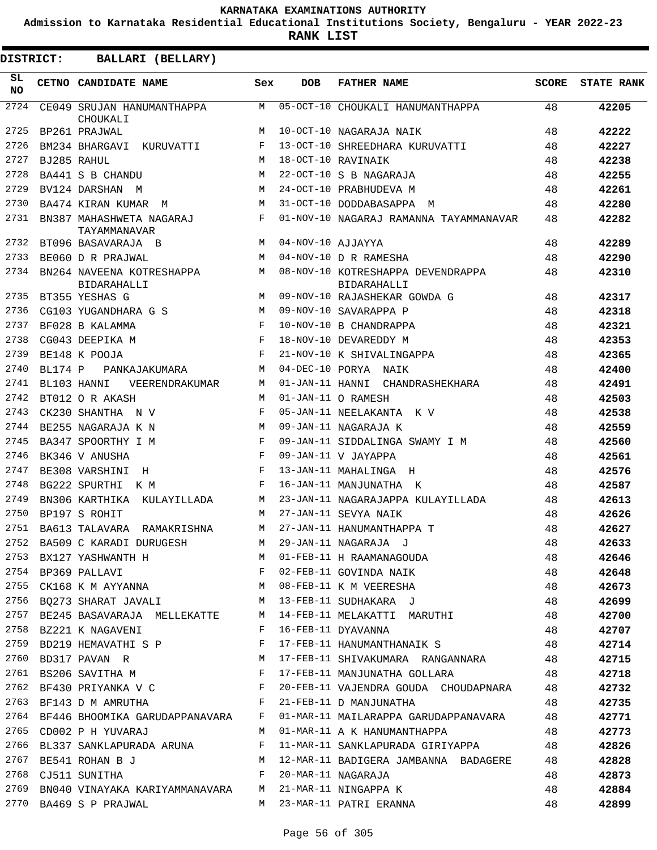**Admission to Karnataka Residential Educational Institutions Society, Bengaluru - YEAR 2022-23**

**RANK LIST**

| <b>DISTRICT:</b> |                | BALLARI (BELLARY)                                                    |             |                   |                                                                               |              |                   |
|------------------|----------------|----------------------------------------------------------------------|-------------|-------------------|-------------------------------------------------------------------------------|--------------|-------------------|
| SL.<br><b>NO</b> |                | CETNO CANDIDATE NAME                                                 | Sex         | <b>DOB</b>        | <b>FATHER NAME</b>                                                            | <b>SCORE</b> | <b>STATE RANK</b> |
| 2724             |                | CE049 SRUJAN HANUMANTHAPPA<br>CHOUKALI                               | M           |                   | 05-OCT-10 CHOUKALI HANUMANTHAPPA                                              | 48           | 42205             |
| 2725             |                | BP261 PRAJWAL                                                        | M           |                   | 10-OCT-10 NAGARAJA NAIK                                                       | 48           | 42222             |
| 2726             |                | BM234 BHARGAVI KURUVATTI                                             | F           |                   | 13-OCT-10 SHREEDHARA KURUVATTI                                                | 48           | 42227             |
| 2727             |                | BJ285 RAHUL                                                          | M           |                   | 18-OCT-10 RAVINAIK                                                            | 48           | 42238             |
| 2728             |                | BA441 S B CHANDU                                                     | M           |                   | 22-OCT-10 S B NAGARAJA                                                        | 48           | 42255             |
| 2729             |                | BV124 DARSHAN M                                                      | M           |                   | 24-OCT-10 PRABHUDEVA M                                                        | 48           | 42261             |
| 2730             |                | BA474 KIRAN KUMAR<br>M                                               | M           |                   | 31-OCT-10 DODDABASAPPA M                                                      | 48           | 42280             |
| 2731             |                | BN387 MAHASHWETA NAGARAJ<br>TAYAMMANAVAR                             | F           |                   | 01-NOV-10 NAGARAJ RAMANNA TAYAMMANAVAR                                        | 48           | 42282             |
| 2732             |                | BT096 BASAVARAJA B                                                   | M           | 04-NOV-10 AJJAYYA |                                                                               | 48           | 42289             |
| 2733             |                | BE060 D R PRAJWAL                                                    | M           |                   | 04-NOV-10 D R RAMESHA                                                         | 48           | 42290             |
| 2734             |                | BN264 NAVEENA KOTRESHAPPA<br><b>BIDARAHALLI</b>                      | M           |                   | 08-NOV-10 KOTRESHAPPA DEVENDRAPPA<br><b>BIDARAHALLI</b>                       | 48           | 42310             |
| 2735             |                | BT355 YESHAS G                                                       | M           |                   | 09-NOV-10 RAJASHEKAR GOWDA G                                                  | 48           | 42317             |
| 2736             |                | CG103 YUGANDHARA G S                                                 | M           |                   | 09-NOV-10 SAVARAPPA P                                                         | 48           | 42318             |
| 2737             |                | BF028 B KALAMMA                                                      | F           |                   | 10-NOV-10 B CHANDRAPPA                                                        | 48           | 42321             |
| 2738             |                | CG043 DEEPIKA M                                                      | F           |                   | 18-NOV-10 DEVAREDDY M                                                         | 48           | 42353             |
| 2739             |                | BE148 K POOJA                                                        | $_{\rm F}$  |                   | 21-NOV-10 K SHIVALINGAPPA                                                     | 48           | 42365             |
| 2740             | <b>BL174 P</b> | PANKAJAKUMARA                                                        | М           | 04-DEC-10 PORYA   | NAIK                                                                          | 48           | 42400             |
| 2741             |                | BL103 HANNI<br>VEERENDRAKUMAR                                        | M           | 01-JAN-11 HANNI   | CHANDRASHEKHARA                                                               | 48           | 42491             |
| 2742             |                | BT012 O R AKASH                                                      | M           |                   | 01-JAN-11 O RAMESH                                                            | 48           | 42503             |
| 2743             |                | CK230 SHANTHA N V                                                    | F           |                   | 05-JAN-11 NEELAKANTA K V                                                      | 48           | 42538             |
| 2744             |                | BE255 NAGARAJA K N                                                   | M           |                   | 09-JAN-11 NAGARAJA K                                                          | 48           | 42559             |
| 2745             |                | BA347 SPOORTHY I M                                                   | F           |                   | 09-JAN-11 SIDDALINGA SWAMY I M                                                | 48           | 42560             |
| 2746             |                | BK346 V ANUSHA                                                       | F           |                   | 09-JAN-11 V JAYAPPA                                                           | 48           | 42561             |
| 2747             |                | BE308 VARSHINI<br>H                                                  | F           |                   | 13-JAN-11 MAHALINGA H                                                         | 48           | 42576             |
| 2748             |                | BG222 SPURTHI<br>к м                                                 | F           |                   | 16-JAN-11 MANJUNATHA K                                                        | 48           | 42587             |
| 2749             |                | BN306 KARTHIKA KULAYILLADA                                           | M           |                   | 23-JAN-11 NAGARAJAPPA KULAYILLADA                                             | 48           | 42613             |
| 2750             |                | BP197 S ROHIT                                                        | М           |                   | 27-JAN-11 SEVYA NAIK                                                          | 48           | 42626             |
| 2751             |                | BA613 TALAVARA RAMAKRISHNA                                           | M           |                   | 27-JAN-11 HANUMANTHAPPA T                                                     | 48           | 42627             |
| 2752             |                | BA509 C KARADI DURUGESH                                              | M           |                   | 29-JAN-11 NAGARAJA J                                                          | 48           | 42633             |
| 2753             |                | BX127 YASHWANTH H                                                    |             |                   | 01-FEB-11 H RAAMANAGOUDA                                                      | 48           | 42646             |
|                  |                |                                                                      |             |                   |                                                                               | 48           | 42648             |
|                  |                |                                                                      |             |                   |                                                                               | 48           | 42673             |
| 2756             |                |                                                                      |             |                   | BQ273 SHARAT JAVALI M 13-FEB-11 SUDHAKARA J                                   | 48           | 42699             |
| 2757             |                |                                                                      |             |                   | BE245 BASAVARAJA MELLEKATTE M 14-FEB-11 MELAKATTI MARUTHI                     | 48           | 42700             |
| 2758             |                | BZ221 K NAGAVENI                                                     | F           |                   | 16-FEB-11 DYAVANNA                                                            | 48           | 42707             |
|                  |                | 2759 BD219 HEMAVATHI S P                                             | $\mathbb F$ |                   | 17-FEB-11 HANUMANTHANAIK S                                                    | 48           | 42714             |
|                  |                | 2760 BD317 PAVAN R M                                                 |             |                   | 17-FEB-11 SHIVAKUMARA RANGANNARA 48                                           |              | 42715             |
|                  |                | 2761 BS206 SAVITHA M                                                 |             |                   | 17-FEB-11 MANJUNATHA GOLLARA 48                                               |              | 42718             |
|                  |                | 2762 BF430 PRIYANKA V C F                                            |             |                   | 20-FEB-11 VAJENDRA GOUDA CHOUDAPNARA 48                                       |              | 42732             |
|                  |                |                                                                      |             |                   | 2763 BF143 D M AMRUTHA F 21-FEB-11 D MANJUNATHA                               | 48           | 42735             |
|                  |                |                                                                      |             |                   | 2764 BF446 BHOOMIKA GARUDAPPANAVARA F 01-MAR-11 MAILARAPPA GARUDAPPANAVARA 48 |              | 42771             |
| 2765             |                | CD002 P H YUVARAJ                                                    | M           |                   | 01-MAR-11 A K HANUMANTHAPPA                                                   | 48           | 42773             |
| 2766             |                | BL337 SANKLAPURADA ARUNA F                                           |             |                   | 11-MAR-11 SANKLAPURADA GIRIYAPPA 48                                           |              | 42826             |
| 2767             |                | BE541 ROHAN B J                                                      | M           |                   | 12-MAR-11 BADIGERA JAMBANNA BADAGERE                                          | 48           | 42828             |
|                  |                | 2768 CJ511 SUNITHA<br>$\mathbf{F}$ and $\mathbf{F}$ and $\mathbf{F}$ |             |                   | 20-MAR-11 NAGARAJA                                                            | 48           | 42873             |
| 2769             |                | BN040 VINAYAKA KARIYAMMANAVARA M 21-MAR-11 NINGAPPA K                |             |                   |                                                                               | 48           | 42884             |
|                  |                | 2770 BA469 S P PRAJWAL                                               |             |                   | M 23-MAR-11 PATRI ERANNA                                                      | 48           | 42899             |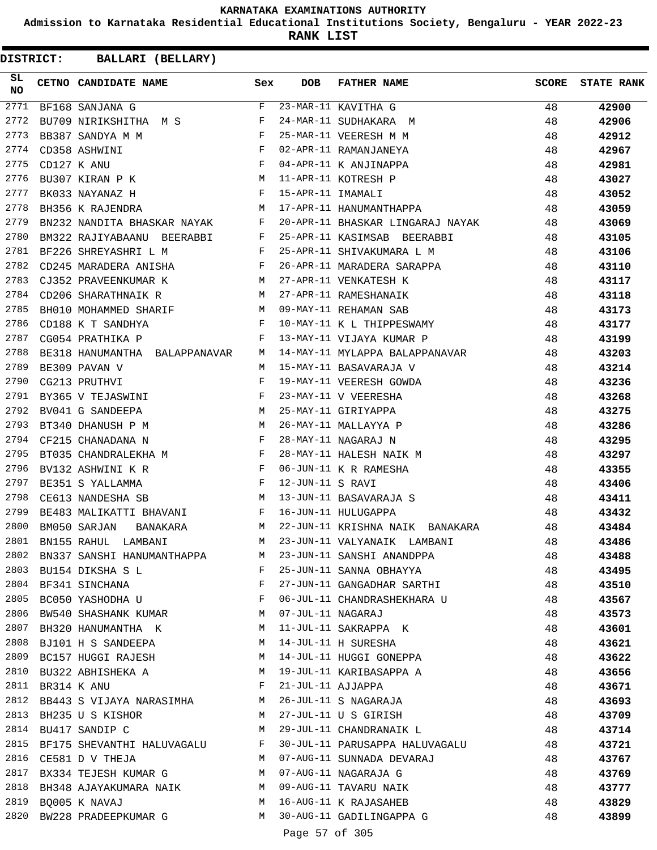**Admission to Karnataka Residential Educational Institutions Society, Bengaluru - YEAR 2022-23**

**RANK LIST**

| $\overline{F}$<br>2771<br>23-MAR-11 KAVITHA G<br>48<br>42900<br>BF168 SANJANA G<br>BU709 NIRIKSHITHA M S F<br>2772<br>24-MAR-11 SUDHAKARA M<br>48<br>42906<br>$\mathbb{R}^n$ . The set of the set of the set of the set of the set of the set of the set of the set of the set of the set of the set of the set of the set of the set of the set of the set of the set of the set of the set of<br>2773<br>25-MAR-11 VEERESH M M<br>BB387 SANDYA M M<br>48<br>42912<br>$\begin{array}{c}\n\ddots \\ F\n\end{array}$<br>2774<br>02-APR-11 RAMANJANEYA<br>48<br>CD358 ASHWINI<br>42967<br>04-APR-11 K ANJINAPPA<br>11-APR-11 KOTRESH P<br>15-APR-11 IMAMALI<br>2775<br>CD127 K ANU<br>48<br>42981<br>BU307 KIRAN P K M<br>2776<br>48<br>43027<br>$\mathbf{F}$ . The set of the set of the set of the set of the set of the set of the set of the set of the set of the set of the set of the set of the set of the set of the set of the set of the set of the set of the set of t<br>2777<br>BK033 NAYANAZ H<br>48<br>43052<br>17-APR-11 HANUMANTHAPPA<br>2778<br>M<br>48<br>BH356 K RAJENDRA<br>43059<br>2779<br>BN232 NANDITA BHASKAR NAYAK F<br>20-APR-11 BHASKAR LINGARAJ NAYAK 48<br>43069<br>2780<br>BM322 RAJIYABAANU BEERABBI F<br>25-APR-11 KASIMSAB BEERABBI 48<br>43105<br>BF226 SHREYASHRI L M F<br>2781<br>25-APR-11 SHIVAKUMARA L M<br>48<br>43106<br>CD245 MARADERA ANISHA $F$<br>26-APR-11 MARADERA SARAPPA<br>2782<br>48<br>43110<br>2783<br>CJ352 PRAVEENKUMAR K M 27-APR-11 VENKATESH K<br>48<br>43117<br>2784<br>CD206 SHARATHNAIK R M<br>27-APR-11 RAMESHANAIK<br>48<br>43118<br>BH010 MOHAMMED SHARIF M<br>2785<br>09-MAY-11 REHAMAN SAB<br>48<br>43173<br>10-MAY-11 K L THIPPESWAMY<br>2786<br>$\mathbf{F}$<br>CD188 K T SANDHYA<br>48<br>43177<br>2787<br>13-MAY-11 VIJAYA KUMAR P 48<br>$\mathbf{F}$ and $\mathbf{F}$ and $\mathbf{F}$<br>CG054 PRATHIKA P<br>43199<br>2788<br>14-MAY-11 MYLAPPA BALAPPANAVAR 48<br>BE318 HANUMANTHA BALAPPANAVAR M<br>43203<br>2789<br>BE309 PAVAN V<br>15-MAY-11 BASAVARAJA V<br>48<br>M<br>43214<br>2790<br>F<br>19-MAY-11 VEERESH GOWDA<br>23-MAY-11 V VEERESHA<br>48<br>CG213 PRUTHVI<br>43236<br>$\mathbf{F}$ and $\mathbf{F}$ and $\mathbf{F}$<br>2791<br>48<br>BY365 V TEJASWINI<br>43268<br>M <sub>N</sub><br>2792<br>25-MAY-11 GIRIYAPPA<br>48<br>BV041 G SANDEEPA<br>43275<br>M<br>2793<br>26-MAY-11 MALLAYYA P<br>BT340 DHANUSH P M<br>48<br>43286<br>2794<br>$\mathbf{F}$<br>28-MAY-11 NAGARAJ N<br>48<br>CF215 CHANADANA N<br>43295<br>2795<br>BT035 CHANDRALEKHA M F<br>28-MAY-11 HALESH NAIK M<br>48<br>43297<br>2796<br>$\mathbf{F}$ . The set of the set of the set of the set of the set of the set of the set of the set of the set of the set of the set of the set of the set of the set of the set of the set of the set of the set of the set of t<br>06-JUN-11 K R RAMESHA<br>BV132 ASHWINI K R<br>48<br>43355<br>$\mathbf{F}$ and $\mathbf{F}$ and $\mathbf{F}$<br>2797<br>12-JUN-11 S RAVI<br>BE351 S YALLAMMA<br>48<br>43406<br>13-JUN-11 BASAVARAJA S<br>16 JUN 11 WILLIAMS<br>M<br>2798<br>48<br>CE613 NANDESHA SB<br>43411<br>2799<br>BE483 MALIKATTI BHAVANI F<br>16-JUN-11 HULUGAPPA<br>-48<br>43432<br>2800<br>22-JUN-11 KRISHNA NAIK BANAKARA 48<br>BM050 SARJAN<br>BANAKARA M<br>43484<br>2801<br>M<br>23-JUN-11 VALYANAIK LAMBANI<br>BN155 RAHUL LAMBANI<br>48<br>43486<br>2802<br>23-JUN-11 SANSHI ANANDPPA<br>BN337 SANSHI HANUMANTHAPPA<br>M<br>48<br>43488<br>2803<br>25-JUN-11 SANNA OBHAYYA<br>48<br>BU154 DIKSHA S L<br>F<br>43495<br>2804<br>F<br>27-JUN-11 GANGADHAR SARTHI<br>48<br>BF341 SINCHANA<br>43510<br>2805<br>06-JUL-11 CHANDRASHEKHARA U<br>BC050 YASHODHA U<br>$\mathbf{F}$<br>48<br>43567<br>2806<br>07-JUL-11 NAGARAJ<br>BW540 SHASHANK KUMAR<br>M<br>48<br>43573<br>2807<br>BH320 HANUMANTHA K<br>11-JUL-11 SAKRAPPA K<br>48<br>M<br>43601<br>2808<br>14-JUL-11 H SURESHA<br>BJ101 H S SANDEEPA<br>48<br>M<br>43621<br>2809<br>14-JUL-11 HUGGI GONEPPA<br>BC157 HUGGI RAJESH<br>48<br>M<br>43622<br>2810<br>19-JUL-11 KARIBASAPPA A<br>M<br>48<br>BU322 ABHISHEKA A<br>43656<br>2811<br>F<br>21-JUL-11 AJJAPPA<br>48<br>BR314 K ANU<br>43671<br>2812<br>BB443 S VIJAYA NARASIMHA M<br>26-JUL-11 S NAGARAJA<br>48<br>43693<br>2813<br>BH235 U S KISHOR<br>27-JUL-11 U S GIRISH<br>48<br>M<br>43709<br>2814<br>M<br>29-JUL-11 CHANDRANAIK L<br>48<br>BU417 SANDIP C<br>43714<br>2815<br>BF175 SHEVANTHI HALUVAGALU<br>30-JUL-11 PARUSAPPA HALUVAGALU<br>48<br>F<br>43721<br>2816<br>07-AUG-11 SUNNADA DEVARAJ<br>48<br>CE581 D V THEJA<br>M<br>43767<br>2817<br>07-AUG-11 NAGARAJA G<br>48<br>BX334 TEJESH KUMAR G<br>M<br>43769<br>2818<br>M<br>09-AUG-11 TAVARU NAIK<br>48<br>BH348 AJAYAKUMARA NAIK<br>43777<br>2819<br>16-AUG-11 K RAJASAHEB<br>48<br>BQ005 K NAVAJ<br>M<br>43829<br>2820<br>30-AUG-11 GADILINGAPPA G<br>BW228 PRADEEPKUMAR G<br>M<br>48<br>43899<br>Page 57 of 305 | SL<br><b>NO</b> | CETNO CANDIDATE NAME Sex | DOB | FATHER NAME | <b>SCORE</b> | <b>STATE RANK</b> |
|------------------------------------------------------------------------------------------------------------------------------------------------------------------------------------------------------------------------------------------------------------------------------------------------------------------------------------------------------------------------------------------------------------------------------------------------------------------------------------------------------------------------------------------------------------------------------------------------------------------------------------------------------------------------------------------------------------------------------------------------------------------------------------------------------------------------------------------------------------------------------------------------------------------------------------------------------------------------------------------------------------------------------------------------------------------------------------------------------------------------------------------------------------------------------------------------------------------------------------------------------------------------------------------------------------------------------------------------------------------------------------------------------------------------------------------------------------------------------------------------------------------------------------------------------------------------------------------------------------------------------------------------------------------------------------------------------------------------------------------------------------------------------------------------------------------------------------------------------------------------------------------------------------------------------------------------------------------------------------------------------------------------------------------------------------------------------------------------------------------------------------------------------------------------------------------------------------------------------------------------------------------------------------------------------------------------------------------------------------------------------------------------------------------------------------------------------------------------------------------------------------------------------------------------------------------------------------------------------------------------------------------------------------------------------------------------------------------------------------------------------------------------------------------------------------------------------------------------------------------------------------------------------------------------------------------------------------------------------------------------------------------------------------------------------------------------------------------------------------------------------------------------------------------------------------------------------------------------------------------------------------------------------------------------------------------------------------------------------------------------------------------------------------------------------------------------------------------------------------------------------------------------------------------------------------------------------------------------------------------------------------------------------------------------------------------------------------------------------------------------------------------------------------------------------------------------------------------------------------------------------------------------------------------------------------------------------------------------------------------------------------------------------------------------------------------------------------------------------------------------------------------------------------------------------------------------------------------------------------------------------------------------------------------------------------------------------------------------------------------------------------------------------------------------------------------------------------------------------------------------------------------------------------------------------------------------------------------------------------------------------------------------------------------------------------------------------------------------------------------------------------------------------------------------------------------------------------------------------------------------------------------------------------|-----------------|--------------------------|-----|-------------|--------------|-------------------|
|                                                                                                                                                                                                                                                                                                                                                                                                                                                                                                                                                                                                                                                                                                                                                                                                                                                                                                                                                                                                                                                                                                                                                                                                                                                                                                                                                                                                                                                                                                                                                                                                                                                                                                                                                                                                                                                                                                                                                                                                                                                                                                                                                                                                                                                                                                                                                                                                                                                                                                                                                                                                                                                                                                                                                                                                                                                                                                                                                                                                                                                                                                                                                                                                                                                                                                                                                                                                                                                                                                                                                                                                                                                                                                                                                                                                                                                                                                                                                                                                                                                                                                                                                                                                                                                                                                                                                                                                                                                                                                                                                                                                                                                                                                                                                                                                                                                                                                            |                 |                          |     |             |              |                   |
|                                                                                                                                                                                                                                                                                                                                                                                                                                                                                                                                                                                                                                                                                                                                                                                                                                                                                                                                                                                                                                                                                                                                                                                                                                                                                                                                                                                                                                                                                                                                                                                                                                                                                                                                                                                                                                                                                                                                                                                                                                                                                                                                                                                                                                                                                                                                                                                                                                                                                                                                                                                                                                                                                                                                                                                                                                                                                                                                                                                                                                                                                                                                                                                                                                                                                                                                                                                                                                                                                                                                                                                                                                                                                                                                                                                                                                                                                                                                                                                                                                                                                                                                                                                                                                                                                                                                                                                                                                                                                                                                                                                                                                                                                                                                                                                                                                                                                                            |                 |                          |     |             |              |                   |
|                                                                                                                                                                                                                                                                                                                                                                                                                                                                                                                                                                                                                                                                                                                                                                                                                                                                                                                                                                                                                                                                                                                                                                                                                                                                                                                                                                                                                                                                                                                                                                                                                                                                                                                                                                                                                                                                                                                                                                                                                                                                                                                                                                                                                                                                                                                                                                                                                                                                                                                                                                                                                                                                                                                                                                                                                                                                                                                                                                                                                                                                                                                                                                                                                                                                                                                                                                                                                                                                                                                                                                                                                                                                                                                                                                                                                                                                                                                                                                                                                                                                                                                                                                                                                                                                                                                                                                                                                                                                                                                                                                                                                                                                                                                                                                                                                                                                                                            |                 |                          |     |             |              |                   |
|                                                                                                                                                                                                                                                                                                                                                                                                                                                                                                                                                                                                                                                                                                                                                                                                                                                                                                                                                                                                                                                                                                                                                                                                                                                                                                                                                                                                                                                                                                                                                                                                                                                                                                                                                                                                                                                                                                                                                                                                                                                                                                                                                                                                                                                                                                                                                                                                                                                                                                                                                                                                                                                                                                                                                                                                                                                                                                                                                                                                                                                                                                                                                                                                                                                                                                                                                                                                                                                                                                                                                                                                                                                                                                                                                                                                                                                                                                                                                                                                                                                                                                                                                                                                                                                                                                                                                                                                                                                                                                                                                                                                                                                                                                                                                                                                                                                                                                            |                 |                          |     |             |              |                   |
|                                                                                                                                                                                                                                                                                                                                                                                                                                                                                                                                                                                                                                                                                                                                                                                                                                                                                                                                                                                                                                                                                                                                                                                                                                                                                                                                                                                                                                                                                                                                                                                                                                                                                                                                                                                                                                                                                                                                                                                                                                                                                                                                                                                                                                                                                                                                                                                                                                                                                                                                                                                                                                                                                                                                                                                                                                                                                                                                                                                                                                                                                                                                                                                                                                                                                                                                                                                                                                                                                                                                                                                                                                                                                                                                                                                                                                                                                                                                                                                                                                                                                                                                                                                                                                                                                                                                                                                                                                                                                                                                                                                                                                                                                                                                                                                                                                                                                                            |                 |                          |     |             |              |                   |
|                                                                                                                                                                                                                                                                                                                                                                                                                                                                                                                                                                                                                                                                                                                                                                                                                                                                                                                                                                                                                                                                                                                                                                                                                                                                                                                                                                                                                                                                                                                                                                                                                                                                                                                                                                                                                                                                                                                                                                                                                                                                                                                                                                                                                                                                                                                                                                                                                                                                                                                                                                                                                                                                                                                                                                                                                                                                                                                                                                                                                                                                                                                                                                                                                                                                                                                                                                                                                                                                                                                                                                                                                                                                                                                                                                                                                                                                                                                                                                                                                                                                                                                                                                                                                                                                                                                                                                                                                                                                                                                                                                                                                                                                                                                                                                                                                                                                                                            |                 |                          |     |             |              |                   |
|                                                                                                                                                                                                                                                                                                                                                                                                                                                                                                                                                                                                                                                                                                                                                                                                                                                                                                                                                                                                                                                                                                                                                                                                                                                                                                                                                                                                                                                                                                                                                                                                                                                                                                                                                                                                                                                                                                                                                                                                                                                                                                                                                                                                                                                                                                                                                                                                                                                                                                                                                                                                                                                                                                                                                                                                                                                                                                                                                                                                                                                                                                                                                                                                                                                                                                                                                                                                                                                                                                                                                                                                                                                                                                                                                                                                                                                                                                                                                                                                                                                                                                                                                                                                                                                                                                                                                                                                                                                                                                                                                                                                                                                                                                                                                                                                                                                                                                            |                 |                          |     |             |              |                   |
|                                                                                                                                                                                                                                                                                                                                                                                                                                                                                                                                                                                                                                                                                                                                                                                                                                                                                                                                                                                                                                                                                                                                                                                                                                                                                                                                                                                                                                                                                                                                                                                                                                                                                                                                                                                                                                                                                                                                                                                                                                                                                                                                                                                                                                                                                                                                                                                                                                                                                                                                                                                                                                                                                                                                                                                                                                                                                                                                                                                                                                                                                                                                                                                                                                                                                                                                                                                                                                                                                                                                                                                                                                                                                                                                                                                                                                                                                                                                                                                                                                                                                                                                                                                                                                                                                                                                                                                                                                                                                                                                                                                                                                                                                                                                                                                                                                                                                                            |                 |                          |     |             |              |                   |
|                                                                                                                                                                                                                                                                                                                                                                                                                                                                                                                                                                                                                                                                                                                                                                                                                                                                                                                                                                                                                                                                                                                                                                                                                                                                                                                                                                                                                                                                                                                                                                                                                                                                                                                                                                                                                                                                                                                                                                                                                                                                                                                                                                                                                                                                                                                                                                                                                                                                                                                                                                                                                                                                                                                                                                                                                                                                                                                                                                                                                                                                                                                                                                                                                                                                                                                                                                                                                                                                                                                                                                                                                                                                                                                                                                                                                                                                                                                                                                                                                                                                                                                                                                                                                                                                                                                                                                                                                                                                                                                                                                                                                                                                                                                                                                                                                                                                                                            |                 |                          |     |             |              |                   |
|                                                                                                                                                                                                                                                                                                                                                                                                                                                                                                                                                                                                                                                                                                                                                                                                                                                                                                                                                                                                                                                                                                                                                                                                                                                                                                                                                                                                                                                                                                                                                                                                                                                                                                                                                                                                                                                                                                                                                                                                                                                                                                                                                                                                                                                                                                                                                                                                                                                                                                                                                                                                                                                                                                                                                                                                                                                                                                                                                                                                                                                                                                                                                                                                                                                                                                                                                                                                                                                                                                                                                                                                                                                                                                                                                                                                                                                                                                                                                                                                                                                                                                                                                                                                                                                                                                                                                                                                                                                                                                                                                                                                                                                                                                                                                                                                                                                                                                            |                 |                          |     |             |              |                   |
|                                                                                                                                                                                                                                                                                                                                                                                                                                                                                                                                                                                                                                                                                                                                                                                                                                                                                                                                                                                                                                                                                                                                                                                                                                                                                                                                                                                                                                                                                                                                                                                                                                                                                                                                                                                                                                                                                                                                                                                                                                                                                                                                                                                                                                                                                                                                                                                                                                                                                                                                                                                                                                                                                                                                                                                                                                                                                                                                                                                                                                                                                                                                                                                                                                                                                                                                                                                                                                                                                                                                                                                                                                                                                                                                                                                                                                                                                                                                                                                                                                                                                                                                                                                                                                                                                                                                                                                                                                                                                                                                                                                                                                                                                                                                                                                                                                                                                                            |                 |                          |     |             |              |                   |
|                                                                                                                                                                                                                                                                                                                                                                                                                                                                                                                                                                                                                                                                                                                                                                                                                                                                                                                                                                                                                                                                                                                                                                                                                                                                                                                                                                                                                                                                                                                                                                                                                                                                                                                                                                                                                                                                                                                                                                                                                                                                                                                                                                                                                                                                                                                                                                                                                                                                                                                                                                                                                                                                                                                                                                                                                                                                                                                                                                                                                                                                                                                                                                                                                                                                                                                                                                                                                                                                                                                                                                                                                                                                                                                                                                                                                                                                                                                                                                                                                                                                                                                                                                                                                                                                                                                                                                                                                                                                                                                                                                                                                                                                                                                                                                                                                                                                                                            |                 |                          |     |             |              |                   |
|                                                                                                                                                                                                                                                                                                                                                                                                                                                                                                                                                                                                                                                                                                                                                                                                                                                                                                                                                                                                                                                                                                                                                                                                                                                                                                                                                                                                                                                                                                                                                                                                                                                                                                                                                                                                                                                                                                                                                                                                                                                                                                                                                                                                                                                                                                                                                                                                                                                                                                                                                                                                                                                                                                                                                                                                                                                                                                                                                                                                                                                                                                                                                                                                                                                                                                                                                                                                                                                                                                                                                                                                                                                                                                                                                                                                                                                                                                                                                                                                                                                                                                                                                                                                                                                                                                                                                                                                                                                                                                                                                                                                                                                                                                                                                                                                                                                                                                            |                 |                          |     |             |              |                   |
|                                                                                                                                                                                                                                                                                                                                                                                                                                                                                                                                                                                                                                                                                                                                                                                                                                                                                                                                                                                                                                                                                                                                                                                                                                                                                                                                                                                                                                                                                                                                                                                                                                                                                                                                                                                                                                                                                                                                                                                                                                                                                                                                                                                                                                                                                                                                                                                                                                                                                                                                                                                                                                                                                                                                                                                                                                                                                                                                                                                                                                                                                                                                                                                                                                                                                                                                                                                                                                                                                                                                                                                                                                                                                                                                                                                                                                                                                                                                                                                                                                                                                                                                                                                                                                                                                                                                                                                                                                                                                                                                                                                                                                                                                                                                                                                                                                                                                                            |                 |                          |     |             |              |                   |
|                                                                                                                                                                                                                                                                                                                                                                                                                                                                                                                                                                                                                                                                                                                                                                                                                                                                                                                                                                                                                                                                                                                                                                                                                                                                                                                                                                                                                                                                                                                                                                                                                                                                                                                                                                                                                                                                                                                                                                                                                                                                                                                                                                                                                                                                                                                                                                                                                                                                                                                                                                                                                                                                                                                                                                                                                                                                                                                                                                                                                                                                                                                                                                                                                                                                                                                                                                                                                                                                                                                                                                                                                                                                                                                                                                                                                                                                                                                                                                                                                                                                                                                                                                                                                                                                                                                                                                                                                                                                                                                                                                                                                                                                                                                                                                                                                                                                                                            |                 |                          |     |             |              |                   |
|                                                                                                                                                                                                                                                                                                                                                                                                                                                                                                                                                                                                                                                                                                                                                                                                                                                                                                                                                                                                                                                                                                                                                                                                                                                                                                                                                                                                                                                                                                                                                                                                                                                                                                                                                                                                                                                                                                                                                                                                                                                                                                                                                                                                                                                                                                                                                                                                                                                                                                                                                                                                                                                                                                                                                                                                                                                                                                                                                                                                                                                                                                                                                                                                                                                                                                                                                                                                                                                                                                                                                                                                                                                                                                                                                                                                                                                                                                                                                                                                                                                                                                                                                                                                                                                                                                                                                                                                                                                                                                                                                                                                                                                                                                                                                                                                                                                                                                            |                 |                          |     |             |              |                   |
|                                                                                                                                                                                                                                                                                                                                                                                                                                                                                                                                                                                                                                                                                                                                                                                                                                                                                                                                                                                                                                                                                                                                                                                                                                                                                                                                                                                                                                                                                                                                                                                                                                                                                                                                                                                                                                                                                                                                                                                                                                                                                                                                                                                                                                                                                                                                                                                                                                                                                                                                                                                                                                                                                                                                                                                                                                                                                                                                                                                                                                                                                                                                                                                                                                                                                                                                                                                                                                                                                                                                                                                                                                                                                                                                                                                                                                                                                                                                                                                                                                                                                                                                                                                                                                                                                                                                                                                                                                                                                                                                                                                                                                                                                                                                                                                                                                                                                                            |                 |                          |     |             |              |                   |
|                                                                                                                                                                                                                                                                                                                                                                                                                                                                                                                                                                                                                                                                                                                                                                                                                                                                                                                                                                                                                                                                                                                                                                                                                                                                                                                                                                                                                                                                                                                                                                                                                                                                                                                                                                                                                                                                                                                                                                                                                                                                                                                                                                                                                                                                                                                                                                                                                                                                                                                                                                                                                                                                                                                                                                                                                                                                                                                                                                                                                                                                                                                                                                                                                                                                                                                                                                                                                                                                                                                                                                                                                                                                                                                                                                                                                                                                                                                                                                                                                                                                                                                                                                                                                                                                                                                                                                                                                                                                                                                                                                                                                                                                                                                                                                                                                                                                                                            |                 |                          |     |             |              |                   |
|                                                                                                                                                                                                                                                                                                                                                                                                                                                                                                                                                                                                                                                                                                                                                                                                                                                                                                                                                                                                                                                                                                                                                                                                                                                                                                                                                                                                                                                                                                                                                                                                                                                                                                                                                                                                                                                                                                                                                                                                                                                                                                                                                                                                                                                                                                                                                                                                                                                                                                                                                                                                                                                                                                                                                                                                                                                                                                                                                                                                                                                                                                                                                                                                                                                                                                                                                                                                                                                                                                                                                                                                                                                                                                                                                                                                                                                                                                                                                                                                                                                                                                                                                                                                                                                                                                                                                                                                                                                                                                                                                                                                                                                                                                                                                                                                                                                                                                            |                 |                          |     |             |              |                   |
|                                                                                                                                                                                                                                                                                                                                                                                                                                                                                                                                                                                                                                                                                                                                                                                                                                                                                                                                                                                                                                                                                                                                                                                                                                                                                                                                                                                                                                                                                                                                                                                                                                                                                                                                                                                                                                                                                                                                                                                                                                                                                                                                                                                                                                                                                                                                                                                                                                                                                                                                                                                                                                                                                                                                                                                                                                                                                                                                                                                                                                                                                                                                                                                                                                                                                                                                                                                                                                                                                                                                                                                                                                                                                                                                                                                                                                                                                                                                                                                                                                                                                                                                                                                                                                                                                                                                                                                                                                                                                                                                                                                                                                                                                                                                                                                                                                                                                                            |                 |                          |     |             |              |                   |
|                                                                                                                                                                                                                                                                                                                                                                                                                                                                                                                                                                                                                                                                                                                                                                                                                                                                                                                                                                                                                                                                                                                                                                                                                                                                                                                                                                                                                                                                                                                                                                                                                                                                                                                                                                                                                                                                                                                                                                                                                                                                                                                                                                                                                                                                                                                                                                                                                                                                                                                                                                                                                                                                                                                                                                                                                                                                                                                                                                                                                                                                                                                                                                                                                                                                                                                                                                                                                                                                                                                                                                                                                                                                                                                                                                                                                                                                                                                                                                                                                                                                                                                                                                                                                                                                                                                                                                                                                                                                                                                                                                                                                                                                                                                                                                                                                                                                                                            |                 |                          |     |             |              |                   |
|                                                                                                                                                                                                                                                                                                                                                                                                                                                                                                                                                                                                                                                                                                                                                                                                                                                                                                                                                                                                                                                                                                                                                                                                                                                                                                                                                                                                                                                                                                                                                                                                                                                                                                                                                                                                                                                                                                                                                                                                                                                                                                                                                                                                                                                                                                                                                                                                                                                                                                                                                                                                                                                                                                                                                                                                                                                                                                                                                                                                                                                                                                                                                                                                                                                                                                                                                                                                                                                                                                                                                                                                                                                                                                                                                                                                                                                                                                                                                                                                                                                                                                                                                                                                                                                                                                                                                                                                                                                                                                                                                                                                                                                                                                                                                                                                                                                                                                            |                 |                          |     |             |              |                   |
|                                                                                                                                                                                                                                                                                                                                                                                                                                                                                                                                                                                                                                                                                                                                                                                                                                                                                                                                                                                                                                                                                                                                                                                                                                                                                                                                                                                                                                                                                                                                                                                                                                                                                                                                                                                                                                                                                                                                                                                                                                                                                                                                                                                                                                                                                                                                                                                                                                                                                                                                                                                                                                                                                                                                                                                                                                                                                                                                                                                                                                                                                                                                                                                                                                                                                                                                                                                                                                                                                                                                                                                                                                                                                                                                                                                                                                                                                                                                                                                                                                                                                                                                                                                                                                                                                                                                                                                                                                                                                                                                                                                                                                                                                                                                                                                                                                                                                                            |                 |                          |     |             |              |                   |
|                                                                                                                                                                                                                                                                                                                                                                                                                                                                                                                                                                                                                                                                                                                                                                                                                                                                                                                                                                                                                                                                                                                                                                                                                                                                                                                                                                                                                                                                                                                                                                                                                                                                                                                                                                                                                                                                                                                                                                                                                                                                                                                                                                                                                                                                                                                                                                                                                                                                                                                                                                                                                                                                                                                                                                                                                                                                                                                                                                                                                                                                                                                                                                                                                                                                                                                                                                                                                                                                                                                                                                                                                                                                                                                                                                                                                                                                                                                                                                                                                                                                                                                                                                                                                                                                                                                                                                                                                                                                                                                                                                                                                                                                                                                                                                                                                                                                                                            |                 |                          |     |             |              |                   |
|                                                                                                                                                                                                                                                                                                                                                                                                                                                                                                                                                                                                                                                                                                                                                                                                                                                                                                                                                                                                                                                                                                                                                                                                                                                                                                                                                                                                                                                                                                                                                                                                                                                                                                                                                                                                                                                                                                                                                                                                                                                                                                                                                                                                                                                                                                                                                                                                                                                                                                                                                                                                                                                                                                                                                                                                                                                                                                                                                                                                                                                                                                                                                                                                                                                                                                                                                                                                                                                                                                                                                                                                                                                                                                                                                                                                                                                                                                                                                                                                                                                                                                                                                                                                                                                                                                                                                                                                                                                                                                                                                                                                                                                                                                                                                                                                                                                                                                            |                 |                          |     |             |              |                   |
|                                                                                                                                                                                                                                                                                                                                                                                                                                                                                                                                                                                                                                                                                                                                                                                                                                                                                                                                                                                                                                                                                                                                                                                                                                                                                                                                                                                                                                                                                                                                                                                                                                                                                                                                                                                                                                                                                                                                                                                                                                                                                                                                                                                                                                                                                                                                                                                                                                                                                                                                                                                                                                                                                                                                                                                                                                                                                                                                                                                                                                                                                                                                                                                                                                                                                                                                                                                                                                                                                                                                                                                                                                                                                                                                                                                                                                                                                                                                                                                                                                                                                                                                                                                                                                                                                                                                                                                                                                                                                                                                                                                                                                                                                                                                                                                                                                                                                                            |                 |                          |     |             |              |                   |
|                                                                                                                                                                                                                                                                                                                                                                                                                                                                                                                                                                                                                                                                                                                                                                                                                                                                                                                                                                                                                                                                                                                                                                                                                                                                                                                                                                                                                                                                                                                                                                                                                                                                                                                                                                                                                                                                                                                                                                                                                                                                                                                                                                                                                                                                                                                                                                                                                                                                                                                                                                                                                                                                                                                                                                                                                                                                                                                                                                                                                                                                                                                                                                                                                                                                                                                                                                                                                                                                                                                                                                                                                                                                                                                                                                                                                                                                                                                                                                                                                                                                                                                                                                                                                                                                                                                                                                                                                                                                                                                                                                                                                                                                                                                                                                                                                                                                                                            |                 |                          |     |             |              |                   |
|                                                                                                                                                                                                                                                                                                                                                                                                                                                                                                                                                                                                                                                                                                                                                                                                                                                                                                                                                                                                                                                                                                                                                                                                                                                                                                                                                                                                                                                                                                                                                                                                                                                                                                                                                                                                                                                                                                                                                                                                                                                                                                                                                                                                                                                                                                                                                                                                                                                                                                                                                                                                                                                                                                                                                                                                                                                                                                                                                                                                                                                                                                                                                                                                                                                                                                                                                                                                                                                                                                                                                                                                                                                                                                                                                                                                                                                                                                                                                                                                                                                                                                                                                                                                                                                                                                                                                                                                                                                                                                                                                                                                                                                                                                                                                                                                                                                                                                            |                 |                          |     |             |              |                   |
|                                                                                                                                                                                                                                                                                                                                                                                                                                                                                                                                                                                                                                                                                                                                                                                                                                                                                                                                                                                                                                                                                                                                                                                                                                                                                                                                                                                                                                                                                                                                                                                                                                                                                                                                                                                                                                                                                                                                                                                                                                                                                                                                                                                                                                                                                                                                                                                                                                                                                                                                                                                                                                                                                                                                                                                                                                                                                                                                                                                                                                                                                                                                                                                                                                                                                                                                                                                                                                                                                                                                                                                                                                                                                                                                                                                                                                                                                                                                                                                                                                                                                                                                                                                                                                                                                                                                                                                                                                                                                                                                                                                                                                                                                                                                                                                                                                                                                                            |                 |                          |     |             |              |                   |
|                                                                                                                                                                                                                                                                                                                                                                                                                                                                                                                                                                                                                                                                                                                                                                                                                                                                                                                                                                                                                                                                                                                                                                                                                                                                                                                                                                                                                                                                                                                                                                                                                                                                                                                                                                                                                                                                                                                                                                                                                                                                                                                                                                                                                                                                                                                                                                                                                                                                                                                                                                                                                                                                                                                                                                                                                                                                                                                                                                                                                                                                                                                                                                                                                                                                                                                                                                                                                                                                                                                                                                                                                                                                                                                                                                                                                                                                                                                                                                                                                                                                                                                                                                                                                                                                                                                                                                                                                                                                                                                                                                                                                                                                                                                                                                                                                                                                                                            |                 |                          |     |             |              |                   |
|                                                                                                                                                                                                                                                                                                                                                                                                                                                                                                                                                                                                                                                                                                                                                                                                                                                                                                                                                                                                                                                                                                                                                                                                                                                                                                                                                                                                                                                                                                                                                                                                                                                                                                                                                                                                                                                                                                                                                                                                                                                                                                                                                                                                                                                                                                                                                                                                                                                                                                                                                                                                                                                                                                                                                                                                                                                                                                                                                                                                                                                                                                                                                                                                                                                                                                                                                                                                                                                                                                                                                                                                                                                                                                                                                                                                                                                                                                                                                                                                                                                                                                                                                                                                                                                                                                                                                                                                                                                                                                                                                                                                                                                                                                                                                                                                                                                                                                            |                 |                          |     |             |              |                   |
|                                                                                                                                                                                                                                                                                                                                                                                                                                                                                                                                                                                                                                                                                                                                                                                                                                                                                                                                                                                                                                                                                                                                                                                                                                                                                                                                                                                                                                                                                                                                                                                                                                                                                                                                                                                                                                                                                                                                                                                                                                                                                                                                                                                                                                                                                                                                                                                                                                                                                                                                                                                                                                                                                                                                                                                                                                                                                                                                                                                                                                                                                                                                                                                                                                                                                                                                                                                                                                                                                                                                                                                                                                                                                                                                                                                                                                                                                                                                                                                                                                                                                                                                                                                                                                                                                                                                                                                                                                                                                                                                                                                                                                                                                                                                                                                                                                                                                                            |                 |                          |     |             |              |                   |
|                                                                                                                                                                                                                                                                                                                                                                                                                                                                                                                                                                                                                                                                                                                                                                                                                                                                                                                                                                                                                                                                                                                                                                                                                                                                                                                                                                                                                                                                                                                                                                                                                                                                                                                                                                                                                                                                                                                                                                                                                                                                                                                                                                                                                                                                                                                                                                                                                                                                                                                                                                                                                                                                                                                                                                                                                                                                                                                                                                                                                                                                                                                                                                                                                                                                                                                                                                                                                                                                                                                                                                                                                                                                                                                                                                                                                                                                                                                                                                                                                                                                                                                                                                                                                                                                                                                                                                                                                                                                                                                                                                                                                                                                                                                                                                                                                                                                                                            |                 |                          |     |             |              |                   |
|                                                                                                                                                                                                                                                                                                                                                                                                                                                                                                                                                                                                                                                                                                                                                                                                                                                                                                                                                                                                                                                                                                                                                                                                                                                                                                                                                                                                                                                                                                                                                                                                                                                                                                                                                                                                                                                                                                                                                                                                                                                                                                                                                                                                                                                                                                                                                                                                                                                                                                                                                                                                                                                                                                                                                                                                                                                                                                                                                                                                                                                                                                                                                                                                                                                                                                                                                                                                                                                                                                                                                                                                                                                                                                                                                                                                                                                                                                                                                                                                                                                                                                                                                                                                                                                                                                                                                                                                                                                                                                                                                                                                                                                                                                                                                                                                                                                                                                            |                 |                          |     |             |              |                   |
|                                                                                                                                                                                                                                                                                                                                                                                                                                                                                                                                                                                                                                                                                                                                                                                                                                                                                                                                                                                                                                                                                                                                                                                                                                                                                                                                                                                                                                                                                                                                                                                                                                                                                                                                                                                                                                                                                                                                                                                                                                                                                                                                                                                                                                                                                                                                                                                                                                                                                                                                                                                                                                                                                                                                                                                                                                                                                                                                                                                                                                                                                                                                                                                                                                                                                                                                                                                                                                                                                                                                                                                                                                                                                                                                                                                                                                                                                                                                                                                                                                                                                                                                                                                                                                                                                                                                                                                                                                                                                                                                                                                                                                                                                                                                                                                                                                                                                                            |                 |                          |     |             |              |                   |
|                                                                                                                                                                                                                                                                                                                                                                                                                                                                                                                                                                                                                                                                                                                                                                                                                                                                                                                                                                                                                                                                                                                                                                                                                                                                                                                                                                                                                                                                                                                                                                                                                                                                                                                                                                                                                                                                                                                                                                                                                                                                                                                                                                                                                                                                                                                                                                                                                                                                                                                                                                                                                                                                                                                                                                                                                                                                                                                                                                                                                                                                                                                                                                                                                                                                                                                                                                                                                                                                                                                                                                                                                                                                                                                                                                                                                                                                                                                                                                                                                                                                                                                                                                                                                                                                                                                                                                                                                                                                                                                                                                                                                                                                                                                                                                                                                                                                                                            |                 |                          |     |             |              |                   |
|                                                                                                                                                                                                                                                                                                                                                                                                                                                                                                                                                                                                                                                                                                                                                                                                                                                                                                                                                                                                                                                                                                                                                                                                                                                                                                                                                                                                                                                                                                                                                                                                                                                                                                                                                                                                                                                                                                                                                                                                                                                                                                                                                                                                                                                                                                                                                                                                                                                                                                                                                                                                                                                                                                                                                                                                                                                                                                                                                                                                                                                                                                                                                                                                                                                                                                                                                                                                                                                                                                                                                                                                                                                                                                                                                                                                                                                                                                                                                                                                                                                                                                                                                                                                                                                                                                                                                                                                                                                                                                                                                                                                                                                                                                                                                                                                                                                                                                            |                 |                          |     |             |              |                   |
|                                                                                                                                                                                                                                                                                                                                                                                                                                                                                                                                                                                                                                                                                                                                                                                                                                                                                                                                                                                                                                                                                                                                                                                                                                                                                                                                                                                                                                                                                                                                                                                                                                                                                                                                                                                                                                                                                                                                                                                                                                                                                                                                                                                                                                                                                                                                                                                                                                                                                                                                                                                                                                                                                                                                                                                                                                                                                                                                                                                                                                                                                                                                                                                                                                                                                                                                                                                                                                                                                                                                                                                                                                                                                                                                                                                                                                                                                                                                                                                                                                                                                                                                                                                                                                                                                                                                                                                                                                                                                                                                                                                                                                                                                                                                                                                                                                                                                                            |                 |                          |     |             |              |                   |
|                                                                                                                                                                                                                                                                                                                                                                                                                                                                                                                                                                                                                                                                                                                                                                                                                                                                                                                                                                                                                                                                                                                                                                                                                                                                                                                                                                                                                                                                                                                                                                                                                                                                                                                                                                                                                                                                                                                                                                                                                                                                                                                                                                                                                                                                                                                                                                                                                                                                                                                                                                                                                                                                                                                                                                                                                                                                                                                                                                                                                                                                                                                                                                                                                                                                                                                                                                                                                                                                                                                                                                                                                                                                                                                                                                                                                                                                                                                                                                                                                                                                                                                                                                                                                                                                                                                                                                                                                                                                                                                                                                                                                                                                                                                                                                                                                                                                                                            |                 |                          |     |             |              |                   |
|                                                                                                                                                                                                                                                                                                                                                                                                                                                                                                                                                                                                                                                                                                                                                                                                                                                                                                                                                                                                                                                                                                                                                                                                                                                                                                                                                                                                                                                                                                                                                                                                                                                                                                                                                                                                                                                                                                                                                                                                                                                                                                                                                                                                                                                                                                                                                                                                                                                                                                                                                                                                                                                                                                                                                                                                                                                                                                                                                                                                                                                                                                                                                                                                                                                                                                                                                                                                                                                                                                                                                                                                                                                                                                                                                                                                                                                                                                                                                                                                                                                                                                                                                                                                                                                                                                                                                                                                                                                                                                                                                                                                                                                                                                                                                                                                                                                                                                            |                 |                          |     |             |              |                   |
|                                                                                                                                                                                                                                                                                                                                                                                                                                                                                                                                                                                                                                                                                                                                                                                                                                                                                                                                                                                                                                                                                                                                                                                                                                                                                                                                                                                                                                                                                                                                                                                                                                                                                                                                                                                                                                                                                                                                                                                                                                                                                                                                                                                                                                                                                                                                                                                                                                                                                                                                                                                                                                                                                                                                                                                                                                                                                                                                                                                                                                                                                                                                                                                                                                                                                                                                                                                                                                                                                                                                                                                                                                                                                                                                                                                                                                                                                                                                                                                                                                                                                                                                                                                                                                                                                                                                                                                                                                                                                                                                                                                                                                                                                                                                                                                                                                                                                                            |                 |                          |     |             |              |                   |
|                                                                                                                                                                                                                                                                                                                                                                                                                                                                                                                                                                                                                                                                                                                                                                                                                                                                                                                                                                                                                                                                                                                                                                                                                                                                                                                                                                                                                                                                                                                                                                                                                                                                                                                                                                                                                                                                                                                                                                                                                                                                                                                                                                                                                                                                                                                                                                                                                                                                                                                                                                                                                                                                                                                                                                                                                                                                                                                                                                                                                                                                                                                                                                                                                                                                                                                                                                                                                                                                                                                                                                                                                                                                                                                                                                                                                                                                                                                                                                                                                                                                                                                                                                                                                                                                                                                                                                                                                                                                                                                                                                                                                                                                                                                                                                                                                                                                                                            |                 |                          |     |             |              |                   |
|                                                                                                                                                                                                                                                                                                                                                                                                                                                                                                                                                                                                                                                                                                                                                                                                                                                                                                                                                                                                                                                                                                                                                                                                                                                                                                                                                                                                                                                                                                                                                                                                                                                                                                                                                                                                                                                                                                                                                                                                                                                                                                                                                                                                                                                                                                                                                                                                                                                                                                                                                                                                                                                                                                                                                                                                                                                                                                                                                                                                                                                                                                                                                                                                                                                                                                                                                                                                                                                                                                                                                                                                                                                                                                                                                                                                                                                                                                                                                                                                                                                                                                                                                                                                                                                                                                                                                                                                                                                                                                                                                                                                                                                                                                                                                                                                                                                                                                            |                 |                          |     |             |              |                   |
|                                                                                                                                                                                                                                                                                                                                                                                                                                                                                                                                                                                                                                                                                                                                                                                                                                                                                                                                                                                                                                                                                                                                                                                                                                                                                                                                                                                                                                                                                                                                                                                                                                                                                                                                                                                                                                                                                                                                                                                                                                                                                                                                                                                                                                                                                                                                                                                                                                                                                                                                                                                                                                                                                                                                                                                                                                                                                                                                                                                                                                                                                                                                                                                                                                                                                                                                                                                                                                                                                                                                                                                                                                                                                                                                                                                                                                                                                                                                                                                                                                                                                                                                                                                                                                                                                                                                                                                                                                                                                                                                                                                                                                                                                                                                                                                                                                                                                                            |                 |                          |     |             |              |                   |
|                                                                                                                                                                                                                                                                                                                                                                                                                                                                                                                                                                                                                                                                                                                                                                                                                                                                                                                                                                                                                                                                                                                                                                                                                                                                                                                                                                                                                                                                                                                                                                                                                                                                                                                                                                                                                                                                                                                                                                                                                                                                                                                                                                                                                                                                                                                                                                                                                                                                                                                                                                                                                                                                                                                                                                                                                                                                                                                                                                                                                                                                                                                                                                                                                                                                                                                                                                                                                                                                                                                                                                                                                                                                                                                                                                                                                                                                                                                                                                                                                                                                                                                                                                                                                                                                                                                                                                                                                                                                                                                                                                                                                                                                                                                                                                                                                                                                                                            |                 |                          |     |             |              |                   |
|                                                                                                                                                                                                                                                                                                                                                                                                                                                                                                                                                                                                                                                                                                                                                                                                                                                                                                                                                                                                                                                                                                                                                                                                                                                                                                                                                                                                                                                                                                                                                                                                                                                                                                                                                                                                                                                                                                                                                                                                                                                                                                                                                                                                                                                                                                                                                                                                                                                                                                                                                                                                                                                                                                                                                                                                                                                                                                                                                                                                                                                                                                                                                                                                                                                                                                                                                                                                                                                                                                                                                                                                                                                                                                                                                                                                                                                                                                                                                                                                                                                                                                                                                                                                                                                                                                                                                                                                                                                                                                                                                                                                                                                                                                                                                                                                                                                                                                            |                 |                          |     |             |              |                   |
|                                                                                                                                                                                                                                                                                                                                                                                                                                                                                                                                                                                                                                                                                                                                                                                                                                                                                                                                                                                                                                                                                                                                                                                                                                                                                                                                                                                                                                                                                                                                                                                                                                                                                                                                                                                                                                                                                                                                                                                                                                                                                                                                                                                                                                                                                                                                                                                                                                                                                                                                                                                                                                                                                                                                                                                                                                                                                                                                                                                                                                                                                                                                                                                                                                                                                                                                                                                                                                                                                                                                                                                                                                                                                                                                                                                                                                                                                                                                                                                                                                                                                                                                                                                                                                                                                                                                                                                                                                                                                                                                                                                                                                                                                                                                                                                                                                                                                                            |                 |                          |     |             |              |                   |
|                                                                                                                                                                                                                                                                                                                                                                                                                                                                                                                                                                                                                                                                                                                                                                                                                                                                                                                                                                                                                                                                                                                                                                                                                                                                                                                                                                                                                                                                                                                                                                                                                                                                                                                                                                                                                                                                                                                                                                                                                                                                                                                                                                                                                                                                                                                                                                                                                                                                                                                                                                                                                                                                                                                                                                                                                                                                                                                                                                                                                                                                                                                                                                                                                                                                                                                                                                                                                                                                                                                                                                                                                                                                                                                                                                                                                                                                                                                                                                                                                                                                                                                                                                                                                                                                                                                                                                                                                                                                                                                                                                                                                                                                                                                                                                                                                                                                                                            |                 |                          |     |             |              |                   |
|                                                                                                                                                                                                                                                                                                                                                                                                                                                                                                                                                                                                                                                                                                                                                                                                                                                                                                                                                                                                                                                                                                                                                                                                                                                                                                                                                                                                                                                                                                                                                                                                                                                                                                                                                                                                                                                                                                                                                                                                                                                                                                                                                                                                                                                                                                                                                                                                                                                                                                                                                                                                                                                                                                                                                                                                                                                                                                                                                                                                                                                                                                                                                                                                                                                                                                                                                                                                                                                                                                                                                                                                                                                                                                                                                                                                                                                                                                                                                                                                                                                                                                                                                                                                                                                                                                                                                                                                                                                                                                                                                                                                                                                                                                                                                                                                                                                                                                            |                 |                          |     |             |              |                   |
|                                                                                                                                                                                                                                                                                                                                                                                                                                                                                                                                                                                                                                                                                                                                                                                                                                                                                                                                                                                                                                                                                                                                                                                                                                                                                                                                                                                                                                                                                                                                                                                                                                                                                                                                                                                                                                                                                                                                                                                                                                                                                                                                                                                                                                                                                                                                                                                                                                                                                                                                                                                                                                                                                                                                                                                                                                                                                                                                                                                                                                                                                                                                                                                                                                                                                                                                                                                                                                                                                                                                                                                                                                                                                                                                                                                                                                                                                                                                                                                                                                                                                                                                                                                                                                                                                                                                                                                                                                                                                                                                                                                                                                                                                                                                                                                                                                                                                                            |                 |                          |     |             |              |                   |
|                                                                                                                                                                                                                                                                                                                                                                                                                                                                                                                                                                                                                                                                                                                                                                                                                                                                                                                                                                                                                                                                                                                                                                                                                                                                                                                                                                                                                                                                                                                                                                                                                                                                                                                                                                                                                                                                                                                                                                                                                                                                                                                                                                                                                                                                                                                                                                                                                                                                                                                                                                                                                                                                                                                                                                                                                                                                                                                                                                                                                                                                                                                                                                                                                                                                                                                                                                                                                                                                                                                                                                                                                                                                                                                                                                                                                                                                                                                                                                                                                                                                                                                                                                                                                                                                                                                                                                                                                                                                                                                                                                                                                                                                                                                                                                                                                                                                                                            |                 |                          |     |             |              |                   |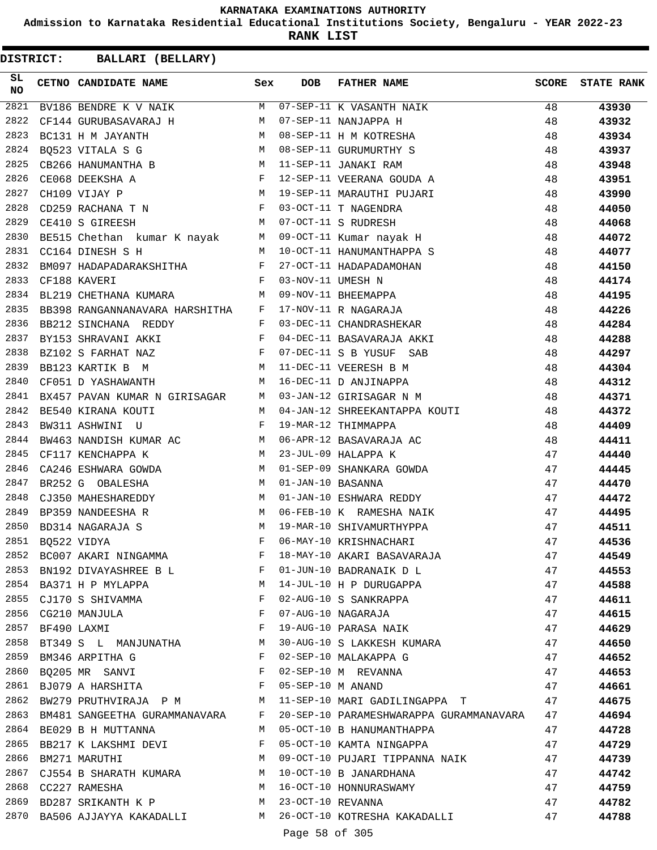**Admission to Karnataka Residential Educational Institutions Society, Bengaluru - YEAR 2022-23**

**RANK LIST**

**DISTRICT:** CC **BALLARI (BELLARY)**

| SL<br><b>NO</b> |                  | CETNO CANDIDATE NAME                                              | Sex          | <b>DOB</b>        | FATHER NAME                                                                     | SCORE | <b>STATE RANK</b> |
|-----------------|------------------|-------------------------------------------------------------------|--------------|-------------------|---------------------------------------------------------------------------------|-------|-------------------|
| 2821            |                  | BV186 BENDRE K V NAIK M 07-SEP-11 K VASANTH NAIK                  |              |                   |                                                                                 | 48    | 43930             |
| 2822            |                  | CF144 GURUBASAVARAJ H<br><b>M</b>                                 |              |                   | 07-SEP-11 NANJAPPA H                                                            | 48    | 43932             |
| 2823            |                  | M<br>BC131 H M JAYANTH                                            |              |                   | 08-SEP-11 H M KOTRESHA                                                          | 48    | 43934             |
| 2824            |                  | M<br>BQ523 VITALA S G                                             |              |                   | 08-SEP-11 GURUMURTHY S                                                          | 48    | 43937             |
| 2825            |                  | CB266 HANUMANTHA B M 11-SEP-11 JANAKI RAM                         |              |                   |                                                                                 | 48    | 43948             |
| 2826            |                  | $\mathbf{F}$ and the contract of $\mathbf{F}$<br>CE068 DEEKSHA A  |              |                   | 12-SEP-11 VEERANA GOUDA A                                                       | 48    | 43951             |
| 2827            |                  | $\mathbbmss{M}$<br>CH109 VIJAY P                                  |              |                   | 19-SEP-11 MARAUTHI PUJARI                                                       | 48    | 43990             |
| 2828            |                  | CD259 RACHANA T N $$\rm{F}$ 03-OCT-11 T NAGENDRA                  |              |                   |                                                                                 | 48    | 44050             |
| 2829            |                  | M 07-OCT-11 S RUDRESH<br>CE410 S GIREESH                          |              |                   |                                                                                 | 48    | 44068             |
| 2830            |                  |                                                                   |              |                   | BE515 Chethan kumar K nayak M 09-OCT-11 Kumar nayak H                           | 48    | 44072             |
| 2831            |                  | $\mathbb{M}$<br>CC164 DINESH S H                                  |              |                   | 10-OCT-11 HANUMANTHAPPA S                                                       | 48    | 44077             |
| 2832            |                  | BM097 HADAPADARAKSHITHA F 27-OCT-11 HADAPADAMOHAN                 |              |                   |                                                                                 | 48    | 44150             |
| 2833            |                  | $\mathbf{F}$ . The set of $\mathbf{F}$<br>CF188 KAVERI            |              | 03-NOV-11 UMESH N |                                                                                 | 48    | 44174             |
| 2834            |                  | BL219 CHETHANA KUMARA M                                           |              |                   |                                                                                 | 48    | 44195             |
| 2835            |                  | BB398 RANGANNANAVARA HARSHITHA F                                  |              |                   | 09-NOV-11 BHEEMAPPA<br>17-NOV-11 R NAGARAJA<br>03-DEC-11 CHANDRASHEKAR          | 48    | 44226             |
| 2836            |                  | $\mathbf{F}$<br>BB212 SINCHANA REDDY                              |              |                   |                                                                                 | 48    | 44284             |
| 2837            |                  | $\mathbf{F}$<br>BY153 SHRAVANI AKKI                               |              |                   | 04-DEC-11 BASAVARAJA AKKI                                                       | 48    | 44288             |
| 2838            |                  | BZ102 S FARHAT NAZ                                                |              |                   | 07-DEC-11 S B YUSUF SAB                                                         | 48    | 44297             |
| 2839            |                  | BB123 KARTIK B M M                                                |              |                   | 11-DEC-11 VEERESH B M                                                           | 48    | 44304             |
| 2840            |                  | CF051 D YASHAWANTH                                                | M            |                   | 16-DEC-11 D ANJINAPPA                                                           | 48    | 44312             |
| 2841            |                  | BX457 PAVAN KUMAR N GIRISAGAR M 03-JAN-12 GIRISAGAR N M           |              |                   |                                                                                 | 48    | 44371             |
| 2842            |                  | BE540 KIRANA KOUTI<br>M <sub>1</sub>                              |              |                   | 04-JAN-12 SHREEKANTAPPA KOUTI                                                   | 48    | 44372             |
| 2843            |                  | $\mathbf{F}$ and $\mathbf{F}$ and $\mathbf{F}$<br>BW311 ASHWINI U |              |                   | 19-MAR-12 THIMMAPPA                                                             | 48    | 44409             |
| 2844            |                  | BW463 NANDISH KUMAR AC M 06-APR-12 BASAVARAJA AC                  |              |                   |                                                                                 | 48    | 44411             |
| 2845            |                  | M 23-JUL-09 HALAPPA K<br>CF117 KENCHAPPA K                        |              |                   |                                                                                 | 47    | 44440             |
| 2846            |                  | CA246 ESHWARA GOWDA M                                             |              |                   | 01-SEP-09 SHANKARA GOWDA                                                        | 47    | 44445             |
| 2847            |                  | M<br>BR252 G OBALESHA                                             |              | 01-JAN-10 BASANNA |                                                                                 | 47    | 44470             |
| 2848            |                  | CJ350 MAHESHAREDDY                                                | M            |                   | 01-JAN-10 ESHWARA REDDY                                                         | 47    | 44472             |
| 2849            |                  | M <sub>1</sub><br>BP359 NANDEESHA R                               |              |                   | 06-FEB-10 K RAMESHA NAIK                                                        | 47    | 44495             |
| 2850            |                  | M <sub>N</sub><br>BD314 NAGARAJA S                                |              |                   | 19-MAR-10 SHIVAMURTHYPPA                                                        | 47    | 44511             |
| 2851            |                  | BQ522 VIDYA                                                       | F            |                   | 06-MAY-10 KRISHNACHARI                                                          | 47    | 44536             |
| 2852            |                  | BC007 AKARI NINGAMMA                                              | F            |                   | 18-MAY-10 AKARI BASAVARAJA                                                      | 47    | 44549             |
|                 |                  |                                                                   |              |                   | 2853 BN192 DIVAYASHREE B L F 01-JUN-10 BADRANAIK D L                            | 47    | 44553             |
|                 |                  |                                                                   |              |                   | 2854 BA371 H P MYLAPPA M 14-JUL-10 H P DURUGAPPA                                | 47    | 44588             |
| 2855            |                  | CJ170 S SHIVAMMA F                                                |              |                   | 02-AUG-10 S SANKRAPPA                                                           | 47    | 44611             |
|                 |                  | $\mathbf F$<br>2856 CG210 MANJULA                                 |              |                   | 07-AUG-10 NAGARAJA                                                              | 47    | 44615             |
|                 | 2857 BF490 LAXMI |                                                                   | $\mathbf{F}$ |                   | 19-AUG-10 PARASA NAIK                                                           | 47    | 44629             |
| 2858            |                  |                                                                   |              |                   | BT349 S L MANJUNATHA M 30-AUG-10 S LAKKESH KUMARA 47                            |       | 44650             |
| 2859            |                  | BM346 ARPITHA G F                                                 |              |                   | 02-SEP-10 MALAKAPPA G                                                           | 47    | 44652             |
|                 |                  | 2860 BQ205 MR SANVI F                                             |              |                   | 02-SEP-10 M REVANNA                                                             | 47    | 44653             |
|                 |                  | 2861 BJ079 A HARSHITA $F$ 05-SEP-10 M ANAND                       |              |                   |                                                                                 | 47    | 44661             |
| 2862            |                  |                                                                   |              |                   | BW279 PRUTHVIRAJA P M M 11-SEP-10 MARI GADILINGAPPA T 47                        |       | 44675             |
|                 |                  |                                                                   |              |                   | 2863 BM481 SANGEETHA GURAMMANAVARA F 20-SEP-10 PARAMESHWARAPPA GURAMMANAVARA 47 |       | 44694             |
|                 |                  | 2864 BE029 B H MUTTANNA                                           |              |                   | M 05-OCT-10 B HANUMANTHAPPA                                                     | 47    | 44728             |
|                 |                  | 2865 BB217 K LAKSHMI DEVI F                                       |              |                   | 05-OCT-10 KAMTA NINGAPPA                                                        | 47    | 44729             |
| 2866            |                  | BM271 MARUTHI M                                                   |              |                   | 09-OCT-10 PUJARI TIPPANNA NAIK 47                                               |       | 44739             |
| 2867            |                  |                                                                   |              |                   |                                                                                 | 47    | 44742             |
|                 |                  | 2868 CC227 RAMESHA                                                |              |                   |                                                                                 | 47    | 44759             |
|                 |                  | 2869 BD287 SRIKANTH K P M 23-OCT-10 REVANNA                       |              |                   |                                                                                 | 47    | 44782             |
|                 |                  |                                                                   |              |                   | 2870 BA506 AJJAYYA KAKADALLI MARA 26-OCT-10 KOTRESHA KAKADALLI                  | 47    | 44788             |

Page 58 of 305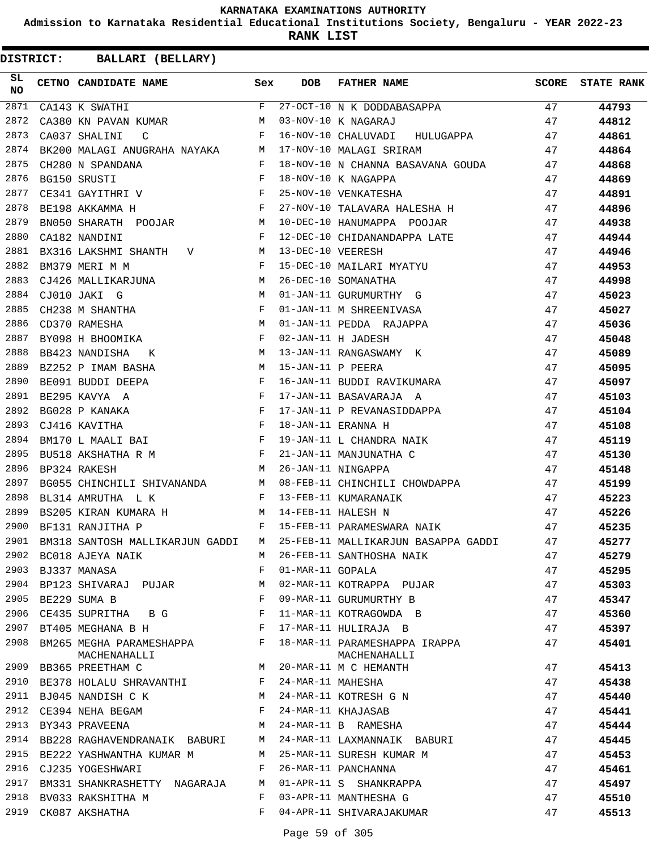**Admission to Karnataka Residential Educational Institutions Society, Bengaluru - YEAR 2022-23**

**RANK LIST**

| SL<br><b>NO</b> | CETNO CANDIDATE NAME Sex                                                                                                                                                                                                                                                                                                                                                                                                                               |              | <b>DOB</b>        | FATHER NAME                                                                 | SCORE | <b>STATE RANK</b> |
|-----------------|--------------------------------------------------------------------------------------------------------------------------------------------------------------------------------------------------------------------------------------------------------------------------------------------------------------------------------------------------------------------------------------------------------------------------------------------------------|--------------|-------------------|-----------------------------------------------------------------------------|-------|-------------------|
| 2871            | CA143 K SWATHI                                                                                                                                                                                                                                                                                                                                                                                                                                         | $F$ and      |                   | 27-OCT-10 N K DODDABASAPPA                                                  | 47    | 44793             |
| 2872            | CA380 KN PAVAN KUMAR                                                                                                                                                                                                                                                                                                                                                                                                                                   | M            |                   | 03-NOV-10 K NAGARAJ                                                         | 47    | 44812             |
| 2873            | $\mathbf{F}$ and $\mathbf{F}$ and $\mathbf{F}$<br>CA037 SHALINI<br>$\overline{C}$                                                                                                                                                                                                                                                                                                                                                                      |              |                   | 16-NOV-10 CHALUVADI HULUGAPPA                                               | 47    | 44861             |
| 2874            | BK200 MALAGI ANUGRAHA NAYAKA M                                                                                                                                                                                                                                                                                                                                                                                                                         |              |                   | 17-NOV-10 MALAGI SRIRAM                                                     | 47    | 44864             |
| 2875            | CH280 N SPANDANA<br>$\mathbb F$                                                                                                                                                                                                                                                                                                                                                                                                                        |              |                   | 18-NOV-10 N CHANNA BASAVANA GOUDA 47                                        |       | 44868             |
| 2876            | $\mathbb{F}^{\mathbb{Z}}$ . The state of the state $\mathbb{F}^{\mathbb{Z}}$<br>BG150 SRUSTI                                                                                                                                                                                                                                                                                                                                                           |              |                   | 18-NOV-10 K NAGAPPA                                                         | 47    | 44869             |
| 2877            | CE341 GAYITHRI V F                                                                                                                                                                                                                                                                                                                                                                                                                                     |              |                   | 25-NOV-10 VENKATESHA                                                        | 47    | 44891             |
| 2878            | $\mathbf{F}^{\mathbf{r}}$<br>BE198 AKKAMMA H                                                                                                                                                                                                                                                                                                                                                                                                           |              |                   | 27-NOV-10 TALAVARA HALESHA H                                                | 47    | 44896             |
| 2879            | BN050 SHARATH POOJAR M                                                                                                                                                                                                                                                                                                                                                                                                                                 |              |                   | 10-DEC-10 HANUMAPPA POOJAR                                                  | 47    | 44938             |
| 2880            | CA182 NANDINI                                                                                                                                                                                                                                                                                                                                                                                                                                          | $\mathbf{F}$ |                   | 12-DEC-10 CHIDANANDAPPA LATE                                                | 47    | 44944             |
| 2881            | BX316 LAKSHMI SHANTH V M                                                                                                                                                                                                                                                                                                                                                                                                                               |              | 13-DEC-10 VEERESH |                                                                             | 47    | 44946             |
| 2882            | $\mathbf F$<br>BM379 MERI M M                                                                                                                                                                                                                                                                                                                                                                                                                          |              |                   |                                                                             | 47    | 44953             |
| 2883            | CJ426 MALLIKARJUNA M                                                                                                                                                                                                                                                                                                                                                                                                                                   |              |                   | 15-DEC-10 MAILARI MYATYU<br>26-DEC-10 SOMANATHA                             | 47    | 44998             |
| 2884            | M<br>CJ010 JAKI G                                                                                                                                                                                                                                                                                                                                                                                                                                      |              |                   | 01-JAN-11 GURUMURTHY G                                                      | 47    | 45023             |
| 2885            |                                                                                                                                                                                                                                                                                                                                                                                                                                                        |              |                   | 01-JAN-11 M SHREENIVASA                                                     | 47    | 45027             |
| 2886            |                                                                                                                                                                                                                                                                                                                                                                                                                                                        |              |                   |                                                                             | 47    | 45036             |
| 2887            | $\begin{tabular}{lllllllll} \multicolumn{2}{c}{\textbf{CH238}} & \multicolumn{2}{c}{\textbf{M} SHAMTHA} & \multicolumn{2}{c}{\textbf{F}} \\ \multicolumn{2}{c}{\textbf{CD370 RAMESHA}} & \multicolumn{2}{c}{\textbf{M} S} & \multicolumn{2}{c}{\textbf{M} S} & \multicolumn{2}{c}{\textbf{M} S} & \multicolumn{2}{c}{\textbf{M} S} & \multicolumn{2}{c}{\textbf{M} S} & \multicolumn{2}{c}{\textbf{M} S} & \multicolumn{2}{c}{\textbf{M} S} & \multic$ |              |                   | 01-JAN-11 PEDDA RAJAPPA<br>02-JAN-11 H JADESH<br>12 JAN 11 DRIVERS          | 47    | 45048             |
| 2888            | M <sub>N</sub><br>BB423 NANDISHA<br>K                                                                                                                                                                                                                                                                                                                                                                                                                  |              |                   | 13-JAN-11 RANGASWAMY K                                                      | 47    | 45089             |
| 2889            | M <sub>N</sub><br>BZ252 P IMAM BASHA                                                                                                                                                                                                                                                                                                                                                                                                                   |              | 15-JAN-11 P PEERA |                                                                             | 47    | 45095             |
| 2890            | BE091 BUDDI DEEPA                                                                                                                                                                                                                                                                                                                                                                                                                                      |              |                   |                                                                             | 47    | 45097             |
| 2891            | $\begin{array}{ccc} & & F \\ & & F \\ & & & F \end{array}$<br>BE295 KAVYA A                                                                                                                                                                                                                                                                                                                                                                            |              |                   | 16-JAN-11 BUDDI RAVIKUMARA<br>17-JAN-11 BASAVARAJA A                        | 47    | 45103             |
| 2892            |                                                                                                                                                                                                                                                                                                                                                                                                                                                        |              |                   | 17-JAN-11 P REVANASIDDAPPA                                                  | 47    | 45104             |
| 2893            |                                                                                                                                                                                                                                                                                                                                                                                                                                                        |              |                   |                                                                             | 47    | 45108             |
| 2894            |                                                                                                                                                                                                                                                                                                                                                                                                                                                        |              |                   |                                                                             | 47    | 45119             |
| 2895            | BG028 P KANAKA F<br>CJ416 KAVITHA F<br>BM170 L MAALI BAI F<br>BU518 AKSHATHA R M F<br>BP324 RAKESH M                                                                                                                                                                                                                                                                                                                                                   |              |                   | 18-JAN-11 ERANNA H<br>19-JAN-11 L CHANDRA NAIK<br>21-JAN-11 MANJUNATHA C    | 47    | 45130             |
| 2896            |                                                                                                                                                                                                                                                                                                                                                                                                                                                        |              |                   | 26-JAN-11 NINGAPPA                                                          | 47    | 45148             |
| 2897            | BG055 CHINCHILI SHIVANANDA M                                                                                                                                                                                                                                                                                                                                                                                                                           |              |                   |                                                                             | 47    | 45199             |
| 2898            | BL314 AMRUTHA L K                                                                                                                                                                                                                                                                                                                                                                                                                                      | $\mathbb F$  |                   | 08-FEB-11 CHINCHILI CHOWDAPPA<br>13-FEB-11 KUMARANAIK<br>14-FEB-11 HALESH N | 47    | 45223             |
| 2899            | BS205 KIRAN KUMARA H M                                                                                                                                                                                                                                                                                                                                                                                                                                 |              |                   | 14-FEB-11 HALESH N                                                          | 47    | 45226             |
| 2900            | $\mathbf{F}$ and the contract of $\mathbf{F}$ .<br>BF131 RANJITHA P                                                                                                                                                                                                                                                                                                                                                                                    |              |                   | 15-FEB-11 PARAMESWARA NAIK                                                  | 47    | 45235             |
| 2901            |                                                                                                                                                                                                                                                                                                                                                                                                                                                        |              |                   | BM318 SANTOSH MALLIKARJUN GADDI M 25-FEB-11 MALLIKARJUN BASAPPA GADDI       | 47    | 45277             |
| 2902            | BC018 AJEYA NAIK                                                                                                                                                                                                                                                                                                                                                                                                                                       | М            |                   | 26-FEB-11 SANTHOSHA NAIK                                                    | 47    | 45279             |
| 2903            | BJ337 MANASA                                                                                                                                                                                                                                                                                                                                                                                                                                           | F            | 01-MAR-11 GOPALA  |                                                                             | 47    | 45295             |
| 2904            | BP123 SHIVARAJ PUJAR                                                                                                                                                                                                                                                                                                                                                                                                                                   | М            |                   | 02-MAR-11 KOTRAPPA PUJAR                                                    | 47    | 45303             |
| 2905            | BE229 SUMA B                                                                                                                                                                                                                                                                                                                                                                                                                                           | F            |                   | 09-MAR-11 GURUMURTHY B                                                      | 47    | 45347             |
| 2906            | CE435 SUPRITHA BG                                                                                                                                                                                                                                                                                                                                                                                                                                      | F            |                   | 11-MAR-11 KOTRAGOWDA B                                                      | 47    | 45360             |
| 2907            | BT405 MEGHANA B H                                                                                                                                                                                                                                                                                                                                                                                                                                      | F            |                   | 17-MAR-11 HULIRAJA B                                                        | 47    | 45397             |
| 2908            | BM265 MEGHA PARAMESHAPPA<br>MACHENAHALLI                                                                                                                                                                                                                                                                                                                                                                                                               | F            |                   | 18-MAR-11 PARAMESHAPPA IRAPPA<br>MACHENAHALLI                               | 47    | 45401             |
| 2909            | BB365 PREETHAM C                                                                                                                                                                                                                                                                                                                                                                                                                                       | M            |                   | 20-MAR-11 M C HEMANTH                                                       | 47    | 45413             |
| 2910            | BE378 HOLALU SHRAVANTHI                                                                                                                                                                                                                                                                                                                                                                                                                                | F            | 24-MAR-11 MAHESHA |                                                                             | 47    | 45438             |
| 2911            | BJ045 NANDISH C K                                                                                                                                                                                                                                                                                                                                                                                                                                      | М            |                   | 24-MAR-11 KOTRESH G N                                                       | 47    | 45440             |
| 2912            | CE394 NEHA BEGAM                                                                                                                                                                                                                                                                                                                                                                                                                                       | F            |                   | 24-MAR-11 KHAJASAB                                                          | 47    | 45441             |
| 2913            | BY343 PRAVEENA                                                                                                                                                                                                                                                                                                                                                                                                                                         | М            |                   | 24-MAR-11 B RAMESHA                                                         | 47    | 45444             |
| 2914            | BB228 RAGHAVENDRANAIK BABURI                                                                                                                                                                                                                                                                                                                                                                                                                           | M            |                   | 24-MAR-11 LAXMANNAIK BABURI                                                 | 47    | 45445             |
| 2915            | BE222 YASHWANTHA KUMAR M                                                                                                                                                                                                                                                                                                                                                                                                                               | М            |                   | 25-MAR-11 SURESH KUMAR M                                                    | 47    | 45453             |
|                 | 2916 CJ235 YOGESHWARI                                                                                                                                                                                                                                                                                                                                                                                                                                  | F            |                   | 26-MAR-11 PANCHANNA                                                         | 47    | 45461             |
| 2917            | BM331 SHANKRASHETTY NAGARAJA                                                                                                                                                                                                                                                                                                                                                                                                                           | М            |                   | 01-APR-11 S SHANKRAPPA                                                      | 47    | 45497             |
| 2918            | BV033 RAKSHITHA M                                                                                                                                                                                                                                                                                                                                                                                                                                      | F            |                   | 03-APR-11 MANTHESHA G                                                       | 47    | 45510             |
| 2919            | CK087 AKSHATHA                                                                                                                                                                                                                                                                                                                                                                                                                                         | F            |                   | 04-APR-11 SHIVARAJAKUMAR                                                    | 47    | 45513             |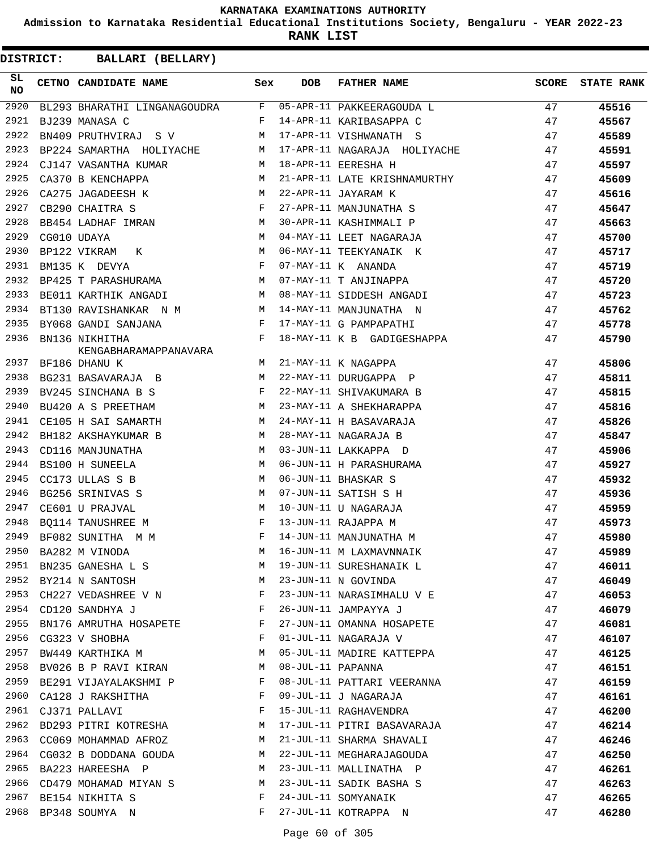**Admission to Karnataka Residential Educational Institutions Society, Bengaluru - YEAR 2022-23**

**RANK LIST**

| SL<br><b>NO</b> | CETNO CANDIDATE NAME                    | Sex          | <b>DOB</b>        | FATHER NAME                  | <b>SCORE</b> | <b>STATE RANK</b> |
|-----------------|-----------------------------------------|--------------|-------------------|------------------------------|--------------|-------------------|
| 2920            | BL293 BHARATHI LINGANAGOUDRA F          |              |                   | 05-APR-11 PAKKEERAGOUDA L    | 47           | 45516             |
| 2921            | BJ239 MANASA C                          | F            |                   | 14-APR-11 KARIBASAPPA C      | 47           | 45567             |
| 2922            | BN409 PRUTHVIRAJ SV                     | M            |                   | 17-APR-11 VISHWANATH S       | 47           | 45589             |
| 2923            | BP224 SAMARTHA HOLIYACHE M              |              |                   | 17-APR-11 NAGARAJA HOLIYACHE | 47           | 45591             |
| 2924            | CJ147 VASANTHA KUMAR                    | M            |                   | 18-APR-11 EERESHA H          | 47           | 45597             |
| 2925            | CA370 B KENCHAPPA                       | M            |                   | 21-APR-11 LATE KRISHNAMURTHY | 47           | 45609             |
| 2926            | M<br>CA275 JAGADEESH K                  |              |                   | 22-APR-11 JAYARAM K          | 47           | 45616             |
| 2927            | CB290 CHAITRA S                         | $\mathbf{F}$ |                   | 27-APR-11 MANJUNATHA S       | 47           | 45647             |
| 2928            | BB454 LADHAF IMRAN M                    |              |                   | 30-APR-11 KASHIMMALI P       | 47           | 45663             |
| 2929            | CG010 UDAYA                             | M            |                   | 04-MAY-11 LEET NAGARAJA      | 47           | 45700             |
| 2930            | BP122 VIKRAM<br>K                       | M            |                   | 06-MAY-11 TEEKYANAIK K       | 47           | 45717             |
| 2931            | BM135 K DEVYA                           | $\mathbf{F}$ |                   | 07-MAY-11 K ANANDA           | 47           | 45719             |
| 2932            | BP425 T PARASHURAMA M                   |              |                   | 07-MAY-11 T ANJINAPPA        | 47           | 45720             |
| 2933            | BE011 KARTHIK ANGADI M                  |              |                   | 08-MAY-11 SIDDESH ANGADI     | 47           | 45723             |
| 2934            | BT130 RAVISHANKAR N M                   |              |                   | 14-MAY-11 MANJUNATHA N       | 47           | 45762             |
| 2935            | BY068 GANDI SANJANA                     | F            |                   | 17-MAY-11 G PAMPAPATHI       | 47           | 45778             |
| 2936            | BN136 NIKHITHA<br>KENGABHARAMAPPANAVARA | F            |                   | 18-MAY-11 K B GADIGESHAPPA   | 47           | 45790             |
| 2937            | BF186 DHANU K                           | M            |                   | 21-MAY-11 K NAGAPPA          | 47           | 45806             |
| 2938            | BG231 BASAVARAJA B M                    |              |                   | 22-MAY-11 DURUGAPPA P        | 47           | 45811             |
| 2939            | BV245 SINCHANA B S                      | F            |                   | 22-MAY-11 SHIVAKUMARA B      | 47           | 45815             |
| 2940            | BU420 A S PREETHAM                      | M            |                   | 23-MAY-11 A SHEKHARAPPA      | 47           | 45816             |
| 2941            | CE105 H SAI SAMARTH                     | M            |                   | 24-MAY-11 H BASAVARAJA       | 47           | 45826             |
| 2942            | BH182 AKSHAYKUMAR B                     | M            |                   | 28-MAY-11 NAGARAJA B         | 47           | 45847             |
| 2943            | CD116 MANJUNATHA                        | M            |                   | 03-JUN-11 LAKKAPPA D         | 47           | 45906             |
| 2944            | BS100 H SUNEELA                         | M            |                   | 06-JUN-11 H PARASHURAMA      | 47           | 45927             |
| 2945            | CC173 ULLAS S B                         | M            |                   | 06-JUN-11 BHASKAR S          | 47           | 45932             |
| 2946            | BG256 SRINIVAS S                        | M            |                   | 07-JUN-11 SATISH S H         | 47           | 45936             |
| 2947            | CE601 U PRAJVAL                         | M            |                   | 10-JUN-11 U NAGARAJA         | 47           | 45959             |
| 2948            | BQ114 TANUSHREE M                       | $_{\rm F}$   |                   | 13-JUN-11 RAJAPPA M          | 47           | 45973             |
| 2949            | BF082 SUNITHA M M                       | F            |                   | 14-JUN-11 MANJUNATHA M       | 47           | 45980             |
| 2950            | BA282 M VINODA                          |              |                   | M 16-JUN-11 M LAXMAVNNAIK    | 47           | 45989             |
| 2951            | BN235 GANESHA L S                       | М            |                   | 19-JUN-11 SURESHANAIK L      | 47           | 46011             |
| 2952            | BY214 N SANTOSH                         | М            |                   | 23-JUN-11 N GOVINDA          | 47           | 46049             |
| 2953            | CH227 VEDASHREE V N                     | $\mathbf{F}$ |                   | 23-JUN-11 NARASIMHALU V E    | 47           | 46053             |
| 2954            | CD120 SANDHYA J                         | $\mathbf{F}$ |                   | 26-JUN-11 JAMPAYYA J         | 47           | 46079             |
| 2955            | BN176 AMRUTHA HOSAPETE                  | F            |                   | 27-JUN-11 OMANNA HOSAPETE    | 47           | 46081             |
| 2956            | CG323 V SHOBHA                          | F            |                   | 01-JUL-11 NAGARAJA V         | 47           | 46107             |
| 2957            | BW449 KARTHIKA M                        | M            |                   | 05-JUL-11 MADIRE KATTEPPA    | 47           | 46125             |
| 2958            | BV026 B P RAVI KIRAN                    | М            | 08-JUL-11 PAPANNA |                              | 47           | 46151             |
| 2959            | BE291 VIJAYALAKSHMI P                   | F            |                   | 08-JUL-11 PATTARI VEERANNA   | 47           | 46159             |
| 2960            | CA128 J RAKSHITHA                       | F            |                   | 09-JUL-11 J NAGARAJA         | 47           | 46161             |
| 2961            | CJ371 PALLAVI                           | F            |                   | 15-JUL-11 RAGHAVENDRA        | 47           | 46200             |
| 2962            | BD293 PITRI KOTRESHA                    | M            |                   | 17-JUL-11 PITRI BASAVARAJA   | 47           | 46214             |
| 2963            | CC069 MOHAMMAD AFROZ                    | M            |                   | 21-JUL-11 SHARMA SHAVALI     | 47           | 46246             |
| 2964            | CG032 B DODDANA GOUDA                   | M            |                   | 22-JUL-11 MEGHARAJAGOUDA     | 47           | 46250             |
| 2965            | BA223 HAREESHA P                        | M            |                   | 23-JUL-11 MALLINATHA P       | 47           | 46261             |
| 2966            | CD479 MOHAMAD MIYAN S                   | M            |                   | 23-JUL-11 SADIK BASHA S      | 47           | 46263             |
| 2967            | BE154 NIKHITA S                         | F            |                   | 24-JUL-11 SOMYANAIK          | 47           | 46265             |
| 2968            | BP348 SOUMYA N                          | F            |                   | 27-JUL-11 KOTRAPPA N         | 47           | 46280             |
|                 |                                         |              |                   |                              |              |                   |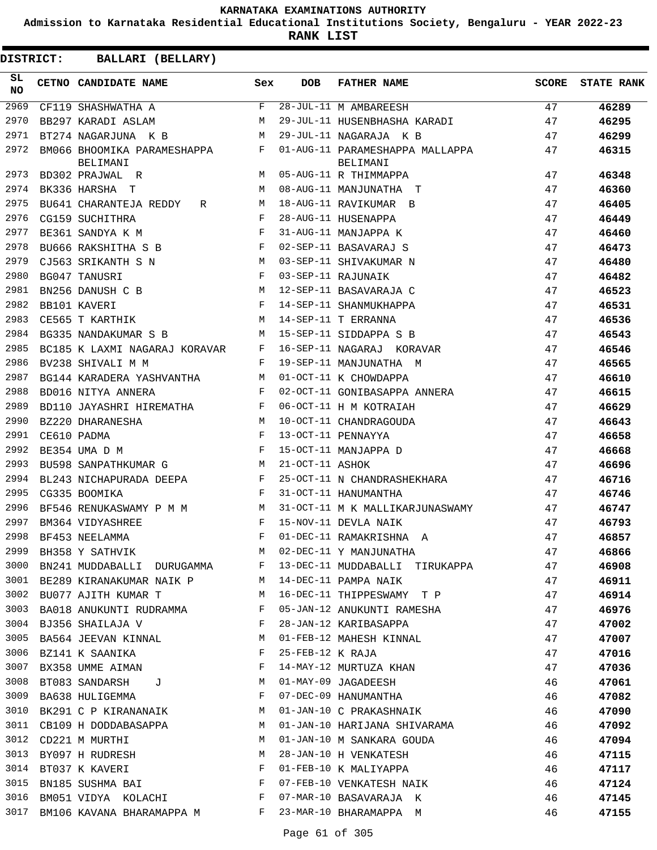**Admission to Karnataka Residential Educational Institutions Society, Bengaluru - YEAR 2022-23**

**RANK LIST**

| SL<br><b>NO</b> | CETNO CANDIDATE NAME                    | Sex          | DOB              | <b>FATHER NAME</b>                                      | <b>SCORE</b> | <b>STATE RANK</b> |
|-----------------|-----------------------------------------|--------------|------------------|---------------------------------------------------------|--------------|-------------------|
| 2969            | CF119 SHASHWATHA A                      | F            |                  | 28-JUL-11 M AMBAREESH                                   | 47           | 46289             |
| 2970            | BB297 KARADI ASLAM                      | M            |                  | 29-JUL-11 HUSENBHASHA KARADI                            | 47           | 46295             |
| 2971            | BT274 NAGARJUNA K B                     | M            |                  | 29-JUL-11 NAGARAJA K B                                  | 47           | 46299             |
| 2972            | BM066 BHOOMIKA PARAMESHAPPA<br>BELIMANI | F            |                  | 01-AUG-11 PARAMESHAPPA MALLAPPA<br>BELIMANI             | 47           | 46315             |
| 2973            | BD302 PRAJWAL R                         | M            |                  | 05-AUG-11 R THIMMAPPA                                   | 47           | 46348             |
| 2974            | BK336 HARSHA T                          | M            |                  | 08-AUG-11 MANJUNATHA T                                  | 47           | 46360             |
| 2975            | BU641 CHARANTEJA REDDY<br>R             | M            |                  | 18-AUG-11 RAVIKUMAR B                                   | 47           | 46405             |
| 2976            | CG159 SUCHITHRA                         | F            |                  | 28-AUG-11 HUSENAPPA                                     | 47           | 46449             |
| 2977            | BE361 SANDYA K M                        | F            |                  | 31-AUG-11 MANJAPPA K                                    | 47           | 46460             |
| 2978            | BU666 RAKSHITHA S B                     | F            |                  | 02-SEP-11 BASAVARAJ S                                   | 47           | 46473             |
| 2979            | CJ563 SRIKANTH S N                      | M            |                  | 03-SEP-11 SHIVAKUMAR N                                  | 47           | 46480             |
| 2980            | BG047 TANUSRI                           | F            |                  | 03-SEP-11 RAJUNAIK                                      | 47           | 46482             |
| 2981            | BN256 DANUSH C B                        | M            |                  | 12-SEP-11 BASAVARAJA C                                  | 47           | 46523             |
| 2982            | BB101 KAVERI                            | F            |                  | 14-SEP-11 SHANMUKHAPPA                                  | 47           | 46531             |
| 2983            | CE565 T KARTHIK                         | M            |                  | 14-SEP-11 T ERRANNA                                     | 47           | 46536             |
| 2984            | BG335 NANDAKUMAR S B                    | M            |                  | 15-SEP-11 SIDDAPPA S B                                  | 47           | 46543             |
| 2985            | BC185 K LAXMI NAGARAJ KORAVAR           | F            |                  | 16-SEP-11 NAGARAJ KORAVAR                               | 47           | 46546             |
| 2986            | BV238 SHIVALI M M                       | F            |                  | 19-SEP-11 MANJUNATHA M                                  | 47           | 46565             |
| 2987            | BG144 KARADERA YASHVANTHA               | M            |                  | 01-OCT-11 K CHOWDAPPA                                   | 47           | 46610             |
| 2988            | BD016 NITYA ANNERA                      | $_{\rm F}$   |                  | 02-OCT-11 GONIBASAPPA ANNERA                            | 47           | 46615             |
| 2989            | BD110 JAYASHRI HIREMATHA                | $_{\rm F}$   |                  | 06-OCT-11 H M KOTRAIAH                                  | 47           | 46629             |
| 2990            | BZ220 DHARANESHA                        | M            |                  | 10-OCT-11 CHANDRAGOUDA                                  | 47           | 46643             |
| 2991            | CE610 PADMA                             | F            |                  | 13-OCT-11 PENNAYYA                                      | 47           | 46658             |
| 2992            | BE354 UMA D M                           | F            |                  | 15-OCT-11 MANJAPPA D                                    | 47           | 46668             |
| 2993            | BU598 SANPATHKUMAR G                    | M            | 21-OCT-11 ASHOK  |                                                         | 47           | 46696             |
| 2994            | BL243 NICHAPURADA DEEPA                 | F            |                  | 25-OCT-11 N CHANDRASHEKHARA                             | 47           | 46716             |
| 2995            | CG335 BOOMIKA                           | $_{\rm F}$   |                  | 31-OCT-11 HANUMANTHA                                    | 47           |                   |
| 2996            |                                         | M            |                  |                                                         |              | 46746             |
| 2997            | BF546 RENUKASWAMY P M M                 | $_{\rm F}$   |                  | 31-OCT-11 M K MALLIKARJUNASWAMY<br>15-NOV-11 DEVLA NAIK | 47           | 46747             |
| 2998            | BM364 VIDYASHREE                        | F            |                  |                                                         | 47           | 46793<br>46857    |
| 2999            | BF453 NEELAMMA                          |              |                  | 01-DEC-11 RAMAKRISHNA A                                 | 47           |                   |
|                 | BH358 Y SATHVIK                         | M            |                  | 02-DEC-11 Y MANJUNATHA                                  | 47           | 46866             |
| 3000            | BN241 MUDDABALLI DURUGAMMA              | F            |                  | 13-DEC-11 MUDDABALLI TIRUKAPPA                          | 47           | 46908             |
| 3001            | BE289 KIRANAKUMAR NAIK P                | M            |                  | 14-DEC-11 PAMPA NAIK                                    | 47           | 46911             |
| 3002            | BU077 AJITH KUMAR T                     | M            |                  | 16-DEC-11 THIPPESWAMY T P                               | 47           | 46914             |
| 3003            | BA018 ANUKUNTI RUDRAMMA                 | F            |                  | 05-JAN-12 ANUKUNTI RAMESHA                              | 47           | 46976             |
| 3004            | BJ356 SHAILAJA V                        | F            |                  | 28-JAN-12 KARIBASAPPA                                   | 47           | 47002             |
| 3005            | BA564 JEEVAN KINNAL                     | M            |                  | 01-FEB-12 MAHESH KINNAL                                 | 47           | 47007             |
| 3006            | BZ141 K SAANIKA                         | F            | 25-FEB-12 K RAJA |                                                         | 47           | 47016             |
| 3007            | BX358 UMME AIMAN                        | F            |                  | 14-MAY-12 MURTUZA KHAN                                  | 47           | 47036             |
| 3008            | BT083 SANDARSH<br>J                     | M            |                  | 01-MAY-09 JAGADEESH                                     | 46           | 47061             |
| 3009            | BA638 HULIGEMMA                         | F            |                  | 07-DEC-09 HANUMANTHA                                    | 46           | 47082             |
| 3010            | BK291 C P KIRANANAIK                    | M            |                  | 01-JAN-10 C PRAKASHNAIK                                 | 46           | 47090             |
| 3011            | CB109 H DODDABASAPPA                    | М            |                  | 01-JAN-10 HARIJANA SHIVARAMA                            | 46           | 47092             |
| 3012            | CD221 M MURTHI                          | М            |                  | 01-JAN-10 M SANKARA GOUDA                               | 46           | 47094             |
| 3013            | BY097 H RUDRESH                         | M            |                  | 28-JAN-10 H VENKATESH                                   | 46           | 47115             |
| 3014            | BT037 K KAVERI                          | $\mathbf{F}$ |                  | 01-FEB-10 K MALIYAPPA                                   | 46           | 47117             |
| 3015            | BN185 SUSHMA BAI                        | $\mathbf{F}$ |                  | 07-FEB-10 VENKATESH NAIK                                | 46           | 47124             |
| 3016            | BM051 VIDYA KOLACHI                     | F            |                  | 07-MAR-10 BASAVARAJA K                                  | 46           | 47145             |
| 3017            | BM106 KAVANA BHARAMAPPA M               | F            |                  | 23-MAR-10 BHARAMAPPA M                                  | 46           | 47155             |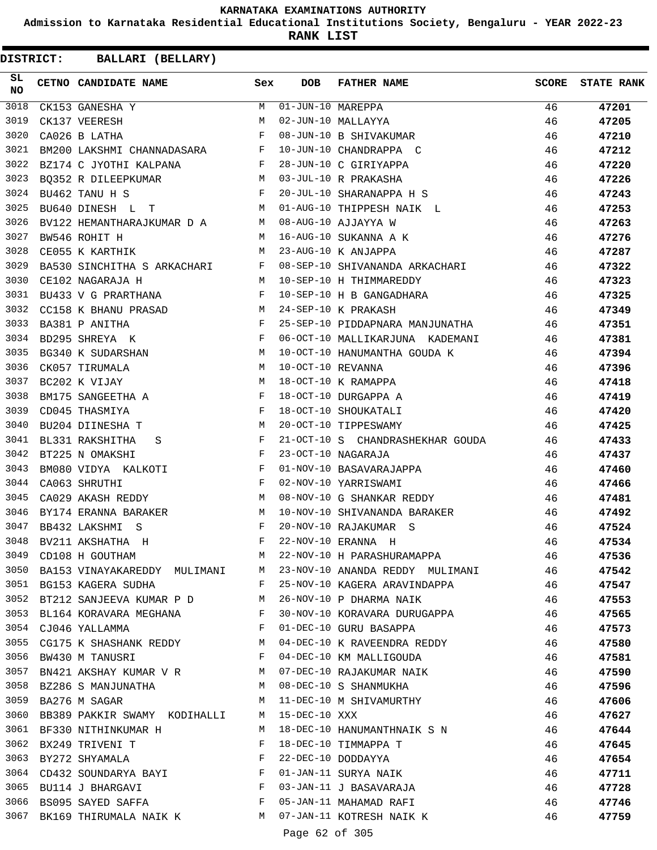**Admission to Karnataka Residential Educational Institutions Society, Bengaluru - YEAR 2022-23**

**RANK LIST**

**DISTRICT:** CC **BALLARI (BELLARY)**

| SL<br><b>NO</b> | CETNO CANDIDATE NAME                                                                                                                        | Sex          | <b>DOB</b>          | <b>FATHER NAME</b>                  | <b>SCORE</b> | <b>STATE RANK</b> |
|-----------------|---------------------------------------------------------------------------------------------------------------------------------------------|--------------|---------------------|-------------------------------------|--------------|-------------------|
| 3018            | CK153 GANESHA Y                                                                                                                             | M            | $01-JUN-10$ MAREPPA |                                     | 46           | 47201             |
| 3019            | CK137 VEERESH                                                                                                                               | M            |                     | 02-JUN-10 MALLAYYA                  | 46           | 47205             |
| 3020            | CA026 B LATHA                                                                                                                               | $_{\rm F}$   |                     | 08-JUN-10 B SHIVAKUMAR              | 46           | 47210             |
| 3021            | $\verb BM200 LAKSHMI CHANNADASARA F $                                                                                                       |              |                     | 10-JUN-10 CHANDRAPPA C              | 46           | 47212             |
| 3022            | $\mathbf{F}$ . The set of the $\mathbf{F}$<br>BZ174 C JYOTHI KALPANA                                                                        |              |                     | 28-JUN-10 C GIRIYAPPA               | 46           | 47220             |
| 3023            | BO352 R DILEEPKUMAR<br>M <sub>N</sub>                                                                                                       |              |                     | 03-JUL-10 R PRAKASHA                | 46           | 47226             |
| 3024            | <b>Example 20 For Press</b><br>BU462 TANU H S                                                                                               |              |                     | 20-JUL-10 SHARANAPPA H S            | 46           | 47243             |
| 3025            | BU640 DINESH L T                                                                                                                            | M            |                     | 01-AUG-10 THIPPESH NAIK L           | 46           | 47253             |
| 3026            | BV122 HEMANTHARAJKUMAR D A M                                                                                                                |              |                     | 08-AUG-10 AJJAYYA W                 | 46           | 47263             |
| 3027            | BW546 ROHIT H<br><b>M</b>                                                                                                                   |              |                     | 16-AUG-10 SUKANNA A K               | 46           | 47276             |
| 3028            | M<br>CE055 K KARTHIK                                                                                                                        |              |                     | 23-AUG-10 K ANJAPPA                 | 46           | 47287             |
| 3029            | BA530 SINCHITHA S ARKACHARI F                                                                                                               |              |                     | 08-SEP-10 SHIVANANDA ARKACHARI      | 46           | 47322             |
| 3030            | M <sub>1</sub><br>CE102 NAGARAJA H                                                                                                          |              |                     | 10-SEP-10 H THIMMAREDDY             | 46           | 47323             |
| 3031            | BU433 V G PRARTHANA F                                                                                                                       |              |                     | 10-SEP-10 H B GANGADHARA            | 46           | 47325             |
| 3032            | CC158 K BHANU PRASAD M                                                                                                                      |              |                     | 24-SEP-10 K PRAKASH                 | 46           | 47349             |
| 3033            | BA381 P ANITHA                                                                                                                              | $\mathbf{F}$ |                     | 25-SEP-10 PIDDAPNARA MANJUNATHA     | 46           | 47351             |
| 3034            | BD295 SHREYA K                                                                                                                              | F            |                     | 06-OCT-10 MALLIKARJUNA KADEMANI     | 46           | 47381             |
| 3035            | <b>Example 20</b> Manual Manual Manual Manual Manual Manual Manual Manual Manual Manual Manual Manual Manual Manual Ma<br>BG340 K SUDARSHAN |              |                     | 10-OCT-10 HANUMANTHA GOUDA K        | 46           | 47394             |
| 3036            | CK057 TIRUMALA                                                                                                                              | M            | 10-OCT-10 REVANNA   |                                     | 46           | 47396             |
| 3037            | BC202 K VIJAY                                                                                                                               | M            |                     | 18-OCT-10 K RAMAPPA                 | 46           | 47418             |
| 3038            | BM175 SANGEETHA A                                                                                                                           | F            |                     | 18-OCT-10 DURGAPPA A                | 46           | 47419             |
| 3039            | CD045 THASMIYA                                                                                                                              | $_{\rm F}$   |                     | 18-OCT-10 SHOUKATALI                | 46           | 47420             |
| 3040            | BU204 DIINESHA T                                                                                                                            | M            |                     | 20-OCT-10 TIPPESWAMY                | 46           | 47425             |
| 3041            | BL331 RAKSHITHA<br>S                                                                                                                        | F            |                     | 21-OCT-10 S CHANDRASHEKHAR GOUDA 46 |              | 47433             |
| 3042            | BT225 N OMAKSHI                                                                                                                             | F            |                     | 23-OCT-10 NAGARAJA                  | 46           | 47437             |
| 3043            | BM080 VIDYA KALKOTI<br>$\mathbf{F}$ and the set of the set of $\mathbf{F}$                                                                  |              |                     | 01-NOV-10 BASAVARAJAPPA             | 46           | 47460             |
| 3044            | $\mathbf{F}$<br>CA063 SHRUTHI                                                                                                               |              |                     | 02-NOV-10 YARRISWAMI                | 46           | 47466             |
| 3045            | M<br>CA029 AKASH REDDY                                                                                                                      |              |                     | 08-NOV-10 G SHANKAR REDDY           | 46           | 47481             |
| 3046            | BY174 ERANNA BARAKER                                                                                                                        | M            |                     | 10-NOV-10 SHIVANANDA BARAKER        | 46           | 47492             |
| 3047            | BB432 LAKSHMI S                                                                                                                             | F            |                     | 20-NOV-10 RAJAKUMAR S               | 46           | 47524             |
| 3048            | BV211 AKSHATHA H                                                                                                                            | F            |                     | 22-NOV-10 ERANNA H                  | 46           | 47534             |
| 3049            | CD108 H GOUTHAM                                                                                                                             | М            |                     | 22-NOV-10 H PARASHURAMAPPA          | 46           | 47536             |
| 3050            | BA153 VINAYAKAREDDY MULIMANI                                                                                                                | M            |                     | 23-NOV-10 ANANDA REDDY MULIMANI 46  |              | 47542             |
|                 | 3051 BG153 KAGERA SUDHA                                                                                                                     | F            |                     | 25-NOV-10 KAGERA ARAVINDAPPA<br>46  |              | 47547             |
|                 | 3052 BT212 SANJEEVA KUMAR P D M                                                                                                             |              |                     | 26-NOV-10 P DHARMA NAIK             | 46           | 47553             |
|                 | 3053 BL164 KORAVARA MEGHANA                                                                                                                 | $\mathbf{F}$ |                     | 30-NOV-10 KORAVARA DURUGAPPA        | 46           | 47565             |
|                 | 3054 CJ046 YALLAMMA                                                                                                                         | F            |                     | 01-DEC-10 GURU BASAPPA              | 46           | 47573             |
| 3055            | CG175 K SHASHANK REDDY                                                                                                                      | M            |                     | 04-DEC-10 K RAVEENDRA REDDY         | 46           | 47580             |
| 3056            | BW430 M TANUSRI<br><b>Example 19</b>                                                                                                        |              |                     | 04-DEC-10 KM MALLIGOUDA             | 46           | 47581             |
| 3057            | BN421 AKSHAY KUMAR V R M                                                                                                                    |              |                     | 07-DEC-10 RAJAKUMAR NAIK            | 46           | 47590             |
| 3058            | BZ286 S MANJUNATHA                                                                                                                          | M            |                     | 08-DEC-10 S SHANMUKHA               | 46           | 47596             |
| 3059            | BA276 M SAGAR                                                                                                                               | M            |                     | 11-DEC-10 M SHIVAMURTHY             | 46           | 47606             |
| 3060            | BB389 PAKKIR SWAMY KODIHALLI                                                                                                                | M            | $15 - DEC - 10$ XXX |                                     | 46           | 47627             |
| 3061            | BF330 NITHINKUMAR H                                                                                                                         | M            |                     | 18-DEC-10 HANUMANTHNAIK S N         | 46           | 47644             |
| 3062            | BX249 TRIVENI T                                                                                                                             | F            |                     | 18-DEC-10 TIMMAPPA T                | 46           | 47645             |
| 3063            | BY272 SHYAMALA                                                                                                                              | F            |                     | 22-DEC-10 DODDAYYA                  | 46           | 47654             |
| 3064            | CD432 SOUNDARYA BAYI $\hbox{\tt F}$                                                                                                         |              |                     | 01-JAN-11 SURYA NAIK                | 46           | 47711             |
| 3065            | BU114 J BHARGAVI                                                                                                                            | $\mathbf{F}$ |                     | 03-JAN-11 J BASAVARAJA              | 46           | 47728             |
| 3066            | BS095 SAYED SAFFA                                                                                                                           | $\mathbf{F}$ |                     | 05-JAN-11 MAHAMAD RAFI              | 46           | 47746             |
|                 | 3067 BK169 THIRUMALA NAIK K M 07-JAN-11 KOTRESH NAIK K                                                                                      |              |                     |                                     | 46           | 47759             |
|                 |                                                                                                                                             |              |                     |                                     |              |                   |

Page 62 of 305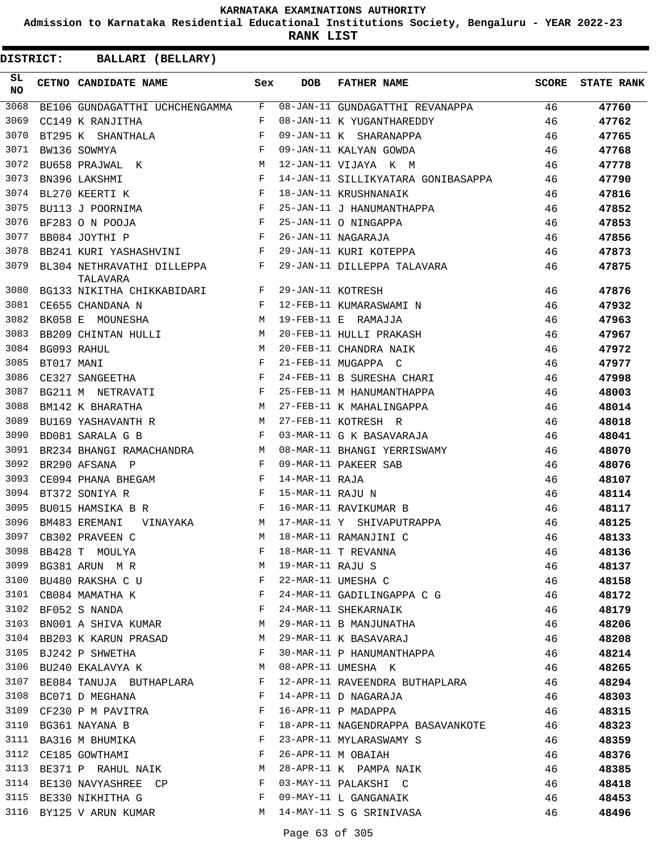**Admission to Karnataka Residential Educational Institutions Society, Bengaluru - YEAR 2022-23**

**RANK LIST**

| SL<br><b>NO</b> |            | CETNO CANDIDATE NAME                                                                                                                                                                                                                                | Sex          | <b>DOB</b>        | <b>FATHER NAME</b>                                            | SCORE | <b>STATE RANK</b> |
|-----------------|------------|-----------------------------------------------------------------------------------------------------------------------------------------------------------------------------------------------------------------------------------------------------|--------------|-------------------|---------------------------------------------------------------|-------|-------------------|
| 3068            |            | BE106 GUNDAGATTHI UCHCHENGAMMA                                                                                                                                                                                                                      | F            |                   | 08-JAN-11 GUNDAGATTHI REVANAPPA                               | 46    | 47760             |
| 3069            |            | CC149 K RANJITHA                                                                                                                                                                                                                                    | F            |                   | 08-JAN-11 K YUGANTHAREDDY                                     | 46    | 47762             |
| 3070            |            | BT295 K SHANTHALA                                                                                                                                                                                                                                   | F            |                   | 09-JAN-11 K SHARANAPPA                                        | 46    | 47765             |
| 3071            |            | BW136 SOWMYA                                                                                                                                                                                                                                        | $_{\rm F}$   |                   | 09-JAN-11 KALYAN GOWDA                                        | 46    | 47768             |
| 3072            |            | BU658 PRAJWAL K<br>$M_{\odot}$                                                                                                                                                                                                                      |              |                   | 12-JAN-11 VIJAYA K M                                          | 46    | 47778             |
| 3073            |            | and the state of the Fig.<br>BN396 LAKSHMI                                                                                                                                                                                                          |              |                   | 14-JAN-11 SILLIKYATARA GONIBASAPPA                            | 46    | 47790             |
| 3074            |            | $\mathbf{F}$<br>BL270 KEERTI K                                                                                                                                                                                                                      |              |                   | 18-JAN-11 KRUSHNANAIK                                         | 46    | 47816             |
| 3075            |            | BU113 J POORNIMA                                                                                                                                                                                                                                    | $\mathbf{F}$ |                   | 25-JAN-11 J HANUMANTHAPPA                                     | 46    | 47852             |
| 3076            |            | BF283 O N POOJA<br>$\mathbf{F}$ and $\mathbf{F}$                                                                                                                                                                                                    |              |                   | 25-JAN-11 O NINGAPPA                                          | 46    | 47853             |
| 3077            |            | the contract of the contract of the Property of the Property of the Property of the Property of the Property of<br>BB084 JOYTHI P                                                                                                                   |              |                   | 26-JAN-11 NAGARAJA                                            | 46    | 47856             |
| 3078            |            | $\mathbf{F}$ and $\mathbf{F}$ and $\mathbf{F}$<br>BB241 KURI YASHASHVINI                                                                                                                                                                            |              |                   | 29-JAN-11 KURI KOTEPPA                                        | 46    | 47873             |
| 3079            |            | BL304 NETHRAVATHI DILLEPPA F<br>TALAVARA                                                                                                                                                                                                            |              |                   | 29-JAN-11 DILLEPPA TALAVARA                                   | 46    | 47875             |
| 3080            |            | BG133 NIKITHA CHIKKABIDARI F                                                                                                                                                                                                                        |              | 29-JAN-11 KOTRESH |                                                               | 46    | 47876             |
| 3081            |            | CE655 CHANDANA N                                                                                                                                                                                                                                    | F            |                   | 12-FEB-11 KUMARASWAMI N                                       | 46    | 47932             |
| 3082            |            | BK058 E MOUNESHA<br><b>Example 19</b> M                                                                                                                                                                                                             |              |                   | 19-FEB-11 E RAMAJJA                                           | 46    | 47963             |
| 3083            |            | BB209 CHINTAN HULLI M                                                                                                                                                                                                                               |              |                   | 20-FEB-11 HULLI PRAKASH                                       | 46    | 47967             |
| 3084            |            | BG093 RAHUL                                                                                                                                                                                                                                         | M            |                   | 20-FEB-11 CHANDRA NAIK                                        | 46    | 47972             |
| 3085            | BT017 MANI |                                                                                                                                                                                                                                                     | F            |                   | 21-FEB-11 MUGAPPA C                                           | 46    | 47977             |
| 3086            |            | <b>Example 20</b><br>CE327 SANGEETHA                                                                                                                                                                                                                |              |                   | 24-FEB-11 B SURESHA CHARI                                     | 46    | 47998             |
| 3087            |            | <b>Experimental Street Except Street Street Street Street Street Street Street Street Street Street Street Street</b><br>BG211 M NETRAVATI                                                                                                          |              |                   | 25-FEB-11 M HANUMANTHAPPA                                     | 46    | 48003             |
| 3088            |            | BM142 K BHARATHA                                                                                                                                                                                                                                    | M            |                   | 27-FEB-11 K MAHALINGAPPA                                      | 46    | 48014             |
| 3089            |            | M <sub>1</sub><br>BU169 YASHAVANTH R                                                                                                                                                                                                                |              |                   | 27-FEB-11 KOTRESH R                                           | 46    | 48018             |
| 3090            |            | BD081 SARALA G B<br><b>Example 20</b> Service Service Service                                                                                                                                                                                       |              |                   | 03-MAR-11 G K BASAVARAJA                                      | 46    | 48041             |
| 3091            |            | BR234 BHANGI RAMACHANDRA<br>M <sub>1</sub>                                                                                                                                                                                                          |              |                   | 08-MAR-11 BHANGI YERRISWAMY                                   | 46    | 48070             |
| 3092            |            | BR290 AFSANA P                                                                                                                                                                                                                                      | $\mathbf{F}$ |                   | 09-MAR-11 PAKEER SAB                                          | 46    | 48076             |
| 3093            |            | CE094 PHANA BHEGAM<br>$\mathbf{F}$ and $\mathbf{F}$                                                                                                                                                                                                 |              | 14-MAR-11 RAJA    |                                                               | 46    | 48107             |
| 3094            |            | BT372 SONIYA R<br>$\mathbf{F}$ and the set of the set of the set of the set of the set of the set of the set of the set of the set of the set of the set of the set of the set of the set of the set of the set of the set of the set of the set of |              | 15-MAR-11 RAJU N  |                                                               | 46    | 48114             |
| 3095            |            | $\mathbf{F}$ and $\mathbf{F}$ and $\mathbf{F}$<br>BU015 HAMSIKA B R                                                                                                                                                                                 |              |                   | 16-MAR-11 RAVIKUMAR B                                         | 46    | 48117             |
| 3096            |            | VINAYAKA M<br>BM483 EREMANI                                                                                                                                                                                                                         |              |                   | 17-MAR-11 Y SHIVAPUTRAPPA                                     | 46    | 48125             |
| 3097            |            | CB302 PRAVEEN C                                                                                                                                                                                                                                     | M            |                   | 18-MAR-11 RAMANJINI C                                         | 46    | 48133             |
| 3098            |            | BB428 T MOULYA                                                                                                                                                                                                                                      | F            |                   |                                                               | 46    | 48136             |
| 3099            |            | BG381 ARUN MR                                                                                                                                                                                                                                       | М            |                   | 18-MAR-11 T REVANNA<br>19-MAR-11 RAJU S<br>22-MAR-11 UMESHA C | 46    | 48137             |
| 3100            |            | BU480 RAKSHA C U                                                                                                                                                                                                                                    | F            |                   |                                                               | 46    | 48158             |
| 3101            |            | CB084 MAMATHA K                                                                                                                                                                                                                                     | F            |                   | 24-MAR-11 GADILINGAPPA C G                                    | 46    | 48172             |
| 3102            |            | BF052 S NANDA                                                                                                                                                                                                                                       | F            |                   | 24-MAR-11 SHEKARNAIK                                          | 46    | 48179             |
| 3103            |            | BN001 A SHIVA KUMAR M                                                                                                                                                                                                                               |              |                   | 29-MAR-11 B MANJUNATHA                                        | 46    | 48206             |
| 3104            |            | BB203 K KARUN PRASAD                                                                                                                                                                                                                                | M            |                   | 29-MAR-11 K BASAVARAJ                                         | 46    | 48208             |
| 3105            |            | BJ242 P SHWETHA                                                                                                                                                                                                                                     | F            |                   | 30-MAR-11 P HANUMANTHAPPA                                     | 46    | 48214             |
| 3106            |            | BU240 EKALAVYA K                                                                                                                                                                                                                                    | М            |                   | 08-APR-11 UMESHA K                                            | 46    | 48265             |
| 3107            |            | BE084 TANUJA BUTHAPLARA                                                                                                                                                                                                                             | F            |                   | 12-APR-11 RAVEENDRA BUTHAPLARA                                | 46    | 48294             |
| 3108            |            | BC071 D MEGHANA                                                                                                                                                                                                                                     | F            |                   | 14-APR-11 D NAGARAJA                                          | 46    | 48303             |
| 3109            |            |                                                                                                                                                                                                                                                     | F            |                   | 16-APR-11 P MADAPPA                                           | 46    | 48315             |
| 3110            |            | CF230 P M PAVITRA<br>BG361 NAYANA B                                                                                                                                                                                                                 | F            |                   | 18-APR-11 NAGENDRAPPA BASAVANKOTE                             | 46    | 48323             |
| 3111            |            | BA316 M BHUMIKA                                                                                                                                                                                                                                     | F            |                   | 23-APR-11 MYLARASWAMY S                                       | 46    | 48359             |
| 3112            |            | CE185 GOWTHAMI                                                                                                                                                                                                                                      | $-F$         |                   | 26-APR-11 M OBAIAH                                            | 46    | 48376             |
| 3113            |            | BE371 P RAHUL NAIK                                                                                                                                                                                                                                  | М            |                   | 28-APR-11 K PAMPA NAIK                                        |       |                   |
|                 |            |                                                                                                                                                                                                                                                     |              |                   |                                                               | 46    | 48385             |
| 3114            |            | BE130 NAVYASHREE CP                                                                                                                                                                                                                                 | F            |                   | 03-MAY-11 PALAKSHI C                                          | 46    | 48418             |
| 3115            |            | BE330 NIKHITHA G                                                                                                                                                                                                                                    | F            |                   | 09-MAY-11 L GANGANAIK                                         | 46    | 48453             |
|                 |            | 3116 BY125 V ARUN KUMAR                                                                                                                                                                                                                             | M            |                   | 14-MAY-11 S G SRINIVASA                                       | 46    | 48496             |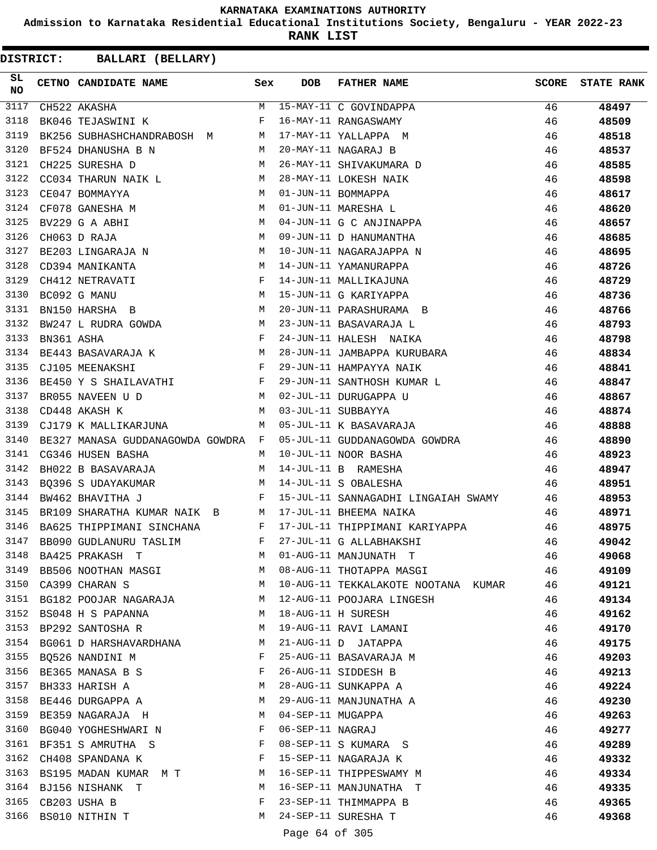**Admission to Karnataka Residential Educational Institutions Society, Bengaluru - YEAR 2022-23**

**RANK LIST**

| <b>DISTRICT:</b> |            | BALLARI (BELLARY)                  |              |                   |                                     |              |                   |
|------------------|------------|------------------------------------|--------------|-------------------|-------------------------------------|--------------|-------------------|
| SL<br><b>NO</b>  |            | CETNO CANDIDATE NAME               | Sex          | <b>DOB</b>        | <b>FATHER NAME</b>                  | <b>SCORE</b> | <b>STATE RANK</b> |
| 3117             |            | CH522 AKASHA                       | M            |                   | 15-MAY-11 C GOVINDAPPA              | 46           | 48497             |
| 3118             |            | BK046 TEJASWINI K                  | F            |                   | 16-MAY-11 RANGASWAMY                | 46           | 48509             |
| 3119             |            | BK256 SUBHASHCHANDRABOSH M         | M            |                   | 17-MAY-11 YALLAPPA M                | 46           | 48518             |
| 3120             |            | BF524 DHANUSHA B N                 | M            |                   | 20-MAY-11 NAGARAJ B                 | 46           | 48537             |
| 3121             |            | CH225 SURESHA D                    | M            |                   | 26-MAY-11 SHIVAKUMARA D             | 46           | 48585             |
| 3122             |            | CC034 THARUN NAIK L                | M            |                   | 28-MAY-11 LOKESH NAIK               | 46           | 48598             |
| 3123             |            | CE047 BOMMAYYA                     | M            |                   | 01-JUN-11 BOMMAPPA                  | 46           | 48617             |
| 3124             |            | CF078 GANESHA M                    | M            |                   | 01-JUN-11 MARESHA L                 | 46           | 48620             |
| 3125             |            | BV229 G A ABHI                     | M            |                   | 04-JUN-11 G C ANJINAPPA             | 46           | 48657             |
| 3126             |            | CH063 D RAJA                       | M            |                   | 09-JUN-11 D HANUMANTHA              | 46           | 48685             |
| 3127             |            | BE203 LINGARAJA N                  | M            |                   | 10-JUN-11 NAGARAJAPPA N             | 46           | 48695             |
| 3128             |            | CD394 MANIKANTA                    | М            |                   | 14-JUN-11 YAMANURAPPA               | 46           | 48726             |
| 3129             |            | CH412 NETRAVATI                    | $\mathbf{F}$ |                   | 14-JUN-11 MALLIKAJUNA               | 46           | 48729             |
| 3130             |            | BC092 G MANU                       | M            |                   | 15-JUN-11 G KARIYAPPA               | 46           | 48736             |
| 3131             |            | BN150 HARSHA B                     | M            |                   | 20-JUN-11 PARASHURAMA B             | 46           | 48766             |
| 3132             |            | BW247 L RUDRA GOWDA                | M            |                   | 23-JUN-11 BASAVARAJA L              | 46           | 48793             |
| 3133             | BN361 ASHA |                                    | F            |                   | 24-JUN-11 HALESH NAIKA              | 46           | 48798             |
| 3134             |            | BE443 BASAVARAJA K                 | M            |                   | 28-JUN-11 JAMBAPPA KURUBARA         | 46           | 48834             |
| 3135             |            | CJ105 MEENAKSHI                    | $\mathbf{F}$ |                   | 29-JUN-11 HAMPAYYA NAIK             | 46           | 48841             |
| 3136             |            | BE450 Y S SHAILAVATHI              | F            |                   | 29-JUN-11 SANTHOSH KUMAR L          | 46           | 48847             |
| 3137             |            | BR055 NAVEEN U D                   | M            |                   | 02-JUL-11 DURUGAPPA U               | 46           | 48867             |
| 3138             |            | CD448 AKASH K                      | M            |                   | 03-JUL-11 SUBBAYYA                  | 46           | 48874             |
| 3139             |            | CJ179 K MALLIKARJUNA               | M            |                   | 05-JUL-11 K BASAVARAJA              | 46           | 48888             |
| 3140             |            | BE327 MANASA GUDDANAGOWDA GOWDRA F |              |                   | 05-JUL-11 GUDDANAGOWDA GOWDRA       | 46           | 48890             |
| 3141             |            | CG346 HUSEN BASHA                  | М            |                   | 10-JUL-11 NOOR BASHA                | 46           | 48923             |
| 3142             |            | BH022 B BASAVARAJA                 | M            |                   | 14-JUL-11 B RAMESHA                 | 46           | 48947             |
| 3143             |            | BQ396 S UDAYAKUMAR                 | M            |                   | 14-JUL-11 S OBALESHA                | 46           | 48951             |
| 3144             |            | BW462 BHAVITHA J                   | F            |                   | 15-JUL-11 SANNAGADHI LINGAIAH SWAMY | 46           | 48953             |
| 3145             |            | BR109 SHARATHA KUMAR NAIK B        | M            |                   | 17-JUL-11 BHEEMA NAIKA              | 46           | 48971             |
| 3146             |            | BA625 THIPPIMANI SINCHANA          | F            |                   | 17-JUL-11 THIPPIMANI KARIYAPPA      | 46           | 48975             |
|                  |            | 3147 BB090 GUDLANURU TASLIM        | F            |                   | 27-JUL-11 G ALLABHAKSHI             | 46           | 49042             |
| 3148             |            | BA425 PRAKASH T                    |              |                   | M 01-AUG-11 MANJUNATH T             | 46           | 49068             |
|                  |            | 3149 BB506 NOOTHAN MASGI           | M            |                   | 08-AUG-11 THOTAPPA MASGI            | 46           | 49109             |
| 3150             |            | CA399 CHARAN S                     | M            |                   | 10-AUG-11 TEKKALAKOTE NOOTANA KUMAR | 46           | 49121             |
|                  |            | 3151 BG182 POOJAR NAGARAJA         | M            |                   | 12-AUG-11 POOJARA LINGESH           | 46           | 49134             |
| 3152             |            | BS048 H S PAPANNA                  | M            |                   | 18-AUG-11 H SURESH                  | 46           | 49162             |
| 3153             |            | BP292 SANTOSHA R                   | M            |                   | 19-AUG-11 RAVI LAMANI               | 46           | 49170             |
| 3154             |            | BG061 D HARSHAVARDHANA             | M            |                   | 21-AUG-11 D JATAPPA                 | 46           | 49175             |
|                  |            | 3155 BQ526 NANDINI M               | F            |                   | 25-AUG-11 BASAVARAJA M              | 46           | 49203             |
| 3156             |            | BE365 MANASA B S                   | F            |                   | 26-AUG-11 SIDDESH B                 | 46           | 49213             |
| 3157             |            | BH333 HARISH A                     | M            |                   | 28-AUG-11 SUNKAPPA A                | 46           | 49224             |
| 3158             |            | BE446 DURGAPPA A                   | M            |                   | 29-AUG-11 MANJUNATHA A              | 46           | 49230             |
|                  |            | 3159 BE359 NAGARAJA H              | M            | 04-SEP-11 MUGAPPA |                                     | 46           | 49263             |
| 3160             |            | BG040 YOGHESHWARI N                | F            | 06-SEP-11 NAGRAJ  |                                     | 46           | 49277             |
| 3161             |            | BF351 S AMRUTHA S                  | F            |                   | 08-SEP-11 S KUMARA S                | 46           | 49289             |
| 3162             |            | CH408 SPANDANA K                   | F            |                   | 15-SEP-11 NAGARAJA K                | 46           | 49332             |
|                  |            | 3163 BS195 MADAN KUMAR M T         | M            |                   | 16-SEP-11 THIPPESWAMY M             | 46           | 49334             |
|                  |            | 3164 BJ156 NISHANK T               | M            |                   | 16-SEP-11 MANJUNATHA T              | 46           | 49335             |
| 3165             |            | CB203 USHA B                       | F            |                   | 23-SEP-11 THIMMAPPA B               | 46           | 49365             |
|                  |            | 3166 BS010 NITHIN T                | M            |                   | 24-SEP-11 SURESHA T                 | 46           | 49368             |
|                  |            |                                    |              | Page 64 of 305    |                                     |              |                   |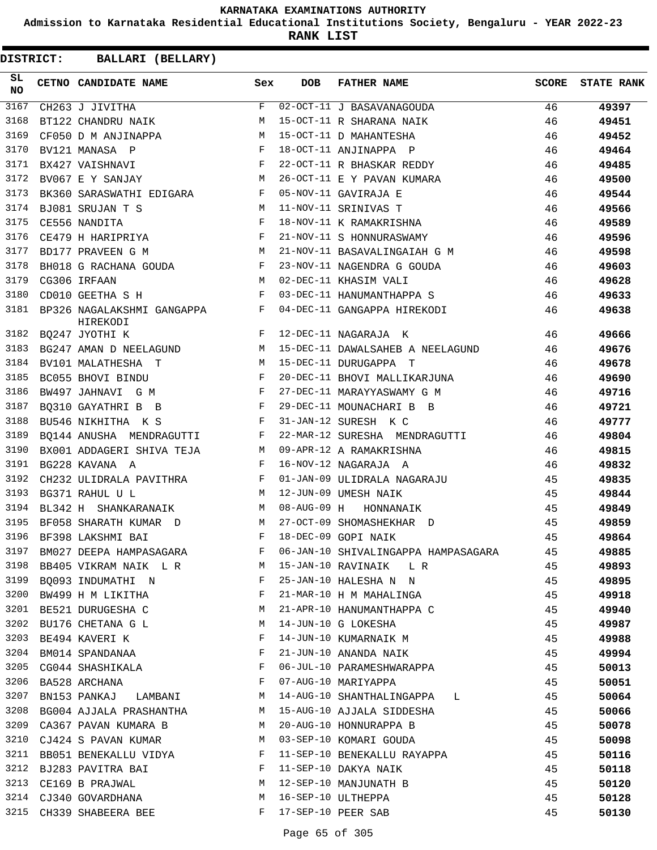**Admission to Karnataka Residential Educational Institutions Society, Bengaluru - YEAR 2022-23**

**RANK LIST**

| SL<br><b>NO</b> | CETNO CANDIDATE NAME                                                                                                                    | Sex | DOB         | FATHER NAME                                           | SCORE | <b>STATE RANK</b> |
|-----------------|-----------------------------------------------------------------------------------------------------------------------------------------|-----|-------------|-------------------------------------------------------|-------|-------------------|
| 3167            | CH263 J JIVITHA                                                                                                                         |     |             | F 02-OCT-11 J BASAVANAGOUDA                           | 46    | 49397             |
| 3168            | BT122 CHANDRU NAIK M                                                                                                                    |     |             | 15-OCT-11 R SHARANA NAIK                              | 46    | 49451             |
| 3169            | M<br>CF050 D M ANJINAPPA                                                                                                                |     |             | 15-OCT-11 D MAHANTESHA                                | 46    | 49452             |
| 3170            | $\mathbf{F}^{\mathcal{A}}_{\mathcal{A}}=\mathbf{F}^{\mathcal{A}}_{\mathcal{A}}\mathbf{F}^{\mathcal{A}}_{\mathcal{A}}$<br>BV121 MANASA P |     |             | 18-OCT-11 ANJINAPPA P                                 | 46    | 49464             |
| 3171            | $\mathbf{F}$<br>BX427 VAISHNAVI                                                                                                         |     |             | 22-OCT-11 R BHASKAR REDDY                             | 46    | 49485             |
| 3172            | <b>M</b><br>BV067 E Y SANJAY                                                                                                            |     |             | 26-OCT-11 E Y PAVAN KUMARA                            | 46    | 49500             |
| 3173            | BK360 SARASWATHI EDIGARA F                                                                                                              |     |             | 05-NOV-11 GAVIRAJA E                                  | 46    | 49544             |
| 3174            | BJ081 SRUJAN T S                                                                                                                        |     |             | 11-NOV-11 SRINIVAS T                                  | 46    | 49566             |
| 3175            | S $M$ $\frac{1}{F}$<br>CE556 NANDITA                                                                                                    |     |             | 18-NOV-11 K RAMAKRISHNA                               | 46    | 49589             |
| 3176            | $CE479$ H HARIPRIYA F                                                                                                                   |     |             | 21-NOV-11 S HONNURASWAMY                              | 46    | 49596             |
| 3177            | $\mathbf M$<br>BD177 PRAVEEN G M                                                                                                        |     |             | 21-NOV-11 BASAVALINGAIAH G M                          | 46    | 49598             |
| 3178            |                                                                                                                                         |     |             | 23-NOV-11 NAGENDRA G GOUDA                            | 46    | 49603             |
| 3179            | BH018 G RACHANA GOUDA F<br>CG306 IRFAAN M                                                                                               |     |             | 02-DEC-11 KHASIM VALI                                 | 46    | 49628             |
| 3180            | $\mathbf{F}$ and $\mathbf{F}$ and $\mathbf{F}$<br>CD010 GEETHA S H                                                                      |     |             | 03-DEC-11 HANUMANTHAPPA S                             | 46    | 49633             |
| 3181            | BP326 NAGALAKSHMI GANGAPPA F<br>HIREKODI                                                                                                |     |             | 04-DEC-11 GANGAPPA HIREKODI                           | 46    | 49638             |
|                 | $\mathbf{F}$ and $\mathbf{F}$ and $\mathbf{F}$<br>3182 BQ247 JYOTHI K                                                                   |     |             | 12-DEC-11 NAGARAJA K                                  | 46    | 49666             |
| 3183            | BG247 AMAN D NEELAGUND M                                                                                                                |     |             | 15-DEC-11 DAWALSAHEB A NEELAGUND                      | 46    | 49676             |
| 3184            | BV101 MALATHESHA T                                                                                                                      | M   |             | 15-DEC-11 DURUGAPPA T                                 | 46    | 49678             |
| 3185            | $\mathbf{F}$ and $\mathbf{F}$ and $\mathbf{F}$<br>BC055 BHOVI BINDU                                                                     |     |             | 20-DEC-11 BHOVI MALLIKARJUNA                          | 46    | 49690             |
| 3186            | BW497 JAHNAVI G M F                                                                                                                     |     |             | 27-DEC-11 MARAYYASWAMY G M                            | 46    | 49716             |
| 3187            | $\mathbb{F}^{\mathbb{Z}}$ . The set of $\mathbb{F}^{\mathbb{Z}}$<br>BQ310 GAYATHRI B B                                                  |     |             | 29-DEC-11 MOUNACHARI B B                              | 46    | 49721             |
| 3188            | BU546 NIKHITHA K S                                                                                                                      | F   |             | 31-JAN-12 SURESH K C                                  | 46    | 49777             |
| 3189            | BQ144 ANUSHA MENDRAGUTTI F                                                                                                              |     |             | 22-MAR-12 SURESHA MENDRAGUTTI                         | 46    | 49804             |
| 3190            | BX001 ADDAGERI SHIVA TEJA M 09-APR-12 A RAMAKRISHNA                                                                                     |     |             |                                                       | 46    | 49815             |
| 3191            | $\mathbf{F}$<br>BG228 KAVANA A                                                                                                          |     |             | 16-NOV-12 NAGARAJA A                                  | 46    | 49832             |
| 3192            |                                                                                                                                         |     |             | CH232 ULIDRALA PAVITHRA F 01-JAN-09 ULIDRALA NAGARAJU | 45    | 49835             |
| 3193            | M <sub>N</sub><br>BG371 RAHUL U L                                                                                                       |     |             | 12-JUN-09 UMESH NAIK                                  | 45    | 49844             |
| 3194            | BL342 H SHANKARANAIK M                                                                                                                  |     | 08-AUG-09 H | HONNANAIK                                             | 45    | 49849             |
| 3195            | BF058 SHARATH KUMAR D M                                                                                                                 |     |             | 27-OCT-09 SHOMASHEKHAR D                              | 45    | 49859             |
| 3196            | $\mathbf{F}$ and $\mathbf{F}$<br>BF398 LAKSHMI BAI                                                                                      |     |             | 18-DEC-09 GOPI NAIK                                   | 45    | 49864             |
| 3197            | BM027 DEEPA HAMPASAGARA                                                                                                                 |     |             | F 06-JAN-10 SHIVALINGAPPA HAMPASAGARA                 | 45    | 49885             |
| 3198            | BB405 VIKRAM NAIK L R M                                                                                                                 |     |             | 15-JAN-10 RAVINAIK<br>L R                             | 45    | 49893             |
| 3199            | BO093 INDUMATHI N                                                                                                                       | F   |             | 25-JAN-10 HALESHA N N                                 | 45    | 49895             |
| 3200            | BW499 H M LIKITHA                                                                                                                       | F   |             | 21-MAR-10 H M MAHALINGA                               | 45    | 49918             |
| 3201            | BE521 DURUGESHA C                                                                                                                       | M   |             | 21-APR-10 HANUMANTHAPPA C                             | 45    | 49940             |
| 3202            | BU176 CHETANA G L                                                                                                                       | M   |             | 14-JUN-10 G LOKESHA                                   | 45    | 49987             |
| 3203            | BE494 KAVERI K                                                                                                                          | F   |             | 14-JUN-10 KUMARNAIK M                                 | 45    | 49988             |
| 3204            | BM014 SPANDANAA                                                                                                                         | F   |             | 21-JUN-10 ANANDA NAIK                                 | 45    | 49994             |
| 3205            | CG044 SHASHIKALA                                                                                                                        | F   |             | 06-JUL-10 PARAMESHWARAPPA                             | 45    | 50013             |
| 3206            | BA528 ARCHANA                                                                                                                           | F   |             | 07-AUG-10 MARIYAPPA                                   | 45    | 50051             |
| 3207            | BN153 PANKAJ LAMBANI M                                                                                                                  |     |             | 14-AUG-10 SHANTHALINGAPPA L                           | 45    | 50064             |
| 3208            | BG004 AJJALA PRASHANTHA                                                                                                                 | M   |             | 15-AUG-10 AJJALA SIDDESHA                             | 45    | 50066             |
| 3209            | CA367 PAVAN KUMARA B                                                                                                                    | M   |             | 20-AUG-10 HONNURAPPA B                                | 45    | 50078             |
| 3210            | CJ424 S PAVAN KUMAR                                                                                                                     | M   |             | 03-SEP-10 KOMARI GOUDA                                | 45    | 50098             |
| 3211            | BB051 BENEKALLU VIDYA                                                                                                                   | F   |             | 11-SEP-10 BENEKALLU RAYAPPA                           | 45    | 50116             |
| 3212            | BJ283 PAVITRA BAI                                                                                                                       | F   |             | 11-SEP-10 DAKYA NAIK                                  | 45    | 50118             |
| 3213            | CE169 B PRAJWAL                                                                                                                         | M   |             | 12-SEP-10 MANJUNATH B                                 | 45    |                   |
| 3214            |                                                                                                                                         | M   |             | 16-SEP-10 ULTHEPPA                                    |       | 50120             |
|                 | CJ340 GOVARDHANA                                                                                                                        | F   |             |                                                       | 45    | 50128             |
| 3215            | CH339 SHABEERA BEE                                                                                                                      |     |             | 17-SEP-10 PEER SAB                                    | 45    | 50130             |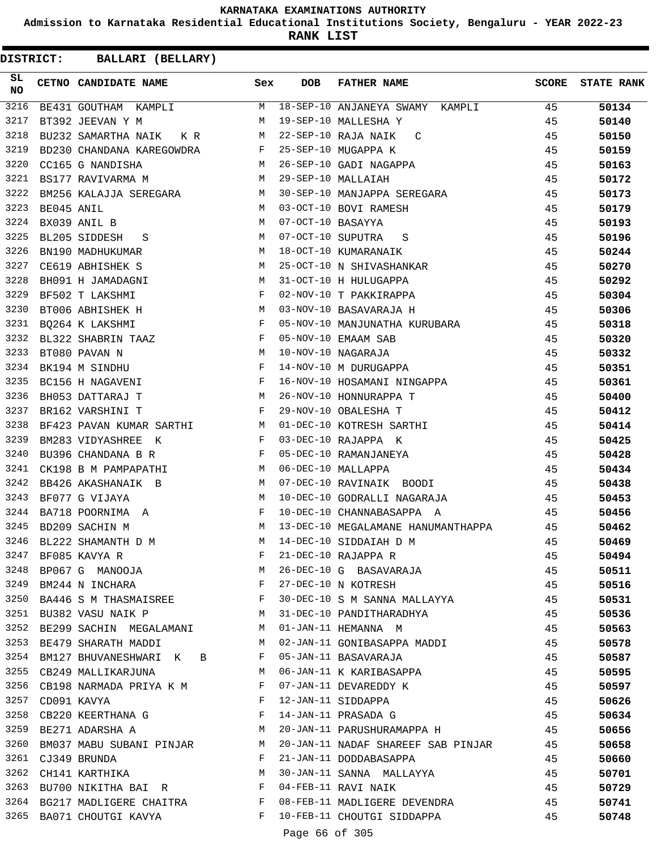**Admission to Karnataka Residential Educational Institutions Society, Bengaluru - YEAR 2022-23**

**RANK LIST**

| SL<br><b>NO</b> |            | CETNO CANDIDATE NAME                                                                            | Sex          | <b>DOB</b>        | <b>FATHER NAME</b>                                         | <b>SCORE</b> | <b>STATE RANK</b> |
|-----------------|------------|-------------------------------------------------------------------------------------------------|--------------|-------------------|------------------------------------------------------------|--------------|-------------------|
| 3216            |            |                                                                                                 |              |                   | BE431 GOUTHAM KAMPLI M 18-SEP-10 ANJANEYA SWAMY KAMPLI 45  |              | 50134             |
| 3217            |            | BT392 JEEVAN Y M<br><b>M</b>                                                                    |              |                   | 19-SEP-10 MALLESHA Y                                       | 45           | 50140             |
| 3218            |            | BU232 SAMARTHA NAIK KR<br>M                                                                     |              |                   | 22-SEP-10 RAJA NAIK<br>C                                   | 45           | 50150             |
| 3219            |            | BD230 CHANDANA KAREGOWDRA F                                                                     |              |                   | 25-SEP-10 MUGAPPA K                                        | 45           | 50159             |
| 3220            |            | M<br>CC165 G NANDISHA                                                                           |              |                   | 26-SEP-10 GADI NAGAPPA                                     | 45           | 50163             |
| 3221            |            | <b>M</b><br>BS177 RAVIVARMA M                                                                   |              |                   | 29-SEP-10 MALLAIAH                                         | 45           | 50172             |
| 3222            |            | BM256 KALAJJA SEREGARA M                                                                        |              |                   | 30-SEP-10 MANJAPPA SEREGARA                                | 45           | 50173             |
| 3223            | BE045 ANIL | M                                                                                               |              |                   | 03-OCT-10 BOVI RAMESH                                      | 45           | 50179             |
| 3224            |            | BX039 ANIL B                                                                                    | M            | 07-OCT-10 BASAYYA |                                                            | 45           | 50193             |
| 3225            |            | BL205 SIDDESH S M                                                                               |              |                   | 07-OCT-10 SUPUTRA S                                        | 45           | 50196             |
| 3226            |            | $M_{\odot}$<br>BN190 MADHUKUMAR                                                                 |              |                   | 18-OCT-10 KUMARANAIK                                       | 45           | 50244             |
| 3227            |            | M<br>CE619 ABHISHEK S                                                                           |              |                   | 25-OCT-10 N SHIVASHANKAR                                   | 45           | 50270             |
| 3228            |            | M <sub>N</sub><br>BH091 H JAMADAGNI                                                             |              |                   | 31-OCT-10 H HULUGAPPA                                      | 45           | 50292             |
| 3229            |            | $\mathbb{F}^{\mathbb{Z}}$ . The state of the state $\mathbb{F}^{\mathbb{Z}}$<br>BF502 T LAKSHMI |              |                   | 02-NOV-10 T PAKKIRAPPA                                     | 45           | 50304             |
| 3230            |            | M <sub>N</sub><br>BT006 ABHISHEK H                                                              |              |                   | 03-NOV-10 BASAVARAJA H                                     | 45           | 50306             |
| 3231            |            | $\mathbf{F}$ and $\mathbf{F}$ and $\mathbf{F}$<br>BQ264 K LAKSHMI                               |              |                   | 05-NOV-10 MANJUNATHA KURUBARA                              | 45           | 50318             |
| 3232            |            | BL322 SHABRIN TAAZ F                                                                            |              |                   | 05-NOV-10 EMAAM SAB                                        | 45           | 50320             |
| 3233            |            | $\mathbf M$<br>BT080 PAVAN N                                                                    |              |                   | 10-NOV-10 NAGARAJA                                         | 45           | 50332             |
| 3234            |            | $\mathbf{F}$ and the contract of the contract of $\mathbf{F}$<br>BK194 M SINDHU                 |              |                   | 14-NOV-10 M DURUGAPPA                                      | 45           | 50351             |
| 3235            |            | $\mathbf{F}$<br>BC156 H NAGAVENI                                                                |              |                   | 16-NOV-10 HOSAMANI NINGAPPA                                | 45           | 50361             |
| 3236            |            | M<br>BH053 DATTARAJ T                                                                           |              |                   | 26-NOV-10 HONNURAPPA T                                     | 45           | 50400             |
| 3237            |            | $\mathbf{F}$ and $\mathbf{F}$ and $\mathbf{F}$<br>BR162 VARSHINI T                              |              |                   | 29-NOV-10 OBALESHA T                                       | 45           | 50412             |
| 3238            |            | BF423 PAVAN KUMAR SARTHI M                                                                      |              |                   | 01-DEC-10 KOTRESH SARTHI                                   | 45           | 50414             |
| 3239            |            | $\mathbf{F}$ . The set of $\mathbf{F}$<br>BM283 VIDYASHREE K                                    |              |                   | 03-DEC-10 RAJAPPA K                                        | 45           | 50425             |
| 3240            |            | $\mathbf{F}$<br>BU396 CHANDANA B R                                                              |              |                   | 05-DEC-10 RAMANJANEYA                                      | 45           | 50428             |
| 3241            |            | CK198 B M PAMPAPATHI M                                                                          |              |                   | 06-DEC-10 MALLAPPA                                         | 45           | 50434             |
| 3242            |            | BB426 AKASHANAIK B<br>M <sub>1</sub>                                                            |              |                   | 07-DEC-10 RAVINAIK BOODI                                   | 45           | 50438             |
| 3243            |            | M<br>BF077 G VIJAYA                                                                             |              |                   | 10-DEC-10 GODRALLI NAGARAJA                                | 45           | 50453             |
| 3244            |            | BA718 POORNIMA A                                                                                | $\mathbf{F}$ |                   | 10-DEC-10 CHANNABASAPPA A                                  | 45           | 50456             |
| 3245            |            | M <sub>N</sub><br>BD209 SACHIN M                                                                |              |                   | 13-DEC-10 MEGALAMANE HANUMANTHAPPA 45                      |              | 50462             |
| 3246            |            | BL222 SHAMANTH D M                                                                              | M            |                   | 14-DEC-10 SIDDAIAH D M                                     | 45           | 50469             |
|                 |            |                                                                                                 | F            |                   | 21-DEC-10 RAJAPPA R                                        | 45           | 50494             |
|                 |            | 3247 BF085 KAVYA R<br>3248 BP067 G MANOOJA                                                      | M            |                   | 26-DEC-10 G BASAVARAJA                                     | 45           | 50511             |
|                 |            | $\mathbf{F}$<br>3249 BM244 N INCHARA                                                            |              |                   | 27-DEC-10 N KOTRESH                                        | 45           | 50516             |
|                 |            | 3250 BA446 S M THASMAISREE F                                                                    |              |                   | 30-DEC-10 S M SANNA MALLAYYA                               | 45           | 50531             |
|                 |            | 3251 BU382 VASU NAIK P                                                                          | M            |                   | 31-DEC-10 PANDITHARADHYA                                   | 45           | 50536             |
|                 |            | 3252 BE299 SACHIN MEGALAMANI                                                                    | M            |                   | 01-JAN-11 HEMANNA M                                        | 45           | 50563             |
| 3253            |            | BE479 SHARATH MADDI                                                                             | M            |                   | 02-JAN-11 GONIBASAPPA MADDI                                | 45           | 50578             |
| 3254            |            | BM127 BHUVANESHWARI K B                                                                         | F            |                   | 05-JAN-11 BASAVARAJA                                       | 45           | 50587             |
|                 |            | 3255 CB249 MALLIKARJUNA                                                                         | M            |                   | 06-JAN-11 K KARIBASAPPA                                    | 45           | 50595             |
|                 |            | 3256 CB198 NARMADA PRIYA K M                                                                    | F            |                   | 07-JAN-11 DEVAREDDY K                                      | 45           | 50597             |
| 3257            |            | CD091 KAVYA                                                                                     | F            |                   | 12-JAN-11 SIDDAPPA                                         | 45           | 50626             |
| 3258            |            | CB220 KEERTHANA G F                                                                             |              |                   | 14-JAN-11 PRASADA G                                        | 45           | 50634             |
|                 |            | 3259 BE271 ADARSHA A                                                                            | <b>M</b>     |                   | 20-JAN-11 PARUSHURAMAPPA H                                 | 45           | 50656             |
| 3260            |            | BM037 MABU SUBANI PINJAR M                                                                      |              |                   | 20-JAN-11 NADAF SHAREEF SAB PINJAR                         | 45           | 50658             |
| 3261            |            | CJ349 BRUNDA                                                                                    | F            |                   | 21-JAN-11 DODDABASAPPA                                     | 45           | 50660             |
| 3262            |            | CH141 KARTHIKA                                                                                  | М            |                   | 30-JAN-11 SANNA MALLAYYA                                   | 45           |                   |
|                 |            | 3263 BU700 NIKITHA BAI R                                                                        |              |                   | 04-FEB-11 RAVI NAIK                                        | 45           | 50701             |
|                 |            |                                                                                                 |              |                   |                                                            |              | 50729             |
|                 |            | 3264 BG217 MADLIGERE CHAITRA F<br>3265 BA071 CHOUTGI KAVYA                                      | F            |                   | 08-FEB-11 MADLIGERE DEVENDRA<br>10-FEB-11 CHOUTGI SIDDAPPA | 45           | 50741             |
|                 |            |                                                                                                 |              |                   |                                                            | 45           | 50748             |
|                 |            |                                                                                                 |              | Page 66 of 305    |                                                            |              |                   |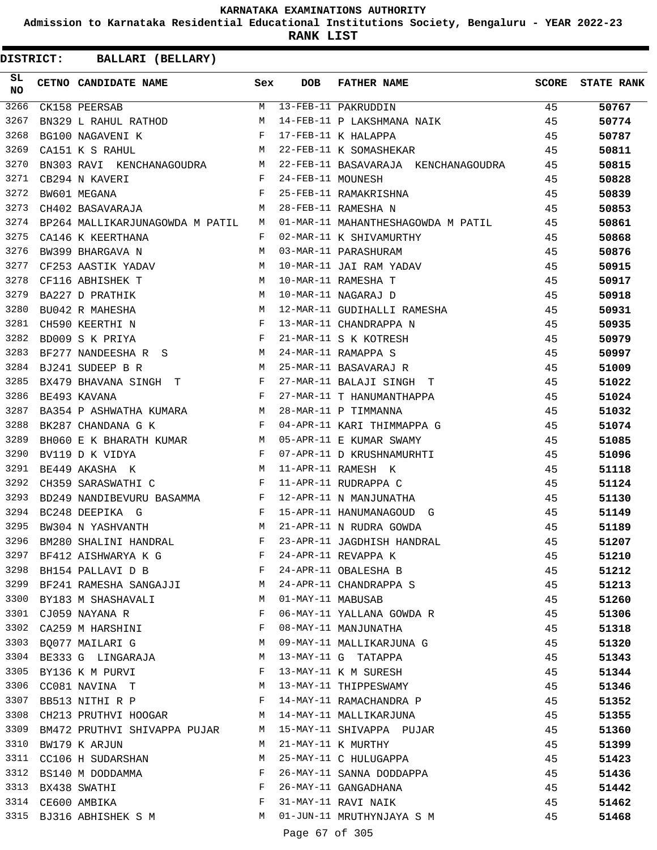**Admission to Karnataka Residential Educational Institutions Society, Bengaluru - YEAR 2022-23**

**RANK LIST**

**DISTRICT:** CC **BALLARI (BELLARY)**

| SL<br><b>NO</b> | CETNO CANDIDATE NAME                                                                                                                                                                                                                                                                                                                                                                                                                                    | Sex | <b>DOB</b>        | <b>FATHER NAME</b>                                                    | SCORE | <b>STATE RANK</b> |
|-----------------|---------------------------------------------------------------------------------------------------------------------------------------------------------------------------------------------------------------------------------------------------------------------------------------------------------------------------------------------------------------------------------------------------------------------------------------------------------|-----|-------------------|-----------------------------------------------------------------------|-------|-------------------|
| 3266            | CK158 PEERSAB                                                                                                                                                                                                                                                                                                                                                                                                                                           |     |                   | M 13-FEB-11 PAKRUDDIN<br>M 14-FEB-11 P LAKSHMANA NAIK                 | 45    | 50767             |
| 3267            | BN329 L RAHUL RATHOD M                                                                                                                                                                                                                                                                                                                                                                                                                                  |     |                   |                                                                       | 45    | 50774             |
| 3268            | $\mathbf{F}$ and the contract of the contract $\mathbf{F}$ .<br>BG100 NAGAVENI K                                                                                                                                                                                                                                                                                                                                                                        |     |                   | 17-FEB-11 K HALAPPA                                                   | 45    | 50787             |
| 3269            | M<br>CA151 K S RAHUL                                                                                                                                                                                                                                                                                                                                                                                                                                    |     |                   | 22-FEB-11 K SOMASHEKAR                                                | 45    | 50811             |
| 3270            | BN303 RAVI KENCHANAGOUDRA M                                                                                                                                                                                                                                                                                                                                                                                                                             |     |                   | 22-FEB-11 BASAVARAJA KENCHANAGOUDRA 45                                |       | 50815             |
| 3271            | $\mathbf{F}^{\dagger}=\mathbf{F}^{\dagger}+\mathbf{F}^{\dagger}+\mathbf{F}^{\dagger}+\mathbf{F}^{\dagger}+\mathbf{F}^{\dagger}+\mathbf{F}^{\dagger}+\mathbf{F}^{\dagger}+\mathbf{F}^{\dagger}+\mathbf{F}^{\dagger}+\mathbf{F}^{\dagger}+\mathbf{F}^{\dagger}+\mathbf{F}^{\dagger}+\mathbf{F}^{\dagger}+\mathbf{F}^{\dagger}+\mathbf{F}^{\dagger}+\mathbf{F}^{\dagger}+\mathbf{F}^{\dagger}+\mathbf{F}^{\dagger}+\mathbf{F}^{\dagger}$<br>CB294 N KAVERI |     | 24-FEB-11 MOUNESH |                                                                       | 45    | 50828             |
| 3272            | $\mathbf{F}$<br>BW601 MEGANA                                                                                                                                                                                                                                                                                                                                                                                                                            |     |                   | 25-FEB-11 RAMAKRISHNA                                                 | 45    | 50839             |
| 3273            | CH402 BASAVARAJA                                                                                                                                                                                                                                                                                                                                                                                                                                        | M   |                   | 28-FEB-11 RAMESHA N                                                   | 45    | 50853             |
| 3274            | BP264 MALLIKARJUNAGOWDA M PATIL M                                                                                                                                                                                                                                                                                                                                                                                                                       |     |                   | 01-MAR-11 MAHANTHESHAGOWDA M PATIL 45                                 |       | 50861             |
| 3275            | CA146 K KEERTHANA                                                                                                                                                                                                                                                                                                                                                                                                                                       | F   |                   | 02-MAR-11 K SHIVAMURTHY<br>45                                         |       | 50868             |
| 3276            | BW399 BHARGAVA N                                                                                                                                                                                                                                                                                                                                                                                                                                        | M   |                   | 03-MAR-11 PARASHURAM                                                  | 45    | 50876             |
| 3277            | CF253 AASTIK YADAV M                                                                                                                                                                                                                                                                                                                                                                                                                                    |     |                   |                                                                       | 45    | 50915             |
| 3278            | M<br>CF116 ABHISHEK T                                                                                                                                                                                                                                                                                                                                                                                                                                   |     |                   | 10-MAR-11 JAI RAM YADAV<br>10-MAR-11 RAMESHA T<br>10-MAR-11 NAGARAJ D | 45    | 50917             |
| 3279            | M <sub>N</sub><br>BA227 D PRATHIK                                                                                                                                                                                                                                                                                                                                                                                                                       |     |                   |                                                                       | 45    | 50918             |
| 3280            | M<br>BU042 R MAHESHA                                                                                                                                                                                                                                                                                                                                                                                                                                    |     |                   | 12-MAR-11 GUDIHALLI RAMESHA                                           | 45    | 50931             |
| 3281            | $\mathbf{F}^{\mathcal{A}}$<br>CH590 KEERTHI N                                                                                                                                                                                                                                                                                                                                                                                                           |     |                   | 13-MAR-11 CHANDRAPPA N                                                | 45    | 50935             |
| 3282            | $\frac{1}{F}$<br>BD009 S K PRIYA                                                                                                                                                                                                                                                                                                                                                                                                                        |     |                   | 21-MAR-11 S K KOTRESH                                                 | 45    | 50979             |
| 3283            | BF277 NANDEESHA R S $$\tt{M}$$                                                                                                                                                                                                                                                                                                                                                                                                                          |     |                   | 24-MAR-11 RAMAPPA S                                                   | 45    | 50997             |
| 3284            | $\mathbb{M}$<br>BJ241 SUDEEP B R                                                                                                                                                                                                                                                                                                                                                                                                                        |     |                   | 25-MAR-11 BASAVARAJ R                                                 | 45    | 51009             |
| 3285            | BJ241 SUDERF D R<br>BX479 BHAVANA SINGH T F<br>COLLINATA                                                                                                                                                                                                                                                                                                                                                                                                |     |                   | 27-MAR-11 BALAJI SINGH T                                              | 45    | 51022             |
| 3286            |                                                                                                                                                                                                                                                                                                                                                                                                                                                         |     |                   | 27-MAR-11 T HANUMANTHAPPA                                             | 45    | 51024             |
| 3287            | BA354 P ASHWATHA KUMARA M                                                                                                                                                                                                                                                                                                                                                                                                                               |     |                   | 28-MAR-11 P TIMMANNA                                                  | 45    | 51032             |
| 3288            | $\mathbf{F}$ and $\mathbf{F}$ and $\mathbf{F}$<br>BK287 CHANDANA G K                                                                                                                                                                                                                                                                                                                                                                                    |     |                   | 04-APR-11 KARI THIMMAPPA G                                            | 45    | 51074             |
| 3289            | BH060 E K BHARATH KUMAR M                                                                                                                                                                                                                                                                                                                                                                                                                               |     |                   | 05-APR-11 E KUMAR SWAMY                                               | 45    | 51085             |
| 3290            | $\mathbf{F}^{\mathcal{A}}_{\mathcal{A}}=\mathbf{F}^{\mathcal{A}}_{\mathcal{A}}\mathbf{F}^{\mathcal{A}}_{\mathcal{A}}$<br>BV119 D K VIDYA                                                                                                                                                                                                                                                                                                                |     |                   | 07-APR-11 D KRUSHNAMURHTI                                             | 45    | 51096             |
| 3291            | <b>Market</b><br>BE449 AKASHA K                                                                                                                                                                                                                                                                                                                                                                                                                         |     |                   | 11-APR-11 RAMESH K                                                    | 45    | 51118             |
| 3292            | $\mathbb F$ . The set of the set of the set of the set of the set of the set of the set of the set of the set of the set of the set of the set of the set of the set of the set of the set of the set of the set of the set of the<br>CH359 SARASWATHI C                                                                                                                                                                                                |     |                   | 11-APR-11 RUDRAPPA C                                                  | 45    | 51124             |
| 3293            | BD249 NANDIBEVURU BASAMMA F                                                                                                                                                                                                                                                                                                                                                                                                                             |     |                   | 12-APR-11 N MANJUNATHA                                                | 45    | 51130             |
| 3294            | $\mathbf{F}$ . The set of $\mathbf{F}$<br>BC248 DEEPIKA G                                                                                                                                                                                                                                                                                                                                                                                               |     |                   | 15-APR-11 HANUMANAGOUD G                                              | 45    | 51149             |
| 3295            | <b>M</b><br>BW304 N YASHVANTH                                                                                                                                                                                                                                                                                                                                                                                                                           |     |                   | 21-APR-11 N RUDRA GOWDA                                               | 45    | 51189             |
| 3296            | BM280 SHALINI HANDRAL F                                                                                                                                                                                                                                                                                                                                                                                                                                 |     |                   | 23-APR-11 JAGDHISH HANDRAL                                            | 45    | 51207             |
|                 | 3297 BF412 AISHWARYA K G                                                                                                                                                                                                                                                                                                                                                                                                                                | F   |                   | 24-APR-11 REVAPPA K                                                   | 45    | 51210             |
| 3298            | BH154 PALLAVI D B                                                                                                                                                                                                                                                                                                                                                                                                                                       | F   |                   | 24-APR-11 OBALESHA B                                                  | 45    | 51212             |
|                 | 3299 BF241 RAMESHA SANGAJJI                                                                                                                                                                                                                                                                                                                                                                                                                             | M   |                   | 24-APR-11 CHANDRAPPA S                                                | 45    | 51213             |
|                 | 3300 BY183 M SHASHAVALI                                                                                                                                                                                                                                                                                                                                                                                                                                 | M   | 01-MAY-11 MABUSAB |                                                                       | 45    | 51260             |
|                 | 3301 CJ059 NAYANA R                                                                                                                                                                                                                                                                                                                                                                                                                                     | F   |                   | 06-MAY-11 YALLANA GOWDA R                                             | 45    | 51306             |
| 3302            | CA259 M HARSHINI                                                                                                                                                                                                                                                                                                                                                                                                                                        | F   |                   | 08-MAY-11 MANJUNATHA                                                  | 45    | 51318             |
| 3303            | BQ077 MAILARI G                                                                                                                                                                                                                                                                                                                                                                                                                                         | M   |                   | 09-MAY-11 MALLIKARJUNA G                                              | 45    | 51320             |
| 3304            | BE333 G LINGARAJA                                                                                                                                                                                                                                                                                                                                                                                                                                       | M   |                   | 13-MAY-11 G TATAPPA                                                   | 45    | 51343             |
| 3305            | BY136 K M PURVI                                                                                                                                                                                                                                                                                                                                                                                                                                         | F   |                   | 13-MAY-11 K M SURESH                                                  | 45    | 51344             |
| 3306            | CC081 NAVINA T                                                                                                                                                                                                                                                                                                                                                                                                                                          | M   |                   | 13-MAY-11 THIPPESWAMY                                                 | 45    | 51346             |
| 3307            | BB513 NITHI R P                                                                                                                                                                                                                                                                                                                                                                                                                                         | F   |                   | 14-MAY-11 RAMACHANDRA P                                               | 45    | 51352             |
| 3308            | CH213 PRUTHVI HOOGAR                                                                                                                                                                                                                                                                                                                                                                                                                                    | M   |                   | 14-MAY-11 MALLIKARJUNA                                                | 45    | 51355             |
|                 | 3309 BM472 PRUTHVI SHIVAPPA PUJAR                                                                                                                                                                                                                                                                                                                                                                                                                       | M   |                   | 15-MAY-11 SHIVAPPA PUJAR                                              | 45    | 51360             |
| 3310            | BW179 K ARJUN                                                                                                                                                                                                                                                                                                                                                                                                                                           | M   |                   | 21-MAY-11 K MURTHY                                                    | 45    | 51399             |
| 3311            | CC106 H SUDARSHAN                                                                                                                                                                                                                                                                                                                                                                                                                                       | M   |                   | 25-MAY-11 C HULUGAPPA                                                 | 45    | 51423             |
| 3312            | BS140 M DODDAMMA                                                                                                                                                                                                                                                                                                                                                                                                                                        | F   |                   | 26-MAY-11 SANNA DODDAPPA                                              | 45    | 51436             |
|                 | 3313 BX438 SWATHI                                                                                                                                                                                                                                                                                                                                                                                                                                       | F   |                   | 26-MAY-11 GANGADHANA                                                  | 45    | 51442             |
|                 | 3314 CE600 AMBIKA                                                                                                                                                                                                                                                                                                                                                                                                                                       | F   |                   | 31-MAY-11 RAVI NAIK                                                   | 45    | 51462             |
|                 | 3315 BJ316 ABHISHEK S M                                                                                                                                                                                                                                                                                                                                                                                                                                 | M   |                   | 01-JUN-11 MRUTHYNJAYA S M                                             | 45    | 51468             |
|                 |                                                                                                                                                                                                                                                                                                                                                                                                                                                         |     |                   | $CD = CD = 20C$                                                       |       |                   |

Page 67 of 305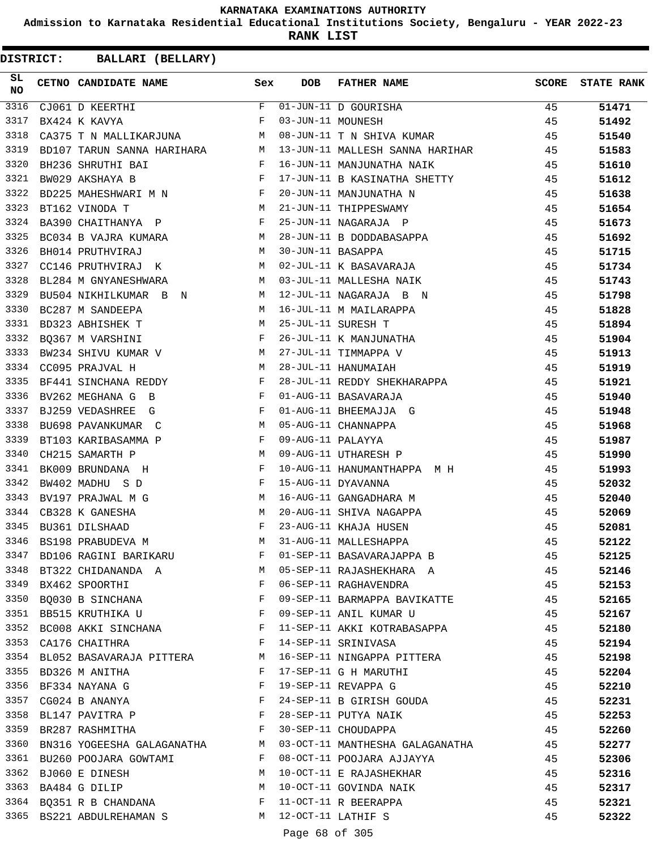**Admission to Karnataka Residential Educational Institutions Society, Bengaluru - YEAR 2022-23**

**RANK LIST**

| SL<br>NO | CETNO CANDIDATE NAME                                                                                                                                                                                                                                 | Sex          | <b>DOB</b>        | <b>FATHER NAME</b>                        | <b>SCORE</b> | <b>STATE RANK</b> |
|----------|------------------------------------------------------------------------------------------------------------------------------------------------------------------------------------------------------------------------------------------------------|--------------|-------------------|-------------------------------------------|--------------|-------------------|
| 3316     | CJ061 D KEERTHI                                                                                                                                                                                                                                      | F            |                   | 01-JUN-11 D GOURISHA<br>03-JUN-11 MOUNESH | 45           | 51471             |
| 3317     | BX424 K KAVYA                                                                                                                                                                                                                                        | F            |                   |                                           | 45           | 51492             |
| 3318     | CA375 T N MALLIKARJUNA M                                                                                                                                                                                                                             |              |                   | 08-JUN-11 T N SHIVA KUMAR                 | 45           | 51540             |
| 3319     | BD107 TARUN SANNA HARIHARA M                                                                                                                                                                                                                         |              |                   | 13-JUN-11 MALLESH SANNA HARIHAR 45        |              | 51583             |
| 3320     | BH236 SHRUTHI BAI                                                                                                                                                                                                                                    | $\mathbf{F}$ |                   | 16-JUN-11 MANJUNATHA NAIK                 | 45           | 51610             |
| 3321     | $\mathbf{F}$ and the set of the set of the set of the set of the set of the set of the set of the set of the set of the set of the set of the set of the set of the set of the set of the set of the set of the set of the set of<br>BW029 AKSHAYA B |              |                   | 17-JUN-11 B KASINATHA SHETTY              | 45           | 51612             |
| 3322     | BD225 MAHESHWARI M N F                                                                                                                                                                                                                               |              |                   | 20-JUN-11 MANJUNATHA N                    | 45           | 51638             |
| 3323     | <b>M</b><br>BT162 VINODA T                                                                                                                                                                                                                           |              |                   | 21-JUN-11 THIPPESWAMY                     | 45           | 51654             |
| 3324     | BA390 CHAITHANYA P                                                                                                                                                                                                                                   | F            |                   | 25-JUN-11 NAGARAJA P                      | 45           | 51673             |
| 3325     | BC034 B VAJRA KUMARA M                                                                                                                                                                                                                               |              |                   | 28-JUN-11 B DODDABASAPPA                  | 45           | 51692             |
| 3326     | BH014 PRUTHVIRAJ                                                                                                                                                                                                                                     | M            | 30-JUN-11 BASAPPA |                                           | 45           | 51715             |
| 3327     | CC146 PRUTHVIRAJ K                                                                                                                                                                                                                                   | M            |                   | 02-JUL-11 K BASAVARAJA                    | 45           | 51734             |
| 3328     | M <sub>1</sub><br>BL284 M GNYANESHWARA                                                                                                                                                                                                               |              |                   | 03-JUL-11 MALLESHA NAIK                   | 45           | 51743             |
| 3329     | BU504 NIKHILKUMAR B N M                                                                                                                                                                                                                              |              |                   | 12-JUL-11 NAGARAJA B N                    | 45           | 51798             |
| 3330     | <b>M</b><br>BC287 M SANDEEPA                                                                                                                                                                                                                         |              |                   | 16-JUL-11 M MAILARAPPA                    | 45           | 51828             |
| 3331     | M<br>BD323 ABHISHEK T                                                                                                                                                                                                                                |              |                   | 25-JUL-11 SURESH T                        | 45           | 51894             |
| 3332     | BQ367 M VARSHINI                                                                                                                                                                                                                                     | F            |                   | 26-JUL-11 K MANJUNATHA                    | 45           | 51904             |
| 3333     | BW234 SHIVU KUMAR V M                                                                                                                                                                                                                                |              |                   | 27-JUL-11 TIMMAPPA V                      | 45           | 51913             |
| 3334     | CC095 PRAJVAL H                                                                                                                                                                                                                                      | M            |                   | 28-JUL-11 HANUMAIAH                       | 45           | 51919             |
| 3335     | BF441 SINCHANA REDDY                                                                                                                                                                                                                                 | $\mathbf{F}$ |                   | 28-JUL-11 REDDY SHEKHARAPPA               | 45           | 51921             |
| 3336     | BV262 MEGHANA G B                                                                                                                                                                                                                                    | F            |                   | 01-AUG-11 BASAVARAJA                      | 45           | 51940             |
| 3337     | BJ259 VEDASHREE G                                                                                                                                                                                                                                    | F            |                   | 01-AUG-11 BHEEMAJJA G                     | 45           | 51948             |
| 3338     | $M_{\rm H}$<br>BU698 PAVANKUMAR C                                                                                                                                                                                                                    |              |                   | 05-AUG-11 CHANNAPPA                       | 45           | 51968             |
| 3339     | $\mathbf{F}$<br>BT103 KARIBASAMMA P                                                                                                                                                                                                                  |              | 09-AUG-11 PALAYYA |                                           | 45           | 51987             |
| 3340     | CH215 SAMARTH P                                                                                                                                                                                                                                      | M            |                   | 09-AUG-11 UTHARESH P                      | 45           | 51990             |
| 3341     | BK009 BRUNDANA H                                                                                                                                                                                                                                     | F            |                   | 10-AUG-11 HANUMANTHAPPA M H               | 45           | 51993             |
| 3342     | and the contract of the contract of the Party of the Party of the Party of the Party of the Party of the Party<br>BW402 MADHU S D                                                                                                                    |              |                   | 15-AUG-11 DYAVANNA                        | 45           | 52032             |
| 3343     | BV197 PRAJWAL M G                                                                                                                                                                                                                                    | M            |                   | 16-AUG-11 GANGADHARA M                    | 45           | 52040             |
| 3344     |                                                                                                                                                                                                                                                      | M            |                   | 20-AUG-11 SHIVA NAGAPPA                   | 45           |                   |
| 3345     | CB328 K GANESHA<br>BU361 DILSHAAD                                                                                                                                                                                                                    | F            |                   | 23-AUG-11 KHAJA HUSEN                     | 45           | 52069             |
| 3346     | BS198 PRABUDEVA M                                                                                                                                                                                                                                    | M            |                   | 31-AUG-11 MALLESHAPPA                     | 45           | 52081<br>52122    |
|          |                                                                                                                                                                                                                                                      | F            |                   |                                           |              |                   |
| 3347     | BD106 RAGINI BARIKARU                                                                                                                                                                                                                                |              |                   | 01-SEP-11 BASAVARAJAPPA B                 | 45           | 52125             |
|          | 3348 BT322 CHIDANANDA A                                                                                                                                                                                                                              | <b>M</b>     |                   | 05-SEP-11 RAJASHEKHARA A                  | 45           | 52146             |
|          | 3349 BX462 SPOORTHI                                                                                                                                                                                                                                  | F            |                   | 06-SEP-11 RAGHAVENDRA                     | 45           | 52153             |
|          | 3350 BQ030 B SINCHANA F                                                                                                                                                                                                                              |              |                   | 09-SEP-11 BARMAPPA BAVIKATTE              | 45           | 52165             |
|          | 3351 BB515 KRUTHIKA U                                                                                                                                                                                                                                | $\mathbf{F}$ |                   | 09-SEP-11 ANIL KUMAR U                    | 45           | 52167             |
|          | 3352 BC008 AKKI SINCHANA                                                                                                                                                                                                                             | F            |                   | 11-SEP-11 AKKI KOTRABASAPPA               | 45           | 52180             |
| 3353     | CA176 CHAITHRA                                                                                                                                                                                                                                       | F            |                   | 14-SEP-11 SRINIVASA                       | 45           | 52194             |
|          | 3354 BL052 BASAVARAJA PITTERA                                                                                                                                                                                                                        | M            |                   | 16-SEP-11 NINGAPPA PITTERA                | 45           | 52198             |
|          | 3355 BD326 M ANITHA                                                                                                                                                                                                                                  | F            |                   | 17-SEP-11 G H MARUTHI                     | 45           | 52204             |
|          | 3356 BF334 NAYANA G                                                                                                                                                                                                                                  | F            |                   | 19-SEP-11 REVAPPA G                       | 45           | 52210             |
| 3357     | CG024 B ANANYA                                                                                                                                                                                                                                       | F            |                   | 24-SEP-11 B GIRISH GOUDA                  | 45           | 52231             |
|          | and the contract of the contract of the Party of the Party of the Party of the Party of the Party of the Party<br>3358 BL147 PAVITRA P                                                                                                               |              |                   | 28-SEP-11 PUTYA NAIK                      | 45           | 52253             |
|          | 3359 BR287 RASHMITHA                                                                                                                                                                                                                                 | $\mathbf{F}$ |                   | 30-SEP-11 CHOUDAPPA                       | 45           | 52260             |
|          | 3360 BN316 YOGEESHA GALAGANATHA                                                                                                                                                                                                                      | M            |                   | 03-OCT-11 MANTHESHA GALAGANATHA           | 45           | 52277             |
| 3361     | BU260 POOJARA GOWTAMI                                                                                                                                                                                                                                | F            |                   | 08-OCT-11 POOJARA AJJAYYA                 | 45           | 52306             |
| 3362     | BJ060 E DINESH                                                                                                                                                                                                                                       | M            |                   | 10-OCT-11 E RAJASHEKHAR                   | 45           | 52316             |
|          | 3363 BA484 G DILIP                                                                                                                                                                                                                                   | M            |                   | 10-OCT-11 GOVINDA NAIK                    | 45           | 52317             |
|          | 3364 BQ351 R B CHANDANA                                                                                                                                                                                                                              | F            |                   | 11-OCT-11 R BEERAPPA                      | 45           | 52321             |
|          | 3365 BS221 ABDULREHAMAN S M                                                                                                                                                                                                                          |              |                   | 12-OCT-11 LATHIF S                        | 45           | 52322             |
|          |                                                                                                                                                                                                                                                      |              | Page 68 of 305    |                                           |              |                   |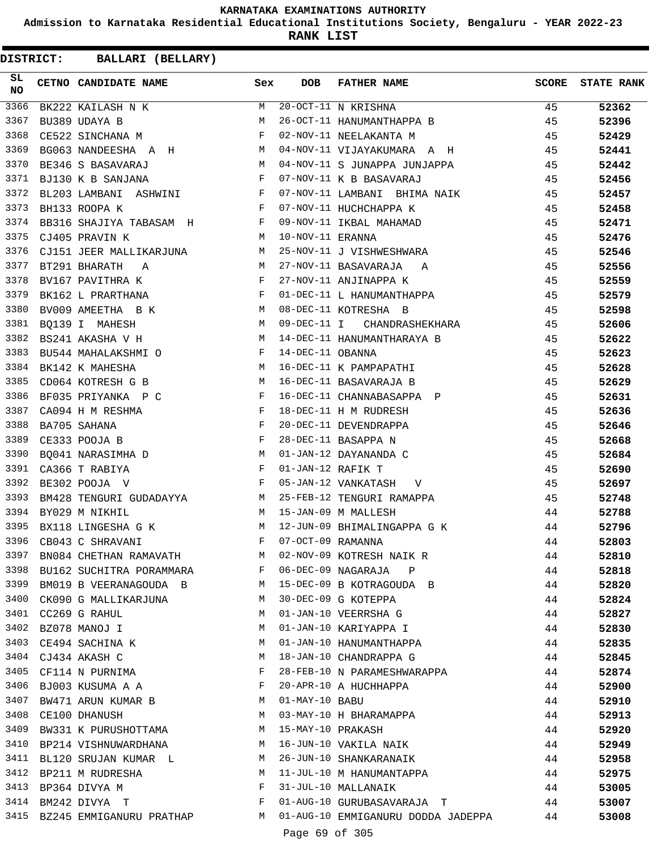**Admission to Karnataka Residential Educational Institutions Society, Bengaluru - YEAR 2022-23**

**RANK LIST**

| SL<br><b>NO</b> | CETNO CANDIDATE NAME                                                                              | Sex          | <b>DOB</b>        | FATHER NAME                                       | SCORE | <b>STATE RANK</b> |
|-----------------|---------------------------------------------------------------------------------------------------|--------------|-------------------|---------------------------------------------------|-------|-------------------|
| 3366            | BK222 KAILASH N K                                                                                 | M            |                   | $\overline{20-OCT}-11$ N KRISHNA                  | 45    | 52362             |
| 3367            | <b>M</b><br>BU389 UDAYA B                                                                         |              |                   | 26-OCT-11 HANUMANTHAPPA B                         | 45    | 52396             |
| 3368            | <b>Experimental Secretary Properties</b><br>CE522 SINCHANA M                                      |              |                   | 02-NOV-11 NEELAKANTA M                            | 45    | 52429             |
| 3369            | BG063 NANDEESHA A H M                                                                             |              |                   | 04-NOV-11 VIJAYAKUMARA A H                        | 45    | 52441             |
| 3370            | M<br>BE346 S BASAVARAJ                                                                            |              |                   | 04-NOV-11 S JUNAPPA JUNJAPPA                      | 45    | 52442             |
| 3371            | $\mathbb{F}^{\mathbb{Z}}$ . The state of the state $\mathbb{F}^{\mathbb{Z}}$<br>BJ130 K B SANJANA |              |                   | 07-NOV-11 K B BASAVARAJ                           | 45    | 52456             |
| 3372            | BL203 LAMBANI ASHWINI F                                                                           |              |                   | 07-NOV-11 LAMBANI BHIMA NAIK                      | 45    | 52457             |
| 3373            | $\mathbf{F}$<br>BH133 ROOPA K                                                                     |              |                   | 07-NOV-11 HUCHCHAPPA K                            | 45    | 52458             |
| 3374            | BB316 SHAJIYA TABASAM H                                                                           |              |                   | 09-NOV-11 IKBAL MAHAMAD                           | 45    | 52471             |
| 3375            | CJ405 PRAVIN K<br><b>M</b>                                                                        |              | 10-NOV-11 ERANNA  |                                                   | 45    | 52476             |
| 3376            | CJ151 JEER MALLIKARJUNA M                                                                         |              |                   | 25-NOV-11 J VISHWESHWARA                          | 45    | 52546             |
| 3377            | BT291 BHARATH A M                                                                                 |              |                   | 27-NOV-11 BASAVARAJA – A<br>27-NOV-11 ANJINAPPA K | 45    | 52556             |
| 3378            | BV167 PAVITHRA K<br>BK162 L PRARTHANA F                                                           |              |                   |                                                   | 45    | 52559             |
| 3379            |                                                                                                   |              |                   | 01-DEC-11 L HANUMANTHAPPA                         | 45    | 52579             |
| 3380            | BV009 AMEETHA B K M                                                                               |              |                   | 08-DEC-11 KOTRESHA B                              | 45    | 52598             |
| 3381            | M<br>BQ139 I MAHESH                                                                               |              |                   | 09-DEC-11 I CHANDRASHEKHARA                       | 45    | 52606             |
| 3382            | M<br>BS241 AKASHA V H                                                                             |              |                   | 14-DEC-11 HANUMANTHARAYA B                        | 45    | 52622             |
| 3383            | BU544 MAHALAKSHMI O F                                                                             |              | 14-DEC-11 OBANNA  |                                                   | 45    | 52623             |
| 3384            | <b>M</b><br>BK142 K MAHESHA                                                                       |              |                   | 16-DEC-11 K PAMPAPATHI                            | 45    | 52628             |
| 3385            | M<br>CD064 KOTRESH G B                                                                            |              |                   | 16-DEC-11 BASAVARAJA B                            | 45    | 52629             |
| 3386            | BF035 PRIYANKA P C                                                                                | $\mathbf{F}$ |                   | 16-DEC-11 CHANNABASAPPA P                         | 45    | 52631             |
| 3387            | $\mathbb{F}^{\mathbb{Z}}$ . The state of the state $\mathbb{F}^{\mathbb{Z}}$<br>CA094 H M RESHMA  |              |                   | 18-DEC-11 H M RUDRESH                             | 45    | 52636             |
| 3388            | $\mathbf{F}$<br>BA705 SAHANA                                                                      |              |                   | 20-DEC-11 DEVENDRAPPA                             | 45    | 52646             |
| 3389            | $\mathbf{F}$<br>CE333 POOJA B                                                                     |              |                   | 28-DEC-11 BASAPPA N                               | 45    | 52668             |
| 3390            | $\mathbb M$<br>BQ041 NARASIMHA D                                                                  |              |                   | 01-JAN-12 DAYANANDA C                             | 45    | 52684             |
| 3391            | $\mathbf{F}$ and $\mathbf{F}$ are the set of $\mathbf{F}$<br>CA366 T RABIYA                       |              | 01-JAN-12 RAFIK T |                                                   | 45    | 52690             |
| 3392            | $\mathbf{F}$ and the contract of the contract of $\mathbf{F}$<br>BE302 POOJA V                    |              |                   | 05-JAN-12 VANKATASH V                             | 45    | 52697             |
| 3393            | BM428 TENGURI GUDADAYYA M                                                                         |              |                   | 25-FEB-12 TENGURI RAMAPPA                         | 45    | 52748             |
| 3394            | BY029 M NIKHIL                                                                                    | M            |                   | 15-JAN-09 M MALLESH                               | 44    | 52788             |
| 3395            | BX118 LINGESHA G K M                                                                              |              |                   | 12-JUN-09 BHIMALINGAPPA G K                       | 44    | 52796             |
| 3396            | CB043 C SHRAVANI                                                                                  | F            | 07-OCT-09 RAMANNA |                                                   | 44    | 52803             |
| 3397            | BN084 CHETHAN RAMAVATH                                                                            | M            |                   | 02-NOV-09 KOTRESH NAIK R                          | 44    | 52810             |
|                 | 3398 BU162 SUCHITRA PORAMMARA                                                                     | F            |                   | 06-DEC-09 NAGARAJA P                              | 44    | 52818             |
| 3399            | BM019 B VEERANAGOUDA B M                                                                          |              |                   | 15-DEC-09 B KOTRAGOUDA B                          | 44    | 52820             |
| 3400            | CK090 G MALLIKARJUNA                                                                              | M            |                   | 30-DEC-09 G KOTEPPA                               | 44    | 52824             |
| 3401            | CC269 G RAHUL                                                                                     | M            |                   | 01-JAN-10 VEERRSHA G                              | 44    | 52827             |
| 3402            | BZ078 MANOJ I                                                                                     | M            |                   | 01-JAN-10 KARIYAPPA I                             | 44    | 52830             |
| 3403            | CE494 SACHINA K                                                                                   | М            |                   | 01-JAN-10 HANUMANTHAPPA                           | 44    | 52835             |
| 3404            | CJ434 AKASH C                                                                                     | М            |                   | 18-JAN-10 CHANDRAPPA G                            | 44    | 52845             |
| 3405            | CF114 N PURNIMA                                                                                   | F            |                   | 28-FEB-10 N PARAMESHWARAPPA                       | 44    | 52874             |
| 3406            | BJ003 KUSUMA A A                                                                                  | F            |                   | 20-APR-10 A HUCHHAPPA                             | 44    | 52900             |
| 3407            | BW471 ARUN KUMAR B                                                                                | M            | $01$ -MAY-10 BABU |                                                   | 44    | 52910             |
| 3408            | CE100 DHANUSH                                                                                     | M            |                   | 03-MAY-10 H BHARAMAPPA                            | 44    | 52913             |
| 3409            | BW331 K PURUSHOTTAMA                                                                              | M            | 15-MAY-10 PRAKASH |                                                   | 44    | 52920             |
| 3410            | BP214 VISHNUWARDHANA                                                                              | M            |                   | 16-JUN-10 VAKILA NAIK                             | 44    | 52949             |
| 3411            | BL120 SRUJAN KUMAR L                                                                              | M            |                   | 26-JUN-10 SHANKARANAIK                            | 44    | 52958             |
| 3412            | BP211 M RUDRESHA                                                                                  | M            |                   | 11-JUL-10 M HANUMANTAPPA                          | 44    | 52975             |
| 3413            | BP364 DIVYA M                                                                                     | F            |                   | 31-JUL-10 MALLANAIK                               | 44    | 53005             |
| 3414            | BM242 DIVYA  T                                                                                    | F            |                   | 01-AUG-10 GURUBASAVARAJA T                        | 44    | 53007             |
|                 | 3415 BZ245 EMMIGANURU PRATHAP M                                                                   |              |                   | 01-AUG-10 EMMIGANURU DODDA JADEPPA 44             |       | 53008             |
|                 |                                                                                                   |              | Page 69 of 305    |                                                   |       |                   |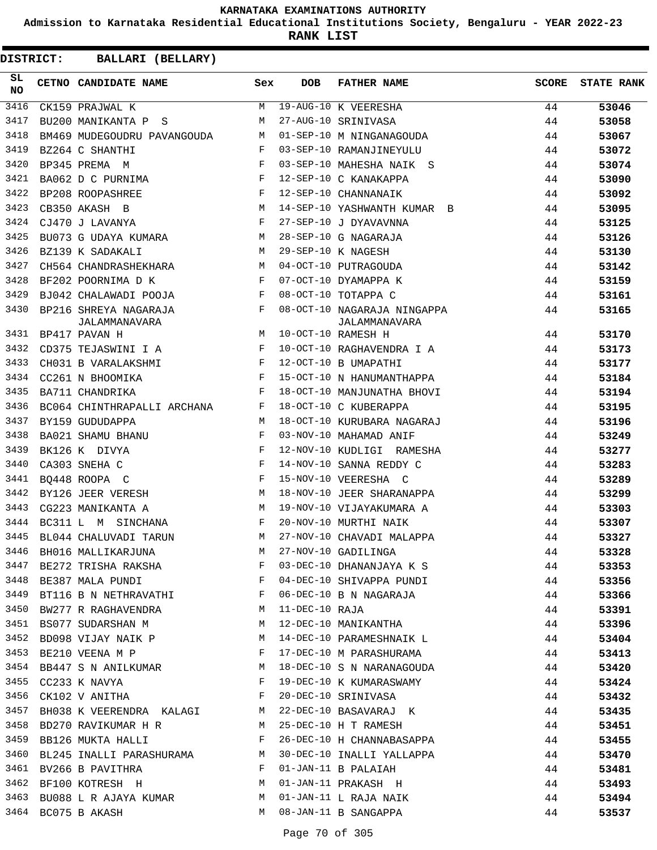**Admission to Karnataka Residential Educational Institutions Society, Bengaluru - YEAR 2022-23**

**RANK LIST**

| SL<br><b>NO</b> | CETNO CANDIDATE NAME                                                                                                                                                                                                                                         | Sex          | <b>DOB</b>     | <b>FATHER NAME</b>                           | <b>SCORE</b> | <b>STATE RANK</b> |
|-----------------|--------------------------------------------------------------------------------------------------------------------------------------------------------------------------------------------------------------------------------------------------------------|--------------|----------------|----------------------------------------------|--------------|-------------------|
| 3416            | CK159 PRAJWAL K                                                                                                                                                                                                                                              | M            |                | 19-AUG-10 K VEERESHA                         | 44           | 53046             |
| 3417            | BU200 MANIKANTA P S<br>$M_{\rm H}$ and $M_{\rm H}$                                                                                                                                                                                                           |              |                | 27-AUG-10 SRINIVASA                          | 44           | 53058             |
| 3418            | BM469 MUDEGOUDRU PAVANGOUDA M                                                                                                                                                                                                                                |              |                | 01-SEP-10 M NINGANAGOUDA                     | 44           | 53067             |
| 3419            | BZ264 C SHANTHI                                                                                                                                                                                                                                              | $\mathbf{F}$ |                | 03-SEP-10 RAMANJINEYULU                      | 44           | 53072             |
| 3420            | $\mathbf{F}$<br>BP345 PREMA M                                                                                                                                                                                                                                |              |                | 03-SEP-10 MAHESHA NAIK S                     | 44           | 53074             |
| 3421            | $\mathbf{F}$ and $\mathbf{F}$ and $\mathbf{F}$<br>BA062 D C PURNIMA                                                                                                                                                                                          |              |                | 12-SEP-10 C KANAKAPPA                        | 44           | 53090             |
| 3422            | $\mathbf{F}$<br>BP208 ROOPASHREE                                                                                                                                                                                                                             |              |                | 12-SEP-10 CHANNANAIK                         | 44           | 53092             |
| 3423            | M<br>CB350 AKASH B                                                                                                                                                                                                                                           |              |                | 14-SEP-10 YASHWANTH KUMAR B                  | 44           | 53095             |
| 3424            | $\mathbf{F}$<br>CJ470 J LAVANYA                                                                                                                                                                                                                              |              |                | 27-SEP-10 J DYAVAVNNA                        | 44           | 53125             |
| 3425            | BU073 G UDAYA KUMARA M                                                                                                                                                                                                                                       |              |                | 28-SEP-10 G NAGARAJA                         | 44           | 53126             |
| 3426            | $M_{\odot}$<br>BZ139 K SADAKALI                                                                                                                                                                                                                              |              |                | 29-SEP-10 K NAGESH                           | 44           | 53130             |
| 3427            | CH564 CHANDRASHEKHARA M                                                                                                                                                                                                                                      |              |                | 04-OCT-10 PUTRAGOUDA                         | 44           | 53142             |
| 3428            | BF202 POORNIMA D K                                                                                                                                                                                                                                           | $\mathbf{F}$ |                | 07-OCT-10 DYAMAPPA K                         | 44           | 53159             |
| 3429            | BJ042 CHALAWADI POOJA F                                                                                                                                                                                                                                      |              |                | 08-OCT-10 TOTAPPA C                          | 44           | 53161             |
| 3430            | $\mathbb{F}^{\mathbb{Z}}$ . The set of $\mathbb{F}^{\mathbb{Z}}$<br>BP216 SHREYA NAGARAJA<br>JALAMMANAVARA                                                                                                                                                   |              |                | 08-OCT-10 NAGARAJA NINGAPPA<br>JALAMMANAVARA | 44           | 53165             |
| 3431            | M<br>BP417 PAVAN H                                                                                                                                                                                                                                           |              |                | 10-OCT-10 RAMESH H                           | 44           | 53170             |
| 3432            | CD375 TEJASWINI I A F                                                                                                                                                                                                                                        |              |                | 10-OCT-10 RAGHAVENDRA I A                    | 44           | 53173             |
| 3433            | $\mathbf{F}$ and $\mathbf{F}$<br>CH031 B VARALAKSHMI                                                                                                                                                                                                         |              |                | 12-OCT-10 B UMAPATHI                         | 44           | 53177             |
| 3434            | $\mathbb F$<br>CC261 N BHOOMIKA                                                                                                                                                                                                                              |              |                | 15-OCT-10 N HANUMANTHAPPA                    | 44           | 53184             |
| 3435            | and the state of the state of the Party<br>BA711 CHANDRIKA                                                                                                                                                                                                   |              |                | 18-OCT-10 MANJUNATHA BHOVI                   | 44           | 53194             |
| 3436            | BC064 CHINTHRAPALLI ARCHANA F                                                                                                                                                                                                                                |              |                | 18-OCT-10 C KUBERAPPA                        | 44           | 53195             |
| 3437            | BY159 GUDUDAPPA                                                                                                                                                                                                                                              | M            |                | 18-OCT-10 KURUBARA NAGARAJ                   | 44           | 53196             |
| 3438            | $\mathbb{F}^{\mathbb{Z}}$ . The set of the set of the set of the set of the set of the set of the set of the set of the set of the set of the set of the set of the set of the set of the set of the set of the set of the set of the s<br>BA021 SHAMU BHANU |              |                | 03-NOV-10 MAHAMAD ANIF                       | 44           | 53249             |
| 3439            | $\mathbf{F}$ and $\mathbf{F}$ and $\mathbf{F}$<br>BK126 K DIVYA                                                                                                                                                                                              |              |                | 12-NOV-10 KUDLIGI RAMESHA                    | 44           | 53277             |
| 3440            | $\mathbf{F}$<br>CA303 SNEHA C                                                                                                                                                                                                                                |              |                | 14-NOV-10 SANNA REDDY C                      | 44           | 53283             |
| 3441            | BQ448 ROOPA C                                                                                                                                                                                                                                                | $\mathbf{F}$ |                | 15-NOV-10 VEERESHA C                         | 44           | 53289             |
| 3442            | M <sub>N</sub><br>BY126 JEER VERESH                                                                                                                                                                                                                          |              |                | 18-NOV-10 JEER SHARANAPPA                    | 44           | 53299             |
| 3443            | CG223 MANIKANTA A<br>$\mathbb M$                                                                                                                                                                                                                             |              |                | 19-NOV-10 VIJAYAKUMARA A                     | 44           | 53303             |
| 3444            | and the state of the Fig.<br>BC311 L M SINCHANA                                                                                                                                                                                                              |              |                | 20-NOV-10 MURTHI NAIK                        | 44           | 53307             |
| 3445            | M<br>BL044 CHALUVADI TARUN                                                                                                                                                                                                                                   |              |                | 27-NOV-10 CHAVADI MALAPPA                    | 44           | 53327             |
|                 | 3446 BH016 MALLIKARJUNA                                                                                                                                                                                                                                      |              |                | M 27-NOV-10 GADILINGA                        | 44           | 53328             |
| 3447            | BE272 TRISHA RAKSHA                                                                                                                                                                                                                                          | F            |                | 03-DEC-10 DHANANJAYA K S                     | 44           | 53353             |
| 3448            | BE387 MALA PUNDI                                                                                                                                                                                                                                             | F            |                | 04-DEC-10 SHIVAPPA PUNDI                     | 44           | 53356             |
| 3449            | BT116 B N NETHRAVATHI                                                                                                                                                                                                                                        | F            |                | 06-DEC-10 B N NAGARAJA                       | 44           | 53366             |
| 3450            | BW277 R RAGHAVENDRA                                                                                                                                                                                                                                          | М            | 11-DEC-10 RAJA |                                              | 44           | 53391             |
| 3451            | BS077 SUDARSHAN M                                                                                                                                                                                                                                            | M            |                | 12-DEC-10 MANIKANTHA                         | 44           | 53396             |
| 3452            | BD098 VIJAY NAIK P                                                                                                                                                                                                                                           | M            |                | 14-DEC-10 PARAMESHNAIK L                     | 44           | 53404             |
| 3453            | BE210 VEENA M P                                                                                                                                                                                                                                              | F            |                | 17-DEC-10 M PARASHURAMA                      | 44           | 53413             |
| 3454            | BB447 S N ANILKUMAR M                                                                                                                                                                                                                                        |              |                | 18-DEC-10 S N NARANAGOUDA                    | 44           | 53420             |
| 3455            | CC233 K NAVYA                                                                                                                                                                                                                                                | F            |                | 19-DEC-10 K KUMARASWAMY                      | 44           | 53424             |
| 3456            | CK102 V ANITHA                                                                                                                                                                                                                                               | F            |                | 20-DEC-10 SRINIVASA                          | 44           | 53432             |
| 3457            | BH038 K VEERENDRA KALAGI                                                                                                                                                                                                                                     | М            |                | 22-DEC-10 BASAVARAJ K                        | 44           | 53435             |
| 3458            | BD270 RAVIKUMAR H R                                                                                                                                                                                                                                          | M            |                | 25-DEC-10 H T RAMESH                         | 44           | 53451             |
| 3459            | BB126 MUKTA HALLI                                                                                                                                                                                                                                            | F            |                | 26-DEC-10 H CHANNABASAPPA                    | 44           | 53455             |
| 3460            | BL245 INALLI PARASHURAMA                                                                                                                                                                                                                                     | M            |                | 30-DEC-10 INALLI YALLAPPA                    | 44           | 53470             |
|                 | 3461 BV266 B PAVITHRA                                                                                                                                                                                                                                        | F            |                | 01-JAN-11 B PALAIAH                          | 44           | 53481             |
| 3462            | BF100 KOTRESH H                                                                                                                                                                                                                                              | M            |                | 01-JAN-11 PRAKASH H                          | 44           | 53493             |
| 3463            | BU088 L R AJAYA KUMAR                                                                                                                                                                                                                                        | M            |                | 01-JAN-11 L RAJA NAIK                        | 44           | 53494             |
| 3464            | BC075 B AKASH                                                                                                                                                                                                                                                | M            |                | 08-JAN-11 B SANGAPPA                         | 44           | 53537             |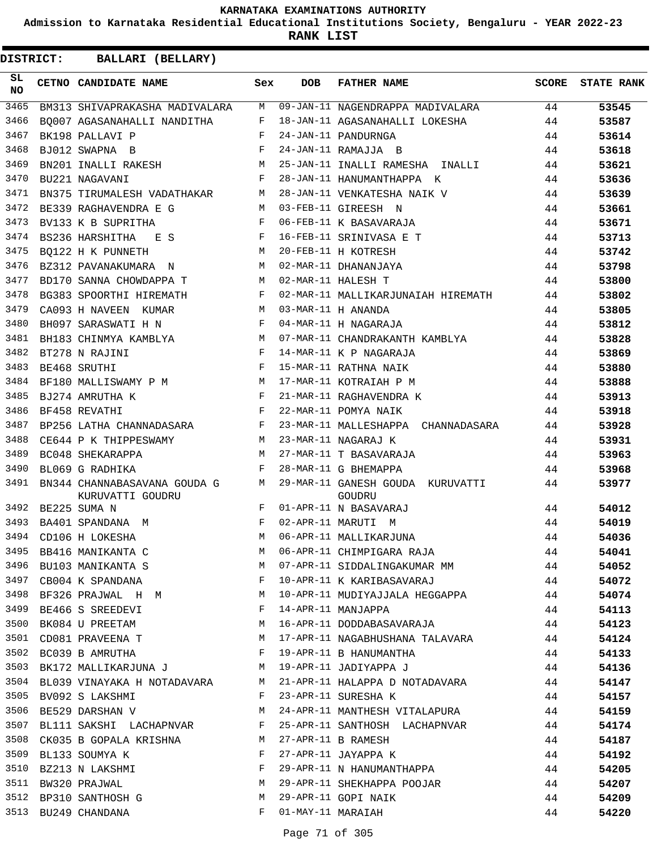**Admission to Karnataka Residential Educational Institutions Society, Bengaluru - YEAR 2022-23**

**RANK LIST**

| SL<br><b>NO</b> | CETNO CANDIDATE NAME                                               | Sex            | <b>DOB</b>        | <b>FATHER NAME</b>                         | SCORE | <b>STATE RANK</b> |
|-----------------|--------------------------------------------------------------------|----------------|-------------------|--------------------------------------------|-------|-------------------|
| 3465            | BM313 SHIVAPRAKASHA MADIVALARA                                     | M              |                   | 09-JAN-11 NAGENDRAPPA MADIVALARA           | 44    | 53545             |
| 3466            | BO007 AGASANAHALLI NANDITHA                                        | F              |                   | 18-JAN-11 AGASANAHALLI LOKESHA             | 44    | 53587             |
| 3467            | BK198 PALLAVI P                                                    | $_{\rm F}$     |                   | 24-JAN-11 PANDURNGA                        | 44    | 53614             |
| 3468            | $\mathbf{F}$<br>BJ012 SWAPNA B                                     |                |                   | 24-JAN-11 RAMAJJA B                        | 44    | 53618             |
| 3469            | BN201 INALLI RAKESH M                                              |                |                   | 25-JAN-11 INALLI RAMESHA INALLI            | 44    | 53621             |
| 3470            | BU221 NAGAVANI                                                     | F              |                   | 28-JAN-11 HANUMANTHAPPA K                  | 44    | 53636             |
| 3471            | BN375 TIRUMALESH VADATHAKAR M                                      |                |                   | 28-JAN-11 VENKATESHA NAIK V                | 44    | 53639             |
| 3472            | BE339 RAGHAVENDRA E G                                              | M              |                   | 03-FEB-11 GIREESH N                        | 44    | 53661             |
| 3473            | BV133 K B SUPRITHA                                                 | $\mathbf{F}$   |                   | 06-FEB-11 K BASAVARAJA                     | 44    | 53671             |
| 3474            | BS236 HARSHITHA E S                                                | F              |                   | 16-FEB-11 SRINIVASA E T                    | 44    | 53713             |
| 3475            | BQ122 H K PUNNETH                                                  | М              |                   | 20-FEB-11 H KOTRESH                        | 44    | 53742             |
| 3476            | BZ312 PAVANAKUMARA N                                               | M              |                   | 02-MAR-11 DHANANJAYA                       | 44    | 53798             |
| 3477            | BD170 SANNA CHOWDAPPA T                                            | М              |                   | 02-MAR-11 HALESH T                         | 44    | 53800             |
| 3478            | BG383 SPOORTHI HIREMATH                                            | $\mathbf{F}$   |                   | 02-MAR-11 MALLIKARJUNAIAH HIREMATH         | 44    | 53802             |
| 3479            | CA093 H NAVEEN<br>KUMAR                                            | M              |                   | 03-MAR-11 H ANANDA                         | 44    | 53805             |
| 3480            | BH097 SARASWATI H N                                                | $\mathbf{F}$   |                   | 04-MAR-11 H NAGARAJA                       | 44    | 53812             |
| 3481            | BH183 CHINMYA KAMBLYA M                                            |                |                   | 07-MAR-11 CHANDRAKANTH KAMBLYA             | 44    | 53828             |
| 3482            | $\mathbb F$ . The set of the set of $\mathbb F$<br>BT278 N RAJINI  |                |                   | 14-MAR-11 K P NAGARAJA                     | 44    | 53869             |
| 3483            | $\mathbf{F}$<br>BE468 SRUTHI                                       |                |                   | 15-MAR-11 RATHNA NAIK                      | 44    | 53880             |
| 3484            | BF180 MALLISWAMY P M M                                             |                |                   | 17-MAR-11 KOTRAIAH P M                     | 44    | 53888             |
| 3485            | BJ274 AMRUTHA K                                                    | $$\mathbf{F}$$ |                   | 21-MAR-11 RAGHAVENDRA K                    | 44    | 53913             |
| 3486            | $\mathbf{F}$ and $\mathbf{F}$<br>BF458 REVATHI                     |                |                   | 22-MAR-11 POMYA NAIK                       | 44    | 53918             |
| 3487            | BP256 LATHA CHANNADASARA F                                         |                |                   | 23-MAR-11 MALLESHAPPA CHANNADASARA         | 44    | 53928             |
| 3488            | M <sub>1</sub><br>CE644 P K THIPPESWAMY                            |                |                   | 23-MAR-11 NAGARAJ K                        | 44    | 53931             |
| 3489            | BC048 SHEKARAPPA                                                   | M              |                   | 27-MAR-11 T BASAVARAJA                     | 44    | 53963             |
| 3490            | BL069 G RADHIKA                                                    | $_{\rm F}$     |                   | 28-MAR-11 G BHEMAPPA                       | 44    | 53968             |
| 3491            | BN344 CHANNABASAVANA GOUDA G<br>KURUVATTI GOUDRU                   | M              |                   | 29-MAR-11 GANESH GOUDA KURUVATTI<br>GOUDRU | 44    | 53977             |
| 3492            | BE225 SUMA N                                                       | $\mathbf{F}$   |                   | 01-APR-11 N BASAVARAJ                      | 44    | 54012             |
| 3493            | $\mathbf{F}$ and $\mathbf{F}$ and $\mathbf{F}$<br>BA401 SPANDANA M |                |                   | 02-APR-11 MARUTI M                         | 44    | 54019             |
|                 | 3494 CD106 H LOKESHA                                               | M              |                   | 06-APR-11 MALLIKARJUNA                     | 44    | 54036             |
|                 | 3495 BB416 MANIKANTA C                                             |                |                   | M 06-APR-11 CHIMPIGARA RAJA                | 44    | 54041             |
| 3496            | BU103 MANIKANTA S                                                  | M              |                   | 07-APR-11 SIDDALINGAKUMAR MM               | 44    | 54052             |
| 3497            | CB004 K SPANDANA                                                   | $\mathbf{F}$   |                   | 10-APR-11 K KARIBASAVARAJ                  | 44    | 54072             |
| 3498            | BF326 PRAJWAL H M                                                  | M              |                   | 10-APR-11 MUDIYAJJALA HEGGAPPA             | 44    | 54074             |
| 3499            | BE466 S SREEDEVI                                                   | F              |                   | 14-APR-11 MANJAPPA                         | 44    | 54113             |
| 3500            | <b>M</b><br>BK084 U PREETAM                                        |                |                   | 16-APR-11 DODDABASAVARAJA                  | 44    | 54123             |
| 3501            | M<br>CD081 PRAVEENA T                                              |                |                   | 17-APR-11 NAGABHUSHANA TALAVARA            | 44    | 54124             |
| 3502            | BC039 B AMRUTHA                                                    | $\mathbf{F}$   |                   | 19-APR-11 B HANUMANTHA                     | 44    | 54133             |
| 3503            | BK172 MALLIKARJUNA J M                                             |                |                   | 19-APR-11 JADIYAPPA J                      | 44    | 54136             |
| 3504            | BL039 VINAYAKA H NOTADAVARA M                                      |                |                   | 21-APR-11 HALAPPA D NOTADAVARA             | 44    | 54147             |
| 3505            | BV092 S LAKSHMI                                                    | $\mathbf{F}$   |                   | 23-APR-11 SURESHA K                        | 44    | 54157             |
| 3506            | BE529 DARSHAN V                                                    | М              |                   | 24-APR-11 MANTHESH VITALAPURA              | 44    | 54159             |
| 3507            | BL111 SAKSHI LACHAPNVAR F                                          |                |                   | 25-APR-11 SANTHOSH LACHAPNVAR              | 44    | 54174             |
| 3508            | CK035 B GOPALA KRISHNA                                             | M              |                   | 27-APR-11 B RAMESH                         | 44    | 54187             |
| 3509            | BL133 SOUMYA K                                                     | $\mathbf{F}$   |                   | 27-APR-11 JAYAPPA K                        | 44    | 54192             |
| 3510            | BZ213 N LAKSHMI                                                    | $\mathbf{F}$   |                   | 29-APR-11 N HANUMANTHAPPA                  | 44    | 54205             |
| 3511            | BW320 PRAJWAL                                                      | М              |                   | 29-APR-11 SHEKHAPPA POOJAR                 | 44    | 54207             |
| 3512            | BP310 SANTHOSH G                                                   | М              |                   | 29-APR-11 GOPI NAIK                        | 44    | 54209             |
|                 | 3513 BU249 CHANDANA                                                | F              | 01-MAY-11 MARAIAH |                                            | 44    | 54220             |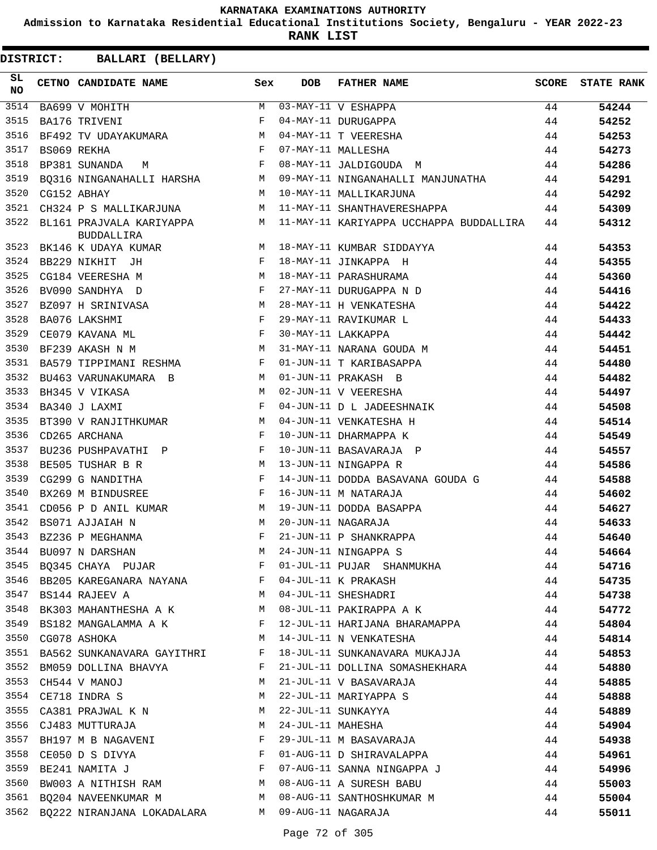**Admission to Karnataka Residential Educational Institutions Society, Bengaluru - YEAR 2022-23**

**RANK LIST**

| SL<br>NO | CETNO CANDIDATE NAME                                                                                                                                                                                                                                    | Sex                                                      | <b>DOB</b>        | FATHER NAME                                                                                                        | SCORE | <b>STATE RANK</b> |
|----------|---------------------------------------------------------------------------------------------------------------------------------------------------------------------------------------------------------------------------------------------------------|----------------------------------------------------------|-------------------|--------------------------------------------------------------------------------------------------------------------|-------|-------------------|
| 3514     | BA699 V MOHITH<br>BA176 TRIVENI                                                                                                                                                                                                                         | M                                                        |                   | 03-MAY-11 V ESHAPPA<br>04-MAY-11 DURUGAPPA<br>04-MAY-11 T VEERESHA<br>07-MAY-11 MALLESHA<br>08-MAY-11 JALDIGOUDA M | 44    | 54244             |
| 3515     |                                                                                                                                                                                                                                                         | F                                                        |                   |                                                                                                                    | 44    | 54252             |
| 3516     | BF492 TV UDAYAKUMARA M                                                                                                                                                                                                                                  |                                                          |                   |                                                                                                                    | 44    | 54253             |
| 3517     | $\mathbf{F}$<br>BS069 REKHA                                                                                                                                                                                                                             |                                                          |                   |                                                                                                                    | 44    | 54273             |
| 3518     | BP381 SUNANDA M                                                                                                                                                                                                                                         | $\mathbf{F}$                                             |                   |                                                                                                                    | 44    | 54286             |
| 3519     | BQ316 NINGANAHALLI HARSHA M                                                                                                                                                                                                                             |                                                          |                   | 09-MAY-11 NINGANAHALLI MANJUNATHA 44                                                                               |       | 54291             |
| 3520     | M <sub>1</sub><br>CG152 ABHAY                                                                                                                                                                                                                           |                                                          |                   | 10-MAY-11 MALLIKARJUNA                                                                                             | 44    | 54292             |
| 3521     | CH324 P S MALLIKARJUNA M                                                                                                                                                                                                                                |                                                          |                   | 11-MAY-11 SHANTHAVERESHAPPA                                                                                        | 44    | 54309             |
| 3522     | <b>BUDDALLIRA</b>                                                                                                                                                                                                                                       |                                                          |                   | BL161 PRAJVALA KARIYAPPA M 11-MAY-11 KARIYAPPA UCCHAPPA BUDDALLIRA 44                                              |       | 54312             |
| 3523     | BK146 K UDAYA KUMAR $M$ 18-MAY-11 KUMBAR SIDDAYYA                                                                                                                                                                                                       |                                                          |                   |                                                                                                                    | 44    | 54353             |
| 3524     | BB229 NIKHIT JH<br>$\mathbf{F}$ . The set of the set of the set of the set of the set of the set of the set of the set of the set of the set of the set of the set of the set of the set of the set of the set of the set of the set of the set of t    |                                                          |                   | 18-MAY-11 JINKAPPA H                                                                                               | 44    | 54355             |
| 3525     | CG184 VEERESHA M<br><b>Example 20</b> Manufacturers and Manufacturers and Manufacturers and Manufacturers and Manufacturers and Manufacturers and Manufacturers and Manufacturers and Manufacturers and Manufacturers and Manufacturers and Manufacture |                                                          |                   | 18-MAY-11 PARASHURAMA                                                                                              | 44    | 54360             |
| 3526     | $\mathbf{F}$ and the contract of $\mathbf{F}$<br>BV090 SANDHYA D                                                                                                                                                                                        |                                                          |                   | 27-MAY-11 DURUGAPPA N D                                                                                            | 44    | 54416             |
| 3527     | ${\tt BZ097~H~SRINIVASA} {\tt BAO76~LAKSHMI} {\tt F}$                                                                                                                                                                                                   |                                                          |                   | 28-MAY-11 H VENKATESHA                                                                                             | 44    | 54422             |
| 3528     |                                                                                                                                                                                                                                                         |                                                          |                   | 29-MAY-11 RAVIKUMAR L                                                                                              | 44    | 54433             |
| 3529     | $\mathbf{F}$ and $\mathbf{F}$ and $\mathbf{F}$<br>CE079 KAVANA ML                                                                                                                                                                                       |                                                          |                   | 30-MAY-11 LAKKAPPA                                                                                                 | 44    | 54442             |
| 3530     | M<br>BF239 AKASH N M                                                                                                                                                                                                                                    |                                                          |                   | 31-MAY-11 NARANA GOUDA M                                                                                           | 44    | 54451             |
| 3531     | BA579 TIPPIMANI RESHMA F                                                                                                                                                                                                                                |                                                          |                   | 01-JUN-11 T KARIBASAPPA                                                                                            | 44    | 54480             |
| 3532     | BU463 VARUNAKUMARA B M                                                                                                                                                                                                                                  |                                                          |                   | 01-JUN-11 PRAKASH B                                                                                                | 44    | 54482             |
| 3533     | $M_{\odot}$<br>BH345 V VIKASA                                                                                                                                                                                                                           |                                                          |                   | 02-JUN-11 V VEERESHA                                                                                               | 44    | 54497             |
| 3534     | $\mathbf{F}$<br>BA340 J LAXMI                                                                                                                                                                                                                           |                                                          |                   | 04-JUN-11 D L JADEESHNAIK                                                                                          | 44    | 54508             |
| 3535     | BT390 V RANJITHKUMAR M                                                                                                                                                                                                                                  |                                                          |                   | 04-JUN-11 VENKATESHA H                                                                                             | 44    | 54514             |
| 3536     | CD265 ARCHANA                                                                                                                                                                                                                                           | $$\mathbf{F}$$                                           |                   | 10-JUN-11 DHARMAPPA K                                                                                              | 44    | 54549             |
| 3537     | BU236 PUSHPAVATHI P F                                                                                                                                                                                                                                   |                                                          |                   | 10-JUN-11 BASAVARAJA P                                                                                             | 44    | 54557             |
| 3538     | M<br>BE505 TUSHAR B R                                                                                                                                                                                                                                   |                                                          |                   | 13-JUN-11 NINGAPPA R                                                                                               | 44    | 54586             |
| 3539     | CG299 G NANDITHA                                                                                                                                                                                                                                        | $\mathbf{F}$                                             |                   | 14-JUN-11 DODDA BASAVANA GOUDA G 44                                                                                |       | 54588             |
| 3540     | BX269 M BINDUSREE                                                                                                                                                                                                                                       | $\mathbb{F}^{\mathbb{Z}}$ . If $\mathbb{F}^{\mathbb{Z}}$ |                   | 16-JUN-11 M NATARAJA                                                                                               | 44    | 54602             |
| 3541     | CD056 P D ANIL KUMAR M                                                                                                                                                                                                                                  |                                                          |                   | 19-JUN-11 DODDA BASAPPA                                                                                            | 44    | 54627             |
| 3542     | BS071 AJJAIAH N                                                                                                                                                                                                                                         | M                                                        |                   | 20-JUN-11 NAGARAJA                                                                                                 | 44    | 54633             |
| 3543     | BZ236 P MEGHANMA                                                                                                                                                                                                                                        | $\mathbf{F}$                                             |                   | 21-JUN-11 P SHANKRAPPA                                                                                             | 44    | 54640             |
| 3544     | BU097 N DARSHAN                                                                                                                                                                                                                                         |                                                          |                   | M 24-JUN-11 NINGAPPA S                                                                                             | 44    | 54664             |
| 3545     | BQ345 CHAYA PUJAR                                                                                                                                                                                                                                       | F                                                        |                   | 01-JUL-11 PUJAR SHANMUKHA                                                                                          | 44    | 54716             |
| 3546     | BB205 KAREGANARA NAYANA F                                                                                                                                                                                                                               |                                                          |                   | 04-JUL-11 K PRAKASH                                                                                                | 44    | 54735             |
| 3547     | BS144 RAJEEV A                                                                                                                                                                                                                                          | M                                                        |                   | 04-JUL-11 SHESHADRI                                                                                                | 44    | 54738             |
| 3548     | BK303 MAHANTHESHA A K                                                                                                                                                                                                                                   | M                                                        |                   | 08-JUL-11 PAKIRAPPA A K                                                                                            | 44    | 54772             |
| 3549     | BS182 MANGALAMMA A K                                                                                                                                                                                                                                    | F                                                        |                   | 12-JUL-11 HARIJANA BHARAMAPPA                                                                                      | 44    | 54804             |
| 3550     | CG078 ASHOKA                                                                                                                                                                                                                                            | M                                                        |                   | 14-JUL-11 N VENKATESHA                                                                                             | 44    | 54814             |
| 3551     | BA562 SUNKANAVARA GAYITHRI                                                                                                                                                                                                                              | F                                                        |                   | 18-JUL-11 SUNKANAVARA MUKAJJA                                                                                      | 44    | 54853             |
| 3552     | BM059 DOLLINA BHAVYA                                                                                                                                                                                                                                    | F                                                        |                   | 21-JUL-11 DOLLINA SOMASHEKHARA                                                                                     | 44    | 54880             |
| 3553     | CH544 V MANOJ                                                                                                                                                                                                                                           | М                                                        |                   | 21-JUL-11 V BASAVARAJA                                                                                             | 44    | 54885             |
| 3554     | CE718 INDRA S                                                                                                                                                                                                                                           | М                                                        |                   | 22-JUL-11 MARIYAPPA S                                                                                              | 44    | 54888             |
| 3555     | CA381 PRAJWAL K N                                                                                                                                                                                                                                       | М                                                        |                   | 22-JUL-11 SUNKAYYA                                                                                                 | 44    | 54889             |
| 3556     | CJ483 MUTTURAJA                                                                                                                                                                                                                                         | M                                                        | 24-JUL-11 MAHESHA |                                                                                                                    | 44    | 54904             |
| 3557     | BH197 M B NAGAVENI                                                                                                                                                                                                                                      | F                                                        |                   | 29-JUL-11 M BASAVARAJA                                                                                             | 44    | 54938             |
| 3558     | CE050 D S DIVYA                                                                                                                                                                                                                                         | F                                                        |                   | 01-AUG-11 D SHIRAVALAPPA                                                                                           | 44    | 54961             |
| 3559     | BE241 NAMITA J                                                                                                                                                                                                                                          | F                                                        |                   | 07-AUG-11 SANNA NINGAPPA J                                                                                         | 44    | 54996             |
| 3560     | BW003 A NITHISH RAM                                                                                                                                                                                                                                     | M                                                        |                   | 08-AUG-11 A SURESH BABU                                                                                            | 44    | 55003             |
| 3561     | BQ204 NAVEENKUMAR M                                                                                                                                                                                                                                     | M                                                        |                   | 08-AUG-11 SANTHOSHKUMAR M                                                                                          | 44    | 55004             |
|          | 3562 BQ222 NIRANJANA LOKADALARA                                                                                                                                                                                                                         | M                                                        |                   | 09-AUG-11 NAGARAJA                                                                                                 | 44    | 55011             |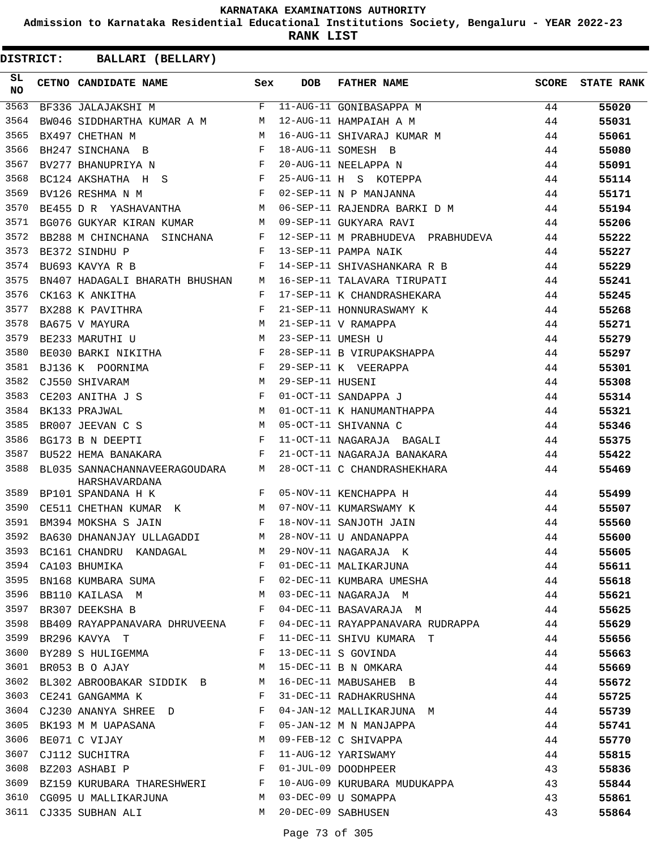**Admission to Karnataka Residential Educational Institutions Society, Bengaluru - YEAR 2022-23**

**RANK LIST**

| SL<br>NO | CETNO CANDIDATE NAME                                                              | Sex          | <b>DOB</b>        | FATHER NAME                                                       |    | SCORE STATE RANK |
|----------|-----------------------------------------------------------------------------------|--------------|-------------------|-------------------------------------------------------------------|----|------------------|
| 3563     | BF336 JALAJAKSHI M                                                                |              |                   | F 11-AUG-11 GONIBASAPPA M<br>MAR A M M 12-AUG-11 HAMPAIAH A M     | 44 | 55020            |
| 3564     | BW046 SIDDHARTHA KUMAR A M M                                                      |              |                   |                                                                   | 44 | 55031            |
| 3565     | M<br>BX497 CHETHAN M                                                              |              |                   | 16-AUG-11 SHIVARAJ KUMAR M                                        | 44 | 55061            |
| 3566     | BH247 SINCHANA B                                                                  |              |                   | 18-AUG-11 SOMESH B                                                | 44 | 55080            |
| 3567     | BV277 BHANUPRIYA N $$\tt F$$                                                      |              |                   | 20-AUG-11 NEELAPPA N                                              | 44 | 55091            |
| 3568     | $BC124$ AKSHATHA H S F                                                            |              |                   | 25-AUG-11 H S KOTEPPA                                             | 44 | 55114            |
| 3569     | $\mathbf{F}$ and the contract of the contract of $\mathbf{F}$<br>BV126 RESHMA N M |              |                   | 02-SEP-11 N P MANJANNA                                            | 44 | 55171            |
| 3570     | BE455 D R YASHAVANTHA M                                                           |              |                   | 06-SEP-11 RAJENDRA BARKI D M                                      | 44 | 55194            |
| 3571     | BG076 GUKYAR KIRAN KUMAR M 09-SEP-11 GUKYARA RAVI                                 |              |                   |                                                                   | 44 | 55206            |
| 3572     | BB288 M CHINCHANA SINCHANA F                                                      |              |                   | 12-SEP-11 M PRABHUDEVA PRABHUDEVA 44                              |    | 55222            |
| 3573     | $\mathbf{F}$<br>BE372 SINDHU P                                                    |              |                   | 13-SEP-11 PAMPA NAIK                                              | 44 | 55227            |
| 3574     | $\mathbf{F}$<br>BU693 KAVYA R B                                                   |              |                   | 14-SEP-11 SHIVASHANKARA R B                                       | 44 | 55229            |
| 3575     | BN407 HADAGALI BHARATH BHUSHAN M                                                  |              |                   | 16-SEP-11 TALAVARA TIRUPATI                                       | 44 | 55241            |
| 3576     | CK163 K ANKITHA                                                                   | F            |                   | 17-SEP-11 K CHANDRASHEKARA                                        | 44 | 55245            |
| 3577     | BX288 K PAVITHRA                                                                  | F            |                   | 21-SEP-11 HONNURASWAMY K                                          | 44 | 55268            |
| 3578     | BA675 V MAYURA                                                                    |              |                   | 21-SEP-11 V RAMAPPA                                               | 44 | 55271            |
| 3579     | $M$<br>$M$<br>BE233 MARUTHI U                                                     |              | 23-SEP-11 UMESH U |                                                                   | 44 | 55279            |
| 3580     | BE030 BARKI NIKITHA F                                                             |              |                   | 28-SEP-11 B VIRUPAKSHAPPA                                         | 44 | 55297            |
| 3581     | $\mathbf{F}$ and the contract of the contract $\mathbf{F}$ .<br>BJ136 K POORNIMA  |              |                   | 29-SEP-11 K VEERAPPA                                              | 44 | 55301            |
| 3582     | M<br>CJ550 SHIVARAM                                                               |              | 29-SEP-11 HUSENI  |                                                                   | 44 | 55308            |
| 3583     | CE203 ANITHA J S                                                                  | $\mathbf{F}$ |                   | 01-OCT-11 SANDAPPA J                                              | 44 | 55314            |
| 3584     | M <sub>N</sub><br>BK133 PRAJWAL                                                   |              |                   | 01-OCT-11 K HANUMANTHAPPA                                         | 44 | 55321            |
| 3585     | M<br>BR007 JEEVAN C S                                                             |              |                   | 05-OCT-11 SHIVANNA C                                              | 44 | 55346            |
| 3586     | $\mathbf{F}$<br>BG173 B N DEEPTI                                                  |              |                   | 11-OCT-11 NAGARAJA BAGALI                                         | 44 | 55375            |
| 3587     | BU522 HEMA BANAKARA                                                               | $\mathbf{F}$ |                   | 21-OCT-11 NAGARAJA BANAKARA                                       | 44 | 55422            |
| 3588     | BL035 SANNACHANNAVEERAGOUDARA M<br>HARSHAVARDANA                                  |              |                   | 28-OCT-11 C CHANDRASHEKHARA                                       | 44 | 55469            |
| 3589     | BP101 SPANDANA H K                                                                |              |                   | F 05-NOV-11 KENCHAPPA H                                           | 44 | 55499            |
| 3590     | CE511 CHETHAN KUMAR K M 07-NOV-11 KUMARSWAMY K                                    |              |                   |                                                                   | 44 | 55507            |
| 3591     | and the state of the state of the Party<br>BM394 MOKSHA S JAIN                    |              |                   | 18-NOV-11 SANJOTH JAIN                                            | 44 | 55560            |
| 3592     | BA630 DHANANJAY ULLAGADDI M                                                       |              |                   | 28-NOV-11 U ANDANAPPA                                             | 44 | 55600            |
|          | 3593 BC161 CHANDRU KANDAGAL M 29-NOV-11 NAGARAJA K                                |              |                   |                                                                   | 44 | 55605            |
| 3594     | CA103 BHUMIKA                                                                     | F            |                   | -- NAGARAJA K<br>01-DEC-11 MALIKARJUNA<br>02-DEC-11 KIMBADA ILLES | 44 | 55611            |
| 3595     | BN168 KUMBARA SUMA F                                                              |              |                   | 02-DEC-11 KUMBARA UMESHA                                          | 44 | 55618            |
| 3596     |                                                                                   |              |                   | 03-DEC-11 NAGARAJA M<br>04-DEC-11 BASAVARAJA M                    | 44 | 55621            |
|          | 3597 BR307 DEEKSHA B                                                              |              |                   |                                                                   | 44 | 55625            |
| 3598     | BB409 RAYAPPANAVARA DHRUVEENA F                                                   |              |                   | 04-DEC-11 RAYAPPANAVARA RUDRAPPA 44                               |    | 55629            |
| 3599     | BR296 KAVYA T                                                                     | $\mathbf{F}$ |                   | 11-DEC-11 SHIVU KUMARA T                                          | 44 | 55656            |
| 3600     | BY289 S HULIGEMMA                                                                 | $\mathbf{F}$ |                   | 13-DEC-11 S GOVINDA                                               | 44 | 55663            |
| 3601     | BR053 B O AJAY                                                                    | M            |                   | 15-DEC-11 B N OMKARA<br>16-DEC-11 MABUSAHEB B                     | 44 | 55669            |
| 3602     | BL302 ABROOBAKAR SIDDIK B M                                                       |              |                   |                                                                   | 44 | 55672            |
| 3603     | CE241 GANGAMMA K                                                                  | F            |                   | 31-DEC-11 RADHAKRUSHNA                                            | 44 | 55725            |
|          | 3604 CJ230 ANANYA SHREE D                                                         | F            |                   | 04-JAN-12 MALLIKARJUNA M                                          | 44 | 55739            |
| 3605     | BK193 M M UAPASANA                                                                | F            |                   | 05-JAN-12 M N MANJAPPA                                            | 44 | 55741            |
| 3606     | M <sub>1</sub><br>BE071 C VIJAY                                                   |              |                   | 09-FEB-12 C SHIVAPPA                                              | 44 | 55770            |
| 3607     | CJ112 SUCHITRA $F$                                                                |              |                   | 11-AUG-12 YARISWAMY                                               | 44 | 55815            |
| 3608     | $\mathbf{F}$<br>BZ203 ASHABI P                                                    |              |                   |                                                                   | 43 | 55836            |
|          | 3609 BZ159 KURUBARA THARESHWERI F                                                 |              |                   | 01-JUL-09 DOODHPEER<br>10-AUG-09 KURUBARA MUDUKAPPA               | 43 | 55844            |
| 3610     | CG095 U MALLIKARJUNA M 03-DEC-09 U SOMAPPA                                        |              |                   |                                                                   | 43 | 55861            |
|          | 3611 CJ335 SUBHAN ALI                                                             | M            |                   | 20-DEC-09 SABHUSEN                                                | 43 | 55864            |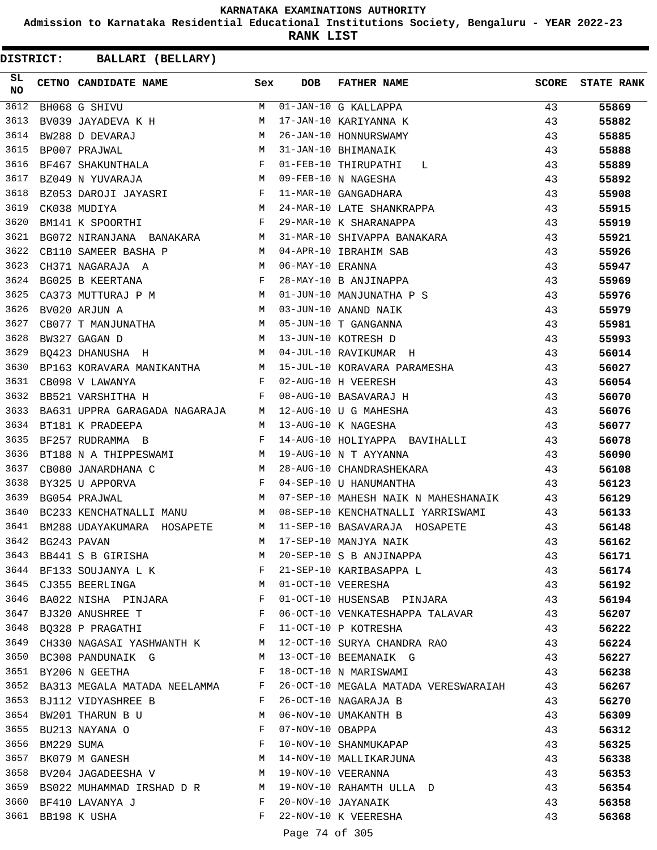**Admission to Karnataka Residential Educational Institutions Society, Bengaluru - YEAR 2022-23**

**RANK LIST**

| SL<br><b>NO</b> | CETNO CANDIDATE NAME                                                      | Sex                   | <b>DOB</b>       | <b>FATHER NAME</b>                                         | <b>SCORE</b> | <b>STATE RANK</b> |
|-----------------|---------------------------------------------------------------------------|-----------------------|------------------|------------------------------------------------------------|--------------|-------------------|
| 3612            | BH068 G SHIVU                                                             | M                     |                  | $\overline{01}$ -JAN-10 G KALLAPPA                         | 43           | 55869             |
| 3613            | BV039 JAYADEVA K H                                                        | M                     |                  | 17-JAN-10 KARIYANNA K                                      | 43           | 55882             |
| 3614            | M <sub>N</sub><br>BW288 D DEVARAJ                                         |                       |                  | 26-JAN-10 HONNURSWAMY                                      | 43           | 55885             |
| 3615            | BP007 PRAJWAL<br>BF467 SHAKUNTHALA<br>F                                   |                       |                  | 31-JAN-10 BHIMANAIK                                        | 43           | 55888             |
| 3616            |                                                                           |                       |                  | 01-FEB-10 THIRUPATHI L                                     | 43           | 55889             |
| 3617            | <b>M</b><br>BZ049 N YUVARAJA                                              |                       |                  | 09-FEB-10 N NAGESHA                                        | 43           | 55892             |
| 3618            | BZ053 DAROJI JAYASRI F                                                    |                       |                  | 11-MAR-10 GANGADHARA                                       | 43           | 55908             |
| 3619            | $\frac{M}{F}$<br>CK038 MUDIYA                                             |                       |                  | 24-MAR-10 LATE SHANKRAPPA                                  | 43           | 55915             |
| 3620            | BM141 K SPOORTHI                                                          |                       |                  | 29-MAR-10 K SHARANAPPA                                     | 43           | 55919             |
| 3621            | BG072 NIRANJANA BANAKARA M                                                |                       |                  | 31-MAR-10 SHIVAPPA BANAKARA                                | 43           | 55921             |
| 3622            | $M_{\odot}$<br>CB110 SAMEER BASHA P                                       |                       |                  | 04-APR-10 IBRAHIM SAB                                      | 43           | 55926             |
| 3623            | CH371 NAGARAJA A                                                          |                       | 06-MAY-10 ERANNA |                                                            | 43           | 55947             |
| 3624            | $M$<br>$F$<br>BG025 B KEERTANA                                            |                       |                  | 28-MAY-10 B ANJINAPPA                                      | 43           | 55969             |
| 3625            | CA373 MUTTURAJ P M M                                                      |                       |                  | 01-JUN-10 MANJUNATHA P S                                   | 43           | 55976             |
| 3626            | BV020 ARJUN A<br>CB077 T MANJUNATHA M<br>DV325 SE S                       |                       |                  | 03-JUN-10 ANAND NAIK                                       | 43           | 55979             |
| 3627            |                                                                           |                       |                  | 05-JUN-10 T GANGANNA                                       | 43           | 55981             |
| 3628            | BW327 GAGAN D                                                             | M                     |                  | 13-JUN-10 KOTRESH D                                        | 43           | 55993             |
| 3629            | BQ423 DHANUSHA H                                                          |                       |                  | 04-JUL-10 RAVIKUMAR H<br>43                                |              | 56014             |
| 3630            | BP163 KORAVARA MANIKANTHA M                                               |                       |                  | 15-JUL-10 KORAVARA PARAMESHA<br>00 MK 10 M MERRAY          | 43           | 56027             |
| 3631            | $\mathbf{F}$<br>CB098 V LAWANYA                                           |                       |                  | 02-AUG-10 H VEERESH                                        | 43           | 56054             |
| 3632            | $\mathbf{F}$ and $\mathbf{F}$ and $\mathbf{F}$<br>BB521 VARSHITHA H       |                       |                  | 08-AUG-10 BASAVARAJ H                                      | 43           | 56070             |
| 3633            | BA631 UPPRA GARAGADA NAGARAJA M 12-AUG-10 U G MAHESHA                     |                       |                  |                                                            | 43           | 56076             |
| 3634            | BT181 K PRADEEPA<br>M 13-AUG-10 K NAGESHA                                 |                       |                  |                                                            | 43           | 56077             |
| 3635            | $\mathbf{F}$<br>BF257 RUDRAMMA B                                          |                       |                  | 14-AUG-10 HOLIYAPPA BAVIHALLI 43                           |              | 56078             |
| 3636            | BT188 N A THIPPESWAMI M                                                   |                       |                  | 19-AUG-10 N T AYYANNA                                      | 43           | 56090             |
| 3637            | CB080 JANARDHANA C<br>M <sub>1</sub>                                      |                       |                  | 28-AUG-10 CHANDRASHEKARA<br>43                             |              | 56108             |
| 3638            | BY325 U APPORVA                                                           |                       |                  | 04-SEP-10 U HANUMANTHA                                     | 43           | 56123             |
| 3639            | $\begin{aligned} \mathbf{F} \\ \mathbf{M} \end{aligned}$<br>BG054 PRAJWAL |                       |                  | 07-SEP-10 MAHESH NAIK N MAHESHANAIK 43                     |              | 56129             |
| 3640            | BC233 KENCHATNALLI MANU M                                                 |                       |                  | 08-SEP-10 KENCHATNALLI YARRISWAMI                          | 43           | 56133             |
| 3641            | BM288 UDAYAKUMARA HOSAPETE M                                              |                       |                  | 11-SEP-10 BASAVARAJA HOSAPETE                              | 43           | 56148             |
| 3642            | BG243 PAVAN                                                               | M                     |                  | 17-SEP-10 MANJYA NAIK                                      | 43           | 56162             |
| 3643            | BB441 S B GIRISHA                                                         | M                     |                  | 20-SEP-10 S B ANJINAPPA                                    | 43           | 56171             |
|                 | 3644 BF133 SOUJANYA L K F                                                 |                       |                  | 21-SEP-10 KARIBASAPPA L                                    | 43           | 56174             |
|                 | M<br>3645 CJ355 BEERLINGA                                                 |                       |                  | 43<br>01-OCT-10 VEERESHA                                   |              | 56192             |
| 3646            | BA022 NISHA PINJARA F                                                     |                       |                  | 01-OCT-10 HUSENSAB PINJARA 43                              |              | 56194             |
|                 | $\mathbf{F}$<br>3647 BJ320 ANUSHREE T                                     |                       |                  | 06-OCT-10 VENKATESHAPPA TALAVAR 43                         |              | 56207             |
|                 | 3648 BQ328 P PRAGATHI                                                     | $\mathbb{F}^{\times}$ |                  | 11-OCT-10 P KOTRESHA                                       | 43           | 56222             |
| 3649            |                                                                           |                       |                  | CH330 NAGASAI YASHWANTH K M 12-OCT-10 SURYA CHANDRA RAO 43 |              | 56224             |
| 3650            | BC308 PANDUNAIK G                                                         | M                     |                  | 13-OCT-10 BEEMANAIK G                                      | 43           | 56227             |
|                 | 3651 BY206 N GEETHA                                                       | $\mathbf{F}$          |                  | 18-OCT-10 N MARISWAMI                                      | 43           | 56238             |
|                 | 3652 BA313 MEGALA MATADA NEELAMMA F                                       |                       |                  | 26-OCT-10 MEGALA MATADA VERESWARAIAH                       | 43           | 56267             |
| 3653            | BJ112 VIDYASHREE B                                                        | F                     |                  | 26-OCT-10 NAGARAJA B                                       | 43           | 56270             |
| 3654            | BW201 THARUN B U                                                          | M                     |                  | 06-NOV-10 UMAKANTH B                                       | 43           | 56309             |
|                 | 3655 BU213 NAYANA O                                                       | $\mathbf{F}$          | 07-NOV-10 OBAPPA |                                                            | 43           | 56312             |
| 3656            |                                                                           |                       |                  | 10-NOV-10 SHANMUKAPAP                                      | 43           | 56325             |
| 3657            | BM229 SUMA F<br>BK079 M GANESH M                                          |                       |                  | 14-NOV-10 MALLIKARJUNA                                     | 43           | 56338             |
| 3658            | BV204 JAGADEESHA V M                                                      |                       |                  | 19-NOV-10 VEERANNA                                         | 43           | 56353             |
|                 |                                                                           |                       |                  | 19-NOV-10 RAHAMTH ULLA D                                   | 43           | 56354             |
|                 | 3659 BS022 MUHAMMAD IRSHAD D R M<br>3660 BF410 LAVANYA J                  | $\mathbf{F}$          |                  | 20-NOV-10 JAYANAIK                                         | 43           | 56358             |
|                 | 3661 BB198 K USHA                                                         | F                     |                  | 22-NOV-10 K VEERESHA                                       | 43           | 56368             |
|                 |                                                                           |                       |                  |                                                            |              |                   |
|                 |                                                                           |                       | Page 74 of 305   |                                                            |              |                   |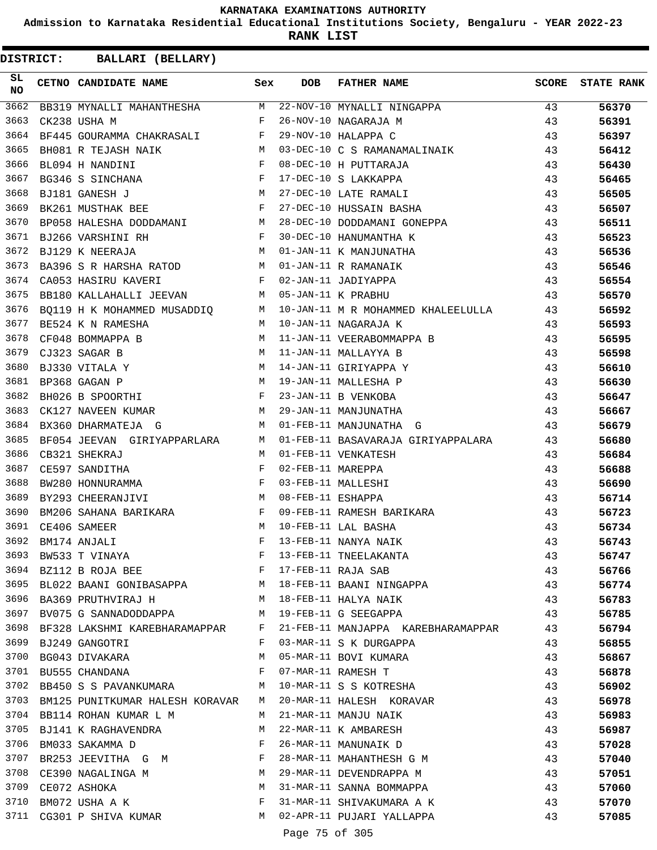**Admission to Karnataka Residential Educational Institutions Society, Bengaluru - YEAR 2022-23**

**RANK LIST**

| SL<br><b>NO</b> | CETNO CANDIDATE NAME                                                | Sex          | <b>DOB</b>        | FATHER NAME                                                      | SCORE | <b>STATE RANK</b> |
|-----------------|---------------------------------------------------------------------|--------------|-------------------|------------------------------------------------------------------|-------|-------------------|
| 3662            |                                                                     |              |                   | BB319 MYNALLI MAHANTHESHA M 22-NOV-10 MYNALLI NINGAPPA           | 43    | 56370             |
| 3663            | CK238 USHA M<br>$\mathbf{F}$ . The set of $\mathbf{F}$              |              |                   | 26-NOV-10 NAGARAJA M                                             | 43    | 56391             |
| 3664            | BF445 GOURAMMA CHAKRASALI F                                         |              |                   | 29-NOV-10 HALAPPA C                                              | 43    | 56397             |
| 3665            | BH081 R TEJASH NAIK M                                               |              |                   | 03-DEC-10 C S RAMANAMALINAIK                                     | 43    | 56412             |
| 3666            | BL094 H NANDINI<br>BG346 S SINCHANA<br>PJ101 GILLE                  |              |                   | 08-DEC-10 H PUTTARAJA                                            | 43    | 56430             |
| 3667            |                                                                     |              |                   | 17-DEC-10 S LAKKAPPA                                             | 43    | 56465             |
| 3668            | $\mathbb M$<br>BJ181 GANESH J                                       |              |                   | 27-DEC-10 LATE RAMALI                                            | 43    | 56505             |
| 3669            | BK261 MUSTHAK BEE F                                                 |              |                   | 27-DEC-10 HUSSAIN BASHA                                          | 43    | 56507             |
| 3670            | BP058 HALESHA DODDAMANI M                                           |              |                   | 28-DEC-10 DODDAMANI GONEPPA                                      | 43    | 56511             |
| 3671            | BJ266 VARSHINI RH<br>$\mathbf{F}$ and $\mathbf{F}$ and $\mathbf{F}$ |              |                   | 30-DEC-10 HANUMANTHA K                                           | 43    | 56523             |
| 3672            | <b>M</b><br>BJ129 K NEERAJA                                         |              |                   | 01-JAN-11 K MANJUNATHA                                           | 43    | 56536             |
| 3673            | BA396 S R HARSHA RATOD M                                            |              |                   | 01-JAN-11 R RAMANAIK                                             | 43    | 56546             |
| 3674            | $\mathbf{F}$<br>CA053 HASIRU KAVERI                                 |              |                   | 02-JAN-11 JADIYAPPA                                              | 43    | 56554             |
| 3675            | BB180 KALLAHALLI JEEVAN M 05-JAN-11 K PRABHU                        |              |                   |                                                                  | 43    | 56570             |
| 3676            |                                                                     |              |                   | BQ119 H K MOHAMMED MUSADDIQ M 10-JAN-11 M R MOHAMMED KHALEELULLA | 43    | 56592             |
| 3677            | BE524 K N RAMESHA                                                   | M            |                   | 10-JAN-11 NAGARAJA K                                             | 43    | 56593             |
| 3678            | BE524 K N RAMESHA<br>CF048 BOMMAPPA B                               | M            |                   | 11-JAN-11 VEERABOMMAPPA B                                        | 43    | 56595             |
| 3679            | CJ323 SAGAR B<br>M <sub>N</sub>                                     |              |                   | 11-JAN-11 MALLAYYA B                                             | 43    | 56598             |
| 3680            | M <sub>N</sub><br>BJ330 VITALA Y                                    |              |                   | 14-JAN-11 GIRIYAPPA Y                                            | 43    | 56610             |
| 3681            | M<br>BP368 GAGAN P                                                  |              |                   | 19-JAN-11 MALLESHA P                                             | 43    | 56630             |
| 3682            | BH026 B SPOORTHI                                                    | $\mathbf{F}$ |                   | 23-JAN-11 B VENKOBA                                              | 43    | 56647             |
| 3683            | CK127 NAVEEN KUMAR M                                                |              |                   | 29-JAN-11 MANJUNATHA                                             | 43    | 56667             |
| 3684            | <b>M</b><br>BX360 DHARMATEJA G                                      |              |                   | 01-FEB-11 MANJUNATHA G                                           | 43    | 56679             |
| 3685            | BF054 JEEVAN GIRIYAPPARLARA M                                       |              |                   | 01-FEB-11 BASAVARAJA GIRIYAPPALARA                               | 43    | 56680             |
| 3686            | CB321 SHEKRAJ                                                       | M            |                   | 01-FEB-11 VENKATESH                                              | 43    | 56684             |
| 3687            | CE597 SANDITHA                                                      | $\mathbf{F}$ | 02-FEB-11 MAREPPA |                                                                  | 43    | 56688             |
| 3688            | BW280 HONNURAMMA F                                                  |              |                   | 03-FEB-11 MALLESHI<br>08-FEB-11 ESHAPPA                          | 43    | 56690             |
| 3689            | M<br>BY293 CHEERANJIVI                                              |              | 08-FEB-11 ESHAPPA |                                                                  | 43    | 56714             |
| 3690            | BM206 SAHANA BARIKARA                                               | F            |                   | 09-FEB-11 RAMESH BARIKARA                                        | 43    | 56723             |
| 3691            | CE406 SAMEER<br><b>M</b>                                            |              |                   | 10-FEB-11 LAL BASHA                                              | 43    | 56734             |
| 3692            | BM174 ANJALI                                                        | F            |                   | 13-FEB-11 NANYA NAIK                                             | 43    | 56743             |
|                 | 3693 BW533 T VINAYA                                                 | F            |                   | 13-FEB-11 TNEELAKANTA                                            | 43    | 56747             |
|                 | 3694 BZ112 B ROJA BEE                                               | F            |                   | 17-FEB-11 RAJA SAB                                               | 43    | 56766             |
|                 |                                                                     |              |                   | 3695 BL022 BAANI GONIBASAPPA M 18-FEB-11 BAANI NINGAPPA          | 43    | 56774             |
|                 | 3696 BA369 PRUTHVIRAJ H                                             |              |                   | M 18-FEB-11 HALYA NAIK                                           | 43    | 56783             |
|                 | 3697 BV075 G SANNADODDAPPA                                          | M            |                   | 19-FEB-11 G SEEGAPPA                                             | 43    | 56785             |
|                 | 3698 BF328 LAKSHMI KAREBHARAMAPPAR F                                |              |                   | 21-FEB-11 MANJAPPA KAREBHARAMAPPAR                               | 43    | 56794             |
|                 | 3699 BJ249 GANGOTRI                                                 | F            |                   | 03-MAR-11 S K DURGAPPA                                           | 43    | 56855             |
| 3700            | BG043 DIVAKARA                                                      | М            |                   | 05-MAR-11 BOVI KUMARA                                            | 43    | 56867             |
| 3701            | BU555 CHANDANA                                                      | F            |                   | 07-MAR-11 RAMESH T                                               | 43    | 56878             |
| 3702            | BB450 S S PAVANKUMARA                                               | M            |                   | 10-MAR-11 S S KOTRESHA                                           | 43    | 56902             |
| 3703            | BM125 PUNITKUMAR HALESH KORAVAR                                     | M            |                   | 20-MAR-11 HALESH KORAVAR                                         | 43    | 56978             |
|                 | 3704 BB114 ROHAN KUMAR L M                                          | M            |                   | 21-MAR-11 MANJU NAIK                                             | 43    | 56983             |
|                 | 3705 BJ141 K RAGHAVENDRA                                            | M            |                   | 22-MAR-11 K AMBARESH                                             | 43    | 56987             |
| 3706            | BM033 SAKAMMA D                                                     | F            |                   | 26-MAR-11 MANUNAIK D                                             | 43    | 57028             |
| 3707            | BR253 JEEVITHA G M                                                  | F            |                   | 28-MAR-11 MAHANTHESH G M                                         | 43    | 57040             |
| 3708            | CE390 NAGALINGA M                                                   | M            |                   | 29-MAR-11 DEVENDRAPPA M                                          | 43    | 57051             |
| 3709            | CE072 ASHOKA                                                        | M            |                   | 31-MAR-11 SANNA BOMMAPPA                                         | 43    | 57060             |
| 3710            | BM072 USHA A K                                                      | F            |                   | 31-MAR-11 SHIVAKUMARA A K                                        | 43    | 57070             |
|                 | 3711 CG301 P SHIVA KUMAR                                            | M            |                   | 02-APR-11 PUJARI YALLAPPA                                        | 43    | 57085             |
|                 |                                                                     |              | Page 75 of 305    |                                                                  |       |                   |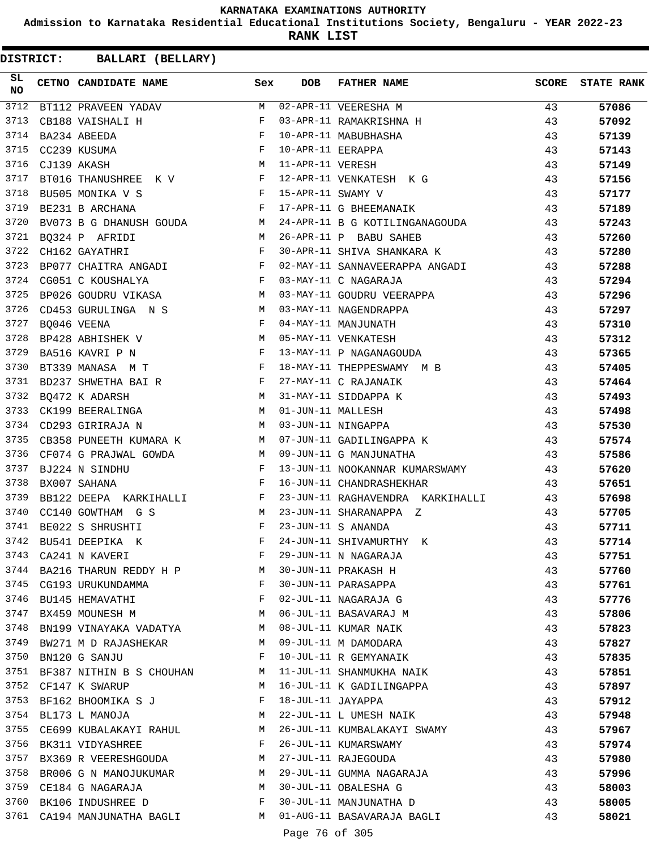**Admission to Karnataka Residential Educational Institutions Society, Bengaluru - YEAR 2022-23**

**RANK LIST**

| SL<br><b>NO</b> | CETNO CANDIDATE NAME                                                                                                                                                                                                                                  | Sex        | <b>DOB</b>        | FATHER NAME                                  | <b>SCORE</b> | <b>STATE RANK</b> |
|-----------------|-------------------------------------------------------------------------------------------------------------------------------------------------------------------------------------------------------------------------------------------------------|------------|-------------------|----------------------------------------------|--------------|-------------------|
| 3712            | BT112 PRAVEEN YADAV                                                                                                                                                                                                                                   | M          |                   | 02-APR-11 VEERESHA M                         | 43           | 57086             |
| 3713            | CB188 VAISHALI H                                                                                                                                                                                                                                      | $_{\rm F}$ |                   | 03-APR-11 RAMAKRISHNA H                      | 43           | 57092             |
| 3714            | $\begin{aligned} \mathbf{F} \\ \mathbf{F} \\ \mathbf{M} \end{aligned}$<br>BA234 ABEEDA                                                                                                                                                                |            |                   | 10-APR-11 MABUBHASHA                         | 43           | 57139             |
| 3715            | CC239 KUSUMA                                                                                                                                                                                                                                          |            | 10-APR-11 EERAPPA |                                              | 43           | 57143             |
| 3716            | CJ139 AKASH                                                                                                                                                                                                                                           |            | 11-APR-11 VERESH  |                                              | 43           | 57149             |
| 3717            | BT016 THANUSHREE K V F                                                                                                                                                                                                                                |            |                   | 12-APR-11 VENKATESH K G                      | 43           | 57156             |
| 3718            | $\mathbb{R}^n$ . The set of the set of the set of the set of the set of the set of the set of the set of the set of the set of the set of the set of the set of the set of the set of the set of the set of the set of the set of<br>BU505 MONIKA V S |            | 15-APR-11 SWAMY V |                                              | 43           | 57177             |
| 3719            | $\mathbb F$<br>BE231 B ARCHANA                                                                                                                                                                                                                        |            |                   | 17-APR-11 G BHEEMANAIK                       | 43           | 57189             |
| 3720            | BV073 B G DHANUSH GOUDA M                                                                                                                                                                                                                             |            |                   | 24-APR-11 B G KOTILINGANAGOUDA               | 43           | 57243             |
| 3721            | M <sub>N</sub><br>BQ324 P AFRIDI                                                                                                                                                                                                                      |            |                   | 26-APR-11 P BABU SAHEB                       | 43           | 57260             |
| 3722            | $\mathbf{F}$<br>CH162 GAYATHRI                                                                                                                                                                                                                        |            |                   | 30-APR-11 SHIVA SHANKARA K                   | 43           | 57280             |
| 3723            | BP077 CHAITRA ANGADI F                                                                                                                                                                                                                                |            |                   | 02-MAY-11 SANNAVEERAPPA ANGADI               | 43           | 57288             |
| 3724            | $\mathbf{F}$ and $\mathbf{F}$ and $\mathbf{F}$<br>CG051 C KOUSHALYA                                                                                                                                                                                   |            |                   | 03-MAY-11 C NAGARAJA                         | 43           | 57294             |
| 3725            | BP026 GOUDRU VIKASA M                                                                                                                                                                                                                                 |            |                   | 03-MAY-11 GOUDRU VEERAPPA                    | 43           | 57296             |
| 3726            | CD453 GURULINGA N S M                                                                                                                                                                                                                                 |            |                   | 03-MAY-11 NAGENDRAPPA<br>04-MAY-11 MANJUNATH | 43           | 57297             |
| 3727            | $\mathbf{F}$<br>BQ046 VEENA                                                                                                                                                                                                                           |            |                   |                                              | 43           | 57310             |
| 3728            | BP428 ABHISHEK V M                                                                                                                                                                                                                                    |            |                   | 05-MAY-11 VENKATESH                          | 43           | 57312             |
| 3729            | $\mathbf{F}$ and $\mathbf{F}$ are the set of $\mathbf{F}$<br>BA516 KAVRI P N                                                                                                                                                                          |            |                   | 13-MAY-11 P NAGANAGOUDA                      | 43           | 57365             |
| 3730            | $\mathbf{F}$ and $\mathbf{F}$ and $\mathbf{F}$<br>BT339 MANASA M T                                                                                                                                                                                    |            |                   | 18-MAY-11 THEPPESWAMY M B                    | 43           | 57405             |
| 3731            | BD237 SHWETHA BAIR<br>DOATS HIS RESERVED IN THE RESERVED ON THE RESERVED ON THE RESERVED ON THE RESERVED ON THE RESERVED ON THE RESERVED ON THE RESERVED ON THE RESERVED ON THE RESERVED ON THE RESERVED ON THE RESERVED ON THE R                     |            |                   | 27-MAY-11 C RAJANAIK                         | 43           | 57464             |
| 3732            | M <sub>N</sub><br>BQ472 K ADARSH                                                                                                                                                                                                                      |            |                   | 31-MAY-11 SIDDAPPA K                         | 43           | 57493             |
| 3733            | CK199 BEERALINGA M                                                                                                                                                                                                                                    |            | 01-JUN-11 MALLESH |                                              | 43           | 57498             |
| 3734            | M<br>CD293 GIRIRAJA N                                                                                                                                                                                                                                 |            |                   | 03-JUN-11 NINGAPPA                           | 43           | 57530             |
| 3735            | CB358 PUNEETH KUMARA K<br>M                                                                                                                                                                                                                           |            |                   | 07-JUN-11 GADILINGAPPA K                     | 43           | 57574             |
| 3736            | CF074 G PRAJWAL GOWDA M                                                                                                                                                                                                                               |            |                   | 09-JUN-11 G MANJUNATHA                       | 43           | 57586             |
| 3737            | $\mathbf{F}$<br>BJ224 N SINDHU                                                                                                                                                                                                                        |            |                   | 13-JUN-11 NOOKANNAR KUMARSWAMY               | 43           | 57620             |
| 3738            | $\mathbf{F}$<br>BX007 SAHANA                                                                                                                                                                                                                          |            |                   | 16-JUN-11 CHANDRASHEKHAR                     | 43           | 57651             |
| 3739            | BB122 DEEPA KARKIHALLI F                                                                                                                                                                                                                              |            |                   | 23-JUN-11 RAGHAVENDRA KARKIHALLI             | 43           | 57698             |
| 3740            | CC140 GOWTHAM G S<br>M <sub>1</sub>                                                                                                                                                                                                                   |            |                   | 23-JUN-11 SHARANAPPA Z                       | 43           | 57705             |
| 3741            | $\mathbf{F}$ and $\mathbf{F}$ and $\mathbf{F}$<br>BE022 S SHRUSHTI                                                                                                                                                                                    |            |                   | 23-JUN-11 S ANANDA                           | 43           | 57711             |
| 3742            | BU541 DEEPIKA K                                                                                                                                                                                                                                       | F          |                   | 24-JUN-11 SHIVAMURTHY K                      | 43           | 57714             |
| 3743            | CA241 N KAVERI                                                                                                                                                                                                                                        | F          |                   | 29-JUN-11 N NAGARAJA                         | 43           | 57751             |
| 3744            | BA216 THARUN REDDY H P                                                                                                                                                                                                                                | М          |                   | 30-JUN-11 PRAKASH H                          | 43           | 57760             |
| 3745            | CG193 URUKUNDAMMA                                                                                                                                                                                                                                     | F          |                   | 30-JUN-11 PARASAPPA                          | 43           | 57761             |
| 3746            | BU145 HEMAVATHI                                                                                                                                                                                                                                       | F          |                   | 02-JUL-11 NAGARAJA G                         | 43           | 57776             |
| 3747            | BX459 MOUNESH M                                                                                                                                                                                                                                       | M          |                   | 06-JUL-11 BASAVARAJ M                        | 43           | 57806             |
| 3748            | BN199 VINAYAKA VADATYA                                                                                                                                                                                                                                | М          |                   | 08-JUL-11 KUMAR NAIK                         | 43           | 57823             |
| 3749            | BW271 M D RAJASHEKAR                                                                                                                                                                                                                                  | M          |                   | 09-JUL-11 M DAMODARA                         | 43           | 57827             |
| 3750            | BN120 G SANJU                                                                                                                                                                                                                                         | F          |                   | 10-JUL-11 R GEMYANAIK                        | 43           | 57835             |
| 3751            | BF387 NITHIN B S CHOUHAN                                                                                                                                                                                                                              | М          |                   | 11-JUL-11 SHANMUKHA NAIK                     | 43           | 57851             |
| 3752            | CF147 K SWARUP                                                                                                                                                                                                                                        | М          |                   | 16-JUL-11 K GADILINGAPPA                     | 43           | 57897             |
| 3753            | BF162 BHOOMIKA S J                                                                                                                                                                                                                                    | F          | 18-JUL-11 JAYAPPA |                                              | 43           | 57912             |
| 3754            | BL173 L MANOJA                                                                                                                                                                                                                                        | М          |                   | 22-JUL-11 L UMESH NAIK                       | 43           | 57948             |
| 3755            | CE699 KUBALAKAYI RAHUL                                                                                                                                                                                                                                | M          |                   | 26-JUL-11 KUMBALAKAYI SWAMY                  | 43           | 57967             |
| 3756            | BK311 VIDYASHREE                                                                                                                                                                                                                                      | F          |                   | 26-JUL-11 KUMARSWAMY                         | 43           | 57974             |
| 3757            | BX369 R VEERESHGOUDA                                                                                                                                                                                                                                  | М          |                   | 27-JUL-11 RAJEGOUDA                          | 43           | 57980             |
| 3758            | BR006 G N MANOJUKUMAR                                                                                                                                                                                                                                 | M          |                   | 29-JUL-11 GUMMA NAGARAJA                     | 43           | 57996             |
| 3759            | CE184 G NAGARAJA                                                                                                                                                                                                                                      | М          |                   | 30-JUL-11 OBALESHA G                         | 43           | 58003             |
| 3760            | BK106 INDUSHREE D                                                                                                                                                                                                                                     | F          |                   | 30-JUL-11 MANJUNATHA D                       | 43           | 58005             |
| 3761            | CA194 MANJUNATHA BAGLI                                                                                                                                                                                                                                | M          |                   | 01-AUG-11 BASAVARAJA BAGLI                   | 43           | 58021             |
|                 |                                                                                                                                                                                                                                                       |            | Page 76 of 305    |                                              |              |                   |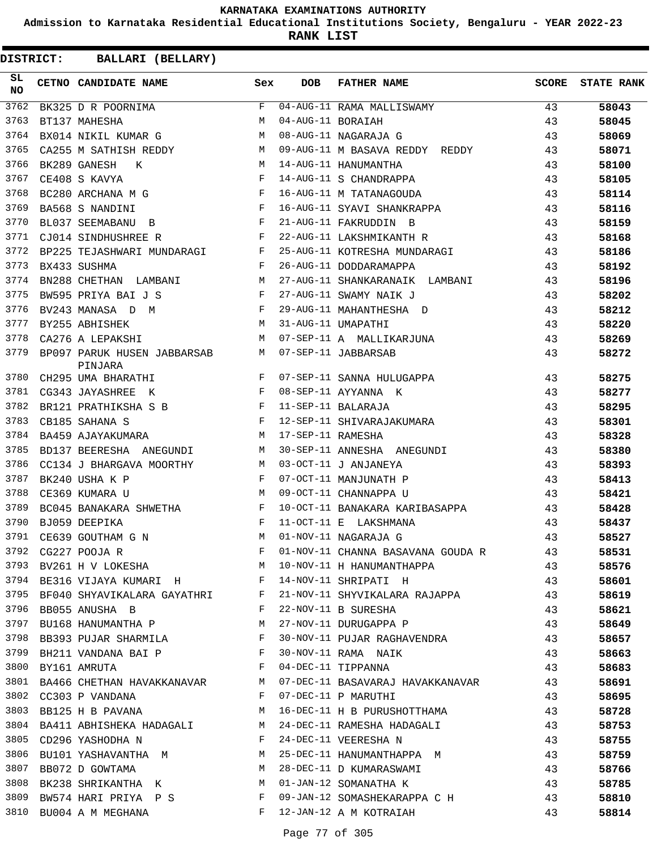**Admission to Karnataka Residential Educational Institutions Society, Bengaluru - YEAR 2022-23**

**RANK LIST**

| SL<br><b>NO</b> | CETNO CANDIDATE NAME                                                                                                                                                                                                                                  | Sex          | <b>DOB</b>        | FATHER NAME                                                           | SCORE | <b>STATE RANK</b> |
|-----------------|-------------------------------------------------------------------------------------------------------------------------------------------------------------------------------------------------------------------------------------------------------|--------------|-------------------|-----------------------------------------------------------------------|-------|-------------------|
| 3762            | BK325 D R POORNIMA                                                                                                                                                                                                                                    | F            |                   | 04-AUG-11 RAMA MALLISWAMY                                             | 43    | 58043             |
| 3763            | BT137 MAHESHA                                                                                                                                                                                                                                         | M            | 04-AUG-11 BORAIAH |                                                                       | 43    | 58045             |
| 3764            | M<br>BX014 NIKIL KUMAR G                                                                                                                                                                                                                              |              |                   | 08-AUG-11 NAGARAJA G                                                  | 43    | 58069             |
| 3765            | CA255 M SATHISH REDDY M                                                                                                                                                                                                                               |              |                   | 09-AUG-11 M BASAVA REDDY REDDY                                        | 43    | 58071             |
| 3766            | M<br>BK289 GANESH<br>K                                                                                                                                                                                                                                |              |                   | 14-AUG-11 HANUMANTHA                                                  | 43    | 58100             |
| 3767            | <b>Experimental Experimental Experimental Experimental Experimental Experimental Experimental Experimental Experimental Experimental Experimental Experimental Experimental Experimental Experimental Experimental Experimental </b><br>CE408 S KAVYA |              |                   | 14-AUG-11 S CHANDRAPPA                                                | 43    | 58105             |
| 3768            | $\mathbf{F}^{\mathcal{A}}_{\mathcal{A}}=\mathbf{F}^{\mathcal{A}}_{\mathcal{A}}\mathbf{F}^{\mathcal{A}}_{\mathcal{A}}$<br>BC280 ARCHANA M G                                                                                                            |              |                   | 16-AUG-11 M TATANAGOUDA                                               | 43    | 58114             |
| 3769            | $\mathbf{F}$ and $\mathbf{F}$<br>BA568 S NANDINI                                                                                                                                                                                                      |              |                   | 16-AUG-11 SYAVI SHANKRAPPA                                            | 43    | 58116             |
| 3770            | $\mathbf{F}$ and the state of the state $\mathbf{F}$<br>BL037 SEEMABANU B                                                                                                                                                                             |              |                   | 21-AUG-11 FAKRUDDIN B                                                 | 43    | 58159             |
| 3771            | CJ014 SINDHUSHREE R<br>and the state of the state of the Party                                                                                                                                                                                        |              |                   | 22-AUG-11 LAKSHMIKANTH R                                              | 43    | 58168             |
| 3772            | BP225 TEJASHWARI MUNDARAGI F                                                                                                                                                                                                                          |              |                   | 25-AUG-11 KOTRESHA MUNDARAGI                                          | 43    | 58186             |
| 3773            | BX433 SUSHMA                                                                                                                                                                                                                                          | $\mathbf{F}$ |                   | 26-AUG-11 DODDARAMAPPA                                                | 43    | 58192             |
| 3774            | M <sub>N</sub><br>BN288 CHETHAN LAMBANI                                                                                                                                                                                                               |              |                   | 27-AUG-11 SHANKARANAIK LAMBANI                                        | 43    | 58196             |
| 3775            | $\mathbf{F}$ and $\mathbf{F}$ and $\mathbf{F}$<br>BW595 PRIYA BAI J S                                                                                                                                                                                 |              |                   | 27-AUG-11 SWAMY NAIK J                                                | 43    | 58202             |
| 3776            | $\mathbf{F}$ . The set of $\mathbf{F}$<br>BV243 MANASA D M                                                                                                                                                                                            |              |                   | 29-AUG-11 MAHANTHESHA D                                               | 43    | 58212             |
| 3777            | BY255 ABHISHEK                                                                                                                                                                                                                                        | M            |                   | 31-AUG-11 UMAPATHI                                                    | 43    | 58220             |
| 3778            | CA276 A LEPAKSHI                                                                                                                                                                                                                                      | M            |                   | 07-SEP-11 A MALLIKARJUNA                                              | 43    | 58269             |
| 3779            | BP097 PARUK HUSEN JABBARSAB<br>PINJARA                                                                                                                                                                                                                | M            |                   | 07-SEP-11 JABBARSAB                                                   | 43    | 58272             |
| 3780            | CH295 UMA BHARATHI F                                                                                                                                                                                                                                  |              |                   | 07-SEP-11 SANNA HULUGAPPA                                             | 43    | 58275             |
| 3781            | $\mathbf{F}$ . The contract of the contract of $\mathbf{F}$<br>CG343 JAYASHREE K                                                                                                                                                                      |              |                   | 08-SEP-11 AYYANNA K                                                   | 43    | 58277             |
| 3782            | BR121 PRATHIKSHA S B $$\rm F$$                                                                                                                                                                                                                        |              |                   | 11-SEP-11 BALARAJA                                                    | 43    | 58295             |
| 3783            | $\mathbf{F}$<br>CB185 SAHANA S                                                                                                                                                                                                                        |              |                   | 12-SEP-11 SHIVARAJAKUMARA                                             | 43    | 58301             |
| 3784            | M <sub>N</sub><br>BA459 AJAYAKUMARA                                                                                                                                                                                                                   |              | 17-SEP-11 RAMESHA |                                                                       | 43    | 58328             |
| 3785            | BD137 BEERESHA ANEGUNDI                                                                                                                                                                                                                               | M            |                   | 30-SEP-11 ANNESHA ANEGUNDI                                            | 43    | 58380             |
| 3786            | M<br>CC134 J BHARGAVA MOORTHY                                                                                                                                                                                                                         |              |                   | 03-OCT-11 J ANJANEYA                                                  | 43    | 58393             |
| 3787            | BK240 USHA K P                                                                                                                                                                                                                                        | F            |                   | 07-OCT-11 MANJUNATH P                                                 | 43    | 58413             |
| 3788            | <b>M</b><br>CE369 KUMARA U                                                                                                                                                                                                                            |              |                   | 09-OCT-11 CHANNAPPA U                                                 | 43    | 58421             |
| 3789            | BC045 BANAKARA SHWETHA F                                                                                                                                                                                                                              |              |                   | 10-OCT-11 BANAKARA KARIBASAPPA                                        | 43    | 58428             |
| 3790            | $\mathbf{F}$<br>BJ059 DEEPIKA                                                                                                                                                                                                                         |              |                   | 11-OCT-11 E LAKSHMANA                                                 | 43    | 58437             |
| 3791            | CE639 GOUTHAM G N                                                                                                                                                                                                                                     | M            |                   | 01-NOV-11 NAGARAJA G                                                  | 43    | 58527             |
| 3792            | CG227 POOJA R                                                                                                                                                                                                                                         |              |                   | F 01-NOV-11 CHANNA BASAVANA GOUDA R                                   | 43    | 58531             |
| 3793            | BV261 H V LOKESHA M                                                                                                                                                                                                                                   |              |                   | 10-NOV-11 H HANUMANTHAPPA 43                                          |       | 58576             |
|                 | 3794 BE316 VIJAYA KUMARI H                                                                                                                                                                                                                            |              |                   | 14-NOV-11 SHRIPATI H                                                  | 43    | 58601             |
|                 |                                                                                                                                                                                                                                                       |              |                   | 3795 BF040 SHYAVIKALARA GAYATHRI F 21-NOV-11 SHYVIKALARA RAJAPPA 43   |       | 58619             |
|                 | 3796 BB055 ANUSHA B<br>$\mathbf{F}$ and $\mathbf{F}$                                                                                                                                                                                                  |              |                   | 22-NOV-11 B SURESHA<br>43                                             |       | 58621             |
|                 | 3797 BU168 HANUMANTHA P M                                                                                                                                                                                                                             |              |                   | 43<br>27-NOV-11 DURUGAPPA P                                           |       | 58649             |
|                 | 3798 BB393 PUJAR SHARMILA F                                                                                                                                                                                                                           |              |                   | 30-NOV-11 PUJAR RAGHAVENDRA 43                                        |       | 58657             |
|                 | 3799 BH211 VANDANA BAI P                      F  30-NOV-11 RAMA NAIK                                                                                                                                                                                  |              |                   |                                                                       | 43    | 58663             |
|                 | 3800 BY161 AMRUTA<br>$\mathbf{F}$ and the contract of $\mathbf{F}$                                                                                                                                                                                    |              |                   | 04-DEC-11 TIPPANNA<br>43                                              |       | 58683             |
|                 |                                                                                                                                                                                                                                                       |              |                   | 3801 BA466 CHETHAN HAVAKKANAVAR M 07-DEC-11 BASAVARAJ HAVAKKANAVAR 43 |       | 58691             |
|                 | 3802 CC303 P VANDANA                                                                                                                                                                                                                                  | F            |                   | 07-DEC-11 P MARUTHI                                                   | 43    | 58695             |
|                 | 3803 BB125 H B PAVANA                                                                                                                                                                                                                                 | M            |                   | 16-DEC-11 H B PURUSHOTTHAMA                                           | 43    | 58728             |
|                 | 3804 BA411 ABHISHEKA HADAGALI M                                                                                                                                                                                                                       |              |                   | 24-DEC-11 RAMESHA HADAGALI 43                                         |       | 58753             |
|                 | $\mathbf{F}$ and $\mathbf{F}$ and $\mathbf{F}$<br>3805 CD296 YASHODHA N                                                                                                                                                                               |              |                   | 43<br>24-DEC-11 VEERESHA N                                            |       | 58755             |
|                 |                                                                                                                                                                                                                                                       |              |                   | 3806 BU101 YASHAVANTHA M<br>M 25-DEC-11 HANUMANTHAPPA M               | 43    | 58759             |
|                 |                                                                                                                                                                                                                                                       |              |                   |                                                                       | 43    | 58766             |
| 3808            | 3807 BB072 D GOWTAMA<br>BK238 SHRIKANTHA K M 01-JAN-12 SOMANATHA K                                                                                                                                                                                    |              |                   | M 28-DEC-11 D KUMARASWAMI<br>43                                       |       |                   |
| 3809            | BW574 HARI PRIYA P S F                                                                                                                                                                                                                                |              |                   | 09-JAN-12 SOMASHEKARAPPA C H 43                                       |       | 58785             |
|                 |                                                                                                                                                                                                                                                       |              |                   | F 12-JAN-12 A M KOTRAIAH                                              |       | 58810             |
|                 | 3810 BU004 A M MEGHANA                                                                                                                                                                                                                                |              |                   |                                                                       | 43    | 58814             |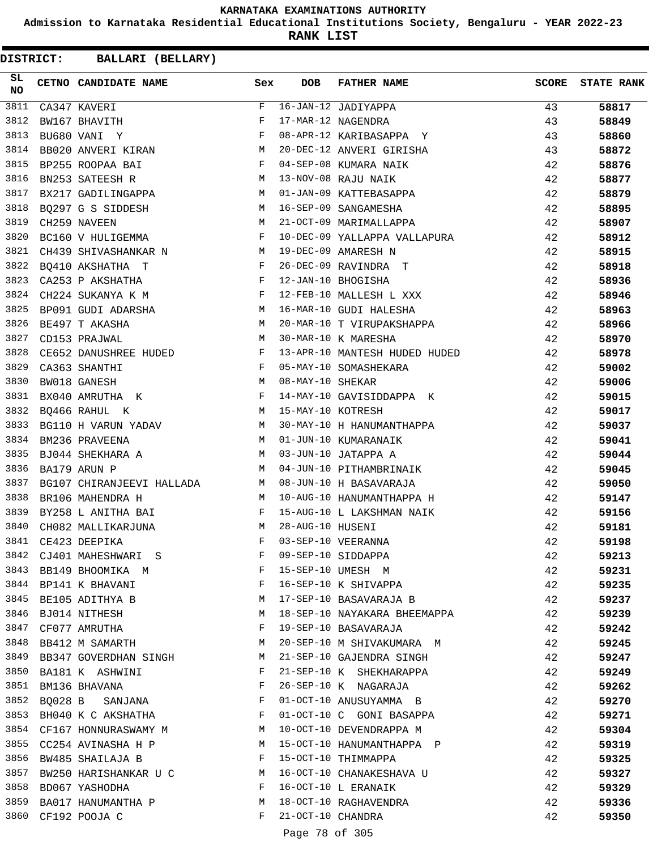**Admission to Karnataka Residential Educational Institutions Society, Bengaluru - YEAR 2022-23**

**RANK LIST**

**DISTRICT:** CC **BALLARI (BELLARY)**

| SL<br><b>NO</b> | CETNO CANDIDATE NAME Sex                                                          |              | <b>DOB</b>        | <b>FATHER NAME</b>                                              | <b>SCORE</b> | <b>STATE RANK</b> |
|-----------------|-----------------------------------------------------------------------------------|--------------|-------------------|-----------------------------------------------------------------|--------------|-------------------|
| 3811            | CA347 KAVERI                                                                      | F            |                   | 16-JAN-12 JADIYAPPA                                             | 43           | 58817             |
| 3812            | BW167 BHAVITH                                                                     | F            |                   | 17-MAR-12 NAGENDRA                                              | 43           | 58849             |
| 3813            | BU680 VANI Y                                                                      | $\mathbf{F}$ |                   | 08-APR-12 KARIBASAPPA Y                                         | 43           | 58860             |
| 3814            | BB020 ANVERI KIRAN                                                                | M            |                   | 20-DEC-12 ANVERI GIRISHA                                        | 43           | 58872             |
| 3815            | $\mathbf{F}$ and $\mathbf{F}$ are $\mathbf{F}$ .<br>BP255 ROOPAA BAI              |              |                   | 04-SEP-08 KUMARA NAIK                                           | 42           | 58876             |
| 3816            | <b>M</b><br>BN253 SATEESH R                                                       |              |                   | 13-NOV-08 RAJU NAIK                                             | 42           | 58877             |
| 3817            | BX217 GADILINGAPPA M                                                              |              |                   | 01-JAN-09 KATTEBASAPPA                                          | 42           | 58879             |
| 3818            | BQ297 G S SIDDESH M                                                               |              |                   | 16-SEP-09 SANGAMESHA                                            | 42           | 58895             |
| 3819            | M <sub>1</sub><br>CH259 NAVEEN                                                    |              |                   | 21-OCT-09 MARIMALLAPPA                                          | 42           | 58907             |
| 3820            | and the state of the state of the Party<br>BC160 V HULIGEMMA                      |              |                   | 10-DEC-09 YALLAPPA VALLAPURA                                    | 42           | 58912             |
| 3821            | CH439 SHIVASHANKAR N                                                              | M            |                   | 19-DEC-09 AMARESH N                                             | 42           | 58915             |
| 3822            | BQ410 AKSHATHA T                                                                  | $\mathbb{F}$ |                   | 26-DEC-09 RAVINDRA T                                            | 42           | 58918             |
| 3823            | $\mathbf{F}$ and the contract of the contract of $\mathbf{F}$<br>CA253 P AKSHATHA |              |                   | 12-JAN-10 BHOGISHA                                              | 42           | 58936             |
| 3824            | $\mathbf{F}$ and the state of the state $\mathbf{F}$<br>CH224 SUKANYA K M         |              |                   | 12-FEB-10 MALLESH L XXX                                         | 42           | 58946             |
| 3825            | BP091 GUDI ADARSHA M                                                              |              |                   | 16-MAR-10 GUDI HALESHA                                          | 42           | 58963             |
| 3826            | BE497 T AKASHA                                                                    | M            |                   | 20-MAR-10 T VIRUPAKSHAPPA                                       | 42           | 58966             |
| 3827            | M <sub>1</sub><br>CD153 PRAJWAL                                                   |              |                   | 30-MAR-10 K MARESHA                                             | 42           | 58970             |
| 3828            | CE652 DANUSHREE HUDED F                                                           |              |                   | 13-APR-10 MANTESH HUDED HUDED                                   | 42           | 58978             |
| 3829            | $\mathbb{F}^{\mathbb{Z}}$ . The set of $\mathbb{F}^{\mathbb{Z}}$<br>CA363 SHANTHI |              |                   | 05-MAY-10 SOMASHEKARA                                           | 42           | 59002             |
| 3830            | BW018 GANESH                                                                      | M            | 08-MAY-10 SHEKAR  |                                                                 | 42           | 59006             |
| 3831            | $\mathbf{F}$ . The contract of the contract of $\mathbf{F}$ ,<br>BX040 AMRUTHA K  |              |                   | 14-MAY-10 GAVISIDDAPPA K                                        | 42           | 59015             |
| 3832            | M 15-MAY-10 KOTRESH<br>BQ466 RAHUL K                                              |              |                   |                                                                 | 42           | 59017             |
| 3833            | BG110 H VARUN YADAV M                                                             |              |                   | 30-MAY-10 H HANUMANTHAPPA                                       | 42           | 59037             |
| 3834            | BM236 PRAVEENA                                                                    | M            |                   | 01-JUN-10 KUMARANAIK                                            | 42           | 59041             |
| 3835            | BJ044 SHEKHARA A<br>M                                                             |              |                   | 03-JUN-10 JATAPPA A                                             | 42           | 59044             |
| 3836            | BA179 ARUN P<br>$M_{\rm H}$                                                       |              |                   | 04-JUN-10 PITHAMBRINAIK                                         | 42           | 59045             |
| 3837            | BG107 CHIRANJEEVI HALLADA M                                                       |              |                   | 08-JUN-10 H BASAVARAJA                                          | 42           | 59050             |
| 3838            | BR106 MAHENDRA H<br>M                                                             |              |                   | 10-AUG-10 HANUMANTHAPPA H                                       | 42           | 59147             |
| 3839            | BY258 L ANITHA BAI                                                                |              |                   | 15-AUG-10 L LAKSHMAN NAIK                                       | 42           | 59156             |
| 3840            | M <sub>N</sub><br>CH082 MALLIKARJUNA                                              |              | 28-AUG-10 HUSENI  |                                                                 | 42           | 59181             |
| 3841            | CE423 DEEPIKA                                                                     | F            |                   | 03-SEP-10 VEERANNA                                              | 42           | 59198             |
|                 | 3842 CJ401 MAHESHWARI S                                                           | F            |                   |                                                                 | 42           | 59213             |
| 3843            | BB149 BHOOMIKA M F                                                                |              |                   | 09-SEP-10 SIDDAPPA<br>15-SEP-10 UMESH M<br>16-SEP-10 K SHIVAPPA | 42           | 59231             |
|                 | $\mathbf{F}$ and the state of the state $\mathbf{F}$<br>3844 BP141 K BHAVANI      |              |                   |                                                                 | 42           | 59235             |
|                 | 3845 BE105 ADITHYA B                                                              | M            |                   | 17-SEP-10 BASAVARAJA B                                          | 42           | 59237             |
| 3846            | BJ014 NITHESH                                                                     | M            |                   | 18-SEP-10 NAYAKARA BHEEMAPPA                                    | 42           | 59239             |
| 3847            | CF077 AMRUTHA                                                                     | F            |                   | 19-SEP-10 BASAVARAJA                                            | 42           | 59242             |
| 3848            | BB412 M SAMARTH M                                                                 |              |                   | 20-SEP-10 M SHIVAKUMARA M                                       | 42           | 59245             |
|                 | 3849 BB347 GOVERDHAN SINGH                                                        | M            |                   | 21-SEP-10 GAJENDRA SINGH                                        | 42           | 59247             |
|                 | 3850 BA181 K ASHWINI                                                              | $-F$         |                   | 21-SEP-10 K SHEKHARAPPA                                         | 42           | 59249             |
| 3851            | BM136 BHAVANA<br>$\mathbf{F}$ and $\mathbf{F}$ and $\mathbf{F}$ and $\mathbf{F}$  |              |                   | 26-SEP-10 K NAGARAJA                                            | 42           | 59262             |
| 3852            | BQ028 B SANJANA F                                                                 |              |                   | 01-OCT-10 ANUSUYAMMA B                                          | 42           | 59270             |
|                 | 3853 BH040 K C AKSHATHA                                                           | F            |                   | 01-OCT-10 C GONI BASAPPA                                        | 42           | 59271             |
|                 | 3854 CF167 HONNURASWAMY M                                                         |              |                   | 10-OCT-10 DEVENDRAPPA M                                         | 42           | 59304             |
|                 | 3855 CC254 AVINASHA H P M                                                         |              |                   | 15-OCT-10 HANUMANTHAPPA P                                       | 42           | 59319             |
| 3856            | BW485 SHAILAJA B F                                                                |              |                   | 15-OCT-10 THIMMAPPA                                             | 42           | 59325             |
|                 | 3857 BW250 HARISHANKAR U C M                                                      |              |                   | 16-OCT-10 CHANAKESHAVA U                                        | 42           | 59327             |
|                 | 3858 BD067 YASHODHA                                                               | $\mathbf{F}$ |                   | 16-OCT-10 L ERANAIK                                             | 42           | 59329             |
| 3859            | BA017 HANUMANTHA P M                                                              |              |                   | 18-OCT-10 RAGHAVENDRA                                           | 42           | 59336             |
|                 | 3860 CF192 POOJA C                                                                | F            | 21-OCT-10 CHANDRA |                                                                 | 42           | 59350             |

Page 78 of 305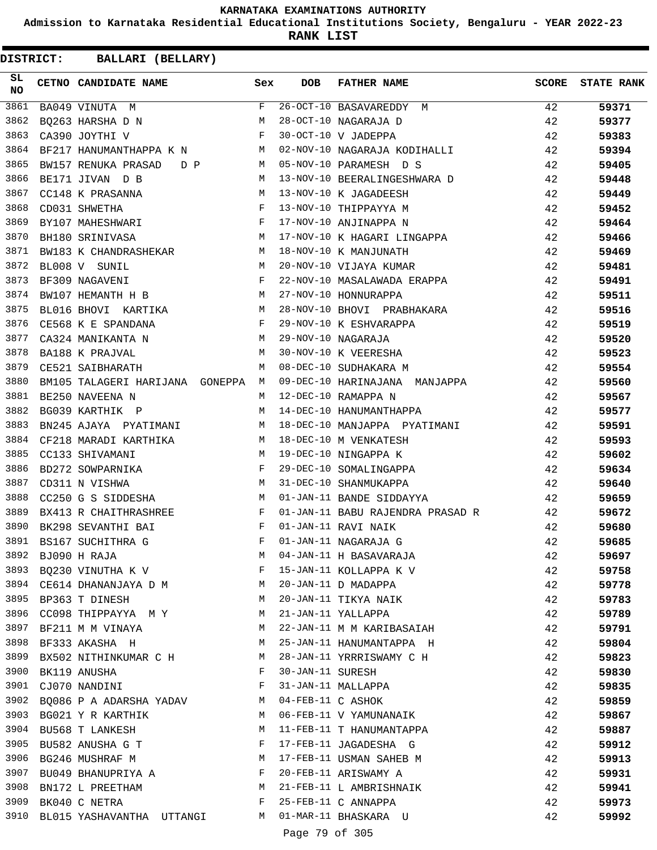**Admission to Karnataka Residential Educational Institutions Society, Bengaluru - YEAR 2022-23**

**RANK LIST**

| SL.<br><b>NO</b> | CETNO CANDIDATE NAME Sex                                                                                                                |              | <b>DOB</b>        | <b>FATHER NAME</b>                                                         |    | SCORE STATE RANK |
|------------------|-----------------------------------------------------------------------------------------------------------------------------------------|--------------|-------------------|----------------------------------------------------------------------------|----|------------------|
| 3861             | BA049 VINUTA M                                                                                                                          | $F -$        |                   | 26-OCT-10 BASAVAREDDY M                                                    | 42 | 59371            |
| 3862             | M <sub>N</sub><br>BQ263 HARSHA D N                                                                                                      |              |                   | 28-OCT-10 NAGARAJA D                                                       | 42 | 59377            |
| 3863             | $\mathbf{F}$ and the contract of the contract of $\mathbf{F}$ .<br>CA390 JOYTHI V                                                       |              |                   | 30-OCT-10 V JADEPPA                                                        | 42 | 59383            |
| 3864             | BF217 HANUMANTHAPPA K N M                                                                                                               |              |                   | 02-NOV-10 NAGARAJA KODIHALLI                                               | 42 | 59394            |
| 3865             | BW157 RENUKA PRASAD D P M 05-NOV-10 PARAMESH D S                                                                                        |              |                   |                                                                            | 42 | 59405            |
| 3866             | BE171 JIVAN D B                                                                                                                         |              |                   | M 13-NOV-10 BEERALINGESHWARA D                                             | 42 | 59448            |
| 3867             | M 13-NOV-10 K JAGADEESH<br>CC148 K PRASANNA                                                                                             |              |                   |                                                                            | 42 | 59449            |
| 3868             | CD031 SHWETHA F<br>BY107 MAHESHWARI F                                                                                                   |              |                   | 13-NOV-10 THIPPAYYA M                                                      | 42 | 59452            |
| 3869             |                                                                                                                                         |              |                   | 17-NOV-10 ANJINAPPA N                                                      | 42 | 59464            |
| 3870             | BH180 SRINIVASA                                                                                                                         |              |                   | M 17-NOV-10 K HAGARI LINGAPPA                                              | 42 | 59466            |
| 3871             | BW183 K CHANDRASHEKAR M                                                                                                                 |              |                   | 18-NOV-10 K MANJUNATH                                                      | 42 | 59469            |
| 3872             | M<br>BL008 V SUNIL                                                                                                                      |              |                   | 20-NOV-10 VIJAYA KUMAR                                                     | 42 | 59481            |
| 3873             | $\mathbf{F}^{\mathcal{A}}_{\mathcal{A}}=\mathbf{F}^{\mathcal{A}}_{\mathcal{A}}\mathbf{F}^{\mathcal{A}}_{\mathcal{A}}$<br>BF309 NAGAVENI |              |                   | 22-NOV-10 MASALAWADA ERAPPA                                                | 42 | 59491            |
| 3874             | BW107 HEMANTH H B M 27-NOV-10 HONNURAPPA                                                                                                |              |                   |                                                                            | 42 | 59511            |
| 3875             | BL016 BHOVI KARTIKA M                                                                                                                   |              |                   | 28-NOV-10 BHOVI PRABHAKARA                                                 | 42 | 59516            |
| 3876             | $CE568$ K E SPANDANA F                                                                                                                  |              |                   |                                                                            | 42 | 59519            |
| 3877             | M<br>CA324 MANIKANTA N                                                                                                                  |              |                   | 29-NOV-10 K ESHVARAPPA<br>29-NOV-10 NAGARAJA                               | 42 | 59520            |
| 3878             | BA188 K PRAJVAL<br>M <sub>1</sub>                                                                                                       |              |                   | 30-NOV-10 K VEERESHA                                                       | 42 | 59523            |
| 3879             | CE521 SAIBHARATH                                                                                                                        | M            |                   | 08-DEC-10 SUDHAKARA M<br>42                                                |    | 59554            |
| 3880             | BM105 TALAGERI HARIJANA GONEPPA M                                                                                                       |              |                   | 09-DEC-10 HARINAJANA MANJAPPA                                              | 42 | 59560            |
| 3881             | BE250 NAVEENA N                                                                                                                         | M            |                   | 12-DEC-10 RAMAPPA N                                                        | 42 | 59567            |
| 3882             | BG039 KARTHIK P                                                                                                                         |              |                   | M 14-DEC-10 HANUMANTHAPPA                                                  | 42 | 59577            |
| 3883             |                                                                                                                                         |              |                   | BN245 AJAYA PYATIMANI M 18-DEC-10 MANJAPPA PYATIMANI                       | 42 | 59591            |
| 3884             | CF218 MARADI KARTHIKA M 18-DEC-10 M VENKATESH                                                                                           |              |                   |                                                                            | 42 | 59593            |
| 3885             | CC133 SHIVAMANI                                                                                                                         | M            |                   |                                                                            | 42 | 59602            |
| 3886             | BD272 SOWPARNIKA F                                                                                                                      |              |                   | $  \sim$ $\mu$ venkatesh<br>19-DEC-10 NINGAPPA K<br>29-DEC-10 SOMALINGAPPA | 42 | 59634            |
| 3887             | <b>M</b><br>CD311 N VISHWA                                                                                                              |              |                   | 31-DEC-10 SHANMUKAPPA                                                      | 42 | 59640            |
| 3888             | M<br>CC250 G S SIDDESHA                                                                                                                 |              |                   | 01-JAN-11 BANDE SIDDAYYA                                                   | 42 | 59659            |
| 3889             | BX413 R CHAITHRASHREE                                                                                                                   | $\mathbf{F}$ |                   | 01-JAN-11 BABU RAJENDRA PRASAD R                                           | 42 | 59672            |
| 3890             | BK298 SEVANTHI BAI<br>$\mathbf{F}$ and $\mathbf{F}$ and $\mathbf{F}$                                                                    |              |                   | 01-JAN-11 RAVI NAIK                                                        | 42 | 59680            |
| 3891             | BS167 SUCHITHRA G                                                                                                                       | F            |                   | 01-JAN-11 NAGARAJA G                                                       | 42 | 59685            |
| 3892             | BJ090 H RAJA                                                                                                                            | М            |                   | 04-JAN-11 H BASAVARAJA                                                     | 42 | 59697            |
|                  | 3893 BQ230 VINUTHA K V                                                                                                                  | F            |                   | 15-JAN-11 KOLLAPPA K V                                                     | 42 | 59758            |
|                  | 3894 CE614 DHANANJAYA D M                                                                                                               | M            |                   | 20-JAN-11 D MADAPPA                                                        | 42 | 59778            |
| 3895             | BP363 T DINESH                                                                                                                          | M            |                   | 20-JAN-11 TIKYA NAIK                                                       | 42 | 59783            |
|                  | 3896 CC098 THIPPAYYA MY                                                                                                                 | M            |                   | 21-JAN-11 YALLAPPA                                                         | 42 | 59789            |
|                  | 3897 BF211 M M VINAYA                                                                                                                   | M            |                   | 22-JAN-11 M M KARIBASAIAH                                                  | 42 | 59791            |
| 3898             | BF333 AKASHA H                                                                                                                          | M            |                   | 25-JAN-11 HANUMANTAPPA H                                                   | 42 | 59804            |
| 3899             | BX502 NITHINKUMAR C H                                                                                                                   | М            |                   | 28-JAN-11 YRRRISWAMY C H                                                   | 42 | 59823            |
| 3900             | BK119 ANUSHA                                                                                                                            | F            | 30-JAN-11 SURESH  |                                                                            | 42 | 59830            |
|                  | 3901 CJ070 NANDINI                                                                                                                      | F            |                   | 31-JAN-11 MALLAPPA                                                         | 42 | 59835            |
| 3902             | BQ086 P A ADARSHA YADAV                                                                                                                 | M            | 04-FEB-11 C ASHOK |                                                                            | 42 | 59859            |
| 3903             | BG021 Y R KARTHIK                                                                                                                       | M            |                   | 06-FEB-11 V YAMUNANAIK                                                     | 42 | 59867            |
|                  | 3904 BU568 T LANKESH                                                                                                                    | M            |                   | 11-FEB-11 T HANUMANTAPPA                                                   | 42 | 59887            |
|                  | 3905 BU582 ANUSHA G T                                                                                                                   | F            |                   | 17-FEB-11 JAGADESHA G                                                      | 42 | 59912            |
| 3906             | BG246 MUSHRAF M                                                                                                                         | M            |                   | 17-FEB-11 USMAN SAHEB M                                                    | 42 | 59913            |
| 3907             | BU049 BHANUPRIYA A                                                                                                                      | F            |                   | 20-FEB-11 ARISWAMY A                                                       | 42 | 59931            |
| 3908             | BN172 L PREETHAM                                                                                                                        | M            |                   | 21-FEB-11 L AMBRISHNAIK                                                    | 42 | 59941            |
|                  | 3909 BK040 C NETRA                                                                                                                      | F            |                   | 25-FEB-11 C ANNAPPA                                                        | 42 | 59973            |
|                  | 3910 BL015 YASHAVANTHA UTTANGI                                                                                                          |              |                   | M 01-MAR-11 BHASKARA U                                                     | 42 | 59992            |
|                  |                                                                                                                                         |              | Page 79 of 305    |                                                                            |    |                  |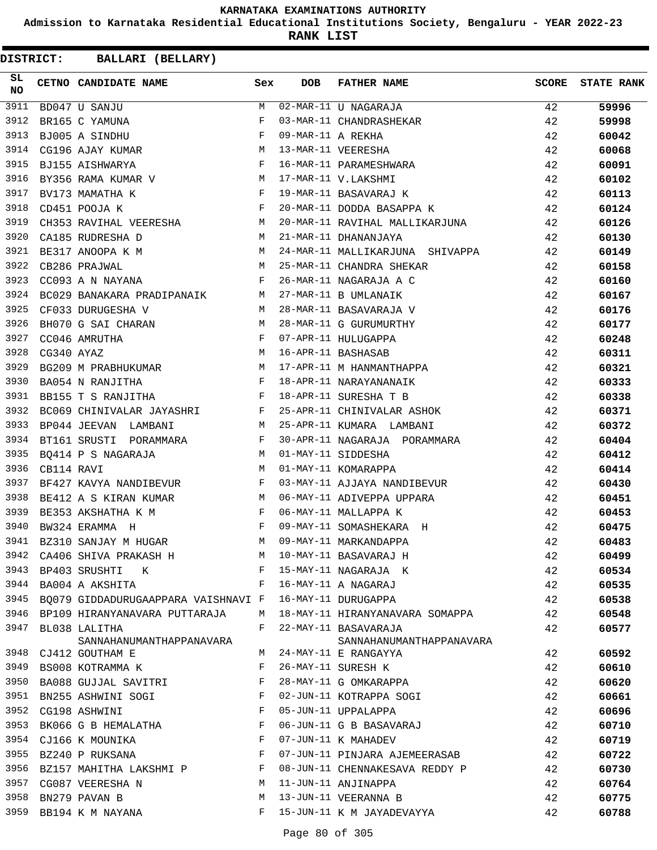**Admission to Karnataka Residential Educational Institutions Society, Bengaluru - YEAR 2022-23**

**RANK LIST**

| SL<br><b>NO</b> |            | CETNO CANDIDATE NAME Sex                                                                                                                                                                                                                                |   | <b>DOB</b>        | FATHER NAME                                                                                                                | <b>SCORE</b> | <b>STATE RANK</b> |
|-----------------|------------|---------------------------------------------------------------------------------------------------------------------------------------------------------------------------------------------------------------------------------------------------------|---|-------------------|----------------------------------------------------------------------------------------------------------------------------|--------------|-------------------|
| 3911            |            | BD047 U SANJU                                                                                                                                                                                                                                           | M |                   | 02-MAR-11 U NAGARAJA<br>03-MAR-11 CHANDRASHEKAR                                                                            | 42           | 59996             |
| 3912            |            | BR165 C YAMUNA                                                                                                                                                                                                                                          | F |                   |                                                                                                                            | 42           | 59998             |
| 3913            |            | $\mathbf{F}$<br>BJ005 A SINDHU                                                                                                                                                                                                                          |   | 09-MAR-11 A REKHA |                                                                                                                            | 42           | 60042             |
| 3914            |            | $\begin{aligned} \mathbb{M} \\ \mathbb{F} \end{aligned}$<br>CG196 AJAY KUMAR                                                                                                                                                                            |   |                   | 13-MAR-11 VEERESHA                                                                                                         | 42           | 60068             |
| 3915            |            | BJ155 AISHWARYA                                                                                                                                                                                                                                         |   |                   | 16-MAR-11 PARAMESHWARA                                                                                                     | 42           | 60091             |
| 3916            |            | BY356 RAMA KUMAR V M 17-MAR-11 V.LAKSHMI                                                                                                                                                                                                                |   |                   |                                                                                                                            | 42           | 60102             |
| 3917            |            | $\mathbf{F} = \mathbf{F} \times \mathbf{F}$<br>BV173 MAMATHA K                                                                                                                                                                                          |   |                   | 19-MAR-11 BASAVARAJ K                                                                                                      | 42           | 60113             |
| 3918            |            | $\mathbb F$<br>CD451 POOJA K                                                                                                                                                                                                                            |   |                   | 20-MAR-11 DODDA BASAPPA K                                                                                                  | 42           | 60124             |
| 3919            |            | CH353 RAVIHAL VEERESHA M                                                                                                                                                                                                                                |   |                   | 20-MAR-11 RAVIHAL MALLIKARJUNA 42                                                                                          |              | 60126             |
| 3920            |            | CA185 RUDRESHA D<br><b>Example 18</b> and 20 and 20 and 20 and 20 and 20 and 20 and 20 and 20 and 20 and 20 and 20 and 20 and 20 and 20 and 20 and 20 and 20 and 20 and 20 and 20 and 20 and 20 and 20 and 20 and 20 and 20 and 20 and 20 and 20 and 20 |   |                   | 21-MAR-11 DHANANJAYA<br>42                                                                                                 |              | 60130             |
| 3921            |            | BE317 ANOOPA K M M                                                                                                                                                                                                                                      |   |                   | 24-MAR-11 MALLIKARJUNA SHIVAPPA 42                                                                                         |              | 60149             |
| 3922            |            | M<br>CB286 PRAJWAL                                                                                                                                                                                                                                      |   |                   | 25-MAR-11 CHANDRA SHEKAR                                                                                                   | 42           | 60158             |
| 3923            |            | $\mathbf{F}$ and $\mathbf{F}$ and $\mathbf{F}$<br>CC093 A N NAYANA                                                                                                                                                                                      |   |                   |                                                                                                                            | 42           | 60160             |
| 3924            |            | BC029 BANAKARA PRADIPANAIK M 27-MAR-11 B UMLANAIK                                                                                                                                                                                                       |   |                   |                                                                                                                            | 42           | 60167             |
| 3925            |            | M<br>CF033 DURUGESHA V                                                                                                                                                                                                                                  |   |                   | 26-MAR-11 NAGARAJA A C<br>27-MAR-11 B UMLANAIK<br>28-MAR-11 BASAVARAJA V<br>28-MAR-11 G GURUMURTHY<br>07-APR-11 HIILIGADDA | 42           | 60176             |
| 3926            |            |                                                                                                                                                                                                                                                         |   |                   |                                                                                                                            | 42           | 60177             |
| 3927            |            |                                                                                                                                                                                                                                                         |   |                   |                                                                                                                            | 42           | 60248             |
| 3928            |            |                                                                                                                                                                                                                                                         |   |                   |                                                                                                                            | 42           | 60311             |
| 3929            |            | BG209 M PRABHUKUMAR M                                                                                                                                                                                                                                   |   |                   | 17-APR-11 M HANMANTHAPPA                                                                                                   | 42           | 60321             |
| 3930            |            | $\mathbf{F}^{\mathcal{A}}_{\mathcal{A}}=\mathbf{F}^{\mathcal{A}}_{\mathcal{A}}\mathbf{F}^{\mathcal{A}}_{\mathcal{A}}$<br>BA054 N RANJITHA                                                                                                               |   |                   | 18-APR-11 NARAYANANAIK<br>18-APR-11 SURESHA T B                                                                            | 42           | 60333             |
| 3931            |            | BB155 T S RANJITHA F                                                                                                                                                                                                                                    |   |                   | 18-APR-11 SURESHA T B                                                                                                      | 42           | 60338             |
| 3932            |            | BC069 CHINIVALAR JAYASHRI F                                                                                                                                                                                                                             |   |                   | 25-APR-11 CHINIVALAR ASHOK                                                                                                 | 42           | 60371             |
| 3933            |            | BP044 JEEVAN LAMBANI                                                                                                                                                                                                                                    |   |                   | M 25-APR-11 KUMARA LAMBANI                                                                                                 | 42           | 60372             |
| 3934            |            |                                                                                                                                                                                                                                                         |   |                   | BT161 SRUSTI PORAMMARA F 30-APR-11 NAGARAJA PORAMMARA                                                                      | 42           | 60404             |
| 3935            |            | BQ414 P S NAGARAJA M 01-MAY-11 SIDDESHA                                                                                                                                                                                                                 |   |                   |                                                                                                                            | 42           | 60412             |
| 3936            | CB114 RAVI | M 01-MAY-11 KOMARAPPA                                                                                                                                                                                                                                   |   |                   |                                                                                                                            | 42           | 60414             |
| 3937            |            | BF427 KAVYA NANDIBEVUR F                                                                                                                                                                                                                                |   |                   | 03-MAY-11 AJJAYA NANDIBEVUR                                                                                                | 42           | 60430             |
| 3938            |            | BE412 A S KIRAN KUMAR M 06-MAY-11 ADIVEPPA UPPARA                                                                                                                                                                                                       |   |                   |                                                                                                                            | 42           | 60451             |
| 3939            |            | F 06-MAY-11 MALLAPPA K<br>BE353 AKSHATHA K M                                                                                                                                                                                                            |   |                   |                                                                                                                            | 42           | 60453             |
| 3940            |            | $\mathbf{F}$ . The set of $\mathbf{F}$<br>BW324 ERAMMA H                                                                                                                                                                                                |   |                   | 09-MAY-11 SOMASHEKARA H                                                                                                    | 42           | 60475             |
| 3941            |            | BZ310 SANJAY M HUGAR M 09-MAY-11 MARKANDAPPA                                                                                                                                                                                                            |   |                   |                                                                                                                            | 42           | 60483             |
| 3942            |            | CA406 SHIVA PRAKASH H                                                                                                                                                                                                                                   | M |                   | 10-MAY-11 BASAVARAJ H                                                                                                      | 42           | 60499             |
| 3943            |            | BP403 SRUSHTI K                                                                                                                                                                                                                                         | F |                   | 15-MAY-11 NAGARAJA K                                                                                                       | 42           | 60534             |
| 3944            |            | BA004 A AKSHITA                                                                                                                                                                                                                                         | F |                   | 16-MAY-11 A NAGARAJ                                                                                                        | 42           | 60535             |
| 3945            |            | BO079 GIDDADURUGAAPPARA VAISHNAVI F                                                                                                                                                                                                                     |   |                   | 16-MAY-11 DURUGAPPA                                                                                                        | 42           | 60538             |
|                 |            | 3946 BP109 HIRANYANAVARA PUTTARAJA                                                                                                                                                                                                                      | M |                   | 18-MAY-11 HIRANYANAVARA SOMAPPA                                                                                            | 42           | 60548             |
| 3947            |            | BL038 LALITHA<br>SANNAHANUMANTHAPPANAVARA                                                                                                                                                                                                               | F |                   | 22-MAY-11 BASAVARAJA<br>SANNAHANUMANTHAPPANAVARA                                                                           | 42           | 60577             |
|                 |            | 3948 CJ412 GOUTHAM E                                                                                                                                                                                                                                    | М |                   | 24-MAY-11 E RANGAYYA                                                                                                       | 42           | 60592             |
| 3949            |            | BS008 KOTRAMMA K                                                                                                                                                                                                                                        | F |                   | 26-MAY-11 SURESH K                                                                                                         | 42           | 60610             |
| 3950            |            | BA088 GUJJAL SAVITRI                                                                                                                                                                                                                                    | F |                   | 28-MAY-11 G OMKARAPPA                                                                                                      | 42           | 60620             |
| 3951            |            | BN255 ASHWINI SOGI                                                                                                                                                                                                                                      | F |                   | 02-JUN-11 KOTRAPPA SOGI                                                                                                    | 42           | 60661             |
|                 |            | 3952 CG198 ASHWINI                                                                                                                                                                                                                                      | F |                   | 05-JUN-11 UPPALAPPA                                                                                                        | 42           | 60696             |
| 3953            |            | BK066 G B HEMALATHA                                                                                                                                                                                                                                     | F |                   | 06-JUN-11 G B BASAVARAJ                                                                                                    | 42           | 60710             |
| 3954            |            | CJ166 K MOUNIKA                                                                                                                                                                                                                                         | F |                   | 07-JUN-11 K MAHADEV                                                                                                        | 42           | 60719             |
| 3955            |            | BZ240 P RUKSANA                                                                                                                                                                                                                                         | F |                   | 07-JUN-11 PINJARA AJEMEERASAB                                                                                              | 42           | 60722             |
| 3956            |            | BZ157 MAHITHA LAKSHMI P                                                                                                                                                                                                                                 | F |                   | 08-JUN-11 CHENNAKESAVA REDDY P                                                                                             | 42           | 60730             |
| 3957            |            | CG087 VEERESHA N                                                                                                                                                                                                                                        | М |                   | 11-JUN-11 ANJINAPPA                                                                                                        | 42           | 60764             |
| 3958            |            | BN279 PAVAN B                                                                                                                                                                                                                                           | M |                   | 13-JUN-11 VEERANNA B                                                                                                       | 42           | 60775             |
|                 |            | 3959 BB194 K M NAYANA                                                                                                                                                                                                                                   | F |                   | 15-JUN-11 K M JAYADEVAYYA                                                                                                  | 42           | 60788             |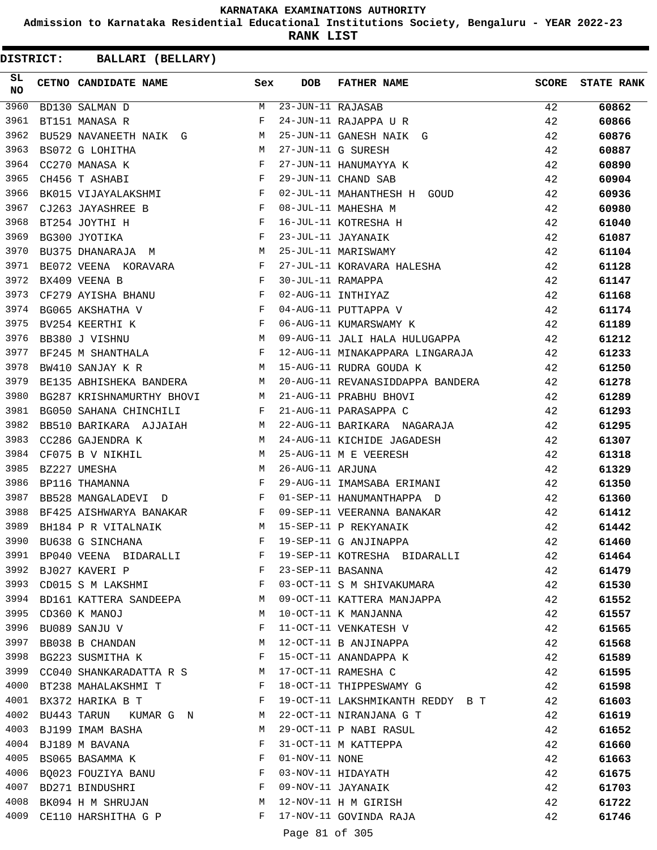**Admission to Karnataka Residential Educational Institutions Society, Bengaluru - YEAR 2022-23**

**RANK LIST**

| SL<br><b>NO</b> | CETNO CANDIDATE NAME Sex                                                                                                                                                                                                                                      |       | DOB                 | <b>FATHER NAME</b>                                                          | <b>SCORE</b> | <b>STATE RANK</b> |
|-----------------|---------------------------------------------------------------------------------------------------------------------------------------------------------------------------------------------------------------------------------------------------------------|-------|---------------------|-----------------------------------------------------------------------------|--------------|-------------------|
| 3960            | BD130 SALMAN D                                                                                                                                                                                                                                                |       | M 23-JUN-11 RAJASAB |                                                                             | 42           | 60862             |
| 3961            | BT151 MANASA R                                                                                                                                                                                                                                                | F     |                     | 24-JUN-11 RAJAPPA U R                                                       | 42           | 60866             |
| 3962            | BU529 NAVANEETH NAIK G M                                                                                                                                                                                                                                      |       |                     | 25-JUN-11 GANESH NAIK G                                                     | 42           | 60876             |
| 3963            | M<br>BS072 G LOHITHA                                                                                                                                                                                                                                          |       |                     | 27-JUN-11 G SURESH                                                          | 42           | 60887             |
| 3964            | $\mathbf{F} = \mathbf{F} \times \mathbf{F}$<br>CC270 MANASA K                                                                                                                                                                                                 |       |                     | 27-JUN-11 HANUMAYYA K                                                       | 42           | 60890             |
| 3965            | $\mathbb{F}^{\mathbb{Z}}$ . The set of the set of the set of the set of the set of the set of the set of the set of the set of the set of the set of the set of the set of the set of the set of the set of the set of the set of the s<br>CH456 T ASHABI     |       |                     | 29-JUN-11 CHAND SAB                                                         | 42           | 60904             |
| 3966            | BK015 VIJAYALAKSHMI F                                                                                                                                                                                                                                         |       |                     | 02-JUL-11 MAHANTHESH H GOUD                                                 | 42           | 60936             |
| 3967            | $\mathbf{F}^{\top}$<br>CJ263 JAYASHREE B                                                                                                                                                                                                                      |       |                     | 08-JUL-11 MAHESHA M                                                         | 42           | 60980             |
| 3968            | $\mathbf{F}$<br>BT254 JOYTHI H                                                                                                                                                                                                                                |       |                     | 16-JUL-11 KOTRESHA H                                                        | 42           | 61040             |
| 3969            | $\mathbf{F}$<br>BG300 JYOTIKA                                                                                                                                                                                                                                 |       |                     | 23-JUL-11 JAYANAIK                                                          | 42           | 61087             |
| 3970            | M<br>BU375 DHANARAJA M                                                                                                                                                                                                                                        |       |                     | 25-JUL-11 MARISWAMY                                                         | 42           | 61104             |
| 3971            | BE072 VEENA KORAVARA F                                                                                                                                                                                                                                        |       |                     | 27-JUL-11 KORAVARA HALESHA                                                  | 42           | 61128             |
| 3972            | $\mathbf{F}$ and $\mathbf{F}$ and $\mathbf{F}$<br>BX409 VEENA B                                                                                                                                                                                               |       |                     | --<br>--<br>04-AUG-11 PUTTAPPA V<br>06-AUG-11 KUMARSWAMY K<br>09-AUG-11 TIT | 42           | 61147             |
| 3973            | CF279 AYISHA BHANU F                                                                                                                                                                                                                                          |       |                     |                                                                             | 42           | 61168             |
| 3974            | $\mathbf{F}$<br>BG065 AKSHATHA V                                                                                                                                                                                                                              |       |                     |                                                                             | 42           | 61174             |
| 3975            | $\mathbf{F}$<br>BV254 KEERTHI K                                                                                                                                                                                                                               |       |                     |                                                                             | 42           | 61189             |
| 3976            | M<br>BB380 J VISHNU                                                                                                                                                                                                                                           |       |                     | 09-AUG-11 JALI HALA HULUGAPPA 42                                            |              | 61212             |
| 3977            | BF245 M SHANTHALA F                                                                                                                                                                                                                                           |       |                     | 12-AUG-11 MINAKAPPARA LINGARAJA                                             | 42           | 61233             |
| 3978            | M<br>BW410 SANJAY K R                                                                                                                                                                                                                                         |       |                     | 15-AUG-11 RUDRA GOUDA K                                                     | 42           | 61250             |
| 3979            | BE135 ABHISHEKA BANDERA M                                                                                                                                                                                                                                     |       |                     | 20-AUG-11 REVANASIDDAPPA BANDERA                                            | 42           | 61278             |
| 3980            | BG287 KRISHNAMURTHY BHOVI M                                                                                                                                                                                                                                   |       |                     | 21-AUG-11 PRABHU BHOVI                                                      | 42           | 61289             |
| 3981            | $\mathbf{F}$ and $\mathbf{F}$ and $\mathbf{F}$<br>BG050 SAHANA CHINCHILI                                                                                                                                                                                      |       |                     | 21-AUG-11 PARASAPPA C                                                       | 42           | 61293             |
| 3982            | BB510 BARIKARA AJJAIAH M                                                                                                                                                                                                                                      |       |                     | 22-AUG-11 BARIKARA NAGARAJA                                                 | 42           | 61295             |
| 3983            | M <sub>N</sub><br>CC286 GAJENDRA K                                                                                                                                                                                                                            |       |                     | 24-AUG-11 KICHIDE JAGADESH                                                  | 42           | 61307             |
| 3984            | CF075 B V NIKHIL<br>M <sub>1</sub>                                                                                                                                                                                                                            |       |                     | 25-AUG-11 M E VEERESH                                                       | 42           | 61318             |
| 3985            | M <sub>N</sub><br>BZ227 UMESHA                                                                                                                                                                                                                                |       | 26-AUG-11 ARJUNA    |                                                                             | 42           | 61329             |
| 3986            | $\mathbf{F}$<br>BP116 THAMANNA                                                                                                                                                                                                                                |       |                     | 29-AUG-11 IMAMSABA ERIMANI                                                  | 42           | 61350             |
| 3987            | BB528 MANGALADEVI D                                                                                                                                                                                                                                           |       |                     | 01-SEP-11 HANUMANTHAPPA D                                                   | 42           | 61360             |
| 3988            | BF425 AISHWARYA BANAKAR F                                                                                                                                                                                                                                     |       |                     | 09-SEP-11 VEERANNA BANAKAR                                                  | 42           | 61412             |
| 3989            | M<br>BH184 P R VITALNAIK                                                                                                                                                                                                                                      |       |                     | 15-SEP-11 P REKYANAIK                                                       | 42           | 61442             |
| 3990            | BU638 G SINCHANA                                                                                                                                                                                                                                              | F     |                     | 19-SEP-11 G ANJINAPPA                                                       | 42           | 61460             |
| 3991            | BP040 VEENA BIDARALLI                                                                                                                                                                                                                                         | $F$ – |                     | 19-SEP-11 KOTRESHA BIDARALLI                                                | 42           | 61464             |
|                 | 3992 BJ027 KAVERI P<br>$\mathbf{F}$ and $\mathbf{F}$ and $\mathbf{F}$                                                                                                                                                                                         |       |                     | 23-SEP-11 BASANNA                                                           | 42           | 61479             |
| 3993            | CD015 S M LAKSHMI F                                                                                                                                                                                                                                           |       |                     | 03-OCT-11 S M SHIVAKUMARA                                                   | 42           | 61530             |
|                 | 3994 BD161 KATTERA SANDEEPA M                                                                                                                                                                                                                                 |       |                     | 09-OCT-11 KATTERA MANJAPPA                                                  | 42           | 61552             |
|                 | 3995 CD360 K MANOJ                                                                                                                                                                                                                                            | M     |                     | 10-OCT-11 K MANJANNA                                                        | 42           | 61557             |
| 3996            | BU089 SANJU V                                                                                                                                                                                                                                                 | F     |                     | 11-OCT-11 VENKATESH V                                                       | 42           | 61565             |
| 3997            | BB038 B CHANDAN M                                                                                                                                                                                                                                             |       |                     | 12-OCT-11 B ANJINAPPA                                                       | 42           | 61568             |
|                 | 3998 BG223 SUSMITHA K                                                                                                                                                                                                                                         | F     |                     | 15-OCT-11 ANANDAPPA K                                                       | 42           | 61589             |
|                 | 3999 CC040 SHANKARADATTA R S M 17-OCT-11 RAMESHA C                                                                                                                                                                                                            |       |                     |                                                                             | 42           | 61595             |
|                 | 4000 BT238 MAHALAKSHMI T<br>$\mathbf{F}$ and the set of the set of the set of the set of the set of the set of the set of the set of the set of the set of the set of the set of the set of the set of the set of the set of the set of the set of the set of |       |                     | 18-OCT-11 THIPPESWAMY G                                                     | 42           | 61598             |
|                 | 4001 BX372 HARIKA B T<br>the contract of the contract of the Press                                                                                                                                                                                            |       |                     | 19-OCT-11 LAKSHMIKANTH REDDY B T                                            | 42           | 61603             |
|                 | 4002 BU443 TARUN KUMAR G N M                                                                                                                                                                                                                                  |       |                     | 22-OCT-11 NIRANJANA G T                                                     | 42           | 61619             |
|                 | 4003 BJ199 IMAM BASHA                                                                                                                                                                                                                                         | M     |                     |                                                                             | 42           |                   |
| 4004            | BJ189 M BAVANA                                                                                                                                                                                                                                                | F     |                     | 29-OCT-11 P NABI RASUL<br>31-OCT-11 M KATTEPPA                              | 42           | 61652<br>61660    |
| 4005            | BS065 BASAMMA K F                                                                                                                                                                                                                                             |       | 01-NOV-11 NONE      |                                                                             | 42           |                   |
|                 | 4006 BQ023 FOUZIYA BANU F                                                                                                                                                                                                                                     |       |                     | 03-NOV-11 HIDAYATH                                                          |              | 61663             |
|                 | $\mathbf{F}^{\mathcal{A}}_{\mathcal{A}}=\mathbf{F}^{\mathcal{A}}_{\mathcal{A}}\mathbf{F}^{\mathcal{A}}_{\mathcal{A}}$                                                                                                                                         |       |                     |                                                                             | 42           | 61675             |
| 4008            | 4007 BD271 BINDUSHRI<br>BK094 H M SHRUJAN M                                                                                                                                                                                                                   |       |                     | 09-NOV-11 JAYANAIK<br>12-NOV-11 H M GIRISH                                  | 42           | 61703             |
|                 |                                                                                                                                                                                                                                                               | F     |                     |                                                                             | 42           | 61722             |
|                 | 4009 CE110 HARSHITHA G P                                                                                                                                                                                                                                      |       |                     | 17-NOV-11 GOVINDA RAJA                                                      | 42           | 61746             |
|                 |                                                                                                                                                                                                                                                               |       | Page 81 of 305      |                                                                             |              |                   |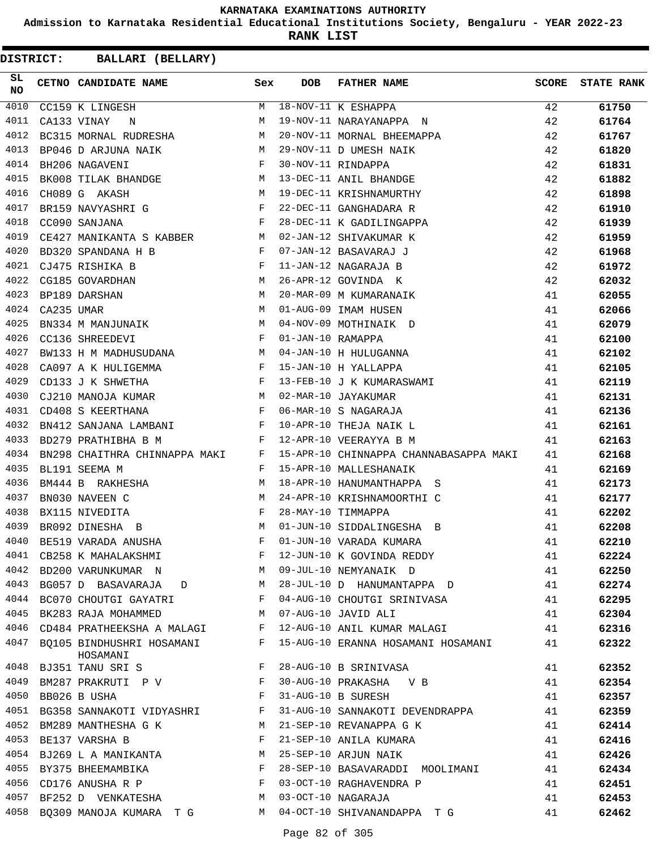**Admission to Karnataka Residential Educational Institutions Society, Bengaluru - YEAR 2022-23**

**RANK LIST**

| SL<br>NO |            | CETNO CANDIDATE NAME Sex                                                                                                                                                      |              | <b>DOB</b>        | <b>FATHER NAME</b>                                                                                | SCORE | <b>STATE RANK</b> |
|----------|------------|-------------------------------------------------------------------------------------------------------------------------------------------------------------------------------|--------------|-------------------|---------------------------------------------------------------------------------------------------|-------|-------------------|
| 4010     |            | CC159 K LINGESH                                                                                                                                                               | M            |                   | 18-NOV-11 K ESHAPPA<br>19-NOV-11 NARAYANAPPA N                                                    | 42    | 61750             |
| 4011     |            | CA133 VINAY<br>$\mathbf N$                                                                                                                                                    | M            |                   |                                                                                                   | 42    | 61764             |
| 4012     |            | BC315 MORNAL RUDRESHA M                                                                                                                                                       |              |                   | 20-NOV-11 MORNAL BHEEMAPPA                                                                        | 42    | 61767             |
| 4013     |            | BP046 D ARJUNA NAIK M                                                                                                                                                         |              |                   |                                                                                                   | 42    | 61820             |
| 4014     |            | $\mathbf{F}^{\mathcal{A}}_{\mathcal{A}}=\mathbf{F}^{\mathcal{A}}_{\mathcal{A}}\mathbf{F}^{\mathcal{A}}_{\mathcal{A}}$<br>BH206 NAGAVENI                                       |              |                   | 29-NOV-11 D UMESH NAIK<br>30-NOV-11 RINDAPPA<br>13-DEC-11 ANIL BHANDGE<br>19-DEC-11 KDIGUNAATROOP | 42    | 61831             |
| 4015     |            | BK008 TILAK BHANDGE M                                                                                                                                                         |              |                   |                                                                                                   | 42    | 61882             |
| 4016     |            | M<br>CH089 G AKASH                                                                                                                                                            |              |                   | 19-DEC-11 KRISHNAMURTHY                                                                           | 42    | 61898             |
| 4017     |            | BR159 NAVYASHRI G $$\rm{F}$$                                                                                                                                                  |              |                   | 22-DEC-11 GANGHADARA R<br>28-DEC-11 K GADILINGAPPA                                                | 42    | 61910             |
| 4018     |            | $\mathbf{F}^{\mathcal{L}}_{\mathcal{L}}=\left\{ \mathbf{F}^{\mathcal{L}}_{\mathcal{L}}\right\} \left\vert \mathbf{F}^{\mathcal{L}}_{\mathcal{L}}\right\vert$<br>CC090 SANJANA |              |                   |                                                                                                   | 42    | 61939             |
| 4019     |            | CE427 MANIKANTA S KABBER M                                                                                                                                                    |              |                   | 02-JAN-12 SHIVAKUMAR K                                                                            | 42    | 61959             |
| 4020     |            | BD320 SPANDANA H B F                                                                                                                                                          |              |                   | 07-JAN-12 BASAVARAJ J                                                                             | 42    | 61968             |
| 4021     |            | CJ475 RISHIKA B                                                                                                                                                               |              |                   | 11-JAN-12 NAGARAJA B                                                                              | 42    | 61972             |
| 4022     |            | $\begin{array}{ccc}\n & \text{F} & \text{F} \\ \text{IAN} & & \text{M} \\  & \text{M} & & \text{M} \\  & \text{M} & & \text{M}\n\end{array}$<br>CG185 GOVARDHAN               |              |                   | 26-APR-12 GOVINDA K                                                                               | 42    | 62032             |
| 4023     |            | BP189 DARSHAN                                                                                                                                                                 |              |                   | 20-MAR-09 M KUMARANAIK                                                                            | 41    | 62055             |
| 4024     | CA235 UMAR |                                                                                                                                                                               |              |                   | 01-AUG-09 IMAM HUSEN                                                                              | 41    | 62066             |
| 4025     |            | BN334 M MANJUNAIK M                                                                                                                                                           |              |                   | 04-NOV-09 MOTHINAIK D                                                                             | 41    | 62079             |
| 4026     |            | CC136 SHREEDEVI                                                                                                                                                               | $\mathbb F$  | 01-JAN-10 RAMAPPA |                                                                                                   | 41    | 62100             |
| 4027     |            | BW133 H M MADHUSUDANA M                                                                                                                                                       |              |                   | 04-JAN-10 H HULUGANNA                                                                             | 41    | 62102             |
| 4028     |            | CA097 A K HULIGEMMA F                                                                                                                                                         |              |                   | 15-JAN-10 H YALLAPPA                                                                              | 41    | 62105             |
| 4029     |            | $\mathbf{F}$<br>CD133 J K SHWETHA                                                                                                                                             |              |                   |                                                                                                   | 41    | 62119             |
| 4030     |            | CJ210 MANOJA KUMAR M                                                                                                                                                          |              |                   | 13-FEB-10 J K KUMARASWAMI<br>02-MAR-10 JAYAKUMAR<br>06-MAR-10 S NAGARAJA                          | 41    | 62131             |
| 4031     |            | $\mathbf{F}$ . The contract of the contract of $\mathbf{F}$<br>CD408 S KEERTHANA                                                                                              |              |                   |                                                                                                   | 41    | 62136             |
| 4032     |            | BN412 SANJANA LAMBANI F                                                                                                                                                       |              |                   | 10-APR-10 THEJA NAIK L                                                                            | 41    | 62161             |
| 4033     |            | BD279 PRATHIBHA B M                                                                                                                                                           | $\mathbf{F}$ |                   | 12-APR-10 VEERAYYA B M                                                                            | 41    | 62163             |
| 4034     |            | BN298 CHAITHRA CHINNAPPA MAKI F                                                                                                                                               |              |                   | 15-APR-10 CHINNAPPA CHANNABASAPPA MAKI 41                                                         |       | 62168             |
| 4035     |            | BL191 SEEMA M                                                                                                                                                                 | F            |                   | 15-APR-10 MALLESHANAIK                                                                            | 41    | 62169             |
| 4036     |            | BM444 B RAKHESHA<br><b>M</b>                                                                                                                                                  |              |                   | 18-APR-10 HANUMANTHAPPA S                                                                         | 41    | 62173             |
| 4037     |            | $\begin{aligned} \mathbb{M} \\ \mathbb{F} \end{aligned}$<br>BN030 NAVEEN C                                                                                                    |              |                   | 24-APR-10 KRISHNAMOORTHI C                                                                        | 41    | 62177             |
| 4038     |            | BX115 NIVEDITA                                                                                                                                                                |              |                   | 28-MAY-10 TIMMAPPA                                                                                | 41    | 62202             |
| 4039     |            | M <sub>N</sub><br>BR092 DINESHA B                                                                                                                                             |              |                   | 01-JUN-10 SIDDALINGESHA B                                                                         | 41    | 62208             |
| 4040     |            | BE519 VARADA ANUSHA                                                                                                                                                           | F            |                   | 01-JUN-10 VARADA KUMARA                                                                           | 41    | 62210             |
| 4041     |            | CB258 K MAHALAKSHMI                                                                                                                                                           | F            |                   | 12-JUN-10 K GOVINDA REDDY                                                                         | 41    | 62224             |
|          |            | 4042 BD200 VARUNKUMAR N                                                                                                                                                       | M            |                   | 09-JUL-10 NEMYANAIK D                                                                             | 41    | 62250             |
| 4043     |            | BG057 D BASAVARAJA<br>$D \qquad \qquad M$                                                                                                                                     |              |                   | 28-JUL-10 D HANUMANTAPPA D                                                                        | 41    | 62274             |
| 4044     |            | BC070 CHOUTGI GAYATRI                                                                                                                                                         | F            |                   | 04-AUG-10 CHOUTGI SRINIVASA                                                                       | 41    | 62295             |
|          |            | 4045 BK283 RAJA MOHAMMED                                                                                                                                                      | M            |                   | 07-AUG-10 JAVID ALI                                                                               | 41    | 62304             |
| 4046     |            | CD484 PRATHEEKSHA A MALAGI                                                                                                                                                    | F            |                   | 12-AUG-10 ANIL KUMAR MALAGI                                                                       | 41    | 62316             |
| 4047     |            | BQ105 BINDHUSHRI HOSAMANI<br>HOSAMANI                                                                                                                                         | F            |                   | 15-AUG-10 ERANNA HOSAMANI HOSAMANI                                                                | 41    | 62322             |
| 4048     |            | BJ351 TANU SRI S                                                                                                                                                              | F            |                   | 28-AUG-10 B SRINIVASA                                                                             | 41    | 62352             |
| 4049     |            | BM287 PRAKRUTI P V                                                                                                                                                            | F            |                   | 30-AUG-10 PRAKASHA V B                                                                            | 41    | 62354             |
| 4050     |            | BB026 B USHA                                                                                                                                                                  | F            |                   | 31-AUG-10 B SURESH                                                                                | 41    | 62357             |
|          |            | 4051 BG358 SANNAKOTI VIDYASHRI                                                                                                                                                | F            |                   | 31-AUG-10 SANNAKOTI DEVENDRAPPA                                                                   | 41    | 62359             |
|          |            | 4052 BM289 MANTHESHA G K                                                                                                                                                      | М            |                   | 21-SEP-10 REVANAPPA G K                                                                           | 41    | 62414             |
| 4053     |            | BE137 VARSHA B                                                                                                                                                                | F            |                   | 21-SEP-10 ANILA KUMARA                                                                            | 41    | 62416             |
| 4054     |            | BJ269 L A MANIKANTA                                                                                                                                                           | M            |                   | 25-SEP-10 ARJUN NAIK                                                                              | 41    | 62426             |
|          |            | 4055 BY375 BHEEMAMBIKA                                                                                                                                                        | $\mathbf{F}$ |                   | 28-SEP-10 BASAVARADDI MOOLIMANI                                                                   | 41    | 62434             |
| 4056     |            | CD176 ANUSHA R P                                                                                                                                                              | F            |                   | 03-OCT-10 RAGHAVENDRA P                                                                           | 41    | 62451             |
| 4057     |            | BF252 D VENKATESHA                                                                                                                                                            | М            |                   | 03-OCT-10 NAGARAJA                                                                                | 41    | 62453             |
| 4058     |            | BQ309 MANOJA KUMARA T G                                                                                                                                                       | M            |                   | 04-OCT-10 SHIVANANDAPPA T G                                                                       | 41    | 62462             |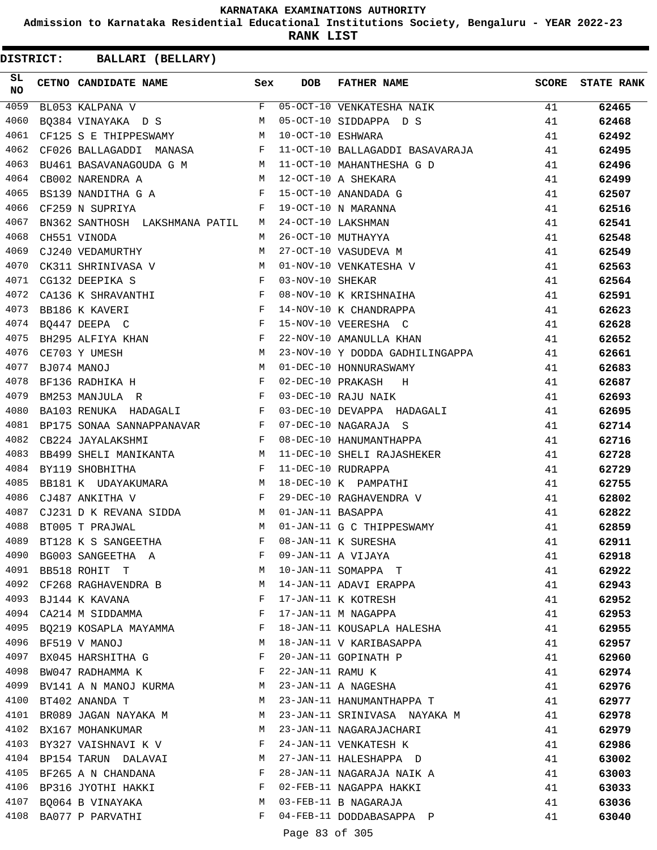**Admission to Karnataka Residential Educational Institutions Society, Bengaluru - YEAR 2022-23**

**RANK LIST**

**DISTRICT:** CC **BALLARI (BELLARY)**

| SL<br>NO | CETNO CANDIDATE NAME                                                                                                                               | Sex | <b>DOB</b>          | FATHER NAME                                        |    | <b>SCORE</b> STATE RANK |
|----------|----------------------------------------------------------------------------------------------------------------------------------------------------|-----|---------------------|----------------------------------------------------|----|-------------------------|
| 4059     | BL053 KALPANA V                                                                                                                                    |     |                     | F 05-OCT-10 VENKATESHA NAIK                        | 41 | 62465                   |
| 4060     | BQ384 VINAYAKA D S                                                                                                                                 | M   |                     | 05-OCT-10 SIDDAPPA D S                             | 41 | 62468                   |
| 4061     | CF125 S E THIPPESWAMY M                                                                                                                            |     | 10-OCT-10 ESHWARA   |                                                    | 41 | 62492                   |
| 4062     | CF026 BALLAGADDI MANASA F                                                                                                                          |     |                     | 11-OCT-10 BALLAGADDI BASAVARAJA 41                 |    | 62495                   |
| 4063     | BU461 BASAVANAGOUDA G M $M$ 11-OCT-10 MAHANTHESHA G D                                                                                              |     |                     |                                                    | 41 | 62496                   |
| 4064     | M 12-OCT-10 A SHEKARA<br>CB002 NARENDRA A                                                                                                          |     |                     |                                                    | 41 | 62499                   |
| 4065     | BS139 NANDITHA G A F                                                                                                                               |     |                     | 15-OCT-10 ANANDADA G                               | 41 | 62507                   |
| 4066     | $\mathbf F$<br>CF259 N SUPRIYA                                                                                                                     |     |                     | 19-OCT-10 N MARANNA                                | 41 | 62516                   |
| 4067     | BN362 SANTHOSH LAKSHMANA PATIL M 24-OCT-10 LAKSHMAN                                                                                                |     |                     |                                                    | 41 | 62541                   |
| 4068     | CH551 VINODA                                                                                                                                       | M   |                     | 26-OCT-10 MUTHAYYA                                 | 41 | 62548                   |
| 4069     | CJ240 VEDAMURTHY                                                                                                                                   | M   |                     | 27-OCT-10 VASUDEVA M                               | 41 | 62549                   |
| 4070     |                                                                                                                                                    |     |                     | 01-NOV-10 VENKATESHA V                             | 41 | 62563                   |
| 4071     | CK311 SHRINIVASA V $M$ CG132 DEEPIKA S $F$                                                                                                         |     | 03-NOV-10 SHEKAR    |                                                    | 41 | 62564                   |
| 4072     | CA136 K SHRAVANTHI F                                                                                                                               |     |                     | 08-NOV-10 K KRISHNAIHA                             | 41 | 62591                   |
| 4073     | $\mathbf{F}$ and $\mathbf{F}$ and $\mathbf{F}$<br>BB186 K KAVERI                                                                                   |     |                     | 14-NOV-10 K CHANDRAPPA                             | 41 | 62623                   |
| 4074     | $\mathbf{F}$<br>BQ447 DEEPA C                                                                                                                      |     |                     | 15-NOV-10 VEERESHA C                               | 41 | 62628                   |
| 4075     | BH295 ALFIYA KHAN F                                                                                                                                |     |                     | 22-NOV-10 AMANULLA KHAN                            | 41 | 62652                   |
| 4076     | M <sub>N</sub><br>CE703 Y UMESH                                                                                                                    |     |                     | 23-NOV-10 Y DODDA GADHILINGAPPA                    | 41 | 62661                   |
| 4077     |                                                                                                                                                    |     |                     | 01-DEC-10 HONNURASWAMY                             | 41 | 62683                   |
| 4078     | $\begin{array}{llllll} \texttt{BJ074} & \texttt{MANOJ} & \texttt{M} \\ \texttt{BF136} & \texttt{RADHIKA} & \texttt{H} & \texttt{F} \\ \end{array}$ |     |                     | 02-DEC-10 PRAKASH H                                | 41 | 62687                   |
| 4079     | $\mathbf{F}$<br>BM253 MANJULA R                                                                                                                    |     |                     | 03-DEC-10 RAJU NAIK                                | 41 | 62693                   |
| 4080     |                                                                                                                                                    |     |                     | BA103 RENUKA HADAGALI F 03-DEC-10 DEVAPPA HADAGALI | 41 | 62695                   |
| 4081     | BP175 SONAA SANNAPPANAVAR $F$ 07-DEC-10 NAGARAJA S                                                                                                 |     |                     |                                                    | 41 | 62714                   |
| 4082     | $\mathbf{F}$<br>CB224 JAYALAKSHMI                                                                                                                  |     |                     | 08-DEC-10 HANUMANTHAPPA                            | 41 | 62716                   |
| 4083     |                                                                                                                                                    |     |                     | BB499 SHELI MANIKANTA M 11-DEC-10 SHELI RAJASHEKER | 41 | 62728                   |
| 4084     | $\mathbf{F}$ and the contract of $\mathbf{F}$<br>BY119 SHOBHITHA                                                                                   |     |                     | 11-DEC-10 RUDRAPPA                                 | 41 | 62729                   |
| 4085     | BB181 K UDAYAKUMARA M                                                                                                                              |     |                     | 18-DEC-10 K PAMPATHI                               | 41 | 62755                   |
| 4086     | $\mathbf{F}$<br>CJ487 ANKITHA V                                                                                                                    |     |                     | 10-DEC-10 RAGHAVENDRA V                            | 41 | 62802                   |
| 4087     | CJ231 D K REVANA SIDDA M                                                                                                                           |     | 01-JAN-11 BASAPPA   |                                                    | 41 | 62822                   |
| 4088     | BT005 T PRAJWAL<br>M <sub>N</sub>                                                                                                                  |     |                     | 01-JAN-11 G C THIPPESWAMY                          | 41 | 62859                   |
| 4089     | BT128 K S SANGEETHA                                                                                                                                | F   |                     | 08-JAN-11 K SURESHA                                | 41 | 62911                   |
| 4090     |                                                                                                                                                    | F   |                     | 09-JAN-11 A VIJAYA                                 | 41 |                         |
| 4091     | BG003 SANGEETHA A                                                                                                                                  | М   |                     |                                                    |    | 62918                   |
| 4092     | BB518 ROHIT T                                                                                                                                      | M   |                     | 10-JAN-11 SOMAPPA T                                | 41 | 62922                   |
|          | CF268 RAGHAVENDRA B                                                                                                                                |     |                     | 14-JAN-11 ADAVI ERAPPA                             | 41 | 62943                   |
| 4093     | BJ144 K KAVANA                                                                                                                                     | F   |                     | 17-JAN-11 K KOTRESH                                | 41 | 62952                   |
| 4094     | CA214 M SIDDAMMA                                                                                                                                   | F   |                     | 17-JAN-11 M NAGAPPA                                | 41 | 62953                   |
| 4095     | BQ219 KOSAPLA MAYAMMA                                                                                                                              | F   |                     | 18-JAN-11 KOUSAPLA HALESHA                         | 41 | 62955                   |
| 4096     | BF519 V MANOJ                                                                                                                                      | М   |                     | 18-JAN-11 V KARIBASAPPA                            | 41 | 62957                   |
| 4097     | BX045 HARSHITHA G                                                                                                                                  | F   |                     | 20-JAN-11 GOPINATH P                               | 41 | 62960                   |
| 4098     | BW047 RADHAMMA K                                                                                                                                   | F   | 22-JAN-11 RAMU K    |                                                    | 41 | 62974                   |
| 4099     | BV141 A N MANOJ KURMA                                                                                                                              | M   |                     | 23-JAN-11 A NAGESHA                                | 41 | 62976                   |
| 4100     | BT402 ANANDA T                                                                                                                                     | M   |                     | 23-JAN-11 HANUMANTHAPPA T                          | 41 | 62977                   |
| 4101     | BR089 JAGAN NAYAKA M                                                                                                                               | M   |                     | 23-JAN-11 SRINIVASA NAYAKA M                       | 41 | 62978                   |
| 4102     | BX167 MOHANKUMAR                                                                                                                                   | M   |                     | 23-JAN-11 NAGARAJACHARI                            | 41 | 62979                   |
| 4103     | BY327 VAISHNAVI K V                                                                                                                                | F   |                     | 24-JAN-11 VENKATESH K                              | 41 | 62986                   |
| 4104     | BP154 TARUN DALAVAI                                                                                                                                | М   |                     | 27-JAN-11 HALESHAPPA D                             | 41 | 63002                   |
| 4105     | BF265 A N CHANDANA                                                                                                                                 | F   |                     | 28-JAN-11 NAGARAJA NAIK A                          | 41 | 63003                   |
| 4106     | BP316 JYOTHI HAKKI                                                                                                                                 | F   |                     | 02-FEB-11 NAGAPPA HAKKI                            | 41 | 63033                   |
| 4107     | BQ064 B VINAYAKA                                                                                                                                   | M   |                     | 03-FEB-11 B NAGARAJA                               | 41 | 63036                   |
| 4108     | BA077 P PARVATHI                                                                                                                                   | F   |                     | 04-FEB-11 DODDABASAPPA P                           | 41 | 63040                   |
|          |                                                                                                                                                    |     | $D = 02 \times 100$ |                                                    |    |                         |

Page 83 of 305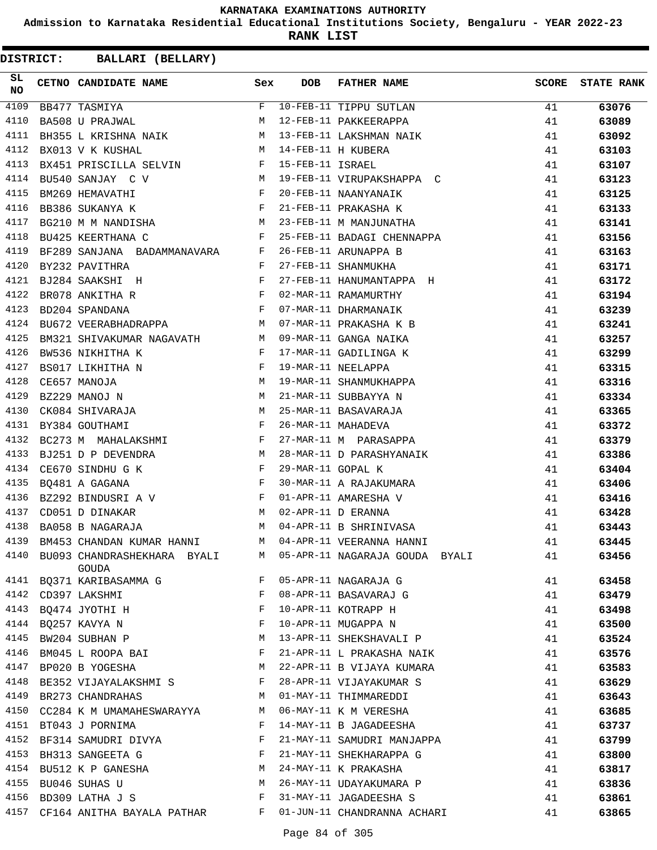**Admission to Karnataka Residential Educational Institutions Society, Bengaluru - YEAR 2022-23**

**RANK LIST**

| SL<br>NO | CETNO CANDIDATE NAME Sex                                                                                                                                                                                                                               |                           | DOB               | FATHER NAME                                 |    | SCORE STATE RANK |
|----------|--------------------------------------------------------------------------------------------------------------------------------------------------------------------------------------------------------------------------------------------------------|---------------------------|-------------------|---------------------------------------------|----|------------------|
| 4109     |                                                                                                                                                                                                                                                        |                           |                   | F 10-FEB-11 TIPPU SUTLAN                    | 41 | 63076            |
| 4110     |                                                                                                                                                                                                                                                        |                           |                   |                                             | 41 | 63089            |
| 4111     |                                                                                                                                                                                                                                                        |                           |                   |                                             | 41 | 63092            |
| 4112     |                                                                                                                                                                                                                                                        |                           |                   |                                             | 41 | 63103            |
| 4113     |                                                                                                                                                                                                                                                        |                           |                   |                                             | 41 | 63107            |
| 4114     | BU540 SANJAY C V                                                                                                                                                                                                                                       |                           |                   | M 19-FEB-11 VIRUPAKSHAPPA C                 | 41 | 63123            |
| 4115     | $\mathbf{F}$ . The set of the set of the set of the set of the set of the set of the set of the set of the set of the set of the set of the set of the set of the set of the set of the set of the set of the set of the set of t<br>BM269 HEMAVATHI   |                           |                   | 20-FEB-11 NAANYANAIK                        | 41 | 63125            |
| 4116     | $\mathbf{F}$<br>BB386 SUKANYA K                                                                                                                                                                                                                        |                           |                   | 21-FEB-11 PRAKASHA K                        | 41 | 63133            |
| 4117     | BG210 M M NANDISHA M                                                                                                                                                                                                                                   |                           |                   | 23-FEB-11 M MANJUNATHA                      | 41 | 63141            |
| 4118     | $\mathbf{F}$ and $\mathbf{F}$ and $\mathbf{F}$<br>BU425 KEERTHANA C                                                                                                                                                                                    |                           |                   | 25-FEB-11 BADAGI CHENNAPPA                  | 41 | 63156            |
| 4119     | BF289 SANJANA BADAMMANAVARA F                                                                                                                                                                                                                          |                           |                   | 26-FEB-11 ARUNAPPA B                        | 41 | 63163            |
| 4120     | BY232 PAVITHRA                                                                                                                                                                                                                                         | $\mathbb{F}^{\mathbb{N}}$ |                   | 27-FEB-11 SHANMUKHA                         | 41 | 63171            |
| 4121     | BJ284 SAAKSHI H F                                                                                                                                                                                                                                      |                           |                   | 27-FEB-11 HANUMANTAPPA H                    | 41 | 63172            |
| 4122     | BR078 ANKITHA R                                                                                                                                                                                                                                        |                           |                   | 02-MAR-11 RAMAMURTHY                        | 41 | 63194            |
| 4123     | BD204 SPANDANA                                                                                                                                                                                                                                         |                           |                   | 07-MAR-11 DHARMANAIK                        | 41 | 63239            |
| 4124     | BU672 VEERABHADRAPPA M 07-MAR-11 PRAKASHA K B                                                                                                                                                                                                          |                           |                   |                                             | 41 | 63241            |
| 4125     | BM321 SHIVAKUMAR NAGAVATH M                                                                                                                                                                                                                            |                           |                   | 09-MAR-11 GANGA NAIKA                       | 41 | 63257            |
| 4126     | $\mathbb{P}^1$ . The set of $\mathbb{P}^1$<br>BW536 NIKHITHA K                                                                                                                                                                                         |                           |                   | 17-MAR-11 GADILINGA K                       | 41 | 63299            |
| 4127     | $\begin{array}{ccc} & & & F \\ & \mathbb{M} & & \\ & \mathbb{M} & & \\ & \mathbb{M} & & \\ \end{array}$<br>BS017 LIKHITHA N                                                                                                                            |                           |                   | 19-MAR-11 NEELAPPA                          | 41 | 63315            |
| 4128     | CE657 MANOJA                                                                                                                                                                                                                                           |                           |                   | 19-MAR-11 SHANMUKHAPPA                      | 41 | 63316            |
| 4129     | BZ229 MANOJ N                                                                                                                                                                                                                                          |                           |                   | 21-MAR-11 SUBBAYYA N                        | 41 | 63334            |
| 4130     | CK084 SHIVARAJA M                                                                                                                                                                                                                                      |                           |                   | 25-MAR-11 BASAVARAJA                        | 41 | 63365            |
| 4131     | $\mathbf{F}$ and $\mathbf{F}$ are the set of the set of the set of the set of the set of the set of the set of the set of the set of the set of the set of the set of the set of the set of the set of the set of the set of the set<br>BY384 GOUTHAMI |                           |                   |                                             | 41 | 63372            |
| 4132     | BC273 M MAHALAKSHMI F                                                                                                                                                                                                                                  |                           |                   | 26-MAR-11 MAHADEVA<br>27-MAR-11 M PARASAPPA | 41 | 63379            |
| 4133     | BJ251 D P DEVENDRA M                                                                                                                                                                                                                                   |                           |                   | 28-MAR-11 D PARASHYANAIK                    | 41 | 63386            |
| 4134     | CE670 SINDHUGK F                                                                                                                                                                                                                                       |                           | 29-MAR-11 GOPAL K |                                             | 41 | 63404            |
| 4135     | $\mathbf{F}^{\mathcal{A}}_{\mathcal{A}}=\mathbf{F}^{\mathcal{A}}_{\mathcal{A}}\mathbf{F}^{\mathcal{A}}_{\mathcal{A}}$<br>BQ481 A GAGANA                                                                                                                |                           |                   | 30-MAR-11 A RAJAKUMARA                      | 41 | 63406            |
| 4136     | BZ292 BINDUSRI A V F 01-APR-11 AMARESHA V                                                                                                                                                                                                              |                           |                   |                                             | 41 | 63416            |
| 4137     | M 02-APR-11 D ERANNA<br>CD051 D DINAKAR                                                                                                                                                                                                                |                           |                   |                                             | 41 | 63428            |
| 4138     | BA058 B NAGARAJA                                                                                                                                                                                                                                       |                           |                   | M 04-APR-11 B SHRINIVASA                    | 41 | 63443            |
| 4139     | BM453 CHANDAN KUMAR HANNI M 04-APR-11 VEERANNA HANNI                                                                                                                                                                                                   |                           |                   |                                             | 41 | 63445            |
| 4140     | BU093 CHANDRASHEKHARA BYALI<br>GOUDA                                                                                                                                                                                                                   | M                         |                   | 05-APR-11 NAGARAJA GOUDA BYALI              | 41 | 63456            |
| 4141     | BQ371 KARIBASAMMA G                                                                                                                                                                                                                                    | F                         |                   | 05-APR-11 NAGARAJA G                        | 41 | 63458            |
|          | 4142 CD397 LAKSHMI                                                                                                                                                                                                                                     | F                         |                   | 08-APR-11 BASAVARAJ G                       | 41 | 63479            |
| 4143     | BQ474 JYOTHI H                                                                                                                                                                                                                                         | F                         |                   | 10-APR-11 KOTRAPP H                         | 41 | 63498            |
| 4144     | BQ257 KAVYA N                                                                                                                                                                                                                                          | F                         |                   | 10-APR-11 MUGAPPA N                         | 41 | 63500            |
| 4145     | BW204 SUBHAN P                                                                                                                                                                                                                                         | M                         |                   | 13-APR-11 SHEKSHAVALI P                     | 41 | 63524            |
| 4146     | BM045 L ROOPA BAI                                                                                                                                                                                                                                      | F                         |                   | 21-APR-11 L PRAKASHA NAIK                   | 41 | 63576            |
| 4147     | BP020 B YOGESHA                                                                                                                                                                                                                                        | M                         |                   | 22-APR-11 B VIJAYA KUMARA                   | 41 | 63583            |
| 4148     | BE352 VIJAYALAKSHMI S                                                                                                                                                                                                                                  | F                         |                   | 28-APR-11 VIJAYAKUMAR S                     | 41 | 63629            |
| 4149     | BR273 CHANDRAHAS                                                                                                                                                                                                                                       | М                         |                   | 01-MAY-11 THIMMAREDDI                       | 41 | 63643            |
| 4150     | CC284 K M UMAMAHESWARAYYA                                                                                                                                                                                                                              | M                         |                   | 06-MAY-11 K M VERESHA                       | 41 | 63685            |
| 4151     | BT043 J PORNIMA                                                                                                                                                                                                                                        | F                         |                   | 14-MAY-11 B JAGADEESHA                      | 41 | 63737            |
| 4152     | BF314 SAMUDRI DIVYA                                                                                                                                                                                                                                    | F                         |                   | 21-MAY-11 SAMUDRI MANJAPPA                  | 41 | 63799            |
| 4153     | BH313 SANGEETA G                                                                                                                                                                                                                                       | F                         |                   | 21-MAY-11 SHEKHARAPPA G                     | 41 | 63800            |
| 4154     | BU512 K P GANESHA                                                                                                                                                                                                                                      | M                         |                   | 24-MAY-11 K PRAKASHA                        | 41 | 63817            |
| 4155     | BU046 SUHAS U                                                                                                                                                                                                                                          | М                         |                   | 26-MAY-11 UDAYAKUMARA P                     | 41 | 63836            |
| 4156     | BD309 LATHA J S                                                                                                                                                                                                                                        | F                         |                   | 31-MAY-11 JAGADEESHA S                      | 41 | 63861            |
|          | 4157 CF164 ANITHA BAYALA PATHAR                                                                                                                                                                                                                        | F                         |                   | 01-JUN-11 CHANDRANNA ACHARI                 | 41 | 63865            |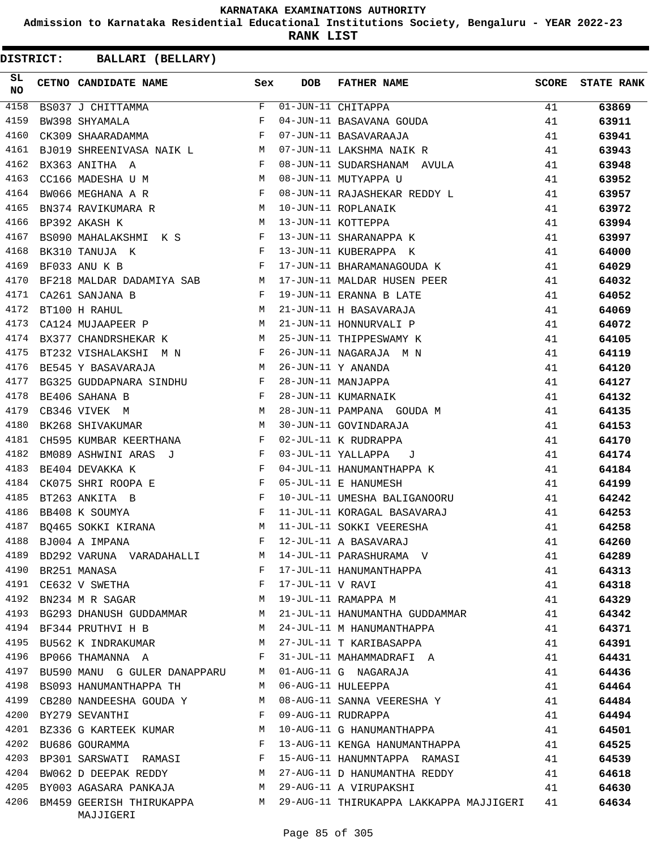**Admission to Karnataka Residential Educational Institutions Society, Bengaluru - YEAR 2022-23**

**RANK LIST**

| SL<br>NO | CETNO CANDIDATE NAME Sex                                                                                        |              | <b>DOB</b>       | FATHER NAME                                                                |          | SCORE STATE RANK |
|----------|-----------------------------------------------------------------------------------------------------------------|--------------|------------------|----------------------------------------------------------------------------|----------|------------------|
| 4158     | BS037 J CHITTAMMA<br>BW398 SHYAMALA F                                                                           | $F -$        |                  | 01-JUN-11 CHITAPPA                                                         | 41       | 63869            |
| 4159     |                                                                                                                 |              |                  | 01-JUN-11 CHITAPPA<br>04-JUN-11 BASAVANA GOUDA                             | 41       | 63911            |
| 4160     | CK309 SHAARADAMMA F                                                                                             |              |                  | 07-JUN-11 BASAVARAAJA                                                      | 41       | 63941            |
| 4161     | BJ019 SHREENIVASA NAIK LANDER MARK                                                                              |              |                  | 07-JUN-11 LAKSHMA NAIK R<br>00 JUN-11                                      | 41       | 63943            |
| 4162     | $\mathbf{F}$<br>BX363 ANITHA A                                                                                  |              |                  | 08-JUN-11 SUDARSHANAM AVULA                                                | 41       | 63948            |
| 4163     | CC166 MADESHA U M (2016) M (2016) M (2016) M (2016) M (2016) M (2016) M (2016) M (2016) M (2016) M (2016) M (20 |              |                  |                                                                            | 41       | 63952            |
| 4164     | BW066 MEGHANA A R F                                                                                             |              |                  | 08-JUN-11 RAJASHEKAR REDDY L                                               | 41       | 63957            |
| 4165     | BN374 RAVIKUMARA R $$\tt{M}$$                                                                                   |              |                  | 10-JUN-11 ROPLANAIK                                                        | 41       | 63972            |
| 4166     | M 13-JUN-11 KOTTEPPA<br>BP392 AKASH K                                                                           |              |                  | 10-JUN-11 ROPLANAIK<br>13-JUN-11 KOTTEPPA<br>13-JUN-11 SHARANAPPA K        | 41       | 63994            |
| 4167     | BS090 MAHALAKSHMI K S F                                                                                         |              |                  |                                                                            | 41       | 63997            |
| 4168     | $\mathbf{F}$ and the contract of the contract $\mathbf{F}$ .<br>BK310 TANUJA K                                  |              |                  | 13-JUN-11 KUBERAPPA K                                                      | 41       | 64000            |
| 4169     | $\mathbf{F}$<br>BF033 ANU K B                                                                                   |              |                  | 17-JUN-11 BHARAMANAGOUDA K                                                 | 41       | 64029            |
| 4170     |                                                                                                                 |              |                  | BF218 MALDAR DADAMIYA SAB M 17-JUN-11 MALDAR HUSEN PEER                    | 41       | 64032            |
| 4171     | $\mathbf{F}$<br>CA261 SANJANA B                                                                                 |              |                  | 19-JUN-11 ERANNA B LATE                                                    | 41       | 64052            |
| 4172     | M <sub>N</sub><br>BT100 H RAHUL                                                                                 |              |                  | 21-JUN-11 H BASAVARAJA                                                     | 41       | 64069            |
| 4173     | CA124 MUJAAPEER P M                                                                                             |              |                  |                                                                            | 41       | 64072            |
| 4174     | BX377 CHANDRSHEKAR K M 25-JUN-11 THIPPESWAMY K                                                                  |              |                  | 21-JUN-11 HONNURVALI P<br>25-JUN-11 THIPPESWAMY K                          | 41       | 64105            |
| 4175     | BT232 VISHALAKSHI M N F                                                                                         |              |                  | 26-JUN-11 NAGARAJA M N                                                     | 41       | 64119            |
| 4176     | BE545 Y BASAVARAJA M                                                                                            |              |                  | 26-JUN-11 Y ANANDA                                                         | 41       | 64120            |
| 4177     |                                                                                                                 |              |                  | 28-JUN-11 MANJAPPA                                                         | 41       | 64127            |
| 4178     | BG325 GUDDAPNARA SINDHU F<br>BE406 SAHANA B F<br>CB346 VIVEK M M M                                              |              |                  | 28-JUN-11 KUMARNAIK                                                        | 41       | 64132            |
| 4179     |                                                                                                                 |              |                  | 28-JUN-11 PAMPANA GOUDA M                                                  | 41       | 64135            |
| 4180     | <b>M</b><br>BK268 SHIVAKUMAR                                                                                    |              |                  | 30-JUN-11 GOVINDARAJA                                                      | 41       | 64153            |
| 4181     | CH595 KUMBAR KEERTHANA F                                                                                        |              |                  | 02-JUL-11 K RUDRAPPA                                                       | 41       | 64170            |
| 4182     | BM089 ASHWINI ARAS J F                                                                                          |              |                  | 03-JUL-11 YALLAPPA J                                                       | 41       | 64174            |
| 4183     | $\mathbf{F}$ and $\mathbf{F}$ are $\mathbf{F}$<br>BE404 DEVAKKA K                                               |              |                  | 04-JUL-11 HANUMANTHAPPA K                                                  | 41       | 64184            |
| 4184     | $CK075$ SHRI ROOPA E F                                                                                          |              |                  | 05-JUL-11 E HANUMESH                                                       | 41       | 64199            |
| 4185     | BT263 ANKITA B                                                                                                  |              |                  | 10-JUL-11 UMESHA BALIGANOORU                                               | 41       | 64242            |
| 4186     | $\begin{array}{c} \mathbf{F} \\ \mathbf{F} \end{array}$<br>BB408 K SOUMYA                                       |              |                  |                                                                            |          |                  |
| 4187     |                                                                                                                 |              |                  | 11-JUL-11 KORAGAL BASAVARAJ<br>11-JUL-11 SOKKI VEERESHA                    | 41       | 64253<br>64258   |
|          | BQ465 SOKKI KIRANA M<br>4188 BJ004 A IMPANA                                                                     | F            |                  | 12-JUL-11 A BASAVARAJ                                                      | 41<br>41 | 64260            |
| 4189     |                                                                                                                 | М            |                  |                                                                            |          |                  |
|          | BD292 VARUNA VARADAHALLI                                                                                        | F            |                  | 14-JUL-11 PARASHURAMA V                                                    | 41       | 64289            |
|          | 4190 BR251 MANASA                                                                                               |              |                  | 17-JUL-11 HANUMANTHAPPA                                                    | 41       | 64313            |
| 4191     | CE632 V SWETHA                                                                                                  | $\mathbf{F}$ | 17-JUL-11 V RAVI |                                                                            | 41       | 64318            |
| 4192     | BN234 M R SAGAR M                                                                                               |              |                  | 19-JUL-11 RAMAPPA M                                                        | 41       | 64329            |
|          | 4193 BG293 DHANUSH GUDDAMMAR M                                                                                  |              |                  | 21-JUL-11 HANUMANTHA GUDDAMMAR                                             | 41       | 64342            |
|          | 4194 BF344 PRUTHVI H B                                                                                          | M            |                  | 24-JUL-11 M HANUMANTHAPPA                                                  | 41       | 64371            |
| 4195     | BU562 K INDRAKUMAR                                                                                              | <b>M</b>     |                  | 27-JUL-11 T KARIBASAPPA                                                    | 41       | 64391            |
| 4196     | BP066 THAMANNA A                                                                                                | F            |                  | 31-JUL-11 MAHAMMADRAFI A                                                   | 41       | 64431            |
| 4197     | BU590 MANU G GULER DANAPPARU                                                                                    | M            |                  | 01-AUG-11 G NAGARAJA                                                       | 41       | 64436            |
|          | 4198 BS093 HANUMANTHAPPA TH                                                                                     | M            |                  | 06-AUG-11 HULEEPPA                                                         | 41       | 64464            |
| 4199     | CB280 NANDEESHA GOUDA Y                                                                                         | M            |                  | 08-AUG-11 SANNA VEERESHA Y                                                 | 41       | 64484            |
|          | 4200 BY279 SEVANTHI                                                                                             | F            |                  | 09-AUG-11 RUDRAPPA                                                         | 41       | 64494            |
|          | 4201 BZ336 G KARTEEK KUMAR                                                                                      | M            |                  | 10-AUG-11 G HANUMANTHAPPA                                                  | 41       | 64501            |
|          | 4202 BU686 GOURAMMA                                                                                             | F            |                  | 13-AUG-11 KENGA HANUMANTHAPPA                                              | 41       | 64525            |
| 4203     | BP301 SARSWATI RAMASI                                                                                           | F            |                  | 15-AUG-11 HANUMNTAPPA RAMASI                                               | 41       | 64539            |
| 4204     | BW062 D DEEPAK REDDY                                                                                            | M            |                  | 27-AUG-11 D HANUMANTHA REDDY                                               | 41       | 64618            |
|          | 4205 BY003 AGASARA PANKAJA                                                                                      | M            |                  | 29-AUG-11 A VIRUPAKSHI                                                     | 41       | 64630            |
|          | MAJJIGERI                                                                                                       |              |                  | 4206 BM459 GEERISH THIRUKAPPA M 29-AUG-11 THIRUKAPPA LAKKAPPA MAJJIGERI 41 |          | 64634            |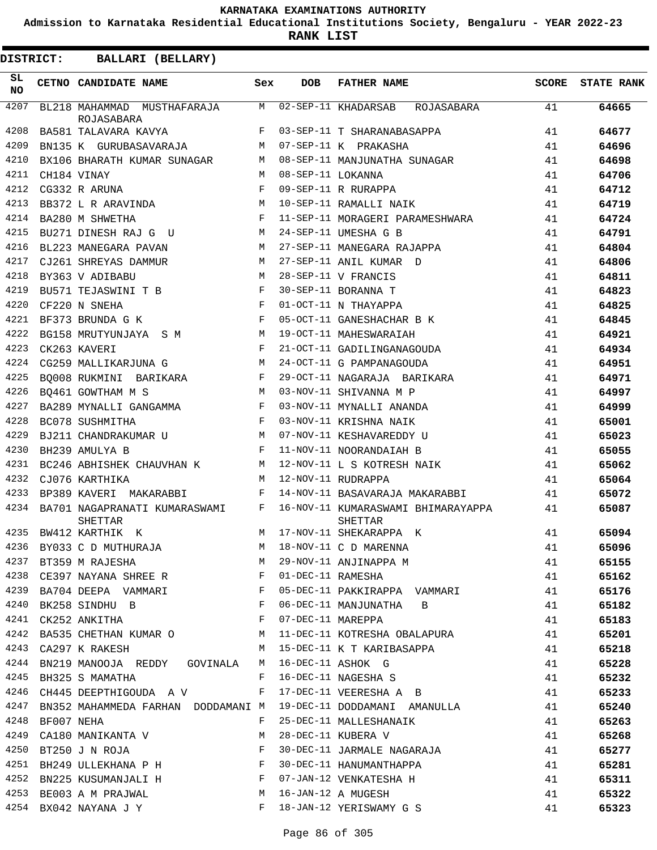**Admission to Karnataka Residential Educational Institutions Society, Bengaluru - YEAR 2022-23**

**RANK LIST**

| 4207<br>M<br>02-SEP-11 KHADARSAB<br>BL218 MAHAMMAD MUSTHAFARAJA<br>ROJASABARA<br>41<br>64665<br>ROJASABARA<br>4208<br>BA581 TALAVARA KAVYA<br>F<br>03-SEP-11 T SHARANABASAPPA<br>41<br>64677<br>4209<br>BN135 K GURUBASAVARAJA<br>07-SEP-11 K PRAKASHA<br>41<br>64696<br>M<br>4210<br>BX106 BHARATH KUMAR SUNAGAR<br>08-SEP-11 MANJUNATHA SUNAGAR<br>41<br>64698<br>М<br>4211<br>08-SEP-11 LOKANNA<br>CH184 VINAY<br>M<br>41<br>64706<br>4212<br>F<br>CG332 R ARUNA<br>09-SEP-11 R RURAPPA<br>41<br>64712<br>4213<br>41<br>BB372 L R ARAVINDA<br>M<br>10-SEP-11 RAMALLI NAIK<br>64719<br>4214<br>BA280 M SHWETHA<br>F<br>11-SEP-11 MORAGERI PARAMESHWARA<br>41<br>64724<br>4215<br>24-SEP-11 UMESHA G B<br>BU271 DINESH RAJ G U<br>M<br>41<br>64791<br>4216<br>BL223 MANEGARA PAVAN<br>M<br>27-SEP-11 MANEGARA RAJAPPA<br>41<br>64804<br>4217<br>27-SEP-11 ANIL KUMAR D<br>CJ261 SHREYAS DAMMUR<br>M<br>41<br>64806<br>4218<br>28-SEP-11 V FRANCIS<br>BY363 V ADIBABU<br>M<br>41<br>64811<br>4219<br>$_{\rm F}$<br>30-SEP-11 BORANNA T<br>41<br>BU571 TEJASWINI T B<br>64823<br>4220<br>$_{\rm F}$<br>CF220 N SNEHA<br>01-OCT-11 N THAYAPPA<br>41<br>64825<br>4221<br>F<br>05-OCT-11 GANESHACHAR B K<br>BF373 BRUNDA G K<br>41<br>64845<br>4222<br>BG158 MRUTYUNJAYA S M<br>M<br>19-OCT-11 MAHESWARAIAH<br>41<br>64921<br>4223<br>$_{\rm F}$<br>21-OCT-11 GADILINGANAGOUDA<br>CK263 KAVERI<br>41<br>64934<br>4224<br>24-OCT-11 G PAMPANAGOUDA<br>CG259 MALLIKARJUNA G<br>M<br>41<br>64951<br>4225<br>29-OCT-11 NAGARAJA BARIKARA<br>BQ008 RUKMINI BARIKARA<br>F<br>41<br>64971<br>4226<br>03-NOV-11 SHIVANNA M P<br>BQ461 GOWTHAM M S<br>M<br>41<br>64997<br>4227<br>03-NOV-11 MYNALLI ANANDA<br>F<br>41<br>BA289 MYNALLI GANGAMMA<br>64999<br>4228<br>$_{\rm F}$<br>BC078 SUSHMITHA<br>03-NOV-11 KRISHNA NAIK<br>41<br>65001<br>4229<br>BJ211 CHANDRAKUMAR U<br>М<br>07-NOV-11 KESHAVAREDDY U<br>41<br>65023<br>4230<br>BH239 AMULYA B<br>F<br>11-NOV-11 NOORANDAIAH B<br>41<br>65055<br>4231<br>12-NOV-11 L S KOTRESH NAIK<br>BC246 ABHISHEK CHAUVHAN K<br>М<br>41<br>65062<br>4232<br>CJ076 KARTHIKA<br>M<br>12-NOV-11 RUDRAPPA<br>41<br>65064<br>4233<br>BP389 KAVERI MAKARABBI<br>F<br>14-NOV-11 BASAVARAJA MAKARABBI<br>41<br>65072<br>4234<br>BA701 NAGAPRANATI KUMARASWAMI<br>F<br>16-NOV-11 KUMARASWAMI BHIMARAYAPPA<br>41<br>65087<br><b>SHETTAR</b><br>SHETTAR<br>4235<br>BW412 KARTHIK K<br>17-NOV-11 SHEKARAPPA K<br>41<br>65094<br>M<br>4236 BY033 C D MUTHURAJA<br>41<br>65096<br>M 18-NOV-11 C D MARENNA<br>4237 BT359 M RAJESHA<br>4238 CE397 NAYANA SHREE R<br>4238 CE397 NAYANA SHREE R<br>4238 PAZQ4 PERPER F D1-DEC-11 RAMESHA<br>41<br>65155<br>41<br>65162<br>BA704 DEEPA VAMMARI 61 F 05-DEC-11 PAKKIRAPPA VAMMARI 41<br>4239<br>65176<br>4240 BK258 SINDHU B F<br>06-DEC-11 MANJUNATHA B<br>41<br>65182<br>4241 CK252 ANKITHA F<br>07-DEC-11 MAREPPA<br>41<br>65183<br>4242 BA535 CHETHAN KUMAR O M 11-DEC-11 KOTRESHA OBALAPURA<br>41<br>65201<br>4243 CA297 K RAKESH M 15-DEC-11 K T KARIBASAPPA<br>41<br>65218<br>4244 BN219 MANOOJA REDDY GOVINALA M 16-DEC-11 ASHOK G<br>4245 BH325 S MAMATHA F 16-DEC-11 NAGESHA S<br>41<br>65228<br>41<br>65232<br>4246 CH445 DEEPTHIGOUDA A V F 17-DEC-11 VEERESHA A B<br>41<br>65233<br>19-DEC-11 DODDAMANI AMANULLA<br>41<br>4247<br>BN352 MAHAMMEDA FARHAN DODDAMANI M<br>65240<br>25-DEC-11 MALLESHANAIK<br>28-DEC-11 KUPFRA V<br>4248 BF007 NEHA<br>41<br>65263<br>F<br>4249 CA180 MANIKANTA V $\begin{array}{ccc} \mathtt{M} & \mathtt{M} \\ \mathtt{4250} & \mathtt{BT250} \mathtt{J} & \mathtt{N} & \mathtt{ROJA} \end{array}$<br>41<br>28-DEC-11 KUBERA V<br>30-DEC-11 JARMALE NAGARAJA<br>65268<br>41<br>65277<br>4251 BH249 ULLEKHANA P H<br>30-DEC-11 HANUMANTHAPPA<br>41<br>65281<br>07-JAN-12 VENKATESHA H<br>4252 BN225 KUSUMANJALI H<br>41<br>65311<br>16-JAN-12 A MUGESH<br>4253 BE003 A M PRAJWAL<br>M<br>41<br>65322<br>4254 BX042 NAYANA J Y F 18-JAN-12 YERISWAMY G S | SL<br><b>NO</b> | CETNO CANDIDATE NAME | Sex | DOB | <b>FATHER NAME</b> | SCORE | <b>STATE RANK</b> |
|-------------------------------------------------------------------------------------------------------------------------------------------------------------------------------------------------------------------------------------------------------------------------------------------------------------------------------------------------------------------------------------------------------------------------------------------------------------------------------------------------------------------------------------------------------------------------------------------------------------------------------------------------------------------------------------------------------------------------------------------------------------------------------------------------------------------------------------------------------------------------------------------------------------------------------------------------------------------------------------------------------------------------------------------------------------------------------------------------------------------------------------------------------------------------------------------------------------------------------------------------------------------------------------------------------------------------------------------------------------------------------------------------------------------------------------------------------------------------------------------------------------------------------------------------------------------------------------------------------------------------------------------------------------------------------------------------------------------------------------------------------------------------------------------------------------------------------------------------------------------------------------------------------------------------------------------------------------------------------------------------------------------------------------------------------------------------------------------------------------------------------------------------------------------------------------------------------------------------------------------------------------------------------------------------------------------------------------------------------------------------------------------------------------------------------------------------------------------------------------------------------------------------------------------------------------------------------------------------------------------------------------------------------------------------------------------------------------------------------------------------------------------------------------------------------------------------------------------------------------------------------------------------------------------------------------------------------------------------------------------------------------------------------------------------------------------------------------------------------------------------------------------------------------------------------------------------------------------------------------------------------------------------------------------------------------------------------------------------------------------------------------------------------------------------------------------------------------------------------------------------------------------------------------------------------------------------------------------------------------------------------------------------------------------------------------------------------------------------------------------------------------------------------------------------------------------------------------------------------------------------------------------------------------------------------------------------------------|-----------------|----------------------|-----|-----|--------------------|-------|-------------------|
|                                                                                                                                                                                                                                                                                                                                                                                                                                                                                                                                                                                                                                                                                                                                                                                                                                                                                                                                                                                                                                                                                                                                                                                                                                                                                                                                                                                                                                                                                                                                                                                                                                                                                                                                                                                                                                                                                                                                                                                                                                                                                                                                                                                                                                                                                                                                                                                                                                                                                                                                                                                                                                                                                                                                                                                                                                                                                                                                                                                                                                                                                                                                                                                                                                                                                                                                                                                                                                                                                                                                                                                                                                                                                                                                                                                                                                                                                                                                                             |                 |                      |     |     |                    |       |                   |
|                                                                                                                                                                                                                                                                                                                                                                                                                                                                                                                                                                                                                                                                                                                                                                                                                                                                                                                                                                                                                                                                                                                                                                                                                                                                                                                                                                                                                                                                                                                                                                                                                                                                                                                                                                                                                                                                                                                                                                                                                                                                                                                                                                                                                                                                                                                                                                                                                                                                                                                                                                                                                                                                                                                                                                                                                                                                                                                                                                                                                                                                                                                                                                                                                                                                                                                                                                                                                                                                                                                                                                                                                                                                                                                                                                                                                                                                                                                                                             |                 |                      |     |     |                    |       |                   |
|                                                                                                                                                                                                                                                                                                                                                                                                                                                                                                                                                                                                                                                                                                                                                                                                                                                                                                                                                                                                                                                                                                                                                                                                                                                                                                                                                                                                                                                                                                                                                                                                                                                                                                                                                                                                                                                                                                                                                                                                                                                                                                                                                                                                                                                                                                                                                                                                                                                                                                                                                                                                                                                                                                                                                                                                                                                                                                                                                                                                                                                                                                                                                                                                                                                                                                                                                                                                                                                                                                                                                                                                                                                                                                                                                                                                                                                                                                                                                             |                 |                      |     |     |                    |       |                   |
|                                                                                                                                                                                                                                                                                                                                                                                                                                                                                                                                                                                                                                                                                                                                                                                                                                                                                                                                                                                                                                                                                                                                                                                                                                                                                                                                                                                                                                                                                                                                                                                                                                                                                                                                                                                                                                                                                                                                                                                                                                                                                                                                                                                                                                                                                                                                                                                                                                                                                                                                                                                                                                                                                                                                                                                                                                                                                                                                                                                                                                                                                                                                                                                                                                                                                                                                                                                                                                                                                                                                                                                                                                                                                                                                                                                                                                                                                                                                                             |                 |                      |     |     |                    |       |                   |
|                                                                                                                                                                                                                                                                                                                                                                                                                                                                                                                                                                                                                                                                                                                                                                                                                                                                                                                                                                                                                                                                                                                                                                                                                                                                                                                                                                                                                                                                                                                                                                                                                                                                                                                                                                                                                                                                                                                                                                                                                                                                                                                                                                                                                                                                                                                                                                                                                                                                                                                                                                                                                                                                                                                                                                                                                                                                                                                                                                                                                                                                                                                                                                                                                                                                                                                                                                                                                                                                                                                                                                                                                                                                                                                                                                                                                                                                                                                                                             |                 |                      |     |     |                    |       |                   |
|                                                                                                                                                                                                                                                                                                                                                                                                                                                                                                                                                                                                                                                                                                                                                                                                                                                                                                                                                                                                                                                                                                                                                                                                                                                                                                                                                                                                                                                                                                                                                                                                                                                                                                                                                                                                                                                                                                                                                                                                                                                                                                                                                                                                                                                                                                                                                                                                                                                                                                                                                                                                                                                                                                                                                                                                                                                                                                                                                                                                                                                                                                                                                                                                                                                                                                                                                                                                                                                                                                                                                                                                                                                                                                                                                                                                                                                                                                                                                             |                 |                      |     |     |                    |       |                   |
|                                                                                                                                                                                                                                                                                                                                                                                                                                                                                                                                                                                                                                                                                                                                                                                                                                                                                                                                                                                                                                                                                                                                                                                                                                                                                                                                                                                                                                                                                                                                                                                                                                                                                                                                                                                                                                                                                                                                                                                                                                                                                                                                                                                                                                                                                                                                                                                                                                                                                                                                                                                                                                                                                                                                                                                                                                                                                                                                                                                                                                                                                                                                                                                                                                                                                                                                                                                                                                                                                                                                                                                                                                                                                                                                                                                                                                                                                                                                                             |                 |                      |     |     |                    |       |                   |
|                                                                                                                                                                                                                                                                                                                                                                                                                                                                                                                                                                                                                                                                                                                                                                                                                                                                                                                                                                                                                                                                                                                                                                                                                                                                                                                                                                                                                                                                                                                                                                                                                                                                                                                                                                                                                                                                                                                                                                                                                                                                                                                                                                                                                                                                                                                                                                                                                                                                                                                                                                                                                                                                                                                                                                                                                                                                                                                                                                                                                                                                                                                                                                                                                                                                                                                                                                                                                                                                                                                                                                                                                                                                                                                                                                                                                                                                                                                                                             |                 |                      |     |     |                    |       |                   |
|                                                                                                                                                                                                                                                                                                                                                                                                                                                                                                                                                                                                                                                                                                                                                                                                                                                                                                                                                                                                                                                                                                                                                                                                                                                                                                                                                                                                                                                                                                                                                                                                                                                                                                                                                                                                                                                                                                                                                                                                                                                                                                                                                                                                                                                                                                                                                                                                                                                                                                                                                                                                                                                                                                                                                                                                                                                                                                                                                                                                                                                                                                                                                                                                                                                                                                                                                                                                                                                                                                                                                                                                                                                                                                                                                                                                                                                                                                                                                             |                 |                      |     |     |                    |       |                   |
|                                                                                                                                                                                                                                                                                                                                                                                                                                                                                                                                                                                                                                                                                                                                                                                                                                                                                                                                                                                                                                                                                                                                                                                                                                                                                                                                                                                                                                                                                                                                                                                                                                                                                                                                                                                                                                                                                                                                                                                                                                                                                                                                                                                                                                                                                                                                                                                                                                                                                                                                                                                                                                                                                                                                                                                                                                                                                                                                                                                                                                                                                                                                                                                                                                                                                                                                                                                                                                                                                                                                                                                                                                                                                                                                                                                                                                                                                                                                                             |                 |                      |     |     |                    |       |                   |
|                                                                                                                                                                                                                                                                                                                                                                                                                                                                                                                                                                                                                                                                                                                                                                                                                                                                                                                                                                                                                                                                                                                                                                                                                                                                                                                                                                                                                                                                                                                                                                                                                                                                                                                                                                                                                                                                                                                                                                                                                                                                                                                                                                                                                                                                                                                                                                                                                                                                                                                                                                                                                                                                                                                                                                                                                                                                                                                                                                                                                                                                                                                                                                                                                                                                                                                                                                                                                                                                                                                                                                                                                                                                                                                                                                                                                                                                                                                                                             |                 |                      |     |     |                    |       |                   |
|                                                                                                                                                                                                                                                                                                                                                                                                                                                                                                                                                                                                                                                                                                                                                                                                                                                                                                                                                                                                                                                                                                                                                                                                                                                                                                                                                                                                                                                                                                                                                                                                                                                                                                                                                                                                                                                                                                                                                                                                                                                                                                                                                                                                                                                                                                                                                                                                                                                                                                                                                                                                                                                                                                                                                                                                                                                                                                                                                                                                                                                                                                                                                                                                                                                                                                                                                                                                                                                                                                                                                                                                                                                                                                                                                                                                                                                                                                                                                             |                 |                      |     |     |                    |       |                   |
|                                                                                                                                                                                                                                                                                                                                                                                                                                                                                                                                                                                                                                                                                                                                                                                                                                                                                                                                                                                                                                                                                                                                                                                                                                                                                                                                                                                                                                                                                                                                                                                                                                                                                                                                                                                                                                                                                                                                                                                                                                                                                                                                                                                                                                                                                                                                                                                                                                                                                                                                                                                                                                                                                                                                                                                                                                                                                                                                                                                                                                                                                                                                                                                                                                                                                                                                                                                                                                                                                                                                                                                                                                                                                                                                                                                                                                                                                                                                                             |                 |                      |     |     |                    |       |                   |
|                                                                                                                                                                                                                                                                                                                                                                                                                                                                                                                                                                                                                                                                                                                                                                                                                                                                                                                                                                                                                                                                                                                                                                                                                                                                                                                                                                                                                                                                                                                                                                                                                                                                                                                                                                                                                                                                                                                                                                                                                                                                                                                                                                                                                                                                                                                                                                                                                                                                                                                                                                                                                                                                                                                                                                                                                                                                                                                                                                                                                                                                                                                                                                                                                                                                                                                                                                                                                                                                                                                                                                                                                                                                                                                                                                                                                                                                                                                                                             |                 |                      |     |     |                    |       |                   |
|                                                                                                                                                                                                                                                                                                                                                                                                                                                                                                                                                                                                                                                                                                                                                                                                                                                                                                                                                                                                                                                                                                                                                                                                                                                                                                                                                                                                                                                                                                                                                                                                                                                                                                                                                                                                                                                                                                                                                                                                                                                                                                                                                                                                                                                                                                                                                                                                                                                                                                                                                                                                                                                                                                                                                                                                                                                                                                                                                                                                                                                                                                                                                                                                                                                                                                                                                                                                                                                                                                                                                                                                                                                                                                                                                                                                                                                                                                                                                             |                 |                      |     |     |                    |       |                   |
|                                                                                                                                                                                                                                                                                                                                                                                                                                                                                                                                                                                                                                                                                                                                                                                                                                                                                                                                                                                                                                                                                                                                                                                                                                                                                                                                                                                                                                                                                                                                                                                                                                                                                                                                                                                                                                                                                                                                                                                                                                                                                                                                                                                                                                                                                                                                                                                                                                                                                                                                                                                                                                                                                                                                                                                                                                                                                                                                                                                                                                                                                                                                                                                                                                                                                                                                                                                                                                                                                                                                                                                                                                                                                                                                                                                                                                                                                                                                                             |                 |                      |     |     |                    |       |                   |
|                                                                                                                                                                                                                                                                                                                                                                                                                                                                                                                                                                                                                                                                                                                                                                                                                                                                                                                                                                                                                                                                                                                                                                                                                                                                                                                                                                                                                                                                                                                                                                                                                                                                                                                                                                                                                                                                                                                                                                                                                                                                                                                                                                                                                                                                                                                                                                                                                                                                                                                                                                                                                                                                                                                                                                                                                                                                                                                                                                                                                                                                                                                                                                                                                                                                                                                                                                                                                                                                                                                                                                                                                                                                                                                                                                                                                                                                                                                                                             |                 |                      |     |     |                    |       |                   |
|                                                                                                                                                                                                                                                                                                                                                                                                                                                                                                                                                                                                                                                                                                                                                                                                                                                                                                                                                                                                                                                                                                                                                                                                                                                                                                                                                                                                                                                                                                                                                                                                                                                                                                                                                                                                                                                                                                                                                                                                                                                                                                                                                                                                                                                                                                                                                                                                                                                                                                                                                                                                                                                                                                                                                                                                                                                                                                                                                                                                                                                                                                                                                                                                                                                                                                                                                                                                                                                                                                                                                                                                                                                                                                                                                                                                                                                                                                                                                             |                 |                      |     |     |                    |       |                   |
|                                                                                                                                                                                                                                                                                                                                                                                                                                                                                                                                                                                                                                                                                                                                                                                                                                                                                                                                                                                                                                                                                                                                                                                                                                                                                                                                                                                                                                                                                                                                                                                                                                                                                                                                                                                                                                                                                                                                                                                                                                                                                                                                                                                                                                                                                                                                                                                                                                                                                                                                                                                                                                                                                                                                                                                                                                                                                                                                                                                                                                                                                                                                                                                                                                                                                                                                                                                                                                                                                                                                                                                                                                                                                                                                                                                                                                                                                                                                                             |                 |                      |     |     |                    |       |                   |
|                                                                                                                                                                                                                                                                                                                                                                                                                                                                                                                                                                                                                                                                                                                                                                                                                                                                                                                                                                                                                                                                                                                                                                                                                                                                                                                                                                                                                                                                                                                                                                                                                                                                                                                                                                                                                                                                                                                                                                                                                                                                                                                                                                                                                                                                                                                                                                                                                                                                                                                                                                                                                                                                                                                                                                                                                                                                                                                                                                                                                                                                                                                                                                                                                                                                                                                                                                                                                                                                                                                                                                                                                                                                                                                                                                                                                                                                                                                                                             |                 |                      |     |     |                    |       |                   |
|                                                                                                                                                                                                                                                                                                                                                                                                                                                                                                                                                                                                                                                                                                                                                                                                                                                                                                                                                                                                                                                                                                                                                                                                                                                                                                                                                                                                                                                                                                                                                                                                                                                                                                                                                                                                                                                                                                                                                                                                                                                                                                                                                                                                                                                                                                                                                                                                                                                                                                                                                                                                                                                                                                                                                                                                                                                                                                                                                                                                                                                                                                                                                                                                                                                                                                                                                                                                                                                                                                                                                                                                                                                                                                                                                                                                                                                                                                                                                             |                 |                      |     |     |                    |       |                   |
|                                                                                                                                                                                                                                                                                                                                                                                                                                                                                                                                                                                                                                                                                                                                                                                                                                                                                                                                                                                                                                                                                                                                                                                                                                                                                                                                                                                                                                                                                                                                                                                                                                                                                                                                                                                                                                                                                                                                                                                                                                                                                                                                                                                                                                                                                                                                                                                                                                                                                                                                                                                                                                                                                                                                                                                                                                                                                                                                                                                                                                                                                                                                                                                                                                                                                                                                                                                                                                                                                                                                                                                                                                                                                                                                                                                                                                                                                                                                                             |                 |                      |     |     |                    |       |                   |
|                                                                                                                                                                                                                                                                                                                                                                                                                                                                                                                                                                                                                                                                                                                                                                                                                                                                                                                                                                                                                                                                                                                                                                                                                                                                                                                                                                                                                                                                                                                                                                                                                                                                                                                                                                                                                                                                                                                                                                                                                                                                                                                                                                                                                                                                                                                                                                                                                                                                                                                                                                                                                                                                                                                                                                                                                                                                                                                                                                                                                                                                                                                                                                                                                                                                                                                                                                                                                                                                                                                                                                                                                                                                                                                                                                                                                                                                                                                                                             |                 |                      |     |     |                    |       |                   |
|                                                                                                                                                                                                                                                                                                                                                                                                                                                                                                                                                                                                                                                                                                                                                                                                                                                                                                                                                                                                                                                                                                                                                                                                                                                                                                                                                                                                                                                                                                                                                                                                                                                                                                                                                                                                                                                                                                                                                                                                                                                                                                                                                                                                                                                                                                                                                                                                                                                                                                                                                                                                                                                                                                                                                                                                                                                                                                                                                                                                                                                                                                                                                                                                                                                                                                                                                                                                                                                                                                                                                                                                                                                                                                                                                                                                                                                                                                                                                             |                 |                      |     |     |                    |       |                   |
|                                                                                                                                                                                                                                                                                                                                                                                                                                                                                                                                                                                                                                                                                                                                                                                                                                                                                                                                                                                                                                                                                                                                                                                                                                                                                                                                                                                                                                                                                                                                                                                                                                                                                                                                                                                                                                                                                                                                                                                                                                                                                                                                                                                                                                                                                                                                                                                                                                                                                                                                                                                                                                                                                                                                                                                                                                                                                                                                                                                                                                                                                                                                                                                                                                                                                                                                                                                                                                                                                                                                                                                                                                                                                                                                                                                                                                                                                                                                                             |                 |                      |     |     |                    |       |                   |
|                                                                                                                                                                                                                                                                                                                                                                                                                                                                                                                                                                                                                                                                                                                                                                                                                                                                                                                                                                                                                                                                                                                                                                                                                                                                                                                                                                                                                                                                                                                                                                                                                                                                                                                                                                                                                                                                                                                                                                                                                                                                                                                                                                                                                                                                                                                                                                                                                                                                                                                                                                                                                                                                                                                                                                                                                                                                                                                                                                                                                                                                                                                                                                                                                                                                                                                                                                                                                                                                                                                                                                                                                                                                                                                                                                                                                                                                                                                                                             |                 |                      |     |     |                    |       |                   |
|                                                                                                                                                                                                                                                                                                                                                                                                                                                                                                                                                                                                                                                                                                                                                                                                                                                                                                                                                                                                                                                                                                                                                                                                                                                                                                                                                                                                                                                                                                                                                                                                                                                                                                                                                                                                                                                                                                                                                                                                                                                                                                                                                                                                                                                                                                                                                                                                                                                                                                                                                                                                                                                                                                                                                                                                                                                                                                                                                                                                                                                                                                                                                                                                                                                                                                                                                                                                                                                                                                                                                                                                                                                                                                                                                                                                                                                                                                                                                             |                 |                      |     |     |                    |       |                   |
|                                                                                                                                                                                                                                                                                                                                                                                                                                                                                                                                                                                                                                                                                                                                                                                                                                                                                                                                                                                                                                                                                                                                                                                                                                                                                                                                                                                                                                                                                                                                                                                                                                                                                                                                                                                                                                                                                                                                                                                                                                                                                                                                                                                                                                                                                                                                                                                                                                                                                                                                                                                                                                                                                                                                                                                                                                                                                                                                                                                                                                                                                                                                                                                                                                                                                                                                                                                                                                                                                                                                                                                                                                                                                                                                                                                                                                                                                                                                                             |                 |                      |     |     |                    |       |                   |
|                                                                                                                                                                                                                                                                                                                                                                                                                                                                                                                                                                                                                                                                                                                                                                                                                                                                                                                                                                                                                                                                                                                                                                                                                                                                                                                                                                                                                                                                                                                                                                                                                                                                                                                                                                                                                                                                                                                                                                                                                                                                                                                                                                                                                                                                                                                                                                                                                                                                                                                                                                                                                                                                                                                                                                                                                                                                                                                                                                                                                                                                                                                                                                                                                                                                                                                                                                                                                                                                                                                                                                                                                                                                                                                                                                                                                                                                                                                                                             |                 |                      |     |     |                    |       |                   |
|                                                                                                                                                                                                                                                                                                                                                                                                                                                                                                                                                                                                                                                                                                                                                                                                                                                                                                                                                                                                                                                                                                                                                                                                                                                                                                                                                                                                                                                                                                                                                                                                                                                                                                                                                                                                                                                                                                                                                                                                                                                                                                                                                                                                                                                                                                                                                                                                                                                                                                                                                                                                                                                                                                                                                                                                                                                                                                                                                                                                                                                                                                                                                                                                                                                                                                                                                                                                                                                                                                                                                                                                                                                                                                                                                                                                                                                                                                                                                             |                 |                      |     |     |                    |       |                   |
|                                                                                                                                                                                                                                                                                                                                                                                                                                                                                                                                                                                                                                                                                                                                                                                                                                                                                                                                                                                                                                                                                                                                                                                                                                                                                                                                                                                                                                                                                                                                                                                                                                                                                                                                                                                                                                                                                                                                                                                                                                                                                                                                                                                                                                                                                                                                                                                                                                                                                                                                                                                                                                                                                                                                                                                                                                                                                                                                                                                                                                                                                                                                                                                                                                                                                                                                                                                                                                                                                                                                                                                                                                                                                                                                                                                                                                                                                                                                                             |                 |                      |     |     |                    |       |                   |
|                                                                                                                                                                                                                                                                                                                                                                                                                                                                                                                                                                                                                                                                                                                                                                                                                                                                                                                                                                                                                                                                                                                                                                                                                                                                                                                                                                                                                                                                                                                                                                                                                                                                                                                                                                                                                                                                                                                                                                                                                                                                                                                                                                                                                                                                                                                                                                                                                                                                                                                                                                                                                                                                                                                                                                                                                                                                                                                                                                                                                                                                                                                                                                                                                                                                                                                                                                                                                                                                                                                                                                                                                                                                                                                                                                                                                                                                                                                                                             |                 |                      |     |     |                    |       |                   |
|                                                                                                                                                                                                                                                                                                                                                                                                                                                                                                                                                                                                                                                                                                                                                                                                                                                                                                                                                                                                                                                                                                                                                                                                                                                                                                                                                                                                                                                                                                                                                                                                                                                                                                                                                                                                                                                                                                                                                                                                                                                                                                                                                                                                                                                                                                                                                                                                                                                                                                                                                                                                                                                                                                                                                                                                                                                                                                                                                                                                                                                                                                                                                                                                                                                                                                                                                                                                                                                                                                                                                                                                                                                                                                                                                                                                                                                                                                                                                             |                 |                      |     |     |                    |       |                   |
|                                                                                                                                                                                                                                                                                                                                                                                                                                                                                                                                                                                                                                                                                                                                                                                                                                                                                                                                                                                                                                                                                                                                                                                                                                                                                                                                                                                                                                                                                                                                                                                                                                                                                                                                                                                                                                                                                                                                                                                                                                                                                                                                                                                                                                                                                                                                                                                                                                                                                                                                                                                                                                                                                                                                                                                                                                                                                                                                                                                                                                                                                                                                                                                                                                                                                                                                                                                                                                                                                                                                                                                                                                                                                                                                                                                                                                                                                                                                                             |                 |                      |     |     |                    |       |                   |
|                                                                                                                                                                                                                                                                                                                                                                                                                                                                                                                                                                                                                                                                                                                                                                                                                                                                                                                                                                                                                                                                                                                                                                                                                                                                                                                                                                                                                                                                                                                                                                                                                                                                                                                                                                                                                                                                                                                                                                                                                                                                                                                                                                                                                                                                                                                                                                                                                                                                                                                                                                                                                                                                                                                                                                                                                                                                                                                                                                                                                                                                                                                                                                                                                                                                                                                                                                                                                                                                                                                                                                                                                                                                                                                                                                                                                                                                                                                                                             |                 |                      |     |     |                    |       |                   |
|                                                                                                                                                                                                                                                                                                                                                                                                                                                                                                                                                                                                                                                                                                                                                                                                                                                                                                                                                                                                                                                                                                                                                                                                                                                                                                                                                                                                                                                                                                                                                                                                                                                                                                                                                                                                                                                                                                                                                                                                                                                                                                                                                                                                                                                                                                                                                                                                                                                                                                                                                                                                                                                                                                                                                                                                                                                                                                                                                                                                                                                                                                                                                                                                                                                                                                                                                                                                                                                                                                                                                                                                                                                                                                                                                                                                                                                                                                                                                             |                 |                      |     |     |                    |       |                   |
|                                                                                                                                                                                                                                                                                                                                                                                                                                                                                                                                                                                                                                                                                                                                                                                                                                                                                                                                                                                                                                                                                                                                                                                                                                                                                                                                                                                                                                                                                                                                                                                                                                                                                                                                                                                                                                                                                                                                                                                                                                                                                                                                                                                                                                                                                                                                                                                                                                                                                                                                                                                                                                                                                                                                                                                                                                                                                                                                                                                                                                                                                                                                                                                                                                                                                                                                                                                                                                                                                                                                                                                                                                                                                                                                                                                                                                                                                                                                                             |                 |                      |     |     |                    |       |                   |
|                                                                                                                                                                                                                                                                                                                                                                                                                                                                                                                                                                                                                                                                                                                                                                                                                                                                                                                                                                                                                                                                                                                                                                                                                                                                                                                                                                                                                                                                                                                                                                                                                                                                                                                                                                                                                                                                                                                                                                                                                                                                                                                                                                                                                                                                                                                                                                                                                                                                                                                                                                                                                                                                                                                                                                                                                                                                                                                                                                                                                                                                                                                                                                                                                                                                                                                                                                                                                                                                                                                                                                                                                                                                                                                                                                                                                                                                                                                                                             |                 |                      |     |     |                    |       |                   |
|                                                                                                                                                                                                                                                                                                                                                                                                                                                                                                                                                                                                                                                                                                                                                                                                                                                                                                                                                                                                                                                                                                                                                                                                                                                                                                                                                                                                                                                                                                                                                                                                                                                                                                                                                                                                                                                                                                                                                                                                                                                                                                                                                                                                                                                                                                                                                                                                                                                                                                                                                                                                                                                                                                                                                                                                                                                                                                                                                                                                                                                                                                                                                                                                                                                                                                                                                                                                                                                                                                                                                                                                                                                                                                                                                                                                                                                                                                                                                             |                 |                      |     |     |                    |       |                   |
|                                                                                                                                                                                                                                                                                                                                                                                                                                                                                                                                                                                                                                                                                                                                                                                                                                                                                                                                                                                                                                                                                                                                                                                                                                                                                                                                                                                                                                                                                                                                                                                                                                                                                                                                                                                                                                                                                                                                                                                                                                                                                                                                                                                                                                                                                                                                                                                                                                                                                                                                                                                                                                                                                                                                                                                                                                                                                                                                                                                                                                                                                                                                                                                                                                                                                                                                                                                                                                                                                                                                                                                                                                                                                                                                                                                                                                                                                                                                                             |                 |                      |     |     |                    |       |                   |
|                                                                                                                                                                                                                                                                                                                                                                                                                                                                                                                                                                                                                                                                                                                                                                                                                                                                                                                                                                                                                                                                                                                                                                                                                                                                                                                                                                                                                                                                                                                                                                                                                                                                                                                                                                                                                                                                                                                                                                                                                                                                                                                                                                                                                                                                                                                                                                                                                                                                                                                                                                                                                                                                                                                                                                                                                                                                                                                                                                                                                                                                                                                                                                                                                                                                                                                                                                                                                                                                                                                                                                                                                                                                                                                                                                                                                                                                                                                                                             |                 |                      |     |     |                    |       |                   |
|                                                                                                                                                                                                                                                                                                                                                                                                                                                                                                                                                                                                                                                                                                                                                                                                                                                                                                                                                                                                                                                                                                                                                                                                                                                                                                                                                                                                                                                                                                                                                                                                                                                                                                                                                                                                                                                                                                                                                                                                                                                                                                                                                                                                                                                                                                                                                                                                                                                                                                                                                                                                                                                                                                                                                                                                                                                                                                                                                                                                                                                                                                                                                                                                                                                                                                                                                                                                                                                                                                                                                                                                                                                                                                                                                                                                                                                                                                                                                             |                 |                      |     |     |                    |       |                   |
|                                                                                                                                                                                                                                                                                                                                                                                                                                                                                                                                                                                                                                                                                                                                                                                                                                                                                                                                                                                                                                                                                                                                                                                                                                                                                                                                                                                                                                                                                                                                                                                                                                                                                                                                                                                                                                                                                                                                                                                                                                                                                                                                                                                                                                                                                                                                                                                                                                                                                                                                                                                                                                                                                                                                                                                                                                                                                                                                                                                                                                                                                                                                                                                                                                                                                                                                                                                                                                                                                                                                                                                                                                                                                                                                                                                                                                                                                                                                                             |                 |                      |     |     |                    |       |                   |
|                                                                                                                                                                                                                                                                                                                                                                                                                                                                                                                                                                                                                                                                                                                                                                                                                                                                                                                                                                                                                                                                                                                                                                                                                                                                                                                                                                                                                                                                                                                                                                                                                                                                                                                                                                                                                                                                                                                                                                                                                                                                                                                                                                                                                                                                                                                                                                                                                                                                                                                                                                                                                                                                                                                                                                                                                                                                                                                                                                                                                                                                                                                                                                                                                                                                                                                                                                                                                                                                                                                                                                                                                                                                                                                                                                                                                                                                                                                                                             |                 |                      |     |     |                    |       |                   |
|                                                                                                                                                                                                                                                                                                                                                                                                                                                                                                                                                                                                                                                                                                                                                                                                                                                                                                                                                                                                                                                                                                                                                                                                                                                                                                                                                                                                                                                                                                                                                                                                                                                                                                                                                                                                                                                                                                                                                                                                                                                                                                                                                                                                                                                                                                                                                                                                                                                                                                                                                                                                                                                                                                                                                                                                                                                                                                                                                                                                                                                                                                                                                                                                                                                                                                                                                                                                                                                                                                                                                                                                                                                                                                                                                                                                                                                                                                                                                             |                 |                      |     |     |                    |       |                   |
|                                                                                                                                                                                                                                                                                                                                                                                                                                                                                                                                                                                                                                                                                                                                                                                                                                                                                                                                                                                                                                                                                                                                                                                                                                                                                                                                                                                                                                                                                                                                                                                                                                                                                                                                                                                                                                                                                                                                                                                                                                                                                                                                                                                                                                                                                                                                                                                                                                                                                                                                                                                                                                                                                                                                                                                                                                                                                                                                                                                                                                                                                                                                                                                                                                                                                                                                                                                                                                                                                                                                                                                                                                                                                                                                                                                                                                                                                                                                                             |                 |                      |     |     |                    |       |                   |
|                                                                                                                                                                                                                                                                                                                                                                                                                                                                                                                                                                                                                                                                                                                                                                                                                                                                                                                                                                                                                                                                                                                                                                                                                                                                                                                                                                                                                                                                                                                                                                                                                                                                                                                                                                                                                                                                                                                                                                                                                                                                                                                                                                                                                                                                                                                                                                                                                                                                                                                                                                                                                                                                                                                                                                                                                                                                                                                                                                                                                                                                                                                                                                                                                                                                                                                                                                                                                                                                                                                                                                                                                                                                                                                                                                                                                                                                                                                                                             |                 |                      |     |     |                    |       |                   |
|                                                                                                                                                                                                                                                                                                                                                                                                                                                                                                                                                                                                                                                                                                                                                                                                                                                                                                                                                                                                                                                                                                                                                                                                                                                                                                                                                                                                                                                                                                                                                                                                                                                                                                                                                                                                                                                                                                                                                                                                                                                                                                                                                                                                                                                                                                                                                                                                                                                                                                                                                                                                                                                                                                                                                                                                                                                                                                                                                                                                                                                                                                                                                                                                                                                                                                                                                                                                                                                                                                                                                                                                                                                                                                                                                                                                                                                                                                                                                             |                 |                      |     |     |                    |       |                   |
|                                                                                                                                                                                                                                                                                                                                                                                                                                                                                                                                                                                                                                                                                                                                                                                                                                                                                                                                                                                                                                                                                                                                                                                                                                                                                                                                                                                                                                                                                                                                                                                                                                                                                                                                                                                                                                                                                                                                                                                                                                                                                                                                                                                                                                                                                                                                                                                                                                                                                                                                                                                                                                                                                                                                                                                                                                                                                                                                                                                                                                                                                                                                                                                                                                                                                                                                                                                                                                                                                                                                                                                                                                                                                                                                                                                                                                                                                                                                                             |                 |                      |     |     |                    | 41    | 65323             |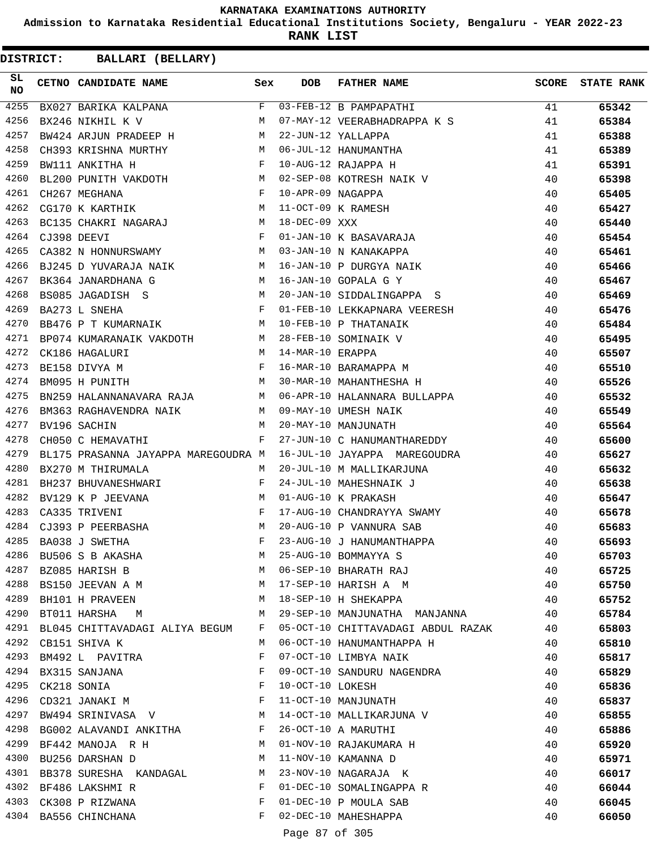**Admission to Karnataka Residential Educational Institutions Society, Bengaluru - YEAR 2022-23**

**RANK LIST**

**DISTRICT:** CC **BALLARI (BELLARY)**

| SL.<br><b>NO</b> | CETNO CANDIDATE NAME Sex                                                                                                                                                                                                                                 |              | <b>DOB</b>          | FATHER NAME                                                                                                                         |    | <b>SCORE</b> STATE RANK |
|------------------|----------------------------------------------------------------------------------------------------------------------------------------------------------------------------------------------------------------------------------------------------------|--------------|---------------------|-------------------------------------------------------------------------------------------------------------------------------------|----|-------------------------|
| 4255             |                                                                                                                                                                                                                                                          |              |                     | BX027 BARIKA KALPANA                         F   03-FEB-12 B PAMPAPATHI<br>M 07-MAY-12 VEERABHADRAPPA K S                           | 41 | 65342                   |
| 4256             |                                                                                                                                                                                                                                                          |              |                     |                                                                                                                                     | 41 | 65384                   |
| 4257             | BW424 ARJUN PRADEEP H M                                                                                                                                                                                                                                  |              |                     | 22-JUN-12 YALLAPPA<br>06-JUL-12 HANUMANTHA<br>10-AUG-12 RAJAPPA H<br>02-SEP-08 KOFFERALLAPPA H                                      | 41 | 65388                   |
| 4258             | CH393 KRISHNA MURTHY M                                                                                                                                                                                                                                   |              |                     |                                                                                                                                     | 41 | 65389                   |
| 4259             | $\mathbf{F}$<br>BW111 ANKITHA H                                                                                                                                                                                                                          |              |                     |                                                                                                                                     | 41 | 65391                   |
| 4260             | BL200 PUNITH VAKDOTH M                                                                                                                                                                                                                                   |              |                     | 02-SEP-08 KOTRESH NAIK V                                                                                                            | 40 | 65398                   |
| 4261             | $\mathbb{F}^{\mathbb{Z}}$ . The state of the state $\mathbb{F}^{\mathbb{Z}}$<br>CH267 MEGHANA                                                                                                                                                            |              | 10-APR-09 NAGAPPA   |                                                                                                                                     | 40 | 65405                   |
| 4262             | CG170 K KARTHIK M                                                                                                                                                                                                                                        |              |                     | 11-OCT-09 K RAMESH                                                                                                                  | 40 | 65427                   |
| 4263             | BC135 CHAKRI NAGARAJ M                                                                                                                                                                                                                                   |              | 18-DEC-09 XXX       |                                                                                                                                     | 40 | 65440                   |
| 4264             | $\mathbf{F}^{\mathrm{max}}$ and the set of the set of the set of the set of the set of the set of the set of the set of the set of the set of the set of the set of the set of the set of the set of the set of the set of the set of the<br>CJ398 DEEVI |              |                     | 01-JAN-10 K BASAVARAJA                                                                                                              | 40 | 65454                   |
| 4265             | CA382 N HONNURSWAMY M                                                                                                                                                                                                                                    |              |                     | 03-JAN-10 N KANAKAPPA<br>16-JAN-10 P DURGYA NAIK<br>16-JAN-10 GOPALA G Y                                                            | 40 | 65461                   |
| 4266             | BJ245 D YUVARAJA NAIK M                                                                                                                                                                                                                                  |              |                     |                                                                                                                                     | 40 | 65466                   |
| 4267             | BK364 JANARDHANA G M                                                                                                                                                                                                                                     |              |                     |                                                                                                                                     | 40 | 65467                   |
| 4268             |                                                                                                                                                                                                                                                          |              |                     | 20-JAN-10 SIDDALINGAPPA S                                                                                                           | 40 | 65469                   |
| 4269             |                                                                                                                                                                                                                                                          |              |                     | 01-FEB-10 LEKKAPNARA VEERESH                                                                                                        | 40 | 65476                   |
| 4270             |                                                                                                                                                                                                                                                          |              |                     | BB476 P T KUMARNAIK M 10-FEB-10 P THATANAIK<br>BP074 KUMARANAIK VAKDOTH M 28-FEB-10 SOMINAIK V<br>CK186 HAGALURI M 14-MAR-10 ERAPPA | 40 | 65484                   |
| 4271             |                                                                                                                                                                                                                                                          |              |                     |                                                                                                                                     | 40 | 65495                   |
| 4272             |                                                                                                                                                                                                                                                          |              |                     |                                                                                                                                     | 40 | 65507                   |
| 4273             | $\mathbb{R}^n$ . The contract of the state $\mathbb{R}^n$<br>BE158 DIVYA M                                                                                                                                                                               |              |                     | 16-MAR-10 BARAMAPPA M                                                                                                               | 40 | 65510                   |
| 4274             | M<br>BM095 H PUNITH                                                                                                                                                                                                                                      |              |                     | 30-MAR-10 MAHANTHESHA H                                                                                                             | 40 | 65526                   |
| 4275             |                                                                                                                                                                                                                                                          |              |                     |                                                                                                                                     | 40 | 65532                   |
| 4276             |                                                                                                                                                                                                                                                          |              |                     |                                                                                                                                     | 40 | 65549                   |
| 4277             |                                                                                                                                                                                                                                                          |              |                     |                                                                                                                                     | 40 | 65564                   |
| 4278             | $\mathbf{F}$<br>CH050 C HEMAVATHI                                                                                                                                                                                                                        |              |                     | 27-JUN-10 C HANUMANTHAREDDY                                                                                                         | 40 | 65600                   |
| 4279             | BL175 PRASANNA JAYAPPA MAREGOUDRA M                                                                                                                                                                                                                      |              |                     | 16-JUL-10 JAYAPPA MAREGOUDRA                                                                                                        | 40 | 65627                   |
| 4280             | BX270 M THIRUMALA                                                                                                                                                                                                                                        | M            |                     | 20-JUL-10 M MALLIKARJUNA                                                                                                            | 40 | 65632                   |
| 4281             | BH237 BHUVANESHWARI F                                                                                                                                                                                                                                    |              |                     | 24-JUL-10 MAHESHNAIK J<br>01-AUG-10 K PRAKASH                                                                                       | 40 | 65638                   |
| 4282             | BV129 K P JEEVANA $\begin{array}{ccc} \texttt{MVANA} & \texttt{M} \\ \texttt{CA335 TRIVENI} & & \texttt{F} \end{array}$                                                                                                                                  |              |                     | 01-AUG-10 K PRAKASH                                                                                                                 | 40 | 65647                   |
| 4283             |                                                                                                                                                                                                                                                          |              |                     | 17-AUG-10 CHANDRAYYA SWAMY                                                                                                          | 40 | 65678                   |
| 4284             | CJ393 P PEERBASHA M                                                                                                                                                                                                                                      |              |                     | 20-AUG-10 P VANNURA SAB                                                                                                             | 40 | 65683                   |
| 4285             | BA038 J SWETHA                                                                                                                                                                                                                                           | F            |                     | 23-AUG-10 J HANUMANTHAPPA                                                                                                           | 40 | 65693                   |
| 4286             | BU506 S B AKASHA                                                                                                                                                                                                                                         | М            |                     | 25-AUG-10 BOMMAYYA S                                                                                                                | 40 | 65703                   |
|                  | 4287 BZ085 HARISH B                                                                                                                                                                                                                                      | M            |                     | 06-SEP-10 BHARATH RAJ                                                                                                               | 40 | 65725                   |
| 4288             | BS150 JEEVAN A M                                                                                                                                                                                                                                         | M            |                     | 17-SEP-10 HARISH A M                                                                                                                | 40 | 65750                   |
| 4289             | BH101 H PRAVEEN                                                                                                                                                                                                                                          | M            |                     | 18-SEP-10 H SHEKAPPA                                                                                                                | 40 | 65752                   |
|                  | 4290 BT011 HARSHA M                                                                                                                                                                                                                                      | M            |                     | 29-SEP-10 MANJUNATHA MANJANNA                                                                                                       | 40 | 65784                   |
| 4291             | BL045 CHITTAVADAGI ALIYA BEGUM                                                                                                                                                                                                                           | F            |                     | 05-OCT-10 CHITTAVADAGI ABDUL RAZAK                                                                                                  | 40 | 65803                   |
| 4292             | CB151 SHIVA K                                                                                                                                                                                                                                            | М            |                     | 06-OCT-10 HANUMANTHAPPA H                                                                                                           | 40 | 65810                   |
| 4293             | BM492 L PAVITRA                                                                                                                                                                                                                                          | F            |                     | 07-OCT-10 LIMBYA NAIK                                                                                                               | 40 | 65817                   |
| 4294             | BX315 SANJANA                                                                                                                                                                                                                                            | F            |                     | 09-OCT-10 SANDURU NAGENDRA                                                                                                          | 40 | 65829                   |
| 4295             | CK218 SONIA                                                                                                                                                                                                                                              | F            | 10-OCT-10 LOKESH    |                                                                                                                                     | 40 | 65836                   |
| 4296             | CD321 JANAKI M                                                                                                                                                                                                                                           | F            |                     | 11-OCT-10 MANJUNATH                                                                                                                 | 40 | 65837                   |
| 4297             | BW494 SRINIVASA V M                                                                                                                                                                                                                                      |              |                     | 14-OCT-10 MALLIKARJUNA V                                                                                                            | 40 | 65855                   |
|                  | 4298 BG002 ALAVANDI ANKITHA F                                                                                                                                                                                                                            |              |                     | 26-OCT-10 A MARUTHI                                                                                                                 | 40 | 65886                   |
|                  | 4299 BF442 MANOJA R H                                                                                                                                                                                                                                    | M            |                     | 01-NOV-10 RAJAKUMARA H                                                                                                              | 40 | 65920                   |
| 4300             | BU256 DARSHAN D                                                                                                                                                                                                                                          | M            |                     | 11-NOV-10 KAMANNA D                                                                                                                 | 40 | 65971                   |
| 4301             | BB378 SURESHA KANDAGAL                                                                                                                                                                                                                                   | M            |                     | 23-NOV-10 NAGARAJA K                                                                                                                | 40 | 66017                   |
|                  | 4302 BF486 LAKSHMI R                                                                                                                                                                                                                                     | F            |                     | 01-DEC-10 SOMALINGAPPA R                                                                                                            | 40 | 66044                   |
|                  | 4303 CK308 P RIZWANA                                                                                                                                                                                                                                     | F            |                     | 01-DEC-10 P MOULA SAB                                                                                                               | 40 | 66045                   |
|                  | 4304 BA556 CHINCHANA                                                                                                                                                                                                                                     | $\mathbf{F}$ |                     | 02-DEC-10 MAHESHAPPA                                                                                                                | 40 | 66050                   |
|                  |                                                                                                                                                                                                                                                          |              | $D = 0.7$ $D = 0.7$ |                                                                                                                                     |    |                         |

Page 87 of 305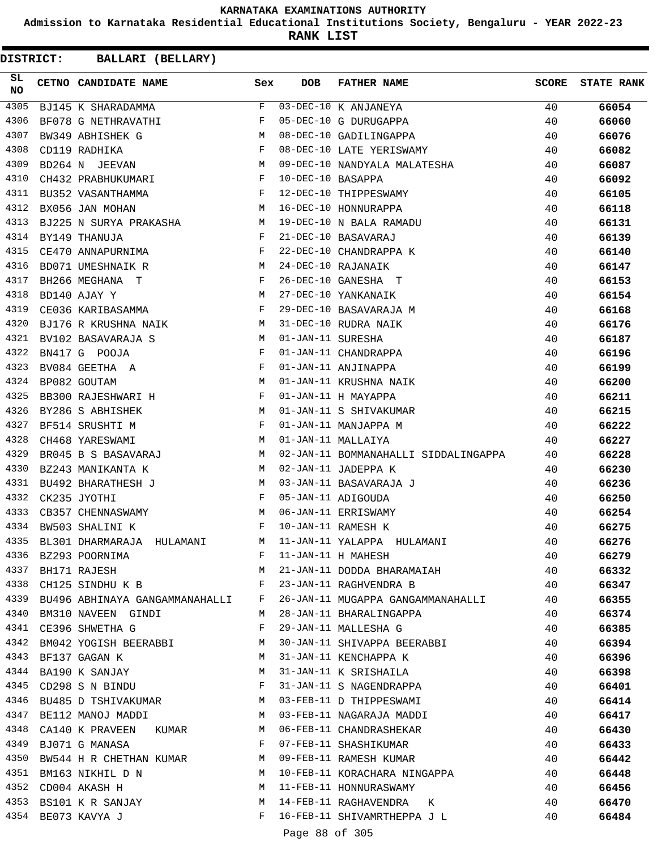**Admission to Karnataka Residential Educational Institutions Society, Bengaluru - YEAR 2022-23**

**RANK LIST**

**DISTRICT:** CC **BALLARI (BELLARY)**

| SL<br><b>NO</b> | CETNO CANDIDATE NAME Sex                                                                                                                                                                                                                                                                                                                                                                                                                                                     |   | DOB | <b>FATHER NAME</b>                                                                                                                                                                                                                                           | <b>SCORE</b> | <b>STATE RANK</b> |
|-----------------|------------------------------------------------------------------------------------------------------------------------------------------------------------------------------------------------------------------------------------------------------------------------------------------------------------------------------------------------------------------------------------------------------------------------------------------------------------------------------|---|-----|--------------------------------------------------------------------------------------------------------------------------------------------------------------------------------------------------------------------------------------------------------------|--------------|-------------------|
| 4305            | $\overline{F}$<br>BJ145 K SHARADAMMA                                                                                                                                                                                                                                                                                                                                                                                                                                         |   |     | 03-DEC-10 K ANJANEYA<br>05-DEC-10 G DURUGAPPA<br>08-DEC-10 GADILINGAPPA<br>08-DEC-10 LATE YERISWAMY                                                                                                                                                          | 40           | 66054             |
| 4306            | BF078 G NETHRAVATHI                                                                                                                                                                                                                                                                                                                                                                                                                                                          | F |     |                                                                                                                                                                                                                                                              | 40           | 66060             |
| 4307            | $\begin{array}{ccc} \text{G} & \text{M} & \text{M} \\ & & \text{F} \\ \text{M} & & \\ \end{array}$<br>BW349 ABHISHEK G                                                                                                                                                                                                                                                                                                                                                       |   |     |                                                                                                                                                                                                                                                              | 40           | 66076             |
| 4308            | CD119 RADHIKA                                                                                                                                                                                                                                                                                                                                                                                                                                                                |   |     |                                                                                                                                                                                                                                                              | 40           | 66082             |
| 4309            | BD264 N JEEVAN                                                                                                                                                                                                                                                                                                                                                                                                                                                               |   |     | 09-DEC-10 NANDYALA MALATESHA                                                                                                                                                                                                                                 | 40           | 66087             |
| 4310            | CH432 PRABHUKUMARI F                                                                                                                                                                                                                                                                                                                                                                                                                                                         |   |     |                                                                                                                                                                                                                                                              | 40           | 66092             |
| 4311            | BU352 VASANTHAMMA F                                                                                                                                                                                                                                                                                                                                                                                                                                                          |   |     |                                                                                                                                                                                                                                                              | 40           | 66105             |
| 4312            | M<br>BX056 JAN MOHAN                                                                                                                                                                                                                                                                                                                                                                                                                                                         |   |     | 10-DEC-10 BASAPPA<br>12-DEC-10 THIPPESWAMY<br>16-DEC-10 HONNURAPPA<br>19-DEC-10 N BALA RAMADU                                                                                                                                                                | 40           | 66118             |
| 4313            | BJ225 N SURYA PRAKASHA M                                                                                                                                                                                                                                                                                                                                                                                                                                                     |   |     |                                                                                                                                                                                                                                                              | 40           | 66131             |
| 4314            | $\mathbf{F}$ and the set of the set of the set of the set of the set of the set of the set of the set of the set of the set of the set of the set of the set of the set of the set of the set of the set of the set of the set of<br>BY149 THANUJA                                                                                                                                                                                                                           |   |     | 21-DEC-10 BASAVARAJ                                                                                                                                                                                                                                          | 40           | 66139             |
| 4315            | CE470 ANNAPURNIMA $F$                                                                                                                                                                                                                                                                                                                                                                                                                                                        |   |     |                                                                                                                                                                                                                                                              | 40           | 66140             |
| 4316            | M<br>BD071 UMESHNAIK R                                                                                                                                                                                                                                                                                                                                                                                                                                                       |   |     |                                                                                                                                                                                                                                                              | 40           | 66147             |
| 4317            | BH266 MEGHANA T                                                                                                                                                                                                                                                                                                                                                                                                                                                              |   |     |                                                                                                                                                                                                                                                              | 40           | 66153             |
| 4318            | $\begin{aligned} \mathbf{F} \\ \mathbf{M} \end{aligned}$<br>BD140 AJAY Y                                                                                                                                                                                                                                                                                                                                                                                                     |   |     |                                                                                                                                                                                                                                                              | 40           | 66154             |
| 4319            | $\mathbf{F}$<br>CE036 KARIBASAMMA                                                                                                                                                                                                                                                                                                                                                                                                                                            |   |     |                                                                                                                                                                                                                                                              | 40           | 66168             |
| 4320            | BJ176 R KRUSHNA NAIK M                                                                                                                                                                                                                                                                                                                                                                                                                                                       |   |     |                                                                                                                                                                                                                                                              | 40           | 66176             |
| 4321            | BV102 BASAVARAJA S<br>M <sub>N</sub>                                                                                                                                                                                                                                                                                                                                                                                                                                         |   |     |                                                                                                                                                                                                                                                              | 40           | 66187             |
| 4322            | $\mathbf{F}^{\mathcal{A}}_{\mathcal{A}}=\mathbf{F}^{\mathcal{A}}_{\mathcal{A}}\mathbf{F}^{\mathcal{A}}_{\mathcal{A}}$<br>BN417 G POOJA                                                                                                                                                                                                                                                                                                                                       |   |     |                                                                                                                                                                                                                                                              | 40           | 66196             |
| 4323            | ${\tt BVO84} \begin{tabular}{llllll} \multicolumn{2}{c}{\tt BVO84} \end{tabular} \begin{tabular}{lllllllll} \multicolumn{2}{c}{\tt BPO82} \end{tabular} \begin{tabular}{lllllllllll} \multicolumn{2}{c}{\tt BPO82} \end{tabular} \begin{tabular}{lllllllllll} \multicolumn{2}{c}{\tt BPO81} \end{tabular} \begin{tabular}{lllllllllll} \multicolumn{2}{c}{\tt BPO82} \end{tabular} \begin{tabular}{lllllllllllllllllll} \multicolumn{2}{c}{\tt BPO81} \end{tabular} \begin{$ |   |     |                                                                                                                                                                                                                                                              | 40           | 66199             |
| 4324            |                                                                                                                                                                                                                                                                                                                                                                                                                                                                              |   |     |                                                                                                                                                                                                                                                              | 40           | 66200             |
| 4325            | BB300 RAJESHWARI H F                                                                                                                                                                                                                                                                                                                                                                                                                                                         |   |     |                                                                                                                                                                                                                                                              | 40           | 66211             |
| 4326            | M <sub>1</sub><br>BY286 S ABHISHEK                                                                                                                                                                                                                                                                                                                                                                                                                                           |   |     |                                                                                                                                                                                                                                                              | 40           | 66215             |
| 4327            | BF514 SRUSHTI M F                                                                                                                                                                                                                                                                                                                                                                                                                                                            |   |     |                                                                                                                                                                                                                                                              | 40           | 66222             |
| 4328            | CH468 YARESWAMI                                                                                                                                                                                                                                                                                                                                                                                                                                                              | M |     | 21-DEC-10 BASAVARAJ<br>22-DEC-10 CHANDRAPPA K<br>24-DEC-10 RAJANAIK<br>26-DEC-10 GANESHA T<br>27-DEC-10 GANESHA T<br>29-DEC-10 BASAVARAJA M<br>31-DEC-10 RUDRA NAIK<br>01-JAN-11 SURESHA<br>01-JAN-11 KRUSHNA NAIK<br>01-JAN-11 H MAYAPPA<br>01-JAN-11 S SHI | 40           | 66227             |
| 4329            | BR045 B S BASAVARAJ M                                                                                                                                                                                                                                                                                                                                                                                                                                                        |   |     | 02-JAN-11 BOMMANAHALLI SIDDALINGAPPA                                                                                                                                                                                                                         | 40           | 66228             |
| 4330            | <b>Example 20</b> Manual Manual Manual Manual Manual Manual Manual Manual Manual Manual Manual Manual Manual Manual Ma<br>BZ243 MANIKANTA K                                                                                                                                                                                                                                                                                                                                  |   |     | 02-JAN-11 JADEPPA K                                                                                                                                                                                                                                          | 40           | 66230             |
| 4331            |                                                                                                                                                                                                                                                                                                                                                                                                                                                                              |   |     | 03-JAN-11 BASAVARAJA J                                                                                                                                                                                                                                       | 40           | 66236             |
| 4332            | BU492 BHARATHESH J<br>CK235 JYOTHI F                                                                                                                                                                                                                                                                                                                                                                                                                                         |   |     | 05-JAN-11 ADIGOUDA                                                                                                                                                                                                                                           | 40           | 66250             |
| 4333            | CB357 CHENNASWAMY M                                                                                                                                                                                                                                                                                                                                                                                                                                                          |   |     | 06-JAN-11 ERRISWAMY                                                                                                                                                                                                                                          | 40           | 66254             |
| 4334            | $\mathbf{F}$ and $\mathbf{F}$ and $\mathbf{F}$<br>BW503 SHALINI K                                                                                                                                                                                                                                                                                                                                                                                                            |   |     | 10-JAN-11 RAMESH K                                                                                                                                                                                                                                           | 40           | 66275             |
| 4335            | M <sub>N</sub><br>BL301 DHARMARAJA HULAMANI                                                                                                                                                                                                                                                                                                                                                                                                                                  |   |     | 11-JAN-11 YALAPPA HULAMANI                                                                                                                                                                                                                                   | 40           | 66276             |
| 4336            | BZ293 POORNIMA<br>BH171 RAJESH                                                                                                                                                                                                                                                                                                                                                                                                                                               | F |     | 11-JAN-11 H MAHESH                                                                                                                                                                                                                                           | 40           | 66279             |
| 4337            |                                                                                                                                                                                                                                                                                                                                                                                                                                                                              | M |     | 21-JAN-11 DODDA BHARAMAIAH                                                                                                                                                                                                                                   | 40           | 66332             |
| 4338            | CH125 SINDHU K B F                                                                                                                                                                                                                                                                                                                                                                                                                                                           |   |     | 23-JAN-11 RAGHVENDRA B                                                                                                                                                                                                                                       | 40           | 66347             |
| 4339            | BU496 ABHINAYA GANGAMMANAHALLI F                                                                                                                                                                                                                                                                                                                                                                                                                                             |   |     | 26-JAN-11 MUGAPPA GANGAMMANAHALLI                                                                                                                                                                                                                            | - 40         | 66355             |
| 4340            | BM310 NAVEEN GINDI                                                                                                                                                                                                                                                                                                                                                                                                                                                           | M |     | 28-JAN-11 BHARALINGAPPA                                                                                                                                                                                                                                      | 40           | 66374             |
| 4341            | CE396 SHWETHA G                                                                                                                                                                                                                                                                                                                                                                                                                                                              | F |     | 29-JAN-11 MALLESHA G                                                                                                                                                                                                                                         | 40           | 66385             |
| 4342            | BM042 YOGISH BEERABBI M                                                                                                                                                                                                                                                                                                                                                                                                                                                      |   |     | 30-JAN-11 SHIVAPPA BEERABBI                                                                                                                                                                                                                                  | 40           | 66394             |
| 4343            | BF137 GAGAN K                                                                                                                                                                                                                                                                                                                                                                                                                                                                | М |     | 31-JAN-11 KENCHAPPA K                                                                                                                                                                                                                                        | 40           | 66396             |
|                 | 4344 BA190 K SANJAY                                                                                                                                                                                                                                                                                                                                                                                                                                                          | М |     | 31-JAN-11 K SRISHAILA                                                                                                                                                                                                                                        | 40           | 66398             |
| 4345            | CD298 S N BINDU                                                                                                                                                                                                                                                                                                                                                                                                                                                              | F |     | 31-JAN-11 S NAGENDRAPPA                                                                                                                                                                                                                                      | 40           | 66401             |
| 4346            | BU485 D TSHIVAKUMAR M                                                                                                                                                                                                                                                                                                                                                                                                                                                        |   |     | 03-FEB-11 D THIPPESWAMI                                                                                                                                                                                                                                      | 40           | 66414             |
| 4347            | M<br>BE112 MANOJ MADDI                                                                                                                                                                                                                                                                                                                                                                                                                                                       |   |     | 03-FEB-11 NAGARAJA MADDI                                                                                                                                                                                                                                     | 40           | 66417             |
| 4348            | CA140 K PRAVEEN KUMAR M                                                                                                                                                                                                                                                                                                                                                                                                                                                      |   |     | 06-FEB-11 CHANDRASHEKAR                                                                                                                                                                                                                                      | 40           | 66430             |
| 4349            | BJ071 G MANASA                                                                                                                                                                                                                                                                                                                                                                                                                                                               | F |     | 07-FEB-11 SHASHIKUMAR                                                                                                                                                                                                                                        | 40           | 66433             |
| 4350            | BW544 H R CHETHAN KUMAR M                                                                                                                                                                                                                                                                                                                                                                                                                                                    |   |     | 09-FEB-11 RAMESH KUMAR                                                                                                                                                                                                                                       | 40           | 66442             |
| 4351            | BM163 NIKHIL D N                                                                                                                                                                                                                                                                                                                                                                                                                                                             | M |     | 10-FEB-11 KORACHARA NINGAPPA                                                                                                                                                                                                                                 | 40           | 66448             |
|                 | 4352 CD004 AKASH H                                                                                                                                                                                                                                                                                                                                                                                                                                                           | М |     | 11-FEB-11 HONNURASWAMY                                                                                                                                                                                                                                       | 40           | 66456             |
|                 | 4353 BS101 K R SANJAY                                                                                                                                                                                                                                                                                                                                                                                                                                                        | M |     | 14-FEB-11 RAGHAVENDRA K                                                                                                                                                                                                                                      | 40           | 66470             |
|                 | 4354 BE073 KAVYA J                                                                                                                                                                                                                                                                                                                                                                                                                                                           | F |     | 16-FEB-11 SHIVAMRTHEPPA J L                                                                                                                                                                                                                                  | 40           | 66484             |
|                 |                                                                                                                                                                                                                                                                                                                                                                                                                                                                              |   |     |                                                                                                                                                                                                                                                              |              |                   |

Page 88 of 305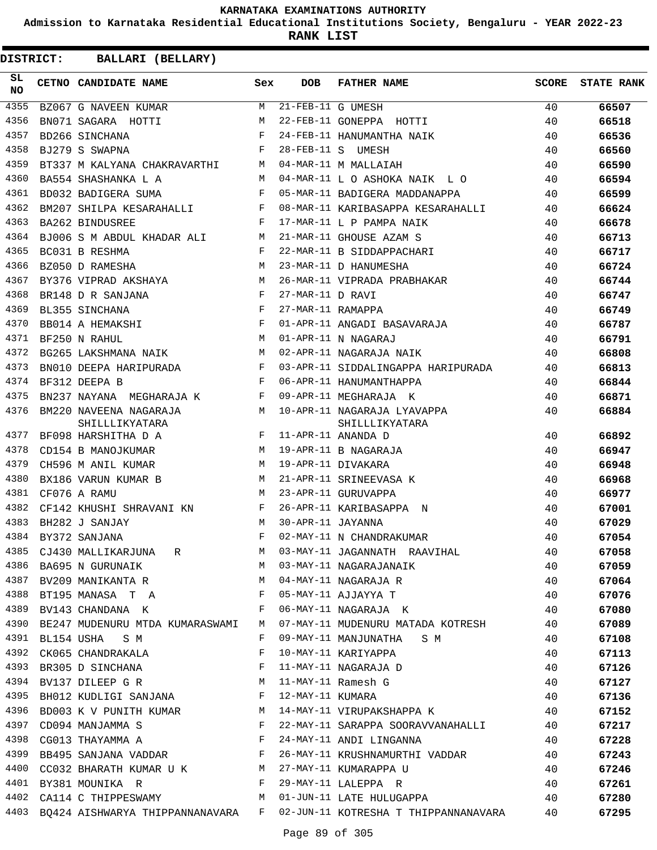**Admission to Karnataka Residential Educational Institutions Society, Bengaluru - YEAR 2022-23**

**RANK LIST**

| SL<br>NO | CETNO CANDIDATE NAME                                                                                                                                                                                                                                   | Sex          | DOB               | FATHER NAME                                                                                        | SCORE | <b>STATE RANK</b> |
|----------|--------------------------------------------------------------------------------------------------------------------------------------------------------------------------------------------------------------------------------------------------------|--------------|-------------------|----------------------------------------------------------------------------------------------------|-------|-------------------|
| 4355     | BZ067 G NAVEEN KUMAR M 21-FEB-11 G UMESH                                                                                                                                                                                                               |              |                   | 21-FEB-11 G UMESH<br>22-FEB-11 GONEPPA HOTTI                                                       | 40    | 66507             |
| 4356     | BN071 SAGARA HOTTI M                                                                                                                                                                                                                                   |              |                   |                                                                                                    | 40    | 66518             |
| 4357     | $\mathbb{F}^{\mathbb{Z}}$ . The state of the state $\mathbb{F}^{\mathbb{Z}}$<br>BD266 SINCHANA                                                                                                                                                         |              |                   | 24-FEB-11 HANUMANTHA NAIK                                                                          | 40    | 66536             |
| 4358     | $\mathbf{F}$<br>BJ279 S SWAPNA                                                                                                                                                                                                                         |              |                   | 28-FEB-11 S UMESH                                                                                  | 40    | 66560             |
| 4359     | BT337 M KALYANA CHAKRAVARTHI M                                                                                                                                                                                                                         |              |                   | 04-MAR-11 M MALLAIAH                                                                               | 40    | 66590             |
| 4360     | BA554 SHASHANKA L A<br>M <sub>1</sub>                                                                                                                                                                                                                  |              |                   | 04-MAR-11 L O ASHOKA NAIK L O                                                                      | 40    | 66594             |
| 4361     | $\mathbf{F}$ and $\mathbf{F}$ and $\mathbf{F}$<br>BD032 BADIGERA SUMA                                                                                                                                                                                  |              |                   | 05-MAR-11 BADIGERA MADDANAPPA                                                                      | 40    | 66599             |
| 4362     | BM207 SHILPA KESARAHALLI F                                                                                                                                                                                                                             |              |                   | 08-MAR-11 KARIBASAPPA KESARAHALLI                                                                  | 40    | 66624             |
| 4363     | $\mathbf{F}$ and $\mathbf{F}$ are $\mathbf{F}$<br>BA262 BINDUSREE                                                                                                                                                                                      |              |                   | 17-MAR-11 L P PAMPA NAIK                                                                           | 40    | 66678             |
| 4364     | BJ006 S M ABDUL KHADAR ALI M                                                                                                                                                                                                                           |              |                   | 21-MAR-11 GHOUSE AZAM S                                                                            | 40    | 66713             |
| 4365     | $\mathbf{F}$ and $\mathbf{F}$ and $\mathbf{F}$<br>BC031 B RESHMA                                                                                                                                                                                       |              |                   | 22-MAR-11 B SIDDAPPACHARI                                                                          | 40    | 66717             |
| 4366     | M<br>BZ050 D RAMESHA                                                                                                                                                                                                                                   |              |                   | 23-MAR-11 D HANUMESHA                                                                              | 40    | 66724             |
| 4367     | BY376 VIPRAD AKSHAYA M                                                                                                                                                                                                                                 |              |                   | 26-MAR-11 VIPRADA PRABHAKAR                                                                        | 40    | 66744             |
| 4368     | $\mathbf{F}$ . The set of the set of the set of the set of the set of the set of the set of the set of the set of the set of the set of the set of the set of the set of the set of the set of the set of the set of the set of t<br>BR148 D R SANJANA |              | 27-MAR-11 D RAVI  |                                                                                                    | 40    | 66747             |
| 4369     | $\mathbf{F}$<br>BL355 SINCHANA                                                                                                                                                                                                                         |              | 27-MAR-11 RAMAPPA |                                                                                                    | 40    | 66749             |
| 4370     | BB014 A HEMAKSHI F                                                                                                                                                                                                                                     |              |                   | 01-APR-11 ANGADI BASAVARAJA                                                                        | 40    | 66787             |
| 4371     | BF250 N RAHUL                                                                                                                                                                                                                                          | M            |                   | 01-APR-11 N NAGARAJ                                                                                | 40    | 66791             |
| 4372     | BG265 LAKSHMANA NAIK M                                                                                                                                                                                                                                 |              |                   | 02-APR-11 NAGARAJA NAIK                                                                            | 40    | 66808             |
| 4373     | BN010 DEEPA HARIPURADA F                                                                                                                                                                                                                               |              |                   | 03-APR-11 SIDDALINGAPPA HARIPURADA                                                                 | 40    | 66813             |
| 4374     | $\mathbf{F}$<br>BF312 DEEPA B                                                                                                                                                                                                                          |              |                   | 06-APR-11 HANUMANTHAPPA                                                                            | 40    | 66844             |
| 4375     | BN237 NAYANA MEGHARAJA K                                                                                                                                                                                                                               |              |                   | 09-APR-11 MEGHARAJA K                                                                              | 40    | 66871             |
| 4376     | BM220 NAVEENA NAGARAJA<br>SHILLLIKYATARA                                                                                                                                                                                                               |              |                   | M 10-APR-11 NAGARAJA LYAVAPPA<br>SHILLLIKYATARA                                                    | 40    | 66884             |
| 4377     | BF098 HARSHITHA D A $$\rm{F}$ 11-APR-11 ANANDA D                                                                                                                                                                                                       |              |                   |                                                                                                    | 40    | 66892             |
| 4378     | CD154 B MANOJKUMAR M M 19-APR-11 B NAGARAJA                                                                                                                                                                                                            |              |                   |                                                                                                    | 40    | 66947             |
| 4379     | CH596 M ANIL KUMAR M 19-APR-11 DIVAKARA                                                                                                                                                                                                                |              |                   |                                                                                                    | 40    | 66948             |
| 4380     | BX186 VARUN KUMAR B M                                                                                                                                                                                                                                  |              |                   | 21-APR-11 SRINEEVASA K                                                                             | 40    | 66968             |
| 4381     | CF076 A RAMU                                                                                                                                                                                                                                           | M            |                   | 23-APR-11 GURUVAPPA                                                                                | 40    | 66977             |
| 4382     | CF142 KHUSHI SHRAVANI KN F                                                                                                                                                                                                                             |              |                   | 26-APR-11 KARIBASAPPA N                                                                            | 40    | 67001             |
| 4383     | M<br>BH282 J SANJAY                                                                                                                                                                                                                                    |              | 30-APR-11 JAYANNA |                                                                                                    | 40    | 67029             |
|          | 4384 BY372 SANJANA                                                                                                                                                                                                                                     | F            |                   | 02-MAY-11 N CHANDRAKUMAR                                                                           | 40    | 67054             |
| 4385     |                                                                                                                                                                                                                                                        |              |                   | CJ430 MALLIKARJUNA R M 03-MAY-11 JAGANNATH RAAVIHAL 40                                             |       | 67058             |
| 4386     | BA695 N GURUNAIK M                                                                                                                                                                                                                                     |              |                   | 03-MAY-11 NAGARAJANAIK                                                                             | 40    | 67059             |
| 4387     | BV209 MANIKANTA R M                                                                                                                                                                                                                                    |              |                   | 04-MAY-11 NAGARAJA R<br>05-MAY-11 AJJAYYA T<br>06-MAY-11 NAGARAJA K                                | 40    | 67064             |
| 4388     | BT195 MANASA T A F                                                                                                                                                                                                                                     |              |                   |                                                                                                    | 40    | 67076             |
| 4389     | $\mathbf{F}$ and the set of the set of the set of the set of the set of the set of the set of the set of the set of the set of the set of the set of the set of the set of the set of the set of the set of the set of the set of<br>BV143 CHANDANA K  |              |                   |                                                                                                    | 40    | 67080             |
| 4390     |                                                                                                                                                                                                                                                        |              |                   | BE247 MUDENURU MTDA KUMARASWAMI M 07-MAY-11 MUDENURU MATADA KOTRESH                                | 40    | 67089             |
| 4391     | BL154 USHA S M                                                                                                                                                                                                                                         | F            |                   | 09-MAY-11 MANJUNATHA S M                                                                           | 40    | 67108             |
| 4392     | CK065 CHANDRAKALA                                                                                                                                                                                                                                      | $\mathbf{F}$ |                   | 10-MAY-11 KARIYAPPA                                                                                | 40    | 67113             |
| 4393     | BR305 D SINCHANA F                                                                                                                                                                                                                                     |              |                   | ------------<br>11-MAY-11 NAGARAJA D<br>11-MAY-11 Ramesh G<br>12-MAY-11 KUMARA<br>14-MAY-11 WINGHA | 40    | 67126             |
| 4394     | BV137 DILEEP G R M                                                                                                                                                                                                                                     |              |                   |                                                                                                    | 40    | 67127             |
| 4395     | BH012 KUDLIGI SANJANA F                                                                                                                                                                                                                                |              |                   |                                                                                                    | 40    | 67136             |
|          | 4396 BD003 K V PUNITH KUMAR M                                                                                                                                                                                                                          |              |                   | 14-MAY-11 VIRUPAKSHAPPA K                                                                          | 40    | 67152             |
| 4397     | F<br>CD094 MANJAMMA S                                                                                                                                                                                                                                  |              |                   | 22-MAY-11 SARAPPA SOORAVVANAHALLI                                                                  | 40    | 67217             |
| 4398     | $\mathbf{F}$<br>CG013 THAYAMMA A                                                                                                                                                                                                                       |              |                   | 24-MAY-11 ANDI LINGANNA                                                                            | 40    | 67228             |
| 4399     | BB495 SANJANA VADDAR F                                                                                                                                                                                                                                 |              |                   | 26-MAY-11 KRUSHNAMURTHI VADDAR 40                                                                  |       | 67243             |
|          | 4400 CC032 BHARATH KUMAR U K M 27-MAY-11 KUMARAPPA U                                                                                                                                                                                                   |              |                   |                                                                                                    | 40    | 67246             |
| 4401     | $\mathbf{F}$ and $\mathbf{F}$ are the set of $\mathbf{F}$<br>BY381 MOUNIKA R                                                                                                                                                                           |              |                   | 29-MAY-11 LALEPPA R                                                                                | 40    | 67261             |
| 4402     | CA114 C THIPPESWAMY M                                                                                                                                                                                                                                  |              |                   | 01-JUN-11 LATE HULUGAPPA                                                                           | 40    | 67280             |
|          | 4403 BQ424 AISHWARYA THIPPANNANAVARA F                                                                                                                                                                                                                 |              |                   | 02-JUN-11 KOTRESHA T THIPPANNANAVARA                                                               | 40    | 67295             |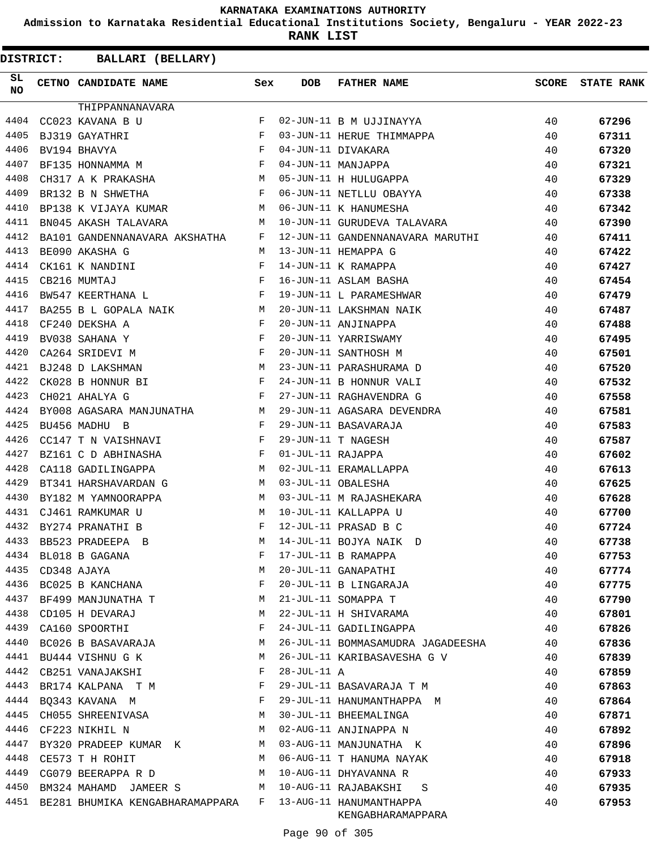**Admission to Karnataka Residential Educational Institutions Society, Bengaluru - YEAR 2022-23**

**RANK LIST**

| <b>DISTRICT:</b> | BALLARI (BELLARY)                    |              |                   |                                              |       |                   |
|------------------|--------------------------------------|--------------|-------------------|----------------------------------------------|-------|-------------------|
| SL.<br>NO.       | CETNO CANDIDATE NAME                 | Sex          | <b>DOB</b>        | <b>FATHER NAME</b>                           | SCORE | <b>STATE RANK</b> |
|                  | THIPPANNANAVARA                      |              |                   |                                              |       |                   |
| 4404             | CC023 KAVANA B U                     | F            |                   | 02-JUN-11 B M UJJINAYYA                      | 40    | 67296             |
| 4405             | BJ319 GAYATHRI                       | F            |                   | 03-JUN-11 HERUE THIMMAPPA                    | 40    | 67311             |
| 4406             | BV194 BHAVYA                         | F            |                   | 04-JUN-11 DIVAKARA                           | 40    | 67320             |
| 4407             | BF135 HONNAMMA M                     | F            |                   | 04-JUN-11 MANJAPPA                           | 40    | 67321             |
| 4408             | CH317 A K PRAKASHA                   | M            |                   | 05-JUN-11 H HULUGAPPA                        | 40    | 67329             |
| 4409             | BR132 B N SHWETHA                    | F            |                   | 06-JUN-11 NETLLU OBAYYA                      | 40    | 67338             |
| 4410             | BP138 K VIJAYA KUMAR                 | М            |                   | 06-JUN-11 K HANUMESHA                        | 40    | 67342             |
| 4411             | BN045 AKASH TALAVARA                 | М            |                   | 10-JUN-11 GURUDEVA TALAVARA                  | 40    | 67390             |
| 4412             | BA101 GANDENNANAVARA AKSHATHA        | F            |                   | 12-JUN-11 GANDENNANAVARA MARUTHI             | 40    | 67411             |
| 4413             | BE090 AKASHA G                       | M            |                   | 13-JUN-11 HEMAPPA G                          | 40    | 67422             |
| 4414             | CK161 K NANDINI                      | F            |                   | 14-JUN-11 K RAMAPPA                          | 40    | 67427             |
| 4415             | CB216 MUMTAJ                         | F            |                   | 16-JUN-11 ASLAM BASHA                        | 40    | 67454             |
| 4416             | BW547 KEERTHANA L                    | $\mathbf{F}$ |                   | 19-JUN-11 L PARAMESHWAR                      | 40    | 67479             |
| 4417             | BA255 B L GOPALA NAIK                | M            |                   | 20-JUN-11 LAKSHMAN NAIK                      | 40    | 67487             |
| 4418             | CF240 DEKSHA A                       | F            |                   | 20-JUN-11 ANJINAPPA                          | 40    | 67488             |
| 4419             | BV038 SAHANA Y                       | F            |                   | 20-JUN-11 YARRISWAMY                         | 40    | 67495             |
| 4420             | CA264 SRIDEVI M                      | F            |                   | 20-JUN-11 SANTHOSH M                         | 40    | 67501             |
| 4421             | BJ248 D LAKSHMAN                     | M            |                   | 23-JUN-11 PARASHURAMA D                      | 40    | 67520             |
| 4422             | CK028 B HONNUR BI                    | F            |                   | 24-JUN-11 B HONNUR VALI                      | 40    | 67532             |
| 4423             | CH021 AHALYA G<br>in the Fig.        |              |                   | 27-JUN-11 RAGHAVENDRA G                      | 40    | 67558             |
| 4424             | BY008 AGASARA MANJUNATHA             | M            |                   | 29-JUN-11 AGASARA DEVENDRA                   | 40    | 67581             |
| 4425             | BU456 MADHU B                        | F            |                   | 29-JUN-11 BASAVARAJA                         | 40    | 67583             |
| 4426             | CC147 T N VAISHNAVI                  | F            |                   | 29-JUN-11 T NAGESH                           | 40    | 67587             |
| 4427             | BZ161 C D ABHINASHA                  | F            | 01-JUL-11 RAJAPPA |                                              | 40    | 67602             |
| 4428             | CA118 GADILINGAPPA                   | M            |                   | 02-JUL-11 ERAMALLAPPA                        | 40    | 67613             |
| 4429             | BT341 HARSHAVARDAN G                 | M            |                   | 03-JUL-11 OBALESHA                           | 40    | 67625             |
| 4430             | BY182 M YAMNOORAPPA                  | M            |                   | 03-JUL-11 M RAJASHEKARA                      |       |                   |
| 4431             |                                      | M            |                   |                                              | 40    | 67628             |
| 4432             | CJ461 RAMKUMAR U<br>BY274 PRANATHI B | $_{\rm F}$   |                   | 10-JUL-11 KALLAPPA U<br>12-JUL-11 PRASAD B C | 40    | 67700             |
|                  |                                      |              |                   |                                              | 40    | 67724             |
| 4433             | BB523 PRADEEPA B                     | M            |                   | 14-JUL-11 BOJYA NAIK D                       | 40    | 67738             |
| 4434             | BL018 B GAGANA                       | F            |                   | 17-JUL-11 B RAMAPPA                          | 40    | 67753             |
| 4435             | CD348 AJAYA                          | М            |                   | 20-JUL-11 GANAPATHI                          | 40    | 67774             |
| 4436             | BC025 B KANCHANA                     | F            |                   | 20-JUL-11 B LINGARAJA                        | 40    | 67775             |
| 4437             | BF499 MANJUNATHA T                   | M            |                   | 21-JUL-11 SOMAPPA T                          | 40    | 67790             |
| 4438             | CD105 H DEVARAJ                      | М            |                   | 22-JUL-11 H SHIVARAMA                        | 40    | 67801             |
| 4439             | CA160 SPOORTHI                       | F            |                   | 24-JUL-11 GADILINGAPPA                       | 40    | 67826             |
| 4440             | BC026 B BASAVARAJA                   | М            |                   | 26-JUL-11 BOMMASAMUDRA JAGADEESHA            | 40    | 67836             |
| 4441             | BU444 VISHNU G K                     | М            |                   | 26-JUL-11 KARIBASAVESHA G V                  | 40    | 67839             |
| 4442             | CB251 VANAJAKSHI                     | F            | 28-JUL-11 A       |                                              | 40    | 67859             |
| 4443             | BR174 KALPANA T M                    | F            |                   | 29-JUL-11 BASAVARAJA T M                     | 40    | 67863             |
| 4444             | BQ343 KAVANA M                       | F            |                   | 29-JUL-11 HANUMANTHAPPA M                    | 40    | 67864             |
| 4445             | CH055 SHREENIVASA                    | M            |                   | 30-JUL-11 BHEEMALINGA                        | 40    | 67871             |
| 4446             | CF223 NIKHIL N                       | М            |                   | 02-AUG-11 ANJINAPPA N                        | 40    | 67892             |
| 4447             | BY320 PRADEEP KUMAR K                | M            |                   | 03-AUG-11 MANJUNATHA K                       | 40    | 67896             |
| 4448             | CE573 T H ROHIT                      | M            |                   | 06-AUG-11 T HANUMA NAYAK                     | 40    | 67918             |
| 4449             | CG079 BEERAPPA R D                   | M            |                   | 10-AUG-11 DHYAVANNA R                        | 40    | 67933             |
| 4450             | BM324 MAHAMD JAMEER S<br><b>M</b>    |              |                   | 10-AUG-11 RAJABAKSHI<br>S                    | 40    | 67935             |
| 4451             | BE281 BHUMIKA KENGABHARAMAPPARA      | F            |                   | 13-AUG-11 HANUMANTHAPPA<br>KENGABHARAMAPPARA | 40    | 67953             |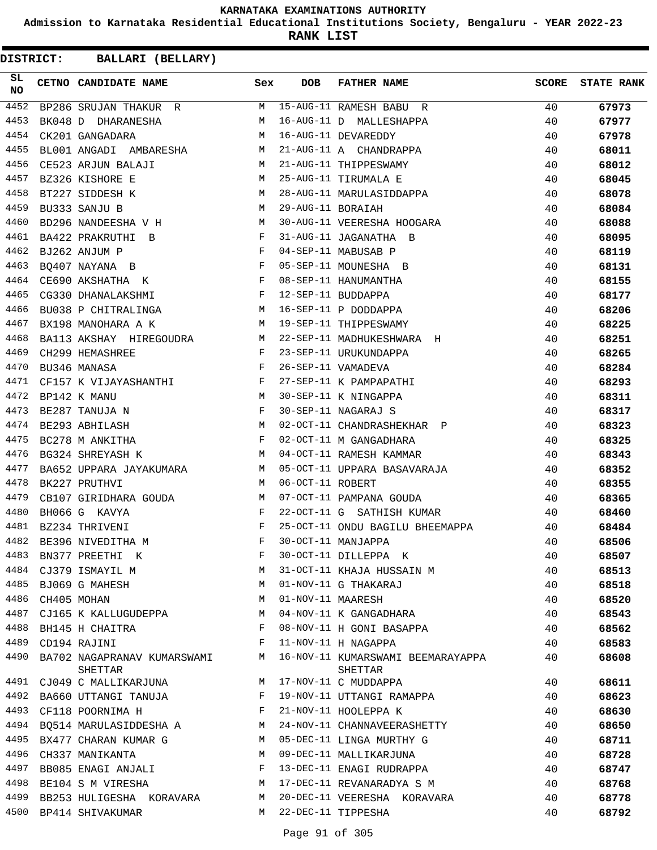**Admission to Karnataka Residential Educational Institutions Society, Bengaluru - YEAR 2022-23**

**RANK LIST**

| SL<br><b>NO</b> | CETNO CANDIDATE NAME Sex                                                                                                                                                                                                              |   | <b>DOB</b>        | FATHER NAME                                             | SCORE | <b>STATE RANK</b> |
|-----------------|---------------------------------------------------------------------------------------------------------------------------------------------------------------------------------------------------------------------------------------|---|-------------------|---------------------------------------------------------|-------|-------------------|
| 4452            | BP286 SRUJAN THAKUR R                                                                                                                                                                                                                 |   |                   | M 15-AUG-11 RAMESH BABU R                               | 40    | 67973             |
| 4453            | BK048 D DHARANESHA                                                                                                                                                                                                                    | M |                   | 16-AUG-11 D MALLESHAPPA                                 | 40    | 67977             |
| 4454            | CK201 GANGADARA                                                                                                                                                                                                                       | M |                   | 16-AUG-11 DEVAREDDY                                     | 40    | 67978             |
| 4455            | BL001 ANGADI AMBARESHA M                                                                                                                                                                                                              |   |                   | 21-AUG-11 A CHANDRAPPA                                  | 40    | 68011             |
| 4456            | M <sub>N</sub><br>CE523 ARJUN BALAJI                                                                                                                                                                                                  |   |                   | 21-AUG-11 THIPPESWAMY                                   | 40    | 68012             |
| 4457            | <b>M</b><br>BZ326 KISHORE E                                                                                                                                                                                                           |   |                   | 25-AUG-11 TIRUMALA E                                    | 40    | 68045             |
| 4458            | M<br>BT227 SIDDESH K                                                                                                                                                                                                                  |   |                   | 28-AUG-11 MARULASIDDAPPA                                | 40    | 68078             |
| 4459            | M <sub>N</sub><br>BU333 SANJU B                                                                                                                                                                                                       |   | 29-AUG-11 BORAIAH |                                                         | 40    | 68084             |
| 4460            |                                                                                                                                                                                                                                       |   |                   | BD296 NANDEESHA V H M 30-AUG-11 VEERESHA HOOGARA        | 40    | 68088             |
| 4461            | $\mathbf{F}$ and the contract of the contract $\mathbf{F}$<br>BA422 PRAKRUTHI B                                                                                                                                                       |   |                   | 31-AUG-11 JAGANATHA B                                   | 40    | 68095             |
| 4462            |                                                                                                                                                                                                                                       |   |                   |                                                         | 40    | 68119             |
| 4463            | $\begin{array}{lllllll} \texttt{BJ262} & \texttt{ANJUM} & \texttt{P} & & \texttt{F}\\ \texttt{BQ407} & \texttt{NAYANA} & \texttt{B} & & \texttt{F}\\ \texttt{CE690} & \texttt{AKSHATHA} & \texttt{K} & & \texttt{F} & \\ \end{array}$ |   |                   | 04-SEP-11 MABUSAB P<br>05-SEP-11 MOUNESHA B             | 40    | 68131             |
| 4464            |                                                                                                                                                                                                                                       |   |                   | 08-SEP-11 HANUMANTHA                                    | 40    | 68155             |
| 4465            | CG330 DHANALAKSHMI F 12-SEP-11 BUDDAPPA                                                                                                                                                                                               |   |                   |                                                         | 40    | 68177             |
| 4466            | BU038 P CHITRALINGA M 16-SEP-11 P DODDAPPA                                                                                                                                                                                            |   |                   |                                                         | 40    | 68206             |
| 4467            | BX198 MANOHARA A K                                                                                                                                                                                                                    |   |                   | M 19-SEP-11 THIPPESWAMY                                 | 40    | 68225             |
| 4468            |                                                                                                                                                                                                                                       |   |                   | BA113 AKSHAY HIREGOUDRA M 22-SEP-11 MADHUKESHWARA H     | 40    | 68251             |
| 4469            | $\mathbf{F}$ . The set of $\mathbf{F}$<br>CH299 HEMASHREE                                                                                                                                                                             |   |                   | 23-SEP-11 URUKUNDAPPA                                   | 40    | 68265             |
| 4470            | $\mathbf{F}$<br>BU346 MANASA                                                                                                                                                                                                          |   |                   | 26-SEP-11 VAMADEVA                                      | 40    | 68284             |
| 4471            |                                                                                                                                                                                                                                       |   |                   |                                                         | 40    | 68293             |
| 4472            | CF157 K VIJAYASHANTHI                     F   27-SEP-11 K PAMPAPATH<br>BP142 K MANU                                 M   30-SEP-11 K NINGAPPA                                                                                          |   |                   | 27-SEP-11 K PAMPAPATHI<br>30-SEP-11 K NINGAPPA          | 40    | 68311             |
| 4473            | BE287 TANUJA N                                                                                                                                                                                                                        |   |                   | 30-SEP-11 NAGARAJ S                                     | 40    | 68317             |
| 4474            | $\begin{array}{c}\n\text{F} \\ \text{M}\n\end{array}$<br>BE293 ABHILASH                                                                                                                                                               |   |                   | 02-OCT-11 CHANDRASHEKHAR P                              | 40    | 68323             |
| 4475            | $\mathbf{F}$<br>BC278 M ANKITHA                                                                                                                                                                                                       |   |                   | 02-OCT-11 M GANGADHARA                                  | 40    | 68325             |
| 4476            | M <sub>N</sub><br>BG324 SHREYASH K                                                                                                                                                                                                    |   |                   | 04-OCT-11 RAMESH KAMMAR                                 | 40    | 68343             |
| 4477            |                                                                                                                                                                                                                                       |   |                   | BA652 UPPARA JAYAKUMARA M M 05-OCT-11 UPPARA BASAVARAJA | 40    | 68352             |
| 4478            | M<br>BK227 PRUTHVI                                                                                                                                                                                                                    |   | 06-OCT-11 ROBERT  |                                                         | 40    | 68355             |
| 4479            |                                                                                                                                                                                                                                       |   |                   | 07-OCT-11 PAMPANA GOUDA                                 | 40    | 68365             |
| 4480            | CB107 GIRIDHARA GOUDA M<br>BH066 G KAVYA F                                                                                                                                                                                            |   |                   | 22-OCT-11 G SATHISH KUMAR                               | 40    | 68460             |
| 4481            | $\mathbf{F} = \mathbf{F} \times \mathbf{F}$<br>BZ234 THRIVENI                                                                                                                                                                         |   |                   | 25-OCT-11 ONDU BAGILU BHEEMAPPA 40                      |       | 68484             |
| 4482            | BE396 NIVEDITHA M                                                                                                                                                                                                                     | F |                   | 30-OCT-11 MANJAPPA                                      | 40    | 68506             |
| 4483            | BN377 PREETHI K                                                                                                                                                                                                                       | F |                   | 30-OCT-11 DILLEPPA K                                    | 40    | 68507             |
| 4484            | CJ379 ISMAYIL M                                                                                                                                                                                                                       | М |                   | 31-OCT-11 KHAJA HUSSAIN M                               | 40    | 68513             |
| 4485            | BJ069 G MAHESH                                                                                                                                                                                                                        | M |                   | 01-NOV-11 G THAKARAJ                                    | 40    | 68518             |
| 4486            | CH405 MOHAN                                                                                                                                                                                                                           | М | 01-NOV-11 MAARESH |                                                         | 40    | 68520             |
| 4487            | CJ165 K KALLUGUDEPPA                                                                                                                                                                                                                  | M |                   | 04-NOV-11 K GANGADHARA                                  | 40    | 68543             |
| 4488            | BH145 H CHAITRA                                                                                                                                                                                                                       | F |                   | 08-NOV-11 H GONI BASAPPA                                | 40    | 68562             |
| 4489            | CD194 RAJINI                                                                                                                                                                                                                          | F |                   | 11-NOV-11 H NAGAPPA                                     | 40    | 68583             |
| 4490            | BA702 NAGAPRANAV KUMARSWAMI<br>SHETTAR                                                                                                                                                                                                | М |                   | 16-NOV-11 KUMARSWAMI BEEMARAYAPPA<br>SHETTAR            | 40    | 68608             |
| 4491            | CJ049 C MALLIKARJUNA                                                                                                                                                                                                                  | М |                   | 17-NOV-11 C MUDDAPPA                                    | 40    | 68611             |
| 4492            | BA660 UTTANGI TANUJA                                                                                                                                                                                                                  | F |                   | 19-NOV-11 UTTANGI RAMAPPA                               | 40    | 68623             |
| 4493            | CF118 POORNIMA H                                                                                                                                                                                                                      | F |                   | 21-NOV-11 HOOLEPPA K                                    | 40    | 68630             |
| 4494            | BQ514 MARULASIDDESHA A                                                                                                                                                                                                                | М |                   | 24-NOV-11 CHANNAVEERASHETTY                             | 40    | 68650             |
| 4495            | BX477 CHARAN KUMAR G                                                                                                                                                                                                                  | М |                   | 05-DEC-11 LINGA MURTHY G                                | 40    | 68711             |
| 4496            | CH337 MANIKANTA                                                                                                                                                                                                                       | М |                   | 09-DEC-11 MALLIKARJUNA                                  | 40    | 68728             |
| 4497            | BB085 ENAGI ANJALI                                                                                                                                                                                                                    | F |                   | 13-DEC-11 ENAGI RUDRAPPA                                | 40    | 68747             |
| 4498            | BE104 S M VIRESHA                                                                                                                                                                                                                     | М |                   | 17-DEC-11 REVANARADYA S M                               | 40    | 68768             |
| 4499            | BB253 HULIGESHA KORAVARA                                                                                                                                                                                                              | М |                   | 20-DEC-11 VEERESHA KORAVARA                             | 40    | 68778             |
| 4500            | BP414 SHIVAKUMAR                                                                                                                                                                                                                      | М |                   | 22-DEC-11 TIPPESHA                                      | 40    | 68792             |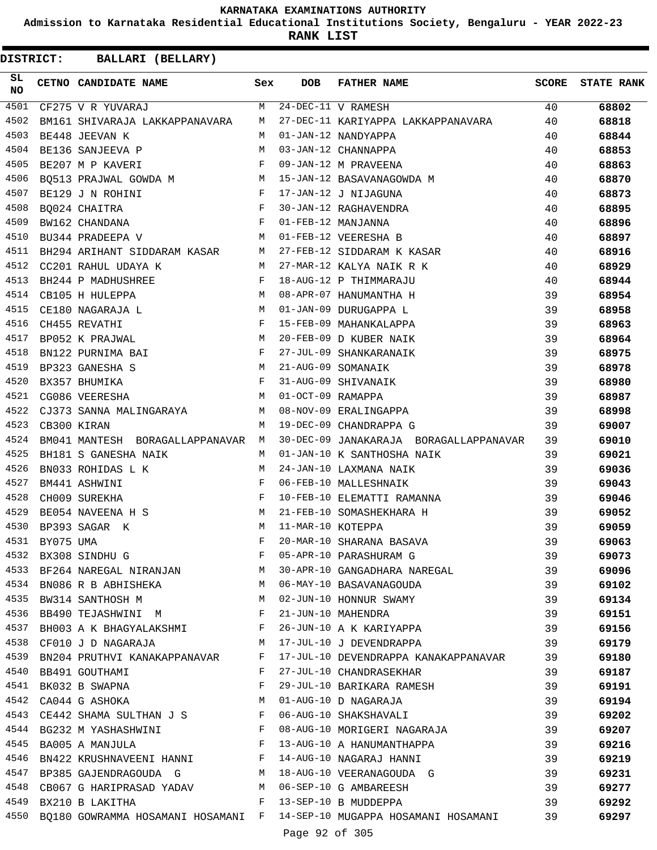**Admission to Karnataka Residential Educational Institutions Society, Bengaluru - YEAR 2022-23**

**RANK LIST**

| SL<br><b>NO</b> |             | CETNO CANDIDATE NAME                                                                                                                                                                                                                                    | Sex                   | <b>DOB</b>     | FATHER NAME                                                                | <b>SCORE</b> | <b>STATE RANK</b> |
|-----------------|-------------|---------------------------------------------------------------------------------------------------------------------------------------------------------------------------------------------------------------------------------------------------------|-----------------------|----------------|----------------------------------------------------------------------------|--------------|-------------------|
| 4501            |             | CF275 V R YUVARAJ                                                                                                                                                                                                                                       |                       |                | M 24-DEC-11 V RAMESH                                                       | 40           | 68802             |
| 4502            |             | BM161 SHIVARAJA LAKKAPPANAVARA M                                                                                                                                                                                                                        |                       |                | 27-DEC-11 KARIYAPPA LAKKAPPANAVARA 40                                      |              | 68818             |
| 4503            |             | BE448 JEEVAN K                                                                                                                                                                                                                                          | M                     |                | 01-JAN-12 NANDYAPPA                                                        | 40           | 68844             |
| 4504            |             | BE136 SANJEEVA P                                                                                                                                                                                                                                        | M                     |                | 03-JAN-12 CHANNAPPA                                                        | 40           | 68853             |
| 4505            |             | $\mathbf{F}$ and $\mathbf{F}$ and $\mathbf{F}$<br>BE207 M P KAVERI                                                                                                                                                                                      |                       |                | 09-JAN-12 M PRAVEENA                                                       | 40           | 68863             |
| 4506            |             |                                                                                                                                                                                                                                                         |                       |                | BQ513 PRAJWAL GOWDA M M 15-JAN-12 BASAVANAGOWDA M                          | 40           | 68870             |
| 4507            |             | $\mathbf{F}$<br>BE129 J N ROHINI                                                                                                                                                                                                                        |                       |                | F 30-JAN-12 RAGHAVENDRA<br>F 30-JAN-12 RAGHAVENDRA<br>F 01-FEB-12 MANJANNA | 40           | 68873             |
| 4508            |             | BO024 CHAITRA                                                                                                                                                                                                                                           |                       |                |                                                                            | 40           | 68895             |
| 4509            |             | BW162 CHANDANA                                                                                                                                                                                                                                          |                       |                |                                                                            | 40           | 68896             |
| 4510            |             | BU344 PRADEEPA V M 01-FEB-12 VEERESHA B                                                                                                                                                                                                                 |                       |                |                                                                            | 40           | 68897             |
| 4511            |             | BH294 ARIHANT SIDDARAM KASAR M 27-FEB-12 SIDDARAM K KASAR                                                                                                                                                                                               |                       |                |                                                                            | 40           | 68916             |
| 4512            |             | CC201 RAHUL UDAYA K                                                                                                                                                                                                                                     |                       |                | M 27-MAR-12 KALYA NAIK R K                                                 | 40           | 68929             |
| 4513            |             | BH244 P MADHUSHREE<br>$\mathbf{F}$ . The set of the set of the set of the set of the set of the set of the set of the set of the set of the set of the set of the set of the set of the set of the set of the set of the set of the set of the set of t |                       |                | 18-AUG-12 P THIMMARAJU                                                     | 40           | 68944             |
| 4514            |             | M 08-APR-07 HANUMANTHA H<br>CB105 H HULEPPA                                                                                                                                                                                                             |                       |                |                                                                            | 39           | 68954             |
| 4515            |             | CE180 NAGARAJA L                                                                                                                                                                                                                                        |                       |                | 01-JAN-09 DURUGAPPA L                                                      | 39           | 68958             |
| 4516            |             | $$\rm F$$ $$\rm M$$<br>CH455 REVATHI                                                                                                                                                                                                                    |                       |                | 15-FEB-09 MAHANKALAPPA                                                     | 39           | 68963             |
| 4517            |             | BP052 K PRAJWAL                                                                                                                                                                                                                                         |                       |                | 20-FEB-09 D KUBER NAIK                                                     | 39           | 68964             |
| 4518            |             | BN122 PURNIMA BAI F                                                                                                                                                                                                                                     |                       |                | 27-JUL-09 SHANKARANAIK                                                     | 39           | 68975             |
| 4519            |             | $\begin{array}{c}\n M \\  F\n\end{array}$<br>BP323 GANESHA S                                                                                                                                                                                            |                       |                | 21-AUG-09 SOMANAIK                                                         | 39           | 68978             |
| 4520            |             | BX357 BHUMIKA                                                                                                                                                                                                                                           |                       |                | 31-AUG-09 SHIVANAIK                                                        | 39           | 68980             |
| 4521            |             | M 01-OCT-09 RAMAPPA<br>CG086 VEERESHA                                                                                                                                                                                                                   |                       |                |                                                                            | 39           | 68987             |
| 4522            |             | CJ373 SANNA MALINGARAYA M M 08-NOV-09 ERALINGAPPA                                                                                                                                                                                                       |                       |                |                                                                            | 39           | 68998             |
| 4523            | CB300 KIRAN |                                                                                                                                                                                                                                                         | M                     |                | 19-DEC-09 CHANDRAPPA G                                                     | 39           | 69007             |
| 4524            |             | BM041 MANTESH BORAGALLAPPANAVAR M                                                                                                                                                                                                                       |                       |                | 30-DEC-09 JANAKARAJA BORAGALLAPPANAVAR 39                                  |              | 69010             |
| 4525            |             | BH181 S GANESHA NAIK                                                                                                                                                                                                                                    |                       |                | M 01-JAN-10 K SANTHOSHA NAIK                                               | 39           | 69021             |
| 4526            |             | BN033 ROHIDAS L K                                                                                                                                                                                                                                       | M                     |                | 24-JAN-10 LAXMANA NAIK                                                     | 39           | 69036             |
| 4527            |             | $\begin{aligned} \mathbf{F} \\ \mathbf{F} \end{aligned}$<br>BM441 ASHWINI                                                                                                                                                                               |                       |                | 06-FEB-10 MALLESHNAIK                                                      | 39           | 69043             |
| 4528            |             | CH009 SUREKHA                                                                                                                                                                                                                                           |                       |                | 10-FEB-10 ELEMATTI RAMANNA                                                 | 39           | 69046             |
| 4529            |             | M 21-FEB-10 SOMASHEKHARA H<br>BE054 NAVEENA H S                                                                                                                                                                                                         |                       |                |                                                                            | 39           | 69052             |
| 4530            |             | M 11-MAR-10 KOTEPPA<br>BP393 SAGAR K                                                                                                                                                                                                                    |                       |                |                                                                            | 39           | 69059             |
| 4531            | BY075 UMA   |                                                                                                                                                                                                                                                         | F                     |                | 20-MAR-10 SHARANA BASAVA                                                   | 39           | 69063             |
| 4532            |             | BX308 SINDHU G                                                                                                                                                                                                                                          | F                     |                | 05-APR-10 PARASHURAM G                                                     | 39           | 69073             |
| 4533            |             | BF264 NAREGAL NIRANJAN                                                                                                                                                                                                                                  | M                     |                | 30-APR-10 GANGADHARA NAREGAL                                               | 39           | 69096             |
| 4534            |             | BN086 R B ABHISHEKA                                                                                                                                                                                                                                     |                       |                | M 06-MAY-10 BASAVANAGOUDA                                                  | 39           | 69102             |
| 4535            |             | BW314 SANTHOSH M<br><b>M</b>                                                                                                                                                                                                                            |                       |                | 02-JUN-10 HONNUR SWAMY                                                     | 39           | 69134             |
| 4536            |             | BB490 TEJASHWINI M                                                                                                                                                                                                                                      | $\mathbf{F}$          |                | 21-JUN-10 MAHENDRA                                                         | 39           | 69151             |
| 4537            |             | BH003 A K BHAGYALAKSHMI F                                                                                                                                                                                                                               |                       |                | 26-JUN-10 A K KARIYAPPA                                                    | 39           | 69156             |
| 4538            |             | CF010 J D NAGARAJA M                                                                                                                                                                                                                                    |                       |                | 17-JUL-10 J DEVENDRAPPA                                                    | 39           | 69179             |
| 4539            |             | BN204 PRUTHVI KANAKAPPANAVAR                                                                                                                                                                                                                            | F                     |                | 17-JUL-10 DEVENDRAPPA KANAKAPPANAVAR                                       | 39           | 69180             |
|                 |             | 4540 BB491 GOUTHAMI                                                                                                                                                                                                                                     | F                     |                | 27-JUL-10 CHANDRASEKHAR                                                    | 39           | 69187             |
| 4541            |             | BK032 B SWAPNA                                                                                                                                                                                                                                          | F                     |                | 29-JUL-10 BARIKARA RAMESH                                                  | 39           | 69191             |
| 4542            |             | CA044 G ASHOKA                                                                                                                                                                                                                                          | <b>M</b>              |                | 01-AUG-10 D NAGARAJA                                                       | 39           | 69194             |
| 4543            |             | CE442 SHAMA SULTHAN J S F                                                                                                                                                                                                                               |                       |                | 06-AUG-10 SHAKSHAVALI                                                      | 39           | 69202             |
|                 |             | 4544 BG232 M YASHASHWINI                                                                                                                                                                                                                                | $\mathbb{F}^{\times}$ |                | 08-AUG-10 MORIGERI NAGARAJA                                                | 39           | 69207             |
| 4545            |             | BA005 A MANJULA                                                                                                                                                                                                                                         | $\mathbf{F}$          |                | 13-AUG-10 A HANUMANTHAPPA                                                  | 39           | 69216             |
| 4546            |             | BN422 KRUSHNAVEENI HANNI F                                                                                                                                                                                                                              |                       |                | 14-AUG-10 NAGARAJ HANNI                                                    | 39           | 69219             |
|                 |             | 4547 BP385 GAJENDRAGOUDA G M                                                                                                                                                                                                                            |                       |                | 18-AUG-10 VEERANAGOUDA G                                                   | 39           | 69231             |
|                 |             | 4548 CB067 G HARIPRASAD YADAV M 06-SEP-10 G AMBAREESH                                                                                                                                                                                                   |                       |                |                                                                            | 39           | 69277             |
| 4549            |             | BX210 B LAKITHA                                                                                                                                                                                                                                         |                       |                | F 13-SEP-10 B MUDDEPPA                                                     | 39           | 69292             |
| 4550            |             |                                                                                                                                                                                                                                                         |                       |                | BQ180 GOWRAMMA HOSAMANI HOSAMANI F 14-SEP-10 MUGAPPA HOSAMANI HOSAMANI 39  |              | 69297             |
|                 |             |                                                                                                                                                                                                                                                         |                       | Page 92 of 305 |                                                                            |              |                   |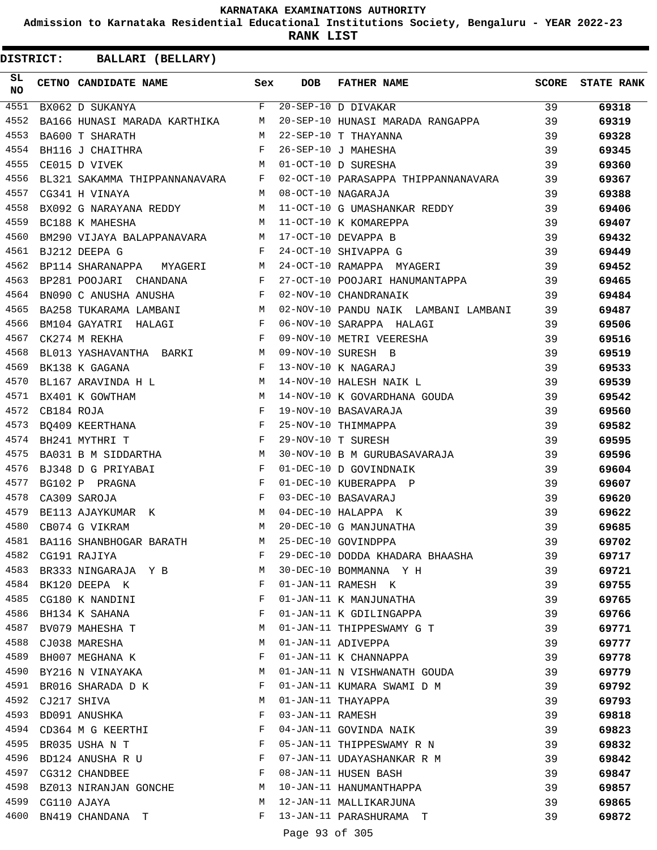**Admission to Karnataka Residential Educational Institutions Society, Bengaluru - YEAR 2022-23**

**RANK LIST**

| SL<br>NO. |            | CETNO CANDIDATE NAME Sex                                                |   | <b>DOB</b>       | <b>FATHER NAME</b>                                                     |    | <b>SCORE</b> STATE RANK |
|-----------|------------|-------------------------------------------------------------------------|---|------------------|------------------------------------------------------------------------|----|-------------------------|
| 4551      |            | BX062 D SUKANYA                                                         |   |                  | $F$ 20-SEP-10 D DIVAKAR                                                | 39 | 69318                   |
| 4552      |            |                                                                         |   |                  | BA166 HUNASI MARADA KARTHIKA M 20-SEP-10 HUNASI MARADA RANGAPPA 39     |    | 69319                   |
| 4553      |            | BA600 T SHARATH                                                         |   |                  | M 22-SEP-10 T THAYANNA                                                 | 39 | 69328                   |
| 4554      |            | $\mathbf{F}$ and the set of $\mathbf{F}$<br>BH116 J CHAITHRA            |   |                  | 26-SEP-10 J MAHESHA                                                    | 39 | 69345                   |
| 4555      |            | CE015 D VIVEK                                                           |   |                  | M 01-OCT-10 D SURESHA                                                  | 39 | 69360                   |
| 4556      |            |                                                                         |   |                  | BL321 SAKAMMA THIPPANNANAVARA F 02-OCT-10 PARASAPPA THIPPANNANAVARA 39 |    | 69367                   |
| 4557      |            | CG341 H VINAYA                                                          |   |                  | M 08-OCT-10 NAGARAJA                                                   | 39 | 69388                   |
| 4558      |            |                                                                         |   |                  | BX092 G NARAYANA REDDY M 11-OCT-10 G UMASHANKAR REDDY                  | 39 | 69406                   |
| 4559      |            | BC188 K MAHESHA                                                         |   |                  | M 11-OCT-10 K KOMAREPPA                                                | 39 | 69407                   |
| 4560      |            | BM290 VIJAYA BALAPPANAVARA M 17-OCT-10 DEVAPPA B                        |   |                  |                                                                        | 39 | 69432                   |
| 4561      |            | BJ212 DEEPA G                                                           | F |                  | 24-OCT-10 SHIVAPPA G                                                   | 39 | 69449                   |
| 4562      |            | BP114 SHARANAPPA MYAGERI M                                              |   |                  | 24-OCT-10 RAMAPPA MYAGERI                                              | 39 | 69452                   |
| 4563      |            | BP281 POOJARI CHANDANA F                                                |   |                  | 27-OCT-10 POOJARI HANUMANTAPPA                                         | 39 | 69465                   |
| 4564      |            | $\mathbf{F}$ and $\mathbf{F}$ and $\mathbf{F}$<br>BN090 C ANUSHA ANUSHA |   |                  | 02-NOV-10 CHANDRANAIK                                                  | 39 | 69484                   |
| 4565      |            |                                                                         |   |                  | BA258 TUKARAMA LAMBANI M 02-NOV-10 PANDU NAIK LAMBANI LAMBANI          | 39 | 69487                   |
| 4566      |            | BM104 GAYATRI HALAGI F                                                  |   |                  | 06-NOV-10 SARAPPA HALAGI                                               | 39 | 69506                   |
| 4567      |            | $\mathbf{F}$<br>CK274 M REKHA                                           |   |                  | 09-NOV-10 METRI VEERESHA<br>09-NOV-10 SURESH B                         | 39 | 69516                   |
| 4568      |            | BL013 YASHAVANTHA BARKI M                                               |   |                  | 09-NOV-10 SURESH B                                                     | 39 | 69519                   |
| 4569      |            | $\mathbf{F}$<br>BK138 K GAGANA                                          |   |                  | 13-NOV-10 K NAGARAJ                                                    | 39 | 69533                   |
| 4570      |            | BL167 ARAVINDA H L M                                                    |   |                  | 14-NOV-10 HALESH NAIK L                                                | 39 | 69539                   |
| 4571      |            | $M$<br>$F$<br>BX401 K GOWTHAM                                           |   |                  | 14-NOV-10 K GOVARDHANA GOUDA<br>19-NOV-10 BASAVARAJA                   | 39 | 69542                   |
| 4572      | CB184 ROJA |                                                                         |   |                  |                                                                        | 39 | 69560                   |
| 4573      |            | BQ409 KEERTHANA F                                                       |   |                  | 25-NOV-10 THIMMAPPA                                                    | 39 | 69582                   |
| 4574      |            | $\mathbf{F}$<br>BH241 MYTHRI T                                          |   |                  | 29-NOV-10 T SURESH                                                     | 39 | 69595                   |
| 4575      |            | M<br>BA031 B M SIDDARTHA                                                |   |                  | 30-NOV-10 B M GURUBASAVARAJA                                           | 39 | 69596                   |
| 4576      |            | BJ348 D G PRIYABAI F                                                    |   |                  | 01-DEC-10 D GOVINDNAIK                                                 | 39 | 69604                   |
| 4577      |            | $\mathbf{F}$ and $\mathbf{F}$<br>BG102 P PRAGNA                         |   |                  | 01-DEC-10 KUBERAPPA P                                                  | 39 | 69607                   |
| 4578      |            | $\mathbf{F}$ and the state of the state $\mathbf{F}$<br>CA309 SAROJA    |   |                  | 03-DEC-10 BASAVARAJ                                                    | 39 | 69620                   |
| 4579      |            | BE113 AJAYKUMAR K                                                       | M |                  | 04-DEC-10 HALAPPA K                                                    | 39 | 69622                   |
| 4580      |            | CB074 G VIKRAM                                                          | M |                  | 20-DEC-10 G MANJUNATHA                                                 | 39 | 69685                   |
|           |            | 4581 BA116 SHANBHOGAR BARATH M 25-DEC-10 GOVINDPPA                      |   |                  |                                                                        | 39 | 69702                   |
| 4582      |            | CG191 RAJIYA                                                            | F |                  | 29-DEC-10 DODDA KHADARA BHAASHA                                        | 39 | 69717                   |
| 4583      |            | BR333 NINGARAJA Y B                                                     | М |                  | 30-DEC-10 BOMMANNA Y H                                                 | 39 | 69721                   |
| 4584      |            | BK120 DEEPA K                                                           | F |                  | 01-JAN-11 RAMESH K                                                     | 39 | 69755                   |
| 4585      |            | CG180 K NANDINI                                                         | F |                  | 01-JAN-11 K MANJUNATHA                                                 | 39 | 69765                   |
| 4586      |            | BH134 K SAHANA                                                          | F |                  | 01-JAN-11 K GDILINGAPPA                                                | 39 | 69766                   |
| 4587      |            | BV079 MAHESHA T                                                         | М |                  | 01-JAN-11 THIPPESWAMY G T                                              | 39 | 69771                   |
| 4588      |            | CJ038 MARESHA                                                           | М |                  | 01-JAN-11 ADIVEPPA                                                     | 39 | 69777                   |
| 4589      |            | BH007 MEGHANA K                                                         | F |                  | 01-JAN-11 K CHANNAPPA                                                  | 39 | 69778                   |
| 4590      |            | BY216 N VINAYAKA                                                        | М |                  | 01-JAN-11 N VISHWANATH GOUDA                                           | 39 | 69779                   |
| 4591      |            | BR016 SHARADA D K                                                       | F |                  | 01-JAN-11 KUMARA SWAMI D M                                             | 39 | 69792                   |
| 4592      |            | CJ217 SHIVA                                                             | М |                  | 01-JAN-11 THAYAPPA                                                     | 39 | 69793                   |
| 4593      |            | BD091 ANUSHKA                                                           | F | 03-JAN-11 RAMESH |                                                                        | 39 | 69818                   |
| 4594      |            | CD364 M G KEERTHI                                                       | F |                  | 04-JAN-11 GOVINDA NAIK                                                 | 39 | 69823                   |
| 4595      |            | BR035 USHA N T                                                          | F |                  | 05-JAN-11 THIPPESWAMY R N                                              | 39 | 69832                   |
| 4596      |            | BD124 ANUSHA R U                                                        | F |                  | 07-JAN-11 UDAYASHANKAR R M                                             | 39 | 69842                   |
| 4597      |            | CG312 CHANDBEE                                                          | F |                  | 08-JAN-11 HUSEN BASH                                                   | 39 | 69847                   |
| 4598      |            | BZ013 NIRANJAN GONCHE                                                   | М |                  | 10-JAN-11 HANUMANTHAPPA                                                | 39 | 69857                   |
| 4599      |            | CG110 AJAYA                                                             | М |                  | 12-JAN-11 MALLIKARJUNA                                                 | 39 | 69865                   |
| 4600      |            | BN419 CHANDANA T                                                        | F |                  | 13-JAN-11 PARASHURAMA T                                                | 39 | 69872                   |
|           |            |                                                                         |   | Page 93 of 305   |                                                                        |    |                         |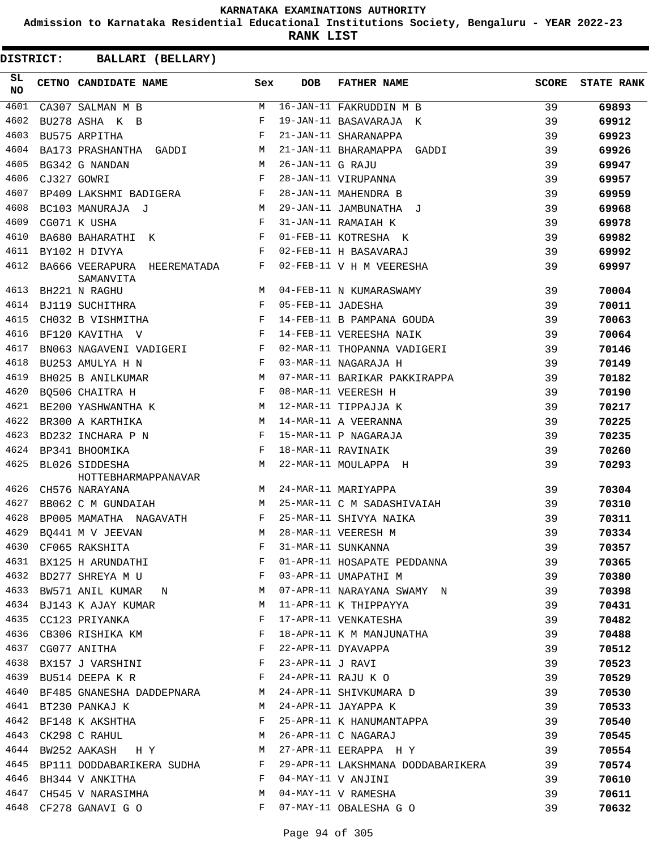**Admission to Karnataka Residential Educational Institutions Society, Bengaluru - YEAR 2022-23**

**RANK LIST**

| SL<br>NO |             | CETNO CANDIDATE NAME                                                                                                                                                                                                                                       | Sex          | DOB               | <b>FATHER NAME</b>                                                 | <b>SCORE</b> | <b>STATE RANK</b> |
|----------|-------------|------------------------------------------------------------------------------------------------------------------------------------------------------------------------------------------------------------------------------------------------------------|--------------|-------------------|--------------------------------------------------------------------|--------------|-------------------|
| 4601     |             | CA307 SALMAN M B                                                                                                                                                                                                                                           | M            |                   | 16-JAN-11 FAKRUDDIN M B                                            | 39           | 69893             |
| 4602     |             | BU278 ASHA K B                                                                                                                                                                                                                                             | F            |                   | 19-JAN-11 BASAVARAJA K                                             | 39           | 69912             |
| 4603     |             | BU575 ARPITHA                                                                                                                                                                                                                                              | F            |                   | 21-JAN-11 SHARANAPPA                                               | 39           | 69923             |
| 4604     |             | BA173 PRASHANTHA GADDI<br><b>M</b>                                                                                                                                                                                                                         |              |                   | 21-JAN-11 BHARAMAPPA GADDI                                         | 39           | 69926             |
| 4605     |             | BG342 G NANDAN                                                                                                                                                                                                                                             | M            | 26-JAN-11 G RAJU  |                                                                    | 39           | 69947             |
| 4606     | CJ327 GOWRI |                                                                                                                                                                                                                                                            | F            |                   | 28-JAN-11 VIRUPANNA                                                | 39           | 69957             |
| 4607     |             | BP409 LAKSHMI BADIGERA F                                                                                                                                                                                                                                   |              |                   | 28-JAN-11 MAHENDRA B                                               | 39           | 69959             |
| 4608     |             | M <sub>1</sub><br>BC103 MANURAJA J                                                                                                                                                                                                                         |              |                   | 29-JAN-11 JAMBUNATHA J                                             | 39           | 69968             |
| 4609     |             | CG071 K USHA                                                                                                                                                                                                                                               | F            |                   | 31-JAN-11 RAMAIAH K                                                | 39           | 69978             |
| 4610     |             | BA680 BAHARATHI K                                                                                                                                                                                                                                          | F            |                   | 01-FEB-11 KOTRESHA K                                               | 39           | 69982             |
| 4611     |             | BY102 H DIVYA                                                                                                                                                                                                                                              | F            |                   | 02-FEB-11 H BASAVARAJ                                              | 39           | 69992             |
| 4612     |             | BA666 VEERAPURA HEEREMATADA<br>SAMANVITA                                                                                                                                                                                                                   | F            |                   | 02-FEB-11 V H M VEERESHA                                           | 39           | 69997             |
| 4613     |             | BH221 N RAGHU                                                                                                                                                                                                                                              | M            |                   | 04-FEB-11 N KUMARASWAMY                                            | 39           | 70004             |
| 4614     |             | $\mathbb{F}^{\mathbb{Z}}$ . The set of the set of the set of the set of the set of the set of the set of the set of the set of the set of the set of the set of the set of the set of the set of the set of the set of the set of the s<br>BJ119 SUCHITHRA |              | 05-FEB-11 JADESHA |                                                                    | 39           | 70011             |
| 4615     |             | CH032 B VISHMITHA                                                                                                                                                                                                                                          | F            |                   | 14-FEB-11 B PAMPANA GOUDA                                          | 39           | 70063             |
| 4616     |             | BF120 KAVITHA V<br>$\mathbf{F}$ and the set of the set of the set of the set of the set of the set of the set of the set of the set of the set of the set of the set of the set of the set of the set of the set of the set of the set of the set of       |              |                   | 14-FEB-11 VEREESHA NAIK                                            | 39           | 70064             |
| 4617     |             | BN063 NAGAVENI VADIGERI F                                                                                                                                                                                                                                  |              |                   | 02-MAR-11 THOPANNA VADIGERI                                        | 39           | 70146             |
| 4618     |             | BU253 AMULYA H N                                                                                                                                                                                                                                           | $\mathbf{F}$ |                   | 03-MAR-11 NAGARAJA H                                               | 39           | 70149             |
| 4619     |             | BH025 B ANILKUMAR                                                                                                                                                                                                                                          | M            |                   | 07-MAR-11 BARIKAR PAKKIRAPPA                                       | 39           | 70182             |
| 4620     |             | BO506 CHAITRA H                                                                                                                                                                                                                                            | F            |                   | 08-MAR-11 VEERESH H                                                | 39           | 70190             |
| 4621     |             | BE200 YASHWANTHA K M                                                                                                                                                                                                                                       |              |                   | 12-MAR-11 TIPPAJJA K                                               | 39           | 70217             |
| 4622     |             | M<br>BR300 A KARTHIKA                                                                                                                                                                                                                                      |              |                   | 14-MAR-11 A VEERANNA                                               | 39           | 70225             |
| 4623     |             |                                                                                                                                                                                                                                                            |              |                   | 15-MAR-11 P NAGARAJA                                               | 39           | 70235             |
| 4624     |             |                                                                                                                                                                                                                                                            |              |                   | 18-MAR-11 RAVINAIK                                                 | 39           | 70260             |
| 4625     |             | BL026 SIDDESHA<br><b>Example 19</b>                                                                                                                                                                                                                        |              |                   | 22-MAR-11 MOULAPPA H                                               | 39           | 70293             |
| 4626     |             | HOTTEBHARMAPPANAVAR<br>CH576 NARAYANA                                                                                                                                                                                                                      | M            |                   | 24-MAR-11 MARIYAPPA                                                | 39           | 70304             |
| 4627     |             | BB062 C M GUNDAIAH                                                                                                                                                                                                                                         | M            |                   | 25-MAR-11 C M SADASHIVAIAH                                         | 39           | 70310             |
| 4628     |             | BP005 MAMATHA NAGAVATH                                                                                                                                                                                                                                     | F            |                   | 25-MAR-11 SHIVYA NAIKA                                             | 39           | 70311             |
| 4629     |             | BQ441 M V JEEVAN                                                                                                                                                                                                                                           | M            |                   | 28-MAR-11 VEERESH M                                                | 39           | 70334             |
| 4630     |             | CF065 RAKSHITA                                                                                                                                                                                                                                             | F            |                   | 31-MAR-11 SUNKANNA                                                 | 39           | 70357             |
|          |             |                                                                                                                                                                                                                                                            |              |                   | 4631 BX125 H ARUNDATHI TARRE PEDDANNA FOR SAPATE PEDDANNA          | 39           | 70365             |
|          |             | 4632 BD277 SHREYA M U F 03-APR-11 UMAPATHI M                                                                                                                                                                                                               |              |                   |                                                                    | - 39         | 70380             |
|          |             |                                                                                                                                                                                                                                                            |              |                   | 4633 BW571 ANIL KUMAR N 17-APR-11 NARAYANA SWAMY N 39              |              | 70398             |
|          |             | 4634 BJ143 K AJAY KUMAR M                                                                                                                                                                                                                                  |              |                   | 11-APR-11 K THIPPAYYA                                              | 39           | 70431             |
| 4635     |             | CC123 PRIYANKA                                                                                                                                                                                                                                             | F            |                   | 17-APR-11 VENKATESHA                                               | 39           | 70482             |
|          |             | 4636 CB306 RISHIKA KM                                                                                                                                                                                                                                      | F            |                   | 18-APR-11 K M MANJUNATHA                                           | 39           | 70488             |
|          |             | $\mathbb{F}^{\mathbb{Z}}$ . The set of $\mathbb{F}^{\mathbb{Z}}$<br>4637 CG077 ANITHA                                                                                                                                                                      |              |                   | 22-APR-11 DYAVAPPA                                                 | 39           | 70512             |
|          |             | 4638 BX157 J VARSHINI F 23-APR-11 J RAVI                                                                                                                                                                                                                   |              |                   |                                                                    | 39           | 70523             |
|          |             |                                                                                                                                                                                                                                                            |              |                   |                                                                    | 39           | 70529             |
|          |             | 4639 BU514 DEEPA K R<br>4640 BF485 GNANESHA DADDEPNARA M 24-APR-11 SHIVKUMARA D                                                                                                                                                                            |              |                   |                                                                    | 39           | 70530             |
|          |             | 4641 BT230 PANKAJ K                                                                                                                                                                                                                                        |              |                   | M 24-APR-11 JAYAPPA K                                              | 39           | 70533             |
| 4642     |             | BF148 K AKSHTHA F                                                                                                                                                                                                                                          |              |                   | 25-APR-11 K HANUMANTAPPA 39                                        |              | 70540             |
| 4643     |             | CK298 C RAHUL M                                                                                                                                                                                                                                            |              |                   | 26-APR-11 C NAGARAJ                                                | 39           | 70545             |
|          |             | 4644 BW252 AAKASH HY M 27-APR-11 EERAPPA HY                                                                                                                                                                                                                |              |                   |                                                                    | 39           | 70554             |
|          |             |                                                                                                                                                                                                                                                            |              |                   | 4645 BP111 DODDABARIKERA SUDHA F 29-APR-11 LAKSHMANA DODDABARIKERA | 39           | 70574             |
|          |             | 4646 BH344 V ANKITHA                                                                                                                                                                                                                                       |              |                   | F 04-MAY-11 V ANJINI                                               | 39           | 70610             |
|          |             | 4647 CH545 V NARASIMHA M 04-MAY-11 V RAMESHA                                                                                                                                                                                                               |              |                   |                                                                    | 39           | 70611             |
|          |             | 4648 CF278 GANAVI G O                                                                                                                                                                                                                                      |              |                   | F 07-MAY-11 OBALESHA G O                                           | 39           | 70632             |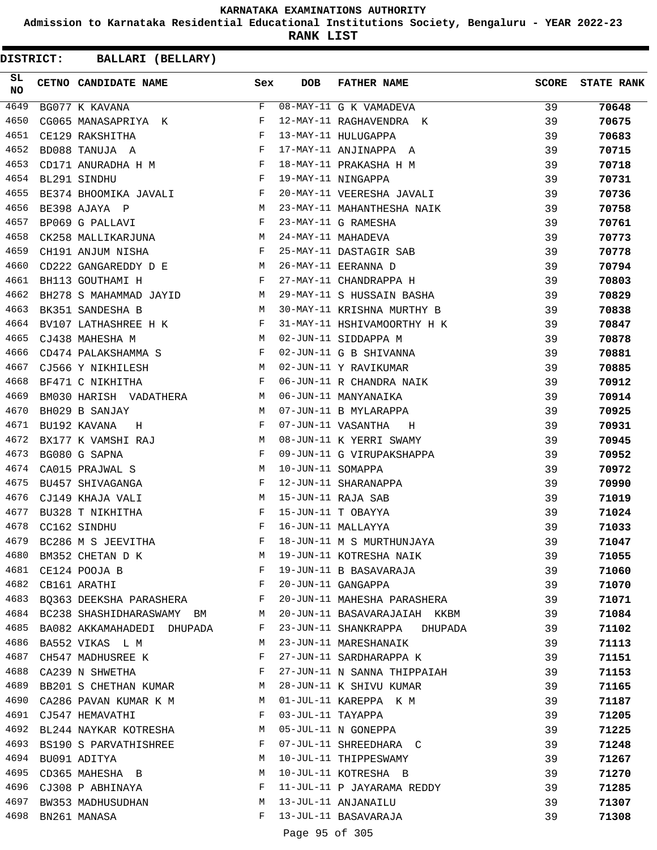**Admission to Karnataka Residential Educational Institutions Society, Bengaluru - YEAR 2022-23**

**RANK LIST**

**DISTRICT:** CC **BALLARI (BELLARY)**

| SL.<br><b>NO</b> | CETNO CANDIDATE NAME                                                                 | Sex          | DOB                 | <b>FATHER NAME</b>               | SCORE | <b>STATE RANK</b> |
|------------------|--------------------------------------------------------------------------------------|--------------|---------------------|----------------------------------|-------|-------------------|
| 4649             | BG077 K KAVANA                                                                       | F            |                     | 08-MAY-11 G K VAMADEVA           | 39    | 70648             |
| 4650             | CG065 MANASAPRIYA K                                                                  | F            |                     | 12-MAY-11 RAGHAVENDRA K          | 39    | 70675             |
| 4651             | $\mathbf{F}$ and $\mathbf{F}$ and $\mathbf{F}$<br>CE129 RAKSHITHA                    |              |                     | 13-MAY-11 HULUGAPPA              | 39    | 70683             |
| 4652             | $\mathbb F$<br>BD088 TANUJA A                                                        |              |                     | 17-MAY-11 ANJINAPPA A            | 39    | 70715             |
| 4653             | CD171 ANURADHA H M<br>BL291 SINDHU F                                                 |              |                     | 18-MAY-11 PRAKASHA H M           | 39    | 70718             |
| 4654             |                                                                                      |              |                     | 19-MAY-11 NINGAPPA               | 39    | 70731             |
| 4655             | BE374 BHOOMIKA JAVALI F                                                              |              |                     | 20-MAY-11 VEERESHA JAVALI        | 39    | 70736             |
| 4656             | $\begin{aligned} \mathbb{M} \\ \mathbb{F} \end{aligned}$<br>BE398 AJAYA P            |              |                     | 23-MAY-11 MAHANTHESHA NAIK       | 39    | 70758             |
| 4657             | BP069 G PALLAVI                                                                      |              |                     | 23-MAY-11 G RAMESHA              | 39    | 70761             |
| 4658             | CK258 MALLIKARJUNA M                                                                 |              |                     | 24-MAY-11 MAHADEVA               | 39    | 70773             |
| 4659             | <b>Experimental Service Service Service</b><br>CH191 ANJUM NISHA                     |              |                     | 25-MAY-11 DASTAGIR SAB           | 39    | 70778             |
| 4660             | CD222 GANGAREDDY D E $M$                                                             |              |                     | 26-MAY-11 EERANNA D              | 39    | 70794             |
| 4661             | $\mathbb{F}^{\mathbb{Z}}$ . The set of $\mathbb{F}^{\mathbb{Z}}$<br>BH113 GOUTHAMI H |              |                     | 27-MAY-11 CHANDRAPPA H           | 39    | 70803             |
| 4662             | BH278 S MAHAMMAD JAYID M                                                             |              |                     | 29-MAY-11 S HUSSAIN BASHA        | 39    | 70829             |
| 4663             | <b>M</b><br>BK351 SANDESHA B                                                         |              |                     | 30-MAY-11 KRISHNA MURTHY B       | 39    | 70838             |
| 4664             | BV107 LATHASHREE H K $F$                                                             |              |                     | 31-MAY-11 HSHIVAMOORTHY H K      | 39    | 70847             |
| 4665             | CJ438 MAHESHA M                                                                      | M            |                     | 02-JUN-11 SIDDAPPA M             | 39    | 70878             |
| 4666             | CD474 PALAKSHAMMA S F                                                                |              |                     | 02-JUN-11 G B SHIVANNA           | 39    | 70881             |
| 4667             | M <sub>N</sub><br>CJ566 Y NIKHILESH                                                  |              |                     | 02-JUN-11 Y RAVIKUMAR            | 39    | 70885             |
| 4668             | $\mathbf{F}$<br>BF471 C NIKHITHA                                                     |              |                     | 06-JUN-11 R CHANDRA NAIK         | 39    | 70912             |
| 4669             | BM030 HARISH VADATHERA M                                                             |              |                     | 06-JUN-11 MANYANAIKA             | 39    | 70914             |
| 4670             | BH029 B SANJAY<br><b>M</b>                                                           |              |                     | 07-JUN-11 B MYLARAPPA            | 39    | 70925             |
| 4671             | $\mathbf{F}$ and the contract of $\mathbf{F}$<br>BU192 KAVANA<br>H                   |              |                     | 07-JUN-11 VASANTHA<br>$_{\rm H}$ | 39    | 70931             |
| 4672             | BX177 K VAMSHI RAJ M                                                                 |              |                     | 08-JUN-11 K YERRI SWAMY          | 39    | 70945             |
| 4673             | BG080 G SAPNA                                                                        | F            |                     | 09-JUN-11 G VIRUPAKSHAPPA        | 39    | 70952             |
| 4674             | CA015 PRAJWAL S                                                                      | M            | 10-JUN-11 SOMAPPA   |                                  | 39    | 70972             |
| 4675             | BU457 SHIVAGANGA                                                                     | F            |                     | 12-JUN-11 SHARANAPPA             | 39    | 70990             |
| 4676             | M<br>CJ149 KHAJA VALI                                                                |              |                     | 15-JUN-11 RAJA SAB               | 39    | 71019             |
| 4677             | BU328 T NIKHITHA                                                                     | F            |                     | 15-JUN-11 T OBAYYA               | 39    | 71024             |
| 4678             | CC162 SINDHU                                                                         | F            |                     | 16-JUN-11 MALLAYYA               | 39    | 71033             |
| 4679             | BC286 M S JEEVITHA                                                                   | F            |                     | 18-JUN-11 M S MURTHUNJAYA        | 39    | 71047             |
| 4680             | BM352 CHETAN D K                                                                     | M            |                     | 19-JUN-11 KOTRESHA NAIK          | 39    | 71055             |
| 4681             | CE124 POOJA B                                                                        | F            |                     | 19-JUN-11 B BASAVARAJA           | 39    | 71060             |
| 4682             | <b>Expanding Contract Property</b><br>CB161 ARATHI                                   |              |                     | 20-JUN-11 GANGAPPA               | 39    | 71070             |
| 4683             | BQ363 DEEKSHA PARASHERA F                                                            |              |                     | 20-JUN-11 MAHESHA PARASHERA      | 39    | 71071             |
|                  | 4684 BC238 SHASHIDHARASWAMY BM                                                       | M            |                     | 20-JUN-11 BASAVARAJAIAH KKBM     | 39    | 71084             |
|                  | 4685 BA082 AKKAMAHADEDI DHUPADA                                                      | F            |                     | 23-JUN-11 SHANKRAPPA DHUPADA     | 39    | 71102             |
| 4686             | BA552 VIKAS L M                                                                      | M            |                     | 23-JUN-11 MARESHANAIK            | 39    | 71113             |
| 4687             | CH547 MADHUSREE K                                                                    | F            |                     | 27-JUN-11 SARDHARAPPA K          | 39    | 71151             |
| 4688             | CA239 N SHWETHA                                                                      | F            |                     | 27-JUN-11 N SANNA THIPPAIAH      | 39    | 71153             |
|                  | 4689 BB201 S CHETHAN KUMAR                                                           | M            |                     | 28-JUN-11 K SHIVU KUMAR          | 39    | 71165             |
| 4690             | CA286 PAVAN KUMAR K M                                                                | M            |                     | 01-JUL-11 KAREPPA K M            | 39    | 71187             |
|                  | 4691 CJ547 HEMAVATHI                                                                 | F            | 03-JUL-11 TAYAPPA   |                                  | 39    | 71205             |
|                  | 4692 BL244 NAYKAR KOTRESHA                                                           | M            |                     | 05-JUL-11 N GONEPPA              | 39    | 71225             |
|                  | 4693 BS190 S PARVATHISHREE                                                           | F            |                     | 07-JUL-11 SHREEDHARA C           | 39    | 71248             |
| 4694             | BU091 ADITYA                                                                         | M            |                     | 10-JUL-11 THIPPESWAMY            | 39    | 71267             |
| 4695             | CD365 MAHESHA B                                                                      | M            |                     | 10-JUL-11 KOTRESHA B             | 39    | 71270             |
| 4696             | CJ308 P ABHINAYA                                                                     | $\mathbf{F}$ |                     | 11-JUL-11 P JAYARAMA REDDY       | 39    | 71285             |
|                  | 4697 BW353 MADHUSUDHAN                                                               | M            |                     | 13-JUL-11 ANJANAILU              | 39    | 71307             |
| 4698             | BN261 MANASA                                                                         | F            |                     | 13-JUL-11 BASAVARAJA             | 39    | 71308             |
|                  |                                                                                      |              | $D = 0.5$ $D = 0.5$ |                                  |       |                   |

Page 95 of 305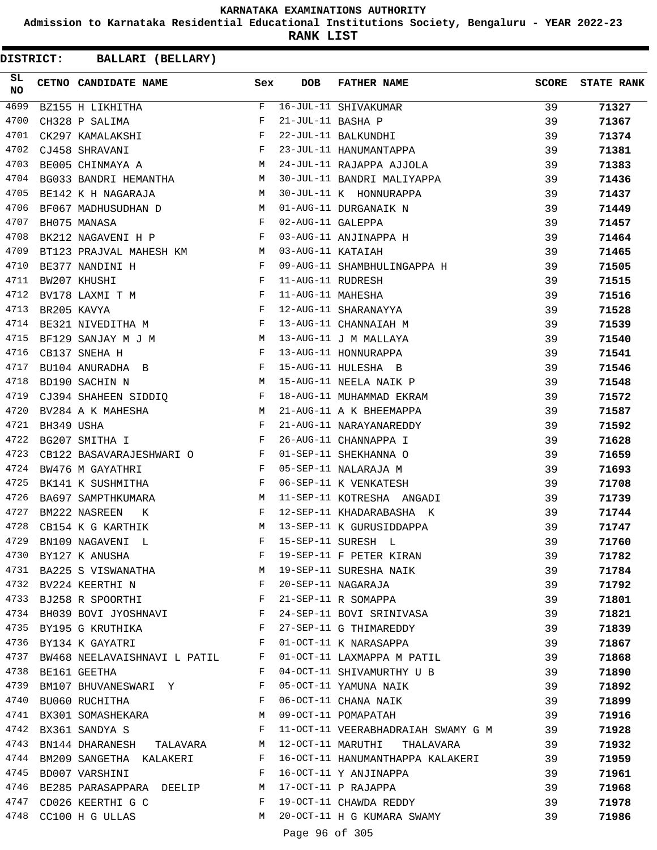**Admission to Karnataka Residential Educational Institutions Society, Bengaluru - YEAR 2022-23**

**RANK LIST**

| SL<br>NO |            | CETNO CANDIDATE NAME                                                                                     | Sex          | <b>DOB</b>        | <b>FATHER NAME</b>                                                                                                     | <b>SCORE</b> | <b>STATE RANK</b> |
|----------|------------|----------------------------------------------------------------------------------------------------------|--------------|-------------------|------------------------------------------------------------------------------------------------------------------------|--------------|-------------------|
| 4699     |            | BZ155 H LIKHITHA                                                                                         | $F -$        |                   | 16-JUL-11 SHIVAKUMAR<br>21-JUL-11 BASHA P<br>22-JUL-11 BALKUNDHI<br>23-JUL-11 HANUMANTAPPA<br>24-JUL-11 RAJAPPA AJJOLA | 39           | 71327             |
| 4700     |            | CH328 P SALIMA                                                                                           | F            |                   |                                                                                                                        | 39           | 71367             |
| 4701     |            | CK297 KAMALAKSHI                                                                                         | F            |                   |                                                                                                                        | 39           | 71374             |
| 4702     |            | CJ458 SHRAVANI                                                                                           | $\mathbf{F}$ |                   |                                                                                                                        | 39           | 71381             |
| 4703     |            | M <sub>N</sub><br>BE005 CHINMAYA A                                                                       |              |                   |                                                                                                                        | 39           | 71383             |
| 4704     |            | BG033 BANDRI HEMANTHA M                                                                                  |              |                   | 30-JUL-11 BANDRI MALIYAPPA                                                                                             | 39           | 71436             |
| 4705     |            | BE142 K H NAGARAJA                                                                                       | M            |                   | 30-JUL-11 K HONNURAPPA                                                                                                 | 39           | 71437             |
| 4706     |            | M<br>BF067 MADHUSUDHAN D                                                                                 |              |                   | 01-AUG-11 DURGANAIK N                                                                                                  | 39           | 71449             |
| 4707     |            | BH075 MANASA                                                                                             | F            | 02-AUG-11 GALEPPA |                                                                                                                        | 39           | 71457             |
| 4708     |            | BK212 NAGAVENI H P                                                                                       | F            |                   | 03-AUG-11 ANJINAPPA H                                                                                                  | 39           | 71464             |
| 4709     |            | BT123 PRAJVAL MAHESH KM M                                                                                |              | 03-AUG-11 KATAIAH |                                                                                                                        | 39           | 71465             |
| 4710     |            | BE377 NANDINI H                                                                                          | $\mathbf{F}$ |                   | 09-AUG-11 SHAMBHULINGAPPA H                                                                                            | 39           | 71505             |
| 4711     |            | BW207 KHUSHI                                                                                             | $_{\rm F}$   | 11-AUG-11 RUDRESH |                                                                                                                        | 39           | 71515             |
| 4712     |            | $\mathbf{F}_{\mathbf{r}}$ and $\mathbf{F}_{\mathbf{r}}$ and $\mathbf{F}_{\mathbf{r}}$<br>BV178 LAXMI T M |              | 11-AUG-11 MAHESHA |                                                                                                                        | 39           | 71516             |
| 4713     |            | $\mathbf F$<br>BR205 KAVYA                                                                               |              |                   | 12-AUG-11 SHARANAYYA                                                                                                   | 39           | 71528             |
| 4714     |            | BE321 NIVEDITHA M                                                                                        | $\mathbf{F}$ |                   | 13-AUG-11 CHANNAIAH M                                                                                                  | 39           | 71539             |
| 4715     |            | BF129 SANJAY M J M                                                                                       |              |                   | 13-AUG-11 J M MALLAYA                                                                                                  | 39           | 71540             |
| 4716     |            | CB137 SNEHA H                                                                                            | $\mathbf{F}$ |                   | 13-AUG-11 HONNURAPPA                                                                                                   | 39           | 71541             |
| 4717     |            | BU104 ANURADHA B                                                                                         | F            |                   | 15-AUG-11 HULESHA B                                                                                                    | 39           | 71546             |
| 4718     |            | M<br>BD190 SACHIN N                                                                                      |              |                   | 15-AUG-11 NEELA NAIK P                                                                                                 | 39           | 71548             |
| 4719     |            | CJ394 SHAHEEN SIDDIQ F                                                                                   |              |                   | 18-AUG-11 MUHAMMAD EKRAM                                                                                               | 39           | 71572             |
| 4720     |            | M <sub>N</sub><br>BV284 A K MAHESHA                                                                      |              |                   | 21-AUG-11 A K BHEEMAPPA                                                                                                | 39           | 71587             |
| 4721     | BH349 USHA | $\mathbf{F}$ and $\mathbf{F}$                                                                            |              |                   | 21-AUG-11 NARAYANAREDDY                                                                                                | 39           | 71592             |
| 4722     |            | $\mathbf{F}$<br>BG207 SMITHA I                                                                           |              |                   | 26-AUG-11 CHANNAPPA I                                                                                                  | 39           | 71628             |
| 4723     |            | CB122 BASAVARAJESHWARI O<br>F                                                                            |              |                   | 01-SEP-11 SHEKHANNA O                                                                                                  | 39           | 71659             |
| 4724     |            | $\mathbf{F}$ and $\mathbf{F}$<br>BW476 M GAYATHRI                                                        |              |                   | 05-SEP-11 NALARAJA M                                                                                                   | 39           | 71693             |
| 4725     |            | $\mathbf{F}$ and the contract of the contract $\mathbf{F}$<br>BK141 K SUSHMITHA                          |              |                   | 06-SEP-11 K VENKATESH                                                                                                  | 39           | 71708             |
| 4726     |            | BA697 SAMPTHKUMARA M                                                                                     |              |                   | 11-SEP-11 KOTRESHA ANGADI                                                                                              | 39           | 71739             |
| 4727     |            | BM222 NASREEN<br>K                                                                                       | F            |                   | 12-SEP-11 KHADARABASHA K                                                                                               | 39           | 71744             |
| 4728     |            | CB154 K G KARTHIK                                                                                        | M            |                   | 13-SEP-11 K GURUSIDDAPPA                                                                                               | 39           | 71747             |
| 4729     |            | BN109 NAGAVENI L                                                                                         | F            |                   | 15-SEP-11 SURESH L                                                                                                     | 39           | 71760             |
|          |            | 4730 BY127 K ANUSHA                                                                                      | F            |                   | 19-SEP-11 F PETER KIRAN                                                                                                | 39           | 71782             |
|          |            | 4731 BA225 S VISWANATHA                                                                                  | M            |                   | 19-SEP-11 SURESHA NAIK                                                                                                 | 39           | 71784             |
|          |            | 4732 BV224 KEERTHI N                                                                                     | F            |                   | 20-SEP-11 NAGARAJA                                                                                                     | 39           | 71792             |
|          |            | 4733 BJ258 R SPOORTHI                                                                                    | $\mathbf{F}$ |                   | 21-SEP-11 R SOMAPPA                                                                                                    | 39           | 71801             |
|          |            | 4734 BH039 BOVI JYOSHNAVI                                                                                | $\mathbf{F}$ |                   | 24-SEP-11 BOVI SRINIVASA                                                                                               | 39           | 71821             |
|          |            | 4735 BY195 G KRUTHIKA                                                                                    | F            |                   | 27-SEP-11 G THIMAREDDY                                                                                                 | 39           | 71839             |
| 4736     |            | BY134 K GAYATRI                                                                                          | F            |                   | 01-OCT-11 K NARASAPPA                                                                                                  | 39           | 71867             |
| 4737     |            | BW468 NEELAVAISHNAVI L PATIL                                                                             | F            |                   | 01-OCT-11 LAXMAPPA M PATIL                                                                                             | 39           | 71868             |
|          |            | 4738 BE161 GEETHA                                                                                        | F            |                   | 04-OCT-11 SHIVAMURTHY U B                                                                                              | 39           | 71890             |
|          |            | 4739 BM107 BHUVANESWARI Y                                                                                | F            |                   | 05-OCT-11 YAMUNA NAIK                                                                                                  | 39           | 71892             |
| 4740     |            | BU060 RUCHITHA                                                                                           | F            |                   | 06-OCT-11 CHANA NAIK                                                                                                   | 39           |                   |
|          |            |                                                                                                          |              |                   |                                                                                                                        |              | 71899             |
| 4741     |            | BX301 SOMASHEKARA<br>4742 BX361 SANDYA S                                                                 | M<br>F       |                   | 09-OCT-11 POMAPATAH                                                                                                    | 39           | 71916             |
| 4743     |            |                                                                                                          |              |                   | 11-OCT-11 VEERABHADRAIAH SWAMY G M                                                                                     | 39           | 71928             |
|          |            | BN144 DHARANESH TALAVARA                                                                                 | M            |                   | 12-OCT-11 MARUTHI THALAVARA                                                                                            | 39           | 71932             |
| 4744     |            | BM209 SANGETHA KALAKERI                                                                                  | F            |                   | 16-OCT-11 HANUMANTHAPPA KALAKERI                                                                                       | 39           | 71959             |
| 4745     |            | BD007 VARSHINI                                                                                           | F            |                   | 16-OCT-11 Y ANJINAPPA                                                                                                  | 39           | 71961             |
|          |            | 4746 BE285 PARASAPPARA DEELIP                                                                            | M            |                   | 17-OCT-11 P RAJAPPA                                                                                                    | 39           | 71968             |
|          |            | 4747 CD026 KEERTHI G C                                                                                   | F            |                   | 19-OCT-11 CHAWDA REDDY                                                                                                 | 39           | 71978             |
|          |            | 4748 CC100 H G ULLAS                                                                                     | M            |                   | 20-OCT-11 H G KUMARA SWAMY                                                                                             | 39           | 71986             |
|          |            |                                                                                                          |              | Page 96 of 305    |                                                                                                                        |              |                   |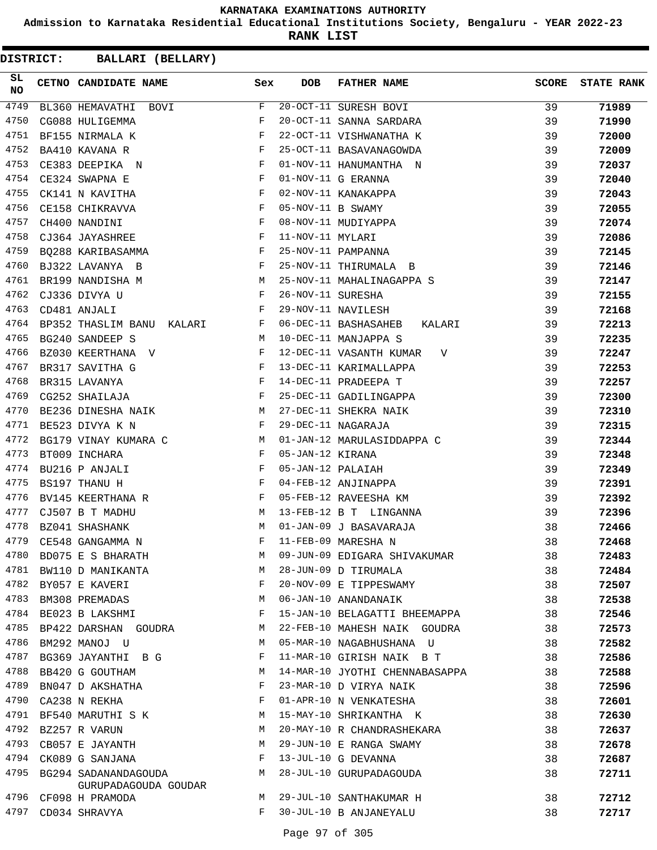**Admission to Karnataka Residential Educational Institutions Society, Bengaluru - YEAR 2022-23**

**RANK LIST**

| SL<br>NO | CETNO CANDIDATE NAME                             | Sex          | DOB               | <b>FATHER NAME</b>                 | <b>SCORE</b> | <b>STATE RANK</b> |
|----------|--------------------------------------------------|--------------|-------------------|------------------------------------|--------------|-------------------|
| 4749     | BL360 HEMAVATHI BOVI                             | F            |                   | $\overline{20-0CT-11}$ SURESH BOVI | 39           | 71989             |
| 4750     | CG088 HULIGEMMA                                  | F            |                   | 20-OCT-11 SANNA SARDARA            | 39           | 71990             |
| 4751     | BF155 NIRMALA K                                  | F            |                   | 22-OCT-11 VISHWANATHA K            | 39           | 72000             |
| 4752     | BA410 KAVANA R                                   | $_{\rm F}$   |                   | 25-OCT-11 BASAVANAGOWDA            | 39           | 72009             |
| 4753     | CE383 DEEPIKA N                                  | F            |                   | 01-NOV-11 HANUMANTHA N             | 39           | 72037             |
| 4754     | CE324 SWAPNA E                                   | F            |                   | 01-NOV-11 G ERANNA                 | 39           | 72040             |
| 4755     | CK141 N KAVITHA                                  | F            |                   | 02-NOV-11 KANAKAPPA                | 39           | 72043             |
| 4756     | CE158 CHIKRAVVA                                  | $\mathbf{F}$ | 05-NOV-11 B SWAMY |                                    | 39           | 72055             |
| 4757     | CH400 NANDINI                                    | F            |                   | 08-NOV-11 MUDIYAPPA                | 39           | 72074             |
| 4758     | $\mathbf{F}$ and $\mathbf{F}$<br>CJ364 JAYASHREE |              | 11-NOV-11 MYLARI  |                                    | 39           | 72086             |
| 4759     | BQ288 KARIBASAMMA                                | $\mathbf{F}$ |                   | 25-NOV-11 PAMPANNA                 | 39           | 72145             |
| 4760     | BJ322 LAVANYA B                                  | $\mathbf{F}$ |                   | 25-NOV-11 THIRUMALA B              | 39           | 72146             |
| 4761     | BR199 NANDISHA M<br>M <sub>N</sub>               |              |                   | 25-NOV-11 MAHALINAGAPPA S          | 39           | 72147             |
| 4762     | $\mathbf{F}$ and $\mathbf{F}$<br>CJ336 DIVYA U   |              | 26-NOV-11 SURESHA |                                    | 39           | 72155             |
| 4763     | $\mathbf{F}$<br>CD481 ANJALI                     |              |                   | 29-NOV-11 NAVILESH                 | 39           | 72168             |
| 4764     | BP352 THASLIM BANU KALARI F                      |              |                   | 06-DEC-11 BASHASAHEB KALARI        | 39           | 72213             |
| 4765     | BG240 SANDEEP S                                  | M            |                   | 10-DEC-11 MANJAPPA S               | 39           | 72235             |
| 4766     | BZ030 KEERTHANA V                                | F            |                   | 12-DEC-11 VASANTH KUMAR V          | 39           | 72247             |
| 4767     | BR317 SAVITHA G                                  | F            |                   | 13-DEC-11 KARIMALLAPPA             | 39           | 72253             |
| 4768     | BR315 LAVANYA                                    | $\mathbf{F}$ |                   | 14-DEC-11 PRADEEPA T               | 39           | 72257             |
| 4769     | CG252 SHAILAJA                                   | $_{\rm F}$   |                   | 25-DEC-11 GADILINGAPPA             | 39           | 72300             |
| 4770     | BE236 DINESHA NAIK M                             |              |                   | 27-DEC-11 SHEKRA NAIK              | 39           | 72310             |
| 4771     | BE523 DIVYA K N                                  | F            |                   | 29-DEC-11 NAGARAJA                 | 39           | 72315             |
| 4772     | BG179 VINAY KUMARA C                             | M            |                   | 01-JAN-12 MARULASIDDAPPA C         | 39           | 72344             |
| 4773     | BT009 INCHARA                                    | F            | 05-JAN-12 KIRANA  |                                    | 39           | 72348             |
| 4774     | BU216 P ANJALI                                   | F            | 05-JAN-12 PALAIAH |                                    | 39           | 72349             |
| 4775     | BS197 THANU H                                    | F            |                   | 04-FEB-12 ANJINAPPA                | 39           | 72391             |
| 4776     | BV145 KEERTHANA R                                | F            |                   | 05-FEB-12 RAVEESHA KM              | 39           | 72392             |
| 4777     | CJ507 B T MADHU                                  | M            |                   | 13-FEB-12 B T LINGANNA             | 39           | 72396             |
| 4778     | BZ041 SHASHANK                                   | M            |                   | 01-JAN-09 J BASAVARAJA             | 38           | 72466             |
| 4779     | CE548 GANGAMMA N                                 | F            |                   | 11-FEB-09 MARESHA N                | 38           | 72468             |
| 4780     | BD075 E S BHARATH                                | М            |                   | 09-JUN-09 EDIGARA SHIVAKUMAR       | 38           | 72483             |
| 4781     | BW110 D MANIKANTA                                | М            |                   | 28-JUN-09 D TIRUMALA               | 38           | 72484             |
| 4782     | BY057 E KAVERI                                   | F            |                   | 20-NOV-09 E TIPPESWAMY             | 38           | 72507             |
| 4783     | BM308 PREMADAS                                   | М            |                   | 06-JAN-10 ANANDANAIK               | 38           | 72538             |
| 4784     | BE023 B LAKSHMI                                  | F            |                   | 15-JAN-10 BELAGATTI BHEEMAPPA      | 38           | 72546             |
| 4785     | BP422 DARSHAN GOUDRA                             | М            |                   | 22-FEB-10 MAHESH NAIK GOUDRA       | 38           | 72573             |
| 4786     | BM292 MANOJ U                                    | М            |                   | 05-MAR-10 NAGABHUSHANA U           | 38           | 72582             |
| 4787     | BG369 JAYANTHI B G                               | F            |                   | 11-MAR-10 GIRISH NAIK B T          | 38           | 72586             |
| 4788     | BB420 G GOUTHAM                                  | М            |                   | 14-MAR-10 JYOTHI CHENNABASAPPA     | 38           | 72588             |
| 4789     | BN047 D AKSHATHA                                 | F            |                   | 23-MAR-10 D VIRYA NAIK             | 38           | 72596             |
| 4790     | CA238 N REKHA                                    | F            |                   | 01-APR-10 N VENKATESHA             | 38           | 72601             |
| 4791     | BF540 MARUTHI S K                                | М            |                   | 15-MAY-10 SHRIKANTHA K             | 38           | 72630             |
| 4792     | BZ257 R VARUN                                    | М            |                   | 20-MAY-10 R CHANDRASHEKARA         | 38           | 72637             |
| 4793     | CB057 E JAYANTH                                  | М            |                   | 29-JUN-10 E RANGA SWAMY            | 38           | 72678             |
| 4794     | CK089 G SANJANA                                  | F            |                   | 13-JUL-10 G DEVANNA                | 38           | 72687             |
| 4795     | BG294 SADANANDAGOUDA<br>GURUPADAGOUDA GOUDAR     | М            |                   | 28-JUL-10 GURUPADAGOUDA            | 38           | 72711             |
| 4796     | CF098 H PRAMODA                                  | М            |                   | 29-JUL-10 SANTHAKUMAR H            | 38           | 72712             |
| 4797     | CD034 SHRAVYA                                    | F            |                   | 30-JUL-10 B ANJANEYALU             | 38           | 72717             |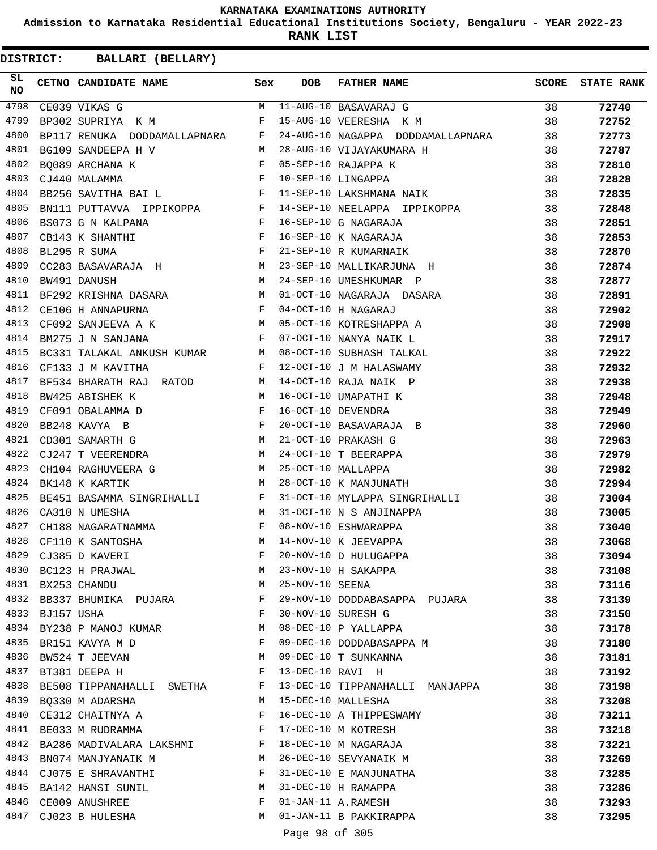**Admission to Karnataka Residential Educational Institutions Society, Bengaluru - YEAR 2022-23**

**RANK LIST**

| SL<br>NO |            | CETNO CANDIDATE NAME                                                                                                                                                                                                                                   | Sex          | <b>DOB</b>       | FATHER NAME                                                                                                   | <b>SCORE</b> | <b>STATE RANK</b> |
|----------|------------|--------------------------------------------------------------------------------------------------------------------------------------------------------------------------------------------------------------------------------------------------------|--------------|------------------|---------------------------------------------------------------------------------------------------------------|--------------|-------------------|
| 4798     |            | CE039 VIKAS G                                                                                                                                                                                                                                          |              |                  | $$\tt{M$} \quad 11-AUG-10 \quad BASAVARAJ \quad G}$ $$\tt{F$} \quad 15-AUG-10 \quad VERESHA \quad K \quad M$$ | 38           | 72740             |
| 4799     |            | BP302 SUPRIYA K M                                                                                                                                                                                                                                      |              |                  |                                                                                                               | 38           | 72752             |
| 4800     |            | BP117 RENUKA DODDAMALLAPNARA F                                                                                                                                                                                                                         |              |                  | 24-AUG-10 NAGAPPA DODDAMALLAPNARA 38                                                                          |              | 72773             |
| 4801     |            | <b>M</b><br>BG109 SANDEEPA H V                                                                                                                                                                                                                         |              |                  | 28-AUG-10 VIJAYAKUMARA H<br>05-SEP-10 RAJAPPA K<br>10-SEP-10 LINGAPPA                                         | 38           | 72787             |
| 4802     |            | $\begin{array}{c} \mathbf{F} \\ \mathbf{F} \end{array}$<br>BO089 ARCHANA K                                                                                                                                                                             |              |                  |                                                                                                               | 38           | 72810             |
| 4803     |            | CJ440 MALAMMA                                                                                                                                                                                                                                          |              |                  |                                                                                                               | 38           | 72828             |
| 4804     |            | BB256 SAVITHA BAI L $$\tt F$$                                                                                                                                                                                                                          |              |                  | 11-SEP-10 LAKSHMANA NAIK                                                                                      | 38           | 72835             |
| 4805     |            |                                                                                                                                                                                                                                                        |              |                  | 14-SEP-10 NEELAPPA IPPIKOPPA                                                                                  | 38           | 72848             |
| 4806     |            |                                                                                                                                                                                                                                                        |              |                  |                                                                                                               | 38           | 72851             |
| 4807     |            |                                                                                                                                                                                                                                                        |              |                  |                                                                                                               | 38           | 72853             |
| 4808     |            | $\mathbf{F}$<br>BL295 R SUMA                                                                                                                                                                                                                           |              |                  | --- -- G NAGARAJA<br>16-SEP-10 K NAGARAJA<br>21-SEP-10 R KUMARNAIK<br>23-SEP-10 MALLIKARIIMA                  | 38           | 72870             |
| 4809     |            |                                                                                                                                                                                                                                                        |              |                  | 23-SEP-10 MALLIKARJUNA H                                                                                      | 38           | 72874             |
| 4810     |            | M<br>BW491 DANUSH                                                                                                                                                                                                                                      |              |                  | 24-SEP-10 UMESHKUMAR P                                                                                        | 38           | 72877             |
| 4811     |            | BF292 KRISHNA DASARA M                                                                                                                                                                                                                                 |              |                  | 01-OCT-10 NAGARAJA DASARA                                                                                     | 38           | 72891             |
| 4812     |            | $\mathbf{F}$ and the set of the set of the set of the set of the set of the set of the set of the set of the set of the set of the set of the set of the set of the set of the set of the set of the set of the set of the set of<br>CE106 H ANNAPURNA |              |                  |                                                                                                               | 38           | 72902             |
| 4813     |            | CF092 SANJEEVA A K M                                                                                                                                                                                                                                   |              |                  |                                                                                                               | 38           | 72908             |
| 4814     |            | $\mathbb{F}$ . The $\mathbb{F}$<br>BM275 J N SANJANA                                                                                                                                                                                                   |              |                  |                                                                                                               | 38           | 72917             |
| 4815     |            | BC331 TALAKAL ANKUSH KUMAR M                                                                                                                                                                                                                           |              |                  | 04-OCT-10 H NAGARAJ<br>05-OCT-10 KOTRESHAPPA A<br>07-OCT-10 NANYA NAIK L<br>08-OCT-10 SUBHASH TALKAL          | 38           | 72922             |
| 4816     |            | $\mathbf{F}$ and $\mathbf{F}$ and $\mathbf{F}$<br>CF133 J M KAVITHA                                                                                                                                                                                    |              |                  | 12-OCT-10 J M HALASWAMY                                                                                       | 38           | 72932             |
| 4817     |            | BF534 BHARATH RAJ RATOD M                                                                                                                                                                                                                              |              |                  | 14-OCT-10 RAJA NAIK P                                                                                         | 38           | 72938             |
| 4818     |            | M<br>BW425 ABISHEK K                                                                                                                                                                                                                                   |              |                  | 16-OCT-10 UMAPATHI K                                                                                          | 38           | 72948             |
| 4819     |            | CF091 OBALAMMA D                                                                                                                                                                                                                                       |              |                  | 16-OCT-10 DEVENDRA                                                                                            | 38           | 72949             |
| 4820     |            | BB248 KAVYA B                                                                                                                                                                                                                                          |              |                  | 20-OCT-10 BASAVARAJA B                                                                                        | 38           | 72960             |
| 4821     |            | $\begin{array}{ccccc} & & & & & \mathbf{F} & \\ & & & & & \mathbf{F} & \\ & & & & \mathbf{F} & \\ & \mathbf{M} & & & \end{array}$<br>CD301 SAMARTH G                                                                                                   |              |                  | 21-OCT-10 PRAKASH G                                                                                           | 38           | 72963             |
| 4822     |            | CJ247 T VEERENDRA M                                                                                                                                                                                                                                    |              |                  | 24-OCT-10 T BEERAPPA                                                                                          | 38           |                   |
| 4823     |            |                                                                                                                                                                                                                                                        |              |                  | 25-OCT-10 MALLAPPA                                                                                            |              | 72979             |
| 4824     |            | CH104 RAGHUVEERA G M<br>$M_{\odot}$                                                                                                                                                                                                                    |              |                  |                                                                                                               | 38           | 72982             |
|          |            | BK148 K KARTIK                                                                                                                                                                                                                                         |              |                  | 28-OCT-10 K MANJUNATH                                                                                         | 38           | 72994             |
| 4825     |            | BE451 BASAMMA SINGRIHALLI F<br>CA310 N UMESHA M                                                                                                                                                                                                        |              |                  | 31-OCT-10 MYLAPPA SINGRIHALLI                                                                                 | 38           | 73004             |
| 4826     |            |                                                                                                                                                                                                                                                        |              |                  | <b>A</b><br>31-OCT-10 N S ANJINAPPA                                                                           | 38           | 73005             |
| 4827     |            | CH188 NAGARATNAMMA F                                                                                                                                                                                                                                   |              |                  | 08-NOV-10 ESHWARAPPA                                                                                          | 38           | 73040             |
| 4828     |            | M <sub>N</sub><br>CF110 K SANTOSHA                                                                                                                                                                                                                     |              |                  | 14-NOV-10 K JEEVAPPA                                                                                          | 38           | 73068             |
| 4829     |            | CJ385 D KAVERI                                                                                                                                                                                                                                         | F            |                  | 20-NOV-10 D HULUGAPPA                                                                                         | 38           | 73094             |
|          |            | 4830 BC123 H PRAJWAL                                                                                                                                                                                                                                   | М            |                  | 23-NOV-10 H SAKAPPA                                                                                           | 38           | 73108             |
|          |            | 4831 BX253 CHANDU                                                                                                                                                                                                                                      | М            | 25-NOV-10 SEENA  |                                                                                                               | 38           | 73116             |
| 4832     |            | BB337 BHUMIKA PUJARA                                                                                                                                                                                                                                   | F            |                  | 29-NOV-10 DODDABASAPPA PUJARA                                                                                 | 38           | 73139             |
| 4833     | BJ157 USHA |                                                                                                                                                                                                                                                        | F            |                  | 30-NOV-10 SURESH G                                                                                            | 38           | 73150             |
|          |            | 4834 BY238 P MANOJ KUMAR                                                                                                                                                                                                                               | M            |                  | 08-DEC-10 P YALLAPPA                                                                                          | 38           | 73178             |
| 4835     |            | BR151 KAVYA M D                                                                                                                                                                                                                                        | F            |                  | 09-DEC-10 DODDABASAPPA M                                                                                      | 38           | 73180             |
| 4836     |            | BW524 T JEEVAN                                                                                                                                                                                                                                         | М            |                  | 09-DEC-10 T SUNKANNA                                                                                          | 38           | 73181             |
| 4837     |            | BT381 DEEPA H                                                                                                                                                                                                                                          | F            | 13-DEC-10 RAVI H |                                                                                                               | 38           | 73192             |
| 4838     |            | BE508 TIPPANAHALLI SWETHA                                                                                                                                                                                                                              | F            |                  | 13-DEC-10 TIPPANAHALLI MANJAPPA                                                                               | 38           | 73198             |
| 4839     |            | BQ330 M ADARSHA                                                                                                                                                                                                                                        | М            |                  | 15-DEC-10 MALLESHA                                                                                            | 38           | 73208             |
| 4840     |            | CE312 CHAITNYA A                                                                                                                                                                                                                                       | F            |                  | 16-DEC-10 A THIPPESWAMY                                                                                       | 38           | 73211             |
| 4841     |            | BE033 M RUDRAMMA                                                                                                                                                                                                                                       | F            |                  | 17-DEC-10 M KOTRESH                                                                                           | 38           | 73218             |
|          |            | 4842 BA286 MADIVALARA LAKSHMI                                                                                                                                                                                                                          | $\mathbf{F}$ |                  | 18-DEC-10 M NAGARAJA                                                                                          | 38           | 73221             |
| 4843     |            | BN074 MANJYANAIK M                                                                                                                                                                                                                                     | M            |                  | 26-DEC-10 SEVYANAIK M                                                                                         | 38           | 73269             |
| 4844     |            | CJ075 E SHRAVANTHI                                                                                                                                                                                                                                     | F            |                  | 31-DEC-10 E MANJUNATHA                                                                                        | 38           | 73285             |
| 4845     |            | BA142 HANSI SUNIL                                                                                                                                                                                                                                      | M            |                  | 31-DEC-10 H RAMAPPA                                                                                           | 38           | 73286             |
|          |            | 4846 CE009 ANUSHREE                                                                                                                                                                                                                                    | F            |                  | 01-JAN-11 A.RAMESH                                                                                            | 38           | 73293             |
|          |            | 4847 CJ023 B HULESHA                                                                                                                                                                                                                                   | M            |                  | 01-JAN-11 B PAKKIRAPPA                                                                                        | 38           | 73295             |
|          |            |                                                                                                                                                                                                                                                        |              | Page 98 of 305   |                                                                                                               |              |                   |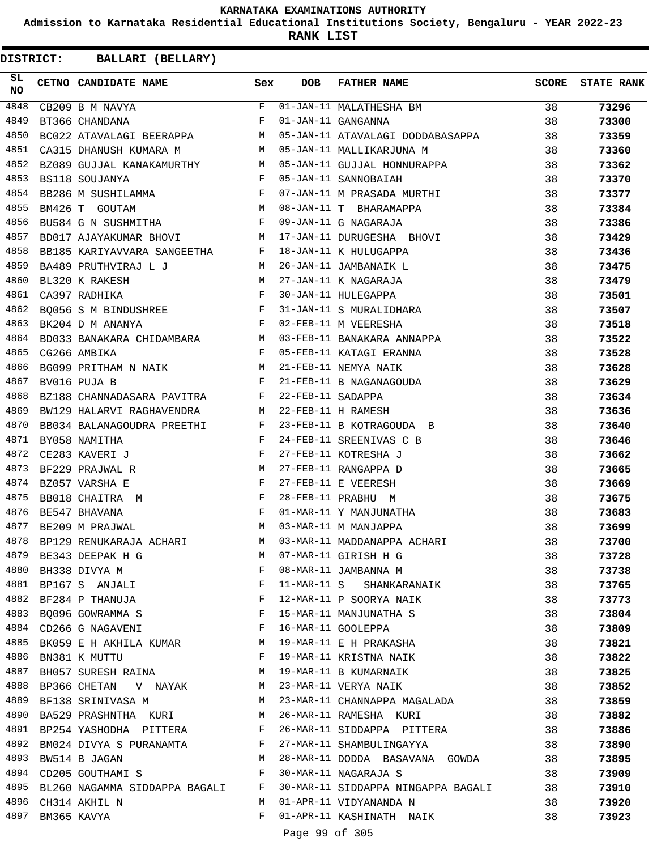**Admission to Karnataka Residential Educational Institutions Society, Bengaluru - YEAR 2022-23**

**RANK LIST**

**DISTRICT:** CC **BALLARI (BELLARY)**

| SL<br><b>NO</b> | CETNO CANDIDATE NAME Sex                                                                                                                                                                                                                             |              | <b>DOB</b> | FATHER NAME                                                                                                                             | SCORE | <b>STATE RANK</b> |
|-----------------|------------------------------------------------------------------------------------------------------------------------------------------------------------------------------------------------------------------------------------------------------|--------------|------------|-----------------------------------------------------------------------------------------------------------------------------------------|-------|-------------------|
| 4848            | $$\rm F$$ $$\rm F$$<br>CB209 B M NAVYA                                                                                                                                                                                                               |              |            | $\begin{tabular}{lllllll} F & 01-\text{JAN}-11 & \text{MALATHESHA} & \text{BM} \\ F & 01-\text{JAN}-11 & \text{GANGANNA} \end{tabular}$ | 38    | 73296             |
| 4849            | BT366 CHANDANA                                                                                                                                                                                                                                       |              |            |                                                                                                                                         | 38    | 73300             |
| 4850            | BC022 ATAVALAGI BEERAPPA M                                                                                                                                                                                                                           |              |            | 05-JAN-11 ATAVALAGI DODDABASAPPA 38                                                                                                     |       | 73359             |
| 4851            |                                                                                                                                                                                                                                                      |              |            | CA315 DHANUSH KUMARA M M 05-JAN-11 MALLIKARJUNA M                                                                                       | - 38  | 73360             |
| 4852            |                                                                                                                                                                                                                                                      |              |            | BZ089 GUJJAL KANAKAMURTHY MOS-JAN-11 GUJJAL HONNURAPPA<br>BS118 SOUJANYA MOS-JAN-11 SANNOBAIAH                                          | 38    | 73362             |
| 4853            |                                                                                                                                                                                                                                                      |              |            |                                                                                                                                         | 38    | 73370             |
| 4854            | BB286 M SUSHILAMMA F                                                                                                                                                                                                                                 |              |            | 07-JAN-11 M PRASADA MURTHI                                                                                                              | 38    | 73377             |
| 4855            |                                                                                                                                                                                                                                                      |              |            | BM426 T GOUTAM<br>BU584 G N SUSHMITHA<br>BU584 G N SUSHMITHA<br>F 09-JAN-11 G NAGARAJA                                                  | 38    | 73384             |
| 4856            |                                                                                                                                                                                                                                                      |              |            |                                                                                                                                         | 38    | 73386             |
| 4857            | BD017 AJAYAKUMAR BHOVI M                                                                                                                                                                                                                             |              |            | 17-JAN-11 DURUGESHA BHOVI                                                                                                               | 38    | 73429             |
| 4858            | BB185 KARIYAVVARA SANGEETHA F                                                                                                                                                                                                                        |              |            |                                                                                                                                         | 38    | 73436             |
| 4859            | BA489 PRUTHVIRAJ LJ M                                                                                                                                                                                                                                |              |            |                                                                                                                                         | 38    | 73475             |
| 4860            | $\begin{array}{c}\nM \\ F\n\end{array}$<br>BL320 K RAKESH                                                                                                                                                                                            |              |            |                                                                                                                                         | 38    | 73479             |
| 4861            | CA397 RADHIKA                                                                                                                                                                                                                                        |              |            |                                                                                                                                         | 38    | 73501             |
| 4862            | BQ056 S M BINDUSHREE F                                                                                                                                                                                                                               |              |            | 18-JAN-11 K HULUGAPPA<br>26-JAN-11 JAMBANAIK L<br>27-JAN-11 K NAGARAJA<br>30-JAN-11 HULEGAPPA<br>31-JAN-11 S MURALIDHARA                | 38    | 73507             |
| 4863            |                                                                                                                                                                                                                                                      |              |            |                                                                                                                                         | 38    | 73518             |
| 4864            |                                                                                                                                                                                                                                                      |              |            | BK204 D M ANANYA<br>BD033 BANAKARA CHIDAMBARA M 03-FEB-11 BANAKARA ANNAPPA                                                              | 38    | 73522             |
| 4865            | $\mathbf{F}$ and $\mathbf{F}$ are the set of the set of the set of the set of the set of the set of the set of the set of the set of the set of the set of the set of the set of the set of the set of the set of the set of the set<br>CG266 AMBIKA |              |            | 05-FEB-11 KATAGI ERANNA                                                                                                                 | 38    | 73528             |
| 4866            | BG099 PRITHAM N NAIK M                                                                                                                                                                                                                               |              |            | 21-FEB-11 NEMYA NAIK                                                                                                                    | 38    | 73628             |
| 4867            | $\mathbf{F}$<br>BV016 PUJA B                                                                                                                                                                                                                         |              |            | 21-FEB-11 B NAGANAGOUDA<br>22-FEB-11 SADAPPA<br>22-FEB-11 H RAMESH                                                                      | 38    | 73629             |
| 4868            | BZ188 CHANNADASARA PAVITRA F                                                                                                                                                                                                                         |              |            |                                                                                                                                         | 38    | 73634             |
| 4869            | BW129 HALARVI RAGHAVENDRA M                                                                                                                                                                                                                          |              |            |                                                                                                                                         | 38    | 73636             |
| 4870            | BB034 BALANAGOUDRA PREETHI F                                                                                                                                                                                                                         |              |            | 23-FEB-11 B KOTRAGOUDA B                                                                                                                | 38    | 73640             |
| 4871            | BY058 NAMITHA                                                                                                                                                                                                                                        |              |            | 24-FEB-11 SREENIVAS C B                                                                                                                 | 38    | 73646             |
| 4872            | $\frac{\text{F}}{\text{F}}$<br>CE283 KAVERI J                                                                                                                                                                                                        |              |            | 27-FEB-11 KOTRESHA J                                                                                                                    | 38    | 73662             |
| 4873            | M <sub>N</sub><br>BF229 PRAJWAL R                                                                                                                                                                                                                    |              |            | 27-FEB-11 RANGAPPA D                                                                                                                    | 38    | 73665             |
| 4874            | $\mathbb{F}^{\mathbb{Z}}$ . The state $\mathbb{F}^{\mathbb{Z}}$<br>BZ057 VARSHA E                                                                                                                                                                    |              |            | 27-FEB-11 E VEERESH                                                                                                                     | 38    | 73669             |
| 4875            | BB018 CHAITRA M                                                                                                                                                                                                                                      |              |            | 28-FEB-11 PRABHU M                                                                                                                      | 38    | 73675             |
| 4876            | $\begin{aligned} \mathbf{F} \\ \mathbf{F} \end{aligned}$<br>BE547 BHAVANA                                                                                                                                                                            |              |            | 01-MAR-11 Y MANJUNATHA                                                                                                                  | 38    | 73683             |
| 4877            | M <sub>N</sub><br>BE209 M PRAJWAL                                                                                                                                                                                                                    |              |            | 03-MAR-11 M MANJAPPA                                                                                                                    | 38    | 73699             |
| 4878            |                                                                                                                                                                                                                                                      |              |            | BP129 RENUKARAJA ACHARI M 03-MAR-11 MADDANAPPA ACHARI                                                                                   | 38    | 73700             |
|                 | 4879 BE343 DEEPAK H G                                                                                                                                                                                                                                | M            |            | 07-MAR-11 GIRISH H G                                                                                                                    | 38    | 73728             |
|                 | 4880 BH338 DIVYA M                                                                                                                                                                                                                                   | F            |            | 08-MAR-11 JAMBANNA M                                                                                                                    | 38    | 73738             |
|                 | 4881 BP167 S ANJALI                                                                                                                                                                                                                                  | $\mathbf{F}$ |            | 11-MAR-11 S SHANKARANAIK                                                                                                                | 38    | 73765             |
| 4882            | the contract of the contract of the Property of the Property of the Property of the Property of the Property of the Property of the Property of the Property of the Property of the Property of the Property of the Property o<br>BF284 P THANUJA    |              |            | 12-MAR-11 P SOORYA NAIK                                                                                                                 | 38    | 73773             |
|                 | 4883 BQ096 GOWRAMMA S                                                                                                                                                                                                                                | $\mathbf{F}$ |            | 15-MAR-11 MANJUNATHA S                                                                                                                  | 38    | 73804             |
|                 | 4884 CD266 G NAGAVENI                                                                                                                                                                                                                                | F            |            | 16-MAR-11 GOOLEPPA                                                                                                                      | 38    | 73809             |
| 4885            | BK059 E H AKHILA KUMAR                                                                                                                                                                                                                               | M            |            | 19-MAR-11 E H PRAKASHA                                                                                                                  | 38    | 73821             |
| 4886            | BN381 K MUTTU                                                                                                                                                                                                                                        | $\mathbf{F}$ |            | 19-MAR-11 KRISTNA NAIK                                                                                                                  | 38    | 73822             |
| 4887            | BH057 SURESH RAINA                                                                                                                                                                                                                                   | M            |            | 19-MAR-11 B KUMARNAIK                                                                                                                   | 38    | 73825             |
|                 | 4888 BP366 CHETAN V NAYAK                                                                                                                                                                                                                            | M            |            | 23-MAR-11 VERYA NAIK                                                                                                                    | 38    | 73852             |
| 4889            | BF138 SRINIVASA M                                                                                                                                                                                                                                    | M            |            | 23-MAR-11 CHANNAPPA MAGALADA                                                                                                            | 38    | 73859             |
| 4890            | BA529 PRASHNTHA KURI                                                                                                                                                                                                                                 | M            |            | 26-MAR-11 RAMESHA KURI                                                                                                                  | 38    | 73882             |
|                 | 4891 BP254 YASHODHA PITTERA F                                                                                                                                                                                                                        |              |            | 26-MAR-11 SIDDAPPA PITTERA                                                                                                              | 38    | 73886             |
|                 | 4892 BM024 DIVYA S PURANAMTA F                                                                                                                                                                                                                       |              |            | 27-MAR-11 SHAMBULINGAYYA                                                                                                                | 38    | 73890             |
| 4893            | BW514 B JAGAN                                                                                                                                                                                                                                        | M            |            | 28-MAR-11 DODDA BASAVANA GOWDA                                                                                                          | 38    | 73895             |
| 4894            | CD205 GOUTHAMI S                                                                                                                                                                                                                                     | F            |            | 30-MAR-11 NAGARAJA S                                                                                                                    | 38    | 73909             |
|                 | 4895 BL260 NAGAMMA SIDDAPPA BAGALI F                                                                                                                                                                                                                 |              |            | 30-MAR-11 SIDDAPPA NINGAPPA BAGALI                                                                                                      | 38    | 73910             |
|                 | 4896 CH314 AKHIL N                                                                                                                                                                                                                                   | M            |            | 01-APR-11 VIDYANANDA N                                                                                                                  | 38    | 73920             |
| 4897            | BM365 KAVYA                                                                                                                                                                                                                                          | F            |            | 01-APR-11 KASHINATH NAIK                                                                                                                | 38    | 73923             |
|                 |                                                                                                                                                                                                                                                      |              |            | $-00 - 00 - 00$                                                                                                                         |       |                   |

Page 99 of 305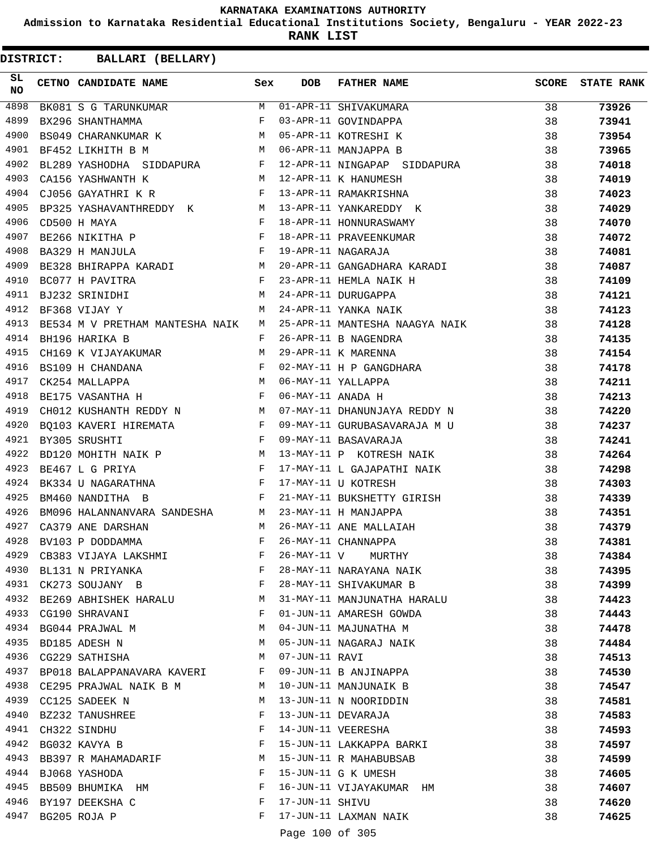**Admission to Karnataka Residential Educational Institutions Society, Bengaluru - YEAR 2022-23**

**RANK LIST**

| SL<br><b>NO</b> | CETNO CANDIDATE NAME Sex                                                                                                                                                                                                                                |        | <b>DOB</b>      | <b>FATHER NAME</b>                                                                                                                                                                | SCORE    | <b>STATE RANK</b> |
|-----------------|---------------------------------------------------------------------------------------------------------------------------------------------------------------------------------------------------------------------------------------------------------|--------|-----------------|-----------------------------------------------------------------------------------------------------------------------------------------------------------------------------------|----------|-------------------|
| 4898            |                                                                                                                                                                                                                                                         |        |                 | BK081 S G TARUNKUMAR M 01-APR-11 SHIVAKUMARA<br>BX296 SHANTHAMMA F 03-APR-11 GOVINDAPPA<br>BS049 CHARANKUMAR K M 05-APR-11 KOTRESHI K<br>DE452 LIKULTH R M M 06-APR-11 MANJAPPA B | 38       | 73926             |
| 4899            |                                                                                                                                                                                                                                                         |        |                 |                                                                                                                                                                                   | 38       | 73941             |
| 4900            |                                                                                                                                                                                                                                                         |        |                 |                                                                                                                                                                                   | 38       | 73954             |
| 4901            |                                                                                                                                                                                                                                                         |        |                 |                                                                                                                                                                                   | 38       | 73965             |
| 4902            |                                                                                                                                                                                                                                                         |        |                 | BL289 YASHODHA SIDDAPURA F 12-APR-11 NINGAPAP SIDDAPURA                                                                                                                           | 38       | 74018             |
| 4903            | M 12-APR-11 K HANUMESH<br>CA156 YASHWANTH K                                                                                                                                                                                                             |        |                 |                                                                                                                                                                                   | 38       | 74019             |
| 4904            | CJ056 GAYATHRI K R<br>F 13-APR-11 RAMAKRISHNA                                                                                                                                                                                                           |        |                 |                                                                                                                                                                                   | 38       | 74023             |
| 4905            |                                                                                                                                                                                                                                                         |        |                 | BP325 YASHAVANTHREDDY K M 13-APR-11 YANKAREDDY K                                                                                                                                  | 38       | 74029             |
| 4906            | $\mathbf{F}$<br>CD500 H MAYA                                                                                                                                                                                                                            |        |                 | 18-APR-11 HONNURASWAMY                                                                                                                                                            | 38       | 74070             |
| 4907            | BE266 NIKITHA P F                                                                                                                                                                                                                                       |        |                 | 18-APR-11 PRAVEENKUMAR                                                                                                                                                            | 38       | 74072             |
| 4908            | $\mathbf{F}$ and the contract of $\mathbf{F}$<br>BA329 H MANJULA                                                                                                                                                                                        |        |                 | 19-APR-11 NAGARAJA                                                                                                                                                                | 38       | 74081             |
| 4909            | BE328 BHIRAPPA KARADI M                                                                                                                                                                                                                                 |        |                 | 20-APR-11 GANGADHARA KARADI                                                                                                                                                       | 38       | 74087             |
| 4910            | $\mathbf{F}$<br>BC077 H PAVITRA                                                                                                                                                                                                                         |        |                 | 23-APR-11 HEMLA NAIK H                                                                                                                                                            | 38       | 74109             |
| 4911            | M<br>BJ232 SRINIDHI                                                                                                                                                                                                                                     |        |                 | 24-APR-11 DURUGAPPA                                                                                                                                                               | 38       | 74121             |
| 4912            | M <sub>N</sub><br>BF368 VIJAY Y                                                                                                                                                                                                                         |        |                 | 24-APR-11 YANKA NAIK                                                                                                                                                              | - 38     | 74123             |
| 4913            | BE534 M V PRETHAM MANTESHA NAIK M                                                                                                                                                                                                                       |        |                 | 25-APR-11 MANTESHA NAAGYA NAIK                                                                                                                                                    | 38       | 74128             |
| 4914            | BH196 HARIKA B                                                                                                                                                                                                                                          | F      |                 | 26-APR-11 B NAGENDRA                                                                                                                                                              | 38       | 74135             |
| 4915            | CH169 K VIJAYAKUMAR M                                                                                                                                                                                                                                   |        |                 |                                                                                                                                                                                   | 38       | 74154             |
| 4916            | $\mathbf{F}$ . The set of the set of the set of the set of the set of the set of the set of the set of the set of the set of the set of the set of the set of the set of the set of the set of the set of the set of the set of t<br>BS109 H CHANDANA   |        |                 |                                                                                                                                                                                   | 38       | 74178             |
| 4917            | CK254 MALLAPPA                                                                                                                                                                                                                                          |        |                 | 29-APR-11 K MARENNA<br>02-MAY-11 H P GANGDHARA<br>06-MAY-11 YALLAPPA                                                                                                              | 38       | 74211             |
| 4918            | $$\rm \, M$$ $$\rm \, F$$<br>BE175 VASANTHA H                                                                                                                                                                                                           |        |                 |                                                                                                                                                                                   | 38       | 74213             |
| 4919            | CH012 KUSHANTH REDDY N M                                                                                                                                                                                                                                |        |                 | 07-MAY-11 DHANUNJAYA REDDY N                                                                                                                                                      | 38       | 74220             |
| 4920            | BQ103 KAVERI HIREMATA F                                                                                                                                                                                                                                 |        |                 | 09-MAY-11 GURUBASAVARAJA M U                                                                                                                                                      | 38       | 74237             |
| 4921            | $\mathbf{F}$<br>BY305 SRUSHTI                                                                                                                                                                                                                           |        |                 | 09-MAY-11 BASAVARAJA                                                                                                                                                              | 38       | 74241             |
| 4922            | BD120 MOHITH NAIK P M                                                                                                                                                                                                                                   |        |                 | 13-MAY-11 P KOTRESH NAIK                                                                                                                                                          | 38       | 74264             |
| 4923            | $\mathbf{F}$ and $\mathbf{F}$ are the set of the set of the set of the set of the set of the set of the set of the set of the set of the set of the set of the set of the set of the set of the set of the set of the set of the set<br>BE467 L G PRIYA |        |                 | 17-MAY-11 L GAJAPATHI NAIK                                                                                                                                                        | 38       | 74298             |
| 4924            | BK334 U NAGARATHNA F                                                                                                                                                                                                                                    |        |                 | 17-MAY-11 U KOTRESH                                                                                                                                                               | 38       | 74303             |
| 4925            | $\mathbb{F}^{\mathbb{N}}$ . If $\mathbb{F}^{\mathbb{N}}$<br>BM460 NANDITHA B                                                                                                                                                                            |        |                 |                                                                                                                                                                                   | 38       | 74339             |
| 4926            | BM096 HALANNANVARA SANDESHA M 23-MAY-11 H MANJAPPA                                                                                                                                                                                                      |        |                 | 21-MAY-11 BUKSHETTY GIRISH                                                                                                                                                        | 38       | 74351             |
| 4927            | CA379 ANE DARSHAN                                                                                                                                                                                                                                       |        |                 | 26-MAY-11 ANE MALLAIAH                                                                                                                                                            | 38       | 74379             |
| 4928            | M<br>BV103 P DODDAMMA                                                                                                                                                                                                                                   | F      |                 | 26-MAY-11 CHANNAPPA                                                                                                                                                               | 38       | 74381             |
| 4929            | CB383 VIJAYA LAKSHMI                                                                                                                                                                                                                                    | F      | 26-MAY-11 V     |                                                                                                                                                                                   |          | 74384             |
| 4930            |                                                                                                                                                                                                                                                         | F      |                 | MURTHY<br>28-MAY-11 NARAYANA NAIK                                                                                                                                                 | 38<br>38 | 74395             |
| 4931            | BL131 N PRIYANKA                                                                                                                                                                                                                                        | F      |                 |                                                                                                                                                                                   |          |                   |
| 4932            | CK273 SOUJANY B                                                                                                                                                                                                                                         |        |                 | 28-MAY-11 SHIVAKUMAR B                                                                                                                                                            | 38       | 74399             |
|                 | BE269 ABHISHEK HARALU                                                                                                                                                                                                                                   | М<br>F |                 | 31-MAY-11 MANJUNATHA HARALU                                                                                                                                                       | 38       | 74423             |
|                 | 4933 CG190 SHRAVANI                                                                                                                                                                                                                                     |        |                 | 01-JUN-11 AMARESH GOWDA                                                                                                                                                           | 38       | 74443             |
|                 | 4934 BG044 PRAJWAL M                                                                                                                                                                                                                                    | М      |                 | 04-JUN-11 MAJUNATHA M                                                                                                                                                             | 38       | 74478             |
| 4935            | BD185 ADESH N                                                                                                                                                                                                                                           | M      |                 | 05-JUN-11 NAGARAJ NAIK                                                                                                                                                            | 38       | 74484             |
| 4936            | CG229 SATHISHA                                                                                                                                                                                                                                          | М      | 07-JUN-11 RAVI  |                                                                                                                                                                                   | 38       | 74513             |
| 4937            | BP018 BALAPPANAVARA KAVERI                                                                                                                                                                                                                              | F      |                 | 09-JUN-11 B ANJINAPPA                                                                                                                                                             | 38       | 74530             |
|                 | 4938 CE295 PRAJWAL NAIK B M                                                                                                                                                                                                                             | M      |                 | 10-JUN-11 MANJUNAIK B                                                                                                                                                             | 38       | 74547             |
| 4939            | CC125 SADEEK N                                                                                                                                                                                                                                          | M      |                 | 13-JUN-11 N NOORIDDIN                                                                                                                                                             | 38       | 74581             |
| 4940            | BZ232 TANUSHREE                                                                                                                                                                                                                                         | F      |                 | 13-JUN-11 DEVARAJA                                                                                                                                                                | 38       | 74583             |
|                 | 4941 CH322 SINDHU                                                                                                                                                                                                                                       | F      |                 | 14-JUN-11 VEERESHA                                                                                                                                                                | 38       | 74593             |
|                 | 4942 BG032 KAVYA B                                                                                                                                                                                                                                      | F      |                 | 15-JUN-11 LAKKAPPA BARKI                                                                                                                                                          | 38       | 74597             |
| 4943            | BB397 R MAHAMADARIF                                                                                                                                                                                                                                     | М      |                 | 15-JUN-11 R MAHABUBSAB                                                                                                                                                            | 38       | 74599             |
| 4944            | BJ068 YASHODA                                                                                                                                                                                                                                           | F      |                 | 15-JUN-11 G K UMESH                                                                                                                                                               | 38       | 74605             |
|                 | 4945 BB509 BHUMIKA HM                                                                                                                                                                                                                                   | F      |                 | 16-JUN-11 VIJAYAKUMAR HM                                                                                                                                                          | 38       | 74607             |
|                 | 4946 BY197 DEEKSHA C                                                                                                                                                                                                                                    | F      | 17-JUN-11 SHIVU |                                                                                                                                                                                   | 38       | 74620             |
| 4947            | BG205 ROJA P                                                                                                                                                                                                                                            | F      |                 | 17-JUN-11 LAXMAN NAIK                                                                                                                                                             | 38       | 74625             |
|                 |                                                                                                                                                                                                                                                         |        | Page 100 of 305 |                                                                                                                                                                                   |          |                   |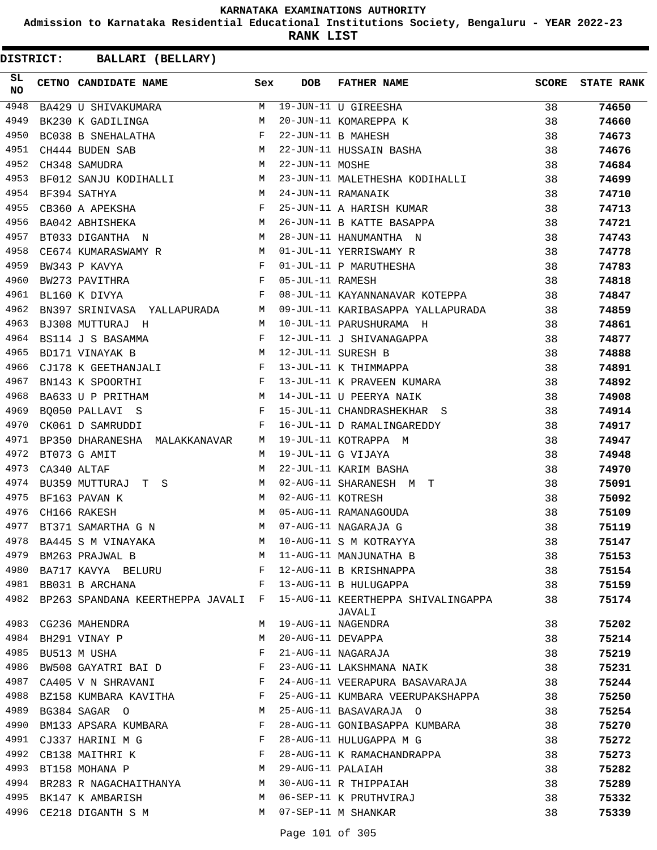**Admission to Karnataka Residential Educational Institutions Society, Bengaluru - YEAR 2022-23**

**RANK LIST**

**DISTRICT:** CC **BALLARI (BELLARY)**

| SL<br>NO | <b>CETNO CANDIDATE NAME</b>                                        | Sex          | DOB               | <b>FATHER NAME</b>                                                                                     | <b>SCORE</b> | <b>STATE RANK</b> |
|----------|--------------------------------------------------------------------|--------------|-------------------|--------------------------------------------------------------------------------------------------------|--------------|-------------------|
| 4948     | BA429 U SHIVAKUMARA                                                |              |                   | M 19-JUN-11 U GIREESHA<br>M 20-JUN-11 KOMAREPPA K<br>F 22-JUN-11 B MAHESH<br>M 22-JUN-11 HUSSAIN BASHA | 38           | 74650             |
| 4949     | BK230 K GADILINGA                                                  |              |                   |                                                                                                        | 38           | 74660             |
| 4950     | BC038 B SNEHALATHA                                                 |              |                   |                                                                                                        | 38           | 74673             |
| 4951     | CH444 BUDEN SAB                                                    |              |                   |                                                                                                        | 38           | 74676             |
| 4952     | CH348 SAMUDRA                                                      | М            | 22-JUN-11 MOSHE   |                                                                                                        | 38           | 74684             |
| 4953     | BF012 SANJU KODIHALLI M                                            |              |                   | 23-JUN-11 MALETHESHA KODIHALLI                                                                         | 38           | 74699             |
| 4954     | BF394 SATHYA                                                       | M            |                   | 24-JUN-11 RAMANAIK                                                                                     | 38           | 74710             |
| 4955     | CB360 A APEKSHA F                                                  |              |                   | 25-JUN-11 A HARISH KUMAR                                                                               | 38           | 74713             |
| 4956     | BA042 ABHISHEKA M                                                  |              |                   | 26-JUN-11 B KATTE BASAPPA                                                                              | 38           | 74721             |
| 4957     | BT033 DIGANTHA N                                                   | M            |                   | 28-JUN-11 HANUMANTHA N                                                                                 | 38           | 74743             |
| 4958     | CE674 KUMARASWAMY R M                                              |              |                   | 01-JUL-11 YERRISWAMY R                                                                                 | 38           | 74778             |
| 4959     | BW343 P KAVYA                                                      | F            |                   | 01-JUL-11 P MARUTHESHA                                                                                 | 38           | 74783             |
| 4960     | BW273 PAVITHRA                                                     | $\mathbf{F}$ | 05-JUL-11 RAMESH  |                                                                                                        | 38           | 74818             |
| 4961     | BL160 K DIVYA                                                      | F            |                   | 08-JUL-11 KAYANNANAVAR KOTEPPA                                                                         | 38           | 74847             |
| 4962     | BN397 SRINIVASA YALLAPURADA M                                      |              |                   | 09-JUL-11 KARIBASAPPA YALLAPURADA                                                                      | 38           | 74859             |
| 4963     | BJ308 MUTTURAJ H                                                   | M            |                   | 10-JUL-11 PARUSHURAMA H                                                                                | 38           | 74861             |
| 4964     | BS114 J S BASAMMA                                                  | F            |                   | 12-JUL-11 J SHIVANAGAPPA                                                                               | 38           | 74877             |
| 4965     | BD171 VINAYAK B                                                    | M            |                   | 12-JUL-11 SURESH B                                                                                     | 38           | 74888             |
| 4966     | CJ178 K GEETHANJALI                                                | $\mathbf{F}$ |                   | 13-JUL-11 K THIMMAPPA                                                                                  | 38           | 74891             |
| 4967     | $\mathbf{F}$ and $\mathbf{F}$ and $\mathbf{F}$<br>BN143 K SPOORTHI |              |                   | 13-JUL-11 K PRAVEEN KUMARA                                                                             | 38           | 74892             |
| 4968     | BA633 U P PRITHAM                                                  | M            |                   | 14-JUL-11 U PEERYA NAIK                                                                                | 38           | 74908             |
| 4969     | BQ050 PALLAVI S                                                    | F            |                   | 15-JUL-11 CHANDRASHEKHAR S                                                                             | 38           | 74914             |
| 4970     | CK061 D SAMRUDDI                                                   | $\mathbf{F}$ |                   | 16-JUL-11 D RAMALINGAREDDY                                                                             | 38           | 74917             |
| 4971     | BP350 DHARANESHA MALAKKANAVAR                                      | M            |                   | 19-JUL-11 KOTRAPPA M                                                                                   | 38           | 74947             |
| 4972     | BT073 G AMIT                                                       | M            |                   | 19-JUL-11 G VIJAYA                                                                                     | 38           | 74948             |
| 4973     | CA340 ALTAF                                                        | M            |                   | 22-JUL-11 KARIM BASHA                                                                                  | 38           | 74970             |
| 4974     | BU359 MUTTURAJ T S                                                 | M            |                   | 02-AUG-11 SHARANESH M T                                                                                | 38           | 75091             |
| 4975     | BF163 PAVAN K                                                      | M            | 02-AUG-11 KOTRESH |                                                                                                        | 38           | 75092             |
| 4976     | CH166 RAKESH                                                       | M            |                   | 05-AUG-11 RAMANAGOUDA                                                                                  | 38           | 75109             |
| 4977     | BT371 SAMARTHA G N                                                 | M            |                   | 07-AUG-11 NAGARAJA G                                                                                   | 38           | 75119             |
| 4978     | BA445 S M VINAYAKA                                                 |              |                   | M 10-AUG-11 S M KOTRAYYA                                                                               | 38           | 75147             |
| 4979     | BM263 PRAJWAL B                                                    | М            |                   | 11-AUG-11 MANJUNATHA B                                                                                 | 38           | 75153             |
|          | 4980 BA717 KAVYA BELURU                                            | F            |                   | 12-AUG-11 B KRISHNAPPA                                                                                 | 38           | 75154             |
|          | 4981 BB031 B ARCHANA                                               | F            |                   | 13-AUG-11 B HULUGAPPA                                                                                  | 38           | 75159             |
| 4982     | BP263 SPANDANA KEERTHEPPA JAVALI F                                 |              |                   | 15-AUG-11 KEERTHEPPA SHIVALINGAPPA<br>JAVALI                                                           | 38           | 75174             |
| 4983     | CG236 MAHENDRA                                                     | М            |                   | 19-AUG-11 NAGENDRA                                                                                     | 38           | 75202             |
| 4984     | BH291 VINAY P                                                      | M            |                   | 20-AUG-11 DEVAPPA                                                                                      | 38           | 75214             |
| 4985     | BU513 M USHA                                                       | F            |                   | 21-AUG-11 NAGARAJA                                                                                     | 38           | 75219             |
| 4986     | BW508 GAYATRI BAI D                                                | F            |                   | 23-AUG-11 LAKSHMANA NAIK                                                                               | 38           | 75231             |
| 4987     | CA405 V N SHRAVANI                                                 | F            |                   | 24-AUG-11 VEERAPURA BASAVARAJA                                                                         | 38           | 75244             |
| 4988     | BZ158 KUMBARA KAVITHA                                              | F            |                   | 25-AUG-11 KUMBARA VEERUPAKSHAPPA                                                                       | 38           | 75250             |
|          | 4989 BG384 SAGAR O                                                 | М            |                   | 25-AUG-11 BASAVARAJA O                                                                                 | 38           | 75254             |
| 4990     | BM133 APSARA KUMBARA                                               | F            |                   | 28-AUG-11 GONIBASAPPA KUMBARA                                                                          | 38           | 75270             |
| 4991     | CJ337 HARINI M G                                                   | F            |                   | 28-AUG-11 HULUGAPPA M G                                                                                | 38           | 75272             |
| 4992     | CB138 MAITHRI K                                                    | F            |                   | 28-AUG-11 K RAMACHANDRAPPA                                                                             | 38           | 75273             |
|          | 4993 BT158 MOHANA P                                                | M            | 29-AUG-11 PALAIAH |                                                                                                        | 38           | 75282             |
|          | 4994 BR283 R NAGACHAITHANYA                                        | M            |                   | 30-AUG-11 R THIPPAIAH                                                                                  | 38           | 75289             |
| 4995     | BK147 K AMBARISH                                                   | M            |                   | 06-SEP-11 K PRUTHVIRAJ                                                                                 | 38           | 75332             |
| 4996     | CE218 DIGANTH S M                                                  | M            |                   | 07-SEP-11 M SHANKAR                                                                                    | 38           | 75339             |

Page 101 of 305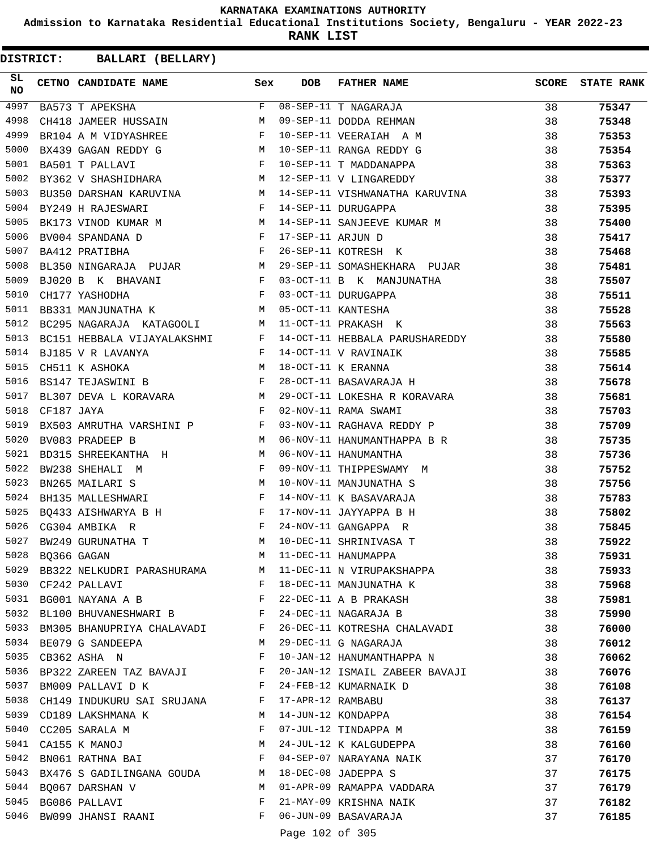**Admission to Karnataka Residential Educational Institutions Society, Bengaluru - YEAR 2022-23**

**RANK LIST**

| SL<br><b>NO</b> |            | CETNO CANDIDATE NAME Sex                                                                                                                |              | <b>DOB</b>        | FATHER NAME                                                                                                                             | <b>SCORE</b> | <b>STATE RANK</b> |
|-----------------|------------|-----------------------------------------------------------------------------------------------------------------------------------------|--------------|-------------------|-----------------------------------------------------------------------------------------------------------------------------------------|--------------|-------------------|
| 4997            |            | BA573 T APEKSHA                                                                                                                         |              |                   | F 08-SEP-11 T NAGARAJA<br>M 09-SEP-11 DODDA REHMAN<br>F 10-SEP-11 VEERAIAH A M<br>M 10-SEP-11 RANGA REDDY G<br>F 10-SEP-11 T MADDANAPPA | 38           | 75347             |
| 4998            |            | CH418 JAMEER HUSSAIN M                                                                                                                  |              |                   |                                                                                                                                         | 38           | 75348             |
| 4999            |            | BR104 A M VIDYASHREE F                                                                                                                  |              |                   |                                                                                                                                         | 38           | 75353             |
| 5000            |            | BX439 GAGAN REDDY G<br>BA501 T PALLAVI F                                                                                                |              |                   |                                                                                                                                         | 38           | 75354             |
| 5001            |            |                                                                                                                                         |              |                   |                                                                                                                                         | 38           | 75363             |
| 5002            |            | BY362 V SHASHIDHARA M 12-SEP-11 V LINGAREDDY                                                                                            |              |                   |                                                                                                                                         | 38           | 75377             |
| 5003            |            |                                                                                                                                         |              |                   | BU350 DARSHAN KARUVINA M 14-SEP-11 VISHWANATHA KARUVINA                                                                                 | 38           | 75393             |
| 5004            |            | BY249 H RAJESWARI                                                                                                                       |              |                   | F 14-SEP-11 DURUGAPPA                                                                                                                   | 38           | 75395             |
| 5005            |            |                                                                                                                                         |              |                   | BK173 VINOD KUMAR M M 14-SEP-11 SANJEEVE KUMAR M                                                                                        | 38           | 75400             |
| 5006            |            | BV004 SPANDANA $D$ F                                                                                                                    |              | 17-SEP-11 ARJUN D |                                                                                                                                         | 38           | 75417             |
| 5007            |            | $\mathbf{F}$ and $\mathbf{F}$ and $\mathbf{F}$<br>BA412 PRATIBHA                                                                        |              |                   | 17-SEP-11 ARJUN D<br>26-SEP-11 KOTRESH K                                                                                                | 38           | 75468             |
| 5008            |            |                                                                                                                                         |              |                   | BL350 NINGARAJA PUJAR M 29-SEP-11 SOMASHEKHARA PUJAR                                                                                    | 38           | 75481             |
| 5009            |            | BJ020 B K BHAVANI                                                                                                                       |              |                   | F 03-OCT-11 B K MANJUNATHA                                                                                                              | 38           | 75507             |
| 5010            |            | $\mathbf{F}^{\mathbf{r}}$<br>CH177 YASHODHA                                                                                             |              |                   | 03-OCT-11 DURUGAPPA                                                                                                                     | 38           | 75511             |
| 5011            |            | BB331 MANJUNATHA K M 05-OCT-11 KANTESHA                                                                                                 |              |                   |                                                                                                                                         | 38           | 75528             |
| 5012            |            | BC295 NAGARAJA KATAGOOLI M 11-OCT-11 PRAKASH K                                                                                          |              |                   |                                                                                                                                         | 38           | 75563             |
| 5013            |            |                                                                                                                                         |              |                   | BC151 HEBBALA VIJAYALAKSHMI F 14-OCT-11 HEBBALA PARUSHAREDDY                                                                            | 38           | 75580             |
| 5014            |            | BJ185 V R LAVANYA F                                                                                                                     |              |                   | 14-OCT-11 V RAVINAIK                                                                                                                    | 38           | 75585             |
| 5015            |            | EXECUTE THE MANUSIMUM NEWSLETT MANUSICS OF THE MANUSICS OF MANUSICS OF MANUSICS OF MANUSICS OF MANUSICS OF MANUSICS                     |              |                   | 14-OCT-11 V RAVINAIK<br>18-OCT-11 K ERANNA<br>28-OCT-11 BASAVARAJA H                                                                    | 38           | 75614             |
| 5016            |            |                                                                                                                                         |              |                   |                                                                                                                                         | 38           | 75678             |
| 5017            |            | BL307 DEVA L KORAVARA M                                                                                                                 |              |                   | 29-OCT-11 LOKESHA R KORAVARA                                                                                                            | 38           | 75681             |
| 5018            | CF187 JAYA | $\mathbf{F}$ and $\mathbf{F}$ and $\mathbf{F}$                                                                                          |              |                   | 02-NOV-11 RAMA SWAMI                                                                                                                    | 38           | 75703             |
| 5019            |            | BX503 AMRUTHA VARSHINI P                                                                                                                |              |                   | 03-NOV-11 RAGHAVA REDDY P                                                                                                               | 38           | 75709             |
| 5020            |            | M<br>BV083 PRADEEP B                                                                                                                    |              |                   | 06-NOV-11 HANUMANTHAPPA B R                                                                                                             | 38           | 75735             |
| 5021            |            | BD315 SHREEKANTHA H M                                                                                                                   |              |                   | 06-NOV-11 HANUMANTHA                                                                                                                    | 38           | 75736             |
| 5022            |            | $\mathbf{F}$ . The contract of the contract of $\mathbf{F}$<br>BW238 SHEHALI M                                                          |              |                   | 09-NOV-11 THIPPESWAMY M                                                                                                                 | 38           | 75752             |
| 5023            |            | M <sub>N</sub><br>BN265 MAILARI S                                                                                                       |              |                   | 10-NOV-11 MANJUNATHA S                                                                                                                  | 38           | 75756             |
| 5024            |            | $\mathbb{F}^{\mathbb{Z}}$<br>BH135 MALLESHWARI                                                                                          |              |                   | 14-NOV-11 K BASAVARAJA                                                                                                                  | 38           | 75783             |
| 5025            |            | BQ433 AISHWARYA B H F                                                                                                                   |              |                   | 17-NOV-11 JAYYAPPA B H                                                                                                                  | 38           | 75802             |
| 5026            |            | $\mathbf{F}^{\mathcal{A}}_{\mathcal{A}}=\mathbf{F}^{\mathcal{A}}_{\mathcal{A}}\mathbf{F}^{\mathcal{A}}_{\mathcal{A}}$<br>CG304 AMBIKA R |              |                   | 24-NOV-11 GANGAPPA R                                                                                                                    | 38           | 75845             |
| 5027            |            | BW249 GURUNATHA T                                                                                                                       | M            |                   | 10-DEC-11 SHRINIVASA T                                                                                                                  | 38           | 75922             |
| 5028            |            | BQ366 GAGAN                                                                                                                             | M            |                   | 11-DEC-11 HANUMAPPA                                                                                                                     | 38           | 75931             |
| 5029            |            | BB322 NELKUDRI PARASHURAMA M                                                                                                            |              |                   | 11-DEC-11 N VIRUPAKSHAPPA                                                                                                               | 38           | 75933             |
| 5030            |            | CF242 PALLAVI                                                                                                                           | $\mathbf{F}$ |                   | 18-DEC-11 MANJUNATHA K                                                                                                                  | 38           | 75968             |
| 5031            |            | BG001 NAYANA A B                                                                                                                        | $\mathbf{F}$ |                   | 22-DEC-11 A B PRAKASH                                                                                                                   | 38           | 75981             |
|                 |            | 5032 BL100 BHUVANESHWARI B                                                                                                              | F            |                   | 24-DEC-11 NAGARAJA B                                                                                                                    | 38           | 75990             |
| 5033            |            | BM305 BHANUPRIYA CHALAVADI                                                                                                              | F            |                   | 26-DEC-11 KOTRESHA CHALAVADI                                                                                                            | 38           | 76000             |
| 5034            |            | BE079 G SANDEEPA                                                                                                                        | M            |                   | 29-DEC-11 G NAGARAJA                                                                                                                    | 38           | 76012             |
| 5035            |            | CB362 ASHA N                                                                                                                            | F            |                   | 10-JAN-12 HANUMANTHAPPA N                                                                                                               | 38           | 76062             |
|                 |            | 5036 BP322 ZAREEN TAZ BAVAJI                                                                                                            | $\mathbf{F}$ |                   | 20-JAN-12 ISMAIL ZABEER BAVAJI                                                                                                          | 38           | 76076             |
| 5037            |            | BM009 PALLAVI D K                                                                                                                       | F            |                   | 24-FEB-12 KUMARNAIK D                                                                                                                   | 38           | 76108             |
| 5038            |            | CH149 INDUKURU SAI SRUJANA F                                                                                                            |              | 17-APR-12 RAMBABU |                                                                                                                                         | 38           | 76137             |
| 5039            |            | CD189 LAKSHMANA K                                                                                                                       | M            |                   | 14-JUN-12 KONDAPPA                                                                                                                      | 38           | 76154             |
|                 |            | 5040 CC205 SARALA M                                                                                                                     | F            |                   | 07-JUL-12 TINDAPPA M                                                                                                                    | 38           | 76159             |
| 5041            |            | CA155 K MANOJ                                                                                                                           | М            |                   | 24-JUL-12 K KALGUDEPPA                                                                                                                  | 38           | 76160             |
| 5042            |            | BN061 RATHNA BAI                                                                                                                        | F            |                   | 04-SEP-07 NARAYANA NAIK                                                                                                                 | 37           | 76170             |
| 5043            |            | BX476 S GADILINGANA GOUDA M                                                                                                             |              |                   | 18-DEC-08 JADEPPA S                                                                                                                     | 37           | 76175             |
|                 |            | 5044 BQ067 DARSHAN V                                                                                                                    | M            |                   | 01-APR-09 RAMAPPA VADDARA                                                                                                               | 37           | 76179             |
| 5045            |            | BG086 PALLAVI                                                                                                                           | F            |                   | 21-MAY-09 KRISHNA NAIK                                                                                                                  | 37           | 76182             |
| 5046            |            | BW099 JHANSI RAANI                                                                                                                      | F            |                   | 06-JUN-09 BASAVARAJA                                                                                                                    | 37           | 76185             |
|                 |            |                                                                                                                                         |              | Page 102 of 305   |                                                                                                                                         |              |                   |
|                 |            |                                                                                                                                         |              |                   |                                                                                                                                         |              |                   |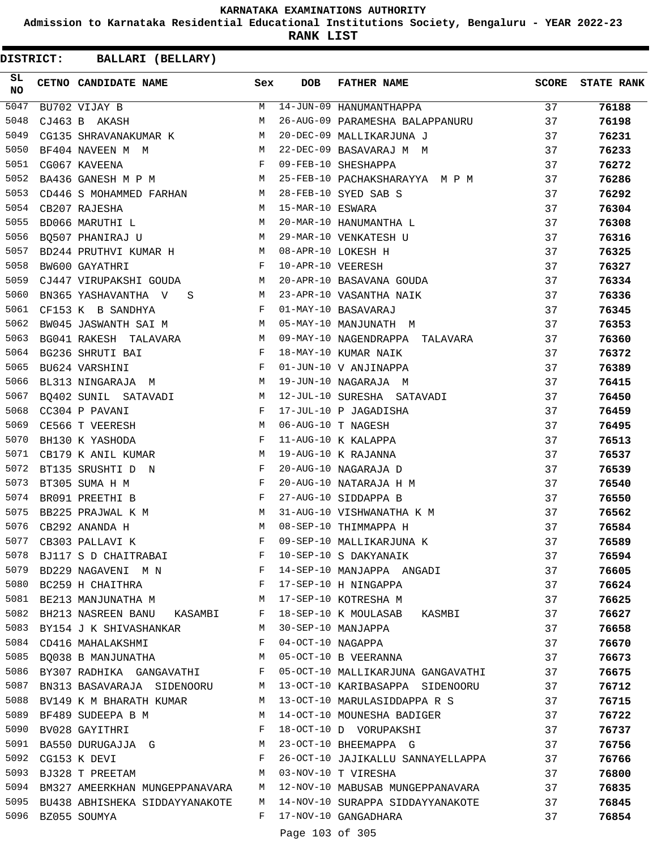**Admission to Karnataka Residential Educational Institutions Society, Bengaluru - YEAR 2022-23**

**RANK LIST**

**DISTRICT:** CC **BALLARI (BELLARY)**

| SL<br>NO | <b>CETNO CANDIDATE NAME</b>                                                                                                                             | Sex          | <b>DOB</b>        | <b>FATHER NAME</b>                | <b>SCORE</b> | <b>STATE RANK</b> |
|----------|---------------------------------------------------------------------------------------------------------------------------------------------------------|--------------|-------------------|-----------------------------------|--------------|-------------------|
| 5047     | BU702 VIJAY B                                                                                                                                           | M            |                   | 14-JUN-09 HANUMANTHAPPA           | 37           | 76188             |
| 5048     | CJ463 B AKASH                                                                                                                                           | M            |                   | 26-AUG-09 PARAMESHA BALAPPANURU   | 37           | 76198             |
| 5049     | CG135 SHRAVANAKUMAR K                                                                                                                                   | M            |                   | 20-DEC-09 MALLIKARJUNA J          | 37           | 76231             |
| 5050     | M <sub>N</sub><br>BF404 NAVEEN M M                                                                                                                      |              |                   | 22-DEC-09 BASAVARAJ M M           | 37           | 76233             |
| 5051     | $\begin{aligned} \mathbf{F} \\ \mathbf{M} \end{aligned}$<br>CG067 KAVEENA                                                                               |              |                   | 09-FEB-10 SHESHAPPA               | 37           | 76272             |
| 5052     | BA436 GANESH M P M                                                                                                                                      |              |                   | 25-FEB-10 PACHAKSHARAYYA M P M    | 37           | 76286             |
| 5053     | CD446 S MOHAMMED FARHAN M                                                                                                                               |              |                   | 28-FEB-10 SYED SAB S              | 37           | 76292             |
| 5054     | M<br>CB207 RAJESHA                                                                                                                                      |              | 15-MAR-10 ESWARA  |                                   | 37           | 76304             |
| 5055     | BD066 MARUTHI L                                                                                                                                         | M            |                   | 20-MAR-10 HANUMANTHA L            | 37           | 76308             |
| 5056     | BQ507 PHANIRAJ U M                                                                                                                                      |              |                   | 29-MAR-10 VENKATESH U             | 37           | 76316             |
| 5057     | BD244 PRUTHVI KUMAR H                                                                                                                                   |              |                   | 08-APR-10 LOKESH H                | 37           | 76325             |
| 5058     | $\mathbf{F}$ and $\mathbf{F}$ and $\mathbf{F}$<br>BW600 GAYATHRI                                                                                        |              | 10-APR-10 VEERESH |                                   | 37           | 76327             |
| 5059     | CJ447 VIRUPAKSHI GOUDA                                                                                                                                  | M            |                   | 20-APR-10 BASAVANA GOUDA          | 37           | 76334             |
| 5060     | BN365 YASHAVANTHA V S                                                                                                                                   | M            |                   | 23-APR-10 VASANTHA NAIK           | 37           | 76336             |
| 5061     | CF153 K B SANDHYA                                                                                                                                       | F            |                   | 01-MAY-10 BASAVARAJ               | 37           | 76345             |
| 5062     | M<br>BW045 JASWANTH SAI M                                                                                                                               |              |                   | 05-MAY-10 MANJUNATH M             | 37           | 76353             |
| 5063     | BG041 RAKESH TALAVARA M                                                                                                                                 |              |                   | 09-MAY-10 NAGENDRAPPA TALAVARA    | 37           | 76360             |
| 5064     | BG236 SHRUTI BAI<br>$\mathbf{F}$ and $\mathbf{F}$ and $\mathbf{F}$                                                                                      |              |                   | 18-MAY-10 KUMAR NAIK              | 37           | 76372             |
| 5065     | BU624 VARSHINI                                                                                                                                          | F            |                   | 01-JUN-10 V ANJINAPPA             | 37           | 76389             |
| 5066     | M<br>BL313 NINGARAJA M                                                                                                                                  |              |                   | 19-JUN-10 NAGARAJA M              | 37           | 76415             |
| 5067     |                                                                                                                                                         |              |                   | 12-JUL-10 SURESHA SATAVADI        | 37           | 76450             |
| 5068     | $\begin{array}{lllll} \texttt{BQ402 } \texttt{SUMIL} & \texttt{SATAVADI} & \texttt{M}\\ \texttt{CC304 } P & \texttt{PAVANI} & & \texttt{F} \end{array}$ |              |                   | 17-JUL-10 P JAGADISHA             | 37           | 76459             |
| 5069     | CE566 T VEERESH                                                                                                                                         | M            |                   | 06-AUG-10 T NAGESH                | 37           | 76495             |
| 5070     | $\mathbf{F}$ and $\mathbf{F}$ and $\mathbf{F}$<br>BH130 K YASHODA                                                                                       |              |                   | 11-AUG-10 K KALAPPA               | 37           | 76513             |
| 5071     | CB179 K ANIL KUMAR                                                                                                                                      | M            |                   | 19-AUG-10 K RAJANNA               | 37           | 76537             |
| 5072     | BT135 SRUSHTI D N                                                                                                                                       | F            |                   | 20-AUG-10 NAGARAJA D              | 37           | 76539             |
| 5073     | BT305 SUMA H M                                                                                                                                          | F            |                   | 20-AUG-10 NATARAJA H M            | 37           | 76540             |
| 5074     | $\mathbf{F}$<br>BR091 PREETHI B                                                                                                                         |              |                   | 27-AUG-10 SIDDAPPA B              | 37           | 76550             |
| 5075     |                                                                                                                                                         | M            |                   | 31-AUG-10 VISHWANATHA K M         | 37           | 76562             |
| 5076     | BB225 PRAJWAL K M<br>CB292 ANANDA H                                                                                                                     | M            |                   | 08-SEP-10 THIMMAPPA H             | 37           | 76584             |
| 5077     | CB303 PALLAVI K                                                                                                                                         | F            |                   | 09-SEP-10 MALLIKARJUNA K          | 37           | 76589             |
| 5078     | BJ117 S D CHAITRABAI                                                                                                                                    | F            |                   | 10-SEP-10 S DAKYANAIK             | 37           | 76594             |
| 5079     |                                                                                                                                                         | F            |                   | 14-SEP-10 MANJAPPA ANGADI         | 37           | 76605             |
| 5080     | BD229 NAGAVENI M N                                                                                                                                      |              |                   | 17-SEP-10 H NINGAPPA              |              |                   |
| 5081     | BC259 H CHAITHRA F                                                                                                                                      |              |                   |                                   | 37           | 76624             |
|          | BE213 MANJUNATHA M M 17-SEP-10 KOTRESHA M                                                                                                               |              |                   |                                   | 37           | 76625             |
| 5082     | BH213 NASREEN BANU KASAMBI F                                                                                                                            |              |                   | 18-SEP-10 K MOULASAB KASMBI       | 37           | 76627             |
| 5083     | BY154 J K SHIVASHANKAR                                                                                                                                  |              |                   | M 30-SEP-10 MANJAPPA              | 37           | 76658             |
| 5084     | CD416 MAHALAKSHMI                                                                                                                                       | $\mathbf{F}$ |                   | 04-OCT-10 NAGAPPA                 | 37           | 76670             |
| 5085     | BQ038 B MANJUNATHA                                                                                                                                      | M            |                   | 05-OCT-10 B VEERANNA              | 37           | 76673             |
| 5086     | BY307 RADHIKA GANGAVATHI F                                                                                                                              |              |                   | 05-OCT-10 MALLIKARJUNA GANGAVATHI | 37           | 76675             |
| 5087     | BN313 BASAVARAJA SIDENOORU M                                                                                                                            |              |                   | 13-OCT-10 KARIBASAPPA SIDENOORU   | 37           | 76712             |
| 5088     | BV149 K M BHARATH KUMAR                                                                                                                                 | M            |                   | 13-OCT-10 MARULASIDDAPPA R S      | 37           | 76715             |
| 5089     | BF489 SUDEEPA B M                                                                                                                                       | M            |                   | 14-OCT-10 MOUNESHA BADIGER        | 37           | 76722             |
| 5090     | BV028 GAYITHRI                                                                                                                                          | $\mathbf{F}$ |                   | 18-OCT-10 D VORUPAKSHI            | 37           | 76737             |
| 5091     | BA550 DURUGAJJA G                                                                                                                                       | M            |                   | 23-OCT-10 BHEEMAPPA G             | 37           | 76756             |
| 5092     | CG153 K DEVI                                                                                                                                            | $\mathbf{F}$ |                   | 26-OCT-10 JAJIKALLU SANNAYELLAPPA | 37           | 76766             |
| 5093     | BJ328 T PREETAM                                                                                                                                         | M            |                   | 03-NOV-10 T VIRESHA               | 37           | 76800             |
| 5094     | BM327 AMEERKHAN MUNGEPPANAVARA M                                                                                                                        |              |                   | 12-NOV-10 MABUSAB MUNGEPPANAVARA  | 37           | 76835             |
|          | 5095 BU438 ABHISHEKA SIDDAYYANAKOTE                                                                                                                     | M            |                   | 14-NOV-10 SURAPPA SIDDAYYANAKOTE  | 37           | 76845             |
|          | 5096 BZ055 SOUMYA                                                                                                                                       |              |                   | F 17-NOV-10 GANGADHARA            | 37           | 76854             |
|          |                                                                                                                                                         |              | $D = 102.5$       |                                   |              |                   |

Page 103 of 305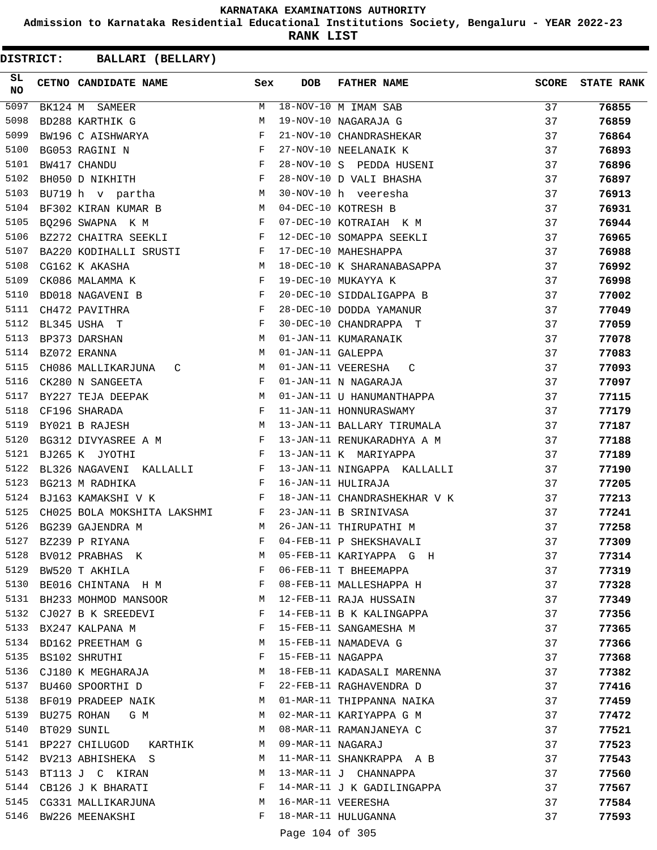**Admission to Karnataka Residential Educational Institutions Society, Bengaluru - YEAR 2022-23**

**RANK LIST**

| SL<br>NO | CETNO CANDIDATE NAME                                                              | Sex          | DOB               | <b>FATHER NAME</b>           | <b>SCORE</b> | <b>STATE RANK</b> |
|----------|-----------------------------------------------------------------------------------|--------------|-------------------|------------------------------|--------------|-------------------|
| 5097     | BK124 M SAMEER                                                                    | M            |                   | $18-NOV-10$ M IMAM SAB       | 37           | 76855             |
| 5098     | BD288 KARTHIK G                                                                   | М            |                   | 19-NOV-10 NAGARAJA G         | 37           | 76859             |
| 5099     | BW196 C AISHWARYA                                                                 | $\mathbf{F}$ |                   | 21-NOV-10 CHANDRASHEKAR      | 37           | 76864             |
| 5100     | BG053 RAGINI N                                                                    | F            |                   | 27-NOV-10 NEELANAIK K        | 37           | 76893             |
| 5101     | BW417 CHANDU                                                                      | F            |                   | 28-NOV-10 S PEDDA HUSENI     | 37           | 76896             |
| 5102     | $\mathbf{F}$ and the contract of the contract of $\mathbf{F}$<br>BH050 D NIKHITH  |              |                   | 28-NOV-10 D VALI BHASHA      | 37           | 76897             |
| 5103     | BU719 h v partha M                                                                |              |                   | 30-NOV-10 h veeresha         | 37           | 76913             |
| 5104     | BF302 KIRAN KUMAR B                                                               | M            |                   | 04-DEC-10 KOTRESH B          | 37           | 76931             |
| 5105     | BQ296 SWAPNA K M                                                                  | F            |                   | 07-DEC-10 KOTRAIAH K M       | 37           | 76944             |
| 5106     | BZ272 CHAITRA SEEKLI F                                                            |              |                   | 12-DEC-10 SOMAPPA SEEKLI     | 37           | 76965             |
| 5107     | BA220 KODIHALLI SRUSTI F                                                          |              |                   | 17-DEC-10 MAHESHAPPA         | 37           | 76988             |
| 5108     | M<br>CG162 K AKASHA                                                               |              |                   | 18-DEC-10 K SHARANABASAPPA   | 37           | 76992             |
| 5109     | CK086 MALAMMA K                                                                   | F            |                   | 19-DEC-10 MUKAYYA K          | 37           | 76998             |
| 5110     | $\mathbf{F}$ and the contract of the contract of $\mathbf{F}$<br>BD018 NAGAVENI B |              |                   | 20-DEC-10 SIDDALIGAPPA B     | 37           | 77002             |
| 5111     | $\mathbf{F}$ and $\mathbf{F}$ and $\mathbf{F}$<br>CH472 PAVITHRA                  |              |                   | 28-DEC-10 DODDA YAMANUR      | 37           | 77049             |
| 5112     | BL345 USHA T                                                                      | F            |                   | 30-DEC-10 CHANDRAPPA T       | 37           | 77059             |
| 5113     | BP373 DARSHAN                                                                     | M            |                   | 01-JAN-11 KUMARANAIK         | 37           | 77078             |
| 5114     | BZ072 ERANNA                                                                      | M            | 01-JAN-11 GALEPPA |                              | 37           | 77083             |
| 5115     | CH086 MALLIKARJUNA<br>C                                                           | M            |                   | 01-JAN-11 VEERESHA C         | 37           | 77093             |
| 5116     | CK280 N SANGEETA                                                                  | F            |                   | 01-JAN-11 N NAGARAJA         | 37           | 77097             |
| 5117     | BY227 TEJA DEEPAK<br>M <sub>N</sub>                                               |              |                   | 01-JAN-11 U HANUMANTHAPPA    | 37           | 77115             |
| 5118     | $\mathbf{F}$ and $\mathbf{F}$ and $\mathbf{F}$<br>CF196 SHARADA                   |              |                   | 11-JAN-11 HONNURASWAMY       | 37           | 77179             |
| 5119     | M<br>BY021 B RAJESH                                                               |              |                   | 13-JAN-11 BALLARY TIRUMALA   | 37           | 77187             |
| 5120     | BG312 DIVYASREE A M                                                               | F            |                   | 13-JAN-11 RENUKARADHYA A M   | 37           | 77188             |
| 5121     | BJ265 K JYOTHI<br>$\mathbf{F}$                                                    |              |                   | 13-JAN-11 K MARIYAPPA        | 37           | 77189             |
| 5122     | BL326 NAGAVENI KALLALLI F                                                         |              |                   | 13-JAN-11 NINGAPPA KALLALLI  | 37           | 77190             |
| 5123     | $\mathbf{F}$<br>BG213 M RADHIKA                                                   |              |                   | 16-JAN-11 HULIRAJA           | 37           | 77205             |
| 5124     | BJ163 KAMAKSHI V K                                                                | $\mathbf{F}$ |                   | 18-JAN-11 CHANDRASHEKHAR V K | 37           | 77213             |
| 5125     | CH025 BOLA MOKSHITA LAKSHMI<br>$\mathbf{F}$                                       |              |                   | 23-JAN-11 B SRINIVASA        | 37           | 77241             |
| 5126     | BG239 GAJENDRA M                                                                  | M            |                   | 26-JAN-11 THIRUPATHI M       | 37           | 77258             |
| 5127     | BZ239 P RIYANA                                                                    | F            |                   | 04-FEB-11 P SHEKSHAVALI      | 37           | 77309             |
| 5128     | BV012 PRABHAS K                                                                   | M            |                   | 05-FEB-11 KARIYAPPA G H      | 37           | 77314             |
| 5129     | BW520 T AKHILA                                                                    | F            |                   | 06-FEB-11 T BHEEMAPPA        | 37           | 77319             |
| 5130     | BE016 CHINTANA H M                                                                | F            |                   | 08-FEB-11 MALLESHAPPA H      | 37           | 77328             |
| 5131     | BH233 MOHMOD MANSOOR                                                              | M            |                   | 12-FEB-11 RAJA HUSSAIN       | 37           | 77349             |
| 5132     | CJ027 B K SREEDEVI                                                                | F            |                   | 14-FEB-11 B K KALINGAPPA     | 37           | 77356             |
| 5133     | BX247 KALPANA M                                                                   | F            |                   | 15-FEB-11 SANGAMESHA M       | 37           | 77365             |
| 5134     | BD162 PREETHAM G                                                                  | М            |                   | 15-FEB-11 NAMADEVA G         | 37           | 77366             |
| 5135     | BS102 SHRUTHI                                                                     | F            | 15-FEB-11 NAGAPPA |                              | 37           | 77368             |
| 5136     | CJ180 K MEGHARAJA                                                                 | M            |                   | 18-FEB-11 KADASALI MARENNA   | 37           | 77382             |
| 5137     | BU460 SPOORTHI D                                                                  | F            |                   | 22-FEB-11 RAGHAVENDRA D      | 37           | 77416             |
| 5138     | BF019 PRADEEP NAIK                                                                | M            |                   | 01-MAR-11 THIPPANNA NAIKA    | 37           | 77459             |
| 5139     | BU275 ROHAN<br>G M                                                                | M            |                   | 02-MAR-11 KARIYAPPA G M      | 37           | 77472             |
| 5140     | BT029 SUNIL                                                                       | M            |                   | 08-MAR-11 RAMANJANEYA C      | 37           | 77521             |
| 5141     | BP227 CHILUGOD KARTHIK                                                            | M            | 09-MAR-11 NAGARAJ |                              | 37           | 77523             |
| 5142     | BV213 ABHISHEKA S                                                                 | M            |                   | 11-MAR-11 SHANKRAPPA A B     | 37           | 77543             |
| 5143     | BT113 J C KIRAN                                                                   | M            |                   | 13-MAR-11 J CHANNAPPA        | 37           | 77560             |
|          | 5144 CB126 J K BHARATI                                                            | F            |                   | 14-MAR-11 J K GADILINGAPPA   | 37           | 77567             |
| 5145     | CG331 MALLIKARJUNA                                                                | M            |                   | 16-MAR-11 VEERESHA           | 37           | 77584             |
| 5146     | BW226 MEENAKSHI                                                                   | F            |                   | 18-MAR-11 HULUGANNA          | 37           | 77593             |
|          |                                                                                   |              | Page 104 of 305   |                              |              |                   |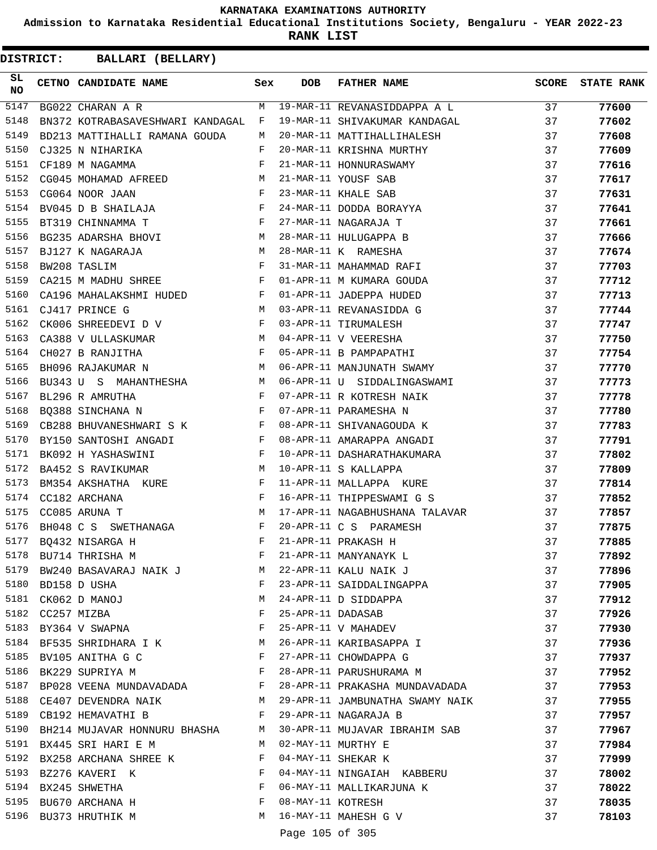**Admission to Karnataka Residential Educational Institutions Society, Bengaluru - YEAR 2022-23**

**RANK LIST**

| BALLARI (BELLARY)<br><b>DISTRICT:</b> |  |                                     |                                                                                                                   |                   |                                                                       |       |                   |  |
|---------------------------------------|--|-------------------------------------|-------------------------------------------------------------------------------------------------------------------|-------------------|-----------------------------------------------------------------------|-------|-------------------|--|
| SL<br><b>NO</b>                       |  | CETNO CANDIDATE NAME                | Sex                                                                                                               | <b>DOB</b>        | <b>FATHER NAME</b>                                                    | SCORE | <b>STATE RANK</b> |  |
| 5147                                  |  | BG022 CHARAN A R                    | M                                                                                                                 |                   | 19-MAR-11 REVANASIDDAPPA A L                                          | 37    | 77600             |  |
| 5148                                  |  | BN372 KOTRABASAVESHWARI KANDAGAL    | F                                                                                                                 |                   | 19-MAR-11 SHIVAKUMAR KANDAGAL                                         | 37    | 77602             |  |
| 5149                                  |  | BD213 MATTIHALLI RAMANA GOUDA       | М                                                                                                                 |                   | 20-MAR-11 MATTIHALLIHALESH                                            | 37    | 77608             |  |
| 5150                                  |  | CJ325 N NIHARIKA                    | F                                                                                                                 |                   | 20-MAR-11 KRISHNA MURTHY                                              | 37    | 77609             |  |
| 5151                                  |  | CF189 M NAGAMMA                     | F                                                                                                                 |                   | 21-MAR-11 HONNURASWAMY                                                | 37    | 77616             |  |
| 5152                                  |  | CG045 MOHAMAD AFREED                | M                                                                                                                 |                   | 21-MAR-11 YOUSF SAB                                                   | 37    | 77617             |  |
| 5153                                  |  | CG064 NOOR JAAN                     | F                                                                                                                 |                   | 23-MAR-11 KHALE SAB                                                   | 37    | 77631             |  |
| 5154                                  |  | BV045 D B SHAILAJA                  | F                                                                                                                 |                   | 24-MAR-11 DODDA BORAYYA                                               | 37    | 77641             |  |
| 5155                                  |  | BT319 CHINNAMMA T                   | F                                                                                                                 |                   | 27-MAR-11 NAGARAJA T                                                  | 37    | 77661             |  |
| 5156                                  |  | BG235 ADARSHA BHOVI                 | M                                                                                                                 |                   | 28-MAR-11 HULUGAPPA B                                                 | 37    | 77666             |  |
| 5157                                  |  | BJ127 K NAGARAJA                    | M                                                                                                                 |                   | 28-MAR-11 K RAMESHA                                                   | 37    | 77674             |  |
| 5158                                  |  | BW208 TASLIM                        | F                                                                                                                 |                   | 31-MAR-11 MAHAMMAD RAFI                                               | 37    | 77703             |  |
| 5159                                  |  | CA215 M MADHU SHREE                 | $\mathbf{F}$                                                                                                      |                   | 01-APR-11 M KUMARA GOUDA                                              | 37    | 77712             |  |
| 5160                                  |  | CA196 MAHALAKSHMI HUDED F           |                                                                                                                   |                   | 01-APR-11 JADEPPA HUDED                                               | 37    | 77713             |  |
| 5161                                  |  | CJ417 PRINCE G                      | M                                                                                                                 |                   | 03-APR-11 REVANASIDDA G                                               | 37    | 77744             |  |
| 5162                                  |  | CK006 SHREEDEVI D V                 | F                                                                                                                 |                   | 03-APR-11 TIRUMALESH                                                  | 37    | 77747             |  |
| 5163                                  |  | CA388 V ULLASKUMAR<br><b>M</b>      |                                                                                                                   |                   | 04-APR-11 V VEERESHA                                                  | 37    | 77750             |  |
| 5164                                  |  | CH027 B RANJITHA                    | F                                                                                                                 |                   | 05-APR-11 B PAMPAPATHI                                                | 37    | 77754             |  |
| 5165                                  |  | BH096 RAJAKUMAR N                   | M                                                                                                                 |                   | 06-APR-11 MANJUNATH SWAMY                                             | 37    | 77770             |  |
| 5166                                  |  | BU343 U S MAHANTHESHA M             |                                                                                                                   |                   | 06-APR-11 U SIDDALINGASWAMI                                           | 37    | 77773             |  |
| 5167                                  |  | BL296 R AMRUTHA                     | $\mathbf{F}$                                                                                                      |                   | 07-APR-11 R KOTRESH NAIK                                              | 37    | 77778             |  |
| 5168                                  |  | BQ388 SINCHANA N                    | $\mathbf{F}$ . The set of $\mathbf{F}$ is a set of $\mathbf{F}$ is a set of $\mathbf{F}$ is a set of $\mathbf{F}$ |                   | 07-APR-11 PARAMESHA N                                                 | 37    | 77780             |  |
| 5169                                  |  | CB288 BHUVANESHWARI S K             | $\mathbf{F}$                                                                                                      |                   | 08-APR-11 SHIVANAGOUDA K                                              | 37    | 77783             |  |
| 5170                                  |  | BY150 SANTOSHI ANGADI               | F                                                                                                                 |                   | 08-APR-11 AMARAPPA ANGADI                                             | 37    | 77791             |  |
| 5171                                  |  | BK092 H YASHASWINI                  | F                                                                                                                 |                   | 10-APR-11 DASHARATHAKUMARA                                            | 37    | 77802             |  |
| 5172                                  |  | BA452 S RAVIKUMAR                   | M                                                                                                                 |                   | 10-APR-11 S KALLAPPA                                                  | 37    | 77809             |  |
| 5173                                  |  | BM354 AKSHATHA KURE                 | $_{\rm F}$                                                                                                        |                   | 11-APR-11 MALLAPPA KURE                                               | 37    | 77814             |  |
| 5174                                  |  | CC182 ARCHANA                       | F                                                                                                                 |                   | 16-APR-11 THIPPESWAMI G S                                             | 37    | 77852             |  |
| 5175                                  |  | CC085 ARUNA T                       | М                                                                                                                 |                   | 17-APR-11 NAGABHUSHANA TALAVAR                                        | 37    | 77857             |  |
| 5176                                  |  | BH048 C S SWETHANAGA                | F                                                                                                                 |                   | 20-APR-11 C S PARAMESH                                                | 37    | 77875             |  |
|                                       |  | 5177 BQ432 NISARGA H                | F                                                                                                                 |                   |                                                                       | 37    | 77885             |  |
|                                       |  | 5178 BU714 THRISHA M                | F                                                                                                                 |                   | 21-APR-11 PRAKASH H<br>21-APR-11 MANYANAYK L<br>22-APR-11 KALU NAIK J | 37    | 77892             |  |
|                                       |  | 5179 BW240 BASAVARAJ NAIK J M       |                                                                                                                   |                   |                                                                       | 37    | 77896             |  |
|                                       |  | 5180 BD158 D USHA                   | F                                                                                                                 |                   | 23-APR-11 SAIDDALINGAPPA                                              | 37    | 77905             |  |
|                                       |  | 5181 CK062 D MANOJ                  | M                                                                                                                 |                   | 24-APR-11 D SIDDAPPA                                                  | 37    | 77912             |  |
| 5182                                  |  | CC257 MIZBA                         | F                                                                                                                 | 25-APR-11 DADASAB |                                                                       | 37    | 77926             |  |
| 5183                                  |  | BY364 V SWAPNA                      | F                                                                                                                 |                   | 25-APR-11 V MAHADEV                                                   | 37    | 77930             |  |
| 5184                                  |  | BF535 SHRIDHARA I K M               |                                                                                                                   |                   | 26-APR-11 KARIBASAPPA I                                               | 37    | 77936             |  |
|                                       |  | 5185 BV105 ANITHA G C               | F                                                                                                                 |                   | 27-APR-11 CHOWDAPPA G                                                 | 37    | 77937             |  |
| 5186                                  |  | BK229 SUPRIYA M                     | $\mathbf{F}$                                                                                                      |                   | 28-APR-11 PARUSHURAMA M                                               | 37    | 77952             |  |
|                                       |  | 5187 BP028 VEENA MUNDAVADADA F      |                                                                                                                   |                   | 28-APR-11 PRAKASHA MUNDAVADADA                                        | 37    | 77953             |  |
| 5188                                  |  | $\mathbf M$<br>CE407 DEVENDRA NAIK  |                                                                                                                   |                   | 29-APR-11 JAMBUNATHA SWAMY NAIK                                       | 37    | 77955             |  |
|                                       |  | 5189 CB192 HEMAVATHI B              | F                                                                                                                 |                   | 29-APR-11 NAGARAJA B                                                  | 37    | 77957             |  |
|                                       |  | 5190 BH214 MUJAVAR HONNURU BHASHA M |                                                                                                                   |                   | 30-APR-11 MUJAVAR IBRAHIM SAB                                         | 37    | 77967             |  |
| 5191                                  |  | BX445 SRI HARI E M                  | M                                                                                                                 |                   | 02-MAY-11 MURTHY E                                                    | 37    | 77984             |  |
| 5192                                  |  | BX258 ARCHANA SHREE K               | F                                                                                                                 |                   | 04-MAY-11 SHEKAR K                                                    | 37    | 77999             |  |
|                                       |  | 5193 BZ276 KAVERI K                 | F                                                                                                                 |                   | 04-MAY-11 NINGAIAH KABBERU                                            | 37    | 78002             |  |
|                                       |  | 5194 BX245 SHWETHA                  | F                                                                                                                 |                   | 06-MAY-11 MALLIKARJUNA K                                              | 37    | 78022             |  |
|                                       |  | 5195 BU670 ARCHANA H                | F                                                                                                                 | 08-MAY-11 KOTRESH |                                                                       | 37    | 78035             |  |
|                                       |  | 5196 BU373 HRUTHIK M                | M                                                                                                                 |                   | 16-MAY-11 MAHESH G V                                                  | 37    | 78103             |  |
|                                       |  |                                     |                                                                                                                   |                   |                                                                       |       |                   |  |

Page 105 of 305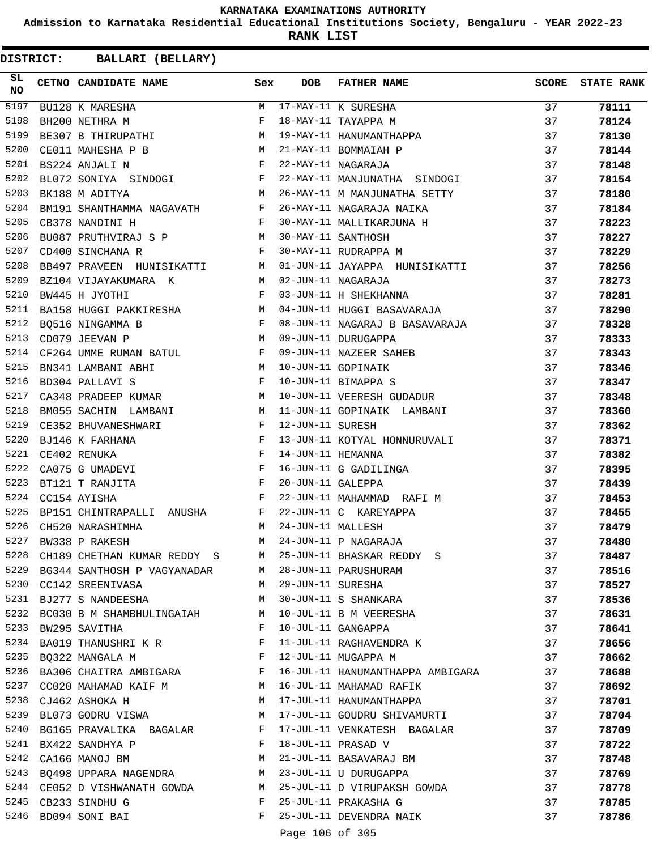**Admission to Karnataka Residential Educational Institutions Society, Bengaluru - YEAR 2022-23**

**RANK LIST**

| SL<br>NO | CETNO CANDIDATE NAME Sex                                                                                                                                                                                                                             |              | <b>DOB</b>        | FATHER NAME                                                           | SCORE | <b>STATE RANK</b> |
|----------|------------------------------------------------------------------------------------------------------------------------------------------------------------------------------------------------------------------------------------------------------|--------------|-------------------|-----------------------------------------------------------------------|-------|-------------------|
| 5197     | BU128 K MARESHA                                                                                                                                                                                                                                      | M            |                   | 17-MAY-11 K SURESHA<br>18-MAY-11 TAYAPPA M<br>19-MAY-11 HANUMANTHAPPA | 37    | 78111             |
| 5198     | BH200 NETHRA M                                                                                                                                                                                                                                       | F            |                   |                                                                       | 37    | 78124             |
| 5199     | BE307 B THIRUPATHI M                                                                                                                                                                                                                                 |              |                   |                                                                       | 37    | 78130             |
| 5200     | CE011 MAHESHA P B M<br>BS224 ANJALI N F                                                                                                                                                                                                              |              |                   | 21-MAY-11 BOMMAIAH P                                                  | 37    | 78144             |
| 5201     |                                                                                                                                                                                                                                                      |              |                   | 22-MAY-11 NAGARAJA                                                    | 37    | 78148             |
| 5202     | BL072 SONIYA SINDOGI F                                                                                                                                                                                                                               |              |                   | 22-MAY-11 MANJUNATHA SINDOGI                                          | 37    | 78154             |
| 5203     | M<br>BK188 M ADITYA                                                                                                                                                                                                                                  |              |                   | 26-MAY-11 M MANJUNATHA SETTY                                          | 37    | 78180             |
| 5204     | BM191 SHANTHAMMA NAGAVATH F                                                                                                                                                                                                                          |              |                   | 26-MAY-11 NAGARAJA NAIKA                                              | 37    | 78184             |
| 5205     | $\mathbb{R}^n$ . The set of the set of the set of the set of the set of the set of the set of the set of the set of the set of the set of the set of the set of the set of the set of the set of the set of the set of the set of<br>CB378 NANDINI H |              |                   | 30-MAY-11 MALLIKARJUNA H                                              | 37    | 78223             |
| 5206     | BU087 PRUTHVIRAJ S P M                                                                                                                                                                                                                               |              |                   | 30-MAY-11 SANTHOSH                                                    | 37    | 78227             |
| 5207     | $\mathbf{F}$ and $\mathbf{F}$ and $\mathbf{F}$<br>CD400 SINCHANA R                                                                                                                                                                                   |              |                   | 30-MAY-11 RUDRAPPA M                                                  | 37    | 78229             |
| 5208     | BB497 PRAVEEN HUNISIKATTI M                                                                                                                                                                                                                          |              |                   | 01-JUN-11 JAYAPPA HUNISIKATTI                                         | 37    | 78256             |
| 5209     | <b>M</b><br>BZ104 VIJAYAKUMARA K                                                                                                                                                                                                                     |              |                   | 02-JUN-11 NAGARAJA                                                    | 37    | 78273             |
| 5210     | $\mathbf{F}$ and $\mathbf{F}$ and $\mathbf{F}$<br>BW445 H JYOTHI                                                                                                                                                                                     |              |                   | 03-JUN-11 H SHEKHANNA                                                 | 37    | 78281             |
| 5211     | BA158 HUGGI PAKKIRESHA M                                                                                                                                                                                                                             |              |                   | 04-JUN-11 HUGGI BASAVARAJA                                            | 37    | 78290             |
| 5212     | $\frac{1}{2}$ F<br>M<br>BQ516 NINGAMMA B                                                                                                                                                                                                             |              |                   | 08-JUN-11 NAGARAJ B BASAVARAJA                                        | 37    | 78328             |
| 5213     | CD079 JEEVAN P                                                                                                                                                                                                                                       |              |                   | 09-JUN-11 DURUGAPPA                                                   | 37    | 78333             |
| 5214     | CF264 UMME RUMAN BATUL F                                                                                                                                                                                                                             |              |                   |                                                                       | 37    | 78343             |
| 5215     | M<br>BN341 LAMBANI ABHI                                                                                                                                                                                                                              |              |                   | 09-JUN-11 NAZEER SAHEB<br>10-JUN-11 GOPINAIK<br>10-JUN-11 BIMAPPA S   | 37    | 78346             |
| 5216     | $\mathbb{F}$ . The set of $\mathbb{F}$<br>BD304 PALLAVI S                                                                                                                                                                                            |              |                   | 10-JUN-11 BIMAPPA S                                                   | 37    | 78347             |
| 5217     | CA348 PRADEEP KUMAR M                                                                                                                                                                                                                                |              |                   | 10-JUN-11 VEERESH GUDADUR                                             | 37    | 78348             |
| 5218     | BM055 SACHIN LAMBANI M                                                                                                                                                                                                                               |              |                   | 11-JUN-11 GOPINAIK LAMBANI                                            | 37    | 78360             |
| 5219     | $\mathbb{F}^{\mathbb{Z}}$ . The set of $\mathbb{F}^{\mathbb{Z}}$<br>CE352 BHUVANESHWARI                                                                                                                                                              |              | 12-JUN-11 SURESH  |                                                                       | 37    | 78362             |
| 5220     | BJ146 K FARHANA                                                                                                                                                                                                                                      |              |                   | 13-JUN-11 KOTYAL HONNURUVALI                                          | 37    | 78371             |
| 5221     | A F<br>F<br>I F<br>F<br>CE402 RENUKA                                                                                                                                                                                                                 |              | 14-JUN-11 HEMANNA |                                                                       | 37    | 78382             |
| 5222     | CA075 G UMADEVI                                                                                                                                                                                                                                      |              |                   | 16-JUN-11 G GADILINGA                                                 | 37    | 78395             |
| 5223     | $\frac{F}{F}$<br>BT121 T RANJITA                                                                                                                                                                                                                     |              | 20-JUN-11 GALEPPA |                                                                       | 37    | 78439             |
| 5224     | CC154 AYISHA                                                                                                                                                                                                                                         | F            |                   | 22-JUN-11 MAHAMMAD RAFI M                                             | 37    | 78453             |
| 5225     | BP151 CHINTRAPALLI ANUSHA F                                                                                                                                                                                                                          |              |                   | 22-JUN-11 C KAREYAPPA                                                 | 37    | 78455             |
| 5226     | CH520 NARASHIMHA                                                                                                                                                                                                                                     | M            | 24-JUN-11 MALLESH |                                                                       | 37    | 78479             |
| 5227     | BW338 P RAKESH                                                                                                                                                                                                                                       | M            |                   | 24-JUN-11 P NAGARAJA                                                  | 37    | 78480             |
| 5228     | CH189 CHETHAN KUMAR REDDY S                                                                                                                                                                                                                          | M            |                   | 25-JUN-11 BHASKAR REDDY S                                             | 37    | 78487             |
| 5229     | BG344 SANTHOSH P VAGYANADAR                                                                                                                                                                                                                          | M            |                   | 28-JUN-11 PARUSHURAM                                                  | 37    | 78516             |
| 5230     | CC142 SREENIVASA                                                                                                                                                                                                                                     | M            | 29-JUN-11 SURESHA |                                                                       | 37    | 78527             |
| 5231     | BJ277 S NANDEESHA                                                                                                                                                                                                                                    | M            |                   | 30-JUN-11 S SHANKARA                                                  | 37    | 78536             |
| 5232     | BC030 B M SHAMBHULINGAIAH                                                                                                                                                                                                                            | M            |                   | 10-JUL-11 B M VEERESHA                                                | 37    | 78631             |
| 5233     | BW295 SAVITHA                                                                                                                                                                                                                                        | F            |                   | 10-JUL-11 GANGAPPA                                                    | 37    | 78641             |
| 5234     | BA019 THANUSHRI K R                                                                                                                                                                                                                                  | F            |                   | 11-JUL-11 RAGHAVENDRA K                                               | 37    | 78656             |
| 5235     | BQ322 MANGALA M                                                                                                                                                                                                                                      | $\mathbf{F}$ |                   | 12-JUL-11 MUGAPPA M                                                   | 37    | 78662             |
|          | 5236 BA306 CHAITRA AMBIGARA F                                                                                                                                                                                                                        |              |                   | 16-JUL-11 HANUMANTHAPPA AMBIGARA                                      | 37    | 78688             |
| 5237     | CC020 MAHAMAD KAIF M M                                                                                                                                                                                                                               |              |                   | 16-JUL-11 MAHAMAD RAFIK                                               | 37    | 78692             |
| 5238     | CJ462 ASHOKA H                                                                                                                                                                                                                                       | M            |                   | 17-JUL-11 HANUMANTHAPPA                                               | 37    | 78701             |
| 5239     | BL073 GODRU VISWA                                                                                                                                                                                                                                    | M            |                   | 17-JUL-11 GOUDRU SHIVAMURTI                                           | 37    | 78704             |
| 5240     | BG165 PRAVALIKA BAGALAR                                                                                                                                                                                                                              | F            |                   | 17-JUL-11 VENKATESH BAGALAR                                           | 37    | 78709             |
| 5241     | BX422 SANDHYA P                                                                                                                                                                                                                                      | F            |                   | 18-JUL-11 PRASAD V                                                    | 37    | 78722             |
| 5242     | CA166 MANOJ BM                                                                                                                                                                                                                                       | М            |                   | 21-JUL-11 BASAVARAJ BM                                                | 37    | 78748             |
| 5243     | BQ498 UPPARA NAGENDRA                                                                                                                                                                                                                                | M            |                   | 23-JUL-11 U DURUGAPPA                                                 | 37    | 78769             |
|          | 5244 CE052 D VISHWANATH GOWDA M                                                                                                                                                                                                                      |              |                   | 25-JUL-11 D VIRUPAKSH GOWDA                                           | 37    | 78778             |
| 5245     | CB233 SINDHU G                                                                                                                                                                                                                                       | F            |                   | 25-JUL-11 PRAKASHA G                                                  | 37    | 78785             |
| 5246     | BD094 SONI BAI                                                                                                                                                                                                                                       | F            |                   | 25-JUL-11 DEVENDRA NAIK                                               | 37    | 78786             |
|          |                                                                                                                                                                                                                                                      |              | Page 106 of 305   |                                                                       |       |                   |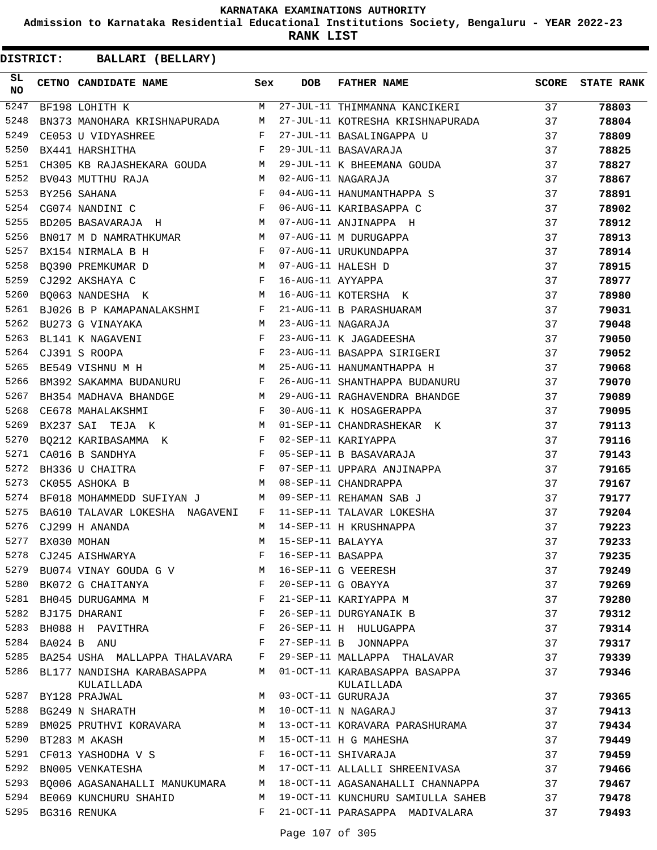**Admission to Karnataka Residential Educational Institutions Society, Bengaluru - YEAR 2022-23**

**RANK LIST**

| SL<br><b>NO</b> | CETNO CANDIDATE NAME                                                                                                                                                                                                                                   | Sex | <b>DOB</b>        | FATHER NAME                                 | <b>SCORE</b>    | <b>STATE RANK</b> |
|-----------------|--------------------------------------------------------------------------------------------------------------------------------------------------------------------------------------------------------------------------------------------------------|-----|-------------------|---------------------------------------------|-----------------|-------------------|
| 5247            | BF198 LOHITH K                                                                                                                                                                                                                                         | M   |                   | 27-JUL-11 THIMMANNA KANCIKERI               | $\overline{37}$ | 78803             |
| 5248            | BN373 MANOHARA KRISHNAPURADA                                                                                                                                                                                                                           | M   |                   | 27-JUL-11 KOTRESHA KRISHNAPURADA            | 37              | 78804             |
| 5249            | CE053 U VIDYASHREE F                                                                                                                                                                                                                                   |     |                   | 27-JUL-11 BASALINGAPPA U                    | 37              | 78809             |
| 5250            | $\mathbb{R}^n$ . The $\mathbb{R}^n$<br>BX441 HARSHITHA                                                                                                                                                                                                 |     |                   | 29-JUL-11 BASAVARAJA                        | 37              | 78825             |
| 5251            | CH305 KB RAJASHEKARA GOUDA M                                                                                                                                                                                                                           |     |                   | 29-JUL-11 K BHEEMANA GOUDA                  | 37              | 78827             |
| 5252            | BV043 MUTTHU RAJA<br>M <sub>N</sub>                                                                                                                                                                                                                    |     |                   | 02-AUG-11 NAGARAJA                          | 37              | 78867             |
| 5253            | $\mathbf{F}$<br>BY256 SAHANA                                                                                                                                                                                                                           |     |                   | 04-AUG-11 HANUMANTHAPPA S                   | 37              | 78891             |
| 5254            | CG074 NANDINI C $$\rm F$$                                                                                                                                                                                                                              |     |                   | 06-AUG-11 KARIBASAPPA C                     | 37              | 78902             |
| 5255            | BD205 BASAVARAJA H                                                                                                                                                                                                                                     |     |                   | 07-AUG-11 ANJINAPPA H                       | 37              | 78912             |
| 5256            | BN017 M D NAMRATHKUMAR M                                                                                                                                                                                                                               |     |                   | 07-AUG-11 M DURUGAPPA                       | 37              | 78913             |
| 5257            | $\mathbf{F}$ and $\mathbf{F}$ and $\mathbf{F}$<br>BX154 NIRMALA B H                                                                                                                                                                                    |     |                   | 07-AUG-11 URUKUNDAPPA                       | 37              | 78914             |
| 5258            |                                                                                                                                                                                                                                                        |     |                   | 07-AUG-11 HALESH D                          | 37              | 78915             |
| 5259            | $\begin{array}{lllllll} \texttt{BQ390} & \texttt{PREMKUMAR} & \texttt{D} & \texttt{M} \\ \texttt{CJ292} & \texttt{AKSHAYA} & \texttt{C} & \texttt{F} & \texttt{F} \end{array}$                                                                         |     | 16-AUG-11 AYYAPPA |                                             | 37              | 78977             |
| 5260            | M<br>BQ063 NANDESHA K                                                                                                                                                                                                                                  |     |                   | 16-AUG-11 KOTERSHA K                        | 37              | 78980             |
| 5261            | BJ026 B P KAMAPANALAKSHMI F                                                                                                                                                                                                                            |     |                   | 21-AUG-11 B PARASHUARAM                     | 37              | 79031             |
| 5262            | BU273 G VINAYAKA                                                                                                                                                                                                                                       | M   |                   | 23-AUG-11 NAGARAJA                          | 37              | 79048             |
| 5263            | $\frac{1}{F}$<br>BL141 K NAGAVENI                                                                                                                                                                                                                      |     |                   | 23-AUG-11 K JAGADEESHA                      | 37              | 79050             |
| 5264            | CJ391 S ROOPA                                                                                                                                                                                                                                          | F   |                   | 23-AUG-11 BASAPPA SIRIGERI                  | 37              | 79052             |
| 5265            | M<br>BE549 VISHNU M H                                                                                                                                                                                                                                  |     |                   | 25-AUG-11 HANUMANTHAPPA H                   | 37              | 79068             |
| 5266            | BM392 SAKAMMA BUDANURU F                                                                                                                                                                                                                               |     |                   | 26-AUG-11 SHANTHAPPA BUDANURU               | 37              | 79070             |
| 5267            | BH354 MADHAVA BHANDGE M                                                                                                                                                                                                                                |     |                   | 29-AUG-11 RAGHAVENDRA BHANDGE               | 37              | 79089             |
| 5268            | $\mathbf{F}$ and the set of the set of the set of the set of the set of the set of the set of the set of the set of the set of the set of the set of the set of the set of the set of the set of the set of the set of the set of<br>CE678 MAHALAKSHMI |     |                   | 30-AUG-11 K HOSAGERAPPA                     | 37              | 79095             |
| 5269            | M<br>BX237 SAI TEJA K                                                                                                                                                                                                                                  |     |                   | 01-SEP-11 CHANDRASHEKAR K                   | 37              | 79113             |
| 5270            | BQ212 KARIBASAMMA K $$\rm F$$                                                                                                                                                                                                                          |     |                   | 02-SEP-11 KARIYAPPA                         | 37              | 79116             |
| 5271            | $\mathbf{F}$ and $\mathbf{F}$ and $\mathbf{F}$<br>CA016 B SANDHYA                                                                                                                                                                                      |     |                   | 05-SEP-11 B BASAVARAJA                      | 37              | 79143             |
| 5272            | BH336 U CHAITRA                                                                                                                                                                                                                                        | F   |                   | 07-SEP-11 UPPARA ANJINAPPA                  | 37              | 79165             |
| 5273            | M<br>CK055 ASHOKA B                                                                                                                                                                                                                                    |     |                   | 08-SEP-11 CHANDRAPPA                        | 37              | 79167             |
| 5274            | BF018 MOHAMMEDD SUFIYAN J M                                                                                                                                                                                                                            |     |                   | 09-SEP-11 REHAMAN SAB J                     | 37              | 79177             |
| 5275            | BA610 TALAVAR LOKESHA NAGAVENI                                                                                                                                                                                                                         | F   |                   | 11-SEP-11 TALAVAR LOKESHA                   | 37              | 79204             |
| 5276            | CJ299 H ANANDA                                                                                                                                                                                                                                         | M   |                   | 14-SEP-11 H KRUSHNAPPA                      | 37              | 79223             |
| 5277            | BX030 MOHAN                                                                                                                                                                                                                                            | M   | 15-SEP-11 BALAYYA |                                             | 37              | 79233             |
| 5278            | CJ245 AISHWARYA                                                                                                                                                                                                                                        | F   | 16-SEP-11 BASAPPA |                                             | 37              | 79235             |
|                 | 5279 BU074 VINAY GOUDA G V                                                                                                                                                                                                                             | М   |                   | 16-SEP-11 G VEERESH                         | 37              | 79249             |
| 5280            | BK072 G CHAITANYA                                                                                                                                                                                                                                      | F   |                   | 20-SEP-11 G OBAYYA                          | 37              | 79269             |
| 5281            | BH045 DURUGAMMA M                                                                                                                                                                                                                                      | F   |                   | 21-SEP-11 KARIYAPPA M                       | 37              | 79280             |
|                 | 5282 BJ175 DHARANI                                                                                                                                                                                                                                     | F   |                   | 26-SEP-11 DURGYANAIK B                      | 37              | 79312             |
| 5283            | BH088 H PAVITHRA                                                                                                                                                                                                                                       | F   |                   | 26-SEP-11 H HULUGAPPA                       | 37              | 79314             |
| 5284            | BA024 B ANU                                                                                                                                                                                                                                            | F   |                   | 27-SEP-11 B JONNAPPA                        | 37              | 79317             |
| 5285            | BA254 USHA MALLAPPA THALAVARA                                                                                                                                                                                                                          | F   |                   | 29-SEP-11 MALLAPPA THALAVAR                 | 37              | 79339             |
| 5286            | BL177 NANDISHA KARABASAPPA<br>KULAILLADA                                                                                                                                                                                                               | M   |                   | 01-OCT-11 KARABASAPPA BASAPPA<br>KULAILLADA | 37              | 79346             |
| 5287            | BY128 PRAJWAL                                                                                                                                                                                                                                          | M   |                   | 03-OCT-11 GURURAJA                          | 37              | 79365             |
| 5288            | BG249 N SHARATH                                                                                                                                                                                                                                        | M   |                   | 10-OCT-11 N NAGARAJ                         | 37              | 79413             |
| 5289            | BM025 PRUTHVI KORAVARA                                                                                                                                                                                                                                 | М   |                   | 13-OCT-11 KORAVARA PARASHURAMA              | 37              | 79434             |
| 5290            | BT283 M AKASH                                                                                                                                                                                                                                          | M   |                   | 15-OCT-11 H G MAHESHA                       | 37              | 79449             |
| 5291            | CF013 YASHODHA V S                                                                                                                                                                                                                                     | F   |                   | 16-OCT-11 SHIVARAJA                         | 37              | 79459             |
| 5292            | BN005 VENKATESHA                                                                                                                                                                                                                                       | M   |                   | 17-OCT-11 ALLALLI SHREENIVASA               | 37              | 79466             |
| 5293            | BQ006 AGASANAHALLI MANUKUMARA                                                                                                                                                                                                                          | M   |                   | 18-OCT-11 AGASANAHALLI CHANNAPPA            | 37              | 79467             |
| 5294            | BE069 KUNCHURU SHAHID                                                                                                                                                                                                                                  | М   |                   | 19-OCT-11 KUNCHURU SAMIULLA SAHEB           | 37              | 79478             |
| 5295            | BG316 RENUKA                                                                                                                                                                                                                                           | F   |                   | 21-OCT-11 PARASAPPA MADIVALARA              | 37              | 79493             |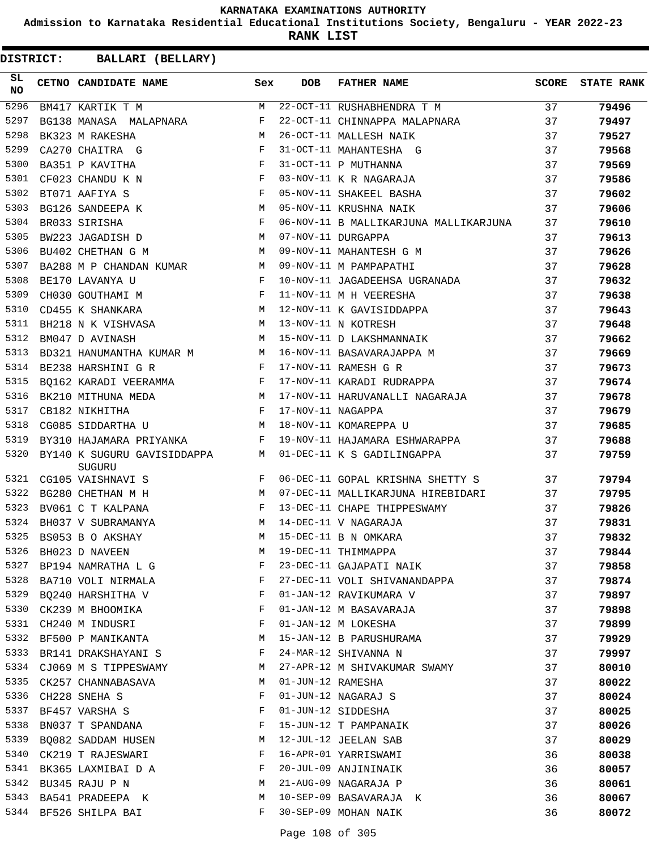**Admission to Karnataka Residential Educational Institutions Society, Bengaluru - YEAR 2022-23**

**RANK LIST**

| SL<br>NO | <b>CETNO CANDIDATE NAME</b>           | Sex          | <b>DOB</b>        | <b>FATHER NAME</b>                    | SCORE | <b>STATE RANK</b> |
|----------|---------------------------------------|--------------|-------------------|---------------------------------------|-------|-------------------|
| 5296     | BM417 KARTIK T M                      | M            |                   | 22-OCT-11 RUSHABHENDRA T M            | 37    | 79496             |
| 5297     | BG138 MANASA MALAPNARA                | $_{\rm F}$   |                   | 22-OCT-11 CHINNAPPA MALAPNARA         | 37    | 79497             |
| 5298     | BK323 M RAKESHA                       | M            |                   | 26-OCT-11 MALLESH NAIK                | 37    | 79527             |
| 5299     | <b>Example 2</b> F<br>CA270 CHAITRA G |              |                   | 31-OCT-11 MAHANTESHA G                | 37    | 79568             |
| 5300     | BA351 P KAVITHA                       | $\mathbf{F}$ |                   | 31-OCT-11 P MUTHANNA                  | 37    | 79569             |
| 5301     | CF023 CHANDU K N                      | $_{\rm F}$   |                   | 03-NOV-11 K R NAGARAJA                | 37    | 79586             |
| 5302     | BT071 AAFIYA S                        | $_{\rm F}$   |                   | 05-NOV-11 SHAKEEL BASHA               | 37    | 79602             |
| 5303     | BG126 SANDEEPA K                      | M            |                   | 05-NOV-11 KRUSHNA NAIK                | 37    | 79606             |
| 5304     | BR033 SIRISHA                         | F            |                   | 06-NOV-11 B MALLIKARJUNA MALLIKARJUNA | 37    | 79610             |
| 5305     | BW223 JAGADISH D                      | M            |                   | 07-NOV-11 DURGAPPA                    | 37    | 79613             |
| 5306     | BU402 CHETHAN G M                     | М            |                   | 09-NOV-11 MAHANTESH G M               | 37    | 79626             |
| 5307     | BA288 M P CHANDAN KUMAR M             |              |                   | 09-NOV-11 M PAMPAPATHI                | 37    | 79628             |
| 5308     | BE170 LAVANYA U                       | $_{\rm F}$   |                   | 10-NOV-11 JAGADEEHSA UGRANADA         | 37    | 79632             |
| 5309     | CH030 GOUTHAMI M                      | F            |                   | 11-NOV-11 M H VEERESHA                | 37    | 79638             |
| 5310     | <b>M</b><br>CD455 K SHANKARA          |              |                   | 12-NOV-11 K GAVISIDDAPPA              | 37    | 79643             |
| 5311     | BH218 N K VISHVASA M                  |              |                   | 13-NOV-11 N KOTRESH                   | 37    | 79648             |
| 5312     | BM047 D AVINASH                       | M            |                   | 15-NOV-11 D LAKSHMANNAIK              | 37    | 79662             |
| 5313     | BD321 HANUMANTHA KUMAR M              | M            |                   | 16-NOV-11 BASAVARAJAPPA M             | 37    | 79669             |
| 5314     | BE238 HARSHINI G R                    | F            |                   | 17-NOV-11 RAMESH G R                  | 37    | 79673             |
| 5315     | BQ162 KARADI VEERAMMA F               |              |                   | 17-NOV-11 KARADI RUDRAPPA             | 37    | 79674             |
| 5316     | BK210 MITHUNA MEDA<br>CB182 NIKHITHA  | M            |                   | 17-NOV-11 HARUVANALLI NAGARAJA        | 37    | 79678             |
| 5317     |                                       | F            | 17-NOV-11 NAGAPPA |                                       | 37    | 79679             |
| 5318     | CG085 SIDDARTHA U                     | M            |                   | 18-NOV-11 KOMAREPPA U                 | 37    | 79685             |
| 5319     | BY310 HAJAMARA PRIYANKA               | F            |                   | 19-NOV-11 HAJAMARA ESHWARAPPA         | 37    | 79688             |
| 5320     | BY140 K SUGURU GAVISIDDAPPA<br>SUGURU | M            |                   | 01-DEC-11 K S GADILINGAPPA            | 37    | 79759             |
| 5321     | CG105 VAISHNAVI S                     | F            |                   | 06-DEC-11 GOPAL KRISHNA SHETTY S      | 37    | 79794             |
| 5322     | BG280 CHETHAN M H                     | M            |                   | 07-DEC-11 MALLIKARJUNA HIREBIDARI     | 37    | 79795             |
| 5323     | BV061 C T KALPANA                     | $\mathbf{F}$ |                   | 13-DEC-11 CHAPE THIPPESWAMY           | 37    | 79826             |
| 5324     | BH037 V SUBRAMANYA                    | м            |                   | 14-DEC-11 V NAGARAJA                  | 37    | 79831             |
| 5325     | BS053 B O AKSHAY                      | М            |                   | 15-DEC-11 B N OMKARA                  | 37    | 79832             |
|          | 5326 BH023 D NAVEEN                   |              |                   | M 19-DEC-11 THIMMAPPA                 | 37    | 79844             |
| 5327     | BP194 NAMRATHA L G                    | F            |                   | 23-DEC-11 GAJAPATI NAIK               | 37    | 79858             |
| 5328     | BA710 VOLI NIRMALA                    | F            |                   | 27-DEC-11 VOLI SHIVANANDAPPA          | 37    | 79874             |
| 5329     | BQ240 HARSHITHA V                     | F            |                   | 01-JAN-12 RAVIKUMARA V                | 37    | 79897             |
| 5330     | CK239 M BHOOMIKA                      | F            |                   | 01-JAN-12 M BASAVARAJA                | 37    | 79898             |
| 5331     | CH240 M INDUSRI                       | F            |                   | 01-JAN-12 M LOKESHA                   | 37    | 79899             |
| 5332     | BF500 P MANIKANTA                     | M            |                   | 15-JAN-12 B PARUSHURAMA               | 37    | 79929             |
| 5333     | BR141 DRAKSHAYANI S                   | F            |                   | 24-MAR-12 SHIVANNA N                  | 37    | 79997             |
| 5334     | CJ069 M S TIPPESWAMY                  | M            |                   | 27-APR-12 M SHIVAKUMAR SWAMY          | 37    | 80010             |
| 5335     | CK257 CHANNABASAVA                    | М            | 01-JUN-12 RAMESHA |                                       | 37    | 80022             |
| 5336     | CH228 SNEHA S                         | F            |                   | 01-JUN-12 NAGARAJ S                   | 37    | 80024             |
| 5337     | BF457 VARSHA S                        | F            |                   | 01-JUN-12 SIDDESHA                    | 37    | 80025             |
| 5338     | BN037 T SPANDANA                      | F            |                   | 15-JUN-12 T PAMPANAIK                 | 37    | 80026             |
| 5339     | BQ082 SADDAM HUSEN                    | M            |                   | 12-JUL-12 JEELAN SAB                  | 37    | 80029             |
| 5340     | CK219 T RAJESWARI                     | F            |                   | 16-APR-01 YARRISWAMI                  | 36    | 80038             |
| 5341     | BK365 LAXMIBAI D A                    | F            |                   | 20-JUL-09 ANJININAIK                  | 36    | 80057             |
| 5342     | BU345 RAJU P N                        | M            |                   | 21-AUG-09 NAGARAJA P                  | 36    | 80061             |
| 5343     | BA541 PRADEEPA K                      | M            |                   | 10-SEP-09 BASAVARAJA K                | 36    | 80067             |
| 5344     | BF526 SHILPA BAI                      | F            |                   | 30-SEP-09 MOHAN NAIK                  | 36    | 80072             |
|          |                                       |              |                   |                                       |       |                   |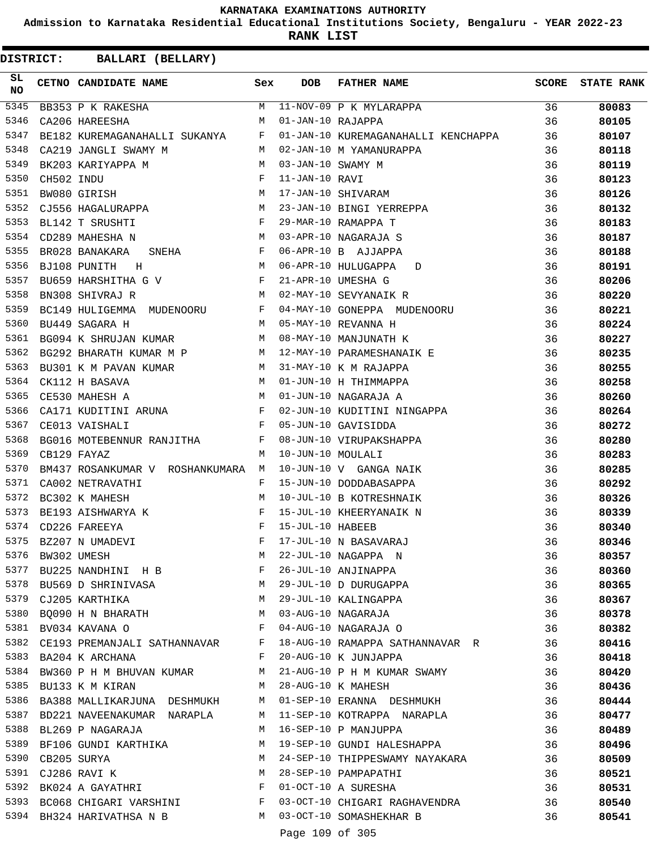**Admission to Karnataka Residential Educational Institutions Society, Bengaluru - YEAR 2022-23**

**RANK LIST**

| SL<br><b>NO</b> |            | CETNO CANDIDATE NAME                                                                                                                        | Sex          | DOB               | FATHER NAME                                                                                                              | <b>SCORE</b> | <b>STATE RANK</b> |
|-----------------|------------|---------------------------------------------------------------------------------------------------------------------------------------------|--------------|-------------------|--------------------------------------------------------------------------------------------------------------------------|--------------|-------------------|
| 5345            |            |                                                                                                                                             |              |                   | BB353 P K RAKESHA M 11-NOV-09 P K MYLARAPPA<br>CA206 HAREESHA M 01-JAN-10 RAJAPPA                                        | 36           | 80083             |
| 5346            |            |                                                                                                                                             |              |                   |                                                                                                                          | 36           | 80105             |
| 5347            |            | BE182 KUREMAGANAHALLI SUKANYA F                                                                                                             |              |                   | 01-JAN-10 KUREMAGANAHALLI KENCHAPPA 36                                                                                   |              | 80107             |
| 5348            |            | <b>M</b><br>CA219 JANGLI SWAMY M                                                                                                            |              |                   | RAPPA<br>02-JAN-10 M YAMANURAPPA                                                                                         | 36           | 80118             |
| 5349            |            | $\begin{array}{ccc}\n\texttt{PA} & \texttt{M} & \texttt{M} \\ \texttt{F} & & \texttt{F} \\ \texttt{M} & & \end{array}$<br>BK203 KARIYAPPA M |              | 03-JAN-10 SWAMY M |                                                                                                                          | 36           | 80119             |
| 5350            | CH502 INDU |                                                                                                                                             |              | 11-JAN-10 RAVI    |                                                                                                                          | 36           | 80123             |
| 5351            |            | BW080 GIRISH                                                                                                                                |              |                   | 17-JAN-10 SHIVARAM                                                                                                       | 36           | 80126             |
| 5352            |            | CJ556 HAGALURAPPA M                                                                                                                         |              |                   | 23-JAN-10 BINGI YERREPPA                                                                                                 | 36           | 80132             |
| 5353            |            | $\mathbf{F}^{\mathcal{A}}_{\mathcal{A}}=\mathbf{F}^{\mathcal{A}}_{\mathcal{A}}\mathbf{F}^{\mathcal{A}}_{\mathcal{A}}$<br>BL142 T SRUSHTI    |              |                   | 29-MAR-10 RAMAPPA T                                                                                                      | 36           | 80183             |
| 5354            |            | <b>M</b><br>CD289 MAHESHA N                                                                                                                 |              |                   | 03-APR-10 NAGARAJA S                                                                                                     | 36           | 80187             |
| 5355            |            | SNEHA F<br>BR028 BANAKARA                                                                                                                   |              |                   | 06-APR-10 B AJJAPPA                                                                                                      | 36           | 80188             |
| 5356            |            | M<br>BJ108 PUNITH H                                                                                                                         |              |                   | 06-APR-10 HULUGAPPA D                                                                                                    | 36           | 80191             |
| 5357            |            | BU659 HARSHITHA G V F                                                                                                                       |              |                   | 21-APR-10 UMESHA G                                                                                                       | 36           | 80206             |
| 5358            |            | BN308 SHIVRAJ R<br>M <sub>1</sub>                                                                                                           |              |                   | 02-MAY-10 SEVYANAIK R                                                                                                    | 36           | 80220             |
| 5359            |            | BC149 HULIGEMMA MUDENOORU F                                                                                                                 |              |                   | 04-MAY-10 GONEPPA MUDENOORU                                                                                              | 36           | 80221             |
| 5360            |            | M<br>BU449 SAGARA H                                                                                                                         |              |                   |                                                                                                                          | 36           | 80224             |
| 5361            |            | M<br>BG094 K SHRUJAN KUMAR                                                                                                                  |              |                   |                                                                                                                          | 36           | 80227             |
| 5362            |            |                                                                                                                                             |              |                   | AND MANJUNATH K<br>12-MAY-10 MANJUNATH K<br>12-MAY-10 PARAMECHANA<br>BG292 BHARATH KUMAR M P M 12-MAY-10 PARAMESHANAIK E | 36           | 80235             |
| 5363            |            | BU301 K M PAVAN KUMAR                                                                                                                       | M            |                   | 31-MAY-10 K M RAJAPPA                                                                                                    | 36           | 80255             |
| 5364            |            | CK112 H BASAVA                                                                                                                              | M            |                   | 31-MAY-10 K M RAUAFFA<br>01-JUN-10 H THIMMAPPA                                                                           | 36           | 80258             |
| 5365            |            | CE530 MAHESH A                                                                                                                              | M            |                   |                                                                                                                          | 36           | 80260             |
| 5366            |            | CA171 KUDITINI ARUNA F                                                                                                                      |              |                   |                                                                                                                          | 36           | 80264             |
| 5367            |            | $\mathbf{F}$ and the contract of the contract $\mathbf{F}$<br>CE013 VAISHALI                                                                |              |                   | 02-JUN-10 KUDITINI NINGAPPA<br>05-JUN-10 GAVISIDDA                                                                       | 36           | 80272             |
| 5368            |            | BG016 MOTEBENNUR RANJITHA F                                                                                                                 |              |                   | 08-JUN-10 VIRUPAKSHAPPA                                                                                                  | 36           | 80280             |
| 5369            |            |                                                                                                                                             | M            |                   | 10-JUN-10 MOULALI                                                                                                        | 36           |                   |
| 5370            |            | CB129 FAYAZ                                                                                                                                 |              |                   | 10-JUN-10 V GANGA NAIK                                                                                                   | 36           | 80283<br>80285    |
| 5371            |            | BM437 ROSANKUMAR V ROSHANKUMARA M                                                                                                           | F            |                   | 15-JUN-10 DODDABASAPPA                                                                                                   |              |                   |
| 5372            |            | CA002 NETRAVATHI<br>BC302 K MAHESH                                                                                                          | M            |                   | 10-JUL-10 B KOTRESHNAIK                                                                                                  | 36           | 80292             |
|                 |            |                                                                                                                                             |              |                   |                                                                                                                          | 36           | 80326             |
| 5373            |            | BE193 AISHWARYA K<br>CD226 FAREEYA                                                                                                          | F            |                   | 15-JUL-10 KHEERYANAIK N                                                                                                  | 36           | 80339             |
| 5374            |            |                                                                                                                                             | F            | 15-JUL-10 HABEEB  |                                                                                                                          | 36           | 80340             |
| 5375            |            | BZ207 N UMADEVI                                                                                                                             | F            |                   | 17-JUL-10 N BASAVARAJ                                                                                                    | 36           | 80346             |
| 5376            |            | BW302 UMESH                                                                                                                                 | М            |                   | 22-JUL-10 NAGAPPA N                                                                                                      | 36           | 80357             |
| 5377            |            | BU225 NANDHINI H B                                                                                                                          | F            |                   | 26-JUL-10 ANJINAPPA                                                                                                      | 36           | 80360             |
| 5378            |            | BU569 D SHRINIVASA M 29-JUL-10 D DURUGAPPA                                                                                                  |              |                   |                                                                                                                          | 36           | 80365             |
| 5379            |            | CJ205 KARTHIKA                                                                                                                              | M            |                   | 29-JUL-10 KALINGAPPA                                                                                                     | 36           | 80367             |
| 5380            |            | BQ090 H N BHARATH                                                                                                                           | M            |                   | 03-AUG-10 NAGARAJA                                                                                                       | 36           | 80378             |
| 5381            |            | BV034 KAVANA O                                                                                                                              | F            |                   | 04-AUG-10 NAGARAJA O                                                                                                     | 36           | 80382             |
| 5382            |            | CE193 PREMANJALI SATHANNAVAR                                                                                                                | F            |                   | 18-AUG-10 RAMAPPA SATHANNAVAR R                                                                                          | 36           | 80416             |
| 5383            |            | BA204 K ARCHANA                                                                                                                             | F            |                   | 20-AUG-10 K JUNJAPPA                                                                                                     | 36           | 80418             |
| 5384            |            | BW360 P H M BHUVAN KUMAR                                                                                                                    | M            |                   | 21-AUG-10 P H M KUMAR SWAMY                                                                                              | 36           | 80420             |
| 5385            |            | BU133 K M KIRAN                                                                                                                             | M            |                   | 28-AUG-10 K MAHESH                                                                                                       | 36           | 80436             |
| 5386            |            | BA388 MALLIKARJUNA DESHMUKH                                                                                                                 | M            |                   | 01-SEP-10 ERANNA DESHMUKH                                                                                                | 36           | 80444             |
| 5387            |            | BD221 NAVEENAKUMAR NARAPLA                                                                                                                  | M            |                   | 11-SEP-10 KOTRAPPA NARAPLA                                                                                               | 36           | 80477             |
| 5388            |            | BL269 P NAGARAJA                                                                                                                            | M            |                   | 16-SEP-10 P MANJUPPA                                                                                                     | 36           | 80489             |
| 5389            |            | BF106 GUNDI KARTHIKA                                                                                                                        | M            |                   | 19-SEP-10 GUNDI HALESHAPPA                                                                                               | 36           | 80496             |
| 5390            |            | CB205 SURYA                                                                                                                                 | M            |                   | 24-SEP-10 THIPPESWAMY NAYAKARA                                                                                           | 36           | 80509             |
| 5391            |            | CJ286 RAVI K                                                                                                                                | M            |                   | 28-SEP-10 PAMPAPATHI                                                                                                     | 36           | 80521             |
| 5392            |            | BK024 A GAYATHRI                                                                                                                            | F            |                   | 01-OCT-10 A SURESHA                                                                                                      | 36           | 80531             |
|                 |            | 5393 BC068 CHIGARI VARSHINI                                                                                                                 | $\mathbf{F}$ |                   | 03-OCT-10 CHIGARI RAGHAVENDRA                                                                                            | 36           | 80540             |
|                 |            | 5394 BH324 HARIVATHSA N B                                                                                                                   | M            |                   | 03-OCT-10 SOMASHEKHAR B                                                                                                  | 36           | 80541             |
|                 |            |                                                                                                                                             |              | Page 109 of 305   |                                                                                                                          |              |                   |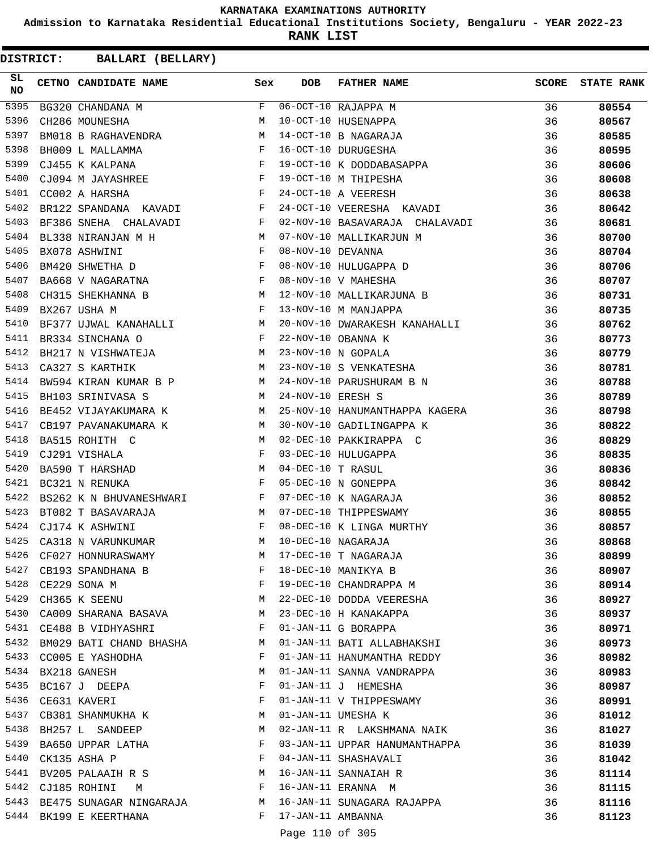**Admission to Karnataka Residential Educational Institutions Society, Bengaluru - YEAR 2022-23**

**RANK LIST**

| SL<br><b>NO</b> | CETNO CANDIDATE NAME Sex                                                                                                                  |              | <b>DOB</b>        | <b>FATHER NAME</b>                                                                                                                                                   | <b>SCORE</b> | <b>STATE RANK</b> |
|-----------------|-------------------------------------------------------------------------------------------------------------------------------------------|--------------|-------------------|----------------------------------------------------------------------------------------------------------------------------------------------------------------------|--------------|-------------------|
| 5395            | BG320 CHANDANA M                                                                                                                          | F            |                   | 06-OCT-10 RAJAPPA M<br>10-OCT-10 HUSENAPPA<br>14-OCT-10 B NAGARAJA<br>16-OCT-10 DURUGESHA<br>19-OCT-10 K DODDABASAPPA<br>19-OCT-10 M THIPESHA<br>24-OCT-10 A VEERESH | 36           | 80554             |
| 5396            | CH286 MOUNESHA                                                                                                                            | M            |                   |                                                                                                                                                                      | 36           | 80567             |
| 5397            | BM018 B RAGHAVENDRA M                                                                                                                     |              |                   |                                                                                                                                                                      | 36           | 80585             |
| 5398            | $\begin{array}{ccc} & & & F \\ & & & F \\ & & & & F \end{array}$<br>BH009 L MALLAMMA                                                      |              |                   |                                                                                                                                                                      | 36           | 80595             |
| 5399            | CJ455 K KALPANA                                                                                                                           |              |                   |                                                                                                                                                                      | 36           | 80606             |
| 5400            | $CJO94$ M JAYASHREE F<br>$CCO02$ A HARSHA F                                                                                               |              |                   |                                                                                                                                                                      | 36           | 80608             |
| 5401            |                                                                                                                                           |              |                   |                                                                                                                                                                      | 36           | 80638             |
| 5402            | BR122 SPANDANA KAVADI F                                                                                                                   |              |                   | 24-OCT-10 VEERESHA KAVADI                                                                                                                                            | 36           | 80642             |
| 5403            | $\mathbf{F}$ . The set of $\mathbf{F}$<br>BF386 SNEHA CHALAVADI                                                                           |              |                   | 02-NOV-10 BASAVARAJA CHALAVADI                                                                                                                                       | 36           | 80681             |
| 5404            | BL338 NIRANJAN M H M                                                                                                                      |              |                   | 07-NOV-10 MALLIKARJUN M                                                                                                                                              | 36           | 80700             |
| 5405            | $\mathbb F$<br>BX078 ASHWINI                                                                                                              |              |                   |                                                                                                                                                                      | 36           | 80704             |
| 5406            | BM420 SHWETHA D $$\rm F$$                                                                                                                 |              |                   | 08-NOV-10 DEVANNA<br>08-NOV-10 HULUGAPPA D<br>08-NOV-10 V MAHESHA                                                                                                    | 36           | 80706             |
| 5407            | $\mathtt{BA668}$ V NAGARATNA $$\mathbf{F}$$                                                                                               |              |                   |                                                                                                                                                                      | 36           | 80707             |
| 5408            | M <sub>N</sub><br>CH315 SHEKHANNA B                                                                                                       |              |                   | 12-NOV-10 MALLIKARJUNA B                                                                                                                                             | 36           | 80731             |
| 5409            | <b>Example 20</b><br>BX267 USHA M                                                                                                         |              |                   | 13-NOV-10 M MANJAPPA                                                                                                                                                 | 36           | 80735             |
| 5410            | BF377 UJWAL KANAHALLI M                                                                                                                   |              |                   | 20-NOV-10 DWARAKESH KANAHALLI                                                                                                                                        | 36           | 80762             |
| 5411            | $\mathbf{F}^{\mathcal{A}}_{\mathcal{A}}=\mathbf{F}^{\mathcal{A}}_{\mathcal{A}}\mathbf{F}^{\mathcal{A}}_{\mathcal{A}}$<br>BR334 SINCHANA O |              |                   | 22-NOV-10 OBANNA K                                                                                                                                                   | 36           | 80773             |
| 5412            | BH217 N VISHWATEJA M                                                                                                                      |              |                   | 23-NOV-10 N GOPALA                                                                                                                                                   | 36           | 80779             |
| 5413            | $M_{\odot}$<br>CA327 S KARTHIK                                                                                                            |              |                   | 23-NOV-10 S VENKATESHA                                                                                                                                               | 36           | 80781             |
| 5414            | BW594 KIRAN KUMAR B P M                                                                                                                   |              |                   |                                                                                                                                                                      | 36           | 80788             |
| 5415            | BH103 SRINIVASA S                                                                                                                         | M            |                   | 24-NOV-10 PARUSHURAM B N<br>24-NOV-10 ERESH S                                                                                                                        | 36           | 80789             |
| 5416            | BE452 VIJAYAKUMARA K M                                                                                                                    |              |                   | 25-NOV-10 HANUMANTHAPPA KAGERA                                                                                                                                       | 36           | 80798             |
| 5417            | CB197 PAVANAKUMARA K M                                                                                                                    |              |                   | 30-NOV-10 GADILINGAPPA K                                                                                                                                             | 36           | 80822             |
| 5418            | M<br>BA515 ROHITH C                                                                                                                       |              |                   | 02-DEC-10 PAKKIRAPPA C                                                                                                                                               | 36           | 80829             |
| 5419            | CJ291 VISHALA                                                                                                                             | F            |                   | 03-DEC-10 HULUGAPPA                                                                                                                                                  | 36           | 80835             |
| 5420            | M <sub>N</sub><br>BA590 T HARSHAD                                                                                                         |              | 04-DEC-10 T RASUL |                                                                                                                                                                      | 36           | 80836             |
| 5421            | $\mathbf{F}$ and $\mathbf{F}$ and $\mathbf{F}$<br>BC321 N RENUKA                                                                          |              |                   | 05-DEC-10 N GONEPPA                                                                                                                                                  | 36           | 80842             |
| 5422            | BS262 K N BHUVANESHWARI F                                                                                                                 |              |                   | 07-DEC-10 K NAGARAJA                                                                                                                                                 | 36           | 80852             |
| 5423            | $\overline{M}$<br>BT082 T BASAVARAJA                                                                                                      |              |                   | 07-DEC-10 THIPPESWAMY                                                                                                                                                | 36           | 80855             |
| 5424            | CJ174 K ASHWINI<br>$\mathbf{F}$ and $\mathbf{F}$ are the set of $\mathbf{F}$                                                              |              |                   | 08-DEC-10 K LINGA MURTHY                                                                                                                                             | 36           | 80857             |
| 5425            | CA318 N VARUNKUMAR                                                                                                                        | M            |                   | 10-DEC-10 NAGARAJA                                                                                                                                                   | 36           | 80868             |
| 5426            | CF027 HONNURASWAMY                                                                                                                        | М            |                   | 17-DEC-10 T NAGARAJA                                                                                                                                                 | 36           | 80899             |
| 5427            |                                                                                                                                           | F            |                   | 18-DEC-10 MANIKYA B                                                                                                                                                  | 36           | 80907             |
| 5428            | CB193 SPANDHANA B<br>$\mathbf{F}$ and $\mathbf{F}$ and $\mathbf{F}$<br>CE229 SONA M                                                       |              |                   | 19-DEC-10 CHANDRAPPA M                                                                                                                                               | 36           | 80914             |
| 5429            | M <sub>N</sub><br>CH365 K SEENU                                                                                                           |              |                   | 22-DEC-10 DODDA VEERESHA                                                                                                                                             | 36           | 80927             |
|                 | 5430 CA009 SHARANA BASAVA                                                                                                                 | M            |                   | 23-DEC-10 H KANAKAPPA                                                                                                                                                | 36           |                   |
|                 | 5431 CE488 B VIDHYASHRI                                                                                                                   | $\mathbf{F}$ |                   | 01-JAN-11 G BORAPPA                                                                                                                                                  | 36           | 80937             |
| 5432            | BM029 BATI CHAND BHASHA                                                                                                                   | М            |                   | 01-JAN-11 BATI ALLABHAKSHI                                                                                                                                           | 36           | 80971<br>80973    |
| 5433            | CC005 E YASHODHA                                                                                                                          | F            |                   | 01-JAN-11 HANUMANTHA REDDY                                                                                                                                           | 36           |                   |
| 5434            |                                                                                                                                           | M            |                   | 01-JAN-11 SANNA VANDRAPPA                                                                                                                                            |              | 80982             |
| 5435            | BX218 GANESH                                                                                                                              | F            |                   |                                                                                                                                                                      | 36           | 80983             |
|                 | BC167 J DEEPA                                                                                                                             |              |                   | 01-JAN-11 J HEMESHA                                                                                                                                                  | 36           | 80987             |
| 5436            | CE631 KAVERI                                                                                                                              | F            |                   | 01-JAN-11 V THIPPESWAMY                                                                                                                                              | 36           | 80991             |
| 5437            | CB381 SHANMUKHA K                                                                                                                         | M            |                   | 01-JAN-11 UMESHA K                                                                                                                                                   | 36           | 81012             |
| 5438            | BH257 L SANDEEP                                                                                                                           | M            |                   | 02-JAN-11 R LAKSHMANA NAIK                                                                                                                                           | 36           | 81027             |
| 5439            | BA650 UPPAR LATHA                                                                                                                         | F            |                   | 03-JAN-11 UPPAR HANUMANTHAPPA                                                                                                                                        | 36           | 81039             |
| 5440            | CK135 ASHA P                                                                                                                              | F            |                   | 04-JAN-11 SHASHAVALI                                                                                                                                                 | 36           | 81042             |
| 5441            | BV205 PALAAIH R S                                                                                                                         | М            |                   | 16-JAN-11 SANNAIAH R                                                                                                                                                 | 36           | 81114             |
|                 | 5442 CJ185 ROHINI<br>M                                                                                                                    | $-F$         |                   | 16-JAN-11 ERANNA M                                                                                                                                                   | 36           | 81115             |
|                 | 5443 BE475 SUNAGAR NINGARAJA                                                                                                              | M            |                   | 16-JAN-11 SUNAGARA RAJAPPA                                                                                                                                           | 36           | 81116             |
|                 | 5444 BK199 E KEERTHANA                                                                                                                    | F            | 17-JAN-11 AMBANNA |                                                                                                                                                                      | 36           | 81123             |
|                 |                                                                                                                                           |              | Page 110 of 305   |                                                                                                                                                                      |              |                   |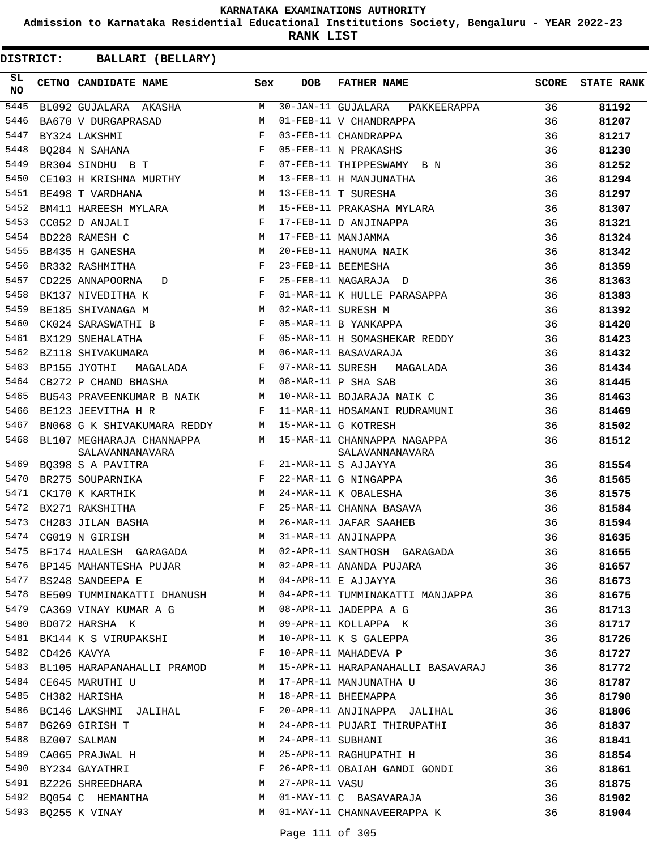**Admission to Karnataka Residential Educational Institutions Society, Bengaluru - YEAR 2022-23**

**RANK LIST**

| SL<br>NO | CETNO CANDIDATE NAME                                                                                                                                                                                                                                                                                                                                                                                                                                           | Sex     | <b>DOB</b>        | FATHER NAME                                                          |    | SCORE STATE RANK |
|----------|----------------------------------------------------------------------------------------------------------------------------------------------------------------------------------------------------------------------------------------------------------------------------------------------------------------------------------------------------------------------------------------------------------------------------------------------------------------|---------|-------------------|----------------------------------------------------------------------|----|------------------|
| 5445     | BL092 GUJALARA AKASHA M                                                                                                                                                                                                                                                                                                                                                                                                                                        |         |                   | 30-JAN-11 GUJALARA PAKKEERAPPA 36                                    |    | 81192            |
| 5446     | BA670 V DURGAPRASAD<br>M <sub>N</sub>                                                                                                                                                                                                                                                                                                                                                                                                                          |         |                   | 01-FEB-11 V CHANDRAPPA                                               | 36 | 81207            |
| 5447     | $\mathbf{F}$ and the set of the set of the set of the set of the set of the set of the set of the set of the set of the set of the set of the set of the set of the set of the set of the set of the set of the set of the set of<br>BY324 LAKSHMI                                                                                                                                                                                                             |         |                   | 03-FEB-11 CHANDRAPPA                                                 | 36 | 81217            |
| 5448     | BQ284 N SAHANA $$\rm{F}$$                                                                                                                                                                                                                                                                                                                                                                                                                                      |         |                   | 05-FEB-11 N PRAKASHS                                                 | 36 | 81230            |
| 5449     | BR304 SINDHU B T                                                                                                                                                                                                                                                                                                                                                                                                                                               |         |                   | 07-FEB-11 THIPPESWAMY B N                                            | 36 | 81252            |
| 5450     | CE103 H KRISHNA MURTHY M                                                                                                                                                                                                                                                                                                                                                                                                                                       |         |                   | 13-FEB-11 H MANJUNATHA                                               | 36 | 81294            |
| 5451     | <b>M</b><br>BE498 T VARDHANA                                                                                                                                                                                                                                                                                                                                                                                                                                   |         |                   | 13-FEB-11 T SURESHA                                                  | 36 | 81297            |
| 5452     | BM411 HAREESH MYLARA M                                                                                                                                                                                                                                                                                                                                                                                                                                         |         |                   | 15-FEB-11 PRAKASHA MYLARA                                            | 36 | 81307            |
| 5453     | $\begin{aligned} \mathbf{F} \\ \mathbf{M} \end{aligned}$<br>CC052 D ANJALI                                                                                                                                                                                                                                                                                                                                                                                     |         |                   | 17-FEB-11 D ANJINAPPA                                                | 36 | 81321            |
| 5454     | BD228 RAMESH C                                                                                                                                                                                                                                                                                                                                                                                                                                                 |         |                   | 17-FEB-11 MANJAMMA                                                   | 36 | 81324            |
| 5455     | BB435 H GANESHA M                                                                                                                                                                                                                                                                                                                                                                                                                                              |         |                   | 20-FEB-11 HANUMA NAIK                                                | 36 | 81342            |
| 5456     | $\mathbf{F}$ and $\mathbf{F}$ and $\mathbf{F}$<br>BR332 RASHMITHA                                                                                                                                                                                                                                                                                                                                                                                              |         |                   | 23-FEB-11 BEEMESHA                                                   | 36 | 81359            |
| 5457     | CD225 ANNAPOORNA D $$\rm F$$                                                                                                                                                                                                                                                                                                                                                                                                                                   |         |                   | 25-FEB-11 NAGARAJA D                                                 | 36 | 81363            |
| 5458     | $\mathbf{F}$ and the set of the set of the set of the set of the set of the set of the set of the set of the set of the set of the set of the set of the set of the set of the set of the set of the set of the set of the set of<br>BK137 NIVEDITHA K                                                                                                                                                                                                         |         |                   | 01-MAR-11 K HULLE PARASAPPA                                          | 36 | 81383            |
| 5459     | BE185 SHIVANAGA M<br><b>M</b>                                                                                                                                                                                                                                                                                                                                                                                                                                  |         |                   | 02-MAR-11 SURESH M                                                   | 36 | 81392            |
| 5460     | $CK024$ SARASWATHI B                                                                                                                                                                                                                                                                                                                                                                                                                                           |         |                   | 05-MAR-11 B YANKAPPA                                                 | 36 | 81420            |
| 5461     | $\begin{array}{ll}\n\multicolumn{3}{l}\n\multicolumn{3}{l}\n\multicolumn{3}{l}\n\multicolumn{3}{l}\n\multicolumn{3}{l}\n\multicolumn{3}{l}\n\multicolumn{3}{l}\n\multicolumn{3}{l}\n\multicolumn{3}{l}\n\multicolumn{3}{l}\n\multicolumn{3}{l}\n\multicolumn{3}{l}\n\multicolumn{3}{l}\n\multicolumn{3}{l}\n\multicolumn{3}{l}\n\multicolumn{3}{l}\n\multicolumn{3}{l}\n\multicolumn{3}{l}\n\multicolumn{3}{l}\n\multicolumn{3}{l}\n\multicolumn{3}{l}\n\mult$ |         |                   | 05-MAR-11 H SOMASHEKAR REDDY                                         | 36 | 81423            |
| 5462     | BZ118 SHIVAKUMARA M                                                                                                                                                                                                                                                                                                                                                                                                                                            |         |                   | 06-MAR-11 BASAVARAJA                                                 | 36 | 81432            |
| 5463     | BP155 JYOTHI MAGALADA F                                                                                                                                                                                                                                                                                                                                                                                                                                        |         |                   | 07-MAR-11 SURESH MAGALADA                                            | 36 | 81434            |
| 5464     | M <sub>1</sub><br>CB272 P CHAND BHASHA                                                                                                                                                                                                                                                                                                                                                                                                                         |         |                   | 08-MAR-11 P SHA SAB                                                  | 36 | 81445            |
| 5465     | BU543 PRAVEENKUMAR B NAIK M                                                                                                                                                                                                                                                                                                                                                                                                                                    |         |                   | 10-MAR-11 BOJARAJA NAIK C                                            | 36 | 81463            |
| 5466     | BE123 JEEVITHA H R                                                                                                                                                                                                                                                                                                                                                                                                                                             | F       |                   | 11-MAR-11 HOSAMANI RUDRAMUNI                                         | 36 | 81469            |
| 5467     | BN068 G K SHIVAKUMARA REDDY                                                                                                                                                                                                                                                                                                                                                                                                                                    | M       |                   | 15-MAR-11 G KOTRESH                                                  | 36 | 81502            |
| 5468     | BL107 MEGHARAJA CHANNAPPA M                                                                                                                                                                                                                                                                                                                                                                                                                                    |         |                   | 15-MAR-11 CHANNAPPA NAGAPPA<br>SALAVANNANAVARA                       | 36 | 81512            |
| 5469     | SALAVANNANAVARA<br>S A PAVITRA<br>BQ398 S A PAVITRA                                                                                                                                                                                                                                                                                                                                                                                                            | $F$ and |                   | 21-MAR-11 S AJJAYYA                                                  | 36 | 81554            |
| 5470     |                                                                                                                                                                                                                                                                                                                                                                                                                                                                |         |                   | 22-MAR-11 G NINGAPPA                                                 | 36 | 81565            |
| 5471     |                                                                                                                                                                                                                                                                                                                                                                                                                                                                |         |                   | 24-MAR-11 K OBALESHA                                                 | 36 | 81575            |
| 5472     | BR275 SOUPARNIKA F<br>CK170 K KARTHIK M<br>BX271 RAKSHITHA F                                                                                                                                                                                                                                                                                                                                                                                                   |         |                   | 25-MAR-11 CHANNA BASAVA                                              | 36 | 81584            |
| 5473     | CH283 JILAN BASHA                                                                                                                                                                                                                                                                                                                                                                                                                                              | M       |                   | 26-MAR-11 JAFAR SAAHEB                                               | 36 | 81594            |
| 5474     | CG019 N GIRISH                                                                                                                                                                                                                                                                                                                                                                                                                                                 | M       |                   | 31-MAR-11 ANJINAPPA                                                  | 36 | 81635            |
|          |                                                                                                                                                                                                                                                                                                                                                                                                                                                                |         |                   | 5475 BF174 HAALESH GARAGADA M 02-APR-11 SANTHOSH GARAGADA            | 36 | 81655            |
|          |                                                                                                                                                                                                                                                                                                                                                                                                                                                                |         |                   | 5476 BP145 MAHANTESHA PUJAR M 02-APR-11 ANANDA PUJARA                | 36 | 81657            |
|          | 5477 BS248 SANDEEPA E M 04-APR-11 E AJJAYYA                                                                                                                                                                                                                                                                                                                                                                                                                    |         |                   |                                                                      | 36 | 81673            |
|          |                                                                                                                                                                                                                                                                                                                                                                                                                                                                |         |                   | 5478 BE509 TUMMINAKATTI DHANUSH M 04-APR-11 TUMMINAKATTI MANJAPPA 36 |    | 81675            |
|          | 5479 CA369 VINAY KUMAR A G M 08-APR-11 JADEPPA A G                                                                                                                                                                                                                                                                                                                                                                                                             |         |                   |                                                                      | 36 | 81713            |
|          | 5480 BD072 HARSHA K                                                                                                                                                                                                                                                                                                                                                                                                                                            |         |                   | M 09-APR-11 KOLLAPPA K                                               | 36 | 81717            |
|          | 5481 BK144 K S VIRUPAKSHI M                                                                                                                                                                                                                                                                                                                                                                                                                                    |         |                   | 10-APR-11 K S GALEPPA                                                | 36 | 81726            |
|          | <b>Example 20</b><br>5482 CD426 KAVYA                                                                                                                                                                                                                                                                                                                                                                                                                          |         |                   | 10-APR-11 MAHADEVA P                                                 | 36 | 81727            |
|          |                                                                                                                                                                                                                                                                                                                                                                                                                                                                |         |                   | 5483 BL105 HARAPANAHALLI PRAMOD M 15-APR-11 HARAPANAHALLI BASAVARAJ  | 36 | 81772            |
|          | 5484 CE645 MARUTHI U M 17-APR-11 MANJUNATHA U                                                                                                                                                                                                                                                                                                                                                                                                                  |         |                   |                                                                      | 36 | 81787            |
|          | 5485 CH382 HARISHA<br>$M_{\rm H}$ and $M_{\rm H}$                                                                                                                                                                                                                                                                                                                                                                                                              |         |                   | 18-APR-11 BHEEMAPPA                                                  | 36 | 81790            |
|          | 5486 BC146 LAKSHMI JALIHAL F                                                                                                                                                                                                                                                                                                                                                                                                                                   |         |                   | 20-APR-11 ANJINAPPA JALIHAL                                          | 36 | 81806            |
|          | 5487 BG269 GIRISH T                                                                                                                                                                                                                                                                                                                                                                                                                                            | M       |                   | 24-APR-11 PUJARI THIRUPATHI                                          | 36 | 81837            |
|          | 5488 BZ007 SALMAN                                                                                                                                                                                                                                                                                                                                                                                                                                              | M       | 24-APR-11 SUBHANI |                                                                      | 36 | 81841            |
|          | 5489 CA065 PRAJWAL H                                                                                                                                                                                                                                                                                                                                                                                                                                           |         |                   | 25-APR-11 RAGHUPATHI H                                               | 36 | 81854            |
|          | 5490 BY234 GAYATHRI F                                                                                                                                                                                                                                                                                                                                                                                                                                          |         |                   | 26-APR-11 OBAIAH GANDI GONDI                                         | 36 | 81861            |
|          | 5491 BZ226 SHREEDHARA M                                                                                                                                                                                                                                                                                                                                                                                                                                        |         | 27-APR-11 VASU    |                                                                      | 36 | 81875            |
|          | 5492 BQ054 C HEMANTHA M                                                                                                                                                                                                                                                                                                                                                                                                                                        |         |                   | 01-MAY-11 C BASAVARAJA                                               | 36 | 81902            |
|          | 5493 BQ255 K VINAY                                                                                                                                                                                                                                                                                                                                                                                                                                             | M       |                   | 01-MAY-11 CHANNAVEERAPPA K                                           | 36 | 81904            |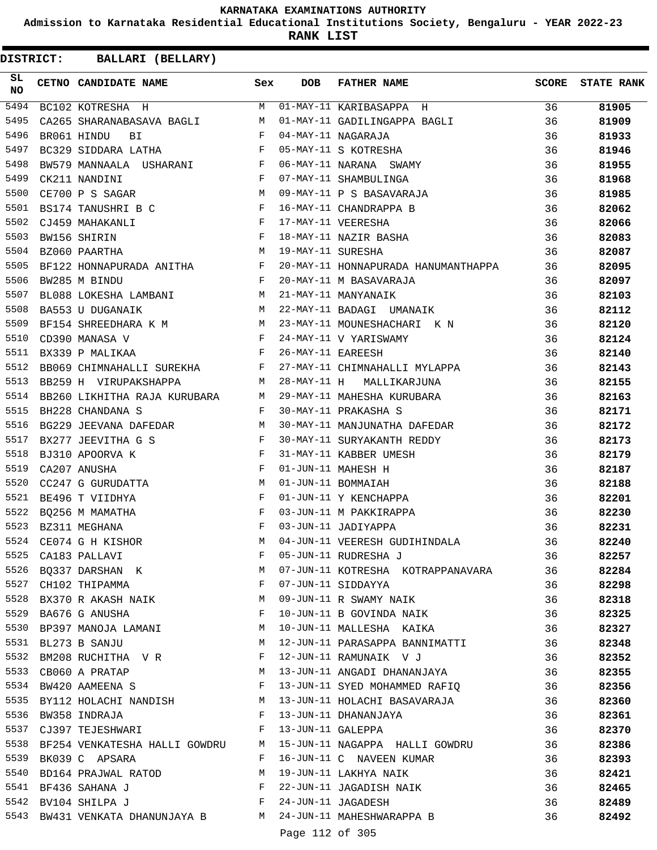**Admission to Karnataka Residential Educational Institutions Society, Bengaluru - YEAR 2022-23**

**RANK LIST**

| SL<br>NO | CETNO CANDIDATE NAME                                                                                                                                                                                                                                   | Sex          | <b>DOB</b>        | <b>FATHER NAME</b>                                                                                                                                                              | SCORE | <b>STATE RANK</b> |
|----------|--------------------------------------------------------------------------------------------------------------------------------------------------------------------------------------------------------------------------------------------------------|--------------|-------------------|---------------------------------------------------------------------------------------------------------------------------------------------------------------------------------|-------|-------------------|
| 5494     |                                                                                                                                                                                                                                                        |              |                   | BC102 KOTRESHA H M 01-MAY-11 KARIBASAPPA H                                                                                                                                      | 36    | 81905             |
| 5495     | CA265 SHARANABASAVA BAGLI M                                                                                                                                                                                                                            |              |                   | 01-MAY-11 GADILINGAPPA BAGLI                                                                                                                                                    | 36    | 81909             |
| 5496     | $\mathbf{F}$ . The set of the set of the set of the set of the set of the set of the set of the set of the set of the set of the set of the set of the set of the set of the set of the set of the set of the set of the set of t<br>BR061 HINDU<br>ВI |              |                   |                                                                                                                                                                                 | 36    | 81933             |
| 5497     | $\mathbf{F}$<br>BC329 SIDDARA LATHA                                                                                                                                                                                                                    |              |                   |                                                                                                                                                                                 | 36    | 81946             |
| 5498     | BW579 MANNAALA USHARANI F                                                                                                                                                                                                                              |              |                   | 04-MAY-11 NAGARAJA<br>05-MAY-11 S KOTRESHA<br>06-MAY-11 NARANA SWAMY<br>07-MAY-11 SHAMBULINGA                                                                                   | 36    | 81955             |
| 5499     | $\mathbf{F}$ and $\mathbf{F}$ and $\mathbf{F}$<br>CK211 NANDINI                                                                                                                                                                                        |              |                   |                                                                                                                                                                                 | 36    | 81968             |
| 5500     | <b>M</b><br>CE700 P S SAGAR                                                                                                                                                                                                                            |              |                   | 09-MAY-11 P S BASAVARAJA                                                                                                                                                        | 36    | 81985             |
| 5501     | BS174 TANUSHRI B C F                                                                                                                                                                                                                                   |              |                   |                                                                                                                                                                                 | 36    | 82062             |
| 5502     | CJ459 MAHAKANLI                                                                                                                                                                                                                                        |              |                   |                                                                                                                                                                                 | 36    | 82066             |
| 5503     | $\begin{array}{ccc}\n\Gamma & & & \n\end{array}$<br>BW156 SHIRIN                                                                                                                                                                                       |              |                   |                                                                                                                                                                                 | 36    | 82083             |
| 5504     | $\mathbb{M}$<br>BZ060 PAARTHA                                                                                                                                                                                                                          |              |                   | 16-MAY-11 CHANDRAPPA B<br>17-MAY-11 VEERESHA<br>18-MAY-11 NAZIR BASHA<br>19-MAY-11 SURESHA                                                                                      | 36    | 82087             |
| 5505     | BF122 HONNAPURADA ANITHA F                                                                                                                                                                                                                             |              |                   | 20-MAY-11 HONNAPURADA HANUMANTHAPPA                                                                                                                                             | 36    | 82095             |
| 5506     | $\mathbf{F}$<br>BW285 M BINDU                                                                                                                                                                                                                          |              |                   | 20-MAY-11 M BASAVARAJA                                                                                                                                                          | 36    | 82097             |
| 5507     | BL088 LOKESHA LAMBANI M                                                                                                                                                                                                                                |              |                   | 21-MAY-11 MANYANAIK                                                                                                                                                             | 36    | 82103             |
| 5508     | <b>M</b><br>BA553 U DUGANAIK                                                                                                                                                                                                                           |              |                   | 22-MAY-11 BADAGI UMANAIK                                                                                                                                                        | 36    | 82112             |
| 5509     | BF154 SHREEDHARA K M M                                                                                                                                                                                                                                 |              |                   | 23-MAY-11 MOUNESHACHARI K N                                                                                                                                                     | 36    | 82120             |
| 5510     | $\begin{array}{ccccc} & & & & \mathbf{F} & \\ & & & & \mathbf{F} & \\ & & & & \mathbf{F} & \\ \end{array}$<br>CD390 MANASA V                                                                                                                           |              |                   | 24-MAY-11 V YARISWAMY                                                                                                                                                           | 36    | 82124             |
| 5511     | BX339 P MALIKAA                                                                                                                                                                                                                                        |              | 26-MAY-11 EAREESH |                                                                                                                                                                                 | 36    | 82140             |
| 5512     | BB069 CHIMNAHALLI SUREKHA F                                                                                                                                                                                                                            |              |                   | 27-MAY-11 CHIMNAHALLI MYLAPPA                                                                                                                                                   | 36    | 82143             |
| 5513     | M <sub>1</sub><br>BB259 H VIRUPAKSHAPPA                                                                                                                                                                                                                |              |                   | 28-MAY-11 H MALLIKARJUNA                                                                                                                                                        | 36    | 82155             |
| 5514     | BB260 LIKHITHA RAJA KURUBARA M                                                                                                                                                                                                                         |              |                   | 29-MAY-11 MAHESHA KURUBARA<br>30-MAY-11 PRAKASHA S                                                                                                                              | 36    | 82163             |
| 5515     | BH228 CHANDANA S                                                                                                                                                                                                                                       | $\mathbf{F}$ |                   |                                                                                                                                                                                 | 36    | 82171             |
| 5516     | BG229 JEEVANA DAFEDAR M                                                                                                                                                                                                                                |              |                   | 30-MAY-11 MANJUNATHA DAFEDAR                                                                                                                                                    | 36    | 82172             |
| 5517     |                                                                                                                                                                                                                                                        |              |                   |                                                                                                                                                                                 | 36    | 82173             |
| 5518     |                                                                                                                                                                                                                                                        |              |                   |                                                                                                                                                                                 | 36    | 82179             |
| 5519     | $\begin{array}{lllllll} \texttt{BX277} & \texttt{JEEVITHA} & \texttt{G} & \texttt{S} & \texttt{F}\\ \texttt{BJ310} & \texttt{APOORVA} & \texttt{K} & & & \texttt{F}\\ \texttt{CA207} & \texttt{ANUSHA} & & & & \texttt{F} \end{array}$                 |              |                   | 30-MAY-11 SURYAKANTH BAFEDAR<br>31-MAY-11 KABBER UMESH<br>01-JUN-11 MAHESH H<br>01-JUN-11 BOMMAIAH<br>01-JUN-11 Y KENCHAPPA<br>03-JUN-11 M PAKKIRAPPA<br>03-JUN-11 M PAKKIRAPPA | 36    | 82187             |
| 5520     | CC247 G GURUDATTA M                                                                                                                                                                                                                                    |              |                   |                                                                                                                                                                                 | 36    | 82188             |
| 5521     | BE496 T VIIDHYA                                                                                                                                                                                                                                        |              |                   |                                                                                                                                                                                 | 36    | 82201             |
| 5522     | ВQ256 М МАМАТНА                                                                                                                                                                                                                                        |              |                   |                                                                                                                                                                                 | 36    | 82230             |
| 5523     | BZ311 MEGHANA                                                                                                                                                                                                                                          |              |                   | 03-JUN-11 JADIYAPPA                                                                                                                                                             | 36    | 82231             |
| 5524     | CE074 G H KISHOR                                                                                                                                                                                                                                       | M            |                   | 04-JUN-11 VEERESH GUDIHINDALA                                                                                                                                                   | 36    | 82240             |
| 5525     | CA183 PALLAVI                                                                                                                                                                                                                                          | F            |                   | 05-JUN-11 RUDRESHA J                                                                                                                                                            | 36    | 82257             |
| 5526     | BQ337 DARSHAN K                                                                                                                                                                                                                                        | М            |                   | 07-JUN-11 KOTRESHA KOTRAPPANAVARA                                                                                                                                               | 36    | 82284             |
| 5527     | CH102 THIPAMMA                                                                                                                                                                                                                                         | F            |                   | 07-JUN-11 SIDDAYYA                                                                                                                                                              | 36    | 82298             |
| 5528     | BX370 R AKASH NAIK                                                                                                                                                                                                                                     | М            |                   | 09-JUN-11 R SWAMY NAIK                                                                                                                                                          | 36    | 82318             |
| 5529     | BA676 G ANUSHA                                                                                                                                                                                                                                         | F            |                   | 10-JUN-11 B GOVINDA NAIK                                                                                                                                                        | 36    | 82325             |
| 5530     | BP397 MANOJA LAMANI                                                                                                                                                                                                                                    | М            |                   | 10-JUN-11 MALLESHA KAIKA                                                                                                                                                        | 36    | 82327             |
| 5531     | BL273 B SANJU                                                                                                                                                                                                                                          | М            |                   | 12-JUN-11 PARASAPPA BANNIMATTI                                                                                                                                                  | 36    | 82348             |
| 5532     | BM208 RUCHITHA V R                                                                                                                                                                                                                                     | F            |                   | 12-JUN-11 RAMUNAIK V J                                                                                                                                                          | 36    | 82352             |
| 5533     | CB060 A PRATAP                                                                                                                                                                                                                                         | М            |                   | 13-JUN-11 ANGADI DHANANJAYA                                                                                                                                                     | 36    | 82355             |
| 5534     | BW420 AAMEENA S                                                                                                                                                                                                                                        | F            |                   | 13-JUN-11 SYED MOHAMMED RAFIQ                                                                                                                                                   | 36    | 82356             |
| 5535     | BY112 HOLACHI NANDISH                                                                                                                                                                                                                                  | M            |                   | 13-JUN-11 HOLACHI BASAVARAJA                                                                                                                                                    | 36    | 82360             |
| 5536     | BW358 INDRAJA                                                                                                                                                                                                                                          | F            |                   | 13-JUN-11 DHANANJAYA                                                                                                                                                            | 36    | 82361             |
| 5537     | CJ397 TEJESHWARI                                                                                                                                                                                                                                       | F            | 13-JUN-11 GALEPPA |                                                                                                                                                                                 | 36    | 82370             |
| 5538     | BF254 VENKATESHA HALLI GOWDRU                                                                                                                                                                                                                          | M            |                   | 15-JUN-11 NAGAPPA HALLI GOWDRU                                                                                                                                                  | 36    | 82386             |
| 5539     | BK039 C APSARA                                                                                                                                                                                                                                         | F            |                   | 16-JUN-11 C NAVEEN KUMAR                                                                                                                                                        | 36    | 82393             |
| 5540     | BD164 PRAJWAL RATOD                                                                                                                                                                                                                                    | М            |                   | 19-JUN-11 LAKHYA NAIK                                                                                                                                                           | 36    | 82421             |
| 5541     | BF436 SAHANA J                                                                                                                                                                                                                                         | F            |                   | 22-JUN-11 JAGADISH NAIK                                                                                                                                                         | 36    | 82465             |
| 5542     | BV104 SHILPA J                                                                                                                                                                                                                                         | F            |                   | 24-JUN-11 JAGADESH                                                                                                                                                              | 36    | 82489             |
| 5543     | BW431 VENKATA DHANUNJAYA B                                                                                                                                                                                                                             | M            |                   | 24-JUN-11 MAHESHWARAPPA B                                                                                                                                                       | 36    | 82492             |
|          |                                                                                                                                                                                                                                                        |              | Page 112 of 305   |                                                                                                                                                                                 |       |                   |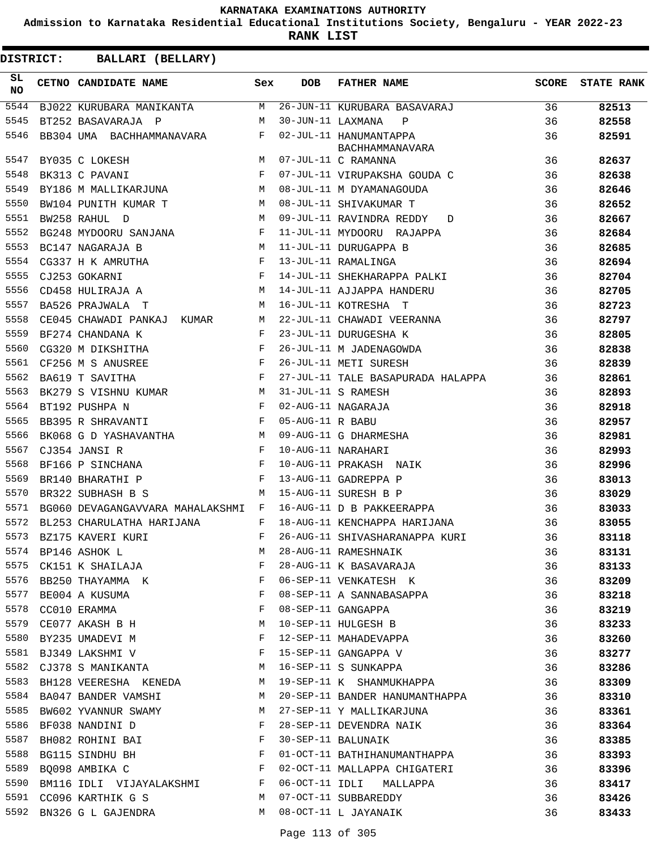**Admission to Karnataka Residential Educational Institutions Society, Bengaluru - YEAR 2022-23**

**RANK LIST**

| DISTRICT:        | <b>BALLARI (BELLARY)</b>       |                                    |              |                   |                                           |       |                   |
|------------------|--------------------------------|------------------------------------|--------------|-------------------|-------------------------------------------|-------|-------------------|
| SL.<br><b>NO</b> | CETNO CANDIDATE NAME           |                                    | Sex          | <b>DOB</b>        | FATHER NAME                               | SCORE | <b>STATE RANK</b> |
| 5544             |                                | BJ022 KURUBARA MANIKANTA           | M            |                   | 26-JUN-11 KURUBARA BASAVARAJ              | 36    | 82513             |
| 5545             | BT252 BASAVARAJA P             |                                    | M            | 30-JUN-11 LAXMANA | $\mathbf{P}$                              | 36    | 82558             |
| 5546             |                                | BB304 UMA BACHHAMMANAVARA          | $\mathbf{F}$ |                   | 02-JUL-11 HANUMANTAPPA<br>BACHHAMMANAVARA | 36    | 82591             |
| 5547             | BY035 C LOKESH                 |                                    | M            |                   | 07-JUL-11 C RAMANNA                       | 36    | 82637             |
| 5548             | BK313 C PAVANI                 |                                    | $_{\rm F}$   |                   | 07-JUL-11 VIRUPAKSHA GOUDA C              | 36    | 82638             |
| 5549             |                                | BY186 M MALLIKARJUNA               | M            |                   | 08-JUL-11 M DYAMANAGOUDA                  | 36    | 82646             |
| 5550             | BW104 PUNITH KUMAR T           |                                    | M            |                   | 08-JUL-11 SHIVAKUMAR T                    | 36    | 82652             |
| 5551             | BW258 RAHUL D                  |                                    | M            |                   | 09-JUL-11 RAVINDRA REDDY D                | 36    | 82667             |
| 5552             |                                | BG248 MYDOORU SANJANA              | $\mathbf{F}$ |                   | 11-JUL-11 MYDOORU RAJAPPA                 | 36    | 82684             |
| 5553             | BC147 NAGARAJA B               |                                    | M            |                   | 11-JUL-11 DURUGAPPA B                     | 36    | 82685             |
| 5554             |                                | CG337 H K AMRUTHA                  | F            |                   | 13-JUL-11 RAMALINGA                       | 36    | 82694             |
| 5555             | CJ253 GOKARNI                  | $\mathbf{F}$ and $\mathbf{F}$      |              |                   | 14-JUL-11 SHEKHARAPPA PALKI               | 36    | 82704             |
| 5556             | CD458 HULIRAJA A               |                                    | M            |                   | 14-JUL-11 AJJAPPA HANDERU                 | 36    | 82705             |
| 5557             | BA526 PRAJWALA T               |                                    | М            |                   | 16-JUL-11 KOTRESHA T                      | 36    | 82723             |
| 5558             | CE045 CHAWADI PANKAJ KUMAR     |                                    | М            |                   | 22-JUL-11 CHAWADI VEERANNA                | 36    | 82797             |
| 5559             | BF274 CHANDANA K               |                                    | F            |                   | 23-JUL-11 DURUGESHA K                     | 36    | 82805             |
| 5560             | CG320 M DIKSHITHA              |                                    | $\mathbf{F}$ |                   | 26-JUL-11 M JADENAGOWDA                   | 36    | 82838             |
| 5561             | CF256 M S ANUSREE              |                                    | $\mathbf{F}$ |                   | 26-JUL-11 METI SURESH                     | 36    | 82839             |
| 5562             | BA619 T SAVITHA                |                                    | F            |                   | 27-JUL-11 TALE BASAPURADA HALAPPA         | 36    | 82861             |
| 5563             |                                | BK279 S VISHNU KUMAR               | М            |                   | 31-JUL-11 S RAMESH                        | 36    | 82893             |
| 5564             | BT192 PUSHPA N                 | $\mathbf{F}$                       |              |                   | 02-AUG-11 NAGARAJA                        | 36    | 82918             |
| 5565             | BB395 R SHRAVANTI              |                                    | $\mathbf{F}$ | 05-AUG-11 R BABU  |                                           | 36    | 82957             |
| 5566             |                                | BK068 G D YASHAVANTHA              | M            |                   | 09-AUG-11 G DHARMESHA                     | 36    | 82981             |
| 5567             | CJ354 JANSI R                  | <b>Example 2</b> F                 |              |                   | 10-AUG-11 NARAHARI                        | 36    | 82993             |
| 5568             | BF166 P SINCHANA               |                                    | $\mathbf{F}$ |                   | 10-AUG-11 PRAKASH NAIK                    | 36    | 82996             |
| 5569             | BR140 BHARATHI P               |                                    | $\mathbf{F}$ |                   | 13-AUG-11 GADREPPA P                      | 36    | 83013             |
| 5570             | BR322 SUBHASH B S              |                                    | M            |                   | 15-AUG-11 SURESH B P                      | 36    | 83029             |
| 5571             |                                | BG060 DEVAGANGAVVARA MAHALAKSHMI F |              |                   | 16-AUG-11 D B PAKKEERAPPA                 | 36    | 83033             |
|                  | 5572 BL253 CHARULATHA HARIJANA |                                    | F            |                   | 18-AUG-11 KENCHAPPA HARIJANA              | 36    | 83055             |
| 5573             | BZ175 KAVERI KURI              |                                    | $F$ and      |                   | 26-AUG-11 SHIVASHARANAPPA KURI            | 36    | 83118             |
| 5574             | BP146 ASHOK L                  |                                    | M            |                   | 28-AUG-11 RAMESHNAIK                      | 36    | 83131             |
| 5575             |                                | CK151 K SHAILAJA                   | F            |                   | 28-AUG-11 K BASAVARAJA                    | 36    | 83133             |
|                  |                                | 5576 BB250 THAYAMMA K              | $\mathbf{F}$ |                   | 06-SEP-11 VENKATESH K                     | 36    | 83209             |
|                  | 5577 BE004 A KUSUMA            |                                    | $\mathbf{F}$ |                   | 08-SEP-11 A SANNABASAPPA                  | 36    | 83218             |
| 5578             | CC010 ERAMMA                   |                                    | F            |                   | 08-SEP-11 GANGAPPA                        | 36    | 83219             |
| 5579             | CE077 AKASH B H                |                                    | M            |                   | 10-SEP-11 HULGESH B                       | 36    | 83233             |
|                  | 5580 BY235 UMADEVI M           |                                    | F            |                   | 12-SEP-11 MAHADEVAPPA                     | 36    | 83260             |
| 5581             | BJ349 LAKSHMI V                | $\mathbb{F}^{\mathbb{Z}}$          |              |                   | 15-SEP-11 GANGAPPA V                      | 36    | 83277             |
| 5582             |                                | CJ378 S MANIKANTA M                |              |                   | 16-SEP-11 S SUNKAPPA                      | 36    | 83286             |
| 5583             |                                | BH128 VEERESHA KENEDA M            |              |                   | 19-SEP-11 K SHANMUKHAPPA                  | 36    | 83309             |
|                  | 5584 BA047 BANDER VAMSHI       |                                    | M            |                   | 20-SEP-11 BANDER HANUMANTHAPPA            | 36    | 83310             |
| 5585             |                                | BW602 YVANNUR SWAMY                | M            |                   | 27-SEP-11 Y MALLIKARJUNA                  | 36    | 83361             |
| 5586             | BF038 NANDINI D                |                                    | F            |                   | 28-SEP-11 DEVENDRA NAIK                   | 36    | 83364             |
| 5587             |                                | BH082 ROHINI BAI F                 |              |                   | 30-SEP-11 BALUNAIK                        | 36    | 83385             |
| 5588             |                                | BG115 SINDHU BH F                  |              |                   | 01-OCT-11 BATHIHANUMANTHAPPA              | 36    | 83393             |
| 5589             | BQ098 AMBIKA C                 |                                    | $\mathbb F$  |                   | 02-OCT-11 MALLAPPA CHIGATERI              | 36    | 83396             |
| 5590             |                                | BM116 IDLI VIJAYALAKSHMI F         |              |                   | 06-OCT-11 IDLI MALLAPPA                   | 36    | 83417             |
| 5591             | CC096 KARTHIK G S              |                                    | M            |                   | 07-OCT-11 SUBBAREDDY                      | 36    | 83426             |
|                  | 5592 BN326 G L GAJENDRA        |                                    | M            |                   | 08-OCT-11 L JAYANAIK                      | 36    | 83433             |
|                  |                                |                                    |              |                   |                                           |       |                   |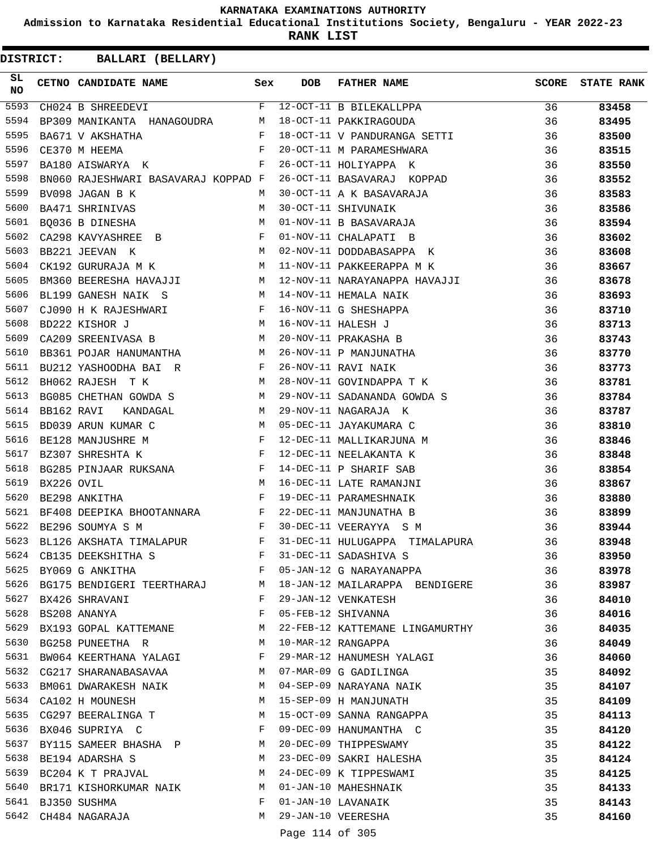**Admission to Karnataka Residential Educational Institutions Society, Bengaluru - YEAR 2022-23**

**RANK LIST**

**DISTRICT:** CC **BALLARI (BELLARY)**

| SL<br>NO |            | CETNO CANDIDATE NAME Sex                                                                                                                                                                                                                              |              | <b>DOB</b> | FATHER NAME                     | SCORE | <b>STATE RANK</b> |
|----------|------------|-------------------------------------------------------------------------------------------------------------------------------------------------------------------------------------------------------------------------------------------------------|--------------|------------|---------------------------------|-------|-------------------|
| 5593     |            | $\overline{F}$<br>CH024 B SHREEDEVI                                                                                                                                                                                                                   |              |            | 12-OCT-11 B BILEKALLPPA         | 36    | 83458             |
| 5594     |            | BP309 MANIKANTA HANAGOUDRA M                                                                                                                                                                                                                          |              |            | 18-OCT-11 PAKKIRAGOUDA          | 36    | 83495             |
| 5595     |            | $\begin{array}{c} \mathbf{F} \\ \mathbf{F} \end{array}$<br>BA671 V AKSHATHA                                                                                                                                                                           |              |            | 18-OCT-11 V PANDURANGA SETTI    | 36    | 83500             |
| 5596     |            | CE370 M HEEMA                                                                                                                                                                                                                                         |              |            | 20-OCT-11 M PARAMESHWARA        | 36    | 83515             |
| 5597     |            | $\mathbf{F}$ and $\mathbf{F}$ and $\mathbf{F}$<br>BA180 AISWARYA K                                                                                                                                                                                    |              |            | 26-OCT-11 HOLIYAPPA K           | 36    | 83550             |
| 5598     |            | BN060 RAJESHWARI BASAVARAJ KOPPAD F                                                                                                                                                                                                                   |              |            | 26-OCT-11 BASAVARAJ KOPPAD      | 36    | 83552             |
| 5599     |            | BV098 JAGAN B K                                                                                                                                                                                                                                       | M            |            | 30-OCT-11 A K BASAVARAJA        | 36    | 83583             |
| 5600     |            | BA471 SHRINIVAS                                                                                                                                                                                                                                       | M            |            | 30-OCT-11 SHIVUNAIK             | 36    | 83586             |
| 5601     |            | BO036 B DINESHA<br>M <sub>1</sub>                                                                                                                                                                                                                     |              |            | 01-NOV-11 B BASAVARAJA          | 36    | 83594             |
| 5602     |            | CA298 KAVYASHREE B F                                                                                                                                                                                                                                  |              |            | 01-NOV-11 CHALAPATI B           | 36    | 83602             |
| 5603     |            | M<br>BB221 JEEVAN K                                                                                                                                                                                                                                   |              |            | 02-NOV-11 DODDABASAPPA K        | 36    | 83608             |
| 5604     |            | M<br>CK192 GURURAJA M K                                                                                                                                                                                                                               |              |            | 11-NOV-11 PAKKEERAPPA M K       | 36    | 83667             |
| 5605     |            | BM360 BEERESHA HAVAJJI M                                                                                                                                                                                                                              |              |            | 12-NOV-11 NARAYANAPPA HAVAJJI   | 36    | 83678             |
| 5606     |            | $M_{\rm H}$ and $M_{\rm H}$<br>BL199 GANESH NAIK S                                                                                                                                                                                                    |              |            | 14-NOV-11 HEMALA NAIK           | 36    | 83693             |
| 5607     |            | $\mathbb F$<br>CJ090 H K RAJESHWARI                                                                                                                                                                                                                   |              |            | 16-NOV-11 G SHESHAPPA           | 36    | 83710             |
| 5608     |            | M<br>BD222 KISHOR J                                                                                                                                                                                                                                   |              |            | 16-NOV-11 HALESH J              | 36    | 83713             |
| 5609     |            | CA209 SREENIVASA B M                                                                                                                                                                                                                                  |              |            | 20-NOV-11 PRAKASHA B            | 36    | 83743             |
| 5610     |            | BB361 POJAR HANUMANTHA M                                                                                                                                                                                                                              |              |            | 26-NOV-11 P MANJUNATHA          | 36    | 83770             |
| 5611     |            | $\mathbf{F}$ and $\mathbf{F}$ . In the set of $\mathbf{F}$<br>BU212 YASHOODHA BAI R                                                                                                                                                                   |              |            | 26-NOV-11 RAVI NAIK             | 36    | 83773             |
| 5612     |            | M<br>BH062 RAJESH T K                                                                                                                                                                                                                                 |              |            | 28-NOV-11 GOVINDAPPA T K        | 36    | 83781             |
| 5613     |            | BG085 CHETHAN GOWDA S M                                                                                                                                                                                                                               |              |            | 29-NOV-11 SADANANDA GOWDA S     | 36    | 83784             |
| 5614     | BB162 RAVI | KANDAGAL M                                                                                                                                                                                                                                            |              |            | 29-NOV-11 NAGARAJA K            | 36    | 83787             |
| 5615     |            | M<br>BD039 ARUN KUMAR C                                                                                                                                                                                                                               |              |            | 05-DEC-11 JAYAKUMARA C          | 36    | 83810             |
| 5616     |            | $\begin{array}{c}\n\text{F} \\ \text{F}\n\end{array}$<br>BE128 MANJUSHRE M                                                                                                                                                                            |              |            | 12-DEC-11 MALLIKARJUNA M        | 36    | 83846             |
| 5617     |            | BZ307 SHRESHTA K                                                                                                                                                                                                                                      |              |            | 12-DEC-11 NEELAKANTA K          | 36    | 83848             |
| 5618     |            |                                                                                                                                                                                                                                                       |              |            | 14-DEC-11 P SHARIF SAB          | 36    | 83854             |
| 5619     |            | BG285 PINJAAR RUKSANA F<br>BX226 OVIL M<br>BE298 ANKITHA F                                                                                                                                                                                            |              |            | 16-DEC-11 LATE RAMANJNI         | 36    | 83867             |
| 5620     |            | BE298 ANKITHA                                                                                                                                                                                                                                         | $\mathbb F$  |            | 19-DEC-11 PARAMESHNAIK          | 36    | 83880             |
| 5621     |            | BF408 DEEPIKA BHOOTANNARA F                                                                                                                                                                                                                           |              |            | 22-DEC-11 MANJUNATHA B          | 36    | 83899             |
| 5622     |            | $\mathbf{F}$ . The set of the set of the set of the set of the set of the set of the set of the set of the set of the set of the set of the set of the set of the set of the set of the set of the set of the set of the set of t<br>BE296 SOUMYA S M |              |            | 30-DEC-11 VEERAYYA S M          | 36    | 83944             |
| 5623     |            | BL126 AKSHATA TIMALAPUR F                                                                                                                                                                                                                             |              |            | 31-DEC-11 HULUGAPPA TIMALAPURA  | 36    | 83948             |
| 5624     |            | CB135 DEEKSHITHA S                                                                                                                                                                                                                                    | F            |            | 31-DEC-11 SADASHIVA S           | 36    | 83950             |
| 5625     |            | $\mathbf{F}$ . The contract of the contract of $\mathbf{F}$<br>BY069 G ANKITHA                                                                                                                                                                        |              |            | 05-JAN-12 G NARAYANAPPA         | 36    | 83978             |
| 5626     |            | BG175 BENDIGERI TEERTHARAJ M                                                                                                                                                                                                                          |              |            | 18-JAN-12 MAILARAPPA BENDIGERE  | 36    | 83987             |
| 5627     |            | BX426 SHRAVANI                                                                                                                                                                                                                                        | $\mathbf{F}$ |            | 29-JAN-12 VENKATESH             | 36    | 84010             |
| 5628     |            | BS208 ANANYA                                                                                                                                                                                                                                          | F            |            | 05-FEB-12 SHIVANNA              | 36    | 84016             |
| 5629     |            | BX193 GOPAL KATTEMANE M                                                                                                                                                                                                                               |              |            | 22-FEB-12 KATTEMANE LINGAMURTHY | 36    | 84035             |
| 5630     |            | BG258 PUNEETHA R M                                                                                                                                                                                                                                    |              |            | 10-MAR-12 RANGAPPA              | 36    | 84049             |
| 5631     |            | BW064 KEERTHANA YALAGI                                                                                                                                                                                                                                | F            |            | 29-MAR-12 HANUMESH YALAGI       | 36    | 84060             |
| 5632     |            | CG217 SHARANABASAVAA M                                                                                                                                                                                                                                |              |            | 07-MAR-09 G GADILINGA           | 35    | 84092             |
| 5633     |            | BM061 DWARAKESH NAIK M                                                                                                                                                                                                                                |              |            | 04-SEP-09 NARAYANA NAIK         | 35    | 84107             |
|          |            | 5634 CA102 H MOUNESH                                                                                                                                                                                                                                  | M            |            | 15-SEP-09 H MANJUNATH           | 35    | 84109             |
| 5635     |            | $M_{\rm H}$ and $M_{\rm H}$<br>CG297 BEERALINGA T                                                                                                                                                                                                     |              |            | 15-OCT-09 SANNA RANGAPPA        | 35    | 84113             |
| 5636     |            | BX046 SUPRIYA C                                                                                                                                                                                                                                       | $\mathbf{F}$ |            | 09-DEC-09 HANUMANTHA C          | 35    | 84120             |
| 5637     |            | BY115 SAMEER BHASHA P M                                                                                                                                                                                                                               |              |            | 20-DEC-09 THIPPESWAMY           | 35    | 84122             |
| 5638     |            | BE194 ADARSHA S                                                                                                                                                                                                                                       | M            |            | 23-DEC-09 SAKRI HALESHA         | 35    | 84124             |
| 5639     |            | BC204 K T PRAJVAL<br>M <sub>N</sub>                                                                                                                                                                                                                   |              |            | 24-DEC-09 K TIPPESWAMI          | 35    | 84125             |
| 5640     |            | BR171 KISHORKUMAR NAIK M M 01-JAN-10 MAHESHNAIK                                                                                                                                                                                                       |              |            |                                 | 35    | 84133             |
|          |            | 5641 BJ350 SUSHMA                                                                                                                                                                                                                                     | F            |            | 01-JAN-10 LAVANAIK              | 35    | 84143             |
|          |            | 5642 CH484 NAGARAJA                                                                                                                                                                                                                                   | M            |            | 29-JAN-10 VEERESHA              | 35    | 84160             |

Page 114 of 305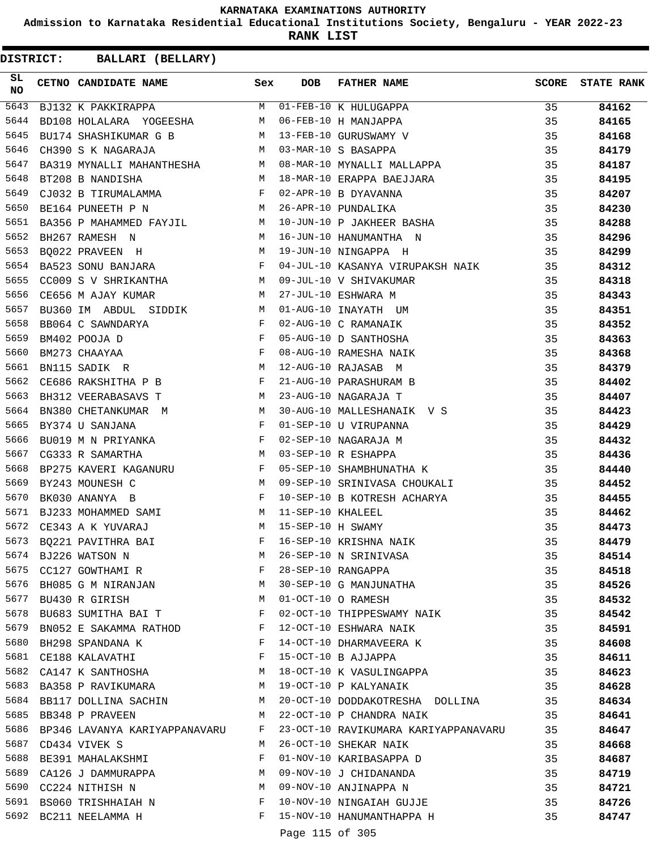**Admission to Karnataka Residential Educational Institutions Society, Bengaluru - YEAR 2022-23**

**RANK LIST**

| SL.<br><b>NO</b> | CETNO CANDIDATE NAME                                                                        | Sex          | <b>DOB</b>      | <b>FATHER NAME</b><br>BJ132 K PAKKIRAPPA<br>BD108 HOLALARA YOGEESHA M 06-FEB-10 H MANJAPPA<br>BU174 SHASHIKUMAR G B M 13-FEB-10 GURUSWAMY V |    | SCORE STATE RANK |
|------------------|---------------------------------------------------------------------------------------------|--------------|-----------------|---------------------------------------------------------------------------------------------------------------------------------------------|----|------------------|
| 5643             |                                                                                             |              |                 |                                                                                                                                             | 35 | 84162            |
| 5644             |                                                                                             |              |                 |                                                                                                                                             | 35 | 84165            |
| 5645             |                                                                                             |              |                 |                                                                                                                                             | 35 | 84168            |
| 5646             |                                                                                             |              |                 |                                                                                                                                             | 35 | 84179            |
| 5647             |                                                                                             |              |                 | BA319 MYNALLI MAHANTHESHA M 08-MAR-10 MYNALLI MALLAPPA                                                                                      | 35 | 84187            |
| 5648             | BT208 B NANDISHA                                                                            |              |                 | M 18-MAR-10 ERAPPA BAEJJARA                                                                                                                 | 35 | 84195            |
| 5649             |                                                                                             |              |                 | CJ032 B TIRUMALAMMA<br>BE164 PUNEETH P N M 26-APR-10 PUNDALIKA<br>BA356 P MAHAMMED FAYJIL M 10-JUN-10 P JAKHEER BASHA                       | 35 | 84207            |
| 5650             |                                                                                             |              |                 |                                                                                                                                             | 35 | 84230            |
| 5651             |                                                                                             |              |                 |                                                                                                                                             | 35 | 84288            |
| 5652             | BH267 RAMESH N                                                                              |              |                 | M 16-JUN-10 HANUMANTHA N                                                                                                                    | 35 | 84296            |
| 5653             | BO022 PRAVEEN H M 19-JUN-10 NINGAPPA H                                                      |              |                 | $\sim$ 35                                                                                                                                   |    | 84299            |
| 5654             | BA523 SONU BANJARA F                                                                        |              |                 | 04-JUL-10 KASANYA VIRUPAKSH NAIK 35                                                                                                         |    | 84312            |
| 5655             | CC009 S V SHRIKANTHA $M$ 09-JUL-10 V SHIVAKUMAR                                             |              |                 |                                                                                                                                             | 35 | 84318            |
| 5656             |                                                                                             |              |                 |                                                                                                                                             | 35 | 84343            |
| 5657             |                                                                                             |              |                 |                                                                                                                                             | 35 | 84351            |
| 5658             | BB064 C SAWNDARYA                                                                           |              |                 | 02-AUG-10 C RAMANAIK                                                                                                                        | 35 | 84352            |
| 5659             | BM402 POOJA D                                                                               |              |                 | 05-AUG-10 D SANTHOSHA                                                                                                                       | 35 | 84363            |
| 5660             | $\begin{array}{ccc} & & F \\ & & F \\ & & F \\ & & F \\ & & F \end{array}$<br>BM273 CHAAYAA |              |                 | 08-AUG-10 RAMESHA NAIK                                                                                                                      | 35 | 84368            |
| 5661             | M <sub>N</sub><br>BN115 SADIK R                                                             |              |                 | 12-AUG-10 RAJASAB M                                                                                                                         | 35 | 84379            |
| 5662             | $CE686$ RAKSHITHA P B F                                                                     |              |                 | 21-AUG-10 PARASHURAM B                                                                                                                      | 35 | 84402            |
| 5663             | M<br>BH312 VEERABASAVS T                                                                    |              |                 | 23-AUG-10 NAGARAJA T                                                                                                                        | 35 | 84407            |
| 5664             |                                                                                             |              |                 | BN380 CHETANKUMAR M M 30-AUG-10 MALLESHANAIK V S                                                                                            | 35 | 84423            |
| 5665             | $\mathbf{F}$ and $\mathbf{F}$ and $\mathbf{F}$<br>BY374 U SANJANA                           |              |                 | 01-SEP-10 U VIRUPANNA<br>02-SEP-10 NAGARAJA M<br>03-SEP-10 R ESHAPPA                                                                        | 35 | 84429            |
| 5666             | BU019 M N PRIYANKA F                                                                        |              |                 |                                                                                                                                             | 35 | 84432            |
| 5667             | CG333 R SAMARTHA M                                                                          |              |                 |                                                                                                                                             | 35 | 84436            |
| 5668             | BP275 KAVERI KAGANURU F                                                                     |              |                 | 05-SEP-10 SHAMBHUNATHA K                                                                                                                    | 35 | 84440            |
| 5669             | M <sub>1</sub><br>BY243 MOUNESH C                                                           |              |                 | 09-SEP-10 SRINIVASA CHOUKALI                                                                                                                | 35 | 84452            |
| 5670             | $\mathbf{F}$<br>BK030 ANANYA B                                                              |              |                 |                                                                                                                                             | 35 | 84455            |
| 5671             | BJ233 MOHAMMED SAMI M 11-SEP-10 KHALEEL                                                     |              |                 | 10-SEP-10 B KOTRESH ACHARYA<br>11-SEP-10 KHALEEL                                                                                            | 35 | 84462            |
| 5672             | M 15-SEP-10 H SWAMY<br>CE343 A K YUVARAJ                                                    |              |                 |                                                                                                                                             | 35 | 84473            |
| 5673             | BQ221 PAVITHRA BAI                                                                          |              |                 | F 16-SEP-10 KRISHNA NAIK                                                                                                                    | 35 | 84479            |
|                  |                                                                                             | M            |                 | 26-SEP-10 N SRINIVASA                                                                                                                       | 35 | 84514            |
|                  | 5674 BJ226 WATSON N<br>5675 CC127 GOWTHAMI R                                                | F            |                 | 28-SEP-10 RANGAPPA                                                                                                                          | 35 | 84518            |
|                  |                                                                                             |              |                 | 5676 BH085 G M NIRANJAN M 30-SEP-10 G MANJUNATHA                                                                                            | 35 | 84526            |
|                  | 5677 BU430 R GIRISH                                                                         | M            |                 | 01-OCT-10 O RAMESH                                                                                                                          | 35 | 84532            |
|                  | <b>Example 19</b><br>5678 BU683 SUMITHA BAI T                                               |              |                 | 02-OCT-10 THIPPESWAMY NAIK                                                                                                                  | 35 | 84542            |
|                  | 5679 BN052 E SAKAMMA RATHOD F                                                               |              |                 | 12-OCT-10 ESHWARA NAIK                                                                                                                      | 35 | 84591            |
| 5680             | BH298 SPANDANA K                                                                            | $\mathbf{F}$ |                 | 14-OCT-10 DHARMAVEERA K                                                                                                                     | 35 | 84608            |
|                  | 5681 CE188 KALAVATHI<br><b>Example 2</b>                                                    |              |                 | 15-OCT-10 B AJJAPPA                                                                                                                         | 35 | 84611            |
|                  | 5682 CA147 K SANTHOSHA<br>M                                                                 |              |                 | 18-OCT-10 K VASULINGAPPA                                                                                                                    | 35 | 84623            |
|                  | 5683 BA358 P RAVIKUMARA                                                                     | M            |                 | 19-OCT-10 P KALYANAIK                                                                                                                       | 35 | 84628            |
|                  | 5684 BB117 DOLLINA SACHIN                                                                   | M            |                 | 20-OCT-10 DODDAKOTRESHA DOLLINA 35                                                                                                          |    | 84634            |
|                  | 5685 BB348 P PRAVEEN                                                                        | M            |                 | 22-OCT-10 P CHANDRA NAIK                                                                                                                    | 35 | 84641            |
|                  | 5686 BP346 LAVANYA KARIYAPPANAVARU F                                                        |              |                 | 23-OCT-10 RAVIKUMARA KARIYAPPANAVARU                                                                                                        | 35 | 84647            |
|                  | 5687 CD434 VIVEK S                                                                          | M            |                 | 26-OCT-10 SHEKAR NAIK                                                                                                                       | 35 | 84668            |
|                  | 5688 BE391 MAHALAKSHMI                                                                      | F            |                 | 01-NOV-10 KARIBASAPPA D                                                                                                                     | 35 | 84687            |
|                  | 5689 CA126 J DAMMURAPPA                                                                     | M            |                 | 09-NOV-10 J CHIDANANDA                                                                                                                      | 35 | 84719            |
|                  | 5690 CC224 NITHISH N                                                                        | M            |                 | 09-NOV-10 ANJINAPPA N                                                                                                                       | 35 | 84721            |
|                  | 5691 BS060 TRISHHAIAH N                                                                     | F            |                 | 10-NOV-10 NINGAIAH GUJJE                                                                                                                    | 35 | 84726            |
|                  | 5692 BC211 NEELAMMA H                                                                       | F            |                 | 15-NOV-10 HANUMANTHAPPA H                                                                                                                   | 35 | 84747            |
|                  |                                                                                             |              |                 |                                                                                                                                             |    |                  |
|                  |                                                                                             |              | Page 115 of 305 |                                                                                                                                             |    |                  |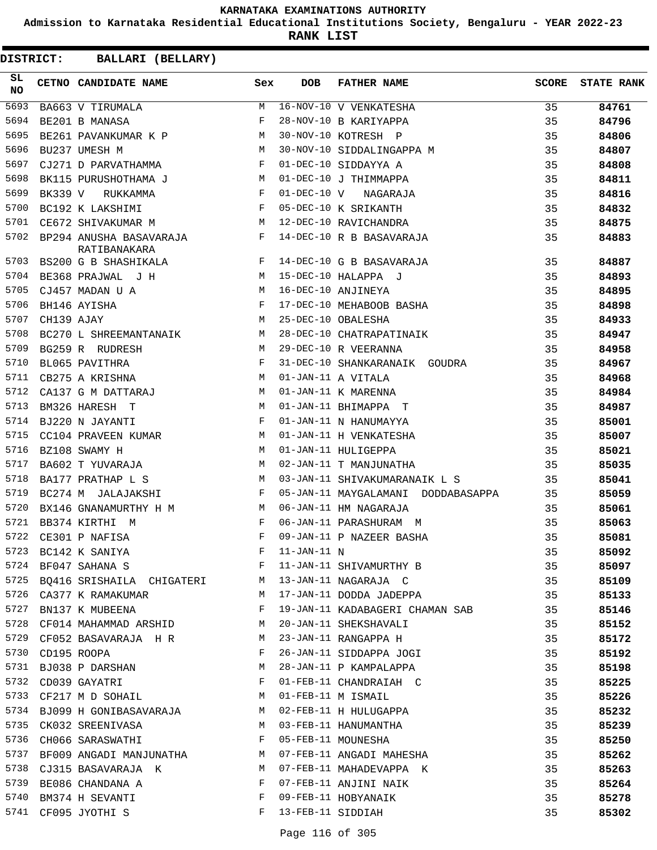**Admission to Karnataka Residential Educational Institutions Society, Bengaluru - YEAR 2022-23**

**RANK LIST**

**DISTRICT:** CC **BALLARI (BELLARY)**

| SL<br><b>NO</b> |                  | CETNO CANDIDATE NAME                                                                                                                                                                                                                                    | Sex          | <b>DOB</b>        | FATHER NAME                                                            | SCORE | <b>STATE RANK</b> |
|-----------------|------------------|---------------------------------------------------------------------------------------------------------------------------------------------------------------------------------------------------------------------------------------------------------|--------------|-------------------|------------------------------------------------------------------------|-------|-------------------|
| 5693            |                  | $\begin{array}{c c}\n\texttt{BA663}\n\hline\n\texttt{U TIRUMALA}\n\hline\n\end{array}\n\qquad\n\begin{array}{c}\n\texttt{M}\n\end{array}$                                                                                                               |              |                   | 16-NOV-10 V VENKATESHA<br>28-NOV-10 B KARIYAPPA<br>30-NOV-10 KOTRESH P | 35    | 84761             |
| 5694            |                  | BE201 B MANASA                                                                                                                                                                                                                                          | F            |                   |                                                                        | 35    | 84796             |
| 5695            |                  | BE261 PAVANKUMAR K P M                                                                                                                                                                                                                                  |              |                   |                                                                        | 35    | 84806             |
| 5696            |                  | M<br>BU237 UMESH M                                                                                                                                                                                                                                      |              |                   | 30-NOV-10 SIDDALINGAPPA M                                              | 35    | 84807             |
| 5697            |                  | CJ271 D PARVATHAMMA F                                                                                                                                                                                                                                   |              |                   | 01-DEC-10 SIDDAYYA A                                                   | 35    | 84808             |
| 5698            |                  | BK115 PURUSHOTHAMA J M                                                                                                                                                                                                                                  |              |                   | 01-DEC-10 J THIMMAPPA                                                  | 35    | 84811             |
| 5699            |                  | $\mathbb{R}^n$ . The set of the set of the set of the set of the set of the set of the set of the set of the set of the set of the set of the set of the set of the set of the set of the set of the set of the set of the set of<br>BK339 V RUKKAMMA   |              |                   | 01-DEC-10 V NAGARAJA                                                   | 35    | 84816             |
| 5700            |                  | $\mathbb F$<br>BC192 K LAKSHIMI                                                                                                                                                                                                                         |              |                   | 05-DEC-10 K SRIKANTH                                                   | 35    | 84832             |
| 5701            |                  | M <sub>N</sub><br>CE672 SHIVAKUMAR M                                                                                                                                                                                                                    |              |                   | 12-DEC-10 RAVICHANDRA                                                  | 35    | 84875             |
| 5702            |                  | BP294 ANUSHA BASAVARAJA F<br>RATIBANAKARA                                                                                                                                                                                                               |              |                   | 14-DEC-10 R B BASAVARAJA                                               | 35    | 84883             |
| 5703            |                  | BS200 G B SHASHIKALA F                                                                                                                                                                                                                                  |              |                   | 14-DEC-10 G B BASAVARAJA                                               | 35    | 84887             |
| 5704            |                  | BE368 PRAJWAL J H M                                                                                                                                                                                                                                     |              |                   | 15-DEC-10 HALAPPA J                                                    | 35    | 84893             |
| 5705            |                  | CJ457 MADAN U A                                                                                                                                                                                                                                         |              |                   | 16-DEC-10 ANJINEYA                                                     | 35    | 84895             |
| 5706            |                  | $\begin{array}{ccc} & & M \\ & & F \\ & & F \\ & & M \\ \end{array}$<br>BH146 AYISHA                                                                                                                                                                    |              |                   | 17-DEC-10 MEHABOOB BASHA<br>25-DEC-10 OPALESHA                         | 35    | 84898             |
| 5707            | CH139 AJAY       |                                                                                                                                                                                                                                                         |              |                   | 25-DEC-10 OBALESHA                                                     | 35    | 84933             |
| 5708            |                  | BC270 L SHREEMANTANAIK M                                                                                                                                                                                                                                |              |                   | 28-DEC-10 CHATRAPATINAIK                                               | 35    | 84947             |
| 5709            |                  | $\mathbf M$<br>BG259 R RUDRESH                                                                                                                                                                                                                          |              |                   | 29-DEC-10 R VEERANNA                                                   | 35    | 84958             |
| 5710            |                  | BL065 PAVITHRA                                                                                                                                                                                                                                          | $\mathbf{F}$ |                   | 31-DEC-10 SHANKARANAIK GOUDRA                                          | 35    | 84967             |
| 5711            |                  | $\mathbf M$<br>CB275 A KRISHNA                                                                                                                                                                                                                          |              |                   | 01-JAN-11 A VITALA                                                     | 35    | 84968             |
| 5712            |                  | CA137 G M DATTARAJ M                                                                                                                                                                                                                                    |              |                   | 01-JAN-11 K MARENNA                                                    | 35    | 84984             |
| 5713            |                  | M<br>BM326 HARESH T                                                                                                                                                                                                                                     |              |                   | 01-JAN-11 BHIMAPPA T                                                   | 35    | 84987             |
| 5714            |                  | BJ220 N JAYANTI                                                                                                                                                                                                                                         | F            |                   | 01-JAN-11 N HANUMAYYA                                                  | 35    | 85001             |
| 5715            |                  | CC104 PRAVEEN KUMAR M                                                                                                                                                                                                                                   |              |                   | 01-JAN-11 H VENKATESHA                                                 | 35    | 85007             |
| 5716            |                  | M <sub>N</sub><br>BZ108 SWAMY H                                                                                                                                                                                                                         |              |                   | 01-JAN-11 HULIGEPPA                                                    | 35    | 85021             |
| 5717            |                  | BA602 T YUVARAJA M                                                                                                                                                                                                                                      |              |                   | 02-JAN-11 T MANJUNATHA                                                 | 35    | 85035             |
| 5718            |                  | BA177 PRATHAP L S                                                                                                                                                                                                                                       | M            |                   | 03-JAN-11 SHIVAKUMARANAIK L S                                          | 35    | 85041             |
| 5719            |                  | BC274 M JALAJAKSHI F                                                                                                                                                                                                                                    |              |                   | 05-JAN-11 MAYGALAMANI DODDABASAPPA                                     | 35    | 85059             |
| 5720            |                  | BX146 GNANAMURTHY H M M                                                                                                                                                                                                                                 |              |                   | 06-JAN-11 HM NAGARAJA                                                  | 35    | 85061             |
| 5721            |                  | $\mathbf{F}$<br>BB374 KIRTHI M                                                                                                                                                                                                                          |              |                   | 06-JAN-11 PARASHURAM M                                                 | 35    | 85063             |
| 5722            |                  | CE301 P NAFISA                                                                                                                                                                                                                                          | F            |                   | 09-JAN-11 P NAZEER BASHA                                               | 35    | 85081             |
| 5723            |                  | BC142 K SANIYA                                                                                                                                                                                                                                          | $\mathbf{F}$ | $11-JAN-11$ N     |                                                                        | 35    | 85092             |
| 5724            |                  | BF047 SAHANA S                                                                                                                                                                                                                                          | F            |                   | 11-JAN-11 SHIVAMURTHY B                                                | 35    | 85097             |
| 5725            |                  | BQ416 SRISHAILA CHIGATERI M                                                                                                                                                                                                                             |              |                   | 13-JAN-11 NAGARAJA C                                                   | 35    | 85109             |
|                 |                  | 5726 CA377 K RAMAKUMAR                                                                                                                                                                                                                                  | M            |                   | 17-JAN-11 DODDA JADEPPA                                                | 35    | 85133             |
| 5727            |                  | BN137 K MUBEENA                                                                                                                                                                                                                                         | F            |                   | 19-JAN-11 KADABAGERI CHAMAN SAB                                        | 35    | 85146             |
|                 |                  | 5728 CF014 MAHAMMAD ARSHID M                                                                                                                                                                                                                            |              |                   | 20-JAN-11 SHEKSHAVALI                                                  | 35    | 85152             |
|                 |                  | 5729 CF052 BASAVARAJA H R                                                                                                                                                                                                                               | M            |                   | 23-JAN-11 RANGAPPA H                                                   | 35    | 85172             |
|                 | 5730 CD195 ROOPA |                                                                                                                                                                                                                                                         | F            |                   | 26-JAN-11 SIDDAPPA JOGI                                                | 35    | 85192             |
| 5731            |                  | BJ038 P DARSHAN<br>M <sub>1</sub>                                                                                                                                                                                                                       |              |                   | 28-JAN-11 P KAMPALAPPA                                                 | 35    | 85198             |
| 5732            |                  | CD039 GAYATRI                                                                                                                                                                                                                                           | F            |                   | 01-FEB-11 CHANDRAIAH C                                                 | 35    | 85225             |
| 5733            |                  | CF217 M D SOHAIL<br>M                                                                                                                                                                                                                                   |              |                   | 01-FEB-11 M ISMAIL                                                     | 35    | 85226             |
|                 |                  | 5734 BJ099 H GONIBASAVARAJA M                                                                                                                                                                                                                           |              |                   | 02-FEB-11 H HULUGAPPA                                                  | 35    | 85232             |
| 5735            |                  | CK032 SREENIVASA<br><b>Example 18</b> and 20 and 20 and 20 and 20 and 20 and 20 and 20 and 20 and 20 and 20 and 20 and 20 and 20 and 20 and 20 and 20 and 20 and 20 and 20 and 20 and 20 and 20 and 20 and 20 and 20 and 20 and 20 and 20 and 20 and 20 |              |                   | 03-FEB-11 HANUMANTHA                                                   | 35    | 85239             |
| 5736            |                  | $\mathbf{F}$ and the contract of the contract $\mathbf{F}$<br>CH066 SARASWATHI                                                                                                                                                                          |              |                   | 05-FEB-11 MOUNESHA                                                     | 35    | 85250             |
|                 |                  | 5737 BF009 ANGADI MANJUNATHA M                                                                                                                                                                                                                          |              |                   | 07-FEB-11 ANGADI MAHESHA                                               | 35    | 85262             |
|                 |                  | 5738 CJ315 BASAVARAJA K                                                                                                                                                                                                                                 | M            |                   | 07-FEB-11 MAHADEVAPPA K                                                | 35    | 85263             |
| 5739            |                  | BE086 CHANDANA A<br>$\mathbf{F}$ . The set of the set of the set of the set of the set of the set of the set of the set of the set of the set of the set of the set of the set of the set of the set of the set of the set of the set of the set of t   |              |                   | 07-FEB-11 ANJINI NAIK                                                  | 35    | 85264             |
| 5740            |                  | BM374 H SEVANTI                                                                                                                                                                                                                                         | F            |                   | 09-FEB-11 HOBYANAIK                                                    | 35    | 85278             |
| 5741            |                  | CF095 JYOTHI S                                                                                                                                                                                                                                          | F            | 13-FEB-11 SIDDIAH |                                                                        | 35    | 85302             |

Page 116 of 305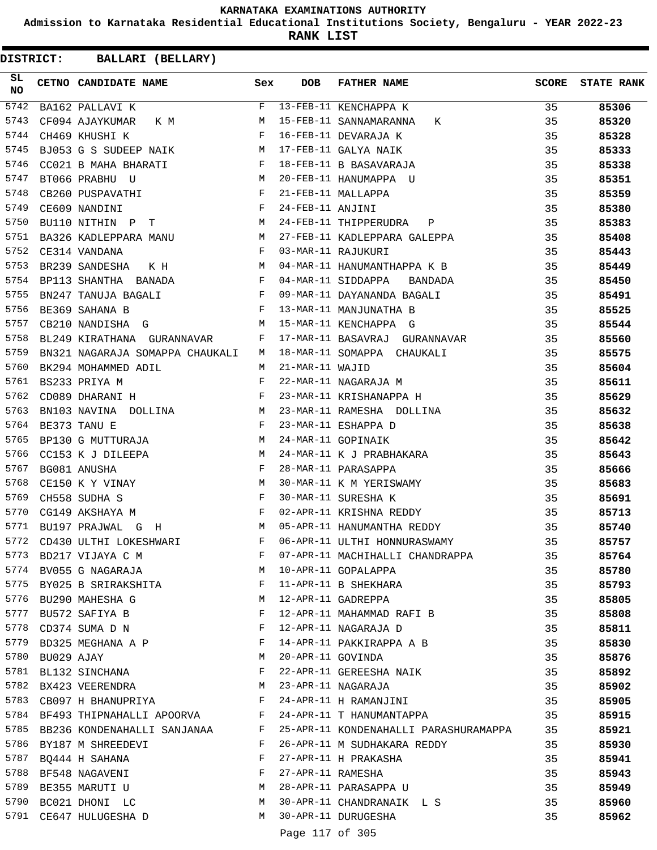**Admission to Karnataka Residential Educational Institutions Society, Bengaluru - YEAR 2022-23**

**RANK LIST**

| SL<br><b>NO</b> |            | CETNO CANDIDATE NAME Sex                                                                                                                                               |   | <b>DOB</b>       | FATHER NAME                                                               | <b>SCORE</b> | <b>STATE RANK</b> |
|-----------------|------------|------------------------------------------------------------------------------------------------------------------------------------------------------------------------|---|------------------|---------------------------------------------------------------------------|--------------|-------------------|
| 5742            |            | BA162 PALLAVI K                                                                                                                                                        | F |                  | 13-FEB-11 KENCHAPPA K                                                     | 35           | 85306             |
| 5743            |            | CF094 AJAYKUMAR K M                                                                                                                                                    | M |                  | K<br>15-FEB-11 SANNAMARANNA                                               | 35           | 85320             |
| 5744            |            | $\mathbf{F}$ and $\mathbf{F}$<br>CH469 KHUSHI K                                                                                                                        |   |                  | 16-FEB-11 DEVARAJA K                                                      | 35           | 85328             |
| 5745            |            | M<br>BJ053 G S SUDEEP NAIK                                                                                                                                             |   |                  | 17-FEB-11 GALYA NAIK                                                      | 35           | 85333             |
| 5746            |            | CC021 B MAHA BHARATI F                                                                                                                                                 |   |                  | 18-FEB-11 B BASAVARAJA                                                    | 35           | 85338             |
| 5747            |            | <b>M</b><br>BT066 PRABHU U                                                                                                                                             |   |                  | 20-FEB-11 HANUMAPPA U                                                     | 35           | 85351             |
| 5748            |            | $\mathbf{F}$<br>CB260 PUSPAVATHI                                                                                                                                       |   |                  | 21-FEB-11 MALLAPPA                                                        | 35           | 85359             |
| 5749            |            | CE609 NANDINI<br>BU110 NITHIN P T M                                                                                                                                    |   | 24-FEB-11 ANJINI |                                                                           | 35           | 85380             |
| 5750            |            |                                                                                                                                                                        |   |                  | 24-FEB-11 THIPPERUDRA P                                                   | 35           | 85383             |
| 5751            |            | BA326 KADLEPPARA MANU M                                                                                                                                                |   |                  | 27-FEB-11 KADLEPPARA GALEPPA 35                                           |              | 85408             |
| 5752            |            | $\mathbf{F}$<br>CE314 VANDANA                                                                                                                                          |   |                  | 03-MAR-11 RAJUKURI                                                        | 35           | 85443             |
| 5753            |            | K H $M$<br>BR239 SANDESHA                                                                                                                                              |   |                  | 04-MAR-11 HANUMANTHAPPA K B                                               | 35           | 85449             |
| 5754            |            | BP113 SHANTHA BANADA F                                                                                                                                                 |   |                  | 04-MAR-11 SIDDAPPA<br><b>BANDADA</b>                                      | 35           | 85450             |
| 5755            |            | $\mathbf{F}$ and $\mathbf{F}$ are $\mathbf{F}$ .<br>BN247 TANUJA BAGALI                                                                                                |   |                  |                                                                           | 35           | 85491             |
| 5756            |            | $\mathbb F$<br>BE369 SAHANA B                                                                                                                                          |   |                  | 09-MAR-11 DAYANANDA BAGALI<br>13-MAR-11 MANJUNATHA B                      | 35           | 85525             |
| 5757            |            | CB210 NANDISHA G                                                                                                                                                       | M |                  | 15-MAR-11 KENCHAPPA G                                                     | 35           | 85544             |
| 5758            |            | BL249 KIRATHANA GURANNAVAR F                                                                                                                                           |   |                  | 17-MAR-11 BASAVRAJ GURANNAVAR                                             | 35           | 85560             |
| 5759            |            | BN321 NAGARAJA SOMAPPA CHAUKALI M                                                                                                                                      |   |                  | 18-MAR-11 SOMAPPA CHAUKALI                                                | 35           | 85575             |
| 5760            |            | M <sub>N</sub><br>BK294 MOHAMMED ADIL                                                                                                                                  |   |                  |                                                                           | 35           | 85604             |
| 5761            |            | BS233 PRIYA M                                                                                                                                                          |   |                  |                                                                           | 35           | 85611             |
| 5762            |            | $F$ $F$<br>CD089 DHARANI H                                                                                                                                             |   |                  | 21-MAR-11 WAJID<br>22-MAR-11 NAGARAJA M<br>23-MAR-11 KRISHANAPPA H        | 35           | 85629             |
| 5763            |            | BN103 NAVINA DOLLINA M                                                                                                                                                 |   |                  | 23-MAR-11 RAMESHA DOLLINA                                                 | 35           | 85632             |
| 5764            |            |                                                                                                                                                                        |   |                  | 23-MAR-11 ESHAPPA D                                                       | 35           | 85638             |
| 5765            |            | $\begin{array}{lll} \texttt{BE373} & \texttt{TANU} & \texttt{E} & \texttt{F}\\ \texttt{BP130} & \texttt{G} & \texttt{MUTTURAJA} & \texttt{M} & \texttt{M} \end{array}$ |   |                  | 24-MAR-11 GOPINAIK                                                        | 35           | 85642             |
| 5766            |            | CC153 K J DILEEPA $M$                                                                                                                                                  |   |                  | 24-MAR-11 K J PRABHAKARA                                                  | 35           | 85643             |
| 5767            |            | $\mathbf{F}$ and $\mathbf{F}$ and $\mathbf{F}$<br>BG081 ANUSHA                                                                                                         |   |                  | 28-MAR-11 PARASAPPA                                                       | 35           | 85666             |
| 5768            |            | CE150 K Y VINAY M                                                                                                                                                      |   |                  | 30-MAR-11 K M YERISWAMY<br>30-MAR-11 SURESHA K<br>02-APR-11 KRISHNA REDDY | 35           | 85683             |
| 5769            |            | $\begin{aligned} \mathbf{F} \\ \mathbf{F} \end{aligned}$<br>CH558 SUDHA S                                                                                              |   |                  |                                                                           | 35           | 85691             |
| 5770            |            | CG149 AKSHAYA M                                                                                                                                                        |   |                  |                                                                           | 35           | 85713             |
| 5771            |            | M <sub>1</sub><br>BU197 PRAJWAL G H                                                                                                                                    |   |                  | 05-APR-11 HANUMANTHA REDDY                                                | 35           | 85740             |
| 5772            |            | CD430 ULTHI LOKESHWARI                                                                                                                                                 | F |                  | 06-APR-11 ULTHI HONNURASWAMY                                              | 35           | 85757             |
|                 |            | 5773 BD217 VIJAYA C M                                                                                                                                                  | F |                  | 07-APR-11 MACHIHALLI CHANDRAPPA                                           | 35           | 85764             |
|                 |            | 5774 BV055 G NAGARAJA                                                                                                                                                  | M |                  | 10-APR-11 GOPALAPPA                                                       | 35           | 85780             |
|                 |            | 5775 BY025 B SRIRAKSHITA                                                                                                                                               | F |                  | 11-APR-11 B SHEKHARA                                                      | 35           | 85793             |
|                 |            | 5776 BU290 MAHESHA G                                                                                                                                                   | M |                  | 12-APR-11 GADREPPA                                                        | 35           | 85805             |
|                 |            | 5777 BU572 SAFIYA B                                                                                                                                                    | F |                  | 12-APR-11 MAHAMMAD RAFI B                                                 | 35           | 85808             |
| 5778            |            | CD374 SUMA D N                                                                                                                                                         | F |                  | 12-APR-11 NAGARAJA D                                                      | 35           | 85811             |
|                 |            | 5779 BD325 MEGHANA A P                                                                                                                                                 | F |                  | 14-APR-11 PAKKIRAPPA A B                                                  | 35           | 85830             |
| 5780            | BU029 AJAY |                                                                                                                                                                        | М |                  | 20-APR-11 GOVINDA                                                         | 35           | 85876             |
|                 |            | 5781 BL132 SINCHANA                                                                                                                                                    | F |                  | 22-APR-11 GEREESHA NAIK                                                   | 35           | 85892             |
|                 |            | 5782 BX423 VEERENDRA                                                                                                                                                   | M |                  | 23-APR-11 NAGARAJA                                                        | 35           | 85902             |
|                 |            | 5783 CB097 H BHANUPRIYA                                                                                                                                                | F |                  | 24-APR-11 H RAMANJINI                                                     | 35           | 85905             |
|                 |            | 5784 BF493 THIPNAHALLI APOORVA F                                                                                                                                       |   |                  | 24-APR-11 T HANUMANTAPPA                                                  | 35           | 85915             |
|                 |            | 5785 BB236 KONDENAHALLI SANJANAA                                                                                                                                       | F |                  | 25-APR-11 KONDENAHALLI PARASHURAMAPPA                                     | 35           | 85921             |
|                 |            | 5786 BY187 M SHREEDEVI                                                                                                                                                 | F |                  | 26-APR-11 M SUDHAKARA REDDY                                               | 35           | 85930             |
| 5787            |            | BQ444 H SAHANA                                                                                                                                                         | F |                  | 27-APR-11 H PRAKASHA                                                      | 35           | 85941             |
| 5788            |            | BF548 NAGAVENI                                                                                                                                                         | F |                  | 27-APR-11 RAMESHA                                                         | 35           | 85943             |
|                 |            | 5789 BE355 MARUTI U                                                                                                                                                    | M |                  | 28-APR-11 PARASAPPA U                                                     | 35           | 85949             |
|                 |            | 5790 BC021 DHONI LC                                                                                                                                                    | M |                  | 30-APR-11 CHANDRANAIK L S                                                 | 35           | 85960             |
|                 |            | 5791 CE647 HULUGESHA D                                                                                                                                                 | M |                  | 30-APR-11 DURUGESHA                                                       | 35           | 85962             |
|                 |            |                                                                                                                                                                        |   |                  |                                                                           |              |                   |
|                 |            |                                                                                                                                                                        |   | Page 117 of 305  |                                                                           |              |                   |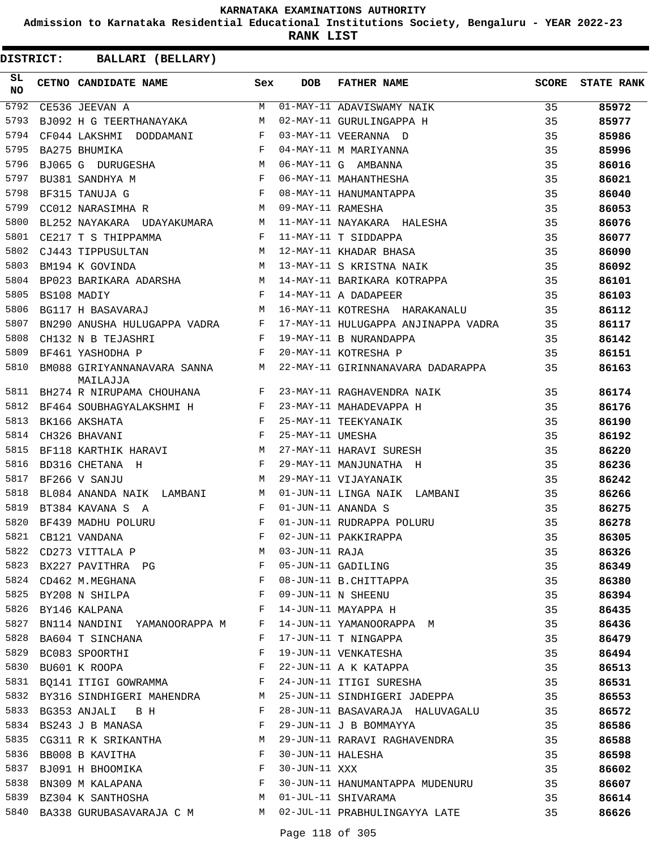**Admission to Karnataka Residential Educational Institutions Society, Bengaluru - YEAR 2022-23**

**RANK LIST**

| DISTRICT: | BALLARI (BELLARY)                                                      |              |                   |                                     |              |                   |
|-----------|------------------------------------------------------------------------|--------------|-------------------|-------------------------------------|--------------|-------------------|
| SL.<br>NO | CETNO CANDIDATE NAME                                                   | Sex          | <b>DOB</b>        | <b>FATHER NAME</b>                  | <b>SCORE</b> | <b>STATE RANK</b> |
| 5792      | CE536 JEEVAN A                                                         | M            |                   | 01-MAY-11 ADAVISWAMY NAIK           | 35           | 85972             |
| 5793      | BJ092 H G TEERTHANAYAKA                                                | М            |                   | 02-MAY-11 GURULINGAPPA H            | 35           | 85977             |
| 5794      | CF044 LAKSHMI DODDAMANI                                                | $\mathbf{F}$ |                   | 03-MAY-11 VEERANNA D                | 35           | 85986             |
| 5795      | BA275 BHUMIKA                                                          | F            |                   | 04-MAY-11 M MARIYANNA               | 35           | 85996             |
| 5796      | BJ065 G DURUGESHA M                                                    |              |                   | 06-MAY-11 G AMBANNA                 | 35           | 86016             |
| 5797      | $\mathbf{F}$ and the set of the set of $\mathbf{F}$<br>BU381 SANDHYA M |              |                   | 06-MAY-11 MAHANTHESHA               | 35           | 86021             |
| 5798      | BF315 TANUJA G                                                         | $\mathbf{F}$ |                   | 08-MAY-11 HANUMANTAPPA              | 35           | 86040             |
| 5799      | CC012 NARASIMHA R                                                      | M            | 09-MAY-11 RAMESHA |                                     | 35           | 86053             |
| 5800      | BL252 NAYAKARA UDAYAKUMARA                                             | М            |                   | 11-MAY-11 NAYAKARA HALESHA          | 35           | 86076             |
| 5801      | CE217 T S THIPPAMMA                                                    | F            |                   | 11-MAY-11 T SIDDAPPA                | 35           | 86077             |
| 5802      | CJ443 TIPPUSULTAN                                                      | М            |                   | 12-MAY-11 KHADAR BHASA              | 35           | 86090             |
| 5803      | BM194 K GOVINDA                                                        | M            |                   | 13-MAY-11 S KRISTNA NAIK            | 35           | 86092             |
| 5804      | BP023 BARIKARA ADARSHA M                                               |              |                   | 14-MAY-11 BARIKARA KOTRAPPA         | 35           | 86101             |
| 5805      | BS108 MADIY                                                            | $\mathbf{F}$ |                   | 14-MAY-11 A DADAPEER                | 35           | 86103             |
| 5806      | BG117 H BASAVARAJ                                                      | M            |                   | 16-MAY-11 KOTRESHA HARAKANALU       | 35           | 86112             |
| 5807      | BN290 ANUSHA HULUGAPPA VADRA                                           | F            |                   | 17-MAY-11 HULUGAPPA ANJINAPPA VADRA | 35           | 86117             |
| 5808      | CH132 N B TEJASHRI                                                     | F            |                   | 19-MAY-11 B NURANDAPPA              | 35           | 86142             |
| 5809      | BF461 YASHODHA P                                                       | F            |                   | 20-MAY-11 KOTRESHA P                | 35           | 86151             |
| 5810      | BM088 GIRIYANNANAVARA SANNA M<br>MAILAJJA                              |              |                   | 22-MAY-11 GIRINNANAVARA DADARAPPA   | 35           | 86163             |
| 5811      | BH274 R NIRUPAMA CHOUHANA                                              | F            |                   | 23-MAY-11 RAGHAVENDRA NAIK          | 35           | 86174             |
| 5812      | BF464 SOUBHAGYALAKSHMI H                                               | $\mathbf{F}$ |                   | 23-MAY-11 MAHADEVAPPA H             | 35           | 86176             |
| 5813      | BK166 AKSHATA                                                          | F            |                   | 25-MAY-11 TEEKYANAIK                | 35           | 86190             |
| 5814      | CH326 BHAVANI                                                          | $_{\rm F}$   | 25-MAY-11 UMESHA  |                                     | 35           | 86192             |
| 5815      | $M_{\rm H}$<br>BF118 KARTHIK HARAVI                                    |              |                   | 27-MAY-11 HARAVI SURESH             | 35           | 86220             |
| 5816      | BD316 CHETANA H                                                        | F            |                   | 29-MAY-11 MANJUNATHA H              | 35           | 86236             |
| 5817      | BF266 V SANJU                                                          | M            |                   | 29-MAY-11 VIJAYANAIK                | 35           | 86242             |
| 5818      | BL084 ANANDA NAIK LAMBANI                                              | M            |                   | 01-JUN-11 LINGA NAIK LAMBANI        | 35           | 86266             |
| 5819      | BT384 KAVANA S A                                                       | F            |                   | 01-JUN-11 ANANDA S                  | 35           | 86275             |
| 5820      | BF439 MADHU POLURU                                                     | $_{\rm F}$   |                   | 01-JUN-11 RUDRAPPA POLURU           | 35           | 86278             |
| 5821      | CB121 VANDANA                                                          |              |                   | F 02-JUN-11 PAKKIRAPPA              | 35           | 86305             |
| 5822      | CD273 VITTALA P                                                        | M            | 03-JUN-11 RAJA    |                                     | 35           | 86326             |
| 5823      | BX227 PAVITHRA PG F                                                    |              |                   | 05-JUN-11 GADILING                  | 35           | 86349             |
|           | CD462 M.MEGHANA<br>BY208 N SHILPA<br>5824 CD462 M.MEGHANA              | F            |                   | 08-JUN-11 B.CHITTAPPA               | 35           | 86380             |
| 5825      |                                                                        | $$\rm \,F$$  |                   | 09-JUN-11 N SHEENU                  | 35           | 86394             |
| 5826      | BY146 KALPANA                                                          | F            |                   | 14-JUN-11 MAYAPPA H                 | 35           | 86435             |
| 5827      | BN114 NANDINI YAMANOORAPPA M F                                         |              |                   | 14-JUN-11 YAMANOORAPPA M            | 35           | 86436             |
| 5828      | BA604 T SINCHANA                                                       | F            |                   | 17-JUN-11 T NINGAPPA                | 35           | 86479             |
| 5829      | BC083 SPOORTHI                                                         | F            |                   | 19-JUN-11 VENKATESHA                | 35           | 86494             |
| 5830      | BU601 K ROOPA                                                          | $_{\rm F}$   |                   | 22-JUN-11 A K KATAPPA               | 35           | 86513             |
| 5831      | BQ141 ITIGI GOWRAMMA F                                                 |              |                   | 24-JUN-11 ITIGI SURESHA             | 35           | 86531             |
| 5832      | BY316 SINDHIGERI MAHENDRA M                                            |              |                   | 25-JUN-11 SINDHIGERI JADEPPA        | 35           | 86553             |
| 5833      | BG353 ANJALI B H                                                       | F            |                   | 28-JUN-11 BASAVARAJA HALUVAGALU     | 35           | 86572             |
| 5834      | BS243 J B MANASA                                                       | F            |                   | 29-JUN-11 J B BOMMAYYA              | 35           | 86586             |
| 5835      | CG311 R K SRIKANTHA M                                                  |              |                   | 29-JUN-11 RARAVI RAGHAVENDRA        | 35           | 86588             |
| 5836      |                                                                        |              | 30-JUN-11 HALESHA |                                     | 35           | 86598             |
| 5837      | BB008 B KAVITHA F<br>BJ091 H BHOOMIKA F                                |              | 30-JUN-11 XXX     |                                     | 35           | 86602             |
| 5838      | BN309 M KALAPANA F                                                     |              |                   | 30-JUN-11 HANUMANTAPPA MUDENURU     | 35           | 86607             |
| 5839      | BZ304 K SANTHOSHA M                                                    |              |                   | 01-JUL-11 SHIVARAMA                 | 35           | 86614             |
|           | 5840 BA338 GURUBASAVARAJA C M M 02-JUL-11 PRABHULINGAYYA LATE          |              |                   |                                     | 35           | 86626             |
|           |                                                                        |              |                   |                                     |              |                   |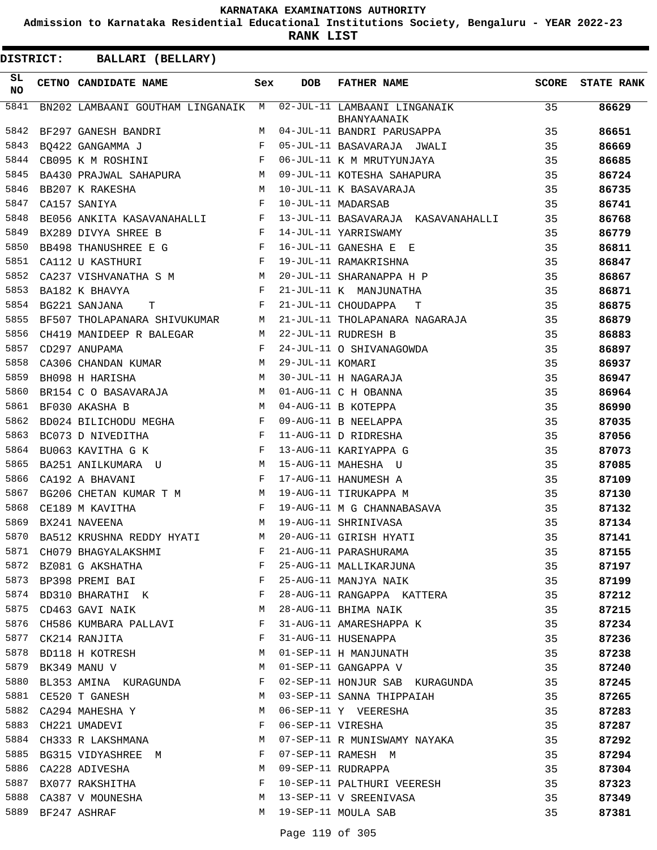**Admission to Karnataka Residential Educational Institutions Society, Bengaluru - YEAR 2022-23**

**RANK LIST**

| <b>DISTRICT:</b> | <b>BALLARI (BELLARY)</b>                                                                                                          |              |                   |                                                 |              |                   |
|------------------|-----------------------------------------------------------------------------------------------------------------------------------|--------------|-------------------|-------------------------------------------------|--------------|-------------------|
| SL<br><b>NO</b>  | CETNO CANDIDATE NAME                                                                                                              | Sex          | <b>DOB</b>        | FATHER NAME                                     | <b>SCORE</b> | <b>STATE RANK</b> |
| 5841             | BN202 LAMBAANI GOUTHAM LINGANAIK M                                                                                                |              |                   | 02-JUL-11 LAMBAANI LINGANAIK<br>BHANYAANAIK     | 35           | 86629             |
| 5842             | BF297 GANESH BANDRI                                                                                                               | M            |                   | 04-JUL-11 BANDRI PARUSAPPA                      | 35           | 86651             |
| 5843             | BQ422 GANGAMMA J                                                                                                                  | F            |                   | 05-JUL-11 BASAVARAJA JWALI                      | 35           | 86669             |
| 5844             | $\mathbf{F}$ and the set of $\mathbf{F}$ .<br>CB095 K M ROSHINI                                                                   |              |                   | 06-JUL-11 K M MRUTYUNJAYA                       | 35           | 86685             |
| 5845             | M <sub>N</sub><br>BA430 PRAJWAL SAHAPURA                                                                                          |              |                   | 09-JUL-11 KOTESHA SAHAPURA                      | 35           | 86724             |
| 5846             | BB207 K RAKESHA<br>M <sub>N</sub>                                                                                                 |              |                   | 10-JUL-11 K BASAVARAJA                          | 35           | 86735             |
| 5847             | CA157 SANIYA                                                                                                                      | F            |                   | 10-JUL-11 MADARSAB                              | 35           | 86741             |
| 5848             | BE056 ANKITA KASAVANAHALLI F                                                                                                      |              |                   | 13-JUL-11 BASAVARAJA KASAVANAHALLI              | 35           | 86768             |
| 5849             | BX289 DIVYA SHREE B                                                                                                               | $\mathbf{F}$ |                   | 14-JUL-11 YARRISWAMY                            | 35           | 86779             |
| 5850             | BB498 THANUSHREE E G                                                                                                              | F            |                   | 16-JUL-11 GANESHA E E                           | 35           | 86811             |
| 5851             | CA112 U KASTHURI                                                                                                                  | F            |                   | 19-JUL-11 RAMAKRISHNA                           | 35           | 86847             |
| 5852             | CA237 VISHVANATHA S M                                                                                                             | М            |                   | 20-JUL-11 SHARANAPPA H P                        | 35           | 86867             |
| 5853             | BA182 K BHAVYA                                                                                                                    | F            |                   | 21-JUL-11 K MANJUNATHA                          | 35           | 86871             |
| 5854             | BG221 SANJANA<br>т                                                                                                                | F            |                   | 21-JUL-11 CHOUDAPPA<br>т                        | 35           | 86875             |
| 5855             | BF507 THOLAPANARA SHIVUKUMAR                                                                                                      | M            |                   | 21-JUL-11 THOLAPANARA NAGARAJA                  | 35           | 86879             |
| 5856             | CH419 MANIDEEP R BALEGAR                                                                                                          | M            |                   | 22-JUL-11 RUDRESH B                             | 35           | 86883             |
| 5857             | CD297 ANUPAMA                                                                                                                     | F            |                   | 24-JUL-11 O SHIVANAGOWDA                        | 35           | 86897             |
| 5858             | CA306 CHANDAN KUMAR                                                                                                               | М            | 29-JUL-11 KOMARI  |                                                 | 35           | 86937             |
| 5859             | BH098 H HARISHA                                                                                                                   | М            |                   | 30-JUL-11 H NAGARAJA                            | 35           | 86947             |
| 5860             | BR154 C O BASAVARAJA                                                                                                              | M            |                   | 01-AUG-11 C H OBANNA                            | 35           | 86964             |
| 5861             | M<br>BF030 AKASHA B                                                                                                               |              |                   | 04-AUG-11 B KOTEPPA                             | 35           | 86990             |
| 5862             | BD024 BILICHODU MEGHA                                                                                                             | F            |                   | 09-AUG-11 B NEELAPPA                            | 35           | 87035             |
| 5863             | BC073 D NIVEDITHA<br>$\mathbf{F}$ and the set of the set of $\mathbf{F}$                                                          |              |                   | 11-AUG-11 D RIDRESHA                            | 35           | 87056             |
| 5864             | <b>Example 2</b><br>BU063 KAVITHA G K                                                                                             |              |                   | 13-AUG-11 KARIYAPPA G                           | 35           | 87073             |
| 5865             | BA251 ANILKUMARA U                                                                                                                | M            |                   | 15-AUG-11 MAHESHA U                             | 35           | 87085             |
| 5866             | CA192 A BHAVANI                                                                                                                   | F            |                   | 17-AUG-11 HANUMESH A                            | 35           | 87109             |
| 5867             | BG206 CHETAN KUMAR T M M                                                                                                          |              |                   | 19-AUG-11 TIRUKAPPA M                           | 35           | 87130             |
| 5868             | CE189 M KAVITHA<br>in the state of the state of the state of the state of the state of the state of the state of the state of the |              |                   | 19-AUG-11 M G CHANNABASAVA                      | 35           | 87132             |
| 5869             | BX241 NAVEENA                                                                                                                     | М            |                   | 19-AUG-11 SHRINIVASA                            | 35           | 87134             |
| 5870             | BA512 KRUSHNA REDDY HYATI M 20-AUG-11 GIRISH HYATI                                                                                |              |                   |                                                 | 35           | 87141             |
| 5871             | CH079 BHAGYALAKSHMI F                                                                                                             |              |                   | 21-AUG-11 PARASHURAMA                           | 35           | 87155             |
|                  | $\mathbf{F}$ and $\mathbf{F}$ and $\mathbf{F}$<br>5872 BZ081 G AKSHATHA                                                           |              |                   |                                                 | 35           | 87197             |
|                  | $\mathbf{F}$<br>5873 BP398 PREMI BAI                                                                                              |              |                   | 25-AUG-11 MALLIKARJUNA<br>25-AUG-11 MANJYA NAIK | 35           | 87199             |
|                  | 5874 BD310 BHARATHI K F                                                                                                           |              |                   | 28-AUG-11 RANGAPPA KATTERA                      | 35           | 87212             |
| 5875             | <b>M</b><br>CD463 GAVI NAIK                                                                                                       |              |                   | 28-AUG-11 BHIMA NAIK                            | 35           | 87215             |
|                  | 5876 CH586 KUMBARA PALLAVI F                                                                                                      |              |                   | 31-AUG-11 AMARESHAPPA K                         | 35           | 87234             |
|                  | 5877 CK214 RANJITA                                                                                                                | F            |                   |                                                 | 35           | 87236             |
| 5878             | BD118 H KOTRESH M                                                                                                                 |              |                   | 31-AUG-11 HUSENAPPA<br>01-SEP-11 H MANJUNATH    | 35           | 87238             |
| 5879             | BK349 MANU V<br>$M_{\rm H}$ and $M_{\rm H}$                                                                                       |              |                   | 01-SEP-11 GANGAPPA V                            | 35           | 87240             |
| 5880             | BL353 AMINA KURAGUNDA F                                                                                                           |              |                   | 02-SEP-11 HONJUR SAB KURAGUNDA                  | 35           | 87245             |
|                  | 5881 CE520 T GANESH                                                                                                               | M            |                   | 03-SEP-11 SANNA THIPPAIAH                       | 35           | 87265             |
| 5882             | CA294 MAHESHA Y                                                                                                                   | M            |                   | 06-SEP-11 Y VEERESHA                            | 35           | 87283             |
| 5883             | CH221 UMADEVI                                                                                                                     | F            | 06-SEP-11 VIRESHA |                                                 | 35           | 87287             |
| 5884             | CH333 R LAKSHMANA M                                                                                                               |              |                   | 07-SEP-11 R MUNISWAMY NAYAKA                    | 35           | 87292             |
|                  | 5885 BG315 VIDYASHREE M                                                                                                           | F            |                   | 07-SEP-11 RAMESH M                              | 35           | 87294             |
| 5886             | CA228 ADIVESHA                                                                                                                    | М            |                   | 09-SEP-11 RUDRAPPA                              | 35           | 87304             |
| 5887             | BX077 RAKSHITHA                                                                                                                   | F            |                   | 10-SEP-11 PALTHURI VEERESH                      | 35           | 87323             |
| 5888             | CA387 V MOUNESHA                                                                                                                  | M            |                   | 13-SEP-11 V SREENIVASA                          | 35           | 87349             |
|                  | 5889 BF247 ASHRAF                                                                                                                 | M            |                   | 19-SEP-11 MOULA SAB                             | 35           | 87381             |
|                  |                                                                                                                                   |              |                   |                                                 |              |                   |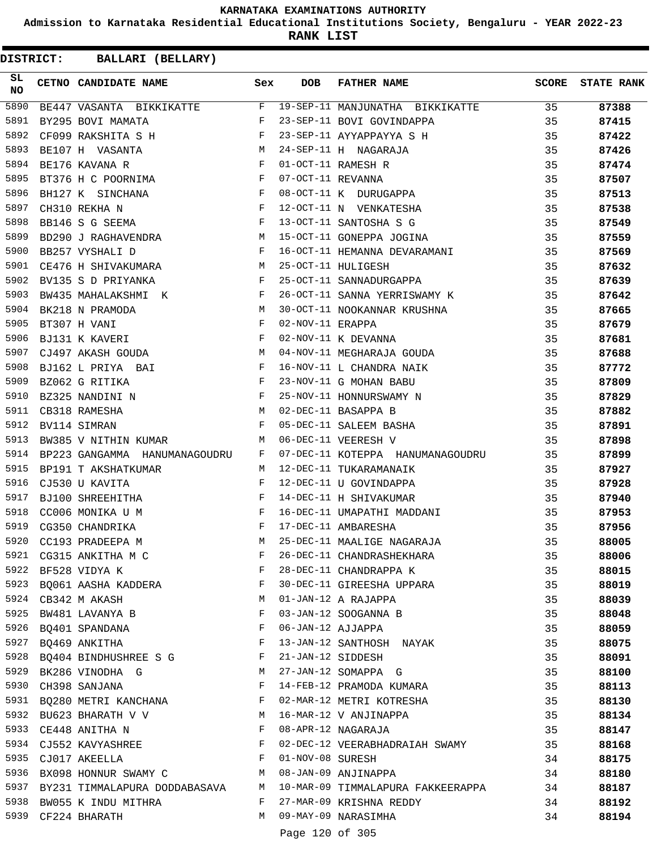**Admission to Karnataka Residential Educational Institutions Society, Bengaluru - YEAR 2022-23**

**RANK LIST**

**DISTRICT:** CC **BALLARI (BELLARY)**

| SL<br><b>NO</b> | CETNO CANDIDATE NAME Sex                                                                                                                                                                                                                             |              | <b>DOB</b>        | FATHER NAME                                                               | SCORE | <b>STATE RANK</b> |
|-----------------|------------------------------------------------------------------------------------------------------------------------------------------------------------------------------------------------------------------------------------------------------|--------------|-------------------|---------------------------------------------------------------------------|-------|-------------------|
| 5890            | BE447 VASANTA BIKKIKATTE F                                                                                                                                                                                                                           |              |                   | 19-SEP-11 MANJUNATHA BIKKIKATTE 35                                        |       | 87388             |
| 5891            | $\mathbb F$ . The set of $\mathbb F$<br>BY295 BOVI MAMATA                                                                                                                                                                                            |              |                   | 23-SEP-11 BOVI GOVINDAPPA                                                 | 35    | 87415             |
| 5892            | CF099 RAKSHITA S H                                                                                                                                                                                                                                   |              |                   |                                                                           | 35    | 87422             |
| 5893            | $\begin{array}{c}\nF \\ N \\ F\n\end{array}$<br>BE107 H VASANTA                                                                                                                                                                                      |              |                   | 23-SEP-11 AYYAPPAYYA S H<br>24-SEP-11 H NAGARAJA                          | 35    | 87426             |
| 5894            | BE176 KAVANA R                                                                                                                                                                                                                                       |              |                   | 01-OCT-11 RAMESH R                                                        | 35    | 87474             |
| 5895            | BT376 H C POORNIMA F                                                                                                                                                                                                                                 |              | 07-OCT-11 REVANNA |                                                                           | 35    | 87507             |
| 5896            | BH127 K SINCHANA F<br>CH310 REKHA N F<br>BB146 S G SEEMA F                                                                                                                                                                                           |              |                   | 08-OCT-11 K DURUGAPPA                                                     | 35    | 87513             |
| 5897            |                                                                                                                                                                                                                                                      |              |                   | 12-OCT-11 N VENKATESHA                                                    | 35    | 87538             |
| 5898            |                                                                                                                                                                                                                                                      |              |                   | 13-OCT-11 SANTOSHA S G                                                    | 35    | 87549             |
| 5899            | BD290 J RAGHAVENDRA M                                                                                                                                                                                                                                |              |                   | 15-OCT-11 GONEPPA JOGINA                                                  | 35    | 87559             |
| 5900            | $\mathbf{F}$<br>BB257 VYSHALI D                                                                                                                                                                                                                      |              |                   | 16-OCT-11 HEMANNA DEVARAMANI                                              | 35    | 87569             |
| 5901            | CE476 H SHIVAKUMARA M                                                                                                                                                                                                                                |              |                   | 25-OCT-11 HULIGESH                                                        | 35    | 87632             |
| 5902            | BV135 S D PRIYANKA                                                                                                                                                                                                                                   | F            |                   | 25-OCT-11 SANNADURGAPPA                                                   | 35    | 87639             |
| 5903            | BW435 MAHALAKSHMI K F                                                                                                                                                                                                                                |              |                   | 26-OCT-11 SANNA YERRISWAMY K                                              | 35    | 87642             |
| 5904            | M<br>BK218 N PRAMODA                                                                                                                                                                                                                                 |              |                   | 30-OCT-11 NOOKANNAR KRUSHNA                                               | 35    | 87665             |
| 5905            | BT307 H VANI                                                                                                                                                                                                                                         | $_{\rm F}$   | 02-NOV-11 ERAPPA  |                                                                           | 35    | 87679             |
| 5906            | BJ131 K KAVERI                                                                                                                                                                                                                                       | F            |                   | 02-NOV-11 K DEVANNA                                                       | 35    | 87681             |
| 5907            | CJ497 AKASH GOUDA M                                                                                                                                                                                                                                  |              |                   | 04-NOV-11 MEGHARAJA GOUDA                                                 | 35    | 87688             |
| 5908            | $\mathbf{F}$<br>BJ162 L PRIYA BAI                                                                                                                                                                                                                    |              |                   | 16-NOV-11 L CHANDRA NAIK                                                  | 35    | 87772             |
| 5909            | BZ062 G RITIKA                                                                                                                                                                                                                                       | $\mathbf{F}$ |                   | 23-NOV-11 G MOHAN BABU                                                    | 35    | 87809             |
| 5910            | $\mathbf{F}_{\mathbf{r}}$ and $\mathbf{F}_{\mathbf{r}}$ and $\mathbf{F}_{\mathbf{r}}$<br>BZ325 NANDINI N                                                                                                                                             |              |                   | 25-NOV-11 HONNURSWAMY N                                                   | 35    | 87829             |
| 5911            | M<br>CB318 RAMESHA                                                                                                                                                                                                                                   |              |                   |                                                                           | 35    | 87882             |
| 5912            | $\mathbf{F}$<br>BV114 SIMRAN                                                                                                                                                                                                                         |              |                   |                                                                           | 35    | 87891             |
| 5913            | BW385 V NITHIN KUMAR                                                                                                                                                                                                                                 | M            |                   | 02-DEC-11 BASAPPA B<br>05-DEC-11 SALEEM BASHA<br>06-DEC-11 VEERESH V      | 35    | 87898             |
| 5914            | BP223 GANGAMMA HANUMANAGOUDRU                                                                                                                                                                                                                        | $\mathbf{F}$ |                   | 07-DEC-11 KOTEPPA HANUMANAGOUDRU                                          | 35    | 87899             |
| 5915            | BP191 T AKSHATKUMAR                                                                                                                                                                                                                                  | M            |                   | 12-DEC-11 TUKARAMANAIK                                                    | 35    | 87927             |
| 5916            | CJ530 U KAVITA                                                                                                                                                                                                                                       | $\mathbf{F}$ |                   | 12-DEC-11 U GOVINDAPPA                                                    | 35    | 87928             |
| 5917            | $\begin{aligned} \mathbf{F} \\ \mathbf{F} \end{aligned}$<br>BJ100 SHREEHITHA                                                                                                                                                                         |              |                   | 14-DEC-11 H SHIVAKUMAR                                                    | 35    | 87940             |
| 5918            | CC006 MONIKA U M                                                                                                                                                                                                                                     |              |                   | 16-DEC-11 UMAPATHI MADDANI                                                | 35    | 87953             |
| 5919            | $\mathbb{R}^n$ . The set of the set of the set of the set of the set of the set of the set of the set of the set of the set of the set of the set of the set of the set of the set of the set of the set of the set of the set of<br>CG350 CHANDRIKA |              |                   | 17-DEC-11 AMBARESHA                                                       | 35    | 87956             |
| 5920            | CC193 PRADEEPA M                                                                                                                                                                                                                                     | M            |                   | 25-DEC-11 MAALIGE NAGARAJA                                                | 35    | 88005             |
|                 | 5921 CG315 ANKITHA M C                                                                                                                                                                                                                               | F            |                   | 26-DEC-11 CHANDRASHEKHARA                                                 | 35    | 88006             |
|                 | 5922 BF528 VIDYA K                                                                                                                                                                                                                                   | $\mathbf{F}$ |                   | 28-DEC-11 CHANDRAPPA K                                                    | 35    | 88015             |
|                 | 5923 BQ061 AASHA KADDERA F                                                                                                                                                                                                                           |              |                   | 30-DEC-11 GIREESHA UPPARA                                                 | 35    | 88019             |
|                 | M<br>5924 CB342 M AKASH                                                                                                                                                                                                                              |              |                   | 01-JAN-12 A RAJAPPA                                                       | 35    | 88039             |
|                 | 5925 BW481 LAVANYA B                                                                                                                                                                                                                                 | $\mathbf{F}$ |                   | 03-JAN-12 SOOGANNA B                                                      | 35    | 88048             |
|                 | 5926 BQ401 SPANDANA F                                                                                                                                                                                                                                |              |                   | 06-JAN-12 AJJAPPA                                                         | 35    | 88059             |
|                 | 5927 BQ469 ANKITHA<br>and the state of the Party of the Party                                                                                                                                                                                        |              |                   | 13-JAN-12 SANTHOSH NAYAK                                                  | 35    | 88075             |
|                 | 5928 BQ404 BINDHUSHREE S G F                                                                                                                                                                                                                         |              |                   | 21-JAN-12 SIDDESH                                                         | 35    | 88091             |
|                 | 5929 BK286 VINODHA G<br>M                                                                                                                                                                                                                            |              |                   | 27-JAN-12 SOMAPPA G                                                       | 35    | 88100             |
|                 | 5930 CH398 SANJANA                                                                                                                                                                                                                                   | F            |                   | 14-FEB-12 PRAMODA KUMARA                                                  | 35    | 88113             |
|                 | 5931 BQ280 METRI KANCHANA F                                                                                                                                                                                                                          |              |                   | 02-MAR-12 METRI KOTRESHA                                                  | 35    | 88130             |
|                 | M<br>5932 BU623 BHARATH V V                                                                                                                                                                                                                          |              |                   | 16-MAR-12 V ANJINAPPA                                                     | 35    | 88134             |
|                 | 5933 CE448 ANITHA N                                                                                                                                                                                                                                  | $\mathbb{F}$ |                   | 08-APR-12 NAGARAJA                                                        | 35    | 88147             |
|                 | 5934 CJ552 KAVYASHREE F                                                                                                                                                                                                                              |              |                   | 02-DEC-12 VEERABHADRAIAH SWAMY                                            | 35    | 88168             |
| 5935            | $\mathbf{F}$ . The set of the set of $\mathbf{F}$<br>CJ017 AKEELLA                                                                                                                                                                                   |              |                   | 01-NOV-08 SURESH                                                          | 34    | 88175             |
|                 | 5936 BX098 HONNUR SWAMY C M 08-JAN-09 ANJINAPPA                                                                                                                                                                                                      |              |                   |                                                                           | 34    | 88180             |
|                 |                                                                                                                                                                                                                                                      |              |                   | 5937 BY231 TIMMALAPURA DODDABASAVA M 10-MAR-09 TIMMALAPURA FAKKEERAPPA 34 |       | 88187             |
|                 | 5938 BW055 K INDU MITHRA                                                                                                                                                                                                                             |              |                   | F 27-MAR-09 KRISHNA REDDY                                                 | 34    | 88192             |
|                 | 5939 CF224 BHARATH                                                                                                                                                                                                                                   |              |                   | M 09-MAY-09 NARASIMHA                                                     | 34    | 88194             |
|                 |                                                                                                                                                                                                                                                      |              |                   |                                                                           |       |                   |

Page 120 of 305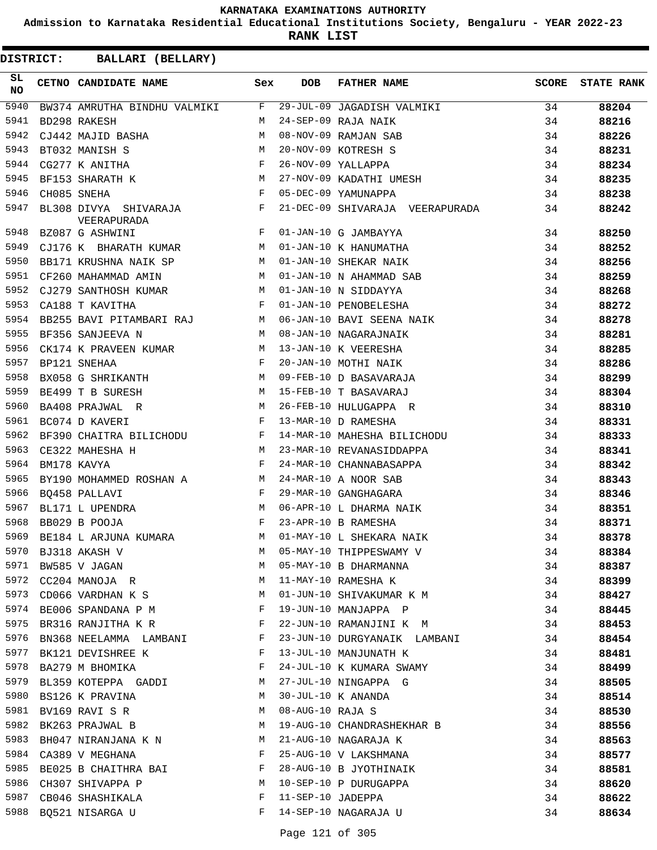**Admission to Karnataka Residential Educational Institutions Society, Bengaluru - YEAR 2022-23**

**RANK LIST**

| SL<br>NO | CETNO CANDIDATE NAME Sex                                                                                                             |              | <b>DOB</b>        | FATHER NAME                                                                                                                                                                                                                                                                                                                                                                                                          | SCORE | <b>STATE RANK</b> |
|----------|--------------------------------------------------------------------------------------------------------------------------------------|--------------|-------------------|----------------------------------------------------------------------------------------------------------------------------------------------------------------------------------------------------------------------------------------------------------------------------------------------------------------------------------------------------------------------------------------------------------------------|-------|-------------------|
| 5940     |                                                                                                                                      |              |                   | BW374 AMRUTHA BINDHU VALMIKI F 29-JUL-09 JAGADISH VALMIKI 34                                                                                                                                                                                                                                                                                                                                                         |       | 88204             |
| 5941     |                                                                                                                                      |              |                   | $\begin{tabular}{lllllllllllllllllllll} & &\mbox{AD298 RAKESH} & &\mbox{M} & 24-SEP-09 RAJA NAIK & &\n\hline\end{tabular} \begin{tabular}{llllllllllllllllll} & &\mbox{M} & 24-SEP-09 RAJA NAIK & &\n\hline\end{tabular} \begin{tabular}{lllllllllll} & &\mbox{M} & 24-SEP-09 RAJA NAIK & &\n\hline\end{tabular} \begin{tabular}{lllllllllllll} & &\mbox{M} & 20-NOV-09 RAMJAN SAB & &\n\hline\end{tabular} \begin{$ |       | 88216             |
| 5942     |                                                                                                                                      |              |                   |                                                                                                                                                                                                                                                                                                                                                                                                                      |       | 88226             |
| 5943     |                                                                                                                                      |              |                   |                                                                                                                                                                                                                                                                                                                                                                                                                      |       | 88231             |
| 5944     |                                                                                                                                      |              |                   |                                                                                                                                                                                                                                                                                                                                                                                                                      |       | 88234             |
| 5945     |                                                                                                                                      |              |                   |                                                                                                                                                                                                                                                                                                                                                                                                                      |       | 88235             |
| 5946     |                                                                                                                                      |              |                   |                                                                                                                                                                                                                                                                                                                                                                                                                      |       | 88238             |
| 5947     | F 01-JAN-10 G JAMBAYYA<br>VEERAPURADA                                                                                                |              |                   | BL308 DIVYA SHIVARAJA F 21-DEC-09 SHIVARAJA VEERAPURADA 34                                                                                                                                                                                                                                                                                                                                                           |       | 88242             |
|          | 5948 BZ087 G ASHWINI                                                                                                                 |              |                   |                                                                                                                                                                                                                                                                                                                                                                                                                      | 34    | 88250             |
| 5949     |                                                                                                                                      |              |                   | BZ087 G ASHWINI<br>CJ176 K BHARATH KUMAR M 01-JAN-10 K HANUMATHA 34<br>BB171 KRUSHNA NAIK SP M 01-JAN-10 SHEKAR NAIK 34<br>CF260 MAHAMMAD AMIN M 01-JAN-10 N AHAMMAD SAB 34                                                                                                                                                                                                                                          |       | 88252             |
| 5950     |                                                                                                                                      |              |                   |                                                                                                                                                                                                                                                                                                                                                                                                                      |       | 88256             |
| 5951     |                                                                                                                                      |              |                   |                                                                                                                                                                                                                                                                                                                                                                                                                      |       | 88259             |
| 5952     | CJ279 SANTHOSH KUMAR M                                                                                                               |              |                   | 01-JAN-10 N SIDDAYYA                                                                                                                                                                                                                                                                                                                                                                                                 | 34    | 88268             |
| 5953     | $\mathbf{F}$ and $\mathbf{F}$<br>CA188 T KAVITHA                                                                                     |              |                   | 01-JAN-10 PENOBELESHA                                                                                                                                                                                                                                                                                                                                                                                                | 34    | 88272             |
| 5954     |                                                                                                                                      |              |                   | BB255 BAVI PITAMBARI RAJ M 06-JAN-10 BAVI SEENA NAIK                                                                                                                                                                                                                                                                                                                                                                 | 34    | 88278             |
| 5955     | M 08-JAN-10 NAGARAJNAIK<br>BF356 SANJEEVA N                                                                                          |              |                   |                                                                                                                                                                                                                                                                                                                                                                                                                      | 34    | 88281             |
| 5956     |                                                                                                                                      |              |                   | CK174 K PRAVEEN KUMAR M 13-JAN-10 K VEERESHA                                                                                                                                                                                                                                                                                                                                                                         | 34    | 88285             |
| 5957     |                                                                                                                                      |              |                   |                                                                                                                                                                                                                                                                                                                                                                                                                      | 34    | 88286             |
| 5958     |                                                                                                                                      |              |                   |                                                                                                                                                                                                                                                                                                                                                                                                                      | 34    | 88299             |
| 5959     | M 15-FEB-10 T BASAVARAJ<br>BE499 T B SURESH                                                                                          |              |                   |                                                                                                                                                                                                                                                                                                                                                                                                                      | 34    | 88304             |
| 5960     | M <sub>N</sub><br>BA408 PRAJWAL R                                                                                                    |              |                   | 26-FEB-10 HULUGAPPA R                                                                                                                                                                                                                                                                                                                                                                                                | 34    | 88310             |
| 5961     | $\mathbf{F}$<br>BC074 D KAVERI                                                                                                       |              |                   | 13-MAR-10 D RAMESHA                                                                                                                                                                                                                                                                                                                                                                                                  | 34    | 88331             |
| 5962     | BF390 CHAITRA BILICHODU F                                                                                                            |              |                   | 14-MAR-10 MAHESHA BILICHODU                                                                                                                                                                                                                                                                                                                                                                                          | 34    | 88333             |
| 5963     | CE322 MAHESHA H                                                                                                                      |              |                   | M 23-MAR-10 REVANASIDDAPPA                                                                                                                                                                                                                                                                                                                                                                                           | 34    | 88341             |
| 5964     | $\mathbf{F}$ and $\mathbf{F}$ and $\mathbf{F}$<br>BM178 KAVYA                                                                        |              |                   | 24-MAR-10 CHANNABASAPPA                                                                                                                                                                                                                                                                                                                                                                                              | 34    | 88342             |
| 5965     | BY190 MOHAMMED ROSHAN A M 24-MAR-10 A NOOR SAB                                                                                       |              |                   |                                                                                                                                                                                                                                                                                                                                                                                                                      | 34    | 88343             |
| 5966     | $\mathbf{F}$ . The set of $\mathbf{F}$<br>BO458 PALLAVI                                                                              |              |                   | 29-MAR-10 GANGHAGARA                                                                                                                                                                                                                                                                                                                                                                                                 | 34    | 88346             |
| 5967     | BL171 L UPENDRA M                                                                                                                    |              |                   | 06-APR-10 L DHARMA NAIK 34                                                                                                                                                                                                                                                                                                                                                                                           |       | 88351             |
| 5968     | $\mathbf{F}$ and $\mathbf{F}$ and $\mathbf{F}$<br>BB029 B POOJA                                                                      |              |                   | 23-APR-10 B RAMESHA                                                                                                                                                                                                                                                                                                                                                                                                  | 34    | 88371             |
| 5969     | BE184 L ARJUNA KUMARA M                                                                                                              |              |                   | 01-MAY-10 L SHEKARA NAIK<br>05 Waxaa la                                                                                                                                                                                                                                                                                                                                                                              | 34    | 88378             |
|          | 5970 BJ318 AKASH V                                                                                                                   |              |                   | M 05-MAY-10 THIPPESWAMY V 34                                                                                                                                                                                                                                                                                                                                                                                         |       | 88384             |
| 5971     | BW585 V JAGAN                                                                                                                        | M            |                   | 05-MAY-10 B DHARMANNA                                                                                                                                                                                                                                                                                                                                                                                                | 34    | 88387             |
| 5972     | CC204 MANOJA R M                                                                                                                     |              |                   | 11-MAY-10 RAMESHA K                                                                                                                                                                                                                                                                                                                                                                                                  | 34    | 88399             |
| 5973     | CD066 VARDHAN K S $$\tt{M}$$                                                                                                         |              |                   | 01-JUN-10 SHIVAKUMAR K M                                                                                                                                                                                                                                                                                                                                                                                             | 34    | 88427             |
|          | 5974 BE006 SPANDANA P M                                                                                                              | $\mathbf{F}$ |                   | 19-JUN-10 MANJAPPA P                                                                                                                                                                                                                                                                                                                                                                                                 | 34    | 88445             |
| 5975     | BR316 RANJITHA K R<br>and the contract of the state of the state of the state of the state of the state of the state of the state of |              |                   | 22-JUN-10 RAMANJINI K M                                                                                                                                                                                                                                                                                                                                                                                              | 34    | 88453             |
| 5976     | BN368 NEELAMMA LAMBANI F                                                                                                             |              |                   | 23-JUN-10 DURGYANAIK LAMBANI                                                                                                                                                                                                                                                                                                                                                                                         | 34    | 88454             |
|          | 5977 BK121 DEVISHREE K                                                                                                               | $\mathbf{F}$ |                   | 13-JUL-10 MANJUNATH K                                                                                                                                                                                                                                                                                                                                                                                                | 34    | 88481             |
| 5978     | BA279 M BHOMIKA                                                                                                                      | F            |                   | 24-JUL-10 K KUMARA SWAMY                                                                                                                                                                                                                                                                                                                                                                                             | 34    | 88499             |
| 5979     | BL359 KOTEPPA GADDI M                                                                                                                |              |                   | 27-JUL-10 NINGAPPA G                                                                                                                                                                                                                                                                                                                                                                                                 | 34    | 88505             |
| 5980     | BS126 K PRAVINA                                                                                                                      | M            |                   | 30-JUL-10 K ANANDA                                                                                                                                                                                                                                                                                                                                                                                                   | 34    | 88514             |
| 5981     | BV169 RAVI S R                                                                                                                       | М            | 08-AUG-10 RAJA S  |                                                                                                                                                                                                                                                                                                                                                                                                                      | 34    | 88530             |
| 5982     | BK263 PRAJWAL B                                                                                                                      | M            |                   | 19-AUG-10 CHANDRASHEKHAR B                                                                                                                                                                                                                                                                                                                                                                                           | 34    | 88556             |
| 5983     | BH047 NIRANJANA K N M                                                                                                                |              |                   | 21-AUG-10 NAGARAJA K                                                                                                                                                                                                                                                                                                                                                                                                 | 34    | 88563             |
| 5984     | CA389 V MEGHANA<br>the contract of the contract of the Press, and the Press, and the Press, and the Press, and the Press, and the    |              |                   | 25-AUG-10 V LAKSHMANA                                                                                                                                                                                                                                                                                                                                                                                                | 34    | 88577             |
|          | 5985 BE025 B CHAITHRA BAI                                                                                                            | F            |                   | 28-AUG-10 B JYOTHINAIK                                                                                                                                                                                                                                                                                                                                                                                               | 34    | 88581             |
| 5986     | CH307 SHIVAPPA P                                                                                                                     | M            |                   | 10-SEP-10 P DURUGAPPA                                                                                                                                                                                                                                                                                                                                                                                                | 34    | 88620             |
| 5987     | CB046 SHASHIKALA                                                                                                                     | F            | 11-SEP-10 JADEPPA |                                                                                                                                                                                                                                                                                                                                                                                                                      | 34    | 88622             |
| 5988     |                                                                                                                                      | F            |                   | 14-SEP-10 NAGARAJA U                                                                                                                                                                                                                                                                                                                                                                                                 |       |                   |
|          | BQ521 NISARGA U                                                                                                                      |              |                   |                                                                                                                                                                                                                                                                                                                                                                                                                      | 34    | 88634             |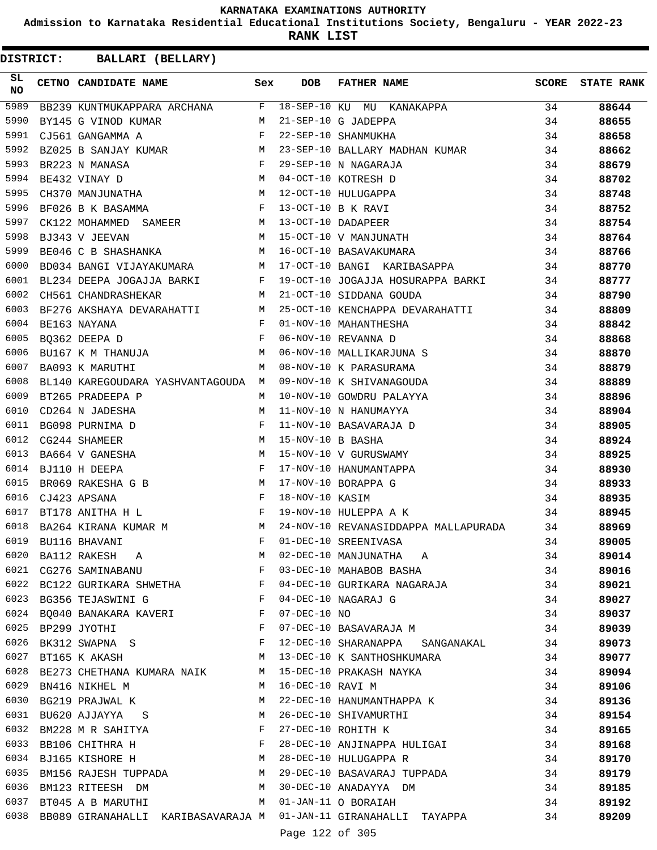**Admission to Karnataka Residential Educational Institutions Society, Bengaluru - YEAR 2022-23**

**RANK LIST**

| SL.<br>CETNO CANDIDATE NAME<br><b>SCORE</b><br>Sex<br><b>DOB</b><br><b>FATHER NAME</b><br>NO<br>5989<br>18-SEP-10 KU MU KANAKAPPA<br>F<br>34<br>BB239 KUNTMUKAPPARA ARCHANA<br>5990<br>BY145 G VINOD KUMAR<br>M<br>21-SEP-10 G JADEPPA<br>34<br>5991<br>F<br>22-SEP-10 SHANMUKHA<br>CJ561 GANGAMMA A<br>34<br>5992<br>BZ025 B SANJAY KUMAR<br>M<br>23-SEP-10 BALLARY MADHAN KUMAR<br>34<br>5993<br>29-SEP-10 N NAGARAJA<br>BR223 N MANASA<br>F<br>34<br>5994<br>04-OCT-10 KOTRESH D<br>BE432 VINAY D<br>M<br>34<br>5995<br>12-OCT-10 HULUGAPPA<br>CH370 MANJUNATHA<br>M<br>34<br>5996<br>13-OCT-10 B K RAVI<br>BF026 B K BASAMMA<br>F<br>34<br>5997<br>13-OCT-10 DADAPEER<br>CK122 MOHAMMED<br>М<br>34<br>SAMEER<br>5998<br>15-OCT-10 V MANJUNATH<br>BJ343 V JEEVAN<br>M<br>34<br>5999<br>M<br>16-OCT-10 BASAVAKUMARA<br>34<br>BE046 C B SHASHANKA<br>6000<br>17-OCT-10 BANGI KARIBASAPPA<br>34<br>BD034 BANGI VIJAYAKUMARA<br>М<br>6001<br>BL234 DEEPA JOGAJJA BARKI<br>F<br>19-OCT-10 JOGAJJA HOSURAPPA BARKI<br>34<br>6002<br>21-OCT-10 SIDDANA GOUDA<br>CH561 CHANDRASHEKAR<br>M<br>34<br>6003<br>25-OCT-10 KENCHAPPA DEVARAHATTI<br>BF276 AKSHAYA DEVARAHATTI<br>М<br>34<br>6004<br>BE163 NAYANA<br>F<br>01-NOV-10 MAHANTHESHA<br>34<br>6005<br>06-NOV-10 REVANNA D<br>BO362 DEEPA D<br>F<br>34<br>6006<br>06-NOV-10 MALLIKARJUNA S<br>BU167 K M THANUJA<br>34<br>М<br>6007<br>08-NOV-10 K PARASURAMA<br>BA093 K MARUTHI<br>М<br>34<br>6008<br>09-NOV-10 K SHIVANAGOUDA<br>34<br>BL140 KAREGOUDARA YASHVANTAGOUDA<br>M<br>6009<br>BT265 PRADEEPA P<br>M<br>10-NOV-10 GOWDRU PALAYYA<br>34<br>6010<br>CD264 N JADESHA<br>11-NOV-10 N HANUMAYYA<br>34<br>M<br>6011<br>11-NOV-10 BASAVARAJA D<br>BG098 PURNIMA D<br>F<br>34<br>6012<br>15-NOV-10 B BASHA<br>CG244 SHAMEER<br>M<br>34<br>6013<br>15-NOV-10 V GURUSWAMY<br>BA664 V GANESHA<br>М<br>34<br>6014<br>BJ110 H DEEPA<br>F<br>17-NOV-10 HANUMANTAPPA<br>34<br>6015<br>17-NOV-10 BORAPPA G<br>BR069 RAKESHA G B<br>M<br>34<br>6016<br>CJ423 APSANA<br>F<br>18-NOV-10 KASIM<br>34<br>6017<br>19-NOV-10 HULEPPA A K<br>BT178 ANITHA H L<br>F<br>34<br>6018<br>24-NOV-10 REVANASIDDAPPA MALLAPURADA<br>BA264 KIRANA KUMAR M<br>M<br>34<br>BAZUI ALAMANI<br>BU116 BHAVANI<br>BA112 RAKESH A<br>01-DEC-10 SREENIVASA<br>02-DEC-10 MANJUNATHA A<br>6019<br>F<br>34<br>6020<br>М<br>34<br>6021<br>03-DEC-10 MAHABOB BASHA<br>CG276 SAMINABANU<br>$\mathbf{F}$<br>34<br>6022 BC122 GURIKARA SHWETHA F<br>04-DEC-10 GURIKARA NAGARAJA<br>34<br>$\mathbf{F}$<br>6023 BG356 TEJASWINI G<br>04-DEC-10 NAGARAJ G<br>34<br>6024 BQ040 BANAKARA KAVERI F<br>07-DEC-10 NO<br>34<br>07-DEC-10 BASAVARAJA M<br>6025<br>$\mathbf{F}$ and $\mathbf{F}$<br>BP299 JYOTHI<br>34<br>BK312 SWAPNA S F<br>6026<br>12-DEC-10 SHARANAPPA SANGANAKAL<br>34<br>M<br>6027<br>13-DEC-10 K SANTHOSHKUMARA<br>BT165 K AKASH<br>34<br>6028<br>BE273 CHETHANA KUMARA NAIK M<br>15-DEC-10 PRAKASH NAYKA<br>34<br>6029<br>16-DEC-10 RAVI M<br>BN416 NIKHEL M<br>M<br>34<br>22-DEC-10 HANUMANTHAPPA K<br>6030<br>BG219 PRAJWAL K<br>M<br>34<br>6031 BU620 AJJAYYA S<br>M<br>26-DEC-10 SHIVAMURTHI<br>34<br>BM228 M R SAHITYA<br>6032<br>27-DEC-10 ROHITH K<br>$\mathbf{F}$<br>34<br>28-DEC-10 ANJINAPPA HULIGAI<br>6033<br>BB106 CHITHRA H<br><b>Example 200</b> in the second state of the second state of the second state of the second state of the second state of the second state of the second state of the second state of the second state of the second state of the s<br>34<br>BJ165 KISHORE H M<br>6034<br>28-DEC-10 HULUGAPPA R<br>34<br>BM156 RAJESH TUPPADA M<br>6035<br>29-DEC-10 BASAVARAJ TUPPADA<br>34<br>6036<br>30-DEC-10 ANADAYYA DM<br>BM123 RITEESH DM<br>M<br>34<br>6037<br>BT045 A B MARUTHI<br>01-JAN-11 O BORAIAH<br>34<br>M<br>6038<br>BB089 GIRANAHALLI KARIBASAVARAJA M 01-JAN-11 GIRANAHALLI TAYAPPA<br>34 | DISTRICT: | BALLARI (BELLARY) |  |  |                   |
|--------------------------------------------------------------------------------------------------------------------------------------------------------------------------------------------------------------------------------------------------------------------------------------------------------------------------------------------------------------------------------------------------------------------------------------------------------------------------------------------------------------------------------------------------------------------------------------------------------------------------------------------------------------------------------------------------------------------------------------------------------------------------------------------------------------------------------------------------------------------------------------------------------------------------------------------------------------------------------------------------------------------------------------------------------------------------------------------------------------------------------------------------------------------------------------------------------------------------------------------------------------------------------------------------------------------------------------------------------------------------------------------------------------------------------------------------------------------------------------------------------------------------------------------------------------------------------------------------------------------------------------------------------------------------------------------------------------------------------------------------------------------------------------------------------------------------------------------------------------------------------------------------------------------------------------------------------------------------------------------------------------------------------------------------------------------------------------------------------------------------------------------------------------------------------------------------------------------------------------------------------------------------------------------------------------------------------------------------------------------------------------------------------------------------------------------------------------------------------------------------------------------------------------------------------------------------------------------------------------------------------------------------------------------------------------------------------------------------------------------------------------------------------------------------------------------------------------------------------------------------------------------------------------------------------------------------------------------------------------------------------------------------------------------------------------------------------------------------------------------------------------------------------------------------------------------------------------------------------------------------------------------------------------------------------------------------------------------------------------------------------------------------------------------------------------------------------------------------------------------------------------------------------------------------------------------------------------------------------------------------------------------------------------------------------------------------------------------------------------------------------------------------------------------------------------------------------------------------------------|-----------|-------------------|--|--|-------------------|
|                                                                                                                                                                                                                                                                                                                                                                                                                                                                                                                                                                                                                                                                                                                                                                                                                                                                                                                                                                                                                                                                                                                                                                                                                                                                                                                                                                                                                                                                                                                                                                                                                                                                                                                                                                                                                                                                                                                                                                                                                                                                                                                                                                                                                                                                                                                                                                                                                                                                                                                                                                                                                                                                                                                                                                                                                                                                                                                                                                                                                                                                                                                                                                                                                                                                                                                                                                                                                                                                                                                                                                                                                                                                                                                                                                                                                                                              |           |                   |  |  | <b>STATE RANK</b> |
|                                                                                                                                                                                                                                                                                                                                                                                                                                                                                                                                                                                                                                                                                                                                                                                                                                                                                                                                                                                                                                                                                                                                                                                                                                                                                                                                                                                                                                                                                                                                                                                                                                                                                                                                                                                                                                                                                                                                                                                                                                                                                                                                                                                                                                                                                                                                                                                                                                                                                                                                                                                                                                                                                                                                                                                                                                                                                                                                                                                                                                                                                                                                                                                                                                                                                                                                                                                                                                                                                                                                                                                                                                                                                                                                                                                                                                                              |           |                   |  |  | 88644             |
|                                                                                                                                                                                                                                                                                                                                                                                                                                                                                                                                                                                                                                                                                                                                                                                                                                                                                                                                                                                                                                                                                                                                                                                                                                                                                                                                                                                                                                                                                                                                                                                                                                                                                                                                                                                                                                                                                                                                                                                                                                                                                                                                                                                                                                                                                                                                                                                                                                                                                                                                                                                                                                                                                                                                                                                                                                                                                                                                                                                                                                                                                                                                                                                                                                                                                                                                                                                                                                                                                                                                                                                                                                                                                                                                                                                                                                                              |           |                   |  |  | 88655             |
|                                                                                                                                                                                                                                                                                                                                                                                                                                                                                                                                                                                                                                                                                                                                                                                                                                                                                                                                                                                                                                                                                                                                                                                                                                                                                                                                                                                                                                                                                                                                                                                                                                                                                                                                                                                                                                                                                                                                                                                                                                                                                                                                                                                                                                                                                                                                                                                                                                                                                                                                                                                                                                                                                                                                                                                                                                                                                                                                                                                                                                                                                                                                                                                                                                                                                                                                                                                                                                                                                                                                                                                                                                                                                                                                                                                                                                                              |           |                   |  |  | 88658             |
|                                                                                                                                                                                                                                                                                                                                                                                                                                                                                                                                                                                                                                                                                                                                                                                                                                                                                                                                                                                                                                                                                                                                                                                                                                                                                                                                                                                                                                                                                                                                                                                                                                                                                                                                                                                                                                                                                                                                                                                                                                                                                                                                                                                                                                                                                                                                                                                                                                                                                                                                                                                                                                                                                                                                                                                                                                                                                                                                                                                                                                                                                                                                                                                                                                                                                                                                                                                                                                                                                                                                                                                                                                                                                                                                                                                                                                                              |           |                   |  |  | 88662             |
|                                                                                                                                                                                                                                                                                                                                                                                                                                                                                                                                                                                                                                                                                                                                                                                                                                                                                                                                                                                                                                                                                                                                                                                                                                                                                                                                                                                                                                                                                                                                                                                                                                                                                                                                                                                                                                                                                                                                                                                                                                                                                                                                                                                                                                                                                                                                                                                                                                                                                                                                                                                                                                                                                                                                                                                                                                                                                                                                                                                                                                                                                                                                                                                                                                                                                                                                                                                                                                                                                                                                                                                                                                                                                                                                                                                                                                                              |           |                   |  |  | 88679             |
|                                                                                                                                                                                                                                                                                                                                                                                                                                                                                                                                                                                                                                                                                                                                                                                                                                                                                                                                                                                                                                                                                                                                                                                                                                                                                                                                                                                                                                                                                                                                                                                                                                                                                                                                                                                                                                                                                                                                                                                                                                                                                                                                                                                                                                                                                                                                                                                                                                                                                                                                                                                                                                                                                                                                                                                                                                                                                                                                                                                                                                                                                                                                                                                                                                                                                                                                                                                                                                                                                                                                                                                                                                                                                                                                                                                                                                                              |           |                   |  |  | 88702             |
|                                                                                                                                                                                                                                                                                                                                                                                                                                                                                                                                                                                                                                                                                                                                                                                                                                                                                                                                                                                                                                                                                                                                                                                                                                                                                                                                                                                                                                                                                                                                                                                                                                                                                                                                                                                                                                                                                                                                                                                                                                                                                                                                                                                                                                                                                                                                                                                                                                                                                                                                                                                                                                                                                                                                                                                                                                                                                                                                                                                                                                                                                                                                                                                                                                                                                                                                                                                                                                                                                                                                                                                                                                                                                                                                                                                                                                                              |           |                   |  |  | 88748             |
|                                                                                                                                                                                                                                                                                                                                                                                                                                                                                                                                                                                                                                                                                                                                                                                                                                                                                                                                                                                                                                                                                                                                                                                                                                                                                                                                                                                                                                                                                                                                                                                                                                                                                                                                                                                                                                                                                                                                                                                                                                                                                                                                                                                                                                                                                                                                                                                                                                                                                                                                                                                                                                                                                                                                                                                                                                                                                                                                                                                                                                                                                                                                                                                                                                                                                                                                                                                                                                                                                                                                                                                                                                                                                                                                                                                                                                                              |           |                   |  |  | 88752             |
|                                                                                                                                                                                                                                                                                                                                                                                                                                                                                                                                                                                                                                                                                                                                                                                                                                                                                                                                                                                                                                                                                                                                                                                                                                                                                                                                                                                                                                                                                                                                                                                                                                                                                                                                                                                                                                                                                                                                                                                                                                                                                                                                                                                                                                                                                                                                                                                                                                                                                                                                                                                                                                                                                                                                                                                                                                                                                                                                                                                                                                                                                                                                                                                                                                                                                                                                                                                                                                                                                                                                                                                                                                                                                                                                                                                                                                                              |           |                   |  |  | 88754             |
|                                                                                                                                                                                                                                                                                                                                                                                                                                                                                                                                                                                                                                                                                                                                                                                                                                                                                                                                                                                                                                                                                                                                                                                                                                                                                                                                                                                                                                                                                                                                                                                                                                                                                                                                                                                                                                                                                                                                                                                                                                                                                                                                                                                                                                                                                                                                                                                                                                                                                                                                                                                                                                                                                                                                                                                                                                                                                                                                                                                                                                                                                                                                                                                                                                                                                                                                                                                                                                                                                                                                                                                                                                                                                                                                                                                                                                                              |           |                   |  |  | 88764             |
|                                                                                                                                                                                                                                                                                                                                                                                                                                                                                                                                                                                                                                                                                                                                                                                                                                                                                                                                                                                                                                                                                                                                                                                                                                                                                                                                                                                                                                                                                                                                                                                                                                                                                                                                                                                                                                                                                                                                                                                                                                                                                                                                                                                                                                                                                                                                                                                                                                                                                                                                                                                                                                                                                                                                                                                                                                                                                                                                                                                                                                                                                                                                                                                                                                                                                                                                                                                                                                                                                                                                                                                                                                                                                                                                                                                                                                                              |           |                   |  |  | 88766             |
|                                                                                                                                                                                                                                                                                                                                                                                                                                                                                                                                                                                                                                                                                                                                                                                                                                                                                                                                                                                                                                                                                                                                                                                                                                                                                                                                                                                                                                                                                                                                                                                                                                                                                                                                                                                                                                                                                                                                                                                                                                                                                                                                                                                                                                                                                                                                                                                                                                                                                                                                                                                                                                                                                                                                                                                                                                                                                                                                                                                                                                                                                                                                                                                                                                                                                                                                                                                                                                                                                                                                                                                                                                                                                                                                                                                                                                                              |           |                   |  |  | 88770             |
|                                                                                                                                                                                                                                                                                                                                                                                                                                                                                                                                                                                                                                                                                                                                                                                                                                                                                                                                                                                                                                                                                                                                                                                                                                                                                                                                                                                                                                                                                                                                                                                                                                                                                                                                                                                                                                                                                                                                                                                                                                                                                                                                                                                                                                                                                                                                                                                                                                                                                                                                                                                                                                                                                                                                                                                                                                                                                                                                                                                                                                                                                                                                                                                                                                                                                                                                                                                                                                                                                                                                                                                                                                                                                                                                                                                                                                                              |           |                   |  |  | 88777             |
|                                                                                                                                                                                                                                                                                                                                                                                                                                                                                                                                                                                                                                                                                                                                                                                                                                                                                                                                                                                                                                                                                                                                                                                                                                                                                                                                                                                                                                                                                                                                                                                                                                                                                                                                                                                                                                                                                                                                                                                                                                                                                                                                                                                                                                                                                                                                                                                                                                                                                                                                                                                                                                                                                                                                                                                                                                                                                                                                                                                                                                                                                                                                                                                                                                                                                                                                                                                                                                                                                                                                                                                                                                                                                                                                                                                                                                                              |           |                   |  |  | 88790             |
|                                                                                                                                                                                                                                                                                                                                                                                                                                                                                                                                                                                                                                                                                                                                                                                                                                                                                                                                                                                                                                                                                                                                                                                                                                                                                                                                                                                                                                                                                                                                                                                                                                                                                                                                                                                                                                                                                                                                                                                                                                                                                                                                                                                                                                                                                                                                                                                                                                                                                                                                                                                                                                                                                                                                                                                                                                                                                                                                                                                                                                                                                                                                                                                                                                                                                                                                                                                                                                                                                                                                                                                                                                                                                                                                                                                                                                                              |           |                   |  |  | 88809             |
|                                                                                                                                                                                                                                                                                                                                                                                                                                                                                                                                                                                                                                                                                                                                                                                                                                                                                                                                                                                                                                                                                                                                                                                                                                                                                                                                                                                                                                                                                                                                                                                                                                                                                                                                                                                                                                                                                                                                                                                                                                                                                                                                                                                                                                                                                                                                                                                                                                                                                                                                                                                                                                                                                                                                                                                                                                                                                                                                                                                                                                                                                                                                                                                                                                                                                                                                                                                                                                                                                                                                                                                                                                                                                                                                                                                                                                                              |           |                   |  |  | 88842             |
|                                                                                                                                                                                                                                                                                                                                                                                                                                                                                                                                                                                                                                                                                                                                                                                                                                                                                                                                                                                                                                                                                                                                                                                                                                                                                                                                                                                                                                                                                                                                                                                                                                                                                                                                                                                                                                                                                                                                                                                                                                                                                                                                                                                                                                                                                                                                                                                                                                                                                                                                                                                                                                                                                                                                                                                                                                                                                                                                                                                                                                                                                                                                                                                                                                                                                                                                                                                                                                                                                                                                                                                                                                                                                                                                                                                                                                                              |           |                   |  |  | 88868             |
|                                                                                                                                                                                                                                                                                                                                                                                                                                                                                                                                                                                                                                                                                                                                                                                                                                                                                                                                                                                                                                                                                                                                                                                                                                                                                                                                                                                                                                                                                                                                                                                                                                                                                                                                                                                                                                                                                                                                                                                                                                                                                                                                                                                                                                                                                                                                                                                                                                                                                                                                                                                                                                                                                                                                                                                                                                                                                                                                                                                                                                                                                                                                                                                                                                                                                                                                                                                                                                                                                                                                                                                                                                                                                                                                                                                                                                                              |           |                   |  |  | 88870             |
|                                                                                                                                                                                                                                                                                                                                                                                                                                                                                                                                                                                                                                                                                                                                                                                                                                                                                                                                                                                                                                                                                                                                                                                                                                                                                                                                                                                                                                                                                                                                                                                                                                                                                                                                                                                                                                                                                                                                                                                                                                                                                                                                                                                                                                                                                                                                                                                                                                                                                                                                                                                                                                                                                                                                                                                                                                                                                                                                                                                                                                                                                                                                                                                                                                                                                                                                                                                                                                                                                                                                                                                                                                                                                                                                                                                                                                                              |           |                   |  |  | 88879             |
|                                                                                                                                                                                                                                                                                                                                                                                                                                                                                                                                                                                                                                                                                                                                                                                                                                                                                                                                                                                                                                                                                                                                                                                                                                                                                                                                                                                                                                                                                                                                                                                                                                                                                                                                                                                                                                                                                                                                                                                                                                                                                                                                                                                                                                                                                                                                                                                                                                                                                                                                                                                                                                                                                                                                                                                                                                                                                                                                                                                                                                                                                                                                                                                                                                                                                                                                                                                                                                                                                                                                                                                                                                                                                                                                                                                                                                                              |           |                   |  |  | 88889             |
|                                                                                                                                                                                                                                                                                                                                                                                                                                                                                                                                                                                                                                                                                                                                                                                                                                                                                                                                                                                                                                                                                                                                                                                                                                                                                                                                                                                                                                                                                                                                                                                                                                                                                                                                                                                                                                                                                                                                                                                                                                                                                                                                                                                                                                                                                                                                                                                                                                                                                                                                                                                                                                                                                                                                                                                                                                                                                                                                                                                                                                                                                                                                                                                                                                                                                                                                                                                                                                                                                                                                                                                                                                                                                                                                                                                                                                                              |           |                   |  |  | 88896             |
|                                                                                                                                                                                                                                                                                                                                                                                                                                                                                                                                                                                                                                                                                                                                                                                                                                                                                                                                                                                                                                                                                                                                                                                                                                                                                                                                                                                                                                                                                                                                                                                                                                                                                                                                                                                                                                                                                                                                                                                                                                                                                                                                                                                                                                                                                                                                                                                                                                                                                                                                                                                                                                                                                                                                                                                                                                                                                                                                                                                                                                                                                                                                                                                                                                                                                                                                                                                                                                                                                                                                                                                                                                                                                                                                                                                                                                                              |           |                   |  |  | 88904             |
|                                                                                                                                                                                                                                                                                                                                                                                                                                                                                                                                                                                                                                                                                                                                                                                                                                                                                                                                                                                                                                                                                                                                                                                                                                                                                                                                                                                                                                                                                                                                                                                                                                                                                                                                                                                                                                                                                                                                                                                                                                                                                                                                                                                                                                                                                                                                                                                                                                                                                                                                                                                                                                                                                                                                                                                                                                                                                                                                                                                                                                                                                                                                                                                                                                                                                                                                                                                                                                                                                                                                                                                                                                                                                                                                                                                                                                                              |           |                   |  |  | 88905             |
|                                                                                                                                                                                                                                                                                                                                                                                                                                                                                                                                                                                                                                                                                                                                                                                                                                                                                                                                                                                                                                                                                                                                                                                                                                                                                                                                                                                                                                                                                                                                                                                                                                                                                                                                                                                                                                                                                                                                                                                                                                                                                                                                                                                                                                                                                                                                                                                                                                                                                                                                                                                                                                                                                                                                                                                                                                                                                                                                                                                                                                                                                                                                                                                                                                                                                                                                                                                                                                                                                                                                                                                                                                                                                                                                                                                                                                                              |           |                   |  |  | 88924             |
|                                                                                                                                                                                                                                                                                                                                                                                                                                                                                                                                                                                                                                                                                                                                                                                                                                                                                                                                                                                                                                                                                                                                                                                                                                                                                                                                                                                                                                                                                                                                                                                                                                                                                                                                                                                                                                                                                                                                                                                                                                                                                                                                                                                                                                                                                                                                                                                                                                                                                                                                                                                                                                                                                                                                                                                                                                                                                                                                                                                                                                                                                                                                                                                                                                                                                                                                                                                                                                                                                                                                                                                                                                                                                                                                                                                                                                                              |           |                   |  |  | 88925             |
|                                                                                                                                                                                                                                                                                                                                                                                                                                                                                                                                                                                                                                                                                                                                                                                                                                                                                                                                                                                                                                                                                                                                                                                                                                                                                                                                                                                                                                                                                                                                                                                                                                                                                                                                                                                                                                                                                                                                                                                                                                                                                                                                                                                                                                                                                                                                                                                                                                                                                                                                                                                                                                                                                                                                                                                                                                                                                                                                                                                                                                                                                                                                                                                                                                                                                                                                                                                                                                                                                                                                                                                                                                                                                                                                                                                                                                                              |           |                   |  |  | 88930             |
|                                                                                                                                                                                                                                                                                                                                                                                                                                                                                                                                                                                                                                                                                                                                                                                                                                                                                                                                                                                                                                                                                                                                                                                                                                                                                                                                                                                                                                                                                                                                                                                                                                                                                                                                                                                                                                                                                                                                                                                                                                                                                                                                                                                                                                                                                                                                                                                                                                                                                                                                                                                                                                                                                                                                                                                                                                                                                                                                                                                                                                                                                                                                                                                                                                                                                                                                                                                                                                                                                                                                                                                                                                                                                                                                                                                                                                                              |           |                   |  |  | 88933             |
|                                                                                                                                                                                                                                                                                                                                                                                                                                                                                                                                                                                                                                                                                                                                                                                                                                                                                                                                                                                                                                                                                                                                                                                                                                                                                                                                                                                                                                                                                                                                                                                                                                                                                                                                                                                                                                                                                                                                                                                                                                                                                                                                                                                                                                                                                                                                                                                                                                                                                                                                                                                                                                                                                                                                                                                                                                                                                                                                                                                                                                                                                                                                                                                                                                                                                                                                                                                                                                                                                                                                                                                                                                                                                                                                                                                                                                                              |           |                   |  |  | 88935             |
|                                                                                                                                                                                                                                                                                                                                                                                                                                                                                                                                                                                                                                                                                                                                                                                                                                                                                                                                                                                                                                                                                                                                                                                                                                                                                                                                                                                                                                                                                                                                                                                                                                                                                                                                                                                                                                                                                                                                                                                                                                                                                                                                                                                                                                                                                                                                                                                                                                                                                                                                                                                                                                                                                                                                                                                                                                                                                                                                                                                                                                                                                                                                                                                                                                                                                                                                                                                                                                                                                                                                                                                                                                                                                                                                                                                                                                                              |           |                   |  |  | 88945             |
|                                                                                                                                                                                                                                                                                                                                                                                                                                                                                                                                                                                                                                                                                                                                                                                                                                                                                                                                                                                                                                                                                                                                                                                                                                                                                                                                                                                                                                                                                                                                                                                                                                                                                                                                                                                                                                                                                                                                                                                                                                                                                                                                                                                                                                                                                                                                                                                                                                                                                                                                                                                                                                                                                                                                                                                                                                                                                                                                                                                                                                                                                                                                                                                                                                                                                                                                                                                                                                                                                                                                                                                                                                                                                                                                                                                                                                                              |           |                   |  |  | 88969             |
|                                                                                                                                                                                                                                                                                                                                                                                                                                                                                                                                                                                                                                                                                                                                                                                                                                                                                                                                                                                                                                                                                                                                                                                                                                                                                                                                                                                                                                                                                                                                                                                                                                                                                                                                                                                                                                                                                                                                                                                                                                                                                                                                                                                                                                                                                                                                                                                                                                                                                                                                                                                                                                                                                                                                                                                                                                                                                                                                                                                                                                                                                                                                                                                                                                                                                                                                                                                                                                                                                                                                                                                                                                                                                                                                                                                                                                                              |           |                   |  |  | 89005             |
|                                                                                                                                                                                                                                                                                                                                                                                                                                                                                                                                                                                                                                                                                                                                                                                                                                                                                                                                                                                                                                                                                                                                                                                                                                                                                                                                                                                                                                                                                                                                                                                                                                                                                                                                                                                                                                                                                                                                                                                                                                                                                                                                                                                                                                                                                                                                                                                                                                                                                                                                                                                                                                                                                                                                                                                                                                                                                                                                                                                                                                                                                                                                                                                                                                                                                                                                                                                                                                                                                                                                                                                                                                                                                                                                                                                                                                                              |           |                   |  |  | 89014             |
|                                                                                                                                                                                                                                                                                                                                                                                                                                                                                                                                                                                                                                                                                                                                                                                                                                                                                                                                                                                                                                                                                                                                                                                                                                                                                                                                                                                                                                                                                                                                                                                                                                                                                                                                                                                                                                                                                                                                                                                                                                                                                                                                                                                                                                                                                                                                                                                                                                                                                                                                                                                                                                                                                                                                                                                                                                                                                                                                                                                                                                                                                                                                                                                                                                                                                                                                                                                                                                                                                                                                                                                                                                                                                                                                                                                                                                                              |           |                   |  |  | 89016             |
|                                                                                                                                                                                                                                                                                                                                                                                                                                                                                                                                                                                                                                                                                                                                                                                                                                                                                                                                                                                                                                                                                                                                                                                                                                                                                                                                                                                                                                                                                                                                                                                                                                                                                                                                                                                                                                                                                                                                                                                                                                                                                                                                                                                                                                                                                                                                                                                                                                                                                                                                                                                                                                                                                                                                                                                                                                                                                                                                                                                                                                                                                                                                                                                                                                                                                                                                                                                                                                                                                                                                                                                                                                                                                                                                                                                                                                                              |           |                   |  |  | 89021             |
|                                                                                                                                                                                                                                                                                                                                                                                                                                                                                                                                                                                                                                                                                                                                                                                                                                                                                                                                                                                                                                                                                                                                                                                                                                                                                                                                                                                                                                                                                                                                                                                                                                                                                                                                                                                                                                                                                                                                                                                                                                                                                                                                                                                                                                                                                                                                                                                                                                                                                                                                                                                                                                                                                                                                                                                                                                                                                                                                                                                                                                                                                                                                                                                                                                                                                                                                                                                                                                                                                                                                                                                                                                                                                                                                                                                                                                                              |           |                   |  |  | 89027             |
|                                                                                                                                                                                                                                                                                                                                                                                                                                                                                                                                                                                                                                                                                                                                                                                                                                                                                                                                                                                                                                                                                                                                                                                                                                                                                                                                                                                                                                                                                                                                                                                                                                                                                                                                                                                                                                                                                                                                                                                                                                                                                                                                                                                                                                                                                                                                                                                                                                                                                                                                                                                                                                                                                                                                                                                                                                                                                                                                                                                                                                                                                                                                                                                                                                                                                                                                                                                                                                                                                                                                                                                                                                                                                                                                                                                                                                                              |           |                   |  |  | 89037             |
|                                                                                                                                                                                                                                                                                                                                                                                                                                                                                                                                                                                                                                                                                                                                                                                                                                                                                                                                                                                                                                                                                                                                                                                                                                                                                                                                                                                                                                                                                                                                                                                                                                                                                                                                                                                                                                                                                                                                                                                                                                                                                                                                                                                                                                                                                                                                                                                                                                                                                                                                                                                                                                                                                                                                                                                                                                                                                                                                                                                                                                                                                                                                                                                                                                                                                                                                                                                                                                                                                                                                                                                                                                                                                                                                                                                                                                                              |           |                   |  |  | 89039             |
|                                                                                                                                                                                                                                                                                                                                                                                                                                                                                                                                                                                                                                                                                                                                                                                                                                                                                                                                                                                                                                                                                                                                                                                                                                                                                                                                                                                                                                                                                                                                                                                                                                                                                                                                                                                                                                                                                                                                                                                                                                                                                                                                                                                                                                                                                                                                                                                                                                                                                                                                                                                                                                                                                                                                                                                                                                                                                                                                                                                                                                                                                                                                                                                                                                                                                                                                                                                                                                                                                                                                                                                                                                                                                                                                                                                                                                                              |           |                   |  |  | 89073             |
|                                                                                                                                                                                                                                                                                                                                                                                                                                                                                                                                                                                                                                                                                                                                                                                                                                                                                                                                                                                                                                                                                                                                                                                                                                                                                                                                                                                                                                                                                                                                                                                                                                                                                                                                                                                                                                                                                                                                                                                                                                                                                                                                                                                                                                                                                                                                                                                                                                                                                                                                                                                                                                                                                                                                                                                                                                                                                                                                                                                                                                                                                                                                                                                                                                                                                                                                                                                                                                                                                                                                                                                                                                                                                                                                                                                                                                                              |           |                   |  |  | 89077             |
|                                                                                                                                                                                                                                                                                                                                                                                                                                                                                                                                                                                                                                                                                                                                                                                                                                                                                                                                                                                                                                                                                                                                                                                                                                                                                                                                                                                                                                                                                                                                                                                                                                                                                                                                                                                                                                                                                                                                                                                                                                                                                                                                                                                                                                                                                                                                                                                                                                                                                                                                                                                                                                                                                                                                                                                                                                                                                                                                                                                                                                                                                                                                                                                                                                                                                                                                                                                                                                                                                                                                                                                                                                                                                                                                                                                                                                                              |           |                   |  |  | 89094             |
|                                                                                                                                                                                                                                                                                                                                                                                                                                                                                                                                                                                                                                                                                                                                                                                                                                                                                                                                                                                                                                                                                                                                                                                                                                                                                                                                                                                                                                                                                                                                                                                                                                                                                                                                                                                                                                                                                                                                                                                                                                                                                                                                                                                                                                                                                                                                                                                                                                                                                                                                                                                                                                                                                                                                                                                                                                                                                                                                                                                                                                                                                                                                                                                                                                                                                                                                                                                                                                                                                                                                                                                                                                                                                                                                                                                                                                                              |           |                   |  |  | 89106             |
|                                                                                                                                                                                                                                                                                                                                                                                                                                                                                                                                                                                                                                                                                                                                                                                                                                                                                                                                                                                                                                                                                                                                                                                                                                                                                                                                                                                                                                                                                                                                                                                                                                                                                                                                                                                                                                                                                                                                                                                                                                                                                                                                                                                                                                                                                                                                                                                                                                                                                                                                                                                                                                                                                                                                                                                                                                                                                                                                                                                                                                                                                                                                                                                                                                                                                                                                                                                                                                                                                                                                                                                                                                                                                                                                                                                                                                                              |           |                   |  |  | 89136             |
|                                                                                                                                                                                                                                                                                                                                                                                                                                                                                                                                                                                                                                                                                                                                                                                                                                                                                                                                                                                                                                                                                                                                                                                                                                                                                                                                                                                                                                                                                                                                                                                                                                                                                                                                                                                                                                                                                                                                                                                                                                                                                                                                                                                                                                                                                                                                                                                                                                                                                                                                                                                                                                                                                                                                                                                                                                                                                                                                                                                                                                                                                                                                                                                                                                                                                                                                                                                                                                                                                                                                                                                                                                                                                                                                                                                                                                                              |           |                   |  |  | 89154             |
|                                                                                                                                                                                                                                                                                                                                                                                                                                                                                                                                                                                                                                                                                                                                                                                                                                                                                                                                                                                                                                                                                                                                                                                                                                                                                                                                                                                                                                                                                                                                                                                                                                                                                                                                                                                                                                                                                                                                                                                                                                                                                                                                                                                                                                                                                                                                                                                                                                                                                                                                                                                                                                                                                                                                                                                                                                                                                                                                                                                                                                                                                                                                                                                                                                                                                                                                                                                                                                                                                                                                                                                                                                                                                                                                                                                                                                                              |           |                   |  |  | 89165             |
|                                                                                                                                                                                                                                                                                                                                                                                                                                                                                                                                                                                                                                                                                                                                                                                                                                                                                                                                                                                                                                                                                                                                                                                                                                                                                                                                                                                                                                                                                                                                                                                                                                                                                                                                                                                                                                                                                                                                                                                                                                                                                                                                                                                                                                                                                                                                                                                                                                                                                                                                                                                                                                                                                                                                                                                                                                                                                                                                                                                                                                                                                                                                                                                                                                                                                                                                                                                                                                                                                                                                                                                                                                                                                                                                                                                                                                                              |           |                   |  |  | 89168             |
|                                                                                                                                                                                                                                                                                                                                                                                                                                                                                                                                                                                                                                                                                                                                                                                                                                                                                                                                                                                                                                                                                                                                                                                                                                                                                                                                                                                                                                                                                                                                                                                                                                                                                                                                                                                                                                                                                                                                                                                                                                                                                                                                                                                                                                                                                                                                                                                                                                                                                                                                                                                                                                                                                                                                                                                                                                                                                                                                                                                                                                                                                                                                                                                                                                                                                                                                                                                                                                                                                                                                                                                                                                                                                                                                                                                                                                                              |           |                   |  |  | 89170             |
|                                                                                                                                                                                                                                                                                                                                                                                                                                                                                                                                                                                                                                                                                                                                                                                                                                                                                                                                                                                                                                                                                                                                                                                                                                                                                                                                                                                                                                                                                                                                                                                                                                                                                                                                                                                                                                                                                                                                                                                                                                                                                                                                                                                                                                                                                                                                                                                                                                                                                                                                                                                                                                                                                                                                                                                                                                                                                                                                                                                                                                                                                                                                                                                                                                                                                                                                                                                                                                                                                                                                                                                                                                                                                                                                                                                                                                                              |           |                   |  |  | 89179             |
|                                                                                                                                                                                                                                                                                                                                                                                                                                                                                                                                                                                                                                                                                                                                                                                                                                                                                                                                                                                                                                                                                                                                                                                                                                                                                                                                                                                                                                                                                                                                                                                                                                                                                                                                                                                                                                                                                                                                                                                                                                                                                                                                                                                                                                                                                                                                                                                                                                                                                                                                                                                                                                                                                                                                                                                                                                                                                                                                                                                                                                                                                                                                                                                                                                                                                                                                                                                                                                                                                                                                                                                                                                                                                                                                                                                                                                                              |           |                   |  |  | 89185             |
|                                                                                                                                                                                                                                                                                                                                                                                                                                                                                                                                                                                                                                                                                                                                                                                                                                                                                                                                                                                                                                                                                                                                                                                                                                                                                                                                                                                                                                                                                                                                                                                                                                                                                                                                                                                                                                                                                                                                                                                                                                                                                                                                                                                                                                                                                                                                                                                                                                                                                                                                                                                                                                                                                                                                                                                                                                                                                                                                                                                                                                                                                                                                                                                                                                                                                                                                                                                                                                                                                                                                                                                                                                                                                                                                                                                                                                                              |           |                   |  |  | 89192             |
|                                                                                                                                                                                                                                                                                                                                                                                                                                                                                                                                                                                                                                                                                                                                                                                                                                                                                                                                                                                                                                                                                                                                                                                                                                                                                                                                                                                                                                                                                                                                                                                                                                                                                                                                                                                                                                                                                                                                                                                                                                                                                                                                                                                                                                                                                                                                                                                                                                                                                                                                                                                                                                                                                                                                                                                                                                                                                                                                                                                                                                                                                                                                                                                                                                                                                                                                                                                                                                                                                                                                                                                                                                                                                                                                                                                                                                                              |           |                   |  |  | 89209             |
| Page 122 of 305                                                                                                                                                                                                                                                                                                                                                                                                                                                                                                                                                                                                                                                                                                                                                                                                                                                                                                                                                                                                                                                                                                                                                                                                                                                                                                                                                                                                                                                                                                                                                                                                                                                                                                                                                                                                                                                                                                                                                                                                                                                                                                                                                                                                                                                                                                                                                                                                                                                                                                                                                                                                                                                                                                                                                                                                                                                                                                                                                                                                                                                                                                                                                                                                                                                                                                                                                                                                                                                                                                                                                                                                                                                                                                                                                                                                                                              |           |                   |  |  |                   |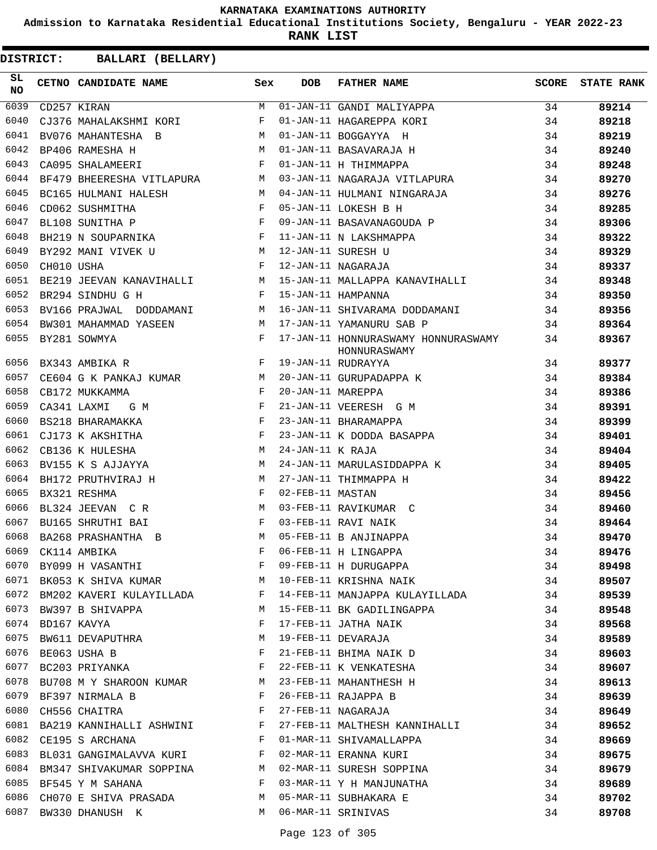**Admission to Karnataka Residential Educational Institutions Society, Bengaluru - YEAR 2022-23**

**RANK LIST**

| SL.<br>NO |                  | CETNO CANDIDATE NAME                                                                                                                                                                                                                                  | Sex          | <b>DOB</b>        | FATHER NAME                                         | SCORE | <b>STATE RANK</b> |
|-----------|------------------|-------------------------------------------------------------------------------------------------------------------------------------------------------------------------------------------------------------------------------------------------------|--------------|-------------------|-----------------------------------------------------|-------|-------------------|
| 6039      |                  | CD257 KIRAN                                                                                                                                                                                                                                           | M            |                   | 01-JAN-11 GANDI MALIYAPPA                           | 34    | 89214             |
| 6040      |                  | CJ376 MAHALAKSHMI KORI F                                                                                                                                                                                                                              |              |                   | 01-JAN-11 HAGAREPPA KORI                            | 34    | 89218             |
| 6041      |                  | <b>M</b><br>BV076 MAHANTESHA B                                                                                                                                                                                                                        |              |                   | 01-JAN-11 BOGGAYYA H                                | 34    | 89219             |
| 6042      |                  | M<br>BP406 RAMESHA H                                                                                                                                                                                                                                  |              |                   | 01-JAN-11 BASAVARAJA H                              | 34    | 89240             |
| 6043      |                  | CA095 SHALAMEERI                                                                                                                                                                                                                                      | $\mathbf{F}$ |                   | 01-JAN-11 H THIMMAPPA                               | 34    | 89248             |
| 6044      |                  | BF479 BHEERESHA VITLAPURA M                                                                                                                                                                                                                           |              |                   | 03-JAN-11 NAGARAJA VITLAPURA                        | 34    | 89270             |
| 6045      |                  | M <sub>1</sub><br>BC165 HULMANI HALESH                                                                                                                                                                                                                |              |                   | 04-JAN-11 HULMANI NINGARAJA                         | 34    | 89276             |
| 6046      |                  | $\mathbf{F}$ and $\mathbf{F}$ . The set of $\mathbf{F}$<br>CD062 SUSHMITHA                                                                                                                                                                            |              |                   | 05-JAN-11 LOKESH B H                                | 34    | 89285             |
| 6047      |                  | $\begin{array}{c} F \\ F \\ \end{array}$<br>BL108 SUNITHA P                                                                                                                                                                                           |              |                   | 09-JAN-11 BASAVANAGOUDA P                           | 34    | 89306             |
| 6048      |                  | BH219 N SOUPARNIKA F                                                                                                                                                                                                                                  |              |                   | 11-JAN-11 N LAKSHMAPPA                              | 34    | 89322             |
| 6049      |                  | BY292 MANI VIVEK U M                                                                                                                                                                                                                                  |              |                   | 12-JAN-11 SURESH U                                  | 34    | 89329             |
| 6050      | CH010 USHA       | $\mathbf{F}$                                                                                                                                                                                                                                          |              |                   | 12-JAN-11 NAGARAJA                                  | 34    | 89337             |
| 6051      |                  | BE219 JEEVAN KANAVIHALLI M                                                                                                                                                                                                                            |              |                   | 15-JAN-11 MALLAPPA KANAVIHALLI                      | 34    | 89348             |
| 6052      |                  | BR294 SINDHU G H<br>$\mathbf{F}$                                                                                                                                                                                                                      |              |                   | 15-JAN-11 HAMPANNA                                  | 34    | 89350             |
| 6053      |                  | BV166 PRAJWAL DODDAMANI M                                                                                                                                                                                                                             |              |                   | 16-JAN-11 SHIVARAMA DODDAMANI                       | 34    | 89356             |
| 6054      |                  | BW301 MAHAMMAD YASEEN                                                                                                                                                                                                                                 | M            |                   | 17-JAN-11 YAMANURU SAB P                            | 34    | 89364             |
| 6055      |                  | BY281 SOWMYA                                                                                                                                                                                                                                          | F            |                   | 17-JAN-11 HONNURASWAMY HONNURASWAMY<br>HONNURASWAMY | 34    | 89367             |
| 6056      |                  | $\mathbf{F}$<br>BX343 AMBIKA R                                                                                                                                                                                                                        |              |                   | 19-JAN-11 RUDRAYYA                                  | 34    | 89377             |
| 6057      |                  | $CE604$ G K PANKAJ KUMAR $M$                                                                                                                                                                                                                          |              |                   | 20-JAN-11 GURUPADAPPA K                             | 34    | 89384             |
| 6058      |                  | $\mathbf{F}$ and the set of the set of the set of the set of the set of the set of the set of the set of the set of the set of the set of the set of the set of the set of the set of the set of the set of the set of the set of<br>CB172 MUKKAMMA   |              | 20-JAN-11 MAREPPA |                                                     | 34    | 89386             |
| 6059      |                  | $\mathbb{F}^{\mathbb{Z}}$ . The state $\mathbb{F}^{\mathbb{Z}}$<br>CA341 LAXMI<br>G M                                                                                                                                                                 |              |                   | 21-JAN-11 VEERESH G M                               | 34    | 89391             |
| 6060      |                  | $\mathbb{R}^n$ . The set of the set of the set of the set of the set of the set of the set of the set of the set of the set of the set of the set of the set of the set of the set of the set of the set of the set of the set of<br>BS218 BHARAMAKKA |              |                   | 23-JAN-11 BHARAMAPPA                                | 34    | 89399             |
| 6061      |                  | CJ173 K AKSHITHA                                                                                                                                                                                                                                      | F            |                   | 23-JAN-11 K DODDA BASAPPA                           | 34    | 89401             |
| 6062      |                  | M <sub>N</sub><br>CB136 K HULESHA                                                                                                                                                                                                                     |              | 24-JAN-11 K RAJA  |                                                     | 34    | 89404             |
| 6063      |                  | BV155 K S AJJAYYA                                                                                                                                                                                                                                     | M            |                   | 24-JAN-11 MARULASIDDAPPA K                          | 34    | 89405             |
| 6064      |                  | BH172 PRUTHVIRAJ H                                                                                                                                                                                                                                    | M            |                   | 27-JAN-11 THIMMAPPA H                               | 34    | 89422             |
| 6065      |                  | BX321 RESHMA                                                                                                                                                                                                                                          | F            | 02-FEB-11 MASTAN  |                                                     | 34    | 89456             |
| 6066      |                  | <b>Market School</b><br>BL324 JEEVAN CR                                                                                                                                                                                                               |              |                   | 03-FEB-11 RAVIKUMAR C                               | 34    | 89460             |
| 6067      |                  | BU165 SHRUTHI BAI                                                                                                                                                                                                                                     | $\mathbf{F}$ |                   | 03-FEB-11 RAVI NAIK                                 | 34    | 89464             |
| 6068      |                  | BA268 PRASHANTHA B                                                                                                                                                                                                                                    | M            |                   | 05-FEB-11 B ANJINAPPA                               | 34    | 89470             |
|           |                  | 6069 CK114 AMBIKA                                                                                                                                                                                                                                     |              |                   | F 06-FEB-11 H LINGAPPA                              | 34    | 89476             |
| 6070      |                  | BY099 H VASANTHI                                                                                                                                                                                                                                      | F            |                   | 06-FEB-11 H LINGAPPA<br>09-FEB-11 H DURUGAPPA       | 34    | 89498             |
| 6071      |                  | BK053 K SHIVA KUMAR M                                                                                                                                                                                                                                 |              |                   | 10-FEB-11 KRISHNA NAIK                              | 34    | 89507             |
|           |                  | 6072 BM202 KAVERI KULAYILLADA F                                                                                                                                                                                                                       |              |                   | 14-FEB-11 MANJAPPA KULAYILLADA                      | 34    | 89539             |
|           |                  | 6073 BW397 B SHIVAPPA                                                                                                                                                                                                                                 | M            |                   | 15-FEB-11 BK GADILINGAPPA                           | 34    | 89548             |
|           | 6074 BD167 KAVYA |                                                                                                                                                                                                                                                       | F            |                   | 17-FEB-11 JATHA NAIK                                | 34    | 89568             |
| 6075      |                  | BW611 DEVAPUTHRA M                                                                                                                                                                                                                                    |              |                   | 19-FEB-11 DEVARAJA                                  | 34    | 89589             |
|           |                  | 6076 BE063 USHA B                                                                                                                                                                                                                                     | F            |                   | 21-FEB-11 BHIMA NAIK D                              | 34    | 89603             |
|           |                  | 6077 BC203 PRIYANKA                                                                                                                                                                                                                                   | F            |                   | 22-FEB-11 K VENKATESHA                              | 34    | 89607             |
| 6078      |                  | BU708 M Y SHAROON KUMAR M                                                                                                                                                                                                                             |              |                   | 23-FEB-11 MAHANTHESH H                              | 34    | 89613             |
| 6079      |                  | BF397 NIRMALA B                                                                                                                                                                                                                                       | $\mathbf{F}$ |                   | 26-FEB-11 RAJAPPA B                                 | 34    | 89639             |
| 6080      |                  | CH556 CHAITRA                                                                                                                                                                                                                                         | F            |                   | 27-FEB-11 NAGARAJA                                  | 34    | 89649             |
|           |                  | 6081 BA219 KANNIHALLI ASHWINI F                                                                                                                                                                                                                       |              |                   | 27-FEB-11 MALTHESH KANNIHALLI                       | 34    | 89652             |
| 6082      |                  | CE195 S ARCHANA                                                                                                                                                                                                                                       | $\mathbf{F}$ |                   | 01-MAR-11 SHIVAMALLAPPA                             | 34    | 89669             |
|           |                  | 6083 BL031 GANGIMALAVVA KURI F                                                                                                                                                                                                                        |              |                   | 02-MAR-11 ERANNA KURI                               | 34    | 89675             |
|           |                  | 6084 BM347 SHIVAKUMAR SOPPINA M                                                                                                                                                                                                                       |              |                   | 02-MAR-11 SURESH SOPPINA                            | 34    | 89679             |
|           |                  | 6085 BF545 Y M SAHANA                                                                                                                                                                                                                                 | $\mathbf{F}$ |                   | 03-MAR-11 Y H MANJUNATHA                            | 34    | 89689             |
| 6086      |                  | CH070 E SHIVA PRASADA M                                                                                                                                                                                                                               |              |                   | 05-MAR-11 SUBHAKARA E                               | 34    | 89702             |
| 6087      |                  | BW330 DHANUSH K                                                                                                                                                                                                                                       | M            |                   | 06-MAR-11 SRINIVAS                                  | 34    | 89708             |
|           |                  |                                                                                                                                                                                                                                                       |              |                   |                                                     |       |                   |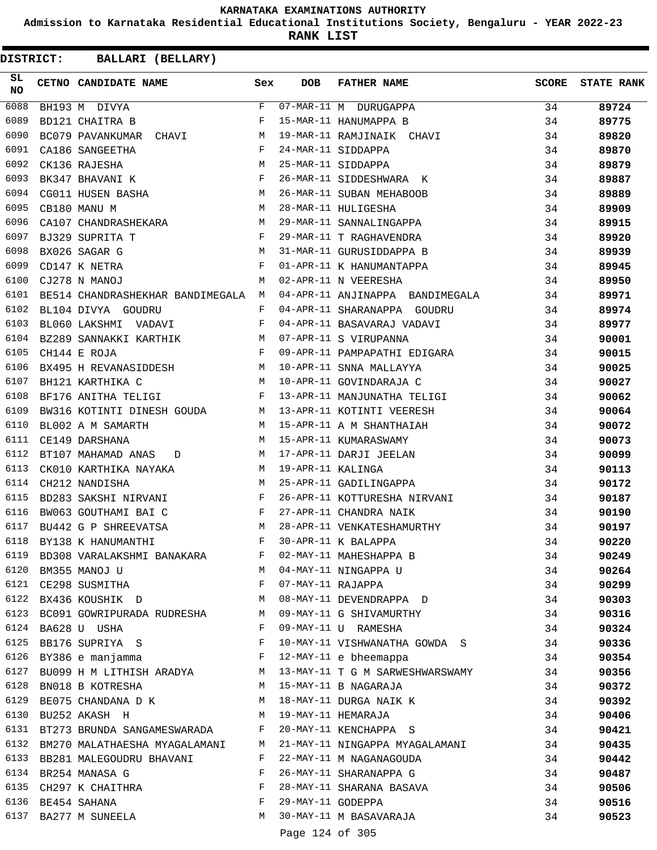**Admission to Karnataka Residential Educational Institutions Society, Bengaluru - YEAR 2022-23**

**RANK LIST**

| 6088<br>F<br>07-MAR-11 M DURUGAPPA<br>34<br>89724<br>BH193 M DIVYA<br>6089<br>F<br>15-MAR-11 HANUMAPPA B<br>34<br>BD121 CHAITRA B<br>89775<br>6090<br>34<br>BC079 PAVANKUMAR CHAVI M<br>19-MAR-11 RAMJINAIK CHAVI<br>89820<br>$\mathbf{F}$<br>6091<br>CA186 SANGEETHA<br>24-MAR-11 SIDDAPPA<br>34<br>89870<br>M<br>6092<br>CK136 RAJESHA<br>25-MAR-11 SIDDAPPA<br>34<br>89879<br>$\mathbf{F}$ . The set of the set of the set of the set of the set of the set of the set of the set of the set of the set of the set of the set of the set of the set of the set of the set of the set of the set of the set of t<br>6093<br>BK347 BHAVANI K<br>26-MAR-11 SIDDESHWARA K<br>34<br>89887<br>CG011 HUSEN BASHA $M$<br>6094<br>26-MAR-11 SUBAN MEHABOOB<br>34<br>89889<br>M<br>28-MAR-11 HULIGESHA<br>29-MAR-11 SANNALINGAPPA<br>6095<br>CB180 MANU M<br>34<br>89909<br>CA107 CHANDRASHEKARA M<br>6096<br>34<br>89915<br>6097<br>$\mathbf{F}$ and $\mathbf{F}$ are the set of $\mathbf{F}$<br>34<br>BJ329 SUPRITA T<br>29-MAR-11 T RAGHAVENDRA<br>89920<br>M<br>31-MAR-11 GURUSIDDAPPA B<br>6098<br>BX026 SAGAR G<br>34<br>89939<br>$\begin{aligned} \mathbf{F} \\ \mathbf{M} \end{aligned}$<br>01-APR-11 K HANUMANTAPPA<br>02-APR-11 N VEERESHA<br>6099<br>CD147 K NETRA<br>34<br>89945<br>6100<br>CJ278 N MANOJ<br>34<br>89950<br>04-APR-11 ANJINAPPA BANDIMEGALA<br>6101<br>34<br>89971<br>BE514 CHANDRASHEKHAR BANDIMEGALA M<br>6102<br>BL104 DIVYA GOUDRU<br>F<br>04-APR-11 SHARANAPPA GOUDRU<br>34<br>89974<br>6103<br>BL060 LAKSHMI VADAVI<br>04-APR-11 BASAVARAJ VADAVI<br>07-APR-11 S VIRUPANNA<br>$\mathbf{F}$<br>34<br>89977<br>6104<br>BZ289 SANNAKKI KARTHIK M<br>34<br>90001<br>09-APR-11 PAMPAPATHI EDIGARA<br>6105<br>$\mathbf{F}$ and $\mathbf{F}$ and $\mathbf{F}$<br>34<br>CH144 E ROJA<br>90015<br>BX495 H REVANASIDDESH M<br>6106<br>10-APR-11 SNNA MALLAYYA<br>34<br>90025<br>M<br>6107<br>BH121 KARTHIKA C<br>10-APR-11 GOVINDARAJA C<br>34<br>90027<br>6108<br>13-APR-11 MANJUNATHA TELIGI<br>BF176 ANITHA TELIGI<br>$\mathbf{F}$ and the state of $\mathbf{F}$<br>34<br>90062<br>6109<br>BW316 KOTINTI DINESH GOUDA M 13-APR-11 KOTINTI VEERESH<br>34<br>90064<br>15-APR-11 A M SHANTHAIAH<br>M<br>6110<br>BL002 A M SAMARTH<br>34<br>90072<br>6111<br>15-APR-11 KUMARASWAMY<br>CE149 DARSHANA<br>М<br>34<br>90073<br>6112<br>34<br>BT107 MAHAMAD ANAS D<br>М<br>17-APR-11 DARJI JEELAN<br>90099<br>6113<br>CK010 KARTHIKA NAYAKA<br>19-APR-11 KALINGA<br>34<br>M<br>90113<br>M<br>6114<br>CH212 NANDISHA<br>25-APR-11 GADILINGAPPA<br>34<br>90172<br>BD283 SAKSHI NIRVANI<br>6115<br>F<br>26-APR-11 KOTTURESHA NIRVANI<br>27-APR-11 CHANDRA NAIK<br>34<br>90187<br>6116<br>$\mathbb F$ . The set of $\mathbb F$<br>34<br>BW063 GOUTHAMI BAI C<br>90190<br>28-APR-11 VENKATESHAMURTHY<br>6117<br>BU442 G P SHREEVATSA<br><b>M</b><br>34<br>90197<br>6118<br>F<br>30-APR-11 K BALAPPA<br>BY138 K HANUMANTHI<br>34<br>90220<br>6119<br>02-MAY-11 MAHESHAPPA B<br>BD308 VARALAKSHMI BANAKARA<br>34<br>90249<br>F<br>6120<br>BM355 MANOJ U<br>04-MAY-11 NINGAPPA U<br>34<br>90264<br>M<br>6121 CE298 SUSMITHA<br>F<br>07-MAY-11 RAJAPPA<br>34<br>90299<br><b>M</b><br>08-MAY-11 DEVENDRAPPA D<br>6122 BX436 KOUSHIK D<br>34<br>90303<br>6123 BC091 GOWRIPURADA RUDRESHA M<br>09-MAY-11 G SHIVAMURTHY<br>34<br>90316<br>6124<br>BA628 U USHA<br>$\mathbf{F}$<br>09-MAY-11 U RAMESHA<br>34<br>90324<br>6125<br>BB176 SUPRIYA S<br>10-MAY-11 VISHWANATHA GOWDA S<br>F<br>34<br>90336<br>6126<br>BY386 e manjamma<br>$\mathbf{F}$ . The contract of the contract of $\mathbf{F}$ ,<br>12-MAY-11 e bheemappa<br>34<br>90354<br>6127<br>13-MAY-11 T G M SARWESHWARSWAMY<br>BU099 H M LITHISH ARADYA M<br>34<br>90356<br>6128<br>BN018 B KOTRESHA<br>M<br>15-MAY-11 B NAGARAJA<br>34<br>90372<br>6129<br>BE075 CHANDANA D K<br>18-MAY-11 DURGA NAIK K<br>34<br>M<br>90392<br>6130<br>19-MAY-11 HEMARAJA<br>BU252 AKASH H<br>M<br>34<br>90406<br>20-MAY-11 KENCHAPPA S<br>6131 BT273 BRUNDA SANGAMESWARADA F<br>34<br>90421<br>6132 BM270 MALATHAESHA MYAGALAMANI M<br>21-MAY-11 NINGAPPA MYAGALAMANI<br>34<br>90435<br>6133<br>22-MAY-11 M NAGANAGOUDA<br>BB281 MALEGOUDRU BHAVANI<br>F<br>34<br>90442<br>6134<br>26-MAY-11 SHARANAPPA G<br>BR254 MANASA G<br>F<br>34<br>90487<br>6135 CH297 K CHAITHRA<br>F<br>28-MAY-11 SHARANA BASAVA<br>34<br>90506<br>6136<br>BE454 SAHANA<br>F<br>29-MAY-11 GODEPPA<br>34<br>90516<br>6137<br>М<br>30-MAY-11 M BASAVARAJA<br>34<br>BA277 M SUNEELA<br>90523<br>Page 124 of 305 | SL<br><b>NO</b> | CETNO CANDIDATE NAME | Sex | <b>DOB</b> | <b>FATHER NAME</b> | <b>SCORE</b> | <b>STATE RANK</b> |
|---------------------------------------------------------------------------------------------------------------------------------------------------------------------------------------------------------------------------------------------------------------------------------------------------------------------------------------------------------------------------------------------------------------------------------------------------------------------------------------------------------------------------------------------------------------------------------------------------------------------------------------------------------------------------------------------------------------------------------------------------------------------------------------------------------------------------------------------------------------------------------------------------------------------------------------------------------------------------------------------------------------------------------------------------------------------------------------------------------------------------------------------------------------------------------------------------------------------------------------------------------------------------------------------------------------------------------------------------------------------------------------------------------------------------------------------------------------------------------------------------------------------------------------------------------------------------------------------------------------------------------------------------------------------------------------------------------------------------------------------------------------------------------------------------------------------------------------------------------------------------------------------------------------------------------------------------------------------------------------------------------------------------------------------------------------------------------------------------------------------------------------------------------------------------------------------------------------------------------------------------------------------------------------------------------------------------------------------------------------------------------------------------------------------------------------------------------------------------------------------------------------------------------------------------------------------------------------------------------------------------------------------------------------------------------------------------------------------------------------------------------------------------------------------------------------------------------------------------------------------------------------------------------------------------------------------------------------------------------------------------------------------------------------------------------------------------------------------------------------------------------------------------------------------------------------------------------------------------------------------------------------------------------------------------------------------------------------------------------------------------------------------------------------------------------------------------------------------------------------------------------------------------------------------------------------------------------------------------------------------------------------------------------------------------------------------------------------------------------------------------------------------------------------------------------------------------------------------------------------------------------------------------------------------------------------------------------------------------------------------------------------------------------------------------------------------------------------------------------------------------------------------------------------------------------------------------------------------------------------------------------------------------------------------------------------------------------------------------------------------------------------------------------------------------------------------------------------------------------------------------------------------------------|-----------------|----------------------|-----|------------|--------------------|--------------|-------------------|
|                                                                                                                                                                                                                                                                                                                                                                                                                                                                                                                                                                                                                                                                                                                                                                                                                                                                                                                                                                                                                                                                                                                                                                                                                                                                                                                                                                                                                                                                                                                                                                                                                                                                                                                                                                                                                                                                                                                                                                                                                                                                                                                                                                                                                                                                                                                                                                                                                                                                                                                                                                                                                                                                                                                                                                                                                                                                                                                                                                                                                                                                                                                                                                                                                                                                                                                                                                                                                                                                                                                                                                                                                                                                                                                                                                                                                                                                                                                                                                                                                                                                                                                                                                                                                                                                                                                                                                                                                                                                                                                                 |                 |                      |     |            |                    |              |                   |
|                                                                                                                                                                                                                                                                                                                                                                                                                                                                                                                                                                                                                                                                                                                                                                                                                                                                                                                                                                                                                                                                                                                                                                                                                                                                                                                                                                                                                                                                                                                                                                                                                                                                                                                                                                                                                                                                                                                                                                                                                                                                                                                                                                                                                                                                                                                                                                                                                                                                                                                                                                                                                                                                                                                                                                                                                                                                                                                                                                                                                                                                                                                                                                                                                                                                                                                                                                                                                                                                                                                                                                                                                                                                                                                                                                                                                                                                                                                                                                                                                                                                                                                                                                                                                                                                                                                                                                                                                                                                                                                                 |                 |                      |     |            |                    |              |                   |
|                                                                                                                                                                                                                                                                                                                                                                                                                                                                                                                                                                                                                                                                                                                                                                                                                                                                                                                                                                                                                                                                                                                                                                                                                                                                                                                                                                                                                                                                                                                                                                                                                                                                                                                                                                                                                                                                                                                                                                                                                                                                                                                                                                                                                                                                                                                                                                                                                                                                                                                                                                                                                                                                                                                                                                                                                                                                                                                                                                                                                                                                                                                                                                                                                                                                                                                                                                                                                                                                                                                                                                                                                                                                                                                                                                                                                                                                                                                                                                                                                                                                                                                                                                                                                                                                                                                                                                                                                                                                                                                                 |                 |                      |     |            |                    |              |                   |
|                                                                                                                                                                                                                                                                                                                                                                                                                                                                                                                                                                                                                                                                                                                                                                                                                                                                                                                                                                                                                                                                                                                                                                                                                                                                                                                                                                                                                                                                                                                                                                                                                                                                                                                                                                                                                                                                                                                                                                                                                                                                                                                                                                                                                                                                                                                                                                                                                                                                                                                                                                                                                                                                                                                                                                                                                                                                                                                                                                                                                                                                                                                                                                                                                                                                                                                                                                                                                                                                                                                                                                                                                                                                                                                                                                                                                                                                                                                                                                                                                                                                                                                                                                                                                                                                                                                                                                                                                                                                                                                                 |                 |                      |     |            |                    |              |                   |
|                                                                                                                                                                                                                                                                                                                                                                                                                                                                                                                                                                                                                                                                                                                                                                                                                                                                                                                                                                                                                                                                                                                                                                                                                                                                                                                                                                                                                                                                                                                                                                                                                                                                                                                                                                                                                                                                                                                                                                                                                                                                                                                                                                                                                                                                                                                                                                                                                                                                                                                                                                                                                                                                                                                                                                                                                                                                                                                                                                                                                                                                                                                                                                                                                                                                                                                                                                                                                                                                                                                                                                                                                                                                                                                                                                                                                                                                                                                                                                                                                                                                                                                                                                                                                                                                                                                                                                                                                                                                                                                                 |                 |                      |     |            |                    |              |                   |
|                                                                                                                                                                                                                                                                                                                                                                                                                                                                                                                                                                                                                                                                                                                                                                                                                                                                                                                                                                                                                                                                                                                                                                                                                                                                                                                                                                                                                                                                                                                                                                                                                                                                                                                                                                                                                                                                                                                                                                                                                                                                                                                                                                                                                                                                                                                                                                                                                                                                                                                                                                                                                                                                                                                                                                                                                                                                                                                                                                                                                                                                                                                                                                                                                                                                                                                                                                                                                                                                                                                                                                                                                                                                                                                                                                                                                                                                                                                                                                                                                                                                                                                                                                                                                                                                                                                                                                                                                                                                                                                                 |                 |                      |     |            |                    |              |                   |
|                                                                                                                                                                                                                                                                                                                                                                                                                                                                                                                                                                                                                                                                                                                                                                                                                                                                                                                                                                                                                                                                                                                                                                                                                                                                                                                                                                                                                                                                                                                                                                                                                                                                                                                                                                                                                                                                                                                                                                                                                                                                                                                                                                                                                                                                                                                                                                                                                                                                                                                                                                                                                                                                                                                                                                                                                                                                                                                                                                                                                                                                                                                                                                                                                                                                                                                                                                                                                                                                                                                                                                                                                                                                                                                                                                                                                                                                                                                                                                                                                                                                                                                                                                                                                                                                                                                                                                                                                                                                                                                                 |                 |                      |     |            |                    |              |                   |
|                                                                                                                                                                                                                                                                                                                                                                                                                                                                                                                                                                                                                                                                                                                                                                                                                                                                                                                                                                                                                                                                                                                                                                                                                                                                                                                                                                                                                                                                                                                                                                                                                                                                                                                                                                                                                                                                                                                                                                                                                                                                                                                                                                                                                                                                                                                                                                                                                                                                                                                                                                                                                                                                                                                                                                                                                                                                                                                                                                                                                                                                                                                                                                                                                                                                                                                                                                                                                                                                                                                                                                                                                                                                                                                                                                                                                                                                                                                                                                                                                                                                                                                                                                                                                                                                                                                                                                                                                                                                                                                                 |                 |                      |     |            |                    |              |                   |
|                                                                                                                                                                                                                                                                                                                                                                                                                                                                                                                                                                                                                                                                                                                                                                                                                                                                                                                                                                                                                                                                                                                                                                                                                                                                                                                                                                                                                                                                                                                                                                                                                                                                                                                                                                                                                                                                                                                                                                                                                                                                                                                                                                                                                                                                                                                                                                                                                                                                                                                                                                                                                                                                                                                                                                                                                                                                                                                                                                                                                                                                                                                                                                                                                                                                                                                                                                                                                                                                                                                                                                                                                                                                                                                                                                                                                                                                                                                                                                                                                                                                                                                                                                                                                                                                                                                                                                                                                                                                                                                                 |                 |                      |     |            |                    |              |                   |
|                                                                                                                                                                                                                                                                                                                                                                                                                                                                                                                                                                                                                                                                                                                                                                                                                                                                                                                                                                                                                                                                                                                                                                                                                                                                                                                                                                                                                                                                                                                                                                                                                                                                                                                                                                                                                                                                                                                                                                                                                                                                                                                                                                                                                                                                                                                                                                                                                                                                                                                                                                                                                                                                                                                                                                                                                                                                                                                                                                                                                                                                                                                                                                                                                                                                                                                                                                                                                                                                                                                                                                                                                                                                                                                                                                                                                                                                                                                                                                                                                                                                                                                                                                                                                                                                                                                                                                                                                                                                                                                                 |                 |                      |     |            |                    |              |                   |
|                                                                                                                                                                                                                                                                                                                                                                                                                                                                                                                                                                                                                                                                                                                                                                                                                                                                                                                                                                                                                                                                                                                                                                                                                                                                                                                                                                                                                                                                                                                                                                                                                                                                                                                                                                                                                                                                                                                                                                                                                                                                                                                                                                                                                                                                                                                                                                                                                                                                                                                                                                                                                                                                                                                                                                                                                                                                                                                                                                                                                                                                                                                                                                                                                                                                                                                                                                                                                                                                                                                                                                                                                                                                                                                                                                                                                                                                                                                                                                                                                                                                                                                                                                                                                                                                                                                                                                                                                                                                                                                                 |                 |                      |     |            |                    |              |                   |
|                                                                                                                                                                                                                                                                                                                                                                                                                                                                                                                                                                                                                                                                                                                                                                                                                                                                                                                                                                                                                                                                                                                                                                                                                                                                                                                                                                                                                                                                                                                                                                                                                                                                                                                                                                                                                                                                                                                                                                                                                                                                                                                                                                                                                                                                                                                                                                                                                                                                                                                                                                                                                                                                                                                                                                                                                                                                                                                                                                                                                                                                                                                                                                                                                                                                                                                                                                                                                                                                                                                                                                                                                                                                                                                                                                                                                                                                                                                                                                                                                                                                                                                                                                                                                                                                                                                                                                                                                                                                                                                                 |                 |                      |     |            |                    |              |                   |
|                                                                                                                                                                                                                                                                                                                                                                                                                                                                                                                                                                                                                                                                                                                                                                                                                                                                                                                                                                                                                                                                                                                                                                                                                                                                                                                                                                                                                                                                                                                                                                                                                                                                                                                                                                                                                                                                                                                                                                                                                                                                                                                                                                                                                                                                                                                                                                                                                                                                                                                                                                                                                                                                                                                                                                                                                                                                                                                                                                                                                                                                                                                                                                                                                                                                                                                                                                                                                                                                                                                                                                                                                                                                                                                                                                                                                                                                                                                                                                                                                                                                                                                                                                                                                                                                                                                                                                                                                                                                                                                                 |                 |                      |     |            |                    |              |                   |
|                                                                                                                                                                                                                                                                                                                                                                                                                                                                                                                                                                                                                                                                                                                                                                                                                                                                                                                                                                                                                                                                                                                                                                                                                                                                                                                                                                                                                                                                                                                                                                                                                                                                                                                                                                                                                                                                                                                                                                                                                                                                                                                                                                                                                                                                                                                                                                                                                                                                                                                                                                                                                                                                                                                                                                                                                                                                                                                                                                                                                                                                                                                                                                                                                                                                                                                                                                                                                                                                                                                                                                                                                                                                                                                                                                                                                                                                                                                                                                                                                                                                                                                                                                                                                                                                                                                                                                                                                                                                                                                                 |                 |                      |     |            |                    |              |                   |
|                                                                                                                                                                                                                                                                                                                                                                                                                                                                                                                                                                                                                                                                                                                                                                                                                                                                                                                                                                                                                                                                                                                                                                                                                                                                                                                                                                                                                                                                                                                                                                                                                                                                                                                                                                                                                                                                                                                                                                                                                                                                                                                                                                                                                                                                                                                                                                                                                                                                                                                                                                                                                                                                                                                                                                                                                                                                                                                                                                                                                                                                                                                                                                                                                                                                                                                                                                                                                                                                                                                                                                                                                                                                                                                                                                                                                                                                                                                                                                                                                                                                                                                                                                                                                                                                                                                                                                                                                                                                                                                                 |                 |                      |     |            |                    |              |                   |
|                                                                                                                                                                                                                                                                                                                                                                                                                                                                                                                                                                                                                                                                                                                                                                                                                                                                                                                                                                                                                                                                                                                                                                                                                                                                                                                                                                                                                                                                                                                                                                                                                                                                                                                                                                                                                                                                                                                                                                                                                                                                                                                                                                                                                                                                                                                                                                                                                                                                                                                                                                                                                                                                                                                                                                                                                                                                                                                                                                                                                                                                                                                                                                                                                                                                                                                                                                                                                                                                                                                                                                                                                                                                                                                                                                                                                                                                                                                                                                                                                                                                                                                                                                                                                                                                                                                                                                                                                                                                                                                                 |                 |                      |     |            |                    |              |                   |
|                                                                                                                                                                                                                                                                                                                                                                                                                                                                                                                                                                                                                                                                                                                                                                                                                                                                                                                                                                                                                                                                                                                                                                                                                                                                                                                                                                                                                                                                                                                                                                                                                                                                                                                                                                                                                                                                                                                                                                                                                                                                                                                                                                                                                                                                                                                                                                                                                                                                                                                                                                                                                                                                                                                                                                                                                                                                                                                                                                                                                                                                                                                                                                                                                                                                                                                                                                                                                                                                                                                                                                                                                                                                                                                                                                                                                                                                                                                                                                                                                                                                                                                                                                                                                                                                                                                                                                                                                                                                                                                                 |                 |                      |     |            |                    |              |                   |
|                                                                                                                                                                                                                                                                                                                                                                                                                                                                                                                                                                                                                                                                                                                                                                                                                                                                                                                                                                                                                                                                                                                                                                                                                                                                                                                                                                                                                                                                                                                                                                                                                                                                                                                                                                                                                                                                                                                                                                                                                                                                                                                                                                                                                                                                                                                                                                                                                                                                                                                                                                                                                                                                                                                                                                                                                                                                                                                                                                                                                                                                                                                                                                                                                                                                                                                                                                                                                                                                                                                                                                                                                                                                                                                                                                                                                                                                                                                                                                                                                                                                                                                                                                                                                                                                                                                                                                                                                                                                                                                                 |                 |                      |     |            |                    |              |                   |
|                                                                                                                                                                                                                                                                                                                                                                                                                                                                                                                                                                                                                                                                                                                                                                                                                                                                                                                                                                                                                                                                                                                                                                                                                                                                                                                                                                                                                                                                                                                                                                                                                                                                                                                                                                                                                                                                                                                                                                                                                                                                                                                                                                                                                                                                                                                                                                                                                                                                                                                                                                                                                                                                                                                                                                                                                                                                                                                                                                                                                                                                                                                                                                                                                                                                                                                                                                                                                                                                                                                                                                                                                                                                                                                                                                                                                                                                                                                                                                                                                                                                                                                                                                                                                                                                                                                                                                                                                                                                                                                                 |                 |                      |     |            |                    |              |                   |
|                                                                                                                                                                                                                                                                                                                                                                                                                                                                                                                                                                                                                                                                                                                                                                                                                                                                                                                                                                                                                                                                                                                                                                                                                                                                                                                                                                                                                                                                                                                                                                                                                                                                                                                                                                                                                                                                                                                                                                                                                                                                                                                                                                                                                                                                                                                                                                                                                                                                                                                                                                                                                                                                                                                                                                                                                                                                                                                                                                                                                                                                                                                                                                                                                                                                                                                                                                                                                                                                                                                                                                                                                                                                                                                                                                                                                                                                                                                                                                                                                                                                                                                                                                                                                                                                                                                                                                                                                                                                                                                                 |                 |                      |     |            |                    |              |                   |
|                                                                                                                                                                                                                                                                                                                                                                                                                                                                                                                                                                                                                                                                                                                                                                                                                                                                                                                                                                                                                                                                                                                                                                                                                                                                                                                                                                                                                                                                                                                                                                                                                                                                                                                                                                                                                                                                                                                                                                                                                                                                                                                                                                                                                                                                                                                                                                                                                                                                                                                                                                                                                                                                                                                                                                                                                                                                                                                                                                                                                                                                                                                                                                                                                                                                                                                                                                                                                                                                                                                                                                                                                                                                                                                                                                                                                                                                                                                                                                                                                                                                                                                                                                                                                                                                                                                                                                                                                                                                                                                                 |                 |                      |     |            |                    |              |                   |
|                                                                                                                                                                                                                                                                                                                                                                                                                                                                                                                                                                                                                                                                                                                                                                                                                                                                                                                                                                                                                                                                                                                                                                                                                                                                                                                                                                                                                                                                                                                                                                                                                                                                                                                                                                                                                                                                                                                                                                                                                                                                                                                                                                                                                                                                                                                                                                                                                                                                                                                                                                                                                                                                                                                                                                                                                                                                                                                                                                                                                                                                                                                                                                                                                                                                                                                                                                                                                                                                                                                                                                                                                                                                                                                                                                                                                                                                                                                                                                                                                                                                                                                                                                                                                                                                                                                                                                                                                                                                                                                                 |                 |                      |     |            |                    |              |                   |
|                                                                                                                                                                                                                                                                                                                                                                                                                                                                                                                                                                                                                                                                                                                                                                                                                                                                                                                                                                                                                                                                                                                                                                                                                                                                                                                                                                                                                                                                                                                                                                                                                                                                                                                                                                                                                                                                                                                                                                                                                                                                                                                                                                                                                                                                                                                                                                                                                                                                                                                                                                                                                                                                                                                                                                                                                                                                                                                                                                                                                                                                                                                                                                                                                                                                                                                                                                                                                                                                                                                                                                                                                                                                                                                                                                                                                                                                                                                                                                                                                                                                                                                                                                                                                                                                                                                                                                                                                                                                                                                                 |                 |                      |     |            |                    |              |                   |
|                                                                                                                                                                                                                                                                                                                                                                                                                                                                                                                                                                                                                                                                                                                                                                                                                                                                                                                                                                                                                                                                                                                                                                                                                                                                                                                                                                                                                                                                                                                                                                                                                                                                                                                                                                                                                                                                                                                                                                                                                                                                                                                                                                                                                                                                                                                                                                                                                                                                                                                                                                                                                                                                                                                                                                                                                                                                                                                                                                                                                                                                                                                                                                                                                                                                                                                                                                                                                                                                                                                                                                                                                                                                                                                                                                                                                                                                                                                                                                                                                                                                                                                                                                                                                                                                                                                                                                                                                                                                                                                                 |                 |                      |     |            |                    |              |                   |
|                                                                                                                                                                                                                                                                                                                                                                                                                                                                                                                                                                                                                                                                                                                                                                                                                                                                                                                                                                                                                                                                                                                                                                                                                                                                                                                                                                                                                                                                                                                                                                                                                                                                                                                                                                                                                                                                                                                                                                                                                                                                                                                                                                                                                                                                                                                                                                                                                                                                                                                                                                                                                                                                                                                                                                                                                                                                                                                                                                                                                                                                                                                                                                                                                                                                                                                                                                                                                                                                                                                                                                                                                                                                                                                                                                                                                                                                                                                                                                                                                                                                                                                                                                                                                                                                                                                                                                                                                                                                                                                                 |                 |                      |     |            |                    |              |                   |
|                                                                                                                                                                                                                                                                                                                                                                                                                                                                                                                                                                                                                                                                                                                                                                                                                                                                                                                                                                                                                                                                                                                                                                                                                                                                                                                                                                                                                                                                                                                                                                                                                                                                                                                                                                                                                                                                                                                                                                                                                                                                                                                                                                                                                                                                                                                                                                                                                                                                                                                                                                                                                                                                                                                                                                                                                                                                                                                                                                                                                                                                                                                                                                                                                                                                                                                                                                                                                                                                                                                                                                                                                                                                                                                                                                                                                                                                                                                                                                                                                                                                                                                                                                                                                                                                                                                                                                                                                                                                                                                                 |                 |                      |     |            |                    |              |                   |
|                                                                                                                                                                                                                                                                                                                                                                                                                                                                                                                                                                                                                                                                                                                                                                                                                                                                                                                                                                                                                                                                                                                                                                                                                                                                                                                                                                                                                                                                                                                                                                                                                                                                                                                                                                                                                                                                                                                                                                                                                                                                                                                                                                                                                                                                                                                                                                                                                                                                                                                                                                                                                                                                                                                                                                                                                                                                                                                                                                                                                                                                                                                                                                                                                                                                                                                                                                                                                                                                                                                                                                                                                                                                                                                                                                                                                                                                                                                                                                                                                                                                                                                                                                                                                                                                                                                                                                                                                                                                                                                                 |                 |                      |     |            |                    |              |                   |
|                                                                                                                                                                                                                                                                                                                                                                                                                                                                                                                                                                                                                                                                                                                                                                                                                                                                                                                                                                                                                                                                                                                                                                                                                                                                                                                                                                                                                                                                                                                                                                                                                                                                                                                                                                                                                                                                                                                                                                                                                                                                                                                                                                                                                                                                                                                                                                                                                                                                                                                                                                                                                                                                                                                                                                                                                                                                                                                                                                                                                                                                                                                                                                                                                                                                                                                                                                                                                                                                                                                                                                                                                                                                                                                                                                                                                                                                                                                                                                                                                                                                                                                                                                                                                                                                                                                                                                                                                                                                                                                                 |                 |                      |     |            |                    |              |                   |
|                                                                                                                                                                                                                                                                                                                                                                                                                                                                                                                                                                                                                                                                                                                                                                                                                                                                                                                                                                                                                                                                                                                                                                                                                                                                                                                                                                                                                                                                                                                                                                                                                                                                                                                                                                                                                                                                                                                                                                                                                                                                                                                                                                                                                                                                                                                                                                                                                                                                                                                                                                                                                                                                                                                                                                                                                                                                                                                                                                                                                                                                                                                                                                                                                                                                                                                                                                                                                                                                                                                                                                                                                                                                                                                                                                                                                                                                                                                                                                                                                                                                                                                                                                                                                                                                                                                                                                                                                                                                                                                                 |                 |                      |     |            |                    |              |                   |
|                                                                                                                                                                                                                                                                                                                                                                                                                                                                                                                                                                                                                                                                                                                                                                                                                                                                                                                                                                                                                                                                                                                                                                                                                                                                                                                                                                                                                                                                                                                                                                                                                                                                                                                                                                                                                                                                                                                                                                                                                                                                                                                                                                                                                                                                                                                                                                                                                                                                                                                                                                                                                                                                                                                                                                                                                                                                                                                                                                                                                                                                                                                                                                                                                                                                                                                                                                                                                                                                                                                                                                                                                                                                                                                                                                                                                                                                                                                                                                                                                                                                                                                                                                                                                                                                                                                                                                                                                                                                                                                                 |                 |                      |     |            |                    |              |                   |
|                                                                                                                                                                                                                                                                                                                                                                                                                                                                                                                                                                                                                                                                                                                                                                                                                                                                                                                                                                                                                                                                                                                                                                                                                                                                                                                                                                                                                                                                                                                                                                                                                                                                                                                                                                                                                                                                                                                                                                                                                                                                                                                                                                                                                                                                                                                                                                                                                                                                                                                                                                                                                                                                                                                                                                                                                                                                                                                                                                                                                                                                                                                                                                                                                                                                                                                                                                                                                                                                                                                                                                                                                                                                                                                                                                                                                                                                                                                                                                                                                                                                                                                                                                                                                                                                                                                                                                                                                                                                                                                                 |                 |                      |     |            |                    |              |                   |
|                                                                                                                                                                                                                                                                                                                                                                                                                                                                                                                                                                                                                                                                                                                                                                                                                                                                                                                                                                                                                                                                                                                                                                                                                                                                                                                                                                                                                                                                                                                                                                                                                                                                                                                                                                                                                                                                                                                                                                                                                                                                                                                                                                                                                                                                                                                                                                                                                                                                                                                                                                                                                                                                                                                                                                                                                                                                                                                                                                                                                                                                                                                                                                                                                                                                                                                                                                                                                                                                                                                                                                                                                                                                                                                                                                                                                                                                                                                                                                                                                                                                                                                                                                                                                                                                                                                                                                                                                                                                                                                                 |                 |                      |     |            |                    |              |                   |
|                                                                                                                                                                                                                                                                                                                                                                                                                                                                                                                                                                                                                                                                                                                                                                                                                                                                                                                                                                                                                                                                                                                                                                                                                                                                                                                                                                                                                                                                                                                                                                                                                                                                                                                                                                                                                                                                                                                                                                                                                                                                                                                                                                                                                                                                                                                                                                                                                                                                                                                                                                                                                                                                                                                                                                                                                                                                                                                                                                                                                                                                                                                                                                                                                                                                                                                                                                                                                                                                                                                                                                                                                                                                                                                                                                                                                                                                                                                                                                                                                                                                                                                                                                                                                                                                                                                                                                                                                                                                                                                                 |                 |                      |     |            |                    |              |                   |
|                                                                                                                                                                                                                                                                                                                                                                                                                                                                                                                                                                                                                                                                                                                                                                                                                                                                                                                                                                                                                                                                                                                                                                                                                                                                                                                                                                                                                                                                                                                                                                                                                                                                                                                                                                                                                                                                                                                                                                                                                                                                                                                                                                                                                                                                                                                                                                                                                                                                                                                                                                                                                                                                                                                                                                                                                                                                                                                                                                                                                                                                                                                                                                                                                                                                                                                                                                                                                                                                                                                                                                                                                                                                                                                                                                                                                                                                                                                                                                                                                                                                                                                                                                                                                                                                                                                                                                                                                                                                                                                                 |                 |                      |     |            |                    |              |                   |
|                                                                                                                                                                                                                                                                                                                                                                                                                                                                                                                                                                                                                                                                                                                                                                                                                                                                                                                                                                                                                                                                                                                                                                                                                                                                                                                                                                                                                                                                                                                                                                                                                                                                                                                                                                                                                                                                                                                                                                                                                                                                                                                                                                                                                                                                                                                                                                                                                                                                                                                                                                                                                                                                                                                                                                                                                                                                                                                                                                                                                                                                                                                                                                                                                                                                                                                                                                                                                                                                                                                                                                                                                                                                                                                                                                                                                                                                                                                                                                                                                                                                                                                                                                                                                                                                                                                                                                                                                                                                                                                                 |                 |                      |     |            |                    |              |                   |
|                                                                                                                                                                                                                                                                                                                                                                                                                                                                                                                                                                                                                                                                                                                                                                                                                                                                                                                                                                                                                                                                                                                                                                                                                                                                                                                                                                                                                                                                                                                                                                                                                                                                                                                                                                                                                                                                                                                                                                                                                                                                                                                                                                                                                                                                                                                                                                                                                                                                                                                                                                                                                                                                                                                                                                                                                                                                                                                                                                                                                                                                                                                                                                                                                                                                                                                                                                                                                                                                                                                                                                                                                                                                                                                                                                                                                                                                                                                                                                                                                                                                                                                                                                                                                                                                                                                                                                                                                                                                                                                                 |                 |                      |     |            |                    |              |                   |
|                                                                                                                                                                                                                                                                                                                                                                                                                                                                                                                                                                                                                                                                                                                                                                                                                                                                                                                                                                                                                                                                                                                                                                                                                                                                                                                                                                                                                                                                                                                                                                                                                                                                                                                                                                                                                                                                                                                                                                                                                                                                                                                                                                                                                                                                                                                                                                                                                                                                                                                                                                                                                                                                                                                                                                                                                                                                                                                                                                                                                                                                                                                                                                                                                                                                                                                                                                                                                                                                                                                                                                                                                                                                                                                                                                                                                                                                                                                                                                                                                                                                                                                                                                                                                                                                                                                                                                                                                                                                                                                                 |                 |                      |     |            |                    |              |                   |
|                                                                                                                                                                                                                                                                                                                                                                                                                                                                                                                                                                                                                                                                                                                                                                                                                                                                                                                                                                                                                                                                                                                                                                                                                                                                                                                                                                                                                                                                                                                                                                                                                                                                                                                                                                                                                                                                                                                                                                                                                                                                                                                                                                                                                                                                                                                                                                                                                                                                                                                                                                                                                                                                                                                                                                                                                                                                                                                                                                                                                                                                                                                                                                                                                                                                                                                                                                                                                                                                                                                                                                                                                                                                                                                                                                                                                                                                                                                                                                                                                                                                                                                                                                                                                                                                                                                                                                                                                                                                                                                                 |                 |                      |     |            |                    |              |                   |
|                                                                                                                                                                                                                                                                                                                                                                                                                                                                                                                                                                                                                                                                                                                                                                                                                                                                                                                                                                                                                                                                                                                                                                                                                                                                                                                                                                                                                                                                                                                                                                                                                                                                                                                                                                                                                                                                                                                                                                                                                                                                                                                                                                                                                                                                                                                                                                                                                                                                                                                                                                                                                                                                                                                                                                                                                                                                                                                                                                                                                                                                                                                                                                                                                                                                                                                                                                                                                                                                                                                                                                                                                                                                                                                                                                                                                                                                                                                                                                                                                                                                                                                                                                                                                                                                                                                                                                                                                                                                                                                                 |                 |                      |     |            |                    |              |                   |
|                                                                                                                                                                                                                                                                                                                                                                                                                                                                                                                                                                                                                                                                                                                                                                                                                                                                                                                                                                                                                                                                                                                                                                                                                                                                                                                                                                                                                                                                                                                                                                                                                                                                                                                                                                                                                                                                                                                                                                                                                                                                                                                                                                                                                                                                                                                                                                                                                                                                                                                                                                                                                                                                                                                                                                                                                                                                                                                                                                                                                                                                                                                                                                                                                                                                                                                                                                                                                                                                                                                                                                                                                                                                                                                                                                                                                                                                                                                                                                                                                                                                                                                                                                                                                                                                                                                                                                                                                                                                                                                                 |                 |                      |     |            |                    |              |                   |
|                                                                                                                                                                                                                                                                                                                                                                                                                                                                                                                                                                                                                                                                                                                                                                                                                                                                                                                                                                                                                                                                                                                                                                                                                                                                                                                                                                                                                                                                                                                                                                                                                                                                                                                                                                                                                                                                                                                                                                                                                                                                                                                                                                                                                                                                                                                                                                                                                                                                                                                                                                                                                                                                                                                                                                                                                                                                                                                                                                                                                                                                                                                                                                                                                                                                                                                                                                                                                                                                                                                                                                                                                                                                                                                                                                                                                                                                                                                                                                                                                                                                                                                                                                                                                                                                                                                                                                                                                                                                                                                                 |                 |                      |     |            |                    |              |                   |
|                                                                                                                                                                                                                                                                                                                                                                                                                                                                                                                                                                                                                                                                                                                                                                                                                                                                                                                                                                                                                                                                                                                                                                                                                                                                                                                                                                                                                                                                                                                                                                                                                                                                                                                                                                                                                                                                                                                                                                                                                                                                                                                                                                                                                                                                                                                                                                                                                                                                                                                                                                                                                                                                                                                                                                                                                                                                                                                                                                                                                                                                                                                                                                                                                                                                                                                                                                                                                                                                                                                                                                                                                                                                                                                                                                                                                                                                                                                                                                                                                                                                                                                                                                                                                                                                                                                                                                                                                                                                                                                                 |                 |                      |     |            |                    |              |                   |
|                                                                                                                                                                                                                                                                                                                                                                                                                                                                                                                                                                                                                                                                                                                                                                                                                                                                                                                                                                                                                                                                                                                                                                                                                                                                                                                                                                                                                                                                                                                                                                                                                                                                                                                                                                                                                                                                                                                                                                                                                                                                                                                                                                                                                                                                                                                                                                                                                                                                                                                                                                                                                                                                                                                                                                                                                                                                                                                                                                                                                                                                                                                                                                                                                                                                                                                                                                                                                                                                                                                                                                                                                                                                                                                                                                                                                                                                                                                                                                                                                                                                                                                                                                                                                                                                                                                                                                                                                                                                                                                                 |                 |                      |     |            |                    |              |                   |
|                                                                                                                                                                                                                                                                                                                                                                                                                                                                                                                                                                                                                                                                                                                                                                                                                                                                                                                                                                                                                                                                                                                                                                                                                                                                                                                                                                                                                                                                                                                                                                                                                                                                                                                                                                                                                                                                                                                                                                                                                                                                                                                                                                                                                                                                                                                                                                                                                                                                                                                                                                                                                                                                                                                                                                                                                                                                                                                                                                                                                                                                                                                                                                                                                                                                                                                                                                                                                                                                                                                                                                                                                                                                                                                                                                                                                                                                                                                                                                                                                                                                                                                                                                                                                                                                                                                                                                                                                                                                                                                                 |                 |                      |     |            |                    |              |                   |
|                                                                                                                                                                                                                                                                                                                                                                                                                                                                                                                                                                                                                                                                                                                                                                                                                                                                                                                                                                                                                                                                                                                                                                                                                                                                                                                                                                                                                                                                                                                                                                                                                                                                                                                                                                                                                                                                                                                                                                                                                                                                                                                                                                                                                                                                                                                                                                                                                                                                                                                                                                                                                                                                                                                                                                                                                                                                                                                                                                                                                                                                                                                                                                                                                                                                                                                                                                                                                                                                                                                                                                                                                                                                                                                                                                                                                                                                                                                                                                                                                                                                                                                                                                                                                                                                                                                                                                                                                                                                                                                                 |                 |                      |     |            |                    |              |                   |
|                                                                                                                                                                                                                                                                                                                                                                                                                                                                                                                                                                                                                                                                                                                                                                                                                                                                                                                                                                                                                                                                                                                                                                                                                                                                                                                                                                                                                                                                                                                                                                                                                                                                                                                                                                                                                                                                                                                                                                                                                                                                                                                                                                                                                                                                                                                                                                                                                                                                                                                                                                                                                                                                                                                                                                                                                                                                                                                                                                                                                                                                                                                                                                                                                                                                                                                                                                                                                                                                                                                                                                                                                                                                                                                                                                                                                                                                                                                                                                                                                                                                                                                                                                                                                                                                                                                                                                                                                                                                                                                                 |                 |                      |     |            |                    |              |                   |
|                                                                                                                                                                                                                                                                                                                                                                                                                                                                                                                                                                                                                                                                                                                                                                                                                                                                                                                                                                                                                                                                                                                                                                                                                                                                                                                                                                                                                                                                                                                                                                                                                                                                                                                                                                                                                                                                                                                                                                                                                                                                                                                                                                                                                                                                                                                                                                                                                                                                                                                                                                                                                                                                                                                                                                                                                                                                                                                                                                                                                                                                                                                                                                                                                                                                                                                                                                                                                                                                                                                                                                                                                                                                                                                                                                                                                                                                                                                                                                                                                                                                                                                                                                                                                                                                                                                                                                                                                                                                                                                                 |                 |                      |     |            |                    |              |                   |
|                                                                                                                                                                                                                                                                                                                                                                                                                                                                                                                                                                                                                                                                                                                                                                                                                                                                                                                                                                                                                                                                                                                                                                                                                                                                                                                                                                                                                                                                                                                                                                                                                                                                                                                                                                                                                                                                                                                                                                                                                                                                                                                                                                                                                                                                                                                                                                                                                                                                                                                                                                                                                                                                                                                                                                                                                                                                                                                                                                                                                                                                                                                                                                                                                                                                                                                                                                                                                                                                                                                                                                                                                                                                                                                                                                                                                                                                                                                                                                                                                                                                                                                                                                                                                                                                                                                                                                                                                                                                                                                                 |                 |                      |     |            |                    |              |                   |
|                                                                                                                                                                                                                                                                                                                                                                                                                                                                                                                                                                                                                                                                                                                                                                                                                                                                                                                                                                                                                                                                                                                                                                                                                                                                                                                                                                                                                                                                                                                                                                                                                                                                                                                                                                                                                                                                                                                                                                                                                                                                                                                                                                                                                                                                                                                                                                                                                                                                                                                                                                                                                                                                                                                                                                                                                                                                                                                                                                                                                                                                                                                                                                                                                                                                                                                                                                                                                                                                                                                                                                                                                                                                                                                                                                                                                                                                                                                                                                                                                                                                                                                                                                                                                                                                                                                                                                                                                                                                                                                                 |                 |                      |     |            |                    |              |                   |
|                                                                                                                                                                                                                                                                                                                                                                                                                                                                                                                                                                                                                                                                                                                                                                                                                                                                                                                                                                                                                                                                                                                                                                                                                                                                                                                                                                                                                                                                                                                                                                                                                                                                                                                                                                                                                                                                                                                                                                                                                                                                                                                                                                                                                                                                                                                                                                                                                                                                                                                                                                                                                                                                                                                                                                                                                                                                                                                                                                                                                                                                                                                                                                                                                                                                                                                                                                                                                                                                                                                                                                                                                                                                                                                                                                                                                                                                                                                                                                                                                                                                                                                                                                                                                                                                                                                                                                                                                                                                                                                                 |                 |                      |     |            |                    |              |                   |
|                                                                                                                                                                                                                                                                                                                                                                                                                                                                                                                                                                                                                                                                                                                                                                                                                                                                                                                                                                                                                                                                                                                                                                                                                                                                                                                                                                                                                                                                                                                                                                                                                                                                                                                                                                                                                                                                                                                                                                                                                                                                                                                                                                                                                                                                                                                                                                                                                                                                                                                                                                                                                                                                                                                                                                                                                                                                                                                                                                                                                                                                                                                                                                                                                                                                                                                                                                                                                                                                                                                                                                                                                                                                                                                                                                                                                                                                                                                                                                                                                                                                                                                                                                                                                                                                                                                                                                                                                                                                                                                                 |                 |                      |     |            |                    |              |                   |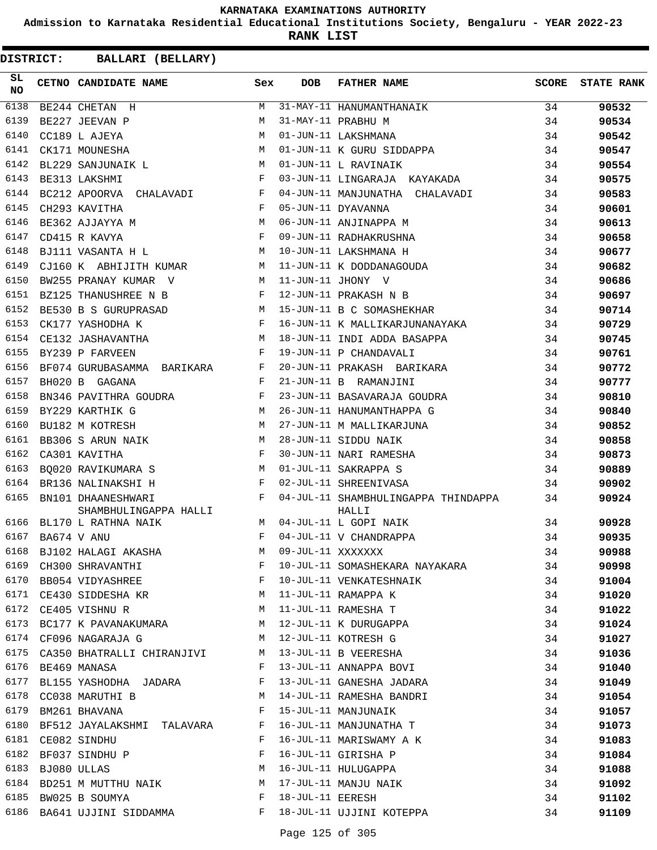**Admission to Karnataka Residential Educational Institutions Society, Bengaluru - YEAR 2022-23**

**RANK LIST**

| SL<br><b>NO</b> |                  | CETNO CANDIDATE NAME                                                  | Sex          | DOB               | FATHER NAME                                   | SCORE | <b>STATE RANK</b> |
|-----------------|------------------|-----------------------------------------------------------------------|--------------|-------------------|-----------------------------------------------|-------|-------------------|
| 6138            |                  | BE244 CHETAN H                                                        | M            |                   | 31-MAY-11 HANUMANTHANAIK                      | 34    | 90532             |
| 6139            |                  | BE227 JEEVAN P                                                        | M            |                   | 31-MAY-11 PRABHU M                            | 34    | 90534             |
| 6140            |                  | CC189 L AJEYA                                                         | M            |                   | 01-JUN-11 LAKSHMANA                           | 34    | 90542             |
| 6141            |                  | CK171 MOUNESHA                                                        | M            |                   | 01-JUN-11 K GURU SIDDAPPA                     | 34    | 90547             |
| 6142            |                  | M<br>BL229 SANJUNAIK L                                                |              |                   | 01-JUN-11 L RAVINAIK                          | 34    | 90554             |
| 6143            |                  | and the state of the Fig.<br>BE313 LAKSHMI                            |              |                   | 03-JUN-11 LINGARAJA KAYAKADA                  | 34    | 90575             |
| 6144            |                  | $\verb BC212 APOORVA   CHALAVADI   F  \\$                             |              |                   | 04-JUN-11 MANJUNATHA CHALAVADI                | 34    | 90583             |
| 6145            |                  | CH293 KAVITHA                                                         | $\mathbf{F}$ |                   | 05-JUN-11 DYAVANNA                            | 34    | 90601             |
| 6146            |                  | <b>M</b><br>BE362 AJJAYYA M                                           |              |                   | 06-JUN-11 ANJINAPPA M                         | 34    | 90613             |
| 6147            |                  | $\mathbf{F}$ and the state of the state $\mathbf{F}$<br>CD415 R KAVYA |              |                   | 09-JUN-11 RADHAKRUSHNA                        | 34    | 90658             |
| 6148            |                  | M<br>BJ111 VASANTA H L                                                |              |                   | 10-JUN-11 LAKSHMANA H                         | 34    | 90677             |
| 6149            |                  | CJ160 K ABHIJITH KUMAR M                                              |              |                   |                                               | 34    | 90682             |
| 6150            |                  | BW255 PRANAY KUMAR V                                                  | M            |                   | 11-JUN-11 K DODDANAGOUDA<br>11-JUN-11 JHONY V | 34    | 90686             |
| 6151            |                  | BZ125 THANUSHREE N B                                                  | $_{\rm F}$   |                   | 12-JUN-11 PRAKASH N B                         | 34    | 90697             |
| 6152            |                  | M<br>BE530 B S GURUPRASAD                                             |              |                   | 15-JUN-11 B C SOMASHEKHAR                     | 34    | 90714             |
| 6153            |                  | CK177 YASHODHA K                                                      | $\mathbf{F}$ |                   | 16-JUN-11 K MALLIKARJUNANAYAKA                | 34    | 90729             |
| 6154            |                  | CE132 JASHAVANTHA                                                     | M            |                   | 18-JUN-11 INDI ADDA BASAPPA                   | 34    | 90745             |
| 6155            |                  | BY239 P FARVEEN                                                       | F            |                   | 19-JUN-11 P CHANDAVALI                        | 34    | 90761             |
| 6156            |                  | BF074 GURUBASAMMA BARIKARA F                                          |              |                   | 20-JUN-11 PRAKASH BARIKARA                    | 34    | 90772             |
| 6157            |                  | BH020 B GAGANA                                                        | F            |                   | 21-JUN-11 B RAMANJINI                         | 34    | 90777             |
| 6158            |                  | BN346 PAVITHRA GOUDRA                                                 | F            |                   | 23-JUN-11 BASAVARAJA GOUDRA                   | 34    | 90810             |
| 6159            |                  | <b>M</b><br>BY229 KARTHIK G                                           |              |                   | 26-JUN-11 HANUMANTHAPPA G                     | 34    | 90840             |
| 6160            |                  | M<br>BU182 M KOTRESH                                                  |              |                   | 27-JUN-11 M MALLIKARJUNA                      | 34    | 90852             |
| 6161            |                  | BB306 S ARUN NAIK                                                     | M            |                   | 28-JUN-11 SIDDU NAIK                          | 34    | 90858             |
| 6162            |                  | CA301 KAVITHA                                                         | F            |                   | 30-JUN-11 NARI RAMESHA                        | 34    | 90873             |
| 6163            |                  | <b>M</b><br>BO020 RAVIKUMARA S                                        |              |                   | 01-JUL-11 SAKRAPPA S                          | 34    | 90889             |
| 6164            |                  | $\mathbf{F}$ and $\mathbf{F}$ and $\mathbf{F}$<br>BR136 NALINAKSHI H  |              |                   | 02-JUL-11 SHREENIVASA                         | 34    | 90902             |
| 6165            |                  | BN101 DHAANESHWARI<br>SHAMBHULINGAPPA HALLI                           | F            |                   | 04-JUL-11 SHAMBHULINGAPPA THINDAPPA<br>HALLI  | 34    | 90924             |
| 6166            |                  | BL170 L RATHNA NAIK                                                   | M            |                   | 04-JUL-11 L GOPI NAIK                         | 34    | 90928             |
|                 | 6167 BA674 V ANU |                                                                       | F            |                   | 04-JUL-11 V CHANDRAPPA                        | 34    | 90935             |
| 6168            |                  | BJ102 HALAGI AKASHA                                                   | M            | 09-JUL-11 XXXXXXX |                                               | 34    | 90988             |
| 6169            |                  | CH300 SHRAVANTHI                                                      | F            |                   | 10-JUL-11 SOMASHEKARA NAYAKARA                | 34    | 90998             |
| 6170            |                  | BB054 VIDYASHREE                                                      | $\mathbf{F}$ |                   | 10-JUL-11 VENKATESHNAIK                       | 34    | 91004             |
|                 |                  | 6171 CE430 SIDDESHA KR                                                | M            |                   | 11-JUL-11 RAMAPPA K                           | 34    | 91020             |
| 6172            |                  | CE405 VISHNU R                                                        | M            |                   | 11-JUL-11 RAMESHA T                           | 34    | 91022             |
| 6173            |                  | BC177 K PAVANAKUMARA M                                                |              |                   | 12-JUL-11 K DURUGAPPA                         | 34    | 91024             |
|                 |                  | 6174 CF096 NAGARAJA G                                                 | M            |                   | 12-JUL-11 KOTRESH G                           | 34    | 91027             |
|                 |                  | 6175 CA350 BHATRALLI CHIRANJIVI M                                     |              |                   | 13-JUL-11 B VEERESHA                          | 34    | 91036             |
| 6176            |                  | BE469 MANASA                                                          | F            |                   | 13-JUL-11 ANNAPPA BOVI                        | 34    | 91040             |
| 6177            |                  | BL155 YASHODHA JADARA                                                 | F            |                   | 13-JUL-11 GANESHA JADARA                      | 34    | 91049             |
| 6178            |                  | CC038 MARUTHI B                                                       | M            |                   | 14-JUL-11 RAMESHA BANDRI                      | 34    | 91054             |
| 6179            |                  | BM261 BHAVANA                                                         | F            |                   | 15-JUL-11 MANJUNAIK                           | 34    | 91057             |
| 6180            |                  | BF512 JAYALAKSHMI TALAVARA                                            | F            |                   | 16-JUL-11 MANJUNATHA T                        | 34    | 91073             |
| 6181            |                  | CE082 SINDHU                                                          | F            |                   | 16-JUL-11 MARISWAMY A K                       | 34    | 91083             |
| 6182            |                  | BF037 SINDHU P                                                        | F            |                   | 16-JUL-11 GIRISHA P                           | 34    | 91084             |
| 6183            |                  | BJ080 ULLAS                                                           | M            |                   | 16-JUL-11 HULUGAPPA                           | 34    | 91088             |
| 6184            |                  | BD251 M MUTTHU NAIK M                                                 |              |                   | 17-JUL-11 MANJU NAIK                          | 34    | 91092             |
| 6185            |                  | BW025 B SOUMYA                                                        | F            | 18-JUL-11 EERESH  |                                               | 34    | 91102             |
|                 |                  | 6186 BA641 UJJINI SIDDAMMA                                            | $\mathbf{F}$ |                   | 18-JUL-11 UJJINI KOTEPPA                      | 34    | 91109             |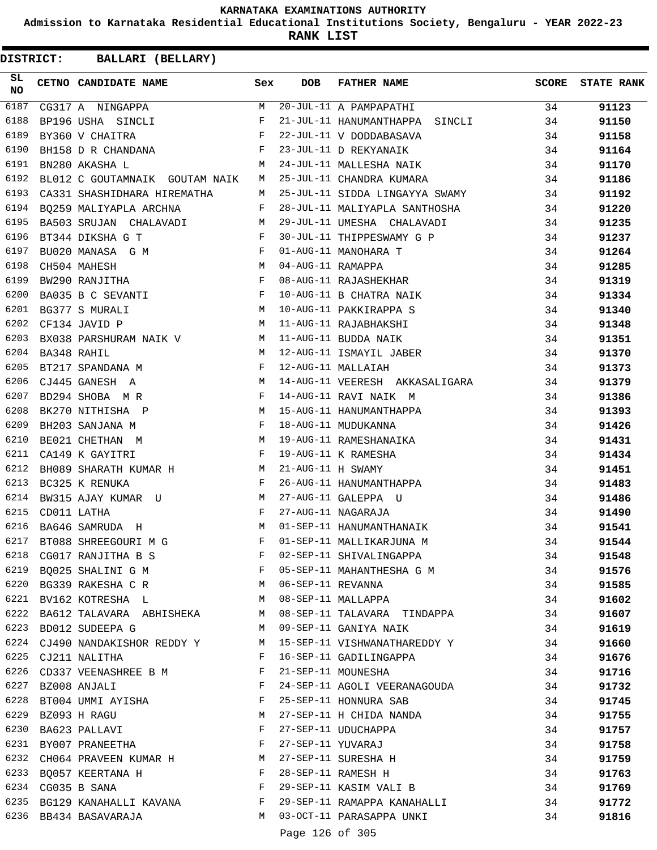**Admission to Karnataka Residential Educational Institutions Society, Bengaluru - YEAR 2022-23**

**RANK LIST**

| SL<br><b>NO</b> | CETNO CANDIDATE NAME                                                                                                                                                                                                                                      | Sex          | <b>DOB</b>        | <b>FATHER NAME</b>                                                 | SCORE | <b>STATE RANK</b> |
|-----------------|-----------------------------------------------------------------------------------------------------------------------------------------------------------------------------------------------------------------------------------------------------------|--------------|-------------------|--------------------------------------------------------------------|-------|-------------------|
| 6187            | CG317 A NINGAPPA $M$<br>BP196 USHA SINCLI F                                                                                                                                                                                                               | M            |                   | 20-JUL-11 A PAMPAPATHI                                             | 34    | 91123             |
| 6188            |                                                                                                                                                                                                                                                           |              |                   | 21-JUL-11 HANUMANTHAPPA SINCLI                                     | 34    | 91150             |
| 6189            | $\mathbf{F}$ . The set of the set of the set of the set of the set of the set of the set of the set of the set of the set of the set of the set of the set of the set of the set of the set of the set of the set of the set of t<br>BY360 V CHAITRA      |              |                   | 22-JUL-11 V DODDABASAVA                                            | 34    | 91158             |
| 6190            | BH158 D R CHANDANA F                                                                                                                                                                                                                                      |              |                   | 23-JUL-11 D REKYANAIK<br>24-JUL-11 MALLESHA NAIK                   | 34    | 91164             |
| 6191            | M<br>BN280 AKASHA L                                                                                                                                                                                                                                       |              |                   |                                                                    | 34    | 91170             |
| 6192            | BL012 C GOUTAMNAIK GOUTAM NAIK                                                                                                                                                                                                                            | M            |                   | 25-JUL-11 CHANDRA KUMARA                                           | 34    | 91186             |
| 6193            | CA331 SHASHIDHARA HIREMATHA                                                                                                                                                                                                                               | M            |                   | 25-JUL-11 SIDDA LINGAYYA SWAMY                                     | 34    | 91192             |
| 6194            | BQ259 MALIYAPLA ARCHNA F                                                                                                                                                                                                                                  |              |                   | 28-JUL-11 MALIYAPLA SANTHOSHA                                      | 34    | 91220             |
| 6195            | BA503 SRUJAN CHALAVADI M                                                                                                                                                                                                                                  |              |                   | 29-JUL-11 UMESHA CHALAVADI                                         | 34    | 91235             |
| 6196            | BT344 DIKSHA G T<br>$\mathbb F$ . The set of the set of the set of the set of the set of the set of the set of the set of the set of the set of the set of the set of the set of the set of the set of the set of the set of the set of the set of the    |              |                   | 30-JUL-11 THIPPESWAMY G P                                          | 34    | 91237             |
| 6197            | BU020 MANASA G M F                                                                                                                                                                                                                                        |              |                   | 01-AUG-11 MANOHARA T<br>04-AUG-11 RAMAPPA<br>08-AUG-11 RAJASHEKHAR | 34    | 91264             |
| 6198            | $\begin{aligned} \mathbf{M} \\ \mathbf{F} \end{aligned}$<br>CH504 MAHESH                                                                                                                                                                                  |              |                   |                                                                    | 34    | 91285             |
| 6199            | BW290 RANJITHA                                                                                                                                                                                                                                            |              |                   |                                                                    | 34    | 91319             |
| 6200            | BA035 B C SEVANTI F                                                                                                                                                                                                                                       |              |                   | 10-AUG-11 B CHATRA NAIK                                            | 34    | 91334             |
| 6201            | M 10-AUG-11 PAKKIRAPPA S<br>BG377 S MURALI                                                                                                                                                                                                                |              |                   |                                                                    | 34    | 91340             |
| 6202            | M<br>CF134 JAVID P                                                                                                                                                                                                                                        |              |                   | 11-AUG-11 RAJABHAKSHI                                              | 34    | 91348             |
| 6203            | BX038 PARSHURAM NAIK V $M$ 11-AUG-11 BUDDA NAIK                                                                                                                                                                                                           |              |                   |                                                                    | 34    | 91351             |
| 6204            | M <sub>N</sub><br>BA348 RAHIL                                                                                                                                                                                                                             |              |                   | 12-AUG-11 ISMAYIL JABER 34                                         |       | 91370             |
| 6205            | $\mathbf{F}$ and $\mathbf{F}$ and $\mathbf{F}$ and $\mathbf{F}$<br>BT217 SPANDANA M                                                                                                                                                                       |              |                   | 12-AUG-11 MALLAIAH                                                 | 34    | 91373             |
| 6206            | M<br>CJ445 GANESH A                                                                                                                                                                                                                                       |              |                   | 14-AUG-11 VEERESH AKKASALIGARA 34                                  |       | 91379             |
| 6207            | BD294 SHOBA MR                                                                                                                                                                                                                                            | $\mathbf{F}$ |                   | 14-AUG-11 RAVI NAIK M                                              | 34    | 91386             |
| 6208            | BK270 NITHISHA P                                                                                                                                                                                                                                          |              |                   | M 15-AUG-11 HANUMANTHAPPA                                          | 34    | 91393             |
| 6209            | $\mathbb{P}^1$ . The set of the set of the set of the set of the set of the set of the set of the set of the set of the set of the set of the set of the set of the set of the set of the set of the set of the set of the set of<br>BH203 SANJANA M      |              |                   | 18-AUG-11 MUDUKANNA<br>19-AUG-11 RAMESHANAIKA                      | 34    | 91426             |
| 6210            | M<br>BE021 CHETHAN M                                                                                                                                                                                                                                      |              |                   |                                                                    | 34    | 91431             |
| 6211            | CA149 K GAYITRI                                                                                                                                                                                                                                           | $\mathbf{F}$ |                   | 19-AUG-11 K RAMESHA<br>21-AUG-11 H SWAMY                           | 34    | 91434             |
| 6212            | BH089 SHARATH KUMAR H M                                                                                                                                                                                                                                   |              |                   |                                                                    | 34    | 91451             |
| 6213            | <b>Example 20</b><br>BC325 K RENUKA                                                                                                                                                                                                                       |              |                   | 26-AUG-11 HANUMANTHAPPA                                            | 34    | 91483             |
| 6214            | BW315 AJAY KUMAR U M                                                                                                                                                                                                                                      |              |                   | 27-AUG-11 GALEPPA U                                                | 34    | 91486             |
| 6215            | CD011 LATHA                                                                                                                                                                                                                                               | $\mathbf{F}$ |                   | 27-AUG-11 NAGARAJA                                                 | 34    | 91490             |
| 6216            | M <sub>N</sub><br>BA646 SAMRUDA H                                                                                                                                                                                                                         |              |                   | 01-SEP-11 HANUMANTHANAIK                                           | 34    | 91541             |
| 6217            | $\mathbb{P}^1$ . The set of the set of the set of the set of the set of the set of the set of the set of the set of the set of the set of the set of the set of the set of the set of the set of the set of the set of the set of<br>BT088 SHREEGOURI M G |              |                   | 01-SEP-11 MALLIKARJUNA M                                           | 34    | 91544             |
| 6218            | CG017 RANJITHA B S                                                                                                                                                                                                                                        | F            |                   | 02-SEP-11 SHIVALINGAPPA                                            | 34    | 91548             |
|                 | 6219 BQ025 SHALINI G M                                                                                                                                                                                                                                    | F            |                   | 05-SEP-11 MAHANTHESHA G M                                          | 34    | 91576             |
|                 | 6220 BG339 RAKESHA C R M                                                                                                                                                                                                                                  |              | 06-SEP-11 REVANNA |                                                                    | 34    | 91585             |
|                 | 6221 BV162 KOTRESHA L                                                                                                                                                                                                                                     | M            |                   | 08-SEP-11 MALLAPPA                                                 | 34    | 91602             |
|                 | 6222 BA612 TALAVARA ABHISHEKA                                                                                                                                                                                                                             | M            |                   | 08-SEP-11 TALAVARA TINDAPPA                                        | 34    | 91607             |
|                 | 6223 BD012 SUDEEPA G                                                                                                                                                                                                                                      | M            |                   | 09-SEP-11 GANIYA NAIK                                              | 34    | 91619             |
| 6224            | CJ490 NANDAKISHOR REDDY Y                                                                                                                                                                                                                                 | M            |                   | 15-SEP-11 VISHWANATHAREDDY Y                                       | 34    | 91660             |
| 6225            | CJ211 NALITHA                                                                                                                                                                                                                                             | F            |                   | 16-SEP-11 GADILINGAPPA                                             | 34    | 91676             |
|                 | 6226 CD337 VEENASHREE B M                                                                                                                                                                                                                                 | F            |                   | 21-SEP-11 MOUNESHA                                                 | 34    | 91716             |
|                 | 6227 BZ008 ANJALI                                                                                                                                                                                                                                         | F            |                   | 24-SEP-11 AGOLI VEERANAGOUDA                                       | 34    | 91732             |
| 6228            | BT004 UMMI AYISHA                                                                                                                                                                                                                                         | F            |                   | 25-SEP-11 HONNURA SAB                                              | 34    | 91745             |
|                 | 6229 BZ093 H RAGU                                                                                                                                                                                                                                         | M            |                   | 27-SEP-11 H CHIDA NANDA                                            | 34    | 91755             |
|                 | 6230 BA623 PALLAVI                                                                                                                                                                                                                                        | F            |                   | 27-SEP-11 UDUCHAPPA                                                | 34    | 91757             |
|                 | 6231 BY007 PRANEETHA                                                                                                                                                                                                                                      | F            | 27-SEP-11 YUVARAJ |                                                                    | 34    | 91758             |
| 6232            | CH064 PRAVEEN KUMAR H                                                                                                                                                                                                                                     |              |                   | 27-SEP-11 SURESHA H                                                | 34    | 91759             |
| 6233            | BO057 KEERTANA H                                                                                                                                                                                                                                          | F            |                   | 28-SEP-11 RAMESH H                                                 | 34    | 91763             |
|                 | 6234 CG035 B SANA                                                                                                                                                                                                                                         | $\mathbf{F}$ |                   | 29-SEP-11 KASIM VALI B                                             | 34    | 91769             |
|                 | 6235 BG129 KANAHALLI KAVANA F                                                                                                                                                                                                                             |              |                   | 29-SEP-11 RAMAPPA KANAHALLI                                        | 34    | 91772             |
|                 | 6236 BB434 BASAVARAJA                                                                                                                                                                                                                                     |              |                   | M 03-OCT-11 PARASAPPA UNKI                                         | 34    | 91816             |
|                 |                                                                                                                                                                                                                                                           |              | Page 126 of 305   |                                                                    |       |                   |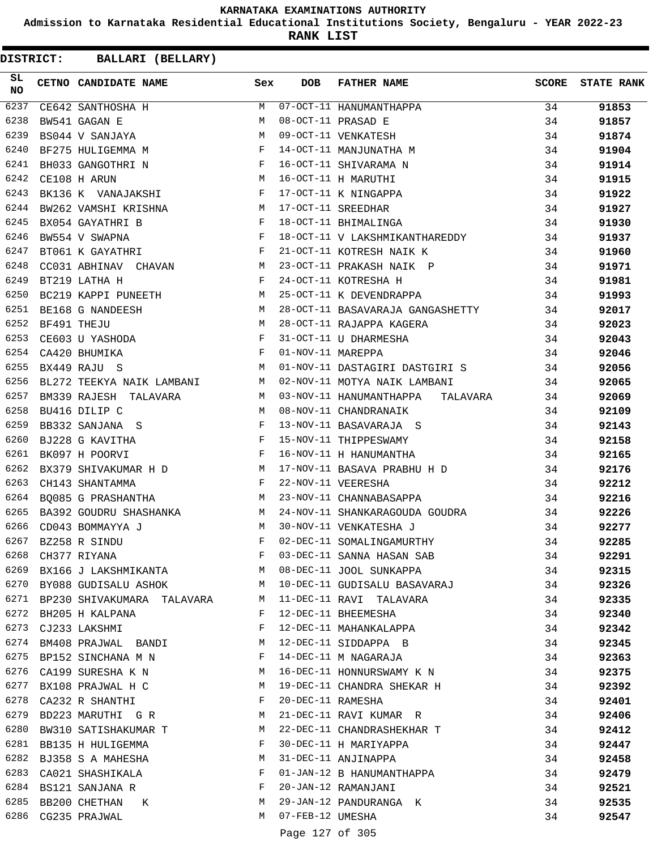**Admission to Karnataka Residential Educational Institutions Society, Bengaluru - YEAR 2022-23**

**RANK LIST**

| SL.<br>NO | CETNO CANDIDATE NAME                                                                                                                                                                                                                                 | Sex | <b>DOB</b>        | FATHER NAME                                                                                                                                                | SCORE | <b>STATE RANK</b> |
|-----------|------------------------------------------------------------------------------------------------------------------------------------------------------------------------------------------------------------------------------------------------------|-----|-------------------|------------------------------------------------------------------------------------------------------------------------------------------------------------|-------|-------------------|
| 6237      | CE642 SANTHOSHA H<br>BW541 GAGAN E<br>PS044 V GAVILLE                                                                                                                                                                                                |     |                   | M 07-OCT-11 HANUMANTHAPPA<br>M 08-OCT-11 PRASAD E<br>M 09-OCT-11 VENKATESH<br>F 14-OCT-11 MANJUNATHA M<br>F 16-OCT-11 SHIVARAMA N<br>M 16-OCT-11 H MARUTHI | 34    | 91853             |
| 6238      |                                                                                                                                                                                                                                                      |     |                   |                                                                                                                                                            | 34    | 91857             |
| 6239      | BS044 V SANJAYA M                                                                                                                                                                                                                                    |     |                   |                                                                                                                                                            | 34    | 91874             |
| 6240      | BF275 HULIGEMMA M<br>F                                                                                                                                                                                                                               |     |                   |                                                                                                                                                            | 34    | 91904             |
| 6241      | $\begin{array}{ccc} \mathbf{N} & \mathbf{N} \\ & \mathbf{N} \end{array}$<br>BH033 GANGOTHRI N                                                                                                                                                        |     |                   |                                                                                                                                                            | 34    | 91914             |
| 6242      | CE108 H ARUN                                                                                                                                                                                                                                         |     |                   |                                                                                                                                                            | 34    | 91915             |
| 6243      | BK136 K VANAJAKSHI F                                                                                                                                                                                                                                 |     |                   | 17-OCT-11 K NINGAPPA                                                                                                                                       | 34    | 91922             |
| 6244      | BW262 VAMSHI KRISHNA M                                                                                                                                                                                                                               |     |                   | 17-OCT-11 SREEDHAR                                                                                                                                         | 34    | 91927             |
| 6245      | BX054 GAYATHRI B                                                                                                                                                                                                                                     |     |                   | 18-OCT-11 BHIMALINGA                                                                                                                                       | 34    | 91930             |
| 6246      | $\begin{array}{ccccc} \text{B} & & & \text{F} & \\ & & & \text{F} & \\ & & & \text{F} & \\ \end{array}$<br>BW554 V SWAPNA                                                                                                                            |     |                   | 18-OCT-11 V LAKSHMIKANTHAREDDY 34                                                                                                                          |       | 91937             |
| 6247      | BT061 K GAYATHRI F                                                                                                                                                                                                                                   |     |                   | 21-OCT-11 KOTRESH NAIK K                                                                                                                                   | 34    | 91960             |
| 6248      | CC031 ABHINAV CHAVAN M                                                                                                                                                                                                                               |     |                   |                                                                                                                                                            | 34    | 91971             |
| 6249      | $\mathbf{F}$<br>BT219 LATHA H                                                                                                                                                                                                                        |     |                   | 23-OCT-11 PRAKASH NAIK P<br>24-OCT-11 KOTRESHA H                                                                                                           | 34    | 91981             |
| 6250      | BC219 KAPPI PUNEETH M                                                                                                                                                                                                                                |     |                   | 25-OCT-11 K DEVENDRAPPA 34                                                                                                                                 |       | 91993             |
| 6251      | M<br>BE168 G NANDEESH                                                                                                                                                                                                                                |     |                   | 28-OCT-11 BASAVARAJA GANGASHETTY 34                                                                                                                        |       | 92017             |
| 6252      | BF491 THEJU M<br>CE603 U YASHODA F<br>CA420 BHUMIKA F                                                                                                                                                                                                |     |                   | 28-OCT-11 RAJAPPA KAGERA<br>31-OCT-11 U DHARMESHA<br>01 NOV 11 WIRTIER                                                                                     | 34    | 92023             |
| 6253      |                                                                                                                                                                                                                                                      |     |                   |                                                                                                                                                            | 34    | 92043             |
| 6254      |                                                                                                                                                                                                                                                      |     | 01-NOV-11 MAREPPA | 34                                                                                                                                                         |       | 92046             |
| 6255      | M<br>BX449 RAJU S                                                                                                                                                                                                                                    |     |                   | 01-NOV-11 DASTAGIRI DASTGIRI S 34                                                                                                                          |       | 92056             |
| 6256      | BL272 TEEKYA NAIK LAMBANI M                                                                                                                                                                                                                          |     |                   | 02-NOV-11 MOTYA NAIK LAMBANI                                                                                                                               | - 34  | 92065             |
| 6257      |                                                                                                                                                                                                                                                      |     |                   | BM339 RAJESH TALAVARA M 03-NOV-11 HANUMANTHAPPA TALAVARA                                                                                                   | 34    | 92069             |
| 6258      | BU416 DILIP C                                                                                                                                                                                                                                        |     |                   | M 08-NOV-11 CHANDRANAIK                                                                                                                                    | 34    | 92109             |
| 6259      | $\mathbf{F}$ . The set of the set of the set of the set of the set of the set of the set of the set of the set of the set of the set of the set of the set of the set of the set of the set of the set of the set of the set of t<br>BB332 SANJANA S |     |                   | 13-NOV-11 BASAVARAJA S                                                                                                                                     | 34    | 92143             |
| 6260      | BJ228 G KAVITHA F<br>BK097 H POORVI F                                                                                                                                                                                                                |     |                   | 15-NOV-11 THIPPESWAMY<br>16-NOV-11 H HANUMANTHA<br>15-NOV-11 THIPPESWAMY                                                                                   | 34    | 92158             |
| 6261      |                                                                                                                                                                                                                                                      |     |                   |                                                                                                                                                            | 34    | 92165             |
| 6262      |                                                                                                                                                                                                                                                      |     |                   | BX379 SHIVAKUMAR H D M 17-NOV-11 BASAVA PRABHU H D                                                                                                         | 34    | 92176             |
| 6263      | $\mathbf{F}$ and the contract of the contract of $\mathbf{F}$<br>CH143 SHANTAMMA                                                                                                                                                                     |     |                   | 22-NOV-11 VEERESHA                                                                                                                                         | 34    | 92212             |
| 6264      | BQ085 G PRASHANTHA M                                                                                                                                                                                                                                 |     |                   | 23-NOV-11 CHANNABASAPPA                                                                                                                                    | 34    | 92216             |
| 6265      | BA392 GOUDRU SHASHANKA M                                                                                                                                                                                                                             |     |                   | 24-NOV-11 SHANKARAGOUDA GOUDRA                                                                                                                             | 34    | 92226             |
| 6266      | M <sub>N</sub><br>CD043 BOMMAYYA J                                                                                                                                                                                                                   |     |                   | 30-NOV-11 VENKATESHA J                                                                                                                                     | 34    | 92277             |
| 6267      | BZ258 R SINDU                                                                                                                                                                                                                                        | F   |                   | 02-DEC-11 SOMALINGAMURTHY                                                                                                                                  | 34    | 92285             |
| 6268      | CH377 RIYANA                                                                                                                                                                                                                                         | F   |                   | 03-DEC-11 SANNA HASAN SAB                                                                                                                                  | 34    | 92291             |
|           | 6269 BX166 J LAKSHMIKANTA                                                                                                                                                                                                                            | M   |                   | 08-DEC-11 JOOL SUNKAPPA                                                                                                                                    | 34    | 92315             |
| 6270      | BY088 GUDISALU ASHOK                                                                                                                                                                                                                                 | M   |                   | 10-DEC-11 GUDISALU BASAVARAJ                                                                                                                               | 34    | 92326             |
| 6271      | BP230 SHIVAKUMARA TALAVARA                                                                                                                                                                                                                           | M   |                   | 11-DEC-11 RAVI TALAVARA                                                                                                                                    | 34    | 92335             |
|           | 6272 BH205 H KALPANA                                                                                                                                                                                                                                 | F   |                   | 12-DEC-11 BHEEMESHA                                                                                                                                        | 34    | 92340             |
| 6273      | CJ233 LAKSHMI                                                                                                                                                                                                                                        | F   |                   | 12-DEC-11 MAHANKALAPPA                                                                                                                                     | 34    | 92342             |
| 6274      | BM408 PRAJWAL BANDI                                                                                                                                                                                                                                  | M   |                   | 12-DEC-11 SIDDAPPA B                                                                                                                                       | 34    | 92345             |
| 6275      | BP152 SINCHANA M N                                                                                                                                                                                                                                   | F   |                   | 14-DEC-11 M NAGARAJA                                                                                                                                       | 34    | 92363             |
| 6276      | CA199 SURESHA K N                                                                                                                                                                                                                                    | M   |                   | 16-DEC-11 HONNURSWAMY K N                                                                                                                                  | 34    | 92375             |
|           | 6277 BX108 PRAJWAL H C                                                                                                                                                                                                                               | M   |                   | 19-DEC-11 CHANDRA SHEKAR H                                                                                                                                 | 34    | 92392             |
| 6278      | CA232 R SHANTHI                                                                                                                                                                                                                                      | F   | 20-DEC-11 RAMESHA |                                                                                                                                                            | 34    | 92401             |
| 6279      | BD223 MARUTHI G R                                                                                                                                                                                                                                    | M   |                   | 21-DEC-11 RAVI KUMAR R                                                                                                                                     | 34    | 92406             |
| 6280      | BW310 SATISHAKUMAR T                                                                                                                                                                                                                                 | M   |                   | 22-DEC-11 CHANDRASHEKHAR T                                                                                                                                 | 34    | 92412             |
| 6281      | BB135 H HULIGEMMA                                                                                                                                                                                                                                    | F   |                   | 30-DEC-11 H MARIYAPPA                                                                                                                                      | 34    | 92447             |
| 6282      | BJ358 S A MAHESHA                                                                                                                                                                                                                                    | M   |                   | 31-DEC-11 ANJINAPPA                                                                                                                                        | 34    | 92458             |
| 6283      | CA021 SHASHIKALA                                                                                                                                                                                                                                     | F   |                   | 01-JAN-12 B HANUMANTHAPPA                                                                                                                                  | 34    | 92479             |
|           | 6284 BS121 SANJANA R                                                                                                                                                                                                                                 | F   |                   | 20-JAN-12 RAMANJANI                                                                                                                                        | 34    | 92521             |
|           | 6285 BB200 CHETHAN K                                                                                                                                                                                                                                 | M   |                   | 29-JAN-12 PANDURANGA K                                                                                                                                     | 34    | 92535             |
| 6286      | CG235 PRAJWAL                                                                                                                                                                                                                                        | M   | 07-FEB-12 UMESHA  |                                                                                                                                                            | 34    | 92547             |
|           |                                                                                                                                                                                                                                                      |     | Page 127 of 305   |                                                                                                                                                            |       |                   |
|           |                                                                                                                                                                                                                                                      |     |                   |                                                                                                                                                            |       |                   |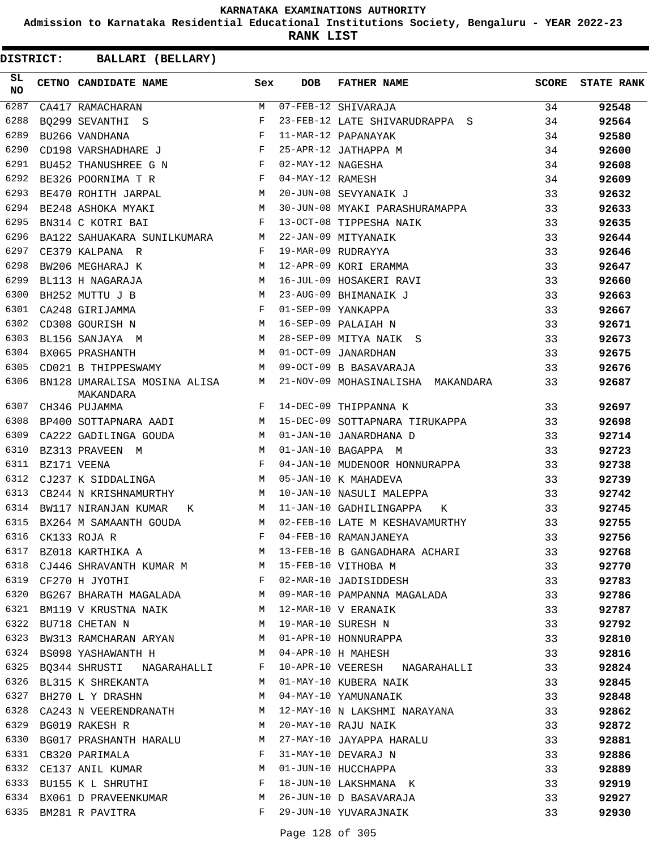**Admission to Karnataka Residential Educational Institutions Society, Bengaluru - YEAR 2022-23**

**RANK LIST**

| SL<br><b>NO</b> | CETNO CANDIDATE NAME                      | Sex        | <b>DOB</b>        | <b>FATHER NAME</b>                | <b>SCORE</b> | <b>STATE RANK</b> |
|-----------------|-------------------------------------------|------------|-------------------|-----------------------------------|--------------|-------------------|
| 6287            | CA417 RAMACHARAN                          | M          |                   | $07 - FEB - 12$ SHIVARAJA         | 34           | 92548             |
| 6288            | BO299 SEVANTHI S                          | F          |                   | 23-FEB-12 LATE SHIVARUDRAPPA S    | 34           | 92564             |
| 6289            | BU266 VANDHANA                            | F          |                   | 11-MAR-12 PAPANAYAK               | 34           | 92580             |
| 6290            | CD198 VARSHADHARE J                       | $_{\rm F}$ |                   | 25-APR-12 JATHAPPA M              | 34           | 92600             |
| 6291            | BU452 THANUSHREE G N                      | F          | 02-MAY-12 NAGESHA |                                   | 34           | 92608             |
| 6292            | BE326 POORNIMA T R                        | F          | 04-MAY-12 RAMESH  |                                   | 34           | 92609             |
| 6293            | BE470 ROHITH JARPAL                       | M          |                   | 20-JUN-08 SEVYANAIK J             | 33           | 92632             |
| 6294            | BE248 ASHOKA MYAKI                        | M          |                   | 30-JUN-08 MYAKI PARASHURAMAPPA    | 33           | 92633             |
| 6295            | BN314 C KOTRI BAI                         | F          |                   | 13-OCT-08 TIPPESHA NAIK           | 33           | 92635             |
| 6296            | BA122 SAHUAKARA SUNILKUMARA               | М          |                   | 22-JAN-09 MITYANAIK               | 33           | 92644             |
| 6297            | CE379 KALPANA R                           | F          |                   | 19-MAR-09 RUDRAYYA                | 33           | 92646             |
| 6298            | BW206 MEGHARAJ K                          | М          |                   | 12-APR-09 KORI ERAMMA             | 33           | 92647             |
| 6299            | BL113 H NAGARAJA                          | М          |                   | 16-JUL-09 HOSAKERI RAVI           | 33           | 92660             |
| 6300            | BH252 MUTTU J B                           | М          |                   | 23-AUG-09 BHIMANAIK J             | 33           | 92663             |
| 6301            | CA248 GIRIJAMMA                           | $_{\rm F}$ |                   | 01-SEP-09 YANKAPPA                | 33           | 92667             |
| 6302            | CD308 GOURISH N                           | M          |                   | 16-SEP-09 PALAIAH N               | 33           | 92671             |
| 6303            | BL156 SANJAYA M                           | M          |                   | 28-SEP-09 MITYA NAIK S            | 33           | 92673             |
| 6304            | BX065 PRASHANTH                           | М          |                   | 01-OCT-09 JANARDHAN               | 33           | 92675             |
| 6305            | CD021 B THIPPESWAMY                       | М          |                   | 09-OCT-09 B BASAVARAJA            | 33           | 92676             |
| 6306            | BN128 UMARALISA MOSINA ALISA<br>MAKANDARA | М          |                   | 21-NOV-09 MOHASINALISHA MAKANDARA | 33           | 92687             |
| 6307            | CH346 PUJAMMA                             | F          |                   | 14-DEC-09 THIPPANNA K             | 33           | 92697             |
| 6308            | BP400 SOTTAPNARA AADI                     | M          |                   | 15-DEC-09 SOTTAPNARA TIRUKAPPA    | 33           | 92698             |
| 6309            | CA222 GADILINGA GOUDA                     | M          |                   | 01-JAN-10 JANARDHANA D            | 33           | 92714             |
| 6310            | BZ313 PRAVEEN M                           | M          |                   | 01-JAN-10 BAGAPPA M               | 33           | 92723             |
| 6311            | BZ171 VEENA                               | F          |                   | 04-JAN-10 MUDENOOR HONNURAPPA     | 33           | 92738             |
| 6312            | CJ237 K SIDDALINGA                        | M          |                   | 05-JAN-10 K MAHADEVA              | 33           | 92739             |
| 6313            | CB244 N KRISHNAMURTHY                     | M          |                   | 10-JAN-10 NASULI MALEPPA          | 33           | 92742             |
| 6314            | BW117 NIRANJAN KUMAR<br>К                 | M          |                   | 11-JAN-10 GADHILINGAPPA<br>Κ      | 33           | 92745             |
| 6315            | BX264 M SAMAANTH GOUDA                    | M          |                   | 02-FEB-10 LATE M KESHAVAMURTHY    | 33           | 92755             |
| 6316            | CK133 ROJA R                              | F          |                   | 04-FEB-10 RAMANJANEYA             | 33           | 92756             |
| 6317            | BZ018 KARTHIKA A                          | М          |                   | 13-FEB-10 B GANGADHARA ACHARI     | 33           | 92768             |
| 6318            | CJ446 SHRAVANTH KUMAR M                   |            |                   | 15-FEB-10 VITHOBA M               | 33           | 92770             |
| 6319            | CF270 H JYOTHI                            | F          |                   | 02-MAR-10 JADISIDDESH             | 33           | 92783             |
| 6320            | BG267 BHARATH MAGALADA                    | M          |                   | 09-MAR-10 PAMPANNA MAGALADA       | 33           | 92786             |
| 6321            | BM119 V KRUSTNA NAIK                      | M          |                   | 12-MAR-10 V ERANAIK               | 33           | 92787             |
| 6322            | BU718 CHETAN N                            | M          |                   | 19-MAR-10 SURESH N                | 33           | 92792             |
| 6323            | BW313 RAMCHARAN ARYAN                     | M          |                   | 01-APR-10 HONNURAPPA              | 33           | 92810             |
| 6324            | BS098 YASHAWANTH H                        | M          |                   | 04-APR-10 H MAHESH                | 33           | 92816             |
| 6325            | BQ344 SHRUSTI NAGARAHALLI                 | F          |                   | 10-APR-10 VEERESH NAGARAHALLI     | 33           | 92824             |
| 6326            | BL315 K SHREKANTA                         | M          |                   | 01-MAY-10 KUBERA NAIK             | 33           | 92845             |
| 6327            | BH270 L Y DRASHN                          | М          |                   | 04-MAY-10 YAMUNANAIK              | 33           | 92848             |
| 6328            | CA243 N VEERENDRANATH                     | M          |                   | 12-MAY-10 N LAKSHMI NARAYANA      | 33           | 92862             |
| 6329            | BG019 RAKESH R                            | М          |                   | 20-MAY-10 RAJU NAIK               | 33           | 92872             |
| 6330            | BG017 PRASHANTH HARALU                    | M          |                   | 27-MAY-10 JAYAPPA HARALU          | 33           | 92881             |
|                 | 6331 CB320 PARIMALA                       | F          |                   | 31-MAY-10 DEVARAJ N               | 33           | 92886             |
| 6332            | CE137 ANIL KUMAR                          | М          |                   | 01-JUN-10 HUCCHAPPA               | 33           | 92889             |
| 6333            | BU155 K L SHRUTHI                         | F          |                   | 18-JUN-10 LAKSHMANA K             | 33           | 92919             |
| 6334            | BX061 D PRAVEENKUMAR                      | М          |                   | 26-JUN-10 D BASAVARAJA            | 33           | 92927             |
| 6335            | BM281 R PAVITRA                           | F          |                   | 29-JUN-10 YUVARAJNAIK             | 33           | 92930             |
|                 |                                           |            |                   |                                   |              |                   |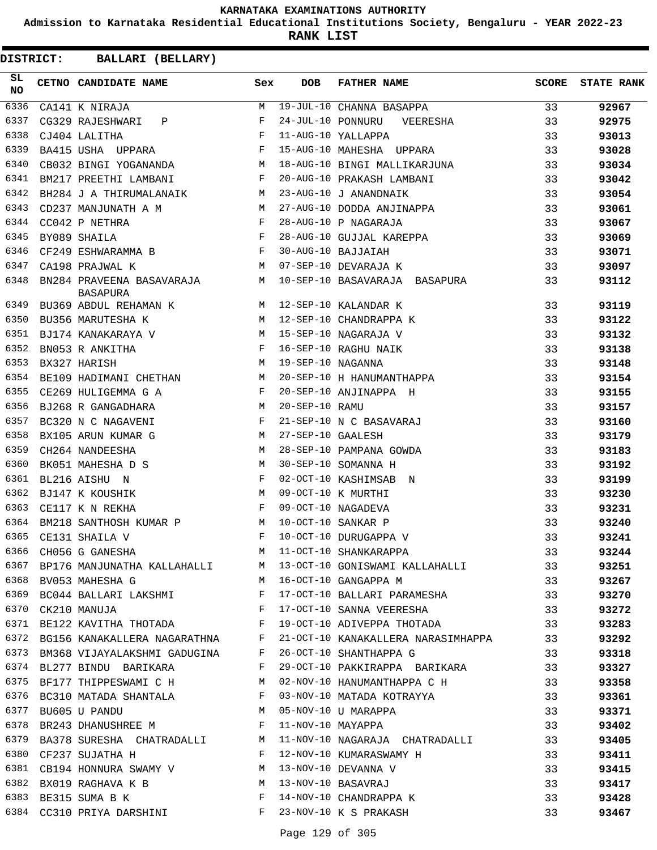**Admission to Karnataka Residential Educational Institutions Society, Bengaluru - YEAR 2022-23**

**RANK LIST**

| SL<br><b>NO</b> | CETNO CANDIDATE NAME                                                                                                                                                                                                                                                                                                                                                                                                                                                                        | Sex          | <b>DOB</b>         | FATHER NAME                                                                                                           | SCORE | <b>STATE RANK</b> |
|-----------------|---------------------------------------------------------------------------------------------------------------------------------------------------------------------------------------------------------------------------------------------------------------------------------------------------------------------------------------------------------------------------------------------------------------------------------------------------------------------------------------------|--------------|--------------------|-----------------------------------------------------------------------------------------------------------------------|-------|-------------------|
| 6336            | CA141 K NIRAJA                                                                                                                                                                                                                                                                                                                                                                                                                                                                              | M            |                    | 19-JUL-10 CHANNA BASAPPA                                                                                              | 33    | 92967             |
| 6337            | CG329 RAJESHWARI P                                                                                                                                                                                                                                                                                                                                                                                                                                                                          | F            |                    | 24-JUL-10 PONNURU VEERESHA                                                                                            | 33    | 92975             |
| 6338            | CJ404 LALITHA                                                                                                                                                                                                                                                                                                                                                                                                                                                                               | F            |                    | 11-AUG-10 YALLAPPA                                                                                                    | 33    | 93013             |
| 6339            | $\mathbf{F}$<br>BA415 USHA UPPARA                                                                                                                                                                                                                                                                                                                                                                                                                                                           |              |                    | 15-AUG-10 MAHESHA UPPARA                                                                                              | 33    | 93028             |
| 6340            | CB032 BINGI YOGANANDA M                                                                                                                                                                                                                                                                                                                                                                                                                                                                     |              |                    | 18-AUG-10 BINGI MALLIKARJUNA                                                                                          | 33    | 93034             |
| 6341            | BM217 PREETHI LAMBANI F                                                                                                                                                                                                                                                                                                                                                                                                                                                                     |              |                    | 20-AUG-10 PRAKASH LAMBANI                                                                                             | 33    | 93042             |
| 6342            | BH284 J A THIRUMALANAIK M                                                                                                                                                                                                                                                                                                                                                                                                                                                                   |              |                    | 23-AUG-10 J ANANDNAIK                                                                                                 | 33    | 93054             |
| 6343            | M<br>CD237 MANJUNATH A M                                                                                                                                                                                                                                                                                                                                                                                                                                                                    |              |                    | 27-AUG-10 DODDA ANJINAPPA                                                                                             | 33    | 93061             |
| 6344            | $\begin{array}{ccccc} & & & & \mathbf{F} & \\ & & & & \mathbf{F} & \\ & & & \mathbf{F} & \\ \end{array}$<br>CC042 P NETHRA                                                                                                                                                                                                                                                                                                                                                                  |              |                    | 28-AUG-10 P NAGARAJA                                                                                                  | 33    | 93067             |
| 6345            | BY089 SHAILA                                                                                                                                                                                                                                                                                                                                                                                                                                                                                |              |                    | 28-AUG-10 GUJJAL KAREPPA                                                                                              | 33    | 93069             |
| 6346            | $CF249$ ESHWARAMMA B F                                                                                                                                                                                                                                                                                                                                                                                                                                                                      |              |                    | 30-AUG-10 BAJJAIAH                                                                                                    | 33    | 93071             |
| 6347            | M<br>CA198 PRAJWAL K                                                                                                                                                                                                                                                                                                                                                                                                                                                                        |              |                    | 07-SEP-10 DEVARAJA K                                                                                                  | 33    | 93097             |
| 6348            | BN284 PRAVEENA BASAVARAJA M<br><b>BASAPURA</b>                                                                                                                                                                                                                                                                                                                                                                                                                                              |              |                    | 10-SEP-10 BASAVARAJA BASAPURA                                                                                         | 33    | 93112             |
| 6349            | BU369 ABDUL REHAMAN K $\verb M  12-SEP-10 KALANDAR K $                                                                                                                                                                                                                                                                                                                                                                                                                                      |              |                    |                                                                                                                       | 33    | 93119             |
| 6350            | M 12-SEP-10 CHANDRAPPA K<br>BU356 MARUTESHA K                                                                                                                                                                                                                                                                                                                                                                                                                                               |              |                    |                                                                                                                       | 33    | 93122             |
| 6351            |                                                                                                                                                                                                                                                                                                                                                                                                                                                                                             |              |                    |                                                                                                                       | 33    | 93132             |
| 6352            | $\mathbf{F}$<br>BN053 R ANKITHA                                                                                                                                                                                                                                                                                                                                                                                                                                                             |              |                    | 16-SEP-10 RAGHU NAIK                                                                                                  | 33    | 93138             |
| 6353            | BX327 HARISH                                                                                                                                                                                                                                                                                                                                                                                                                                                                                | M            | 19-SEP-10 NAGANNA  |                                                                                                                       | 33    | 93148             |
| 6354            | BE109 HADIMANI CHETHAN M                                                                                                                                                                                                                                                                                                                                                                                                                                                                    |              |                    | 20-SEP-10 H HANUMANTHAPPA                                                                                             | 33    | 93154             |
| 6355            | CE269 HULIGEMMA G A<br><b>Experimental Service Service</b>                                                                                                                                                                                                                                                                                                                                                                                                                                  |              |                    | 20-SEP-10 ANJINAPPA H                                                                                                 | 33    | 93155             |
| 6356            | BJ268 R GANGADHARA                                                                                                                                                                                                                                                                                                                                                                                                                                                                          | M            | 20-SEP-10 RAMU     |                                                                                                                       | 33    | 93157             |
| 6357            | $\mathbb{F}^{\mathbb{Z}}$ . The set of $\mathbb{F}^{\mathbb{Z}}$<br>BC320 N C NAGAVENI                                                                                                                                                                                                                                                                                                                                                                                                      |              |                    | 21-SEP-10 N C BASAVARAJ                                                                                               | 33    | 93160             |
| 6358            | BX105 ARUN KUMAR G<br>M <sub>1</sub>                                                                                                                                                                                                                                                                                                                                                                                                                                                        |              | 27-SEP-10 GAALESH  |                                                                                                                       | 33    | 93179             |
| 6359            | CH264 NANDEESHA                                                                                                                                                                                                                                                                                                                                                                                                                                                                             | M            |                    | 28-SEP-10 PAMPANA GOWDA                                                                                               | 33    | 93183             |
| 6360            | BK051 MAHESHA D S                                                                                                                                                                                                                                                                                                                                                                                                                                                                           | M            |                    | 30-SEP-10 SOMANNA H                                                                                                   | 33    | 93192             |
| 6361            | BL216 AISHU N                                                                                                                                                                                                                                                                                                                                                                                                                                                                               | $\mathbf{F}$ |                    | 02-OCT-10 KASHIMSAB N                                                                                                 | 33    | 93199             |
| 6362            | BJ147 K KOUSHIK                                                                                                                                                                                                                                                                                                                                                                                                                                                                             | M            | 09-OCT-10 K MURTHI |                                                                                                                       | 33    | 93230             |
| 6363            | and the contract of the Party of the Party of the Party of the Party of the Party of the Party of the Party of<br>CE117 K N REKHA                                                                                                                                                                                                                                                                                                                                                           |              |                    | 09-OCT-10 NAGADEVA                                                                                                    | 33    | 93231             |
| 6364            | BM218 SANTHOSH KUMAR P M                                                                                                                                                                                                                                                                                                                                                                                                                                                                    |              | 10-OCT-10 SANKAR P |                                                                                                                       | 33    | 93240             |
| 6365            | CE131 SHAILA V                                                                                                                                                                                                                                                                                                                                                                                                                                                                              | F            |                    | 10-OCT-10 DURUGAPPA V                                                                                                 | 33    | 93241             |
|                 | 6366 CH056 G GANESHA<br>M 11-OCT-10 SHANKARAPPA                                                                                                                                                                                                                                                                                                                                                                                                                                             |              |                    |                                                                                                                       | 33    | 93244             |
| 6367            | BP176 MANJUNATHA KALLAHALLI M                                                                                                                                                                                                                                                                                                                                                                                                                                                               |              |                    | 13-OCT-10 GONISWAMI KALLAHALLI 33                                                                                     |       | 93251             |
| 6368            | BV053 MAHESHA G M                                                                                                                                                                                                                                                                                                                                                                                                                                                                           |              |                    | 16-OCT-10 GANGAPPA M                                                                                                  | 33    | 93267             |
| 6369            |                                                                                                                                                                                                                                                                                                                                                                                                                                                                                             |              |                    | 17-OCT-10 BALLARI PARAMESHA                                                                                           | 33    | 93270             |
| 6370            | $\begin{tabular}{lllllll} \multicolumn{2}{l}{{\small{\textbf{BC044 }}\quad} } \multicolumn{2}{l}{{\small{\textbf{BALLARI }}\quad} } \multicolumn{2}{l}{\small{\textbf{LAKSHMI }}\quad} & \multicolumn{2}{l}{\small{\textbf{F}}}}\\ & \multicolumn{2}{l}{\small{\textbf{CK210 }}\quad} & \multicolumn{2}{l}{\small{\textbf{MANUJA}}\quad} & \multicolumn{2}{l}{\small{\textbf{F}}}}\\ \multicolumn{2}{l}{\small{\textbf{CK210 }}\quad} & \multicolumn{2}{l}{\small{\textbf{MANUJA}}\quad} &$ |              |                    | 17-OCT-10 SANNA VEERESHA 33                                                                                           |       | 93272             |
| 6371            | BE122 KAVITHA THOTADA F                                                                                                                                                                                                                                                                                                                                                                                                                                                                     |              |                    | 19-OCT-10 ADIVEPPA THOTADA 33                                                                                         |       | 93283             |
|                 | 6372 BG156 KANAKALLERA NAGARATHNA F                                                                                                                                                                                                                                                                                                                                                                                                                                                         |              |                    | 21-OCT-10 KANAKALLERA NARASIMHAPPA 33                                                                                 |       | 93292             |
| 6373            | BM368 VIJAYALAKSHMI GADUGINA F                                                                                                                                                                                                                                                                                                                                                                                                                                                              |              |                    | 26-OCT-10 SHANTHAPPA G                                                                                                | 33    | 93318             |
| 6374            | BL277 BINDU BARIKARA                                                                                                                                                                                                                                                                                                                                                                                                                                                                        | F            |                    | 29-OCT-10 PAKKIRAPPA BARIKARA 33                                                                                      |       | 93327             |
| 6375            | BF177 THIPPESWAMI C H                                                                                                                                                                                                                                                                                                                                                                                                                                                                       | M            |                    | 02-NOV-10 HANUMANTHAPPA C H                                                                                           | 33    | 93358             |
| 6376            | BC310 MATADA SHANTALA<br>PU605 U DANDU                                                                                                                                                                                                                                                                                                                                                                                                                                                      | F            |                    | 03-NOV-10 MATADA KOTRAYYA                                                                                             | 33    | 93361             |
| 6377            | BU605 U PANDU                                                                                                                                                                                                                                                                                                                                                                                                                                                                               | M            |                    |                                                                                                                       | 33    | 93371             |
| 6378            | BR243 DHANUSHREE M F                                                                                                                                                                                                                                                                                                                                                                                                                                                                        |              |                    | 05-NOV-10 U MARAPPA<br>11-NOV-10 MAYAPPA                                                                              | 33    | 93402             |
| 6379            | BA378 SURESHA CHATRADALLI M                                                                                                                                                                                                                                                                                                                                                                                                                                                                 |              |                    | 11-NOV-10 NAGARAJA CHATRADALLI 33                                                                                     |       | 93405             |
| 6380            | CF237 SUJATHA H                                                                                                                                                                                                                                                                                                                                                                                                                                                                             | $\mathbf{F}$ |                    | 12-NOV-10 KUMARASWAMY H<br>13-NOV-10 DEVANNA V<br>13-NOV-10 BASAVRAJ<br>14-NOV-10 CHANDRAPPA K<br>23-NOV-10 Y G BRACH | 33    | 93411             |
|                 | 6381 CB194 HONNURA SWAMY V M                                                                                                                                                                                                                                                                                                                                                                                                                                                                |              |                    |                                                                                                                       | 33    | 93415             |
| 6382            | BX019 RAGHAVA K B M                                                                                                                                                                                                                                                                                                                                                                                                                                                                         |              |                    |                                                                                                                       | 33    | 93417             |
| 6383            | $\mathbf{F}$ and the contract of the contract of the contract of the contract of the contract of the contract of the contract of the contract of the contract of the contract of the contract of the contract of the contract of<br>BE315 SUMA B K                                                                                                                                                                                                                                          |              |                    |                                                                                                                       | 33    | 93428             |
|                 | 6384 CC310 PRIYA DARSHINI F                                                                                                                                                                                                                                                                                                                                                                                                                                                                 |              |                    | 23-NOV-10 K S PRAKASH                                                                                                 | 33    | 93467             |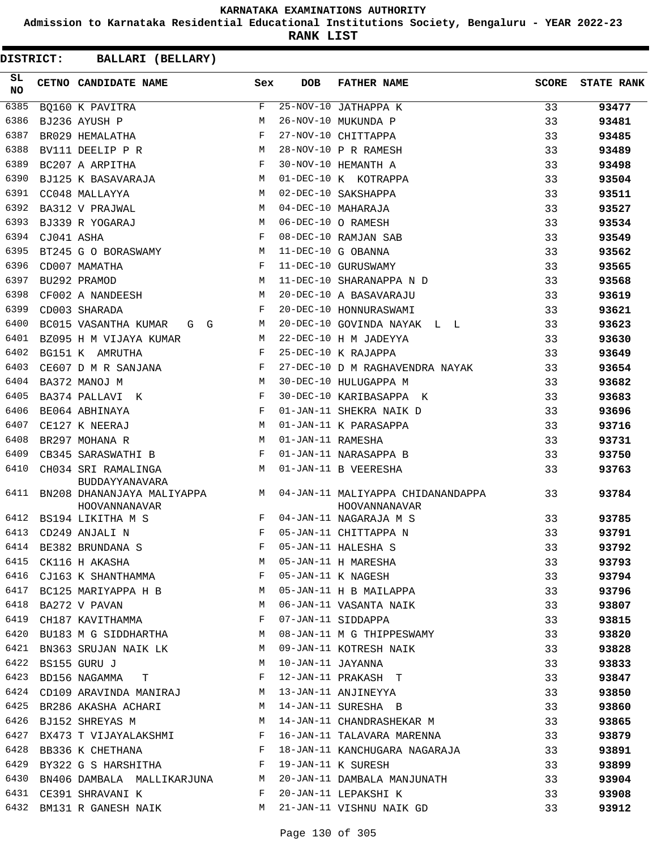**Admission to Karnataka Residential Educational Institutions Society, Bengaluru - YEAR 2022-23**

**RANK LIST**

| SL<br>NO |            | CETNO CANDIDATE NAME                               | Sex        | <b>DOB</b>        | <b>FATHER NAME</b>                                                                                                                                                                                       | <b>SCORE</b> | <b>STATE RANK</b> |
|----------|------------|----------------------------------------------------|------------|-------------------|----------------------------------------------------------------------------------------------------------------------------------------------------------------------------------------------------------|--------------|-------------------|
| 6385     |            | BQ160 K PAVITRA                                    | F          |                   | $25-NOV-10$ JATHAPPA K                                                                                                                                                                                   | 33           | 93477             |
| 6386     |            | BJ236 AYUSH P                                      | M          |                   | 26-NOV-10 MUKUNDA P                                                                                                                                                                                      | 33           | 93481             |
| 6387     |            | BR029 HEMALATHA                                    | F          |                   | 27-NOV-10 CHITTAPPA                                                                                                                                                                                      | 33           | 93485             |
| 6388     |            | BV111 DEELIP P R                                   | M          |                   | 28-NOV-10 P R RAMESH                                                                                                                                                                                     | 33           | 93489             |
| 6389     |            | BC207 A ARPITHA                                    | F          |                   | 30-NOV-10 HEMANTH A                                                                                                                                                                                      | 33           | 93498             |
| 6390     |            | BJ125 K BASAVARAJA                                 | M          |                   | 01-DEC-10 K KOTRAPPA                                                                                                                                                                                     | 33           | 93504             |
| 6391     |            | CC048 MALLAYYA                                     | М          |                   | 02-DEC-10 SAKSHAPPA                                                                                                                                                                                      | 33           | 93511             |
| 6392     |            | BA312 V PRAJWAL                                    | M          |                   | 04-DEC-10 MAHARAJA                                                                                                                                                                                       | 33           | 93527             |
| 6393     |            | BJ339 R YOGARAJ                                    | М          |                   | 06-DEC-10 O RAMESH                                                                                                                                                                                       | 33           | 93534             |
| 6394     | CJ041 ASHA |                                                    | F          |                   | 08-DEC-10 RAMJAN SAB                                                                                                                                                                                     | 33           | 93549             |
| 6395     |            | BT245 G O BORASWAMY M                              |            |                   | 11-DEC-10 G OBANNA                                                                                                                                                                                       | 33           | 93562             |
| 6396     |            | CD007 MAMATHA                                      | F          |                   | 11-DEC-10 GURUSWAMY                                                                                                                                                                                      | 33           | 93565             |
| 6397     |            | BU292 PRAMOD                                       | M          |                   | 11-DEC-10 SHARANAPPA N D                                                                                                                                                                                 | 33           | 93568             |
| 6398     |            | CF002 A NANDEESH                                   | M          |                   | 20-DEC-10 A BASAVARAJU                                                                                                                                                                                   | 33           | 93619             |
| 6399     |            | CD003 SHARADA                                      | F          |                   | 20-DEC-10 HONNURASWAMI                                                                                                                                                                                   | 33           | 93621             |
| 6400     |            | BC015 VASANTHA KUMAR G G                           | M          |                   | 20-DEC-10 GOVINDA NAYAK L L                                                                                                                                                                              | 33           | 93623             |
| 6401     |            | BZ095 H M VIJAYA KUMAR                             | М          |                   | 22-DEC-10 H M JADEYYA                                                                                                                                                                                    | 33           | 93630             |
| 6402     |            | BG151 K AMRUTHA                                    | F          |                   | 25-DEC-10 K RAJAPPA                                                                                                                                                                                      | 33           | 93649             |
| 6403     |            | CE607 D M R SANJANA                                | F          |                   | 27-DEC-10 D M RAGHAVENDRA NAYAK                                                                                                                                                                          | 33           | 93654             |
| 6404     |            | BA372 MANOJ M                                      | M          |                   | 30-DEC-10 HULUGAPPA M                                                                                                                                                                                    | 33           | 93682             |
| 6405     |            | BA374 PALLAVI K                                    | $_{\rm F}$ |                   | 30-DEC-10 KARIBASAPPA K                                                                                                                                                                                  | 33           | 93683             |
| 6406     |            | BE064 ABHINAYA                                     | F          |                   | 01-JAN-11 SHEKRA NAIK D                                                                                                                                                                                  | 33           | 93696             |
| 6407     |            | CE127 K NEERAJ                                     | M          |                   | 01-JAN-11 K PARASAPPA                                                                                                                                                                                    | 33           | 93716             |
| 6408     |            | BR297 MOHANA R                                     | M          | 01-JAN-11 RAMESHA |                                                                                                                                                                                                          | 33           | 93731             |
| 6409     |            | CB345 SARASWATHI B                                 | F          |                   | 01-JAN-11 NARASAPPA B                                                                                                                                                                                    | 33           | 93750             |
| 6410     |            | CH034 SRI RAMALINGA<br>BUDDAYYANAVARA              | M          |                   | 01-JAN-11 B VEERESHA                                                                                                                                                                                     | 33           | 93763             |
| 6411     |            | HOOVANNANAVAR                                      |            |                   | BN208 DHANANJAYA MALIYAPPA MARAMINING MALIYAPPA CHIDANANDAPPA<br>HOOVANNANAVAR                                                                                                                           | 33           | 93784             |
| 6412     |            | BS194 LIKITHA M S                                  | F          |                   | 04-JAN-11 NAGARAJA M S                                                                                                                                                                                   | 33           | 93785             |
| 6413     |            | CD249 ANJALI N                                     | F          |                   | 05-JAN-11 CHITTAPPA N                                                                                                                                                                                    | 33           | 93791             |
|          |            | 6414 BE382 BRUNDANA S                              | F          |                   | 05-JAN-11 HALESHA S                                                                                                                                                                                      | 33           | 93792             |
|          |            |                                                    |            |                   | 6415 CK116 H AKASHA M 05-JAN-11 HALESHA S<br>6416 CJ163 K SHANTHAMMA F 05-JAN-11 H MARESHA 33<br>6416 CJ163 K SHANTHAMMA F 05-JAN-11 K NAGESH 33<br>6417 BC125 MARIYAPPA H B M 05-JAN-11 H B MAILAPPA 33 |              | 93793             |
|          |            |                                                    |            |                   |                                                                                                                                                                                                          |              | 93794             |
|          |            |                                                    |            |                   |                                                                                                                                                                                                          |              | 93796             |
|          |            |                                                    |            |                   | 6418 BA272 V PAVAN MARING MARING MARING MARING MARING STANDARD MARING STANDARD MARING STANDARD MARING STANDARD                                                                                           |              | 93807             |
|          |            | 6419 CH187 KAVITHAMMA BALLEY TO T-JAN-11 SIDDAPPA  |            |                   |                                                                                                                                                                                                          | 33           | 93815             |
|          |            |                                                    |            |                   | 6420 BU183 M G SIDDHARTHA M 08-JAN-11 M G THIPPESWAMY                                                                                                                                                    | 33           | 93820             |
|          |            |                                                    |            |                   | 6421 BN363 SRUJAN NAIK LK MO9-JAN-11 KOTRESH NAIK                                                                                                                                                        | 33           | 93828             |
|          |            | 6422 BS155 GURU J                                  |            |                   | M 10-JAN-11 JAYANNA                                                                                                                                                                                      | 33           | 93833             |
|          |            | 6423 BD156 NAGAMMA T F 12-JAN-11 PRAKASH T         |            |                   |                                                                                                                                                                                                          | 33           | 93847             |
|          |            |                                                    |            |                   |                                                                                                                                                                                                          |              | 93850             |
|          |            |                                                    |            |                   |                                                                                                                                                                                                          |              | 93860             |
|          |            |                                                    |            |                   |                                                                                                                                                                                                          |              | 93865             |
|          |            |                                                    |            |                   | 6427 BX473 T VIJAYALAKSHMI K K 16-JAN-11 TALAVARA MARENNA (33                                                                                                                                            |              | 93879             |
|          |            |                                                    |            |                   | 6427 BATIS I VICINILARISMI<br>6428 BB336 K CHETHANA                         F   18-JAN-11 KANCHUGARA NAGARAJA                   33                                                                       |              | 93891             |
|          |            | 6429 BY322 G S HARSHITHA F 19-JAN-11 K SURESH      |            |                   |                                                                                                                                                                                                          | 33           | 93899             |
|          |            |                                                    |            |                   | 6430 BN406 DAMBALA MALLIKARJUNA MAN 20-JAN-11 DAMBALA MANJUNATH 33                                                                                                                                       |              | 93904             |
|          |            | 6431 CE391 SHRAVANI K BARAL E 20-JAN-11 LEPAKSHI K |            |                   |                                                                                                                                                                                                          | 33           | 93908             |
|          |            |                                                    |            |                   | 6432 BM131 R GANESH NAIK M 21-JAN-11 VISHNU NAIK GD                                                                                                                                                      | 33           | 93912             |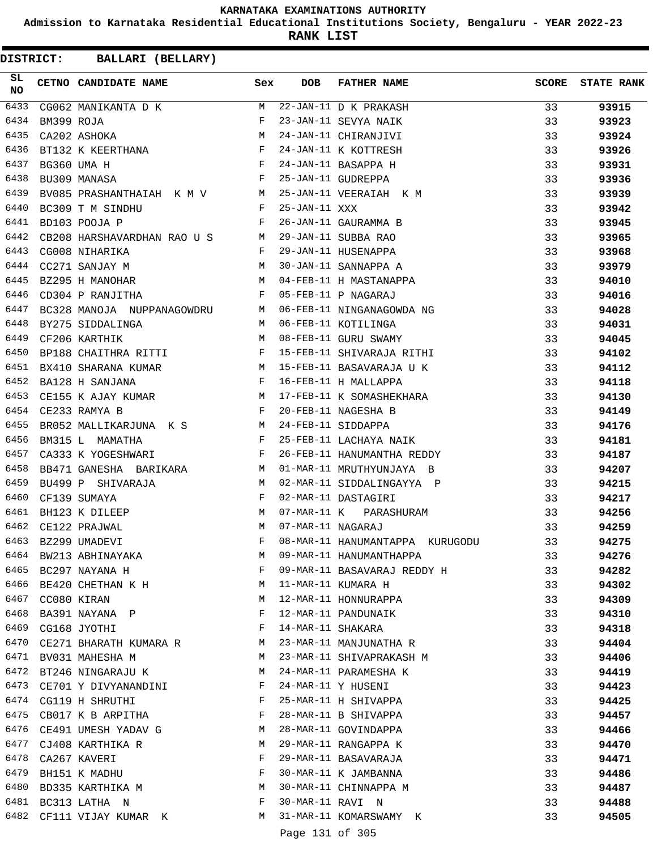**Admission to Karnataka Residential Educational Institutions Society, Bengaluru - YEAR 2022-23**

**RANK LIST**

| SL<br>NO | CETNO CANDIDATE NAME Sex                                                                                                                                                                                                                              |   | DOB               | <b>FATHER NAME</b><br>CETNO CANDIDATE NAME<br>CG062 MANIKANTA D K M 22-JAN-11 D K PRAKASH<br>EM399 ROJA<br>CA202 ASHOKA<br>F 23-JAN-11 CHIRANJIVI<br>ET132 K KEERTHANA<br>EG209 T M SINDHU F 24-JAN-11 K KOTTRESH<br>EG309 MANASA F 24-JAN-11 K KOTTRESH<br>EG | SCORE | <b>STATE RANK</b> |
|----------|-------------------------------------------------------------------------------------------------------------------------------------------------------------------------------------------------------------------------------------------------------|---|-------------------|----------------------------------------------------------------------------------------------------------------------------------------------------------------------------------------------------------------------------------------------------------------|-------|-------------------|
| 6433     |                                                                                                                                                                                                                                                       |   |                   |                                                                                                                                                                                                                                                                | 33    | 93915             |
| 6434     |                                                                                                                                                                                                                                                       |   |                   |                                                                                                                                                                                                                                                                | 33    | 93923             |
| 6435     |                                                                                                                                                                                                                                                       |   |                   |                                                                                                                                                                                                                                                                | 33    | 93924             |
| 6436     |                                                                                                                                                                                                                                                       |   |                   |                                                                                                                                                                                                                                                                | 33    | 93926             |
| 6437     |                                                                                                                                                                                                                                                       |   |                   |                                                                                                                                                                                                                                                                | 33    | 93931             |
| 6438     |                                                                                                                                                                                                                                                       |   |                   |                                                                                                                                                                                                                                                                | 33    | 93936             |
| 6439     |                                                                                                                                                                                                                                                       |   |                   |                                                                                                                                                                                                                                                                | 33    | 93939             |
| 6440     |                                                                                                                                                                                                                                                       |   |                   |                                                                                                                                                                                                                                                                | 33    | 93942             |
| 6441     |                                                                                                                                                                                                                                                       |   |                   |                                                                                                                                                                                                                                                                | 33    | 93945             |
| 6442     |                                                                                                                                                                                                                                                       |   |                   |                                                                                                                                                                                                                                                                | 33    | 93965             |
| 6443     |                                                                                                                                                                                                                                                       |   |                   |                                                                                                                                                                                                                                                                | 33    | 93968             |
| 6444     |                                                                                                                                                                                                                                                       |   |                   |                                                                                                                                                                                                                                                                | 33    | 93979             |
| 6445     |                                                                                                                                                                                                                                                       |   |                   |                                                                                                                                                                                                                                                                | 33    | 94010             |
| 6446     |                                                                                                                                                                                                                                                       |   |                   |                                                                                                                                                                                                                                                                | 33    | 94016             |
| 6447     |                                                                                                                                                                                                                                                       |   |                   |                                                                                                                                                                                                                                                                | 33    | 94028             |
| 6448     | BY275 SIDDALINGA                                                                                                                                                                                                                                      |   |                   | BC328 MANOJA NUPPANAGOWDRU M 06-FEB-11 NINGANAGOWDA NG<br>BY275 SIDDALINGA M 06-FEB-11 KOTILINGA<br>CF206 KARTHIK M 08-FEB-11 GURU SWAMY                                                                                                                       | 33    | 94031             |
| 6449     |                                                                                                                                                                                                                                                       |   |                   |                                                                                                                                                                                                                                                                | 33    | 94045             |
| 6450     |                                                                                                                                                                                                                                                       |   |                   | BP188 CHAITHRA RITTI F 15-FEB-11 SHIVARAJA RITHI                                                                                                                                                                                                               | 33    | 94102             |
| 6451     | BX410 SHARANA KUMAR M                                                                                                                                                                                                                                 |   |                   | 15-FEB-11 BASAVARAJA U K                                                                                                                                                                                                                                       | 33    | 94112             |
| 6452     | $\mathbf F$ . The set of the set of the set of the set of the set of the set of the set of the set of the set of the set of the set of the set of the set of the set of the set of the set of the set of the set of the set of the<br>BA128 H SANJANA |   |                   | 16-FEB-11 H MALLAPPA                                                                                                                                                                                                                                           | 33    | 94118             |
| 6453     |                                                                                                                                                                                                                                                       |   |                   |                                                                                                                                                                                                                                                                | 33    | 94130             |
| 6454     |                                                                                                                                                                                                                                                       |   |                   |                                                                                                                                                                                                                                                                | 33    | 94149             |
| 6455     | BR052 MALLIKARJUNA K S M 24-FEB-11 SIDDAPPA                                                                                                                                                                                                           |   |                   |                                                                                                                                                                                                                                                                | 33    | 94176             |
| 6456     | $\mathbf{F}^{\mathcal{A}}$<br>BM315 L MAMATHA                                                                                                                                                                                                         |   |                   | 25-FEB-11 LACHAYA NAIK                                                                                                                                                                                                                                         | 33    | 94181             |
| 6457     | CA333 K YOGESHWARI F                                                                                                                                                                                                                                  |   |                   | 26-FEB-11 HANUMANTHA REDDY                                                                                                                                                                                                                                     | 33    | 94187             |
| 6458     |                                                                                                                                                                                                                                                       |   |                   | BB471 GANESHA BARIKARA M 01-MAR-11 MRUTHYUNJAYA B                                                                                                                                                                                                              | 33    | 94207             |
| 6459     | BU499 P SHIVARAJA M                                                                                                                                                                                                                                   |   |                   |                                                                                                                                                                                                                                                                | 33    | 94215             |
| 6460     | $\begin{array}{cc} & & F \\ & M \\ & M \\ & F \\ \end{array}$<br>CF139 SUMAYA                                                                                                                                                                         |   |                   | 02-MAR-11 SIDDALINGAYYA P<br>02-MAR-11 DASTAGIRI                                                                                                                                                                                                               | 33    | 94217             |
| 6461     | BH123 K DILEEP                                                                                                                                                                                                                                        |   |                   | 07-MAR-11 K PARASHURAM<br>07-MAR-11 NACARAT                                                                                                                                                                                                                    | 33    | 94256             |
| 6462     | CE122 PRAJWAL                                                                                                                                                                                                                                         |   | 07-MAR-11 NAGARAJ |                                                                                                                                                                                                                                                                | 33    | 94259             |
|          | 6463 BZ299 UMADEVI                                                                                                                                                                                                                                    |   |                   | 08-MAR-11 HANUMANTAPPA KURUGODU                                                                                                                                                                                                                                | 33    | 94275             |
| 6464     | BW213 ABHINAYAKA                                                                                                                                                                                                                                      | М |                   | 09-MAR-11 HANUMANTHAPPA                                                                                                                                                                                                                                        | 33    | 94276             |
|          | 6465 BC297 NAYANA H                                                                                                                                                                                                                                   | F |                   | 09-MAR-11 BASAVARAJ REDDY H                                                                                                                                                                                                                                    | 33    | 94282             |
| 6466     | BE420 CHETHAN K H                                                                                                                                                                                                                                     | M |                   | 11-MAR-11 KUMARA H                                                                                                                                                                                                                                             | 33    | 94302             |
| 6467     | CC080 KIRAN                                                                                                                                                                                                                                           | M |                   | 12-MAR-11 HONNURAPPA                                                                                                                                                                                                                                           | 33    | 94309             |
| 6468     | BA391 NAYANA P                                                                                                                                                                                                                                        | F |                   | 12-MAR-11 PANDUNAIK                                                                                                                                                                                                                                            | 33    | 94310             |
| 6469     | CG168 JYOTHI                                                                                                                                                                                                                                          | F | 14-MAR-11 SHAKARA |                                                                                                                                                                                                                                                                | 33    | 94318             |
| 6470     | CE271 BHARATH KUMARA R                                                                                                                                                                                                                                | M |                   | 23-MAR-11 MANJUNATHA R                                                                                                                                                                                                                                         | 33    | 94404             |
| 6471     | BV031 MAHESHA M                                                                                                                                                                                                                                       | М |                   | 23-MAR-11 SHIVAPRAKASH M                                                                                                                                                                                                                                       | 33    | 94406             |
| 6472     | BT246 NINGARAJU K                                                                                                                                                                                                                                     | М |                   | 24-MAR-11 PARAMESHA K                                                                                                                                                                                                                                          | 33    | 94419             |
| 6473     | CE701 Y DIVYANANDINI                                                                                                                                                                                                                                  | F |                   | 24-MAR-11 Y HUSENI                                                                                                                                                                                                                                             | 33    | 94423             |
| 6474     | CG119 H SHRUTHI                                                                                                                                                                                                                                       | F |                   | 25-MAR-11 H SHIVAPPA                                                                                                                                                                                                                                           | 33    | 94425             |
| 6475     | CB017 K B ARPITHA                                                                                                                                                                                                                                     | F |                   | 28-MAR-11 B SHIVAPPA                                                                                                                                                                                                                                           | 33    | 94457             |
| 6476     | CE491 UMESH YADAV G                                                                                                                                                                                                                                   | M |                   | 28-MAR-11 GOVINDAPPA                                                                                                                                                                                                                                           | 33    | 94466             |
|          | 6477 CJ408 KARTHIKA R                                                                                                                                                                                                                                 | М |                   | 29-MAR-11 RANGAPPA K                                                                                                                                                                                                                                           | 33    | 94470             |
| 6478     | CA267 KAVERI                                                                                                                                                                                                                                          | F |                   | 29-MAR-11 BASAVARAJA                                                                                                                                                                                                                                           | 33    | 94471             |
| 6479     | BH151 K MADHU                                                                                                                                                                                                                                         | F |                   | 30-MAR-11 K JAMBANNA                                                                                                                                                                                                                                           | 33    | 94486             |
| 6480     | BD335 KARTHIKA M                                                                                                                                                                                                                                      | M |                   | 30-MAR-11 CHINNAPPA M                                                                                                                                                                                                                                          | 33    | 94487             |
| 6481     | BC313 LATHA N                                                                                                                                                                                                                                         | F | 30-MAR-11 RAVI N  |                                                                                                                                                                                                                                                                | 33    | 94488             |
|          | 6482 CF111 VIJAY KUMAR K                                                                                                                                                                                                                              | M |                   | 31-MAR-11 KOMARSWAMY K                                                                                                                                                                                                                                         | 33    | 94505             |
|          |                                                                                                                                                                                                                                                       |   | Page 131 of 305   |                                                                                                                                                                                                                                                                |       |                   |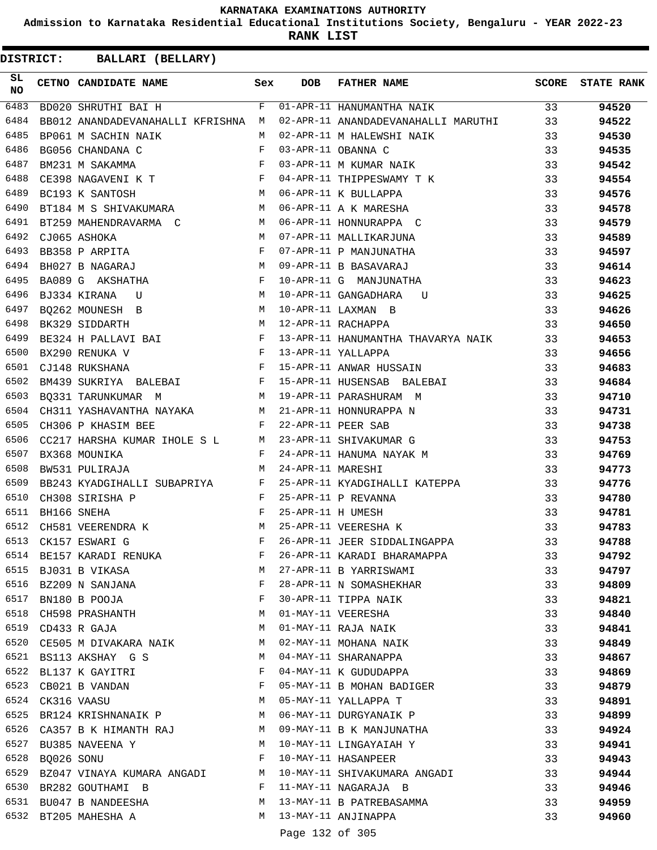**Admission to Karnataka Residential Educational Institutions Society, Bengaluru - YEAR 2022-23**

**RANK LIST**

| SL<br><b>NO</b> |                  | <b>CETNO CANDIDATE NAME</b>                                                         | Sex | <b>DOB</b>        | <b>FATHER NAME</b>                                                                                                                                                                                                                      |    | <b>SCORE</b> STATE RANK |
|-----------------|------------------|-------------------------------------------------------------------------------------|-----|-------------------|-----------------------------------------------------------------------------------------------------------------------------------------------------------------------------------------------------------------------------------------|----|-------------------------|
| 6483            |                  | BD020 SHRUTHI BAI H                                                                 |     |                   | F 01-APR-11 HANUMANTHA NAIK                                                                                                                                                                                                             | 33 | 94520                   |
| 6484            |                  | BB012 ANANDADEVANAHALLI KFRISHNA M                                                  |     |                   | 02-APR-11 ANANDADEVANAHALLI MARUTHI 33                                                                                                                                                                                                  |    | 94522                   |
| 6485            |                  | BP061 M SACHIN NAIK                                                                 | M   |                   | 02-APR-11 M HALEWSHI NAIK 33                                                                                                                                                                                                            |    | 94530                   |
| 6486            |                  | $\mathbb{F}^{\mathbb{Z}}$ . The state $\mathbb{F}^{\mathbb{Z}}$<br>BG056 CHANDANA C |     |                   | 02-AFR 11 M HAMMONII -----<br>03-APR-11 OBANNA C<br>03-APR-11 M KUMAR NAIK                                                                                                                                                              | 33 | 94535                   |
| 6487            |                  | BM231 M SAKAMMA<br>CE398 NAGAVENI K T<br>- Ties                                     |     |                   |                                                                                                                                                                                                                                         | 33 | 94542                   |
| 6488            |                  |                                                                                     |     |                   | 04-APR-11 THIPPESWAMY T K                                                                                                                                                                                                               | 33 | 94554                   |
| 6489            |                  | M<br>BC193 K SANTOSH                                                                |     |                   | 06-APR-11 K BULLAPPA                                                                                                                                                                                                                    | 33 | 94576                   |
| 6490            |                  | BT184 M S SHIVAKUMARA M                                                             |     |                   | 06-APR-11 A K MARESHA                                                                                                                                                                                                                   | 33 | 94578                   |
| 6491            |                  | BT259 MAHENDRAVARMA C $M$ 06-APR-11 HONNURAPPA C                                    |     |                   |                                                                                                                                                                                                                                         | 33 | 94579                   |
| 6492            |                  | CJ065 ASHOKA $M$<br>BB358 P ARPITA F<br>BH027 P MACARAL                             |     |                   | 07-APR-11 MALLIKARJUNA                                                                                                                                                                                                                  | 33 | 94589                   |
| 6493            |                  |                                                                                     |     |                   | 07-APR-11 P MANJUNATHA                                                                                                                                                                                                                  | 33 | 94597                   |
| 6494            |                  | BH027 B NAGARAJ M                                                                   |     |                   | 09-APR-11 B BASAVARAJ                                                                                                                                                                                                                   | 33 | 94614                   |
| 6495            |                  | BA089 G AKSHATHA F<br>BJ334 KIRANA U M                                              |     |                   | 09-APR-11 B BASAVARAO<br>10-APR-11 G MANJUNATHA<br>10-APR-11 GANGADHARA U<br>10-APR-11 LAXMAN B<br>12-APR-11 RACHAPPA                                                                                                                   | 33 | 94623                   |
| 6496            |                  |                                                                                     |     |                   |                                                                                                                                                                                                                                         | 33 | 94625                   |
| 6497            |                  | M 10-APR-11 LAXMAN B<br>BQ262 MOUNESH B                                             |     |                   |                                                                                                                                                                                                                                         | 33 | 94626                   |
| 6498            |                  | M 12-APR-11 RACHAPPA<br>BK329 SIDDARTH                                              |     |                   |                                                                                                                                                                                                                                         | 33 | 94650                   |
| 6499            |                  |                                                                                     |     |                   | 13-APR-11 HANUMANTHA THAVARYA NAIK 33                                                                                                                                                                                                   |    | 94653                   |
| 6500            |                  |                                                                                     |     |                   |                                                                                                                                                                                                                                         | 33 | 94656                   |
| 6501            |                  |                                                                                     |     |                   | 15-APR-11 ANWAR HUSSAIN                                                                                                                                                                                                                 | 33 | 94683                   |
| 6502            |                  | BM439 SUKRIYA BALEBAI F                                                             |     |                   | 15-APR-11 HUSENSAB BALEBAI                                                                                                                                                                                                              | 33 | 94684                   |
| 6503            |                  |                                                                                     |     |                   |                                                                                                                                                                                                                                         | 33 | 94710                   |
| 6504            |                  |                                                                                     |     |                   |                                                                                                                                                                                                                                         | 33 | 94731                   |
| 6505            |                  |                                                                                     |     |                   |                                                                                                                                                                                                                                         | 33 | 94738                   |
| 6506            |                  |                                                                                     |     |                   |                                                                                                                                                                                                                                         | 33 | 94753                   |
| 6507            |                  |                                                                                     |     |                   |                                                                                                                                                                                                                                         | 33 | 94769                   |
| 6508            |                  |                                                                                     |     |                   | BQ331 TARUNKUMAR M<br>CH311 YASHAVANTHA NAYAKA M<br>CH316 P KHASIM BEE F 22-APR-11 PARASHURAPPA N<br>CC217 HARSHA KUMAR IHOLE S L M 23-APR-11 SHIVAKUMAR G<br>BX368 MOUNIKA F 24-APR-11 HANUMA NAYAK M<br>BW531 PULIRAJA M 24-APR-11 MA | 33 | 94773                   |
| 6509            |                  |                                                                                     |     |                   | BB243 KYADGIHALLI SUBAPRIYA F 25-APR-11 KYADGIHALLI KATEPPA                                                                                                                                                                             | 33 | 94776                   |
| 6510            |                  | $\begin{aligned} \mathbf{F} \\ \mathbf{F} \end{aligned}$<br>CH308 SIRISHA P         |     |                   | 25-APR-11 P REVANNA                                                                                                                                                                                                                     | 33 | 94780                   |
| 6511            |                  | BH166 SNEHA                                                                         |     | 25-APR-11 H UMESH |                                                                                                                                                                                                                                         | 33 | 94781                   |
| 6512            |                  | CH581 VEERENDRA K M                                                                 |     |                   | 25-APR-11 VEERESHA K                                                                                                                                                                                                                    | 33 | 94783                   |
| 6513            |                  | $\mathbf{F} = \mathbf{F} \times \mathbf{F}$<br>CK157 ESWARI G                       |     |                   | 26-APR-11 JEER SIDDALINGAPPA                                                                                                                                                                                                            | 33 | 94788                   |
| 6514            |                  | BE157 KARADI RENUKA                                                                 | F   |                   | 26-APR-11 KARADI BHARAMAPPA                                                                                                                                                                                                             | 33 | 94792                   |
|                 |                  | 6515 BJ031 B VIKASA                                                                 | М   |                   | 27-APR-11 B YARRISWAMI                                                                                                                                                                                                                  | 33 | 94797                   |
| 6516            |                  | BZ209 N SANJANA                                                                     | F   |                   | 28-APR-11 N SOMASHEKHAR                                                                                                                                                                                                                 | 33 | 94809                   |
| 6517            |                  | BN180 B POOJA                                                                       | F   |                   | 30-APR-11 TIPPA NAIK                                                                                                                                                                                                                    | 33 | 94821                   |
| 6518            |                  | CH598 PRASHANTH                                                                     | М   |                   | 01-MAY-11 VEERESHA                                                                                                                                                                                                                      | 33 | 94840                   |
|                 |                  | 6519 CD433 R GAJA                                                                   | М   |                   | 01-MAY-11 RAJA NAIK                                                                                                                                                                                                                     | 33 | 94841                   |
| 6520            |                  | CE505 M DIVAKARA NAIK                                                               | M   |                   | 02-MAY-11 MOHANA NAIK                                                                                                                                                                                                                   | 33 | 94849                   |
| 6521            |                  | BS113 AKSHAY G S                                                                    | М   |                   | 04-MAY-11 SHARANAPPA                                                                                                                                                                                                                    | 33 | 94867                   |
| 6522            |                  | BL137 K GAYITRI                                                                     | F   |                   | 04-MAY-11 K GUDUDAPPA                                                                                                                                                                                                                   | 33 | 94869                   |
|                 |                  | 6523 CB021 B VANDAN                                                                 | F   |                   | 05-MAY-11 B MOHAN BADIGER                                                                                                                                                                                                               | 33 | 94879                   |
|                 | 6524 CK316 VAASU |                                                                                     | М   |                   | 05-MAY-11 YALLAPPA T                                                                                                                                                                                                                    | 33 | 94891                   |
|                 |                  | 6525 BR124 KRISHNANAIK P                                                            | M   |                   | 06-MAY-11 DURGYANAIK P                                                                                                                                                                                                                  | 33 | 94899                   |
| 6526            |                  | CA357 B K HIMANTH RAJ                                                               | M   |                   | 09-MAY-11 B K MANJUNATHA                                                                                                                                                                                                                | 33 | 94924                   |
|                 |                  | 6527 BU385 NAVEENA Y                                                                | M   |                   | 10-MAY-11 LINGAYAIAH Y                                                                                                                                                                                                                  | 33 | 94941                   |
| 6528            | BQ026 SONU       |                                                                                     | F   |                   | 10-MAY-11 HASANPEER                                                                                                                                                                                                                     | 33 | 94943                   |
| 6529            |                  | BZ047 VINAYA KUMARA ANGADI                                                          | M   |                   | 10-MAY-11 SHIVAKUMARA ANGADI                                                                                                                                                                                                            | 33 | 94944                   |
| 6530            |                  | BR282 GOUTHAMI B                                                                    | F   |                   | 11-MAY-11 NAGARAJA B                                                                                                                                                                                                                    | 33 | 94946                   |
|                 |                  | 6531 BU047 B NANDEESHA                                                              | М   |                   | 13-MAY-11 B PATREBASAMMA                                                                                                                                                                                                                | 33 | 94959                   |
|                 |                  | 6532 BT205 MAHESHA A                                                                | M   |                   | 13-MAY-11 ANJINAPPA                                                                                                                                                                                                                     | 33 | 94960                   |
|                 |                  |                                                                                     |     | Page 132 of 305   |                                                                                                                                                                                                                                         |    |                         |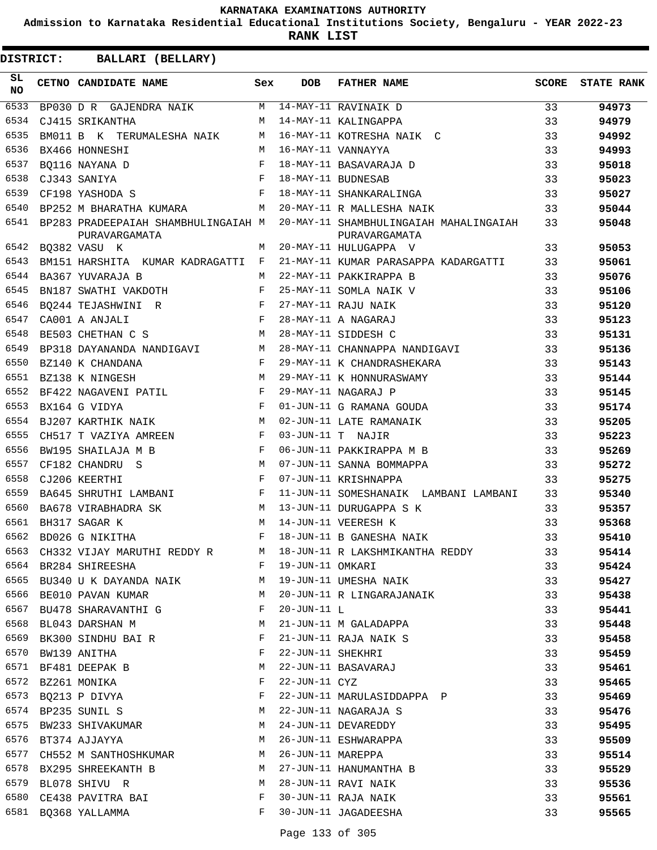**Admission to Karnataka Residential Educational Institutions Society, Bengaluru - YEAR 2022-23**

**RANK LIST**

| SL<br>NO | CETNO CANDIDATE NAME                                                       | Sex | <b>DOB</b>        | <b>FATHER NAME</b>                                                                          | SCORE | <b>STATE RANK</b> |
|----------|----------------------------------------------------------------------------|-----|-------------------|---------------------------------------------------------------------------------------------|-------|-------------------|
| 6533     | BP030 D R GAJENDRA NAIK $M$ 14-MAY-11 RAVINAIK D                           |     |                   |                                                                                             | 33    | 94973             |
| 6534     | CJ415 SRIKANTHA<br>$M_{\rm H}$ and $M_{\rm H}$                             |     |                   | 14-MAY-11 KALINGAPPA                                                                        | 33    | 94979             |
| 6535     | BM011 B K TERUMALESHA NAIK M                                               |     |                   | 16-MAY-11 KOTRESHA NAIK C                                                                   | 33    | 94992             |
| 6536     | BX466 HONNESHI                                                             | M   |                   | 16-MAY-11 VANNAYYA                                                                          | 33    | 94993             |
| 6537     | $\begin{array}{c}\n M \\  F \\  F\n \end{array}$<br>BO116 NAYANA D         |     |                   | 18-MAY-11 BASAVARAJA D                                                                      | 33    | 95018             |
| 6538     | CJ343 SANIYA                                                               |     |                   | 18-MAY-11 BUDNESAB                                                                          | 33    | 95023             |
| 6539     | $\mathbf{F}$<br>CF198 YASHODA S                                            |     |                   | 18-MAY-11 SHANKARALINGA                                                                     | 33    | 95027             |
| 6540     | BP252 M BHARATHA KUMARA M                                                  |     |                   | 20-MAY-11 R MALLESHA NAIK                                                                   | 33    | 95044             |
| 6541     | PURAVARGAMATA                                                              |     |                   | BP283 PRADEEPAIAH SHAMBHULINGAIAH M 20-MAY-11 SHAMBHULINGAIAH MAHALINGAIAH<br>PURAVARGAMATA | 33    | 95048             |
|          | M<br>6542 BQ382 VASU K                                                     |     |                   | 20-MAY-11 HULUGAPPA V                                                                       | 33    | 95053             |
| 6543     | BM151 HARSHITA KUMAR KADRAGATTI F                                          |     |                   | 21-MAY-11 KUMAR PARASAPPA KADARGATTI                                                        | 33    | 95061             |
| 6544     | BA367 YUVARAJA B                                                           | M   |                   | 22-MAY-11 PAKKIRAPPA B                                                                      | 33    | 95076             |
| 6545     | BN187 SWATHI VAKDOTH F                                                     |     |                   | 25-MAY-11 SOMLA NAIK V                                                                      | 33    | 95106             |
| 6546     | BQ244 TEJASHWINI R<br>CA001 A ANJALI F                                     |     |                   | 27-MAY-11 RAJU NAIK                                                                         | 33    | 95120             |
| 6547     |                                                                            |     |                   | 28-MAY-11 A NAGARAJ                                                                         | 33    | 95123             |
| 6548     | <b>M</b><br>BE503 CHETHAN C S                                              |     |                   | 28-MAY-11 SIDDESH C                                                                         | 33    | 95131             |
| 6549     |                                                                            |     |                   | 28-MAY-11 CHANNAPPA NANDIGAVI                                                               | 33    | 95136             |
| 6550     | BP318 DAYANANDA NANDIGAVI M<br>BZ140 K CHANDANA F<br>BZ138 K NINGESH M     |     |                   | 29-MAY-11 K CHANDRASHEKARA                                                                  | 33    | 95143             |
| 6551     |                                                                            |     |                   | 29-MAY-11 K HONNURASWAMY                                                                    | 33    | 95144             |
| 6552     | BF422 NAGAVENI PATIL F                                                     |     |                   | 29-MAY-11 NAGARAJ P                                                                         | 33    | 95145             |
| 6553     | $\mathbf{F}$ and $\mathbf{F}$<br>BX164 G VIDYA                             |     |                   | 01-JUN-11 G RAMANA GOUDA                                                                    | 33    | 95174             |
| 6554     | $\mathbf M$<br>BJ207 KARTHIK NAIK                                          |     |                   | 02-JUN-11 LATE RAMANAIK                                                                     | 33    | 95205             |
| 6555     | CH517 T VAZIYA AMREEN F                                                    |     |                   | 03-JUN-11 T NAJIR                                                                           | 33    | 95223             |
| 6556     | $\mathbf{F}$ and the state of the state $\mathbf{F}$<br>BW195 SHAILAJA M B |     |                   | 06-JUN-11 PAKKIRAPPA M B                                                                    | 33    | 95269             |
| 6557     | M<br>CF182 CHANDRU S                                                       |     |                   | 07-JUN-11 SANNA BOMMAPPA                                                                    | 33    | 95272             |
| 6558     | $\mathbf{F}$<br>CJ206 KEERTHI                                              |     |                   | 07-JUN-11 KRISHNAPPA                                                                        | 33    | 95275             |
| 6559     | BA645 SHRUTHI LAMBANI F                                                    |     |                   | 11-JUN-11 SOMESHANAIK LAMBANI LAMBANI                                                       | 33    | 95340             |
| 6560     | <b>M</b><br>BA678 VIRABHADRA SK                                            |     |                   | 13-JUN-11 DURUGAPPA S K                                                                     | 33    | 95357             |
| 6561     | M<br>BH317 SAGAR K                                                         |     |                   | 14-JUN-11 VEERESH K                                                                         | 33    | 95368             |
|          | 6562 BD026 G NIKITHA                                                       | F   |                   | 14 JUN-11 B GANESHA NAIK                                                                    | 33    | 95410             |
| 6563     |                                                                            |     |                   | CH332 VIJAY MARUTHI REDDY R M 18-JUN-11 R LAKSHMIKANTHA REDDY                               | 33    | 95414             |
| 6564     | BR284 SHIREESHA                                                            | F   | 19-JUN-11 OMKARI  |                                                                                             | 33    | 95424             |
| 6565     | BU340 U K DAYANDA NAIK M                                                   |     |                   | 19-JUN-11 UMESHA NAIK                                                                       | 33    | 95427             |
|          | 6566 BE010 PAVAN KUMAR                                                     | M   |                   | 20-JUN-11 R LINGARAJANAIK                                                                   | 33    | 95438             |
|          | 6567 BU478 SHARAVANTHI G                                                   | F   | $20 - JUN - 11 L$ |                                                                                             | 33    | 95441             |
|          | 6568 BL043 DARSHAN M                                                       | М   |                   | 21-JUN-11 M GALADAPPA                                                                       | 33    | 95448             |
| 6569     | BK300 SINDHU BAI R                                                         | F   |                   | 21-JUN-11 RAJA NAIK S                                                                       | 33    | 95458             |
|          | 6570 BW139 ANITHA                                                          | F   | 22-JUN-11 SHEKHRI |                                                                                             | 33    | 95459             |
|          | 6571 BF481 DEEPAK B                                                        | М   |                   | 22-JUN-11 BASAVARAJ                                                                         | 33    | 95461             |
| 6572     | BZ261 MONIKA                                                               | F   | 22-JUN-11 CYZ     |                                                                                             | 33    | 95465             |
| 6573     | BQ213 P DIVYA                                                              | F   |                   | 22-JUN-11 MARULASIDDAPPA P                                                                  | 33    | 95469             |
|          | 6574 BP235 SUNIL S                                                         | М   |                   | 22-JUN-11 NAGARAJA S                                                                        | 33    | 95476             |
|          | 6575 BW233 SHIVAKUMAR                                                      | М   |                   | 24-JUN-11 DEVAREDDY                                                                         | 33    | 95495             |
|          | 6576 BT374 AJJAYYA                                                         | M   |                   | 26-JUN-11 ESHWARAPPA                                                                        | 33    | 95509             |
| 6577     | CH552 M SANTHOSHKUMAR                                                      | M   | 26-JUN-11 MAREPPA |                                                                                             | 33    | 95514             |
|          | 6578 BX295 SHREEKANTH B                                                    | M   |                   | 27-JUN-11 HANUMANTHA B                                                                      | 33    | 95529             |
| 6579     | BL078 SHIVU R                                                              | М   |                   | 28-JUN-11 RAVI NAIK                                                                         | 33    | 95536             |
| 6580     | CE438 PAVITRA BAI                                                          | F   |                   | 30-JUN-11 RAJA NAIK                                                                         | 33    | 95561             |
|          | 6581 BQ368 YALLAMMA                                                        | F   |                   | 30-JUN-11 JAGADEESHA                                                                        | 33    | 95565             |
|          |                                                                            |     |                   |                                                                                             |       |                   |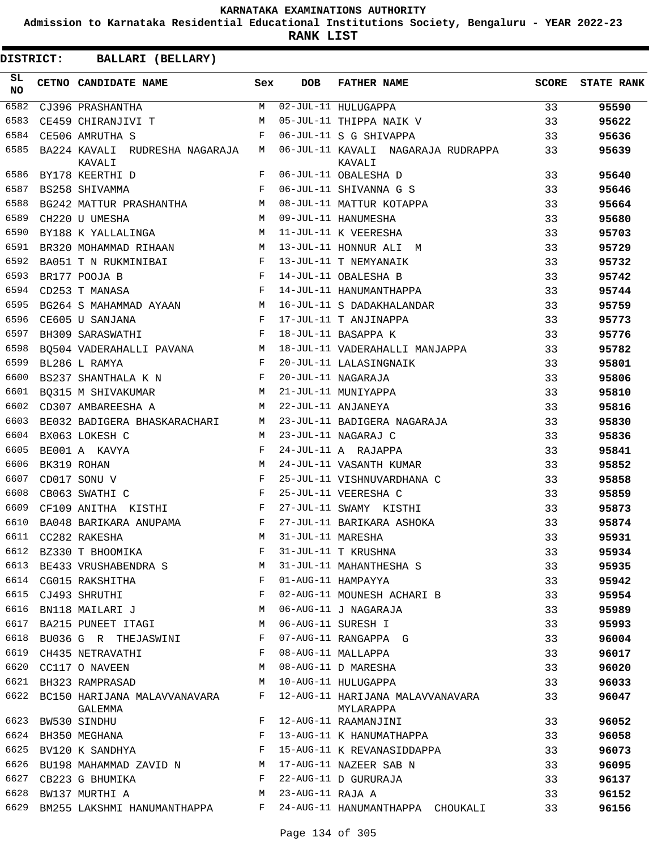**Admission to Karnataka Residential Educational Institutions Society, Bengaluru - YEAR 2022-23**

**RANK LIST**

| SL<br><b>NO</b> | <b>CETNO CANDIDATE NAME</b>                          | Sex        | <b>DOB</b>        | <b>FATHER NAME</b>                            | <b>SCORE</b> | <b>STATE RANK</b> |
|-----------------|------------------------------------------------------|------------|-------------------|-----------------------------------------------|--------------|-------------------|
| 6582            | CJ396 PRASHANTHA                                     | М          |                   | 02-JUL-11 HULUGAPPA                           | 33           | 95590             |
| 6583            | CE459 CHIRANJIVI T                                   | M          |                   | 05-JUL-11 THIPPA NAIK V                       | 33           | 95622             |
| 6584            | CE506 AMRUTHA S                                      | F          |                   | 06-JUL-11 S G SHIVAPPA                        | 33           | 95636             |
| 6585            | BA224 KAVALI RUDRESHA NAGARAJA<br>KAVALI             | М          |                   | 06-JUL-11 KAVALI NAGARAJA RUDRAPPA<br>KAVALI  | 33           | 95639             |
| 6586            | BY178 KEERTHI D                                      | F          |                   | 06-JUL-11 OBALESHA D                          | 33           | 95640             |
| 6587            | BS258 SHIVAMMA                                       | F          |                   | 06-JUL-11 SHIVANNA G S                        | 33           | 95646             |
| 6588            | BG242 MATTUR PRASHANTHA                              | M          |                   | 08-JUL-11 MATTUR KOTAPPA                      | 33           | 95664             |
| 6589            | CH220 U UMESHA                                       | M          |                   | 09-JUL-11 HANUMESHA                           | 33           | 95680             |
| 6590            | BY188 K YALLALINGA                                   | M          |                   | 11-JUL-11 K VEERESHA                          | 33           | 95703             |
| 6591            | BR320 MOHAMMAD RIHAAN                                | М          |                   | 13-JUL-11 HONNUR ALI M                        | 33           | 95729             |
| 6592            | BA051 T N RUKMINIBAI                                 | F          |                   | 13-JUL-11 T NEMYANAIK                         | 33           | 95732             |
| 6593            | BR177 POOJA B                                        | $_{\rm F}$ |                   | 14-JUL-11 OBALESHA B                          | 33           | 95742             |
| 6594            | CD253 T MANASA                                       | $_{\rm F}$ |                   | 14-JUL-11 HANUMANTHAPPA                       | 33           | 95744             |
| 6595            | BG264 S MAHAMMAD AYAAN M                             |            |                   | 16-JUL-11 S DADAKHALANDAR                     | 33           | 95759             |
| 6596            | CE605 U SANJANA                                      | $_{\rm F}$ |                   | 17-JUL-11 T ANJINAPPA                         | 33           | 95773             |
| 6597            | $\mathbf{F}$<br>BH309 SARASWATHI                     |            |                   | 18-JUL-11 BASAPPA K                           | 33           | 95776             |
| 6598            | M<br>BO504 VADERAHALLI PAVANA                        |            |                   | 18-JUL-11 VADERAHALLI MANJAPPA                | 33           | 95782             |
| 6599            | BL286 L RAMYA                                        | F          |                   | 20-JUL-11 LALASINGNAIK                        | 33           | 95801             |
| 6600            | BS237 SHANTHALA K N                                  | F          |                   | 20-JUL-11 NAGARAJA                            | 33           | 95806             |
| 6601            | BQ315 M SHIVAKUMAR                                   | M          |                   | 21-JUL-11 MUNIYAPPA                           | 33           | 95810             |
| 6602            | CD307 AMBAREESHA A                                   | M          |                   | 22-JUL-11 ANJANEYA                            | 33           | 95816             |
| 6603            | BE032 BADIGERA BHASKARACHARI                         | М          |                   | 23-JUL-11 BADIGERA NAGARAJA                   | 33           | 95830             |
| 6604            | BX063 LOKESH C                                       | M          |                   | 23-JUL-11 NAGARAJ C                           | 33           | 95836             |
| 6605            | BE001 A KAVYA                                        | F          |                   | 24-JUL-11 A RAJAPPA                           | 33           | 95841             |
| 6606            | BK319 ROHAN                                          | M          |                   | 24-JUL-11 VASANTH KUMAR                       | 33           | 95852             |
| 6607            | CD017 SONU V                                         | $_{\rm F}$ |                   | 25-JUL-11 VISHNUVARDHANA C                    | 33           | 95858             |
| 6608            | CB063 SWATHI C                                       | $_{\rm F}$ |                   | 25-JUL-11 VEERESHA C                          | 33           | 95859             |
| 6609            | $\mathbf{F}$ and $\mathbf{F}$<br>CF109 ANITHA KISTHI |            |                   | 27-JUL-11 SWAMY KISTHI                        | 33           | 95873             |
| 6610            | BA048 BARIKARA ANUPAMA                               | F          |                   | 27-JUL-11 BARIKARA ASHOKA                     | 33           | 95874             |
| 6611            | CC282 RAKESHA                                        | M          | 31-JUL-11 MARESHA |                                               | 33           | 95931             |
| 6612            | BZ330 T BHOOMIKA                                     |            |                   | 31-JUL-11 T KRUSHNA                           | 33           | 95934             |
| 6613            | BE433 VRUSHABENDRA S                                 | M          |                   | 31-JUL-11 MAHANTHESHA S                       | 33           | 95935             |
|                 | 6614 CG015 RAKSHITHA                                 | F          |                   | 01-AUG-11 HAMPAYYA                            | 33           |                   |
| 6615            |                                                      | F          |                   | 02-AUG-11 MOUNESH ACHARI B                    |              | 95942             |
| 6616            | CJ493 SHRUTHI                                        | M          |                   | 06-AUG-11 J NAGARAJA                          | 33           | 95954             |
| 6617            | BN118 MAILARI J                                      | М          |                   | 06-AUG-11 SURESH I                            | 33           | 95989             |
| 6618            | BA215 PUNEET ITAGI                                   | F          |                   |                                               | 33           | 95993             |
|                 | BU036 G R THEJASWINI                                 |            |                   | 07-AUG-11 RANGAPPA G                          | 33           | 96004             |
| 6619            | CH435 NETRAVATHI                                     | F          |                   | 08-AUG-11 MALLAPPA                            | 33           | 96017             |
| 6620            | CC117 O NAVEEN                                       | M          |                   | 08-AUG-11 D MARESHA                           | 33           | 96020             |
| 6621            | BH323 RAMPRASAD                                      | М          |                   | 10-AUG-11 HULUGAPPA                           | 33           | 96033             |
|                 | 6622 BC150 HARIJANA MALAVVANAVARA<br>GALEMMA         | F          |                   | 12-AUG-11 HARIJANA MALAVVANAVARA<br>MYLARAPPA | 33           | 96047             |
| 6623            | BW530 SINDHU                                         | F          |                   | 12-AUG-11 RAAMANJINI                          | 33           | 96052             |
| 6624            | BH350 MEGHANA                                        | F          |                   | 13-AUG-11 K HANUMATHAPPA                      | 33           | 96058             |
| 6625            | BV120 K SANDHYA                                      | F          |                   | 15-AUG-11 K REVANASIDDAPPA                    | 33           | 96073             |
| 6626            | BU198 MAHAMMAD ZAVID N                               | М          |                   | 17-AUG-11 NAZEER SAB N                        | 33           | 96095             |
| 6627            | CB223 G BHUMIKA                                      | F          |                   | 22-AUG-11 D GURURAJA                          | 33           | 96137             |
| 6628            | BW137 MURTHI A                                       | M          | 23-AUG-11 RAJA A  |                                               | 33           | 96152             |
| 6629            | BM255 LAKSHMI HANUMANTHAPPA                          | F          |                   | 24-AUG-11 HANUMANTHAPPA CHOUKALI              | 33           | 96156             |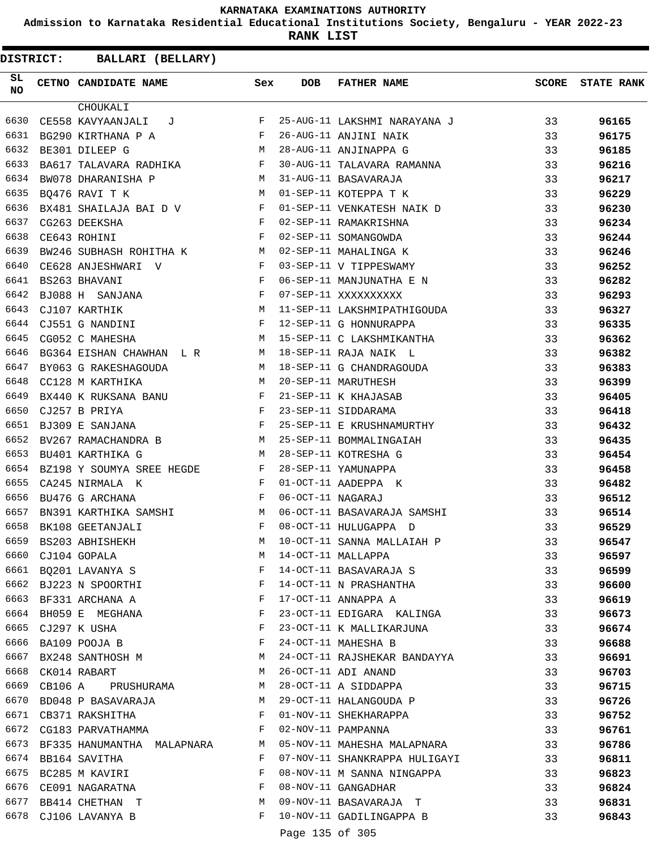**Admission to Karnataka Residential Educational Institutions Society, Bengaluru - YEAR 2022-23**

**RANK LIST**

| <b>DISTRICT:</b> | BALLARI (BELLARY)                                |            |                   |                               |              |                   |
|------------------|--------------------------------------------------|------------|-------------------|-------------------------------|--------------|-------------------|
| SL<br><b>NO</b>  | CETNO CANDIDATE NAME                             | Sex        | <b>DOB</b>        | <b>FATHER NAME</b>            | <b>SCORE</b> | <b>STATE RANK</b> |
|                  | CHOUKALI                                         |            |                   |                               |              |                   |
| 6630             | CE558 KAVYAANJALI<br>J                           | F          |                   | 25-AUG-11 LAKSHMI NARAYANA J  | 33           | 96165             |
| 6631             | BG290 KIRTHANA P A                               | F          |                   | 26-AUG-11 ANJINI NAIK         | 33           | 96175             |
| 6632             | BE301 DILEEP G                                   | M          |                   | 28-AUG-11 ANJINAPPA G         | 33           | 96185             |
| 6633             | BA617 TALAVARA RADHIKA                           | F          |                   | 30-AUG-11 TALAVARA RAMANNA    | 33           | 96216             |
| 6634             | BW078 DHARANISHA P                               | M          |                   | 31-AUG-11 BASAVARAJA          | 33           | 96217             |
| 6635             | BQ476 RAVI T K                                   | M          |                   | 01-SEP-11 KOTEPPA T K         | 33           | 96229             |
| 6636             | BX481 SHAILAJA BAI D V                           | F          |                   | 01-SEP-11 VENKATESH NAIK D    | 33           | 96230             |
| 6637             | CG263 DEEKSHA                                    | $_{\rm F}$ |                   | 02-SEP-11 RAMAKRISHNA         | 33           | 96234             |
| 6638             | CE643 ROHINI                                     | F          |                   | 02-SEP-11 SOMANGOWDA          | 33           | 96244             |
| 6639             | M <sub>1</sub><br>BW246 SUBHASH ROHITHA K        |            |                   | 02-SEP-11 MAHALINGA K         | 33           | 96246             |
| 6640             | CE628 ANJESHWARI V                               | F          |                   | 03-SEP-11 V TIPPESWAMY        | 33           | 96252             |
| 6641             | BS263 BHAVANI                                    | F          |                   | 06-SEP-11 MANJUNATHA E N      | 33           | 96282             |
| 6642             | $\mathbf{F}$ and $\mathbf{F}$<br>BJ088 H SANJANA |            |                   | 07-SEP-11 XXXXXXXXXX          | 33           | 96293             |
| 6643             | CJ107 KARTHIK                                    | M          |                   | 11-SEP-11 LAKSHMIPATHIGOUDA   | 33           | 96327             |
| 6644             | CJ551 G NANDINI                                  | F          |                   | 12-SEP-11 G HONNURAPPA        | 33           | 96335             |
| 6645             | CG052 C MAHESHA                                  | М          |                   | 15-SEP-11 C LAKSHMIKANTHA     | 33           | 96362             |
| 6646             | BG364 EISHAN CHAWHAN L R                         | M          |                   | 18-SEP-11 RAJA NAIK L         | 33           | 96382             |
| 6647             | BY063 G RAKESHAGOUDA                             | M          |                   | 18-SEP-11 G CHANDRAGOUDA      | 33           | 96383             |
| 6648             | CC128 M KARTHIKA                                 | M          |                   | 20-SEP-11 MARUTHESH           | 33           | 96399             |
| 6649             | BX440 K RUKSANA BANU                             | F          |                   | 21-SEP-11 K KHAJASAB          | 33           | 96405             |
| 6650             | $\mathbf{F}$ and $\mathbf{F}$<br>CJ257 B PRIYA   |            |                   | 23-SEP-11 SIDDARAMA           | 33           | 96418             |
| 6651             | BJ309 E SANJANA                                  | $_{\rm F}$ |                   | 25-SEP-11 E KRUSHNAMURTHY     | 33           | 96432             |
| 6652             | BV267 RAMACHANDRA B                              | M          |                   | 25-SEP-11 BOMMALINGAIAH       | 33           | 96435             |
| 6653             | BU401 KARTHIKA G                                 | M          |                   | 28-SEP-11 KOTRESHA G          | 33           | 96454             |
| 6654             | BZ198 Y SOUMYA SREE HEGDE                        | F          |                   | 28-SEP-11 YAMUNAPPA           | 33           | 96458             |
| 6655             | CA245 NIRMALA K                                  | F          |                   | 01-OCT-11 AADEPPA K           | 33           | 96482             |
| 6656             | BU476 G ARCHANA                                  | F          | 06-OCT-11 NAGARAJ |                               | 33           | 96512             |
| 6657             | BN391 KARTHIKA SAMSHI                            | M          |                   | 06-OCT-11 BASAVARAJA SAMSHI   | 33           | 96514             |
| 6658             | BK108 GEETANJALI                                 | F          |                   | 08-OCT-11 HULUGAPPA D         | 33           | 96529             |
| 6659             | BS203 ABHISHEKH                                  | М          |                   | 10-OCT-11 SANNA MALLAIAH P    | 33           | 96547             |
| 6660             | CJ104 GOPALA                                     | M          |                   | 14-OCT-11 MALLAPPA            | 33           | 96597             |
| 6661             | BQ201 LAVANYA S                                  | F          |                   | 14-OCT-11 BASAVARAJA S        | 33           | 96599             |
|                  | 6662 BJ223 N SPOORTHI                            | F          |                   | 14-OCT-11 N PRASHANTHA        | 33           | 96600             |
|                  | 6663 BF331 ARCHANA A                             | F          |                   | 17-OCT-11 ANNAPPA A           | 33           |                   |
|                  | 6664 BH059 E MEGHANA                             | F          |                   |                               |              | 96619             |
| 6665             |                                                  | F          |                   | 23-OCT-11 EDIGARA KALINGA     | 33           | 96673             |
|                  | CJ297 K USHA                                     | F          |                   | 23-OCT-11 K MALLIKARJUNA      | 33           | 96674             |
| 6666             | BA109 POOJA B                                    |            |                   | 24-OCT-11 MAHESHA B           | 33           | 96688             |
|                  | 6667 BX248 SANTHOSH M                            | M          |                   | 24-OCT-11 RAJSHEKAR BANDAYYA  | 33           | 96691             |
| 6668             | CK014 RABART                                     | M          |                   | 26-OCT-11 ADI ANAND           | 33           | 96703             |
| 6669             | CB106 A PRUSHURAMA                               | M          |                   | 28-OCT-11 A SIDDAPPA          | 33           | 96715             |
|                  | 6670 BD048 P BASAVARAJA                          | M          |                   | 29-OCT-11 HALANGOUDA P        | 33           | 96726             |
|                  | 6671 CB371 RAKSHITHA                             | F          |                   | 01-NOV-11 SHEKHARAPPA         | 33           | 96752             |
| 6672             | CG183 PARVATHAMMA                                | F          |                   | 02-NOV-11 PAMPANNA            | 33           | 96761             |
| 6673             | BF335 HANUMANTHA MALAPNARA                       | М          |                   | 05-NOV-11 MAHESHA MALAPNARA   | 33           | 96786             |
| 6674             | BB164 SAVITHA                                    | F          |                   | 07-NOV-11 SHANKRAPPA HULIGAYI | 33           | 96811             |
|                  | 6675 BC285 M KAVIRI                              | F          |                   | 08-NOV-11 M SANNA NINGAPPA    | 33           | 96823             |
| 6676             | CE091 NAGARATNA                                  | F          |                   | 08-NOV-11 GANGADHAR           | 33           | 96824             |
|                  | 6677 BB414 CHETHAN T                             | M          |                   | 09-NOV-11 BASAVARAJA T        | 33           | 96831             |
| 6678             | CJ106 LAVANYA B                                  | F          |                   | 10-NOV-11 GADILINGAPPA B      | 33           | 96843             |
|                  |                                                  |            | Page 135 of 305   |                               |              |                   |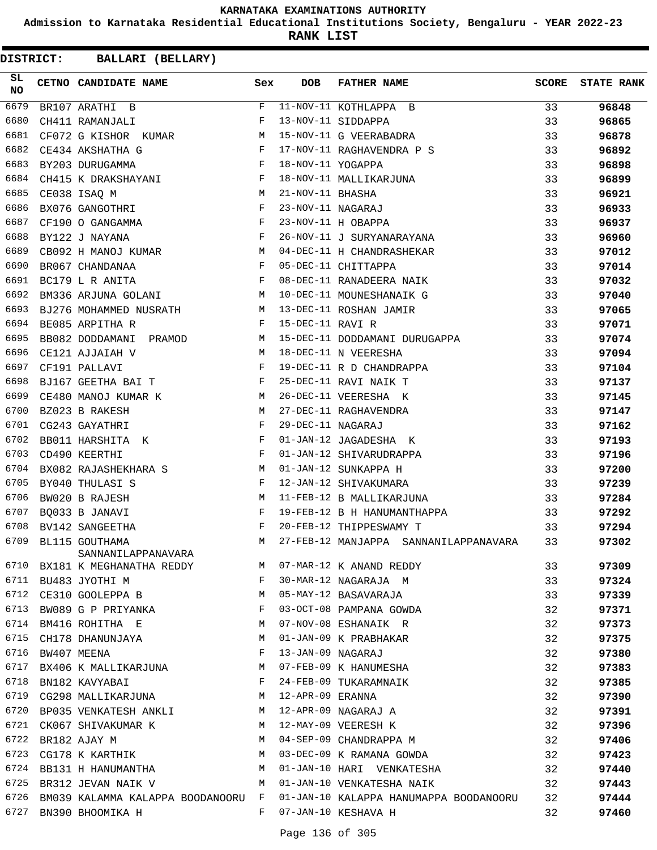**Admission to Karnataka Residential Educational Institutions Society, Bengaluru - YEAR 2022-23**

**RANK LIST**

| SL<br>NO | CETNO CANDIDATE NAME                                                            | Sex          | DOB               | <b>FATHER NAME</b>                              | <b>SCORE</b> | <b>STATE RANK</b> |
|----------|---------------------------------------------------------------------------------|--------------|-------------------|-------------------------------------------------|--------------|-------------------|
| 6679     | BR107 ARATHI B                                                                  |              |                   | $F$ 11-NOV-11 KOTHLAPPA B                       | 33           | 96848             |
| 6680     | CH411 RAMANJALI                                                                 | F            |                   | 13-NOV-11 SIDDAPPA                              | 33           | 96865             |
| 6681     | CF072 G KISHOR KUMAR                                                            | M            |                   | 15-NOV-11 G VEERABADRA                          | 33           | 96878             |
| 6682     | $\frac{1}{F}$<br>CE434 AKSHATHA G                                               |              |                   | 17-NOV-11 RAGHAVENDRA P S                       | 33           | 96892             |
| 6683     | BY203 DURUGAMMA                                                                 | F            | 18-NOV-11 YOGAPPA |                                                 | 33           | 96898             |
| 6684     | CH415 K DRAKSHAYANI F                                                           |              |                   | 18-NOV-11 MALLIKARJUNA                          | 33           | 96899             |
| 6685     | $M_{\rm H}$<br>CE038 ISAQ M                                                     |              | 21-NOV-11 BHASHA  |                                                 | 33           | 96921             |
| 6686     | EXO76 GANGOTHRI<br>BXO76 GANGOTHRI                                              |              | 23-NOV-11 NAGARAJ |                                                 | 33           | 96933             |
| 6687     | $CF190$ O GANGAMMA $F$                                                          |              |                   | 23-NOV-11 H OBAPPA                              | 33           | 96937             |
| 6688     | $\mathbf{F}$ and the contract of the contract of $\mathbf{F}$<br>BY122 J NAYANA |              |                   | 26-NOV-11 J SURYANARAYANA                       | 33           | 96960             |
| 6689     | CB092 H MANOJ KUMAR M                                                           |              |                   | 04-DEC-11 H CHANDRASHEKAR                       | 33           | 97012             |
| 6690     | BR067 CHANDANAA                                                                 | F            |                   | 05-DEC-11 CHITTAPPA                             | 33           | 97014             |
| 6691     | BC179 L R ANITA                                                                 | F            |                   | 08-DEC-11 RANADEERA NAIK                        | 33           | 97032             |
| 6692     | BM336 ARJUNA GOLANI M                                                           |              |                   | 10-DEC-11 MOUNESHANAIK G                        | 33           | 97040             |
| 6693     |                                                                                 |              |                   | BJ276 MOHAMMED NUSRATH M 13-DEC-11 ROSHAN JAMIR | 33           | 97065             |
| 6694     | BE085 ARPITHA R                                                                 | $\mathbf{F}$ | 15-DEC-11 RAVI R  |                                                 | 33           | 97071             |
| 6695     | BB082 DODDAMANI PRAMOD M                                                        |              |                   | 15-DEC-11 DODDAMANI DURUGAPPA                   | 33           | 97074             |
| 6696     | CE121 AJJAIAH V                                                                 | M            |                   | 18-DEC-11 N VEERESHA                            | 33           | 97094             |
| 6697     | CF191 PALLAVI                                                                   | F            |                   | 19-DEC-11 R D CHANDRAPPA                        | 33           | 97104             |
| 6698     | BJ167 GEETHA BAI T                                                              |              |                   | 25-DEC-11 RAVI NAIK T                           | 33           | 97137             |
| 6699     | CE480 MANOJ KUMAR K<br><b>M</b>                                                 |              |                   | 26-DEC-11 VEERESHA K                            | 33           | 97145             |
| 6700     | BZ023 B RAKESH                                                                  | M            |                   | 27-DEC-11 RAGHAVENDRA                           | 33           | 97147             |
| 6701     | CG243 GAYATHRI                                                                  | F            | 29-DEC-11 NAGARAJ |                                                 | 33           | 97162             |
| 6702     | BB011 HARSHITA K F                                                              |              |                   | 01-JAN-12 JAGADESHA K                           | 33           | 97193             |
| 6703     | CD490 KEERTHI                                                                   | $\mathbb F$  |                   | 01-JAN-12 SHIVARUDRAPPA                         | 33           | 97196             |
| 6704     | BX082 RAJASHEKHARA S<br><b>M</b>                                                |              |                   | 01-JAN-12 SUNKAPPA H                            | 33           | 97200             |
| 6705     | $\mathbf{F}$ and $\mathbf{F}$ and $\mathbf{F}$<br>BY040 THULASI S               |              |                   | 12-JAN-12 SHIVAKUMARA                           | 33           | 97239             |
| 6706     | BW020 B RAJESH                                                                  | M            |                   | 11-FEB-12 B MALLIKARJUNA                        | 33           | 97284             |
| 6707     | BQ033 B JANAVI                                                                  | F            |                   | 19-FEB-12 B H HANUMANTHAPPA                     | 33           | 97292             |
| 6708     | BV142 SANGEETHA                                                                 | F            |                   | 20-FEB-12 THIPPESWAMY T                         | 33           | 97294             |
| 6709     | BL115 GOUTHAMA<br>SANNANILAPPANAVARA                                            | M            |                   | 27-FEB-12 MANJAPPA SANNANILAPPANAVARA           | 33           | 97302             |
| 6710     | BX181 K MEGHANATHA REDDY                                                        | M            |                   | 07-MAR-12 K ANAND REDDY                         | 33           | 97309             |
| 6711     | BU483 JYOTHI M                                                                  | F            |                   | 30-MAR-12 NAGARAJA M                            | 33           | 97324             |
| 6712     | CE310 GOOLEPPA B                                                                | M            |                   | 05-MAY-12 BASAVARAJA                            | 33           | 97339             |
| 6713     | BW089 G P PRIYANKA                                                              | F            |                   | 03-OCT-08 PAMPANA GOWDA                         | 32           | 97371             |
| 6714     | BM416 ROHITHA E                                                                 | M            |                   | 07-NOV-08 ESHANAIK R                            | 32           | 97373             |
| 6715     | CH178 DHANUNJAYA                                                                | М            |                   | 01-JAN-09 K PRABHAKAR                           | 32           | 97375             |
| 6716     | BW407 MEENA                                                                     | F            | 13-JAN-09 NAGARAJ |                                                 | 32           | 97380             |
| 6717     | BX406 K MALLIKARJUNA                                                            | M            |                   | 07-FEB-09 K HANUMESHA                           | 32           | 97383             |
| 6718     | BN182 KAVYABAI                                                                  | F            |                   | 24-FEB-09 TUKARAMNAIK                           | 32           | 97385             |
| 6719     | CG298 MALLIKARJUNA                                                              | М            | 12-APR-09 ERANNA  |                                                 | 32           | 97390             |
| 6720     | BP035 VENKATESH ANKLI                                                           | M            |                   | 12-APR-09 NAGARAJ A                             | 32           | 97391             |
| 6721     | CK067 SHIVAKUMAR K                                                              | M            |                   | 12-MAY-09 VEERESH K                             | 32           | 97396             |
| 6722     | BR182 AJAY M                                                                    | М            |                   | 04-SEP-09 CHANDRAPPA M                          | 32           | 97406             |
| 6723     | CG178 K KARTHIK                                                                 | M            |                   | 03-DEC-09 K RAMANA GOWDA                        | 32           | 97423             |
| 6724     | BB131 H HANUMANTHA                                                              | M            |                   | 01-JAN-10 HARI VENKATESHA                       | 32           | 97440             |
| 6725     | BR312 JEVAN NAIK V                                                              | М            |                   | 01-JAN-10 VENKATESHA NAIK                       | 32           | 97443             |
| 6726     | BM039 KALAMMA KALAPPA BOODANOORU F                                              |              |                   | 01-JAN-10 KALAPPA HANUMAPPA BOODANOORU          | 32           | 97444             |
| 6727     | BN390 BHOOMIKA H                                                                | F            |                   | 07-JAN-10 KESHAVA H                             | 32           | 97460             |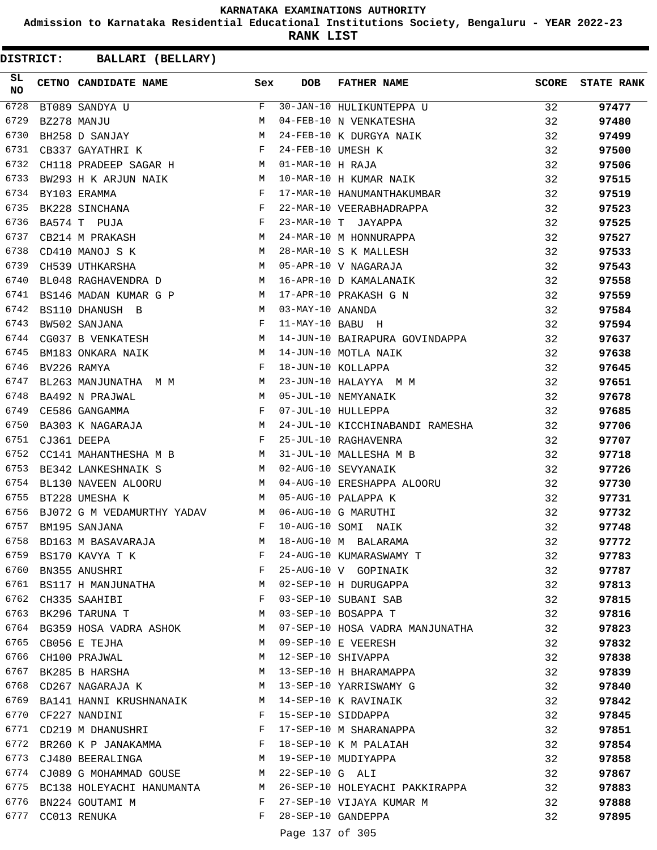**Admission to Karnataka Residential Educational Institutions Society, Bengaluru - YEAR 2022-23**

**RANK LIST**

| SL<br><b>NO</b> | CETNO CANDIDATE NAME Sex                                                      |                           | <b>DOB</b>        | <b>FATHER NAME</b>                                                                                                                                                          | SCORE | <b>STATE RANK</b> |
|-----------------|-------------------------------------------------------------------------------|---------------------------|-------------------|-----------------------------------------------------------------------------------------------------------------------------------------------------------------------------|-------|-------------------|
| 6728            | BT089 SANDYA U<br>$\begin{array}{c}\n\hline\nF \\ M \\ M\n\end{array}$        |                           |                   | F 30-JAN-10 HULIKUNTEPPA U                                                                                                                                                  | 32    | 97477             |
| 6729            | BZ278 MANJU                                                                   |                           |                   | 04-FEB-10 N VENKATESHA                                                                                                                                                      | 32    | 97480             |
| 6730            | BH258 D SANJAY                                                                |                           |                   | 24-FEB-10 K DURGYA NAIK                                                                                                                                                     | 32    | 97499             |
| 6731            | CB337 GAYATHRI K                                                              | $\mathbb{F}^{\mathbb{N}}$ | 24-FEB-10 UMESH K |                                                                                                                                                                             | 32    | 97500             |
| 6732            | CH118 PRADEEP SAGAR H M 01-MAR-10 H RAJA                                      |                           |                   |                                                                                                                                                                             | 32    | 97506             |
| 6733            | BW293 H K ARJUN NAIK M                                                        |                           |                   | 10-MAR-10 H KUMAR NAIK                                                                                                                                                      | 32    | 97515             |
| 6734            | $\mathbf{F}$<br>BY103 ERAMMA                                                  |                           |                   | 17-MAR-10 HANUMANTHAKUMBAR                                                                                                                                                  | 32    | 97519             |
| 6735            | $\frac{1}{F}$<br>BK228 SINCHANA                                               |                           |                   | 22-MAR-10 VEERABHADRAPPA                                                                                                                                                    | 32    | 97523             |
| 6736            | BA574 T PUJA                                                                  |                           |                   | 23-MAR-10 T JAYAPPA                                                                                                                                                         | 32    | 97525             |
| 6737            | $\mathbf M$<br>CB214 M PRAKASH                                                |                           |                   | 24-MAR-10 M HONNURAPPA                                                                                                                                                      | 32    | 97527             |
| 6738            | M 28-MAR-10 S K MALLESE<br>M 05-APR-10 V NAGARAJA<br>CD410 MANOJ S K          |                           |                   | 28-MAR-10 S K MALLESH                                                                                                                                                       | 32    | 97533             |
| 6739            | CH539 UTHKARSHA                                                               |                           |                   |                                                                                                                                                                             | 32    | 97543             |
| 6740            |                                                                               |                           |                   | BL048 RAGHAVENDRA D M 16-APR-10 D KAMALANAIK                                                                                                                                | 32    | 97558             |
| 6741            | BS146 MADAN KUMAR G P M                                                       |                           |                   | 17-APR-10 PRAKASH G N                                                                                                                                                       | 32    | 97559             |
| 6742            | M 03-MAY-10 ANANDA<br>BS110 DHANUSH B                                         |                           |                   |                                                                                                                                                                             | 32    | 97584             |
| 6743            | BW502 SANJANA                                                                 | $\mathbb{F}$              | 11-MAY-10 BABU H  |                                                                                                                                                                             | 32    | 97594             |
| 6744            | CG037 B VENKATESH M                                                           |                           |                   | 14-JUN-10 BAIRAPURA GOVINDAPPA 32                                                                                                                                           |       | 97637             |
| 6745            | BM183 ONKARA NAIK M                                                           |                           |                   | 14-JUN-10 MOTLA NAIK                                                                                                                                                        | 32    | 97638             |
| 6746            |                                                                               |                           |                   |                                                                                                                                                                             | 32    | 97645             |
| 6747            |                                                                               |                           |                   | BM183 ONKARA NAIK M 14-JUN-10 MOTLA NAIK<br>BV226 RAMYA M M F 18-JUN-10 KOLLAPPA<br>BL263 MANJUNATHA M M M 23-JUN-10 HALAYYA M M<br>BA492 N PRAJWAL M M 05-JUL-10 NEMYANAIK | 32    | 97651             |
| 6748            |                                                                               |                           |                   |                                                                                                                                                                             | 32    | 97678             |
| 6749            | $\mathbf{F}$ and the state of the state $\mathbf{F}$<br>CE586 GANGAMMA        |                           |                   | 07-JUL-10 HULLEPPA                                                                                                                                                          | 32    | 97685             |
| 6750            |                                                                               |                           |                   |                                                                                                                                                                             | 32    | 97706             |
| 6751            |                                                                               |                           |                   |                                                                                                                                                                             | 32    | 97707             |
| 6752            |                                                                               |                           |                   |                                                                                                                                                                             | 32    |                   |
| 6753            | BE342 LANKESHNAIK S M 02-AUG-10 SEVYANAIK                                     |                           |                   | CC141 MAHANTHESHA M B M 31-JUL-10 MALLESHA M B                                                                                                                              |       | 97718             |
| 6754            |                                                                               |                           |                   |                                                                                                                                                                             | 32    | 97726             |
|                 |                                                                               |                           |                   | BL130 NAVEEN ALOORU M 04-AUG-10 ERESHAPPA ALOORU                                                                                                                            | 32    | 97730             |
| 6755            | BT228 UMESHA K                                                                |                           |                   | M 05-AUG-10 PALAPPA K                                                                                                                                                       | 32    | 97731             |
| 6756            | BJ072 G M VEDAMURTHY YADAV M 06-AUG-10 G MARUTHI<br>and the state of the Fig. |                           |                   |                                                                                                                                                                             | 32    | 97732             |
| 6757            | BM195 SANJANA                                                                 |                           |                   | 10-AUG-10 SOMI NAIK                                                                                                                                                         | 32    | 97748             |
| 6758            | BD163 M BASAVARAJA                                                            | M                         |                   | 18-AUG-10 M BALARAMA                                                                                                                                                        | 32    | 97772             |
|                 | 6759 BS170 KAVYA T K                                                          | F                         |                   | 24-AUG-10 KUMARASWAMY T                                                                                                                                                     | 32    | 97783             |
|                 | 6760 BN355 ANUSHRI                                                            | F                         |                   | 25-AUG-10 V GOPINAIK                                                                                                                                                        | 32    | 97787             |
|                 | 6761 BS117 H MANJUNATHA M                                                     |                           |                   | 02-SEP-10 H DURUGAPPA                                                                                                                                                       | 32    | 97813             |
|                 | 6762 CH335 SAAHIBI                                                            | F                         |                   | 03-SEP-10 SUBANI SAB                                                                                                                                                        | 32    | 97815             |
|                 | 6763 BK296 TARUNA T                                                           |                           |                   | M 03-SEP-10 BOSAPPA T                                                                                                                                                       | 32    | 97816             |
|                 |                                                                               |                           |                   | 6764 BG359 HOSA VADRA ASHOK MO7-SEP-10 HOSA VADRA MANJUNATHA                                                                                                                | 32    | 97823             |
| 6765            | CB056 E TEJHA                                                                 | M                         |                   | 09-SEP-10 E VEERESH                                                                                                                                                         | 32    | 97832             |
|                 | 6766 CH100 PRAJWAL                                                            | M                         |                   | 12-SEP-10 SHIVAPPA                                                                                                                                                          | 32    | 97838             |
|                 | 6767 BK285 B HARSHA                                                           |                           |                   | M 13-SEP-10 H BHARAMAPPA                                                                                                                                                    | 32    | 97839             |
|                 | 6768 CD267 NAGARAJA K M 13-SEP-10 YARRISWAMY G                                |                           |                   |                                                                                                                                                                             | 32    | 97840             |
|                 | 6769 BA141 HANNI KRUSHNANAIK M 14-SEP-10 K RAVINAIK                           |                           |                   |                                                                                                                                                                             | 32    | 97842             |
|                 | 6770 CF227 NANDINI                                                            | $\mathbf{F}$              |                   | 15-SEP-10 SIDDAPPA                                                                                                                                                          | 32    | 97845             |
|                 | 6771 CD219 M DHANUSHRI                                                        | $\mathbb{F}$              |                   | 17-SEP-10 M SHARANAPPA                                                                                                                                                      | 32    | 97851             |
|                 | 6772 BR260 K P JANAKAMMA F                                                    |                           |                   | 18-SEP-10 K M PALAIAH                                                                                                                                                       | 32    | 97854             |
|                 | 6773 CJ480 BEERALINGA M                                                       |                           |                   | 19-SEP-10 MUDIYAPPA                                                                                                                                                         | 32    | 97858             |
|                 | 6774 CJ089 G MOHAMMAD GOUSE M                                                 |                           | 22-SEP-10 G ALI   |                                                                                                                                                                             | 32    | 97867             |
|                 |                                                                               |                           |                   | 6775 BC138 HOLEYACHI HANUMANTA M 26-SEP-10 HOLEYACHI PAKKIRAPPA                                                                                                             | 32    | 97883             |
|                 | 6776 BN224 GOUTAMI M                                                          |                           |                   | F 27-SEP-10 VIJAYA KUMAR M                                                                                                                                                  | 32    | 97888             |
|                 | 6777 CC013 RENUKA                                                             | F                         |                   | 28-SEP-10 GANDEPPA                                                                                                                                                          | 32    | 97895             |
|                 |                                                                               |                           | Page 137 of 305   |                                                                                                                                                                             |       |                   |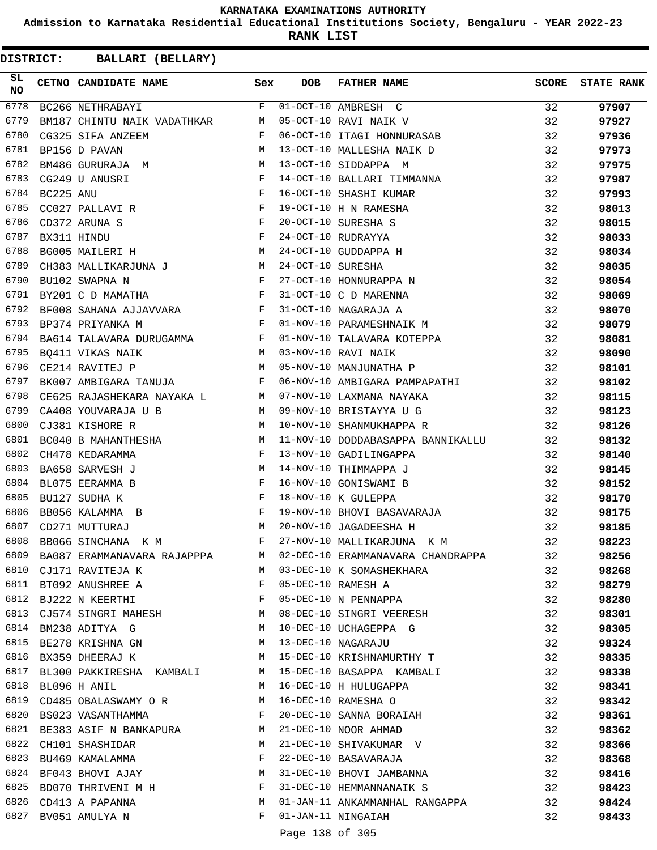**Admission to Karnataka Residential Educational Institutions Society, Bengaluru - YEAR 2022-23**

**RANK LIST**

**DISTRICT:** CC **BALLARI (BELLARY)**

| SL<br>NO |           | CETNO CANDIDATE NAME Sex                                                                      |              | DOB               | FATHER NAME                       | <b>SCORE</b> | <b>STATE RANK</b> |
|----------|-----------|-----------------------------------------------------------------------------------------------|--------------|-------------------|-----------------------------------|--------------|-------------------|
| 6778     |           | $F$ 01-OCT-10 AMBRESH C<br>BC266 NETHRABAYI                                                   |              |                   |                                   | 32           | 97907             |
| 6779     |           | BM187 CHINTU NAIK VADATHKAR M                                                                 |              |                   | 05-OCT-10 RAVI NAIK V             | 32           | 97927             |
| 6780     |           | $\mathbb F$ . The set of $\mathbb F$<br>CG325 SIFA ANZEEM                                     |              |                   | 06-OCT-10 ITAGI HONNURASAB        | 32           | 97936             |
| 6781     |           | M<br>BP156 D PAVAN                                                                            |              |                   | 13-OCT-10 MALLESHA NAIK D         | 32           | 97973             |
| 6782     |           | BM486 GURURAJA M                                                                              |              |                   | 13-OCT-10 SIDDAPPA M              | 32           | 97975             |
| 6783     |           | $\mathbf{F}$ and $\mathbf{F}$ are the set of the set of $\mathbf{F}$<br>CG249 U ANUSRI        |              |                   | 14-OCT-10 BALLARI TIMMANNA        | 32           | 97987             |
| 6784     | BC225 ANU |                                                                                               |              |                   | 16-OCT-10 SHASHI KUMAR            | 32           | 97993             |
| 6785     |           | $\begin{array}{c}\n\mathbf{F} \\ \mathbf{F} \\ \mathbf{F} \\ -\end{array}$<br>CC027 PALLAVI R |              |                   | 19-OCT-10 H N RAMESHA             | 32           | 98013             |
| 6786     |           | CD372 ARUNA S                                                                                 |              |                   | 20-OCT-10 SURESHA S               | 32           | 98015             |
| 6787     |           | $\mathbf{F}$ and $\mathbf{F}$<br>BX311 HINDU                                                  |              |                   | 24-OCT-10 RUDRAYYA                | 32           | 98033             |
| 6788     |           | <b>M</b><br>BG005 MAILERI H                                                                   |              |                   | 24-OCT-10 GUDDAPPA H              | 32           | 98034             |
| 6789     |           |                                                                                               |              | 24-OCT-10 SURESHA |                                   | 32           | 98035             |
| 6790     |           | CH383 MALLIKARJUNA J $$\tt M$$ BU102 SWAPNA N $$\tt F$$                                       |              |                   | 27-OCT-10 HONNURAPPA N            | 32           | 98054             |
| 6791     |           | $\mathbf{F}$ and $\mathbf{F}$ and $\mathbf{F}$<br>BY201 C D MAMATHA                           |              |                   | 31-OCT-10 C D MARENNA             | 32           | 98069             |
| 6792     |           | ${\tt BF008\;\; SAHANA\;\; AJJAVVARA}\qquad \qquad {\tt F}$                                   |              |                   | 31-OCT-10 NAGARAJA A              | 32           | 98070             |
| 6793     |           | $\mathbb F$<br>BP374 PRIYANKA M                                                               |              |                   | 01-NOV-10 PARAMESHNAIK M          | 32           | 98079             |
| 6794     |           | BA614 TALAVARA DURUGAMMA F                                                                    |              |                   | 01-NOV-10 TALAVARA KOTEPPA        | 32           | 98081             |
| 6795     |           | BQ411 VIKAS NAIK M                                                                            |              |                   | 03-NOV-10 RAVI NAIK               | 32           | 98090             |
| 6796     |           | M<br>CE214 RAVITEJ P                                                                          |              |                   | 05-NOV-10 MANJUNATHA P            | 32           | 98101             |
| 6797     |           | BK007 AMBIGARA TANUJA F                                                                       |              |                   | 06-NOV-10 AMBIGARA PAMPAPATHI     | 32           | 98102             |
| 6798     |           | CE625 RAJASHEKARA NAYAKA LANDER M                                                             |              |                   | 07-NOV-10 LAXMANA NAYAKA          | 32           | 98115             |
| 6799     |           | CA408 YOUVARAJA U B<br><b>M</b>                                                               |              |                   | 09-NOV-10 BRISTAYYA U G           | 32           | 98123             |
| 6800     |           | <b>M</b><br>CJ381 KISHORE R                                                                   |              |                   | 10-NOV-10 SHANMUKHAPPA R          | 32           | 98126             |
| 6801     |           | BC040 B MAHANTHESHA M                                                                         |              |                   | 11-NOV-10 DODDABASAPPA BANNIKALLU | 32           | 98132             |
| 6802     |           | CH478 KEDARAMMA                                                                               | $_{\rm F}$   |                   | 13-NOV-10 GADILINGAPPA            | 32           | 98140             |
| 6803     |           | BA658 SARVESH J<br><b>M</b>                                                                   |              |                   | 14-NOV-10 THIMMAPPA J             | 32           | 98145             |
| 6804     |           | $\mathbb{R}^n$ . The set of the set of the $\mathbb{R}^n$<br>BL075 EERAMMA B                  |              |                   | 16-NOV-10 GONISWAMI B             | 32           | 98152             |
| 6805     |           | BU127 SUDHA K                                                                                 | $\mathbf{F}$ |                   | 18-NOV-10 K GULEPPA               | 32           | 98170             |
| 6806     |           | BB056 KALAMMA B                                                                               | F            |                   | 19-NOV-10 BHOVI BASAVARAJA        | 32           | 98175             |
| 6807     |           | M<br>CD271 MUTTURAJ                                                                           |              |                   | 20-NOV-10 JAGADEESHA H            | 32           | 98185             |
| 6808     |           | BB066 SINCHANA K M                                                                            | F            |                   | 27-NOV-10 MALLIKARJUNA K M        | 32           | 98223             |
| 6809     |           | BA087 ERAMMANAVARA RAJAPPPA                                                                   | M            |                   | 02-DEC-10 ERAMMANAVARA CHANDRAPPA | 32           | 98256             |
| 6810     |           | CJ171 RAVITEJA K                                                                              | M            |                   | 03-DEC-10 K SOMASHEKHARA          | 32           | 98268             |
| 6811     |           | $\mathbf{F}$ and the contract of the contract $\mathbf{F}$<br>BT092 ANUSHREE A                |              |                   | 05-DEC-10 RAMESH A                | 32           | 98279             |
| 6812     |           | $\mathbf{F}$ and $\mathbf{F}$ and $\mathbf{F}$<br>BJ222 N KEERTHI                             |              |                   | 05-DEC-10 N PENNAPPA              | 32           | 98280             |
| 6813     |           | CJ574 SINGRI MAHESH                                                                           | M            |                   | 08-DEC-10 SINGRI VEERESH          | 32           | 98301             |
| 6814     |           | BM238 ADITYA G                                                                                |              |                   | 10-DEC-10 UCHAGEPPA G             | 32           | 98305             |
| 6815     |           | $\mathbf M$<br>BE278 KRISHNA GN<br><b>M</b>                                                   |              |                   | 13-DEC-10 NAGARAJU                | 32           | 98324             |
| 6816     |           | M<br>BX359 DHEERAJ K                                                                          |              |                   | 15-DEC-10 KRISHNAMURTHY T         | 32           | 98335             |
| 6817     |           | BL300 PAKKIRESHA KAMBALI M                                                                    |              |                   | 15-DEC-10 BASAPPA KAMBALI         | 32           | 98338             |
| 6818     |           | BL096 H ANIL                                                                                  | M            |                   | 16-DEC-10 H HULUGAPPA             | 32           |                   |
| 6819     |           | CD485 OBALASWAMY OR M                                                                         |              |                   | 16-DEC-10 RAMESHA O               | 32           | 98341             |
| 6820     |           | <b>Example 19</b>                                                                             |              |                   |                                   |              | 98342             |
|          |           | BS023 VASANTHAMMA                                                                             |              |                   | 20-DEC-10 SANNA BORAIAH           | 32           | 98361             |
| 6821     |           | BE383 ASIF N BANKAPURA M 21-DEC-10 NOOR AHMAD                                                 |              |                   | 21-DEC-10 SHIVAKUMAR V            | 32           | 98362             |
| 6822     |           | <b>M</b><br>CH101 SHASHIDAR                                                                   |              |                   |                                   | 32           | 98366             |
| 6823     |           | BU469 KAMALAMMA                                                                               | F            |                   | 22-DEC-10 BASAVARAJA              | 32           | 98368             |
| 6824     |           | BF043 BHOVI AJAY M                                                                            |              |                   | 31-DEC-10 BHOVI JAMBANNA          | 32           | 98416             |
| 6825     |           | BD070 THRIVENI M H                                                                            | $\mathbf{F}$ |                   | 31-DEC-10 HEMMANNANAIK S          | 32           | 98423             |
| 6826     |           | CD413 A PAPANNA                                                                               | M            |                   | 01-JAN-11 ANKAMMANHAL RANGAPPA    | 32           | 98424             |
|          |           | 6827 BV051 AMULYA N                                                                           | F            |                   | 01-JAN-11 NINGAIAH<br>12227727    | 32           | 98433             |

Page 138 of 305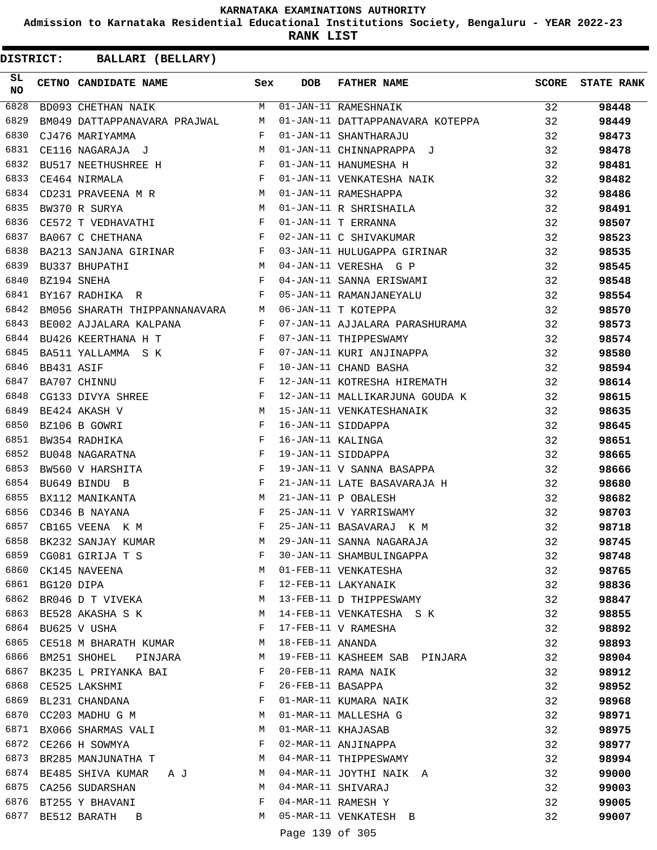**Admission to Karnataka Residential Educational Institutions Society, Bengaluru - YEAR 2022-23**

**RANK LIST**

| SL.<br>NO |            | CETNO CANDIDATE NAME Sex                                                                                                                                                                                                                               |             | <b>DOB</b>        | <b>FATHER NAME</b>                                                                                                                    |                 | SCORE STATE RANK |
|-----------|------------|--------------------------------------------------------------------------------------------------------------------------------------------------------------------------------------------------------------------------------------------------------|-------------|-------------------|---------------------------------------------------------------------------------------------------------------------------------------|-----------------|------------------|
| 6828      |            | BD093 CHETHAN NAIK                                                                                                                                                                                                                                     |             |                   | M 01-JAN-11 RAMESHNAIK                                                                                                                | $\overline{32}$ | 98448            |
| 6829      |            | BM049 DATTAPPANAVARA PRAJWAL M                                                                                                                                                                                                                         |             |                   | 01-JAN-11 DATTAPPANAVARA KOTEPPA 32                                                                                                   |                 | 98449            |
| 6830      |            | $\mathbf{F}$ . The set of the set of the set of the set of the set of the set of the set of the set of the set of the set of the set of the set of the set of the set of the set of the set of the set of the set of the set of t<br>CJ476 MARIYAMMA   |             |                   | 32<br>01-JAN-11 SHANTHARAJU                                                                                                           |                 | 98473            |
| 6831      |            | CE116 NAGARAJA J M                                                                                                                                                                                                                                     |             |                   | 01-JAN-11 CHINNAPRAPPA J                                                                                                              | 32              | 98478            |
| 6832      |            |                                                                                                                                                                                                                                                        | $\mathbb F$ |                   | 01-JAN-11 HANUMESHA H                                                                                                                 | 32              | 98481            |
| 6833      |            | ${\tt BU517\ NEETHUSHREE\ H}\qquad \qquad {\tt F}$ CE464 NIRMALA                                                                                                                                                                                       |             |                   | 01-JAN-11 VENKATESHA NAIK                                                                                                             | 32              | 98482            |
| 6834      |            | CD231 PRAVEENA $M$ R $M$                                                                                                                                                                                                                               |             |                   |                                                                                                                                       |                 | 98486            |
| 6835      |            | BW370 R SURYA M<br>CE572 T VEDHAVATHI F                                                                                                                                                                                                                |             |                   |                                                                                                                                       |                 | 98491            |
| 6836      |            |                                                                                                                                                                                                                                                        |             |                   |                                                                                                                                       |                 | 98507            |
| 6837      |            | BA067 C CHETHANA $F$                                                                                                                                                                                                                                   |             |                   | 01-JAN-11 RAMESHAPPA<br>01-JAN-11 R SHRISHAILA<br>01-JAN-11 T ERRANNA<br>02-JAN-11 C SHIVAKUMAR<br>32<br>02-JAN-11 C SHIVAKUMAR<br>32 |                 | 98523            |
| 6838      |            | BA213 SANJANA GIRINAR F                                                                                                                                                                                                                                |             |                   | 03-JAN-11 HULUGAPPA GIRINAR 32                                                                                                        |                 | 98535            |
| 6839      |            | BU337 BHUPATHI                                                                                                                                                                                                                                         |             |                   |                                                                                                                                       |                 | 98545            |
| 6840      |            | $\begin{aligned} \mathbb{M} \\ \mathbb{F} \end{aligned}$<br>BZ194 SNEHA                                                                                                                                                                                |             |                   | 04-JAN-11 VERESHA G P<br>04-JAN-11 SANNA ERISWAMI 32<br>05-JAN-11 RAMANJANEYALU 32<br>06-JAN-11 T KOTERRA                             |                 | 98548            |
| 6841      |            | $\mathbf{F}$ . The set of the set of the set of the set of the set of the set of the set of the set of the set of the set of the set of the set of the set of the set of the set of the set of the set of the set of the set of t<br>BY167 RADHIKA R   |             |                   |                                                                                                                                       |                 | 98554            |
| 6842      |            | BM056 SHARATH THIPPANNANAVARA M 06-JAN-11 T KOTEPPA                                                                                                                                                                                                    |             |                   |                                                                                                                                       | 32              | 98570            |
| 6843      |            | ${\tt BE002\; AJJALARA\; KALPANA}\qquad\qquad {\tt F} \\ {\tt BU426\; KEERTHANA\;H\;T} \qquad\qquad {\tt F}$                                                                                                                                           |             |                   | 07-JAN-11 AJJALARA PARASHURAMA 32                                                                                                     |                 | 98573            |
| 6844      |            |                                                                                                                                                                                                                                                        |             |                   | 07-JAN-11 THIPPESWAMY                                                                                                                 | 32              | 98574            |
| 6845      |            | $\mathbb{R}^n$ . The set of the set of the set of the set of the set of the set of the set of the set of the set of the set of the set of the set of the set of the set of the set of the set of the set of the set of the set of<br>BA511 YALLAMMA SK |             |                   | 07-JAN-11 KURI ANJINAPPA 32                                                                                                           |                 | 98580            |
| 6846      | BB431 ASIF |                                                                                                                                                                                                                                                        |             |                   | 32<br>10-JAN-11 CHAND BASHA                                                                                                           |                 | 98594            |
| 6847      |            | BA707 CHINNU                                                                                                                                                                                                                                           |             |                   | 12-JAN-11 KOTRESHA HIREMATH 32                                                                                                        |                 | 98614            |
| 6848      |            | CG133 DIVYA SHREE F<br>BE424 AFACH V                                                                                                                                                                                                                   |             |                   | 12-JAN-11 MALLIKARJUNA GOUDA K                                                                                                        | 32              | 98615            |
| 6849      |            | M<br>BE424 AKASH V                                                                                                                                                                                                                                     |             |                   | 15-JAN-11 VENKATESHANAIK                                                                                                              | 32              | 98635            |
| 6850      |            | BZ106 B GOWRI                                                                                                                                                                                                                                          |             |                   |                                                                                                                                       | 32              | 98645            |
| 6851      |            | BW354 RADHIKA                                                                                                                                                                                                                                          |             |                   |                                                                                                                                       | 32              | 98651            |
| 6852      |            | BU048 NAGARATNA                                                                                                                                                                                                                                        |             |                   | 16-JAN-11 SIDDAPPA<br>16-JAN-11 KALINGA<br>19-JAN-11 SIDDAPPA                                                                         | 32              | 98665            |
| 6853      |            | $\mathbf{F}$ and the set of the set of the set of the set of the set of the set of the set of the set of the set of the set of the set of the set of the set of the set of the set of the set of the set of the set of the set of<br>BW560 V HARSHITA  |             |                   | 19-JAN-11 V SANNA BASAPPA                                                                                                             | 32              | 98666            |
| 6854      |            | $\mathbb F$ . The set of the set of the set of the set of the set of the set of the set of the set of the set of the set of the set of the set of the set of the set of the set of the set of the set of the set of the set of the<br>BU649 BINDU B    |             |                   | 21-JAN-11 LATE BASAVARAJA H                                                                                                           | 32              | 98680            |
| 6855      |            | $\begin{aligned} \mathbb{M} \\ \mathbb{F} \end{aligned}$<br>BX112 MANIKANTA                                                                                                                                                                            |             |                   | 21-JAN-11 P OBALESH                                                                                                                   | 32              | 98682            |
| 6856      |            | CD346 B NAYANA                                                                                                                                                                                                                                         |             |                   | 25-JAN-11 V YARRISWAMY                                                                                                                | 32              | 98703            |
| 6857      |            | $\mathbf{F}_{\mathbf{r}}$ and $\mathbf{F}_{\mathbf{r}}$ . The set of $\mathbf{F}_{\mathbf{r}}$<br>CB165 VEENA K M                                                                                                                                      |             |                   | 25-JAN-11 BASAVARAJ K M                                                                                                               | 32              | 98718            |
| 6858      |            | BK232 SANJAY KUMAR                                                                                                                                                                                                                                     | M           |                   | 29-JAN-11 SANNA NAGARAJA                                                                                                              | 32              | 98745            |
| 6859      |            | CG081 GIRIJA T S                                                                                                                                                                                                                                       | F           |                   | 30-JAN-11 SHAMBULINGAPPA                                                                                                              | 32              | 98748            |
| 6860      |            | CK145 NAVEENA                                                                                                                                                                                                                                          | М           |                   | 01-FEB-11 VENKATESHA                                                                                                                  | 32              | 98765            |
| 6861      | BG120 DIPA |                                                                                                                                                                                                                                                        | F           |                   | 12-FEB-11 LAKYANAIK                                                                                                                   | 32              | 98836            |
| 6862      |            | BR046 D T VIVEKA                                                                                                                                                                                                                                       | М           |                   | 13-FEB-11 D THIPPESWAMY                                                                                                               | 32              | 98847            |
| 6863      |            | BE528 AKASHA S K                                                                                                                                                                                                                                       | М           |                   | 14-FEB-11 VENKATESHA S K                                                                                                              | 32              | 98855            |
|           |            | 6864 BU625 V USHA                                                                                                                                                                                                                                      | F           |                   | 17-FEB-11 V RAMESHA                                                                                                                   | 32              | 98892            |
| 6865      |            | CE518 M BHARATH KUMAR                                                                                                                                                                                                                                  | M           | 18-FEB-11 ANANDA  |                                                                                                                                       | 32              | 98893            |
| 6866      |            | BM251 SHOHEL<br>PINJARA                                                                                                                                                                                                                                | М           |                   | 19-FEB-11 KASHEEM SAB PINJARA                                                                                                         | 32              | 98904            |
| 6867      |            | BK235 L PRIYANKA BAI                                                                                                                                                                                                                                   | F           |                   | 20-FEB-11 RAMA NAIK                                                                                                                   | 32              | 98912            |
| 6868      |            | CE525 LAKSHMI                                                                                                                                                                                                                                          | F           | 26-FEB-11 BASAPPA |                                                                                                                                       | 32              | 98952            |
| 6869      |            | BL231 CHANDANA                                                                                                                                                                                                                                         | F           |                   | 01-MAR-11 KUMARA NAIK                                                                                                                 | 32              | 98968            |
| 6870      |            | CC203 MADHU G M                                                                                                                                                                                                                                        | M           |                   | 01-MAR-11 MALLESHA G                                                                                                                  | 32              | 98971            |
| 6871      |            | BX066 SHARMAS VALI                                                                                                                                                                                                                                     | M           |                   | 01-MAR-11 KHAJASAB                                                                                                                    | 32              | 98975            |
| 6872      |            | CE266 H SOWMYA                                                                                                                                                                                                                                         | F           |                   | 02-MAR-11 ANJINAPPA                                                                                                                   | 32              | 98977            |
| 6873      |            | BR285 MANJUNATHA T                                                                                                                                                                                                                                     | М           |                   | 04-MAR-11 THIPPESWAMY                                                                                                                 | 32              | 98994            |
| 6874      |            | BE485 SHIVA KUMAR A J                                                                                                                                                                                                                                  | M           |                   | 04-MAR-11 JOYTHI NAIK A                                                                                                               | 32              | 99000            |
| 6875      |            | CA256 SUDARSHAN                                                                                                                                                                                                                                        | М           |                   | 04-MAR-11 SHIVARAJ                                                                                                                    | 32              | 99003            |
|           |            | 6876 BT255 Y BHAVANI                                                                                                                                                                                                                                   | F           |                   | 04-MAR-11 RAMESH Y                                                                                                                    | 32              | 99005            |
| 6877      |            | BE512 BARATH<br>$\overline{B}$                                                                                                                                                                                                                         | M           |                   | 05-MAR-11 VENKATESH B                                                                                                                 | 32              | 99007            |
|           |            |                                                                                                                                                                                                                                                        |             | Page 139 of 305   |                                                                                                                                       |                 |                  |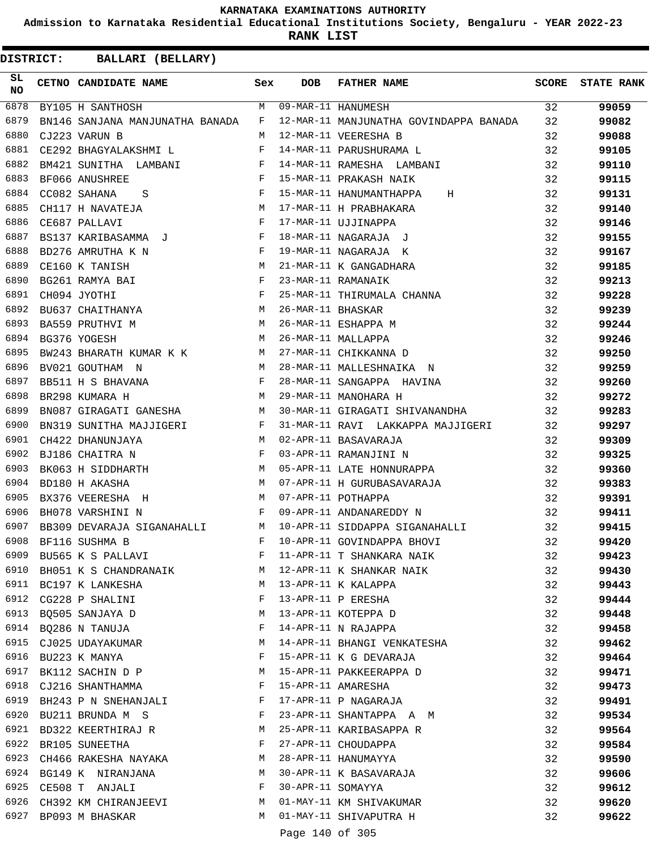**Admission to Karnataka Residential Educational Institutions Society, Bengaluru - YEAR 2022-23**

**RANK LIST**

| DISTRICT:       |                            | BALLARI (BELLARY)               |              |                   |                                        |              |                   |
|-----------------|----------------------------|---------------------------------|--------------|-------------------|----------------------------------------|--------------|-------------------|
| SL<br><b>NO</b> | CETNO CANDIDATE NAME       |                                 | Sex          | <b>DOB</b>        | <b>FATHER NAME</b>                     | <b>SCORE</b> | <b>STATE RANK</b> |
| 6878            | BY105 H SANTHOSH           |                                 | M            |                   | 09-MAR-11 HANUMESH                     | 32           | 99059             |
| 6879            |                            | BN146 SANJANA MANJUNATHA BANADA | F            |                   | 12-MAR-11 MANJUNATHA GOVINDAPPA BANADA | 32           | 99082             |
| 6880            | CJ223 VARUN B              |                                 | M            |                   | 12-MAR-11 VEERESHA B                   | 32           | 99088             |
| 6881            | CE292 BHAGYALAKSHMI L      |                                 | F            |                   | 14-MAR-11 PARUSHURAMA L                | 32           | 99105             |
| 6882            | BM421 SUNITHA LAMBANI      |                                 | F            |                   | 14-MAR-11 RAMESHA LAMBANI              | 32           | 99110             |
| 6883            | BF066 ANUSHREE             |                                 | F            |                   | 15-MAR-11 PRAKASH NAIK                 | 32           | 99115             |
| 6884            | CC082 SAHANA<br>S          |                                 | F            |                   | 15-MAR-11 HANUMANTHAPPA<br>Н           | 32           | 99131             |
| 6885            | CH117 H NAVATEJA           |                                 | M            |                   | 17-MAR-11 H PRABHAKARA                 | 32           | 99140             |
| 6886            | CE687 PALLAVI              |                                 | F            |                   | 17-MAR-11 UJJINAPPA                    | 32           | 99146             |
| 6887            | BS137 KARIBASAMMA J        |                                 | F            |                   | 18-MAR-11 NAGARAJA J                   | 32           | 99155             |
| 6888            | BD276 AMRUTHA K N          |                                 | F            |                   | 19-MAR-11 NAGARAJA K                   | 32           | 99167             |
| 6889            | CE160 K TANISH             |                                 | M            |                   | 21-MAR-11 K GANGADHARA                 | 32           | 99185             |
| 6890            | BG261 RAMYA BAI            |                                 | F            |                   | 23-MAR-11 RAMANAIK                     | 32           | 99213             |
| 6891            | CH094 JYOTHI               |                                 | F            |                   | 25-MAR-11 THIRUMALA CHANNA             | 32           | 99228             |
| 6892            | BU637 CHAITHANYA           |                                 | М            | 26-MAR-11 BHASKAR |                                        | 32           | 99239             |
| 6893            | BA559 PRUTHVI M            |                                 | M            |                   | 26-MAR-11 ESHAPPA M                    | 32           | 99244             |
| 6894            | BG376 YOGESH               |                                 | M            |                   | 26-MAR-11 MALLAPPA                     | 32           | 99246             |
| 6895            |                            | BW243 BHARATH KUMAR K K         | M            |                   | 27-MAR-11 CHIKKANNA D                  | 32           | 99250             |
| 6896            | BV021 GOUTHAM N            |                                 | M            |                   | 28-MAR-11 MALLESHNAIKA N               | 32           | 99259             |
| 6897            | BB511 H S BHAVANA          |                                 | F            |                   | 28-MAR-11 SANGAPPA HAVINA              | 32           | 99260             |
| 6898            | BR298 KUMARA H             |                                 | M            |                   | 29-MAR-11 MANOHARA H                   | 32           | 99272             |
| 6899            |                            | BN087 GIRAGATI GANESHA          | M            |                   | 30-MAR-11 GIRAGATI SHIVANANDHA         | 32           | 99283             |
| 6900            | BN319 SUNITHA MAJJIGERI    |                                 | $\mathbf{F}$ |                   | 31-MAR-11 RAVI LAKKAPPA MAJJIGERI      | 32           | 99297             |
| 6901            | CH422 DHANUNJAYA           |                                 | M            |                   | 02-APR-11 BASAVARAJA                   | 32           | 99309             |
| 6902            | BJ186 CHAITRA N            |                                 | F            |                   | 03-APR-11 RAMANJINI N                  | 32           | 99325             |
| 6903            | BK063 H SIDDHARTH          |                                 | M            |                   | 05-APR-11 LATE HONNURAPPA              | 32           | 99360             |
| 6904            | BD180 H AKASHA             |                                 | M            |                   | 07-APR-11 H GURUBASAVARAJA             | 32           | 99383             |
| 6905            | BX376 VEERESHA H           |                                 | M            |                   | 07-APR-11 POTHAPPA                     | 32           | 99391             |
| 6906            | BH078 VARSHINI N           |                                 | F            |                   | 09-APR-11 ANDANAREDDY N                | 32           | 99411             |
| 6907            | BB309 DEVARAJA SIGANAHALLI |                                 | M            |                   | 10-APR-11 SIDDAPPA SIGANAHALLI         | 32           | 99415             |
| 6908            | BF116 SUSHMA B             |                                 | F            |                   | 10-APR-11 GOVINDAPPA BHOVI             | 32           | 99420             |
|                 | 6909 BU565 K S PALLAVI     |                                 | F            |                   | 11-APR-11 T SHANKARA NAIK              | 32           | 99423             |
| 6910            |                            | BH051 K S CHANDRANAIK           | M            |                   | 12-APR-11 K SHANKAR NAIK               | 32           | 99430             |
|                 | 6911 BC197 K LANKESHA      |                                 | M            |                   | 13-APR-11 K KALAPPA                    | 32           | 99443             |
|                 | 6912 CG228 P SHALINI       |                                 | F            |                   | 13-APR-11 P ERESHA                     | 32           | 99444             |
| 6913            | BO505 SANJAYA D            |                                 | M            |                   | 13-APR-11 KOTEPPA D                    | 32           | 99448             |
| 6914            | BQ286 N TANUJA             |                                 | F            |                   | 14-APR-11 N RAJAPPA                    | 32           | 99458             |
| 6915            | CJ025 UDAYAKUMAR           |                                 | М            |                   | 14-APR-11 BHANGI VENKATESHA            | 32           | 99462             |
|                 | 6916 BU223 K MANYA         |                                 | F            |                   | 15-APR-11 K G DEVARAJA                 | 32           | 99464             |
|                 | 6917 BK112 SACHIN D P      |                                 | M            |                   | 15-APR-11 PAKKEERAPPA D                | 32           | 99471             |
|                 | 6918 CJ216 SHANTHAMMA      |                                 | F            |                   | 15-APR-11 AMARESHA                     | 32           | 99473             |
|                 | 6919 BH243 P N SNEHANJALI  |                                 | F            |                   | 17-APR-11 P NAGARAJA                   | 32           | 99491             |
|                 | 6920 BU211 BRUNDA M S      |                                 | F            |                   | 23-APR-11 SHANTAPPA A M                | 32           | 99534             |
|                 | 6921 BD322 KEERTHIRAJ R    |                                 | M            |                   | 25-APR-11 KARIBASAPPA R                | 32           | 99564             |
| 6922            | BR105 SUNEETHA             |                                 | F            |                   | 27-APR-11 CHOUDAPPA                    | 32           | 99584             |
| 6923            | CH466 RAKESHA NAYAKA       |                                 | M            |                   | 28-APR-11 HANUMAYYA                    | 32           | 99590             |
|                 | 6924 BG149 K NIRANJANA     |                                 | М            |                   | 30-APR-11 K BASAVARAJA                 | 32           | 99606             |
|                 | 6925 CE508 T ANJALI        |                                 | F            | 30-APR-11 SOMAYYA |                                        | 32           | 99612             |
| 6926            |                            | CH392 KM CHIRANJEEVI            | M            |                   | 01-MAY-11 KM SHIVAKUMAR                | 32           | 99620             |
| 6927            | BP093 M BHASKAR            |                                 | M            |                   | 01-MAY-11 SHIVAPUTRA H                 | 32           | 99622             |
|                 |                            |                                 |              | Page 140 of 305   |                                        |              |                   |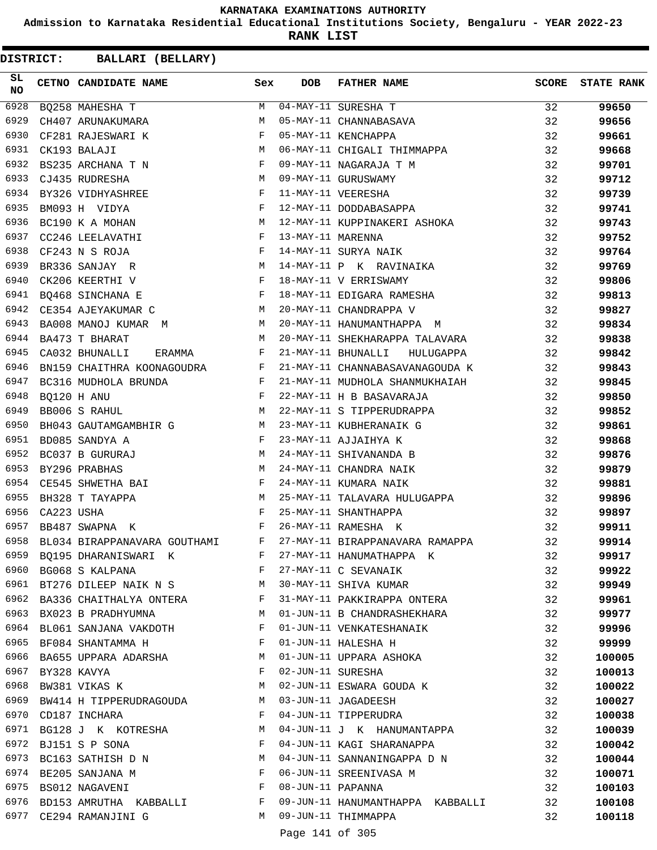**Admission to Karnataka Residential Educational Institutions Society, Bengaluru - YEAR 2022-23**

**RANK LIST**

| SL<br><b>NO</b> |                  | CETNO CANDIDATE NAME Sex                                                                                                                   |              | <b>DOB</b>        | <b>FATHER NAME</b>                            | <b>SCORE</b> | <b>STATE RANK</b> |
|-----------------|------------------|--------------------------------------------------------------------------------------------------------------------------------------------|--------------|-------------------|-----------------------------------------------|--------------|-------------------|
| 6928            |                  | BQ258 MAHESHA T                                                                                                                            | M            |                   | 04-MAY-11 SURESHA T<br>05-MAY-11 CHANNABASAVA | 32           | 99650             |
| 6929            |                  | CH407 ARUNAKUMARA                                                                                                                          | M            |                   |                                               | 32           | 99656             |
| 6930            |                  | $\mathbf{F}^{\mathcal{A}}_{\mathcal{A}}=\mathbf{F}^{\mathcal{A}}_{\mathcal{A}}\mathbf{F}^{\mathcal{A}}_{\mathcal{A}}$<br>CF281 RAJESWARI K |              |                   | 05-MAY-11 KENCHAPPA                           | 32           | 99661             |
| 6931            |                  | M<br>CK193 BALAJI                                                                                                                          |              |                   | 06-MAY-11 CHIGALI THIMMAPPA                   | 32           | 99668             |
| 6932            |                  | $\mathbf{F}$ and $\mathbf{F}$ are the set of $\mathbf{F}$<br>BS235 ARCHANA T N                                                             |              |                   | 09-MAY-11 NAGARAJA T M                        | 32           | 99701             |
| 6933            |                  | <b>M</b><br>CJ435 RUDRESHA                                                                                                                 |              |                   | 09-MAY-11 GURUSWAMY                           | 32           | 99712             |
| 6934            |                  | BY326 VIDHYASHREE F                                                                                                                        |              |                   | 11-MAY-11 VEERESHA                            | 32           | 99739             |
| 6935            |                  | $\begin{aligned} \mathbf{F} \\ \mathbf{M} \end{aligned}$<br>BM093 H VIDYA                                                                  |              |                   | 12-MAY-11 DODDABASAPPA                        | 32           | 99741             |
| 6936            |                  | BC190 K A MOHAN                                                                                                                            |              |                   | 12-MAY-11 KUPPINAKERI ASHOKA                  | 32           | 99743             |
| 6937            |                  | $\mathbf{F}$ . The contract of the contract of $\mathbf{F}$<br>CC246 LEELAVATHI                                                            |              | 13-MAY-11 MARENNA |                                               | 32           | 99752             |
| 6938            |                  | $\mathbf{F}$ and $\mathbf{F}$<br>CF243 N S ROJA                                                                                            |              |                   | 14-MAY-11 SURYA NAIK                          | 32           | 99764             |
| 6939            |                  | $\begin{aligned} \mathbf{M} \\ \mathbf{F} \end{aligned}$<br>BR336 SANJAY R                                                                 |              |                   | 14-MAY-11 P K RAVINAIKA                       | 32           | 99769             |
| 6940            |                  | CK206 KEERTHI V                                                                                                                            |              |                   | 18-MAY-11 V ERRISWAMY                         | 32           | 99806             |
| 6941            |                  | $\mathbf{F}$ and the contract of the contract of $\mathbf{F}$<br>BQ468 SINCHANA E                                                          |              |                   | 18-MAY-11 EDIGARA RAMESHA                     | 32           | 99813             |
| 6942            |                  | <b>M</b><br>CE354 AJEYAKUMAR C                                                                                                             |              |                   | 20-MAY-11 CHANDRAPPA V                        | 32           | 99827             |
| 6943            |                  | BA008 MANOJ KUMAR M                                                                                                                        |              |                   | 20-MAY-11 HANUMANTHAPPA M                     | 32           | 99834             |
| 6944            |                  | M <sub>N</sub><br>BA473 T BHARAT                                                                                                           |              |                   | 20-MAY-11 SHEKHARAPPA TALAVARA                | 32           | 99838             |
| 6945            |                  | CA032 BHUNALLI<br>ERAMMA F                                                                                                                 |              |                   | 21-MAY-11 BHUNALLI<br>HULUGAPPA               | 32           | 99842             |
| 6946            |                  | BN159 CHAITHRA KOONAGOUDRA F                                                                                                               |              |                   | 21-MAY-11 CHANNABASAVANAGOUDA K               | 32           | 99843             |
| 6947            |                  |                                                                                                                                            |              |                   | 21-MAY-11 MUDHOLA SHANMUKHAIAH                | 32           | 99845             |
| 6948            |                  | BC316 MUDHOLA BRUNDA F<br>BQ120 H ANU F<br>PROSS F                                                                                         |              |                   | 22-MAY-11 H B BASAVARAJA                      | 32           | 99850             |
| 6949            |                  | $M_{\odot}$<br>BB006 S RAHUL                                                                                                               |              |                   | 22-MAY-11 S TIPPERUDRAPPA                     | 32           | 99852             |
| 6950            |                  | BH043 GAUTAMGAMBHIR G M                                                                                                                    |              |                   | 23-MAY-11 KUBHERANAIK G                       | 32           | 99861             |
| 6951            |                  | $\mathbf{F}^{\mathcal{A}}_{\mathcal{A}}=\mathbf{F}^{\mathcal{A}}_{\mathcal{A}}\mathbf{F}^{\mathcal{A}}_{\mathcal{A}}$<br>BD085 SANDYA A    |              |                   | 23-MAY-11 AJJAIHYA K                          | 32           | 99868             |
| 6952            |                  | M <sub>N</sub><br>BC037 B GURURAJ                                                                                                          |              |                   | 24-MAY-11 SHIVANANDA B                        | 32           | 99876             |
| 6953            |                  | $M_{\odot}$<br>BY296 PRABHAS                                                                                                               |              |                   | 24-MAY-11 CHANDRA NAIK                        | 32           | 99879             |
| 6954            |                  | CE545 SHWETHA BAI $F$                                                                                                                      |              |                   | 24-MAY-11 KUMARA NAIK                         | 32           | 99881             |
| 6955            |                  | $F$ M<br>BH328 T TAYAPPA                                                                                                                   |              |                   | 25-MAY-11 TALAVARA HULUGAPPA                  | 32           | 99896             |
| 6956            | CA223 USHA       |                                                                                                                                            |              |                   | 25-MAY-11 SHANTHAPPA                          | 32           | 99897             |
| 6957            |                  | $\mathbf{F}$ and $\mathbf{F}$ and $\mathbf{F}$<br>BB487 SWAPNA K                                                                           |              |                   | 26-MAY-11 RAMESHA K                           | 32           | 99911             |
| 6958            |                  | BL034 BIRAPPANAVARA GOUTHAMI                                                                                                               |              |                   | F 27-MAY-11 BIRAPPANAVARA RAMAPPA             | 32           | 99914             |
| 6959            |                  | BQ195 DHARANISWARI K<br>F                                                                                                                  |              |                   | 27-MAY-11 HANUMATHAPPA K                      | 32           | 99917             |
| 6960            |                  | $\mathbf{F}$<br>BG068 S KALPANA                                                                                                            |              |                   | 27-MAY-11 C SEVANAIK                          | 32           | 99922             |
| 6961            |                  | BT276 DILEEP NAIK N S M                                                                                                                    |              |                   | 30-MAY-11 SHIVA KUMAR                         | 32           | 99949             |
|                 |                  | 6962 BA336 CHAITHALYA ONTERA F                                                                                                             |              |                   | 31-MAY-11 PAKKIRAPPA ONTERA                   | 32           | 99961             |
|                 |                  | 6963 BX023 B PRADHYUMNA                                                                                                                    | M            |                   | 01-JUN-11 B CHANDRASHEKHARA                   | 32           | 99977             |
| 6964            |                  | BL061 SANJANA VAKDOTH                                                                                                                      | F            |                   | 01-JUN-11 VENKATESHANAIK                      | 32           | 99996             |
| 6965            |                  | BF084 SHANTAMMA H                                                                                                                          | F            |                   | 01-JUN-11 HALESHA H                           | 32           | 99999             |
| 6966            |                  | BA655 UPPARA ADARSHA                                                                                                                       | M            |                   | 01-JUN-11 UPPARA ASHOKA                       | 32           | 100005            |
|                 | 6967 BY328 KAVYA |                                                                                                                                            | F            | 02-JUN-11 SURESHA |                                               | 32           | 100013            |
| 6968            |                  | BW381 VIKAS K                                                                                                                              | M            |                   | 02-JUN-11 ESWARA GOUDA K                      | 32           | 100022            |
| 6969            |                  | BW414 H TIPPERUDRAGOUDA M                                                                                                                  |              |                   | 03-JUN-11 JAGADEESH                           | 32           | 100027            |
|                 |                  | 6970 CD187 INCHARA                                                                                                                         | F            |                   | 04-JUN-11 TIPPERUDRA                          | 32           | 100038            |
|                 |                  | 6971 BG128 J K KOTRESHA                                                                                                                    | M            |                   | 04-JUN-11 J K HANUMANTAPPA                    | 32           | 100039            |
|                 |                  | 6972 BJ151 S P SONA                                                                                                                        | F            |                   | 04-JUN-11 KAGI SHARANAPPA                     | 32           | 100042            |
| 6973            |                  | BC163 SATHISH D N M                                                                                                                        |              |                   | 04-JUN-11 SANNANINGAPPA D N                   | 32           | 100044            |
| 6974            |                  | BE205 SANJANA M                                                                                                                            | $\mathbf{F}$ |                   | 06-JUN-11 SREENIVASA M                        | 32           | 100071            |
|                 |                  | 6975 BS012 NAGAVENI                                                                                                                        | F            | 08-JUN-11 PAPANNA |                                               | 32           | 100103            |
|                 |                  | 6976 BD153 AMRUTHA KABBALLI F                                                                                                              |              |                   | 09-JUN-11 HANUMANTHAPPA KABBALLI              | 32           | 100108            |
|                 |                  | 6977 CE294 RAMANJINI G                                                                                                                     | M            |                   | 09-JUN-11 THIMMAPPA                           | 32           | 100118            |
|                 |                  |                                                                                                                                            |              | Page 141 of 305   |                                               |              |                   |
|                 |                  |                                                                                                                                            |              |                   |                                               |              |                   |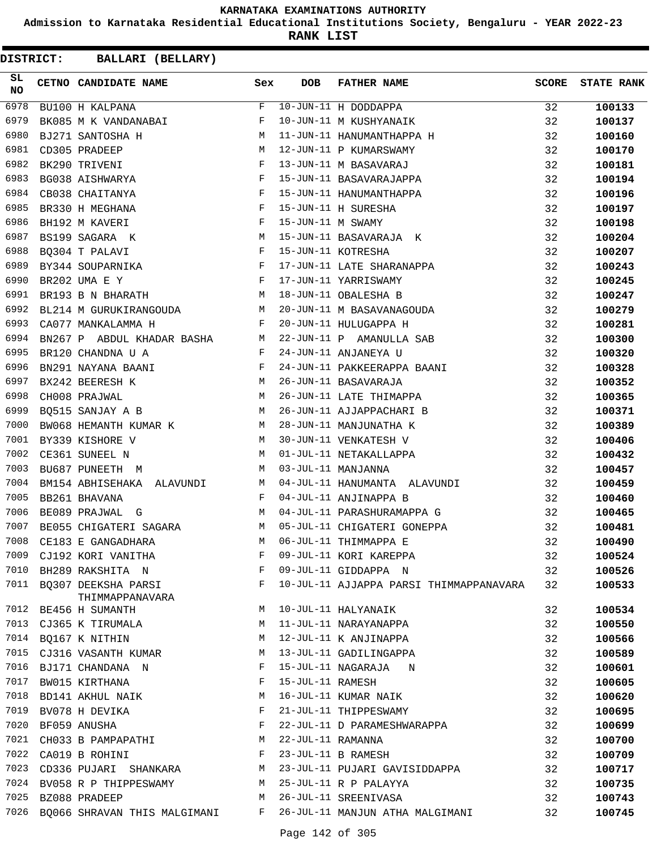**Admission to Karnataka Residential Educational Institutions Society, Bengaluru - YEAR 2022-23**

**RANK LIST**

| SL<br><b>NO</b> | CETNO CANDIDATE NAME Sex                                                                                                                                                                                                                                                                                                                                                                                                                                    |              | <b>DOB</b>        | <b>FATHER NAME</b>                      | SCORE | <b>STATE RANK</b> |
|-----------------|-------------------------------------------------------------------------------------------------------------------------------------------------------------------------------------------------------------------------------------------------------------------------------------------------------------------------------------------------------------------------------------------------------------------------------------------------------------|--------------|-------------------|-----------------------------------------|-------|-------------------|
| 6978            | BU100 H KALPANA                                                                                                                                                                                                                                                                                                                                                                                                                                             | F            |                   | 10-JUN-11 H DODDAPPA                    | 32    | 100133            |
| 6979            | BK085 M K VANDANABAI                                                                                                                                                                                                                                                                                                                                                                                                                                        | F            |                   | 10-JUN-11 M KUSHYANAIK                  | 32    | 100137            |
| 6980            | BJ271 SANTOSHA H                                                                                                                                                                                                                                                                                                                                                                                                                                            | M            |                   | 11-JUN-11 HANUMANTHAPPA H               | 32    | 100160            |
| 6981            | CD305 PRADEEP                                                                                                                                                                                                                                                                                                                                                                                                                                               | М            |                   | 12-JUN-11 P KUMARSWAMY                  | 32    | 100170            |
| 6982            | BK290 TRIVENI                                                                                                                                                                                                                                                                                                                                                                                                                                               | F            |                   | 13-JUN-11 M BASAVARAJ                   | 32    | 100181            |
| 6983            | $\mathbf{F}$ and $\mathbf{F}$ and $\mathbf{F}$<br>BG038 AISHWARYA                                                                                                                                                                                                                                                                                                                                                                                           |              |                   | 15-JUN-11 BASAVARAJAPPA                 | 32    | 100194            |
| 6984            | CB038 CHAITANYA                                                                                                                                                                                                                                                                                                                                                                                                                                             | $\mathbf{F}$ |                   | 15-JUN-11 HANUMANTHAPPA                 | 32    | 100196            |
| 6985            | BR330 H MEGHANA                                                                                                                                                                                                                                                                                                                                                                                                                                             | $_{\rm F}$   |                   | 15-JUN-11 H SURESHA                     | 32    | 100197            |
| 6986            | BH192 M KAVERI                                                                                                                                                                                                                                                                                                                                                                                                                                              | F            | 15-JUN-11 M SWAMY |                                         | 32    | 100198            |
| 6987            | BS199 SAGARA K                                                                                                                                                                                                                                                                                                                                                                                                                                              | М            |                   | 15-JUN-11 BASAVARAJA K                  | 32    | 100204            |
| 6988            | BQ304 T PALAVI                                                                                                                                                                                                                                                                                                                                                                                                                                              | $\mathbf{F}$ |                   | 15-JUN-11 KOTRESHA                      | 32    | 100207            |
| 6989            | BY344 SOUPARNIKA                                                                                                                                                                                                                                                                                                                                                                                                                                            |              |                   | 17-JUN-11 LATE SHARANAPPA               | 32    | 100243            |
| 6990            | $\begin{array}{c}\n\text{F} \\ \text{F}\n\end{array}$<br>BR202 UMA E Y                                                                                                                                                                                                                                                                                                                                                                                      |              |                   | 17-JUN-11 YARRISWAMY                    | 32    | 100245            |
| 6991            | M<br>BR193 B N BHARATH                                                                                                                                                                                                                                                                                                                                                                                                                                      |              |                   | 18-JUN-11 OBALESHA B                    | 32    | 100247            |
| 6992            | BL214 M GURUKIRANGOUDA M                                                                                                                                                                                                                                                                                                                                                                                                                                    |              |                   | 20-JUN-11 M BASAVANAGOUDA               | 32    | 100279            |
| 6993            | CA077 MANKALAMMA H                                                                                                                                                                                                                                                                                                                                                                                                                                          | F            |                   | 20-JUN-11 HULUGAPPA H                   | 32    | 100281            |
| 6994            | BN267 P ABDUL KHADAR BASHA M                                                                                                                                                                                                                                                                                                                                                                                                                                |              |                   | 22-JUN-11 P AMANULLA SAB                | 32    | 100300            |
| 6995            | $\mathbb F$ . The set of $\mathbb F$<br>BR120 CHANDNA U A                                                                                                                                                                                                                                                                                                                                                                                                   |              |                   | 24-JUN-11 ANJANEYA U                    | 32    | 100320            |
| 6996            |                                                                                                                                                                                                                                                                                                                                                                                                                                                             |              |                   | 24-JUN-11 PAKKEERAPPA BAANI             | 32    | 100328            |
| 6997            | $\begin{tabular}{lllllllll} \multicolumn{2}{c}{BN291} &\multicolumn{2}{c}{NAYANA} &\multicolumn{2}{c}{BAANI} & \multicolumn{2}{c}{F} \\ \multicolumn{2}{c}{BX242} &\multicolumn{2}{c}{BERESH} & K & \multicolumn{2}{c}{M} \\ \multicolumn{2}{c}{CH008} &\multicolumn{2}{c}{PRAJWAL} & & \multicolumn{2}{c}{M} \\ \multicolumn{2}{c}{M} & & \multicolumn{2}{c}{M} & \multicolumn{2}{c}{M} \\ \multicolumn{2}{c}{M} & & \multicolumn{2}{c}{M} & \multicolumn$ |              |                   | 26-JUN-11 BASAVARAJA                    | 32    | 100352            |
| 6998            |                                                                                                                                                                                                                                                                                                                                                                                                                                                             |              |                   | 26-JUN-11 LATE THIMAPPA                 | 32    | 100365            |
| 6999            | $M_{\odot}$<br>BQ515 SANJAY A B                                                                                                                                                                                                                                                                                                                                                                                                                             |              |                   | 26-JUN-11 AJJAPPACHARI B                | 32    | 100371            |
| 7000            | BW068 HEMANTH KUMAR K M                                                                                                                                                                                                                                                                                                                                                                                                                                     |              |                   | 28-JUN-11 MANJUNATHA K                  | 32    | 100389            |
| 7001            | BY339 KISHORE V                                                                                                                                                                                                                                                                                                                                                                                                                                             | M            |                   | 30-JUN-11 VENKATESH V                   | 32    | 100406            |
| 7002            | CE361 SUNEEL N                                                                                                                                                                                                                                                                                                                                                                                                                                              | M            |                   | 01-JUL-11 NETAKALLAPPA                  | 32    | 100432            |
| 7003            | BU687 PUNEETH M                                                                                                                                                                                                                                                                                                                                                                                                                                             | M            |                   | 03-JUL-11 MANJANNA                      | 32    | 100457            |
| 7004            | BM154 ABHISEHAKA ALAVUNDI M                                                                                                                                                                                                                                                                                                                                                                                                                                 |              |                   | 04-JUL-11 HANUMANTA ALAVUNDI            | 32    | 100459            |
| 7005            | BB261 BHAVANA                                                                                                                                                                                                                                                                                                                                                                                                                                               | F            |                   | 04-JUL-11 ANJINAPPA B                   | 32    | 100460            |
| 7006            | BE089 PRAJWAL G<br><b>Example 19</b> May 19 May 19 May 19 May 19 May 19 May 19 May 19 May 19 May 19 May 19 May 19 May 19 May 19 May 19 May 19 May 19 May 19 May 19 May 19 May 19 May 19 May 19 May 19 May 19 May 19 May 19 May 19 May 19 May 19 May 19                                                                                                                                                                                                      |              |                   | 04-JUL-11 PARASHURAMAPPA G              | 32    | 100465            |
| 7007            | BE055 CHIGATERI SAGARA M                                                                                                                                                                                                                                                                                                                                                                                                                                    |              |                   | 05-JUL-11 CHIGATERI GONEPPA             | 32    | 100481            |
| 7008            | CE183 E GANGADHARA                                                                                                                                                                                                                                                                                                                                                                                                                                          | М            |                   | 06-JUL-11 THIMMAPPA E                   | 32    | 100490            |
| 7009            | CJ192 KORI VANITHA                                                                                                                                                                                                                                                                                                                                                                                                                                          | F            |                   | 09-JUL-11 KORI KAREPPA                  | 32    | 100524            |
| 7010            | BH289 RAKSHITA N                                                                                                                                                                                                                                                                                                                                                                                                                                            | F            |                   | 09-JUL-11 GIDDAPPA N                    | 32    | 100526            |
|                 | 7011 BO307 DEEKSHA PARSI                                                                                                                                                                                                                                                                                                                                                                                                                                    | F            |                   | 10-JUL-11 AJJAPPA PARSI THIMMAPPANAVARA | 32    | 100533            |
| 7012            | THIMMAPPANAVARA                                                                                                                                                                                                                                                                                                                                                                                                                                             | М            |                   | 10-JUL-11 HALYANAIK                     | 32    | 100534            |
|                 | BE456 H SUMANTH                                                                                                                                                                                                                                                                                                                                                                                                                                             |              |                   |                                         |       |                   |
| 7013            | CJ365 K TIRUMALA                                                                                                                                                                                                                                                                                                                                                                                                                                            | M            |                   | 11-JUL-11 NARAYANAPPA                   | 32    | 100550            |
|                 | 7014 BQ167 K NITHIN                                                                                                                                                                                                                                                                                                                                                                                                                                         | M            |                   | 12-JUL-11 K ANJINAPPA                   | 32    | 100566            |
| 7015            | CJ316 VASANTH KUMAR                                                                                                                                                                                                                                                                                                                                                                                                                                         | M            |                   | 13-JUL-11 GADILINGAPPA                  | 32    | 100589            |
| 7016            | BJ171 CHANDANA N                                                                                                                                                                                                                                                                                                                                                                                                                                            | F            |                   | 15-JUL-11 NAGARAJA<br>N                 | 32    | 100601            |
| 7017            | BW015 KIRTHANA                                                                                                                                                                                                                                                                                                                                                                                                                                              | F            | 15-JUL-11 RAMESH  |                                         | 32    | 100605            |
|                 | 7018 BD141 AKHUL NAIK                                                                                                                                                                                                                                                                                                                                                                                                                                       | М            |                   | 16-JUL-11 KUMAR NAIK                    | 32    | 100620            |
| 7019            | BV078 H DEVIKA                                                                                                                                                                                                                                                                                                                                                                                                                                              | F            |                   | 21-JUL-11 THIPPESWAMY                   | 32    | 100695            |
| 7020            | BF059 ANUSHA                                                                                                                                                                                                                                                                                                                                                                                                                                                | F            |                   | 22-JUL-11 D PARAMESHWARAPPA             | 32    | 100699            |
| 7021            | CH033 B PAMPAPATHI                                                                                                                                                                                                                                                                                                                                                                                                                                          | M            | 22-JUL-11 RAMANNA |                                         | 32    | 100700            |
|                 | 7022 CA019 B ROHINI                                                                                                                                                                                                                                                                                                                                                                                                                                         | F            |                   | 23-JUL-11 B RAMESH                      | 32    | 100709            |
| 7023            | CD336 PUJARI SHANKARA                                                                                                                                                                                                                                                                                                                                                                                                                                       | M            |                   | 23-JUL-11 PUJARI GAVISIDDAPPA           | 32    | 100717            |
|                 | 7024 BV058 R P THIPPESWAMY                                                                                                                                                                                                                                                                                                                                                                                                                                  | M            |                   | 25-JUL-11 R P PALAYYA                   | 32    | 100735            |
| 7025            | BZ088 PRADEEP                                                                                                                                                                                                                                                                                                                                                                                                                                               | M            |                   | 26-JUL-11 SREENIVASA                    | 32    | 100743            |
|                 | 7026 BQ066 SHRAVAN THIS MALGIMANI                                                                                                                                                                                                                                                                                                                                                                                                                           | F            |                   | 26-JUL-11 MANJUN ATHA MALGIMANI         | 32    | 100745            |
|                 |                                                                                                                                                                                                                                                                                                                                                                                                                                                             |              | Page 142 of 305   |                                         |       |                   |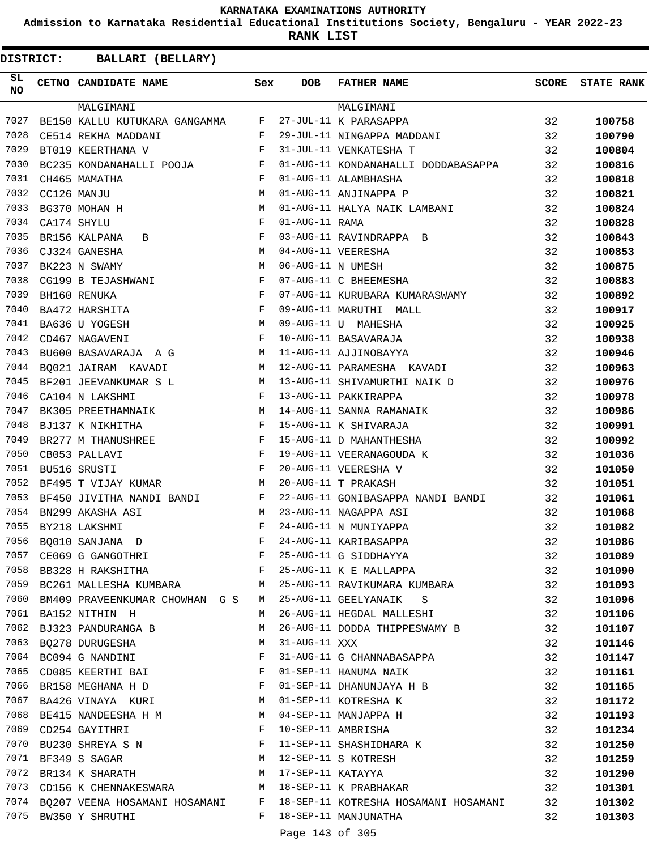**Admission to Karnataka Residential Educational Institutions Society, Bengaluru - YEAR 2022-23**

**RANK LIST**

| SL<br><b>NO</b> | <b>Sex</b><br>CETNO CANDIDATE NAME                                             |              | <b>DOB</b>        | <b>FATHER NAME</b>                                                        | SCORE | <b>STATE RANK</b> |
|-----------------|--------------------------------------------------------------------------------|--------------|-------------------|---------------------------------------------------------------------------|-------|-------------------|
|                 | MALGIMANI                                                                      |              |                   | MALGIMANI                                                                 |       |                   |
| 7027            | BE150 KALLU KUTUKARA GANGAMMA                                                  | F            |                   | 27-JUL-11 K PARASAPPA                                                     | 32    | 100758            |
| 7028            | CE514 REKHA MADDANI<br><b>Example 19</b>                                       |              |                   | 29-JUL-11 NINGAPPA MADDANI                                                | 32    | 100790            |
| 7029            | BT019 KEERTHANA V                                                              | $\mathbf{F}$ |                   | 31-JUL-11 VENKATESHA T                                                    | 32    | 100804            |
| 7030            | BC235 KONDANAHALLI POOJA F                                                     |              |                   | 01-AUG-11 KONDANAHALLI DODDABASAPPA                                       | 32    | 100816            |
| 7031            | CH465 MAMATHA                                                                  | F            |                   | 01-AUG-11 ALAMBHASHA                                                      | 32    | 100818            |
| 7032            | CC126 MANJU                                                                    | M            |                   | 01-AUG-11 ANJINAPPA P                                                     | 32    | 100821            |
| 7033            | BG370 MOHAN H                                                                  | М            |                   | 01-AUG-11 HALYA NAIK LAMBANI                                              | 32    | 100824            |
| 7034            | CA174 SHYLU                                                                    | $_{\rm F}$   | 01-AUG-11 RAMA    |                                                                           | 32    | 100828            |
| 7035            | BR156 KALPANA<br>$\mathbf{B}$                                                  | $_{\rm F}$   |                   | 03-AUG-11 RAVINDRAPPA B                                                   | 32    | 100843            |
| 7036            | CJ324 GANESHA                                                                  | М            |                   | 04-AUG-11 VEERESHA                                                        | 32    | 100853            |
| 7037            | BK223 N SWAMY                                                                  | М            | 06-AUG-11 N UMESH |                                                                           | 32    | 100875            |
| 7038            | CG199 B TEJASHWANI                                                             | $_{\rm F}$   |                   | 07-AUG-11 C BHEEMESHA                                                     | 32    | 100883            |
| 7039            | BH160 RENUKA                                                                   | F            |                   | 07-AUG-11 KURUBARA KUMARASWAMY                                            | 32    | 100892            |
| 7040            | $\mathbf{F}$<br>BA472 HARSHITA                                                 |              |                   | 09-AUG-11 MARUTHI MALL                                                    | 32    | 100917            |
| 7041            | BA636 U YOGESH                                                                 | M            |                   | 09-AUG-11 U MAHESHA                                                       | 32    | 100925            |
| 7042            | CD467 NAGAVENI                                                                 | $_{\rm F}$   |                   | 10-AUG-11 BASAVARAJA                                                      | 32    | 100938            |
| 7043            | BU600 BASAVARAJA A G                                                           | M            |                   | 11-AUG-11 AJJINOBAYYA                                                     | 32    | 100946            |
| 7044            | BQ021 JAIRAM KAVADI                                                            | M            |                   | 12-AUG-11 PARAMESHA KAVADI                                                | 32    | 100963            |
| 7045            | BF201 JEEVANKUMAR S L                                                          | М            |                   | 13-AUG-11 SHIVAMURTHI NAIK D                                              | 32    | 100976            |
| 7046            | CA104 N LAKSHMI                                                                | F            |                   | 13-AUG-11 PAKKIRAPPA                                                      | 32    | 100978            |
| 7047            | <b>M</b><br>BK305 PREETHAMNAIK                                                 |              |                   | 14-AUG-11 SANNA RAMANAIK                                                  | 32    | 100986            |
| 7048            | $\mathbf{F}$<br>BJ137 K NIKHITHA                                               |              |                   | 15-AUG-11 K SHIVARAJA                                                     | 32    | 100991            |
| 7049            | BR277 M THANUSHREE                                                             | $\mathbb F$  |                   | 15-AUG-11 D MAHANTHESHA                                                   | 32    | 100992            |
| 7050            | CB053 PALLAVI                                                                  | $_{\rm F}$   |                   | 19-AUG-11 VEERANAGOUDA K                                                  | 32    | 101036            |
| 7051            | BU516 SRUSTI                                                                   | F            |                   | 20-AUG-11 VEERESHA V                                                      | 32    | 101050            |
| 7052            |                                                                                | M            |                   | 20-AUG-11 T PRAKASH                                                       | 32    |                   |
| 7053            | BF495 T VIJAY KUMAR                                                            |              |                   |                                                                           | 32    | 101051            |
| 7054            | $\mathbf{F}$ and $\mathbf{F}$<br>BF450 JIVITHA NANDI BANDI<br>BN299 AKASHA ASI | М            |                   | 22-AUG-11 GONIBASAPPA NANDI BANDI<br>23-AUG-11 NAGAPPA ASI                | 32    | 101061            |
| 7055            |                                                                                | F            |                   | 24-AUG-11 N MUNIYAPPA                                                     |       | 101068            |
| 7056            | BY218 LAKSHMI                                                                  | F            |                   | 24-AUG-11 KARIBASAPPA                                                     | 32    | 101082            |
|                 | BQ010 SANJANA D                                                                |              |                   |                                                                           | 32    | 101086            |
|                 | 7057 CE069 G GANGOTHRI                                                         | $F$ –        |                   | 25-AUG-11 G SIDDHAYYA                                                     | 32    | 101089            |
| 7058            | BB328 H RAKSHITHA                                                              | F            |                   | 25-AUG-11 K E MALLAPPA                                                    | 32    | 101090            |
| 7059            | BC261 MALLESHA KUMBARA                                                         | M            |                   | 25-AUG-11 RAVIKUMARA KUMBARA                                              | 32    | 101093            |
|                 | 7060 BM409 PRAVEENKUMAR CHOWHAN G S                                            | M            |                   | 25-AUG-11 GEELYANAIK S                                                    | 32    | 101096            |
|                 | 7061 BA152 NITHIN H                                                            | M            |                   | 26-AUG-11 HEGDAL MALLESHI                                                 | 32    | 101106            |
| 7062            | BJ323 PANDURANGA B                                                             | М            |                   | 26-AUG-11 DODDA THIPPESWAMY B                                             | 32    | 101107            |
| 7063            | BQ278 DURUGESHA                                                                | М            | 31-AUG-11 XXX     |                                                                           | 32    | 101146            |
|                 | 7064 BC094 G NANDINI                                                           | F            |                   | 31-AUG-11 G CHANNABASAPPA                                                 | 32    | 101147            |
|                 | 7065 CD085 KEERTHI BAI                                                         | F            |                   | 01-SEP-11 HANUMA NAIK                                                     | 32    | 101161            |
| 7066            | BR158 MEGHANA H D                                                              | F            |                   | 01-SEP-11 DHANUNJAYA H B                                                  | 32    | 101165            |
| 7067            | BA426 VINAYA KURI M                                                            |              |                   | 01-SEP-11 KOTRESHA K                                                      | 32    | 101172            |
|                 | 7068 BE415 NANDEESHA H M                                                       |              |                   | 04-SEP-11 MANJAPPA H                                                      | 32    | 101193            |
|                 | 7069 CD254 GAYITHRI                                                            | F            |                   | 10-SEP-11 AMBRISHA                                                        | 32    | 101234            |
| 7070            | BU230 SHREYA S N                                                               | F            |                   | 11-SEP-11 SHASHIDHARA K                                                   | 32    | 101250            |
| 7071            | BF349 S SAGAR                                                                  | M            |                   | 12-SEP-11 S KOTRESH                                                       | 32    | 101259            |
|                 | 7072 BR134 K SHARATH<br>M <sub>1</sub>                                         |              |                   | 17-SEP-11 KATAYYA                                                         | 32    | 101290            |
|                 | 7073 CD156 K CHENNAKESWARA M 18-SEP-11 K PRABHAKAR                             |              |                   |                                                                           | 32    | 101301            |
|                 |                                                                                |              |                   | 7074 BQ207 VEENA HOSAMANI HOSAMANI F 18-SEP-11 KOTRESHA HOSAMANI HOSAMANI | 32    | 101302            |
|                 | 7075 BW350 Y SHRUTHI                                                           | $F$ and      |                   | 18-SEP-11 MANJUNATHA                                                      | 32    | 101303            |
|                 |                                                                                |              | Page 143 of 305   |                                                                           |       |                   |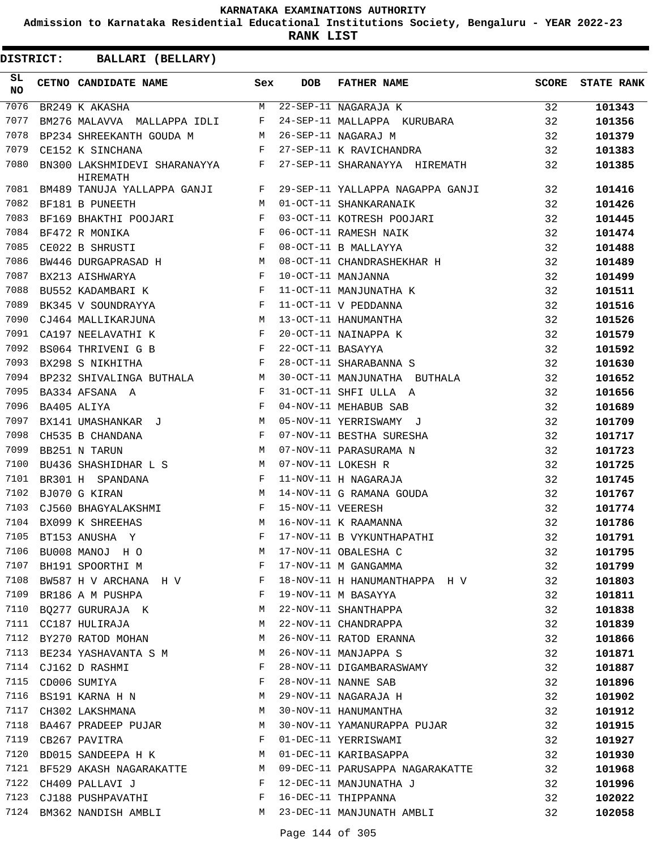**Admission to Karnataka Residential Educational Institutions Society, Bengaluru - YEAR 2022-23**

**RANK LIST**

| SL<br><b>NO</b> | CETNO CANDIDATE NAME                                                   | Sex          | DOB               | FATHER NAME                                              |    | SCORE STATE RANK |
|-----------------|------------------------------------------------------------------------|--------------|-------------------|----------------------------------------------------------|----|------------------|
| 7076            | BR249 K AKASHA                                                         |              |                   | M 22-SEP-11 NAGARAJA K<br>F 24-SEP-11 MALLAPPA KURUBARA  | 32 | 101343           |
| 7077            | BM276 MALAVVA MALLAPPA IDLI F                                          |              |                   |                                                          | 32 | 101356           |
| 7078            | BP234 SHREEKANTH GOUDA M                                               |              |                   | 26-SEP-11 NAGARAJ M                                      | 32 | 101379           |
| 7079            | CE152 K SINCHANA                                                       | $\mathbf{F}$ |                   | 27-SEP-11 K RAVICHANDRA                                  | 32 | 101383           |
| 7080            | BN300 LAKSHMIDEVI SHARANAYYA F<br>HIREMATH                             |              |                   | 27-SEP-11 SHARANAYYA HIREMATH                            | 32 | 101385           |
| 7081            | BM489 TANUJA YALLAPPA GANJI F                                          |              |                   | 29-SEP-11 YALLAPPA NAGAPPA GANJI                         | 32 | 101416           |
| 7082            | BF181 B PUNEETH                                                        | M            |                   | 01-OCT-11 SHANKARANAIK                                   | 32 | 101426           |
| 7083            | BF169 BHAKTHI POOJARI                                                  | F            |                   | 03-OCT-11 KOTRESH POOJARI                                | 32 | 101445           |
| 7084            | $\mathbf{F}$ and the state of the state $\mathbf{F}$<br>BF472 R MONIKA |              |                   | 06-OCT-11 RAMESH NAIK                                    | 32 | 101474           |
| 7085            | $\frac{1}{F}$<br>CE022 B SHRUSTI                                       |              |                   | 08-OCT-11 B MALLAYYA                                     | 32 | 101488           |
| 7086            | BW446 DURGAPRASAD H                                                    |              |                   | 08-OCT-11 CHANDRASHEKHAR H                               | 32 | 101489           |
| 7087            | BX213 AISHWARYA                                                        | F            |                   | 10-OCT-11 MANJANNA                                       | 32 | 101499           |
| 7088            | $\mathbf{F}$ and $\mathbf{F}$ and $\mathbf{F}$<br>BU552 KADAMBARI K    |              |                   | 11-OCT-11 MANJUNATHA K                                   | 32 | 101511           |
| 7089            | BK345 V SOUNDRAYYA                                                     | $\mathbf{F}$ |                   | 11-OCT-11 V PEDDANNA                                     | 32 | 101516           |
| 7090            | CJ464 MALLIKARJUNA M                                                   |              |                   | 13-OCT-11 HANUMANTHA                                     | 32 | 101526           |
| 7091            | $\mathbf{F}$ and $\mathbf{F}$ and $\mathbf{F}$<br>CA197 NEELAVATHI K   |              |                   | 20-OCT-11 NAINAPPA K                                     | 32 | 101579           |
| 7092            | BS064 THRIVENI G B F                                                   |              | 22-OCT-11 BASAYYA |                                                          | 32 | 101592           |
| 7093            | $\mathbf{F}$ . The $\mathbf{F}$<br>BX298 S NIKHITHA                    |              |                   | 28-OCT-11 SHARABANNA S                                   | 32 | 101630           |
| 7094            | BP232 SHIVALINGA BUTHALA M                                             |              |                   | 30-OCT-11 MANJUNATHA BUTHALA                             | 32 | 101652           |
| 7095            | $\mathbf{F}^{\mathbf{r}}$<br>BA334 AFSANA A                            |              |                   | 31-OCT-11 SHFI ULLA A                                    | 32 | 101656           |
| 7096            | $\mathbf{F}$ and $\mathbf{F}$ and $\mathbf{F}$<br>BA405 ALIYA          |              |                   | 04-NOV-11 MEHABUB SAB                                    | 32 | 101689           |
| 7097            | BX141 UMASHANKAR J                                                     | M            |                   | 05-NOV-11 YERRISWAMY J                                   | 32 | 101709           |
| 7098            | CH535 B CHANDANA                                                       | $\mathbf{F}$ |                   | 07-NOV-11 BESTHA SURESHA                                 | 32 | 101717           |
| 7099            | BB251 N TARUN<br><b>M</b>                                              |              |                   | 07-NOV-11 PARASURAMA N                                   | 32 | 101723           |
| 7100            | BU436 SHASHIDHAR L S M                                                 |              |                   | 07-NOV-11 LOKESH R                                       | 32 | 101725           |
| 7101            | $\mathbf{F}$<br>BR301 H SPANDANA                                       |              |                   | 11-NOV-11 H NAGARAJA                                     | 32 | 101745           |
| 7102            | BJ070 G KIRAN                                                          | M            |                   | 14-NOV-11 G RAMANA GOUDA                                 | 32 | 101767           |
| 7103            | CJ560 BHAGYALAKSHMI                                                    | F            | 15-NOV-11 VEERESH |                                                          | 32 | 101774           |
| 7104            | BX099 K SHREEHAS                                                       | M            |                   | 16-NOV-11 K RAAMANNA                                     | 32 | 101786           |
| 7105            | BT153 ANUSHA Y                                                         | F            |                   | 17-NOV-11 B VYKUNTHAPATHI                                | 32 | 101791           |
|                 | 7106 BU008 MANOJ H O M 17-NOV-11 OBALESHA C                            |              |                   |                                                          | 32 | 101795           |
| 7107            | BH191 SPOORTHI M                                                       | F            |                   | 17-NOV-11 M GANGAMMA                                     | 32 | 101799           |
| 7108            | BW587 H V ARCHANA H V $F$                                              |              |                   | 18-NOV-11 H HANUMANTHAPPA H V                            | 32 | 101803           |
| 7109            | $\mathbf{F}$<br>BR186 A M PUSHPA                                       |              |                   | 19-NOV-11 M BASAYYA                                      | 32 | 101811           |
| 7110            | BQ277 GURURAJA K M                                                     |              |                   | 22-NOV-11 SHANTHAPPA                                     | 32 | 101838           |
| 7111            | CC187 HULIRAJA                                                         | M            |                   | 22-NOV-11 CHANDRAPPA                                     | 32 | 101839           |
| 7112            | BY270 RATOD MOHAN                                                      | M            |                   | 26-NOV-11 RATOD ERANNA                                   | 32 | 101866           |
| 7113            | BE234 YASHAVANTA S M                                                   | M            |                   | 26-NOV-11 MANJAPPA S                                     | 32 | 101871           |
|                 | 7114 CJ162 D RASHMI                                                    | F            |                   | 28-NOV-11 DIGAMBARASWAMY                                 | 32 | 101887           |
| 7115            | CD006 SUMIYA                                                           | F            |                   | 28-NOV-11 NANNE SAB                                      | 32 | 101896           |
| 7116            | BS191 KARNA H N                                                        | M            |                   | 29-NOV-11 NAGARAJA H                                     | 32 | 101902           |
| 7117            | CH302 LAKSHMANA                                                        | M            |                   | 30-NOV-11 HANUMANTHA                                     | 32 | 101912           |
| 7118            |                                                                        | M            |                   |                                                          | 32 |                  |
| 7119            | BA467 PRADEEP PUJAR                                                    | F            |                   | 30-NOV-11 YAMANURAPPA PUJAR<br>01-DEC-11 YERRISWAMI      | 32 | 101915           |
| 7120            | CB267 PAVITRA<br>BD015 SANDEEPA H K M                                  |              |                   |                                                          |    | 101927           |
| 7121            |                                                                        |              |                   | 01-DEC-11 KARIBASAPPA<br>09-DEC-11 PARUSAPPA NAGARAKATTE | 32 | 101930           |
|                 | BF529 AKASH NAGARAKATTE M                                              |              |                   |                                                          | 32 | 101968           |
| 7122            | CH409 PALLAVI J<br>$\mathbf{F}$                                        |              |                   | 12-DEC-11 MANJUNATHA J                                   | 32 | 101996           |
| 7123            | CJ188 PUSHPAVATHI                                                      | F            |                   | 16-DEC-11 THIPPANNA                                      | 32 | 102022           |
| 7124            | BM362 NANDISH AMBLI M                                                  |              |                   | 23-DEC-11 MANJUNATH AMBLI                                | 32 | 102058           |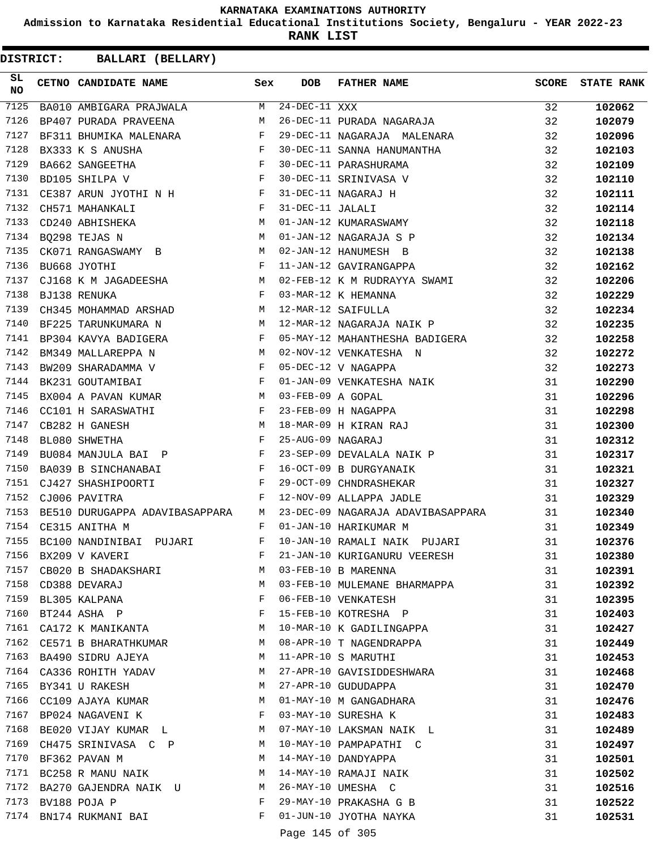**Admission to Karnataka Residential Educational Institutions Society, Bengaluru - YEAR 2022-23**

**RANK LIST**

**DISTRICT:** CC **BALLARI (BELLARY)**

| SL<br><b>NO</b> | CETNO CANDIDATE NAME Sex                                                                                                                 |       | <b>DOB</b>                 | FATHER NAME                       | SCORE           | <b>STATE RANK</b> |
|-----------------|------------------------------------------------------------------------------------------------------------------------------------------|-------|----------------------------|-----------------------------------|-----------------|-------------------|
| 7125            | BA010 AMBIGARA PRAJWALA M                                                                                                                |       | 24-DEC-11 XXX              |                                   | $\overline{32}$ | 102062            |
| 7126            | BP407 PURADA PRAVEENA                                                                                                                    | M     |                            | 26-DEC-11 PURADA NAGARAJA         | 32              | 102079            |
| 7127            | BF311 BHUMIKA MALENARA F                                                                                                                 |       |                            | 29-DEC-11 NAGARAJA MALENARA       | 32              | 102096            |
| 7128            | BX333 K S ANUSHA                                                                                                                         |       |                            | 30-DEC-11 SANNA HANUMANTHA        | 32              | 102103            |
| 7129            | BA662 SANGEETHA                                                                                                                          |       |                            | 30-DEC-11 PARASHURAMA             | 32              | 102109            |
| 7130            | BD105 SHILPA V                                                                                                                           |       |                            | 30-DEC-11 SRINIVASA V             | 32              | 102110            |
| 7131            | CE387 ARUN JYOTHI N H $F$                                                                                                                |       |                            | 31-DEC-11 NAGARAJ H               | 32              | 102111            |
| 7132            | $\mathbf{F}^{\mathcal{A}}_{\mathcal{A}}=\mathbf{F}^{\mathcal{A}}_{\mathcal{A}}\mathbf{F}^{\mathcal{A}}_{\mathcal{A}}$<br>CH571 MAHANKALI |       | 31-DEC-11 JALALI           |                                   | 32              | 102114            |
| 7133            | M <sub>N</sub><br>CD240 ABHISHEKA                                                                                                        |       |                            | 01-JAN-12 KUMARASWAMY             | 32              | 102118            |
| 7134            | M <sub>N</sub><br>BQ298 TEJAS N                                                                                                          |       |                            | 01-JAN-12 NAGARAJA S P            | 32              | 102134            |
| 7135            | CK071 RANGASWAMY B M                                                                                                                     |       |                            | 02-JAN-12 HANUMESH B              | 32              | 102138            |
| 7136            | $\mathbf{F}^{\mathcal{A}}$<br>BU668 JYOTHI                                                                                               |       |                            | 11-JAN-12 GAVIRANGAPPA            | 32              | 102162            |
| 7137            | CJ168 K M JAGADEESHA M                                                                                                                   |       |                            | 02-FEB-12 K M RUDRAYYA SWAMI      | 32              | 102206            |
| 7138            | $\mathbf{F}$ and $\mathbf{F}$ and $\mathbf{F}$<br>BJ138 RENUKA                                                                           |       |                            | 03-MAR-12 K HEMANNA               | 32              | 102229            |
| 7139            | CH345 MOHAMMAD ARSHAD M                                                                                                                  |       |                            | 12-MAR-12 SAIFULLA                | 32              | 102234            |
| 7140            | M<br>BF225 TARUNKUMARA N                                                                                                                 |       |                            | 12-MAR-12 NAGARAJA NAIK P         | 32              | 102235            |
| 7141            | BP304 KAVYA BADIGERA F                                                                                                                   |       |                            | 05-MAY-12 MAHANTHESHA BADIGERA    | 32              | 102258            |
| 7142            | BM349 MALLAREPPA N M                                                                                                                     |       |                            | 02-NOV-12 VENKATESHA N            | 32              | 102272            |
| 7143            | BW209 SHARADAMMA V                                                                                                                       |       |                            | 05-DEC-12 V NAGAPPA               | 32              | 102273            |
| 7144            | $\begin{aligned} \mathbf{F} \\ \mathbf{F} \end{aligned}$<br>BK231 GOUTAMIBAI                                                             |       |                            | 01-JAN-09 VENKATESHA NAIK         | 31              | 102290            |
| 7145            | BX004 A PAVAN KUMAR M                                                                                                                    |       | 03-FEB-09 A GOPAL          |                                   | 31              | 102296            |
| 7146            | CC101 H SARASWATHI F                                                                                                                     |       |                            | 23-FEB-09 H NAGAPPA               | 31              | 102298            |
| 7147            | CB282 H GANESH                                                                                                                           |       |                            | 18-MAR-09 H KIRAN RAJ             | 31              | 102300            |
| 7148            | $\begin{aligned} \mathbf{M} \\ \mathbf{F} \end{aligned}$<br>BL080 SHWETHA                                                                |       | 25-AUG-09 NAGARAJ          |                                   | 31              | 102312            |
| 7149            | BU084 MANJULA BAI P F                                                                                                                    |       |                            | 23-SEP-09 DEVALALA NAIK P         | 31              | 102317            |
| 7150            | BA039 B SINCHANABAI F                                                                                                                    |       |                            | 16-OCT-09 B DURGYANAIK            | 31              | 102321            |
| 7151            |                                                                                                                                          |       |                            | 29-OCT-09 CHNDRASHEKAR            | 31              | 102327            |
| 7152            | CJ427 SHASHIPOORTI F<br>CIONA DAVITRA F<br>CJ006 PAVITRA                                                                                 |       |                            | 12-NOV-09 ALLAPPA JADLE           | 31              | 102329            |
| 7153            | BE510 DURUGAPPA ADAVIBASAPPARA M                                                                                                         |       |                            | 23-DEC-09 NAGARAJA ADAVIBASAPPARA | 31              | 102340            |
| 7154            | <b>Example 19</b><br>CE315 ANITHA M                                                                                                      |       |                            | 01-JAN-10 HARIKUMAR M             | 31              | 102349            |
| 7155            | BC100 NANDINIBAI PUJARI F                                                                                                                |       |                            | 10-JAN-10 RAMALI NAIK PUJARI      | 31              | 102376            |
| 7156            | BX209 V KAVERI                                                                                                                           | F     |                            |                                   |                 |                   |
| 7157            |                                                                                                                                          |       |                            | 21-JAN-10 KURIGANURU VEERESH      | 31              | 102380            |
|                 | CB020 B SHADAKSHARI                                                                                                                      | M     |                            | 03-FEB-10 B MARENNA               | 31              | 102391            |
| 7158            | CD388 DEVARAJ                                                                                                                            | M     |                            | 03-FEB-10 MULEMANE BHARMAPPA      | 31              | 102392            |
| 7159            | BL305 KALPANA                                                                                                                            | F     |                            | 06-FEB-10 VENKATESH               | 31              | 102395            |
| 7160            | BT244 ASHA P                                                                                                                             | F     |                            | 15-FEB-10 KOTRESHA P              | 31              | 102403            |
| 7161            | CA172 K MANIKANTA                                                                                                                        | М     |                            | 10-MAR-10 K GADILINGAPPA          | 31              | 102427            |
| 7162            | CE571 B BHARATHKUMAR                                                                                                                     | M     |                            | 08-APR-10 T NAGENDRAPPA           | 31              | 102449            |
| 7163            | BA490 SIDRU AJEYA                                                                                                                        | М     |                            | 11-APR-10 S MARUTHI               | 31              | 102453            |
|                 | 7164 CA336 ROHITH YADAV                                                                                                                  | M     |                            | 27-APR-10 GAVISIDDESHWARA         | 31              | 102468            |
| 7165            | BY341 U RAKESH                                                                                                                           | M     |                            | 27-APR-10 GUDUDAPPA               | 31              | 102470            |
| 7166            | CC109 AJAYA KUMAR                                                                                                                        | M     |                            | 01-MAY-10 M GANGADHARA            | 31              | 102476            |
| 7167            | $\mathbf{F}$<br>BP024 NAGAVENI K                                                                                                         |       |                            | 03-MAY-10 SURESHA K               | 31              | 102483            |
| 7168            | BE020 VIJAY KUMAR L                                                                                                                      | M     |                            | 07-MAY-10 LAKSMAN NAIK L          | 31              | 102489            |
| 7169            | CH475 SRINIVASA C P                                                                                                                      | M     |                            | 10-MAY-10 PAMPAPATHI C            | 31              | 102497            |
| 7170            | BF362 PAVAN M                                                                                                                            | M     |                            | 14-MAY-10 DANDYAPPA               | 31              | 102501            |
| 7171            | BC258 R MANU NAIK                                                                                                                        | М     |                            | 14-MAY-10 RAMAJI NAIK             | 31              | 102502            |
|                 | 7172 BA270 GAJENDRA NAIK U M                                                                                                             |       |                            | 26-MAY-10 UMESHA C                | 31              | 102516            |
| 7173            | BV188 POJA P                                                                                                                             | F     |                            | 29-MAY-10 PRAKASHA G B            | 31              | 102522            |
| 7174            | BN174 RUKMANI BAI                                                                                                                        | $F -$ |                            | 01-JUN-10 JYOTHA NAYKA            | 31              | 102531            |
|                 |                                                                                                                                          |       | $D = 222 - 115$ $25$ $205$ |                                   |                 |                   |

Page 145 of 305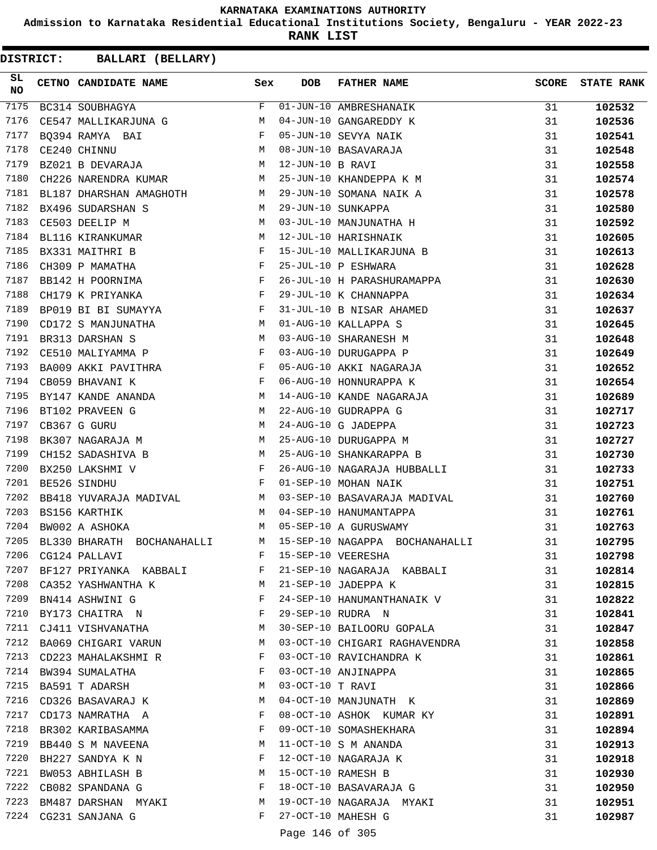**Admission to Karnataka Residential Educational Institutions Society, Bengaluru - YEAR 2022-23**

**RANK LIST**

| SL<br><b>NO</b> | CETNO CANDIDATE NAME Sex                                                                                                                                                                                                                             |              | DOB              | <b>FATHER NAME</b>                                                                               | <b>SCORE</b> | <b>STATE RANK</b> |
|-----------------|------------------------------------------------------------------------------------------------------------------------------------------------------------------------------------------------------------------------------------------------------|--------------|------------------|--------------------------------------------------------------------------------------------------|--------------|-------------------|
| 7175            | BC314 SOUBHAGYA                                                                                                                                                                                                                                      | F            |                  | 01-JUN-10 AMBRESHANAIK<br>-- 10 CANGAREDDY K                                                     | 31           | 102532            |
| 7176            | CE547 MALLIKARJUNA G                                                                                                                                                                                                                                 | М            |                  |                                                                                                  | 31           | 102536            |
| 7177            | $\mathbf{F}$<br>BQ394 RAMYA BAI                                                                                                                                                                                                                      |              |                  | 05-JUN-10 SEVYA NAIK                                                                             | 31           | 102541            |
| 7178            | $\begin{aligned} M \\ M \end{aligned}$<br>CE240 CHINNU                                                                                                                                                                                               |              |                  | 08-JUN-10 BASAVARAJA                                                                             | 31           | 102548            |
| 7179            | BZ021 B DEVARAJA                                                                                                                                                                                                                                     |              | 12-JUN-10 B RAVI |                                                                                                  | 31           | 102558            |
| 7180            | CH226 NARENDRA KUMAR M                                                                                                                                                                                                                               |              |                  | 25-JUN-10 KHANDEPPA K M                                                                          | 31           | 102574            |
| 7181            | BL187 DHARSHAN AMAGHOTH M                                                                                                                                                                                                                            |              |                  | 29-JUN-10 SOMANA NAIK A                                                                          | 31           | 102578            |
| 7182            | M<br>BX496 SUDARSHAN S                                                                                                                                                                                                                               |              |                  | 29-JUN-10 SUNKAPPA                                                                               | 31           | 102580            |
| 7183            | $\overline{M}$<br>CE503 DEELIP M                                                                                                                                                                                                                     |              |                  | 03-JUL-10 MANJUNATHA H                                                                           | 31           | 102592            |
| 7184            | <b>M</b><br>BL116 KIRANKUMAR                                                                                                                                                                                                                         |              |                  | 12-JUL-10 HARISHNAIK                                                                             | 31           | 102605            |
| 7185            | $\mathbf{F}$ and $\mathbf{F}$ and $\mathbf{F}$<br>BX331 MAITHRI B                                                                                                                                                                                    |              |                  |                                                                                                  | 31           | 102613            |
| 7186            | CH309 P MAMATHA                                                                                                                                                                                                                                      | $\mathbf{F}$ |                  | 15-JUL-10 MALLIKARJUNA B<br>25-JUL-10 P ESHWARA                                                  | 31           | 102628            |
| 7187            | BB142 H POORNIMA                                                                                                                                                                                                                                     | $\mathbf{F}$ |                  | 26-JUL-10 H PARASHURAMAPPA                                                                       | 31           | 102630            |
| 7188            | $\mathbf{F}$ and $\mathbf{F}$ and $\mathbf{F}$<br>CH179 K PRIYANKA                                                                                                                                                                                   |              |                  | 29-JUL-10 K CHANNAPPA                                                                            | 31           | 102634            |
| 7189            | BP019 BI BI SUMAYYA F                                                                                                                                                                                                                                |              |                  | 31-JUL-10 B NISAR AHAMED                                                                         | 31           | 102637            |
| 7190            | CD172 S MANJUNATHA M                                                                                                                                                                                                                                 |              |                  | 01-AUG-10 KALLAPPA S                                                                             | 31           | 102645            |
| 7191            | M<br>BR313 DARSHAN S                                                                                                                                                                                                                                 |              |                  | 03-AUG-10 SHARANESH M                                                                            | 31           | 102648            |
| 7192            | $\mathbf{F}$ and $\mathbf{F}$ and $\mathbf{F}$<br>CE510 MALIYAMMA P                                                                                                                                                                                  |              |                  | 03-AUG-10 DURUGAPPA P                                                                            | 31           | 102649            |
| 7193            | BA009 AKKI PAVITHRA F                                                                                                                                                                                                                                |              |                  | 05-AUG-10 AKKI NAGARAJA                                                                          | 31           | 102652            |
| 7194            | CB059 BHAVANI K                                                                                                                                                                                                                                      | $\mathbf{F}$ |                  | 06-AUG-10 HONNURAPPA K                                                                           | 31           | 102654            |
| 7195            | BY147 KANDE ANANDA M                                                                                                                                                                                                                                 |              |                  |                                                                                                  | 31           | 102689            |
| 7196            | M <sub>N</sub><br>BT102 PRAVEEN G                                                                                                                                                                                                                    |              |                  | 14-AUG-10 KANDE NAGARAJA<br>22-AUG-10 GUDRAPPA G<br>24-AUG-10 G JADEPPA<br>25-AUG-10 DURUGAPPA M | 31           | 102717            |
| 7197            | CB367 G GURU                                                                                                                                                                                                                                         |              |                  |                                                                                                  | 31           | 102723            |
| 7198            | $\begin{aligned} M \\ M \end{aligned}$<br>BK307 NAGARAJA M                                                                                                                                                                                           |              |                  |                                                                                                  | 31           | 102727            |
| 7199            | CH152 SADASHIVA B<br>M <sub>N</sub>                                                                                                                                                                                                                  |              |                  | 25-AUG-10 SHANKARAPPA B                                                                          | 31           | 102730            |
| 7200            | BX250 LAKSHMI V<br>$\mathbf{F}$ and the set of the set of the set of the set of the set of the set of the set of the set of the set of the set of the set of the set of the set of the set of the set of the set of the set of the set of the set of |              |                  | 26-AUG-10 NAGARAJA HUBBALLI                                                                      | 31           | 102733            |
| 7201            | $\mathbf{F}$<br>BE526 SINDHU                                                                                                                                                                                                                         |              |                  | 01-SEP-10 MOHAN NAIK                                                                             | 31           | 102751            |
| 7202            |                                                                                                                                                                                                                                                      |              |                  |                                                                                                  | 31           | 102760            |
| 7203            | BB418 YUVARAJA MADIVAL M<br>BS156 KARTHIK M                                                                                                                                                                                                          |              |                  | 03-SEP-10 BASAVARAJA MADIVAL<br>04-SEP-10 HANUMANTAPPA                                           | 31           | 102761            |
| 7204            | M<br>BW002 A ASHOKA                                                                                                                                                                                                                                  |              |                  | 05-SEP-10 A GURUSWAMY                                                                            | 31           | 102763            |
| 7205            | BL330 BHARATH BOCHANAHALLI M                                                                                                                                                                                                                         |              |                  | 15-SEP-10 NAGAPPA BOCHANAHALLI                                                                   | 31           | 102795            |
| 7206            | CG124 PALLAVI                                                                                                                                                                                                                                        | F            |                  | 15-SEP-10 VEERESHA                                                                               | 31           | 102798            |
| 7207            | BF127 PRIYANKA KABBALI                                                                                                                                                                                                                               | F            |                  | 21-SEP-10 NAGARAJA KABBALI                                                                       | 31           | 102814            |
| 7208            | CA352 YASHWANTHA K                                                                                                                                                                                                                                   | М            |                  | 21-SEP-10 JADEPPA K                                                                              | 31           | 102815            |
| 7209            | BN414 ASHWINI G                                                                                                                                                                                                                                      | F            |                  | 24-SEP-10 HANUMANTHANAIK V                                                                       | 31           | 102822            |
| 7210            | BY173 CHAITRA N                                                                                                                                                                                                                                      | F            |                  | 29-SEP-10 RUDRA N                                                                                | 31           | 102841            |
| 7211            | CJ411 VISHVANATHA                                                                                                                                                                                                                                    | М            |                  | 30-SEP-10 BAILOORU GOPALA                                                                        | 31           | 102847            |
| 7212            | BA069 CHIGARI VARUN                                                                                                                                                                                                                                  | М            |                  | 03-OCT-10 CHIGARI RAGHAVENDRA                                                                    | 31           | 102858            |
| 7213            | CD223 MAHALAKSHMI R                                                                                                                                                                                                                                  | F            |                  | 03-OCT-10 RAVICHANDRA K                                                                          | 31           | 102861            |
| 7214            | BW394 SUMALATHA                                                                                                                                                                                                                                      | F            |                  | 03-OCT-10 ANJINAPPA                                                                              | 31           | 102865            |
| 7215            | BA591 T ADARSH                                                                                                                                                                                                                                       | M            | 03-OCT-10 T RAVI |                                                                                                  | 31           | 102866            |
| 7216            | CD326 BASAVARAJ K                                                                                                                                                                                                                                    | М            |                  | 04-OCT-10 MANJUNATH K                                                                            | 31           | 102869            |
| 7217            | CD173 NAMRATHA A                                                                                                                                                                                                                                     | F            |                  | 08-OCT-10 ASHOK KUMAR KY                                                                         | 31           | 102891            |
| 7218            | BR302 KARIBASAMMA                                                                                                                                                                                                                                    | F            |                  | 09-OCT-10 SOMASHEKHARA                                                                           | 31           | 102894            |
| 7219            | BB440 S M NAVEENA                                                                                                                                                                                                                                    | M            |                  | 11-OCT-10 S M ANANDA                                                                             | 31           | 102913            |
| 7220            | BH227 SANDYA K N                                                                                                                                                                                                                                     | F            |                  | 12-OCT-10 NAGARAJA K                                                                             | 31           | 102918            |
| 7221            | BW053 ABHILASH B                                                                                                                                                                                                                                     | M            |                  | 15-OCT-10 RAMESH B                                                                               | 31           | 102930            |
| 7222            | CB082 SPANDANA G                                                                                                                                                                                                                                     | F            |                  | 18-OCT-10 BASAVARAJA G                                                                           | 31           | 102950            |
| 7223            | BM487 DARSHAN MYAKI                                                                                                                                                                                                                                  | M            |                  | 19-OCT-10 NAGARAJA MYAKI                                                                         | 31           | 102951            |
| 7224            | CG231 SANJANA G                                                                                                                                                                                                                                      | F            |                  | 27-OCT-10 MAHESH G                                                                               | 31           | 102987            |
|                 |                                                                                                                                                                                                                                                      |              |                  |                                                                                                  |              |                   |
|                 |                                                                                                                                                                                                                                                      |              | Page 146 of 305  |                                                                                                  |              |                   |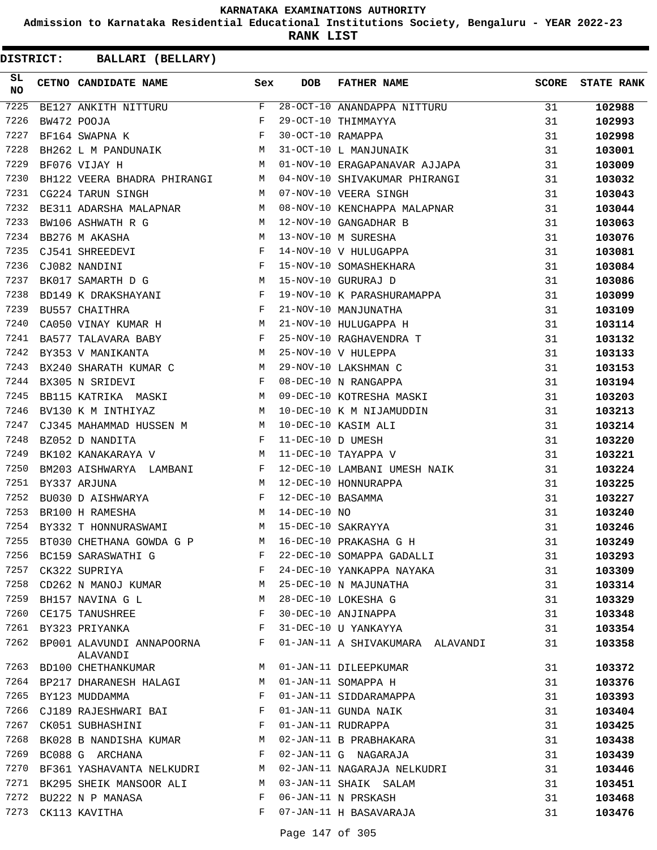**Admission to Karnataka Residential Educational Institutions Society, Bengaluru - YEAR 2022-23**

**RANK LIST**

| SL<br><b>NO</b> | <b>CETNO CANDIDATE NAME</b>                                                                     | Sex | <b>DOB</b>        | FATHER NAME                                                                                                                                                                                                       | <b>SCORE</b> | <b>STATE RANK</b> |
|-----------------|-------------------------------------------------------------------------------------------------|-----|-------------------|-------------------------------------------------------------------------------------------------------------------------------------------------------------------------------------------------------------------|--------------|-------------------|
| 7225            | BE127 ANKITH NITTURU F<br>BW472 POOJA F<br>BF164 SWAPNA K F                                     |     |                   | 28-OCT-10 ANANDAPPA NITTURU 31                                                                                                                                                                                    |              | 102988            |
| 7226            |                                                                                                 |     |                   |                                                                                                                                                                                                                   | 31           | 102993            |
| 7227            |                                                                                                 |     |                   | 29-OCT-10 THIMMAYYA<br>30-OCT-10 RAMAPPA<br>31-OCT-10 L MANJUNAIK                                                                                                                                                 | 31           | 102998            |
| 7228            | BH262 L M PANDUNAIK M                                                                           |     |                   |                                                                                                                                                                                                                   | 31           | 103001            |
| 7229            | M<br>BF076 VIJAY H                                                                              |     |                   | 01-NOV-10 ERAGAPANAVAR AJJAPA                                                                                                                                                                                     | 31           | 103009            |
| 7230            | BH122 VEERA BHADRA PHIRANGI M                                                                   |     |                   | 04-NOV-10 SHIVAKUMAR PHIRANGI                                                                                                                                                                                     | 31           | 103032            |
| 7231            | CG224 TARUN SINGH                                                                               | M   |                   | 07-NOV-10 VEERA SINGH                                                                                                                                                                                             | 31           | 103043            |
| 7232            | BE311 ADARSHA MALAPNAR M                                                                        |     |                   | 08-NOV-10 KENCHAPPA MALAPNAR                                                                                                                                                                                      | 31           | 103044            |
| 7233            | $\begin{array}{ccc} & & & \cdots \\ & & M & \\ & M & \\ & M & \end{array}$<br>BW106 ASHWATH R G |     |                   | 12-NOV-10 GANGADHAR B<br>13-NOV-10 M SURESHA<br>14-NOV-10 V HULUGAPPA<br>15-NOV-10 SOMASHEKHARA<br>15-NOV-10 GURURAJ D<br>12-NOV-10 GANGADHAR B                                                                   | 31           | 103063            |
| 7234            | BB276 M AKASHA                                                                                  |     |                   |                                                                                                                                                                                                                   | 31           | 103076            |
| 7235            | CJ541 SHREEDEVI F                                                                               |     |                   |                                                                                                                                                                                                                   | 31           | 103081            |
| 7236            | CJ082 NANDINI F<br>BK017 SAMARTH D G M                                                          |     |                   |                                                                                                                                                                                                                   | 31           | 103084            |
| 7237            |                                                                                                 |     |                   | 15-NOV-10 GURURAJ D                                                                                                                                                                                               | 31           | 103086            |
| 7238            | BD149 K DRAKSHAYANI F                                                                           |     |                   | 19-NOV-10 K PARASHURAMAPPA                                                                                                                                                                                        | 31           | 103099            |
| 7239            | $\mathbb{F}^{\mathbb{Z}}$ . The set of $\mathbb{F}^{\mathbb{Z}}$<br>BU557 CHAITHRA              |     |                   | 21-NOV-10 MANJUNATHA<br>21-NOV-10 HULUGAPPA H<br>25-NOV-10 RAGHAVENDRA T<br>25-NOV-10 V HULEPPA                                                                                                                   | 31           | 103109            |
| 7240            | CA050 VINAY KUMAR H M                                                                           |     |                   |                                                                                                                                                                                                                   | 31           | 103114            |
| 7241            | BA577 TALAVARA BABY $$\rm F$$                                                                   |     |                   |                                                                                                                                                                                                                   | 31           | 103132            |
| 7242            | M<br>BY353 V MANIKANTA                                                                          |     |                   |                                                                                                                                                                                                                   | 31           | 103133            |
| 7243            | BX240 SHARATH KUMAR C M                                                                         |     |                   | 29-NOV-10 LAKSHMAN C                                                                                                                                                                                              | 31           | 103153            |
| 7244            |                                                                                                 |     |                   | 08-DEC-10 N RANGAPPA<br>09-DEC-10 KOTRESHA MASKI                                                                                                                                                                  | 31           | 103194            |
| 7245            |                                                                                                 |     |                   |                                                                                                                                                                                                                   | 31           | 103203            |
| 7246            |                                                                                                 |     |                   |                                                                                                                                                                                                                   | 31           | 103213            |
| 7247            |                                                                                                 |     |                   |                                                                                                                                                                                                                   | 31           | 103214            |
| 7248            |                                                                                                 |     |                   |                                                                                                                                                                                                                   | 31           | 103220            |
| 7249            | M<br>BK102 KANAKARAYA V                                                                         |     |                   | EX305 N SRIDEVI<br>BB115 KATRIKA MASKI M 09-DEC-10 KOTRESHA MASKI<br>BV130 K M INTHIYAZ M 10-DEC-10 K M NIJAMUDDIN<br>CJ345 MAHAMMAD HUSSEN M M 10-DEC-10 KASIM ALI<br>F 11-DEC-10 D UMESH<br>11-DEC-10 TAYAPPA V | 31           | 103221            |
| 7250            | BM203 AISHWARYA LAMBANI F                                                                       |     |                   | 12-DEC-10 LAMBANI UMESH NAIK                                                                                                                                                                                      | 31           | 103224            |
| 7251            | $\mathbf M$<br>BY337 ARJUNA                                                                     |     |                   | 12-DEC-10 HONNURAPPA<br>$$\rm{\AA}$$ G $$\rm{\,H}$$                                                                                                                                                               | 31           | 103225            |
| 7252            |                                                                                                 |     | 12-DEC-10 BASAMMA |                                                                                                                                                                                                                   | 31           | 103227            |
| 7253            |                                                                                                 |     |                   |                                                                                                                                                                                                                   | 31           | 103240            |
| 7254            | BY332 T HONNURASWAMI M 15-DEC-10 SAKRAYYA                                                       |     |                   |                                                                                                                                                                                                                   | 31           | 103246            |
| 7255            | BT030 CHETHANA GOWDA G P M 16-DEC-10 PRAKASHA G H                                               |     |                   |                                                                                                                                                                                                                   | 31           | 103249            |
| 7256            | BC159 SARASWATHI G                                                                              | F   |                   | 22-DEC-10 SOMAPPA GADALLI                                                                                                                                                                                         | 31           | 103293            |
| 7257            | CK322 SUPRIYA                                                                                   | F   |                   | 24-DEC-10 YANKAPPA NAYAKA                                                                                                                                                                                         | 31           | 103309            |
| 7258            | CD262 N MANOJ KUMAR                                                                             | М   |                   | 25-DEC-10 N MAJUNATHA                                                                                                                                                                                             | 31           | 103314            |
| 7259            | BH157 NAVINA G L                                                                                | М   |                   | 28-DEC-10 LOKESHA G                                                                                                                                                                                               | 31           | 103329            |
| 7260            | CE175 TANUSHREE                                                                                 | F   |                   | 30-DEC-10 ANJINAPPA                                                                                                                                                                                               | 31           | 103348            |
| 7261            | BY323 PRIYANKA                                                                                  | F   |                   | 31-DEC-10 U YANKAYYA                                                                                                                                                                                              | 31           | 103354            |
| 7262            | BP001 ALAVUNDI ANNAPOORNA<br>ALAVANDI                                                           | F   |                   | 01-JAN-11 A SHIVAKUMARA ALAVANDI                                                                                                                                                                                  | 31           | 103358            |
| 7263            | BD100 CHETHANKUMAR                                                                              | M   |                   | 01-JAN-11 DILEEPKUMAR                                                                                                                                                                                             | 31           | 103372            |
| 7264            | BP217 DHARANESH HALAGI                                                                          | M   |                   | 01-JAN-11 SOMAPPA H                                                                                                                                                                                               | 31           | 103376            |
| 7265            | BY123 MUDDAMMA                                                                                  | F   |                   | 01-JAN-11 SIDDARAMAPPA                                                                                                                                                                                            | 31           | 103393            |
| 7266            | CJ189 RAJESHWARI BAI                                                                            | F   |                   | 01-JAN-11 GUNDA NAIK                                                                                                                                                                                              | 31           | 103404            |
| 7267            | CK051 SUBHASHINI                                                                                | F   |                   | 01-JAN-11 RUDRAPPA                                                                                                                                                                                                | 31           | 103425            |
| 7268            | BK028 B NANDISHA KUMAR                                                                          | M   |                   | 02-JAN-11 B PRABHAKARA                                                                                                                                                                                            | 31           | 103438            |
| 7269            | BC088 G ARCHANA                                                                                 | F   |                   | 02-JAN-11 G NAGARAJA                                                                                                                                                                                              | 31           | 103439            |
| 7270            | BF361 YASHAVANTA NELKUDRI                                                                       | M   |                   | 02-JAN-11 NAGARAJA NELKUDRI                                                                                                                                                                                       | 31           | 103446            |
| 7271            | BK295 SHEIK MANSOOR ALI                                                                         | M   |                   | 03-JAN-11 SHAIK SALAM                                                                                                                                                                                             | 31           | 103451            |
| 7272            | BU222 N P MANASA                                                                                | F   |                   | 06-JAN-11 N PRSKASH                                                                                                                                                                                               | 31           | 103468            |
| 7273            | CK113 KAVITHA                                                                                   | F   |                   | 07-JAN-11 H BASAVARAJA                                                                                                                                                                                            | 31           | 103476            |
|                 |                                                                                                 |     |                   |                                                                                                                                                                                                                   |              |                   |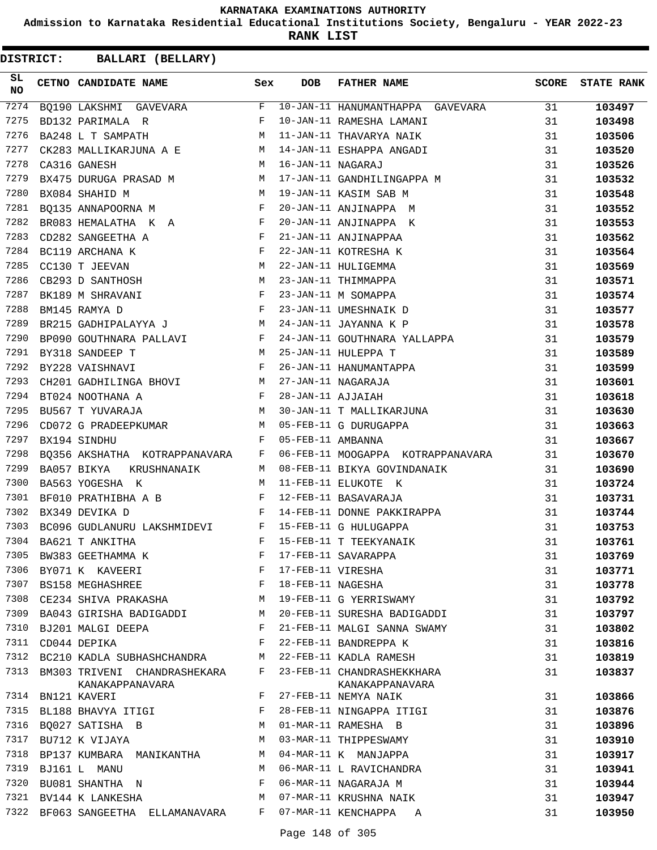**Admission to Karnataka Residential Educational Institutions Society, Bengaluru - YEAR 2022-23**

**RANK LIST**

| SL<br><b>NO</b> | CETNO CANDIDATE NAME                                                                                                                                                                                                                               | Sex | <b>DOB</b>        | <b>FATHER NAME</b>                                              | <b>SCORE</b> | <b>STATE RANK</b> |
|-----------------|----------------------------------------------------------------------------------------------------------------------------------------------------------------------------------------------------------------------------------------------------|-----|-------------------|-----------------------------------------------------------------|--------------|-------------------|
| 7274            |                                                                                                                                                                                                                                                    |     |                   | BQ190 LAKSHMI GAVEVARA F $10$ -JAN-11 HANUMANTHAPPA GAVEVARA 31 |              | 103497            |
| 7275            | $\mathbf{F}$ and $\mathbf{F}$ and $\mathbf{F}$<br>BD132 PARIMALA R                                                                                                                                                                                 |     |                   | 10-JAN-11 RAMESHA LAMANI                                        | 31           | 103498            |
| 7276            | <b>M</b><br>BA248 L T SAMPATH                                                                                                                                                                                                                      |     |                   |                                                                 | 31           | 103506            |
| 7277            | CK283 MALLIKARJUNA A E M                                                                                                                                                                                                                           |     |                   | 11-JAN-11 THAVARYA NAIR<br>14-JAN-11 ESHAPPA ANGADI             | 31           | 103520            |
| 7278            | M<br>CA316 GANESH                                                                                                                                                                                                                                  |     | 16-JAN-11 NAGARAJ |                                                                 | 31           | 103526            |
| 7279            |                                                                                                                                                                                                                                                    |     |                   | BX475 DURUGA PRASAD M M 17-JAN-11 GANDHILINGAPPA M              | 31           | 103532            |
| 7280            | M <sub>1</sub><br>BX084 SHAHID M                                                                                                                                                                                                                   |     |                   | 19-JAN-11 KASIM SAB M                                           | 31           | 103548            |
| 7281            | BQ135 ANNAPOORNA M $$\rm F$$                                                                                                                                                                                                                       |     |                   | 20-JAN-11 ANJINAPPA M                                           | 31           | 103552            |
| 7282            | BR083 HEMALATHA K A F                                                                                                                                                                                                                              |     |                   | 20-JAN-11 ANJINAPPA K                                           | 31           | 103553            |
| 7283            | $\mathbf{F}$ and $\mathbf{F}$ and $\mathbf{F}$<br>CD282 SANGEETHA A                                                                                                                                                                                |     |                   | 21-JAN-11 ANJINAPPAA                                            | 31           | 103562            |
| 7284            | $\mathbf{F}$<br>BC119 ARCHANA K                                                                                                                                                                                                                    |     |                   | 22-JAN-11 KOTRESHA K                                            | 31           | 103564            |
| 7285            | M<br>CC130 T JEEVAN                                                                                                                                                                                                                                |     |                   | 22-JAN-11 HULIGEMMA                                             | 31           | 103569            |
| 7286            | M<br>CB293 D SANTHOSH                                                                                                                                                                                                                              |     |                   | 23-JAN-11 THIMMAPPA                                             | 31           | 103571            |
| 7287            | $\mathbf{F}_{\mathbf{r}}$ and $\mathbf{F}_{\mathbf{r}}$ and $\mathbf{F}_{\mathbf{r}}$<br>BK189 M SHRAVANI                                                                                                                                          |     |                   | 23-JAN-11 M SOMAPPA                                             | 31           | 103574            |
| 7288            | $\mathbf{F}$ . The set of the set of the set of the set of the set of the set of the set of the set of the set of the set of the set of the set of the set of the set of the set of the set of the set of the set of the set of t<br>BM145 RAMYA D |     |                   | 23-JAN-11 UMESHNAIK D                                           | 31           | 103577            |
| 7289            | BR215 GADHIPALAYYA J<br>M 24-JAN-11 JAYANNA K P                                                                                                                                                                                                    |     |                   |                                                                 | 31           | 103578            |
| 7290            | BP090 GOUTHNARA PALLAVI F                                                                                                                                                                                                                          |     |                   | 24-JAN-11 GOUTHNARA YALLAPPA                                    | 31           | 103579            |
| 7291            | M <sub>N</sub><br>BY318 SANDEEP T                                                                                                                                                                                                                  |     |                   | 25-JAN-11 HULEPPA T                                             | 31           | 103589            |
| 7292            | $\mathbf{F}$ and the contract of the contract of $\mathbf{F}$<br>BY228 VAISHNAVI                                                                                                                                                                   |     |                   | 26-JAN-11 HANUMANTAPPA                                          | 31           | 103599            |
| 7293            | CH201 GADHILINGA BHOVI M<br>BT024 NOOTHANA A F                                                                                                                                                                                                     |     |                   | 27-JAN-11 NAGARAJA                                              | 31           | 103601            |
| 7294            |                                                                                                                                                                                                                                                    |     | 28-JAN-11 AJJAIAH |                                                                 | 31           | 103618            |
| 7295            | M <sub>N</sub><br>BU567 T YUVARAJA                                                                                                                                                                                                                 |     |                   | 30-JAN-11 T MALLIKARJUNA                                        | 31           | 103630            |
| 7296            | CD072 G PRADEEPKUMAR M 05-FEB-11 G DURUGAPPA                                                                                                                                                                                                       |     |                   |                                                                 | 31           | 103663            |
| 7297            | $\mathbf{F}$<br>BX194 SINDHU                                                                                                                                                                                                                       |     | 05-FEB-11 AMBANNA |                                                                 | 31           | 103667            |
| 7298            | BQ356 AKSHATHA KOTRAPPANAVARA F                                                                                                                                                                                                                    |     |                   | 06-FEB-11 MOOGAPPA KOTRAPPANAVARA                               | 31           | 103670            |
| 7299            | BA057 BIKYA<br>KRUSHNANAIK M                                                                                                                                                                                                                       |     |                   | 08-FEB-11 BIKYA GOVINDANAIK                                     | 31           | 103690            |
| 7300            | M<br>BA563 YOGESHA K                                                                                                                                                                                                                               |     |                   | 11-FEB-11 ELUKOTE K                                             | 31           | 103724            |
| 7301            |                                                                                                                                                                                                                                                    |     |                   | 12-FEB-11 BASAVARAJA                                            | 31           | 103731            |
| 7302            | ${\tt BF010 \; PRATHIBHA \; A \; B} \qquad {\tt F} \\ {\tt BX349 \; DEVIKA \; D} \qquad {\tt F} \\ {\tt F}$                                                                                                                                        |     |                   | 14-FEB-11 DONNE PAKKIRAPPA                                      | 31           | 103744            |
| 7303            | BC096 GUDLANURU LAKSHMIDEVI $F$ 15-FEB-11 G HULUGAPPA                                                                                                                                                                                              |     |                   |                                                                 | 31           | 103753            |
| 7304            | BA621 T ANKITHA                                                                                                                                                                                                                                    | F   |                   | 15-FEB-11 T TEEKYANAIK                                          | 31           | 103761            |
| 7305            | BW383 GEETHAMMA K                                                                                                                                                                                                                                  | F   |                   | 17-FEB-11 SAVARAPPA                                             | 31           | 103769            |
| 7306            | BY071 K KAVEERI                                                                                                                                                                                                                                    | F   | 17-FEB-11 VIRESHA |                                                                 | 31           | 103771            |
| 7307            | BS158 MEGHASHREE                                                                                                                                                                                                                                   | F   | 18-FEB-11 NAGESHA |                                                                 | 31           | 103778            |
| 7308            | CE234 SHIVA PRAKASHA                                                                                                                                                                                                                               | M   |                   | 19-FEB-11 G YERRISWAMY                                          | 31           | 103792            |
| 7309            | BA043 GIRISHA BADIGADDI                                                                                                                                                                                                                            | M   |                   | 20-FEB-11 SURESHA BADIGADDI                                     | 31           | 103797            |
| 7310            | BJ201 MALGI DEEPA                                                                                                                                                                                                                                  | F   |                   | 21-FEB-11 MALGI SANNA SWAMY                                     | 31           | 103802            |
| 7311            | CD044 DEPIKA                                                                                                                                                                                                                                       | F   |                   | 22-FEB-11 BANDREPPA K                                           | 31           | 103816            |
| 7312            | BC210 KADLA SUBHASHCHANDRA                                                                                                                                                                                                                         | M   |                   | 22-FEB-11 KADLA RAMESH                                          | 31           | 103819            |
| 7313            | BM303 TRIVENI CHANDRASHEKARA<br>KANAKAPPANAVARA                                                                                                                                                                                                    | F   |                   | 23-FEB-11 CHANDRASHEKKHARA<br>KANAKAPPANAVARA                   | 31           | 103837            |
| 7314            | BN121 KAVERI                                                                                                                                                                                                                                       | F   |                   | 27-FEB-11 NEMYA NAIK                                            | 31           | 103866            |
| 7315            | BL188 BHAVYA ITIGI                                                                                                                                                                                                                                 | F   |                   | 28-FEB-11 NINGAPPA ITIGI                                        | 31           | 103876            |
| 7316            | BQ027 SATISHA B                                                                                                                                                                                                                                    | М   |                   | 01-MAR-11 RAMESHA B                                             | 31           | 103896            |
| 7317            | BU712 K VIJAYA                                                                                                                                                                                                                                     | М   |                   | 03-MAR-11 THIPPESWAMY                                           | 31           | 103910            |
| 7318            | BP137 KUMBARA MANIKANTHA                                                                                                                                                                                                                           | M   |                   | 04-MAR-11 K MANJAPPA                                            | 31           | 103917            |
| 7319            | BJ161 L MANU                                                                                                                                                                                                                                       | М   |                   | 06-MAR-11 L RAVICHANDRA                                         | 31           | 103941            |
| 7320            | BU081 SHANTHA N                                                                                                                                                                                                                                    | F   |                   | 06-MAR-11 NAGARAJA M                                            | 31           | 103944            |
| 7321            | BV144 K LANKESHA                                                                                                                                                                                                                                   | М   |                   | 07-MAR-11 KRUSHNA NAIK                                          | 31           | 103947            |
| 7322            | BF063 SANGEETHA ELLAMANAVARA                                                                                                                                                                                                                       | F   |                   | 07-MAR-11 KENCHAPPA<br>A                                        | 31           | 103950            |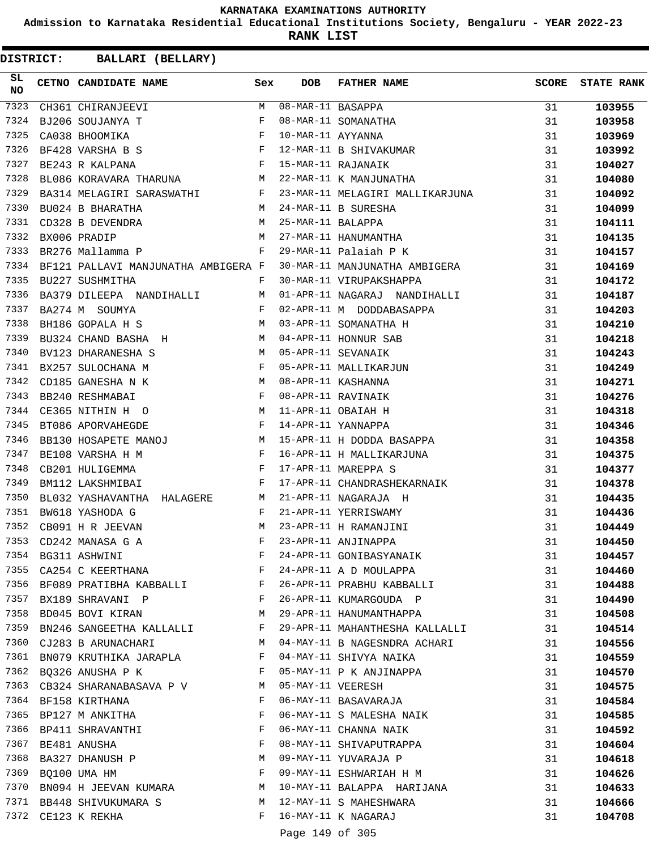**Admission to Karnataka Residential Educational Institutions Society, Bengaluru - YEAR 2022-23**

**RANK LIST**

| SL<br>NO | CETNO CANDIDATE NAME Sex                                                                                                                                                                                                                                |   | <b>DOB</b>        | FATHER NAME                                                                                                                                                                                                                                     | <b>SCORE</b> | <b>STATE RANK</b> |
|----------|---------------------------------------------------------------------------------------------------------------------------------------------------------------------------------------------------------------------------------------------------------|---|-------------------|-------------------------------------------------------------------------------------------------------------------------------------------------------------------------------------------------------------------------------------------------|--------------|-------------------|
| 7323     | CH361 CHIRANJEEVI                                                                                                                                                                                                                                       | M |                   | 08-MAR-11 BASAPPA<br>08-MAR-11 SOMANATHA<br>10-MAR-11 AYYANNA<br>12-MAR-11 B SHIVAKUMAR<br>15-MAR-11 RAJANAIK                                                                                                                                   | 31           | 103955            |
| 7324     | BJ206 SOUJANYA T                                                                                                                                                                                                                                        | F |                   |                                                                                                                                                                                                                                                 | 31           | 103958            |
| 7325     | CA038 BHOOMIKA F<br>BF428 VARSHA B S F<br>BE243 R KALPANA F                                                                                                                                                                                             |   |                   |                                                                                                                                                                                                                                                 | 31           | 103969            |
| 7326     |                                                                                                                                                                                                                                                         |   |                   |                                                                                                                                                                                                                                                 | 31           | 103992            |
| 7327     |                                                                                                                                                                                                                                                         |   |                   |                                                                                                                                                                                                                                                 | 31           | 104027            |
| 7328     | BL086 KORAVARA THARUNA M                                                                                                                                                                                                                                |   |                   | 22-MAR-11 K MANJUNATHA                                                                                                                                                                                                                          | 31           | 104080            |
| 7329     | BA314 MELAGIRI SARASWATHI F                                                                                                                                                                                                                             |   |                   | 23-MAR-11 MELAGIRI MALLIKARJUNA                                                                                                                                                                                                                 | 31           | 104092            |
| 7330     | BUO24 B BHARATHA M 24-MAR-11 B SURESHA<br>CD328 B DEVENDRA M 25-MAR-11 BALAPPA                                                                                                                                                                          |   |                   | 24-WAK-11 B SURESHA<br>25-MAR-11 BALAPPA<br>27-MAR-11 HANUMANTHA                                                                                                                                                                                | 31           | 104099            |
| 7331     |                                                                                                                                                                                                                                                         |   |                   |                                                                                                                                                                                                                                                 | 31           | 104111            |
| 7332     | BX006 PRADIP M                                                                                                                                                                                                                                          |   |                   |                                                                                                                                                                                                                                                 | 31           | 104135            |
| 7333     | BR276 Mallamma P F                                                                                                                                                                                                                                      |   |                   | 29-MAR-11 Palaiah P K                                                                                                                                                                                                                           | 31           | 104157            |
| 7334     | BF121 PALLAVI MANJUNATHA AMBIGERA F                                                                                                                                                                                                                     |   |                   | 30-MAR-11 MANJUNATHA AMBIGERA                                                                                                                                                                                                                   | 31           | 104169            |
| 7335     | BU227 SUSHMITHA<br><b>Example 19</b>                                                                                                                                                                                                                    |   |                   | 30-MAR-11 VIRUPAKSHAPPA                                                                                                                                                                                                                         | 31           | 104172            |
| 7336     | BA379 DILEEPA NANDIHALLI M                                                                                                                                                                                                                              |   |                   | 01-APR-11 NAGARAJ NANDIHALLI                                                                                                                                                                                                                    | 31           | 104187            |
| 7337     | $\begin{aligned} \mathbf{F} \\ \mathbf{M} \end{aligned}$<br>BA274 M SOUMYA                                                                                                                                                                              |   |                   | 01-APR-11 NAGARAJ NANDIHALLI<br>02-APR-11 M DODDABASAPPA<br>03-APR-11 HONNUR SAB<br>04-APR-11 HONNUR SAB<br>05-APR-11 SEVANAIK<br>05-APR-11 MALLIKARJUN<br>08-APR-11 KASHANNA<br>08-APR-11 RAVINAIK<br>11-APR-11 OBAIAH H<br>14-APR-11 YANNAPPA | 31           | 104203            |
| 7338     | BH186 GOPALA H S                                                                                                                                                                                                                                        |   |                   |                                                                                                                                                                                                                                                 | 31           | 104210            |
| 7339     | BU324 CHAND BASHA H                                                                                                                                                                                                                                     |   |                   |                                                                                                                                                                                                                                                 | 31           | 104218            |
| 7340     | BV123 DHARANESHA S M                                                                                                                                                                                                                                    |   |                   |                                                                                                                                                                                                                                                 | 31           | 104243            |
| 7341     | BX257 SULOCHANA M $$\rm F$$                                                                                                                                                                                                                             |   |                   |                                                                                                                                                                                                                                                 | 31           | 104249            |
| 7342     | CD185 GANESHA N K                                                                                                                                                                                                                                       |   |                   |                                                                                                                                                                                                                                                 | 31           | 104271            |
| 7343     | $\begin{array}{ccccc}\n & & M \\  & & F\n\end{array}$<br>BB240 RESHMABAI                                                                                                                                                                                |   |                   |                                                                                                                                                                                                                                                 | 31           | 104276            |
| 7344     | CE365 NITHIN H O M                                                                                                                                                                                                                                      |   |                   |                                                                                                                                                                                                                                                 | 31           | 104318            |
| 7345     | $\mathbb F$ . The set of the set of the set of the set of the set of the set of the set of the set of the set of the set of the set of the set of the set of the set of the set of the set of the set of the set of the set of the<br>BT086 APORVAHEGDE |   |                   |                                                                                                                                                                                                                                                 | 31           | 104346            |
| 7346     | BB130 HOSAPETE MANOJ M                                                                                                                                                                                                                                  |   |                   | 15-APR-11 H DODDA BASAPPA                                                                                                                                                                                                                       | 31           | 104358            |
| 7347     | $\mathbb{P}^1$ . The set of the set of the set of the set of the set of the set of the set of the set of the set of the set of the set of the set of the set of the set of the set of the set of the set of the set of the set of<br>BE108 VARSHA H M   |   |                   | 16-APR-11 H MALLIKARJUNA                                                                                                                                                                                                                        | 31           | 104375            |
| 7348     | $\mathbf{F}$ and the state of the state $\mathbf{F}$<br>CB201 HULIGEMMA                                                                                                                                                                                 |   |                   | 17-APR-11 MAREPPA S                                                                                                                                                                                                                             | 31           | 104377            |
| 7349     | $\mathbf{F}$<br>BM112 LAKSHMIBAI                                                                                                                                                                                                                        |   |                   | 17-APR-11 CHANDRASHEKARNAIK                                                                                                                                                                                                                     | 31           | 104378            |
| 7350     | ${\tt BLO32\ YASHAVANTHA\ HALAGERE} {\tt M}$                                                                                                                                                                                                            |   |                   | 21-APR-11 NAGARAJA H                                                                                                                                                                                                                            | 31           | 104435            |
| 7351     | $\mathbf F$ . The set of $\mathbf F$<br>BW618 YASHODA G                                                                                                                                                                                                 |   |                   | 21-APR-11 YERRISWAMY                                                                                                                                                                                                                            | 31           | 104436            |
| 7352     | M<br>CB091 H R JEEVAN                                                                                                                                                                                                                                   |   |                   | 23-APR-11 H RAMANJINI                                                                                                                                                                                                                           | 31           | 104449            |
| 7353     | CD242 MANASA G A                                                                                                                                                                                                                                        | F |                   | 23-APR-11 ANJINAPPA                                                                                                                                                                                                                             | 31           | 104450            |
| 7354     | BG311 ASHWINI                                                                                                                                                                                                                                           | F |                   | 24-APR-11 GONIBASYANAIK                                                                                                                                                                                                                         | 31           | 104457            |
|          | 7355 CA254 C KEERTHANA                                                                                                                                                                                                                                  | F |                   | 24-APR-11 A D MOULAPPA                                                                                                                                                                                                                          | 31           | 104460            |
| 7356     | BF089 PRATIBHA KABBALLI F                                                                                                                                                                                                                               |   |                   | 26-APR-11 PRABHU KABBALLI                                                                                                                                                                                                                       | 31           | 104488            |
| 7357     | $\mathbf{F}$ and $\mathbf{F}$ and $\mathbf{F}$<br>BX189 SHRAVANI P                                                                                                                                                                                      |   |                   | 26-APR-11 KUMARGOUDA P                                                                                                                                                                                                                          | 31           | 104490            |
| 7358     | BD045 BOVI KIRAN                                                                                                                                                                                                                                        | M |                   | 29-APR-11 HANUMANTHAPPA                                                                                                                                                                                                                         | 31           | 104508            |
| 7359     | BN246 SANGEETHA KALLALLI                                                                                                                                                                                                                                | F |                   | 29-APR-11 MAHANTHESHA KALLALLI                                                                                                                                                                                                                  | 31           | 104514            |
| 7360     | CJ283 B ARUNACHARI M                                                                                                                                                                                                                                    |   |                   | 04-MAY-11 B NAGESNDRA ACHARI                                                                                                                                                                                                                    | 31           | 104556            |
| 7361     | BN079 KRUTHIKA JARAPLA                                                                                                                                                                                                                                  | F |                   | 04-MAY-11 SHIVYA NAIKA                                                                                                                                                                                                                          | 31           | 104559            |
|          | 7362 BQ326 ANUSHA P K                                                                                                                                                                                                                                   | F |                   | 05-MAY-11 P K ANJINAPPA                                                                                                                                                                                                                         | 31           | 104570            |
| 7363     | CB324 SHARANABASAVA P V M                                                                                                                                                                                                                               |   | 05-MAY-11 VEERESH |                                                                                                                                                                                                                                                 | 31           | 104575            |
| 7364     | BF158 KIRTHANA                                                                                                                                                                                                                                          | F |                   | 06-MAY-11 BASAVARAJA                                                                                                                                                                                                                            | 31           | 104584            |
|          | 7365 BP127 M ANKITHA                                                                                                                                                                                                                                    | F |                   | 06-MAY-11 S MALESHA NAIK                                                                                                                                                                                                                        | 31           | 104585            |
|          | 7366 BP411 SHRAVANTHI                                                                                                                                                                                                                                   | F |                   | 06-MAY-11 CHANNA NAIK                                                                                                                                                                                                                           | 31           | 104592            |
| 7367     | BE481 ANUSHA                                                                                                                                                                                                                                            | F |                   | 08-MAY-11 SHIVAPUTRAPPA                                                                                                                                                                                                                         | 31           | 104604            |
| 7368     | BA327 DHANUSH P                                                                                                                                                                                                                                         | М |                   | 09-MAY-11 YUVARAJA P                                                                                                                                                                                                                            | 31           | 104618            |
| 7369     | BQ100 UMA HM                                                                                                                                                                                                                                            | F |                   | 09-MAY-11 ESHWARIAH H M                                                                                                                                                                                                                         | 31           | 104626            |
|          | 7370 BN094 H JEEVAN KUMARA                                                                                                                                                                                                                              | M |                   | 10-MAY-11 BALAPPA HARIJANA                                                                                                                                                                                                                      | 31           | 104633            |
|          | 7371 BB448 SHIVUKUMARA S                                                                                                                                                                                                                                | M |                   | 12-MAY-11 S MAHESHWARA                                                                                                                                                                                                                          | 31           | 104666            |
|          | 7372 CE123 K REKHA                                                                                                                                                                                                                                      | F |                   | 16-MAY-11 K NAGARAJ                                                                                                                                                                                                                             | 31           | 104708            |
|          |                                                                                                                                                                                                                                                         |   | Page 149 of 305   |                                                                                                                                                                                                                                                 |              |                   |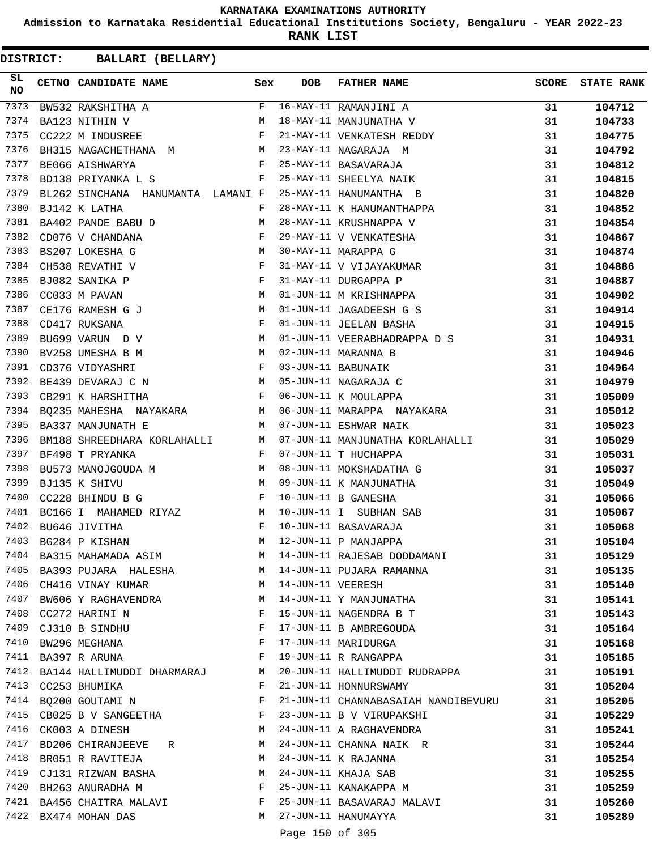**Admission to Karnataka Residential Educational Institutions Society, Bengaluru - YEAR 2022-23**

**RANK LIST**

**DISTRICT:** CC **BALLARI (BELLARY)**

| 7373<br>F 16-MAY-11 RAMANJINI A<br>M 18-MAY-11 MANJUNATHA V<br>31<br>104712<br>BW532 RAKSHITHA A<br>7374<br>31<br>BA123 NITHIN V<br>104733<br>$\mathbf{F}$ and $\mathbf{F}$ and $\mathbf{F}$<br>21-MAY-11 VENKATESH REDDY<br>7375<br>CC222 M INDUSREE<br>31<br>104775<br>21-MAI-11 NAGARAJA<br>23-MAY-11 NAGARAJA M<br>25-MAY-11 BASAVARAJA<br>25-MAY-11 SHEELYA NAIK<br>7376<br>${\tt BH315\ NAGACHETHANA\quad M} \qquad {\tt M} \qquad {\tt BE066\ AISHWARKYA} \qquad {\tt F}$<br>31<br>104792<br>7377<br>31<br>104812<br>7378<br>BD138 PRIYANKA L S<br>F<br>31<br>104815<br>7379<br>BL262 SINCHANA HANUMANTA LAMANI F<br>25-MAY-11 HANUMANTHA B<br>31<br>104820<br>28-MAY-11 K HANUMANTHAPPA<br>7380<br>31<br>104852<br>$\begin{array}{lllllll} \texttt{BJ142} & \texttt{K} & \texttt{LATHA} & \texttt{F}\\ \texttt{BA402} & \texttt{PANDE} & \texttt{BABU} & \texttt{D} & \texttt{M} \end{array}$<br>7381<br>28-MAY-11 KRUSHNAPPA V<br>31<br>104854<br>7382<br>$\mathbf{F}$ and $\mathbf{F}$ are $\mathbf{F}$<br>CD076 V CHANDANA<br>29-MAY-11 V VENKATESHA<br>31<br>104867<br>30-MAY-11 MARAPPA G<br>31-MAY-11 V VIJAYAKUMAR<br>31-MAY-11 DURGAPPA P<br>01-JUN-11 M KRISHNAPPA<br><b>M</b><br>7383<br>BS207 LOKESHA G<br>31<br>104874<br>$\begin{array}{c}\n \text{F} \\  \text{F} \\  \text{M}\n \end{array}$<br>7384<br>CH538 REVATHI V<br>31<br>104886<br>7385<br>BJ082 SANIKA P<br>31<br>104887<br>7386<br>CC033 M PAVAN<br>31<br>104902<br>M <sub>N</sub><br>7387<br>01-JUN-11 JAGADEESH G S<br>CE176 RAMESH G J<br>31<br>104914<br>$\begin{aligned} \mathbf{F} \\ \mathbf{M} \end{aligned}$<br>7388<br>01-JUN-11 JEELAN BASHA<br>CD417 RUKSANA<br>31<br>104915<br>7389<br>01-JUN-11 VEERABHADRAPPA D S<br>BU699 VARUN D V<br>31<br>104931<br>7390<br>M <sub>N</sub><br>02-JUN-11 MARANNA B<br>BV258 UMESHA B M<br>31<br>104946<br>$\mathbb{F}^{\mathbb{Z}}$ . The state $\mathbb{F}^{\mathbb{Z}}$<br>7391<br>03-JUN-11 BABUNAIK<br>CD376 VIDYASHRI<br>31<br>104964<br>M <sub>N</sub><br>7392<br>05-JUN-11 NAGARAJA C<br>31<br>BE439 DEVARAJ C N<br>104979<br>$\mathbf{F}^{\mathcal{A}}$<br>7393<br>CB291 K HARSHITHA<br>06-JUN-11 K MOULAPPA<br>31<br>105009<br>06-JUN-11 MARAPPA NAYAKARA<br>BQ235 MAHESHA NAYAKARA M<br>7394<br>31<br>105012<br>$M_{\odot}$<br>7395<br>07-JUN-11 ESHWAR NAIK<br>BA337 MANJUNATH E<br>31<br>105023<br>07-JUN-11 MANJUNATHA KORLAHALLI<br>7396<br>BM188 SHREEDHARA KORLAHALLI M<br>31<br>105029<br>$\mathbf{F} = \mathbf{F} \times \mathbf{F}$<br>7397<br>BF498 T PRYANKA<br>07-JUN-11 T HUCHAPPA<br>31<br>105031<br>7398<br>BU573 MANOJGOUDA M M<br>08-JUN-11 MOKSHADATHA G<br>31<br>105037<br>M<br>7399<br>09-JUN-11 K MANJUNATHA<br>BJ135 K SHIVU<br>31<br>105049<br>$\mathbf{F}^{\mathcal{A}}_{\mathcal{A}}=\mathbf{F}^{\mathcal{A}}_{\mathcal{A}}\mathbf{F}^{\mathcal{A}}_{\mathcal{A}}$<br>7400<br>10-JUN-11 B GANESHA<br>CC228 BHINDU B G<br>31<br>105066<br>BC166 I MAHAMED RIYAZ M<br>7401<br>10-JUN-11 I SUBHAN SAB<br>31<br>105067<br>$\mathbf{F} = \mathbf{F} \times \mathbf{F} \times \mathbf{F}$<br>7402<br>10-JUN-11 BASAVARAJA<br>BU646 JIVITHA<br>31<br>105068<br>7403<br>BG284 P KISHAN<br>М<br>12-JUN-11 P MANJAPPA<br>31<br>105104<br>BA315 MAHAMADA ASIM<br>14-JUN-11 RAJESAB DODDAMANI<br>7404<br>M<br>31<br>105129<br>7405<br>BA393 PUJARA HALESHA M<br>14-JUN-11 PUJARA RAMANNA<br>31<br>105135<br>7406<br>14-JUN-11 VEERESH<br>CH416 VINAY KUMAR<br><b>Example 19</b> M<br>31<br>105140<br>BW606 Y RAGHAVENDRA M<br>7407<br>14-JUN-11 Y MANJUNATHA<br>31<br>105141<br>7408<br>F<br>15-JUN-11 NAGENDRA B T<br>CC272 HARINI N<br>31<br>105143<br>7409<br>F<br>17-JUN-11 B AMBREGOUDA<br>CJ310 B SINDHU<br>31<br>105164<br>7410<br>F<br>17-JUN-11 MARIDURGA<br>BW296 MEGHANA<br>31<br>105168<br>19-JUN-11 R RANGAPPA<br>7411<br>BA397 R ARUNA<br>F<br>31<br>105185<br>7412 BA144 HALLIMUDDI DHARMARAJ M<br>20-JUN-11 HALLIMUDDI RUDRAPPA<br>31<br>105191<br>7413<br>21-JUN-11 HONNURSWAMY<br>CC253 BHUMIKA<br>F<br>31<br>105204<br>7414<br>F<br>BQ200 GOUTAMI N<br>21-JUN-11 CHANNABASAIAH NANDIBEVURU<br>31<br>105205<br>7415<br>CB025 B V SANGEETHA F<br>23-JUN-11 B V VIRUPAKSHI<br>31<br>105229<br>7416<br>CK003 A DINESH<br>M<br>24-JUN-11 A RAGHAVENDRA<br>31<br>105241<br>7417<br>BD206 CHIRANJEEVE R<br>24-JUN-11 CHANNA NAIK R<br>М<br>31<br>105244<br>7418<br>24-JUN-11 K RAJANNA<br>BR051 R RAVITEJA<br>M<br>31<br>105254<br>CJ131 RIZWAN BASHA<br>7419<br>24-JUN-11 KHAJA SAB<br>M<br>31<br>105255<br>$\mathbf{F}$<br>7420 BH263 ANURADHA M<br>25-JUN-11 KANAKAPPA M<br>31<br>105259<br>7421 BA456 CHAITRA MALAVI F<br>25-JUN-11 BASAVARAJ MALAVI<br>31<br>105260<br>7422 BX474 MOHAN DAS<br>M 27-JUN-11 HANUMAYYA<br>31<br>105289 | SL<br><b>NO</b> | CETNO CANDIDATE NAME Sex | <b>DOB</b> | <b>FATHER NAME</b> | <b>SCORE</b> | <b>STATE RANK</b> |
|-----------------------------------------------------------------------------------------------------------------------------------------------------------------------------------------------------------------------------------------------------------------------------------------------------------------------------------------------------------------------------------------------------------------------------------------------------------------------------------------------------------------------------------------------------------------------------------------------------------------------------------------------------------------------------------------------------------------------------------------------------------------------------------------------------------------------------------------------------------------------------------------------------------------------------------------------------------------------------------------------------------------------------------------------------------------------------------------------------------------------------------------------------------------------------------------------------------------------------------------------------------------------------------------------------------------------------------------------------------------------------------------------------------------------------------------------------------------------------------------------------------------------------------------------------------------------------------------------------------------------------------------------------------------------------------------------------------------------------------------------------------------------------------------------------------------------------------------------------------------------------------------------------------------------------------------------------------------------------------------------------------------------------------------------------------------------------------------------------------------------------------------------------------------------------------------------------------------------------------------------------------------------------------------------------------------------------------------------------------------------------------------------------------------------------------------------------------------------------------------------------------------------------------------------------------------------------------------------------------------------------------------------------------------------------------------------------------------------------------------------------------------------------------------------------------------------------------------------------------------------------------------------------------------------------------------------------------------------------------------------------------------------------------------------------------------------------------------------------------------------------------------------------------------------------------------------------------------------------------------------------------------------------------------------------------------------------------------------------------------------------------------------------------------------------------------------------------------------------------------------------------------------------------------------------------------------------------------------------------------------------------------------------------------------------------------------------------------------------------------------------------------------------------------------------------------------------------------------------------------------------------------------------------------------------------------------------------------------------------------------------------------------------------------------------------------------------------------------------------------------------------------------------------------------------------------------------------------------------------------------------------------------------------------------------------------------------------------------------------------------------------------------------------------------------------------------------------------------------------------------------------------------------------------------------------------------------------------------------------------------------------------------------------------------------------------------------------------|-----------------|--------------------------|------------|--------------------|--------------|-------------------|
|                                                                                                                                                                                                                                                                                                                                                                                                                                                                                                                                                                                                                                                                                                                                                                                                                                                                                                                                                                                                                                                                                                                                                                                                                                                                                                                                                                                                                                                                                                                                                                                                                                                                                                                                                                                                                                                                                                                                                                                                                                                                                                                                                                                                                                                                                                                                                                                                                                                                                                                                                                                                                                                                                                                                                                                                                                                                                                                                                                                                                                                                                                                                                                                                                                                                                                                                                                                                                                                                                                                                                                                                                                                                                                                                                                                                                                                                                                                                                                                                                                                                                                                                                                                                                                                                                                                                                                                                                                                                                                                                                                                                                                                                                                                 |                 |                          |            |                    |              |                   |
|                                                                                                                                                                                                                                                                                                                                                                                                                                                                                                                                                                                                                                                                                                                                                                                                                                                                                                                                                                                                                                                                                                                                                                                                                                                                                                                                                                                                                                                                                                                                                                                                                                                                                                                                                                                                                                                                                                                                                                                                                                                                                                                                                                                                                                                                                                                                                                                                                                                                                                                                                                                                                                                                                                                                                                                                                                                                                                                                                                                                                                                                                                                                                                                                                                                                                                                                                                                                                                                                                                                                                                                                                                                                                                                                                                                                                                                                                                                                                                                                                                                                                                                                                                                                                                                                                                                                                                                                                                                                                                                                                                                                                                                                                                                 |                 |                          |            |                    |              |                   |
|                                                                                                                                                                                                                                                                                                                                                                                                                                                                                                                                                                                                                                                                                                                                                                                                                                                                                                                                                                                                                                                                                                                                                                                                                                                                                                                                                                                                                                                                                                                                                                                                                                                                                                                                                                                                                                                                                                                                                                                                                                                                                                                                                                                                                                                                                                                                                                                                                                                                                                                                                                                                                                                                                                                                                                                                                                                                                                                                                                                                                                                                                                                                                                                                                                                                                                                                                                                                                                                                                                                                                                                                                                                                                                                                                                                                                                                                                                                                                                                                                                                                                                                                                                                                                                                                                                                                                                                                                                                                                                                                                                                                                                                                                                                 |                 |                          |            |                    |              |                   |
|                                                                                                                                                                                                                                                                                                                                                                                                                                                                                                                                                                                                                                                                                                                                                                                                                                                                                                                                                                                                                                                                                                                                                                                                                                                                                                                                                                                                                                                                                                                                                                                                                                                                                                                                                                                                                                                                                                                                                                                                                                                                                                                                                                                                                                                                                                                                                                                                                                                                                                                                                                                                                                                                                                                                                                                                                                                                                                                                                                                                                                                                                                                                                                                                                                                                                                                                                                                                                                                                                                                                                                                                                                                                                                                                                                                                                                                                                                                                                                                                                                                                                                                                                                                                                                                                                                                                                                                                                                                                                                                                                                                                                                                                                                                 |                 |                          |            |                    |              |                   |
|                                                                                                                                                                                                                                                                                                                                                                                                                                                                                                                                                                                                                                                                                                                                                                                                                                                                                                                                                                                                                                                                                                                                                                                                                                                                                                                                                                                                                                                                                                                                                                                                                                                                                                                                                                                                                                                                                                                                                                                                                                                                                                                                                                                                                                                                                                                                                                                                                                                                                                                                                                                                                                                                                                                                                                                                                                                                                                                                                                                                                                                                                                                                                                                                                                                                                                                                                                                                                                                                                                                                                                                                                                                                                                                                                                                                                                                                                                                                                                                                                                                                                                                                                                                                                                                                                                                                                                                                                                                                                                                                                                                                                                                                                                                 |                 |                          |            |                    |              |                   |
|                                                                                                                                                                                                                                                                                                                                                                                                                                                                                                                                                                                                                                                                                                                                                                                                                                                                                                                                                                                                                                                                                                                                                                                                                                                                                                                                                                                                                                                                                                                                                                                                                                                                                                                                                                                                                                                                                                                                                                                                                                                                                                                                                                                                                                                                                                                                                                                                                                                                                                                                                                                                                                                                                                                                                                                                                                                                                                                                                                                                                                                                                                                                                                                                                                                                                                                                                                                                                                                                                                                                                                                                                                                                                                                                                                                                                                                                                                                                                                                                                                                                                                                                                                                                                                                                                                                                                                                                                                                                                                                                                                                                                                                                                                                 |                 |                          |            |                    |              |                   |
|                                                                                                                                                                                                                                                                                                                                                                                                                                                                                                                                                                                                                                                                                                                                                                                                                                                                                                                                                                                                                                                                                                                                                                                                                                                                                                                                                                                                                                                                                                                                                                                                                                                                                                                                                                                                                                                                                                                                                                                                                                                                                                                                                                                                                                                                                                                                                                                                                                                                                                                                                                                                                                                                                                                                                                                                                                                                                                                                                                                                                                                                                                                                                                                                                                                                                                                                                                                                                                                                                                                                                                                                                                                                                                                                                                                                                                                                                                                                                                                                                                                                                                                                                                                                                                                                                                                                                                                                                                                                                                                                                                                                                                                                                                                 |                 |                          |            |                    |              |                   |
|                                                                                                                                                                                                                                                                                                                                                                                                                                                                                                                                                                                                                                                                                                                                                                                                                                                                                                                                                                                                                                                                                                                                                                                                                                                                                                                                                                                                                                                                                                                                                                                                                                                                                                                                                                                                                                                                                                                                                                                                                                                                                                                                                                                                                                                                                                                                                                                                                                                                                                                                                                                                                                                                                                                                                                                                                                                                                                                                                                                                                                                                                                                                                                                                                                                                                                                                                                                                                                                                                                                                                                                                                                                                                                                                                                                                                                                                                                                                                                                                                                                                                                                                                                                                                                                                                                                                                                                                                                                                                                                                                                                                                                                                                                                 |                 |                          |            |                    |              |                   |
|                                                                                                                                                                                                                                                                                                                                                                                                                                                                                                                                                                                                                                                                                                                                                                                                                                                                                                                                                                                                                                                                                                                                                                                                                                                                                                                                                                                                                                                                                                                                                                                                                                                                                                                                                                                                                                                                                                                                                                                                                                                                                                                                                                                                                                                                                                                                                                                                                                                                                                                                                                                                                                                                                                                                                                                                                                                                                                                                                                                                                                                                                                                                                                                                                                                                                                                                                                                                                                                                                                                                                                                                                                                                                                                                                                                                                                                                                                                                                                                                                                                                                                                                                                                                                                                                                                                                                                                                                                                                                                                                                                                                                                                                                                                 |                 |                          |            |                    |              |                   |
|                                                                                                                                                                                                                                                                                                                                                                                                                                                                                                                                                                                                                                                                                                                                                                                                                                                                                                                                                                                                                                                                                                                                                                                                                                                                                                                                                                                                                                                                                                                                                                                                                                                                                                                                                                                                                                                                                                                                                                                                                                                                                                                                                                                                                                                                                                                                                                                                                                                                                                                                                                                                                                                                                                                                                                                                                                                                                                                                                                                                                                                                                                                                                                                                                                                                                                                                                                                                                                                                                                                                                                                                                                                                                                                                                                                                                                                                                                                                                                                                                                                                                                                                                                                                                                                                                                                                                                                                                                                                                                                                                                                                                                                                                                                 |                 |                          |            |                    |              |                   |
|                                                                                                                                                                                                                                                                                                                                                                                                                                                                                                                                                                                                                                                                                                                                                                                                                                                                                                                                                                                                                                                                                                                                                                                                                                                                                                                                                                                                                                                                                                                                                                                                                                                                                                                                                                                                                                                                                                                                                                                                                                                                                                                                                                                                                                                                                                                                                                                                                                                                                                                                                                                                                                                                                                                                                                                                                                                                                                                                                                                                                                                                                                                                                                                                                                                                                                                                                                                                                                                                                                                                                                                                                                                                                                                                                                                                                                                                                                                                                                                                                                                                                                                                                                                                                                                                                                                                                                                                                                                                                                                                                                                                                                                                                                                 |                 |                          |            |                    |              |                   |
|                                                                                                                                                                                                                                                                                                                                                                                                                                                                                                                                                                                                                                                                                                                                                                                                                                                                                                                                                                                                                                                                                                                                                                                                                                                                                                                                                                                                                                                                                                                                                                                                                                                                                                                                                                                                                                                                                                                                                                                                                                                                                                                                                                                                                                                                                                                                                                                                                                                                                                                                                                                                                                                                                                                                                                                                                                                                                                                                                                                                                                                                                                                                                                                                                                                                                                                                                                                                                                                                                                                                                                                                                                                                                                                                                                                                                                                                                                                                                                                                                                                                                                                                                                                                                                                                                                                                                                                                                                                                                                                                                                                                                                                                                                                 |                 |                          |            |                    |              |                   |
|                                                                                                                                                                                                                                                                                                                                                                                                                                                                                                                                                                                                                                                                                                                                                                                                                                                                                                                                                                                                                                                                                                                                                                                                                                                                                                                                                                                                                                                                                                                                                                                                                                                                                                                                                                                                                                                                                                                                                                                                                                                                                                                                                                                                                                                                                                                                                                                                                                                                                                                                                                                                                                                                                                                                                                                                                                                                                                                                                                                                                                                                                                                                                                                                                                                                                                                                                                                                                                                                                                                                                                                                                                                                                                                                                                                                                                                                                                                                                                                                                                                                                                                                                                                                                                                                                                                                                                                                                                                                                                                                                                                                                                                                                                                 |                 |                          |            |                    |              |                   |
|                                                                                                                                                                                                                                                                                                                                                                                                                                                                                                                                                                                                                                                                                                                                                                                                                                                                                                                                                                                                                                                                                                                                                                                                                                                                                                                                                                                                                                                                                                                                                                                                                                                                                                                                                                                                                                                                                                                                                                                                                                                                                                                                                                                                                                                                                                                                                                                                                                                                                                                                                                                                                                                                                                                                                                                                                                                                                                                                                                                                                                                                                                                                                                                                                                                                                                                                                                                                                                                                                                                                                                                                                                                                                                                                                                                                                                                                                                                                                                                                                                                                                                                                                                                                                                                                                                                                                                                                                                                                                                                                                                                                                                                                                                                 |                 |                          |            |                    |              |                   |
|                                                                                                                                                                                                                                                                                                                                                                                                                                                                                                                                                                                                                                                                                                                                                                                                                                                                                                                                                                                                                                                                                                                                                                                                                                                                                                                                                                                                                                                                                                                                                                                                                                                                                                                                                                                                                                                                                                                                                                                                                                                                                                                                                                                                                                                                                                                                                                                                                                                                                                                                                                                                                                                                                                                                                                                                                                                                                                                                                                                                                                                                                                                                                                                                                                                                                                                                                                                                                                                                                                                                                                                                                                                                                                                                                                                                                                                                                                                                                                                                                                                                                                                                                                                                                                                                                                                                                                                                                                                                                                                                                                                                                                                                                                                 |                 |                          |            |                    |              |                   |
|                                                                                                                                                                                                                                                                                                                                                                                                                                                                                                                                                                                                                                                                                                                                                                                                                                                                                                                                                                                                                                                                                                                                                                                                                                                                                                                                                                                                                                                                                                                                                                                                                                                                                                                                                                                                                                                                                                                                                                                                                                                                                                                                                                                                                                                                                                                                                                                                                                                                                                                                                                                                                                                                                                                                                                                                                                                                                                                                                                                                                                                                                                                                                                                                                                                                                                                                                                                                                                                                                                                                                                                                                                                                                                                                                                                                                                                                                                                                                                                                                                                                                                                                                                                                                                                                                                                                                                                                                                                                                                                                                                                                                                                                                                                 |                 |                          |            |                    |              |                   |
|                                                                                                                                                                                                                                                                                                                                                                                                                                                                                                                                                                                                                                                                                                                                                                                                                                                                                                                                                                                                                                                                                                                                                                                                                                                                                                                                                                                                                                                                                                                                                                                                                                                                                                                                                                                                                                                                                                                                                                                                                                                                                                                                                                                                                                                                                                                                                                                                                                                                                                                                                                                                                                                                                                                                                                                                                                                                                                                                                                                                                                                                                                                                                                                                                                                                                                                                                                                                                                                                                                                                                                                                                                                                                                                                                                                                                                                                                                                                                                                                                                                                                                                                                                                                                                                                                                                                                                                                                                                                                                                                                                                                                                                                                                                 |                 |                          |            |                    |              |                   |
|                                                                                                                                                                                                                                                                                                                                                                                                                                                                                                                                                                                                                                                                                                                                                                                                                                                                                                                                                                                                                                                                                                                                                                                                                                                                                                                                                                                                                                                                                                                                                                                                                                                                                                                                                                                                                                                                                                                                                                                                                                                                                                                                                                                                                                                                                                                                                                                                                                                                                                                                                                                                                                                                                                                                                                                                                                                                                                                                                                                                                                                                                                                                                                                                                                                                                                                                                                                                                                                                                                                                                                                                                                                                                                                                                                                                                                                                                                                                                                                                                                                                                                                                                                                                                                                                                                                                                                                                                                                                                                                                                                                                                                                                                                                 |                 |                          |            |                    |              |                   |
|                                                                                                                                                                                                                                                                                                                                                                                                                                                                                                                                                                                                                                                                                                                                                                                                                                                                                                                                                                                                                                                                                                                                                                                                                                                                                                                                                                                                                                                                                                                                                                                                                                                                                                                                                                                                                                                                                                                                                                                                                                                                                                                                                                                                                                                                                                                                                                                                                                                                                                                                                                                                                                                                                                                                                                                                                                                                                                                                                                                                                                                                                                                                                                                                                                                                                                                                                                                                                                                                                                                                                                                                                                                                                                                                                                                                                                                                                                                                                                                                                                                                                                                                                                                                                                                                                                                                                                                                                                                                                                                                                                                                                                                                                                                 |                 |                          |            |                    |              |                   |
|                                                                                                                                                                                                                                                                                                                                                                                                                                                                                                                                                                                                                                                                                                                                                                                                                                                                                                                                                                                                                                                                                                                                                                                                                                                                                                                                                                                                                                                                                                                                                                                                                                                                                                                                                                                                                                                                                                                                                                                                                                                                                                                                                                                                                                                                                                                                                                                                                                                                                                                                                                                                                                                                                                                                                                                                                                                                                                                                                                                                                                                                                                                                                                                                                                                                                                                                                                                                                                                                                                                                                                                                                                                                                                                                                                                                                                                                                                                                                                                                                                                                                                                                                                                                                                                                                                                                                                                                                                                                                                                                                                                                                                                                                                                 |                 |                          |            |                    |              |                   |
|                                                                                                                                                                                                                                                                                                                                                                                                                                                                                                                                                                                                                                                                                                                                                                                                                                                                                                                                                                                                                                                                                                                                                                                                                                                                                                                                                                                                                                                                                                                                                                                                                                                                                                                                                                                                                                                                                                                                                                                                                                                                                                                                                                                                                                                                                                                                                                                                                                                                                                                                                                                                                                                                                                                                                                                                                                                                                                                                                                                                                                                                                                                                                                                                                                                                                                                                                                                                                                                                                                                                                                                                                                                                                                                                                                                                                                                                                                                                                                                                                                                                                                                                                                                                                                                                                                                                                                                                                                                                                                                                                                                                                                                                                                                 |                 |                          |            |                    |              |                   |
|                                                                                                                                                                                                                                                                                                                                                                                                                                                                                                                                                                                                                                                                                                                                                                                                                                                                                                                                                                                                                                                                                                                                                                                                                                                                                                                                                                                                                                                                                                                                                                                                                                                                                                                                                                                                                                                                                                                                                                                                                                                                                                                                                                                                                                                                                                                                                                                                                                                                                                                                                                                                                                                                                                                                                                                                                                                                                                                                                                                                                                                                                                                                                                                                                                                                                                                                                                                                                                                                                                                                                                                                                                                                                                                                                                                                                                                                                                                                                                                                                                                                                                                                                                                                                                                                                                                                                                                                                                                                                                                                                                                                                                                                                                                 |                 |                          |            |                    |              |                   |
|                                                                                                                                                                                                                                                                                                                                                                                                                                                                                                                                                                                                                                                                                                                                                                                                                                                                                                                                                                                                                                                                                                                                                                                                                                                                                                                                                                                                                                                                                                                                                                                                                                                                                                                                                                                                                                                                                                                                                                                                                                                                                                                                                                                                                                                                                                                                                                                                                                                                                                                                                                                                                                                                                                                                                                                                                                                                                                                                                                                                                                                                                                                                                                                                                                                                                                                                                                                                                                                                                                                                                                                                                                                                                                                                                                                                                                                                                                                                                                                                                                                                                                                                                                                                                                                                                                                                                                                                                                                                                                                                                                                                                                                                                                                 |                 |                          |            |                    |              |                   |
|                                                                                                                                                                                                                                                                                                                                                                                                                                                                                                                                                                                                                                                                                                                                                                                                                                                                                                                                                                                                                                                                                                                                                                                                                                                                                                                                                                                                                                                                                                                                                                                                                                                                                                                                                                                                                                                                                                                                                                                                                                                                                                                                                                                                                                                                                                                                                                                                                                                                                                                                                                                                                                                                                                                                                                                                                                                                                                                                                                                                                                                                                                                                                                                                                                                                                                                                                                                                                                                                                                                                                                                                                                                                                                                                                                                                                                                                                                                                                                                                                                                                                                                                                                                                                                                                                                                                                                                                                                                                                                                                                                                                                                                                                                                 |                 |                          |            |                    |              |                   |
|                                                                                                                                                                                                                                                                                                                                                                                                                                                                                                                                                                                                                                                                                                                                                                                                                                                                                                                                                                                                                                                                                                                                                                                                                                                                                                                                                                                                                                                                                                                                                                                                                                                                                                                                                                                                                                                                                                                                                                                                                                                                                                                                                                                                                                                                                                                                                                                                                                                                                                                                                                                                                                                                                                                                                                                                                                                                                                                                                                                                                                                                                                                                                                                                                                                                                                                                                                                                                                                                                                                                                                                                                                                                                                                                                                                                                                                                                                                                                                                                                                                                                                                                                                                                                                                                                                                                                                                                                                                                                                                                                                                                                                                                                                                 |                 |                          |            |                    |              |                   |
|                                                                                                                                                                                                                                                                                                                                                                                                                                                                                                                                                                                                                                                                                                                                                                                                                                                                                                                                                                                                                                                                                                                                                                                                                                                                                                                                                                                                                                                                                                                                                                                                                                                                                                                                                                                                                                                                                                                                                                                                                                                                                                                                                                                                                                                                                                                                                                                                                                                                                                                                                                                                                                                                                                                                                                                                                                                                                                                                                                                                                                                                                                                                                                                                                                                                                                                                                                                                                                                                                                                                                                                                                                                                                                                                                                                                                                                                                                                                                                                                                                                                                                                                                                                                                                                                                                                                                                                                                                                                                                                                                                                                                                                                                                                 |                 |                          |            |                    |              |                   |
|                                                                                                                                                                                                                                                                                                                                                                                                                                                                                                                                                                                                                                                                                                                                                                                                                                                                                                                                                                                                                                                                                                                                                                                                                                                                                                                                                                                                                                                                                                                                                                                                                                                                                                                                                                                                                                                                                                                                                                                                                                                                                                                                                                                                                                                                                                                                                                                                                                                                                                                                                                                                                                                                                                                                                                                                                                                                                                                                                                                                                                                                                                                                                                                                                                                                                                                                                                                                                                                                                                                                                                                                                                                                                                                                                                                                                                                                                                                                                                                                                                                                                                                                                                                                                                                                                                                                                                                                                                                                                                                                                                                                                                                                                                                 |                 |                          |            |                    |              |                   |
|                                                                                                                                                                                                                                                                                                                                                                                                                                                                                                                                                                                                                                                                                                                                                                                                                                                                                                                                                                                                                                                                                                                                                                                                                                                                                                                                                                                                                                                                                                                                                                                                                                                                                                                                                                                                                                                                                                                                                                                                                                                                                                                                                                                                                                                                                                                                                                                                                                                                                                                                                                                                                                                                                                                                                                                                                                                                                                                                                                                                                                                                                                                                                                                                                                                                                                                                                                                                                                                                                                                                                                                                                                                                                                                                                                                                                                                                                                                                                                                                                                                                                                                                                                                                                                                                                                                                                                                                                                                                                                                                                                                                                                                                                                                 |                 |                          |            |                    |              |                   |
|                                                                                                                                                                                                                                                                                                                                                                                                                                                                                                                                                                                                                                                                                                                                                                                                                                                                                                                                                                                                                                                                                                                                                                                                                                                                                                                                                                                                                                                                                                                                                                                                                                                                                                                                                                                                                                                                                                                                                                                                                                                                                                                                                                                                                                                                                                                                                                                                                                                                                                                                                                                                                                                                                                                                                                                                                                                                                                                                                                                                                                                                                                                                                                                                                                                                                                                                                                                                                                                                                                                                                                                                                                                                                                                                                                                                                                                                                                                                                                                                                                                                                                                                                                                                                                                                                                                                                                                                                                                                                                                                                                                                                                                                                                                 |                 |                          |            |                    |              |                   |
|                                                                                                                                                                                                                                                                                                                                                                                                                                                                                                                                                                                                                                                                                                                                                                                                                                                                                                                                                                                                                                                                                                                                                                                                                                                                                                                                                                                                                                                                                                                                                                                                                                                                                                                                                                                                                                                                                                                                                                                                                                                                                                                                                                                                                                                                                                                                                                                                                                                                                                                                                                                                                                                                                                                                                                                                                                                                                                                                                                                                                                                                                                                                                                                                                                                                                                                                                                                                                                                                                                                                                                                                                                                                                                                                                                                                                                                                                                                                                                                                                                                                                                                                                                                                                                                                                                                                                                                                                                                                                                                                                                                                                                                                                                                 |                 |                          |            |                    |              |                   |
|                                                                                                                                                                                                                                                                                                                                                                                                                                                                                                                                                                                                                                                                                                                                                                                                                                                                                                                                                                                                                                                                                                                                                                                                                                                                                                                                                                                                                                                                                                                                                                                                                                                                                                                                                                                                                                                                                                                                                                                                                                                                                                                                                                                                                                                                                                                                                                                                                                                                                                                                                                                                                                                                                                                                                                                                                                                                                                                                                                                                                                                                                                                                                                                                                                                                                                                                                                                                                                                                                                                                                                                                                                                                                                                                                                                                                                                                                                                                                                                                                                                                                                                                                                                                                                                                                                                                                                                                                                                                                                                                                                                                                                                                                                                 |                 |                          |            |                    |              |                   |
|                                                                                                                                                                                                                                                                                                                                                                                                                                                                                                                                                                                                                                                                                                                                                                                                                                                                                                                                                                                                                                                                                                                                                                                                                                                                                                                                                                                                                                                                                                                                                                                                                                                                                                                                                                                                                                                                                                                                                                                                                                                                                                                                                                                                                                                                                                                                                                                                                                                                                                                                                                                                                                                                                                                                                                                                                                                                                                                                                                                                                                                                                                                                                                                                                                                                                                                                                                                                                                                                                                                                                                                                                                                                                                                                                                                                                                                                                                                                                                                                                                                                                                                                                                                                                                                                                                                                                                                                                                                                                                                                                                                                                                                                                                                 |                 |                          |            |                    |              |                   |
|                                                                                                                                                                                                                                                                                                                                                                                                                                                                                                                                                                                                                                                                                                                                                                                                                                                                                                                                                                                                                                                                                                                                                                                                                                                                                                                                                                                                                                                                                                                                                                                                                                                                                                                                                                                                                                                                                                                                                                                                                                                                                                                                                                                                                                                                                                                                                                                                                                                                                                                                                                                                                                                                                                                                                                                                                                                                                                                                                                                                                                                                                                                                                                                                                                                                                                                                                                                                                                                                                                                                                                                                                                                                                                                                                                                                                                                                                                                                                                                                                                                                                                                                                                                                                                                                                                                                                                                                                                                                                                                                                                                                                                                                                                                 |                 |                          |            |                    |              |                   |
|                                                                                                                                                                                                                                                                                                                                                                                                                                                                                                                                                                                                                                                                                                                                                                                                                                                                                                                                                                                                                                                                                                                                                                                                                                                                                                                                                                                                                                                                                                                                                                                                                                                                                                                                                                                                                                                                                                                                                                                                                                                                                                                                                                                                                                                                                                                                                                                                                                                                                                                                                                                                                                                                                                                                                                                                                                                                                                                                                                                                                                                                                                                                                                                                                                                                                                                                                                                                                                                                                                                                                                                                                                                                                                                                                                                                                                                                                                                                                                                                                                                                                                                                                                                                                                                                                                                                                                                                                                                                                                                                                                                                                                                                                                                 |                 |                          |            |                    |              |                   |
|                                                                                                                                                                                                                                                                                                                                                                                                                                                                                                                                                                                                                                                                                                                                                                                                                                                                                                                                                                                                                                                                                                                                                                                                                                                                                                                                                                                                                                                                                                                                                                                                                                                                                                                                                                                                                                                                                                                                                                                                                                                                                                                                                                                                                                                                                                                                                                                                                                                                                                                                                                                                                                                                                                                                                                                                                                                                                                                                                                                                                                                                                                                                                                                                                                                                                                                                                                                                                                                                                                                                                                                                                                                                                                                                                                                                                                                                                                                                                                                                                                                                                                                                                                                                                                                                                                                                                                                                                                                                                                                                                                                                                                                                                                                 |                 |                          |            |                    |              |                   |
|                                                                                                                                                                                                                                                                                                                                                                                                                                                                                                                                                                                                                                                                                                                                                                                                                                                                                                                                                                                                                                                                                                                                                                                                                                                                                                                                                                                                                                                                                                                                                                                                                                                                                                                                                                                                                                                                                                                                                                                                                                                                                                                                                                                                                                                                                                                                                                                                                                                                                                                                                                                                                                                                                                                                                                                                                                                                                                                                                                                                                                                                                                                                                                                                                                                                                                                                                                                                                                                                                                                                                                                                                                                                                                                                                                                                                                                                                                                                                                                                                                                                                                                                                                                                                                                                                                                                                                                                                                                                                                                                                                                                                                                                                                                 |                 |                          |            |                    |              |                   |
|                                                                                                                                                                                                                                                                                                                                                                                                                                                                                                                                                                                                                                                                                                                                                                                                                                                                                                                                                                                                                                                                                                                                                                                                                                                                                                                                                                                                                                                                                                                                                                                                                                                                                                                                                                                                                                                                                                                                                                                                                                                                                                                                                                                                                                                                                                                                                                                                                                                                                                                                                                                                                                                                                                                                                                                                                                                                                                                                                                                                                                                                                                                                                                                                                                                                                                                                                                                                                                                                                                                                                                                                                                                                                                                                                                                                                                                                                                                                                                                                                                                                                                                                                                                                                                                                                                                                                                                                                                                                                                                                                                                                                                                                                                                 |                 |                          |            |                    |              |                   |
|                                                                                                                                                                                                                                                                                                                                                                                                                                                                                                                                                                                                                                                                                                                                                                                                                                                                                                                                                                                                                                                                                                                                                                                                                                                                                                                                                                                                                                                                                                                                                                                                                                                                                                                                                                                                                                                                                                                                                                                                                                                                                                                                                                                                                                                                                                                                                                                                                                                                                                                                                                                                                                                                                                                                                                                                                                                                                                                                                                                                                                                                                                                                                                                                                                                                                                                                                                                                                                                                                                                                                                                                                                                                                                                                                                                                                                                                                                                                                                                                                                                                                                                                                                                                                                                                                                                                                                                                                                                                                                                                                                                                                                                                                                                 |                 |                          |            |                    |              |                   |
|                                                                                                                                                                                                                                                                                                                                                                                                                                                                                                                                                                                                                                                                                                                                                                                                                                                                                                                                                                                                                                                                                                                                                                                                                                                                                                                                                                                                                                                                                                                                                                                                                                                                                                                                                                                                                                                                                                                                                                                                                                                                                                                                                                                                                                                                                                                                                                                                                                                                                                                                                                                                                                                                                                                                                                                                                                                                                                                                                                                                                                                                                                                                                                                                                                                                                                                                                                                                                                                                                                                                                                                                                                                                                                                                                                                                                                                                                                                                                                                                                                                                                                                                                                                                                                                                                                                                                                                                                                                                                                                                                                                                                                                                                                                 |                 |                          |            |                    |              |                   |
|                                                                                                                                                                                                                                                                                                                                                                                                                                                                                                                                                                                                                                                                                                                                                                                                                                                                                                                                                                                                                                                                                                                                                                                                                                                                                                                                                                                                                                                                                                                                                                                                                                                                                                                                                                                                                                                                                                                                                                                                                                                                                                                                                                                                                                                                                                                                                                                                                                                                                                                                                                                                                                                                                                                                                                                                                                                                                                                                                                                                                                                                                                                                                                                                                                                                                                                                                                                                                                                                                                                                                                                                                                                                                                                                                                                                                                                                                                                                                                                                                                                                                                                                                                                                                                                                                                                                                                                                                                                                                                                                                                                                                                                                                                                 |                 |                          |            |                    |              |                   |
|                                                                                                                                                                                                                                                                                                                                                                                                                                                                                                                                                                                                                                                                                                                                                                                                                                                                                                                                                                                                                                                                                                                                                                                                                                                                                                                                                                                                                                                                                                                                                                                                                                                                                                                                                                                                                                                                                                                                                                                                                                                                                                                                                                                                                                                                                                                                                                                                                                                                                                                                                                                                                                                                                                                                                                                                                                                                                                                                                                                                                                                                                                                                                                                                                                                                                                                                                                                                                                                                                                                                                                                                                                                                                                                                                                                                                                                                                                                                                                                                                                                                                                                                                                                                                                                                                                                                                                                                                                                                                                                                                                                                                                                                                                                 |                 |                          |            |                    |              |                   |
|                                                                                                                                                                                                                                                                                                                                                                                                                                                                                                                                                                                                                                                                                                                                                                                                                                                                                                                                                                                                                                                                                                                                                                                                                                                                                                                                                                                                                                                                                                                                                                                                                                                                                                                                                                                                                                                                                                                                                                                                                                                                                                                                                                                                                                                                                                                                                                                                                                                                                                                                                                                                                                                                                                                                                                                                                                                                                                                                                                                                                                                                                                                                                                                                                                                                                                                                                                                                                                                                                                                                                                                                                                                                                                                                                                                                                                                                                                                                                                                                                                                                                                                                                                                                                                                                                                                                                                                                                                                                                                                                                                                                                                                                                                                 |                 |                          |            |                    |              |                   |
|                                                                                                                                                                                                                                                                                                                                                                                                                                                                                                                                                                                                                                                                                                                                                                                                                                                                                                                                                                                                                                                                                                                                                                                                                                                                                                                                                                                                                                                                                                                                                                                                                                                                                                                                                                                                                                                                                                                                                                                                                                                                                                                                                                                                                                                                                                                                                                                                                                                                                                                                                                                                                                                                                                                                                                                                                                                                                                                                                                                                                                                                                                                                                                                                                                                                                                                                                                                                                                                                                                                                                                                                                                                                                                                                                                                                                                                                                                                                                                                                                                                                                                                                                                                                                                                                                                                                                                                                                                                                                                                                                                                                                                                                                                                 |                 |                          |            |                    |              |                   |
|                                                                                                                                                                                                                                                                                                                                                                                                                                                                                                                                                                                                                                                                                                                                                                                                                                                                                                                                                                                                                                                                                                                                                                                                                                                                                                                                                                                                                                                                                                                                                                                                                                                                                                                                                                                                                                                                                                                                                                                                                                                                                                                                                                                                                                                                                                                                                                                                                                                                                                                                                                                                                                                                                                                                                                                                                                                                                                                                                                                                                                                                                                                                                                                                                                                                                                                                                                                                                                                                                                                                                                                                                                                                                                                                                                                                                                                                                                                                                                                                                                                                                                                                                                                                                                                                                                                                                                                                                                                                                                                                                                                                                                                                                                                 |                 |                          |            |                    |              |                   |
|                                                                                                                                                                                                                                                                                                                                                                                                                                                                                                                                                                                                                                                                                                                                                                                                                                                                                                                                                                                                                                                                                                                                                                                                                                                                                                                                                                                                                                                                                                                                                                                                                                                                                                                                                                                                                                                                                                                                                                                                                                                                                                                                                                                                                                                                                                                                                                                                                                                                                                                                                                                                                                                                                                                                                                                                                                                                                                                                                                                                                                                                                                                                                                                                                                                                                                                                                                                                                                                                                                                                                                                                                                                                                                                                                                                                                                                                                                                                                                                                                                                                                                                                                                                                                                                                                                                                                                                                                                                                                                                                                                                                                                                                                                                 |                 |                          |            |                    |              |                   |
|                                                                                                                                                                                                                                                                                                                                                                                                                                                                                                                                                                                                                                                                                                                                                                                                                                                                                                                                                                                                                                                                                                                                                                                                                                                                                                                                                                                                                                                                                                                                                                                                                                                                                                                                                                                                                                                                                                                                                                                                                                                                                                                                                                                                                                                                                                                                                                                                                                                                                                                                                                                                                                                                                                                                                                                                                                                                                                                                                                                                                                                                                                                                                                                                                                                                                                                                                                                                                                                                                                                                                                                                                                                                                                                                                                                                                                                                                                                                                                                                                                                                                                                                                                                                                                                                                                                                                                                                                                                                                                                                                                                                                                                                                                                 |                 |                          |            |                    |              |                   |
|                                                                                                                                                                                                                                                                                                                                                                                                                                                                                                                                                                                                                                                                                                                                                                                                                                                                                                                                                                                                                                                                                                                                                                                                                                                                                                                                                                                                                                                                                                                                                                                                                                                                                                                                                                                                                                                                                                                                                                                                                                                                                                                                                                                                                                                                                                                                                                                                                                                                                                                                                                                                                                                                                                                                                                                                                                                                                                                                                                                                                                                                                                                                                                                                                                                                                                                                                                                                                                                                                                                                                                                                                                                                                                                                                                                                                                                                                                                                                                                                                                                                                                                                                                                                                                                                                                                                                                                                                                                                                                                                                                                                                                                                                                                 |                 |                          |            |                    |              |                   |
|                                                                                                                                                                                                                                                                                                                                                                                                                                                                                                                                                                                                                                                                                                                                                                                                                                                                                                                                                                                                                                                                                                                                                                                                                                                                                                                                                                                                                                                                                                                                                                                                                                                                                                                                                                                                                                                                                                                                                                                                                                                                                                                                                                                                                                                                                                                                                                                                                                                                                                                                                                                                                                                                                                                                                                                                                                                                                                                                                                                                                                                                                                                                                                                                                                                                                                                                                                                                                                                                                                                                                                                                                                                                                                                                                                                                                                                                                                                                                                                                                                                                                                                                                                                                                                                                                                                                                                                                                                                                                                                                                                                                                                                                                                                 |                 |                          |            |                    |              |                   |
|                                                                                                                                                                                                                                                                                                                                                                                                                                                                                                                                                                                                                                                                                                                                                                                                                                                                                                                                                                                                                                                                                                                                                                                                                                                                                                                                                                                                                                                                                                                                                                                                                                                                                                                                                                                                                                                                                                                                                                                                                                                                                                                                                                                                                                                                                                                                                                                                                                                                                                                                                                                                                                                                                                                                                                                                                                                                                                                                                                                                                                                                                                                                                                                                                                                                                                                                                                                                                                                                                                                                                                                                                                                                                                                                                                                                                                                                                                                                                                                                                                                                                                                                                                                                                                                                                                                                                                                                                                                                                                                                                                                                                                                                                                                 |                 |                          |            |                    |              |                   |
|                                                                                                                                                                                                                                                                                                                                                                                                                                                                                                                                                                                                                                                                                                                                                                                                                                                                                                                                                                                                                                                                                                                                                                                                                                                                                                                                                                                                                                                                                                                                                                                                                                                                                                                                                                                                                                                                                                                                                                                                                                                                                                                                                                                                                                                                                                                                                                                                                                                                                                                                                                                                                                                                                                                                                                                                                                                                                                                                                                                                                                                                                                                                                                                                                                                                                                                                                                                                                                                                                                                                                                                                                                                                                                                                                                                                                                                                                                                                                                                                                                                                                                                                                                                                                                                                                                                                                                                                                                                                                                                                                                                                                                                                                                                 |                 |                          |            |                    |              |                   |
| $100C$ $200C$                                                                                                                                                                                                                                                                                                                                                                                                                                                                                                                                                                                                                                                                                                                                                                                                                                                                                                                                                                                                                                                                                                                                                                                                                                                                                                                                                                                                                                                                                                                                                                                                                                                                                                                                                                                                                                                                                                                                                                                                                                                                                                                                                                                                                                                                                                                                                                                                                                                                                                                                                                                                                                                                                                                                                                                                                                                                                                                                                                                                                                                                                                                                                                                                                                                                                                                                                                                                                                                                                                                                                                                                                                                                                                                                                                                                                                                                                                                                                                                                                                                                                                                                                                                                                                                                                                                                                                                                                                                                                                                                                                                                                                                                                                   |                 |                          |            |                    |              |                   |

Page 150 of 305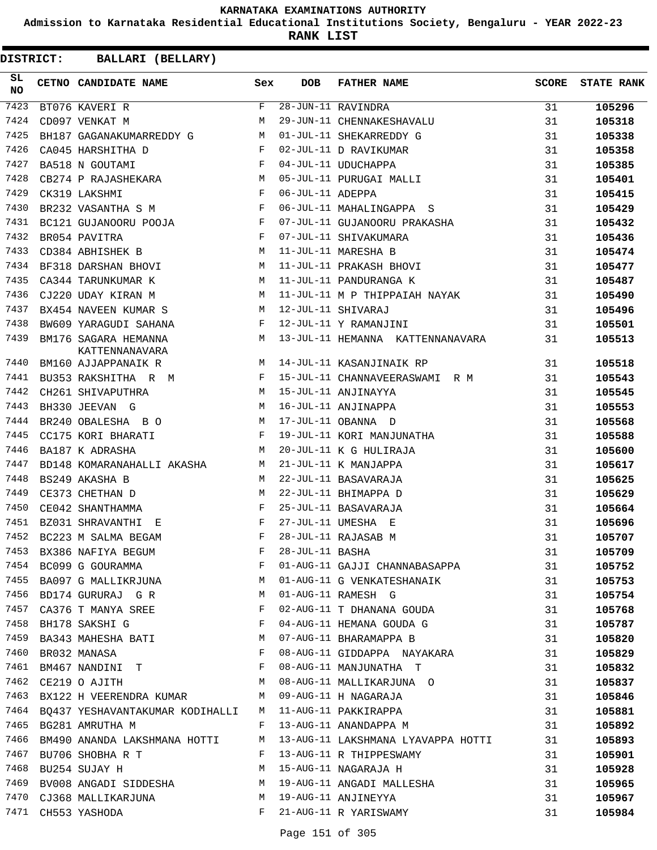**Admission to Karnataka Residential Educational Institutions Society, Bengaluru - YEAR 2022-23**

**RANK LIST**

| SL<br><b>NO</b> | CETNO CANDIDATE NAME Sex                                                                         |   | <b>DOB</b>        | FATHER NAME                                                                                       | SCORE | <b>STATE RANK</b> |
|-----------------|--------------------------------------------------------------------------------------------------|---|-------------------|---------------------------------------------------------------------------------------------------|-------|-------------------|
| 7423            | BT076 KAVERI R                                                                                   |   |                   | $\overline{28 - JUN-1}1$ RAVINDRA<br>28-JUN-11 RAVINDRA<br>29-JUN-11 CHENNAKESHAVALU              | 31    | 105296            |
| 7424            | CD097 VENKAT M                                                                                   | M |                   |                                                                                                   | 31    | 105318            |
| 7425            | BH187 GAGANAKUMARREDDY G M                                                                       |   |                   | 01-JUL-11 SHEKARREDDY G                                                                           | 31    | 105338            |
| 7426            | CA045 HARSHITHA D                                                                                |   |                   | 02-JUL-11 D RAVIKUMAR                                                                             | 31    | 105358            |
| 7427            | $$\rm F$$ $$\rm F$$<br>BA518 N GOUTAMI                                                           |   |                   | 04-JUL-11 UDUCHAPPA                                                                               | 31    | 105385            |
| 7428            | CB274 P RAJASHEKARA M                                                                            |   |                   | 05-JUL-11 PURUGAI MALLI                                                                           | 31    | 105401            |
| 7429            | $\mathbb{F}^{\mathbb{Z}}$ . The state $\mathbb{F}^{\mathbb{Z}}$<br>CK319 LAKSHMI                 |   | 06-JUL-11 ADEPPA  |                                                                                                   | 31    | 105415            |
| 7430            | BR232 VASANTHA S M                                                                               |   |                   | 06-JUL-11 MAHALINGAPPA S                                                                          | 31    | 105429            |
| 7431            | BC121 GUJANOORU POOJA F                                                                          |   |                   | 07-JUL-11 GUJANOORU PRAKASHA                                                                      | 31    | 105432            |
| 7432            | $\mathbb{F}^{\times}$ . The set of $\mathbb{F}^{\times}$<br>BR054 PAVITRA                        |   |                   | 07-JUL-11 SHIVAKUMARA<br>11-JUL-11 MARESHA B<br>11-JUL-11 PRAKASH BHOVI<br>11-JUL-11 PANDURANGA K | 31    | 105436            |
| 7433            | <b>M</b><br>CD384 ABHISHEK B                                                                     |   |                   |                                                                                                   | 31    | 105474            |
| 7434            | BF318 DARSHAN BHOVI M                                                                            |   |                   |                                                                                                   | 31    | 105477            |
| 7435            | M<br>CA344 TARUNKUMAR K                                                                          |   |                   |                                                                                                   | 31    | 105487            |
| 7436            | <b>M</b><br>CJ220 UDAY KIRAN M                                                                   |   |                   | 11-JUL-11 M P THIPPAIAH NAYAK                                                                     | 31    | 105490            |
| 7437            | BX454 NAVEEN KUMAR S M                                                                           |   |                   | 12-JUL-11 SHIVARAJ                                                                                | 31    | 105496            |
| 7438            | BW609 YARAGUDI SAHANA F                                                                          |   |                   | 12-JUL-11 Y RAMANJINI<br>12-JUL-11 Y RAMANJINI                                                    | 31    | 105501            |
| 7439            | M <sub>N</sub><br>BM176 SAGARA HEMANNA<br>KATTENNANAVARA                                         |   |                   | 13-JUL-11 HEMANNA KATTENNANAVARA                                                                  | 31    | 105513            |
| 7440            | BM160 AJJAPPANAIK R                                                                              |   |                   | M 14-JUL-11 KASANJINAIK RP                                                                        | 31    | 105518            |
| 7441            | BU353 RAKSHITHA R M F                                                                            |   |                   | 15-JUL-11 CHANNAVEERASWAMI R M                                                                    | 31    | 105543            |
| 7442            | <b>M</b><br>CH261 SHIVAPUTHRA                                                                    |   |                   | 15-JUL-11 ANJINAYYA                                                                               | 31    | 105545            |
| 7443            | M<br>BH330 JEEVAN G                                                                              |   |                   | 16-JUL-11 ANJINAPPA                                                                               | 31    | 105553            |
| 7444            | BR240 OBALESHA B O M                                                                             |   |                   | 17-JUL-11 OBANNA D                                                                                | 31    | 105568            |
| 7445            | $\mathbf{F}$ and the state of the state $\mathbf{F}$<br>CC175 KORI BHARATI                       |   |                   | 19-JUL-11 KORI MANJUNATHA                                                                         | 31    | 105588            |
| 7446            | $M_{\rm H}$<br>BA187 K ADRASHA                                                                   |   |                   | 20-JUL-11 K G HULIRAJA                                                                            | 31    | 105600            |
| 7447            | BD148 KOMARANAHALLI AKASHA M                                                                     |   |                   | 21-JUL-11 K MANJAPPA                                                                              | 31    | 105617            |
| 7448            | $\frac{1}{1}$ M<br>BS249 AKASHA B                                                                |   |                   | 22-JUL-11 BASAVARAJA                                                                              | 31    | 105625            |
| 7449            | <b>M</b><br>CE373 CHETHAN D                                                                      |   |                   | 22-JUL-11 BHIMAPPA D                                                                              | 31    | 105629            |
| 7450            | $\mathbb{F}^{\mathbb{Z}}$ . The state of the state $\mathbb{F}^{\mathbb{Z}}$<br>CE042 SHANTHAMMA |   |                   | 25-JUL-11 BASAVARAJA                                                                              | 31    | 105664            |
| 7451            | $\mathbf{F}$<br>BZ031 SHRAVANTHI E                                                               |   |                   | 27-JUL-11 UMESHA E                                                                                | 31    | 105696            |
|                 | 7452 BC223 M SALMA BEGAM                                                                         | F |                   | 28-JUL-11 RAJASAB M                                                                               | 31    | 105707            |
| 7453            | BX386 NAFIYA BEGUM                                                                               |   | F 28-JUL-11 BASHA |                                                                                                   | 31    | 105709            |
| 7454            | BC099 G GOURAMMA                                                                                 | F |                   | 01-AUG-11 GAJJI CHANNABASAPPA                                                                     | 31    | 105752            |
| 7455            | M<br>BA097 G MALLIKRJUNA                                                                         |   |                   | 01-AUG-11 G VENKATESHANAIK                                                                        | 31    | 105753            |
|                 | 7456 BD174 GURURAJ G R                                                                           | M |                   | 01-AUG-11 RAMESH G                                                                                | 31    | 105754            |
| 7457            | CA376 T MANYA SREE                                                                               | F |                   | 02-AUG-11 T DHANANA GOUDA                                                                         | 31    | 105768            |
| 7458            | BH178 SAKSHI G                                                                                   | F |                   | 04-AUG-11 HEMANA GOUDA G                                                                          | 31    | 105787            |
|                 | 7459 BA343 MAHESHA BATI                                                                          | M |                   | 07-AUG-11 BHARAMAPPA B                                                                            | 31    | 105820            |
| 7460            | BR032 MANASA                                                                                     | F |                   | 08-AUG-11 GIDDAPPA NAYAKARA                                                                       | 31    | 105829            |
| 7461            | BM467 NANDINI T                                                                                  |   |                   | 08-AUG-11 MANJUNATHA T                                                                            | 31    | 105832            |
| 7462            | $M_{\odot}$<br>CE219 O AJITH                                                                     |   |                   | 08-AUG-11 MALLIKARJUNA O                                                                          | 31    | 105837            |
| 7463            | BX122 H VEERENDRA KUMAR M                                                                        |   |                   | 09-AUG-11 H NAGARAJA                                                                              | 31    | 105846            |
|                 | 7464 BQ437 YESHAVANTAKUMAR KODIHALLI M                                                           |   |                   | 11-AUG-11 PAKKIRAPPA                                                                              | 31    | 105881            |
| 7465            | BG281 AMRUTHA M                                                                                  | F |                   | 13-AUG-11 ANANDAPPA M                                                                             | 31    | 105892            |
| 7466            | BM490 ANANDA LAKSHMANA HOTTI                                                                     | M |                   | 13-AUG-11 LAKSHMANA LYAVAPPA HOTTI                                                                | 31    | 105893            |
| 7467            | BU706 SHOBHA R T                                                                                 | F |                   | 13-AUG-11 R THIPPESWAMY                                                                           | 31    | 105901            |
| 7468            | BU254 SUJAY H                                                                                    | M |                   | 15-AUG-11 NAGARAJA H                                                                              | 31    | 105928            |
| 7469            | BV008 ANGADI SIDDESHA M                                                                          |   |                   | 19-AUG-11 ANGADI MALLESHA                                                                         | 31    | 105965            |
| 7470            | CJ368 MALLIKARJUNA M                                                                             |   |                   | 19-AUG-11 ANJINEYYA                                                                               | 31    | 105967            |
|                 | 7471 CH553 YASHODA                                                                               | F |                   | 21-AUG-11 R YARISWAMY                                                                             | 31    | 105984            |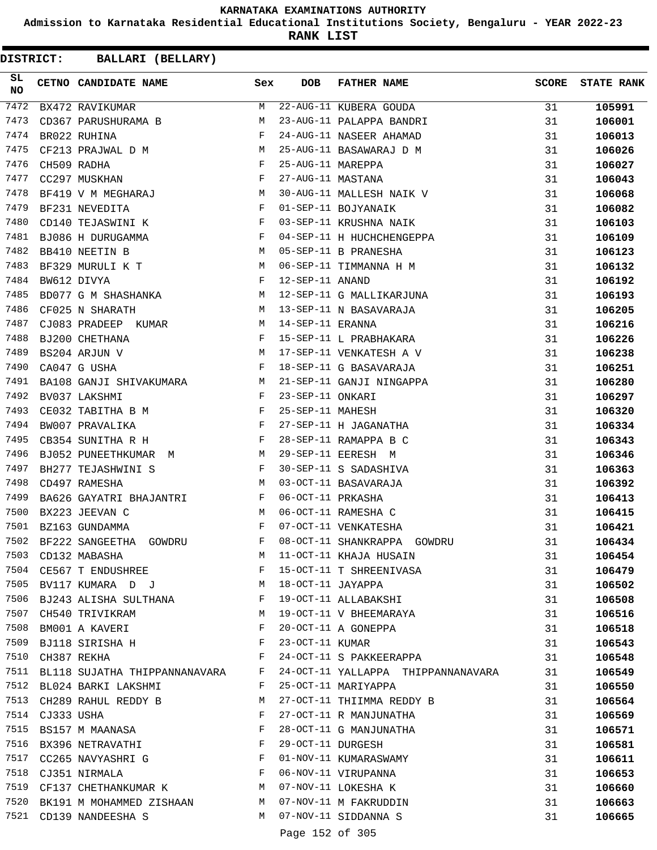**Admission to Karnataka Residential Educational Institutions Society, Bengaluru - YEAR 2022-23**

**RANK LIST**

**DISTRICT:** CC **BALLARI (BELLARY)**

| SL<br><b>NO</b> |                 | CETNO CANDIDATE NAME Sex                                                                                                                                                                                                                            |              | <b>DOB</b>        | <b>FATHER NAME</b>                 | SCORE | <b>STATE RANK</b> |
|-----------------|-----------------|-----------------------------------------------------------------------------------------------------------------------------------------------------------------------------------------------------------------------------------------------------|--------------|-------------------|------------------------------------|-------|-------------------|
| 7472            |                 | BX472 RAVIKUMAR                                                                                                                                                                                                                                     | M            |                   | 22-AUG-11 KUBERA GOUDA             | 31    | 105991            |
| 7473            |                 | CD367 PARUSHURAMA B                                                                                                                                                                                                                                 | М            |                   | 23-AUG-11 PALAPPA BANDRI           | 31    | 106001            |
| 7474            |                 | BR022 RUHINA                                                                                                                                                                                                                                        | F            |                   | 24-AUG-11 NASEER AHAMAD            | 31    | 106013            |
| 7475            |                 | CF213 PRAJWAL D M<br>CH509 RADHA F                                                                                                                                                                                                                  |              |                   | 25-AUG-11 BASAWARAJ D M            | 31    | 106026            |
| 7476            |                 |                                                                                                                                                                                                                                                     |              | 25-AUG-11 MAREPPA |                                    | 31    | 106027            |
| 7477            |                 | $\mathbf{F}$<br>CC297 MUSKHAN                                                                                                                                                                                                                       |              | 27-AUG-11 MASTANA |                                    | 31    | 106043            |
| 7478            |                 | BF419 V M MEGHARAJ M                                                                                                                                                                                                                                |              |                   | 30-AUG-11 MALLESH NAIK V           | 31    | 106068            |
| 7479            |                 | BF231 NEVEDITA                                                                                                                                                                                                                                      | $\mathbf{F}$ |                   | 01-SEP-11 BOJYANAIK                | 31    | 106082            |
| 7480            |                 | $\mathbf{F}$ and $\mathbf{F}$ and $\mathbf{F}$<br>CD140 TEJASWINI K                                                                                                                                                                                 |              |                   | 03-SEP-11 KRUSHNA NAIK             | 31    | 106103            |
| 7481            |                 | BJ086 H DURUGAMMA F                                                                                                                                                                                                                                 |              |                   | 04-SEP-11 H HUCHCHENGEPPA          | 31    | 106109            |
| 7482            |                 | M<br>BB410 NEETIN B                                                                                                                                                                                                                                 |              |                   | 05-SEP-11 B PRANESHA               | 31    | 106123            |
| 7483            |                 | BF329 MURULI K T M                                                                                                                                                                                                                                  |              |                   | 06-SEP-11 TIMMANNA H M             | 31    | 106132            |
| 7484            |                 | $\mathbf{F}$ and $\mathbf{F}$<br>BW612 DIVYA                                                                                                                                                                                                        |              | 12-SEP-11 ANAND   |                                    | 31    | 106192            |
| 7485            |                 | BD077 G M SHASHANKA M                                                                                                                                                                                                                               |              |                   | 12-SEP-11 G MALLIKARJUNA           | 31    | 106193            |
| 7486            |                 | M<br>CF025 N SHARATH                                                                                                                                                                                                                                |              |                   | 13-SEP-11 N BASAVARAJA             | 31    | 106205            |
| 7487            |                 | CJ083 PRADEEP KUMAR M                                                                                                                                                                                                                               |              | 14-SEP-11 ERANNA  |                                    | 31    | 106216            |
| 7488            |                 | $\mathbf{F}$ and the set of the set of the set of the set of the set of the set of the set of the set of the set of the set of the set of the set of the set of the set of the set of the set of the set of the set of the set of<br>BJ200 CHETHANA |              |                   | 15-SEP-11 L PRABHAKARA             | 31    | 106226            |
| 7489            |                 | $\mathbf M$<br>BS204 ARJUN V                                                                                                                                                                                                                        |              |                   | 17-SEP-11 VENKATESH A V            | 31    | 106238            |
| 7490            |                 | $\mathbf{F}$<br>CA047 G USHA                                                                                                                                                                                                                        |              |                   | 18-SEP-11 G BASAVARAJA             | 31    | 106251            |
| 7491            |                 | BA108 GANJI SHIVAKUMARA M                                                                                                                                                                                                                           |              |                   | 21-SEP-11 GANJI NINGAPPA           | 31    | 106280            |
| 7492            |                 | $\mathbb{F}^{\mathbb{Z}}$ . In the $\mathbb{F}^{\mathbb{Z}}$<br>BV037 LAKSHMI                                                                                                                                                                       |              | 23-SEP-11 ONKARI  |                                    | 31    | 106297            |
| 7493            |                 | CE032 TABITHA B M F                                                                                                                                                                                                                                 |              | 25-SEP-11 MAHESH  |                                    | 31    | 106320            |
| 7494            |                 | $\mathbf{F}$<br>BW007 PRAVALIKA                                                                                                                                                                                                                     |              |                   | 27-SEP-11 H JAGANATHA              | 31    | 106334            |
| 7495            |                 | CB354 SUNITHA R H                                                                                                                                                                                                                                   | $\mathbf{F}$ |                   | 28-SEP-11 RAMAPPA B C              | 31    | 106343            |
| 7496            |                 | BJ052 PUNEETHKUMAR M M                                                                                                                                                                                                                              |              |                   | 29-SEP-11 EERESH M                 | 31    | 106346            |
| 7497            |                 | BH277 TEJASHWINI S F                                                                                                                                                                                                                                |              |                   | 30-SEP-11 S SADASHIVA              | 31    | 106363            |
| 7498            |                 | M<br>CD497 RAMESHA                                                                                                                                                                                                                                  |              |                   | 03-OCT-11 BASAVARAJA               | 31    | 106392            |
| 7499            |                 | BA626 GAYATRI BHAJANTRI F                                                                                                                                                                                                                           |              | 06-OCT-11 PRKASHA |                                    | 31    | 106413            |
| 7500            |                 | BX223 JEEVAN C<br><b>M</b>                                                                                                                                                                                                                          |              |                   | 06-OCT-11 RAMESHA C                | 31    | 106415            |
| 7501            |                 | $\mathbf{F}$ and the contract of the contract of $\mathbf{F}$<br>BZ163 GUNDAMMA                                                                                                                                                                     |              |                   | 07-OCT-11 VENKATESHA               | 31    | 106421            |
| 7502            |                 | BF222 SANGEETHA GOWDRU $$\rm F$$                                                                                                                                                                                                                    |              |                   | 08-OCT-11 SHANKRAPPA GOWDRU        | 31    | 106434            |
|                 |                 | 7503 CD132 MABASHA                                                                                                                                                                                                                                  | M            |                   | 11-OCT-11 KHAJA HUSAIN             | 31    | 106454            |
|                 |                 | 7504 CE567 T ENDUSHREE                                                                                                                                                                                                                              | F            |                   | 15-OCT-11 T SHREENIVASA            | 31    | 106479            |
|                 |                 | 7505 BV117 KUMARA D J N 18-OCT-11 JAYAPPA                                                                                                                                                                                                           |              |                   |                                    | 31    | 106502            |
|                 |                 | 7506 BJ243 ALISHA SULTHANA F                                                                                                                                                                                                                        |              |                   | 19-OCT-11 ALLABAKSHI               | 31    | 106508            |
|                 |                 | 7507 CH540 TRIVIKRAM                                                                                                                                                                                                                                | M            |                   | 19-OCT-11 V BHEEMARAYA             | 31    | 106516            |
| 7508            |                 | BM001 A KAVERI F                                                                                                                                                                                                                                    |              |                   | 20-OCT-11 A GONEPPA                | 31    | 106518            |
| 7509            |                 | $\mathbf{F}$ and $\mathbf{F}$ and $\mathbf{F}$<br>BJ118 SIRISHA H                                                                                                                                                                                   |              |                   | 23-OCT-11 KUMAR                    | 31    | 106543            |
|                 |                 | $\mathbf{F}$<br>7510 CH387 REKHA                                                                                                                                                                                                                    |              |                   | 24-OCT-11 S PAKKEERAPPA            | 31    | 106548            |
|                 |                 | 7511 BL118 SUJATHA THIPPANNANAVARA F                                                                                                                                                                                                                |              |                   | 24-OCT-11 YALLAPPA THIPPANNANAVARA | 31    | 106549            |
|                 |                 | 7512 BL024 BARKI LAKSHMI                                                                                                                                                                                                                            | F            |                   | 25-OCT-11 MARIYAPPA                | 31    | 106550            |
|                 |                 | 7513 CH289 RAHUL REDDY B                                                                                                                                                                                                                            | M            |                   | 27-OCT-11 THIIMMA REDDY B          | 31    | 106564            |
|                 | 7514 CJ333 USHA |                                                                                                                                                                                                                                                     | $\mathbf{F}$ |                   | 27-OCT-11 R MANJUNATHA             | 31    | 106569            |
|                 |                 | 7515 BS157 M MAANASA                                                                                                                                                                                                                                | F            |                   | 28-OCT-11 G MANJUNATHA             | 31    | 106571            |
| 7516            |                 | BX396 NETRAVATHI F                                                                                                                                                                                                                                  |              |                   | 29-OCT-11 DURGESH                  | 31    | 106581            |
| 7517            |                 | CC265 NAVYASHRI G F                                                                                                                                                                                                                                 |              |                   | 01-NOV-11 KUMARASWAMY              | 31    | 106611            |
|                 |                 | $\mathbf{F}$<br>7518 CJ351 NIRMALA                                                                                                                                                                                                                  |              |                   | 06-NOV-11 VIRUPANNA                | 31    | 106653            |
|                 |                 | 7519 CF137 CHETHANKUMAR K M 07-NOV-11 LOKESHA K                                                                                                                                                                                                     |              |                   |                                    | 31    | 106660            |
|                 |                 | 7520 BK191 M MOHAMMED ZISHAAN M 07-NOV-11 M FAKRUDDIN                                                                                                                                                                                               |              |                   |                                    | 31    |                   |
|                 |                 | 7521 CD139 NANDEESHA S                                                                                                                                                                                                                              |              |                   | M 07-NOV-11 SIDDANNA S             |       | 106663            |
|                 |                 |                                                                                                                                                                                                                                                     |              |                   | $1 - 2$ $-22$                      | 31    | 106665            |

Page 152 of 305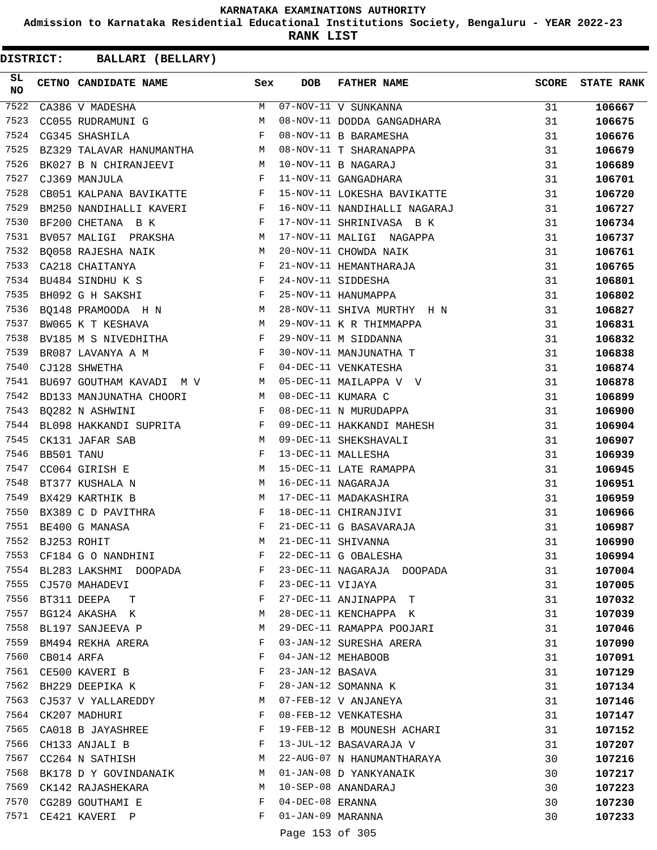**Admission to Karnataka Residential Educational Institutions Society, Bengaluru - YEAR 2022-23**

**RANK LIST**

| SL.<br>NO |             | CETNO CANDIDATE NAME                                                              | Sex        | <b>DOB</b>        | <b>FATHER NAME</b>                                                    | <b>SCORE</b> | <b>STATE RANK</b> |
|-----------|-------------|-----------------------------------------------------------------------------------|------------|-------------------|-----------------------------------------------------------------------|--------------|-------------------|
| 7522      |             | CA386 V MADESHA                                                                   | M          |                   | 07-NOV-11 V SUNKANNA                                                  | 31           | 106667            |
| 7523      |             | M <sub>N</sub><br>CC055 RUDRAMUNI G                                               |            |                   | 08-NOV-11 DODDA GANGADHARA                                            | 31           | 106675            |
| 7524      |             | $\mathbf{F}$ and the contract of $\mathbf{F}$<br>CG345 SHASHILA                   |            |                   | 08-NOV-11 B BARAMESHA                                                 | 31           | 106676            |
| 7525      |             | BZ329 TALAVAR HANUMANTHA M                                                        |            |                   | 08-NOV-11 T SHARANAPPA<br>10-NOV-11 B NAGARAJ<br>11-NOV-11 GANGADHARA | 31           | 106679            |
| 7526      |             | BK027 B N CHIRANJEEVI M                                                           |            |                   |                                                                       | 31           | 106689            |
| 7527      |             | $\mathbf{F}$ and $\mathbf{F}$<br>CJ369 MANJULA                                    |            |                   |                                                                       | 31           | 106701            |
| 7528      |             | CB051 KALPANA BAVIKATTE F                                                         |            |                   | 15-NOV-11 LOKESHA BAVIKATTE                                           | 31           | 106720            |
| 7529      |             | BM250 NANDIHALLI KAVERI F                                                         |            |                   | 16-NOV-11 NANDIHALLI NAGARAJ                                          | 31           | 106727            |
| 7530      |             | $\mathbf{F}$ . The set of $\mathbf{F}$<br>BF200 CHETANA B K                       |            |                   | 17-NOV-11 SHRINIVASA B K                                              | 31           | 106734            |
| 7531      |             | BV057 MALIGI PRAKSHA M                                                            |            |                   | 17-NOV-11 MALIGI NAGAPPA                                              | 31           | 106737            |
| 7532      |             | BQ058 RAJESHA NAIK M                                                              |            |                   | 20-NOV-11 CHOWDA NAIK                                                 | 31           | 106761            |
| 7533      |             |                                                                                   |            |                   |                                                                       | 31           | 106765            |
| 7534      |             | CA218 CHAITANYA<br>BU484 SINDHU K S<br>BH092 C U CAYCILE                          |            |                   | 21-NOV-11 HEMANTHARAJA<br>24-NOV-11 SIDDESHA<br>25-NOV-11 HANUMAPPA   | 31           | 106801            |
| 7535      |             | $\mathbf{F}$ and $\mathbf{F}$ and $\mathbf{F}$<br>BH092 G H SAKSHI                |            |                   |                                                                       | 31           | 106802            |
| 7536      |             | BQ148 PRAMOODA H N M                                                              |            |                   | 28-NOV-11 SHIVA MURTHY H N                                            | 31           | 106827            |
| 7537      |             | <b>M</b><br>BW065 K T KESHAVA                                                     |            |                   | 29-NOV-11 K R THIMMAPPA                                               | 31           | 106831            |
| 7538      |             | BV185 M S NIVEDHITHA F                                                            |            |                   | 29-NOV-11 M SIDDANNA                                                  | 31           | 106832            |
| 7539      |             | BR087 LAVANYA A M<br>$\mathbb F$ . If $\mathbb F$                                 |            |                   | 30-NOV-11 MANJUNATHA T                                                | 31           | 106838            |
| 7540      |             | $\mathbf{F}$ and the state of the state $\mathbf{F}$<br>CJ128 SHWETHA             |            |                   | 04-DEC-11 VENKATESHA                                                  | 31           | 106874            |
| 7541      |             | BU697 GOUTHAM KAVADI M V M                                                        |            |                   | 05-DEC-11 MAILAPPA V V                                                | 31           | 106878            |
| 7542      |             | BD133 MANJUNATHA CHOORI M                                                         |            |                   | 08-DEC-11 KUMARA C                                                    | 31           | 106899            |
| 7543      |             | $\mathbf{F}$ and $\mathbf{F}$ and $\mathbf{F}$<br>BQ282 N ASHWINI                 |            |                   | 08-DEC-11 N MURUDAPPA                                                 | 31           | 106900            |
| 7544      |             | BL098 HAKKANDI SUPRITA F                                                          |            |                   | 09-DEC-11 HAKKANDI MAHESH                                             | 31           | 106904            |
| 7545      |             | M<br>CK131 JAFAR SAB                                                              |            |                   | 09-DEC-11 SHEKSHAVALI                                                 | 31           | 106907            |
| 7546      | BB501 TANU  |                                                                                   | $_{\rm F}$ |                   | 13-DEC-11 MALLESHA                                                    | 31           | 106939            |
| 7547      |             | M<br>CC064 GIRISH E                                                               |            |                   | 15-DEC-11 LATE RAMAPPA                                                | 31           | 106945            |
| 7548      |             | <b>M</b><br>BT377 KUSHALA N                                                       |            |                   | 16-DEC-11 NAGARAJA                                                    | 31           | 106951            |
| 7549      |             | M<br>BX429 KARTHIK B                                                              |            |                   | 17-DEC-11 MADAKASHIRA                                                 | 31           | 106959            |
| 7550      |             | BX389 C D PAVITHRA                                                                | F          |                   | 18-DEC-11 CHIRANJIVI                                                  | 31           | 106966            |
| 7551      |             | $\mathbb{F}^{\mathbb{Z}}$ . The state $\mathbb{F}^{\mathbb{Z}}$<br>BE400 G MANASA |            |                   | 21-DEC-11 G BASAVARAJA                                                | 31           | 106987            |
| 7552      | BJ253 ROHIT |                                                                                   | M          |                   | 21-DEC-11 SHIVANNA                                                    | 31           | 106990            |
| 7553      |             | CF184 G O NANDHINI                                                                | F          |                   | 22-DEC-11 G OBALESHA                                                  | 31           | 106994            |
|           |             | 7554 BL283 LAKSHMI DOOPADA                                                        | F          |                   | 23-DEC-11 NAGARAJA DOOPADA                                            | 31           | 107004            |
|           |             | 7555 CJ570 MAHADEVI                                                               | F          | 23-DEC-11 VIJAYA  |                                                                       | 31           | 107005            |
| 7556      |             | BT311 DEEPA<br>$\mathbf{T}$                                                       | F          |                   | 27-DEC-11 ANJINAPPA T                                                 | 31           | 107032            |
| 7557      |             | BG124 AKASHA K                                                                    | M          |                   | 28-DEC-11 KENCHAPPA K                                                 | 31           | 107039            |
| 7558      |             | BL197 SANJEEVA P                                                                  | M          |                   | 29-DEC-11 RAMAPPA POOJARI                                             | 31           | 107046            |
| 7559      |             | BM494 REKHA ARERA                                                                 | F          |                   | 03-JAN-12 SURESHA ARERA                                               | 31           | 107090            |
| 7560      | CB014 ARFA  |                                                                                   | F          |                   | 04-JAN-12 MEHABOOB                                                    | 31           | 107091            |
| 7561      |             | CE500 KAVERI B                                                                    | F          | 23-JAN-12 BASAVA  |                                                                       | 31           | 107129            |
| 7562      |             | BH229 DEEPIKA K                                                                   | F          |                   | 28-JAN-12 SOMANNA K                                                   | 31           | 107134            |
| 7563      |             | CJ537 V YALLAREDDY                                                                | M          |                   | 07-FEB-12 V ANJANEYA                                                  | 31           | 107146            |
| 7564      |             | CK207 MADHURI                                                                     | F          |                   | 08-FEB-12 VENKATESHA                                                  | 31           | 107147            |
| 7565      |             | CA018 B JAYASHREE                                                                 | F          |                   | 19-FEB-12 B MOUNESH ACHARI                                            | 31           | 107152            |
| 7566      |             | CH133 ANJALI B                                                                    | F          |                   | 13-JUL-12 BASAVARAJA V                                                | 31           | 107207            |
| 7567      |             | CC264 N SATHISH                                                                   | М          |                   | 22-AUG-07 N HANUMANTHARAYA                                            | 30           | 107216            |
| 7568      |             | BK178 D Y GOVINDANAIK                                                             | M          |                   | 01-JAN-08 D YANKYANAIK                                                | 30           | 107217            |
| 7569      |             | CK142 RAJASHEKARA                                                                 | M          |                   | 10-SEP-08 ANANDARAJ                                                   | 30           | 107223            |
|           |             | 7570 CG289 GOUTHAMI E                                                             | F          | 04-DEC-08 ERANNA  |                                                                       | 30           | 107230            |
| 7571      |             | CE421 KAVERI P                                                                    | F          | 01-JAN-09 MARANNA |                                                                       | 30           | 107233            |
|           |             |                                                                                   |            | Page 153 of 305   |                                                                       |              |                   |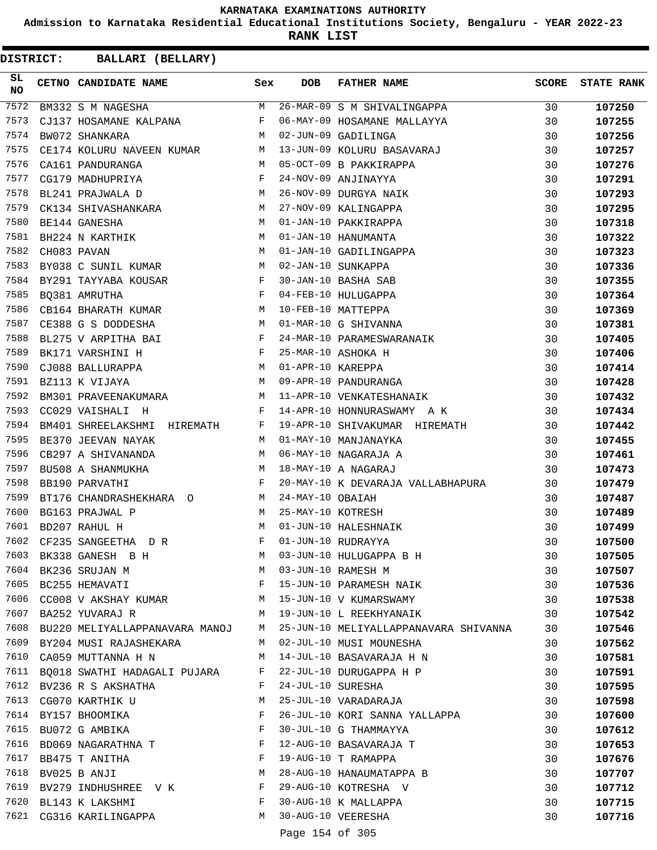**Admission to Karnataka Residential Educational Institutions Society, Bengaluru - YEAR 2022-23**

**RANK LIST**

| SL<br><b>NO</b> | CETNO CANDIDATE NAME Sex                                                          |   | <b>DOB</b>        | FATHER NAME                           | SCORE | <b>STATE RANK</b> |
|-----------------|-----------------------------------------------------------------------------------|---|-------------------|---------------------------------------|-------|-------------------|
| 7572            | BM332 S M NAGESHA                                                                 | M |                   | 26-MAR-09 S M SHIVALINGAPPA           | 30    | 107250            |
| 7573            | CJ137 HOSAMANE KALPANA                                                            | F |                   | 06-MAY-09 HOSAMANE MALLAYYA           | 30    | 107255            |
| 7574            | M<br>BW072 SHANKARA                                                               |   |                   | 02-JUN-09 GADILINGA                   | 30    | 107256            |
| 7575            | CE174 KOLURU NAVEEN KUMAR M                                                       |   |                   | 13-JUN-09 KOLURU BASAVARAJ            | 30    | 107257            |
| 7576            | CA161 PANDURANGA<br>M <sub>1</sub>                                                |   |                   | 05-OCT-09 B PAKKIRAPPA                | 30    | 107276            |
| 7577            | CG179 MADHUPRIYA                                                                  | F |                   | 24-NOV-09 ANJINAYYA                   | 30    | 107291            |
| 7578            | M<br>BL241 PRAJWALA D                                                             |   |                   | 26-NOV-09 DURGYA NAIK                 | 30    | 107293            |
| 7579            | CK134 SHIVASHANKARA                                                               | M |                   | 27-NOV-09 KALINGAPPA                  | 30    | 107295            |
| 7580            | BE144 GANESHA                                                                     | M |                   | 01-JAN-10 PAKKIRAPPA                  | 30    | 107318            |
| 7581            | BH224 N KARTHIK M                                                                 |   |                   | 01-JAN-10 HANUMANTA                   | 30    | 107322            |
| 7582            | M<br>CH083 PAVAN                                                                  |   |                   | 01-JAN-10 GADILINGAPPA                | 30    | 107323            |
| 7583            | BY038 C SUNIL KUMAR M                                                             |   |                   | 02-JAN-10 SUNKAPPA                    | 30    | 107336            |
| 7584            | BY291 TAYYABA KOUSAR F                                                            |   |                   | 30-JAN-10 BASHA SAB                   | 30    | 107355            |
| 7585            | <b>Example 20</b><br>BO381 AMRUTHA                                                |   |                   | 04-FEB-10 HULUGAPPA                   | 30    | 107364            |
| 7586            | CB164 BHARATH KUMAR M                                                             |   |                   | 10-FEB-10 MATTEPPA                    | 30    | 107369            |
| 7587            | CE388 G S DODDESHA                                                                | M |                   | 01-MAR-10 G SHIVANNA                  | 30    | 107381            |
| 7588            | BL275 V ARPITHA BAI<br>$\mathbf{F}$                                               |   |                   | 24-MAR-10 PARAMESWARANAIK             | 30    | 107405            |
| 7589            | $\mathbf{F}$ . The contract of the contract of $\mathbf{F}$ ,<br>BK171 VARSHINI H |   |                   | 25-MAR-10 ASHOKA H                    | 30    | 107406            |
| 7590            | <b>M</b><br>CJ088 BALLURAPPA                                                      |   | 01-APR-10 KAREPPA |                                       | 30    | 107414            |
| 7591            | M<br>BZ113 K VIJAYA                                                               |   |                   | 09-APR-10 PANDURANGA                  | 30    | 107428            |
| 7592            | BM301 PRAVEENAKUMARA M                                                            |   |                   | 11-APR-10 VENKATESHANAIK              | 30    | 107432            |
| 7593            | CC029 VAISHALI H                                                                  | F |                   | 14-APR-10 HONNURASWAMY A K            | 30    | 107434            |
| 7594            | BM401 SHREELAKSHMI HIREMATH F                                                     |   |                   | 19-APR-10 SHIVAKUMAR HIREMATH         | 30    | 107442            |
| 7595            | BE370 JEEVAN NAYAK                                                                | M |                   | 01-MAY-10 MANJANAYKA                  | 30    | 107455            |
| 7596            | CB297 A SHIVANANDA<br><b>M</b>                                                    |   |                   | 06-MAY-10 NAGARAJA A                  | 30    | 107461            |
| 7597            | <b>Market</b><br>BU508 A SHANMUKHA                                                |   |                   | 18-MAY-10 A NAGARAJ                   | 30    | 107473            |
| 7598            | $\mathbb{F}^{\mathbb{Z}}$ . The $\mathbb{F}^{\mathbb{Z}}$<br>BB190 PARVATHI       |   |                   | 20-MAY-10 K DEVARAJA VALLABHAPURA     | 30    | 107479            |
| 7599            | BT176 CHANDRASHEKHARA O M                                                         |   | 24-MAY-10 OBAIAH  |                                       | 30    | 107487            |
| 7600            | BG163 PRAJWAL P<br><b>M</b>                                                       |   | 25-MAY-10 KOTRESH |                                       | 30    | 107489            |
| 7601            | <b>M</b><br>BD207 RAHUL H                                                         |   |                   | 01-JUN-10 HALESHNAIK                  | 30    | 107499            |
| 7602            | CF235 SANGEETHA D R                                                               | F |                   | 01-JUN-10 RUDRAYYA                    | 30    | 107500            |
| 7603            | BK338 GANESH B H                                                                  | M |                   | 03-JUN-10 HULUGAPPA B H               | 30    | 107505            |
|                 | 7604 BK236 SRUJAN M                                                               |   |                   | 03-JUN-10 RAMESH M                    | 30    | 107507            |
|                 | 7605 BC255 HEMAVATI F                                                             |   |                   | 15-JUN-10 PARAMESH NAIK               | 30    | 107536            |
|                 | 7606 CC008 V AKSHAY KUMAR M M 15-JUN-10 V KUMARSWAMY                              |   |                   |                                       | 30    | 107538            |
|                 | 7607 BA252 YUVARAJ R                                                              |   |                   | M 19-JUN-10 L REEKHYANAIK             | 30    | 107542            |
|                 | 7608 BU220 MELIYALLAPPANAVARA MANOJ M                                             |   |                   | 25-JUN-10 MELIYALLAPPANAVARA SHIVANNA | 30    | 107546            |
| 7609            | BY204 MUSI RAJASHEKARA                                                            | M |                   | 02-JUL-10 MUSI MOUNESHA               | 30    | 107562            |
|                 | 7610 CA059 MUTTANNA H N                                                           | M |                   | 14-JUL-10 BASAVARAJA H N              | 30    | 107581            |
|                 | 7611 BQ018 SWATHI HADAGALI PUJARA F                                               |   |                   | 22-JUL-10 DURUGAPPA H P               | 30    | 107591            |
|                 | 7612 BV236 R S AKSHATHA                                                           | F | 24-JUL-10 SURESHA |                                       | 30    | 107595            |
| 7613            | CG070 KARTHIK U                                                                   | M |                   | 25-JUL-10 VARADARAJA                  | 30    | 107598            |
|                 | 7614 BY157 BHOOMIKA                                                               | F |                   | 26-JUL-10 KORI SANNA YALLAPPA         | 30    | 107600            |
|                 | 7615 BU072 G AMBIKA                                                               | F |                   | 30-JUL-10 G THAMMAYYA                 | 30    | 107612            |
| 7616            | BD069 NAGARATHNA T                                                                | F |                   | 12-AUG-10 BASAVARAJA T                | 30    | 107653            |
| 7617            | BB475 T ANITHA                                                                    | F |                   | 19-AUG-10 T RAMAPPA                   | 30    | 107676            |
| 7618            | BV025 B ANJI                                                                      | M |                   | 28-AUG-10 HANAUMATAPPA B              | 30    | 107707            |
|                 | 7619 BV279 INDHUSHREE V K                                                         | F |                   | 29-AUG-10 KOTRESHA V                  | 30    | 107712            |
|                 | 7620 BL143 K LAKSHMI                                                              | F |                   | 30-AUG-10 K MALLAPPA                  | 30    | 107715            |
|                 | 7621 CG316 KARILINGAPPA                                                           | M |                   | 30-AUG-10 VEERESHA                    | 30    | 107716            |
|                 |                                                                                   |   |                   |                                       |       |                   |
|                 |                                                                                   |   | Page 154 of 305   |                                       |       |                   |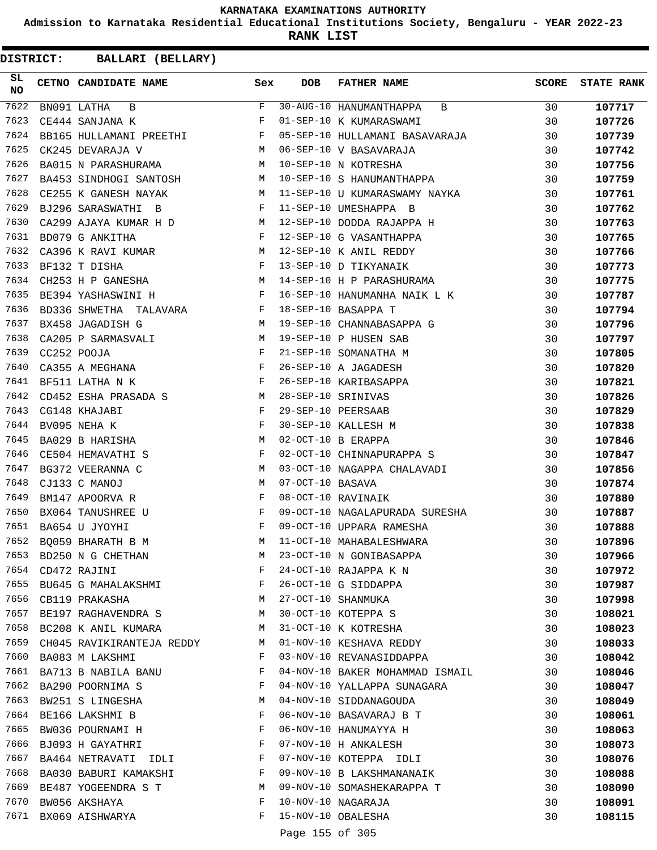**Admission to Karnataka Residential Educational Institutions Society, Bengaluru - YEAR 2022-23**

**RANK LIST**

| SL<br><b>NO</b> | CETNO CANDIDATE NAME                                                                                                                                                                                                                                    | Sex          | <b>DOB</b>       | <b>FATHER NAME</b>              | <b>SCORE</b> | <b>STATE RANK</b> |
|-----------------|---------------------------------------------------------------------------------------------------------------------------------------------------------------------------------------------------------------------------------------------------------|--------------|------------------|---------------------------------|--------------|-------------------|
| 7622            | BN091 LATHA B                                                                                                                                                                                                                                           | F            |                  | 30-AUG-10 HANUMANTHAPPA B       | 30           | 107717            |
| 7623            | CE444 SANJANA K                                                                                                                                                                                                                                         | F            |                  | 01-SEP-10 K KUMARASWAMI         | 30           | 107726            |
| 7624            | BB165 HULLAMANI PREETHI F                                                                                                                                                                                                                               |              |                  | 05-SEP-10 HULLAMANI BASAVARAJA  | 30           | 107739            |
| 7625            | M<br>CK245 DEVARAJA V                                                                                                                                                                                                                                   |              |                  | 06-SEP-10 V BASAVARAJA          | 30           | 107742            |
| 7626            | BA015 N PARASHURAMA M                                                                                                                                                                                                                                   |              |                  | 10-SEP-10 N KOTRESHA            | 30           | 107756            |
| 7627            | BA453 SINDHOGI SANTOSH M                                                                                                                                                                                                                                |              |                  | 10-SEP-10 S HANUMANTHAPPA       | 30           | 107759            |
| 7628            | CE255 K GANESH NAYAK                                                                                                                                                                                                                                    |              |                  | M 11-SEP-10 U KUMARASWAMY NAYKA | 30           | 107761            |
| 7629            | $\mathbf{F}$<br>BJ296 SARASWATHI B                                                                                                                                                                                                                      |              |                  | 11-SEP-10 UMESHAPPA B           | 30           | 107762            |
| 7630            | CA299 AJAYA KUMAR H D M                                                                                                                                                                                                                                 |              |                  | 12-SEP-10 DODDA RAJAPPA H       | 30           | 107763            |
| 7631            | BD079 G ANKITHA<br>$\mathbf{F}$ and $\mathbf{F}$ are the set of the set of the set of the set of the set of the set of the set of the set of the set of the set of the set of the set of the set of the set of the set of the set of the set of the set |              |                  | 12-SEP-10 G VASANTHAPPA         | 30           | 107765            |
| 7632            | <b>M</b><br>CA396 K RAVI KUMAR                                                                                                                                                                                                                          |              |                  | 12-SEP-10 K ANIL REDDY          | 30           | 107766            |
| 7633            | $\mathbf{F}^{\mathcal{L}}$<br>BF132 T DISHA                                                                                                                                                                                                             |              |                  | 13-SEP-10 D TIKYANAIK           | 30           | 107773            |
| 7634            | CH253 H P GANESHA M                                                                                                                                                                                                                                     |              |                  | 14-SEP-10 H P PARASHURAMA       | 30           | 107775            |
| 7635            | BE394 YASHASWINI H F                                                                                                                                                                                                                                    |              |                  | 16-SEP-10 HANUMANHA NAIK L K    | 30           | 107787            |
| 7636            | BD336 SHWETHA TALAVARA F                                                                                                                                                                                                                                |              |                  | 18-SEP-10 BASAPPA T             | 30           | 107794            |
| 7637            | M<br>BX458 JAGADISH G                                                                                                                                                                                                                                   |              |                  | 19-SEP-10 CHANNABASAPPA G       | 30           | 107796            |
| 7638            | CA205 P SARMASVALI M                                                                                                                                                                                                                                    |              |                  | 19-SEP-10 P HUSEN SAB           | 30           | 107797            |
| 7639            | CC252 POOJA                                                                                                                                                                                                                                             | F            |                  | 21-SEP-10 SOMANATHA M           | 30           | 107805            |
| 7640            | CA355 A MEGHANA F                                                                                                                                                                                                                                       |              |                  | 26-SEP-10 A JAGADESH            | 30           | 107820            |
| 7641            | $\mathbf{F}$<br>BF511 LATHA N K                                                                                                                                                                                                                         |              |                  | 26-SEP-10 KARIBASAPPA           | 30           | 107821            |
| 7642            | CD452 ESHA PRASADA S M                                                                                                                                                                                                                                  |              |                  | 28-SEP-10 SRINIVAS              | 30           | 107826            |
| 7643            | CG148 KHAJABI<br>$\mathbf{F}$ and $\mathbf{F}$                                                                                                                                                                                                          |              |                  | 29-SEP-10 PEERSAAB              | 30           | 107829            |
| 7644            | $\mathbb F$ . The set of $\mathbb F$<br>BV095 NEHA K                                                                                                                                                                                                    |              |                  | 30-SEP-10 KALLESH M             | 30           | 107838            |
| 7645            | M<br>BA029 B HARISHA                                                                                                                                                                                                                                    |              |                  | 02-OCT-10 B ERAPPA              | 30           | 107846            |
| 7646            | CE504 HEMAVATHI S                                                                                                                                                                                                                                       | $\mathbf{F}$ |                  | 02-OCT-10 CHINNAPURAPPA S       | 30           | 107847            |
| 7647            | BG372 VEERANNA C                                                                                                                                                                                                                                        | M            |                  | 03-OCT-10 NAGAPPA CHALAVADI     | 30           | 107856            |
| 7648            | CJ133 C MANOJ                                                                                                                                                                                                                                           | М            | 07-OCT-10 BASAVA |                                 | 30           | 107874            |
| 7649            | BM147 APOORVA R                                                                                                                                                                                                                                         | $\mathbf{F}$ |                  | 08-OCT-10 RAVINAIK              | 30           | 107880            |
| 7650            | BX064 TANUSHREE U                                                                                                                                                                                                                                       | F            |                  | 09-OCT-10 NAGALAPURADA SURESHA  | 30           | 107887            |
| 7651            | BA654 U JYOYHI                                                                                                                                                                                                                                          | F            |                  | 09-OCT-10 UPPARA RAMESHA        | 30           | 107888            |
| 7652            | BQ059 BHARATH B M                                                                                                                                                                                                                                       | М            |                  | 11-OCT-10 MAHABALESHWARA        | 30           | 107896            |
| 7653            | BD250 N G CHETHAN                                                                                                                                                                                                                                       | М            |                  | 23-OCT-10 N GONIBASAPPA         | 30           | 107966            |
| 7654            | CD472 RAJINI                                                                                                                                                                                                                                            | F            |                  | 24-OCT-10 RAJAPPA K N           | 30           | 107972            |
| 7655            | BU645 G MAHALAKSHMI                                                                                                                                                                                                                                     | F            |                  | 26-OCT-10 G SIDDAPPA            | 30           | 107987            |
| 7656            | CB119 PRAKASHA                                                                                                                                                                                                                                          | М            |                  | 27-OCT-10 SHANMUKA              | 30           | 107998            |
| 7657            | BE197 RAGHAVENDRA S                                                                                                                                                                                                                                     | М            |                  | 30-OCT-10 KOTEPPA S             | 30           | 108021            |
| 7658            | BC208 K ANIL KUMARA                                                                                                                                                                                                                                     | М            |                  | 31-OCT-10 K KOTRESHA            | 30           | 108023            |
| 7659            | CH045 RAVIKIRANTEJA REDDY                                                                                                                                                                                                                               | M            |                  | 01-NOV-10 KESHAVA REDDY         | 30           | 108033            |
| 7660            | BA083 M LAKSHMI                                                                                                                                                                                                                                         | F            |                  | 03-NOV-10 REVANASIDDAPPA        | 30           | 108042            |
| 7661            | BA713 B NABILA BANU                                                                                                                                                                                                                                     | F            |                  | 04-NOV-10 BAKER MOHAMMAD ISMAIL | 30           | 108046            |
| 7662            | BA290 POORNIMA S                                                                                                                                                                                                                                        | F            |                  | 04-NOV-10 YALLAPPA SUNAGARA     | 30           | 108047            |
| 7663            | BW251 S LINGESHA                                                                                                                                                                                                                                        | M            |                  | 04-NOV-10 SIDDANAGOUDA          | 30           | 108049            |
| 7664            | BE166 LAKSHMI B                                                                                                                                                                                                                                         | F            |                  | 06-NOV-10 BASAVARAJ B T         | 30           | 108061            |
| 7665            | BW036 POURNAMI H                                                                                                                                                                                                                                        | F            |                  | 06-NOV-10 HANUMAYYA H           | 30           | 108063            |
| 7666            | BJ093 H GAYATHRI                                                                                                                                                                                                                                        | F            |                  | 07-NOV-10 H ANKALESH            | 30           | 108073            |
| 7667            | BA464 NETRAVATI IDLI                                                                                                                                                                                                                                    | F            |                  | 07-NOV-10 KOTEPPA IDLI          | 30           | 108076            |
| 7668            | BA030 BABURI KAMAKSHI                                                                                                                                                                                                                                   | F            |                  | 09-NOV-10 B LAKSHMANANAIK       | 30           | 108088            |
| 7669            | BE487 YOGEENDRA S T                                                                                                                                                                                                                                     | М            |                  | 09-NOV-10 SOMASHEKARAPPA T      | 30           | 108090            |
| 7670            | BW056 AKSHAYA                                                                                                                                                                                                                                           | F            |                  | 10-NOV-10 NAGARAJA              | 30           | 108091            |
| 7671            | BX069 AISHWARYA                                                                                                                                                                                                                                         | F            |                  | 15-NOV-10 OBALESHA              | 30           | 108115            |
|                 |                                                                                                                                                                                                                                                         |              |                  |                                 |              |                   |
|                 |                                                                                                                                                                                                                                                         |              | Page 155 of 305  |                                 |              |                   |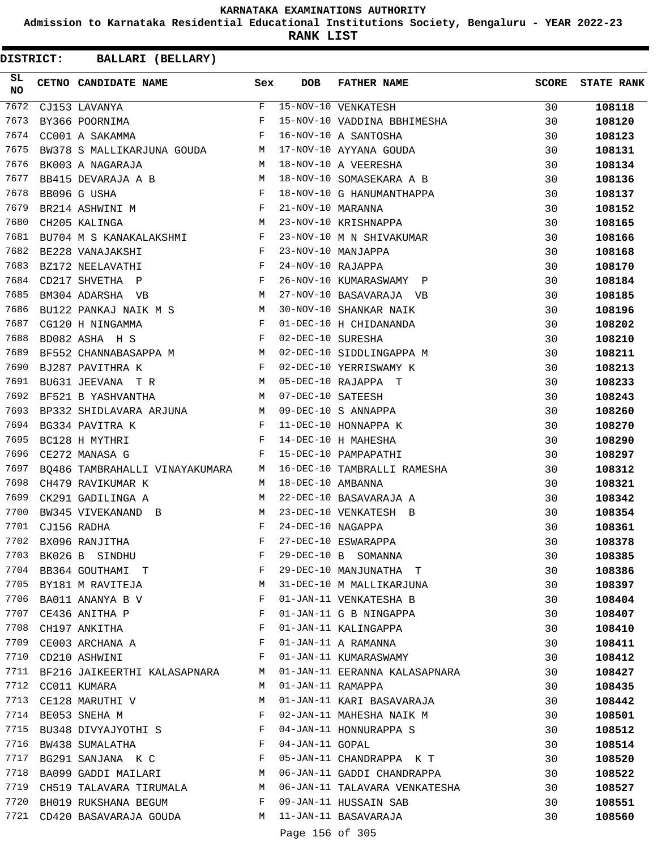**Admission to Karnataka Residential Educational Institutions Society, Bengaluru - YEAR 2022-23**

**RANK LIST**

| SL<br><b>NO</b> | CETNO CANDIDATE NAME                                                                                                                                                                                                                                    | Sex          | <b>DOB</b>        | <b>FATHER NAME</b>            | SCORE | <b>STATE RANK</b> |
|-----------------|---------------------------------------------------------------------------------------------------------------------------------------------------------------------------------------------------------------------------------------------------------|--------------|-------------------|-------------------------------|-------|-------------------|
| 7672            | CJ153 LAVANYA                                                                                                                                                                                                                                           | F            |                   | 15-NOV-10 VENKATESH           | 30    | 108118            |
| 7673            | BY366 POORNIMA                                                                                                                                                                                                                                          | F            |                   | 15-NOV-10 VADDINA BBHIMESHA   | 30    | 108120            |
| 7674            | and the contract of the Party of the Party<br>CC001 A SAKAMMA                                                                                                                                                                                           |              |                   | 16-NOV-10 A SANTOSHA          | 30    | 108123            |
| 7675            | BW378 S MALLIKARJUNA GOUDA M                                                                                                                                                                                                                            |              |                   | 17-NOV-10 AYYANA GOUDA        | 30    | 108131            |
| 7676            | M <sub>1</sub><br>BK003 A NAGARAJA                                                                                                                                                                                                                      |              |                   | 18-NOV-10 A VEERESHA          | 30    | 108134            |
| 7677            | BB415 DEVARAJA A B M                                                                                                                                                                                                                                    |              |                   | 18-NOV-10 SOMASEKARA A B      | 30    | 108136            |
| 7678            | $\begin{array}{lllll} \texttt{BB096 G USHA} & & & \texttt{F}\\ \texttt{BR214 ASHWINI M} & & & \texttt{F} \end{array}$                                                                                                                                   |              |                   | 18-NOV-10 G HANUMANTHAPPA     | 30    | 108137            |
| 7679            |                                                                                                                                                                                                                                                         |              | 21-NOV-10 MARANNA |                               | 30    | 108152            |
| 7680            | CH205 KALINGA                                                                                                                                                                                                                                           | M            |                   | 23-NOV-10 KRISHNAPPA          | 30    | 108165            |
| 7681            | BU704 M S KANAKALAKSHMI F                                                                                                                                                                                                                               |              |                   | 23-NOV-10 M N SHIVAKUMAR      | 30    | 108166            |
| 7682            | <b>Example 20</b> For the second state of the second state of the second state of the second state of the second state of the second state of the second state of the second state of the second state of the second state of the s<br>BE228 VANAJAKSHI |              |                   | 23-NOV-10 MANJAPPA            | 30    | 108168            |
| 7683            | $\mathbf{F}$<br>BZ172 NEELAVATHI                                                                                                                                                                                                                        |              | 24-NOV-10 RAJAPPA |                               | 30    | 108170            |
| 7684            | $\mathbf{F}$ . The set of $\mathbf{F}$<br>CD217 SHVETHA P                                                                                                                                                                                               |              |                   | 26-NOV-10 KUMARASWAMY P       | 30    | 108184            |
| 7685            | <b>M</b><br>BM304 ADARSHA VB                                                                                                                                                                                                                            |              |                   | 27-NOV-10 BASAVARAJA VB       | 30    | 108185            |
| 7686            | BU122 PANKAJ NAIK M S M                                                                                                                                                                                                                                 |              |                   | 30-NOV-10 SHANKAR NAIK        | 30    | 108196            |
| 7687            | $\mathbb F$<br>CG120 H NINGAMMA                                                                                                                                                                                                                         |              |                   | 01-DEC-10 H CHIDANANDA        | 30    | 108202            |
| 7688            | $\mathbf{F}$<br>BD082 ASHA H S                                                                                                                                                                                                                          |              | 02-DEC-10 SURESHA |                               | 30    | 108210            |
| 7689            | BF552 CHANNABASAPPA M M                                                                                                                                                                                                                                 |              |                   | 02-DEC-10 SIDDLINGAPPA M      | 30    | 108211            |
| 7690            | $\mathbf{F}$ and the contract of the contract $\mathbf{F}$ .<br>BJ287 PAVITHRA K                                                                                                                                                                        |              |                   | 02-DEC-10 YERRISWAMY K        | 30    | 108213            |
| 7691            | $\mathbb M$<br>BU631 JEEVANA TR                                                                                                                                                                                                                         |              |                   | 05-DEC-10 RAJAPPA T           | 30    | 108233            |
| 7692            | M<br>BF521 B YASHVANTHA                                                                                                                                                                                                                                 |              | 07-DEC-10 SATEESH |                               | 30    | 108243            |
| 7693            | BP332 SHIDLAVARA ARJUNA M                                                                                                                                                                                                                               |              |                   | 09-DEC-10 S ANNAPPA           | 30    | 108260            |
| 7694            | $\mathbf{F}$ . The set of $\mathbf{F}$<br>BG334 PAVITRA K                                                                                                                                                                                               |              |                   | 11-DEC-10 HONNAPPA K          | 30    | 108270            |
| 7695            | $\mathbf{F}$<br>BC128 H MYTHRI                                                                                                                                                                                                                          |              |                   | 14-DEC-10 H MAHESHA           | 30    | 108290            |
| 7696            | CE272 MANASA G                                                                                                                                                                                                                                          | F            |                   | 15-DEC-10 PAMPAPATHI          | 30    | 108297            |
| 7697            | BO486 TAMBRAHALLI VINAYAKUMARA M                                                                                                                                                                                                                        |              |                   | 16-DEC-10 TAMBRALLI RAMESHA   | 30    | 108312            |
| 7698            | CH479 RAVIKUMAR K                                                                                                                                                                                                                                       | M            | 18-DEC-10 AMBANNA |                               | 30    | 108321            |
| 7699            | CK291 GADILINGA A                                                                                                                                                                                                                                       | M            |                   | 22-DEC-10 BASAVARAJA A        | 30    | 108342            |
| 7700            | BW345 VIVEKANAND B                                                                                                                                                                                                                                      | M            |                   | 23-DEC-10 VENKATESH B         | 30    | 108354            |
| 7701            | CJ156 RADHA                                                                                                                                                                                                                                             | F            | 24-DEC-10 NAGAPPA |                               | 30    | 108361            |
| 7702            | BX096 RANJITHA                                                                                                                                                                                                                                          | F            |                   | 27-DEC-10 ESWARAPPA           | 30    | 108378            |
| 7703            | BK026 B SINDHU                                                                                                                                                                                                                                          | F            |                   | 29-DEC-10 B SOMANNA           | 30    | 108385            |
| 7704            | BB364 GOUTHAMI T                                                                                                                                                                                                                                        | F            |                   | 29-DEC-10 MANJUNATHA T        | 30    | 108386            |
|                 | 7705 BY181 M RAVITEJA                                                                                                                                                                                                                                   | M            |                   | 31-DEC-10 M MALLIKARJUNA      | 30    | 108397            |
| 7706            | BA011 ANANYA B V                                                                                                                                                                                                                                        | F            |                   | 01-JAN-11 VENKATESHA B        | 30    | 108404            |
| 7707            | CE436 ANITHA P                                                                                                                                                                                                                                          | F            |                   | 01-JAN-11 G B NINGAPPA        | 30    | 108407            |
| 7708            | CH197 ANKITHA                                                                                                                                                                                                                                           | F            |                   | 01-JAN-11 KALINGAPPA          | 30    | 108410            |
| 7709            | CE003 ARCHANA A                                                                                                                                                                                                                                         | F            |                   | 01-JAN-11 A RAMANNA           | 30    | 108411            |
| 7710            | CD210 ASHWINI                                                                                                                                                                                                                                           | F            |                   | 01-JAN-11 KUMARASWAMY         | 30    | 108412            |
| 7711            | BF216 JAIKEERTHI KALASAPNARA                                                                                                                                                                                                                            | M            |                   | 01-JAN-11 EERANNA KALASAPNARA | 30    | 108427            |
| 7712            | CC011 KUMARA                                                                                                                                                                                                                                            | M            | 01-JAN-11 RAMAPPA |                               | 30    | 108435            |
| 7713            | CE128 MARUTHI V                                                                                                                                                                                                                                         | M            |                   | 01-JAN-11 KARI BASAVARAJA     | 30    | 108442            |
| 7714            | BE053 SNEHA M                                                                                                                                                                                                                                           | F            |                   | 02-JAN-11 MAHESHA NAIK M      | 30    | 108501            |
| 7715            | BU348 DIVYAJYOTHI S                                                                                                                                                                                                                                     | $\mathbf{F}$ |                   | 04-JAN-11 HONNURAPPA S        | 30    | 108512            |
| 7716            | BW438 SUMALATHA                                                                                                                                                                                                                                         | F            | 04-JAN-11 GOPAL   |                               | 30    | 108514            |
| 7717            | BG291 SANJANA K C                                                                                                                                                                                                                                       | F            |                   | 05-JAN-11 CHANDRAPPA K T      | 30    | 108520            |
| 7718            | BA099 GADDI MAILARI MWW                                                                                                                                                                                                                                 |              |                   | 06-JAN-11 GADDI CHANDRAPPA    | 30    | 108522            |
| 7719            | CH519 TALAVARA TIRUMALA M                                                                                                                                                                                                                               |              |                   | 06-JAN-11 TALAVARA VENKATESHA | 30    | 108527            |
| 7720            | BH019 RUKSHANA BEGUM                                                                                                                                                                                                                                    | F            |                   | 09-JAN-11 HUSSAIN SAB         | 30    | 108551            |
| 7721            | CD420 BASAVARAJA GOUDA M                                                                                                                                                                                                                                |              |                   | 11-JAN-11 BASAVARAJA          | 30    | 108560            |
|                 |                                                                                                                                                                                                                                                         |              | Page 156 of 305   |                               |       |                   |
|                 |                                                                                                                                                                                                                                                         |              |                   |                               |       |                   |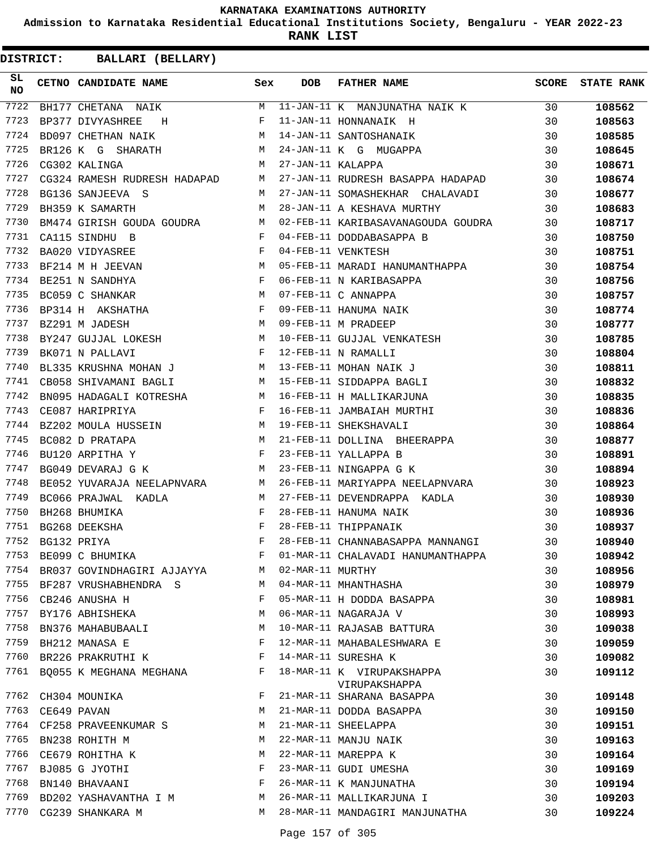**Admission to Karnataka Residential Educational Institutions Society, Bengaluru - YEAR 2022-23**

**RANK LIST**

| SL<br>NO | <b>CETNO CANDIDATE NAME</b>                                                   | Sex         | DOB              | <b>FATHER NAME</b>                                             | SCORE | <b>STATE RANK</b> |
|----------|-------------------------------------------------------------------------------|-------------|------------------|----------------------------------------------------------------|-------|-------------------|
| 7722     | BH177 CHETANA NAIK                                                            |             |                  | M 11-JAN-11 K MANJUNATHA NAIK K 30                             |       | 108562            |
| 7723     | BP377 DIVYASHREE H                                                            | F           |                  | 11-JAN-11 HONNANAIK H                                          | 30    | 108563            |
| 7724     | <b>M</b><br>BD097 CHETHAN NAIK                                                |             |                  | 14-JAN-11 SANTOSHANAIK                                         | 30    | 108585            |
| 7725     | M<br>BR126 K G SHARATH                                                        |             |                  | 24-JAN-11 K G MUGAPPA<br>27-JAN-11 KALAPPA                     | 30    | 108645            |
| 7726     | CG302 KALINGA                                                                 | M           |                  |                                                                | 30    | 108671            |
| 7727     | CG324 RAMESH RUDRESH HADAPAD M                                                |             |                  | 27-JAN-11 RUDRESH BASAPPA HADAPAD                              | 30    | 108674            |
| 7728     | BG136 SANJEEVA S<br>M <sub>1</sub>                                            |             |                  | 27-JAN-11 SOMASHEKHAR CHALAVADI                                | 30    | 108677            |
| 7729     | M<br>BH359 K SAMARTH                                                          |             |                  | 28-JAN-11 A KESHAVA MURTHY                                     | 30    | 108683            |
| 7730     |                                                                               |             |                  | BM474 GIRISH GOUDA GOUDRA M 02-FEB-11 KARIBASAVANAGOUDA GOUDRA | 30    | 108717            |
| 7731     | CA115 SINDHU B<br>$\mathbf F$ . The set of $\mathbf F$                        |             |                  | 04-FEB-11 DODDABASAPPA B                                       | 30    | 108750            |
| 7732     | $\mathbf{F}$ and the contract of the contract $\mathbf{F}$<br>BA020 VIDYASREE |             |                  | 04-FEB-11 VENKTESH                                             | 30    | 108751            |
| 7733     | <b>M</b><br>BF214 M H JEEVAN                                                  |             |                  | 05-FEB-11 MARADI HANUMANTHAPPA                                 | 30    | 108754            |
| 7734     | $F$<br>M<br>BE251 N SANDHYA                                                   |             |                  | 06-FEB-11 N KARIBASAPPA                                        | 30    | 108756            |
| 7735     | BC059 C SHANKAR                                                               |             |                  | 07-FEB-11 C ANNAPPA<br>09-FEB-11 HANUMA NAIK                   | 30    | 108757            |
| 7736     | BP314 H AKSHATHA $F$                                                          |             |                  |                                                                | 30    | 108774            |
| 7737     | M<br>BZ291 M JADESH                                                           |             |                  | 09-FEB-11 M PRADEEP                                            | 30    | 108777            |
| 7738     | BZ291 M JADESH<br>BY247 GUJJAL LOKESH M                                       |             |                  | 10-FEB-11 GUJJAL VENKATESH                                     | 30    | 108785            |
| 7739     | $\mathbf{F}$<br>BK071 N PALLAVI                                               |             |                  | 12-FEB-11 N RAMALLI                                            | 30    | 108804            |
| 7740     | BL335 KRUSHNA MOHAN J M                                                       |             |                  | 13-FEB-11 MOHAN NAIK J                                         | 30    | 108811            |
| 7741     | CB058 SHIVAMANI BAGLI M                                                       |             |                  | 15-FEB-11 SIDDAPPA BAGLI                                       | 30    | 108832            |
| 7742     | BN095 HADAGALI KOTRESHA M<br>CE087 HARIPRIYA F                                |             |                  | 16-FEB-11 H MALLIKARJUNA                                       | 30    | 108835            |
| 7743     |                                                                               |             |                  | 16-FEB-11 JAMBAIAH MURTHI                                      | 30    | 108836            |
| 7744     | BZ202 MOULA HUSSEIN M 19-FEB-11 SHEKSHAVALI                                   |             |                  |                                                                | 30    | 108864            |
| 7745     | BC082 D PRATAPA                                                               |             |                  | 21-FEB-11 DOLLINA BHEERAPPA                                    | 30    | 108877            |
| 7746     | $\begin{aligned} \mathbb{M} \\ \mathbb{F} \end{aligned}$<br>BU120 ARPITHA Y   |             |                  | 23-FEB-11 YALLAPPA B                                           | 30    | 108891            |
| 7747     | M <sub>N</sub><br>BG049 DEVARAJ G K                                           |             |                  | 23-FEB-11 NINGAPPA G K                                         | 30    | 108894            |
| 7748     | BE052 YUVARAJA NEELAPNVARA M                                                  |             |                  | 26-FEB-11 MARIYAPPA NEELAPNVARA                                | 30    | 108923            |
| 7749     | M<br>BC066 PRAJWAL KADLA                                                      |             |                  |                                                                | 30    | 108930            |
| 7750     | BH268 BHUMIKA                                                                 | F           |                  | 27-FEB-11 DEVENDRAPPA KADLA<br>28-FEB-11 HANUMA NAIK           | 30    | 108936            |
| 7751     | BG268 DEEKSHA                                                                 | F           |                  | 28-FEB-11 THIPPANAIK                                           | 30    | 108937            |
| 7752     | BG132 PRIYA                                                                   | $\mathbf F$ |                  | 28-FEB-11 CHANNABASAPPA MANNANGI                               | 30    | 108940            |
| 7753     | BE099 C BHUMIKA                                                               | F           |                  | 01-MAR-11 CHALAVADI HANUMANTHAPPA                              | 30    | 108942            |
| 7754     | BR037 GOVINDHAGIRI AJJAYYA                                                    | M           | 02-MAR-11 MURTHY |                                                                | 30    | 108956            |
| 7755     | BF287 VRUSHABHENDRA S                                                         | M           |                  | 04-MAR-11 MHANTHASHA                                           | 30    | 108979            |
| 7756     | CB246 ANUSHA H                                                                | F           |                  | 05-MAR-11 H DODDA BASAPPA                                      | 30    | 108981            |
| 7757     | BY176 ABHISHEKA                                                               | М           |                  | 06-MAR-11 NAGARAJA V                                           | 30    | 108993            |
| 7758     | BN376 MAHABUBAALI                                                             | M           |                  | 10-MAR-11 RAJASAB BATTURA                                      | 30    | 109038            |
| 7759     | BH212 MANASA E                                                                | F           |                  | 12-MAR-11 MAHABALESHWARA E                                     | 30    | 109059            |
| 7760     | BR226 PRAKRUTHI K                                                             | F           |                  | 14-MAR-11 SURESHA K                                            | 30    | 109082            |
| 7761     | BQ055 K MEGHANA MEGHANA                                                       | F           |                  | 18-MAR-11 K VIRUPAKSHAPPA                                      | 30    | 109112            |
|          |                                                                               |             |                  | VIRUPAKSHAPPA                                                  |       |                   |
| 7762     | CH304 MOUNIKA                                                                 | F           |                  | 21-MAR-11 SHARANA BASAPPA                                      | 30    | 109148            |
| 7763     | CE649 PAVAN                                                                   | М           |                  | 21-MAR-11 DODDA BASAPPA                                        | 30    | 109150            |
| 7764     | CF258 PRAVEENKUMAR S                                                          | М           |                  | 21-MAR-11 SHEELAPPA                                            | 30    | 109151            |
| 7765     | BN238 ROHITH M                                                                | М           |                  | 22-MAR-11 MANJU NAIK                                           | 30    | 109163            |
| 7766     | CE679 ROHITHA K                                                               | М           |                  | 22-MAR-11 MAREPPA K                                            | 30    | 109164            |
| 7767     | BJ085 G JYOTHI                                                                | F           |                  | 23-MAR-11 GUDI UMESHA                                          | 30    | 109169            |
| 7768     | BN140 BHAVAANI                                                                | F           |                  | 26-MAR-11 K MANJUNATHA                                         | 30    | 109194            |
| 7769     | BD202 YASHAVANTHA I M                                                         | M           |                  | 26-MAR-11 MALLIKARJUNA I                                       | 30    | 109203            |
| 7770     | CG239 SHANKARA M                                                              | М           |                  | 28-MAR-11 MANDAGIRI MANJUNATHA                                 | 30    | 109224            |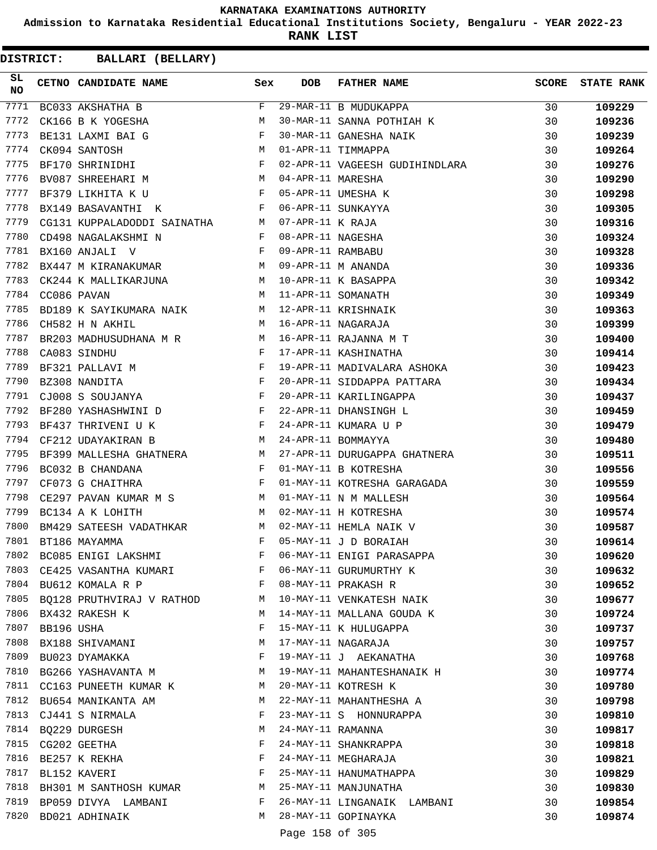**Admission to Karnataka Residential Educational Institutions Society, Bengaluru - YEAR 2022-23**

**RANK LIST**

| SL<br><b>NO</b> |            | CETNO CANDIDATE NAME Sex                                                                                                                                                                                                                              |                       | <b>DOB</b>        | <b>FATHER NAME</b>                                   | <b>SCORE</b> | <b>STATE RANK</b> |
|-----------------|------------|-------------------------------------------------------------------------------------------------------------------------------------------------------------------------------------------------------------------------------------------------------|-----------------------|-------------------|------------------------------------------------------|--------------|-------------------|
| 7771            |            | BC033 AKSHATHA B                                                                                                                                                                                                                                      | F                     |                   | 29-MAR-11 B MUDUKAPPA                                | 30           | 109229            |
| 7772            |            | CK166 B K YOGESHA                                                                                                                                                                                                                                     | M                     |                   | 29-MAR-11 B MUDUKAPPA<br>30-MAR-11 SANNA POTHIAH K   | 30           | 109236            |
| 7773            |            | $\mathbf{F}$<br>BE131 LAXMI BAI G                                                                                                                                                                                                                     |                       |                   | 30-MAR-11 GANESHA NAIK<br>01-APR-11 TIMMAPPA         | 30           | 109239            |
| 7774            |            | M<br>CK094 SANTOSH                                                                                                                                                                                                                                    |                       |                   |                                                      | 30           | 109264            |
| 7775            |            | $\mathbf{F}$ . The contract of the contract of $\mathbf{F}$<br>BF170 SHRINIDHI                                                                                                                                                                        |                       |                   | 02-APR-11 VAGEESH GUDIHINDLARA                       | 30           | 109276            |
| 7776            |            | M<br>BV087 SHREEHARI M                                                                                                                                                                                                                                |                       | 04-APR-11 MARESHA |                                                      | 30           | 109290            |
| 7777            |            | $\mathbf{F}$ and the set of $\mathbf{F}$<br>BF379 LIKHITA K U                                                                                                                                                                                         |                       |                   | 05-APR-11 UMESHA K                                   | 30           | 109298            |
| 7778            |            | BX149 BASAVANTHI K                                                                                                                                                                                                                                    | $\mathbb{F}^{\times}$ |                   | 06-APR-11 SUNKAYYA                                   | 30           | 109305            |
| 7779            |            | CG131 KUPPALADODDI SAINATHA M                                                                                                                                                                                                                         |                       | 07-APR-11 K RAJA  |                                                      | 30           | 109316            |
| 7780            |            | CD498 NAGALAKSHMI N<br>$\mathbf{F}$ . The contract of the contract $\mathbf{F}$                                                                                                                                                                       |                       | 08-APR-11 NAGESHA |                                                      | 30           | 109324            |
| 7781            |            | $\mathbf{F}$ and $\mathbf{F}$<br>BX160 ANJALI V                                                                                                                                                                                                       |                       | 09-APR-11 RAMBABU |                                                      | 30           | 109328            |
| 7782            |            | BX447 M KIRANAKUMAR M                                                                                                                                                                                                                                 |                       |                   | 09-APR-11 M ANANDA                                   | 30           | 109336            |
| 7783            |            | CK244 K MALLIKARJUNA M                                                                                                                                                                                                                                |                       |                   | 10-APR-11 K BASAPPA                                  | 30           | 109342            |
| 7784            |            | M<br>CC086 PAVAN                                                                                                                                                                                                                                      |                       |                   | 11-APR-11 SOMANATH                                   | 30           | 109349            |
| 7785            |            | BD189 K SAYIKUMARA NAIK M                                                                                                                                                                                                                             |                       |                   | 12-APR-11 KRISHNAIK                                  | 30           | 109363            |
| 7786            |            | CH582 H N AKHIL<br><b>M</b>                                                                                                                                                                                                                           |                       |                   | 16-APR-11 NAGARAJA                                   | 30           | 109399            |
| 7787            |            | BR203 MADHUSUDHANA M R M                                                                                                                                                                                                                              |                       |                   | 16-APR-11 RAJANNA M T                                | 30           | 109400            |
| 7788            |            | $\mathbf{F}$<br>CA083 SINDHU                                                                                                                                                                                                                          |                       |                   | 17-APR-11 KASHINATHA                                 | 30           | 109414            |
| 7789            |            | BF321 PALLAVI M<br>BZ308 NANDITA<br>F                                                                                                                                                                                                                 |                       |                   | 19-APR-11 MADIVALARA ASHOKA                          | 30           | 109423            |
| 7790            |            |                                                                                                                                                                                                                                                       |                       |                   | 20-APR-11 SIDDAPPA PATTARA                           | 30           | 109434            |
| 7791            |            | $\mathbf{F}$ . The set of the set of the set of the set of the set of the set of the set of the set of the set of the set of the set of the set of the set of the set of the set of the set of the set of the set of the set of t<br>CJ008 S SOUJANYA |                       |                   | 20-APR-11 KARILINGAPPA                               | 30           | 109437            |
| 7792            |            | BF280 YASHASHWINI D F                                                                                                                                                                                                                                 |                       |                   | 22-APR-11 DHANSINGH L                                | 30           | 109459            |
| 7793            |            | $\mathbf{F}$ and $\mathbf{F}$<br>BF437 THRIVENI U K                                                                                                                                                                                                   |                       |                   | 24-APR-11 KUMARA U P                                 | 30           | 109479            |
| 7794            |            | CF212 UDAYAKIRAN B                                                                                                                                                                                                                                    | M                     |                   | 24-APR-11 BOMMAYYA                                   | 30           | 109480            |
| 7795            |            | BF399 MALLESHA GHATNERA M                                                                                                                                                                                                                             |                       |                   | 27-APR-11 DURUGAPPA GHATNERA                         | 30           | 109511            |
| 7796            |            | $\mathbf{F}$ and $\mathbf{F}$ and $\mathbf{F}$<br>BC032 B CHANDANA                                                                                                                                                                                    |                       |                   | 01-MAY-11 B KOTRESHA                                 | 30           | 109556            |
| 7797            |            | $\mathbf F$ . The set of $\mathbf F$<br>CF073 G CHAITHRA                                                                                                                                                                                              |                       |                   |                                                      | 30           | 109559            |
| 7798            |            | CE297 PAVAN KUMAR M S M                                                                                                                                                                                                                               |                       |                   | 01-MAY-11 KOTRESHA GARAGADA<br>01-MAY-11 N M MALLESH | 30           | 109564            |
| 7799            |            | BC134 A K LOHITH<br><b>M</b>                                                                                                                                                                                                                          |                       |                   | 02-MAY-11 H KOTRESHA                                 | 30           | 109574            |
| 7800            |            | BM429 SATEESH VADATHKAR M                                                                                                                                                                                                                             |                       |                   | 02-MAY-11 HEMLA NAIK V                               | 30           | 109587            |
| 7801            |            | BT186 MAYAMMA                                                                                                                                                                                                                                         | F                     |                   | 05-MAY-11 J D BORAIAH                                | 30           | 109614            |
|                 |            | 7802 BC085 ENIGI LAKSHMI                                                                                                                                                                                                                              | $\mathbf{F}$          |                   | 06-MAY-11 ENIGI PARASAPPA                            | 30           | 109620            |
|                 |            | 7803 CE425 VASANTHA KUMARI                                                                                                                                                                                                                            | F                     |                   | 06-MAY-11 GURUMURTHY K                               | 30           | 109632            |
|                 |            | 7804 BU612 KOMALA R P<br>the contract of the contract of the Property of the Property of the Property of the Property of the Property of                                                                                                              |                       |                   | 08-MAY-11 PRAKASH R                                  | 30           | 109652            |
|                 |            | 7805 BQ128 PRUTHVIRAJ V RATHOD M                                                                                                                                                                                                                      |                       |                   | 10-MAY-11 VENKATESH NAIK                             | 30           | 109677            |
|                 |            | 7806 BX432 RAKESH K                                                                                                                                                                                                                                   | М                     |                   | 14-MAY-11 MALLANA GOUDA K                            | 30           | 109724            |
| 7807            | BB196 USHA |                                                                                                                                                                                                                                                       | F                     |                   | 15-MAY-11 K HULUGAPPA                                | 30           | 109737            |
| 7808            |            | BX188 SHIVAMANI                                                                                                                                                                                                                                       | М                     |                   | 17-MAY-11 NAGARAJA                                   | 30           | 109757            |
| 7809            |            | BU023 DYAMAKKA                                                                                                                                                                                                                                        | F                     |                   | 19-MAY-11 J AEKANATHA                                | 30           | 109768            |
| 7810            |            | BG266 YASHAVANTA M                                                                                                                                                                                                                                    | М                     |                   | 19-MAY-11 MAHANTESHANAIK H                           | 30           | 109774            |
|                 |            | 7811 CC163 PUNEETH KUMAR K                                                                                                                                                                                                                            | M                     |                   | 20-MAY-11 KOTRESH K                                  | 30           | 109780            |
| 7812            |            | BU654 MANIKANTA AM                                                                                                                                                                                                                                    | M                     |                   | 22-MAY-11 MAHANTHESHA A                              | 30           | 109798            |
|                 |            | 7813 CJ441 S NIRMALA                                                                                                                                                                                                                                  | F                     |                   | 23-MAY-11 S HONNURAPPA                               | 30           |                   |
|                 |            |                                                                                                                                                                                                                                                       |                       |                   |                                                      |              | 109810            |
| 7815            |            | 7814 BQ229 DURGESH<br>CG202 GEETHA                                                                                                                                                                                                                    | М<br>F                | 24-MAY-11 RAMANNA | 24-MAY-11 SHANKRAPPA                                 | 30           | 109817            |
|                 |            |                                                                                                                                                                                                                                                       | F                     |                   |                                                      | 30           | 109818            |
| 7816            |            | BE257 K REKHA                                                                                                                                                                                                                                         |                       |                   | 24-MAY-11 MEGHARAJA                                  | 30           | 109821            |
| 7817            |            | BL152 KAVERI                                                                                                                                                                                                                                          | F                     |                   | 25-MAY-11 HANUMATHAPPA                               | 30           | 109829            |
| 7818            |            | BH301 M SANTHOSH KUMAR                                                                                                                                                                                                                                | М                     |                   | 25-MAY-11 MANJUNATHA                                 | 30           | 109830            |
| 7819            |            | BP059 DIVYA LAMBANI                                                                                                                                                                                                                                   | F                     |                   | 26-MAY-11 LINGANAIK LAMBANI                          | 30           | 109854            |
| 7820            |            | BD021 ADHINAIK                                                                                                                                                                                                                                        | M                     |                   | 28-MAY-11 GOPINAYKA                                  | 30           | 109874            |
|                 |            |                                                                                                                                                                                                                                                       |                       | Page 158 of 305   |                                                      |              |                   |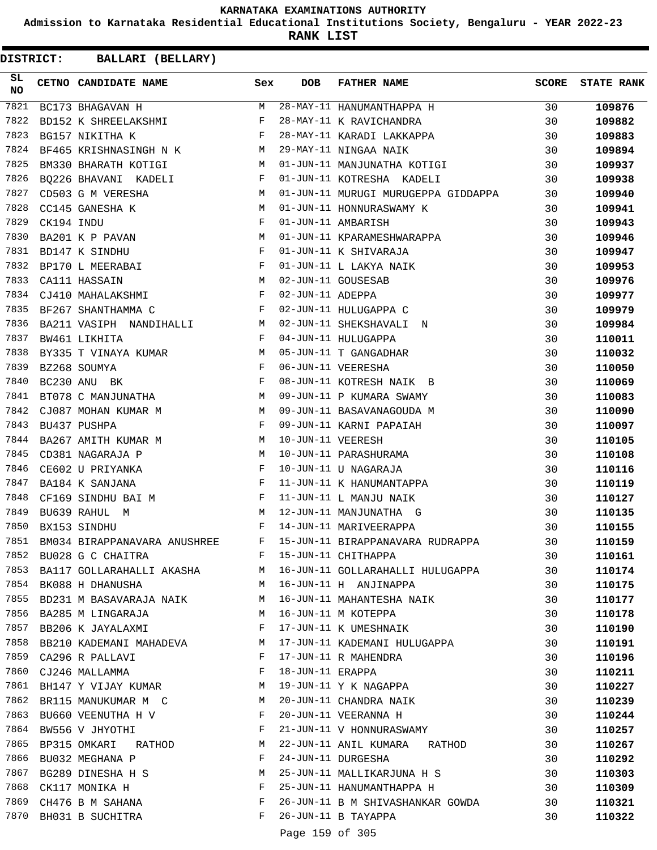**Admission to Karnataka Residential Educational Institutions Society, Bengaluru - YEAR 2022-23**

**RANK LIST**

**DISTRICT:** CC **BALLARI (BELLARY)**

| SL<br><b>NO</b> | CETNO CANDIDATE NAME Sex                                                                                                                                                                                                                                                                                                                                                                                                                                          |   | <b>DOB</b>                 | FATHER NAME                                                      | <b>SCORE</b> | <b>STATE RANK</b> |
|-----------------|-------------------------------------------------------------------------------------------------------------------------------------------------------------------------------------------------------------------------------------------------------------------------------------------------------------------------------------------------------------------------------------------------------------------------------------------------------------------|---|----------------------------|------------------------------------------------------------------|--------------|-------------------|
| 7821            | BC173 BHAGAVAN H                                                                                                                                                                                                                                                                                                                                                                                                                                                  | M |                            | 28-MAY-11 HANUMANTHAPPA H                                        | 30           | 109876            |
| 7822            | BD152 K SHREELAKSHMI                                                                                                                                                                                                                                                                                                                                                                                                                                              | F |                            | 28-MAY-11 K RAVICHANDRA                                          | 30           | 109882            |
| 7823            | $\mathbf{F}$ and $\mathbf{F}$ and $\mathbf{F}$<br>BG157 NIKITHA K                                                                                                                                                                                                                                                                                                                                                                                                 |   |                            | 28-MAY-11 KARADI LAKKAPPA                                        | 30           | 109883            |
| 7824            | BF465 KRISHNASINGH N K M                                                                                                                                                                                                                                                                                                                                                                                                                                          |   |                            | 29-MAY-11 NINGAA NAIK                                            | 30           | 109894            |
| 7825            | M <sub>N</sub><br>BM330 BHARATH KOTIGI                                                                                                                                                                                                                                                                                                                                                                                                                            |   |                            | 01-JUN-11 MANJUNATHA KOTIGI                                      | 30           | 109937            |
| 7826            | BQ226 BHAVANI KADELI F                                                                                                                                                                                                                                                                                                                                                                                                                                            |   |                            | 01-JUN-11 KOTRESHA KADELI                                        | 30           | 109938            |
| 7827            | $\begin{tabular}{lllllllllllllllllllll} \multicolumn{2}{c}{\textbf{CD503 G M VERESHA}} & \multicolumn{2}{c}{\textbf{M}} \\ \multicolumn{2}{c}{\textbf{CC145 GANESHA K}} & \multicolumn{2}{c}{\textbf{M}} \\ \multicolumn{2}{c}{\textbf{CK194 INDU}} & \multicolumn{2}{c}{\textbf{F}} \\ \multicolumn{2}{c}{\textbf{BA201 K P PAVAN}} & \multicolumn{2}{c}{\textbf{M}} \\ \multicolumn{2}{c}{\textbf{M}} \\ \multicolumn{2}{c}{\textbf{N100}} & \multicolumn{2}{c$ |   |                            | 01-JUN-11 MURUGI MURUGEPPA GIDDAPPA                              | 30           | 109940            |
| 7828            |                                                                                                                                                                                                                                                                                                                                                                                                                                                                   |   |                            | 01-JUN-11 HONNURASWAMY K                                         | 30           | 109941            |
| 7829            |                                                                                                                                                                                                                                                                                                                                                                                                                                                                   |   |                            | 01-JUN-11 AMBARISH                                               | 30           | 109943            |
| 7830            |                                                                                                                                                                                                                                                                                                                                                                                                                                                                   |   |                            | 01-JUN-11 KPARAMESHWARAPPA                                       | 30           | 109946            |
| 7831            | $\mathbf{F}$<br>BD147 K SINDHU                                                                                                                                                                                                                                                                                                                                                                                                                                    |   |                            | 01-JUN-11 K SHIVARAJA                                            | 30           | 109947            |
| 7832            | BP170 L MEERABAI                                                                                                                                                                                                                                                                                                                                                                                                                                                  |   |                            |                                                                  | 30           | 109953            |
| 7833            | $\begin{array}{ccc}\n\mathbb{F} & & \mathbb{F} \\ \mathbb{M} & & \mathbb{M}\n\end{array}$<br>CA111 HASSAIN                                                                                                                                                                                                                                                                                                                                                        |   |                            | 01-JUN-11 L LAKYA NAIK<br>02-JUN-11 GOUSESAB<br>02-JUN-11 ADEPPA | 30           | 109976            |
| 7834            | $\mathbf{F}^{\mathcal{A}}_{\mathcal{A}}=\mathbf{F}^{\mathcal{A}}_{\mathcal{A}}\mathbf{F}^{\mathcal{A}}_{\mathcal{A}}$<br>CJ410 MAHALAKSHMI                                                                                                                                                                                                                                                                                                                        |   |                            |                                                                  | 30           | 109977            |
| 7835            | $\mathbf{F}$ . The set of the set of $\mathbf{F}$<br>BF267 SHANTHAMMA C                                                                                                                                                                                                                                                                                                                                                                                           |   |                            | 02-JUN-11 HULUGAPPA C                                            | 30           | 109979            |
| 7836            | BA211 VASIPH NANDIHALLI M                                                                                                                                                                                                                                                                                                                                                                                                                                         |   |                            | 02-JUN-11 SHEKSHAVALI N                                          | 30           | 109984            |
| 7837            | $\mathbf{F}$ and $\mathbf{F}$<br>BW461 LIKHITA                                                                                                                                                                                                                                                                                                                                                                                                                    |   |                            | 04-JUN-11 HULUGAPPA                                              | 30           | 110011            |
| 7838            | BY335 T VINAYA KUMAR M                                                                                                                                                                                                                                                                                                                                                                                                                                            |   |                            | 05-JUN-11 T GANGADHAR                                            | 30           | 110032            |
| 7839            |                                                                                                                                                                                                                                                                                                                                                                                                                                                                   |   |                            | 06-JUN-11 VEERESHA                                               | 30           | 110050            |
| 7840            | BZ268 SOUMYA F<br>BC230 ANU BK F<br>BT078 C MANJUNATHA M                                                                                                                                                                                                                                                                                                                                                                                                          |   |                            | 08-JUN-11 KOTRESH NAIK B                                         | 30           | 110069            |
| 7841            |                                                                                                                                                                                                                                                                                                                                                                                                                                                                   |   |                            | 09-JUN-11 P KUMARA SWAMY                                         | 30           | 110083            |
| 7842            | CJ087 MOHAN KUMAR M M                                                                                                                                                                                                                                                                                                                                                                                                                                             |   |                            | 09-JUN-11 BASAVANAGOUDA M                                        | 30           | 110090            |
| 7843            | $\mathbb F$<br>BU437 PUSHPA                                                                                                                                                                                                                                                                                                                                                                                                                                       |   |                            | 09-JUN-11 KARNI PAPAIAH                                          | 30           | 110097            |
| 7844            | BA267 AMITH KUMAR M<br>BA267 AMITH KUMAR M                                                                                                                                                                                                                                                                                                                                                                                                                        |   | 10-JUN-11 VEERESH          |                                                                  | 30           |                   |
| 7845            |                                                                                                                                                                                                                                                                                                                                                                                                                                                                   |   |                            |                                                                  |              | 110105            |
| 7846            | M <sub>1</sub><br>CD381 NAGARAJA P                                                                                                                                                                                                                                                                                                                                                                                                                                |   |                            | 10-JUN-11 PARASHURAMA                                            | 30           | 110108            |
| 7847            | $\mathbf{F}$ and the contract of the contract of $\mathbf{F}$<br>CE602 U PRIYANKA<br>$\mathbb{F}^{\mathbb{Z}}$ . The state $\mathbb{F}^{\mathbb{Z}}$                                                                                                                                                                                                                                                                                                              |   |                            | 10-JUN-11 U NAGARAJA                                             | 30           | 110116            |
| 7848            | BA184 K SANJANA                                                                                                                                                                                                                                                                                                                                                                                                                                                   |   |                            | 11-JUN-11 K HANUMANTAPPA<br>11-JUN-11 L MANJU NAIK               | 30           | 110119            |
| 7849            | CF169 SINDHU BAI M<br>BU639 RAHUL M<br>M                                                                                                                                                                                                                                                                                                                                                                                                                          |   |                            |                                                                  | 30           | 110127            |
| 7850            | $\mathbb F$ . The set of the set of the set of the set of the set of the set of the set of the set of the set of the set of the set of the set of the set of the set of the set of the set of the set of the set of the set of the                                                                                                                                                                                                                                |   |                            | 12-JUN-11 MANJUNATHA G<br>14-JUN-11 MARIVEERAPPA                 | 30           | 110135            |
|                 | BX153 SINDHU                                                                                                                                                                                                                                                                                                                                                                                                                                                      |   |                            | 15-JUN-11 BIRAPPANAVARA RUDRAPPA                                 | 30           | 110155            |
| 7851            | ${\tt BM034\ BIRAPPANAVARA\ ANUSHREE} \hspace{20pt} {\tt F}$                                                                                                                                                                                                                                                                                                                                                                                                      |   |                            |                                                                  | 30           | 110159            |
| 7852            | BU028 G C CHAITRA                                                                                                                                                                                                                                                                                                                                                                                                                                                 | F |                            | 15-JUN-11 CHITHAPPA                                              | 30           | 110161            |
| 7853            | BA117 GOLLARAHALLI AKASHA M                                                                                                                                                                                                                                                                                                                                                                                                                                       |   |                            | 16-JUN-11 GOLLARAHALLI HULUGAPPA                                 | 30           | 110174            |
| 7854            | BK088 H DHANUSHA                                                                                                                                                                                                                                                                                                                                                                                                                                                  | M |                            | 16-JUN-11 H ANJINAPPA                                            | 30           | 110175            |
| 7855            | BD231 M BASAVARAJA NAIK M                                                                                                                                                                                                                                                                                                                                                                                                                                         |   |                            | 16-JUN-11 MAHANTESHA NAIK                                        | 30           | 110177            |
| 7856            | BA285 M LINGARAJA                                                                                                                                                                                                                                                                                                                                                                                                                                                 | M |                            | 16-JUN-11 M KOTEPPA                                              | 30           | 110178            |
| 7857            | BB206 K JAYALAXMI                                                                                                                                                                                                                                                                                                                                                                                                                                                 | F |                            | 17-JUN-11 K UMESHNAIK                                            | 30           | 110190            |
| 7858            | BB210 KADEMANI MAHADEVA                                                                                                                                                                                                                                                                                                                                                                                                                                           | M |                            | 17-JUN-11 KADEMANI HULUGAPPA                                     | 30           | 110191            |
| 7859            | CA296 R PALLAVI                                                                                                                                                                                                                                                                                                                                                                                                                                                   | F |                            | 17-JUN-11 R MAHENDRA                                             | 30           | 110196            |
| 7860            | CJ246 MALLAMMA                                                                                                                                                                                                                                                                                                                                                                                                                                                    | F | 18-JUN-11 ERAPPA           |                                                                  | 30           | 110211            |
| 7861            | BH147 Y VIJAY KUMAR                                                                                                                                                                                                                                                                                                                                                                                                                                               | M |                            | 19-JUN-11 Y K NAGAPPA                                            | 30           | 110227            |
| 7862            | BR115 MANUKUMAR M C                                                                                                                                                                                                                                                                                                                                                                                                                                               | M |                            | 20-JUN-11 CHANDRA NAIK                                           | 30           | 110239            |
| 7863            | BU660 VEENUTHA H V                                                                                                                                                                                                                                                                                                                                                                                                                                                | F |                            | 20-JUN-11 VEERANNA H                                             | 30           | 110244            |
| 7864            | BW556 V JHYOTHI                                                                                                                                                                                                                                                                                                                                                                                                                                                   | F |                            | 21-JUN-11 V HONNURASWAMY                                         | 30           | 110257            |
| 7865            | BP315 OMKARI RATHOD                                                                                                                                                                                                                                                                                                                                                                                                                                               | М |                            | 22-JUN-11 ANIL KUMARA RATHOD                                     | 30           | 110267            |
| 7866            | BU032 MEGHANA P                                                                                                                                                                                                                                                                                                                                                                                                                                                   | F |                            | 24-JUN-11 DURGESHA                                               | 30           | 110292            |
| 7867            | BG289 DINESHA H S                                                                                                                                                                                                                                                                                                                                                                                                                                                 | М |                            | 25-JUN-11 MALLIKARJUNA H S                                       | 30           | 110303            |
| 7868            | CK117 MONIKA H                                                                                                                                                                                                                                                                                                                                                                                                                                                    | F |                            | 25-JUN-11 HANUMANTHAPPA H                                        | 30           | 110309            |
| 7869            | CH476 B M SAHANA                                                                                                                                                                                                                                                                                                                                                                                                                                                  | F |                            | 26-JUN-11 B M SHIVASHANKAR GOWDA                                 | 30           | 110321            |
| 7870            | BH031 B SUCHITRA                                                                                                                                                                                                                                                                                                                                                                                                                                                  | F |                            | 26-JUN-11 B TAYAPPA                                              | 30           | 110322            |
|                 |                                                                                                                                                                                                                                                                                                                                                                                                                                                                   |   | $D = 222 - 150$ $25 - 205$ |                                                                  |              |                   |

Page 159 of 305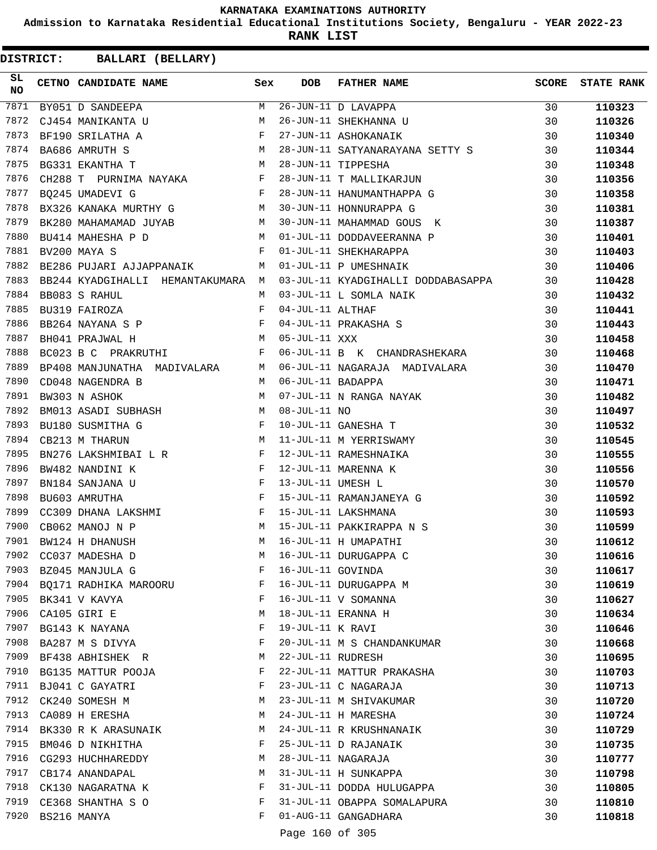**Admission to Karnataka Residential Educational Institutions Society, Bengaluru - YEAR 2022-23**

**RANK LIST**

| SL<br>NO |             | <b>CETNO CANDIDATE NAME</b>                                                                                                                                                                                                                             | Sex | <b>DOB</b>        | <b>FATHER NAME</b>                                                                                                                                                                 | <b>SCORE</b> | <b>STATE RANK</b> |
|----------|-------------|---------------------------------------------------------------------------------------------------------------------------------------------------------------------------------------------------------------------------------------------------------|-----|-------------------|------------------------------------------------------------------------------------------------------------------------------------------------------------------------------------|--------------|-------------------|
| 7871     |             | $\begin{array}{c}\nM \\ M\n\end{array}$<br>BY051 D SANDEEPA                                                                                                                                                                                             |     |                   | 26-JUN-11 D LAVAPPA<br>26-JUN-11 SHEKHANNA U                                                                                                                                       | 30           | 110323            |
| 7872     |             | CJ454 MANIKANTA U                                                                                                                                                                                                                                       |     |                   |                                                                                                                                                                                    | 30           | 110326            |
| 7873     |             | $\mathbf{F}$<br>BF190 SRILATHA A                                                                                                                                                                                                                        |     |                   | 27-JUN-11 ASHOKANAIK                                                                                                                                                               | 30           | 110340            |
| 7874     |             | $\begin{aligned} \mathbf{M} \\ \mathbf{M} \end{aligned}$<br>BA686 AMRUTH S                                                                                                                                                                              |     |                   | 28-JUN-11 SATYANARAYANA SETTY S<br>28-JUN-11 TIPPESHA<br>28-JUN-11 T MALLIKARJUN                                                                                                   | 30           | 110344            |
| 7875     |             | BG331 EKANTHA T                                                                                                                                                                                                                                         |     |                   |                                                                                                                                                                                    | 30           | 110348            |
| 7876     |             | CH288 T PURNIMA NAYAKA F                                                                                                                                                                                                                                |     |                   |                                                                                                                                                                                    | 30           | 110356            |
| 7877     |             | $\mathbf{F}$ and the set of the set of $\mathbf{F}$ .<br>BO245 UMADEVI G                                                                                                                                                                                |     |                   | 28-JUN-11 HANUMANTHAPPA G                                                                                                                                                          | 30           | 110358            |
| 7878     |             | BX326 KANAKA MURTHY G M                                                                                                                                                                                                                                 |     |                   | 30-JUN-11 HONNURAPPA G                                                                                                                                                             | 30           | 110381            |
| 7879     |             | BK280 MAHAMAMAD JUYAB M                                                                                                                                                                                                                                 |     |                   | 30-JUN-11 MAHAMMAD GOUS K                                                                                                                                                          | 30           | 110387            |
| 7880     |             | $\overline{M}$<br>BU414 MAHESHA P D                                                                                                                                                                                                                     |     |                   | 01-JUL-11 DODDAVEERANNA P                                                                                                                                                          | 30           | 110401            |
| 7881     |             | BV200 MAYA S                                                                                                                                                                                                                                            | F   |                   | 01-JUL-11 SHEKHARAPPA                                                                                                                                                              | 30           | 110403            |
| 7882     |             | BE286 PUJARI AJJAPPANAIK M                                                                                                                                                                                                                              |     |                   | 01-JUL-11 P UMESHNAIK                                                                                                                                                              | 30           | 110406            |
| 7883     |             | BB244 KYADGIHALLI HEMANTAKUMARA M                                                                                                                                                                                                                       |     |                   | 03-JUL-11 KYADGIHALLI DODDABASAPPA                                                                                                                                                 | 30           | 110428            |
| 7884     |             | BB083 S RAHUL                                                                                                                                                                                                                                           | M   |                   | 03-JUL-11 L SOMLA NAIK                                                                                                                                                             | 30           | 110432            |
| 7885     |             | BU319 FAIROZA                                                                                                                                                                                                                                           | F   | 04-JUL-11 ALTHAF  |                                                                                                                                                                                    | 30           | 110441            |
| 7886     |             | BB264 NAYANA S P $$\rm{F}$$                                                                                                                                                                                                                             |     |                   | 04-JUL-11 PRAKASHA S                                                                                                                                                               | 30           | 110443            |
| 7887     |             | BH041 PRAJWAL H                                                                                                                                                                                                                                         | M   | 05-JUL-11 XXX     |                                                                                                                                                                                    | 30           | 110458            |
| 7888     |             | BC023 B C PRAKRUTHI                                                                                                                                                                                                                                     | F   |                   | 06-JUL-11 B K CHANDRASHEKARA                                                                                                                                                       | 30           | 110468            |
| 7889     |             | BP408 MANJUNATHA MADIVALARA M                                                                                                                                                                                                                           |     |                   | 06-JUL-11 NAGARAJA MADIVALARA                                                                                                                                                      | 30           | 110470            |
| 7890     |             | CD048 NAGENDRA B                                                                                                                                                                                                                                        |     | 06-JUL-11 BADAPPA |                                                                                                                                                                                    | 30           | 110471            |
| 7891     |             | $\begin{array}{c}\nM \\ M\n\end{array}$<br>BW303 N ASHOK                                                                                                                                                                                                |     |                   | 07-JUL-11 N RANGA NAYAK<br>08-JUL-11 NO<br>10-JUL-11 GANESHA T<br>11-JUL-11 M YERRISWAMY<br>12-JUL-11 RAMESHNAIKA<br>12-JUL-11 MARENNA K<br>13-JUL-11 UMESH L<br>15-JUL-11 UMESH L | 30           | 110482            |
| 7892     |             | BM013 ASADI SUBHASH M                                                                                                                                                                                                                                   |     |                   |                                                                                                                                                                                    | 30           | 110497            |
| 7893     |             | $\mathbf{F}$ and $\mathbf{F}$ are $\mathbf{F}$<br>BU180 SUSMITHA G                                                                                                                                                                                      |     |                   |                                                                                                                                                                                    | 30           | 110532            |
| 7894     |             | M<br>CB213 M THARUN                                                                                                                                                                                                                                     |     |                   |                                                                                                                                                                                    | 30           | 110545            |
| 7895     |             | BN276 LAKSHMIBAI L R F                                                                                                                                                                                                                                  |     |                   |                                                                                                                                                                                    | 30           | 110555            |
| 7896     |             | $\frac{1}{F}$<br>BW482 NANDINI K                                                                                                                                                                                                                        |     |                   |                                                                                                                                                                                    | 30           | 110556            |
| 7897     |             | $\mathbf{F}$ and $\mathbf{F}$ are the set of the set of the set of the set of the set of the set of the set of the set of the set of the set of the set of the set of the set of the set of the set of the set of the set of the set<br>BN184 SANJANA U |     |                   |                                                                                                                                                                                    | 30           | 110570            |
| 7898     |             | $\mathbf{F}$ and $\mathbf{F}$<br>BU603 AMRUTHA                                                                                                                                                                                                          |     |                   |                                                                                                                                                                                    | 30           | 110592            |
| 7899     |             |                                                                                                                                                                                                                                                         |     |                   | 15-JUL-11 RAMANJANEYA G<br>15-JUL-11 LAKSHMANA<br>15-JUL-11 LAKSHMANA                                                                                                              | 30           | 110593            |
| 7900     |             | CC309 DHANA LAKSHMI $F$<br>M<br>CB062 MANOJ N P                                                                                                                                                                                                         |     |                   | 15-JUL-11 PAKKIRAPPA N S                                                                                                                                                           | 30           | 110599            |
|          |             | M <sub>N</sub><br>7901 BW124 H DHANUSH                                                                                                                                                                                                                  |     |                   | 16-JUL-11 H UMAPATHI                                                                                                                                                               | 30           | 110612            |
| 7902     |             | CC037 MADESHA D                                                                                                                                                                                                                                         | М   |                   | 16-JUL-11 DURUGAPPA C                                                                                                                                                              | 30           | 110616            |
| 7903     |             | BZ045 MANJULA G                                                                                                                                                                                                                                         | F   | 16-JUL-11 GOVINDA |                                                                                                                                                                                    | 30           | 110617            |
| 7904     |             | BQ171 RADHIKA MAROORU                                                                                                                                                                                                                                   | F   |                   | 16-JUL-11 DURUGAPPA M                                                                                                                                                              | 30           | 110619            |
| 7905     |             | BK341 V KAVYA                                                                                                                                                                                                                                           | F   |                   | 16-JUL-11 V SOMANNA                                                                                                                                                                | 30           | 110627            |
| 7906     |             | CA105 GIRI E                                                                                                                                                                                                                                            | М   |                   | 18-JUL-11 ERANNA H                                                                                                                                                                 | 30           |                   |
| 7907     |             |                                                                                                                                                                                                                                                         | F   | 19-JUL-11 K RAVI  |                                                                                                                                                                                    | 30           | 110634            |
| 7908     |             | BG143 K NAYANA                                                                                                                                                                                                                                          | F   |                   |                                                                                                                                                                                    |              | 110646            |
| 7909     |             | BA287 M S DIVYA                                                                                                                                                                                                                                         |     |                   | 20-JUL-11 M S CHANDANKUMAR                                                                                                                                                         | 30           | 110668            |
| 7910     |             | BF438 ABHISHEK R                                                                                                                                                                                                                                        | М   | 22-JUL-11 RUDRESH |                                                                                                                                                                                    | 30           | 110695            |
|          |             | BG135 MATTUR POOJA                                                                                                                                                                                                                                      | F   |                   | 22-JUL-11 MATTUR PRAKASHA                                                                                                                                                          | 30           | 110703            |
| 7911     |             | BJ041 C GAYATRI                                                                                                                                                                                                                                         | F   |                   | 23-JUL-11 C NAGARAJA                                                                                                                                                               | 30           | 110713            |
| 7912     |             | CK240 SOMESH M                                                                                                                                                                                                                                          | М   |                   | 23-JUL-11 M SHIVAKUMAR                                                                                                                                                             | 30           | 110720            |
| 7913     |             | CA089 H ERESHA                                                                                                                                                                                                                                          | М   |                   | 24-JUL-11 H MARESHA                                                                                                                                                                | 30           | 110724            |
| 7914     |             | BK330 R K ARASUNAIK                                                                                                                                                                                                                                     | M   |                   | 24-JUL-11 R KRUSHNANAIK                                                                                                                                                            | 30           | 110729            |
| 7915     |             | BM046 D NIKHITHA                                                                                                                                                                                                                                        | F   |                   | 25-JUL-11 D RAJANAIK                                                                                                                                                               | 30           | 110735            |
| 7916     |             | CG293 HUCHHAREDDY                                                                                                                                                                                                                                       | М   |                   | 28-JUL-11 NAGARAJA                                                                                                                                                                 | 30           | 110777            |
| 7917     |             | CB174 ANANDAPAL                                                                                                                                                                                                                                         | М   |                   | 31-JUL-11 H SUNKAPPA                                                                                                                                                               | 30           | 110798            |
| 7918     |             | CK130 NAGARATNA K                                                                                                                                                                                                                                       | F   |                   | 31-JUL-11 DODDA HULUGAPPA                                                                                                                                                          | 30           | 110805            |
| 7919     |             | CE368 SHANTHA S O                                                                                                                                                                                                                                       | F   |                   | 31-JUL-11 OBAPPA SOMALAPURA                                                                                                                                                        | 30           | 110810            |
| 7920     | BS216 MANYA |                                                                                                                                                                                                                                                         | F   |                   | 01-AUG-11 GANGADHARA                                                                                                                                                               | 30           | 110818            |
|          |             |                                                                                                                                                                                                                                                         |     | Page 160 of 305   |                                                                                                                                                                                    |              |                   |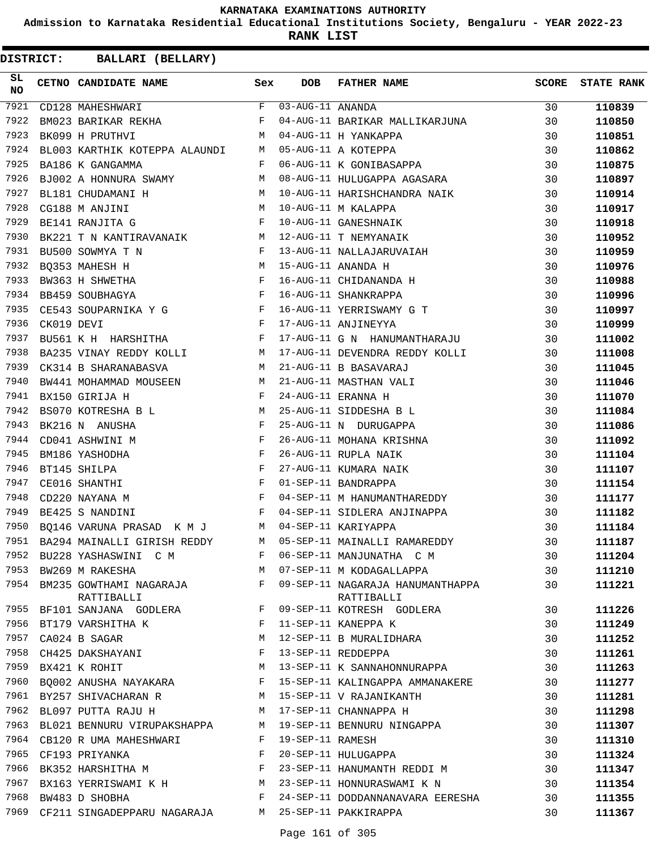**Admission to Karnataka Residential Educational Institutions Society, Bengaluru - YEAR 2022-23**

**RANK LIST**

| SL<br><b>NO</b> |            | CETNO CANDIDATE NAME                                                                                                                                                                         | Sex          | <b>DOB</b>       | <b>FATHER NAME</b>                                                                             | SCORE | <b>STATE RANK</b> |
|-----------------|------------|----------------------------------------------------------------------------------------------------------------------------------------------------------------------------------------------|--------------|------------------|------------------------------------------------------------------------------------------------|-------|-------------------|
| 7921            |            | $\begin{tabular}{lllll} \multicolumn{2}{c }{\textbf{F}} & \multicolumn{2}{c }{\textbf{03-Aug-11} } & \multicolumn{2}{c }{\textbf{ANANDA}} \end{tabular}$<br>CD128 MAHESHWARI                 |              |                  |                                                                                                | 30    | 110839            |
| 7922            |            | BM023 BARIKAR REKHA F                                                                                                                                                                        |              |                  | 04-AUG-11 BARIKAR MALLIKARJUNA                                                                 | 30    | 110850            |
| 7923            |            | <b>M</b><br>BK099 H PRUTHVI                                                                                                                                                                  |              |                  | 04-AUG-11 H YANKAPPA<br>05-AUG-11 A KOTEPPA<br>06-AUG-11 K GONIBASAPPA                         | 30    | 110851            |
| 7924            |            | BL003 KARTHIK KOTEPPA ALAUNDI M                                                                                                                                                              |              |                  |                                                                                                | 30    | 110862            |
| 7925            |            | $\mathbf{F}$ . The set of $\mathbf{F}$<br>BA186 K GANGAMMA                                                                                                                                   |              |                  |                                                                                                | 30    | 110875            |
| 7926            |            | BJ002 A HONNURA SWAMY M                                                                                                                                                                      |              |                  | 08-AUG-11 HULUGAPPA AGASARA                                                                    | 30    | 110897            |
| 7927            |            | M <sub>1</sub><br>BL181 CHUDAMANI H                                                                                                                                                          |              |                  | 10-AUG-11 HARISHCHANDRA NAIK                                                                   | 30    | 110914            |
| 7928            |            | $\begin{aligned} \mathbb{M} \\ \mathbb{F} \end{aligned}$<br>CG188 M ANJINI                                                                                                                   |              |                  | 10-AUG-11 M KALAPPA<br>10-AUG-11 GANESHNAIK<br>12-AUG-11 T NEMYANAIK                           | 30    | 110917            |
| 7929            |            | BE141 RANJITA G                                                                                                                                                                              |              |                  |                                                                                                | 30    | 110918            |
| 7930            |            | BK221 T N KANTIRAVANAIK M                                                                                                                                                                    |              |                  |                                                                                                | 30    | 110952            |
| 7931            |            | $\mathbf{F}$ and $\mathbf{F}$ are $\mathbf{F}$<br>BU500 SOWMYA T N                                                                                                                           |              |                  | 13-AUG-11 NALLAJARUVAIAH                                                                       | 30    | 110959            |
| 7932            |            | BQ353 MAHESH H M<br>BW363 H SHWETHA F F F BB459 SOUBHAGYA                                                                                                                                    |              |                  | 15-AUG-11 ANANDA H<br>16-AUG-11 CHIDANANDA H<br>16-AUG-11 SHANKRAPPA                           | 30    | 110976            |
| 7933            |            |                                                                                                                                                                                              |              |                  |                                                                                                | 30    | 110988            |
| 7934            |            |                                                                                                                                                                                              |              |                  |                                                                                                | 30    | 110996            |
| 7935            |            | CE543 SOUPARNIKA Y G F                                                                                                                                                                       |              |                  | 16-AUG-11 YERRISWAMY G T                                                                       | 30    | 110997            |
| 7936            | CK019 DEVI | $\mathbb F$ . The set of $\mathbb F$                                                                                                                                                         |              |                  | 17-AUG-11 ANJINEYYA                                                                            | 30    | 110999            |
| 7937            |            | BU561 K H HARSHITHA F                                                                                                                                                                        |              |                  | 17-AUG-11 G N HANUMANTHARAJU                                                                   | 30    | 111002            |
| 7938            |            | BA235 VINAY REDDY KOLLI M                                                                                                                                                                    |              |                  | 17-AUG-11 DEVENDRA REDDY KOLLI                                                                 | 30    | 111008            |
| 7939            |            | $M_{\rm H}$ and $M_{\rm H}$<br>CK314 B SHARANABASVA                                                                                                                                          |              |                  | 21-AUG-11 B BASAVARAJ                                                                          | 30    | 111045            |
| 7940            |            | BW441 MOHAMMAD MOUSEEN M                                                                                                                                                                     |              |                  |                                                                                                | 30    | 111046            |
| 7941            |            | $\mathbf{F}$<br>BX150 GIRIJA H                                                                                                                                                               |              |                  |                                                                                                | 30    | 111070            |
| 7942            |            | BS070 KOTRESHA B L M                                                                                                                                                                         |              |                  |                                                                                                | 30    | 111084            |
| 7943            |            | $\mathbf{F}^{\mathcal{A}}_{\mathcal{A}}=\mathbf{F}^{\mathcal{A}}_{\mathcal{A}}\mathbf{F}^{\mathcal{A}}_{\mathcal{A}}$<br>BK216 N ANUSHA                                                      |              |                  | -- 100-11 MASTHAN VALI<br>24-AUG-11 ERANNA H<br>25-AUG-11 SIDDESHA B L<br>25-AUG-11 N DURUGAPP | 30    | 111086            |
| 7944            |            | CD041 ASHWINI M                                                                                                                                                                              |              |                  | 26-AUG-11 MOHANA KRISHNA                                                                       | 30    | 111092            |
| 7945            |            | $\begin{array}{cccccccccc} \text{F} & & & & & \text{F} & & \\ & & & \text{F} & & & \\ & & & \text{F} & & & \\ & & & \text{F} & & & \\ & & & \text{F} & & & \\ \end{array}$<br>BM186 YASHODHA |              |                  | 26-AUG-11 RUPLA NAIK<br>27-AUG-11 KUMARA NAIK<br>01-SER 11 RIVE-                               | 30    | 111104            |
| 7946            |            | BT145 SHILPA                                                                                                                                                                                 |              |                  |                                                                                                | 30    | 111107            |
| 7947            |            | CE016 SHANTHI                                                                                                                                                                                |              |                  | 01-SEP-11 BANDRAPPA                                                                            | 30    | 111154            |
| 7948            |            | $\mathbb F$<br>CD220 NAYANA M                                                                                                                                                                |              |                  | 04-SEP-11 M HANUMANTHAREDDY                                                                    | 30    | 111177            |
| 7949            |            | BE425 S NANDINI                                                                                                                                                                              | $\mathbf{F}$ |                  | 04-SEP-11 SIDLERA ANJINAPPA                                                                    | 30    | 111182            |
| 7950            |            | BQ146 VARUNA PRASAD K M J M                                                                                                                                                                  |              |                  | 04-SEP-11 KARIYAPPA                                                                            | 30    | 111184            |
|                 |            | 7951 BA294 MAINALLI GIRISH REDDY M                                                                                                                                                           |              |                  | 05-SEP-11 MAINALLI RAMAREDDY                                                                   | 30    | 111187            |
|                 |            | 7952 BU228 YASHASWINI C M                                                                                                                                                                    | F            |                  | 06-SEP-11 MANJUNATHA C M                                                                       | 30    | 111204            |
|                 |            | 7953 BW269 M RAKESHA                                                                                                                                                                         | M            |                  | 07-SEP-11 M KODAGALLAPPA                                                                       | 30    | 111210            |
|                 |            | 7954 BM235 GOWTHAMI NAGARAJA F<br>RATTIBALLI                                                                                                                                                 |              |                  | 09-SEP-11 NAGARAJA HANUMANTHAPPA<br>RATTIBALLI                                                 | 30    | 111221            |
|                 |            | 7955 BF101 SANJANA GODLERA F                                                                                                                                                                 |              |                  | 09-SEP-11 KOTRESH GODLERA                                                                      | 30    | 111226            |
|                 |            | 7956 BT179 VARSHITHA K                                                                                                                                                                       | F            |                  | 11-SEP-11 KANEPPA K                                                                            | 30    | 111249            |
| 7957            |            | CA024 B SAGAR                                                                                                                                                                                | M            |                  | 12-SEP-11 B MURALIDHARA                                                                        | 30    | 111252            |
|                 |            | 7958 CH425 DAKSHAYANI                                                                                                                                                                        | $\mathbf{F}$ |                  | 13-SEP-11 REDDEPPA                                                                             | 30    | 111261            |
|                 |            | 7959 BX421 K ROHIT                                                                                                                                                                           | M            |                  | 13-SEP-11 K SANNAHONNURAPPA                                                                    | 30    | 111263            |
| 7960            |            | BQ002 ANUSHA NAYAKARA $F$                                                                                                                                                                    |              |                  | 15-SEP-11 KALINGAPPA AMMANAKERE                                                                | 30    | 111277            |
|                 |            | 7961 BY257 SHIVACHARAN R M                                                                                                                                                                   |              |                  | 15-SEP-11 V RAJANIKANTH                                                                        | 30    | 111281            |
|                 |            | 7962 BL097 PUTTA RAJU H                                                                                                                                                                      | M            |                  | 17-SEP-11 CHANNAPPA H                                                                          | 30    | 111298            |
|                 |            | 7963 BL021 BENNURU VIRUPAKSHAPPA M                                                                                                                                                           |              |                  | 19-SEP-11 BENNURU NINGAPPA                                                                     | 30    | 111307            |
|                 |            | 7964 CB120 R UMA MAHESHWARI                                                                                                                                                                  | F            | 19-SEP-11 RAMESH |                                                                                                | 30    | 111310            |
|                 |            | 7965 CF193 PRIYANKA<br>in the state of the Fig.                                                                                                                                              |              |                  | 20-SEP-11 HULUGAPPA                                                                            | 30    | 111324            |
|                 |            | $\mathbf{F}$<br>7966 BK352 HARSHITHA M                                                                                                                                                       |              |                  | 23-SEP-11 HANUMANTH REDDI M                                                                    | 30    | 111347            |
|                 |            | 7967 BX163 YERRISWAMI K H                                                                                                                                                                    |              |                  | 23-SEP-11 HONNURASWAMI K N                                                                     | 30    | 111354            |
| 7968            |            | BW483 D SHOBHA                                                                                                                                                                               | F            |                  | 24-SEP-11 DODDANNANAVARA EERESHA                                                               | 30    | 111355            |
|                 |            | 7969 CF211 SINGADEPPARU NAGARAJA M 25-SEP-11 PAKKIRAPPA                                                                                                                                      |              |                  |                                                                                                | 30    | 111367            |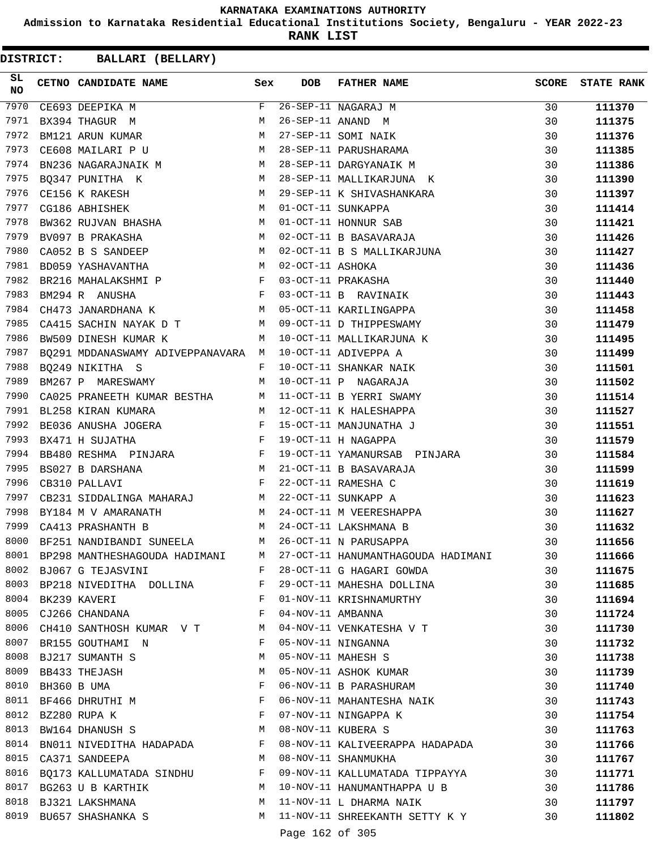**Admission to Karnataka Residential Educational Institutions Society, Bengaluru - YEAR 2022-23**

**RANK LIST**

| SL<br><b>NO</b> | CETNO CANDIDATE NAME Sex                                                                                                                 |            | <b>DOB</b>        | <b>FATHER NAME</b>                                                                                                                                                                                                                                                                                                                                                                                                                                | <b>SCORE</b> | <b>STATE RANK</b> |
|-----------------|------------------------------------------------------------------------------------------------------------------------------------------|------------|-------------------|---------------------------------------------------------------------------------------------------------------------------------------------------------------------------------------------------------------------------------------------------------------------------------------------------------------------------------------------------------------------------------------------------------------------------------------------------|--------------|-------------------|
| 7970            | CE693 DEEPIKA M                                                                                                                          | $F -$      |                   | 26-SEP-11 NAGARAJ M<br>26-SEP-11 ANAND M<br>27-SEP-11 SOMI NAIK<br>28-SEP-11 PARUSHARAMA<br>28-SEP-11 DARGYANAIK M                                                                                                                                                                                                                                                                                                                                | 30           | 111370            |
| 7971            | BX394 THAGUR M                                                                                                                           | M          |                   |                                                                                                                                                                                                                                                                                                                                                                                                                                                   | 30           | 111375            |
| 7972            | $\mathbf M$<br>BM121 ARUN KUMAR                                                                                                          |            |                   |                                                                                                                                                                                                                                                                                                                                                                                                                                                   | 30           | 111376            |
| 7973            | M<br>CE608 MAILARI P U                                                                                                                   |            |                   |                                                                                                                                                                                                                                                                                                                                                                                                                                                   | 30           | 111385            |
| 7974            | BN236 NAGARAJNAIK M                                                                                                                      |            |                   |                                                                                                                                                                                                                                                                                                                                                                                                                                                   | 30           | 111386            |
| 7975            | M <sub>N</sub><br>BQ347 PUNITHA K                                                                                                        |            |                   | 28-SEP-11 MALLIKARJUNA K                                                                                                                                                                                                                                                                                                                                                                                                                          | 30           | 111390            |
| 7976            | M 29-SEP-11 K SHIVASHANKA<br>M 01-OCT-11 SUNKAPPA<br>CE156 K RAKESH                                                                      |            |                   | 29-SEP-11 K SHIVASHANKARA                                                                                                                                                                                                                                                                                                                                                                                                                         | 30           | 111397            |
| 7977            | CG186 ABHISHEK                                                                                                                           |            |                   |                                                                                                                                                                                                                                                                                                                                                                                                                                                   | 30           | 111414            |
| 7978            | BW362 RUJVAN BHASHA M                                                                                                                    |            |                   | $01-0CT-11$ HONNUR SAB<br>01-0CT-11 HONNUR SAB                                                                                                                                                                                                                                                                                                                                                                                                    | 30           | 111421            |
| 7979            | BV097 B PRAKASHA<br><b>M</b>                                                                                                             |            |                   | 02-OCT-11 B BASAVARAJA                                                                                                                                                                                                                                                                                                                                                                                                                            | 30           | 111426            |
| 7980            | M<br>CA052 B S SANDEEP                                                                                                                   |            |                   | 02-OCT-11 B S MALLIKARJUNA                                                                                                                                                                                                                                                                                                                                                                                                                        | 30           | 111427            |
| 7981            |                                                                                                                                          |            |                   |                                                                                                                                                                                                                                                                                                                                                                                                                                                   | 30           | 111436            |
| 7982            |                                                                                                                                          |            |                   |                                                                                                                                                                                                                                                                                                                                                                                                                                                   | 30           | 111440            |
| 7983            |                                                                                                                                          |            |                   |                                                                                                                                                                                                                                                                                                                                                                                                                                                   | 30           | 111443            |
| 7984            |                                                                                                                                          |            |                   |                                                                                                                                                                                                                                                                                                                                                                                                                                                   | 30           | 111458            |
| 7985            |                                                                                                                                          |            |                   |                                                                                                                                                                                                                                                                                                                                                                                                                                                   | 30           | 111479            |
| 7986            |                                                                                                                                          |            |                   | $\begin{tabular}{lllllllllll} & & & & & & \mbox{\sc and\sc{NA}} \\ \hline \multicolumn{3}{l}{\mbox{\sc ANN} & \mbox{\sc BNN} & \mbox{\sc ANN} & \mbox{\sc BNN} & \mbox{\sc DNN} \\ \hline \multicolumn{3}{l}{\mbox{\sc C} & \mbox{\sc DNN}} & \mbox{\sc DNN} & \mbox{\sc DNN} & \mbox{\sc DNN} & \mbox{\sc DNN} & \mbox{\sc DNN} & \mbox{\sc DNN} & \mbox{\sc DNN} & \mbox{\sc DNN} & \mbox{\sc DNN} & \mbox{\sc DNN} & \mbox{\sc DNN} & \mbox{\$ | 30           | 111495            |
| 7987            |                                                                                                                                          |            |                   |                                                                                                                                                                                                                                                                                                                                                                                                                                                   | 30           | 111499            |
| 7988            | $\mathbf{F}$ and the contract of $\mathbf{F}$<br>BQ249 NIKITHA S                                                                         |            |                   | 10-OCT-11 SHANKAR NAIK                                                                                                                                                                                                                                                                                                                                                                                                                            | 30           | 111501            |
| 7989            | M <sub>1</sub><br>BM267 P MARESWAMY                                                                                                      |            |                   | 10-OCT-11 P NAGARAJA                                                                                                                                                                                                                                                                                                                                                                                                                              | 30           | 111502            |
| 7990            | CA025 PRANEETH KUMAR BESTHA M 11-OCT-11 B YERRI SWAMY                                                                                    |            |                   |                                                                                                                                                                                                                                                                                                                                                                                                                                                   | 30           | 111514            |
| 7991            | BL258 KIRAN KUMARA                                                                                                                       |            |                   | M 12-OCT-11 K HALESHAPPA                                                                                                                                                                                                                                                                                                                                                                                                                          | 30           | 111527            |
| 7992            | BE036 ANUSHA JOGERA F                                                                                                                    |            |                   | 15-OCT-11 MANJUNATHA J                                                                                                                                                                                                                                                                                                                                                                                                                            | 30           | 111551            |
| 7993            | $\mathbf{F}^{\mathcal{A}}_{\mathcal{A}}=\mathbf{F}^{\mathcal{A}}_{\mathcal{A}}\mathbf{F}^{\mathcal{A}}_{\mathcal{A}}$<br>BX471 H SUJATHA |            |                   | 19-OCT-11 H NAGAPPA                                                                                                                                                                                                                                                                                                                                                                                                                               | 30           | 111579            |
| 7994            | BB480 RESHMA PINJARA F                                                                                                                   |            |                   | 19-OCT-11 YAMANURSAB PINJARA                                                                                                                                                                                                                                                                                                                                                                                                                      | 30           | 111584            |
| 7995            | M <sub>N</sub><br>BS027 B DARSHANA                                                                                                       |            |                   | 21-OCT-11 B BASAVARAJA                                                                                                                                                                                                                                                                                                                                                                                                                            | 30           | 111599            |
| 7996            | $\mathbf{F}$<br>CB310 PALLAVI                                                                                                            |            |                   | 22-OCT-11 RAMESHA C                                                                                                                                                                                                                                                                                                                                                                                                                               | 30           | 111619            |
| 7997            | CB231 SIDDALINGA MAHARAJ M                                                                                                               |            |                   | 22-OCT-11 SUNKAPP A                                                                                                                                                                                                                                                                                                                                                                                                                               | 30           | 111623            |
| 7998            | BY184 M V AMARANATH                                                                                                                      |            |                   | M 24-OCT-11 M VEERESHAPPA                                                                                                                                                                                                                                                                                                                                                                                                                         | 30           | 111627            |
| 7999            | M <sub>N</sub><br>CA413 PRASHANTH B                                                                                                      |            |                   | 24-OCT-11 LAKSHMANA B                                                                                                                                                                                                                                                                                                                                                                                                                             | 30           | 111632            |
| 8000            | BF251 NANDIBANDI SUNEELA M                                                                                                               |            |                   | 26-OCT-11 N PARUSAPPA                                                                                                                                                                                                                                                                                                                                                                                                                             | 30           | 111656            |
|                 | 8001 BP298 MANTHESHAGOUDA HADIMANI                                                                                                       | M          |                   | 27-OCT-11 HANUMANTHAGOUDA HADIMANI                                                                                                                                                                                                                                                                                                                                                                                                                | 30           | 111666            |
| 8002            | BJ067 G TEJASVINI                                                                                                                        | F          |                   | 28-OCT-11 G HAGARI GOWDA                                                                                                                                                                                                                                                                                                                                                                                                                          | 30           | 111675            |
| 8003            | BP218 NIVEDITHA DOLLINA                                                                                                                  | F          |                   | 29-OCT-11 MAHESHA DOLLINA                                                                                                                                                                                                                                                                                                                                                                                                                         | 30           | 111685            |
| 8004            | BK239 KAVERI                                                                                                                             | F          |                   | 01-NOV-11 KRISHNAMURTHY                                                                                                                                                                                                                                                                                                                                                                                                                           | 30           | 111694            |
|                 | 8005 CJ266 CHANDANA                                                                                                                      | $_{\rm F}$ | 04-NOV-11 AMBANNA |                                                                                                                                                                                                                                                                                                                                                                                                                                                   | 30           | 111724            |
| 8006            | CH410 SANTHOSH KUMAR V T                                                                                                                 | M          |                   | 04-NOV-11 VENKATESHA V T                                                                                                                                                                                                                                                                                                                                                                                                                          | 30           | 111730            |
| 8007            | BR155 GOUTHAMI N                                                                                                                         | F          |                   | 05-NOV-11 NINGANNA                                                                                                                                                                                                                                                                                                                                                                                                                                | 30           | 111732            |
| 8008            | BJ217 SUMANTH S                                                                                                                          | М          |                   | 05-NOV-11 MAHESH S                                                                                                                                                                                                                                                                                                                                                                                                                                | 30           | 111738            |
| 8009            | BB433 THEJASH                                                                                                                            | М          |                   | 05-NOV-11 ASHOK KUMAR                                                                                                                                                                                                                                                                                                                                                                                                                             | 30           | 111739            |
| 8010            | BH360 B UMA                                                                                                                              | F          |                   | 06-NOV-11 B PARASHURAM                                                                                                                                                                                                                                                                                                                                                                                                                            | 30           | 111740            |
| 8011            | BF466 DHRUTHI M                                                                                                                          | F          |                   | 06-NOV-11 MAHANTESHA NAIK                                                                                                                                                                                                                                                                                                                                                                                                                         | 30           | 111743            |
| 8012            | $\mathbf{F}$<br>BZ280 RUPA K                                                                                                             |            |                   | 07-NOV-11 NINGAPPA K                                                                                                                                                                                                                                                                                                                                                                                                                              | 30           | 111754            |
| 8013            | BW164 DHANUSH S                                                                                                                          | M          |                   | 08-NOV-11 KUBERA S                                                                                                                                                                                                                                                                                                                                                                                                                                | 30           | 111763            |
| 8014            | BN011 NIVEDITHA HADAPADA                                                                                                                 | F          |                   | 08-NOV-11 KALIVEERAPPA HADAPADA                                                                                                                                                                                                                                                                                                                                                                                                                   | 30           | 111766            |
| 8015            | CA371 SANDEEPA                                                                                                                           | М          |                   | 08-NOV-11 SHANMUKHA                                                                                                                                                                                                                                                                                                                                                                                                                               | 30           | 111767            |
| 8016            | BQ173 KALLUMATADA SINDHU                                                                                                                 | F          |                   | 09-NOV-11 KALLUMATADA TIPPAYYA                                                                                                                                                                                                                                                                                                                                                                                                                    | 30           | 111771            |
| 8017            | BG263 U B KARTHIK                                                                                                                        | М          |                   | 10-NOV-11 HANUMANTHAPPA U B                                                                                                                                                                                                                                                                                                                                                                                                                       | 30           | 111786            |
| 8018            | BJ321 LAKSHMANA                                                                                                                          | М          |                   | 11-NOV-11 L DHARMA NAIK                                                                                                                                                                                                                                                                                                                                                                                                                           | 30           | 111797            |
| 8019            | BU657 SHASHANKA S                                                                                                                        | M          |                   | 11-NOV-11 SHREEKANTH SETTY K Y                                                                                                                                                                                                                                                                                                                                                                                                                    | 30           | 111802            |
|                 |                                                                                                                                          |            |                   |                                                                                                                                                                                                                                                                                                                                                                                                                                                   |              |                   |
|                 |                                                                                                                                          |            | Page 162 of 305   |                                                                                                                                                                                                                                                                                                                                                                                                                                                   |              |                   |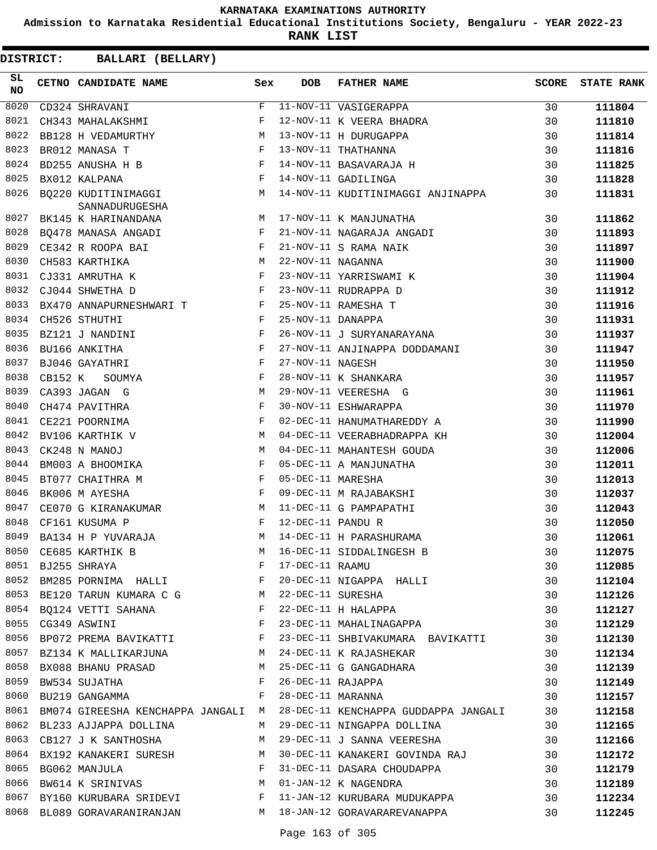**Admission to Karnataka Residential Educational Institutions Society, Bengaluru - YEAR 2022-23**

**RANK LIST**

| 8020<br>F<br>11-NOV-11 VASIGERAPPA<br>30<br>CD324 SHRAVANI<br>111804<br>8021<br>F<br>12-NOV-11 K VEERA BHADRA<br>30<br>CH343 MAHALAKSHMI<br>111810<br>BB128 H VEDAMURTHY<br>8022<br>13-NOV-11 H DURUGAPPA<br>30<br>111814<br>M<br>8023<br>F<br>13-NOV-11 THATHANNA<br>BR012 MANASA T<br>30<br>111816<br>8024<br>F<br>BD255 ANUSHA H B<br>14-NOV-11 BASAVARAJA H<br>30<br>111825<br>$\mathbb F$<br>8025<br>BX012 KALPANA<br>14-NOV-11 GADILINGA<br>30<br>111828<br>BO220 KUDITINIMAGGI M<br>8026<br>14-NOV-11 KUDITINIMAGGI ANJINAPPA<br>30<br>111831<br>SANNADURUGESHA<br>8027<br>M<br>17-NOV-11 K MANJUNATHA<br>30<br>111862<br>BK145 K HARINANDANA<br>$\mathbb{F}$<br>21-NOV-11 NAGARAJA ANGADI<br>8028<br>30<br>111893<br>BQ478 MANASA ANGADI<br>$\frac{1}{F}$<br>8029<br>21-NOV-11 S RAMA NAIK<br>CE342 R ROOPA BAI<br>30<br>111897<br>M<br>8030<br>22-NOV-11 NAGANNA<br>CH583 KARTHIKA<br>30<br>111900<br>8031<br>$\mathbf{F}$ and the contract of the contract $\mathbf{F}$<br>23-NOV-11 YARRISWAMI K<br>CJ331 AMRUTHA K<br>30<br>111904<br>$\mathbf{F}$<br>8032<br>23-NOV-11 RUDRAPPA D<br>CJ044 SHWETHA D<br>30<br>111912<br>BX470 ANNAPURNESHWARI T $$\rm F$$<br>8033<br>25-NOV-11 RAMESHA T<br>30<br>111916<br>8034<br>$\mathbb{F}^{\mathbb{Z}}$ . In the set of $\mathbb{F}^{\mathbb{Z}}$<br>25-NOV-11 DANAPPA<br>CH526 STHUTHI<br>30<br>111931<br>$\mathbf{F}$<br>26-NOV-11 J SURYANARAYANA<br>8035<br>BZ121 J NANDINI<br>30<br>111937<br>$\mathbf{F}$<br>27-NOV-11 ANJINAPPA DODDAMANI<br>8036<br>BU166 ANKITHA<br>30<br>111947<br>8037<br>F<br>27-NOV-11 NAGESH<br>BJ046 GAYATHRI<br>30<br>111950<br>8038<br>CB152 K<br>28-NOV-11 K SHANKARA<br>F<br>30<br>111957<br>SOUMYA<br>8039<br>CA393 JAGAN G<br>29-NOV-11 VEERESHA G<br>М<br>30<br>111961<br>8040<br>F<br>30-NOV-11 ESHWARAPPA<br>CH474 PAVITHRA<br>30<br>111970<br>8041<br>F<br>CE221 POORNIMA<br>02-DEC-11 HANUMATHAREDDY A<br>30<br>111990<br>8042<br>M<br>BV106 KARTHIK V<br>04-DEC-11 VEERABHADRAPPA KH<br>30<br>112004<br>8043<br>CK248 N MANOJ<br>M<br>04-DEC-11 MAHANTESH GOUDA<br>30<br>112006<br>$\mathbf{F}$<br>8044<br>05-DEC-11 A MANJUNATHA<br>BM003 A BHOOMIKA<br>30<br>112011<br>8045<br>F<br>05-DEC-11 MARESHA<br>BT077 CHAITHRA M<br>30<br>112013<br>8046<br>F<br>BK006 M AYESHA<br>09-DEC-11 M RAJABAKSHI<br>30<br>112037<br>8047<br>CE070 G KIRANAKUMAR M<br>11-DEC-11 G PAMPAPATHI<br>30<br>112043<br>8048<br>F<br>12-DEC-11 PANDU R<br>CF161 KUSUMA P<br>30<br>112050<br>8049<br>М<br>14-DEC-11 H PARASHURAMA<br>BA134 H P YUVARAJA<br>30<br>112061<br>8050<br>16-DEC-11 SIDDALINGESH B<br>M<br>CE685 KARTHIK B<br>30<br>112075<br>8051<br>BJ255 SHRAYA<br>F<br>17-DEC-11 RAAMU<br>30<br>112085<br>BM285 PORNIMA HALLI F<br>20-DEC-11 NIGAPPA HALLI<br>22-DEC-11 SURESHA<br>22-DEC-11 H HALAPPA<br>8052<br>30<br>112104<br>8053 BE120 TARUN KUMARA C G M<br>30<br>112126<br>8054 BQ124 VETTI SAHANA F<br>30<br>112127<br>23-DEC-11 MAHALINAGAPPA<br>$\mathbf{F}$ and $\mathbf{F}$<br>8055 CG349 ASWINI<br>30<br>112129<br>8056 BP072 PREMA BAVIKATTI F<br>23-DEC-11 SHBIVAKUMARA BAVIKATTI<br>30<br>112130<br>M<br>8057 BZ134 K MALLIKARJUNA<br>24-DEC-11 K RAJASHEKAR<br>30<br>112134<br>8058 BX088 BHANU PRASAD M<br>25-DEC-11 G GANGADHARA<br>30<br>112139<br>8059<br>BW534 SUJATHA<br>F<br>26-DEC-11 RAJAPPA<br>30<br>112149<br>BU219 GANGAMMA<br>8060<br>28-DEC-11 MARANNA<br>F<br>30<br>112157<br>8061 BM074 GIREESHA KENCHAPPA JANGALI M<br>28-DEC-11 KENCHAPPA GUDDAPPA JANGALI<br>30<br>112158<br>8062 BL233 AJJAPPA DOLLINA<br>29-DEC-11 NINGAPPA DOLLINA<br>M<br>30<br>112165<br>8063 CB127 J K SANTHOSHA<br>29-DEC-11 J SANNA VEERESHA<br>M<br>30<br>112166<br>8064 BX192 KANAKERI SURESH | SL<br><b>NO</b> | CETNO CANDIDATE NAME | Sex | <b>DOB</b> | FATHER NAME                    | <b>SCORE</b> | <b>STATE RANK</b> |
|---------------------------------------------------------------------------------------------------------------------------------------------------------------------------------------------------------------------------------------------------------------------------------------------------------------------------------------------------------------------------------------------------------------------------------------------------------------------------------------------------------------------------------------------------------------------------------------------------------------------------------------------------------------------------------------------------------------------------------------------------------------------------------------------------------------------------------------------------------------------------------------------------------------------------------------------------------------------------------------------------------------------------------------------------------------------------------------------------------------------------------------------------------------------------------------------------------------------------------------------------------------------------------------------------------------------------------------------------------------------------------------------------------------------------------------------------------------------------------------------------------------------------------------------------------------------------------------------------------------------------------------------------------------------------------------------------------------------------------------------------------------------------------------------------------------------------------------------------------------------------------------------------------------------------------------------------------------------------------------------------------------------------------------------------------------------------------------------------------------------------------------------------------------------------------------------------------------------------------------------------------------------------------------------------------------------------------------------------------------------------------------------------------------------------------------------------------------------------------------------------------------------------------------------------------------------------------------------------------------------------------------------------------------------------------------------------------------------------------------------------------------------------------------------------------------------------------------------------------------------------------------------------------------------------------------------------------------------------------------------------------------------------------------------------------------------------------------------------------------------------------------------------------------------------------------------------------------------------------------------------------------------------------------------------------------------------------------------------------------------------------------------------------------------------------------------------------------------------------------------------------------------------------------------------------------------------------------------------------------------------------------------------------------------------------------------------|-----------------|----------------------|-----|------------|--------------------------------|--------------|-------------------|
|                                                                                                                                                                                                                                                                                                                                                                                                                                                                                                                                                                                                                                                                                                                                                                                                                                                                                                                                                                                                                                                                                                                                                                                                                                                                                                                                                                                                                                                                                                                                                                                                                                                                                                                                                                                                                                                                                                                                                                                                                                                                                                                                                                                                                                                                                                                                                                                                                                                                                                                                                                                                                                                                                                                                                                                                                                                                                                                                                                                                                                                                                                                                                                                                                                                                                                                                                                                                                                                                                                                                                                                                                                                                                                   |                 |                      |     |            |                                |              |                   |
|                                                                                                                                                                                                                                                                                                                                                                                                                                                                                                                                                                                                                                                                                                                                                                                                                                                                                                                                                                                                                                                                                                                                                                                                                                                                                                                                                                                                                                                                                                                                                                                                                                                                                                                                                                                                                                                                                                                                                                                                                                                                                                                                                                                                                                                                                                                                                                                                                                                                                                                                                                                                                                                                                                                                                                                                                                                                                                                                                                                                                                                                                                                                                                                                                                                                                                                                                                                                                                                                                                                                                                                                                                                                                                   |                 |                      |     |            |                                |              |                   |
|                                                                                                                                                                                                                                                                                                                                                                                                                                                                                                                                                                                                                                                                                                                                                                                                                                                                                                                                                                                                                                                                                                                                                                                                                                                                                                                                                                                                                                                                                                                                                                                                                                                                                                                                                                                                                                                                                                                                                                                                                                                                                                                                                                                                                                                                                                                                                                                                                                                                                                                                                                                                                                                                                                                                                                                                                                                                                                                                                                                                                                                                                                                                                                                                                                                                                                                                                                                                                                                                                                                                                                                                                                                                                                   |                 |                      |     |            |                                |              |                   |
|                                                                                                                                                                                                                                                                                                                                                                                                                                                                                                                                                                                                                                                                                                                                                                                                                                                                                                                                                                                                                                                                                                                                                                                                                                                                                                                                                                                                                                                                                                                                                                                                                                                                                                                                                                                                                                                                                                                                                                                                                                                                                                                                                                                                                                                                                                                                                                                                                                                                                                                                                                                                                                                                                                                                                                                                                                                                                                                                                                                                                                                                                                                                                                                                                                                                                                                                                                                                                                                                                                                                                                                                                                                                                                   |                 |                      |     |            |                                |              |                   |
|                                                                                                                                                                                                                                                                                                                                                                                                                                                                                                                                                                                                                                                                                                                                                                                                                                                                                                                                                                                                                                                                                                                                                                                                                                                                                                                                                                                                                                                                                                                                                                                                                                                                                                                                                                                                                                                                                                                                                                                                                                                                                                                                                                                                                                                                                                                                                                                                                                                                                                                                                                                                                                                                                                                                                                                                                                                                                                                                                                                                                                                                                                                                                                                                                                                                                                                                                                                                                                                                                                                                                                                                                                                                                                   |                 |                      |     |            |                                |              |                   |
|                                                                                                                                                                                                                                                                                                                                                                                                                                                                                                                                                                                                                                                                                                                                                                                                                                                                                                                                                                                                                                                                                                                                                                                                                                                                                                                                                                                                                                                                                                                                                                                                                                                                                                                                                                                                                                                                                                                                                                                                                                                                                                                                                                                                                                                                                                                                                                                                                                                                                                                                                                                                                                                                                                                                                                                                                                                                                                                                                                                                                                                                                                                                                                                                                                                                                                                                                                                                                                                                                                                                                                                                                                                                                                   |                 |                      |     |            |                                |              |                   |
|                                                                                                                                                                                                                                                                                                                                                                                                                                                                                                                                                                                                                                                                                                                                                                                                                                                                                                                                                                                                                                                                                                                                                                                                                                                                                                                                                                                                                                                                                                                                                                                                                                                                                                                                                                                                                                                                                                                                                                                                                                                                                                                                                                                                                                                                                                                                                                                                                                                                                                                                                                                                                                                                                                                                                                                                                                                                                                                                                                                                                                                                                                                                                                                                                                                                                                                                                                                                                                                                                                                                                                                                                                                                                                   |                 |                      |     |            |                                |              |                   |
|                                                                                                                                                                                                                                                                                                                                                                                                                                                                                                                                                                                                                                                                                                                                                                                                                                                                                                                                                                                                                                                                                                                                                                                                                                                                                                                                                                                                                                                                                                                                                                                                                                                                                                                                                                                                                                                                                                                                                                                                                                                                                                                                                                                                                                                                                                                                                                                                                                                                                                                                                                                                                                                                                                                                                                                                                                                                                                                                                                                                                                                                                                                                                                                                                                                                                                                                                                                                                                                                                                                                                                                                                                                                                                   |                 |                      |     |            |                                |              |                   |
|                                                                                                                                                                                                                                                                                                                                                                                                                                                                                                                                                                                                                                                                                                                                                                                                                                                                                                                                                                                                                                                                                                                                                                                                                                                                                                                                                                                                                                                                                                                                                                                                                                                                                                                                                                                                                                                                                                                                                                                                                                                                                                                                                                                                                                                                                                                                                                                                                                                                                                                                                                                                                                                                                                                                                                                                                                                                                                                                                                                                                                                                                                                                                                                                                                                                                                                                                                                                                                                                                                                                                                                                                                                                                                   |                 |                      |     |            |                                |              |                   |
|                                                                                                                                                                                                                                                                                                                                                                                                                                                                                                                                                                                                                                                                                                                                                                                                                                                                                                                                                                                                                                                                                                                                                                                                                                                                                                                                                                                                                                                                                                                                                                                                                                                                                                                                                                                                                                                                                                                                                                                                                                                                                                                                                                                                                                                                                                                                                                                                                                                                                                                                                                                                                                                                                                                                                                                                                                                                                                                                                                                                                                                                                                                                                                                                                                                                                                                                                                                                                                                                                                                                                                                                                                                                                                   |                 |                      |     |            |                                |              |                   |
|                                                                                                                                                                                                                                                                                                                                                                                                                                                                                                                                                                                                                                                                                                                                                                                                                                                                                                                                                                                                                                                                                                                                                                                                                                                                                                                                                                                                                                                                                                                                                                                                                                                                                                                                                                                                                                                                                                                                                                                                                                                                                                                                                                                                                                                                                                                                                                                                                                                                                                                                                                                                                                                                                                                                                                                                                                                                                                                                                                                                                                                                                                                                                                                                                                                                                                                                                                                                                                                                                                                                                                                                                                                                                                   |                 |                      |     |            |                                |              |                   |
|                                                                                                                                                                                                                                                                                                                                                                                                                                                                                                                                                                                                                                                                                                                                                                                                                                                                                                                                                                                                                                                                                                                                                                                                                                                                                                                                                                                                                                                                                                                                                                                                                                                                                                                                                                                                                                                                                                                                                                                                                                                                                                                                                                                                                                                                                                                                                                                                                                                                                                                                                                                                                                                                                                                                                                                                                                                                                                                                                                                                                                                                                                                                                                                                                                                                                                                                                                                                                                                                                                                                                                                                                                                                                                   |                 |                      |     |            |                                |              |                   |
|                                                                                                                                                                                                                                                                                                                                                                                                                                                                                                                                                                                                                                                                                                                                                                                                                                                                                                                                                                                                                                                                                                                                                                                                                                                                                                                                                                                                                                                                                                                                                                                                                                                                                                                                                                                                                                                                                                                                                                                                                                                                                                                                                                                                                                                                                                                                                                                                                                                                                                                                                                                                                                                                                                                                                                                                                                                                                                                                                                                                                                                                                                                                                                                                                                                                                                                                                                                                                                                                                                                                                                                                                                                                                                   |                 |                      |     |            |                                |              |                   |
|                                                                                                                                                                                                                                                                                                                                                                                                                                                                                                                                                                                                                                                                                                                                                                                                                                                                                                                                                                                                                                                                                                                                                                                                                                                                                                                                                                                                                                                                                                                                                                                                                                                                                                                                                                                                                                                                                                                                                                                                                                                                                                                                                                                                                                                                                                                                                                                                                                                                                                                                                                                                                                                                                                                                                                                                                                                                                                                                                                                                                                                                                                                                                                                                                                                                                                                                                                                                                                                                                                                                                                                                                                                                                                   |                 |                      |     |            |                                |              |                   |
|                                                                                                                                                                                                                                                                                                                                                                                                                                                                                                                                                                                                                                                                                                                                                                                                                                                                                                                                                                                                                                                                                                                                                                                                                                                                                                                                                                                                                                                                                                                                                                                                                                                                                                                                                                                                                                                                                                                                                                                                                                                                                                                                                                                                                                                                                                                                                                                                                                                                                                                                                                                                                                                                                                                                                                                                                                                                                                                                                                                                                                                                                                                                                                                                                                                                                                                                                                                                                                                                                                                                                                                                                                                                                                   |                 |                      |     |            |                                |              |                   |
|                                                                                                                                                                                                                                                                                                                                                                                                                                                                                                                                                                                                                                                                                                                                                                                                                                                                                                                                                                                                                                                                                                                                                                                                                                                                                                                                                                                                                                                                                                                                                                                                                                                                                                                                                                                                                                                                                                                                                                                                                                                                                                                                                                                                                                                                                                                                                                                                                                                                                                                                                                                                                                                                                                                                                                                                                                                                                                                                                                                                                                                                                                                                                                                                                                                                                                                                                                                                                                                                                                                                                                                                                                                                                                   |                 |                      |     |            |                                |              |                   |
|                                                                                                                                                                                                                                                                                                                                                                                                                                                                                                                                                                                                                                                                                                                                                                                                                                                                                                                                                                                                                                                                                                                                                                                                                                                                                                                                                                                                                                                                                                                                                                                                                                                                                                                                                                                                                                                                                                                                                                                                                                                                                                                                                                                                                                                                                                                                                                                                                                                                                                                                                                                                                                                                                                                                                                                                                                                                                                                                                                                                                                                                                                                                                                                                                                                                                                                                                                                                                                                                                                                                                                                                                                                                                                   |                 |                      |     |            |                                |              |                   |
|                                                                                                                                                                                                                                                                                                                                                                                                                                                                                                                                                                                                                                                                                                                                                                                                                                                                                                                                                                                                                                                                                                                                                                                                                                                                                                                                                                                                                                                                                                                                                                                                                                                                                                                                                                                                                                                                                                                                                                                                                                                                                                                                                                                                                                                                                                                                                                                                                                                                                                                                                                                                                                                                                                                                                                                                                                                                                                                                                                                                                                                                                                                                                                                                                                                                                                                                                                                                                                                                                                                                                                                                                                                                                                   |                 |                      |     |            |                                |              |                   |
|                                                                                                                                                                                                                                                                                                                                                                                                                                                                                                                                                                                                                                                                                                                                                                                                                                                                                                                                                                                                                                                                                                                                                                                                                                                                                                                                                                                                                                                                                                                                                                                                                                                                                                                                                                                                                                                                                                                                                                                                                                                                                                                                                                                                                                                                                                                                                                                                                                                                                                                                                                                                                                                                                                                                                                                                                                                                                                                                                                                                                                                                                                                                                                                                                                                                                                                                                                                                                                                                                                                                                                                                                                                                                                   |                 |                      |     |            |                                |              |                   |
|                                                                                                                                                                                                                                                                                                                                                                                                                                                                                                                                                                                                                                                                                                                                                                                                                                                                                                                                                                                                                                                                                                                                                                                                                                                                                                                                                                                                                                                                                                                                                                                                                                                                                                                                                                                                                                                                                                                                                                                                                                                                                                                                                                                                                                                                                                                                                                                                                                                                                                                                                                                                                                                                                                                                                                                                                                                                                                                                                                                                                                                                                                                                                                                                                                                                                                                                                                                                                                                                                                                                                                                                                                                                                                   |                 |                      |     |            |                                |              |                   |
|                                                                                                                                                                                                                                                                                                                                                                                                                                                                                                                                                                                                                                                                                                                                                                                                                                                                                                                                                                                                                                                                                                                                                                                                                                                                                                                                                                                                                                                                                                                                                                                                                                                                                                                                                                                                                                                                                                                                                                                                                                                                                                                                                                                                                                                                                                                                                                                                                                                                                                                                                                                                                                                                                                                                                                                                                                                                                                                                                                                                                                                                                                                                                                                                                                                                                                                                                                                                                                                                                                                                                                                                                                                                                                   |                 |                      |     |            |                                |              |                   |
|                                                                                                                                                                                                                                                                                                                                                                                                                                                                                                                                                                                                                                                                                                                                                                                                                                                                                                                                                                                                                                                                                                                                                                                                                                                                                                                                                                                                                                                                                                                                                                                                                                                                                                                                                                                                                                                                                                                                                                                                                                                                                                                                                                                                                                                                                                                                                                                                                                                                                                                                                                                                                                                                                                                                                                                                                                                                                                                                                                                                                                                                                                                                                                                                                                                                                                                                                                                                                                                                                                                                                                                                                                                                                                   |                 |                      |     |            |                                |              |                   |
|                                                                                                                                                                                                                                                                                                                                                                                                                                                                                                                                                                                                                                                                                                                                                                                                                                                                                                                                                                                                                                                                                                                                                                                                                                                                                                                                                                                                                                                                                                                                                                                                                                                                                                                                                                                                                                                                                                                                                                                                                                                                                                                                                                                                                                                                                                                                                                                                                                                                                                                                                                                                                                                                                                                                                                                                                                                                                                                                                                                                                                                                                                                                                                                                                                                                                                                                                                                                                                                                                                                                                                                                                                                                                                   |                 |                      |     |            |                                |              |                   |
|                                                                                                                                                                                                                                                                                                                                                                                                                                                                                                                                                                                                                                                                                                                                                                                                                                                                                                                                                                                                                                                                                                                                                                                                                                                                                                                                                                                                                                                                                                                                                                                                                                                                                                                                                                                                                                                                                                                                                                                                                                                                                                                                                                                                                                                                                                                                                                                                                                                                                                                                                                                                                                                                                                                                                                                                                                                                                                                                                                                                                                                                                                                                                                                                                                                                                                                                                                                                                                                                                                                                                                                                                                                                                                   |                 |                      |     |            |                                |              |                   |
|                                                                                                                                                                                                                                                                                                                                                                                                                                                                                                                                                                                                                                                                                                                                                                                                                                                                                                                                                                                                                                                                                                                                                                                                                                                                                                                                                                                                                                                                                                                                                                                                                                                                                                                                                                                                                                                                                                                                                                                                                                                                                                                                                                                                                                                                                                                                                                                                                                                                                                                                                                                                                                                                                                                                                                                                                                                                                                                                                                                                                                                                                                                                                                                                                                                                                                                                                                                                                                                                                                                                                                                                                                                                                                   |                 |                      |     |            |                                |              |                   |
|                                                                                                                                                                                                                                                                                                                                                                                                                                                                                                                                                                                                                                                                                                                                                                                                                                                                                                                                                                                                                                                                                                                                                                                                                                                                                                                                                                                                                                                                                                                                                                                                                                                                                                                                                                                                                                                                                                                                                                                                                                                                                                                                                                                                                                                                                                                                                                                                                                                                                                                                                                                                                                                                                                                                                                                                                                                                                                                                                                                                                                                                                                                                                                                                                                                                                                                                                                                                                                                                                                                                                                                                                                                                                                   |                 |                      |     |            |                                |              |                   |
|                                                                                                                                                                                                                                                                                                                                                                                                                                                                                                                                                                                                                                                                                                                                                                                                                                                                                                                                                                                                                                                                                                                                                                                                                                                                                                                                                                                                                                                                                                                                                                                                                                                                                                                                                                                                                                                                                                                                                                                                                                                                                                                                                                                                                                                                                                                                                                                                                                                                                                                                                                                                                                                                                                                                                                                                                                                                                                                                                                                                                                                                                                                                                                                                                                                                                                                                                                                                                                                                                                                                                                                                                                                                                                   |                 |                      |     |            |                                |              |                   |
|                                                                                                                                                                                                                                                                                                                                                                                                                                                                                                                                                                                                                                                                                                                                                                                                                                                                                                                                                                                                                                                                                                                                                                                                                                                                                                                                                                                                                                                                                                                                                                                                                                                                                                                                                                                                                                                                                                                                                                                                                                                                                                                                                                                                                                                                                                                                                                                                                                                                                                                                                                                                                                                                                                                                                                                                                                                                                                                                                                                                                                                                                                                                                                                                                                                                                                                                                                                                                                                                                                                                                                                                                                                                                                   |                 |                      |     |            |                                |              |                   |
|                                                                                                                                                                                                                                                                                                                                                                                                                                                                                                                                                                                                                                                                                                                                                                                                                                                                                                                                                                                                                                                                                                                                                                                                                                                                                                                                                                                                                                                                                                                                                                                                                                                                                                                                                                                                                                                                                                                                                                                                                                                                                                                                                                                                                                                                                                                                                                                                                                                                                                                                                                                                                                                                                                                                                                                                                                                                                                                                                                                                                                                                                                                                                                                                                                                                                                                                                                                                                                                                                                                                                                                                                                                                                                   |                 |                      |     |            |                                |              |                   |
|                                                                                                                                                                                                                                                                                                                                                                                                                                                                                                                                                                                                                                                                                                                                                                                                                                                                                                                                                                                                                                                                                                                                                                                                                                                                                                                                                                                                                                                                                                                                                                                                                                                                                                                                                                                                                                                                                                                                                                                                                                                                                                                                                                                                                                                                                                                                                                                                                                                                                                                                                                                                                                                                                                                                                                                                                                                                                                                                                                                                                                                                                                                                                                                                                                                                                                                                                                                                                                                                                                                                                                                                                                                                                                   |                 |                      |     |            |                                |              |                   |
|                                                                                                                                                                                                                                                                                                                                                                                                                                                                                                                                                                                                                                                                                                                                                                                                                                                                                                                                                                                                                                                                                                                                                                                                                                                                                                                                                                                                                                                                                                                                                                                                                                                                                                                                                                                                                                                                                                                                                                                                                                                                                                                                                                                                                                                                                                                                                                                                                                                                                                                                                                                                                                                                                                                                                                                                                                                                                                                                                                                                                                                                                                                                                                                                                                                                                                                                                                                                                                                                                                                                                                                                                                                                                                   |                 |                      |     |            |                                |              |                   |
|                                                                                                                                                                                                                                                                                                                                                                                                                                                                                                                                                                                                                                                                                                                                                                                                                                                                                                                                                                                                                                                                                                                                                                                                                                                                                                                                                                                                                                                                                                                                                                                                                                                                                                                                                                                                                                                                                                                                                                                                                                                                                                                                                                                                                                                                                                                                                                                                                                                                                                                                                                                                                                                                                                                                                                                                                                                                                                                                                                                                                                                                                                                                                                                                                                                                                                                                                                                                                                                                                                                                                                                                                                                                                                   |                 |                      |     |            |                                |              |                   |
|                                                                                                                                                                                                                                                                                                                                                                                                                                                                                                                                                                                                                                                                                                                                                                                                                                                                                                                                                                                                                                                                                                                                                                                                                                                                                                                                                                                                                                                                                                                                                                                                                                                                                                                                                                                                                                                                                                                                                                                                                                                                                                                                                                                                                                                                                                                                                                                                                                                                                                                                                                                                                                                                                                                                                                                                                                                                                                                                                                                                                                                                                                                                                                                                                                                                                                                                                                                                                                                                                                                                                                                                                                                                                                   |                 |                      |     |            |                                |              |                   |
|                                                                                                                                                                                                                                                                                                                                                                                                                                                                                                                                                                                                                                                                                                                                                                                                                                                                                                                                                                                                                                                                                                                                                                                                                                                                                                                                                                                                                                                                                                                                                                                                                                                                                                                                                                                                                                                                                                                                                                                                                                                                                                                                                                                                                                                                                                                                                                                                                                                                                                                                                                                                                                                                                                                                                                                                                                                                                                                                                                                                                                                                                                                                                                                                                                                                                                                                                                                                                                                                                                                                                                                                                                                                                                   |                 |                      |     |            |                                |              |                   |
|                                                                                                                                                                                                                                                                                                                                                                                                                                                                                                                                                                                                                                                                                                                                                                                                                                                                                                                                                                                                                                                                                                                                                                                                                                                                                                                                                                                                                                                                                                                                                                                                                                                                                                                                                                                                                                                                                                                                                                                                                                                                                                                                                                                                                                                                                                                                                                                                                                                                                                                                                                                                                                                                                                                                                                                                                                                                                                                                                                                                                                                                                                                                                                                                                                                                                                                                                                                                                                                                                                                                                                                                                                                                                                   |                 |                      |     |            |                                |              |                   |
|                                                                                                                                                                                                                                                                                                                                                                                                                                                                                                                                                                                                                                                                                                                                                                                                                                                                                                                                                                                                                                                                                                                                                                                                                                                                                                                                                                                                                                                                                                                                                                                                                                                                                                                                                                                                                                                                                                                                                                                                                                                                                                                                                                                                                                                                                                                                                                                                                                                                                                                                                                                                                                                                                                                                                                                                                                                                                                                                                                                                                                                                                                                                                                                                                                                                                                                                                                                                                                                                                                                                                                                                                                                                                                   |                 |                      |     |            |                                |              |                   |
|                                                                                                                                                                                                                                                                                                                                                                                                                                                                                                                                                                                                                                                                                                                                                                                                                                                                                                                                                                                                                                                                                                                                                                                                                                                                                                                                                                                                                                                                                                                                                                                                                                                                                                                                                                                                                                                                                                                                                                                                                                                                                                                                                                                                                                                                                                                                                                                                                                                                                                                                                                                                                                                                                                                                                                                                                                                                                                                                                                                                                                                                                                                                                                                                                                                                                                                                                                                                                                                                                                                                                                                                                                                                                                   |                 |                      |     |            |                                |              |                   |
|                                                                                                                                                                                                                                                                                                                                                                                                                                                                                                                                                                                                                                                                                                                                                                                                                                                                                                                                                                                                                                                                                                                                                                                                                                                                                                                                                                                                                                                                                                                                                                                                                                                                                                                                                                                                                                                                                                                                                                                                                                                                                                                                                                                                                                                                                                                                                                                                                                                                                                                                                                                                                                                                                                                                                                                                                                                                                                                                                                                                                                                                                                                                                                                                                                                                                                                                                                                                                                                                                                                                                                                                                                                                                                   |                 |                      |     |            |                                |              |                   |
|                                                                                                                                                                                                                                                                                                                                                                                                                                                                                                                                                                                                                                                                                                                                                                                                                                                                                                                                                                                                                                                                                                                                                                                                                                                                                                                                                                                                                                                                                                                                                                                                                                                                                                                                                                                                                                                                                                                                                                                                                                                                                                                                                                                                                                                                                                                                                                                                                                                                                                                                                                                                                                                                                                                                                                                                                                                                                                                                                                                                                                                                                                                                                                                                                                                                                                                                                                                                                                                                                                                                                                                                                                                                                                   |                 |                      |     |            |                                |              |                   |
|                                                                                                                                                                                                                                                                                                                                                                                                                                                                                                                                                                                                                                                                                                                                                                                                                                                                                                                                                                                                                                                                                                                                                                                                                                                                                                                                                                                                                                                                                                                                                                                                                                                                                                                                                                                                                                                                                                                                                                                                                                                                                                                                                                                                                                                                                                                                                                                                                                                                                                                                                                                                                                                                                                                                                                                                                                                                                                                                                                                                                                                                                                                                                                                                                                                                                                                                                                                                                                                                                                                                                                                                                                                                                                   |                 |                      |     |            |                                |              |                   |
|                                                                                                                                                                                                                                                                                                                                                                                                                                                                                                                                                                                                                                                                                                                                                                                                                                                                                                                                                                                                                                                                                                                                                                                                                                                                                                                                                                                                                                                                                                                                                                                                                                                                                                                                                                                                                                                                                                                                                                                                                                                                                                                                                                                                                                                                                                                                                                                                                                                                                                                                                                                                                                                                                                                                                                                                                                                                                                                                                                                                                                                                                                                                                                                                                                                                                                                                                                                                                                                                                                                                                                                                                                                                                                   |                 |                      |     |            |                                |              |                   |
|                                                                                                                                                                                                                                                                                                                                                                                                                                                                                                                                                                                                                                                                                                                                                                                                                                                                                                                                                                                                                                                                                                                                                                                                                                                                                                                                                                                                                                                                                                                                                                                                                                                                                                                                                                                                                                                                                                                                                                                                                                                                                                                                                                                                                                                                                                                                                                                                                                                                                                                                                                                                                                                                                                                                                                                                                                                                                                                                                                                                                                                                                                                                                                                                                                                                                                                                                                                                                                                                                                                                                                                                                                                                                                   |                 |                      |     |            |                                |              |                   |
|                                                                                                                                                                                                                                                                                                                                                                                                                                                                                                                                                                                                                                                                                                                                                                                                                                                                                                                                                                                                                                                                                                                                                                                                                                                                                                                                                                                                                                                                                                                                                                                                                                                                                                                                                                                                                                                                                                                                                                                                                                                                                                                                                                                                                                                                                                                                                                                                                                                                                                                                                                                                                                                                                                                                                                                                                                                                                                                                                                                                                                                                                                                                                                                                                                                                                                                                                                                                                                                                                                                                                                                                                                                                                                   |                 |                      |     |            |                                |              |                   |
|                                                                                                                                                                                                                                                                                                                                                                                                                                                                                                                                                                                                                                                                                                                                                                                                                                                                                                                                                                                                                                                                                                                                                                                                                                                                                                                                                                                                                                                                                                                                                                                                                                                                                                                                                                                                                                                                                                                                                                                                                                                                                                                                                                                                                                                                                                                                                                                                                                                                                                                                                                                                                                                                                                                                                                                                                                                                                                                                                                                                                                                                                                                                                                                                                                                                                                                                                                                                                                                                                                                                                                                                                                                                                                   |                 |                      |     |            |                                |              |                   |
|                                                                                                                                                                                                                                                                                                                                                                                                                                                                                                                                                                                                                                                                                                                                                                                                                                                                                                                                                                                                                                                                                                                                                                                                                                                                                                                                                                                                                                                                                                                                                                                                                                                                                                                                                                                                                                                                                                                                                                                                                                                                                                                                                                                                                                                                                                                                                                                                                                                                                                                                                                                                                                                                                                                                                                                                                                                                                                                                                                                                                                                                                                                                                                                                                                                                                                                                                                                                                                                                                                                                                                                                                                                                                                   |                 |                      | M   |            | 30-DEC-11 KANAKERI GOVINDA RAJ | 30           | 112172            |
| 8065 BG062 MANJULA<br>F<br>31-DEC-11 DASARA CHOUDAPPA<br>30<br>112179                                                                                                                                                                                                                                                                                                                                                                                                                                                                                                                                                                                                                                                                                                                                                                                                                                                                                                                                                                                                                                                                                                                                                                                                                                                                                                                                                                                                                                                                                                                                                                                                                                                                                                                                                                                                                                                                                                                                                                                                                                                                                                                                                                                                                                                                                                                                                                                                                                                                                                                                                                                                                                                                                                                                                                                                                                                                                                                                                                                                                                                                                                                                                                                                                                                                                                                                                                                                                                                                                                                                                                                                                             |                 |                      |     |            |                                |              |                   |
| 8066<br>BW614 K SRINIVAS M<br>01-JAN-12 K NAGENDRA<br>30<br>112189                                                                                                                                                                                                                                                                                                                                                                                                                                                                                                                                                                                                                                                                                                                                                                                                                                                                                                                                                                                                                                                                                                                                                                                                                                                                                                                                                                                                                                                                                                                                                                                                                                                                                                                                                                                                                                                                                                                                                                                                                                                                                                                                                                                                                                                                                                                                                                                                                                                                                                                                                                                                                                                                                                                                                                                                                                                                                                                                                                                                                                                                                                                                                                                                                                                                                                                                                                                                                                                                                                                                                                                                                                |                 |                      |     |            |                                |              |                   |
| 8067<br>BY160 KURUBARA SRIDEVI F<br>11-JAN-12 KURUBARA MUDUKAPPA<br>30<br>112234                                                                                                                                                                                                                                                                                                                                                                                                                                                                                                                                                                                                                                                                                                                                                                                                                                                                                                                                                                                                                                                                                                                                                                                                                                                                                                                                                                                                                                                                                                                                                                                                                                                                                                                                                                                                                                                                                                                                                                                                                                                                                                                                                                                                                                                                                                                                                                                                                                                                                                                                                                                                                                                                                                                                                                                                                                                                                                                                                                                                                                                                                                                                                                                                                                                                                                                                                                                                                                                                                                                                                                                                                  |                 |                      |     |            |                                |              |                   |
| 8068 BL089 GORAVARANIRANJAN M 18-JAN-12 GORAVARAREVANAPPA<br>30<br>112245                                                                                                                                                                                                                                                                                                                                                                                                                                                                                                                                                                                                                                                                                                                                                                                                                                                                                                                                                                                                                                                                                                                                                                                                                                                                                                                                                                                                                                                                                                                                                                                                                                                                                                                                                                                                                                                                                                                                                                                                                                                                                                                                                                                                                                                                                                                                                                                                                                                                                                                                                                                                                                                                                                                                                                                                                                                                                                                                                                                                                                                                                                                                                                                                                                                                                                                                                                                                                                                                                                                                                                                                                         |                 |                      |     |            |                                |              |                   |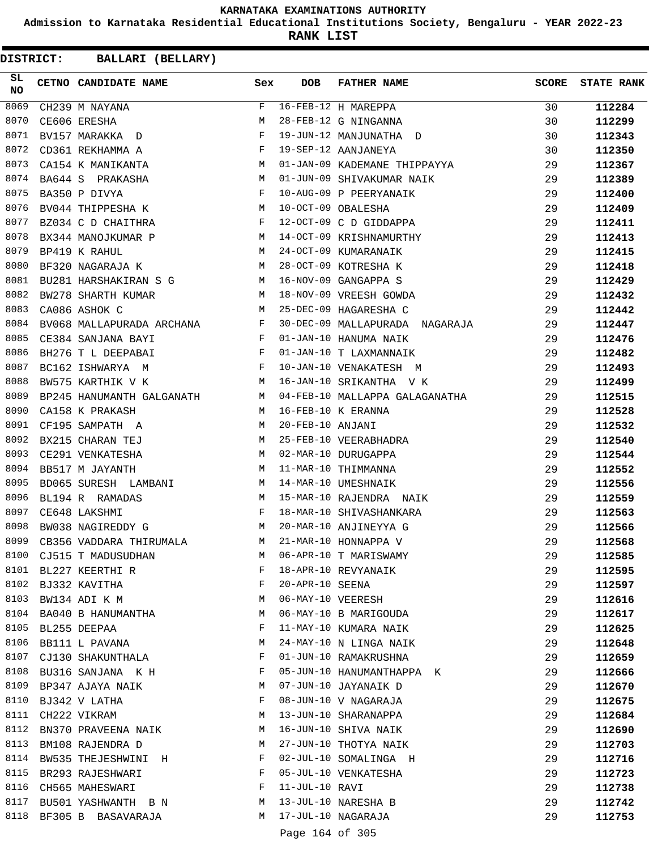**Admission to Karnataka Residential Educational Institutions Society, Bengaluru - YEAR 2022-23**

**RANK LIST**

| SL<br><b>NO</b> | CETNO CANDIDATE NAME Sex                                                                                                                                                                                                                                |              | <b>DOB</b>        | <b>FATHER NAME</b>             | SCORE | <b>STATE RANK</b> |
|-----------------|---------------------------------------------------------------------------------------------------------------------------------------------------------------------------------------------------------------------------------------------------------|--------------|-------------------|--------------------------------|-------|-------------------|
| 8069            | CH239 M NAYANA                                                                                                                                                                                                                                          | F            |                   | 16-FEB-12 H MAREPPA            | 30    | 112284            |
| 8070            | CE606 ERESHA                                                                                                                                                                                                                                            | M            |                   | 28-FEB-12 G NINGANNA           | 30    | 112299            |
| 8071            | BV157 MARAKKA D                                                                                                                                                                                                                                         | $_{\rm F}$   |                   | 19-JUN-12 MANJUNATHA D         | 30    | 112343            |
| 8072            | CD361 REKHAMMA A                                                                                                                                                                                                                                        | $_{\rm F}$   |                   | 19-SEP-12 AANJANEYA            | 30    | 112350            |
| 8073            | CA154 K MANIKANTA<br><b>Example 19</b> M                                                                                                                                                                                                                |              |                   | 01-JAN-09 KADEMANE THIPPAYYA   | 29    | 112367            |
| 8074            | M <sub>N</sub><br>BA644 S PRAKASHA                                                                                                                                                                                                                      |              |                   | 01-JUN-09 SHIVAKUMAR NAIK      | 29    | 112389            |
| 8075            | BA350 P DIVYA                                                                                                                                                                                                                                           | $\mathbf{F}$ |                   | 10-AUG-09 P PEERYANAIK         | 29    | 112400            |
| 8076            | M<br>BV044 THIPPESHA K                                                                                                                                                                                                                                  |              |                   | 10-OCT-09 OBALESHA             | 29    | 112409            |
| 8077            | BZ034 C D CHAITHRA                                                                                                                                                                                                                                      | $\mathbf{F}$ |                   | 12-OCT-09 C D GIDDAPPA         | 29    | 112411            |
| 8078            | BX344 MANOJKUMAR P M                                                                                                                                                                                                                                    |              |                   | 14-OCT-09 KRISHNAMURTHY        | 29    | 112413            |
| 8079            | M<br>BP419 K RAHUL                                                                                                                                                                                                                                      |              |                   | 24-OCT-09 KUMARANAIK           | 29    | 112415            |
| 8080            | BF320 NAGARAJA K                                                                                                                                                                                                                                        | M            |                   | 28-OCT-09 KOTRESHA K           | 29    | 112418            |
| 8081            | BU281 HARSHAKIRAN S G M                                                                                                                                                                                                                                 |              |                   | 16-NOV-09 GANGAPPA S           | 29    | 112429            |
| 8082            | <b>Example 19</b> March 2014<br>BW278 SHARTH KUMAR                                                                                                                                                                                                      |              |                   | 18-NOV-09 VREESH GOWDA         | 29    | 112432            |
| 8083            | M<br>CA086 ASHOK C                                                                                                                                                                                                                                      |              |                   | 25-DEC-09 HAGARESHA C          | 29    | 112442            |
| 8084            | BV068 MALLAPURADA ARCHANA $F$                                                                                                                                                                                                                           |              |                   | 30-DEC-09 MALLAPURADA NAGARAJA | 29    | 112447            |
| 8085            | CE384 SANJANA BAYI<br>$\mathbf{F}$ . The set of the set of the set of the set of the set of the set of the set of the set of the set of the set of the set of the set of the set of the set of the set of the set of the set of the set of the set of t |              |                   | 01-JAN-10 HANUMA NAIK          | 29    | 112476            |
| 8086            | $\mathbf{F}$ and the contract of $\mathbf{F}$<br>BH276 T L DEEPABAI                                                                                                                                                                                     |              |                   | 01-JAN-10 T LAXMANNAIK         | 29    | 112482            |
| 8087            | $\mathbb F$<br>BC162 ISHWARYA M                                                                                                                                                                                                                         |              |                   | 10-JAN-10 VENAKATESH M         | 29    | 112493            |
| 8088            | BW575 KARTHIK V K                                                                                                                                                                                                                                       | M            |                   | 16-JAN-10 SRIKANTHA V K        | 29    | 112499            |
| 8089            | BP245 HANUMANTH GALGANATH M                                                                                                                                                                                                                             |              |                   | 04-FEB-10 MALLAPPA GALAGANATHA | 29    | 112515            |
| 8090            | CA158 K PRAKASH<br>M                                                                                                                                                                                                                                    |              |                   | 16-FEB-10 K ERANNA             | 29    | 112528            |
| 8091            | M<br>CF195 SAMPATH A                                                                                                                                                                                                                                    |              | 20-FEB-10 ANJANI  |                                | 29    | 112532            |
| 8092            | BX215 CHARAN TEJ                                                                                                                                                                                                                                        | М            |                   | 25-FEB-10 VEERABHADRA          | 29    | 112540            |
| 8093            | CE291 VENKATESHA                                                                                                                                                                                                                                        | M            |                   | 02-MAR-10 DURUGAPPA            | 29    | 112544            |
| 8094            | BB517 M JAYANTH                                                                                                                                                                                                                                         | M            |                   | 11-MAR-10 THIMMANNA            | 29    | 112552            |
| 8095            | BD065 SURESH LAMBANI                                                                                                                                                                                                                                    | M            |                   | 14-MAR-10 UMESHNAIK            | 29    | 112556            |
| 8096            | $\frac{1}{M}$<br>BL194 R RAMADAS                                                                                                                                                                                                                        |              |                   | 15-MAR-10 RAJENDRA NAIK        | 29    | 112559            |
| 8097            | CE648 LAKSHMI<br><b>Example 2</b> For the second property of the second property of the second property of the second property of the second property of the second property of the second property of the second property of the second property of    |              |                   | 18-MAR-10 SHIVASHANKARA        | 29    | 112563            |
| 8098            | <b>M</b><br>BW038 NAGIREDDY G                                                                                                                                                                                                                           |              |                   | 20-MAR-10 ANJINEYYA G          | 29    | 112566            |
| 8099            | M <sub>N</sub><br>CB356 VADDARA THIRUMALA                                                                                                                                                                                                               |              |                   | 21-MAR-10 HONNAPPA V           | 29    | 112568            |
| 8100            | CJ515 T MADUSUDHAN                                                                                                                                                                                                                                      | М            |                   | 06-APR-10 T MARISWAMY          | 29    | 112585            |
| 8101            | BL227 KEERTHI R                                                                                                                                                                                                                                         | F            |                   | 18-APR-10 REVYANAIK            | 29    | 112595            |
| 8102            | BJ332 KAVITHA                                                                                                                                                                                                                                           | F            | 20-APR-10 SEENA   |                                | 29    | 112597            |
| 8103            | BW134 ADI K M                                                                                                                                                                                                                                           | М            | 06-MAY-10 VEERESH |                                | 29    | 112616            |
|                 | 8104 BA040 B HANUMANTHA                                                                                                                                                                                                                                 | M            |                   | 06-MAY-10 B MARIGOUDA          | 29    | 112617            |
| 8105            | BL255 DEEPAA                                                                                                                                                                                                                                            | F            |                   | 11-MAY-10 KUMARA NAIK          | 29    | 112625            |
| 8106            | BB111 L PAVANA                                                                                                                                                                                                                                          | М            |                   | 24-MAY-10 N LINGA NAIK         | 29    | 112648            |
| 8107            | CJ130 SHAKUNTHALA                                                                                                                                                                                                                                       | F            |                   | 01-JUN-10 RAMAKRUSHNA          | 29    | 112659            |
| 8108            | BU316 SANJANA K H                                                                                                                                                                                                                                       | F            |                   | 05-JUN-10 HANUMANTHAPPA K      | 29    | 112666            |
| 8109            | BP347 AJAYA NAIK                                                                                                                                                                                                                                        | M            |                   | 07-JUN-10 JAYANAIK D           | 29    | 112670            |
| 8110            | BJ342 V LATHA                                                                                                                                                                                                                                           | F            |                   | 08-JUN-10 V NAGARAJA           | 29    | 112675            |
|                 | 8111 CH222 VIKRAM                                                                                                                                                                                                                                       | М            |                   | 13-JUN-10 SHARANAPPA           | 29    | 112684            |
| 8112            | BN370 PRAVEENA NAIK                                                                                                                                                                                                                                     | M            |                   | 16-JUN-10 SHIVA NAIK           | 29    | 112690            |
| 8113            | BM108 RAJENDRA D                                                                                                                                                                                                                                        | М            |                   | 27-JUN-10 THOTYA NAIK          | 29    | 112703            |
| 8114            | BW535 THEJESHWINI H                                                                                                                                                                                                                                     | F            |                   | 02-JUL-10 SOMALINGA H          | 29    | 112716            |
| 8115            | BR293 RAJESHWARI                                                                                                                                                                                                                                        | F            |                   | 05-JUL-10 VENKATESHA           | 29    | 112723            |
|                 | 8116 CH565 MAHESWARI                                                                                                                                                                                                                                    | F            | 11-JUL-10 RAVI    |                                | 29    | 112738            |
| 8117            | BU501 YASHWANTH B N                                                                                                                                                                                                                                     | M            |                   | 13-JUL-10 NARESHA B            | 29    | 112742            |
| 8118            | BF305 B BASAVARAJA                                                                                                                                                                                                                                      | M            |                   | 17-JUL-10 NAGARAJA             | 29    | 112753            |
|                 |                                                                                                                                                                                                                                                         |              |                   |                                |       |                   |
|                 |                                                                                                                                                                                                                                                         |              | Page 164 of 305   |                                |       |                   |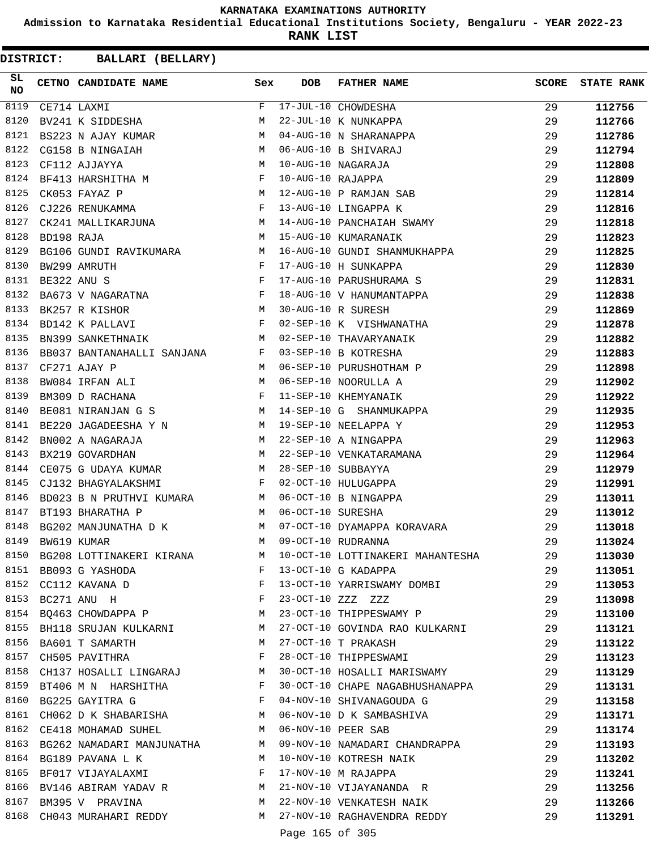**Admission to Karnataka Residential Educational Institutions Society, Bengaluru - YEAR 2022-23**

**RANK LIST**

| SL<br><b>NO</b> |             | CETNO CANDIDATE NAME Sex                                                                                                                                                                                                                                 |   | <b>DOB</b>        | FATHER NAME                                                                                                                                                                                | <b>SCORE</b> | <b>STATE RANK</b> |
|-----------------|-------------|----------------------------------------------------------------------------------------------------------------------------------------------------------------------------------------------------------------------------------------------------------|---|-------------------|--------------------------------------------------------------------------------------------------------------------------------------------------------------------------------------------|--------------|-------------------|
| 8119            |             | CE714 LAXMI<br>BV241 K SIDDESHA                                                                                                                                                                                                                          | F |                   | 17-JUL-10 CHOWDESHA<br>22-JUL-10 K NUNKAPPA<br>04-AUG-10 N SHARANAPPA<br>06-AUG-10 B SHIVARAJ<br>10-AUG-10 NAGARAJA<br>10-AUG-10 RAJAPPA<br>12-AUG-10 P RAMJAN SAB<br>13-AUG-10 LINGAPPA K | 29           | 112756            |
| 8120            |             |                                                                                                                                                                                                                                                          | M |                   |                                                                                                                                                                                            | 29           | 112766            |
| 8121            |             | BS223 N AJAY KUMAR                                                                                                                                                                                                                                       | M |                   |                                                                                                                                                                                            | 29           | 112786            |
| 8122            |             | $\begin{aligned} \mathbf{M} \\ \mathbf{M} \end{aligned}$<br>CG158 B NINGAIAH                                                                                                                                                                             |   |                   |                                                                                                                                                                                            | 29           | 112794            |
| 8123            |             | CF112 AJJAYYA                                                                                                                                                                                                                                            |   |                   |                                                                                                                                                                                            | 29           | 112808            |
| 8124            |             | BF413 HARSHITHA M F                                                                                                                                                                                                                                      |   |                   |                                                                                                                                                                                            | 29           | 112809            |
| 8125            |             | CK053 FAYAZ P<br>CJ226 RENUKAMMA PRODUKA PRODUKAMMA                                                                                                                                                                                                      |   |                   |                                                                                                                                                                                            | 29           | 112814            |
| 8126            |             |                                                                                                                                                                                                                                                          |   |                   |                                                                                                                                                                                            | 29           | 112816            |
| 8127            |             | CK241 MALLIKARJUNA M                                                                                                                                                                                                                                     |   |                   | 14-AUG-10 PANCHAIAH SWAMY                                                                                                                                                                  | 29           | 112818            |
| 8128            | BD198 RAJA  |                                                                                                                                                                                                                                                          | M |                   | 15-AUG-10 KUMARANAIK                                                                                                                                                                       | 29           | 112823            |
| 8129            |             | BG106 GUNDI RAVIKUMARA M                                                                                                                                                                                                                                 |   |                   | 16-AUG-10 GUNDI SHANMUKHAPPA<br>17-AUG-10 H SUNKAPPA                                                                                                                                       | 29           | 112825            |
| 8130            |             | $\begin{array}{c}\n\text{F} \\ \text{F}\n\end{array}$<br>BW299 AMRUTH                                                                                                                                                                                    |   |                   |                                                                                                                                                                                            | 29           | 112830            |
| 8131            | BE322 ANU S |                                                                                                                                                                                                                                                          |   |                   | 17-AUG-10 PARUSHURAMA S                                                                                                                                                                    | 29           | 112831            |
| 8132            |             | BA673 V NAGARATNA $F$                                                                                                                                                                                                                                    |   |                   | 18-AUG-10 V HANUMANTAPPA                                                                                                                                                                   | 29           | 112838            |
| 8133            |             | $\begin{aligned} \mathbb{M} \\ \mathbb{F} \end{aligned}$<br>BK257 R KISHOR                                                                                                                                                                               |   |                   | 30-AUG-10 R SURESH                                                                                                                                                                         | 29           | 112869            |
| 8134            |             | BD142 K PALLAVI                                                                                                                                                                                                                                          |   |                   | 02-SEP-10 K VISHWANATHA                                                                                                                                                                    | 29           | 112878            |
| 8135            |             | M <sub>1</sub><br>BN399 SANKETHNAIK                                                                                                                                                                                                                      |   |                   | 02-SEP-10 THAVARYANAIK                                                                                                                                                                     | 29           | 112882            |
| 8136            |             | BB037 BANTANAHALLI SANJANA F                                                                                                                                                                                                                             |   |                   | 03-SEP-10 B KOTRESHA                                                                                                                                                                       | 29           | 112883            |
| 8137            |             | M<br>CF271 AJAY P                                                                                                                                                                                                                                        |   |                   | 06-SEP-10 PURUSHOTHAM P                                                                                                                                                                    | 29           | 112898            |
| 8138            |             | BW084 IRFAN ALI M<br>BM309 D RACHANA F                                                                                                                                                                                                                   |   |                   | 06-SEP-10 NOORULLA A                                                                                                                                                                       | 29           | 112902            |
| 8139            |             |                                                                                                                                                                                                                                                          |   |                   | 11-SEP-10 KHEMYANAIK                                                                                                                                                                       | 29           | 112922            |
| 8140            |             |                                                                                                                                                                                                                                                          |   |                   | BE081 NIRANJAN G S M 14-SEP-10 G SHANMUKAPPA                                                                                                                                               | 29           | 112935            |
| 8141            |             | BE220 JAGADEESHA Y N M 19-SEP-10 NEELAPPA Y                                                                                                                                                                                                              |   |                   |                                                                                                                                                                                            | 29           | 112953            |
| 8142            |             | BN002 A NAGARAJA                                                                                                                                                                                                                                         | M |                   | 22-SEP-10 A NINGAPPA                                                                                                                                                                       | 29           | 112963            |
| 8143            |             | BX219 GOVARDHAN                                                                                                                                                                                                                                          | M |                   | 22-SEP-10 VENKATARAMANA                                                                                                                                                                    | 29           | 112964            |
| 8144            |             | CE075 G UDAYA KUMAR                                                                                                                                                                                                                                      | M |                   | 28-SEP-10 SUBBAYYA                                                                                                                                                                         | 29           | 112979            |
| 8145            |             | CJ132 BHAGYALAKSHMI                                                                                                                                                                                                                                      | F |                   | 02-OCT-10 HULUGAPPA                                                                                                                                                                        | 29           | 112991            |
| 8146            |             | BD023 B N PRUTHVI KUMARA M                                                                                                                                                                                                                               |   |                   | 06-OCT-10 B NINGAPPA                                                                                                                                                                       | 29           | 113011            |
| 8147            |             | BT193 BHARATHA P<br>M <sub>N</sub>                                                                                                                                                                                                                       |   | 06-OCT-10 SURESHA |                                                                                                                                                                                            | 29           | 113012            |
| 8148            |             |                                                                                                                                                                                                                                                          |   |                   | BG202 MANJUNATHA D K M 07-OCT-10 DYAMAPPA KORAVARA                                                                                                                                         | 29           | 113018            |
| 8149            |             | BW619 KUMAR                                                                                                                                                                                                                                              | M |                   | 09-OCT-10 RUDRANNA                                                                                                                                                                         | 29           | 113024            |
|                 |             |                                                                                                                                                                                                                                                          |   |                   | 8150 BG208 LOTTINAKERI KIRANA M 10-OCT-10 LOTTINAKERI MAHANTESHA                                                                                                                           | 29           | 113030            |
|                 |             | 8151 BB093 G YASHODA                                                                                                                                                                                                                                     |   |                   | F 13-OCT-10 G KADAPPA                                                                                                                                                                      | 29           | 113051            |
|                 |             | 8152 CC112 KAVANA D<br>$\mathbf{F}$ and the set of the set of the set of the set of the set of the set of the set of the set of the set of the set of the set of the set of the set of the set of the set of the set of the set of the set of the set of |   |                   | 13-OCT-10 YARRISWAMY DOMBI                                                                                                                                                                 | 29           | 113053            |
|                 |             | $\mathbf{F}$ and $\mathbf{F}$ and $\mathbf{F}$                                                                                                                                                                                                           |   |                   | 23-OCT-10 ZZZ ZZZ                                                                                                                                                                          | 29           | 113098            |
|                 |             | 8153 BC271 ANU H<br>8154 BQ463 CHOWDAPPA P                                                                                                                                                                                                               |   |                   | M 23-OCT-10 THIPPESWAMY P                                                                                                                                                                  | 29           | 113100            |
|                 |             |                                                                                                                                                                                                                                                          |   |                   | 8155 BH118 SRUJAN KULKARNI M 27-OCT-10 GOVINDA RAO KULKARNI                                                                                                                                | 29           | 113121            |
| 8156            |             | BA601 T SAMARTH                                                                                                                                                                                                                                          | M |                   | 27-OCT-10 T PRAKASH                                                                                                                                                                        | 29           | 113122            |
| 8157            |             | CH505 PAVITHRA                                                                                                                                                                                                                                           | F |                   | 28-OCT-10 THIPPESWAMI                                                                                                                                                                      | 29           | 113123            |
|                 |             | 8158 CH137 HOSALLI LINGARAJ M                                                                                                                                                                                                                            |   |                   | 30-OCT-10 HOSALLI MARISWAMY                                                                                                                                                                | 29           | 113129            |
|                 |             | 8159 BT406 M N HARSHITHA F                                                                                                                                                                                                                               |   |                   | 30-OCT-10 CHAPE NAGABHUSHANAPPA                                                                                                                                                            | 29           | 113131            |
|                 |             | 8160 BG225 GAYITRA G<br>$\mathbf{F}$ and $\mathbf{F}$ and $\mathbf{F}$                                                                                                                                                                                   |   |                   | 04-NOV-10 SHIVANAGOUDA G                                                                                                                                                                   | 29           | 113158            |
|                 |             | 8161 CH062 D K SHABARISHA M 06-NOV-10 D K SAMBASHIVA                                                                                                                                                                                                     |   |                   |                                                                                                                                                                                            | 29           | 113171            |
|                 |             | 8162 CE418 MOHAMAD SUHEL                                                                                                                                                                                                                                 |   |                   | M 06-NOV-10 PEER SAB                                                                                                                                                                       | 29           | 113174            |
|                 |             | 8163 BG262 NAMADARI MANJUNATHA                                                                                                                                                                                                                           |   |                   | M 09-NOV-10 NAMADARI CHANDRAPPA                                                                                                                                                            | 29           | 113193            |
| 8164            |             | BG189 PAVANA L K                                                                                                                                                                                                                                         | M |                   | 10-NOV-10 KOTRESH NAIK                                                                                                                                                                     | 29           | 113202            |
|                 |             | BF017 VIJAYALAXMI F                                                                                                                                                                                                                                      |   |                   |                                                                                                                                                                                            | 29           | 113241            |
|                 |             |                                                                                                                                                                                                                                                          |   |                   |                                                                                                                                                                                            | 29           | 113256            |
| 8167            |             | BM395 V PRAVINA                                                                                                                                                                                                                                          |   |                   | M 22-NOV-10 VENKATESH NAIK                                                                                                                                                                 | 29           | 113266            |
|                 |             | 8168 CH043 MURAHARI REDDY                                                                                                                                                                                                                                |   |                   | M 27-NOV-10 RAGHAVENDRA REDDY                                                                                                                                                              | 29           | 113291            |
|                 |             |                                                                                                                                                                                                                                                          |   | Page 165 of 305   |                                                                                                                                                                                            |              |                   |
|                 |             |                                                                                                                                                                                                                                                          |   |                   |                                                                                                                                                                                            |              |                   |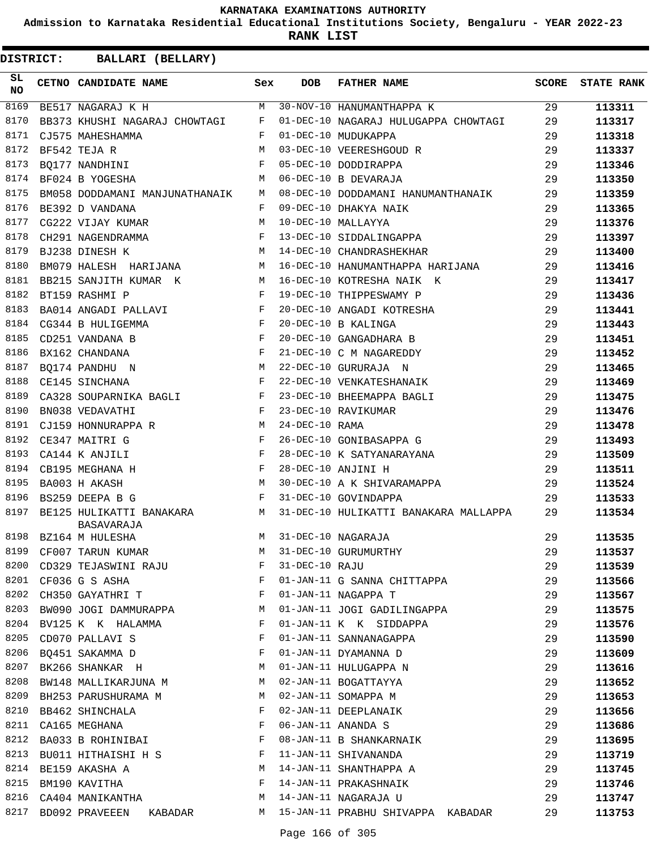**Admission to Karnataka Residential Educational Institutions Society, Bengaluru - YEAR 2022-23**

**RANK LIST**

| SL<br><b>NO</b> | CETNO CANDIDATE NAME                                                                                                                                                                                                                                      | Sex          | <b>DOB</b>     | <b>FATHER NAME</b>                    | SCORE | <b>STATE RANK</b> |
|-----------------|-----------------------------------------------------------------------------------------------------------------------------------------------------------------------------------------------------------------------------------------------------------|--------------|----------------|---------------------------------------|-------|-------------------|
| 8169            | BE517 NAGARAJ K H                                                                                                                                                                                                                                         | M            |                | 30-NOV-10 HANUMANTHAPPA K             | 29    | 113311            |
| 8170            | BB373 KHUSHI NAGARAJ CHOWTAGI                                                                                                                                                                                                                             | F            |                | 01-DEC-10 NAGARAJ HULUGAPPA CHOWTAGI  | 29    | 113317            |
| 8171            | CJ575 MAHESHAMMA                                                                                                                                                                                                                                          | F            |                | 01-DEC-10 MUDUKAPPA                   | 29    | 113318            |
| 8172            | BF542 TEJA R                                                                                                                                                                                                                                              | M            |                | 03-DEC-10 VEERESHGOUD R               | 29    | 113337            |
| 8173            | BO177 NANDHINI                                                                                                                                                                                                                                            | F            |                | 05-DEC-10 DODDIRAPPA                  | 29    | 113346            |
| 8174            | BF024 B YOGESHA                                                                                                                                                                                                                                           | М            |                | 06-DEC-10 B DEVARAJA                  | 29    | 113350            |
| 8175            | BM058 DODDAMANI MANJUNATHANAIK                                                                                                                                                                                                                            | M            |                | 08-DEC-10 DODDAMANI HANUMANTHANAIK    | 29    | 113359            |
| 8176            | BE392 D VANDANA                                                                                                                                                                                                                                           | F            |                | 09-DEC-10 DHAKYA NAIK                 | 29    | 113365            |
| 8177            | CG222 VIJAY KUMAR                                                                                                                                                                                                                                         | M            |                | 10-DEC-10 MALLAYYA                    | 29    | 113376            |
| 8178            | CH291 NAGENDRAMMA                                                                                                                                                                                                                                         | F            |                | 13-DEC-10 SIDDALINGAPPA               | 29    | 113397            |
| 8179            | BJ238 DINESH K                                                                                                                                                                                                                                            | M            |                | 14-DEC-10 CHANDRASHEKHAR              | 29    | 113400            |
| 8180            | BM079 HALESH HARIJANA M                                                                                                                                                                                                                                   |              |                | 16-DEC-10 HANUMANTHAPPA HARIJANA      | 29    | 113416            |
| 8181            | BB215 SANJITH KUMAR K<br>M <sub>N</sub>                                                                                                                                                                                                                   |              |                | 16-DEC-10 KOTRESHA NAIK K             | 29    | 113417            |
| 8182            | BT159 RASHMI P                                                                                                                                                                                                                                            | F            |                | 19-DEC-10 THIPPESWAMY P               | 29    | 113436            |
| 8183            | BA014 ANGADI PALLAVI                                                                                                                                                                                                                                      | F            |                | 20-DEC-10 ANGADI KOTRESHA             | 29    | 113441            |
| 8184            | $\mathbb F$<br>CG344 B HULIGEMMA                                                                                                                                                                                                                          |              |                | 20-DEC-10 B KALINGA                   | 29    | 113443            |
| 8185            | CD251 VANDANA B                                                                                                                                                                                                                                           | $\mathbf{F}$ |                | 20-DEC-10 GANGADHARA B                | 29    | 113451            |
| 8186            | BX162 CHANDANA                                                                                                                                                                                                                                            | $\mathbf{F}$ |                | 21-DEC-10 C M NAGAREDDY               | 29    | 113452            |
| 8187            | BO174 PANDHU N                                                                                                                                                                                                                                            | M            |                | 22-DEC-10 GURURAJA N                  | 29    | 113465            |
| 8188            | $\mathbf{F}$<br>CE145 SINCHANA                                                                                                                                                                                                                            |              |                | 22-DEC-10 VENKATESHANAIK              | 29    | 113469            |
| 8189            | CA328 SOUPARNIKA BAGLI F                                                                                                                                                                                                                                  |              |                | 23-DEC-10 BHEEMAPPA BAGLI             | 29    | 113475            |
| 8190            | BN038 VEDAVATHI                                                                                                                                                                                                                                           | F            |                | 23-DEC-10 RAVIKUMAR                   | 29    | 113476            |
| 8191            | CJ159 HONNURAPPA R                                                                                                                                                                                                                                        | M            | 24-DEC-10 RAMA |                                       | 29    | 113478            |
| 8192            | $\mathbb{F}^{\mathbb{Z}}$ . The set of the set of the set of the set of the set of the set of the set of the set of the set of the set of the set of the set of the set of the set of the set of the set of the set of the set of the s<br>CE347 MAITRI G |              |                | 26-DEC-10 GONIBASAPPA G               | 29    | 113493            |
| 8193            | CA144 K ANJILI                                                                                                                                                                                                                                            | F            |                | 28-DEC-10 K SATYANARAYANA             | 29    | 113509            |
| 8194            | CB195 MEGHANA H                                                                                                                                                                                                                                           | F            |                | 28-DEC-10 ANJINI H                    | 29    | 113511            |
| 8195            | BA003 H AKASH                                                                                                                                                                                                                                             | M            |                | 30-DEC-10 A K SHIVARAMAPPA            | 29    | 113524            |
| 8196            | BS259 DEEPA B G<br><b>Figure 19</b>                                                                                                                                                                                                                       |              |                | 31-DEC-10 GOVINDAPPA                  | 29    | 113533            |
| 8197            | BE125 HULIKATTI BANAKARA M<br>BASAVARAJA                                                                                                                                                                                                                  |              |                | 31-DEC-10 HULIKATTI BANAKARA MALLAPPA | 29    | 113534            |
|                 | 8198 BZ164 M HULESHA                                                                                                                                                                                                                                      |              |                | M 31-DEC-10 NAGARAJA                  | 29    | 113535            |
|                 | 8199 CF007 TARUN KUMAR                                                                                                                                                                                                                                    |              |                | M 31-DEC-10 GURUMURTHY                | 29    | 113537            |
| 8200            | CD329 TEJASWINI RAJU                                                                                                                                                                                                                                      | F            | 31-DEC-10 RAJU |                                       | 29    | 113539            |
| 8201            | CF036 G S ASHA                                                                                                                                                                                                                                            | F            |                | 01-JAN-11 G SANNA CHITTAPPA           | 29    | 113566            |
| 8202            | CH350 GAYATHRI T                                                                                                                                                                                                                                          | F            |                | 01-JAN-11 NAGAPPA T                   | 29    | 113567            |
| 8203            | BW090 JOGI DAMMURAPPA                                                                                                                                                                                                                                     | M            |                | 01-JAN-11 JOGI GADILINGAPPA           | 29    | 113575            |
| 8204            | BV125 K K HALAMMA                                                                                                                                                                                                                                         | F            |                | 01-JAN-11 K K SIDDAPPA                | 29    | 113576            |
| 8205            | CD070 PALLAVI S                                                                                                                                                                                                                                           | F            |                | 01-JAN-11 SANNANAGAPPA                | 29    | 113590            |
|                 | 8206 BO451 SAKAMMA D                                                                                                                                                                                                                                      | $\mathbf{F}$ |                | 01-JAN-11 DYAMANNA D                  | 29    | 113609            |
| 8207            | BK266 SHANKAR H                                                                                                                                                                                                                                           | М            |                | 01-JAN-11 HULUGAPPA N                 | 29    | 113616            |
| 8208            | BW148 MALLIKARJUNA M                                                                                                                                                                                                                                      | M            |                | 02-JAN-11 BOGATTAYYA                  | 29    | 113652            |
| 8209            | BH253 PARUSHURAMA M                                                                                                                                                                                                                                       | M            |                | 02-JAN-11 SOMAPPA M                   | 29    | 113653            |
| 8210            | BB462 SHINCHALA                                                                                                                                                                                                                                           | F            |                | 02-JAN-11 DEEPLANAIK                  | 29    | 113656            |
| 8211            | CA165 MEGHANA                                                                                                                                                                                                                                             | F            |                | 06-JAN-11 ANANDA S                    | 29    | 113686            |
| 8212            | BA033 B ROHINIBAI                                                                                                                                                                                                                                         | F            |                | 08-JAN-11 B SHANKARNAIK               | 29    | 113695            |
| 8213            | BU011 HITHAISHI H S                                                                                                                                                                                                                                       | F            |                | 11-JAN-11 SHIVANANDA                  | 29    | 113719            |
|                 | 8214 BE159 AKASHA A                                                                                                                                                                                                                                       | M            |                | 14-JAN-11 SHANTHAPPA A                | 29    | 113745            |
| 8215            | BM190 KAVITHA                                                                                                                                                                                                                                             | F            |                | 14-JAN-11 PRAKASHNAIK                 | 29    | 113746            |
| 8216            | CA404 MANIKANTHA                                                                                                                                                                                                                                          | М            |                | 14-JAN-11 NAGARAJA U                  | 29    | 113747            |
| 8217            | BD092 PRAVEEEN<br>KABADAR                                                                                                                                                                                                                                 | M            |                | 15-JAN-11 PRABHU SHIVAPPA KABADAR     | 29    | 113753            |
|                 |                                                                                                                                                                                                                                                           |              |                |                                       |       |                   |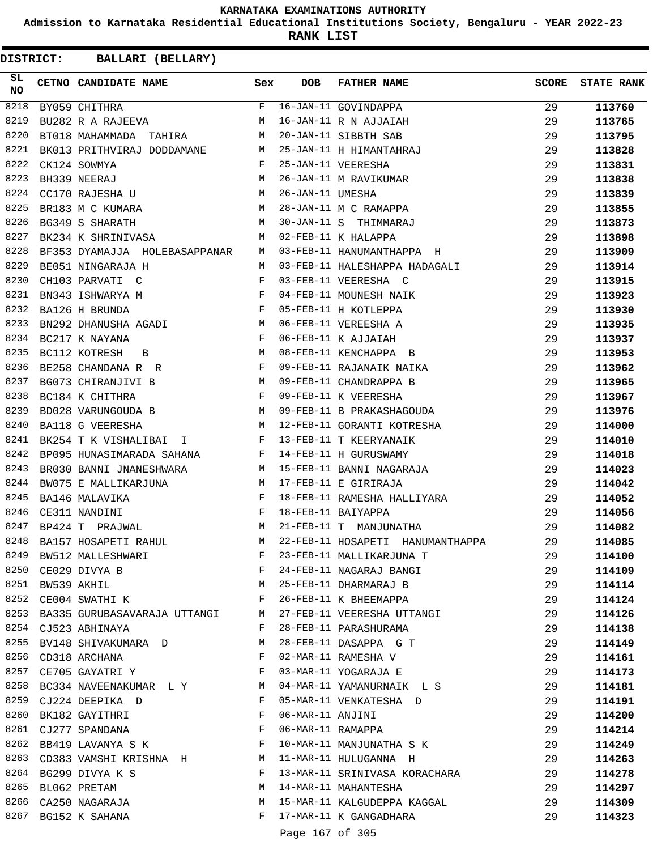**Admission to Karnataka Residential Educational Institutions Society, Bengaluru - YEAR 2022-23**

**RANK LIST**

**DISTRICT:** CC **BALLARI (BELLARY)**

| SL<br>NO | CETNO CANDIDATE NAME Sex                                                                                                                                                                                                                              |                | <b>DOB</b>       | <b>FATHER NAME</b>                                | <b>SCORE</b> | <b>STATE RANK</b> |
|----------|-------------------------------------------------------------------------------------------------------------------------------------------------------------------------------------------------------------------------------------------------------|----------------|------------------|---------------------------------------------------|--------------|-------------------|
| 8218     | BY059 CHITHRA                                                                                                                                                                                                                                         | $F$ and        |                  | 16-JAN-11 GOVINDAPPA<br>16-JAN-11 R N AJJAIAH     | 29           | 113760            |
| 8219     | BY059 CHITHRA<br>BU282 R A RAJEEVA                                                                                                                                                                                                                    | М              |                  |                                                   | 29           | 113765            |
| 8220     | BT018 MAHAMMADA TAHIRA M                                                                                                                                                                                                                              |                |                  | 20-JAN-11 SIBBTH SAB                              | 29           | 113795            |
| 8221     | BK013 PRITHVIRAJ DODDAMANE M                                                                                                                                                                                                                          |                |                  | 25-JAN-11 H HIMANTAHRAJ                           | 29           | 113828            |
| 8222     | CK124 SOWMYA                                                                                                                                                                                                                                          | $\mathbf{F}$   |                  | 25-JAN-11 VEERESHA                                | 29           | 113831            |
| 8223     | BH339 NEERAJ M<br>CC170 RAJESHA U M                                                                                                                                                                                                                   |                |                  | 26-JAN-11 M RAVIKUMAR                             | 29           | 113838            |
| 8224     |                                                                                                                                                                                                                                                       |                | 26-JAN-11 UMESHA |                                                   | 29           | 113839            |
| 8225     | BR183 M C KUMARA M                                                                                                                                                                                                                                    |                |                  | 28-JAN-11 M C RAMAPPA                             | 29           | 113855            |
| 8226     | BG349 S SHARATH                                                                                                                                                                                                                                       | M              |                  | 30-JAN-11 S THIMMARAJ                             | 29           | 113873            |
| 8227     | BK234 K SHRINIVASA                                                                                                                                                                                                                                    | M              |                  | 02-FEB-11 K HALAPPA                               | 29           | 113898            |
| 8228     | BF353 DYAMAJJA HOLEBASAPPANAR                                                                                                                                                                                                                         | M              |                  | 03-FEB-11 HANUMANTHAPPA H                         | 29           | 113909            |
| 8229     | BE051 NINGARAJA H                                                                                                                                                                                                                                     | M              |                  | 03-FEB-11 HALESHAPPA HADAGALI                     | 29           | 113914            |
| 8230     | CH103 PARVATI C                                                                                                                                                                                                                                       | F              |                  | 03-FEB-11 VEERESHA C                              | 29           | 113915            |
| 8231     | BN343 ISHWARYA M                                                                                                                                                                                                                                      |                |                  | 04-FEB-11 MOUNESH NAIK                            | 29           | 113923            |
| 8232     | $$\rm F$$ $$\rm F$$<br>BA126 H BRUNDA                                                                                                                                                                                                                 |                |                  | 05-FEB-11 H KOTLEPPA                              | 29           | 113930            |
| 8233     | BN292 DHANUSHA AGADI M                                                                                                                                                                                                                                |                |                  | 06-FEB-11 VEREESHA A                              | 29           | 113935            |
| 8234     | BC217 K NAYANA                                                                                                                                                                                                                                        | F              |                  | 06-FEB-11 K AJJAIAH                               | 29           | 113937            |
| 8235     | BC112 KOTRESH<br><b>Example 19</b> M<br>B                                                                                                                                                                                                             |                |                  | 08-FEB-11 KENCHAPPA B                             | 29           | 113953            |
| 8236     | $\mathbf{F}$<br>BE258 CHANDANA R R                                                                                                                                                                                                                    |                |                  | 09-FEB-11 RAJANAIK NAIKA                          | 29           | 113962            |
| 8237     | BG073 CHIRANJIVI B                                                                                                                                                                                                                                    |                |                  | 09-FEB-11 CHANDRAPPA B                            | 29           | 113965            |
| 8238     | $\begin{aligned} \mathbf{M} \\ \mathbf{F} \end{aligned}$<br>BC184 K CHITHRA                                                                                                                                                                           |                |                  | 09-FEB-11 K VEERESHA                              | 29           |                   |
| 8239     |                                                                                                                                                                                                                                                       |                |                  | 09-FEB-11 B PRAKASHAGOUDA                         |              | 113967            |
| 8240     | BD028 VARUNGOUDA B M<br><b>M</b>                                                                                                                                                                                                                      |                |                  |                                                   | 29           | 113976            |
|          | BA118 G VEERESHA                                                                                                                                                                                                                                      |                |                  | 12-FEB-11 GORANTI KOTRESHA                        | 29           | 114000            |
| 8241     | BK254 T K VISHALIBAI I F                                                                                                                                                                                                                              |                |                  | 13-FEB-11 T KEERYANAIK                            | 29           | 114010            |
| 8242     | BP095 HUNASIMARADA SAHANA                                                                                                                                                                                                                             | $\mathbf{F}$   |                  | 14-FEB-11 H GURUSWAMY                             | 29           | 114018            |
| 8243     | BR030 BANNI JNANESHWARA M                                                                                                                                                                                                                             |                |                  | 15-FEB-11 BANNI NAGARAJA                          | 29           | 114023            |
| 8244     | BW075 E MALLIKARJUNA M                                                                                                                                                                                                                                |                |                  | 17-FEB-11 E GIRIRAJA                              | 29           | 114042            |
| 8245     | $\frac{1}{100}$<br>$\frac{1}{100}$<br>BA146 MALAVIKA                                                                                                                                                                                                  |                |                  | 18-FEB-11 RAMESHA HALLIYARA<br>18-FEB-11 BAIYAPPA | 29           | 114052            |
| 8246     | CE311 NANDINI                                                                                                                                                                                                                                         |                |                  |                                                   | 29           | 114056            |
| 8247     | M<br>BP424 T PRAJWAL                                                                                                                                                                                                                                  |                |                  | 21-FEB-11 T MANJUNATHA                            | 29           | 114082            |
| 8248     | BA157 HOSAPETI RAHUL                                                                                                                                                                                                                                  | M              |                  | 22-FEB-11 HOSAPETI HANUMANTHAPPA                  | 29           | 114085            |
| 8249     | BW512 MALLESHWARI F<br>CE029 DIVYA B F<br>BW539 AKHIL<br>M                                                                                                                                                                                            |                |                  | 23-FEB-11 MALLIKARJUNA T                          | 29           | 114100            |
|          | 8250 CE029 DIVYA B                                                                                                                                                                                                                                    |                |                  | 24-FEB-11 NAGARAJ BANGI<br>25-FEB-11 DHARMARAJ B  | 29           | 114109            |
| 8251     |                                                                                                                                                                                                                                                       |                |                  |                                                   | 29           | 114114            |
| 8252     | CE004 SWATHI K F                                                                                                                                                                                                                                      |                |                  | 26-FEB-11 K BHEEMAPPA                             | 29           | 114124            |
|          | 8253 BA335 GURUBASAVARAJA UTTANGI M                                                                                                                                                                                                                   |                |                  | 27-FEB-11 VEERESHA UTTANGI                        | 29           | 114126            |
|          | 8254 CJ523 ABHINAYA                                                                                                                                                                                                                                   | F              |                  | 28-FEB-11 PARASHURAMA                             | 29           | 114138            |
| 8255     | BV148 SHIVAKUMARA D                                                                                                                                                                                                                                   | M              |                  | 28-FEB-11 DASAPPA G T                             | 29           | 114149            |
| 8256     | CD318 ARCHANA                                                                                                                                                                                                                                         | F              |                  | 02-MAR-11 RAMESHA V                               | 29           | 114161            |
| 8257     | $\mathbf{F}$ and $\mathbf{F}$ and $\mathbf{F}$<br>CE705 GAYATRI Y                                                                                                                                                                                     |                |                  | 03-MAR-11 YOGARAJA E                              | 29           | 114173            |
|          | 8258 BC334 NAVEENAKUMAR L Y M                                                                                                                                                                                                                         |                |                  | 04-MAR-11 YAMANURNAIK L S                         | 29           | 114181            |
| 8259     | CJ224 DEEPIKA D                                                                                                                                                                                                                                       | F              |                  | 05-MAR-11 VENKATESHA D                            | 29           | 114191            |
| 8260     | BK182 GAYITHRI<br><b>Example 20</b> Final Section 20 Final Section 20 Final Section 20 Final Section 20 Final Section 20 Final Section 20 Final Section 20 Final Section 20 Final Section 20 Final Section 20 Final Section 20 Final Section 20 Final |                | 06-MAR-11 ANJINI |                                                   | 29           | 114200            |
|          | $\mathbf{F}$<br>8261 CJ277 SPANDANA                                                                                                                                                                                                                   |                |                  | 06-MAR-11 RAMAPPA                                 | 29           | 114214            |
|          | 8262 BB419 LAVANYA S K                                                                                                                                                                                                                                | $$\mathbf{F}$$ |                  | 10-MAR-11 MANJUNATHA S K                          | 29           | 114249            |
| 8263     | CD383 VAMSHI KRISHNA H                                                                                                                                                                                                                                |                |                  | 11-MAR-11 HULUGANNA H                             | 29           | 114263            |
| 8264     | BG299 DIVYA K S                                                                                                                                                                                                                                       | $\mathbf{F}$   |                  | 13-MAR-11 SRINIVASA KORACHARA                     | 29           | 114278            |
| 8265     | BL062 PRETAM                                                                                                                                                                                                                                          | М              |                  | 14-MAR-11 MAHANTESHA                              | 29           | 114297            |
|          | 8265 BL062 PRETAM<br>8266 CA250 NAGARAJA                                                                                                                                                                                                              | M              |                  | 15-MAR-11 KALGUDEPPA KAGGAL                       | 29           | 114309            |
| 8267     | BG152 K SAHANA                                                                                                                                                                                                                                        |                |                  | F 17-MAR-11 K GANGADHARA                          | 29           | 114323            |
|          |                                                                                                                                                                                                                                                       |                |                  | $\sim$ $\sim$ $\sim$ $\sim$ $\sim$ $\sim$ $\sim$  |              |                   |

Page 167 of 305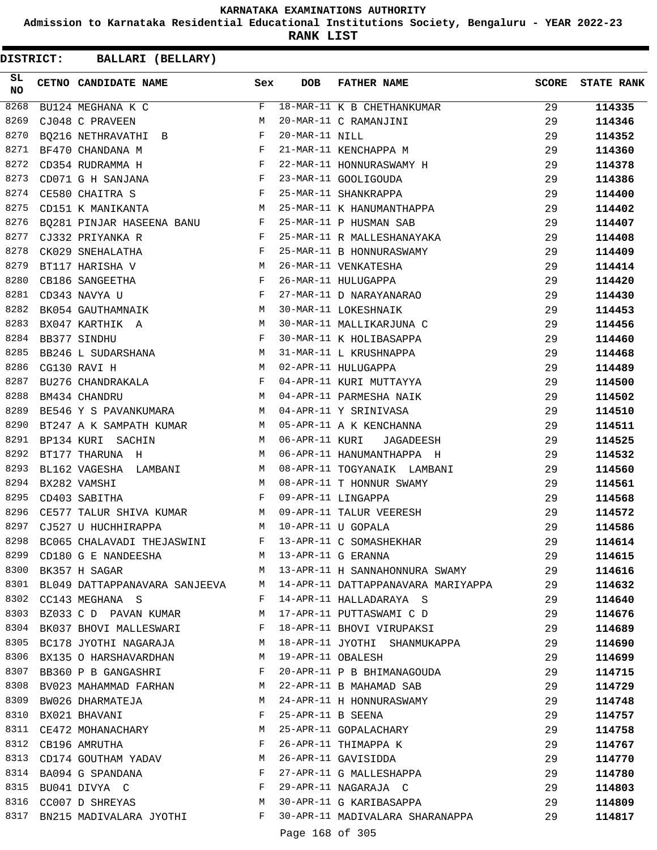**Admission to Karnataka Residential Educational Institutions Society, Bengaluru - YEAR 2022-23**

**RANK LIST**

| SL.<br>NO | CETNO CANDIDATE NAME                                                                                                                                                                                                                                  | Sex          | <b>DOB</b>        | <b>FATHER NAME</b>                                                      | SCORE | <b>STATE RANK</b> |
|-----------|-------------------------------------------------------------------------------------------------------------------------------------------------------------------------------------------------------------------------------------------------------|--------------|-------------------|-------------------------------------------------------------------------|-------|-------------------|
| 8268      | BU124 MEGHANA K C                                                                                                                                                                                                                                     | $F$ and      |                   | 18-MAR-11 K B CHETHANKUMAR                                              | 29    | 114335            |
| 8269      | CJ048 C PRAVEEN                                                                                                                                                                                                                                       | М            |                   | 20-MAR-11 C RAMANJINI                                                   | 29    | 114346            |
| 8270      | BQ216 NETHRAVATHI B                                                                                                                                                                                                                                   |              | 20-MAR-11 NILL    |                                                                         | 29    | 114352            |
| 8271      | $\mathbf{F}$ and $\mathbf{F}$ and $\mathbf{F}$<br>BF470 CHANDANA M                                                                                                                                                                                    |              |                   | 21-MAR-11 KENCHAPPA M                                                   | 29    | 114360            |
| 8272      | $\mathbf{F}^{\mathcal{L}}_{\mathcal{L}}=\mathbf{F}^{\mathcal{L}}_{\mathcal{L}}\mathbf{F}^{\mathcal{L}}_{\mathcal{L}}$<br>CD354 RUDRAMMA H                                                                                                             |              |                   | 22-MAR-11 HONNURASWAMY H                                                | 29    | 114378            |
| 8273      | CD071 G H SANJANA $F$                                                                                                                                                                                                                                 |              |                   | 23-MAR-11 GOOLIGOUDA                                                    | 29    | 114386            |
| 8274      | $\mathbf{F}$<br>CE580 CHAITRA S                                                                                                                                                                                                                       |              |                   | 25-MAR-11 SHANKRAPPA                                                    | 29    | 114400            |
| 8275      | $\mathbf M$<br>CD151 K MANIKANTA                                                                                                                                                                                                                      |              |                   | 25-MAR-11 K HANUMANTHAPPA                                               | 29    | 114402            |
| 8276      | BQ281 PINJAR HASEENA BANU F                                                                                                                                                                                                                           |              |                   | 25-MAR-11 P HUSMAN SAB                                                  | 29    | 114407            |
| 8277      | $\mathbf{F}$ . The set of the set of the set of the set of the set of the set of the set of the set of the set of the set of the set of the set of the set of the set of the set of the set of the set of the set of the set of t<br>CJ332 PRIYANKA R |              |                   | 25-MAR-11 R MALLESHANAYAKA                                              | 29    | 114408            |
| 8278      | $\mathbf{F}$ . The contract of the contract of $\mathbf{F}$ .<br>CK029 SNEHALATHA                                                                                                                                                                     |              |                   | 25-MAR-11 B HONNURASWAMY                                                | 29    | 114409            |
| 8279      | M<br>BT117 HARISHA V                                                                                                                                                                                                                                  |              |                   | 26-MAR-11 VENKATESHA                                                    | 29    | 114414            |
| 8280      | $\begin{array}{c}\n\textbf{F} \\ \textbf{F}\n\end{array}$<br>CB186 SANGEETHA                                                                                                                                                                          |              |                   | 26-MAR-11 HULUGAPPA                                                     | 29    | 114420            |
| 8281      | CD343 NAVYA U                                                                                                                                                                                                                                         |              |                   | 27-MAR-11 D NARAYANARAO                                                 | 29    | 114430            |
| 8282      | BK054 GAUTHAMNAIK M                                                                                                                                                                                                                                   |              |                   | 30-MAR-11 LOKESHNAIK                                                    | 29    | 114453            |
| 8283      | $\mathtt{BX047}$ KARTHIK A $$\tt M$$                                                                                                                                                                                                                  |              |                   | 30-MAR-11 MALLIKARJUNA C                                                | 29    | 114456            |
| 8284      | BB377 SINDHU                                                                                                                                                                                                                                          | $\mathbf{F}$ |                   | 30-MAR-11 K HOLIBASAPPA                                                 | 29    | 114460            |
| 8285      | BB246 L SUDARSHANA M                                                                                                                                                                                                                                  |              |                   | 31-MAR-11 L KRUSHNAPPA                                                  | 29    | 114468            |
| 8286      | M <sub>N</sub><br>CG130 RAVI H                                                                                                                                                                                                                        |              |                   | 02-APR-11 HULUGAPPA                                                     | 29    | 114489            |
| 8287      |                                                                                                                                                                                                                                                       |              |                   | 04-APR-11 KURI MUTTAYYA                                                 | 29    | 114500            |
| 8288      | EU276 CHANDRAKALA<br>BU276 CHANDRAKALA F<br>¤M434 CHANDRU                                                                                                                                                                                             |              |                   | 04-APR-11 PARMESHA NAIK                                                 | 29    | 114502            |
| 8289      | BE546 Y S PAVANKUMARA M                                                                                                                                                                                                                               |              |                   | 04-APR-11 Y SRINIVASA                                                   | 29    | 114510            |
| 8290      | BT247 A K SAMPATH KUMAR M                                                                                                                                                                                                                             |              |                   | 05-APR-11 A K KENCHANNA                                                 | 29    | 114511            |
| 8291      | M<br>BP134 KURI SACHIN                                                                                                                                                                                                                                |              |                   | 06-APR-11 KURI JAGADEESH                                                | 29    | 114525            |
| 8292      | BT177 THARUNA H                                                                                                                                                                                                                                       | M            |                   | 06-APR-11 HANUMANTHAPPA H                                               | 29    | 114532            |
| 8293      | BL162 VAGESHA LAMBANI M                                                                                                                                                                                                                               |              |                   | 08-APR-11 TOGYANAIK LAMBANI                                             | 29    | 114560            |
| 8294      | <b>M</b><br>BX282 VAMSHI                                                                                                                                                                                                                              |              |                   | 08-APR-11 T HONNUR SWAMY                                                | 29    | 114561            |
| 8295      | $\mathbf{F}$<br>CD403 SABITHA                                                                                                                                                                                                                         |              |                   | 09-APR-11 LINGAPPA                                                      | 29    | 114568            |
| 8296      |                                                                                                                                                                                                                                                       |              |                   | CE577 TALUR SHIVA KUMAR M 09-APR-11 TALUR VEERESH                       | 29    | 114572            |
| 8297      | CJ527 U HUCHHIRAPPA<br><b>M</b>                                                                                                                                                                                                                       |              |                   | 10-APR-11 U GOPALA                                                      | 29    | 114586            |
| 8298      | BC065 CHALAVADI THEJASWINI F                                                                                                                                                                                                                          |              |                   | 13-APR-11 C SOMASHEKHAR                                                 | 29    | 114614            |
| 8299      | CD180 G E NANDEESHA                                                                                                                                                                                                                                   | M            |                   | 13-APR-11 G ERANNA                                                      | 29    | 114615            |
|           | 8300 BK357 H SAGAR                                                                                                                                                                                                                                    |              |                   | M 13-APR-11 H SANNAHONNURA SWAMY                                        | 29    | 114616            |
|           |                                                                                                                                                                                                                                                       |              |                   | 8301 BL049 DATTAPPANAVARA SANJEEVA M 14-APR-11 DATTAPPANAVARA MARIYAPPA | 29    | 114632            |
|           | 8302 CC143 MEGHANA S                                                                                                                                                                                                                                  | F            |                   | 14-APR-11 HALLADARAYA S                                                 | 29    | 114640            |
|           | 8303 BZ033 C D PAVAN KUMAR                                                                                                                                                                                                                            | M            |                   | 17-APR-11 PUTTASWAMI C D                                                | 29    | 114676            |
|           | 8304 BK037 BHOVI MALLESWARI                                                                                                                                                                                                                           | F            |                   | 18-APR-11 BHOVI VIRUPAKSI                                               | 29    | 114689            |
|           | 8305 BC178 JYOTHI NAGARAJA                                                                                                                                                                                                                            | M            |                   | 18-APR-11 JYOTHI SHANMUKAPPA                                            | 29    | 114690            |
| 8306      | BX135 O HARSHAVARDHAN                                                                                                                                                                                                                                 | M            |                   | 19-APR-11 OBALESH                                                       | 29    | 114699            |
|           | 8307 BB360 P B GANGASHRI                                                                                                                                                                                                                              | F            |                   | 20-APR-11 P B BHIMANAGOUDA                                              | 29    | 114715            |
|           | 8308 BV023 MAHAMMAD FARHAN                                                                                                                                                                                                                            | M            |                   | 22-APR-11 B MAHAMAD SAB                                                 | 29    | 114729            |
| 8309      | BW026 DHARMATEJA                                                                                                                                                                                                                                      | M            |                   | 24-APR-11 H HONNURASWAMY                                                | 29    | 114748            |
|           | 8310 BX021 BHAVANI                                                                                                                                                                                                                                    | $\mathbf{F}$ | 25-APR-11 B SEENA |                                                                         | 29    | 114757            |
|           | 8311 CE472 MOHANACHARY                                                                                                                                                                                                                                | M            |                   | 25-APR-11 GOPALACHARY                                                   | 29    | 114758            |
|           | 8312 CB196 AMRUTHA                                                                                                                                                                                                                                    | F            |                   | 26-APR-11 THIMAPPA K                                                    | 29    | 114767            |
|           | 8313 CD174 GOUTHAM YADAV M                                                                                                                                                                                                                            |              |                   | 26-APR-11 GAVISIDDA                                                     | 29    | 114770            |
|           | 8314 BA094 G SPANDANA                                                                                                                                                                                                                                 | F            |                   | 27-APR-11 G MALLESHAPPA                                                 | 29    | 114780            |
|           | 8315 BU041 DIVYA C<br>$\mathbf{F}$                                                                                                                                                                                                                    |              |                   | 29-APR-11 NAGARAJA C                                                    | 29    | 114803            |
|           | 8316 CC007 D SHREYAS                                                                                                                                                                                                                                  | M            |                   | 30-APR-11 G KARIBASAPPA                                                 | 29    | 114809            |
| 8317      | BN215 MADIVALARA JYOTHI F                                                                                                                                                                                                                             |              |                   | 30-APR-11 MADIVALARA SHARANAPPA                                         | 29    | 114817            |
|           |                                                                                                                                                                                                                                                       |              | Page 168 of 305   |                                                                         |       |                   |
|           |                                                                                                                                                                                                                                                       |              |                   |                                                                         |       |                   |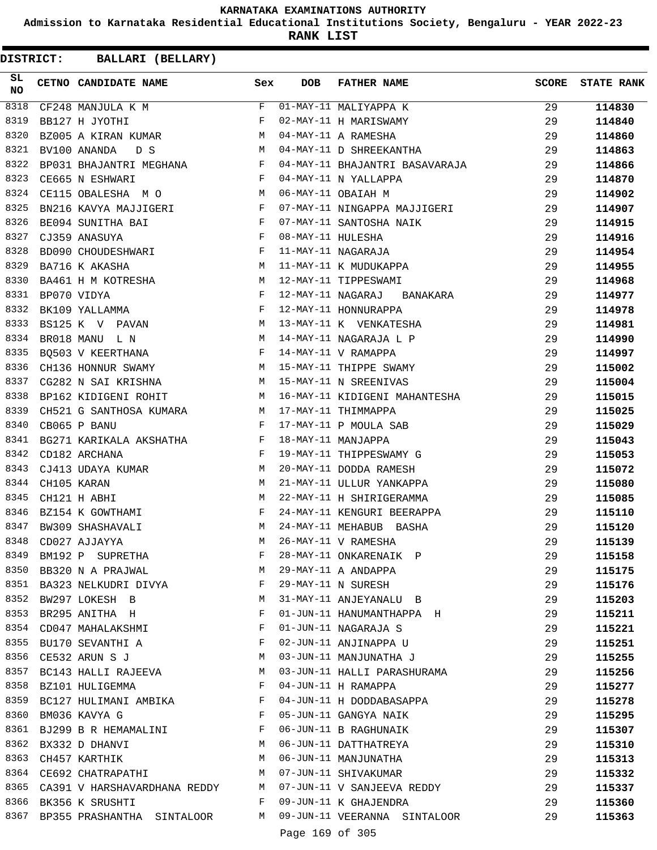**Admission to Karnataka Residential Educational Institutions Society, Bengaluru - YEAR 2022-23**

**RANK LIST**

**DISTRICT:** CC **BALLARI (BELLARY)**

| SL<br><b>NO</b> | CETNO CANDIDATE NAME Sex                                                                                                               |   | <b>DOB</b> | <b>FATHER NAME</b>                                                                                                                               | <b>SCORE</b> | <b>STATE RANK</b> |
|-----------------|----------------------------------------------------------------------------------------------------------------------------------------|---|------------|--------------------------------------------------------------------------------------------------------------------------------------------------|--------------|-------------------|
| 8318            | $CF248$ MANJULA K M                                                                                                                    |   |            | F 01-MAY-11 MALIYAPPA K<br>F 02-MAY-11 H MARISWAMY<br>M 04-MAY-11 A RAMESHA<br>M 04-MAY-11 D SHREEKANTHA                                         | 29           | 114830            |
| 8319            | BB127 H JYOTHI                                                                                                                         |   |            |                                                                                                                                                  | 29           | 114840            |
| 8320            | BZ005 A KIRAN KUMAR M                                                                                                                  |   |            |                                                                                                                                                  | 29           | 114860            |
| 8321            | M<br>BV100 ANANDA<br>D S                                                                                                               |   |            |                                                                                                                                                  | 29           | 114863            |
| 8322            | BP031 BHAJANTRI MEGHANA F                                                                                                              |   |            | 04-MAY-11 BHAJANTRI BASAVARAJA                                                                                                                   | 29           | 114866            |
| 8323            | $\mathbb F$ . The set of $\mathbb F$<br>CE665 N ESHWARI                                                                                |   |            | 04-MAY-11 N YALLAPPA                                                                                                                             | 29           | 114870            |
| 8324            | $\mathbb{M}$<br>CE115 OBALESHA M O                                                                                                     |   |            | 06-MAY-11 OBAIAH M                                                                                                                               | 29           | 114902            |
| 8325            | BN216 KAVYA MAJJIGERI F<br>BE094 SUNITHA BAI F                                                                                         |   |            | 07-MAY-11 NINGAPPA MAJJIGERI                                                                                                                     | 29           | 114907            |
| 8326            |                                                                                                                                        |   |            | 07-MAY-11 SANTOSHA NAIK                                                                                                                          | 29           | 114915            |
| 8327            | $\mathbf{F}^{\mathcal{A}}_{\mathcal{A}}=\mathbf{F}^{\mathcal{A}}_{\mathcal{A}}\mathbf{F}^{\mathcal{A}}_{\mathcal{A}}$<br>CJ359 ANASUYA |   |            |                                                                                                                                                  | 29           | 114916            |
| 8328            | BD090 CHOUDESHWARI F                                                                                                                   |   |            | 08-MAY-11 HULESHA<br>11-MAY-11 NAGARAJA<br>11-MAY-11 K MUDUKAPPA<br>12-MAY-11 TIPPESWAMI                                                         | 29           | 114954            |
| 8329            | M<br>BA716 K AKASHA                                                                                                                    |   |            |                                                                                                                                                  | 29           | 114955            |
| 8330            |                                                                                                                                        |   |            |                                                                                                                                                  | 29           | 114968            |
| 8331            | BA461 H M KOTRESHA M<br>BP070 VIDYA F<br>BK109 YALLAMMA F                                                                              |   |            | 12-MAY-11 NAGARAJ BANAKARA                                                                                                                       | 29           | 114977            |
| 8332            |                                                                                                                                        |   |            | 12-MAY-11 HONNURAPPA                                                                                                                             | 29           | 114978            |
| 8333            |                                                                                                                                        |   |            |                                                                                                                                                  | 29           | 114981            |
| 8334            |                                                                                                                                        |   |            |                                                                                                                                                  | 29           | 114990            |
| 8335            |                                                                                                                                        |   |            | BK109 YALLAMMA<br>BS125 K V PAVAN M 13-MAY-11 K VENKATESHA<br>BR018 MANU L N M 14-MAY-11 NAGARAJA L P<br>BQ503 V KEERTHANA F 14-MAY-11 V RAMAPPA | 29           | 114997            |
| 8336            | CH136 HONNUR SWAMY M                                                                                                                   |   |            |                                                                                                                                                  | 29           | 115002            |
| 8337            |                                                                                                                                        |   |            | 14-MAY-11 V KAMAFFA<br>15-MAY-11 THIPPE SWAMY<br>15 MAY 11 M CDFENTVAS                                                                           | 29           | 115004            |
| 8338            |                                                                                                                                        |   |            | CG282 N SAI KRISHNA<br>BP162 KIDIGENI ROHIT M 16-MAY-11 KIDIGENI MAHANTESHA                                                                      | 29           | 115015            |
| 8339            | CH521 G SANTHOSA KUMARA M 17-MAY-11 THIMMAPPA                                                                                          |   |            |                                                                                                                                                  | 29           | 115025            |
| 8340            | $\mathbf{F}$<br>CB065 P BANU                                                                                                           |   |            |                                                                                                                                                  | 29           | 115029            |
| 8341            |                                                                                                                                        |   |            | 16-MAY-11 RIDIONAL<br>17-MAY-11 THIMMAPPA<br>17-MAY-11 P MOULA SAB                                                                               | 29           | 115043            |
| 8342            | ${\tt BG271}$ KARIKALA AKSHATHA $$\rm F$$ CD182 ARCHANA $$\rm F$$                                                                      |   |            | 18-MAY-11 MANJAPPA<br>19-MAY-11 THIPPESWAMY G                                                                                                    | 29           | 115053            |
| 8343            |                                                                                                                                        |   |            | 20-MAY-11 DODDA RAMESH                                                                                                                           | 29           | 115072            |
| 8344            | CJ413 UDAYA KUMAR M<br>CH105 KARAN                                                                                                     |   |            | 21-MAY-11 ULLUR YANKAPPA                                                                                                                         | 29           | 115080            |
| 8345            | $\begin{array}{c}\nM \\ M \\ F\n\end{array}$<br>CH121 H ABHI                                                                           |   |            | 22-MAY-11 H SHIRIGERAMMA                                                                                                                         |              |                   |
| 8346            |                                                                                                                                        |   |            |                                                                                                                                                  | 29           | 115085            |
|                 | BZ154 K GOWTHAMI                                                                                                                       |   |            | 24-MAY-11 KENGURI BEERAPPA                                                                                                                       | 29           | 115110            |
| 8347            | M<br>BW309 SHASHAVALI                                                                                                                  |   |            | 24-MAY-11 MEHABUB BASHA                                                                                                                          | 29           | 115120            |
| 8348            | CD027 AJJAYYA                                                                                                                          | M |            | 26-MAY-11 V RAMESHA                                                                                                                              | 29           | 115139            |
| 8349            | BM192 P SUPRETHA                                                                                                                       | F |            | 28-MAY-11 ONKARENAIK P                                                                                                                           | 29           | 115158            |
| 8350            | BB320 N A PRAJWAL                                                                                                                      | M |            | 29-MAY-11 A ANDAPPA                                                                                                                              | 29           | 115175            |
| 8351            | BA323 NELKUDRI DIVYA F                                                                                                                 |   |            | 29-MAY-11 N SURESH                                                                                                                               | 29           | 115176            |
| 8352            | <b>M</b><br>BW297 LOKESH B                                                                                                             |   |            | 31-MAY-11 ANJEYANALU B                                                                                                                           | 29           | 115203            |
|                 | 8353 BR295 ANITHA H                                                                                                                    | F |            | 01-JUN-11 HANUMANTHAPPA H                                                                                                                        | 29           | 115211            |
| 8354            | CD047 MAHALAKSHMI                                                                                                                      | F |            | 01-JUN-11 NAGARAJA S                                                                                                                             | 29           | 115221            |
| 8355            | $\mathbf{F}$ and the contract of the contract of $\mathbf{F}$<br>BU170 SEVANTHI A                                                      |   |            | 02-JUN-11 ANJINAPPA U                                                                                                                            | 29           | 115251            |
| 8356            | CE532 ARUN S J                                                                                                                         | М |            | 03-JUN-11 MANJUNATHA J                                                                                                                           | 29           | 115255            |
|                 | 8357 BC143 HALLI RAJEEVA                                                                                                               | M |            | 03-JUN-11 HALLI PARASHURAMA                                                                                                                      | 29           | 115256            |
| 8358            | BZ101 HULIGEMMA                                                                                                                        | F |            | 04-JUN-11 H RAMAPPA                                                                                                                              | 29           | 115277            |
| 8359            | BC127 HULIMANI AMBIKA F                                                                                                                |   |            | 04-JUN-11 H DODDABASAPPA                                                                                                                         | 29           | 115278            |
| 8360            | $\mathbf{F}$<br>BM036 KAVYA G                                                                                                          |   |            | 05-JUN-11 GANGYA NAIK                                                                                                                            | 29           | 115295            |
|                 | 8361 BJ299 B R HEMAMALINI F                                                                                                            |   |            | 06-JUN-11 B RAGHUNAIK                                                                                                                            | 29           | 115307            |
| 8362            | BX332 D DHANVI<br>M <sub>N</sub>                                                                                                       |   |            | 06-JUN-11 DATTHATREYA                                                                                                                            | 29           | 115310            |
| 8363            | CH457 KARTHIK                                                                                                                          | M |            | 06-JUN-11 MANJUNATHA                                                                                                                             | 29           | 115313            |
| 8364            | CE692 CHATRAPATHI M                                                                                                                    |   |            | 07-JUN-11 SHIVAKUMAR                                                                                                                             | 29           | 115332            |
|                 | 8365 CA391 V HARSHAVARDHANA REDDY M                                                                                                    |   |            | 07-JUN-11 V SANJEEVA REDDY                                                                                                                       | 29           | 115337            |
|                 | 8366 BK356 K SRUSHTI                                                                                                                   | F |            | 09-JUN-11 K GHAJENDRA                                                                                                                            | 29           | 115360            |
|                 | 8367 BP355 PRASHANTHA SINTALOOR                                                                                                        |   |            | M 09-JUN-11 VEERANNA SINTALOOR                                                                                                                   | 29           | 115363            |
|                 |                                                                                                                                        |   |            | $100C$ $20T$                                                                                                                                     |              |                   |

Page 169 of 305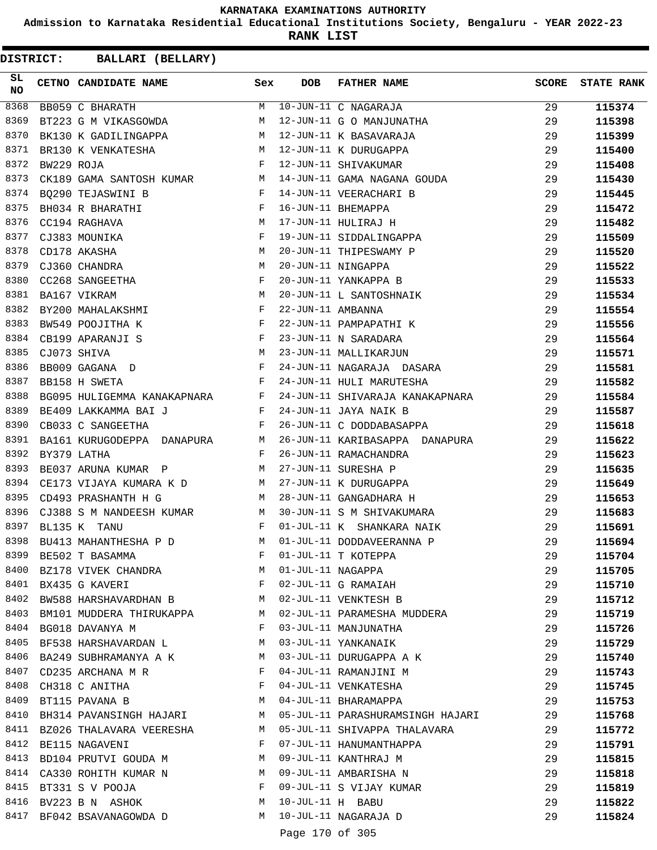**Admission to Karnataka Residential Educational Institutions Society, Bengaluru - YEAR 2022-23**

**RANK LIST**

| SL<br>NO | CETNO CANDIDATE NAME                                                                                                                                 | Sex          | <b>DOB</b>          | <b>FATHER NAME</b>                                                  | <b>SCORE</b> | <b>STATE RANK</b> |
|----------|------------------------------------------------------------------------------------------------------------------------------------------------------|--------------|---------------------|---------------------------------------------------------------------|--------------|-------------------|
| 8368     | BB059 C BHARATH                                                                                                                                      |              |                     | M 10-JUN-11 C NAGARAJA<br>M 12-JUN-11 G O MANJUNATHA                | 29           | 115374            |
| 8369     | BT223 G M VIKASGOWDA                                                                                                                                 |              |                     |                                                                     | 29           | 115398            |
| 8370     | BK130 K GADILINGAPPA M                                                                                                                               |              |                     | 12-JUN-11 K BASAVARAJA                                              | 29           | 115399            |
| 8371     | BR130 K VENKATESHA $\begin{array}{lll} \texttt{BR130} & \texttt{K} & \texttt{VENKATESHA} \\ \texttt{BW229} & \texttt{ROJA} & \texttt{F} \end{array}$ |              |                     | 12-JUN-11 K DURUGAPPA                                               | 29           | 115400            |
| 8372     |                                                                                                                                                      |              |                     | 12-JUN-11 SHIVAKUMAR                                                | 29           | 115408            |
| 8373     |                                                                                                                                                      |              |                     | CK189 GAMA SANTOSH KUMAR MARAMA 14-JUN-11 GAMA NAGANA GOUDA         | 29           | 115430            |
| 8374     | $\mathbf{F}$ and $\mathbf{F}$ and $\mathbf{F}$<br>BQ290 TEJASWINI B                                                                                  |              |                     | 14-JUN-11 VEERACHARI B                                              | 29           | 115445            |
| 8375     | $\mathbf{F}$<br>BH034 R BHARATHI                                                                                                                     |              |                     | 16-JUN-11 BHEMAPPA                                                  | 29           | 115472            |
| 8376     | $\begin{array}{c}\n\uparrow \\ M \\ F\n\end{array}$<br>CC194 RAGHAVA                                                                                 |              |                     | 17-JUN-11 HULIRAJ H                                                 | 29           | 115482            |
| 8377     | CJ383 MOUNIKA                                                                                                                                        |              |                     | 19-JUN-11 SIDDALINGAPPA                                             | 29           | 115509            |
| 8378     | M<br>CD178 AKASHA                                                                                                                                    |              |                     | 20-JUN-11 THIPESWAMY P                                              | 29           | 115520            |
| 8379     | $\begin{array}{c}\n M \\  F \\  M\n \end{array}$<br>CJ360 CHANDRA                                                                                    |              |                     | 20-JUN-11 NINGAPPA                                                  | 29           | 115522            |
| 8380     | CC268 SANGEETHA                                                                                                                                      |              |                     | 20-JUN-11 YANKAPPA B                                                | 29           | 115533            |
| 8381     | BA167 VIKRAM                                                                                                                                         |              |                     | 20-JUN-11 L SANTOSHNAIK                                             | 29           | 115534            |
| 8382     | BY200 MAHALAKSHMI F                                                                                                                                  |              |                     | 22-JUN-11 AMBANNA<br>22-JUN-11 PAMPAPATHI K<br>23-JUN-11 N SARADARA | 29           | 115554            |
| 8383     | $$\rm F$$ $$\rm F$$<br>BW549 POOJITHA K                                                                                                              |              |                     |                                                                     | 29           | 115556            |
| 8384     | CB199 APARANJI S                                                                                                                                     |              |                     |                                                                     | 29           | 115564            |
| 8385     | M <sub>N</sub><br>CJ073 SHIVA                                                                                                                        |              |                     | 23-JUN-11 MALLIKARJUN                                               | 29           | 115571            |
| 8386     | $\mathbf{F}$ and $\mathbf{F}$ and $\mathbf{F}$<br>BB009 GAGANA D                                                                                     |              |                     | 24-JUN-11 NAGARAJA DASARA                                           | 29           | 115581            |
| 8387     | $\mathbb F$ . The set of $\mathbb F$<br>BB158 H SWETA                                                                                                |              |                     | 24-JUN-11 HULI MARUTESHA                                            | 29           | 115582            |
| 8388     | BG095 HULIGEMMA KANAKAPNARA F                                                                                                                        |              |                     | 24-JUN-11 SHIVARAJA KANAKAPNARA                                     | 29           | 115584            |
| 8389     | BE409 LAKKAMMA BAI J<br><b>Experimental Service Service</b>                                                                                          |              |                     | 24-JUN-11 JAYA NAIK B                                               | 29           | 115587            |
| 8390     | $\mathbf{F}$ and the set of the set of $\mathbf{F}$ .<br>CB033 C SANGEETHA                                                                           |              |                     | 26-JUN-11 C DODDABASAPPA                                            | 29           | 115618            |
| 8391     |                                                                                                                                                      |              |                     | BA161 KURUGODEPPA DANAPURA M 26-JUN-11 KARIBASAPPA DANAPURA         | 29           | 115622            |
| 8392     | BY379 LATHA                                                                                                                                          | $\mathbf{F}$ |                     | 26-JUN-11 RAMACHANDRA                                               | 29           | 115623            |
| 8393     | BE037 ARUNA KUMAR P M                                                                                                                                |              |                     | 27-JUN-11 SURESHA P                                                 | 29           | 115635            |
| 8394     | CE173 VIJAYA KUMARA K D M                                                                                                                            |              |                     |                                                                     | 29           | 115649            |
| 8395     | M<br>CD493 PRASHANTH H G                                                                                                                             |              |                     | 27-JUN-11 K DURUGAPPA<br>28-JUN-11 GANGADHARA H                     | 29           | 115653            |
| 8396     | CJ388 S M NANDEESH KUMAR M                                                                                                                           |              |                     | 30-JUN-11 S M SHIVAKUMARA                                           | 29           | 115683            |
| 8397     | BL135 K TANU<br>$\mathbf{F}$ and $\mathbf{F}$                                                                                                        |              |                     | 01-JUL-11 K SHANKARA NAIK                                           | 29           | 115691            |
| 8398     | BU413 MAHANTHESHA P D M 01-JUL-11 DODDAVEERANNA P                                                                                                    |              |                     |                                                                     | 29           | 115694            |
| 8399     | BE502 T BASAMMA                                                                                                                                      | F            |                     | 01-JUL-11 T KOTEPPA                                                 | 29           | 115704            |
| 8400     | BZ178 VIVEK CHANDRA                                                                                                                                  | M            | 01-JUL-11 NAGAPPA   |                                                                     | 29           | 115705            |
| 8401     | BX435 G KAVERI                                                                                                                                       | F            |                     | 02-JUL-11 G RAMAIAH                                                 | 29           | 115710            |
| 8402     | BW588 HARSHAVARDHAN B                                                                                                                                | M            |                     | 02-JUL-11 VENKTESH B                                                | 29           | 115712            |
| 8403     | BM101 MUDDERA THIRUKAPPA                                                                                                                             | M            |                     | 02-JUL-11 PARAMESHA MUDDERA                                         | 29           | 115719            |
| 8404     | BG018 DAVANYA M                                                                                                                                      | $\mathbf{F}$ |                     | 03-JUL-11 MANJUNATHA                                                | 29           | 115726            |
| 8405     | BF538 HARSHAVARDAN L                                                                                                                                 | M            |                     | 03-JUL-11 YANKANAIK                                                 | 29           | 115729            |
| 8406     | BA249 SUBHRAMANYA A K                                                                                                                                | M            |                     | 03-JUL-11 DURUGAPPA A K                                             | 29           | 115740            |
| 8407     | CD235 ARCHANA M R                                                                                                                                    | F            |                     | 04-JUL-11 RAMANJINI M                                               | 29           | 115743            |
| 8408     | CH318 C ANITHA                                                                                                                                       | F            |                     | 04-JUL-11 VENKATESHA                                                | 29           | 115745            |
| 8409     | BT115 PAVANA B                                                                                                                                       | М            |                     | 04-JUL-11 BHARAMAPPA                                                | 29           | 115753            |
| 8410     | BH314 PAVANSINGH HAJARI                                                                                                                              | M            |                     | 05-JUL-11 PARASHURAMSINGH HAJARI                                    | 29           | 115768            |
|          | 8411 BZ026 THALAVARA VEERESHA                                                                                                                        | M            |                     | 05-JUL-11 SHIVAPPA THALAVARA                                        | 29           | 115772            |
| 8412     | BE115 NAGAVENI                                                                                                                                       | F            |                     | 07-JUL-11 HANUMANTHAPPA                                             | 29           | 115791            |
| 8413     | BD104 PRUTVI GOUDA M                                                                                                                                 | M            |                     | 09-JUL-11 KANTHRAJ M                                                | 29           | 115815            |
| 8414     | CA330 ROHITH KUMAR N                                                                                                                                 | M            |                     | 09-JUL-11 AMBARISHA N                                               | 29           | 115818            |
|          | 8415 BT331 S V POOJA                                                                                                                                 | F            |                     | 09-JUL-11 S VIJAY KUMAR                                             | 29           | 115819            |
| 8416     | BV223 B N ASHOK                                                                                                                                      | М            | $10$ -JUL-11 H BABU |                                                                     | 29           | 115822            |
| 8417     | BF042 BSAVANAGOWDA D                                                                                                                                 | M            |                     | 10-JUL-11 NAGARAJA D                                                | 29           | 115824            |
|          |                                                                                                                                                      |              |                     |                                                                     |              |                   |
|          |                                                                                                                                                      |              | Page 170 of 305     |                                                                     |              |                   |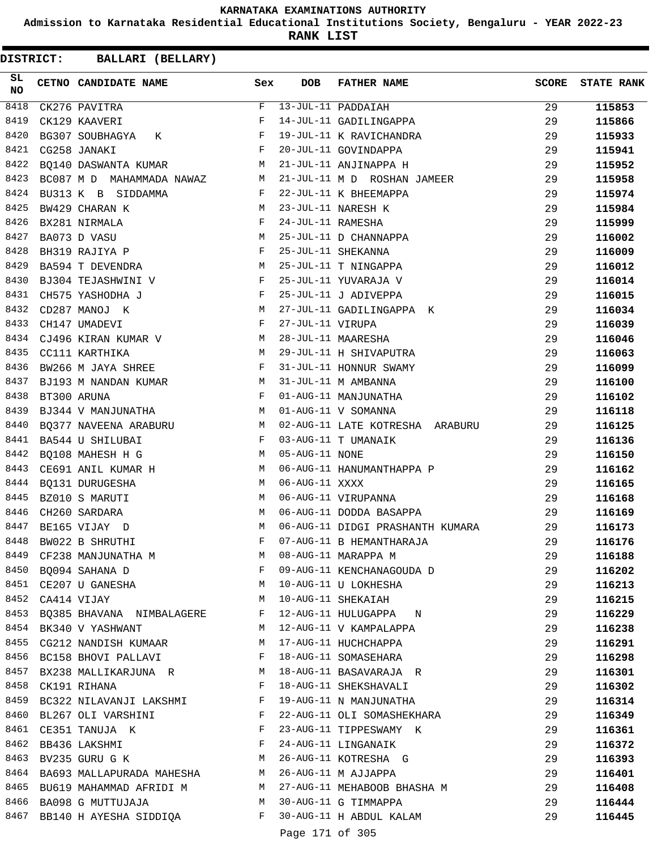**Admission to Karnataka Residential Educational Institutions Society, Bengaluru - YEAR 2022-23**

**RANK LIST**

| SL<br>NO | CETNO CANDIDATE NAME                                    | Sex          | DOB               | FATHER NAME                      | <b>SCORE</b> | <b>STATE RANK</b> |
|----------|---------------------------------------------------------|--------------|-------------------|----------------------------------|--------------|-------------------|
| 8418     | CK276 PAVITRA                                           | F            |                   | 13-JUL-11 PADDAIAH               | 29           | 115853            |
| 8419     | CK129 KAAVERI                                           | F            |                   | 14-JUL-11 GADILINGAPPA           | 29           | 115866            |
| 8420     | BG307 SOUBHAGYA K<br><b>Example 2</b>                   |              |                   | 19-JUL-11 K RAVICHANDRA          | 29           | 115933            |
| 8421     | $\mathbb{F}$<br>CG258 JANAKI                            |              |                   | 20-JUL-11 GOVINDAPPA             | 29           | 115941            |
| 8422     | BQ140 DASWANTA KUMAR<br><b>M</b>                        |              |                   | 21-JUL-11 ANJINAPPA H            | 29           | 115952            |
| 8423     | BC087 M D MAHAMMADA NAWAZ M                             |              |                   | 21-JUL-11 M D ROSHAN JAMEER      | 29           | 115958            |
| 8424     | BU313 K B SIDDAMMA                                      | F            |                   | 22-JUL-11 K BHEEMAPPA            | 29           | 115974            |
| 8425     | BW429 CHARAN K                                          | <b>M</b>     |                   | 23-JUL-11 NARESH K               | 29           | 115984            |
| 8426     | BX281 NIRMALA                                           | F            | 24-JUL-11 RAMESHA |                                  | 29           | 115999            |
| 8427     | BA073 D VASU                                            | М            |                   | 25-JUL-11 D CHANNAPPA            | 29           | 116002            |
| 8428     | BH319 RAJIYA P                                          | F            |                   | 25-JUL-11 SHEKANNA               | 29           | 116009            |
| 8429     | <b>M</b><br>BA594 T DEVENDRA                            |              |                   | 25-JUL-11 T NINGAPPA             | 29           | 116012            |
| 8430     | BJ304 TEJASHWINI V F                                    |              |                   | 25-JUL-11 YUVARAJA V             | 29           | 116014            |
| 8431     | <b>Experimental Service Service</b><br>CH575 YASHODHA J |              |                   | 25-JUL-11 J ADIVEPPA             | 29           | 116015            |
| 8432     | M<br>CD287 MANOJ K                                      |              |                   | 27-JUL-11 GADILINGAPPA K         | 29           | 116034            |
| 8433     | CH147 UMADEVI                                           | F            | 27-JUL-11 VIRUPA  |                                  | 29           | 116039            |
| 8434     | CJ496 KIRAN KUMAR V M                                   |              |                   | 28-JUL-11 MAARESHA               | 29           | 116046            |
| 8435     | CC111 KARTHIKA                                          | M            |                   | 29-JUL-11 H SHIVAPUTRA           | 29           | 116063            |
| 8436     | $\mathbf{F}$ and $\mathbf{F}$<br>BW266 M JAYA SHREE     |              |                   | 31-JUL-11 HONNUR SWAMY           | 29           | 116099            |
| 8437     | BJ193 M NANDAN KUMAR M                                  |              |                   | 31-JUL-11 M AMBANNA              | 29           | 116100            |
| 8438     | $\mathbb{F}$ . The set of $\mathbb{F}^n$<br>BT300 ARUNA |              |                   | 01-AUG-11 MANJUNATHA             | 29           | 116102            |
| 8439     | BJ344 V MANJUNATHA M                                    |              |                   | 01-AUG-11 V SOMANNA              | 29           | 116118            |
| 8440     | BQ377 NAVEENA ARABURU M                                 |              |                   | 02-AUG-11 LATE KOTRESHA ARABURU  | 29           | 116125            |
| 8441     | BA544 U SHILUBAI                                        | $\mathbf{F}$ |                   | 03-AUG-11 T UMANAIK              | 29           | 116136            |
| 8442     | BQ108 MAHESH H G<br>M <sub>1</sub>                      |              | 05-AUG-11 NONE    |                                  | 29           | 116150            |
| 8443     | CE691 ANIL KUMAR H                                      |              |                   | 06-AUG-11 HANUMANTHAPPA P        | 29           | 116162            |
| 8444     | BQ131 DURUGESHA                                         | M            | 06-AUG-11 XXXX    |                                  | 29           | 116165            |
| 8445     | BZ010 S MARUTI                                          | M            |                   | 06-AUG-11 VIRUPANNA              | 29           | 116168            |
| 8446     | CH260 SARDARA                                           | M            |                   | 06-AUG-11 DODDA BASAPPA          | 29           | 116169            |
| 8447     | BE165 VIJAY D                                           | M            |                   | 06-AUG-11 DIDGI PRASHANTH KUMARA | 29           |                   |
| 8448     | BW022 B SHRUTHI                                         | F            |                   | 07-AUG-11 B HEMANTHARAJA         | 29           | 116173<br>116176  |
| 8449     |                                                         | M            |                   | 08-AUG-11 MARAPPA M              |              |                   |
| 8450     | CF238 MANJUNATHA M                                      | F            |                   |                                  | 29           | 116188            |
|          | BQ094 SAHANA D                                          |              |                   | 09-AUG-11 KENCHANAGOUDA D        | 29           | 116202            |
| 8451     | CE207 U GANESHA                                         | M            |                   | 10-AUG-11 U LOKHESHA             | 29           | 116213            |
| 8452     | CA414 VIJAY                                             | M            |                   | 10-AUG-11 SHEKAIAH               | 29           | 116215            |
| 8453     | BQ385 BHAVANA NIMBALAGERE                               | F            |                   | 12-AUG-11 HULUGAPPA N            | 29           | 116229            |
| 8454     | BK340 V YASHWANT                                        | M            |                   | 12-AUG-11 V KAMPALAPPA           | 29           | 116238            |
| 8455     | CG212 NANDISH KUMAAR                                    | M            |                   | 17-AUG-11 HUCHCHAPPA             | 29           | 116291            |
| 8456     | BC158 BHOVI PALLAVI                                     | F            |                   | 18-AUG-11 SOMASEHARA             | 29           | 116298            |
|          | 8457 BX238 MALLIKARJUNA R                               | M            |                   | 18-AUG-11 BASAVARAJA R           | 29           | 116301            |
| 8458     | CK191 RIHANA                                            | F            |                   | 18-AUG-11 SHEKSHAVALI            | 29           | 116302            |
| 8459     | BC322 NILAVANJI LAKSHMI                                 | F            |                   | 19-AUG-11 N MANJUNATHA           | 29           | 116314            |
| 8460     | BL267 OLI VARSHINI                                      | F            |                   | 22-AUG-11 OLI SOMASHEKHARA       | 29           | 116349            |
| 8461     | CE351 TANUJA K                                          | F            |                   | 23-AUG-11 TIPPESWAMY K           | 29           | 116361            |
| 8462     | BB436 LAKSHMI                                           | F            |                   | 24-AUG-11 LINGANAIK              | 29           | 116372            |
| 8463     | BV235 GURU G K                                          | М            |                   | 26-AUG-11 KOTRESHA G             | 29           | 116393            |
| 8464     | BA693 MALLAPURADA MAHESHA                               | M            |                   | 26-AUG-11 M AJJAPPA              | 29           | 116401            |
|          | 8465 BU619 MAHAMMAD AFRIDI M                            | M            |                   | 27-AUG-11 MEHABOOB BHASHA M      | 29           | 116408            |
| 8466     | BA098 G MUTTUJAJA                                       | M            |                   | 30-AUG-11 G TIMMAPPA             | 29           | 116444            |
|          | 8467 BB140 H AYESHA SIDDIQA                             | F            |                   | 30-AUG-11 H ABDUL KALAM          | 29           | 116445            |
|          |                                                         |              | Page 171 of 305   |                                  |              |                   |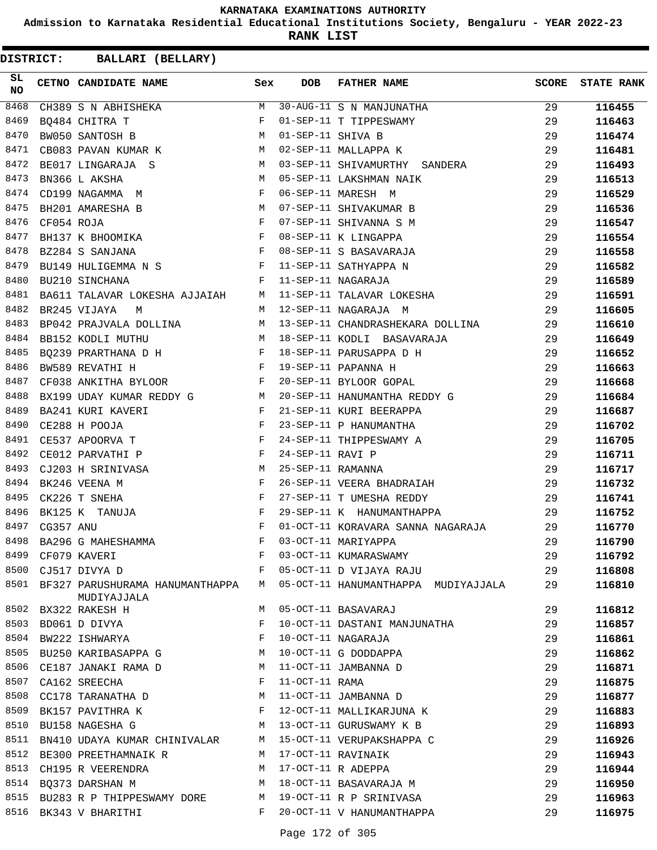**Admission to Karnataka Residential Educational Institutions Society, Bengaluru - YEAR 2022-23**

**RANK LIST**

| SL<br><b>NO</b> |            | CETNO CANDIDATE NAME Sex                                                                                                                                                                                                                             |              | <b>DOB</b>        | FATHER NAME                                               | <b>SCORE</b> | <b>STATE RANK</b> |
|-----------------|------------|------------------------------------------------------------------------------------------------------------------------------------------------------------------------------------------------------------------------------------------------------|--------------|-------------------|-----------------------------------------------------------|--------------|-------------------|
| 8468            |            | CH389 S N ABHISHEKA                                                                                                                                                                                                                                  | M            |                   | 30-AUG-11 S N MANJUNATHA                                  | 29           | 116455            |
| 8469            |            | BQ484 CHITRA T                                                                                                                                                                                                                                       | F            |                   | 01-SEP-11 T TIPPESWAMY                                    | 29           | 116463            |
| 8470            |            | M<br>BW050 SANTOSH B                                                                                                                                                                                                                                 |              | 01-SEP-11 SHIVA B |                                                           | 29           | 116474            |
| 8471            |            | CB083 PAVAN KUMAR K M                                                                                                                                                                                                                                |              |                   | 02-SEP-11 MALLAPPA K                                      | 29           | 116481            |
| 8472            |            | BE017 LINGARAJA S<br>M <sub>N</sub>                                                                                                                                                                                                                  |              |                   | 03-SEP-11 SHIVAMURTHY SANDERA                             | 29           | 116493            |
| 8473            |            | M <sub>N</sub><br>BN366 L AKSHA                                                                                                                                                                                                                      |              |                   | 05-SEP-11 LAKSHMAN NAIK                                   | 29           | 116513            |
| 8474            |            | CD199 NAGAMMA $M$                                                                                                                                                                                                                                    |              |                   | 06-SEP-11 MARESH M                                        | 29           | 116529            |
| 8475            |            | M 07-SEP-11 SHIVAKUMAR B<br>BH201 AMARESHA B                                                                                                                                                                                                         |              |                   |                                                           | 29           | 116536            |
| 8476            | CF054 ROJA | $\mathbf{F}$ and $\mathbf{F}$                                                                                                                                                                                                                        |              |                   | 07-SEP-11 SHIVANNA S M                                    | 29           | 116547            |
| 8477            |            | BH137 K BHOOMIKA F                                                                                                                                                                                                                                   |              |                   | 08-SEP-11 K LINGAPPA                                      | 29           | 116554            |
| 8478            |            | $\mathbf{F}$<br>BZ284 S SANJANA                                                                                                                                                                                                                      |              |                   | 08-SEP-11 S BASAVARAJA                                    | 29           | 116558            |
| 8479            |            | BU149 HULIGEMMA N S                                                                                                                                                                                                                                  | $\mathbf{F}$ |                   | 11-SEP-11 SATHYAPPA N                                     | 29           | 116582            |
| 8480            |            | F 11-SEP-11 NAGARAJA<br>BU210 SINCHANA                                                                                                                                                                                                               |              |                   |                                                           | 29           | 116589            |
| 8481            |            |                                                                                                                                                                                                                                                      |              |                   | BA611 TALAVAR LOKESHA AJJAIAH M 11-SEP-11 TALAVAR LOKESHA | 29           | 116591            |
| 8482            |            | BR245 VIJAYA<br>M                                                                                                                                                                                                                                    |              |                   | M 12-SEP-11 NAGARAJA M                                    | 29           | 116605            |
| 8483            |            |                                                                                                                                                                                                                                                      |              |                   | BP042 PRAJVALA DOLLINA M 13-SEP-11 CHANDRASHEKARA DOLLINA | 29           | 116610            |
| 8484            |            |                                                                                                                                                                                                                                                      |              |                   | BB152 KODLI MUTHU M 18-SEP-11 KODLI BASAVARAJA            | 29           | 116649            |
| 8485            |            | BQ239 PRARTHANA D H                                                                                                                                                                                                                                  |              |                   | 18-SEP-11 PARUSAPPA D H                                   | 29           | 116652            |
| 8486            |            | $\mathbb{R}^n$ . The set of the set of the set of the set of the set of the set of the set of the set of the set of the set of the set of the set of the set of the set of the set of the set of the set of the set of the set of<br>BW589 REVATHI H |              |                   | 19-SEP-11 PAPANNA H                                       | 29           | 116663            |
| 8487            |            | CF038 ANKITHA BYLOOR $$\rm F$$                                                                                                                                                                                                                       |              |                   | 20-SEP-11 BYLOOR GOPAL                                    | 29           | 116668            |
| 8488            |            | BX199 UDAY KUMAR REDDY GNATI M                                                                                                                                                                                                                       |              |                   | 20-SEP-11 HANUMANTHA REDDY G                              | 29           | 116684            |
| 8489            |            | $\mathbf{F}^{(n)}$ and $\mathbf{F}^{(n)}$ . In the set of $\mathbf{F}^{(n)}$<br>BA241 KURI KAVERI                                                                                                                                                    |              |                   | 21-SEP-11 KURI BEERAPPA                                   | 29           | 116687            |
| 8490            |            |                                                                                                                                                                                                                                                      |              |                   | 23-SEP-11 P HANUMANTHA                                    | 29           | 116702            |
| 8491            |            | $\begin{array}{lll} \texttt{CE288} & \texttt{H} & \texttt{POOJA} & \texttt{F}\\ \texttt{CE537} & \texttt{APOORVA} & \texttt{T} & \texttt{F} & \texttt{F} \end{array}$                                                                                |              |                   | 24-SEP-11 THIPPESWAMY A                                   | 29           | 116705            |
| 8492            |            | $\mathbf{F}$<br>CE012 PARVATHI P                                                                                                                                                                                                                     |              | 24-SEP-11 RAVI P  |                                                           | 29           | 116711            |
| 8493            |            | M <sub>N</sub><br>CJ203 H SRINIVASA                                                                                                                                                                                                                  |              | 25-SEP-11 RAMANNA |                                                           | 29           | 116717            |
| 8494            |            | $\mathbf{F}$ and $\mathbf{F}$<br>BK246 VEENA M                                                                                                                                                                                                       |              |                   | 26-SEP-11 VEERA BHADRAIAH                                 | 29           | 116732            |
| 8495            |            | CK226 T SNEHA                                                                                                                                                                                                                                        | F            |                   | 27-SEP-11 T UMESHA REDDY                                  | 29           | 116741            |
| 8496            |            | $\mathbf{F}^{\mathcal{A}}_{\mathcal{A}}=\mathbf{F}^{\mathcal{A}}_{\mathcal{A}}\mathbf{F}^{\mathcal{A}}_{\mathcal{A}}$<br>BK125 K TANUJA                                                                                                              |              |                   | 29-SEP-11 K HANUMANTHAPPA                                 | 29           | 116752            |
| 8497            | CG357 ANU  | $\mathbf{F}$                                                                                                                                                                                                                                         |              |                   | 01-OCT-11 KORAVARA SANNA NAGARAJA 29                      |              | 116770            |
| 8498            |            | BA296 G MAHESHAMMA                                                                                                                                                                                                                                   | F            |                   | 03-OCT-11 MARIYAPPA                                       | 29           | 116790            |
| 8499            |            | CF079 KAVERI                                                                                                                                                                                                                                         | F            |                   | 03-OCT-11 KUMARASWAMY                                     | 29           | 116792            |
| 8500            |            | CJ517 DIVYA D                                                                                                                                                                                                                                        | F            |                   | 05-OCT-11 D VIJAYA RAJU                                   | 29           | 116808            |
|                 |            | 8501 BF327 PARUSHURAMA HANUMANTHAPPA<br>MUDIYAJJALA                                                                                                                                                                                                  | M            |                   | 05-OCT-11 HANUMANTHAPPA MUDIYAJJALA                       | 29           | 116810            |
|                 |            | 8502 BX322 RAKESH H                                                                                                                                                                                                                                  | M            |                   | 05-OCT-11 BASAVARAJ                                       | 29           | 116812            |
| 8503            |            | BD061 D DIVYA                                                                                                                                                                                                                                        | F            |                   | 10-OCT-11 DASTANI MANJUNATHA                              | 29           | 116857            |
|                 |            | 8504 BW222 ISHWARYA                                                                                                                                                                                                                                  | F            |                   | 10-OCT-11 NAGARAJA                                        | 29           | 116861            |
|                 |            | 8505 BU250 KARIBASAPPA G                                                                                                                                                                                                                             | M            |                   | 10-OCT-11 G DODDAPPA                                      | 29           | 116862            |
| 8506            |            | CE187 JANAKI RAMA D                                                                                                                                                                                                                                  | M            |                   | 11-OCT-11 JAMBANNA D                                      | 29           | 116871            |
| 8507            |            | CA162 SREECHA                                                                                                                                                                                                                                        | F            | 11-OCT-11 RAMA    |                                                           | 29           | 116875            |
| 8508            |            | CC178 TARANATHA D                                                                                                                                                                                                                                    | M            |                   | 11-OCT-11 JAMBANNA D                                      | 29           | 116877            |
|                 |            | 8509 BK157 PAVITHRA K                                                                                                                                                                                                                                | F            |                   | 12-OCT-11 MALLIKARJUNA K                                  | 29           | 116883            |
| 8510            |            | BU158 NAGESHA G                                                                                                                                                                                                                                      | M            |                   | 13-OCT-11 GURUSWAMY K B                                   | 29           | 116893            |
| 8511            |            | BN410 UDAYA KUMAR CHINIVALAR                                                                                                                                                                                                                         | M            |                   | 15-OCT-11 VERUPAKSHAPPA C                                 | 29           | 116926            |
|                 |            | 8512 BE300 PREETHAMNAIK R                                                                                                                                                                                                                            | M            |                   | 17-OCT-11 RAVINAIK                                        | 29           | 116943            |
|                 |            | 8513 CH195 R VEERENDRA                                                                                                                                                                                                                               | M            |                   | 17-OCT-11 R ADEPPA                                        | 29           | 116944            |
|                 |            | 8514 BQ373 DARSHAN M                                                                                                                                                                                                                                 | M            |                   | 18-OCT-11 BASAVARAJA M                                    | 29           | 116950            |
| 8515            |            | BU283 R P THIPPESWAMY DORE                                                                                                                                                                                                                           | M            |                   | 19-OCT-11 R P SRINIVASA                                   | 29           | 116963            |
|                 |            | 8516 BK343 V BHARITHI                                                                                                                                                                                                                                | F            |                   | 20-OCT-11 V HANUMANTHAPPA                                 | 29           | 116975            |
|                 |            |                                                                                                                                                                                                                                                      |              |                   |                                                           |              |                   |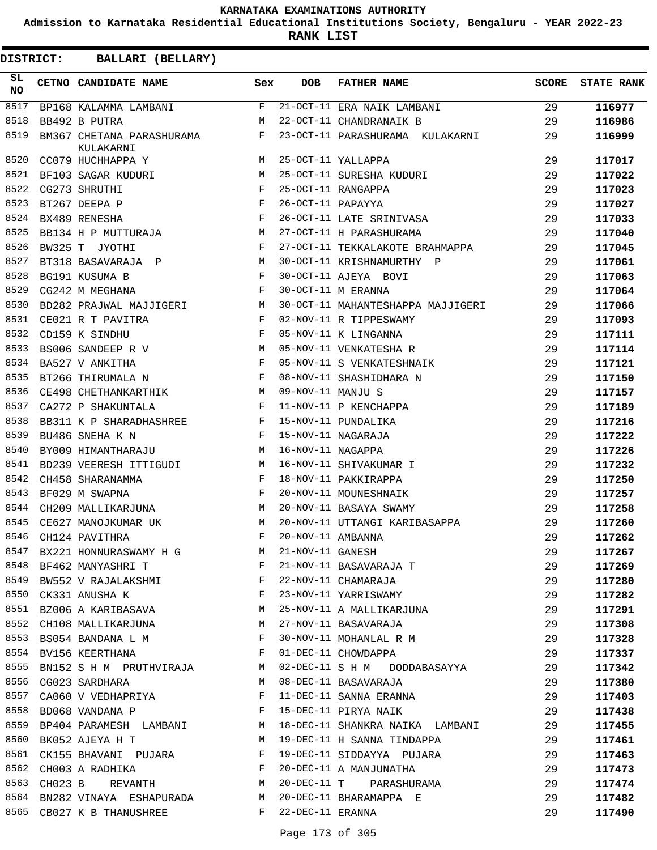**Admission to Karnataka Residential Educational Institutions Society, Bengaluru - YEAR 2022-23**

**RANK LIST**

| <b>DISTRICT:</b> | BALLARI (BELLARY)                      |                                                                                                                       |                   |                                                                                                                |              |                   |
|------------------|----------------------------------------|-----------------------------------------------------------------------------------------------------------------------|-------------------|----------------------------------------------------------------------------------------------------------------|--------------|-------------------|
| SL<br><b>NO</b>  | CETNO CANDIDATE NAME                   | Sex                                                                                                                   | <b>DOB</b>        | <b>FATHER NAME</b>                                                                                             | <b>SCORE</b> | <b>STATE RANK</b> |
| 8517             | BP168 KALAMMA LAMBANI                  | F                                                                                                                     |                   | 21-OCT-11 ERA NAIK LAMBANI                                                                                     | 29           | 116977            |
| 8518             | BB492 B PUTRA                          | M                                                                                                                     |                   | 22-OCT-11 CHANDRANAIK B                                                                                        | 29           | 116986            |
| 8519             | BM367 CHETANA PARASHURAMA<br>KULAKARNI | F                                                                                                                     |                   | 23-OCT-11 PARASHURAMA KULAKARNI                                                                                | 29           | 116999            |
| 8520             | CC079 HUCHHAPPA Y                      | M                                                                                                                     |                   | 25-OCT-11 YALLAPPA                                                                                             | 29           | 117017            |
| 8521             | BF103 SAGAR KUDURI                     | M                                                                                                                     |                   | 25-OCT-11 SURESHA KUDURI                                                                                       | 29           | 117022            |
| 8522             | CG273 SHRUTHI                          | F                                                                                                                     |                   | 25-OCT-11 RANGAPPA                                                                                             | 29           | 117023            |
| 8523             | BT267 DEEPA P                          | F                                                                                                                     | 26-OCT-11 PAPAYYA |                                                                                                                | 29           | 117027            |
| 8524             | BX489 RENESHA                          | F                                                                                                                     |                   | 26-OCT-11 LATE SRINIVASA                                                                                       | 29           | 117033            |
| 8525             | BB134 H P MUTTURAJA                    | M                                                                                                                     |                   | 27-OCT-11 H PARASHURAMA                                                                                        | 29           | 117040            |
| 8526             | BW325 T JYOTHI                         | F                                                                                                                     |                   | 27-OCT-11 TEKKALAKOTE BRAHMAPPA                                                                                | 29           | 117045            |
| 8527             | BT318 BASAVARAJA P                     | M                                                                                                                     |                   | 30-OCT-11 KRISHNAMURTHY P                                                                                      | 29           | 117061            |
| 8528             | BG191 KUSUMA B                         | F                                                                                                                     |                   | 30-OCT-11 AJEYA BOVI                                                                                           | 29           | 117063            |
| 8529             | CG242 M MEGHANA                        | F                                                                                                                     |                   | 30-OCT-11 M ERANNA                                                                                             | 29           | 117064            |
| 8530             | BD282 PRAJWAL MAJJIGERI                | M                                                                                                                     |                   | 30-OCT-11 MAHANTESHAPPA MAJJIGERI                                                                              | 29           | 117066            |
| 8531             | CE021 R T PAVITRA                      | F                                                                                                                     |                   | 02-NOV-11 R TIPPESWAMY                                                                                         | 29           | 117093            |
| 8532             | CD159 K SINDHU                         | $_{\rm F}$                                                                                                            |                   | 05-NOV-11 K LINGANNA                                                                                           | 29           | 117111            |
| 8533             | BS006 SANDEEP R V                      | M                                                                                                                     |                   | 05-NOV-11 VENKATESHA R                                                                                         | 29           | 117114            |
| 8534             | BA527 V ANKITHA                        | F                                                                                                                     |                   | 05-NOV-11 S VENKATESHNAIK                                                                                      | 29           | 117121            |
| 8535             | BT266 THIRUMALA N                      | F                                                                                                                     |                   | 08-NOV-11 SHASHIDHARA N                                                                                        | 29           | 117150            |
| 8536             | CE498 CHETHANKARTHIK                   | M                                                                                                                     | 09-NOV-11 MANJU S |                                                                                                                | 29           | 117157            |
| 8537             | CA272 P SHAKUNTALA                     | F                                                                                                                     |                   | 11-NOV-11 P KENCHAPPA                                                                                          | 29           | 117189            |
| 8538             | BB311 K P SHARADHASHREE                | F                                                                                                                     |                   | 15-NOV-11 PUNDALIKA                                                                                            | 29           | 117216            |
| 8539             | BU486 SNEHA K N                        | F                                                                                                                     |                   | 15-NOV-11 NAGARAJA                                                                                             | 29           | 117222            |
| 8540             | BY009 HIMANTHARAJU                     | M                                                                                                                     | 16-NOV-11 NAGAPPA |                                                                                                                | 29           | 117226            |
| 8541             | BD239 VEERESH ITTIGUDI                 | M                                                                                                                     |                   | 16-NOV-11 SHIVAKUMAR I                                                                                         | 29           | 117232            |
| 8542             | CH458 SHARANAMMA                       | F                                                                                                                     |                   | 18-NOV-11 PAKKIRAPPA                                                                                           | 29           | 117250            |
| 8543             | BF029 M SWAPNA                         | F                                                                                                                     |                   | 20-NOV-11 MOUNESHNAIK                                                                                          | 29           | 117257            |
| 8544             | CH209 MALLIKARJUNA                     | М                                                                                                                     |                   | 20-NOV-11 BASAYA SWAMY                                                                                         | 29           | 117258            |
|                  | 8545 CE627 MANOJKUMAR UK               | M                                                                                                                     |                   | 20-NOV-11 UTTANGI KARIBASAPPA                                                                                  | 29           | 117260            |
| 8546             | CH124 PAVITHRA                         | $\mathbf{F}$ and $\mathbf{F}$ are the set of $\mathbf{F}$                                                             | 20-NOV-11 AMBANNA |                                                                                                                | 29           | 117262            |
| 8547             | BX221 HONNURASWAMY H G M               |                                                                                                                       |                   |                                                                                                                | 29           | 117267            |
| 8548             | BF462 MANYASHRI T F                    |                                                                                                                       |                   |                                                                                                                | 29           | 117269            |
|                  | 8549 BW552 V RAJALAKSHMI F             |                                                                                                                       |                   |                                                                                                                | 29           | 117280            |
| 8550             | CK331 ANUSHA K                         | $\mathbf{F}^{\mathcal{A}}_{\mathcal{A}}=\mathbf{F}^{\mathcal{A}}_{\mathcal{A}}\mathbf{F}^{\mathcal{A}}_{\mathcal{A}}$ |                   | 20-NOV-11 AMBANNA<br>21-NOV-11 GANESH<br>21-NOV-11 BASAVARAJA T<br>22-NOV-11 CHAMARAJA<br>23-NOV-11 YARRISWAMY | 29           | 117282            |
|                  | 8551 BZ006 A KARIBASAVA M              |                                                                                                                       |                   | 25-NOV-11 A MALLIKARJUNA                                                                                       | 29           | 117291            |
|                  | 8552 CH108 MALLIKARJUNA M              |                                                                                                                       |                   |                                                                                                                | 29           | 117308            |
|                  | 8553 BS054 BANDANA L M                 |                                                                                                                       |                   | 27-NOV-11 BASAVARAJA<br>30-NOV-11 MOHANLAL R M                                                                 | 29           | 117328            |
|                  | 8554 BV156 KEERTHANA F                 |                                                                                                                       |                   | 01-DEC-11 CHOWDAPPA                                                                                            | 29           | 117337            |
| 8555             | BN152 S H M PRUTHVIRAJA M              |                                                                                                                       |                   | 02-DEC-11 S H M DODDABASAYYA                                                                                   | 29           | 117342            |
| 8556             | CG023 SARDHARA                         | M                                                                                                                     |                   | 08-DEC-11 BASAVARAJA                                                                                           | 29           | 117380            |
|                  |                                        |                                                                                                                       |                   | 11-DEC-11 SANNA ERANNA                                                                                         | 29           | 117403            |
|                  | BD068 VANDANA P                        |                                                                                                                       |                   | 15-DEC-11 PIRYA NAIK                                                                                           | 29           | 117438            |
|                  | 8559 BP404 PARAMESH LAMBANI M          |                                                                                                                       |                   | 18-DEC-11 SHANKRA NAIKA LAMBANI                                                                                | 29           | 117455            |
|                  | 8560 BK052 AJEYA H T                   | M                                                                                                                     |                   | 19-DEC-11 H SANNA TINDAPPA                                                                                     | 29           | 117461            |
|                  | 8561 CK155 BHAVANI PUJARA F            |                                                                                                                       |                   | 19-DEC-11 SIDDAYYA PUJARA                                                                                      | 29           | 117463            |
| 8562             | CHOO3 A RADHIKA F                      |                                                                                                                       |                   | 20-DEC-11 A MANJUNATHA                                                                                         | 29           | 117473            |
| 8563             | CH023 B REVANTH M                      |                                                                                                                       |                   | 20-DEC-11 T PARASHURAMA                                                                                        | 29           | 117474            |
|                  | 8564 BN282 VINAYA ESHAPURADA M         |                                                                                                                       |                   | 20-DEC-11 BHARAMAPPA E                                                                                         | 29           | 117482            |
|                  | 8565 CB027 K B THANUSHREE              | $\mathbf{F}$                                                                                                          | 22-DEC-11 ERANNA  |                                                                                                                | 29           | 117490            |
|                  |                                        |                                                                                                                       |                   |                                                                                                                |              |                   |

Page 173 of 305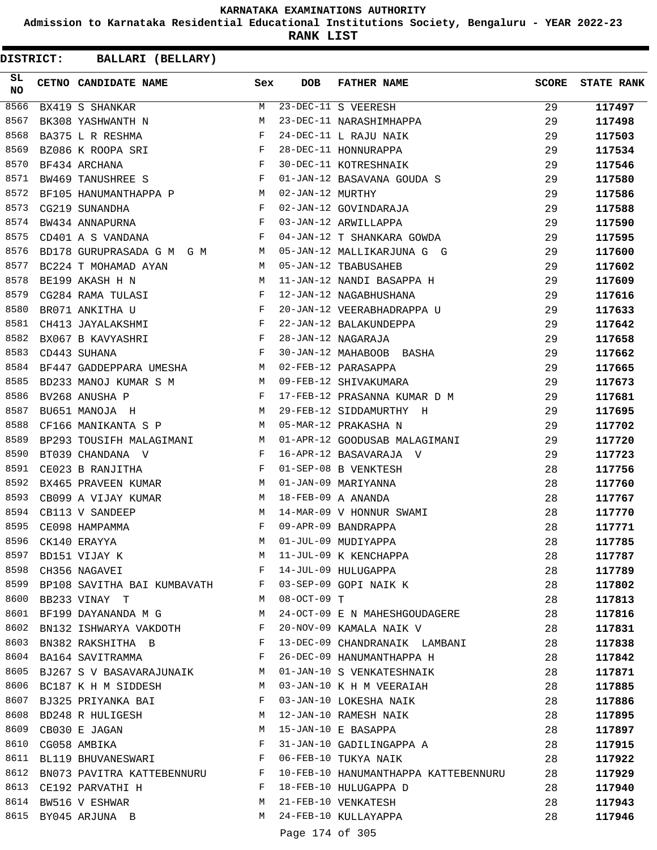**Admission to Karnataka Residential Educational Institutions Society, Bengaluru - YEAR 2022-23**

**RANK LIST**

| SL<br>NO | CETNO CANDIDATE NAME                                                                                                                          | Sex          | <b>DOB</b>       | <b>FATHER NAME</b>                   | SCORE | <b>STATE RANK</b> |
|----------|-----------------------------------------------------------------------------------------------------------------------------------------------|--------------|------------------|--------------------------------------|-------|-------------------|
| 8566     | BX419 S SHANKAR                                                                                                                               | M            |                  | 23-DEC-11 S VEERESH                  | 29    | 117497            |
| 8567     | BK308 YASHWANTH N                                                                                                                             | М            |                  | 23-DEC-11 NARASHIMHAPPA              | 29    | 117498            |
| 8568     | $\mathbf{F}$ and the contract of the contract of $\mathbf{F}$<br>BA375 L R RESHMA                                                             |              |                  | 24-DEC-11 L RAJU NAIK                | 29    | 117503            |
| 8569     | $\begin{array}{c} \mathbf{F} \\ \mathbf{F} \end{array}$<br>BZ086 K ROOPA SRI                                                                  |              |                  | 28-DEC-11 HONNURAPPA                 | 29    | 117534            |
| 8570     | BF434 ARCHANA                                                                                                                                 |              |                  | 30-DEC-11 KOTRESHNAIK                | 29    | 117546            |
| 8571     | $\mathbf{F}$ and $\mathbf{F}$ and $\mathbf{F}$<br>BW469 TANUSHREE S                                                                           |              |                  | 01-JAN-12 BASAVANA GOUDA S           | 29    | 117580            |
| 8572     | BF105 HANUMANTHAPPA P M                                                                                                                       |              | 02-JAN-12 MURTHY |                                      | 29    | 117586            |
| 8573     | $\begin{aligned} \mathbf{F} \\ \mathbf{F} \end{aligned}$<br>CG219 SUNANDHA                                                                    |              |                  | 02-JAN-12 GOVINDARAJA                | 29    | 117588            |
| 8574     | BW434 ANNAPURNA                                                                                                                               |              |                  | 03-JAN-12 ARWILLAPPA                 | 29    | 117590            |
| 8575     | CD401 A S VANDANA<br>and the state of the state of the state of the state of the state of the state of the state of the state of th           |              |                  | 04-JAN-12 T SHANKARA GOWDA           | 29    | 117595            |
| 8576     | BD178 GURUPRASADA G M G M M M                                                                                                                 |              |                  | 05-JAN-12 MALLIKARJUNA G G           | 29    | 117600            |
| 8577     | BC224 T MOHAMAD AYAN                                                                                                                          | M            |                  | 05-JAN-12 TBABUSAHEB                 | 29    | 117602            |
| 8578     | BE199 AKASH H N<br>M <sub>N</sub>                                                                                                             |              |                  | 11-JAN-12 NANDI BASAPPA H            | 29    | 117609            |
| 8579     | CG284 RAMA TULASI $F$                                                                                                                         |              |                  | 12-JAN-12 NAGABHUSHANA               | 29    | 117616            |
| 8580     | $\mathbf{F}^{\mathcal{A}}_{\mathcal{A}}=\mathbf{F}^{\mathcal{A}}_{\mathcal{A}}\mathbf{F}^{\mathcal{A}}_{\mathcal{A}}$<br>BR071 ANKITHA U      |              |                  | 20-JAN-12 VEERABHADRAPPA U           | 29    | 117633            |
| 8581     | $\mathbf{F}$<br>CH413 JAYALAKSHMI                                                                                                             |              |                  | 22-JAN-12 BALAKUNDEPPA               | 29    | 117642            |
| 8582     | BX067 B KAVYASHRI $F$                                                                                                                         |              |                  | 28-JAN-12 NAGARAJA                   | 29    | 117658            |
| 8583     | $\mathbf{F}$ and $\mathbf{F}$ and $\mathbf{F}$ and $\mathbf{F}$<br>CD443 SUHANA                                                               |              |                  | 30-JAN-12 MAHABOOB BASHA             | 29    | 117662            |
| 8584     | BF447 GADDEPPARA UMESHA M                                                                                                                     |              |                  | 02-FEB-12 PARASAPPA                  | 29    | 117665            |
| 8585     | BD233 MANOJ KUMAR S M M                                                                                                                       |              |                  | 09-FEB-12 SHIVAKUMARA                | 29    | 117673            |
| 8586     | $\frac{1}{\sqrt{2}}$<br>BV268 ANUSHA P                                                                                                        |              |                  | 17-FEB-12 PRASANNA KUMAR D M         | 29    | 117681            |
| 8587     | <b>M</b><br>BU651 MANOJA H                                                                                                                    |              |                  | 29-FEB-12 SIDDAMURTHY H              | 29    | 117695            |
| 8588     | $M_{\rm H}$<br>CF166 MANIKANTA S P                                                                                                            |              |                  | 05-MAR-12 PRAKASHA N                 | 29    | 117702            |
| 8589     | BP293 TOUSIFH MALAGIMANI M                                                                                                                    |              |                  | 01-APR-12 GOODUSAB MALAGIMANI        | 29    | 117720            |
| 8590     | BT039 CHANDANA V                                                                                                                              | F            |                  | 16-APR-12 BASAVARAJA V               | 29    | 117723            |
| 8591     | CE023 B RANJITHA<br><b>Example 20</b> Service Service Service Service Service Service Service Service Service Service Service Service Service |              |                  | 01-SEP-08 B VENKTESH                 | 28    | 117756            |
| 8592     | $M_{\odot}$<br>BX465 PRAVEEN KUMAR                                                                                                            |              |                  | 01-JAN-09 MARIYANNA                  | 28    | 117760            |
| 8593     | CB099 A VIJAY KUMAR                                                                                                                           | M            |                  | 18-FEB-09 A ANANDA                   | 28    | 117767            |
| 8594     | CB113 V SANDEEP                                                                                                                               | М            |                  | 14-MAR-09 V HONNUR SWAMI             | 28    | 117770            |
| 8595     | CE098 HAMPAMMA                                                                                                                                | F            |                  | 09-APR-09 BANDRAPPA                  | 28    | 117771            |
| 8596     | CK140 ERAYYA                                                                                                                                  | M            |                  | 01-JUL-09 MUDIYAPPA                  | 28    | 117785            |
| 8597     | BD151 VIJAY K                                                                                                                                 | M            |                  | 11-JUL-09 K KENCHAPPA                | 28    | 117787            |
|          | 8598 CH356 NAGAVEI                                                                                                                            | F            |                  | 14-JUL-09 HULUGAPPA                  | 28    | 117789            |
|          | 8599 BP108 SAVITHA BAI KUMBAVATH                                                                                                              | F            |                  | 03-SEP-09 GOPI NAIK K                | 28    | 117802            |
|          | 8600 BB233 VINAY T                                                                                                                            | M            | $08-OCT-09$ T    |                                      | 28    | 117813            |
|          | 8601 BF199 DAYANANDA M G                                                                                                                      | M            |                  | 24-OCT-09 E N MAHESHGOUDAGERE        | 28    | 117816            |
|          | 8602 BN132 ISHWARYA VAKDOTH                                                                                                                   | F            |                  | 20-NOV-09 KAMALA NAIK V              | 28    | 117831            |
| 8603     | BN382 RAKSHITHA B                                                                                                                             | $\mathbf{F}$ |                  | 13-DEC-09 CHANDRANAIK LAMBANI        | 28    | 117838            |
| 8604     | BA164 SAVITRAMMA                                                                                                                              | F            |                  | 26-DEC-09 HANUMANTHAPPA H            | 28    | 117842            |
|          | 8605 BJ267 S V BASAVARAJUNAIK M                                                                                                               |              |                  | 01-JAN-10 S VENKATESHNAIK            | 28    | 117871            |
|          | 8606 BC187 K H M SIDDESH                                                                                                                      | M            |                  | 03-JAN-10 K H M VEERAIAH             | 28    | 117885            |
| 8607     | BJ325 PRIYANKA BAI                                                                                                                            | F            |                  | 03-JAN-10 LOKESHA NAIK               | 28    | 117886            |
|          | 8608 BD248 R HULIGESH                                                                                                                         | M            |                  | 12-JAN-10 RAMESH NAIK                | 28    | 117895            |
|          | 8609 CB030 E JAGAN                                                                                                                            | M            |                  | 15-JAN-10 E BASAPPA                  | 28    | 117897            |
|          | 8610 CG058 AMBIKA                                                                                                                             | F            |                  | 31-JAN-10 GADILINGAPPA A             | 28    | 117915            |
| 8611     | BL119 BHUVANESWARI                                                                                                                            | F            |                  | 06-FEB-10 TUKYA NAIK                 | 28    |                   |
| 8612     | BN073 PAVITRA KATTEBENNURU F                                                                                                                  |              |                  | 10-FEB-10 HANUMANTHAPPA KATTEBENNURU | 28    | 117922<br>117929  |
|          | 8613 CE192 PARVATHI H                                                                                                                         | $\mathbf{F}$ |                  | 18-FEB-10 HULUGAPPA D                | 28    |                   |
|          | 8614 BW516 V ESHWAR                                                                                                                           | M            |                  | 21-FEB-10 VENKATESH                  | 28    | 117940            |
|          |                                                                                                                                               | M            |                  |                                      |       | 117943            |
|          | 8615 BY045 ARJUNA B                                                                                                                           |              |                  | 24-FEB-10 KULLAYAPPA                 | 28    | 117946            |
|          |                                                                                                                                               |              | Page 174 of 305  |                                      |       |                   |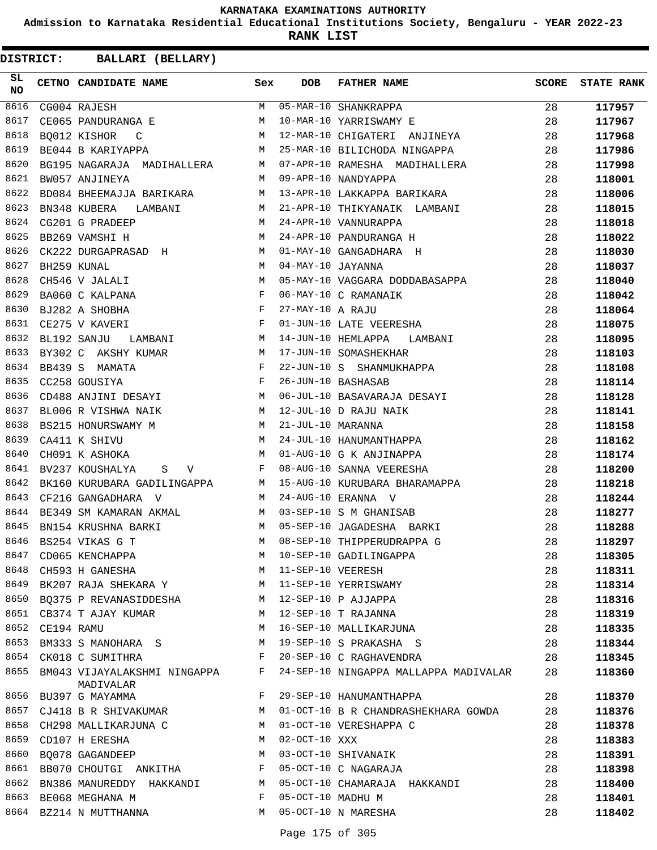**Admission to Karnataka Residential Educational Institutions Society, Bengaluru - YEAR 2022-23**

**RANK LIST**

| SL<br>NO |            | CETNO CANDIDATE NAME                                                          | Sex | <b>DOB</b>        | <b>FATHER NAME</b>                                 | SCORE | <b>STATE RANK</b> |
|----------|------------|-------------------------------------------------------------------------------|-----|-------------------|----------------------------------------------------|-------|-------------------|
| 8616     |            | CG004 RAJESH                                                                  |     |                   | M 05-MAR-10 SHANKRAPPA                             | 28    | 117957            |
| 8617     |            | CE065 PANDURANGA E                                                            | M   |                   | 10-MAR-10 YARRISWAMY E                             | 28    | 117967            |
| 8618     |            | <b>M</b><br>BO012 KISHOR C                                                    |     |                   | 12-MAR-10 CHIGATERI ANJINEYA                       | 28    | 117968            |
| 8619     |            | BE044 B KARIYAPPA                                                             | M   |                   | 25-MAR-10 BILICHODA NINGAPPA                       | 28    | 117986            |
| 8620     |            | BG195 NAGARAJA MADIHALLERA M                                                  |     |                   | 07-APR-10 RAMESHA MADIHALLERA                      | 28    | 117998            |
| 8621     |            | BW057 ANJINEYA                                                                | M   |                   | 09-APR-10 NANDYAPPA                                | 28    | 118001            |
| 8622     |            | BD084 BHEEMAJJA BARIKARA                                                      | M   |                   | 13-APR-10 LAKKAPPA BARIKARA                        | 28    | 118006            |
| 8623     |            | <b>M</b><br>BN348 KUBERA LAMBANI                                              |     |                   | 21-APR-10 THIKYANAIK LAMBANI                       | 28    | 118015            |
| 8624     |            | CG201 G PRADEEP                                                               | M   |                   | 24-APR-10 VANNURAPPA                               | 28    | 118018            |
| 8625     |            | M<br>BB269 VAMSHI H                                                           |     |                   | 24-APR-10 PANDURANGA H                             | 28    | 118022            |
| 8626     |            | CK222 DURGAPRASAD H                                                           |     |                   | 01-MAY-10 GANGADHARA H                             | 28    | 118030            |
| 8627     |            | M<br>BH259 KUNAL                                                              |     | 04-MAY-10 JAYANNA |                                                    | 28    | 118037            |
| 8628     |            | $M$<br>$F$<br>CH546 V JALALI                                                  |     |                   | 05-MAY-10 VAGGARA DODDABASAPPA                     | 28    | 118040            |
| 8629     |            | BA060 C KALPANA                                                               |     |                   | 06-MAY-10 C RAMANAIK                               | 28    | 118042            |
| 8630     |            | $\mathbf{F}^{\mathbf{r}}$<br>BJ282 A SHOBHA                                   |     | 27-MAY-10 A RAJU  |                                                    | 28    | 118064            |
| 8631     |            | $\mathbf{F}$ and $\mathbf{F}$ and $\mathbf{F}$<br>CE275 V KAVERI              |     |                   | 01-JUN-10 LATE VEERESHA                            | 28    | 118075            |
| 8632     |            | M<br>BL192 SANJU<br>LAMBANI                                                   |     |                   | 14-JUN-10 HEMLAPPA LAMBANI                         | 28    | 118095            |
| 8633     |            | BY302 C AKSHY KUMAR<br>M <sub>1</sub>                                         |     |                   | 17-JUN-10 SOMASHEKHAR                              | 28    | 118103            |
| 8634     |            | $\mathbf{F}$ and $\mathbf{F}$ are the set of $\mathbf{F}$ .<br>BB439 S MAMATA |     |                   | 22-JUN-10 S SHANMUKHAPPA                           | 28    | 118108            |
| 8635     |            | $\mathbf{F}$<br>CC258 GOUSIYA                                                 |     |                   | 26-JUN-10 BASHASAB                                 | 28    | 118114            |
| 8636     |            | CD488 ANJINI DESAYI M                                                         |     |                   | 06-JUL-10 BASAVARAJA DESAYI                        | 28    | 118128            |
| 8637     |            | BL006 R VISHWA NAIK<br><b>M</b>                                               |     |                   | 12-JUL-10 D RAJU NAIK                              | 28    | 118141            |
| 8638     |            | BS215 HONURSWAMY M M                                                          |     | 21-JUL-10 MARANNA |                                                    | 28    | 118158            |
| 8639     |            | M<br>CA411 K SHIVU                                                            |     |                   |                                                    | 28    | 118162            |
| 8640     |            | CH091 K ASHOKA                                                                | M   |                   | 24-JUL-10 HANUMANTHAPPA<br>01-AUG-10 G K ANJINAPPA | 28    | 118174            |
| 8641     |            | BV237 KOUSHALYA S V                                                           | F   |                   | 08-AUG-10 SANNA VEERESHA                           | 28    | 118200            |
| 8642     |            | BK160 KURUBARA GADILINGAPPA M                                                 |     |                   | 15-AUG-10 KURUBARA BHARAMAPPA                      | 28    | 118218            |
| 8643     |            | M <sub>1</sub><br>CF216 GANGADHARA V                                          |     |                   | 24-AUG-10 ERANNA V                                 | 28    | 118244            |
| 8644     |            | BE349 SM KAMARAN AKMAL M 03-SEP-10 S M GHANISAB                               |     |                   |                                                    | 28    | 118277            |
| 8645     |            | BN154 KRUSHNA BARKI<br>M <sub>N</sub>                                         |     |                   | 05-SEP-10 JAGADESHA BARKI                          | 28    | 118288            |
| 8646     |            | BS254 VIKAS G T                                                               | M   |                   | 08-SEP-10 THIPPERUDRAPPA G                         | 28    | 118297            |
| 8647     |            | CD065 KENCHAPPA                                                               | М   |                   | 10-SEP-10 GADILINGAPPA                             | 28    | 118305            |
| 8648     |            | CH593 H GANESHA                                                               | M   | 11-SEP-10 VEERESH |                                                    | 28    | 118311            |
| 8649     |            | BK207 RAJA SHEKARA Y                                                          | M   |                   | 11-SEP-10 YERRISWAMY                               | 28    | 118314            |
| 8650     |            | BO375 P REVANASIDDESHA                                                        | M   |                   | 12-SEP-10 P AJJAPPA                                | 28    | 118316            |
|          |            | 8651 CB374 T AJAY KUMAR                                                       | M   |                   | 12-SEP-10 T RAJANNA                                | 28    | 118319            |
| 8652     | CE194 RAMU |                                                                               | M   |                   | 16-SEP-10 MALLIKARJUNA                             | 28    | 118335            |
| 8653     |            | BM333 S MANOHARA S                                                            | М   |                   | 19-SEP-10 S PRAKASHA S                             | 28    | 118344            |
| 8654     |            | CK018 C SUMITHRA                                                              | F   |                   | 20-SEP-10 C RAGHAVENDRA                            | 28    | 118345            |
| 8655     |            | BM043 VIJAYALAKSHMI NINGAPPA<br>MADIVALAR                                     | F   |                   | 24-SEP-10 NINGAPPA MALLAPPA MADIVALAR              | 28    | 118360            |
| 8656     |            | BU397 G MAYAMMA                                                               | F   |                   | 29-SEP-10 HANUMANTHAPPA                            | 28    | 118370            |
|          |            | 8657 CJ418 B R SHIVAKUMAR                                                     | М   |                   | 01-OCT-10 B R CHANDRASHEKHARA GOWDA                | 28    | 118376            |
|          |            | 8658 CH298 MALLIKARJUNA C                                                     | M   |                   | 01-OCT-10 VERESHAPPA C                             | 28    | 118378            |
| 8659     |            | CD107 H ERESHA                                                                | М   | $02-OCT-10$ XXX   |                                                    | 28    | 118383            |
| 8660     |            | BO078 GAGANDEEP                                                               | M   |                   | 03-OCT-10 SHIVANAIK                                | 28    | 118391            |
|          |            | 8661 BB070 CHOUTGI ANKITHA                                                    | F   |                   | 05-OCT-10 C NAGARAJA                               | 28    | 118398            |
| 8662     |            | BN386 MANUREDDY HAKKANDI                                                      | M   |                   | 05-OCT-10 CHAMARAJA HAKKANDI                       | 28    | 118400            |
| 8663     |            | BE068 MEGHANA M                                                               | F   | 05-OCT-10 MADHU M |                                                    | 28    | 118401            |
|          |            | 8664 BZ214 N MUTTHANNA                                                        | M   |                   | 05-OCT-10 N MARESHA                                | 28    | 118402            |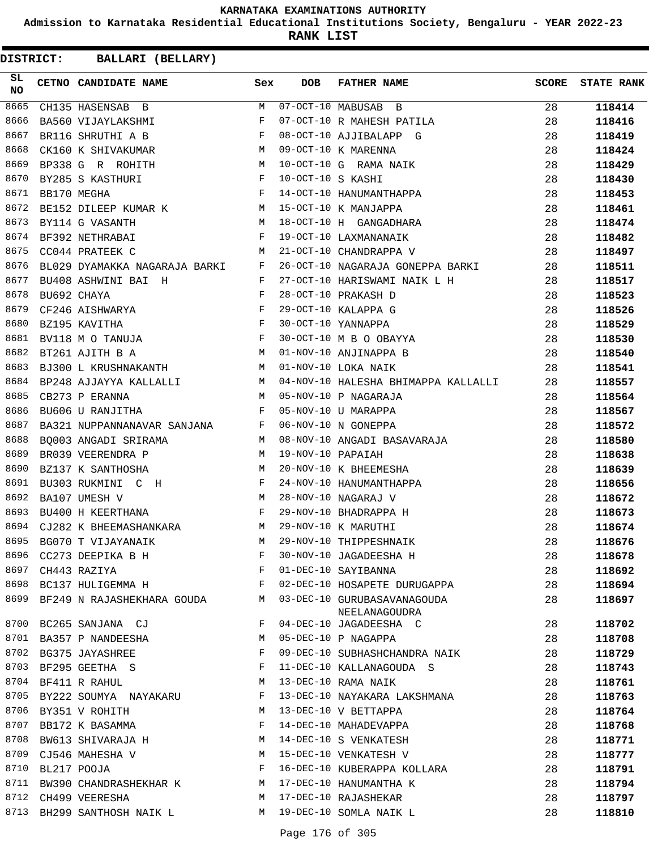**Admission to Karnataka Residential Educational Institutions Society, Bengaluru - YEAR 2022-23**

**RANK LIST**

| SL<br><b>NO</b> |                  | CETNO CANDIDATE NAME Sex                                                                                                                                                                                                                               |   | <b>DOB</b>        | <b>FATHER NAME</b>                           | SCORE | <b>STATE RANK</b> |
|-----------------|------------------|--------------------------------------------------------------------------------------------------------------------------------------------------------------------------------------------------------------------------------------------------------|---|-------------------|----------------------------------------------|-------|-------------------|
| 8665            |                  | CH135 HASENSAB B                                                                                                                                                                                                                                       | M |                   | $07-OCT-10$ MABUSAB B                        | 28    | 118414            |
| 8666            |                  | BA560 VIJAYLAKSHMI                                                                                                                                                                                                                                     | F |                   | 07-OCT-10 R MAHESH PATILA                    | 28    | 118416            |
| 8667            |                  | $\mathbf{F}$<br>BR116 SHRUTHI A B                                                                                                                                                                                                                      |   |                   | 08-OCT-10 AJJIBALAPP G                       | 28    | 118419            |
| 8668            |                  | CK160 K SHIVAKUMAR M                                                                                                                                                                                                                                   |   |                   | 09-OCT-10 K MARENNA                          | 28    | 118424            |
| 8669            |                  | BP338 G R ROHITH M                                                                                                                                                                                                                                     |   |                   | 10-OCT-10 G RAMA NAIK                        | 28    | 118429            |
| 8670            |                  | $\mathbf{F}^{\mathcal{A}}_{\mathcal{A}}=\mathbf{F}^{\mathcal{A}}_{\mathcal{A}}\mathbf{F}^{\mathcal{A}}_{\mathcal{A}}$<br>BY285 S KASTHURI                                                                                                              |   | 10-OCT-10 S KASHI |                                              | 28    | 118430            |
| 8671            |                  | $\mathbf{F}$ and $\mathbf{F}$ . The set of $\mathbf{F}$<br>BB170 MEGHA                                                                                                                                                                                 |   |                   | 14-OCT-10 HANUMANTHAPPA                      | 28    | 118453            |
| 8672            |                  | BE152 DILEEP KUMAR K M                                                                                                                                                                                                                                 |   |                   | 15-OCT-10 K MANJAPPA                         | 28    | 118461            |
| 8673            |                  | BY114 G VASANTH<br>M <sub>N</sub>                                                                                                                                                                                                                      |   |                   | 18-OCT-10 H GANGADHARA                       | 28    | 118474            |
| 8674            |                  | BF392 NETHRABAI<br>$\mathbf{F}$ and the contract of the contract of $\mathbf{F}$                                                                                                                                                                       |   |                   | 19-OCT-10 LAXMANANAIK                        | 28    | 118482            |
| 8675            |                  | M<br>CC044 PRATEEK C                                                                                                                                                                                                                                   |   |                   | 21-OCT-10 CHANDRAPPA V                       | 28    | 118497            |
| 8676            |                  | BL029 DYAMAKKA NAGARAJA BARKI F                                                                                                                                                                                                                        |   |                   | 26-OCT-10 NAGARAJA GONEPPA BARKI             | 28    | 118511            |
| 8677            |                  | BU408 ASHWINI BAI H                                                                                                                                                                                                                                    | F |                   | 27-OCT-10 HARISWAMI NAIK L H                 | 28    | 118517            |
| 8678            |                  | BU692 CHAYA                                                                                                                                                                                                                                            | F |                   | 28-OCT-10 PRAKASH D                          | 28    | 118523            |
| 8679            |                  | CF246 AISHWARYA F<br>BZ195 KAVITHA F<br>BV118 M O TANUJA F                                                                                                                                                                                             |   |                   | 29-OCT-10 KALAPPA G                          | 28    | 118526            |
| 8680            |                  |                                                                                                                                                                                                                                                        |   |                   | 30-OCT-10 YANNAPPA                           | 28    | 118529            |
| 8681            |                  |                                                                                                                                                                                                                                                        |   |                   | 30-OCT-10 M B O OBAYYA                       | 28    | 118530            |
| 8682            |                  | BT261 AJITH B A M                                                                                                                                                                                                                                      |   |                   | 01-NOV-10 ANJINAPPA B                        | 28    | 118540            |
| 8683            |                  | BJ300 L KRUSHNAKANTH M                                                                                                                                                                                                                                 |   |                   | 01-NOV-10 LOKA NAIK                          | 28    | 118541            |
| 8684            |                  |                                                                                                                                                                                                                                                        |   |                   | 04-NOV-10 HALESHA BHIMAPPA KALLALLI          | 28    | 118557            |
| 8685            |                  | BP248 AJJAYYA KALLALLI M<br>CB273 P ERANNA M                                                                                                                                                                                                           |   |                   | 05-NOV-10 P NAGARAJA                         | 28    | 118564            |
| 8686            |                  | $\mathbf{F}$ and the contract of the contract of $\mathbf{F}$<br>BU606 U RANJITHA                                                                                                                                                                      |   |                   | 05-NOV-10 U MARAPPA                          | 28    | 118567            |
| 8687            |                  | BA321 NUPPANNANAVAR SANJANA F                                                                                                                                                                                                                          |   |                   | 06-NOV-10 N GONEPPA                          | 28    | 118572            |
| 8688            |                  | BQ003 ANGADI SRIRAMA M                                                                                                                                                                                                                                 |   |                   | 08-NOV-10 ANGADI BASAVARAJA                  | 28    | 118580            |
| 8689            |                  | BR039 VEERENDRA P<br>M <sub>1</sub>                                                                                                                                                                                                                    |   | 19-NOV-10 PAPAIAH |                                              | 28    | 118638            |
| 8690            |                  | BZ137 K SANTHOSHA                                                                                                                                                                                                                                      | М |                   | 20-NOV-10 K BHEEMESHA                        | 28    | 118639            |
| 8691            |                  | BU303 RUKMINI C H F                                                                                                                                                                                                                                    |   |                   | 24-NOV-10 HANUMANTHAPPA                      | 28    | 118656            |
| 8692            |                  | BA107 UMESH V                                                                                                                                                                                                                                          | M |                   | 28-NOV-10 NAGARAJ V                          | 28    | 118672            |
| 8693            |                  | BU400 H KEERTHANA<br>$\mathbf{F}$ and the set of the set of the set of the set of the set of the set of the set of the set of the set of the set of the set of the set of the set of the set of the set of the set of the set of the set of the set of |   |                   | 29-NOV-10 BHADRAPPA H                        | 28    | 118673            |
| 8694            |                  | CJ282 K BHEEMASHANKARA M                                                                                                                                                                                                                               |   |                   | 29-NOV-10 K MARUTHI                          | 28    | 118674            |
| 8695            |                  | BG070 T VIJAYANAIK                                                                                                                                                                                                                                     | M |                   | 29-NOV-10 THIPPESHNAIK                       | 28    | 118676            |
|                 |                  |                                                                                                                                                                                                                                                        | F |                   | 30-NOV-10 JAGADEESHA H                       | 28    | 118678            |
|                 |                  | 8696 CC273 DEEPIKA B H<br>8697 CH443 RAZIYA                                                                                                                                                                                                            | F |                   | 01-DEC-10 SAYIBANNA                          | 28    | 118692            |
|                 |                  | 8698 BC137 HULIGEMMA H                                                                                                                                                                                                                                 | F |                   | 02-DEC-10 HOSAPETE DURUGAPPA                 | 28    | 118694            |
| 8699            |                  | BF249 N RAJASHEKHARA GOUDA M                                                                                                                                                                                                                           |   |                   | 03-DEC-10 GURUBASAVANAGOUDA<br>NEELANAGOUDRA | 28    | 118697            |
|                 |                  | 8700 BC265 SANJANA CJ                                                                                                                                                                                                                                  | F |                   | 04-DEC-10 JAGADEESHA C                       | 28    | 118702            |
|                 |                  | 8701 BA357 P NANDEESHA                                                                                                                                                                                                                                 | M |                   | 05-DEC-10 P NAGAPPA                          | 28    | 118708            |
|                 |                  | 8702 BG375 JAYASHREE                                                                                                                                                                                                                                   | F |                   | 09-DEC-10 SUBHASHCHANDRA NAIK                | 28    | 118729            |
|                 |                  | 8703 BF295 GEETHA S                                                                                                                                                                                                                                    | F |                   | 11-DEC-10 KALLANAGOUDA S                     | 28    | 118743            |
|                 |                  | 8704 BF411 R RAHUL                                                                                                                                                                                                                                     | М |                   | 13-DEC-10 RAMA NAIK                          | 28    | 118761            |
|                 |                  | 8705 BY222 SOUMYA NAYAKARU                                                                                                                                                                                                                             | F |                   | 13-DEC-10 NAYAKARA LAKSHMANA                 | 28    | 118763            |
|                 |                  | 8706 BY351 V ROHITH                                                                                                                                                                                                                                    | M |                   | 13-DEC-10 V BETTAPPA                         | 28    | 118764            |
|                 |                  | 8707 BB172 K BASAMMA                                                                                                                                                                                                                                   | F |                   | 14-DEC-10 MAHADEVAPPA                        | 28    | 118768            |
|                 |                  | 8708 BW613 SHIVARAJA H                                                                                                                                                                                                                                 | M |                   | 14-DEC-10 S VENKATESH                        | 28    | 118771            |
|                 |                  | 8709 CJ546 MAHESHA V                                                                                                                                                                                                                                   | M |                   | 15-DEC-10 VENKATESH V                        | 28    | 118777            |
|                 | 8710 BL217 POOJA |                                                                                                                                                                                                                                                        | F |                   | 16-DEC-10 KUBERAPPA KOLLARA                  | 28    | 118791            |
| 8711            |                  | BW390 CHANDRASHEKHAR K                                                                                                                                                                                                                                 | M |                   | 17-DEC-10 HANUMANTHA K                       | 28    | 118794            |
|                 |                  | 8712 CH499 VEERESHA                                                                                                                                                                                                                                    | M |                   | 17-DEC-10 RAJASHEKAR                         | 28    | 118797            |
|                 |                  | 8713 BH299 SANTHOSH NAIK L                                                                                                                                                                                                                             | M |                   | 19-DEC-10 SOMLA NAIK L                       | 28    | 118810            |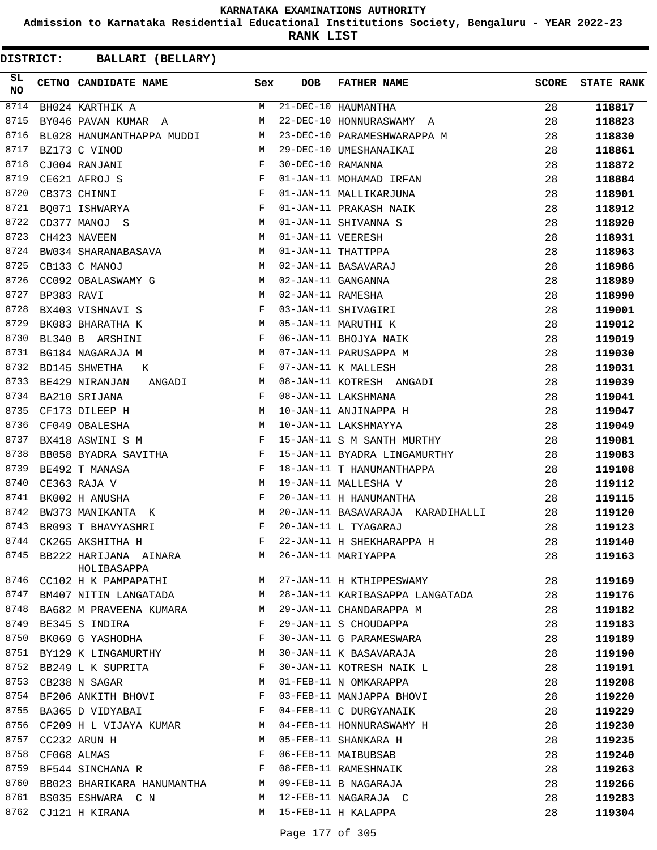**Admission to Karnataka Residential Educational Institutions Society, Bengaluru - YEAR 2022-23**

**RANK LIST**

| SL<br><b>NO</b> |                  | CETNO CANDIDATE NAME Sex                                                               |              | <b>DOB</b>        | FATHER NAME                                       | <b>SCORE</b> | <b>STATE RANK</b> |
|-----------------|------------------|----------------------------------------------------------------------------------------|--------------|-------------------|---------------------------------------------------|--------------|-------------------|
| 8714            |                  | BH024 KARTHIK A                                                                        | M            |                   | 21-DEC-10 HAUMANTHA                               | 28           | 118817            |
| 8715            |                  | BY046 PAVAN KUMAR A                                                                    | М            |                   | 22-DEC-10 HONNURASWAMY A                          | 28           | 118823            |
| 8716            |                  | BL028 HANUMANTHAPPA MUDDI                                                              | M            |                   | 23-DEC-10 PARAMESHWARAPPA M                       | 28           | 118830            |
| 8717            |                  | BZ173 C VINOD                                                                          | M            |                   | 29-DEC-10 UMESHANAIKAI                            | 28           | 118861            |
| 8718            |                  | CJ004 RANJANI                                                                          | $_{\rm F}$   | 30-DEC-10 RAMANNA |                                                   | 28           | 118872            |
| 8719            |                  | $\begin{array}{c} \mathbf{F} \\ \mathbf{F} \\ \mathbf{F} \end{array}$<br>CE621 AFROJ S |              |                   | 01-JAN-11 MOHAMAD IRFAN                           | 28           | 118884            |
| 8720            |                  | CB373 CHINNI                                                                           |              |                   | 01-JAN-11 MALLIKARJUNA                            | 28           | 118901            |
| 8721            |                  | BQ071 ISHWARYA                                                                         |              |                   | 01-JAN-11 PRAKASH NAIK                            | 28           | 118912            |
| 8722            |                  | CD377 MANOJ S                                                                          | М            |                   | 01-JAN-11 SHIVANNA S                              | 28           | 118920            |
| 8723            |                  | CH423 NAVEEN                                                                           | M            | 01-JAN-11 VEERESH |                                                   | 28           | 118931            |
| 8724            |                  |                                                                                        | M            |                   | 01-JAN-11 THATTPPA                                | 28           | 118963            |
| 8725            |                  | BW034 SHARANABASAVA<br>CB133 C MANOJ                                                   | М            |                   | 02-JAN-11 BASAVARAJ                               | 28           | 118986            |
| 8726            |                  | CC092 OBALASWAMY G                                                                     | M            |                   | 02-JAN-11 GANGANNA                                | 28           | 118989            |
| 8727            | BP383 RAVI       |                                                                                        | M            | 02-JAN-11 RAMESHA |                                                   | 28           | 118990            |
| 8728            |                  | BX403 VISHNAVI S                                                                       | $_{\rm F}$   |                   | 03-JAN-11 SHIVAGIRI                               | 28           | 119001            |
| 8729            |                  | BK083 BHARATHA K                                                                       | М            |                   | 05-JAN-11 MARUTHI K                               | 28           | 119012            |
| 8730            |                  | BL340 B ARSHINI                                                                        | F            |                   | 06-JAN-11 BHOJYA NAIK                             | 28           | 119019            |
| 8731            |                  | BG184 NAGARAJA M                                                                       | M            |                   | 07-JAN-11 PARUSAPPA M                             | 28           | 119030            |
| 8732            |                  | BD145 SHWETHA<br>K                                                                     | $\mathbf{F}$ |                   | 07-JAN-11 K MALLESH                               | 28           | 119031            |
| 8733            |                  | BE429 NIRANJAN<br>ANGADI M                                                             |              |                   | 08-JAN-11 KOTRESH ANGADI                          | 28           | 119039            |
| 8734            |                  | BA210 SRIJANA                                                                          | $_{\rm F}$   |                   | 08-JAN-11 LAKSHMANA                               | 28           | 119041            |
| 8735            |                  | CF173 DILEEP H                                                                         |              |                   | 10-JAN-11 ANJINAPPA H                             | 28           | 119047            |
| 8736            |                  | $\begin{bmatrix} 1 \\ 2 \end{bmatrix}$ M<br>M<br>CF049 OBALESHA                        |              |                   | 10-JAN-11 LAKSHMAYYA                              | 28           | 119049            |
| 8737            |                  | BX418 ASWINI S M                                                                       | F            |                   | 15-JAN-11 S M SANTH MURTHY                        | 28           | 119081            |
| 8738            |                  | BB058 BYADRA SAVITHA F                                                                 |              |                   | 15-JAN-11 BYADRA LINGAMURTHY                      | 28           | 119083            |
| 8739            |                  | $\mathbf{F}$ and $\mathbf{F}$<br>BE492 T MANASA                                        |              |                   |                                                   | 28           | 119108            |
| 8740            |                  | CE363 RAJA V                                                                           | M            |                   | 18-JAN-11 T HANUMANTHAPPA<br>19-JAN-11 MALLESHA V | 28           | 119112            |
| 8741            |                  | BK002 H ANUSHA                                                                         | F            |                   | 20-JAN-11 H HANUMANTHA                            | 28           | 119115            |
| 8742            |                  | BW373 MANIKANTA K                                                                      | М            |                   | 20-JAN-11 BASAVARAJA KARADIHALLI                  | 28           | 119120            |
| 8743            |                  | BR093 T BHAVYASHRI                                                                     | F            |                   | 20-JAN-11 L TYAGARAJ                              | 28           | 119123            |
| 8744            |                  | CK265 AKSHITHA H                                                                       | F            |                   | 22-JAN-11 H SHEKHARAPPA H                         | 28           | 119140            |
|                 |                  | 8745 BB222 HARIJANA AINARA<br>HOLIBASAPPA                                              | M            |                   | 26-JAN-11 MARIYAPPA                               | 28           | 119163            |
| 8746            |                  | CC102 H K PAMPAPATHI                                                                   | M            |                   | 27-JAN-11 H KTHIPPESWAMY                          | 28           | 119169            |
| 8747            |                  | BM407 NITIN LANGATADA                                                                  | M            |                   | 28-JAN-11 KARIBASAPPA LANGATADA                   | 28           | 119176            |
|                 |                  | 8748 BA682 M PRAVEENA KUMARA                                                           | M            |                   | 29-JAN-11 CHANDARAPPA M                           | 28           | 119182            |
| 8749            |                  | BE345 S INDIRA                                                                         | F            |                   | 29-JAN-11 S CHOUDAPPA                             | 28           | 119183            |
|                 |                  | 8750 BK069 G YASHODHA                                                                  | F            |                   | 30-JAN-11 G PARAMESWARA                           | 28           | 119189            |
|                 |                  | 8751 BY129 K LINGAMURTHY                                                               | M            |                   | 30-JAN-11 K BASAVARAJA                            | 28           | 119190            |
| 8752            |                  | BB249 L K SUPRITA                                                                      | F            |                   | 30-JAN-11 KOTRESH NAIK L                          | 28           | 119191            |
| 8753            |                  | CB238 N SAGAR                                                                          | М            |                   | 01-FEB-11 N OMKARAPPA                             | 28           | 119208            |
|                 |                  | 8754 BF206 ANKITH BHOVI                                                                | $\mathbf{F}$ |                   | 03-FEB-11 MANJAPPA BHOVI                          | 28           | 119220            |
|                 |                  | 8755 BA365 D VIDYABAI                                                                  | F            |                   | 04-FEB-11 C DURGYANAIK                            | 28           | 119229            |
| 8756            |                  | CF209 H L VIJAYA KUMAR                                                                 | M            |                   | 04-FEB-11 HONNURASWAMY H                          | 28           | 119230            |
| 8757            |                  | CC232 ARUN H                                                                           | M            |                   | 05-FEB-11 SHANKARA H                              | 28           | 119235            |
|                 | 8758 CF068 ALMAS |                                                                                        | F            |                   | 06-FEB-11 MAIBUBSAB                               | 28           | 119240            |
|                 |                  | 8759 BF544 SINCHANA R                                                                  | F            |                   | 08-FEB-11 RAMESHNAIK                              | 28           | 119263            |
| 8760            |                  | BB023 BHARIKARA HANUMANTHA                                                             | M            |                   | 09-FEB-11 B NAGARAJA                              | 28           | 119266            |
| 8761            |                  | BS035 ESHWARA C N                                                                      | M            |                   | 12-FEB-11 NAGARAJA C                              | 28           | 119283            |
|                 |                  | 8762 CJ121 H KIRANA                                                                    | M            |                   | 15-FEB-11 H KALAPPA                               | 28           | 119304            |
|                 |                  |                                                                                        |              |                   |                                                   |              |                   |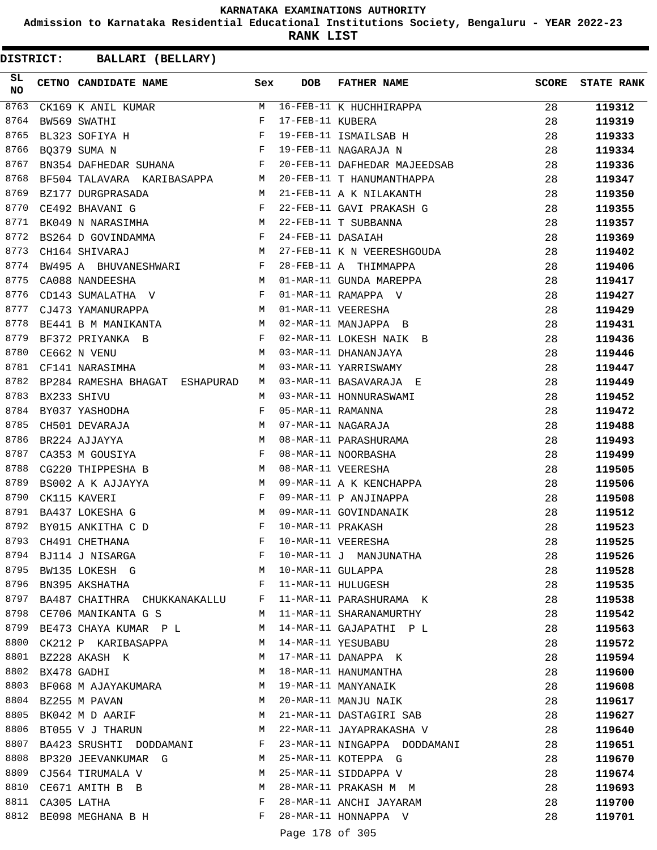**Admission to Karnataka Residential Educational Institutions Society, Bengaluru - YEAR 2022-23**

**RANK LIST**

| SL<br><b>NO</b> | CETNO CANDIDATE NAME Sex                                                                  |              | DOB               | FATHER NAME                                                                                  | <b>SCORE</b> | <b>STATE RANK</b> |
|-----------------|-------------------------------------------------------------------------------------------|--------------|-------------------|----------------------------------------------------------------------------------------------|--------------|-------------------|
| 8763            | CK169 K ANIL KUMAR $M$                                                                    |              |                   | 16-FEB-11 K HUCHHIRAPPA<br>17-FEB-11 KUBERA<br>19-FEB-11 ISMAILSAB H<br>19-FEB-11 NAGARAJA N | 28           | 119312            |
| 8764            |                                                                                           |              |                   |                                                                                              | 28           | 119319            |
| 8765            | BW569 SWATHI F<br>BL323 SOFIYA H F<br>BQ379 SUMA N F                                      |              |                   |                                                                                              | 28           | 119333            |
| 8766            |                                                                                           |              |                   |                                                                                              | 28           | 119334            |
| 8767            | BN354 DAFHEDAR SUHANA F                                                                   |              |                   | 20-FEB-11 DAFHEDAR MAJEEDSAB                                                                 | 28           | 119336            |
| 8768            | BF504 TALAVARA KARIBASAPPA M                                                              |              |                   | 20-FEB-11 T HANUMANTHAPPA                                                                    | 28           | 119347            |
| 8769            | $\begin{array}{ccc} & & M \\ & & F \\ & & F \end{array}$<br>BZ177 DURGPRASADA             |              |                   | 21-FEB-11 A K NILAKANTH                                                                      | 28           | 119350            |
| 8770            | CE492 BHAVANI G                                                                           |              |                   | 21 FEB-11 GAVI PRAKASH G                                                                     | 28           | 119355            |
| 8771            | BK049 N NARASIMHA M                                                                       |              |                   | 22-FEB-11 T SUBBANNA                                                                         | 28           | 119357            |
| 8772            | BS264 D GOVINDAMMA F                                                                      |              | 24-FEB-11 DASAIAH |                                                                                              | 28           | 119369            |
| 8773            | <b>M</b><br>CH164 SHIVARAJ                                                                |              |                   | 27-FEB-11 K N VEERESHGOUDA                                                                   | 28           | 119402            |
| 8774            | BW495 A BHUVANESHWARI F                                                                   |              |                   | 28-FEB-11 A THIMMAPPA                                                                        | 28           | 119406            |
| 8775            | M <sub>N</sub><br>CA088 NANDEESHA                                                         |              |                   | 01-MAR-11 GUNDA MAREPPA                                                                      | 28           | 119417            |
| 8776            | CD143 SUMALATHA V F                                                                       |              |                   | 01-MAR-11 RAMAPPA V                                                                          | 28           | 119427            |
| 8777            | M<br>CJ473 YAMANURAPPA                                                                    |              |                   | 01-MAR-11 VEERESHA                                                                           | 28           | 119429            |
| 8778            | BE441 B M MANIKANTA                                                                       | M            |                   | 02-MAR-11 MANJAPPA B                                                                         | 28           | 119431            |
| 8779            | BF372 PRIYANKA B                                                                          | $\mathbf{F}$ |                   | 02-MAR-11 LOKESH NAIK B                                                                      | 28           | 119436            |
| 8780            | $\mathbb M$<br>CE662 N VENU                                                               |              |                   | 03-MAR-11 DHANANJAYA                                                                         | 28           | 119446            |
| 8781            | CF141 NARASIMHA                                                                           | М            |                   | 03-MAR-11 YARRISWAMY                                                                         | 28           | 119447            |
| 8782            | BP284 RAMESHA BHAGAT ESHAPURAD                                                            | M            |                   | 03-MAR-11 BASAVARAJA E                                                                       | 28           | 119449            |
| 8783            | BX233 SHIVU                                                                               | M            |                   | 03-MAR-11 HONNURASWAMI                                                                       | 28           | 119452            |
| 8784            | BY037 YASHODHA                                                                            | F            | 05-MAR-11 RAMANNA |                                                                                              | 28           | 119472            |
| 8785            | CH501 DEVARAJA                                                                            |              |                   | 07-MAR-11 NAGARAJA                                                                           | 28           | 119488            |
| 8786            | BR224 AJJAYYA                                                                             |              |                   | 08-MAR-11 PARASHURAMA                                                                        | 28           | 119493            |
| 8787            | $\begin{aligned} \mathbb{M} \\ \mathbb{M} \\ \mathbb{F} \end{aligned}$<br>CA353 M GOUSIYA |              |                   | 08-MAR-11 NOORBASHA                                                                          | 28           | 119499            |
| 8788            | CG220 THIPPESHA B<br><b>M</b>                                                             |              |                   | 08-MAR-11 VEERESHA                                                                           | 28           | 119505            |
| 8789            | $\begin{aligned} \mathbb{M} \\ \mathbb{F} \end{aligned}$<br>BS002 A K AJJAYYA             |              |                   | 09-MAR-11 A K KENCHAPPA                                                                      | 28           | 119506            |
| 8790            | CK115 KAVERI                                                                              |              |                   | 09-MAR-11 P ANJINAPPA                                                                        | 28           | 119508            |
| 8791            | BA437 LOKESHA G                                                                           | M            |                   | 09-MAR-11 GOVINDANAIK                                                                        | 28           | 119512            |
| 8792            | $\mathbf{F}$ and $\mathbf{F}$ and $\mathbf{F}$<br>BY015 ANKITHA C D                       |              | 10-MAR-11 PRAKASH |                                                                                              | 28           | 119523            |
| 8793            | CH491 CHETHANA                                                                            | F            |                   | 10-MAR-11 VEERESHA                                                                           | 28           | 119525            |
| 8794            | BJ114 J NISARGA                                                                           | F            |                   | 10-MAR-11 J MANJUNATHA                                                                       | 28           | 119526            |
| 8795            | BW135 LOKESH G                                                                            | M            | 10-MAR-11 GULAPPA |                                                                                              | 28           | 119528            |
| 8796            | BN395 AKSHATHA                                                                            | F            |                   | 11-MAR-11 HULUGESH                                                                           | 28           | 119535            |
| 8797            | BA487 CHAITHRA CHUKKANAKALLU F                                                            |              |                   | 11-MAR-11 PARASHURAMA K                                                                      | 28           | 119538            |
| 8798            | CE706 MANIKANTA G S                                                                       | M            |                   | 11-MAR-11 SHARANAMURTHY                                                                      | 28           | 119542            |
| 8799            | BE473 CHAYA KUMAR P L                                                                     | M            |                   | 14-MAR-11 GAJAPATHI P L                                                                      | 28           | 119563            |
| 8800            | CK212 P KARIBASAPPA                                                                       | M            |                   | 14-MAR-11 YESUBABU                                                                           | 28           | 119572            |
| 8801            | BZ228 AKASH K                                                                             | M            |                   | 17-MAR-11 DANAPPA K                                                                          | 28           | 119594            |
| 8802            | BX478 GADHI                                                                               | М            |                   | 18-MAR-11 HANUMANTHA                                                                         | 28           | 119600            |
| 8803            | BF068 M AJAYAKUMARA M                                                                     |              |                   | 19-MAR-11 MANYANAIK                                                                          | 28           | 119608            |
| 8804            | BZ255 M PAVAN                                                                             | M            |                   | 20-MAR-11 MANJU NAIK                                                                         | 28           | 119617            |
| 8805            | BK042 M D AARIF                                                                           | M            |                   | 21-MAR-11 DASTAGIRI SAB                                                                      | 28           | 119627            |
| 8806            | BT055 V J THARUN                                                                          | M            |                   | 22-MAR-11 JAYAPRAKASHA V                                                                     | 28           | 119640            |
| 8807            | BA423 SRUSHTI DODDAMANI                                                                   | F            |                   | 23-MAR-11 NINGAPPA DODDAMANI                                                                 | 28           | 119651            |
| 8808            | BP320 JEEVANKUMAR G                                                                       | M            |                   | 25-MAR-11 KOTEPPA G                                                                          | 28           | 119670            |
| 8809            | CJ564 TIRUMALA V                                                                          | M            |                   | 25-MAR-11 SIDDAPPA V                                                                         | 28           | 119674            |
| 8810            | CE671 AMITH B B                                                                           | М            |                   | 28-MAR-11 PRAKASH M M                                                                        | 28           | 119693            |
| 8811            | CA305 LATHA                                                                               | F            |                   | 28-MAR-11 ANCHI JAYARAM                                                                      | 28           | 119700            |
| 8812            | BE098 MEGHANA B H                                                                         | F            |                   | 28-MAR-11 HONNAPPA V                                                                         | 28           | 119701            |
|                 |                                                                                           |              | Page 178 of 305   |                                                                                              |              |                   |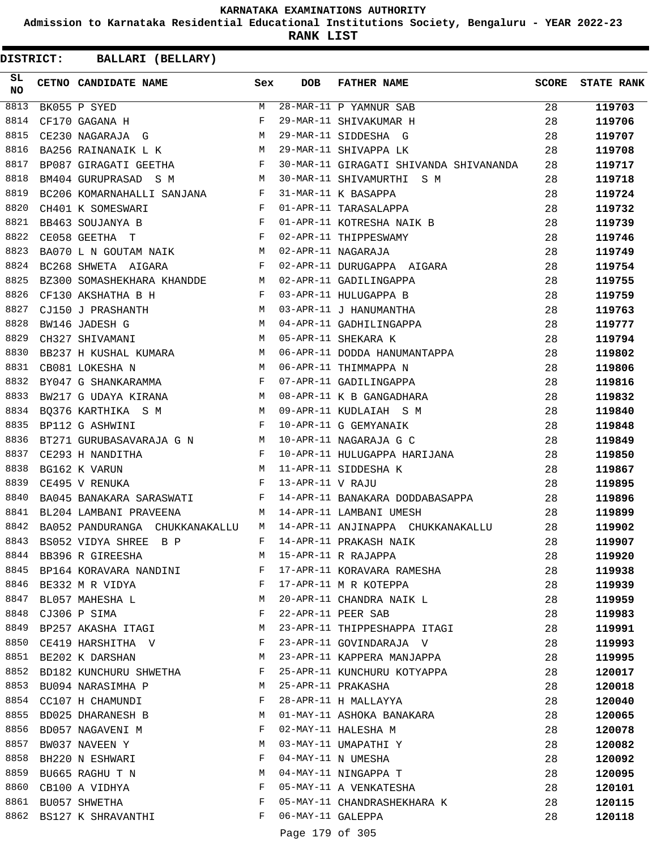**Admission to Karnataka Residential Educational Institutions Society, Bengaluru - YEAR 2022-23**

**RANK LIST**

| SL<br><b>NO</b> | CETNO CANDIDATE NAME Sex                                                  |            | <b>DOB</b>        | <b>FATHER NAME</b>                                                         | SCORE | <b>STATE RANK</b> |
|-----------------|---------------------------------------------------------------------------|------------|-------------------|----------------------------------------------------------------------------|-------|-------------------|
| 8813            | BK055 P SYED                                                              | M          |                   | $\overline{28 - \text{MAR} - 11}$ P YAMNUR SAB                             | 28    | 119703            |
| 8814            | CF170 GAGANA H                                                            | $_{\rm F}$ |                   | 29-MAR-11 SHIVAKUMAR H                                                     | 28    | 119706            |
| 8815            | CE230 NAGARAJA G M                                                        |            |                   | 29-MAR-11 SIDDESHA G                                                       | 28    | 119707            |
| 8816            | M <sub>N</sub><br>BA256 RAINANAIK L K                                     |            |                   | 29-MAR-11 SHIVAPPA LK                                                      | 28    | 119708            |
| 8817            | BP087 GIRAGATI GEETHA F                                                   |            |                   | 30-MAR-11 GIRAGATI SHIVANDA SHIVANANDA                                     | 28    | 119717            |
| 8818            | <b>M</b><br>BM404 GURUPRASAD S M                                          |            |                   | 30-MAR-11 SHIVAMURTHI S M                                                  | 28    | 119718            |
| 8819            | BC206 KOMARNAHALLI SANJANA F<br>CH401 K SOMESWARI F<br>BB463 SOUJANYA B F |            |                   | 31-MAR-11 K BASAPPA                                                        | 28    | 119724            |
| 8820            |                                                                           |            |                   | 01-APR-11 TARASALAPPA                                                      | 28    | 119732            |
| 8821            |                                                                           |            |                   | 01-APR-11 KOTRESHA NAIK B                                                  | 28    | 119739            |
| 8822            | $\mathbf{F}$ and $\mathbf{F}$ and $\mathbf{F}$<br>CE058 GEETHA T          |            |                   | 02-APR-11 THIPPESWAMY                                                      | 28    | 119746            |
| 8823            | BA070 L N GOUTAM NAIK M                                                   |            |                   | 02-APR-11 NAGARAJA                                                         | 28    | 119749            |
| 8824            | $\mathbf{F}$<br>BC268 SHWETA AIGARA                                       |            |                   | 02-APR-11 DURUGAPPA AIGARA                                                 | 28    | 119754            |
| 8825            | BZ300 SOMASHEKHARA KHANDDE M                                              |            |                   | 02-APR-11 GADILINGAPPA                                                     | 28    | 119755            |
| 8826            | $\mathbf{F}$ and $\mathbf{F}$ and $\mathbf{F}$<br>CF130 AKSHATHA B H      |            |                   | 03-APR-11 HULUGAPPA B<br>03-APR-11 J HANUMANTHA<br>04-APR-11 GADHILINGAPPA | 28    | 119759            |
| 8827            | CJ150 J PRASHANTH M                                                       |            |                   |                                                                            | 28    | 119763            |
| 8828            | M<br>BW146 JADESH G                                                       |            |                   |                                                                            | 28    | 119777            |
| 8829            | $M_{\odot}$ and $M_{\odot}$<br>CH327 SHIVAMANI                            |            |                   | 05-APR-11 SHEKARA K                                                        | 28    | 119794            |
| 8830            | BB237 H KUSHAL KUMARA M                                                   |            |                   | 06-APR-11 DODDA HANUMANTAPPA                                               | 28    | 119802            |
| 8831            | M<br>CB081 LOKESHA N                                                      |            |                   | 06-APR-11 THIMMAPPA N                                                      | 28    | 119806            |
| 8832            | $BY047\,$ G SHANKARAMMA $$\rm F$$                                         |            |                   | 07-APR-11 GADILINGAPPA                                                     | 28    | 119816            |
| 8833            | BW217 G UDAYA KIRANA M                                                    |            |                   | 08-APR-11 K B GANGADHARA                                                   | 28    | 119832            |
| 8834            | BQ376 KARTHIKA S M M                                                      |            |                   | 09-APR-11 KUDLAIAH S M                                                     | 28    | 119840            |
| 8835            | $\mathbf{F}$ . The set of $\mathbf{F}$<br>BP112 G ASHWINI                 |            |                   | 10-APR-11 G GEMYANAIK                                                      | 28    | 119848            |
| 8836            | BT271 GURUBASAVARAJA G N M                                                |            |                   | 10-APR-11 NAGARAJA G C                                                     | 28    | 119849            |
| 8837            | CE293 H NANDITHA<br>$\mathbf{F}$ and $\mathbf{F}$ and $\mathbf{F}$        |            |                   | 10-APR-11 HULUGAPPA HARIJANA                                               | 28    | 119850            |
| 8838            | <b>M</b><br>BG162 K VARUN                                                 |            |                   | 11-APR-11 SIDDESHA K                                                       | 28    | 119867            |
| 8839            | $\mathbf{F}$<br>CE495 V RENUKA                                            |            | 13-APR-11 V RAJU  |                                                                            | 28    | 119895            |
| 8840            | BA045 BANAKARA SARASWATI F                                                |            |                   | 14-APR-11 BANAKARA DODDABASAPPA                                            | 28    | 119896            |
| 8841            | BL204 LAMBANI PRAVEENA                                                    | M          |                   | 14-APR-11 LAMBANI UMESH                                                    | 28    | 119899            |
| 8842            | BA052 PANDURANGA CHUKKANAKALLU                                            | M          |                   | 14-APR-11 ANJINAPPA CHUKKANAKALLU                                          | 28    | 119902            |
| 8843            | BS052 VIDYA SHREE<br>B P                                                  | F          |                   | 14-APR-11 PRAKASH NAIK                                                     | 28    | 119907            |
|                 | 8844 BB396 R GIREESHA                                                     | M          |                   | 15-APR-11 R RAJAPPA                                                        | 28    | 119920            |
|                 | 8845 BP164 KORAVARA NANDINI                                               | F          |                   | 17-APR-11 KORAVARA RAMESHA                                                 | 28    | 119938            |
|                 | 8846 BE332 M R VIDYA                                                      | F          |                   | 17-APR-11 M R KOTEPPA                                                      | 28    | 119939            |
| 8847            | BL057 MAHESHA L                                                           | M          |                   | 20-APR-11 CHANDRA NAIK L                                                   | 28    | 119959            |
|                 | 8848 CJ306 P SIMA                                                         | F          |                   | 22-APR-11 PEER SAB                                                         | 28    | 119983            |
| 8849            | BP257 AKASHA ITAGI                                                        | M          |                   | 23-APR-11 THIPPESHAPPA ITAGI                                               | 28    | 119991            |
|                 | 8850 CE419 HARSHITHA V                                                    | F          |                   | 23-APR-11 GOVINDARAJA V                                                    | 28    | 119993            |
|                 | 8851 BE202 K DARSHAN                                                      | М          |                   | 23-APR-11 KAPPERA MANJAPPA                                                 | 28    | 119995            |
|                 | 8852 BD182 KUNCHURU SHWETHA                                               | F          |                   | 25-APR-11 KUNCHURU KOTYAPPA                                                | 28    | 120017            |
|                 | 8853 BU094 NARASIMHA P                                                    | M          |                   | 25-APR-11 PRAKASHA                                                         | 28    | 120018            |
|                 | 8854 CC107 H CHAMUNDI                                                     | F          |                   | 28-APR-11 H MALLAYYA                                                       | 28    | 120040            |
|                 | 8855 BD025 DHARANESH B                                                    | M          |                   | 01-MAY-11 ASHOKA BANAKARA                                                  | 28    | 120065            |
|                 | 8856 BD057 NAGAVENI M                                                     | F          |                   | 02-MAY-11 HALESHA M                                                        | 28    | 120078            |
| 8857            | BW037 NAVEEN Y                                                            | М          |                   | 03-MAY-11 UMAPATHI Y                                                       | 28    | 120082            |
| 8858            | BH220 N ESHWARI                                                           | F          |                   | 04-MAY-11 N UMESHA                                                         | 28    | 120092            |
| 8859            | BU665 RAGHU T N                                                           | M          |                   | 04-MAY-11 NINGAPPA T                                                       | 28    |                   |
|                 | 8860 CB100 A VIDHYA                                                       | F          |                   | 05-MAY-11 A VENKATESHA                                                     | 28    | 120095            |
|                 | 8861 BU057 SHWETHA                                                        | F          |                   |                                                                            |       | 120101            |
|                 |                                                                           |            |                   | 05-MAY-11 CHANDRASHEKHARA K                                                | 28    | 120115            |
|                 | 8862 BS127 K SHRAVANTHI                                                   | F          | 06-MAY-11 GALEPPA |                                                                            | 28    | 120118            |
|                 |                                                                           |            | Page 179 of 305   |                                                                            |       |                   |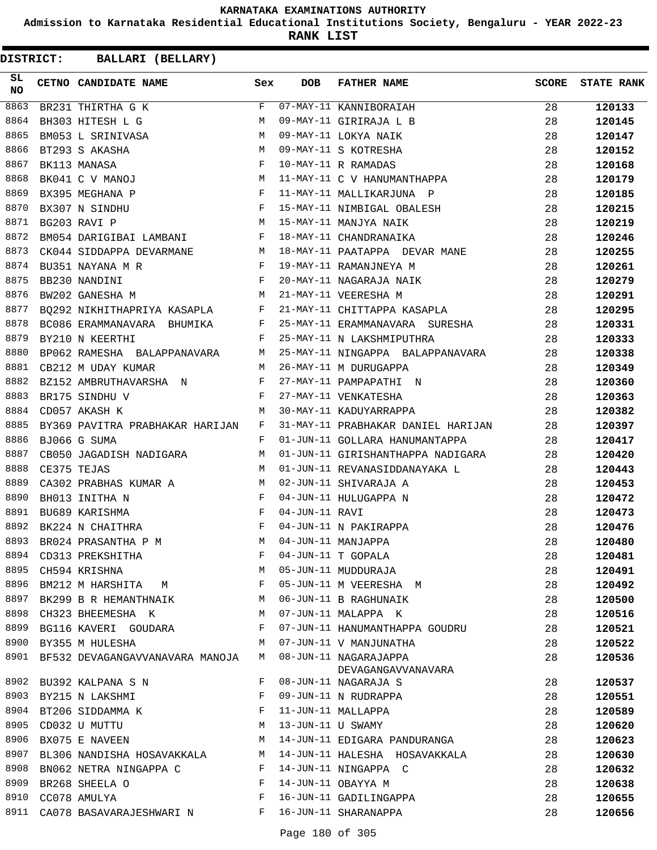**Admission to Karnataka Residential Educational Institutions Society, Bengaluru - YEAR 2022-23**

**RANK LIST**

| DISTRICT: | <b>BALLARI (BELLARY)</b>   |                                      |              |                   |                                             |              |                   |
|-----------|----------------------------|--------------------------------------|--------------|-------------------|---------------------------------------------|--------------|-------------------|
| SL<br>NO  | CETNO CANDIDATE NAME       |                                      | Sex          | DOB               | <b>FATHER NAME</b>                          | <b>SCORE</b> | <b>STATE RANK</b> |
| 8863      | BR231 THIRTHA G K          |                                      | F            |                   | 07-MAY-11 KANNIBORAIAH                      | 28           | 120133            |
| 8864      | BH303 HITESH L G           |                                      | M            |                   | 09-MAY-11 GIRIRAJA L B                      | 28           | 120145            |
| 8865      | BM053 L SRINIVASA          |                                      | М            |                   | 09-MAY-11 LOKYA NAIK                        | 28           | 120147            |
| 8866      | BT293 S AKASHA             |                                      | M            |                   | 09-MAY-11 S KOTRESHA                        | 28           | 120152            |
| 8867      | BK113 MANASA               |                                      | F            |                   | 10-MAY-11 R RAMADAS                         | 28           | 120168            |
| 8868      | BK041 C V MANOJ            |                                      | M            |                   | 11-MAY-11 C V HANUMANTHAPPA                 | 28           | 120179            |
| 8869      | BX395 MEGHANA P            |                                      | F            |                   | 11-MAY-11 MALLIKARJUNA P                    | 28           | 120185            |
| 8870      | BX307 N SINDHU             |                                      | F            |                   | 15-MAY-11 NIMBIGAL OBALESH                  | 28           | 120215            |
| 8871      | BG203 RAVI P               |                                      | М            |                   | 15-MAY-11 MANJYA NAIK                       | 28           | 120219            |
| 8872      |                            | BM054 DARIGIBAI LAMBANI              | F            |                   | 18-MAY-11 CHANDRANAIKA                      | 28           | 120246            |
| 8873      | CK044 SIDDAPPA DEVARMANE   |                                      | M            |                   | 18-MAY-11 PAATAPPA DEVAR MANE               | 28           | 120255            |
| 8874      | BU351 NAYANA M R           |                                      | $\mathbf{F}$ |                   | 19-MAY-11 RAMANJNEYA M                      | 28           | 120261            |
| 8875      | BB230 NANDINI              |                                      | F            |                   | 20-MAY-11 NAGARAJA NAIK                     | 28           | 120279            |
| 8876      | BW202 GANESHA M            | <b>M</b>                             |              |                   | 21-MAY-11 VEERESHA M                        | 28           | 120291            |
| 8877      |                            | BQ292 NIKHITHAPRIYA KASAPLA F        |              |                   | 21-MAY-11 CHITTAPPA KASAPLA                 | 28           | 120295            |
| 8878      | BC086 ERAMMANAVARA BHUMIKA |                                      | F            |                   | 25-MAY-11 ERAMMANAVARA SURESHA              | 28           | 120331            |
| 8879      | BY210 N KEERTHI            |                                      | F            |                   | 25-MAY-11 N LAKSHMIPUTHRA                   | 28           | 120333            |
| 8880      |                            | BP062 RAMESHA BALAPPANAVARA          | M            |                   | 25-MAY-11 NINGAPPA BALAPPANAVARA            | 28           | 120338            |
| 8881      | CB212 M UDAY KUMAR         |                                      | М            |                   | 26-MAY-11 M DURUGAPPA                       | 28           | 120349            |
| 8882      | BZ152 AMBRUTHAVARSHA N     |                                      | F            |                   | 27-MAY-11 PAMPAPATHI N                      | 28           | 120360            |
| 8883      | BR175 SINDHU V             |                                      | F            |                   | 27-MAY-11 VENKATESHA                        | 28           | 120363            |
| 8884      | CD057 AKASH K              |                                      | М            |                   | 30-MAY-11 KADUYARRAPPA                      | 28           | 120382            |
| 8885      |                            | BY369 PAVITRA PRABHAKAR HARIJAN      | F            |                   | 31-MAY-11 PRABHAKAR DANIEL HARIJAN          | 28           | 120397            |
| 8886      | BJ066 G SUMA               |                                      | F            |                   | 01-JUN-11 GOLLARA HANUMANTAPPA              | 28           | 120417            |
| 8887      | CB050 JAGADISH NADIGARA    |                                      | М            |                   | 01-JUN-11 GIRISHANTHAPPA NADIGARA           | 28           | 120420            |
| 8888      | CE375 TEJAS                |                                      | М            |                   | 01-JUN-11 REVANASIDDANAYAKA L               | 28           | 120443            |
| 8889      |                            | CA302 PRABHAS KUMAR A                | M            |                   | 02-JUN-11 SHIVARAJA A                       | 28           | 120453            |
| 8890      | BH013 INITHA N             |                                      | F            |                   | 04-JUN-11 HULUGAPPA N                       | 28           | 120472            |
| 8891      | BU689 KARISHMA             |                                      | F            | 04-JUN-11 RAVI    |                                             | 28           | 120473            |
| 8892      | BK224 N CHAITHRA           |                                      | F            |                   | 04-JUN-11 N PAKIRAPPA                       | 28           | 120476            |
| 8893      |                            | BR024 PRASANTHA P M                  | M            |                   | 04-JUN-11 MANJAPPA                          | 28           | 120480            |
| 8894      | CD313 PREKSHITHA           |                                      | F            |                   | 04-JUN-11 T GOPALA                          | 28           | 120481            |
| 8895      | CH594 KRISHNA              |                                      | М            |                   | 05-JUN-11 MUDDURAJA                         | 28           | 120491            |
| 8896      | BM212 M HARSHITA M         |                                      | F            |                   | 05-JUN-11 M VEERESHA M                      | 28           | 120492            |
| 8897      | BK299 B R HEMANTHNAIK      |                                      | M            |                   | 06-JUN-11 B RAGHUNAIK                       | 28           | 120500            |
| 8898      | CH323 BHEEMESHA K          |                                      | М            |                   | 07-JUN-11 MALAPPA K                         | 28           | 120516            |
| 8899      |                            | BG116 KAVERI GOUDARA                 | F            |                   | 07-JUN-11 HANUMANTHAPPA GOUDRU              | 28           | 120521            |
| 8900      | BY355 M HULESHA            |                                      | M            |                   | 07-JUN-11 V MANJUNATHA                      | 28           | 120522            |
|           |                            | 8901 BF532 DEVAGANGAVVANAVARA MANOJA | М            |                   | 08-JUN-11 NAGARAJAPPA<br>DEVAGANGAVVANAVARA | 28           | 120536            |
| 8902      | BU392 KALPANA S N          |                                      | F            |                   | 08-JUN-11 NAGARAJA S                        | 28           | 120537            |
|           | 8903 BY215 N LAKSHMI       |                                      | F            |                   | 09-JUN-11 N RUDRAPPA                        | 28           | 120551            |
|           | 8904 BT206 SIDDAMMA K      |                                      | F            |                   | 11-JUN-11 MALLAPPA                          | 28           | 120589            |
| 8905      | CD032 U MUTTU              |                                      | М            | 13-JUN-11 U SWAMY |                                             | 28           | 120620            |
| 8906      | BX075 E NAVEEN             |                                      | М            |                   | 14-JUN-11 EDIGARA PANDURANGA                | 28           | 120623            |
| 8907      |                            | BL306 NANDISHA HOSAVAKKALA           | М            |                   | 14-JUN-11 HALESHA HOSAVAKKALA               | 28           | 120630            |
| 8908      | BN062 NETRA NINGAPPA C     |                                      | F            |                   | 14-JUN-11 NINGAPPA C                        | 28           | 120632            |
| 8909      | BR268 SHEELA O             |                                      | F            |                   | 14-JUN-11 OBAYYA M                          | 28           | 120638            |
| 8910      | CC078 AMULYA               |                                      | F            |                   | 16-JUN-11 GADILINGAPPA                      | 28           | 120655            |
|           |                            | 8911 CA078 BASAVARAJESHWARI N        | F            |                   | 16-JUN-11 SHARANAPPA                        | 28           | 120656            |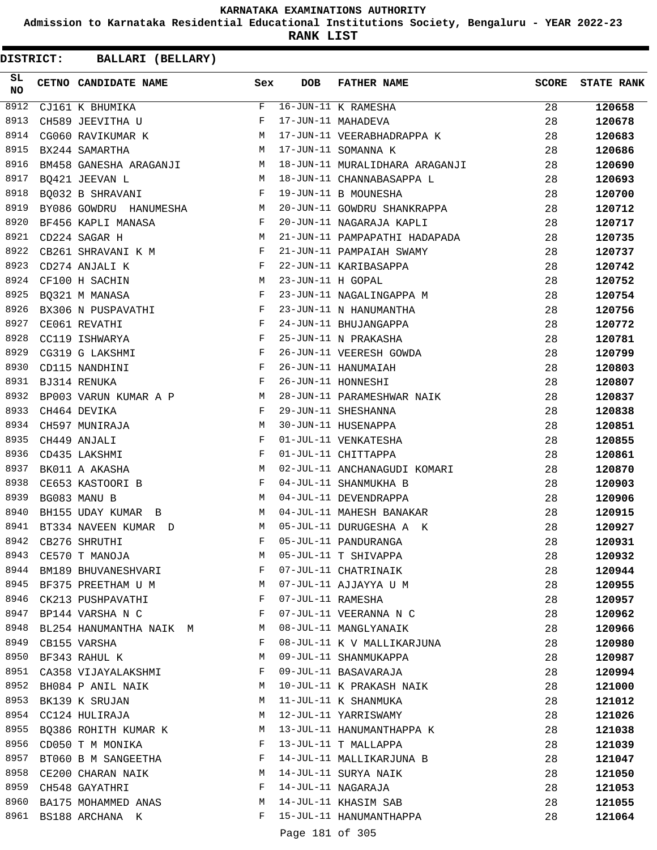**Admission to Karnataka Residential Educational Institutions Society, Bengaluru - YEAR 2022-23**

**RANK LIST**

| SL<br><b>NO</b> | CETNO CANDIDATE NAME                                | Sex            | <b>DOB</b>        | <b>FATHER NAME</b>             | <b>SCORE</b> | <b>STATE RANK</b> |
|-----------------|-----------------------------------------------------|----------------|-------------------|--------------------------------|--------------|-------------------|
| 8912            | CJ161 K BHUMIKA                                     | F              |                   | 16-JUN-11 K RAMESHA            | 28           | 120658            |
| 8913            | CH589 JEEVITHA U                                    | F              |                   | 17-JUN-11 MAHADEVA             | 28           | 120678            |
| 8914            | CG060 RAVIKUMAR K                                   | M              |                   | 17-JUN-11 VEERABHADRAPPA K     | 28           | 120683            |
| 8915            | M<br>BX244 SAMARTHA                                 |                |                   | 17-JUN-11 SOMANNA K            | 28           | 120686            |
| 8916            | BM458 GANESHA ARAGANJI M                            |                |                   | 18-JUN-11 MURALIDHARA ARAGANJI | 28           | 120690            |
| 8917            | $M_{\rm H}$ and $M_{\rm H}$<br>BQ421 JEEVAN L       |                |                   | 18-JUN-11 CHANNABASAPPA L      | 28           | 120693            |
| 8918            | $\mathbf{F}$ and $\mathbf{F}$<br>BQ032 B SHRAVANI   |                |                   | 19-JUN-11 B MOUNESHA           | 28           | 120700            |
| 8919            | BY086 GOWDRU HANUMESHA M                            |                |                   | 20-JUN-11 GOWDRU SHANKRAPPA    | 28           | 120712            |
| 8920            | BF456 KAPLI MANASA<br>$\mathbf{F}$ and $\mathbf{F}$ |                |                   | 20-JUN-11 NAGARAJA KAPLI       | 28           | 120717            |
| 8921            | CD224 SAGAR H                                       | M              |                   | 21-JUN-11 PAMPAPATHI HADAPADA  | 28           | 120735            |
| 8922            | $\mathbf{F}$ and $\mathbf{F}$<br>CB261 SHRAVANI K M |                |                   | 21-JUN-11 PAMPAIAH SWAMY       | 28           | 120737            |
| 8923            | CD274 ANJALI K                                      | $\mathbf{F}$   |                   | 22-JUN-11 KARIBASAPPA          | 28           | 120742            |
| 8924            | CF100 H SACHIN<br><b>M</b>                          |                | 23-JUN-11 H GOPAL |                                | 28           | 120752            |
| 8925            | BQ321 M MANASA                                      | F              |                   | 23-JUN-11 NAGALINGAPPA M       | 28           | 120754            |
| 8926            | BX306 N PUSPAVATHI $F$                              |                |                   | 23-JUN-11 N HANUMANTHA         | 28           | 120756            |
| 8927            | CE061 REVATHI                                       | $\mathbf{F}$   |                   | 24-JUN-11 BHUJANGAPPA          | 28           | 120772            |
| 8928            | CC119 ISHWARYA                                      | $$\mathbf{F}$$ |                   | 25-JUN-11 N PRAKASHA           | 28           | 120781            |
| 8929            | CG319 G LAKSHMI                                     | F              |                   | 26-JUN-11 VEERESH GOWDA        | 28           | 120799            |
| 8930            | $\mathbf{F}$<br>CD115 NANDHINI                      |                |                   | 26-JUN-11 HANUMAIAH            | 28           | 120803            |
| 8931            | BJ314 RENUKA                                        | $\mathbb{F}$   |                   | 26-JUN-11 HONNESHI             | 28           | 120807            |
| 8932            | BP003 VARUN KUMAR A P M                             |                |                   | 28-JUN-11 PARAMESHWAR NAIK     | 28           | 120837            |
| 8933            | CH464 DEVIKA                                        | F              |                   | 29-JUN-11 SHESHANNA            | 28           | 120838            |
| 8934            | M                                                   |                |                   | 30-JUN-11 HUSENAPPA            | 28           |                   |
| 8935            | CH597 MUNIRAJA                                      | $_{\rm F}$     |                   |                                |              | 120851            |
|                 | CH449 ANJALI                                        |                |                   | 01-JUL-11 VENKATESHA           | 28           | 120855            |
| 8936            | CD435 LAKSHMI                                       | F              |                   | 01-JUL-11 CHITTAPPA            | 28           | 120861            |
| 8937            | BK011 A AKASHA                                      | M              |                   | 02-JUL-11 ANCHANAGUDI KOMARI   | 28           | 120870            |
| 8938            | CE653 KASTOORI B                                    | $$\mathbf{F}$$ |                   | 04-JUL-11 SHANMUKHA B          | 28           | 120903            |
| 8939            | BG083 MANU B                                        | M              |                   | 04-JUL-11 DEVENDRAPPA          | 28           | 120906            |
| 8940            | BH155 UDAY KUMAR B                                  | M              |                   | 04-JUL-11 MAHESH BANAKAR       | 28           | 120915            |
| 8941            | BT334 NAVEEN KUMAR D                                | M              |                   | 05-JUL-11 DURUGESHA A K        | 28           | 120927            |
| 8942            | CB276 SHRUTHI                                       | F              |                   | 05-JUL-11 PANDURANGA           | 28           | 120931            |
| 8943            | CE570 T MANOJA                                      | М              |                   | 05-JUL-11 T SHIVAPPA           | 28           | 120932            |
| 8944            | BM189 BHUVANESHVARI                                 | F              |                   | 07-JUL-11 CHATRINAIK           | 28           | 120944            |
| 8945            | BF375 PREETHAM U M                                  | M              |                   | 07-JUL-11 AJJAYYA U M          | 28           | 120955            |
| 8946            | CK213 PUSHPAVATHI                                   | F              | 07-JUL-11 RAMESHA |                                | 28           | 120957            |
| 8947            | BP144 VARSHA N C                                    | F              |                   | 07-JUL-11 VEERANNA N C         | 28           | 120962            |
| 8948            | BL254 HANUMANTHA NAIK M                             | M              |                   | 08-JUL-11 MANGLYANAIK          | 28           | 120966            |
| 8949            | CB155 VARSHA                                        | F              |                   | 08-JUL-11 K V MALLIKARJUNA     | 28           | 120980            |
| 8950            | BF343 RAHUL K                                       | М              |                   | 09-JUL-11 SHANMUKAPPA          | 28           | 120987            |
|                 | 8951 CA358 VIJAYALAKSHMI                            | F              |                   | 09-JUL-11 BASAVARAJA           | 28           | 120994            |
| 8952            | BH084 P ANIL NAIK                                   | M              |                   | 10-JUL-11 K PRAKASH NAIK       | 28           | 121000            |
| 8953            | BK139 K SRUJAN                                      | M              |                   | 11-JUL-11 K SHANMUKA           | 28           | 121012            |
| 8954            | CC124 HULIRAJA                                      | М              |                   | 12-JUL-11 YARRISWAMY           | 28           | 121026            |
| 8955            | BQ386 ROHITH KUMAR K                                | M              |                   | 13-JUL-11 HANUMANTHAPPA K      | 28           | 121038            |
| 8956            | CD050 T M MONIKA                                    | F              |                   | 13-JUL-11 T MALLAPPA           | 28           | 121039            |
| 8957            | BT060 B M SANGEETHA                                 | F              |                   | 14-JUL-11 MALLIKARJUNA B       | 28           | 121047            |
| 8958            | CE200 CHARAN NAIK                                   | M              |                   | 14-JUL-11 SURYA NAIK           | 28           | 121050            |
|                 | 8959 CH548 GAYATHRI                                 | F              |                   | 14-JUL-11 NAGARAJA             | 28           | 121053            |
| 8960            | BA175 MOHAMMED ANAS                                 | M              |                   | 14-JUL-11 KHASIM SAB           | 28           | 121055            |
|                 | 8961 BS188 ARCHANA K                                | F              |                   | 15-JUL-11 HANUMANTHAPPA        | 28           | 121064            |
|                 |                                                     |                | Page 181 of 305   |                                |              |                   |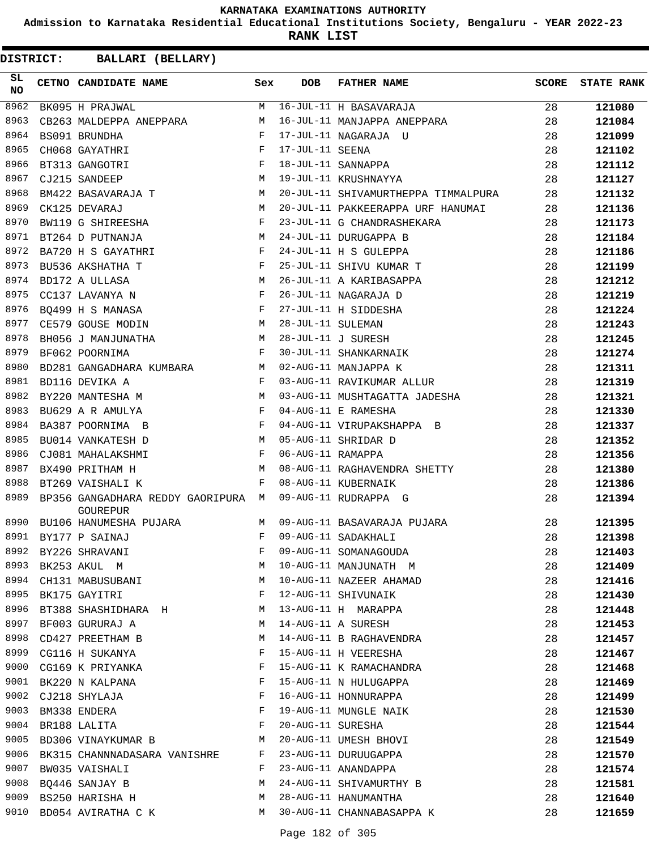**Admission to Karnataka Residential Educational Institutions Society, Bengaluru - YEAR 2022-23**

**RANK LIST**

| SL<br><b>NO</b> | CETNO CANDIDATE NAME                                                     | Sex         | <b>DOB</b>        | <b>FATHER NAME</b>                  | SCORE | <b>STATE RANK</b> |
|-----------------|--------------------------------------------------------------------------|-------------|-------------------|-------------------------------------|-------|-------------------|
| 8962            | BK095 H PRAJWAL                                                          | $M_{\odot}$ |                   | 16-JUL-11 H BASAVARAJA              | 28    | 121080            |
| 8963            | CB263 MALDEPPA ANEPPARA                                                  | M           |                   | 16-JUL-11 MANJAPPA ANEPPARA         | 28    | 121084            |
| 8964            | BS091 BRUNDHA                                                            | $_{\rm F}$  |                   | 17-JUL-11 NAGARAJA U                | 28    | 121099            |
| 8965            | CH068 GAYATHRI                                                           | $_{\rm F}$  | 17-JUL-11 SEENA   |                                     | 28    | 121102            |
| 8966            | BT313 GANGOTRI                                                           | $_{\rm F}$  |                   | 18-JUL-11 SANNAPPA                  | 28    | 121112            |
| 8967            | CJ215 SANDEEP                                                            | M           |                   | 19-JUL-11 KRUSHNAYYA                | 28    | 121127            |
| 8968            | BM422 BASAVARAJA T                                                       | M           |                   | 20-JUL-11 SHIVAMURTHEPPA TIMMALPURA | 28    | 121132            |
| 8969            | CK125 DEVARAJ                                                            | M           |                   | 20-JUL-11 PAKKEERAPPA URF HANUMAI   | 28    | 121136            |
| 8970            | BW119 G SHIREESHA                                                        | F           |                   | 23-JUL-11 G CHANDRASHEKARA          | 28    | 121173            |
| 8971            | BT264 D PUTNANJA                                                         | M           |                   | 24-JUL-11 DURUGAPPA B               | 28    | 121184            |
| 8972            | BA720 H S GAYATHRI                                                       | F           |                   | 24-JUL-11 H S GULEPPA               | 28    | 121186            |
| 8973            | BU536 AKSHATHA T                                                         | $_{\rm F}$  |                   | 25-JUL-11 SHIVU KUMAR T             | 28    | 121199            |
| 8974            | BD172 A ULLASA                                                           | М           |                   | 26-JUL-11 A KARIBASAPPA             | 28    | 121212            |
| 8975            | CC137 LAVANYA N                                                          | F           |                   | 26-JUL-11 NAGARAJA D                | 28    | 121219            |
| 8976            | $\mathbf{F}$ and the state of the state $\mathbf{F}$<br>BQ499 H S MANASA |             |                   | 27-JUL-11 H SIDDESHA                | 28    | 121224            |
| 8977            | CE579 GOUSE MODIN                                                        | M           | 28-JUL-11 SULEMAN |                                     | 28    | 121243            |
| 8978            | BH056 J MANJUNATHA                                                       | M           |                   | 28-JUL-11 J SURESH                  | 28    | 121245            |
| 8979            | BF062 POORNIMA                                                           | F           |                   | 30-JUL-11 SHANKARNAIK               | 28    | 121274            |
| 8980            | BD281 GANGADHARA KUMBARA M                                               |             |                   | 02-AUG-11 MANJAPPA K                | 28    | 121311            |
| 8981            | BD116 DEVIKA A                                                           | F           |                   | 03-AUG-11 RAVIKUMAR ALLUR           | 28    | 121319            |
| 8982            | BY220 MANTESHA M                                                         | M           |                   | 03-AUG-11 MUSHTAGATTA JADESHA       | 28    | 121321            |
| 8983            | BU629 A R AMULYA                                                         | F           |                   | 04-AUG-11 E RAMESHA                 | 28    | 121330            |
| 8984            | BA387 POORNIMA B                                                         | F           |                   | 04-AUG-11 VIRUPAKSHAPPA B           | 28    | 121337            |
| 8985            | BU014 VANKATESH D                                                        | M           |                   | 05-AUG-11 SHRIDAR D                 | 28    | 121352            |
| 8986            | CJ081 MAHALAKSHMI                                                        | F           | 06-AUG-11 RAMAPPA |                                     | 28    | 121356            |
| 8987            | BX490 PRITHAM H                                                          | M           |                   | 08-AUG-11 RAGHAVENDRA SHETTY        | 28    | 121380            |
| 8988            | BT269 VAISHALI K                                                         | F           |                   | 08-AUG-11 KUBERNAIK                 | 28    | 121386            |
| 8989            | BP356 GANGADHARA REDDY GAORIPURA M<br>GOUREPUR                           |             |                   | 09-AUG-11 RUDRAPPA G                | 28    | 121394            |
| 8990            | BU106 HANUMESHA PUJARA                                                   | М           |                   | 09-AUG-11 BASAVARAJA PUJARA         | 28    | 121395            |
|                 | 8991 BY177 P SAINAJ                                                      | $_{\rm F}$  |                   | 09-AUG-11 SADAKHALI                 | 28    | 121398            |
| 8992            | BY226 SHRAVANI                                                           | F           |                   | 09-AUG-11 SOMANAGOUDA               | 28    | 121403            |
| 8993            | BK253 AKUL M                                                             | M           |                   | 10-AUG-11 MANJUNATH M               | 28    | 121409            |
| 8994            | CH131 MABUSUBANI                                                         | М           |                   | 10-AUG-11 NAZEER AHAMAD             | 28    | 121416            |
| 8995            | BK175 GAYITRI                                                            | F           |                   | 12-AUG-11 SHIVUNAIK                 | 28    | 121430            |
| 8996            | BT388 SHASHIDHARA H                                                      | M           |                   | 13-AUG-11 H MARAPPA                 | 28    | 121448            |
| 8997            | BF003 GURURAJ A                                                          | M           |                   | 14-AUG-11 A SURESH                  | 28    | 121453            |
| 8998            | CD427 PREETHAM B                                                         | M           |                   | 14-AUG-11 B RAGHAVENDRA             | 28    | 121457            |
|                 | 8999 CG116 H SUKANYA                                                     | F           |                   | 15-AUG-11 H VEERESHA                | 28    | 121467            |
| 9000            | CG169 K PRIYANKA                                                         | F           |                   | 15-AUG-11 K RAMACHANDRA             | 28    | 121468            |
| 9001            | BK220 N KALPANA                                                          | F           |                   | 15-AUG-11 N HULUGAPPA               | 28    | 121469            |
| 9002            | CJ218 SHYLAJA                                                            | F           |                   | 16-AUG-11 HONNURAPPA                | 28    | 121499            |
| 9003            | BM338 ENDERA                                                             | F           |                   | 19-AUG-11 MUNGLE NAIK               | 28    | 121530            |
| 9004            | BR188 LALITA                                                             | F           | 20-AUG-11 SURESHA |                                     | 28    | 121544            |
| 9005            | BD306 VINAYKUMAR B                                                       | M           |                   | 20-AUG-11 UMESH BHOVI               | 28    | 121549            |
|                 | 9006 BK315 CHANNNADASARA VANISHRE                                        | F           |                   | 23-AUG-11 DURUUGAPPA                | 28    | 121570            |
|                 | 9007 BW035 VAISHALI                                                      | F           |                   | 23-AUG-11 ANANDAPPA                 | 28    | 121574            |
| 9008            | BO446 SANJAY B                                                           | М           |                   | 24-AUG-11 SHIVAMURTHY B             | 28    | 121581            |
| 9009            | BS250 HARISHA H                                                          | М           |                   | 28-AUG-11 HANUMANTHA                | 28    | 121640            |
| 9010            | BD054 AVIRATHA C K                                                       | M           |                   | 30-AUG-11 CHANNABASAPPA K           | 28    | 121659            |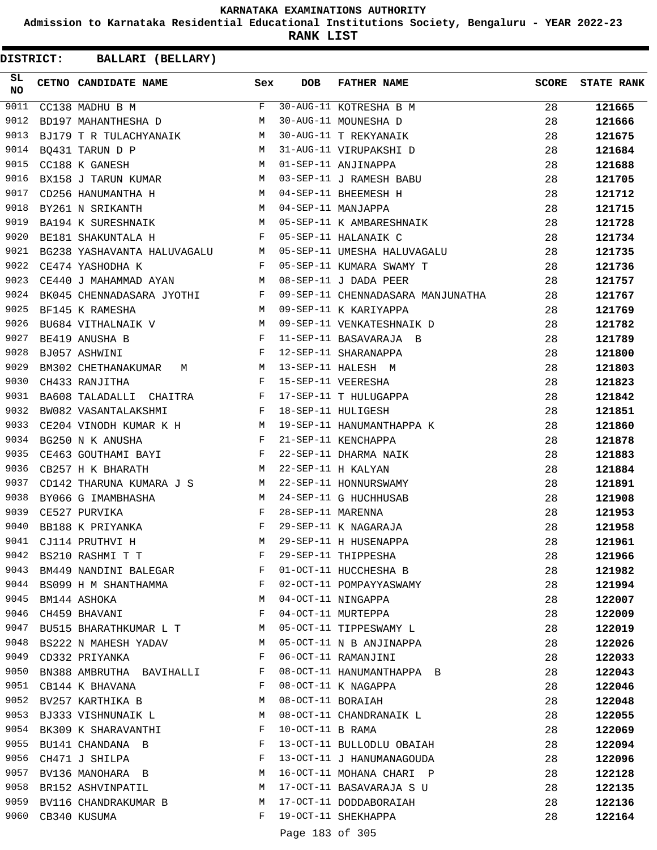**Admission to Karnataka Residential Educational Institutions Society, Bengaluru - YEAR 2022-23**

**RANK LIST**

| SL<br><b>NO</b> | CETNO CANDIDATE NAME Sex                                                                                                                                               |              | DOB               | FATHER NAME                                                                                                                        | SCORE | <b>STATE RANK</b> |
|-----------------|------------------------------------------------------------------------------------------------------------------------------------------------------------------------|--------------|-------------------|------------------------------------------------------------------------------------------------------------------------------------|-------|-------------------|
| 9011            | CC138 MADHU B M                                                                                                                                                        |              |                   | F 30-AUG-11 KOTRESHA B M<br>M 30-AUG-11 MOUNESHA D<br>M 30-AUG-11 T REKYANAIK<br>M 31-AUG-11 VIRUPAKSHI D<br>M 01-SEP-11 ANJINAPPA | 28    | 121665            |
| 9012            | M<br>BD197 MAHANTHESHA D                                                                                                                                               |              |                   |                                                                                                                                    | 28    | 121666            |
| 9013            | BJ179 T R TULACHYANAIK M                                                                                                                                               |              |                   |                                                                                                                                    | 28    | 121675            |
| 9014            | M<br>BO431 TARUN D P                                                                                                                                                   |              |                   |                                                                                                                                    | 28    | 121684            |
| 9015            | M<br>CC188 K GANESH                                                                                                                                                    |              |                   |                                                                                                                                    | 28    | 121688            |
| 9016            |                                                                                                                                                                        |              |                   | BX158 J TARUN KUMAR M 03-SEP-11 J RAMESH BABU                                                                                      | 28    | 121705            |
| 9017            | CD256 HANUMANTHA H N M 04-SEP-11 BHEEMESH H                                                                                                                            |              |                   | CD256 HANUMANTHA H M 04-SEP-11 BHEEMESH H M 04-SEP-11 MANJAPPA<br>BA194 K SURESHNAIK M M 05-SEP-11 K AMBARESHNAIK                  | 28    | 121712            |
| 9018            |                                                                                                                                                                        |              |                   |                                                                                                                                    | 28    | 121715            |
| 9019            |                                                                                                                                                                        |              |                   |                                                                                                                                    | 28    | 121728            |
| 9020            | BE181 SHAKUNTALA H F                                                                                                                                                   |              |                   | 05-SEP-11 HALANAIK C                                                                                                               | 28    | 121734            |
| 9021            |                                                                                                                                                                        |              |                   | BG238 YASHAVANTA HALUVAGALU M 05-SEP-11 UMESHA HALUVAGALU                                                                          | 28    | 121735            |
| 9022            | CE474 YASHODHA K                                                                                                                                                       |              |                   | F 05-SEP-11 KUMARA SWAMY T                                                                                                         | 28    | 121736            |
| 9023            | CE440 J MAHAMMAD AYAN M 08-SEP-11 J DADA PEER                                                                                                                          |              |                   |                                                                                                                                    | 28    | 121757            |
| 9024            |                                                                                                                                                                        |              |                   | 09-SEP-11 CHENNADASARA MANJUNATHA 28                                                                                               |       | 121767            |
| 9025            |                                                                                                                                                                        |              |                   | 09-SEP-11 K KARIYAPPA                                                                                                              | 28    | 121769            |
| 9026            | BK045 CHENNADASARA JYOTHI F<br>BF145 K RAMESHA M<br>BU684 VITHALNAIK V M                                                                                               |              |                   | 09-SEP-11 VENKATESHNAIK D                                                                                                          | 28    | 121782            |
| 9027            | $\mathbb F$<br>BE419 ANUSHA B                                                                                                                                          |              |                   | 11-SEP-11 BASAVARAJA B                                                                                                             | 28    | 121789            |
| 9028            | $\mathbf{F}$ and $\mathbf{F}$ and $\mathbf{F}$<br>BJ057 ASHWINI                                                                                                        |              |                   | 12-SEP-11 SHARANAPPA                                                                                                               | 28    | 121800            |
| 9029            |                                                                                                                                                                        |              |                   | 13-SEP-11 HALESH M                                                                                                                 | 28    | 121803            |
| 9030            | $\begin{array}{lllllll} \texttt{BM302} & \texttt{CHETHANAKUMAR} & \texttt{M} & \texttt{M} \\ \texttt{CH433} & \texttt{RANJITHA} & \texttt{F} & \texttt{F} \end{array}$ |              |                   | 15-SEP-11 VEERESHA                                                                                                                 | 28    | 121823            |
| 9031            | BA608 TALADALLI CHAITRA F                                                                                                                                              |              |                   | 17-SEP-11 T HULUGAPPA                                                                                                              | 28    | 121842            |
| 9032            | $\mathbf{F}$<br>BW082 VASANTALAKSHMI                                                                                                                                   |              |                   | 18-SEP-11 HULIGESH                                                                                                                 | 28    | 121851            |
| 9033            |                                                                                                                                                                        |              |                   |                                                                                                                                    | 28    | 121860            |
| 9034            |                                                                                                                                                                        |              |                   | CE204 VINODH KUMAR K H $M$ 19-SEP-11 HANUMANTHAPPA K<br>BG250 N K ANUSHA $F$ 21-SEP-11 KENCHAPPA                                   | 28    | 121878            |
| 9035            | CE463 GOUTHAMI BAYI F                                                                                                                                                  |              |                   | 22-SEP-11 DHARMA NAIK                                                                                                              | 28    | 121883            |
| 9036            | $\mathbb{M}$<br>CB257 H K BHARATH                                                                                                                                      |              |                   | 22-SEP-11 H KALYAN                                                                                                                 | 28    | 121884            |
| 9037            | CD142 THARUNA KUMARA J S M                                                                                                                                             |              |                   | 22-SEP-11 HONNURSWAMY                                                                                                              | 28    | 121891            |
| 9038            | $\overline{M}$<br>BY066 G IMAMBHASHA                                                                                                                                   |              |                   | 24-SEP-11 G HUCHHUSAB                                                                                                              | 28    | 121908            |
| 9039            | $\mathbf{F}$<br>CE527 PURVIKA                                                                                                                                          |              | 28-SEP-11 MARENNA |                                                                                                                                    | 28    | 121953            |
| 9040            | $\mathbb{F}^{\mathbb{Z}}$ . The state $\mathbb{F}^{\mathbb{Z}}$<br>BB188 K PRIYANKA                                                                                    |              |                   | 29-SEP-11 K NAGARAJA                                                                                                               | 28    | 121958            |
| 9041            | M<br>CJ114 PRUTHVI H                                                                                                                                                   |              |                   | 29-SEP-11 H HUSENAPPA                                                                                                              | 28    | 121961            |
| 9042            | BS210 RASHMI T T                                                                                                                                                       | F            |                   | 29-SEP-11 THIPPESHA                                                                                                                | 28    | 121966            |
| 9043            | BM449 NANDINI BALEGAR                                                                                                                                                  | F            |                   | 01-OCT-11 HUCCHESHA B                                                                                                              | 28    | 121982            |
| 9044            | BS099 H M SHANTHAMMA<br>and the state of the Fig.                                                                                                                      |              |                   | 02-OCT-11 POMPAYYASWAMY                                                                                                            | 28    |                   |
| 9045            | BM144 ASHOKA                                                                                                                                                           | M            |                   | 04-OCT-11 NINGAPPA                                                                                                                 | 28    | 121994            |
| 9046            | CH459 BHAVANI                                                                                                                                                          | $\mathbf{F}$ |                   | 04-OCT-11 MURTEPPA                                                                                                                 | 28    | 122007            |
| 9047            | BU515 BHARATHKUMAR L T M                                                                                                                                               |              |                   | 05-OCT-11 TIPPESWAMY L                                                                                                             | 28    | 122009            |
| 9048            |                                                                                                                                                                        | M            |                   | 05-OCT-11 N B ANJINAPPA                                                                                                            |       | 122019            |
|                 | BS222 N MAHESH YADAV<br>9049 CD332 PRIYANKA                                                                                                                            | F            |                   | 06-OCT-11 RAMANJINI                                                                                                                | 28    | 122026            |
|                 |                                                                                                                                                                        | F            |                   |                                                                                                                                    | 28    | 122033            |
|                 | 9050 BN388 AMBRUTHA BAVIHALLI                                                                                                                                          |              |                   | 08-OCT-11 HANUMANTHAPPA B                                                                                                          | 28    | 122043            |
| 9051            | CB144 K BHAVANA                                                                                                                                                        | F            |                   | 08-OCT-11 K NAGAPPA                                                                                                                | 28    | 122046            |
| 9052            | BV257 KARTHIKA B                                                                                                                                                       | <b>M</b>     | 08-OCT-11 BORAIAH |                                                                                                                                    | 28    | 122048            |
|                 | 9053 BJ333 VISHNUNAIK L                                                                                                                                                | M            |                   | 08-OCT-11 CHANDRANAIK L                                                                                                            | 28    | 122055            |
|                 | 9054 BK309 K SHARAVANTHI                                                                                                                                               | F            | 10-OCT-11 B RAMA  |                                                                                                                                    | 28    | 122069            |
| 9055            | BU141 CHANDANA B                                                                                                                                                       | F            |                   | 13-OCT-11 BULLODLU OBAIAH                                                                                                          | 28    | 122094            |
| 9056            | CH471 J SHILPA                                                                                                                                                         | F            |                   | 13-OCT-11 J HANUMANAGOUDA                                                                                                          | 28    | 122096            |
|                 | 9057 BV136 MANOHARA B                                                                                                                                                  | M            |                   | 16-OCT-11 MOHANA CHARI P                                                                                                           | 28    | 122128            |
|                 | 9058 BR152 ASHVINPATIL                                                                                                                                                 | M            |                   | 17-OCT-11 BASAVARAJA S U                                                                                                           | 28    | 122135            |
|                 | 9059 BV116 CHANDRAKUMAR B                                                                                                                                              | M            |                   | 17-OCT-11 DODDABORAIAH                                                                                                             | 28    | 122136            |
|                 | 9060 CB340 KUSUMA                                                                                                                                                      | F            |                   | 19-OCT-11 SHEKHAPPA                                                                                                                | 28    | 122164            |
|                 |                                                                                                                                                                        |              | Page 183 of 305   |                                                                                                                                    |       |                   |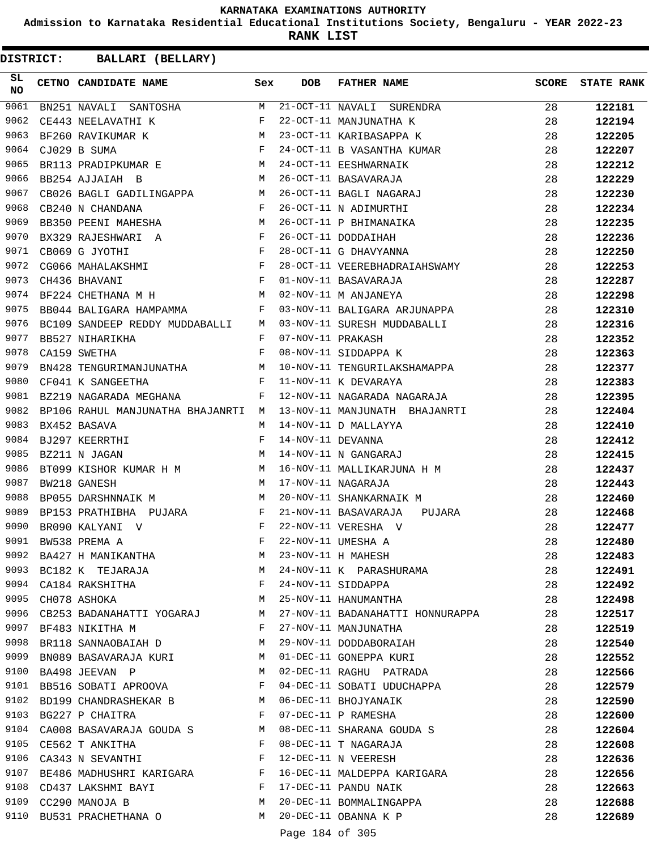**Admission to Karnataka Residential Educational Institutions Society, Bengaluru - YEAR 2022-23**

**RANK LIST**

**DISTRICT:** CC **BALLARI (BELLARY)**

| SL<br><b>NO</b> | CETNO CANDIDATE NAME Sex                                                                                                                                                                                                                                |              | <b>DOB</b>        | <b>FATHER NAME</b>               | SCORE | <b>STATE RANK</b> |
|-----------------|---------------------------------------------------------------------------------------------------------------------------------------------------------------------------------------------------------------------------------------------------------|--------------|-------------------|----------------------------------|-------|-------------------|
| 9061            | BN251 NAVALI SANTOSHA                                                                                                                                                                                                                                   | M            |                   | 21-OCT-11 NAVALI SURENDRA        | 28    | 122181            |
| 9062            | CE443 NEELAVATHI K                                                                                                                                                                                                                                      | F            |                   | 22-OCT-11 MANJUNATHA K           | 28    | 122194            |
| 9063            | BF260 RAVIKUMAR K                                                                                                                                                                                                                                       |              |                   | 23-OCT-11 KARIBASAPPA K          | 28    | 122205            |
| 9064            | $\begin{aligned} \mathbb{M} \\ \mathbb{F} \end{aligned}$<br>CJ029 B SUMA                                                                                                                                                                                |              |                   | 24-OCT-11 B VASANTHA KUMAR       | 28    | 122207            |
| 9065            | BR113 PRADIPKUMAR E M                                                                                                                                                                                                                                   |              |                   | 24-OCT-11 EESHWARNAIK            | 28    | 122212            |
| 9066            | <b>Market</b><br>BB254 AJJAIAH B                                                                                                                                                                                                                        |              |                   | 26-OCT-11 BASAVARAJA             | 28    | 122229            |
| 9067            | CB026 BAGLI GADILINGAPPA M                                                                                                                                                                                                                              |              |                   | 26-OCT-11 BAGLI NAGARAJ          | 28    | 122230            |
| 9068            | $\mathbf{F}$<br>CB240 N CHANDANA                                                                                                                                                                                                                        |              |                   | 26-OCT-11 N ADIMURTHI            | 28    | 122234            |
| 9069            | BB350 PEENI MAHESHA M                                                                                                                                                                                                                                   |              |                   | 26-OCT-11 P BHIMANAIKA           | 28    | 122235            |
| 9070            | $\mathbf{F}$ . The set of the set of the set of the set of the set of the set of the set of the set of the set of the set of the set of the set of the set of the set of the set of the set of the set of the set of the set of t<br>BX329 RAJESHWARI A |              |                   | 26-OCT-11 DODDAIHAH              | 28    | 122236            |
| 9071            | $\mathbb F$ . The set of the set of the set of the set of the set of the set of the set of the set of the set of the set of the set of the set of the set of the set of the set of the set of the set of the set of the set of the<br>CB069 G JYOTHI    |              |                   | 28-OCT-11 G DHAVYANNA            | 28    | 122250            |
| 9072            |                                                                                                                                                                                                                                                         |              |                   | 28-OCT-11 VEEREBHADRAIAHSWAMY    | 28    | 122253            |
| 9073            | CG066 MAHALAKSHMI F<br>CH436 BHAVANI F<br>PTOSI F                                                                                                                                                                                                       |              |                   | 01-NOV-11 BASAVARAJA             | 28    | 122287            |
| 9074            | BF224 CHETHANA M H                                                                                                                                                                                                                                      |              |                   | 02-NOV-11 M ANJANEYA             | 28    | 122298            |
| 9075            | BB044 BALIGARA HAMPAMMA F                                                                                                                                                                                                                               |              |                   | 03-NOV-11 BALIGARA ARJUNAPPA     | 28    | 122310            |
| 9076            | BC109 SANDEEP REDDY MUDDABALLI M                                                                                                                                                                                                                        |              |                   | 03-NOV-11 SURESH MUDDABALLI      | 28    | 122316            |
| 9077            | BB527 NIHARIKHA                                                                                                                                                                                                                                         | $\mathbf{F}$ | 07-NOV-11 PRAKASH |                                  | 28    | 122352            |
| 9078            | CA159 SWETHA                                                                                                                                                                                                                                            | $_{\rm F}$   |                   | 08-NOV-11 SIDDAPPA K             | 28    | 122363            |
| 9079            | BN428 TENGURIMANJUNATHA M                                                                                                                                                                                                                               |              |                   | 10-NOV-11 TENGURILAKSHAMAPPA     | 28    | 122377            |
| 9080            | $\mathbf{F}$<br>CF041 K SANGEETHA                                                                                                                                                                                                                       |              |                   | 11-NOV-11 K DEVARAYA             | 28    | 122383            |
| 9081            | BZ219 NAGARADA MEGHANA<br>$\mathbf{F}$ and $\mathbf{F}$                                                                                                                                                                                                 |              |                   | 12-NOV-11 NAGARADA NAGARAJA      | 28    | 122395            |
| 9082            | BP106 RAHUL MANJUNATHA BHAJANRTI M                                                                                                                                                                                                                      |              |                   | 13-NOV-11 MANJUNATH BHAJANRTI    | 28    | 122404            |
| 9083            | BX452 BASAVA                                                                                                                                                                                                                                            | M            |                   | 14-NOV-11 D MALLAYYA             | 28    | 122410            |
| 9084            | BJ297 KEERRTHI                                                                                                                                                                                                                                          | F            | 14-NOV-11 DEVANNA |                                  | 28    | 122412            |
| 9085            | M <sub>1</sub><br>BZ211 N JAGAN                                                                                                                                                                                                                         |              |                   | 14-NOV-11 N GANGARAJ             | 28    | 122415            |
| 9086            | BT099 KISHOR KUMAR H M M                                                                                                                                                                                                                                |              |                   | 16-NOV-11 MALLIKARJUNA H M       | 28    | 122437            |
| 9087            | M<br>BW218 GANESH                                                                                                                                                                                                                                       |              |                   | 17-NOV-11 NAGARAJA               | 28    | 122443            |
| 9088            | BP055 DARSHNNAIK M                                                                                                                                                                                                                                      | M            |                   | 20-NOV-11 SHANKARNAIK M          | 28    | 122460            |
| 9089            | BP153 PRATHIBHA PUJARA F                                                                                                                                                                                                                                |              |                   | 21-NOV-11 BASAVARAJA<br>PUJARA   | 28    | 122468            |
| 9090            | BR090 KALYANI V                                                                                                                                                                                                                                         | $\mathbf{F}$ |                   | 22-NOV-11 VERESHA V              | 28    | 122477            |
| 9091            | BW538 PREMA A                                                                                                                                                                                                                                           | $\mathbf F$  |                   | 22-NOV-11 UMESHA A               | 28    | 122480            |
| 9092            | BA427 H MANIKANTHA                                                                                                                                                                                                                                      | M            |                   | 23-NOV-11 H MAHESH               | 28    | 122483            |
| 9093            | BC182 K TEJARAJA M                                                                                                                                                                                                                                      |              |                   | 24-NOV-11 K PARASHURAMA          | 28    | 122491            |
| 9094            | CA184 RAKSHITHA F                                                                                                                                                                                                                                       |              |                   | 24-NOV-11 SIDDAPPA               | 28    | 122492            |
| 9095            | M<br>CH078 ASHOKA                                                                                                                                                                                                                                       |              |                   | 25-NOV-11 HANUMANTHA             | 28    | 122498            |
|                 | 9096 CB253 BADANAHATTI YOGARAJ M                                                                                                                                                                                                                        |              |                   | 27-NOV-11 BADANAHATTI HONNURAPPA | 28    | 122517            |
| 9097            | BF483 NIKITHA M                                                                                                                                                                                                                                         | $\mathbf{F}$ |                   | 27-NOV-11 MANJUNATHA             | 28    |                   |
| 9098            |                                                                                                                                                                                                                                                         | M            |                   | 29-NOV-11 DODDABORAIAH           |       | 122519            |
| 9099            | BR118 SANNAOBAIAH D                                                                                                                                                                                                                                     | M            |                   |                                  | 28    | 122540            |
| 9100            | BN089 BASAVARAJA KURI                                                                                                                                                                                                                                   |              |                   | 01-DEC-11 GONEPPA KURI           | 28    | 122552            |
|                 | BA498 JEEVAN P                                                                                                                                                                                                                                          | M            |                   | 02-DEC-11 RAGHU PATRADA          | 28    | 122566            |
| 9101            | BB516 SOBATI APROOVA F                                                                                                                                                                                                                                  |              |                   | 04-DEC-11 SOBATI UDUCHAPPA       | 28    | 122579            |
| 9102            | BD199 CHANDRASHEKAR B M                                                                                                                                                                                                                                 |              |                   | 06-DEC-11 BHOJYANAIK             | 28    | 122590            |
| 9103            | $\mathbf{F}$ and $\mathbf{F}$ and $\mathbf{F}$<br>BG227 P CHAITRA                                                                                                                                                                                       |              |                   | 07-DEC-11 P RAMESHA              | 28    | 122600            |
| 9104            | CA008 BASAVARAJA GOUDA S M                                                                                                                                                                                                                              |              |                   | 08-DEC-11 SHARANA GOUDA S        | 28    | 122604            |
| 9105            | CE562 T ANKITHA                                                                                                                                                                                                                                         | $\mathbf{F}$ |                   | 08-DEC-11 T NAGARAJA             | 28    | 122608            |
| 9106            | CA343 N SEVANTHI F                                                                                                                                                                                                                                      |              |                   | 12-DEC-11 N VEERESH              | 28    | 122636            |
| 9107            | BE486 MADHUSHRI KARIGARA F                                                                                                                                                                                                                              |              |                   | 16-DEC-11 MALDEPPA KARIGARA      | 28    | 122656            |
|                 | 9108 CD437 LAKSHMI BAYI                                                                                                                                                                                                                                 | F            |                   | 17-DEC-11 PANDU NAIK             | 28    | 122663            |
| 9109            | CC290 MANOJA B                                                                                                                                                                                                                                          | M            |                   | 20-DEC-11 BOMMALINGAPPA          | 28    | 122688            |
| 9110            | BU531 PRACHETHANA O M 20-DEC-11 OBANNA K P                                                                                                                                                                                                              |              |                   |                                  | 28    | 122689            |
|                 |                                                                                                                                                                                                                                                         |              | $D = 104 \cdot F$ |                                  |       |                   |

Page 184 of 305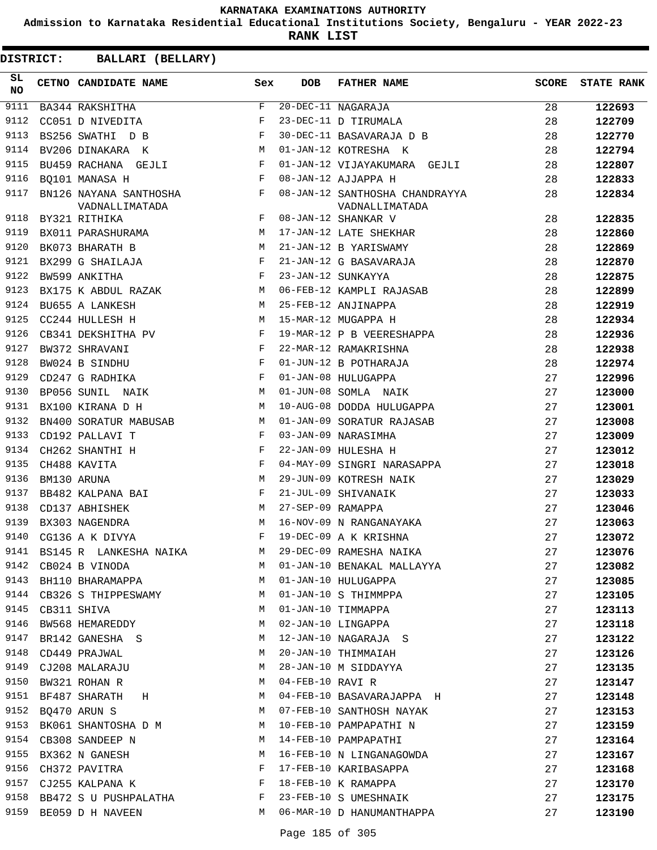**Admission to Karnataka Residential Educational Institutions Society, Bengaluru - YEAR 2022-23**

**RANK LIST**

| SL<br><b>NO</b> | CETNO CANDIDATE NAME Sex                                                                                                                                                                                                                       |              | <b>DOB</b>        | FATHER NAME                                      | <b>SCORE</b> | <b>STATE RANK</b> |
|-----------------|------------------------------------------------------------------------------------------------------------------------------------------------------------------------------------------------------------------------------------------------|--------------|-------------------|--------------------------------------------------|--------------|-------------------|
| 9111            | BA344 RAKSHITHA                                                                                                                                                                                                                                | F            |                   | $20 - DEC - 11$ NAGARAJA                         | 28           | 122693            |
| 9112            | CC051 D NIVEDITA                                                                                                                                                                                                                               | F            |                   | 23-DEC-11 D TIRUMALA                             | 28           | 122709            |
| 9113            | BS256 SWATHI D B                                                                                                                                                                                                                               | $\mathbf{F}$ |                   | 30-DEC-11 BASAVARAJA D B                         | 28           | 122770            |
| 9114            | M <sub>N</sub><br>BV206 DINAKARA K                                                                                                                                                                                                             |              |                   | 01-JAN-12 KOTRESHA K                             | 28           | 122794            |
| 9115            | BU459 RACHANA GEJLI                                                                                                                                                                                                                            | F            |                   | 01-JAN-12 VIJAYAKUMARA GEJLI                     | 28           | 122807            |
| 9116            | $\mathbf{F}$ and $\mathbf{F}$ and $\mathbf{F}$<br>BO101 MANASA H                                                                                                                                                                               |              |                   | 08-JAN-12 AJJAPPA H                              | 28           | 122833            |
| 9117            | BN126 NAYANA SANTHOSHA F<br>VADNALLIMATADA                                                                                                                                                                                                     |              |                   | 08-JAN-12 SANTHOSHA CHANDRAYYA<br>VADNALLIMATADA | 28           | 122834            |
| 9118            | BY321 RITHIKA                                                                                                                                                                                                                                  | F            |                   | 08-JAN-12 SHANKAR V                              | 28           | 122835            |
| 9119            | BX011 PARASHURAMA                                                                                                                                                                                                                              | M            |                   | 17-JAN-12 LATE SHEKHAR                           | 28           | 122860            |
| 9120            | BK073 BHARATH B                                                                                                                                                                                                                                | M            |                   | 21-JAN-12 B YARISWAMY                            | 28           | 122869            |
| 9121            | BX299 G SHAILAJA                                                                                                                                                                                                                               | F            |                   | 21-JAN-12 G BASAVARAJA                           | 28           | 122870            |
| 9122            | BW599 ANKITHA                                                                                                                                                                                                                                  | F            |                   | 23-JAN-12 SUNKAYYA                               | 28           | 122875            |
| 9123            | BX175 K ABDUL RAZAK                                                                                                                                                                                                                            | M            |                   | 06-FEB-12 KAMPLI RAJASAB                         | 28           | 122899            |
| 9124            | BU655 A LANKESH                                                                                                                                                                                                                                | M            |                   | 25-FEB-12 ANJINAPPA                              | 28           | 122919            |
| 9125            | CC244 HULLESH H                                                                                                                                                                                                                                | M            |                   | 15-MAR-12 MUGAPPA H                              | 28           | 122934            |
| 9126            | CB341 DEKSHITHA PV F                                                                                                                                                                                                                           |              |                   | 19-MAR-12 P B VEERESHAPPA                        | 28           | 122936            |
| 9127            | BW372 SHRAVANI                                                                                                                                                                                                                                 | $\mathbf{F}$ |                   | 22-MAR-12 RAMAKRISHNA                            | 28           | 122938            |
| 9128            | BW024 B SINDHU                                                                                                                                                                                                                                 | F            |                   | 01-JUN-12 B POTHARAJA                            | 28           | 122974            |
| 9129            | CD247 G RADHIKA                                                                                                                                                                                                                                | F            |                   | 01-JAN-08 HULUGAPPA                              | 27           | 122996            |
| 9130            | <b>M</b><br>BP056 SUNIL NAIK                                                                                                                                                                                                                   |              |                   | 01-JUN-08 SOMLA NAIK                             | 27           | 123000            |
| 9131            | BX100 KIRANA D H                                                                                                                                                                                                                               | M            |                   | 10-AUG-08 DODDA HULUGAPPA                        | 27           | 123001            |
| 9132            | BN400 SORATUR MABUSAB                                                                                                                                                                                                                          | М            |                   | 01-JAN-09 SORATUR RAJASAB                        | 27           | 123008            |
| 9133            | $\mathbf{F}$ and the contract of $\mathbf{F}$<br>CD192 PALLAVI T                                                                                                                                                                               |              |                   | 03-JAN-09 NARASIMHA                              | 27           | 123009            |
| 9134            | $\mathbf{F}$<br>CH262 SHANTHI H                                                                                                                                                                                                                |              |                   | 22-JAN-09 HULESHA H                              | 27           | 123012            |
| 9135            | CH488 KAVITA                                                                                                                                                                                                                                   | $\mathbf{F}$ |                   | 04-MAY-09 SINGRI NARASAPPA                       | 27           | 123018            |
| 9136            | BM130 ARUNA                                                                                                                                                                                                                                    | M            |                   | 29-JUN-09 KOTRESH NAIK                           | 27           | 123029            |
| 9137            | BB482 KALPANA BAI                                                                                                                                                                                                                              | F            |                   | 21-JUL-09 SHIVANAIK                              | 27           | 123033            |
| 9138            | CD137 ABHISHEK                                                                                                                                                                                                                                 | M            | 27-SEP-09 RAMAPPA |                                                  | 27           | 123046            |
| 9139            | BX303 NAGENDRA                                                                                                                                                                                                                                 | M            |                   | 16-NOV-09 N RANGANAYAKA                          | 27           | 123063            |
| 9140            | CG136 A K DIVYA                                                                                                                                                                                                                                | F            |                   | 19-DEC-09 A K KRISHNA                            | 27           | 123072            |
| 9141            | BS145 R LANKESHA NAIKA                                                                                                                                                                                                                         | М            |                   | 29-DEC-09 RAMESHA NAIKA                          | 27           | 123076            |
| 9142            | CB024 B VINODA                                                                                                                                                                                                                                 | M            |                   | 01-JAN-10 BENAKAL MALLAYYA                       | 27           | 123082            |
| 9143            | BH110 BHARAMAPPA                                                                                                                                                                                                                               | М            |                   | 01-JAN-10 HULUGAPPA                              | 27           | 123085            |
| 9144            | CB326 S THIPPESWAMY                                                                                                                                                                                                                            | М            |                   | 01-JAN-10 S THIMMPPA                             | 27           | 123105            |
| 9145            | CB311 SHIVA                                                                                                                                                                                                                                    | М            |                   | 01-JAN-10 TIMMAPPA                               | 27           | 123113            |
| 9146            | BW568 HEMAREDDY                                                                                                                                                                                                                                | M            |                   | 02-JAN-10 LINGAPPA                               | 27           | 123118            |
| 9147            | BR142 GANESHA S                                                                                                                                                                                                                                | M            |                   | 12-JAN-10 NAGARAJA S                             | 27           | 123122            |
| 9148            | CD449 PRAJWAL                                                                                                                                                                                                                                  | M            |                   | 20-JAN-10 THIMMAIAH                              | 27           | 123126            |
| 9149            | CJ208 MALARAJU                                                                                                                                                                                                                                 | M            |                   | 28-JAN-10 M SIDDAYYA                             | 27           | 123135            |
| 9150            | BW321 ROHAN R                                                                                                                                                                                                                                  | М            | 04-FEB-10 RAVI R  |                                                  | 27           | 123147            |
| 9151            | BF487 SHARATH<br>$H$ and $H$ and $H$ and $H$ and $H$ and $H$ and $H$ and $H$ and $H$ and $H$ and $H$ and $H$ and $H$ and $H$ and $H$ and $H$ and $H$ and $H$ and $H$ and $H$ and $H$ and $H$ and $H$ and $H$ and $H$ and $H$ and $H$ and $H$ a | M            |                   | 04-FEB-10 BASAVARAJAPPA H                        | 27           | 123148            |
| 9152            | BQ470 ARUN S                                                                                                                                                                                                                                   | M            |                   | 07-FEB-10 SANTHOSH NAYAK                         | 27           | 123153            |
| 9153            | BK061 SHANTOSHA D M                                                                                                                                                                                                                            | М            |                   | 10-FEB-10 PAMPAPATHI N                           | 27           | 123159            |
| 9154            | CB308 SANDEEP N                                                                                                                                                                                                                                | M            |                   | 14-FEB-10 PAMPAPATHI                             | 27           | 123164            |
| 9155            | BX362 N GANESH                                                                                                                                                                                                                                 | M            |                   | 16-FEB-10 N LINGANAGOWDA                         | 27           | 123167            |
| 9156            | CH372 PAVITRA                                                                                                                                                                                                                                  | F            |                   | 17-FEB-10 KARIBASAPPA                            | 27           |                   |
| 9157            |                                                                                                                                                                                                                                                | F            |                   | 18-FEB-10 K RAMAPPA                              |              | 123168            |
| 9158            | CJ255 KALPANA K                                                                                                                                                                                                                                | F            |                   | 23-FEB-10 S UMESHNAIK                            | 27           | 123170            |
|                 | BB472 S U PUSHPALATHA                                                                                                                                                                                                                          |              |                   |                                                  | 27           | 123175            |
| 9159            | BE059 D H NAVEEN                                                                                                                                                                                                                               | M            |                   | 06-MAR-10 D HANUMANTHAPPA                        | 27           | 123190            |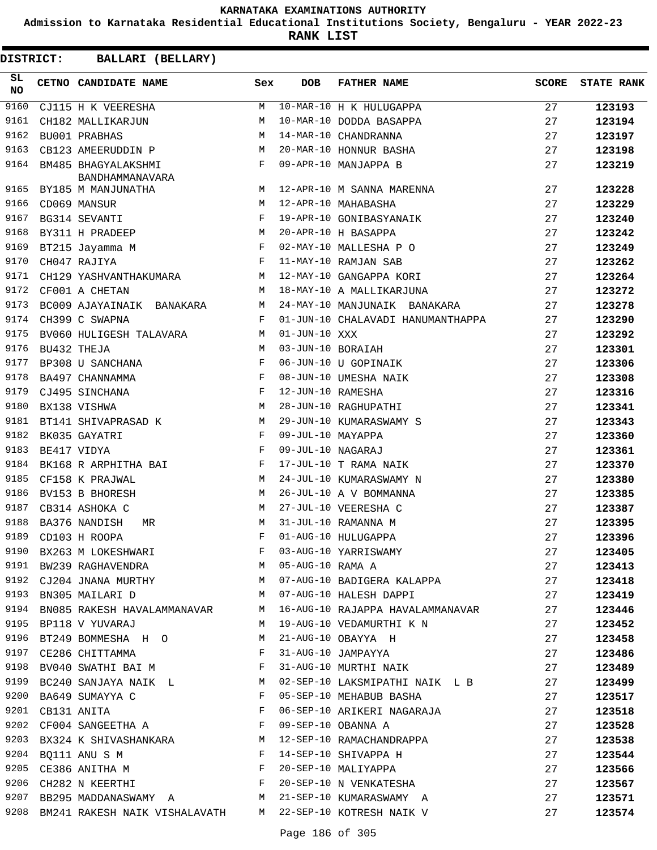**Admission to Karnataka Residential Educational Institutions Society, Bengaluru - YEAR 2022-23**

**RANK LIST**

| DISTRICT:        | BALLARI (BELLARY)                                                                                                                                                     |     |                   |                                                                                                                                                                           |              |                   |
|------------------|-----------------------------------------------------------------------------------------------------------------------------------------------------------------------|-----|-------------------|---------------------------------------------------------------------------------------------------------------------------------------------------------------------------|--------------|-------------------|
| SL.<br><b>NO</b> | CETNO CANDIDATE NAME                                                                                                                                                  | Sex | <b>DOB</b>        | <b>FATHER NAME</b>                                                                                                                                                        | <b>SCORE</b> | <b>STATE RANK</b> |
| 9160             | CJ115 H K VEERESHA                                                                                                                                                    | M   |                   | 10-MAR-10 H K HULUGAPPA                                                                                                                                                   | 27           | 123193            |
| 9161             | CH182 MALLIKARJUN                                                                                                                                                     | M   |                   | 10-MAR-10 DODDA BASAPPA                                                                                                                                                   | 27           | 123194            |
| 9162             | BU001 PRABHAS                                                                                                                                                         | M   |                   | 14-MAR-10 CHANDRANNA                                                                                                                                                      | 27           | 123197            |
| 9163             | CB123 AMEERUDDIN P                                                                                                                                                    | M   |                   | 20-MAR-10 HONNUR BASHA                                                                                                                                                    | 27           | 123198            |
| 9164             | BM485 BHAGYALAKSHMI<br>BANDHAMMANAVARA                                                                                                                                | F   |                   | 09-APR-10 MANJAPPA B                                                                                                                                                      | 27           | 123219            |
| 9165             | BY185 M MANJUNATHA                                                                                                                                                    | М   |                   | 12-APR-10 M SANNA MARENNA                                                                                                                                                 | 27           | 123228            |
| 9166             | CD069 MANSUR                                                                                                                                                          | M   |                   | 12-APR-10 MAHABASHA                                                                                                                                                       | 27           | 123229            |
| 9167             | BG314 SEVANTI                                                                                                                                                         | F   |                   | 19-APR-10 GONIBASYANAIK                                                                                                                                                   | 27           | 123240            |
| 9168             | BY311 H PRADEEP                                                                                                                                                       | M   |                   | 20-APR-10 H BASAPPA                                                                                                                                                       | 27           | 123242            |
| 9169             | BT215 Jayamma M                                                                                                                                                       | F   |                   | 02-MAY-10 MALLESHA P O                                                                                                                                                    | 27           | 123249            |
| 9170             | in the state of the state of the state of the state of the state of the state of the state of the state of the<br>CH047 RAJIYA                                        |     |                   | 11-MAY-10 RAMJAN SAB                                                                                                                                                      | 27           | 123262            |
| 9171             | CH129 YASHVANTHAKUMARA M                                                                                                                                              |     |                   | 12-MAY-10 GANGAPPA KORI                                                                                                                                                   | 27           | 123264            |
| 9172             | CF001 A CHETAN                                                                                                                                                        | М   |                   | 18-MAY-10 A MALLIKARJUNA                                                                                                                                                  | 27           | 123272            |
| 9173             | BC009 AJAYAINAIK BANAKARA                                                                                                                                             | M   |                   | 24-MAY-10 MANJUNAIK BANAKARA                                                                                                                                              | 27           | 123278            |
| 9174             | CH399 C SWAPNA                                                                                                                                                        | F   |                   | 01-JUN-10 CHALAVADI HANUMANTHAPPA                                                                                                                                         | 27           | 123290            |
| 9175             | BV060 HULIGESH TALAVARA                                                                                                                                               | M   | $01-JUN-10 XXX$   |                                                                                                                                                                           | 27           | 123292            |
| 9176             | BU432 THEJA                                                                                                                                                           | M   | 03-JUN-10 BORAIAH |                                                                                                                                                                           | 27           | 123301            |
| 9177             | BP308 U SANCHANA                                                                                                                                                      | F   |                   | 06-JUN-10 U GOPINAIK                                                                                                                                                      | 27           | 123306            |
| 9178             | BA497 CHANNAMMA                                                                                                                                                       | F   |                   | 08-JUN-10 UMESHA NAIK                                                                                                                                                     | 27           | 123308            |
| 9179             | CJ495 SINCHANA                                                                                                                                                        | F   | 12-JUN-10 RAMESHA |                                                                                                                                                                           | 27           | 123316            |
| 9180             | BX138 VISHWA                                                                                                                                                          | M   |                   | 28-JUN-10 RAGHUPATHI                                                                                                                                                      | 27           | 123341            |
| 9181             | BT141 SHIVAPRASAD K                                                                                                                                                   | M   |                   | 29-JUN-10 KUMARASWAMY S                                                                                                                                                   | 27           | 123343            |
| 9182             | BK035 GAYATRI                                                                                                                                                         | F   | 09-JUL-10 MAYAPPA |                                                                                                                                                                           | 27           | 123360            |
| 9183             | $\mathbf{F}$<br>BE417 VIDYA                                                                                                                                           |     | 09-JUL-10 NAGARAJ |                                                                                                                                                                           | 27           | 123361            |
| 9184             | BK168 R ARPHITHA BAI                                                                                                                                                  | F   |                   | 17-JUL-10 T RAMA NAIK                                                                                                                                                     | 27           | 123370            |
| 9185             | CF158 K PRAJWAL                                                                                                                                                       | M   |                   | 24-JUL-10 KUMARASWAMY N                                                                                                                                                   | 27           | 123380            |
| 9186             | BV153 B BHORESH                                                                                                                                                       | M   |                   | 26-JUL-10 A V BOMMANNA                                                                                                                                                    | 27           | 123385            |
| 9187             | CB314 ASHOKA C                                                                                                                                                        | M   |                   | 27-JUL-10 VEERESHA C                                                                                                                                                      | 27           | 123387            |
| 9188             | BA376 NANDISH<br>MR                                                                                                                                                   | M   |                   | 31-JUL-10 RAMANNA M                                                                                                                                                       | 27           | 123395            |
|                  |                                                                                                                                                                       |     |                   |                                                                                                                                                                           | 27           | 123396            |
|                  |                                                                                                                                                                       |     |                   | 9189 CD103 H ROOPA<br>9190 BX263 M LOKESHWARI F 03-AUG-10 YARRISWAMY<br>9191 BW239 RAGHAVENDRA M 05-AUG-10 RAMA A<br>9192 CJ204 JNANA MURTHY M 07-AUG-10 BADIGERA KALAPPA | 27           | 123405            |
|                  |                                                                                                                                                                       |     |                   |                                                                                                                                                                           | 27           | 123413            |
|                  |                                                                                                                                                                       |     |                   |                                                                                                                                                                           | 27           | 123418            |
|                  | M 07-AUG-10 HALESH DAPPI<br>9193 BN305 MAILARI D                                                                                                                      |     |                   |                                                                                                                                                                           | 27           | 123419            |
| 9194             |                                                                                                                                                                       |     |                   | BN085 RAKESH HAVALAMMANAVAR M 16-AUG-10 RAJAPPA HAVALAMMANAVAR 27                                                                                                         |              | 123446            |
|                  | 9195 BP118 V YUVARAJ                                                                                                                                                  |     |                   |                                                                                                                                                                           | 27           | 123452            |
|                  | 9196 BT249 BOMMESHA H O M 21-AUG-10 OBAYYA H                                                                                                                          |     |                   | M 19-AUG-10 VEDAMURTHI K N<br>M 21-AUG-10 OBAYYA H<br>F 31-AUG-10 JAMPAYYA                                                                                                | 27           | 123458            |
|                  | 9197 CE286 CHITTAMMA F                                                                                                                                                |     |                   |                                                                                                                                                                           | 27           | 123486            |
| 9198             | BV040 SWATHI BAI M                                                                                                                                                    |     |                   | 31-AUG-10 MURTHI NAIK                                                                                                                                                     | 27           | 123489            |
|                  | 9199 BC240 SANJAYA NAIK L<br>M                                                                                                                                        |     |                   | 02-SEP-10 LAKSMIPATHI NAIK L B                                                                                                                                            | 27           | 123499            |
|                  |                                                                                                                                                                       |     |                   | 05-SEP-10 MEHABUB BASHA                                                                                                                                                   | 27           | 123517            |
|                  | 9200 BA649 SUMAYYA C $\begin{array}{ll}\n\texttt{P3200} & \texttt{BA649} & \texttt{SUMAYYA} & \texttt{C} \\ \texttt{P431} & \texttt{ANITA} & \texttt{F}\n\end{array}$ |     |                   | 06-SEP-10 ARIKERI NAGARAJA                                                                                                                                                | 27           | 123518            |
|                  | 9202 CF004 SANGEETHA A F                                                                                                                                              |     |                   | 09-SEP-10 OBANNA A                                                                                                                                                        | 27           | 123528            |
|                  |                                                                                                                                                                       |     |                   | 9203 BX324 K SHIVASHANKARA M 12-SEP-10 RAMACHANDRAPPA                                                                                                                     | 27           | 123538            |
|                  |                                                                                                                                                                       |     |                   |                                                                                                                                                                           | 27           | 123544            |
|                  |                                                                                                                                                                       |     |                   |                                                                                                                                                                           | 27           | 123566            |
| 9206             | CH282 N KEERTHI F                                                                                                                                                     |     |                   | 14-SEP-10 SHIVAPPA H<br>20-SEP-10 MALIYAPPA<br>20-SEP-10 N VENKATESHA                                                                                                     | 27           | 123567            |
|                  |                                                                                                                                                                       |     |                   | 9207 BB295 MADDANASWAMY A M 21-SEP-10 KUMARASWAMY A                                                                                                                       | 27           | 123571            |
|                  |                                                                                                                                                                       |     |                   | 9208 BM241 RAKESH NAIK VISHALAVATH M 22-SEP-10 KOTRESH NAIK V                                                                                                             | 27           | 123574            |
|                  |                                                                                                                                                                       |     |                   |                                                                                                                                                                           |              |                   |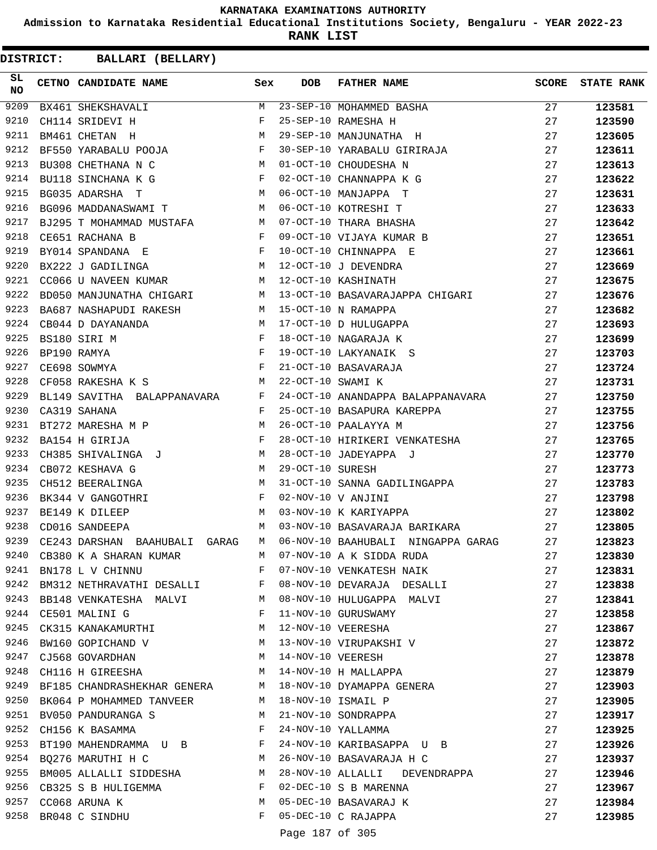**Admission to Karnataka Residential Educational Institutions Society, Bengaluru - YEAR 2022-23**

**RANK LIST**

**DISTRICT:** CC **BALLARI (BELLARY)**

| SL<br><b>NO</b> | CETNO CANDIDATE NAME Sex                                                                                                                                                                                                                             |              | <b>DOB</b>       | FATHER NAME                                                                                                         | <b>SCORE</b> | <b>STATE RANK</b> |
|-----------------|------------------------------------------------------------------------------------------------------------------------------------------------------------------------------------------------------------------------------------------------------|--------------|------------------|---------------------------------------------------------------------------------------------------------------------|--------------|-------------------|
| 9209            | BX461 SHEKSHAVALI                                                                                                                                                                                                                                    | M            |                  | 23-SEP-10 MOHAMMED BASHA<br>25-SEP-10 RAMESHA H                                                                     | 27           | 123581            |
| 9210            | $\mathbf{I}$<br>CH114 SRIDEVI H                                                                                                                                                                                                                      | F            |                  |                                                                                                                     | 27           | 123590            |
| 9211            | <b>M</b><br>BM461 CHETAN H                                                                                                                                                                                                                           |              |                  | 29-SEP-10 MANJUNATHA H                                                                                              | 27           | 123605            |
| 9212            | BF550 YARABALU POOJA F                                                                                                                                                                                                                               |              |                  |                                                                                                                     | 27           | 123611            |
| 9213            | M<br>BU308 CHETHANA N C                                                                                                                                                                                                                              |              |                  | 30-SEP-10 YARABALU GIRIRAJA<br>01-OCT-10 CHOUDESHA N<br>01-OCT-10 CHOUDESHA N                                       | 27           | 123613            |
| 9214            | BU118 SINCHANA K G F                                                                                                                                                                                                                                 |              |                  | 02-OCT-10 CHANNAPPA K G                                                                                             | 27           | 123622            |
| 9215            |                                                                                                                                                                                                                                                      |              |                  | BG035 ADARSHA T<br>BG096 MADDANASWAMI T M 06-OCT-10 MANJAPPA T<br>BJ295 T MOHAMMAD MUSTAFA M 07-OCT-10 THARA BHASHA | 27           | 123631            |
| 9216            |                                                                                                                                                                                                                                                      |              |                  |                                                                                                                     | 27           | 123633            |
| 9217            |                                                                                                                                                                                                                                                      |              |                  |                                                                                                                     | 27           | 123642            |
| 9218            | $\mathbb{R}^n$ . The set of the set of the set of the set of the set of the set of the set of the set of the set of the set of the set of the set of the set of the set of the set of the set of the set of the set of the set of<br>CE651 RACHANA B |              |                  | 09-OCT-10 VIJAYA KUMAR B                                                                                            | 27           | 123651            |
| 9219            | BY014 SPANDANA E F                                                                                                                                                                                                                                   |              |                  | 10-OCT-10 CHINNAPPA E                                                                                               | 27           | 123661            |
| 9220            |                                                                                                                                                                                                                                                      |              |                  | 12-OCT-10 J DEVENDRA                                                                                                | 27           | 123669            |
| 9221            | BX222 J GADILINGA<br>CC066 U NAVEEN KUMAR M                                                                                                                                                                                                          |              |                  | 12-OCT-10 KASHINATH                                                                                                 | 27           | 123675            |
| 9222            |                                                                                                                                                                                                                                                      |              |                  | BD050 MANJUNATHA CHIGARI M 13-OCT-10 BASAVARAJAPPA CHIGARI                                                          | 27           | 123676            |
| 9223            | BA687 NASHAPUDI RAKESH M 15-OCT-10 N RAMAPPA                                                                                                                                                                                                         |              |                  |                                                                                                                     | 27           | 123682            |
| 9224            |                                                                                                                                                                                                                                                      |              |                  |                                                                                                                     | 27           | 123693            |
| 9225            |                                                                                                                                                                                                                                                      |              |                  |                                                                                                                     | 27           | 123699            |
| 9226            |                                                                                                                                                                                                                                                      |              |                  |                                                                                                                     | 27           | 123703            |
| 9227            |                                                                                                                                                                                                                                                      |              |                  |                                                                                                                     | 27           | 123724            |
| 9228            | CB044 D DAYANANDA M<br>BS180 SIRI M F<br>BP190 RAMYA F<br>CE698 SOWMYA F F<br>CF058 RAKESHA K S                                                                                                                                                      |              |                  |                                                                                                                     | 27           | 123731            |
| 9229            | BL149 SAVITHA BALAPPANAVARA F                                                                                                                                                                                                                        |              |                  | 24-OCT-10 ANANDAPPA BALAPPANAVARA 27                                                                                |              | 123750            |
| 9230            | $\mathbf{F}$<br>CA319 SAHANA                                                                                                                                                                                                                         |              |                  | 25-OCT-10 BASAPURA KAREPPA                                                                                          | 27           | 123755            |
| 9231            | BT272 MARESHA M P M                                                                                                                                                                                                                                  |              |                  | 26-OCT-10 PAALAYYA M                                                                                                | 27           | 123756            |
| 9232            |                                                                                                                                                                                                                                                      |              |                  |                                                                                                                     | 27           | 123765            |
| 9233            | BA154 H GIRIJA F<br>CH385 SHIVALINGA J M                                                                                                                                                                                                             |              |                  | 28-OCT-10 HIRIKERI VENKATESHA                                                                                       | 27           | 123770            |
| 9234            | <b>N</b><br>CB072 KESHAVA G                                                                                                                                                                                                                          |              | 29-OCT-10 SURESH | 28-OCT-10 JADEYAPPA J                                                                                               | 27           | 123773            |
| 9235            | <b>M</b><br>CH512 BEERALINGA                                                                                                                                                                                                                         |              |                  |                                                                                                                     | 27           | 123783            |
| 9236            | BK344 V GANGOTHRI                                                                                                                                                                                                                                    |              |                  | 31-OCT-10 SANNA GADILINGAPPA<br>02-NOV-10 V ANJINI<br>03-NOV-10 K KARIYAPPA                                         | 27           | 123798            |
| 9237            | $$\rm F$$ $$\rm M$$<br>BE149 K DILEEP                                                                                                                                                                                                                |              |                  |                                                                                                                     | 27           | 123802            |
| 9238            |                                                                                                                                                                                                                                                      | M            |                  | 03-NOV-10 BASAVARAJA BARIKARA                                                                                       |              |                   |
| 9239            | CD016 SANDEEPA                                                                                                                                                                                                                                       |              |                  | 06-NOV-10 BAAHUBALI NINGAPPA GARAG                                                                                  | 27           | 123805            |
|                 | CE243 DARSHAN BAAHUBALI GARAG                                                                                                                                                                                                                        | M            |                  |                                                                                                                     | 27           | 123823            |
| 9240            |                                                                                                                                                                                                                                                      |              |                  | CB380 K A SHARAN KUMAR M 07-NOV-10 A K SIDDA RUDA                                                                   | 27           | 123830            |
| 9241            | BN178 L V CHINNU                                                                                                                                                                                                                                     |              |                  | F 07-NOV-10 VENKATESH NAIK                                                                                          | 27           | 123831            |
| 9242            | BM312 NETHRAVATHI DESALLI F                                                                                                                                                                                                                          |              |                  | 08-NOV-10 DEVARAJA DESALLI                                                                                          | 27           | 123838            |
|                 | 9243 BB148 VENKATESHA MALVI M                                                                                                                                                                                                                        |              |                  | 08-NOV-10 HULUGAPPA MALVI                                                                                           | 27           | 123841            |
|                 | 9244 CE501 MALINI G                                                                                                                                                                                                                                  | $\mathbf{F}$ |                  | 11-NOV-10 GURUSWAMY                                                                                                 | 27           | 123858            |
| 9245            | CK315 KANAKAMURTHI                                                                                                                                                                                                                                   |              |                  | M 12-NOV-10 VEERESHA                                                                                                | 27           | 123867            |
| 9246            |                                                                                                                                                                                                                                                      |              |                  | BW160 GOPICHAND V M 13-NOV-10 VIRUPAKSHI V                                                                          | 27           | 123872            |
| 9247            | CJ568 GOVARDHAN M 14-NOV-10 VEERESH                                                                                                                                                                                                                  |              |                  |                                                                                                                     | 27           | 123878            |
|                 | 9248 CH116 H GIREESHA                                                                                                                                                                                                                                |              |                  | M 14-NOV-10 H MALLAPPA                                                                                              | 27           | 123879            |
|                 |                                                                                                                                                                                                                                                      |              |                  | 9249 BF185 CHANDRASHEKHAR GENERA M 18-NOV-10 DYAMAPPA GENERA                                                        | 27           | 123903            |
|                 | 9250 BK064 P MOHAMMED TANVEER M 18-NOV-10 ISMAIL P                                                                                                                                                                                                   |              |                  |                                                                                                                     | 27           | 123905            |
| 9251            | M<br>BV050 PANDURANGA S                                                                                                                                                                                                                              |              |                  | 21-NOV-10 SONDRAPPA                                                                                                 | 27           | 123917            |
|                 | 9252 CH156 K BASAMMA                                                                                                                                                                                                                                 | F            |                  | 24-NOV-10 YALLAMMA                                                                                                  | 27           | 123925            |
| 9253            | BT190 MAHENDRAMMA U B F                                                                                                                                                                                                                              |              |                  | 24-NOV-10 KARIBASAPPA U B                                                                                           | 27           | 123926            |
| 9254            | BQ276 MARUTHI H C M                                                                                                                                                                                                                                  |              |                  | 26-NOV-10 BASAVARAJA H C                                                                                            | 27           | 123937            |
| 9255            | BM005 ALLALLI SIDDESHA M                                                                                                                                                                                                                             |              |                  | 28-NOV-10 ALLALLI DEVENDRAPPA                                                                                       | 27           | 123946            |
|                 | 9256 CB325 S B HULIGEMMA                                                                                                                                                                                                                             | F            |                  | 02-DEC-10 S B MARENNA                                                                                               | 27           | 123967            |
|                 | 9257 CC068 ARUNA K                                                                                                                                                                                                                                   | M            |                  | 05-DEC-10 BASAVARAJ K                                                                                               | 27           | 123984            |
|                 | 9258 BR048 C SINDHU                                                                                                                                                                                                                                  |              |                  | F 05-DEC-10 C RAJAPPA                                                                                               | 27           | 123985            |
|                 |                                                                                                                                                                                                                                                      |              |                  | 10777207                                                                                                            |              |                   |

Page 187 of 305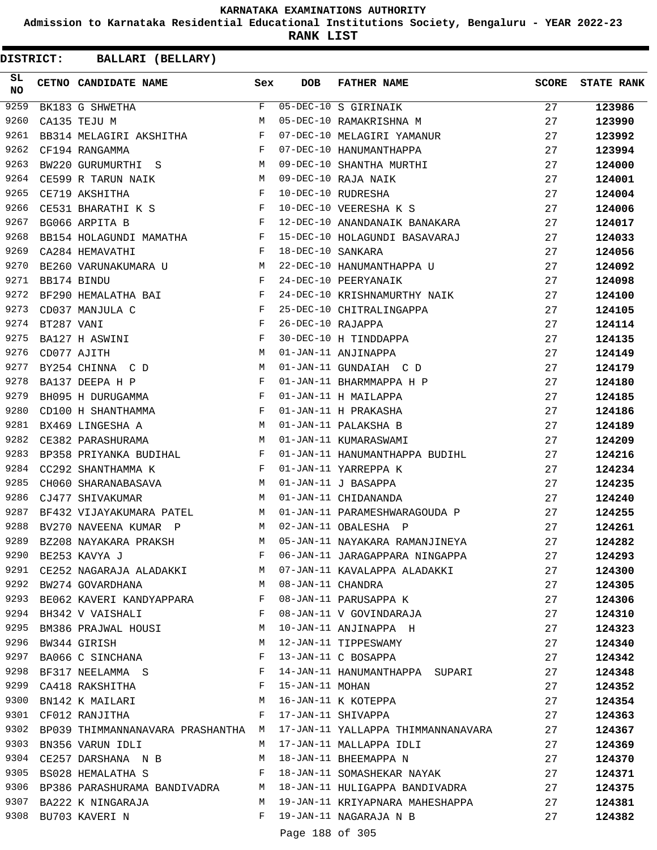**Admission to Karnataka Residential Educational Institutions Society, Bengaluru - YEAR 2022-23**

**RANK LIST**

| SL<br>NO |            | CETNO CANDIDATE NAME Sex                                                                                                                        |              | <b>DOB</b>        | <b>FATHER NAME</b>                                                         | SCORE | <b>STATE RANK</b> |
|----------|------------|-------------------------------------------------------------------------------------------------------------------------------------------------|--------------|-------------------|----------------------------------------------------------------------------|-------|-------------------|
| 9259     |            | $\begin{array}{c}\n \mathbf{F} \\  \mathbf{M}\n \end{array}$<br>BK183 G SHWETHA                                                                 | F            |                   | 05-DEC-10 S GIRINAIK<br>05-DEC-10 RAMAKRISHNA M                            | 27    | 123986            |
| 9260     |            | CA135 TEJU M                                                                                                                                    |              |                   |                                                                            | 27    | 123990            |
| 9261     |            | BB314 MELAGIRI AKSHITHA F                                                                                                                       |              |                   | 07-DEC-10 MELAGIRI YAMANUR                                                 | 27    | 123992            |
| 9262     |            | $\mathbf{F}$<br>CF194 RANGAMMA                                                                                                                  |              |                   | 07-DEC-10 HANUMANTHAPPA                                                    | 27    | 123994            |
| 9263     |            | BW220 GURUMURTHI S M                                                                                                                            |              |                   | 09-DEC-10 SHANTHA MURTHI<br>09-DEC-10 RAJA NAIK<br>10-DEC-10 RUDRESHA      | 27    | 124000            |
| 9264     |            | M <sub>N</sub><br>CE599 R TARUN NAIK                                                                                                            |              |                   |                                                                            | 27    | 124001            |
| 9265     |            | $\mathbf{F}$<br>CE719 AKSHITHA                                                                                                                  |              |                   |                                                                            | 27    | 124004            |
| 9266     |            | CE531 BHARATHI K S F                                                                                                                            |              |                   | 10-DEC-10 VEERESHA K S                                                     | 27    | 124006            |
| 9267     |            | $\mathbf{F}$<br>BG066 ARPITA B                                                                                                                  |              |                   | 12-DEC-10 ANANDANAIK BANAKARA                                              | 27    | 124017            |
| 9268     |            | BB154 HOLAGUNDI MAMATHA F                                                                                                                       |              |                   | 15-DEC-10 HOLAGUNDI BASAVARAJ                                              | 27    | 124033            |
| 9269     |            | $\mathbf{F}$ and the contract of the contract of $\mathbf{F}$<br>CA284 HEMAVATHI                                                                |              | 18-DEC-10 SANKARA |                                                                            | 27    | 124056            |
| 9270     |            | BE260 VARUNAKUMARA U M                                                                                                                          |              |                   | 22-DEC-10 HANUMANTHAPPA U<br>24-DEC-10 PEERYANAIK                          | 27    | 124092            |
| 9271     |            | $\mathbf{F}$<br>BB174 BINDU                                                                                                                     |              |                   |                                                                            | 27    | 124098            |
| 9272     |            | BF290 HEMALATHA BAI F                                                                                                                           |              |                   | 24-DEC-10 KRISHNAMURTHY NAIK                                               | 27    | 124100            |
| 9273     |            | $\begin{array}{ccc} \n\mathbf{F} & & \mathbf{F} \\ \n\mathbf{F} & & \mathbf{F} \\ \n\mathbf{F} & & \mathbf{M} \n\end{array}$<br>CD037 MANJULA C |              |                   | 25-DEC-10 CHITRALINGAPPA                                                   | 27    | 124105            |
| 9274     | BT287 VANI |                                                                                                                                                 |              |                   | 26-DEC-10 RAJAPPA<br>30-DEC-10 H TINDDAPPA                                 | 27    | 124114            |
| 9275     |            | BA127 H ASWINI                                                                                                                                  |              |                   |                                                                            | 27    | 124135            |
| 9276     |            | CD077 AJITH                                                                                                                                     |              |                   | 01-JAN-11 ANJINAPPA                                                        | 27    | 124149            |
| 9277     |            | BY254 CHINNA C D M                                                                                                                              |              |                   | 01-JAN-11 GUNDAIAH C D                                                     | 27    | 124179            |
| 9278     |            | $\mathbf{F}$<br>BA137 DEEPA H P                                                                                                                 |              |                   | 01-JAN-11 BHARMMAPPA H P                                                   | 27    | 124180            |
| 9279     |            | BH095 H DURUGAMMA F                                                                                                                             |              |                   | 01-JAN-11 H MAILAPPA                                                       | 27    | 124185            |
| 9280     |            | CD100 H SHANTHAMMA $F$                                                                                                                          |              |                   | 01-JAN-11 H PRAKASHA                                                       | 27    | 124186            |
| 9281     |            | M<br>BX469 LINGESHA A                                                                                                                           |              |                   | 01-JAN-11 PALAKSHA B                                                       | 27    | 124189            |
| 9282     |            | CE382 PARASHURAMA M                                                                                                                             |              |                   | 01-JAN-11 KUMARASWAMI                                                      | 27    | 124209            |
| 9283     |            | BP358 PRIYANKA BUDIHAL F                                                                                                                        |              |                   | 01-JAN-11 HANUMANTHAPPA BUDIHL                                             | 27    | 124216            |
| 9284     |            | CC292 SHANTHAMMA $K$ $F$                                                                                                                        |              |                   | 01-JAN-11 YARREPPA K                                                       | 27    | 124234            |
| 9285     |            | CH060 SHARANABASAVA M                                                                                                                           |              |                   | 01-JAN-11 J BASAPPA                                                        | 27    | 124235            |
| 9286     |            | M<br>CJ477 SHIVAKUMAR                                                                                                                           |              |                   | 01-JAN-11 CHIDANANDA                                                       | 27    | 124240            |
| 9287     |            |                                                                                                                                                 |              |                   | BF432 VIJAYAKUMARA PATEL M 01-JAN-11 PARAMESHWARAGOUDA P                   | 27    | 124255            |
| 9288     |            | BV270 NAVEENA KUMAR P                                                                                                                           |              |                   | M 02-JAN-11 OBALESHA P                                                     | 27    | 124261            |
| 9289     |            | BZ208 NAYAKARA PRAKSH                                                                                                                           |              |                   | M 05-JAN-11 NAYAKARA RAMANJINEYA                                           | 27    | 124282            |
| 9290     |            | BE253 KAVYA J                                                                                                                                   | F            |                   | 06-JAN-11 JARAGAPPARA NINGAPPA                                             | 27    | 124293            |
|          |            | 9291 CE252 NAGARAJA ALADAKKI                                                                                                                    |              |                   | M 07-JAN-11 KAVALAPPA ALADAKKI                                             | 27    | 124300            |
|          |            | 9292 BW274 GOVARDHANA<br>M <sub>N</sub>                                                                                                         |              | 08-JAN-11 CHANDRA |                                                                            | 27    | 124305            |
|          |            | 9293 BE062 KAVERI KANDYAPPARA F                                                                                                                 |              |                   | 08-JAN-11 PARUSAPPA K                                                      | 27    | 124306            |
|          |            | 9294 BH342 V VAISHALI                                                                                                                           | F            |                   | 08-JAN-11 V GOVINDARAJA                                                    | 27    | 124310            |
|          |            | 9295 BM386 PRAJWAL HOUSI                                                                                                                        | M            |                   | 10-JAN-11 ANJINAPPA H                                                      | 27    | 124323            |
| 9296     |            | BW344 GIRISH                                                                                                                                    | M            |                   | 12-JAN-11 TIPPESWAMY                                                       | 27    | 124340            |
| 9297     |            | BA066 C SINCHANA                                                                                                                                | F            |                   | 13-JAN-11 C BOSAPPA                                                        | 27    | 124342            |
| 9298     |            | BF317 NEELAMMA S                                                                                                                                | $\mathbf{F}$ |                   | 14-JAN-11 HANUMANTHAPPA SUPARI                                             | 27    | 124348            |
|          |            | 9299 CA418 RAKSHITHA                                                                                                                            | F            | 15-JAN-11 MOHAN   |                                                                            | 27    | 124352            |
|          |            | 9300 BN142 K MAILARI M                                                                                                                          |              |                   | 16-JAN-11 K KOTEPPA                                                        | 27    | 124354            |
| 9301     |            | CF012 RANJITHA                                                                                                                                  | F            |                   | 17-JAN-11 SHIVAPPA                                                         | 27    | 124363            |
|          |            |                                                                                                                                                 |              |                   | 9302 BP039 THIMMANNANAVARA PRASHANTHA M 17-JAN-11 YALLAPPA THIMMANNANAVARA | 27    | 124367            |
|          |            | 9303 BN356 VARUN IDLI                                                                                                                           | M            |                   | 17-JAN-11 MALLAPPA IDLI                                                    | 27    | 124369            |
| 9304     |            | CE257 DARSHANA N B                                                                                                                              | M            |                   | 18-JAN-11 BHEEMAPPA N                                                      | 27    | 124370            |
|          |            | 9305 BS028 HEMALATHA S                                                                                                                          | F            |                   | 18-JAN-11 SOMASHEKAR NAYAK                                                 | 27    | 124371            |
|          |            | 9306 BP386 PARASHURAMA BANDIVADRA M                                                                                                             |              |                   | 18-JAN-11 HULIGAPPA BANDIVADRA                                             | 27    | 124375            |
|          |            | 9307 BA222 K NINGARAJA                                                                                                                          | M            |                   | 19-JAN-11 KRIYAPNARA MAHESHAPPA                                            | 27    | 124381            |
|          |            | 9308 BU703 KAVERI N                                                                                                                             | F            |                   | 19-JAN-11 NAGARAJA N B                                                     | 27    | 124382            |
|          |            |                                                                                                                                                 |              | Page 188 of 305   |                                                                            |       |                   |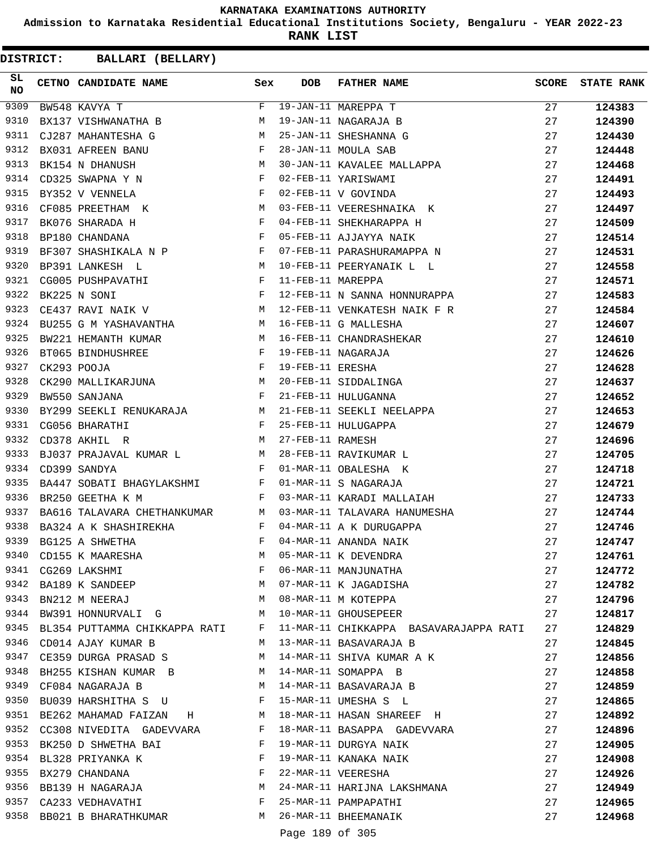**Admission to Karnataka Residential Educational Institutions Society, Bengaluru - YEAR 2022-23**

**RANK LIST**

| DISTRICT:       |                             | BALLARI (BELLARY)             |              |                   |                                        |              |                   |
|-----------------|-----------------------------|-------------------------------|--------------|-------------------|----------------------------------------|--------------|-------------------|
| SL<br><b>NO</b> | CETNO CANDIDATE NAME        |                               | Sex          | <b>DOB</b>        | <b>FATHER NAME</b>                     | <b>SCORE</b> | <b>STATE RANK</b> |
| 9309            | BW548 KAVYA T               |                               | $\mathbf{F}$ |                   | 19-JAN-11 MAREPPA T                    | 27           | 124383            |
| 9310            | BX137 VISHWANATHA B         |                               | M            |                   | 19-JAN-11 NAGARAJA B                   | 27           | 124390            |
| 9311            | CJ287 MAHANTESHA G          |                               | М            |                   | 25-JAN-11 SHESHANNA G                  | 27           | 124430            |
| 9312            | BX031 AFREEN BANU           |                               | F            |                   | 28-JAN-11 MOULA SAB                    | 27           | 124448            |
| 9313            | BK154 N DHANUSH             |                               | М            |                   | 30-JAN-11 KAVALEE MALLAPPA             | 27           | 124468            |
| 9314            | CD325 SWAPNA Y N            |                               | F            |                   | 02-FEB-11 YARISWAMI                    | 27           | 124491            |
| 9315            | BY352 V VENNELA             |                               | F            |                   | 02-FEB-11 V GOVINDA                    | 27           | 124493            |
| 9316            | CF085 PREETHAM K            |                               | M            |                   | 03-FEB-11 VEERESHNAIKA K               | 27           | 124497            |
| 9317            | BK076 SHARADA H             |                               | F            |                   | 04-FEB-11 SHEKHARAPPA H                | 27           | 124509            |
| 9318            | BP180 CHANDANA              |                               | F            |                   | 05-FEB-11 AJJAYYA NAIK                 | 27           | 124514            |
| 9319            | BF307 SHASHIKALA N P        |                               | $\mathbf{F}$ |                   | 07-FEB-11 PARASHURAMAPPA N             | 27           | 124531            |
| 9320            | BP391 LANKESH L             |                               | M            |                   | 10-FEB-11 PEERYANAIK L L               | 27           | 124558            |
| 9321            | CG005 PUSHPAVATHI           |                               | F            | 11-FEB-11 MAREPPA |                                        | 27           | 124571            |
| 9322            | BK225 N SONI                | $\mathbf{F}$ and $\mathbf{F}$ |              |                   | 12-FEB-11 N SANNA HONNURAPPA           | 27           | 124583            |
| 9323            | CE437 RAVI NAIK V           | M                             |              |                   | 12-FEB-11 VENKATESH NAIK F R           | 27           | 124584            |
| 9324            | BU255 G M YASHAVANTHA       |                               | М            |                   | 16-FEB-11 G MALLESHA                   | 27           | 124607            |
| 9325            | BW221 HEMANTH KUMAR         |                               | M            |                   | 16-FEB-11 CHANDRASHEKAR                | 27           | 124610            |
| 9326            | BT065 BINDHUSHREE           |                               | F            |                   | 19-FEB-11 NAGARAJA                     | 27           | 124626            |
| 9327            | CK293 POOJA                 | $\mathbf{F}$                  |              | 19-FEB-11 ERESHA  |                                        | 27           | 124628            |
| 9328            |                             | CK290 MALLIKARJUNA M          |              |                   | 20-FEB-11 SIDDALINGA                   | 27           | 124637            |
| 9329            | BW550 SANJANA               |                               | F            |                   | 21-FEB-11 HULUGANNA                    | 27           | 124652            |
| 9330            |                             | BY299 SEEKLI RENUKARAJA M     |              |                   | 21-FEB-11 SEEKLI NEELAPPA              | 27           | 124653            |
| 9331            | CG056 BHARATHI              |                               | F            |                   | 25-FEB-11 HULUGAPPA                    | 27           | 124679            |
| 9332            | CD378 AKHIL R               |                               | M            | 27-FEB-11 RAMESH  |                                        | 27           | 124696            |
| 9333            | BJ037 PRAJAVAL KUMAR L      |                               | M            |                   | 28-FEB-11 RAVIKUMAR L                  | 27           | 124705            |
| 9334            | CD399 SANDYA                |                               | F            |                   | 01-MAR-11 OBALESHA K                   | 27           | 124718            |
| 9335            |                             | BA447 SOBATI BHAGYLAKSHMI     | $\mathbf{F}$ |                   | 01-MAR-11 S NAGARAJA                   | 27           | 124721            |
| 9336            | BR250 GEETHA K M            |                               | F            |                   | 03-MAR-11 KARADI MALLAIAH              | 27           | 124733            |
| 9337            | BA616 TALAVARA CHETHANKUMAR |                               | M            |                   | 03-MAR-11 TALAVARA HANUMESHA           | 27           | 124744            |
| 9338            | BA324 A K SHASHIREKHA       |                               | F            |                   | 04-MAR-11 A K DURUGAPPA                | 27           | 124746            |
| 9339            | BG125 A SHWETHA             |                               | F            |                   | 04-MAR-11 ANANDA NAIK                  | 27           | 124747            |
| 9340            | CD155 K MAARESHA            |                               | М            |                   | 05-MAR-11 K DEVENDRA                   | 27           | 124761            |
| 9341            | CG269 LAKSHMI               |                               | F            |                   | 06-MAR-11 MANJUNATHA                   | 27           | 124772            |
| 9342            |                             | BA189 K SANDEEP               | М            |                   | 07-MAR-11 K JAGADISHA                  | 27           | 124782            |
| 9343            | BN212 M NEERAJ              |                               | M            |                   | 08-MAR-11 M KOTEPPA                    | 27           | 124796            |
| 9344            | BW391 HONNURVALI G          |                               | М            |                   | 10-MAR-11 GHOUSEPEER                   | 27           | 124817            |
| 9345            |                             | BL354 PUTTAMMA CHIKKAPPA RATI | F            |                   | 11-MAR-11 CHIKKAPPA BASAVARAJAPPA RATI | 27           | 124829            |
| 9346            | CD014 AJAY KUMAR B          |                               | М            |                   | 13-MAR-11 BASAVARAJA B                 | 27           | 124845            |
| 9347            | CE359 DURGA PRASAD S        |                               | M            |                   | 14-MAR-11 SHIVA KUMAR A K              | 27           | 124856            |
| 9348            |                             | BH255 KISHAN KUMAR B          | M            |                   | 14-MAR-11 SOMAPPA B                    | 27           | 124858            |
| 9349            | CF084 NAGARAJA B            |                               | M            |                   | 14-MAR-11 BASAVARAJA B                 | 27           | 124859            |
| 9350            |                             | BU039 HARSHITHA S U           | F            |                   | 15-MAR-11 UMESHA S L                   | 27           | 124865            |
|                 | 9351 BE262 MAHAMAD FAIZAN H |                               | M            |                   | 18-MAR-11 HASAN SHAREEF H              | 27           | 124892            |
|                 |                             | 9352 CC308 NIVEDITA GADEVVARA | F            |                   | 18-MAR-11 BASAPPA GADEVVARA            | 27           | 124896            |
| 9353            | BK250 D SHWETHA BAI         |                               | F            |                   | 19-MAR-11 DURGYA NAIK                  | 27           | 124905            |
| 9354            | BL328 PRIYANKA K            |                               | F            |                   | 19-MAR-11 KANAKA NAIK                  | 27           | 124908            |
|                 | 9355 BX279 CHANDANA         |                               | F            |                   | 22-MAR-11 VEERESHA                     | 27           | 124926            |
|                 |                             | 9356 BB139 H NAGARAJA         | М            |                   | 24-MAR-11 HARIJNA LAKSHMANA            | 27           | 124949            |
| 9357            | CA233 VEDHAVATHI            |                               | F            |                   | 25-MAR-11 PAMPAPATHI                   | 27           | 124965            |
| 9358            |                             | BB021 B BHARATHKUMAR          | M            |                   | 26-MAR-11 BHEEMANAIK                   | 27           | 124968            |
|                 |                             |                               |              |                   |                                        |              |                   |
|                 |                             |                               |              | Page 189 of 305   |                                        |              |                   |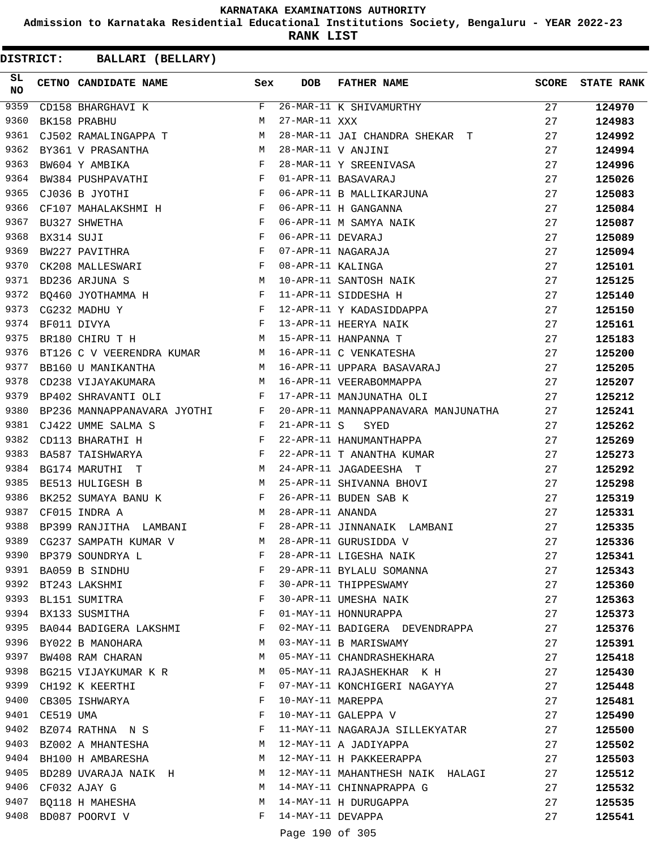**Admission to Karnataka Residential Educational Institutions Society, Bengaluru - YEAR 2022-23**

**RANK LIST**

| SL<br><b>NO</b> |                | CETNO CANDIDATE NAME Sex                                                                                                         |              | <b>DOB</b>        | FATHER NAME                                       | <b>SCORE</b> | <b>STATE RANK</b> |
|-----------------|----------------|----------------------------------------------------------------------------------------------------------------------------------|--------------|-------------------|---------------------------------------------------|--------------|-------------------|
| 9359            |                | CD158 BHARGHAVI K                                                                                                                | F            |                   | 26-MAR-11 K SHIVAMURTHY<br>-- ---- 11 vvv         | 27           | 124970            |
| 9360            |                | BK158 PRABHU                                                                                                                     | M            |                   |                                                   | 27           | 124983            |
| 9361            |                | CJ502 RAMALINGAPPA T M                                                                                                           |              |                   | 28-MAR-11 JAI CHANDRA SHEKAR T                    | 27           | 124992            |
| 9362            |                | BY361 V PRASANTHA                                                                                                                |              |                   | 28-MAR-11 V ANJINI                                | 27           | 124994            |
| 9363            |                | $\begin{array}{ccccc}\n & & M \\  & & F \\  & & F\n\end{array}$<br>BW604 Y AMBIKA                                                |              |                   | 28-MAR-11 Y SREENIVASA                            | 27           | 124996            |
| 9364            |                | BW384 PUSHPAVATHI F                                                                                                              |              |                   | 01-APR-11 BASAVARAJ                               | 27           | 125026            |
| 9365            |                | $\mathbf{F}$<br>CJ036 B JYOTHI                                                                                                   |              |                   | 06-APR-11 B MALLIKARJUNA                          | 27           | 125083            |
| 9366            |                | CF107 MAHALAKSHMI H F                                                                                                            |              |                   |                                                   | 27           | 125084            |
| 9367            |                | $\begin{array}{ccc} \mathbf{F} & \mathbf{F} \\ \mathbf{F} & \mathbf{F} \end{array}$<br>BU327 SHWETHA                             |              |                   | 06-APR-11 H GANGANNA<br>06-APR-11 M SAMYA NAIK    | 27           | 125087            |
| 9368            | BX314 SUJI     |                                                                                                                                  |              |                   | 06-APR-11 DEVARAJ                                 | 27           | 125089            |
| 9369            |                | BW227 PAVITHRA F                                                                                                                 |              |                   | 07-APR-11 NAGARAJA                                | 27           | 125094            |
| 9370            |                | CK208 MALLESWARI                                                                                                                 |              | 08-APR-11 KALINGA |                                                   | 27           | 125101            |
| 9371            |                | $\begin{aligned} \mathbf{F} \\ \mathbf{M} \end{aligned}$<br>BD236 ARJUNA S                                                       |              |                   | 10-APR-11 SANTOSH NAIK                            | 27           | 125125            |
| 9372            |                | BQ460 JYOTHAMMA H F                                                                                                              |              |                   | 11-APR-11 SIDDESHA H                              | 27           | 125140            |
| 9373            |                | CG232 MADHU Y                                                                                                                    |              |                   | 12-APR-11 Y KADASIDDAPPA                          | 27           | 125150            |
| 9374            |                | $\begin{array}{ccc}\n & & & \text{F} \\  & & & & \text{F} \\  & & & & \text{F} \\  & & & & \text{M}\n\end{array}$<br>BF011 DIVYA |              |                   |                                                   | 27           | 125161            |
| 9375            |                | BR180 CHIRU T H                                                                                                                  |              |                   | 13-APR-11 HEERYA NAIK<br>15-APR-11 HANPANNA T     | 27           | 125183            |
| 9376            |                | BT126 C V VEERENDRA KUMAR M                                                                                                      |              |                   | 16-APR-11 C VENKATESHA                            | 27           | 125200            |
| 9377            |                | BB160 U MANIKANTHA M                                                                                                             |              |                   | 16-APR-11 UPPARA BASAVARAJ                        | 27           | 125205            |
| 9378            |                | M<br>CD238 VIJAYAKUMARA                                                                                                          |              |                   | 16-APR-11 VEERABOMMAPPA                           | 27           | 125207            |
| 9379            |                | $\mathbf{F}$ . The set of $\mathbf{F}$<br>BP402 SHRAVANTI OLI                                                                    |              |                   | 17-APR-11 MANJUNATHA OLI                          | 27           | 125212            |
| 9380            |                | BP236 MANNAPPANAVARA JYOTHI F                                                                                                    |              |                   | 20-APR-11 MANNAPPANAVARA MANJUNATHA 27            |              | 125241            |
| 9381            |                | CJ422 UMME SALMA S                                                                                                               |              | $21 - APR - 11 S$ |                                                   | 27           | 125262            |
| 9382            |                | CD113 BHARATHI H                                                                                                                 |              |                   | 21-APR-11 S SYED<br>22-APR-11 HANUMANTHAPPA       | 27           | 125269            |
| 9383            |                | $\begin{array}{ccc} \text{S} & & \text{F} \\ & & \text{F} \\ & & \text{F} \\ & & \text{F} \end{array}$<br>BA587 TAISHWARYA       |              |                   | 22-APR-11 T ANANTHA KUMAR                         | 27           | 125273            |
| 9384            |                | <b>M</b><br>BG174 MARUTHI T                                                                                                      |              |                   | 24-APR-11 JAGADEESHA T                            | 27           | 125292            |
| 9385            |                | $\mathbf M$<br>BE513 HULIGESH B                                                                                                  |              |                   | 25-APR-11 SHIVANNA BHOVI                          | 27           | 125298            |
| 9386            |                |                                                                                                                                  |              |                   | 26-APR-11 BUDEN SAB K                             | 27           | 125319            |
| 9387            |                | BK252 SUMAYA BANU K $$\rm F$$<br>CF015 INDRA A<br>M <sub>1</sub>                                                                 |              | 28-APR-11 ANANDA  |                                                   | 27           | 125331            |
| 9388            |                | BP399 RANJITHA LAMBANI F                                                                                                         |              |                   | 28-APR-11 JINNANAIK LAMBANI                       | 27           | 125335            |
| 9389            |                | M <sub>N</sub><br>CG237 SAMPATH KUMAR V                                                                                          |              |                   | 28-APR-11 GURUSIDDA V                             | 27           | 125336            |
|                 |                | 9390 BP379 SOUNDRYA L                                                                                                            | F            |                   | 28-APR-11 LIGESHA NAIK                            | 27           | 125341            |
|                 |                |                                                                                                                                  | F            |                   |                                                   |              |                   |
|                 |                | 9391 BA059 B SINDHU<br>9392 BT243 LAKSHMI                                                                                        | F            |                   | 29-APR-11 BYLALU SOMANNA<br>30-APR-11 THIPPESWAMY | 27           | 125343            |
|                 |                |                                                                                                                                  | F            |                   |                                                   | 27           | 125360            |
|                 |                | 9393 BL151 SUMITRA                                                                                                               | F            |                   | 30-APR-11 UMESHA NAIK                             | 27           | 125363            |
|                 |                | 9394 BX133 SUSMITHA                                                                                                              |              |                   | 01-MAY-11 HONNURAPPA                              | 27           | 125373            |
|                 |                | 9395 BA044 BADIGERA LAKSHMI F                                                                                                    |              |                   | 02-MAY-11 BADIGERA DEVENDRAPPA                    | 27           | 125376            |
| 9397            |                | 9396 BY022 B MANOHARA                                                                                                            | M            |                   | 03-MAY-11 B MARISWAMY                             | 27           | 125391            |
|                 |                | BW408 RAM CHARAN                                                                                                                 | M            |                   | 05-MAY-11 CHANDRASHEKHARA                         | 27           | 125418            |
|                 |                | 9398 BG215 VIJAYKUMAR K R                                                                                                        | M            |                   | 05-MAY-11 RAJASHEKHAR K H                         | 27           | 125430            |
|                 |                | 9399 CH192 K KEERTHI                                                                                                             | F            |                   | 07-MAY-11 KONCHIGERI NAGAYYA                      | 27           | 125448            |
|                 |                | 9400 CB305 ISHWARYA                                                                                                              | F            | 10-MAY-11 MAREPPA |                                                   | 27           | 125481            |
|                 | 9401 CE519 UMA |                                                                                                                                  | F            |                   | 10-MAY-11 GALEPPA V                               | 27           | 125490            |
|                 |                | 9402 BZ074 RATHNA N S                                                                                                            | F            |                   | 11-MAY-11 NAGARAJA SILLEKYATAR                    | 27           | 125500            |
|                 |                | 9403 BZ002 A MHANTESHA                                                                                                           | M            |                   | 12-MAY-11 A JADIYAPPA                             | 27           | 125502            |
|                 |                | 9404 BH100 H AMBARESHA                                                                                                           | M            |                   | 12-MAY-11 H PAKKEERAPPA                           | 27           | 125503            |
| 9405            |                | BD289 UVARAJA NAIK H                                                                                                             | M            |                   | 12-MAY-11 MAHANTHESH NAIK HALAGI                  | 27           | 125512            |
|                 |                | 9406 CF032 AJAY G                                                                                                                | М            |                   | 14-MAY-11 CHINNAPRAPPA G                          | 27           | 125532            |
|                 |                | 9407 BQ118 H MAHESHA                                                                                                             | M            |                   | 14-MAY-11 H DURUGAPPA                             | 27           | 125535            |
|                 |                | 9408 BD087 POORVI V                                                                                                              | $\mathbf{F}$ | 14-MAY-11 DEVAPPA |                                                   | 27           | 125541            |
|                 |                |                                                                                                                                  |              | Page 190 of 305   |                                                   |              |                   |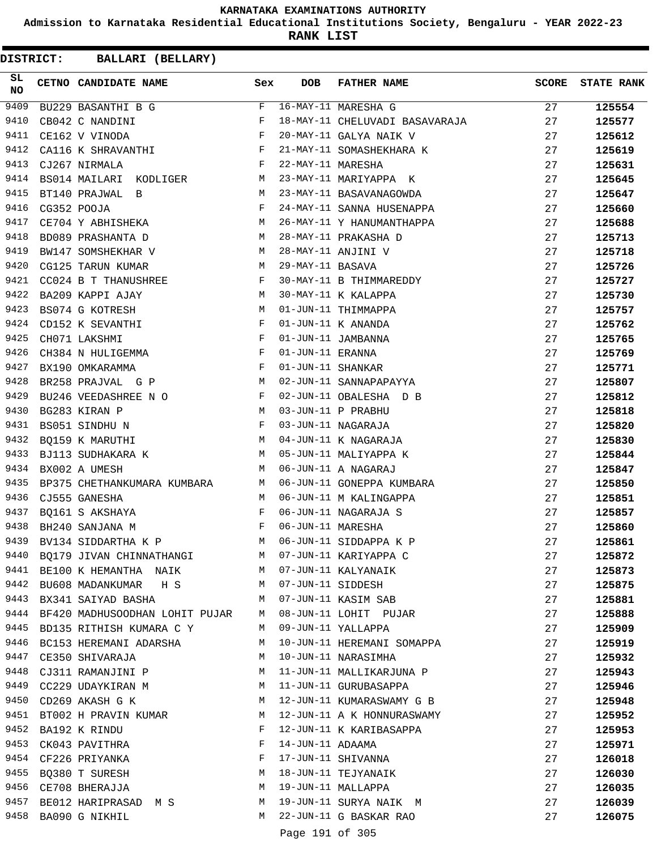**Admission to Karnataka Residential Educational Institutions Society, Bengaluru - YEAR 2022-23**

**RANK LIST**

**DISTRICT:** CC **BALLARI (BELLARY)**

| SL<br><b>NO</b> | CETNO CANDIDATE NAME Sex                                                                                                                                                  |                | <b>DOB</b>          | FATHER NAME                                                            | <b>SCORE</b> | <b>STATE RANK</b> |
|-----------------|---------------------------------------------------------------------------------------------------------------------------------------------------------------------------|----------------|---------------------|------------------------------------------------------------------------|--------------|-------------------|
| 9409            | BU229 BASANTHI B G                                                                                                                                                        | $F$ –          |                     | 16-MAY-11 MARESHA G                                                    | 27           | 125554            |
| 9410            | CB042 C NANDINI                                                                                                                                                           | F              |                     | 18-MAY-11 CHELUVADI BASAVARAJA                                         | 27           | 125577            |
| 9411            | $\mathbf{F}$<br>CE162 V VINODA                                                                                                                                            |                |                     | 20-MAY-11 GALYA NAIK V                                                 | 27           | 125612            |
| 9412            | CA116 K SHRAVANTHI F<br>CJ267 NIRMALA F                                                                                                                                   |                |                     |                                                                        | 27           | 125619            |
| 9413            |                                                                                                                                                                           |                |                     | 21-MAY-11 SOMASHEKHARA K<br>22-MAY-11 MARESHA<br>23-MAY-11 MARIYAPPA K | 27           | 125631            |
| 9414            | BS014 MAILARI KODLIGER M                                                                                                                                                  |                |                     |                                                                        | 27           | 125645            |
| 9415            | M<br>BT140 PRAJWAL B                                                                                                                                                      |                |                     | 23-MAY-11 BASAVANAGOWDA                                                | 27           | 125647            |
| 9416            | CG352 POOJA<br>CE704 Y ABHISHEKA M                                                                                                                                        |                |                     | 24-MAY-11 SANNA HUSENAPPA                                              | 27           | 125660            |
| 9417            |                                                                                                                                                                           |                |                     | 26-MAY-11 Y HANUMANTHAPPA                                              | 27           | 125688            |
| 9418            | BD089 PRASHANTA D M                                                                                                                                                       |                |                     | 28-MAY-11 PRAKASHA D                                                   | 27           | 125713            |
| 9419            | BW147 SOMSHEKHAR V M                                                                                                                                                      |                |                     | 28-MAY-11 ANJINI V                                                     | 27           | 125718            |
| 9420            | M<br>CG125 TARUN KUMAR                                                                                                                                                    |                | 29-MAY-11 BASAVA    |                                                                        | 27           | 125726            |
| 9421            | $CC024$ B T THANUSHREE F                                                                                                                                                  |                |                     | 30-MAY-11 B THIMMAREDDY                                                | 27           | 125727            |
| 9422            | M <sub>N</sub><br>BA209 KAPPI AJAY                                                                                                                                        |                |                     | 30-MAY-11 K KALAPPA                                                    | 27           | 125730            |
| 9423            | M<br>BS074 G KOTRESH                                                                                                                                                      |                |                     | 01-JUN-11 THIMMAPPA                                                    | 27           | 125757            |
| 9424            | CD152 K SEVANTHI<br>CH071 LAKSHMI                                                                                                                                         | F              |                     | $01$ -JUN-11 K ANANDA                                                  | 27           | 125762            |
| 9425            |                                                                                                                                                                           | $$\mathbf{F}$$ |                     | 01-JUN-11 JAMBANNA                                                     | 27           | 125765            |
| 9426            | CH384 N HULIGEMMA F                                                                                                                                                       |                | 01-JUN-11 ERANNA    |                                                                        | 27           | 125769            |
| 9427            | $\mathbf{F}$ and the contract of the contract of $\mathbf{F}$<br>BX190 OMKARAMMA                                                                                          |                | 01-JUN-11 SHANKAR   |                                                                        | 27           | 125771            |
| 9428            | M<br>BR258 PRAJVAL G P                                                                                                                                                    |                |                     | 02-JUN-11 SANNAPAPAYYA                                                 | 27           | 125807            |
| 9429            | BU246 VEEDASHREE N O F                                                                                                                                                    |                |                     | 02-JUN-11 OBALESHA D B                                                 | 27           | 125812            |
| 9430            |                                                                                                                                                                           |                |                     | 03-JUN-11 P PRABHU                                                     | 27           | 125818            |
| 9431            | BG283 KIRAN P $\begin{array}{lll} \texttt{BG283} & \texttt{KIRAN} & \texttt{P} & \texttt{M} \\ \texttt{BS051} & \texttt{SINDHU} & \texttt{N} & \texttt{F} \\ \end{array}$ |                |                     | 03-JUN-11 NAGARAJA                                                     | 27           | 125820            |
| 9432            | BQ159 K MARUTHI M                                                                                                                                                         |                |                     |                                                                        | 27           | 125830            |
| 9433            | BJ113 SUDHAKARA K M                                                                                                                                                       |                |                     | 04-JUN-11 K NAGARAJA<br>05-JUN-11 MALIYAPPA K                          | 27           | 125844            |
| 9434            | <b>M</b><br>BX002 A UMESH                                                                                                                                                 |                |                     | 06-JUN-11 A NAGARAJ                                                    | 27           | 125847            |
| 9435            | BP375 CHETHANKUMARA KUMBARA M                                                                                                                                             |                |                     | 06-JUN-11 GONEPPA KUMBARA                                              | 27           | 125850            |
| 9436            | CJ555 GANESHA                                                                                                                                                             | M              |                     | 06-JUN-11 M KALINGAPPA                                                 | 27           | 125851            |
| 9437            | BQ161 S AKSHAYA                                                                                                                                                           | F              |                     | 06-JUN-11 NAGARAJA S                                                   | 27           | 125857            |
| 9438            | $\mathbf{F}^{\mathcal{L}}_{\mathcal{L}}=\mathbf{F}^{\mathcal{L}}_{\mathcal{L}}\mathbf{F}^{\mathcal{L}}_{\mathcal{L}}$<br>BH240 SANJANA M                                  |                | 06-JUN-11 MARESHA   |                                                                        | 27           | 125860            |
| 9439            | BV134 SIDDARTHA K P M                                                                                                                                                     |                |                     | 06-JUN-11 SIDDAPPA K P                                                 | 27           | 125861            |
|                 | 9440 BQ179 JIVAN CHINNATHANGI M 07-JUN-11 KARIYAPPA C                                                                                                                     |                |                     |                                                                        | 27           | 125872            |
| 9441            | BE100 K HEMANTHA NAIK M M 07-JUN-11 KALYANAIK                                                                                                                             |                |                     |                                                                        | 27           | 125873            |
| 9442            | BU608 MADANKUMAR H S                                                                                                                                                      |                | M 07-JUN-11 SIDDESH |                                                                        | 27           | 125875            |
| 9443            | $M_{\rm H}$<br>BX341 SAIYAD BASHA                                                                                                                                         |                |                     | 07-JUN-11 KASIM SAB                                                    | 27           | 125881            |
|                 | 9444 BF420 MADHUSOODHAN LOHIT PUJAR M 08-JUN-11 LOHIT PUJAR                                                                                                               |                |                     |                                                                        | 27           | 125888            |
| 9445            | BD135 RITHISH KUMARA C Y                                                                                                                                                  | M              |                     | 09-JUN-11 YALLAPPA                                                     | 27           | 125909            |
| 9446            | BC153 HEREMANI ADARSHA                                                                                                                                                    | M              |                     | 10-JUN-11 HEREMANI SOMAPPA                                             | 27           | 125919            |
| 9447            | CE350 SHIVARAJA                                                                                                                                                           | M              |                     | 10-JUN-11 NARASIMHA                                                    | 27           | 125932            |
| 9448            | CJ311 RAMANJINI P                                                                                                                                                         | М              |                     | 11-JUN-11 MALLIKARJUNA P                                               | 27           | 125943            |
| 9449            | CC229 UDAYKIRAN M                                                                                                                                                         | M              |                     | 11-JUN-11 GURUBASAPPA                                                  | 27           | 125946            |
| 9450            | CD269 AKASH G K                                                                                                                                                           | M              |                     | 12-JUN-11 KUMARASWAMY G B                                              | 27           | 125948            |
| 9451            | BT002 H PRAVIN KUMAR                                                                                                                                                      | M              |                     | 12-JUN-11 A K HONNURASWAMY                                             | 27           | 125952            |
| 9452            | BA192 K RINDU                                                                                                                                                             | F              |                     | 12-JUN-11 K KARIBASAPPA                                                | 27           | 125953            |
| 9453            | CK043 PAVITHRA                                                                                                                                                            | F              | 14-JUN-11 ADAAMA    |                                                                        | 27           | 125971            |
| 9454            | CF226 PRIYANKA                                                                                                                                                            | F              |                     | 17-JUN-11 SHIVANNA                                                     | 27           | 126018            |
| 9455            | BQ380 T SURESH                                                                                                                                                            | М              |                     | 18-JUN-11 TEJYANAIK                                                    | 27           | 126030            |
|                 | 9456 CE708 BHERAJJA                                                                                                                                                       | М              |                     | 19-JUN-11 MALLAPPA                                                     | 27           | 126035            |
| 9457            | BE012 HARIPRASAD M S                                                                                                                                                      | M              |                     | 19-JUN-11 SURYA NAIK M                                                 | 27           | 126039            |
|                 | 9458 BA090 G NIKHIL                                                                                                                                                       | M              |                     | 22-JUN-11 G BASKAR RAO                                                 | 27           | 126075            |
|                 |                                                                                                                                                                           |                |                     |                                                                        |              |                   |

Page 191 of 305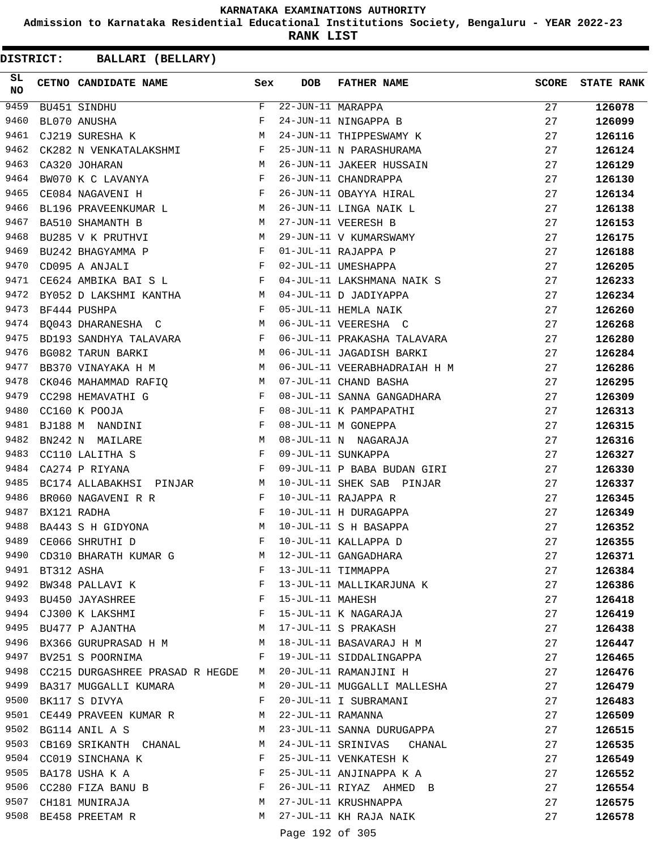**Admission to Karnataka Residential Educational Institutions Society, Bengaluru - YEAR 2022-23**

**RANK LIST**

**DISTRICT:** CC **BALLARI (BELLARY)**

| SL<br><b>NO</b> |            | CETNO CANDIDATE NAME Sex                                                                                                                                                                                                                               |   | <b>DOB</b>                      | FATHER NAME                                                                                                                | <b>SCORE</b> | <b>STATE RANK</b> |
|-----------------|------------|--------------------------------------------------------------------------------------------------------------------------------------------------------------------------------------------------------------------------------------------------------|---|---------------------------------|----------------------------------------------------------------------------------------------------------------------------|--------------|-------------------|
| 9459            |            | BU451 SINDHU                                                                                                                                                                                                                                           | F | $\overline{22}$ -JUN-11 MARAPPA |                                                                                                                            | 27           | 126078            |
| 9460            |            | BL070 ANUSHA                                                                                                                                                                                                                                           | F |                                 | 24-JUN-11 NINGAPPA B                                                                                                       | 27           | 126099            |
| 9461            |            | M<br>CJ219 SURESHA K                                                                                                                                                                                                                                   |   |                                 | 24-JUN-11 THIPPESWAMY K                                                                                                    | 27           | 126116            |
| 9462            |            | CK282 N VENKATALAKSHMI $F$                                                                                                                                                                                                                             |   |                                 | 25-JUN-11 N PARASHURAMA                                                                                                    | 27           | 126124            |
| 9463            |            | M <sub>N</sub><br>CA320 JOHARAN                                                                                                                                                                                                                        |   |                                 | 26-JUN-11 JAKEER HUSSAIN                                                                                                   | 27           | 126129            |
| 9464            |            | BW070 K C LAVANYA F                                                                                                                                                                                                                                    |   |                                 | 26-JUN-11 CHANDRAPPA                                                                                                       | 27           | 126130            |
| 9465            |            | $\mathbb F$ . The set of the set of the set of the set of the set of the set of the set of the set of the set of the set of the set of the set of the set of the set of the set of the set of the set of the set of the set of the<br>CE084 NAGAVENI H |   |                                 |                                                                                                                            | 27           | 126134            |
| 9466            |            | BL196 PRAVEENKUMAR L M                                                                                                                                                                                                                                 |   |                                 | 26-JUN-11 CHANDRAFFA<br>26-JUN-11 OBAYYA HIRAL<br>26-JUN-11 LINGA NAIK L                                                   | 27           | 126138            |
| 9467            |            | BA510 SHAMANTH B                                                                                                                                                                                                                                       | M |                                 | 27-JUN-11 VEERESH B                                                                                                        | 27           | 126153            |
| 9468            |            | BU285 V K PRUTHVI                                                                                                                                                                                                                                      | M |                                 | 29-JUN-11 V KUMARSWAMY                                                                                                     | 27           | 126175            |
| 9469            |            | BU242 BHAGYAMMA P $F$                                                                                                                                                                                                                                  |   |                                 | 01-JUL-11 RAJAPPA P                                                                                                        | 27           | 126188            |
| 9470            |            | $\mathbf{F}$<br>CD095 A ANJALI                                                                                                                                                                                                                         |   |                                 | 02-JUL-11 UMESHAPPA                                                                                                        | 27           | 126205            |
| 9471            |            | $CE624$ AMBIKA BAI S L F                                                                                                                                                                                                                               |   |                                 | 04-JUL-11 LAKSHMANA NAIK S                                                                                                 | 27           | 126233            |
| 9472            |            | BY052 D LAKSHMI KANTHA M                                                                                                                                                                                                                               |   |                                 | 04-JUL-11 D JADIYAPPA                                                                                                      | 27           | 126234            |
| 9473            |            | $\mathbf{F}$<br>BF444 PUSHPA                                                                                                                                                                                                                           |   |                                 | 05-JUL-11 HEMLA NAIK                                                                                                       | 27           | 126260            |
| 9474            |            | M <sub>N</sub><br>BQ043 DHARANESHA C                                                                                                                                                                                                                   |   |                                 | 06-JUL-11 VEERESHA C                                                                                                       | 27           | 126268            |
| 9475            |            | BD193 SANDHYA TALAVARA F                                                                                                                                                                                                                               |   |                                 | 06-JUL-11 PRAKASHA TALAVARA                                                                                                | 27           | 126280            |
| 9476            |            | <b>M</b><br>BG082 TARUN BARKI                                                                                                                                                                                                                          |   |                                 | 06-JUL-11 JAGADISH BARKI                                                                                                   | 27           | 126284            |
| 9477            |            | BB370 VINAYAKA H M                                                                                                                                                                                                                                     |   |                                 | 06-JUL-11 VEERABHADRAIAH H M<br>07-JUL-11 CHAND BASHA                                                                      | 27           | 126286            |
| 9478            |            | CK046 MAHAMMAD RAFIQ M                                                                                                                                                                                                                                 |   |                                 | 07-JUL-11 CHAND BASHA                                                                                                      | 27           | 126295            |
| 9479            |            | $\mathbb{R}^n$ . The set of the set of the set of the set of the set of the set of the set of the set of the set of the set of the set of the set of the set of the set of the set of the set of the set of the set of the set of<br>CC298 HEMAVATHI G |   |                                 | 08-JUL-11 SANNA GANGADHARA                                                                                                 | 27           | 126309            |
| 9480            |            | $\mathbf{F}$<br>CC160 K POOJA                                                                                                                                                                                                                          |   |                                 | 08-JUL-11 K PAMPAPATHI                                                                                                     | 27           | 126313            |
| 9481            |            | $\mathbf{F}^{\mathcal{A}}$<br>BJ188 M NANDINI                                                                                                                                                                                                          |   |                                 | 08-JUL-11 M GONEPPA                                                                                                        | 27           | 126315            |
| 9482            |            | M<br>BN242 N MAILARE                                                                                                                                                                                                                                   |   |                                 | 08-JUL-11 N NAGARAJA                                                                                                       | 27           | 126316            |
| 9483            |            | $\frac{1}{\sqrt{1-\frac{1}{2}}}$<br>CC110 LALITHA S                                                                                                                                                                                                    |   |                                 | 09-JUL-11 SUNKAPPA                                                                                                         | 27           | 126327            |
| 9484            |            | $\mathbf{F}$ and the contract of the contract of $\mathbf{F}$<br>CA274 P RIYANA                                                                                                                                                                        |   |                                 | 09-JUL-11 P BABA BUDAN GIRI                                                                                                | 27           | 126330            |
| 9485            |            | BC174 ALLABAKHSI PINJAR M                                                                                                                                                                                                                              |   |                                 | 10-JUL-11 SHEK SAB PINJAR<br>10-JUL-11 RAJAPPA R<br>10-JUL-11 H DURAGAPPA<br>10-JUL-11 S H BASAPPA<br>10-JUL-11 KALLAPPA D | 27           | 126337            |
| 9486            |            | BR060 NAGAVENI R R $$\rm F$$                                                                                                                                                                                                                           |   |                                 |                                                                                                                            | 27           | 126345            |
| 9487            |            | $\mathbb F$ . If $\mathbb F$<br>BX121 RADHA                                                                                                                                                                                                            |   |                                 |                                                                                                                            | 27           | 126349            |
| 9488            |            | BA443 S H GIDYONA M                                                                                                                                                                                                                                    |   |                                 |                                                                                                                            | 27           | 126352            |
| 9489            |            | CE066 SHRUTHI D                                                                                                                                                                                                                                        | F |                                 |                                                                                                                            | 27           | 126355            |
|                 |            | 9490 CD310 BHARATH KUMAR G                                                                                                                                                                                                                             | M |                                 | 12-JUL-11 GANGADHARA                                                                                                       | 27           | 126371            |
| 9491            | BT312 ASHA |                                                                                                                                                                                                                                                        | F |                                 | 13-JUL-11 TIMMAPPA                                                                                                         | 27           | 126384            |
| 9492            |            | BW348 PALLAVI K                                                                                                                                                                                                                                        | F |                                 | 13-JUL-11 MALLIKARJUNA K                                                                                                   | 27           | 126386            |
| 9493            |            | BU450 JAYASHREE                                                                                                                                                                                                                                        | F | 15-JUL-11 MAHESH                |                                                                                                                            | 27           | 126418            |
|                 |            | 9494 CJ300 K LAKSHMI                                                                                                                                                                                                                                   | F |                                 | 15-JUL-11 K NAGARAJA                                                                                                       | 27           | 126419            |
| 9495            |            | BU477 P AJANTHA                                                                                                                                                                                                                                        | M |                                 | 17-JUL-11 S PRAKASH                                                                                                        | 27           | 126438            |
| 9496            |            | BX366 GURUPRASAD H M                                                                                                                                                                                                                                   | M |                                 | 18-JUL-11 BASAVARAJ H M                                                                                                    | 27           | 126447            |
| 9497            |            | BV251 S POORNIMA                                                                                                                                                                                                                                       | F |                                 | 19-JUL-11 SIDDALINGAPPA                                                                                                    | 27           | 126465            |
|                 |            | 9498 CC215 DURGASHREE PRASAD R HEGDE                                                                                                                                                                                                                   | M |                                 | 20-JUL-11 RAMANJINI H                                                                                                      | 27           | 126476            |
| 9499            |            | BA317 MUGGALLI KUMARA                                                                                                                                                                                                                                  | M |                                 | 20-JUL-11 MUGGALLI MALLESHA                                                                                                | 27           | 126479            |
| 9500            |            | BK117 S DIVYA                                                                                                                                                                                                                                          | F |                                 | 20-JUL-11 I SUBRAMANI                                                                                                      | 27           | 126483            |
| 9501            |            | CE449 PRAVEEN KUMAR R                                                                                                                                                                                                                                  | М | 22-JUL-11 RAMANNA               |                                                                                                                            | 27           | 126509            |
|                 |            | 9502 BG114 ANIL A S                                                                                                                                                                                                                                    | M |                                 | 23-JUL-11 SANNA DURUGAPPA                                                                                                  | 27           | 126515            |
| 9503            |            | CB169 SRIKANTH CHANAL                                                                                                                                                                                                                                  | M |                                 | 24-JUL-11 SRINIVAS<br><b>CHANAL</b>                                                                                        | 27           | 126535            |
| 9504            |            | CC019 SINCHANA K                                                                                                                                                                                                                                       | F |                                 | 25-JUL-11 VENKATESH K                                                                                                      | 27           | 126549            |
| 9505            |            | BA178 USHA K A                                                                                                                                                                                                                                         | F |                                 | 25-JUL-11 ANJINAPPA K A                                                                                                    | 27           | 126552            |
|                 |            | 9506 CC280 FIZA BANU B                                                                                                                                                                                                                                 | F |                                 | 26-JUL-11 RIYAZ AHMED B                                                                                                    | 27           | 126554            |
|                 |            | 9507 CH181 MUNIRAJA                                                                                                                                                                                                                                    | М |                                 | 27-JUL-11 KRUSHNAPPA                                                                                                       | 27           | 126575            |
|                 |            | 9508 BE458 PREETAM R                                                                                                                                                                                                                                   | M |                                 | 27-JUL-11 KH RAJA NAIK                                                                                                     | 27           | 126578            |

Page 192 of 305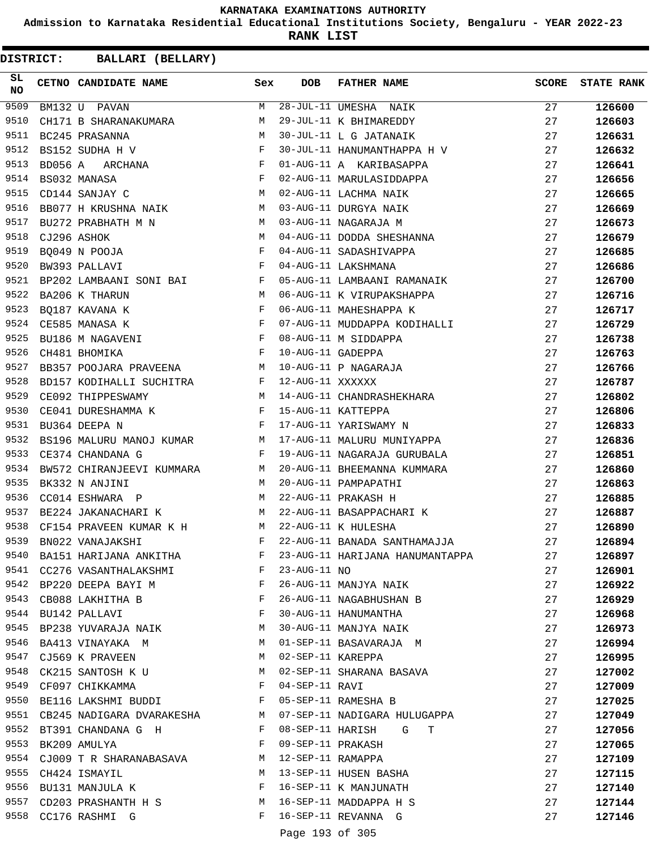**Admission to Karnataka Residential Educational Institutions Society, Bengaluru - YEAR 2022-23**

**RANK LIST**

| SL<br><b>NO</b> |         | CETNO CANDIDATE NAME                                                             | Sex          | <b>DOB</b>         | <b>FATHER NAME</b>                              | <b>SCORE</b> | <b>STATE RANK</b> |
|-----------------|---------|----------------------------------------------------------------------------------|--------------|--------------------|-------------------------------------------------|--------------|-------------------|
| 9509            |         | BM132 U PAVAN                                                                    | M            |                    | 28-JUL-11 UMESHA NAIK<br>29-JUL-11 K BHIMAREDDY | 27           | 126600            |
| 9510            |         | CH171 B SHARANAKUMARA                                                            | М            |                    |                                                 | 27           | 126603            |
| 9511            |         | BC245 PRASANNA                                                                   | М            |                    | 30-JUL-11 L G JATANAIK                          | 27           | 126631            |
| 9512            |         | BS152 SUDHA H V                                                                  | $\mathbf{F}$ |                    | 30-JUL-11 HANUMANTHAPPA H V                     | 27           | 126632            |
| 9513            | BD056 A | ARCHANA F<br>ASA F<br>JAY C M                                                    |              |                    | 01-AUG-11 A KARIBASAPPA                         | 27           | 126641            |
| 9514            |         | BS032 MANASA                                                                     |              |                    | 02-AUG-11 MARULASIDDAPPA                        | 27           | 126656            |
| 9515            |         | CD144 SANJAY C                                                                   |              |                    | 02-AUG-11 LACHMA NAIK                           | 27           | 126665            |
| 9516            |         | BB077 H KRUSHNA NAIK M                                                           |              |                    | 03-AUG-11 DURGYA NAIK                           | 27           | 126669            |
| 9517            |         | BU272 PRABHATH M N M                                                             |              |                    | 03-AUG-11 NAGARAJA M                            | 27           | 126673            |
| 9518            |         | M <sub>N</sub><br>CJ296 ASHOK                                                    |              |                    | 04-AUG-11 DODDA SHESHANNA                       | 27           | 126679            |
| 9519            |         | $\begin{array}{c} \mathbf{F} \\ \mathbf{F} \end{array}$<br>BQ049 N POOJA         |              |                    | 04-AUG-11 SADASHIVAPPA                          | 27           | 126685            |
| 9520            |         | BW393 PALLAVI                                                                    |              |                    | 04-AUG-11 LAKSHMANA                             | 27           | 126686            |
| 9521            |         | BP202 LAMBAANI SONI BAI F                                                        |              |                    | 05-AUG-11 LAMBAANI RAMANAIK                     | 27           | 126700            |
| 9522            |         | M<br>BA206 K THARUN                                                              |              |                    | 06-AUG-11 K VIRUPAKSHAPPA                       | 27           | 126716            |
| 9523            |         |                                                                                  |              |                    | 06-AUG-11 MAHESHAPPA K                          | 27           | 126717            |
| 9524            |         | BQ187 KAVANA K<br>CE585 MANASA K F<br>BU186 M NAGAVENI F                         |              |                    | 07-AUG-11 MUDDAPPA KODIHALLI                    | 27           | 126729            |
| 9525            |         |                                                                                  |              |                    | 08-AUG-11 M SIDDAPPA                            | 27           | 126738            |
| 9526            |         | $\mathbf{F}$ and the contract of the contract of $\mathbf{F}$ .<br>CH481 BHOMIKA |              | 10-AUG-11 GADEPPA  |                                                 | 27           | 126763            |
| 9527            |         | BB357 POOJARA PRAVEENA M                                                         |              |                    |                                                 | 27           | 126766            |
| 9528            |         | BD157 KODIHALLI SUCHITRA F                                                       |              | 12-AUG-11 XXXXXX   | 10-AUG-11 P NAGARAJA<br>12-AUG-11 XXXXXX        | 27           | 126787            |
| 9529            |         | M <sub>N</sub><br>CE092 THIPPESWAMY                                              |              |                    | 14-AUG-11 CHANDRASHEKHARA                       | 27           | 126802            |
| 9530            |         | CE041 DURESHAMMA K F                                                             |              |                    | 15-AUG-11 KATTEPPA                              | 27           | 126806            |
| 9531            |         | $\mathbf{F}$ . The set of $\mathbf{F}$<br>BU364 DEEPA N                          |              |                    | 17-AUG-11 YARISWAMY N                           | 27           | 126833            |
| 9532            |         | BS196 MALURU MANOJ KUMAR M                                                       |              |                    | 17-AUG-11 MALURU MUNIYAPPA                      | 27           | 126836            |
| 9533            |         | CE374 CHANDANA G<br>$\mathbf{F}$                                                 |              |                    | 19-AUG-11 NAGARAJA GURUBALA                     | 27           | 126851            |
| 9534            |         | BW572 CHIRANJEEVI KUMMARA                                                        | M            |                    | 20-AUG-11 BHEEMANNA KUMMARA                     | 27           | 126860            |
| 9535            |         | M<br>BK332 N ANJINI                                                              |              |                    | 20-AUG-11 PAMPAPATHI                            | 27           | 126863            |
| 9536            |         | M<br>CC014 ESHWARA P                                                             |              |                    | 22-AUG-11 PRAKASH H                             | 27           | 126885            |
| 9537            |         | <b>M</b><br>BE224 JAKANACHARI K                                                  |              |                    | 22-AUG-11 BASAPPACHARI K                        | 27           | 126887            |
| 9538            |         | CF154 PRAVEEN KUMAR K H M                                                        |              |                    | 22-AUG-11 K HULESHA                             | 27           | 126890            |
| 9539            |         | BN022 VANAJAKSHI                                                                 | F            |                    | 22-AUG-11 BANADA SANTHAMAJJA                    | 27           | 126894            |
| 9540            |         | BA151 HARIJANA ANKITHA                                                           | F            |                    | 23-AUG-11 HARIJANA HANUMANTAPPA                 | 27           | 126897            |
|                 |         | 9541 CC276 VASANTHALAKSHMI F                                                     |              | $23 - AUG - 11 NO$ |                                                 | 27           | 126901            |
|                 |         | 9542 BP220 DEEPA BAYI M                                                          | F            |                    | 26-AUG-11 MANJYA NAIK                           | 27           | 126922            |
| 9543            |         | <b>Experimental Service Service</b><br>CB088 LAKHITHA B                          |              |                    | 26-AUG-11 NAGABHUSHAN B                         | 27           | 126929            |
|                 |         | 9544 BU142 PALLAVI                                                               | F            |                    | 30-AUG-11 HANUMANTHA                            | 27           | 126968            |
| 9545            |         | BP238 YUVARAJA NAIK                                                              | M            |                    | 30-AUG-11 MANJYA NAIK                           | 27           | 126973            |
| 9546            |         | BA413 VINAYAKA M                                                                 | M            |                    | 01-SEP-11 BASAVARAJA M                          | 27           | 126994            |
| 9547            |         | CJ569 K PRAVEEN                                                                  | M            |                    | 02-SEP-11 KAREPPA                               | 27           | 126995            |
|                 |         | 9548 CK215 SANTOSH K U                                                           | M            |                    | 02-SEP-11 SHARANA BASAVA                        | 27           | 127002            |
|                 |         | 9549 CF097 CHIKKAMMA                                                             | F            | 04-SEP-11 RAVI     |                                                 | 27           | 127009            |
|                 |         | 9550 BE116 LAKSHMI BUDDI F                                                       |              |                    | 05-SEP-11 RAMESHA B                             | 27           | 127025            |
|                 |         | 9551 CB245 NADIGARA DVARAKESHA M                                                 |              |                    | 07-SEP-11 NADIGARA HULUGAPPA                    | 27           | 127049            |
|                 |         | 9552 BT391 CHANDANA G H                                                          | $\mathbf{F}$ |                    | 08-SEP-11 HARISH G<br>Т                         | 27           | 127056            |
| 9553            |         | BK209 AMULYA                                                                     | $\mathbf{F}$ | 09-SEP-11 PRAKASH  |                                                 | 27           | 127065            |
| 9554            |         | CJ009 T R SHARANABASAVA                                                          | М            | 12-SEP-11 RAMAPPA  |                                                 | 27           | 127109            |
| 9555            |         | CH424 ISMAYIL                                                                    | M            |                    | 13-SEP-11 HUSEN BASHA                           | 27           | 127115            |
|                 |         | 9556 BU131 MANJULA K                                                             | F            |                    | 16-SEP-11 K MANJUNATH                           | 27           | 127140            |
|                 |         | 9557 CD203 PRASHANTH H S                                                         | M            |                    | 16-SEP-11 MADDAPPA H S                          | 27           | 127144            |
|                 |         | 9558 CC176 RASHMI G                                                              | F            |                    | 16-SEP-11 REVANNA G                             | 27           | 127146            |
|                 |         |                                                                                  |              |                    |                                                 |              |                   |
|                 |         |                                                                                  |              | Page 193 of 305    |                                                 |              |                   |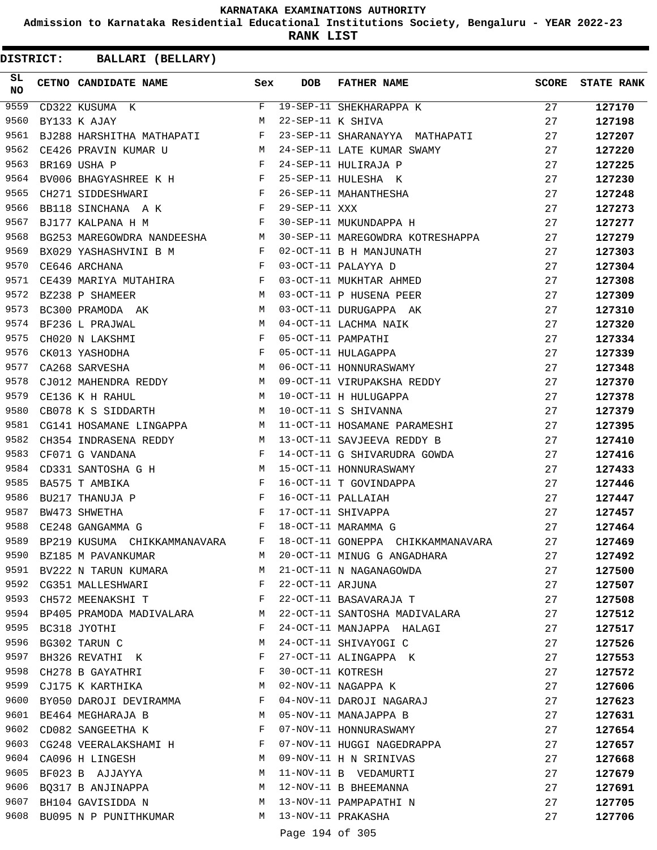**Admission to Karnataka Residential Educational Institutions Society, Bengaluru - YEAR 2022-23**

**RANK LIST**

| SL<br><b>NO</b> | CETNO CANDIDATE NAME Sex                                                                                                                                                                                                                            |   | <b>DOB</b>        | FATHER NAME                                                                                                                                                                                                       | <b>SCORE</b> | <b>STATE RANK</b> |
|-----------------|-----------------------------------------------------------------------------------------------------------------------------------------------------------------------------------------------------------------------------------------------------|---|-------------------|-------------------------------------------------------------------------------------------------------------------------------------------------------------------------------------------------------------------|--------------|-------------------|
| 9559            | $\begin{array}{c}\nF \\ M\n\end{array}$<br>CD322 KUSUMA K                                                                                                                                                                                           |   |                   | F 19-SEP-11 SHEKHARAPPA K<br>M 22-SEP-11 K SHIVA                                                                                                                                                                  | 27           | 127170            |
| 9560            | BY133 K AJAY                                                                                                                                                                                                                                        |   |                   |                                                                                                                                                                                                                   | 27           | 127198            |
| 9561            | BJ288 HARSHITHA MATHAPATI F                                                                                                                                                                                                                         |   |                   | 23-SEP-11 SHARANAYYA MATHAPATI                                                                                                                                                                                    | 27           | 127207            |
| 9562            |                                                                                                                                                                                                                                                     |   |                   | CE426 PRAVIN KUMAR U<br>BR169 USHA P<br>BV006 BHAGYASHREE K H<br>CH271 SIDDESHWARI F 26-SEP-11 HULESHA K<br>CH271 SIDDESHWARI F 26-SEP-11 MAHANTHESHA<br>BB118 SINCHANA A K<br>F 29-SEP-11 XXX<br>F 29-SEP-11 XXX | 27           | 127220            |
| 9563            |                                                                                                                                                                                                                                                     |   |                   |                                                                                                                                                                                                                   | 27           | 127225            |
| 9564            |                                                                                                                                                                                                                                                     |   |                   |                                                                                                                                                                                                                   | 27           | 127230            |
| 9565            |                                                                                                                                                                                                                                                     |   |                   |                                                                                                                                                                                                                   | 27           | 127248            |
| 9566            |                                                                                                                                                                                                                                                     |   |                   |                                                                                                                                                                                                                   | 27           | 127273            |
| 9567            | BJ177 KALPANA H M                                                                                                                                                                                                                                   |   |                   | F 30-SEP-11 MUKUNDAPPA H                                                                                                                                                                                          | 27           | 127277            |
| 9568            |                                                                                                                                                                                                                                                     |   |                   | BG253 MAREGOWDRA NANDEESHA M 30-SEP-11 MAREGOWDRA KOTRESHAPPA 27                                                                                                                                                  |              | 127279            |
| 9569            | BX029 YASHASHVINI B M F                                                                                                                                                                                                                             |   |                   | 02-OCT-11 B H MANJUNATH                                                                                                                                                                                           | 27           | 127303            |
| 9570            | $\mathbf{F}$<br>CE646 ARCHANA                                                                                                                                                                                                                       |   |                   | 03-OCT-11 PALAYYA D                                                                                                                                                                                               | 27           | 127304            |
| 9571            | CE439 MARIYA MUTAHIRA F                                                                                                                                                                                                                             |   |                   | 03-OCT-11 MUKHTAR AHMED                                                                                                                                                                                           | 27           | 127308            |
| 9572            | M <sub>N</sub><br>BZ238 P SHAMEER                                                                                                                                                                                                                   |   |                   | 03-OCT-11 P HUSENA PEER                                                                                                                                                                                           | 27           | 127309            |
| 9573            | BC300 PRAMODA AK M                                                                                                                                                                                                                                  |   |                   | 03-OCT-11 DURUGAPPA AK                                                                                                                                                                                            | 27           | 127310            |
| 9574            | BF236 L PRAJWAL                                                                                                                                                                                                                                     |   |                   | 04-OCT-11 LACHMA NAIK                                                                                                                                                                                             | 27           | 127320            |
| 9575            | $\begin{aligned} \mathbf{M} \\ \mathbf{F} \\ \mathbf{F} \end{aligned}$<br>CH020 N LAKSHMI                                                                                                                                                           |   |                   | 05-OCT-11 PAMPATHI                                                                                                                                                                                                | 27           | 127334            |
| 9576            | CK013 YASHODHA                                                                                                                                                                                                                                      |   |                   | 05-OCT-11 HULAGAPPA                                                                                                                                                                                               | 27           | 127339            |
| 9577            | M<br>CA268 SARVESHA                                                                                                                                                                                                                                 |   |                   | 06-OCT-11 HONNURASWAMY                                                                                                                                                                                            | 27           | 127348            |
| 9578            |                                                                                                                                                                                                                                                     |   |                   |                                                                                                                                                                                                                   | 27           | 127370            |
| 9579            | CJ012 MAHENDRA REDDY M<br>CE136 K H RAHUL M M                                                                                                                                                                                                       |   |                   | 09-OCT-11 VIRUPAKSHA REDDY<br>10-OCT-11 H HULUGAPPA<br>10-OCT-11 S SHIVANNA                                                                                                                                       | 27           | 127378            |
| 9580            | CB078 K S SIDDARTH M 10-OCT-11 S SHIVANNA                                                                                                                                                                                                           |   |                   |                                                                                                                                                                                                                   | 27           | 127379            |
| 9581            | CG141 HOSAMANE LINGAPPA M                                                                                                                                                                                                                           |   |                   | 11-OCT-11 HOSAMANE PARAMESHI                                                                                                                                                                                      | 27           | 127395            |
| 9582            | CH354 INDRASENA REDDY M                                                                                                                                                                                                                             |   |                   | 13-OCT-11 SAVJEEVA REDDY B                                                                                                                                                                                        | 27           | 127410            |
| 9583            | CF071 G VANDANA                                                                                                                                                                                                                                     | F |                   | 14-OCT-11 G SHIVARUDRA GOWDA                                                                                                                                                                                      | 27           | 127416            |
| 9584            | CD331 SANTOSHA G H M                                                                                                                                                                                                                                |   |                   | 15-OCT-11 HONNURASWAMY                                                                                                                                                                                            | 27           | 127433            |
| 9585            | $\mathbf{F}$ . The set of the set of the set of the set of the set of the set of the set of the set of the set of the set of the set of the set of the set of the set of the set of the set of the set of the set of the set of t<br>BA575 T AMBIKA |   |                   | 16-OCT-11 T GOVINDAPPA                                                                                                                                                                                            | 27           | 127446            |
| 9586            | $\frac{\text{F}}{\text{F}}$<br>BU217 THANUJA P                                                                                                                                                                                                      |   |                   | 16-OCT-11 PALLAIAH                                                                                                                                                                                                | 27           | 127447            |
| 9587            | BW473 SHWETHA                                                                                                                                                                                                                                       |   |                   | 17-OCT-11 SHIVAPPA                                                                                                                                                                                                | 27           | 127457            |
| 9588            | $\mathbf{F}$ and $\mathbf{F}$ and $\mathbf{F}$<br>CE248 GANGAMMA G                                                                                                                                                                                  |   |                   | 18-OCT-11 MARAMMA G                                                                                                                                                                                               | 27           | 127464            |
| 9589            | BP219 KUSUMA CHIKKAMMANAVARA F                                                                                                                                                                                                                      |   |                   | 18-OCT-11 GONEPPA CHIKKAMMANAVARA                                                                                                                                                                                 | 27           | 127469            |
|                 | 9590 BZ185 M PAVANKUMAR                                                                                                                                                                                                                             | М |                   | 20-OCT-11 MINUG G ANGADHARA                                                                                                                                                                                       | 27           | 127492            |
|                 | 9591 BV222 N TARUN KUMARA                                                                                                                                                                                                                           | M |                   | 21-OCT-11 N NAGANAGOWDA                                                                                                                                                                                           | 27           | 127500            |
|                 | 9592 CG351 MALLESHWARI                                                                                                                                                                                                                              | F | 22-OCT-11 ARJUNA  |                                                                                                                                                                                                                   | 27           | 127507            |
| 9593            | CH572 MEENAKSHI T                                                                                                                                                                                                                                   | F |                   | 22-OCT-11 BASAVARAJA T                                                                                                                                                                                            | 27           | 127508            |
|                 | 9594 BP405 PRAMODA MADIVALARA                                                                                                                                                                                                                       | M |                   | 22-OCT-11 SANTOSHA MADIVALARA                                                                                                                                                                                     | 27           | 127512            |
| 9595            | BC318 JYOTHI                                                                                                                                                                                                                                        | F |                   | 24-OCT-11 MANJAPPA HALAGI                                                                                                                                                                                         | 27           | 127517            |
| 9596            | BG302 TARUN C                                                                                                                                                                                                                                       | М |                   | 24-OCT-11 SHIVAYOGI C                                                                                                                                                                                             | 27           | 127526            |
| 9597            | BH326 REVATHI K                                                                                                                                                                                                                                     | F |                   | 27-OCT-11 ALINGAPPA K                                                                                                                                                                                             | 27           | 127553            |
| 9598            | CH278 B GAYATHRI                                                                                                                                                                                                                                    | F | 30-OCT-11 KOTRESH |                                                                                                                                                                                                                   | 27           | 127572            |
|                 | 9599 CJ175 K KARTHIKA                                                                                                                                                                                                                               | M |                   | 02-NOV-11 NAGAPPA K                                                                                                                                                                                               | 27           | 127606            |
| 9600            | BY050 DAROJI DEVIRAMMA                                                                                                                                                                                                                              | F |                   | 04-NOV-11 DAROJI NAGARAJ                                                                                                                                                                                          | 27           | 127623            |
| 9601            | BE464 MEGHARAJA B                                                                                                                                                                                                                                   | M |                   | 05-NOV-11 MANAJAPPA B                                                                                                                                                                                             | 27           | 127631            |
| 9602            | CD082 SANGEETHA K                                                                                                                                                                                                                                   | F |                   | 07-NOV-11 HONNURASWAMY                                                                                                                                                                                            | 27           | 127654            |
| 9603            | CG248 VEERALAKSHAMI H                                                                                                                                                                                                                               | F |                   | 07-NOV-11 HUGGI NAGEDRAPPA                                                                                                                                                                                        | 27           | 127657            |
| 9604            | CA096 H LINGESH                                                                                                                                                                                                                                     | M |                   | 09-NOV-11 H N SRINIVAS                                                                                                                                                                                            | 27           | 127668            |
| 9605            | BF023 B AJJAYYA                                                                                                                                                                                                                                     | M |                   | 11-NOV-11 B VEDAMURTI                                                                                                                                                                                             | 27           | 127679            |
|                 | 9606 BQ317 B ANJINAPPA                                                                                                                                                                                                                              | M |                   | 12-NOV-11 B BHEEMANNA                                                                                                                                                                                             | 27           | 127691            |
| 9607            | BH104 GAVISIDDA N                                                                                                                                                                                                                                   | M |                   | 13-NOV-11 PAMPAPATHI N                                                                                                                                                                                            | 27           | 127705            |
| 9608            | BU095 N P PUNITHKUMAR                                                                                                                                                                                                                               | M |                   | 13-NOV-11 PRAKASHA                                                                                                                                                                                                | 27           | 127706            |
|                 |                                                                                                                                                                                                                                                     |   | Page 194 of 305   |                                                                                                                                                                                                                   |              |                   |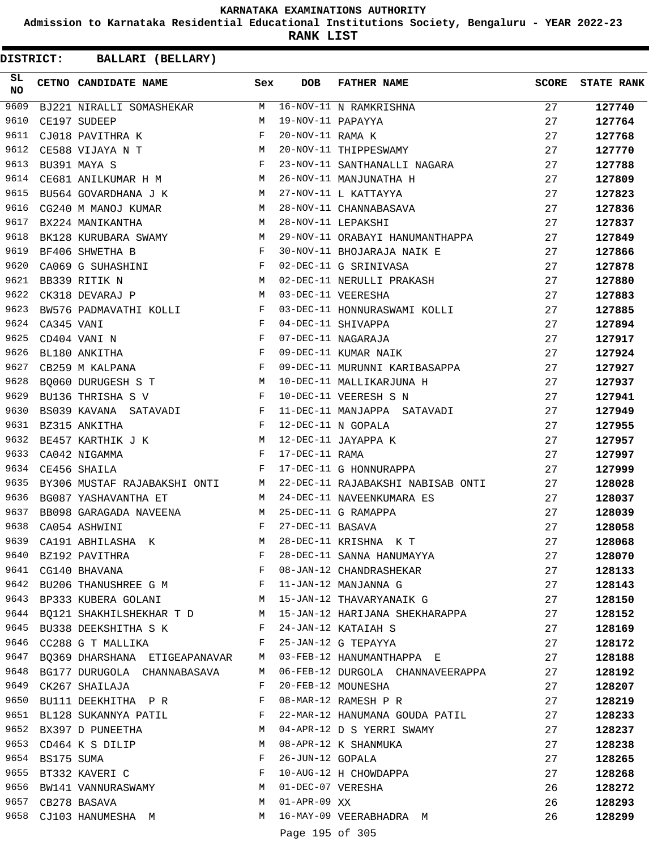**Admission to Karnataka Residential Educational Institutions Society, Bengaluru - YEAR 2022-23**

**RANK LIST**

| SL<br><b>NO</b> |            | CETNO CANDIDATE NAME Sex                                                                                                                                                                                                                              |   | <b>DOB</b>        | <b>FATHER NAME</b>                                                                                                                                                                                | SCORE | <b>STATE RANK</b> |
|-----------------|------------|-------------------------------------------------------------------------------------------------------------------------------------------------------------------------------------------------------------------------------------------------------|---|-------------------|---------------------------------------------------------------------------------------------------------------------------------------------------------------------------------------------------|-------|-------------------|
| 9609            |            |                                                                                                                                                                                                                                                       |   |                   | BJ221 NIRALLI SOMASHEKAR M 16-NOV-11 N RAMKRISHNA<br>CE197 SUDEEP M 19-NOV-11 PAPAYYA<br>CJ018 PAVITHRA K F 20-NOV-11 RAMA K<br>CE588 VIJAYA N T M 20-NOV-11 THIPPESWAMY                          | 27    | 127740            |
| 9610            |            |                                                                                                                                                                                                                                                       |   |                   |                                                                                                                                                                                                   | 27    | 127764            |
| 9611            |            |                                                                                                                                                                                                                                                       |   |                   |                                                                                                                                                                                                   | 27    | 127768            |
| 9612            |            | $${\rm T}$$ $${\rm N}$$ $${\rm F}$$                                                                                                                                                                                                                   |   |                   |                                                                                                                                                                                                   | 27    | 127770            |
| 9613            |            | BU391 MAYA S                                                                                                                                                                                                                                          |   |                   | 23-NOV-11 SANTHANALLI NAGARA                                                                                                                                                                      | 27    | 127788            |
| 9614            |            | CE681 ANILKUMAR H M                                                                                                                                                                                                                                   |   |                   | 26-NOV-11 MANJUNATHA H                                                                                                                                                                            | 27    | 127809            |
| 9615            |            | BU564 GOVARDHANA J K M                                                                                                                                                                                                                                |   |                   | 27-NOV-11 L KATTAYYA<br>28-NOV-11 CHANNABASAVA                                                                                                                                                    | 27    | 127823            |
| 9616            |            | CG240 M MANOJ KUMAR M                                                                                                                                                                                                                                 |   |                   |                                                                                                                                                                                                   | 27    | 127836            |
| 9617            |            | M<br>BX224 MANIKANTHA                                                                                                                                                                                                                                 |   |                   | 28-NOV-11 LEPAKSHI                                                                                                                                                                                | 27    | 127837            |
| 9618            |            | BK128 KURUBARA SWAMY M                                                                                                                                                                                                                                |   |                   | 29-NOV-11 ORABAYI HANUMANTHAPPA                                                                                                                                                                   | 27    | 127849            |
| 9619            |            | $\mathbf{F}$<br>BF406 SHWETHA B                                                                                                                                                                                                                       |   |                   | 30-NOV-11 BHOJARAJA NAIK E                                                                                                                                                                        | 27    | 127866            |
| 9620            |            |                                                                                                                                                                                                                                                       |   |                   | 02-DEC-11 G SRINIVASA                                                                                                                                                                             | 27    | 127878            |
| 9621            |            | CA069 G SUHASHINI F<br>BB339 RITIK N M                                                                                                                                                                                                                |   |                   |                                                                                                                                                                                                   | 27    | 127880            |
| 9622            |            | <b>M</b><br>CK318 DEVARAJ P                                                                                                                                                                                                                           |   |                   | 02-DEC-11 NERULLI PRAKASH<br>03-DEC-11 VEERESHA                                                                                                                                                   | 27    | 127883            |
| 9623            |            | BW576 PADMAVATHI KOLLI F                                                                                                                                                                                                                              |   |                   | 03-DEC-11 HONNURASWAMI KOLLI                                                                                                                                                                      | 27    | 127885            |
| 9624            | CA345 VANI |                                                                                                                                                                                                                                                       |   |                   | 04-DEC-11 SHIVAPPA                                                                                                                                                                                | 27    | 127894            |
| 9625            |            | CD404 VANI N                                                                                                                                                                                                                                          |   |                   | 07-DEC-11 NAGARAJA                                                                                                                                                                                | 27    | 127917            |
| 9626            |            | BL180 ANKITHA                                                                                                                                                                                                                                         |   |                   | 09-DEC-11 KUMAR NAIK                                                                                                                                                                              | 27    | 127924            |
| 9627            |            | $\mathbf{F}^{\mathcal{A}}$<br>CB259 M KALPANA                                                                                                                                                                                                         |   |                   | 09-DEC-11 MURUNNI KARIBASAPPA                                                                                                                                                                     | 27    | 127927            |
| 9628            |            | BQ060 DURUGESH S T<br>BU136 THRISHA S V F                                                                                                                                                                                                             |   |                   | 10-DEC-11 MALLIKARJUNA H                                                                                                                                                                          | 27    | 127937            |
| 9629            |            |                                                                                                                                                                                                                                                       |   |                   | 10-DEC-11 VEERESH S N                                                                                                                                                                             | 27    | 127941            |
| 9630            |            | BS039 KAVANA SATAVADI F                                                                                                                                                                                                                               |   |                   | 11-DEC-11 MANJAPPA SATAVADI                                                                                                                                                                       | 27    | 127949            |
| 9631            |            |                                                                                                                                                                                                                                                       |   |                   |                                                                                                                                                                                                   | 27    | 127955            |
| 9632            |            |                                                                                                                                                                                                                                                       |   |                   |                                                                                                                                                                                                   | 27    | 127957            |
| 9633            |            |                                                                                                                                                                                                                                                       |   |                   |                                                                                                                                                                                                   | 27    | 127997            |
| 9634            |            |                                                                                                                                                                                                                                                       |   |                   | EE457 KARTHIK J K<br>CA042 NIGAMMA<br>CE456 SHAILA<br>PERICALLY F 17-DEC-11 G HONNURAPPA<br>F 17-DEC-11 G HONNURAPPA<br>PERICALLY F 17-DEC-11 G HONNURAPPA<br>PERICALLY<br>17-DEC-11 G HONNURAPPA | 27    | 127999            |
| 9635            |            | BY306 MUSTAF RAJABAKSHI ONTI M                                                                                                                                                                                                                        |   |                   | 22-DEC-11 RAJABAKSHI NABISAB ONTI                                                                                                                                                                 | 27    | 128028            |
| 9636            |            | BG087 YASHAVANTHA ET                                                                                                                                                                                                                                  | M |                   | 24-DEC-11 NAVEENKUMARA ES                                                                                                                                                                         | 27    | 128037            |
| 9637            |            | BB098 GARAGADA NAVEENA M 25-DEC-11 G RAMAPPA                                                                                                                                                                                                          |   |                   |                                                                                                                                                                                                   | 27    | 128039            |
| 9638            |            | $\mathbf{F}$ and $\mathbf{F}$ are the set of the set of the set of the set of the set of the set of the set of the set of the set of the set of the set of the set of the set of the set of the set of the set of the set of the set<br>CA054 ASHWINI |   | 27-DEC-11 BASAVA  |                                                                                                                                                                                                   | 27    | 128058            |
| 9639            |            | CA191 ABHILASHA K                                                                                                                                                                                                                                     | M |                   | 28-DEC-11 KRISHNA K T                                                                                                                                                                             | 27    | 128068            |
| 9640            |            | BZ192 PAVITHRA                                                                                                                                                                                                                                        | F |                   | 28-DEC-11 SANNA HANUMAYYA                                                                                                                                                                         | 27    | 128070            |
| 9641            |            | CG140 BHAVANA                                                                                                                                                                                                                                         | F |                   | 08-JAN-12 CHANDRASHEKAR                                                                                                                                                                           | 27    | 128133            |
|                 |            | 9642 BU206 THANUSHREE G M F 11-JAN-12 MANJANNA G                                                                                                                                                                                                      |   |                   |                                                                                                                                                                                                   | 27    | 128143            |
|                 |            |                                                                                                                                                                                                                                                       |   |                   | 9643 BP333 KUBERA GOLANI M 15-JAN-12 THAVARYANAIK G                                                                                                                                               | 27    | 128150            |
|                 |            |                                                                                                                                                                                                                                                       |   |                   | 9644 BQ121 SHAKHILSHEKHAR T D M 15-JAN-12 HARIJANA SHEKHARAPPA                                                                                                                                    | 27    | 128152            |
|                 |            | 9645 BU338 DEEKSHITHA S K F 24-JAN-12 KATAIAH S                                                                                                                                                                                                       |   |                   |                                                                                                                                                                                                   | 27    | 128169            |
| 9646            |            | CC288 G T MALLIKA F                                                                                                                                                                                                                                   |   |                   | 25-JAN-12 G TEPAYYA                                                                                                                                                                               | 27    | 128172            |
| 9647            |            | BQ369 DHARSHANA ETIGEAPANAVAR M                                                                                                                                                                                                                       |   |                   | 03-FEB-12 HANUMANTHAPPA E                                                                                                                                                                         | 27    | 128188            |
|                 |            | 9648 BG177 DURUGOLA CHANNABASAVA                                                                                                                                                                                                                      | M |                   | 06-FEB-12 DURGOLA CHANNAVEERAPPA                                                                                                                                                                  | 27    | 128192            |
| 9649            |            | CK267 SHAILAJA                                                                                                                                                                                                                                        | F |                   | 20-FEB-12 MOUNESHA                                                                                                                                                                                | 27    | 128207            |
|                 |            | 9650 BU111 DEEKHITHA P R                                                                                                                                                                                                                              | F |                   | 08-MAR-12 RAMESH P R                                                                                                                                                                              | 27    | 128219            |
|                 |            | 9651 BL128 SUKANNYA PATIL<br><b>Example 20</b> F                                                                                                                                                                                                      |   |                   | 22-MAR-12 HANUMANA GOUDA PATIL                                                                                                                                                                    | 27    | 128233            |
|                 |            | 9652 BX397 D PUNEETHA                                                                                                                                                                                                                                 | M |                   | 04-APR-12 D S YERRI SWAMY                                                                                                                                                                         | 27    | 128237            |
| 9653            |            | CD464 K S DILIP                                                                                                                                                                                                                                       | M |                   | 08-APR-12 K SHANMUKA                                                                                                                                                                              | 27    | 128238            |
| 9654            |            | BS175 SUMA                                                                                                                                                                                                                                            | F | 26-JUN-12 GOPALA  |                                                                                                                                                                                                   | 27    | 128265            |
| 9655            |            | BT332 KAVERI C                                                                                                                                                                                                                                        | F |                   | 10-AUG-12 H CHOWDAPPA                                                                                                                                                                             | 27    | 128268            |
|                 |            | 9656 BW141 VANNURASWAMY                                                                                                                                                                                                                               | M | 01-DEC-07 VERESHA |                                                                                                                                                                                                   | 26    | 128272            |
|                 |            | 9657 CB278 BASAVA                                                                                                                                                                                                                                     | M | 01-APR-09 XX      |                                                                                                                                                                                                   | 26    | 128293            |
|                 |            | 9658 CJ103 HANUMESHA M                                                                                                                                                                                                                                |   |                   | M 16-MAY-09 VEERABHADRA M                                                                                                                                                                         | 26    |                   |
|                 |            |                                                                                                                                                                                                                                                       |   |                   |                                                                                                                                                                                                   |       | 128299            |
|                 |            |                                                                                                                                                                                                                                                       |   | Page 195 of 305   |                                                                                                                                                                                                   |       |                   |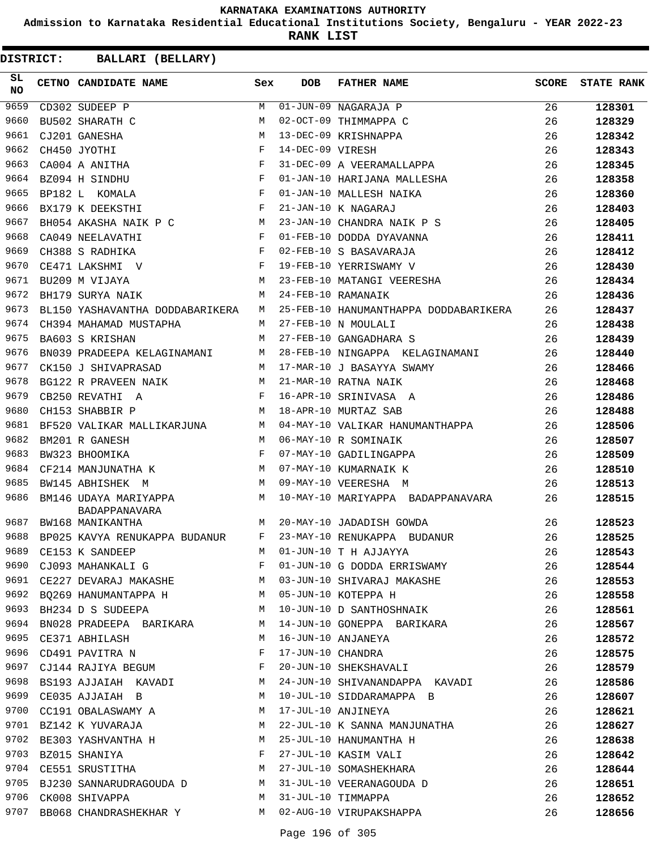**Admission to Karnataka Residential Educational Institutions Society, Bengaluru - YEAR 2022-23**

**RANK LIST**

| SL<br><b>NO</b> | CETNO CANDIDATE NAME                                                               | Sex          | DOB              | <b>FATHER NAME</b>                    | <b>SCORE</b> | <b>STATE RANK</b> |
|-----------------|------------------------------------------------------------------------------------|--------------|------------------|---------------------------------------|--------------|-------------------|
| 9659            | CD302 SUDEEP P                                                                     | M            |                  | $\overline{01}$ -JUN-09 NAGARAJA P    | 26           | 128301            |
| 9660            | BU502 SHARATH C                                                                    | M            |                  | 02-OCT-09 THIMMAPPA C                 | 26           | 128329            |
| 9661            | CJ201 GANESHA                                                                      | M            |                  | 13-DEC-09 KRISHNAPPA                  | 26           | 128342            |
| 9662            | CH450 JYOTHI                                                                       | $_{\rm F}$   | 14-DEC-09 VIRESH |                                       | 26           | 128343            |
| 9663            | CA004 A ANITHA                                                                     | $_{\rm F}$   |                  | 31-DEC-09 A VEERAMALLAPPA             | 26           | 128345            |
| 9664            | BZ094 H SINDHU                                                                     | F            |                  | 01-JAN-10 HARIJANA MALLESHA           | 26           | 128358            |
| 9665            | $\mathbf{F}$ and the set of the set of $\mathbf{F}$<br>BP182 L KOMALA              |              |                  | 01-JAN-10 MALLESH NAIKA               | 26           | 128360            |
| 9666            | BX179 K DEEKSTHI                                                                   | $\mathbf{F}$ |                  | 21-JAN-10 K NAGARAJ                   | 26           | 128403            |
| 9667            | BH054 AKASHA NAIK P C M                                                            |              |                  | 23-JAN-10 CHANDRA NAIK P S            | 26           | 128405            |
| 9668            | CA049 NEELAVATHI                                                                   | F            |                  | 01-FEB-10 DODDA DYAVANNA              | 26           | 128411            |
| 9669            | $\mathbf{F}$ and $\mathbf{F}$<br>CH388 S RADHIKA                                   |              |                  | 02-FEB-10 S BASAVARAJA                | 26           | 128412            |
| 9670            | $\begin{aligned} \mathbf{F} \\ \mathbf{M} \end{aligned}$<br>CE471 LAKSHMI V        |              |                  | 19-FEB-10 YERRISWAMY V                | 26           | 128430            |
| 9671            | BU209 M VIJAYA                                                                     |              |                  | 23-FEB-10 MATANGI VEERESHA            | 26           | 128434            |
| 9672            | BH179 SURYA NAIK                                                                   | M            |                  | 24-FEB-10 RAMANAIK                    | 26           | 128436            |
| 9673            | BL150 YASHAVANTHA DODDABARIKERA                                                    | M            |                  | 25-FEB-10 HANUMANTHAPPA DODDABARIKERA | 26           | 128437            |
| 9674            | CH394 MAHAMAD MUSTAPHA                                                             | M            |                  | 27-FEB-10 N MOULALI                   | 26           | 128438            |
| 9675            | BA603 S KRISHAN                                                                    | M            |                  | 27-FEB-10 GANGADHARA S                | 26           | 128439            |
| 9676            | BN039 PRADEEPA KELAGINAMANI                                                        | M            |                  | 28-FEB-10 NINGAPPA KELAGINAMANI       | 26           | 128440            |
| 9677            | M<br>CK150 J SHIVAPRASAD                                                           |              |                  | 17-MAR-10 J BASAYYA SWAMY             | 26           | 128466            |
| 9678            | BG122 R PRAVEEN NAIK M                                                             |              |                  | 21-MAR-10 RATNA NAIK                  | 26           | 128468            |
| 9679            | $\mathbb{F}^{\mathbb{Z}}$ . The state $\mathbb{F}^{\mathbb{Z}}$<br>CB250 REVATHI A |              |                  | 16-APR-10 SRINIVASA A                 | 26           | 128486            |
| 9680            | CH153 SHABBIR P                                                                    | M            |                  | 18-APR-10 MURTAZ SAB                  | 26           | 128488            |
| 9681            | BF520 VALIKAR MALLIKARJUNA M                                                       |              |                  | 04-MAY-10 VALIKAR HANUMANTHAPPA       | 26           | 128506            |
| 9682            | BM201 R GANESH                                                                     | M            |                  | 06-MAY-10 R SOMINAIK                  | 26           | 128507            |
| 9683            | BW323 BHOOMIKA                                                                     | F            |                  | 07-MAY-10 GADILINGAPPA                | 26           | 128509            |
| 9684            | CF214 MANJUNATHA K                                                                 | M            |                  | 07-MAY-10 KUMARNAIK K                 | 26           | 128510            |
| 9685            | M<br>BW145 ABHISHEK M                                                              |              |                  | 09-MAY-10 VEERESHA M                  | 26           | 128513            |
| 9686            | M <sub>1</sub><br>BM146 UDAYA MARIYAPPA<br><b>BADAPPANAVARA</b>                    |              |                  | 10-MAY-10 MARIYAPPA BADAPPANAVARA     | 26           | 128515            |
| 9687            | M<br>BW168 MANIKANTHA                                                              |              |                  | 20-MAY-10 JADADISH GOWDA              | 26           | 128523            |
| 9688            | BP025 KAVYA RENUKAPPA BUDANUR                                                      | F            |                  | 23-MAY-10 RENUKAPPA BUDANUR           | 26           | 128525            |
| 9689            | CE153 K SANDEEP                                                                    | M            |                  | $01$ -JUN-10 T H AJJAYYA              | 26           | 128543            |
| 9690            | CJ093 MAHANKALI G                                                                  | F            |                  | 01-JUN-10 G DODDA ERRISWAMY           | 26           | 128544            |
|                 | 9691 CE227 DEVARAJ MAKASHE M                                                       |              |                  | 03-JUN-10 SHIVARAJ MAKASHE            | 26           | 128553            |
|                 | 9692 BQ269 HANUMANTAPPA H                                                          |              |                  | 05-JUN-10 KOTEPPA H                   | 26           | 128558            |
| 9693            | BH234 D S SUDEEPA<br>M <sub>N</sub>                                                |              |                  | 10-JUN-10 D SANTHOSHNAIK              | 26           | 128561            |
| 9694            | BN028 PRADEEPA BARIKARA M                                                          |              |                  | 14-JUN-10 GONEPPA BARIKARA            | 26           | 128567            |
|                 | 9695 CE371 ABHILASH                                                                | M            |                  | 16-JUN-10 ANJANEYA                    | 26           | 128572            |
|                 | 9696 CD491 PAVITRA N                                                               | $\mathbf{F}$ |                  | 17-JUN-10 CHANDRA                     | 26           | 128575            |
| 9697            | CJ144 RAJIYA BEGUM F                                                               |              |                  | 20-JUN-10 SHEKSHAVALI                 | 26           | 128579            |
| 9698            | BS193 AJJAIAH KAVADI                                                               | M            |                  | 24-JUN-10 SHIVANANDAPPA KAVADI        | 26           | 128586            |
| 9699            | CE035 AJJAIAH B                                                                    | M            |                  | 10-JUL-10 SIDDARAMAPPA B              | 26           | 128607            |
|                 | 9700 CC191 OBALASWAMY A                                                            | M            |                  | 17-JUL-10 ANJINEYA                    | 26           | 128621            |
|                 | 9701 BZ142 K YUVARAJA                                                              | M            |                  | 22-JUL-10 K SANNA MANJUNATHA          | 26           | 128627            |
|                 | 9702 BE303 YASHVANTHA H                                                            | M            |                  | 25-JUL-10 HANUMANTHA H                | 26           | 128638            |
|                 | $\mathbf{F}$<br>9703 BZ015 SHANIYA                                                 |              |                  | 27-JUL-10 KASIM VALI                  | 26           | 128642            |
|                 | 9704 CE551 SRUSTITHA                                                               | M            |                  | 27-JUL-10 SOMASHEKHARA                | 26           | 128644            |
|                 | 9705 BJ230 SANNARUDRAGOUDA D M                                                     |              |                  | 31-JUL-10 VEERANAGOUDA D              | 26           | 128651            |
| 9706            | CK008 SHIVAPPA                                                                     | M            |                  | 31-JUL-10 TIMMAPPA                    | 26           | 128652            |
|                 | 9707 BB068 CHANDRASHEKHAR Y M                                                      |              |                  | 02-AUG-10 VIRUPAKSHAPPA               | 26           | 128656            |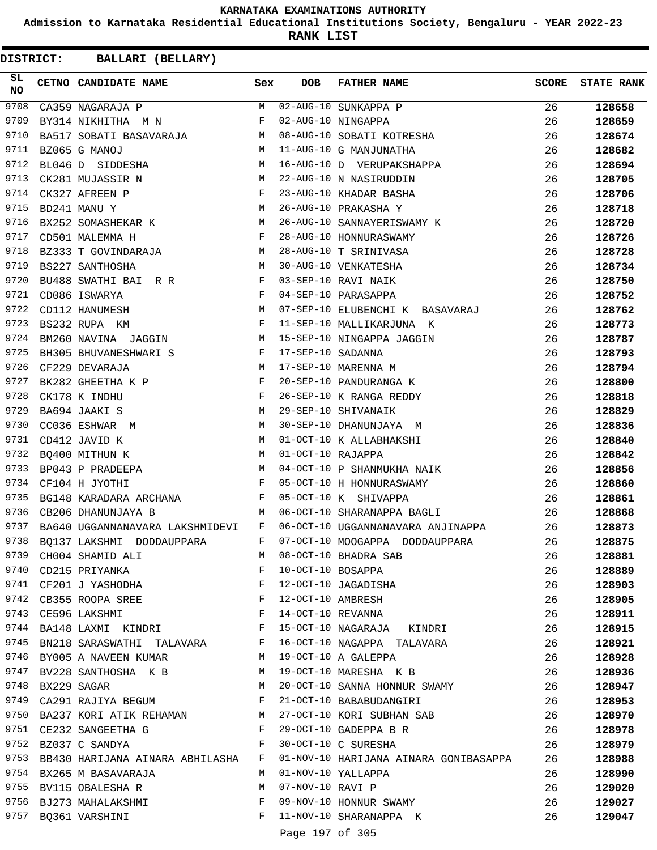**Admission to Karnataka Residential Educational Institutions Society, Bengaluru - YEAR 2022-23**

**RANK LIST**

| SL<br><b>NO</b> |                  | CETNO CANDIDATE NAME Sex                                                           |              | <b>DOB</b>        | <b>FATHER NAME</b>                                       | SCORE | <b>STATE RANK</b> |
|-----------------|------------------|------------------------------------------------------------------------------------|--------------|-------------------|----------------------------------------------------------|-------|-------------------|
| 9708            |                  | CA359 NAGARAJA P                                                                   |              |                   | M 02-AUG-10 SUNKAPPA P                                   | 26    | 128658            |
| 9709            |                  | $\mathbf{F}$<br>BY314 NIKHITHA M N                                                 |              |                   | 02-AUG-10 NINGAPPA                                       | 26    | 128659            |
| 9710            |                  | BA517 SOBATI BASAVARAJA M                                                          |              |                   | 08-AUG-10 SOBATI KOTRESHA                                | 26    | 128674            |
| 9711            |                  | M<br>BZ065 G MANOJ                                                                 |              |                   | 11-AUG-10 G MANJUNATHA                                   | 26    | 128682            |
| 9712            |                  | BL046 D SIDDESHA M                                                                 |              |                   | 16-AUG-10 D VERUPAKSHAPPA                                | 26    | 128694            |
| 9713            |                  | M<br>CK281 MUJASSIR N                                                              |              |                   | 22-AUG-10 N NASIRUDDIN                                   | 26    | 128705            |
| 9714            |                  | $$\rm F$$ $$\rm M$$<br>CK327 AFREEN P                                              |              |                   | 23-AUG-10 KHADAR BASHA                                   | 26    | 128706            |
| 9715            |                  | BD241 MANU Y                                                                       |              |                   | 26-AUG-10 PRAKASHA Y                                     | 26    | 128718            |
| 9716            |                  | BX252 SOMASHEKAR K M                                                               |              |                   | 26-AUG-10 SANNAYERISWAMY K                               | 26    | 128720            |
| 9717            |                  | $\mathbf{F}$ . The contract of the contract of $\mathbf{F}$ .<br>CD501 MALEMMA H   |              |                   | 28-AUG-10 HONNURASWAMY                                   | 26    | 128726            |
| 9718            |                  | BZ333 T GOVINDARAJA                                                                | M            |                   | 28-AUG-10 T SRINIVASA                                    | 26    | 128728            |
| 9719            |                  | M<br>BS227 SANTHOSHA                                                               |              |                   | 30-AUG-10 VENKATESHA                                     | 26    | 128734            |
| 9720            |                  | BU488 SWATHI BAI R R F                                                             |              |                   | 03-SEP-10 RAVI NAIK                                      | 26    | 128750            |
| 9721            |                  | $\mathbf{F}$ and $\mathbf{F}$ and $\mathbf{F}$<br>CD086 ISWARYA                    |              |                   | 04-SEP-10 PARASAPPA                                      | 26    | 128752            |
| 9722            |                  | M<br>CD112 HANUMESH                                                                |              |                   | 07-SEP-10 ELUBENCHI K BASAVARAJ                          | 26    | 128762            |
| 9723            |                  | BS232 RUPA KM                                                                      | $\mathbb F$  |                   | 11-SEP-10 MALLIKARJUNA K                                 | 26    | 128773            |
| 9724            |                  | BM260 NAVINA JAGGIN M                                                              |              |                   | 15-SEP-10 NINGAPPA JAGGIN                                | 26    | 128787            |
| 9725            |                  | BH305 BHUVANESHWARI S F                                                            |              | 17-SEP-10 SADANNA |                                                          | 26    | 128793            |
| 9726            |                  | M<br>CF229 DEVARAJA                                                                |              |                   | 17-SEP-10 MARENNA M                                      | 26    | 128794            |
| 9727            |                  | $\overline{F}$<br>BK282 GHEETHA K P                                                |              |                   | 20-SEP-10 PANDURANGA K                                   | 26    | 128800            |
| 9728            |                  | $\mathbf{F}$ and $\mathbf{F}$ and $\mathbf{F}$<br>CK178 K INDHU                    |              |                   | 26-SEP-10 K RANGA REDDY                                  | 26    | 128818            |
| 9729            |                  | M<br>BA694 JAAKI S                                                                 |              |                   | 29-SEP-10 SHIVANAIK                                      | 26    | 128829            |
| 9730            |                  | M<br>CC036 ESHWAR M                                                                |              |                   | 30-SEP-10 DHANUNJAYA M                                   | 26    | 128836            |
| 9731            |                  | CD412 JAVID K                                                                      | M            |                   | 01-OCT-10 K ALLABHAKSHI                                  | 26    | 128840            |
| 9732            |                  | $\mathbf M$                                                                        |              | 01-OCT-10 RAJAPPA |                                                          | 26    | 128842            |
| 9733            |                  | BQ400 MITHUN K<br>M <sub>N</sub>                                                   |              |                   |                                                          |       |                   |
| 9734            |                  | BP043 P PRADEEPA<br>$\mathbf{F}$ . The set of $\mathbf{F}$                         |              |                   | 04-OCT-10 P SHANMUKHA NAIK                               | 26    | 128856            |
| 9735            |                  | CF104 H JYOTHI                                                                     |              |                   | 05-OCT-10 H HONNURASWAMY                                 | 26    | 128860            |
| 9736            |                  | BG148 KARADARA ARCHANA F                                                           |              |                   | 05-OCT-10 K SHIVAPPA                                     | 26    | 128861            |
| 9737            |                  | CB206 DHANUNJAYA B<br><b>M</b>                                                     |              |                   | 06-OCT-10 SHARANAPPA BAGLI                               | 26    | 128868            |
|                 |                  | BA640 UGGANNANAVARA LAKSHMIDEVI F                                                  |              |                   | 06-OCT-10 UGGANNANAVARA ANJINAPPA                        | 26    | 128873            |
| 9738            |                  | $\mathbf{F}$ and $\mathbf{F}$ and $\mathbf{F}$<br>BO137 LAKSHMI DODDAUPPARA        |              |                   | 07-OCT-10 MOOGAPPA DODDAUPPARA                           | 26    | 128875            |
| 9739            |                  | CH004 SHAMID ALI<br>CD215 PRIYANKA                                                 | M            |                   | 08-OCT-10 BHADRA SAB                                     | 26    | 128881            |
| 9740            |                  |                                                                                    | $\mathbf{F}$ | 10-OCT-10 BOSAPPA |                                                          | 26    | 128889            |
|                 |                  | 9741 CF201 J YASHODHA F                                                            |              |                   | 12-OCT-10 JAGADISHA                                      | 26    | 128903            |
|                 |                  | 9742 CB355 ROOPA SREE F                                                            |              | 12-OCT-10 AMBRESH |                                                          | 26    | 128905            |
|                 |                  | $\mathbf F$<br>9743 CE596 LAKSHMI                                                  |              |                   | 14-OCT-10 REVANNA                                        | 26    | 128911            |
| 9744            |                  | BA148 LAXMI KINDRI F                                                               |              |                   | 15-OCT-10 NAGARAJA KINDRI                                | 26    | 128915            |
| 9745            |                  | BN218 SARASWATHI TALAVARA F                                                        |              |                   | 16-OCT-10 NAGAPPA TALAVARA                               | 26    | 128921            |
|                 |                  | 9746 BY005 A NAVEEN KUMAR                                                          |              |                   | M 19-OCT-10 A GALEPPA                                    | 26    | 128928            |
|                 |                  |                                                                                    |              |                   | 9747 BV228 SANTHOSHA K B M 19-OCT-10 MARESHA K B         | 26    | 128936            |
|                 | 9748 BX229 SAGAR | M <sub>1</sub>                                                                     |              |                   | 20-OCT-10 SANNA HONNUR SWAMY                             | 26    | 128947            |
|                 |                  | 9749 CA291 RAJIYA BEGUM F                                                          |              |                   | 21-OCT-10 BABABUDANGIRI                                  | 26    | 128953            |
|                 |                  |                                                                                    |              |                   | 9750 BA237 KORI ATIK REHAMAN M 27-OCT-10 KORI SUBHAN SAB | 26    | 128970            |
|                 |                  | 9751 CE232 SANGEETHA G                                                             | $\mathbb F$  |                   | 29-OCT-10 GADEPPA B R                                    | 26    | 128978            |
|                 |                  | 9752 BZ037 C SANDYA<br>$\mathbf{F}$ . The contract of the contract of $\mathbf{F}$ |              |                   | 30-OCT-10 C SURESHA                                      | 26    | 128979            |
| 9753            |                  | BB430 HARIJANA AINARA ABHILASHA F                                                  |              |                   | 01-NOV-10 HARIJANA AINARA GONIBASAPPA                    | 26    | 128988            |
|                 |                  | 9754 BX265 M BASAVARAJA                                                            | M            |                   | 01-NOV-10 YALLAPPA                                       | 26    | 128990            |
|                 |                  | 9755 BV115 OBALESHA R                                                              | M            | 07-NOV-10 RAVI P  |                                                          | 26    | 129020            |
|                 |                  | 9756 BJ273 MAHALAKSHMI                                                             | F            |                   | 09-NOV-10 HONNUR SWAMY                                   | 26    | 129027            |
|                 |                  | 9757 BQ361 VARSHINI                                                                | $\mathbf{F}$ |                   | 11-NOV-10 SHARANAPPA K                                   | 26    | 129047            |
|                 |                  |                                                                                    |              | Page 197 of 305   |                                                          |       |                   |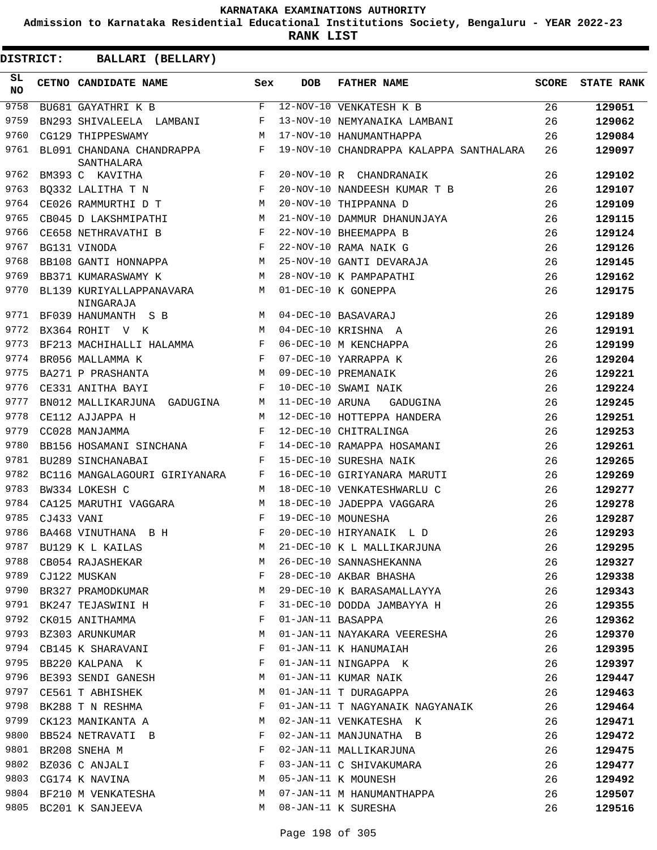**Admission to Karnataka Residential Educational Institutions Society, Bengaluru - YEAR 2022-23**

**RANK LIST**

| DISTRICT:       |            |                                         | BALLARI (BELLARY)                              |              |                 |                                               |              |                   |
|-----------------|------------|-----------------------------------------|------------------------------------------------|--------------|-----------------|-----------------------------------------------|--------------|-------------------|
| SL<br><b>NO</b> |            | CETNO CANDIDATE NAME                    |                                                | Sex          | <b>DOB</b>      | <b>FATHER NAME</b>                            | <b>SCORE</b> | <b>STATE RANK</b> |
| 9758            |            | BU681 GAYATHRI K B                      |                                                | $_{\rm F}$   |                 | 12-NOV-10 VENKATESH K B                       | 26           | 129051            |
| 9759            |            | BN293 SHIVALEELA LAMBANI                |                                                | F            |                 | 13-NOV-10 NEMYANAIKA LAMBANI                  | 26           | 129062            |
| 9760            |            | CG129 THIPPESWAMY                       |                                                | М            |                 | 17-NOV-10 HANUMANTHAPPA                       | 26           | 129084            |
| 9761            |            | BL091 CHANDANA CHANDRAPPA<br>SANTHALARA |                                                | F            |                 | 19-NOV-10 CHANDRAPPA KALAPPA SANTHALARA       | 26           | 129097            |
| 9762            |            | BM393 C KAVITHA                         |                                                | F            |                 | 20-NOV-10 R CHANDRANAIK                       | 26           | 129102            |
| 9763            |            | BQ332 LALITHA T N                       |                                                | $_{\rm F}$   |                 | 20-NOV-10 NANDEESH KUMAR T B                  | 26           | 129107            |
| 9764            |            | CE026 RAMMURTHI D T                     |                                                | М            |                 | 20-NOV-10 THIPPANNA D                         | 26           | 129109            |
| 9765            |            | CB045 D LAKSHMIPATHI                    |                                                | М            |                 | 21-NOV-10 DAMMUR DHANUNJAYA                   | 26           | 129115            |
| 9766            |            | CE658 NETHRAVATHI B                     |                                                | F            |                 | 22-NOV-10 BHEEMAPPA B                         | 26           | 129124            |
| 9767            |            | BG131 VINODA                            |                                                | F            |                 | 22-NOV-10 RAMA NAIK G                         | 26           | 129126            |
| 9768            |            | BB108 GANTI HONNAPPA                    |                                                | М            |                 | 25-NOV-10 GANTI DEVARAJA                      | 26           | 129145            |
| 9769            |            | BB371 KUMARASWAMY K                     |                                                | М            |                 | 28-NOV-10 K PAMPAPATHI                        | 26           | 129162            |
| 9770            |            | BL139 KURIYALLAPPANAVARA<br>NINGARAJA   |                                                | M            |                 | 01-DEC-10 K GONEPPA                           | 26           | 129175            |
| 9771            |            | BF039 HANUMANTH S B                     |                                                | M            |                 | 04-DEC-10 BASAVARAJ                           | 26           | 129189            |
| 9772            |            | BX364 ROHIT V K                         |                                                | M            |                 | 04-DEC-10 KRISHNA A                           | 26           | 129191            |
| 9773            |            | BF213 MACHIHALLI HALAMMA                |                                                | F            |                 | 06-DEC-10 M KENCHAPPA                         | 26           | 129199            |
| 9774            |            | BR056 MALLAMMA K                        |                                                | F            |                 | 07-DEC-10 YARRAPPA K                          | 26           | 129204            |
| 9775            |            | BA271 P PRASHANTA                       |                                                | M            |                 | 09-DEC-10 PREMANAIK                           | 26           | 129221            |
| 9776            |            | CE331 ANITHA BAYI                       |                                                | F            |                 | 10-DEC-10 SWAMI NAIK                          | 26           | 129224            |
| 9777            |            |                                         | BN012 MALLIKARJUNA GADUGINA                    | М            | 11-DEC-10 ARUNA | GADUGINA                                      | 26           | 129245            |
| 9778            |            | CE112 AJJAPPA H                         |                                                | M            |                 | 12-DEC-10 HOTTEPPA HANDERA                    | 26           | 129251            |
| 9779            |            | CC028 MANJAMMA                          |                                                | F            |                 | 12-DEC-10 CHITRALINGA                         | 26           | 129253            |
| 9780            |            | BB156 HOSAMANI SINCHANA                 |                                                | F            |                 | 14-DEC-10 RAMAPPA HOSAMANI                    | 26           | 129261            |
| 9781            |            | BU289 SINCHANABAI                       |                                                | F            |                 | 15-DEC-10 SURESHA NAIK                        | 26           | 129265            |
| 9782            |            |                                         | BC116 MANGALAGOURI GIRIYANARA                  | F            |                 | 16-DEC-10 GIRIYANARA MARUTI                   | 26           | 129269            |
| 9783            |            | BW334 LOKESH C                          |                                                | M            |                 | 18-DEC-10 VENKATESHWARLU C                    | 26           | 129277            |
| 9784            |            | CA125 MARUTHI VAGGARA                   |                                                | M            |                 | 18-DEC-10 JADEPPA VAGGARA                     | 26           | 129278            |
| 9785            | CJ433 VANI |                                         |                                                | F            |                 | 19-DEC-10 MOUNESHA                            | 26           | 129287            |
| 9786            |            | BA468 VINUTHANA B H                     |                                                | F            |                 | 20-DEC-10 HIRYANAIK L D                       | 26           | 129293            |
|                 |            | 9787 BU129 K L KAILAS                   |                                                |              |                 | M 21-DEC-10 K L MALLIKARJUNA                  | 26           | 129295            |
|                 |            |                                         | 9788 CB054 RAJASHEKAR                          |              |                 | M 26-DEC-10 SANNASHEKANNA                     | 26           | 129327            |
|                 |            | 9789 CJ122 MUSKAN                       |                                                |              |                 | F 28-DEC-10 AKBAR BHASHA                      | 26           | 129338            |
|                 |            |                                         | 9790 BR327 PRAMODKUMAR M                       |              |                 | 29-DEC-10 K BARASAMALLAYYA 26                 |              | 129343            |
|                 |            | 9791 BK247 TEJASWINI H                  | $\mathbf{F}$                                   |              |                 | 31-DEC-10 DODDA JAMBAYYA H                    | 26           | 129355            |
|                 |            | 9792 CK015 ANITHAMMA                    |                                                | $\mathbf{F}$ |                 | 01-JAN-11 BASAPPA                             | 26           | 129362            |
|                 |            |                                         | 9793 BZ303 ARUNKUMAR M                         |              |                 | 01-JAN-11 NAYAKARA VEERESHA                   | 26           | 129370            |
|                 |            |                                         | 9794 CB145 K SHARAVANI F                       |              |                 | 01-JAN-11 K HANUMAIAH                         | 26           | 129395            |
|                 |            | 9795 BB220 KALPANA K                    |                                                |              |                 | F 01-JAN-11 NINGAPPA K                        | 26           | 129397            |
|                 |            |                                         | 9796 BE393 SENDI GANESH M 01-JAN-11 KUMAR NAIK |              |                 |                                               | 26           | 129447            |
|                 |            |                                         |                                                |              |                 | 9797 CE561 T ABHISHEK M 01-JAN-11 T DURAGAPPA | 26           | 129463            |
| 9798            |            |                                         | BK288 T N RESHMA F                             |              |                 | 01-JAN-11 T NAGYANAIK NAGYANAIK 26            |              | 129464            |
| 9799            |            |                                         | CK123 MANIKANTA A M                            |              |                 | 02-JAN-11 VENKATESHA K                        | 26           | 129471            |
|                 |            | 9800 BB524 NETRAVATI B                  |                                                | $$\rm \,F$$  |                 | 02-JAN-11 MANJUNATHA B                        | 26           | 129472            |
|                 |            | 9801 BR208 SNEHA M                      | $\mathbf{F}$ and the state of $\mathbf{F}$     |              |                 | 02-JAN-11 MALLIKARJUNA                        | 26           | 129475            |
|                 |            |                                         | 9802 BZ036 C ANJALI F                          |              |                 | 03-JAN-11 C SHIVAKUMARA                       | 26           | 129477            |
|                 |            | 9803 CG174 K NAVINA                     |                                                |              |                 | M 05-JAN-11 K MOUNESH                         | 26           | 129492            |
|                 |            | 9804 BF210 M VENKATESHA                 |                                                |              |                 | M 07-JAN-11 M HANUMANTHAPPA                   | 26           | 129507            |
|                 |            | 9805 BC201 K SANJEEVA                   |                                                |              |                 | M 08-JAN-11 K SURESHA                         | 26           | 129516            |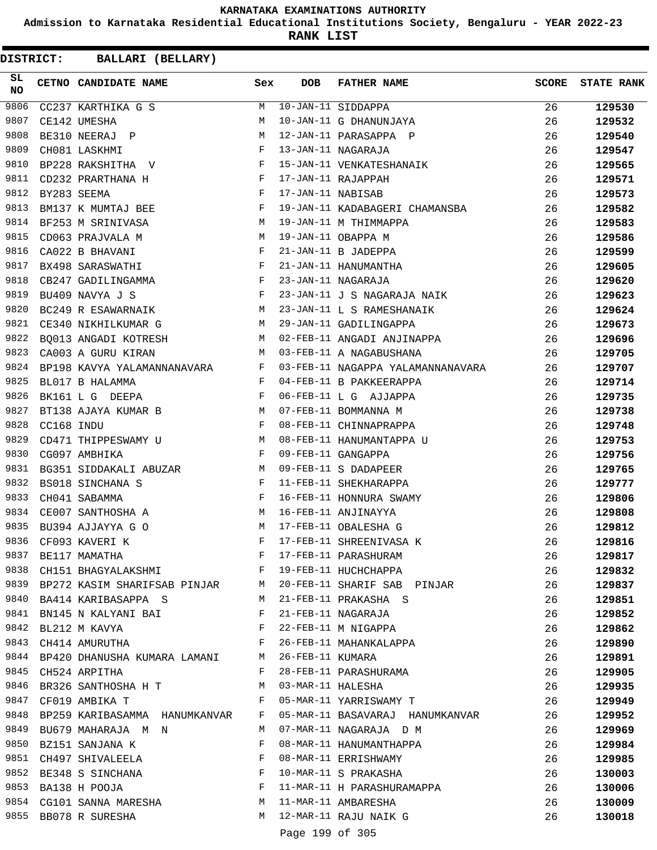**Admission to Karnataka Residential Educational Institutions Society, Bengaluru - YEAR 2022-23**

**RANK LIST**

| SL<br><b>NO</b> |            | CETNO CANDIDATE NAME                                                                                                                                                                                                                                   | Sex          | <b>DOB</b>        | <b>FATHER NAME</b>                                                                      | <b>SCORE</b> | <b>STATE RANK</b> |
|-----------------|------------|--------------------------------------------------------------------------------------------------------------------------------------------------------------------------------------------------------------------------------------------------------|--------------|-------------------|-----------------------------------------------------------------------------------------|--------------|-------------------|
| 9806            |            | CC237 KARTHIKA G S                                                                                                                                                                                                                                     | M            |                   | 10-JAN-11 SIDDAPPA                                                                      | 26           | 129530            |
| 9807            |            | CE142 UMESHA                                                                                                                                                                                                                                           | M            |                   | 10-JAN-11 G DHANUNJAYA                                                                  | 26           | 129532            |
| 9808            |            | BE310 NEERAJ P                                                                                                                                                                                                                                         | M            |                   | 12-JAN-11 PARASAPPA P                                                                   | 26           | 129540            |
| 9809            |            | CHO81 LASKHMI F<br>BP228 RAKSHITHA V F                                                                                                                                                                                                                 |              |                   | 13-JAN-11 NAGARAJA                                                                      | 26           | 129547            |
| 9810            |            |                                                                                                                                                                                                                                                        |              |                   | 15-JAN-11 VENKATESHANAIK                                                                | 26           | 129565            |
| 9811            |            | $\mathbf{F}$ . The set of the set of the set of the set of the set of the set of the set of the set of the set of the set of the set of the set of the set of the set of the set of the set of the set of the set of the set of t<br>CD232 PRARTHANA H |              |                   | 17-JAN-11 RAJAPPAH                                                                      | 26           | 129571            |
| 9812            |            | $\mathbf{F}$<br>BY283 SEEMA                                                                                                                                                                                                                            |              | 17-JAN-11 NABISAB |                                                                                         | 26           | 129573            |
| 9813            |            | BM137 K MUMTAJ BEE                                                                                                                                                                                                                                     |              |                   | 19-JAN-11 KADABAGERI CHAMANSBA                                                          | 26           | 129582            |
| 9814            |            | BF253 M SRINIVASA M                                                                                                                                                                                                                                    |              |                   | 19-JAN-11 M THIMMAPPA                                                                   | 26           | 129583            |
| 9815            |            | M <sub>1</sub><br>CD063 PRAJVALA M                                                                                                                                                                                                                     |              |                   |                                                                                         | 26           | 129586            |
| 9816            |            | $\mathbf{F}$ and the set of the set of the set of $\mathbf{F}$ .<br>CA022 B BHAVANI                                                                                                                                                                    |              |                   | 19-JAN-11 OBAPPA M<br>21-JAN-11 B JADEPPA<br>21-JAN-11 HANUMANTHA<br>23-JAN-11 NAGARAJA | 26           | 129599            |
| 9817            |            | BX498 SARASWATHI                                                                                                                                                                                                                                       | $\mathbf{F}$ |                   |                                                                                         | 26           | 129605            |
| 9818            |            | CB247 GADILINGAMMA F                                                                                                                                                                                                                                   |              |                   |                                                                                         | 26           | 129620            |
| 9819            |            | $\mathbf{F}$ . The set of $\mathbf{F}$<br>BU409 NAVYA J S                                                                                                                                                                                              |              |                   | 23-JAN-11 J S NAGARAJA NAIK                                                             | 26           | 129623            |
| 9820            |            | BC249 R ESAWARNAIK M                                                                                                                                                                                                                                   |              |                   | 23-JAN-11 L S RAMESHANAIK                                                               | 26           | 129624            |
| 9821            |            | M<br>CE340 NIKHILKUMAR G                                                                                                                                                                                                                               |              |                   | 29-JAN-11 GADILINGAPPA                                                                  | 26           | 129673            |
| 9822            |            | BQ013 ANGADI KOTRESH M                                                                                                                                                                                                                                 |              |                   | 02-FEB-11 ANGADI ANJINAPPA                                                              | 26           | 129696            |
| 9823            |            | <b>M</b><br>CA003 A GURU KIRAN                                                                                                                                                                                                                         |              |                   | 03-FEB-11 A NAGABUSHANA                                                                 | 26           | 129705            |
| 9824            |            | BP198 KAVYA YALAMANNANAVARA F                                                                                                                                                                                                                          |              |                   | 03-FEB-11 NAGAPPA YALAMANNANAVARA                                                       | 26           | 129707            |
| 9825            |            | BL017 B HALAMMA                                                                                                                                                                                                                                        |              |                   | 04-FEB-11 B PAKKEERAPPA                                                                 | 26           | 129714            |
| 9826            |            | $\begin{array}{cc} \textbf{F} & \\ \textbf{F} & \\ \end{array}$<br>BK161 L G DEEPA                                                                                                                                                                     |              |                   | 06-FEB-11 L G AJJAPPA                                                                   | 26           | 129735            |
| 9827            |            | BT138 AJAYA KUMAR B M                                                                                                                                                                                                                                  |              |                   | 07-FEB-11 BOMMANNA M                                                                    | 26           | 129738            |
| 9828            | CC168 INDU | $\mathbf{F}$ and $\mathbf{F}$                                                                                                                                                                                                                          |              |                   | 07 122 11 DOCTTER<br>08-FEB-11 CHINNAPRAPPA<br>08-FEB-11 HANUMANTAPPA U                 | 26           | 129748            |
| 9829            |            | CD471 THIPPESWAMY U M                                                                                                                                                                                                                                  |              |                   |                                                                                         | 26           | 129753            |
| 9830            |            | $\mathbf{F}$<br>CG097 AMBHIKA                                                                                                                                                                                                                          |              |                   | 09-FEB-11 GANGAPPA                                                                      | 26           | 129756            |
| 9831            |            | BG351 SIDDAKALI ABUZAR M                                                                                                                                                                                                                               |              |                   | 09-FEB-11 S DADAPEER                                                                    | 26           | 129765            |
| 9832            |            | BS018 SINCHANA S                                                                                                                                                                                                                                       |              |                   | 11-FEB-11 SHEKHARAPPA                                                                   | 26           | 129777            |
| 9833            |            | $\frac{\textbf{F}}{\textbf{F}}$<br>CH041 SABAMMA                                                                                                                                                                                                       |              |                   | 16-FEB-11 HONNURA SWAMY                                                                 | 26           | 129806            |
| 9834            |            | CE007 SANTHOSHA A $M$                                                                                                                                                                                                                                  |              |                   | 16-FEB-11 ANJINAYYA                                                                     | 26           | 129808            |
| 9835            |            | M <sub>N</sub><br>BU394 AJJAYYA G O                                                                                                                                                                                                                    |              |                   | 17-FEB-11 OBALESHA G                                                                    | 26           | 129812            |
| 9836            |            | CF093 KAVERI K                                                                                                                                                                                                                                         | F            |                   | 17-FEB-11 SHREENIVASA K                                                                 | 26           | 129816            |
| 9837            |            | BE117 MAMATHA                                                                                                                                                                                                                                          | F            |                   | 17-FEB-11 PARASHURAM                                                                    | 26           | 129817            |
| 9838            |            | CH151 BHAGYALAKSHMI F                                                                                                                                                                                                                                  |              |                   | 19-FEB-11 HUCHCHAPPA                                                                    | 26           | 129832            |
| 9839            |            |                                                                                                                                                                                                                                                        |              |                   | BP272 KASIM SHARIFSAB PINJAR M 20-FEB-11 SHARIF SAB PINJAR                              | 26           | 129837            |
| 9840            |            | BA414 KARIBASAPPA S<br><b>M</b>                                                                                                                                                                                                                        |              |                   | 21-FEB-11 PRAKASHA S                                                                    | 26           | 129851            |
|                 |            | 9841 BN145 N KALYANI BAI                                                                                                                                                                                                                               | $\mathbf{F}$ |                   | 21-FEB-11 NAGARAJA                                                                      | 26           | 129852            |
|                 |            | 9842 BL212 M KAVYA                                                                                                                                                                                                                                     | $\mathbb F$  |                   | 22-FEB-11 M NIGAPPA                                                                     | 26           | 129862            |
| 9843            |            | CH414 AMURUTHA                                                                                                                                                                                                                                         | F            |                   | 26-FEB-11 MAHANKALAPPA                                                                  | 26           | 129890            |
| 9844            |            | BP420 DHANUSHA KUMARA LAMANI M                                                                                                                                                                                                                         |              |                   |                                                                                         | 26           | 129891            |
|                 |            | 9845 CH524 ARPITHA                                                                                                                                                                                                                                     | $\mathbf{F}$ |                   | 26-FEB-11 KUMARA<br>28-FEB-11 PARASHURAMA<br>03-MAR-11 HALESHA                          | 26           |                   |
|                 |            | 9846 BR326 SANTHOSHA H T                                                                                                                                                                                                                               | M            |                   |                                                                                         | 26           | 129905            |
| 9847            |            | CF019 AMBIKA T                                                                                                                                                                                                                                         | $\mathbf{F}$ |                   | 05-MAR-11 YARRISWAMY T                                                                  | 26           | 129935<br>129949  |
| 9848            |            | BP259 KARIBASAMMA HANUMKANVAR F                                                                                                                                                                                                                        |              |                   |                                                                                         | 26           |                   |
| 9849            |            |                                                                                                                                                                                                                                                        |              |                   | 05-MAR-11 BASAVARAJ HANUMKANVAR                                                         |              | 129952            |
| 9850            |            | BU679 MAHARAJA M N                                                                                                                                                                                                                                     | M<br>F       |                   | 07-MAR-11 NAGARAJA D M                                                                  | 26<br>26     | 129969            |
|                 |            | BZ151 SANJANA K                                                                                                                                                                                                                                        |              |                   | 08-MAR-11 HANUMANTHAPPA                                                                 |              | 129984            |
| 9851            |            | CH497 SHIVALEELA<br>BE348 S SINCHANA F                                                                                                                                                                                                                 | F            |                   | 08-MAR-11 ERRISHWAMY<br>10-MAR-11 S PRAKASHA                                            | 26           | 129985            |
| 9852            |            |                                                                                                                                                                                                                                                        | F            |                   |                                                                                         | 26           | 130003            |
|                 |            | 9853 BA138 H POOJA                                                                                                                                                                                                                                     |              |                   | 11-MAR-11 H PARASHURAMAPPA                                                              | 26           | 130006            |
|                 |            | 9854 CG101 SANNA MARESHA                                                                                                                                                                                                                               | М            |                   | 11-MAR-11 AMBARESHA                                                                     | 26           | 130009            |
| 9855            |            | BB078 R SURESHA                                                                                                                                                                                                                                        | M            |                   | 12-MAR-11 RAJU NAIK G                                                                   | 26           | 130018            |
|                 |            |                                                                                                                                                                                                                                                        |              | Page 199 of 305   |                                                                                         |              |                   |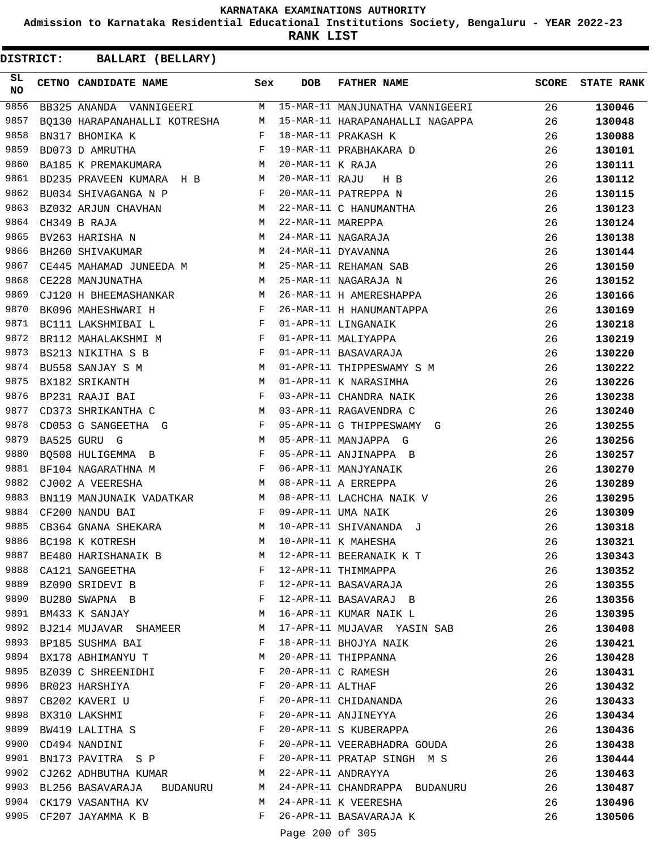**Admission to Karnataka Residential Educational Institutions Society, Bengaluru - YEAR 2022-23**

**RANK LIST**

| SL<br><b>NO</b> | CETNO CANDIDATE NAME                                                                                                                                                                                                                                    | Sex          | <b>DOB</b>        | <b>FATHER NAME</b>                                           | <b>SCORE</b> | <b>STATE RANK</b> |
|-----------------|---------------------------------------------------------------------------------------------------------------------------------------------------------------------------------------------------------------------------------------------------------|--------------|-------------------|--------------------------------------------------------------|--------------|-------------------|
| 9856            |                                                                                                                                                                                                                                                         |              |                   | BB325 ANANDA VANNIGEERI M 15-MAR-11 MANJUNATHA VANNIGEERI 26 |              | 130046            |
| 9857            | BQ130 HARAPANAHALLI KOTRESHA M                                                                                                                                                                                                                          |              |                   | 15-MAR-11 HARAPANAHALLI NAGAPPA                              | 26           | 130048            |
| 9858            | $\mathbf{F}^{\mathbf{r}}$<br>BN317 BHOMIKA K                                                                                                                                                                                                            |              |                   | 18-MAR-11 PRAKASH K                                          | 26           | 130088            |
| 9859            | $\mathbf{F}$ and $\mathbf{F}$<br>BD073 D AMRUTHA                                                                                                                                                                                                        |              |                   | 19-MAR-11 PRABHAKARA D                                       | 26           | 130101            |
| 9860            | BA185 K PREMAKUMARA M                                                                                                                                                                                                                                   |              | 20-MAR-11 K RAJA  |                                                              | 26           | 130111            |
| 9861            | BD235 PRAVEEN KUMARA H B M                                                                                                                                                                                                                              |              | 20-MAR-11 RAJU    | H B                                                          | 26           | 130112            |
| 9862            | $\mathbf{F}$<br>BU034 SHIVAGANGA N P                                                                                                                                                                                                                    |              |                   | 20-MAR-11 PATREPPA N                                         | 26           | 130115            |
| 9863            | BZ032 ARJUN CHAVHAN M                                                                                                                                                                                                                                   |              |                   | 22-MAR-11 C HANUMANTHA                                       | 26           | 130123            |
| 9864            | M<br>CH349 B RAJA                                                                                                                                                                                                                                       |              | 22-MAR-11 MAREPPA |                                                              | 26           | 130124            |
| 9865            | BV263 HARISHA N                                                                                                                                                                                                                                         | М            |                   | 24-MAR-11 NAGARAJA                                           | 26           | 130138            |
| 9866            | <b>M</b><br>BH260 SHIVAKUMAR                                                                                                                                                                                                                            |              |                   | 24-MAR-11 DYAVANNA                                           | 26           | 130144            |
| 9867            | CE445 MAHAMAD JUNEEDA M M                                                                                                                                                                                                                               |              |                   | 25-MAR-11 REHAMAN SAB                                        | 26           | 130150            |
| 9868            | M<br>CE228 MANJUNATHA                                                                                                                                                                                                                                   |              |                   | 25-MAR-11 NAGARAJA N                                         | 26           | 130152            |
| 9869            | CJ120 H BHEEMASHANKAR M                                                                                                                                                                                                                                 |              |                   | 26-MAR-11 H AMERESHAPPA                                      | 26           | 130166            |
| 9870            | BK096 MAHESHWARI H F                                                                                                                                                                                                                                    |              |                   | 26-MAR-11 H HANUMANTAPPA                                     | 26           | 130169            |
| 9871            | BC111 LAKSHMIBAI L $$\rm F$$                                                                                                                                                                                                                            |              |                   | 01-APR-11 LINGANAIK                                          | 26           | 130218            |
| 9872            | BR112 MAHALAKSHMI M                                                                                                                                                                                                                                     |              |                   | 01-APR-11 MALIYAPPA                                          | 26           | 130219            |
| 9873            | BS213 NIKITHA S B                                                                                                                                                                                                                                       | F            |                   | 01-APR-11 BASAVARAJA                                         | 26           | 130220            |
| 9874            | $\mathbf M$<br>BU558 SANJAY S M                                                                                                                                                                                                                         |              |                   | 01-APR-11 THIPPESWAMY S M                                    | 26           | 130222            |
| 9875            | BX182 SRIKANTH                                                                                                                                                                                                                                          |              |                   | 01-APR-11 K NARASIMHA                                        | 26           | 130226            |
| 9876            | $\begin{aligned} \mathbb{M} \\ \mathbb{F} \end{aligned}$<br>BP231 RAAJI BAI                                                                                                                                                                             |              |                   | 03-APR-11 CHANDRA NAIK                                       | 26           | 130238            |
| 9877            | CD373 SHRIKANTHA C<br><b>Example 19</b> M                                                                                                                                                                                                               |              |                   | 03-APR-11 RAGAVENDRA C                                       | 26           | 130240            |
| 9878            | $CD053$ G SANGEETHA G F                                                                                                                                                                                                                                 |              |                   | 05-APR-11 G THIPPESWAMY G                                    | 26           | 130255            |
| 9879            | M<br>BA525 GURU G                                                                                                                                                                                                                                       |              |                   | 05-APR-11 MANJAPPA G                                         | 26           | 130256            |
| 9880            | $\mathbb{F}^{\mathbb{Z}}$ . If $\mathbb{F}^{\mathbb{Z}}$<br>BQ508 HULIGEMMA B                                                                                                                                                                           |              |                   | 05-APR-11 ANJINAPPA B                                        | 26           | 130257            |
| 9881            | $\mathbf{F}$ and the set of the set of the set of the set of the set of the set of the set of the set of the set of the set of the set of the set of the set of the set of the set of the set of the set of the set of the set of<br>BF104 NAGARATHNA M |              |                   | 06-APR-11 MANJYANAIK                                         | 26           | 130270            |
| 9882            | <b>M</b><br>CJ002 A VEERESHA                                                                                                                                                                                                                            |              |                   | 08-APR-11 A ERREPPA                                          | 26           | 130289            |
| 9883            | BN119 MANJUNAIK VADATKAR M<br>CE200 NANDII BAT                                                                                                                                                                                                          |              |                   | 08-APR-11 LACHCHA NAIK V                                     | 26           | 130295            |
| 9884            | CF200 NANDU BAI                                                                                                                                                                                                                                         | $\mathbf{F}$ |                   | 09-APR-11 UMA NAIK                                           | 26           | 130309            |
| 9885            | CB364 GNANA SHEKARA M                                                                                                                                                                                                                                   |              |                   | 10-APR-11 SHIVANANDA J                                       | 26           | 130318            |
| 9886            | BC198 K KOTRESH                                                                                                                                                                                                                                         | M            |                   | 10-APR-11 K MAHESHA                                          | 26           | 130321            |
| 9887            | BE480 HARISHANAIK B                                                                                                                                                                                                                                     | M            |                   | 12-APR-11 BEERANAIK K T                                      | 26           | 130343            |
| 9888            | CA121 SANGEETHA                                                                                                                                                                                                                                         | F            |                   | 12-APR-11 THIMMAPPA                                          | 26           | 130352            |
| 9889            | BZ090 SRIDEVI B                                                                                                                                                                                                                                         | F            |                   | 12-APR-11 BASAVARAJA                                         | 26           | 130355            |
| 9890            | the contract of the contract of the Property of the Property of the Property of the Property of the Property of<br>BU280 SWAPNA B                                                                                                                       |              |                   | 12-APR-11 BASAVARAJ B                                        | 26           | 130356            |
|                 | 9891 BM433 K SANJAY                                                                                                                                                                                                                                     | M            |                   | 16-APR-11 KUMAR NAIK L                                       | 26           | 130395            |
|                 | 9892 BJ214 MUJAVAR SHAMEER                                                                                                                                                                                                                              | М            |                   | 17-APR-11 MUJAVAR YASIN SAB                                  | 26           | 130408            |
| 9893            | BP185 SUSHMA BAI                                                                                                                                                                                                                                        | F            |                   | 18-APR-11 BHOJYA NAIK                                        | 26           | 130421            |
| 9894            | BX178 ABHIMANYU T                                                                                                                                                                                                                                       | M            |                   | 20-APR-11 THIPPANNA                                          | 26           | 130428            |
|                 | 9895 BZ039 C SHREENIDHI                                                                                                                                                                                                                                 | F            |                   | 20-APR-11 C RAMESH                                           | 26           | 130431            |
|                 | 9896 BR023 HARSHIYA                                                                                                                                                                                                                                     | F            | 20-APR-11 ALTHAF  |                                                              | 26           | 130432            |
| 9897            | CB202 KAVERI U                                                                                                                                                                                                                                          | F            |                   | 20-APR-11 CHIDANANDA                                         | 26           | 130433            |
| 9898            | BX310 LAKSHMI                                                                                                                                                                                                                                           | F            |                   | 20-APR-11 ANJINEYYA                                          | 26           | 130434            |
|                 | 9899 BW419 LALITHA S                                                                                                                                                                                                                                    | $\mathbf{F}$ |                   | 20-APR-11 S KUBERAPPA                                        | 26           | 130436            |
|                 | 9900 CD494 NANDINI                                                                                                                                                                                                                                      | F            |                   | 20-APR-11 VEERABHADRA GOUDA                                  | 26           | 130438            |
| 9901            | BN173 PAVITRA S P                                                                                                                                                                                                                                       | F            |                   | 20-APR-11 PRATAP SINGH M S                                   | 26           | 130444            |
| 9902            | CJ262 ADHBUTHA KUMAR                                                                                                                                                                                                                                    | M            |                   | 22-APR-11 ANDRAYYA                                           | 26           | 130463            |
|                 | 9903 BL256 BASAVARAJA BUDANURU                                                                                                                                                                                                                          | M            |                   | 24-APR-11 CHANDRAPPA BUDANURU                                | 26           | 130487            |
|                 | 9904 CK179 VASANTHA KV                                                                                                                                                                                                                                  | M            |                   | 24-APR-11 K VEERESHA                                         | 26           | 130496            |
|                 | 9905 CF207 JAYAMMA K B                                                                                                                                                                                                                                  | F            |                   | 26-APR-11 BASAVARAJA K                                       | 26           | 130506            |
|                 |                                                                                                                                                                                                                                                         |              | Page 200 of 305   |                                                              |              |                   |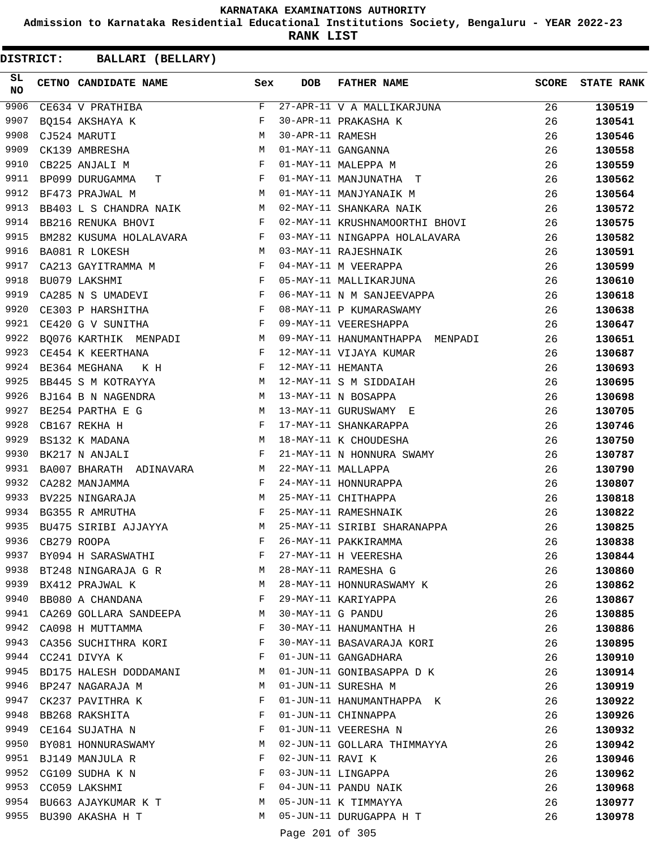**Admission to Karnataka Residential Educational Institutions Society, Bengaluru - YEAR 2022-23**

**RANK LIST**

| SL.<br><b>NO</b> | CETNO CANDIDATE NAME Sex                                                                                                                                                                                                                                     |              | <b>DOB</b>        | FATHER NAME                     | <b>SCORE</b> | <b>STATE RANK</b> |
|------------------|--------------------------------------------------------------------------------------------------------------------------------------------------------------------------------------------------------------------------------------------------------------|--------------|-------------------|---------------------------------|--------------|-------------------|
| 9906             | CE634 V PRATHIBA                                                                                                                                                                                                                                             | F            |                   | 27-APR-11 V A MALLIKARJUNA      | 26           | 130519            |
| 9907             | BO154 AKSHAYA K                                                                                                                                                                                                                                              | F            |                   | 30-APR-11 PRAKASHA K            | 26           | 130541            |
| 9908             | M<br>CJ524 MARUTI                                                                                                                                                                                                                                            |              | 30-APR-11 RAMESH  |                                 | 26           | 130546            |
| 9909             | CK139 AMBRESHA                                                                                                                                                                                                                                               | M            |                   | 01-MAY-11 GANGANNA              | 26           | 130558            |
| 9910             | CB225 ANJALI M                                                                                                                                                                                                                                               | F            |                   | 01-MAY-11 MALEPPA M             | 26           | 130559            |
| 9911             | $\mathbf{F}$ and $\mathbf{F}$ and $\mathbf{F}$<br>BP099 DURUGAMMA<br>Т                                                                                                                                                                                       |              |                   | 01-MAY-11 MANJUNATHA T          | 26           | 130562            |
| 9912             | M<br>BF473 PRAJWAL M                                                                                                                                                                                                                                         |              |                   | 01-MAY-11 MANJYANAIK M          | 26           | 130564            |
| 9913             | BB403 L S CHANDRA NAIK M                                                                                                                                                                                                                                     |              |                   | 02-MAY-11 SHANKARA NAIK         | 26           | 130572            |
| 9914             | <b>BB216 RENUKA BHOVI</b><br>$\mathbf{F}$ and the state of $\mathbf{F}$                                                                                                                                                                                      |              |                   | 02-MAY-11 KRUSHNAMOORTHI BHOVI  | 26           | 130575            |
| 9915             | BM282 KUSUMA HOLALAVARA F                                                                                                                                                                                                                                    |              |                   | 03-MAY-11 NINGAPPA HOLALAVARA   | 26           | 130582            |
| 9916             | M<br>BA081 R LOKESH                                                                                                                                                                                                                                          |              |                   | 03-MAY-11 RAJESHNAIK            | 26           | 130591            |
| 9917             |                                                                                                                                                                                                                                                              |              |                   | 04-MAY-11 M VEERAPPA            | 26           | 130599            |
| 9918             | CA213 GAYITRAMMA M<br>BU079 LAKSHMI F                                                                                                                                                                                                                        |              |                   | 05-MAY-11 MALLIKARJUNA          | 26           | 130610            |
| 9919             | $\mathbb{F}^{\mathbb{Z}}$ . The set of the set of the set of the set of the set of the set of the set of the set of the set of the set of the set of the set of the set of the set of the set of the set of the set of the set of the s<br>CA285 N S UMADEVI |              |                   | 06-MAY-11 N M SANJEEVAPPA       | 26           | 130618            |
| 9920             | $\mathbf{F}^{\mathcal{A}}$<br>CE303 P HARSHITHA                                                                                                                                                                                                              |              |                   | 08-MAY-11 P KUMARASWAMY         | 26           | 130638            |
| 9921             | $\mathbf{F}$<br>CE420 G V SUNITHA                                                                                                                                                                                                                            |              |                   | 09-MAY-11 VEERESHAPPA           | 26           | 130647            |
| 9922             | BQ076 KARTHIK MENPADI M                                                                                                                                                                                                                                      |              |                   | 09-MAY-11 HANUMANTHAPPA MENPADI | 26           | 130651            |
| 9923             | $\mathbf{F}$ . The set of the set of the set of the set of the set of the set of the set of the set of the set of the set of the set of the set of the set of the set of the set of the set of the set of the set of the set of t<br>CE454 K KEERTHANA       |              |                   | 12-MAY-11 VIJAYA KUMAR          | 26           | 130687            |
| 9924             | $\mathbb{F}^{\times}$ . The set of $\mathbb{F}^{\times}$<br>BE364 MEGHANA K H                                                                                                                                                                                |              | 12-MAY-11 HEMANTA |                                 | 26           | 130693            |
| 9925             | M<br>BB445 S M KOTRAYYA                                                                                                                                                                                                                                      |              |                   | 12-MAY-11 S M SIDDAIAH          | 26           | 130695            |
| 9926             | BJ164 B N NAGENDRA M                                                                                                                                                                                                                                         |              |                   | 13-MAY-11 N BOSAPPA             | 26           | 130698            |
| 9927             | M <sub>1</sub><br>BE254 PARTHA E G                                                                                                                                                                                                                           |              |                   | 13-MAY-11 GURUSWAMY E           | 26           | 130705            |
| 9928             | CB167 REKHA H                                                                                                                                                                                                                                                |              |                   | 17-MAY-11 SHANKARAPPA           | 26           | 130746            |
| 9929             | $\begin{aligned} \mathbf{F} \\ \mathbf{M} \end{aligned}$<br>BS132 K MADANA                                                                                                                                                                                   |              |                   | 18-MAY-11 K CHOUDESHA           | 26           | 130750            |
| 9930             | $\mathbf{F}$ and the contract of the contract of $\mathbf{F}$<br>BK217 N ANJALI                                                                                                                                                                              |              |                   | 21-MAY-11 N HONNURA SWAMY       | 26           | 130787            |
| 9931             | BA007 BHARATH ADINAVARA M                                                                                                                                                                                                                                    |              |                   | 22-MAY-11 MALLAPPA              | 26           | 130790            |
| 9932             | $\mathbf{F}$ . The set of $\mathbf{F}$<br>CA282 MANJAMMA                                                                                                                                                                                                     |              |                   | 24-MAY-11 HONNURAPPA            | 26           | 130807            |
| 9933             | M<br>BV225 NINGARAJA                                                                                                                                                                                                                                         |              |                   | 25-MAY-11 CHITHAPPA             | 26           | 130818            |
| 9934             | BG355 R AMRUTHA<br>$\mathbf{F}$ and $\mathbf{F}$ and $\mathbf{F}$                                                                                                                                                                                            |              |                   | 25-MAY-11 RAMESHNAIK            | 26           | 130822            |
| 9935             | BU475 SIRIBI AJJAYYA M                                                                                                                                                                                                                                       |              |                   | 25-MAY-11 SIRIBI SHARANAPPA     | 26           | 130825            |
| 9936             | CB279 ROOPA                                                                                                                                                                                                                                                  | F            |                   | 26-MAY-11 PAKKIRAMMA            | 26           | 130838            |
|                  | 9937 BY094 H SARASWATHI                                                                                                                                                                                                                                      | F            |                   | 27-MAY-11 H VEERESHA            | 26           | 130844            |
| 9938             | BT248 NINGARAJA G R M                                                                                                                                                                                                                                        |              |                   | 28-MAY-11 RAMESHA G             | 26           | 130860            |
| 9939             | <b>M</b><br>BX412 PRAJWAL K                                                                                                                                                                                                                                  |              |                   | 28-MAY-11 HONNURASWAMY K        | 26           | 130862            |
| 9940             | $\mathbf{F}$ and $\mathbf{F}$ and $\mathbf{F}$<br>BB080 A CHANDANA                                                                                                                                                                                           |              |                   | 29-MAY-11 KARIYAPPA             | 26           | 130867            |
|                  | 9941 CA269 GOLLARA SANDEEPA M                                                                                                                                                                                                                                |              | 30-MAY-11 G PANDU |                                 | 26           | 130885            |
| 9942             | CA098 H MUTTAMMA                                                                                                                                                                                                                                             | F            |                   | 30-MAY-11 HANUMANTHA H          | 26           | 130886            |
| 9943             | CA356 SUCHITHRA KORI                                                                                                                                                                                                                                         | F            |                   | 30-MAY-11 BASAVARAJA KORI       | 26           | 130895            |
| 9944             | CC241 DIVYA K                                                                                                                                                                                                                                                | F            |                   | 01-JUN-11 GANGADHARA            | 26           | 130910            |
|                  | 9945 BD175 HALESH DODDAMANI                                                                                                                                                                                                                                  | M            |                   | 01-JUN-11 GONIBASAPPA D K       | 26           | 130914            |
|                  | 9946 BP247 NAGARAJA M                                                                                                                                                                                                                                        | M            |                   | 01-JUN-11 SURESHA M             | 26           | 130919            |
| 9947             | CK237 PAVITHRA K                                                                                                                                                                                                                                             | F            |                   | 01-JUN-11 HANUMANTHAPPA K       | 26           | 130922            |
|                  | 9948 BB268 RAKSHITA                                                                                                                                                                                                                                          | F            |                   | 01-JUN-11 CHINNAPPA             | 26           | 130926            |
|                  | 9949 CE164 SUJATHA N                                                                                                                                                                                                                                         | $\mathbf{F}$ |                   | 01-JUN-11 VEERESHA N            | 26           | 130932            |
| 9950             | BY081 HONNURASWAMY                                                                                                                                                                                                                                           | M            |                   | 02-JUN-11 GOLLARA THIMMAYYA     | 26           | 130942            |
| 9951             | BJ149 MANJULA R                                                                                                                                                                                                                                              | F            | 02-JUN-11 RAVI K  |                                 | 26           | 130946            |
| 9952             | CG109 SUDHA K N                                                                                                                                                                                                                                              | F            |                   | 03-JUN-11 LINGAPPA              | 26           | 130962            |
|                  | 9953 CC059 LAKSHMI                                                                                                                                                                                                                                           | F            |                   | 04-JUN-11 PANDU NAIK            | 26           | 130968            |
|                  | 9954 BU663 AJAYKUMAR K T                                                                                                                                                                                                                                     | M            |                   | 05-JUN-11 K TIMMAYYA            | 26           | 130977            |
|                  | 9955 BU390 AKASHA H T                                                                                                                                                                                                                                        | M            |                   | 05-JUN-11 DURUGAPPA H T         | 26           | 130978            |
|                  |                                                                                                                                                                                                                                                              |              |                   |                                 |              |                   |
|                  |                                                                                                                                                                                                                                                              |              | Page 201 of 305   |                                 |              |                   |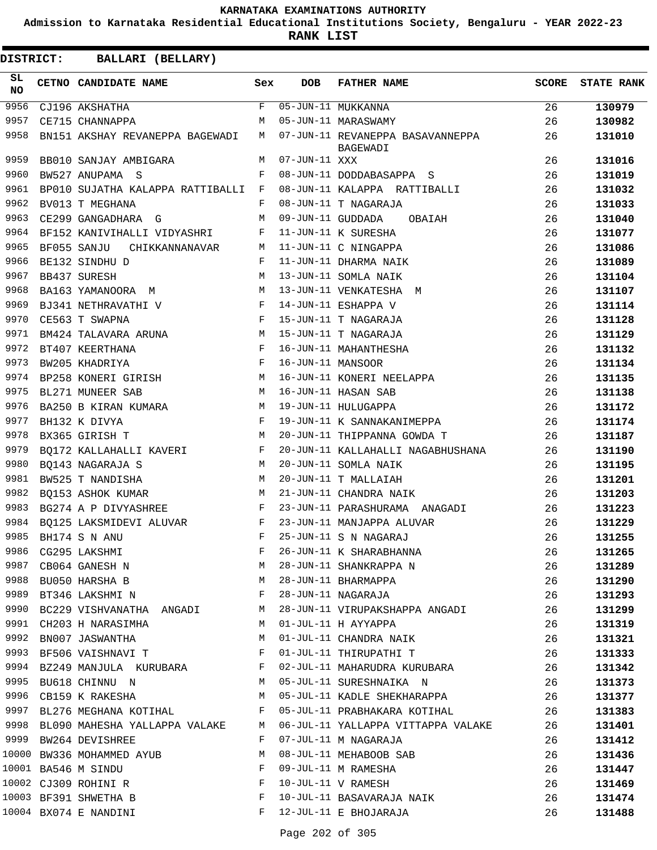**Admission to Karnataka Residential Educational Institutions Society, Bengaluru - YEAR 2022-23**

**RANK LIST**

| SL<br><b>NO</b> | CETNO CANDIDATE NAME               | Sex          | <b>DOB</b>        | <b>FATHER NAME</b>                           | <b>SCORE</b> | <b>STATE RANK</b> |
|-----------------|------------------------------------|--------------|-------------------|----------------------------------------------|--------------|-------------------|
| 9956            | CJ196 AKSHATHA                     | $\mathbf{F}$ |                   | $\overline{05 - JUN - 11}$ MUKKANNA          | 26           | 130979            |
| 9957            | CE715 CHANNAPPA                    | M            |                   | 05-JUN-11 MARASWAMY                          | 26           | 130982            |
| 9958            | BN151 AKSHAY REVANEPPA BAGEWADI    | M            |                   | 07-JUN-11 REVANEPPA BASAVANNEPPA<br>BAGEWADI | 26           | 131010            |
| 9959            | BB010 SANJAY AMBIGARA              | М            | 07-JUN-11 XXX     |                                              | 26           | 131016            |
| 9960            | BW527 ANUPAMA S                    | F            |                   | 08-JUN-11 DODDABASAPPA S                     | 26           | 131019            |
| 9961            | BP010 SUJATHA KALAPPA RATTIBALLI   | F            |                   | 08-JUN-11 KALAPPA RATTIBALLI                 | 26           | 131032            |
| 9962            | BV013 T MEGHANA                    | F            |                   | 08-JUN-11 T NAGARAJA                         | 26           | 131033            |
| 9963            | CE299 GANGADHARA G                 | M            | 09-JUN-11 GUDDADA | OBAIAH                                       | 26           | 131040            |
| 9964            | BF152 KANIVIHALLI VIDYASHRI        | F            |                   | 11-JUN-11 K SURESHA                          | 26           | 131077            |
| 9965            | BF055 SANJU<br>CHIKKANNANAVAR      | М            |                   | 11-JUN-11 C NINGAPPA                         | 26           | 131086            |
| 9966            | BE132 SINDHU D                     | F            |                   | 11-JUN-11 DHARMA NAIK                        | 26           | 131089            |
| 9967            | BB437 SURESH                       | M            |                   | 13-JUN-11 SOMLA NAIK                         | 26           | 131104            |
| 9968            | BA163 YAMANOORA M                  | M            |                   | 13-JUN-11 VENKATESHA M                       | 26           | 131107            |
| 9969            | BJ341 NETHRAVATHI V                | $_{\rm F}$   |                   | 14-JUN-11 ESHAPPA V                          | 26           | 131114            |
| 9970            | CE563 T SWAPNA                     | $_{\rm F}$   |                   | 15-JUN-11 T NAGARAJA                         | 26           | 131128            |
| 9971            | BM424 TALAVARA ARUNA               | M            |                   | 15-JUN-11 T NAGARAJA                         | 26           | 131129            |
| 9972            | BT407 KEERTHANA                    | $_{\rm F}$   |                   | 16-JUN-11 MAHANTHESHA                        | 26           | 131132            |
| 9973            | BW205 KHADRIYA                     | $_{\rm F}$   | 16-JUN-11 MANSOOR |                                              | 26           | 131134            |
| 9974            | BP258 KONERI GIRISH                | M            |                   | 16-JUN-11 KONERI NEELAPPA                    | 26           | 131135            |
| 9975            | BL271 MUNEER SAB                   | M            |                   | 16-JUN-11 HASAN SAB                          | 26           | 131138            |
| 9976            | BA250 B KIRAN KUMARA               | М            |                   | 19-JUN-11 HULUGAPPA                          | 26           | 131172            |
| 9977            | BH132 K DIVYA                      | F            |                   | 19-JUN-11 K SANNAKANIMEPPA                   | 26           | 131174            |
| 9978            | BX365 GIRISH T                     | M            |                   | 20-JUN-11 THIPPANNA GOWDA T                  | 26           | 131187            |
| 9979            | BQ172 KALLAHALLI KAVERI            | $_{\rm F}$   |                   | 20-JUN-11 KALLAHALLI NAGABHUSHANA            | 26           | 131190            |
| 9980            | BO143 NAGARAJA S                   | M            |                   | 20-JUN-11 SOMLA NAIK                         | 26           | 131195            |
| 9981            | BW525 T NANDISHA                   | M            |                   | 20-JUN-11 T MALLAIAH                         | 26           | 131201            |
| 9982            | BO153 ASHOK KUMAR                  | M            |                   | 21-JUN-11 CHANDRA NAIK                       | 26           | 131203            |
| 9983            | BG274 A P DIVYASHREE               | F            |                   | 23-JUN-11 PARASHURAMA ANAGADI                | 26           | 131223            |
| 9984            |                                    | F            |                   | 23-JUN-11 MANJAPPA ALUVAR                    | 26           | 131229            |
| 9985            | BO125 LAKSMIDEVI ALUVAR            | F            |                   | 25-JUN-11 S N NAGARAJ                        |              | 131255            |
| 9986            | BH174 S N ANU<br>CG295 LAKSHMI     | F            |                   |                                              | 26           |                   |
| 9987            |                                    |              |                   | 26-JUN-11 K SHARABHANNA                      | 26           | 131265            |
|                 | CB064 GANESH N                     | М            |                   | 28-JUN-11 SHANKRAPPA N                       | 26           | 131289            |
|                 | 9988 BU050 HARSHA B                | M            |                   | 28-JUN-11 BHARMAPPA                          | 26           | 131290            |
| 9989            | BT346 LAKSHMI N                    | F            |                   | 28-JUN-11 NAGARAJA                           | 26           | 131293            |
|                 | 9990 BC229 VISHVANATHA ANGADI      | M            |                   | 28-JUN-11 VIRUPAKSHAPPA ANGADI               | 26           | 131299            |
| 9991            | CH203 H NARASIMHA                  | M            |                   | 01-JUL-11 H AYYAPPA                          | 26           | 131319            |
| 9992            | BN007 JASWANTHA                    | M            |                   | 01-JUL-11 CHANDRA NAIK                       | 26           | 131321            |
| 9993            | BF506 VAISHNAVI T                  | F            |                   | 01-JUL-11 THIRUPATHI T                       | 26           | 131333            |
| 9994            | BZ249 MANJULA KURUBARA             | F            |                   | 02-JUL-11 MAHARUDRA KURUBARA                 | 26           | 131342            |
| 9995            | BU618 CHINNU N                     | M            |                   | 05-JUL-11 SURESHNAIKA N                      | 26           | 131373            |
|                 | 9996 CB159 K RAKESHA               | М            |                   | 05-JUL-11 KADLE SHEKHARAPPA                  | 26           | 131377            |
|                 | 9997 BL276 MEGHANA KOTIHAL         | F            |                   | 05-JUL-11 PRABHAKARA KOTIHAL                 | 26           | 131383            |
|                 | 9998 BL090 MAHESHA YALLAPPA VALAKE | M            |                   | 06-JUL-11 YALLAPPA VITTAPPA VALAKE           | 26           | 131401            |
|                 | 9999 BW264 DEVISHREE               | F            |                   | 07-JUL-11 M NAGARAJA                         | 26           | 131412            |
|                 | 10000 BW336 MOHAMMED AYUB          | M            |                   | 08-JUL-11 MEHABOOB SAB                       | 26           | 131436            |
|                 | 10001 BA546 M SINDU                | F            |                   | 09-JUL-11 M RAMESHA                          | 26           | 131447            |
|                 | 10002 CJ309 ROHINI R               | F            |                   | 10-JUL-11 V RAMESH                           | 26           | 131469            |
|                 | 10003 BF391 SHWETHA B              | F            |                   | 10-JUL-11 BASAVARAJA NAIK                    | 26           | 131474            |
|                 | 10004 BX074 E NANDINI              | F            |                   | 12-JUL-11 E BHOJARAJA                        | 26           | 131488            |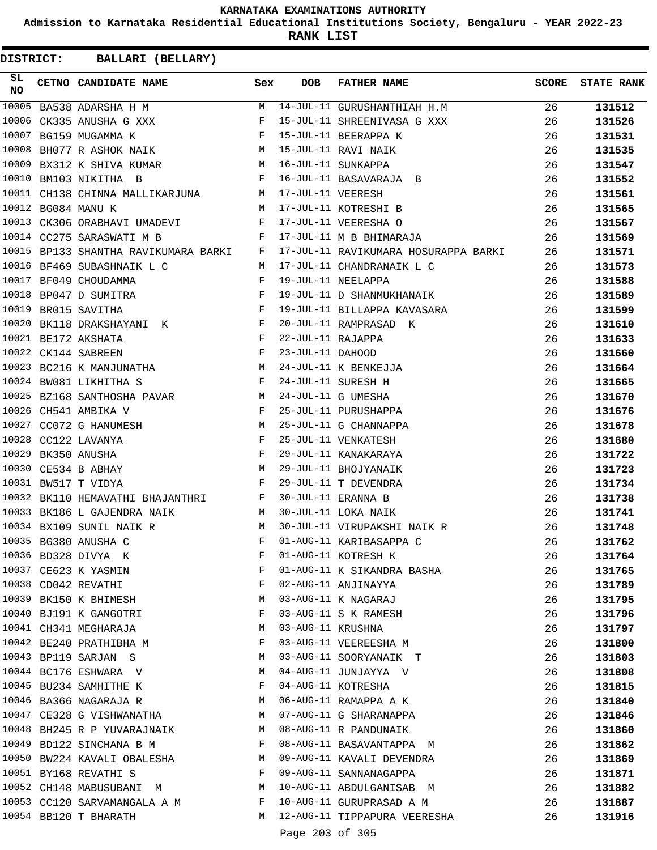**Admission to Karnataka Residential Educational Institutions Society, Bengaluru - YEAR 2022-23**

**RANK LIST**

| SL<br><b>NO</b> | CETNO CANDIDATE NAME Sex                                                             |   | <b>DOB</b>        | FATHER NAME                          |    | <b>SCORE</b> STATE RANK |
|-----------------|--------------------------------------------------------------------------------------|---|-------------------|--------------------------------------|----|-------------------------|
| 10005           | BA538 ADARSHA H M                                                                    | M |                   | 14-JUL-11 GURUSHANTHIAH H.M          | 26 | 131512                  |
|                 | $\mathbf{F}$ and $\mathbf{F}$ and $\mathbf{F}$<br>10006 CK335 ANUSHA G XXX           |   |                   | 15-JUL-11 SHREENIVASA G XXX          | 26 | 131526                  |
| 10007           | $\mathbf{F}$ and $\mathbf{F}$ and $\mathbf{F}$<br>BG159 MUGAMMA K                    |   |                   | 15-JUL-11 BEERAPPA K                 | 26 | 131531                  |
| 10008           | BH077 R ASHOK NAIK M                                                                 |   |                   | 15-JUL-11 RAVI NAIK                  | 26 | 131535                  |
|                 | 10009 BX312 K SHIVA KUMAR M 16-JUL-11 SUNKAPPA                                       |   |                   |                                      | 26 | 131547                  |
|                 | 10010 BM103 NIKITHA B<br>$\mathbf{F}$ . The contract of the contract of $\mathbf{F}$ |   |                   | 16-JUL-11 BASAVARAJA B               | 26 | 131552                  |
|                 | 10011 CH138 CHINNA MALLIKARJUNA M 17-JUL-11 VEERESH                                  |   |                   |                                      | 26 | 131561                  |
|                 | 10012 BG084 MANU K                                                                   |   |                   | M 17-JUL-11 KOTRESHI B               | 26 | 131565                  |
|                 | 10013 CK306 ORABHAVI UMADEVI F                                                       |   |                   | 17-JUL-11 VEERESHA O                 | 26 | 131567                  |
|                 | 10014 CC275 SARASWATI M B<br>and the state of the state of the Party                 |   |                   | 17-JUL-11 M B BHIMARAJA              | 26 | 131569                  |
|                 | 10015 BP133 SHANTHA RAVIKUMARA BARKI F                                               |   |                   | 17-JUL-11 RAVIKUMARA HOSURAPPA BARKI | 26 | 131571                  |
|                 | 10016 BF469 SUBASHNAIK L C                                                           | M |                   | 17-JUL-11 CHANDRANAIK L C            | 26 | 131573                  |
|                 | 10017 BF049 CHOUDAMMA<br>$\mathbf{F}$ and $\mathbf{F}$ and $\mathbf{F}$              |   |                   | 19-JUL-11 NEELAPPA                   | 26 | 131588                  |
|                 | 10018 BP047 D SUMITRA F                                                              |   |                   | 19-JUL-11 D SHANMUKHANAIK            | 26 | 131589                  |
|                 | $\mathbf{F}$<br>10019 BR015 SAVITHA                                                  |   |                   | 19-JUL-11 BILLAPPA KAVASARA          | 26 | 131599                  |
|                 | 10020 BK118 DRAKSHAYANI K F                                                          |   |                   | 20-JUL-11 RAMPRASAD K                | 26 | 131610                  |
|                 | 10021 BE172 AKSHATA<br>$\mathbf{F}$                                                  |   | 22-JUL-11 RAJAPPA |                                      | 26 | 131633                  |
|                 | $\mathbf{F}$ and $\mathbf{F}$ and $\mathbf{F}$<br>10022 CK144 SABREEN                |   | 23-JUL-11 DAHOOD  |                                      | 26 | 131660                  |
|                 | 10023 BC216 K MANJUNATHA M                                                           |   |                   | 24-JUL-11 K BENKEJJA                 | 26 | 131664                  |
|                 | $\mathbb F$<br>10024 BW081 LIKHITHA S                                                |   |                   | 24-JUL-11 SURESH H                   | 26 | 131665                  |
|                 | 10025 BZ168 SANTHOSHA PAVAR M                                                        |   |                   | 24-JUL-11 G UMESHA                   | 26 | 131670                  |
|                 | 10026 CH541 AMBIKA V<br>$\mathbf{F}$ and $\mathbf{F}$ and $\mathbf{F}$               |   |                   | 25-JUL-11 PURUSHAPPA                 | 26 | 131676                  |
|                 | 10027 CC072 G HANUMESH M                                                             |   |                   | 25-JUL-11 G CHANNAPPA                | 26 | 131678                  |
|                 | 10028 CC122 LAVANYA                                                                  |   |                   | 25-JUL-11 VENKATESH                  | 26 | 131680                  |
|                 | $$\rm F$$ $$\rm F$$<br>10029 BK350 ANUSHA                                            |   |                   | 29-JUL-11 KANAKARAYA                 | 26 | 131722                  |
|                 | $M_{\odot}$<br>10030 CE534 B ABHAY                                                   |   |                   | 29-JUL-11 BHOJYANAIK                 | 26 | 131723                  |
|                 | $\mathbf{F}$<br>10031 BW517 T VIDYA                                                  |   |                   | 29-JUL-11 T DEVENDRA                 | 26 | 131734                  |
|                 | 10032 BK110 HEMAVATHI BHAJANTHRI F                                                   |   |                   | 30-JUL-11 ERANNA B                   | 26 | 131738                  |
|                 | 10033 BK186 L GAJENDRA NAIK<br>M <sub>1</sub>                                        |   |                   | 30-JUL-11 LOKA NAIK                  | 26 | 131741                  |
|                 | 10034 BX109 SUNIL NAIK R<br>M <sub>N</sub>                                           |   |                   | 30-JUL-11 VIRUPAKSHI NAIK R          | 26 | 131748                  |
|                 | 10035 BG380 ANUSHA C                                                                 | F |                   | 01-AUG-11 KARIBASAPPA C              | 26 | 131762                  |
|                 | 10036 BD328 DIVYA K                                                                  | F |                   | 01-AUG-11 KOTRESH K                  | 26 | 131764                  |
|                 | 10037 CE623 K YASMIN                                                                 | F |                   | 01-AUG-11 K SIKANDRA BASHA           | 26 | 131765                  |
|                 | 10038 CD042 REVATHI                                                                  | F |                   | 02-AUG-11 ANJINAYYA                  | 26 | 131789                  |
|                 | 10039 BK150 K BHIMESH                                                                | M |                   | 03-AUG-11 K NAGARAJ                  | 26 | 131795                  |
|                 | 10040 BJ191 K GANGOTRI                                                               | F |                   | 03-AUG-11 S K RAMESH                 | 26 | 131796                  |
|                 | 10041 CH341 MEGHARAJA                                                                | M | 03-AUG-11 KRUSHNA |                                      | 26 | 131797                  |
|                 | 10042 BE240 PRATHIBHA M                                                              | F |                   | 03-AUG-11 VEEREESHA M                | 26 | 131800                  |
|                 | 10043 BP119 SARJAN S                                                                 | M |                   | 03-AUG-11 SOORYANAIK T               | 26 | 131803                  |
|                 | 10044 BC176 ESHWARA V                                                                | M |                   | 04-AUG-11 JUNJAYYA V                 | 26 |                         |
|                 |                                                                                      | F |                   |                                      |    | 131808                  |
|                 | 10045 BU234 SAMHITHE K<br>10046 BA366 NAGARAJA R                                     |   |                   | 04-AUG-11 KOTRESHA                   | 26 | 131815                  |
|                 |                                                                                      | M |                   | 06-AUG-11 RAMAPPA A K                | 26 | 131840                  |
|                 | 10047 CE328 G VISHWANATHA                                                            | M |                   | 07-AUG-11 G SHARANAPPA               | 26 | 131846                  |
|                 | 10048 BH245 R P YUVARAJNAIK                                                          | M |                   | 08-AUG-11 R PANDUNAIK                | 26 | 131860                  |
|                 | 10049 BD122 SINCHANA B M                                                             | F |                   | 08-AUG-11 BASAVANTAPPA M             | 26 | 131862                  |
|                 | 10050 BW224 KAVALI OBALESHA                                                          | M |                   | 09-AUG-11 KAVALI DEVENDRA            | 26 | 131869                  |
|                 | 10051 BY168 REVATHI S                                                                | F |                   | 09-AUG-11 SANNANAGAPPA               | 26 | 131871                  |
|                 | 10052 CH148 MABUSUBANI M                                                             | M |                   | 10-AUG-11 ABDULGANISAB M             | 26 | 131882                  |
|                 | 10053 CC120 SARVAMANGALA A M                                                         | F |                   | 10-AUG-11 GURUPRASAD A M             | 26 | 131887                  |
|                 | 10054 BB120 T BHARATH                                                                | М |                   | 12-AUG-11 TIPPAPURA VEERESHA         | 26 | 131916                  |
|                 |                                                                                      |   | Page 203 of 305   |                                      |    |                         |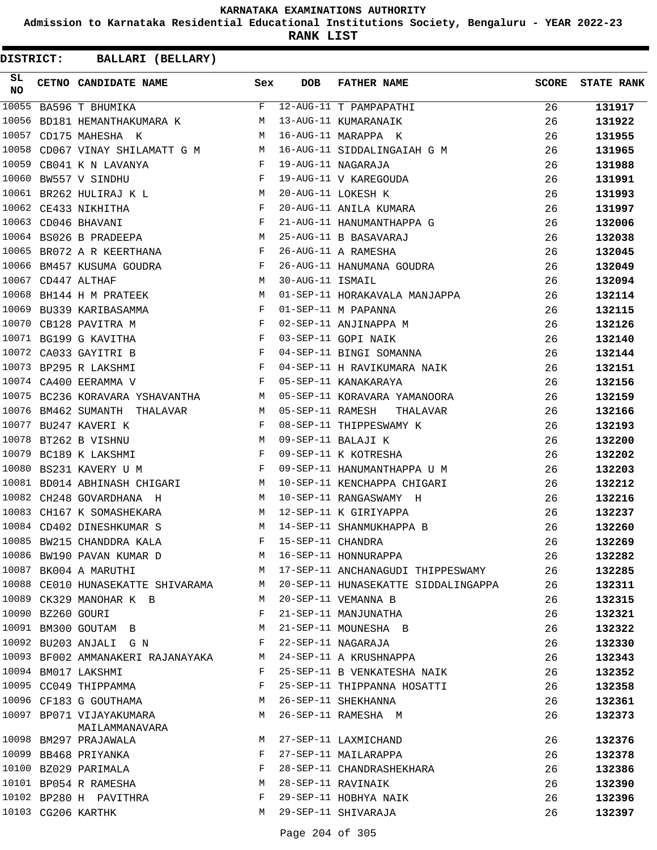**Admission to Karnataka Residential Educational Institutions Society, Bengaluru - YEAR 2022-23**

**RANK LIST**

| SL<br><b>NO</b> |                   | CETNO CANDIDATE NAME                                                                   | Sex          | <b>DOB</b>        | FATHER NAME                                   | <b>SCORE</b> | <b>STATE RANK</b> |
|-----------------|-------------------|----------------------------------------------------------------------------------------|--------------|-------------------|-----------------------------------------------|--------------|-------------------|
| 10055           |                   | BA596 T BHUMIKA                                                                        | F            |                   | 12-AUG-11 T PAMPAPATHI                        | 26           | 131917            |
| 10056           |                   | BD181 HEMANTHAKUMARA K                                                                 | M            |                   | 13-AUG-11 KUMARANAIK                          | 26           | 131922            |
| 10057           |                   | M<br>CD175 MAHESHA K                                                                   |              |                   | 16-AUG-11 MARAPPA K                           | 26           | 131955            |
| 10058           |                   | CD067 VINAY SHILAMATT G M M                                                            |              |                   | 16-AUG-11 SIDDALINGAIAH G M                   | 26           | 131965            |
| 10059           |                   | CB041 K N LAVANYA<br>$\mathbf{F}$ and $\mathbf{F}$                                     |              |                   | 19-AUG-11 NAGARAJA                            | 26           | 131988            |
| 10060           |                   | $\mathbf{F}$ and the contract of the contract of $\mathbf{F}$ .<br>BW557 V SINDHU      |              |                   | 19-AUG-11 V KAREGOUDA                         | 26           | 131991            |
|                 |                   | M<br>10061 BR262 HULIRAJ K L                                                           |              |                   | 20-AUG-11 LOKESH K                            | 26           | 131993            |
|                 |                   | $\begin{aligned} \mathbf{F} \\ \mathbf{F} \end{aligned}$<br>10062 CE433 NIKHITHA       | $\mathbf{F}$ |                   | 20-AUG-11 ANILA KUMARA                        | 26           | 131997            |
|                 |                   | 10063 CD046 BHAVANI                                                                    |              |                   | 21-AUG-11 HANUMANTHAPPA G                     | 26           | 132006            |
|                 |                   | <b>M</b><br>10064 BS026 B PRADEEPA                                                     |              |                   | 25-AUG-11 B BASAVARAJ                         | 26           | 132038            |
| 10065           |                   | $\mathbf{F}$ and $\mathbf{F}$ and $\mathbf{F}$<br>BR072 A R KEERTHANA                  |              |                   | 26-AUG-11 A RAMESHA                           | 26           | 132045            |
|                 |                   | 10066 BM457 KUSUMA GOUDRA                                                              |              |                   |                                               | 26           | 132049            |
|                 |                   | $\mathbf{F}$ M<br>10067 CD447 ALTHAF                                                   |              |                   | 26-AUG-11 HANUMANA GOUDRA<br>30-AUG-11 ISMAIL | 26           | 132094            |
|                 |                   | <b>M</b><br>10068 BH144 H M PRATEEK                                                    |              |                   | 01-SEP-11 HORAKAVALA MANJAPPA                 | 26           | 132114            |
| 10069           |                   | $\mathbb{F}^{\mathbb{Z}}$ . The state $\mathbb{F}^{\mathbb{Z}}$<br>BU339 KARIBASAMMA   |              |                   | 01-SEP-11 M PAPANNA                           | 26           | 132115            |
|                 |                   | 10070 CB128 PAVITRA M                                                                  | F            |                   | 02-SEP-11 ANJINAPPA M                         | 26           | 132126            |
|                 |                   | 10071 BG199 G KAVITHA<br>$\mathbb{R}^n$ . In the $\mathbb{R}^n$                        |              |                   | 03-SEP-11 GOPI NAIK                           | 26           | 132140            |
|                 |                   | 10072 CA033 GAYITRI B<br>$\mathbf{F}$ and the contract of the contract of $\mathbf{F}$ |              |                   | 04-SEP-11 BINGI SOMANNA                       | 26           | 132144            |
|                 |                   | $\mathbf{F}$<br>10073 BP295 R LAKSHMI                                                  |              |                   | 04-SEP-11 H RAVIKUMARA NAIK                   | 26           | 132151            |
|                 |                   | 10074 CA400 EERAMMA V                                                                  | $\mathbf{F}$ |                   | 05-SEP-11 KANAKARAYA                          | 26           | 132156            |
|                 |                   | 10075 BC236 KORAVARA YSHAVANTHA                                                        | M            |                   | 05-SEP-11 KORAVARA YAMANOORA                  | 26           | 132159            |
|                 |                   | 10076 BM462 SUMANTH THALAVAR                                                           | M            | 05-SEP-11 RAMESH  | THALAVAR                                      | 26           | 132166            |
|                 |                   | 10077 BU247 KAVERI K                                                                   | $\mathbf{F}$ |                   | 08-SEP-11 THIPPESWAMY K                       | 26           | 132193            |
|                 |                   | 10078 BT262 B VISHNU                                                                   | M            |                   | 09-SEP-11 BALAJI K                            | 26           | 132200            |
|                 |                   | 10079 BC189 K LAKSHMI                                                                  | F            |                   | 09-SEP-11 K KOTRESHA                          | 26           | 132202            |
|                 |                   | 10080 BS231 KAVERY U M<br>$\mathbf{F}$ . The contract of the contract of $\mathbf{F}$  |              |                   | 09-SEP-11 HANUMANTHAPPA U M                   | 26           | 132203            |
| 10081           |                   | BD014 ABHINASH CHIGARI M                                                               |              |                   | 10-SEP-11 KENCHAPPA CHIGARI                   | 26           | 132212            |
|                 |                   | 10082 CH248 GOVARDHANA H                                                               | M            |                   | 10-SEP-11 RANGASWAMY H                        | 26           | 132216            |
|                 |                   | 10083 CH167 K SOMASHEKARA                                                              |              |                   | M 12-SEP-11 K GIRIYAPPA                       | 26           | 132237            |
|                 |                   | 10084 CD402 DINESHKUMAR S                                                              | M            |                   | 14-SEP-11 SHANMUKHAPPA B                      | 26           | 132260            |
|                 |                   | 10085 BW215 CHANDDRA KALA                                                              | F            | 15-SEP-11 CHANDRA |                                               | 26           | 132269            |
|                 |                   | 10086 BW190 PAVAN KUMAR D                                                              |              |                   | M 16-SEP-11 HONNURAPPA                        | 26           | 132282            |
|                 |                   | 10087 BK004 A MARUTHI                                                                  |              |                   | M 17-SEP-11 ANCHANAGUDI THIPPESWAMY           | 26           | 132285            |
|                 |                   | 10088 CE010 HUNASEKATTE SHIVARAMA M                                                    |              |                   | 20-SEP-11 HUNASEKATTE SIDDALINGAPPA           | 26           | 132311            |
|                 |                   | 10089 CK329 MANOHAR K B                                                                | M            |                   | 20-SEP-11 VEMANNA B                           | 26           | 132315            |
|                 | 10090 BZ260 GOURI |                                                                                        | F            |                   | 21-SEP-11 MANJUNATHA                          | 26           | 132321            |
|                 |                   | 10091 BM300 GOUTAM B                                                                   | M            |                   | 21-SEP-11 MOUNESHA B                          | 26           | 132322            |
|                 |                   | 10092 BU203 ANJALI G N                                                                 | F            |                   | 22-SEP-11 NAGARAJA                            | 26           | 132330            |
|                 |                   | 10093 BF002 AMMANAKERI RAJANAYAKA                                                      | M            |                   | 24-SEP-11 A KRUSHNAPPA                        | 26           | 132343            |
|                 |                   | 10094 BM017 LAKSHMI                                                                    | F            |                   | 25-SEP-11 B VENKATESHA NAIK                   | 26           | 132352            |
|                 |                   | 10095 CC049 THIPPAMMA                                                                  | F            |                   | 25-SEP-11 THIPPANNA HOSATTI                   | 26           | 132358            |
|                 |                   | 10096 CF183 G GOUTHAMA                                                                 | M            |                   | 26-SEP-11 SHEKHANNA                           | 26           | 132361            |
|                 |                   | 10097 BP071 VIJAYAKUMARA<br>MAILAMMANAVARA                                             | M            |                   | 26-SEP-11 RAMESHA M                           | 26           | 132373            |
|                 |                   | 10098 BM297 PRAJAWALA                                                                  | M            |                   | 27-SEP-11 LAXMICHAND                          | 26           | 132376            |
|                 |                   | 10099 BB468 PRIYANKA                                                                   | F            |                   | 27-SEP-11 MAILARAPPA                          | 26           | 132378            |
|                 |                   | 10100 BZ029 PARIMALA                                                                   | F            |                   | 28-SEP-11 CHANDRASHEKHARA                     | 26           | 132386            |
|                 |                   | 10101 BP054 R RAMESHA                                                                  | M            |                   | 28-SEP-11 RAVINAIK                            | 26           | 132390            |
|                 |                   | 10102 BP280 H PAVITHRA                                                                 | F            |                   | 29-SEP-11 HOBHYA NAIK                         | 26           | 132396            |
|                 |                   | 10103 CG206 KARTHK                                                                     | M            |                   | 29-SEP-11 SHIVARAJA                           | 26           | 132397            |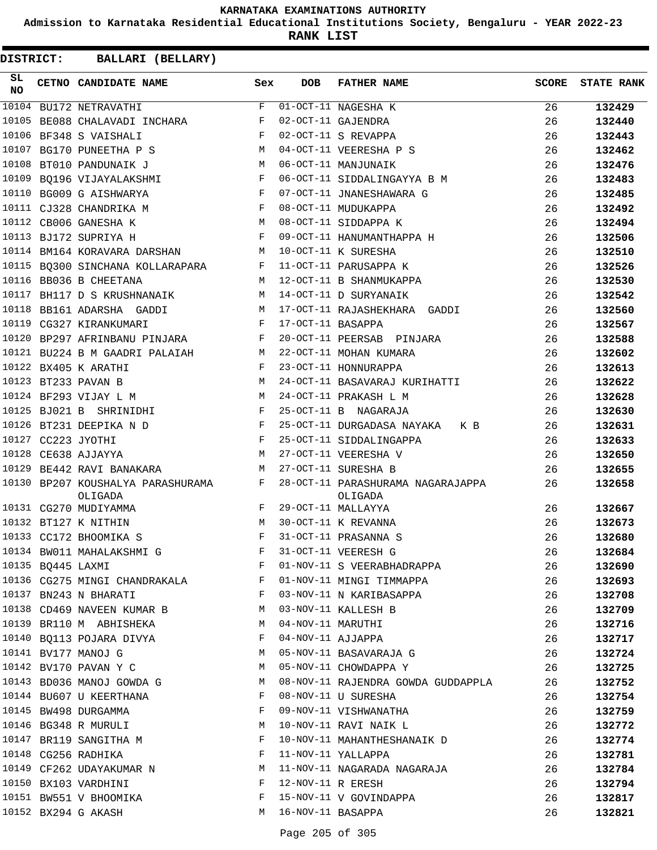**Admission to Karnataka Residential Educational Institutions Society, Bengaluru - YEAR 2022-23**

**RANK LIST**

| SL<br><b>NO</b> |                   | CETNO CANDIDATE NAME                                                                | Sex          | <b>DOB</b>        | <b>FATHER NAME</b>                                                 | <b>SCORE</b> | <b>STATE RANK</b> |
|-----------------|-------------------|-------------------------------------------------------------------------------------|--------------|-------------------|--------------------------------------------------------------------|--------------|-------------------|
|                 |                   | 10104 BU172 NETRAVATHI                                                              | F            |                   | 01-OCT-11 NAGESHA K                                                | 26           | 132429            |
| 10105           |                   | BE088 CHALAVADI INCHARA F                                                           |              |                   | 02-OCT-11 GAJENDRA                                                 | 26           | 132440            |
|                 |                   | <b>Example 20</b><br>10106 BF348 S VAISHALI                                         |              |                   | 02-OCT-11 S REVAPPA                                                | 26           | 132443            |
|                 |                   | 10107 BG170 PUNEETHA P S                                                            | M            |                   | 04-OCT-11 VEERESHA P S                                             | 26           | 132462            |
| 10108           |                   | M<br>BT010 PANDUNAIK J                                                              |              |                   | 06-OCT-11 MANJUNAIK                                                | 26           | 132476            |
| 10109           |                   | BQ196 VIJAYALAKSHMI F                                                               |              |                   | 06-OCT-11 SIDDALINGAYYA B M                                        | 26           | 132483            |
|                 |                   | $\mathbf{F}$ . The contract of the contract $\mathbf{F}$<br>10110 BG009 G AISHWARYA |              |                   | 07-OCT-11 JNANESHAWARA G                                           | 26           | 132485            |
|                 |                   | 10111 CJ328 CHANDRIKA M                                                             | F            |                   | 08-OCT-11 MUDUKAPPA                                                | 26           | 132492            |
|                 |                   | 10112 CB006 GANESHA K                                                               | M            |                   | 08-OCT-11 SIDDAPPA K                                               | 26           | 132494            |
|                 |                   | 10113 BJ172 SUPRIYA H                                                               | F            |                   | 09-OCT-11 HANUMANTHAPPA H                                          | 26           | 132506            |
|                 |                   | 10114 BM164 KORAVARA DARSHAN<br><b>M</b>                                            |              |                   | 10-OCT-11 K SURESHA                                                | 26           | 132510            |
|                 |                   | 10115 BQ300 SINCHANA KOLLARAPARA F                                                  |              |                   | 11-OCT-11 PARUSAPPA K                                              | 26           | 132526            |
|                 |                   | 10116 BB036 B CHEETANA                                                              | M            |                   | 12-OCT-11 B SHANMUKAPPA                                            | 26           | 132530            |
|                 |                   | 10117 BH117 D S KRUSHNANAIK M                                                       |              |                   | 14-OCT-11 D SURYANAIK                                              | 26           | 132542            |
|                 |                   | 10118 BB161 ADARSHA GADDI<br><b>M</b>                                               |              |                   | 17-OCT-11 RAJASHEKHARA GADDI                                       | 26           | 132560            |
|                 |                   | 10119 CG327 KIRANKUMARI                                                             | $\mathbf{F}$ | 17-OCT-11 BASAPPA |                                                                    | 26           | 132567            |
| 10120           |                   | BP297 AFRINBANU PINJARA F                                                           |              |                   | 20-OCT-11 PEERSAB PINJARA                                          | 26           | 132588            |
|                 |                   | 10121 BU224 B M GAADRI PALAIAH M                                                    |              |                   | 22-OCT-11 MOHAN KUMARA                                             | 26           | 132602            |
|                 |                   | $\mathbf{F}$ and $\mathbf{F}$<br>10122 BX405 K ARATHI                               |              |                   | 23-OCT-11 HONNURAPPA                                               | 26           | 132613            |
|                 |                   | M<br>10123 BT233 PAVAN B                                                            |              |                   | 24-OCT-11 BASAVARAJ KURIHATTI                                      | 26           | 132622            |
|                 |                   | 10124 BF293 VIJAY L M<br>M <sub>N</sub>                                             |              |                   | 24-OCT-11 PRAKASH L M                                              | 26           | 132628            |
|                 |                   | 10125 BJ021 B SHRINIDHI F                                                           |              |                   | 25-OCT-11 B NAGARAJA                                               | 26           | 132630            |
|                 |                   | $\mathbf{F}$<br>10126 BT231 DEEPIKA N D                                             |              |                   | 25-OCT-11 DURGADASA NAYAKA K B                                     | 26           | 132631            |
|                 |                   | $\mathbf{F}$<br>10127 CC223 JYOTHI                                                  |              |                   | 25-OCT-11 SIDDALINGAPPA                                            | 26           | 132633            |
| 10128           |                   |                                                                                     | M            |                   |                                                                    | 26           |                   |
| 10129           |                   | CE638 AJJAYYA                                                                       |              |                   | 27-OCT-11 VEERESHA V                                               |              | 132650            |
|                 |                   | BE442 RAVI BANAKARA<br>$M_{\rm H}$                                                  |              |                   | 27-OCT-11 SURESHA B                                                | 26           | 132655            |
|                 |                   | 10130 BP207 KOUSHALYA PARASHURAMA F<br>OLIGADA<br>10131 CG270 MUDIYAMMA             | F            |                   | 28-OCT-11 PARASHURAMA NAGARAJAPPA<br>OLIGADA<br>29-OCT-11 MALLAYYA | 26<br>26     | 132658<br>132667  |
|                 |                   | M<br>10132 BT127 K NITHIN                                                           |              |                   | 30-OCT-11 K REVANNA                                                |              |                   |
|                 |                   |                                                                                     | $_{\rm F}$   |                   | 31-OCT-11 PRASANNA S                                               | 26           | 132673            |
|                 |                   | 10133 CC172 BHOOMIKA S                                                              |              |                   |                                                                    | 26           | 132680            |
|                 |                   | 10134 BW011 MAHALAKSHMI G                                                           |              |                   | F 31-OCT-11 VEERESH G                                              | 26           | 132684            |
|                 | 10135 BQ445 LAXMI |                                                                                     | F            |                   | 01-NOV-11 S VEERABHADRAPPA                                         | 26           | 132690            |
|                 |                   | 10136 CG275 MINGI CHANDRAKALA F                                                     |              |                   | 01-NOV-11 MINGI TIMMAPPA                                           | 26           | 132693            |
|                 |                   | 10137 BN243 N BHARATI                                                               | F            |                   | 03-NOV-11 N KARIBASAPPA                                            | 26           | 132708            |
|                 |                   | 10138 CD469 NAVEEN KUMAR B                                                          | M            |                   | 03-NOV-11 KALLESH B                                                | 26           | 132709            |
|                 |                   | 10139 BR110 M ABHISHEKA                                                             | M            | 04-NOV-11 MARUTHI |                                                                    | 26           | 132716            |
|                 |                   | 10140 BQ113 POJARA DIVYA                                                            | F            | 04-NOV-11 AJJAPPA |                                                                    | 26           | 132717            |
|                 |                   | 10141 BV177 MANOJ G                                                                 | M            |                   | 05-NOV-11 BASAVARAJA G                                             | 26           | 132724            |
|                 |                   | 10142 BV170 PAVAN Y C                                                               | М            |                   | 05-NOV-11 CHOWDAPPA Y                                              | 26           | 132725            |
|                 |                   | 10143 BD036 MANOJ GOWDA G                                                           | M            |                   | 08-NOV-11 RAJENDRA GOWDA GUDDAPPLA                                 | 26           | 132752            |
|                 |                   | 10144 BU607 U KEERTHANA                                                             | F            |                   | 08-NOV-11 U SURESHA                                                | 26           | 132754            |
|                 |                   | 10145 BW498 DURGAMMA                                                                | F            |                   | 09-NOV-11 VISHWANATHA                                              | 26           | 132759            |
|                 |                   | 10146 BG348 R MURULI                                                                | M            |                   | 10-NOV-11 RAVI NAIK L                                              | 26           | 132772            |
|                 |                   | 10147 BR119 SANGITHA M                                                              | F            |                   | 10-NOV-11 MAHANTHESHANAIK D                                        | 26           | 132774            |
|                 |                   | 10148 CG256 RADHIKA                                                                 | F            |                   | 11-NOV-11 YALLAPPA                                                 | 26           | 132781            |
|                 |                   | 10149 CF262 UDAYAKUMAR N                                                            | М            |                   | 11-NOV-11 NAGARADA NAGARAJA                                        | 26           | 132784            |
|                 |                   | 10150 BX103 VARDHINI                                                                | F            | 12-NOV-11 R ERESH |                                                                    | 26           | 132794            |
|                 |                   | 10151 BW551 V BHOOMIKA                                                              | F            |                   | 15-NOV-11 V GOVINDAPPA                                             | 26           | 132817            |
|                 |                   | 10152 BX294 G AKASH                                                                 | M            | 16-NOV-11 BASAPPA |                                                                    | 26           | 132821            |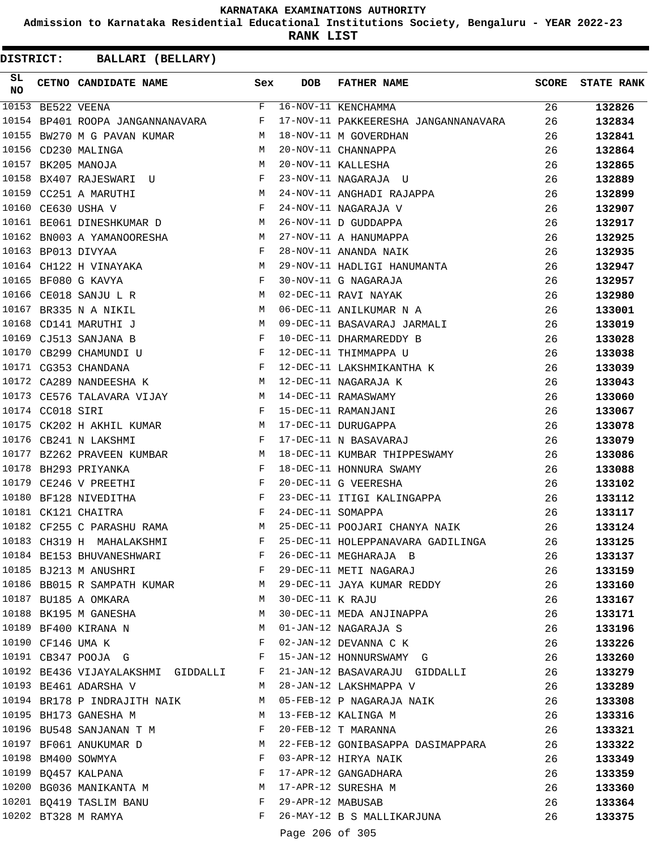**Admission to Karnataka Residential Educational Institutions Society, Bengaluru - YEAR 2022-23**

**RANK LIST**

| SL<br>NO |                   | CETNO CANDIDATE NAME                                                                | Sex          | <b>DOB</b>        | <b>FATHER NAME</b>                   | <b>SCORE</b> | <b>STATE RANK</b> |
|----------|-------------------|-------------------------------------------------------------------------------------|--------------|-------------------|--------------------------------------|--------------|-------------------|
|          | 10153 BE522 VEENA |                                                                                     | F            |                   | 16-NOV-11 KENCHAMMA                  | 26           | 132826            |
|          |                   | 10154 BP401 ROOPA JANGANNANAVARA                                                    | F            |                   | 17-NOV-11 PAKKEERESHA JANGANNANAVARA | 26           | 132834            |
| 10155    |                   | BW270 M G PAVAN KUMAR                                                               | M            |                   | 18-NOV-11 M GOVERDHAN                | 26           | 132841            |
|          |                   | 10156 CD230 MALINGA                                                                 | M            |                   | 20-NOV-11 CHANNAPPA                  | 26           | 132864            |
|          |                   | 10157 BK205 MANOJA                                                                  | M            |                   | 20-NOV-11 KALLESHA                   | 26           | 132865            |
| 10158    |                   | BX407 RAJESWARI U                                                                   | F            |                   | 23-NOV-11 NAGARAJA U                 | 26           | 132889            |
|          |                   | 10159 CC251 A MARUTHI                                                               | M            |                   | 24-NOV-11 ANGHADI RAJAPPA            | 26           | 132899            |
| 10160    |                   | $\mathbf{F}$<br>CE630 USHA V                                                        |              |                   | 24-NOV-11 NAGARAJA V                 | 26           | 132907            |
|          |                   | 10161 BE061 DINESHKUMAR D                                                           | M            |                   | 26-NOV-11 D GUDDAPPA                 | 26           | 132917            |
|          |                   | 10162 BN003 A YAMANOORESHA                                                          | M            |                   | 27-NOV-11 A HANUMAPPA                | 26           | 132925            |
|          |                   | 10163 BP013 DIVYAA                                                                  | F            |                   | 28-NOV-11 ANANDA NAIK                | 26           | 132935            |
|          |                   | <b>M</b><br>10164 CH122 H VINAYAKA                                                  |              |                   | 29-NOV-11 HADLIGI HANUMANTA          | 26           | 132947            |
|          |                   | 10165 BF080 G KAVYA                                                                 | F            |                   | 30-NOV-11 G NAGARAJA                 | 26           | 132957            |
| 10166    |                   | CE018 SANJU L R                                                                     | M            |                   | 02-DEC-11 RAVI NAYAK                 | 26           | 132980            |
| 10167    |                   | BR335 N A NIKIL                                                                     | M            |                   | 06-DEC-11 ANILKUMAR N A              | 26           | 133001            |
| 10168    |                   | M<br>CD141 MARUTHI J                                                                |              |                   | 09-DEC-11 BASAVARAJ JARMALI          | 26           | 133019            |
|          |                   | 10169 CJ513 SANJANA B                                                               | $\mathbf{F}$ |                   | 10-DEC-11 DHARMAREDDY B              | 26           | 133028            |
| 10170    |                   | $\mathbf{F}$ and $\mathbf{F}$ are $\mathbf{F}$<br>CB299 CHAMUNDI U                  |              |                   | 12-DEC-11 THIMMAPPA U                | 26           | 133038            |
|          |                   | $\mathbf{F}$ . The contract of the contract of $\mathbf{F}$<br>10171 CG353 CHANDANA |              |                   | 12-DEC-11 LAKSHMIKANTHA K            | 26           | 133039            |
|          |                   | M<br>10172 CA289 NANDEESHA K                                                        |              |                   | 12-DEC-11 NAGARAJA K                 | 26           | 133043            |
|          |                   | 10173 CE576 TALAVARA VIJAY M                                                        |              |                   | 14-DEC-11 RAMASWAMY                  | 26           | 133060            |
|          | 10174 CC018 SIRI  | $\mathbb{R}^n$ . The set of $\mathbb{R}^n$                                          |              |                   | 15-DEC-11 RAMANJANI                  | 26           | 133067            |
| 10175    |                   | M <sub>N</sub><br>CK202 H AKHIL KUMAR                                               |              |                   | 17-DEC-11 DURUGAPPA                  | 26           | 133078            |
|          |                   | 10176 CB241 N LAKSHMI<br>$\mathbf{F}$ and $\mathbf{F}$ and $\mathbf{F}$             |              |                   | 17-DEC-11 N BASAVARAJ                | 26           | 133079            |
|          |                   | 10177 BZ262 PRAVEEN KUMBAR M                                                        |              |                   | 18-DEC-11 KUMBAR THIPPESWAMY         | 26           | 133086            |
| 10178    |                   | BH293 PRIYANKA                                                                      | F            |                   | 18-DEC-11 HONNURA SWAMY              | 26           | 133088            |
| 10179    |                   | CE246 V PREETHI                                                                     | F            |                   | 20-DEC-11 G VEERESHA                 | 26           | 133102            |
| 10180    |                   | $\mathbf{F}$ and $\mathbf{F}$ and $\mathbf{F}$<br>BF128 NIVEDITHA                   |              |                   |                                      | 26           | 133112            |
|          |                   | 10181 CK121 CHAITRA                                                                 | $\mathbf{F}$ | 24-DEC-11 SOMAPPA | 23-DEC-11 ITIGI KALINGAPPA           | 26           | 133117            |
|          |                   | 10182 CF255 C PARASHU RAMA M                                                        |              |                   | 25-DEC-11 POOJARI CHANYA NAIK        | 26           | 133124            |
|          |                   | 10183 CH319 H MAHALAKSHMI                                                           | F            |                   | 25-DEC-11 HOLEPPANAVARA GADILINGA    | 26           | 133125            |
|          |                   | 10184 BE153 BHUVANESHWARI                                                           | F            |                   | 26-DEC-11 MEGHARAJA B                | 26           | 133137            |
|          |                   | 10185 BJ213 M ANUSHRI                                                               | F            |                   | 29-DEC-11 METI NAGARAJ               | 26           | 133159            |
|          |                   | 10186 BB015 R SAMPATH KUMAR                                                         | M            |                   | 29-DEC-11 JAYA KUMAR REDDY           | 26           | 133160            |
|          |                   | 10187 BU185 A OMKARA                                                                | M            | 30-DEC-11 K RAJU  |                                      | 26           | 133167            |
|          |                   | 10188 BK195 M GANESHA                                                               | М            |                   | 30-DEC-11 MEDA ANJINAPPA             | 26           | 133171            |
|          |                   | 10189 BF400 KIRANA N                                                                | М            |                   | 01-JAN-12 NAGARAJA S                 | 26           |                   |
|          |                   | 10190 CF146 UMA K                                                                   | F            |                   | 02-JAN-12 DEVANNA C K                | 26           | 133196            |
|          |                   |                                                                                     | F            |                   |                                      |              | 133226            |
|          |                   | 10191 CB347 POOJA G                                                                 |              |                   | 15-JAN-12 HONNURSWAMY G              | 26           | 133260            |
|          |                   | 10192 BE436 VIJAYALAKSHMI GIDDALLI                                                  | F            |                   | 21-JAN-12 BASAVARAJU GIDDALLI        | 26           | 133279            |
|          |                   | 10193 BE461 ADARSHA V                                                               | M            |                   | 28-JAN-12 LAKSHMAPPA V               | 26           | 133289            |
|          |                   | 10194 BR178 P INDRAJITH NAIK                                                        | M            |                   | 05-FEB-12 P NAGARAJA NAIK            | 26           | 133308            |
|          |                   | 10195 BH173 GANESHA M                                                               | M            |                   | 13-FEB-12 KALINGA M                  | 26           | 133316            |
|          |                   | 10196 BU548 SANJANAN T M                                                            | F            |                   | 20-FEB-12 T MARANNA                  | 26           | 133321            |
|          |                   | 10197 BF061 ANUKUMAR D                                                              | M            |                   | 22-FEB-12 GONIBASAPPA DASIMAPPARA    | 26           | 133322            |
|          |                   | 10198 BM400 SOWMYA                                                                  | F            |                   | 03-APR-12 HIRYA NAIK                 | 26           | 133349            |
|          |                   | 10199 BQ457 KALPANA                                                                 | F            |                   | 17-APR-12 GANGADHARA                 | 26           | 133359            |
|          |                   | 10200 BG036 MANIKANTA M                                                             | M            |                   | 17-APR-12 SURESHA M                  | 26           | 133360            |
|          |                   | 10201 BQ419 TASLIM BANU                                                             | F            | 29-APR-12 MABUSAB |                                      | 26           | 133364            |
|          |                   | 10202 BT328 M RAMYA                                                                 | F            |                   | 26-MAY-12 B S MALLIKARJUNA           | 26           | 133375            |
|          |                   |                                                                                     |              | Page 206 of 305   |                                      |              |                   |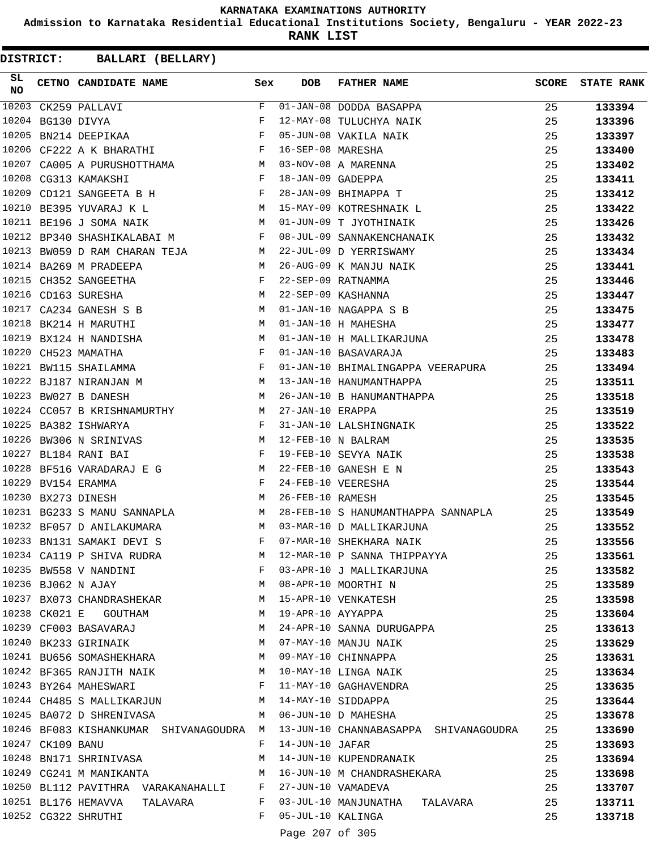**Admission to Karnataka Residential Educational Institutions Society, Bengaluru - YEAR 2022-23**

**RANK LIST**

**DISTRICT:** CC **BALLARI (BELLARY)**

| SL<br><b>NO</b> |                  | CETNO CANDIDATE NAME Sex                                                        |                | <b>DOB</b>        | <b>FATHER NAME</b>                    | <b>SCORE</b> | <b>STATE RANK</b> |
|-----------------|------------------|---------------------------------------------------------------------------------|----------------|-------------------|---------------------------------------|--------------|-------------------|
| 10203           |                  | CK259 PALLAVI                                                                   | F              |                   | 01-JAN-08 DODDA BASAPPA               | 25           | 133394            |
| 10204           |                  | BG130 DIVYA                                                                     | F              |                   |                                       | 25           | 133396            |
| 10205           |                  | $\mathbf{F}$<br>BN214 DEEPIKAA                                                  |                |                   | 05-JUN-08 VAKILA NAIK                 | 25           | 133397            |
|                 |                  | $\mathbf{F}$<br>10206 CF222 A K BHARATHI                                        |                | 16-SEP-08 MARESHA |                                       | 25           | 133400            |
| 10207           |                  | CA005 A PURUSHOTTHAMA M                                                         |                |                   | 03-NOV-08 A MARENNA                   | 25           | 133402            |
| 10208           |                  | CG313 KAMAKSHI<br><b>Example 20</b> F                                           |                | 18-JAN-09 GADEPPA |                                       | 25           | 133411            |
| 10209           |                  | CD121 SANGEETA B H $F$                                                          |                |                   | 28-JAN-09 BHIMAPPA T                  | 25           | 133412            |
|                 |                  | 10210 BE395 YUVARAJ K L                                                         |                |                   | M 15-MAY-09 KOTRESHNAIK L             | 25           | 133422            |
|                 |                  | 10211 BE196 J SOMA NAIK                                                         | M              |                   | 01-JUN-09 T JYOTHINAIK                | 25           | 133426            |
|                 |                  | 10212 BP340 SHASHIKALABAI M                                                     |                |                   | 08-JUL-09 SANNAKENCHANAIK             | 25           | 133432            |
|                 |                  | 10213 BW059 D RAM CHARAN TEJA M                                                 |                |                   | 22-JUL-09 D YERRISWAMY                | 25           | 133434            |
|                 |                  | $\mathbf M$<br>10214 BA269 M PRADEEPA                                           |                |                   | 26-AUG-09 K MANJU NAIK                | 25           | 133441            |
|                 |                  | 10215 CH352 SANGEETHA                                                           |                |                   | 22-SEP-09 RATNAMMA                    | 25           | 133446            |
|                 |                  | $\begin{aligned} \mathbf{F} \\ \mathbf{M} \end{aligned}$<br>10216 CD163 SURESHA |                |                   | 22-SEP-09 KASHANNA                    | 25           | 133447            |
|                 |                  | M<br>10217 CA234 GANESH S B                                                     |                |                   | 01-JAN-10 NAGAPPA S B                 | 25           | 133475            |
|                 |                  | 10218 BK214 H MARUTHI                                                           | M              |                   | 01-JAN-10 H MAHESHA                   | 25           | 133477            |
|                 |                  | M<br>10219 BX124 H NANDISHA                                                     |                |                   | 01-JAN-10 H MALLIKARJUNA              | 25           | 133478            |
| 10220           |                  | CH523 MAMATHA<br>$\mathbf{F}$ and $\mathbf{F}$ and $\mathbf{F}$                 |                |                   | 01-JAN-10 BASAVARAJA                  | 25           | 133483            |
|                 |                  | $\mathbf{F}$ and $\mathbf{F}$ and $\mathbf{F}$<br>10221 BW115 SHAILAMMA         |                |                   |                                       | 25           | 133494            |
|                 |                  | M<br>10222 BJ187 NIRANJAN M                                                     |                |                   | 13-JAN-10 HANUMANTHAPPA               | 25           | 133511            |
| 10223           |                  | M <sub>1</sub><br>BW027 B DANESH                                                |                |                   | 26-JAN-10 B HANUMANTHAPPA             | 25           | 133518            |
|                 |                  | 10224 CC057 B KRISHNAMURTHY M                                                   |                | 27-JAN-10 ERAPPA  |                                       | 25           | 133519            |
|                 |                  | $\mathbf{F}$ . The set of $\mathbf{F}$<br>10225 BA382 ISHWARYA                  |                |                   | 31-JAN-10 LALSHINGNAIK                | 25           | 133522            |
|                 |                  | 10226 BW306 N SRINIVAS M                                                        |                |                   | 12-FEB-10 N BALRAM                    | 25           | 133535            |
|                 |                  | 10227 BL184 RANI BAI                                                            | $$\mathbf{F}$$ |                   | 19-FEB-10 SEVYA NAIK                  | 25           | 133538            |
|                 |                  | 10228 BF516 VARADARAJ E G M                                                     |                |                   | 22-FEB-10 GANESH E N                  | 25           | 133543            |
| 10229           |                  | $\mathbf{F}$<br>BV154 ERAMMA                                                    |                |                   | 24-FEB-10 VEERESHA                    | 25           | 133544            |
|                 |                  | 10230 BX273 DINESH                                                              | M              | 26-FEB-10 RAMESH  |                                       | 25           | 133545            |
|                 |                  | 10231 BG233 S MANU SANNAPLA M                                                   |                |                   | 28-FEB-10 S HANUMANTHAPPA SANNAPLA    | 25           | 133549            |
|                 |                  | 10232 BF057 D ANILAKUMARA                                                       | M              |                   | 03-MAR-10 D MALLIKARJUNA              | 25           | 133552            |
|                 |                  | 10233 BN131 SAMAKI DEVI S                                                       | F              |                   | 07-MAR-10 SHEKHARA NAIK               | 25           | 133556            |
|                 |                  | 10234 CA119 P SHIVA RUDRA                                                       | М              |                   | 12-MAR-10 P SANNA THIPPAYYA           | 25           | 133561            |
|                 |                  | 10235 BW558 V NANDINI                                                           | F              |                   | 03-APR-10 J MALLIKARJUNA              | 25           | 133582            |
|                 |                  | 10236 BJ062 N AJAY                                                              | M              |                   | 08-APR-10 MOORTHI N                   | 25           | 133589            |
|                 |                  | 10237 BX073 CHANDRASHEKAR M                                                     |                |                   | 15-APR-10 VENKATESH                   | 25           | 133598            |
|                 |                  | 10238 CK021 E GOUTHAM                                                           | M              | 19-APR-10 AYYAPPA |                                       | 25           | 133604            |
|                 |                  | 10239 CF003 BASAVARAJ                                                           | M              |                   | 24-APR-10 SANNA DURUGAPPA             | 25           | 133613            |
|                 |                  | 10240 BK233 GIRINAIK                                                            | M              |                   | 07-MAY-10 MANJU NAIK                  | 25           | 133629            |
|                 |                  | 10241 BU656 SOMASHEKHARA                                                        | M              |                   | 09-MAY-10 CHINNAPPA                   | 25           | 133631            |
|                 |                  | 10242 BF365 RANJITH NAIK                                                        | M              |                   | 10-MAY-10 LINGA NAIK                  | 25           | 133634            |
|                 |                  | 10243 BY264 MAHESWARI                                                           | F              |                   | 11-MAY-10 GAGHAVENDRA                 | 25           | 133635            |
|                 |                  | 10244 CH485 S MALLIKARJUN M                                                     |                |                   | 14-MAY-10 SIDDAPPA                    | 25           | 133644            |
|                 |                  | 10245 BA072 D SHRENIVASA                                                        | M              |                   | 06-JUN-10 D MAHESHA                   | 25           | 133678            |
|                 |                  | 10246 BF083 KISHANKUMAR SHIVANAGOUDRA M                                         |                |                   | 13-JUN-10 CHANNABASAPPA SHIVANAGOUDRA | 25           | 133690            |
|                 | 10247 CK109 BANU |                                                                                 | F              | 14-JUN-10 JAFAR   |                                       | 25           | 133693            |
|                 |                  | 10248 BN171 SHRINIVASA                                                          | М              |                   | 14-JUN-10 KUPENDRANAIK                | 25           | 133694            |
|                 |                  | 10249 CG241 M MANIKANTA                                                         | M              |                   | 16-JUN-10 M CHANDRASHEKARA            | 25           | 133698            |
|                 |                  | 10250 BL112 PAVITHRA VARAKANAHALLI F                                            |                |                   | 27-JUN-10 VAMADEVA                    | 25           | 133707            |
|                 |                  | 10251 BL176 HEMAVVA<br>TALAVARA                                                 | F              |                   | 03-JUL-10 MANJUNATHA TALAVARA         | 25           | 133711            |
|                 |                  | 10252 CG322 SHRUTHI                                                             | F              | 05-JUL-10 KALINGA |                                       | 25           | 133718            |

Page 207 of 305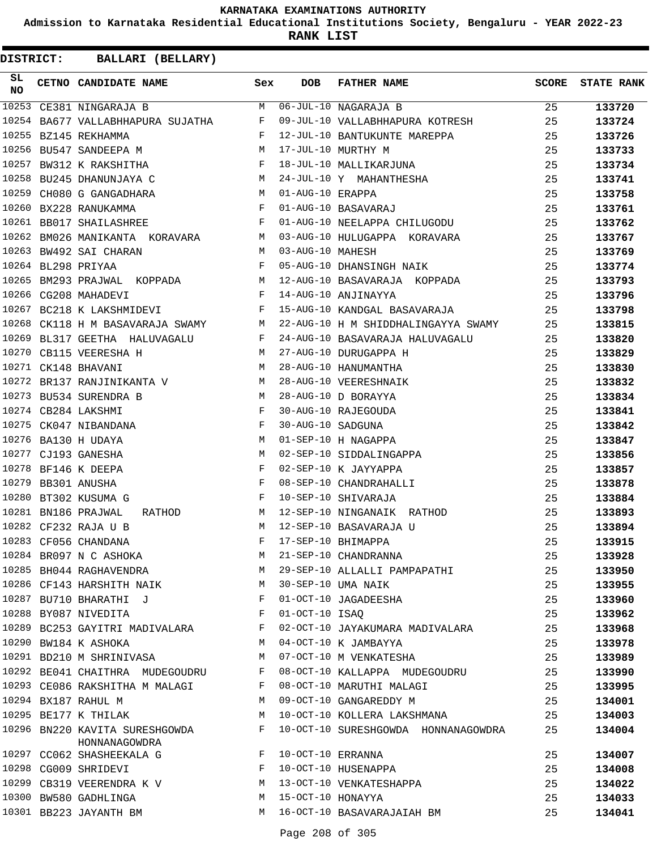**Admission to Karnataka Residential Educational Institutions Society, Bengaluru - YEAR 2022-23**

**RANK LIST**

| SL<br><b>NO</b> | CETNO CANDIDATE NAME                                                                                                                                                                                                                               | Sex          | <b>DOB</b>        | <b>FATHER NAME</b>                                        | <b>SCORE</b> | <b>STATE RANK</b> |
|-----------------|----------------------------------------------------------------------------------------------------------------------------------------------------------------------------------------------------------------------------------------------------|--------------|-------------------|-----------------------------------------------------------|--------------|-------------------|
| 10253           | CE381 NINGARAJA B<br>The Company of the Company of the Company of the Company of the Company of the Company of the Company of the Company of the Company of the Company of the Company of the Company of the Company of the Company of the Company | M            |                   | $06 - JUL - 10 NAGARAJA B$                                | 25           | 133720            |
| 10254           | BA677 VALLABHHAPURA SUJATHA F                                                                                                                                                                                                                      |              |                   | 09-JUL-10 VALLABHHAPURA KOTRESH                           | 25           | 133724            |
| 10255           | $\mathbf F$ . The set of $\mathbf F$<br>BZ145 REKHAMMA                                                                                                                                                                                             |              |                   | 12-JUL-10 BANTUKUNTE MAREPPA                              | 25           | 133726            |
| 10256           | M<br>BU547 SANDEEPA M                                                                                                                                                                                                                              |              |                   | 17-JUL-10 MURTHY M<br>18-JUL-10 MALLIKARJUNA<br>24 TIL 12 | 25           | 133733            |
| 10257           | BW312 K RAKSHITHA F                                                                                                                                                                                                                                |              |                   |                                                           | 25           | 133734            |
| 10258           | M <sub>N</sub><br>BU245 DHANUNJAYA C                                                                                                                                                                                                               |              |                   | 24-JUL-10 Y MAHANTHESHA                                   | 25           | 133741            |
| 10259           | CH080 G GANGADHARA M                                                                                                                                                                                                                               |              | 01-AUG-10 ERAPPA  |                                                           | 25           | 133758            |
| 10260           | BX228 RANUKAMMA                                                                                                                                                                                                                                    | F            |                   | 01-AUG-10 BASAVARAJ                                       | 25           | 133761            |
|                 | 10261 BB017 SHAILASHREE                                                                                                                                                                                                                            | $\mathbf{F}$ |                   | 01-AUG-10 NEELAPPA CHILUGODU                              | 25           | 133762            |
| 10262           | BM026 MANIKANTA KORAVARA M                                                                                                                                                                                                                         |              |                   | 03-AUG-10 HULUGAPPA KORAVARA                              | 25           | 133767            |
| 10263           | M<br>BW492 SAI CHARAN                                                                                                                                                                                                                              |              | 03-AUG-10 MAHESH  |                                                           | 25           | 133769            |
|                 | $\mathbf{F}$<br>10264 BL298 PRIYAA                                                                                                                                                                                                                 |              |                   | 05-AUG-10 DHANSINGH NAIK                                  | 25           | 133774            |
| 10265           | BM293 PRAJWAL KOPPADA M                                                                                                                                                                                                                            |              |                   | 12-AUG-10 BASAVARAJA KOPPADA                              | 25           | 133793            |
| 10266           | CG208 MAHADEVI<br><b>Example 2</b> F                                                                                                                                                                                                               |              |                   | 14-AUG-10 ANJINAYYA                                       | 25           | 133796            |
| 10267           | $\mathbf{F}$ and $\mathbf{F}$ and $\mathbf{F}$<br>BC218 K LAKSHMIDEVI                                                                                                                                                                              |              |                   | 15-AUG-10 KANDGAL BASAVARAJA                              | 25           | 133798            |
| 10268           | CK118 H M BASAVARAJA SWAMY M                                                                                                                                                                                                                       |              |                   | 22-AUG-10 H M SHIDDHALINGAYYA SWAMY                       | 25           | 133815            |
| 10269           | BL317 GEETHA HALUVAGALU F                                                                                                                                                                                                                          |              |                   | 24-AUG-10 BASAVARAJA HALUVAGALU                           | 25           | 133820            |
| 10270           | CB115 VEERESHA H<br>M <sub>1</sub>                                                                                                                                                                                                                 |              |                   | 27-AUG-10 DURUGAPPA H                                     | 25           | 133829            |
| 10271           | M <sub>1</sub><br>CK148 BHAVANI                                                                                                                                                                                                                    |              |                   | 28-AUG-10 HANUMANTHA                                      | 25           | 133830            |
| 10272           | BR137 RANJINIKANTA V M                                                                                                                                                                                                                             |              |                   | 28-AUG-10 VEERESHNAIK                                     | 25           | 133832            |
|                 | 10273 BU534 SURENDRA B<br>M <sub>N</sub>                                                                                                                                                                                                           |              |                   | 28-AUG-10 D BORAYYA                                       | 25           | 133834            |
|                 | 10274 CB284 LAKSHMI<br>and the state of the Fig.                                                                                                                                                                                                   |              |                   | 30-AUG-10 RAJEGOUDA                                       | 25           | 133841            |
| 10275           | $\mathbf{F}$ and $\mathbf{F}$ and $\mathbf{F}$<br>CK047 NIBANDANA                                                                                                                                                                                  |              | 30-AUG-10 SADGUNA |                                                           | 25           | 133842            |
|                 | 10276 BA130 H UDAYA                                                                                                                                                                                                                                |              |                   | 01-SEP-10 H NAGAPPA                                       | 25           | 133847            |
| 10277           | $\begin{aligned} M \\ M \end{aligned}$<br>CJ193 GANESHA                                                                                                                                                                                            |              |                   | 02-SEP-10 SIDDALINGAPPA                                   | 25           | 133856            |
| 10278           | $\begin{aligned} \mathbf{F} \\ \mathbf{F} \end{aligned}$<br>BF146 K DEEPA                                                                                                                                                                          |              |                   | 02-SEP-10 K JAYYAPPA                                      | 25           | 133857            |
| 10279           | BB301 ANUSHA                                                                                                                                                                                                                                       |              |                   | 08-SEP-10 CHANDRAHALLI                                    | 25           | 133878            |
| 10280           | BT302 KUSUMA G                                                                                                                                                                                                                                     | $\mathbf{F}$ |                   | 10-SEP-10 SHIVARAJA                                       | 25           | 133884            |
| 10281           | BN186 PRAJWAL<br><b>M</b><br>RATHOD                                                                                                                                                                                                                |              |                   | 12-SEP-10 NINGANAIK RATHOD                                | 25           | 133893            |
|                 | 10282 CF232 RAJA U B                                                                                                                                                                                                                               | M            |                   | 12-SEP-10 BASAVARAJA U                                    | 25           | 133894            |
|                 | 10283 CF056 CHANDANA                                                                                                                                                                                                                               | F            |                   | 17-SEP-10 BHIMAPPA                                        | 25           | 133915            |
|                 | 10284 BR097 N C ASHOKA                                                                                                                                                                                                                             | М            |                   | 21-SEP-10 CHANDRANNA                                      | 25           | 133928            |
|                 | 10285 BH044 RAGHAVENDRA                                                                                                                                                                                                                            | M            |                   | 29-SEP-10 ALLALLI PAMPAPATHI                              | 25           | 133950            |
|                 | 10286 CF143 HARSHITH NAIK                                                                                                                                                                                                                          | M            |                   | 30-SEP-10 UMA NAIK                                        | 25           | 133955            |
|                 | 10287 BU710 BHARATHI J                                                                                                                                                                                                                             | F            |                   | 01-OCT-10 JAGADEESHA                                      | 25           | 133960            |
|                 | 10288 BY087 NIVEDITA                                                                                                                                                                                                                               | F            | 01-OCT-10 ISAQ    |                                                           | 25           | 133962            |
|                 | 10289 BC253 GAYITRI MADIVALARA                                                                                                                                                                                                                     | F            |                   | 02-OCT-10 JAYAKUMARA MADIVALARA                           | 25           | 133968            |
|                 | 10290 BW184 K ASHOKA                                                                                                                                                                                                                               | М            |                   | 04-OCT-10 K JAMBAYYA                                      | 25           | 133978            |
|                 | 10291 BD210 M SHRINIVASA                                                                                                                                                                                                                           | М            |                   | 07-OCT-10 M VENKATESHA                                    | 25           | 133989            |
|                 | 10292 BE041 CHAITHRA MUDEGOUDRU                                                                                                                                                                                                                    | F            |                   | 08-OCT-10 KALLAPPA MUDEGOUDRU                             | 25           | 133990            |
|                 | 10293 CE086 RAKSHITHA M MALAGI                                                                                                                                                                                                                     | F            |                   | 08-OCT-10 MARUTHI MALAGI                                  | 25           | 133995            |
|                 | 10294 BX187 RAHUL M                                                                                                                                                                                                                                | М            |                   | 09-OCT-10 GANGAREDDY M                                    | 25           | 134001            |
|                 | 10295 BE177 K THILAK                                                                                                                                                                                                                               | М            |                   | 10-OCT-10 KOLLERA LAKSHMANA                               | 25           | 134003            |
|                 | 10296 BN220 KAVITA SURESHGOWDA<br>HONNANAGOWDRA                                                                                                                                                                                                    | F            |                   | 10-OCT-10 SURESHGOWDA HONNANAGOWDRA                       | 25           | 134004            |
|                 | 10297 CC062 SHASHEEKALA G                                                                                                                                                                                                                          | F            | 10-OCT-10 ERRANNA |                                                           | 25           | 134007            |
|                 | 10298 CG009 SHRIDEVI                                                                                                                                                                                                                               | F            |                   | 10-OCT-10 HUSENAPPA                                       | 25           | 134008            |
|                 | 10299 CB319 VEERENDRA K V                                                                                                                                                                                                                          | М            |                   | 13-OCT-10 VENKATESHAPPA                                   | 25           | 134022            |
|                 | 10300 BW580 GADHLINGA                                                                                                                                                                                                                              | M            | 15-OCT-10 HONAYYA |                                                           | 25           | 134033            |
|                 | 10301 BB223 JAYANTH BM                                                                                                                                                                                                                             | M            |                   | 16-OCT-10 BASAVARAJAIAH BM                                | 25           | 134041            |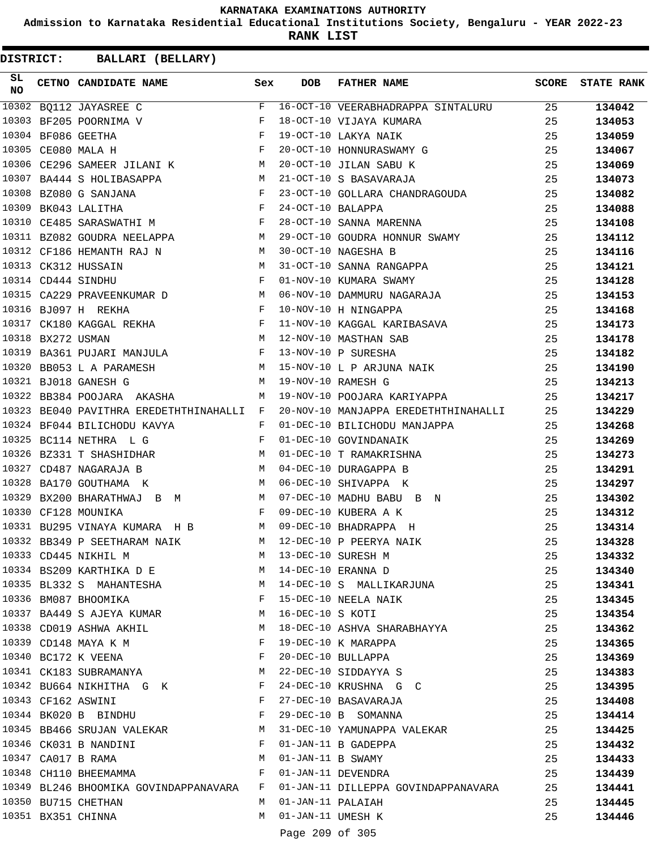**Admission to Karnataka Residential Educational Institutions Society, Bengaluru - YEAR 2022-23**

**RANK LIST**

| SL<br><b>NO</b> |                   | CETNO CANDIDATE NAME Sex                                                                                                                                         |                | DOB                | FATHER NAME                                                                | SCORE | <b>STATE RANK</b> |
|-----------------|-------------------|------------------------------------------------------------------------------------------------------------------------------------------------------------------|----------------|--------------------|----------------------------------------------------------------------------|-------|-------------------|
| 10302           |                   | BQ112 JAYASREE C                                                                                                                                                 | F              |                    | 16-OCT-10 VEERABHADRAPPA SINTALURU 25                                      |       | 134042            |
|                 |                   | 10303 BF205 POORNIMA V                                                                                                                                           | F              |                    | 18-OCT-10 VIJAYA KUMARA                                                    | 25    | 134053            |
|                 |                   | 10304 BF086 GEETHA                                                                                                                                               |                |                    |                                                                            | 25    | 134059            |
|                 |                   | $\begin{array}{ccccc} & & & & & \mathbf{F} & \\ & & & & & \mathbf{F} & \\ & & & & & \mathbf{F} & \\ & & & & & \mathbf{F} & \\ \end{array}$<br>10305 CE080 MALA H |                |                    | 19-OCT-10 LAKYA NAIK<br>20-OCT-10 HONNURASWAMY G<br>20-OCT-10 JILAN SABU K | 25    | 134067            |
|                 |                   | 10306 CE296 SAMEER JILANI K M                                                                                                                                    |                |                    |                                                                            | 25    | 134069            |
|                 |                   | 10307 BA444 S HOLIBASAPPA<br>M <sub>1</sub>                                                                                                                      |                |                    | 21-OCT-10 S BASAVARAJA                                                     | 25    | 134073            |
|                 |                   | $\begin{array}{ccccc} \mathbf{F} & & & \mathbf{F} & \\ & \mathbf{F} & & & \mathbf{F} \end{array}$<br>10308 BZ080 G SANJANA                                       |                |                    | 23-OCT-10 GOLLARA CHANDRAGOUDA                                             | 25    | 134082            |
|                 |                   | 10309 BK043 LALITHA                                                                                                                                              |                | 24-OCT-10 BALAPPA  |                                                                            | 25    | 134088            |
|                 |                   | 10310 CE485 SARASWATHI M                                                                                                                                         |                |                    | 28-OCT-10 SANNA MARENNA                                                    | 25    | 134108            |
|                 |                   | 10311 BZ082 GOUDRA NEELAPPA M                                                                                                                                    |                |                    | 29-OCT-10 GOUDRA HONNUR SWAMY                                              | 25    | 134112            |
|                 |                   | 10312 CF186 HEMANTH RAJ N M                                                                                                                                      |                |                    | 30-OCT-10 NAGESHA B                                                        | 25    | 134116            |
|                 |                   | $\begin{aligned} \mathbb{M} \\ \mathbb{F} \end{aligned}$<br>10313 CK312 HUSSAIN                                                                                  |                |                    |                                                                            | 25    | 134121            |
|                 |                   | 10314 CD444 SINDHU                                                                                                                                               |                |                    | 31-OCT-10 SANNA RANGAPPA<br>01-NOV-10 KUMARA SWAMY                         | 25    | 134128            |
|                 |                   | 10315 CA229 PRAVEENKUMAR D M                                                                                                                                     |                |                    | 06-NOV-10 DAMMURU NAGARAJA                                                 | 25    | 134153            |
|                 |                   | $\mathbf{F}$ . The set of $\mathbf{F}$<br>10316 BJ097 H REKHA                                                                                                    |                |                    | 10-NOV-10 H NINGAPPA                                                       | 25    | 134168            |
|                 |                   | 10317 CK180 KAGGAL REKHA F                                                                                                                                       |                |                    | 11-NOV-10 KAGGAL KARIBASAVA                                                | 25    | 134173            |
|                 | 10318 BX272 USMAN | M <sub>N</sub>                                                                                                                                                   |                |                    | 12-NOV-10 MASTHAN SAB                                                      | 25    | 134178            |
|                 |                   | 10319 BA361 PUJARI MANJULA F                                                                                                                                     |                |                    | 13-NOV-10 P SURESHA                                                        | 25    | 134182            |
|                 |                   |                                                                                                                                                                  |                |                    |                                                                            | 25    | 134190            |
|                 |                   | 10320 BB053 L A PARAMESH M<br>10321 BJ018 GANESH G M                                                                                                             |                |                    | 15-NOV-10 L P ARJUNA NAIK<br>19-NOV-10 RAMESH G                            | 25    | 134213            |
|                 |                   | 10322 BB384 POOJARA AKASHA                                                                                                                                       | M              |                    | 19-NOV-10 POOJARA KARIYAPPA                                                | 25    | 134217            |
|                 |                   | 10323 BE040 PAVITHRA EREDETHTHINAHALLI F                                                                                                                         |                |                    | 20-NOV-10 MANJAPPA EREDETHTHINAHALLI                                       | 25    | 134229            |
|                 |                   | 10324 BF044 BILICHODU KAVYA<br>$\mathbf{F}$ . The set of $\mathbf{F}$ is a set of $\mathbf{F}$                                                                   |                |                    | 01-DEC-10 BILICHODU MANJAPPA                                               | 25    | 134268            |
|                 |                   | $\mathbf F$<br>10325 BC114 NETHRA L G                                                                                                                            |                |                    | 01-DEC-10 GOVINDANAIK                                                      | 25    | 134269            |
|                 |                   | 10326 BZ331 T SHASHIDHAR M                                                                                                                                       |                |                    | 01-DEC-10 T RAMAKRISHNA                                                    | 25    | 134273            |
|                 |                   | 10327 CD487 NAGARAJA B<br><b>M</b>                                                                                                                               |                |                    | 04-DEC-10 DURAGAPPA B                                                      | 25    | 134291            |
|                 |                   | 10328 BA170 GOUTHAMA K<br><b>M</b>                                                                                                                               |                |                    | 06-DEC-10 SHIVAPPA K                                                       | 25    | 134297            |
|                 |                   | 10329 BX200 BHARATHWAJ B M                                                                                                                                       |                |                    | 07-DEC-10 MADHU BABU B N                                                   | 25    | 134302            |
|                 |                   | 10330 CF128 MOUNIKA                                                                                                                                              | $\mathbf{F}$   |                    | 09-DEC-10 KUBERA A K                                                       | 25    | 134312            |
|                 |                   | 10331 BU295 VINAYA KUMARA H B<br><b>M</b>                                                                                                                        |                |                    | 09-DEC-10 BHADRAPPA H                                                      | 25    | 134314            |
|                 |                   | M <sub>1</sub><br>10332 BB349 P SEETHARAM NAIK                                                                                                                   |                |                    | 12-DEC-10 P PEERYA NAIK                                                    | 25    | 134328            |
|                 |                   | 10333 CD445 NIKHIL M                                                                                                                                             |                |                    | M 13-DEC-10 SURESH M                                                       | 25    | 134332            |
|                 |                   | 10334 BS209 KARTHIKA D E                                                                                                                                         |                |                    | M 14-DEC-10 ERANNA D                                                       | 25    | 134340            |
|                 |                   | 10335 BL332 S MAHANTESHA                                                                                                                                         | M              |                    | 14-DEC-10 S MALLIKARJUNA                                                   | 25    | 134341            |
|                 |                   | 10336 BM087 BHOOMIKA                                                                                                                                             | $\mathbf{F}$ . |                    | 15-DEC-10 NEELA NAIK                                                       | 25    | 134345            |
|                 |                   | 10337 BA449 S AJEYA KUMAR                                                                                                                                        |                | M 16-DEC-10 S KOTI |                                                                            | 25    | 134354            |
|                 |                   | 10338 CD019 ASHWA AKHIL                                                                                                                                          | M              |                    | 18-DEC-10 ASHVA SHARABHAYYA                                                | 25    | 134362            |
|                 |                   | 10339 CD148 MAYA K M                                                                                                                                             | F              |                    | 19-DEC-10 K MARAPPA                                                        | 25    | 134365            |
|                 |                   | 10340 BC172 K VEENA                                                                                                                                              | $\mathbf{F}$   |                    | 20-DEC-10 BULLAPPA                                                         | 25    | 134369            |
|                 |                   | 10341 CK183 SUBRAMANYA                                                                                                                                           | M              |                    | 22-DEC-10 SIDDAYYA S                                                       | 25    | 134383            |
|                 |                   | 10342 BU664 NIKHITHA G K                                                                                                                                         | F              |                    | 24-DEC-10 KRUSHNA G C                                                      | 25    | 134395            |
|                 |                   | 10343 CF162 ASWINI                                                                                                                                               | F              |                    | 27-DEC-10 BASAVARAJA                                                       | 25    | 134408            |
|                 |                   | 10344 BK020 B BINDHU<br>$\mathbf{F}$                                                                                                                             |                |                    | 29-DEC-10 B SOMANNA                                                        | 25    | 134414            |
|                 |                   | 10345 BB466 SRUJAN VALEKAR                                                                                                                                       |                |                    | M 31-DEC-10 YAMUNAPPA VALEKAR                                              | 25    | 134425            |
|                 |                   | 10346 CK031 B NANDINI<br>$\mathbf{F}$                                                                                                                            |                |                    | 01-JAN-11 B GADEPPA                                                        | 25    | 134432            |
|                 |                   | 10347 CA017 B RAMA                                                                                                                                               | M              |                    | 01-JAN-11 B SWAMY                                                          | 25    | 134433            |
|                 |                   | 10348 CH110 BHEEMAMMA                                                                                                                                            | $\mathbf{F}$   |                    | 01-JAN-11 DEVENDRA                                                         | 25    | 134439            |
|                 |                   | 10349 BL246 BHOOMIKA GOVINDAPPANAVARA F                                                                                                                          |                |                    | 01-JAN-11 DILLEPPA GOVINDAPPANAVARA                                        | 25    |                   |
|                 |                   | 10350 BU715 CHETHAN                                                                                                                                              | M              | 01-JAN-11 PALAIAH  |                                                                            | 25    | 134441<br>134445  |
|                 |                   | 10351 BX351 CHINNA                                                                                                                                               | M              | 01-JAN-11 UMESH K  |                                                                            | 25    |                   |
|                 |                   |                                                                                                                                                                  |                |                    |                                                                            |       | 134446            |
|                 |                   |                                                                                                                                                                  |                | Page 209 of 305    |                                                                            |       |                   |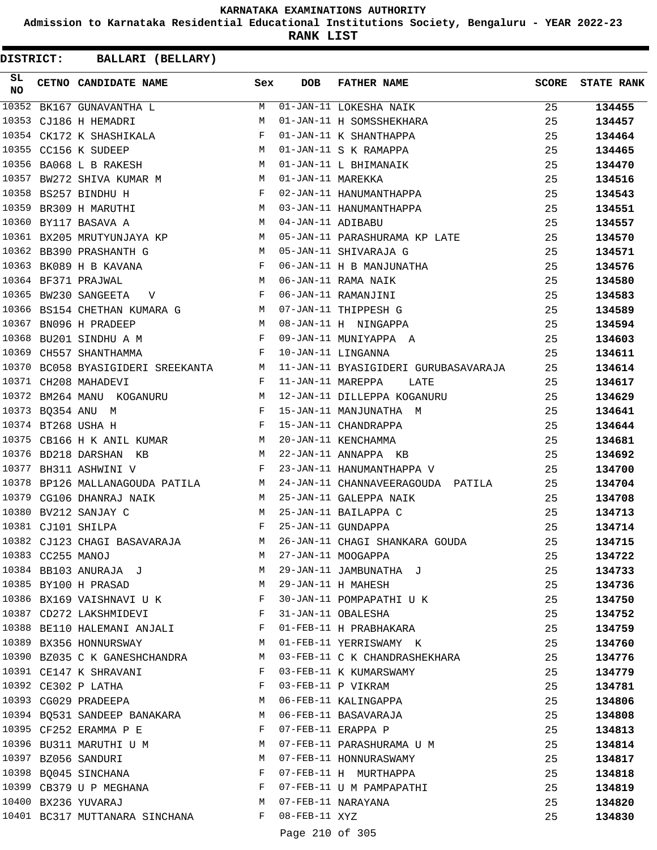**Admission to Karnataka Residential Educational Institutions Society, Bengaluru - YEAR 2022-23**

**RANK LIST**

| SL<br><b>NO</b> |                   | CETNO CANDIDATE NAME                                                                                           | Sex          | <b>DOB</b>          | <b>FATHER NAME</b>                                            | <b>SCORE</b> | <b>STATE RANK</b> |
|-----------------|-------------------|----------------------------------------------------------------------------------------------------------------|--------------|---------------------|---------------------------------------------------------------|--------------|-------------------|
|                 |                   | 10352 BK167 GUNAVANTHA L                                                                                       |              |                     | M 01-JAN-11 LOKESHA NAIK                                      | 25           | 134455            |
|                 |                   | 10353 CJ186 H HEMADRI                                                                                          | M            |                     | 01-JAN-11 H SOMSSHEKHARA                                      | 25           | 134457            |
|                 |                   | 10354 CK172 K SHASHIKALA F                                                                                     |              |                     | 01-JAN-11 K SHANTHAPPA                                        | 25           | 134464            |
|                 |                   | M<br>10355 CC156 K SUDEEP                                                                                      |              |                     | 01-JAN-11 S K RAMAPPA                                         | 25           | 134465            |
|                 |                   | 10356 BA068 L B RAKESH M                                                                                       |              |                     | 01-JAN-11 L BHIMANAIK                                         | 25           | 134470            |
|                 |                   | 10357 BW272 SHIVA KUMAR M M M 01-JAN-11 MAREKKA                                                                |              |                     |                                                               | 25           | 134516            |
|                 |                   | $\mathbf{F}$ and $\mathbf{F}$ and $\mathbf{F}$<br>10358 BS257 BINDHU H                                         |              |                     | 02-JAN-11 HANUMANTHAPPA                                       | 25           | 134543            |
|                 |                   | 10359 BR309 H MARUTHI                                                                                          |              |                     | M 03-JAN-11 HANUMANTHAPPA                                     | 25           | 134551            |
|                 |                   | 10360 BY117 BASAVA A                                                                                           |              | M 04-JAN-11 ADIBABU |                                                               | 25           | 134557            |
|                 |                   |                                                                                                                |              |                     | 10361 BX205 MRUTYUNJAYA KP M 05-JAN-11 PARASHURAMA KP LATE    | 25           | 134570            |
|                 |                   | $\mathbf{M}$<br>10362 BB390 PRASHANTH G                                                                        |              |                     | 05-JAN-11 SHIVARAJA G                                         | 25           | 134571            |
|                 |                   | 10363 BK089 H B KAVANA                                                                                         |              |                     | 06-JAN-11 H B MANJUNATHA                                      | 25           | 134576            |
|                 |                   | $\begin{array}{ccccc}\n & & & \text{F} & \\ M & & & & \end{array}$<br>10364 BF371 PRAJWAL                      |              |                     | 06-JAN-11 RAMA NAIK                                           | 25           | 134580            |
|                 |                   | F 06-JAN-11 RAMANJINI<br>10365 BW230 SANGEETA V                                                                |              |                     |                                                               | 25           | 134583            |
|                 |                   |                                                                                                                |              |                     |                                                               | 25           | 134589            |
|                 |                   | 10366 BS154 CHETHAN KUMARA G $M$ 07-JAN-11 THIPPESH G<br>10367 BN096 H PRADEEP M 08-JAN-11 H NINGAPPA          |              |                     |                                                               | 25           | 134594            |
| 10368           |                   | BU201 SINDHU A M                                                                                               |              |                     | F 09-JAN-11 MUNIYAPPA A                                       | 25           | 134603            |
|                 |                   | $\mathbf{F}$ . The contract of the contract of $\mathbf{F}$ .<br>10369 CH557 SHANTHAMMA                        |              |                     | 10-JAN-11 LINGANNA                                            | 25           | 134611            |
|                 |                   | 10370 BC058 BYASIGIDERI SREEKANTA M                                                                            |              |                     | 11-JAN-11 BYASIGIDERI GURUBASAVARAJA                          | 25           | 134614            |
|                 |                   | 10371 CH208 MAHADEVI                                                                                           | F            | 11-JAN-11 MAREPPA   | LATE                                                          | 25           | 134617            |
|                 |                   |                                                                                                                |              |                     | 10372 BM264 MANU KOGANURU ARTI MANU ARTI DILLEPPA KOGANURU    | 25           | 134629            |
|                 |                   | 10373 BQ354 ANU M                                                                                              |              |                     |                                                               | 25           | 134641            |
|                 |                   | F 15-JAN-11 MANJUNATHA M<br>F 15-JAN-11 CHANDRAPPA<br>10374 BT268 USHA H                                       |              |                     |                                                               | 25           | 134644            |
|                 |                   | 10375 CB166 H K ANIL KUMAR M 20-JAN-11 KENCHAMMA                                                               |              |                     |                                                               | 25           |                   |
|                 |                   | 10376 BD218 DARSHAN KB                                                                                         |              |                     |                                                               |              | 134681            |
|                 |                   | M 22-JAN-11 ANNAPPA KB<br>10377 BH311 ASHWINI V<br>$\mathbf{F}$ . The contract of the contract of $\mathbf{F}$ |              |                     |                                                               | 25           | 134692            |
| 10378           |                   |                                                                                                                |              |                     | 23-JAN-11 HANUMANTHAPPA V                                     | 25           | 134700            |
|                 |                   | BP126 MALLANAGOUDA PATILA M                                                                                    |              |                     | 24-JAN-11 CHANNAVEERAGOUDA PATILA                             | 25           | 134704            |
|                 |                   | 10379 CG106 DHANRAJ NAIK                                                                                       |              |                     | M 25-JAN-11 GALEPPA NAIK                                      | 25           | 134708            |
|                 |                   | 10380 BV212 SANJAY C<br>M 25-JAN-11 BAILAPPA C                                                                 |              |                     |                                                               | 25           | 134713            |
|                 |                   | $\mathbf{F}$<br>10381 CJ101 SHILPA                                                                             |              |                     | 25-JAN-11 GUNDAPPA                                            | 25           | 134714            |
|                 |                   |                                                                                                                |              |                     | 10382 CJ123 CHAGI BASAVARAJA M 26-JAN-11 CHAGI SHANKARA GOUDA | 25           | 134715            |
|                 | 10383 CC255 MANOJ |                                                                                                                | M            |                     | 27-JAN-11 MOOGAPPA                                            | 25           | 134722            |
|                 |                   | 10384 BB103 ANURAJA J                                                                                          | M            |                     | 29-JAN-11 JAMBUNATHA J                                        | 25           | 134733            |
|                 |                   | 10385 BY100 H PRASAD                                                                                           | M            |                     | 29-JAN-11 H MAHESH                                            | 25           | 134736            |
|                 |                   | 10386 BX169 VAISHNAVI U K                                                                                      | F            |                     | 30-JAN-11 POMPAPATHI U K                                      | 25           | 134750            |
|                 |                   | 10387 CD272 LAKSHMIDEVI                                                                                        | $\mathbf{F}$ |                     | 31-JAN-11 OBALESHA                                            | 25           | 134752            |
|                 |                   | 10388 BE110 HALEMANI ANJALI                                                                                    | F            |                     | 01-FEB-11 H PRABHAKARA                                        | 25           | 134759            |
|                 |                   | 10389 BX356 HONNURSWAY                                                                                         | M            |                     | 01-FEB-11 YERRISWAMY K                                        | 25           | 134760            |
|                 |                   | 10390 BZ035 C K GANESHCHANDRA                                                                                  | M            |                     | 03-FEB-11 C K CHANDRASHEKHARA                                 | 25           | 134776            |
|                 |                   | 10391 CE147 K SHRAVANI                                                                                         | F            |                     | 03-FEB-11 K KUMARSWAMY                                        | 25           | 134779            |
|                 |                   | 10392 CE302 P LATHA                                                                                            | F            |                     | 03-FEB-11 P VIKRAM                                            | 25           | 134781            |
|                 |                   | 10393 CG029 PRADEEPA                                                                                           | M            |                     | 06-FEB-11 KALINGAPPA                                          | 25           | 134806            |
|                 |                   | 10394 BQ531 SANDEEP BANAKARA                                                                                   | M            |                     | 06-FEB-11 BASAVARAJA                                          | 25           | 134808            |
|                 |                   | 10395 CF252 ERAMMA P E                                                                                         | F            | 07-FEB-11 ERAPPA P  |                                                               | 25           | 134813            |
|                 |                   | 10396 BU311 MARUTHI U M                                                                                        | M            |                     | 07-FEB-11 PARASHURAMA U M                                     | 25           | 134814            |
|                 |                   | 10397 BZ056 SANDURI                                                                                            | M            |                     | 07-FEB-11 HONNURASWAMY                                        | 25           | 134817            |
|                 |                   | 10398 BQ045 SINCHANA                                                                                           | F            |                     | 07-FEB-11 H MURTHAPPA                                         | 25           | 134818            |
|                 |                   | 10399 CB379 U P MEGHANA                                                                                        | F            |                     | 07-FEB-11 U M PAMPAPATHI                                      | 25           | 134819            |
|                 |                   | 10400 BX236 YUVARAJ                                                                                            | M            |                     | 07-FEB-11 NARAYANA                                            | 25           | 134820            |
|                 |                   | 10401 BC317 MUTTANARA SINCHANA                                                                                 | F            | $08$ -FEB-11 XYZ    |                                                               | 25           | 134830            |
|                 |                   |                                                                                                                |              | Page 210 of 305     |                                                               |              |                   |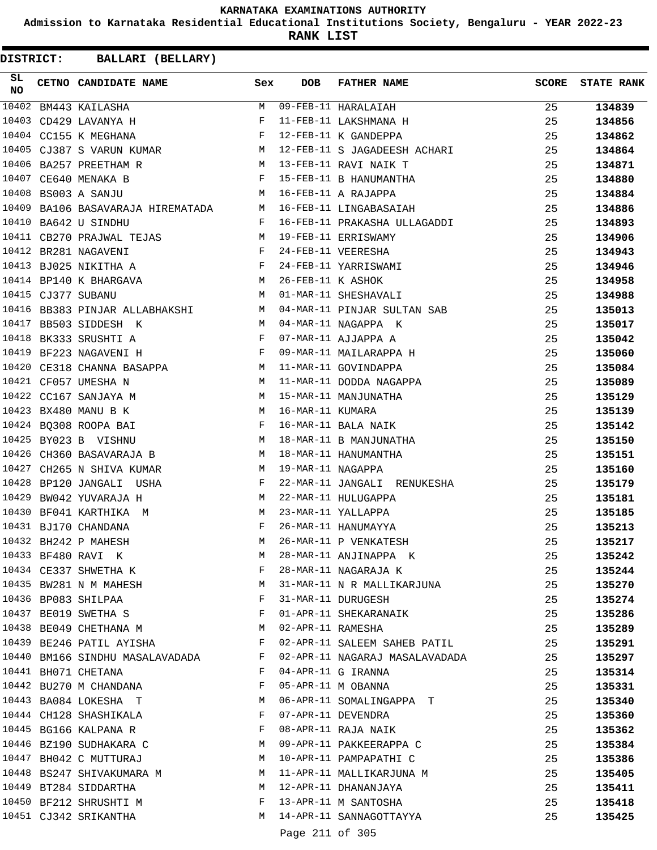**Admission to Karnataka Residential Educational Institutions Society, Bengaluru - YEAR 2022-23**

**RANK LIST**

| SL.<br>NO | CETNO CANDIDATE NAME Sex                                                                                                                                                                                                                                         |              | DOB               | <b>FATHER NAME</b>                                                    | <b>SCORE</b> | <b>STATE RANK</b> |
|-----------|------------------------------------------------------------------------------------------------------------------------------------------------------------------------------------------------------------------------------------------------------------------|--------------|-------------------|-----------------------------------------------------------------------|--------------|-------------------|
|           | 10402 BM443 KAILASHA                                                                                                                                                                                                                                             | M            |                   |                                                                       | 25           | 134839            |
|           | 10403 CD429 LAVANYA H                                                                                                                                                                                                                                            | F            |                   | 09-FEB-11 HARALAIAH<br>11-FEB-11 LAKSHMANA H                          | 25           | 134856            |
|           | $\mathbb{F}^{\mathbb{Z}}$ . The set of the set of the set of the set of the set of the set of the set of the set of the set of the set of the set of the set of the set of the set of the set of the set of the set of the set of the s<br>10404 CC155 K MEGHANA |              |                   | 12-FEB-11 K GANDEPPA                                                  | 25           | 134862            |
|           | 10405 CJ387 S VARUN KUMAR M                                                                                                                                                                                                                                      |              |                   | 12-FEB-11 S JAGADEESH ACHARI                                          | 25           | 134864            |
|           | M 13-FEB-11 RAVI NAIK T<br>10406 BA257 PREETHAM R                                                                                                                                                                                                                |              |                   |                                                                       | 25           | 134871            |
|           | F 15-FEB-11 B HANUMANTHA<br>10407 CE640 MENAKA B                                                                                                                                                                                                                 |              |                   |                                                                       | 25           | 134880            |
|           | M 16-FEB-11 A RAJAPPA<br>10408 BS003 A SANJU                                                                                                                                                                                                                     |              |                   |                                                                       | 25           | 134884            |
|           | 10409 BA106 BASAVARAJA HIREMATADA M 16-FEB-11 LINGABASAIAH                                                                                                                                                                                                       |              |                   |                                                                       | 25           | 134886            |
|           | 10410 BA642 U SINDHU                                                                                                                                                                                                                                             | $\mathbf{F}$ |                   | 16-FEB-11 PRAKASHA ULLAGADDI                                          | 25           | 134893            |
|           | 10411 CB270 PRAJWAL TEJAS M 19-FEB-11 ERRISWAMY                                                                                                                                                                                                                  |              |                   |                                                                       | 25           | 134906            |
|           | 10412 BR281 NAGAVENI<br>$\mathbf{F}$ and the state of the state $\mathbf{F}$                                                                                                                                                                                     |              |                   | 24-FEB-11 VEERESHA                                                    | 25           | 134943            |
|           | 10413 BJ025 NIKITHA A F                                                                                                                                                                                                                                          |              |                   | 24-FEB-11 YARRISWAMI                                                  | 25           | 134946            |
|           | 10414 BP140 K BHARGAVA M                                                                                                                                                                                                                                         |              | 26-FEB-11 K ASHOK |                                                                       | 25           | 134958            |
|           | <b>M</b><br>10415 CJ377 SUBANU                                                                                                                                                                                                                                   |              |                   | 01-MAR-11 SHESHAVALI                                                  | 25           | 134988            |
|           |                                                                                                                                                                                                                                                                  |              |                   | 10416 BB383 PINJAR ALLABHAKSHI M 04-MAR-11 PINJAR SULTAN SAB          | 25           | 135013            |
|           | 10417 BB503 SIDDESH K                                                                                                                                                                                                                                            |              |                   |                                                                       | 25           | 135017            |
|           | M 04-MAR-11 NAGAPPA K<br>F 07-MAR-11 AJJAPPA A<br>10418 BK333 SRUSHTI A                                                                                                                                                                                          |              |                   |                                                                       | 25           | 135042            |
|           | $\mathbf{F}$ and $\mathbf{F}$ are $\mathbf{F}$ . The set of $\mathbf{F}$<br>10419 BF223 NAGAVENI H                                                                                                                                                               |              |                   | 09-MAR-11 MAILARAPPA H                                                | 25           | 135060            |
|           | 10420 CE318 CHANNA BASAPPA M                                                                                                                                                                                                                                     |              |                   | 11-MAR-11 GOVINDAPPA                                                  | 25           | 135084            |
|           | M<br>10421 CF057 UMESHA N                                                                                                                                                                                                                                        |              |                   | 11-MAR-11 DODDA NAGAPPA                                               | 25           | 135089            |
|           | M 15-MAR-11 MANJUNA<br>M 16-MAR-11 KUMARA<br>10422 CC167 SANJAYA M                                                                                                                                                                                               |              |                   | 15-MAR-11 MANJUNATHA                                                  | 25           | 135129            |
|           | 10423 BX480 MANU B K                                                                                                                                                                                                                                             |              |                   |                                                                       | 25           | 135139            |
|           | $\mathbf{F}$ . The state of the state $\mathbf{F}$<br>10424 BQ308 ROOPA BAI                                                                                                                                                                                      |              |                   |                                                                       | 25           | 135142            |
|           | M<br>10425 BY023 B VISHNU                                                                                                                                                                                                                                        |              |                   | 16-MAR-11 BALA NAIK<br>18-MAR-11 B MANJUNATHA<br>18-MAR-11 HANUMANTHA | 25           | 135150            |
|           | 10426 CH360 BASAVARAJA B                                                                                                                                                                                                                                         | M            |                   |                                                                       | 25           | 135151            |
|           | 10427 CH265 N SHIVA KUMAR<br><b>Example 19</b> and 19 and 19 and 19 and 19 and 19 and 19 and 19 and 19 and 19 and 19 and 19 and 19 and 19 and 19 and 19 and 19 and 19 and 19 and 19 and 19 and 19 and 19 and 19 and 19 and 19 and 19 and 19 and 19 and 19 and 19 |              | 19-MAR-11 NAGAPPA |                                                                       | 25           | 135160            |
| 10428     | BP120 JANGALI USHA<br><b>Experimental Experimental Experimental Experimental Experimental Experimental Experimental Experimental Experimental Experimental Experimental Experimental Experimental Experimental Experimental Experimental Experimental </b>       |              |                   | 22-MAR-11 JANGALI RENUKESHA                                           | 25           | 135179            |
|           | 10429 BW042 YUVARAJA H                                                                                                                                                                                                                                           | M            |                   | 22-MAR-11 HULUGAPPA                                                   | 25           | 135181            |
|           | 10430 BF041 KARTHIKA M                                                                                                                                                                                                                                           | M            |                   | 23-MAR-11 YALLAPPA                                                    | 25           | 135185            |
|           | 10431 BJ170 CHANDANA                                                                                                                                                                                                                                             | $\mathbf{F}$ |                   | 26-MAR-11 HANUMAYYA                                                   | 25           | 135213            |
|           | 10432 BH242 P MAHESH                                                                                                                                                                                                                                             | M            |                   | 26-MAR-11 P VENKATESH                                                 | 25           | 135217            |
|           | 10433 BF480 RAVI K                                                                                                                                                                                                                                               | M            |                   | 28-MAR-11 ANJINAPPA K                                                 | 25           | 135242            |
|           | 10434 CE337 SHWETHA K                                                                                                                                                                                                                                            | F            |                   | 28-MAR-11 NAGARAJA K                                                  | 25           | 135244            |
|           | 10435 BW281 N M MAHESH                                                                                                                                                                                                                                           | M            |                   | 31-MAR-11 N R MALLIKARJUNA                                            | 25           | 135270            |
|           | 10436 BP083 SHILPAA                                                                                                                                                                                                                                              | $\mathbf{F}$ |                   | 31-MAR-11 DURUGESH                                                    | 25           | 135274            |
|           | 10437 BE019 SWETHA S                                                                                                                                                                                                                                             | $\mathbf{F}$ |                   | 01-APR-11 SHEKARANAIK                                                 | 25           | 135286            |
|           | 10438 BE049 CHETHANA M                                                                                                                                                                                                                                           | M            | 02-APR-11 RAMESHA |                                                                       | 25           | 135289            |
|           | 10439 BE246 PATIL AYISHA                                                                                                                                                                                                                                         | F            |                   | 02-APR-11 SALEEM SAHEB PATIL                                          | 25           | 135291            |
|           | 10440 BM166 SINDHU MASALAVADADA                                                                                                                                                                                                                                  | F            |                   | 02-APR-11 NAGARAJ MASALAVADADA                                        | 25           | 135297            |
|           | 10441 BH071 CHETANA                                                                                                                                                                                                                                              | F            |                   | 04-APR-11 G IRANNA                                                    | 25           | 135314            |
|           | 10442 BU270 M CHANDANA                                                                                                                                                                                                                                           | F            |                   | 05-APR-11 M OBANNA                                                    | 25           | 135331            |
|           | 10443 BA084 LOKESHA T                                                                                                                                                                                                                                            | M            |                   | 06-APR-11 SOMALINGAPPA T                                              | 25           | 135340            |
|           | 10444 CH128 SHASHIKALA                                                                                                                                                                                                                                           | F            |                   | 07-APR-11 DEVENDRA                                                    | 25           | 135360            |
|           | 10445 BG166 KALPANA R                                                                                                                                                                                                                                            | $\mathbf{F}$ |                   | 08-APR-11 RAJA NAIK                                                   | 25           | 135362            |
|           | 10446 BZ190 SUDHAKARA C                                                                                                                                                                                                                                          | M            |                   | 09-APR-11 PAKKEERAPPA C                                               | 25           | 135384            |
|           | 10447 BH042 C MUTTURAJ                                                                                                                                                                                                                                           | M            |                   | 10-APR-11 PAMPAPATHI C                                                | 25           | 135386            |
|           | 10448 BS247 SHIVAKUMARA M                                                                                                                                                                                                                                        | M            |                   | 11-APR-11 MALLIKARJUNA M                                              | 25           | 135405            |
|           | 10449 BT284 SIDDARTHA                                                                                                                                                                                                                                            | M            |                   | 12-APR-11 DHANANJAYA                                                  | 25           | 135411            |
|           | 10450 BF212 SHRUSHTI M                                                                                                                                                                                                                                           | F            |                   | 13-APR-11 M SANTOSHA                                                  | 25           | 135418            |
|           | 10451 CJ342 SRIKANTHA                                                                                                                                                                                                                                            | M            |                   | 14-APR-11 SANNAGOTTAYYA                                               | 25           | 135425            |
|           |                                                                                                                                                                                                                                                                  |              |                   |                                                                       |              |                   |
|           |                                                                                                                                                                                                                                                                  |              | Page 211 of 305   |                                                                       |              |                   |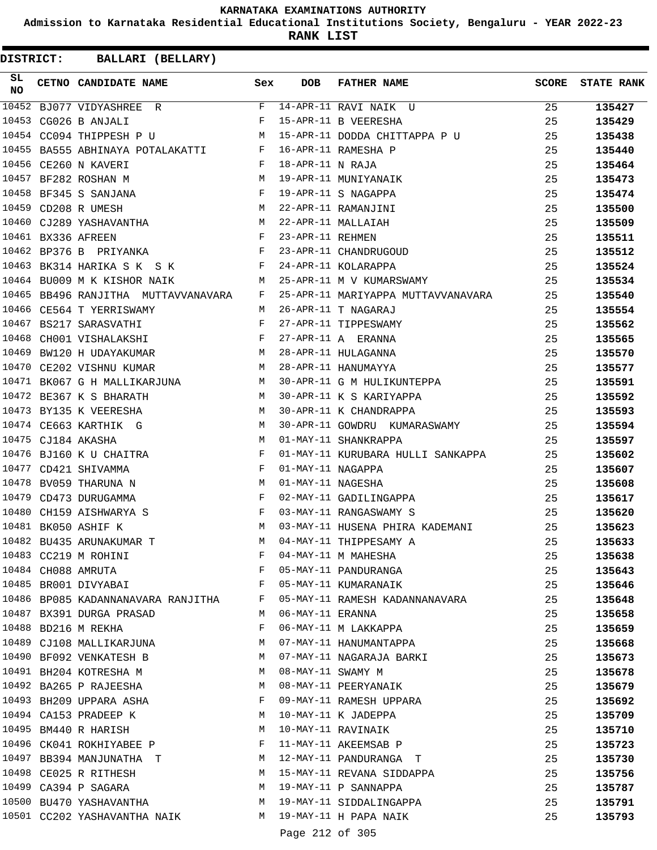**Admission to Karnataka Residential Educational Institutions Society, Bengaluru - YEAR 2022-23**

**RANK LIST**

| SL<br><b>NO</b> | CETNO CANDIDATE NAME Sex                                                                                                                                                                                                                                     |          | <b>DOB</b>        | <b>FATHER NAME</b>                 | <b>SCORE</b> | <b>STATE RANK</b> |
|-----------------|--------------------------------------------------------------------------------------------------------------------------------------------------------------------------------------------------------------------------------------------------------------|----------|-------------------|------------------------------------|--------------|-------------------|
| 10452           | BJ077 VIDYASHREE R                                                                                                                                                                                                                                           |          |                   | F 14-APR-11 RAVI NAIK U            | 25           | 135427            |
| 10453           | CG026 B ANJALI                                                                                                                                                                                                                                               | F        |                   | 15-APR-11 B VEERESHA               | 25           | 135429            |
|                 | 10454 CC094 THIPPESH P U                                                                                                                                                                                                                                     | M        |                   | 15-APR-11 DODDA CHITTAPPA P U      | 25           | 135438            |
|                 | 10455 BA555 ABHINAYA POTALAKATTI F                                                                                                                                                                                                                           |          |                   | 16-APR-11 RAMESHA P                | 25           | 135440            |
|                 | 10456 CE260 N KAVERI<br>$\mathbf{F}$                                                                                                                                                                                                                         |          | 18-APR-11 N RAJA  |                                    | 25           | 135464            |
| 10457           | $M_{\rm H}$<br>BF282 ROSHAN M                                                                                                                                                                                                                                |          |                   | 19-APR-11 MUNIYANAIK               | 25           | 135473            |
|                 | $\mathbf{F}$<br>10458 BF345 S SANJANA                                                                                                                                                                                                                        |          |                   | 19-APR-11 S NAGAPPA                | 25           | 135474            |
|                 | 10459 CD208 R UMESH                                                                                                                                                                                                                                          | M        |                   | 22-APR-11 RAMANJINI                | 25           | 135500            |
|                 | 10460 CJ289 YASHAVANTHA M                                                                                                                                                                                                                                    |          |                   | 22-APR-11 MALLAIAH                 | 25           | 135509            |
|                 | 10461 BX336 AFREEN<br>in the state of the Fig.                                                                                                                                                                                                               |          | 23-APR-11 REHMEN  |                                    | 25           | 135511            |
|                 | $\mathbf{F}$ and $\mathbf{F}$ and $\mathbf{F}$<br>10462 BP376 B PRIYANKA                                                                                                                                                                                     |          |                   | 23-APR-11 CHANDRUGOUD              | 25           | 135512            |
|                 | 10463 BK314 HARIKA S K S K<br>$\mathbf{F}$ and $\mathbf{F}$                                                                                                                                                                                                  |          |                   | 24-APR-11 KOLARAPPA                | 25           | 135524            |
|                 | 10464 BU009 M K KISHOR NAIK<br><b>Solution</b> M                                                                                                                                                                                                             |          |                   | 25-APR-11 M V KUMARSWAMY           | 25           | 135534            |
|                 | 10465 BB496 RANJITHA MUTTAVVANAVARA F                                                                                                                                                                                                                        |          |                   | 25-APR-11 MARIYAPPA MUTTAVVANAVARA | 25           | 135540            |
|                 | 10466 CE564 T YERRISWAMY                                                                                                                                                                                                                                     | M        |                   | 26-APR-11 T NAGARAJ                | 25           | 135554            |
|                 | 10467 BS217 SARASVATHI                                                                                                                                                                                                                                       | F        |                   | 27-APR-11 TIPPESWAMY               | 25           | 135562            |
| 10468           | $\mathbf{F}$ . The set of the set of the set of the set of the set of the set of the set of the set of the set of the set of the set of the set of the set of the set of the set of the set of the set of the set of the set of t<br>CH001 VISHALAKSHI       |          |                   | 27-APR-11 A ERANNA                 | 25           | 135565            |
| 10469           | BW120 H UDAYAKUMAR M                                                                                                                                                                                                                                         |          |                   | 28-APR-11 HULAGANNA                | 25           | 135570            |
|                 | M<br>10470 CE202 VISHNU KUMAR                                                                                                                                                                                                                                |          |                   | 28-APR-11 HANUMAYYA                | 25           | 135577            |
|                 | 10471 BK067 G H MALLIKARJUNA M                                                                                                                                                                                                                               |          |                   | 30-APR-11 G M HULIKUNTEPPA         | 25           | 135591            |
|                 | 10472 BE367 K S BHARATH<br>M <sub>1</sub>                                                                                                                                                                                                                    |          |                   | 30-APR-11 K S KARIYAPPA            | 25           | 135592            |
|                 | 10473 BY135 K VEERESHA<br>$\mathbb M$                                                                                                                                                                                                                        |          |                   | 30-APR-11 K CHANDRAPPA             | 25           | 135593            |
|                 | 10474 CE663 KARTHIK G                                                                                                                                                                                                                                        | <b>M</b> |                   | 30-APR-11 GOWDRU KUMARASWAMY       | 25           | 135594            |
|                 | 10475 CJ184 AKASHA                                                                                                                                                                                                                                           | M        |                   | 01-MAY-11 SHANKRAPPA               | 25           | 135597            |
|                 | 10476 BJ160 K U CHAITRA<br>$\mathbf{F}$ and $\mathbf{F}$ and $\mathbf{F}$                                                                                                                                                                                    |          |                   | 01-MAY-11 KURUBARA HULLI SANKAPPA  | 25           | 135602            |
| 10477           | CD421 SHIVAMMA<br>in the state of the Fig.                                                                                                                                                                                                                   |          | 01-MAY-11 NAGAPPA |                                    | 25           | 135607            |
|                 | 10478 BV059 THARUNA N                                                                                                                                                                                                                                        | M        | 01-MAY-11 NAGESHA |                                    | 25           | 135608            |
|                 | 10479 CD473 DURUGAMMA                                                                                                                                                                                                                                        | F        |                   | 02-MAY-11 GADILINGAPPA             | 25           | 135617            |
|                 | 10480 CH159 AISHWARYA S<br>$\mathbf{F}$ . The set of the set of the set of the set of the set of the set of the set of the set of the set of the set of the set of the set of the set of the set of the set of the set of the set of the set of the set of t |          |                   | 03-MAY-11 RANGASWAMY S             | 25           | 135620            |
|                 | $M_{\rm H}$<br>10481 BK050 ASHIF K                                                                                                                                                                                                                           |          |                   | 03-MAY-11 HUSENA PHIRA KADEMANI    | 25           | 135623            |
|                 | 10482 BU435 ARUNAKUMAR T                                                                                                                                                                                                                                     | M        |                   | 04-MAY-11 THIPPESAMY A             | 25           | 135633            |
|                 | 10483 CC219 M ROHINI                                                                                                                                                                                                                                         | F        |                   | 04-MAY-11 M MAHESHA                | 25           | 135638            |
|                 | 10484 CH088 AMRUTA                                                                                                                                                                                                                                           | F        |                   | 05-MAY-11 PANDURANGA               | 25           | 135643            |
|                 | $\mathbf{F}$<br>10485 BR001 DIVYABAI                                                                                                                                                                                                                         |          |                   | 05-MAY-11 KUMARANAIK               | 25           | 135646            |
|                 | 10486 BP085 KADANNANAVARA RANJITHA F                                                                                                                                                                                                                         |          |                   | 05-MAY-11 RAMESH KADANNANAVARA     | 25           | 135648            |
|                 | 10487 BX391 DURGA PRASAD                                                                                                                                                                                                                                     | M        | 06-MAY-11 ERANNA  |                                    | 25           | 135658            |
|                 | 10488 BD216 M REKHA                                                                                                                                                                                                                                          | F        |                   | 06-MAY-11 M LAKKAPPA               | 25           | 135659            |
|                 | 10489 CJ108 MALLIKARJUNA                                                                                                                                                                                                                                     | M        |                   | 07-MAY-11 HANUMANTAPPA             | 25           | 135668            |
|                 | 10490 BF092 VENKATESH B                                                                                                                                                                                                                                      | M        |                   | 07-MAY-11 NAGARAJA BARKI           | 25           | 135673            |
|                 | 10491 BH204 KOTRESHA M                                                                                                                                                                                                                                       | M        | 08-MAY-11 SWAMY M |                                    | 25           | 135678            |
|                 | 10492 BA265 P RAJEESHA                                                                                                                                                                                                                                       | M        |                   | 08-MAY-11 PEERYANAIK               | 25           |                   |
|                 | 10493 BH209 UPPARA ASHA                                                                                                                                                                                                                                      | F        |                   | 09-MAY-11 RAMESH UPPARA            | 25           | 135679            |
|                 |                                                                                                                                                                                                                                                              |          |                   |                                    |              | 135692            |
|                 | 10494 CA153 PRADEEP K                                                                                                                                                                                                                                        | M        |                   | 10-MAY-11 K JADEPPA                | 25           | 135709            |
|                 | 10495 BM440 R HARISH                                                                                                                                                                                                                                         | M        |                   | 10-MAY-11 RAVINAIK                 | 25           | 135710            |
|                 | 10496 CK041 ROKHIYABEE P                                                                                                                                                                                                                                     | F        |                   | 11-MAY-11 AKEEMSAB P               | 25           | 135723            |
|                 | 10497 BB394 MANJUNATHA T                                                                                                                                                                                                                                     | M        |                   | 12-MAY-11 PANDURANGA T             | 25           | 135730            |
|                 | 10498 CE025 R RITHESH                                                                                                                                                                                                                                        | M        |                   | 15-MAY-11 REVANA SIDDAPPA          | 25           | 135756            |
|                 | 10499 CA394 P SAGARA                                                                                                                                                                                                                                         | M        |                   | 19-MAY-11 P SANNAPPA               | 25           | 135787            |
|                 | 10500 BU470 YASHAVANTHA                                                                                                                                                                                                                                      |          |                   | M 19-MAY-11 SIDDALINGAPPA          | 25           | 135791            |
|                 | 10501 CC202 YASHAVANTHA NAIK                                                                                                                                                                                                                                 |          |                   | M 19-MAY-11 H PAPA NAIK            | 25           | 135793            |
|                 |                                                                                                                                                                                                                                                              |          | Page 212 of 305   |                                    |              |                   |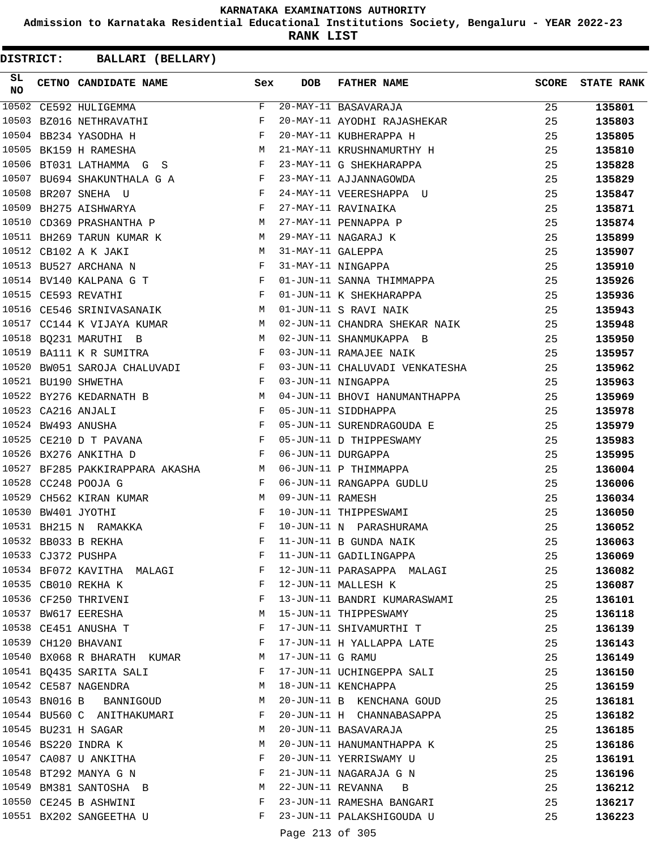**Admission to Karnataka Residential Educational Institutions Society, Bengaluru - YEAR 2022-23**

**RANK LIST**

| SL<br><b>NO</b> | CETNO CANDIDATE NAME Sex                                                                                                                                                                                                                                    |              | <b>DOB</b>        | FATHER NAME                                                           | <b>SCORE</b> | <b>STATE RANK</b> |
|-----------------|-------------------------------------------------------------------------------------------------------------------------------------------------------------------------------------------------------------------------------------------------------------|--------------|-------------------|-----------------------------------------------------------------------|--------------|-------------------|
| 10502           | CE592 HULIGEMMA                                                                                                                                                                                                                                             | F            |                   | 20-MAY-11 BASAVARAJA                                                  | 25           | 135801            |
|                 | 10503 BZ016 NETHRAVATHI                                                                                                                                                                                                                                     | F            |                   | 20-MAY-11 AYODHI RAJASHEKAR                                           | 25           | 135803            |
|                 | $\mathbb F$ . The set of the set of the set of the set of the set of the set of the set of the set of the set of the set of the set of the set of the set of the set of the set of the set of the set of the set of the set of the<br>10504 BB234 YASODHA H |              |                   | 20-MAY-11 KUBHERAPPA H                                                | 25           | 135805            |
|                 | M<br>10505 BK159 H RAMESHA                                                                                                                                                                                                                                  |              |                   | 21-MAY-11 KRUSHNAMURTHY H                                             | 25           | 135810            |
|                 | 10506 BT031 LATHAMMA G S F                                                                                                                                                                                                                                  |              |                   | 23-MAY-11 G SHEKHARAPPA                                               | 25           | 135828            |
|                 | 10507 BU694 SHAKUNTHALA G A F                                                                                                                                                                                                                               |              |                   | 23-MAY-11 AJJANNAGOWDA                                                | 25           | 135829            |
| 10508           | $\mathbb F$ . The set of $\mathbb F$<br>BR207 SNEHA U                                                                                                                                                                                                       |              |                   | 24-MAY-11 VEERESHAPPA U                                               | 25           | 135847            |
|                 | $\mathbf{F}$<br>10509 BH275 AISHWARYA                                                                                                                                                                                                                       |              |                   | 27-MAY-11 RAVINAIKA                                                   | 25           | 135871            |
|                 | 10510 CD369 PRASHANTHA P M                                                                                                                                                                                                                                  |              |                   | 27-MAY-11 PENNAPPA P                                                  | 25           | 135874            |
|                 | 10511 BH269 TARUN KUMAR K M                                                                                                                                                                                                                                 |              |                   | 29-MAY-11 NAGARAJ K                                                   | 25           | 135899            |
|                 | M<br>10512 CB102 A K JAKI                                                                                                                                                                                                                                   |              | 31-MAY-11 GALEPPA |                                                                       | 25           | 135907            |
|                 | 10513 BU527 ARCHANA N                                                                                                                                                                                                                                       | F            |                   | 31-MAY-11 NINGAPPA                                                    | 25           | 135910            |
|                 | 10514 BV140 KALPANA G T $F$                                                                                                                                                                                                                                 |              |                   | 01-JUN-11 SANNA THIMMAPPA                                             | 25           | 135926            |
|                 | $\mathbf{F}^{\mathcal{A}}_{\mathcal{A}}=\mathbf{F}^{\mathcal{A}}_{\mathcal{A}}\mathbf{F}^{\mathcal{A}}_{\mathcal{A}}$<br>10515 CE593 REVATHI                                                                                                                |              |                   | 01-JUN-11 K SHEKHARAPPA                                               | 25           | 135936            |
|                 | 10516 CE546 SRINIVASANAIK M                                                                                                                                                                                                                                 |              |                   | 01-JUN-11 S RAVI NAIK                                                 | 25           | 135943            |
|                 | 10517 CC144 K VIJAYA KUMAR M                                                                                                                                                                                                                                |              |                   | 02-JUN-11 CHANDRA SHEKAR NAIK                                         | 25           | 135948            |
|                 | 10518 BQ231 MARUTHI B<br>M                                                                                                                                                                                                                                  |              |                   | 02-JUN-11 SHANMUKAPPA B                                               | 25           | 135950            |
|                 | 10519 BA111 K R SUMITRA<br>the contract of the contract of the Property of the Property of the Property of the Property of the Property of                                                                                                                  |              |                   | 03-JUN-11 RAMAJEE NAIK                                                | 25           | 135957            |
| 10520           | BW051 SAROJA CHALUVADI F                                                                                                                                                                                                                                    |              |                   | 03-JUN-11 CHALUVADI VENKATESHA                                        | 25           | 135962            |
|                 | $\mathbf{F}$ . The $\mathbf{F}$<br>10521 BU190 SHWETHA                                                                                                                                                                                                      |              |                   | 03-JUN-11 NINGAPPA                                                    | 25           | 135963            |
|                 | M<br>10522 BY276 KEDARNATH B                                                                                                                                                                                                                                |              |                   | 04-JUN-11 BHOVI HANUMANTHAPPA                                         | 25           | 135969            |
|                 | 10523 CA216 ANJALI                                                                                                                                                                                                                                          |              |                   | 05-JUN-11 SIDDHAPPA                                                   | 25           | 135978            |
|                 | $\begin{aligned} \mathbf{F} \\ \mathbf{F} \end{aligned}$<br>10524 BW493 ANUSHA                                                                                                                                                                              |              |                   | 05-JUN-11 SURENDRAGOUDA E                                             | 25           | 135979            |
|                 | $\mathbf{F}^{\mathcal{A}}_{\mathcal{A}}=\mathbf{F}^{\mathcal{A}}_{\mathcal{A}}\mathbf{F}^{\mathcal{A}}_{\mathcal{A}}$<br>10525 CE210 D T PAVANA                                                                                                             |              |                   |                                                                       | 25           | 135983            |
|                 | 10526 BX276 ANKITHA D                                                                                                                                                                                                                                       | $\mathbf{F}$ |                   | 05-JUN-11 D THIPPESWAMY<br>06-JUN-11 DUPGAPPA<br>06-JUN-11 DURGAPPA   | 25           | 135995            |
|                 | 10527 BF285 PAKKIRAPPARA AKASHA M                                                                                                                                                                                                                           |              |                   | 06-JUN-11 P THIMMAPPA                                                 | 25           | 136004            |
|                 | $\mathbf{F}$ and $\mathbf{F}$<br>10528 CC248 POOJA G                                                                                                                                                                                                        |              |                   |                                                                       | 25           | 136006            |
|                 | M<br>10529 CH562 KIRAN KUMAR                                                                                                                                                                                                                                |              |                   | 06-JUN-11 RANGAPPA GUDLU<br>09-JUN-11 RAMESH<br>10-JUN-11 THIPPESWAMI | 25           | 136034            |
|                 | 10530 BW401 JYOTHI<br>$\mathbf{F}$ and $\mathbf{F}$ and $\mathbf{F}$                                                                                                                                                                                        |              |                   |                                                                       | 25           | 136050            |
|                 | $\mathbf{F}$ and $\mathbf{F}$<br>10531 BH215 N RAMAKKA                                                                                                                                                                                                      |              |                   | 10-JUN-11 N PARASHURAMA                                               | 25           | 136052            |
|                 | 10532 BB033 B REKHA                                                                                                                                                                                                                                         | F            |                   | 11-JUN-11 B GUNDA NAIK                                                | 25           | 136063            |
|                 | 10533 CJ372 PUSHPA                                                                                                                                                                                                                                          | F            |                   | 11-JUN-11 GADILINGAPPA                                                | 25           | 136069            |
|                 | 10534 BF072 KAVITHA MALAGI                                                                                                                                                                                                                                  | F            |                   | 12-JUN-11 PARASAPPA MALAGI                                            | 25           | 136082            |
|                 | 10535 CB010 REKHA K                                                                                                                                                                                                                                         | F            |                   | 12-JUN-11 MALLESH K                                                   | 25           | 136087            |
|                 | 10536 CF250 THRIVENI                                                                                                                                                                                                                                        | F            |                   | 13-JUN-11 BANDRI KUMARASWAMI                                          | 25           | 136101            |
|                 | 10537 BW617 EERESHA                                                                                                                                                                                                                                         | М            |                   | 15-JUN-11 THIPPESWAMY                                                 | 25           | 136118            |
|                 | 10538 CE451 ANUSHA T                                                                                                                                                                                                                                        | F            |                   | 17-JUN-11 SHIVAMURTHI T                                               | 25           | 136139            |
|                 | 10539 CH120 BHAVANI                                                                                                                                                                                                                                         | F            |                   | 17-JUN-11 H YALLAPPA LATE                                             | 25           | 136143            |
|                 | 10540 BX068 R BHARATH KUMAR                                                                                                                                                                                                                                 | М            | 17-JUN-11 G RAMU  |                                                                       | 25           | 136149            |
|                 | 10541 BQ435 SARITA SALI                                                                                                                                                                                                                                     | F            |                   | 17-JUN-11 UCHINGEPPA SALI                                             | 25           | 136150            |
|                 | 10542 CE587 NAGENDRA                                                                                                                                                                                                                                        | М            |                   | 18-JUN-11 KENCHAPPA                                                   | 25           | 136159            |
|                 | 10543 BN016 B BANNIGOUD                                                                                                                                                                                                                                     | M            |                   | 20-JUN-11 B KENCHANA GOUD                                             | 25           | 136181            |
|                 | 10544 BU560 C ANITHAKUMARI                                                                                                                                                                                                                                  | F            |                   | 20-JUN-11 H CHANNABASAPPA                                             | 25           | 136182            |
|                 | 10545 BU231 H SAGAR                                                                                                                                                                                                                                         | М            |                   | 20-JUN-11 BASAVARAJA                                                  | 25           | 136185            |
|                 | 10546 BS220 INDRA K                                                                                                                                                                                                                                         | М            |                   | 20-JUN-11 HANUMANTHAPPA K                                             | 25           | 136186            |
|                 | 10547 CA087 U ANKITHA                                                                                                                                                                                                                                       | F            |                   | 20-JUN-11 YERRISWAMY U                                                | 25           | 136191            |
|                 | 10548 BT292 MANYA G N                                                                                                                                                                                                                                       | F            |                   | 21-JUN-11 NAGARAJA G N                                                | 25           | 136196            |
|                 | 10549 BM381 SANTOSHA B                                                                                                                                                                                                                                      | М            |                   | 22-JUN-11 REVANNA B                                                   | 25           | 136212            |
|                 | 10550 CE245 B ASHWINI                                                                                                                                                                                                                                       | F            |                   | 23-JUN-11 RAMESHA BANGARI                                             | 25           |                   |
|                 | 10551 BX202 SANGEETHA U                                                                                                                                                                                                                                     | F            |                   | 23-JUN-11 PALAKSHIGOUDA U                                             | 25           | 136217<br>136223  |
|                 |                                                                                                                                                                                                                                                             |              |                   |                                                                       |              |                   |
|                 |                                                                                                                                                                                                                                                             |              | Page 213 of 305   |                                                                       |              |                   |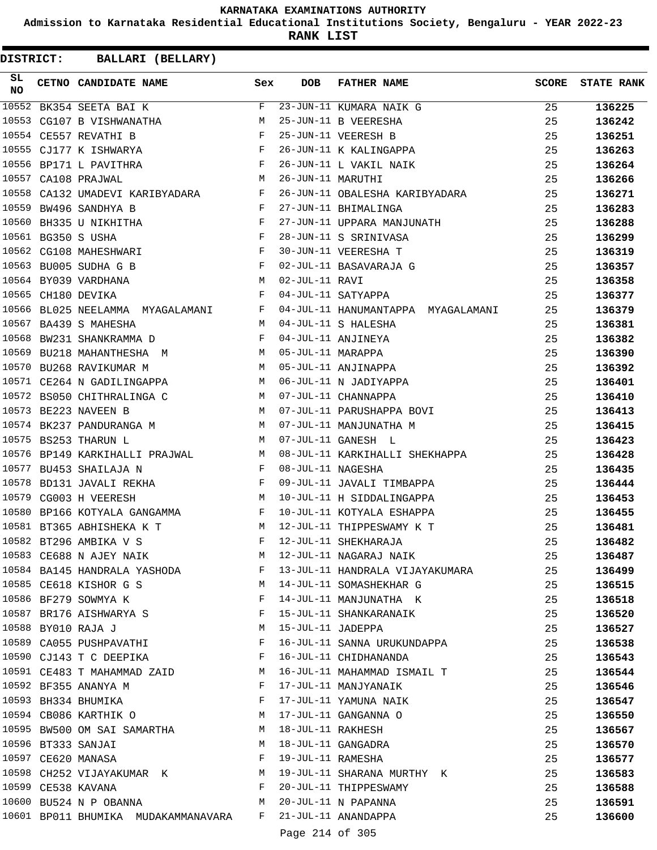**Admission to Karnataka Residential Educational Institutions Society, Bengaluru - YEAR 2022-23**

**RANK LIST**

| SL<br><b>NO</b> | CETNO CANDIDATE NAME Sex                                                                                                                                                                                                                                |                       | <b>DOB</b>          | <b>FATHER NAME</b>                                             | SCORE    | <b>STATE RANK</b> |
|-----------------|---------------------------------------------------------------------------------------------------------------------------------------------------------------------------------------------------------------------------------------------------------|-----------------------|---------------------|----------------------------------------------------------------|----------|-------------------|
| 10552           | BK354 SEETA BAI K                                                                                                                                                                                                                                       | F                     |                     | 23-JUN-11 KUMARA NAIK G                                        | 25       | 136225            |
| 10553           | CG107 B VISHWANATHA M                                                                                                                                                                                                                                   |                       |                     | 25-JUN-11 B VEERESHA                                           | 25       | 136242            |
|                 | $\mathbf{F}$<br>10554 CE557 REVATHI B                                                                                                                                                                                                                   |                       |                     | 25-JUN-11 VEERESH B                                            | 25       | 136251            |
|                 | $\mathbf{F}$<br>10555 CJ177 K ISHWARYA                                                                                                                                                                                                                  |                       |                     | 26-JUN-11 K KALINGAPPA                                         | 25       | 136263            |
| 10556           | $\mathbf{F}$ . The set of the set of the set of the set of the set of the set of the set of the set of the set of the set of the set of the set of the set of the set of the set of the set of the set of the set of the set of t<br>BP171 L PAVITHRA   |                       |                     | 26-JUN-11 L VAKIL NAIK                                         | 25       | 136264            |
|                 | <b>M</b><br>10557 CA108 PRAJWAL                                                                                                                                                                                                                         |                       | 26-JUN-11 MARUTHI   |                                                                | 25       | 136266            |
|                 | 10558 CA132 UMADEVI KARIBYADARA F                                                                                                                                                                                                                       |                       |                     | 26-JUN-11 OBALESHA KARIBYADARA                                 | 25       | 136271            |
|                 | 10559 BW496 SANDHYA B<br>$\mathbf{F} = \mathbf{F} \times \mathbf{F}$                                                                                                                                                                                    |                       |                     | 27-JUN-11 BHIMALINGA                                           | 25       | 136283            |
| 10560           | $\mathbf{F}$ and $\mathbf{F}$ and $\mathbf{F}$<br>BH335 U NIKHITHA                                                                                                                                                                                      |                       |                     | 27-JUN-11 UPPARA MANJUNATH                                     | 25       | 136288            |
|                 | $\mathbf{F}$ and the set of the set of the set of the set of the set of the set of the set of the set of the set of the set of the set of the set of the set of the set of the set of the set of the set of the set of the set of<br>10561 BG350 S USHA |                       |                     | 28-JUN-11 S SRINIVASA                                          | 25       | 136299            |
|                 | $\mathbf{F}$<br>10562 CG108 MAHESHWARI                                                                                                                                                                                                                  |                       |                     | 30-JUN-11 VEERESHA T                                           | 25       | 136319            |
|                 | 10563 BU005 SUDHA G B                                                                                                                                                                                                                                   | $\mathbb{F}^{\times}$ |                     |                                                                | 25       | 136357            |
|                 | M <sub>N</sub><br>10564 BY039 VARDHANA                                                                                                                                                                                                                  |                       | 02-JUL-11 RAVI      | 02-JUL-11 BASAVARAJA G<br>02-JUL-11 RAVI                       | 25       | 136358            |
|                 | <b>Experimental Service Service</b><br>10565 CH180 DEVIKA                                                                                                                                                                                               |                       |                     | 04-JUL-11 SATYAPPA                                             | 25       | 136377            |
|                 | 10566 BL025 NEELAMMA MYAGALAMANI F                                                                                                                                                                                                                      |                       |                     | 04-JUL-11 HANUMANTAPPA MYAGALAMANI                             | 25       | 136379            |
|                 | 10567 BA439 S MAHESHA                                                                                                                                                                                                                                   |                       |                     | M 04-JUL-11 S HALESHA                                          | 25       | 136381            |
| 10568           | BW231 SHANKRAMMA D F                                                                                                                                                                                                                                    |                       |                     | 04-JUL-11 ANJINEYA                                             | 25       | 136382            |
| 10569           | BU218 MAHANTHESHA M                                                                                                                                                                                                                                     |                       | 05-JUL-11 MARAPPA   |                                                                | 25       | 136390            |
| 10570           | M<br>BU268 RAVIKUMAR M                                                                                                                                                                                                                                  |                       |                     | 05-JUL-11 ANJINAPPA                                            | 25       | 136392            |
|                 | 10571 CE264 N GADILINGAPPA M                                                                                                                                                                                                                            |                       |                     | 06-JUL-11 N JADIYAPPA                                          | 25       | 136401            |
|                 | 10572 BS050 CHITHRALINGA C<br>M 07-JUL-11 CHANNAPPA                                                                                                                                                                                                     |                       |                     |                                                                | 25       | 136410            |
|                 | <b>M</b><br>10573 BE223 NAVEEN B                                                                                                                                                                                                                        |                       |                     | 07-JUL-11 PARUSHAPPA BOVI                                      | 25       | 136413            |
|                 | 10574 BK237 PANDURANGA M                                                                                                                                                                                                                                |                       |                     | 07-JUL-11 MANJUNATHA M                                         | 25       | 136415            |
|                 | 10575 BS253 THARUN L                                                                                                                                                                                                                                    | M                     |                     | 07-JUL-11 GANESH L                                             | 25       | 136423            |
|                 |                                                                                                                                                                                                                                                         |                       |                     |                                                                | 25       | 136428            |
|                 | 10576 BP149 KARKIHALLI PRAJWAL M<br>$\mathbf{F}$<br>10577 BU453 SHAILAJA N                                                                                                                                                                              |                       |                     | 08-JUL-11 KARKIHALLI SHEKHAPPA                                 |          |                   |
| 10578           | BD131 JAVALI REKHA F                                                                                                                                                                                                                                    |                       | 08-JUL-11 NAGESHA   |                                                                | 25<br>25 | 136435            |
|                 | M<br>10579 CG003 H VEERESH                                                                                                                                                                                                                              |                       |                     | 09-JUL-11 JAVALI TIMBAPPA                                      |          | 136444            |
|                 |                                                                                                                                                                                                                                                         |                       |                     | 10-JUL-11 H SIDDALINGAPPA                                      | 25       | 136453            |
| 10580           | BP166 KOTYALA GANGAMMA F                                                                                                                                                                                                                                |                       |                     | 10-JUL-11 KOTYALA ESHAPPA                                      | 25       | 136455            |
|                 | 10581 BT365 ABHISHEKA K T<br><b>M</b>                                                                                                                                                                                                                   |                       |                     | 12-JUL-11 THIPPESWAMY K T                                      | 25       | 136481            |
|                 | 10582 BT296 AMBIKA V S                                                                                                                                                                                                                                  | F                     |                     | 12-JUL-11 SHEKHARAJA                                           | 25       | 136482            |
|                 | 10583 CE688 N AJEY NAIK                                                                                                                                                                                                                                 |                       |                     | M 12-JUL-11 NAGARAJ NAIK                                       | 25       | 136487            |
|                 |                                                                                                                                                                                                                                                         |                       |                     | 10584 BA145 HANDRALA YASHODA F 13-JUL-11 HANDRALA VIJAYAKUMARA | 25       | 136499            |
|                 | 10585 CE618 KISHOR G S                                                                                                                                                                                                                                  |                       |                     | M 14-JUL-11 SOMASHEKHAR G                                      | 25       | 136515            |
|                 | 10586 BF279 SOWMYA K                                                                                                                                                                                                                                    | $\mathbf{F}$          |                     | 14-JUL-11 MANJUNATHA K                                         | 25       | 136518            |
|                 | 10587 BR176 AISHWARYA S                                                                                                                                                                                                                                 | F                     |                     | 15-JUL-11 SHANKARANAIK                                         | 25       | 136520            |
|                 | 10588 BY010 RAJA J                                                                                                                                                                                                                                      | <b>M</b>              | 15-JUL-11 JADEPPA   |                                                                | 25       | 136527            |
|                 | 10589 CA055 PUSHPAVATHI                                                                                                                                                                                                                                 | F                     |                     | 16-JUL-11 SANNA URUKUNDAPPA                                    | 25       | 136538            |
|                 | 10590 CJ143 T C DEEPIKA                                                                                                                                                                                                                                 | $\mathbf{F}$          |                     | 16-JUL-11 CHIDHANANDA                                          | 25       | 136543            |
|                 | 10591 CE483 T MAHAMMAD ZAID M                                                                                                                                                                                                                           |                       |                     | 16-JUL-11 MAHAMMAD ISMAIL T                                    | 25       | 136544            |
|                 | 10592 BF355 ANANYA M                                                                                                                                                                                                                                    | F                     |                     | 17-JUL-11 MANJYANAIK                                           | 25       | 136546            |
|                 | 10593 BH334 BHUMIKA                                                                                                                                                                                                                                     | F                     |                     | 17-JUL-11 YAMUNA NAIK                                          | 25       | 136547            |
|                 | 10594 CB086 KARTHIK O                                                                                                                                                                                                                                   | M                     |                     | 17-JUL-11 GANGANNA O                                           | 25       | 136550            |
|                 | 10595 BW500 OM SAI SAMARTHA                                                                                                                                                                                                                             |                       | M 18-JUL-11 RAKHESH |                                                                | 25       | 136567            |
|                 | 10596 BT333 SANJAI                                                                                                                                                                                                                                      | M                     |                     | 18-JUL-11 GANGADRA                                             | 25       | 136570            |
|                 | 10597 CE620 MANASA                                                                                                                                                                                                                                      | F                     |                     | 19-JUL-11 RAMESHA                                              | 25       | 136577            |
|                 | 10598 CH252 VIJAYAKUMAR K M                                                                                                                                                                                                                             |                       |                     | 19-JUL-11 SHARANA MURTHY K                                     | 25       | 136583            |
|                 | 10599 CE538 KAVANA                                                                                                                                                                                                                                      | $\mathbf{F}$          |                     | 20-JUL-11 THIPPESWAMY                                          | 25       | 136588            |
|                 | 10600 BU524 N P OBANNA<br><b>M</b>                                                                                                                                                                                                                      |                       |                     | 20-JUL-11 N PAPANNA                                            | 25       | 136591            |
|                 | 10601 BP011 BHUMIKA MUDAKAMMANAVARA F                                                                                                                                                                                                                   |                       |                     | 21-JUL-11 ANANDAPPA                                            | 25       | 136600            |
|                 |                                                                                                                                                                                                                                                         |                       | Page 214 of 305     |                                                                |          |                   |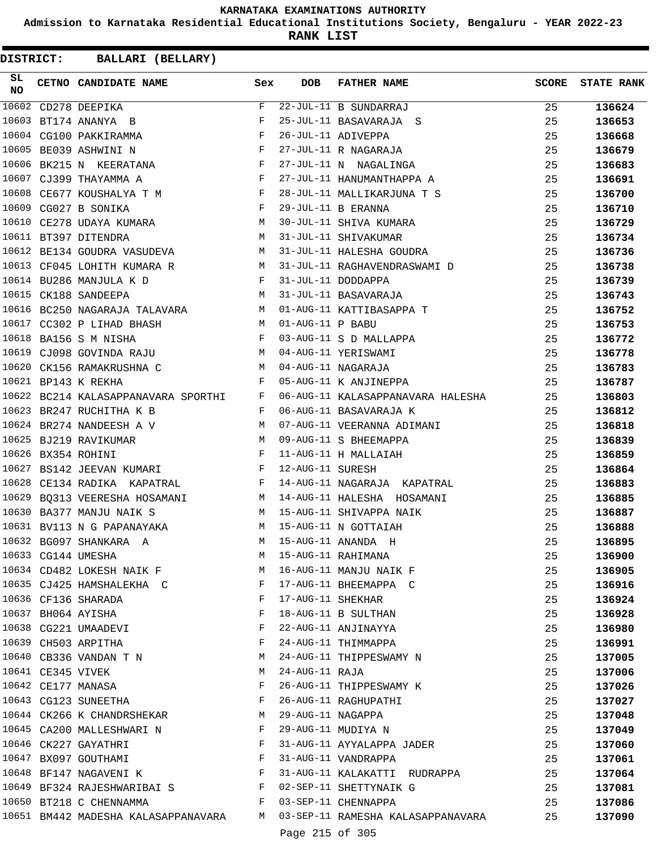**Admission to Karnataka Residential Educational Institutions Society, Bengaluru - YEAR 2022-23**

**RANK LIST**

| SL<br><b>NO</b> |                   | CETNO CANDIDATE NAME Sex                                                                                                               |              | <b>DOB</b>        | <b>FATHER NAME</b>                | <b>SCORE</b> | <b>STATE RANK</b> |
|-----------------|-------------------|----------------------------------------------------------------------------------------------------------------------------------------|--------------|-------------------|-----------------------------------|--------------|-------------------|
| 10602           |                   | CD278 DEEPIKA                                                                                                                          | $\mathbf F$  |                   | 22-JUL-11 B SUNDARRAJ             | 25           | 136624            |
| 10603           |                   | BT174 ANANYA B                                                                                                                         | F            |                   | 25-JUL-11 BASAVARAJA S            | 25           | 136653            |
|                 |                   | 10604 CG100 PAKKIRAMMA                                                                                                                 | $\mathbf{F}$ |                   | 26-JUL-11 ADIVEPPA                | 25           | 136668            |
| 10605           |                   | BE039 ASHWINI N                                                                                                                        | $\mathbf{F}$ |                   | 27-JUL-11 R NAGARAJA              | 25           | 136679            |
| 10606           |                   | BK215 N KEERATANA F                                                                                                                    |              |                   | 27-JUL-11 N NAGALINGA             | 25           | 136683            |
| 10607           |                   | $\mathbf{F}$<br>CJ399 THAYAMMA A                                                                                                       |              |                   | 27-JUL-11 HANUMANTHAPPA A         | 25           | 136691            |
| 10608           |                   | CE677 KOUSHALYA T M                                                                                                                    | $\mathbf{F}$ |                   | 28-JUL-11 MALLIKARJUNA T S        | 25           | 136700            |
| 10609           |                   | CG027 B SONIKA                                                                                                                         | $_{\rm F}$   |                   | 29-JUL-11 B ERANNA                | 25           | 136710            |
| 10610           |                   | CE278 UDAYA KUMARA                                                                                                                     | М            |                   | 30-JUL-11 SHIVA KUMARA            | 25           | 136729            |
|                 |                   | 10611 BT397 DITENDRA                                                                                                                   | М            |                   | 31-JUL-11 SHIVAKUMAR              | 25           | 136734            |
|                 |                   | 10612 BE134 GOUDRA VASUDEVA                                                                                                            | М            |                   | 31-JUL-11 HALESHA GOUDRA          | 25           | 136736            |
| 10613           |                   | CF045 LOHITH KUMARA R                                                                                                                  | M            |                   | 31-JUL-11 RAGHAVENDRASWAMI D      | 25           | 136738            |
|                 |                   | 10614 BU286 MANJULA K D<br>$\mathbf{F}$ and $\mathbf{F}$                                                                               |              |                   | 31-JUL-11 DODDAPPA                | 25           | 136739            |
| 10615           |                   | M<br>CK188 SANDEEPA                                                                                                                    |              |                   | 31-JUL-11 BASAVARAJA              | 25           | 136743            |
| 10616           |                   | BC250 NAGARAJA TALAVARA M                                                                                                              |              |                   | 01-AUG-11 KATTIBASAPPA T          | 25           | 136752            |
| 10617           |                   | CC302 P LIHAD BHASH                                                                                                                    | M            | 01-AUG-11 P BABU  |                                   | 25           | 136753            |
| 10618           |                   | BA156 S M NISHA                                                                                                                        | F            |                   | 03-AUG-11 S D MALLAPPA            | 25           | 136772            |
| 10619           |                   | CJ098 GOVINDA RAJU M                                                                                                                   |              |                   | 04-AUG-11 YERISWAMI               | 25           | 136778            |
| 10620           |                   | CK156 RAMAKRUSHNA C                                                                                                                    | M            |                   | 04-AUG-11 NAGARAJA                | 25           | 136783            |
|                 |                   | 10621 BP143 K REKHA                                                                                                                    | F            |                   | 05-AUG-11 K ANJINEPPA             | 25           | 136787            |
|                 |                   | 10622 BC214 KALASAPPANAVARA SPORTHI                                                                                                    | F            |                   | 06-AUG-11 KALASAPPANAVARA HALESHA | 25           | 136803            |
| 10623           |                   | BR247 RUCHITHA K B                                                                                                                     | F            |                   | 06-AUG-11 BASAVARAJA K            | 25           | 136812            |
|                 |                   | 10624 BR274 NANDEESH A V                                                                                                               | М            |                   | 07-AUG-11 VEERANNA ADIMANI        | 25           | 136818            |
| 10625           |                   | BJ219 RAVIKUMAR                                                                                                                        | M            |                   | 09-AUG-11 S BHEEMAPPA             | 25           | 136839            |
| 10626           |                   | BX354 ROHINI                                                                                                                           | F            |                   | 11-AUG-11 H MALLAIAH              | 25           | 136859            |
| 10627           |                   | and the contract of the Party of the Party<br>BS142 JEEVAN KUMARI                                                                      |              | 12-AUG-11 SURESH  |                                   | 25           | 136864            |
| 10628           |                   | $\mathbf{F}$ and $\mathbf{F}$<br>CE134 RADIKA KAPATRAL                                                                                 |              |                   | 14-AUG-11 NAGARAJA KAPATRAL       | 25           | 136883            |
| 10629           |                   | BQ313 VEERESHA HOSAMANI M                                                                                                              |              |                   | 14-AUG-11 HALESHA HOSAMANI        | 25           | 136885            |
| 10630           |                   | BA377 MANJU NAIK S                                                                                                                     | M            |                   | 15-AUG-11 SHIVAPPA NAIK           | 25           | 136887            |
|                 |                   | 10631 BV113 N G PAPANAYAKA                                                                                                             | М            |                   | 15-AUG-11 N GOTTAIAH              | 25           | 136888            |
|                 |                   | 10632 BG097 SHANKARA A                                                                                                                 | M            |                   | 15-AUG-11 ANANDA H                | 25           | 136895            |
|                 |                   | 10633 CG144 UMESHA                                                                                                                     | M            |                   | 15-AUG-11 RAHIMANA                | 25           |                   |
|                 |                   | 10634 CD482 LOKESH NAIK F                                                                                                              | M            |                   | 16-AUG-11 MANJU NAIK F            | 25           | 136900            |
|                 |                   | 10635 CJ425 HAMSHALEKHA C F                                                                                                            |              |                   | 17-AUG-11 BHEEMAPPA C             | 25           | 136905<br>136916  |
|                 |                   | 10636 CF136 SHARADA                                                                                                                    | F            | 17-AUG-11 SHEKHAR |                                   | 25           |                   |
|                 |                   | 10637 BH064 AYISHA                                                                                                                     | F            |                   | 18-AUG-11 B SULTHAN               | 25           | 136924            |
|                 |                   | 10638 CG221 UMAADEVI                                                                                                                   | F            |                   | 22-AUG-11 ANJINAYYA               | 25           | 136928<br>136980  |
|                 |                   | 10639 CH503 ARPITHA                                                                                                                    | F            |                   | 24-AUG-11 THIMMAPPA               |              |                   |
|                 |                   |                                                                                                                                        | М            |                   |                                   | 25           | 136991            |
|                 |                   | 10640 CB336 VANDAN T N                                                                                                                 |              | 24-AUG-11 RAJA    | 24-AUG-11 THIPPESWAMY N           | 25           | 137005            |
|                 | 10641 CE345 VIVEK |                                                                                                                                        | M            |                   |                                   | 25           | 137006            |
|                 |                   | 10642 CE177 MANASA                                                                                                                     | F            |                   | 26-AUG-11 THIPPESWAMY K           | 25           | 137026            |
|                 |                   | 10643 CG123 SUNEETHA<br>in the state of the state of the state of the state of the state of the state of the state of the state of the |              |                   | 26-AUG-11 RAGHUPATHI              | 25           | 137027            |
|                 |                   | 10644 CK266 K CHANDRSHEKAR                                                                                                             | M            |                   | 29-AUG-11 NAGAPPA                 | 25           | 137048            |
|                 |                   | 10645 CA200 MALLESHWARI N                                                                                                              | F            |                   | 29-AUG-11 MUDIYA N                | 25           | 137049            |
|                 |                   | 10646 CK227 GAYATHRI                                                                                                                   | F            |                   | 31-AUG-11 AYYALAPPA JADER         | 25           | 137060            |
|                 |                   | 10647 BX097 GOUTHAMI                                                                                                                   | $\mathbf{F}$ |                   | 31-AUG-11 VANDRAPPA               | 25           | 137061            |
|                 |                   | 10648 BF147 NAGAVENI K                                                                                                                 | $\mathbf{F}$ |                   | 31-AUG-11 KALAKATTI RUDRAPPA      | 25           | 137064            |
|                 |                   | 10649 BF324 RAJESHWARIBAI S                                                                                                            |              |                   | 02-SEP-11 SHETTYNAIK G            | 25           | 137081            |
|                 |                   | 10650 BT218 C CHENNAMMA                                                                                                                | $F$ and $F$  |                   | 03-SEP-11 CHENNAPPA               | 25           | 137086            |
|                 |                   | 10651 BM442 MADESHA KALASAPPANAVARA M                                                                                                  |              |                   | 03-SEP-11 RAMESHA KALASAPPANAVARA | 25           | 137090            |
|                 |                   |                                                                                                                                        |              | Page 215 of 305   |                                   |              |                   |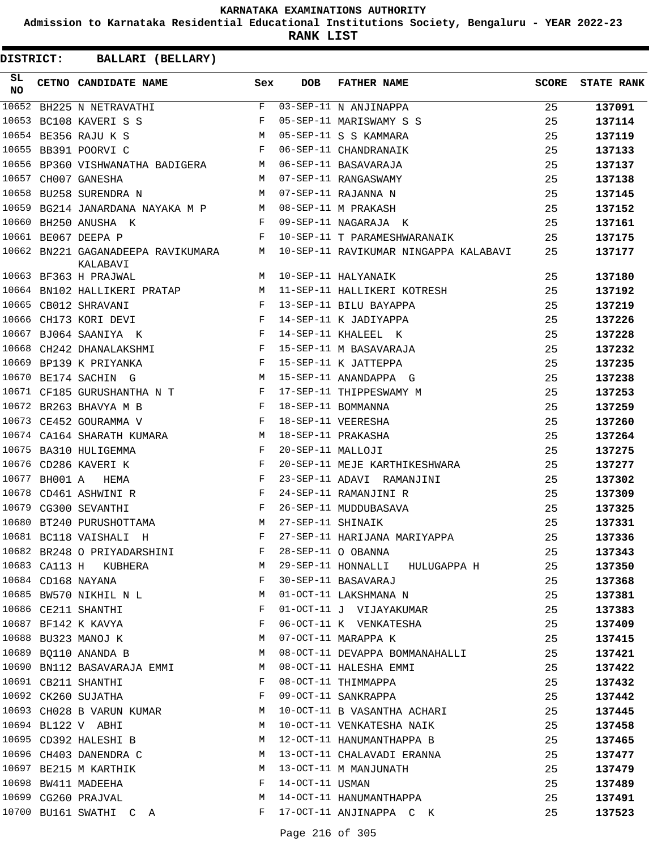**Admission to Karnataka Residential Educational Institutions Society, Bengaluru - YEAR 2022-23**

**RANK LIST**

| SL<br><b>NO</b> | CETNO CANDIDATE NAME                                                                | Sex          | DOB               | <b>FATHER NAME</b>                    | SCORE | <b>STATE RANK</b> |
|-----------------|-------------------------------------------------------------------------------------|--------------|-------------------|---------------------------------------|-------|-------------------|
|                 | 10652 BH225 N NETRAVATHI                                                            | $F$ and      |                   | $\overline{03}$ -SEP-11 N ANJINAPPA   | 25    | 137091            |
|                 | $\mathbf{F}$<br>10653 BC108 KAVERI S S                                              |              |                   | 05-SEP-11 MARISWAMY S S               | 25    | 137114            |
|                 | 10654 BE356 RAJU K S<br><b>M</b>                                                    |              |                   | 05-SEP-11 S S KAMMARA                 | 25    | 137119            |
|                 | 10655 BB391 POORVI C                                                                | $\mathbf{F}$ |                   | 06-SEP-11 CHANDRANAIK                 | 25    | 137133            |
|                 | 10656 BP360 VISHWANATHA BADIGERA M                                                  |              |                   | 06-SEP-11 BASAVARAJA                  | 25    | 137137            |
|                 | 10657 CH007 GANESHA                                                                 | M            |                   | 07-SEP-11 RANGASWAMY                  | 25    | 137138            |
|                 | 10658 BU258 SURENDRA N                                                              | M            |                   | 07-SEP-11 RAJANNA N                   | 25    | 137145            |
|                 | 10659 BG214 JANARDANA NAYAKA M P M                                                  |              |                   | 08-SEP-11 M PRAKASH                   | 25    | 137152            |
|                 | 10660 BH250 ANUSHA K                                                                | F            |                   | 09-SEP-11 NAGARAJA K                  | 25    | 137161            |
|                 | 10661 BE067 DEEPA P                                                                 | F            |                   | 10-SEP-11 T PARAMESHWARANAIK          | 25    | 137175            |
|                 | 10662 BN221 GAGANADEEPA RAVIKUMARA M<br>KALABAVI                                    |              |                   | 10-SEP-11 RAVIKUMAR NINGAPPA KALABAVI | 25    | 137177            |
|                 | 10663 BF363 H PRAJWAL                                                               | M            |                   | 10-SEP-11 HALYANAIK                   | 25    | 137180            |
|                 | 10664 BN102 HALLIKERI PRATAP M                                                      |              |                   | 11-SEP-11 HALLIKERI KOTRESH           | 25    | 137192            |
|                 | $\mathbf{F}$<br>10665 CB012 SHRAVANI                                                |              |                   | 13-SEP-11 BILU BAYAPPA                | 25    | 137219            |
|                 | 10666 CH173 KORI DEVI                                                               | F            |                   | 14-SEP-11 K JADIYAPPA                 | 25    | 137226            |
|                 | 10667 BJ064 SAANIYA K<br>$\mathbf{F}$ and $\mathbf{F}$ and $\mathbf{F}$             |              |                   | 14-SEP-11 KHALEEL K                   | 25    | 137228            |
|                 | 10668 CH242 DHANALAKSHMI F                                                          |              |                   | 15-SEP-11 M BASAVARAJA                | 25    | 137232            |
|                 | $\mathbf{F}$<br>10669 BP139 K PRIYANKA                                              |              |                   | 15-SEP-11 K JATTEPPA                  | 25    | 137235            |
|                 | 10670 BE174 SACHIN G                                                                | M            |                   | 15-SEP-11 ANANDAPPA G                 | 25    | 137238            |
|                 | 10671 CF185 GURUSHANTHA N T                                                         |              |                   | 17-SEP-11 THIPPESWAMY M               | 25    | 137253            |
|                 | 10672 BR263 BHAVYA M B<br>$\mathbf{F}$ and $\mathbf{F}$ and $\mathbf{F}$            |              |                   | 18-SEP-11 BOMMANNA                    | 25    | 137259            |
|                 | $\mathbf{F}$<br>10673 CE452 GOURAMMA V                                              |              |                   | 18-SEP-11 VEERESHA                    | 25    | 137260            |
|                 | 10674 CA164 SHARATH KUMARA M                                                        |              |                   | 18-SEP-11 PRAKASHA                    | 25    | 137264            |
|                 | 10675 BA310 HULIGEMMA<br>$\mathbf{F}$                                               |              | 20-SEP-11 MALLOJI |                                       | 25    | 137275            |
|                 | $\mathbf{F}$ and $\mathbf{F}$ and $\mathbf{F}$<br>10676 CD286 KAVERI K              |              |                   | 20-SEP-11 MEJE KARTHIKESHWARA         | 25    | 137277            |
|                 | 10677 BH001 A HEMA                                                                  | F            |                   | 23-SEP-11 ADAVI RAMANJINI             | 25    | 137302            |
|                 | 10678 CD461 ASHWINI R                                                               | F            |                   | 24-SEP-11 RAMANJINI R                 | 25    | 137309            |
|                 | $\mathbf{F}$ . The contract of the contract of $\mathbf{F}$<br>10679 CG300 SEVANTHI |              |                   | 26-SEP-11 MUDDUBASAVA                 | 25    | 137325            |
|                 | 10680 BT240 PURUSHOTTAMA M                                                          |              | 27-SEP-11 SHINAIK |                                       | 25    | 137331            |
|                 | 10681 BC118 VAISHALI H                                                              | F            |                   | 27-SEP-11 HARIJANA MARIYAPPA          | 25    | 137336            |
|                 | 10682 BR248 O PRIYADARSHINI F 28-SEP-11 O OBANNA                                    |              |                   |                                       | 25    | 137343            |
|                 | 10683 CA113 H KUBHERA                                                               |              |                   | M 29-SEP-11 HONNALLI HULUGAPPA H      | 25    | 137350            |
|                 | 10684 CD168 NAYANA                                                                  | F            |                   | 30-SEP-11 BASAVARAJ                   | 25    | 137368            |
|                 | 10685 BW570 NIKHIL N L                                                              | М            |                   | 01-OCT-11 LAKSHMANA N                 | 25    | 137381            |
|                 | 10686 CE211 SHANTHI                                                                 | F            |                   | 01-OCT-11 J VIJAYAKUMAR               | 25    | 137383            |
|                 | 10687 BF142 K KAVYA                                                                 | F            |                   | 06-OCT-11 K VENKATESHA                | 25    | 137409            |
|                 | 10688 BU323 MANOJ K                                                                 | M            |                   | 07-OCT-11 MARAPPA K                   | 25    | 137415            |
|                 | 10689 BQ110 ANANDA B                                                                | M            |                   | 08-OCT-11 DEVAPPA BOMMANAHALLI        | 25    | 137421            |
|                 | 10690 BN112 BASAVARAJA EMMI                                                         | M            |                   | 08-OCT-11 HALESHA EMMI                | 25    | 137422            |
|                 | 10691 CB211 SHANTHI                                                                 | F            |                   | 08-OCT-11 THIMMAPPA                   | 25    | 137432            |
|                 | 10692 CK260 SUJATHA                                                                 | F            |                   | 09-OCT-11 SANKRAPPA                   | 25    | 137442            |
|                 | 10693 CH028 B VARUN KUMAR                                                           | M            |                   | 10-OCT-11 B VASANTHA ACHARI           | 25    | 137445            |
|                 | 10694 BL122 V ABHI                                                                  | M            |                   | 10-OCT-11 VENKATESHA NAIK             | 25    | 137458            |
|                 | 10695 CD392 HALESHI B                                                               | M            |                   | 12-OCT-11 HANUMANTHAPPA B             | 25    | 137465            |
|                 | 10696 CH403 DANENDRA C                                                              | M            |                   | 13-OCT-11 CHALAVADI ERANNA            | 25    | 137477            |
|                 | 10697 BE215 M KARTHIK                                                               | M            |                   | 13-OCT-11 M MANJUNATH                 | 25    | 137479            |
|                 | 10698 BW411 MADEEHA                                                                 | F            | 14-OCT-11 USMAN   |                                       | 25    | 137489            |
|                 | 10699 CG260 PRAJVAL                                                                 | M            |                   | 14-OCT-11 HANUMANTHAPPA               | 25    | 137491            |
|                 | 10700 BU161 SWATHI C A                                                              | F            |                   | 17-OCT-11 ANJINAPPA C K               | 25    | 137523            |
|                 |                                                                                     |              |                   |                                       |       |                   |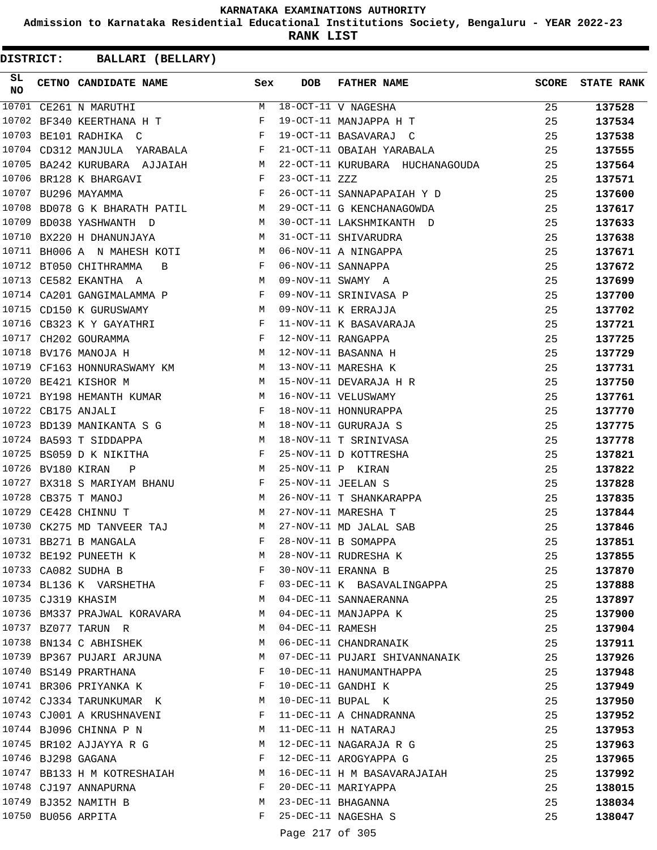**Admission to Karnataka Residential Educational Institutions Society, Bengaluru - YEAR 2022-23**

**RANK LIST**

| SL<br>NO |                   | CETNO CANDIDATE NAME                                                                                                                          | Sex                                            | <b>DOB</b>        | <b>FATHER NAME</b>                            | <b>SCORE</b> | <b>STATE RANK</b> |
|----------|-------------------|-----------------------------------------------------------------------------------------------------------------------------------------------|------------------------------------------------|-------------------|-----------------------------------------------|--------------|-------------------|
|          |                   | 10701 CE261 N MARUTHI                                                                                                                         | M                                              |                   | 18-OCT-11 V NAGESHA                           | 25           | 137528            |
|          |                   | 10702 BF340 KEERTHANA H T                                                                                                                     | F                                              |                   | 19-OCT-11 MANJAPPA H T                        | 25           | 137534            |
|          |                   | 10703 BE101 RADHIKA C                                                                                                                         | F                                              |                   | 19-OCT-11 BASAVARAJ C                         | 25           | 137538            |
|          |                   | 10704 CD312 MANJULA YARABALA F                                                                                                                |                                                |                   | 21-OCT-11 OBAIAH YARABALA                     | 25           | 137555            |
|          |                   | 10705 BA242 KURUBARA AJJAIAH M                                                                                                                |                                                |                   | 22-OCT-11 KURUBARA HUCHANAGOUDA               | 25           | 137564            |
|          |                   | 10706 BR128 K BHARGAVI<br>$\mathbf{F}$ and $\mathbf{F}$ and $\mathbf{F}$                                                                      |                                                | $23-OCT-11$ $ZZZ$ |                                               | 25           | 137571            |
|          |                   | 10707 BU296 MAYAMMA                                                                                                                           | $\mathbf{F}$ and $\mathbf{F}$ and $\mathbf{F}$ |                   | 26-OCT-11 SANNAPAPAIAH Y D                    | 25           | 137600            |
|          |                   | 10708 BD078 G K BHARATH PATIL M                                                                                                               |                                                |                   | 29-OCT-11 G KENCHANAGOWDA                     | 25           | 137617            |
|          |                   | 10709 BD038 YASHWANTH D                                                                                                                       | M                                              |                   | 30-OCT-11 LAKSHMIKANTH D                      | 25           | 137633            |
|          |                   | 10710 BX220 H DHANUNJAYA                                                                                                                      | M                                              |                   | 31-OCT-11 SHIVARUDRA                          | 25           | 137638            |
|          |                   | 10711 BH006 A N MAHESH KOTI                                                                                                                   | M                                              |                   | 06-NOV-11 A NINGAPPA                          | 25           | 137671            |
|          |                   | 10712 BT050 CHITHRAMMA<br>$\overline{B}$                                                                                                      | F                                              |                   | 06-NOV-11 SANNAPPA                            | 25           | 137672            |
|          |                   | 10713 CE582 EKANTHA A                                                                                                                         | M                                              |                   | 09-NOV-11 SWAMY A                             | 25           | 137699            |
|          |                   | 10714 CA201 GANGIMALAMMA P                                                                                                                    |                                                |                   | 09-NOV-11 SRINIVASA P                         | 25           | 137700            |
|          |                   | 10715 CD150 K GURUSWAMY<br>$\mathbb{M}$                                                                                                       |                                                |                   | 09-NOV-11 K ERRAJJA                           | 25           | 137702            |
|          |                   | 10716 CB323 K Y GAYATHRI F                                                                                                                    |                                                |                   | 11-NOV-11 K BASAVARAJA                        | 25           | 137721            |
|          |                   | $\mathbf{F}^{\mathcal{A}}_{\mathcal{A}}=\mathbf{F}^{\mathcal{A}}_{\mathcal{A}}\mathbf{F}^{\mathcal{A}}_{\mathcal{A}}$<br>10717 CH202 GOURAMMA |                                                |                   | 12-NOV-11 RANGAPPA                            | 25           | 137725            |
|          |                   | $M_{\odot}$ and $M_{\odot}$<br>10718 BV176 MANOJA H                                                                                           |                                                |                   | 12-NOV-11 BASANNA H                           | 25           | 137729            |
|          |                   | 10719 CF163 HONNURASWAMY KM                                                                                                                   |                                                |                   | 13-NOV-11 MARESHA K                           | 25           | 137731            |
|          |                   | 10720 BE421 KISHOR M                                                                                                                          | M                                              |                   | 15-NOV-11 DEVARAJA H R                        | 25           | 137750            |
|          |                   | 10721 BY198 HEMANTH KUMAR                                                                                                                     | M                                              |                   | 16-NOV-11 VELUSWAMY                           | 25           | 137761            |
|          |                   | 10722 CB175 ANJALI                                                                                                                            | $\mathbf{F}$ . The $\mathbf{F}$                |                   | 18-NOV-11 HONNURAPPA                          | 25           | 137770            |
|          |                   | 10723 BD139 MANIKANTA S G M                                                                                                                   |                                                |                   | 18-NOV-11 GURURAJA S                          | 25           | 137775            |
|          |                   | 10724 BA593 T SIDDAPPA                                                                                                                        | M                                              |                   | 18-NOV-11 T SRINIVASA                         | 25           | 137778            |
|          |                   | 10725 BS059 D K NIKITHA                                                                                                                       | F                                              |                   | 25-NOV-11 D KOTTRESHA                         | 25           | 137821            |
|          | 10726 BV180 KIRAN | $\mathbb{P}$                                                                                                                                  | <b>M</b>                                       |                   | 25-NOV-11 P KIRAN                             | 25           | 137822            |
|          |                   | 10727 BX318 S MARIYAM BHANU F                                                                                                                 |                                                |                   | 25-NOV-11 JEELAN S                            | 25           | 137828            |
|          |                   | 10728 CB375 T MANOJ                                                                                                                           | M                                              |                   | 26-NOV-11 T SHANKARAPPA                       | 25           | 137835            |
|          |                   | 10729 CE428 CHINNU T                                                                                                                          | M                                              |                   | 27-NOV-11 MARESHA T                           | 25           | 137844            |
|          |                   | 10730 CK275 MD TANVEER TAJ                                                                                                                    | M                                              |                   | 27-NOV-11 MD JALAL SAB                        | 25           | 137846            |
|          |                   | 10731 BB271 B MANGALA                                                                                                                         | F                                              |                   | 28-NOV-11 B SOMAPPA                           | 25           | 137851            |
|          |                   | 10732 BE192 PUNEETH K                                                                                                                         | М                                              |                   | 28-NOV-11 RUDRESHA K                          | 25           | 137855            |
|          |                   | 10733 CA082 SUDHA B                                                                                                                           | F                                              |                   | 30-NOV-11 ERANNA B                            | 25           | 137870            |
|          |                   | 10734 BL136 K VARSHETHA                                                                                                                       | F                                              |                   | 03-DEC-11 K BASAVALINGAPPA                    | 25           | 137888            |
|          |                   | 10735 CJ319 KHASIM                                                                                                                            | M                                              |                   | 04-DEC-11 SANNAERANNA                         | 25           | 137897            |
|          |                   | 10736 BM337 PRAJWAL KORAVARA M                                                                                                                |                                                |                   | 04-DEC-11 MANJAPPA K                          | 25           | 137900            |
|          |                   | 10737 BZ077 TARUN R                                                                                                                           | M                                              | 04-DEC-11 RAMESH  |                                               | 25           | 137904            |
|          |                   | 10738 BN134 C ABHISHEK                                                                                                                        | M                                              |                   | 06-DEC-11 CHANDRANAIK                         | 25           | 137911            |
|          |                   | 10739 BP367 PUJARI ARJUNA                                                                                                                     | M                                              |                   | 07-DEC-11 PUJARI SHIVANNANAIK                 | 25           | 137926            |
|          |                   | 10740 BS149 PRARTHANA                                                                                                                         | F                                              |                   | 10-DEC-11 HANUMANTHAPPA                       | 25           | 137948            |
|          |                   | 10741 BR306 PRIYANKA K                                                                                                                        | F                                              |                   | 10-DEC-11 GANDHI K                            | 25           | 137949            |
|          |                   | 10742 CJ334 TARUNKUMAR K                                                                                                                      | M                                              |                   | 10-DEC-11 BUPAL K                             | 25           | 137950            |
|          |                   | 10743 CJ001 A KRUSHNAVENI                                                                                                                     | F                                              |                   |                                               |              |                   |
|          |                   | 10744 BJ096 CHINNA P N                                                                                                                        | M                                              |                   | 11-DEC-11 A CHNADRANNA<br>11-DEC-11 H NATARAJ | 25<br>25     | 137952            |
|          |                   |                                                                                                                                               | M                                              |                   |                                               |              | 137953            |
|          |                   | 10745 BR102 AJJAYYA R G                                                                                                                       | F                                              |                   | 12-DEC-11 NAGARAJA R G                        | 25           | 137963            |
|          |                   | 10746 BJ298 GAGANA                                                                                                                            |                                                |                   | 12-DEC-11 AROGYAPPA G                         | 25           | 137965            |
|          |                   | 10747 BB133 H M KOTRESHAIAH                                                                                                                   | M                                              |                   | 16-DEC-11 H M BASAVARAJAIAH                   | 25           | 137992            |
|          |                   | 10748 CJ197 ANNAPURNA                                                                                                                         | F                                              |                   | 20-DEC-11 MARIYAPPA                           | 25           | 138015            |
|          |                   | 10749 BJ352 NAMITH B                                                                                                                          | M                                              |                   | 23-DEC-11 BHAGANNA                            | 25           | 138034            |
|          |                   | 10750 BU056 ARPITA                                                                                                                            | F                                              |                   | 25-DEC-11 NAGESHA S                           | 25           | 138047            |
|          |                   |                                                                                                                                               |                                                | Page 217 of 305   |                                               |              |                   |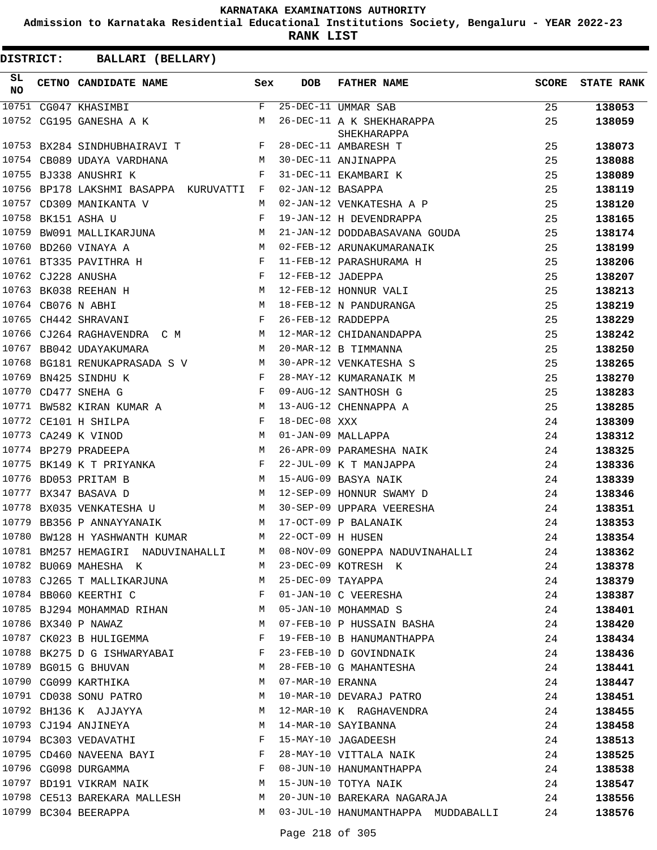**Admission to Karnataka Residential Educational Institutions Society, Bengaluru - YEAR 2022-23**

**RANK LIST**

| SL<br><b>NO</b> | CETNO CANDIDATE NAME                                   | Sex          | <b>DOB</b>        | <b>FATHER NAME</b>                                                   | <b>SCORE</b> | <b>STATE RANK</b> |
|-----------------|--------------------------------------------------------|--------------|-------------------|----------------------------------------------------------------------|--------------|-------------------|
|                 | 10751 CG047 KHASIMBI F                                 |              |                   | 25-DEC-11 UMMAR SAB                                                  | 25           | 138053            |
|                 | 10752 CG195 GANESHA A K                                |              |                   | 26-DEC-11 A K SHEKHARAPPA<br>SHEKHARAPPA                             | 25           | 138059            |
|                 | 10753 BX284 SINDHUBHAIRAVI T F 28-DEC-11 AMBARESH T    |              |                   |                                                                      | 25           | 138073            |
|                 | 10754 CB089 UDAYA VARDHANA M                           |              |                   | 30-DEC-11 ANJINAPPA                                                  | 25           | 138088            |
|                 | 10755 BJ338 ANUSHRI K                                  | F            |                   | 31-DEC-11 EKAMBARI K                                                 | 25           | 138089            |
|                 | 10756 BP178 LAKSHMI BASAPPA KURUVATTI F                |              | 02-JAN-12 BASAPPA |                                                                      | 25           | 138119            |
|                 | 10757 CD309 MANIKANTA V                                | M            |                   | 02-JAN-12 VENKATESHA A P                                             | 25           | 138120            |
|                 | 10758 BK151 ASHA U                                     | F            |                   | 19-JAN-12 H DEVENDRAPPA                                              | 25           | 138165            |
| 10759           | BW091 MALLIKARJUNA M                                   |              |                   | 21-JAN-12 DODDABASAVANA GOUDA                                        | 25           | 138174            |
|                 | 10760 BD260 VINAYA A                                   | M            |                   | 02-FEB-12 ARUNAKUMARANAIK                                            | 25           | 138199            |
|                 | 10761 BT335 PAVITHRA H<br>$\mathbf{F}$                 |              |                   | 11-FEB-12 PARASHURAMA H                                              | 25           | 138206            |
|                 | 10762 CJ228 ANUSHA<br><b>Example 2</b>                 |              | 12-FEB-12 JADEPPA |                                                                      | 25           | 138207            |
|                 | M<br>10763 BK038 REEHAN H                              |              |                   | 12-FEB-12 HONNUR VALI                                                | 25           | 138213            |
|                 | 10764 CB076 N ABHI                                     | M            |                   | 18-FEB-12 N PANDURANGA                                               | 25           | 138219            |
|                 | 10765 CH442 SHRAVANI                                   | $\mathbb F$  |                   | 26-FEB-12 RADDEPPA                                                   | 25           | 138229            |
|                 | 10766 CJ264 RAGHAVENDRA C M<br><b>M</b>                |              |                   | 12-MAR-12 CHIDANANDAPPA                                              | 25           | 138242            |
|                 | 10767 BB042 UDAYAKUMARA<br>$M_{\rm H}$ and $M_{\rm H}$ |              |                   | 20-MAR-12 B TIMMANNA                                                 | 25           | 138250            |
|                 | 10768 BG181 RENUKAPRASADA S V M                        |              |                   | 30-APR-12 VENKATESHA S                                               | 25           | 138265            |
| 10769           | BN425 SINDHU K<br>$\mathbf{F}$ . The $\mathbf{F}$      |              |                   | 28-MAY-12 KUMARANAIK M                                               | 25           | 138270            |
|                 | 10770 CD477 SNEHA G<br>$\mathbf{F}$ and $\mathbf{F}$   |              |                   | 09-AUG-12 SANTHOSH G                                                 | 25           | 138283            |
|                 | 10771 BW582 KIRAN KUMAR A M                            |              |                   | 13-AUG-12 CHENNAPPA A                                                | 25           | 138285            |
|                 | 10772 CE101 H SHILPA                                   | F            | 18-DEC-08 XXX     |                                                                      | 24           | 138309            |
|                 | 10773 CA249 K VINOD                                    | M            |                   | 01-JAN-09 MALLAPPA                                                   | 24           | 138312            |
|                 | 10774 BP279 PRADEEPA<br>$\mathbf M$                    |              |                   | 26-APR-09 PARAMESHA NAIK                                             | 24           | 138325            |
|                 | 10775 BK149 K T PRIYANKA F                             |              |                   | 22-JUL-09 K T MANJAPPA                                               | 24           | 138336            |
|                 | 10776 BD053 PRITAM B                                   | M            |                   | 15-AUG-09 BASYA NAIK                                                 | 24           | 138339            |
|                 | 10777 BX347 BASAVA D                                   | M            |                   | 12-SEP-09 HONNUR SWAMY D                                             | 24           | 138346            |
|                 | 10778 BX035 VENKATESHA U                               |              |                   | M 30-SEP-09 UPPARA VEERESHA                                          | 24           | 138351            |
|                 | 10779 BB356 P ANNAYYANAIK                              | M            |                   | 17-OCT-09 P BALANAIK                                                 | 24           | 138353            |
|                 | 10780 BW128 H YASHWANTH KUMAR                          | M            | 22-OCT-09 H HUSEN |                                                                      | 24           | 138354            |
|                 |                                                        |              |                   | 10781 BM257 HEMAGIRI NADUVINAHALLI M 08-NOV-09 GONEPPA NADUVINAHALLI | 24           | 138362            |
|                 | 10782 BU069 MAHESHA K<br><b>Example 19</b> M           |              |                   | 23-DEC-09 KOTRESH K                                                  | 24           | 138378            |
|                 | 10783 CJ265 T MALLIKARJUNA<br><b>M</b>                 |              | 25-DEC-09 TAYAPPA |                                                                      | 24           | 138379            |
|                 | 10784 BB060 KEERTHI C                                  | F            |                   | 01-JAN-10 C VEERESHA                                                 | 24           | 138387            |
|                 | 10785 BJ294 MOHAMMAD RIHAN M                           |              |                   | 05-JAN-10 MOHAMMAD S                                                 | 24           | 138401            |
|                 | 10786 BX340 P NAWAZ                                    | M            |                   | 07-FEB-10 P HUSSAIN BASHA                                            | 24           | 138420            |
|                 | 10787 CK023 B HULIGEMMA                                | $\mathbf{F}$ |                   | 19-FEB-10 B HANUMANTHAPPA                                            | 24           | 138434            |
|                 | 10788 BK275 D G ISHWARYABAI                            | F            |                   | 23-FEB-10 D GOVINDNAIK                                               | 24           | 138436            |
|                 | 10789 BG015 G BHUVAN                                   | M            |                   | 28-FEB-10 G MAHANTESHA                                               | 24           | 138441            |
|                 |                                                        | M            |                   |                                                                      |              |                   |
|                 | 10790 CG099 KARTHIKA<br>10791 CD038 SONU PATRO         |              |                   | 07-MAR-10 ERANNA                                                     | 24           | 138447            |
|                 |                                                        | M            |                   | 10-MAR-10 DEVARAJ PATRO                                              | 24           | 138451            |
|                 | 10792 BH136 K AJJAYYA                                  | M            |                   | 12-MAR-10 K RAGHAVENDRA                                              | 24           | 138455            |
|                 | 10793 CJ194 ANJINEYA                                   | M            |                   | 14-MAR-10 SAYIBANNA                                                  | 24           | 138458            |
|                 | 10794 BC303 VEDAVATHI                                  | F            |                   | 15-MAY-10 JAGADEESH                                                  | 24           | 138513            |
|                 | 10795 CD460 NAVEENA BAYI                               | F            |                   | 28-MAY-10 VITTALA NAIK                                               | 24           | 138525            |
|                 | 10796 CG098 DURGAMMA                                   | $\mathbf{F}$ |                   | 08-JUN-10 HANUMANTHAPPA                                              | 24           | 138538            |
|                 | 10797 BD191 VIKRAM NAIK                                | M            |                   | 15-JUN-10 TOTYA NAIK                                                 | 24           | 138547            |
|                 | 10798 CE513 BAREKARA MALLESH                           | M            |                   | 20-JUN-10 BAREKARA NAGARAJA                                          | 24           | 138556            |
|                 | 10799 BC304 BEERAPPA                                   | M            |                   | 03-JUL-10 HANUMANTHAPPA MUDDABALLI                                   | 24           | 138576            |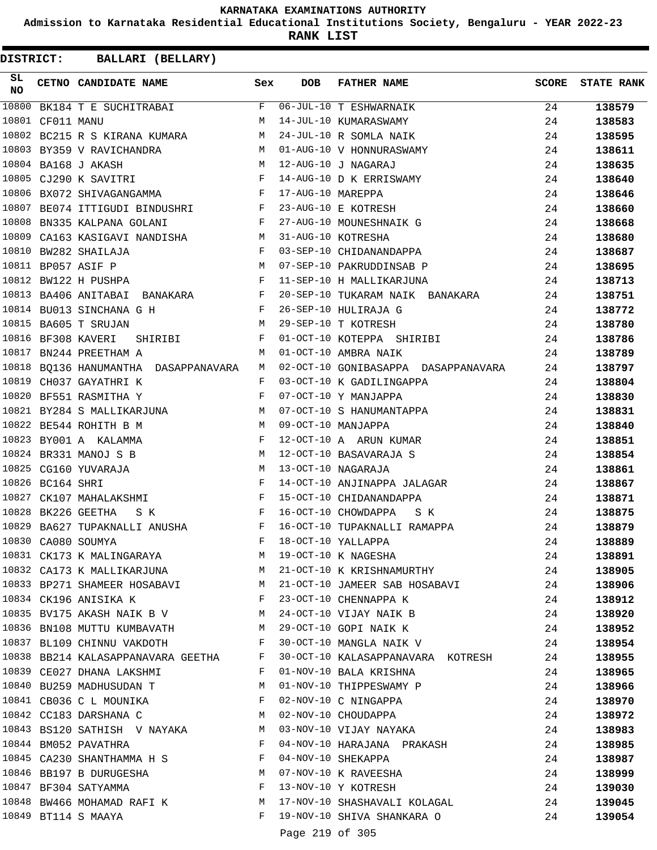**Admission to Karnataka Residential Educational Institutions Society, Bengaluru - YEAR 2022-23**

**RANK LIST**

| SL<br><b>NO</b> |                  | CETNO CANDIDATE NAME Sex                                                                                                                                                                                                                                  |              | <b>DOB</b>        | <b>FATHER NAME</b>                                                                                                          | <b>SCORE</b> | <b>STATE RANK</b> |
|-----------------|------------------|-----------------------------------------------------------------------------------------------------------------------------------------------------------------------------------------------------------------------------------------------------------|--------------|-------------------|-----------------------------------------------------------------------------------------------------------------------------|--------------|-------------------|
| 10800           |                  | BK184 T E SUCHITRABAI                                                                                                                                                                                                                                     | F            |                   | 06-JUL-10 T ESHWARNAIK                                                                                                      | 24           | 138579            |
|                 | 10801 CF011 MANU |                                                                                                                                                                                                                                                           | M            |                   | 14-JUL-10 KUMARASWAMY                                                                                                       | 24           | 138583            |
|                 |                  | M<br>10802 BC215 R S KIRANA KUMARA                                                                                                                                                                                                                        |              |                   | 24-JUL-10 R SOMLA NAIK                                                                                                      | 24           | 138595            |
|                 |                  | 10803 BY359 V RAVICHANDRA                                                                                                                                                                                                                                 |              |                   | M 01-AUG-10 V HONNURASWAMY                                                                                                  | 24           | 138611            |
|                 |                  | 10804 BA168 J AKASH<br>M <sub>N</sub>                                                                                                                                                                                                                     |              |                   | 12-AUG-10 J NAGARAJ                                                                                                         | 24           | 138635            |
|                 |                  | $\mathbf{F}$ and the contract of $\mathbf{F}$<br>10805 CJ290 K SAVITRI                                                                                                                                                                                    |              |                   | 14-AUG-10 D K ERRISWAMY                                                                                                     | 24           | 138640            |
|                 |                  | 10806 BX072 SHIVAGANGAMMA                                                                                                                                                                                                                                 | $\mathbf{F}$ | 17-AUG-10 MAREPPA |                                                                                                                             | 24           | 138646            |
|                 |                  | 10807 BE074 ITTIGUDI BINDUSHRI F                                                                                                                                                                                                                          |              |                   | 23-AUG-10 E KOTRESH                                                                                                         | 24           | 138660            |
| 10808           |                  | BN335 KALPANA GOLANI<br>$\mathbf{F}$ and $\mathbf{F}$ are $\mathbf{F}$                                                                                                                                                                                    |              |                   | 27-AUG-10 MOUNESHNAIK G                                                                                                     | 24           | 138668            |
| 10809           |                  | CA163 KASIGAVI NANDISHA M                                                                                                                                                                                                                                 |              |                   | 31-AUG-10 KOTRESHA                                                                                                          | 24           | 138680            |
|                 |                  | $\mathbf{F}$<br>10810 BW282 SHAILAJA                                                                                                                                                                                                                      |              |                   | 03-SEP-10 CHIDANANDAPPA                                                                                                     | 24           | 138687            |
|                 |                  | M<br>10811 BP057 ASIF P                                                                                                                                                                                                                                   |              |                   | 07-SEP-10 PAKRUDDINSAB P                                                                                                    | 24           | 138695            |
|                 |                  | $\mathbb{R}^n$ . The set of the set of the set of the set of the set of the set of the set of the set of the set of the set of the set of the set of the set of the set of the set of the set of the set of the set of the set of<br>10812 BW122 H PUSHPA |              |                   | 11-SEP-10 H MALLIKARJUNA                                                                                                    | 24           | 138713            |
|                 |                  | 10813 BA406 ANITABAI BANAKARA F                                                                                                                                                                                                                           |              |                   | 20-SEP-10 TUKARAM NAIK BANAKARA                                                                                             | 24           | 138751            |
|                 |                  | $\mathbb F$ . The set of $\mathbb F$<br>10814 BU013 SINCHANA G H                                                                                                                                                                                          |              |                   | 26-SEP-10 HULIRAJA G                                                                                                        | 24           | 138772            |
|                 |                  | M<br>10815 BA605 T SRUJAN                                                                                                                                                                                                                                 |              |                   | 29-SEP-10 T KOTRESH                                                                                                         | 24           | 138780            |
|                 |                  | 10816 BF308 KAVERI<br>SHIRIBI                                                                                                                                                                                                                             | F            |                   | 01-OCT-10 KOTEPPA SHIRIBI                                                                                                   | 24           | 138786            |
| 10817           |                  | BN244 PREETHAM A                                                                                                                                                                                                                                          | M            |                   | 01-OCT-10 AMBRA NAIK                                                                                                        | 24           | 138789            |
|                 |                  | 10818 BQ136 HANUMANTHA DASAPPANAVARA                                                                                                                                                                                                                      | M            |                   | 02-OCT-10 GONIBASAPPA DASAPPANAVARA                                                                                         | 24           | 138797            |
|                 |                  | 10819 CH037 GAYATHRI K                                                                                                                                                                                                                                    | F            |                   | 03-OCT-10 K GADILINGAPPA                                                                                                    | 24           | 138804            |
| 10820           |                  | BF551 RASMITHA Y                                                                                                                                                                                                                                          | F            |                   | 07-OCT-10 Y MANJAPPA                                                                                                        | 24           | 138830            |
|                 |                  | 10821 BY284 S MALLIKARJUNA M                                                                                                                                                                                                                              |              |                   | 07-OCT-10 S HANUMANTAPPA                                                                                                    | 24           | 138831            |
|                 |                  | 10822 BE544 ROHITH B M                                                                                                                                                                                                                                    | M            |                   | 09-OCT-10 MANJAPPA                                                                                                          | 24           | 138840            |
|                 |                  | 10823 BY001 A KALAMMA                                                                                                                                                                                                                                     | F            |                   | 12-OCT-10 A ARUN KUMAR                                                                                                      | 24           | 138851            |
|                 |                  | 10824 BR331 MANOJ S B<br>M <sub>N</sub>                                                                                                                                                                                                                   |              |                   | 12-OCT-10 BASAVARAJA S                                                                                                      | 24           | 138854            |
|                 |                  | M<br>10825 CG160 YUVARAJA                                                                                                                                                                                                                                 |              |                   | 13-OCT-10 NAGARAJA                                                                                                          | 24           | 138861            |
|                 | 10826 BC164 SHRI |                                                                                                                                                                                                                                                           | $\mathbf{F}$ |                   |                                                                                                                             |              |                   |
| 10827           |                  |                                                                                                                                                                                                                                                           | $\mathbb F$  |                   | 14-OCT-10 ANJINAPPA JALAGAR                                                                                                 | 24           | 138867            |
| 10828           |                  | CK107 MAHALAKSHMI                                                                                                                                                                                                                                         |              |                   | 15-OCT-10 CHIDANANDAPPA<br>16-OCT-10 CHOWDAPPA                                                                              | 24           | 138871            |
| 10829           |                  | BK226 GEETHA<br>$\mathbf{F}$ and the set of the set of $\mathbf{F}$<br>S K                                                                                                                                                                                |              |                   | S K                                                                                                                         | 24           | 138875            |
|                 |                  | BA627 TUPAKNALLI ANUSHA<br>$\mathbf{F}$ . The set of $\mathbf{F}$                                                                                                                                                                                         |              |                   | 16-OCT-10 TUPAKNALLI RAMAPPA                                                                                                | 24           | 138879            |
|                 |                  | 10830 CA080 SOUMYA                                                                                                                                                                                                                                        | $_{\rm F}$   |                   | 18-OCT-10 YALLAPPA                                                                                                          | 24           | 138889            |
|                 |                  |                                                                                                                                                                                                                                                           |              |                   | 10831 CK173 K MALINGARAYA M 19-OCT-10 K NAGESHA                                                                             | 24           | 138891            |
|                 |                  |                                                                                                                                                                                                                                                           |              |                   | 10832 CA173 K MALLIKARJUNA M 21-OCT-10 K KRISHNAMURTHY                                                                      | 24           | 138905            |
|                 |                  |                                                                                                                                                                                                                                                           |              |                   | 10833 BP271 SHAMEER HOSABAVI M 21-OCT-10 JAMEER SAB HOSABAVI 24                                                             |              | 138906            |
|                 |                  | 10834 CK196 ANISIKA K                                                                                                                                                                                                                                     |              |                   | F 23-OCT-10 CHENNAPPA K                                                                                                     | 24           | 138912            |
|                 |                  |                                                                                                                                                                                                                                                           |              |                   | 10835 BV175 AKASH NAIK B V $M$ 24-OCT-10 VIJAY NAIK B                                                                       | 24           | 138920            |
|                 |                  |                                                                                                                                                                                                                                                           |              |                   | 10836 BN108 MUTTU KUMBAVATH M 29-OCT-10 GOPI NAIK K 24                                                                      |              | 138952            |
|                 |                  |                                                                                                                                                                                                                                                           |              |                   | 10837 BL109 CHINNU VAKDOTH F 30-OCT-10 MANGLA NAIK V 24                                                                     |              | 138954            |
|                 |                  |                                                                                                                                                                                                                                                           |              |                   | 10838 BB214 KALASAPPANAVARA GEETHA F 30-OCT-10 KALASAPPANAVARA KOTRESH                                                      | 24           | 138955            |
|                 |                  | 10839 CE027 DHANA LAKSHMI                                                                                                                                                                                                                                 |              |                   | F 01-NOV-10 BALA KRISHNA                                                                                                    | 24           | 138965            |
|                 |                  | 10840 BU259 MADHUSUDAN T M 01-NOV-10 THIPPESWAMY P                                                                                                                                                                                                        |              |                   |                                                                                                                             | 24           | 138966            |
|                 |                  | 10841 CB036 C L MOUNIKA F 02-NOV-10 C NINGAPPA                                                                                                                                                                                                            |              |                   |                                                                                                                             | 24           | 138970            |
|                 |                  | 10842 CC183 DARSHANA C M 02-NOV-10 CHOUDAPPA                                                                                                                                                                                                              |              |                   |                                                                                                                             | 24           | 138972            |
|                 |                  | 10843 BS120 SATHISH V NAYAKA M 03-NOV-10 VIJAY NAYAKA                                                                                                                                                                                                     |              |                   |                                                                                                                             | 24           | 138983            |
|                 |                  |                                                                                                                                                                                                                                                           |              |                   | 10844 BM052 PAVATHRA NEW THE 04-NOV-10 HARAJANA PRAKASH                                                                     | 24           | 138985            |
|                 |                  | 10845 CA230 SHANTHAMMA H S F                                                                                                                                                                                                                              |              |                   | 04-NOV-10 SHEKAPPA                                                                                                          | 24           | 138987            |
|                 |                  |                                                                                                                                                                                                                                                           |              |                   |                                                                                                                             | 24           | 138999            |
|                 |                  |                                                                                                                                                                                                                                                           |              |                   | 10845 CA250 SHANTHAPPA II S<br>10846 BB197 B DURUGESHA M 07-NOV-10 K RAVEESHA<br>10847 BF304 SATYAMMA F 13-NOV-10 Y KOTRESH | 24           | 139030            |
|                 |                  |                                                                                                                                                                                                                                                           |              |                   | 10848 BW466 MOHAMAD RAFI K M 17-NOV-10 SHASHAVALI KOLAGAL 24                                                                |              | 139045            |
|                 |                  | 10849 BT114 S MAAYA                                                                                                                                                                                                                                       |              |                   | F 19-NOV-10 SHIVA SHANKARA O                                                                                                | 24           | 139054            |
|                 |                  |                                                                                                                                                                                                                                                           |              |                   | Page 219 of 305                                                                                                             |              |                   |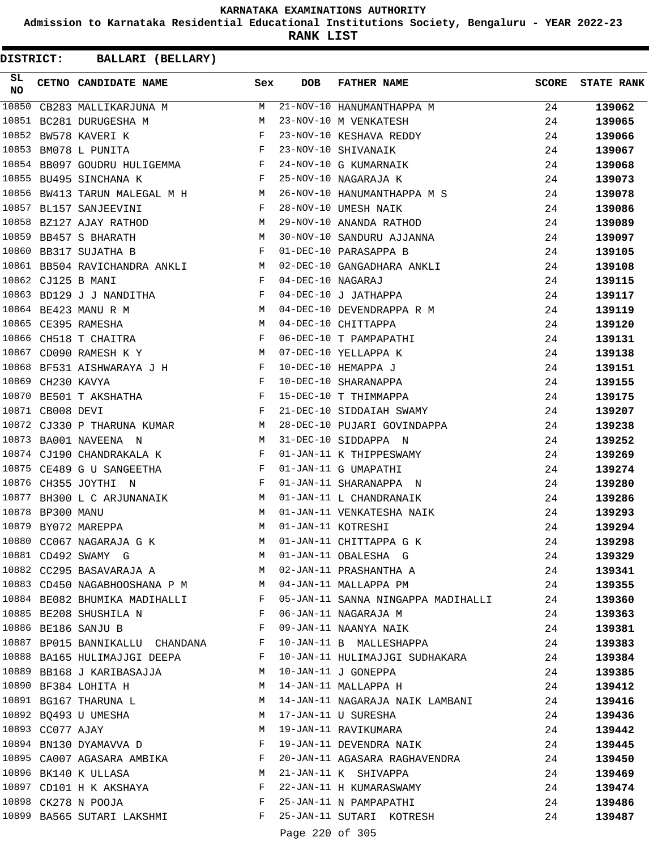**Admission to Karnataka Residential Educational Institutions Society, Bengaluru - YEAR 2022-23**

**RANK LIST**

| SL<br><b>NO</b> |                   | CETNO CANDIDATE NAME                                                                                       | Sex          | <b>DOB</b>      | FATHER NAME                                                                                     | <b>SCORE</b> | <b>STATE RANK</b> |
|-----------------|-------------------|------------------------------------------------------------------------------------------------------------|--------------|-----------------|-------------------------------------------------------------------------------------------------|--------------|-------------------|
| 10850           |                   | CB283 MALLIKARJUNA M                                                                                       | M            |                 | 21-NOV-10 HANUMANTHAPPA M                                                                       | 24           | 139062            |
|                 |                   | 10851 BC281 DURUGESHA M                                                                                    | M            |                 | 23-NOV-10 M VENKATESH                                                                           | 24           | 139065            |
|                 |                   | 10852 BW578 KAVERI K                                                                                       |              |                 |                                                                                                 | 24           | 139066            |
|                 |                   | $\begin{aligned} \mathbf{F}^{\mathbf{r}} \\ \mathbf{F}^{\mathbf{r}} \end{aligned}$<br>10853 BM078 L PUNITA |              |                 |                                                                                                 | 24           | 139067            |
|                 |                   | 10854 BB097 GOUDRU HULIGEMMA F                                                                             |              |                 | 23-NOV-10 KESHAVA REDDY<br>23-NOV-10 SHIVANAIK<br>24-NOV-10 G KUMARNAIK<br>25-NOV-10 NAGARAJA K | 24           | 139068            |
|                 |                   | 10855 BU495 SINCHANA K<br>and the state of the state of the Party                                          |              |                 |                                                                                                 | 24           | 139073            |
| 10856           |                   | BW413 TARUN MALEGAL M H                                                                                    |              |                 | 26-NOV-10 HANUMANTHAPPA M S                                                                     | 24           | 139078            |
|                 |                   | $\mathbf{F}$<br>10857 BL157 SANJEEVINI                                                                     |              |                 | 28-NOV-10 UMESH NAIK                                                                            | 24           | 139086            |
|                 |                   | M <sub>N</sub><br>10858 BZ127 AJAY RATHOD                                                                  |              |                 | 28-NOV-10 UMESH NAIK<br>29-NOV-10 ANANDA RATHOD                                                 | 24           | 139089            |
|                 |                   | 10859 BB457 S BHARATH<br><b>M</b>                                                                          |              |                 | 30-NOV-10 SANDURU AJJANNA                                                                       | 24           | 139097            |
|                 |                   | $\mathbf{F}$ and $\mathbf{F}$ and $\mathbf{F}$<br>10860 BB317 SUJATHA B                                    |              |                 | 01-DEC-10 PARASAPPA B                                                                           | 24           | 139105            |
|                 |                   | 10861 BB504 RAVICHANDRA ANKLI M                                                                            |              |                 |                                                                                                 | 24           | 139108            |
|                 |                   | 10862 CJ125 B MANI                                                                                         | $\mathbf{F}$ |                 |                                                                                                 | 24           | 139115            |
|                 |                   | 10863 BD129 J J NANDITHA F                                                                                 |              |                 | 02-DEC-10 GANGADHARA ANKLI<br>04-DEC-10 NAGARAJ<br>04-DEC-10 J JATHAPPA                         | 24           | 139117            |
|                 |                   |                                                                                                            |              |                 | 04-DEC-10 DEVENDRAPPA R M                                                                       | 24           | 139119            |
|                 |                   | 10864 BE423 MANURM<br>10865 CE395 RAMESHAM<br>10866 CH518 T CHAITRA                                        |              |                 |                                                                                                 | 24           | 139120            |
|                 |                   |                                                                                                            |              |                 |                                                                                                 | 24           | 139131            |
|                 |                   | 10867 CD090 RAMESH K Y<br><b>M</b>                                                                         |              |                 |                                                                                                 | 24           | 139138            |
|                 |                   |                                                                                                            |              |                 | 10-DEC-10 HEMAPPA J                                                                             | 24           | 139151            |
|                 | 10869 CH230 KAVYA | 10868 BF531 AISHWARAYA J H<br>10869 CH230 KAVYA F                                                          |              |                 | 10-DEC-10 SHARANAPPA                                                                            | 24           | 139155            |
| 10870           |                   | $\frac{r}{F}$<br>BE501 T AKSHATHA                                                                          |              |                 | 15-DEC-10 T THIMMAPPA                                                                           | 24           | 139175            |
|                 | 10871 CB008 DEVI  | $\mathbf{F}$ and $\mathbf{F}$ and $\mathbf{F}$                                                             |              |                 | 21-DEC-10 SIDDAIAH SWAMY                                                                        | 24           | 139207            |
|                 |                   | 10872 CJ330 P THARUNA KUMAR M                                                                              |              |                 | 28-DEC-10 PUJARI GOVINDAPPA                                                                     | 24           | 139238            |
|                 |                   | 10873 BA001 NAVEENA N                                                                                      | M            |                 | 31-DEC-10 SIDDAPPA N                                                                            | 24           | 139252            |
|                 |                   | 10874 CJ190 CHANDRAKALA K                                                                                  | F            |                 | 01-JAN-11 K THIPPESWAMY                                                                         | 24           | 139269            |
|                 |                   | 10875 CE489 G U SANGEETHA                                                                                  | F            |                 | 01-JAN-11 G UMAPATHI                                                                            | 24           | 139274            |
|                 |                   | 10876 CH355 JOYTHI N                                                                                       | F            |                 | 01-JAN-11 SHARANAPPA N                                                                          | 24           | 139280            |
|                 |                   |                                                                                                            |              |                 | 01-JAN-11 L CHANDRANAIK                                                                         | 24           | 139286            |
|                 |                   | 10877 BH300 L C ARJUNANAIK M<br>10878 BP300 MANU M<br>10879 BY072 MAREPPA M                                |              |                 | 01-JAN-11 VENKATESHA NAIK                                                                       | 24           | 139293            |
|                 |                   |                                                                                                            |              |                 | 01-JAN-11 KOTRESHI                                                                              | 24           | 139294            |
|                 |                   | 10880 CC067 NAGARAJA G K                                                                                   | M            |                 | 01-JAN-11 CHITTAPPA G K                                                                         | 24           | 139298            |
|                 |                   | 10881 CD492 SWAMY G                                                                                        |              |                 | M 01-JAN-11 OBALESHA G                                                                          | 24           | 139329            |
|                 |                   |                                                                                                            |              |                 | 10882 CC295 BASAVARAJA A M 02-JAN-11 PRASHANTHA A                                               | 24           | 139341            |
|                 |                   | 10883 CD450 NAGABHOOSHANA P M M = M = 04-JAN-11 MALLAPPA PM                                                |              |                 |                                                                                                 | 24           | 139355            |
|                 |                   |                                                                                                            |              |                 | 10884 BE082 BHUMIKA MADIHALLI KWA SHIDALI TAN-11 SANNA NINGAPPA MADIHALLI                       | 24           | 139360            |
|                 |                   | 10885 BE208 SHUSHILA N                                                                                     | F            |                 | 06-JAN-11 NAGARAJA M                                                                            | 24           | 139363            |
|                 |                   | 10886 BE186 SANJU B                                                                                        | F            |                 | 09-JAN-11 NAANYA NAIK                                                                           | 24           | 139381            |
|                 |                   | 10887 BP015 BANNIKALLU CHANDANA                                                                            | F            |                 | 10-JAN-11 B MALLESHAPPA                                                                         | 24           | 139383            |
|                 |                   | 10888 BA165 HULIMAJJGI DEEPA F                                                                             |              |                 | 10-JAN-11 HULIMAJJGI SUDHAKARA                                                                  | 24           | 139384            |
|                 |                   | 10889 BB168 J KARIBASAJJA                                                                                  | M            |                 | 10-JAN-11 J GONEPPA                                                                             | 24           | 139385            |
|                 |                   | 10890 BF384 LOHITA H                                                                                       | M            |                 | 14-JAN-11 MALLAPPA H                                                                            | 24           | 139412            |
|                 |                   | 10891 BG167 THARUNA L                                                                                      |              |                 |                                                                                                 |              |                   |
|                 |                   | 10892 BQ493 U UMESHA                                                                                       | M            |                 | M 14-JAN-11 NAGARAJA NAIK LAMBANI<br>17-JAN-11 U SURESHA                                        | 24<br>24     | 139416            |
|                 | 10893 CC077 AJAY  |                                                                                                            | M            |                 |                                                                                                 |              | 139436            |
|                 |                   |                                                                                                            | F            |                 | 19-JAN-11 RAVIKUMARA                                                                            | 24           | 139442            |
|                 |                   | 10894 BN130 DYAMAVVA D                                                                                     | F            |                 | 19-JAN-11 DEVENDRA NAIK                                                                         | 24           | 139445            |
|                 |                   | 10895 CA007 AGASARA AMBIKA                                                                                 |              |                 | 20-JAN-11 AGASARA RAGHAVENDRA                                                                   | 24           | 139450            |
|                 |                   | 10896 BK140 K ULLASA                                                                                       | M            |                 | 21-JAN-11 K SHIVAPPA                                                                            | 24           | 139469            |
|                 |                   | 10897 CD101 H K AKSHAYA                                                                                    | F            |                 | 22-JAN-11 H KUMARASWAMY<br>22-0AN-11 H KUMARASWAMY<br>25-JAN-11 N PAMPAPATHI                    | 24           | 139474            |
|                 |                   | 10898 CK278 N POOJA                                                                                        | F            |                 |                                                                                                 | 24           | 139486            |
|                 |                   | 10899 BA565 SUTARI LAKSHMI                                                                                 |              |                 | F 25-JAN-11 SUTARI KOTRESH                                                                      | 24           | 139487            |
|                 |                   |                                                                                                            |              | Page 220 of 305 |                                                                                                 |              |                   |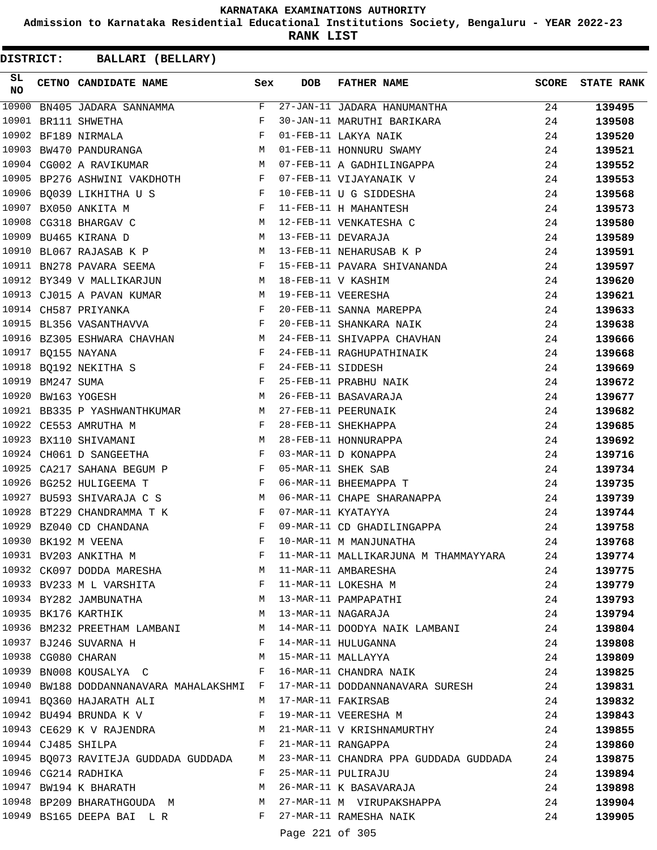**Admission to Karnataka Residential Educational Institutions Society, Bengaluru - YEAR 2022-23**

**RANK LIST**

**DISTRICT:** CC **BALLARI (BELLARY)**

| SL<br><b>NO</b> | CETNO CANDIDATE NAME Sex                                                                                                                                                                                                                                     |                                        | <b>DOB</b>                                          | FATHER NAME                                                                  | <b>SCORE</b> | <b>STATE RANK</b> |
|-----------------|--------------------------------------------------------------------------------------------------------------------------------------------------------------------------------------------------------------------------------------------------------------|----------------------------------------|-----------------------------------------------------|------------------------------------------------------------------------------|--------------|-------------------|
| 10900           | BN405 JADARA SANNAMMA                                                                                                                                                                                                                                        | F                                      |                                                     | 27-JAN-11 JADARA HANUMANTHA                                                  | 24           | 139495            |
|                 | 10901 BR111 SHWETHA                                                                                                                                                                                                                                          | F                                      |                                                     | 30-JAN-11 MARUTHI BARIKARA                                                   | 24           | 139508            |
|                 | 10902 BF189 NIRMALA                                                                                                                                                                                                                                          | $_{\rm F}$                             |                                                     | - <del>DARIA</del> NAIK<br>01-FEB-11 HONNURU SWAMY<br>07-FEB-11 A CARII      | 24           | 139520            |
|                 | 10903 BW470 PANDURANGA M                                                                                                                                                                                                                                     |                                        |                                                     |                                                                              | 24           | 139521            |
|                 | 10904 CG002 A RAVIKUMAR<br><b>M</b>                                                                                                                                                                                                                          |                                        |                                                     | 07-FEB-11 A GADHILINGAPPA                                                    | 24           | 139552            |
|                 | 10905 BP276 ASHWINI VAKDHOTH F                                                                                                                                                                                                                               |                                        |                                                     | 07-FEB-11 VIJAYANAIK V                                                       | 24           | 139553            |
|                 | $\mathbf{F}$<br>10906 BQ039 LIKHITHA U S                                                                                                                                                                                                                     |                                        |                                                     | 10-FEB-11 U G SIDDESHA                                                       | 24           | 139568            |
|                 | $\mathbb{F}$ . The set of $\mathbb{F}^n$<br>10907 BX050 ANKITA M                                                                                                                                                                                             |                                        |                                                     | 11-FEB-11 H MAHANTESH                                                        | 24           | 139573            |
|                 | 10908 CG318 BHARGAV C<br><b>M</b>                                                                                                                                                                                                                            |                                        |                                                     | 12-FEB-11 VENKATESHA C                                                       | 24           | 139580            |
|                 | <b>M</b><br>10909 BU465 KIRANA D                                                                                                                                                                                                                             |                                        |                                                     | 13-FEB-11 DEVARAJA                                                           | 24           | 139589            |
|                 | 10910 BL067 RAJASAB K P M                                                                                                                                                                                                                                    |                                        |                                                     | 13-FEB-11 NEHARUSAB K P                                                      | 24           | 139591            |
|                 | 10911 BN278 PAVARA SEEMA                                                                                                                                                                                                                                     | $\mathbf{F}$                           |                                                     | 15-FEB-11 PAVARA SHIVANANDA                                                  | 24           | 139597            |
|                 | 10912 BY349 V MALLIKARJUN<br><b>M</b>                                                                                                                                                                                                                        |                                        |                                                     | 18-FEB-11 V KASHIM                                                           | 24           | 139620            |
|                 | 10913 CJ015 A PAVAN KUMAR<br>M 19-FEB-11 VEERESHA                                                                                                                                                                                                            |                                        |                                                     |                                                                              | 24           | 139621            |
|                 | <b>Example 20</b> For the second property of the second property of the second property of the second property of the second property of the second property of the second property of the second property of the second property o<br>10914 CH587 PRIYANKA  |                                        |                                                     | 20-FEB-11 SANNA MAREPPA                                                      | 24           | 139633            |
|                 | $\mathbf{F}$ . The set of $\mathbf{F}$<br>10915 BL356 VASANTHAVVA                                                                                                                                                                                            |                                        |                                                     | 20-FEB-11 SHANKARA NAIK                                                      | 24           | 139638            |
|                 | 10916 BZ305 ESHWARA CHAVHAN M                                                                                                                                                                                                                                |                                        |                                                     | 24-FEB-11 SHIVAPPA CHAVHAN                                                   | 24           | 139666            |
|                 | 10917 BQ155 NAYANA<br>$\mathbf{F}$ and $\mathbf{F}$ and $\mathbf{F}$                                                                                                                                                                                         |                                        |                                                     | 24-FEB-11 RAGHUPATHINAIK                                                     | 24           | 139668            |
|                 |                                                                                                                                                                                                                                                              |                                        | 24-FEB-11 SIDDESH                                   |                                                                              | 24           | 139669            |
|                 | 10918 BQ192 NEKITHA S<br>10919 BM247 SUMA F<br>$\mathbb{F}^{\mathbb{N}}$                                                                                                                                                                                     |                                        |                                                     | 25-FEB-11 PRABHU NAIK                                                        | 24           | 139672            |
|                 | 10920 BW163 YOGESH<br>M <sub>N</sub>                                                                                                                                                                                                                         |                                        |                                                     | 26-FEB-11 BASAVARAJA                                                         | 24           | 139677            |
|                 | 10921 BB335 P YASHWANTHKUMAR M                                                                                                                                                                                                                               |                                        |                                                     | 27-FEB-11 PEERUNAIK                                                          | 24           | 139682            |
|                 | $\mathbf{F}$ and $\mathbf{F}$<br>10922 CE553 AMRUTHA M                                                                                                                                                                                                       |                                        |                                                     | 28-FEB-11 SHEKHAPPA                                                          | 24           | 139685            |
|                 | M<br>10923 BX110 SHIVAMANI                                                                                                                                                                                                                                   |                                        |                                                     | 28-FEB-11 HONNURAPPA                                                         | 24           |                   |
|                 | 10924 CH061 D SANGEETHA                                                                                                                                                                                                                                      |                                        |                                                     | 03-MAR-11 D KONAPPA                                                          |              | 139692            |
|                 | 10925 CA217 SAHANA BEGUM P F                                                                                                                                                                                                                                 | $\mathbf{F}$                           |                                                     | 05-MAR-11 SHEK SAB                                                           | 24           | 139716            |
|                 | $\mathbf{F}$ and $\mathbf{F}$                                                                                                                                                                                                                                |                                        |                                                     |                                                                              | 24           | 139734            |
|                 | 10926 BG252 HULIGEEMA T                                                                                                                                                                                                                                      |                                        |                                                     | 06-MAR-11 BHEEMAPPA T                                                        | 24           | 139735            |
|                 | 10927 BU593 SHIVARAJA C S                                                                                                                                                                                                                                    | M                                      |                                                     | 06-MAR-11 CHAPE SHARANAPPA                                                   | 24           | 139739            |
| 10928           | BT229 CHANDRAMMA T K                                                                                                                                                                                                                                         | F                                      |                                                     | 07-MAR-11 KYATAYYA                                                           | 24           | 139744            |
|                 | 10929 BZ040 CD CHANDANA<br>$\mathbf{F}$ . The set of the set of the set of the set of the set of the set of the set of the set of the set of the set of the set of the set of the set of the set of the set of the set of the set of the set of the set of t |                                        |                                                     | 09-MAR-11 CD GHADILINGAPPA                                                   | 24           | 139758            |
|                 | 10930 BK192 M VEENA                                                                                                                                                                                                                                          | F                                      |                                                     | 10-MAR-11 M MANJUNATHA                                                       | 24           | 139768            |
|                 | 10931 BV203 ANKITHA M                                                                                                                                                                                                                                        | F                                      |                                                     | 11-MAR-11 MALLIKARJUNA M THAMMAYYARA                                         | 24           | 139774            |
|                 | 10932 CK097 DODDA MARESHA M M 11-MAR-11 AMBARESHA                                                                                                                                                                                                            |                                        |                                                     |                                                                              | 24           | 139775            |
|                 | 10933 BV233 M L VARSHITA $F$ 11-MAR-11 LOKESHA M                                                                                                                                                                                                             |                                        |                                                     |                                                                              | 24           | 139779            |
|                 | 10934 BY282 JAMBUNATHA 13-MAR-11 PAMPAPATHI<br>10935 BK176 KARTHIK 10935 BK176 KARTHIK                                                                                                                                                                       |                                        |                                                     |                                                                              | 24           | 139793            |
|                 |                                                                                                                                                                                                                                                              |                                        |                                                     |                                                                              | 24           | 139794            |
|                 |                                                                                                                                                                                                                                                              |                                        |                                                     | 10936 BM232 PREETHAM LAMBANI M 14-MAR-11 DOODYA NAIK LAMBANI                 | 24           | 139804            |
|                 | 10937 BJ246 SUVARNA H F 14-MAR-11 HULUGANNA                                                                                                                                                                                                                  |                                        |                                                     |                                                                              | 24           | 139808            |
|                 | 10938 CG080 CHARAN M 15-MAR-11 MALLAYYA                                                                                                                                                                                                                      |                                        |                                                     | M 15-MAR-11 MALLAYYA<br>M 15-MAR-11 MALLAYYA<br>F 16-MAR-11 CHANDRA NAIK     | 24           | 139809            |
|                 | 10939 BN008 KOUSALYA C                                                                                                                                                                                                                                       |                                        |                                                     |                                                                              | 24           | 139825            |
|                 |                                                                                                                                                                                                                                                              |                                        |                                                     | 10940 BW188 DODDANNANAVARA MAHALAKSHMI F 17-MAR-11 DODDANNANAVARA SURESH 24  |              | 139831            |
|                 | 10941 BQ360 HAJARATH ALI M 17-MAR-11 FAKIRSAB                                                                                                                                                                                                                |                                        |                                                     |                                                                              | 24           | 139832            |
|                 | 10942 BU494 BRUNDA K V SALLEY RESERTS FOR THE MERTING METALLIC MERTING METALLIC MERTING METALLIC MER                                                                                                                                                         |                                        |                                                     |                                                                              | 24           | 139843            |
|                 | 10943 CE629 K V RAJENDRA M 21-MAR-11 V KRISHNAMURTHY                                                                                                                                                                                                         |                                        |                                                     |                                                                              | 24           | 139855            |
|                 |                                                                                                                                                                                                                                                              |                                        |                                                     |                                                                              | 24           | 139860            |
|                 |                                                                                                                                                                                                                                                              |                                        |                                                     | 10945 BQ073 RAVITEJA GUDDADA GUDDADA M 23-MAR-11 CHANDRA PPA GUDDADA GUDDADA | 24           | 139875            |
|                 | 10946 CG214 RADHIKA                                                                                                                                                                                                                                          | $\mathbf{F}$ . The set of $\mathbf{F}$ |                                                     | 25-MAR-11 PULIRAJU                                                           | 24           | 139894            |
|                 | 10947 BW194 K BHARATH                                                                                                                                                                                                                                        |                                        |                                                     | M 26-MAR-11 K BASAVARAJA                                                     | 24           | 139898            |
|                 |                                                                                                                                                                                                                                                              |                                        |                                                     | 10948 BP209 BHARATHGOUDA M M 27-MAR-11 M VIRUPAKSHAPPA                       | 24           | 139904            |
|                 | 10949 BS165 DEEPA BAI L R SALLER ST-MAR-11 RAMESHA NAIK                                                                                                                                                                                                      |                                        |                                                     |                                                                              | 24           | 139905            |
|                 |                                                                                                                                                                                                                                                              |                                        | $\overline{D}$ 001 $\overline{C}$ 00 $\overline{C}$ |                                                                              |              |                   |

Page 221 of 305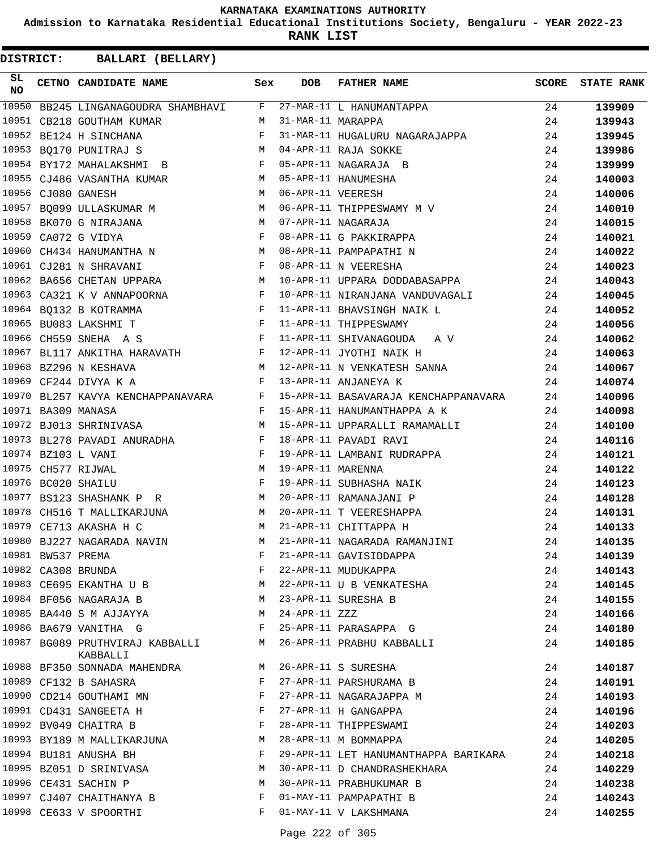**Admission to Karnataka Residential Educational Institutions Society, Bengaluru - YEAR 2022-23**

**RANK LIST**

| SL<br><b>NO</b> |                   | CETNO CANDIDATE NAME                                                     | Sex          | <b>DOB</b>        | <b>FATHER NAME</b>                   | SCORE | <b>STATE RANK</b> |
|-----------------|-------------------|--------------------------------------------------------------------------|--------------|-------------------|--------------------------------------|-------|-------------------|
| 10950           |                   | BB245 LINGANAGOUDRA SHAMBHAVI F                                          |              |                   | 27-MAR-11 L HANUMANTAPPA             | 24    | 139909            |
|                 |                   | 10951 CB218 GOUTHAM KUMAR                                                | М            | 31-MAR-11 MARAPPA |                                      | 24    | 139943            |
| 10952           |                   | BE124 H SINCHANA                                                         | F            |                   | 31-MAR-11 HUGALURU NAGARAJAPPA       | 24    | 139945            |
|                 |                   | 10953 BQ170 PUNITRAJ S                                                   | M            |                   | 04-APR-11 RAJA SOKKE                 | 24    | 139986            |
|                 |                   | 10954 BY172 MAHALAKSHMI B                                                | F            |                   | 05-APR-11 NAGARAJA B                 | 24    | 139999            |
|                 |                   | 10955 CJ486 VASANTHA KUMAR                                               | M            |                   | 05-APR-11 HANUMESHA                  | 24    | 140003            |
|                 |                   | 10956 CJ080 GANESH                                                       | М            | 06-APR-11 VEERESH |                                      | 24    | 140006            |
|                 |                   | 10957 BQ099 ULLASKUMAR M                                                 | М            |                   | 06-APR-11 THIPPESWAMY M V            | 24    | 140010            |
|                 |                   | 10958 BK070 G NIRAJANA                                                   | М            |                   | 07-APR-11 NAGARAJA                   | 24    | 140015            |
| 10959           |                   | CA072 G VIDYA                                                            | F            |                   | 08-APR-11 G PAKKIRAPPA               | 24    | 140021            |
|                 |                   | 10960 CH434 HANUMANTHA N                                                 | M            |                   | 08-APR-11 PAMPAPATHI N               | 24    | 140022            |
|                 |                   | $\mathbf{F}$<br>10961 CJ281 N SHRAVANI                                   |              |                   | 08-APR-11 N VEERESHA                 | 24    | 140023            |
|                 |                   | 10962 BA656 CHETAN UPPARA M                                              |              |                   | 10-APR-11 UPPARA DODDABASAPPA        | 24    | 140043            |
|                 |                   | 10963 CA321 K V ANNAPOORNA F                                             |              |                   | 10-APR-11 NIRANJANA VANDUVAGALI      | 24    | 140045            |
|                 |                   | $\mathbf{F}$ and $\mathbf{F}$ and $\mathbf{F}$<br>10964 BQ132 B KOTRAMMA |              |                   | 11-APR-11 BHAVSINGH NAIK L           | 24    | 140052            |
|                 |                   | $\mathbf{F}$<br>10965 BU083 LAKSHMI T                                    |              |                   | 11-APR-11 THIPPESWAMY                | 24    | 140056            |
|                 |                   | 10966 CH559 SNEHA A S                                                    | $\mathbf{F}$ |                   | 11-APR-11 SHIVANAGOUDA A V           | 24    | 140062            |
| 10967           |                   | BL117 ANKITHA HARAVATH F                                                 |              |                   | 12-APR-11 JYOTHI NAIK H              | 24    | 140063            |
|                 |                   | 10968 BZ296 N KESHAVA<br>M                                               |              |                   | 12-APR-11 N VENKATESH SANNA          | 24    | 140067            |
|                 |                   | 10969 CF244 DIVYA K A                                                    | $\mathbf{F}$ |                   | 13-APR-11 ANJANEYA K                 | 24    | 140074            |
|                 |                   | 10970 BL257 KAVYA KENCHAPPANAVARA F                                      |              |                   | 15-APR-11 BASAVARAJA KENCHAPPANAVARA | 24    | 140096            |
|                 |                   | 10971 BA309 MANASA                                                       | F            |                   | 15-APR-11 HANUMANTHAPPA A K          | 24    | 140098            |
|                 |                   | 10972 BJ013 SHRINIVASA                                                   | M            |                   | 15-APR-11 UPPARALLI RAMAMALLI        | 24    | 140100            |
|                 |                   | 10973 BL278 PAVADI ANURADHA F                                            |              |                   | 18-APR-11 PAVADI RAVI                | 24    | 140116            |
|                 |                   | 10974 BZ103 L VANI                                                       | F            |                   | 19-APR-11 LAMBANI RUDRAPPA           | 24    | 140121            |
|                 |                   | 10975 CH577 RIJWAL                                                       | М            | 19-APR-11 MARENNA |                                      | 24    | 140122            |
|                 |                   | 10976 BC020 SHAILU                                                       | F            |                   | 19-APR-11 SUBHASHA NAIK              | 24    | 140123            |
|                 |                   | 10977 BS123 SHASHANK P R                                                 | M            |                   | 20-APR-11 RAMANAJANI P               | 24    | 140128            |
|                 |                   | 10978 CH516 T MALLIKARJUNA                                               | M            |                   | 20-APR-11 T VEERESHAPPA              | 24    | 140131            |
| 10979           |                   | CE713 AKASHA H C                                                         | М            |                   | 21-APR-11 CHITTAPPA H                | 24    | 140133            |
|                 |                   | 10980 BJ227 NAGARADA NAVIN                                               | M            |                   | 21-APR-11 NAGARADA RAMANJINI         | 24    | 140135            |
|                 | 10981 BW537 PREMA |                                                                          | F            |                   | 21-APR-11 GAVISIDDAPPA               | 24    | 140139            |
|                 |                   | 10982 CA308 BRUNDA                                                       | F            |                   | 22-APR-11 MUDUKAPPA                  | 24    | 140143            |
|                 |                   | 10983 CE695 EKANTHA U B                                                  | M            |                   | 22-APR-11 U B VENKATESHA             | 24    | 140145            |
|                 |                   | 10984 BF056 NAGARAJA B                                                   | M            |                   | 23-APR-11 SURESHA B                  | 24    | 140155            |
|                 |                   | 10985 BA440 S M AJJAYYA                                                  | M            | 24-APR-11 ZZZ     |                                      | 24    | 140166            |
|                 |                   | 10986 BA679 VANITHA G                                                    | F            |                   | 25-APR-11 PARASAPPA G                | 24    | 140180            |
|                 |                   | 10987 BG089 PRUTHVIRAJ KABBALLI<br>KABBALLI                              | M            |                   | 26-APR-11 PRABHU KABBALLI            | 24    | 140185            |
|                 |                   | 10988 BF350 SONNADA MAHENDRA M                                           |              |                   | 26-APR-11 S SURESHA                  | 24    | 140187            |
|                 |                   | 10989 CF132 B SAHASRA                                                    | F            |                   | 27-APR-11 PARSHURAMA B               | 24    | 140191            |
|                 |                   | 10990 CD214 GOUTHAMI MN                                                  | F            |                   | 27-APR-11 NAGARAJAPPA M              | 24    | 140193            |
|                 |                   | 10991 CD431 SANGEETA H                                                   | $\mathbf{F}$ |                   | 27-APR-11 H GANGAPPA                 | 24    | 140196            |
|                 |                   | 10992 BV049 CHAITRA B                                                    | F            |                   | 28-APR-11 THIPPESWAMI                | 24    | 140203            |
|                 |                   | 10993 BY189 M MALLIKARJUNA                                               | М            |                   | 28-APR-11 M BOMMAPPA                 | 24    | 140205            |
|                 |                   | 10994 BU181 ANUSHA BH                                                    | F            |                   | 29-APR-11 LET HANUMANTHAPPA BARIKARA | 24    | 140218            |
|                 |                   | 10995 BZ051 D SRINIVASA                                                  | М            |                   | 30-APR-11 D CHANDRASHEKHARA          | 24    | 140229            |
|                 |                   | 10996 CE431 SACHIN P                                                     | М            |                   | 30-APR-11 PRABHUKUMAR B              | 24    | 140238            |
|                 |                   | 10997 CJ407 CHAITHANYA B                                                 | F            |                   | 01-MAY-11 PAMPAPATHI B               | 24    | 140243            |
|                 |                   | 10998 CE633 V SPOORTHI                                                   | F            |                   | 01-MAY-11 V LAKSHMANA                | 24    | 140255            |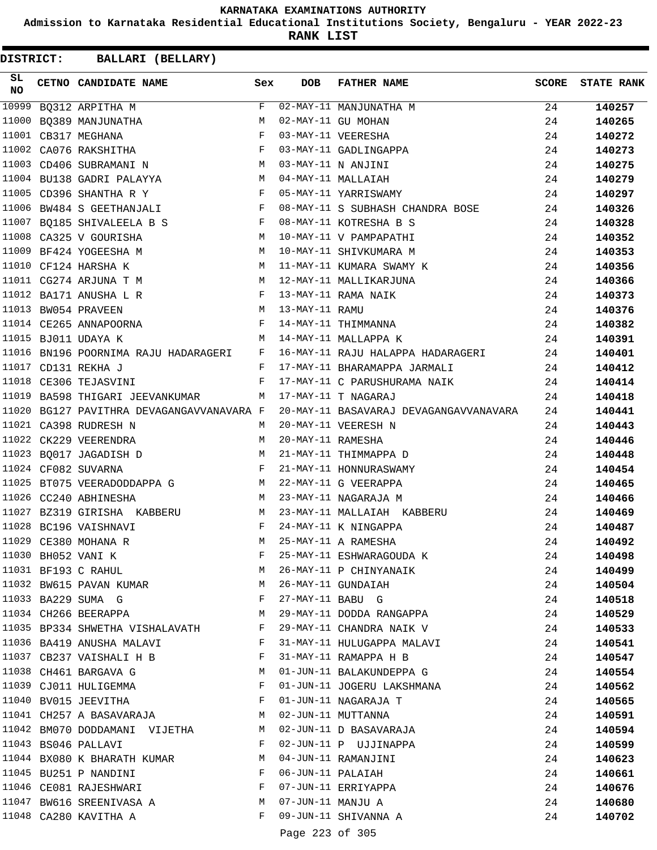**Admission to Karnataka Residential Educational Institutions Society, Bengaluru - YEAR 2022-23**

**RANK LIST**

| SL<br><b>NO</b> | CETNO CANDIDATE NAME Sex                                                                                                                                                                                                                                 |       | <b>DOB</b>        | <b>FATHER NAME</b>                                                           | <b>SCORE</b> | <b>STATE RANK</b> |
|-----------------|----------------------------------------------------------------------------------------------------------------------------------------------------------------------------------------------------------------------------------------------------------|-------|-------------------|------------------------------------------------------------------------------|--------------|-------------------|
| 10999           | BQ312 ARPITHA M                                                                                                                                                                                                                                          | $F$ – |                   | 02-MAY-11 MANJUNATHA M                                                       | 24           | 140257            |
|                 | 11000 BQ389 MANJUNATHA                                                                                                                                                                                                                                   | M     |                   | 02-MAY-11 GU MOHAN                                                           | 24           | 140265            |
|                 | $\mathbb{R}^n$ . The set of the set of the set of the set of the set of the set of the set of the set of the set of the set of the set of the set of the set of the set of the set of the set of the set of the set of the set of<br>11001 CB317 MEGHANA |       |                   | 03-MAY-11 VEERESHA                                                           | 24           | 140272            |
|                 | 11002 CA076 RAKSHITHA                                                                                                                                                                                                                                    | F     |                   | 03-MAY-11 GADLINGAPPA                                                        | 24           | 140273            |
|                 | 11003 CD406 SUBRAMANI N $M$ 03-MAY-11 N ANJINI                                                                                                                                                                                                           |       |                   |                                                                              | 24           | 140275            |
|                 | 11004 BU138 GADRI PALAYYA M 04-MAY-11 MALLAIAH                                                                                                                                                                                                           |       |                   |                                                                              | 24           | 140279            |
|                 | F 05-MAY-11 YARRISWAMY<br>11005 CD396 SHANTHA R Y                                                                                                                                                                                                        |       |                   |                                                                              | 24           | 140297            |
|                 | 11006 BW484 S GEETHANJALI                                                                                                                                                                                                                                |       |                   | F 08-MAY-11 S SUBHASH CHANDRA BOSE                                           | 24           | 140326            |
|                 | 11007 BQ185 SHIVALEELA B S F 08-MAY-11 KOTRESHA B S                                                                                                                                                                                                      |       |                   |                                                                              | 24           | 140328            |
|                 | 11008 CA325 V GOURISHA<br>M 10-MAY-11 V PAMPAPATHI                                                                                                                                                                                                       |       |                   |                                                                              | 24           | 140352            |
| 11009           | M<br>BF424 YOGEESHA M                                                                                                                                                                                                                                    |       |                   | 10-MAY-11 SHIVKUMARA M                                                       | 24           | 140353            |
|                 | 11010 CF124 HARSHA K                                                                                                                                                                                                                                     | M     |                   | 11-MAY-11 KUMARA SWAMY K                                                     | 24           | 140356            |
|                 | 11011 CG274 ARJUNA T M<br>M 12-MAY-11 MALLIKARJUNA                                                                                                                                                                                                       |       |                   |                                                                              | 24           | 140366            |
|                 | 11012 BA171 ANUSHA L R<br>F 13-MAY-11 RAMA NAIK                                                                                                                                                                                                          |       |                   |                                                                              | 24           | 140373            |
|                 | M 13-MAY-11 RAMU<br>11013 BW054 PRAVEEN                                                                                                                                                                                                                  |       |                   |                                                                              | 24           | 140376            |
|                 | 11014 CE265 ANNAPOORNA F 14-MAY-11 THIMMANNA                                                                                                                                                                                                             |       |                   |                                                                              | 24           | 140382            |
|                 | 11015 BJ011 UDAYA K<br>M 14-MAY-11 MALLAPPA K                                                                                                                                                                                                            |       |                   |                                                                              | 24           | 140391            |
|                 |                                                                                                                                                                                                                                                          |       |                   | 11016 BN196 POORNIMA RAJU HADARAGERI   F   16-MAY-11 RAJU HALAPPA HADARAGERI | 24           | 140401            |
|                 | $\mathbf{F}$ and $\mathbf{F}$ and $\mathbf{F}$<br>11017 CD131 REKHA J                                                                                                                                                                                    |       |                   | 17-MAY-11 BHARAMAPPA JARMALI                                                 | 24           | 140412            |
|                 | $\mathbf{F}$<br>11018 CE306 TEJASVINI                                                                                                                                                                                                                    |       |                   | 17-MAY-11 C PARUSHURAMA NAIK                                                 | 24           | 140414            |
| 11019           | BA598 THIGARI JEEVANKUMAR M                                                                                                                                                                                                                              |       |                   | 17-MAY-11 T NAGARAJ                                                          | 24           | 140418            |
|                 | 11020 BG127 PAVITHRA DEVAGANGAVVANAVARA F                                                                                                                                                                                                                |       |                   | 20-MAY-11 BASAVARAJ DEVAGANGAVVANAVARA                                       | 24           | 140441            |
|                 | 11021 CA398 RUDRESH N                                                                                                                                                                                                                                    | M     |                   | 20-MAY-11 VEERESH N                                                          | 24           | 140443            |
|                 | 11022 CK229 VEERENDRA                                                                                                                                                                                                                                    | M     | 20-MAY-11 RAMESHA |                                                                              | 24           | 140446            |
|                 | 11023 BQ017 JAGADISH D<br>M 21-MAY-11 THIMMAPPA D                                                                                                                                                                                                        |       |                   |                                                                              | 24           | 140448            |
|                 | $\mathbf{F}$ and $\mathbf{F}$<br>11024 CF082 SUVARNA                                                                                                                                                                                                     |       |                   | 21-MAY-11 HONNURASWAMY                                                       | 24           | 140454            |
|                 | 11025 BT075 VEERADODDAPPA G M                                                                                                                                                                                                                            |       |                   | 22-MAY-11 G VEERAPPA                                                         | 24           | 140465            |
|                 | 11026 CC240 ABHINESHA                                                                                                                                                                                                                                    |       |                   | M 23-MAY-11 NAGARAJA M                                                       | 24           | 140466            |
|                 | 11027 BZ319 GIRISHA KABBERU                                                                                                                                                                                                                              |       |                   | M 23-MAY-11 MALLAIAH KABBERU                                                 | 24           | 140469            |
|                 | 11028 BC196 VAISHNAVI<br>$\mathbf{F}$ and $\mathbf{F}$ are the set of $\mathbf{F}$                                                                                                                                                                       |       |                   | 24-MAY-11 K NINGAPPA                                                         | 24           | 140487            |
|                 | 11029 CE380 MOHANA R                                                                                                                                                                                                                                     | M     |                   | 25-MAY-11 A RAMESHA                                                          | 24           | 140492            |
|                 | 11030 BH052 VANI K                                                                                                                                                                                                                                       | F     |                   | 25-MAY-11 ESHWARAGOUDA K                                                     | 24           | 140498            |
|                 | 11031 BF193 C RAHUL                                                                                                                                                                                                                                      | M     |                   | 26-MAY-11 P CHINYANAIK                                                       | 24           | 140499            |
|                 | 11032 BW615 PAVAN KUMAR                                                                                                                                                                                                                                  | M     |                   | 26-MAY-11 GUNDAIAH                                                           | 24           | 140504            |
|                 | 11033 BA229 SUMA G                                                                                                                                                                                                                                       | F     | 27-MAY-11 BABU G  |                                                                              | 24           | 140518            |
|                 | 11034 CH266 BEERAPPA                                                                                                                                                                                                                                     | M     |                   | 29-MAY-11 DODDA RANGAPPA                                                     | 24           | 140529            |
|                 | 11035 BP334 SHWETHA VISHALAVATH                                                                                                                                                                                                                          | F     |                   | 29-MAY-11 CHANDRA NAIK V                                                     | 24           | 140533            |
|                 | 11036 BA419 ANUSHA MALAVI                                                                                                                                                                                                                                | F     |                   | 31-MAY-11 HULUGAPPA MALAVI                                                   | 24           | 140541            |
|                 | 11037 CB237 VAISHALI H B                                                                                                                                                                                                                                 | F     |                   | 31-MAY-11 RAMAPPA H B                                                        | 24           | 140547            |
|                 | 11038 CH461 BARGAVA G                                                                                                                                                                                                                                    | M     |                   | 01-JUN-11 BALAKUNDEPPA G                                                     | 24           | 140554            |
|                 | 11039 CJ011 HULIGEMMA                                                                                                                                                                                                                                    | F     |                   | 01-JUN-11 JOGERU LAKSHMANA                                                   | 24           | 140562            |
|                 | 11040 BV015 JEEVITHA                                                                                                                                                                                                                                     | F     |                   | 01-JUN-11 NAGARAJA T                                                         | 24           | 140565            |
|                 | 11041 CH257 A BASAVARAJA M                                                                                                                                                                                                                               |       |                   | 02-JUN-11 MUTTANNA                                                           | 24           |                   |
|                 | 11042 BM070 DODDAMANI VIJETHA                                                                                                                                                                                                                            | M     |                   | 02-JUN-11 D BASAVARAJA                                                       | 24           | 140591            |
|                 |                                                                                                                                                                                                                                                          | F     |                   |                                                                              |              | 140594            |
|                 | 11043 BS046 PALLAVI                                                                                                                                                                                                                                      |       |                   | 02-JUN-11 P UJJINAPPA                                                        | 24           | 140599            |
|                 | 11044 BX080 K BHARATH KUMAR                                                                                                                                                                                                                              | M     |                   | 04-JUN-11 RAMANJINI                                                          | 24           | 140623            |
|                 | 11045 BU251 P NANDINI                                                                                                                                                                                                                                    | F     | 06-JUN-11 PALAIAH |                                                                              | 24           | 140661            |
|                 | 11046 CE081 RAJESHWARI                                                                                                                                                                                                                                   | F     |                   | 07-JUN-11 ERRIYAPPA                                                          | 24           | 140676            |
|                 | 11047 BW616 SREENIVASA A                                                                                                                                                                                                                                 | M     | 07-JUN-11 MANJU A |                                                                              | 24           | 140680            |
|                 | 11048 CA280 KAVITHA A                                                                                                                                                                                                                                    | F     |                   | 09-JUN-11 SHIVANNA A                                                         | 24           | 140702            |
|                 |                                                                                                                                                                                                                                                          |       | Page 223 of 305   |                                                                              |              |                   |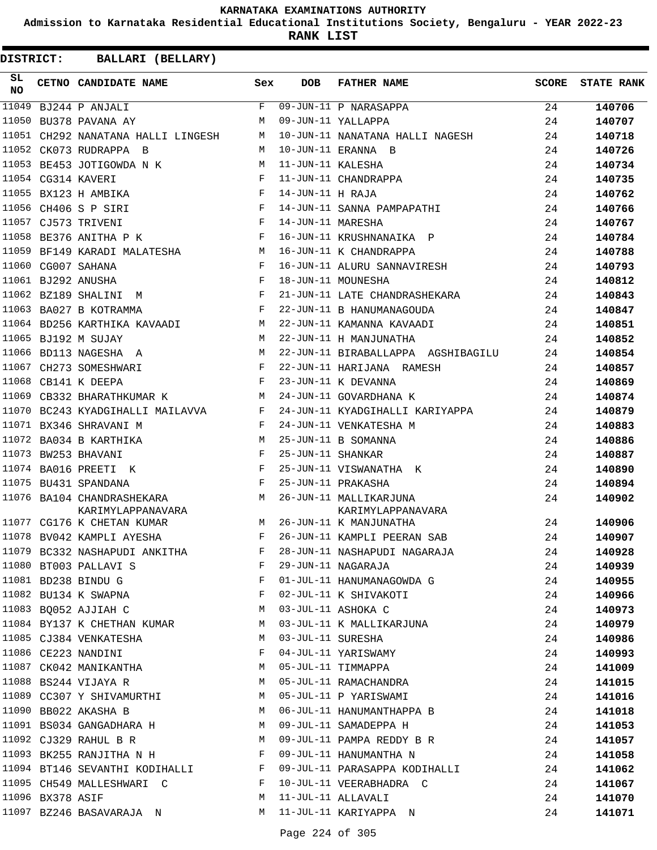**Admission to Karnataka Residential Educational Institutions Society, Bengaluru - YEAR 2022-23**

**RANK LIST**

| SL<br><b>NO</b> |                  | CETNO CANDIDATE NAME                                                          | Sex          | <b>DOB</b>        | <b>FATHER NAME</b>                 | <b>SCORE</b> | <b>STATE RANK</b> |
|-----------------|------------------|-------------------------------------------------------------------------------|--------------|-------------------|------------------------------------|--------------|-------------------|
| 11049           |                  | BJ244 P ANJALI                                                                | F            |                   | 09-JUN-11 P NARASAPPA              | 24           | 140706            |
| 11050           |                  | BU378 PAVANA AY                                                               | M            |                   | 09-JUN-11 YALLAPPA                 | 24           | 140707            |
|                 |                  | 11051 CH292 NANATANA HALLI LINGESH                                            | M            |                   | 10-JUN-11 NANATANA HALLI NAGESH    | 24           | 140718            |
|                 |                  | 11052 CK073 RUDRAPPA B                                                        | M            |                   | 10-JUN-11 ERANNA B                 | 24           | 140726            |
|                 |                  | 11053 BE453 JOTIGOWDA N K                                                     | M            | 11-JUN-11 KALESHA |                                    | 24           | 140734            |
|                 |                  | 11054 CG314 KAVERI                                                            | F            |                   | 11-JUN-11 CHANDRAPPA               | 24           | 140735            |
|                 |                  | $\mathbf{F}$<br>11055 BX123 H AMBIKA                                          |              | 14-JUN-11 H RAJA  |                                    | 24           | 140762            |
|                 |                  | 11056 CH406 S P SIRI                                                          | $\mathbf{F}$ |                   | 14-JUN-11 SANNA PAMPAPATHI         | 24           | 140766            |
|                 |                  | 11057 CJ573 TRIVENI                                                           | $\mathbf{F}$ | 14-JUN-11 MARESHA |                                    | 24           | 140767            |
| 11058           |                  | BE376 ANITHA P K                                                              | F            |                   | 16-JUN-11 KRUSHNANAIKA P           | 24           | 140784            |
| 11059           |                  | $M_{\rm H}$<br>BF149 KARADI MALATESHA                                         |              |                   | 16-JUN-11 K CHANDRAPPA             | 24           | 140788            |
|                 |                  | 11060 CG007 SAHANA                                                            | $\mathbf{F}$ |                   | 16-JUN-11 ALURU SANNAVIRESH        | 24           | 140793            |
|                 |                  | 11061 BJ292 ANUSHA                                                            | F            |                   | 18-JUN-11 MOUNESHA                 | 24           | 140812            |
|                 |                  | $\mathbf{F}$ and the state of the state $\mathbf{F}$<br>11062 BZ189 SHALINI M |              |                   | 21-JUN-11 LATE CHANDRASHEKARA      | 24           | 140843            |
|                 |                  | 11063 BA027 B KOTRAMMA<br>$\mathbf{F}$ and $\mathbf{F}$ and $\mathbf{F}$      |              |                   | 22-JUN-11 B HANUMANAGOUDA          | 24           | 140847            |
|                 |                  | 11064 BD256 KARTHIKA KAVAADI M                                                |              |                   | 22-JUN-11 KAMANNA KAVAADI          | 24           | 140851            |
|                 |                  | 11065 BJ192 M SUJAY                                                           | M            |                   | 22-JUN-11 H MANJUNATHA             | 24           | 140852            |
| 11066           |                  | BD113 NAGESHA A                                                               | M            |                   | 22-JUN-11 BIRABALLAPPA AGSHIBAGILU | 24           | 140854            |
| 11067           |                  | <b>Experimental Street Programs</b><br>CH273 SOMESHWARI                       |              |                   | 22-JUN-11 HARIJANA RAMESH          | 24           | 140857            |
| 11068           |                  | CB141 K DEEPA                                                                 | $\mathbf{F}$ |                   | 23-JUN-11 K DEVANNA                | 24           | 140869            |
| 11069           |                  | CB332 BHARATHKUMAR K                                                          | M            |                   | 24-JUN-11 GOVARDHANA K             | 24           | 140874            |
|                 |                  | 11070 BC243 KYADGIHALLI MAILAVVA                                              | F            |                   | 24-JUN-11 KYADGIHALLI KARIYAPPA    | 24           | 140879            |
|                 |                  | 11071 BX346 SHRAVANI M                                                        | $\mathbf{F}$ |                   | 24-JUN-11 VENKATESHA M             | 24           | 140883            |
|                 |                  | 11072 BA034 B KARTHIKA                                                        | M            |                   | 25-JUN-11 B SOMANNA                | 24           | 140886            |
| 11073           |                  | BW253 BHAVANI                                                                 | F            | 25-JUN-11 SHANKAR |                                    | 24           | 140887            |
|                 |                  | 11074 BA016 PREETI K                                                          | F            |                   | 25-JUN-11 VISWANATHA K             | 24           | 140890            |
|                 |                  | 11075 BU431 SPANDANA                                                          | $\mathbf{F}$ |                   | 25-JUN-11 PRAKASHA                 | 24           | 140894            |
|                 |                  | 11076 BA104 CHANDRASHEKARA                                                    |              |                   | 26-JUN-11 MALLIKARJUNA             | 24           | 140902            |
|                 |                  | M<br>KARIMYLAPPANAVARA                                                        |              |                   | KARIMYLAPPANAVARA                  |              |                   |
|                 |                  | M<br>11077 CG176 K CHETAN KUMAR                                               |              |                   | 26-JUN-11 K MANJUNATHA             | 24           | 140906            |
|                 |                  | 11078 BV042 KAMPLI AYESHA                                                     | F            |                   | 26-JUN-11 KAMPLI PEERAN SAB        | 24           | 140907            |
|                 |                  | 11079 BC332 NASHAPUDI ANKITHA                                                 |              |                   | F 28-JUN-11 NASHAPUDI NAGARAJA     | 24           | 140928            |
|                 |                  | 11080 BT003 PALLAVI S                                                         | F            |                   | 29-JUN-11 NAGARAJA                 | 24           | 140939            |
|                 |                  | 11081 BD238 BINDU G                                                           | F            |                   | 01-JUL-11 HANUMANAGOWDA G          | 24           | 140955            |
|                 |                  | 11082 BU134 K SWAPNA                                                          | F            |                   | 02-JUL-11 K SHIVAKOTI              | 24           | 140966            |
|                 |                  | 11083 BQ052 AJJIAH C                                                          | M            |                   | 03-JUL-11 ASHOKA C                 | 24           | 140973            |
|                 |                  | 11084 BY137 K CHETHAN KUMAR                                                   | M            |                   | 03-JUL-11 K MALLIKARJUNA           | 24           | 140979            |
|                 |                  | 11085 CJ384 VENKATESHA                                                        | M            | 03-JUL-11 SURESHA |                                    | 24           | 140986            |
|                 |                  | 11086 CE223 NANDINI                                                           | $\mathbf{F}$ |                   | 04-JUL-11 YARISWAMY                | 24           | 140993            |
|                 |                  | 11087 CK042 MANIKANTHA                                                        | M            |                   | 05-JUL-11 TIMMAPPA                 | 24           | 141009            |
|                 |                  | 11088 BS244 VIJAYA R                                                          | M            |                   | 05-JUL-11 RAMACHANDRA              | 24           | 141015            |
|                 |                  | 11089 CC307 Y SHIVAMURTHI                                                     | M            |                   | 05-JUL-11 P YARISWAMI              | 24           | 141016            |
|                 |                  | 11090 BB022 AKASHA B                                                          | M            |                   | 06-JUL-11 HANUMANTHAPPA B          | 24           | 141018            |
|                 |                  | 11091 BS034 GANGADHARA H                                                      | M            |                   | 09-JUL-11 SAMADEPPA H              | 24           | 141053            |
|                 |                  | 11092 CJ329 RAHUL B R                                                         | M            |                   | 09-JUL-11 PAMPA REDDY B R          | 24           | 141057            |
|                 |                  | 11093 BK255 RANJITHA N H                                                      | $\mathbf{F}$ |                   | 09-JUL-11 HANUMANTHA N             | 24           | 141058            |
|                 |                  | 11094 BT146 SEVANTHI KODIHALLI F                                              |              |                   | 09-JUL-11 PARASAPPA KODIHALLI      | 24           | 141062            |
|                 |                  | 11095 CH549 MALLESHWARI C                                                     | F            |                   | 10-JUL-11 VEERABHADRA C            | 24           | 141067            |
|                 | 11096 BX378 ASIF |                                                                               | М            |                   | 11-JUL-11 ALLAVALI                 | 24           | 141070            |
|                 |                  | 11097 BZ246 BASAVARAJA N                                                      | M            |                   | 11-JUL-11 KARIYAPPA N              | 24           | 141071            |
|                 |                  |                                                                               |              |                   |                                    |              |                   |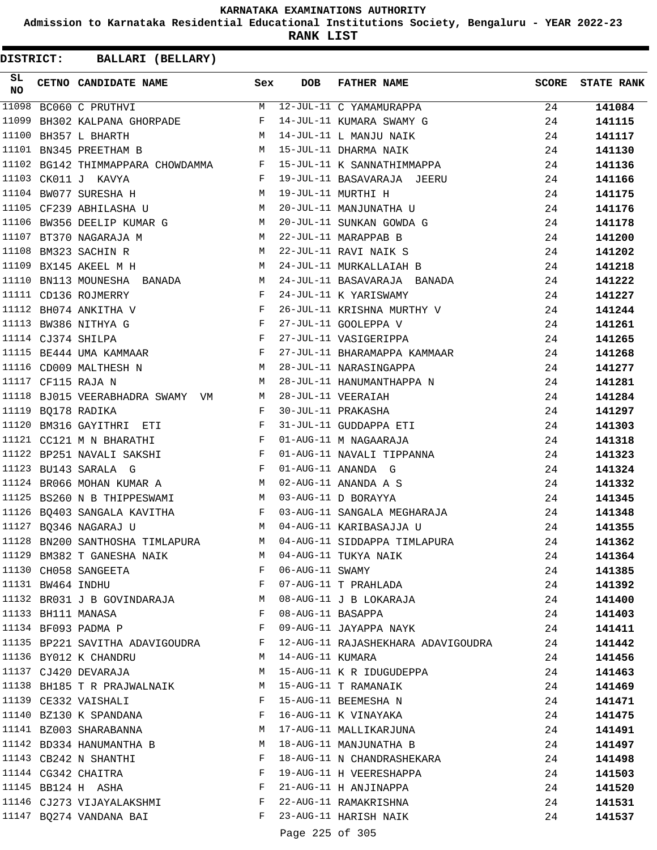**Admission to Karnataka Residential Educational Institutions Society, Bengaluru - YEAR 2022-23**

**RANK LIST**

| SL<br><b>NO</b> |                   | CETNO CANDIDATE NAME Sex                                                                                                                 |              | <b>DOB</b>       | FATHER NAME                                                                                                              | <b>SCORE</b> | <b>STATE RANK</b> |
|-----------------|-------------------|------------------------------------------------------------------------------------------------------------------------------------------|--------------|------------------|--------------------------------------------------------------------------------------------------------------------------|--------------|-------------------|
| 11098           |                   | BC060 C PRUTHVI                                                                                                                          |              |                  | M 12-JUL-11 C YAMAMURAPPA<br>F 14-JUL-11 KUMARA SWAMY G                                                                  | 24           | 141084            |
| 11099           |                   | BH302 KALPANA GHORPADE F                                                                                                                 |              |                  |                                                                                                                          | 24           | 141115            |
| 11100           |                   | M<br>BH357 L BHARTH                                                                                                                      |              |                  | 14-JUL-11 L MANJU NAIK                                                                                                   | 24           | 141117            |
|                 |                   | 11101 BN345 PREETHAM B                                                                                                                   | M            |                  | 15-JUL-11 DHARMA NAIK                                                                                                    | 24           | 141130            |
|                 |                   |                                                                                                                                          |              |                  | 11102 BG142 THIMMAPPARA CHOWDAMMA F 15-JUL-11 K SANNATHIMMAPPA                                                           | 24           | 141136            |
| 11103           |                   | CK011 J KAVYA<br>$\mathbf{F}$ and $\mathbf{F}$                                                                                           |              |                  | 19-JUL-11 BASAVARAJA JEERU                                                                                               | 24           | 141166            |
|                 |                   | M 19-JUL-11 MURTHI H<br>11104 BW077 SURESHA H                                                                                            |              |                  |                                                                                                                          | 24           | 141175            |
|                 |                   | 11105 CF239 ABHILASHA U M 20-JUL-11 MANJUNATHA U                                                                                         |              |                  |                                                                                                                          | 24           | 141176            |
|                 |                   |                                                                                                                                          |              |                  | 11106 BW356 DEELIP KUMAR G M 20-JUL-11 SUNKAN GOWDA G                                                                    | 24           | 141178            |
| 11107           |                   | BT370 NAGARAJA M<br><b>M</b>                                                                                                             |              |                  | 22-JUL-11 MARAPPAB B                                                                                                     | 24           | 141200            |
| 11108           |                   | M <sub>N</sub><br>BM323 SACHIN R                                                                                                         |              |                  | 22-JUL-11 RAVI NAIK S                                                                                                    | 24           | 141202            |
| 11109           |                   | BX145 AKEEL M H                                                                                                                          |              |                  | 24-JUL-11 MURKALLAIAH B                                                                                                  | 24           | 141218            |
| 11110           |                   | BN113 MOUNESHA BANADA M                                                                                                                  |              |                  | 24-JUL-11 BASAVARAJA BANADA                                                                                              | 24           | 141222            |
|                 |                   | 11111 CD136 ROJMERRY<br>$\mathbf{F}$                                                                                                     |              |                  | 24-JUL-11 K YARISWAMY                                                                                                    | 24           | 141227            |
|                 |                   | $\mathbf{F}$<br>11112 BH074 ANKITHA V                                                                                                    |              |                  | 26-JUL-11 KRISHNA MURTHY V<br>27 IUL 11 GOOINNA - I                                                                      | 24           | 141244            |
|                 |                   | 11113 BW386 NITHYA G                                                                                                                     |              |                  |                                                                                                                          | 24           | 141261            |
|                 |                   | $\begin{array}{ccccc} \mathbf{F} & & & \mathbf{F} & \\ & & & \mathbf{F} & \\ & & & \mathbf{F} & \\ \end{array}$<br>11114 CJ374 SHILPA    |              |                  | 27-JUL-11 GOOLEPPA V<br>27-JUL-11 VASIGERIPPA<br>27-JUL-11 VASIGERIPPA                                                   | 24           | 141265            |
| 11115           |                   | BE444 UMA KAMMAAR F                                                                                                                      |              |                  | 27-JUL-11 BHARAMAPPA KAMMAAR                                                                                             | 24           | 141268            |
|                 |                   | $\begin{aligned} \mathbb{M} \\ \mathbb{M} \end{aligned}$<br>11116 CD009 MALTHESH N                                                       |              |                  | 28-JUL-11 NARASINGAPPA                                                                                                   | 24           | 141277            |
|                 |                   | 11117 CF115 RAJA N                                                                                                                       | M            |                  |                                                                                                                          | 24           | 141281            |
|                 |                   | 11118 BJ015 VEERABHADRA SWAMY VM M                                                                                                       |              |                  | 28-JUL-11 HANUMANTHAPPA N<br>28-JUL-11 VEERAIAH<br>30-JUL-11 PRAKASHA<br>31-JUL-11 GUDDAPPA ETI<br>01-AUG-11 M NAGAARAJA | 24           | 141284            |
|                 |                   | 11119 BQ178 RADIKA                                                                                                                       | $\mathbf{F}$ |                  |                                                                                                                          | 24           | 141297            |
|                 |                   | 11120 BM316 GAYITHRI ETI F                                                                                                               |              |                  |                                                                                                                          | 24           | 141303            |
|                 |                   | 11121 CC121 M N BHARATHI $F$                                                                                                             |              |                  |                                                                                                                          | 24           | 141318            |
|                 |                   | $\mathbf{F}$<br>11122 BP251 NAVALI SAKSHI                                                                                                |              |                  | 01-AUG-11 NAVALI TIPPANNA                                                                                                | 24           | 141323            |
| 11123           |                   | BU143 SARALA G<br><u>in the second second second</u> second second second second second second second second second second second second |              |                  | 01-AUG-11 ANANDA G                                                                                                       | 24           | 141324            |
|                 |                   | 11124 BR066 MOHAN KUMAR A M                                                                                                              |              |                  | 02-AUG-11 ANANDA A S                                                                                                     | 24           | 141332            |
|                 |                   | 11125 BS260 N B THIPPESWAMI M 03-AUG-11 D BORAYYA                                                                                        |              |                  |                                                                                                                          | 24           | 141345            |
|                 |                   |                                                                                                                                          |              |                  | 11126 BQ403 SANGALA KAVITHA F 03-AUG-11 SANGALA MEGHARAJA                                                                | 24           | 141348            |
|                 |                   | 11127 BQ346 NAGARAJ U<br>M 04-AUG-11 KARIBASAJJA U                                                                                       |              |                  |                                                                                                                          | 24           | 141355            |
|                 |                   | 11128 BN200 SANTHOSHA TIMLAPURA M 04-AUG-11 SIDDAPPA TIMLAPURA                                                                           |              |                  |                                                                                                                          | 24           | 141362            |
|                 |                   | 11129 BM382 T GANESHA NAIK                                                                                                               |              |                  | M 04-AUG-11 TUKYA NAIK                                                                                                   | 24           | 141364            |
|                 |                   | 11130 CH058 SANGEETA                                                                                                                     | F            | 06-AUG-11 SWAMY  |                                                                                                                          | 24           | 141385            |
|                 | 11131 BW464 INDHU |                                                                                                                                          | F            |                  | 07-AUG-11 T PRAHLADA                                                                                                     | 24           | 141392            |
|                 |                   | 11132 BR031 J B GOVINDARAJA M                                                                                                            |              |                  | 08-AUG-11 J B LOKARAJA                                                                                                   | 24           | 141400            |
|                 |                   | 11133 BH111 MANASA                                                                                                                       | $\mathbf{F}$ |                  | 08-AUG-11 BASAPPA                                                                                                        | 24           | 141403            |
|                 |                   | 11134 BF093 PADMA P                                                                                                                      | F            |                  | 09-AUG-11 JAYAPPA NAYK                                                                                                   | 24           | 141411            |
|                 |                   | 11135 BP221 SAVITHA ADAVIGOUDRA                                                                                                          | F            |                  | 12-AUG-11 RAJASHEKHARA ADAVIGOUDRA                                                                                       | 24           | 141442            |
|                 |                   | 11136 BY012 K CHANDRU                                                                                                                    | M            | 14-AUG-11 KUMARA |                                                                                                                          | 24           | 141456            |
|                 |                   | 11137 CJ420 DEVARAJA                                                                                                                     | M            |                  | 15-AUG-11 K R IDUGUDEPPA                                                                                                 | 24           | 141463            |
|                 |                   | 11138 BH185 T R PRAJWALNAIK                                                                                                              | M            |                  | 15-AUG-11 T RAMANAIK                                                                                                     | 24           | 141469            |
|                 |                   | 11139 CE332 VAISHALI                                                                                                                     | F            |                  | 15-AUG-11 BEEMESHA N                                                                                                     | 24           | 141471            |
|                 |                   | 11140 BZ130 K SPANDANA                                                                                                                   | F            |                  | 16-AUG-11 K VINAYAKA                                                                                                     | 24           | 141475            |
|                 |                   | 11141 BZ003 SHARABANNA                                                                                                                   | M            |                  | 17-AUG-11 MALLIKARJUNA                                                                                                   | 24           | 141491            |
|                 |                   | 11142 BD334 HANUMANTHA B                                                                                                                 | M            |                  | 18-AUG-11 MANJUNATHA B                                                                                                   | 24           | 141497            |
|                 |                   | 11143 CB242 N SHANTHI                                                                                                                    | F            |                  | 18-AUG-11 N CHANDRASHEKARA                                                                                               | 24           | 141498            |
|                 |                   | 11144 CG342 CHAITRA                                                                                                                      | F            |                  | 19-AUG-11 H VEERESHAPPA                                                                                                  | 24           | 141503            |
|                 |                   | 11145 BB124 H ASHA                                                                                                                       | F            |                  | 21-AUG-11 H ANJINAPPA                                                                                                    | 24           | 141520            |
|                 |                   | 11146 CJ273 VIJAYALAKSHMI                                                                                                                | F            |                  | 22-AUG-11 RAMAKRISHNA                                                                                                    | 24           | 141531            |
|                 |                   | 11147 BQ274 VANDANA BAI                                                                                                                  | F            |                  | 23-AUG-11 HARISH NAIK                                                                                                    | 24           | 141537            |
|                 |                   |                                                                                                                                          |              |                  |                                                                                                                          |              |                   |
|                 |                   |                                                                                                                                          |              | Page 225 of 305  |                                                                                                                          |              |                   |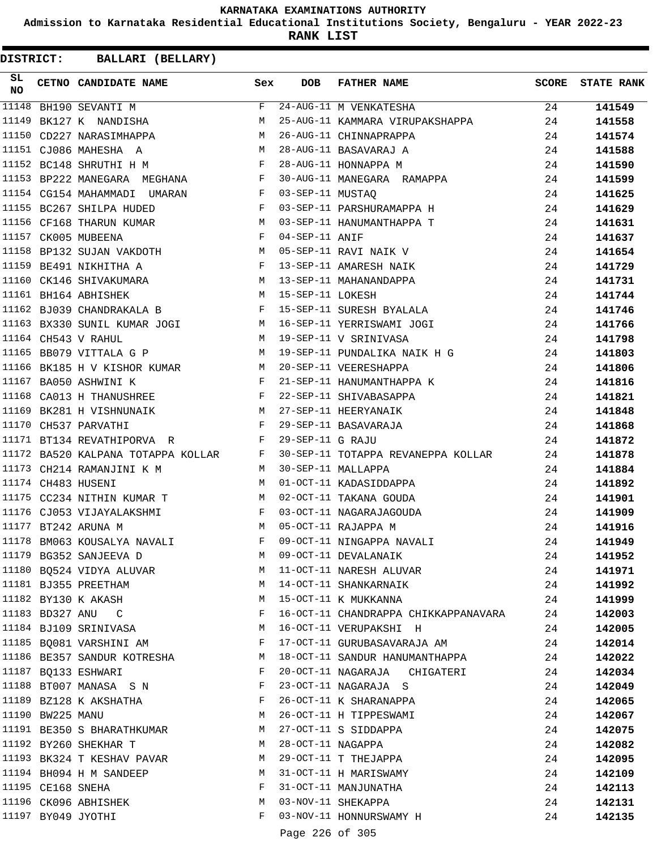**Admission to Karnataka Residential Educational Institutions Society, Bengaluru - YEAR 2022-23**

**RANK LIST**

| SL<br><b>NO</b> |                   | CETNO CANDIDATE NAME Sex                                                                                              |   | <b>DOB</b>        | FATHER NAME                                                                                   | <b>SCORE</b> | <b>STATE RANK</b> |
|-----------------|-------------------|-----------------------------------------------------------------------------------------------------------------------|---|-------------------|-----------------------------------------------------------------------------------------------|--------------|-------------------|
| 11148           |                   | BH190 SEVANTI M                                                                                                       | F |                   | 24-AUG-11 M VENKATESHA                                                                        | 24           | 141549            |
| 11149           |                   | BK127 K NANDISHA                                                                                                      | м |                   | 25-AUG-11 KAMMARA VIRUPAKSHAPPA 24                                                            |              | 141558            |
| 11150           |                   | CD227 NARASIMHAPPA M                                                                                                  |   |                   |                                                                                               | 24           | 141574            |
|                 |                   | 11151 CJ086 MAHESHA A                                                                                                 |   |                   |                                                                                               | 24           | 141588            |
|                 |                   | $\begin{array}{c}\nM \\ \hline\n\end{array}$<br>11152 BC148 SHRUTHI H M                                               |   |                   | 26-AUG-11 CHINNAPRAPPA<br>28-AUG-11 BASAVARAJ A<br>28-AUG-11 HONNAPPA M                       | 24           | 141590            |
|                 |                   | 11153 BP222 MANEGARA MEGHANA F                                                                                        |   |                   | 30-AUG-11 MANEGARA RAMAPPA                                                                    | 24           | 141599            |
|                 |                   | 11154 CG154 MAHAMMADI UMARAN F 03-SEP-11 MUSTAQ                                                                       |   |                   |                                                                                               | 24           | 141625            |
|                 |                   | 11155 BC267 SHILPA HUDED                                                                                              |   |                   | F 03-SEP-11 PARSHURAMAPPA H                                                                   | 24           | 141629            |
|                 |                   | 11156 CF168 THARUN KUMAR M 03-SEP-11 HANUMANTHAPPA T                                                                  |   |                   |                                                                                               | 24           | 141631            |
|                 |                   | $F$ 04-SEP-11 ANIF<br>11157 CK005 MUBEENA                                                                             |   |                   |                                                                                               | 24           | 141637            |
|                 |                   | 11158 BP132 SUJAN VAKDOTH M                                                                                           |   |                   | 05-SEP-11 RAVI NAIK V<br>13-SEP-11 AMARESH NAIK                                               | 24           | 141654            |
|                 |                   | 11159 BE491 NIKHITHA A<br>11160 CK146 SHIVAKUMARA M 13-SEP-11 MAHANANDAPPA<br>11161 BH164 ABHISHEK M 15-SEP-11 LOKESH |   |                   |                                                                                               | 24           | 141729            |
|                 |                   |                                                                                                                       |   |                   |                                                                                               | 24           | 141731            |
|                 |                   |                                                                                                                       |   |                   |                                                                                               | 24           | 141744            |
|                 |                   |                                                                                                                       |   |                   | 11162 BJ039 CHANDRAKALA B F 15-SEP-11 SURESH BYALALA                                          | 24           | 141746            |
|                 |                   |                                                                                                                       |   |                   | 11163 BX330 SUNIL KUMAR JOGI N 16-SEP-11 YERRISWAMI JOGI                                      | 24           | 141766            |
|                 |                   | $   \overline{M}$<br>11164 CH543 V RAHUL                                                                              |   |                   | 19-SEP-11 V SRINIVASA                                                                         | 24           | 141798            |
|                 |                   | 11165 BB079 VITTALA G P<br><b>M</b>                                                                                   |   |                   | 19-SEP-11 PUNDALIKA NAIK H G                                                                  | 24           | 141803            |
|                 |                   |                                                                                                                       |   |                   | 20-SEP-11 VEERESHAPPA                                                                         | 24           | 141806            |
|                 |                   | 11166 BK185 H V KISHOR KUMAR M<br>11167 BA050 ASHWINI K F                                                             |   |                   |                                                                                               | 24           | 141816            |
|                 |                   | 11168 CA013 H THANUSHREE F                                                                                            |   |                   | 21-SEP-11 HANUMANTHAPPA K<br>22-SEP-11 SHIVABASAPPA                                           | 24           | 141821            |
| 11169           |                   | BK281 H VISHNUNAIK M 27-SEP-11 HEERYANAIK                                                                             |   |                   |                                                                                               | 24           | 141848            |
|                 |                   | $\mathbf{F}$<br>11170 CH537 PARVATHI                                                                                  |   |                   | 29-SEP-11 BASAVARAJA                                                                          | 24           | 141868            |
|                 |                   | $\mathbf{F}$<br>11171 BT134 REVATHIPORVA R                                                                            |   | 29-SEP-11 G RAJU  |                                                                                               | 24           | 141872            |
|                 |                   |                                                                                                                       |   |                   |                                                                                               | 24           |                   |
|                 |                   | 11173 CH214 RAMANJINI K M                                                                                             |   |                   | 11172 BA520 KALPANA TOTAPPA KOLLAR F 30-SEP-11 TOTAPPA REVANEPPA KOLLAR<br>30-SEP-11 MALLAPPA |              | 141878            |
|                 |                   | <b>M</b><br>M<br>11174 CH483 HUSENI                                                                                   |   |                   | 01-OCT-11 KADASIDDAPPA                                                                        | 24           | 141884<br>141892  |
|                 |                   |                                                                                                                       |   |                   | 02-OCT-11 TAKANA GOUDA                                                                        | 24           |                   |
|                 |                   | 11175 CC234 NITHIN KUMAR T M                                                                                          |   |                   |                                                                                               | 24           | 141901            |
|                 |                   | 11176 CJ053 VIJAYALAKSHMI F                                                                                           |   |                   | 03-OCT-11 NAGARAJAGOUDA                                                                       | 24           | 141909            |
|                 |                   | M<br>11177 BT242 ARUNA M                                                                                              |   |                   | 05-OCT-11 RAJAPPA M                                                                           | 24           | 141916            |
|                 |                   | $\mathbf{F}$<br>11178 BM063 KOUSALYA NAVALI                                                                           |   |                   | 09-OCT-11 NINGAPPA NAVALI                                                                     | 24           | 141949            |
|                 |                   | 11179 BG352 SANJEEVA D                                                                                                | M |                   | 09-OCT-11 DEVALANAIK                                                                          | 24           | 141952            |
|                 |                   | 11180 BQ524 VIDYA ALUVAR                                                                                              | M |                   | 11-OCT-11 NARESH ALUVAR                                                                       | 24           | 141971            |
|                 |                   | 11181 BJ355 PREETHAM                                                                                                  | M |                   | 14-OCT-11 SHANKARNAIK                                                                         | 24           | 141992            |
|                 |                   | 11182 BY130 K AKASH                                                                                                   | M |                   | 15-OCT-11 K MUKKANNA                                                                          | 24           | 141999            |
|                 |                   | 11183 BD327 ANU C                                                                                                     | F |                   | 16-OCT-11 CHANDRAPPA CHIKKAPPANAVARA                                                          | 24           | 142003            |
|                 |                   | 11184 BJ109 SRINIVASA                                                                                                 | M |                   | 16-OCT-11 VERUPAKSHI H                                                                        | 24           | 142005            |
|                 |                   | 11185 BQ081 VARSHINI AM                                                                                               | F |                   | 17-OCT-11 GURUBASAVARAJA AM                                                                   | 24           | 142014            |
|                 |                   | 11186 BE357 SANDUR KOTRESHA                                                                                           | M |                   | 18-OCT-11 SANDUR HANUMANTHAPPA                                                                | 24           | 142022            |
|                 |                   | 11187 BQ133 ESHWARI                                                                                                   | F |                   | 20-OCT-11 NAGARAJA CHIGATERI                                                                  | 24           | 142034            |
|                 |                   | 11188 BT007 MANASA S N                                                                                                | F |                   | 23-OCT-11 NAGARAJA S                                                                          | 24           | 142049            |
|                 |                   | 11189 BZ128 K AKSHATHA                                                                                                | F |                   | 26-OCT-11 K SHARANAPPA                                                                        | 24           | 142065            |
|                 | 11190 BW225 MANU  |                                                                                                                       | M |                   | 26-OCT-11 H TIPPESWAMI                                                                        | 24           | 142067            |
|                 |                   | 11191 BE350 S BHARATHKUMAR                                                                                            | M |                   | 27-OCT-11 S SIDDAPPA                                                                          | 24           | 142075            |
|                 |                   | 11192 BY260 SHEKHAR T                                                                                                 | M | 28-OCT-11 NAGAPPA |                                                                                               | 24           | 142082            |
|                 |                   | 11193 BK324 T KESHAV PAVAR                                                                                            | M |                   | 29-OCT-11 T THEJAPPA                                                                          | 24           | 142095            |
|                 |                   | 11194 BH094 H M SANDEEP                                                                                               | M |                   | 31-OCT-11 H MARISWAMY                                                                         | 24           | 142109            |
|                 | 11195 CE168 SNEHA |                                                                                                                       | F |                   | 31-OCT-11 MANJUNATHA                                                                          | 24           | 142113            |
|                 |                   | 11196 CK096 ABHISHEK                                                                                                  | М |                   | 03-NOV-11 SHEKAPPA                                                                            | 24           | 142131            |
|                 |                   | 11197 BY049 JYOTHI                                                                                                    | F |                   | 03-NOV-11 HONNURSWAMY H                                                                       | 24           | 142135            |
|                 |                   |                                                                                                                       |   | Page 226 of 305   |                                                                                               |              |                   |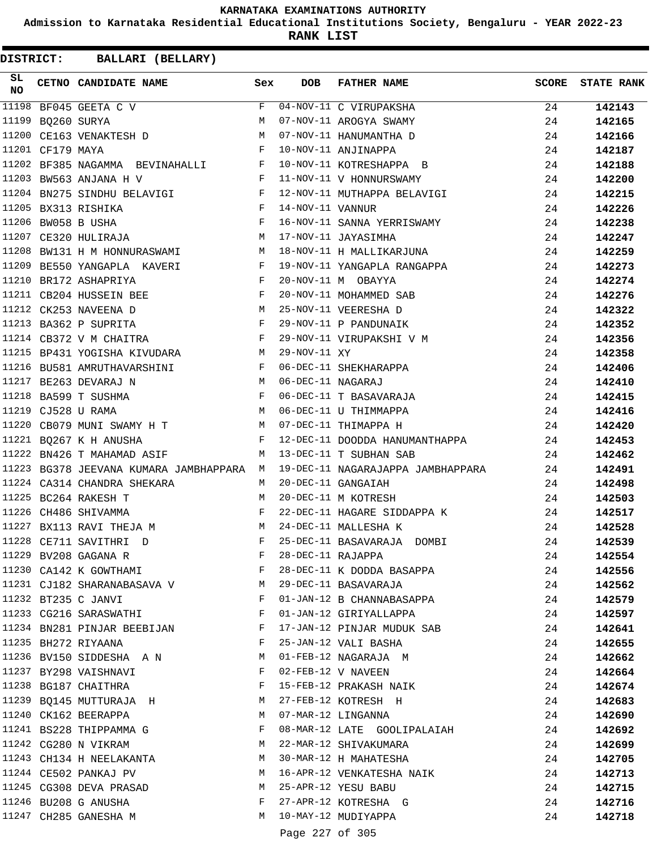**Admission to Karnataka Residential Educational Institutions Society, Bengaluru - YEAR 2022-23**

**RANK LIST**

| SL<br><b>NO</b> |                   | CETNO CANDIDATE NAME Sex                                                            |              | <b>DOB</b>        | FATHER NAME                                          | <b>SCORE</b> | <b>STATE RANK</b> |
|-----------------|-------------------|-------------------------------------------------------------------------------------|--------------|-------------------|------------------------------------------------------|--------------|-------------------|
| 11198           |                   | BF045 GEETA C V                                                                     |              |                   | F 04-NOV-11 C VIRUPAKSHA<br>M 07-NOV-11 AROGYA SWAMY | 24           | 142143            |
|                 | 11199 BQ260 SURYA |                                                                                     |              |                   |                                                      | 24           | 142165            |
|                 |                   | 11200 CE163 VENAKTESH D M                                                           |              |                   | 07-NOV-11 HANUMANTHA D                               | 24           | 142166            |
|                 | 11201 CF179 MAYA  | $\mathbf{F}$                                                                        |              |                   | 10-NOV-11 ANJINAPPA                                  | 24           | 142187            |
|                 |                   | 11202 BF385 NAGAMMA BEVINAHALLI F                                                   |              |                   | 10-NOV-11 KOTRESHAPPA B                              | 24           | 142188            |
|                 |                   | 11203 BW563 ANJANA H V<br>$\mathbf{F}$ and the set of $\mathbf{F}$ and $\mathbf{F}$ |              |                   | 11-NOV-11 V HONNURSWAMY                              | 24           | 142200            |
|                 |                   | 11204 BN275 SINDHU BELAVIGI F                                                       |              |                   | 12-NOV-11 MUTHAPPA BELAVIGI                          | 24           | 142215            |
|                 |                   | $\begin{array}{c}\n\mathbf{F} \\ \mathbf{F}\n\end{array}$<br>11205 BX313 RISHIKA    |              | 14-NOV-11 VANNUR  |                                                      | 24           | 142226            |
|                 |                   | 11206 BW058 B USHA                                                                  |              |                   | 16-NOV-11 SANNA YERRISWAMY                           | 24           | 142238            |
|                 |                   | 11207 CE320 HULIRAJA M                                                              |              |                   | 17-NOV-11 JAYASIMHA                                  | 24           | 142247            |
| 11208           |                   | BW131 H M HONNURASWAMI M                                                            |              |                   | 18-NOV-11 H MALLIKARJUNA                             | 24           | 142259            |
|                 |                   | RI F<br>F<br>F<br>11209 BE550 YANGAPLA KAVERI                                       |              |                   | 19-NOV-11 YANGAPLA RANGAPPA                          | 24           | 142273            |
| 11210           |                   | BR172 ASHAPRIYA                                                                     |              |                   | 20-NOV-11 M OBAYYA                                   | 24           | 142274            |
|                 |                   | 11211 CB204 HUSSEIN BEE F                                                           |              |                   | 20-NOV-11 MOHAMMED SAB                               | 24           | 142276            |
|                 |                   | M<br>11212 CK253 NAVEENA D                                                          |              |                   | 25-NOV-11 VEERESHA D                                 | 24           | 142322            |
|                 |                   | 11213 BA362 P SUPRITA F                                                             |              |                   | 29-NOV-11 P PANDUNAIK                                | 24           | 142352            |
|                 |                   | 11214 CB372 V M CHAITRA F                                                           |              |                   | 29-NOV-11 VIRUPAKSHI V M                             | 24           | 142356            |
|                 |                   | 11215 BP431 YOGISHA KIVUDARA M                                                      |              | 29-NOV-11 XY      |                                                      | 24           | 142358            |
|                 |                   | 11216 BU581 AMRUTHAVARSHINI F                                                       |              |                   | 06-DEC-11 SHEKHARAPPA                                | 24           | 142406            |
|                 |                   | 11217 BE263 DEVARAJ N                                                               |              | 06-DEC-11 NAGARAJ |                                                      | 24           | 142410            |
|                 |                   | $\frac{\mathbf{M}}{\mathbf{F}}$<br>11218 BA599 T SUSHMA                             |              |                   | 06-DEC-11 T BASAVARAJA                               | 24           | 142415            |
|                 |                   | 11219 CJ528 U RAMA                                                                  |              |                   | M 06-DEC-11 U THIMMAPPA                              | 24           | 142416            |
|                 |                   | 11220 CB079 MUNI SWAMY H T M 07-DEC-11 THIMAPPA H                                   |              |                   |                                                      | 24           | 142420            |
|                 |                   | 11221 BQ267 K H ANUSHA                                                              |              |                   | F 12-DEC-11 DOODDA HANUMANTHAPPA                     | 24           | 142453            |
|                 |                   | 11222 BN426 T MAHAMAD ASIF M                                                        |              |                   | 13-DEC-11 T SUBHAN SAB                               | 24           | 142462            |
|                 |                   | 11223 BG378 JEEVANA KUMARA JAMBHAPPARA M                                            |              |                   | 19-DEC-11 NAGARAJAPPA JAMBHAPPARA                    | 24           | 142491            |
|                 |                   | 11224 CA314 CHANDRA SHEKARA                                                         | M            |                   | 20-DEC-11 GANGAIAH                                   | 24           | 142498            |
|                 |                   | $M$<br>$F$<br>11225 BC264 RAKESH T                                                  |              |                   | 20-DEC-11 M KOTRESH                                  | 24           | 142503            |
| 11226           |                   | CH486 SHIVAMMA                                                                      |              |                   | 22-DEC-11 HAGARE SIDDAPPA K                          | 24           | 142517            |
| 11227           |                   | BX113 RAVI THEJA M                                                                  |              |                   | 24-DEC-11 MALLESHA K                                 | 24           | 142528            |
|                 |                   | 11228 CE711 SAVITHRI D                                                              | F            |                   | 25-DEC-11 BASAVARAJA DOMBI                           | 24           | 142539            |
|                 |                   | 11229 BV208 GAGANA R                                                                | F            | 28-DEC-11 RAJAPPA |                                                      | 24           | 142554            |
|                 |                   | 11230 CA142 K GOWTHAMI                                                              | F            |                   | 28-DEC-11 K DODDA BASAPPA                            | 24           | 142556            |
|                 |                   | 11231 CJ182 SHARANABASAVA V                                                         | M            |                   | 29-DEC-11 BASAVARAJA                                 | 24           | 142562            |
|                 |                   | 11232 BT235 C JANVI                                                                 | F            |                   | 01-JAN-12 B CHANNABASAPPA                            | 24           | 142579            |
|                 |                   | 11233 CG216 SARASWATHI                                                              | F            |                   | 01-JAN-12 GIRIYALLAPPA                               | 24           | 142597            |
|                 |                   | 11234 BN281 PINJAR BEEBIJAN                                                         | F            |                   | 17-JAN-12 PINJAR MUDUK SAB                           | 24           | 142641            |
|                 |                   | 11235 BH272 RIYAANA                                                                 | F            |                   | 25-JAN-12 VALI BASHA                                 | 24           | 142655            |
|                 |                   | 11236 BV150 SIDDESHA AN                                                             | M            |                   | 01-FEB-12 NAGARAJA M                                 | 24           | 142662            |
|                 |                   | 11237 BY298 VAISHNAVI                                                               | $\mathbf{F}$ |                   | 02-FEB-12 V NAVEEN                                   | 24           | 142664            |
|                 |                   | 11238 BG187 CHAITHRA                                                                | F            |                   | 15-FEB-12 PRAKASH NAIK                               | 24           | 142674            |
|                 |                   | 11239 BQ145 MUTTURAJA H                                                             | M            |                   | 27-FEB-12 KOTRESH H                                  | 24           | 142683            |
|                 |                   | 11240 CK162 BEERAPPA                                                                | M            |                   | 07-MAR-12 LINGANNA                                   | 24           | 142690            |
|                 |                   | 11241 BS228 THIPPAMMA G                                                             | F            |                   | 08-MAR-12 LATE GOOLIPALAIAH                          | 24           | 142692            |
|                 |                   | 11242 CG280 N VIKRAM                                                                | M            |                   | 22-MAR-12 SHIVAKUMARA                                | 24           | 142699            |
|                 |                   | 11243 CH134 H NEELAKANTA                                                            | M            |                   | 30-MAR-12 H MAHATESHA                                | 24           | 142705            |
|                 |                   | 11244 CE502 PANKAJ PV                                                               | M            |                   | 16-APR-12 VENKATESHA NAIK                            | 24           | 142713            |
|                 |                   | 11245 CG308 DEVA PRASAD                                                             | M            |                   | 25-APR-12 YESU BABU                                  | 24           | 142715            |
|                 |                   | 11246 BU208 G ANUSHA                                                                | F            |                   | 27-APR-12 KOTRESHA G                                 | 24           | 142716            |
|                 |                   | 11247 CH285 GANESHA M                                                               | M            |                   | 10-MAY-12 MUDIYAPPA                                  | 24           | 142718            |
|                 |                   |                                                                                     |              | Page 227 of 305   |                                                      |              |                   |
|                 |                   |                                                                                     |              |                   |                                                      |              |                   |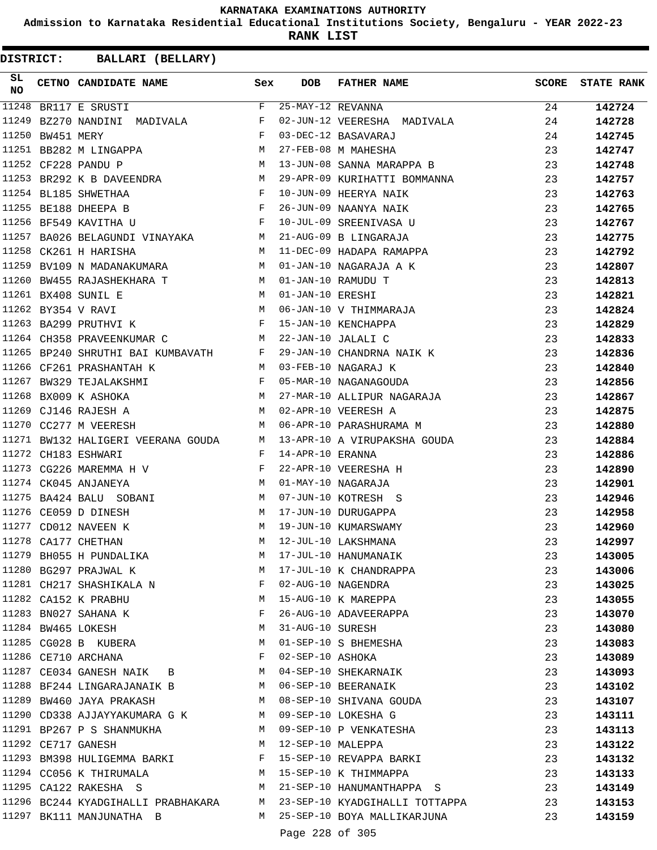**Admission to Karnataka Residential Educational Institutions Society, Bengaluru - YEAR 2022-23**

**RANK LIST**

| SL<br><b>NO</b> |            | CETNO CANDIDATE NAME Sex                                                                                      |                             | DOB                 | FATHER NAME                                                              | SCORE | <b>STATE RANK</b> |
|-----------------|------------|---------------------------------------------------------------------------------------------------------------|-----------------------------|---------------------|--------------------------------------------------------------------------|-------|-------------------|
| 11248           |            | BR117 E SRUSTI                                                                                                | $\mathbf{F}$                | $25-MAY-12$ REVANNA |                                                                          | 24    | 142724            |
| 11249           |            | BZ270 NANDINI MADIVALA F                                                                                      |                             |                     | 23 FEBT 12 REVANNA<br>02-JUN-12 VEERESHA MADIVALA                        | 24    | 142728            |
| 11250           | BW451 MERY | $\mathbf{F}$                                                                                                  |                             |                     | 03-DEC-12 BASAVARAJ                                                      | 24    | 142745            |
|                 |            | $\begin{array}{ccc} \mathbf{M} & \mathbf{M} \\ \mathbf{M} & \mathbf{M} \end{array}$<br>11251 BB282 M LINGAPPA |                             |                     | 27-FEB-08 M MAHESHA                                                      | 23    | 142747            |
|                 |            | 11252 CF228 PANDU P                                                                                           |                             |                     | 13-JUN-08 SANNA MARAPPA B                                                | 23    | 142748            |
|                 |            |                                                                                                               |                             |                     | 11253 BR292 K B DAVEENDRA M 29-APR-09 KURIHATTI BOMMANNA                 | 23    | 142757            |
|                 |            | $\frac{\text{F}}{\text{F}}$<br>11254 BL185 SHWETHAA                                                           |                             |                     | 10-JUN-09 HEERYA NAIK                                                    | 23    | 142763            |
|                 |            | 11255 BE188 DHEEPA B                                                                                          |                             |                     | 10-JUN-09 HEERYA NAIK<br>26-JUN-09 NAANYA NAIK<br>10-JUL-09 SREENIVASA U | 23    | 142765            |
|                 |            | 11256 BF549 KAVITHA U                                                                                         | $\mathbb{F}^{\mathbb{Z}}$ . |                     |                                                                          | 23    | 142767            |
|                 |            | 11257 BA026 BELAGUNDI VINAYAKA MARI 21-AUG-09 B LINGARAJA                                                     |                             |                     |                                                                          | 23    | 142775            |
|                 |            | M <sub>1</sub><br>11258 CK261 H HARISHA                                                                       |                             |                     | 11-DEC-09 HADAPA RAMAPPA                                                 | 23    | 142792            |
|                 |            | M <sub>N</sub><br>11259 BV109 N MADANAKUMARA                                                                  |                             |                     | 01-JAN-10 NAGARAJA A K                                                   | 23    | 142807            |
|                 |            | 11260 BW455 RAJASHEKHARA T                                                                                    |                             |                     | 01-JAN-10 RAMUDU T                                                       | 23    | 142813            |
|                 |            | 11261 BX408 SUNIL E                                                                                           |                             |                     |                                                                          | 23    | 142821            |
|                 |            | 11262 BY354 V RAVI                                                                                            |                             |                     | M 01-JAN-10 ERESHI<br>M 06-JAN-10 V THIMMARAJA                           | 23    | 142824            |
|                 |            | F 15-JAN-10 KENCHAPPA<br>11263 BA299 PRUTHVI K                                                                |                             |                     |                                                                          | 23    | 142829            |
|                 |            | 11264 CH358 PRAVEENKUMAR C                                                                                    |                             |                     | M 22-JAN-10 JALALI C                                                     | 23    | 142833            |
|                 |            |                                                                                                               |                             |                     | 11265 BP240 SHRUTHI BAI KUMBAVATH F 29-JAN-10 CHANDRNA NAIK K            | 23    | 142836            |
|                 |            | 11266 CF261 PRASHANTAH K<br>M 03-FEB-10 NAGARAJ K                                                             |                             |                     |                                                                          | 23    | 142840            |
|                 |            |                                                                                                               |                             |                     | 05-MAR-10 NAGANAGOUDA                                                    | 23    | 142856            |
|                 |            |                                                                                                               |                             |                     |                                                                          | 23    | 142867            |
|                 |            |                                                                                                               |                             |                     | 27-MAR-10 ALLIPUR NAGARAJA<br>02-APR-10 VEERESH A                        | 23    | 142875            |
|                 |            | 11270 CC277 M VEERESH                                                                                         |                             |                     | M 06-APR-10 PARASHURAMA M                                                | 23    | 142880            |
|                 |            |                                                                                                               |                             |                     | 11271 BW132 HALIGERI VEERANA GOUDA M 13-APR-10 A VIRUPAKSHA GOUDA        | 23    | 142884            |
|                 |            | 11272 CH183 ESHWARI                                                                                           | $\mathbf{F}$                | 14-APR-10 ERANNA    |                                                                          | 23    | 142886            |
|                 |            | 11273 CG226 MAREMMA H V                                                                                       | $\mathbf{F}$                |                     | 22-APR-10 VEERESHA H                                                     | 23    | 142890            |
|                 |            | $\mathbf M$<br>11274 CK045 ANJANEYA                                                                           |                             |                     | 01-MAY-10 NAGARAJA                                                       | 23    | 142901            |
|                 |            |                                                                                                               | M                           |                     | 07-JUN-10 KOTRESH S                                                      | 23    | 142946            |
|                 |            | 11275 BA424 BALU SOBANI<br>11276 CE059 D DINESH                                                               | M                           |                     | 17-JUN-10 DURUGAPPA                                                      | 23    | 142958            |
|                 |            | 11277 CD012 NAVEEN K                                                                                          | М                           |                     | 19-JUN-10 KUMARSWAMY                                                     | 23    | 142960            |
|                 |            | 11278 CA177 CHETHAN                                                                                           | м                           |                     | 12-JUL-10 LAKSHMANA                                                      | 23    | 142997            |
|                 |            | 11279 BH055 H PUNDALIKA                                                                                       | М                           |                     | 17-JUL-10 HANUMANAIK                                                     | 23    | 143005            |
|                 |            | 11280 BG297 PRAJWAL K                                                                                         | M                           |                     | 17-JUL-10 K CHANDRAPPA                                                   | 23    | 143006            |
|                 |            | 11281 CH217 SHASHIKALA N                                                                                      | F                           |                     | 02-AUG-10 NAGENDRA                                                       | 23    | 143025            |
|                 |            | 11282 CA152 K PRABHU                                                                                          | M                           |                     | 15-AUG-10 K MAREPPA                                                      | 23    | 143055            |
|                 |            | 11283 BN027 SAHANA K                                                                                          | F                           |                     | 26-AUG-10 ADAVEERAPPA                                                    | 23    | 143070            |
|                 |            | 11284 BW465 LOKESH                                                                                            | M                           | 31-AUG-10 SURESH    |                                                                          | 23    | 143080            |
|                 |            | 11285 CG028 B KUBERA                                                                                          | M                           |                     | 01-SEP-10 S BHEMESHA                                                     | 23    | 143083            |
|                 |            | 11286 CE710 ARCHANA                                                                                           | F                           | 02-SEP-10 ASHOKA    |                                                                          | 23    | 143089            |
|                 |            | 11287 CE034 GANESH NAIK B                                                                                     | M                           |                     | 04-SEP-10 SHEKARNAIK                                                     | 23    | 143093            |
|                 |            | 11288 BF244 LINGARAJANAIK B                                                                                   | M                           |                     | 06-SEP-10 BEERANAIK                                                      | 23    | 143102            |
|                 |            | 11289 BW460 JAYA PRAKASH                                                                                      | M                           |                     | 08-SEP-10 SHIVANA GOUDA                                                  | 23    | 143107            |
|                 |            | 11290 CD338 AJJAYYAKUMARA G K                                                                                 | M                           |                     | 09-SEP-10 LOKESHA G                                                      | 23    | 143111            |
|                 |            | 11291 BP267 P S SHANMUKHA                                                                                     | M                           |                     | 09-SEP-10 P VENKATESHA                                                   | 23    | 143113            |
|                 |            | 11292 CE717 GANESH                                                                                            | M                           | 12-SEP-10 MALEPPA   |                                                                          | 23    | 143122            |
|                 |            | 11293 BM398 HULIGEMMA BARKI                                                                                   | F                           |                     | 15-SEP-10 REVAPPA BARKI                                                  | 23    | 143132            |
|                 |            | 11294 CC056 K THIRUMALA                                                                                       | M                           |                     | 15-SEP-10 K THIMMAPPA                                                    | 23    | 143133            |
|                 |            | 11295 CA122 RAKESHA S                                                                                         | M                           |                     | 21-SEP-10 HANUMANTHAPPA S                                                | 23    | 143149            |
|                 |            | 11296 BC244 KYADGIHALLI PRABHAKARA                                                                            |                             |                     | M 23-SEP-10 KYADGIHALLI TOTTAPPA                                         | 23    | 143153            |
|                 |            | 11297 BK111 MANJUNATHA B                                                                                      |                             |                     | M 25-SEP-10 BOYA MALLIKARJUNA                                            | 23    | 143159            |
|                 |            |                                                                                                               |                             |                     |                                                                          |       |                   |
|                 |            |                                                                                                               |                             | Page 228 of 305     |                                                                          |       |                   |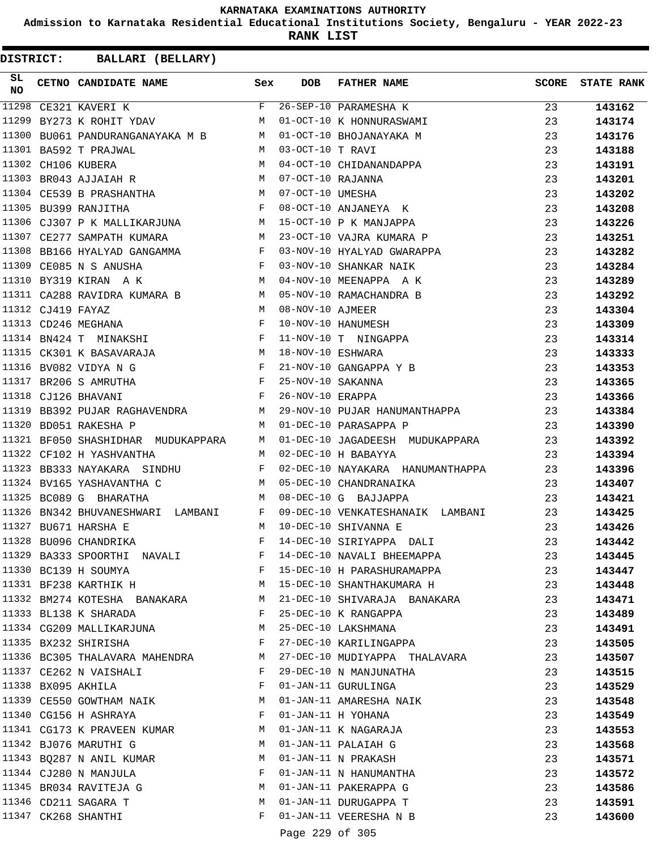**Admission to Karnataka Residential Educational Institutions Society, Bengaluru - YEAR 2022-23**

**RANK LIST**

| F 26-SEP-10 PARAMESHA K<br>11298<br>23<br>CE321 KAVERI K<br>143162<br>BY273 K ROHIT YDAV M 01-OCT-10 K HONNURASWAMI<br>11299<br>23<br>143174<br>BU061 PANDURANGANAYAKA M B M 01-OCT-10 BHOJANAYAKA M<br>11300<br>23<br>143176<br>11301 BA592 T PRAJWAL<br>M 03-OCT-10 T RAVI<br>23<br>143188<br>M 04-OCT-10 CHIDANANDAPPA<br>11302 CH106 KUBERA<br>23<br>143191<br>11303 BR043 AJJAIAH R M 07-OCT-10 RAJANNA<br>23<br>143201<br>11304 CE539 B PRASHANTHA M 07-OCT-10 UMESHA<br>23<br>143202<br>F 08-OCT-10 ANJANEYA K<br>11305 BU399 RANJITHA<br>23<br>143208<br>11306 CJ307 P K MALLIKARJUNA M 15-OCT-10 P K MANJAPPA<br>23<br>143226<br>11307 CE277 SAMPATH KUMARA M<br>23-OCT-10 VAJRA KUMARA P<br>23<br>143251<br>11308 BB166 HYALYAD GANGAMMA F<br>03-NOV-10 HYALYAD GWARAPPA<br>23<br>143282<br>F 03-NOV-10 SHANKAR NAIK<br>M 04-NOV-10 MEENAPPA A K<br>11309 CE085 N S ANUSHA<br>23<br>143284<br>11310 BY319 KIRAN A K<br>23<br>143289<br>11311 CA288 RAVIDRA KUMARA B M<br>05-NOV-10 RAMACHANDRA B<br>23<br>143292<br>M<br>11312 CJ419 FAYAZ<br>08-NOV-10 AJMEER<br>23<br>143304<br>$\mathbb{F}$<br>11313 CD246 MEGHANA<br>10-NOV-10 HANUMESH<br>23<br>143309<br>11314 BN424 T MINAKSHI NARRA F 11-NOV-10 T NINGAPPA<br>23<br>143314<br>11315 CK301 K BASAVARAJA M 18-NOV-10 ESHWARA<br>23<br>143333<br>$\mathbf{F}$<br>21-NOV-10 GANGAPPA Y B<br>23<br>143353<br>11316 BV082 VIDYA N G<br>11317 BR206 S AMRUTHA<br>11317 BR206 S AMRUTHA<br>12 BRAPPA<br>25-NOV-10 SAKANNA<br>23<br>143365<br>23<br>143366<br>11319 BB392 PUJAR RAGHAVENDRA M 29-NOV-10 PUJAR HANUMANTHAPPA<br>23<br>143384<br>M 01-DEC-10 PARASAPPA P<br>11320 BD051 RAKESHA P<br>23<br>143390<br>11321 BF050 SHASHIDHAR MUDUKAPPARA M 01-DEC-10 JAGADEESH MUDUKAPPARA<br>23<br>143392<br>11322 CF102 H YASHVANTHA M 02-DEC-10 H BABAYYA<br>23<br>143394<br>11323 BB333 NAYAKARA SINDHU F<br>02-DEC-10 NAYAKARA HANUMANTHAPPA<br>23<br>143396<br>M<br>11324 BV165 YASHAVANTHA C<br>05-DEC-10 CHANDRANAIKA<br>23<br>143407<br>11325 BC089 G BHARATHA<br>08-DEC-10 G BAJJAPPA<br>23<br>M<br>143421<br>11326<br>F 09-DEC-10 VENKATESHANAIK LAMBANI<br>BN342 BHUVANESHWARI LAMBANI<br>23<br>143425<br>11327 BU671 HARSHA E<br>10-DEC-10 SHIVANNA E<br>M<br>23<br>143426<br>F<br>14-DEC-10 SIRIYAPPA DALI<br>11328 BU096 CHANDRIKA<br>23<br>143442<br>11329 BA333 SPOORTHI NAVALI NAVALI F 14-DEC-10 NAVALI BHEEMAPPA<br>23<br>143445<br>11330 BC139 H SOUMYA THE PEC-10 H PARASHURAMAPPA<br>23<br>143447<br>11331 BF238 KARTHIK H M 15-DEC-10 SHANTHAKUMARA H<br>23<br>143448<br>11332 BM274 KOTESHA BANAKARA M<br>21-DEC-10 SHIVARAJA BANAKARA<br>23<br>143471<br>11333 BL138 K SHARADA<br>25-DEC-10 K RANGAPPA<br>F<br>23<br>143489<br>11334 CG209 MALLIKARJUNA M<br>25-DEC-10 LAKSHMANA<br>23<br>143491<br>27-DEC-10 KARILINGAPPA<br>11335 BX232 SHIRISHA<br>F<br>23<br>143505<br>11336 BC305 THALAVARA MAHENDRA M<br>27-DEC-10 MUDIYAPPA THALAVARA<br>23<br>143507<br>11337 CE262 N VAISHALI<br>$\mathbf{F}$<br>29-DEC-10 N MANJUNATHA<br>23<br>143515<br>11338 BX095 AKHILA<br>01-JAN-11 GURULINGA<br>F<br>23<br>143529<br>11339 CE550 GOWTHAM NAIK M<br>01-JAN-11 AMARESHA NAIK<br>23<br>143548<br>$\mathbf{F}$<br>11340 CG156 H ASHRAYA<br>01-JAN-11 H YOHANA<br>23<br>143549<br>11341 CG173 K PRAVEEN KUMAR M 01-JAN-11 K NAGARAJA<br>23<br>143553<br>11342 BJ076 MARUTHI G<br>01-JAN-11 PALAIAH G<br>23<br>M<br>143568<br>11343 BQ287 N ANIL KUMAR<br>01-JAN-11 N PRAKASH<br>23<br>M<br>143571<br>11344 CJ280 N MANJULA<br>01-JAN-11 N HANUMANTHA<br>23<br>F<br>143572<br>11345 BR034 RAVITEJA G<br>11346 CD211 SAGARA T<br>01-JAN-11 PAKERAPPA G<br>M<br>23<br>143586<br>01-JAN-11 DURUGAPPA T<br>M<br>23<br>143591<br>11347 CK268 SHANTHI<br>01-JAN-11 VEERESHA N B<br>F<br>23<br>143600<br>Page 229 of 305 | SL<br><b>NO</b> | CETNO CANDIDATE NAME Sex | DOB | FATHER NAME | <b>SCORE</b> | <b>STATE RANK</b> |
|----------------------------------------------------------------------------------------------------------------------------------------------------------------------------------------------------------------------------------------------------------------------------------------------------------------------------------------------------------------------------------------------------------------------------------------------------------------------------------------------------------------------------------------------------------------------------------------------------------------------------------------------------------------------------------------------------------------------------------------------------------------------------------------------------------------------------------------------------------------------------------------------------------------------------------------------------------------------------------------------------------------------------------------------------------------------------------------------------------------------------------------------------------------------------------------------------------------------------------------------------------------------------------------------------------------------------------------------------------------------------------------------------------------------------------------------------------------------------------------------------------------------------------------------------------------------------------------------------------------------------------------------------------------------------------------------------------------------------------------------------------------------------------------------------------------------------------------------------------------------------------------------------------------------------------------------------------------------------------------------------------------------------------------------------------------------------------------------------------------------------------------------------------------------------------------------------------------------------------------------------------------------------------------------------------------------------------------------------------------------------------------------------------------------------------------------------------------------------------------------------------------------------------------------------------------------------------------------------------------------------------------------------------------------------------------------------------------------------------------------------------------------------------------------------------------------------------------------------------------------------------------------------------------------------------------------------------------------------------------------------------------------------------------------------------------------------------------------------------------------------------------------------------------------------------------------------------------------------------------------------------------------------------------------------------------------------------------------------------------------------------------------------------------------------------------------------------------------------------------------------------------------------------------------------------------------------------------------------------------------------------------------------------------------------------------------------------------------------------------------------------------------------------------------|-----------------|--------------------------|-----|-------------|--------------|-------------------|
|                                                                                                                                                                                                                                                                                                                                                                                                                                                                                                                                                                                                                                                                                                                                                                                                                                                                                                                                                                                                                                                                                                                                                                                                                                                                                                                                                                                                                                                                                                                                                                                                                                                                                                                                                                                                                                                                                                                                                                                                                                                                                                                                                                                                                                                                                                                                                                                                                                                                                                                                                                                                                                                                                                                                                                                                                                                                                                                                                                                                                                                                                                                                                                                                                                                                                                                                                                                                                                                                                                                                                                                                                                                                                                                                                                                              |                 |                          |     |             |              |                   |
|                                                                                                                                                                                                                                                                                                                                                                                                                                                                                                                                                                                                                                                                                                                                                                                                                                                                                                                                                                                                                                                                                                                                                                                                                                                                                                                                                                                                                                                                                                                                                                                                                                                                                                                                                                                                                                                                                                                                                                                                                                                                                                                                                                                                                                                                                                                                                                                                                                                                                                                                                                                                                                                                                                                                                                                                                                                                                                                                                                                                                                                                                                                                                                                                                                                                                                                                                                                                                                                                                                                                                                                                                                                                                                                                                                                              |                 |                          |     |             |              |                   |
|                                                                                                                                                                                                                                                                                                                                                                                                                                                                                                                                                                                                                                                                                                                                                                                                                                                                                                                                                                                                                                                                                                                                                                                                                                                                                                                                                                                                                                                                                                                                                                                                                                                                                                                                                                                                                                                                                                                                                                                                                                                                                                                                                                                                                                                                                                                                                                                                                                                                                                                                                                                                                                                                                                                                                                                                                                                                                                                                                                                                                                                                                                                                                                                                                                                                                                                                                                                                                                                                                                                                                                                                                                                                                                                                                                                              |                 |                          |     |             |              |                   |
|                                                                                                                                                                                                                                                                                                                                                                                                                                                                                                                                                                                                                                                                                                                                                                                                                                                                                                                                                                                                                                                                                                                                                                                                                                                                                                                                                                                                                                                                                                                                                                                                                                                                                                                                                                                                                                                                                                                                                                                                                                                                                                                                                                                                                                                                                                                                                                                                                                                                                                                                                                                                                                                                                                                                                                                                                                                                                                                                                                                                                                                                                                                                                                                                                                                                                                                                                                                                                                                                                                                                                                                                                                                                                                                                                                                              |                 |                          |     |             |              |                   |
|                                                                                                                                                                                                                                                                                                                                                                                                                                                                                                                                                                                                                                                                                                                                                                                                                                                                                                                                                                                                                                                                                                                                                                                                                                                                                                                                                                                                                                                                                                                                                                                                                                                                                                                                                                                                                                                                                                                                                                                                                                                                                                                                                                                                                                                                                                                                                                                                                                                                                                                                                                                                                                                                                                                                                                                                                                                                                                                                                                                                                                                                                                                                                                                                                                                                                                                                                                                                                                                                                                                                                                                                                                                                                                                                                                                              |                 |                          |     |             |              |                   |
|                                                                                                                                                                                                                                                                                                                                                                                                                                                                                                                                                                                                                                                                                                                                                                                                                                                                                                                                                                                                                                                                                                                                                                                                                                                                                                                                                                                                                                                                                                                                                                                                                                                                                                                                                                                                                                                                                                                                                                                                                                                                                                                                                                                                                                                                                                                                                                                                                                                                                                                                                                                                                                                                                                                                                                                                                                                                                                                                                                                                                                                                                                                                                                                                                                                                                                                                                                                                                                                                                                                                                                                                                                                                                                                                                                                              |                 |                          |     |             |              |                   |
|                                                                                                                                                                                                                                                                                                                                                                                                                                                                                                                                                                                                                                                                                                                                                                                                                                                                                                                                                                                                                                                                                                                                                                                                                                                                                                                                                                                                                                                                                                                                                                                                                                                                                                                                                                                                                                                                                                                                                                                                                                                                                                                                                                                                                                                                                                                                                                                                                                                                                                                                                                                                                                                                                                                                                                                                                                                                                                                                                                                                                                                                                                                                                                                                                                                                                                                                                                                                                                                                                                                                                                                                                                                                                                                                                                                              |                 |                          |     |             |              |                   |
|                                                                                                                                                                                                                                                                                                                                                                                                                                                                                                                                                                                                                                                                                                                                                                                                                                                                                                                                                                                                                                                                                                                                                                                                                                                                                                                                                                                                                                                                                                                                                                                                                                                                                                                                                                                                                                                                                                                                                                                                                                                                                                                                                                                                                                                                                                                                                                                                                                                                                                                                                                                                                                                                                                                                                                                                                                                                                                                                                                                                                                                                                                                                                                                                                                                                                                                                                                                                                                                                                                                                                                                                                                                                                                                                                                                              |                 |                          |     |             |              |                   |
|                                                                                                                                                                                                                                                                                                                                                                                                                                                                                                                                                                                                                                                                                                                                                                                                                                                                                                                                                                                                                                                                                                                                                                                                                                                                                                                                                                                                                                                                                                                                                                                                                                                                                                                                                                                                                                                                                                                                                                                                                                                                                                                                                                                                                                                                                                                                                                                                                                                                                                                                                                                                                                                                                                                                                                                                                                                                                                                                                                                                                                                                                                                                                                                                                                                                                                                                                                                                                                                                                                                                                                                                                                                                                                                                                                                              |                 |                          |     |             |              |                   |
|                                                                                                                                                                                                                                                                                                                                                                                                                                                                                                                                                                                                                                                                                                                                                                                                                                                                                                                                                                                                                                                                                                                                                                                                                                                                                                                                                                                                                                                                                                                                                                                                                                                                                                                                                                                                                                                                                                                                                                                                                                                                                                                                                                                                                                                                                                                                                                                                                                                                                                                                                                                                                                                                                                                                                                                                                                                                                                                                                                                                                                                                                                                                                                                                                                                                                                                                                                                                                                                                                                                                                                                                                                                                                                                                                                                              |                 |                          |     |             |              |                   |
|                                                                                                                                                                                                                                                                                                                                                                                                                                                                                                                                                                                                                                                                                                                                                                                                                                                                                                                                                                                                                                                                                                                                                                                                                                                                                                                                                                                                                                                                                                                                                                                                                                                                                                                                                                                                                                                                                                                                                                                                                                                                                                                                                                                                                                                                                                                                                                                                                                                                                                                                                                                                                                                                                                                                                                                                                                                                                                                                                                                                                                                                                                                                                                                                                                                                                                                                                                                                                                                                                                                                                                                                                                                                                                                                                                                              |                 |                          |     |             |              |                   |
|                                                                                                                                                                                                                                                                                                                                                                                                                                                                                                                                                                                                                                                                                                                                                                                                                                                                                                                                                                                                                                                                                                                                                                                                                                                                                                                                                                                                                                                                                                                                                                                                                                                                                                                                                                                                                                                                                                                                                                                                                                                                                                                                                                                                                                                                                                                                                                                                                                                                                                                                                                                                                                                                                                                                                                                                                                                                                                                                                                                                                                                                                                                                                                                                                                                                                                                                                                                                                                                                                                                                                                                                                                                                                                                                                                                              |                 |                          |     |             |              |                   |
|                                                                                                                                                                                                                                                                                                                                                                                                                                                                                                                                                                                                                                                                                                                                                                                                                                                                                                                                                                                                                                                                                                                                                                                                                                                                                                                                                                                                                                                                                                                                                                                                                                                                                                                                                                                                                                                                                                                                                                                                                                                                                                                                                                                                                                                                                                                                                                                                                                                                                                                                                                                                                                                                                                                                                                                                                                                                                                                                                                                                                                                                                                                                                                                                                                                                                                                                                                                                                                                                                                                                                                                                                                                                                                                                                                                              |                 |                          |     |             |              |                   |
|                                                                                                                                                                                                                                                                                                                                                                                                                                                                                                                                                                                                                                                                                                                                                                                                                                                                                                                                                                                                                                                                                                                                                                                                                                                                                                                                                                                                                                                                                                                                                                                                                                                                                                                                                                                                                                                                                                                                                                                                                                                                                                                                                                                                                                                                                                                                                                                                                                                                                                                                                                                                                                                                                                                                                                                                                                                                                                                                                                                                                                                                                                                                                                                                                                                                                                                                                                                                                                                                                                                                                                                                                                                                                                                                                                                              |                 |                          |     |             |              |                   |
|                                                                                                                                                                                                                                                                                                                                                                                                                                                                                                                                                                                                                                                                                                                                                                                                                                                                                                                                                                                                                                                                                                                                                                                                                                                                                                                                                                                                                                                                                                                                                                                                                                                                                                                                                                                                                                                                                                                                                                                                                                                                                                                                                                                                                                                                                                                                                                                                                                                                                                                                                                                                                                                                                                                                                                                                                                                                                                                                                                                                                                                                                                                                                                                                                                                                                                                                                                                                                                                                                                                                                                                                                                                                                                                                                                                              |                 |                          |     |             |              |                   |
|                                                                                                                                                                                                                                                                                                                                                                                                                                                                                                                                                                                                                                                                                                                                                                                                                                                                                                                                                                                                                                                                                                                                                                                                                                                                                                                                                                                                                                                                                                                                                                                                                                                                                                                                                                                                                                                                                                                                                                                                                                                                                                                                                                                                                                                                                                                                                                                                                                                                                                                                                                                                                                                                                                                                                                                                                                                                                                                                                                                                                                                                                                                                                                                                                                                                                                                                                                                                                                                                                                                                                                                                                                                                                                                                                                                              |                 |                          |     |             |              |                   |
|                                                                                                                                                                                                                                                                                                                                                                                                                                                                                                                                                                                                                                                                                                                                                                                                                                                                                                                                                                                                                                                                                                                                                                                                                                                                                                                                                                                                                                                                                                                                                                                                                                                                                                                                                                                                                                                                                                                                                                                                                                                                                                                                                                                                                                                                                                                                                                                                                                                                                                                                                                                                                                                                                                                                                                                                                                                                                                                                                                                                                                                                                                                                                                                                                                                                                                                                                                                                                                                                                                                                                                                                                                                                                                                                                                                              |                 |                          |     |             |              |                   |
|                                                                                                                                                                                                                                                                                                                                                                                                                                                                                                                                                                                                                                                                                                                                                                                                                                                                                                                                                                                                                                                                                                                                                                                                                                                                                                                                                                                                                                                                                                                                                                                                                                                                                                                                                                                                                                                                                                                                                                                                                                                                                                                                                                                                                                                                                                                                                                                                                                                                                                                                                                                                                                                                                                                                                                                                                                                                                                                                                                                                                                                                                                                                                                                                                                                                                                                                                                                                                                                                                                                                                                                                                                                                                                                                                                                              |                 |                          |     |             |              |                   |
|                                                                                                                                                                                                                                                                                                                                                                                                                                                                                                                                                                                                                                                                                                                                                                                                                                                                                                                                                                                                                                                                                                                                                                                                                                                                                                                                                                                                                                                                                                                                                                                                                                                                                                                                                                                                                                                                                                                                                                                                                                                                                                                                                                                                                                                                                                                                                                                                                                                                                                                                                                                                                                                                                                                                                                                                                                                                                                                                                                                                                                                                                                                                                                                                                                                                                                                                                                                                                                                                                                                                                                                                                                                                                                                                                                                              |                 |                          |     |             |              |                   |
|                                                                                                                                                                                                                                                                                                                                                                                                                                                                                                                                                                                                                                                                                                                                                                                                                                                                                                                                                                                                                                                                                                                                                                                                                                                                                                                                                                                                                                                                                                                                                                                                                                                                                                                                                                                                                                                                                                                                                                                                                                                                                                                                                                                                                                                                                                                                                                                                                                                                                                                                                                                                                                                                                                                                                                                                                                                                                                                                                                                                                                                                                                                                                                                                                                                                                                                                                                                                                                                                                                                                                                                                                                                                                                                                                                                              |                 |                          |     |             |              |                   |
|                                                                                                                                                                                                                                                                                                                                                                                                                                                                                                                                                                                                                                                                                                                                                                                                                                                                                                                                                                                                                                                                                                                                                                                                                                                                                                                                                                                                                                                                                                                                                                                                                                                                                                                                                                                                                                                                                                                                                                                                                                                                                                                                                                                                                                                                                                                                                                                                                                                                                                                                                                                                                                                                                                                                                                                                                                                                                                                                                                                                                                                                                                                                                                                                                                                                                                                                                                                                                                                                                                                                                                                                                                                                                                                                                                                              |                 |                          |     |             |              |                   |
|                                                                                                                                                                                                                                                                                                                                                                                                                                                                                                                                                                                                                                                                                                                                                                                                                                                                                                                                                                                                                                                                                                                                                                                                                                                                                                                                                                                                                                                                                                                                                                                                                                                                                                                                                                                                                                                                                                                                                                                                                                                                                                                                                                                                                                                                                                                                                                                                                                                                                                                                                                                                                                                                                                                                                                                                                                                                                                                                                                                                                                                                                                                                                                                                                                                                                                                                                                                                                                                                                                                                                                                                                                                                                                                                                                                              |                 |                          |     |             |              |                   |
|                                                                                                                                                                                                                                                                                                                                                                                                                                                                                                                                                                                                                                                                                                                                                                                                                                                                                                                                                                                                                                                                                                                                                                                                                                                                                                                                                                                                                                                                                                                                                                                                                                                                                                                                                                                                                                                                                                                                                                                                                                                                                                                                                                                                                                                                                                                                                                                                                                                                                                                                                                                                                                                                                                                                                                                                                                                                                                                                                                                                                                                                                                                                                                                                                                                                                                                                                                                                                                                                                                                                                                                                                                                                                                                                                                                              |                 |                          |     |             |              |                   |
|                                                                                                                                                                                                                                                                                                                                                                                                                                                                                                                                                                                                                                                                                                                                                                                                                                                                                                                                                                                                                                                                                                                                                                                                                                                                                                                                                                                                                                                                                                                                                                                                                                                                                                                                                                                                                                                                                                                                                                                                                                                                                                                                                                                                                                                                                                                                                                                                                                                                                                                                                                                                                                                                                                                                                                                                                                                                                                                                                                                                                                                                                                                                                                                                                                                                                                                                                                                                                                                                                                                                                                                                                                                                                                                                                                                              |                 |                          |     |             |              |                   |
|                                                                                                                                                                                                                                                                                                                                                                                                                                                                                                                                                                                                                                                                                                                                                                                                                                                                                                                                                                                                                                                                                                                                                                                                                                                                                                                                                                                                                                                                                                                                                                                                                                                                                                                                                                                                                                                                                                                                                                                                                                                                                                                                                                                                                                                                                                                                                                                                                                                                                                                                                                                                                                                                                                                                                                                                                                                                                                                                                                                                                                                                                                                                                                                                                                                                                                                                                                                                                                                                                                                                                                                                                                                                                                                                                                                              |                 |                          |     |             |              |                   |
|                                                                                                                                                                                                                                                                                                                                                                                                                                                                                                                                                                                                                                                                                                                                                                                                                                                                                                                                                                                                                                                                                                                                                                                                                                                                                                                                                                                                                                                                                                                                                                                                                                                                                                                                                                                                                                                                                                                                                                                                                                                                                                                                                                                                                                                                                                                                                                                                                                                                                                                                                                                                                                                                                                                                                                                                                                                                                                                                                                                                                                                                                                                                                                                                                                                                                                                                                                                                                                                                                                                                                                                                                                                                                                                                                                                              |                 |                          |     |             |              |                   |
|                                                                                                                                                                                                                                                                                                                                                                                                                                                                                                                                                                                                                                                                                                                                                                                                                                                                                                                                                                                                                                                                                                                                                                                                                                                                                                                                                                                                                                                                                                                                                                                                                                                                                                                                                                                                                                                                                                                                                                                                                                                                                                                                                                                                                                                                                                                                                                                                                                                                                                                                                                                                                                                                                                                                                                                                                                                                                                                                                                                                                                                                                                                                                                                                                                                                                                                                                                                                                                                                                                                                                                                                                                                                                                                                                                                              |                 |                          |     |             |              |                   |
|                                                                                                                                                                                                                                                                                                                                                                                                                                                                                                                                                                                                                                                                                                                                                                                                                                                                                                                                                                                                                                                                                                                                                                                                                                                                                                                                                                                                                                                                                                                                                                                                                                                                                                                                                                                                                                                                                                                                                                                                                                                                                                                                                                                                                                                                                                                                                                                                                                                                                                                                                                                                                                                                                                                                                                                                                                                                                                                                                                                                                                                                                                                                                                                                                                                                                                                                                                                                                                                                                                                                                                                                                                                                                                                                                                                              |                 |                          |     |             |              |                   |
|                                                                                                                                                                                                                                                                                                                                                                                                                                                                                                                                                                                                                                                                                                                                                                                                                                                                                                                                                                                                                                                                                                                                                                                                                                                                                                                                                                                                                                                                                                                                                                                                                                                                                                                                                                                                                                                                                                                                                                                                                                                                                                                                                                                                                                                                                                                                                                                                                                                                                                                                                                                                                                                                                                                                                                                                                                                                                                                                                                                                                                                                                                                                                                                                                                                                                                                                                                                                                                                                                                                                                                                                                                                                                                                                                                                              |                 |                          |     |             |              |                   |
|                                                                                                                                                                                                                                                                                                                                                                                                                                                                                                                                                                                                                                                                                                                                                                                                                                                                                                                                                                                                                                                                                                                                                                                                                                                                                                                                                                                                                                                                                                                                                                                                                                                                                                                                                                                                                                                                                                                                                                                                                                                                                                                                                                                                                                                                                                                                                                                                                                                                                                                                                                                                                                                                                                                                                                                                                                                                                                                                                                                                                                                                                                                                                                                                                                                                                                                                                                                                                                                                                                                                                                                                                                                                                                                                                                                              |                 |                          |     |             |              |                   |
|                                                                                                                                                                                                                                                                                                                                                                                                                                                                                                                                                                                                                                                                                                                                                                                                                                                                                                                                                                                                                                                                                                                                                                                                                                                                                                                                                                                                                                                                                                                                                                                                                                                                                                                                                                                                                                                                                                                                                                                                                                                                                                                                                                                                                                                                                                                                                                                                                                                                                                                                                                                                                                                                                                                                                                                                                                                                                                                                                                                                                                                                                                                                                                                                                                                                                                                                                                                                                                                                                                                                                                                                                                                                                                                                                                                              |                 |                          |     |             |              |                   |
|                                                                                                                                                                                                                                                                                                                                                                                                                                                                                                                                                                                                                                                                                                                                                                                                                                                                                                                                                                                                                                                                                                                                                                                                                                                                                                                                                                                                                                                                                                                                                                                                                                                                                                                                                                                                                                                                                                                                                                                                                                                                                                                                                                                                                                                                                                                                                                                                                                                                                                                                                                                                                                                                                                                                                                                                                                                                                                                                                                                                                                                                                                                                                                                                                                                                                                                                                                                                                                                                                                                                                                                                                                                                                                                                                                                              |                 |                          |     |             |              |                   |
|                                                                                                                                                                                                                                                                                                                                                                                                                                                                                                                                                                                                                                                                                                                                                                                                                                                                                                                                                                                                                                                                                                                                                                                                                                                                                                                                                                                                                                                                                                                                                                                                                                                                                                                                                                                                                                                                                                                                                                                                                                                                                                                                                                                                                                                                                                                                                                                                                                                                                                                                                                                                                                                                                                                                                                                                                                                                                                                                                                                                                                                                                                                                                                                                                                                                                                                                                                                                                                                                                                                                                                                                                                                                                                                                                                                              |                 |                          |     |             |              |                   |
|                                                                                                                                                                                                                                                                                                                                                                                                                                                                                                                                                                                                                                                                                                                                                                                                                                                                                                                                                                                                                                                                                                                                                                                                                                                                                                                                                                                                                                                                                                                                                                                                                                                                                                                                                                                                                                                                                                                                                                                                                                                                                                                                                                                                                                                                                                                                                                                                                                                                                                                                                                                                                                                                                                                                                                                                                                                                                                                                                                                                                                                                                                                                                                                                                                                                                                                                                                                                                                                                                                                                                                                                                                                                                                                                                                                              |                 |                          |     |             |              |                   |
|                                                                                                                                                                                                                                                                                                                                                                                                                                                                                                                                                                                                                                                                                                                                                                                                                                                                                                                                                                                                                                                                                                                                                                                                                                                                                                                                                                                                                                                                                                                                                                                                                                                                                                                                                                                                                                                                                                                                                                                                                                                                                                                                                                                                                                                                                                                                                                                                                                                                                                                                                                                                                                                                                                                                                                                                                                                                                                                                                                                                                                                                                                                                                                                                                                                                                                                                                                                                                                                                                                                                                                                                                                                                                                                                                                                              |                 |                          |     |             |              |                   |
|                                                                                                                                                                                                                                                                                                                                                                                                                                                                                                                                                                                                                                                                                                                                                                                                                                                                                                                                                                                                                                                                                                                                                                                                                                                                                                                                                                                                                                                                                                                                                                                                                                                                                                                                                                                                                                                                                                                                                                                                                                                                                                                                                                                                                                                                                                                                                                                                                                                                                                                                                                                                                                                                                                                                                                                                                                                                                                                                                                                                                                                                                                                                                                                                                                                                                                                                                                                                                                                                                                                                                                                                                                                                                                                                                                                              |                 |                          |     |             |              |                   |
|                                                                                                                                                                                                                                                                                                                                                                                                                                                                                                                                                                                                                                                                                                                                                                                                                                                                                                                                                                                                                                                                                                                                                                                                                                                                                                                                                                                                                                                                                                                                                                                                                                                                                                                                                                                                                                                                                                                                                                                                                                                                                                                                                                                                                                                                                                                                                                                                                                                                                                                                                                                                                                                                                                                                                                                                                                                                                                                                                                                                                                                                                                                                                                                                                                                                                                                                                                                                                                                                                                                                                                                                                                                                                                                                                                                              |                 |                          |     |             |              |                   |
|                                                                                                                                                                                                                                                                                                                                                                                                                                                                                                                                                                                                                                                                                                                                                                                                                                                                                                                                                                                                                                                                                                                                                                                                                                                                                                                                                                                                                                                                                                                                                                                                                                                                                                                                                                                                                                                                                                                                                                                                                                                                                                                                                                                                                                                                                                                                                                                                                                                                                                                                                                                                                                                                                                                                                                                                                                                                                                                                                                                                                                                                                                                                                                                                                                                                                                                                                                                                                                                                                                                                                                                                                                                                                                                                                                                              |                 |                          |     |             |              |                   |
|                                                                                                                                                                                                                                                                                                                                                                                                                                                                                                                                                                                                                                                                                                                                                                                                                                                                                                                                                                                                                                                                                                                                                                                                                                                                                                                                                                                                                                                                                                                                                                                                                                                                                                                                                                                                                                                                                                                                                                                                                                                                                                                                                                                                                                                                                                                                                                                                                                                                                                                                                                                                                                                                                                                                                                                                                                                                                                                                                                                                                                                                                                                                                                                                                                                                                                                                                                                                                                                                                                                                                                                                                                                                                                                                                                                              |                 |                          |     |             |              |                   |
|                                                                                                                                                                                                                                                                                                                                                                                                                                                                                                                                                                                                                                                                                                                                                                                                                                                                                                                                                                                                                                                                                                                                                                                                                                                                                                                                                                                                                                                                                                                                                                                                                                                                                                                                                                                                                                                                                                                                                                                                                                                                                                                                                                                                                                                                                                                                                                                                                                                                                                                                                                                                                                                                                                                                                                                                                                                                                                                                                                                                                                                                                                                                                                                                                                                                                                                                                                                                                                                                                                                                                                                                                                                                                                                                                                                              |                 |                          |     |             |              |                   |
|                                                                                                                                                                                                                                                                                                                                                                                                                                                                                                                                                                                                                                                                                                                                                                                                                                                                                                                                                                                                                                                                                                                                                                                                                                                                                                                                                                                                                                                                                                                                                                                                                                                                                                                                                                                                                                                                                                                                                                                                                                                                                                                                                                                                                                                                                                                                                                                                                                                                                                                                                                                                                                                                                                                                                                                                                                                                                                                                                                                                                                                                                                                                                                                                                                                                                                                                                                                                                                                                                                                                                                                                                                                                                                                                                                                              |                 |                          |     |             |              |                   |
|                                                                                                                                                                                                                                                                                                                                                                                                                                                                                                                                                                                                                                                                                                                                                                                                                                                                                                                                                                                                                                                                                                                                                                                                                                                                                                                                                                                                                                                                                                                                                                                                                                                                                                                                                                                                                                                                                                                                                                                                                                                                                                                                                                                                                                                                                                                                                                                                                                                                                                                                                                                                                                                                                                                                                                                                                                                                                                                                                                                                                                                                                                                                                                                                                                                                                                                                                                                                                                                                                                                                                                                                                                                                                                                                                                                              |                 |                          |     |             |              |                   |
|                                                                                                                                                                                                                                                                                                                                                                                                                                                                                                                                                                                                                                                                                                                                                                                                                                                                                                                                                                                                                                                                                                                                                                                                                                                                                                                                                                                                                                                                                                                                                                                                                                                                                                                                                                                                                                                                                                                                                                                                                                                                                                                                                                                                                                                                                                                                                                                                                                                                                                                                                                                                                                                                                                                                                                                                                                                                                                                                                                                                                                                                                                                                                                                                                                                                                                                                                                                                                                                                                                                                                                                                                                                                                                                                                                                              |                 |                          |     |             |              |                   |
|                                                                                                                                                                                                                                                                                                                                                                                                                                                                                                                                                                                                                                                                                                                                                                                                                                                                                                                                                                                                                                                                                                                                                                                                                                                                                                                                                                                                                                                                                                                                                                                                                                                                                                                                                                                                                                                                                                                                                                                                                                                                                                                                                                                                                                                                                                                                                                                                                                                                                                                                                                                                                                                                                                                                                                                                                                                                                                                                                                                                                                                                                                                                                                                                                                                                                                                                                                                                                                                                                                                                                                                                                                                                                                                                                                                              |                 |                          |     |             |              |                   |
|                                                                                                                                                                                                                                                                                                                                                                                                                                                                                                                                                                                                                                                                                                                                                                                                                                                                                                                                                                                                                                                                                                                                                                                                                                                                                                                                                                                                                                                                                                                                                                                                                                                                                                                                                                                                                                                                                                                                                                                                                                                                                                                                                                                                                                                                                                                                                                                                                                                                                                                                                                                                                                                                                                                                                                                                                                                                                                                                                                                                                                                                                                                                                                                                                                                                                                                                                                                                                                                                                                                                                                                                                                                                                                                                                                                              |                 |                          |     |             |              |                   |
|                                                                                                                                                                                                                                                                                                                                                                                                                                                                                                                                                                                                                                                                                                                                                                                                                                                                                                                                                                                                                                                                                                                                                                                                                                                                                                                                                                                                                                                                                                                                                                                                                                                                                                                                                                                                                                                                                                                                                                                                                                                                                                                                                                                                                                                                                                                                                                                                                                                                                                                                                                                                                                                                                                                                                                                                                                                                                                                                                                                                                                                                                                                                                                                                                                                                                                                                                                                                                                                                                                                                                                                                                                                                                                                                                                                              |                 |                          |     |             |              |                   |
|                                                                                                                                                                                                                                                                                                                                                                                                                                                                                                                                                                                                                                                                                                                                                                                                                                                                                                                                                                                                                                                                                                                                                                                                                                                                                                                                                                                                                                                                                                                                                                                                                                                                                                                                                                                                                                                                                                                                                                                                                                                                                                                                                                                                                                                                                                                                                                                                                                                                                                                                                                                                                                                                                                                                                                                                                                                                                                                                                                                                                                                                                                                                                                                                                                                                                                                                                                                                                                                                                                                                                                                                                                                                                                                                                                                              |                 |                          |     |             |              |                   |
|                                                                                                                                                                                                                                                                                                                                                                                                                                                                                                                                                                                                                                                                                                                                                                                                                                                                                                                                                                                                                                                                                                                                                                                                                                                                                                                                                                                                                                                                                                                                                                                                                                                                                                                                                                                                                                                                                                                                                                                                                                                                                                                                                                                                                                                                                                                                                                                                                                                                                                                                                                                                                                                                                                                                                                                                                                                                                                                                                                                                                                                                                                                                                                                                                                                                                                                                                                                                                                                                                                                                                                                                                                                                                                                                                                                              |                 |                          |     |             |              |                   |
|                                                                                                                                                                                                                                                                                                                                                                                                                                                                                                                                                                                                                                                                                                                                                                                                                                                                                                                                                                                                                                                                                                                                                                                                                                                                                                                                                                                                                                                                                                                                                                                                                                                                                                                                                                                                                                                                                                                                                                                                                                                                                                                                                                                                                                                                                                                                                                                                                                                                                                                                                                                                                                                                                                                                                                                                                                                                                                                                                                                                                                                                                                                                                                                                                                                                                                                                                                                                                                                                                                                                                                                                                                                                                                                                                                                              |                 |                          |     |             |              |                   |
|                                                                                                                                                                                                                                                                                                                                                                                                                                                                                                                                                                                                                                                                                                                                                                                                                                                                                                                                                                                                                                                                                                                                                                                                                                                                                                                                                                                                                                                                                                                                                                                                                                                                                                                                                                                                                                                                                                                                                                                                                                                                                                                                                                                                                                                                                                                                                                                                                                                                                                                                                                                                                                                                                                                                                                                                                                                                                                                                                                                                                                                                                                                                                                                                                                                                                                                                                                                                                                                                                                                                                                                                                                                                                                                                                                                              |                 |                          |     |             |              |                   |
|                                                                                                                                                                                                                                                                                                                                                                                                                                                                                                                                                                                                                                                                                                                                                                                                                                                                                                                                                                                                                                                                                                                                                                                                                                                                                                                                                                                                                                                                                                                                                                                                                                                                                                                                                                                                                                                                                                                                                                                                                                                                                                                                                                                                                                                                                                                                                                                                                                                                                                                                                                                                                                                                                                                                                                                                                                                                                                                                                                                                                                                                                                                                                                                                                                                                                                                                                                                                                                                                                                                                                                                                                                                                                                                                                                                              |                 |                          |     |             |              |                   |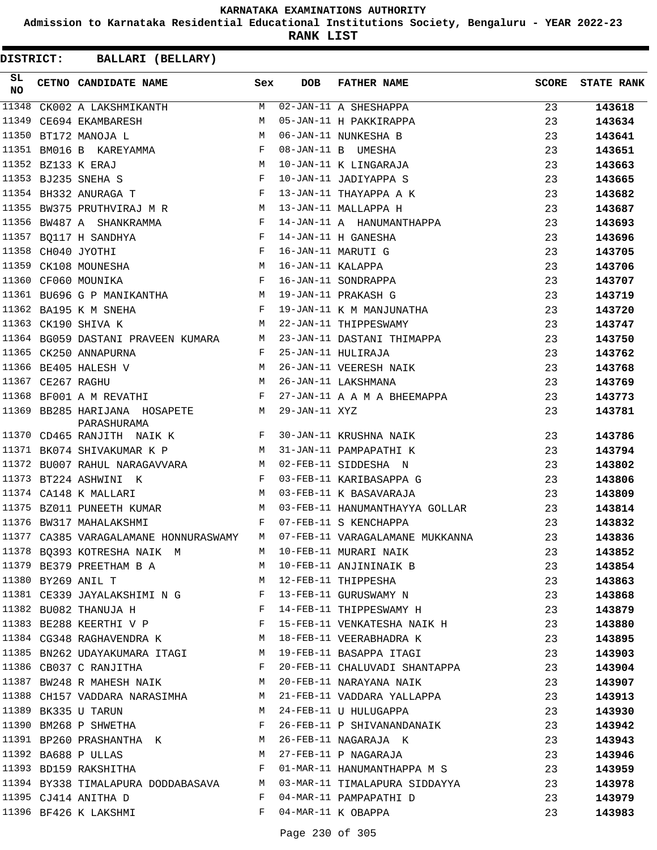**Admission to Karnataka Residential Educational Institutions Society, Bengaluru - YEAR 2022-23**

**RANK LIST**

| SL<br><b>NO</b> | CETNO CANDIDATE NAME                                                                                        | Sex         | <b>DOB</b>    | <b>FATHER NAME</b>                                                                                             | SCORE | <b>STATE RANK</b> |
|-----------------|-------------------------------------------------------------------------------------------------------------|-------------|---------------|----------------------------------------------------------------------------------------------------------------|-------|-------------------|
|                 |                                                                                                             |             |               | 11348 CK002 A LAKSHMIKANTH M 02-JAN-11 A SHESHAPPA<br>11349 CE694 EKAMBARESH M 05-JAN-11 H PAKKIRAPPA          | 23    | 143618            |
|                 |                                                                                                             |             |               |                                                                                                                | 23    | 143634            |
|                 | 11350 BT172 MANOJA L<br>$M_{\odot}$                                                                         |             |               | 06-JAN-11 NUNKESHA B                                                                                           | 23    | 143641            |
|                 | 11351 BM016 B KAREYAMMA<br>$\mathbf{F}$ and $\mathbf{F}$ and $\mathbf{F}$                                   |             |               | 08-JAN-11 B UMESHA                                                                                             | 23    | 143651            |
|                 | $\begin{aligned} \mathbb{M} \\ \mathbb{F} \end{aligned}$<br>11352 BZ133 K ERAJ                              |             |               | 10-JAN-11 K LINGARAJA                                                                                          | 23    | 143663            |
|                 | 11353 BJ235 SNEHA S                                                                                         |             |               | 10-JAN-11 JADIYAPPA S                                                                                          | 23    | 143665            |
|                 | 11354 BH332 ANURAGA T                                                                                       |             |               | 13-JAN-11 THAYAPPA A K                                                                                         | 23    | 143682            |
|                 | 11355 BW375 PRUTHVIRAJ M R M 13-JAN-11 MALLAPPA H                                                           |             |               |                                                                                                                | 23    | 143687            |
|                 |                                                                                                             |             |               | 11356 BW487 A SHANKRAMMA $F$ 14-JAN-11 A HANUMANTHAPPA                                                         | 23    | 143693            |
|                 | 11357 BQ117 H SANDHYA $F$ 14-JAN-11 H GANESHA                                                               |             |               |                                                                                                                | 23    | 143696            |
|                 | $\mathbb F$ . The set of $\mathbb F$<br>11358 CH040 JYOTHI                                                  |             |               | 16-JAN-11 MARUTI G                                                                                             | 23    | 143705            |
|                 | 11358 CH040 JYOTHI<br>11359 CK108 MOUNESHA M 16-JAN-11 KALAPPA<br>11360 CF060 MOUNIKA F 16-JAN-11 SONDRAPPA |             |               |                                                                                                                | 23    | 143706            |
|                 |                                                                                                             |             |               |                                                                                                                | 23    | 143707            |
|                 | 11361 BU696 G P MANIKANTHA M 19-JAN-11 PRAKASH G                                                            |             |               |                                                                                                                | 23    | 143719            |
|                 | 11362 BA195 K M SNEHA                                                                                       |             |               | F 19-JAN-11 K M MANJUNATHA                                                                                     | 23    | 143720            |
|                 | 11363 CK190 SHIVA K                                                                                         |             |               | M 22-JAN-11 THIPPESWAMY                                                                                        | 23    | 143747            |
|                 |                                                                                                             |             |               | 11364 BG059 DASTANI PRAVEEN KUMARA M 23-JAN-11 DASTANI THIMAPPA                                                | 23    | 143750            |
|                 | $11365$ CK250 ANNAPURNA F 25-JAN-11 HULIRAJA                                                                |             |               |                                                                                                                | 23    | 143762            |
|                 |                                                                                                             |             |               |                                                                                                                | 23    | 143768            |
|                 |                                                                                                             |             |               | 26-JAN-11 VEERESH NAIK<br>26-JAN-11 LAKSHMANA                                                                  | 23    | 143769            |
|                 | 11368 BF001 A M REVATHI                                                                                     | $\mathbb F$ |               | 27-JAN-11 A A M A BHEEMAPPA                                                                                    | 23    | 143773            |
|                 | 11369 BB285 HARIJANA HOSAPETE M<br>PARASHURAMA                                                              |             | 29-JAN-11 XYZ |                                                                                                                | 23    | 143781            |
|                 | 11370 CD465 RANJITH NAIK K K F 30-JAN-11 KRUSHNA NAIK                                                       |             |               |                                                                                                                | 23    | 143786            |
|                 | 11371 BK074 SHIVAKUMAR K P M 31-JAN-11 PAMPAPATHI K                                                         |             |               |                                                                                                                | 23    | 143794            |
|                 | 11372 BU007 RAHUL NARAGAVVARA M M 02-FEB-11 SIDDESHA N                                                      |             |               |                                                                                                                | 23    | 143802            |
|                 | 11373 BT224 ASHWINI K F 03-FEB-11 KARIBASAPPA G                                                             |             |               |                                                                                                                | 23    | 143806            |
|                 | 11374 CA148 K MALLARI                                                                                       |             |               | M 03-FEB-11 K BASAVARAJA                                                                                       | 23    | 143809            |
|                 |                                                                                                             |             |               | 11375 BZ011 PUNEETH KUMAR M M 03-FEB-11 HANUMANTHAYYA GOLLAR 23                                                |       | 143814            |
|                 | $\mathbf{F}$ and $\mathbf{F}$ and $\mathbf{F}$<br>11376 BW317 MAHALAKSHMI                                   |             |               | 07-FEB-11 S KENCHAPPA                                                                                          | 23    | 143832            |
|                 |                                                                                                             |             |               | 11377 CA385 VARAGALAMANE HONNURASWAMY M 07-FEB-11 VARAGALAMANE MUKKANNA                                        | 23    | 143836            |
|                 |                                                                                                             |             |               |                                                                                                                | 23    | 143852            |
|                 |                                                                                                             |             |               |                                                                                                                | 23    | 143854            |
|                 |                                                                                                             |             |               |                                                                                                                | 23    | 143863            |
|                 |                                                                                                             |             |               |                                                                                                                | 23    | 143868            |
|                 |                                                                                                             |             |               | 11382 BU082 THANUJA H BERTHER-11 THIPPESWAMY H                                                                 | 23    | 143879            |
|                 |                                                                                                             |             |               | 11383 BE288 KEERTHI V P                        F   15-FEB-11 VENKATESHA NAIK H                      23         |       | 143880            |
|                 | 11384 CG348 RAGHAVENDRA K M 18-FEB-11 VEERABHADRA K                                                         |             |               |                                                                                                                | 23    | 143895            |
|                 | 11385 BN262 UDAYAKUMARA ITAGI MARTI 29-FEB-11 BASAPPA ITAGI                                                 |             |               |                                                                                                                | 23    | 143903            |
|                 |                                                                                                             |             |               | 11386 CB037 C RANJITHA THE R 20-FEB-11 CHALUVADI SHANTAPPA 23                                                  |       | 143904            |
|                 |                                                                                                             |             |               | 11387 BW248 R MAHESH NAIK M 20-FEB-11 NARAYANA NAIK 23                                                         |       | 143907            |
|                 | 11388 CH157 VADDARA NARASIMHA M 21-FEB-11 VADDARA YALLAPPA                                                  |             |               |                                                                                                                | 23    | 143913            |
|                 | 11389 BK335 U TARUN                                                                                         |             |               | M 24-FEB-11 U HULUGAPPA                                                                                        | 23    | 143930            |
|                 | 11390 BM268 P SHWETHA<br>$\mathbf{F}$                                                                       |             |               | 26-FEB-11 P SHIVANANDANAIK                                                                                     | 23    | 143942            |
|                 |                                                                                                             |             |               |                                                                                                                | 23    | 143943            |
|                 |                                                                                                             |             |               | 11391 BP260 PRASHANTHA K M 26-FEB-11 NAGARAJA K<br>11392 BA688 P ULLAS M 27-FEB-11 P NAGARAJA                  | 23    | 143946            |
|                 |                                                                                                             |             |               | 11393 BD159 RAKSHITHA TAN SERIES ON THE ONE ON THE MARTENARY MANUSES OF STATES OF STATES OF STATES OF STATES O | 23    | 143959            |
|                 |                                                                                                             |             |               | 11394 BY338 TIMALAPURA DODDABASAVA MO3-MAR-11 TIMALAPURA SIDDAYYA 23                                           |       | 143978            |
|                 | 11395 CJ414 ANITHA D                                                                                        | F           |               | 04-MAR-11 PAMPAPATHI D                                                                                         | 23    | 143979            |
|                 | 11396 BF426 K LAKSHMI                                                                                       | $F$ and $F$ |               | 04-MAR-11 K OBAPPA                                                                                             | 23    | 143983            |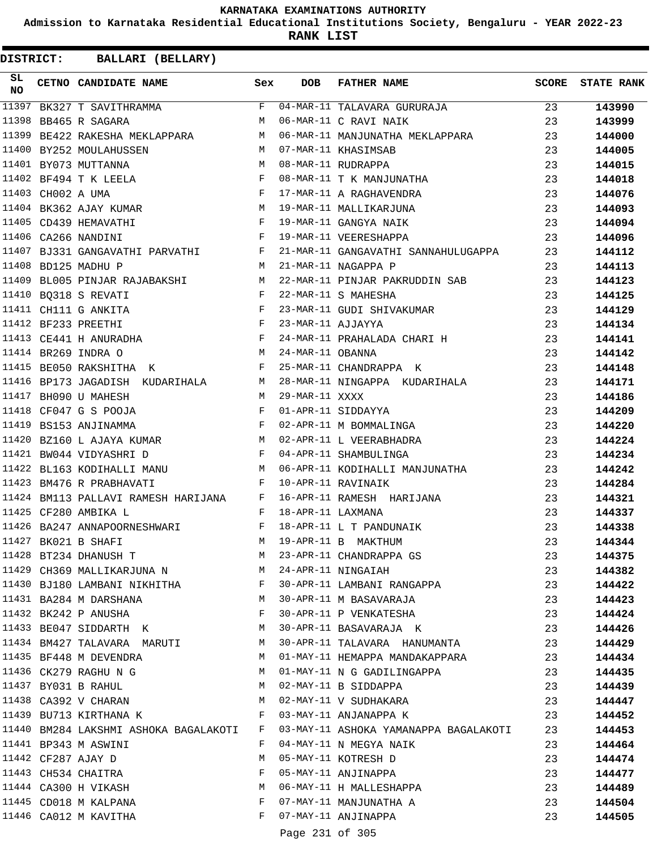**Admission to Karnataka Residential Educational Institutions Society, Bengaluru - YEAR 2022-23**

**RANK LIST**

**DISTRICT:** CC **BALLARI (BELLARY)**

| SL<br><b>NO</b> |                   | CETNO CANDIDATE NAME<br><b>Sex</b>                                                                                                                                                                                                                        |                | <b>DOB</b>        | <b>FATHER NAME</b>                                                       | SCORE | <b>STATE RANK</b> |
|-----------------|-------------------|-----------------------------------------------------------------------------------------------------------------------------------------------------------------------------------------------------------------------------------------------------------|----------------|-------------------|--------------------------------------------------------------------------|-------|-------------------|
| 11397           |                   |                                                                                                                                                                                                                                                           |                |                   | BK327 T SAVITHRAMMA $F$ 04-MAR-11 TALAVARA GURURAJA                      | 23    | 143990            |
| 11398           |                   | <b>M</b><br>BB465 R SAGARA                                                                                                                                                                                                                                |                |                   | 06-MAR-11 C RAVI NAIK                                                    | 23    | 143999            |
| 11399           |                   | BE422 RAKESHA MEKLAPPARA M                                                                                                                                                                                                                                |                |                   | 06-MAR-11 MANJUNATHA MEKLAPPARA                                          | 23    | 144000            |
|                 |                   | M<br>11400 BY252 MOULAHUSSEN                                                                                                                                                                                                                              |                |                   | 07-MAR-11 KHASIMSAB                                                      | 23    | 144005            |
|                 |                   | $\begin{array}{c}\n \cdot \\  \mathbb{M} \\  \mathbb{F}\n \end{array}$<br>11401 BY073 MUTTANNA                                                                                                                                                            |                |                   | 08-MAR-11 RUDRAPPA                                                       | 23    | 144015            |
|                 |                   | 11402 BF494 T K LEELA                                                                                                                                                                                                                                     |                |                   | 08-MAR-11 T K MANJUNATHA                                                 | 23    | 144018            |
|                 | 11403 CH002 A UMA | $\mathbf{F}$                                                                                                                                                                                                                                              |                |                   | 17-MAR-11 A RAGHAVENDRA                                                  | 23    | 144076            |
|                 |                   | 11403 CHUCZ A OPA<br>11404 BK362 AJAY KUMAR M<br>11405 CD439 HEMAVATHI F                                                                                                                                                                                  |                |                   | 19-MAR-11 MALLIKARJUNA                                                   | 23    | 144093            |
|                 |                   |                                                                                                                                                                                                                                                           |                |                   | 19-MAR-11 GANGYA NAIK                                                    | 23    | 144094            |
|                 |                   | 11406 CA266 NANDINI<br>$\mathbf{F}$ and the contract of $\mathbf{F}$                                                                                                                                                                                      |                |                   | 19-MAR-11 VEERESHAPPA                                                    | 23    | 144096            |
| 11407           |                   | BJ331 GANGAVATHI PARVATHI F                                                                                                                                                                                                                               |                |                   | 21-MAR-11 GANGAVATHI SANNAHULUGAPPA                                      | 23    | 144112            |
|                 |                   | M<br>11408 BD125 MADHU P                                                                                                                                                                                                                                  |                |                   | 21-MAR-11 NAGAPPA P                                                      | 23    | 144113            |
|                 |                   |                                                                                                                                                                                                                                                           |                |                   | 11409 BL005 PINJAR RAJABAKSHI MATALAR-11 PINJAR PAKRUDDIN SAB            | 23    | 144123            |
|                 |                   | $\mathbf{F}$ and the set of the set of the set of the set of the set of the set of the set of the set of the set of the set of the set of the set of the set of the set of the set of the set of the set of the set of the set of<br>11410 BQ318 S REVATI |                |                   | 22-MAR-11 S MAHESHA                                                      | 23    | 144125            |
|                 |                   | 11411 CH111 G ANKITA F<br>11412 BF233 PREETHI F<br>11413 CE441 H ANURADHA F                                                                                                                                                                               |                |                   | 23-MAR-11 GUDI SHIVAKUMAR                                                | 23    | 144129            |
|                 |                   |                                                                                                                                                                                                                                                           |                | 23-MAR-11 AJJAYYA |                                                                          | 23    | 144134            |
|                 |                   |                                                                                                                                                                                                                                                           | $\mathbf{F}$ . |                   | 24-MAR-11 PRAHALADA CHARI H                                              | 23    | 144141            |
|                 |                   | 11414 BR269 INDRA O<br>M <sub>1</sub>                                                                                                                                                                                                                     |                | 24-MAR-11 OBANNA  |                                                                          | 23    | 144142            |
|                 |                   | $\mathbf{F}$ and $\mathbf{F}$ and $\mathbf{F}$<br>11415 BE050 RAKSHITHA K                                                                                                                                                                                 |                |                   | 25-MAR-11 CHANDRAPPA K                                                   | 23    | 144148            |
|                 |                   |                                                                                                                                                                                                                                                           |                |                   | 11416 BP173 JAGADISH KUDARIHALA M 28-MAR-11 NINGAPPA KUDARIHALA          | 23    | 144171            |
|                 |                   | 11417 BH090 U MAHESH                                                                                                                                                                                                                                      |                | M 29-MAR-11 XXXX  |                                                                          | 23    | 144186            |
|                 |                   | 11418 CF047 G S POOJA<br>$\mathbf{F}$ and the state of the state $\mathbf{F}$                                                                                                                                                                             |                |                   | 01-APR-11 SIDDAYYA                                                       | 23    | 144209            |
|                 |                   | $\mathbf{F}$ and the state of the state $\mathbf{F}$<br>11419 BS153 ANJINAMMA                                                                                                                                                                             |                |                   | 02-APR-11 M BOMMALINGA                                                   | 23    | 144220            |
|                 |                   | 11420 BZ160 L AJAYA KUMAR M 02-APR-11 L VEERABHADRA                                                                                                                                                                                                       |                |                   |                                                                          | 23    | 144224            |
|                 |                   | 11421 BW044 VIDYASHRI D                                                                                                                                                                                                                                   | $\mathbb F$    |                   | 04-APR-11 SHAMBULINGA                                                    | 23    | 144234            |
|                 |                   | 11422 BL163 KODIHALLI MANU M                                                                                                                                                                                                                              |                |                   | 06-APR-11 KODIHALLI MANJUNATHA                                           | 23    | 144242            |
| 11423           |                   | $\mathbf{F}$ and $\mathbf{F}$ and $\mathbf{F}$<br>BM476 R PRABHAVATI                                                                                                                                                                                      |                |                   | 10-APR-11 RAVINAIK                                                       | 23    | 144284            |
|                 |                   | 11424 BM113 PALLAVI RAMESH HARIJANA F                                                                                                                                                                                                                     |                |                   | 16-APR-11 RAMESH HARIJANA                                                | 23    | 144321            |
|                 |                   | 11425 CF280 AMBIKA L                                                                                                                                                                                                                                      | $\mathbf{F}$   | 18-APR-11 LAXMANA |                                                                          | 23    | 144337            |
|                 |                   | 11426 BA247 ANNAPOORNESHWARI<br>$\mathbf{F}$ and $\mathbf{F}$                                                                                                                                                                                             |                |                   | 18-APR-11 L T PANDUNAIK                                                  | 23    | 144338            |
|                 |                   | 11427 BK021 B SHAFI                                                                                                                                                                                                                                       | M              |                   | 19-APR-11 B MAKTHUM                                                      | 23    | 144344            |
|                 |                   | 11428 BT234 DHANUSH T                                                                                                                                                                                                                                     |                |                   | M 23-APR-11 CHANDRAPPA GS<br>M 24-APR-11 NINGAIAH                        | 23    | 144375            |
|                 |                   | 11429 CH369 MALLIKARJUNA N M 24-APR-11 NINGAIAH                                                                                                                                                                                                           |                |                   |                                                                          | 23    | 144382            |
|                 |                   | 11430 BJ180 LAMBANI NIKHITHA F                                                                                                                                                                                                                            |                |                   | 30-APR-11 LAMBANI RANGAPPA                                               | 23    | 144422            |
|                 |                   | 11431 BA284 M DARSHANA                                                                                                                                                                                                                                    |                |                   | M 30-APR-11 M BASAVARAJA                                                 | 23    | 144423            |
|                 |                   | $\mathbf{F}$<br>11432 BK242 P ANUSHA                                                                                                                                                                                                                      |                |                   | 30-APR-11 P VENKATESHA                                                   | 23    | 144424            |
|                 |                   | 11433 BE047 SIDDARTH K                                                                                                                                                                                                                                    | M              |                   | 30-APR-11 BASAVARAJA K                                                   | 23    | 144426            |
|                 |                   | 11434 BM427 TALAVARA MARUTI M                                                                                                                                                                                                                             |                |                   | 30-APR-11 TALAVARA HANUMANTA                                             | 23    | 144429            |
|                 |                   | 11435 BF448 M DEVENDRA M                                                                                                                                                                                                                                  |                |                   | 01-MAY-11 HEMAPPA MANDAKAPPARA                                           | 23    | 144434            |
|                 |                   | 11436 CK279 RAGHU N G                                                                                                                                                                                                                                     | M              |                   | 01-MAY-11 N G GADILINGAPPA                                               | 23    | 144435            |
|                 |                   | $\begin{array}{cccc}\n 11437 & \text{BYO31} & \text{B} & \text{RAHUL} \\ \n 11438 & \text{CA392} & \text{V} & \text{CHARAN} & \text{M} \end{array}$                                                                                                       |                |                   | 02-MAY-11 B SIDDAPPA                                                     | 23    | 144439            |
|                 |                   |                                                                                                                                                                                                                                                           |                |                   | 02-MAY-11 V SUDHAKARA                                                    | 23    | 144447            |
|                 |                   | 11439 BU713 KIRTHANA K F                                                                                                                                                                                                                                  |                |                   | 03-MAY-11 ANJANAPPA K                                                    | 23    | 144452            |
|                 |                   | 11440 BM284 LAKSHMI ASHOKA BAGALAKOTI F                                                                                                                                                                                                                   |                |                   | 03-MAY-11 ASHOKA YAMANAPPA BAGALAKOTI                                    | 23    | 144453            |
|                 |                   | 11441 BP343 M ASWINI                                                                                                                                                                                                                                      | F              |                   | 04-MAY-11 N MEGYA NAIK                                                   | 23    | 144464            |
|                 |                   | 11442 CF287 AJAY D                                                                                                                                                                                                                                        | M              |                   | 05-MAY-11 KOTRESH D                                                      | 23    | 144474            |
|                 |                   | 11443 CH534 CHAITRA                                                                                                                                                                                                                                       | F              |                   | 05-MAY-11 ANJINAPPA<br>06-MAY-11 H MALLESHAPPA<br>07-MAY-11 MANJUNATHA A | 23    | 144477            |
|                 |                   | 11444 CA300 H VIKASH                                                                                                                                                                                                                                      | M              |                   |                                                                          | 23    | 144489            |
|                 |                   | 11445 CD018 M KALPANA                                                                                                                                                                                                                                     | $\mathbf{F}$   |                   |                                                                          | 23    | 144504            |
|                 |                   | 11446 CA012 M KAVITHA                                                                                                                                                                                                                                     | F              |                   | 07-MAY-11 ANJINAPPA                                                      | 23    | 144505            |

Page 231 of 305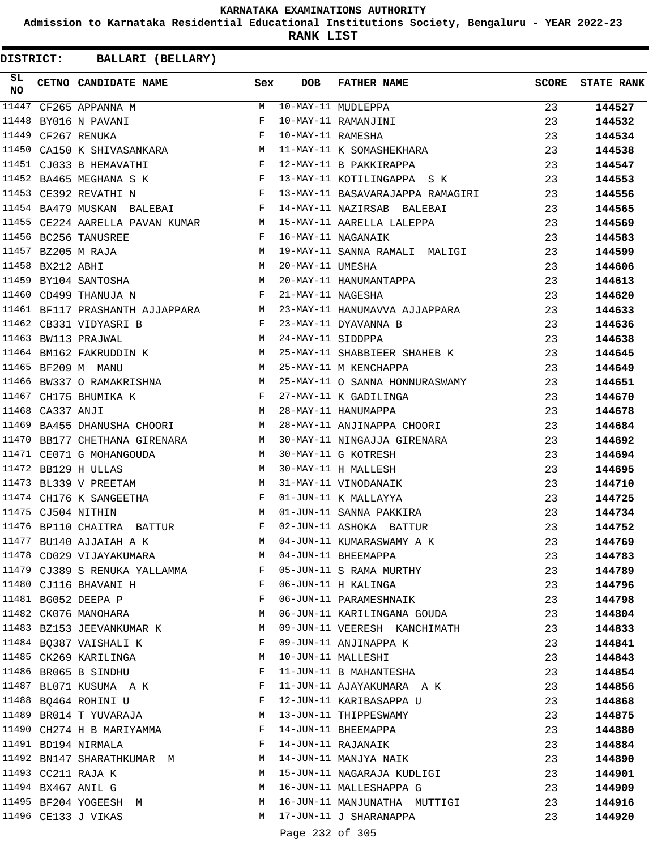**Admission to Karnataka Residential Educational Institutions Society, Bengaluru - YEAR 2022-23**

**RANK LIST**

| SL<br><b>NO</b> |                  | CETNO CANDIDATE NAME Sex                                                    |              | DOB             | FATHER NAME                                                                                                                                                                                                                             | SCORE | <b>STATE RANK</b> |
|-----------------|------------------|-----------------------------------------------------------------------------|--------------|-----------------|-----------------------------------------------------------------------------------------------------------------------------------------------------------------------------------------------------------------------------------------|-------|-------------------|
|                 |                  |                                                                             |              |                 | 11447 CF265 APPANNA M<br>11448 BYO16 N PAVANI F 10-MAY-11 RAMANJINI<br>11449 CF267 RENUKA F 10-MAY-11 RAMESHA<br>11450 CA150 K SHIVASANKARA M 11-MAY-11 K SOMASHEKHARA<br>11451 CJ033 B HEMAVATHI F 12-MAY-11 B PAKKIRAPPA<br>11452 PA4 | 23    | 144527            |
|                 |                  |                                                                             |              |                 |                                                                                                                                                                                                                                         | 23    | 144532            |
|                 |                  |                                                                             |              |                 |                                                                                                                                                                                                                                         | 23    | 144534            |
|                 |                  |                                                                             |              |                 |                                                                                                                                                                                                                                         | 23    | 144538            |
|                 |                  |                                                                             |              |                 |                                                                                                                                                                                                                                         | 23    | 144547            |
|                 |                  | 11452 BA465 MEGHANA S K                                                     |              |                 | F 13-MAY-11 KOTILINGAPPA S K                                                                                                                                                                                                            | 23    | 144553            |
|                 |                  | 11453 CE392 REVATHI N                                                       |              |                 | F 13-MAY-11 BASAVARAJAPPA RAMAGIRI                                                                                                                                                                                                      | 23    | 144556            |
|                 |                  |                                                                             |              |                 | 11454 BA479 MUSKAN BALEBAI                   F 14-MAY-11 NAZIRSAB BALEBAI                                                                                                                                                               | 23    | 144565            |
|                 |                  |                                                                             |              |                 | 11455 CE224 AARELLA PAVAN KUMAR M 15-MAY-11 AARELLA LALEPPA                                                                                                                                                                             | 23    | 144569            |
|                 |                  | $\mathbf{F} = \mathbf{F} \times \mathbf{F}$<br>11456 BC256 TANUSREE         |              |                 | 16-MAY-11 NAGANAIK                                                                                                                                                                                                                      | 23    | 144583            |
|                 |                  | 11457 BZ205 M RAJA                                                          |              |                 | M 19-MAY-11 DANNA MARI-1<br>M 20-MAY-11 UMESHA<br>M 20-MAY-11 HANUMANTAPPA<br>F 21-MAY-11 NAGESHA                                                                                                                                       | 23    | 144599            |
|                 | 11458 BX212 ABHI |                                                                             |              |                 |                                                                                                                                                                                                                                         | 23    | 144606            |
|                 |                  | 11459 BY104 SANTOSHA                                                        |              |                 |                                                                                                                                                                                                                                         | 23    | 144613            |
|                 |                  | 11460 CD499 THANUJA N                                                       |              |                 |                                                                                                                                                                                                                                         | 23    | 144620            |
|                 |                  |                                                                             |              |                 | 11461 BF117 PRASHANTH AJJAPPARA M 23-MAY-11 HANUMAVVA AJJAPPARA                                                                                                                                                                         | 23    | 144633            |
|                 |                  | B $F$ 23-MAY-11 DYAVANNA B<br>M 24-MAY-11 SIDDPPA<br>11462 CB331 VIDYASRI B |              |                 |                                                                                                                                                                                                                                         | 23    | 144636            |
|                 |                  | 11463 BW113 PRAJWAL                                                         |              |                 |                                                                                                                                                                                                                                         | 23    | 144638            |
|                 |                  |                                                                             |              |                 | 11464 BM162 FAKRUDDIN K M 25-MAY-11 SHABBIEER SHAHEB K                                                                                                                                                                                  | 23    | 144645            |
|                 |                  | M<br>11465 BF209 M MANU                                                     |              |                 | 25-MAY-11 M KENCHAPPA                                                                                                                                                                                                                   | 23    | 144649            |
|                 |                  |                                                                             |              |                 |                                                                                                                                                                                                                                         | 23    | 144651            |
|                 |                  |                                                                             |              |                 |                                                                                                                                                                                                                                         | 23    | 144670            |
|                 |                  |                                                                             |              |                 | 11466 BW337 O RAMAKRISHNA M 25-MAY-11 O SANNA HONNURASWAMY<br>11467 CH175 BHUMIKA K F 27-MAY-11 K GADILINGA<br>11468 CA337 ANJI M 28-MAY-11 HANUMAPPA                                                                                   | 23    | 144678            |
|                 |                  |                                                                             |              |                 | 11469 BA455 DHANUSHA CHOORI M 28-MAY-11 ANJINAPPA CHOORI                                                                                                                                                                                | 23    | 144684            |
|                 |                  |                                                                             |              |                 | 11470 BB177 CHETHANA GIRENARA M 30-MAY-11 NINGAJJA GIRENARA                                                                                                                                                                             | 23    | 144692            |
|                 |                  | 11471 CE071 G MOHANGOUDA M 30-MAY-11 G KOTRESH                              |              |                 |                                                                                                                                                                                                                                         | 23    | 144694            |
|                 |                  | M<br>11472 BB129 H ULLAS                                                    |              |                 | 30-MAY-11 H MALLESH                                                                                                                                                                                                                     | 23    | 144695            |
|                 |                  | 11473 BL339 V PREETAM                                                       |              |                 | 31-MAY-11 VINODANAIK                                                                                                                                                                                                                    | 23    | 144710            |
|                 |                  |                                                                             |              |                 | 01-JUN-11 K MALLAYYA                                                                                                                                                                                                                    | 23    | 144725            |
|                 |                  |                                                                             |              |                 | 01-JUN-11 SANNA PAKKIRA                                                                                                                                                                                                                 | 23    | 144734            |
|                 |                  | 11476 BP110 CHAITRA BATTUR F                                                |              |                 | 02-JUN-11 ASHOKA BATTUR                                                                                                                                                                                                                 | 23    | 144752            |
|                 |                  | 11477 BU140 AJJAIAH A K                                                     | M            |                 | 04-JUN-11 KUMARASWAMY A K                                                                                                                                                                                                               | 23    | 144769            |
|                 |                  | 11478 CD029 VIJAYAKUMARA                                                    | M            |                 | 04-JUN-11 BHEEMAPPA                                                                                                                                                                                                                     |       |                   |
|                 |                  |                                                                             |              |                 |                                                                                                                                                                                                                                         | 23    | 144783            |
|                 |                  | 11479 CJ389 S RENUKA YALLAMMA F 05-JUN-11 S RAMA MURTHY                     |              |                 |                                                                                                                                                                                                                                         | 23    | 144789            |
|                 |                  | 11480 CJ116 BHAVANI H                                                       | $\mathbf{F}$ |                 | 06-JUN-11 H KALINGA                                                                                                                                                                                                                     | 23    | 144796            |
|                 |                  | 11481 BG052 DEEPA P                                                         | F            |                 | 06-JUN-11 PARAMESHNAIK                                                                                                                                                                                                                  | 23    | 144798            |
|                 |                  | 11482 CK076 MANOHARA                                                        | M            |                 | 06-JUN-11 KARILINGANA GOUDA                                                                                                                                                                                                             | 23    | 144804            |
|                 |                  | 11483 BZ153 JEEVANKUMAR K                                                   | M            |                 | 09-JUN-11 VEERESH KANCHIMATH                                                                                                                                                                                                            | 23    | 144833            |
|                 |                  | 11484 BQ387 VAISHALI K                                                      | F            |                 | 09-JUN-11 ANJINAPPA K                                                                                                                                                                                                                   | 23    | 144841            |
|                 |                  | 11485 CK269 KARILINGA                                                       | M            |                 | 10-JUN-11 MALLESHI                                                                                                                                                                                                                      | 23    | 144843            |
|                 |                  | 11486 BR065 B SINDHU                                                        | F            |                 | 11-JUN-11 B MAHANTESHA                                                                                                                                                                                                                  | 23    | 144854            |
|                 |                  | 11487 BL071 KUSUMA A K                                                      | F            |                 | 11-JUN-11 AJAYAKUMARA A K                                                                                                                                                                                                               | 23    | 144856            |
|                 |                  | 11488 BQ464 ROHINI U                                                        | F            |                 | 12-JUN-11 KARIBASAPPA U                                                                                                                                                                                                                 | 23    | 144868            |
|                 |                  | 11489 BR014 T YUVARAJA                                                      | M            |                 | 13-JUN-11 THIPPESWAMY                                                                                                                                                                                                                   | 23    | 144875            |
|                 |                  | 11490 CH274 H B MARIYAMMA                                                   | F            |                 | 14-JUN-11 BHEEMAPPA                                                                                                                                                                                                                     | 23    | 144880            |
|                 |                  | 11491 BD194 NIRMALA                                                         | F            |                 | 14-JUN-11 RAJANAIK                                                                                                                                                                                                                      | 23    | 144884            |
|                 |                  | 11492 BN147 SHARATHKUMAR M                                                  | M            |                 | 14-JUN-11 MANJYA NAIK                                                                                                                                                                                                                   | 23    | 144890            |
|                 |                  | 11493 CC211 RAJA K                                                          | M            |                 | 15-JUN-11 NAGARAJA KUDLIGI                                                                                                                                                                                                              | 23    | 144901            |
|                 |                  | 11494 BX467 ANIL G                                                          | M            |                 | 16-JUN-11 MALLESHAPPA G                                                                                                                                                                                                                 | 23    | 144909            |
|                 |                  | 11495 BF204 YOGEESH M                                                       | M            |                 | 16-JUN-11 MANJUNATHA MUTTIGI                                                                                                                                                                                                            | 23    | 144916            |
|                 |                  | 11496 CE133 J VIKAS                                                         | M            |                 | 17-JUN-11 J SHARANAPPA                                                                                                                                                                                                                  | 23    | 144920            |
|                 |                  |                                                                             |              | Page 232 of 305 |                                                                                                                                                                                                                                         |       |                   |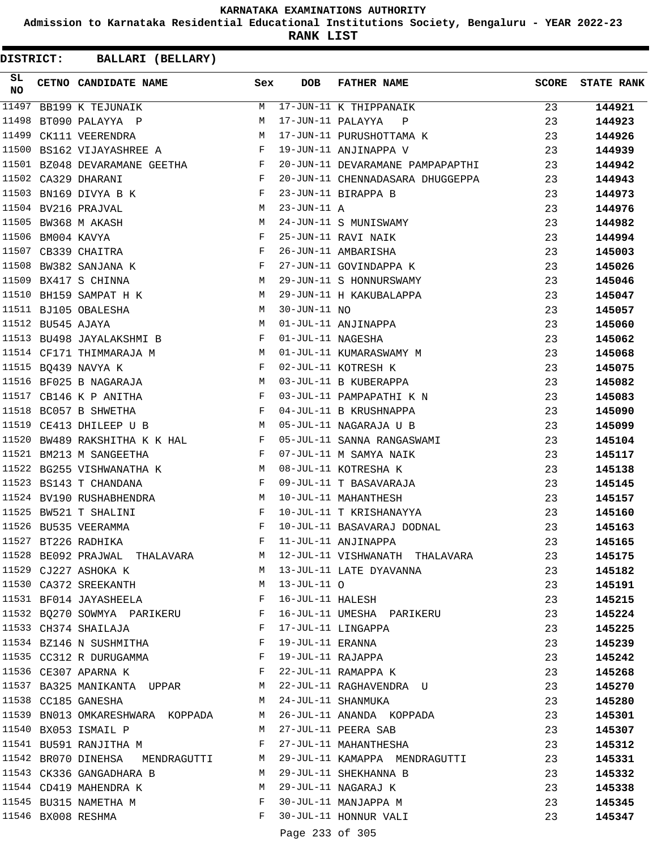**Admission to Karnataka Residential Educational Institutions Society, Bengaluru - YEAR 2022-23**

**RANK LIST**

**DISTRICT:** CC **BALLARI (BELLARY)**

| SL<br><b>NO</b> |                   | CETNO CANDIDATE NAME                                                      | Sex          | <b>DOB</b>                  | FATHER NAME                                                     | <b>SCORE</b> | <b>STATE RANK</b> |
|-----------------|-------------------|---------------------------------------------------------------------------|--------------|-----------------------------|-----------------------------------------------------------------|--------------|-------------------|
| 11497           |                   | BB199 K TEJUNAIK                                                          | M            |                             | 17-JUN-11 K THIPPANAIK<br>17 JUN-11 DALAYYA P                   | 23           | 144921            |
| 11498           |                   | BT090 PALAYYA P                                                           | М            |                             |                                                                 | 23           | 144923            |
| 11499           |                   | CK111 VEERENDRA                                                           | M            |                             | 17-JUN-11 PURUSHOTTAMA K                                        | 23           | 144926            |
|                 |                   | $\mathbf{F}$ and $\mathbf{F}$<br>11500 BS162 VIJAYASHREE A                |              |                             | 19-JUN-11 ANJINAPPA V                                           | 23           | 144939            |
|                 |                   | 11501 BZ048 DEVARAMANE GEETHA F                                           |              |                             | 20-JUN-11 DEVARAMANE PAMPAPAPTHI                                | 23           | 144942            |
|                 |                   | 11502 CA329 DHARANI<br>$\mathbf{F}$ and $\mathbf{F}$                      |              |                             | 20-JUN-11 CHENNADASARA DHUGGEPPA                                | 23           | 144943            |
|                 |                   | $\mathbf{F}$<br>11503 BN169 DIVYA B K                                     |              |                             | 23-JUN-11 BIRAPPA B                                             | 23           | 144973            |
|                 |                   | $\begin{aligned} M \\ M \end{aligned}$<br>11504 BV216 PRAJVAL             |              | $23 - JUN - 11 A$           |                                                                 | 23           | 144976            |
|                 |                   | 11505 BW368 M AKASH                                                       |              |                             | 24-JUN-11 S MUNISWAMY                                           | 23           | 144982            |
|                 | 11506 BM004 KAVYA | $\mathbb F$                                                               |              |                             | 25-JUN-11 RAVI NAIK                                             | 23           | 144994            |
|                 |                   | $\mathbf{F}$<br>11507 CB339 CHAITRA                                       |              |                             | 26-JUN-11 AMBARISHA                                             | 23           | 145003            |
|                 |                   | 11508 BW382 SANJANA K                                                     | F            |                             | 27-JUN-11 GOVINDAPPA K                                          | 23           | 145026            |
|                 |                   | M<br>11509 BX417 S CHINNA                                                 |              |                             | 29-JUN-11 S HONNURSWAMY                                         | 23           | 145046            |
|                 |                   | 11510 BH159 SAMPAT H K M                                                  |              |                             | 29-JUN-11 H KAKUBALAPPA                                         | 23           | 145047            |
|                 |                   | M<br>11511 BJ105 OBALESHA                                                 |              | 30-JUN-11 NO                |                                                                 | 23           | 145057            |
|                 | 11512 BU545 AJAYA |                                                                           | M            |                             | 01-JUL-11 ANJINAPPA                                             | 23           | 145060            |
|                 |                   | 11513 BU498 JAYALAKSHMI B                                                 | $\mathbf{F}$ | 01-JUL-11 NAGESHA           |                                                                 | 23           | 145062            |
|                 |                   | 11514 CF171 THIMMARAJA M                                                  |              |                             | 01-JUL-11 KUMARASWAMY M                                         | 23           | 145068            |
|                 |                   | $\mathbf{F}$<br>11515 BQ439 NAVYA K                                       |              |                             | 02-JUL-11 KOTRESH K                                             | 23           | 145075            |
|                 |                   | 11516 BF025 B NAGARAJA                                                    | M            |                             | 03-JUL-11 B KUBERAPPA                                           | 23           | 145082            |
|                 |                   | 11517 CB146 K P ANITHA<br>$\mathbf{F}$                                    |              |                             | 03-JUL-11 PAMPAPATHI K N                                        | 23           | 145083            |
|                 |                   | 11518 BC057 B SHWETHA<br>$\mathbf{F}$ and $\mathbf{F}$ and $\mathbf{F}$   |              |                             | 04-JUL-11 B KRUSHNAPPA                                          | 23           | 145090            |
|                 |                   | M 05-JUL-11 NAGARAJA U B<br>11519 CE413 DHILEEP U B                       |              |                             |                                                                 | 23           | 145099            |
|                 |                   |                                                                           |              |                             | 11520 BW489 RAKSHITHA K K HAL K POS-JUL-11 SANNA RANGASWAMI     | 23           | 145104            |
|                 |                   | 11521 BM213 M SANGEETHA<br>$\mathbf{F}$ and $\mathbf{F}$ and $\mathbf{F}$ |              |                             | 07-JUL-11 M SAMYA NAIK                                          | 23           | 145117            |
|                 |                   | 11522 BG255 VISHWANATHA K M                                               |              |                             | 08-JUL-11 KOTRESHA K                                            | 23           | 145138            |
|                 |                   | $\mathbf{F}$ and $\mathbf{F}$ and $\mathbf{F}$<br>11523 BS143 T CHANDANA  |              |                             | 09-JUL-11 T BASAVARAJA                                          | 23           | 145145            |
|                 |                   | 11524 BV190 RUSHABHENDRA                                                  | M            |                             | 10-JUL-11 MAHANTHESH                                            | 23           | 145157            |
|                 |                   | 11525 BW521 T SHALINI                                                     | F            |                             | 10-JUL-11 T KRISHANAYYA                                         | 23           | 145160            |
|                 |                   | 11526 BU535 VEERAMMA                                                      | F            |                             | 10-JUL-11 BASAVARAJ DODNAL                                      | 23           | 145163            |
|                 |                   | 11527 BT226 RADHIKA                                                       | F            |                             | 11-JUL-11 ANJINAPPA                                             | 23           | 145165            |
|                 |                   |                                                                           |              |                             | 11528 BE092 PRAJWAL THALAVARA M 12-JUL-11 VISHWANATH THALAVARA  | 23           | 145175            |
|                 |                   | 11529 CJ227 ASHOKA K                                                      |              |                             | M 13-JUL-11 LATE DYAVANNA                                       | 23           | 145182            |
|                 |                   | 11530 CA372 SREEKANTH M 13-JUL-11 O                                       |              |                             |                                                                 | 23           | 145191            |
|                 |                   | 11531 BF014 JAYASHEELA F 16-JUL-11 HALESH                                 |              |                             |                                                                 | 23           | 145215            |
|                 |                   | 11532 BQ270 SOWMYA PARIKERU B F 16-JUL-11 UMESHA PARIKERU                 |              |                             |                                                                 | 23           | 145224            |
|                 |                   | 11533 CH374 SHAILAJA                                                      |              |                             | F 17-JUL-11 LINGAPPA                                            | 23           | 145225            |
|                 |                   | 11534 BZ146 N SUSHMITHA F                                                 |              | 19-JUL-11 ERANNA            |                                                                 | 23           | 145239            |
|                 |                   | 11535 CC312 R DURUGAMMA F                                                 |              |                             |                                                                 | 23           | 145242            |
|                 |                   | 11536 CE307 APARNA K $$\rm F$$                                            |              |                             | 19-JUL-11 ERANNA<br>19-JUL-11 RAJAPPA<br>11 DAMADDA K           | 23           | 145268            |
|                 |                   |                                                                           |              |                             | 11537 BA325 MANIKANTA UPPAR M 22-JUL-11 RAGHAVENDRA U           | 23           | 145270            |
|                 |                   | 11538 CC185 GANESHA<br><b>M</b>                                           |              |                             | 24-JUL-11 SHANMUKA                                              | 23           | 145280            |
|                 |                   |                                                                           |              |                             | 11539 BN013 OMKARESHWARA KOPPADA M 26-JUL-11 ANANDA KOPPADA     | 23           | 145301            |
|                 |                   | 11540 BX053 ISMAIL P                                                      |              |                             | M 27-JUL-11 PEERA SAB                                           | 23           | 145307            |
|                 |                   | 11541 BU591 RANJITHA M                                                    | $\mathbf{F}$ |                             | 27-JUL-11 MAHANTHESHA                                           | 23           | 145312            |
|                 |                   |                                                                           |              |                             | 11542 BR070 DINEHSA MENDRAGUTTI M 29-JUL-11 KAMAPPA MENDRAGUTTI | 23           | 145331            |
|                 |                   | 11543 CK336 GANGADHARA B M                                                |              |                             | 29-JUL-11 SHEKHANNA B                                           | 23           | 145332            |
|                 |                   |                                                                           | M            |                             | 29-JUL-11 NAGARAJ K                                             | 23           | 145338            |
|                 |                   | 11544 CD419 MAHENDRA K<br>11545 BU315 NAMETHA M                           |              |                             | F 30-JUL-11 MAGARAJ K<br>F 30-JUL-11 MANJAPPA M                 | 23           | 145345            |
|                 |                   | 11546 BX008 RESHMA                                                        |              |                             | F 30-JUL-11 HONNUR VALI                                         | 23           | 145347            |
|                 |                   |                                                                           |              | $D = 22$ $(222)$ $25$ $205$ |                                                                 |              |                   |

Page 233 of 305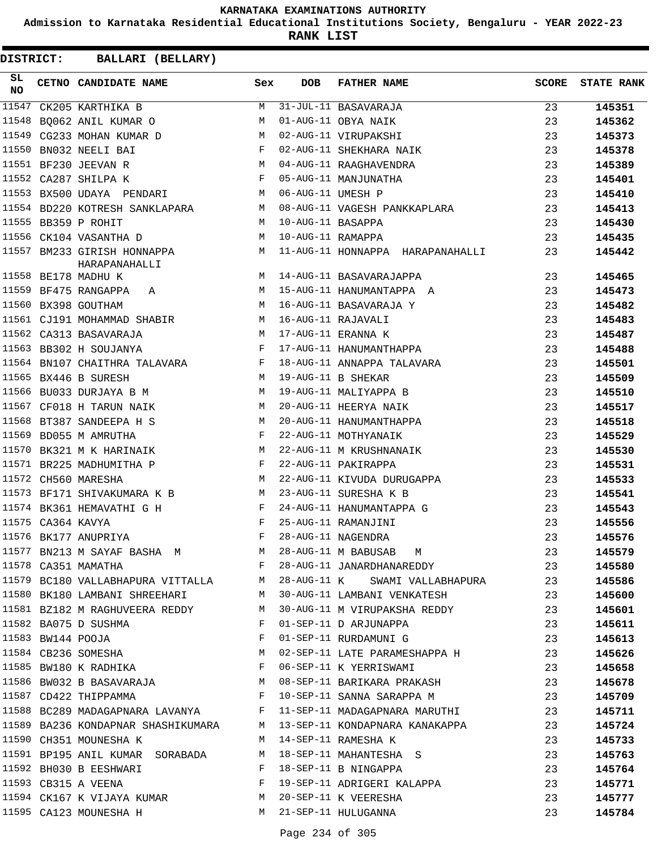**Admission to Karnataka Residential Educational Institutions Society, Bengaluru - YEAR 2022-23**

**RANK LIST**

| SL<br><b>NO</b> |                   | CETNO CANDIDATE NAME Sex                                                |              | <b>DOB</b>         | <b>FATHER NAME</b>                                                        | <b>SCORE</b> | <b>STATE RANK</b> |
|-----------------|-------------------|-------------------------------------------------------------------------|--------------|--------------------|---------------------------------------------------------------------------|--------------|-------------------|
| 11547           |                   | CK205 KARTHIKA B                                                        | M            |                    | 31-JUL-11 BASAVARAJA                                                      | 23           | 145351            |
| 11548           |                   | BO062 ANIL KUMAR O                                                      | M            |                    | 01-AUG-11 OBYA NAIK                                                       | 23           | 145362            |
| 11549           |                   | CG233 MOHAN KUMAR D M                                                   |              |                    | 02-AUG-11 VIRUPAKSHI                                                      | 23           | 145373            |
| 11550           |                   | $\overrightarrow{F}$<br>BN032 NEELI BAI                                 |              |                    | 02-AUG-11 SHEKHARA NAIK                                                   | 23           | 145378            |
|                 |                   | M<br>11551 BF230 JEEVAN R                                               |              |                    | 04-AUG-11 RAAGHAVENDRA                                                    | 23           | 145389            |
|                 |                   | $\mathbf{F}$<br>11552 CA287 SHILPA K                                    |              |                    | 05-AUG-11 MANJUNATHA                                                      | 23           | 145401            |
|                 |                   | $\mathbf{M}$<br>11553 BX500 UDAYA PENDARI                               |              | 06-AUG-11 UMESH P  |                                                                           | 23           | 145410            |
|                 |                   | 11554 BD220 KOTRESH SANKLAPARA M                                        |              |                    | 08-AUG-11 VAGESH PANKKAPLARA                                              | 23           | 145413            |
|                 |                   | 11555 BB359 P ROHIT<br>M <sub>1</sub>                                   |              | 10-AUG-11 BASAPPA  |                                                                           | 23           | 145430            |
|                 |                   | 11556 CK104 VASANTHA D<br><b>M</b>                                      |              | 10-AUG-11 RAMAPPA  |                                                                           | 23           | 145435            |
|                 |                   | 11557 BM233 GIRISH HONNAPPA M<br>HARAPANAHALLI                          |              |                    | 11-AUG-11 HONNAPPA HARAPANAHALLI                                          | 23           | 145442            |
|                 |                   | M <sub>N</sub><br>11558 BE178 MADHU K                                   |              |                    | 14-AUG-11 BASAVARAJAPPA                                                   | 23           | 145465            |
|                 |                   | M<br>11559 BF475 RANGAPPA A                                             |              |                    | 15-AUG-11 HANUMANTAPPA A                                                  | 23           | 145473            |
|                 |                   | M<br>11560 BX398 GOUTHAM                                                |              |                    | 16-AUG-11 BASAVARAJA Y                                                    | 23           | 145482            |
|                 |                   | 11561 CJ191 MOHAMMAD SHABIR M                                           |              | 16-AUG-11 RAJAVALI |                                                                           | 23           | 145483            |
|                 |                   | M <sub>1</sub><br>11562 CA313 BASAVARAJA                                |              |                    | 17-AUG-11 ERANNA K                                                        | 23           | 145487            |
|                 |                   | $\mathbf{F}$<br>11563 BB302 H SOUJANYA                                  |              |                    | 17-AUG-11 HANUMANTHAPPA                                                   | 23           | 145488            |
|                 |                   | 11564 BN107 CHAITHRA TALAVARA F                                         |              |                    | 18-AUG-11 ANNAPPA TALAVARA                                                | 23           | 145501            |
|                 |                   | 11565 BX446 B SURESH<br><b>M</b>                                        |              | 19-AUG-11 B SHEKAR |                                                                           | 23           | 145509            |
|                 |                   | 11566 BU033 DURJAYA B M<br><b>M</b>                                     |              |                    | 19-AUG-11 MALIYAPPA B                                                     | 23           | 145510            |
|                 |                   | 11567 CF018 H TARUN NAIK<br>M                                           |              |                    | 20-AUG-11 HEERYA NAIK                                                     | 23           | 145517            |
|                 |                   | 11568 BT387 SANDEEPA H S                                                | M            |                    | 20-AUG-11 HANUMANTHAPPA                                                   | 23           | 145518            |
|                 |                   | 11569 BD055 M AMRUTHA                                                   | F            |                    | 22-AUG-11 MOTHYANAIK                                                      | 23           | 145529            |
| 11570           |                   | BK321 M K HARINAIK M                                                    |              |                    | 22-AUG-11 M KRUSHNANAIK                                                   | 23           | 145530            |
|                 |                   | $\mathbf{F}$ . The set of $\mathbf{F}$<br>11571 BR225 MADHUMITHA P      |              |                    | 22-AUG-11 PAKIRAPPA                                                       | 23           | 145531            |
|                 |                   | 11572 CH560 MARESHA                                                     | M            |                    | 22-AUG-11 KIVUDA DURUGAPPA                                                | 23           | 145533            |
|                 |                   | 11573 BF171 SHIVAKUMARA K B M                                           |              |                    | 23-AUG-11 SURESHA K B                                                     | 23           | 145541            |
|                 |                   | 11574 BK361 HEMAVATHI G H                                               |              |                    | 24-AUG-11 HANUMANTAPPA G                                                  | 23           | 145543            |
|                 | 11575 CA364 KAVYA | $\mathbf{F}$                                                            |              |                    | 25-AUG-11 RAMANJINI                                                       | 23           | 145556            |
|                 |                   | 11576 BK177 ANUPRIYA                                                    | F            |                    | 28-AUG-11 NAGENDRA                                                        | 23           | 145576            |
|                 |                   |                                                                         |              |                    | 11577 BN213 M SAYAF BASHA M M 28-AUG-11 M BABUSAB M                       | 23           | 145579            |
|                 |                   | 11578 CA351 MAMATHA                                                     |              |                    | F 28-AUG-11 JANARDHANAREDDY                                               | 23           | 145580            |
|                 |                   |                                                                         |              |                    | 11579 BC180 VALLABHAPURA VITTALLA M 28-AUG-11 K SWAMI VALLABHAPURA        | 23           | 145586            |
|                 |                   |                                                                         |              |                    | 11580 BK180 LAMBANI SHREEHARI M 30-AUG-11 LAMBANI VENKATESH               | 23           | 145600            |
|                 |                   |                                                                         |              |                    | 11581 BZ182 M RAGHUVEERA REDDY M 30-AUG-11 M VIRUPAKSHA REDDY             | 23           | 145601            |
|                 |                   | 11582 BA075 D SUSHMA                                                    | $\mathbf{F}$ |                    | 01-SEP-11 D ARJUNAPPA                                                     | 23           | 145611            |
|                 |                   |                                                                         |              |                    | 01-SEP-11 RURDAMUNI G                                                     | 23           | 145613            |
|                 |                   | 11583 BW144 POOJA F<br>11584 CB236 SOMESHA M<br>11585 BW180 K RADHIKA F |              |                    | M 02-SEP-11 LATE PARAMESHAPPA H                                           | 23           | 145626            |
|                 |                   |                                                                         |              |                    | 06-SEP-11 K YERRISWAMI                                                    | 23           | 145658            |
|                 |                   |                                                                         |              |                    | 11586 BW032 B BASAVARAJA M 08-SEP-11 BARIKARA PRAKASH                     | 23           | 145678            |
|                 |                   | $\mathbf{F}$<br>11587 CD422 THIPPAMMA                                   |              |                    | 10-SEP-11 SANNA SARAPPA M                                                 | 23           | 145709            |
|                 |                   |                                                                         |              |                    | 11588 BC289 MADAGAPNARA LAVANYA F 11-SEP-11 MADAGAPNARA MARUTHI           | 23           | 145711            |
|                 |                   |                                                                         |              |                    | 11589 BA236 KONDAPNAR SHASHIKUMARA     M   13-SEP-11 KONDAPNARA KANAKAPPA | 23           | 145724            |
|                 |                   | 11590 CH351 MOUNESHA K                                                  |              |                    | M 14-SEP-11 RAMESHA K                                                     | 23           | 145733            |
|                 |                   |                                                                         |              |                    | 11591 BP195 ANIL KUMAR SORABADA N 18-SEP-11 MAHANTESHA S                  | 23           | 145763            |
|                 |                   | 11592 BH030 B EESHWARI                                                  |              |                    |                                                                           | 23           | 145764            |
|                 |                   | 11593 CB315 A VEENA<br>$\mathbf{F}$ and $\mathbf{F}$ and $\mathbf{F}$   |              |                    | F 18-SEP-11 B NINGAPPA<br>F 19-SEP-11 ADRIGERI KALAPPA                    | 23           | 145771            |
|                 |                   | 11594 CK167 K VIJAYA KUMAR M 20-SEP-11 K VEERESHA                       |              |                    |                                                                           | 23           | 145777            |
|                 |                   | 11595 CA123 MOUNESHA H                                                  |              |                    | M 21-SEP-11 HULUGANNA                                                     | 23           | 145784            |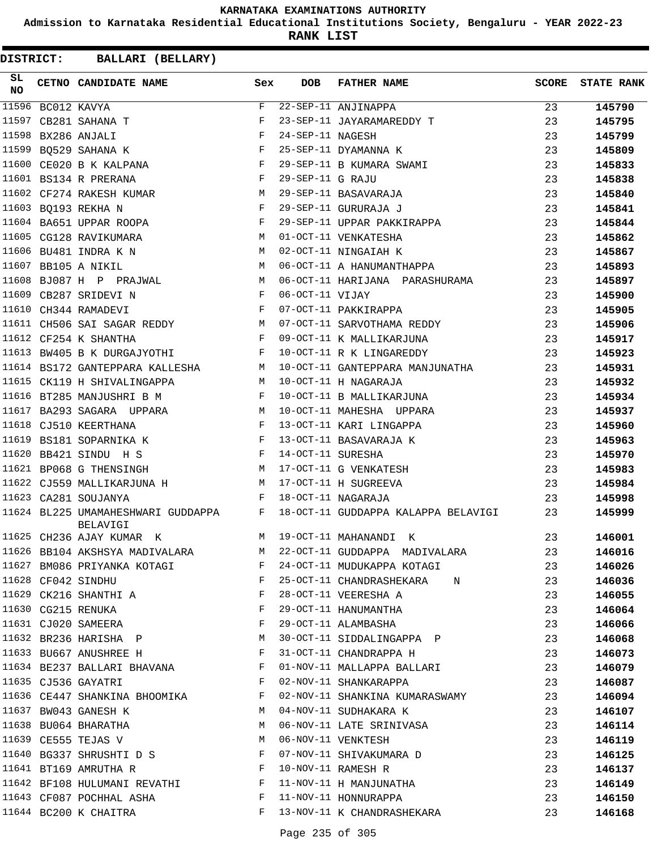**Admission to Karnataka Residential Educational Institutions Society, Bengaluru - YEAR 2022-23**

**RANK LIST**

| SL<br><b>NO</b> |             | CETNO CANDIDATE NAME Sex                                                                                                                                                                                                                               |                | <b>DOB</b>        | <b>FATHER NAME</b>                  | <b>SCORE</b> | <b>STATE RANK</b> |
|-----------------|-------------|--------------------------------------------------------------------------------------------------------------------------------------------------------------------------------------------------------------------------------------------------------|----------------|-------------------|-------------------------------------|--------------|-------------------|
| 11596           | BC012 KAVYA |                                                                                                                                                                                                                                                        | $\mathbf{F}$   |                   | 22-SEP-11 ANJINAPPA                 | 23           | 145790            |
| 11597           |             | CB281 SAHANA T                                                                                                                                                                                                                                         | F              |                   | 23-SEP-11 JAYARAMAREDDY T           | 23           | 145795            |
| 11598           |             | BX286 ANJALI                                                                                                                                                                                                                                           | $_{\rm F}$     | 24-SEP-11 NAGESH  |                                     | 23           | 145799            |
| 11599           |             | BO529 SAHANA K                                                                                                                                                                                                                                         | $$\mathbf{F}$$ |                   | 25-SEP-11 DYAMANNA K                | 23           | 145809            |
| 11600           |             | $\mathbf{F}$ and the set of the set of the set of the set of the set of the set of the set of the set of the set of the set of the set of the set of the set of the set of the set of the set of the set of the set of the set of<br>CE020 B K KALPANA |                |                   | 29-SEP-11 B KUMARA SWAMI            | 23           | 145833            |
|                 |             | $\mathbf{F}$ and $\mathbf{F}$<br>11601 BS134 R PRERANA                                                                                                                                                                                                 |                | 29-SEP-11 G RAJU  |                                     | 23           | 145838            |
|                 |             | 11602 CF274 RAKESH KUMAR                                                                                                                                                                                                                               | M              |                   | 29-SEP-11 BASAVARAJA                | 23           | 145840            |
|                 |             | 11603 BQ193 REKHA N                                                                                                                                                                                                                                    | $_{\rm F}$     |                   | 29-SEP-11 GURURAJA J                | 23           | 145841            |
|                 |             | 11604 BA651 UPPAR ROOPA                                                                                                                                                                                                                                | F              |                   | 29-SEP-11 UPPAR PAKKIRAPPA          | 23           | 145844            |
|                 |             | M<br>11605 CG128 RAVIKUMARA                                                                                                                                                                                                                            |                |                   | 01-OCT-11 VENKATESHA                | 23           | 145862            |
|                 |             | 11606 BU481 INDRA K N                                                                                                                                                                                                                                  | M              |                   | 02-OCT-11 NINGAIAH K                | 23           | 145867            |
|                 |             | 11607 BB105 A NIKIL                                                                                                                                                                                                                                    | M              |                   | 06-OCT-11 A HANUMANTHAPPA           | 23           | 145893            |
|                 |             | 11608 BJ087 H P PRAJWAL M                                                                                                                                                                                                                              |                |                   | 06-OCT-11 HARIJANA PARASHURAMA      | 23           | 145897            |
| 11609           |             | $\mathbf{F}$ and $\mathbf{F}$ and $\mathbf{F}$<br>CB287 SRIDEVI N                                                                                                                                                                                      |                | 06-OCT-11 VIJAY   |                                     | 23           | 145900            |
|                 |             | $\mathbf{F}$<br>11610 CH344 RAMADEVI                                                                                                                                                                                                                   |                |                   | 07-OCT-11 PAKKIRAPPA                | 23           | 145905            |
|                 |             | 11611 CH506 SAI SAGAR REDDY M                                                                                                                                                                                                                          |                |                   | 07-OCT-11 SARVOTHAMA REDDY          | 23           | 145906            |
|                 |             | 11612 CF254 K SHANTHA                                                                                                                                                                                                                                  | $\mathbf{F}$   |                   | 09-OCT-11 K MALLIKARJUNA            | 23           | 145917            |
|                 |             | 11613 BW405 B K DURGAJYOTHI                                                                                                                                                                                                                            | F              |                   | 10-OCT-11 R K LINGAREDDY            | 23           | 145923            |
|                 |             | 11614 BS172 GANTEPPARA KALLESHA M                                                                                                                                                                                                                      |                |                   | 10-OCT-11 GANTEPPARA MANJUNATHA     | 23           | 145931            |
| 11615           |             | CK119 H SHIVALINGAPPA                                                                                                                                                                                                                                  | M              |                   | 10-OCT-11 H NAGARAJA                | 23           | 145932            |
| 11616           |             | BT285 MANJUSHRI B M                                                                                                                                                                                                                                    | F              |                   | 10-OCT-11 B MALLIKARJUNA            | 23           | 145934            |
| 11617           |             | M<br>BA293 SAGARA UPPARA                                                                                                                                                                                                                               |                |                   | 10-OCT-11 MAHESHA UPPARA            | 23           | 145937            |
|                 |             | 11618 CJ510 KEERTHANA                                                                                                                                                                                                                                  | $\mathbf{F}$   |                   | 13-OCT-11 KARI LINGAPPA             | 23           | 145960            |
| 11619           |             | BS181 SOPARNIKA K                                                                                                                                                                                                                                      | $\mathbf{F}$   |                   | 13-OCT-11 BASAVARAJA K              | 23           | 145963            |
| 11620           |             | BB421 SINDU H S<br>$\mathbf{F}$ and the contract of the contract of $\mathbf{F}$                                                                                                                                                                       |                | 14-OCT-11 SURESHA |                                     | 23           | 145970            |
|                 |             | $M_{\odot}$<br>11621 BP068 G THENSINGH                                                                                                                                                                                                                 |                |                   | 17-OCT-11 G VENKATESH               | 23           | 145983            |
|                 |             | 11622 CJ559 MALLIKARJUNA H                                                                                                                                                                                                                             | M              |                   | 17-OCT-11 H SUGREEVA                | 23           | 145984            |
|                 |             | 11623 CA281 SOUJANYA                                                                                                                                                                                                                                   | F              |                   | 18-OCT-11 NAGARAJA                  | 23           | 145998            |
|                 |             | 11624 BL225 UMAMAHESHWARI GUDDAPPA F<br><b>BELAVIGI</b>                                                                                                                                                                                                |                |                   | 18-OCT-11 GUDDAPPA KALAPPA BELAVIGI | 23           | 145999            |
|                 |             | 11625 CH236 AJAY KUMAR K                                                                                                                                                                                                                               | M              |                   | 19-OCT-11 MAHANANDI K               | 23           | 146001            |
|                 |             | 11626 BB104 AKSHSYA MADIVALARA                                                                                                                                                                                                                         | М              |                   | 22-OCT-11 GUDDAPPA MADIVALARA       | 23           | 146016            |
|                 |             | 11627 BM086 PRIYANKA KOTAGI                                                                                                                                                                                                                            | F              |                   | 24-OCT-11 MUDUKAPPA KOTAGI          | 23           | 146026            |
|                 |             | 11628 CF042 SINDHU                                                                                                                                                                                                                                     | F              |                   | 25-OCT-11 CHANDRASHEKARA N          | 23           | 146036            |
|                 |             | 11629 CK216 SHANTHI A                                                                                                                                                                                                                                  | F              |                   | 28-OCT-11 VEERESHA A                | 23           | 146055            |
|                 |             | 11630 CG215 RENUKA                                                                                                                                                                                                                                     | F              |                   | 29-OCT-11 HANUMANTHA                | 23           | 146064            |
|                 |             | 11631 CJ020 SAMEERA                                                                                                                                                                                                                                    | F              |                   | 29-OCT-11 ALAMBASHA                 | 23           | 146066            |
|                 |             | 11632 BR236 HARISHA P                                                                                                                                                                                                                                  | М              |                   | 30-OCT-11 SIDDALINGAPPA P           | 23           | 146068            |
|                 |             | 11633 BU667 ANUSHREE H                                                                                                                                                                                                                                 | F              |                   | 31-OCT-11 CHANDRAPPA H              | 23           | 146073            |
|                 |             | 11634 BE237 BALLARI BHAVANA                                                                                                                                                                                                                            | F              |                   | 01-NOV-11 MALLAPPA BALLARI          | 23           | 146079            |
|                 |             | 11635 CJ536 GAYATRI                                                                                                                                                                                                                                    | F              |                   | 02-NOV-11 SHANKARAPPA               | 23           | 146087            |
|                 |             | 11636 CE447 SHANKINA BHOOMIKA                                                                                                                                                                                                                          | F              |                   | 02-NOV-11 SHANKINA KUMARASWAMY      | 23           | 146094            |
|                 |             | 11637 BW043 GANESH K                                                                                                                                                                                                                                   | M              |                   | 04-NOV-11 SUDHAKARA K               | 23           | 146107            |
|                 |             | 11638 BU064 BHARATHA                                                                                                                                                                                                                                   | М              |                   | 06-NOV-11 LATE SRINIVASA            | 23           | 146114            |
|                 |             | 11639 CE555 TEJAS V                                                                                                                                                                                                                                    | М              |                   | 06-NOV-11 VENKTESH                  | 23           | 146119            |
|                 |             | 11640 BG337 SHRUSHTI D S                                                                                                                                                                                                                               | $\mathbf{F}$   |                   | 07-NOV-11 SHIVAKUMARA D             | 23           | 146125            |
|                 |             | 11641 BT169 AMRUTHA R                                                                                                                                                                                                                                  | F              |                   | 10-NOV-11 RAMESH R                  | 23           | 146137            |
|                 |             | 11642 BF108 HULUMANI REVATHI                                                                                                                                                                                                                           | F              |                   | 11-NOV-11 H MANJUNATHA              | 23           | 146149            |
|                 |             | 11643 CF087 POCHHAL ASHA                                                                                                                                                                                                                               | F              |                   | 11-NOV-11 HONNURAPPA                | 23           | 146150            |
|                 |             | 11644 BC200 K CHAITRA                                                                                                                                                                                                                                  | F              |                   | 13-NOV-11 K CHANDRASHEKARA          | 23           | 146168            |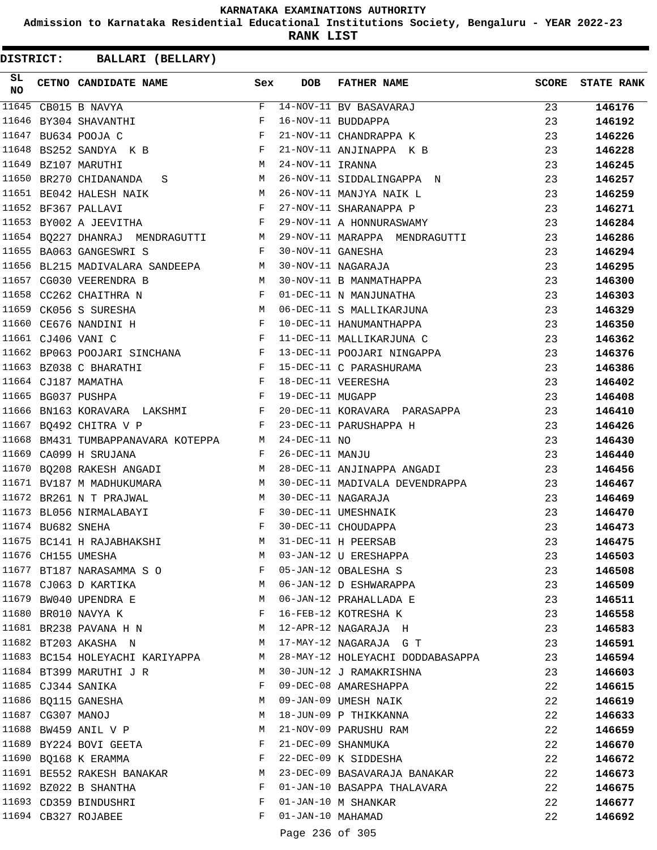**Admission to Karnataka Residential Educational Institutions Society, Bengaluru - YEAR 2022-23**

**RANK LIST**

**DISTRICT:** CC **BALLARI (BELLARY)**

| SL<br><b>NO</b> |                   | CETNO CANDIDATE NAME Sex                                                                               |              | <b>DOB</b>        | <b>FATHER NAME</b>                                        | <b>SCORE</b> | <b>STATE RANK</b> |
|-----------------|-------------------|--------------------------------------------------------------------------------------------------------|--------------|-------------------|-----------------------------------------------------------|--------------|-------------------|
| 11645           |                   | CB015 B NAVYA                                                                                          | F            |                   | 14-NOV-11 BV BASAVARAJ                                    | 23           | 146176            |
| 11646           |                   | BY304 SHAVANTHI                                                                                        | F            |                   | 16-NOV-11 BUDDAPPA                                        | 23           | 146192            |
|                 |                   | 11647 BU634 POOJA C<br>$\mathbf{F}$                                                                    |              |                   | 21-NOV-11 CHANDRAPPA K                                    | 23           | 146226            |
|                 |                   | 11648 BS252 SANDYA K B                                                                                 | $\mathbf{F}$ |                   | 21-NOV-11 ANJINAPPA K B                                   | 23           | 146228            |
|                 |                   | 11649 BZ107 MARUTHI<br><b>M</b>                                                                        |              | 24-NOV-11 IRANNA  |                                                           | 23           | 146245            |
|                 |                   | 11650 BR270 CHIDANANDA S                                                                               |              |                   | 26-NOV-11 SIDDALINGAPPA N                                 | 23           | 146257            |
|                 |                   | <b>M</b><br>11651 BE042 HALESH NAIK                                                                    |              |                   | 26-NOV-11 MANJYA NAIK L                                   | 23           | 146259            |
|                 |                   | 11652 BF367 PALLAVI                                                                                    | $\mathbf{F}$ |                   | 27-NOV-11 SHARANAPPA P                                    | 23           | 146271            |
|                 |                   | 11653 BY002 A JEEVITHA                                                                                 | $\mathbf{F}$ |                   | 29-NOV-11 A HONNURASWAMY                                  | 23           | 146284            |
|                 |                   | 11654 BQ227 DHANRAJ MENDRAGUTTI M                                                                      |              |                   | 29-NOV-11 MARAPPA MENDRAGUTTI                             | 23           | 146286            |
|                 |                   | 11655 BA063 GANGESWRI S<br>and the control of the Party of the Party                                   |              | 30-NOV-11 GANESHA |                                                           | 23           | 146294            |
|                 |                   | 11656 BL215 MADIVALARA SANDEEPA M                                                                      |              |                   | 30-NOV-11 NAGARAJA                                        | 23           | 146295            |
|                 |                   | 11657 CG030 VEERENDRA B<br>M <sub>1</sub>                                                              |              |                   | 30-NOV-11 B MANMATHAPPA                                   | 23           | 146300            |
|                 |                   | 11658 CC262 CHAITHRA N<br>$\mathbf{F}$ . The contract of the contract of $\mathbf{F}$                  |              |                   | 01-DEC-11 N MANJUNATHA                                    | 23           | 146303            |
|                 |                   | M <sub>1</sub><br>11659 CK056 S SURESHA                                                                |              |                   | 06-DEC-11 S MALLIKARJUNA                                  | 23           | 146329            |
|                 |                   | $\mathbf{F}$<br>11660 CE676 NANDINI H                                                                  |              |                   | 10-DEC-11 HANUMANTHAPPA                                   | 23           | 146350            |
|                 |                   | 11661 CJ406 VANI C<br>$\mathbb F$ . In the set of $\mathbb F$                                          |              |                   | 11-DEC-11 MALLIKARJUNA C                                  | 23           | 146362            |
|                 |                   |                                                                                                        |              |                   | 11662 BP063 POOJARI SINCHANA F 13-DEC-11 POOJARI NINGAPPA | 23           | 146376            |
|                 |                   | $\mathbb{F}^{\mathbb{Z}}$ . The state of the state $\mathbb{F}^{\mathbb{Z}}$<br>11663 BZ038 C BHARATHI |              |                   | 15-DEC-11 C PARASHURAMA                                   | 23           | 146386            |
|                 |                   | $\mathbf{F}^{\dagger}$<br>11664 CJ187 MAMATHA                                                          |              |                   | 18-DEC-11 VEERESHA                                        | 23           | 146402            |
|                 |                   | $\frac{1}{\text{F}}$<br>11665 BG037 PUSHPA                                                             |              | 19-DEC-11 MUGAPP  |                                                           | 23           | 146408            |
|                 |                   | 11666 BN163 KORAVARA LAKSHMI F                                                                         |              |                   | 20-DEC-11 KORAVARA PARASAPPA                              | 23           | 146410            |
|                 |                   | $\mathbf{F}$<br>11667 BQ492 CHITRA V P                                                                 |              |                   | 23-DEC-11 PARUSHAPPA H                                    | 23           | 146426            |
|                 |                   | 11668 BM431 TUMBAPPANAVARA KOTEPPA M 24-DEC-11 NO                                                      |              |                   |                                                           | 23           | 146430            |
|                 |                   | 11669 CA099 H SRUJANA                                                                                  | F            | 26-DEC-11 MANJU   |                                                           | 23           | 146440            |
|                 |                   | 11670 BQ208 RAKESH ANGADI                                                                              | M            |                   | 28-DEC-11 ANJINAPPA ANGADI                                | 23           | 146456            |
|                 |                   | 11671 BV187 M MADHUKUMARA                                                                              | M            |                   | 30-DEC-11 MADIVALA DEVENDRAPPA                            | 23           | 146467            |
|                 |                   | 11672 BR261 N T PRAJWAL                                                                                | M            |                   | 30-DEC-11 NAGARAJA                                        | 23           | 146469            |
|                 |                   | 11673 BL056 NIRMALABAYI                                                                                | F            |                   | 30-DEC-11 UMESHNAIK                                       | 23           | 146470            |
|                 | 11674 BU682 SNEHA | $\mathbf{F}$ and $\mathbf{F}$ and $\mathbf{F}$                                                         |              |                   | 30-DEC-11 CHOUDAPPA                                       | 23           | 146473            |
|                 |                   | 11675 BC141 H RAJABHAKSHI                                                                              | M            |                   | 31-DEC-11 H PEERSAB                                       | 23           | 146475            |
|                 |                   | 11676 CH155 UMESHA                                                                                     | M            |                   | 03-JAN-12 U ERESHAPPA                                     | 23           | 146503            |
|                 |                   | 11677 BT187 NARASAMMA S O                                                                              | F            |                   | 05-JAN-12 OBALESHA S                                      | 23           | 146508            |
|                 |                   | 11678 CJ063 D KARTIKA<br><b>M</b>                                                                      |              |                   | 06-JAN-12 D ESHWARAPPA                                    | 23           | 146509            |
|                 |                   | <b>M</b><br>11679 BW040 UPENDRA E                                                                      |              |                   | 06-JAN-12 PRAHALLADA E                                    | 23           | 146511            |
|                 |                   | 11680 BR010 NAVYA K                                                                                    | $\mathbf{F}$ |                   | 16-FEB-12 KOTRESHA K                                      | 23           | 146558            |
|                 |                   | 11681 BR238 PAVANA H N                                                                                 |              |                   | M 12-APR-12 NAGARAJA H                                    | 23           | 146583            |
|                 |                   |                                                                                                        |              |                   | $11682$ BT203 AKASHA N M 17-MAY-12 NAGARAJA G T           | 23           | 146591            |
|                 |                   | 11683 BC154 HOLEYACHI KARIYAPPA M                                                                      |              |                   | 28-MAY-12 HOLEYACHI DODDABASAPPA                          | 23           | 146594            |
|                 |                   | 11684 BT399 MARUTHI J R                                                                                | M            |                   | 30-JUN-12 J RAMAKRISHNA                                   | 23           | 146603            |
|                 |                   | 11685 CJ344 SANIKA                                                                                     | F            |                   | 09-DEC-08 AMARESHAPPA                                     | 22           | 146615            |
|                 |                   | 11686 BQ115 GANESHA                                                                                    | M            |                   | 09-JAN-09 UMESH NAIK                                      | 22           | 146619            |
|                 | 11687 CG307 MANOJ |                                                                                                        | M            |                   | 18-JUN-09 P THIKKANNA                                     | 22           | 146633            |
|                 |                   | 11688 BW459 ANIL V P                                                                                   | M            |                   | 21-NOV-09 PARUSHU RAM                                     | 22           | 146659            |
|                 |                   | 11689 BY224 BOVI GEETA                                                                                 | F            |                   | 21-DEC-09 SHANMUKA                                        | 22           | 146670            |
|                 |                   | 11690 BQ168 K ERAMMA                                                                                   | F            |                   | 22-DEC-09 K SIDDESHA                                      | 22           | 146672            |
|                 |                   | 11691 BE552 RAKESH BANAKAR M                                                                           |              |                   | 23-DEC-09 BASAVARAJA BANAKAR                              | 22           | 146673            |
|                 |                   | 11692 BZ022 B SHANTHA                                                                                  | $\mathbf{F}$ |                   | 01-JAN-10 BASAPPA THALAVARA                               | 22           | 146675            |
|                 |                   | 11693 CD359 BINDUSHRI                                                                                  | F            |                   | 01-JAN-10 M SHANKAR                                       | 22           | 146677            |
|                 |                   | 11694 CB327 ROJABEE                                                                                    | F            | 01-JAN-10 MAHAMAD |                                                           | 22           | 146692            |
|                 |                   |                                                                                                        |              |                   |                                                           |              |                   |

Page 236 of 305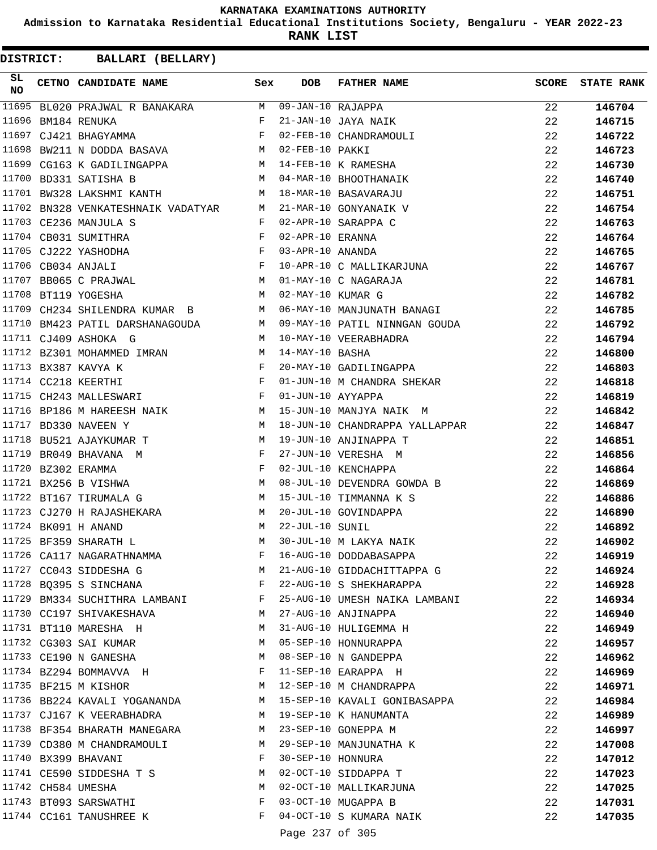**Admission to Karnataka Residential Educational Institutions Society, Bengaluru - YEAR 2022-23**

**RANK LIST**

| SL<br>NO | CETNO CANDIDATE NAME Sex                                                                                                                                                                                                                                  |              | DOB               | FATHER NAME                                                     | SCORE | <b>STATE RANK</b> |
|----------|-----------------------------------------------------------------------------------------------------------------------------------------------------------------------------------------------------------------------------------------------------------|--------------|-------------------|-----------------------------------------------------------------|-------|-------------------|
|          | 11695 BL020 PRAJWAL R BANAKARA M 09-JAN-10 RAJAPPA                                                                                                                                                                                                        |              |                   |                                                                 | 22    | 146704            |
| 11696    | $\mathbf{F}$ and $\mathbf{F}$<br>BM184 RENUKA                                                                                                                                                                                                             |              |                   | 21-JAN-10 JAYA NAIK                                             | 22    | 146715            |
|          | 11697 CJ421 BHAGYAMMA F                                                                                                                                                                                                                                   |              |                   | 02-FEB-10 CHANDRAMOULI                                          | 22    | 146722            |
| 11698    | BW211 N DODDA BASAVA                                                                                                                                                                                                                                      |              | M 02-FEB-10 PAKKI |                                                                 | 22    | 146723            |
|          | 11699 CG163 K GADILINGAPPA M 14-FEB-10 K RAMESHA                                                                                                                                                                                                          |              |                   |                                                                 | 22    | 146730            |
|          | 11700 BD331 SATISHA B                                                                                                                                                                                                                                     |              |                   | M 04-MAR-10 BHOOTHANAIK                                         | 22    | 146740            |
|          | 11701 BW328 LAKSHMI KANTH                                                                                                                                                                                                                                 | M            |                   | 18-MAR-10 BASAVARAJU                                            | 22    | 146751            |
|          | 11702 BN328 VENKATESHNAIK VADATYAR M 21-MAR-10 GONYANAIK V                                                                                                                                                                                                |              |                   |                                                                 | 22    | 146754            |
|          | 11703 CE236 MANJULA S                                                                                                                                                                                                                                     | F            |                   | 02-APR-10 SARAPPA C                                             | 22    | 146763            |
|          | 11704 CB031 SUMITHRA                                                                                                                                                                                                                                      | F            | 02-APR-10 ERANNA  |                                                                 | 22    | 146764            |
|          | $\mathbb{P}^1$ . The set of the set of the set of the set of the set of the set of the set of the set of the set of the set of the set of the set of the set of the set of the set of the set of the set of the set of the set of<br>11705 CJ222 YASHODHA |              | 03-APR-10 ANANDA  |                                                                 | 22    | 146765            |
|          | $\mathbf{F}$<br>11706 CB034 ANJALI                                                                                                                                                                                                                        |              |                   | 10-APR-10 C MALLIKARJUNA                                        | 22    | 146767            |
|          | 11707 BB065 C PRAJWAL M                                                                                                                                                                                                                                   |              |                   | 01-MAY-10 C NAGARAJA                                            | 22    | 146781            |
|          | 11708 BT119 YOGESHA<br><b>M</b>                                                                                                                                                                                                                           |              | 02-MAY-10 KUMAR G |                                                                 | 22    | 146782            |
|          | 11709 CH234 SHILENDRA KUMAR B M                                                                                                                                                                                                                           |              |                   | 06-MAY-10 MANJUNATH BANAGI                                      | 22    | 146785            |
|          |                                                                                                                                                                                                                                                           |              |                   | 11710 BM423 PATIL DARSHANAGOUDA M 09-MAY-10 PATIL NINNGAN GOUDA | 22    | 146792            |
|          | 11711 CJ409 ASHOKA G                                                                                                                                                                                                                                      | M            |                   | 10-MAY-10 VEERABHADRA                                           | 22    | 146794            |
|          | 11712 BZ301 MOHAMMED IMRAN                                                                                                                                                                                                                                | M            | 14-MAY-10 BASHA   |                                                                 | 22    | 146800            |
|          | 11713 BX387 KAVYA K                                                                                                                                                                                                                                       | F            |                   | 20-MAY-10 GADILINGAPPA                                          | 22    | 146803            |
|          | $\mathbf{F}$<br>11714 CC218 KEERTHI                                                                                                                                                                                                                       |              |                   |                                                                 | 22    | 146818            |
|          | 11715 CH243 MALLESWARI                                                                                                                                                                                                                                    | F            |                   | 01-JUN-10 M CHANDRA SHEKAR<br>01-JUN-10 AYYAPPA                 | 22    | 146819            |
|          | 11716 BP186 M HAREESH NAIK M M 15-JUN-10 MANJYA NAIK M                                                                                                                                                                                                    |              |                   |                                                                 | 22    | 146842            |
|          | 11717 BD330 NAVEEN Y                                                                                                                                                                                                                                      | M            |                   | 18-JUN-10 CHANDRAPPA YALLAPPAR                                  | 22    | 146847            |
|          | M <sub>N</sub><br>11718 BU521 AJAYKUMAR T                                                                                                                                                                                                                 |              |                   | 19-JUN-10 ANJINAPPA T                                           | 22    | 146851            |
|          | 11719 BR049 BHAVANA M                                                                                                                                                                                                                                     | $\mathbf{F}$ |                   | 27-JUN-10 VERESHA M                                             | 22    | 146856            |
|          | 11720 BZ302 ERAMMA<br>$\mathbf{F}$ and $\mathbf{F}$ and $\mathbf{F}$                                                                                                                                                                                      |              |                   | 02-JUL-10 KENCHAPPA                                             | 22    | 146864            |
|          | <b>M</b><br>11721 BX256 B VISHWA                                                                                                                                                                                                                          |              |                   | 08-JUL-10 DEVENDRA GOWDA B                                      | 22    | 146869            |
|          | M<br>11722 BT167 TIRUMALA G                                                                                                                                                                                                                               |              |                   | 15-JUL-10 TIMMANNA K S                                          | 22    | 146886            |
|          | 11723 CJ270 H RAJASHEKARA                                                                                                                                                                                                                                 | M            |                   | 20-JUL-10 GOVINDAPPA                                            | 22    | 146890            |
|          | 11724 BK091 H ANAND                                                                                                                                                                                                                                       | M            | 22-JUL-10 SUNIL   |                                                                 | 22    | 146892            |
|          | 11725 BF359 SHARATH L                                                                                                                                                                                                                                     | М            |                   | 30-JUL-10 M LAKYA NAIK                                          | 22    | 146902            |
|          | 11726 CA117 NAGARATHNAMMA                                                                                                                                                                                                                                 | F            |                   | 16-AUG-10 DODDABASAPPA                                          | 22    | 146919            |
|          | 11727 CC043 SIDDESHA G                                                                                                                                                                                                                                    | M            |                   | 21-AUG-10 GIDDACHITTAPPA G                                      | 22    | 146924            |
|          | 11728 BQ395 S SINCHANA                                                                                                                                                                                                                                    | F            |                   | 22-AUG-10 S SHEKHARAPPA                                         | 22    | 146928            |
|          | 11729 BM334 SUCHITHRA LAMBANI F                                                                                                                                                                                                                           |              |                   | 25-AUG-10 UMESH NAIKA LAMBANI                                   | 22    | 146934            |
|          | 11730 CC197 SHIVAKESHAVA                                                                                                                                                                                                                                  | M            |                   | 27-AUG-10 ANJINAPPA                                             | 22    | 146940            |
|          | 11731 BT110 MARESHA H                                                                                                                                                                                                                                     | M            |                   | 31-AUG-10 HULIGEMMA H                                           | 22    | 146949            |
|          | 11732 CG303 SAI KUMAR                                                                                                                                                                                                                                     | M            |                   | 05-SEP-10 HONNURAPPA                                            | 22    | 146957            |
|          | 11733 CE190 N GANESHA                                                                                                                                                                                                                                     | M            |                   | 08-SEP-10 N GANDEPPA                                            | 22    | 146962            |
|          | 11734 BZ294 BOMMAVVA H                                                                                                                                                                                                                                    | F            |                   | 11-SEP-10 EARAPPA H                                             | 22    | 146969            |
|          | 11735 BF215 M KISHOR                                                                                                                                                                                                                                      | M            |                   | 12-SEP-10 M CHANDRAPPA                                          | 22    | 146971            |
|          | 11736 BB224 KAVALI YOGANANDA                                                                                                                                                                                                                              |              |                   | M 15-SEP-10 KAVALI GONIBASAPPA                                  | 22    | 146984            |
|          | 11737 CJ167 K VEERABHADRA                                                                                                                                                                                                                                 | M            |                   | 19-SEP-10 K HANUMANTA                                           | 22    | 146989            |
|          | 11738 BF354 BHARATH MANEGARA                                                                                                                                                                                                                              | M            |                   | 23-SEP-10 GONEPPA M                                             | 22    | 146997            |
|          | 11739 CD380 M CHANDRAMOULI                                                                                                                                                                                                                                | M            |                   | 29-SEP-10 MANJUNATHA K                                          | 22    | 147008            |
|          | 11740 BX399 BHAVANI                                                                                                                                                                                                                                       | F            | 30-SEP-10 HONNURA |                                                                 | 22    | 147012            |
|          | 11741 CE590 SIDDESHA T S                                                                                                                                                                                                                                  | M            |                   | 02-OCT-10 SIDDAPPA T                                            | 22    | 147023            |
|          | 11742 CH584 UMESHA                                                                                                                                                                                                                                        | M            |                   | 02-OCT-10 MALLIKARJUNA                                          | 22    |                   |
|          | 11743 BT093 SARSWATHI                                                                                                                                                                                                                                     | F            |                   | 03-OCT-10 MUGAPPA B                                             | 22    | 147025            |
|          | 11744 CC161 TANUSHREE K                                                                                                                                                                                                                                   | F            |                   | 04-OCT-10 S KUMARA NAIK                                         |       | 147031            |
|          |                                                                                                                                                                                                                                                           |              |                   |                                                                 | 22    | 147035            |
|          |                                                                                                                                                                                                                                                           |              | Page 237 of 305   |                                                                 |       |                   |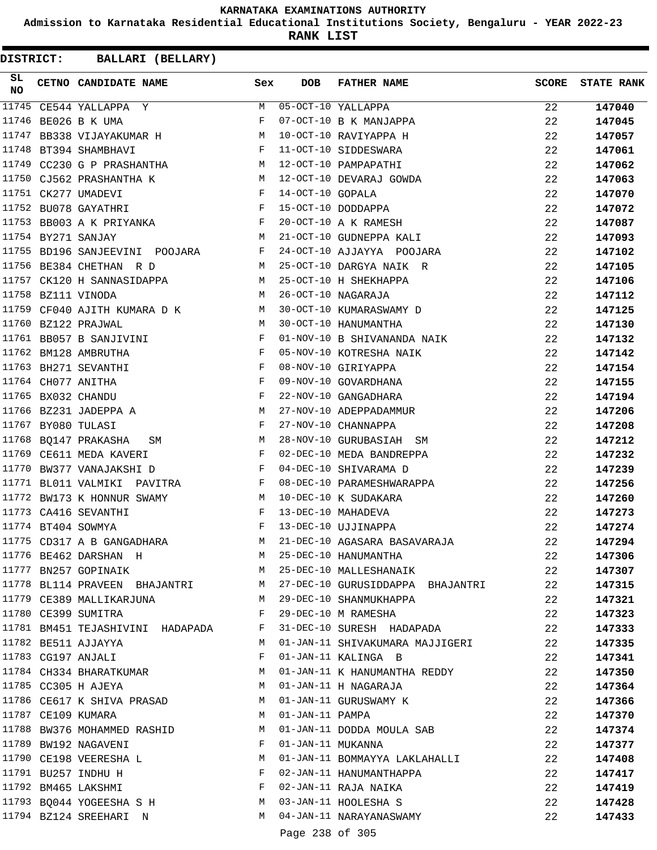**Admission to Karnataka Residential Educational Institutions Society, Bengaluru - YEAR 2022-23**

**RANK LIST**

| 11745 CE544 YALLAPPA Y<br>M 05-OCT-10 YALLAPPA<br>22<br>11746<br>BE026 B K UMA<br>F<br>07-OCT-10 B K MANJAPPA<br>22<br>11747<br>10-OCT-10 RAVIYAPPA H<br>BB338 VIJAYAKUMAR H M<br>22<br>11748 BT394 SHAMBHAVI<br>$\mathbf{F}$<br>11-OCT-10 SIDDESWARA<br>11749 CC230 G P PRASHANTHA M 12-OCT-10 PAMPAPATHI | 147040<br>147045<br>147057<br>22<br>147061<br>22<br>147062<br>147063<br>147070<br>147072 |
|------------------------------------------------------------------------------------------------------------------------------------------------------------------------------------------------------------------------------------------------------------------------------------------------------------|------------------------------------------------------------------------------------------|
|                                                                                                                                                                                                                                                                                                            |                                                                                          |
|                                                                                                                                                                                                                                                                                                            |                                                                                          |
|                                                                                                                                                                                                                                                                                                            |                                                                                          |
|                                                                                                                                                                                                                                                                                                            |                                                                                          |
|                                                                                                                                                                                                                                                                                                            |                                                                                          |
| 11750 CJ562 PRASHANTHA K<br>M 12-OCT-10 DEVARAJ GOWDA<br>22                                                                                                                                                                                                                                                |                                                                                          |
| 11751 CK277 UMADEVI<br>$\mathbf{F}$<br>14-OCT-10 GOPALA<br>22                                                                                                                                                                                                                                              |                                                                                          |
| $\mathbf{F}$<br>11752 BU078 GAYATHRI<br>15-OCT-10 DODDAPPA<br>22                                                                                                                                                                                                                                           |                                                                                          |
| 11753 BB003 A K PRIYANKA<br>$\mathbb{F}$<br>20-OCT-10 A K RAMESH<br>22                                                                                                                                                                                                                                     | 147087                                                                                   |
| 11754 BY271 SANJAY<br><b>M</b><br>21-OCT-10 GUDNEPPA KALI<br>22                                                                                                                                                                                                                                            | 147093                                                                                   |
| 11755 BD196 SANJEEVINI POOJARA F<br>24-OCT-10 AJJAYYA POOJARA<br>22                                                                                                                                                                                                                                        | 147102                                                                                   |
| 11756 BE384 CHETHAN R D<br>M<br>25-OCT-10 DARGYA NAIK R                                                                                                                                                                                                                                                    | 22<br>147105                                                                             |
| 11757 CK120 H SANNASIDAPPA M 25-OCT-10 H SHEKHAPPA<br>22                                                                                                                                                                                                                                                   | 147106                                                                                   |
| 11758 BZ111 VINODA<br>26-OCT-10 NAGARAJA<br>$M_{\rm H}$<br>22                                                                                                                                                                                                                                              | 147112                                                                                   |
| 11759 CF040 AJITH KUMARA D K M<br>30-OCT-10 KUMARASWAMY D<br>22                                                                                                                                                                                                                                            | 147125                                                                                   |
| 11760 BZ122 PRAJWAL<br>M<br>30-OCT-10 HANUMANTHA<br>22                                                                                                                                                                                                                                                     | 147130                                                                                   |
| 11761 BB057 B SANJIVINI<br>F<br>01-NOV-10 B SHIVANANDA NAIK<br>22                                                                                                                                                                                                                                          | 147132                                                                                   |
| 11762 BM128 AMBRUTHA<br>F<br>05-NOV-10 KOTRESHA NAIK<br>22                                                                                                                                                                                                                                                 | 147142                                                                                   |
| 11763 BH271 SEVANTHI<br>F<br>08-NOV-10 GIRIYAPPA<br>22                                                                                                                                                                                                                                                     | 147154                                                                                   |
| 11764 CH077 ANITHA<br>$_{\rm F}$<br>09-NOV-10 GOVARDHANA<br>22                                                                                                                                                                                                                                             | 147155                                                                                   |
| 11765 BX032 CHANDU<br>F<br>22-NOV-10 GANGADHARA<br>22                                                                                                                                                                                                                                                      | 147194                                                                                   |
| 11766 BZ231 JADEPPA A<br><b>M</b><br>27-NOV-10 ADEPPADAMMUR<br>22                                                                                                                                                                                                                                          | 147206                                                                                   |
| 11767 BY080 TULASI<br>F<br>27-NOV-10 CHANNAPPA<br>22                                                                                                                                                                                                                                                       | 147208                                                                                   |
| 11768 BQ147 PRAKASHA<br>28-NOV-10 GURUBASIAH SM<br>22<br>M<br>SM                                                                                                                                                                                                                                           | 147212                                                                                   |
| 11769 CE611 MEDA KAVERI<br>F<br>02-DEC-10 MEDA BANDREPPA<br>22                                                                                                                                                                                                                                             | 147232                                                                                   |
| 11770<br>BW377 VANAJAKSHI D<br>F<br>04-DEC-10 SHIVARAMA D<br>22                                                                                                                                                                                                                                            | 147239                                                                                   |
| 11771 BL011 VALMIKI PAVITRA F<br>08-DEC-10 PARAMESHWARAPPA<br>22                                                                                                                                                                                                                                           | 147256                                                                                   |
| 11772 BW173 K HONNUR SWAMY<br>22<br>M<br>10-DEC-10 K SUDAKARA                                                                                                                                                                                                                                              | 147260                                                                                   |
| 11773 CA416 SEVANTHI<br>F<br>13-DEC-10 MAHADEVA<br>22                                                                                                                                                                                                                                                      | 147273                                                                                   |
| $\mathbb{F}^{\mathbb{Z}}$ . The state $\mathbb{F}^{\mathbb{Z}}$<br>13-DEC-10 UJJINAPPA<br>11774 BT404 SOWMYA<br>22                                                                                                                                                                                         | 147274                                                                                   |
| 11775 CD317 A B GANGADHARA<br>M 21-DEC-10 AGASARA BASAVARAJA<br>22                                                                                                                                                                                                                                         | 147294                                                                                   |
| 11776 BE462 DARSHAN H<br>M 25-DEC-10 HANUMANTHA<br>22                                                                                                                                                                                                                                                      | 147306                                                                                   |
| 11777 BN257 GOPINAIK<br>M 25-DEC-10 MALLESHANAIK                                                                                                                                                                                                                                                           | 22<br>147307                                                                             |
| 11778 BL114 PRAVEEN BHAJANTRI M 27-DEC-10 GURUSIDDAPPA BHAJANTRI<br>22                                                                                                                                                                                                                                     | 147315                                                                                   |
| 11779 CE389 MALLIKARJUNA<br>M 29-DEC-10 SHANMUKHAPPA<br>22                                                                                                                                                                                                                                                 | 147321                                                                                   |
| 11780 CE399 SUMITRA<br>29-DEC-10 M RAMESHA<br>F                                                                                                                                                                                                                                                            | 22<br>147323                                                                             |
| 11781 BM451 TEJASHIVINI HADAPADA<br>F 31-DEC-10 SURESH HADAPADA<br>22                                                                                                                                                                                                                                      | 147333                                                                                   |
| 11782 BE511 AJJAYYA<br>01-JAN-11 SHIVAKUMARA MAJJIGERI<br>22<br>M                                                                                                                                                                                                                                          | 147335                                                                                   |
| 11783 CG197 ANJALI<br>01-JAN-11 KALINGA B<br>F<br>22                                                                                                                                                                                                                                                       | 147341                                                                                   |
| 11784 CH334 BHARATKUMAR<br>01-JAN-11 K HANUMANTHA REDDY<br>M                                                                                                                                                                                                                                               | 22<br>147350                                                                             |
| 11785 CC305 H AJEYA<br>M<br>01-JAN-11 H NAGARAJA                                                                                                                                                                                                                                                           | 22<br>147364                                                                             |
| 11786 CE617 K SHIVA PRASAD<br>M 01-JAN-11 GURUSWAMY K                                                                                                                                                                                                                                                      | 22<br>147366                                                                             |
| 11787 CE109 KUMARA<br>01-JAN-11 PAMPA<br>M<br>22                                                                                                                                                                                                                                                           | 147370                                                                                   |
| 11788 BW376 MOHAMMED RASHID<br>01-JAN-11 DODDA MOULA SAB<br>22<br>M                                                                                                                                                                                                                                        | 147374                                                                                   |
| 11789 BW192 NAGAVENI<br>01-JAN-11 MUKANNA<br>F<br>22                                                                                                                                                                                                                                                       | 147377                                                                                   |
| 11790 CE198 VEERESHA L<br>01-JAN-11 BOMMAYYA LAKLAHALLI<br>22<br>M                                                                                                                                                                                                                                         | 147408                                                                                   |
| 11791 BU257 INDHU H<br>02-JAN-11 HANUMANTHAPPA<br>F<br>22                                                                                                                                                                                                                                                  | 147417                                                                                   |
| 11792 BM465 LAKSHMI<br>02-JAN-11 RAJA NAIKA<br>F                                                                                                                                                                                                                                                           | 22<br>147419                                                                             |
| 11793 BQ044 YOGEESHA S H<br>M 03-JAN-11 HOOLESHA S                                                                                                                                                                                                                                                         | 22<br>147428                                                                             |
| 11794 BZ124 SREEHARI N<br>M 04-JAN-11 NARAYANASWAMY                                                                                                                                                                                                                                                        | 22<br>147433                                                                             |
| Page 238 of 305                                                                                                                                                                                                                                                                                            |                                                                                          |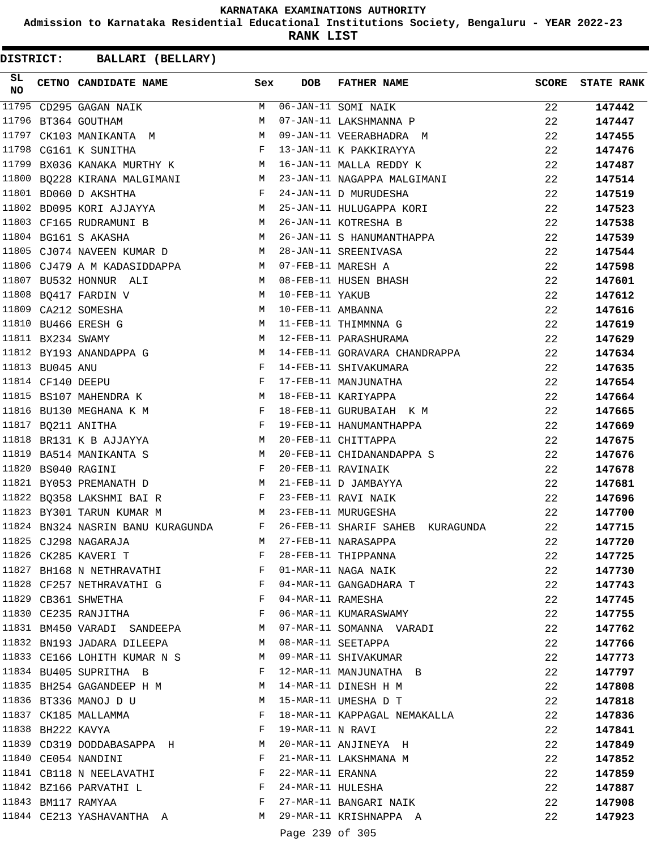**Admission to Karnataka Residential Educational Institutions Society, Bengaluru - YEAR 2022-23**

**RANK LIST**

**DISTRICT:** CC **BALLARI (BELLARY)**

| SL<br><b>NO</b> |                   | CETNO CANDIDATE NAME                                                    | Sex          | <b>DOB</b>        | FATHER NAME                        | <b>SCORE</b> | <b>STATE RANK</b> |
|-----------------|-------------------|-------------------------------------------------------------------------|--------------|-------------------|------------------------------------|--------------|-------------------|
| 11795           |                   | CD295 GAGAN NAIK                                                        | M            |                   | 06-JAN-11 SOMI NAIK                | 22           | 147442            |
|                 |                   | 11796 BT364 GOUTHAM                                                     | M            |                   | 07-JAN-11 LAKSHMANNA P             | 22           | 147447            |
| 11797           |                   | CK103 MANIKANTA M                                                       | M            |                   | 09-JAN-11 VEERABHADRA M            | 22           | 147455            |
|                 |                   | 11798 CG161 K SUNITHA                                                   | F            |                   | 13-JAN-11 K PAKKIRAYYA             | 22           | 147476            |
|                 |                   | 11799 BX036 KANAKA MURTHY K M                                           |              |                   | 16-JAN-11 MALLA REDDY K            | 22           | 147487            |
|                 |                   | 11800 BQ228 KIRANA MALGIMANI M                                          |              |                   | 23-JAN-11 NAGAPPA MALGIMANI        | 22           | 147514            |
|                 |                   | $\mathbf{F}$ and $\mathbf{F}$ and $\mathbf{F}$<br>11801 BD060 D AKSHTHA |              |                   | 24-JAN-11 D MURUDESHA              | 22           | 147519            |
|                 |                   | 11802 BD095 KORI AJJAYYA M 25-JAN-11 HULUGAPPA KORI                     |              |                   |                                    | 22           | 147523            |
|                 |                   | 11803 CF165 RUDRAMUNI B<br>M <sub>N</sub>                               |              |                   | 26-JAN-11 KOTRESHA B               | 22           | 147538            |
|                 |                   | 11804 BG161 S AKASHA                                                    | M            |                   | 26-JAN-11 S HANUMANTHAPPA          | 22           | 147539            |
|                 |                   | 11805 CJ074 NAVEEN KUMAR D M                                            |              |                   | 28-JAN-11 SREENIVASA               | 22           | 147544            |
|                 |                   | 11806 CJ479 A M KADASIDDAPPA M 07-FEB-11 MARESH A                       |              |                   |                                    | 22           | 147598            |
|                 |                   | 11807 BU532 HONNUR ALI<br>M 08-FEB-11 HUSEN BHASH                       |              |                   |                                    | 22           | 147601            |
|                 |                   | 11808 BQ417 FARDIN V<br>M 10-FEB-11 YAKUB                               |              |                   |                                    | 22           | 147612            |
|                 |                   | M<br>11809 CA212 SOMESHA                                                |              | 10-FEB-11 AMBANNA |                                    | 22           | 147616            |
|                 |                   | 11810 BU466 ERESH G                                                     | M            |                   | 11-FEB-11 THIMMNNA G               | 22           | 147619            |
|                 | 11811 BX234 SWAMY |                                                                         | M            |                   | 12-FEB-11 PARASHURAMA              | 22           | 147629            |
|                 |                   | 11812 BY193 ANANDAPPA G<br><b>M</b>                                     |              |                   | 14-FEB-11 GORAVARA CHANDRAPPA      | 22           | 147634            |
|                 | 11813 BU045 ANU   |                                                                         | F            |                   | 14-FEB-11 SHIVAKUMARA              | 22           | 147635            |
|                 | 11814 CF140 DEEPU |                                                                         | $\mathbf{F}$ |                   | 17-FEB-11 MANJUNATHA               | 22           | 147654            |
|                 |                   | 11815 BS107 MAHENDRA K<br>M                                             |              |                   | 18-FEB-11 KARIYAPPA                | 22           | 147664            |
|                 |                   | 11816 BU130 MEGHANA K M F                                               |              |                   | 18-FEB-11 GURUBAIAH K M            | 22           | 147665            |
|                 |                   | $\mathbf{F}$<br>11817 BQ211 ANITHA                                      |              |                   | 19-FEB-11 HANUMANTHAPPA            | 22           | 147669            |
|                 |                   | 11818 BR131 K B AJJAYYA                                                 | M            |                   | 20-FEB-11 CHITTAPPA                | 22           | 147675            |
|                 |                   | 11819 BA514 MANIKANTA S                                                 | M            |                   | 20-FEB-11 CHIDANANDAPPA S          | 22           | 147676            |
|                 |                   | 11820 BS040 RAGINI                                                      | F            |                   | 20-FEB-11 RAVINAIK                 | 22           | 147678            |
|                 |                   | 11821 BY053 PREMANATH D<br>$M_{\rm H}$                                  |              |                   | 21-FEB-11 D JAMBAYYA               | 22           | 147681            |
|                 |                   | 11822 BQ358 LAKSHMI BAI R                                               | $\mathbf{F}$ |                   | 23-FEB-11 RAVI NAIK                | 22           | 147696            |
|                 |                   | 11823 BY301 TARUN KUMAR M<br>M 23-FEB-11 MURUGESHA                      |              |                   |                                    | 22           | 147700            |
|                 |                   | 11824 BN324 NASRIN BANU KURAGUNDA<br>$\mathbf{F}$ and $\mathbf{F}$      |              |                   | 26-FEB-11 SHARIF SAHEB KURAGUNDA   | 22           | 147715            |
|                 |                   | 11825 CJ298 NAGARAJA                                                    | M            |                   | 27-FEB-11 NARASAPPA                | 22           | 147720            |
|                 |                   | 11826 CK285 KAVERI T                                                    | F            |                   | 28-FEB-11 THIPPANNA                | 22           | 147725            |
|                 |                   | 11827 BH168 N NETHRAVATHI                                               | F            |                   | 01-MAR-11 NAGA NAIK                | 22           | 147730            |
|                 |                   | 11828 CF257 NETHRAVATHI G F                                             |              |                   | 04-MAR-11 GANGADHARA T             | 22           | 147743            |
|                 |                   | 11829 CB361 SHWETHA<br>$\mathbf{F}$ and $\mathbf{F}$ and $\mathbf{F}$   |              | 04-MAR-11 RAMESHA |                                    | 22           | 147745            |
|                 |                   | 11830 CE235 RANJITHA                                                    | $\mathbf{F}$ |                   | 06-MAR-11 KUMARASWAMY              | 22           | 147755            |
|                 |                   | 11831 BM450 VARADI SANDEEPA                                             | M            |                   | 07-MAR-11 SOMANNA VARADI           | 22           | 147762            |
|                 |                   | 11832 BN193 JADARA DILEEPA                                              | M            |                   | 08-MAR-11 SEETAPPA                 | 22           | 147766            |
|                 |                   | 11833 CE166 LOHITH KUMAR N S                                            | M            |                   | 09-MAR-11 SHIVAKUMAR               | 22           | 147773            |
|                 |                   | 11834 BU405 SUPRITHA B                                                  | F            |                   | 12-MAR-11 MANJUNATHA B             | 22           | 147797            |
|                 |                   | 11835 BH254 GAGANDEEP H M                                               | M            |                   | 14-MAR-11 DINESH H M               | 22           | 147808            |
|                 |                   | 11836 BT336 MANOJ D U                                                   | M            |                   | 15-MAR-11 UMESHA D T               | 22           | 147818            |
|                 |                   | 11837 CK185 MALLAMMA                                                    | F            |                   | 18-MAR-11 KAPPAGAL NEMAKALLA       | 22           | 147836            |
|                 | 11838 BH222 KAVYA |                                                                         | $\mathbf{F}$ | 19-MAR-11 N RAVI  |                                    | 22           | 147841            |
|                 |                   | 11839 CD319 DODDABASAPPA H                                              | M            |                   | 20-MAR-11 ANJINEYA H               | 22           | 147849            |
|                 |                   | 11840 CE054 NANDINI                                                     | F            |                   | 21-MAR-11 LAKSHMANA M              | 22           | 147852            |
|                 |                   | 11841 CB118 N NEELAVATHI                                                | F            | 22-MAR-11 ERANNA  |                                    | 22           | 147859            |
|                 |                   | $11842$ BZ166 PARVATHI L                                                | F            |                   | 24-MAR-11 HULESHA                  | 22           | 147887            |
|                 |                   | 11843 BM117 RAMYAA                                                      | F            |                   | 27-MAR-11 BANGARI NAIK             | 22           | 147908            |
|                 |                   | 11844 CE213 YASHAVANTHA A                                               |              |                   | M 29-MAR-11 KRISHNAPPA A           | 22           | 147923            |
|                 |                   |                                                                         |              |                   | $\sim$ $\sim$ $\sim$ $\sim$ $\sim$ |              |                   |

Page 239 of 305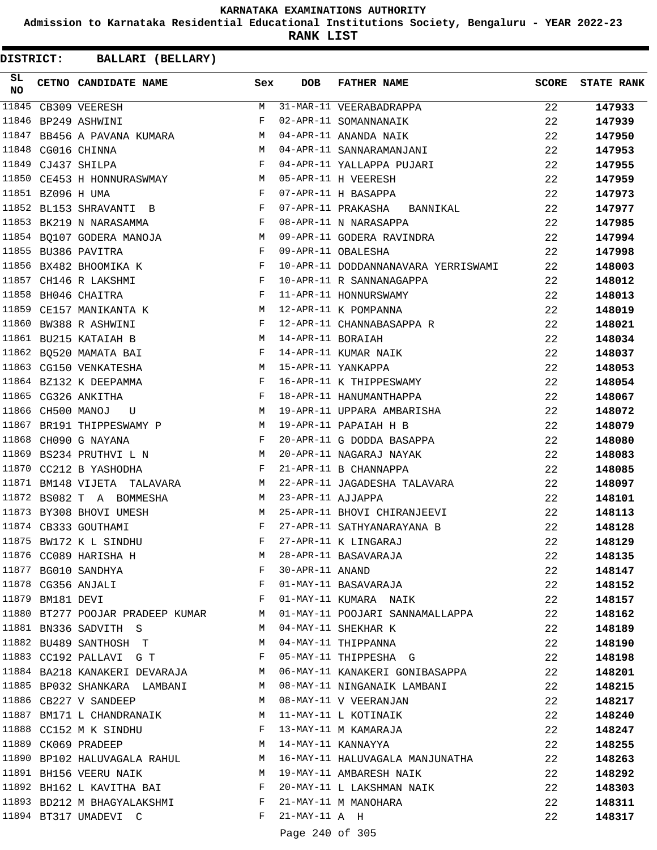**Admission to Karnataka Residential Educational Institutions Society, Bengaluru - YEAR 2022-23**

**RANK LIST**

| SL<br>NO |                   | CETNO CANDIDATE NAME                                                  | Sex                                                      | <b>DOB</b>        | <b>FATHER NAME</b>                                                 | <b>SCORE</b> | <b>STATE RANK</b> |
|----------|-------------------|-----------------------------------------------------------------------|----------------------------------------------------------|-------------------|--------------------------------------------------------------------|--------------|-------------------|
|          |                   | 11845 CB309 VEERESH                                                   |                                                          |                   | M 31-MAR-11 VEERABADRAPPA                                          | 22           | 147933            |
|          |                   | 11846 BP249 ASHWINI                                                   | F                                                        |                   | 02-APR-11 SOMANNANAIK                                              | 22           | 147939            |
| 11847    |                   | BB456 A PAVANA KUMARA                                                 | M                                                        |                   | 04-APR-11 ANANDA NAIK                                              | 22           | 147950            |
|          |                   | 11848 CG016 CHINNA                                                    | M                                                        |                   | 04-APR-11 SANNARAMANJANI                                           | 22           | 147953            |
|          |                   | 11849 CJ437 SHILPA                                                    | F                                                        |                   | 04-APR-11 YALLAPPA PUJARI                                          | 22           | 147955            |
|          |                   | 11850 CE453 H HONNURASWMAY M                                          |                                                          |                   | 05-APR-11 H VEERESH                                                | 22           | 147959            |
|          | 11851 BZ096 H UMA | and the state of the Fig.                                             |                                                          |                   | 07-APR-11 H BASAPPA                                                | 22           | 147973            |
|          |                   | $\mathbf{F}$ and $\mathbf{F}$<br>11852 BL153 SHRAVANTI B              |                                                          |                   | 07-APR-11 PRAKASHA BANNIKAL                                        | 22           | 147977            |
|          |                   | 11853 BK219 N NARASAMMA                                               | $\mathbb{F}^{\mathbb{Z}}$ . If $\mathbb{F}^{\mathbb{Z}}$ |                   | 08-APR-11 N NARASAPPA                                              | 22           | 147985            |
|          |                   | 11854 BQ107 GODERA MANOJA M                                           |                                                          |                   | 09-APR-11 GODERA RAVINDRA                                          | 22           | 147994            |
|          |                   | 11855 BU386 PAVITRA                                                   | F                                                        |                   | 09-APR-11 OBALESHA                                                 | 22           | 147998            |
|          |                   | 11856 BX482 BHOOMIKA K                                                | $\mathbb{F}$                                             |                   | 10-APR-11 DODDANNANAVARA YERRISWAMI                                | 22           | 148003            |
|          |                   | 11857 CH146 R LAKSHMI                                                 | $\mathbf{F}$ . The $\mathbf{F}$                          |                   | 10-APR-11 R SANNANAGAPPA                                           | 22           | 148012            |
|          |                   | 11858 BH046 CHAITRA<br>$\mathbf{F}$ and $\mathbf{F}$ and $\mathbf{F}$ |                                                          |                   | 11-APR-11 HONNURSWAMY                                              | 22           | 148013            |
|          |                   | <b>M</b><br>11859 CE157 MANIKANTA K                                   |                                                          |                   | 12-APR-11 K POMPANNA                                               | 22           | 148019            |
|          |                   | 11860 BW388 R ASHWINI                                                 | F                                                        |                   | 12-APR-11 CHANNABASAPPA R                                          | 22           | 148021            |
|          |                   | 11861 BU215 KATAIAH B                                                 | M                                                        | 14-APR-11 BORAIAH |                                                                    | 22           | 148034            |
|          |                   | 11862 BQ520 MAMATA BAI                                                | F                                                        |                   | 14-APR-11 KUMAR NAIK                                               | 22           | 148037            |
|          |                   | 11863 CG150 VENKATESHA<br>$\mathbb{M}$                                |                                                          |                   | 15-APR-11 YANKAPPA                                                 | 22           | 148053            |
|          |                   | 11864 BZ132 K DEEPAMMA                                                | $\mathbf{F}$                                             |                   | 16-APR-11 K THIPPESWAMY                                            | 22           | 148054            |
|          |                   | 11865 CG326 ANKITHA                                                   | F                                                        |                   | 18-APR-11 HANUMANTHAPPA                                            | 22           | 148067            |
|          | 11866 CH500 MANOJ | U                                                                     |                                                          |                   | M 19-APR-11 UPPARA AMBARISHA                                       | 22           | 148072            |
|          |                   | 11867 BR191 THIPPESWAMY P M 19-APR-11 PAPAIAH H B                     |                                                          |                   |                                                                    | 22           | 148079            |
|          |                   | 11868 CH090 G NAYANA                                                  | $\mathbf{F}$                                             |                   | 20-APR-11 G DODDA BASAPPA                                          | 22           | 148080            |
|          |                   | 11869 BS234 PRUTHVI L N                                               |                                                          |                   | M 20-APR-11 NAGARAJ NAYAK                                          | 22           | 148083            |
|          |                   | 11870 CC212 B YASHODHA                                                | $\mathbf{F}$                                             |                   | 21-APR-11 B CHANNAPPA                                              | 22           | 148085            |
|          |                   | 11871 BM148 VIJETA TALAVARA M                                         |                                                          |                   | 22-APR-11 JAGADESHA TALAVARA                                       | 22           | 148097            |
|          |                   | 11872 BS082 T A BOMMESHA                                              | M                                                        | 23-APR-11 AJJAPPA |                                                                    | 22           | 148101            |
|          |                   | 11873 BY308 BHOVI UMESH                                               |                                                          |                   |                                                                    | 22           | 148113            |
|          |                   | 11874 CB333 GOUTHAMI<br>$\mathbf{F}$                                  |                                                          |                   | M 25-APR-11 BHOVI CHIRANJEEVI                                      |              |                   |
|          |                   | 11875 BW172 K L SINDHU                                                | F                                                        |                   | 27-APR-11 SATHYANARAYANA B<br>27-APR-11 K LINGARAJ                 | 22           | 148128            |
|          |                   |                                                                       |                                                          |                   |                                                                    | 22           | 148129            |
|          |                   | 11876 CC089 HARISHA H                                                 | М                                                        |                   |                                                                    | 22           | 148135            |
|          |                   | 11877 BG010 SANDHYA                                                   | F                                                        |                   | 28-APR-11 BASAVARAJA<br>30-APR-11 ANAND<br>01-MAY-11 BASAVARAJA    | 22           | 148147            |
|          |                   | 11878 CG356 ANJALI                                                    | F                                                        |                   |                                                                    | 22           | 148152            |
|          | 11879 BM181 DEVI  |                                                                       | F                                                        |                   | 01-MAY-11 KUMARA NAIK                                              | 22           | 148157            |
|          |                   |                                                                       |                                                          |                   | 11880 BT277 POOJAR PRADEEP KUMAR M 01-MAY-11 POOJARI SANNAMALLAPPA | 22           | 148162            |
|          |                   | 11881 BN336 SADVITH S                                                 |                                                          |                   | M 04-MAY-11 SHEKHAR K                                              | 22           | 148189            |
|          |                   | 11882 BU489 SANTHOSH T                                                | M                                                        |                   | 04-MAY-11 THIPPANNA                                                | 22           | 148190            |
|          |                   | 11883 CC192 PALLAVI G T                                               | F                                                        |                   | 05-MAY-11 THIPPESHA G                                              | 22           | 148198            |
|          |                   | 11884 BA218 KANAKERI DEVARAJA M                                       |                                                          |                   | 06-MAY-11 KANAKERI GONIBASAPPA                                     | 22           | 148201            |
|          |                   | 11885 BP032 SHANKARA LAMBANI                                          | <b>M</b>                                                 |                   | 08-MAY-11 NINGANAIK LAMBANI                                        | 22           | 148215            |
|          |                   | 11886 CB227 V SANDEEP                                                 | M                                                        |                   | 08-MAY-11 V VEERANJAN                                              | 22           | 148217            |
|          |                   | 11887 BM171 L CHANDRANAIK                                             | M                                                        |                   | 11-MAY-11 L KOTINAIK                                               | 22           | 148240            |
|          |                   | 11888 CC152 M K SINDHU                                                | F                                                        |                   | 13-MAY-11 M KAMARAJA                                               | 22           | 148247            |
|          |                   | 11889 CK069 PRADEEP                                                   | M                                                        |                   | 14-MAY-11 KANNAYYA                                                 | 22           | 148255            |
|          |                   | 11890 BP102 HALUVAGALA RAHUL M                                        |                                                          |                   | 16-MAY-11 HALUVAGALA MANJUNATHA                                    | 22           | 148263            |
|          |                   | 11891 BH156 VEERU NAIK M                                              |                                                          |                   | 19-MAY-11 AMBARESH NAIK                                            | 22           | 148292            |
|          |                   | 11892 BH162 L KAVITHA BAI                                             | $\mathbf{F}$                                             |                   | 20-MAY-11 L LAKSHMAN NAIK                                          | 22           | 148303            |
|          |                   | 11893 BD212 M BHAGYALAKSHMI                                           | F                                                        |                   | 21-MAY-11 M MANOHARA                                               | 22           | 148311            |
|          |                   | 11894 BT317 UMADEVI C                                                 | F                                                        | 21-MAY-11 A H     |                                                                    | 22           | 148317            |
|          |                   |                                                                       |                                                          | Page 240 of 305   |                                                                    |              |                   |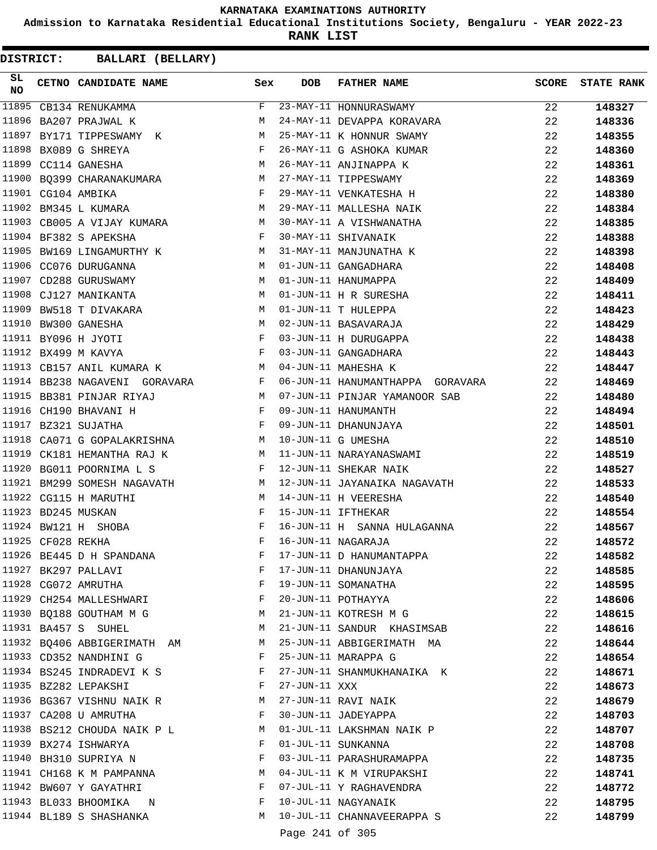**Admission to Karnataka Residential Educational Institutions Society, Bengaluru - YEAR 2022-23**

**RANK LIST**

| SL<br>NO |                   | CETNO CANDIDATE NAME                                                                                                                                                                                                                                    | Sex          | <b>DOB</b>      | <b>FATHER NAME</b>               | <b>SCORE</b> | <b>STATE RANK</b> |
|----------|-------------------|---------------------------------------------------------------------------------------------------------------------------------------------------------------------------------------------------------------------------------------------------------|--------------|-----------------|----------------------------------|--------------|-------------------|
| 11895    |                   | CB134 RENUKAMMA                                                                                                                                                                                                                                         | $F -$        |                 | 23-MAY-11 HONNURASWAMY           | 22           | 148327            |
| 11896    |                   | BA207 PRAJWAL K                                                                                                                                                                                                                                         | M            |                 | 24-MAY-11 DEVAPPA KORAVARA       | 22           | 148336            |
| 11897    |                   | BY171 TIPPESWAMY K M                                                                                                                                                                                                                                    |              |                 | 25-MAY-11 K HONNUR SWAMY         | 22           | 148355            |
| 11898    |                   | BX089 G SHREYA                                                                                                                                                                                                                                          | F            |                 | 26-MAY-11 G ASHOKA KUMAR         | 22           | 148360            |
|          |                   | M<br>11899 CC114 GANESHA                                                                                                                                                                                                                                |              |                 | 26-MAY-11 ANJINAPPA K            | 22           | 148361            |
|          |                   | 11900 BQ399 CHARANAKUMARA M                                                                                                                                                                                                                             |              |                 | 27-MAY-11 TIPPESWAMY             | 22           | 148369            |
|          |                   | $\mathbf{F}$ and $\mathbf{F}$ are $\mathbf{F}$<br>11901 CG104 AMBIKA                                                                                                                                                                                    |              |                 | 29-MAY-11 VENKATESHA H           | 22           | 148380            |
|          |                   | M<br>11902 BM345 L KUMARA                                                                                                                                                                                                                               |              |                 | 29-MAY-11 MALLESHA NAIK          | 22           | 148384            |
|          |                   | 11903 CB005 A VIJAY KUMARA M                                                                                                                                                                                                                            |              |                 | 30-MAY-11 A VISHWANATHA          | 22           | 148385            |
|          |                   | 11904 BF382 S APEKSHA<br>$\mathbf{F}$ and $\mathbf{F}$ and $\mathbf{F}$                                                                                                                                                                                 |              |                 | 30-MAY-11 SHIVANAIK              | 22           | 148388            |
|          |                   | 11905 BW169 LINGAMURTHY K M                                                                                                                                                                                                                             |              |                 | 31-MAY-11 MANJUNATHA K           | 22           | 148398            |
|          |                   | 11906 CC076 DURUGANNA                                                                                                                                                                                                                                   | M            |                 | 01-JUN-11 GANGADHARA             | 22           | 148408            |
|          |                   | 11907 CD288 GURUSWAMY                                                                                                                                                                                                                                   | M            |                 | 01-JUN-11 HANUMAPPA              | 22           | 148409            |
|          |                   | 11908 CJ127 MANIKANTA<br>M <sub>N</sub>                                                                                                                                                                                                                 |              |                 | 01-JUN-11 H R SURESHA            | 22           | 148411            |
| 11909    |                   | M<br>BW518 T DIVAKARA                                                                                                                                                                                                                                   |              |                 | 01-JUN-11 T HULEPPA              | 22           | 148423            |
|          |                   | M<br>11910 BW300 GANESHA                                                                                                                                                                                                                                |              |                 | 02-JUN-11 BASAVARAJA             | 22           | 148429            |
|          |                   | 11911 BY096 H JYOTI                                                                                                                                                                                                                                     | $\mathbf{F}$ |                 | 03-JUN-11 H DURUGAPPA            | 22           | 148438            |
|          |                   | 11912 BX499 M KAVYA                                                                                                                                                                                                                                     | $\mathbb F$  |                 | 03-JUN-11 GANGADHARA             | 22           | 148443            |
|          |                   | 11913 CB157 ANIL KUMARA K<br>$M_{\rm H}$                                                                                                                                                                                                                |              |                 | 04-JUN-11 MAHESHA K              | 22           | 148447            |
|          |                   | 11914 BB238 NAGAVENI GORAVARA F                                                                                                                                                                                                                         |              |                 | 06-JUN-11 HANUMANTHAPPA GORAVARA | 22           | 148469            |
|          |                   | 11915 BB381 PINJAR RIYAJ<br>M <sub>N</sub>                                                                                                                                                                                                              |              |                 | 07-JUN-11 PINJAR YAMANOOR SAB    | 22           | 148480            |
|          |                   | 11916 CH190 BHAVANI H<br>$\mathbf{F}$ and $\mathbf{F}$ and $\mathbf{F}$                                                                                                                                                                                 |              |                 | 09-JUN-11 HANUMANTH              | 22           | 148494            |
|          |                   | $\mathbf{F}$<br>11917 BZ321 SUJATHA                                                                                                                                                                                                                     |              |                 | 09-JUN-11 DHANUNJAYA             | 22           | 148501            |
|          |                   | M<br>11918 CA071 G GOPALAKRISHNA                                                                                                                                                                                                                        |              |                 | 10-JUN-11 G UMESHA               | 22           | 148510            |
|          |                   | 11919 CK181 HEMANTHA RAJ K<br>M                                                                                                                                                                                                                         |              |                 | 11-JUN-11 NARAYANASWAMI          | 22           | 148519            |
| 11920    |                   | BG011 POORNIMA L S<br>$\mathbf{F}$ and the set of the set of the set of the set of the set of the set of the set of the set of the set of the set of the set of the set of the set of the set of the set of the set of the set of the set of the set of |              |                 | 12-JUN-11 SHEKAR NAIK            | 22           | 148527            |
| 11921    |                   | BM299 SOMESH NAGAVATH M                                                                                                                                                                                                                                 |              |                 | 12-JUN-11 JAYANAIKA NAGAVATH     | 22           | 148533            |
|          |                   | M<br>11922 CG115 H MARUTHI                                                                                                                                                                                                                              |              |                 | 14-JUN-11 H VEERESHA             | 22           | 148540            |
|          |                   | 11923 BD245 MUSKAN                                                                                                                                                                                                                                      | F            |                 | 15-JUN-11 IFTHEKAR               | 22           | 148554            |
|          |                   | 11924 BW121 H SHOBA                                                                                                                                                                                                                                     | F            |                 | 16-JUN-11 H SANNA HULAGANNA      | 22           | 148567            |
|          | 11925 CF028 REKHA |                                                                                                                                                                                                                                                         | F            |                 | 16-JUN-11 NAGARAJA               | 22           | 148572            |
|          |                   | 11926 BE445 D H SPANDANA                                                                                                                                                                                                                                | F            |                 | 17-JUN-11 D HANUMANTAPPA         | 22           | 148582            |
|          |                   | 11927 BK297 PALLAVI                                                                                                                                                                                                                                     | F            |                 | 17-JUN-11 DHANUNJAYA             | 22           | 148585            |
|          |                   | 11928 CG072 AMRUTHA                                                                                                                                                                                                                                     | F            |                 | 19-JUN-11 SOMANATHA              | 22           | 148595            |
|          |                   | 11929 CH254 MALLESHWARI                                                                                                                                                                                                                                 | F            |                 | 20-JUN-11 POTHAYYA               | 22           | 148606            |
|          |                   | 11930 BQ188 GOUTHAM M G                                                                                                                                                                                                                                 | M            |                 | 21-JUN-11 KOTRESH M G            | 22           |                   |
|          |                   | 11931 BA457 S SUHEL                                                                                                                                                                                                                                     | M            |                 | 21-JUN-11 SANDUR KHASIMSAB       | 22           | 148615            |
|          |                   | 11932 BQ406 ABBIGERIMATH AM                                                                                                                                                                                                                             | M            |                 | 25-JUN-11 ABBIGERIMATH MA        | 22           | 148616            |
|          |                   | 11933 CD352 NANDHINI G                                                                                                                                                                                                                                  | F            |                 | 25-JUN-11 MARAPPA G              |              | 148644            |
|          |                   |                                                                                                                                                                                                                                                         | F            |                 |                                  | 22           | 148654            |
|          |                   | 11934 BS245 INDRADEVI K S                                                                                                                                                                                                                               |              |                 | 27-JUN-11 SHANMUKHANAIKA K       | 22           | 148671            |
|          |                   | 11935 BZ282 LEPAKSHI                                                                                                                                                                                                                                    | F            | 27-JUN-11 XXX   |                                  | 22           | 148673            |
|          |                   | 11936 BG367 VISHNU NAIK R                                                                                                                                                                                                                               | M            |                 | 27-JUN-11 RAVI NAIK              | 22           | 148679            |
|          |                   | 11937 CA208 U AMRUTHA                                                                                                                                                                                                                                   | F            |                 | 30-JUN-11 JADEYAPPA              | 22           | 148703            |
|          |                   | 11938 BS212 CHOUDA NAIK P L                                                                                                                                                                                                                             | M            |                 | 01-JUL-11 LAKSHMAN NAIK P        | 22           | 148707            |
|          |                   | 11939 BX274 ISHWARYA                                                                                                                                                                                                                                    | F            |                 | 01-JUL-11 SUNKANNA               | 22           | 148708            |
|          |                   | 11940 BH310 SUPRIYA N                                                                                                                                                                                                                                   | F            |                 | 03-JUL-11 PARASHURAMAPPA         | 22           | 148735            |
|          |                   | 11941 CH168 K M PAMPANNA                                                                                                                                                                                                                                | М            |                 | 04-JUL-11 K M VIRUPAKSHI         | 22           | 148741            |
|          |                   | 11942 BW607 Y GAYATHRI                                                                                                                                                                                                                                  | F            |                 | 07-JUL-11 Y RAGHAVENDRA          | 22           | 148772            |
|          |                   | 11943 BL033 BHOOMIKA N                                                                                                                                                                                                                                  | F            |                 | 10-JUL-11 NAGYANAIK              | 22           | 148795            |
|          |                   | 11944 BL189 S SHASHANKA                                                                                                                                                                                                                                 | M            |                 | 10-JUL-11 CHANNAVEERAPPA S       | 22           | 148799            |
|          |                   |                                                                                                                                                                                                                                                         |              | Page 241 of 305 |                                  |              |                   |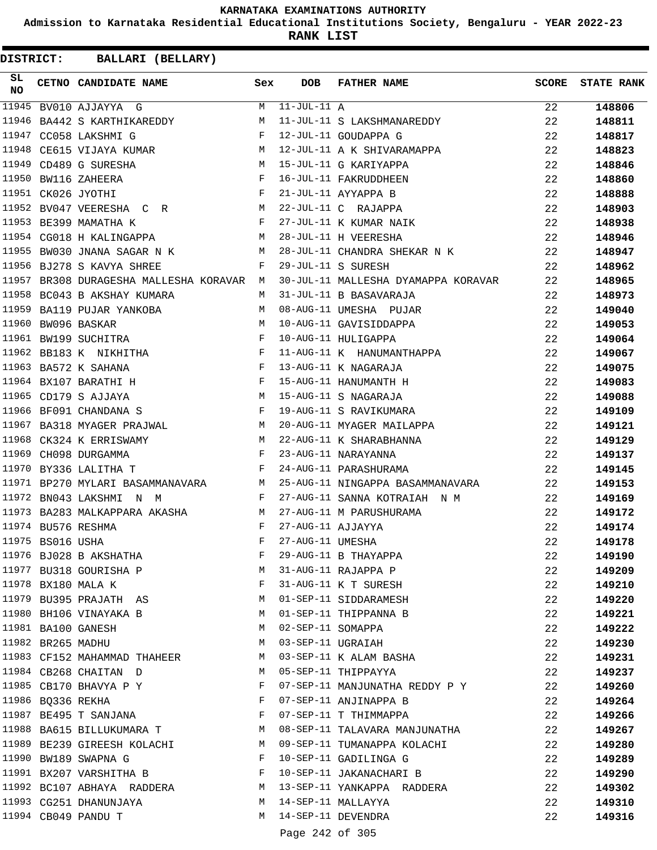**Admission to Karnataka Residential Educational Institutions Society, Bengaluru - YEAR 2022-23**

**RANK LIST**

| SL        |                   | <b>CETNO CANDIDATE NAME</b>                                                                                                              | Sex          | DOB               | <b>FATHER NAME</b>                  | SCORE | <b>STATE RANK</b> |
|-----------|-------------------|------------------------------------------------------------------------------------------------------------------------------------------|--------------|-------------------|-------------------------------------|-------|-------------------|
| <b>NO</b> |                   |                                                                                                                                          |              |                   |                                     |       |                   |
| 11945     |                   | BV010 AJJAYYA G                                                                                                                          | M            | $11-JUL-11 A$     |                                     | 22    | 148806            |
| 11946     |                   | BA442 S KARTHIKAREDDY                                                                                                                    | M            |                   | 11-JUL-11 S LAKSHMANAREDDY          | 22    | 148811            |
|           |                   | 11947 CC058 LAKSHMI G                                                                                                                    | $\mathbf{F}$ |                   | 12-JUL-11 GOUDAPPA G                | 22    | 148817            |
| 11948     |                   | CE615 VIJAYA KUMAR M                                                                                                                     |              |                   | 12-JUL-11 A K SHIVARAMAPPA          | 22    | 148823            |
| 11949     |                   | CD489 G SURESHA<br><b>Example 20</b> Manual Manual Manual Manual Manual Manual Manual Manual Manual Manual Manual Manual Manual Manual M |              |                   | 15-JUL-11 G KARIYAPPA               | 22    | 148846            |
|           |                   | $\mathbf{F}$ and $\mathbf{F}$<br>11950 BW116 ZAHEERA                                                                                     |              |                   | 16-JUL-11 FAKRUDDHEEN               | 22    | 148860            |
|           |                   | 11951 CK026 JYOTHI                                                                                                                       | $\mathbf{F}$ |                   | 21-JUL-11 AYYAPPA B                 | 22    | 148888            |
|           |                   | 11952 BV047 VEERESHA C R M                                                                                                               |              |                   | 22-JUL-11 C RAJAPPA                 | 22    | 148903            |
|           |                   | 11953 BE399 MAMATHA K                                                                                                                    | F            |                   | 27-JUL-11 K KUMAR NAIK              | 22    | 148938            |
|           |                   | 11954 CG018 H KALINGAPPA<br><b>M</b>                                                                                                     |              |                   | 28-JUL-11 H VEERESHA                | 22    | 148946            |
|           |                   | 11955 BW030 JNANA SAGAR N K                                                                                                              | М            |                   | 28-JUL-11 CHANDRA SHEKAR N K        | 22    | 148947            |
|           |                   | 11956 BJ278 S KAVYA SHREE                                                                                                                | F            |                   | 29-JUL-11 S SURESH                  | 22    | 148962            |
|           |                   | 11957 BR308 DURAGESHA MALLESHA KORAVAR M                                                                                                 |              |                   | 30-JUL-11 MALLESHA DYAMAPPA KORAVAR | 22    | 148965            |
|           |                   | 11958 BC043 B AKSHAY KUMARA                                                                                                              | M            |                   | 31-JUL-11 B BASAVARAJA              | 22    | 148973            |
|           |                   | 11959 BA119 PUJAR YANKOBA                                                                                                                | M            |                   | 08-AUG-11 UMESHA PUJAR              | 22    | 149040            |
|           |                   | 11960 BW096 BASKAR                                                                                                                       | M            |                   | 10-AUG-11 GAVISIDDAPPA              | 22    | 149053            |
|           |                   | 11961 BW199 SUCHITRA                                                                                                                     | F            |                   | 10-AUG-11 HULIGAPPA                 | 22    | 149064            |
|           |                   | 11962 BB183 K NIKHITHA<br><b>Example 2</b> F                                                                                             |              |                   | 11-AUG-11 K HANUMANTHAPPA           | 22    | 149067            |
|           |                   | 11963 BA572 K SAHANA                                                                                                                     | $\mathbf{F}$ |                   | 13-AUG-11 K NAGARAJA                | 22    | 149075            |
|           |                   | 11964 BX107 BARATHI H<br>$\mathbf{F}$ and the contract of the contract $\mathbf{F}$                                                      |              |                   | 15-AUG-11 HANUMANTH H               | 22    | 149083            |
|           |                   | 11965 CD179 S AJJAYA<br>$\mathbb{M}$                                                                                                     |              |                   | 15-AUG-11 S NAGARAJA                | 22    | 149088            |
|           |                   | 11966 BF091 CHANDANA S<br>$\mathbf{F}$ and $\mathbf{F}$ and $\mathbf{F}$                                                                 |              |                   | 19-AUG-11 S RAVIKUMARA              | 22    | 149109            |
|           |                   | 11967 BA318 MYAGER PRAJWAL                                                                                                               | M            |                   | 20-AUG-11 MYAGER MAILAPPA           | 22    | 149121            |
| 11968     |                   | M <sub>N</sub><br>CK324 K ERRISWAMY                                                                                                      |              |                   | 22-AUG-11 K SHARABHANNA             | 22    | 149129            |
|           |                   | 11969 CH098 DURGAMMA                                                                                                                     | $\mathbf{F}$ |                   | 23-AUG-11 NARAYANNA                 | 22    | 149137            |
|           |                   | 11970 BY336 LALITHA T                                                                                                                    | F            |                   | 24-AUG-11 PARASHURAMA               | 22    | 149145            |
|           |                   | 11971 BP270 MYLARI BASAMMANAVARA M                                                                                                       |              |                   | 25-AUG-11 NINGAPPA BASAMMANAVARA    | 22    | 149153            |
|           |                   | 11972 BN043 LAKSHMI N M                                                                                                                  | F            |                   | 27-AUG-11 SANNA KOTRAIAH N M        | 22    | 149169            |
|           |                   | 11973 BA283 MALKAPPARA AKASHA                                                                                                            | M            |                   | 27-AUG-11 M PARUSHURAMA             | 22    | 149172            |
|           |                   | 11974 BU576 RESHMA                                                                                                                       | F            | 27-AUG-11 AJJAYYA |                                     | 22    | 149174            |
|           | 11975 BS016 USHA  |                                                                                                                                          | F            | 27-AUG-11 UMESHA  |                                     | 22    | 149178            |
|           |                   | 11976 BJ028 B AKSHATHA                                                                                                                   | F            |                   | 29-AUG-11 B THAYAPPA                | 22    | 149190            |
|           |                   | 11977 BU318 GOURISHA P                                                                                                                   | M            |                   | 31-AUG-11 RAJAPPA P                 | 22    | 149209            |
|           |                   | 11978 BX180 MALA K                                                                                                                       | $\mathbf{F}$ |                   | 31-AUG-11 K T SURESH                | 22    | 149210            |
|           |                   | 11979 BU395 PRAJATH AS                                                                                                                   | M            |                   | 01-SEP-11 SIDDARAMESH               | 22    | 149220            |
|           |                   | 11980 BH106 VINAYAKA B                                                                                                                   | M            |                   | 01-SEP-11 THIPPANNA B               | 22    | 149221            |
|           |                   | 11981 BA100 GANESH                                                                                                                       | M            |                   | 02-SEP-11 SOMAPPA                   | 22    | 149222            |
|           | 11982 BR265 MADHU |                                                                                                                                          | M            |                   | 03-SEP-11 UGRAIAH                   | 22    | 149230            |
|           |                   | 11983 CF152 MAHAMMAD THAHEER M                                                                                                           |              |                   | 03-SEP-11 K ALAM BASHA              | 22    | 149231            |
|           |                   | 11984 CB268 CHAITAN D                                                                                                                    | M            |                   | 05-SEP-11 THIPPAYYA                 | 22    | 149237            |
|           |                   | 11985 CB170 BHAVYA P Y                                                                                                                   | F            |                   | 07-SEP-11 MANJUNATHA REDDY P Y      | 22    | 149260            |
|           | 11986 BQ336 REKHA | $\mathbf{F}$ and $\mathbf{F}$                                                                                                            |              |                   | 07-SEP-11 ANJINAPPA B               | 22    | 149264            |
|           |                   | $\mathbf{F}$<br>11987 BE495 T SANJANA                                                                                                    |              |                   | 07-SEP-11 T THIMMAPPA               | 22    | 149266            |
|           |                   | 11988 BA615 BILLUKUMARA T M                                                                                                              |              |                   | 08-SEP-11 TALAVARA MANJUNATHA       | 22    | 149267            |
|           |                   | 11989 BE239 GIREESH KOLACHI                                                                                                              | M            |                   | 09-SEP-11 TUMANAPPA KOLACHI         | 22    | 149280            |
|           |                   | 11990 BW189 SWAPNA G                                                                                                                     | F            |                   | 10-SEP-11 GADILINGA G               | 22    | 149289            |
|           |                   | 11991 BX207 VARSHITHA B                                                                                                                  | F            |                   | 10-SEP-11 JAKANACHARI B             | 22    | 149290            |
|           |                   | 11992 BC107 ABHAYA RADDERA M                                                                                                             |              |                   | 13-SEP-11 YANKAPPA RADDERA          | 22    | 149302            |
|           |                   | 11993 CG251 DHANUNJAYA                                                                                                                   | M            |                   | 14-SEP-11 MALLAYYA                  | 22    | 149310            |
|           |                   | 11994 CB049 PANDU T                                                                                                                      | M            |                   | 14-SEP-11 DEVENDRA                  | 22    | 149316            |
|           |                   |                                                                                                                                          |              | Page 242 of 305   |                                     |       |                   |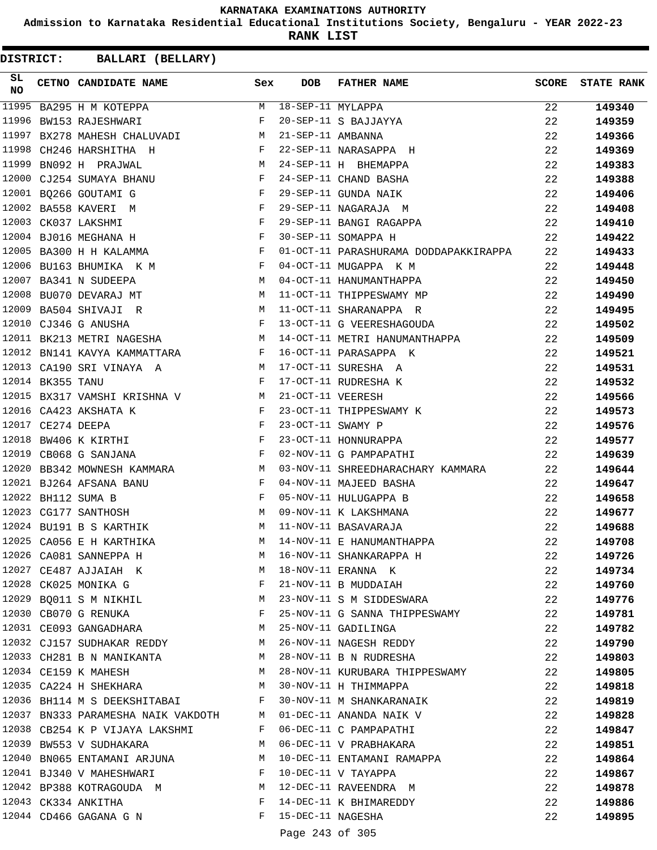**Admission to Karnataka Residential Educational Institutions Society, Bengaluru - YEAR 2022-23**

**RANK LIST**

| SL<br><b>NO</b> | CETNO CANDIDATE NAME Sex                                                                                              |              | <b>DOB</b>          | FATHER NAME                                                        | <b>SCORE</b> | <b>STATE RANK</b> |
|-----------------|-----------------------------------------------------------------------------------------------------------------------|--------------|---------------------|--------------------------------------------------------------------|--------------|-------------------|
| 11995           | BA295 H M KOTEPPA                                                                                                     |              | M 18-SEP-11 MYLAPPA |                                                                    | 22           | 149340            |
| 11996           | BW153 RAJESHWARI F                                                                                                    |              |                     | 20-SEP-11 S BAJJAYYA                                               | 22           | 149359            |
| 11997           | BX278 MAHESH CHALUVADI                                                                                                |              | M 21-SEP-11 AMBANNA |                                                                    | 22           | 149366            |
|                 | 11998 CH246 HARSHITHA H                                                                                               |              |                     | F 22-SEP-11 NARASAPPA H                                            | 22           | 149369            |
| 11999           | BN092 H PRAJWAL<br>M <sub>N</sub>                                                                                     |              |                     | 24-SEP-11 H BHEMAPPA                                               | 22           | 149383            |
|                 | 12000 CJ254 SUMAYA BHANU F                                                                                            |              |                     | 24-SEP-11 CHAND BASHA                                              | 22           | 149388            |
|                 | $\begin{array}{c}\n\ddots \\ F\n\end{array}$<br>12001 BO266 GOUTAMI G                                                 |              |                     | 29-SEP-11 GUNDA NAIK                                               | 22           | 149406            |
|                 | 12002 BA558 KAVERI M                                                                                                  |              |                     | 29-SEP-11 NAGARAJA M                                               | 22           | 149408            |
|                 | 12003 CK037 LAKSHMI<br>$\mathbf{F}$                                                                                   |              |                     | 29-SEP-11 BANGI RAGAPPA                                            | 22           | 149410            |
|                 | $\mathbf{F}$ and $\mathbf{F}$ and $\mathbf{F}$<br>12004 BJ016 MEGHANA H                                               |              |                     | 30-SEP-11 SOMAPPA H                                                | 22           | 149422            |
|                 | 12005 BA300 H H KALAMMA                                                                                               |              |                     | 01-OCT-11 PARASHURAMA DODDAPAKKIRAPPA                              | 22           | 149433            |
|                 | 12006 BU163 BHUMIKA K M                                                                                               | $\mathbf{F}$ |                     | 04-OCT-11 MUGAPPA K M                                              | 22           | 149448            |
|                 | 12007 BA341 N SUDEEPA                                                                                                 |              |                     | M 04-OCT-11 HANUMANTHAPPA                                          | 22           | 149450            |
|                 | 12008 BU070 DEVARAJ MT                                                                                                |              |                     | M 11-OCT-11 THIPPESWAMY MP                                         | 22           | 149490            |
|                 | 12009 BA504 SHIVAJI R                                                                                                 |              |                     | M 11-OCT-11 SHARANAPPA R                                           | 22           | 149495            |
|                 | 12010 CJ346 G ANUSHA                                                                                                  |              |                     | F 13-OCT-11 G VEERESHAGOUDA                                        | 22           | 149502            |
|                 |                                                                                                                       |              |                     | 12011 BK213 METRI NAGESHA MARING MARING MARING METRI HANUMANTHAPPA | 22           | 149509            |
|                 | 12012 BN141 KAVYA KAMMATTARA F                                                                                        |              |                     | 16-OCT-11 PARASAPPA K                                              | 22           | 149521            |
|                 | 12013 CA190 SRI VINAYA A<br>12013 CA190 SRI VINAYA A M 17-OCT-11 SURESHA A<br>12014 BK355 TANU F 17-OCT-11 RUDRESHA K |              |                     |                                                                    | 22           | 149531            |
|                 |                                                                                                                       |              |                     |                                                                    | 22           | 149532            |
|                 | 12015 BX317 VAMSHI KRISHNA V M 21-OCT-11 VEERESH                                                                      |              |                     |                                                                    | 22           | 149566            |
|                 | $\mathbf{F}$ and $\mathbf{F}$ and $\mathbf{F}$<br>12016 CA423 AKSHATA K                                               |              |                     | 23-OCT-11 THIPPESWAMY K                                            | 22           | 149573            |
|                 |                                                                                                                       |              | 23-OCT-11 SWAMY P   |                                                                    | 22           | 149576            |
|                 | 12017 CE274 DEEPA<br>12018 BW406 K KIRTHI F                                                                           |              |                     | 23-OCT-11 HONNURAPPA                                               | 22           | 149577            |
|                 | 12019 CB068 G SANJANA<br>$\mathbf{F}$ and $\mathbf{F}$ and $\mathbf{F}$                                               |              |                     | 02-NOV-11 G PAMPAPATHI                                             | 22           | 149639            |
|                 | 12020 BB342 MOWNESH KAMMARA M                                                                                         |              |                     |                                                                    | 22           | 149644            |
|                 | 12021 BJ264 AFSANA BANU                                                                                               |              |                     | 03-NOV-11 SHREEDHARACHARY KAMMARA<br>04-NOV-11 MAJEED BASHA        | 22           | 149647            |
|                 | $\begin{array}{ccccc}\n\mathbf{F} & & & \mathbf{F} \\ \mathbf{F} & & & \mathbf{F}\n\end{array}$<br>12022 BH112 SUMA B |              |                     | 05-NOV-11 HULUGAPPA B                                              | 22           |                   |
|                 | $\mathbf M$<br>12023 CG177 SANTHOSH                                                                                   |              |                     | 09-NOV-11 K LAKSHMANA                                              | 22           | 149658            |
|                 | 12024 BU191 B S KARTHIK M 11-NOV-11 BASAVARAJA                                                                        |              |                     |                                                                    |              | 149677            |
|                 | 12025 CA056 E H KARTHIKA                                                                                              | M            |                     | 14-NOV-11 E HANUMANTHAPPA                                          | 22           | 149688            |
|                 |                                                                                                                       |              |                     |                                                                    | 22           | 149708            |
|                 | 12026 CA081 SANNEPPA H                                                                                                | M            |                     | 16-NOV-11 SHANKARAPPA H<br>18-NOV-11 ERANNA K                      | 22           | 149726            |
|                 | 12027 CE487 AJJAIAH K                                                                                                 | M            |                     | 18-NOV-11 ERANNA K                                                 | 22           | 149734            |
|                 | 12028 CK025 MONIKA G                                                                                                  | F            |                     | 21-NOV-11 B MUDDAIAH                                               | 22           | 149760            |
|                 | 12029 BQ011 S M NIKHIL                                                                                                | M            |                     | 23-NOV-11 S M SIDDESWARA                                           | 22           | 149776            |
|                 | 12030 CB070 G RENUKA                                                                                                  | F            |                     | 25-NOV-11 G SANNA THIPPESWAMY                                      | 22           | 149781            |
|                 | 12031 CE093 GANGADHARA                                                                                                | M            |                     | 25-NOV-11 GADILINGA                                                | 22           | 149782            |
|                 | 12032 CJ157 SUDHAKAR REDDY M                                                                                          |              |                     | 26-NOV-11 NAGESH REDDY                                             | 22           | 149790            |
|                 | 12033 CH281 B N MANIKANTA                                                                                             | M            |                     | 28-NOV-11 B N RUDRESHA                                             | 22           | 149803            |
|                 | 12034 CE159 K MAHESH                                                                                                  | M            |                     | 28-NOV-11 KURUBARA THIPPESWAMY                                     | 22           | 149805            |
|                 | 12035 CA224 H SHEKHARA M                                                                                              |              |                     | 30-NOV-11 H THIMMAPPA                                              | 22           | 149818            |
|                 | 12036 BH114 M S DEEKSHITABAI F                                                                                        |              |                     | 30-NOV-11 M SHANKARANAIK                                           | 22           | 149819            |
|                 | 12037 BN333 PARAMESHA NAIK VAKDOTH M 01-DEC-11 ANANDA NAIK V                                                          |              |                     |                                                                    | 22           | 149828            |
|                 | 12038 CB254 K P VIJAYA LAKSHMI F 06-DEC-11 C PAMPAPATHI                                                               |              |                     |                                                                    | 22           | 149847            |
|                 | 12039 BW553 V SUDHAKARA                                                                                               | M            |                     | 06-DEC-11 V PRABHAKARA                                             | 22           | 149851            |
|                 | 12040 BN065 ENTAMANI ARJUNA M                                                                                         |              |                     | 10-DEC-11 ENTAMANI RAMAPPA                                         | 22           | 149864            |
|                 | 12041 BJ340 V MAHESHWARI                                                                                              | $\mathbf{F}$ |                     | 10-DEC-11 V TAYAPPA                                                | 22           | 149867            |
|                 | 12042 BP388 KOTRAGOUDA M                                                                                              |              |                     | 12-DEC-11 RAVEENDRA M                                              | 22           | 149878            |
|                 | 12043 CK334 ANKITHA                                                                                                   |              |                     | F 14-DEC-11 K BHIMAREDDY                                           | 22           | 149886            |
|                 | 12044 CD466 GAGANA G N                                                                                                |              | F 15-DEC-11 NAGESHA |                                                                    | 22           | 149895            |
|                 |                                                                                                                       |              | Page 243 of 305     |                                                                    |              |                   |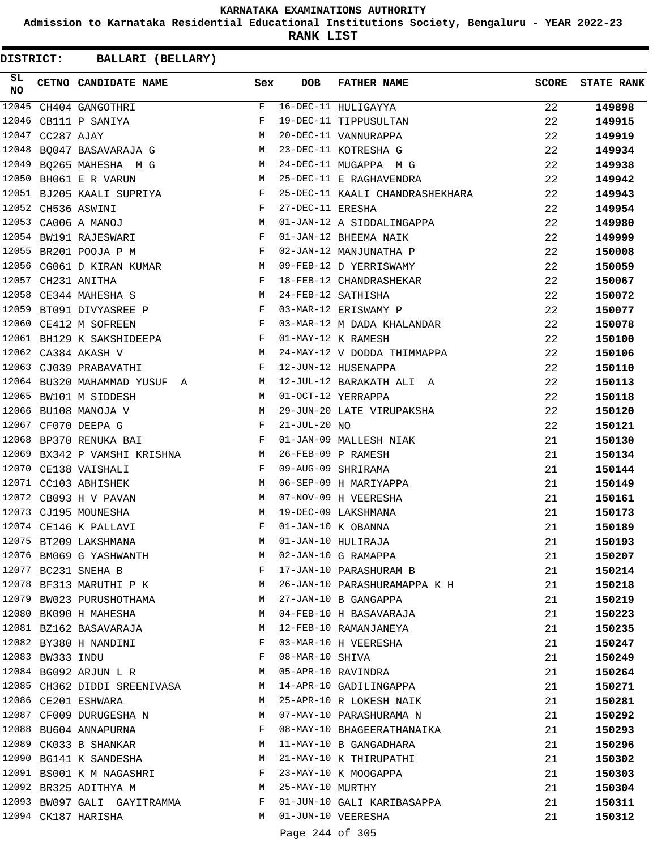**Admission to Karnataka Residential Educational Institutions Society, Bengaluru - YEAR 2022-23**

**RANK LIST**

| SL<br><b>NO</b> |                  | CETNO CANDIDATE NAME                                                    | Sex          | <b>DOB</b>         | <b>FATHER NAME</b>              | <b>SCORE</b> | <b>STATE RANK</b> |
|-----------------|------------------|-------------------------------------------------------------------------|--------------|--------------------|---------------------------------|--------------|-------------------|
|                 |                  | 12045 CH404 GANGOTHRI                                                   | F            |                    | 16-DEC-11 HULIGAYYA             | 22           | 149898            |
|                 |                  | 12046 CB111 P SANIYA                                                    | F            |                    | 19-DEC-11 TIPPUSULTAN           | 22           | 149915            |
|                 | 12047 CC287 AJAY |                                                                         | M            |                    | 20-DEC-11 VANNURAPPA            | 22           | 149919            |
|                 |                  | 12048 BQ047 BASAVARAJA G                                                | M            |                    | 23-DEC-11 KOTRESHA G            | 22           | 149934            |
|                 |                  | 12049 BQ265 MAHESHA M G<br>M <sub>N</sub>                               |              |                    | 24-DEC-11 MUGAPPA M G           | 22           | 149938            |
|                 |                  | 12050 BH061 E R VARUN                                                   | M            |                    | 25-DEC-11 E RAGHAVENDRA         | 22           | 149942            |
|                 |                  | 12051 BJ205 KAALI SUPRIYA F                                             |              |                    | 25-DEC-11 KAALI CHANDRASHEKHARA | 22           | 149943            |
|                 |                  | 12052 CH536 ASWINI                                                      | $\mathbf{F}$ | 27-DEC-11 ERESHA   |                                 | 22           | 149954            |
|                 |                  | 12053 CA006 A MANOJ                                                     | M            |                    | 01-JAN-12 A SIDDALINGAPPA       | 22           | 149980            |
|                 |                  | 12054 BW191 RAJESWARI                                                   | F            |                    | 01-JAN-12 BHEEMA NAIK           | 22           | 149999            |
|                 |                  | 12055 BR201 POOJA P M<br>$\mathbf{F}$ and $\mathbf{F}$ and $\mathbf{F}$ |              |                    | 02-JAN-12 MANJUNATHA P          | 22           | 150008            |
|                 |                  | 12056 CG061 D KIRAN KUMAR                                               | M            |                    | 09-FEB-12 D YERRISWAMY          | 22           | 150059            |
|                 |                  | 12057 CH231 ANITHA                                                      | $\mathbf{F}$ |                    | 18-FEB-12 CHANDRASHEKAR         | 22           | 150067            |
|                 |                  | M<br>12058 CE344 MAHESHA S                                              |              |                    | 24-FEB-12 SATHISHA              | 22           | 150072            |
|                 |                  | 12059 BT091 DIVYASREE P F                                               |              |                    | 03-MAR-12 ERISWAMY P            | 22           | 150077            |
|                 |                  | 12060 CE412 M SOFREEN                                                   | F            |                    | 03-MAR-12 M DADA KHALANDAR      | 22           | 150078            |
|                 |                  | 12061 BH129 K SAKSHIDEEPA F 01-MAY-12 K RAMESH                          |              |                    |                                 | 22           | 150100            |
|                 |                  | 12062 CA384 AKASH V                                                     | M            |                    | 24-MAY-12 V DODDA THIMMAPPA     | 22           | 150106            |
|                 |                  | 12063 CJ039 PRABAVATHI                                                  | F            |                    | 12-JUN-12 HUSENAPPA             | 22           | 150110            |
|                 |                  | 12064 BU320 MAHAMMAD YUSUF A M                                          |              |                    | 12-JUL-12 BARAKATH ALI A        | 22           | 150113            |
|                 |                  | 12065 BW101 M SIDDESH                                                   | M            | 01-OCT-12 YERRAPPA |                                 | 22           | 150118            |
|                 |                  | 12066 BU108 MANOJA V<br><b>M</b>                                        |              |                    | 29-JUN-20 LATE VIRUPAKSHA       | 22           | 150120            |
|                 |                  | $\mathbf{F}$<br>12067 CF070 DEEPA G                                     |              | 21-JUL-20 NO       |                                 | 22           | 150121            |
|                 |                  | 12068 BP370 RENUKA BAI                                                  | F            |                    | 01-JAN-09 MALLESH NIAK          | 21           | 150130            |
| 12069           |                  |                                                                         |              |                    |                                 |              |                   |
|                 |                  | BX342 P VAMSHI KRISHNA M 26-FEB-09 P RAMESH                             |              |                    |                                 | 21           | 150134            |
|                 |                  | 12070 CE138 VAISHALI                                                    | F            |                    | 09-AUG-09 SHRIRAMA              | 21           | 150144            |
|                 |                  | 12071 CC103 ABHISHEK                                                    | M            |                    | 06-SEP-09 H MARIYAPPA           | 21           | 150149            |
|                 |                  | 12072 CB093 H V PAVAN                                                   | M            |                    | 07-NOV-09 H VEERESHA            | 21           | 150161            |
|                 |                  | 12073 CJ195 MOUNESHA                                                    | M            |                    | 19-DEC-09 LAKSHMANA             | 21           | 150173            |
|                 |                  | 12074 CE146 K PALLAVI                                                   | F            |                    | 01-JAN-10 K OBANNA              | 21           | 150189            |
|                 |                  | 12075 BT209 LAKSHMANA                                                   | M            |                    | 01-JAN-10 HULIRAJA              | 21           | 150193            |
|                 |                  | 12076 BM069 G YASHWANTH                                                 | M            |                    | 02-JAN-10 G RAMAPPA             | 21           | 150207            |
|                 |                  | 12077 BC231 SNEHA B                                                     | F            |                    | 17-JAN-10 PARASHURAM B          | 21           | 150214            |
|                 |                  | 12078 BF313 MARUTHI P K                                                 | M            |                    | 26-JAN-10 PARASHURAMAPPA K H    | 21           | 150218            |
|                 |                  | 12079 BW023 PURUSHOTHAMA                                                | M            |                    | 27-JAN-10 B GANGAPPA            | 21           | 150219            |
|                 |                  | 12080 BK090 H MAHESHA                                                   | M            |                    | 04-FEB-10 H BASAVARAJA          | 21           | 150223            |
|                 |                  | 12081 BZ162 BASAVARAJA                                                  | M            |                    | 12-FEB-10 RAMANJANEYA           | 21           | 150235            |
|                 |                  | 12082 BY380 H NANDINI                                                   | F            |                    | 03-MAR-10 H VEERESHA            | 21           | 150247            |
|                 | 12083 BW333 INDU |                                                                         | F            | 08-MAR-10 SHIVA    |                                 | 21           | 150249            |
|                 |                  | 12084 BG092 ARJUN L R                                                   | M            |                    | 05-APR-10 RAVINDRA              | 21           | 150264            |
|                 |                  | 12085 CH362 DIDDI SREENIVASA                                            | M            |                    | 14-APR-10 GADILINGAPPA          | 21           | 150271            |
|                 |                  | 12086 CE201 ESHWARA                                                     | M            |                    | 25-APR-10 R LOKESH NAIK         | 21           | 150281            |
|                 |                  | 12087 CF009 DURUGESHA N                                                 | M            |                    | 07-MAY-10 PARASHURAMA N         | 21           | 150292            |
|                 |                  | 12088 BU604 ANNAPURNA                                                   | F            |                    | 08-MAY-10 BHAGEERATHANAIKA      | 21           | 150293            |
|                 |                  | 12089 CK033 B SHANKAR                                                   | M            |                    | 11-MAY-10 B GANGADHARA          | 21           | 150296            |
|                 |                  | 12090 BG141 K SANDESHA                                                  | М            |                    | 21-MAY-10 K THIRUPATHI          | 21           | 150302            |
|                 |                  | 12091 BS001 K M NAGASHRI                                                | F            |                    | 23-MAY-10 K MOOGAPPA            | 21           | 150303            |
|                 |                  | 12092 BR325 ADITHYA M                                                   | M            | 25-MAY-10 MURTHY   |                                 | 21           | 150304            |
|                 |                  | 12093 BW097 GALI GAYITRAMMA                                             | F            |                    | 01-JUN-10 GALI KARIBASAPPA      | 21           | 150311            |
|                 |                  | 12094 CK187 HARISHA                                                     | M            |                    | 01-JUN-10 VEERESHA              | 21           | 150312            |
|                 |                  |                                                                         |              | Page 244 of 305    |                                 |              |                   |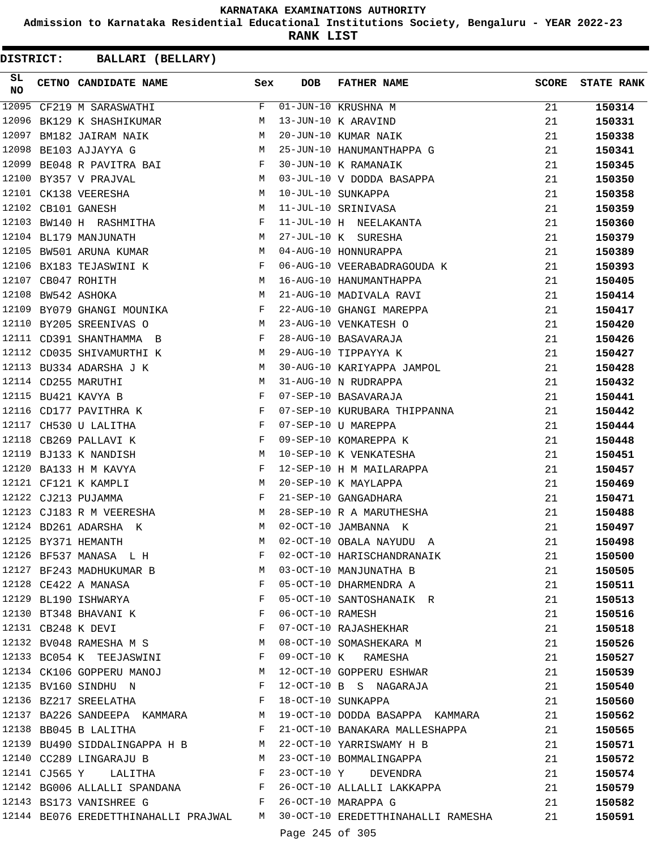**Admission to Karnataka Residential Educational Institutions Society, Bengaluru - YEAR 2022-23**

**RANK LIST**

| SL<br><b>NO</b> | CETNO CANDIDATE NAME Sex                                                                                                                                                                                                                                  |              | DOB              | <b>FATHER NAME</b>                                                        | SCORE | <b>STATE RANK</b> |
|-----------------|-----------------------------------------------------------------------------------------------------------------------------------------------------------------------------------------------------------------------------------------------------------|--------------|------------------|---------------------------------------------------------------------------|-------|-------------------|
| 12095           | CF219 M SARASWATHI                                                                                                                                                                                                                                        | F            |                  | 01-JUN-10 KRUSHNA M                                                       | 21    | 150314            |
| 12096           | BK129 K SHASHIKUMAR                                                                                                                                                                                                                                       | M            |                  | 13-JUN-10 K ARAVIND                                                       | 21    | 150331            |
| 12097           | BM182 JAIRAM NAIK                                                                                                                                                                                                                                         | M            |                  | 20-JUN-10 KUMAR NAIK                                                      | 21    | 150338            |
| 12098           | BE103 AJJAYYA G                                                                                                                                                                                                                                           | M            |                  | 25-JUN-10 HANUMANTHAPPA G                                                 | 21    | 150341            |
| 12099           | BE048 R PAVITRA BAI F                                                                                                                                                                                                                                     |              |                  | 30-JUN-10 K RAMANAIK                                                      | 21    | 150345            |
|                 | <b>M</b><br>12100 BY357 V PRAJVAL                                                                                                                                                                                                                         |              |                  | 03-JUL-10 V DODDA BASAPPA                                                 | 21    | 150350            |
|                 | $\mathbf M$<br>12101 CK138 VEERESHA                                                                                                                                                                                                                       |              |                  | 10-JUL-10 SUNKAPPA                                                        | 21    | 150358            |
|                 | 12102 CB101 GANESH                                                                                                                                                                                                                                        | M            |                  | 11-JUL-10 SRINIVASA                                                       | 21    | 150359            |
|                 | 12103 BW140 H RASHMITHA F                                                                                                                                                                                                                                 |              |                  | 11-JUL-10 H NEELAKANTA                                                    | 21    | 150360            |
|                 | 12104 BL179 MANJUNATH<br>$\mathbf{M}$                                                                                                                                                                                                                     |              |                  | 27-JUL-10 K SURESHA                                                       | 21    | 150379            |
|                 | 12105 BW501 ARUNA KUMAR                                                                                                                                                                                                                                   | M            |                  | 04-AUG-10 HONNURAPPA                                                      | 21    | 150389            |
|                 | 12106 BX183 TEJASWINI K                                                                                                                                                                                                                                   | $\mathbf{F}$ |                  | 06-AUG-10 VEERABADRAGOUDA K                                               | 21    | 150393            |
|                 | M <sub>N</sub><br>12107 CB047 ROHITH                                                                                                                                                                                                                      |              |                  | 16-AUG-10 HANUMANTHAPPA                                                   | 21    | 150405            |
|                 | <b>M</b><br>12108 BW542 ASHOKA                                                                                                                                                                                                                            |              |                  | 21-AUG-10 MADIVALA RAVI                                                   | 21    | 150414            |
|                 | 12109 BY079 GHANGI MOUNIKA F                                                                                                                                                                                                                              |              |                  | 22-AUG-10 GHANGI MAREPPA                                                  | 21    | 150417            |
|                 | 12110 BY205 SREENIVAS O                                                                                                                                                                                                                                   | M            |                  | 23-AUG-10 VENKATESH O                                                     | 21    | 150420            |
|                 | 12111 CD391 SHANTHAMMA B                                                                                                                                                                                                                                  | F            |                  | 28-AUG-10 BASAVARAJA                                                      | 21    | 150426            |
|                 | 12112 CD035 SHIVAMURTHI K                                                                                                                                                                                                                                 | M            |                  | 29-AUG-10 TIPPAYYA K                                                      | 21    | 150427            |
|                 | 12113 BU334 ADARSHA J K                                                                                                                                                                                                                                   | M            |                  | 30-AUG-10 KARIYAPPA JAMPOL                                                | 21    | 150428            |
|                 | 12114 CD255 MARUTHI                                                                                                                                                                                                                                       | M            |                  | 31-AUG-10 N RUDRAPPA                                                      | 21    | 150432            |
|                 | 12115 BU421 KAVYA B<br><b>Example 20</b> Service Service Service Service Service Service Service Service Service Service Service Service Service                                                                                                          |              |                  | 07-SEP-10 BASAVARAJA                                                      | 21    | 150441            |
|                 | <b>Experimental Service Service</b><br>12116 CD177 PAVITHRA K                                                                                                                                                                                             |              |                  | 07-SEP-10 KURUBARA THIPPANNA                                              | 21    | 150442            |
|                 | $\mathbf{F}^{\mathcal{A}}$ . The $\mathbf{F}^{\mathcal{A}}$<br>12117 CH530 U LALITHA                                                                                                                                                                      |              |                  | 07-SEP-10 U MAREPPA                                                       | 21    | 150444            |
|                 | 12118 CB269 PALLAVI K                                                                                                                                                                                                                                     | $\mathbf{F}$ |                  | 09-SEP-10 KOMAREPPA K                                                     | 21    | 150448            |
| 12119           | BJ133 K NANDISH<br><b>M</b>                                                                                                                                                                                                                               |              |                  | 10-SEP-10 K VENKATESHA                                                    | 21    | 150451            |
| 12120           | BA133 H M KAVYA<br>$\mathbf{F}$ and $\mathbf{F}$ and $\mathbf{F}$ and $\mathbf{F}$ and $\mathbf{F}$                                                                                                                                                       |              |                  | 12-SEP-10 H M MAILARAPPA                                                  | 21    | 150457            |
|                 | 12121 CF121 K KAMPLI                                                                                                                                                                                                                                      | M            |                  | 20-SEP-10 K MAYLAPPA                                                      | 21    | 150469            |
|                 | 12122 CJ213 PUJAMMA                                                                                                                                                                                                                                       | F            |                  | 21-SEP-10 GANGADHARA                                                      | 21    | 150471            |
|                 | 12123 CJ183 R M VEERESHA M                                                                                                                                                                                                                                |              |                  | 28-SEP-10 R A MARUTHESHA                                                  | 21    | 150488            |
|                 | 12124 BD261 ADARSHA K                                                                                                                                                                                                                                     | M            |                  | 02-OCT-10 JAMBANNA K                                                      | 21    | 150497            |
|                 | 12125 BY371 HEMANTH                                                                                                                                                                                                                                       | M            |                  | 02-OCT-10 OBALA NAYUDU A                                                  | 21    | 150498            |
|                 | 12126 BF537 MANASA L H                                                                                                                                                                                                                                    | F            |                  | 02-OCT-10 HARISCHANDRANAIK                                                | 21    | 150500            |
|                 | 12127 BF243 MADHUKUMAR B M 03-OCT-10 MANJUNATHA B                                                                                                                                                                                                         |              |                  |                                                                           | 21    | 150505            |
|                 | $\mathbf{F}$ . The set of the set of the set of the set of the set of the set of the set of the set of the set of the set of the set of the set of the set of the set of the set of the set of the set of the set of the set of t<br>12128 CE422 A MANASA |              |                  | 05-OCT-10 DHARMENDRA A                                                    | 21    | 150511            |
|                 | 12129 BL190 ISHWARYA F                                                                                                                                                                                                                                    |              |                  | 05-OCT-10 SANTOSHANAIK R                                                  | 21    | 150513            |
|                 | 12130 BT348 BHAVANI K                                                                                                                                                                                                                                     | $\mathbf F$  | 06-OCT-10 RAMESH |                                                                           | 21    | 150516            |
|                 | $\mathbf{F}$<br>12131 CB248 K DEVI                                                                                                                                                                                                                        |              |                  | 07-OCT-10 RAJASHEKHAR                                                     | 21    | 150518            |
|                 | 12132 BV048 RAMESHA M S M                                                                                                                                                                                                                                 |              |                  | 08-OCT-10 SOMASHEKARA M                                                   | 21    | 150526            |
|                 | 12133 BC054 K TEEJASWINI F                                                                                                                                                                                                                                |              |                  | 09-OCT-10 K RAMESHA                                                       | 21    | 150527            |
|                 |                                                                                                                                                                                                                                                           |              |                  | 12134 CK106 GOPPERU MANOJ M 12-OCT-10 GOPPERU ESHWAR                      | 21    | 150539            |
|                 | 12135 BV160 SINDHU N                                                                                                                                                                                                                                      |              |                  | F 12-OCT-10 B S NAGARAJA                                                  | 21    | 150540            |
|                 | 12136 BZ217 SREELATHA F 18-OCT-10 SUNKAPPA                                                                                                                                                                                                                |              |                  |                                                                           | 21    | 150560            |
|                 |                                                                                                                                                                                                                                                           |              |                  | 12137 BA226 SANDEEPA KAMMARA M 19-OCT-10 DODDA BASAPPA KAMMARA            | 21    | 150562            |
|                 | 12138 BB045 B LALITHA                                                                                                                                                                                                                                     |              |                  | F 21-OCT-10 BANAKARA MALLESHAPPA                                          | 21    | 150565            |
|                 |                                                                                                                                                                                                                                                           |              |                  | 12139 BU490 SIDDALINGAPPA H B M 22-OCT-10 YARRISWAMY H B                  | 21    | 150571            |
|                 |                                                                                                                                                                                                                                                           |              |                  | 12140 CC289 LINGARAJU B M 23-OCT-10 BOMMALINGAPPA                         | 21    | 150572            |
|                 | 12141 CJ565 Y LALITHA F                                                                                                                                                                                                                                   |              |                  | 23-OCT-10 Y DEVENDRA                                                      | 21    | 150574            |
|                 |                                                                                                                                                                                                                                                           |              |                  |                                                                           | 21    | 150579            |
|                 | F 26-OCT-10 MARAPPA G<br>12143 BS173 VANISHREE G                                                                                                                                                                                                          |              |                  | 12142 BG006 ALLALLI SPANDANA ROLL F 26-OCT-10 ALLALLI LAKKAPPA            | 21    | 150582            |
|                 |                                                                                                                                                                                                                                                           |              |                  | 12144 BE076 EREDETTHINAHALLI PRAJWAL M 30-OCT-10 EREDETTHINAHALLI RAMESHA | 21    | 150591            |
|                 |                                                                                                                                                                                                                                                           |              |                  |                                                                           |       |                   |
|                 |                                                                                                                                                                                                                                                           |              | Page 245 of 305  |                                                                           |       |                   |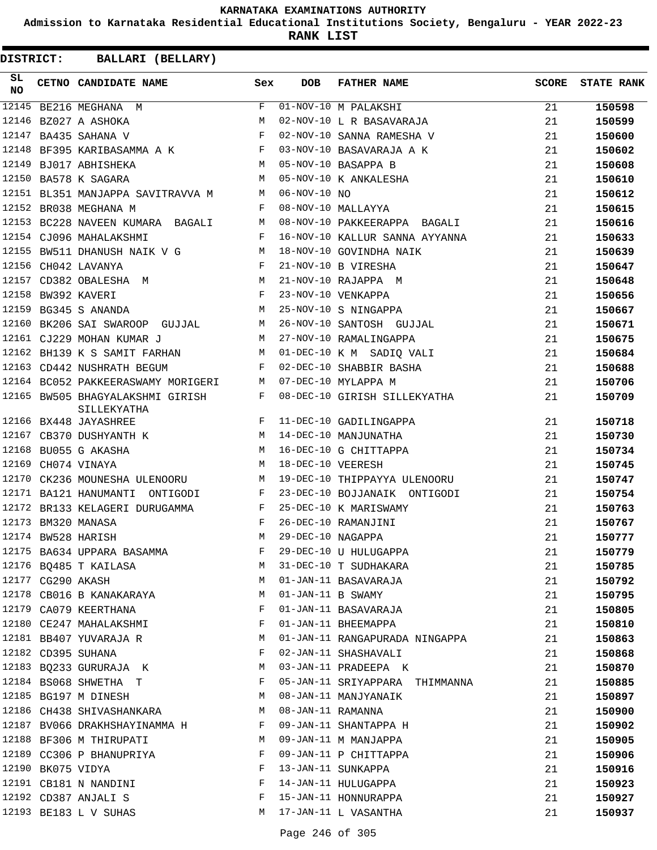**Admission to Karnataka Residential Educational Institutions Society, Bengaluru - YEAR 2022-23**

**RANK LIST**

| SL<br><b>NO</b> |                   | <b>CETNO CANDIDATE NAME</b>                                                                                                                                                                              | Sex          | <b>DOB</b>           | <b>FATHER NAME</b>                               | <b>SCORE</b> | <b>STATE RANK</b> |
|-----------------|-------------------|----------------------------------------------------------------------------------------------------------------------------------------------------------------------------------------------------------|--------------|----------------------|--------------------------------------------------|--------------|-------------------|
|                 |                   | $\begin{tabular}{ c c c } \hline \quad \quad & \quad \quad & \quad \quad & \quad \quad \\ \hline \quad \quad & \quad \quad & \quad \quad & \quad \quad \\ \hline \end{tabular}$<br>12145 BE216 MEGHANA M |              |                      |                                                  | 21           | 150598            |
|                 |                   | 12146 BZ027 A ASHOKA                                                                                                                                                                                     | M            |                      | 01-NOV-10 M PALAKSHI<br>02-NOV-10 L R BASAVARAJA | 21           | 150599            |
|                 |                   | 12147 BA435 SAHANA V                                                                                                                                                                                     | F            |                      | 02-NOV-10 SANNA RAMESHA V                        | 21           | 150600            |
|                 |                   | 12148 BF395 KARIBASAMMA A K                                                                                                                                                                              |              |                      | 03-NOV-10 BASAVARAJA A K                         | 21           | 150602            |
|                 |                   | 12149 BJ017 ABHISHEKA                                                                                                                                                                                    | M            |                      | 05-NOV-10 BASAPPA B                              | 21           | 150608            |
|                 |                   | 12150 BA578 K SAGARA                                                                                                                                                                                     | M            |                      | 05-NOV-10 K ANKALESHA                            | 21           | 150610            |
|                 |                   | 12151 BL351 MANJAPPA SAVITRAVVA M                                                                                                                                                                        | M            | $06-NOV-10 NO$       |                                                  | 21           | 150612            |
|                 |                   | 12152 BR038 MEGHANA M                                                                                                                                                                                    | $\mathbf{F}$ |                      | 08-NOV-10 MALLAYYA                               | 21           | 150615            |
|                 |                   | 12153 BC228 NAVEEN KUMARA BAGALI M                                                                                                                                                                       |              |                      | 08-NOV-10 PAKKEERAPPA BAGALI                     | 21           | 150616            |
|                 |                   | 12154 CJ096 MAHALAKSHMI                                                                                                                                                                                  | F            |                      | 16-NOV-10 KALLUR SANNA AYYANNA                   | 21           | 150633            |
|                 |                   | 12155 BW511 DHANUSH NAIK V G                                                                                                                                                                             | M            |                      | 18-NOV-10 GOVINDHA NAIK                          | 21           | 150639            |
|                 |                   | $\mathbf{F}$ and $\mathbf{F}$<br>12156 CH042 LAVANYA                                                                                                                                                     |              |                      | 21-NOV-10 B VIRESHA                              | 21           | 150647            |
|                 |                   | 12157 CD382 OBALESHA M                                                                                                                                                                                   | M            |                      | 21-NOV-10 RAJAPPA M                              | 21           | 150648            |
|                 |                   | 12158 BW392 KAVERI                                                                                                                                                                                       | $\mathbf{F}$ |                      | 23-NOV-10 VENKAPPA                               | 21           | 150656            |
|                 |                   | M<br>12159 BG345 S ANANDA                                                                                                                                                                                |              |                      | 25-NOV-10 S NINGAPPA                             | 21           | 150667            |
|                 |                   | 12160 BK206 SAI SWAROOP GUJJAL M                                                                                                                                                                         |              |                      | 26-NOV-10 SANTOSH GUJJAL                         | 21           | 150671            |
|                 |                   | 12161 CJ229 MOHAN KUMAR J                                                                                                                                                                                | M            |                      | 27-NOV-10 RAMALINGAPPA                           | 21           | 150675            |
|                 |                   | 12162 BH139 K S SAMIT FARHAN                                                                                                                                                                             | M            |                      | 01-DEC-10 K M SADIQ VALI                         | 21           | 150684            |
|                 |                   | 12163 CD442 NUSHRATH BEGUM                                                                                                                                                                               | F            |                      | 02-DEC-10 SHABBIR BASHA                          | 21           | 150688            |
|                 |                   | 12164 BC052 PAKKEERASWAMY MORIGERI                                                                                                                                                                       | M            |                      | 07-DEC-10 MYLAPPA M                              | 21           | 150706            |
|                 |                   | 12165 BW505 BHAGYALAKSHMI GIRISH<br>SILLEKYATHA                                                                                                                                                          | F            |                      | 08-DEC-10 GIRISH SILLEKYATHA                     | 21           | 150709            |
|                 |                   | 12166 BX448 JAYASHREE                                                                                                                                                                                    | F            |                      | 11-DEC-10 GADILINGAPPA                           | 21           | 150718            |
|                 |                   |                                                                                                                                                                                                          |              |                      | 14-DEC-10 MANJUNATHA                             | 21           | 150730            |
|                 |                   | 12167 CB370 DUSHYANTH K M<br>12168 BU055 G AKASHA M M                                                                                                                                                    |              |                      | 16-DEC-10 G CHITTAPPA                            | 21           | 150734            |
| 12169           |                   | CH074 VINAYA                                                                                                                                                                                             | M            | 18-DEC-10 VEERESH    |                                                  | 21           | 150745            |
| 12170           |                   | CK236 MOUNESHA ULENOORU                                                                                                                                                                                  | M            |                      | 19-DEC-10 THIPPAYYA ULENOORU                     | 21           | 150747            |
|                 |                   | 12171 BA121 HANUMANTI ONTIGODI                                                                                                                                                                           | F            |                      | 23-DEC-10 BOJJANAIK ONTIGODI                     | 21           | 150754            |
|                 |                   | 12172 BR133 KELAGERI DURUGAMMA                                                                                                                                                                           | F            |                      | 25-DEC-10 K MARISWAMY                            | 21           | 150763            |
|                 |                   | 12173 BM320 MANASA                                                                                                                                                                                       | F            |                      | 26-DEC-10 RAMANJINI                              | 21           | 150767            |
|                 |                   | 12174 BW528 HARISH                                                                                                                                                                                       | М            | 29-DEC-10 NAGAPPA    |                                                  | 21           | 150777            |
|                 |                   | 12175 BA634 UPPARA BASAMMA F                                                                                                                                                                             |              |                      | 29-DEC-10 U HULUGAPPA                            | 21           | 150779            |
|                 |                   | 12176 BQ485 T KAILASA                                                                                                                                                                                    | М            |                      | 31-DEC-10 T SUDHAKARA                            | 21           | 150785            |
|                 |                   | 12177 CG290 AKASH                                                                                                                                                                                        | M            |                      | 01-JAN-11 BASAVARAJA                             | 21           | 150792            |
|                 |                   | 12178 CB016 B KANAKARAYA                                                                                                                                                                                 | М            | $01$ -JAN-11 B SWAMY |                                                  | 21           | 150795            |
|                 |                   | 12179 CA079 KEERTHANA                                                                                                                                                                                    | F            |                      | 01-JAN-11 BASAVARAJA                             | 21           | 150805            |
|                 |                   | 12180 CE247 MAHALAKSHMI                                                                                                                                                                                  | F            |                      | 01-JAN-11 BHEEMAPPA                              | 21           | 150810            |
|                 |                   | 12181 BB407 YUVARAJA R                                                                                                                                                                                   | M            |                      | 01-JAN-11 RANGAPURADA NINGAPPA                   | 21           | 150863            |
|                 |                   | 12182 CD395 SUHANA                                                                                                                                                                                       | F            |                      | 02-JAN-11 SHASHAVALI                             | 21           | 150868            |
|                 |                   | 12183 BQ233 GURURAJA K                                                                                                                                                                                   | M            |                      | 03-JAN-11 PRADEEPA K                             | 21           | 150870            |
|                 |                   | 12184 BS068 SHWETHA T                                                                                                                                                                                    | F            |                      | 05-JAN-11 SRIYAPPARA THIMMANNA                   | 21           | 150885            |
|                 |                   | 12185 BG197 M DINESH                                                                                                                                                                                     | М            |                      | 08-JAN-11 MANJYANAIK                             | 21           | 150897            |
|                 |                   | 12186 CH438 SHIVASHANKARA                                                                                                                                                                                | М            | 08-JAN-11 RAMANNA    |                                                  | 21           | 150900            |
|                 |                   | 12187 BV066 DRAKHSHAYINAMMA H                                                                                                                                                                            | F            |                      | 09-JAN-11 SHANTAPPA H                            | 21           | 150902            |
|                 |                   | 12188 BF306 M THIRUPATI                                                                                                                                                                                  | M            |                      | 09-JAN-11 M MANJAPPA                             | 21           | 150905            |
|                 |                   | 12189 CC306 P BHANUPRIYA                                                                                                                                                                                 | F            |                      | 09-JAN-11 P CHITTAPPA                            | 21           | 150906            |
|                 | 12190 BK075 VIDYA |                                                                                                                                                                                                          | F            |                      | 13-JAN-11 SUNKAPPA                               | 21           | 150916            |
|                 |                   | 12191 CB181 N NANDINI                                                                                                                                                                                    | F            |                      | 14-JAN-11 HULUGAPPA                              | 21           | 150923            |
|                 |                   | 12192 CD387 ANJALI S                                                                                                                                                                                     | F            |                      | 15-JAN-11 HONNURAPPA                             | 21           | 150927            |
|                 |                   | 12193 BE183 L V SUHAS                                                                                                                                                                                    | М            |                      | 17-JAN-11 L VASANTHA                             |              |                   |
|                 |                   |                                                                                                                                                                                                          |              |                      |                                                  | 21           | 150937            |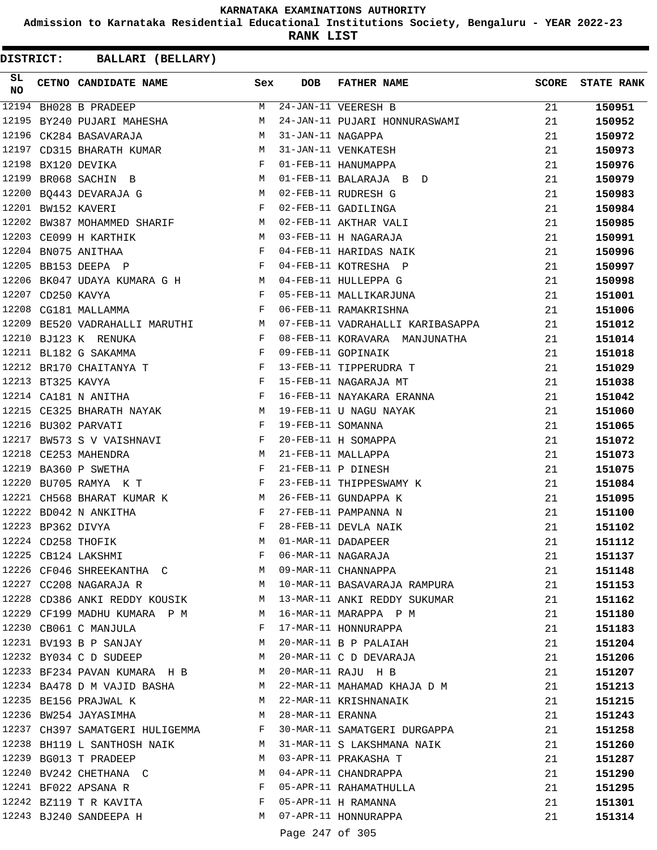**Admission to Karnataka Residential Educational Institutions Society, Bengaluru - YEAR 2022-23**

**RANK LIST**

| SL<br>NO |                   | CETNO CANDIDATE NAME Sex                                                                                                                                                                                                                            |              | <b>DOB</b>          | FATHER NAME                                                                | SCORE | <b>STATE RANK</b> |
|----------|-------------------|-----------------------------------------------------------------------------------------------------------------------------------------------------------------------------------------------------------------------------------------------------|--------------|---------------------|----------------------------------------------------------------------------|-------|-------------------|
|          |                   | 12194 BH028 B PRADEEP                                                                                                                                                                                                                               |              |                     | M 24-JAN-11 VEERESH B                                                      | 21    | 150951            |
|          |                   | 12195 BY240 PUJARI MAHESHA                                                                                                                                                                                                                          | M            |                     | 24-JAN-11 PUJARI HONNURASWAMI                                              | 21    | 150952            |
|          |                   | 12196 CK284 BASAVARAJA                                                                                                                                                                                                                              | M            | 31-JAN-11 NAGAPPA   |                                                                            | 21    | 150972            |
|          |                   | 12197 CD315 BHARATH KUMAR                                                                                                                                                                                                                           |              |                     | M 31-JAN-11 VENKATESH                                                      | 21    | 150973            |
|          |                   | F 01-FEB-11 HANUMAPPA<br>12198 BX120 DEVIKA                                                                                                                                                                                                         |              |                     |                                                                            | 21    | 150976            |
| 12199    |                   | BR068 SACHIN B                                                                                                                                                                                                                                      |              |                     | M 01-FEB-11 BALARAJA B D                                                   | 21    | 150979            |
|          |                   | 12200 BQ443 DEVARAJA G M 02-FEB-11 RUDRESH G                                                                                                                                                                                                        |              |                     |                                                                            | 21    | 150983            |
|          |                   | 12201 BW152 KAVERI                                                                                                                                                                                                                                  |              |                     | F 02-FEB-11 GADILINGA                                                      | 21    | 150984            |
|          |                   | 12202 BW387 MOHAMMED SHARIF M 02-FEB-11 AKTHAR VALI                                                                                                                                                                                                 |              |                     |                                                                            | 21    | 150985            |
|          |                   | 12203 CE099 H KARTHIK<br>M 03-FEB-11 H NAGARAJA                                                                                                                                                                                                     |              |                     |                                                                            | 21    | 150991            |
|          |                   | $\mathbf{F}$ and $\mathbf{F}$ and $\mathbf{F}$<br>12204 BN075 ANITHAA                                                                                                                                                                               |              |                     | 04-FEB-11 HARIDAS NAIK                                                     | 21    | 150996            |
|          |                   | $\mathbf{F}$                                                                                                                                                                                                                                        |              |                     |                                                                            | 21    | 150997            |
|          |                   |                                                                                                                                                                                                                                                     |              |                     | 12205 BB153 DEEPA P<br>12206 BK047 UDAYA KUMARA G H M 04-FEB-11 HULLEPPA G | 21    | 150998            |
|          | 12207 CD250 KAVYA |                                                                                                                                                                                                                                                     |              |                     | F 05-FEB-11 MALLIKARJUNA                                                   | 21    | 151001            |
|          |                   | 12208 CG181 MALLAMMA                                                                                                                                                                                                                                |              |                     | F 06-FEB-11 RAMAKRISHNA                                                    | 21    | 151006            |
|          |                   |                                                                                                                                                                                                                                                     |              |                     | 12209 BE520 VADRAHALLI MARUTHI MARUTHI MARISANG MARISANG MARISASAPPA       | 21    | 151012            |
|          |                   | 12210 BJ123 K RENUKA                                                                                                                                                                                                                                |              |                     | F 08-FEB-11 KORAVARA MANJUNATHA                                            | 21    | 151014            |
|          |                   | 12211 BL182 G SAKAMMA<br>$\mathbf{F}$ and the contract of $\mathbf{F}$                                                                                                                                                                              |              |                     | 09-FEB-11 GOPINAIK                                                         | 21    | 151018            |
|          |                   | $\mathbf{F}$<br>12212 BR170 CHAITANYA T                                                                                                                                                                                                             |              |                     |                                                                            | 21    | 151029            |
|          | 12213 BT325 KAVYA | $\frac{\mathbf{F}}{\mathbf{F}}$                                                                                                                                                                                                                     |              |                     | 13-FEB-11 TIPPERUDRA T<br>15-FEB-11 NAGARAJA MT                            | 21    | 151038            |
|          |                   | 12214 CA181 N ANITHA                                                                                                                                                                                                                                |              |                     | 16-FEB-11 NAYAKARA ERANNA                                                  | 21    | 151042            |
|          |                   | 12215 CE325 BHARATH NAYAK                                                                                                                                                                                                                           |              |                     | M 19-FEB-11 U NAGU NAYAK                                                   | 21    | 151060            |
|          |                   | 12216 BU302 PARVATI                                                                                                                                                                                                                                 |              | F 19-FEB-11 SOMANNA |                                                                            | 21    | 151065            |
|          |                   | $\mathbf{F}$<br>12217 BW573 S V VAISHNAVI                                                                                                                                                                                                           |              |                     | 20-FEB-11 H SOMAPPA                                                        | 21    | 151072            |
|          |                   | M 21-FEB-11 MALLAPPA<br>12218 CE253 MAHENDRA                                                                                                                                                                                                        |              |                     |                                                                            | 21    | 151073            |
| 12219    |                   | $\mathbb{R}^n$ . The set of the set of the set of the set of the set of the set of the set of the set of the set of the set of the set of the set of the set of the set of the set of the set of the set of the set of the set of<br>BA360 P SWETHA |              |                     | 21-FEB-11 P DINESH                                                         | 21    | 151075            |
|          |                   | $\mathbf{F}$ and the contract of $\mathbf{F}$<br>12220 BU705 RAMYA K T                                                                                                                                                                              |              |                     | 23-FEB-11 THIPPESWAMY K                                                    | 21    | 151084            |
|          |                   | 12221 CH568 BHARAT KUMAR K                                                                                                                                                                                                                          |              |                     | M 26-FEB-11 GUNDAPPA K                                                     | 21    | 151095            |
|          |                   | 12222 BD042 N ANKITHA                                                                                                                                                                                                                               | $\mathbf{F}$ |                     | 27-FEB-11 PAMPANNA N                                                       | 21    | 151100            |
|          | 12223 BP362 DIVYA |                                                                                                                                                                                                                                                     |              |                     | 28-FEB-11 DEVLA NAIK                                                       | 21    | 151102            |
|          |                   | $\begin{array}{c}\n\text{F} \\ \text{M}\n\end{array}$<br>12224 CD258 THOFIK                                                                                                                                                                         | M            | 01-MAR-11 DADAPEER  |                                                                            | 21    | 151112            |
|          |                   | 12225 CB124 LAKSHMI                                                                                                                                                                                                                                 | F            |                     | 06-MAR-11 NAGARAJA                                                         | 21    | 151137            |
|          |                   | 12226 CF046 SHREEKANTHA C M 09-MAR-11 CHANNAPPA                                                                                                                                                                                                     |              |                     |                                                                            | 21    | 151148            |
|          |                   | 12227 CC208 NAGARAJA R                                                                                                                                                                                                                              |              |                     | M 10-MAR-11 BASAVARAJA RAMPURA                                             | 21    | 151153            |
|          |                   |                                                                                                                                                                                                                                                     |              |                     | 12228 CD386 ANKI REDDY KOUSIK M 13-MAR-11 ANKI REDDY SUKUMAR               | 21    | 151162            |
|          |                   | 12229 CF199 MADHU KUMARA P M                                                                                                                                                                                                                        | M            |                     | 16-MAR-11 MARAPPA P M                                                      | 21    | 151180            |
|          |                   | 12230 CB061 C MANJULA                                                                                                                                                                                                                               | F            |                     | 17-MAR-11 HONNURAPPA                                                       | 21    | 151183            |
|          |                   | 12231 BV193 B P SANJAY                                                                                                                                                                                                                              | M            |                     | 20-MAR-11 B P PALAIAH                                                      | 21    | 151204            |
|          |                   | 12232 BY034 C D SUDEEP                                                                                                                                                                                                                              | M            |                     | 20-MAR-11 C D DEVARAJA                                                     | 21    | 151206            |
|          |                   | 12233 BF234 PAVAN KUMARA H B M                                                                                                                                                                                                                      |              |                     | 20-MAR-11 RAJU H B                                                         | 21    | 151207            |
|          |                   | 12234 BA478 D M VAJID BASHA                                                                                                                                                                                                                         | M            |                     | 22-MAR-11 MAHAMAD KHAJA D M                                                | 21    | 151213            |
|          |                   | 12235 BE156 PRAJWAL K                                                                                                                                                                                                                               | M            |                     | 22-MAR-11 KRISHNANAIK                                                      |       |                   |
|          |                   |                                                                                                                                                                                                                                                     |              |                     |                                                                            | 21    | 151215            |
|          |                   | 12236 BW254 JAYASIMHA<br>12237 CH397 SAMATGERI HULIGEMMA                                                                                                                                                                                            | M            | 28-MAR-11 ERANNA    |                                                                            | 21    | 151243            |
|          |                   |                                                                                                                                                                                                                                                     | F            |                     | 30-MAR-11 SAMATGERI DURGAPPA                                               | 21    | 151258            |
|          |                   | 12238 BH119 L SANTHOSH NAIK                                                                                                                                                                                                                         | M            |                     | 31-MAR-11 S LAKSHMANA NAIK                                                 | 21    | 151260            |
|          |                   | 12239 BG013 T PRADEEP                                                                                                                                                                                                                               | M            |                     | 03-APR-11 PRAKASHA T                                                       | 21    | 151287            |
|          |                   | 12240 BV242 CHETHANA C                                                                                                                                                                                                                              | M            |                     | 04-APR-11 CHANDRAPPA                                                       | 21    | 151290            |
|          |                   | 12241 BF022 APSANA R                                                                                                                                                                                                                                | F            |                     | 05-APR-11 RAHAMATHULLA                                                     | 21    | 151295            |
|          |                   | 12242 BZ119 T R KAVITA                                                                                                                                                                                                                              | F            |                     | 05-APR-11 H RAMANNA                                                        | 21    | 151301            |
|          |                   | 12243 BJ240 SANDEEPA H                                                                                                                                                                                                                              |              |                     | M 07-APR-11 HONNURAPPA                                                     | 21    | 151314            |
|          |                   |                                                                                                                                                                                                                                                     |              | Page 247 of 305     |                                                                            |       |                   |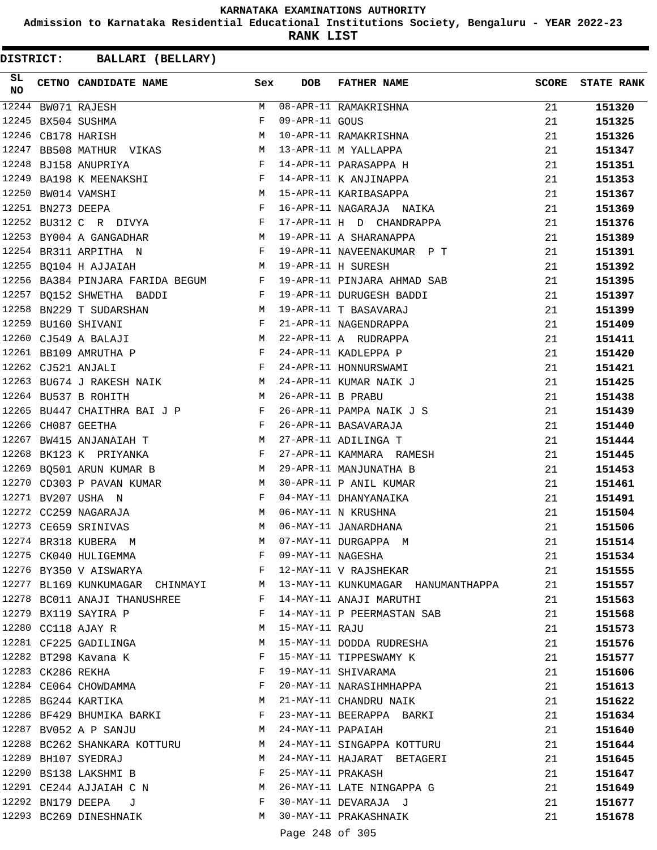**Admission to Karnataka Residential Educational Institutions Society, Bengaluru - YEAR 2022-23**

**RANK LIST**

| SL<br>NO |                   | CETNO CANDIDATE NAME                                                                   | Sex          | <b>DOB</b>        | <b>FATHER NAME</b>                                             | <b>SCORE</b> | <b>STATE RANK</b> |
|----------|-------------------|----------------------------------------------------------------------------------------|--------------|-------------------|----------------------------------------------------------------|--------------|-------------------|
|          |                   | 12244 BW071 RAJESH                                                                     |              |                   | M 08-APR-11 RAMAKRISHNA                                        | 21           | 151320            |
| 12245    |                   | BX504 SUSHMA                                                                           | F            | 09-APR-11 GOUS    |                                                                | 21           | 151325            |
| 12246    |                   | CB178 HARISH                                                                           | M            |                   | 10-APR-11 RAMAKRISHNA                                          | 21           | 151326            |
| 12247    |                   | BB508 MATHUR VIKAS M                                                                   |              |                   | 13-APR-11 M YALLAPPA                                           | 21           | 151347            |
|          |                   | $\mathbf{F}$<br>12248 BJ158 ANUPRIYA                                                   |              |                   | 14-APR-11 PARASAPPA H                                          | 21           | 151351            |
|          |                   | 12249 BA198 K MEENAKSHI F                                                              |              |                   | 14-APR-11 K ANJINAPPA                                          | 21           | 151353            |
|          |                   | M<br>12250 BW014 VAMSHI                                                                |              |                   | 15-APR-11 KARIBASAPPA                                          | 21           | 151367            |
|          |                   |                                                                                        |              |                   | 16-APR-11 NAGARAJA NAIKA                                       | 21           | 151369            |
|          |                   | 12251 BN273 DEEPA F<br>12252 BU312 C R DIVYA F                                         |              |                   | 17-APR-11 H D CHANDRAPPA                                       | 21           | 151376            |
|          |                   | 12253 BY004 A GANGADHAR M 19-APR-11 A SHARANAPPA                                       |              |                   |                                                                | 21           | 151389            |
|          |                   | 12254 BR311 ARPITHA N<br>$\mathbf{F}$ . The contract of the contract of $\mathbf{F}$ , |              |                   | 19-APR-11 NAVEENAKUMAR P T                                     | 21           | 151391            |
|          |                   | 12255 BQ104 H AJJAIAH<br>M                                                             |              |                   | 19-APR-11 H SURESH                                             | 21           | 151392            |
|          |                   |                                                                                        |              |                   | 12256 BA384 PINJARA FARIDA BEGUM F 19-APR-11 PINJARA AHMAD SAB | 21           | 151395            |
|          |                   | 12257 BQ152 SHWETHA BADDI                                                              |              |                   | F 19-APR-11 DURUGESH BADDI                                     | 21           | 151397            |
|          |                   | 12258 BN229 T SUDARSHAN<br>M 19-APR-11 T BASAVARAJ                                     |              |                   |                                                                | 21           | 151399            |
|          |                   | 12259 BU160 SHIVANI                                                                    |              |                   | 21-APR-11 NAGENDRAPPA                                          | 21           | 151409            |
|          |                   | $\begin{aligned} \mathbf{F} \\ \mathbf{M} \end{aligned}$<br>12260 CJ549 A BALAJI       |              |                   | 22-APR-11 A RUDRAPPA                                           | 21           | 151411            |
|          |                   | 12261 BB109 AMRUTHA P                                                                  |              |                   | 24-APR-11 KADLEPPA P                                           | 21           | 151420            |
|          |                   | $\mathbf{F}$ and $\mathbf{F}$ and $\mathbf{F}$<br>12262 CJ521 ANJALI                   |              |                   | 24-APR-11 HONNURSWAMI                                          | 21           | 151421            |
|          |                   | 12263 BU674 J RAKESH NAIK M                                                            |              |                   | 24-APR-11 KUMAR NAIK J                                         | 21           | 151425            |
|          |                   | M<br>12264 BU537 B ROHITH                                                              |              | 26-APR-11 B PRABU |                                                                | 21           | 151438            |
|          |                   | 12265 BU447 CHAITHRA BAI J P F                                                         |              |                   | 26-APR-11 PAMPA NAIK J S                                       | 21           | 151439            |
|          |                   | 12266 CH087 GEETHA<br>$\mathbf{F}$ and the set of $\mathbf{F}$                         |              |                   | 26-APR-11 BASAVARAJA                                           | 21           | 151440            |
| 12267    |                   | BW415 ANJANAIAH T M 27-APR-11 ADILINGA T                                               |              |                   |                                                                | 21           | 151444            |
|          |                   | 12268 BK123 K PRIYANKA                                                                 | F            |                   | 27-APR-11 KAMMARA RAMESH                                       | 21           | 151445            |
|          |                   | 12269 BQ501 ARUN KUMAR B M 29-APR-11 MANJUNATHA B                                      |              |                   |                                                                | 21           | 151453            |
|          |                   | 12270 CD303 P PAVAN KUMAR M                                                            |              |                   | 30-APR-11 P ANIL KUMAR                                         | 21           | 151461            |
|          |                   | 12271 BV207 USHA N                                                                     | $\mathbf{F}$ |                   | 04-MAY-11 DHANYANAIKA                                          | 21           | 151491            |
|          |                   | 12272 CC259 NAGARAJA                                                                   | M            |                   | 06-MAY-11 N KRUSHNA                                            | 21           | 151504            |
|          |                   | M <sub>N</sub><br>12273 CE659 SRINIVAS                                                 |              |                   | 06-MAY-11 JANARDHANA                                           | 21           | 151506            |
|          |                   | 12274 BR318 KUBERA M                                                                   | M            |                   | 07-MAY-11 DURGAPPA M                                           | 21           | 151514            |
|          |                   | 12275 CK040 HULIGEMMA                                                                  | F            | 09-MAY-11 NAGESHA |                                                                | 21           | 151534            |
|          |                   | 12276 BY350 V AISWARYA                                                                 | F            |                   | 12-MAY-11 V RAJSHEKAR                                          | 21           | 151555            |
|          |                   | 12277 BL169 KUNKUMAGAR CHINMAYI M                                                      |              |                   | 13-MAY-11 KUNKUMAGAR HANUMANTHAPPA                             | 21           | 151557            |
|          |                   | 12278 BC011 ANAJI THANUSHREE                                                           | F            |                   | 14-MAY-11 ANAJI MARUTHI                                        | 21           | 151563            |
|          |                   | 12279 BX119 SAYIRA P                                                                   | F            |                   | 14-MAY-11 P PEERMASTAN SAB                                     | 21           | 151568            |
|          |                   | 12280 CC118 AJAY R                                                                     | M            | 15-MAY-11 RAJU    |                                                                | 21           | 151573            |
|          |                   | 12281 CF225 GADILINGA                                                                  | M            |                   | 15-MAY-11 DODDA RUDRESHA                                       | 21           | 151576            |
|          |                   | 12282 BT298 Kavana K                                                                   | F            |                   | 15-MAY-11 TIPPESWAMY K                                         | 21           | 151577            |
|          | 12283 CK286 REKHA |                                                                                        | F            |                   | 19-MAY-11 SHIVARAMA                                            | 21           | 151606            |
|          |                   | 12284 CE064 CHOWDAMMA                                                                  | F            |                   | 20-MAY-11 NARASIHMHAPPA                                        | 21           | 151613            |
|          |                   | 12285 BG244 KARTIKA                                                                    | M            |                   | 21-MAY-11 CHANDRU NAIK                                         | 21           | 151622            |
|          |                   | 12286 BF429 BHUMIKA BARKI                                                              | F            |                   | 23-MAY-11 BEERAPPA BARKI                                       | 21           | 151634            |
|          |                   | 12287 BV052 A P SANJU                                                                  | M            | 24-MAY-11 PAPAIAH |                                                                | 21           | 151640            |
|          |                   | 12288 BC262 SHANKARA KOTTURU                                                           | M            |                   | 24-MAY-11 SINGAPPA KOTTURU                                     | 21           | 151644            |
|          |                   | 12289 BH107 SYEDRAJ                                                                    | M            |                   | 24-MAY-11 HAJARAT BETAGERI                                     | 21           | 151645            |
|          |                   | 12290 BS138 LAKSHMI B                                                                  | F            |                   | 25-MAY-11 PRAKASH                                              | 21           | 151647            |
|          |                   | 12291 CE244 AJJAIAH C N                                                                | M            |                   | 26-MAY-11 LATE NINGAPPA G                                      | 21           | 151649            |
|          |                   | 12292 BN179 DEEPA<br>J                                                                 | F            |                   | 30-MAY-11 DEVARAJA J                                           | 21           | 151677            |
|          |                   | 12293 BC269 DINESHNAIK                                                                 | M            |                   | 30-MAY-11 PRAKASHNAIK                                          | 21           | 151678            |
|          |                   |                                                                                        |              |                   |                                                                |              |                   |
|          |                   |                                                                                        |              | Page 248 of 305   |                                                                |              |                   |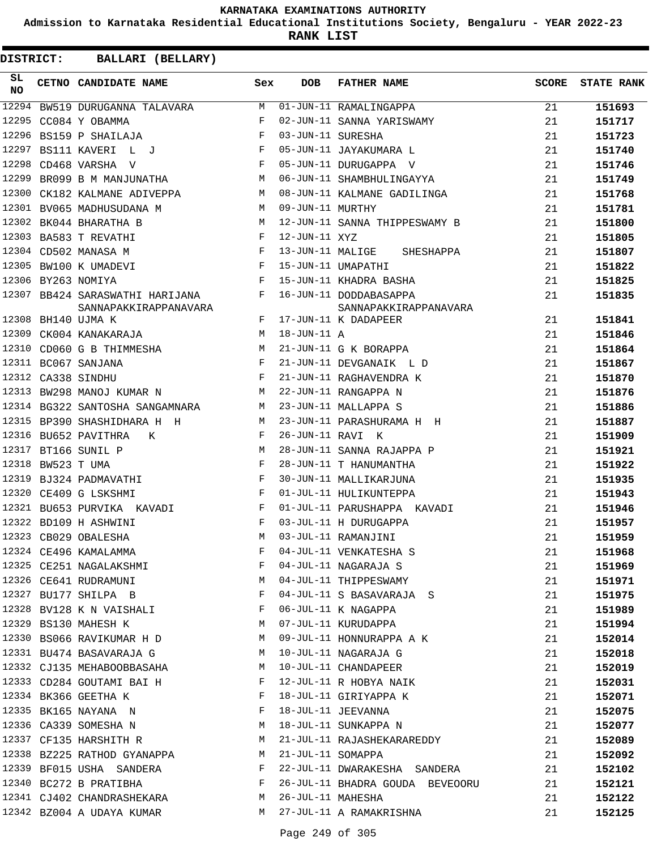**Admission to Karnataka Residential Educational Institutions Society, Bengaluru - YEAR 2022-23**

**RANK LIST**

| SL.<br><b>NO</b> |                   | CETNO CANDIDATE NAME                                                                                | Sex          | <b>DOB</b>         | <b>FATHER NAME</b>              | SCORE | <b>STATE RANK</b> |
|------------------|-------------------|-----------------------------------------------------------------------------------------------------|--------------|--------------------|---------------------------------|-------|-------------------|
|                  |                   | 12294 BW519 DURUGANNA TALAVARA M 01-JUN-11 RAMALINGAPPA                                             |              |                    |                                 | 21    | 151693            |
|                  |                   | $\mathbb F$ . The set of $\mathbb F$<br>12295 CC084 Y OBAMMA                                        |              |                    | 02-JUN-11 SANNA YARISWAMY       | 21    | 151717            |
|                  |                   | $\mathbf{F}$ and the contract of the contract of $\mathbf{F}$<br>12296 BS159 P SHAILAJA             |              | 03-JUN-11 SURESHA  |                                 | 21    | 151723            |
| 12297            |                   | $\mathbf{F}$<br>BS111 KAVERI L J                                                                    |              |                    | 05-JUN-11 JAYAKUMARA L          | 21    | 151740            |
|                  |                   | 12298 CD468 VARSHA V                                                                                | F            |                    | 05-JUN-11 DURUGAPPA V           | 21    | 151746            |
|                  |                   | 12299 BR099 B M MANJUNATHA M                                                                        |              |                    | 06-JUN-11 SHAMBHULINGAYYA       | 21    | 151749            |
|                  |                   | 12300 CK182 KALMANE ADIVEPPA M                                                                      |              |                    | 08-JUN-11 KALMANE GADILINGA     | 21    | 151768            |
|                  |                   | 12301 BV065 MADHUSUDANA M                                                                           |              | M 09-JUN-11 MURTHY |                                 | 21    | 151781            |
|                  |                   | 12302 BK044 BHARATHA B                                                                              | <b>M</b>     |                    | 12-JUN-11 SANNA THIPPESWAMY B   | 21    | 151800            |
|                  |                   | 12303 BA583 T REVATHI                                                                               | $_{\rm F}$   | 12-JUN-11 XYZ      |                                 | 21    | 151805            |
|                  |                   | 12304 CD502 MANASA M                                                                                | F            |                    | 13-JUN-11 MALIGE SHESHAPPA      | 21    | 151807            |
|                  |                   | 12305 BW100 K UMADEVI                                                                               |              |                    | 15-JUN-11 UMAPATHI              | 21    | 151822            |
|                  |                   | $\begin{array}{c} \mathbf{F} \\ \mathbf{F} \end{array}$<br>12306 BY263 NOMIYA                       |              |                    | 15-JUN-11 KHADRA BASHA          | 21    | 151825            |
|                  |                   | 12307 BB424 SARASWATHI HARIJANA F                                                                   |              |                    | 16-JUN-11 DODDABASAPPA          | 21    | 151835            |
|                  |                   | SANNAPAKKIRAPPANAVARA                                                                               |              |                    | SANNAPAKKIRAPPANAVARA           |       |                   |
|                  |                   | 12308 BH140 UJMA K                                                                                  |              |                    | F 17-JUN-11 K DADAPEER          | 21    | 151841            |
|                  |                   | 12309 CK004 KANAKARAJA<br><b>M</b>                                                                  |              | $18$ -JUN-11 A     |                                 | 21    | 151846            |
| 12310            |                   | CD060 G B THIMMESHA M                                                                               |              |                    | 21-JUN-11 G K BORAPPA           | 21    | 151864            |
|                  |                   | $\begin{array}{cc} \mathbf{F} & \\ \mathbf{F} & \\ \mathbf{F} & \end{array}$<br>12311 BC067 SANJANA |              |                    | 21-JUN-11 DEVGANAIK L D         | 21    | 151867            |
|                  |                   | 12312 CA338 SINDHU                                                                                  |              |                    | 21-JUN-11 RAGHAVENDRA K         | 21    | 151870            |
|                  |                   | 12313 BW298 MANOJ KUMAR N<br><b>M</b>                                                               |              |                    | 22-JUN-11 RANGAPPA N            | 21    | 151876            |
|                  |                   | 12314 BG322 SANTOSHA SANGAMNARA M                                                                   |              |                    | 23-JUN-11 MALLAPPA S            | 21    | 151886            |
|                  |                   | 12315 BP390 SHASHIDHARA H H                                                                         | M            |                    | 23-JUN-11 PARASHURAMA H H       | 21    | 151887            |
|                  |                   | 12316 BU652 PAVITHRA<br>K                                                                           | F            | 26-JUN-11 RAVI K   |                                 | 21    | 151909            |
|                  |                   | 12317 BT166 SUNIL P<br>M <sub>N</sub>                                                               |              |                    | 28-JUN-11 SANNA RAJAPPA P       | 21    | 151921            |
|                  | 12318 BW523 T UMA | $\mathbf{F}$                                                                                        |              |                    | 28-JUN-11 T HANUMANTHA          | 21    | 151922            |
|                  |                   | 12319 BJ324 PADMAVATHI                                                                              | $\mathbf{F}$ |                    | 30-JUN-11 MALLIKARJUNA          | 21    | 151935            |
|                  |                   | 12320 CE409 G LSKSHMI                                                                               | $\mathbf{F}$ |                    | 01-JUL-11 HULIKUNTEPPA          | 21    | 151943            |
|                  |                   | 12321 BU653 PURVIKA KAVADI F                                                                        |              |                    | 01-JUL-11 PARUSHAPPA KAVADI     | 21    | 151946            |
|                  |                   | $\mathbf{F}$ and $\mathbf{F}$ and $\mathbf{F}$<br>12322 BD109 H ASHWINI                             |              |                    | 03-JUL-11 H DURUGAPPA           | 21    | 151957            |
|                  |                   | 12323 CB029 OBALESHA                                                                                | M            |                    | 03-JUL-11 RAMANJINI             | 21    | 151959            |
|                  |                   | 12324 CE496 KAMALAMMA                                                                               |              |                    | F 04-JUL-11 VENKATESHA S        | 21    | 151968            |
|                  |                   | 12325 CE251 NAGALAKSHMI                                                                             | F            |                    | 04-JUL-11 NAGARAJA S            | 21    | 151969            |
|                  |                   | 12326 CE641 RUDRAMUNI                                                                               | М            |                    | 04-JUL-11 THIPPESWAMY           | 21    | 151971            |
|                  |                   | 12327 BU177 SHILPA B                                                                                | F            |                    | 04-JUL-11 S BASAVARAJA S        | 21    | 151975            |
|                  |                   | 12328 BV128 K N VAISHALI                                                                            | F            |                    | 06-JUL-11 K NAGAPPA             | 21    | 151989            |
|                  |                   | 12329 BS130 MAHESH K                                                                                | M            |                    | 07-JUL-11 KURUDAPPA             | 21    | 151994            |
|                  |                   | 12330 BS066 RAVIKUMAR H D                                                                           | M            |                    | 09-JUL-11 HONNURAPPA A K        | 21    | 152014            |
|                  |                   | 12331 BU474 BASAVARAJA G                                                                            | M            |                    | 10-JUL-11 NAGARAJA G            | 21    | 152018            |
|                  |                   | 12332 CJ135 MEHABOOBBASAHA                                                                          | M            |                    | 10-JUL-11 CHANDAPEER            | 21    | 152019            |
|                  |                   | 12333 CD284 GOUTAMI BAI H                                                                           | F            |                    | 12-JUL-11 R HOBYA NAIK          | 21    | 152031            |
|                  |                   | 12334 BK366 GEETHA K                                                                                | F            |                    | 18-JUL-11 GIRIYAPPA K           | 21    | 152071            |
|                  |                   | 12335 BK165 NAYANA N                                                                                | F            |                    | 18-JUL-11 JEEVANNA              | 21    | 152075            |
|                  |                   | 12336 CA339 SOMESHA N                                                                               | M            |                    | 18-JUL-11 SUNKAPPA N            | 21    | 152077            |
|                  |                   | 12337 CF135 HARSHITH R                                                                              | M            |                    | 21-JUL-11 RAJASHEKARAREDDY      | 21    | 152089            |
|                  |                   | 12338 BZ225 RATHOD GYANAPPA                                                                         | M            | 21-JUL-11 SOMAPPA  |                                 | 21    | 152092            |
|                  |                   | 12339 BF015 USHA SANDERA                                                                            | F            |                    | 22-JUL-11 DWARAKESHA SANDERA    | 21    | 152102            |
|                  |                   | 12340 BC272 B PRATIBHA                                                                              | F            |                    | 26-JUL-11 BHADRA GOUDA BEVEOORU | 21    | 152121            |
|                  |                   | 12341 CJ402 CHANDRASHEKARA                                                                          | М            | 26-JUL-11 MAHESHA  |                                 | 21    | 152122            |
|                  |                   | 12342 BZ004 A UDAYA KUMAR                                                                           | M            |                    | 27-JUL-11 A RAMAKRISHNA         |       |                   |
|                  |                   |                                                                                                     |              |                    |                                 | 21    | 152125            |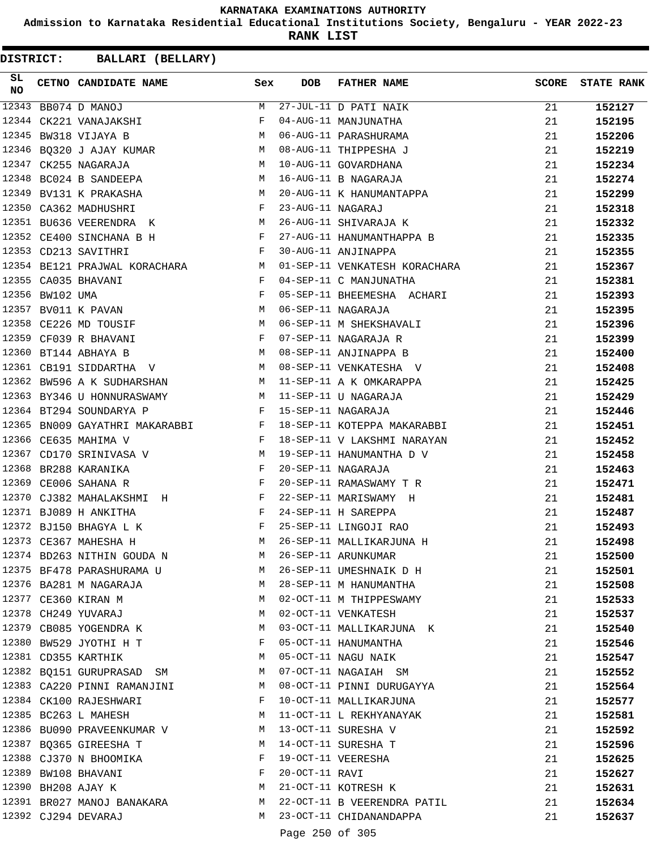**Admission to Karnataka Residential Educational Institutions Society, Bengaluru - YEAR 2022-23**

**RANK LIST**

| SL<br><b>NO</b> |                 | CETNO CANDIDATE NAME Sex                                                                                                                                                                                                                                     |              | DOB               | <b>FATHER NAME</b>            | <b>SCORE</b> | <b>STATE RANK</b> |
|-----------------|-----------------|--------------------------------------------------------------------------------------------------------------------------------------------------------------------------------------------------------------------------------------------------------------|--------------|-------------------|-------------------------------|--------------|-------------------|
| 12343           |                 | BB074 D MANOJ                                                                                                                                                                                                                                                | M            |                   | 27-JUL-11 D PATI NAIK         | 21           | 152127            |
| 12344           |                 | CK221 VANAJAKSHI                                                                                                                                                                                                                                             | F            |                   | 04-AUG-11 MANJUNATHA          | 21           | 152195            |
| 12345           |                 | M<br>BW318 VIJAYA B                                                                                                                                                                                                                                          |              |                   | 06-AUG-11 PARASHURAMA         | 21           | 152206            |
|                 |                 | 12346 BQ320 J AJAY KUMAR M                                                                                                                                                                                                                                   |              |                   | 08-AUG-11 THIPPESHA J         | 21           | 152219            |
| 12347           |                 | M <sub>1</sub><br>CK255 NAGARAJA                                                                                                                                                                                                                             |              |                   | 10-AUG-11 GOVARDHANA          | 21           | 152234            |
| 12348           |                 | $M_{\odot}$<br>BC024 B SANDEEPA                                                                                                                                                                                                                              |              |                   | 16-AUG-11 B NAGARAJA          | 21           | 152274            |
|                 |                 | M<br>12349 BV131 K PRAKASHA                                                                                                                                                                                                                                  |              |                   | 20-AUG-11 K HANUMANTAPPA      | 21           | 152299            |
|                 |                 | 12350 CA362 MADHUSHRI                                                                                                                                                                                                                                        | F            | 23-AUG-11 NAGARAJ |                               | 21           | 152318            |
|                 |                 | 12351 BU636 VEERENDRA K<br><b>M</b>                                                                                                                                                                                                                          |              |                   | 26-AUG-11 SHIVARAJA K         | 21           | 152332            |
|                 |                 | 12352 CE400 SINCHANA B H                                                                                                                                                                                                                                     |              |                   | 27-AUG-11 HANUMANTHAPPA B     | 21           | 152335            |
|                 |                 | $\mathbb{F}^{\mathbb{Z}}$ . The set of $\mathbb{F}^{\mathbb{Z}}$<br>12353 CD213 SAVITHRI                                                                                                                                                                     |              |                   | 30-AUG-11 ANJINAPPA           | 21           | 152355            |
|                 |                 | 12354 BE121 PRAJWAL KORACHARA M                                                                                                                                                                                                                              |              |                   | 01-SEP-11 VENKATESH KORACHARA | 21           | 152367            |
|                 |                 | 12355 CA035 BHAVANI<br>$\mathbf{F}$                                                                                                                                                                                                                          |              |                   | 04-SEP-11 C MANJUNATHA        | 21           | 152381            |
|                 | 12356 BW102 UMA | $\mathbb{R}^n$ . The set of $\mathbb{R}^n$                                                                                                                                                                                                                   |              |                   | 05-SEP-11 BHEEMESHA ACHARI    | 21           | 152393            |
|                 |                 | <b>M</b><br>12357 BV011 K PAVAN                                                                                                                                                                                                                              |              |                   | 06-SEP-11 NAGARAJA            | 21           | 152395            |
|                 |                 | 12358 CE226 MD TOUSIF                                                                                                                                                                                                                                        | M            |                   | 06-SEP-11 M SHEKSHAVALI       | 21           | 152396            |
|                 |                 | 12359 CF039 R BHAVANI<br>$\mathbf{F}$                                                                                                                                                                                                                        |              |                   | 07-SEP-11 NAGARAJA R          | 21           | 152399            |
| 12360           |                 | BT144 ABHAYA B<br>$M_{\rm H}$                                                                                                                                                                                                                                |              |                   | 08-SEP-11 ANJINAPPA B         | 21           | 152400            |
|                 |                 | M <sub>1</sub><br>12361 CB191 SIDDARTHA V                                                                                                                                                                                                                    |              |                   | 08-SEP-11 VENKATESHA V        | 21           | 152408            |
|                 |                 | 12362 BW596 A K SUDHARSHAN M 11-SEP-11 A K OMKARAPPA                                                                                                                                                                                                         |              |                   |                               | 21           | 152425            |
|                 |                 | 12363 BY346 U HONNURASWAMY<br>M 11-SEP-11 U NAGARAJA                                                                                                                                                                                                         |              |                   |                               | 21           | 152429            |
|                 |                 | 12364 BT294 SOUNDARYA P<br>$\mathbf{F}$ . The set of the set of the set of the set of the set of the set of the set of the set of the set of the set of the set of the set of the set of the set of the set of the set of the set of the set of the set of t |              |                   | 15-SEP-11 NAGARAJA            | 21           | 152446            |
|                 |                 | 12365 BN009 GAYATHRI MAKARABBI F                                                                                                                                                                                                                             |              |                   | 18-SEP-11 KOTEPPA MAKARABBI   | 21           | 152451            |
|                 |                 | 12366 CE635 MAHIMA V<br>$\mathbb F$ . If $\mathbb F$                                                                                                                                                                                                         |              |                   | 18-SEP-11 V LAKSHMI NARAYAN   | 21           | 152452            |
| 12367           |                 | CD170 SRINIVASA V<br>M <sub>1</sub>                                                                                                                                                                                                                          |              |                   | 19-SEP-11 HANUMANTHA D V      | 21           | 152458            |
| 12368           |                 | BR288 KARANIKA<br>in the state of the state of the Party of the Party of the State of the State of the State of the State of the                                                                                                                             |              |                   | 20-SEP-11 NAGARAJA            | 21           | 152463            |
|                 |                 | 12369 CE006 SAHANA R                                                                                                                                                                                                                                         | $\mathbb{F}$ |                   | 20-SEP-11 RAMASWAMY T R       | 21           | 152471            |
|                 |                 | 12370 CJ382 MAHALAKSHMI H                                                                                                                                                                                                                                    |              |                   | 22-SEP-11 MARISWAMY H         | 21           | 152481            |
|                 |                 | 12371 BJ089 H ANKITHA<br>$\mathbf{F}$ and $\mathbf{F}$ and $\mathbf{F}$                                                                                                                                                                                      |              |                   | 24-SEP-11 H SAREPPA           | 21           | 152487            |
|                 |                 | $\mathbf{F}$ and the state of the state $\mathbf{F}$<br>12372 BJ150 BHAGYA L K                                                                                                                                                                               |              |                   | 25-SEP-11 LINGOJI RAO         | 21           | 152493            |
|                 |                 | 12373 CE367 MAHESHA H                                                                                                                                                                                                                                        | M            |                   | 26-SEP-11 MALLIKARJUNA H      | 21           | 152498            |
|                 |                 | 12374 BD263 NITHIN GOUDA N                                                                                                                                                                                                                                   | M            |                   | 26-SEP-11 ARUNKUMAR           | 21           | 152500            |
|                 |                 | 12375 BF478 PARASHURAMA U M 26-SEP-11 UMESHNAIK D H                                                                                                                                                                                                          |              |                   |                               | 21           | 152501            |
|                 |                 | 12376 BA281 M NAGARAJA                                                                                                                                                                                                                                       |              |                   | M 28-SEP-11 M HANUMANTHA      | 21           | 152508            |
|                 |                 | 12377 CE360 KIRAN M                                                                                                                                                                                                                                          | M            |                   | 02-OCT-11 M THIPPESWAMY       | 21           | 152533            |
|                 |                 | 12378 CH249 YUVARAJ                                                                                                                                                                                                                                          | M            |                   | 02-OCT-11 VENKATESH           | 21           | 152537            |
|                 |                 | 12379 CB085 YOGENDRA K                                                                                                                                                                                                                                       | M            |                   | 03-OCT-11 MALLIKARJUNA K      | 21           | 152540            |
|                 |                 | 12380 BW529 JYOTHI H T                                                                                                                                                                                                                                       | F            |                   | 05-OCT-11 HANUMANTHA          | 21           | 152546            |
|                 |                 | 12381 CD355 KARTHIK                                                                                                                                                                                                                                          | M            |                   | 05-OCT-11 NAGU NAIK           | 21           | 152547            |
|                 |                 | 12382 BQ151 GURUPRASAD SM                                                                                                                                                                                                                                    | M            |                   | 07-OCT-11 NAGAIAH SM          | 21           | 152552            |
|                 |                 | 12383 CA220 PINNI RAMANJINI                                                                                                                                                                                                                                  | M            |                   | 08-OCT-11 PINNI DURUGAYYA     | 21           | 152564            |
|                 |                 | 12384 CK100 RAJESHWARI                                                                                                                                                                                                                                       | F            |                   | 10-OCT-11 MALLIKARJUNA        | 21           | 152577            |
|                 |                 | 12385 BC263 L MAHESH                                                                                                                                                                                                                                         | M            |                   | 11-OCT-11 L REKHYANAYAK       | 21           | 152581            |
|                 |                 | 12386 BU090 PRAVEENKUMAR V                                                                                                                                                                                                                                   |              |                   | M 13-OCT-11 SURESHA V         | 21           | 152592            |
|                 |                 | 12387 BQ365 GIREESHA T                                                                                                                                                                                                                                       | M            |                   | 14-OCT-11 SURESHA T           | 21           | 152596            |
|                 |                 | 12388 CJ370 N BHOOMIKA                                                                                                                                                                                                                                       | F            |                   | 19-OCT-11 VEERESHA            | 21           | 152625            |
|                 |                 | 12389 BW108 BHAVANI                                                                                                                                                                                                                                          | F            | 20-OCT-11 RAVI    |                               | 21           | 152627            |
|                 |                 | 12390 BH208 AJAY K                                                                                                                                                                                                                                           | M            |                   | 21-OCT-11 KOTRESH K           | 21           | 152631            |
|                 |                 | 12391 BR027 MANOJ BANAKARA                                                                                                                                                                                                                                   |              |                   | M 22-OCT-11 B VEERENDRA PATIL | 21           | 152634            |
|                 |                 | 12392 CJ294 DEVARAJ                                                                                                                                                                                                                                          |              |                   | M 23-OCT-11 CHIDANANDAPPA     | 21           | 152637            |
|                 |                 |                                                                                                                                                                                                                                                              |              |                   |                               |              |                   |
|                 |                 |                                                                                                                                                                                                                                                              |              | Page 250 of 305   |                               |              |                   |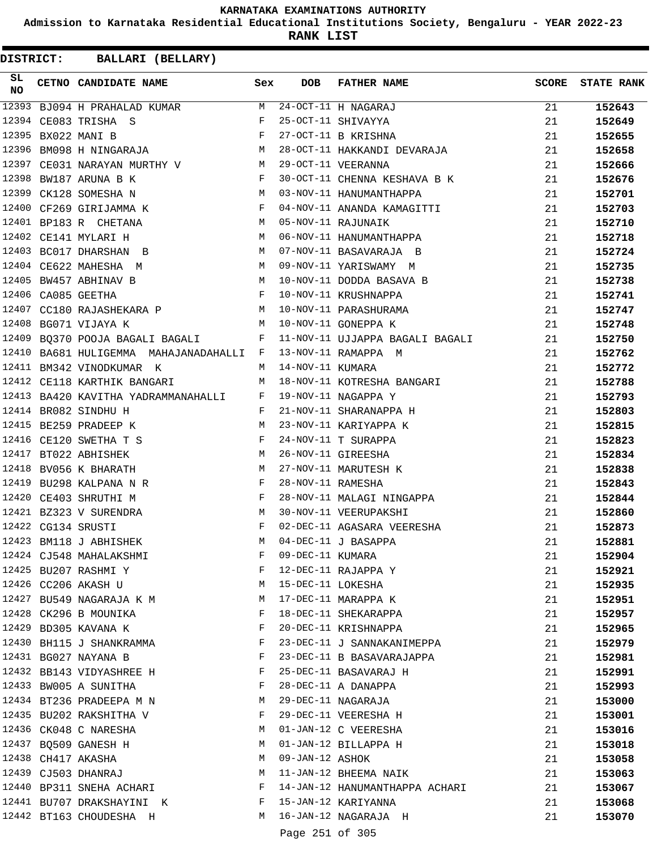**Admission to Karnataka Residential Educational Institutions Society, Bengaluru - YEAR 2022-23**

**RANK LIST**

| SL<br>NO | CETNO CANDIDATE NAME Sex                                                                               |   | <b>DOB</b>        | FATHER NAME                                                                 | SCORE | <b>STATE RANK</b> |
|----------|--------------------------------------------------------------------------------------------------------|---|-------------------|-----------------------------------------------------------------------------|-------|-------------------|
|          |                                                                                                        |   |                   |                                                                             | 21    | 152643            |
|          |                                                                                                        |   |                   |                                                                             | 21    | 152649            |
|          | $\mathbf{F}$<br>12395 BX022 MANI B                                                                     |   |                   | 27-OCT-11 B KRISHNA                                                         | 21    | 152655            |
| 12396    | BM098 H NINGARAJA M                                                                                    |   |                   | 28-OCT-11 HAKKANDI DEVARAJA                                                 | 21    | 152658            |
|          | 12397 CE031 NARAYAN MURTHY V M 29-OCT-11 VEERANNA                                                      |   |                   |                                                                             | 21    | 152666            |
|          | 12398 BW187 ARUNA B K<br>$\mathbf{F}$ and $\mathbf{F}$ and $\mathbf{F}$                                |   |                   | 30-OCT-11 CHENNA KESHAVA B K                                                | 21    | 152676            |
|          | M 03-NOV-11 HANUMANTHAPPA<br>12399 CK128 SOMESHA N                                                     |   |                   |                                                                             | 21    | 152701            |
|          | 12400 CF269 GIRIJAMMA K                                                                                |   |                   | 04-NOV-11 ANANDA KAMAGITTI                                                  | 21    | 152703            |
|          | M 05-NOV-11 RAJUNAIK<br>12401 BP183 R CHETANA                                                          |   |                   |                                                                             | 21    | 152710            |
|          | 12402 CE141 MYLARI H<br>M                                                                              |   |                   | 05-NOV-11 RAJUNAIK<br>06-NOV-11 HANUMANTHAPPA                               | 21    | 152718            |
|          | 12403 BC017 DHARSHAN B                                                                                 |   |                   | 07-NOV-11 BASAVARAJA B                                                      | 21    | 152724            |
|          | M <sub>1</sub><br>12404 CE622 MAHESHA M                                                                |   |                   | 09-NOV-11 YARISWAMY M                                                       | 21    | 152735            |
|          | 12405 BW457 ABHINAV B                                                                                  |   |                   |                                                                             | 21    | 152738            |
|          | 12406 CA085 GEETHA                                                                                     |   |                   | M 10-NOV-11 DODDA BASAVA B<br>F 10-NOV-11 KRUSHNAPPA                        | 21    | 152741            |
|          | 12407 CC180 RAJASHEKARA P M 10-NOV-11 PARASHURAMA                                                      |   |                   |                                                                             | 21    | 152747            |
|          | M 10-NOV-11 GONEPPA K<br>12408 BG071 VIJAYA K                                                          |   |                   |                                                                             | 21    | 152748            |
|          |                                                                                                        |   |                   | 12409 BQ370 POOJA BAGALI BAGALI          F  11-NOV-11 UJJAPPA BAGALI BAGALI | 21    | 152750            |
|          | 12410 BA681 HULIGEMMA MAHAJANADAHALLI F 13-NOV-11 RAMAPPA M                                            |   |                   |                                                                             | 21    | 152762            |
|          | 12411 BM342 VINODKUMAR K<br>M 14-NOV-11 KUMARA                                                         |   |                   |                                                                             | 21    | 152772            |
|          | 12412 CE118 KARTHIK BANGARI                                                                            |   |                   | M 18-NOV-11 KOTRESHA BANGARI                                                | 21    | 152788            |
|          | 12413 BA420 KAVITHA YADRAMMANAHALLI F 19-NOV-11 NAGAPPA Y                                              |   |                   |                                                                             | 21    | 152793            |
|          | 12414 BR082 SINDHU H<br>$\mathbf{F}$                                                                   |   |                   | 21-NOV-11 SHARANAPPA H                                                      | 21    | 152803            |
|          | M<br>12415 BE259 PRADEEP K                                                                             |   |                   | 23-NOV-11 KARIYAPPA K                                                       | 21    | 152815            |
|          | $\mathbb{F}^{\mathbb{Z}}$ . The state of the state $\mathbb{F}^{\mathbb{Z}}$<br>12416 CE120 SWETHA T S |   |                   | 24-NOV-11 T SURAPPA                                                         | 21    | 152823            |
|          | 12417 BT022 ABHISHEK                                                                                   | M |                   | 26-NOV-11 GIREESHA                                                          | 21    | 152834            |
|          | M <sub>1</sub><br>12418 BV056 K BHARATH                                                                |   |                   | 27-NOV-11 MARUTESH K                                                        | 21    | 152838            |
|          | 12419 BU298 KALPANA N R F                                                                              |   | 28-NOV-11 RAMESHA |                                                                             | 21    | 152843            |
|          | $\mathbf{F}$<br>12420 CE403 SHRUTHI M                                                                  |   |                   | 28-NOV-11 MALAGI NINGAPPA                                                   | 21    | 152844            |
|          | 12421 BZ323 V SURENDRA                                                                                 | M |                   | 30-NOV-11 VEERUPAKSHI                                                       | 21    | 152860            |
|          | 12422 CG134 SRUSTI<br>$\mathbf{F}$ and $\mathbf{F}$ and $\mathbf{F}$                                   |   |                   | 02-DEC-11 AGASARA VEERESHA                                                  | 21    | 152873            |
|          | M <sub>N</sub><br>12423 BM118 J ABHISHEK                                                               |   |                   | 04-DEC-11 J BASAPPA                                                         | 21    | 152881            |
|          | 12424 CJ548 MAHALAKSHMI                                                                                | F | 09-DEC-11 KUMARA  |                                                                             | 21    | 152904            |
|          | 12425 BU207 RASHMI Y                                                                                   | F |                   | 12-DEC-11 RAJAPPA Y                                                         | 21    | 152921            |
|          | 12426 CC206 AKASH U                                                                                    | M | 15-DEC-11 LOKESHA |                                                                             | 21    | 152935            |
|          | 12427 BU549 NAGARAJA K M                                                                               | M |                   | 17-DEC-11 MARAPPA K                                                         | 21    | 152951            |
|          | 12428 CK296 B MOUNIKA                                                                                  | F |                   | 18-DEC-11 SHEKARAPPA                                                        | 21    | 152957            |
|          | 12429 BD305 KAVANA K                                                                                   | F |                   | 20-DEC-11 KRISHNAPPA                                                        | 21    | 152965            |
|          | 12430 BH115 J SHANKRAMMA                                                                               | F |                   | 23-DEC-11 J SANNAKANIMEPPA                                                  | 21    | 152979            |
|          | 12431 BG027 NAYANA B                                                                                   | F |                   | 23-DEC-11 B BASAVARAJAPPA                                                   | 21    | 152981            |
|          | 12432 BB143 VIDYASHREE H                                                                               | F |                   | 25-DEC-11 BASAVARAJ H                                                       | 21    | 152991            |
|          | 12433 BW005 A SUNITHA                                                                                  | F |                   | 28-DEC-11 A DANAPPA                                                         | 21    | 152993            |
|          | 12434 BT236 PRADEEPA M N                                                                               | M |                   | 29-DEC-11 NAGARAJA                                                          | 21    | 153000            |
|          | 12435 BU202 RAKSHITHA V                                                                                | F |                   | 29-DEC-11 VEERESHA H                                                        | 21    | 153001            |
|          | 12436 CK048 C NARESHA                                                                                  | M |                   | 01-JAN-12 C VEERESHA                                                        | 21    |                   |
|          | 12437 BQ509 GANESH H                                                                                   | M |                   | 01-JAN-12 BILLAPPA H                                                        | 21    | 153016            |
|          | 12438 CH417 AKASHA                                                                                     | M | 09-JAN-12 ASHOK   |                                                                             | 21    | 153018            |
|          | 12439 CJ503 DHANRAJ                                                                                    | M |                   | 11-JAN-12 BHEEMA NAIK                                                       |       | 153058            |
|          | 12440 BP311 SNEHA ACHARI                                                                               | F |                   |                                                                             | 21    | 153063            |
|          |                                                                                                        | F |                   | 14-JAN-12 HANUMANTHAPPA ACHARI                                              | 21    | 153067            |
|          | 12441 BU707 DRAKSHAYINI K<br>12442 BT163 CHOUDESHA H                                                   | M |                   | 15-JAN-12 KARIYANNA<br>16-JAN-12 NAGARAJA H                                 | 21    | 153068            |
|          |                                                                                                        |   |                   |                                                                             | 21    | 153070            |
|          |                                                                                                        |   | Page 251 of 305   |                                                                             |       |                   |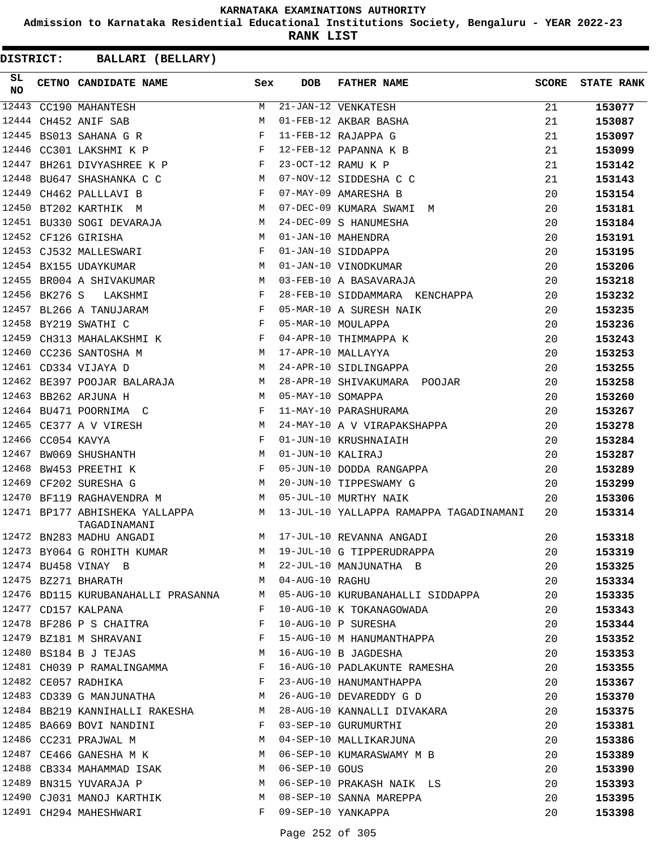**Admission to Karnataka Residential Educational Institutions Society, Bengaluru - YEAR 2022-23**

**RANK LIST**

| DISTRICT:       |                   | <b>BALLARI (BELLARY)</b>                       |                                                                                                                     |              |                   |                                                                                                               |              |                   |
|-----------------|-------------------|------------------------------------------------|---------------------------------------------------------------------------------------------------------------------|--------------|-------------------|---------------------------------------------------------------------------------------------------------------|--------------|-------------------|
| SL<br><b>NO</b> |                   | CETNO CANDIDATE NAME                           |                                                                                                                     | Sex          | <b>DOB</b>        | FATHER NAME                                                                                                   | <b>SCORE</b> | <b>STATE RANK</b> |
|                 |                   | 12443 CC190 MAHANTESH                          |                                                                                                                     | M            |                   | 21-JAN-12 VENKATESH                                                                                           | 21           | 153077            |
|                 |                   | 12444 CH452 ANIF SAB                           |                                                                                                                     | м            |                   | 01-FEB-12 AKBAR BASHA                                                                                         | 21           | 153087            |
|                 |                   | 12445 BS013 SAHANA G R                         |                                                                                                                     | $\mathbf{F}$ |                   | 11-FEB-12 RAJAPPA G                                                                                           | 21           | 153097            |
|                 |                   | 12446 CC301 LAKSHMI K P                        |                                                                                                                     | F            |                   | 12-FEB-12 PAPANNA K B                                                                                         | 21           | 153099            |
|                 |                   |                                                | 12447 BH261 DIVYASHREE K P F                                                                                        |              |                   | 23-OCT-12 RAMU K P                                                                                            | 21           | 153142            |
|                 |                   | 12448 BU647 SHASHANKA C C                      |                                                                                                                     | M            |                   | 07-NOV-12 SIDDESHA C C                                                                                        | 21           | 153143            |
|                 |                   | 12449 CH462 PALLLAVI B                         |                                                                                                                     | $\mathbf{F}$ |                   | 07-MAY-09 AMARESHA B                                                                                          | 20           | 153154            |
|                 |                   | 12450 BT202 KARTHIK M                          |                                                                                                                     | M            |                   | 07-DEC-09 KUMARA SWAMI M                                                                                      | 20           | 153181            |
|                 |                   |                                                | 12451 BU330 SOGI DEVARAJA M                                                                                         |              |                   | 24-DEC-09 S HANUMESHA                                                                                         | 20           | 153184            |
|                 |                   | 12452 CF126 GIRISHA                            |                                                                                                                     | М            |                   | 01-JAN-10 MAHENDRA                                                                                            | 20           | 153191            |
|                 |                   | 12453 CJ532 MALLESWARI                         |                                                                                                                     | $\mathbf{F}$ |                   | 01-JAN-10 SIDDAPPA                                                                                            | 20           | 153195            |
|                 |                   | 12454 BX155 UDAYKUMAR                          |                                                                                                                     | M            |                   | 01-JAN-10 VINODKUMAR                                                                                          | 20           | 153206            |
|                 |                   |                                                | 12455 BR004 A SHIVAKUMAR                                                                                            | <b>M</b>     |                   | 03-FEB-10 A BASAVARAJA                                                                                        | 20           | 153218            |
|                 | 12456 BK276 S     | LAKSHMI                                        |                                                                                                                     | $\mathbf{F}$ |                   | 28-FEB-10 SIDDAMMARA KENCHAPPA                                                                                | 20           | 153232            |
|                 |                   | 12457 BL266 A TANUJARAM                        |                                                                                                                     | F            |                   | 05-MAR-10 A SURESH NAIK                                                                                       | 20           | 153235            |
|                 |                   | 12458 BY219 SWATHI C                           |                                                                                                                     | F            |                   | 05-MAR-10 MOULAPPA                                                                                            | 20           | 153236            |
|                 |                   | 12459 CH313 MAHALAKSHMI K                      |                                                                                                                     | F            |                   | 04-APR-10 THIMMAPPA K                                                                                         | 20           | 153243            |
|                 |                   | 12460 CC236 SANTOSHA M                         | $\mathbb{M}$                                                                                                        |              |                   | 17-APR-10 MALLAYYA                                                                                            | 20           | 153253            |
|                 |                   | 12461 CD334 VIJAYA D                           |                                                                                                                     | <b>M</b>     |                   | 24-APR-10 SIDLINGAPPA                                                                                         | 20           | 153255            |
|                 |                   |                                                | 12462 BE397 POOJAR BALARAJA M                                                                                       |              |                   | 28-APR-10 SHIVAKUMARA POOJAR                                                                                  | 20           | 153258            |
|                 |                   | 12463 BB262 ARJUNA H                           |                                                                                                                     | <b>M</b>     | 05-MAY-10 SOMAPPA |                                                                                                               | 20           | 153260            |
|                 |                   | 12464 BU471 POORNIMA C                         | and the state of the Fig.                                                                                           |              |                   | 11-MAY-10 PARASHURAMA                                                                                         | 20           | 153267            |
|                 |                   | 12465 CE377 A V VIRESH                         |                                                                                                                     | M            |                   | 24-MAY-10 A V VIRAPAKSHAPPA                                                                                   | 20           | 153278            |
|                 | 12466 CC054 KAVYA |                                                |                                                                                                                     | F            |                   | 01-JUN-10 KRUSHNAIAIH                                                                                         | 20           | 153284            |
|                 |                   | 12467 BW069 SHUSHANTH                          |                                                                                                                     | M            | 01-JUN-10 KALIRAJ |                                                                                                               | 20           | 153287            |
|                 |                   | 12468 BW453 PREETHI K                          |                                                                                                                     | $\mathbf{F}$ |                   | 05-JUN-10 DODDA RANGAPPA                                                                                      | 20           | 153289            |
|                 |                   | 12469 CF202 SURESHA G                          |                                                                                                                     | M            |                   | 20-JUN-10 TIPPESWAMY G                                                                                        | 20           | 153299            |
|                 |                   | 12470 BF119 RAGHAVENDRA M                      |                                                                                                                     | M            |                   | 05-JUL-10 MURTHY NAIK                                                                                         | 20           | 153306            |
|                 |                   | 12471 BP177 ABHISHEKA YALLAPPA<br>TAGADINAMANI | <b>M</b>                                                                                                            |              |                   | 13-JUL-10 YALLAPPA RAMAPPA TAGADINAMANI                                                                       | 20           | 153314            |
|                 |                   |                                                |                                                                                                                     |              |                   |                                                                                                               | 20           | 153318            |
|                 |                   |                                                |                                                                                                                     |              |                   | 12472 BN283 MADHU ANGADI M 17-JUL-10 REVANNA ANGADI<br>12473 BY064 G ROHITH KUMAR M 19-JUL-10 G TIPPERUDRAPPA | 20           | 153319            |
|                 |                   |                                                |                                                                                                                     |              |                   | 12474 BU458 VINAY B<br>12475 BZ271 BHARATH M M 04-AUG-10 RAGHU                                                | 20           | 153325            |
|                 |                   |                                                |                                                                                                                     |              |                   |                                                                                                               | 20           | 153334            |
|                 |                   |                                                |                                                                                                                     |              |                   | 12476 BD115 KURUBANAHALLI PRASANNA M 05-AUG-10 KURUBANAHALLI SIDDAPPA                                         | 20           | 153335            |
|                 |                   | 12477 CD157 KALPANA                            |                                                                                                                     |              |                   | F 10-AUG-10 K TOKANAGOWADA                                                                                    | 20           | 153343            |
|                 |                   |                                                | 12478 BF286 P S CHAITRA F                                                                                           |              |                   | 10-AUG-10 P SURESHA                                                                                           | 20           | 153344            |
|                 |                   |                                                | $\begin{array}{cccc} 12479 & BZ181 & M & SHRAVANI & & & & F \\ 12480 & BS184 & B & J & TEJAS & & & & M \end{array}$ |              |                   | 15-AUG-10 M HANUMANTHAPPA                                                                                     | 20           | 153352            |
|                 |                   |                                                |                                                                                                                     |              |                   | 16-AUG-10 B JAGDESHA                                                                                          | 20           | 153353            |
|                 |                   |                                                |                                                                                                                     |              |                   | 12481 CH039 P RAMALINGAMMA F 16-AUG-10 PADLAKUNTE RAMESHA                                                     | 20           | 153355            |
|                 |                   |                                                | 12482 CE057 RADHIKA F                                                                                               |              |                   | 23-AUG-10 HANUMANTHAPPA                                                                                       | 20           | 153367            |
|                 |                   |                                                |                                                                                                                     |              |                   | 12483 CD339 G MANJUNATHA M 26-AUG-10 DEVAREDDY G D                                                            | 20           | 153370            |
|                 |                   |                                                |                                                                                                                     |              |                   | 12484 BB219 KANNIHALLI RAKESHA MARI 28-AUG-10 KANNALLI DIVAKARA                                               | 20           | 153375            |
|                 |                   |                                                | 12485 BA669 BOVI NANDINI F 03-SEP-10 GURUMURTHI                                                                     |              |                   |                                                                                                               | 20           | 153381            |
|                 |                   |                                                |                                                                                                                     |              |                   |                                                                                                               | 20           | 153386            |
|                 |                   |                                                |                                                                                                                     |              |                   | 12486 CC231 PRAJWAL M<br>12487 CE466 GANESHA M K M O6-SEP-10 KUMARASWAMY M B                                  | 20           | 153389            |
|                 |                   |                                                |                                                                                                                     |              |                   | 12488 CB334 MAHAMMAD ISAK M 06-SEP-10 GOUS                                                                    | 20           | 153390            |
|                 |                   |                                                | 12489 BN315 YUVARAJA P                                                                                              |              |                   | M 06-SEP-10 PRAKASH NAIK LS                                                                                   | 20           | 153393            |
|                 |                   |                                                |                                                                                                                     |              |                   | 12490 CJ031 MANOJ KARTHIK M 08-SEP-10 SANNA MAREPPA                                                           | 20           | 153395            |
|                 |                   | 12491 CH294 MAHESHWARI                         |                                                                                                                     |              |                   | F 09-SEP-10 YANKAPPA                                                                                          | 20           | 153398            |
|                 |                   |                                                |                                                                                                                     |              |                   |                                                                                                               |              |                   |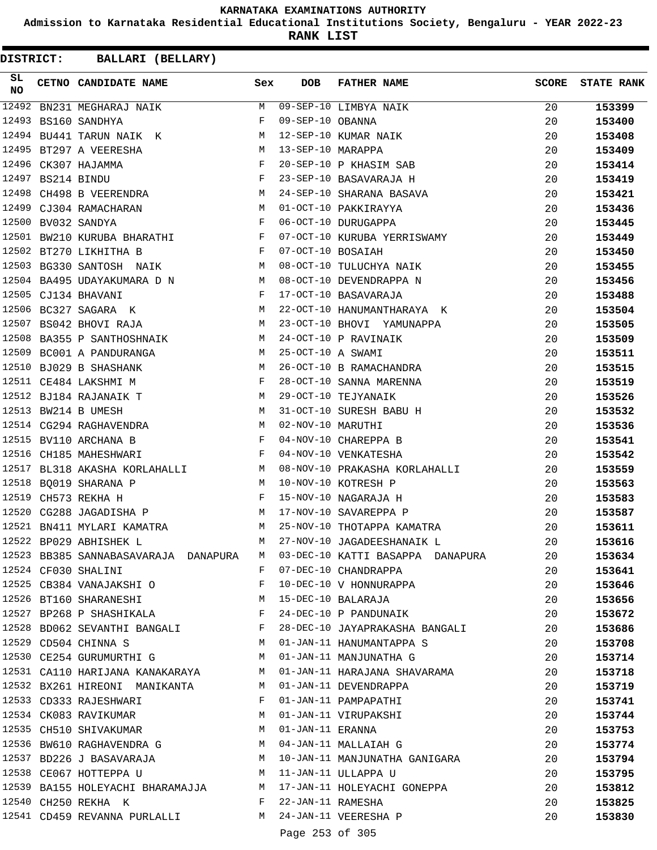**Admission to Karnataka Residential Educational Institutions Society, Bengaluru - YEAR 2022-23**

**RANK LIST**

| SL.<br><b>NO</b> | CETNO CANDIDATE NAME Sex                                                                                                                      |   | DOB                 | <b>FATHER NAME</b>                                                      | <b>SCORE</b> | <b>STATE RANK</b> |
|------------------|-----------------------------------------------------------------------------------------------------------------------------------------------|---|---------------------|-------------------------------------------------------------------------|--------------|-------------------|
| 12492            | BN231 MEGHARAJ NAIK                                                                                                                           |   |                     | M 09-SEP-10 LIMBYA NAIK                                                 | 20           | 153399            |
| 12493            | BS160 SANDHYA                                                                                                                                 | F | 09-SEP-10 OBANNA    |                                                                         | 20           | 153400            |
| 12494            | BU441 TARUN NAIK K                                                                                                                            |   |                     | 12-SEP-10 KUMAR NAIK                                                    | 20           | 153408            |
|                  | 12495 BT297 A VEERESHA                                                                                                                        | M | 13-SEP-10 MARAPPA   |                                                                         | 20           | 153409            |
|                  | $\mathbf{F}$ and $\mathbf{F}$ are $\mathbf{F}$ . In the set of $\mathbf{F}$<br>12496 CK307 HAJAMMA                                            |   |                     | 20-SEP-10 P KHASIM SAB                                                  | 20           | 153414            |
| 12497            | BS214 BINDU F<br>CH498 B VEERENDRA M                                                                                                          |   |                     | 23-SEP-10 BASAVARAJA H                                                  | 20           | 153419            |
| 12498            |                                                                                                                                               |   |                     | 24-SEP-10 SHARANA BASAVA<br>01-OCT-10 PAKKIRAYYA                        | 20           | 153421            |
|                  | 12499 CJ304 RAMACHARAN M O1-OCT-10 PAKKIRAYYA                                                                                                 |   |                     |                                                                         | 20           | 153436            |
| 12500            | $\mathbf{F}$ . The set of $\mathbf{F}$<br>BV032 SANDYA                                                                                        |   |                     | 06-OCT-10 DURUGAPPA                                                     | 20           | 153445            |
|                  | 12501 BW210 KURUBA BHARATHI F                                                                                                                 |   |                     | 07-OCT-10 KURUBA YERRISWAMY                                             | 20           | 153449            |
|                  | $\mathbf{F}$<br>12502 BT270 LIKHITHA B                                                                                                        |   | 07-OCT-10 BOSAIAH   |                                                                         | 20           | 153450            |
|                  | M <sub>N</sub><br>12503 BG330 SANTOSH NAIK                                                                                                    |   |                     | 08-OCT-10 TULUCHYA NAIK                                                 | 20           | 153455            |
|                  | 12504 BA495 UDAYAKUMARA D N $M$ 08-OCT-10 DEVENDRAPPA N                                                                                       |   |                     |                                                                         | 20           | 153456            |
|                  | 12505 CJ134 BHAVANI<br>$\mathbf{F}$ and $\mathbf{F}$ and $\mathbf{F}$                                                                         |   |                     | 17-OCT-10 BASAVARAJA                                                    | 20           | 153488            |
|                  | 12506 BC327 SAGARA K M                                                                                                                        |   |                     | 22-OCT-10 HANUMANTHARAYA K                                              | 20           | 153504            |
|                  | 12507 BS042 BHOVI RAJA                                                                                                                        | M |                     | 23-OCT-10 BHOVI YAMUNAPPA                                               | 20           | 153505            |
| 12508            | BA355 P SANTHOSHNAIK M                                                                                                                        |   |                     | 24-OCT-10 P RAVINAIK                                                    | 20           | 153509            |
|                  | 12509 BC001 A PANDURANGA M                                                                                                                    |   | 25-OCT-10 A SWAMI   |                                                                         | 20           | 153511            |
|                  | $\frac{1}{N}$ M<br>$\frac{1}{N}$<br>12510 BJ029 B SHASHANK                                                                                    |   |                     | 26-OCT-10 B RAMACHANDRA                                                 | 20           | 153515            |
|                  | 12511 CE484 LAKSHMI M                                                                                                                         |   |                     | 28-OCT-10 SANNA MARENNA                                                 | 20           | 153519            |
|                  | M<br>12512 BJ184 RAJANAIK T                                                                                                                   |   |                     | 29-OCT-10 TEJYANAIK                                                     | 20           | 153526            |
|                  | M<br>12513 BW214 B UMESH                                                                                                                      |   |                     | 31-OCT-10 SURESH BABU H                                                 | 20           | 153532            |
|                  | 12514 CG294 RAGHAVENDRA M                                                                                                                     |   | 02-NOV-10 MARUTHI   |                                                                         | 20           | 153536            |
|                  | $\mathbf{F}$<br>12515 BV110 ARCHANA B                                                                                                         |   |                     | 04-NOV-10 CHAREPPA B                                                    | 20           | 153541            |
|                  | 12516 CH185 MAHESHWARI<br>$\mathbf{F}$ and the contract of $\mathbf{F}$                                                                       |   |                     | 04-NOV-10 VENKATESHA                                                    | 20           | 153542            |
| 12517            | BL318 AKASHA KORLAHALLI M                                                                                                                     |   |                     | 08-NOV-10 PRAKASHA KORLAHALLI                                           | 20           | 153559            |
| 12518            | BO019 SHARANA P                                                                                                                               |   |                     | 10-NOV-10 KOTRESH P                                                     | 20           | 153563            |
|                  | $\begin{aligned} \mathbb{M} \\ \mathbb{F} \end{aligned}$<br>12519 CH573 REKHA H                                                               |   |                     | 15-NOV-10 NAGARAJA H                                                    | 20           | 153583            |
| 12520            | M 17-NOV-10 SAVAREPPA P<br>CG288 JAGADISHA P                                                                                                  |   |                     |                                                                         | 20           | 153587            |
|                  | 12521 BN411 MYLARI KAMATRA M                                                                                                                  |   |                     | 25-NOV-10 THOTAPPA KAMATRA                                              | 20           | 153611            |
|                  | 12522 BP029 ABHISHEK L                                                                                                                        | M |                     | 27-NOV-10 JAGADEESHANAIK L                                              | 20           | 153616            |
|                  |                                                                                                                                               |   |                     | 12523 BB385 SANNABASAVARAJA DANAPURA M 03-DEC-10 KATTI BASAPPA DANAPURA | 20           | 153634            |
|                  | 12524 CF030 SHALINI                                                                                                                           |   |                     | F 07-DEC-10 CHANDRAPPA                                                  | 20           | 153641            |
|                  | 12525 CB384 VANAJAKSHI O B P 10-DEC-10 V HONNURAPPA                                                                                           |   |                     |                                                                         | 20           | 153646            |
|                  | 12526 BT160 SHARANESHI M 15-DEC-10 BALARAJA                                                                                                   |   |                     |                                                                         | 20           | 153656            |
|                  | 12527 BP268 P SHASHIKALA F                                                                                                                    |   |                     | 15-DEC-10 BALARAJA<br>24-DEC-10 P PANDUNAIK                             | 20           | 153672            |
|                  |                                                                                                                                               |   |                     | 12528 BD062 SEVANTHI BANGALI F 28-DEC-10 JAYAPRAKASHA BANGALI           | 20           | 153686            |
|                  |                                                                                                                                               |   |                     | 12529 CD504 CHINNA S M 01-JAN-11 HANUMANTAPPA S                         | 20           | 153708            |
|                  | 12530 CE254 GURUMURTHI G M 01-JAN-11 MANJUNATHA G                                                                                             |   |                     |                                                                         | 20           | 153714            |
|                  |                                                                                                                                               |   |                     | 12531 CA110 HARIJANA KANAKARAYA M 01-JAN-11 HARAJANA SHAVARAMA          | 20           | 153718            |
|                  | 12532 BX261 HIREONI MANIKANTA M 01-JAN-11 DEVENDRAPPA                                                                                         |   |                     |                                                                         | 20           | 153719            |
|                  | 12533 CD333 RAJESHWARI                                                                                                                        |   |                     | F 01-JAN-11 PAMPAPATHI                                                  | 20           | 153741            |
|                  |                                                                                                                                               |   |                     |                                                                         | 20           | 153744            |
|                  |                                                                                                                                               |   |                     |                                                                         | 20           | 153753            |
|                  | 12534 CK083 RAVIKUMAR M 01-JAN-11 VIRUPAKSHI<br>12535 CH510 SHIVAKUMAR M 01-JAN-11 ERANNA<br>12536 BW610 RAGHAVENDRA G M 04-JAN-11 MALLAIAH G |   |                     |                                                                         | 20           | 153774            |
|                  |                                                                                                                                               |   |                     | 12537 BD226 J BASAVARAJA M 10-JAN-11 MANJUNATHA GANIGARA                | 20           | 153794            |
|                  | 12538 CE067 HOTTEPPA U M 11-JAN-11 ULLAPPA U                                                                                                  |   |                     |                                                                         | 20           | 153795            |
|                  |                                                                                                                                               |   |                     |                                                                         | 20           | 153812            |
|                  | 12540 CH250 REKHA K                                                                                                                           |   | F 22-JAN-11 RAMESHA | 12539 BA155 HOLEYACHI BHARAMAJJA M 17-JAN-11 HOLEYACHI GONEPPA          | 20           | 153825            |
|                  | 12541 CD459 REVANNA PURLALLI M 24-JAN-11 VEERESHA P                                                                                           |   |                     |                                                                         | 20           | 153830            |
|                  |                                                                                                                                               |   |                     |                                                                         |              |                   |
|                  |                                                                                                                                               |   | Page 253 of 305     |                                                                         |              |                   |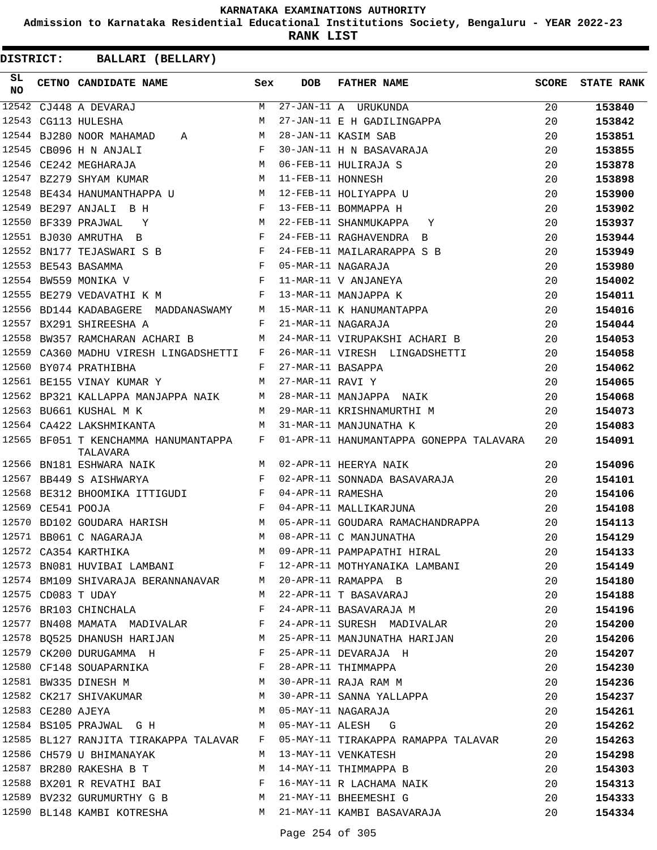**Admission to Karnataka Residential Educational Institutions Society, Bengaluru - YEAR 2022-23**

**RANK LIST**

| SL.<br><b>NO</b> |                   | CETNO CANDIDATE NAME                                                                     | Sex          | <b>DOB</b>        | FATHER NAME                                                                                                                                                         |     | SCORE STATE RANK |
|------------------|-------------------|------------------------------------------------------------------------------------------|--------------|-------------------|---------------------------------------------------------------------------------------------------------------------------------------------------------------------|-----|------------------|
|                  |                   | 12542 CJ448 A DEVARAJ<br>12543 CG113 HULESHA<br>10544 CG113 HULESHA                      | M            |                   |                                                                                                                                                                     | 20  | 153840           |
|                  |                   |                                                                                          | M            |                   | 27-JAN-11 A URUKUNDA<br>27-JAN-11 E H GADILINGAPPA                                                                                                                  | 20  | 153842           |
|                  |                   | 12544 BJ280 NOOR MAHAMAD A                                                               |              |                   | 28-JAN-11 KASIM SAB                                                                                                                                                 | 20  | 153851           |
|                  |                   | $\mathbf{F}$<br>12545 CB096 H N ANJALI                                                   |              |                   | 30-JAN-11 H N BASAVARAJA                                                                                                                                            | 20  | 153855           |
|                  |                   | M<br>12546 CE242 MEGHARAJA                                                               |              |                   | 06-FEB-11 HULIRAJA S                                                                                                                                                | 20  | 153878           |
|                  |                   | M <sub>N</sub><br>12547 BZ279 SHYAM KUMAR                                                |              | 11-FEB-11 HONNESH |                                                                                                                                                                     | 20  | 153898           |
|                  |                   | 12548 BE434 HANUMANTHAPPA U M 12-FEB-11 HOLIYAPPA U                                      |              |                   |                                                                                                                                                                     | 20  | 153900           |
|                  |                   | $\mathbf{F}$<br>12549 BE297 ANJALI B H                                                   |              |                   | 13-FEB-11 BOMMAPPA H                                                                                                                                                | 20  | 153902           |
|                  |                   | 12550 BF339 PRAJWAL Y                                                                    | M            |                   | 22-FEB-11 SHANMUKAPPA Y                                                                                                                                             | 20  | 153937           |
|                  |                   | 12551 BJ030 AMRUTHA B<br>$\mathbf{F}$ and $\mathbf{F}$ and $\mathbf{F}$                  |              |                   | 24-FEB-11 RAGHAVENDRA B                                                                                                                                             | 20  | 153944           |
|                  |                   | 12552 BN177 TEJASWARI S B                                                                |              |                   | 24-FEB-11 MAILARARAPPA S B                                                                                                                                          | 20  | 153949           |
|                  |                   | 12553 BE543 BASAMMA                                                                      |              |                   | 05-MAR-11 NAGARAJA                                                                                                                                                  | 20  | 153980           |
|                  |                   | $\begin{aligned} \mathbf{F} \\ \mathbf{F} \end{aligned}$<br>12554 BW559 MONIKA V         |              |                   | 11-MAR-11 V ANJANEYA                                                                                                                                                | 20  | 154002           |
|                  |                   | 12555 BE279 VEDAVATHI K M<br>$\mathbf{F}$ . The contract of the contract of $\mathbf{F}$ |              |                   | 13-MAR-11 MANJAPPA K                                                                                                                                                | 20  | 154011           |
|                  |                   | 12556 BD144 KADABAGERE MADDANASWAMY M                                                    |              |                   | 15-MAR-11 K HANUMANTAPPA                                                                                                                                            | 20  | 154016           |
|                  |                   | 12557 BX291 SHIREESHA A                                                                  | F            |                   | 21-MAR-11 NAGARAJA                                                                                                                                                  | 20  | 154044           |
|                  |                   | 12558 BW357 RAMCHARAN ACHARI B                                                           | M            |                   | 24-MAR-11 VIRUPAKSHI ACHARI B                                                                                                                                       | 20  | 154053           |
| 12559            |                   | CA360 MADHU VIRESH LINGADSHETTI F                                                        |              |                   | 26-MAR-11 VIRESH LINGADSHETTI                                                                                                                                       | 20  | 154058           |
|                  |                   | 12560 BY074 PRATHIBHA                                                                    | F            | 27-MAR-11 BASAPPA |                                                                                                                                                                     | 20  | 154062           |
|                  |                   | 12561 BE155 VINAY KUMAR Y                                                                | M            | 27-MAR-11 RAVI Y  |                                                                                                                                                                     | 20  | 154065           |
|                  |                   | 12562 BP321 KALLAPPA MANJAPPA NAIK M                                                     |              |                   | 28-MAR-11 MANJAPPA NAIK                                                                                                                                             | 20  | 154068           |
|                  |                   | 12563 BU661 KUSHAL M K                                                                   | M            |                   | 29-MAR-11 KRISHNAMURTHI M                                                                                                                                           | 20  | 154073           |
|                  |                   | <b>Example 19</b> March 2014<br>12564 CA422 LAKSHMIKANTA                                 |              |                   | 31-MAR-11 MANJUNATHA K                                                                                                                                              | 20  | 154083           |
|                  |                   | 12565 BF051 T KENCHAMMA HANUMANTAPPA F<br>TALAVARA                                       |              |                   | 01-APR-11 HANUMANTAPPA GONEPPA TALAVARA                                                                                                                             | 20  | 154091           |
|                  |                   | 12566 BN181 ESHWARA NAIK                                                                 |              |                   | M 02-APR-11 HEERYA NAIK                                                                                                                                             | 20  | 154096           |
|                  |                   | 12567 BB449 S AISHWARYA                                                                  | $\mathbf{F}$ |                   | 02-APR-11 SONNADA BASAVARAJA                                                                                                                                        | 20  | 154101           |
|                  |                   | 12568 BE312 BHOOMIKA ITTIGUDI F                                                          |              | 04-APR-11 RAMESHA |                                                                                                                                                                     | 20  | 154106           |
|                  | 12569 CE541 POOJA | $\mathbf{F}$ and $\mathbf{F}$ and $\mathbf{F}$                                           |              |                   | 04-APR-11 MALLIKARJUNA                                                                                                                                              | 20  | 154108           |
|                  |                   | 12570 BD102 GOUDARA HARISH M                                                             |              |                   | 05-APR-11 GOUDARA RAMACHANDRAPPA                                                                                                                                    | 20  | 154113           |
|                  |                   | M<br>12571 BB061 C NAGARAJA                                                              |              |                   | 08-APR-11 C MANJUNATHA                                                                                                                                              | 20  | 154129           |
|                  |                   | 12572 CA354 KARTHIKA                                                                     |              |                   | M 09-APR-11 PAMPAPATHI HIRAL 20                                                                                                                                     |     | 154133           |
|                  |                   |                                                                                          |              |                   | 12573 BN081 HUVIBAI LAMBANI F 12-APR-11 MOTHYANAIKA LAMBANI 20                                                                                                      |     | 154149           |
|                  |                   |                                                                                          |              |                   |                                                                                                                                                                     |     | 154180           |
|                  |                   |                                                                                          |              |                   | 12574 BM109 SHIVARAJA BERANNANAVAR M 20-APR-11 RAMAPPA B 20<br>12575 CD083 T UDAY M 22-APR-11 T BASAVARAJ 20<br>12576 BR103 CHINCHALA R F 24-APR-11 BASAVARAJA M 20 |     | 154188           |
|                  |                   |                                                                                          |              |                   |                                                                                                                                                                     |     | 154196           |
|                  |                   |                                                                                          |              |                   | 12577 BN408 MAMATA MADIVALAR F 24-APR-11 SURESH MADIVALAR 20                                                                                                        |     | 154200           |
|                  |                   |                                                                                          |              |                   | 12578 BQ525 DHANUSH HARIJAN M 25-APR-11 MANJUNATHA HARIJAN 20                                                                                                       |     | 154206           |
|                  |                   |                                                                                          |              |                   | 12579 CK200 DURUGAMMA H<br>12580 CF148 SOUAPARNIKA<br>12581 BW335 DINESH M<br>12581 BW335 DINESH M<br>12581 BW335 DINESH M                                          | -20 | 154207           |
|                  |                   |                                                                                          |              |                   |                                                                                                                                                                     | 20  | 154230           |
|                  |                   |                                                                                          |              |                   |                                                                                                                                                                     | 20  | 154236           |
|                  |                   |                                                                                          |              |                   | 12582 CK217 SHIVAKUMAR M 30-APR-11 SANNA YALLAPPA 20                                                                                                                |     | 154237           |
|                  |                   |                                                                                          |              |                   |                                                                                                                                                                     | 20  | 154261           |
|                  |                   |                                                                                          |              |                   | 12583 CE280 AJEYA<br>12584 BS105 PRAJWAL G H M 05-MAY-11 ALESH G                                                                                                    | 20  | 154262           |
|                  |                   |                                                                                          |              |                   | 12585 BL127 RANJITA TIRAKAPPA TALAVAR F 05-MAY-11 TIRAKAPPA RAMAPPA TALAVAR 20                                                                                      |     | 154263           |
|                  |                   | 12586 CH579 U BHIMANAYAK M M 13-MAY-11 VENKATESH                                         |              |                   |                                                                                                                                                                     | 20  | 154298           |
|                  |                   |                                                                                          |              |                   |                                                                                                                                                                     |     | 154303           |
|                  |                   |                                                                                          |              |                   | 12587 BR280 RAKESHA B T M 14-MAY-11 THIMMAPPA B 20<br>12588 BX201 R REVATHI BAI F 16-MAY-11 R LACHAMA NAIK 20                                                       |     | 154313           |
|                  |                   |                                                                                          |              |                   | 12589 BV232 GURUMURTHY G B M 21-MAY-11 BHEEMESHI G 20                                                                                                               |     | 154333           |
|                  |                   |                                                                                          |              |                   | 12590 BL148 KAMBI KOTRESHA M 21-MAY-11 KAMBI BASAVARAJA                                                                                                             | 20  | 154334           |
|                  |                   |                                                                                          |              |                   |                                                                                                                                                                     |     |                  |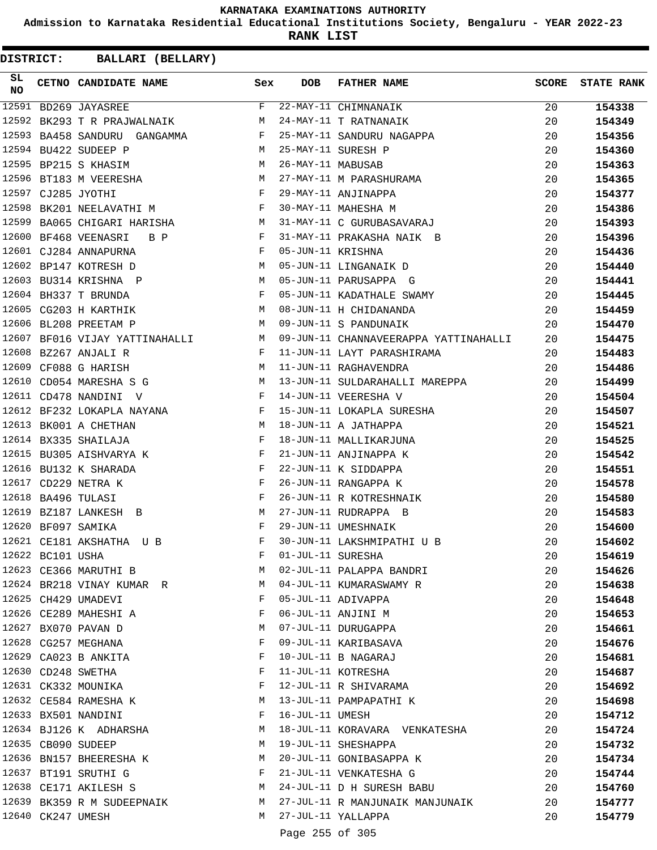**Admission to Karnataka Residential Educational Institutions Society, Bengaluru - YEAR 2022-23**

**RANK LIST**

| SL<br>NO |                   | CETNO CANDIDATE NAME Sex                                                                                                                                                                                                                                  |              | <b>DOB</b>        | <b>FATHER NAME</b>                                                            | SCORE | <b>STATE RANK</b> |
|----------|-------------------|-----------------------------------------------------------------------------------------------------------------------------------------------------------------------------------------------------------------------------------------------------------|--------------|-------------------|-------------------------------------------------------------------------------|-------|-------------------|
|          |                   | 12591 BD269 JAYASREE                                                                                                                                                                                                                                      | $F -$        |                   | 22-MAY-11 CHIMNANAIK                                                          | 20    | 154338            |
|          |                   | 12592 BK293 T R PRAJWALNAIK M                                                                                                                                                                                                                             |              |                   | 24-MAY-11 T RATNANAIK                                                         | 20    | 154349            |
|          |                   | 12593 BA458 SANDURU GANGAMMA F                                                                                                                                                                                                                            |              |                   | 25-MAY-11 SANDURU NAGAPPA                                                     | 20    | 154356            |
|          |                   | $\begin{aligned} \mathbb{M} \\ \mathbb{M} \end{aligned}$<br>12594 BU422 SUDEEP P                                                                                                                                                                          |              |                   | 25-MAY-11 SURESH P                                                            | 20    | 154360            |
|          |                   | 12595 BP215 S KHASIM                                                                                                                                                                                                                                      |              | 26-MAY-11 MABUSAB |                                                                               | 20    | 154363            |
|          |                   | 12596 BT183 M VEERESHA M 27-MAY-11 M PARASHURAMA<br>12597 CJ285 JYOTHI M SARASHURAMA F 29-MAY-11 ANJINAPPA                                                                                                                                                |              |                   |                                                                               | 20    | 154365            |
|          |                   |                                                                                                                                                                                                                                                           |              |                   |                                                                               | 20    | 154377            |
|          |                   | 12598 BK201 NEELAVATHI M                                                                                                                                                                                                                                  |              |                   | 30-MAY-11 MAHESHA M                                                           | 20    | 154386            |
|          |                   |                                                                                                                                                                                                                                                           |              |                   | 12599 BA065 CHIGARI HARISHA M 31-MAY-11 C GURUBASAVARAJ                       | 20    | 154393            |
|          |                   | 12600 BF468 VEENASRI                                                                                                                                                                                                                                      |              |                   | B P                    F   31-MAY-11 PRAKASHA NAIK   B                        | 20    | 154396            |
|          |                   | 12601 CJ284 ANNAPURNA<br>$\mathbf{F}$ and the set of $\mathbf{F}$ .                                                                                                                                                                                       |              | 05-JUN-11 KRISHNA |                                                                               | 20    | 154436            |
|          |                   | M<br>12602 BP147 KOTRESH D                                                                                                                                                                                                                                |              |                   | 05-JUN-11 LINGANAIK D                                                         | 20    | 154440            |
|          |                   | $\begin{aligned} \mathbf{M} \\ \mathbf{F} \end{aligned}$<br>12603 BU314 KRISHNA P                                                                                                                                                                         |              |                   | 05-JUN-11 PARUSAPPA G                                                         | 20    | 154441            |
|          |                   | 12604 BH337 T BRUNDA                                                                                                                                                                                                                                      |              |                   | 05-JUN-11 KADATHALE SWAMY                                                     | 20    | 154445            |
|          |                   | M 08-JUN-11 H CHIDANANDA<br>12605 CG203 H KARTHIK                                                                                                                                                                                                         |              |                   |                                                                               | 20    | 154459            |
|          |                   | 12606 BL208 PREETAM P                                                                                                                                                                                                                                     | M            |                   | 09-JUN-11 S PANDUNAIK                                                         | 20    | 154470            |
|          |                   |                                                                                                                                                                                                                                                           |              |                   | 12607 BF016 VIJAY YATTINAHALLI M 09-JUN-11 CHANNAVEERAPPA YATTINAHALLI        | 20    | 154475            |
|          |                   | 12608 BZ267 ANJALI R<br>$\mathbf{F}$ . The set of the set of the set of the set of the set of the set of the set of the set of the set of the set of the set of the set of the set of the set of the set of the set of the set of the set of the set of t |              |                   | 11-JUN-11 LAYT PARASHIRAMA                                                    | 20    | 154483            |
|          |                   | M<br>12609 CF088 G HARISH                                                                                                                                                                                                                                 |              |                   | 11-JUN-11 RAGHAVENDRA                                                         | 20    | 154486            |
|          |                   | 12610 CD054 MARESHA S G M                                                                                                                                                                                                                                 |              |                   | 13-JUN-11 SULDARAHALLI MAREPPA                                                | 20    | 154499            |
|          |                   | 12611 CD478 NANDINI V                                                                                                                                                                                                                                     | $\mathbf{F}$ |                   | 14-JUN-11 VEERESHA V                                                          | 20    | 154504            |
|          |                   |                                                                                                                                                                                                                                                           |              |                   | 12612 BF232 LOKAPLA NAYANA                       F  15-JUN-11 LOKAPLA SURESHA | 20    | 154507            |
|          |                   | M 18-JUN-11 A JATHAPPA<br>12613 BK001 A CHETHAN                                                                                                                                                                                                           |              |                   |                                                                               | 20    | 154521            |
|          |                   | $\mathbf{F}$<br>12614 BX335 SHAILAJA                                                                                                                                                                                                                      |              |                   | 18-JUN-11 MALLIKARJUNA                                                        | 20    | 154525            |
|          |                   | $\mathbb F$<br>12615 BU305 AISHVARYA K                                                                                                                                                                                                                    |              |                   | 21-JUN-11 ANJINAPPA K                                                         | 20    | 154542            |
|          |                   | 12616 BU132 K SHARADA<br>$\mathbf{F}$ and $\mathbf{F}$ and $\mathbf{F}$                                                                                                                                                                                   |              |                   | 22-JUN-11 K SIDDAPPA                                                          | 20    | 154551            |
|          |                   | 12617 CD229 NETRA K<br>$\mathbf{F}$ and $\mathbf{F}$                                                                                                                                                                                                      |              |                   | 26-JUN-11 RANGAPPA K                                                          | 20    | 154578            |
|          |                   | $\mathbf{F}$<br>12618 BA496 TULASI                                                                                                                                                                                                                        |              |                   | 26-JUN-11 R KOTRESHNAIK                                                       | 20    | 154580            |
|          |                   | 12619 BZ187 LANKESH B                                                                                                                                                                                                                                     | M            |                   | 27-JUN-11 RUDRAPPA B                                                          | 20    | 154583            |
|          |                   | 12620 BF097 SAMIKA                                                                                                                                                                                                                                        | F            |                   | 29-JUN-11 UMESHNAIK                                                           | 20    | 154600            |
|          |                   | 12621 CE181 AKSHATHA U B                                                                                                                                                                                                                                  | F            |                   | 30-JUN-11 LAKSHMIPATHI U B                                                    | 20    | 154602            |
|          | 12622 BC101 USHA  |                                                                                                                                                                                                                                                           | F            | 01-JUL-11 SURESHA |                                                                               | 20    | 154619            |
|          |                   | 12623 CE366 MARUTHI B                                                                                                                                                                                                                                     | M            |                   | 02-JUL-11 PALAPPA BANDRI                                                      | 20    | 154626            |
|          |                   | 12624 BR218 VINAY KUMAR R                                                                                                                                                                                                                                 | M            |                   | 04-JUL-11 KUMARASWAMY R                                                       | 20    | 154638            |
|          |                   | 12625 CH429 UMADEVI                                                                                                                                                                                                                                       | F            |                   | 05-JUL-11 ADIVAPPA                                                            | 20    | 154648            |
|          |                   | 12626 CE289 MAHESHI A                                                                                                                                                                                                                                     | F            |                   | 06-JUL-11 ANJINI M                                                            | 20    | 154653            |
|          |                   | 12627 BX070 PAVAN D                                                                                                                                                                                                                                       | M            |                   | 07-JUL-11 DURUGAPPA                                                           | 20    | 154661            |
|          |                   | 12628 CG257 MEGHANA                                                                                                                                                                                                                                       | F            |                   | 09-JUL-11 KARIBASAVA                                                          | 20    | 154676            |
|          |                   | 12629 CA023 B ANKITA                                                                                                                                                                                                                                      | F            |                   | 10-JUL-11 B NAGARAJ                                                           | 20    | 154681            |
|          |                   | 12630 CD248 SWETHA                                                                                                                                                                                                                                        | F            |                   | 11-JUL-11 KOTRESHA                                                            | 20    | 154687            |
|          |                   | 12631 CK332 MOUNIKA                                                                                                                                                                                                                                       | F            |                   | 12-JUL-11 R SHIVARAMA                                                         | 20    | 154692            |
|          |                   | 12632 CE584 RAMESHA K                                                                                                                                                                                                                                     | M            |                   | 13-JUL-11 PAMPAPATHI K                                                        | 20    | 154698            |
|          |                   | 12633 BX501 NANDINI                                                                                                                                                                                                                                       | F            | 16-JUL-11 UMESH   |                                                                               | 20    | 154712            |
|          |                   | 12634 BJ126 K ADHARSHA                                                                                                                                                                                                                                    | M            |                   | 18-JUL-11 KORAVARA VENKATESHA                                                 | 20    | 154724            |
|          |                   | 12635 CB090 SUDEEP                                                                                                                                                                                                                                        | M            |                   | 19-JUL-11 SHESHAPPA                                                           | 20    | 154732            |
|          |                   | 12636 BN157 BHEERESHA K                                                                                                                                                                                                                                   | M            |                   | 20-JUL-11 GONIBASAPPA K                                                       | 20    | 154734            |
|          |                   | 12637 BT191 SRUTHI G                                                                                                                                                                                                                                      | F            |                   | 21-JUL-11 VENKATESHA G                                                        | 20    | 154744            |
|          |                   | 12638 CE171 AKILESH S                                                                                                                                                                                                                                     | M            |                   | 24-JUL-11 D H SURESH BABU                                                     | 20    | 154760            |
|          |                   | 12639 BK359 R M SUDEEPNAIK                                                                                                                                                                                                                                | M            |                   | 27-JUL-11 R MANJUNAIK MANJUNAIK                                               | 20    | 154777            |
|          | 12640 CK247 UMESH |                                                                                                                                                                                                                                                           |              |                   | M 27-JUL-11 YALLAPPA                                                          | 20    | 154779            |
|          |                   |                                                                                                                                                                                                                                                           |              | Page 255 of 305   |                                                                               |       |                   |
|          |                   |                                                                                                                                                                                                                                                           |              |                   |                                                                               |       |                   |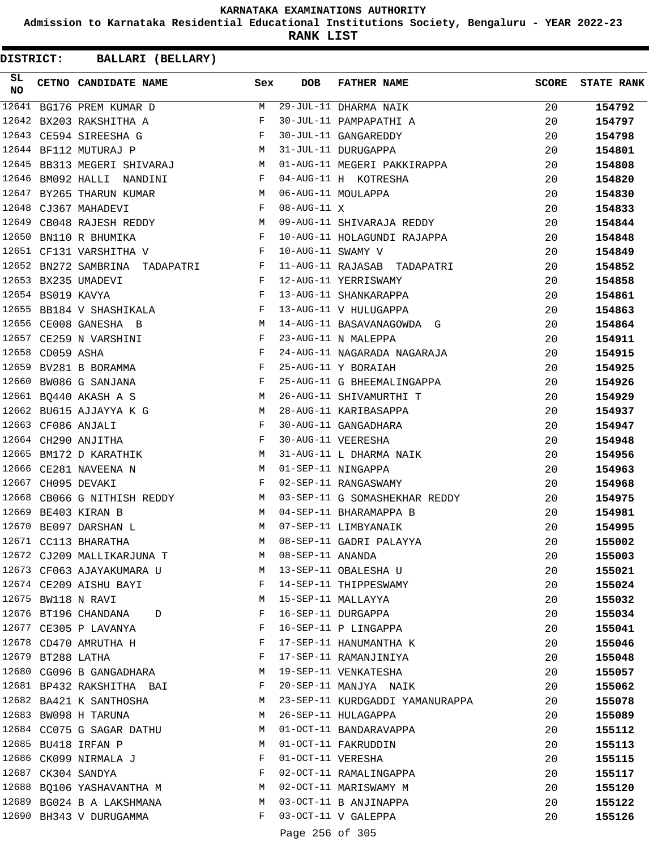**Admission to Karnataka Residential Educational Institutions Society, Bengaluru - YEAR 2022-23**

**RANK LIST**

| SL<br><b>NO</b> |                   | CETNO CANDIDATE NAME Sex                                                                                                                                                                                                                                     |              | DOB                | <b>FATHER NAME</b>                                          | SCORE | <b>STATE RANK</b> |
|-----------------|-------------------|--------------------------------------------------------------------------------------------------------------------------------------------------------------------------------------------------------------------------------------------------------------|--------------|--------------------|-------------------------------------------------------------|-------|-------------------|
| 12641           |                   | BG176 PREM KUMAR D                                                                                                                                                                                                                                           | M            |                    | 29-JUL-11 DHARMA NAIK                                       | 20    | 154792            |
|                 |                   | 12642 BX203 RAKSHITHA A                                                                                                                                                                                                                                      | F            |                    | 30-JUL-11 PAMPAPATHI A                                      | 20    | 154797            |
|                 |                   | $\mathbf{F}$ and $\mathbf{F}$ and $\mathbf{F}$<br>12643 CE594 SIREESHA G                                                                                                                                                                                     |              |                    | 30-JUL-11 GANGAREDDY                                        | 20    | 154798            |
|                 |                   | M<br>12644 BF112 MUTURAJ P                                                                                                                                                                                                                                   |              |                    | 31-JUL-11 DURUGAPPA                                         | 20    | 154801            |
|                 |                   | 12645 BB313 MEGERI SHIVARAJ M                                                                                                                                                                                                                                |              |                    | 01-AUG-11 MEGERI PAKKIRAPPA                                 | 20    | 154808            |
| 12646           |                   | BM092 HALLI NANDINI<br>$\mathbf{F}$ and the set of the set of the set of the set of the set of the set of the set of the set of the set of the set of the set of the set of the set of the set of the set of the set of the set of the set of the set of     |              |                    | 04-AUG-11 H KOTRESHA                                        | 20    | 154820            |
|                 |                   | M<br>12647 BY265 THARUN KUMAR                                                                                                                                                                                                                                |              |                    | 06-AUG-11 MOULAPPA                                          | 20    | 154830            |
|                 |                   | $\mathbb F$<br>12648 CJ367 MAHADEVI                                                                                                                                                                                                                          |              | $08 - AUG - 11 X$  |                                                             | 20    | 154833            |
|                 |                   | 12649 CB048 RAJESH REDDY M                                                                                                                                                                                                                                   |              |                    | 09-AUG-11 SHIVARAJA REDDY                                   | 20    | 154844            |
| 12650           |                   | BN110 R BHUMIKA<br>$\mathbf{F}$ and $\mathbf{F}$ and $\mathbf{F}$                                                                                                                                                                                            |              |                    | 10-AUG-11 HOLAGUNDI RAJAPPA                                 | 20    | 154848            |
|                 |                   | $\mathbf{F}$ and $\mathbf{F}$<br>12651 CF131 VARSHITHA V                                                                                                                                                                                                     |              | 10-AUG-11 SWAMY V  |                                                             | 20    | 154849            |
|                 |                   | 12652 BN272 SAMBRINA TADAPATRI F                                                                                                                                                                                                                             |              |                    | 11-AUG-11 RAJASAB TADAPATRI                                 | 20    | 154852            |
|                 |                   | 12653 BX235 UMADEVI<br>$\mathbf{F}$ and $\mathbf{F}$                                                                                                                                                                                                         |              |                    | 12-AUG-11 YERRISWAMY                                        | 20    | 154858            |
|                 | 12654 BS019 KAVYA | $\mathbf{F}$                                                                                                                                                                                                                                                 |              |                    | 13-AUG-11 SHANKARAPPA                                       | 20    | 154861            |
|                 |                   | 12655 BB184 V SHASHIKALA F                                                                                                                                                                                                                                   |              |                    | 13-AUG-11 V HULUGAPPA                                       | 20    | 154863            |
|                 |                   | 12656 CE008 GANESHA B                                                                                                                                                                                                                                        | M            |                    | 14-AUG-11 BASAVANAGOWDA G                                   | 20    | 154864            |
|                 |                   | 12657 CE259 N VARSHINI<br>$\mathbf{F}$ . The set of the set of the set of the set of the set of the set of the set of the set of the set of the set of the set of the set of the set of the set of the set of the set of the set of the set of the set of t  |              |                    | 23-AUG-11 N MALEPPA                                         | 20    | 154911            |
|                 | 12658 CD059 ASHA  | $\mathbf{F}$ and $\mathbf{F}$                                                                                                                                                                                                                                |              |                    | 24-AUG-11 NAGARADA NAGARAJA                                 | 20    | 154915            |
|                 |                   | $\mathbb{F}$ . The $\mathbb{F}$<br>12659 BV281 B BORAMMA                                                                                                                                                                                                     |              |                    | 25-AUG-11 Y BORAIAH                                         | 20    | 154925            |
|                 |                   | 12660 BW086 G SANJANA                                                                                                                                                                                                                                        | $\mathbf{F}$ |                    | 25-AUG-11 G BHEEMALINGAPPA                                  | 20    | 154926            |
|                 |                   | 12661 BQ440 AKASH A S<br><b>M</b>                                                                                                                                                                                                                            |              |                    | 26-AUG-11 SHIVAMURTHI T                                     | 20    | 154929            |
|                 |                   | 12662 BU615 AJJAYYA K G<br>M <sub>1</sub>                                                                                                                                                                                                                    |              |                    | 28-AUG-11 KARIBASAPPA                                       | 20    | 154937            |
|                 |                   | $\mathbb F$ . The set of $\mathbb F$<br>12663 CF086 ANJALI                                                                                                                                                                                                   |              |                    | 30-AUG-11 GANGADHARA                                        | 20    | 154947            |
|                 |                   | 12664 CH290 ANJITHA                                                                                                                                                                                                                                          | $\mathbf{F}$ |                    | 30-AUG-11 VEERESHA                                          | 20    | 154948            |
| 12665           |                   | M <sub>N</sub><br>BM172 D KARATHIK                                                                                                                                                                                                                           |              |                    | 31-AUG-11 L DHARMA NAIK                                     | 20    | 154956            |
|                 |                   | 12666 CE281 NAVEENA N<br><b>Example 18</b> and 20 and 20 and 20 and 20 and 20 and 20 and 20 and 20 and 20 and 20 and 20 and 20 and 20 and 20 and 20 and 20 and 20 and 20 and 20 and 20 and 20 and 20 and 20 and 20 and 20 and 20 and 20 and 20 and 20 and 20 |              |                    | 01-SEP-11 NINGAPPA                                          | 20    | 154963            |
|                 |                   | $\mathbf{F}$<br>12667 CH095 DEVAKI                                                                                                                                                                                                                           |              |                    | 02-SEP-11 RANGASWAMY                                        | 20    | 154968            |
|                 |                   |                                                                                                                                                                                                                                                              |              |                    | 12668 CB066 G NITHISH REDDY M 03-SEP-11 G SOMASHEKHAR REDDY | 20    | 154975            |
|                 |                   | 12669 BE403 KIRAN B<br>M <sub>1</sub>                                                                                                                                                                                                                        |              |                    | 04-SEP-11 BHARAMAPPA B                                      | 20    | 154981            |
|                 |                   | <b>M</b><br>12670 BE097 DARSHAN L                                                                                                                                                                                                                            |              |                    | 07-SEP-11 LIMBYANAIK                                        | 20    | 154995            |
|                 |                   | 12671 CC113 BHARATHA                                                                                                                                                                                                                                         | M            |                    | 08-SEP-11 GADRI PALAYYA                                     | 20    | 155002            |
|                 |                   | 12672 CJ209 MALLIKARJUNA T                                                                                                                                                                                                                                   |              | M 08-SEP-11 ANANDA |                                                             |       |                   |
|                 |                   | 12673 CF063 AJAYAKUMARA U M 13-SEP-11 OBALESHA U                                                                                                                                                                                                             |              |                    |                                                             | 20    | 155003            |
|                 |                   |                                                                                                                                                                                                                                                              | $\mathbf{F}$ |                    | 14-SEP-11 THIPPESWAMY                                       | 20    | 155021            |
|                 |                   | 12674 CE209 AISHU BAYI                                                                                                                                                                                                                                       |              |                    |                                                             | 20    | 155024            |
|                 |                   | 12675 BW118 N RAVI                                                                                                                                                                                                                                           | M            |                    | 15-SEP-11 MALLAYYA                                          | 20    | 155032            |
|                 |                   | 12676 BT196 CHANDANA D                                                                                                                                                                                                                                       | F            |                    | 16-SEP-11 DURGAPPA                                          | 20    | 155034            |
|                 |                   | 12677 CE305 P LAVANYA                                                                                                                                                                                                                                        | F            |                    | 16-SEP-11 P LINGAPPA                                        | 20    | 155041            |
|                 |                   | 12678 CD470 AMRUTHA H                                                                                                                                                                                                                                        | F            |                    | 17-SEP-11 HANUMANTHA K                                      | 20    | 155046            |
|                 |                   | 12679 BT288 LATHA                                                                                                                                                                                                                                            | F            |                    | 17-SEP-11 RAMANJINIYA                                       | 20    | 155048            |
|                 |                   | 12680 CG096 B GANGADHARA                                                                                                                                                                                                                                     | M            |                    | 19-SEP-11 VENKATESHA                                        | 20    | 155057            |
|                 |                   | 12681 BP432 RAKSHITHA BAI                                                                                                                                                                                                                                    | F            |                    | 20-SEP-11 MANJYA NAIK                                       | 20    | 155062            |
|                 |                   | 12682 BA421 K SANTHOSHA                                                                                                                                                                                                                                      |              |                    | M 23-SEP-11 KURDGADDI YAMANURAPPA                           | 20    | 155078            |
|                 |                   | 12683 BW098 H TARUNA                                                                                                                                                                                                                                         | M            |                    | 26-SEP-11 HULAGAPPA                                         | 20    | 155089            |
|                 |                   | 12684 CC075 G SAGAR DATHU                                                                                                                                                                                                                                    | M            |                    | 01-OCT-11 BANDARAVAPPA                                      | 20    | 155112            |
|                 |                   | 12685 BU418 IRFAN P                                                                                                                                                                                                                                          | M            |                    | 01-OCT-11 FAKRUDDIN                                         | 20    | 155113            |
|                 |                   | 12686 CK099 NIRMALA J                                                                                                                                                                                                                                        | F            |                    | 01-OCT-11 VERESHA                                           | 20    | 155115            |
|                 |                   | 12687 CK304 SANDYA                                                                                                                                                                                                                                           | F            |                    | 02-OCT-11 RAMALINGAPPA                                      | 20    | 155117            |
|                 |                   | 12688 BQ106 YASHAVANTHA M                                                                                                                                                                                                                                    | M            |                    | 02-OCT-11 MARISWAMY M                                       | 20    | 155120            |
|                 |                   | 12689 BG024 B A LAKSHMANA                                                                                                                                                                                                                                    | M            |                    | 03-OCT-11 B ANJINAPPA                                       | 20    | 155122            |
|                 |                   | 12690 BH343 V DURUGAMMA                                                                                                                                                                                                                                      | F            |                    | 03-OCT-11 V GALEPPA                                         | 20    | 155126            |
|                 |                   |                                                                                                                                                                                                                                                              |              | Page 256 of 305    |                                                             |       |                   |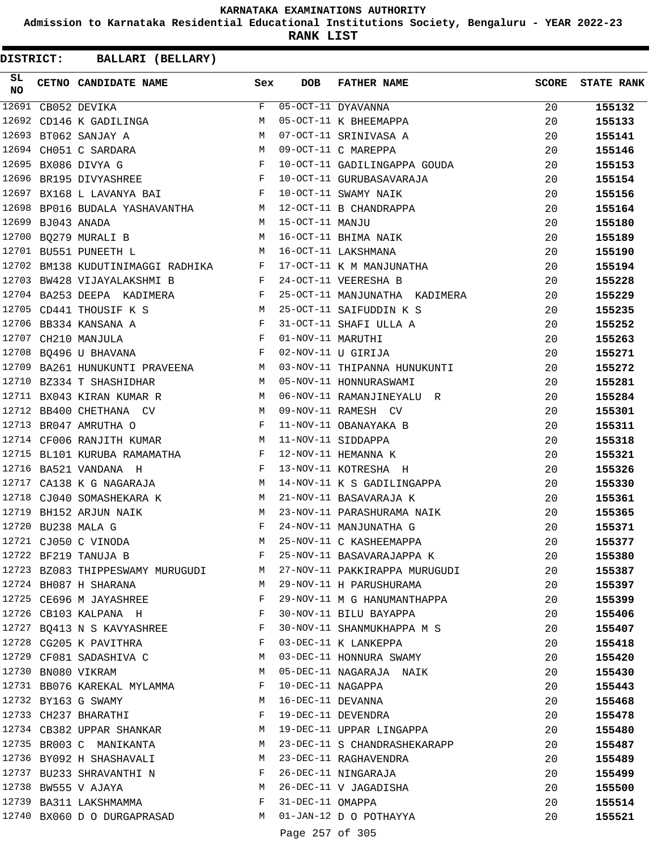**Admission to Karnataka Residential Educational Institutions Society, Bengaluru - YEAR 2022-23**

**RANK LIST**

| SL<br><b>NO</b> |                   | CETNO CANDIDATE NAME Sex                                                                                                                       |              | <b>DOB</b>        | FATHER NAME                                                                                                                                   | <b>SCORE</b> | <b>STATE RANK</b> |
|-----------------|-------------------|------------------------------------------------------------------------------------------------------------------------------------------------|--------------|-------------------|-----------------------------------------------------------------------------------------------------------------------------------------------|--------------|-------------------|
|                 |                   | $12691$ CB052 DEVIKA                                                                                                                           |              |                   | $F$ 05-OCT-11 DYAVANNA<br>05-OCT-11 DYAVANNA<br>05-OCT-11 K BHEEMAPPA                                                                         | 20           | 155132            |
|                 |                   | 12692 CD146 K GADILINGA                                                                                                                        | M            |                   |                                                                                                                                               | 20           | 155133            |
|                 |                   | 12693 BT062 SANJAY A<br>12694 CH051 C SARDARA M<br>12695 BX086 DIVYA G<br>F                                                                    |              |                   | 07-OCT-11 SRINIVASA A                                                                                                                         | 20           | 155141            |
|                 |                   |                                                                                                                                                |              |                   | 09-OCT-11 C MAREPPA                                                                                                                           | 20           | 155146            |
|                 |                   |                                                                                                                                                |              |                   | 10-OCT-11 GADILINGAPPA GOUDA                                                                                                                  | 20           | 155153            |
|                 |                   | 12696 BR195 DIVYASHREE F                                                                                                                       |              |                   | 10-OCT-11 GURUBASAVARAJA                                                                                                                      | 20           | 155154            |
|                 |                   |                                                                                                                                                |              |                   | 12697 BX168 L LAVANYA BAI                 F   10-OCT-11 SWAMY NAIK<br>12698 BP016 BUDALA YASHAVANTHA               M   12-OCT-11 B CHANDRAPPA | 20           | 155156            |
|                 |                   |                                                                                                                                                |              |                   |                                                                                                                                               | 20           | 155164            |
|                 | 12699 BJ043 ANADA | M 15-OCT-11 MANJU                                                                                                                              |              |                   |                                                                                                                                               | 20           | 155180            |
|                 |                   | 12700 BQ279 MURALI B                                                                                                                           |              |                   | 15-OCT-11 MANJU<br>16-OCT-11 BHIMA NAIK<br>16-OCT-11 LAKSHMANA                                                                                | 20           | 155189            |
|                 |                   | $\mathbf M$<br>12701 BU551 PUNEETH L                                                                                                           |              |                   |                                                                                                                                               | 20           | 155190            |
|                 |                   | 12702 BM138 KUDUTINIMAGGI RADHIKA F                                                                                                            |              |                   | 17-OCT-11 K M MANJUNATHA                                                                                                                      | 20           | 155194            |
|                 |                   | 12703 BW428 VIJAYALAKSHMI B<br>$\mathbf{F}$                                                                                                    |              |                   | 24-OCT-11 VEERESHA B                                                                                                                          | 20           | 155228            |
|                 |                   | 12704 BA253 DEEPA KADIMERA F                                                                                                                   |              |                   | 25-OCT-11 MANJUNATHA KADIMERA                                                                                                                 | 20           | 155229            |
|                 |                   | <b>M</b><br>12705 CD441 THOUSIF K S                                                                                                            |              |                   | 25-OCT-11 SAIFUDDIN K S                                                                                                                       | 20           | 155235            |
|                 |                   | 12706 BB334 KANSANA A<br>12707 CH210 MANJULA F                                                                                                 |              |                   | 31-OCT-11 SHAFI ULLA A<br>01-NOV-11 MARUTHI                                                                                                   | 20           | 155252            |
|                 |                   |                                                                                                                                                |              |                   |                                                                                                                                               | 20           | 155263            |
|                 |                   | $12708$ BQ496 U BHAVANA                                                                                                                        |              |                   | 02-NOV-11 U GIRIJA                                                                                                                            | 20           | 155271            |
|                 |                   | 12709 BA261 HUNUKUNTI PRAVEENA M                                                                                                               |              |                   | 03-NOV-11 THIPANNA HUNUKUNTI                                                                                                                  | 20           | 155272            |
|                 |                   | 12710 BZ334 T SHASHIDHAR                                                                                                                       |              |                   | M 05-NOV-11 HONNURASWAMI                                                                                                                      | 20           | 155281            |
|                 |                   | 12711 BX043 KIRAN KUMAR R                                                                                                                      |              |                   | M 06-NOV-11 RAMANJINEYALU R                                                                                                                   | 20           | 155284            |
|                 |                   | M 09-NOV-11 RAMESH CV<br>12712 BB400 CHETHANA CV                                                                                               |              |                   |                                                                                                                                               | 20           | 155301            |
|                 |                   | $\mathbf{F}^{\mathcal{A}}_{\mathcal{A}}=\mathbf{F}^{\mathcal{A}}_{\mathcal{A}}\mathbf{F}^{\mathcal{A}}_{\mathcal{A}}$<br>12713 BR047 AMRUTHA O |              |                   | 11-NOV-11 OBANAYAKA B                                                                                                                         | 20           | 155311            |
|                 |                   | 12714 CF006 RANJITH KUMAR                                                                                                                      |              |                   | M 11-NOV-11 SIDDAPPA                                                                                                                          | 20           | 155318            |
|                 |                   | 12715 BL101 KURUBA RAMAMATHA F 12-NOV-11 HEMANNA K                                                                                             |              |                   |                                                                                                                                               | 20           | 155321            |
|                 |                   | 12716 BA521 VANDANA H<br>the contract of the contract of the Property of the Property of the Property of the Property of the Property of       |              |                   | 13-NOV-11 KOTRESHA H                                                                                                                          | 20           | 155326            |
| 12717           |                   | CA138 K G NAGARAJA M                                                                                                                           |              |                   |                                                                                                                                               | 20           | 155330            |
|                 |                   | 12718 CJ040 SOMASHEKARA K                                                                                                                      | M            |                   | 14-NOV-11 K S GADILINGAPPA<br>21-NOV-11 BASAVARAJA K                                                                                          | 20           | 155361            |
| 12719           |                   | BH152 ARJUN NAIK                                                                                                                               | M            |                   | 23-NOV-11 PARASHURAMA NAIK                                                                                                                    | 20           | 155365            |
|                 |                   | 12720 BU238 MALA G                                                                                                                             | $\mathbf{F}$ |                   | 24-NOV-11 MANJUNATHA G                                                                                                                        | 20           | 155371            |
|                 |                   | 12721 CJ050 C VINODA                                                                                                                           | M            |                   | 25-NOV-11 C KASHEEMAPPA                                                                                                                       | 20           | 155377            |
|                 |                   | 12722 BF219 TANUJA B                                                                                                                           | F            |                   | 25-NOV-11 BASAVARAJAPPA K                                                                                                                     | 20           |                   |
|                 |                   |                                                                                                                                                | M            |                   | 27-NOV-11 PAKKIRAPPA MURUGUDI                                                                                                                 | 20           | 155380            |
|                 |                   | 12723 BZ083 THIPPESWAMY MURUGUDI                                                                                                               | М            |                   |                                                                                                                                               |              | 155387            |
|                 |                   | 12724 BH087 H SHARANA                                                                                                                          | F            |                   | 29-NOV-11 H PARUSHURAMA                                                                                                                       | 20           | 155397            |
|                 |                   | 12725 CE696 M JAYASHREE                                                                                                                        |              |                   | 29-NOV-11 M G HANUMANTHAPPA                                                                                                                   | 20           | 155399            |
|                 |                   | 12726 CB103 KALPANA H                                                                                                                          | F            |                   | 30-NOV-11 BILU BAYAPPA                                                                                                                        | 20           | 155406            |
|                 |                   | 12727 BQ413 N S KAVYASHREE                                                                                                                     | F            |                   | 30-NOV-11 SHANMUKHAPPA M S                                                                                                                    | 20           | 155407            |
|                 |                   | 12728 CG205 K PAVITHRA                                                                                                                         | F            |                   | 03-DEC-11 K LANKEPPA                                                                                                                          | 20           | 155418            |
|                 |                   | 12729 CF081 SADASHIVA C                                                                                                                        | M            |                   | 03-DEC-11 HONNURA SWAMY                                                                                                                       | 20           | 155420            |
|                 |                   | 12730 BN080 VIKRAM                                                                                                                             | М            |                   | 05-DEC-11 NAGARAJA NAIK                                                                                                                       | 20           | 155430            |
|                 |                   | 12731 BB076 KAREKAL MYLAMMA                                                                                                                    | F            | 10-DEC-11 NAGAPPA |                                                                                                                                               | 20           | 155443            |
|                 |                   | 12732 BY163 G SWAMY                                                                                                                            | М            | 16-DEC-11 DEVANNA |                                                                                                                                               | 20           | 155468            |
|                 |                   | 12733 CH237 BHARATHI                                                                                                                           | F            |                   | 19-DEC-11 DEVENDRA                                                                                                                            | 20           | 155478            |
|                 |                   | 12734 CB382 UPPAR SHANKAR                                                                                                                      | M            |                   | 19-DEC-11 UPPAR LINGAPPA                                                                                                                      | 20           | 155480            |
|                 |                   | 12735 BR003 C MANIKANTA                                                                                                                        | М            |                   | 23-DEC-11 S CHANDRASHEKARAPP                                                                                                                  | 20           | 155487            |
|                 |                   | 12736 BY092 H SHASHAVALI                                                                                                                       | M            |                   | 23-DEC-11 RAGHAVENDRA                                                                                                                         | 20           | 155489            |
|                 |                   | 12737 BU233 SHRAVANTHI N                                                                                                                       | F            |                   | 26-DEC-11 NINGARAJA                                                                                                                           | 20           | 155499            |
|                 |                   | 12738 BW555 V AJAYA                                                                                                                            | M            |                   | 26-DEC-11 V JAGADISHA                                                                                                                         | 20           | 155500            |
|                 |                   | 12739 BA311 LAKSHMAMMA                                                                                                                         | F            | 31-DEC-11 OMAPPA  |                                                                                                                                               | 20           | 155514            |
|                 |                   | 12740 BX060 D O DURGAPRASAD                                                                                                                    |              |                   | M 01-JAN-12 D O POTHAYYA                                                                                                                      | 20           | 155521            |
|                 |                   |                                                                                                                                                |              | Page 257 of 305   |                                                                                                                                               |              |                   |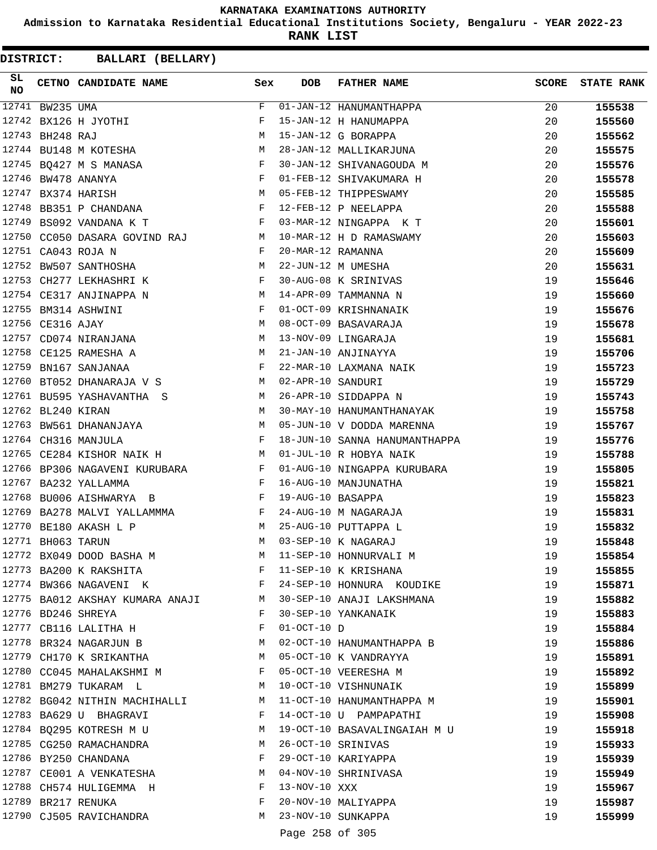**Admission to Karnataka Residential Educational Institutions Society, Bengaluru - YEAR 2022-23**

**RANK LIST**

**DISTRICT:** CC **BALLARI (BELLARY)**

| SL<br><b>NO</b> |                   | CETNO CANDIDATE NAME Sex                                                                         |              | <b>DOB</b>        | <b>FATHER NAME</b>                                        | <b>SCORE</b> | <b>STATE RANK</b> |
|-----------------|-------------------|--------------------------------------------------------------------------------------------------|--------------|-------------------|-----------------------------------------------------------|--------------|-------------------|
| 12741           | BW235 UMA         |                                                                                                  | F            |                   | $01 - JAN - 12$ HANUMANTHAPPA                             | 20           | 155538            |
|                 |                   | 12742 BX126 H JYOTHI                                                                             | F            |                   | 15-JAN-12 H HANUMAPPA                                     | 20           | 155560            |
|                 | 12743 BH248 RAJ   |                                                                                                  | M            |                   | 15-JAN-12 G BORAPPA                                       | 20           | 155562            |
|                 |                   | 12744 BU148 M KOTESHA                                                                            | M            |                   | 28-JAN-12 MALLIKARJUNA                                    | 20           | 155575            |
|                 |                   | 12745 BQ427 M S MANASA                                                                           | F            |                   | 30-JAN-12 SHIVANAGOUDA M                                  | 20           | 155576            |
|                 |                   | 12746 BW478 ANANYA<br>$\mathbf{F}$ . The set of the set of $\mathbf{F}$ is a set of $\mathbf{F}$ |              |                   | 01-FEB-12 SHIVAKUMARA H                                   | 20           | 155578            |
|                 |                   | $\mathbf M$<br>12747 BX374 HARISH                                                                |              |                   | 05-FEB-12 THIPPESWAMY                                     | 20           | 155585            |
|                 |                   | 12748 BB351 P CHANDANA                                                                           | F            |                   | 12-FEB-12 P NEELAPPA                                      | 20           | 155588            |
| 12749           |                   | BS092 VANDANA K T                                                                                | $\mathbf{F}$ |                   | 03-MAR-12 NINGAPPA K T                                    | 20           | 155601            |
|                 |                   | 12750 CC050 DASARA GOVIND RAJ M                                                                  |              |                   | 10-MAR-12 H D RAMASWAMY                                   | 20           | 155603            |
|                 |                   | 12751 CA043 ROJA N                                                                               | $\mathbf{F}$ | 20-MAR-12 RAMANNA |                                                           | 20           | 155609            |
|                 |                   | 12752 BW507 SANTHOSHA                                                                            | M            |                   | 22-JUN-12 M UMESHA                                        | 20           | 155631            |
| 12753           |                   | $\mathbf{F}$ and $\mathbf{F}$ and $\mathbf{F}$<br>CH277 LEKHASHRI K                              |              |                   | 30-AUG-08 K SRINIVAS                                      | 19           | 155646            |
|                 |                   | 12754 CE317 ANJINAPPA N<br><b>Example 19</b> M                                                   |              |                   | 14-APR-09 TAMMANNA N                                      | 19           | 155660            |
|                 |                   | <b>Example 19</b><br>12755 BM314 ASHWINI                                                         |              |                   | 01-OCT-09 KRISHNANAIK                                     | 19           | 155676            |
|                 | 12756 CE316 AJAY  |                                                                                                  | M            |                   | 08-OCT-09 BASAVARAJA                                      | 19           | 155678            |
| 12757           |                   | CD074 NIRANJANA                                                                                  | M            |                   | 13-NOV-09 LINGARAJA                                       | 19           | 155681            |
| 12758           |                   | CE125 RAMESHA A                                                                                  | M            |                   | 21-JAN-10 ANJINAYYA                                       | 19           | 155706            |
| 12759           |                   | BN167 SANJANAA                                                                                   | F            |                   | 22-MAR-10 LAXMANA NAIK                                    | 19           | 155723            |
|                 |                   | 12760 BT052 DHANARAJA V S                                                                        | M            | 02-APR-10 SANDURI |                                                           | 19           | 155729            |
|                 |                   | 12761 BU595 YASHAVANTHA S M                                                                      |              |                   | 26-APR-10 SIDDAPPA N                                      | 19           | 155743            |
|                 | 12762 BL240 KIRAN | M                                                                                                |              |                   | 30-MAY-10 HANUMANTHANAYAK                                 | 19           | 155758            |
|                 |                   | 12763 BW561 DHANANJAYA M                                                                         |              |                   | 05-JUN-10 V DODDA MARENNA                                 | 19           | 155767            |
|                 |                   | 12764 CH316 MANJULA                                                                              | $-F$         |                   | 18-JUN-10 SANNA HANUMANTHAPPA                             | 19           | 155776            |
|                 |                   | 12765 CE284 KISHOR NAIK H<br><b>M</b>                                                            |              |                   | 01-JUL-10 R HOBYA NAIK                                    | 19           | 155788            |
|                 |                   | 12766 BP306 NAGAVENI KURUBARA F                                                                  |              |                   | 01-AUG-10 NINGAPPA KURUBARA                               | 19           | 155805            |
| 12767           |                   | $\mathbf{F}$<br>BA232 YALLAMMA                                                                   |              |                   | 16-AUG-10 MANJUNATHA                                      | 19           | 155821            |
| 12768           |                   | BU006 AISHWARYA B                                                                                | $\mathbf{F}$ | 19-AUG-10 BASAPPA |                                                           | 19           | 155823            |
| 12769           |                   | BA278 MALVI YALLAMMMA F                                                                          |              |                   | 24-AUG-10 M NAGARAJA                                      | 19           | 155831            |
|                 |                   | 12770 BE180 AKASH L P                                                                            | M            |                   | 25-AUG-10 PUTTAPPA L                                      | 19           | 155832            |
|                 | 12771 BH063 TARUN |                                                                                                  | M            |                   | 03-SEP-10 K NAGARAJ                                       | 19           | 155848            |
|                 |                   | 12772 BX049 DOOD BASHA M                                                                         |              |                   | M 11-SEP-10 HONNURVALI M                                  | 19           | 155854            |
|                 |                   | 12773 BA200 K RAKSHITA F 11-SEP-10 K KRISHANA                                                    |              |                   |                                                           | 19           | 155855            |
|                 |                   | 12774 BW366 NAGAVENI K<br>F                                                                      |              |                   | 24-SEP-10 HONNURA KOUDIKE                                 | 19           | 155871            |
|                 |                   | 12775 BA012 AKSHAY KUMARA ANAJI MARI 30-SEP-10 ANAJI LAKSHMANA                                   |              |                   |                                                           | 19           | 155882            |
|                 |                   | 12776 BD246 SHREYA                                                                               | $\mathbf{F}$ |                   | 30-SEP-10 YANKANAIK                                       | 19           | 155883            |
|                 |                   | 12777 CB116 LALITHA H                                                                            | F            | $01-OCT-10$ D     |                                                           | 19           | 155884            |
|                 |                   | 12778 BR324 NAGARJUN B                                                                           | M            |                   | 02-OCT-10 HANUMANTHAPPA B                                 | 19           | 155886            |
|                 |                   | 12779 CH170 K SRIKANTHA M                                                                        |              |                   | 05-OCT-10 K VANDRAYYA                                     | 19           | 155891            |
|                 |                   | 12780 CC045 MAHALAKSHMI M                                                                        | F            |                   | 05-OCT-10 VEERESHA M                                      | 19           | 155892            |
|                 |                   | 12781 BM279 TUKARAM L<br>M <sub>1</sub>                                                          |              |                   | 10-OCT-10 VISHNUNAIK                                      | 19           | 155899            |
|                 |                   |                                                                                                  |              |                   | 12782 BG042 NITHIN MACHIHALLI M 11-OCT-10 HANUMANTHAPPA M | 19           | 155901            |
|                 |                   | 12783 BA629 U BHAGRAVI                                                                           | $\mathbf{F}$ |                   | 14-OCT-10 U PAMPAPATHI                                    | 19           | 155908            |
|                 |                   | 12784 BQ295 KOTRESH M U                                                                          | M            |                   | 19-OCT-10 BASAVALINGAIAH M U                              | 19           | 155918            |
|                 |                   | 12785 CG250 RAMACHANDRA                                                                          | M            |                   | 26-OCT-10 SRINIVAS                                        | 19           | 155933            |
|                 |                   | 12786 BY250 CHANDANA                                                                             | F            |                   | 29-OCT-10 KARIYAPPA                                       | 19           | 155939            |
|                 |                   | 12787 CE001 A VENKATESHA                                                                         | M            |                   | 04-NOV-10 SHRINIVASA                                      | 19           | 155949            |
|                 |                   | 12788 CH574 HULIGEMMA H                                                                          | F            | 13-NOV-10 XXX     |                                                           | 19           | 155967            |
|                 |                   | 12789 BR217 RENUKA                                                                               | F            |                   | 20-NOV-10 MALIYAPPA                                       | 19           | 155987            |
|                 |                   | 12790 CJ505 RAVICHANDRA                                                                          |              |                   | M 23-NOV-10 SUNKAPPA                                      | 19           | 155999            |
|                 |                   |                                                                                                  |              |                   |                                                           |              |                   |

Page 258 of 305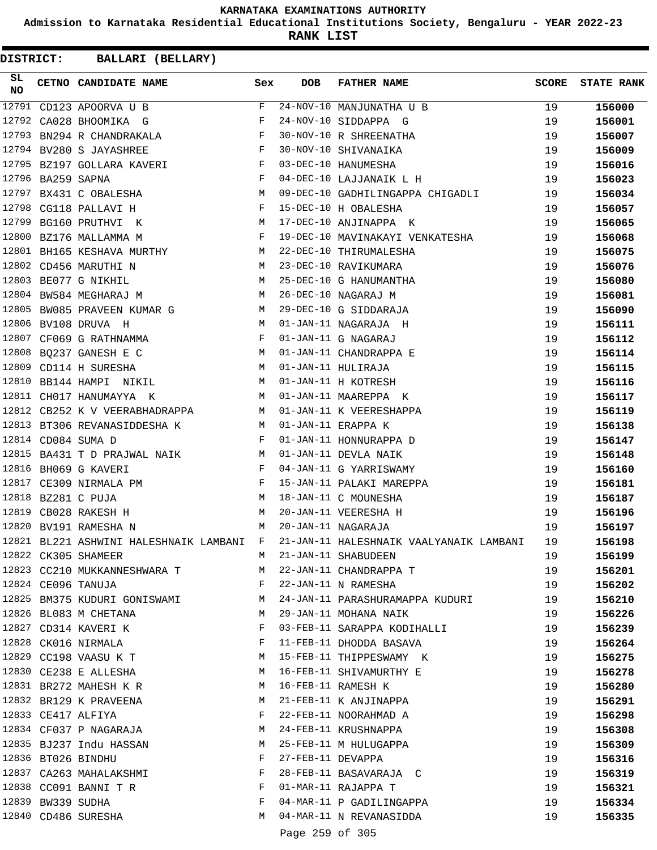**Admission to Karnataka Residential Educational Institutions Society, Bengaluru - YEAR 2022-23**

**RANK LIST**

| SL<br>NO |                   | CETNO CANDIDATE NAME Sex                                                                  |       | <b>DOB</b>        | FATHER NAME                                                                                                                                      | SCORE | <b>STATE RANK</b> |
|----------|-------------------|-------------------------------------------------------------------------------------------|-------|-------------------|--------------------------------------------------------------------------------------------------------------------------------------------------|-------|-------------------|
|          |                   |                                                                                           | $F$ – |                   | 24-NOV-10 MANJUNATHA U B                                                                                                                         | 19    | 156000            |
|          |                   |                                                                                           |       |                   |                                                                                                                                                  | 19    | 156001            |
|          |                   | 12793 BN294 R CHANDRAKALA F                                                               |       |                   |                                                                                                                                                  | 19    | 156007            |
|          |                   | $\mathbf{F}$<br>12794 BV280 S JAYASHREE                                                   |       |                   |                                                                                                                                                  | 19    | 156009            |
|          |                   | 12795 BZ197 GOLLARA KAVERI<br>12795 BZ197 GOLLARA KAVERI                                  |       |                   | 24-NOV-10 SIDDAPPA G<br>30-NOV-10 R SHREENATHA<br>30-NOV-10 SHIVANAIKA<br>03-DEC-10 HANUMESHA                                                    | 19    | 156016            |
|          | 12796 BA259 SAPNA | $\mathbf{F}$ . The set of $\mathbf{F}$                                                    |       |                   | 04-DEC-10 LAJJANAIK L H                                                                                                                          | 19    | 156023            |
|          |                   | 12797 BX431 C OBALESHA M                                                                  |       |                   | 09-DEC-10 GADHILINGAPPA CHIGADLI                                                                                                                 | 19    | 156034            |
|          |                   | $\begin{aligned} \mathbf{F} \\ \mathbf{M} \end{aligned}$<br>12798 CG118 PALLAVI H         |       |                   | 15-DEC-10 H OBALESHA                                                                                                                             | 19    | 156057            |
|          |                   | 12799 BG160 PRUTHVI K                                                                     |       |                   | 17-DEC-10 ANJINAPPA K                                                                                                                            | 19    | 156065            |
|          |                   | $\mathbf{F}$ and $\mathbf{F}$ and $\mathbf{F}$<br>12800 BZ176 MALLAMMA M                  |       |                   | 19-DEC-10 MAVINAKAYI VENKATESHA                                                                                                                  | 19    | 156068            |
|          |                   | 12801 BH165 KESHAVA MURTHY M                                                              |       |                   | 22-DEC-10 THIRUMALESHA<br>23-DEC-10 RAVIKUMARA<br>25-DEC-10 G HANUMANTHA<br>26-DEC-10 NAGARAJ M<br>29-DEC-10 G SIDDARAJA<br>01-JAN-11 NAGARAJA H | 19    | 156075            |
|          |                   | $\begin{array}{ccc} & & M \\ & M & \\ M & \\ M & \\ \end{array}$<br>12802 CD456 MARUTHI N |       |                   |                                                                                                                                                  | 19    | 156076            |
|          |                   | 12803 BE077 G NIKHIL                                                                      |       |                   |                                                                                                                                                  | 19    | 156080            |
|          |                   | 12804 BW584 MEGHARAJ M                                                                    |       |                   |                                                                                                                                                  | 19    | 156081            |
|          |                   | 12805 BW085 PRAVEEN KUMAR G M                                                             |       |                   |                                                                                                                                                  | 19    | 156090            |
|          |                   | 12806 BV108 DRUVA H<br>12807 CF069 G RATHNAMMA R                                          |       |                   |                                                                                                                                                  | 19    | 156111            |
|          |                   |                                                                                           |       |                   | 01-JAN-11 G NAGARAJ                                                                                                                              | 19    | 156112            |
|          |                   | M<br>12808 BQ237 GANESH E C                                                               |       |                   | 01-JAN-11 CHANDRAPPA E                                                                                                                           | 19    | 156114            |
|          |                   | 12809 CD114 H SURESHA M                                                                   |       |                   | 01-JAN-11 HULIRAJA                                                                                                                               | 19    | 156115            |
|          |                   | 12810 BB144 HAMPI NIKIL M                                                                 |       |                   | 01-JAN-11 H KOTRESH                                                                                                                              | 19    | 156116            |
|          |                   | M<br>12811 CH017 HANUMAYYA K                                                              |       |                   | 01-JAN-11 MAAREPPA K                                                                                                                             | 19    | 156117            |
|          |                   | 12812 CB252 K V VEERABHADRAPPA M                                                          |       |                   | 01-JAN-11 K VEERESHAPPA                                                                                                                          | 19    | 156119            |
|          |                   | 12813 BT306 REVANASIDDESHA K M                                                            |       |                   | 01-JAN-11 ERAPPA K<br>01-JAN-11 HONNURAPPA D                                                                                                     | 19    | 156138            |
|          |                   | $\mathbf{F}$<br>12814 CD084 SUMA D                                                        |       |                   |                                                                                                                                                  | 19    | 156147            |
|          |                   | 12815 BA431 T D PRAJWAL NAIK M                                                            |       |                   | 01-JAN-11 DEVLA NAIK                                                                                                                             | 19    | 156148            |
|          |                   | 12816 BH069 G KAVERI<br>$\mathbf{F}$ and the state of the state $\mathbf{F}$              |       |                   | 04-JAN-11 G YARRISWAMY                                                                                                                           | 19    | 156160            |
|          |                   |                                                                                           |       |                   | 15-JAN-11 PALAKI MAREPPA                                                                                                                         | 19    | 156181            |
|          |                   |                                                                                           |       |                   | 18-JAN-11 C MOUNESHA                                                                                                                             | 19    | 156187            |
|          |                   |                                                                                           |       |                   | 20-JAN-11 VEERESHA H                                                                                                                             | 19    | 156196            |
|          |                   | M <sub>N</sub><br>12820 BV191 RAMESHA N                                                   |       |                   | 20-JAN-11 NAGARAJA                                                                                                                               | 19    | 156197            |
|          |                   | 12821 BL221 ASHWINI HALESHNAIK LAMBANI F                                                  |       |                   | 21-JAN-11 HALESHNAIK VAALYANAIK LAMBANI                                                                                                          | 19    | 156198            |
|          |                   | 12822 CK305 SHAMEER                                                                       | М     |                   | 21-JAN-11 SHABUDEEN                                                                                                                              | 19    | 156199            |
|          |                   | 12823 CC210 MUKKANNESHWARA T                                                              | M     |                   | 22-JAN-11 CHANDRAPPA T                                                                                                                           | 19    | 156201            |
|          |                   | 12824 CE096 TANUJA                                                                        | F     |                   | 22-JAN-11 N RAMESHA                                                                                                                              | 19    | 156202            |
|          |                   | 12825 BM375 KUDURI GONISWAMI                                                              | M     |                   | 24-JAN-11 PARASHURAMAPPA KUDURI                                                                                                                  | 19    | 156210            |
|          |                   | 12826 BL083 M CHETANA                                                                     | M     |                   | 29-JAN-11 MOHANA NAIK                                                                                                                            | 19    | 156226            |
|          |                   | 12827 CD314 KAVERI K                                                                      | F     |                   | 03-FEB-11 SARAPPA KODIHALLI                                                                                                                      | 19    | 156239            |
|          |                   | 12828 CK016 NIRMALA                                                                       | F     |                   | 11-FEB-11 DHODDA BASAVA                                                                                                                          | 19    | 156264            |
|          |                   | 12829 CC198 VAASU K T                                                                     | M     |                   | 15-FEB-11 THIPPESWAMY K                                                                                                                          | 19    | 156275            |
|          |                   | 12830 CE238 E ALLESHA                                                                     | M     |                   | 16-FEB-11 SHIVAMURTHY E                                                                                                                          | 19    | 156278            |
|          |                   | 12831 BR272 MAHESH K R                                                                    | M     |                   | 16-FEB-11 RAMESH K                                                                                                                               | 19    | 156280            |
|          |                   | 12832 BR129 K PRAVEENA                                                                    | M     |                   | 21-FEB-11 K ANJINAPPA                                                                                                                            | 19    | 156291            |
|          |                   | 12833 CE417 ALFIYA                                                                        | F     |                   | 22-FEB-11 NOORAHMAD A                                                                                                                            | 19    | 156298            |
|          |                   | 12834 CF037 P NAGARAJA                                                                    | M     |                   | 24-FEB-11 KRUSHNAPPA                                                                                                                             | 19    | 156308            |
|          |                   | 12835 BJ237 Indu HASSAN                                                                   | M     |                   | 25-FEB-11 M HULUGAPPA                                                                                                                            | 19    | 156309            |
|          |                   | 12836 BT026 BINDHU                                                                        | F     | 27-FEB-11 DEVAPPA |                                                                                                                                                  | 19    | 156316            |
|          |                   | 12837 CA263 MAHALAKSHMI                                                                   | F     |                   | 28-FEB-11 BASAVARAJA C                                                                                                                           | 19    | 156319            |
|          |                   | 12838 CC091 BANNI T R                                                                     | F     |                   | 01-MAR-11 RAJAPPA T                                                                                                                              | 19    | 156321            |
|          | 12839 BW339 SUDHA |                                                                                           | F     |                   | 04-MAR-11 P GADILINGAPPA                                                                                                                         | 19    | 156334            |
|          |                   | 12840 CD486 SURESHA                                                                       | М     |                   | 04-MAR-11 N REVANASIDDA                                                                                                                          | 19    | 156335            |
|          |                   |                                                                                           |       |                   |                                                                                                                                                  |       |                   |
|          |                   |                                                                                           |       | Page 259 of 305   |                                                                                                                                                  |       |                   |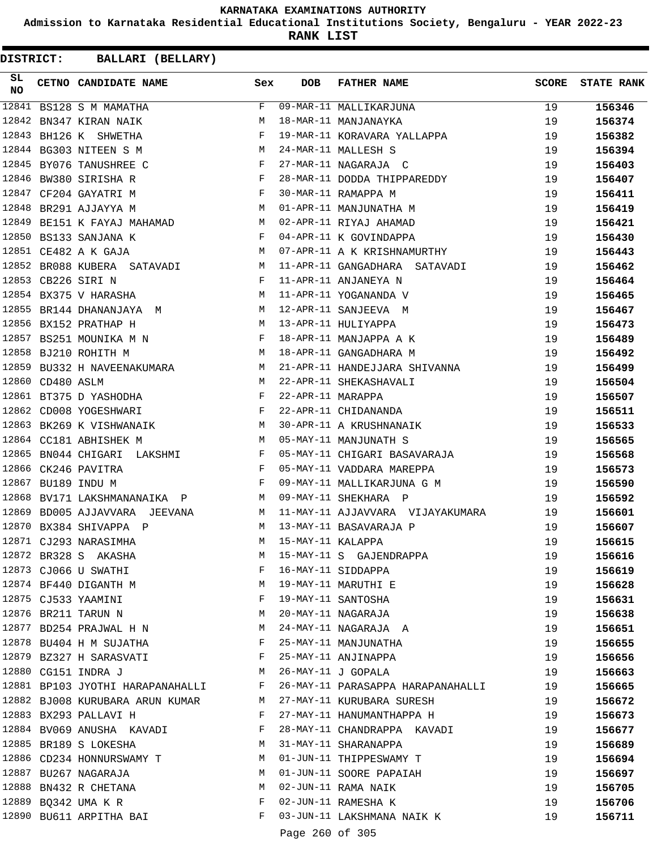**Admission to Karnataka Residential Educational Institutions Society, Bengaluru - YEAR 2022-23**

**RANK LIST**

| SL<br><b>NO</b> |                  | CETNO CANDIDATE NAME Sex                                                                                                                                                                                                                                     |   | DOB               | <b>FATHER NAME</b>                                               | SCORE | <b>STATE RANK</b> |
|-----------------|------------------|--------------------------------------------------------------------------------------------------------------------------------------------------------------------------------------------------------------------------------------------------------------|---|-------------------|------------------------------------------------------------------|-------|-------------------|
|                 |                  | 12841 BS128 S M MAMATHA                                                                                                                                                                                                                                      | F |                   | 09-MAR-11 MALLIKARJUNA                                           | 19    | 156346            |
| 12842           |                  | BN347 KIRAN NAIK                                                                                                                                                                                                                                             | M |                   | 18-MAR-11 MANJANAYKA                                             | 19    | 156374            |
|                 |                  | $\mathbf{F}$<br>12843 BH126 K SHWETHA                                                                                                                                                                                                                        |   |                   | 19-MAR-11 KORAVARA YALLAPPA                                      | 19    | 156382            |
|                 |                  | M <sub>N</sub><br>12844 BG303 NITEEN S M                                                                                                                                                                                                                     |   |                   | 24-MAR-11 MALLESH S                                              | 19    | 156394            |
|                 |                  | 12845 BY076 TANUSHREE C<br>$\mathbf{F}$ . The set of the set of the set of the set of the set of the set of the set of the set of the set of the set of the set of the set of the set of the set of the set of the set of the set of the set of the set of t |   |                   | 27-MAR-11 NAGARAJA C                                             | 19    | 156403            |
| 12846           |                  | $\mathbf{F}$ and $\mathbf{F}$<br>BW380 SIRISHA R                                                                                                                                                                                                             |   |                   | 28-MAR-11 DODDA THIPPAREDDY                                      | 19    | 156407            |
|                 |                  | $\mathbf{F}$<br>12847 CF204 GAYATRI M                                                                                                                                                                                                                        |   |                   | 30-MAR-11 RAMAPPA M                                              | 19    | 156411            |
|                 |                  | M<br>12848 BR291 AJJAYYA M                                                                                                                                                                                                                                   |   |                   | 01-APR-11 MANJUNATHA M                                           | 19    | 156419            |
| 12849           |                  | BE151 K FAYAJ MAHAMAD M                                                                                                                                                                                                                                      |   |                   | 02-APR-11 RIYAJ AHAMAD                                           | 19    | 156421            |
|                 |                  | $\mathbf{F}$ and the contract of $\mathbf{F}$ .<br>12850 BS133 SANJANA K                                                                                                                                                                                     |   |                   | 04-APR-11 K GOVINDAPPA                                           | 19    | 156430            |
|                 |                  | M<br>12851 CE482 A K GAJA                                                                                                                                                                                                                                    |   |                   | 07-APR-11 A K KRISHNAMURTHY                                      | 19    | 156443            |
|                 |                  | 12852 BR088 KUBERA SATAVADI M                                                                                                                                                                                                                                |   |                   | 11-APR-11 GANGADHARA SATAVADI                                    | 19    | 156462            |
|                 |                  | $\mathbf{F}$ . The set of $\mathbf{F}$<br>12853 CB226 SIRI N                                                                                                                                                                                                 |   |                   | 11-APR-11 ANJANEYA N                                             | 19    | 156464            |
|                 |                  | 12854 BX375 V HARASHA                                                                                                                                                                                                                                        |   |                   | M 11-APR-11 YOGANANDA V                                          | 19    | 156465            |
|                 |                  | 12855 BR144 DHANANJAYA M M 12-APR-11 SANJEEVA M                                                                                                                                                                                                              |   |                   |                                                                  | 19    | 156467            |
|                 |                  | M 13-APR-11 HULIYAPPA<br>12856 BX152 PRATHAP H                                                                                                                                                                                                               |   |                   |                                                                  | 19    | 156473            |
|                 |                  | 12857 BS251 MOUNIKA M N F                                                                                                                                                                                                                                    |   |                   | 18-APR-11 MANJAPPA A K                                           | 19    | 156489            |
|                 |                  | M<br>12858 BJ210 ROHITH M                                                                                                                                                                                                                                    |   |                   | 18-APR-11 GANGADHARA M                                           | 19    | 156492            |
|                 |                  | 12859 BU332 H NAVEENAKUMARA M                                                                                                                                                                                                                                |   |                   | 21-APR-11 HANDEJJARA SHIVANNA                                    | 19    | 156499            |
|                 | 12860 CD480 ASLM | M                                                                                                                                                                                                                                                            |   |                   | 22-APR-11 SHEKASHAVALI                                           | 19    | 156504            |
|                 |                  | $\mathbf{F}$ and $\mathbf{F}$ are $\mathbf{F}$<br>12861 BT375 D YASHODHA                                                                                                                                                                                     |   | 22-APR-11 MARAPPA |                                                                  | 19    | 156507            |
|                 |                  | $\mathbf{F}$ and $\mathbf{F}$ and $\mathbf{F}$<br>12862 CD008 YOGESHWARI                                                                                                                                                                                     |   |                   | 22-APR-11 CHIDANANDA                                             | 19    | 156511            |
|                 |                  | 12863 BK269 K VISHWANAIK M                                                                                                                                                                                                                                   |   |                   | 30-APR-11 A KRUSHNANAIK                                          | 19    | 156533            |
|                 |                  | 12864 CC181 ABHISHEK M                                                                                                                                                                                                                                       |   |                   | M 05-MAY-11 MANJUNATH S                                          | 19    | 156565            |
| 12865           |                  | BN044 CHIGARI LAKSHMI F                                                                                                                                                                                                                                      |   |                   | 05-MAY-11 CHIGARI BASAVARAJA                                     | 19    | 156568            |
|                 |                  | $\mathbf{F}$ and $\mathbf{F}$ . The set of $\mathbf{F}$<br>12866 CK246 PAVITRA                                                                                                                                                                               |   |                   | 05-MAY-11 VADDARA MAREPPA                                        | 19    | 156573            |
|                 |                  | $\mathbf{F}$ and $\mathbf{F}$<br>12867 BU189 INDU M                                                                                                                                                                                                          |   |                   | 09-MAY-11 MALLIKARJUNA G M                                       | 19    | 156590            |
| 12868           |                  | BV171 LAKSHMANANAIKA P M 09-MAY-11 SHEKHARA P                                                                                                                                                                                                                |   |                   |                                                                  | 19    | 156592            |
| 12869           |                  |                                                                                                                                                                                                                                                              |   |                   | BD005 AJJAVVARA JEEVANA MARAMAN AL-MAY-11 AJJAVVARA VIJAYAKUMARA | 19    | 156601            |
|                 |                  | M 13-MAY-11 BASAVARAJA P<br>12870 BX384 SHIVAPPA P                                                                                                                                                                                                           |   |                   |                                                                  | 19    | 156607            |
|                 |                  | 12871 CJ293 NARASIMHA                                                                                                                                                                                                                                        | M | 15-MAY-11 KALAPPA |                                                                  | 19    | 156615            |
|                 |                  | 12872 BR328 S AKASHA                                                                                                                                                                                                                                         | M |                   | 15-MAY-11 S GAJENDRAPPA                                          | 19    | 156616            |
|                 |                  | 12873 CJ066 U SWATHI                                                                                                                                                                                                                                         | F |                   | 16-MAY-11 SIDDAPPA                                               | 19    | 156619            |
|                 |                  | 12874 BF440 DIGANTH M                                                                                                                                                                                                                                        |   |                   | 19-MAY-11 MARUTHI E                                              | 19    | 156628            |
|                 |                  | 12875 CJ533 YAAMINI                                                                                                                                                                                                                                          | F |                   | 19-MAY-11 SANTOSHA                                               | 19    | 156631            |
|                 |                  | 12876 BR211 TARUN N                                                                                                                                                                                                                                          | M |                   | 20-MAY-11 NAGARAJA                                               | 19    | 156638            |
|                 |                  | 12877 BD254 PRAJWAL H N M                                                                                                                                                                                                                                    |   |                   | 24-MAY-11 NAGARAJA A                                             | 19    | 156651            |
|                 |                  | 12878 BU404 H M SUJATHA F                                                                                                                                                                                                                                    |   |                   | 25-MAY-11 MANJUNATHA                                             | 19    | 156655            |
|                 |                  | 12879 BZ327 H SARASVATI F                                                                                                                                                                                                                                    |   |                   | 25-MAY-11 ANJINAPPA                                              | 19    | 156656            |
|                 |                  | 12880 CG151 INDRA J                                                                                                                                                                                                                                          | M |                   | 26-MAY-11 J GOPALA                                               | 19    | 156663            |
|                 |                  | 12881 BP103 JYOTHI HARAPANAHALLI F                                                                                                                                                                                                                           |   |                   | 26-MAY-11 PARASAPPA HARAPANAHALLI                                | 19    | 156665            |
|                 |                  | 12882 BJ008 KURUBARA ARUN KUMAR M                                                                                                                                                                                                                            |   |                   | 27-MAY-11 KURUBARA SURESH                                        | 19    | 156672            |
|                 |                  | 12883 BX293 PALLAVI H                                                                                                                                                                                                                                        | F |                   | 27-MAY-11 HANUMANTHAPPA H                                        | 19    | 156673            |
|                 |                  | 12884 BV069 ANUSHA KAVADI F                                                                                                                                                                                                                                  |   |                   | 28-MAY-11 CHANDRAPPA KAVADI                                      | 19    | 156677            |
|                 |                  | 12885 BR189 S LOKESHA<br><b>M</b>                                                                                                                                                                                                                            |   |                   | 31-MAY-11 SHARANAPPA                                             | 19    | 156689            |
|                 |                  | 12886 CD234 HONNURSWAMY T                                                                                                                                                                                                                                    | M |                   | 01-JUN-11 THIPPESWAMY T                                          | 19    | 156694            |
|                 |                  | 12887 BU267 NAGARAJA                                                                                                                                                                                                                                         | M |                   |                                                                  | 19    | 156697            |
|                 |                  | 12888 BN432 R CHETANA                                                                                                                                                                                                                                        | M |                   | 01-JUN-11 SOORE PAPAIAH<br>02-JUN-11 RAMA NAIK                   | 19    |                   |
|                 |                  | 12889 BQ342 UMA K R                                                                                                                                                                                                                                          | F |                   | 02-JUN-11 RAMESHA K                                              | 19    | 156705            |
|                 |                  | 12890 BU611 ARPITHA BAI                                                                                                                                                                                                                                      | F |                   | 03-JUN-11 LAKSHMANA NAIK K                                       | 19    | 156706<br>156711  |
|                 |                  |                                                                                                                                                                                                                                                              |   |                   |                                                                  |       |                   |
|                 |                  |                                                                                                                                                                                                                                                              |   | Page 260 of 305   |                                                                  |       |                   |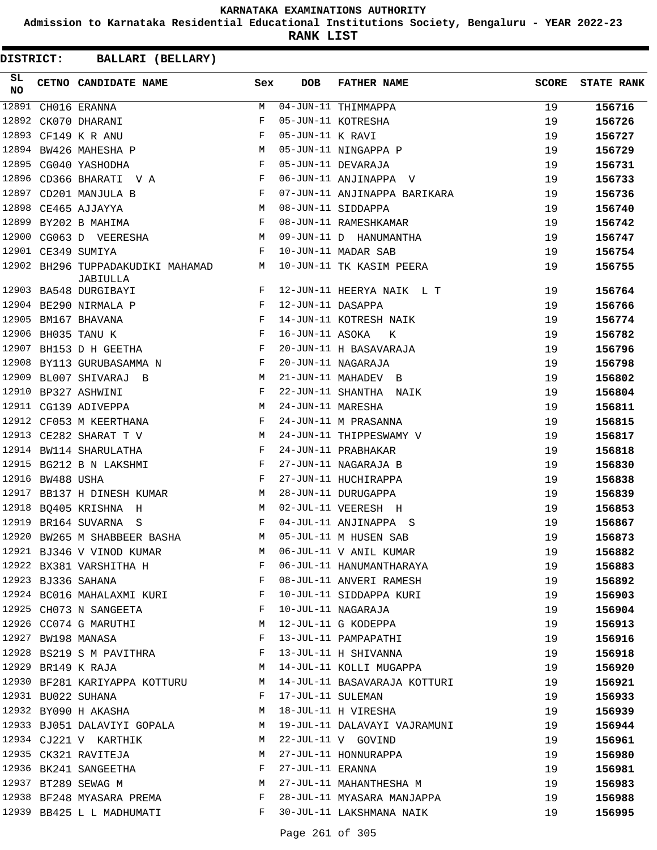**Admission to Karnataka Residential Educational Institutions Society, Bengaluru - YEAR 2022-23**

**RANK LIST**

| SL<br>NO |                  | <b>CETNO CANDIDATE NAME</b>                                                 | Sex          | <b>DOB</b>        | FATHER NAME                  | <b>SCORE</b> | <b>STATE RANK</b> |
|----------|------------------|-----------------------------------------------------------------------------|--------------|-------------------|------------------------------|--------------|-------------------|
| 12891    |                  | CH016 ERANNA                                                                | M            |                   | $04 - JUN - 11$ THIMMAPPA    | 19           | 156716            |
| 12892    |                  | CK070 DHARANI                                                               | F            |                   | 05-JUN-11 KOTRESHA           | 19           | 156726            |
| 12893    |                  | CF149 K R ANU                                                               | F            | 05-JUN-11 K RAVI  |                              | 19           | 156727            |
|          |                  | 12894 BW426 MAHESHA P                                                       | М            |                   | 05-JUN-11 NINGAPPA P         | 19           | 156729            |
|          |                  | 12895 CG040 YASHODHA                                                        | F            |                   | 05-JUN-11 DEVARAJA           | 19           | 156731            |
|          |                  | 12896 CD366 BHARATI V A                                                     | $_{\rm F}$   |                   | 06-JUN-11 ANJINAPPA V        | 19           | 156733            |
| 12897    |                  | CD201 MANJULA B                                                             | F            |                   | 07-JUN-11 ANJINAPPA BARIKARA | 19           | 156736            |
|          |                  | 12898 CE465 AJJAYYA                                                         | M            |                   | 08-JUN-11 SIDDAPPA           | 19           | 156740            |
|          |                  | 12899 BY202 B MAHIMA                                                        | F            |                   | 08-JUN-11 RAMESHKAMAR        | 19           | 156742            |
|          |                  | 12900 CG063 D VEERESHA                                                      | М            |                   | 09-JUN-11 D HANUMANTHA       | 19           | 156747            |
|          |                  | 12901 CE349 SUMIYA                                                          | F            |                   | 10-JUN-11 MADAR SAB          | 19           | 156754            |
|          |                  | 12902 BH296 TUPPADAKUDIKI MAHAMAD<br>JABIULLA                               | M            |                   | 10-JUN-11 TK KASIM PEERA     | 19           | 156755            |
|          |                  | 12903 BA548 DURGIBAYI                                                       | F            |                   | 12-JUN-11 HEERYA NAIK L T    | 19           | 156764            |
|          |                  | 12904 BE290 NIRMALA P                                                       | F            | 12-JUN-11 DASAPPA |                              | 19           | 156766            |
| 12905    |                  | BM167 BHAVANA<br>$\mathbf{F}$ and the contract of the contract $\mathbf{F}$ |              |                   | 14-JUN-11 KOTRESH NAIK       | 19           | 156774            |
|          |                  | $\mathbf{F}$ and $\mathbf{F}$<br>12906 BH035 TANU K                         |              | 16-JUN-11 ASOKA   | к                            | 19           | 156782            |
| 12907    |                  | BH153 D H GEETHA                                                            | $\mathbf{F}$ |                   | 20-JUN-11 H BASAVARAJA       | 19           | 156796            |
| 12908    |                  | BY113 GURUBASAMMA N                                                         | F            |                   | 20-JUN-11 NAGARAJA           | 19           | 156798            |
|          |                  | 12909 BL007 SHIVARAJ B                                                      | М            |                   | 21-JUN-11 MAHADEV B          | 19           | 156802            |
| 12910    |                  | BP327 ASHWINI                                                               | F            |                   | 22-JUN-11 SHANTHA NAIK       | 19           | 156804            |
|          |                  | 12911 CG139 ADIVEPPA                                                        | М            | 24-JUN-11 MARESHA |                              | 19           | 156811            |
|          |                  | 12912 CF053 M KEERTHANA                                                     | F            |                   | 24-JUN-11 M PRASANNA         | 19           | 156815            |
|          |                  | 12913 CE282 SHARAT T V                                                      | М            |                   | 24-JUN-11 THIPPESWAMY V      | 19           | 156817            |
|          |                  | 12914 BW114 SHARULATHA                                                      | F            |                   | 24-JUN-11 PRABHAKAR          | 19           | 156818            |
|          |                  | 12915 BG212 B N LAKSHMI                                                     | $\mathbf{F}$ |                   | 27-JUN-11 NAGARAJA B         | 19           | 156830            |
|          | 12916 BW488 USHA |                                                                             | F            |                   | 27-JUN-11 HUCHIRAPPA         | 19           | 156838            |
|          |                  | 12917 BB137 H DINESH KUMAR                                                  | M            |                   | 28-JUN-11 DURUGAPPA          | 19           | 156839            |
|          |                  | 12918 BQ405 KRISHNA H                                                       | M            |                   | 02-JUL-11 VEERESH H          | 19           | 156853            |
|          |                  | 12919 BR164 SUVARNA S                                                       | F            |                   | 04-JUL-11 ANJINAPPA S        | 19           | 156867            |
|          |                  | 12920 BW265 M SHABBEER BASHA                                                | М            |                   | 05-JUL-11 M HUSEN SAB        | 19           | 156873            |
|          |                  | 12921 BJ346 V VINOD KUMAR                                                   | M            |                   | 06-JUL-11 V ANIL KUMAR       | 19           | 156882            |
|          |                  | 12922 BX381 VARSHITHA H                                                     | F            |                   | 06-JUL-11 HANUMANTHARAYA     | 19           | 156883            |
|          |                  | 12923 BJ336 SAHANA                                                          | F            |                   | 08-JUL-11 ANVERI RAMESH      | 19           | 156892            |
|          |                  | 12924 BC016 MAHALAXMI KURI                                                  | F            |                   | 10-JUL-11 SIDDAPPA KURI      | 19           | 156903            |
|          |                  | 12925 CH073 N SANGEETA                                                      | F            |                   | 10-JUL-11 NAGARAJA           | 19           | 156904            |
|          |                  | 12926 CC074 G MARUTHI                                                       | М            |                   | 12-JUL-11 G KODEPPA          | 19           | 156913            |
|          |                  | 12927 BW198 MANASA                                                          | F            |                   | 13-JUL-11 PAMPAPATHI         | 19           | 156916            |
|          |                  | 12928 BS219 S M PAVITHRA                                                    | F            |                   | 13-JUL-11 H SHIVANNA         | 19           | 156918            |
|          |                  | 12929 BR149 K RAJA                                                          | М            |                   | 14-JUL-11 KOLLI MUGAPPA      | 19           | 156920            |
|          |                  | 12930 BF281 KARIYAPPA KOTTURU                                               | M            |                   | 14-JUL-11 BASAVARAJA KOTTURI | 19           | 156921            |
|          |                  | 12931 BU022 SUHANA                                                          | F            | 17-JUL-11 SULEMAN |                              | 19           | 156933            |
|          |                  | 12932 BY090 H AKASHA                                                        | М            |                   | 18-JUL-11 H VIRESHA          | 19           | 156939            |
|          |                  | 12933 BJ051 DALAVIYI GOPALA                                                 | M            |                   | 19-JUL-11 DALAVAYI VAJRAMUNI | 19           | 156944            |
|          |                  | 12934 CJ221 V KARTHIK                                                       | M            |                   | 22-JUL-11 V GOVIND           | 19           | 156961            |
|          |                  | 12935 CK321 RAVITEJA                                                        | M            |                   | 27-JUL-11 HONNURAPPA         | 19           | 156980            |
|          |                  | 12936 BK241 SANGEETHA                                                       | F            | 27-JUL-11 ERANNA  |                              | 19           | 156981            |
|          |                  | 12937 BT289 SEWAG M                                                         | М            |                   | 27-JUL-11 MAHANTHESHA M      | 19           | 156983            |
|          |                  | 12938 BF248 MYASARA PREMA                                                   | F            |                   | 28-JUL-11 MYASARA MANJAPPA   | 19           | 156988            |
|          |                  | 12939 BB425 L L MADHUMATI                                                   | F            |                   | 30-JUL-11 LAKSHMANA NAIK     | 19           | 156995            |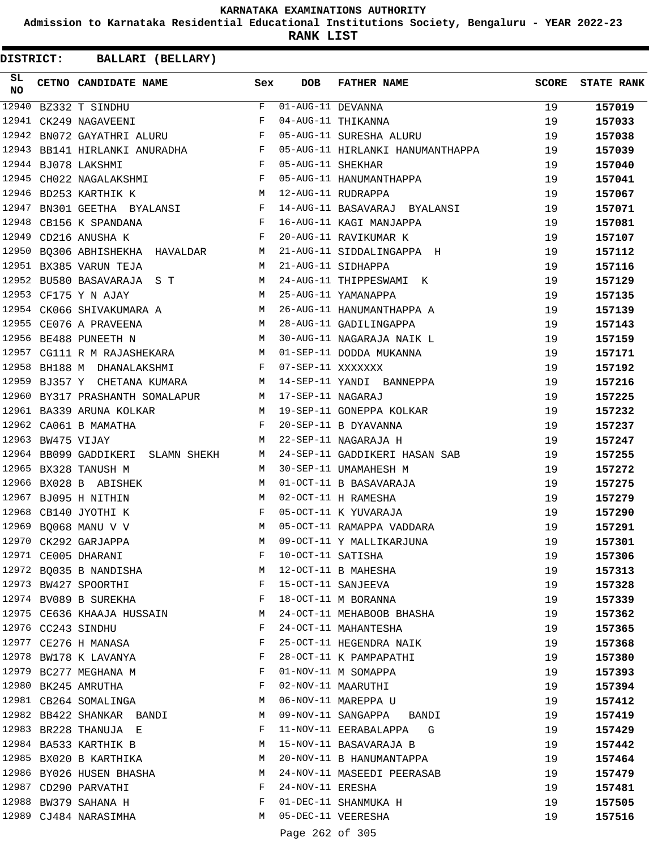**Admission to Karnataka Residential Educational Institutions Society, Bengaluru - YEAR 2022-23**

**RANK LIST**

| SL<br>NO |                   | CETNO CANDIDATE NAME                                                                  | Sex | <b>DOB</b>            | FATHER NAME                                                                 | <b>SCORE</b> | <b>STATE RANK</b> |
|----------|-------------------|---------------------------------------------------------------------------------------|-----|-----------------------|-----------------------------------------------------------------------------|--------------|-------------------|
| 12940    |                   | BZ332 T SINDHU                                                                        |     | $F$ 01-AUG-11 DEVANNA |                                                                             | 19           | 157019            |
|          |                   | 12941 CK249 NAGAVEENI                                                                 | F   |                       | 04-AUG-11 THIKANNA                                                          | 19           | 157033            |
| 12942    |                   | BN072 GAYATHRI ALURU F                                                                |     |                       | 05-AUG-11 SURESHA ALURU                                                     | 19           | 157038            |
|          |                   | 12943 BB141 HIRLANKI ANURADHA F                                                       |     |                       | 05-AUG-11 HIRLANKI HANUMANTHAPPA                                            | 19           | 157039            |
|          |                   | $\mathbb F$<br>12944 BJ078 LAKSHMI                                                    |     | 05-AUG-11 SHEKHAR     |                                                                             | 19           | 157040            |
|          |                   | $\mathbf{F}$ . The set of $\mathbf{F}$<br>12945 CH022 NAGALAKSHMI                     |     |                       | 05-AUG-11 HANUMANTHAPPA                                                     | 19           | 157041            |
|          |                   | M 12-AUG-11 RUDRAPPA<br>12946 BD253 KARTHIK K                                         |     |                       |                                                                             | 19           | 157067            |
|          |                   |                                                                                       |     |                       | 12947 BN301 GEETHA BYALANSI                  F 14-AUG-11 BASAVARAJ BYALANSI | 19           | 157071            |
|          |                   | F 16-AUG-11 KAGI MANJAPPA<br>12948 CB156 K SPANDANA                                   |     |                       |                                                                             | 19           | 157081            |
|          |                   | 12949 CD216 ANUSHA K<br>$\mathbf{F}$ and the contract of the contract of $\mathbf{F}$ |     |                       | 20-AUG-11 RAVIKUMAR K                                                       | 19           | 157107            |
|          |                   | 12950 BQ306 ABHISHEKHA HAVALDAR M                                                     |     |                       | 21-AUG-11 SIDDALINGAPPA H                                                   | 19           | 157112            |
|          |                   | 12951 BX385 VARUN TEJA                                                                | M   |                       | 21-AUG-11 SIDHAPPA                                                          | 19           | 157116            |
|          |                   | 12952 BU580 BASAVARAJA S T M                                                          |     |                       | 24-AUG-11 THIPPESWAMI K                                                     | 19           | 157129            |
|          |                   | 12953 CF175 Y N AJAY<br>M <sub>1</sub>                                                |     |                       | 25-AUG-11 YAMANAPPA                                                         | 19           | 157135            |
|          |                   | 12954 CK066 SHIVAKUMARA A M                                                           |     |                       | 26-AUG-11 HANUMANTHAPPA A                                                   | 19           | 157139            |
|          |                   | M<br>12955 CE076 A PRAVEENA                                                           |     |                       | 28-AUG-11 GADILINGAPPA                                                      | 19           | 157143            |
|          |                   | 12956 BE488 PUNEETH N                                                                 |     |                       | M 30-AUG-11 NAGARAJA NAIK L                                                 | 19           | 157159            |
|          |                   | 12957 CG111 R M RAJASHEKARA M 01-SEP-11 DODDA MUKANNA                                 |     |                       |                                                                             | 19           | 157171            |
|          |                   | 12958 BH188 M DHANALAKSHMI NA F 07-SEP-11 XXXXXXX                                     |     |                       |                                                                             | 19           | 157192            |
|          |                   | 12959 BJ357 Y CHETANA KUMARA                                                          |     |                       | M 14-SEP-11 YANDI BANNEPPA                                                  | 19           | 157216            |
|          |                   | 12960 BY317 PRASHANTH SOMALAPUR M 17-SEP-11 NAGARAJ                                   |     |                       |                                                                             | 19           | 157225            |
|          |                   | 12961 BA339 ARUNA KOLKAR                                                              |     |                       | M 19-SEP-11 GONEPPA KOLKAR                                                  | 19           | 157232            |
|          |                   | $\mathbf{F}$ and $\mathbf{F}$<br>12962 CA061 B MAMATHA                                |     |                       | 20-SEP-11 B DYAVANNA                                                        | 19           | 157237            |
|          | 12963 BW475 VIJAY |                                                                                       |     |                       | M 22-SEP-11 NAGARAJA H                                                      | 19           | 157247            |
|          |                   |                                                                                       |     |                       | 12964 BB099 GADDIKERI SLAMN SHEKH M 24-SEP-11 GADDIKERI HASAN SAB           | 19           | 157255            |
|          |                   | 12965 BX328 TANUSH M                                                                  |     |                       | M 30-SEP-11 UMAMAHESH M                                                     | 19           | 157272            |
|          |                   | 12966 BX028 B ABISHEK                                                                 | M   |                       | 01-OCT-11 B BASAVARAJA                                                      | 19           | 157275            |
|          |                   | 12967 BJ095 H NITHIN                                                                  | M   |                       | 02-OCT-11 H RAMESHA                                                         | 19           | 157279            |
|          |                   | 12968 CB140 JYOTHI K                                                                  | F   |                       | 05-OCT-11 K YUVARAJA                                                        | 19           | 157290            |
|          |                   | M<br>12969 BQ068 MANU V V                                                             |     |                       | 05-OCT-11 RAMAPPA VADDARA                                                   | 19           | 157291            |
|          |                   | 12970 CK292 GARJAPPA                                                                  | M   |                       | 09-OCT-11 Y MALLIKARJUNA                                                    | 19           | 157301            |
|          |                   | 12971 CE005 DHARANI                                                                   | F   | 10-OCT-11 SATISHA     |                                                                             | 19           | 157306            |
|          |                   | 12972 BQ035 B NANDISHA                                                                | M   |                       | 12-OCT-11 B MAHESHA                                                         | 19           | 157313            |
|          |                   | 12973 BW427 SPOORTHI                                                                  | F   |                       | 15-OCT-11 SANJEEVA                                                          | 19           | 157328            |
|          |                   | 12974 BV089 B SUREKHA                                                                 | F   |                       | 18-OCT-11 M BORANNA                                                         | 19           | 157339            |
|          |                   | 12975 CE636 KHAAJA HUSSAIN                                                            | M   |                       | 24-OCT-11 MEHABOOB BHASHA                                                   | 19           | 157362            |
|          |                   | 12976 CC243 SINDHU                                                                    | F   |                       | 24-OCT-11 MAHANTESHA                                                        | 19           | 157365            |
|          |                   | 12977 CE276 H MANASA                                                                  | F   |                       | 25-OCT-11 HEGENDRA NAIK                                                     | 19           | 157368            |
|          |                   | 12978 BW178 K LAVANYA                                                                 | F   |                       | 28-OCT-11 K PAMPAPATHI                                                      | 19           | 157380            |
|          |                   | 12979 BC277 MEGHANA M                                                                 | F   |                       | 01-NOV-11 M SOMAPPA                                                         | 19           | 157393            |
|          |                   | 12980 BK245 AMRUTHA                                                                   | F   |                       | 02-NOV-11 MAARUTHI                                                          | 19           | 157394            |
|          |                   | 12981 CB264 SOMALINGA                                                                 | M   |                       | 06-NOV-11 MAREPPA U                                                         | 19           | 157412            |
|          |                   | 12982 BB422 SHANKAR BANDI                                                             | M   |                       | 09-NOV-11 SANGAPPA<br>BANDI                                                 | 19           | 157419            |
|          |                   | 12983 BR228 THANUJA E                                                                 | F   |                       | 11-NOV-11 EERABALAPPA G                                                     | 19           | 157429            |
|          |                   | 12984 BA533 KARTHIK B                                                                 | M   |                       | 15-NOV-11 BASAVARAJA B                                                      | 19           | 157442            |
|          |                   | 12985 BX020 B KARTHIKA                                                                | M   |                       | 20-NOV-11 B HANUMANTAPPA                                                    | 19           | 157464            |
|          |                   | 12986 BY026 HUSEN BHASHA                                                              | M   |                       | 24-NOV-11 MASEEDI PEERASAB                                                  | 19           | 157479            |
|          |                   | 12987 CD290 PARVATHI                                                                  | F   | 24-NOV-11 ERESHA      |                                                                             | 19           | 157481            |
|          |                   | 12988 BW379 SAHANA H                                                                  | F   |                       | 01-DEC-11 SHANMUKA H                                                        | 19           | 157505            |
|          |                   | 12989 CJ484 NARASIMHA                                                                 | M   | 05-DEC-11 VEERESHA    |                                                                             | 19           | 157516            |
|          |                   |                                                                                       |     |                       |                                                                             |              |                   |
|          |                   |                                                                                       |     | Page 262 of 305       |                                                                             |              |                   |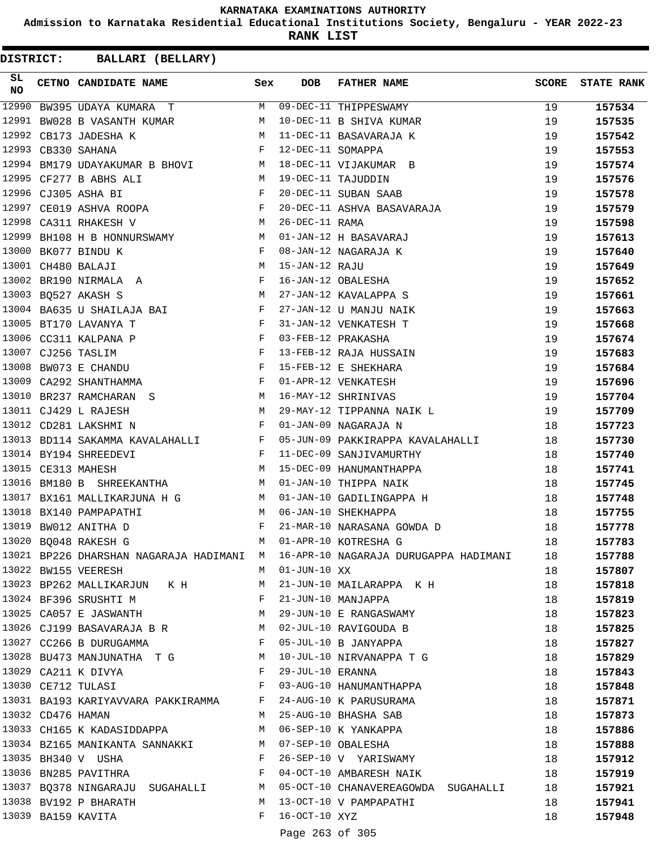**Admission to Karnataka Residential Educational Institutions Society, Bengaluru - YEAR 2022-23**

**RANK LIST**

**DISTRICT:** CC **BALLARI (BELLARY)**

| SL<br><b>NO</b> |                   | CETNO CANDIDATE NAME Sex                                                                                                                                                                                                                                   |              | <b>DOB</b>        | <b>FATHER NAME</b>                                                                                       | <b>SCORE</b> | <b>STATE RANK</b> |
|-----------------|-------------------|------------------------------------------------------------------------------------------------------------------------------------------------------------------------------------------------------------------------------------------------------------|--------------|-------------------|----------------------------------------------------------------------------------------------------------|--------------|-------------------|
| 12990           |                   | BW395 UDAYA KUMARA T                                                                                                                                                                                                                                       |              |                   | M 09-DEC-11 THIPPESWAMY                                                                                  | 19           | 157534            |
|                 |                   | 12991 BW028 B VASANTH KUMAR                                                                                                                                                                                                                                | M            |                   | 10-DEC-11 B SHIVA KUMAR                                                                                  | 19           | 157535            |
|                 |                   | 12992 CB173 JADESHA K                                                                                                                                                                                                                                      | М            |                   | 11-DEC-11 BASAVARAJA K                                                                                   | 19           | 157542            |
|                 |                   | 12993 CB330 SAHANA                                                                                                                                                                                                                                         | $\mathbf{F}$ | 12-DEC-11 SOMAPPA |                                                                                                          | 19           | 157553            |
|                 |                   | 12994 BM179 UDAYAKUMAR B BHOVI M 18-DEC-11 VIJAKUMAR B                                                                                                                                                                                                     |              |                   |                                                                                                          | 19           | 157574            |
|                 |                   | 12995 CF277 B ABHS ALI<br>M 19-DEC-11 TAJUDDIN                                                                                                                                                                                                             |              |                   |                                                                                                          | 19           | 157576            |
|                 |                   | $\mathbf{F}$<br>12996 CJ305 ASHA BI                                                                                                                                                                                                                        |              |                   | 20-DEC-11 SUBAN SAAB                                                                                     | 19           | 157578            |
|                 |                   | 12996 CJ305 ASHA BI<br>12997 CE019 ASHVA ROOPA F                                                                                                                                                                                                           |              |                   | 20-DEC-11 ASHVA BASAVARAJA                                                                               | 19           | 157579            |
| 12998           |                   | CA311 RHAKESH V<br>M <sub>N</sub>                                                                                                                                                                                                                          |              | 26-DEC-11 RAMA    |                                                                                                          | 19           | 157598            |
| 12999           |                   | BH108 H B HONNURSWAMY M                                                                                                                                                                                                                                    |              |                   | 01-JAN-12 H BASAVARAJ                                                                                    | 19           | 157613            |
|                 |                   | $\mathbf{F}$<br>13000 BK077 BINDU K                                                                                                                                                                                                                        |              |                   | 08-JAN-12 NAGARAJA K                                                                                     | 19           | 157640            |
|                 |                   | 13001 CH480 BALAJI                                                                                                                                                                                                                                         | M            | 15-JAN-12 RAJU    |                                                                                                          | 19           | 157649            |
|                 |                   | 13002 BR190 NIRMALA A F                                                                                                                                                                                                                                    |              |                   | 16-JAN-12 OBALESHA                                                                                       | 19           | 157652            |
|                 |                   | M <sub>N</sub><br>13003 BQ527 AKASH S                                                                                                                                                                                                                      |              |                   | 27-JAN-12 KAVALAPPA S                                                                                    | 19           | 157661            |
|                 |                   | 13004 BA635 U SHAILAJA BAI F                                                                                                                                                                                                                               |              |                   | 27-JAN-12 U MANJU NAIK                                                                                   | 19           | 157663            |
|                 |                   | 13005 BT170 LAVANYA T                                                                                                                                                                                                                                      | $\mathbf{F}$ |                   | 31-JAN-12 VENKATESH T                                                                                    | 19           | 157668            |
|                 |                   | $\mathbf{F}$<br>13006 CC311 KALPANA P                                                                                                                                                                                                                      |              |                   | 03-FEB-12 PRAKASHA                                                                                       | 19           | 157674            |
|                 |                   | $\mathbf{F}$<br>13007 CJ256 TASLIM                                                                                                                                                                                                                         |              |                   | 13-FEB-12 RAJA HUSSAIN                                                                                   | 19           | 157683            |
|                 |                   | $\mathbf{F}$<br>13008 BW073 E CHANDU                                                                                                                                                                                                                       |              |                   | 15-FEB-12 E SHEKHARA                                                                                     | 19           | 157684            |
|                 |                   | 13009 CA292 SHANTHAMMA                                                                                                                                                                                                                                     | F            |                   | 01-APR-12 VENKATESH                                                                                      | 19           | 157696            |
|                 |                   | 13010 BR237 RAMCHARAN S M 16-MAY-12 SHRINIVAS                                                                                                                                                                                                              |              |                   |                                                                                                          | 19           | 157704            |
|                 |                   | 13011 CJ429 L RAJESH                                                                                                                                                                                                                                       |              |                   | M 29-MAY-12 TIPPANNA NAIK L                                                                              | 19           | 157709            |
|                 |                   | $\mathbf{F}$ and $\mathbf{F}$ and $\mathbf{F}$<br>13012 CD281 LAKSHMI N                                                                                                                                                                                    |              |                   | 01-JAN-09 NAGARAJA N                                                                                     | 18           | 157723            |
|                 |                   |                                                                                                                                                                                                                                                            |              |                   | 13013 BD114 SAKAMMA KAVALAHALLI KWA F 05-JUN-09 PAKKIRAPPA KAVALAHALLI                                   | 18           | 157730            |
|                 |                   | 13014 BY194 SHREEDEVI<br>$\mathbf{F}$ and the set of the set of the set of the set of the set of the set of the set of the set of the set of the set of the set of the set of the set of the set of the set of the set of the set of the set of the set of |              |                   | 11-DEC-09 SANJIVAMURTHY                                                                                  | 18           | 157740            |
|                 |                   | 13015 CE313 MAHESH<br><b>SALES IN THE SET OF STATE OF STATE</b>                                                                                                                                                                                            |              |                   | 15-DEC-09 HANUMANTHAPPA                                                                                  | 18           | 157741            |
|                 |                   | 13016 BM180 B SHREEKANTHA M                                                                                                                                                                                                                                |              |                   | 01-JAN-10 THIPPA NAIK                                                                                    | 18           | 157745            |
|                 |                   | 13017 BX161 MALLIKARJUNA H G M 01-JAN-10 GADILINGAPPA H                                                                                                                                                                                                    |              |                   |                                                                                                          | 18           | 157748            |
|                 |                   | 13018 BX140 PAMPAPATHI                                                                                                                                                                                                                                     | M            |                   | 06-JAN-10 SHEKHAPPA                                                                                      | 18           | 157755            |
|                 |                   | 13019 BW012 ANITHA D                                                                                                                                                                                                                                       | F            |                   | 21-MAR-10 NARASANA GOWDA D                                                                               | 18           | 157778            |
|                 |                   | 13020 BQ048 RAKESH G                                                                                                                                                                                                                                       | M            |                   | 01-APR-10 KOTRESHA G                                                                                     | 18           | 157783            |
|                 |                   |                                                                                                                                                                                                                                                            |              |                   | 13021 BP226 DHARSHAN NAGARAJA HADIMANI M 16-APR-10 NAGARAJA DURUGAPPA HADIMANI                           | 18           | 157788            |
|                 |                   | 13022 BW155 VEERESH                                                                                                                                                                                                                                        |              | M 01-JUN-10 XX    |                                                                                                          | 18           | 157807            |
|                 |                   | 13023 BP262 MALLIKARJUN K H M                                                                                                                                                                                                                              |              |                   | 21-JUN-10 MAILARAPPA K H                                                                                 | 18           | 157818            |
|                 |                   | 13024 BF396 SRUSHTI M<br>$\mathbf{F}$                                                                                                                                                                                                                      |              |                   | 21-JUN-10 MANJAPPA                                                                                       | 18           | 157819            |
|                 |                   | 13025 CA057 E JASWANTH                                                                                                                                                                                                                                     |              |                   | M 29-JUN-10 E RANGASWAMY                                                                                 | 18           | 157823            |
|                 |                   |                                                                                                                                                                                                                                                            |              |                   | 13026 CJ199 BASAVARAJA B R M 02-JUL-10 RAVIGOUDA B                                                       | 18           | 157825            |
|                 |                   | $13027$ CC266 B DURUGAMMA F 05-JUL-10 B JANYAPPA                                                                                                                                                                                                           |              |                   |                                                                                                          | 18           | 157827            |
|                 |                   | 13028 BU473 MANJUNATHA T G M 10-JUL-10 NIRVANAPPA T G                                                                                                                                                                                                      |              |                   |                                                                                                          | 18           | 157829            |
|                 |                   | 13029 CA211 K DIVYA                                                                                                                                                                                                                                        | $\mathbf{F}$ | 29-JUL-10 ERANNA  |                                                                                                          | 18           | 157843            |
|                 |                   | 13030 CE712 TULASI<br>$\mathbf{F}$ and the set of $\mathbf{F}$                                                                                                                                                                                             |              |                   | 03-AUG-10 HANUMANTHAPPA                                                                                  | 18           | 157848            |
|                 |                   | 13031 BA193 KARIYAVVARA PAKKIRAMMA F                                                                                                                                                                                                                       |              |                   | 24-AUG-10 K PARUSURAMA                                                                                   | 18           | 157871            |
|                 | 13032 CD476 HAMAN |                                                                                                                                                                                                                                                            |              |                   | M 25-AUG-10 BHASHA SAB                                                                                   | 18           | 157873            |
|                 |                   | 13033 CH165 K KADASIDDAPPA M 06-SEP-10 K YANKAPPA                                                                                                                                                                                                          |              |                   |                                                                                                          | 18           | 157886            |
|                 |                   |                                                                                                                                                                                                                                                            |              |                   | 13034 BZ165 MANIKANTA SANNAKKI MO7-SEP-10 OBALESHA<br>13035 BH340 VOUSHA MARIKANT FOR-SEP-10 VOYARISWAMY | 18           | 157888            |
|                 |                   |                                                                                                                                                                                                                                                            |              |                   |                                                                                                          | 18           | 157912            |
|                 |                   | 13036 BN285 PAVITHRA F                                                                                                                                                                                                                                     |              |                   | 04-OCT-10 AMBARESH NAIK                                                                                  | 18           | 157919            |
|                 |                   |                                                                                                                                                                                                                                                            |              |                   | 13037 BQ378 NINGARAJU SUGAHALLI M 05-OCT-10 CHANAVEREAGOWDA SUGAHALLI                                    | 18           | 157921            |
|                 |                   | 13038 BV192 P BHARATH                                                                                                                                                                                                                                      |              |                   | M 13-OCT-10 V PAMPAPATHI                                                                                 | 18           | 157941            |
|                 |                   | 13039 BA159 KAVITA                                                                                                                                                                                                                                         |              | F 16-OCT-10 XYZ   |                                                                                                          | 18           | 157948            |

Page 263 of 305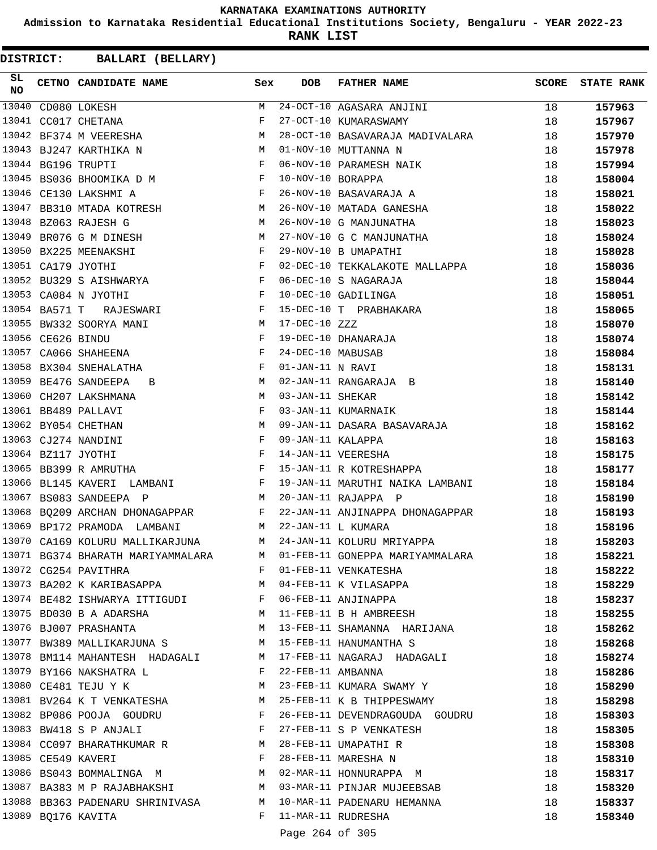**Admission to Karnataka Residential Educational Institutions Society, Bengaluru - YEAR 2022-23**

**RANK LIST**

**DISTRICT:** CC **BALLARI (BELLARY)**

| 13040<br>24-OCT-10 AGASARA ANJINI<br>M<br>18<br>157963<br>CD080 LOKESH<br>13041<br>27-OCT-10 KUMARASWAMY<br>CC017 CHETANA<br>F<br>18<br>157967<br>13042 BF374 M VEERESHA<br>28-OCT-10 BASAVARAJA MADIVALARA<br>M<br>18<br>157970<br>13043 BJ247 KARTHIKA N<br>01-NOV-10 MUTTANNA N<br>M<br>18<br>157978<br>13044 BG196 TRUPTI<br>06-NOV-10 PARAMESH NAIK<br>$\mathbf{F}$ and $\mathbf{F}$<br>18<br>157994<br>13045 BS036 BHOOMIKA D M F<br>10-NOV-10 BORAPPA<br>18<br>158004<br>$\mathbf{F}$<br>13046 CE130 LAKSHMI A<br>26-NOV-10 BASAVARAJA A<br>18<br>158021<br>13047 BB310 MTADA KOTRESH<br><b>M</b><br>26-NOV-10 MATADA GANESHA<br>18<br>158022<br>13048 BZ063 RAJESH G<br>26-NOV-10 G MANJUNATHA<br>M <sub>1</sub><br>18<br>158023<br><b>N</b><br>13049<br>27-NOV-10 G C MANJUNATHA<br>BR076 G M DINESH<br>18<br>158024<br>13050 BX225 MEENAKSHI<br>29-NOV-10 B UMAPATHI<br>$\mathbf{F}$<br>18<br>158028<br>13051 CA179 JYOTHI<br>$\mathbb{F}$<br>02-DEC-10 TEKKALAKOTE MALLAPPA<br>18<br>158036<br>$\mathbf{F}$ and $\mathbf{F}$ and $\mathbf{F}$<br>13052 BU329 S AISHWARYA<br>06-DEC-10 S NAGARAJA<br>18<br>158044<br>13053 CA084 N JYOTHI<br>$\mathbf{F}$ and the contract of $\mathbf{F}$<br>10-DEC-10 GADILINGA<br>18<br>158051<br>$\mathbf{F}$<br>13054 BA571 T RAJESWARI<br>15-DEC-10 T PRABHAKARA<br>18<br>158065<br>13055 BW332 SOORYA MANI<br>17-DEC-10 ZZZ<br>M <sub>N</sub><br>18<br>158070<br>13056 CE626 BINDU<br>19-DEC-10 DHANARAJA<br>F<br>18<br>158074<br>$\mathbf{F}$<br>13057 CA066 SHAHEENA<br>24-DEC-10 MABUSAB<br>18<br>158084<br>13058 BX304 SNEHALATHA<br>01-JAN-11 N RAVI<br>$\mathbf{F}$<br>18<br>158131<br>13059 BE476 SANDEEPA<br>M<br>02-JAN-11 RANGARAJA B<br>18<br>158140<br>B<br>13060<br>CH207 LAKSHMANA<br><b>M</b><br>03-JAN-11 SHEKAR<br>18<br>158142<br>13061 BB489 PALLAVI<br>$\mathbf{F}$ and $\mathbf{F}$ and $\mathbf{F}$<br>03-JAN-11 KUMARNAIK<br>18<br>158144<br>13062 BY054 CHETHAN<br>09-JAN-11 DASARA BASAVARAJA<br>M<br>18<br>158162<br>13063 CJ274 NANDINI<br>F<br>09-JAN-11 KALAPPA<br>18<br>158163<br>$\mathbb{F}^{\mathbb{Z}}$ . The set of $\mathbb{F}^{\mathbb{Z}}$<br>13064 BZ117 JYOTHI<br>14-JAN-11 VEERESHA<br>18<br>158175<br>$\mathbf{F}$ and the contract of the contract of $\mathbf{F}$<br>13065 BB399 R AMRUTHA<br>15-JAN-11 R KOTRESHAPPA<br>18<br>158177<br>13066 BL145 KAVERI LAMBANI F<br>19-JAN-11 MARUTHI NAIKA LAMBANI<br>18<br>158184<br>13067 BS083 SANDEEPA P<br>M<br>20-JAN-11 RAJAPPA P<br>18<br>158190<br>13068 BQ209 ARCHAN DHONAGAPPAR F<br>22-JAN-11 ANJINAPPA DHONAGAPPAR<br>18<br>158193<br>13069 BP172 PRAMODA LAMBANI<br>22-JAN-11 L KUMARA<br><b>M</b><br>18<br>158196<br>13070 CA169 KOLURU MALLIKARJUNA<br>24-JAN-11 KOLURU MRIYAPPA<br>M<br>18<br>158203<br>13071 BG374 BHARATH MARIYAMMALARA M 01-FEB-11 GONEPPA MARIYAMMALARA<br>158221<br>18<br>13072 CG254 PAVITHRA<br>F 01-FEB-11 VENKATESHA<br>18<br>158222<br>13073 BA202 K KARIBASAPPA N 04-FEB-11 K VILASAPPA<br>18<br>158229<br>13075 BD030 B A ADARSHA (13075 BD030 B A ADARSHA (13076 BJ007 PRASHANTA (13076 BJ007 PRASHANTA)<br>18<br>158237<br>18<br>158255<br>13076 BJ007 PRASHANTA (MELLET) M 13-FEB-11 SHAMANNA HARIJANA<br>18<br>158262<br>13077 BW389 MALLIKARJUNA S M 15-FEB-11 HANUMANTHA S<br>18<br>158268<br>13078 BM114 MAHANTESH HADAGALI M 17-FEB-11 NAGARAJ HADAGALI<br>18<br>158274<br>13079 BY166 NAKSHATRA L<br>F 22-FEB-11 AMBANNA<br>18<br>158286<br>M 23-FEB-11 KUMARA SWAMY Y<br>13080 CE481 TEJU Y K<br>18<br>158290<br>13081 BV264 K T VENKATESHA M 25-FEB-11 K B THIPPESWAMY<br>18<br>158298<br>$\mathbf{F}$<br>13082 BP086 POOJA GOUDRU<br>26-FEB-11 DEVENDRAGOUDA GOUDRU<br>18<br>158303<br>13083 BW418 S P ANJALI<br>$\mathbf{F}$ . The $\mathbf{F}$<br>27-FEB-11 S P VENKATESH<br>18<br>158305<br>13084 CC097 BHARATHKUMAR R M 28-FEB-11 UMAPATHI R<br>18<br>158308<br>18<br>158310<br>18<br>158317<br>13087 BA383 M P RAJABHAKSHI M 03-MAR-11 PINJAR MUJEEBSAB<br>18<br>158320<br>13088 BB363 PADENARU SHRINIVASA M 10-MAR-11 PADENARU HEMANNA<br>18<br>158337<br>13089 BQ176 KAVITA<br>F 11-MAR-11 RUDRESHA<br>18<br>158340 | SL<br><b>NO</b> | CETNO CANDIDATE NAME Sex | <b>DOB</b> | <b>FATHER NAME</b> | <b>SCORE</b> | <b>STATE RANK</b> |
|------------------------------------------------------------------------------------------------------------------------------------------------------------------------------------------------------------------------------------------------------------------------------------------------------------------------------------------------------------------------------------------------------------------------------------------------------------------------------------------------------------------------------------------------------------------------------------------------------------------------------------------------------------------------------------------------------------------------------------------------------------------------------------------------------------------------------------------------------------------------------------------------------------------------------------------------------------------------------------------------------------------------------------------------------------------------------------------------------------------------------------------------------------------------------------------------------------------------------------------------------------------------------------------------------------------------------------------------------------------------------------------------------------------------------------------------------------------------------------------------------------------------------------------------------------------------------------------------------------------------------------------------------------------------------------------------------------------------------------------------------------------------------------------------------------------------------------------------------------------------------------------------------------------------------------------------------------------------------------------------------------------------------------------------------------------------------------------------------------------------------------------------------------------------------------------------------------------------------------------------------------------------------------------------------------------------------------------------------------------------------------------------------------------------------------------------------------------------------------------------------------------------------------------------------------------------------------------------------------------------------------------------------------------------------------------------------------------------------------------------------------------------------------------------------------------------------------------------------------------------------------------------------------------------------------------------------------------------------------------------------------------------------------------------------------------------------------------------------------------------------------------------------------------------------------------------------------------------------------------------------------------------------------------------------------------------------------------------------------------------------------------------------------------------------------------------------------------------------------------------------------------------------------------------------------------------------------------------------------------------------------------------------------------------------------------------------------------------------------------------------------------------------------------------------------------------------------------------------------------------------------------------------------------------------------------------------------------------------------------------------------------------------------------------------------------------------------------------------------------------|-----------------|--------------------------|------------|--------------------|--------------|-------------------|
|                                                                                                                                                                                                                                                                                                                                                                                                                                                                                                                                                                                                                                                                                                                                                                                                                                                                                                                                                                                                                                                                                                                                                                                                                                                                                                                                                                                                                                                                                                                                                                                                                                                                                                                                                                                                                                                                                                                                                                                                                                                                                                                                                                                                                                                                                                                                                                                                                                                                                                                                                                                                                                                                                                                                                                                                                                                                                                                                                                                                                                                                                                                                                                                                                                                                                                                                                                                                                                                                                                                                                                                                                                                                                                                                                                                                                                                                                                                                                                                                                                                                                                                        |                 |                          |            |                    |              |                   |
|                                                                                                                                                                                                                                                                                                                                                                                                                                                                                                                                                                                                                                                                                                                                                                                                                                                                                                                                                                                                                                                                                                                                                                                                                                                                                                                                                                                                                                                                                                                                                                                                                                                                                                                                                                                                                                                                                                                                                                                                                                                                                                                                                                                                                                                                                                                                                                                                                                                                                                                                                                                                                                                                                                                                                                                                                                                                                                                                                                                                                                                                                                                                                                                                                                                                                                                                                                                                                                                                                                                                                                                                                                                                                                                                                                                                                                                                                                                                                                                                                                                                                                                        |                 |                          |            |                    |              |                   |
|                                                                                                                                                                                                                                                                                                                                                                                                                                                                                                                                                                                                                                                                                                                                                                                                                                                                                                                                                                                                                                                                                                                                                                                                                                                                                                                                                                                                                                                                                                                                                                                                                                                                                                                                                                                                                                                                                                                                                                                                                                                                                                                                                                                                                                                                                                                                                                                                                                                                                                                                                                                                                                                                                                                                                                                                                                                                                                                                                                                                                                                                                                                                                                                                                                                                                                                                                                                                                                                                                                                                                                                                                                                                                                                                                                                                                                                                                                                                                                                                                                                                                                                        |                 |                          |            |                    |              |                   |
|                                                                                                                                                                                                                                                                                                                                                                                                                                                                                                                                                                                                                                                                                                                                                                                                                                                                                                                                                                                                                                                                                                                                                                                                                                                                                                                                                                                                                                                                                                                                                                                                                                                                                                                                                                                                                                                                                                                                                                                                                                                                                                                                                                                                                                                                                                                                                                                                                                                                                                                                                                                                                                                                                                                                                                                                                                                                                                                                                                                                                                                                                                                                                                                                                                                                                                                                                                                                                                                                                                                                                                                                                                                                                                                                                                                                                                                                                                                                                                                                                                                                                                                        |                 |                          |            |                    |              |                   |
|                                                                                                                                                                                                                                                                                                                                                                                                                                                                                                                                                                                                                                                                                                                                                                                                                                                                                                                                                                                                                                                                                                                                                                                                                                                                                                                                                                                                                                                                                                                                                                                                                                                                                                                                                                                                                                                                                                                                                                                                                                                                                                                                                                                                                                                                                                                                                                                                                                                                                                                                                                                                                                                                                                                                                                                                                                                                                                                                                                                                                                                                                                                                                                                                                                                                                                                                                                                                                                                                                                                                                                                                                                                                                                                                                                                                                                                                                                                                                                                                                                                                                                                        |                 |                          |            |                    |              |                   |
|                                                                                                                                                                                                                                                                                                                                                                                                                                                                                                                                                                                                                                                                                                                                                                                                                                                                                                                                                                                                                                                                                                                                                                                                                                                                                                                                                                                                                                                                                                                                                                                                                                                                                                                                                                                                                                                                                                                                                                                                                                                                                                                                                                                                                                                                                                                                                                                                                                                                                                                                                                                                                                                                                                                                                                                                                                                                                                                                                                                                                                                                                                                                                                                                                                                                                                                                                                                                                                                                                                                                                                                                                                                                                                                                                                                                                                                                                                                                                                                                                                                                                                                        |                 |                          |            |                    |              |                   |
|                                                                                                                                                                                                                                                                                                                                                                                                                                                                                                                                                                                                                                                                                                                                                                                                                                                                                                                                                                                                                                                                                                                                                                                                                                                                                                                                                                                                                                                                                                                                                                                                                                                                                                                                                                                                                                                                                                                                                                                                                                                                                                                                                                                                                                                                                                                                                                                                                                                                                                                                                                                                                                                                                                                                                                                                                                                                                                                                                                                                                                                                                                                                                                                                                                                                                                                                                                                                                                                                                                                                                                                                                                                                                                                                                                                                                                                                                                                                                                                                                                                                                                                        |                 |                          |            |                    |              |                   |
|                                                                                                                                                                                                                                                                                                                                                                                                                                                                                                                                                                                                                                                                                                                                                                                                                                                                                                                                                                                                                                                                                                                                                                                                                                                                                                                                                                                                                                                                                                                                                                                                                                                                                                                                                                                                                                                                                                                                                                                                                                                                                                                                                                                                                                                                                                                                                                                                                                                                                                                                                                                                                                                                                                                                                                                                                                                                                                                                                                                                                                                                                                                                                                                                                                                                                                                                                                                                                                                                                                                                                                                                                                                                                                                                                                                                                                                                                                                                                                                                                                                                                                                        |                 |                          |            |                    |              |                   |
|                                                                                                                                                                                                                                                                                                                                                                                                                                                                                                                                                                                                                                                                                                                                                                                                                                                                                                                                                                                                                                                                                                                                                                                                                                                                                                                                                                                                                                                                                                                                                                                                                                                                                                                                                                                                                                                                                                                                                                                                                                                                                                                                                                                                                                                                                                                                                                                                                                                                                                                                                                                                                                                                                                                                                                                                                                                                                                                                                                                                                                                                                                                                                                                                                                                                                                                                                                                                                                                                                                                                                                                                                                                                                                                                                                                                                                                                                                                                                                                                                                                                                                                        |                 |                          |            |                    |              |                   |
|                                                                                                                                                                                                                                                                                                                                                                                                                                                                                                                                                                                                                                                                                                                                                                                                                                                                                                                                                                                                                                                                                                                                                                                                                                                                                                                                                                                                                                                                                                                                                                                                                                                                                                                                                                                                                                                                                                                                                                                                                                                                                                                                                                                                                                                                                                                                                                                                                                                                                                                                                                                                                                                                                                                                                                                                                                                                                                                                                                                                                                                                                                                                                                                                                                                                                                                                                                                                                                                                                                                                                                                                                                                                                                                                                                                                                                                                                                                                                                                                                                                                                                                        |                 |                          |            |                    |              |                   |
|                                                                                                                                                                                                                                                                                                                                                                                                                                                                                                                                                                                                                                                                                                                                                                                                                                                                                                                                                                                                                                                                                                                                                                                                                                                                                                                                                                                                                                                                                                                                                                                                                                                                                                                                                                                                                                                                                                                                                                                                                                                                                                                                                                                                                                                                                                                                                                                                                                                                                                                                                                                                                                                                                                                                                                                                                                                                                                                                                                                                                                                                                                                                                                                                                                                                                                                                                                                                                                                                                                                                                                                                                                                                                                                                                                                                                                                                                                                                                                                                                                                                                                                        |                 |                          |            |                    |              |                   |
|                                                                                                                                                                                                                                                                                                                                                                                                                                                                                                                                                                                                                                                                                                                                                                                                                                                                                                                                                                                                                                                                                                                                                                                                                                                                                                                                                                                                                                                                                                                                                                                                                                                                                                                                                                                                                                                                                                                                                                                                                                                                                                                                                                                                                                                                                                                                                                                                                                                                                                                                                                                                                                                                                                                                                                                                                                                                                                                                                                                                                                                                                                                                                                                                                                                                                                                                                                                                                                                                                                                                                                                                                                                                                                                                                                                                                                                                                                                                                                                                                                                                                                                        |                 |                          |            |                    |              |                   |
|                                                                                                                                                                                                                                                                                                                                                                                                                                                                                                                                                                                                                                                                                                                                                                                                                                                                                                                                                                                                                                                                                                                                                                                                                                                                                                                                                                                                                                                                                                                                                                                                                                                                                                                                                                                                                                                                                                                                                                                                                                                                                                                                                                                                                                                                                                                                                                                                                                                                                                                                                                                                                                                                                                                                                                                                                                                                                                                                                                                                                                                                                                                                                                                                                                                                                                                                                                                                                                                                                                                                                                                                                                                                                                                                                                                                                                                                                                                                                                                                                                                                                                                        |                 |                          |            |                    |              |                   |
|                                                                                                                                                                                                                                                                                                                                                                                                                                                                                                                                                                                                                                                                                                                                                                                                                                                                                                                                                                                                                                                                                                                                                                                                                                                                                                                                                                                                                                                                                                                                                                                                                                                                                                                                                                                                                                                                                                                                                                                                                                                                                                                                                                                                                                                                                                                                                                                                                                                                                                                                                                                                                                                                                                                                                                                                                                                                                                                                                                                                                                                                                                                                                                                                                                                                                                                                                                                                                                                                                                                                                                                                                                                                                                                                                                                                                                                                                                                                                                                                                                                                                                                        |                 |                          |            |                    |              |                   |
|                                                                                                                                                                                                                                                                                                                                                                                                                                                                                                                                                                                                                                                                                                                                                                                                                                                                                                                                                                                                                                                                                                                                                                                                                                                                                                                                                                                                                                                                                                                                                                                                                                                                                                                                                                                                                                                                                                                                                                                                                                                                                                                                                                                                                                                                                                                                                                                                                                                                                                                                                                                                                                                                                                                                                                                                                                                                                                                                                                                                                                                                                                                                                                                                                                                                                                                                                                                                                                                                                                                                                                                                                                                                                                                                                                                                                                                                                                                                                                                                                                                                                                                        |                 |                          |            |                    |              |                   |
|                                                                                                                                                                                                                                                                                                                                                                                                                                                                                                                                                                                                                                                                                                                                                                                                                                                                                                                                                                                                                                                                                                                                                                                                                                                                                                                                                                                                                                                                                                                                                                                                                                                                                                                                                                                                                                                                                                                                                                                                                                                                                                                                                                                                                                                                                                                                                                                                                                                                                                                                                                                                                                                                                                                                                                                                                                                                                                                                                                                                                                                                                                                                                                                                                                                                                                                                                                                                                                                                                                                                                                                                                                                                                                                                                                                                                                                                                                                                                                                                                                                                                                                        |                 |                          |            |                    |              |                   |
|                                                                                                                                                                                                                                                                                                                                                                                                                                                                                                                                                                                                                                                                                                                                                                                                                                                                                                                                                                                                                                                                                                                                                                                                                                                                                                                                                                                                                                                                                                                                                                                                                                                                                                                                                                                                                                                                                                                                                                                                                                                                                                                                                                                                                                                                                                                                                                                                                                                                                                                                                                                                                                                                                                                                                                                                                                                                                                                                                                                                                                                                                                                                                                                                                                                                                                                                                                                                                                                                                                                                                                                                                                                                                                                                                                                                                                                                                                                                                                                                                                                                                                                        |                 |                          |            |                    |              |                   |
|                                                                                                                                                                                                                                                                                                                                                                                                                                                                                                                                                                                                                                                                                                                                                                                                                                                                                                                                                                                                                                                                                                                                                                                                                                                                                                                                                                                                                                                                                                                                                                                                                                                                                                                                                                                                                                                                                                                                                                                                                                                                                                                                                                                                                                                                                                                                                                                                                                                                                                                                                                                                                                                                                                                                                                                                                                                                                                                                                                                                                                                                                                                                                                                                                                                                                                                                                                                                                                                                                                                                                                                                                                                                                                                                                                                                                                                                                                                                                                                                                                                                                                                        |                 |                          |            |                    |              |                   |
|                                                                                                                                                                                                                                                                                                                                                                                                                                                                                                                                                                                                                                                                                                                                                                                                                                                                                                                                                                                                                                                                                                                                                                                                                                                                                                                                                                                                                                                                                                                                                                                                                                                                                                                                                                                                                                                                                                                                                                                                                                                                                                                                                                                                                                                                                                                                                                                                                                                                                                                                                                                                                                                                                                                                                                                                                                                                                                                                                                                                                                                                                                                                                                                                                                                                                                                                                                                                                                                                                                                                                                                                                                                                                                                                                                                                                                                                                                                                                                                                                                                                                                                        |                 |                          |            |                    |              |                   |
|                                                                                                                                                                                                                                                                                                                                                                                                                                                                                                                                                                                                                                                                                                                                                                                                                                                                                                                                                                                                                                                                                                                                                                                                                                                                                                                                                                                                                                                                                                                                                                                                                                                                                                                                                                                                                                                                                                                                                                                                                                                                                                                                                                                                                                                                                                                                                                                                                                                                                                                                                                                                                                                                                                                                                                                                                                                                                                                                                                                                                                                                                                                                                                                                                                                                                                                                                                                                                                                                                                                                                                                                                                                                                                                                                                                                                                                                                                                                                                                                                                                                                                                        |                 |                          |            |                    |              |                   |
|                                                                                                                                                                                                                                                                                                                                                                                                                                                                                                                                                                                                                                                                                                                                                                                                                                                                                                                                                                                                                                                                                                                                                                                                                                                                                                                                                                                                                                                                                                                                                                                                                                                                                                                                                                                                                                                                                                                                                                                                                                                                                                                                                                                                                                                                                                                                                                                                                                                                                                                                                                                                                                                                                                                                                                                                                                                                                                                                                                                                                                                                                                                                                                                                                                                                                                                                                                                                                                                                                                                                                                                                                                                                                                                                                                                                                                                                                                                                                                                                                                                                                                                        |                 |                          |            |                    |              |                   |
|                                                                                                                                                                                                                                                                                                                                                                                                                                                                                                                                                                                                                                                                                                                                                                                                                                                                                                                                                                                                                                                                                                                                                                                                                                                                                                                                                                                                                                                                                                                                                                                                                                                                                                                                                                                                                                                                                                                                                                                                                                                                                                                                                                                                                                                                                                                                                                                                                                                                                                                                                                                                                                                                                                                                                                                                                                                                                                                                                                                                                                                                                                                                                                                                                                                                                                                                                                                                                                                                                                                                                                                                                                                                                                                                                                                                                                                                                                                                                                                                                                                                                                                        |                 |                          |            |                    |              |                   |
|                                                                                                                                                                                                                                                                                                                                                                                                                                                                                                                                                                                                                                                                                                                                                                                                                                                                                                                                                                                                                                                                                                                                                                                                                                                                                                                                                                                                                                                                                                                                                                                                                                                                                                                                                                                                                                                                                                                                                                                                                                                                                                                                                                                                                                                                                                                                                                                                                                                                                                                                                                                                                                                                                                                                                                                                                                                                                                                                                                                                                                                                                                                                                                                                                                                                                                                                                                                                                                                                                                                                                                                                                                                                                                                                                                                                                                                                                                                                                                                                                                                                                                                        |                 |                          |            |                    |              |                   |
|                                                                                                                                                                                                                                                                                                                                                                                                                                                                                                                                                                                                                                                                                                                                                                                                                                                                                                                                                                                                                                                                                                                                                                                                                                                                                                                                                                                                                                                                                                                                                                                                                                                                                                                                                                                                                                                                                                                                                                                                                                                                                                                                                                                                                                                                                                                                                                                                                                                                                                                                                                                                                                                                                                                                                                                                                                                                                                                                                                                                                                                                                                                                                                                                                                                                                                                                                                                                                                                                                                                                                                                                                                                                                                                                                                                                                                                                                                                                                                                                                                                                                                                        |                 |                          |            |                    |              |                   |
|                                                                                                                                                                                                                                                                                                                                                                                                                                                                                                                                                                                                                                                                                                                                                                                                                                                                                                                                                                                                                                                                                                                                                                                                                                                                                                                                                                                                                                                                                                                                                                                                                                                                                                                                                                                                                                                                                                                                                                                                                                                                                                                                                                                                                                                                                                                                                                                                                                                                                                                                                                                                                                                                                                                                                                                                                                                                                                                                                                                                                                                                                                                                                                                                                                                                                                                                                                                                                                                                                                                                                                                                                                                                                                                                                                                                                                                                                                                                                                                                                                                                                                                        |                 |                          |            |                    |              |                   |
|                                                                                                                                                                                                                                                                                                                                                                                                                                                                                                                                                                                                                                                                                                                                                                                                                                                                                                                                                                                                                                                                                                                                                                                                                                                                                                                                                                                                                                                                                                                                                                                                                                                                                                                                                                                                                                                                                                                                                                                                                                                                                                                                                                                                                                                                                                                                                                                                                                                                                                                                                                                                                                                                                                                                                                                                                                                                                                                                                                                                                                                                                                                                                                                                                                                                                                                                                                                                                                                                                                                                                                                                                                                                                                                                                                                                                                                                                                                                                                                                                                                                                                                        |                 |                          |            |                    |              |                   |
|                                                                                                                                                                                                                                                                                                                                                                                                                                                                                                                                                                                                                                                                                                                                                                                                                                                                                                                                                                                                                                                                                                                                                                                                                                                                                                                                                                                                                                                                                                                                                                                                                                                                                                                                                                                                                                                                                                                                                                                                                                                                                                                                                                                                                                                                                                                                                                                                                                                                                                                                                                                                                                                                                                                                                                                                                                                                                                                                                                                                                                                                                                                                                                                                                                                                                                                                                                                                                                                                                                                                                                                                                                                                                                                                                                                                                                                                                                                                                                                                                                                                                                                        |                 |                          |            |                    |              |                   |
|                                                                                                                                                                                                                                                                                                                                                                                                                                                                                                                                                                                                                                                                                                                                                                                                                                                                                                                                                                                                                                                                                                                                                                                                                                                                                                                                                                                                                                                                                                                                                                                                                                                                                                                                                                                                                                                                                                                                                                                                                                                                                                                                                                                                                                                                                                                                                                                                                                                                                                                                                                                                                                                                                                                                                                                                                                                                                                                                                                                                                                                                                                                                                                                                                                                                                                                                                                                                                                                                                                                                                                                                                                                                                                                                                                                                                                                                                                                                                                                                                                                                                                                        |                 |                          |            |                    |              |                   |
|                                                                                                                                                                                                                                                                                                                                                                                                                                                                                                                                                                                                                                                                                                                                                                                                                                                                                                                                                                                                                                                                                                                                                                                                                                                                                                                                                                                                                                                                                                                                                                                                                                                                                                                                                                                                                                                                                                                                                                                                                                                                                                                                                                                                                                                                                                                                                                                                                                                                                                                                                                                                                                                                                                                                                                                                                                                                                                                                                                                                                                                                                                                                                                                                                                                                                                                                                                                                                                                                                                                                                                                                                                                                                                                                                                                                                                                                                                                                                                                                                                                                                                                        |                 |                          |            |                    |              |                   |
|                                                                                                                                                                                                                                                                                                                                                                                                                                                                                                                                                                                                                                                                                                                                                                                                                                                                                                                                                                                                                                                                                                                                                                                                                                                                                                                                                                                                                                                                                                                                                                                                                                                                                                                                                                                                                                                                                                                                                                                                                                                                                                                                                                                                                                                                                                                                                                                                                                                                                                                                                                                                                                                                                                                                                                                                                                                                                                                                                                                                                                                                                                                                                                                                                                                                                                                                                                                                                                                                                                                                                                                                                                                                                                                                                                                                                                                                                                                                                                                                                                                                                                                        |                 |                          |            |                    |              |                   |
|                                                                                                                                                                                                                                                                                                                                                                                                                                                                                                                                                                                                                                                                                                                                                                                                                                                                                                                                                                                                                                                                                                                                                                                                                                                                                                                                                                                                                                                                                                                                                                                                                                                                                                                                                                                                                                                                                                                                                                                                                                                                                                                                                                                                                                                                                                                                                                                                                                                                                                                                                                                                                                                                                                                                                                                                                                                                                                                                                                                                                                                                                                                                                                                                                                                                                                                                                                                                                                                                                                                                                                                                                                                                                                                                                                                                                                                                                                                                                                                                                                                                                                                        |                 |                          |            |                    |              |                   |
|                                                                                                                                                                                                                                                                                                                                                                                                                                                                                                                                                                                                                                                                                                                                                                                                                                                                                                                                                                                                                                                                                                                                                                                                                                                                                                                                                                                                                                                                                                                                                                                                                                                                                                                                                                                                                                                                                                                                                                                                                                                                                                                                                                                                                                                                                                                                                                                                                                                                                                                                                                                                                                                                                                                                                                                                                                                                                                                                                                                                                                                                                                                                                                                                                                                                                                                                                                                                                                                                                                                                                                                                                                                                                                                                                                                                                                                                                                                                                                                                                                                                                                                        |                 |                          |            |                    |              |                   |
|                                                                                                                                                                                                                                                                                                                                                                                                                                                                                                                                                                                                                                                                                                                                                                                                                                                                                                                                                                                                                                                                                                                                                                                                                                                                                                                                                                                                                                                                                                                                                                                                                                                                                                                                                                                                                                                                                                                                                                                                                                                                                                                                                                                                                                                                                                                                                                                                                                                                                                                                                                                                                                                                                                                                                                                                                                                                                                                                                                                                                                                                                                                                                                                                                                                                                                                                                                                                                                                                                                                                                                                                                                                                                                                                                                                                                                                                                                                                                                                                                                                                                                                        |                 |                          |            |                    |              |                   |
|                                                                                                                                                                                                                                                                                                                                                                                                                                                                                                                                                                                                                                                                                                                                                                                                                                                                                                                                                                                                                                                                                                                                                                                                                                                                                                                                                                                                                                                                                                                                                                                                                                                                                                                                                                                                                                                                                                                                                                                                                                                                                                                                                                                                                                                                                                                                                                                                                                                                                                                                                                                                                                                                                                                                                                                                                                                                                                                                                                                                                                                                                                                                                                                                                                                                                                                                                                                                                                                                                                                                                                                                                                                                                                                                                                                                                                                                                                                                                                                                                                                                                                                        |                 |                          |            |                    |              |                   |
|                                                                                                                                                                                                                                                                                                                                                                                                                                                                                                                                                                                                                                                                                                                                                                                                                                                                                                                                                                                                                                                                                                                                                                                                                                                                                                                                                                                                                                                                                                                                                                                                                                                                                                                                                                                                                                                                                                                                                                                                                                                                                                                                                                                                                                                                                                                                                                                                                                                                                                                                                                                                                                                                                                                                                                                                                                                                                                                                                                                                                                                                                                                                                                                                                                                                                                                                                                                                                                                                                                                                                                                                                                                                                                                                                                                                                                                                                                                                                                                                                                                                                                                        |                 |                          |            |                    |              |                   |
|                                                                                                                                                                                                                                                                                                                                                                                                                                                                                                                                                                                                                                                                                                                                                                                                                                                                                                                                                                                                                                                                                                                                                                                                                                                                                                                                                                                                                                                                                                                                                                                                                                                                                                                                                                                                                                                                                                                                                                                                                                                                                                                                                                                                                                                                                                                                                                                                                                                                                                                                                                                                                                                                                                                                                                                                                                                                                                                                                                                                                                                                                                                                                                                                                                                                                                                                                                                                                                                                                                                                                                                                                                                                                                                                                                                                                                                                                                                                                                                                                                                                                                                        |                 |                          |            |                    |              |                   |
|                                                                                                                                                                                                                                                                                                                                                                                                                                                                                                                                                                                                                                                                                                                                                                                                                                                                                                                                                                                                                                                                                                                                                                                                                                                                                                                                                                                                                                                                                                                                                                                                                                                                                                                                                                                                                                                                                                                                                                                                                                                                                                                                                                                                                                                                                                                                                                                                                                                                                                                                                                                                                                                                                                                                                                                                                                                                                                                                                                                                                                                                                                                                                                                                                                                                                                                                                                                                                                                                                                                                                                                                                                                                                                                                                                                                                                                                                                                                                                                                                                                                                                                        |                 |                          |            |                    |              |                   |
|                                                                                                                                                                                                                                                                                                                                                                                                                                                                                                                                                                                                                                                                                                                                                                                                                                                                                                                                                                                                                                                                                                                                                                                                                                                                                                                                                                                                                                                                                                                                                                                                                                                                                                                                                                                                                                                                                                                                                                                                                                                                                                                                                                                                                                                                                                                                                                                                                                                                                                                                                                                                                                                                                                                                                                                                                                                                                                                                                                                                                                                                                                                                                                                                                                                                                                                                                                                                                                                                                                                                                                                                                                                                                                                                                                                                                                                                                                                                                                                                                                                                                                                        |                 |                          |            |                    |              |                   |
|                                                                                                                                                                                                                                                                                                                                                                                                                                                                                                                                                                                                                                                                                                                                                                                                                                                                                                                                                                                                                                                                                                                                                                                                                                                                                                                                                                                                                                                                                                                                                                                                                                                                                                                                                                                                                                                                                                                                                                                                                                                                                                                                                                                                                                                                                                                                                                                                                                                                                                                                                                                                                                                                                                                                                                                                                                                                                                                                                                                                                                                                                                                                                                                                                                                                                                                                                                                                                                                                                                                                                                                                                                                                                                                                                                                                                                                                                                                                                                                                                                                                                                                        |                 |                          |            |                    |              |                   |
|                                                                                                                                                                                                                                                                                                                                                                                                                                                                                                                                                                                                                                                                                                                                                                                                                                                                                                                                                                                                                                                                                                                                                                                                                                                                                                                                                                                                                                                                                                                                                                                                                                                                                                                                                                                                                                                                                                                                                                                                                                                                                                                                                                                                                                                                                                                                                                                                                                                                                                                                                                                                                                                                                                                                                                                                                                                                                                                                                                                                                                                                                                                                                                                                                                                                                                                                                                                                                                                                                                                                                                                                                                                                                                                                                                                                                                                                                                                                                                                                                                                                                                                        |                 |                          |            |                    |              |                   |
|                                                                                                                                                                                                                                                                                                                                                                                                                                                                                                                                                                                                                                                                                                                                                                                                                                                                                                                                                                                                                                                                                                                                                                                                                                                                                                                                                                                                                                                                                                                                                                                                                                                                                                                                                                                                                                                                                                                                                                                                                                                                                                                                                                                                                                                                                                                                                                                                                                                                                                                                                                                                                                                                                                                                                                                                                                                                                                                                                                                                                                                                                                                                                                                                                                                                                                                                                                                                                                                                                                                                                                                                                                                                                                                                                                                                                                                                                                                                                                                                                                                                                                                        |                 |                          |            |                    |              |                   |
|                                                                                                                                                                                                                                                                                                                                                                                                                                                                                                                                                                                                                                                                                                                                                                                                                                                                                                                                                                                                                                                                                                                                                                                                                                                                                                                                                                                                                                                                                                                                                                                                                                                                                                                                                                                                                                                                                                                                                                                                                                                                                                                                                                                                                                                                                                                                                                                                                                                                                                                                                                                                                                                                                                                                                                                                                                                                                                                                                                                                                                                                                                                                                                                                                                                                                                                                                                                                                                                                                                                                                                                                                                                                                                                                                                                                                                                                                                                                                                                                                                                                                                                        |                 |                          |            |                    |              |                   |
|                                                                                                                                                                                                                                                                                                                                                                                                                                                                                                                                                                                                                                                                                                                                                                                                                                                                                                                                                                                                                                                                                                                                                                                                                                                                                                                                                                                                                                                                                                                                                                                                                                                                                                                                                                                                                                                                                                                                                                                                                                                                                                                                                                                                                                                                                                                                                                                                                                                                                                                                                                                                                                                                                                                                                                                                                                                                                                                                                                                                                                                                                                                                                                                                                                                                                                                                                                                                                                                                                                                                                                                                                                                                                                                                                                                                                                                                                                                                                                                                                                                                                                                        |                 |                          |            |                    |              |                   |
|                                                                                                                                                                                                                                                                                                                                                                                                                                                                                                                                                                                                                                                                                                                                                                                                                                                                                                                                                                                                                                                                                                                                                                                                                                                                                                                                                                                                                                                                                                                                                                                                                                                                                                                                                                                                                                                                                                                                                                                                                                                                                                                                                                                                                                                                                                                                                                                                                                                                                                                                                                                                                                                                                                                                                                                                                                                                                                                                                                                                                                                                                                                                                                                                                                                                                                                                                                                                                                                                                                                                                                                                                                                                                                                                                                                                                                                                                                                                                                                                                                                                                                                        |                 |                          |            |                    |              |                   |
|                                                                                                                                                                                                                                                                                                                                                                                                                                                                                                                                                                                                                                                                                                                                                                                                                                                                                                                                                                                                                                                                                                                                                                                                                                                                                                                                                                                                                                                                                                                                                                                                                                                                                                                                                                                                                                                                                                                                                                                                                                                                                                                                                                                                                                                                                                                                                                                                                                                                                                                                                                                                                                                                                                                                                                                                                                                                                                                                                                                                                                                                                                                                                                                                                                                                                                                                                                                                                                                                                                                                                                                                                                                                                                                                                                                                                                                                                                                                                                                                                                                                                                                        |                 |                          |            |                    |              |                   |
|                                                                                                                                                                                                                                                                                                                                                                                                                                                                                                                                                                                                                                                                                                                                                                                                                                                                                                                                                                                                                                                                                                                                                                                                                                                                                                                                                                                                                                                                                                                                                                                                                                                                                                                                                                                                                                                                                                                                                                                                                                                                                                                                                                                                                                                                                                                                                                                                                                                                                                                                                                                                                                                                                                                                                                                                                                                                                                                                                                                                                                                                                                                                                                                                                                                                                                                                                                                                                                                                                                                                                                                                                                                                                                                                                                                                                                                                                                                                                                                                                                                                                                                        |                 |                          |            |                    |              |                   |
|                                                                                                                                                                                                                                                                                                                                                                                                                                                                                                                                                                                                                                                                                                                                                                                                                                                                                                                                                                                                                                                                                                                                                                                                                                                                                                                                                                                                                                                                                                                                                                                                                                                                                                                                                                                                                                                                                                                                                                                                                                                                                                                                                                                                                                                                                                                                                                                                                                                                                                                                                                                                                                                                                                                                                                                                                                                                                                                                                                                                                                                                                                                                                                                                                                                                                                                                                                                                                                                                                                                                                                                                                                                                                                                                                                                                                                                                                                                                                                                                                                                                                                                        |                 |                          |            |                    |              |                   |
|                                                                                                                                                                                                                                                                                                                                                                                                                                                                                                                                                                                                                                                                                                                                                                                                                                                                                                                                                                                                                                                                                                                                                                                                                                                                                                                                                                                                                                                                                                                                                                                                                                                                                                                                                                                                                                                                                                                                                                                                                                                                                                                                                                                                                                                                                                                                                                                                                                                                                                                                                                                                                                                                                                                                                                                                                                                                                                                                                                                                                                                                                                                                                                                                                                                                                                                                                                                                                                                                                                                                                                                                                                                                                                                                                                                                                                                                                                                                                                                                                                                                                                                        |                 |                          |            |                    |              |                   |
|                                                                                                                                                                                                                                                                                                                                                                                                                                                                                                                                                                                                                                                                                                                                                                                                                                                                                                                                                                                                                                                                                                                                                                                                                                                                                                                                                                                                                                                                                                                                                                                                                                                                                                                                                                                                                                                                                                                                                                                                                                                                                                                                                                                                                                                                                                                                                                                                                                                                                                                                                                                                                                                                                                                                                                                                                                                                                                                                                                                                                                                                                                                                                                                                                                                                                                                                                                                                                                                                                                                                                                                                                                                                                                                                                                                                                                                                                                                                                                                                                                                                                                                        |                 |                          |            |                    |              |                   |
|                                                                                                                                                                                                                                                                                                                                                                                                                                                                                                                                                                                                                                                                                                                                                                                                                                                                                                                                                                                                                                                                                                                                                                                                                                                                                                                                                                                                                                                                                                                                                                                                                                                                                                                                                                                                                                                                                                                                                                                                                                                                                                                                                                                                                                                                                                                                                                                                                                                                                                                                                                                                                                                                                                                                                                                                                                                                                                                                                                                                                                                                                                                                                                                                                                                                                                                                                                                                                                                                                                                                                                                                                                                                                                                                                                                                                                                                                                                                                                                                                                                                                                                        |                 |                          |            |                    |              |                   |

Page 264 of 305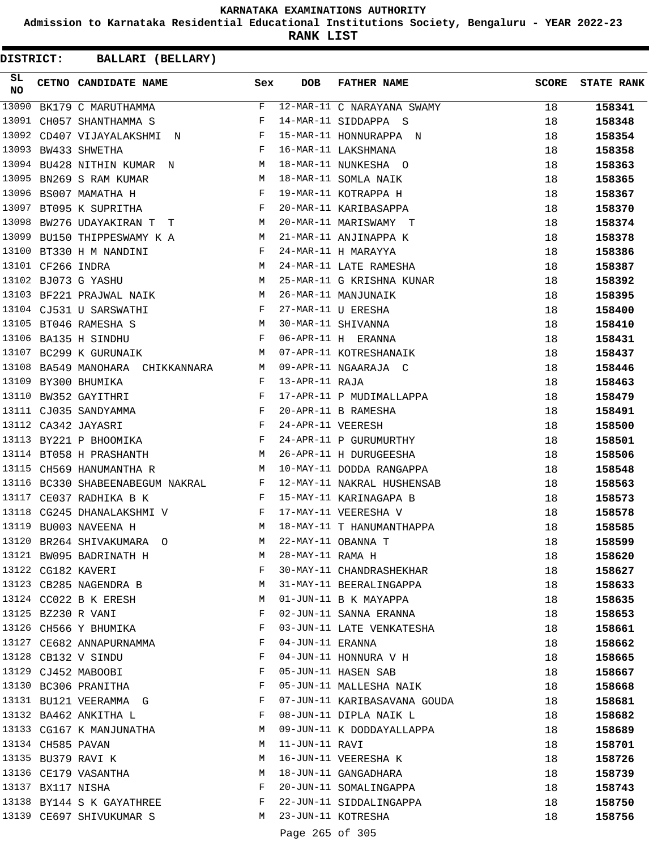**Admission to Karnataka Residential Educational Institutions Society, Bengaluru - YEAR 2022-23**

**RANK LIST**

| SL<br><b>NO</b> |                   | CETNO CANDIDATE NAME Sex                                                                                        |                               | <b>DOB</b>        | <b>FATHER NAME</b>           | <b>SCORE</b> | <b>STATE RANK</b> |
|-----------------|-------------------|-----------------------------------------------------------------------------------------------------------------|-------------------------------|-------------------|------------------------------|--------------|-------------------|
| 13090           |                   | BK179 C MARUTHAMMA                                                                                              | F                             |                   | 12-MAR-11 C NARAYANA SWAMY   | 18           | 158341            |
| 13091           |                   | CH057 SHANTHAMMA S                                                                                              | F                             |                   | 14-MAR-11 SIDDAPPA S         | 18           | 158348            |
| 13092           |                   | CD407 VIJAYALAKSHMI N                                                                                           | $\mathbf{F}$ and $\mathbf{F}$ |                   | 15-MAR-11 HONNURAPPA N       | 18           | 158354            |
|                 |                   | 13093 BW433 SHWETHA                                                                                             | F                             |                   | 16-MAR-11 LAKSHMANA          | 18           | 158358            |
| 13094           |                   | BU428 NITHIN KUMAR N                                                                                            | M                             |                   | 18-MAR-11 NUNKESHA O         | 18           | 158363            |
| 13095           |                   | <b>M</b><br>BN269 S RAM KUMAR                                                                                   |                               |                   | 18-MAR-11 SOMLA NAIK         | 18           | 158365            |
|                 |                   | 13096 BS007 MAMATHA H                                                                                           | $\mathbf{F}$                  |                   | 19-MAR-11 KOTRAPPA H         | 18           | 158367            |
| 13097           |                   | BT095 K SUPRITHA                                                                                                | F                             |                   | 20-MAR-11 KARIBASAPPA        | 18           | 158370            |
| 13098           |                   | BW276 UDAYAKIRAN T T                                                                                            | M                             |                   | 20-MAR-11 MARISWAMY T        | 18           | 158374            |
| 13099           |                   | BU150 THIPPESWAMY K A                                                                                           | M                             |                   | 21-MAR-11 ANJINAPPA K        | 18           | 158378            |
|                 |                   | $\begin{array}{ccc}\n & & F \\  & \mathbb{N} & \mathbb{N} \\  & M & M\n \end{array}$<br>13100 BT330 H M NANDINI |                               |                   | 24-MAR-11 H MARAYYA          | 18           | 158386            |
|                 | 13101 CF266 INDRA |                                                                                                                 |                               |                   | 24-MAR-11 LATE RAMESHA       | 18           | 158387            |
|                 |                   | 13102 BJ073 G YASHU                                                                                             |                               |                   | 25-MAR-11 G KRISHNA KUNAR    | 18           | 158392            |
|                 |                   | 13103 BF221 PRAJWAL NAIK M                                                                                      |                               |                   | 26-MAR-11 MANJUNAIK          | 18           | 158395            |
|                 |                   | 13104 CJ531 U SARSWATHI                                                                                         | F                             |                   | 27-MAR-11 U ERESHA           | 18           | 158400            |
|                 |                   | 13105 BT046 RAMESHA S                                                                                           | M                             |                   | 30-MAR-11 SHIVANNA           | 18           | 158410            |
|                 |                   | 13106 BA135 H SINDHU                                                                                            | F                             |                   | 06-APR-11 H ERANNA           | 18           | 158431            |
|                 |                   | 13107 BC299 K GURUNAIK                                                                                          | M                             |                   | 07-APR-11 KOTRESHANAIK       | 18           | 158437            |
|                 |                   | 13108 BA549 MANOHARA CHIKKANNARA M                                                                              |                               |                   | 09-APR-11 NGAARAJA C         | 18           | 158446            |
| 13109           |                   | BY300 BHUMIKA                                                                                                   | F                             | 13-APR-11 RAJA    |                              | 18           | 158463            |
| 13110           |                   | BW352 GAYITHRI<br><b>Example 2</b> F                                                                            |                               |                   | 17-APR-11 P MUDIMALLAPPA     | 18           | 158479            |
|                 |                   | 13111 CJ035 SANDYAMMA F                                                                                         |                               |                   | 20-APR-11 B RAMESHA          | 18           | 158491            |
|                 |                   | 13112 CA342 JAYASRI                                                                                             |                               | 24-APR-11 VEERESH |                              | 18           |                   |
|                 |                   | $\mathbb F$<br>$\mathbf{F}$ and $\mathbf{F}$ and $\mathbf{F}$<br>13113 BY221 P BHOOMIKA                         |                               |                   | 24-APR-11 P GURUMURTHY       | 18           | 158500            |
|                 |                   |                                                                                                                 | M                             |                   | 26-APR-11 H DURUGEESHA       |              | 158501            |
| 13115           |                   | 13114 BT058 H PRASHANTH                                                                                         |                               |                   |                              | 18           | 158506            |
|                 |                   | CH569 HANUMANTHA R                                                                                              | M                             |                   | 10-MAY-11 DODDA RANGAPPA     | 18           | 158548            |
|                 |                   | 13116 BC330 SHABEENABEGUM NAKRAL F                                                                              |                               |                   | 12-MAY-11 NAKRAL HUSHENSAB   | 18           | 158563            |
| 13117           |                   | CE037 RADHIKA B K                                                                                               | $\mathbf{F}$                  |                   | 15-MAY-11 KARINAGAPA B       | 18           | 158573            |
| 13118           |                   | CG245 DHANALAKSHMI V F                                                                                          |                               |                   | 17-MAY-11 VEERESHA V         | 18           | 158578            |
| 13119           |                   | BU003 NAVEENA H                                                                                                 | M                             |                   | 18-MAY-11 T HANUMANTHAPPA    | 18           | 158585            |
|                 |                   | 13120 BR264 SHIVAKUMARA O                                                                                       | M                             |                   | 22-MAY-11 OBANNA T           | 18           | 158599            |
|                 |                   | 13121 BW095 BADRINATH H                                                                                         | M                             | 28-MAY-11 RAMA H  |                              | 18           | 158620            |
|                 |                   | 13122 CG182 KAVERI                                                                                              | F                             |                   | 30-MAY-11 CHANDRASHEKHAR     | 18           | 158627            |
|                 |                   | 13123 CB285 NAGENDRA B                                                                                          | M                             |                   | 31-MAY-11 BEERALINGAPPA      | 18           | 158633            |
|                 |                   | 13124 CC022 B K ERESH                                                                                           | M                             |                   | 01-JUN-11 B K MAYAPPA        | 18           | 158635            |
|                 |                   | 13125 BZ230 R VANI                                                                                              | F                             |                   | 02-JUN-11 SANNA ERANNA       | 18           | 158653            |
|                 |                   | 13126 CH566 Y BHUMIKA                                                                                           | F                             |                   | 03-JUN-11 LATE VENKATESHA    | 18           | 158661            |
|                 |                   | 13127 CE682 ANNAPURNAMMA                                                                                        | F                             | 04-JUN-11 ERANNA  |                              | 18           | 158662            |
|                 |                   | 13128 CB132 V SINDU                                                                                             | F                             |                   | 04-JUN-11 HONNURA V H        | 18           | 158665            |
|                 |                   | 13129 CJ452 MABOOBI                                                                                             | F                             |                   | 05-JUN-11 HASEN SAB          | 18           | 158667            |
|                 |                   | 13130 BC306 PRANITHA                                                                                            | F                             |                   | 05-JUN-11 MALLESHA NAIK      | 18           | 158668            |
|                 |                   | 13131 BU121 VEERAMMA G                                                                                          | F                             |                   | 07-JUN-11 KARIBASAVANA GOUDA | 18           | 158681            |
|                 |                   | 13132 BA462 ANKITHA L                                                                                           | F                             |                   | 08-JUN-11 DIPLA NAIK L       | 18           | 158682            |
|                 |                   | 13133 CG167 K MANJUNATHA                                                                                        | M                             |                   | 09-JUN-11 K DODDAYALLAPPA    | 18           | 158689            |
|                 | 13134 CH585 PAVAN |                                                                                                                 | M                             | 11-JUN-11 RAVI    |                              | 18           | 158701            |
|                 |                   | 13135 BU379 RAVI K                                                                                              | М                             |                   | 16-JUN-11 VEERESHA K         | 18           | 158726            |
|                 |                   | 13136 CE179 VASANTHA                                                                                            | М                             |                   | 18-JUN-11 GANGADHARA         | 18           | 158739            |
|                 | 13137 BX117 NISHA |                                                                                                                 | F                             |                   | 20-JUN-11 SOMALINGAPPA       | 18           | 158743            |
|                 |                   | 13138 BY144 S K GAYATHREE                                                                                       | F                             |                   | 22-JUN-11 SIDDALINGAPPA      | 18           | 158750            |
|                 |                   | 13139 CE697 SHIVUKUMAR S                                                                                        | M                             |                   | 23-JUN-11 KOTRESHA           | 18           | 158756            |
|                 |                   |                                                                                                                 |                               | Page 265 of 305   |                              |              |                   |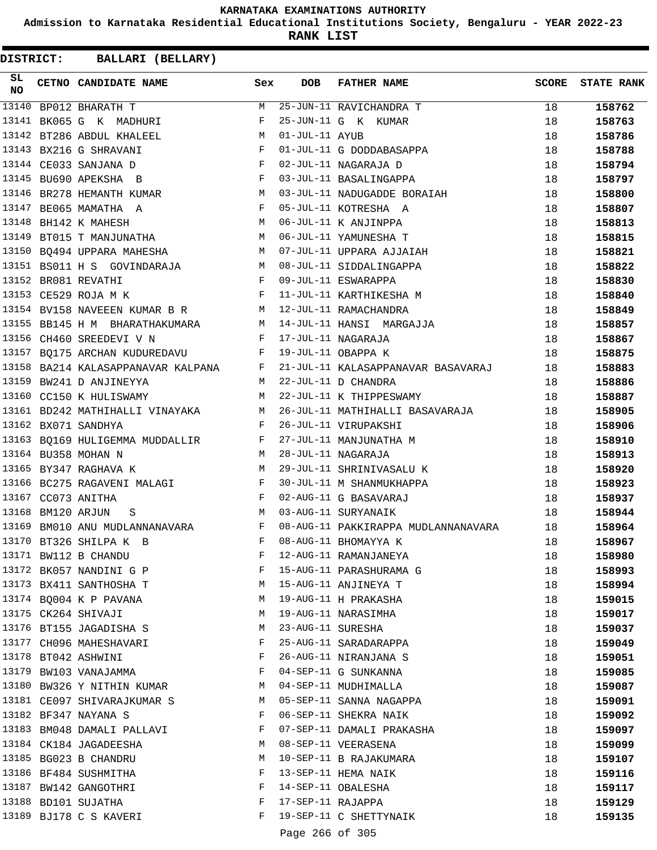**Admission to Karnataka Residential Educational Institutions Society, Bengaluru - YEAR 2022-23**

**RANK LIST**

| SL<br><b>NO</b> |                   | CETNO CANDIDATE NAME Sex                                                                                   |              | <b>DOB</b>        | <b>FATHER NAME</b>                                      | <b>SCORE</b> | <b>STATE RANK</b> |
|-----------------|-------------------|------------------------------------------------------------------------------------------------------------|--------------|-------------------|---------------------------------------------------------|--------------|-------------------|
| 13140           |                   | BP012 BHARATH T                                                                                            |              |                   | M 25-JUN-11 RAVICHANDRA T                               | 18           | 158762            |
| 13141           |                   | BK065 G K MADHURI                                                                                          | F            |                   | 25-JUN-11 G K KUMAR                                     | 18           | 158763            |
|                 |                   | 13142 BT286 ABDUL KHALEEL                                                                                  | M            | 01-JUL-11 AYUB    |                                                         | 18           | 158786            |
|                 |                   | 13143 BX216 G SHRAVANI                                                                                     | $\mathbb F$  |                   | 01-JUL-11 G DODDABASAPPA                                | 18           | 158788            |
|                 |                   | 13144 CE033 SANJANA D<br>$\mathbf{F}$ and $\mathbf{F}$ and $\mathbf{F}$                                    |              |                   | 02-JUL-11 NAGARAJA D                                    | 18           | 158794            |
|                 |                   | $\mathbf{F}$ and $\mathbf{F}$<br>13145 BU690 APEKSHA B                                                     |              |                   | 03-JUL-11 BASALINGAPPA                                  | 18           | 158797            |
|                 |                   |                                                                                                            |              |                   | 13146 BR278 HEMANTH KUMAR M 03-JUL-11 NADUGADDE BORAIAH | 18           | 158800            |
|                 |                   | 13147 BE065 MAMATHA A                                                                                      |              |                   | F 05-JUL-11 KOTRESHA A                                  | 18           | 158807            |
| 13148           |                   | M <sub>N</sub><br>BH142 K MAHESH                                                                           |              |                   | 06-JUL-11 K ANJINPPA                                    | 18           | 158813            |
|                 |                   | 13149 BT015 T MANJUNATHA M                                                                                 |              |                   | 06-JUL-11 YAMUNESHA T                                   | 18           | 158815            |
|                 |                   | 13150 BQ494 UPPARA MAHESHA MARING MO7-JUL-11 UPPARA AJJAIAH                                                |              |                   |                                                         | 18           | 158821            |
|                 |                   |                                                                                                            |              |                   |                                                         | 18           | 158822            |
|                 |                   | 13151 BS011 H S GOVINDARAJA M 08-JUL-11 SIDDALINGAPPA<br>13152 BR081 REVATHI REVATHI F 09-JUL-11 ESWARAPPA |              |                   |                                                         | 18           | 158830            |
|                 |                   | 13153 CE529 ROJA M K                                                                                       |              |                   | F 11-JUL-11 KARTHIKESHA M                               | 18           | 158840            |
|                 |                   | 13154 BV158 NAVEEEN KUMAR B R M 12-JUL-11 RAMACHANDRA                                                      |              |                   |                                                         | 18           | 158849            |
|                 |                   | 13155 BB145 H M BHARATHAKUMARA M 14-JUL-11 HANSI MARGAJJA                                                  |              |                   |                                                         | 18           | 158857            |
|                 |                   | 13156 CH460 SREEDEVI V N<br>F 17-JUL-11 NAGARAJA                                                           |              |                   |                                                         | 18           | 158867            |
|                 |                   | 13157 BQ175 ARCHAN KUDUREDAVU F 19-JUL-11 OBAPPA K                                                         |              |                   |                                                         | 18           | 158875            |
|                 |                   | 13158 BA214 KALASAPPANAVAR KALPANA F                                                                       |              |                   | 21-JUL-11 KALASAPPANAVAR BASAVARAJ                      | 18           | 158883            |
|                 |                   | 13159 BW241 D ANJINEYYA<br>M <sub>N</sub>                                                                  |              |                   | 22-JUL-11 D CHANDRA                                     | 18           | 158886            |
|                 |                   | 13160 CC150 K HULISWAMY<br><b>M</b>                                                                        |              |                   | 22-JUL-11 K THIPPESWAMY                                 | 18           | 158887            |
|                 |                   | 13161 BD242 MATHIHALLI VINAYAKA M                                                                          |              |                   | 26-JUL-11 MATHIHALLI BASAVARAJA                         | 18           | 158905            |
|                 |                   | 13162 BX071 SANDHYA                                                                                        | $\mathbf{F}$ |                   | 26-JUL-11 VIRUPAKSHI                                    | 18           | 158906            |
|                 |                   | 13163 BQ169 HULIGEMMA MUDDALLIR F                                                                          |              |                   | 27-JUL-11 MANJUNATHA M                                  | 18           | 158910            |
|                 |                   | M <sub>1</sub><br>13164 BU358 MOHAN N                                                                      |              |                   | 28-JUL-11 NAGARAJA                                      | 18           | 158913            |
|                 |                   | M<br>13165 BY347 RAGHAVA K                                                                                 |              |                   | 29-JUL-11 SHRINIVASALU K                                | 18           | 158920            |
|                 |                   | 13166 BC275 RAGAVENI MALAGI F                                                                              |              |                   | 30-JUL-11 M SHANMUKHAPPA                                | 18           | 158923            |
|                 |                   | 13167 CC073 ANITHA                                                                                         | $\mathbf{F}$ |                   | 02-AUG-11 G BASAVARAJ                                   | 18           | 158937            |
|                 | 13168 BM120 ARJUN | <b>M</b><br>S                                                                                              |              |                   | 03-AUG-11 SURYANAIK                                     | 18           | 158944            |
|                 |                   | 13169 BM010 ANU MUDLANNANAVARA F                                                                           |              |                   | 08-AUG-11 PAKKIRAPPA MUDLANNANAVARA                     | 18           | 158964            |
|                 |                   | $\mathbf{F}$<br>13170 BT326 SHILPA K B                                                                     |              |                   | 08-AUG-11 BHOMAYYA K                                    | 18           | 158967            |
|                 |                   | 13171 BW112 B CHANDU                                                                                       | F            |                   | 12-AUG-11 RAMANJANEYA                                   | 18           | 158980            |
|                 |                   | 13172 BK057 NANDINI G P                                                                                    | F            |                   | 15-AUG-11 PARASHURAMA G                                 | 18           | 158993            |
|                 |                   | 13173 BX411 SANTHOSHA T                                                                                    | M            |                   | 15-AUG-11 ANJINEYA T                                    | 18           | 158994            |
|                 |                   | 13174 BQ004 K P PAVANA                                                                                     | M            |                   | 19-AUG-11 H PRAKASHA                                    | 18           | 159015            |
|                 |                   | 13175 CK264 SHIVAJI                                                                                        | M            |                   | 19-AUG-11 NARASIMHA                                     | 18           | 159017            |
|                 |                   | 13176 BT155 JAGADISHA S                                                                                    | M            | 23-AUG-11 SURESHA |                                                         | 18           | 159037            |
|                 |                   | 13177 CH096 MAHESHAVARI                                                                                    | F            |                   | 25-AUG-11 SARADARAPPA                                   | 18           | 159049            |
|                 |                   | 13178 BT042 ASHWINI                                                                                        | F            |                   | 26-AUG-11 NIRANJANA S                                   | 18           | 159051            |
|                 |                   | 13179 BW103 VANAJAMMA                                                                                      | F            |                   | 04-SEP-11 G SUNKANNA                                    | 18           | 159085            |
|                 |                   | 13180 BW326 Y NITHIN KUMAR                                                                                 | M            |                   | 04-SEP-11 MUDHIMALLA                                    | 18           | 159087            |
|                 |                   | 13181 CE097 SHIVARAJKUMAR S                                                                                | M            |                   | 05-SEP-11 SANNA NAGAPPA                                 | 18           | 159091            |
|                 |                   | 13182 BF347 NAYANA S                                                                                       | $\mathbf{F}$ |                   | 06-SEP-11 SHEKRA NAIK                                   | 18           | 159092            |
|                 |                   | 13183 BM048 DAMALI PALLAVI                                                                                 | F            |                   | 07-SEP-11 DAMALI PRAKASHA                               | 18           | 159097            |
|                 |                   | 13184 CK184 JAGADEESHA                                                                                     | М            |                   | 08-SEP-11 VEERASENA                                     | 18           | 159099            |
|                 |                   | 13185 BG023 B CHANDRU                                                                                      | M            |                   | 10-SEP-11 B RAJAKUMARA                                  | 18           | 159107            |
|                 |                   | 13186 BF484 SUSHMITHA                                                                                      | F            |                   | 13-SEP-11 HEMA NAIK                                     | 18           | 159116            |
|                 |                   | 13187 BW142 GANGOTHRI                                                                                      | F            |                   | 14-SEP-11 OBALESHA                                      | 18           | 159117            |
|                 |                   | 13188 BD101 SUJATHA                                                                                        | F            | 17-SEP-11 RAJAPPA |                                                         | 18           | 159129            |
|                 |                   | 13189 BJ178 C S KAVERI                                                                                     | F            |                   | 19-SEP-11 C SHETTYNAIK                                  | 18           | 159135            |
|                 |                   |                                                                                                            |              |                   |                                                         |              |                   |
|                 |                   |                                                                                                            |              | Page 266 of 305   |                                                         |              |                   |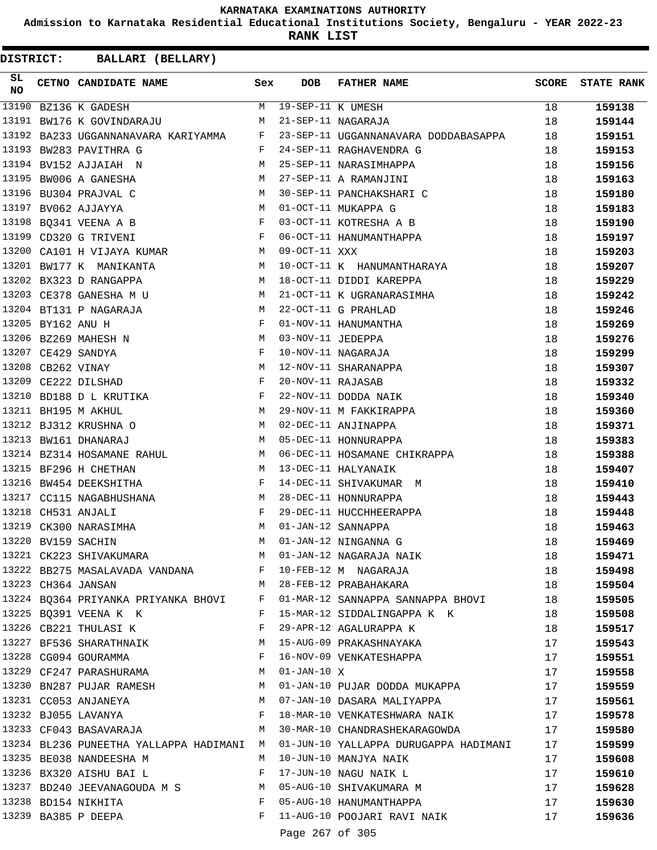**Admission to Karnataka Residential Educational Institutions Society, Bengaluru - YEAR 2022-23**

**RANK LIST**

| SL<br>NO |                   | CETNO CANDIDATE NAME Sex                                                                                                                                                                                                                                  |              | <b>DOB</b>          | FATHER NAME                                                                                                  | <b>SCORE</b> | <b>STATE RANK</b> |
|----------|-------------------|-----------------------------------------------------------------------------------------------------------------------------------------------------------------------------------------------------------------------------------------------------------|--------------|---------------------|--------------------------------------------------------------------------------------------------------------|--------------|-------------------|
| 13190    |                   | BZ136 K GADESH                                                                                                                                                                                                                                            |              | M 19-SEP-11 K UMESH |                                                                                                              | 18           | 159138            |
|          |                   | 13191 BW176 K GOVINDARAJU                                                                                                                                                                                                                                 | M            |                     | 21-SEP-11 NAGARAJA                                                                                           | 18           | 159144            |
|          |                   | 13192 BA233 UGGANNANAVARA KARIYAMMA F                                                                                                                                                                                                                     |              |                     | 23-SEP-11 UGGANNANAVARA DODDABASAPPA                                                                         | 18           | 159151            |
|          |                   | 13193 BW283 PAVITHRA G                                                                                                                                                                                                                                    | F            |                     | 24-SEP-11 RAGHAVENDRA G                                                                                      | 18           | 159153            |
|          |                   | 13194 BV152 AJJAIAH N<br>M 25-SEP-11 NARASIMHAPPA                                                                                                                                                                                                         |              |                     |                                                                                                              | 18           | 159156            |
|          |                   | 13195 BW006 A GANESHA<br>$\mathbb M$                                                                                                                                                                                                                      |              |                     | 27-SEP-11 A RAMANJINI                                                                                        | 18           | 159163            |
|          |                   | 13196 BU304 PRAJVAL C                                                                                                                                                                                                                                     | M            |                     | 30-SEP-11 PANCHAKSHARI C                                                                                     | 18           | 159180            |
|          |                   | 13197 BV062 AJJAYYA                                                                                                                                                                                                                                       |              |                     | M 01-OCT-11 MUKAPPA G                                                                                        | 18           | 159183            |
|          |                   | 13198 BQ341 VEENA A B<br>$\mathbf{F}$                                                                                                                                                                                                                     |              |                     | 03-OCT-11 KOTRESHA A B                                                                                       | 18           | 159190            |
|          |                   | 13199 CD320 G TRIVENI<br>$\mathbf{F}$ and $\mathbf{F}$ and $\mathbf{F}$ and $\mathbf{F}$                                                                                                                                                                  |              |                     | 06-OCT-11 HANUMANTHAPPA                                                                                      | 18           | 159197            |
|          |                   | 13200 CA101 H VIJAYA KUMAR                                                                                                                                                                                                                                | M            | $09-OCT-11$ XXX     |                                                                                                              | 18           | 159203            |
|          |                   | 13201 BW177 K MANIKANTA                                                                                                                                                                                                                                   | M            |                     | 10-OCT-11 K HANUMANTHARAYA                                                                                   | 18           | 159207            |
|          |                   | 13202 BX323 D RANGAPPA<br>M 18-OCT-11 DIDDI KAREPPA                                                                                                                                                                                                       |              |                     |                                                                                                              | 18           | 159229            |
|          |                   | 13203 CE378 GANESHA M U<br>M                                                                                                                                                                                                                              |              |                     | 21-OCT-11 K UGRANARASIMHA                                                                                    | 18           | 159242            |
|          |                   | 13204 BT131 P NAGARAJA                                                                                                                                                                                                                                    | M            |                     | 22-OCT-11 G PRAHLAD                                                                                          | 18           | 159246            |
|          | 13205 BY162 ANU H |                                                                                                                                                                                                                                                           | F            |                     | 01-NOV-11 HANUMANTHA                                                                                         | 18           | 159269            |
|          |                   | 13206 BZ269 MAHESH N<br>M <sub>N</sub>                                                                                                                                                                                                                    |              | 03-NOV-11 JEDEPPA   |                                                                                                              | 18           | 159276            |
|          |                   | 13207 CE429 SANDYA<br><b>Example 2</b> Experience of the second series of the series of the series of the series of the series of the series of the series of the series of the series of the series of the series of the series of the series of the ser |              |                     | 10-NOV-11 NAGARAJA                                                                                           | 18           | 159299            |
|          | 13208 CB262 VINAY | $M_{\rm H}$                                                                                                                                                                                                                                               |              |                     | 12-NOV-11 SHARANAPPA                                                                                         | 18           | 159307            |
|          |                   | 13209 CE222 DILSHAD                                                                                                                                                                                                                                       | $_{\rm F}$   | 20-NOV-11 RAJASAB   |                                                                                                              | 18           | 159332            |
|          |                   | 13210 BD188 D L KRUTIKA F                                                                                                                                                                                                                                 |              |                     | 22-NOV-11 DODDA NAIK                                                                                         | 18           | 159340            |
|          |                   | <b>M</b><br>13211 BH195 M AKHUL                                                                                                                                                                                                                           |              |                     | 29-NOV-11 M FAKKIRAPPA                                                                                       | 18           | 159360            |
|          |                   | M<br>13212 BJ312 KRUSHNA O                                                                                                                                                                                                                                |              |                     | 02-DEC-11 ANJINAPPA                                                                                          | 18           | 159371            |
|          |                   | 13213 BW161 DHANARAJ                                                                                                                                                                                                                                      | M            |                     | 05-DEC-11 HONNURAPPA                                                                                         | 18           | 159383            |
|          |                   |                                                                                                                                                                                                                                                           |              |                     | 13214 BZ314 HOSAMANE RAHUL M 06-DEC-11 HOSAMANE CHIKRAPPA                                                    | 18           | 159388            |
|          |                   | 13215 BF296 H CHETHAN                                                                                                                                                                                                                                     | M            |                     | 13-DEC-11 HALYANAIK                                                                                          | 18           | 159407            |
|          |                   | 13216 BW454 DEEKSHITHA                                                                                                                                                                                                                                    | $\mathbf{F}$ |                     | 14-DEC-11 SHIVAKUMAR M                                                                                       | 18           | 159410            |
|          |                   | 13217 CC115 NAGABHUSHANA                                                                                                                                                                                                                                  | M            |                     | 28-DEC-11 HONNURAPPA                                                                                         | 18           | 159443            |
|          |                   | 13218 CH531 ANJALI                                                                                                                                                                                                                                        | F            |                     | 29-DEC-11 HUCCHHEERAPPA                                                                                      | 18           | 159448            |
|          |                   | 13219 CK300 NARASIMHA                                                                                                                                                                                                                                     | M            |                     | 01-JAN-12 SANNAPPA                                                                                           | 18           | 159463            |
|          |                   | 13220 BV159 SACHIN                                                                                                                                                                                                                                        | M            |                     | 01-JAN-12 NINGANNA G                                                                                         | 18           | 159469            |
|          |                   |                                                                                                                                                                                                                                                           |              |                     |                                                                                                              | 18           | 159471            |
|          |                   |                                                                                                                                                                                                                                                           |              |                     | 13221 CK223 SHIVAKUMARA M 01-JAN-12 NAGARAJA NAIK<br>13222 BB275 MASALAVADA VANDANA F 10-FEB-12 M NAGARAJA   | 18           | 159498            |
|          |                   | 13223 CH364 JANSAN                                                                                                                                                                                                                                        |              |                     | M 28-FEB-12 PRABAHAKARA                                                                                      | 18           | 159504            |
|          |                   |                                                                                                                                                                                                                                                           |              |                     | 13224 BQ364 PRIYANKA PRIYANKA BHOVI F 01-MAR-12 SANNAPPA SANNAPPA BHOVI 18                                   |              | 159505            |
|          |                   | 13225 BQ391 VEENA K K                                                                                                                                                                                                                                     |              |                     | F 15-MAR-12 SIDDALINGAPPA K K                                                                                | 18           | 159508            |
|          |                   | 13226 CB221 THULASI K                                                                                                                                                                                                                                     |              |                     | F 29-APR-12 AGALURAPPA K                                                                                     | 18           | 159517            |
|          |                   | 13227 BF536 SHARATHNAIK M                                                                                                                                                                                                                                 |              |                     | 15-AUG-09 PRAKASHNAYAKA                                                                                      | 17           | 159543            |
|          |                   | 13228 CG094 GOURAMMA                                                                                                                                                                                                                                      | $\mathbf{F}$ |                     | 16-NOV-09 VENKATESHAPPA                                                                                      | 17           | 159551            |
|          |                   | 13229 CF247 PARASHURAMA                                                                                                                                                                                                                                   |              | M 01-JAN-10 X       |                                                                                                              | 17           | 159558            |
|          |                   |                                                                                                                                                                                                                                                           |              |                     | 13230 BN287 PUJAR RAMESH M 01-JAN-10 PUJAR DODDA MUKAPPA                                                     | 17           | 159559            |
|          |                   |                                                                                                                                                                                                                                                           |              |                     | 13231 CC053 ANJANEYA M M 07-JAN-10 DASARA MALIYAPPA 17                                                       |              | 159561            |
|          |                   |                                                                                                                                                                                                                                                           |              |                     | F 18-MAR-10 VENKATESHWARA NAIK                                                                               | 17           | 159578            |
|          |                   | 13232 BJ055 LAVANYA<br>13233 CF043 BASAVARAJA                                                                                                                                                                                                             |              |                     | M 30-MAR-10 CHANDRASHEKARAGOWDA                                                                              | 17           | 159580            |
|          |                   |                                                                                                                                                                                                                                                           |              |                     |                                                                                                              |              |                   |
|          |                   | 13235 BE038 NANDEESHA M                                                                                                                                                                                                                                   |              |                     | 13234 BL236 PUNEETHA YALLAPPA HADIMANI M 01-JUN-10 YALLAPPA DURUGAPPA HADIMANI 17<br>M 10-JUN-10 MANJYA NAIK | 17           | 159599            |
|          |                   | 13236 BX320 AISHU BAI L                                                                                                                                                                                                                                   | F            |                     | 17-JUN-10 NAGU NAIK L                                                                                        | 17           | 159608            |
|          |                   |                                                                                                                                                                                                                                                           |              |                     |                                                                                                              |              | 159610            |
|          |                   |                                                                                                                                                                                                                                                           |              |                     | 13237 BD240 JEEVANAGOUDA M S<br>13238 BD154 NIKHITA 1238 BD154 NIKHITA                                       | 17           | 159628            |
|          |                   | 13239 BA385 P DEEPA                                                                                                                                                                                                                                       |              |                     |                                                                                                              | 17           | 159630            |
|          |                   |                                                                                                                                                                                                                                                           |              |                     | F 11-AUG-10 POOJARI RAVI NAIK                                                                                | 17           | 159636            |
|          |                   |                                                                                                                                                                                                                                                           |              | Page 267 of 305     |                                                                                                              |              |                   |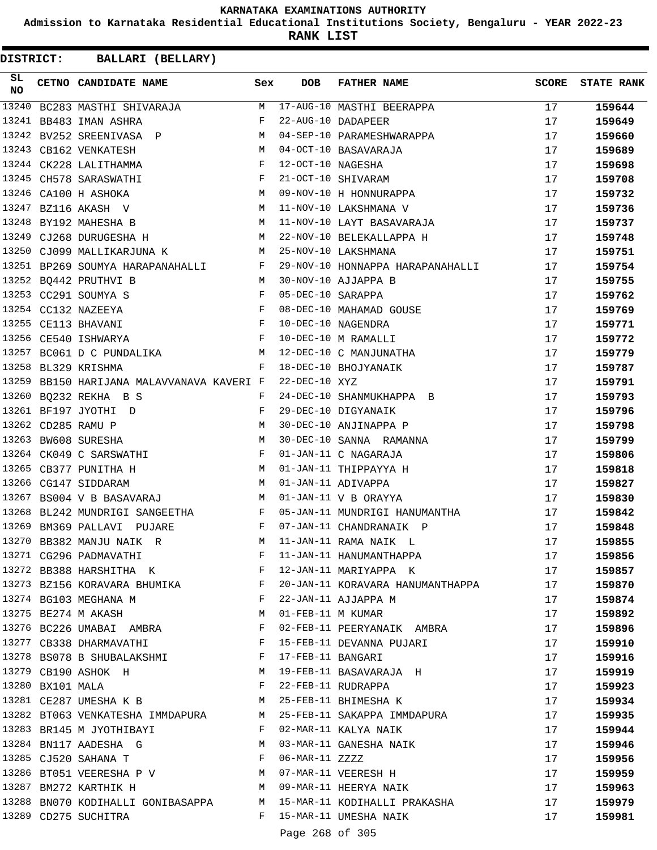**Admission to Karnataka Residential Educational Institutions Society, Bengaluru - YEAR 2022-23**

**RANK LIST**

| SL.<br><b>NO</b> |                  | CETNO CANDIDATE NAME Sex                                                                                                                                                                                                                                 |         | DOB               | FATHER NAME                                                          | SCORE | <b>STATE RANK</b> |
|------------------|------------------|----------------------------------------------------------------------------------------------------------------------------------------------------------------------------------------------------------------------------------------------------------|---------|-------------------|----------------------------------------------------------------------|-------|-------------------|
| 13240            |                  | BC283 MASTHI SHIVARAJA                                                                                                                                                                                                                                   | M       |                   | 17-AUG-10 MASTHI BEERAPPA                                            | 17    | 159644            |
|                  |                  | $\mathbf{F}$ and the set of $\mathbf{F}$ and $\mathbf{F}$<br>13241 BB483 IMAN ASHRA                                                                                                                                                                      |         |                   | 22-AUG-10 DADAPEER                                                   | 17    | 159649            |
|                  |                  | $\mathbf M$<br>13242 BV252 SREENIVASA P                                                                                                                                                                                                                  |         |                   | 04-SEP-10 PARAMESHWARAPPA                                            | 17    | 159660            |
|                  |                  | M<br>13243 CB162 VENKATESH                                                                                                                                                                                                                               |         |                   | 04-OCT-10 BASAVARAJA                                                 | 17    | 159689            |
|                  |                  | 13244 CK228 LALITHAMMA<br>$\mathbf{F}$ and the state of the state $\mathbf{F}$                                                                                                                                                                           |         | 12-OCT-10 NAGESHA |                                                                      | 17    | 159698            |
|                  |                  | 13245 CH578 SARASWATHI<br>$\mathbf{F}$ . The contract of the contract of $\mathbf{F}$ and $\mathbf{F}$                                                                                                                                                   |         |                   | 21-OCT-10 SHIVARAM                                                   | 17    | 159708            |
|                  |                  | M<br>13246 CA100 H ASHOKA                                                                                                                                                                                                                                |         |                   | 09-NOV-10 H HONNURAPPA                                               | 17    | 159732            |
|                  |                  | 13247 BZ116 AKASH V                                                                                                                                                                                                                                      | M       |                   | 11-NOV-10 LAKSHMANA V                                                | 17    | 159736            |
|                  |                  | 13248 BY192 MAHESHA B<br>M <sub>1</sub>                                                                                                                                                                                                                  |         |                   | 11-NOV-10 LAYT BASAVARAJA                                            | 17    | 159737            |
|                  |                  | 13249 CJ268 DURUGESHA H                                                                                                                                                                                                                                  |         |                   | 22-NOV-10 BELEKALLAPPA H                                             | 17    | 159748            |
|                  |                  | 13250 CJ099 MALLIKARJUNA K M                                                                                                                                                                                                                             |         |                   | 25-NOV-10 LAKSHMANA                                                  | 17    | 159751            |
|                  |                  | 13251 BP269 SOUMYA HARAPANAHALLI F                                                                                                                                                                                                                       |         |                   | 29-NOV-10 HONNAPPA HARAPANAHALLI                                     | 17    | 159754            |
|                  |                  | 13252 BQ442 PRUTHVI B<br>M <sub>1</sub>                                                                                                                                                                                                                  |         |                   | 30-NOV-10 AJJAPPA B                                                  | 17    | 159755            |
|                  |                  | $\mathbb{R}^n$ . The contract of the contract of the contract of the contract of the contract of the contract of the contract of the contract of the contract of the contract of the contract of the contract of the contract of<br>13253 CC291 SOUMYA S |         | 05-DEC-10 SARAPPA |                                                                      | 17    | 159762            |
|                  |                  | $\begin{aligned} \mathbf{F} \\ \mathbf{F} \\ \mathbf{F} \end{aligned}$<br>13254 CC132 NAZEEYA                                                                                                                                                            |         |                   | 08-DEC-10 MAHAMAD GOUSE                                              | 17    | 159769            |
|                  |                  | 13255 CE113 BHAVANI                                                                                                                                                                                                                                      |         |                   | 10-DEC-10 NAGENDRA                                                   | 17    | 159771            |
|                  |                  | 13256 CE540 ISHWARYA                                                                                                                                                                                                                                     |         |                   | 10-DEC-10 M RAMALLI                                                  | 17    | 159772            |
|                  |                  | 13257 BC061 D C PUNDALIKA M                                                                                                                                                                                                                              |         |                   | 12-DEC-10 C MANJUNATHA                                               | 17    | 159779            |
|                  |                  | $\mathbf{F}$<br>13258 BL329 KRISHMA                                                                                                                                                                                                                      |         |                   | 18-DEC-10 BHOJYANAIK                                                 | 17    | 159787            |
|                  |                  | 13259 BB150 HARIJANA MALAVVANAVA KAVERI F                                                                                                                                                                                                                |         | 22-DEC-10 XYZ     |                                                                      | 17    | 159791            |
|                  |                  | 13260 BQ232 REKHA B S                                                                                                                                                                                                                                    | F       |                   | 24-DEC-10 SHANMUKHAPPA B                                             | 17    | 159793            |
|                  |                  | 13261 BF197 JYOTHI D<br>$\mathbf{F}$ and $\mathbf{F}$ and $\mathbf{F}$ and $\mathbf{F}$                                                                                                                                                                  |         |                   | 29-DEC-10 DIGYANAIK                                                  | 17    | 159796            |
|                  |                  | 13262 CD285 RAMU P                                                                                                                                                                                                                                       |         |                   | 30-DEC-10 ANJINAPPA P                                                | 17    | 159798            |
|                  |                  | $\begin{array}{c}\n M \\  M\n \end{array}$<br>13263 BW608 SURESHA                                                                                                                                                                                        | M       |                   | 30-DEC-10 SANNA RAMANNA                                              | 17    | 159799            |
|                  |                  | 13264 CK049 C SARSWATHI F                                                                                                                                                                                                                                |         |                   | 01-JAN-11 C NAGARAJA                                                 | 17    | 159806            |
|                  |                  | <b>M</b><br>13265 CB377 PUNITHA H                                                                                                                                                                                                                        |         |                   | 01-JAN-11 THIPPAYYA H                                                | 17    | 159818            |
|                  |                  | M<br>13266 CG147 SIDDARAM                                                                                                                                                                                                                                |         |                   | 01-JAN-11 ADIVAPPA                                                   | 17    | 159827            |
|                  |                  | 13267 BS004 V B BASAVARAJ                                                                                                                                                                                                                                | M       |                   | 01-JAN-11 V B ORAYYA                                                 | 17    | 159830            |
|                  |                  |                                                                                                                                                                                                                                                          |         |                   | 13268 BL242 MUNDRIGI SANGEETHA F 05-JAN-11 MUNDRIGI HANUMANTHA       | 17    | 159842            |
|                  |                  | 13269 BM369 PALLAVI PUJARE<br>$\mathbf{F}$ and the set of the set of $\mathbf{F}$ and $\mathbf{F}$                                                                                                                                                       |         |                   | 07-JAN-11 CHANDRANAIK P                                              | 17    | 159848            |
|                  |                  | M<br>13270 BB382 MANJU NAIK R                                                                                                                                                                                                                            |         |                   | 11-JAN-11 RAMA NAIK L                                                | 17    | 159855            |
|                  |                  |                                                                                                                                                                                                                                                          |         |                   | 11-JAN-11 HANUMANTHAPPA                                              | 17    | 159856            |
|                  |                  | 13271 CG296 PADMAVATHI F<br>13272 BB388 HARSHITHA K<br>F                                                                                                                                                                                                 |         |                   | 12-JAN-11 MARIYAPPA K                                                | 17    | 159857            |
|                  |                  | 13273 BZ156 KORAVARA BHUMIKA F                                                                                                                                                                                                                           |         |                   | 20-JAN-11 KORAVARA HANUMANTHAPPA                                     | 17    | 159870            |
|                  |                  |                                                                                                                                                                                                                                                          |         |                   | 22-JAN-11 AJJAPPA M                                                  | 17    | 159874            |
|                  |                  | $\begin{array}{cccc}\n 13274 & BG103 & MEGHANA & M & F \\  13275 & BF274 & M & AKASH & & & \end{array}$<br>13275 BE274 M AKASH                                                                                                                           | M       |                   | 01-FEB-11 M KUMAR                                                    | 17    | 159892            |
|                  |                  | 13276 BC226 UMABAI AMBRA F                                                                                                                                                                                                                               |         |                   | 02-FEB-11 PEERYANAIK AMBRA                                           | 17    | 159896            |
|                  |                  | 13277 CB338 DHARMAVATHI F                                                                                                                                                                                                                                |         |                   | 15-FEB-11 DEVANNA PUJARI                                             | 17    | 159910            |
|                  |                  | 13278 BS078 B SHUBALAKSHMI F                                                                                                                                                                                                                             |         |                   | 17-FEB-11 BANGARI                                                    | 17    | 159916            |
|                  |                  | 13279 CB190 ASHOK H                                                                                                                                                                                                                                      | M       |                   |                                                                      | 17    | 159919            |
|                  | 13280 BX101 MALA | $\mathbf{F}$                                                                                                                                                                                                                                             |         |                   | 19-FEB-11 BASAVARAJA H<br>22-FEB-11 RUDRAPPA                         | 17    | 159923            |
|                  |                  | 13281 CE287 UMESHA K B M 25-FEB-11 BHIMESHA K                                                                                                                                                                                                            |         |                   |                                                                      | 17    | 159934            |
|                  |                  |                                                                                                                                                                                                                                                          |         |                   | 13282 BT063 VENKATESHA IMMDAPURA M 25-FEB-11 SAKAPPA IMMDAPURA       | 17    |                   |
|                  |                  | 13283 BR145 M JYOTHIBAYI                                                                                                                                                                                                                                 |         |                   |                                                                      | 17    | 159935            |
|                  |                  | 13284 BN117 AADESHA G M                                                                                                                                                                                                                                  |         |                   | F 02-MAR-11 KALYA NAIK                                               | 17    | 159944            |
|                  |                  | 13285 CJ520 SAHANA T F                                                                                                                                                                                                                                   |         |                   | 03-MAR-11 GANESHA NAIK                                               | 17    | 159946            |
|                  |                  |                                                                                                                                                                                                                                                          |         |                   |                                                                      | 17    | 159956            |
|                  |                  | 13286 BT051 VEERESHA P V M<br>13287 BM272 KARTHIK H                                                                                                                                                                                                      |         |                   | F 06-MAR-11 ZZZZ<br>M 07-MAR-11 VEERESH H<br>M 09-MAR-11 HEERYA NAIK | 17    | 159959            |
|                  |                  |                                                                                                                                                                                                                                                          |         |                   |                                                                      |       | 159963            |
|                  |                  |                                                                                                                                                                                                                                                          | $F$ and |                   | 13288 BN070 KODIHALLI GONIBASAPPA M 15-MAR-11 KODIHALLI PRAKASHA     | 17    | 159979            |
|                  |                  | 13289 CD275 SUCHITRA                                                                                                                                                                                                                                     |         |                   | 15-MAR-11 UMESHA NAIK                                                | 17    | 159981            |
|                  |                  |                                                                                                                                                                                                                                                          |         | Page 268 of 305   |                                                                      |       |                   |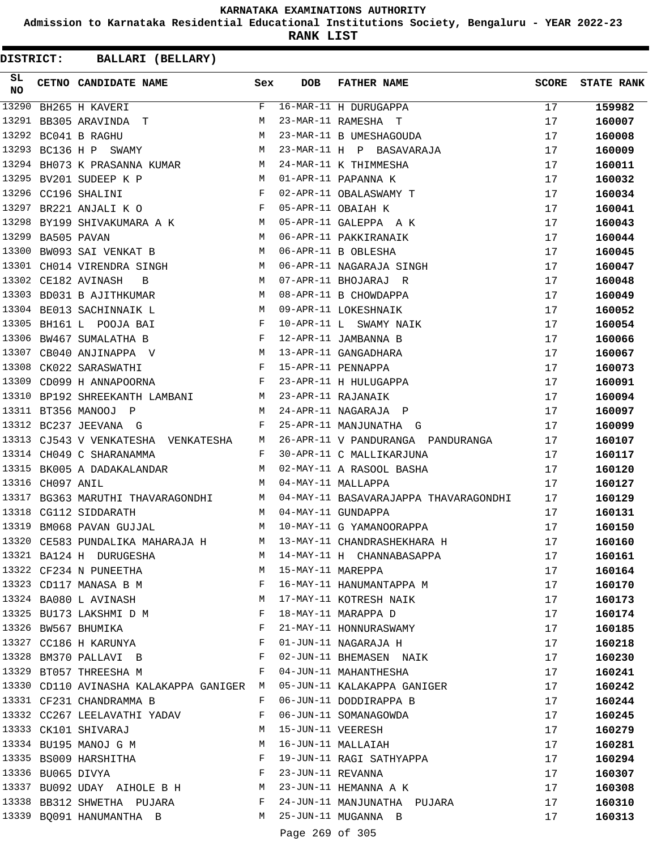**Admission to Karnataka Residential Educational Institutions Society, Bengaluru - YEAR 2022-23**

**RANK LIST**

**DISTRICT:** CC **BALLARI (BELLARY)**

| SL<br><b>NO</b> |                  | CETNO CANDIDATE NAME Sex                                                                                                                                                                                                                               |   | <b>DOB</b>        | <b>FATHER NAME</b>                                             | SCORE | <b>STATE RANK</b> |
|-----------------|------------------|--------------------------------------------------------------------------------------------------------------------------------------------------------------------------------------------------------------------------------------------------------|---|-------------------|----------------------------------------------------------------|-------|-------------------|
| 13290           |                  | BH265 H KAVERI                                                                                                                                                                                                                                         | F |                   | 16-MAR-11 H DURUGAPPA                                          | 17    | 159982            |
| 13291           |                  | BB305 ARAVINDA T                                                                                                                                                                                                                                       | М |                   | 23-MAR-11 RAMESHA T                                            | 17    | 160007            |
|                 |                  | M<br>13292 BC041 B RAGHU                                                                                                                                                                                                                               |   |                   | 23-MAR-11 B UMESHAGOUDA                                        | 17    | 160008            |
|                 |                  | M<br>13293 BC136 H P SWAMY                                                                                                                                                                                                                             |   |                   | 23-MAR-11 H P BASAVARAJA                                       | 17    | 160009            |
| 13294           |                  | BH073 K PRASANNA KUMAR M                                                                                                                                                                                                                               |   |                   | 24-MAR-11 K THIMMESHA                                          | 17    | 160011            |
|                 |                  | 13295 BV201 SUDEEP K P<br>M <sub>N</sub>                                                                                                                                                                                                               |   |                   | 01-APR-11 PAPANNA K                                            | 17    | 160032            |
|                 |                  | $\mathbf{F}$<br>13296 CC196 SHALINI                                                                                                                                                                                                                    |   |                   | 02-APR-11 OBALASWAMY T                                         | 17    | 160034            |
| 13297           |                  | $\overline{F}$<br>BR221 ANJALI K O                                                                                                                                                                                                                     |   |                   | 05-APR-11 OBAIAH K                                             | 17    | 160041            |
| 13298           |                  | BY199 SHIVAKUMARA A K M                                                                                                                                                                                                                                |   |                   | 05-APR-11 GALEPPA A K                                          | 17    | 160043            |
| 13299           |                  | M <sub>1</sub><br>BA505 PAVAN                                                                                                                                                                                                                          |   |                   | 06-APR-11 PAKKIRANAIK                                          | 17    | 160044            |
| 13300           |                  | M<br>BW093 SAI VENKAT B                                                                                                                                                                                                                                |   |                   | 06-APR-11 B OBLESHA                                            | 17    | 160045            |
|                 |                  | 13301 CH014 VIRENDRA SINGH M                                                                                                                                                                                                                           |   |                   | 06-APR-11 NAGARAJA SINGH                                       | 17    | 160047            |
|                 |                  | 13302 CE182 AVINASH<br>M <sub>1</sub><br>B                                                                                                                                                                                                             |   |                   | 07-APR-11 BHOJARAJ R                                           | 17    | 160048            |
|                 |                  | <b>M</b><br>13303 BD031 B AJITHKUMAR                                                                                                                                                                                                                   |   |                   | 08-APR-11 B CHOWDAPPA                                          | 17    | 160049            |
|                 |                  | M<br>13304 BE013 SACHINNAIK L                                                                                                                                                                                                                          |   |                   | 09-APR-11 LOKESHNAIK                                           | 17    | 160052            |
|                 |                  | $\mathbb{F}$<br>13305 BH161 L POOJA BAI                                                                                                                                                                                                                |   |                   | 10-APR-11 L SWAMY NAIK                                         | 17    | 160054            |
| 13306           |                  | $\mathbf{F}$ . The set of the set of the set of the set of the set of the set of the set of the set of the set of the set of the set of the set of the set of the set of the set of the set of the set of the set of the set of t<br>BW467 SUMALATHA B |   |                   | 12-APR-11 JAMBANNA B                                           | 17    | 160066            |
| 13307           |                  | CB040 ANJINAPPA V M                                                                                                                                                                                                                                    |   |                   | 13-APR-11 GANGADHARA                                           | 17    | 160067            |
|                 |                  | 13308 CK022 SARASWATHI F<br>13309 CD099 H ANNAPOORNA F                                                                                                                                                                                                 |   |                   | 15-APR-11 PENNAPPA                                             | 17    | 160073            |
|                 |                  |                                                                                                                                                                                                                                                        |   |                   | 23-APR-11 H HULUGAPPA                                          | 17    | 160091            |
| 13310           |                  | BP192 SHREEKANTH LAMBANI M 23-APR-11 RAJANAIK                                                                                                                                                                                                          |   |                   |                                                                | 17    | 160094            |
|                 |                  | 13311 BT356 MANOOJ P<br>$\mathbb{M}$                                                                                                                                                                                                                   |   |                   | 24-APR-11 NAGARAJA P                                           | 17    | 160097            |
|                 |                  | $\mathbb F$ . The set of $\mathbb F$<br>13312 BC237 JEEVANA G                                                                                                                                                                                          |   |                   | 25-APR-11 MANJUNATHA G                                         | 17    | 160099            |
|                 |                  | 13313 CJ543 V VENKATESHA VENKATESHA M                                                                                                                                                                                                                  |   |                   | 26-APR-11 V PANDURANGA PANDURANGA 17                           |       | 160107            |
|                 |                  | $\mathbf{F}$ and $\mathbf{F}$ and $\mathbf{F}$<br>13314 CH049 C SHARANAMMA                                                                                                                                                                             |   |                   | 30-APR-11 C MALLIKARJUNA                                       | 17    | 160117            |
|                 |                  | 13315 BK005 A DADAKALANDAR M                                                                                                                                                                                                                           |   |                   | 02-MAY-11 A RASOOL BASHA<br>04-MAY-11 MALLAPPA                 | 17    | 160120            |
|                 | 13316 CH097 ANIL |                                                                                                                                                                                                                                                        |   |                   | 04-MAY-11 MALLAPPA                                             | 17    | 160127            |
| 13317           |                  | BG363 MARUTHI THAVARAGONDHI M                                                                                                                                                                                                                          |   |                   | 04-MAY-11 BASAVARAJAPPA THAVARAGONDHI                          | 17    | 160129            |
| 13318           |                  | CG112 SIDDARATH<br>M <sub>1</sub>                                                                                                                                                                                                                      |   |                   | 04-MAY-11 GUNDAPPA                                             | 17    | 160131            |
| 13319           |                  | BM068 PAVAN GUJJAL M                                                                                                                                                                                                                                   |   |                   | 10-MAY-11 G YAMANOORAPPA                                       | 17    | 160150            |
|                 |                  |                                                                                                                                                                                                                                                        |   |                   | 13320 CE583 PUNDALIKA MAHARAJA H M 13-MAY-11 CHANDRASHEKHARA H | 17    | 160160            |
|                 |                  | 13321 BA124 H DURUGESHA                                                                                                                                                                                                                                | M |                   | 14-MAY-11 H CHANNABASAPPA                                      | 17    | 160161            |
|                 |                  | 13322 CF234 N PUNEETHA                                                                                                                                                                                                                                 | M | 15-MAY-11 MAREPPA |                                                                | 17    | 160164            |
|                 |                  | 13323 CD117 MANASA B M                                                                                                                                                                                                                                 | F |                   | 16-MAY-11 HANUMANTAPPA M                                       | 17    | 160170            |
|                 |                  | 13324 BA080 L AVINASH                                                                                                                                                                                                                                  | M |                   | 17-MAY-11 KOTRESH NAIK                                         | 17    | 160173            |
|                 |                  | 13325 BU173 LAKSHMI D M                                                                                                                                                                                                                                | F |                   | 18-MAY-11 MARAPPA D                                            | 17    | 160174            |
|                 |                  | 13326 BW567 BHUMIKA                                                                                                                                                                                                                                    | F |                   | 21-MAY-11 HONNURASWAMY                                         | 17    | 160185            |
|                 |                  | 13327 CC186 H KARUNYA                                                                                                                                                                                                                                  | F |                   | 01-JUN-11 NAGARAJA H                                           | 17    | 160218            |
|                 |                  | 13328 BM370 PALLAVI B                                                                                                                                                                                                                                  | F |                   | 02-JUN-11 BHEMASEN NAIK                                        | 17    | 160230            |
|                 |                  | 13329 BT057 THREESHA M                                                                                                                                                                                                                                 | F |                   | 04-JUN-11 MAHANTHESHA                                          | 17    | 160241            |
|                 |                  | 13330 CD110 AVINASHA KALAKAPPA GANIGER M                                                                                                                                                                                                               |   |                   | 05-JUN-11 KALAKAPPA GANIGER                                    | 17    | 160242            |
|                 |                  | 13331 CF231 CHANDRAMMA B                                                                                                                                                                                                                               | F |                   | 06-JUN-11 DODDIRAPPA B                                         | 17    | 160244            |
|                 |                  | 13332 CC267 LEELAVATHI YADAV                                                                                                                                                                                                                           | F |                   | 06-JUN-11 SOMANAGOWDA                                          | 17    | 160245            |
|                 |                  | 13333 CK101 SHIVARAJ                                                                                                                                                                                                                                   | М |                   | 15-JUN-11 VEERESH                                              | 17    | 160279            |
|                 |                  | 13334 BU195 MANOJ G M                                                                                                                                                                                                                                  | М |                   | 16-JUN-11 MALLAIAH                                             | 17    | 160281            |
|                 |                  | 13335 BS009 HARSHITHA                                                                                                                                                                                                                                  | F |                   | 19-JUN-11 RAGI SATHYAPPA                                       | 17    | 160294            |
|                 |                  | $\mathbf{F}$<br>13336 BU065 DIVYA                                                                                                                                                                                                                      |   |                   | 23-JUN-11 REVANNA                                              | 17    | 160307            |
|                 |                  | 13337 BU092 UDAY AIHOLE B H M                                                                                                                                                                                                                          |   |                   | $23$ -JUN-11 HEMANNA A K                                       | 17    | 160308            |
|                 |                  | 13338 BB312 SHWETHA PUJARA F                                                                                                                                                                                                                           |   |                   | 24-JUN-11 MANJUNATHA PUJARA                                    | 17    | 160310            |
|                 |                  | 13339 BQ091 HANUMANTHA B                                                                                                                                                                                                                               | M |                   | 25-JUN-11 MUGANNA B                                            | 17    | 160313            |
|                 |                  |                                                                                                                                                                                                                                                        |   |                   |                                                                |       |                   |

Page 269 of 305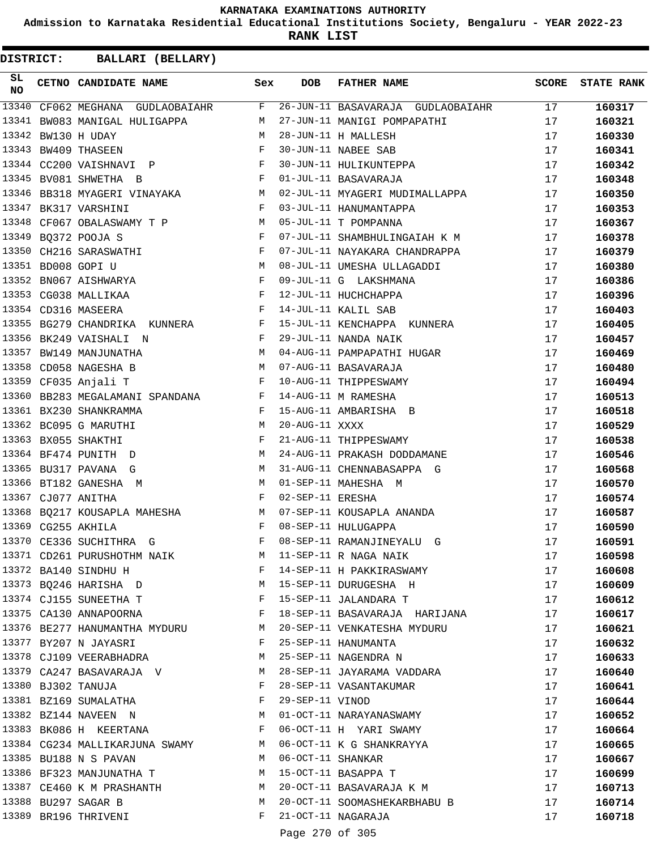**Admission to Karnataka Residential Educational Institutions Society, Bengaluru - YEAR 2022-23**

**RANK LIST**

| SL<br><b>NO</b> | CETNO CANDIDATE NAME                                                                                                                                                                                                                                        | Sex          | <b>DOB</b>        | <b>FATHER NAME</b>                                                   | <b>SCORE</b> | <b>STATE RANK</b> |
|-----------------|-------------------------------------------------------------------------------------------------------------------------------------------------------------------------------------------------------------------------------------------------------------|--------------|-------------------|----------------------------------------------------------------------|--------------|-------------------|
| 13340           | $CF062 \text{ MEGHANA} \quad \text{GUDLAOBAIAHR} \qquad \qquad \text{F}$                                                                                                                                                                                    |              |                   | 26-JUN-11 BASAVARAJA GUDLAOBAIAHR                                    | 17           | 160317            |
| 13341           | M <sub>N</sub><br>BW083 MANIGAL HULIGAPPA                                                                                                                                                                                                                   |              |                   | 27-JUN-11 MANIGI POMPAPATHI                                          | 17           | 160321            |
| 13342           | M <sub>N</sub><br>BW130 H UDAY                                                                                                                                                                                                                              |              |                   |                                                                      | 17           | 160330            |
| 13343           | $\mathbf{F}$<br>BW409 THASEEN                                                                                                                                                                                                                               |              |                   |                                                                      | 17           | 160341            |
|                 | 13344 CC200 VAISHNAVI P F                                                                                                                                                                                                                                   |              |                   | 28-JUN-11 H MALLESH<br>30-JUN-11 NABEE SAB<br>30-JUN-11 HULIKUNTEPPA | 17           | 160342            |
| 13345           | $\mathbf{F}$ and the state of the state $\mathbf{F}$<br>BV081 SHWETHA B                                                                                                                                                                                     |              |                   | 01-JUL-11 BASAVARAJA                                                 | 17           | 160348            |
| 13346           | BB318 MYAGERI VINAYAKA M                                                                                                                                                                                                                                    |              |                   | 02-JUL-11 MYAGERI MUDIMALLAPPA                                       | 17           | 160350            |
|                 | $\mathbf{F}$<br>13347 BK317 VARSHINI                                                                                                                                                                                                                        |              |                   | 03-JUL-11 HANUMANTAPPA                                               | 17           | 160353            |
| 13348           | CF067 OBALASWAMY T P M                                                                                                                                                                                                                                      |              |                   | 05-JUL-11 T POMPANNA                                                 | 17           | 160367            |
|                 | 13349 BQ372 POOJA S<br>$\mathbf{F}$ and $\mathbf{F}$ are the set of the set of the set of the set of the set of the set of the set of the set of the set of the set of the set of the set of the set of the set of the set of the set of the set of the set |              |                   | 07-JUL-11 SHAMBHULINGAIAH K M                                        | 17           | 160378            |
| 13350           | $\mathbf{F}$<br>CH216 SARASWATHI                                                                                                                                                                                                                            |              |                   | 07-JUL-11 NAYAKARA CHANDRAPPA                                        | 17           | 160379            |
|                 | 13351 BD008 GOPI U<br>13352 BN067 AISHWARYA<br>13352 STOOL                                                                                                                                                                                                  |              |                   | 08-JUL-11 UMESHA ULLAGADDI                                           | 17           | 160380            |
|                 |                                                                                                                                                                                                                                                             |              |                   | 09-JUL-11 G LAKSHMANA                                                | 17           | 160386            |
|                 | $\mathbf{F}$<br>13353 CG038 MALLIKAA                                                                                                                                                                                                                        |              |                   | 12-JUL-11 HUCHCHAPPA                                                 | 17           | 160396            |
|                 | $\mathbf{F}$<br>13354 CD316 MASEERA                                                                                                                                                                                                                         |              |                   | 14-JUL-11 KALIL SAB                                                  | 17           | 160403            |
|                 | 13355 BG279 CHANDRIKA KUNNERA F                                                                                                                                                                                                                             |              |                   | 15-JUL-11 KENCHAPPA KUNNERA                                          | 17           | 160405            |
| 13356           | $\mathbf{F}$ and $\mathbf{F}$ . The set of $\mathbf{F}$<br>BK249 VAISHALI N                                                                                                                                                                                 |              |                   | 29-JUL-11 NANDA NAIK                                                 | 17           | 160457            |
| 13357           | <b>M</b><br>BW149 MANJUNATHA                                                                                                                                                                                                                                |              |                   | 04-AUG-11 PAMPAPATHI HUGAR                                           | 17           | 160469            |
| 13358           | M<br>CD058 NAGESHA B                                                                                                                                                                                                                                        |              |                   | 07-AUG-11 BASAVARAJA                                                 | 17           | 160480            |
|                 | $\mathbf{F}$<br>13359 CF035 Anjali T                                                                                                                                                                                                                        |              |                   | 10-AUG-11 THIPPESWAMY                                                | 17           | 160494            |
| 13360           | BB283 MEGALAMANI SPANDANA F                                                                                                                                                                                                                                 |              |                   | 14-AUG-11 M RAMESHA                                                  | 17           | 160513            |
|                 | 13361 BX230 SHANKRAMMA<br>$\mathbf{F}$ and $\mathbf{F}$ and $\mathbf{F}$                                                                                                                                                                                    |              |                   | 15-AUG-11 AMBARISHA B                                                | 17           | 160518            |
|                 | $M_{\odot}$<br>13362 BC095 G MARUTHI                                                                                                                                                                                                                        |              | 20-AUG-11 XXXX    |                                                                      | 17           | 160529            |
|                 | $\mathbf{F}$ . The set of $\mathbf{F}$<br>13363 BX055 SHAKTHI                                                                                                                                                                                               |              |                   | 21-AUG-11 THIPPESWAMY                                                |              |                   |
|                 |                                                                                                                                                                                                                                                             |              |                   |                                                                      | 17           | 160538            |
| 13365           | 13364 BF474 PUNITH D<br>M <sub>1</sub>                                                                                                                                                                                                                      |              |                   | 24-AUG-11 PRAKASH DODDAMANE                                          | 17           | 160546            |
| 13366           | BU317 PAVANA G<br>M                                                                                                                                                                                                                                         | M            |                   | 31-AUG-11 CHENNABASAPPA G                                            | 17           | 160568            |
|                 | BT182 GANESHA M<br>$\mathbf{F}$ and $\mathbf{F}$                                                                                                                                                                                                            |              | 02-SEP-11 ERESHA  | 01-SEP-11 MAHESHA M                                                  | 17           | 160570            |
|                 | 13367 CJ077 ANITHA                                                                                                                                                                                                                                          |              |                   |                                                                      | 17           | 160574            |
|                 | 13368 BQ217 KOUSAPLA MAHESHA M                                                                                                                                                                                                                              |              |                   | 07-SEP-11 KOUSAPLA ANANDA                                            | 17           | 160587            |
|                 | 13369 CG255 AKHILA<br>$\mathbf{F}$ and $\mathbf{F}$ and $\mathbf{F}$                                                                                                                                                                                        |              |                   | 08-SEP-11 HULUGAPPA                                                  | 17           | 160590            |
|                 | 13370 CE336 SUCHITHRA G                                                                                                                                                                                                                                     | F            |                   | 08-SEP-11 RAMANJINEYALU G                                            | 17           | 160591            |
|                 | 13371 CD261 PURUSHOTHM NAIK                                                                                                                                                                                                                                 | M            |                   | 11-SEP-11 R NAGA NAIK                                                | 17           | 160598            |
|                 | 13372 BA140 SINDHU H                                                                                                                                                                                                                                        | F            |                   | 14-SEP-11 H PAKKIRASWAMY                                             | 17           | 160608            |
|                 | 13373 BQ246 HARISHA D                                                                                                                                                                                                                                       | M            |                   | 15-SEP-11 DURUGESHA H                                                | 17           | 160609            |
|                 | 13374 CJ155 SUNEETHA T<br>$\mathbf{F}$ and the set of $\mathbf{F}$                                                                                                                                                                                          |              |                   | 15-SEP-11 JALANDARA T                                                | 17           | 160612            |
|                 | 13375 CA130 ANNAPOORNA                                                                                                                                                                                                                                      | F            |                   | 18-SEP-11 BASAVARAJA HARIJANA                                        | 17           | 160617            |
|                 | 13376 BE277 HANUMANTHA MYDURU                                                                                                                                                                                                                               | M            |                   | 20-SEP-11 VENKATESHA MYDURU                                          | 17           | 160621            |
|                 | 13377 BY207 N JAYASRI                                                                                                                                                                                                                                       | F            |                   | 25-SEP-11 HANUMANTA                                                  | 17           | 160632            |
|                 | 13378 CJ109 VEERABHADRA                                                                                                                                                                                                                                     | M            |                   | 25-SEP-11 NAGENDRA N                                                 | 17           | 160633            |
|                 | 13379 CA247 BASAVARAJA V                                                                                                                                                                                                                                    | M            |                   | 28-SEP-11 JAYARAMA VADDARA                                           | 17           | 160640            |
|                 | 13380 BJ302 TANUJA                                                                                                                                                                                                                                          | F            |                   | 28-SEP-11 VASANTAKUMAR                                               | 17           | 160641            |
|                 | 13381 BZ169 SUMALATHA                                                                                                                                                                                                                                       | F            | 29-SEP-11 VINOD   |                                                                      | 17           | 160644            |
|                 | $M_{\rm H}$<br>13382 BZ144 NAVEEN N                                                                                                                                                                                                                         |              |                   | 01-OCT-11 NARAYANASWAMY                                              | 17           | 160652            |
|                 | 13383 BK086 H KEERTANA                                                                                                                                                                                                                                      | $\mathbf{F}$ |                   | 06-OCT-11 H YARI SWAMY                                               | 17           | 160664            |
|                 | 13384 CG234 MALLIKARJUNA SWAMY                                                                                                                                                                                                                              | M            |                   | 06-OCT-11 K G SHANKRAYYA                                             | 17           | 160665            |
|                 | 13385 BU188 N S PAVAN                                                                                                                                                                                                                                       | M            | 06-OCT-11 SHANKAR |                                                                      | 17           | 160667            |
|                 | 13386 BF323 MANJUNATHA T                                                                                                                                                                                                                                    | М            |                   | 15-OCT-11 BASAPPA T                                                  | 17           | 160699            |
|                 | 13387 CE460 K M PRASHANTH                                                                                                                                                                                                                                   | M            |                   | 20-OCT-11 BASAVARAJA K M                                             | 17           | 160713            |
|                 | 13388 BU297 SAGAR B                                                                                                                                                                                                                                         | M            |                   | 20-OCT-11 SOOMASHEKARBHABU B                                         | 17           | 160714            |
|                 | 13389 BR196 THRIVENI                                                                                                                                                                                                                                        | F            |                   | 21-OCT-11 NAGARAJA                                                   | 17           | 160718            |
|                 |                                                                                                                                                                                                                                                             |              | Page 270 of 305   |                                                                      |              |                   |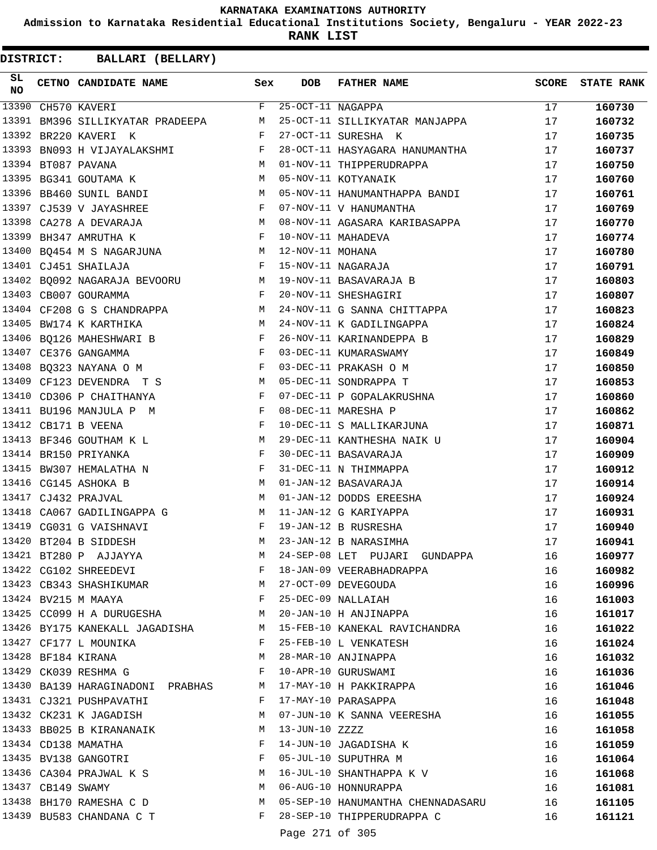**Admission to Karnataka Residential Educational Institutions Society, Bengaluru - YEAR 2022-23**

**RANK LIST**

| SL<br>NO |                   | <b>CETNO CANDIDATE NAME</b>                                                          | Sex          | <b>DOB</b>          | <b>FATHER NAME</b>                | <b>SCORE</b> | <b>STATE RANK</b> |
|----------|-------------------|--------------------------------------------------------------------------------------|--------------|---------------------|-----------------------------------|--------------|-------------------|
| 13390    |                   | CH570 KAVERI                                                                         | $F -$        | $25-0CT-11$ NAGAPPA |                                   | 17           | 160730            |
| 13391    |                   | BM396 SILLIKYATAR PRADEEPA                                                           | M            |                     | 25-OCT-11 SILLIKYATAR MANJAPPA    | 17           | 160732            |
| 13392    |                   | BR220 KAVERI K                                                                       | F            |                     | 27-OCT-11 SURESHA K               | 17           | 160735            |
| 13393    |                   | BN093 H VIJAYALAKSHMI                                                                | F            |                     | 28-OCT-11 HASYAGARA HANUMANTHA    | 17           | 160737            |
|          |                   | 13394 BT087 PAVANA                                                                   | M            |                     | 01-NOV-11 THIPPERUDRAPPA          | 17           | 160750            |
|          |                   | 13395 BG341 GOUTAMA K                                                                | M            |                     | 05-NOV-11 KOTYANAIK               | 17           | 160760            |
|          |                   | 13396 BB460 SUNIL BANDI                                                              | M            |                     | 05-NOV-11 HANUMANTHAPPA BANDI     | 17           | 160761            |
|          |                   | 13397 CJ539 V JAYASHREE<br>$\mathbf{F}$ and $\mathbf{F}$ and $\mathbf{F}$            |              |                     | 07-NOV-11 V HANUMANTHA            | 17           | 160769            |
|          |                   | 13398 CA278 A DEVARAJA                                                               | M            |                     | 08-NOV-11 AGASARA KARIBASAPPA     | 17           | 160770            |
| 13399    |                   | BH347 AMRUTHA K                                                                      | F            |                     | 10-NOV-11 MAHADEVA                | 17           | 160774            |
|          |                   | 13400 BQ454 M S NAGARJUNA                                                            | M            | 12-NOV-11 MOHANA    |                                   | 17           | 160780            |
|          |                   | 13401 CJ451 SHAILAJA                                                                 | F            |                     | 15-NOV-11 NAGARAJA                | 17           | 160791            |
|          |                   | 13402 BQ092 NAGARAJA BEVOORU                                                         | M            |                     | 19-NOV-11 BASAVARAJA B            | 17           | 160803            |
|          |                   | 13403 CB007 GOURAMMA                                                                 | F            |                     | 20-NOV-11 SHESHAGIRI              | 17           | 160807            |
|          |                   | 13404 CF208 G S CHANDRAPPA                                                           | M            |                     | 24-NOV-11 G SANNA CHITTAPPA       | 17           | 160823            |
| 13405    |                   | M<br>BW174 K KARTHIKA                                                                |              |                     | 24-NOV-11 K GADILINGAPPA          | 17           | 160824            |
|          |                   | 13406 BQ126 MAHESHWARI B                                                             | F            |                     | 26-NOV-11 KARINANDEPPA B          | 17           | 160829            |
|          |                   | 13407 CE376 GANGAMMA                                                                 | F            |                     | 03-DEC-11 KUMARASWAMY             | 17           | 160849            |
|          |                   | 13408 BQ323 NAYANA O M                                                               | F            |                     | 03-DEC-11 PRAKASH O M             | 17           | 160850            |
|          |                   | 13409 CF123 DEVENDRA T S                                                             | M            |                     | 05-DEC-11 SONDRAPPA T             | 17           | 160853            |
|          |                   | 13410 CD306 P CHAITHANYA                                                             | F            |                     | 07-DEC-11 P GOPALAKRUSHNA         | 17           | 160860            |
|          |                   | 13411 BU196 MANJULA P M                                                              | F            |                     | 08-DEC-11 MARESHA P               | 17           | 160862            |
|          |                   | 13412 CB171 B VEENA                                                                  | $_{\rm F}$   |                     | 10-DEC-11 S MALLIKARJUNA          | 17           | 160871            |
|          |                   | $M_{\rm H}$<br>13413 BF346 GOUTHAM K L                                               |              |                     | 29-DEC-11 KANTHESHA NAIK U        | 17           | 160904            |
|          |                   | 13414 BR150 PRIYANKA                                                                 | F            |                     | 30-DEC-11 BASAVARAJA              | 17           | 160909            |
|          |                   | 13415 BW307 HEMALATHA N                                                              | F            |                     | 31-DEC-11 N THIMMAPPA             | 17           | 160912            |
|          |                   | 13416 CG145 ASHOKA B                                                                 | M            |                     | 01-JAN-12 BASAVARAJA              | 17           | 160914            |
|          |                   | 13417 CJ432 PRAJVAL                                                                  | M            |                     | 01-JAN-12 DODDS EREESHA           | 17           | 160924            |
|          |                   | 13418 CA067 GADILINGAPPA G                                                           | M            |                     | 11-JAN-12 G KARIYAPPA             | 17           | 160931            |
|          |                   | 13419 CG031 G VAISHNAVI                                                              | $\mathbf{F}$ |                     | 19-JAN-12 B RUSRESHA              | 17           | 160940            |
|          |                   | 13420 BT204 B SIDDESH                                                                | M            |                     | 23-JAN-12 B NARASIMHA             | 17           | 160941            |
|          |                   | 13421 BT280 P AJJAYYA                                                                | M            |                     | 24-SEP-08 LET PUJARI GUNDAPPA     |              |                   |
|          |                   | 13422 CG102 SHREEDEVI                                                                | $\mathbf{F}$ |                     | 18-JAN-09 VEERABHADRAPPA          | 16<br>16     | 160977            |
|          |                   |                                                                                      |              |                     |                                   |              | 160982            |
|          |                   | 13423 CB343 SHASHIKUMAR M                                                            |              |                     | 27-OCT-09 DEVEGOUDA               | 16           | 160996            |
|          |                   | 13424 BV215 M MAAYA<br>$\mathbf{F}$ and the contract of the contract of $\mathbf{F}$ |              |                     | 25-DEC-09 NALLAIAH                | 16           | 161003            |
|          |                   | 13425 CC099 H A DURUGESHA M                                                          |              |                     | 20-JAN-10 H ANJINAPPA             | 16           | 161017            |
|          |                   | 13426 BY175 KANEKALL JAGADISHA                                                       |              |                     | M 15-FEB-10 KANEKAL RAVICHANDRA   | 16           | 161022            |
|          |                   | 13427 CF177 L MOUNIKA                                                                | $\mathbf{F}$ |                     | 25-FEB-10 L VENKATESH             | 16           | 161024            |
|          |                   | 13428 BF184 KIRANA                                                                   | М            |                     | 28-MAR-10 ANJINAPPA               | 16           | 161032            |
|          |                   | 13429 CK039 RESHMA G                                                                 | F            |                     | 10-APR-10 GURUSWAMI               | 16           | 161036            |
|          |                   | 13430 BA139 HARAGINADONI PRABHAS                                                     | M            |                     | 17-MAY-10 H PAKKIRAPPA            | 16           | 161046            |
|          |                   | 13431 CJ321 PUSHPAVATHI                                                              | F            |                     | 17-MAY-10 PARASAPPA               | 16           | 161048            |
|          |                   | 13432 CK231 K JAGADISH                                                               | M            |                     | 07-JUN-10 K SANNA VEERESHA        | 16           | 161055            |
|          |                   | 13433 BB025 B KIRANANAIK                                                             | M            | 13-JUN-10 ZZZZ      |                                   | 16           | 161058            |
|          |                   | 13434 CD138 MAMATHA                                                                  | $\mathbf{F}$ |                     | 14-JUN-10 JAGADISHA K             | 16           | 161059            |
|          |                   | 13435 BV138 GANGOTRI                                                                 | $\mathbf{F}$ |                     | 05-JUL-10 SUPUTHRA M              | 16           | 161064            |
|          |                   | 13436 CA304 PRAJWAL K S                                                              | M            |                     | 16-JUL-10 SHANTHAPPA K V          | 16           | 161068            |
|          | 13437 CB149 SWAMY |                                                                                      | M            |                     | 06-AUG-10 HONNURAPPA              | 16           | 161081            |
|          |                   | 13438 BH170 RAMESHA C D                                                              | M            |                     | 05-SEP-10 HANUMANTHA CHENNADASARU | 16           | 161105            |
|          |                   | 13439 BU583 CHANDANA C T                                                             |              |                     | F 28-SEP-10 THIPPERUDRAPPA C      | 16           | 161121            |
|          |                   |                                                                                      |              | Page 271 of 305     |                                   |              |                   |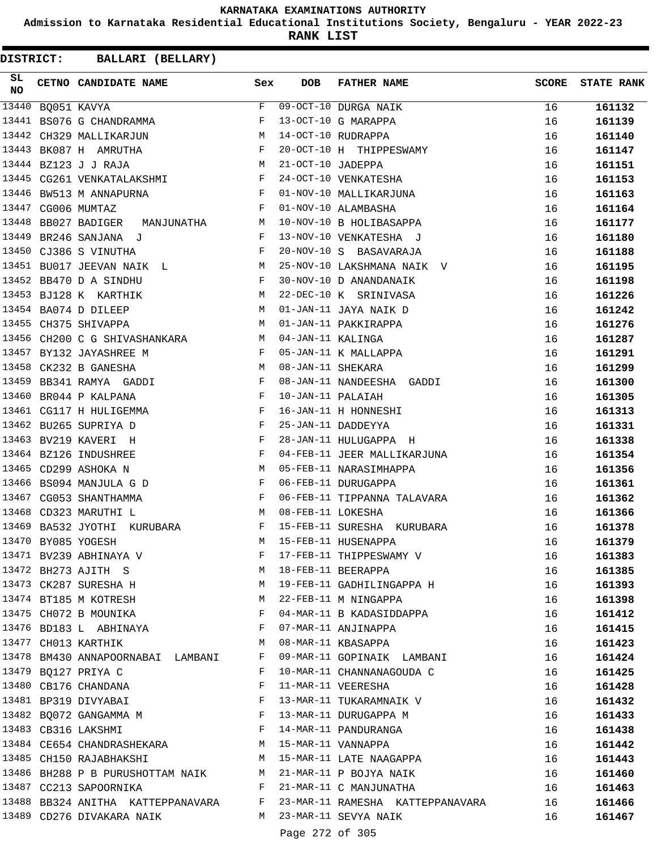**Admission to Karnataka Residential Educational Institutions Society, Bengaluru - YEAR 2022-23**

**RANK LIST**

**DISTRICT:** CC **BALLARI (BELLARY)**

| SL<br><b>NO</b> | CETNO CANDIDATE NAME Sex                                                                 |              | DOB                                                                                                                                                                                                                                                                                                                                                                                  | <b>FATHER NAME</b>                                                             | <b>SCORE</b> | <b>STATE RANK</b> |
|-----------------|------------------------------------------------------------------------------------------|--------------|--------------------------------------------------------------------------------------------------------------------------------------------------------------------------------------------------------------------------------------------------------------------------------------------------------------------------------------------------------------------------------------|--------------------------------------------------------------------------------|--------------|-------------------|
| 13440           | BQ051 KAVYA                                                                              | F            |                                                                                                                                                                                                                                                                                                                                                                                      | 09-OCT-10 DURGA NAIK                                                           | 16           | 161132            |
|                 | 13441 BS076 G CHANDRAMMA                                                                 | F            |                                                                                                                                                                                                                                                                                                                                                                                      | 13-OCT-10 G MARAPPA                                                            | 16           | 161139            |
|                 | 13442 CH329 MALLIKARJUN                                                                  | M            |                                                                                                                                                                                                                                                                                                                                                                                      | 14-OCT-10 RUDRAPPA                                                             | 16           | 161140            |
|                 | 13443 BK087 H AMRUTHA                                                                    |              |                                                                                                                                                                                                                                                                                                                                                                                      | 20-OCT-10 H THIPPESWAMY                                                        | 16           | 161147            |
|                 | $\begin{array}{c}\n\text{F} \\ \text{M}\n\end{array}$<br>13444 BZ123 J J RAJA            |              | 21-OCT-10 JADEPPA                                                                                                                                                                                                                                                                                                                                                                    |                                                                                | 16           | 161151            |
| 13445           | CG261 VENKATALAKSHMI F                                                                   |              |                                                                                                                                                                                                                                                                                                                                                                                      | 24-OCT-10 VENKATESHA                                                           | 16           | 161153            |
| 13446           | $\mathbb{R}^n$ . The set of the set of the $\mathbb{R}^n$<br>BW513 M ANNAPURNA           |              |                                                                                                                                                                                                                                                                                                                                                                                      | 01-NOV-10 MALLIKARJUNA                                                         | 16           | 161163            |
|                 | 13447 CG006 MUMTAZ                                                                       | $\mathbf{F}$ |                                                                                                                                                                                                                                                                                                                                                                                      | 01-NOV-10 ALAMBASHA                                                            | 16           | 161164            |
|                 | 13448 BB027 BADIGER MANJUNATHA M                                                         |              |                                                                                                                                                                                                                                                                                                                                                                                      | 10-NOV-10 B HOLIBASAPPA                                                        | 16           | 161177            |
|                 | 13449 BR246 SANJANA J<br>$\mathbf{F}$ and $\mathbf{F}$ are $\mathbf{F}$                  |              |                                                                                                                                                                                                                                                                                                                                                                                      | 13-NOV-10 VENKATESHA J                                                         | 16           | 161180            |
|                 | 13450 CJ386 S VINUTHA<br>$\mathbf{F}$ and $\mathbf{F}$ and $\mathbf{F}$                  |              |                                                                                                                                                                                                                                                                                                                                                                                      | 20-NOV-10 S BASAVARAJA                                                         | 16           | 161188            |
|                 | 13451 BU017 JEEVAN NAIK L                                                                |              |                                                                                                                                                                                                                                                                                                                                                                                      | 25-NOV-10 LAKSHMANA NAIK V                                                     | 16           | 161195            |
|                 | 13452 BB470 D A SINDHU                                                                   | F            |                                                                                                                                                                                                                                                                                                                                                                                      | 30-NOV-10 D ANANDANAIK                                                         | 16           | 161198            |
|                 | 13453 BJ128 K KARTHIK<br>M <sub>1</sub>                                                  |              |                                                                                                                                                                                                                                                                                                                                                                                      | 22-DEC-10 K SRINIVASA                                                          | 16           | 161226            |
|                 | M<br>13454 BA074 D DILEEP                                                                |              |                                                                                                                                                                                                                                                                                                                                                                                      | 01-JAN-11 JAYA NAIK D                                                          | 16           | 161242            |
|                 | 13455 CH375 SHIVAPPA                                                                     | M            |                                                                                                                                                                                                                                                                                                                                                                                      | 01-JAN-11 PAKKIRAPPA                                                           | 16           | 161276            |
|                 | 13456 CH200 C G SHIVASHANKARA M                                                          |              | 04-JAN-11 KALINGA                                                                                                                                                                                                                                                                                                                                                                    |                                                                                | 16           | 161287            |
|                 |                                                                                          |              |                                                                                                                                                                                                                                                                                                                                                                                      |                                                                                |              |                   |
|                 | 13457 BY132 JAYASHREE M<br>$\mathbf{F}$ . The contract of the contract of $\mathbf{F}$   |              |                                                                                                                                                                                                                                                                                                                                                                                      | 05-JAN-11 K MALLAPPA                                                           | 16           | 161291            |
| 13458           | CK232 B GANESHA                                                                          | M            | 08-JAN-11 SHEKARA                                                                                                                                                                                                                                                                                                                                                                    |                                                                                | 16           | 161299            |
|                 | 13459 BB341 RAMYA GADDI                                                                  | $\mathbb{F}$ |                                                                                                                                                                                                                                                                                                                                                                                      | 08-JAN-11 NANDEESHA GADDI                                                      | 16           | 161300            |
| 13460           | BR044 P KALPANA                                                                          | F            | 10-JAN-11 PALAIAH                                                                                                                                                                                                                                                                                                                                                                    |                                                                                | 16           | 161305            |
|                 | 13461 CG117 H HULIGEMMA<br>$\mathbf{F}$ and the contract of the contract of $\mathbf{F}$ |              |                                                                                                                                                                                                                                                                                                                                                                                      | 16-JAN-11 H HONNESHI                                                           | 16           | 161313            |
|                 | $\mathbf{F}$ and the contract of the contract of $\mathbf{F}$<br>13462 BU265 SUPRIYA D   |              |                                                                                                                                                                                                                                                                                                                                                                                      | 25-JAN-11 DADDEYYA                                                             | 16           | 161331            |
|                 | 13463 BV219 KAVERI H                                                                     | $\mathbf{F}$ |                                                                                                                                                                                                                                                                                                                                                                                      | 28-JAN-11 HULUGAPPA H                                                          | 16           | 161338            |
|                 | 13464 BZ126 INDUSHREE                                                                    | $\mathbf{F}$ |                                                                                                                                                                                                                                                                                                                                                                                      | 04-FEB-11 JEER MALLIKARJUNA                                                    | 16           | 161354            |
|                 | 13465 CD299 ASHOKA N                                                                     | M            |                                                                                                                                                                                                                                                                                                                                                                                      | 05-FEB-11 NARASIMHAPPA                                                         | 16           | 161356            |
|                 | $\mathbf{F}$ and the state of the state $\mathbf{F}$<br>13466 BS094 MANJULA G D          |              |                                                                                                                                                                                                                                                                                                                                                                                      | 06-FEB-11 DURUGAPPA                                                            | 16           | 161361            |
|                 | 13467 CG053 SHANTHAMMA                                                                   | $\mathbf{F}$ |                                                                                                                                                                                                                                                                                                                                                                                      | 06-FEB-11 TIPPANNA TALAVARA                                                    | 16           | 161362            |
|                 | 13468 CD323 MARUTHI L                                                                    | M            | 08-FEB-11 LOKESHA                                                                                                                                                                                                                                                                                                                                                                    |                                                                                | 16           | 161366            |
| 13469           | BA532 JYOTHI<br>KURUBARA F                                                               |              |                                                                                                                                                                                                                                                                                                                                                                                      | 15-FEB-11 SURESHA KURUBARA                                                     | 16           | 161378            |
|                 | 13470 BY085 YOGESH                                                                       | M            |                                                                                                                                                                                                                                                                                                                                                                                      | 15-FEB-11 HUSENAPPA                                                            | 16           | 161379            |
|                 | 13471 BV239 ABHINAYA V<br>13472 BH273 AJITH S                                            |              |                                                                                                                                                                                                                                                                                                                                                                                      | F 17-FEB-11 THIPPESWAMY V<br>M 18-FEB-11 BEERAPPA                              | 16           | 161383            |
|                 |                                                                                          |              |                                                                                                                                                                                                                                                                                                                                                                                      |                                                                                | 16           | 161385            |
|                 |                                                                                          |              |                                                                                                                                                                                                                                                                                                                                                                                      | 13473 CK287 SURESHA H M 19-FEB-11 GADHILINGAPPA H                              | 16           | 161393            |
|                 | 13474 BT185 M KOTRESH M 22-FEB-11 M NINGAPPA                                             |              |                                                                                                                                                                                                                                                                                                                                                                                      |                                                                                | 16           | 161398            |
|                 | 13475 CH072 B MOUNIKA                                                                    |              |                                                                                                                                                                                                                                                                                                                                                                                      | F 04-MAR-11 B KADASIDDAPPA                                                     | 16           | 161412            |
|                 | 13476 BD183 L ABHINAYA                                                                   |              |                                                                                                                                                                                                                                                                                                                                                                                      | F 07-MAR-11 ANJINAPPA                                                          | 16           | 161415            |
|                 | 13477 CH013 KARTHIK M                                                                    |              |                                                                                                                                                                                                                                                                                                                                                                                      | 08-MAR-11 KBASAPPA                                                             | 16           | 161423            |
|                 | 13478 BM430 ANNAPOORNABAI LAMBANI F                                                      |              |                                                                                                                                                                                                                                                                                                                                                                                      | 09-MAR-11 GOPINAIK LAMBANI                                                     | 16           | 161424            |
|                 | 13479 BQ127 PRIYA C                                                                      |              |                                                                                                                                                                                                                                                                                                                                                                                      | F 10-MAR-11 CHANNANAGOUDA C                                                    | 16           | 161425            |
|                 | 13480 CB176 CHANDANA                                                                     |              |                                                                                                                                                                                                                                                                                                                                                                                      | F 11-MAR-11 VEERESHA                                                           | 16           | 161428            |
|                 |                                                                                          |              |                                                                                                                                                                                                                                                                                                                                                                                      | 13481 BP319 DIVYABAI                               F   13-MAR-11 TUKARAMNAIK V | 16           | 161432            |
|                 | 13482 BQ072 GANGAMMA M F 13-MAR-11 DURUGAPPA M                                           |              |                                                                                                                                                                                                                                                                                                                                                                                      |                                                                                | 16           | 161433            |
|                 | 13483 CB316 LAKSHMI                                                                      |              |                                                                                                                                                                                                                                                                                                                                                                                      | F 14-MAR-11 PANDURANGA                                                         | 16           | 161438            |
|                 | 13484 CE654 CHANDRASHEKARA M 15-MAR-11 VANNAPPA                                          |              |                                                                                                                                                                                                                                                                                                                                                                                      |                                                                                | 16           | 161442            |
|                 |                                                                                          |              |                                                                                                                                                                                                                                                                                                                                                                                      | 13485 CH150 RAJABHAKSHI NA MASAR-11 LATE NAAGAPPA                              | 16           | 161443            |
|                 | 13486 BH288 P B PURUSHOTTAM NAIK M 21-MAR-11 P BOJYA NAIK                                |              |                                                                                                                                                                                                                                                                                                                                                                                      |                                                                                | 16           | 161460            |
|                 | 13487 CC213 SAPOORNIKA                                                                   |              |                                                                                                                                                                                                                                                                                                                                                                                      | F 21-MAR-11 C MANJUNATHA                                                       | 16           | 161463            |
|                 |                                                                                          |              |                                                                                                                                                                                                                                                                                                                                                                                      | 13488 BB324 ANITHA KATTEPPANAVARA F 23-MAR-11 RAMESHA KATTEPPANAVARA           | 16           | 161466            |
|                 | M 23-MAR-11 SEVYA NAIK<br>13489 CD276 DIVAKARA NAIK                                      |              |                                                                                                                                                                                                                                                                                                                                                                                      |                                                                                | 16           | 161467            |
|                 |                                                                                          |              | $\overline{a}$ $\overline{a}$ $\overline{a}$ $\overline{a}$ $\overline{a}$ $\overline{a}$ $\overline{a}$ $\overline{a}$ $\overline{a}$ $\overline{a}$ $\overline{a}$ $\overline{a}$ $\overline{a}$ $\overline{a}$ $\overline{a}$ $\overline{a}$ $\overline{a}$ $\overline{a}$ $\overline{a}$ $\overline{a}$ $\overline{a}$ $\overline{a}$ $\overline{a}$ $\overline{a}$ $\overline{$ |                                                                                |              |                   |

Page 272 of 305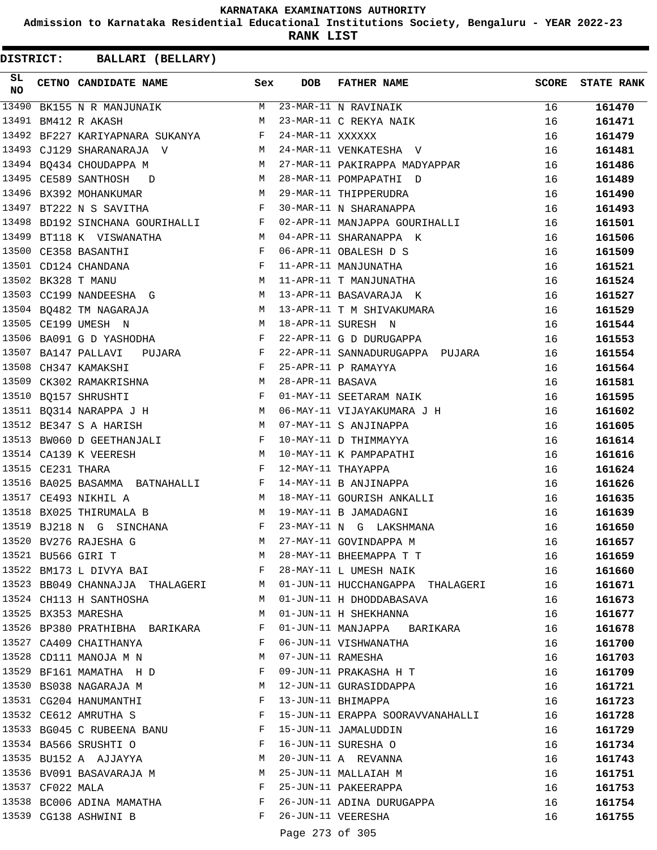**Admission to Karnataka Residential Educational Institutions Society, Bengaluru - YEAR 2022-23**

**RANK LIST**

| SL<br><b>NO</b> |                   | CETNO CANDIDATE NAME Sex                                                                    |              | <b>DOB</b>       | <b>FATHER NAME</b>                                                            | <b>SCORE</b> | <b>STATE RANK</b> |
|-----------------|-------------------|---------------------------------------------------------------------------------------------|--------------|------------------|-------------------------------------------------------------------------------|--------------|-------------------|
| 13490           |                   | BK155 N R MANJUNAIK                                                                         |              |                  | M 23-MAR-11 N RAVINAIK                                                        | 16           | 161470            |
|                 |                   | 13491 BM412 R AKASH                                                                         | M            |                  | 23-MAR-11 C REKYA NAIK                                                        | 16           | 161471            |
|                 |                   | 13492 BF227 KARIYAPNARA SUKANYA F                                                           |              | 24-MAR-11 XXXXXX |                                                                               | 16           | 161479            |
|                 |                   | 13493 CJ129 SHARANARAJA V                                                                   |              |                  | M 24-MAR-11 VENKATESHA V                                                      | 16           | 161481            |
|                 |                   | 13494 BQ434 CHOUDAPPA M                                                                     |              |                  | M 27-MAR-11 PAKIRAPPA MADYAPPAR                                               | 16           | 161486            |
|                 |                   | 13495 CE589 SANTHOSH D M 28-MAR-11 POMPAPATHI D                                             |              |                  |                                                                               | 16           | 161489            |
|                 |                   | M 29-MAR-11 THIPPERUDRA<br>13496 BX392 MOHANKUMAR                                           |              |                  |                                                                               | 16           | 161490            |
|                 |                   | 13497 BT222 N S SAVITHA                                                                     |              |                  | F 30-MAR-11 N SHARANAPPA                                                      | 16           | 161493            |
|                 |                   |                                                                                             |              |                  | 13498 BD192 SINCHANA GOURIHALLI F 02-APR-11 MANJAPPA GOURIHALLI               | 16           | 161501            |
|                 |                   | 13499 BT118 K VISWANATHA                                                                    |              |                  | M 04-APR-11 SHARANAPPA K                                                      | 16           | 161506            |
|                 |                   | 13500 CE358 BASANTHI                                                                        |              |                  | F 06-APR-11 OBALESH D S<br>F 11-APR-11 MANJUNATHA<br>M 11-APR-11 T MANJUNATHA | 16           | 161509            |
|                 |                   | 13501 CD124 CHANDANA                                                                        |              |                  |                                                                               | 16           | 161521            |
|                 |                   | 13502 BK328 T MANU                                                                          |              |                  |                                                                               | 16           | 161524            |
|                 |                   |                                                                                             |              |                  | 13503 CC199 NANDEESHA G M 13-APR-11 BASAVARAJA K                              | 16           | 161527            |
|                 |                   |                                                                                             |              |                  | 13504 BQ482 TM NAGARAJA M 13-APR-11 T M SHIVAKUMARA                           | 16           | 161529            |
|                 |                   | $M = 18 - APR - 11$ SURESH N<br>13505 CE199 UMESH N                                         |              |                  |                                                                               | 16           | 161544            |
|                 |                   | 13506 BA091 G D YASHODHA F                                                                  |              |                  | 22-APR-11 G D DURUGAPPA                                                       | 16           | 161553            |
|                 |                   | 13507 BA147 PALLAVI PUJARA F                                                                |              |                  | 22-APR-11 SANNADURUGAPPA PUJARA                                               | 16           | 161554            |
|                 |                   | $\mathbf{F}$ and $\mathbf{F}$ and $\mathbf{F}$<br>13508 CH347 KAMAKSHI                      |              |                  | 25-APR-11 P RAMAYYA                                                           | 16           | 161564            |
|                 |                   |                                                                                             |              |                  |                                                                               | 16           | 161581            |
|                 |                   | 13509 CK302 RAMAKRISHNA<br>13510 BQ157 SHRUSHTI TANDAR TURE TO THE SERIAR THE SEETARAM NAIK |              |                  |                                                                               | 16           | 161595            |
|                 |                   |                                                                                             |              |                  | 13511 BQ314 NARAPPA J H M 06-MAY-11 VIJAYAKUMARA J H                          | 16           | 161602            |
|                 |                   | M 07-MAY-11 S ANJINAPPA<br>13512 BE347 S A HARISH                                           |              |                  |                                                                               | 16           | 161605            |
|                 |                   | 13513 BW060 D GEETHANJALI F 10-MAY-11 D THIMMAYYA                                           |              |                  |                                                                               | 16           | 161614            |
|                 |                   | 13514 CA139 K VEERESH M 10-MAY-11 K PAMPAPATHI                                              |              |                  |                                                                               | 16           | 161616            |
|                 | 13515 CE231 THARA | $\mathbf{F}$                                                                                |              |                  | 12-MAY-11 THAYAPPA                                                            | 16           | 161624            |
|                 |                   |                                                                                             |              |                  |                                                                               | 16           | 161626            |
|                 |                   | 13516 BA025 BASAMMA BATNAHALLI F 14-MAY-11 B ANJINAPPA<br>13517 CE493 NIKHIL A              |              |                  |                                                                               | 16           | 161635            |
|                 |                   | 13518 BX025 THIRUMALA B<br>M 19-MAY-11 B JAMADAGNI                                          |              |                  | M 18-MAY-11 GOURISH ANKALLI<br>M 19-MAY-11 B JAMADAGNI                        | 16           | 161639            |
|                 |                   | 13519 BJ218 N G SINCHANA F                                                                  |              |                  | 23-MAY-11 N G LAKSHMANA                                                       | 16           | 161650            |
|                 |                   | 13520 BV276 RAJESHA G                                                                       |              |                  | M 27-MAY-11 GOVINDAPPA M                                                      | 16           | 161657            |
|                 |                   | 13521 BU566 GIRI T                                                                          | M            |                  | 28-MAY-11 BHEEMAPPA T T                                                       | 16           | 161659            |
|                 |                   | 13522 BM173 L DIVYA BAI                                                                     | $\mathbf{F}$ |                  | 28-MAY-11 L UMESH NAIK                                                        | 16           | 161660            |
|                 |                   |                                                                                             |              |                  | 13523 BB049 CHANNAJJA THALAGERI M 01-JUN-11 HUCCHANGAPPA THALAGERI            | 16           | 161671            |
|                 |                   | 13524 CH113 H SANTHOSHA                                                                     | M            |                  | 01-JUN-11 H DHODDABASAVA                                                      | 16           | 161673            |
|                 |                   | 13525 BX353 MARESHA                                                                         | M            |                  | 01-JUN-11 H SHEKHANNA                                                         | 16           | 161677            |
|                 |                   | 13526 BP380 PRATHIBHA BARIKARA F                                                            |              |                  | 01-JUN-11 MANJAPPA BARIKARA                                                   | 16           | 161678            |
|                 |                   | 13527 CA409 CHAITHANYA                                                                      | F            |                  | 06-JUN-11 VISHWANATHA                                                         | 16           | 161700            |
|                 |                   | 13528 CD111 MANOJA M N                                                                      | M            |                  | 07-JUN-11 RAMESHA                                                             | 16           | 161703            |
|                 |                   |                                                                                             | F            |                  | 09-JUN-11 PRAKASHA H T                                                        | 16           | 161709            |
|                 |                   | 13529 BF161 MAMATHA H D<br>13530 BS038 NAGARAJA M                                           | M            |                  | 12-JUN-11 GURASIDDAPPA                                                        | 16           | 161721            |
|                 |                   | 13531 CG204 HANUMANTHI                                                                      | F            |                  | 13-JUN-11 BHIMAPPA                                                            | 16           | 161723            |
|                 |                   | 13532 CE612 AMRUTHA S                                                                       |              |                  | 15-JUN-11 ERAPPA SOORAVVANAHALLI                                              |              |                   |
|                 |                   | 13533 BG045 C RUBEENA BANU                                                                  | F            |                  | 15-JUN-11 JAMALUDDIN                                                          | 16           | 161728            |
|                 |                   |                                                                                             | F            |                  |                                                                               | 16           | 161729            |
|                 |                   | 13534 BA566 SRUSHTI O                                                                       |              |                  | 16-JUN-11 SURESHA O                                                           | 16           | 161734            |
|                 |                   | 13535 BU152 A AJJAYYA                                                                       | M            |                  | 20-JUN-11 A REVANNA                                                           | 16           | 161743            |
|                 |                   | 13536 BV091 BASAVARAJA M                                                                    | M            |                  | 25-JUN-11 MALLAIAH M                                                          | 16           | 161751            |
|                 | 13537 CF022 MALA  |                                                                                             | F            |                  | 25-JUN-11 PAKEERAPPA                                                          | 16           | 161753            |
|                 |                   | 13538 BC006 ADINA MAMATHA                                                                   | $\mathbf{F}$ |                  | 26-JUN-11 ADINA DURUGAPPA                                                     | 16           | 161754            |
|                 |                   | 13539 CG138 ASHWINI B                                                                       | $\mathbf{F}$ |                  | 26-JUN-11 VEERESHA                                                            | 16           | 161755            |
|                 |                   |                                                                                             |              | Page 273 of 305  |                                                                               |              |                   |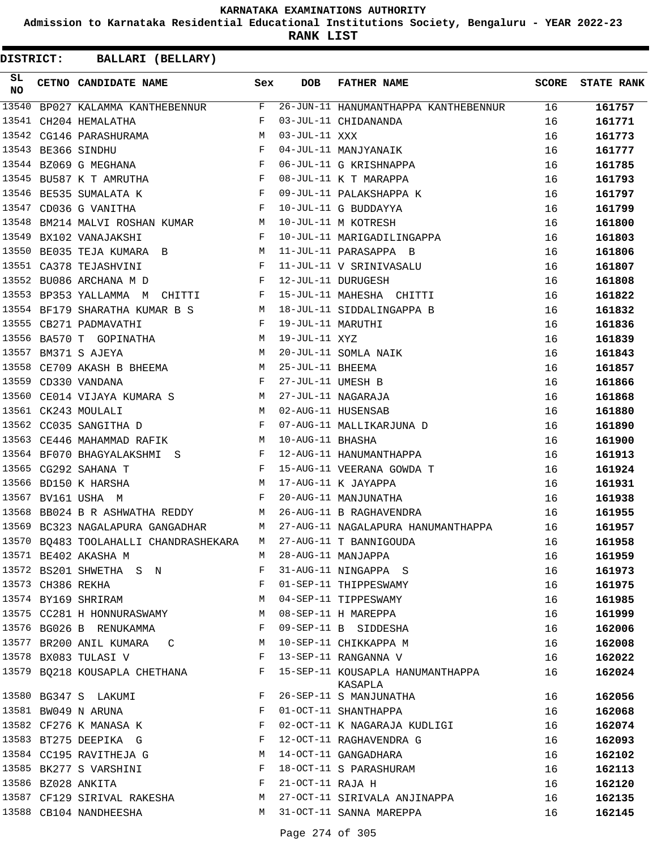**Admission to Karnataka Residential Educational Institutions Society, Bengaluru - YEAR 2022-23**

**RANK LIST**

| SL<br><b>NO</b> |                   | CETNO CANDIDATE NAME Sex                                                                                                                                                                                                                                     |              | <b>DOB</b>          | <b>FATHER NAME</b>                          | SCORE | <b>STATE RANK</b> |
|-----------------|-------------------|--------------------------------------------------------------------------------------------------------------------------------------------------------------------------------------------------------------------------------------------------------------|--------------|---------------------|---------------------------------------------|-------|-------------------|
| 13540           |                   | $\begin{tabular}{l c c c c c} \hline \texttt{BPO27 KALAMMA KANTHEBENNUR} & \texttt{F} \end{tabular}$                                                                                                                                                         |              |                     | 26-JUN-11 HANUMANTHAPPA KANTHEBENNUR        | 16    | 161757            |
| 13541           |                   | $\mathbb{F}^{\mathbb{Z}}$ . The set of $\mathbb{F}^{\mathbb{Z}}$<br>CH204 HEMALATHA                                                                                                                                                                          |              |                     | 03-JUL-11 CHIDANANDA                        | 16    | 161771            |
|                 |                   | M <sub>N</sub><br>13542 CG146 PARASHURAMA                                                                                                                                                                                                                    |              | $03 - JUL - 11$ XXX |                                             | 16    | 161773            |
|                 |                   | $\begin{aligned} \mathbb{M} \\ \mathbb{F} \end{aligned}$<br>13543 BE366 SINDHU                                                                                                                                                                               |              |                     | 04-JUL-11 MANJYANAIK                        | 16    | 161777            |
|                 |                   | $\mathbf{F}$ and $\mathbf{F}$ are the set of $\mathbf{F}$<br>13544 BZ069 G MEGHANA                                                                                                                                                                           |              |                     | 06-JUL-11 G KRISHNAPPA                      | 16    | 161785            |
|                 |                   | 13545 BU587 K T AMRUTHA F                                                                                                                                                                                                                                    |              |                     | 08-JUL-11 K T MARAPPA                       | 16    | 161793            |
|                 |                   | $\mathbf{F}^{\mathbf{r}}$<br>13546 BE535 SUMALATA K                                                                                                                                                                                                          |              |                     | 09-JUL-11 PALAKSHAPPA K                     | 16    | 161797            |
|                 |                   | $\mathbb{F}$<br>13547 CD036 G VANITHA                                                                                                                                                                                                                        |              |                     | 10-JUL-11 G BUDDAYYA                        | 16    | 161799            |
| 13548           |                   | BM214 MALVI ROSHAN KUMAR M                                                                                                                                                                                                                                   |              |                     | 10-JUL-11 M KOTRESH                         | 16    | 161800            |
| 13549           |                   | $\mathbf{F}$ and the set of the set of $\mathbf{F}$<br>BX102 VANAJAKSHI                                                                                                                                                                                      |              |                     | 10-JUL-11 MARIGADILINGAPPA                  | 16    | 161803            |
| 13550           |                   |                                                                                                                                                                                                                                                              |              |                     | 11-JUL-11 PARASAPPA B                       | 16    | 161806            |
|                 |                   | 13551 CA378 TEJASHVINI                                                                                                                                                                                                                                       |              |                     | 11-JUL-11 V SRINIVASALU                     | 16    | 161807            |
|                 |                   | $\mathbf{F}$ . The set of the set of the set of the set of the set of the set of the set of the set of the set of the set of the set of the set of the set of the set of the set of the set of the set of the set of the set of t<br>13552 BU086 ARCHANA M D |              |                     | 12-JUL-11 DURUGESH                          | 16    | 161808            |
|                 |                   | 13553 BP353 YALLAMMA M CHITTI F 15-JUL-11 MAHESHA CHITTI                                                                                                                                                                                                     |              |                     |                                             | 16    | 161822            |
|                 |                   | 13554 BF179 SHARATHA KUMAR B S                                                                                                                                                                                                                               |              |                     | M 18-JUL-11 SIDDALINGAPPA B                 | 16    | 161832            |
|                 |                   | 13555 CB271 PADMAVATHI<br>$\mathbf{F}$ . The set of the set of the set of the set of the set of the set of the set of the set of the set of the set of the set of the set of the set of the set of the set of the set of the set of the set of the set of t  |              | 19-JUL-11 MARUTHI   |                                             | 16    | 161836            |
|                 |                   | 13556 BA570 T GOPINATHA M                                                                                                                                                                                                                                    |              | 19-JUL-11 XYZ       |                                             | 16    | 161839            |
| 13557           |                   | $\mathbb{M}$<br>BM371 S AJEYA                                                                                                                                                                                                                                |              |                     | 20-JUL-11 SOMLA NAIK                        | 16    | 161843            |
|                 |                   | 13558 CE709 AKASH B BHEEMA M                                                                                                                                                                                                                                 |              | 25-JUL-11 BHEEMA    |                                             | 16    | 161857            |
|                 |                   | 13559 CD330 VANDANA                                                                                                                                                                                                                                          | $\mathbf{F}$ | 27-JUL-11 UMESH B   |                                             | 16    | 161866            |
| 13560           |                   | CE014 VIJAYA KUMARA S M                                                                                                                                                                                                                                      |              |                     | 27-JUL-11 NAGARAJA                          | 16    | 161868            |
|                 |                   | <b>M</b><br>13561 CK243 MOULALI                                                                                                                                                                                                                              |              |                     | 02-AUG-11 HUSENSAB                          | 16    | 161880            |
|                 |                   | $\mathbf{F}$<br>13562 CC035 SANGITHA D                                                                                                                                                                                                                       |              |                     | 07-AUG-11 MALLIKARJUNA D                    | 16    | 161890            |
|                 |                   | 13563 CE446 MAHAMMAD RAFIK M                                                                                                                                                                                                                                 |              | 10-AUG-11 BHASHA    |                                             | 16    | 161900            |
|                 |                   | 13564 BF070 BHAGYALAKSHMI S F                                                                                                                                                                                                                                |              |                     | 12-AUG-11 HANUMANTHAPPA                     | 16    | 161913            |
|                 |                   | $\mathbf{F}$ . The set of $\mathbf{F}$<br>13565 CG292 SAHANA T                                                                                                                                                                                               |              |                     | 15-AUG-11 VEERANA GOWDA T                   | 16    | 161924            |
|                 |                   | 13566 BD150 K HARSHA                                                                                                                                                                                                                                         |              |                     | 17-AUG-11 K JAYAPPA                         | 16    | 161931            |
|                 |                   | $\begin{aligned} \mathbb{M} \\ \mathbb{F} \end{aligned}$<br>13567 BV161 USHA M                                                                                                                                                                               |              |                     | 20-AUG-11 MANJUNATHA                        | 16    | 161938            |
| 13568           |                   | BB024 B R ASHWATHA REDDY M                                                                                                                                                                                                                                   |              |                     | 26-AUG-11 B RAGHAVENDRA                     | 16    | 161955            |
|                 |                   | 13569 BC323 NAGALAPURA GANGADHAR M                                                                                                                                                                                                                           |              |                     | 27-AUG-11 NAGALAPURA HANUMANTHAPPA          | 16    | 161957            |
|                 |                   | 13570 BQ483 TOOLAHALLI CHANDRASHEKARA                                                                                                                                                                                                                        | M            |                     | 27-AUG-11 T BANNIGOUDA                      | 16    | 161958            |
|                 |                   | 13571 BE402 AKASHA M                                                                                                                                                                                                                                         | М            |                     | 28-AUG-11 MANJAPPA                          | 16    | 161959            |
|                 |                   | 13572 BS201 SHWETHA S N                                                                                                                                                                                                                                      | F            |                     | 31-AUG-11 NINGAPPA S                        | 16    | 161973            |
|                 | 13573 CH386 REKHA |                                                                                                                                                                                                                                                              | F            |                     | 01-SEP-11 THIPPESWAMY                       | 16    | 161975            |
|                 |                   | 13574 BY169 SHRIRAM                                                                                                                                                                                                                                          | M            |                     | 04-SEP-11 TIPPESWAMY                        | 16    | 161985            |
|                 |                   | 13575 CC281 H HONNURASWAMY                                                                                                                                                                                                                                   | M            |                     | 08-SEP-11 H MAREPPA                         | 16    | 161999            |
|                 |                   | 13576 BG026 B RENUKAMMA                                                                                                                                                                                                                                      | F            |                     | 09-SEP-11 B SIDDESHA                        | 16    | 162006            |
|                 |                   | 13577 BR200 ANIL KUMARA C                                                                                                                                                                                                                                    | M            |                     | 10-SEP-11 CHIKKAPPA M                       | 16    | 162008            |
|                 |                   | 13578 BX083 TULASI V                                                                                                                                                                                                                                         | $_{\rm F}$   |                     | 13-SEP-11 RANGANNA V                        | 16    | 162022            |
|                 |                   | 13579 BQ218 KOUSAPLA CHETHANA F                                                                                                                                                                                                                              |              |                     | 15-SEP-11 KOUSAPLA HANUMANTHAPPA<br>KASAPLA | 16    | 162024            |
|                 |                   | 13580 BG347 S LAKUMI                                                                                                                                                                                                                                         | F            |                     | 26-SEP-11 S MANJUNATHA                      | 16    | 162056            |
|                 |                   | 13581 BW049 N ARUNA                                                                                                                                                                                                                                          | F            |                     | 01-OCT-11 SHANTHAPPA                        | 16    | 162068            |
|                 |                   | 13582 CF276 K MANASA K                                                                                                                                                                                                                                       | F            |                     | 02-OCT-11 K NAGARAJA KUDLIGI                | 16    | 162074            |
|                 |                   | 13583 BT275 DEEPIKA G                                                                                                                                                                                                                                        | F            |                     | 12-OCT-11 RAGHAVENDRA G                     | 16    | 162093            |
|                 |                   | 13584 CC195 RAVITHEJA G                                                                                                                                                                                                                                      | M            |                     | 14-OCT-11 GANGADHARA                        | 16    | 162102            |
|                 |                   | 13585 BK277 S VARSHINI                                                                                                                                                                                                                                       | $\mathbf{F}$ |                     | 18-OCT-11 S PARASHURAM                      | 16    | 162113            |
|                 |                   | 13586 BZ028 ANKITA                                                                                                                                                                                                                                           | F            | 21-OCT-11 RAJA H    |                                             | 16    | 162120            |
|                 |                   | 13587 CF129 SIRIVAL RAKESHA                                                                                                                                                                                                                                  | M            |                     | 27-OCT-11 SIRIVALA ANJINAPPA                | 16    | 162135            |
|                 |                   | 13588 CB104 NANDHEESHA                                                                                                                                                                                                                                       | M            |                     | 31-OCT-11 SANNA MAREPPA                     | 16    | 162145            |
|                 |                   |                                                                                                                                                                                                                                                              |              |                     |                                             |       |                   |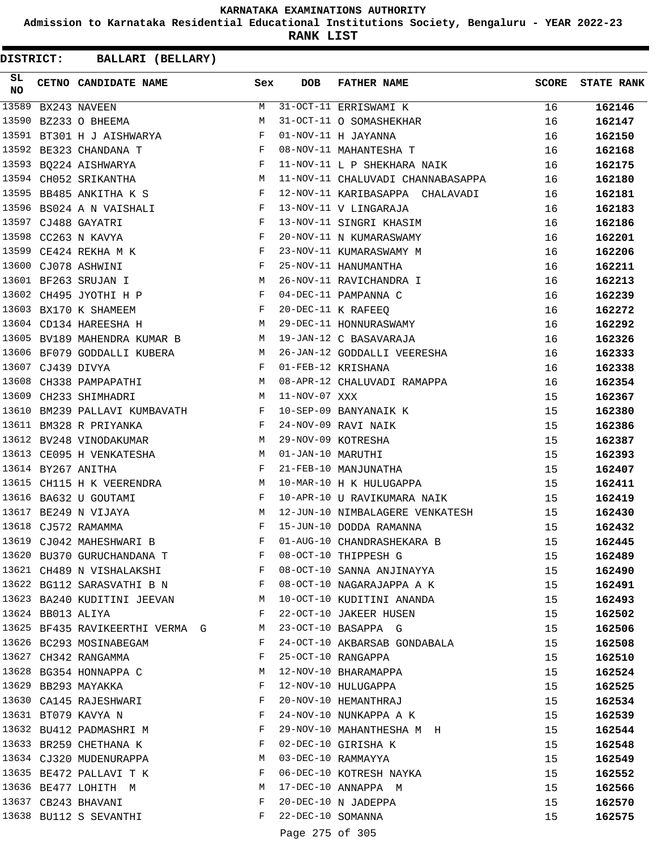**Admission to Karnataka Residential Educational Institutions Society, Bengaluru - YEAR 2022-23**

**RANK LIST**

| SL<br><b>NO</b> |                   | CETNO CANDIDATE NAME                                                  | Sex                                                           | <b>DOB</b>        | <b>FATHER NAME</b>                               | <b>SCORE</b> | <b>STATE RANK</b> |
|-----------------|-------------------|-----------------------------------------------------------------------|---------------------------------------------------------------|-------------------|--------------------------------------------------|--------------|-------------------|
| 13589           |                   | BX243 NAVEEN                                                          | M                                                             |                   | 31-OCT-11 ERRISWAMI K                            | 16           | 162146            |
|                 |                   | 13590 BZ233 O BHEEMA                                                  | M                                                             |                   | 31-OCT-11 O SOMASHEKHAR                          | 16           | 162147            |
|                 |                   | 13591 BT301 H J AISHWARYA                                             | <b>Example 20</b> Service Service Service Service             |                   | 01-NOV-11 H JAYANNA                              | 16           | 162150            |
|                 |                   | 13592 BE323 CHANDANA T                                                | $\mathbb{F}$                                                  |                   | 08-NOV-11 MAHANTESHA T                           | 16           | 162168            |
|                 |                   | 13593 BQ224 AISHWARYA                                                 | $\mathbf{F}$ . The $\mathbf{F}$                               |                   | 11-NOV-11 L P SHEKHARA NAIK                      | 16           | 162175            |
|                 |                   | 13594 CH052 SRIKANTHA                                                 | <b>M</b>                                                      |                   | 11-NOV-11 CHALUVADI CHANNABASAPPA                | 16           | 162180            |
|                 |                   | 13595 BB485 ANKITHA K S                                               | $\mathbf{F}$ and the state of the state $\mathbf{F}$          |                   | 12-NOV-11 KARIBASAPPA CHALAVADI                  | 16           | 162181            |
|                 |                   | 13596 BS024 A N VAISHALI                                              | $\mathbb{F}$                                                  |                   | 13-NOV-11 V LINGARAJA                            | 16           | 162183            |
|                 |                   | 13597 CJ488 GAYATRI                                                   | F                                                             |                   | 13-NOV-11 SINGRI KHASIM                          | 16           | 162186            |
|                 |                   | 13598 CC263 N KAVYA                                                   | F                                                             |                   | 20-NOV-11 N KUMARASWAMY                          | 16           | 162201            |
|                 |                   | 13599 CE424 REKHA M K                                                 | $\mathbf{F}$ and $\mathbf{F}$                                 |                   | 23-NOV-11 KUMARASWAMY M                          | 16           | 162206            |
|                 |                   | 13600 CJ078 ASHWINI                                                   | $\mathbf{F}$                                                  |                   | 25-NOV-11 HANUMANTHA                             | 16           | 162211            |
|                 |                   | 13601 BF263 SRUJAN I                                                  | M <sub>1</sub>                                                |                   | 26-NOV-11 RAVICHANDRA I                          | 16           | 162213            |
|                 |                   | 13602 CH495 JYOTHI H P                                                | $\mathbf{F}$ and the contract of the contract of $\mathbf{F}$ |                   | 04-DEC-11 PAMPANNA C                             | 16           | 162239            |
|                 |                   | 13603 BX170 K SHAMEEM                                                 | $\mathbf{F}$ and the contract of $\mathbf{F}$                 |                   | 20-DEC-11 K RAFEEO                               | 16           | 162272            |
|                 |                   | 13604 CD134 HAREESHA H                                                | M                                                             |                   | 29-DEC-11 HONNURASWAMY                           | 16           | 162292            |
|                 |                   | 13605 BV189 MAHENDRA KUMAR B                                          | M <sub>N</sub>                                                |                   | 19-JAN-12 C BASAVARAJA                           | 16           | 162326            |
|                 |                   | 13606 BF079 GODDALLI KUBERA                                           | M                                                             |                   | 26-JAN-12 GODDALLI VEERESHA                      | 16           | 162333            |
|                 | 13607 CJ439 DIVYA |                                                                       | F                                                             |                   | 01-FEB-12 KRISHANA                               | 16           | 162338            |
|                 |                   | 13608 CH338 PAMPAPATHI                                                | M                                                             |                   | 08-APR-12 CHALUVADI RAMAPPA                      | 16           | 162354            |
| 13609           |                   | CH233 SHIMHADRI                                                       | M <sub>1</sub>                                                | 11-NOV-07 XXX     |                                                  | 15           | 162367            |
| 13610           |                   | BM239 PALLAVI KUMBAVATH F                                             |                                                               |                   | 10-SEP-09 BANYANAIK K                            | 15           | 162380            |
|                 |                   | 13611 BM328 R PRIYANKA                                                | $\mathbf{F}$ and $\mathbf{F}$ and $\mathbf{F}$                |                   | 24-NOV-09 RAVI NAIK                              | 15           | 162386            |
|                 |                   | 13612 BV248 VINODAKUMAR                                               | M                                                             |                   | 29-NOV-09 KOTRESHA                               | 15           | 162387            |
|                 |                   | 13613 CE095 H VENKATESHA M                                            |                                                               | 01-JAN-10 MARUTHI |                                                  | 15           | 162393            |
|                 |                   | 13614 BY267 ANITHA                                                    | F                                                             |                   | 21-FEB-10 MANJUNATHA                             | 15           | 162407            |
|                 |                   | 13615 CH115 H K VEERENDRA                                             | M                                                             |                   | 10-MAR-10 H K HULUGAPPA                          | 15           | 162411            |
|                 |                   | 13616 BA632 U GOUTAMI                                                 | $\mathbf{F}$                                                  |                   | 10-APR-10 U RAVIKUMARA NAIK                      | 15           | 162419            |
|                 |                   | 13617 BE249 N VIJAYA                                                  | M                                                             |                   | 12-JUN-10 NIMBALAGERE VENKATESH                  | 15           | 162430            |
|                 |                   | $\mathbf{F}$ and $\mathbf{F}$ and $\mathbf{F}$<br>13618 CJ572 RAMAMMA |                                                               |                   | 15-JUN-10 DODDA RAMANNA                          | 15           | 162432            |
|                 |                   | 13619 CJ042 MAHESHWARI B                                              | F                                                             |                   | 01-AUG-10 CHANDRASHEKARA B                       | 15           | 162445            |
|                 |                   | 13620 BU370 GURUCHANDANA T                                            | F                                                             |                   | 08-OCT-10 THIPPESH G                             | 15           | 162489            |
|                 |                   | 13621 CH489 N VISHALAKSHI                                             | F                                                             |                   | 08-OCT-10 SANNA ANJINAYYA                        | 15           | 162490            |
|                 |                   | 13622 BG112 SARASVATHI B N F                                          |                                                               |                   | 08-OCT-10 NAGARAJAPPA A K                        | 15           | 162491            |
|                 |                   | 13623 BA240 KUDITINI JEEVAN M                                         |                                                               |                   | 10-OCT-10 KUDITINI ANANDA                        | 15           | 162493            |
|                 | 13624 BB013 ALIYA |                                                                       | F                                                             |                   | 22-OCT-10 JAKEER HUSEN                           | 15           | 162502            |
|                 |                   | 13625 BF435 RAVIKEERTHI VERMA G                                       | M                                                             |                   | 23-OCT-10 BASAPPA G                              | 15           | 162506            |
|                 |                   | 13626 BC293 MOSINABEGAM                                               | F                                                             |                   | 24-OCT-10 AKBARSAB GONDABALA                     | 15           | 162508            |
|                 |                   | 13627 CH342 RANGAMMA                                                  | F                                                             |                   | 25-OCT-10 RANGAPPA                               | 15           | 162510            |
|                 |                   | 13628 BG354 HONNAPPA C                                                | M                                                             |                   | 12-NOV-10 BHARAMAPPA                             | 15           | 162524            |
|                 |                   | 13629 BB293 MAYAKKA                                                   | F                                                             |                   | 12-NOV-10 HULUGAPPA                              | 15           | 162525            |
|                 |                   | 13630 CA145 RAJESHWARI                                                | F                                                             |                   | 20-NOV-10 HEMANTHRAJ                             | 15           |                   |
|                 |                   | 13631 BT079 KAVYA N                                                   | F                                                             |                   |                                                  |              | 162534            |
|                 |                   |                                                                       |                                                               |                   | 24-NOV-10 NUNKAPPA A K                           | 15           | 162539            |
|                 |                   | 13632 BU412 PADMASHRI M<br>13633 BR259 CHETHANA K                     | F<br>F                                                        |                   | 29-NOV-10 MAHANTHESHA M H<br>02-DEC-10 GIRISHA K | 15           | 162544            |
|                 |                   | 13634 CJ320 MUDENURAPPA                                               | M                                                             |                   | 03-DEC-10 RAMMAYYA                               | 15           | 162548            |
|                 |                   | 13635 BE472 PALLAVI T K                                               | F                                                             |                   |                                                  | 15           | 162549            |
|                 |                   |                                                                       |                                                               |                   | 06-DEC-10 KOTRESH NAYKA                          | 15           | 162552            |
|                 |                   | 13636 BE477 LOHITH M                                                  | М<br>F                                                        |                   | 17-DEC-10 ANNAPPA M                              | 15           | 162566            |
|                 |                   | 13637 CB243 BHAVANI                                                   | F                                                             |                   | 20-DEC-10 N JADEPPA                              | 15           | 162570            |
|                 |                   | 13638 BU112 S SEVANTHI                                                |                                                               | 22-DEC-10 SOMANNA |                                                  | 15           | 162575            |
|                 |                   |                                                                       |                                                               | Page 275 of 305   |                                                  |              |                   |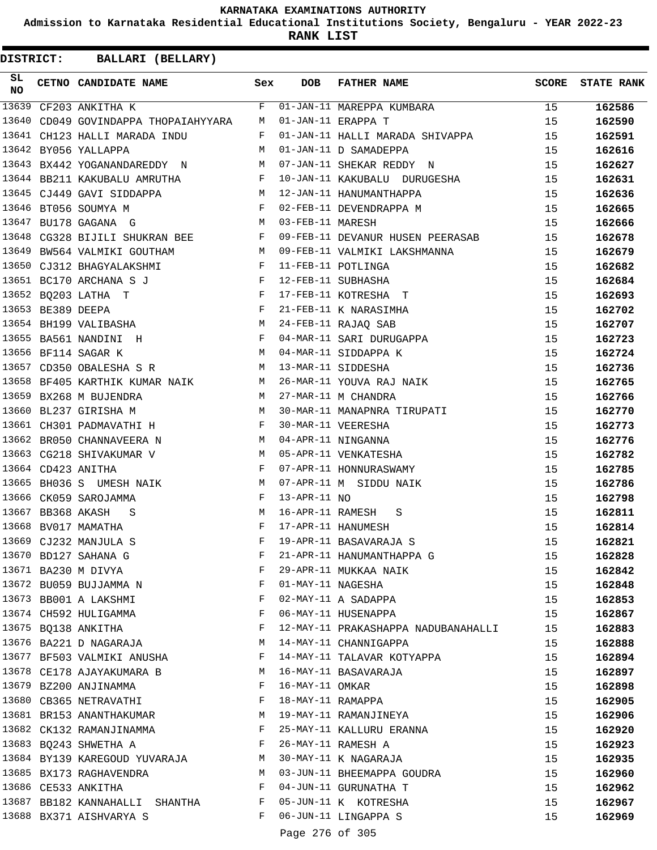**Admission to Karnataka Residential Educational Institutions Society, Bengaluru - YEAR 2022-23**

**RANK LIST**

| SL<br>NO |                   | CETNO CANDIDATE NAME                                                                                                                                                                                                                                       | Sex          | <b>DOB</b>        | FATHER NAME                                                                              | <b>SCORE</b> | <b>STATE RANK</b> |
|----------|-------------------|------------------------------------------------------------------------------------------------------------------------------------------------------------------------------------------------------------------------------------------------------------|--------------|-------------------|------------------------------------------------------------------------------------------|--------------|-------------------|
| 13639    |                   | CF203 ANKITHA K                                                                                                                                                                                                                                            | F            |                   | 01-JAN-11 MAREPPA KUMBARA                                                                | 15           | 162586            |
| 13640    |                   | CD049 GOVINDAPPA THOPAIAHYYARA M                                                                                                                                                                                                                           |              |                   | 01-JAN-11 ERAPPA T                                                                       | 15           | 162590            |
| 13641    |                   | CH123 HALLI MARADA INDU                                                                                                                                                                                                                                    | F            |                   | 01-JAN-11 HALLI MARADA SHIVAPPA                                                          | 15           | 162591            |
|          |                   | 13642 BY056 YALLAPPA                                                                                                                                                                                                                                       | M            |                   | 01-JAN-11 D SAMADEPPA                                                                    | 15           | 162616            |
|          |                   | 13643 BX442 YOGANANDAREDDY N                                                                                                                                                                                                                               |              |                   | 07-JAN-11 SHEKAR REDDY N                                                                 | 15           | 162627            |
|          |                   | 13644 BB211 KAKUBALU AMRUTHA F                                                                                                                                                                                                                             |              |                   | 10-JAN-11 KAKUBALU DURUGESHA                                                             | 15           | 162631            |
|          |                   | 13645 CJ449 GAVI SIDDAPPA                                                                                                                                                                                                                                  |              |                   | M 12-JAN-11 HANUMANTHAPPA                                                                | 15           | 162636            |
|          |                   | $\mathbf{F}$<br>13646 BT056 SOUMYA M                                                                                                                                                                                                                       |              |                   | 02-FEB-11 DEVENDRAPPA M                                                                  | 15           | 162665            |
|          |                   | 13647 BU178 GAGANA G                                                                                                                                                                                                                                       | M            | 03-FEB-11 MARESH  |                                                                                          | 15           | 162666            |
|          |                   | 13648 CG328 BIJILI SHUKRAN BEE                                                                                                                                                                                                                             | F            |                   | 09-FEB-11 DEVANUR HUSEN PEERASAB                                                         | 15           | 162678            |
| 13649    |                   | BW564 VALMIKI GOUTHAM<br><b>Example 19</b> M                                                                                                                                                                                                               |              |                   | 09-FEB-11 VALMIKI LAKSHMANNA                                                             | 15           | 162679            |
| 13650    |                   | $\mathbf{F}$ and $\mathbf{F}$ and $\mathbf{F}$<br>CJ312 BHAGYALAKSHMI                                                                                                                                                                                      |              |                   | 11-FEB-11 POTLINGA                                                                       | 15           | 162682            |
|          |                   | 13651 BC170 ARCHANA S J                                                                                                                                                                                                                                    |              |                   |                                                                                          | 15           | 162684            |
|          |                   | $\begin{array}{ccc} & & & \cdot & \\ & & & \mathbf{F} \\ & & & \mathbf{F} \\ & & & \mathbf{F} \end{array}$<br>13652 BQ203 LATHA T                                                                                                                          |              |                   | 12-FEB-11 SUBHASHA<br>17-FEB-11 KOTRESHA T<br>21-FEB-11 K NARASIMHA                      | 15           | 162693            |
|          | 13653 BE389 DEEPA | $\mathbf{F}$ . The set of $\mathbf{F}$                                                                                                                                                                                                                     |              |                   |                                                                                          | 15           | 162702            |
|          |                   | M<br>13654 BH199 VALIBASHA                                                                                                                                                                                                                                 |              |                   | 24-FEB-11 RAJAQ SAB                                                                      | 15           | 162707            |
|          |                   | $\mathbf{F}$ . The set of the set of the set of the set of the set of the set of the set of the set of the set of the set of the set of the set of the set of the set of the set of the set of the set of the set of the set of t<br>13655 BA561 NANDINI H |              |                   | 04-MAR-11 SARI DURUGAPPA                                                                 | 15           | 162723            |
|          |                   | M <sub>N</sub><br>13656 BF114 SAGAR K                                                                                                                                                                                                                      |              |                   | 04-MAR-11 SIDDAPPA K                                                                     | 15           | 162724            |
|          |                   | 13657 CD350 OBALESHA S R M                                                                                                                                                                                                                                 |              |                   | 13-MAR-11 SIDDESHA                                                                       | 15           | 162736            |
|          |                   | 13658 BF405 KARTHIK KUMAR NAIK M                                                                                                                                                                                                                           |              |                   |                                                                                          | 15           | 162765            |
|          |                   | $M$<br>$M$<br>13659 BX268 M BUJENDRA                                                                                                                                                                                                                       |              |                   | 26-MAR-11 YOUVA RAJ NAIK<br>27-MAR-11 M CHANDRA<br>27-MAR-11 M CHANDRA                   | 15           | 162766            |
| 13660    |                   | BL237 GIRISHA M                                                                                                                                                                                                                                            |              |                   | 30-MAR-11 MANAPNRA TIRUPATI                                                              | 15           | 162770            |
|          |                   | 13661 CH301 PADMAVATHI H                                                                                                                                                                                                                                   |              |                   | 30-MAR-11 VEERESHA                                                                       | 15           | 162773            |
|          |                   | M<br>13662 BR050 CHANNAVEERA N                                                                                                                                                                                                                             |              |                   |                                                                                          | 15           | 162776            |
|          |                   | 13663 CG218 SHIVAKUMAR V                                                                                                                                                                                                                                   |              |                   | 30-MAR-11 VEERESHA<br>04-APR-11 NINGANNA<br>05-APR-11 VENKATESHA<br>05-APR-11 NENKATESHA | 15           | 162782            |
|          |                   | $\begin{aligned} \mathbf{M} \\ \mathbf{F} \end{aligned}$<br>13664 CD423 ANITHA                                                                                                                                                                             |              |                   | 07-APR-11 HONNURASWAMY                                                                   | 15           | 162785            |
|          |                   | 13665 BH036 S UMESH NAIK                                                                                                                                                                                                                                   | M            |                   | 07-APR-11 M SIDDU NAIK                                                                   | 15           | 162786            |
|          |                   | 13666 CK059 SAROJAMMA                                                                                                                                                                                                                                      | F            | $13-APR-11$ NO    |                                                                                          | 15           | 162798            |
|          | 13667 BB368 AKASH | - S                                                                                                                                                                                                                                                        | M            |                   | 16-APR-11 RAMESH<br>S                                                                    | 15           | 162811            |
|          |                   | 13668 BV017 MAMATHA                                                                                                                                                                                                                                        | $\mathbf{F}$ |                   | 17-APR-11 HANUMESH                                                                       | 15           | 162814            |
|          |                   | 13669 CJ232 MANJULA S                                                                                                                                                                                                                                      | F            |                   | 19-APR-11 BASAVARAJA S                                                                   | 15           | 162821            |
|          |                   | 13670 BD127 SAHANA G                                                                                                                                                                                                                                       | F            |                   | 21-APR-11 HANUMANTHAPPA G                                                                | 15           | 162828            |
|          |                   | 13671 BA230 M DIVYA                                                                                                                                                                                                                                        | F            |                   | 29-APR-11 MUKKAA NAIK                                                                    | 15           | 162842            |
|          |                   | 13672 BU059 BUJJAMMA N                                                                                                                                                                                                                                     | F            | 01-MAY-11 NAGESHA |                                                                                          | 15           | 162848            |
|          |                   | 13673 BB001 A LAKSHMI                                                                                                                                                                                                                                      | F            |                   | 02-MAY-11 A SADAPPA                                                                      | 15           | 162853            |
|          |                   | 13674 CH592 HULIGAMMA                                                                                                                                                                                                                                      | F            |                   | 06-MAY-11 HUSENAPPA                                                                      | 15           | 162867            |
|          |                   | 13675 BQ138 ANKITHA                                                                                                                                                                                                                                        | F            |                   | 12-MAY-11 PRAKASHAPPA NADUBANAHALLI                                                      | 15           | 162883            |
|          |                   | 13676 BA221 D NAGARAJA                                                                                                                                                                                                                                     | M            |                   | 14-MAY-11 CHANNIGAPPA                                                                    | 15           | 162888            |
|          |                   | 13677 BF503 VALMIKI ANUSHA                                                                                                                                                                                                                                 | F            |                   | 14-MAY-11 TALAVAR KOTYAPPA                                                               | 15           | 162894            |
|          |                   | 13678 CE178 AJAYAKUMARA B                                                                                                                                                                                                                                  | M            |                   | 16-MAY-11 BASAVARAJA                                                                     | 15           | 162897            |
|          |                   | 13679 BZ200 ANJINAMMA                                                                                                                                                                                                                                      | F            | 16-MAY-11 OMKAR   |                                                                                          | 15           | 162898            |
|          |                   | 13680 CB365 NETRAVATHI                                                                                                                                                                                                                                     | F            |                   | 18-MAY-11 RAMAPPA                                                                        | 15           | 162905            |
|          |                   | 13681 BR153 ANANTHAKUMAR                                                                                                                                                                                                                                   | M            |                   | 19-MAY-11 RAMANJINEYA                                                                    | 15           | 162906            |
|          |                   | 13682 CK132 RAMANJINAMMA                                                                                                                                                                                                                                   | F            |                   | 25-MAY-11 KALLURU ERANNA                                                                 | 15           | 162920            |
|          |                   | 13683 BQ243 SHWETHA A                                                                                                                                                                                                                                      | $\mathbf{F}$ |                   | 26-MAY-11 RAMESH A                                                                       | 15           | 162923            |
|          |                   | 13684 BY139 KAREGOUD YUVARAJA                                                                                                                                                                                                                              | M            |                   | 30-MAY-11 K NAGARAJA                                                                     | 15           | 162935            |
|          |                   | 13685 BX173 RAGHAVENDRA                                                                                                                                                                                                                                    | M            |                   | 03-JUN-11 BHEEMAPPA GOUDRA                                                               | 15           | 162960            |
|          |                   | 13686 CE533 ANKITHA                                                                                                                                                                                                                                        | F            |                   | 04-JUN-11 GURUNATHA T                                                                    | 15           | 162962            |
|          |                   | 13687 BB182 KANNAHALLI SHANTHA                                                                                                                                                                                                                             | F            |                   | 05-JUN-11 K KOTRESHA                                                                     | 15           | 162967            |
|          |                   | 13688 BX371 AISHVARYA S                                                                                                                                                                                                                                    | F            |                   | 06-JUN-11 LINGAPPA S                                                                     | 15           | 162969            |
|          |                   |                                                                                                                                                                                                                                                            |              |                   |                                                                                          |              |                   |
|          |                   |                                                                                                                                                                                                                                                            |              | Page 276 of 305   |                                                                                          |              |                   |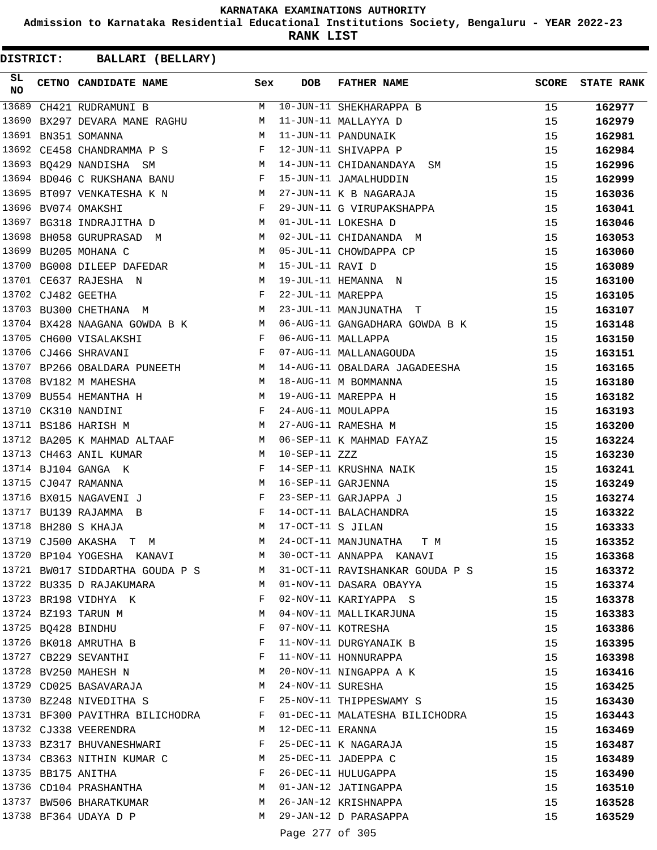**Admission to Karnataka Residential Educational Institutions Society, Bengaluru - YEAR 2022-23**

**RANK LIST**

**DISTRICT:** CC **BALLARI (BELLARY)**

| SL<br>NO | CETNO CANDIDATE NAME Sex                                                                                                                                                                                                                                       |            | <b>DOB</b>         | FATHER NAME                                                                 | <b>SCORE</b> | <b>STATE RANK</b> |
|----------|----------------------------------------------------------------------------------------------------------------------------------------------------------------------------------------------------------------------------------------------------------------|------------|--------------------|-----------------------------------------------------------------------------|--------------|-------------------|
| 13689    | CH421 RUDRAMUNI B                                                                                                                                                                                                                                              | M          |                    | 10-JUN-11 SHEKHARAPPA B                                                     | 15           | 162977            |
| 13690    | BX297 DEVARA MANE RAGHU                                                                                                                                                                                                                                        | M          |                    | 11-JUN-11 MALLAYYA D                                                        | 15           | 162979            |
| 13691    | BN351 SOMANNA                                                                                                                                                                                                                                                  | M          |                    | 11-JUN-11 PANDUNAIK                                                         | 15           | 162981            |
|          | 13692 CE458 CHANDRAMMA P S                                                                                                                                                                                                                                     | F          |                    | 12-JUN-11 SHIVAPPA P                                                        | 15           | 162984            |
|          | <b>M</b><br>13693 BQ429 NANDISHA SM                                                                                                                                                                                                                            |            |                    | 14-JUN-11 CHIDANANDAYA SM                                                   | 15           | 162996            |
|          | 13694 BD046 C RUKSHANA BANU                                                                                                                                                                                                                                    | $_{\rm F}$ |                    | 15-JUN-11 JAMALHUDDIN                                                       | 15           | 162999            |
| 13695    | BT097 VENKATESHA K N                                                                                                                                                                                                                                           | M          |                    | 27-JUN-11 K B NAGARAJA                                                      | 15           | 163036            |
|          | 13696 BV074 OMAKSHI                                                                                                                                                                                                                                            | F          |                    | 29-JUN-11 G VIRUPAKSHAPPA                                                   | 15           | 163041            |
| 13697    | BG318 INDRAJITHA D                                                                                                                                                                                                                                             | M          |                    | 01-JUL-11 LOKESHA D                                                         | 15           | 163046            |
| 13698    | BH058 GURUPRASAD M                                                                                                                                                                                                                                             | M          |                    | 02-JUL-11 CHIDANANDA M                                                      | 15           | 163053            |
| 13699    | BU205 MOHANA C                                                                                                                                                                                                                                                 | M          |                    | 05-JUL-11 CHOWDAPPA CP                                                      | 15           | 163060            |
|          | 13700 BG008 DILEEP DAFEDAR M                                                                                                                                                                                                                                   |            | 15-JUL-11 RAVI D   |                                                                             | 15           | 163089            |
|          | 13701 CE637 RAJESHA N<br>M <sub>N</sub>                                                                                                                                                                                                                        |            |                    | 19-JUL-11 HEMANNA N                                                         | 15           | 163100            |
|          | 13702 CJ482 GEETHA<br>$\mathbf{F}$ and $\mathbf{F}$                                                                                                                                                                                                            |            | 22-JUL-11 MAREPPA  |                                                                             | 15           | 163105            |
|          | <b>M</b><br>13703 BU300 CHETHANA M                                                                                                                                                                                                                             |            |                    | 23-JUL-11 MANJUNATHA T                                                      | 15           | 163107            |
|          | 13704 BX428 NAAGANA GOWDA B K M                                                                                                                                                                                                                                |            |                    | 06-AUG-11 GANGADHARA GOWDA B K                                              | 15           | 163148            |
|          | 13705 CH600 VISALAKSHI                                                                                                                                                                                                                                         | F          |                    | 06-AUG-11 MALLAPPA                                                          | 15           | 163150            |
|          | 13706 CJ466 SHRAVANI<br><b>Example 2</b> F                                                                                                                                                                                                                     |            |                    | 07-AUG-11 MALLANAGOUDA                                                      | 15           | 163151            |
|          | 13707 BP266 OBALDARA PUNEETH M                                                                                                                                                                                                                                 |            |                    | 14-AUG-11 OBALDARA JAGADEESHA                                               | 15           | 163165            |
|          | M<br>13708 BV182 M MAHESHA                                                                                                                                                                                                                                     |            |                    | 18-AUG-11 M BOMMANNA                                                        | 15           | 163180            |
|          | M <sub>N</sub><br>13709 BU554 HEMANTHA H                                                                                                                                                                                                                       |            |                    | 19-AUG-11 MAREPPA H                                                         | 15           | 163182            |
|          | $\mathbb{F}^{\mathbb{Z}}$ . The set of the set of the set of the set of the set of the set of the set of the set of the set of the set of the set of the set of the set of the set of the set of the set of the set of the set of the s<br>13710 CK310 NANDINI |            |                    | 24-AUG-11 MOULAPPA                                                          | 15           | 163193            |
|          | M<br>13711 BS186 HARISH M                                                                                                                                                                                                                                      |            |                    | 27-AUG-11 RAMESHA M                                                         | 15           | 163200            |
|          | 13712 BA205 K MAHMAD ALTAAF M                                                                                                                                                                                                                                  |            |                    | 06-SEP-11 K MAHMAD FAYAZ                                                    | 15           | 163224            |
|          | 13713 CH463 ANIL KUMAR                                                                                                                                                                                                                                         | M          | 10-SEP-11 ZZZ      |                                                                             | 15           | 163230            |
|          | 13714 BJ104 GANGA K                                                                                                                                                                                                                                            | F          |                    | 14-SEP-11 KRUSHNA NAIK                                                      | 15           | 163241            |
|          | 13715 CJ047 RAMANNA                                                                                                                                                                                                                                            | M          | 16-SEP-11 GARJENNA |                                                                             | 15           | 163249            |
|          | 13716 BX015 NAGAVENI J                                                                                                                                                                                                                                         | F          |                    | 23-SEP-11 GARJAPPA J                                                        | 15           | 163274            |
|          | 13717 BU139 RAJAMMA B                                                                                                                                                                                                                                          | F          |                    | 14-OCT-11 BALACHANDRA                                                       | 15           | 163322            |
|          | 13718 BH280 S KHAJA                                                                                                                                                                                                                                            | M          | 17-OCT-11 S JILAN  |                                                                             | 15           | 163333            |
|          | 13719 CJ500 AKASHA T M                                                                                                                                                                                                                                         | M          |                    | 24-OCT-11 MANJUNATHA<br>Т М                                                 | 15           | 163352            |
|          | 13720 BP104 YOGESHA KANAVI                                                                                                                                                                                                                                     | M          |                    | 30-OCT-11 ANNAPPA KANAVI                                                    | 15           | 163368            |
|          |                                                                                                                                                                                                                                                                |            |                    | 13721 BW017 SIDDARTHA GOUDA P S M 31-OCT-11 RAVISHANKAR GOUDA P S           | 15           | 163372            |
|          | 13722 BU335 D RAJAKUMARA<br>$\mathbb{M}$                                                                                                                                                                                                                       |            |                    | 01-NOV-11 DASARA OBAYYA                                                     | 15           | 163374            |
|          | 13723 BR198 VIDHYA K                                                                                                                                                                                                                                           | F          |                    | 02-NOV-11 KARIYAPPA S                                                       | 15           | 163378            |
|          | 13724 BZ193 TARUN M                                                                                                                                                                                                                                            | M          |                    | 04-NOV-11 MALLIKARJUNA                                                      | 15           | 163383            |
|          | 13725 BQ428 BINDHU                                                                                                                                                                                                                                             | F          |                    | 07-NOV-11 KOTRESHA                                                          | 15           | 163386            |
|          | 13726 BK018 AMRUTHA B                                                                                                                                                                                                                                          | F          |                    | 11-NOV-11 DURGYANAIK B                                                      | 15           | 163395            |
|          | 13727 CB229 SEVANTHI                                                                                                                                                                                                                                           | F          |                    | 11-NOV-11 HONNURAPPA                                                        | 15           | 163398            |
|          | 13728 BV250 MAHESH N                                                                                                                                                                                                                                           | M          |                    | 20-NOV-11 NINGAPPA A K                                                      | 15           | 163416            |
|          | 13729 CD025 BASAVARAJA                                                                                                                                                                                                                                         | M          | 24-NOV-11 SURESHA  |                                                                             |              |                   |
|          | 13730 BZ248 NIVEDITHA S                                                                                                                                                                                                                                        |            |                    | 25-NOV-11 THIPPESWAMY S                                                     | 15           | 163425            |
|          |                                                                                                                                                                                                                                                                |            |                    |                                                                             | 15           | 163430            |
|          | 13731 BF300 PAVITHRA BILICHODRA F                                                                                                                                                                                                                              |            |                    | 01-DEC-11 MALATESHA BILICHODRA                                              | 15           | 163443            |
|          | 13732 CJ338 VEERENDRA                                                                                                                                                                                                                                          | M          | 12-DEC-11 ERANNA   |                                                                             | 15           | 163469            |
|          | 13733 BZ317 BHUVANESHWARI                                                                                                                                                                                                                                      | F          |                    | 25-DEC-11 K NAGARAJA                                                        | 15           | 163487            |
|          | 13734 CB363 NITHIN KUMAR C M                                                                                                                                                                                                                                   |            |                    | 25-DEC-11 JADEPPA C                                                         | 15           | 163489            |
|          | 13735 BB175 ANITHA                                                                                                                                                                                                                                             | F          |                    | 26-DEC-11 HULUGAPPA                                                         | 15           | 163490            |
|          | 13736 CD104 PRASHANTHA                                                                                                                                                                                                                                         | M          |                    | 01-JAN-12 JATINGAPPA                                                        | 15           | 163510            |
|          | 13737 BW506 BHARATKUMAR M 26-JAN-12 KRISHNAPPA                                                                                                                                                                                                                 |            |                    |                                                                             | 15           | 163528            |
|          | 13738 BF364 UDAYA D P                                                                                                                                                                                                                                          |            |                    | M 29-JAN-12 D PARASAPPA<br>$\sim$ $\sim$ $\sim$ $\sim$ $\sim$ $\sim$ $\sim$ | 15           | 163529            |

Page 277 of 305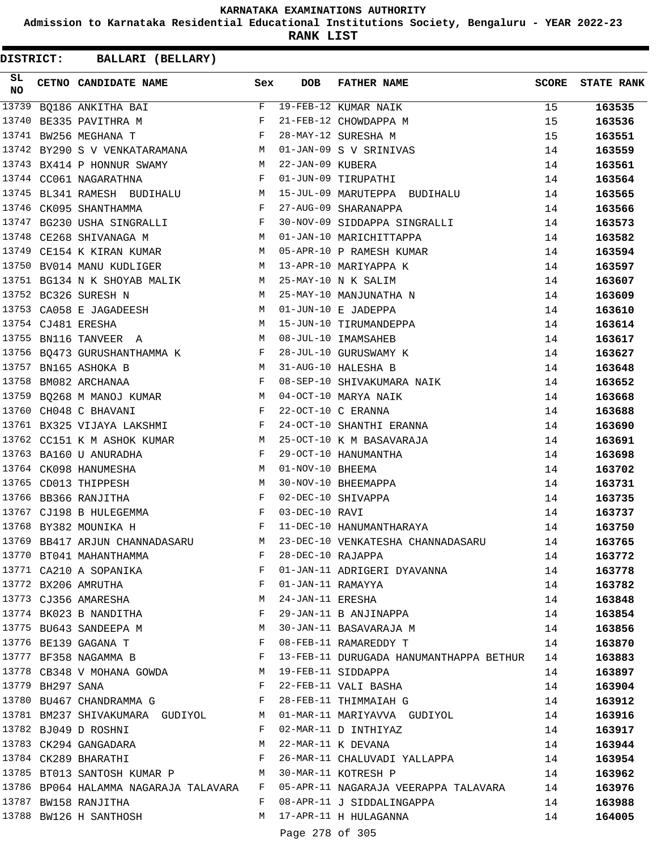**Admission to Karnataka Residential Educational Institutions Society, Bengaluru - YEAR 2022-23**

**RANK LIST**

**DISTRICT:** CC **BALLARI (BELLARY)**

| SL<br><b>NO</b> |                  | CETNO CANDIDATE NAME                                                                                                                                                                                                                                  | Sex          | <b>DOB</b>        | <b>FATHER NAME</b>                                                              | SCORE | <b>STATE RANK</b> |
|-----------------|------------------|-------------------------------------------------------------------------------------------------------------------------------------------------------------------------------------------------------------------------------------------------------|--------------|-------------------|---------------------------------------------------------------------------------|-------|-------------------|
| 13739           |                  | BQ186 ANKITHA BAI                                                                                                                                                                                                                                     |              |                   | F 19-FEB-12 KUMAR NAIK                                                          | 15    | 163535            |
| 13740           |                  | $\mathbf{F}$ and the set of the set of the set of the set of the set of the set of the set of the set of the set of the set of the set of the set of the set of the set of the set of the set of the set of the set of the set of<br>BE335 PAVITHRA M |              |                   | 21-FEB-12 CHOWDAPPA M                                                           | 15    | 163536            |
|                 |                  | 13741 BW256 MEGHANA T<br>$\mathbf{F}$ and $\mathbf{F}$ and $\mathbf{F}$                                                                                                                                                                               |              |                   | 28-MAY-12 SURESHA M                                                             | 15    | 163551            |
|                 |                  | 13742 BY290 S V VENKATARAMANA M 01-JAN-09 S V SRINIVAS                                                                                                                                                                                                |              |                   |                                                                                 | 14    | 163559            |
|                 |                  | 13743 BX414 P HONNUR SWAMY M 22-JAN-09 KUBERA                                                                                                                                                                                                         |              |                   |                                                                                 | 14    | 163561            |
|                 |                  | 13744 CC061 NAGARATHNA<br>F 01-JUN-09 TIRUPATHI                                                                                                                                                                                                       |              |                   |                                                                                 | 14    | 163564            |
|                 |                  |                                                                                                                                                                                                                                                       |              |                   | 13745 BL341 RAMESH BUDIHALU M 15-JUL-09 MARUTEPPA BUDIHALU                      | 14    | 163565            |
|                 |                  | $\mathbf{F}$<br>13746 CK095 SHANTHAMMA                                                                                                                                                                                                                |              |                   | 27-AUG-09 SHARANAPPA                                                            | 14    | 163566            |
|                 |                  | 13747 BG230 USHA SINGRALLI F                                                                                                                                                                                                                          |              |                   | 30-NOV-09 SIDDAPPA SINGRALLI                                                    | 14    | 163573            |
|                 |                  | 13748 CE268 SHIVANAGA M                                                                                                                                                                                                                               |              |                   | M 01-JAN-10 MARICHITTAPPA                                                       | 14    | 163582            |
|                 |                  | 13749 CE154 K KIRAN KUMAR M M 05-APR-10 P RAMESH KUMAR                                                                                                                                                                                                |              |                   |                                                                                 | 14    | 163594            |
|                 |                  | M <sub>1</sub><br>13750 BV014 MANU KUDLIGER                                                                                                                                                                                                           |              |                   | 13-APR-10 MARIYAPPA K                                                           | 14    | 163597            |
|                 |                  | 13751 BG134 N K SHOYAB MALIK M 25-MAY-10 N K SALIM                                                                                                                                                                                                    |              |                   |                                                                                 | 14    | 163607            |
|                 |                  | 13752 BC326 SURESH N                                                                                                                                                                                                                                  |              |                   | M 25-MAY-10 MANJUNATHA N                                                        | 14    | 163609            |
|                 |                  | 13753 CA058 E JAGADEESH M 01-JUN-10 E JADEPPA                                                                                                                                                                                                         |              |                   |                                                                                 | 14    | 163610            |
|                 |                  | M<br>13754 CJ481 ERESHA                                                                                                                                                                                                                               |              |                   | 15-JUN-10 TIRUMANDEPPA                                                          | 14    | 163614            |
|                 |                  | 13755 BN116 TANVEER A                                                                                                                                                                                                                                 |              |                   | M 08-JUL-10 IMAMSAHEB                                                           | 14    | 163617            |
|                 |                  | 13756 BQ473 GURUSHANTHAMMA K F                                                                                                                                                                                                                        |              |                   | 28-JUL-10 GURUSWAMY K                                                           | 14    | 163627            |
|                 |                  | 13757 BN165 ASHOKA B<br><b>M</b>                                                                                                                                                                                                                      |              |                   | 31-AUG-10 HALESHA B                                                             | 14    | 163648            |
|                 |                  | $\mathbf{F}$ and $\mathbf{F}$<br>13758 BM082 ARCHANAA                                                                                                                                                                                                 |              |                   | 08-SEP-10 SHIVAKUMARA NAIK                                                      |       |                   |
|                 |                  |                                                                                                                                                                                                                                                       |              |                   | 04-OCT-10 MARYA NAIK                                                            | 14    | 163652            |
|                 |                  | 13759 BQ268 M MANOJ KUMAR M                                                                                                                                                                                                                           |              |                   |                                                                                 | 14    | 163668            |
|                 |                  | 13760 CH048 C BHAVANI<br>$\mathbf{F}$ and the contract of $\mathbf{F}$                                                                                                                                                                                |              |                   | 22-OCT-10 C ERANNA                                                              | 14    | 163688            |
|                 |                  | 13761 BX325 VIJAYA LAKSHMI F                                                                                                                                                                                                                          |              |                   | 24-OCT-10 SHANTHI ERANNA                                                        | 14    | 163690            |
|                 |                  | 13762 CC151 K M ASHOK KUMAR M                                                                                                                                                                                                                         |              |                   | 25-OCT-10 K M BASAVARAJA                                                        | 14    | 163691            |
|                 |                  | 13763 BA160 U ANURADHA                                                                                                                                                                                                                                | $\mathbf{F}$ |                   | 29-OCT-10 HANUMANTHA                                                            | 14    | 163698            |
|                 |                  | 13764 CK098 HANUMESHA<br>$\mathbf M$                                                                                                                                                                                                                  |              | 01-NOV-10 BHEEMA  |                                                                                 | 14    | 163702            |
|                 |                  | M <sub>1</sub><br>13765 CD013 THIPPESH                                                                                                                                                                                                                |              |                   | 30-NOV-10 BHEEMAPPA                                                             | 14    | 163731            |
|                 |                  | $\mathbf{F}$ and $\mathbf{F}$<br>13766 BB366 RANJITHA                                                                                                                                                                                                 |              |                   | 02-DEC-10 SHIVAPPA                                                              | 14    | 163735            |
|                 |                  | $\mathbf{F}$ and $\mathbf{F}$ are $\mathbf{F}$<br>13767 CJ198 B HULEGEMMA                                                                                                                                                                             |              | 03-DEC-10 RAVI    |                                                                                 | 14    | 163737            |
|                 |                  | 13768 BY382 MOUNIKA H                                                                                                                                                                                                                                 |              |                   | F 11-DEC-10 HANUMANTHARAYA                                                      | 14    | 163750            |
|                 |                  | 13769 BB417 ARJUN CHANNADASARU                                                                                                                                                                                                                        |              |                   | M 23-DEC-10 VENKATESHA CHANNADASARU                                             | 14    | 163765            |
|                 |                  | 13770 BT041 MAHANTHAMMA F<br>13771 CA210 A SOPANIKA F<br>13772 BX206 AMRUTHA F                                                                                                                                                                        |              | 28-DEC-10 RAJAPPA |                                                                                 | 14    | 163772            |
|                 |                  |                                                                                                                                                                                                                                                       |              |                   | 01-JAN-11 ADRIGERI DYAVANNA                                                     | 14    | 163778            |
|                 |                  |                                                                                                                                                                                                                                                       |              | 01-JAN-11 RAMAYYA |                                                                                 | 14    | 163782            |
|                 |                  | 13773 CJ356 AMARESHA M                                                                                                                                                                                                                                |              | 24-JAN-11 ERESHA  |                                                                                 | 14    | 163848            |
|                 |                  | 13774 BK023 B NANDITHA F                                                                                                                                                                                                                              |              |                   | 29-JAN-11 B ANJINAPPA                                                           | 14    | 163854            |
|                 |                  | 13775 BU643 SANDEEPA M                                                                                                                                                                                                                                | M            |                   | 30-JAN-11 BASAVARAJA M                                                          | 14    | 163856            |
|                 |                  | 13776 BE139 GAGANA T<br>$\mathbf{F}$ and the contract of the contract of $\mathbf{F}$                                                                                                                                                                 |              |                   | 08-FEB-11 RAMAREDDY T                                                           | 14    | 163870            |
|                 |                  | 13777 BF358 NAGAMMA B                                                                                                                                                                                                                                 |              |                   | 13-FEB-11 DURUGADA HANUMANTHAPPA BETHUR 14                                      |       | 163883            |
|                 |                  | $\begin{array}{cccc}\n 13778 & CB348 & V & MOHANA & GOWDA & \qquad & \mathbb{M} \\  & 13779 & D11997 & GNN1 & & \\ \end{array}$                                                                                                                       |              |                   | 19-FEB-11 SIDDAPPA                                                              | 14    | 163897            |
|                 | 13779 BH297 SANA |                                                                                                                                                                                                                                                       | $\mathbb{F}$ |                   | 22-FEB-11 VALI BASHA                                                            | 14    | 163904            |
|                 |                  | 13780 BU467 CHANDRAMMA G F                                                                                                                                                                                                                            |              |                   | 28-FEB-11 THIMMAIAH G                                                           | 14    | 163912            |
|                 |                  |                                                                                                                                                                                                                                                       |              |                   | 13781 BM237 SHIVAKUMARA GUDIYOL M 01-MAR-11 MARIYAVVA GUDIYOL                   | 14    | 163916            |
|                 |                  | 13782 BJ049 D ROSHNI                                                                                                                                                                                                                                  | F            |                   | 02-MAR-11 D INTHIYAZ                                                            | 14    | 163917            |
|                 |                  | 13783 CK294 GANGADARA                                                                                                                                                                                                                                 | M            |                   | 22-MAR-11 K DEVANA                                                              | 14    | 163944            |
|                 |                  | 13784 CK289 BHARATHI F                                                                                                                                                                                                                                |              |                   | 26-MAR-11 CHALUVADI YALLAPPA 14                                                 |       | 163954            |
|                 |                  | 13785 BT013 SANTOSH KUMAR P M                                                                                                                                                                                                                         |              |                   | 14<br>30-MAR-11 KOTRESH P                                                       |       | 163962            |
|                 |                  |                                                                                                                                                                                                                                                       |              |                   | 13786 BP064 HALAMMA NAGARAJA TALAVARA F 05-APR-11 NAGARAJA VEERAPPA TALAVARA 14 |       | 163976            |
|                 |                  | 13787 BW158 RANJITHA                                                                                                                                                                                                                                  | F            |                   | 08-APR-11 J SIDDALINGAPPA                                                       | 14    | 163988            |
|                 |                  | 13788 BW126 H SANTHOSH                                                                                                                                                                                                                                |              |                   | M 17-APR-11 H HULAGANNA                                                         | 14    | 164005            |
|                 |                  |                                                                                                                                                                                                                                                       |              |                   | $270$ $520$                                                                     |       |                   |

Page 278 of 305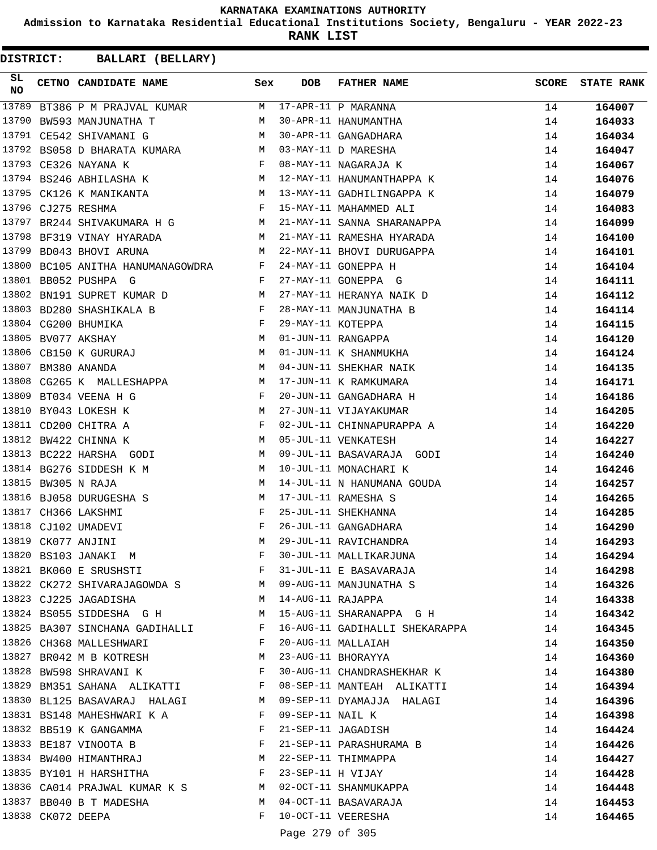**Admission to Karnataka Residential Educational Institutions Society, Bengaluru - YEAR 2022-23**

**RANK LIST**

| SL<br>NO |                   | CETNO CANDIDATE NAME Sex                                                                                                                                                                                                                                  |              | <b>DOB</b>          | FATHER NAME                                                     | <b>SCORE</b> | <b>STATE RANK</b> |
|----------|-------------------|-----------------------------------------------------------------------------------------------------------------------------------------------------------------------------------------------------------------------------------------------------------|--------------|---------------------|-----------------------------------------------------------------|--------------|-------------------|
| 13789    |                   | BT386 P M PRAJVAL KUMAR M                                                                                                                                                                                                                                 |              |                     | $17-APR-11$ P MARANNA                                           | 14           | 164007            |
| 13790    |                   | BW593 MANJUNATHA T                                                                                                                                                                                                                                        | М            |                     | 30-APR-11 HANUMANTHA                                            | 14           | 164033            |
|          |                   | <b>M</b><br>13791 CE542 SHIVAMANI G                                                                                                                                                                                                                       |              |                     | 30-APR-11 GANGADHARA                                            | 14           | 164034            |
|          |                   | 13792 BS058 D BHARATA KUMARA M                                                                                                                                                                                                                            |              |                     | 03-MAY-11 D MARESHA                                             | 14           | 164047            |
|          |                   | 13793 CE326 NAYANA K<br>$\mathbf{F}$ and the set of the set of the set of the set of the set of the set of the set of the set of the set of the set of the set of the set of the set of the set of the set of the set of the set of the set of the set of |              |                     | 08-MAY-11 NAGARAJA K                                            | 14           | 164067            |
|          |                   | M <sub>N</sub><br>13794 BS246 ABHILASHA K                                                                                                                                                                                                                 |              |                     | 12-MAY-11 HANUMANTHAPPA K                                       | 14           | 164076            |
|          |                   | M<br>13795 CK126 K MANIKANTA                                                                                                                                                                                                                              |              |                     | 13-MAY-11 GADHILINGAPPA K                                       | 14           | 164079            |
|          |                   | 13796 CJ275 RESHMA                                                                                                                                                                                                                                        | $$\rm F$$    |                     | 15-MAY-11 MAHAMMED ALI                                          | 14           | 164083            |
| 13797    |                   | BR244 SHIVAKUMARA H G M                                                                                                                                                                                                                                   |              |                     | 21-MAY-11 SANNA SHARANAPPA                                      | 14           | 164099            |
|          |                   | 13798 BF319 VINAY HYARADA M                                                                                                                                                                                                                               |              |                     | 21-MAY-11 RAMESHA HYARADA                                       | 14           | 164100            |
| 13799    |                   | M<br>BD043 BHOVI ARUNA                                                                                                                                                                                                                                    |              |                     | 22-MAY-11 BHOVI DURUGAPPA                                       | 14           | 164101            |
|          |                   | 13800 BC105 ANITHA HANUMANAGOWDRA F                                                                                                                                                                                                                       |              |                     | 24-MAY-11 GONEPPA H                                             | 14           | 164104            |
|          |                   | 13801 BB052 PUSHPA G                                                                                                                                                                                                                                      | $\mathbf{F}$ |                     | 27-MAY-11 GONEPPA G                                             | 14           | 164111            |
|          |                   | 13802 BN191 SUPRET KUMAR D                                                                                                                                                                                                                                |              |                     | 27-MAY-11 HERANYA NAIK D                                        | 14           | 164112            |
| 13803    |                   | BD280 SHASHIKALA B $$\rm F$$                                                                                                                                                                                                                              |              |                     | 28-MAY-11 MANJUNATHA B                                          | 14           | 164114            |
|          |                   | $\begin{aligned} \mathbf{F} \\ \mathbf{M} \end{aligned}$<br>13804 CG200 BHUMIKA                                                                                                                                                                           |              | 29-MAY-11 KOTEPPA   |                                                                 | 14           | 164115            |
| 13805    |                   | BV077 AKSHAY                                                                                                                                                                                                                                              |              |                     | 01-JUN-11 RANGAPPA                                              | 14           | 164120            |
| 13806    |                   | CB150 K GURURAJ M                                                                                                                                                                                                                                         |              |                     | 01-JUN-11 K SHANMUKHA                                           | 14           | 164124            |
| 13807    |                   | M<br>BM380 ANANDA                                                                                                                                                                                                                                         |              |                     | 04-JUN-11 SHEKHAR NAIK                                          | 14           | 164135            |
|          |                   | 13808 CG265 K MALLESHAPPA M                                                                                                                                                                                                                               |              |                     | 17-JUN-11 K RAMKUMARA                                           | 14           | 164171            |
| 13809    |                   | BT034 VEENA H G<br>$\mathbb F$ . In the set of the set of the set of the set of the set of the set of the set of the set of the set of the set of the set of the set of the set of the set of the set of the set of the set of the set of the set of      |              |                     | 20-JUN-11 GANGADHARA H                                          | 14           | 164186            |
|          |                   | M<br>13810 BY043 LOKESH K                                                                                                                                                                                                                                 |              |                     | 27-JUN-11 VIJAYAKUMAR                                           | 14           | 164205            |
|          |                   | $\mathbf{F}$<br>13811 CD200 CHITRA A                                                                                                                                                                                                                      |              |                     | 02-JUL-11 CHINNAPURAPPA A                                       | 14           | 164220            |
|          |                   | 13812 BW422 CHINNA K                                                                                                                                                                                                                                      | M            |                     | 05-JUL-11 VENKATESH                                             | 14           | 164227            |
|          |                   | 13813 BC222 HARSHA GODI                                                                                                                                                                                                                                   | M            |                     | 09-JUL-11 BASAVARAJA GODI                                       | 14           | 164240            |
|          |                   | 13814 BG276 SIDDESH K M                                                                                                                                                                                                                                   | M            |                     | 10-JUL-11 MONACHARI K                                           | 14           | 164246            |
|          |                   | 13815 BW305 N RAJA                                                                                                                                                                                                                                        | M            |                     | 14-JUL-11 N HANUMANA GOUDA                                      | 14           | 164257            |
|          |                   | 13816 BJ058 DURUGESHA S                                                                                                                                                                                                                                   | M            |                     | 17-JUL-11 RAMESHA S                                             | 14           | 164265            |
|          |                   | 13817 CH366 LAKSHMI                                                                                                                                                                                                                                       | F            |                     | 25-JUL-11 SHEKHANNA                                             | 14           | 164285            |
|          |                   | 13818 CJ102 UMADEVI                                                                                                                                                                                                                                       | $_{\rm F}$   |                     | 26-JUL-11 GANGADHARA                                            |              |                   |
|          |                   | 13819 CK077 ANJINI                                                                                                                                                                                                                                        | M            |                     | 29-JUL-11 RAVICHANDRA                                           | 14           | 164290            |
|          |                   | 13820 BS103 JANAKI M                                                                                                                                                                                                                                      | F            |                     | 30-JUL-11 MALLIKARJUNA                                          | 14           | 164293            |
|          |                   |                                                                                                                                                                                                                                                           |              |                     |                                                                 | 14           | 164294            |
|          |                   | 13821 BK060 E SRUSHSTI                                                                                                                                                                                                                                    | F            |                     | 31-JUL-11 E BASAVARAJA                                          | 14           | 164298            |
|          |                   |                                                                                                                                                                                                                                                           |              |                     | 13822 CK272 SHIVARAJAGOWDA S MO9-AUG-11 MANJUNATHA S            | 14           | 164326            |
|          |                   | 13823 CJ225 JAGADISHA                                                                                                                                                                                                                                     |              | M 14-AUG-11 RAJAPPA |                                                                 | 14           | 164338            |
|          |                   | 13824 BS055 SIDDESHA G H                                                                                                                                                                                                                                  |              |                     | M 15-AUG-11 SHARANAPPA G H                                      | 14           | 164342            |
|          |                   |                                                                                                                                                                                                                                                           |              |                     | 13825 BA307 SINCHANA GADIHALLI F 16-AUG-11 GADIHALLI SHEKARAPPA | 14           | 164345            |
|          |                   | 13826 CH368 MALLESHWARI F                                                                                                                                                                                                                                 |              |                     | 20-AUG-11 MALLAIAH                                              | 14           | 164350            |
|          |                   | 13827 BR042 M B KOTRESH M                                                                                                                                                                                                                                 |              |                     | 23-AUG-11 BHORAYYA                                              | 14           | 164360            |
|          |                   | 13828 BW598 SHRAVANI K                                                                                                                                                                                                                                    | F            |                     | 30-AUG-11 CHANDRASHEKHAR K                                      | 14           | 164380            |
|          |                   | 13829 BM351 SAHANA ALIKATTI F                                                                                                                                                                                                                             |              |                     | 08-SEP-11 MANTEAH ALIKATTI                                      | 14           | 164394            |
|          |                   |                                                                                                                                                                                                                                                           |              |                     | 13830 BL125 BASAVARAJ HALAGI       M 09-SEP-11 DYAMAJJA HALAGI  | 14           | 164396            |
|          |                   | 13831 BS148 MAHESHWARI K A                                                                                                                                                                                                                                | $\mathbf{F}$ | 09-SEP-11 NAIL K    |                                                                 | 14           | 164398            |
|          |                   | 13832 BB519 K GANGAMMA                                                                                                                                                                                                                                    |              |                     | F 21-SEP-11 JAGADISH                                            | 14           | 164424            |
|          |                   | 13833 BE187 VINOOTA B                                                                                                                                                                                                                                     | $\mathbf{F}$ |                     | 21-SEP-11 PARASHURAMA B                                         | 14           | 164426            |
|          |                   | 13834 BW400 HIMANTHRAJ M                                                                                                                                                                                                                                  |              |                     | 22-SEP-11 THIMMAPPA                                             | 14           | 164427            |
|          |                   | 13835 BY101 H HARSHITHA                                                                                                                                                                                                                                   | F            |                     | 23-SEP-11 H VIJAY                                               | 14           | 164428            |
|          |                   | 13836 CA014 PRAJWAL KUMAR K S M 02-OCT-11 SHANMUKAPPA                                                                                                                                                                                                     |              |                     |                                                                 | 14           | 164448            |
|          |                   | 13837 BB040 B T MADESHA                                                                                                                                                                                                                                   |              |                     | M 04-OCT-11 BASAVARAJA                                          | 14           | 164453            |
|          | 13838 CK072 DEEPA |                                                                                                                                                                                                                                                           | F            |                     | 10-OCT-11 VEERESHA                                              | 14           | 164465            |
|          |                   |                                                                                                                                                                                                                                                           |              | Page 279 of 305     |                                                                 |              |                   |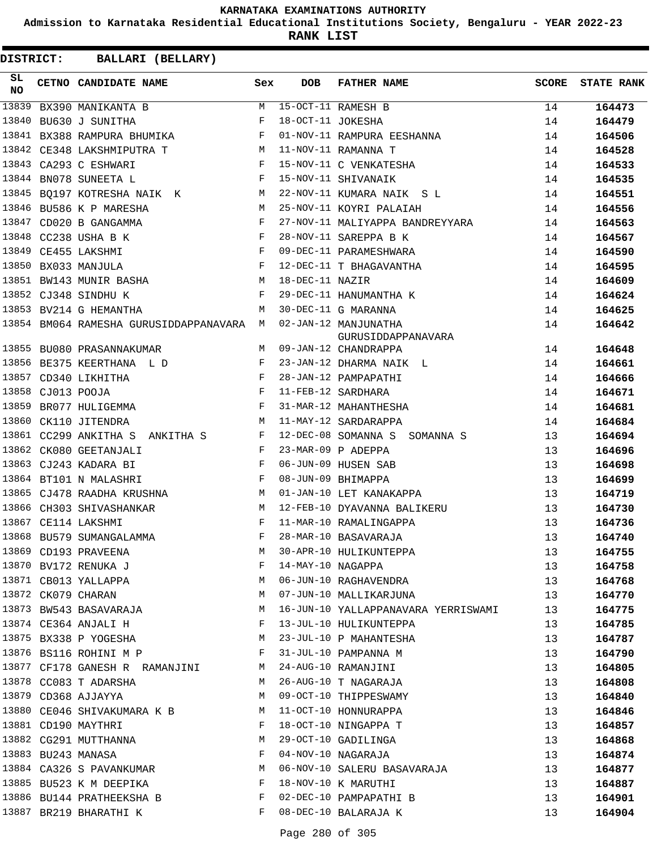**Admission to Karnataka Residential Educational Institutions Society, Bengaluru - YEAR 2022-23**

**RANK LIST**

**DISTRICT:** CC **BALLARI (BELLARY)**

| SL.<br><b>NO</b> |                   | CETNO CANDIDATE NAME                                                                                                                    | Sex          | <b>DOB</b>        | FATHER NAME                                                          | SCORE | <b>STATE RANK</b> |
|------------------|-------------------|-----------------------------------------------------------------------------------------------------------------------------------------|--------------|-------------------|----------------------------------------------------------------------|-------|-------------------|
| 13839            |                   | BX390 MANIKANTA B                                                                                                                       | M            |                   | 15-OCT-11 RAMESH B                                                   | 14    | 164473            |
| 13840            |                   | BU630 J SUNITHA                                                                                                                         | F            | 18-OCT-11 JOKESHA |                                                                      | 14    | 164479            |
|                  |                   | 13841 BX388 RAMPURA BHUMIKA<br>$\mathbf{F}$ and $\mathbf{F}$ and $\mathbf{F}$                                                           |              |                   | 01-NOV-11 RAMPURA EESHANNA                                           | 14    | 164506            |
|                  |                   | 13842 CE348 LAKSHMIPUTRA T                                                                                                              | M            |                   | 11-NOV-11 RAMANNA T                                                  | 14    | 164528            |
|                  |                   | 13843 CA293 C ESHWARI<br>$\mathbf{F}$ and $\mathbf{F}$                                                                                  |              |                   | 15-NOV-11 C VENKATESHA                                               | 14    | 164533            |
|                  |                   | 13844 BN078 SUNEETA L<br>the contract of the contract of the Press, and the Press, and the Press, and the Press, and the Press, and the |              |                   | 15-NOV-11 SHIVANAIK                                                  | 14    | 164535            |
|                  |                   | 13845 BQ197 KOTRESHA NAIK K                                                                                                             |              |                   | 22-NOV-11 KUMARA NAIK S L                                            | 14    | 164551            |
|                  |                   | 13846 BU586 K P MARESHA                                                                                                                 | M            |                   | 25-NOV-11 KOYRI PALAIAH                                              | 14    | 164556            |
|                  |                   | 13847 CD020 B GANGAMMA<br>$\mathbf{F}$                                                                                                  |              |                   | 27-NOV-11 MALIYAPPA BANDREYYARA                                      | 14    | 164563            |
|                  |                   | 13848 CC238 USHA B K<br><b>Figure 19</b>                                                                                                |              |                   | 28-NOV-11 SAREPPA B K                                                | 14    | 164567            |
|                  |                   | 13849 CE455 LAKSHMI<br><b>Example 19</b>                                                                                                |              |                   | 09-DEC-11 PARAMESHWARA                                               | 14    | 164590            |
|                  |                   | 13850 BX033 MANJULA                                                                                                                     | $\mathbf{F}$ |                   | 12-DEC-11 T BHAGAVANTHA                                              | 14    | 164595            |
|                  |                   | 13851 BW143 MUNIR BASHA<br><b>M</b>                                                                                                     |              | 18-DEC-11 NAZIR   |                                                                      | 14    | 164609            |
|                  |                   | 13852 CJ348 SINDHU K<br>and the state of the Party of the Party                                                                         |              |                   | 29-DEC-11 HANUMANTHA K                                               | 14    | 164624            |
|                  |                   | 13853 BV214 G HEMANTHA                                                                                                                  | M            |                   | 30-DEC-11 G MARANNA                                                  | 14    | 164625            |
|                  |                   | 13854 BM064 RAMESHA GURUSIDDAPPANAVARA M                                                                                                |              |                   | 02-JAN-12 MANJUNATHA                                                 | 14    | 164642            |
|                  |                   |                                                                                                                                         |              |                   | GURUSIDDAPPANAVARA                                                   |       |                   |
|                  |                   | 13855 BU080 PRASANNAKUMAR                                                                                                               | M            |                   | 09-JAN-12 CHANDRAPPA                                                 | 14    | 164648            |
|                  |                   | 13856 BE375 KEERTHANA L D                                                                                                               | $-F$         |                   | 23-JAN-12 DHARMA NAIK L                                              | 14    | 164661            |
|                  |                   | 13857 CD340 LIKHITHA<br>$\mathbf{F}$ and $\mathbf{F}$ . The set of $\mathbf{F}$                                                         |              |                   | 28-JAN-12 PAMPAPATHI                                                 | 14    | 164666            |
|                  | 13858 CJ013 POOJA | <b>Example 19</b>                                                                                                                       |              |                   | 11-FEB-12 SARDHARA                                                   | 14    | 164671            |
|                  |                   | $\mathbf{F}$ and $\mathbf{F}$<br>13859 BR077 HULIGEMMA                                                                                  |              |                   | 31-MAR-12 MAHANTHESHA                                                | 14    | 164681            |
|                  |                   | 13860 CK110 JITENDRA                                                                                                                    | M            |                   | 11-MAY-12 SARDARAPPA                                                 | 14    | 164684            |
|                  |                   | 13861 CC299 ANKITHA S ANKITHA S<br>$\mathbf{F}$ and $\mathbf{F}$                                                                        |              |                   | 12-DEC-08 SOMANNA S SOMANNA S                                        | 13    | 164694            |
|                  |                   | 13862 CK080 GEETANJALI                                                                                                                  | $\mathbf{F}$ |                   | 23-MAR-09 P ADEPPA                                                   | 13    | 164696            |
|                  |                   | $\mathbf{F}$<br>13863 CJ243 KADARA BI                                                                                                   |              |                   | 06-JUN-09 HUSEN SAB                                                  | 13    | 164698            |
|                  |                   | 13864 BT101 N MALASHRI                                                                                                                  | $\mathbf{F}$ |                   | 08-JUN-09 BHIMAPPA                                                   | 13    | 164699            |
|                  |                   |                                                                                                                                         |              |                   | 01-JAN-10 LET KANAKAPPA                                              | 13    | 164719            |
|                  |                   | 13866 CH303 SHIVASHANKAR<br><b>M</b>                                                                                                    |              |                   | 12-FEB-10 DYAVANNA BALIKERU                                          | 13    | 164730            |
|                  |                   | 13867 CE114 LAKSHMI                                                                                                                     | F            |                   | 11-MAR-10 RAMALINGAPPA                                               | 13    | 164736            |
|                  |                   | 13868 BU579 SUMANGALAMMA                                                                                                                | F            |                   | 28-MAR-10 BASAVARAJA                                                 | 13    | 164740            |
|                  |                   | 13869 CD193 PRAVEENA                                                                                                                    | М            |                   | 30-APR-10 HULIKUNTEPPA                                               | 13    | 164755            |
|                  |                   | 13870 BV172 RENUKA J                                                                                                                    | F            |                   | 14-MAY-10 NAGAPPA<br>06-JUN-10 RAGHAVENDRA<br>07-JUN-10 MALLIKARJUNA | 13    | 164758            |
|                  |                   | 13871 CB013 YALLAPPA                                                                                                                    | М            |                   |                                                                      | 13    | 164768            |
|                  |                   | 13872 CK079 CHARAN                                                                                                                      | M            |                   |                                                                      | 13    | 164770            |
|                  |                   | 13873 BW543 BASAVARAJA                                                                                                                  | M            |                   | 16-JUN-10 YALLAPPANAVARA YERRISWAMI                                  | 13    | 164775            |
|                  |                   | 13874 CE364 ANJALI H                                                                                                                    | F            |                   | 13-JUL-10 HULIKUNTEPPA                                               | 13    | 164785            |
|                  |                   | 13875 BX338 P YOGESHA                                                                                                                   | M            |                   | 23-JUL-10 P MAHANTESHA                                               | 13    | 164787            |
|                  |                   | 13876 BS116 ROHINI M P                                                                                                                  | F            |                   | 31-JUL-10 PAMPANNA M                                                 | 13    | 164790            |
|                  |                   | 13877 CF178 GANESH R RAMANJINI M                                                                                                        |              |                   | 24-AUG-10 RAMANJINI                                                  | 13    | 164805            |
|                  |                   | 13878 CC083 T ADARSHA                                                                                                                   | M            |                   | 26-AUG-10 T NAGARAJA                                                 | 13    | 164808            |
|                  |                   | 13879 CD368 AJJAYYA                                                                                                                     | M            |                   | 09-OCT-10 THIPPESWAMY                                                | 13    | 164840            |
|                  |                   | 13880 CE046 SHIVAKUMARA K B M                                                                                                           |              |                   | 11-OCT-10 HONNURAPPA                                                 | 13    | 164846            |
|                  |                   | 13881 CD190 MAYTHRI                                                                                                                     | $\mathbf{F}$ |                   | 18-OCT-10 NINGAPPA T                                                 | 13    | 164857            |
|                  |                   | 13882 CG291 MUTTHANNA                                                                                                                   |              |                   | 29-OCT-10 GADILINGA                                                  | 13    | 164868            |
|                  |                   | 13883 BU243 MANASA                                                                                                                      | $\mathbf{F}$ |                   | 04-NOV-10 NAGARAJA                                                   | 13    | 164874            |
|                  |                   | 13884 CA326 S PAVANKUMAR                                                                                                                | M            |                   | 06-NOV-10 SALERU BASAVARAJA                                          | 13    | 164877            |
|                  |                   | 13885 BU523 K M DEEPIKA                                                                                                                 | $\mathbf{F}$ |                   | 18-NOV-10 K MARUTHI                                                  | 13    | 164887            |
|                  |                   | 13886 BU144 PRATHEEKSHA B                                                                                                               |              |                   | 02-DEC-10 PAMPAPATHI B                                               | 13    | 164901            |
|                  |                   | 13887 BR219 BHARATHI K                                                                                                                  | F            |                   | 08-DEC-10 BALARAJA K                                                 | 13    | 164904            |

Page 280 of 305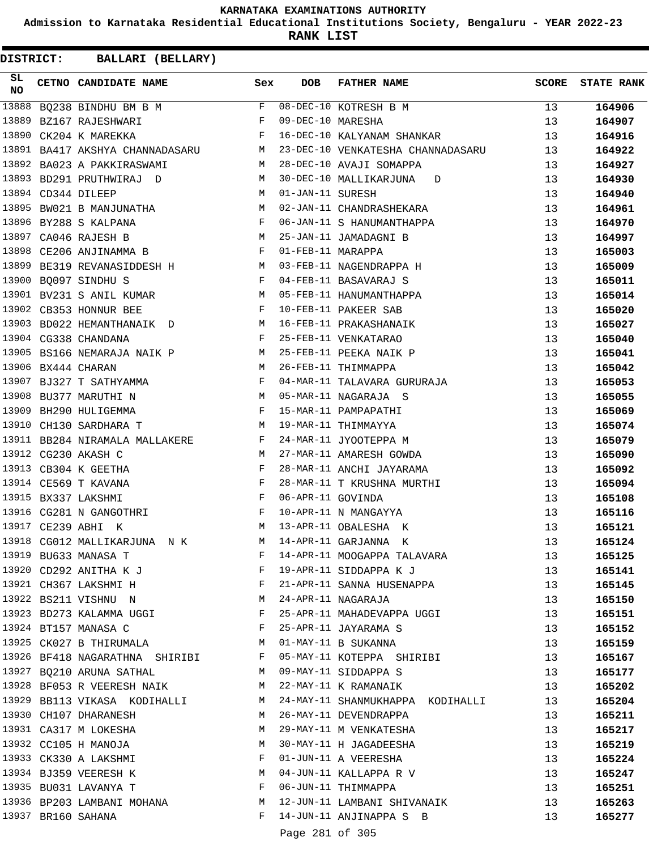**Admission to Karnataka Residential Educational Institutions Society, Bengaluru - YEAR 2022-23**

**RANK LIST**

**DISTRICT:** CC **BALLARI (BELLARY)**

| SL<br><b>NO</b> | CETNO CANDIDATE NAME Sex                                                               |              | DOB               | <b>FATHER NAME</b>                     |                 | SCORE STATE RANK |
|-----------------|----------------------------------------------------------------------------------------|--------------|-------------------|----------------------------------------|-----------------|------------------|
| 13888           | $BQ238$ BINDHU BM B M                                                                  |              |                   | 08-DEC-10 KOTRESH B M                  | 13 <sup>°</sup> | 164906           |
| 13889           | BZ167 RAJESHWARI                                                                       | F            | 09-DEC-10 MARESHA |                                        | 13              | 164907           |
| 13890           | $\mathbf{F}$ and $\mathbf{F}$ and $\mathbf{F}$<br>CK204 K MAREKKA                      |              |                   | 16-DEC-10 KALYANAM SHANKAR             | 13              | 164916           |
|                 | 13891 BA417 AKSHYA CHANNADASARU M                                                      |              |                   | 23-DEC-10 VENKATESHA CHANNADASARU      | 13              | 164922           |
|                 | 13892 BA023 A PAKKIRASWAMI<br>M                                                        |              |                   | 28-DEC-10 AVAJI SOMAPPA                | 13              | 164927           |
|                 | 13893 BD291 PRUTHWIRAJ D<br>M <sub>1</sub>                                             |              |                   | 30-DEC-10 MALLIKARJUNA<br>$\mathbf{D}$ | 13              | 164930           |
|                 | M<br>13894 CD344 DILEEP                                                                |              | 01-JAN-11 SURESH  |                                        | 13              | 164940           |
|                 | 13895 BW021 B MANJUNATHA M                                                             |              |                   | 02-JAN-11 CHANDRASHEKARA               | 13              | 164961           |
|                 | $\mathbf{F}$<br>13896 BY288 S KALPANA                                                  |              |                   | 06-JAN-11 S HANUMANTHAPPA              | 13              | 164970           |
|                 | M <sub>N</sub><br>13897 CA046 RAJESH B                                                 |              |                   | 25-JAN-11 JAMADAGNI B                  | 13              | 164997           |
|                 | 13898 CE206 ANJINAMMA B F                                                              |              | 01-FEB-11 MARAPPA |                                        | 13              | 165003           |
|                 | 13899 BE319 REVANASIDDESH H                                                            |              |                   | 03-FEB-11 NAGENDRAPPA H                | 13              | 165009           |
|                 | $\mathbf{F}$<br>13900 BO097 SINDHU S                                                   |              |                   | 04-FEB-11 BASAVARAJ S                  | 13              | 165011           |
|                 | 13901 BV231 S ANIL KUMAR M 05-FEB-11 HANUMANTHAPPA                                     |              |                   |                                        | 13              | 165014           |
|                 | $\mathbf{F}$ and the contract of the contract $\mathbf{F}$<br>13902 CB353 HONNUR BEE   |              |                   | 10-FEB-11 PAKEER SAB                   | 13              | 165020           |
|                 | 13903 BD022 HEMANTHANAIK D M 16-FEB-11 PRAKASHANAIK                                    |              |                   |                                        | 13              | 165027           |
|                 | $\mathbf{F}$<br>13904 CG338 CHANDANA                                                   |              |                   | 25-FEB-11 VENKATARAO                   | 13              | 165040           |
|                 | 13905 BS166 NEMARAJA NAIK P M                                                          |              |                   | 25-FEB-11 PEEKA NAIK P                 | 13              | 165041           |
|                 | 13906 BX444 CHARAN                                                                     | M            |                   | 26-FEB-11 THIMMAPPA                    | 13              | 165042           |
|                 | 13907 BJ327 T SATHYAMMA F                                                              |              |                   | 04-MAR-11 TALAVARA GURURAJA            | 13              | 165053           |
|                 | M<br>13908 BU377 MARUTHI N                                                             |              |                   | 05-MAR-11 NAGARAJA S                   | 13              | 165055           |
|                 | $\mathbf{F}$ and the contract of the contract of $\mathbf{F}$<br>13909 BH290 HULIGEMMA |              |                   | 15-MAR-11 PAMPAPATHI                   | 13              | 165069           |
|                 | 13910 CH130 SARDHARA T<br>M 19-MAR-11 THIMMAYYA                                        |              |                   |                                        | 13              | 165074           |
|                 | $\mathbf{F}$<br>13911 BB284 NIRAMALA MALLAKERE                                         |              |                   | 24-MAR-11 JYOOTEPPA M                  | 13              | 165079           |
|                 | 13912 CG230 AKASH C                                                                    | M            |                   | 27-MAR-11 AMARESH GOWDA                | 13              | 165090           |
|                 | $\mathbb F$ . In the set of $\mathbb F$<br>13913 CB304 K GEETHA                        |              |                   | 28-MAR-11 ANCHI JAYARAMA               | 13              | 165092           |
|                 | $\mathbf{F}$ and $\mathbf{F}$ and $\mathbf{F}$<br>13914 CE569 T KAVANA                 |              |                   | 28-MAR-11 T KRUSHNA MURTHI             | 13              | 165094           |
|                 | $\mathbf{F}$ . The set of $\mathbf{F}$<br>13915 BX337 LAKSHMI                          |              | 06-APR-11 GOVINDA |                                        | 13              | 165108           |
|                 | $\mathbf{F}$<br>13916 CG281 N GANGOTHRI                                                |              |                   | 10-APR-11 N MANGAYYA                   | 13              | 165116           |
|                 | 13917 CE239 ABHI K<br>M <sub>1</sub>                                                   |              |                   | 13-APR-11 OBALESHA K                   | 13              | 165121           |
|                 | 13918 CG012 MALLIKARJUNA N K M 14-APR-11 GARJANNA K                                    |              |                   |                                        | 13              | 165124           |
|                 |                                                                                        | F            |                   | 14-APR-11 MOOGAPPA TALAVARA            | 13              | 165125           |
|                 | 13919 BU633 MANASA T<br>13920 CD292 ANITHA K J                                         | F            |                   | 19-APR-11 SIDDAPPA K J                 | 13              | 165141           |
|                 | 13921 CH367 LAKSHMI H                                                                  | F            |                   | 21-APR-11 SANNA HUSENAPPA              | 13              | 165145           |
|                 | 13922 BS211 VISHNU N<br>$M_{\odot}$                                                    |              |                   | 24-APR-11 NAGARAJA                     | 13              | 165150           |
|                 | 13923 BD273 KALAMMA UGGI F                                                             |              |                   | 25-APR-11 MAHADEVAPPA UGGI             | 13              | 165151           |
|                 | 13924 BT157 MANASA C                                                                   | $\mathbf{F}$ |                   | 25-APR-11 JAYARAMA S                   | 13              | 165152           |
|                 | 13925 CK027 B THIRUMALA                                                                | M            |                   | 01-MAY-11 B SUKANNA                    | 13              | 165159           |
|                 | 13926 BF418 NAGARATHNA SHIRIBI F                                                       |              |                   | 05-MAY-11 KOTEPPA SHIRIBI              | 13              | 165167           |
|                 | 13927 BQ210 ARUNA SATHAL                                                               | M            |                   | 09-MAY-11 SIDDAPPA S                   | 13              | 165177           |
|                 | 13928 BF053 R VEERESH NAIK                                                             | M            |                   | 22-MAY-11 K RAMANAIK                   | 13              | 165202           |
|                 | 13929 BB113 VIKASA KODIHALLI M                                                         |              |                   | 24-MAY-11 SHANMUKHAPPA KODIHALLI       | 13              | 165204           |
|                 | 13930 CH107 DHARANESH                                                                  | M            |                   | 26-MAY-11 DEVENDRAPPA                  | 13              | 165211           |
|                 | 13931 CA317 M LOKESHA                                                                  | M            |                   | 29-MAY-11 M VENKATESHA                 | 13              | 165217           |
|                 | 13932 CC105 H MANOJA                                                                   | M            |                   | 30-MAY-11 H JAGADEESHA                 | 13              | 165219           |
|                 | 13933 CK330 A LAKSHMI                                                                  | F            |                   | 01-JUN-11 A VEERESHA                   | 13              | 165224           |
|                 | 13934 BJ359 VEERESH K M                                                                |              |                   | 04-JUN-11 KALLAPPA R V                 | 13              | 165247           |
|                 | 13935 BU031 LAVANYA T                                                                  | F            |                   | 06-JUN-11 THIMMAPPA                    | 13              | 165251           |
|                 | 13936 BP203 LAMBANI MOHANA                                                             | M            |                   | 12-JUN-11 LAMBANI SHIVANAIK            | 13              | 165263           |
|                 | 13937 BR160 SAHANA                                                                     |              |                   | F 14-JUN-11 ANJINAPPA S B              | 13              | 165277           |
|                 |                                                                                        |              |                   |                                        |                 |                  |

Page 281 of 305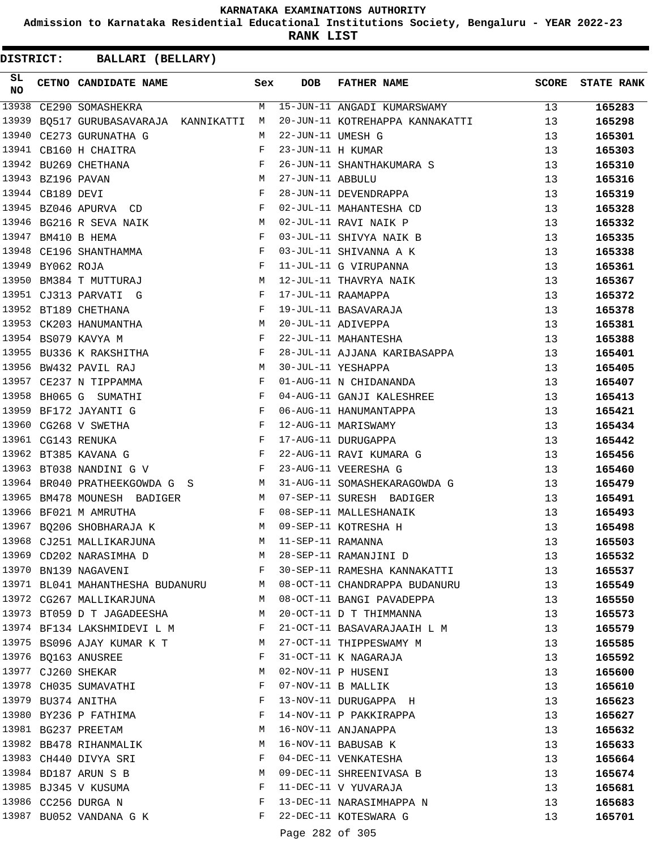**Admission to Karnataka Residential Educational Institutions Society, Bengaluru - YEAR 2022-23**

**RANK LIST**

| SL<br>NO |                   | CETNO CANDIDATE NAME                                   | Sex        | <b>DOB</b>        | <b>FATHER NAME</b>              | SCORE | <b>STATE RANK</b> |
|----------|-------------------|--------------------------------------------------------|------------|-------------------|---------------------------------|-------|-------------------|
| 13938    |                   | CE290 SOMASHEKRA                                       | M          |                   | 15-JUN-11 ANGADI KUMARSWAMY     | 13    | 165283            |
| 13939    |                   | BO517 GURUBASAVARAJA KANNIKATTI                        | M          |                   | 20-JUN-11 KOTREHAPPA KANNAKATTI | 13    | 165298            |
|          |                   | 13940 CE273 GURUNATHA G                                | M          | 22-JUN-11 UMESH G |                                 | 13    | 165301            |
|          |                   | 13941 CB160 H CHAITRA                                  | F          | 23-JUN-11 H KUMAR |                                 | 13    | 165303            |
|          |                   | 13942 BU269 CHETHANA                                   | $_{\rm F}$ |                   | 26-JUN-11 SHANTHAKUMARA S       | 13    | 165310            |
|          | 13943 BZ196 PAVAN |                                                        | M          | 27-JUN-11 ABBULU  |                                 | 13    | 165316            |
|          | 13944 CB189 DEVI  |                                                        | F          |                   | 28-JUN-11 DEVENDRAPPA           | 13    | 165319            |
|          |                   | $\mathbf{F}$ and $\mathbf{F}$<br>13945 BZ046 APURVA CD |            |                   | 02-JUL-11 MAHANTESHA CD         | 13    | 165328            |
|          |                   | 13946 BG216 R SEVA NAIK                                | M          |                   | 02-JUL-11 RAVI NAIK P           | 13    | 165332            |
|          |                   | 13947 BM410 B HEMA                                     | F          |                   | 03-JUL-11 SHIVYA NAIK B         | 13    | 165335            |
|          |                   | 13948 CE196 SHANTHAMMA                                 | F          |                   | 03-JUL-11 SHIVANNA A K          | 13    | 165338            |
|          | 13949 BY062 ROJA  |                                                        | F          |                   | 11-JUL-11 G VIRUPANNA           | 13    | 165361            |
|          |                   | 13950 BM384 T MUTTURAJ                                 | M          |                   | 12-JUL-11 THAVRYA NAIK          | 13    | 165367            |
|          |                   | 13951 CJ313 PARVATI G                                  | F          |                   | 17-JUL-11 RAAMAPPA              | 13    | 165372            |
|          |                   | 13952 BT189 CHETHANA<br>$\mathbf{F}$ and $\mathbf{F}$  |            |                   | 19-JUL-11 BASAVARAJA            | 13    | 165378            |
|          |                   | 13953 CK203 HANUMANTHA<br>$M_{\rm H}$                  |            |                   | 20-JUL-11 ADIVEPPA              | 13    | 165381            |
|          |                   | 13954 BS079 KAVYA M                                    | F          |                   | 22-JUL-11 MAHANTESHA            | 13    | 165388            |
|          |                   | 13955 BU336 K RAKSHITHA F                              |            |                   | 28-JUL-11 AJJANA KARIBASAPPA    | 13    | 165401            |
|          |                   | 13956 BW432 PAVIL RAJ                                  | М          |                   | 30-JUL-11 YESHAPPA              | 13    | 165405            |
|          |                   | 13957 CE237 N TIPPAMMA                                 | F          |                   | 01-AUG-11 N CHIDANANDA          | 13    | 165407            |
|          |                   | 13958 BH065 G SUMATHI                                  | F          |                   | 04-AUG-11 GANJI KALESHREE       | 13    | 165413            |
|          |                   | 13959 BF172 JAYANTI G                                  | F          |                   | 06-AUG-11 HANUMANTAPPA          | 13    | 165421            |
|          |                   | 13960 CG268 V SWETHA<br>$\mathbf{F}$ and $\mathbf{F}$  |            |                   | 12-AUG-11 MARISWAMY             | 13    | 165434            |
|          |                   | $\mathbf{F}$<br>13961 CG143 RENUKA                     |            |                   | 17-AUG-11 DURUGAPPA             | 13    | 165442            |
|          |                   | 13962 BT385 KAVANA G                                   | F          |                   | 22-AUG-11 RAVI KUMARA G         | 13    | 165456            |
|          |                   | 13963 BT038 NANDINI G V                                | F          |                   | 23-AUG-11 VEERESHA G            | 13    | 165460            |
|          |                   | 13964 BR040 PRATHEEKGOWDA G S<br><b>Solution M</b>     |            |                   | 31-AUG-11 SOMASHEKARAGOWDA G    | 13    | 165479            |
| 13965    |                   | BM478 MOUNESH BADIGER                                  | M          |                   | 07-SEP-11 SURESH BADIGER        | 13    | 165491            |
|          |                   | 13966 BF021 M AMRUTHA                                  | F          |                   | 08-SEP-11 MALLESHANAIK          | 13    | 165493            |
|          |                   | 13967 BQ206 SHOBHARAJA K                               | M          |                   | 09-SEP-11 KOTRESHA H            | 13    | 165498            |
|          |                   | 13968 CJ251 MALLIKARJUNA                               | M          | 11-SEP-11 RAMANNA |                                 | 13    | 165503            |
|          |                   | 13969 CD202 NARASIMHA D                                | M          |                   | 28-SEP-11 RAMANJINI D           | 13    | 165532            |
|          |                   | 13970 BN139 NAGAVENI                                   | F          |                   | 30-SEP-11 RAMESHA KANNAKATTI    | 13    | 165537            |
|          |                   | 13971 BL041 MAHANTHESHA BUDANURU                       | M          |                   | 08-OCT-11 CHANDRAPPA BUDANURU   | 13    | 165549            |
|          |                   | 13972 CG267 MALLIKARJUNA                               | M          |                   | 08-OCT-11 BANGI PAVADEPPA       | 13    | 165550            |
|          |                   | 13973 BT059 D T JAGADEESHA                             | M          |                   | 20-OCT-11 D T THIMMANNA         | 13    | 165573            |
|          |                   | 13974 BF134 LAKSHMIDEVI L M                            | F          |                   | 21-OCT-11 BASAVARAJAAIH L M     | 13    | 165579            |
|          |                   | 13975 BS096 AJAY KUMAR K T                             | M          |                   | 27-OCT-11 THIPPESWAMY M         | 13    | 165585            |
|          |                   | 13976 BQ163 ANUSREE                                    | F          |                   | 31-OCT-11 K NAGARAJA            | 13    | 165592            |
|          |                   | 13977 CJ260 SHEKAR                                     | М          |                   | 02-NOV-11 P HUSENI              | 13    | 165600            |
|          |                   | 13978 CH035 SUMAVATHI                                  | F          |                   | 07-NOV-11 B MALLIK              | 13    | 165610            |
|          |                   | 13979 BU374 ANITHA                                     | F          |                   | 13-NOV-11 DURUGAPPA H           | 13    | 165623            |
|          |                   | 13980 BY236 P FATHIMA                                  | F          |                   | 14-NOV-11 P PAKKIRAPPA          | 13    | 165627            |
|          |                   | 13981 BG237 PREETAM                                    | M          |                   | 16-NOV-11 ANJANAPPA             | 13    | 165632            |
|          |                   | 13982 BB478 RIHANMALIK                                 | M          |                   | 16-NOV-11 BABUSAB K             | 13    | 165633            |
|          |                   | 13983 CH440 DIVYA SRI                                  | F          |                   | 04-DEC-11 VENKATESHA            | 13    | 165664            |
|          |                   | 13984 BD187 ARUN S B                                   | M          |                   | 09-DEC-11 SHREENIVASA B         | 13    | 165674            |
|          |                   | 13985 BJ345 V KUSUMA                                   | F          |                   | 11-DEC-11 V YUVARAJA            | 13    | 165681            |
|          |                   | 13986 CC256 DURGA N                                    | F          |                   | 13-DEC-11 NARASIMHAPPA N        | 13    | 165683            |
|          |                   | 13987 BU052 VANDANA G K                                | F          |                   | 22-DEC-11 KOTESWARA G           | 13    | 165701            |
|          |                   |                                                        |            |                   |                                 |       |                   |
|          |                   |                                                        |            | Page 282 of 305   |                                 |       |                   |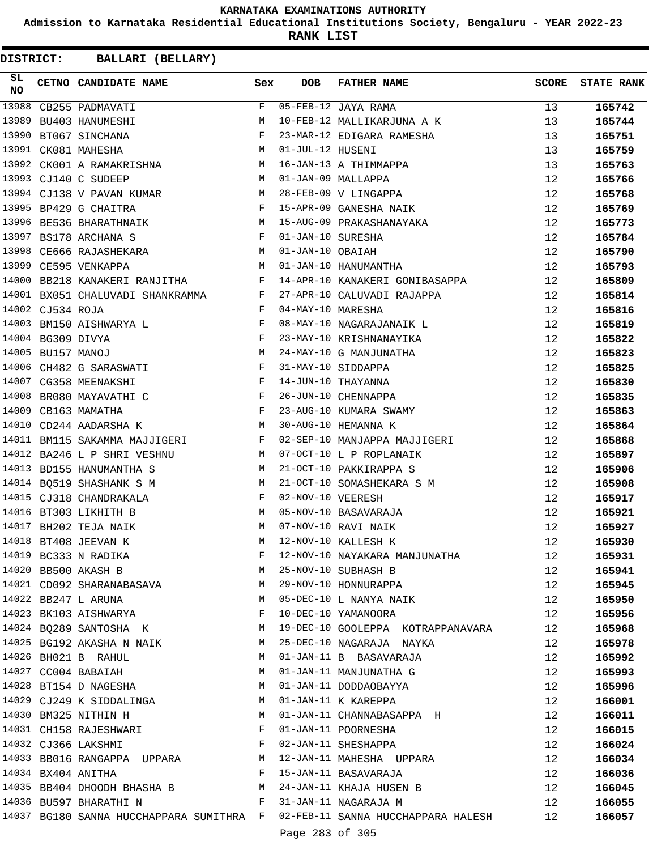**Admission to Karnataka Residential Educational Institutions Society, Bengaluru - YEAR 2022-23**

**RANK LIST**

| SL<br><b>NO</b> |                   | CETNO CANDIDATE NAME Sex                                                             |              | <b>DOB</b>        | FATHER NAME                           | SCORE | <b>STATE RANK</b> |
|-----------------|-------------------|--------------------------------------------------------------------------------------|--------------|-------------------|---------------------------------------|-------|-------------------|
| 13988           |                   | CB255 PADMAVATI                                                                      | F            |                   | 05-FEB-12 JAYA RAMA                   | 13    | 165742            |
| 13989           |                   | BU403 HANUMESHI                                                                      | M            |                   | 10-FEB-12 MALLIKARJUNA A K            | 13    | 165744            |
| 13990           |                   | BT067 SINCHANA                                                                       | F            |                   | 23-MAR-12 EDIGARA RAMESHA             | 13    | 165751            |
|                 |                   | 13991 CK081 MAHESHA                                                                  | M            | 01-JUL-12 HUSENI  |                                       | 13    | 165759            |
|                 |                   | 13992 CK001 A RAMAKRISHNA M                                                          |              |                   | 16-JAN-13 A THIMMAPPA                 | 13    | 165763            |
|                 |                   | 13993 CJ140 C SUDEEP                                                                 | M            |                   | 01-JAN-09 MALLAPPA                    | 12    | 165766            |
|                 |                   | 13994 CJ138 V PAVAN KUMAR M                                                          |              |                   | 28-FEB-09 V LINGAPPA                  | 12    | 165768            |
|                 |                   | 13995 BP429 G CHAITRA                                                                | $\mathbf{F}$ |                   | 15-APR-09 GANESHA NAIK                | 12    | 165769            |
|                 |                   | 13996 BE536 BHARATHNAIK M                                                            |              |                   | 15-AUG-09 PRAKASHANAYAKA              | 12    | 165773            |
| 13997           |                   | BS178 ARCHANA S                                                                      | F            | 01-JAN-10 SURESHA |                                       | 12    | 165784            |
| 13998           |                   | CE666 RAJASHEKARA M                                                                  |              | 01-JAN-10 OBAIAH  |                                       | 12    | 165790            |
|                 |                   | M <sub>N</sub><br>13999 CE595 VENKAPPA                                               |              |                   | 01-JAN-10 HANUMANTHA                  | 12    | 165793            |
| 14000           |                   | BB218 KANAKERI RANJITHA F                                                            |              |                   | 14-APR-10 KANAKERI GONIBASAPPA        | 12    | 165809            |
|                 |                   | 14001 BX051 CHALUVADI SHANKRAMMA F                                                   |              |                   | 27-APR-10 CALUVADI RAJAPPA            | 12    | 165814            |
|                 | 14002 CJ534 ROJA  | $\mathbf{F}$                                                                         |              | 04-MAY-10 MARESHA |                                       | 12    | 165816            |
|                 |                   | 14003 BM150 AISHWARYA L F                                                            |              |                   | 08-MAY-10 NAGARAJANAIK L              | 12    | 165819            |
|                 | 14004 BG309 DIVYA | $\begin{array}{c}\n\text{F} \\ \text{M}\n\end{array}$                                |              |                   | 23-MAY-10 KRISHNANAYIKA               | 12    | 165822            |
|                 | 14005 BU157 MANOJ |                                                                                      |              |                   | 24-MAY-10 G MANJUNATHA                | 12    | 165823            |
|                 |                   | 14006 CH482 G SARASWATI F                                                            |              |                   | 31-MAY-10 SIDDAPPA                    | 12    | 165825            |
|                 |                   | 14007 CG358 MEENAKSHI                                                                | $\mathbf{F}$ |                   | 14-JUN-10 THAYANNA                    | 12    | 165830            |
| 14008           |                   | BR080 MAYAVATHI C F                                                                  |              |                   | 26-JUN-10 CHENNAPPA                   | 12    | 165835            |
|                 |                   | $\mathbf{F}$ and the contract of the contract of $\mathbf{F}$<br>14009 CB163 MAMATHA |              |                   | 23-AUG-10 KUMARA SWAMY                | 12    | 165863            |
|                 |                   | M<br>14010 CD244 AADARSHA K                                                          |              |                   | 30-AUG-10 HEMANNA K                   | 12    | 165864            |
|                 |                   | 14011 BM115 SAKAMMA MAJJIGERI F                                                      |              |                   | 02-SEP-10 MANJAPPA MAJJIGERI          | 12    | 165868            |
|                 |                   | 14012 BA246 L P SHRI VESHNU                                                          | M            |                   | 07-OCT-10 L P ROPLANAIK               | 12    | 165897            |
|                 |                   | 14013 BD155 HANUMANTHA S                                                             | M            |                   | 21-OCT-10 PAKKIRAPPA S                | 12    | 165906            |
|                 |                   | 14014 BQ519 SHASHANK S M                                                             | М            |                   | 21-OCT-10 SOMASHEKARA S M             | 12    | 165908            |
|                 |                   | 14015 CJ318 CHANDRAKALA                                                              | F            | 02-NOV-10 VEERESH |                                       | 12    | 165917            |
|                 |                   | 14016 BT303 LIKHITH B                                                                | M            |                   | 05-NOV-10 BASAVARAJA                  | 12    | 165921            |
|                 |                   | 14017 BH202 TEJA NAIK                                                                | M            |                   | 07-NOV-10 RAVI NAIK                   | 12    | 165927            |
|                 |                   | 14018 BT408 JEEVAN K                                                                 | M            |                   | 12-NOV-10 KALLESH K                   | 12    | 165930            |
|                 |                   |                                                                                      | F            |                   | 12-NOV-10 NAYAKARA MANJUNATHA         | 12    | 165931            |
|                 |                   | 14019 BC333 N RADIKA<br>14020 BB500 AKASH B<br>14020 BB500 AKASH B                   | M            |                   | 25-NOV-10 SUBHASH B                   | 12    | 165941            |
|                 |                   | 14021 CD092 SHARANABASAVA                                                            | M            |                   | 29-NOV-10 HONNURAPPA                  | 12    | 165945            |
|                 |                   | 14022 BB247 L ARUNA<br><b>M</b>                                                      |              |                   | 05-DEC-10 L NANYA NAIK                | 12    | 165950            |
|                 |                   | 14023 BK103 AISHWARYA                                                                | $\mathbf{F}$ |                   | 10-DEC-10 YAMANOORA                   | 12    | 165956            |
|                 |                   | 14024 BQ289 SANTOSHA K M                                                             |              |                   | 19-DEC-10 GOOLEPPA KOTRAPPANAVARA     | 12    | 165968            |
|                 |                   | 14025 BG192 AKASHA N NAIK                                                            | M            |                   | 25-DEC-10 NAGARAJA NAYKA              | 12    | 165978            |
|                 |                   | 14026 BH021 B RAHUL                                                                  | M            |                   | 01-JAN-11 B BASAVARAJA                | 12    | 165992            |
|                 |                   | 14027 CC004 BABAIAH                                                                  | M            |                   | 01-JAN-11 MANJUNATHA G                | 12    | 165993            |
|                 |                   | 14028 BT154 D NAGESHA                                                                | M            |                   | 01-JAN-11 DODDAOBAYYA                 | 12    | 165996            |
|                 |                   | 14029 CJ249 K SIDDALINGA                                                             | M            |                   | 01-JAN-11 K KAREPPA                   | 12    | 166001            |
|                 |                   | M<br>14030 BM325 NITHIN H                                                            |              |                   | 01-JAN-11 CHANNABASAPPA H             | 12    | 166011            |
|                 |                   | 14031 CH158 RAJESHWARI                                                               | $\mathbf{F}$ |                   | 01-JAN-11 POORNESHA                   | 12    | 166015            |
|                 |                   | 14032 CJ366 LAKSHMI<br>$\mathbb{F}$ .<br><br><br>F                                   |              |                   | 02-JAN-11 SHESHAPPA                   | 12    | 166024            |
|                 |                   | 14033 BB016 RANGAPPA UPPARA                                                          |              |                   | M 12-JAN-11 MAHESHA UPPARA            | 12    | 166034            |
|                 |                   | 14034 BX404 ANITHA                                                                   | F            |                   | 15-JAN-11 BASAVARAJA                  | 12    | 166036            |
|                 |                   | 14035 BB404 DHOODH BHASHA B M 24-JAN-11 KHAJA HUSEN B                                |              |                   |                                       | 12    | 166045            |
|                 |                   | 14036 BU597 BHARATHI N<br>$\mathbf{F}$ and $\mathbf{F}$ are the set of $\mathbf{F}$  |              |                   | 31-JAN-11 NAGARAJA M                  | 12    | 166055            |
|                 |                   | 14037 BG180 SANNA HUCCHAPPARA SUMITHRA F                                             |              |                   | 02-FEB-11 SANNA HUCCHAPPARA HALESH 12 |       | 166057            |
|                 |                   |                                                                                      |              |                   |                                       |       |                   |
|                 |                   |                                                                                      |              | Page 283 of 305   |                                       |       |                   |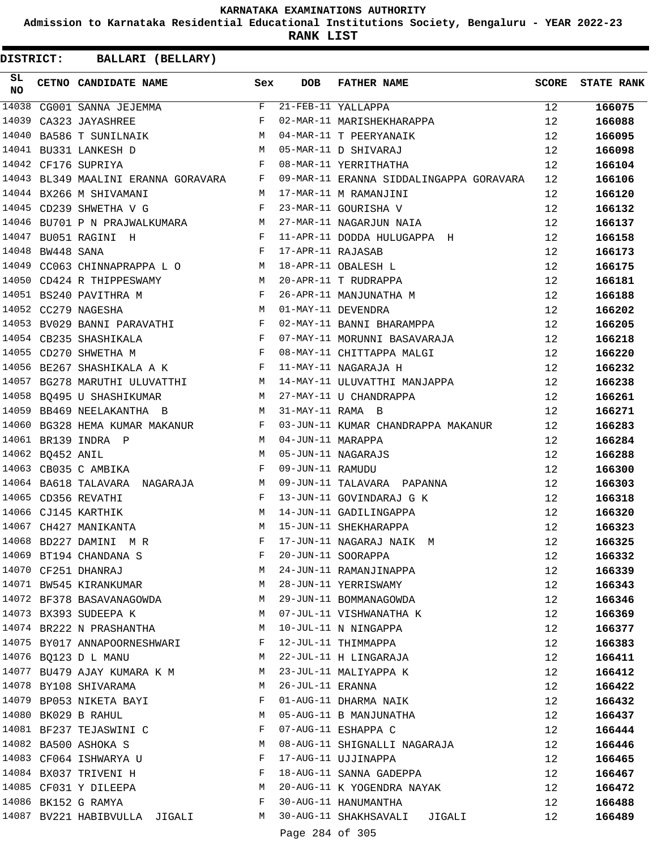**Admission to Karnataka Residential Educational Institutions Society, Bengaluru - YEAR 2022-23**

**RANK LIST**

| SL<br><b>NO</b> |                  | CETNO CANDIDATE NAME                                                                                                                                                                                                                                    | Sex          | <b>DOB</b>        | <b>FATHER NAME</b>                                                                                                                         |    | SCORE STATE RANK |
|-----------------|------------------|---------------------------------------------------------------------------------------------------------------------------------------------------------------------------------------------------------------------------------------------------------|--------------|-------------------|--------------------------------------------------------------------------------------------------------------------------------------------|----|------------------|
|                 |                  | 14038 CG001 SANNA JEJEMMA                                                                                                                                                                                                                               |              |                   | $21-FEB-11$ YALLAPPA                                                                                                                       | 12 | 166075           |
| 14039           |                  | $\mathbf{F}$ and $\mathbf{F}$ are the set of the set of the set of the set of the set of the set of the set of the set of the set of the set of the set of the set of the set of the set of the set of the set of the set of the set<br>CA323 JAYASHREE |              |                   | 21-FEB-11 YALLAPPA<br>02-MAR-11 MARISHEKHARAPPA                                                                                            | 12 | 166088           |
| 14040           |                  | BA586 T SUNILNAIK M                                                                                                                                                                                                                                     |              |                   | 04-MAR-11 T PEERYANAIK                                                                                                                     | 12 | 166095           |
|                 |                  | M<br>14041 BU331 LANKESH D                                                                                                                                                                                                                              |              |                   | 05-MAR-11 D SHIVARAJ                                                                                                                       | 12 | 166098           |
|                 |                  | 14042 CF176 SUPRIYA                                                                                                                                                                                                                                     | $\mathbf{F}$ |                   | 08-MAR-11 YERRITHATHA                                                                                                                      | 12 | 166104           |
|                 |                  | 14043 BL349 MAALINI ERANNA GORAVARA F                                                                                                                                                                                                                   |              |                   | 09-MAR-11 ERANNA SIDDALINGAPPA GORAVARA                                                                                                    | 12 | 166106           |
|                 |                  | 14044 BX266 M SHIVAMANI                                                                                                                                                                                                                                 |              |                   | M 17-MAR-11 M RAMANJINI                                                                                                                    | 12 | 166120           |
|                 |                  | $\mathbf{F}$ and $\mathbf{F}$<br>14045 CD239 SHWETHA V G                                                                                                                                                                                                |              |                   | 23-MAR-11 GOURISHA V                                                                                                                       | 12 | 166132           |
|                 |                  |                                                                                                                                                                                                                                                         |              |                   | 14046 BU701 P N PRAJWALKUMARA M 27-MAR-11 NAGARJUN NAIA                                                                                    | 12 | 166137           |
|                 |                  | 14047 BU051 RAGINI H<br>$\mathbf{F}$ and $\mathbf{F}$ and $\mathbf{F}$                                                                                                                                                                                  |              |                   | 11-APR-11 DODDA HULUGAPPA H                                                                                                                | 12 | 166158           |
|                 | 14048 BW448 SANA | $\mathbf{F}$ and $\mathbf{F}$ and $\mathbf{F}$                                                                                                                                                                                                          |              | 17-APR-11 RAJASAB |                                                                                                                                            | 12 | 166173           |
|                 |                  | 14049 CC063 CHINNAPRAPPA L O M                                                                                                                                                                                                                          |              |                   | 18-APR-11 OBALESH L                                                                                                                        | 12 | 166175           |
|                 |                  | 14050 CD424 R THIPPESWAMY M                                                                                                                                                                                                                             |              |                   | 20-APR-11 T RUDRAPPA                                                                                                                       | 12 | 166181           |
|                 |                  | $\mathbf{F}_{\mathbf{r}}$ and $\mathbf{F}_{\mathbf{r}}$ and $\mathbf{F}_{\mathbf{r}}$<br>14051 BS240 PAVITHRA M                                                                                                                                         |              |                   | 26-APR-11 MANJUNATHA M                                                                                                                     | 12 | 166188           |
|                 |                  | M<br>14052 CC279 NAGESHA                                                                                                                                                                                                                                |              |                   | 01-MAY-11 DEVENDRA                                                                                                                         | 12 | 166202           |
|                 |                  | 14053 BV029 BANNI PARAVATHI F                                                                                                                                                                                                                           |              |                   | 02-MAY-11 BANNI BHARAMPPA                                                                                                                  | 12 | 166205           |
|                 |                  | $\mathbf{F}$<br>14054 CB235 SHASHIKALA                                                                                                                                                                                                                  |              |                   | 07-MAY-11 MORUNNI BASAVARAJA                                                                                                               | 12 | 166218           |
|                 |                  | $\mathbf{F}$ and $\mathbf{F}$<br>14055 CD270 SHWETHA M                                                                                                                                                                                                  |              |                   | 08-MAY-11 CHITTAPPA MALGI                                                                                                                  | 12 | 166220           |
|                 |                  | 14056 BE267 SHASHIKALA A K<br>F                                                                                                                                                                                                                         |              |                   | 11-MAY-11 NAGARAJA H                                                                                                                       | 12 | 166232           |
|                 |                  |                                                                                                                                                                                                                                                         |              |                   |                                                                                                                                            | 12 | 166238           |
|                 |                  |                                                                                                                                                                                                                                                         |              |                   | 14050 BE20/SHASHIKADA A.K<br>14057 BG278 MARUTHI ULUVATTHI MAY-11 ULUVATTHI MANJAPPA<br>14058 BO495 U SHASHIKUMAR M 27-MAY-11 U CHANDRAPPA | 12 | 166261           |
|                 |                  | M<br>14059 BB469 NEELAKANTHA B                                                                                                                                                                                                                          |              | 31-MAY-11 RAMA B  |                                                                                                                                            | 12 | 166271           |
|                 |                  | 14060 BG328 HEMA KUMAR MAKANUR F                                                                                                                                                                                                                        |              |                   | 03-JUN-11 KUMAR CHANDRAPPA MAKANUR                                                                                                         | 12 | 166283           |
|                 |                  | M<br>14061 BR139 INDRA P                                                                                                                                                                                                                                |              | 04-JUN-11 MARAPPA |                                                                                                                                            | 12 | 166284           |
|                 | 14062 BQ452 ANIL | M                                                                                                                                                                                                                                                       |              |                   | 05-JUN-11 NAGARAJS                                                                                                                         | 12 | 166288           |
|                 |                  | 14063 CB035 C AMBIKA<br>$\mathbf{F}$ and the contract of the contract of $\mathbf{F}$                                                                                                                                                                   |              | 09-JUN-11 RAMUDU  |                                                                                                                                            | 12 | 166300           |
|                 |                  | 14064 BA618 TALAVARA NAGARAJA M                                                                                                                                                                                                                         |              |                   | 09-JUN-11 TALAVARA PAPANNA                                                                                                                 | 12 | 166303           |
|                 |                  | $\mathbf{F}$ . The $\mathbf{F}$<br>14065 CD356 REVATHI                                                                                                                                                                                                  |              |                   | 13-JUN-11 GOVINDARAJ G K                                                                                                                   | 12 | 166318           |
|                 |                  | 14066 CJ145 KARTHIK                                                                                                                                                                                                                                     | M            |                   | 14-JUN-11 GADILINGAPPA                                                                                                                     | 12 | 166320           |
|                 |                  | M<br>14067 CH427 MANIKANTA                                                                                                                                                                                                                              |              |                   | 15-JUN-11 SHEKHARAPPA                                                                                                                      | 12 | 166323           |
|                 |                  | 14068 BD227 DAMINI M R                                                                                                                                                                                                                                  | $_{\rm F}$   |                   | 17-JUN-11 NAGARAJ NAIK M                                                                                                                   | 12 | 166325           |
|                 |                  | 14069 BT194 CHANDANA S                                                                                                                                                                                                                                  | F            |                   | 20-JUN-11 SOORAPPA                                                                                                                         | 12 | 166332           |
|                 |                  | 14070 CF251 DHANRAJ                                                                                                                                                                                                                                     | M            |                   | 24-JUN-11 RAMANJINAPPA                                                                                                                     | 12 | 166339           |
|                 |                  | 14071 BW545 KIRANKUMAR                                                                                                                                                                                                                                  | М            |                   | 28-JUN-11 YERRISWAMY                                                                                                                       | 12 | 166343           |
|                 |                  | 14072 BF378 BASAVANAGOWDA                                                                                                                                                                                                                               | M            |                   | 29-JUN-11 BOMMANAGOWDA                                                                                                                     | 12 | 166346           |
|                 |                  | 14073 BX393 SUDEEPA K                                                                                                                                                                                                                                   | M            |                   | 07-JUL-11 VISHWANATHA K                                                                                                                    | 12 | 166369           |
|                 |                  | 14074 BR222 N PRASHANTHA                                                                                                                                                                                                                                | M            |                   | 10-JUL-11 N NINGAPPA                                                                                                                       | 12 | 166377           |
|                 |                  | 14075 BY017 ANNAPOORNESHWARI                                                                                                                                                                                                                            | F            |                   | 12-JUL-11 THIMMAPPA                                                                                                                        | 12 | 166383           |
|                 |                  | 14076 BQ123 D L MANU                                                                                                                                                                                                                                    | M            |                   | 22-JUL-11 H LINGARAJA                                                                                                                      | 12 | 166411           |
|                 |                  | 14077 BU479 AJAY KUMARA K M                                                                                                                                                                                                                             | M            |                   | 23-JUL-11 MALIYAPPA K                                                                                                                      | 12 | 166412           |
|                 |                  | 14078 BY108 SHIVARAMA                                                                                                                                                                                                                                   | M            | 26-JUL-11 ERANNA  |                                                                                                                                            | 12 | 166422           |
|                 |                  | 14079 BP053 NIKETA BAYI                                                                                                                                                                                                                                 | F            |                   | 01-AUG-11 DHARMA NAIK                                                                                                                      | 12 | 166432           |
|                 |                  | 14080 BK029 B RAHUL                                                                                                                                                                                                                                     | M            |                   | 05-AUG-11 B MANJUNATHA                                                                                                                     | 12 | 166437           |
|                 |                  | 14081 BF237 TEJASWINI C                                                                                                                                                                                                                                 | F            |                   | 07-AUG-11 ESHAPPA C                                                                                                                        | 12 | 166444           |
|                 |                  | 14082 BA500 ASHOKA S                                                                                                                                                                                                                                    | M            |                   | 08-AUG-11 SHIGNALLI NAGARAJA                                                                                                               | 12 | 166446           |
|                 |                  | 14083 CF064 ISHWARYA U                                                                                                                                                                                                                                  | F            |                   | 17-AUG-11 UJJINAPPA                                                                                                                        | 12 | 166465           |
|                 |                  | 14084 BX037 TRIVENI H                                                                                                                                                                                                                                   | F            |                   | 18-AUG-11 SANNA GADEPPA                                                                                                                    | 12 | 166467           |
|                 |                  | 14085 CF031 Y DILEEPA                                                                                                                                                                                                                                   | M            |                   | 20-AUG-11 K YOGENDRA NAYAK                                                                                                                 | 12 | 166472           |
|                 |                  | 14086 BK152 G RAMYA                                                                                                                                                                                                                                     | F            |                   | 30-AUG-11 HANUMANTHA                                                                                                                       | 12 | 166488           |
|                 |                  | 14087 BV221 HABIBVULLA JIGALI                                                                                                                                                                                                                           | M            |                   | 30-AUG-11 SHAKHSAVALI                                                                                                                      | 12 | 166489           |
|                 |                  |                                                                                                                                                                                                                                                         |              |                   | JIGALI                                                                                                                                     |    |                  |
|                 |                  |                                                                                                                                                                                                                                                         |              | Page 284 of 305   |                                                                                                                                            |    |                  |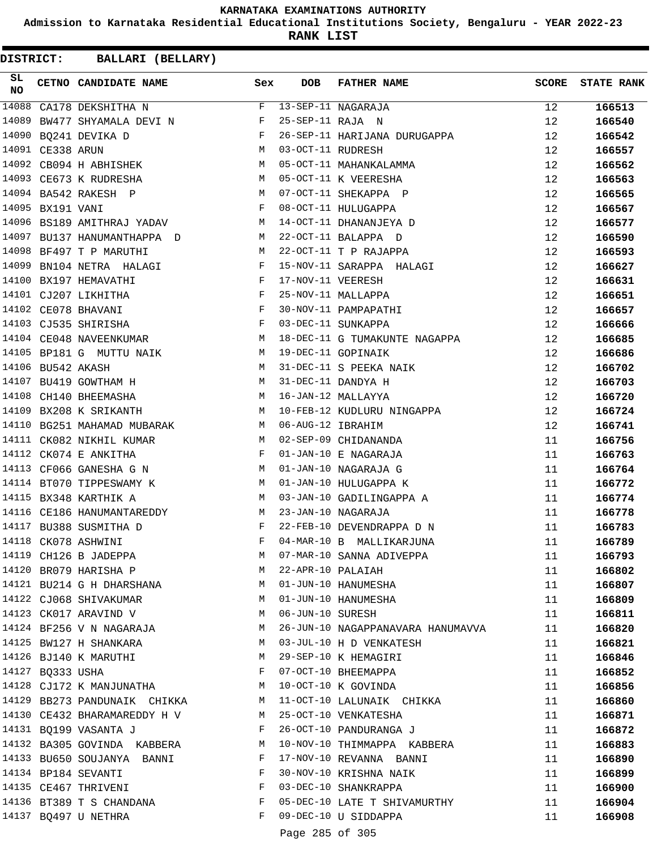**Admission to Karnataka Residential Educational Institutions Society, Bengaluru - YEAR 2022-23**

**RANK LIST**

| SL<br><b>NO</b> |                   | CETNO CANDIDATE NAME                                                                                                                                                                             | Sex          | <b>DOB</b>        | FATHER NAME                       | <b>SCORE</b> | <b>STATE RANK</b> |
|-----------------|-------------------|--------------------------------------------------------------------------------------------------------------------------------------------------------------------------------------------------|--------------|-------------------|-----------------------------------|--------------|-------------------|
| 14088           |                   | CA178 DEKSHITHA N                                                                                                                                                                                |              |                   | F 13-SEP-11 NAGARAJA              | 12           | 166513            |
| 14089           |                   | BW477 SHYAMALA DEVI N                                                                                                                                                                            | F            | 25-SEP-11 RAJA N  |                                   | 12           | 166540            |
| 14090           |                   | BQ241 DEVIKA D                                                                                                                                                                                   | $\mathbf{F}$ |                   | 26-SEP-11 HARIJANA DURUGAPPA      | 12           | 166542            |
|                 | 14091 CE338 ARUN  |                                                                                                                                                                                                  | M            | 03-OCT-11 RUDRESH |                                   | 12           | 166557            |
|                 |                   | 14092 CB094 H ABHISHEK<br>M <sub>N</sub>                                                                                                                                                         |              |                   | 05-OCT-11 MAHANKALAMMA            | 12           | 166562            |
|                 |                   | <b>M</b><br>14093 CE673 K RUDRESHA                                                                                                                                                               |              |                   | 05-OCT-11 K VEERESHA              | 12           | 166563            |
|                 |                   | M<br>14094 BA542 RAKESH P                                                                                                                                                                        |              |                   | 07-OCT-11 SHEKAPPA P              | 12           | 166565            |
|                 | 14095 BX191 VANI  |                                                                                                                                                                                                  | $\mathbf{F}$ |                   | 08-OCT-11 HULUGAPPA               | 12           | 166567            |
|                 |                   | 14096 BS189 AMITHRAJ YADAV M                                                                                                                                                                     |              |                   | 14-OCT-11 DHANANJEYA D            | 12           | 166577            |
| 14097           |                   | BU137 HANUMANTHAPPA D                                                                                                                                                                            | M            |                   | 22-OCT-11 BALAPPA D               | 12           | 166590            |
| 14098           |                   | BF497 T P MARUTHI                                                                                                                                                                                | M            |                   | 22-OCT-11 T P RAJAPPA             | 12           | 166593            |
| 14099           |                   | BN104 NETRA HALAGI                                                                                                                                                                               | F            |                   | 15-NOV-11 SARAPPA HALAGI          | 12           | 166627            |
|                 |                   | 14100 BX197 HEMAVATHI                                                                                                                                                                            | $\mathbb{F}$ | 17-NOV-11 VEERESH |                                   | 12           | 166631            |
|                 |                   | $\mathbf{F}$ and $\mathbf{F}$ are $\mathbf{F}$<br>14101 CJ207 LIKHITHA                                                                                                                           |              |                   | 25-NOV-11 MALLAPPA                | 12           | 166651            |
|                 |                   | 14102 CE078 BHAVANI                                                                                                                                                                              | $\mathbf{F}$ |                   | 30-NOV-11 PAMPAPATHI              | 12           | 166657            |
|                 |                   | 14103 CJ535 SHIRISHA                                                                                                                                                                             | $\mathbf{F}$ |                   | 03-DEC-11 SUNKAPPA                | 12           | 166666            |
|                 |                   | 14104 CE048 NAVEENKUMAR M                                                                                                                                                                        |              |                   | 18-DEC-11 G TUMAKUNTE NAGAPPA     | 12           | 166685            |
|                 |                   | 14105 BP181 G MUTTU NAIK                                                                                                                                                                         | M            |                   | 19-DEC-11 GOPINAIK                | 12           | 166686            |
|                 | 14106 BU542 AKASH |                                                                                                                                                                                                  | M            |                   | 31-DEC-11 S PEEKA NAIK            | 12           | 166702            |
|                 |                   |                                                                                                                                                                                                  |              |                   | 31-DEC-11 DANDYA H                | 12           | 166703            |
|                 |                   | $\begin{tabular}{lllllllllll} 14107 & \texttt{BU419 GOWTHAM} & \texttt{H} & \texttt{M} & \texttt{M} \\ 14108 & \texttt{CH140 BHEEMASHA} & \texttt{M} & \texttt{M} & \texttt{M} \\ \end{tabular}$ |              |                   | 16-JAN-12 MALLAYYA                | 12           | 166720            |
|                 |                   | 14109 BX208 K SRIKANTH                                                                                                                                                                           |              |                   | M 10-FEB-12 KUDLURU NINGAPPA      | 12           | 166724            |
|                 |                   | 14110 BG251 MAHAMAD MUBARAK M M 06-AUG-12 IBRAHIM                                                                                                                                                |              |                   |                                   | 12           | 166741            |
|                 |                   | 14111 CK082 NIKHIL KUMAR                                                                                                                                                                         |              |                   | M 02-SEP-09 CHIDANANDA            | 11           | 166756            |
|                 |                   | 14112 CK074 E ANKITHA                                                                                                                                                                            | F            |                   | 01-JAN-10 E NAGARAJA              | 11           | 166763            |
|                 |                   | 14113 CF066 GANESHA G N                                                                                                                                                                          | M            |                   | 01-JAN-10 NAGARAJA G              | 11           | 166764            |
|                 |                   | 14114 BT070 TIPPESWAMY K                                                                                                                                                                         |              |                   | 01-JAN-10 HULUGAPPA K             | 11           | 166772            |
|                 |                   | 14115 BX348 KARTHIK A                                                                                                                                                                            | M            |                   | 03-JAN-10 GADILINGAPPA A          | 11           | 166774            |
|                 |                   | 14116 CE186 HANUMANTAREDDY                                                                                                                                                                       | M            |                   | 23-JAN-10 NAGARAJA                | 11           | 166778            |
|                 |                   | 14117 BU388 SUSMITHA D                                                                                                                                                                           | F            |                   | 22-FEB-10 DEVENDRAPPA D N         | 11           | 166783            |
|                 |                   | 14118 CK078 ASHWINI                                                                                                                                                                              | F            |                   | 04-MAR-10 B MALLIKARJUNA          | 11           | 166789            |
|                 |                   |                                                                                                                                                                                                  |              |                   | M 07-MAR-10 SANNA ADIVEPPA        | 11           | 166793            |
|                 |                   | 14119 CH126 B JADEPPA<br>14120 BR079 HARISHA P                                                                                                                                                   | M            | 22-APR-10 PALAIAH |                                   | 11           | 166802            |
|                 |                   | 14121 BU214 G H DHARSHANA                                                                                                                                                                        | M            |                   | 01-JUN-10 HANUMESHA               | 11           | 166807            |
|                 |                   | 14122 CJ068 SHIVAKUMAR                                                                                                                                                                           | M            |                   | 01-JUN-10 HANUMESHA               | 11           | 166809            |
|                 |                   | 14123 CK017 ARAVIND V                                                                                                                                                                            | M            | 06-JUN-10 SURESH  |                                   | 11           | 166811            |
|                 |                   | 14124 BF256 V N NAGARAJA                                                                                                                                                                         | M            |                   | 26-JUN-10 NAGAPPANAVARA HANUMAVVA | 11           | 166820            |
|                 |                   | 14125 BW127 H SHANKARA                                                                                                                                                                           | M            |                   | 03-JUL-10 H D VENKATESH           | 11           | 166821            |
|                 |                   | 14126 BJ140 K MARUTHI                                                                                                                                                                            | M            |                   | 29-SEP-10 K HEMAGIRI              | 11           | 166846            |
|                 | 14127 BQ333 USHA  |                                                                                                                                                                                                  | F            |                   | 07-OCT-10 BHEEMAPPA               | 11           | 166852            |
|                 |                   | 14128 CJ172 K MANJUNATHA                                                                                                                                                                         | M            |                   | 10-OCT-10 K GOVINDA               | 11           | 166856            |
|                 |                   | 14129 BB273 PANDUNAIK CHIKKA                                                                                                                                                                     |              |                   | M 11-OCT-10 LALUNAIK CHIKKA       | 11           | 166860            |
|                 |                   | 14130 CE432 BHARAMAREDDY H V                                                                                                                                                                     | M            |                   | 25-OCT-10 VENKATESHA              | 11           | 166871            |
|                 |                   | 14131 BQ199 VASANTA J                                                                                                                                                                            | F            |                   | 26-OCT-10 PANDURANGA J            | 11           | 166872            |
|                 |                   | 14132 BA305 GOVINDA KABBERA                                                                                                                                                                      | М            |                   | 10-NOV-10 THIMMAPPA KABBERA       | 11           | 166883            |
|                 |                   | 14133 BU650 SOUJANYA BANNI                                                                                                                                                                       | F            |                   | 17-NOV-10 REVANNA BANNI           | 11           | 166890            |
|                 |                   | 14134 BP184 SEVANTI                                                                                                                                                                              | F            |                   | 30-NOV-10 KRISHNA NAIK            | 11           | 166899            |
|                 |                   | 14135 CE467 THRIVENI                                                                                                                                                                             | F            |                   | 03-DEC-10 SHANKRAPPA              | 11           | 166900            |
|                 |                   | 14136 BT389 T S CHANDANA                                                                                                                                                                         | F            |                   | 05-DEC-10 LATE T SHIVAMURTHY      | 11           | 166904            |
|                 |                   | 14137 BQ497 U NETHRA                                                                                                                                                                             | F            |                   | 09-DEC-10 U SIDDAPPA              | 11           | 166908            |
|                 |                   |                                                                                                                                                                                                  |              |                   |                                   |              |                   |
|                 |                   |                                                                                                                                                                                                  |              | Page 285 of 305   |                                   |              |                   |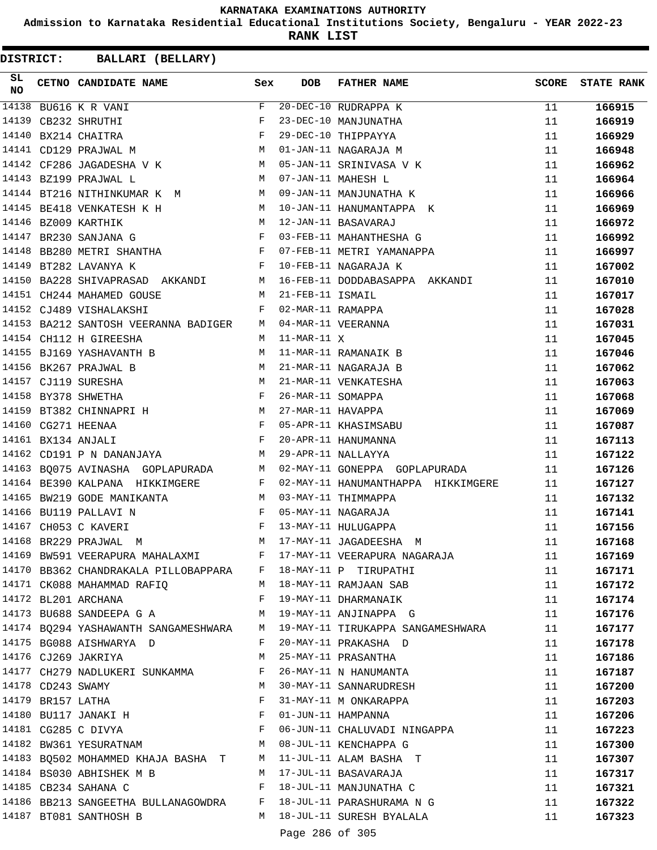**Admission to Karnataka Residential Educational Institutions Society, Bengaluru - YEAR 2022-23**

**RANK LIST**

| SL<br><b>NO</b> |                   | CETNO CANDIDATE NAME Sex                                                                        |              | <b>DOB</b>        | <b>FATHER NAME</b>                                                       | <b>SCORE</b> | <b>STATE RANK</b> |
|-----------------|-------------------|-------------------------------------------------------------------------------------------------|--------------|-------------------|--------------------------------------------------------------------------|--------------|-------------------|
| 14138           |                   | BU616 K R VANI                                                                                  | F            |                   | 20-DEC-10 RUDRAPPA K                                                     | 11           | 166915            |
|                 |                   | 14139 CB232 SHRUTHI                                                                             |              |                   | 23-DEC-10 MANJUNATHA                                                     | 11           | 166919            |
|                 |                   | 14140 BX214 CHAITRA                                                                             |              |                   | 29-DEC-10 THIPPAYYA                                                      | 11           | 166929            |
|                 |                   | $\begin{aligned} \mathbf{F} \\ \mathbf{F} \\ \mathbf{M} \end{aligned}$<br>14141 CD129 PRAJWAL M |              |                   | 01-JAN-11 NAGARAJA M                                                     | 11           | 166948            |
|                 |                   | 14142 CF286 JAGADESHA V K M 05-JAN-11 SRINIVASA V K                                             |              |                   |                                                                          | 11           | 166962            |
|                 |                   | M 07-JAN-11 MAHESH L<br>14143 BZ199 PRAJWAL L                                                   |              |                   |                                                                          | 11           | 166964            |
|                 |                   | 14144 BT216 NITHINKUMAR K M M O9-JAN-11 MANJUNATHA K                                            |              |                   |                                                                          | 11           | 166966            |
|                 |                   | 14145 BE418 VENKATESH K H                                                                       |              |                   | M 10-JAN-11 HANUMANTAPPA K                                               | 11           | 166969            |
|                 |                   | 14146 BZ009 KARTHIK                                                                             |              |                   | M 12-JAN-11 BASAVARAJ                                                    | 11           | 166972            |
|                 |                   | 14147 BR230 SANJANA G F                                                                         |              |                   | 12-JAN-11 BASAVARAJ<br>03-FEB-11 MAHANTHESHA G                           | 11           | 166992            |
|                 |                   | 14148 BB280 METRI SHANTHA F                                                                     |              |                   | 07-FEB-11 METRI YAMANAPPA                                                | 11           | 166997            |
|                 |                   | 14149 BT282 LAVANYA K                                                                           |              |                   | F 10-FEB-11 NAGARAJA K                                                   | 11           | 167002            |
|                 |                   |                                                                                                 |              |                   | 14150 BA228 SHIVAPRASAD AKKANDI M 16-FEB-11 DODDABASAPPA AKKANDI         | 11           | 167010            |
|                 |                   | 14151 CH244 MAHAMED GOUSE<br>M 21-FEB-11 ISMAIL                                                 |              |                   |                                                                          | 11           | 167017            |
|                 |                   | $\mathbf{F}$ and $\mathbf{F}$ and $\mathbf{F}$<br>14152 CJ489 VISHALAKSHI                       |              | 02-MAR-11 RAMAPPA |                                                                          | 11           | 167028            |
|                 |                   | 14153 BA212 SANTOSH VEERANNA BADIGER M 04-MAR-11 VEERANNA                                       |              |                   |                                                                          | 11           | 167031            |
|                 |                   | 14154 CH112 H GIREESHA                                                                          |              | $M$ 11-MAR-11 $X$ |                                                                          | 11           | 167045            |
|                 |                   | 14155 BJ169 YASHAVANTH B                                                                        | M            |                   | 11-MAR-11 RAMANAIK B                                                     | 11           | 167046            |
|                 |                   |                                                                                                 |              |                   | 21-MAR-11 NAGARAJA B                                                     | 11           | 167062            |
|                 |                   | 14156 BK267 PRAJWAL B<br>14157 CJ119 SURESHA M<br>14158 BY378 SHWETHA F                         |              |                   | 21-MAR-11 VENKATESHA                                                     | 11           | 167063            |
|                 |                   |                                                                                                 |              | 26-MAR-11 SOMAPPA |                                                                          | 11           | 167068            |
|                 |                   | 14159 BT382 CHINNAPRI H M 27-MAR-11 HAVAPPA                                                     |              |                   |                                                                          | 11           | 167069            |
|                 |                   | 14160 CG271 HEENAA                                                                              |              |                   |                                                                          | 11           | 167087            |
|                 |                   | F 05-APR-11 KHASIMSABU<br>F 20-APR-11 HANUMANNA<br>14161 BX134 ANJALI                           |              |                   |                                                                          | 11           | 167113            |
|                 |                   | M <sub>1</sub><br>14162 CD191 P N DANANJAYA                                                     |              |                   | 29-APR-11 NALLAYYA                                                       | 11           | 167122            |
|                 |                   |                                                                                                 |              |                   | 14163 BQ075 AVINASHA GOPLAPURADA M 02-MAY-11 GONEPPA GOPLAPURADA         | 11           | 167126            |
|                 |                   |                                                                                                 |              |                   | 14164 BE390 KALPANA HIKKIMGERE F 02-MAY-11 HANUMANTHAPPA HIKKIMGERE      | 11           | 167127            |
|                 |                   | 14165 BW219 GODE MANIKANTA M 03-MAY-11 THIMMAPPA                                                |              |                   |                                                                          | 11           | 167132            |
|                 |                   | 14166 BU119 PALLAVI N<br>F 05-MAY-11 NAGARAJA                                                   |              |                   |                                                                          | 11           | 167141            |
|                 |                   | F 13-MAY-11 HULUGAPPA<br>14167 CH053 C KAVERI                                                   |              |                   |                                                                          | 11           | 167156            |
|                 |                   | 14168 BR229 PRAJWAL M                                                                           |              |                   | M 17-MAY-11 JAGADEESHA M                                                 | 11           | 167168            |
|                 |                   | 14169 BW591 VEERAPURA MAHALAXMI KWALE F 17-MAY-11 VEERAPURA NAGARAJA                            |              |                   |                                                                          | 11           | 167169            |
|                 |                   | 14170 BB362 CHANDRAKALA PILLOBAPPARA F 18-MAY-11 P TIRUPATHI                                    |              |                   |                                                                          | 11           | 167171            |
|                 |                   | 14171 CK088 MAHAMMAD RAFIQ                                                                      |              |                   | M 18-MAY-11 RAMJAAN SAB                                                  | 11           | 167172            |
|                 |                   | 14172 BL201 ARCHANA                                                                             | $\mathbf{F}$ |                   | 19-MAY-11 DHARMANAIK                                                     | 11           | 167174            |
|                 |                   | 14173 BU688 SANDEEPA G A                                                                        |              |                   | M 19-MAY-11 ANJINAPPA G                                                  | 11           | 167176            |
|                 |                   |                                                                                                 |              |                   | 14174 BQ294 YASHAWANTH SANGAMESHWARA M 19-MAY-11 TIRUKAPPA SANGAMESHWARA | 11           | 167177            |
|                 |                   | 14175 BG088 AISHWARYA D                                                                         | F            |                   | 20-MAY-11 PRAKASHA D                                                     | 11           | 167178            |
|                 |                   | 14176 CJ269 JAKRIYA                                                                             | М            |                   | 25-MAY-11 PRASANTHA                                                      | 11           | 167186            |
|                 |                   | 14177 CH279 NADLUKERI SUNKAMMA                                                                  | F            |                   | 26-MAY-11 N HANUMANTA                                                    | 11           | 167187            |
|                 | 14178 CD243 SWAMY |                                                                                                 | M            |                   | 30-MAY-11 SANNARUDRESH                                                   | 11           | 167200            |
|                 | 14179 BR157 LATHA |                                                                                                 | F            |                   | 31-MAY-11 M ONKARAPPA                                                    | 11           | 167203            |
|                 |                   | 14180 BU117 JANAKI H                                                                            | F            |                   | 01-JUN-11 HAMPANNA                                                       | 11           | 167206            |
|                 |                   |                                                                                                 | F            |                   | 06-JUN-11 CHALUVADI NINGAPPA                                             |              |                   |
|                 |                   | 14181 CG285 C DIVYA<br>14182 BW361 YESURATNAM                                                   | M            |                   | 08-JUL-11 KENCHAPPA G                                                    | 11           | 167223            |
|                 |                   | 14183 BQ502 MOHAMMED KHAJA BASHA T                                                              |              |                   | M 11-JUL-11 ALAM BASHA T                                                 | 11           | 167300            |
|                 |                   | 14184 BS030 ABHISHEK M B                                                                        | M            |                   |                                                                          | 11           | 167307            |
|                 |                   | 14185 CB234 SAHANA C                                                                            | F            |                   | 17-JUL-11 BASAVARAJA<br>18-JUL-11 MANJUNATHA C                           | 11           | 167317            |
|                 |                   |                                                                                                 |              |                   | 14186 BB213 SANGEETHA BULLANAGOWDRA F 18-JUL-11 PARASHURAMA N G          | 11           | 167321            |
|                 |                   |                                                                                                 |              |                   | M 18-JUL-11 SURESH BYALALA                                               | 11           | 167322            |
|                 |                   | 14187 BT081 SANTHOSH B                                                                          |              |                   |                                                                          | 11           | 167323            |
|                 |                   |                                                                                                 |              | Page 286 of 305   |                                                                          |              |                   |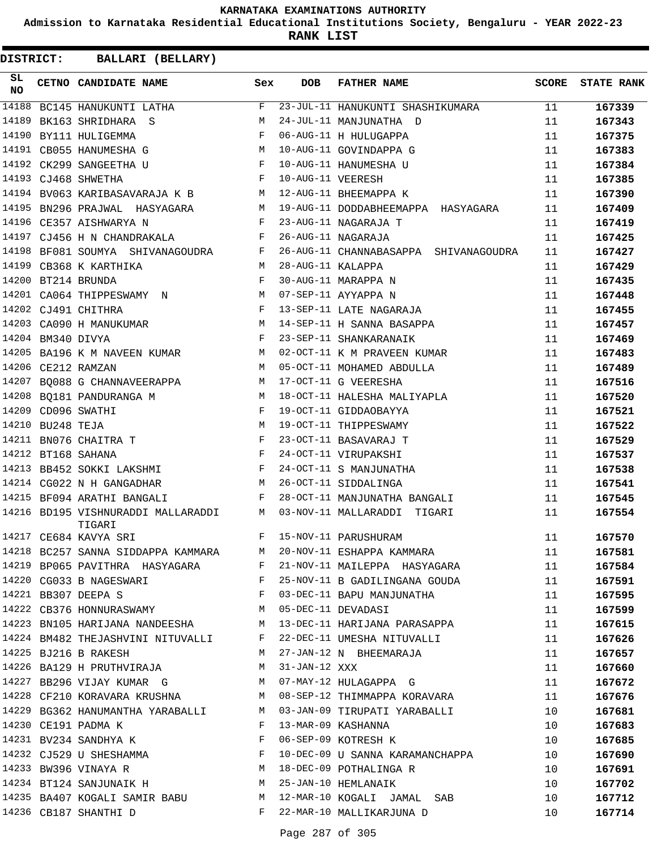**Admission to Karnataka Residential Educational Institutions Society, Bengaluru - YEAR 2022-23**

**RANK LIST**

| SL<br><b>NO</b> |                   | CETNO CANDIDATE NAME                                                  | Sex          | DOB               | FATHER NAME                                                                                                                                                                                                                                                                             | SCORE | <b>STATE RANK</b> |
|-----------------|-------------------|-----------------------------------------------------------------------|--------------|-------------------|-----------------------------------------------------------------------------------------------------------------------------------------------------------------------------------------------------------------------------------------------------------------------------------------|-------|-------------------|
| 14188           |                   | $BC145$ HANUKUNTI LATHA F                                             |              |                   | 23-JUL-11 HANUKUNTI SHASHIKUMARA                                                                                                                                                                                                                                                        | 11    | 167339            |
| 14189           |                   | BK163 SHRIDHARA S                                                     | M            |                   | 24-JUL-11 MANJUNATHA D                                                                                                                                                                                                                                                                  | 11    | 167343            |
| 14190           |                   | BY111 HULIGEMMA                                                       | F            |                   | 06-AUG-11 H HULUGAPPA                                                                                                                                                                                                                                                                   | 11    | 167375            |
|                 |                   | M<br>14191 CB055 HANUMESHA G                                          |              |                   | 10-AUG-11 GOVINDAPPA G                                                                                                                                                                                                                                                                  | 11    | 167383            |
|                 |                   | 14192 CK299 SANGEETHA U                                               | $\mathbb{F}$ |                   | 10-AUG-11 HANUMESHA U                                                                                                                                                                                                                                                                   | 11    | 167384            |
|                 |                   | $\mathbf{F}$ and $\mathbf{F}$ and $\mathbf{F}$<br>14193 CJ468 SHWETHA |              | 10-AUG-11 VEERESH |                                                                                                                                                                                                                                                                                         | 11    | 167385            |
|                 |                   | 14194 BV063 KARIBASAVARAJA K B M 12-AUG-11 BHEEMAPPA K                |              |                   |                                                                                                                                                                                                                                                                                         | 11    | 167390            |
|                 |                   | 14195 BN296 PRAJWAL HASYAGARA<br>M <sub>N</sub>                       |              |                   | 19-AUG-11 DODDABHEEMAPPA HASYAGARA                                                                                                                                                                                                                                                      | 11    | 167409            |
|                 |                   | 14196 CE357 AISHWARYA N                                               | $\mathbf{F}$ |                   | 23-AUG-11 NAGARAJA T                                                                                                                                                                                                                                                                    | 11    | 167419            |
|                 |                   | 14197 CJ456 H N CHANDRAKALA                                           | $\mathbf{F}$ |                   | 26-AUG-11 NAGARAJA                                                                                                                                                                                                                                                                      | 11    | 167425            |
|                 |                   | 14198 BF081 SOUMYA SHIVANAGOUDRA F                                    |              |                   | 26-AUG-11 CHANNABASAPPA SHIVANAGOUDRA                                                                                                                                                                                                                                                   | 11    | 167427            |
|                 |                   | 14199 CB368 K KARTHIKA                                                | M            | 28-AUG-11 KALAPPA |                                                                                                                                                                                                                                                                                         | 11    | 167429            |
|                 |                   | 14200 BT214 BRUNDA                                                    | $\mathbf{F}$ |                   | 30-AUG-11 MARAPPA N                                                                                                                                                                                                                                                                     | 11    | 167435            |
|                 |                   | 14201 CA064 THIPPESWAMY N M                                           |              |                   | 07-SEP-11 AYYAPPA N                                                                                                                                                                                                                                                                     | 11    | 167448            |
|                 |                   | 14202 CJ491 CHITHRA<br>$\mathbf{F}$ and $\mathbf{F}$ and $\mathbf{F}$ |              |                   | 13-SEP-11 LATE NAGARAJA                                                                                                                                                                                                                                                                 | 11    | 167455            |
|                 |                   | 14203 CA090 H MANUKUMAR M                                             |              |                   | 14-SEP-11 H SANNA BASAPPA                                                                                                                                                                                                                                                               | 11    | 167457            |
|                 | 14204 BM340 DIVYA |                                                                       | $\mathbf{F}$ |                   | 23-SEP-11 SHANKARANAIK                                                                                                                                                                                                                                                                  | 11    | 167469            |
| 14205           |                   | BA196 K M NAVEEN KUMAR M                                              |              |                   | 02-OCT-11 K M PRAVEEN KUMAR                                                                                                                                                                                                                                                             | 11    | 167483            |
|                 |                   | $M_{\rm H}$<br>14206 CE212 RAMZAN                                     |              |                   | 05-OCT-11 MOHAMED ABDULLA                                                                                                                                                                                                                                                               | 11    | 167489            |
|                 |                   | 14207 BQ088 G CHANNAVEERAPPA M                                        |              |                   | 17-OCT-11 G VEERESHA                                                                                                                                                                                                                                                                    | 11    | 167516            |
|                 |                   | $\frac{1}{M}$<br>14208 BQ181 PANDURANGA M                             |              |                   | 18-OCT-11 HALESHA MALIYAPLA                                                                                                                                                                                                                                                             | 11    | 167520            |
|                 |                   | 14209 CD096 SWATHI<br>$\mathbf{F}$ and the contract of $\mathbf{F}$   |              |                   | 19-OCT-11 GIDDAOBAYYA                                                                                                                                                                                                                                                                   | 11    | 167521            |
|                 | 14210 BU248 TEJA  | <b>M</b>                                                              |              |                   | 19-OCT-11 THIPPESWAMY                                                                                                                                                                                                                                                                   | 11    | 167522            |
|                 |                   | $\mathbf{F}$<br>14211 BN076 CHAITRA T                                 |              |                   | 23-OCT-11 BASAVARAJ T                                                                                                                                                                                                                                                                   | 11    | 167529            |
|                 |                   | 14212 BT168 SAHANA                                                    | $\mathbf{F}$ |                   | 24-OCT-11 VIRUPAKSHI                                                                                                                                                                                                                                                                    | 11    | 167537            |
| 14213           |                   | BB452 SOKKI LAKSHMI F                                                 |              |                   | 24-OCT-11 S MANJUNATHA                                                                                                                                                                                                                                                                  | 11    | 167538            |
|                 |                   | 14214 CG022 N H GANGADHAR                                             | M            |                   | 26-OCT-11 SIDDALINGA                                                                                                                                                                                                                                                                    | 11    | 167541            |
|                 |                   | 14215 BF094 ARATHI BANGALI                                            | F            |                   | 28-OCT-11 MANJUNATHA BANGALI                                                                                                                                                                                                                                                            | 11    | 167545            |
|                 |                   | 14216 BD195 VISHNURADDI MALLARADDI<br>M <sub>1</sub><br>TIGARI        |              |                   | 03-NOV-11 MALLARADDI TIGARI                                                                                                                                                                                                                                                             | 11    | 167554            |
|                 |                   | F 15-NOV-11 PARUSHURAM<br>14217 CE684 KAVYA SRI                       |              |                   |                                                                                                                                                                                                                                                                                         | 11    | 167570            |
|                 |                   |                                                                       |              |                   | 14218 BC257 SANNA SIDDAPPA KAMMARA M 20-NOV-11 ESHAPPA KAMMARA                                                                                                                                                                                                                          | 11    | 167581            |
|                 |                   | 14219 BP065 PAVITHRA HASYAGARA F                                      |              |                   | 21-NOV-11 MAILEPPA HASYAGARA 11                                                                                                                                                                                                                                                         |       | 167584            |
|                 |                   |                                                                       |              |                   | 14220 CG033 B NAGESWARI F 25-NOV-11 B GADILINGANA GOUDA 11                                                                                                                                                                                                                              |       | 167591            |
|                 |                   |                                                                       |              |                   |                                                                                                                                                                                                                                                                                         | 11    | 167595            |
|                 |                   |                                                                       |              |                   | 14221 BB307 DEEPA S<br>14222 CB376 HONNURASWAMY M 05-DEC-11 DEVADASI                                                                                                                                                                                                                    | 11    | 167599            |
|                 |                   |                                                                       |              |                   | 14223 BN105 HARIJANA NANDEESHA M 13-DEC-11 HARIJANA PARASAPPA                                                                                                                                                                                                                           | 11    | 167615            |
|                 |                   |                                                                       |              |                   | 14224 BM482 THEJASHVINI NITUVALLI F 22-DEC-11 UMESHA NITUVALLI                                                                                                                                                                                                                          | 11    | 167626            |
|                 |                   |                                                                       |              |                   | M 27-JAN-12 N BHEEMARAJA<br>14225 BJ216 B RAKESH                             M   27-JAN-12 N  BHEEMARAJA<br>14226 BA129 H PRUTHVIRAJA                       M   31-JAN-12   XXX<br>14227 BB296 VIJAY KUMAR  G                     M   07-MAY-12 HULAGAPPA  G                            | 11    | 167657            |
|                 |                   |                                                                       |              |                   |                                                                                                                                                                                                                                                                                         | 11    | 167660            |
|                 |                   |                                                                       |              |                   |                                                                                                                                                                                                                                                                                         | 11    | 167672            |
|                 |                   |                                                                       |              |                   | 14228 CF210 KORAVARA KRUSHNA M 08-SEP-12 THIMMAPPA KORAVARA 11                                                                                                                                                                                                                          |       | 167676            |
|                 |                   |                                                                       |              |                   | 14229 BG362 HANUMANTHA YARABALLI M 03-JAN-09 TIRUPATI YARABALLI                                                                                                                                                                                                                         | 10    | 167681            |
|                 |                   |                                                                       |              |                   |                                                                                                                                                                                                                                                                                         |       | 167683            |
|                 |                   |                                                                       |              |                   | $\begin{array}{ccccccccccccc} 14230 & \text{CE}191 & \text{PADMA} & \text{K} & & & & & \text{F} & 13-MAR-09 & \text{KASHANNA} & & & & & & 10 \\ 14231 & \text{BV2}34 & \text{SANDHYA} & \text{K} & & & & & \text{F} & 06-SEP-09 & \text{KOTRESH} & \text{K} & & & & & & 10 \end{array}$ |       | 167685            |
|                 |                   |                                                                       |              |                   | 14232 CJ529 U SHESHAMMA<br>F 10-DEC-09 U SANNA KARAMANCHAPPA 10                                                                                                                                                                                                                         |       | 167690            |
|                 |                   |                                                                       |              |                   |                                                                                                                                                                                                                                                                                         |       | 167691            |
|                 |                   |                                                                       |              |                   | 14233 BW396 VINAYA R<br>14234 BT124 SANJUNAIK H M 25-JAN-10 HEMLANAIK<br>10                                                                                                                                                                                                             |       | 167702            |
|                 |                   |                                                                       |              |                   | 14235 BA407 KOGALI SAMIR BABU M 12-MAR-10 KOGALI JAMAL SAB 10                                                                                                                                                                                                                           |       | 167712            |
|                 |                   |                                                                       |              |                   | 14236 CB187 SHANTHI D F 22-MAR-10 MALLIKARJUNA D                                                                                                                                                                                                                                        | 10    | 167714            |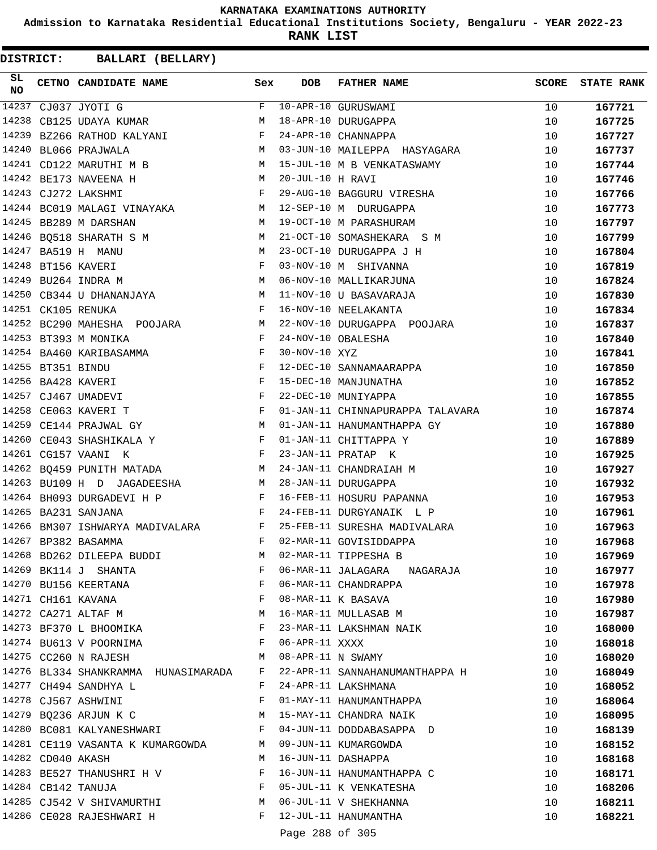**Admission to Karnataka Residential Educational Institutions Society, Bengaluru - YEAR 2022-23**

**RANK LIST**

| SL.<br><b>NO</b> |                   | CETNO CANDIDATE NAME Sex                                                                                                                 |   | DOB               | FATHER NAME                                                      | SCORE    | <b>STATE RANK</b> |
|------------------|-------------------|------------------------------------------------------------------------------------------------------------------------------------------|---|-------------------|------------------------------------------------------------------|----------|-------------------|
|                  |                   | 14237 CJ037 JYOTI G                                                                                                                      |   |                   | F 10-APR-10 GURUSWAMI                                            | 10       | 167721            |
| 14238            |                   | CB125 UDAYA KUMAR M M 18-APR-10 DURUGAPPA                                                                                                |   |                   |                                                                  | 10       | 167725            |
| 14239            |                   | BZ266 RATHOD KALYANI F                                                                                                                   |   |                   | 24-APR-10 CHANNAPPA                                              | 10       | 167727            |
|                  |                   | M<br>14240 BL066 PRAJWALA                                                                                                                |   |                   | 03-JUN-10 MAILEPPA HASYAGARA                                     | 10       | 167737            |
|                  |                   |                                                                                                                                          |   |                   | 14241 CD122 MARUTHI M B<br>14241 CD122 MARUTHI M B               | 10       | 167744            |
|                  |                   | M 20-JUL-10 H RAVI<br>14242 BE173 NAVEENA H                                                                                              |   |                   |                                                                  | 10       | 167746            |
|                  |                   | $\mathbf{F}$ . The set of $\mathbf{F}$<br>14243 CJ272 LAKSHMI                                                                            |   |                   | 29-AUG-10 BAGGURU VIRESHA                                        | 10       | 167766            |
|                  |                   | 14244 BC019 MALAGI VINAYAKA M 12-SEP-10 M DURUGAPPA                                                                                      |   |                   |                                                                  | 10       | 167773            |
|                  |                   | 14245 BB289 M DARSHAN                                                                                                                    |   |                   | M 19-OCT-10 M PARASHURAM                                         | 10       | 167797            |
|                  |                   |                                                                                                                                          |   |                   |                                                                  | 10       | 167799            |
|                  |                   | M <sub>N</sub><br>14247 BA519 H MANU                                                                                                     |   |                   | 23-OCT-10 DURUGAPPA J H                                          | 10       | 167804            |
|                  |                   | 14248 BT156 KAVERI                                                                                                                       |   |                   | F 03-NOV-10 M SHIVANNA<br>M 06-NOV-10 MALLIKARJUNA               | 10       | 167819            |
|                  |                   | 14249 BU264 INDRA M                                                                                                                      |   |                   |                                                                  | 10       | 167824            |
|                  |                   |                                                                                                                                          |   |                   | 14250 CB344 U DHANANJAYA M 11-NOV-10 U BASAVARAJA                | 10       | 167830            |
|                  |                   | 14251 CK105 RENUKA                                                                                                                       |   |                   | F 16-NOV-10 NEELAKANTA                                           | 10       | 167834            |
|                  |                   |                                                                                                                                          |   |                   | 14252 BC290 MAHESHA POOJARA M 22-NOV-10 DURUGAPPA POOJARA        | 10       | 167837            |
|                  |                   | F 24-NOV-10 OBALESHA<br>14253 BT393 M MONIKA                                                                                             |   |                   |                                                                  | 10       | 167840            |
|                  |                   | 14254 BA460 KARIBASAMMA $F$ 30-NOV-10 XYZ                                                                                                |   |                   |                                                                  | 10       | 167841            |
|                  | 14255 BT351 BINDU | $\mathbf{F}$ and $\mathbf{F}$ are $\mathbf{F}$                                                                                           |   |                   | 12-DEC-10 SANNAMAARAPPA                                          | 10       | 167850            |
|                  |                   | $\mathbf{F}$<br>14256 BA428 KAVERI                                                                                                       |   |                   | 15-DEC-10 MANJUNATHA                                             | 10       | 167852            |
|                  |                   | 14257 CJ467 UMADEVI                                                                                                                      |   |                   | 22-DEC-10 MUNIYAPPA                                              | 10       | 167855            |
|                  |                   | $\begin{aligned} \mathbf{F} \\ \mathbf{F} \end{aligned}$<br>14258 CE063 KAVERI T                                                         |   |                   | 01-JAN-11 CHINNAPURAPPA TALAVARA                                 | 10       | 167874            |
|                  |                   | 14259 CE144 PRAJWAL GY                                                                                                                   |   |                   | M 01-JAN-11 HANUMANTHAPPA GY                                     | 10       | 167880            |
|                  |                   | 14260 CE043 SHASHIKALA Y $F$ 01-JAN-11 CHITTAPPA Y                                                                                       |   |                   |                                                                  | 10       | 167889            |
|                  |                   | $\mathbb F$<br>14261 CG157 VAANI K                                                                                                       |   |                   | 23-JAN-11 PRATAP K                                               | 10       | 167925            |
|                  |                   |                                                                                                                                          |   |                   | 14262 BQ459 PUNITH MATADA M 24-JAN-11 CHANDRAIAH M               | 10       | 167927            |
|                  |                   | 14263 BU109 H D JAGADEESHA M 28-JAN-11 DURUGAPPA                                                                                         |   |                   |                                                                  | 10       | 167932            |
|                  |                   |                                                                                                                                          |   |                   | 16-FEB-11 HOSURU PAPANNA                                         | 10       | 167953            |
|                  |                   | 14263 BUIUY H D CASABELLES<br> 14264 BH093 DURGADEVI H P   F 16-FEB-11 HOSURU PAPANNA<br> - 1005   CANARANA   F 24-FEB-11 DURGYANAIK   P |   |                   |                                                                  | 10       | 167961            |
|                  |                   |                                                                                                                                          |   |                   | 14266 BM307 ISHWARYA MADIVALARA B P 25-FEB-11 SURESHA MADIVALARA | 10       | 167963            |
|                  |                   | 14267 BP382 BASAMMA                                                                                                                      |   |                   | F 02-MAR-11 GOVISIDDAPPA                                         | 10       | 167968            |
|                  |                   | 14268 BD262 DILEEPA BUDDI                                                                                                                | M |                   | 02-MAR-11 TIPPESHA B                                             |          |                   |
|                  |                   | 14269 BK114 J SHANTA                                                                                                                     | F |                   | 06-MAR-11 JALAGARA NAGARAJA                                      | 10<br>10 | 167969<br>167977  |
|                  |                   | 14270 BU156 KEERTANA                                                                                                                     | F |                   | 06-MAR-11 CHANDRAPPA                                             | 10       | 167978            |
|                  |                   | 14271 CH161 KAVANA                                                                                                                       | F |                   | 08-MAR-11 K BASAVA                                               |          |                   |
|                  |                   | 14272 CA271 ALTAF M                                                                                                                      | M |                   | 16-MAR-11 MULLASAB M                                             | 10       | 167980            |
|                  |                   |                                                                                                                                          | F |                   |                                                                  | 10       | 167987            |
|                  |                   | 14273 BF370 L BHOOMIKA                                                                                                                   |   |                   | 23-MAR-11 LAKSHMAN NAIK                                          | 10       | 168000            |
|                  |                   | 14274 BU613 V POORNIMA                                                                                                                   | F | 06-APR-11 XXXX    |                                                                  | 10       | 168018            |
|                  |                   | 14275 CC260 N RAJESH                                                                                                                     | М | 08-APR-11 N SWAMY |                                                                  | 10       | 168020            |
|                  |                   | 14276 BL334 SHANKRAMMA HUNASIMARADA                                                                                                      | F |                   | 22-APR-11 SANNAHANUMANTHAPPA H                                   | 10       | 168049            |
|                  |                   | 14277 CH494 SANDHYA L                                                                                                                    | F |                   | 24-APR-11 LAKSHMANA                                              | 10       | 168052            |
|                  |                   | 14278 CJ567 ASHWINI                                                                                                                      | F |                   | 01-MAY-11 HANUMANTHAPPA                                          | 10       | 168064            |
|                  |                   | 14279 BQ236 ARJUN K C                                                                                                                    | M |                   | 15-MAY-11 CHANDRA NAIK                                           | 10       | 168095            |
|                  |                   | 14280 BC081 KALYANESHWARI                                                                                                                | F |                   | 04-JUN-11 DODDABASAPPA D                                         | 10       | 168139            |
|                  |                   | 14281 CE119 VASANTA K KUMARGOWDA                                                                                                         |   |                   | M 09-JUN-11 KUMARGOWDA                                           | 10       | 168152            |
|                  | 14282 CD040 AKASH |                                                                                                                                          | М |                   | 16-JUN-11 DASHAPPA                                               | 10       | 168168            |
|                  |                   | 14283 BE527 THANUSHRI H V                                                                                                                | F |                   | 16-JUN-11 HANUMANTHAPPA C                                        | 10       | 168171            |
|                  |                   | 14284 CB142 TANUJA                                                                                                                       | F |                   | 05-JUL-11 K VENKATESHA                                           | 10       | 168206            |
|                  |                   | 14285 CJ542 V SHIVAMURTHI                                                                                                                | M |                   | 06-JUL-11 V SHEKHANNA                                            | 10       | 168211            |
|                  |                   | 14286 CE028 RAJESHWARI H                                                                                                                 | F |                   | 12-JUL-11 HANUMANTHA                                             | 10       | 168221            |
|                  |                   |                                                                                                                                          |   | Page 288 of 305   |                                                                  |          |                   |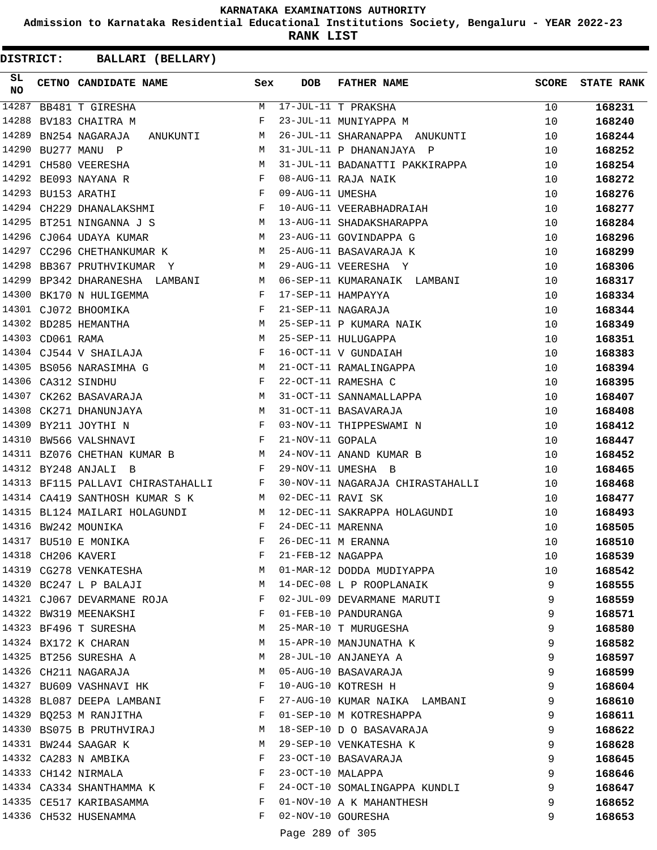**Admission to Karnataka Residential Educational Institutions Society, Bengaluru - YEAR 2022-23**

**RANK LIST**

**DISTRICT:** CC **BALLARI (BELLARY)**

| SL<br>NO |                  | CETNO CANDIDATE NAME                             | Sex          | <b>DOB</b>        | <b>FATHER NAME</b>               | <b>SCORE</b> | <b>STATE RANK</b> |
|----------|------------------|--------------------------------------------------|--------------|-------------------|----------------------------------|--------------|-------------------|
| 14287    |                  | BB481 T GIRESHA                                  | М            |                   | 17-JUL-11 T PRAKSHA              | 10           | 168231            |
| 14288    |                  | BV183 CHAITRA M                                  | F            |                   | 23-JUL-11 MUNIYAPPA M            | 10           | 168240            |
| 14289    |                  | BN254 NAGARAJA<br>ANUKUNTI                       | M            |                   | 26-JUL-11 SHARANAPPA ANUKUNTI    | 10           | 168244            |
| 14290    |                  | BU277 MANU P                                     | M            |                   | 31-JUL-11 P DHANANJAYA P         | 10           | 168252            |
| 14291    |                  | CH580 VEERESHA                                   | М            |                   | 31-JUL-11 BADANATTI PAKKIRAPPA   | 10           | 168254            |
|          |                  | 14292 BE093 NAYANA R                             | F            |                   | 08-AUG-11 RAJA NAIK              | 10           | 168272            |
| 14293    |                  | $\mathbf{F}$<br>BU153 ARATHI                     |              | 09-AUG-11 UMESHA  |                                  | 10           | 168276            |
|          |                  | 14294 CH229 DHANALAKSHMI                         | $\mathbf{F}$ |                   | 10-AUG-11 VEERABHADRAIAH         | 10           | 168277            |
| 14295    |                  | BT251 NINGANNA J S                               |              |                   | M 13-AUG-11 SHADAKSHARAPPA       | 10           | 168284            |
| 14296    |                  | CJ064 UDAYA KUMAR                                | M            |                   | 23-AUG-11 GOVINDAPPA G           | 10           | 168296            |
| 14297    |                  | CC296 CHETHANKUMAR K                             | M            |                   | 25-AUG-11 BASAVARAJA K           | 10           | 168299            |
| 14298    |                  | BB367 PRUTHVIKUMAR Y                             | M            |                   | 29-AUG-11 VEERESHA Y             | 10           | 168306            |
| 14299    |                  | BP342 DHARANESHA LAMBANI                         | M            |                   | 06-SEP-11 KUMARANAIK LAMBANI     | 10           | 168317            |
| 14300    |                  | BK170 N HULIGEMMA                                | F            |                   | 17-SEP-11 HAMPAYYA               | 10           | 168334            |
|          |                  | $\mathbf{F}$<br>14301 CJ072 BHOOMIKA             |              |                   | 21-SEP-11 NAGARAJA               | 10           | 168344            |
|          |                  | 14302 BD285 HEMANTHA                             | M            |                   | 25-SEP-11 P KUMARA NAIK          | 10           | 168349            |
|          | 14303 CD061 RAMA |                                                  | M            |                   | 25-SEP-11 HULUGAPPA              | 10           | 168351            |
|          |                  | 14304 CJ544 V SHAILAJA                           | F            |                   | 16-OCT-11 V GUNDAIAH             | 10           | 168383            |
|          |                  | M<br>14305 BS056 NARASIMHA G                     |              |                   | 21-OCT-11 RAMALINGAPPA           | 10           | 168394            |
|          |                  | 14306 CA312 SINDHU                               | $\mathbf{F}$ |                   | 22-OCT-11 RAMESHA C              | 10           | 168395            |
| 14307    |                  | CK262 BASAVARAJA<br><b>M</b>                     |              |                   | 31-OCT-11 SANNAMALLAPPA          | 10           | 168407            |
| 14308    |                  | M <sub>N</sub><br>CK271 DHANUNJAYA               |              |                   | 31-OCT-11 BASAVARAJA             | 10           | 168408            |
| 14309    |                  | $\mathbf{F}$ and $\mathbf{F}$<br>BY211 JOYTHI N  |              |                   | 03-NOV-11 THIPPESWAMI N          | 10           | 168412            |
|          |                  | 14310 BW566 VALSHNAVI                            | $\mathbf{F}$ | 21-NOV-11 GOPALA  |                                  | 10           | 168447            |
|          |                  | 14311 BZ076 CHETHAN KUMAR B M                    |              |                   | 24-NOV-11 ANAND KUMAR B          | 10           | 168452            |
|          |                  | 14312 BY248 ANJALI B                             | F            |                   | 29-NOV-11 UMESHA B               | 10           | 168465            |
|          |                  | 14313 BF115 PALLAVI CHIRASTAHALLI F              |              |                   | 30-NOV-11 NAGARAJA CHIRASTAHALLI | 10           | 168468            |
|          |                  | 14314 CA419 SANTHOSH KUMAR S K<br>M <sub>N</sub> |              | 02-DEC-11 RAVI SK |                                  | 10           | 168477            |
|          |                  | 14315 BL124 MAILARI HOLAGUNDI                    | M            |                   | 12-DEC-11 SAKRAPPA HOLAGUNDI     | 10           | 168493            |
|          |                  | 14316 BW242 MOUNIKA                              | F            | 24-DEC-11 MARENNA |                                  | 10           | 168505            |
|          |                  | 14317 BU510 E MONIKA                             | F            |                   | 26-DEC-11 M ERANNA               | 10           | 168510            |
|          |                  | 14318 CH206 KAVERI                               | F            | 21-FEB-12 NAGAPPA |                                  | 10           | 168539            |
|          |                  | 14319 CG278 VENKATESHA                           | M            |                   | 01-MAR-12 DODDA MUDIYAPPA        | 10           | 168542            |
|          |                  | 14320 BC247 L P BALAJI                           | M            |                   | 14-DEC-08 L P ROOPLANAIK         | 9            | 168555            |
|          |                  | 14321 CJ067 DEVARMANE ROJA                       | $\mathbf{F}$ |                   | 02-JUL-09 DEVARMANE MARUTI       | 9            | 168559            |
|          |                  | 14322 BW319 MEENAKSHI                            | $\mathbf{F}$ |                   | 01-FEB-10 PANDURANGA             | 9            | 168571            |
|          |                  | 14323 BF496 T SURESHA                            | M            |                   | 25-MAR-10 T MURUGESHA            | 9            | 168580            |
|          |                  | 14324 BX172 K CHARAN                             | M            |                   | 15-APR-10 MANJUNATHA K           | 9            | 168582            |
|          |                  | 14325 BT256 SURESHA A                            | M            |                   | 28-JUL-10 ANJANEYA A             | 9            | 168597            |
|          |                  | 14326 CH211 NAGARAJA                             | M            |                   | 05-AUG-10 BASAVARAJA             | 9            | 168599            |
|          |                  | 14327 BU609 VASHNAVI HK                          | F            |                   | 10-AUG-10 KOTRESH H              | 9            | 168604            |
|          |                  | 14328 BL087 DEEPA LAMBANI                        | F            |                   | 27-AUG-10 KUMAR NAIKA LAMBANI    | 9            | 168610            |
|          |                  | 14329 BQ253 M RANJITHA                           | $\mathbf{F}$ |                   | 01-SEP-10 M KOTRESHAPPA          | 9            | 168611            |
|          |                  | 14330 BS075 B PRUTHVIRAJ                         | M            |                   | 18-SEP-10 D O BASAVARAJA         | 9            | 168622            |
|          |                  | 14331 BW244 SAAGAR K                             | M            |                   | 29-SEP-10 VENKATESHA K           | 9            | 168628            |
|          |                  | 14332 CA283 N AMBIKA                             | F            |                   | 23-OCT-10 BASAVARAJA             | 9            | 168645            |
|          |                  | 14333 CH142 NIRMALA                              | F            | 23-OCT-10 MALAPPA |                                  | 9            | 168646            |
|          |                  | 14334 CA334 SHANTHAMMA K                         | F            |                   | 24-OCT-10 SOMALINGAPPA KUNDLI    | 9            | 168647            |
|          |                  | 14335 CE517 KARIBASAMMA                          | F            |                   | 01-NOV-10 A K MAHANTHESH         | 9            | 168652            |
|          |                  | 14336 CH532 HUSENAMMA                            | F            |                   | 02-NOV-10 GOURESHA               | 9            | 168653            |
|          |                  |                                                  |              | Daxa 200 af 20E   |                                  |              |                   |

Page 289 of 305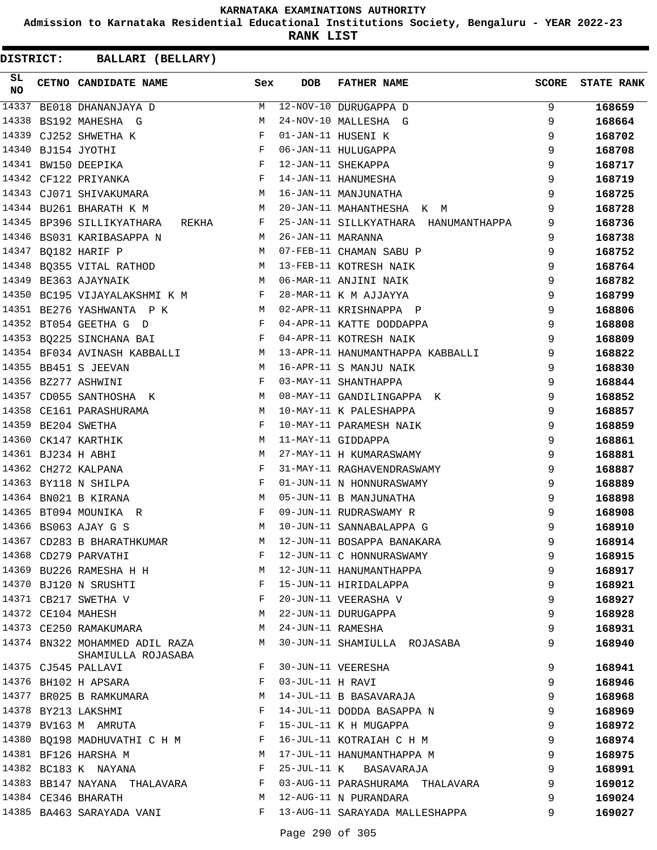**Admission to Karnataka Residential Educational Institutions Society, Bengaluru - YEAR 2022-23**

**RANK LIST**

| SL<br><b>NO</b> | CETNO CANDIDATE NAME                                                   | Sex          | <b>DOB</b>        | <b>FATHER NAME</b>                   | <b>SCORE</b> | <b>STATE RANK</b> |
|-----------------|------------------------------------------------------------------------|--------------|-------------------|--------------------------------------|--------------|-------------------|
| 14337           | BE018 DHANANJAYA D                                                     | M            |                   | 12-NOV-10 DURUGAPPA D                | 9            | 168659            |
| 14338           | BS192 MAHESHA G                                                        | M            |                   | 24-NOV-10 MALLESHA G                 | 9            | 168664            |
| 14339           | CJ252 SHWETHA K                                                        | F            |                   | 01-JAN-11 HUSENI K                   | 9            | 168702            |
|                 | 14340 BJ154 JYOTHI                                                     | $\mathbf{F}$ |                   | 06-JAN-11 HULUGAPPA                  | 9            | 168708            |
|                 | 14341 BW150 DEEPIKA                                                    | $_{\rm F}$   |                   | 12-JAN-11 SHEKAPPA                   | 9            | 168717            |
|                 | $\mathbf{F}$ and $\mathbf{F}$ and $\mathbf{F}$<br>14342 CF122 PRIYANKA |              |                   | 14-JAN-11 HANUMESHA                  | 9            | 168719            |
|                 | 14343 CJ071 SHIVAKUMARA M                                              |              |                   | 16-JAN-11 MANJUNATHA                 | 9            | 168725            |
|                 | 14344 BU261 BHARATH K M                                                | M            |                   | 20-JAN-11 MAHANTHESHA K M            | 9            | 168728            |
|                 | 14345 BP396 SILLIKYATHARA<br>REKHA                                     | F            |                   | 25-JAN-11 SILLKYATHARA HANUMANTHAPPA | 9            | 168736            |
| 14346           | BS031 KARIBASAPPA N                                                    | М            | 26-JAN-11 MARANNA |                                      | 9            | 168738            |
| 14347           | BQ182 HARIF P                                                          | M            |                   | 07-FEB-11 CHAMAN SABU P              | 9            | 168752            |
|                 |                                                                        | M            |                   | 13-FEB-11 KOTRESH NAIK               | 9            | 168764            |
|                 | 14348 BQ355 VITAL RATHOD<br>14349 BE363 AJAYNAIK                       | M            |                   | 06-MAR-11 ANJINI NAIK                | 9            | 168782            |
|                 | 14350 BC195 VIJAYALAKSHMI K M F                                        |              |                   | 28-MAR-11 K M AJJAYYA                | 9            | 168799            |
|                 | 14351 BE276 YASHWANTA P K<br><b>M</b>                                  |              |                   | 02-APR-11 KRISHNAPPA P               | 9            | 168806            |
|                 | 14352 BT054 GEETHA G D                                                 | F            |                   | 04-APR-11 KATTE DODDAPPA             | 9            | 168808            |
|                 | 14353 BQ225 SINCHANA BAI                                               | $\mathbf{F}$ |                   | 04-APR-11 KOTRESH NAIK               | 9            | 168809            |
|                 | 14354 BF034 AVINASH KABBALLI M                                         |              |                   | 13-APR-11 HANUMANTHAPPA KABBALLI     | 9            | 168822            |
|                 | 14355 BB451 S JEEVAN                                                   | M            |                   | 16-APR-11 S MANJU NAIK               | 9            | 168830            |
|                 | 14356 BZ277 ASHWINI                                                    | $_{\rm F}$   |                   | 03-MAY-11 SHANTHAPPA                 | 9            | 168844            |
| 14357           | CD055 SANTHOSHA K                                                      | M            |                   | 08-MAY-11 GANDILINGAPPA K            | 9            | 168852            |
| 14358           | CE161 PARASHURAMA<br>M <sub>1</sub>                                    |              |                   | 10-MAY-11 K PALESHAPPA               | 9            | 168857            |
| 14359           | BE204 SWETHA                                                           | $\mathbf{F}$ |                   | 10-MAY-11 PARAMESH NAIK              | 9            | 168859            |
| 14360           | CK147 KARTHIK                                                          | M            |                   | 11-MAY-11 GIDDAPPA                   | 9            | 168861            |
|                 | 14361 BJ234 H ABHI                                                     | M            |                   | 27-MAY-11 H KUMARASWAMY              | 9            | 168881            |
|                 | 14362 CH272 KALPANA                                                    | F            |                   | 31-MAY-11 RAGHAVENDRASWAMY           | 9            | 168887            |
|                 | 14363 BY118 N SHILPA                                                   | F            |                   | 01-JUN-11 N HONNURASWAMY             | 9            | 168889            |
|                 | 14364 BN021 B KIRANA                                                   | M            |                   | 05-JUN-11 B MANJUNATHA               | 9            | 168898            |
|                 | 14365 BT094 MOUNIKA R                                                  | $\mathbf{F}$ |                   | 09-JUN-11 RUDRASWAMY R               | 9            | 168908            |
|                 | 14366 BS063 AJAY G S                                                   | M            |                   | 10-JUN-11 SANNABALAPPA G             | 9            | 168910            |
|                 | 14367 CD283 B BHARATHKUMAR                                             | м            |                   | 12-JUN-11 BOSAPPA BANAKARA           | 9            | 168914            |
|                 | 14368 CD279 PARVATHI                                                   | F            |                   | 12-JUN-11 C HONNURASWAMY             | 9            | 168915            |
|                 | 14369 BU226 RAMESHA H H                                                | M            |                   | 12-JUN-11 HANUMANTHAPPA              | 9            | 168917            |
|                 | 14370 BJ120 N SRUSHTI                                                  | F            |                   | 15-JUN-11 HIRIDALAPPA                | 9            | 168921            |
|                 | 14371 CB217 SWETHA V                                                   | $\mathbf{F}$ |                   | 20-JUN-11 VEERASHA V                 | 9            | 168927            |
|                 | 14372 CE104 MAHESH                                                     | M            |                   | 22-JUN-11 DURUGAPPA                  | 9            | 168928            |
|                 | 14373 CE250 RAMAKUMARA                                                 | M            | 24-JUN-11 RAMESHA |                                      | 9            | 168931            |
|                 | 14374 BN322 MOHAMMED ADIL RAZA<br>SHAMIULLA ROJASABA                   | М            |                   | 30-JUN-11 SHAMIULLA ROJASABA         | 9            | 168940            |
|                 | 14375 CJ545 PALLAVI                                                    | F            |                   | 30-JUN-11 VEERESHA                   | 9            | 168941            |
|                 | 14376 BH102 H APSARA                                                   | F            | 03-JUL-11 H RAVI  |                                      | 9            | 168946            |
|                 | 14377 BR025 B RAMKUMARA                                                | М            |                   | 14-JUL-11 B BASAVARAJA               | 9            | 168968            |
|                 | 14378 BY213 LAKSHMI                                                    | F            |                   | 14-JUL-11 DODDA BASAPPA N            | 9            | 168969            |
|                 | 14379 BV163 M AMRUTA                                                   | $\mathbf{F}$ |                   | 15-JUL-11 K H MUGAPPA                | 9            | 168972            |
|                 | 14380 BQ198 MADHUVATHI C H M F                                         |              |                   | 16-JUL-11 KOTRAIAH C H M             | 9            | 168974            |
|                 | 14381 BF126 HARSHA M<br>$M_{\rm H}$ and $M_{\rm H}$                    |              |                   | 17-JUL-11 HANUMANTHAPPA M            | 9            | 168975            |
|                 | 14382 BC183 K NAYANA                                                   | $\mathbf{F}$ |                   | 25-JUL-11 K BASAVARAJA               | 9            | 168991            |
|                 | 14383 BB147 NAYANA THALAVARA                                           | F            |                   | 03-AUG-11 PARASHURAMA THALAVARA      | 9            | 169012            |
|                 | 14384 CE346 BHARATH                                                    | М            |                   | 12-AUG-11 N PURANDARA                | 9            | 169024            |
|                 | 14385 BA463 SARAYADA VANI                                              | F            |                   | 13-AUG-11 SARAYADA MALLESHAPPA       | 9            | 169027            |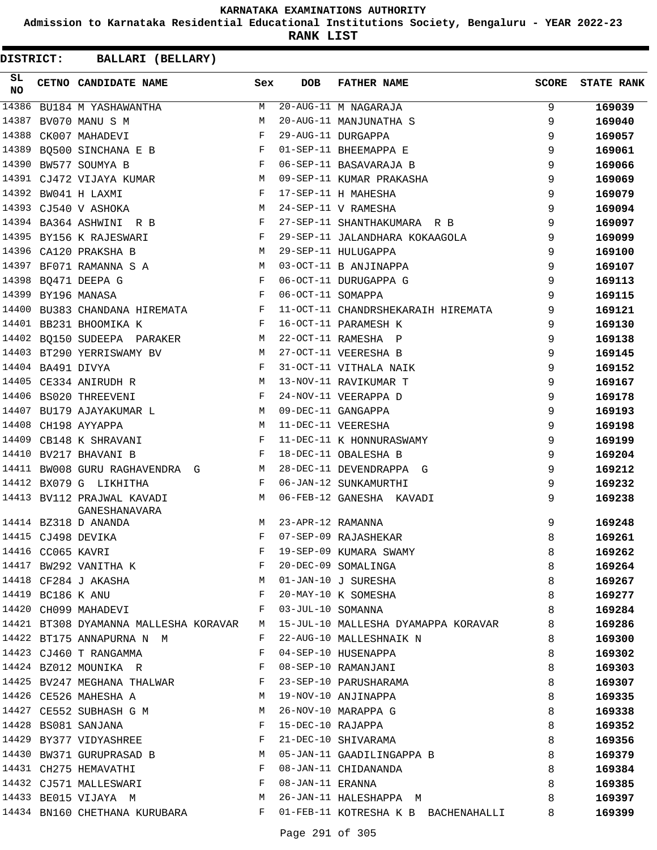**Admission to Karnataka Residential Educational Institutions Society, Bengaluru - YEAR 2022-23**

**RANK LIST**

| SL<br><b>NO</b> |                   | CETNO CANDIDATE NAME                                | Sex          | <b>DOB</b>        | <b>FATHER NAME</b>                  | <b>SCORE</b> | <b>STATE RANK</b> |
|-----------------|-------------------|-----------------------------------------------------|--------------|-------------------|-------------------------------------|--------------|-------------------|
| 14386           |                   | BU184 M YASHAWANTHA                                 | М            |                   | 20-AUG-11 M NAGARAJA                | 9            | 169039            |
| 14387           |                   | BV070 MANU S M                                      | M            |                   | 20-AUG-11 MANJUNATHA S              | 9            | 169040            |
| 14388           |                   | CK007 MAHADEVI                                      | F            |                   | 29-AUG-11 DURGAPPA                  | 9            | 169057            |
| 14389           |                   | BQ500 SINCHANA E B                                  | F            |                   | 01-SEP-11 BHEEMAPPA E               | 9            | 169061            |
| 14390           |                   | BW577 SOUMYA B                                      | F            |                   | 06-SEP-11 BASAVARAJA B              | 9            | 169066            |
|                 |                   | 14391 CJ472 VIJAYA KUMAR                            | М            |                   | 09-SEP-11 KUMAR PRAKASHA            | 9            | 169069            |
|                 |                   | 14392 BW041 H LAXMI                                 | $\mathbf{F}$ |                   | 17-SEP-11 H MAHESHA                 | 9            | 169079            |
|                 |                   | 14393 CJ540 V ASHOKA                                | M            |                   | 24-SEP-11 V RAMESHA                 | 9            | 169094            |
|                 |                   | 14394 BA364 ASHWINI R B                             | $\mathbf{F}$ |                   | 27-SEP-11 SHANTHAKUMARA R B         | 9            | 169097            |
|                 |                   | 14395 BY156 K RAJESWARI                             | F            |                   | 29-SEP-11 JALANDHARA KOKAAGOLA      | 9            | 169099            |
| 14396           |                   | CA120 PRAKSHA B                                     | М            |                   | 29-SEP-11 HULUGAPPA                 | 9            | 169100            |
|                 |                   | 14397 BF071 RAMANNA S A                             | M            |                   | 03-OCT-11 B ANJINAPPA               | 9            | 169107            |
|                 |                   | 14398 BQ471 DEEPA G                                 | $\mathbf{F}$ |                   | 06-OCT-11 DURUGAPPA G               | 9            | 169113            |
|                 |                   | 14399 BY196 MANASA<br>$\mathbf{F}$ and $\mathbf{F}$ |              | 06-OCT-11 SOMAPPA |                                     | 9            | 169115            |
|                 |                   | 14400 BU383 CHANDANA HIREMATA F                     |              |                   | 11-OCT-11 CHANDRSHEKARAIH HIREMATA  | 9            | 169121            |
|                 |                   | 14401 BB231 BHOOMIKA K                              | $\mathbf{F}$ |                   | 16-OCT-11 PARAMESH K                | 9            | 169130            |
|                 |                   | 14402 BQ150 SUDEEPA PARAKER                         | М            |                   | 22-OCT-11 RAMESHA P                 | 9            | 169138            |
|                 |                   | 14403 BT290 YERRISWAMY BV                           | М            |                   | 27-OCT-11 VEERESHA B                | 9            | 169145            |
|                 | 14404 BA491 DIVYA |                                                     | F            |                   | 31-OCT-11 VITHALA NAIK              | 9            | 169152            |
|                 |                   | 14405 CE334 ANIRUDH R                               | М            |                   | 13-NOV-11 RAVIKUMAR T               | 9            | 169167            |
|                 |                   | 14406 BS020 THREEVENI                               | $\mathbf{F}$ |                   | 24-NOV-11 VEERAPPA D                | 9            | 169178            |
|                 |                   | 14407 BU179 AJAYAKUMAR L                            | M            |                   | 09-DEC-11 GANGAPPA                  | 9            | 169193            |
|                 |                   | 14408 CH198 AYYAPPA                                 | M            |                   | 11-DEC-11 VEERESHA                  | 9            | 169198            |
|                 |                   | 14409 CB148 K SHRAVANI                              | $\mathbf{F}$ |                   | 11-DEC-11 K HONNURASWAMY            | 9            | 169199            |
| 14410           |                   | BV217 BHAVANI B                                     | F            |                   | 18-DEC-11 OBALESHA B                | 9            | 169204            |
| 14411           |                   | BW008 GURU RAGHAVENDRA G                            | M            |                   | 28-DEC-11 DEVENDRAPPA G             | 9            | 169212            |
|                 |                   | 14412 BX079 G LIKHITHA                              | $\mathbf{F}$ |                   | 06-JAN-12 SUNKAMURTHI               | 9            | 169232            |
|                 |                   | 14413 BV112 PRAJWAL KAVADI<br>GANESHANAVARA         | M            |                   | 06-FEB-12 GANESHA KAVADI            | 9            | 169238            |
|                 |                   | 14414 BZ318 D ANANDA                                | M            | 23-APR-12 RAMANNA |                                     | 9            | 169248            |
|                 |                   | 14415 CJ498 DEVIKA                                  | F            |                   | 07-SEP-09 RAJASHEKAR                | 8            | 169261            |
|                 | 14416 CC065 KAVRI |                                                     |              |                   | F 19-SEP-09 KUMARA SWAMY            | 8            | 169262            |
|                 |                   | $14410$ CC065 KAVRI<br>14417 BW292 VANITHA K        | F            |                   | 20-DEC-09 SOMALINGA                 | 8            | 169264            |
|                 |                   | 14418 CF284 J AKASHA                                | М            |                   | 01-JAN-10 J SURESHA                 | 8            | 169267            |
|                 | 14419 BC186 K ANU |                                                     | F            |                   | 20-MAY-10 K SOMESHA                 | 8            | 169277            |
|                 |                   | 14420 CH099 MAHADEVI                                | F            | 03-JUL-10 SOMANNA |                                     | 8            | 169284            |
|                 |                   | 14421 BT308 DYAMANNA MALLESHA KORAVAR               | M            |                   | 15-JUL-10 MALLESHA DYAMAPPA KORAVAR | 8            | 169286            |
|                 |                   | 14422 BT175 ANNAPURNA N M                           | F            |                   | 22-AUG-10 MALLESHNAIK N             | 8            | 169300            |
|                 |                   | 14423 CJ460 T RANGAMMA                              | F            |                   | 04-SEP-10 HUSENAPPA                 | 8            | 169302            |
|                 |                   | 14424 BZ012 MOUNIKA R                               | $\mathbf{F}$ |                   | 08-SEP-10 RAMANJANI                 | 8            | 169303            |
|                 |                   | 14425 BV247 MEGHANA THALWAR                         | F            |                   | 23-SEP-10 PARUSHARAMA               | 8            | 169307            |
|                 |                   | 14426 CE526 MAHESHA A                               | M            |                   | 19-NOV-10 ANJINAPPA                 | 8            | 169335            |
|                 |                   | 14427 CE552 SUBHASH G M                             | M            |                   | 26-NOV-10 MARAPPA G                 | 8            | 169338            |
|                 |                   | 14428 BS081 SANJANA                                 | F            | 15-DEC-10 RAJAPPA |                                     | 8            | 169352            |
|                 |                   | 14429 BY377 VIDYASHREE                              | F            |                   | 21-DEC-10 SHIVARAMA                 | 8            | 169356            |
|                 |                   | 14430 BW371 GURUPRASAD B                            | M            |                   | 05-JAN-11 GAADILINGAPPA B           | 8            | 169379            |
|                 |                   | 14431 CH275 HEMAVATHI                               | F            |                   | 08-JAN-11 CHIDANANDA                | 8            | 169384            |
|                 |                   | 14432 CJ571 MALLESWARI                              | F            | 08-JAN-11 ERANNA  |                                     | 8            | 169385            |
|                 |                   | 14433 BE015 VIJAYA M                                | М            |                   | 26-JAN-11 HALESHAPPA M              | 8            | 169397            |
|                 |                   | 14434 BN160 CHETHANA KURUBARA                       | F            |                   | 01-FEB-11 KOTRESHA K B BACHENAHALLI | 8            | 169399            |
|                 |                   |                                                     |              |                   |                                     |              |                   |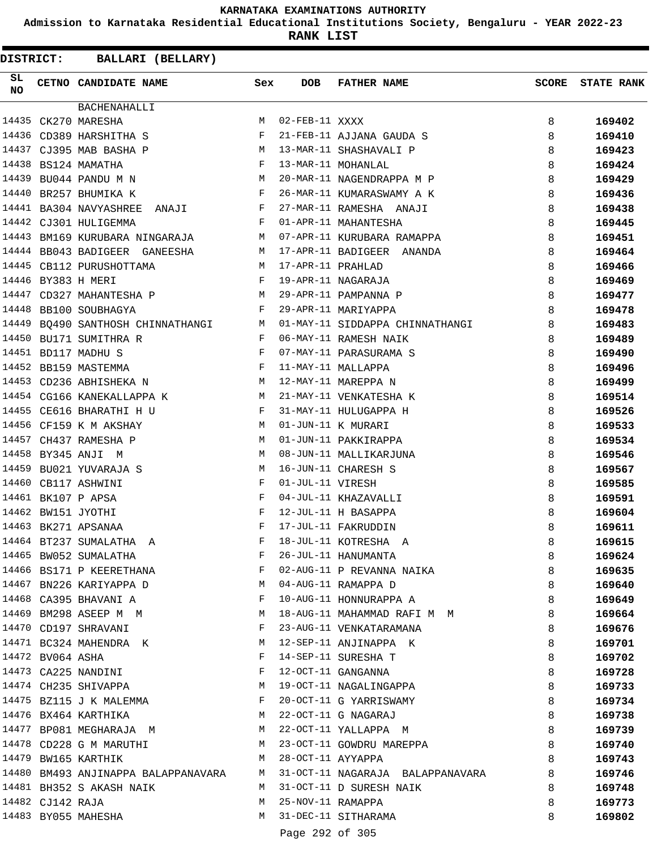**Admission to Karnataka Residential Educational Institutions Society, Bengaluru - YEAR 2022-23**

**RANK LIST**

 $\blacksquare$ 

| DISTRICT:       |                  |                                   | BALLARI (BELLARY)        |              |                   |                                                                        |       |                   |
|-----------------|------------------|-----------------------------------|--------------------------|--------------|-------------------|------------------------------------------------------------------------|-------|-------------------|
| SL<br><b>NO</b> |                  | CETNO CANDIDATE NAME              |                          | Sex          | <b>DOB</b>        | <b>FATHER NAME</b>                                                     | SCORE | <b>STATE RANK</b> |
|                 |                  | <b>BACHENAHALLI</b>               |                          |              |                   |                                                                        |       |                   |
|                 |                  | 14435 CK270 MARESHA               |                          | M            | 02-FEB-11 XXXX    |                                                                        | 8     | 169402            |
|                 |                  | 14436 CD389 HARSHITHA S           |                          | $_{\rm F}$   |                   | 21-FEB-11 AJJANA GAUDA S                                               | 8     | 169410            |
|                 |                  | 14437 CJ395 MAB BASHA P           | <b>M</b>                 |              |                   | 13-MAR-11 SHASHAVALI P                                                 | 8     | 169423            |
|                 |                  | 14438 BS124 MAMATHA               |                          | F            |                   | 13-MAR-11 MOHANLAL                                                     | 8     | 169424            |
| 14439           |                  | BU044 PANDU M N                   |                          | M            |                   | 20-MAR-11 NAGENDRAPPA M P                                              | 8     | 169429            |
|                 |                  | 14440 BR257 BHUMIKA K             |                          | F            |                   | 26-MAR-11 KUMARASWAMY A K                                              | 8     | 169436            |
|                 |                  | 14441 BA304 NAVYASHREE            | ANAJI                    | F            |                   | 27-MAR-11 RAMESHA ANAJI                                                | 8     | 169438            |
|                 |                  | 14442 CJ301 HULIGEMMA             |                          | F            |                   | 01-APR-11 MAHANTESHA                                                   | 8     | 169445            |
|                 |                  | 14443 BM169 KURUBARA NINGARAJA    |                          | M            |                   | 07-APR-11 KURUBARA RAMAPPA                                             | 8     | 169451            |
|                 |                  | 14444 BB043 BADIGEER GANEESHA     |                          | M            |                   | 17-APR-11 BADIGEER ANANDA                                              | 8     | 169464            |
|                 |                  | 14445 CB112 PURUSHOTTAMA          |                          | M            | 17-APR-11 PRAHLAD |                                                                        | 8     | 169466            |
|                 |                  | 14446 BY383 H MERI                |                          | F            |                   | 19-APR-11 NAGARAJA                                                     | 8     | 169469            |
| 14447           |                  | CD327 MAHANTESHA P                |                          | M            |                   | 29-APR-11 PAMPANNA P                                                   | 8     | 169477            |
|                 |                  | 14448 BB100 SOUBHAGYA             |                          | F            |                   | 29-APR-11 MARIYAPPA                                                    | 8     | 169478            |
|                 |                  | 14449 BQ490 SANTHOSH CHINNATHANGI |                          | М            |                   | 01-MAY-11 SIDDAPPA CHINNATHANGI                                        | 8     | 169483            |
| 14450           |                  | BU171 SUMITHRA R                  |                          | F            |                   | 06-MAY-11 RAMESH NAIK                                                  | 8     | 169489            |
|                 |                  | 14451 BD117 MADHU S               |                          | F            |                   | 07-MAY-11 PARASURAMA S                                                 | 8     | 169490            |
|                 |                  | 14452 BB159 MASTEMMA              |                          | F            |                   | 11-MAY-11 MALLAPPA                                                     | 8     | 169496            |
|                 |                  | 14453 CD236 ABHISHEKA N           | <b>Example 19</b> M      |              |                   | 12-MAY-11 MAREPPA N                                                    | 8     | 169499            |
|                 |                  | 14454 CG166 KANEKALLAPPA K        |                          | M            |                   | 21-MAY-11 VENKATESHA K                                                 | 8     | 169514            |
|                 |                  | 14455 CE616 BHARATHI H U          |                          | F            |                   | 31-MAY-11 HULUGAPPA H                                                  | 8     | 169526            |
|                 |                  | 14456 CF159 K M AKSHAY            |                          | M            |                   | 01-JUN-11 K MURARI                                                     | 8     | 169533            |
| 14457           |                  | CH437 RAMESHA P                   |                          | M            |                   | 01-JUN-11 PAKKIRAPPA                                                   | 8     | 169534            |
| 14458           |                  | BY345 ANJI M                      |                          | M            |                   | 08-JUN-11 MALLIKARJUNA                                                 | 8     | 169546            |
| 14459           |                  | BU021 YUVARAJA S                  |                          | М            |                   | 16-JUN-11 CHARESH S                                                    | 8     | 169567            |
|                 |                  | 14460 CB117 ASHWINI               |                          | F            | 01-JUL-11 VIRESH  |                                                                        | 8     | 169585            |
|                 |                  | 14461 BK107 P APSA                |                          | F            |                   | 04-JUL-11 KHAZAVALLI                                                   | 8     | 169591            |
|                 |                  | 14462 BW151 JYOTHI                |                          | F            |                   | 12-JUL-11 H BASAPPA                                                    | 8     | 169604            |
|                 |                  | 14463 BK271 APSANAA               |                          | F            |                   | 17-JUL-11 FAKRUDDIN                                                    | 8     | 169611            |
|                 |                  | 14464 BT237 SUMALATHA A           |                          | F            |                   | 18-JUL-11 KOTRESHA A                                                   | 8     | 169615            |
|                 |                  | 14465 BW052 SUMALATHA             |                          | F            |                   | 26-JUL-11 HANUMANTA                                                    | 8     | 169624            |
|                 |                  |                                   | 14466 BS171 P KEERETHANA | F            |                   | 02-AUG-11 P REVANNA NAIKA                                              | 8     | 169635            |
|                 |                  | 14467 BN226 KARIYAPPA D           |                          | M            |                   | 04-AUG-11 RAMAPPA D                                                    | 8     | 169640            |
|                 |                  | 14468 CA395 BHAVANI A             |                          | $\mathbf{F}$ |                   | 10-AUG-11 HONNURAPPA A                                                 | 8     | 169649            |
|                 |                  | 14469 BM298 ASEEP M M             |                          | M            |                   | 18-AUG-11 MAHAMMAD RAFI M M                                            | 8     | 169664            |
|                 |                  | 14470 CD197 SHRAVANI              |                          | F            |                   | 23-AUG-11 VENKATARAMANA                                                | 8     | 169676            |
|                 |                  | 14471 BC324 MAHENDRA K            |                          | M            |                   | 12-SEP-11 ANJINAPPA K                                                  | 8     | 169701            |
|                 | 14472 BV064 ASHA |                                   |                          | F            |                   | 14-SEP-11 SURESHA T                                                    | 8     | 169702            |
|                 |                  | 14473 CA225 NANDINI               |                          | F            |                   | 12-OCT-11 GANGANNA                                                     | 8     | 169728            |
|                 |                  | 14474 CH235 SHIVAPPA              |                          |              |                   | M 19-OCT-11 NAGALINGAPPA                                               | 8     | 169733            |
|                 |                  | 14475 BZ115 J K MALEMMA           |                          | F            |                   | 20-OCT-11 G YARRISWAMY                                                 | 8     | 169734            |
|                 |                  | 14476 BX464 KARTHIKA              |                          |              |                   | M 22-OCT-11 G NAGARAJ                                                  | 8     | 169738            |
|                 |                  |                                   | 14477 BP081 MEGHARAJA M  |              |                   | M 22-OCT-11 YALLAPPA M                                                 | 8     | 169739            |
|                 |                  |                                   | 14478 CD228 G M MARUTHI  | M            |                   | 23-OCT-11 GOWDRU MAREPPA                                               | 8     | 169740            |
|                 |                  | 14479 BW165 KARTHIK               |                          | M            |                   | 28-OCT-11 AYYAPPA                                                      | 8     | 169743            |
|                 |                  |                                   |                          |              |                   | 14480 BM493 ANJINAPPA BALAPPANAVARA M 31-OCT-11 NAGARAJA BALAPPANAVARA | 8     | 169746            |
|                 |                  | 14481 BH352 S AKASH NAIK          |                          | M            |                   | 31-OCT-11 D SURESH NAIK                                                | 8     | 169748            |
|                 | 14482 CJ142 RAJA |                                   |                          | M            | 25-NOV-11 RAMAPPA |                                                                        | 8     | 169773            |
|                 |                  | 14483 BY055 MAHESHA               |                          | M            |                   | 31-DEC-11 SITHARAMA                                                    | 8     | 169802            |
|                 |                  |                                   |                          |              | Page 292 of 305   |                                                                        |       |                   |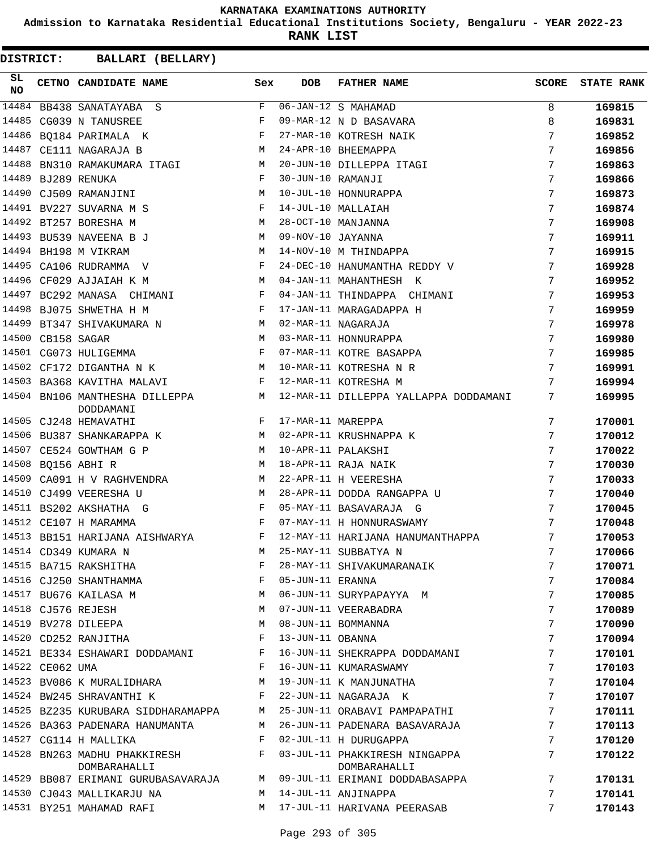**Admission to Karnataka Residential Educational Institutions Society, Bengaluru - YEAR 2022-23**

**RANK LIST**

| SL<br><b>NO</b> |                 | CETNO CANDIDATE NAME                                                                                                                        | Sex          | <b>DOB</b>        | <b>FATHER NAME</b>                                                  | SCORE           | <b>STATE RANK</b> |
|-----------------|-----------------|---------------------------------------------------------------------------------------------------------------------------------------------|--------------|-------------------|---------------------------------------------------------------------|-----------------|-------------------|
| 14484           |                 | BB438 SANATAYABA S                                                                                                                          | F            |                   | 06-JAN-12 S MAHAMAD                                                 | 8               | 169815            |
| 14485           |                 | CG039 N TANUSREE                                                                                                                            | $_{\rm F}$   |                   | 09-MAR-12 N D BASAVARA                                              | 8               | 169831            |
| 14486           |                 | $\mathbf{F}^{\mathbf{r}}$<br>BO184 PARIMALA K                                                                                               |              |                   | 27-MAR-10 KOTRESH NAIK                                              | 7               | 169852            |
| 14487           |                 | M<br>CE111 NAGARAJA B                                                                                                                       |              |                   | 24-APR-10 BHEEMAPPA                                                 | 7               | 169856            |
| 14488           |                 | BN310 RAMAKUMARA ITAGI M                                                                                                                    |              |                   | 20-JUN-10 DILLEPPA ITAGI                                            | 7               | 169863            |
| 14489           |                 | BJ289 RENUKA<br>and the state of the Fig.                                                                                                   |              | 30-JUN-10 RAMANJI |                                                                     | 7               | 169866            |
| 14490           |                 | $\mathbf M$<br>CJ509 RAMANJINI                                                                                                              |              |                   | 10-JUL-10 HONNURAPPA                                                | 7               | 169873            |
|                 |                 | 14491 BV227 SUVARNA M S                                                                                                                     | $\mathbf{F}$ |                   | 14-JUL-10 MALLAIAH                                                  | 7               | 169874            |
|                 |                 | 14492 BT257 BORESHA M                                                                                                                       | M            |                   | 28-OCT-10 MANJANNA                                                  | 7               | 169908            |
|                 |                 | 14493 BU539 NAVEENA B J                                                                                                                     | М            | 09-NOV-10 JAYANNA |                                                                     | 7               | 169911            |
|                 |                 | 14494 BH198 M VIKRAM                                                                                                                        | M            |                   | 14-NOV-10 M THINDAPPA                                               | 7               | 169915            |
|                 |                 | 14495 CA106 RUDRAMMA V                                                                                                                      | F            |                   | 24-DEC-10 HANUMANTHA REDDY V                                        | 7               | 169928            |
| 14496           |                 | CF029 AJJAIAH K M<br><b>Example 20</b> Manual Manual Manual Manual Manual Manual Manual Manual Manual Manual Manual Manual Manual Manual Ma |              |                   | 04-JAN-11 MAHANTHESH K                                              | 7               | 169952            |
| 14497           |                 | BC292 MANASA CHIMANI<br>and the state of the state of the Party                                                                             |              |                   | 04-JAN-11 THINDAPPA CHIMANI                                         | 7               | 169953            |
|                 |                 | 14498 BJ075 SHWETHA H M                                                                                                                     | F            |                   | 17-JAN-11 MARAGADAPPA H                                             | 7               | 169959            |
|                 |                 | 14499 BT347 SHIVAKUMARA N                                                                                                                   | M            |                   | 02-MAR-11 NAGARAJA                                                  | 7               | 169978            |
| 14500           |                 | CB158 SAGAR                                                                                                                                 | M            |                   | 03-MAR-11 HONNURAPPA                                                | 7               | 169980            |
|                 |                 | 14501 CG073 HULIGEMMA<br>$\mathbf{F}$ and $\mathbf{F}$                                                                                      |              |                   | 07-MAR-11 KOTRE BASAPPA                                             | 7               | 169985            |
|                 |                 | M<br>14502 CF172 DIGANTHA N K                                                                                                               |              |                   | 10-MAR-11 KOTRESHA N R                                              | 7               | 169991            |
|                 |                 | 14503 BA368 KAVITHA MALAVI<br>$\mathbf{F}$ and $\mathbf{F}$ . The set of $\mathbf{F}$                                                       |              |                   | 12-MAR-11 KOTRESHA M                                                | 7               | 169994            |
|                 |                 | 14504 BN106 MANTHESHA DILLEPPA M<br>DODDAMANI                                                                                               |              |                   | 12-MAR-11 DILLEPPA YALLAPPA DODDAMANI                               | 7               | 169995            |
|                 |                 | 14505 CJ248 HEMAVATHI                                                                                                                       | F            | 17-MAR-11 MAREPPA |                                                                     | 7               | 170001            |
|                 |                 | 14506 BU387 SHANKARAPPA K M                                                                                                                 |              |                   | 02-APR-11 KRUSHNAPPA K                                              | 7               | 170012            |
| 14507           |                 | M <sub>N</sub><br>CE524 GOWTHAM G P                                                                                                         |              |                   | 10-APR-11 PALAKSHI                                                  | 7               | 170022            |
|                 |                 | 14508 BQ156 ABHI R                                                                                                                          | M            |                   | 18-APR-11 RAJA NAIK                                                 | 7               | 170030            |
| 14509           |                 | CA091 H V RAGHVENDRA                                                                                                                        | М            |                   | 22-APR-11 H VEERESHA                                                | 7               | 170033            |
|                 |                 | 14510 CJ499 VEERESHA U                                                                                                                      | M            |                   | 28-APR-11 DODDA RANGAPPA U                                          | 7               | 170040            |
|                 |                 | $\mathbf{F}$ and $\mathbf{F}$ and $\mathbf{F}$<br>14511 BS202 AKSHATHA G                                                                    |              |                   | 05-MAY-11 BASAVARAJA G                                              | 7               | 170045            |
|                 |                 | 14512 CE107 H MARAMMA                                                                                                                       | $\mathbf{F}$ |                   | 07-MAY-11 H HONNURASWAMY                                            | 7               | 170048            |
|                 |                 | 14513 BB151 HARIJANA AISHWARYA F                                                                                                            |              |                   | 12-MAY-11 HARIJANA HANUMANTHAPPA                                    | 7               | 170053            |
|                 |                 | 14514 CD349 KUMARA N                                                                                                                        |              |                   | 25-MAY-11 SUBBATYA N                                                | 7               | 170066            |
|                 |                 | 14515 BA715 RAKSHITHA                                                                                                                       | F            |                   | 28-MAY-11 SHIVAKUMARANAIK                                           | 7               | 170071            |
|                 |                 | 14516 CJ250 SHANTHAMMA                                                                                                                      | F            | 05-JUN-11 ERANNA  |                                                                     | 7               | 170084            |
|                 |                 | 14517 BU676 KAILASA M                                                                                                                       | М            |                   | 06-JUN-11 SURYPAPAYYA M                                             | 7               | 170085            |
|                 |                 | 14518 CJ576 REJESH                                                                                                                          | М            |                   | 07-JUN-11 VEERABADRA                                                | 7               | 170089            |
|                 |                 | 14519 BV278 DILEEPA                                                                                                                         | М            |                   | 08-JUN-11 BOMMANNA                                                  | 7               | 170090            |
|                 |                 | 14520 CD252 RANJITHA                                                                                                                        | $_{\rm F}$   | 13-JUN-11 OBANNA  |                                                                     | 7               | 170094            |
|                 |                 | 14521 BE334 ESHAWARI DODDAMANI                                                                                                              | F            |                   | 16-JUN-11 SHEKRAPPA DODDAMANI                                       | 7               | 170101            |
|                 | 14522 CE062 UMA |                                                                                                                                             | F            |                   | 16-JUN-11 KUMARASWAMY                                               | 7               | 170103            |
|                 |                 | 14523 BV086 K MURALIDHARA                                                                                                                   | М            |                   | 19-JUN-11 K MANJUNATHA                                              | 7               | 170104            |
|                 |                 | 14524 BW245 SHRAVANTHI K                                                                                                                    | F            |                   | 22-JUN-11 NAGARAJA K                                                | 7               | 170107            |
|                 |                 | 14525 BZ235 KURUBARA SIDDHARAMAPPA                                                                                                          | M            |                   | 25-JUN-11 ORABAVI PAMPAPATHI                                        | $7\phantom{.0}$ | 170111            |
|                 |                 | 14526 BA363 PADENARA HANUMANTA                                                                                                              | M            |                   | 26-JUN-11 PADENARA BASAVARAJA                                       | 7               | 170113            |
|                 |                 | 14527 CG114 H MALLIKA                                                                                                                       | F            |                   | 02-JUL-11 H DURUGAPPA<br>03-JUL-11 PHAKKIRESH NINGAPPA              | 7               | 170120            |
|                 |                 | 14528 BN263 MADHU PHAKKIRESH<br>DOMBARAHALLI                                                                                                | F            |                   | DOMBARAHALLI                                                        | 7               | 170122            |
|                 |                 |                                                                                                                                             |              |                   | 14529 BB087 ERIMANI GURUBASAVARAJA M 09-JUL-11 ERIMANI DODDABASAPPA | 7               | 170131            |
|                 |                 | 14530 CJ043 MALLIKARJU NA                                                                                                                   | M            |                   | 14-JUL-11 ANJINAPPA                                                 | 7               | 170141            |
|                 |                 | 14531 BY251 MAHAMAD RAFI                                                                                                                    | M            |                   | 17-JUL-11 HARIVANA PEERASAB                                         | 7               | 170143            |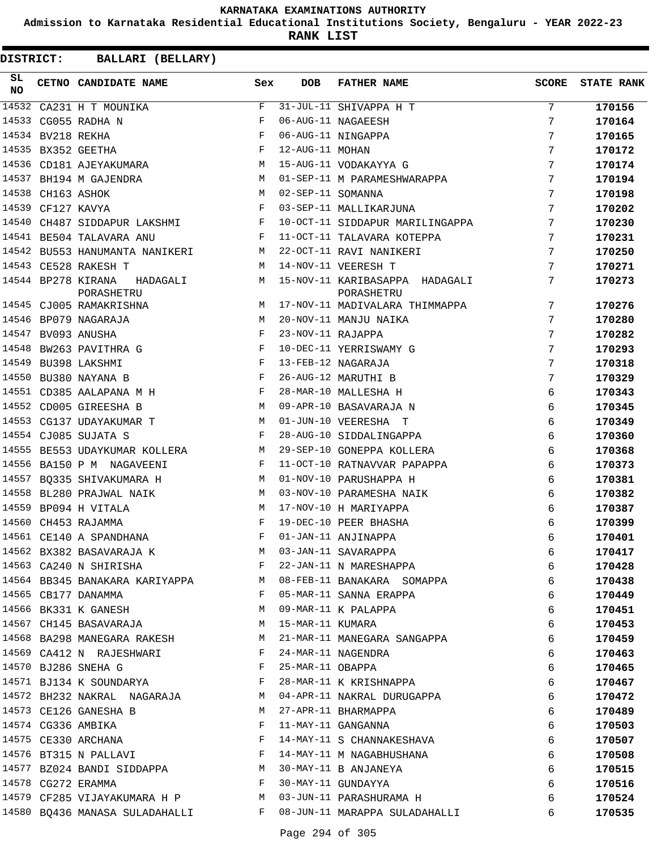**Admission to Karnataka Residential Educational Institutions Society, Bengaluru - YEAR 2022-23**

**RANK LIST**

| SL<br><b>NO</b> |                   | CETNO CANDIDATE NAME Sex                                                                                                                                                                                                                                   |              | <b>DOB</b>        | FATHER NAME                                                                         | <b>SCORE</b> | <b>STATE RANK</b> |
|-----------------|-------------------|------------------------------------------------------------------------------------------------------------------------------------------------------------------------------------------------------------------------------------------------------------|--------------|-------------------|-------------------------------------------------------------------------------------|--------------|-------------------|
| 14532           |                   | CA231 H T MOUNIKA                                                                                                                                                                                                                                          | F            |                   | 31-JUL-11 SHIVAPPA H T                                                              | 7            | 170156            |
| 14533           |                   | CG055 RADHA N                                                                                                                                                                                                                                              | $_{\rm F}$   |                   | 06-AUG-11 NAGAEESH                                                                  | 7            | 170164            |
|                 | 14534 BV218 REKHA |                                                                                                                                                                                                                                                            | $_{\rm F}$   |                   | 06-AUG-11 NINGAPPA                                                                  | 7            | 170165            |
|                 |                   | 14535 BX352 GEETHA                                                                                                                                                                                                                                         | $_{\rm F}$   | 12-AUG-11 MOHAN   |                                                                                     | 7            | 170172            |
|                 |                   | 14536 CD181 AJEYAKUMARA<br><b>M</b>                                                                                                                                                                                                                        |              |                   | 15-AUG-11 VODAKAYYA G                                                               | 7            | 170174            |
|                 |                   | 14537 BH194 M GAJENDRA<br><b>Example 20</b> M                                                                                                                                                                                                              |              |                   | 01-SEP-11 M PARAMESHWARAPPA                                                         | 7            | 170194            |
| 14538           |                   | M<br>CH163 ASHOK                                                                                                                                                                                                                                           |              | 02-SEP-11 SOMANNA |                                                                                     | 7            | 170198            |
|                 | 14539 CF127 KAVYA |                                                                                                                                                                                                                                                            | $\mathbf{F}$ |                   | 03-SEP-11 MALLIKARJUNA                                                              | 7            | 170202            |
| 14540           |                   | CH487 SIDDAPUR LAKSHMI F                                                                                                                                                                                                                                   |              |                   | 10-OCT-11 SIDDAPUR MARILINGAPPA                                                     | 7            | 170230            |
|                 |                   | 14541 BE504 TALAVARA ANU<br>and the state of the Party of the Party                                                                                                                                                                                        |              |                   | 11-OCT-11 TALAVARA KOTEPPA                                                          | 7            | 170231            |
|                 |                   | 14542 BU553 HANUMANTA NANIKERI M                                                                                                                                                                                                                           |              |                   | 22-OCT-11 RAVI NANIKERI                                                             | 7            | 170250            |
|                 |                   | 14543 CE528 RAKESH T                                                                                                                                                                                                                                       | M            |                   | 14-NOV-11 VEERESH T                                                                 | 7            | 170271            |
|                 |                   | 14544 BP278 KIRANA<br>HADAGALI M<br>PORASHETRU                                                                                                                                                                                                             |              |                   | 15-NOV-11 KARIBASAPPA HADAGALI<br>PORASHETRU                                        | 7            | 170273            |
|                 |                   | <b>M</b><br>14545 CJ005 RAMAKRISHNA                                                                                                                                                                                                                        |              |                   | 17-NOV-11 MADIVALARA THIMMAPPA                                                      | 7            | 170276            |
|                 |                   | 14546 BP079 NAGARAJA<br>M                                                                                                                                                                                                                                  |              |                   | 20-NOV-11 MANJU NAIKA                                                               | 7            | 170280            |
|                 |                   | 14547 BV093 ANUSHA<br><b>Example 2</b>                                                                                                                                                                                                                     |              | 23-NOV-11 RAJAPPA |                                                                                     | 7            | 170282            |
|                 |                   | 14548 BW263 PAVITHRA G                                                                                                                                                                                                                                     | $\mathbf{F}$ |                   | 10-DEC-11 YERRISWAMY G                                                              | 7            | 170293            |
|                 |                   | 14549 BU398 LAKSHMI                                                                                                                                                                                                                                        | F            |                   | 13-FEB-12 NAGARAJA                                                                  | 7            | 170318            |
|                 |                   | 14550 BU380 NAYANA B<br>$\mathbf{F}$ . The $\mathbf{F}$                                                                                                                                                                                                    |              |                   | 26-AUG-12 MARUTHI B                                                                 | 7            | 170329            |
|                 |                   | 14551 CD385 AALAPANA M H<br>$\mathbf{F}$ and the contract of the contract $\mathbf{F}$                                                                                                                                                                     |              |                   | 28-MAR-10 MALLESHA H                                                                | 6            | 170343            |
|                 |                   | 14552 CD005 GIREESHA B                                                                                                                                                                                                                                     | M            |                   | 09-APR-10 BASAVARAJA N                                                              | 6            | 170345            |
|                 |                   | 14553 CG137 UDAYAKUMAR T                                                                                                                                                                                                                                   | M            |                   | 01-JUN-10 VEERESHA T                                                                | 6            | 170349            |
|                 |                   | 14554 CJ085 SUJATA S                                                                                                                                                                                                                                       | $\mathbf{F}$ |                   | 28-AUG-10 SIDDALINGAPPA                                                             | 6            | 170360            |
|                 |                   | 14555 BE553 UDAYKUMAR KOLLERA M                                                                                                                                                                                                                            |              |                   | 29-SEP-10 GONEPPA KOLLERA                                                           | 6            | 170368            |
|                 |                   | 14556 BA150 P M NAGAVEENI                                                                                                                                                                                                                                  | $\mathbf{F}$ |                   | 11-OCT-10 RATNAVVAR PAPAPPA                                                         | 6            | 170373            |
|                 |                   | 14557 BQ335 SHIVAKUMARA H                                                                                                                                                                                                                                  | M            |                   | 01-NOV-10 PARUSHAPPA H                                                              | 6            | 170381            |
| 14558           |                   | BL280 PRAJWAL NAIK                                                                                                                                                                                                                                         | M            |                   | 03-NOV-10 PARAMESHA NAIK                                                            | 6            | 170382            |
|                 |                   | 14559 BP094 H VITALA                                                                                                                                                                                                                                       | M            |                   | 17-NOV-10 H MARIYAPPA                                                               | 6            | 170387            |
|                 |                   | 14560 CH453 RAJAMMA                                                                                                                                                                                                                                        | $_{\rm F}$   |                   | 19-DEC-10 PEER BHASHA                                                               | 6            | 170399            |
|                 |                   | 14561 CE140 A SPANDHANA                                                                                                                                                                                                                                    | F            |                   | 01-JAN-11 ANJINAPPA                                                                 | 6            | 170401            |
|                 |                   |                                                                                                                                                                                                                                                            |              |                   | M 03-JAN-11 SAVARAPPA                                                               | 6            | 170417            |
|                 |                   |                                                                                                                                                                                                                                                            |              |                   | $M$ 03-JAN-11 SAVARAPPA<br>14563 CA240 N SHIRISHA<br>14564 - 22 JAN-11 N MARESHAPPA | 6            | 170428            |
|                 |                   | 14564 BB345 BANAKARA KARIYAPPA M 08-FEB-11 BANAKARA SOMAPPA                                                                                                                                                                                                |              |                   |                                                                                     | 6            | 170438            |
|                 |                   | 14565 CB177 DANAMMA                                                                                                                                                                                                                                        |              |                   | F 05-MAR-11 SANNA ERAPPA                                                            | 6            | 170449            |
|                 |                   | 14566 BK331 K GANESH M 09-MAR-11 K PALAPPA                                                                                                                                                                                                                 |              |                   |                                                                                     | 6            | 170451            |
|                 |                   | 14567 CH145 BASAVARAJA M 15-MAR-11 KUMARA                                                                                                                                                                                                                  |              |                   |                                                                                     | 6            | 170453            |
|                 |                   |                                                                                                                                                                                                                                                            |              |                   | 14568 BA298 MANEGARA RAKESH M 21-MAR-11 MANEGARA SANGAPPA                           | 6            | 170459            |
|                 |                   | 14569 CA412 N RAJESHWARI                                                                                                                                                                                                                                   |              |                   | F 24-MAR-11 NAGENDRA                                                                | 6            | 170463            |
|                 |                   | 14570 BJ286 SNEHA G $F$ 25-MAR-11 OBAPPA                                                                                                                                                                                                                   |              |                   |                                                                                     | 6            | 170465            |
|                 |                   | 14571 BJ134 K SOUNDARYA F                                                                                                                                                                                                                                  |              |                   | 28-MAR-11 K KRISHNAPPA                                                              | 6            | 170467            |
|                 |                   | 14572 BH232 NAKRAL NAGARAJA M 04-APR-11 NAKRAL DURUGAPPA                                                                                                                                                                                                   |              |                   |                                                                                     | 6            | 170472            |
|                 |                   | 14573 CE126 GANESHA B                                                                                                                                                                                                                                      |              |                   | M 27-APR-11 BHARMAPPA                                                               | 6            | 170489            |
|                 |                   | 14574 CG336 AMBIKA<br>$\mathbf{F}$ and $\mathbf{F}$ and $\mathbf{F}$                                                                                                                                                                                       |              |                   | 11-MAY-11 GANGANNA                                                                  | 6            | 170503            |
|                 |                   | 14575 CE330 ARCHANA<br><b>Example 2</b> Experience of the Experience of the Experience of the Experience of the Experience of the Experience of the Experience of the Experience of the Experience of the Experience of the Experiment of the Experiment o |              |                   | 14-MAY-11 S CHANNAKESHAVA                                                           | 6            | 170507            |
|                 |                   | 14576 BT315 N PALLAVI F                                                                                                                                                                                                                                    |              |                   | 14-MAY-11 M NAGABHUSHANA                                                            | 6            | 170508            |
|                 |                   | 14577 BZ024 BANDI SIDDAPPA M 30-MAY-11 B ANJANEYA                                                                                                                                                                                                          |              |                   |                                                                                     | 6            | 170515            |
|                 |                   | $14578$ CG272 ERAMMA                                                                                                                                                                                                                                       |              |                   | 30-MAY-11 GUNDAYYA                                                                  | 6            | 170516            |
|                 |                   | 14579 CF285 VIJAYAKUMARA H P                 M   03-JUN-11 PARASHURAMA H                                                                                                                                                                                   |              |                   |                                                                                     | 6            | 170524            |
|                 |                   |                                                                                                                                                                                                                                                            |              |                   | 14580 BQ436 MANASA SULADAHALLI TARAMENING BOLADAHALLI                               | 6            | 170535            |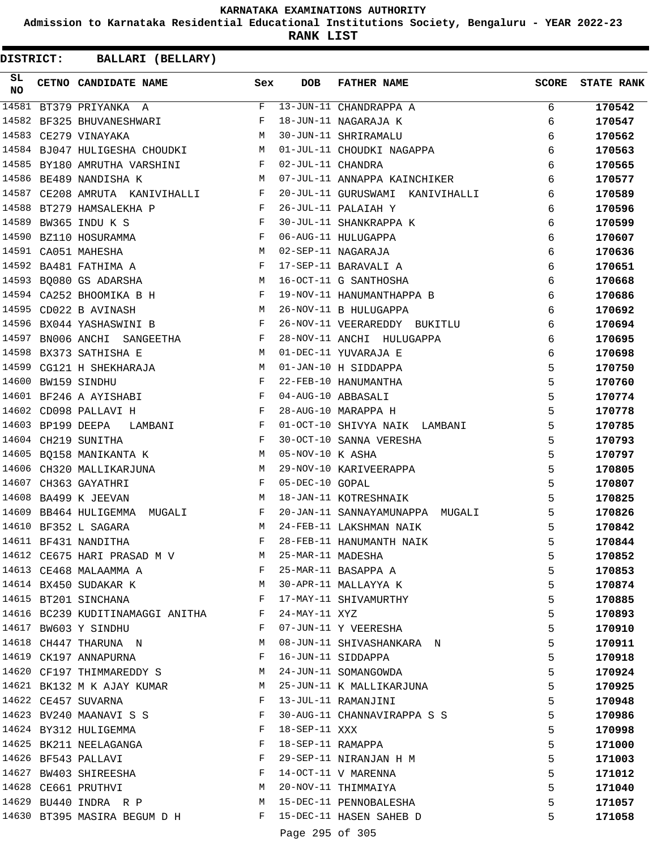**Admission to Karnataka Residential Educational Institutions Society, Bengaluru - YEAR 2022-23**

**RANK LIST**

| SL<br><b>NO</b> |                   | CETNO CANDIDATE NAME                                                                                                                                                                                                                                        | Sex                           | <b>DOB</b>          | <b>FATHER NAME</b>              | <b>SCORE</b> | <b>STATE RANK</b> |
|-----------------|-------------------|-------------------------------------------------------------------------------------------------------------------------------------------------------------------------------------------------------------------------------------------------------------|-------------------------------|---------------------|---------------------------------|--------------|-------------------|
| 14581           |                   | BT379 PRIYANKA A                                                                                                                                                                                                                                            | F                             |                     | 13-JUN-11 CHANDRAPPA A          | 6            | 170542            |
| 14582           |                   | BF325 BHUVANESHWARI                                                                                                                                                                                                                                         | F                             |                     | 18-JUN-11 NAGARAJA K            | 6            | 170547            |
| 14583           |                   | CE279 VINAYAKA                                                                                                                                                                                                                                              | M                             |                     | 30-JUN-11 SHRIRAMALU            | 6            | 170562            |
|                 |                   | 14584 BJ047 HULIGESHA CHOUDKI M                                                                                                                                                                                                                             |                               |                     | 01-JUL-11 CHOUDKI NAGAPPA       | 6            | 170563            |
|                 |                   | 14585 BY180 AMRUTHA VARSHINI                                                                                                                                                                                                                                | F                             | 02-JUL-11 CHANDRA   |                                 | 6            | 170565            |
|                 |                   | 14586 BE489 NANDISHA K                                                                                                                                                                                                                                      | M                             |                     | 07-JUL-11 ANNAPPA KAINCHIKER    | 6            | 170577            |
| 14587           |                   | CE208 AMRUTA KANIVIHALLI F                                                                                                                                                                                                                                  |                               |                     | 20-JUL-11 GURUSWAMI KANIVIHALLI | 6            | 170589            |
|                 |                   | 14588 BT279 HAMSALEKHA P                                                                                                                                                                                                                                    | $\mathbf{F}$                  |                     | 26-JUL-11 PALAIAH Y             | 6            | 170596            |
| 14589           |                   | $\mathbf{F}$ and $\mathbf{F}$<br>BW365 INDU K S                                                                                                                                                                                                             |                               |                     | 30-JUL-11 SHANKRAPPA K          | 6            | 170599            |
| 14590           |                   | BZ110 HOSURAMMA                                                                                                                                                                                                                                             | F                             |                     | 06-AUG-11 HULUGAPPA             | 6            | 170607            |
|                 |                   | 14591 CA051 MAHESHA                                                                                                                                                                                                                                         | M                             |                     | 02-SEP-11 NAGARAJA              | 6            | 170636            |
|                 |                   | 14592 BA481 FATHIMA A                                                                                                                                                                                                                                       | F                             |                     | 17-SEP-11 BARAVALI A            | 6            | 170651            |
|                 |                   | 14593 BQ080 GS ADARSHA<br>M <sub>N</sub>                                                                                                                                                                                                                    |                               |                     | 16-OCT-11 G SANTHOSHA           | 6            | 170668            |
|                 |                   | 14594 CA252 BHOOMIKA B H                                                                                                                                                                                                                                    |                               |                     | 19-NOV-11 HANUMANTHAPPA B       | 6            | 170686            |
|                 |                   | M<br>14595 CD022 B AVINASH                                                                                                                                                                                                                                  |                               |                     | 26-NOV-11 B HULUGAPPA           | 6            | 170692            |
|                 |                   | 14596 BX044 YASHASWINI B                                                                                                                                                                                                                                    | $\mathbf{F}$                  |                     | 26-NOV-11 VEERAREDDY BUKITLU    | 6            | 170694            |
| 14597           |                   | BN006 ANCHI SANGEETHA                                                                                                                                                                                                                                       | F                             |                     | 28-NOV-11 ANCHI HULUGAPPA       | 6            | 170695            |
| 14598           |                   | BX373 SATHISHA E                                                                                                                                                                                                                                            | M                             |                     | 01-DEC-11 YUVARAJA E            | 6            | 170698            |
| 14599           |                   | CG121 H SHEKHARAJA $M$                                                                                                                                                                                                                                      |                               |                     | 01-JAN-10 H SIDDAPPA            | 5            | 170750            |
|                 |                   | 14600 BW159 SINDHU                                                                                                                                                                                                                                          | F                             |                     | 22-FEB-10 HANUMANTHA            | 5            | 170760            |
|                 |                   | 14601 BF246 A AYISHABI<br>$\mathbf{F}$ and the contract of the contract $\mathbf{F}$                                                                                                                                                                        |                               |                     | 04-AUG-10 ABBASALI              | 5            | 170774            |
|                 |                   | 14602 CD098 PALLAVI H                                                                                                                                                                                                                                       | $\mathbf{F}$ and $\mathbf{F}$ |                     | 28-AUG-10 MARAPPA H             | 5            | 170778            |
|                 | 14603 BP199 DEEPA | $\mathbf{F}$ . The set of $\mathbf{F}$<br>LAMBANI                                                                                                                                                                                                           |                               |                     | 01-OCT-10 SHIVYA NAIK LAMBANI   | 5            | 170785            |
|                 |                   | 14604 CH219 SUNITHA                                                                                                                                                                                                                                         | F                             |                     | 30-OCT-10 SANNA VERESHA         | 5            | 170793            |
|                 |                   | 14605 BQ158 MANIKANTA K                                                                                                                                                                                                                                     | M                             | 05-NOV-10 K ASHA    |                                 | 5            | 170797            |
|                 |                   | 14606 CH320 MALLIKARJUNA                                                                                                                                                                                                                                    | M                             |                     | 29-NOV-10 KARIVEERAPPA          | 5            | 170805            |
| 14607           |                   | CH363 GAYATHRI                                                                                                                                                                                                                                              | F                             | 05-DEC-10 GOPAL     |                                 | 5            | 170807            |
|                 |                   | 14608 BA499 K JEEVAN                                                                                                                                                                                                                                        | М                             |                     | 18-JAN-11 KOTRESHNAIK           | 5            | 170825            |
| 14609           |                   | BB464 HULIGEMMA MUGALI                                                                                                                                                                                                                                      | F                             |                     | 20-JAN-11 SANNAYAMUNAPPA MUGALI | 5            | 170826            |
|                 |                   | 14610 BF352 L SAGARA                                                                                                                                                                                                                                        | M                             |                     | 24-FEB-11 LAKSHMAN NAIK         | 5            | 170842            |
|                 |                   | 14611 BF431 NANDITHA                                                                                                                                                                                                                                        | F                             |                     | 28-FEB-11 HANUMANTH NAIK        | 5            | 170844            |
|                 |                   | 14612 CE675 HARI PRASAD M V                                                                                                                                                                                                                                 | M                             | 25-MAR-11 MADESHA   |                                 | 5            | 170852            |
|                 |                   | 14613 CE468 MALAAMMA A<br>$\mathbf{F}$ and the set of the set of the set of the set of the set of the set of the set of the set of the set of the set of the set of the set of the set of the set of the set of the set of the set of the set of the set of |                               |                     | 25-MAR-11 BASAPPA A             | 5            | 170853            |
|                 |                   | 14614 BX450 SUDAKAR K                                                                                                                                                                                                                                       | M                             |                     | 30-APR-11 MALLAYYA K            | 5            | 170874            |
|                 |                   | 14615 BT201 SINCHANA                                                                                                                                                                                                                                        | F                             |                     | 17-MAY-11 SHIVAMURTHY           | 5            | 170885            |
|                 |                   | 14616 BC239 KUDITINAMAGGI ANITHA                                                                                                                                                                                                                            | F                             | 24-MAY-11 XYZ       |                                 | 5            | 170893            |
|                 |                   | 14617 BW603 Y SINDHU                                                                                                                                                                                                                                        | F                             |                     | 07-JUN-11 Y VEERESHA            | 5            | 170910            |
|                 |                   | 14618 CH447 THARUNA N                                                                                                                                                                                                                                       | М                             |                     | 08-JUN-11 SHIVASHANKARA N       | 5            | 170911            |
|                 |                   | 14619 CK197 ANNAPURNA                                                                                                                                                                                                                                       | F                             |                     | 16-JUN-11 SIDDAPPA              | 5            | 170918            |
|                 |                   | 14620 CF197 THIMMAREDDY S                                                                                                                                                                                                                                   | M                             |                     | 24-JUN-11 SOMANGOWDA            | 5            | 170924            |
|                 |                   | 14621 BK132 M K AJAY KUMAR                                                                                                                                                                                                                                  | M                             |                     | 25-JUN-11 K MALLIKARJUNA        | 5            | 170925            |
|                 |                   | 14622 CE457 SUVARNA                                                                                                                                                                                                                                         | F                             |                     | 13-JUL-11 RAMANJINI             | 5            | 170948            |
|                 |                   | 14623 BV240 MAANAVI S S                                                                                                                                                                                                                                     | F                             |                     | 30-AUG-11 CHANNAVIRAPPA S S     | 5            | 170986            |
|                 |                   | 14624 BY312 HULIGEMMA                                                                                                                                                                                                                                       | F                             | $18 - SEP - 11$ XXX |                                 | 5            | 170998            |
|                 |                   | 14625 BK211 NEELAGANGA                                                                                                                                                                                                                                      | F                             | 18-SEP-11 RAMAPPA   |                                 | 5            | 171000            |
|                 |                   | 14626 BF543 PALLAVI                                                                                                                                                                                                                                         | F                             |                     | 29-SEP-11 NIRANJAN H M          | 5            | 171003            |
|                 |                   | 14627 BW403 SHIREESHA                                                                                                                                                                                                                                       | F                             |                     | 14-OCT-11 V MARENNA             | 5            | 171012            |
|                 |                   | 14628 CE661 PRUTHVI                                                                                                                                                                                                                                         | М                             |                     | 20-NOV-11 THIMMAIYA             | 5            | 171040            |
|                 |                   | 14629 BU440 INDRA R P                                                                                                                                                                                                                                       | M                             |                     | 15-DEC-11 PENNOBALESHA          | 5            | 171057            |
|                 |                   | 14630 BT395 MASIRA BEGUM D H                                                                                                                                                                                                                                | F                             |                     | 15-DEC-11 HASEN SAHEB D         | 5            | 171058            |
|                 |                   |                                                                                                                                                                                                                                                             |                               |                     |                                 |              |                   |
|                 |                   |                                                                                                                                                                                                                                                             |                               | Page 295 of 305     |                                 |              |                   |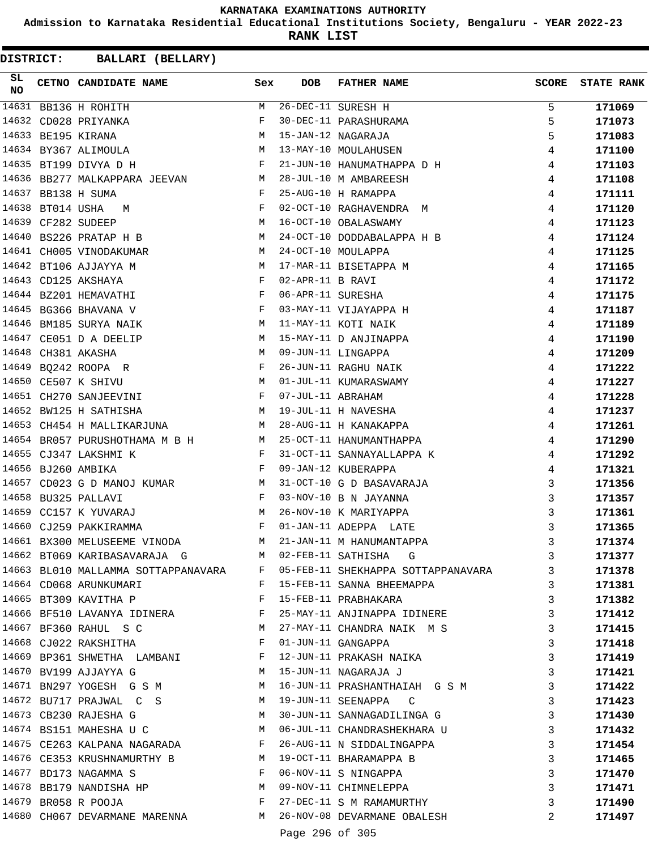**Admission to Karnataka Residential Educational Institutions Society, Bengaluru - YEAR 2022-23**

**RANK LIST**

| SL<br><b>NO</b> |                  | CETNO CANDIDATE NAME                                                                    | Sex          | <b>DOB</b>        | FATHER NAME                                                              | <b>SCORE</b> | <b>STATE RANK</b> |
|-----------------|------------------|-----------------------------------------------------------------------------------------|--------------|-------------------|--------------------------------------------------------------------------|--------------|-------------------|
|                 |                  | 14631 BB136 H ROHITH                                                                    | M            |                   | 26-DEC-11 SURESH H                                                       | 5            | 171069            |
|                 |                  | 14632 CD028 PRIYANKA                                                                    | F            |                   | 30-DEC-11 PARASHURAMA                                                    | 5            | 171073            |
|                 |                  | 14633 BE195 KIRANA                                                                      | М            |                   | 15-JAN-12 NAGARAJA                                                       | 5            | 171083            |
|                 |                  | 14634 BY367 ALIMOULA                                                                    | M            |                   | 13-MAY-10 MOULAHUSEN                                                     | 4            | 171100            |
|                 |                  | 14635 BT199 DIVYA D H                                                                   | F            |                   | 21-JUN-10 HANUMATHAPPA D H                                               | 4            | 171103            |
|                 |                  | 14636 BB277 MALKAPPARA JEEVAN<br>M <sub>1</sub>                                         |              |                   | 28-JUL-10 M AMBAREESH                                                    | 4            | 171108            |
| 14637           |                  | BB138 H SUMA                                                                            | $\mathbf{F}$ |                   | 25-AUG-10 H RAMAPPA                                                      | 4            | 171111            |
|                 | 14638 BT014 USHA | M                                                                                       | F            |                   | 02-OCT-10 RAGHAVENDRA M                                                  | 4            | 171120            |
| 14639           |                  | CF282 SUDEEP                                                                            | М            |                   | 16-OCT-10 OBALASWAMY                                                     | 4            | 171123            |
|                 |                  | 14640 BS226 PRATAP H B                                                                  | М            |                   | 24-OCT-10 DODDABALAPPA H B                                               | 4            | 171124            |
|                 |                  | 14641 CH005 VINODAKUMAR                                                                 | M            |                   | 24-OCT-10 MOULAPPA                                                       | 4            | 171125            |
|                 |                  | 14642 BT106 AJJAYYA M                                                                   | M            |                   | 17-MAR-11 BISETAPPA M                                                    | 4            | 171165            |
|                 |                  | 14643 CD125 AKSHAYA                                                                     | F            | 02-APR-11 B RAVI  |                                                                          | 4            | 171172            |
|                 |                  | $\mathbf{F}$ and the state of the state $\mathbf{F}$<br>14644 BZ201 HEMAVATHI           |              | 06-APR-11 SURESHA |                                                                          | 4            | 171175            |
|                 |                  | $\mathbf{F}$ and the contract of the contract of $\mathbf{F}$<br>14645 BG366 BHAVANA V  |              |                   | 03-MAY-11 VIJAYAPPA H                                                    | 4            | 171187            |
| 14646           |                  | BM185 SURYA NAIK                                                                        | M            |                   | 11-MAY-11 KOTI NAIK                                                      | 4            | 171189            |
|                 |                  | 14647 CE051 D A DEELIP                                                                  | М            |                   | 15-MAY-11 D ANJINAPPA                                                    | 4            | 171190            |
| 14648           |                  | CH381 AKASHA                                                                            | М            |                   | 09-JUN-11 LINGAPPA                                                       | 4            | 171209            |
|                 |                  | 14649 BQ242 ROOPA R                                                                     | F            |                   | 26-JUN-11 RAGHU NAIK                                                     | 4            | 171222            |
|                 |                  | 14650 CE507 K SHIVU                                                                     | M            |                   | 01-JUL-11 KUMARASWAMY                                                    | 4            | 171227            |
|                 |                  | 14651 CH270 SANJEEVINI<br>$\mathbf{F}$ and $\mathbf{F}$ and $\mathbf{F}$                |              | 07-JUL-11 ABRAHAM |                                                                          | 4            | 171228            |
| 14652           |                  | BW125 H SATHISHA<br><b>M</b>                                                            |              |                   | 19-JUL-11 H NAVESHA                                                      | 4            | 171237            |
| 14653           |                  |                                                                                         |              |                   |                                                                          |              |                   |
|                 |                  | CH454 H MALLIKARJUNA                                                                    | M            |                   | 28-AUG-11 H KANAKAPPA                                                    | 4            | 171261            |
|                 |                  | 14654 BR057 PURUSHOTHAMA M B H<br>M <sub>N</sub>                                        |              |                   | 25-OCT-11 HANUMANTHAPPA                                                  | 4            | 171290            |
|                 |                  | 14655 CJ347 LAKSHMI K                                                                   | F            |                   | 31-OCT-11 SANNAYALLAPPA K                                                | 4            | 171292            |
|                 |                  | 14656 BJ260 AMBIKA                                                                      | F            |                   | 09-JAN-12 KUBERAPPA                                                      | 4            | 171321            |
| 14657           |                  | CD023 G D MANOJ KUMAR M                                                                 |              |                   | 31-OCT-10 G D BASAVARAJA                                                 | 3            | 171356            |
|                 |                  | 14658 BU325 PALLAVI<br>$\overline{M}$                                                   | $\mathbf{F}$ |                   | 03-NOV-10 B N JAYANNA                                                    | 3            | 171357            |
|                 |                  | 14659 CC157 K YUVARAJ                                                                   |              |                   | 26-NOV-10 K MARIYAPPA                                                    | 3            | 171361            |
|                 |                  | 14660 CJ259 PAKKIRAMMA<br>$\mathbf{F}$ and the contract of the contract of $\mathbf{F}$ |              |                   | 01-JAN-11 ADEPPA LATE                                                    | 3            | 171365            |
|                 |                  | 14661 BX300 MELUSEEME VINODA                                                            | M            |                   | 21-JAN-11 M HANUMANTAPPA                                                 | 3            | 171374            |
|                 |                  | 14662 BT069 KARIBASAVARAJA G M 02-FEB-11 SATHISHA G                                     |              |                   |                                                                          | 3            | 171377            |
|                 |                  |                                                                                         |              |                   | 14663 BL010 MALLAMMA SOTTAPPANAVARA F 05-FEB-11 SHEKHAPPA SOTTAPPANAVARA | $\mathbf{3}$ | 171378            |
|                 |                  | 14664 CD068 ARUNKUMARI                                                                  |              |                   | F 15-FEB-11 SANNA BHEEMAPPA                                              | 3            | 171381            |
|                 |                  | 14665 BT309 KAVITHA P                                                                   |              |                   | F 15-FEB-11 PRABHAKARA                                                   | 3            | 171382            |
|                 |                  | 14666 BF510 LAVANYA IDINERA BRANCH STRANGER BRANCH ANJINAPPA IDINERE                    |              |                   |                                                                          | 3            | 171412            |
|                 |                  | 14667 BF360 RAHUL S C                                                                   |              |                   | M 27-MAY-11 CHANDRA NAIK M S                                             | 3            | 171415            |
|                 |                  | 14668 CJ022 RAKSHITHA F                                                                 |              |                   | 01-JUN-11 GANGAPPA                                                       | 3            | 171418            |
|                 |                  | 14669 BP361 SHWETHA LAMBANI F                                                           |              |                   | 12-JUN-11 PRAKASH NAIKA                                                  | 3            | 171419            |
|                 |                  | M<br>14670 BV199 AJJAYYA G                                                              |              |                   | 15-JUN-11 NAGARAJA J                                                     | 3            | 171421            |
|                 |                  | 14671 BN297 YOGESH G S M                                                                |              |                   | 16-JUN-11 PRASHANTHAIAH G S M                                            | 3            | 171422            |
|                 |                  | 14672 BU717 PRAJWAL C S M 19-JUN-11 SEENAPPA C                                          |              |                   |                                                                          | 3            | 171423            |
|                 |                  | M<br>14673 CB230 RAJESHA G                                                              |              |                   | 30-JUN-11 SANNAGADILINGA G                                               | 3            | 171430            |
|                 |                  | 14674 BS151 MAHESHA U C                                                                 |              |                   | M 06-JUL-11 CHANDRASHEKHARA U                                            | 3            | 171432            |
|                 |                  |                                                                                         |              |                   | 14675 CE263 KALPANA NAGARADA F 26-AUG-11 N SIDDALINGAPPA                 | 3            | 171454            |
|                 |                  | 14676 CE353 KRUSHNAMURTHY B M 19-OCT-11 BHARAMAPPA B                                    |              |                   |                                                                          | 3            | 171465            |
|                 |                  | $\mathbf{F}$ . The contract of the contract of $\mathbf{F}$ .<br>14677 BD173 NAGAMMA S  |              |                   | 06-NOV-11 S NINGAPPA                                                     | 3            | 171470            |
|                 |                  | 14678 BB179 NANDISHA HP M 09-NOV-11 CHIMNELEPPA                                         |              |                   |                                                                          | 3            | 171471            |
|                 |                  | 14679 BR058 R POOJA                                                                     |              |                   | F 27-DEC-11 S M RAMAMURTHY                                               | 3            | 171490            |
|                 |                  |                                                                                         |              |                   | 14680 CH067 DEVARMANE MARENNA M 26-NOV-08 DEVARMANE OBALESH              | 2            | 171497            |
|                 |                  |                                                                                         |              | Page 296 of 305   |                                                                          |              |                   |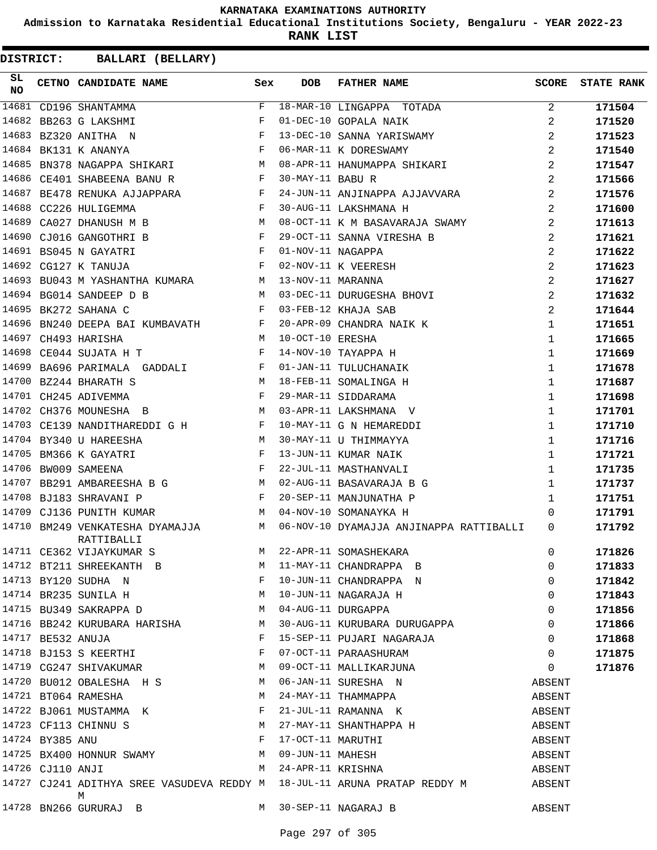**Admission to Karnataka Residential Educational Institutions Society, Bengaluru - YEAR 2022-23**

**RANK LIST**

| SL<br><b>NO</b> | CETNO CANDIDATE NAME                                                                   | Sex | DOB                | FATHER NAME                                                                                                                                                                                                                             |                   | <b>SCORE</b> STATE RANK |
|-----------------|----------------------------------------------------------------------------------------|-----|--------------------|-----------------------------------------------------------------------------------------------------------------------------------------------------------------------------------------------------------------------------------------|-------------------|-------------------------|
|                 | 14681 CD196 SHANTAMMA                                                                  |     |                    | $$\tt F$ \quad 18-MAR-10 \quad LINGAPPA \quad TOTADA$} \\ $\tt F$ \quad 01-DEC-10 \quad GOPALA \quad NAIK$$                                                                                                                             | 2                 | 171504                  |
|                 | 14682 BB263 G LAKSHMI                                                                  |     |                    |                                                                                                                                                                                                                                         | 2                 | 171520                  |
|                 | 14683 BZ320 ANITHA N                                                                   |     |                    | 13-DEC-10 SANNA YARISWAMY                                                                                                                                                                                                               | 2                 | 171523                  |
|                 | $\mathbf{F}$<br>14684 BK131 K ANANYA                                                   |     |                    | 06-MAR-11 K DORESWAMY                                                                                                                                                                                                                   | 2                 | 171540                  |
|                 |                                                                                        |     |                    | 14685 BN378 NAGAPPA SHIKARI M 08-APR-11 HANUMAPPA SHIKARI                                                                                                                                                                               | 2                 | 171547                  |
|                 | 14686 CE401 SHABEENA BANUR F 30-MAY-11 BABUR                                           |     |                    |                                                                                                                                                                                                                                         | 2                 | 171566                  |
|                 |                                                                                        |     |                    | 14687 BE478 RENUKA AJJAPPARA KALEL PARA 24-JUN-11 ANJINAPPA AJJAVVARA                                                                                                                                                                   | 2                 | 171576                  |
|                 |                                                                                        |     |                    |                                                                                                                                                                                                                                         | 2                 | 171600                  |
|                 |                                                                                        |     |                    | 14688 CC226 HULIGEMMA                       F   30-AUG-11 LAKSHMANA H<br>14689 CA027 DHANUSH M B                       M   08-OCT-11 K M BASAVARAJA SWAMY                                                                               | 2                 | 171613                  |
|                 | 14690 CJ016 GANGOTHRI B F 29-OCT-11 SANNA VIRESHA B                                    |     |                    |                                                                                                                                                                                                                                         | 2                 | 171621                  |
|                 | $\mathbf{F}$ and the contract of the contract of $\mathbf{F}$<br>14691 BS045 N GAYATRI |     |                    | 01-NOV-11 NAGAPPA<br>02-NOV-11 K VEERESH                                                                                                                                                                                                | 2                 | 171622                  |
|                 | $\mathbf{F}$<br>14692 CG127 K TANUJA                                                   |     |                    |                                                                                                                                                                                                                                         | $\overline{a}$    | 171623                  |
|                 | 14693 BU043 M YASHANTHA KUMARA M 13-NOV-11 MARANNA                                     |     |                    |                                                                                                                                                                                                                                         | 2                 | 171627                  |
|                 | 14694 BG014 SANDEEP D B                                                                |     |                    | M 03-DEC-11 DURUGESHA BHOVI                                                                                                                                                                                                             | 2                 | 171632                  |
|                 | 14695 BK272 SAHANA C<br>F 03-FEB-12 KHAJA SAB                                          |     |                    |                                                                                                                                                                                                                                         | 2                 | 171644                  |
|                 |                                                                                        |     |                    | 14696 BN240 DEEPA BAI KUMBAVATH F 20-APR-09 CHANDRA NAIK K                                                                                                                                                                              | $\mathbf 1$       | 171651                  |
|                 | 14697 CH493 HARISHA                                                                    |     | M 10-OCT-10 ERESHA |                                                                                                                                                                                                                                         | 1                 | 171665                  |
|                 | 14698 CE044 SUJATA H T T F 14-NOV-10 TAYAPPA H                                         |     |                    |                                                                                                                                                                                                                                         | $\mathbf{1}$      | 171669                  |
|                 | 14699 BA696 PARIMALA GADDALI BANGINING POL-JAN-11 TULUCHANAIK                          |     |                    |                                                                                                                                                                                                                                         | $\mathbf{1}$      | 171678                  |
|                 | 14700 BZ244 BHARATH S                                                                  |     |                    | M 18-FEB-11 SOMALINGA H                                                                                                                                                                                                                 | $\mathbf{1}$      | 171687                  |
|                 | 14701 CH245 ADIVEMMA                                                                   |     |                    | F 29-MAR-11 SIDDARAMA                                                                                                                                                                                                                   | $\mathbf 1$       | 171698                  |
|                 | M 03-APR-11 LAKSHMANA V<br>14702 CH376 MOUNESHA B                                      |     |                    |                                                                                                                                                                                                                                         | 1                 | 171701                  |
|                 | 14703 CE139 NANDITHAREDDI G H B 10-MAY-11 G N HEMAREDDI                                |     |                    |                                                                                                                                                                                                                                         | 1                 | 171710                  |
|                 | 14704 BY340 U HAREESHA                                                                 |     |                    |                                                                                                                                                                                                                                         | 1                 | 171716                  |
|                 | N 30-MAY-11 U THIMMAYYA<br>F 13-JUN-11 KIIMAR NATIK<br>14705 BM366 K GAYATRI           |     |                    |                                                                                                                                                                                                                                         | 1                 | 171721                  |
|                 | $\mathbf{F}$<br>14706 BW009 SAMEENA                                                    |     |                    | 22-JUL-11 MASTHANVALI                                                                                                                                                                                                                   | $\mathbf{1}$      | 171735                  |
|                 | 14707 BB291 AMBAREESHA B G M 02-AUG-11 BASAVARAJA B G                                  |     |                    |                                                                                                                                                                                                                                         | $\mathbf{1}$      | 171737                  |
|                 | $\mathbf{F}$<br>14708 BJ183 SHRAVANI P                                                 |     |                    | 20-SEP-11 MANJUNATHA P                                                                                                                                                                                                                  | $\mathbf{1}$      | 171751                  |
|                 | 14709 CJ136 PUNITH KUMAR                                                               |     |                    | M 04-NOV-10 SOMANAYKA H                                                                                                                                                                                                                 | 0                 | 171791                  |
|                 | RATTIBALLI                                                                             |     |                    | 14710 BM249 VENKATESHA DYAMAJJA M 06-NOV-10 DYAMAJJA ANJINAPPA RATTIBALLI 0                                                                                                                                                             |                   | 171792                  |
|                 |                                                                                        |     |                    | 14711 CE362 VIJAYKUMAR S<br>14712 BT211 SHREEKANTH B M 11-MAY-11 CHANDRAPPA B 0<br>14713 BY120 SUDHA N F 10-JUN-11 CHANDRAPPA N 0<br>14714 BR235 SUNILA H M 10-JUN-11 NAGARAJA H 0<br>14715 BU349 SAKRAPPA D M 04-AUG-11 DURGAPPA 0<br> |                   | 171826                  |
|                 |                                                                                        |     |                    |                                                                                                                                                                                                                                         |                   | 171833                  |
|                 |                                                                                        |     |                    |                                                                                                                                                                                                                                         |                   | 171842                  |
|                 |                                                                                        |     |                    |                                                                                                                                                                                                                                         |                   | 171843                  |
|                 |                                                                                        |     |                    |                                                                                                                                                                                                                                         |                   | 171856                  |
|                 |                                                                                        |     |                    |                                                                                                                                                                                                                                         |                   | 171866                  |
|                 | 14717 BE532 ANUJA                                                                      |     |                    | F 15-SEP-11 PUJARI NAGARAJA 0                                                                                                                                                                                                           |                   | 171868                  |
|                 |                                                                                        |     |                    |                                                                                                                                                                                                                                         |                   | 171875                  |
|                 |                                                                                        |     |                    | 14718 BJ153 S KEERTHI F O7-OCT-11 PARAASHURAM O<br>14719 CG247 SHIVAKUMAR M O9-OCT-11 MALLIKARJUNA O                                                                                                                                    | $0 \qquad \qquad$ | 171876                  |
|                 |                                                                                        |     |                    | 14720 BU012 OBALESHA H S M 06-JAN-11 SURESHA N ABSENT                                                                                                                                                                                   |                   |                         |
|                 | 14721 BT064 RAMESHA M 24-MAY-11 THAMMAPPA                                              |     |                    |                                                                                                                                                                                                                                         | ABSENT            |                         |
|                 | 14722 BJ061 MUSTAMMA K F 21-JUL-11 RAMANNA K                                           |     |                    |                                                                                                                                                                                                                                         | ABSENT            |                         |
|                 |                                                                                        |     |                    |                                                                                                                                                                                                                                         |                   |                         |
|                 |                                                                                        |     |                    |                                                                                                                                                                                                                                         |                   |                         |
|                 |                                                                                        |     |                    |                                                                                                                                                                                                                                         |                   |                         |
|                 |                                                                                        |     |                    | 14722 BOUGL MOSTAMMA K<br>14723 CF113 CHINNU S<br>14724 BY385 ANU F 17-OCT-11 MARUTHI<br>14725 BX400 HONNUR SWAMY M 09-JUN-11 MAHESH<br>14726 CJ110 ANJI M 24-APR-11 KRISHNA ABSENT<br>14726 CJ110 ANJI M 24-APR-11 KRISHNA             |                   |                         |
|                 | М                                                                                      |     |                    | 14727 CJ241 ADITHYA SREE VASUDEVA REDDY M 18-JUL-11 ARUNA PRATAP REDDY M ABSENT                                                                                                                                                         |                   |                         |
|                 | 14728 BN266 GURURAJ B M 30-SEP-11 NAGARAJ B                                            |     |                    |                                                                                                                                                                                                                                         | ABSENT            |                         |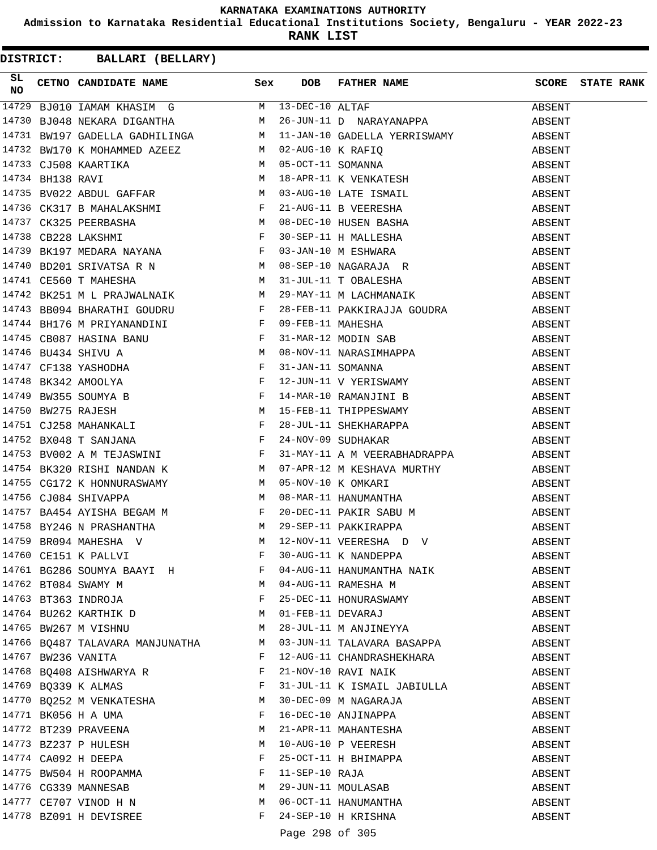**Admission to Karnataka Residential Educational Institutions Society, Bengaluru - YEAR 2022-23**

**RANK LIST**

| SL. |                                                                    |       |                 | SL CETNO CANDIDATE NAME SEX DOB FATHER NAME SCORE STATE RANK<br>14729 BJ010 IAMAM KHASIM G M 13-DEC-10 ALTAF ABSENT<br>14730 BJ048 NEKARA DIGANTHA M 26-JUN-11 D NARAYANAPPA ABSENT<br>14731 EUSA ELEKARA DIGANTHA M 26-JUN-11 D NAR |        |  |
|-----|--------------------------------------------------------------------|-------|-----------------|--------------------------------------------------------------------------------------------------------------------------------------------------------------------------------------------------------------------------------------|--------|--|
|     |                                                                    |       |                 |                                                                                                                                                                                                                                      |        |  |
|     |                                                                    |       |                 |                                                                                                                                                                                                                                      |        |  |
|     |                                                                    |       |                 |                                                                                                                                                                                                                                      |        |  |
|     |                                                                    |       |                 |                                                                                                                                                                                                                                      |        |  |
|     |                                                                    |       |                 |                                                                                                                                                                                                                                      |        |  |
|     |                                                                    |       |                 |                                                                                                                                                                                                                                      |        |  |
|     |                                                                    |       |                 |                                                                                                                                                                                                                                      |        |  |
|     |                                                                    |       |                 |                                                                                                                                                                                                                                      |        |  |
|     |                                                                    |       |                 |                                                                                                                                                                                                                                      |        |  |
|     |                                                                    |       |                 |                                                                                                                                                                                                                                      |        |  |
|     |                                                                    |       |                 |                                                                                                                                                                                                                                      |        |  |
|     |                                                                    |       |                 |                                                                                                                                                                                                                                      |        |  |
|     |                                                                    |       |                 |                                                                                                                                                                                                                                      |        |  |
|     |                                                                    |       |                 |                                                                                                                                                                                                                                      |        |  |
|     |                                                                    |       |                 |                                                                                                                                                                                                                                      |        |  |
|     |                                                                    |       |                 |                                                                                                                                                                                                                                      |        |  |
|     |                                                                    |       |                 |                                                                                                                                                                                                                                      |        |  |
|     |                                                                    |       |                 |                                                                                                                                                                                                                                      |        |  |
|     |                                                                    |       |                 |                                                                                                                                                                                                                                      |        |  |
|     |                                                                    |       |                 |                                                                                                                                                                                                                                      |        |  |
|     |                                                                    |       |                 |                                                                                                                                                                                                                                      |        |  |
|     |                                                                    |       |                 |                                                                                                                                                                                                                                      |        |  |
|     |                                                                    |       |                 |                                                                                                                                                                                                                                      |        |  |
|     |                                                                    |       |                 |                                                                                                                                                                                                                                      |        |  |
|     |                                                                    |       |                 |                                                                                                                                                                                                                                      |        |  |
|     |                                                                    |       |                 |                                                                                                                                                                                                                                      |        |  |
|     |                                                                    |       |                 |                                                                                                                                                                                                                                      |        |  |
|     |                                                                    |       |                 |                                                                                                                                                                                                                                      |        |  |
|     |                                                                    |       |                 |                                                                                                                                                                                                                                      |        |  |
|     |                                                                    |       |                 |                                                                                                                                                                                                                                      |        |  |
|     |                                                                    |       |                 |                                                                                                                                                                                                                                      |        |  |
|     | 14760 CE151 K PALLVI                                               | F     |                 | 30-AUG-11 K NANDEPPA                                                                                                                                                                                                                 | ABSENT |  |
|     | 14761 BG286 SOUMYA BAAYI H                                         |       |                 | 04-AUG-11 HANUMANTHA NAIK                                                                                                                                                                                                            | ABSENT |  |
|     | 14762 BT084 SWAMY M                                                |       |                 | M 04-AUG-11 RAMESHA M                                                                                                                                                                                                                | ABSENT |  |
|     | 14763 BT363 INDROJA                                                |       |                 | F 25-DEC-11 HONURASWAMY                                                                                                                                                                                                              | ABSENT |  |
|     | 14764 BU262 KARTHIK D M 01-FEB-11 DEVARAJ                          |       |                 |                                                                                                                                                                                                                                      | ABSENT |  |
|     | 14765 BW267 M VISHNU                                               |       |                 | M 28-JUL-11 M ANJINEYYA                                                                                                                                                                                                              | ABSENT |  |
|     |                                                                    |       |                 | 14766 BQ487 TALAVARA MANJUNATHA MO3-JUN-11 TALAVARA BASAPPA                                                                                                                                                                          | ABSENT |  |
|     | 14767 BW236 VANITA                                                 | F     |                 | 12-AUG-11 CHANDRASHEKHARA                                                                                                                                                                                                            | ABSENT |  |
|     | 14768 BQ408 AISHWARYA R<br>and the state of the state of the Party |       |                 | 21-NOV-10 RAVI NAIK                                                                                                                                                                                                                  | ABSENT |  |
|     | 14769 BQ339 K ALMAS                                                | F     |                 | 31-JUL-11 K ISMAIL JABIULLA                                                                                                                                                                                                          | ABSENT |  |
|     | 14770 BQ252 M VENKATESHA                                           | M     |                 | 30-DEC-09 M NAGARAJA                                                                                                                                                                                                                 | ABSENT |  |
|     | 14771 BK056 H A UMA                                                | F     |                 | 16-DEC-10 ANJINAPPA                                                                                                                                                                                                                  | ABSENT |  |
|     | 14772 BT239 PRAVEENA                                               | M     |                 | 21-APR-11 MAHANTESHA                                                                                                                                                                                                                 | ABSENT |  |
|     | 14773 BZ237 P HULESH                                               | M     |                 | 10-AUG-10 P VEERESH                                                                                                                                                                                                                  |        |  |
|     |                                                                    | F     |                 |                                                                                                                                                                                                                                      | ABSENT |  |
|     | 14774 CA092 H DEEPA<br>14775 BW504 H ROOPAMMA                      | F     |                 | 25-OCT-11 H BHIMAPPA<br>11-SEP-10 RAJA                                                                                                                                                                                               | ABSENT |  |
|     | 14776 CG339 MANNESAB                                               | M     |                 | 29-JUN-11 MOULASAB                                                                                                                                                                                                                   | ABSENT |  |
|     |                                                                    | M     |                 |                                                                                                                                                                                                                                      | ABSENT |  |
|     | 14777 CE707 VINOD H N                                              | $F$ – |                 | 06-OCT-11 HANUMANTHA                                                                                                                                                                                                                 | ABSENT |  |
|     | 14778 BZ091 H DEVISREE                                             |       |                 | 24-SEP-10 H KRISHNA                                                                                                                                                                                                                  | ABSENT |  |
|     |                                                                    |       | Page 298 of 305 |                                                                                                                                                                                                                                      |        |  |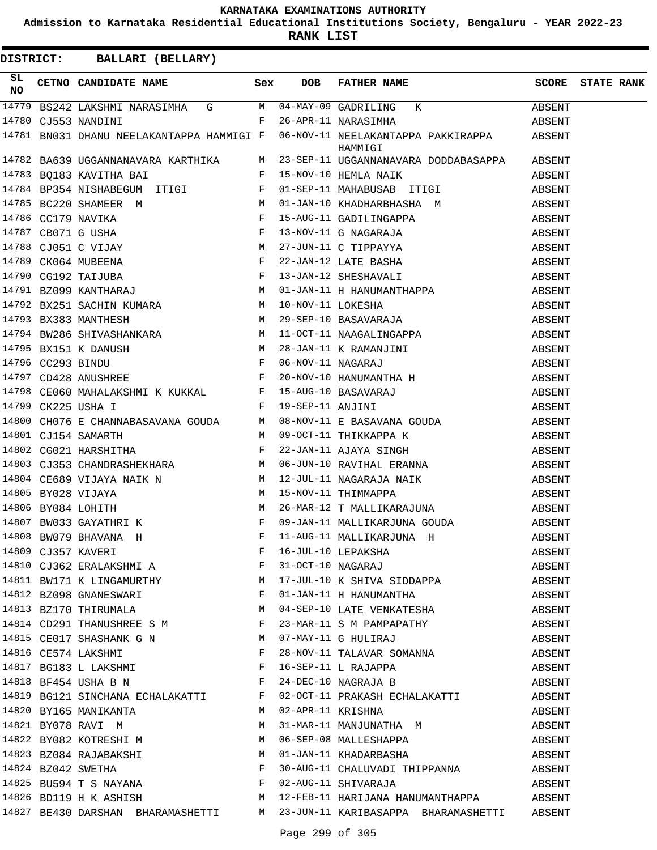**Admission to Karnataka Residential Educational Institutions Society, Bengaluru - YEAR 2022-23**

**RANK LIST**

| SL<br>NO |                    |  | CETNO CANDIDATE NAME Sex DOB FATHER NAME                                                                                                                                                                                                                                                                                      | <b>SCORE</b> STATE RANK |
|----------|--------------------|--|-------------------------------------------------------------------------------------------------------------------------------------------------------------------------------------------------------------------------------------------------------------------------------------------------------------------------------|-------------------------|
|          |                    |  | 14779 BS242 LAKSHMI NARASIMHA G M 04-MAY-09 GADRILING K ABSENT                                                                                                                                                                                                                                                                |                         |
|          |                    |  | 14780 CJ553 NANDINI F 26-APR-11 NARASIMHA                                                                                                                                                                                                                                                                                     |                         |
|          |                    |  | 14781 BN031 DHANU NEELAKANTAPPA HAMMIGI F 06-NOV-11 NEELAKANTAPPA PAKKIRAPPA ABSENT<br>HAMMIGI                                                                                                                                                                                                                                |                         |
|          |                    |  | 14782 BA639 UGGANNANAVARA KARTHIKA M 23-SEP-11 UGGANNANAVARA DODDABASAPPA ABSENT                                                                                                                                                                                                                                              |                         |
|          |                    |  |                                                                                                                                                                                                                                                                                                                               |                         |
|          |                    |  |                                                                                                                                                                                                                                                                                                                               |                         |
|          |                    |  |                                                                                                                                                                                                                                                                                                                               |                         |
|          |                    |  |                                                                                                                                                                                                                                                                                                                               |                         |
|          |                    |  |                                                                                                                                                                                                                                                                                                                               |                         |
|          |                    |  |                                                                                                                                                                                                                                                                                                                               |                         |
|          |                    |  |                                                                                                                                                                                                                                                                                                                               |                         |
|          |                    |  |                                                                                                                                                                                                                                                                                                                               |                         |
|          |                    |  |                                                                                                                                                                                                                                                                                                                               |                         |
|          |                    |  |                                                                                                                                                                                                                                                                                                                               |                         |
|          |                    |  |                                                                                                                                                                                                                                                                                                                               |                         |
|          |                    |  |                                                                                                                                                                                                                                                                                                                               |                         |
|          |                    |  |                                                                                                                                                                                                                                                                                                                               |                         |
|          |                    |  |                                                                                                                                                                                                                                                                                                                               |                         |
|          |                    |  |                                                                                                                                                                                                                                                                                                                               |                         |
|          |                    |  |                                                                                                                                                                                                                                                                                                                               |                         |
|          | F 19-SEP-11 ANJINI |  | $\begin{array}{cccccccccc} 14798 & \texttt{CE060} & \texttt{MAHALAKSHMI} & \texttt{K KUKKAL} & \texttt{F} & 15-AUG-10 & \texttt{BASAVARAJ} & & & & & & & \texttt{ABSENT} \\ 14799 & \texttt{CK225} & \texttt{USHA} & \texttt{I} & & & & & \texttt{F} & 19-SEP-11 & \texttt{ANJINI} & & & & & & & \texttt{ABSENT} \end{array}$ |                         |
|          |                    |  |                                                                                                                                                                                                                                                                                                                               |                         |
|          |                    |  |                                                                                                                                                                                                                                                                                                                               |                         |
|          |                    |  | $14800 CH076 E CHANNABASAVANA GOUDA ABSENT M 08-NOV-11 E BASAVANA GOUDA ABSENT M 09-OCT-11 THIKKAPPA K ABSENT M 09-OCT-11 AHIKKAPPA K ABSENT ABSENT R14802 CG021 HARSHITHA F 22-JAN-11 AJAYA SIMGH ABSENT ABSENT R14803 CJ353 CHANDRASHEKHARA M 06-JUN-10 RAVIHAL ERANNA ABSENT A$                                            |                         |
|          |                    |  |                                                                                                                                                                                                                                                                                                                               |                         |
|          |                    |  | ABSENT 14804 CE689 VIJAYA NAIK N<br>14805 BY028 VIJAYA NAIK N<br>14805 BY028 VIJAYA NAIK N<br>14806 BY084 LOHITH MARELY M<br>14807 BW033 GAYATHRI K<br>14807 BW033 GAYATHRI K<br>F 09-JAN-11 MALLIKARJUNA GOUDA ABSENT                                                                                                        |                         |
|          |                    |  |                                                                                                                                                                                                                                                                                                                               |                         |
|          |                    |  |                                                                                                                                                                                                                                                                                                                               |                         |
|          |                    |  |                                                                                                                                                                                                                                                                                                                               |                         |
|          |                    |  |                                                                                                                                                                                                                                                                                                                               |                         |
|          |                    |  |                                                                                                                                                                                                                                                                                                                               |                         |
|          |                    |  |                                                                                                                                                                                                                                                                                                                               |                         |
|          |                    |  |                                                                                                                                                                                                                                                                                                                               |                         |
|          |                    |  |                                                                                                                                                                                                                                                                                                                               |                         |
|          |                    |  |                                                                                                                                                                                                                                                                                                                               |                         |
|          |                    |  |                                                                                                                                                                                                                                                                                                                               |                         |
|          |                    |  |                                                                                                                                                                                                                                                                                                                               |                         |
|          |                    |  |                                                                                                                                                                                                                                                                                                                               |                         |
|          |                    |  |                                                                                                                                                                                                                                                                                                                               |                         |
|          |                    |  |                                                                                                                                                                                                                                                                                                                               |                         |
|          |                    |  | 14819 BG121 SINCHANA ECHALAKATTI $\qquad\qquad$ F 02-OCT-11 PRAKASH ECHALAKATTI ABSENT                                                                                                                                                                                                                                        |                         |
|          |                    |  |                                                                                                                                                                                                                                                                                                                               |                         |
|          |                    |  | 14820 BY165 MANIKANTA (1992-1993) MONTANO MARISHNA (1992-1993) MONTANO MARISHNA (1993-1993) MONTANO M<br>14821 BY078 RAVI MONTANO MONTANO MONTANO MARI-11 MANJUNATHA MONTANO MARISENT                                                                                                                                         |                         |
|          |                    |  | 14822 BY082 KOTRESHI M                         M   06-SEP-08 MALLESHAPPA                         ABSENT                                                                                                                                                                                                                       |                         |
|          |                    |  |                                                                                                                                                                                                                                                                                                                               |                         |
|          |                    |  |                                                                                                                                                                                                                                                                                                                               |                         |
|          |                    |  |                                                                                                                                                                                                                                                                                                                               |                         |
|          |                    |  |                                                                                                                                                                                                                                                                                                                               |                         |
|          |                    |  | 14827 BE430 DARSHAN BHARAMASHETTI M 23-JUN-11 KARIBASAPPA BHARAMASHETTI ABSENT                                                                                                                                                                                                                                                |                         |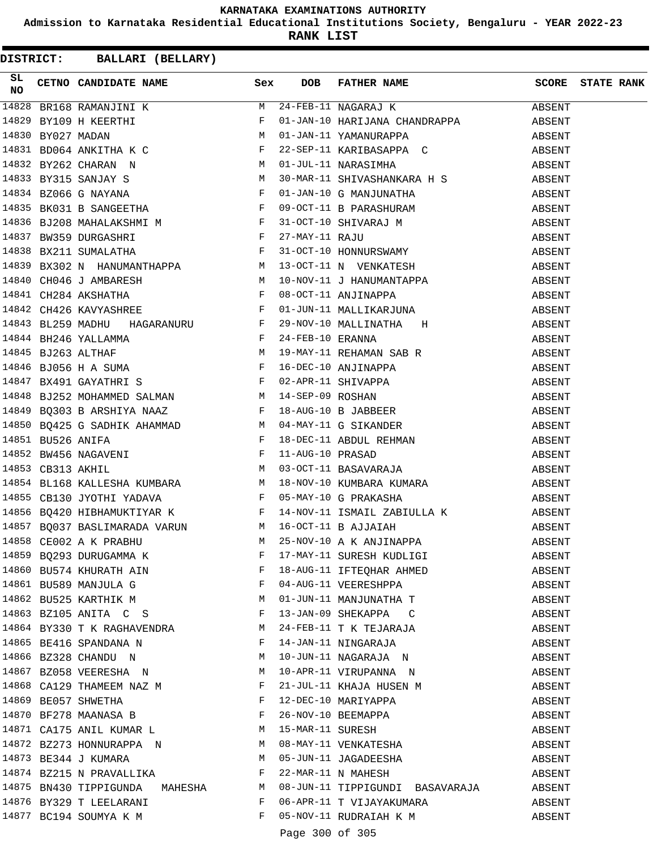**Admission to Karnataka Residential Educational Institutions Society, Bengaluru - YEAR 2022-23**

**RANK LIST**

| SL<br>NO | <b>EXEL AND CANDIDATE NAME SEX DOB</b> FATHER NAME SCORE STATE RANK<br>910 CETNO CANDIDATE NAME 92<br>1920 SELIG RANGEMENTI NAME 92<br>14829 REJIG RANGEMENTIK NAME NAME 11482-26<br>14829 REJIG RANGEMENTIK NAME 12<br>14839 REJIG RANGEMENTIK NAME 12<br>14831 ROO6 4 ANNETTIA R C 22 – SEP-11 NAME/INDAPIA                                                                    |              |                 |                                           |        |  |
|----------|----------------------------------------------------------------------------------------------------------------------------------------------------------------------------------------------------------------------------------------------------------------------------------------------------------------------------------------------------------------------------------|--------------|-----------------|-------------------------------------------|--------|--|
|          |                                                                                                                                                                                                                                                                                                                                                                                  |              |                 |                                           |        |  |
|          |                                                                                                                                                                                                                                                                                                                                                                                  |              |                 |                                           |        |  |
|          |                                                                                                                                                                                                                                                                                                                                                                                  |              |                 |                                           |        |  |
|          |                                                                                                                                                                                                                                                                                                                                                                                  |              |                 |                                           |        |  |
|          |                                                                                                                                                                                                                                                                                                                                                                                  |              |                 |                                           |        |  |
|          |                                                                                                                                                                                                                                                                                                                                                                                  |              |                 |                                           |        |  |
|          |                                                                                                                                                                                                                                                                                                                                                                                  |              |                 |                                           |        |  |
|          |                                                                                                                                                                                                                                                                                                                                                                                  |              |                 |                                           |        |  |
|          |                                                                                                                                                                                                                                                                                                                                                                                  |              |                 |                                           |        |  |
|          |                                                                                                                                                                                                                                                                                                                                                                                  |              |                 |                                           |        |  |
|          |                                                                                                                                                                                                                                                                                                                                                                                  |              |                 |                                           |        |  |
|          |                                                                                                                                                                                                                                                                                                                                                                                  |              |                 |                                           |        |  |
|          |                                                                                                                                                                                                                                                                                                                                                                                  |              |                 |                                           |        |  |
|          |                                                                                                                                                                                                                                                                                                                                                                                  |              |                 |                                           |        |  |
|          |                                                                                                                                                                                                                                                                                                                                                                                  |              |                 |                                           |        |  |
|          |                                                                                                                                                                                                                                                                                                                                                                                  |              |                 |                                           |        |  |
|          |                                                                                                                                                                                                                                                                                                                                                                                  |              |                 |                                           |        |  |
|          |                                                                                                                                                                                                                                                                                                                                                                                  |              |                 |                                           |        |  |
|          |                                                                                                                                                                                                                                                                                                                                                                                  |              |                 |                                           |        |  |
|          |                                                                                                                                                                                                                                                                                                                                                                                  |              |                 |                                           |        |  |
|          |                                                                                                                                                                                                                                                                                                                                                                                  |              |                 |                                           |        |  |
|          |                                                                                                                                                                                                                                                                                                                                                                                  |              |                 |                                           |        |  |
|          |                                                                                                                                                                                                                                                                                                                                                                                  |              |                 |                                           |        |  |
|          |                                                                                                                                                                                                                                                                                                                                                                                  |              |                 |                                           |        |  |
|          |                                                                                                                                                                                                                                                                                                                                                                                  |              |                 |                                           |        |  |
|          |                                                                                                                                                                                                                                                                                                                                                                                  |              |                 |                                           |        |  |
|          |                                                                                                                                                                                                                                                                                                                                                                                  |              |                 |                                           |        |  |
|          | $\begin{array}{cccccccccc} 14854 & \texttt{BL168 KALLESHA KUMBARA} & & & & \texttt{M} & 18-NOV-10 KUMBARA KUMARA & & & & & \texttt{ABSENT} \\ \texttt{CBI30 JYOTHI YADAVA} & & & & & \texttt{F} & 05-MAY-10 G PRAKASHA & & & & & \texttt{ABSENT} \\ 14856 & \texttt{BQ420 HIBHAMUKTIXAR K} & & & & \texttt{F} & 14-NOV-11 ISMAIL ZABIULLA K & & & & \texttt{ABSENT} \end{array}$ |              |                 |                                           |        |  |
|          |                                                                                                                                                                                                                                                                                                                                                                                  |              |                 |                                           |        |  |
|          |                                                                                                                                                                                                                                                                                                                                                                                  |              |                 |                                           |        |  |
|          | 14857 BQ037 BASLIMARADA VARUN M 16-OCT-11 B AJJAIAH M 25-NOV-10 A K ANJINAPPA ABSENT                                                                                                                                                                                                                                                                                             |              |                 |                                           |        |  |
|          |                                                                                                                                                                                                                                                                                                                                                                                  |              |                 |                                           | ABSENT |  |
|          |                                                                                                                                                                                                                                                                                                                                                                                  |              |                 |                                           | ABSENT |  |
|          |                                                                                                                                                                                                                                                                                                                                                                                  |              |                 | 04-AUG-11 VEERESHPPA                      | ABSENT |  |
|          |                                                                                                                                                                                                                                                                                                                                                                                  |              |                 | 01-JUN-11 MANJUNATHA T                    | ABSENT |  |
|          | 14863 BZ105 ANITA C S F 13-JAN-09 SHEKAPPA C                                                                                                                                                                                                                                                                                                                                     |              |                 |                                           | ABSENT |  |
|          | 14864 BY330 T K RAGHAVENDRA M 24-FEB-11 T K TEJARAJA                                                                                                                                                                                                                                                                                                                             |              |                 |                                           | ABSENT |  |
|          | 14865 BE416 SPANDANA N F                                                                                                                                                                                                                                                                                                                                                         |              |                 | 14-JAN-11 NINGARAJA                       | ABSENT |  |
|          | 14866 BZ328 CHANDU N M                                                                                                                                                                                                                                                                                                                                                           |              |                 |                                           |        |  |
|          | 14867 BZ058 VEERESHA N M 10-APR-11 VIRUPANNA N                                                                                                                                                                                                                                                                                                                                   |              |                 | 10-JUN-11 NAGARAJA N                      | ABSENT |  |
|          |                                                                                                                                                                                                                                                                                                                                                                                  |              |                 |                                           | ABSENT |  |
|          | 14868 CA129 THAMEEM NAZ M<br>14869 BE057 SHWETHA<br>F                                                                                                                                                                                                                                                                                                                            |              |                 | 21-JUL-11 KHAJA HUSEN M                   | ABSENT |  |
|          | 14870 BF278 MAANASA B F                                                                                                                                                                                                                                                                                                                                                          |              |                 | 12-DEC-10 MARIYAPPA<br>26-NOV-10 BEEMAPPA | ABSENT |  |
|          |                                                                                                                                                                                                                                                                                                                                                                                  |              |                 |                                           | ABSENT |  |
|          | 14871 CA175 ANIL KUMAR L M 15-MAR-11 SURESH<br>14872 BZ273 HONNURAPPA N M 08-MAY-11 VENKATESHA                                                                                                                                                                                                                                                                                   |              |                 |                                           | ABSENT |  |
|          |                                                                                                                                                                                                                                                                                                                                                                                  |              |                 |                                           | ABSENT |  |
|          | 14873 BE344 J KUMARA M                                                                                                                                                                                                                                                                                                                                                           |              |                 | 05-JUN-11 JAGADEESHA                      | ABSENT |  |
|          | 14874 BZ215 N PRAVALLIKA F                                                                                                                                                                                                                                                                                                                                                       |              |                 | 22-MAR-11 N MAHESH                        | ABSENT |  |
|          | 14875 BN430 TIPPIGUNDA MAHESHA M 08-JUN-11 TIPPIGUNDI BASAVARAJA                                                                                                                                                                                                                                                                                                                 |              |                 |                                           | ABSENT |  |
|          | 14876 BY329 T LEELARANI                                                                                                                                                                                                                                                                                                                                                          | $\mathbf{F}$ |                 | 06-APR-11 T VIJAYAKUMARA ABSENT           |        |  |
|          | 14877 BC194 SOUMYA K M                                                                                                                                                                                                                                                                                                                                                           | $\mathbf{F}$ |                 | 05-NOV-11 RUDRAIAH K M ABSENT             |        |  |
|          |                                                                                                                                                                                                                                                                                                                                                                                  |              | Page 300 of 305 |                                           |        |  |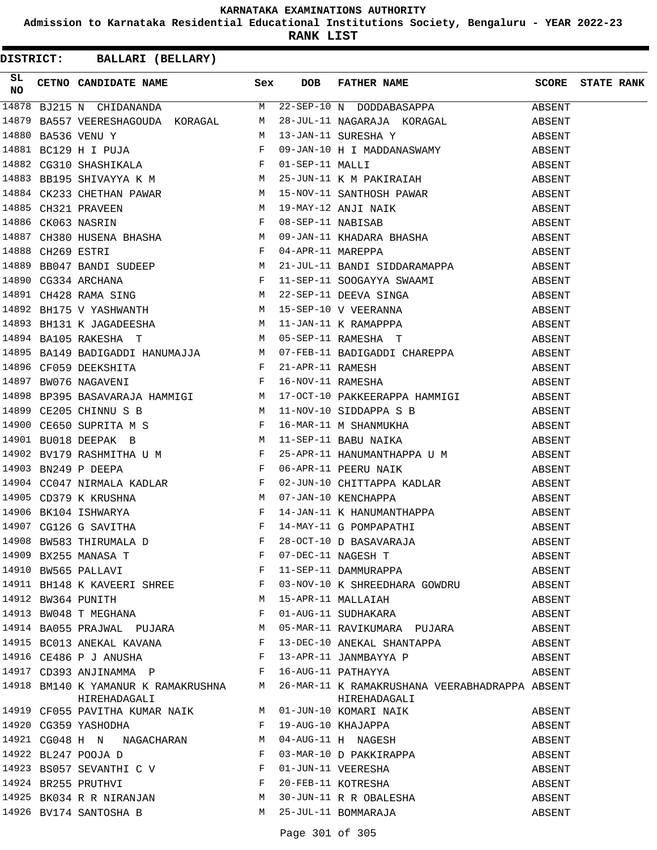**Admission to Karnataka Residential Educational Institutions Society, Bengaluru - YEAR 2022-23**

**RANK LIST**

| SL |                                                                                                                            |   | $\begin{tabular}{l c c c c c c} \hline \textbf{SL} & \textbf{CETNO} & \textbf{CANDIDATE NAME} & \textbf{SAWE} & \textbf{SEX} & \textbf{DOB} & \textbf{FATHER NAME} & \textbf{SCORE} & \textbf{STATE RANK} \\ \hline \textbf{14878} & BJ215 N & CHIDANANDA & M & 22-SEP-10 N & DODDABASAPPA & \textbf{ABSENT} \\ \hline \textbf{14879} & BA557 VEERESHAGOUDA & KORAGAL & M & 28-JUL-11 NAGARAJA & KORAGAL & \textbf{ABSENT} \\ \$ |        |  |
|----|----------------------------------------------------------------------------------------------------------------------------|---|----------------------------------------------------------------------------------------------------------------------------------------------------------------------------------------------------------------------------------------------------------------------------------------------------------------------------------------------------------------------------------------------------------------------------------|--------|--|
|    |                                                                                                                            |   |                                                                                                                                                                                                                                                                                                                                                                                                                                  |        |  |
|    |                                                                                                                            |   |                                                                                                                                                                                                                                                                                                                                                                                                                                  |        |  |
|    |                                                                                                                            |   |                                                                                                                                                                                                                                                                                                                                                                                                                                  |        |  |
|    |                                                                                                                            |   |                                                                                                                                                                                                                                                                                                                                                                                                                                  |        |  |
|    |                                                                                                                            |   |                                                                                                                                                                                                                                                                                                                                                                                                                                  |        |  |
|    |                                                                                                                            |   |                                                                                                                                                                                                                                                                                                                                                                                                                                  |        |  |
|    |                                                                                                                            |   |                                                                                                                                                                                                                                                                                                                                                                                                                                  |        |  |
|    |                                                                                                                            |   |                                                                                                                                                                                                                                                                                                                                                                                                                                  |        |  |
|    |                                                                                                                            |   |                                                                                                                                                                                                                                                                                                                                                                                                                                  |        |  |
|    |                                                                                                                            |   |                                                                                                                                                                                                                                                                                                                                                                                                                                  |        |  |
|    |                                                                                                                            |   |                                                                                                                                                                                                                                                                                                                                                                                                                                  |        |  |
|    |                                                                                                                            |   |                                                                                                                                                                                                                                                                                                                                                                                                                                  |        |  |
|    |                                                                                                                            |   |                                                                                                                                                                                                                                                                                                                                                                                                                                  |        |  |
|    |                                                                                                                            |   |                                                                                                                                                                                                                                                                                                                                                                                                                                  |        |  |
|    |                                                                                                                            |   |                                                                                                                                                                                                                                                                                                                                                                                                                                  |        |  |
|    |                                                                                                                            |   |                                                                                                                                                                                                                                                                                                                                                                                                                                  |        |  |
|    |                                                                                                                            |   |                                                                                                                                                                                                                                                                                                                                                                                                                                  |        |  |
|    |                                                                                                                            |   |                                                                                                                                                                                                                                                                                                                                                                                                                                  |        |  |
|    |                                                                                                                            |   |                                                                                                                                                                                                                                                                                                                                                                                                                                  |        |  |
|    |                                                                                                                            |   |                                                                                                                                                                                                                                                                                                                                                                                                                                  |        |  |
|    |                                                                                                                            |   |                                                                                                                                                                                                                                                                                                                                                                                                                                  |        |  |
|    |                                                                                                                            |   |                                                                                                                                                                                                                                                                                                                                                                                                                                  |        |  |
|    |                                                                                                                            |   |                                                                                                                                                                                                                                                                                                                                                                                                                                  |        |  |
|    |                                                                                                                            |   |                                                                                                                                                                                                                                                                                                                                                                                                                                  |        |  |
|    |                                                                                                                            |   | 14896 CG231 SHATAHAM ( $\mu = 2.547741$ MALL) SHATAHAM (ASSEMIT)<br>14868 BRISTS GHIVAYYA K. M. 19 - SW-10A - 10 - KNINGHAM PARAIR (ASSEMIT)<br>14868 CM233 BRISTS ENGER, N. 19 - SW-10A - 10 - NIV-10 - NIV-10 - NIV-10 - NIV-10 -                                                                                                                                                                                              |        |  |
|    |                                                                                                                            |   |                                                                                                                                                                                                                                                                                                                                                                                                                                  |        |  |
|    |                                                                                                                            |   |                                                                                                                                                                                                                                                                                                                                                                                                                                  |        |  |
|    |                                                                                                                            |   |                                                                                                                                                                                                                                                                                                                                                                                                                                  |        |  |
|    |                                                                                                                            |   |                                                                                                                                                                                                                                                                                                                                                                                                                                  |        |  |
|    |                                                                                                                            |   |                                                                                                                                                                                                                                                                                                                                                                                                                                  |        |  |
|    |                                                                                                                            |   |                                                                                                                                                                                                                                                                                                                                                                                                                                  |        |  |
|    | 14909 BX255 MANASA T<br>14910 BW565 PALLAVI F<br>14911 BH148 K KAVEERI SHREE F<br>14912 BW364 PUNITH<br>14912 BW364 PUNITH |   | 07-DEC-11 NAGESH T<br>11-SEP-11 DAMMURAPPA                                                                                                                                                                                                                                                                                                                                                                                       | ABSENT |  |
|    |                                                                                                                            |   |                                                                                                                                                                                                                                                                                                                                                                                                                                  | ABSENT |  |
|    |                                                                                                                            |   | 03-NOV-10 K SHREEDHARA GOWDRU                                                                                                                                                                                                                                                                                                                                                                                                    | ABSENT |  |
|    |                                                                                                                            |   | 15-APR-11 MALLAIAH                                                                                                                                                                                                                                                                                                                                                                                                               | ABSENT |  |
|    | 14913 BW048 T MEGHANA F                                                                                                    |   | 01-AUG-11 SUDHAKARA                                                                                                                                                                                                                                                                                                                                                                                                              | ABSENT |  |
|    |                                                                                                                            |   | 14914 BA055 PRAJWAL PUJARA M 05-MAR-11 RAVIKUMARA PUJARA                                                                                                                                                                                                                                                                                                                                                                         | ABSENT |  |
|    |                                                                                                                            |   | 14915 BC013 ANEKAL KAVANA (F) 13-DEC-10 ANEKAL SHANTAPPA                                                                                                                                                                                                                                                                                                                                                                         | ABSENT |  |
|    | 14916 CE486 P J ANUSHA F                                                                                                   |   | 13-APR-11 JANMBAYYA P                                                                                                                                                                                                                                                                                                                                                                                                            | ABSENT |  |
|    | 14917 CD393 ANJINAMMA P                                                                                                    |   | 16-AUG-11 PATHAYYA                                                                                                                                                                                                                                                                                                                                                                                                               | ABSENT |  |
|    | HIREHADAGALI                                                                                                               |   | 14918 BM140 K YAMANUR K RAMAKRUSHNA M 26-MAR-11 K RAMAKRUSHANA VEERABHADRAPPA ABSENT<br>HIREHADAGALI                                                                                                                                                                                                                                                                                                                             |        |  |
|    |                                                                                                                            |   |                                                                                                                                                                                                                                                                                                                                                                                                                                  | ABSENT |  |
|    |                                                                                                                            |   |                                                                                                                                                                                                                                                                                                                                                                                                                                  | ABSENT |  |
|    |                                                                                                                            |   |                                                                                                                                                                                                                                                                                                                                                                                                                                  | ABSENT |  |
|    | $\mathbb{F}^{\mathbb{Z}}$ . If $\mathbb{F}^{\mathbb{Z}}$<br>14922 BL247 POOJA D                                            |   | 03-MAR-10 D PAKKIRAPPA                                                                                                                                                                                                                                                                                                                                                                                                           | ABSENT |  |
|    | 14923 BS057 SEVANTHI C V                                                                                                   |   |                                                                                                                                                                                                                                                                                                                                                                                                                                  | ABSENT |  |
|    | 14924 BR255 PRUTHVI<br>14925 BK034 R R NIRANJAN M                                                                          |   | 01-JUN-11 VEERESHA<br>20-FEB-11 KOTRESHA<br>30-JUN-11 R R OBALESHA                                                                                                                                                                                                                                                                                                                                                               | ABSENT |  |
|    |                                                                                                                            |   |                                                                                                                                                                                                                                                                                                                                                                                                                                  | ABSENT |  |
|    | 14926 BV174 SANTOSHA B                                                                                                     | M | 25-JUL-11 BOMMARAJA                                                                                                                                                                                                                                                                                                                                                                                                              | ABSENT |  |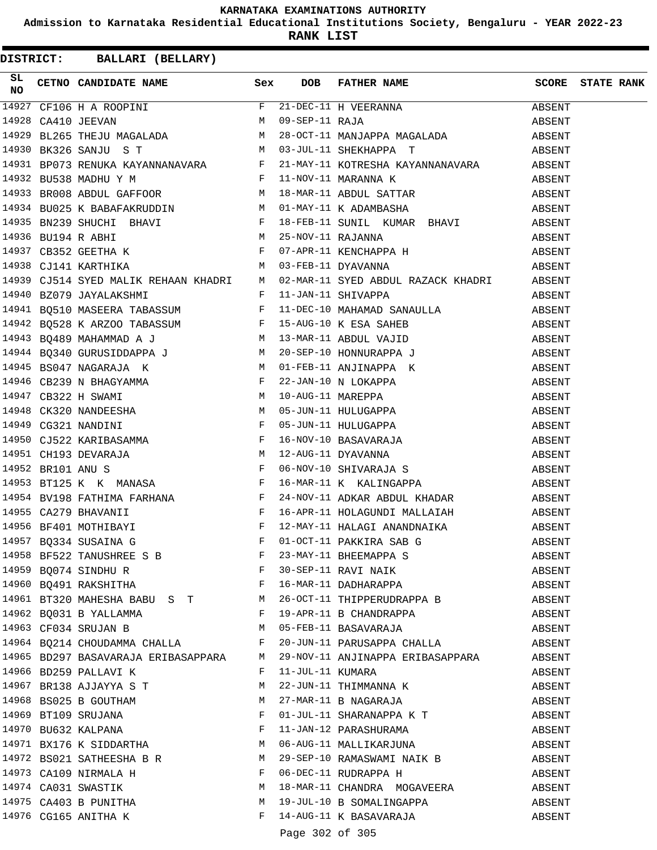**Admission to Karnataka Residential Educational Institutions Society, Bengaluru - YEAR 2022-23**

**RANK LIST**

|  |                                               |                 | 14954 BV198 FATHIMA FARHANA (Fig. 24-NOV-11 ADKAR ABDUL KHADAR ABSENT 14955 CA279 BHAVANII (Fig. 24-NOV-11 ADKAR ABDUL KHADAR ABSENT 14955 CA279 BHAVANII (Fig. 24-NOV-11 HALAGINDI MALLAIAH ABSENT (Fig. 27-MAY-11 HALAGINDI |        |  |
|--|-----------------------------------------------|-----------------|-------------------------------------------------------------------------------------------------------------------------------------------------------------------------------------------------------------------------------|--------|--|
|  |                                               |                 |                                                                                                                                                                                                                               |        |  |
|  |                                               |                 |                                                                                                                                                                                                                               |        |  |
|  |                                               |                 | 14958 BF522 TANUSHREE S B<br>14959 BQ074 SINDHU R<br>14960 BQ491 RAKSHITHA<br>14960 BQ491 RAKSHITHA<br>F 16-MAR-11 DADHARAPPA                                                                                                 | ABSENT |  |
|  |                                               |                 |                                                                                                                                                                                                                               | ABSENT |  |
|  |                                               |                 |                                                                                                                                                                                                                               | ABSENT |  |
|  |                                               |                 | 14961 BT320 MAHESHA BABU S T M 26-OCT-11 THIPPERUDRAPPA B ABSENT                                                                                                                                                              |        |  |
|  |                                               |                 |                                                                                                                                                                                                                               | ABSENT |  |
|  |                                               |                 |                                                                                                                                                                                                                               | ABSENT |  |
|  |                                               |                 | 14964 BQ214 CHOUDAMMA CHALLA F 20-JUN-11 PARUSAPPA CHALLA ABSENT                                                                                                                                                              |        |  |
|  |                                               |                 | 14965 BD297 BASAVARAJA ERIBASAPPARA M 29-NOV-11 ANJINAPPA ERIBASAPPARA ABSENT                                                                                                                                                 |        |  |
|  | 14966 BD259 PALLAVI K F                       |                 | 11-JUL-11 KUMARA                                                                                                                                                                                                              | ABSENT |  |
|  | 14967 BR138 AJJAYYA S T                       |                 | M 22-JUN-11 THIMMANNA K                                                                                                                                                                                                       | ABSENT |  |
|  |                                               |                 | 14968 BS025 B GOUTHAM M 27-MAR-11 B NAGARAJA                                                                                                                                                                                  | ABSENT |  |
|  |                                               |                 | 14969 BT109 SRUJANA<br>F 01-JUL-11 SHARANAPPA K T                                                                                                                                                                             | ABSENT |  |
|  |                                               |                 |                                                                                                                                                                                                                               | ABSENT |  |
|  |                                               |                 |                                                                                                                                                                                                                               | ABSENT |  |
|  |                                               |                 | 14972 BS021 SATHEESHA B R M 29-SEP-10 RAMASWAMI NAIK B                                                                                                                                                                        | ABSENT |  |
|  | 14973 CA109 NIRMALA H F                       |                 | 06-DEC-11 RUDRAPPA H                                                                                                                                                                                                          | ABSENT |  |
|  | 14974 CA031 SWASTIK<br>M                      |                 | 18-MAR-11 CHANDRA MOGAVEERA ABSENT                                                                                                                                                                                            |        |  |
|  | 14975 CA403 B PUNITHA<br>14976 CG165 ANITHA K |                 | M 19-JUL-10 B SOMALINGAPPA ABSENT                                                                                                                                                                                             |        |  |
|  |                                               |                 | F 14-AUG-11 K BASAVARAJA ABSENT                                                                                                                                                                                               |        |  |
|  |                                               | Page 302 of 305 |                                                                                                                                                                                                                               |        |  |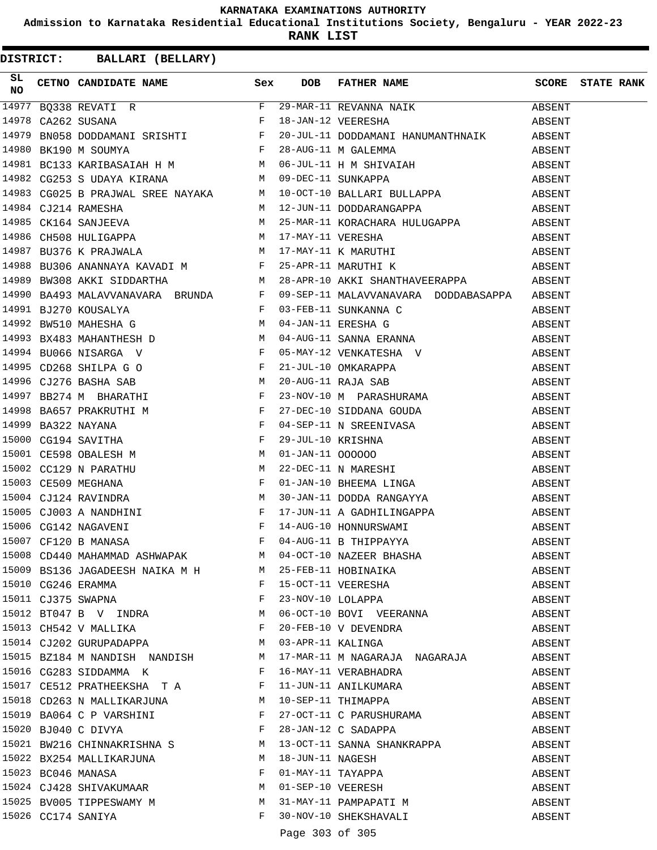**Admission to Karnataka Residential Educational Institutions Society, Bengaluru - YEAR 2022-23**

**RANK LIST**

| SL |                                                              |       |                 | $\begin{array}{lllllllll} \textbf{SL} & \textbf{CETNO} & \textbf{CANDIDATE} & \textbf{NAME} & \textbf{Sex} & \textbf{DOB} & \textbf{FATHER} & \textbf{NAME} & \textbf{SCORE} & \textbf{STATE RANK} \\ \textbf{NO} & & & & & & & & & & & & \\ \hline 14977 & BQ338 & REVATI & R & & & & & & & & & \\ \textbf{14978} & CA262 & SUBANA & & & & & & & & & & \\ \textbf{14978} & CA262 & SUBAMA & & & & & & & & & \\ \textbf{14979} & BN058 & D$        |        |  |
|----|--------------------------------------------------------------|-------|-----------------|----------------------------------------------------------------------------------------------------------------------------------------------------------------------------------------------------------------------------------------------------------------------------------------------------------------------------------------------------------------------------------------------------------------------------------------------------|--------|--|
|    |                                                              |       |                 |                                                                                                                                                                                                                                                                                                                                                                                                                                                    |        |  |
|    |                                                              |       |                 |                                                                                                                                                                                                                                                                                                                                                                                                                                                    |        |  |
|    |                                                              |       |                 |                                                                                                                                                                                                                                                                                                                                                                                                                                                    |        |  |
|    |                                                              |       |                 |                                                                                                                                                                                                                                                                                                                                                                                                                                                    |        |  |
|    |                                                              |       |                 | $\begin{tabular}{lllllllllllllllllll} \end{tabular} \begin{tabular}{lllllllllll} \multicolumn{4}{c}{\textbf{14980}} &{\textbf{BK190}} &{\textbf{M}} &{\textbf{SOUNYA}} &\multicolumn{4}{c}{\textbf{F}} &{\textbf{28-Aug-11}} &{\textbf{M}} &{\textbf{GALEMMA}} &\multicolumn{4}{c}{\textbf{28-ANG-11}} &{\textbf{M}} &{\textbf{GALEMMA}} &\multicolumn{4}{c}{\textbf{ABSENT}} \\ \multicolumn{4}{c}{\textbf{14981}} &{\textbf{BC133}} &{\textbf{K$ |        |  |
|    |                                                              |       |                 |                                                                                                                                                                                                                                                                                                                                                                                                                                                    |        |  |
|    |                                                              |       |                 |                                                                                                                                                                                                                                                                                                                                                                                                                                                    |        |  |
|    |                                                              |       |                 | 1998 COOLS D'INNOMIL DALL INTRANT NA 12-JUN-11 DODDARANGAPPA ABSENT<br>14985 CK164 SANJEEVA M 25-MAR-11 KORACHARA HULUGAPPA ABSENT<br>14986 CH508 HULIGAPPA M 17-MAY-11 VERESHA ABSENT<br>14987 BU376 K PRAJWALA M 17-MAY-11 K MARUT                                                                                                                                                                                                               |        |  |
|    |                                                              |       |                 |                                                                                                                                                                                                                                                                                                                                                                                                                                                    |        |  |
|    |                                                              |       |                 |                                                                                                                                                                                                                                                                                                                                                                                                                                                    |        |  |
|    |                                                              |       |                 |                                                                                                                                                                                                                                                                                                                                                                                                                                                    |        |  |
|    |                                                              |       |                 | 14988 BU306 ANANNAYA KAVADI M $$\rm{F}$ 25-APR-11 MARUTHI K $$$                                                                                                                                                                                                                                                                                                                                                                                    |        |  |
|    |                                                              |       |                 |                                                                                                                                                                                                                                                                                                                                                                                                                                                    |        |  |
|    |                                                              |       |                 |                                                                                                                                                                                                                                                                                                                                                                                                                                                    |        |  |
|    |                                                              |       |                 |                                                                                                                                                                                                                                                                                                                                                                                                                                                    |        |  |
|    |                                                              |       |                 |                                                                                                                                                                                                                                                                                                                                                                                                                                                    |        |  |
|    |                                                              |       |                 |                                                                                                                                                                                                                                                                                                                                                                                                                                                    |        |  |
|    |                                                              |       |                 |                                                                                                                                                                                                                                                                                                                                                                                                                                                    |        |  |
|    |                                                              |       |                 |                                                                                                                                                                                                                                                                                                                                                                                                                                                    |        |  |
|    |                                                              |       |                 |                                                                                                                                                                                                                                                                                                                                                                                                                                                    |        |  |
|    |                                                              |       |                 |                                                                                                                                                                                                                                                                                                                                                                                                                                                    |        |  |
|    |                                                              |       |                 |                                                                                                                                                                                                                                                                                                                                                                                                                                                    |        |  |
|    |                                                              |       |                 |                                                                                                                                                                                                                                                                                                                                                                                                                                                    |        |  |
|    |                                                              |       |                 |                                                                                                                                                                                                                                                                                                                                                                                                                                                    |        |  |
|    |                                                              |       |                 |                                                                                                                                                                                                                                                                                                                                                                                                                                                    |        |  |
|    |                                                              |       |                 |                                                                                                                                                                                                                                                                                                                                                                                                                                                    |        |  |
|    |                                                              |       |                 |                                                                                                                                                                                                                                                                                                                                                                                                                                                    |        |  |
|    |                                                              |       |                 |                                                                                                                                                                                                                                                                                                                                                                                                                                                    |        |  |
|    |                                                              |       |                 | 15005 CJ003 A NANDHINI F 17-JUN-11 A GADHILINGAPPA ABSENT<br>15006 CG142 NAGAVENI F 14-AUG-10 HONNURSWAMI ABSENT<br>15007 CF120 B MANASA F 04-AUG-11 B THIPPAYYA ABSENT                                                                                                                                                                                                                                                                            |        |  |
|    |                                                              |       |                 |                                                                                                                                                                                                                                                                                                                                                                                                                                                    |        |  |
|    |                                                              |       |                 |                                                                                                                                                                                                                                                                                                                                                                                                                                                    |        |  |
|    |                                                              |       |                 | 15008 CD440 MAHAMMAD ASHWAPAK M 04-OCT-10 NAZEER BHASHA<br>15009 BS136 JAGADEESH NAIKA M H M 25-FEB-11 HOBINAIKA<br>15010 CG246 ERAMMA F 15-OCT-11 VEERESHA<br>15011 CJ375 SWAPNA F 23-NOV-10 LOLAPPA                                                                                                                                                                                                                                              | ABSENT |  |
|    |                                                              |       |                 |                                                                                                                                                                                                                                                                                                                                                                                                                                                    | ABSENT |  |
|    |                                                              |       |                 |                                                                                                                                                                                                                                                                                                                                                                                                                                                    | ABSENT |  |
|    |                                                              |       |                 |                                                                                                                                                                                                                                                                                                                                                                                                                                                    | ABSENT |  |
|    | 15012 BT047 B V INDRA M                                      |       |                 | 06-OCT-10 BOVI VEERANNA                                                                                                                                                                                                                                                                                                                                                                                                                            | ABSENT |  |
|    | 15013 CH542 V MALLIKA F                                      |       |                 |                                                                                                                                                                                                                                                                                                                                                                                                                                                    | ABSENT |  |
|    | 15014 CJ202 GURUPADAPPA                                      |       |                 | F 20-FEB-10 V DEVENDRA<br>M 03-APR-11 KALINGA                                                                                                                                                                                                                                                                                                                                                                                                      | ABSENT |  |
|    |                                                              |       |                 | 15015 BZ184 M NANDISH NANDISH M 17-MAR-11 M NAGARAJA NAGARAJA                                                                                                                                                                                                                                                                                                                                                                                      | ABSENT |  |
|    | 15016 CG283 SIDDAMMA K F                                     |       |                 | 16-MAY-11 VERABHADRA                                                                                                                                                                                                                                                                                                                                                                                                                               | ABSENT |  |
|    |                                                              |       |                 |                                                                                                                                                                                                                                                                                                                                                                                                                                                    | ABSENT |  |
|    |                                                              |       |                 |                                                                                                                                                                                                                                                                                                                                                                                                                                                    | ABSENT |  |
|    |                                                              |       |                 |                                                                                                                                                                                                                                                                                                                                                                                                                                                    | ABSENT |  |
|    |                                                              |       |                 |                                                                                                                                                                                                                                                                                                                                                                                                                                                    | ABSENT |  |
|    | 15021 BW216 CHINNAKRISHNA S M                                |       |                 | 13-OCT-11 SANNA SHANKRAPPA                                                                                                                                                                                                                                                                                                                                                                                                                         | ABSENT |  |
|    | 15022 BX254 MALLIKARJUNA                                     |       |                 |                                                                                                                                                                                                                                                                                                                                                                                                                                                    | ABSENT |  |
|    | 15023 BC046 MANASA F                                         |       |                 |                                                                                                                                                                                                                                                                                                                                                                                                                                                    | ABSENT |  |
|    | 15024 CJ428 SHIVAKUMAAR M                                    |       |                 |                                                                                                                                                                                                                                                                                                                                                                                                                                                    | ABSENT |  |
|    |                                                              |       |                 | M 18-JUN-11 NAGESH<br>F 01-MAY-11 TAYAPPA<br>M 01-SEP-10 VEERESH<br>M 31-MAY-11 PAMPAPATI M                                                                                                                                                                                                                                                                                                                                                        | ABSENT |  |
|    | 15025 BV005 TIPPESWAMY M<br>APROXEMANT<br>15026 CC174 SANIYA | $F -$ |                 | 30-NOV-10 SHEKSHAVALI                                                                                                                                                                                                                                                                                                                                                                                                                              | ABSENT |  |
|    |                                                              |       |                 |                                                                                                                                                                                                                                                                                                                                                                                                                                                    |        |  |
|    |                                                              |       | Page 303 of 305 |                                                                                                                                                                                                                                                                                                                                                                                                                                                    |        |  |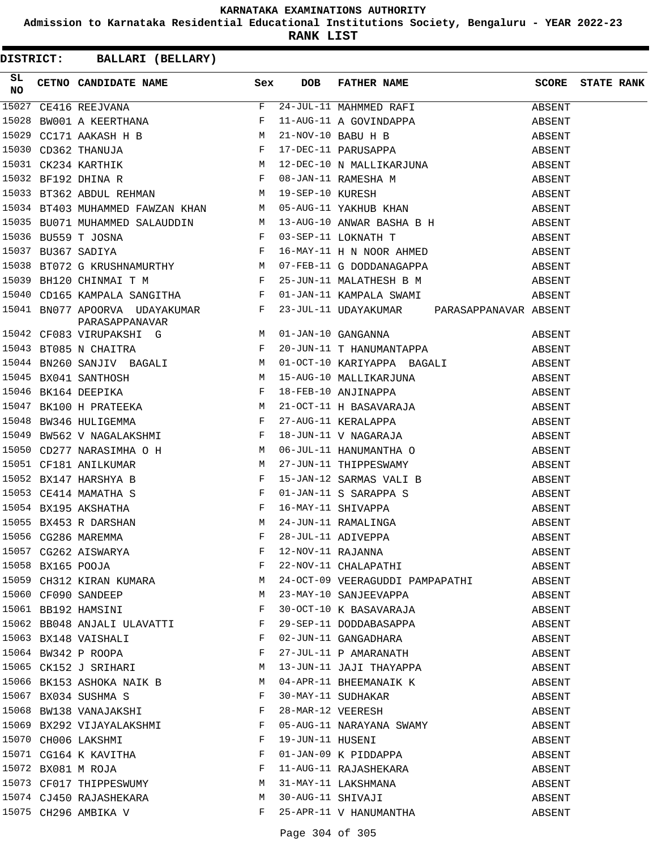**Admission to Karnataka Residential Educational Institutions Society, Bengaluru - YEAR 2022-23**

**RANK LIST**

**DISTRICT:** CC **BALLARI (BELLARY)**

| SL<br><b>NO</b> |                                                  |              | CETNO CANDIDATE NAME Sex DOB FATHER NAME SCORE STATE RANK |        |  |
|-----------------|--------------------------------------------------|--------------|-----------------------------------------------------------|--------|--|
|                 |                                                  |              |                                                           |        |  |
|                 |                                                  |              |                                                           |        |  |
|                 |                                                  |              |                                                           |        |  |
|                 |                                                  |              |                                                           |        |  |
|                 |                                                  |              |                                                           |        |  |
|                 |                                                  |              |                                                           |        |  |
|                 |                                                  |              |                                                           |        |  |
|                 |                                                  |              |                                                           |        |  |
|                 |                                                  |              |                                                           |        |  |
|                 |                                                  |              |                                                           |        |  |
|                 |                                                  |              |                                                           |        |  |
|                 |                                                  |              |                                                           |        |  |
|                 |                                                  |              |                                                           |        |  |
|                 |                                                  |              |                                                           |        |  |
|                 |                                                  |              |                                                           |        |  |
|                 |                                                  |              |                                                           |        |  |
|                 |                                                  |              |                                                           |        |  |
|                 |                                                  |              |                                                           |        |  |
|                 |                                                  |              |                                                           |        |  |
|                 |                                                  |              |                                                           |        |  |
|                 |                                                  |              |                                                           |        |  |
|                 |                                                  |              |                                                           |        |  |
|                 |                                                  |              |                                                           |        |  |
|                 |                                                  |              |                                                           |        |  |
|                 |                                                  |              |                                                           |        |  |
|                 |                                                  |              |                                                           |        |  |
|                 |                                                  |              |                                                           |        |  |
|                 |                                                  |              |                                                           |        |  |
|                 |                                                  |              |                                                           |        |  |
|                 |                                                  |              |                                                           |        |  |
|                 |                                                  |              |                                                           |        |  |
|                 |                                                  |              |                                                           |        |  |
|                 | 15059 CH312 KIRAN KUMARA M                       |              | 24-OCT-09 VEERAGUDDI PAMPAPATHI                           | ABSENT |  |
|                 | 15060 CF090 SANDEEP<br>15061 BB192 HAMSINI       | M            | 23-MAY-10 SANJEEVAPPA                                     | ABSENT |  |
|                 |                                                  | F            | 30-OCT-10 K BASAVARAJA                                    | ABSENT |  |
|                 | 15062 BB048 ANJALI ULAVATTI F                    |              | 29-SEP-11 DODDABASAPPA                                    | ABSENT |  |
|                 | 15063 BX148 VAISHALI                             | $\mathbf{F}$ |                                                           | ABSENT |  |
|                 | 15064 BW342 P ROOPA F<br>15065 CK152 J SRIHARI M |              | 02-JUN-11 GANGADHARA<br>27-JUL-11 P AMARANATH             | ABSENT |  |
|                 |                                                  |              | 13-JUN-11 JAJI THAYAPPA                                   | ABSENT |  |
|                 | 15066 BK153 ASHOKA NAIK B                        |              | 04-APR-11 BHEEMANAIK K                                    | ABSENT |  |
|                 | 15067 BX034 SUSHMA S                             | $\mathbf{F}$ | 30-MAY-11 SUDHAKAR<br>28-MAR-12 VEERESH                   | ABSENT |  |
|                 | 15068 BW138 VANAJAKSHI                           | F            |                                                           | ABSENT |  |
|                 | 15069 BX292 VIJAYALAKSHMI                        | $\mathbf{F}$ | 05-AUG-11 NARAYANA SWAMY                                  | ABSENT |  |
|                 | 15070 CH006 LAKSHMI                              | F            | 19-JUN-11 HUSENI                                          | ABSENT |  |
|                 | 15071 CG164 K KAVITHA                            | $\mathbf{F}$ | 01-JAN-09 K PIDDAPPA                                      | ABSENT |  |
|                 | 15072 BX081 M ROJA<br>15073 CF017 THIPPESWUMY M  |              | 11-AUG-11 RAJASHEKARA<br>31-MAY 11 FRICHELL               | ABSENT |  |
|                 |                                                  |              | 31-MAY-11 LAKSHMANA                                       | ABSENT |  |
|                 | 15074 CJ450 RAJASHEKARA M                        |              | 30-AUG-11 SHIVAJI                                         | ABSENT |  |
|                 | 15075 CH296 AMBIKA V                             | F            | 25-APR-11 V HANUMANTHA                                    | ABSENT |  |

Page 304 of 305